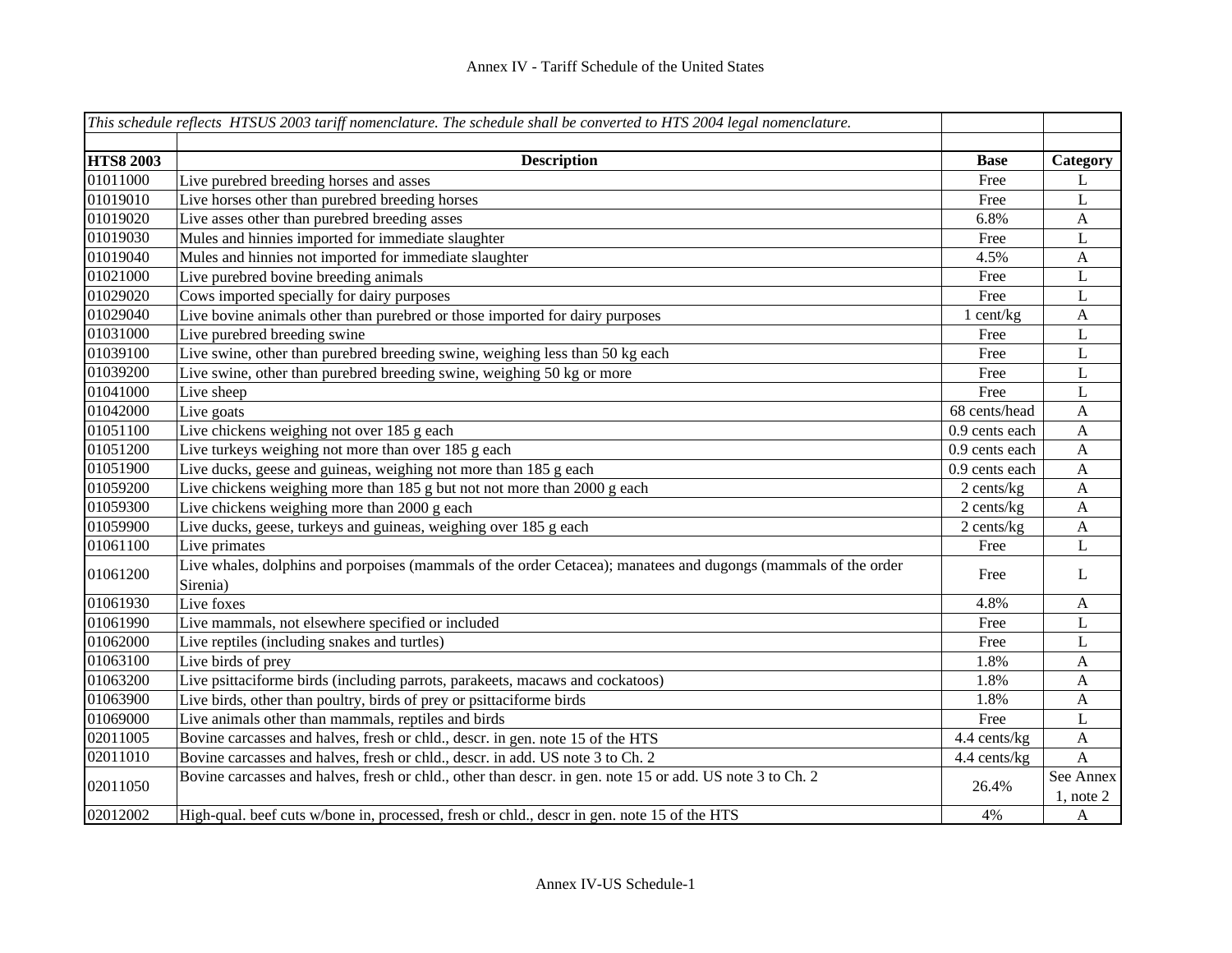|                  | This schedule reflects HTSUS 2003 tariff nomenclature. The schedule shall be converted to HTS 2004 legal nomenclature.     |                |                             |
|------------------|----------------------------------------------------------------------------------------------------------------------------|----------------|-----------------------------|
|                  |                                                                                                                            |                |                             |
| <b>HTS8 2003</b> | <b>Description</b>                                                                                                         | <b>Base</b>    | Category                    |
| 01011000         | Live purebred breeding horses and asses                                                                                    | Free           | L                           |
| 01019010         | Live horses other than purebred breeding horses                                                                            | Free           | L                           |
| 01019020         | Live asses other than purebred breeding asses                                                                              | 6.8%           | $\mathbf{A}$                |
| 01019030         | Mules and hinnies imported for immediate slaughter                                                                         | Free           | L                           |
| 01019040         | Mules and hinnies not imported for immediate slaughter                                                                     | 4.5%           | $\mathbf{A}$                |
| 01021000         | Live purebred bovine breeding animals                                                                                      | Free           | L                           |
| 01029020         | Cows imported specially for dairy purposes                                                                                 | Free           | $\mathbf L$                 |
| 01029040         | Live bovine animals other than purebred or those imported for dairy purposes                                               | 1 cent/kg      | $\mathbf{A}$                |
| 01031000         | Live purebred breeding swine                                                                                               | Free           | $\mathbf{L}$                |
| 01039100         | Live swine, other than purebred breeding swine, weighing less than 50 kg each                                              | Free           | $\mathbf L$                 |
| 01039200         | Live swine, other than purebred breeding swine, weighing 50 kg or more                                                     | Free           | L                           |
| 01041000         | Live sheep                                                                                                                 | Free           | L                           |
| 01042000         | Live goats                                                                                                                 | 68 cents/head  | $\mathbf{A}$                |
| 01051100         | Live chickens weighing not over 185 g each                                                                                 | 0.9 cents each | $\mathbf{A}$                |
| 01051200         | Live turkeys weighing not more than over 185 g each                                                                        | 0.9 cents each | $\mathbf{A}$                |
| 01051900         | Live ducks, geese and guineas, weighing not more than 185 g each                                                           | 0.9 cents each | $\mathbf{A}$                |
| 01059200         | Live chickens weighing more than 185 g but not not more than 2000 g each                                                   | 2 cents/kg     | $\mathbf{A}$                |
| 01059300         | Live chickens weighing more than 2000 g each                                                                               | 2 cents/kg     | $\mathbf{A}$                |
| 01059900         | Live ducks, geese, turkeys and guineas, weighing over 185 g each                                                           | 2 cents/kg     | A                           |
| 01061100         | Live primates                                                                                                              | Free           | L                           |
| 01061200         | Live whales, dolphins and porpoises (mammals of the order Cetacea); manatees and dugongs (mammals of the order<br>Sirenia) | Free           | L                           |
| 01061930         | Live foxes                                                                                                                 | 4.8%           | A                           |
| 01061990         | Live mammals, not elsewhere specified or included                                                                          | Free           | L                           |
| 01062000         | Live reptiles (including snakes and turtles)                                                                               | Free           | L                           |
| 01063100         | Live birds of prey                                                                                                         | 1.8%           | $\mathbf{A}$                |
| 01063200         | Live psittaciforme birds (including parrots, parakeets, macaws and cockatoos)                                              | 1.8%           | $\mathbf{A}$                |
| 01063900         | Live birds, other than poultry, birds of prey or psittaciforme birds                                                       | 1.8%           | $\mathbf{A}$                |
| 01069000         | Live animals other than mammals, reptiles and birds                                                                        | Free           | L                           |
| 02011005         | Bovine carcasses and halves, fresh or chld., descr. in gen. note 15 of the HTS                                             | 4.4 cents/kg   | $\mathbf{A}$                |
| 02011010         | Bovine carcasses and halves, fresh or chld., descr. in add. US note 3 to Ch. 2                                             | 4.4 cents/kg   | $\mathbf{A}$                |
| 02011050         | Bovine carcasses and halves, fresh or chld., other than descr. in gen. note 15 or add. US note 3 to Ch. 2                  | 26.4%          | See Annex<br>$1$ , note $2$ |
| 02012002         | High-qual. beef cuts w/bone in, processed, fresh or chld., descr in gen. note 15 of the HTS                                | 4%             | $\boldsymbol{A}$            |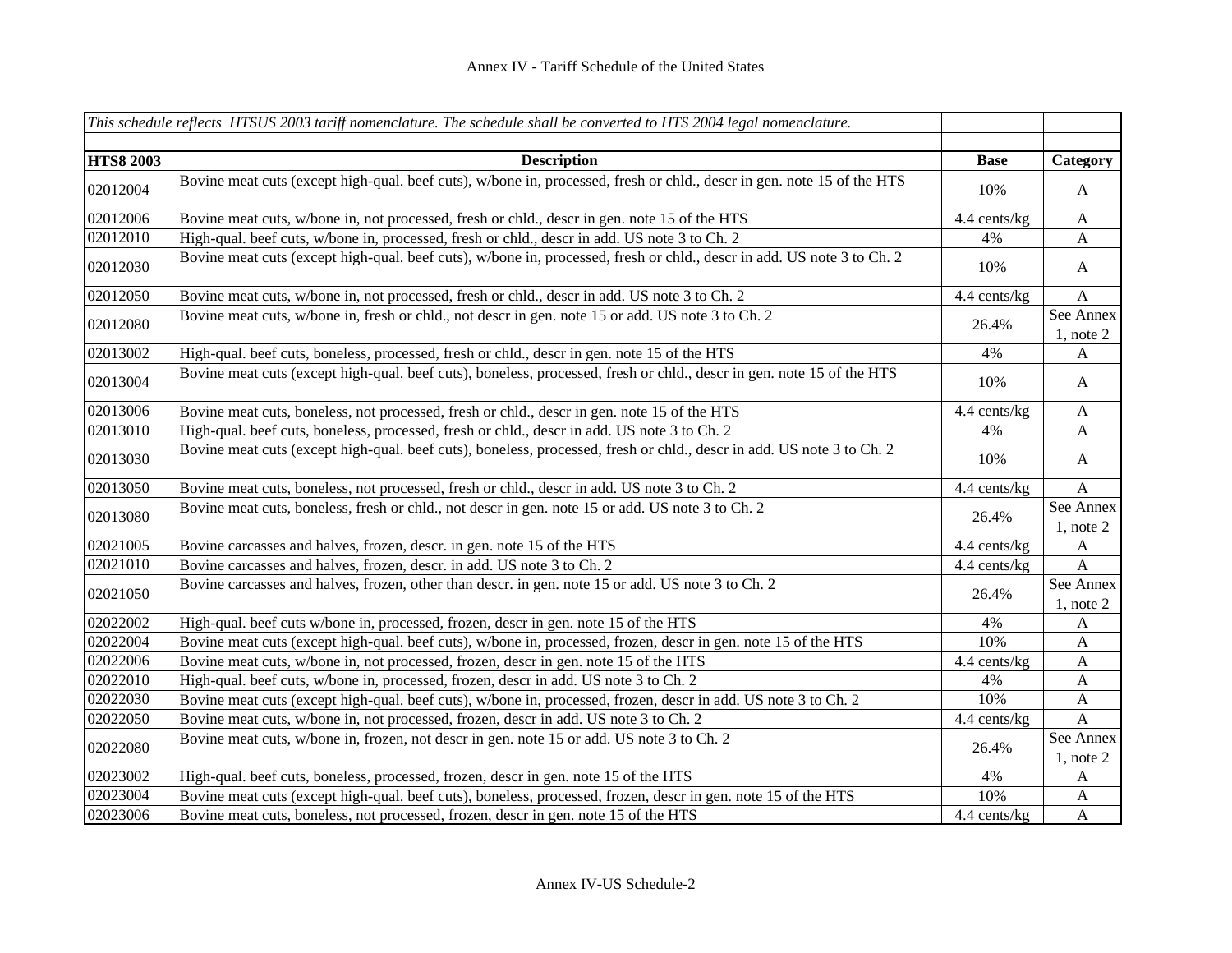|                  | This schedule reflects HTSUS 2003 tariff nomenclature. The schedule shall be converted to HTS 2004 legal nomenclature. |              |                             |
|------------------|------------------------------------------------------------------------------------------------------------------------|--------------|-----------------------------|
|                  |                                                                                                                        |              |                             |
| <b>HTS8 2003</b> | <b>Description</b>                                                                                                     | <b>Base</b>  | Category                    |
| 02012004         | Bovine meat cuts (except high-qual. beef cuts), w/bone in, processed, fresh or chld., descr in gen. note 15 of the HTS | 10%          | $\mathbf{A}$                |
| 02012006         | Bovine meat cuts, w/bone in, not processed, fresh or chld., descr in gen. note 15 of the HTS                           | 4.4 cents/kg | $\boldsymbol{\mathsf{A}}$   |
| 02012010         | High-qual. beef cuts, w/bone in, processed, fresh or chld., descr in add. US note 3 to Ch. 2                           | 4%           | $\mathbf{A}$                |
| 02012030         | Bovine meat cuts (except high-qual. beef cuts), w/bone in, processed, fresh or chld., descr in add. US note 3 to Ch. 2 | 10%          | $\mathbf{A}$                |
| 02012050         | Bovine meat cuts, w/bone in, not processed, fresh or chld., descr in add. US note 3 to Ch. 2                           | 4.4 cents/kg | $\mathbf{A}$                |
| 02012080         | Bovine meat cuts, w/bone in, fresh or chld., not descr in gen. note 15 or add. US note 3 to Ch. 2                      | 26.4%        | See Annex<br>$1$ , note $2$ |
| 02013002         | High-qual. beef cuts, boneless, processed, fresh or chld., descr in gen. note 15 of the HTS                            | 4%           | A                           |
| 02013004         | Bovine meat cuts (except high-qual. beef cuts), boneless, processed, fresh or chld., descr in gen. note 15 of the HTS  | 10%          | $\mathbf{A}$                |
| 02013006         | Bovine meat cuts, boneless, not processed, fresh or chld., descr in gen. note 15 of the HTS                            | 4.4 cents/kg | $\boldsymbol{\mathsf{A}}$   |
| 02013010         | High-qual. beef cuts, boneless, processed, fresh or chld., descr in add. US note 3 to Ch. 2                            | 4%           | A                           |
| 02013030         | Bovine meat cuts (except high-qual. beef cuts), boneless, processed, fresh or chld., descr in add. US note 3 to Ch. 2  | 10%          | $\mathbf{A}$                |
| 02013050         | Bovine meat cuts, boneless, not processed, fresh or chld., descr in add. US note 3 to Ch. 2                            | 4.4 cents/kg | $\mathbf{A}$                |
| 02013080         | Bovine meat cuts, boneless, fresh or chld., not descr in gen. note 15 or add. US note 3 to Ch. 2                       | 26.4%        | See Annex<br>$1$ , note $2$ |
| 02021005         | Bovine carcasses and halves, frozen, descr. in gen. note 15 of the HTS                                                 | 4.4 cents/kg | A                           |
| 02021010         | Bovine carcasses and halves, frozen, descr. in add. US note 3 to Ch. 2                                                 | 4.4 cents/kg | $\boldsymbol{\mathsf{A}}$   |
| 02021050         | Bovine carcasses and halves, frozen, other than descr. in gen. note 15 or add. US note 3 to Ch. 2                      | 26.4%        | See Annex<br>$1$ , note $2$ |
| 02022002         | High-qual. beef cuts w/bone in, processed, frozen, descr in gen. note 15 of the HTS                                    | 4%           | A                           |
| 02022004         | Bovine meat cuts (except high-qual. beef cuts), w/bone in, processed, frozen, descr in gen. note 15 of the HTS         | 10%          | A                           |
| 02022006         | Bovine meat cuts, w/bone in, not processed, frozen, descr in gen. note 15 of the HTS                                   | 4.4 cents/kg | $\mathbf{A}$                |
| 02022010         | High-qual. beef cuts, w/bone in, processed, frozen, descr in add. US note 3 to Ch. 2                                   | 4%           | $\mathbf{A}$                |
| 02022030         | Bovine meat cuts (except high-qual. beef cuts), w/bone in, processed, frozen, descr in add. US note 3 to Ch. 2         | 10%          | $\mathbf{A}$                |
| 02022050         | Bovine meat cuts, w/bone in, not processed, frozen, descr in add. US note 3 to Ch. 2                                   | 4.4 cents/kg | $\mathbf{A}$                |
| 02022080         | Bovine meat cuts, w/bone in, frozen, not descr in gen. note 15 or add. US note 3 to Ch. 2                              | 26.4%        | See Annex<br>$1$ , note $2$ |
| 02023002         | High-qual. beef cuts, boneless, processed, frozen, descr in gen. note 15 of the HTS                                    | 4%           | A                           |
| 02023004         | Bovine meat cuts (except high-qual. beef cuts), boneless, processed, frozen, descr in gen. note 15 of the HTS          | 10%          | $\mathbf{A}$                |
| 02023006         | Bovine meat cuts, boneless, not processed, frozen, descr in gen. note 15 of the HTS                                    | 4.4 cents/kg | $\mathbf{A}$                |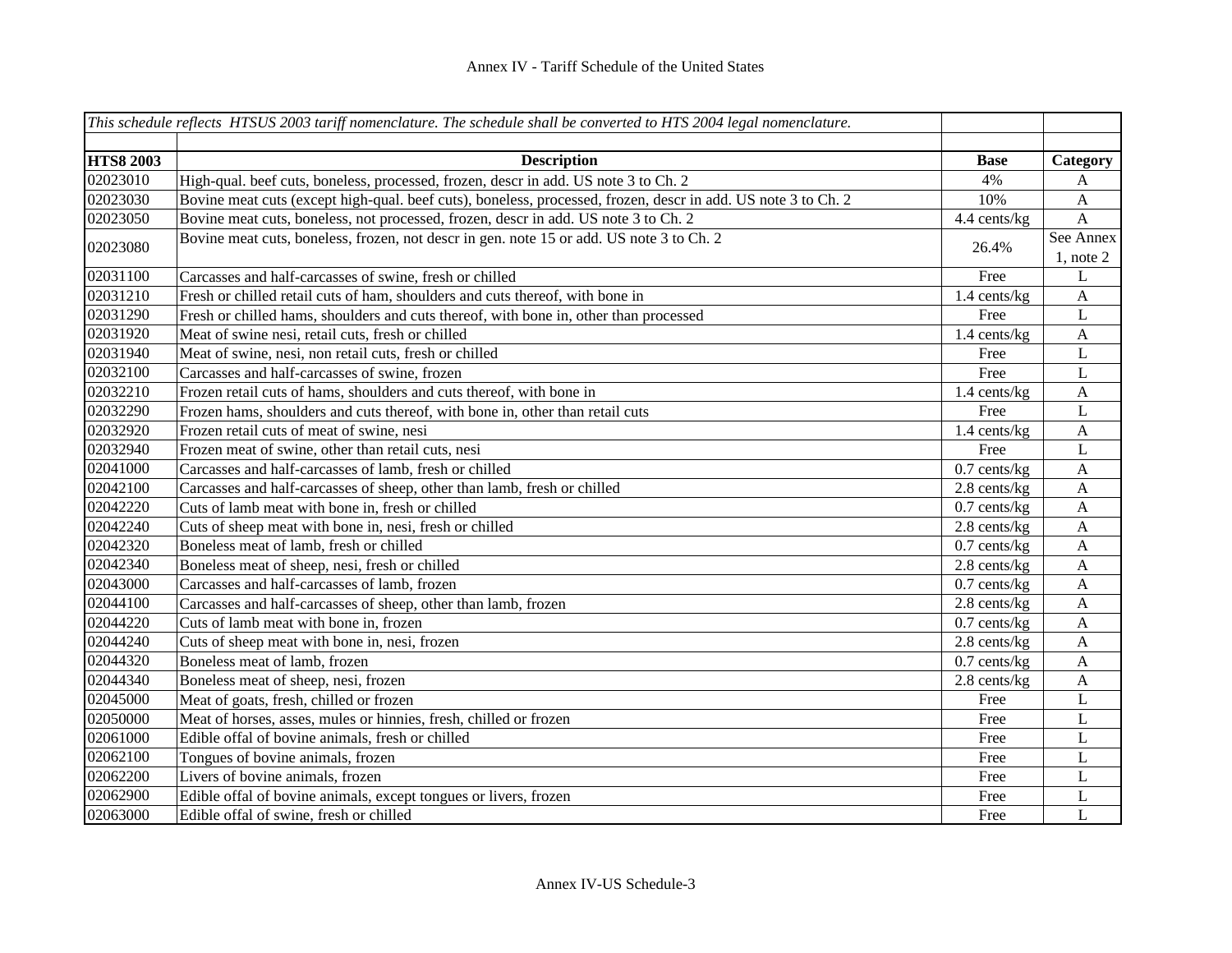|                  | This schedule reflects HTSUS 2003 tariff nomenclature. The schedule shall be converted to HTS 2004 legal nomenclature. |                |                             |
|------------------|------------------------------------------------------------------------------------------------------------------------|----------------|-----------------------------|
| <b>HTS8 2003</b> | <b>Description</b>                                                                                                     | <b>Base</b>    | Category                    |
| 02023010         | High-qual. beef cuts, boneless, processed, frozen, descr in add. US note 3 to Ch. 2                                    | 4%             | A                           |
| 02023030         | Bovine meat cuts (except high-qual. beef cuts), boneless, processed, frozen, descr in add. US note 3 to Ch. 2          | 10%            | $\mathbf{A}$                |
| 02023050         | Bovine meat cuts, boneless, not processed, frozen, descr in add. US note 3 to Ch. 2                                    | 4.4 cents/kg   | $\mathbf{A}$                |
| 02023080         | Bovine meat cuts, boneless, frozen, not descr in gen. note 15 or add. US note 3 to Ch. 2                               | 26.4%          | See Annex<br>$1$ , note $2$ |
| 02031100         | Carcasses and half-carcasses of swine, fresh or chilled                                                                | Free           | L                           |
| 02031210         | Fresh or chilled retail cuts of ham, shoulders and cuts thereof, with bone in                                          | 1.4 cents/kg   | A                           |
| 02031290         | Fresh or chilled hams, shoulders and cuts thereof, with bone in, other than processed                                  | Free           | L                           |
| 02031920         | Meat of swine nesi, retail cuts, fresh or chilled                                                                      | 1.4 cents/kg   | $\mathbf{A}$                |
| 02031940         | Meat of swine, nesi, non retail cuts, fresh or chilled                                                                 | Free           | L                           |
| 02032100         | Carcasses and half-carcasses of swine, frozen                                                                          | Free           | L                           |
| 02032210         | Frozen retail cuts of hams, shoulders and cuts thereof, with bone in                                                   | 1.4 cents/kg   | A                           |
| 02032290         | Frozen hams, shoulders and cuts thereof, with bone in, other than retail cuts                                          | Free           | $\mathbf L$                 |
| 02032920         | Frozen retail cuts of meat of swine, nesi                                                                              | 1.4 cents/kg   | A                           |
| 02032940         | Frozen meat of swine, other than retail cuts, nesi                                                                     | Free           | L                           |
| 02041000         | Carcasses and half-carcasses of lamb, fresh or chilled                                                                 | $0.7$ cents/kg | A                           |
| 02042100         | Carcasses and half-carcasses of sheep, other than lamb, fresh or chilled                                               | 2.8 cents/kg   | A                           |
| 02042220         | Cuts of lamb meat with bone in, fresh or chilled                                                                       | $0.7$ cents/kg | A                           |
| 02042240         | Cuts of sheep meat with bone in, nesi, fresh or chilled                                                                | 2.8 cents/kg   | A                           |
| 02042320         | Boneless meat of lamb, fresh or chilled                                                                                | $0.7$ cents/kg | A                           |
| 02042340         | Boneless meat of sheep, nesi, fresh or chilled                                                                         | 2.8 cents/kg   | A                           |
| 02043000         | Carcasses and half-carcasses of lamb, frozen                                                                           | $0.7$ cents/kg | A                           |
| 02044100         | Carcasses and half-carcasses of sheep, other than lamb, frozen                                                         | 2.8 cents/kg   | A                           |
| 02044220         | Cuts of lamb meat with bone in, frozen                                                                                 | $0.7$ cents/kg | A                           |
| 02044240         | Cuts of sheep meat with bone in, nesi, frozen                                                                          | 2.8 cents/kg   | A                           |
| 02044320         | Boneless meat of lamb, frozen                                                                                          | $0.7$ cents/kg | A                           |
| 02044340         | Boneless meat of sheep, nesi, frozen                                                                                   | 2.8 cents/kg   | A                           |
| 02045000         | Meat of goats, fresh, chilled or frozen                                                                                | Free           | $\mathbf L$                 |
| 02050000         | Meat of horses, asses, mules or hinnies, fresh, chilled or frozen                                                      | Free           | L                           |
| 02061000         | Edible offal of bovine animals, fresh or chilled                                                                       | Free           | L                           |
| 02062100         | Tongues of bovine animals, frozen                                                                                      | Free           | $\mathbf L$                 |
| 02062200         | Livers of bovine animals, frozen                                                                                       | Free           | L                           |
| 02062900         | Edible offal of bovine animals, except tongues or livers, frozen                                                       | Free           | L                           |
| 02063000         | Edible offal of swine, fresh or chilled                                                                                | Free           | L                           |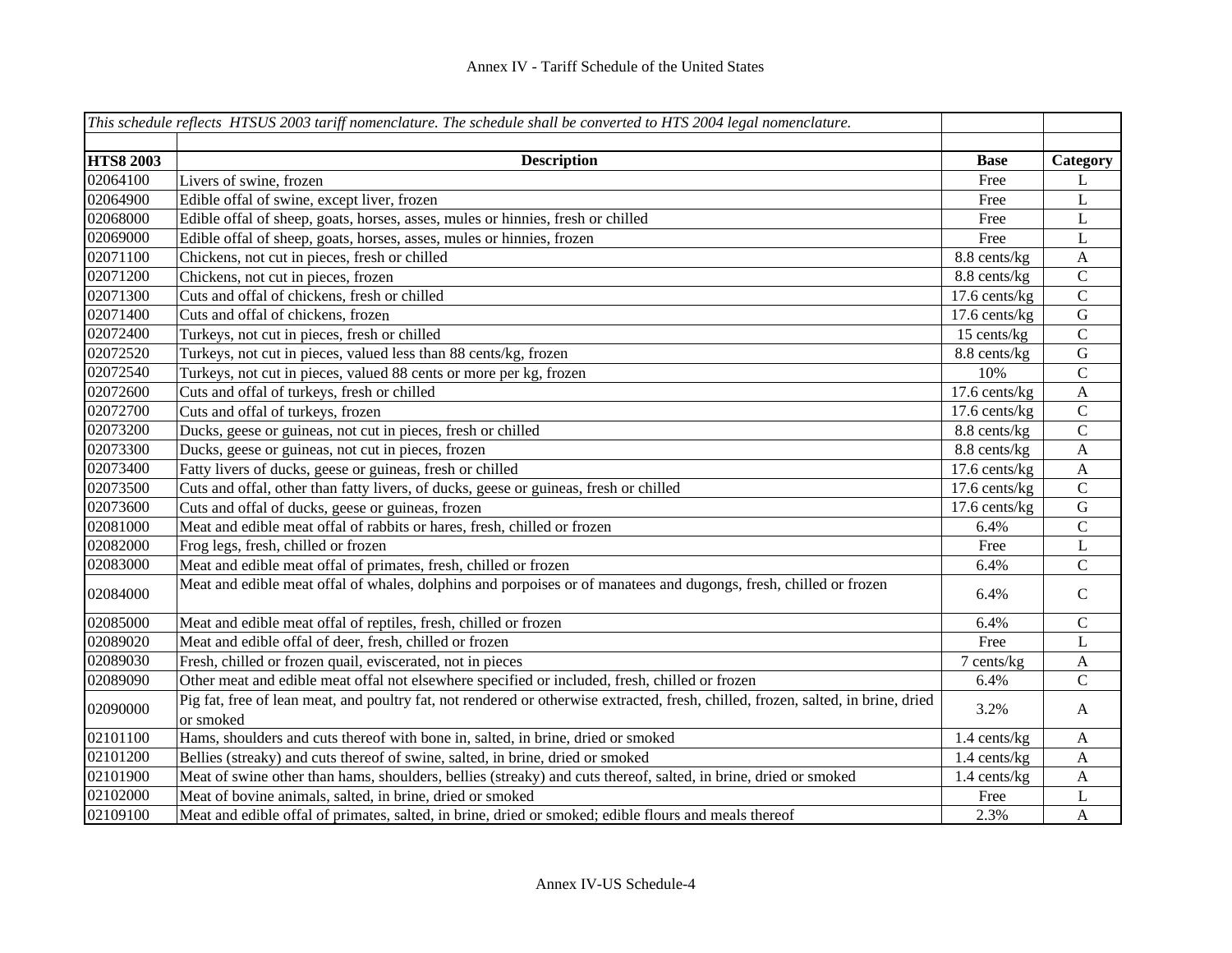|                  | This schedule reflects HTSUS 2003 tariff nomenclature. The schedule shall be converted to HTS 2004 legal nomenclature.                         |                 |                |
|------------------|------------------------------------------------------------------------------------------------------------------------------------------------|-----------------|----------------|
|                  |                                                                                                                                                |                 |                |
| <b>HTS8 2003</b> | <b>Description</b>                                                                                                                             | <b>Base</b>     | Category       |
| 02064100         | Livers of swine, frozen                                                                                                                        | Free            | L              |
| 02064900         | Edible offal of swine, except liver, frozen                                                                                                    | Free            | $\mathbf L$    |
| 02068000         | Edible offal of sheep, goats, horses, asses, mules or hinnies, fresh or chilled                                                                | Free            | L              |
| 02069000         | Edible offal of sheep, goats, horses, asses, mules or hinnies, frozen                                                                          | Free            | $\mathbf L$    |
| 02071100         | Chickens, not cut in pieces, fresh or chilled                                                                                                  | 8.8 cents/kg    | $\mathbf{A}$   |
| 02071200         | Chickens, not cut in pieces, frozen                                                                                                            | 8.8 cents/kg    | $\mathsf{C}$   |
| 02071300         | Cuts and offal of chickens, fresh or chilled                                                                                                   | 17.6 cents/kg   | $\overline{C}$ |
| 02071400         | Cuts and offal of chickens, frozen                                                                                                             | $17.6$ cents/kg | ${\bf G}$      |
| 02072400         | Turkeys, not cut in pieces, fresh or chilled                                                                                                   | 15 cents/kg     | $\mathbf C$    |
| 02072520         | Turkeys, not cut in pieces, valued less than 88 cents/kg, frozen                                                                               | 8.8 cents/kg    | $\mathbf G$    |
| 02072540         | Turkeys, not cut in pieces, valued 88 cents or more per kg, frozen                                                                             | 10%             | $\mathbf C$    |
| 02072600         | Cuts and offal of turkeys, fresh or chilled                                                                                                    | 17.6 cents/kg   | $\overline{A}$ |
| 02072700         | Cuts and offal of turkeys, frozen                                                                                                              | 17.6 cents/kg   | $\mathsf{C}$   |
| 02073200         | Ducks, geese or guineas, not cut in pieces, fresh or chilled                                                                                   | 8.8 cents/kg    | $\mathbf C$    |
| 02073300         | Ducks, geese or guineas, not cut in pieces, frozen                                                                                             | 8.8 cents/kg    | $\mathbf{A}$   |
| 02073400         | Fatty livers of ducks, geese or guineas, fresh or chilled                                                                                      | 17.6 cents/kg   | $\mathbf{A}$   |
| 02073500         | Cuts and offal, other than fatty livers, of ducks, geese or guineas, fresh or chilled                                                          | $17.6$ cents/kg | $\overline{C}$ |
| 02073600         | Cuts and offal of ducks, geese or guineas, frozen                                                                                              | 17.6 cents/kg   | ${\bf G}$      |
| 02081000         | Meat and edible meat offal of rabbits or hares, fresh, chilled or frozen                                                                       | 6.4%            | $\mathsf C$    |
| 02082000         | Frog legs, fresh, chilled or frozen                                                                                                            | Free            | L              |
| 02083000         | Meat and edible meat offal of primates, fresh, chilled or frozen                                                                               | 6.4%            | ${\bf C}$      |
| 02084000         | Meat and edible meat offal of whales, dolphins and porpoises or of manatees and dugongs, fresh, chilled or frozen                              | 6.4%            | $\mathbf C$    |
| 02085000         | Meat and edible meat offal of reptiles, fresh, chilled or frozen                                                                               | 6.4%            | $\mathbf C$    |
| 02089020         | Meat and edible offal of deer, fresh, chilled or frozen                                                                                        | Free            | L              |
| 02089030         | Fresh, chilled or frozen quail, eviscerated, not in pieces                                                                                     | 7 cents/kg      | A              |
| 02089090         | Other meat and edible meat offal not elsewhere specified or included, fresh, chilled or frozen                                                 | 6.4%            | $\mathsf{C}$   |
| 02090000         | Pig fat, free of lean meat, and poultry fat, not rendered or otherwise extracted, fresh, chilled, frozen, salted, in brine, dried<br>or smoked | 3.2%            | A              |
| 02101100         | Hams, shoulders and cuts thereof with bone in, salted, in brine, dried or smoked                                                               | 1.4 cents/kg    | $\mathbf{A}$   |
| 02101200         | Bellies (streaky) and cuts thereof of swine, salted, in brine, dried or smoked                                                                 | 1.4 cents/kg    | A              |
| 02101900         | Meat of swine other than hams, shoulders, bellies (streaky) and cuts thereof, salted, in brine, dried or smoked                                | 1.4 cents/kg    | A              |
| 02102000         | Meat of bovine animals, salted, in brine, dried or smoked                                                                                      | Free            | L              |
| 02109100         | Meat and edible offal of primates, salted, in brine, dried or smoked; edible flours and meals thereof                                          | 2.3%            | $\mathbf{A}$   |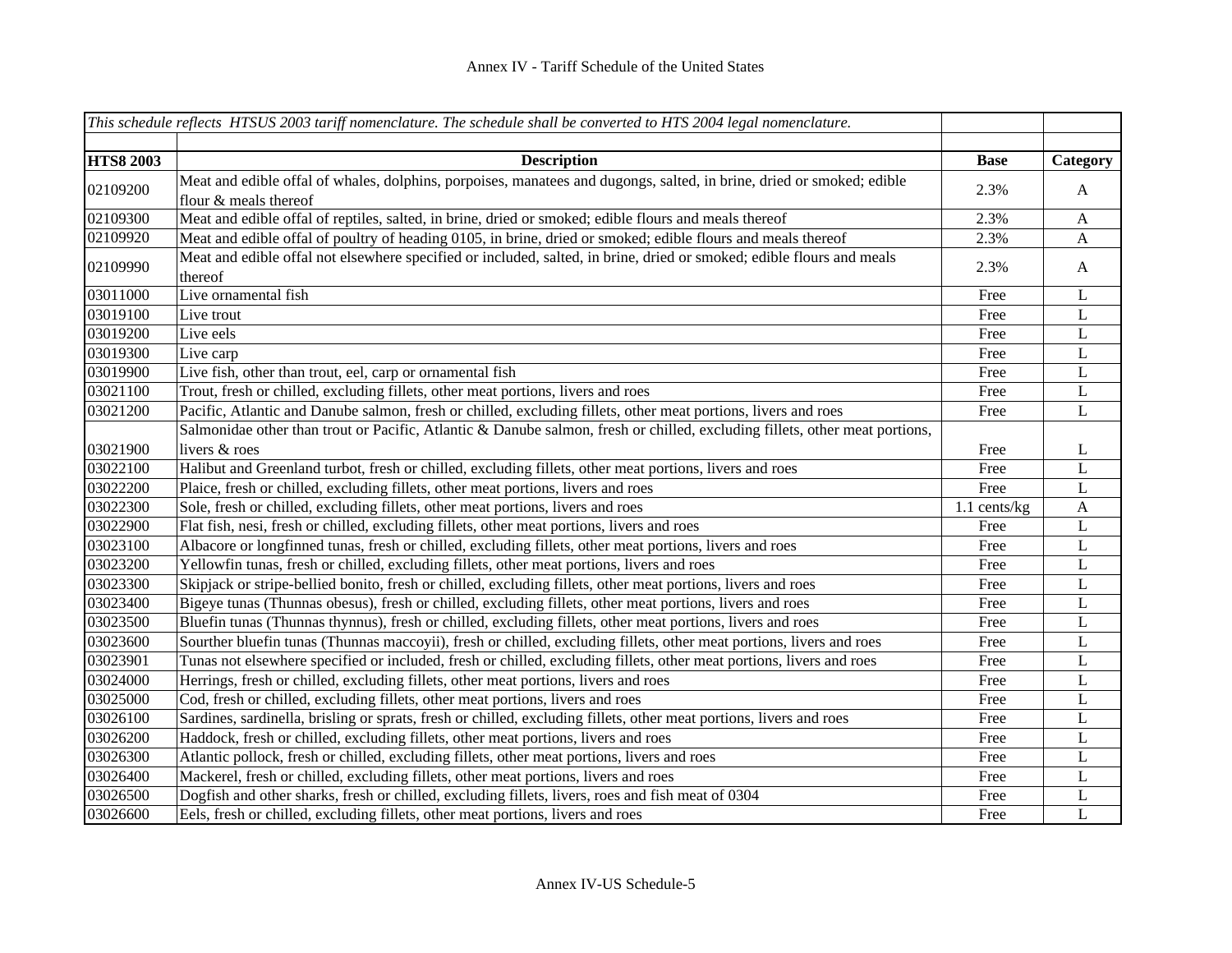|                  | This schedule reflects HTSUS 2003 tariff nomenclature. The schedule shall be converted to HTS 2004 legal nomenclature.                         |                |              |
|------------------|------------------------------------------------------------------------------------------------------------------------------------------------|----------------|--------------|
|                  |                                                                                                                                                |                |              |
| <b>HTS8 2003</b> | <b>Description</b>                                                                                                                             | <b>Base</b>    | Category     |
| 02109200         | Meat and edible offal of whales, dolphins, porpoises, manatees and dugongs, salted, in brine, dried or smoked; edible<br>flour & meals thereof | 2.3%           | $\mathbf{A}$ |
| 02109300         | Meat and edible offal of reptiles, salted, in brine, dried or smoked; edible flours and meals thereof                                          | 2.3%           | $\mathbf{A}$ |
| 02109920         | Meat and edible offal of poultry of heading 0105, in brine, dried or smoked; edible flours and meals thereof                                   | 2.3%           | A            |
| 02109990         | Meat and edible offal not elsewhere specified or included, salted, in brine, dried or smoked; edible flours and meals<br>thereof               | 2.3%           | $\mathbf{A}$ |
| 03011000         | Live ornamental fish                                                                                                                           | Free           | L            |
| 03019100         | Live trout                                                                                                                                     | Free           | L            |
| 03019200         | Live eels                                                                                                                                      | Free           | $\mathbf L$  |
| 03019300         | Live carp                                                                                                                                      | Free           | $\mathbf L$  |
| 03019900         | Live fish, other than trout, eel, carp or ornamental fish                                                                                      | Free           | L            |
| 03021100         | Trout, fresh or chilled, excluding fillets, other meat portions, livers and roes                                                               | Free           | L            |
| 03021200         | Pacific, Atlantic and Danube salmon, fresh or chilled, excluding fillets, other meat portions, livers and roes                                 | Free           | L            |
|                  | Salmonidae other than trout or Pacific, Atlantic & Danube salmon, fresh or chilled, excluding fillets, other meat portions,                    |                |              |
| 03021900         | livers & roes                                                                                                                                  | Free           | L            |
| 03022100         | Halibut and Greenland turbot, fresh or chilled, excluding fillets, other meat portions, livers and roes                                        | Free           | L            |
| 03022200         | Plaice, fresh or chilled, excluding fillets, other meat portions, livers and roes                                                              | Free           | $\mathbf L$  |
| 03022300         | Sole, fresh or chilled, excluding fillets, other meat portions, livers and roes                                                                | $1.1$ cents/kg | $\mathbf{A}$ |
| 03022900         | Flat fish, nesi, fresh or chilled, excluding fillets, other meat portions, livers and roes                                                     | Free           | L            |
| 03023100         | Albacore or longfinned tunas, fresh or chilled, excluding fillets, other meat portions, livers and roes                                        | Free           | $\mathbf L$  |
| 03023200         | Yellowfin tunas, fresh or chilled, excluding fillets, other meat portions, livers and roes                                                     | Free           | $\bf L$      |
| 03023300         | Skipjack or stripe-bellied bonito, fresh or chilled, excluding fillets, other meat portions, livers and roes                                   | Free           | $\bf L$      |
| 03023400         | Bigeye tunas (Thunnas obesus), fresh or chilled, excluding fillets, other meat portions, livers and roes                                       | Free           | L            |
| 03023500         | Bluefin tunas (Thunnas thynnus), fresh or chilled, excluding fillets, other meat portions, livers and roes                                     | Free           | L            |
| 03023600         | Sourther bluefin tunas (Thunnas maccoyii), fresh or chilled, excluding fillets, other meat portions, livers and roes                           | Free           | L            |
| 03023901         | Tunas not elsewhere specified or included, fresh or chilled, excluding fillets, other meat portions, livers and roes                           | Free           | L            |
| 03024000         | Herrings, fresh or chilled, excluding fillets, other meat portions, livers and roes                                                            | Free           | L            |
| 03025000         | Cod, fresh or chilled, excluding fillets, other meat portions, livers and roes                                                                 | Free           | $\mathbf L$  |
| 03026100         | Sardines, sardinella, brisling or sprats, fresh or chilled, excluding fillets, other meat portions, livers and roes                            | Free           | L            |
| 03026200         | Haddock, fresh or chilled, excluding fillets, other meat portions, livers and roes                                                             | Free           | L            |
| 03026300         | Atlantic pollock, fresh or chilled, excluding fillets, other meat portions, livers and roes                                                    | Free           | L            |
| 03026400         | Mackerel, fresh or chilled, excluding fillets, other meat portions, livers and roes                                                            | Free           | L            |
| 03026500         | Dogfish and other sharks, fresh or chilled, excluding fillets, livers, roes and fish meat of 0304                                              | Free           | L            |
| 03026600         | Eels, fresh or chilled, excluding fillets, other meat portions, livers and roes                                                                | Free           | L            |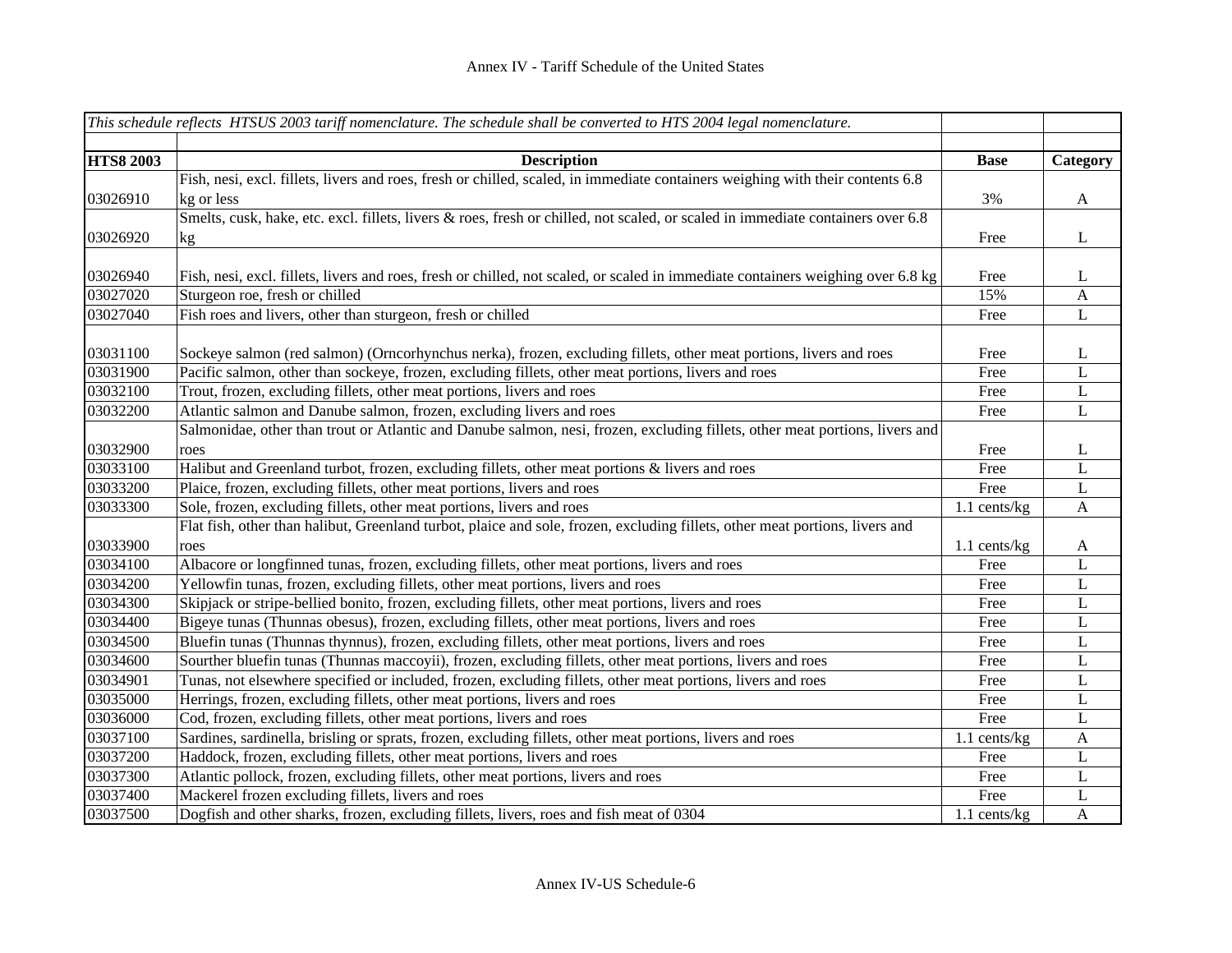|                  | This schedule reflects HTSUS 2003 tariff nomenclature. The schedule shall be converted to HTS 2004 legal nomenclature.           |                |              |
|------------------|----------------------------------------------------------------------------------------------------------------------------------|----------------|--------------|
|                  |                                                                                                                                  |                |              |
| <b>HTS8 2003</b> | <b>Description</b>                                                                                                               | <b>Base</b>    | Category     |
|                  | Fish, nesi, excl. fillets, livers and roes, fresh or chilled, scaled, in immediate containers weighing with their contents 6.8   |                |              |
| 03026910         | kg or less                                                                                                                       | 3%             | $\mathbf{A}$ |
|                  | Smelts, cusk, hake, etc. excl. fillets, livers & roes, fresh or chilled, not scaled, or scaled in immediate containers over 6.8  |                |              |
| 03026920         | kg                                                                                                                               | Free           | $\bf L$      |
|                  |                                                                                                                                  |                |              |
| 03026940         | Fish, nesi, excl. fillets, livers and roes, fresh or chilled, not scaled, or scaled in immediate containers weighing over 6.8 kg | Free           | L            |
| 03027020         | Sturgeon roe, fresh or chilled                                                                                                   | 15%            | $\mathbf{A}$ |
| 03027040         | Fish roes and livers, other than sturgeon, fresh or chilled                                                                      | Free           | L            |
|                  |                                                                                                                                  |                |              |
| 03031100         | Sockeye salmon (red salmon) (Orncorhynchus nerka), frozen, excluding fillets, other meat portions, livers and roes               | Free           | L            |
| 03031900         | Pacific salmon, other than sockeye, frozen, excluding fillets, other meat portions, livers and roes                              | Free           | L            |
| 03032100         | Trout, frozen, excluding fillets, other meat portions, livers and roes                                                           | Free           | $\mathbf L$  |
| 03032200         | Atlantic salmon and Danube salmon, frozen, excluding livers and roes                                                             | Free           | $\mathbf L$  |
|                  | Salmonidae, other than trout or Atlantic and Danube salmon, nesi, frozen, excluding fillets, other meat portions, livers and     |                |              |
| 03032900         | roes                                                                                                                             | Free           | L            |
| 03033100         | Halibut and Greenland turbot, frozen, excluding fillets, other meat portions & livers and roes                                   | Free           | $\mathbf L$  |
| 03033200         | Plaice, frozen, excluding fillets, other meat portions, livers and roes                                                          | Free           | $\mathbf L$  |
| 03033300         | Sole, frozen, excluding fillets, other meat portions, livers and roes                                                            | 1.1 cents/kg   | $\mathbf{A}$ |
|                  | Flat fish, other than halibut, Greenland turbot, plaice and sole, frozen, excluding fillets, other meat portions, livers and     |                |              |
| 03033900         | roes                                                                                                                             | $1.1$ cents/kg | $\mathbf{A}$ |
| 03034100         | Albacore or longfinned tunas, frozen, excluding fillets, other meat portions, livers and roes                                    | Free           | L            |
| 03034200         | Yellowfin tunas, frozen, excluding fillets, other meat portions, livers and roes                                                 | Free           | $\bf L$      |
| 03034300         | Skipjack or stripe-bellied bonito, frozen, excluding fillets, other meat portions, livers and roes                               | Free           | L            |
| 03034400         | Bigeye tunas (Thunnas obesus), frozen, excluding fillets, other meat portions, livers and roes                                   | Free           | L            |
| 03034500         | Bluefin tunas (Thunnas thynnus), frozen, excluding fillets, other meat portions, livers and roes                                 | Free           | L            |
| 03034600         | Sourther bluefin tunas (Thunnas maccoyii), frozen, excluding fillets, other meat portions, livers and roes                       | Free           | $\mathbf L$  |
| 03034901         | Tunas, not elsewhere specified or included, frozen, excluding fillets, other meat portions, livers and roes                      | Free           | $\mathbf L$  |
| 03035000         | Herrings, frozen, excluding fillets, other meat portions, livers and roes                                                        | Free           | $\mathbf L$  |
| 03036000         | Cod, frozen, excluding fillets, other meat portions, livers and roes                                                             | Free           | $\mathbf L$  |
| 03037100         | Sardines, sardinella, brisling or sprats, frozen, excluding fillets, other meat portions, livers and roes                        | 1.1 cents/kg   | $\mathbf{A}$ |
| 03037200         | Haddock, frozen, excluding fillets, other meat portions, livers and roes                                                         | Free           | L            |
| 03037300         | Atlantic pollock, frozen, excluding fillets, other meat portions, livers and roes                                                | Free           | L            |
| 03037400         | Mackerel frozen excluding fillets, livers and roes                                                                               | Free           | L            |
| 03037500         | Dogfish and other sharks, frozen, excluding fillets, livers, roes and fish meat of 0304                                          | 1.1 cents/kg   | $\mathbf{A}$ |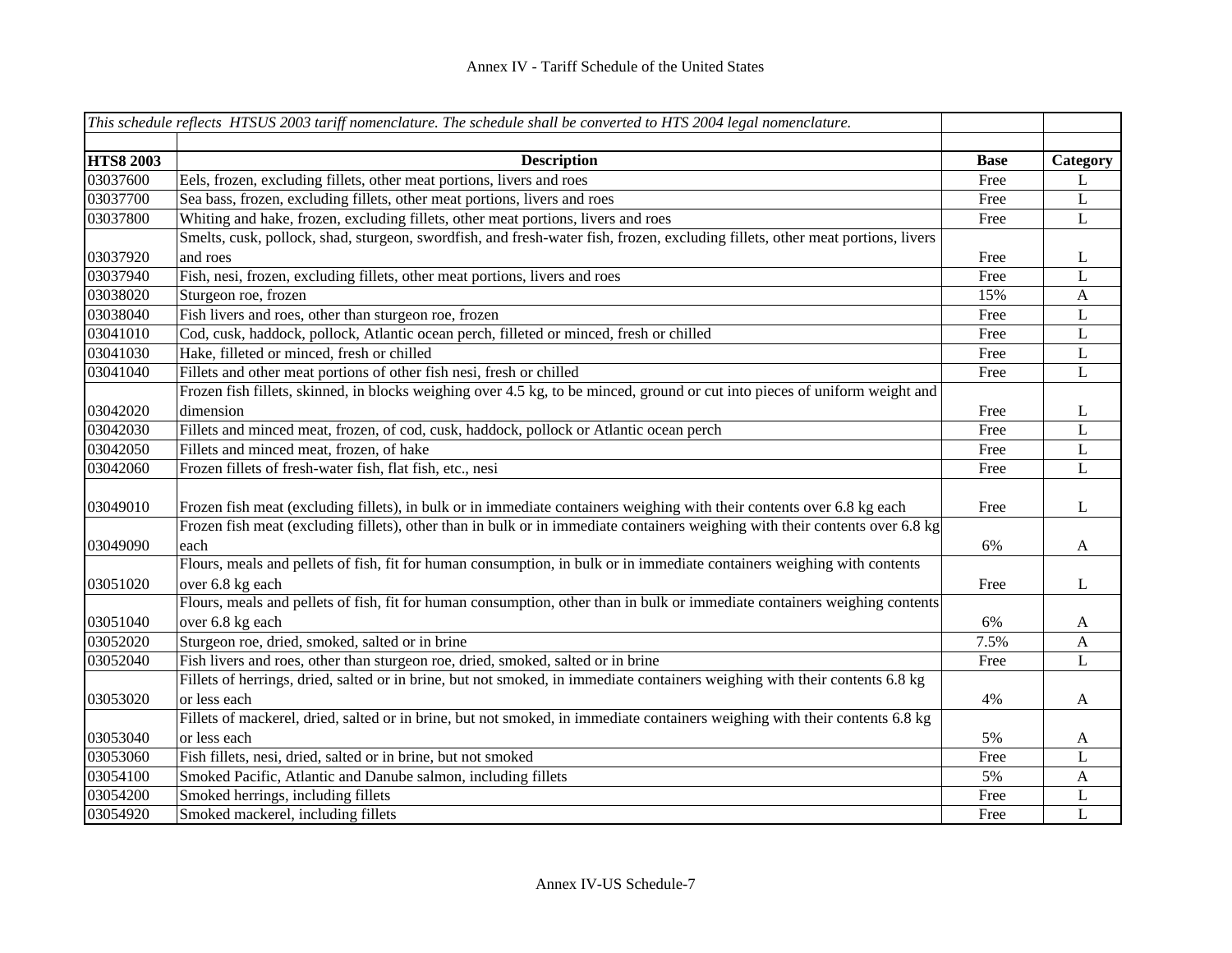|                  | This schedule reflects HTSUS 2003 tariff nomenclature. The schedule shall be converted to HTS 2004 legal nomenclature.         |             |              |
|------------------|--------------------------------------------------------------------------------------------------------------------------------|-------------|--------------|
|                  |                                                                                                                                |             |              |
| <b>HTS8 2003</b> | <b>Description</b>                                                                                                             | <b>Base</b> | Category     |
| 03037600         | Eels, frozen, excluding fillets, other meat portions, livers and roes                                                          | Free        | L            |
| 03037700         | Sea bass, frozen, excluding fillets, other meat portions, livers and roes                                                      | Free        | $\mathbf L$  |
| 03037800         | Whiting and hake, frozen, excluding fillets, other meat portions, livers and roes                                              | Free        | $\mathbf L$  |
|                  | Smelts, cusk, pollock, shad, sturgeon, swordfish, and fresh-water fish, frozen, excluding fillets, other meat portions, livers |             |              |
| 03037920         | and roes                                                                                                                       | Free        | L            |
| 03037940         | Fish, nesi, frozen, excluding fillets, other meat portions, livers and roes                                                    | Free        | L            |
| 03038020         | Sturgeon roe, frozen                                                                                                           | 15%         | $\mathbf{A}$ |
| 03038040         | Fish livers and roes, other than sturgeon roe, frozen                                                                          | Free        | L            |
| 03041010         | Cod, cusk, haddock, pollock, Atlantic ocean perch, filleted or minced, fresh or chilled                                        | Free        | $\mathbf L$  |
| 03041030         | Hake, filleted or minced, fresh or chilled                                                                                     | Free        | $\mathbf L$  |
| 03041040         | Fillets and other meat portions of other fish nesi, fresh or chilled                                                           | Free        | L            |
|                  | Frozen fish fillets, skinned, in blocks weighing over 4.5 kg, to be minced, ground or cut into pieces of uniform weight and    |             |              |
| 03042020         | dimension                                                                                                                      | Free        | L            |
| 03042030         | Fillets and minced meat, frozen, of cod, cusk, haddock, pollock or Atlantic ocean perch                                        | Free        | L            |
| 03042050         | Fillets and minced meat, frozen, of hake                                                                                       | Free        | L            |
| 03042060         | Frozen fillets of fresh-water fish, flat fish, etc., nesi                                                                      | Free        | L            |
|                  |                                                                                                                                |             |              |
| 03049010         | Frozen fish meat (excluding fillets), in bulk or in immediate containers weighing with their contents over 6.8 kg each         | Free        | L            |
|                  | Frozen fish meat (excluding fillets), other than in bulk or in immediate containers weighing with their contents over 6.8 kg   |             |              |
| 03049090         | each                                                                                                                           | 6%          | $\mathbf{A}$ |
|                  | Flours, meals and pellets of fish, fit for human consumption, in bulk or in immediate containers weighing with contents        |             |              |
| 03051020         | over 6.8 kg each                                                                                                               | Free        | L            |
|                  | Flours, meals and pellets of fish, fit for human consumption, other than in bulk or immediate containers weighing contents     |             |              |
| 03051040         | over 6.8 kg each                                                                                                               | 6%          | A            |
| 03052020         | Sturgeon roe, dried, smoked, salted or in brine                                                                                | 7.5%        | A            |
| 03052040         | Fish livers and roes, other than sturgeon roe, dried, smoked, salted or in brine                                               | Free        | L            |
|                  | Fillets of herrings, dried, salted or in brine, but not smoked, in immediate containers weighing with their contents 6.8 kg    |             |              |
| 03053020         | or less each                                                                                                                   | 4%          | $\mathbf{A}$ |
|                  | Fillets of mackerel, dried, salted or in brine, but not smoked, in immediate containers weighing with their contents 6.8 kg    |             |              |
| 03053040         | or less each                                                                                                                   | 5%          | A            |
| 03053060         | Fish fillets, nesi, dried, salted or in brine, but not smoked                                                                  | Free        | L            |
| 03054100         | Smoked Pacific, Atlantic and Danube salmon, including fillets                                                                  | 5%          | $\mathbf{A}$ |
| 03054200         | Smoked herrings, including fillets                                                                                             | Free        | L            |
| 03054920         | Smoked mackerel, including fillets                                                                                             | Free        | $\mathbf L$  |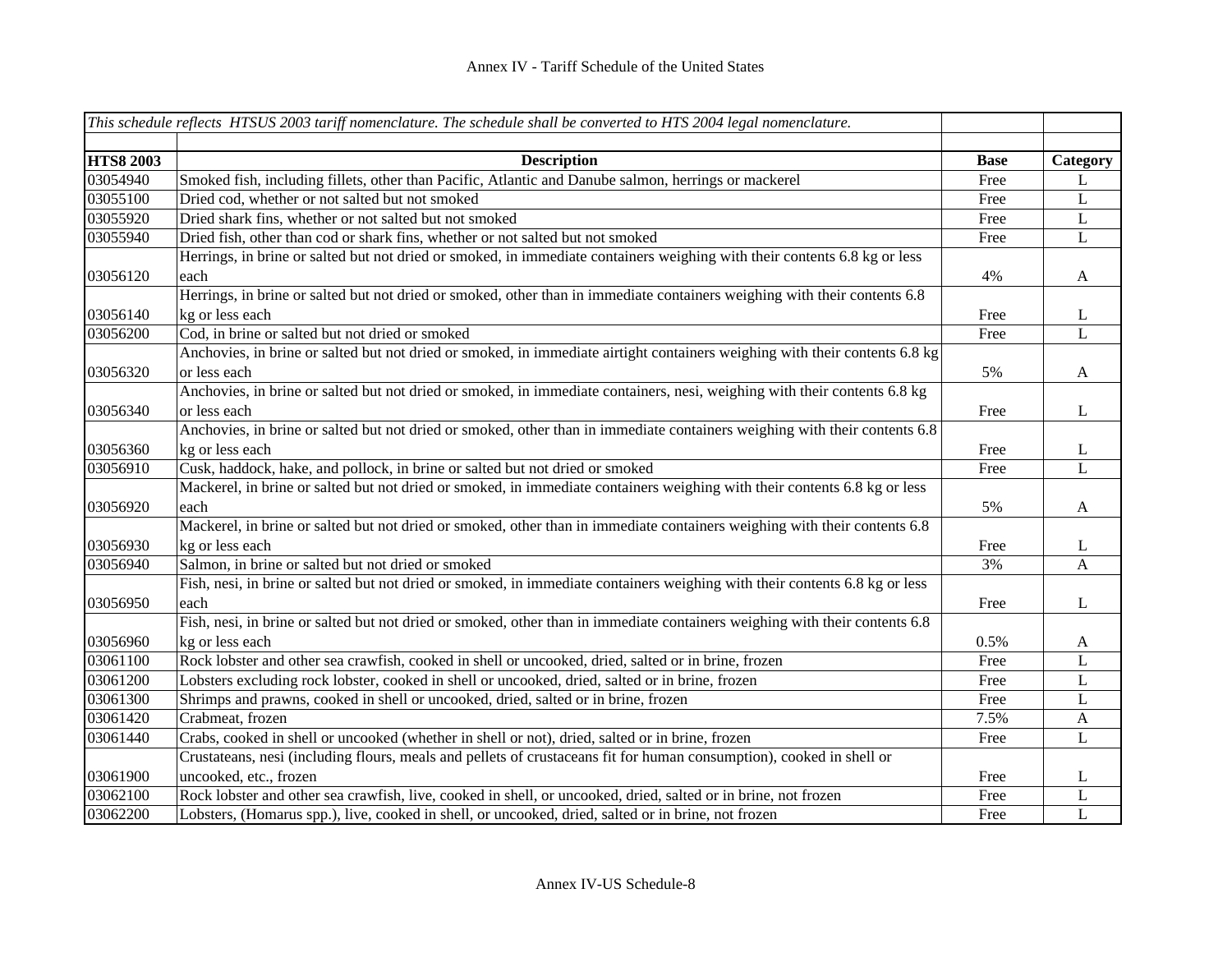|                  | This schedule reflects HTSUS 2003 tariff nomenclature. The schedule shall be converted to HTS 2004 legal nomenclature.      |             |              |
|------------------|-----------------------------------------------------------------------------------------------------------------------------|-------------|--------------|
|                  |                                                                                                                             |             |              |
| <b>HTS8 2003</b> | <b>Description</b>                                                                                                          | <b>Base</b> | Category     |
| 03054940         | Smoked fish, including fillets, other than Pacific, Atlantic and Danube salmon, herrings or mackerel                        | Free        | L            |
| 03055100         | Dried cod, whether or not salted but not smoked                                                                             | Free        | L            |
| 03055920         | Dried shark fins, whether or not salted but not smoked                                                                      | Free        | $\mathbf L$  |
| 03055940         | Dried fish, other than cod or shark fins, whether or not salted but not smoked                                              | Free        | L            |
|                  | Herrings, in brine or salted but not dried or smoked, in immediate containers weighing with their contents 6.8 kg or less   |             |              |
| 03056120         | each                                                                                                                        | 4%          | $\mathbf{A}$ |
|                  | Herrings, in brine or salted but not dried or smoked, other than in immediate containers weighing with their contents 6.8   |             |              |
| 03056140         | kg or less each                                                                                                             | Free        | L            |
| 03056200         | Cod, in brine or salted but not dried or smoked                                                                             | Free        | $\mathbf{L}$ |
|                  | Anchovies, in brine or salted but not dried or smoked, in immediate airtight containers weighing with their contents 6.8 kg |             |              |
| 03056320         | or less each                                                                                                                | 5%          | $\mathbf{A}$ |
|                  | Anchovies, in brine or salted but not dried or smoked, in immediate containers, nesi, weighing with their contents 6.8 kg   |             |              |
| 03056340         | or less each                                                                                                                | Free        | $\bf L$      |
|                  | Anchovies, in brine or salted but not dried or smoked, other than in immediate containers weighing with their contents 6.8  |             |              |
| 03056360         | kg or less each                                                                                                             | Free        | L            |
| 03056910         | Cusk, haddock, hake, and pollock, in brine or salted but not dried or smoked                                                | Free        | L            |
|                  | Mackerel, in brine or salted but not dried or smoked, in immediate containers weighing with their contents 6.8 kg or less   |             |              |
| 03056920         | each                                                                                                                        | 5%          | $\mathbf{A}$ |
|                  | Mackerel, in brine or salted but not dried or smoked, other than in immediate containers weighing with their contents 6.8   |             |              |
| 03056930         | kg or less each                                                                                                             | Free        | L            |
| 03056940         | Salmon, in brine or salted but not dried or smoked                                                                          | 3%          | $\mathbf{A}$ |
|                  | Fish, nesi, in brine or salted but not dried or smoked, in immediate containers weighing with their contents 6.8 kg or less |             |              |
| 03056950         | each                                                                                                                        | Free        | L            |
|                  | Fish, nesi, in brine or salted but not dried or smoked, other than in immediate containers weighing with their contents 6.8 |             |              |
| 03056960         | kg or less each                                                                                                             | 0.5%        | $\mathbf{A}$ |
| 03061100         | Rock lobster and other sea crawfish, cooked in shell or uncooked, dried, salted or in brine, frozen                         | Free        | L            |
| 03061200         | Lobsters excluding rock lobster, cooked in shell or uncooked, dried, salted or in brine, frozen                             | Free        | $\mathbf L$  |
| 03061300         | Shrimps and prawns, cooked in shell or uncooked, dried, salted or in brine, frozen                                          | Free        | L            |
| 03061420         | Crabmeat, frozen                                                                                                            | 7.5%        | $\mathbf{A}$ |
| 03061440         | Crabs, cooked in shell or uncooked (whether in shell or not), dried, salted or in brine, frozen                             | Free        | $\mathbf L$  |
|                  | Crustateans, nesi (including flours, meals and pellets of crustaceans fit for human consumption), cooked in shell or        |             |              |
| 03061900         | uncooked, etc., frozen                                                                                                      | Free        | L            |
| 03062100         | Rock lobster and other sea crawfish, live, cooked in shell, or uncooked, dried, salted or in brine, not frozen              | Free        | L            |
| 03062200         | Lobsters, (Homarus spp.), live, cooked in shell, or uncooked, dried, salted or in brine, not frozen                         | Free        | L            |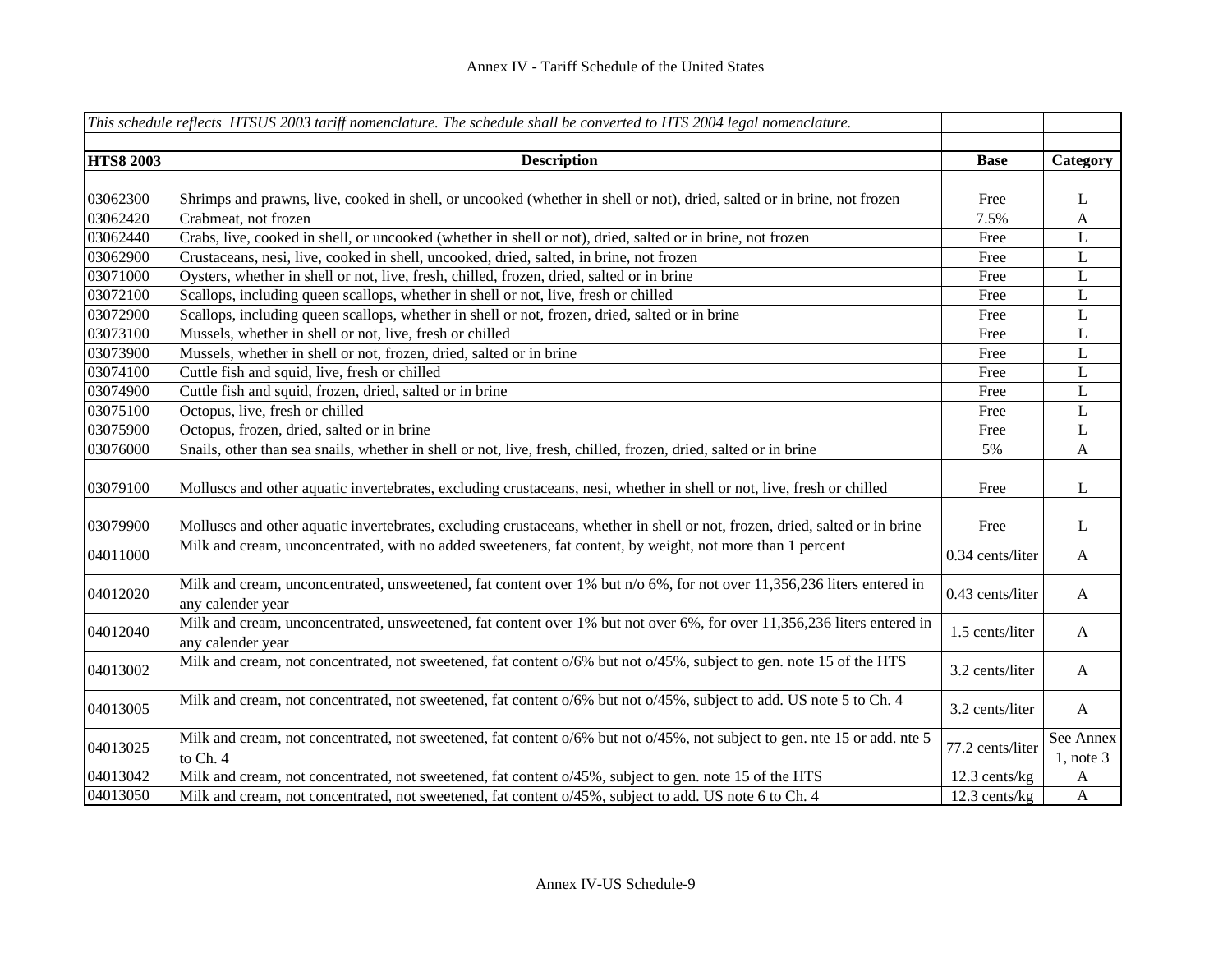|                  | This schedule reflects HTSUS 2003 tariff nomenclature. The schedule shall be converted to HTS 2004 legal nomenclature.                       |                  |                             |
|------------------|----------------------------------------------------------------------------------------------------------------------------------------------|------------------|-----------------------------|
| <b>HTS8 2003</b> | <b>Description</b>                                                                                                                           | <b>Base</b>      | Category                    |
|                  |                                                                                                                                              |                  |                             |
| 03062300         | Shrimps and prawns, live, cooked in shell, or uncooked (whether in shell or not), dried, salted or in brine, not frozen                      | Free             | L                           |
| 03062420         | Crabmeat, not frozen                                                                                                                         | 7.5%             | $\mathbf{A}$                |
| 03062440         | Crabs, live, cooked in shell, or uncooked (whether in shell or not), dried, salted or in brine, not frozen                                   | Free             | L                           |
| 03062900         | Crustaceans, nesi, live, cooked in shell, uncooked, dried, salted, in brine, not frozen                                                      | Free             | $\mathbf L$                 |
| 03071000         | Oysters, whether in shell or not, live, fresh, chilled, frozen, dried, salted or in brine                                                    | Free             | L                           |
| 03072100         | Scallops, including queen scallops, whether in shell or not, live, fresh or chilled                                                          | Free             | L                           |
| 03072900         | Scallops, including queen scallops, whether in shell or not, frozen, dried, salted or in brine                                               | Free             | L                           |
| 03073100         | Mussels, whether in shell or not, live, fresh or chilled                                                                                     | Free             | L                           |
| 03073900         | Mussels, whether in shell or not, frozen, dried, salted or in brine                                                                          | Free             | $\mathbf L$                 |
| 03074100         | Cuttle fish and squid, live, fresh or chilled                                                                                                | Free             | $\mathbf L$                 |
| 03074900         | Cuttle fish and squid, frozen, dried, salted or in brine                                                                                     | Free             | L                           |
| 03075100         | Octopus, live, fresh or chilled                                                                                                              | Free             | L                           |
| 03075900         | Octopus, frozen, dried, salted or in brine                                                                                                   | Free             | L                           |
| 03076000         | Snails, other than sea snails, whether in shell or not, live, fresh, chilled, frozen, dried, salted or in brine                              | 5%               | A                           |
| 03079100         | Molluscs and other aquatic invertebrates, excluding crustaceans, nesi, whether in shell or not, live, fresh or chilled                       | Free             | L                           |
| 03079900         | Molluscs and other aquatic invertebrates, excluding crustaceans, whether in shell or not, frozen, dried, salted or in brine                  | Free             | L                           |
| 04011000         | Milk and cream, unconcentrated, with no added sweeteners, fat content, by weight, not more than 1 percent                                    | 0.34 cents/liter | $\mathbf{A}$                |
| 04012020         | Milk and cream, unconcentrated, unsweetened, fat content over 1% but n/o 6%, for not over 11,356,236 liters entered in<br>any calender year  | 0.43 cents/liter | $\mathbf{A}$                |
| 04012040         | Milk and cream, unconcentrated, unsweetened, fat content over 1% but not over 6%, for over 11,356,236 liters entered in<br>any calender year | 1.5 cents/liter  | $\mathbf{A}$                |
| 04013002         | Milk and cream, not concentrated, not sweetened, fat content o/6% but not o/45%, subject to gen. note 15 of the HTS                          | 3.2 cents/liter  | $\mathbf{A}$                |
| 04013005         | Milk and cream, not concentrated, not sweetened, fat content o/6% but not o/45%, subject to add. US note 5 to Ch. 4                          | 3.2 cents/liter  | $\mathbf{A}$                |
| 04013025         | Milk and cream, not concentrated, not sweetened, fat content o/6% but not o/45%, not subject to gen. nte 15 or add. nte 5<br>to Ch. 4        | 77.2 cents/liter | See Annex<br>$1$ , note $3$ |
| 04013042         | Milk and cream, not concentrated, not sweetened, fat content o/45%, subject to gen. note 15 of the HTS                                       | 12.3 cents/kg    | $\mathbf{A}$                |
| 04013050         | Milk and cream, not concentrated, not sweetened, fat content o/45%, subject to add. US note 6 to Ch. 4                                       | $12.3$ cents/kg  | $\mathbf{A}$                |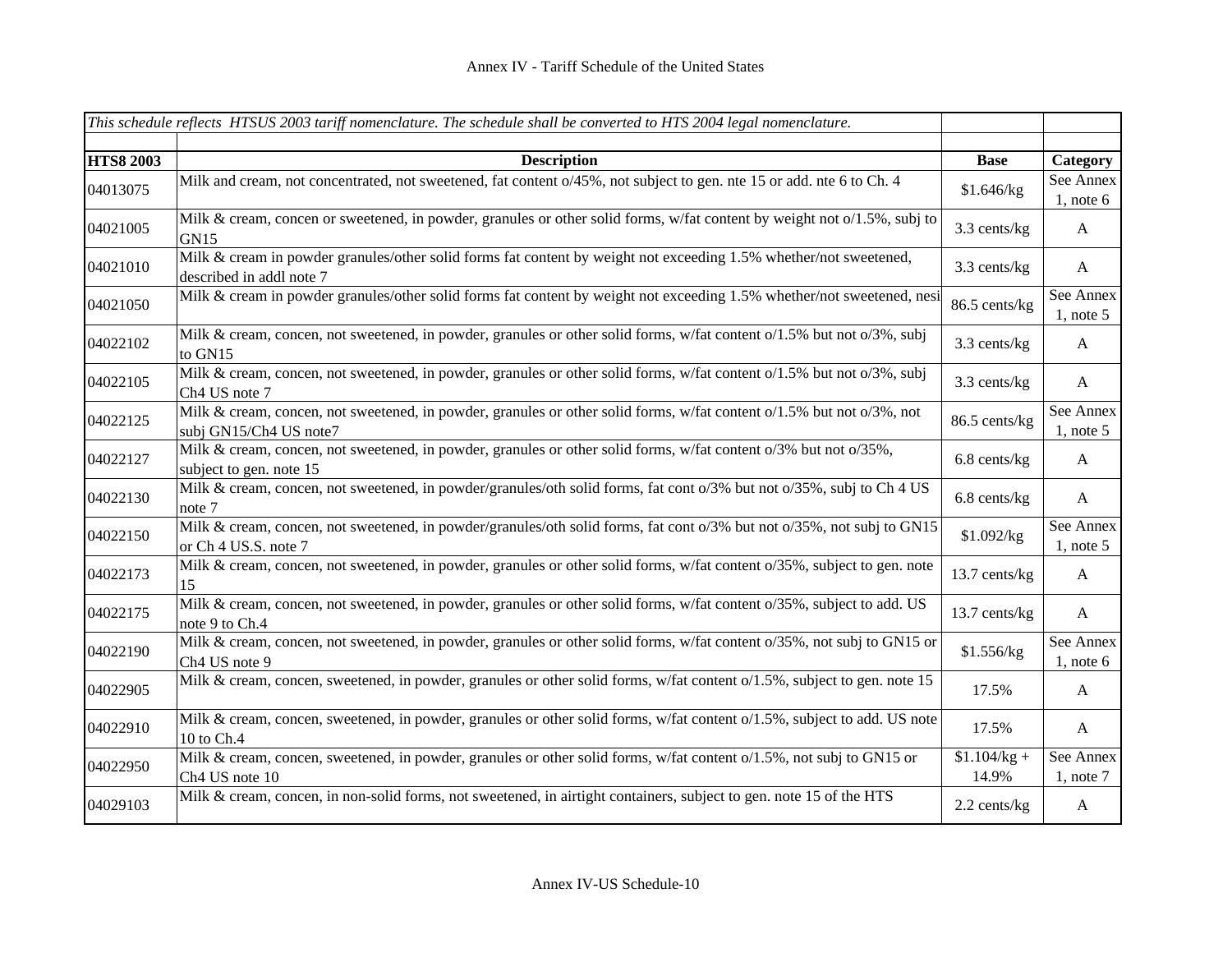|                  | This schedule reflects HTSUS 2003 tariff nomenclature. The schedule shall be converted to HTS 2004 legal nomenclature.                               |                        |                             |
|------------------|------------------------------------------------------------------------------------------------------------------------------------------------------|------------------------|-----------------------------|
| <b>HTS8 2003</b> |                                                                                                                                                      | <b>Base</b>            |                             |
|                  | <b>Description</b>                                                                                                                                   |                        | Category                    |
| 04013075         | Milk and cream, not concentrated, not sweetened, fat content o/45%, not subject to gen. nte 15 or add. nte 6 to Ch. 4                                | \$1.646/kg             | See Annex<br>$1$ , note 6   |
| 04021005         | Milk & cream, concen or sweetened, in powder, granules or other solid forms, w/fat content by weight not o/1.5%, subj to<br><b>GN15</b>              | 3.3 cents/kg           | $\mathbf{A}$                |
| 04021010         | Milk & cream in powder granules/other solid forms fat content by weight not exceeding 1.5% whether/not sweetened,<br>described in addl note 7        | 3.3 cents/kg           | $\mathbf{A}$                |
| 04021050         | Milk & cream in powder granules/other solid forms fat content by weight not exceeding 1.5% whether/not sweetened, nesi                               | 86.5 cents/kg          | See Annex<br>$1$ , note 5   |
| 04022102         | Milk & cream, concen, not sweetened, in powder, granules or other solid forms, w/fat content o/1.5% but not o/3%, subj<br>to GN15                    | 3.3 cents/kg           | $\mathbf{A}$                |
| 04022105         | Milk & cream, concen, not sweetened, in powder, granules or other solid forms, w/fat content o/1.5% but not o/3%, subj<br>Ch4 US note 7              | 3.3 cents/kg           | $\mathbf{A}$                |
| 04022125         | Milk & cream, concen, not sweetened, in powder, granules or other solid forms, w/fat content o/1.5% but not o/3%, not<br>subj GN15/Ch4 US note7      | 86.5 cents/kg          | See Annex<br>$1$ , note 5   |
| 04022127         | Milk & cream, concen, not sweetened, in powder, granules or other solid forms, w/fat content o/3% but not o/35%,<br>subject to gen. note 15          | 6.8 cents/kg           | $\mathbf{A}$                |
| 04022130         | Milk & cream, concen, not sweetened, in powder/granules/oth solid forms, fat cont o/3% but not o/35%, subj to Ch 4 US<br>note 7                      | 6.8 cents/kg           | $\mathbf{A}$                |
| 04022150         | Milk & cream, concen, not sweetened, in powder/granules/oth solid forms, fat cont o/3% but not o/35%, not subj to GN15<br>or Ch 4 US.S. note 7       | \$1.092/kg             | See Annex<br>$1$ , note 5   |
| 04022173         | Milk & cream, concen, not sweetened, in powder, granules or other solid forms, w/fat content o/35%, subject to gen. note<br>15                       | 13.7 cents/kg          | $\mathbf{A}$                |
| 04022175         | Milk & cream, concen, not sweetened, in powder, granules or other solid forms, w/fat content o/35%, subject to add. US<br>note 9 to Ch.4             | 13.7 cents/kg          | $\mathbf{A}$                |
| 04022190         | Milk & cream, concen, not sweetened, in powder, granules or other solid forms, w/fat content o/35%, not subj to GN15 or<br>Ch <sub>4</sub> US note 9 | \$1.556/kg             | See Annex<br>$1$ , note 6   |
| 04022905         | Milk & cream, concen, sweetened, in powder, granules or other solid forms, w/fat content o/1.5%, subject to gen. note 15                             | 17.5%                  | $\mathbf{A}$                |
| 04022910         | Milk & cream, concen, sweetened, in powder, granules or other solid forms, w/fat content o/1.5%, subject to add. US note<br>10 to Ch.4               | 17.5%                  | $\mathbf{A}$                |
| 04022950         | Milk & cream, concen, sweetened, in powder, granules or other solid forms, w/fat content o/1.5%, not subj to GN15 or<br>Ch4 US note 10               | $$1.104/kg +$<br>14.9% | See Annex<br>$1$ , note $7$ |
| 04029103         | Milk & cream, concen, in non-solid forms, not sweetened, in airtight containers, subject to gen. note 15 of the HTS                                  | 2.2 cents/kg           | $\mathbf{A}$                |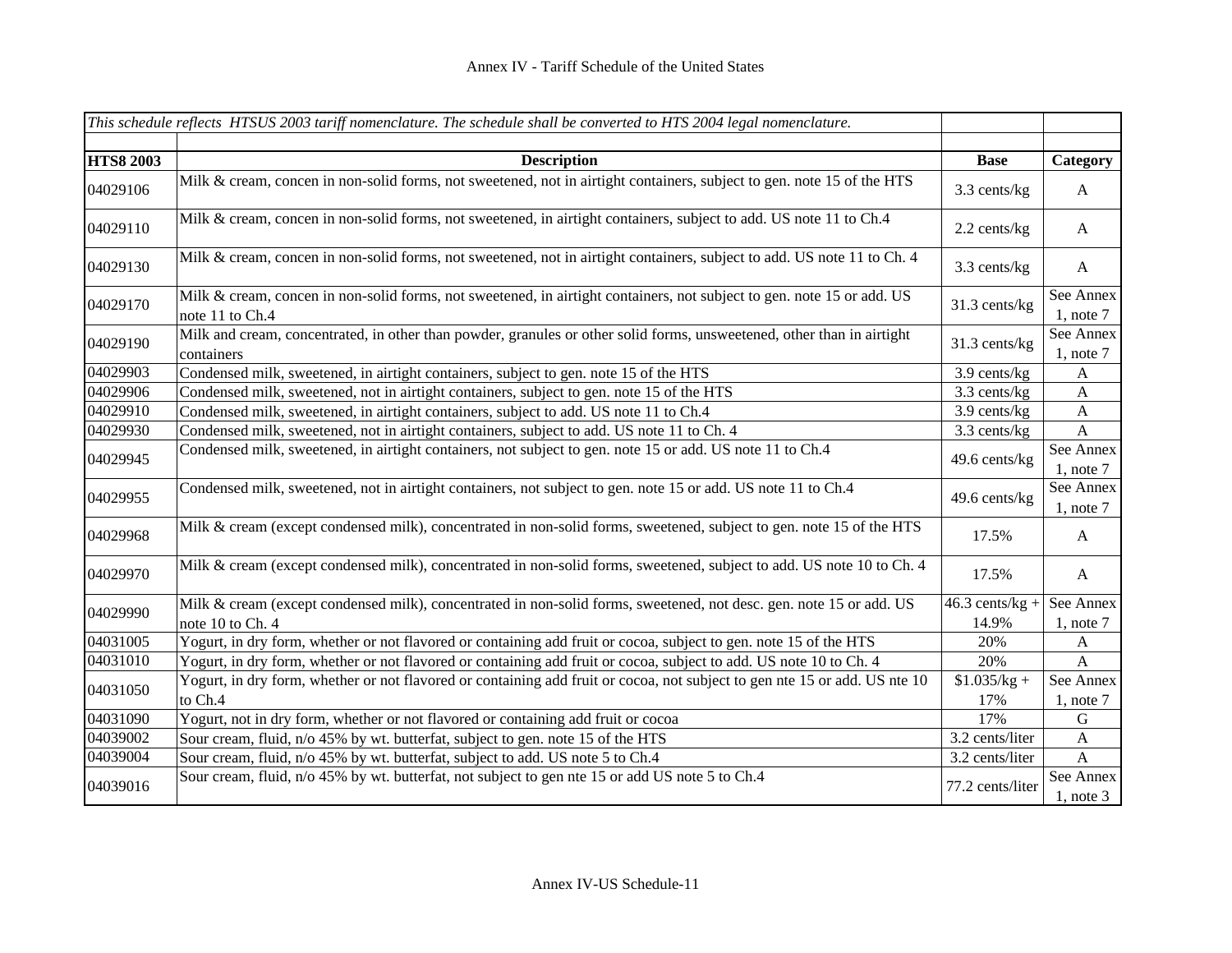|                  | This schedule reflects HTSUS 2003 tariff nomenclature. The schedule shall be converted to HTS 2004 legal nomenclature.                    |                            |                             |
|------------------|-------------------------------------------------------------------------------------------------------------------------------------------|----------------------------|-----------------------------|
| <b>HTS8 2003</b> | <b>Description</b>                                                                                                                        | <b>Base</b>                | Category                    |
| 04029106         | Milk & cream, concen in non-solid forms, not sweetened, not in airtight containers, subject to gen. note 15 of the HTS                    | 3.3 cents/kg               | $\mathbf{A}$                |
| 04029110         | Milk & cream, concen in non-solid forms, not sweetened, in airtight containers, subject to add. US note 11 to Ch.4                        | 2.2 cents/kg               | $\mathbf{A}$                |
| 04029130         | Milk & cream, concen in non-solid forms, not sweetened, not in airtight containers, subject to add. US note 11 to Ch. 4                   | 3.3 cents/kg               | $\boldsymbol{A}$            |
| 04029170         | Milk & cream, concen in non-solid forms, not sweetened, in airtight containers, not subject to gen. note 15 or add. US<br>note 11 to Ch.4 | 31.3 cents/kg              | See Annex<br>$1$ , note $7$ |
| 04029190         | Milk and cream, concentrated, in other than powder, granules or other solid forms, unsweetened, other than in airtight<br>containers      | 31.3 cents/kg              | See Annex<br>$1$ , note $7$ |
| 04029903         | Condensed milk, sweetened, in airtight containers, subject to gen. note 15 of the HTS                                                     | 3.9 cents/kg               | $\mathbf{A}$                |
| 04029906         | Condensed milk, sweetened, not in airtight containers, subject to gen. note 15 of the HTS                                                 | 3.3 cents/kg               | $\mathbf{A}$                |
| 04029910         | Condensed milk, sweetened, in airtight containers, subject to add. US note 11 to Ch.4                                                     | 3.9 cents/kg               | $\mathbf{A}$                |
| 04029930         | Condensed milk, sweetened, not in airtight containers, subject to add. US note 11 to Ch. 4                                                | 3.3 cents/kg               | $\mathbf{A}$                |
| 04029945         | Condensed milk, sweetened, in airtight containers, not subject to gen. note 15 or add. US note 11 to Ch.4                                 | 49.6 cents/kg              | See Annex<br>$1$ , note $7$ |
| 04029955         | Condensed milk, sweetened, not in airtight containers, not subject to gen. note 15 or add. US note 11 to Ch.4                             | 49.6 cents/kg              | See Annex<br>$1$ , note $7$ |
| 04029968         | Milk & cream (except condensed milk), concentrated in non-solid forms, sweetened, subject to gen. note 15 of the HTS                      | 17.5%                      | $\mathbf{A}$                |
| 04029970         | Milk & cream (except condensed milk), concentrated in non-solid forms, sweetened, subject to add. US note 10 to Ch. 4                     | 17.5%                      | $\mathbf{A}$                |
| 04029990         | Milk & cream (except condensed milk), concentrated in non-solid forms, sweetened, not desc. gen. note 15 or add. US<br>note 10 to Ch. 4   | $46.3$ cents/kg +<br>14.9% | See Annex<br>$1$ , note $7$ |
| 04031005         | Yogurt, in dry form, whether or not flavored or containing add fruit or cocoa, subject to gen. note 15 of the HTS                         | 20%                        | $\mathbf{A}$                |
| 04031010         | Yogurt, in dry form, whether or not flavored or containing add fruit or cocoa, subject to add. US note 10 to Ch. 4                        | 20%                        | $\mathbf{A}$                |
| 04031050         | Yogurt, in dry form, whether or not flavored or containing add fruit or cocoa, not subject to gen nte 15 or add. US nte 10<br>to Ch.4     | $$1.035/kg +$<br>17%       | See Annex<br>$1$ , note $7$ |
| 04031090         | Yogurt, not in dry form, whether or not flavored or containing add fruit or cocoa                                                         | 17%                        | ${\bf G}$                   |
| 04039002         | Sour cream, fluid, n/o 45% by wt. butterfat, subject to gen. note 15 of the HTS                                                           | 3.2 cents/liter            | $\mathbf{A}$                |
| 04039004         | Sour cream, fluid, n/o 45% by wt. butterfat, subject to add. US note 5 to Ch.4                                                            | 3.2 cents/liter            | $\mathbf{A}$                |
| 04039016         | Sour cream, fluid, n/o 45% by wt. butterfat, not subject to gen nte 15 or add US note 5 to Ch.4                                           | 77.2 cents/liter           | See Annex<br>$1$ , note $3$ |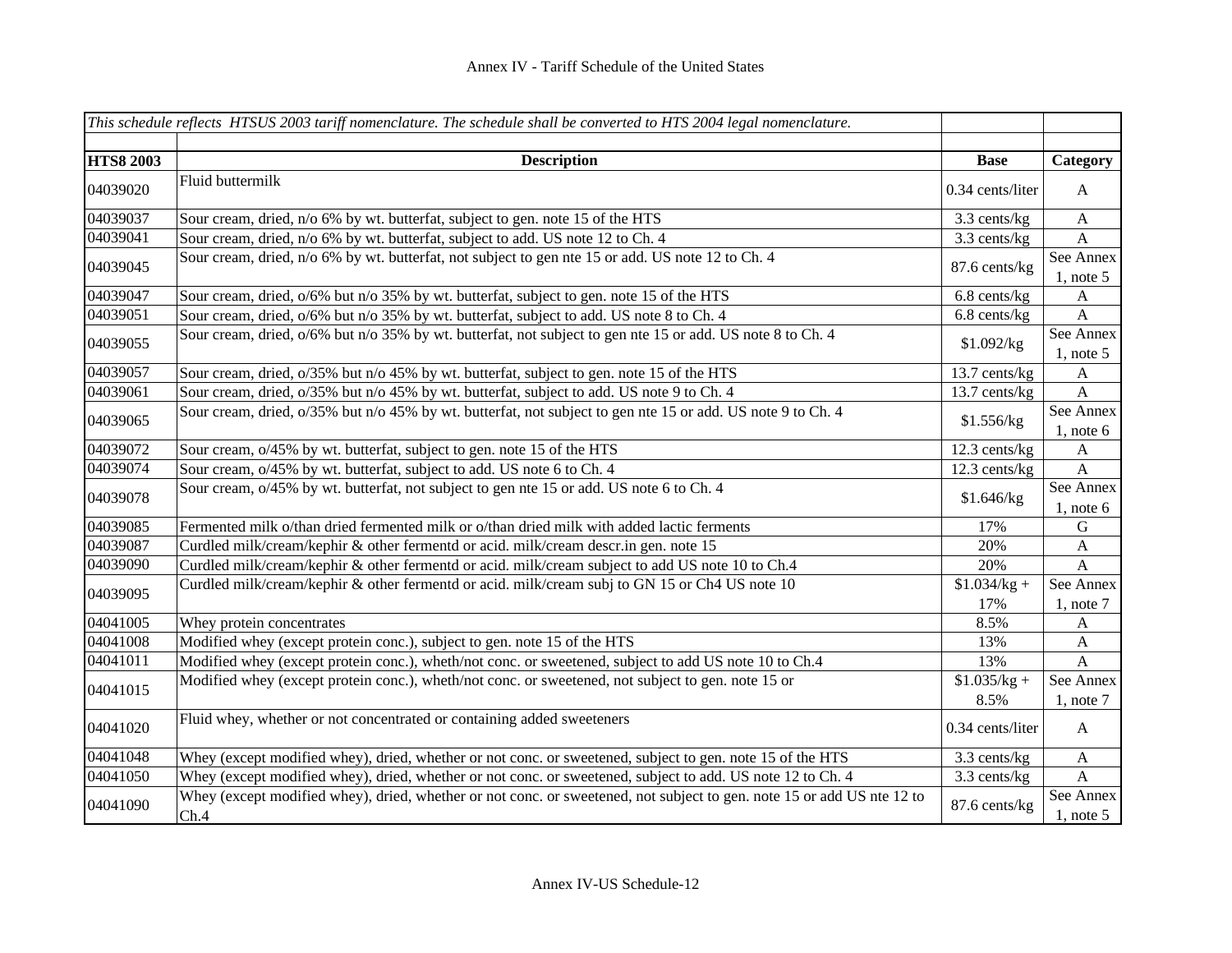|                  | This schedule reflects HTSUS 2003 tariff nomenclature. The schedule shall be converted to HTS 2004 legal nomenclature.         |                      |                           |
|------------------|--------------------------------------------------------------------------------------------------------------------------------|----------------------|---------------------------|
|                  |                                                                                                                                |                      |                           |
| <b>HTS8 2003</b> | <b>Description</b>                                                                                                             | <b>Base</b>          | Category                  |
| 04039020         | Fluid buttermilk                                                                                                               | 0.34 cents/liter     | $\mathbf{A}$              |
| 04039037         | Sour cream, dried, n/o 6% by wt. butterfat, subject to gen. note 15 of the HTS                                                 | 3.3 cents/kg         | $\mathbf{A}$              |
| 04039041         | Sour cream, dried, n/o 6% by wt. butterfat, subject to add. US note 12 to Ch. 4                                                | 3.3 cents/kg         | $\mathbf{A}$              |
| 04039045         | Sour cream, dried, n/o 6% by wt. butterfat, not subject to gen nte 15 or add. US note 12 to Ch. 4                              | 87.6 cents/kg        | See Annex<br>$1$ , note 5 |
| 04039047         | Sour cream, dried, $o/6\%$ but n/o 35% by wt. butterfat, subject to gen. note 15 of the HTS                                    | 6.8 cents/kg         | A                         |
| 04039051         | Sour cream, dried, o/6% but n/o 35% by wt. butterfat, subject to add. US note 8 to Ch. 4                                       | 6.8 cents/kg         | $\boldsymbol{A}$          |
| 04039055         | Sour cream, dried, $o/6\%$ but n/o 35% by wt. butterfat, not subject to gen nte 15 or add. US note 8 to Ch. 4                  | \$1.092/kg           | See Annex<br>$1$ , note 5 |
| 04039057         | Sour cream, dried, o/35% but n/o 45% by wt. butterfat, subject to gen. note 15 of the HTS                                      | 13.7 cents/kg        | $\mathbf{A}$              |
| 04039061         | Sour cream, dried, o/35% but n/o 45% by wt. butterfat, subject to add. US note 9 to Ch. 4                                      | 13.7 cents/kg        | $\mathbf{A}$              |
| 04039065         | Sour cream, dried, $o/35\%$ but n/o 45% by wt. butterfat, not subject to gen nte 15 or add. US note 9 to Ch. 4                 | \$1.556/kg           | See Annex<br>$1$ , note 6 |
| 04039072         | Sour cream, o/45% by wt. butterfat, subject to gen. note 15 of the HTS                                                         | $12.3$ cents/kg      | $\mathbf{A}$              |
| 04039074         | Sour cream, o/45% by wt. butterfat, subject to add. US note 6 to Ch. 4                                                         | 12.3 cents/kg        | $\boldsymbol{\mathsf{A}}$ |
| 04039078         | Sour cream, $o/45\%$ by wt. butterfat, not subject to gen nte 15 or add. US note 6 to Ch. 4                                    | \$1.646/kg           | See Annex<br>1, note $6$  |
| 04039085         | Fermented milk o/than dried fermented milk or o/than dried milk with added lactic ferments                                     | 17%                  | ${\bf G}$                 |
| 04039087         | Curdled milk/cream/kephir & other fermentd or acid. milk/cream descr.in gen. note 15                                           | 20%                  | $\mathbf{A}$              |
| 04039090         | Curdled milk/cream/kephir & other fermentd or acid. milk/cream subject to add US note 10 to Ch.4                               | 20%                  | $\mathbf{A}$              |
| 04039095         | Curdled milk/cream/kephir & other fermentd or acid. milk/cream subj to GN 15 or Ch4 US note 10                                 | $$1.034/kg +$<br>17% | See Annex<br>1, note $7$  |
| 04041005         | Whey protein concentrates                                                                                                      | 8.5%                 | A                         |
| 04041008         | Modified whey (except protein conc.), subject to gen. note 15 of the HTS                                                       | 13%                  | $\mathbf{A}$              |
| 04041011         | Modified whey (except protein conc.), wheth/not conc. or sweetened, subject to add US note 10 to Ch.4                          | 13%                  | $\mathbf{A}$              |
|                  | Modified whey (except protein conc.), wheth/not conc. or sweetened, not subject to gen. note 15 or                             | $$1.035/kg +$        | See Annex                 |
| 04041015         |                                                                                                                                | 8.5%                 | $1$ , note $7$            |
| 04041020         | Fluid whey, whether or not concentrated or containing added sweeteners                                                         | 0.34 cents/liter     | $\mathbf{A}$              |
| 04041048         | Whey (except modified whey), dried, whether or not conc. or sweetened, subject to gen. note 15 of the HTS                      | 3.3 cents/kg         | $\boldsymbol{A}$          |
| 04041050         | Whey (except modified whey), dried, whether or not conc. or sweetened, subject to add. US note 12 to Ch. 4                     | 3.3 cents/kg         | $\mathbf{A}$              |
| 04041090         | Whey (except modified whey), dried, whether or not conc. or sweetened, not subject to gen. note 15 or add US nte 12 to<br>Ch.4 | 87.6 cents/kg        | See Annex<br>1, note $5$  |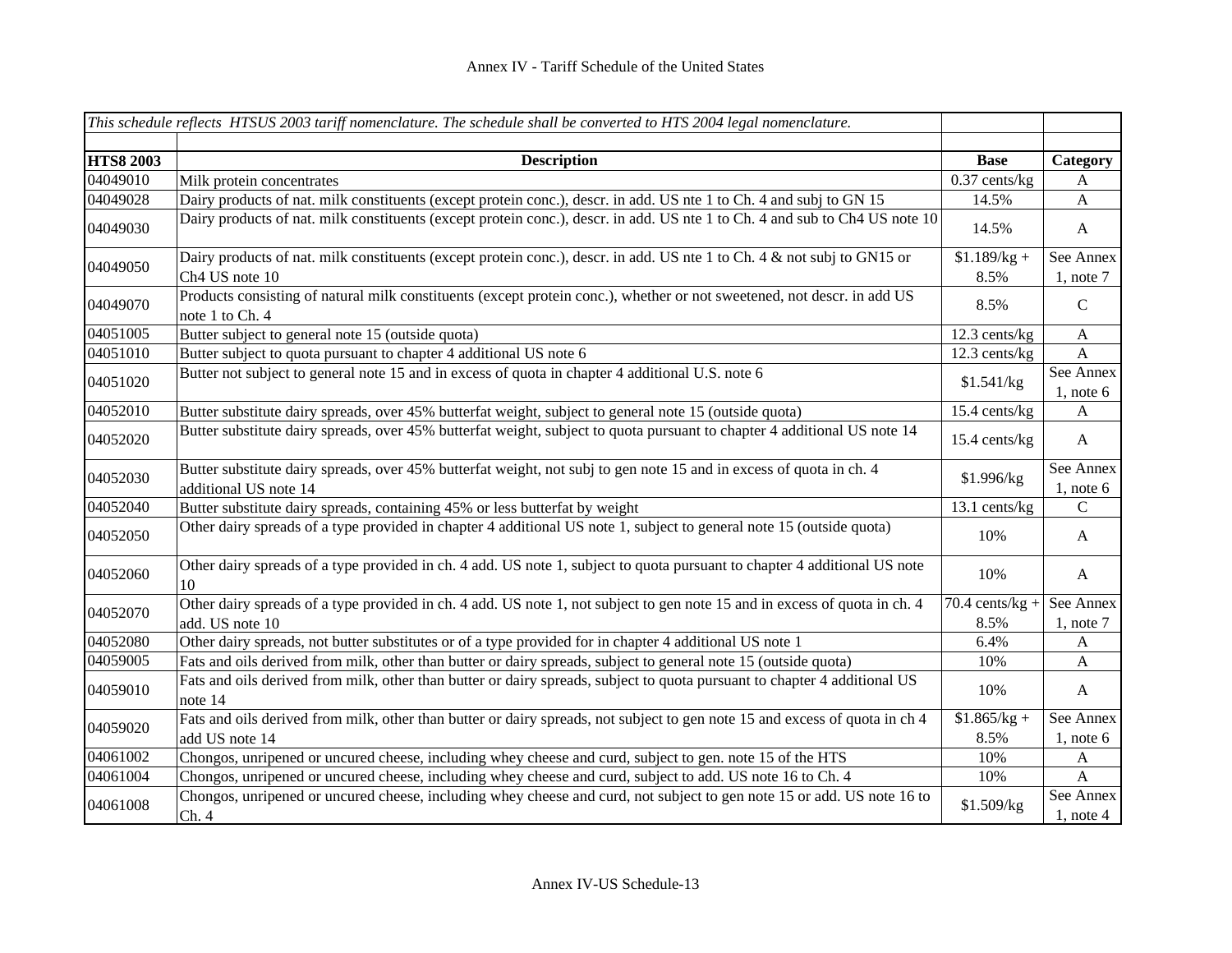|                  | This schedule reflects HTSUS 2003 tariff nomenclature. The schedule shall be converted to HTS 2004 legal nomenclature.                        |                           |                             |
|------------------|-----------------------------------------------------------------------------------------------------------------------------------------------|---------------------------|-----------------------------|
|                  |                                                                                                                                               |                           |                             |
| <b>HTS8 2003</b> | <b>Description</b>                                                                                                                            | <b>Base</b>               | Category                    |
| 04049010         | Milk protein concentrates                                                                                                                     | $0.37$ cents/kg           | A                           |
| 04049028         | Dairy products of nat. milk constituents (except protein conc.), descr. in add. US nte 1 to Ch. 4 and subj to GN 15                           | 14.5%                     | $\mathbf{A}$                |
| 04049030         | Dairy products of nat. milk constituents (except protein conc.), descr. in add. US nte 1 to Ch. 4 and sub to Ch4 US note 10                   | 14.5%                     | $\mathbf{A}$                |
| 04049050         | Dairy products of nat. milk constituents (except protein conc.), descr. in add. US nte 1 to Ch. 4 & not subj to GN15 or<br>Ch4 US note 10     | $$1.189/kg +$<br>8.5%     | See Annex<br>$1$ , note $7$ |
| 04049070         | Products consisting of natural milk constituents (except protein conc.), whether or not sweetened, not descr. in add US<br>note 1 to Ch. 4    | 8.5%                      | $\mathbf C$                 |
| 04051005         | Butter subject to general note 15 (outside quota)                                                                                             | $12.3$ cents/kg           | $\mathbf{A}$                |
| 04051010         | Butter subject to quota pursuant to chapter 4 additional US note 6                                                                            | 12.3 cents/kg             | $\mathbf{A}$                |
| 04051020         | Butter not subject to general note 15 and in excess of quota in chapter 4 additional U.S. note 6                                              | \$1.541/kg                | See Annex<br>1, note $6$    |
| 04052010         | Butter substitute dairy spreads, over 45% butterfat weight, subject to general note 15 (outside quota)                                        | 15.4 cents/kg             | $\mathbf{A}$                |
| 04052020         | Butter substitute dairy spreads, over 45% butterfat weight, subject to quota pursuant to chapter 4 additional US note 14                      | $15.4$ cents/kg           | $\mathbf{A}$                |
| 04052030         | Butter substitute dairy spreads, over 45% butterfat weight, not subj to gen note 15 and in excess of quota in ch. 4<br>additional US note 14  | \$1.996/kg                | See Annex<br>1, note $6$    |
| 04052040         | Butter substitute dairy spreads, containing 45% or less butterfat by weight                                                                   | 13.1 cents/kg             | $\mathcal{C}$               |
| 04052050         | Other dairy spreads of a type provided in chapter 4 additional US note 1, subject to general note 15 (outside quota)                          | 10%                       | $\mathbf{A}$                |
| 04052060         | Other dairy spreads of a type provided in ch. 4 add. US note 1, subject to quota pursuant to chapter 4 additional US note<br>10               | 10%                       | $\mathbf{A}$                |
| 04052070         | Other dairy spreads of a type provided in ch. 4 add. US note 1, not subject to gen note 15 and in excess of quota in ch. 4<br>add. US note 10 | $70.4$ cents/kg +<br>8.5% | See Annex<br>$1$ , note $7$ |
| 04052080         | Other dairy spreads, not butter substitutes or of a type provided for in chapter 4 additional US note 1                                       | 6.4%                      | $\mathbf{A}$                |
| 04059005         | Fats and oils derived from milk, other than butter or dairy spreads, subject to general note 15 (outside quota)                               | 10%                       | $\mathbf{A}$                |
| 04059010         | Fats and oils derived from milk, other than butter or dairy spreads, subject to quota pursuant to chapter 4 additional US<br>note 14          | 10%                       | $\mathbf{A}$                |
| 04059020         | Fats and oils derived from milk, other than butter or dairy spreads, not subject to gen note 15 and excess of quota in ch 4<br>add US note 14 | $$1.865/kg +$<br>8.5%     | See Annex<br>$1$ , note 6   |
| 04061002         | Chongos, unripened or uncured cheese, including whey cheese and curd, subject to gen. note 15 of the HTS                                      | 10%                       | $\mathbf{A}$                |
| 04061004         | Chongos, unripened or uncured cheese, including whey cheese and curd, subject to add. US note 16 to Ch. 4                                     | 10%                       | $\mathbf{A}$                |
| 04061008         | Chongos, unripened or uncured cheese, including whey cheese and curd, not subject to gen note 15 or add. US note 16 to<br>Ch.4                | \$1.509/kg                | See Annex<br>$1,$ note 4    |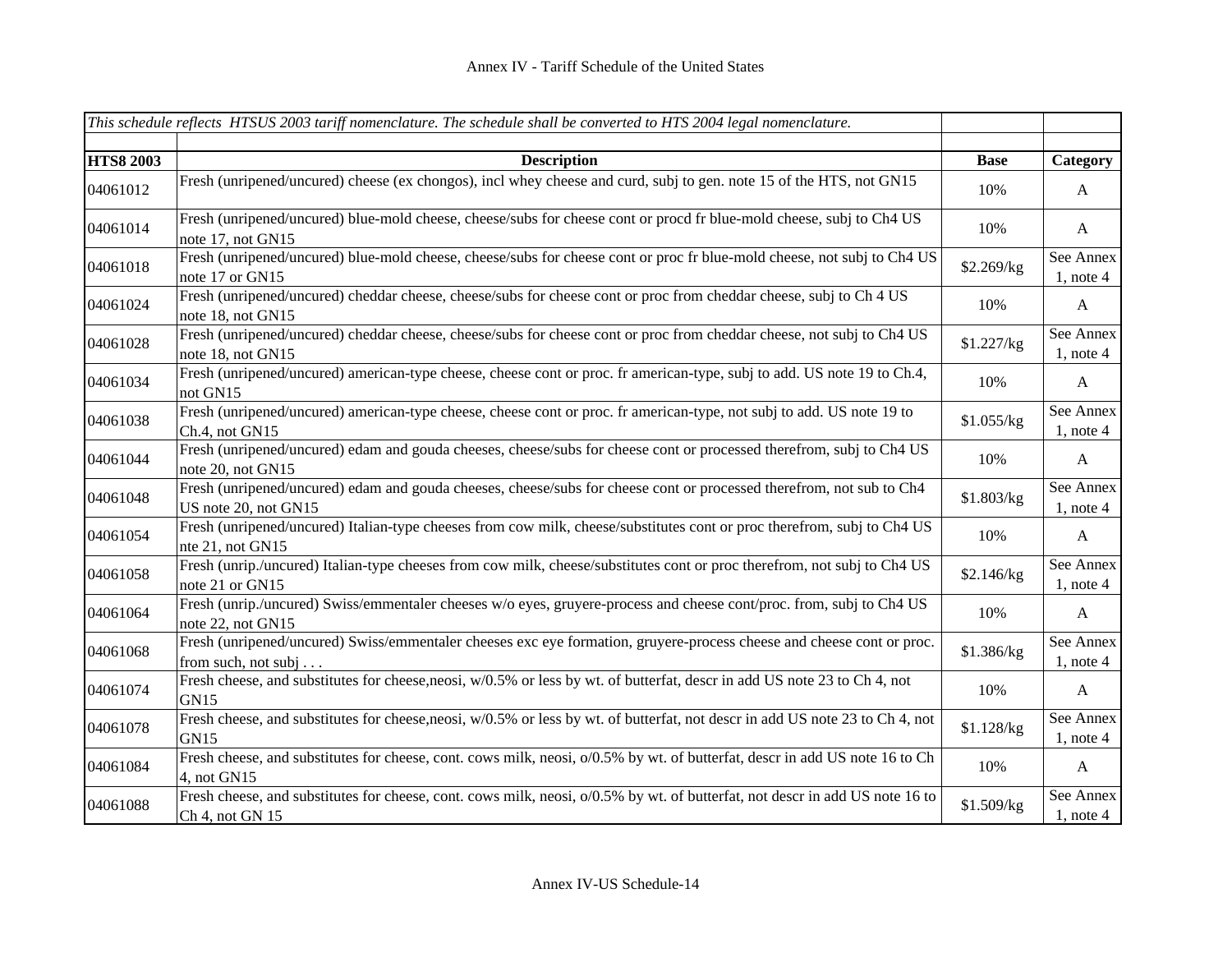|                  | This schedule reflects HTSUS 2003 tariff nomenclature. The schedule shall be converted to HTS 2004 legal nomenclature.                             |             |                             |
|------------------|----------------------------------------------------------------------------------------------------------------------------------------------------|-------------|-----------------------------|
| <b>HTS8 2003</b> | <b>Description</b>                                                                                                                                 | <b>Base</b> | Category                    |
| 04061012         | Fresh (unripened/uncured) cheese (ex chongos), incl whey cheese and curd, subj to gen. note 15 of the HTS, not GN15                                | 10%         | $\mathbf{A}$                |
| 04061014         | Fresh (unripened/uncured) blue-mold cheese, cheese/subs for cheese cont or procd fr blue-mold cheese, subj to Ch4 US<br>note 17, not GN15          | 10%         | $\mathbf{A}$                |
| 04061018         | Fresh (unripened/uncured) blue-mold cheese, cheese/subs for cheese cont or proc fr blue-mold cheese, not subj to Ch4 US<br>note 17 or GN15         | \$2.269/kg  | See Annex<br>$1$ , note 4   |
| 04061024         | Fresh (unripened/uncured) cheddar cheese, cheese/subs for cheese cont or proc from cheddar cheese, subj to Ch 4 US<br>note 18, not GN15            | 10%         | $\mathbf{A}$                |
| 04061028         | Fresh (unripened/uncured) cheddar cheese, cheese/subs for cheese cont or proc from cheddar cheese, not subj to Ch4 US<br>note 18, not GN15         | \$1.227/kg  | See Annex<br>$1$ , note 4   |
| 04061034         | Fresh (unripened/uncured) american-type cheese, cheese cont or proc. fr american-type, subj to add. US note 19 to Ch.4,<br>not GN15                | 10%         | $\mathbf{A}$                |
| 04061038         | Fresh (unripened/uncured) american-type cheese, cheese cont or proc. fr american-type, not subj to add. US note 19 to<br>Ch.4, not GN15            | \$1.055/kg  | See Annex<br>$1$ , note $4$ |
| 04061044         | Fresh (unripened/uncured) edam and gouda cheeses, cheese/subs for cheese cont or processed therefrom, subj to Ch4 US<br>note 20, not GN15          | 10%         | $\mathbf{A}$                |
| 04061048         | Fresh (unripened/uncured) edam and gouda cheeses, cheese/subs for cheese cont or processed therefrom, not sub to Ch4<br>US note 20, not GN15       | \$1.803/kg  | See Annex<br>$1$ , note 4   |
| 04061054         | Fresh (unripened/uncured) Italian-type cheeses from cow milk, cheese/substitutes cont or proc therefrom, subj to Ch4 US<br>nte 21, not GN15        | 10%         | $\mathbf{A}$                |
| 04061058         | Fresh (unrip./uncured) Italian-type cheeses from cow milk, cheese/substitutes cont or proc therefrom, not subj to Ch4 US<br>note 21 or GN15        | \$2.146/kg  | See Annex<br>$1$ , note 4   |
| 04061064         | Fresh (unrip./uncured) Swiss/emmentaler cheeses w/o eyes, gruyere-process and cheese cont/proc. from, subj to Ch4 US<br>note 22, not GN15          | 10%         | $\mathbf{A}$                |
| 04061068         | Fresh (unripened/uncured) Swiss/emmentaler cheeses exc eye formation, gruyere-process cheese and cheese cont or proc.<br>from such, not subj       | \$1.386/kg  | See Annex<br>$1$ , note 4   |
| 04061074         | Fresh cheese, and substitutes for cheese, neosi, w/0.5% or less by wt. of butterfat, descr in add US note 23 to Ch 4, not<br>GN15                  | 10%         | $\mathbf{A}$                |
| 04061078         | Fresh cheese, and substitutes for cheese, neosi, w/0.5% or less by wt. of butterfat, not descr in add US note 23 to Ch 4, not<br><b>GN15</b>       | \$1.128/kg  | See Annex<br>$1$ , note $4$ |
| 04061084         | Fresh cheese, and substitutes for cheese, cont. cows milk, neosi, o/0.5% by wt. of butterfat, descr in add US note 16 to Ch<br>4, not GN15         | 10%         | $\mathbf{A}$                |
| 04061088         | Fresh cheese, and substitutes for cheese, cont. cows milk, neosi, $0/0.5\%$ by wt. of butterfat, not descr in add US note 16 to<br>Ch 4, not GN 15 | \$1.509/kg  | See Annex<br>$1$ , note 4   |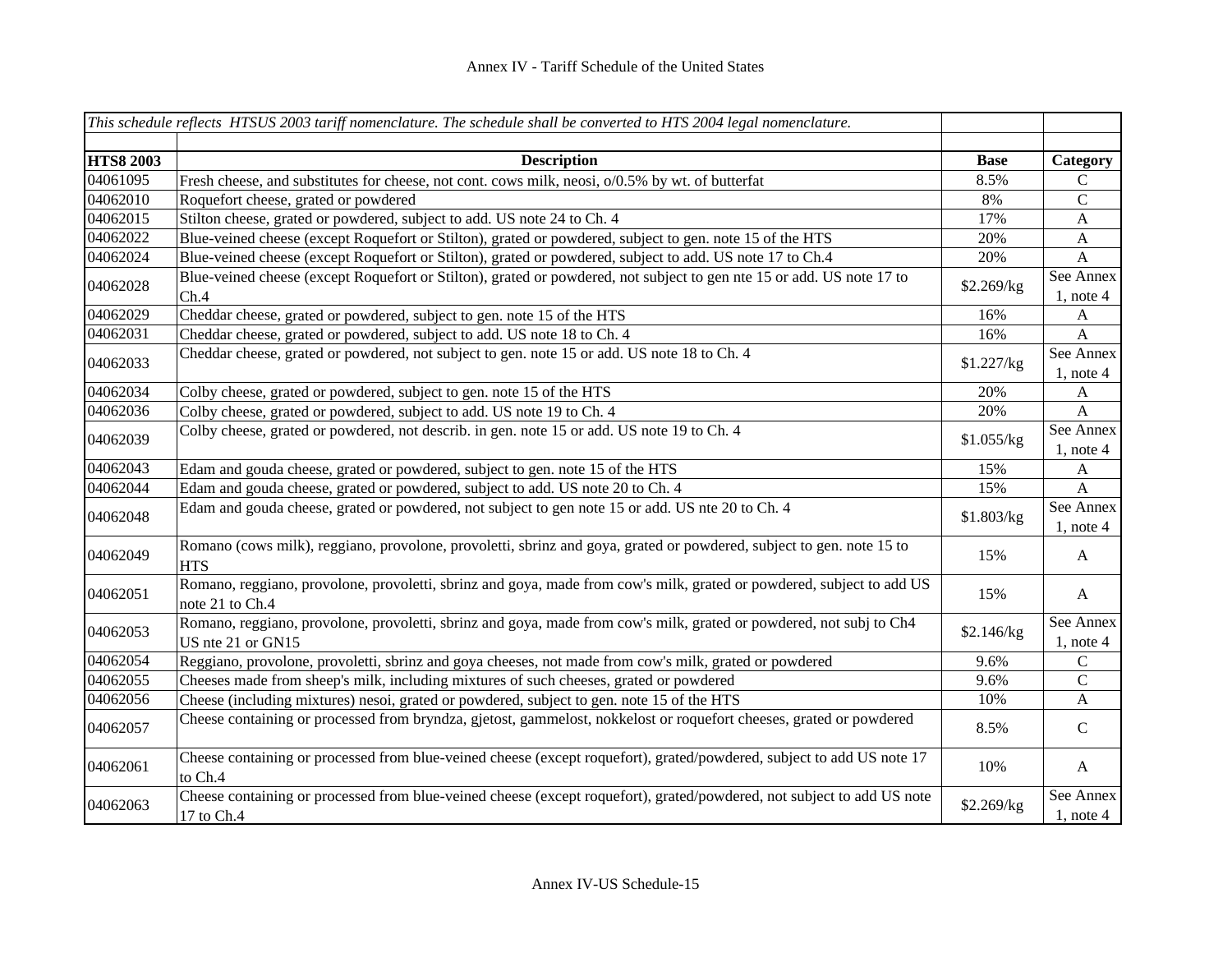|                  | This schedule reflects HTSUS 2003 tariff nomenclature. The schedule shall be converted to HTS 2004 legal nomenclature.                   |             |                             |
|------------------|------------------------------------------------------------------------------------------------------------------------------------------|-------------|-----------------------------|
| <b>HTS8 2003</b> | <b>Description</b>                                                                                                                       | <b>Base</b> | Category                    |
| 04061095         | Fresh cheese, and substitutes for cheese, not cont. cows milk, neosi, o/0.5% by wt. of butterfat                                         | 8.5%        | C                           |
| 04062010         | Roquefort cheese, grated or powdered                                                                                                     | 8%          | $\mathsf C$                 |
| 04062015         | Stilton cheese, grated or powdered, subject to add. US note 24 to Ch. 4                                                                  | 17%         | $\boldsymbol{A}$            |
| 04062022         | Blue-veined cheese (except Roquefort or Stilton), grated or powdered, subject to gen. note 15 of the HTS                                 | 20%         | $\mathbf{A}$                |
| 04062024         | Blue-veined cheese (except Roquefort or Stilton), grated or powdered, subject to add. US note 17 to Ch.4                                 | 20%         | $\mathbf{A}$                |
| 04062028         | Blue-veined cheese (except Roquefort or Stilton), grated or powdered, not subject to gen nte 15 or add. US note 17 to<br>Ch.4            | \$2.269/kg  | See Annex<br>$1$ , note 4   |
| 04062029         | Cheddar cheese, grated or powdered, subject to gen. note 15 of the HTS                                                                   | 16%         | $\mathbf{A}$                |
| 04062031         | Cheddar cheese, grated or powdered, subject to add. US note 18 to Ch. 4                                                                  | 16%         | $\mathbf{A}$                |
| 04062033         | Cheddar cheese, grated or powdered, not subject to gen. note 15 or add. US note 18 to Ch. 4                                              | \$1.227/kg  | See Annex<br>$1$ , note 4   |
| 04062034         | Colby cheese, grated or powdered, subject to gen. note 15 of the HTS                                                                     | 20%         | $\mathbf{A}$                |
| 04062036         | Colby cheese, grated or powdered, subject to add. US note 19 to Ch. 4                                                                    | 20%         | $\mathbf{A}$                |
| 04062039         | Colby cheese, grated or powdered, not describ. in gen. note 15 or add. US note 19 to Ch. 4                                               | \$1.055/kg  | See Annex<br>$1$ , note 4   |
| 04062043         | Edam and gouda cheese, grated or powdered, subject to gen. note 15 of the HTS                                                            | 15%         | $\mathbf{A}$                |
| 04062044         | Edam and gouda cheese, grated or powdered, subject to add. US note 20 to Ch. 4                                                           | 15%         | $\mathbf{A}$                |
| 04062048         | Edam and gouda cheese, grated or powdered, not subject to gen note 15 or add. US nte 20 to Ch. 4                                         | \$1.803/kg  | See Annex<br>$1$ , note $4$ |
| 04062049         | Romano (cows milk), reggiano, provolone, provoletti, sbrinz and goya, grated or powdered, subject to gen. note 15 to<br><b>HTS</b>       | 15%         | A                           |
| 04062051         | Romano, reggiano, provolone, provoletti, sbrinz and goya, made from cow's milk, grated or powdered, subject to add US<br>note 21 to Ch.4 | 15%         | A                           |
| 04062053         | Romano, reggiano, provolone, provoletti, sbrinz and goya, made from cow's milk, grated or powdered, not subj to Ch4<br>US nte 21 or GN15 | \$2.146/kg  | See Annex<br>$1$ , note 4   |
| 04062054         | Reggiano, provolone, provoletti, sbrinz and goya cheeses, not made from cow's milk, grated or powdered                                   | 9.6%        | $\mathbf C$                 |
| 04062055         | Cheeses made from sheep's milk, including mixtures of such cheeses, grated or powdered                                                   | 9.6%        | $\mathsf{C}$                |
| 04062056         | Cheese (including mixtures) nesoi, grated or powdered, subject to gen. note 15 of the HTS                                                | 10%         | $\mathbf{A}$                |
| 04062057         | Cheese containing or processed from bryndza, gjetost, gammelost, nokkelost or roquefort cheeses, grated or powdered                      | 8.5%        | $\mathcal{C}$               |
| 04062061         | Cheese containing or processed from blue-veined cheese (except roquefort), grated/powdered, subject to add US note 17<br>to Ch.4         | 10%         | $\mathbf{A}$                |
| 04062063         | Cheese containing or processed from blue-veined cheese (except roquefort), grated/powdered, not subject to add US note<br>17 to Ch.4     | \$2.269/kg  | See Annex<br>$1$ , note $4$ |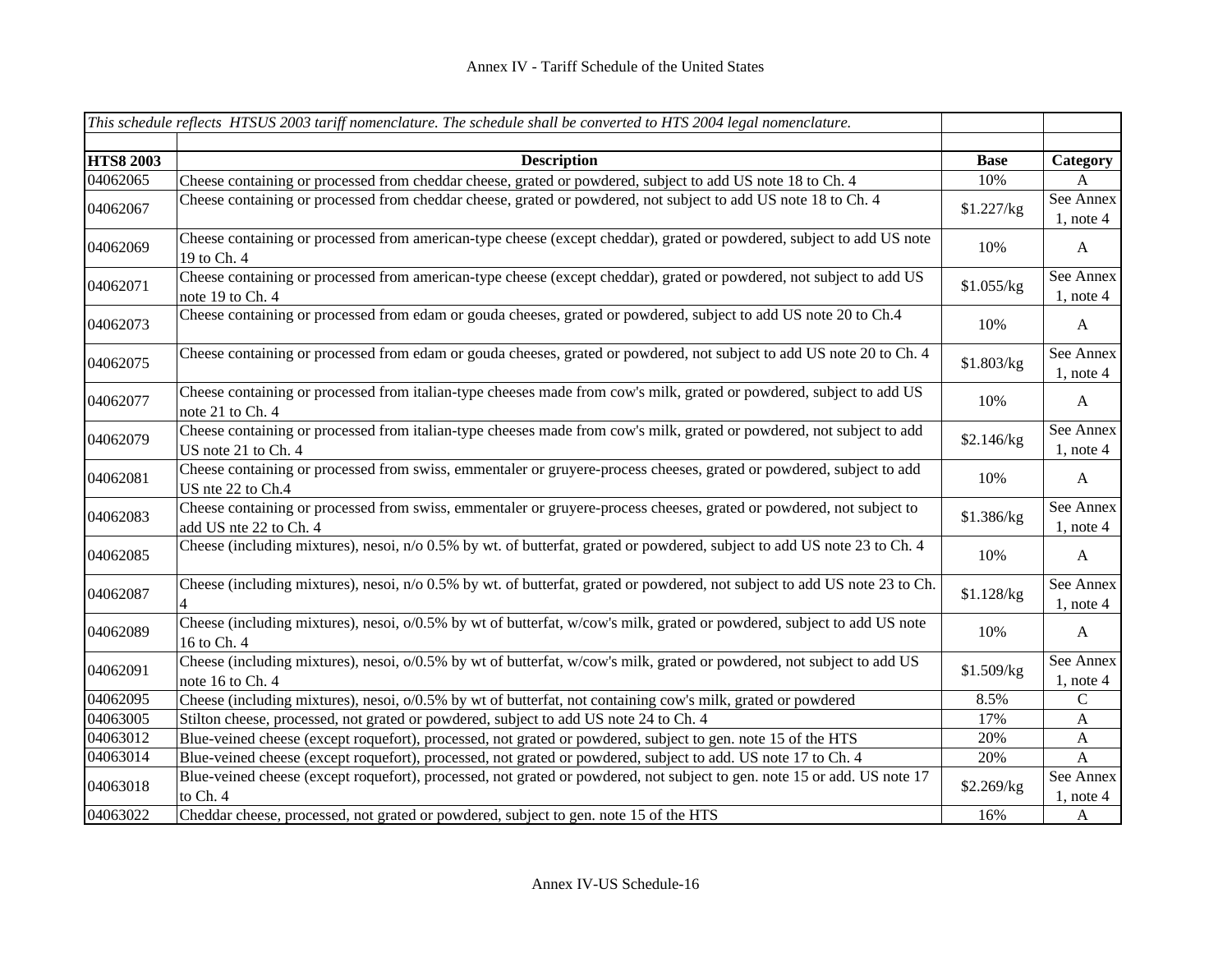|                  | This schedule reflects HTSUS 2003 tariff nomenclature. The schedule shall be converted to HTS 2004 legal nomenclature.                         |             |                             |
|------------------|------------------------------------------------------------------------------------------------------------------------------------------------|-------------|-----------------------------|
| <b>HTS8 2003</b> | <b>Description</b>                                                                                                                             | <b>Base</b> | Category                    |
| 04062065         | Cheese containing or processed from cheddar cheese, grated or powdered, subject to add US note 18 to Ch. 4                                     | 10%         | A                           |
| 04062067         | Cheese containing or processed from cheddar cheese, grated or powdered, not subject to add US note 18 to Ch. 4                                 | \$1.227/kg  | See Annex<br>$1$ , note 4   |
| 04062069         | Cheese containing or processed from american-type cheese (except cheddar), grated or powdered, subject to add US note<br>19 to Ch. 4           | 10%         | $\mathbf{A}$                |
| 04062071         | Cheese containing or processed from american-type cheese (except cheddar), grated or powdered, not subject to add US<br>note 19 to Ch. 4       | \$1.055/kg  | See Annex<br>$1$ , note 4   |
| 04062073         | Cheese containing or processed from edam or gouda cheeses, grated or powdered, subject to add US note 20 to Ch.4                               | 10%         | $\mathbf{A}$                |
| 04062075         | Cheese containing or processed from edam or gouda cheeses, grated or powdered, not subject to add US note 20 to Ch. 4                          | \$1.803/kg  | See Annex<br>$1$ , note 4   |
| 04062077         | Cheese containing or processed from italian-type cheeses made from cow's milk, grated or powdered, subject to add US<br>note 21 to Ch. 4       | 10%         | $\mathbf{A}$                |
| 04062079         | Cheese containing or processed from italian-type cheeses made from cow's milk, grated or powdered, not subject to add<br>US note 21 to Ch. 4   | \$2.146/kg  | See Annex<br>$1$ , note 4   |
| 04062081         | Cheese containing or processed from swiss, emmentaler or gruyere-process cheeses, grated or powdered, subject to add<br>US nte 22 to Ch.4      | 10%         | $\mathbf{A}$                |
| 04062083         | Cheese containing or processed from swiss, emmentaler or gruyere-process cheeses, grated or powdered, not subject to<br>add US nte 22 to Ch. 4 | \$1.386/kg  | See Annex<br>$1$ , note 4   |
| 04062085         | Cheese (including mixtures), nesoi, n/o 0.5% by wt. of butterfat, grated or powdered, subject to add US note 23 to Ch. 4                       | 10%         | $\mathbf{A}$                |
| 04062087         | Cheese (including mixtures), nesoi, n/o 0.5% by wt. of butterfat, grated or powdered, not subject to add US note 23 to Ch.<br>$\overline{4}$   | \$1.128/kg  | See Annex<br>$1$ , note 4   |
| 04062089         | Cheese (including mixtures), nesoi, o/0.5% by wt of butterfat, w/cow's milk, grated or powdered, subject to add US note<br>16 to Ch. 4         | 10%         | $\mathbf{A}$                |
| 04062091         | Cheese (including mixtures), nesoi, o/0.5% by wt of butterfat, w/cow's milk, grated or powdered, not subject to add US<br>note 16 to Ch. 4     | \$1.509/kg  | See Annex<br>$1$ , note 4   |
| 04062095         | Cheese (including mixtures), nesoi, o/0.5% by wt of butterfat, not containing cow's milk, grated or powdered                                   | 8.5%        | $\mathsf{C}$                |
| 04063005         | Stilton cheese, processed, not grated or powdered, subject to add US note 24 to Ch. 4                                                          | 17%         | $\mathbf{A}$                |
| 04063012         | Blue-veined cheese (except roquefort), processed, not grated or powdered, subject to gen. note 15 of the HTS                                   | 20%         | $\boldsymbol{\mathsf{A}}$   |
| 04063014         | Blue-veined cheese (except roquefort), processed, not grated or powdered, subject to add. US note 17 to Ch. 4                                  | 20%         | $\mathbf{A}$                |
| 04063018         | Blue-veined cheese (except roquefort), processed, not grated or powdered, not subject to gen. note 15 or add. US note 17<br>to Ch. 4           | \$2.269/kg  | See Annex<br>$1$ , note $4$ |
| 04063022         | Cheddar cheese, processed, not grated or powdered, subject to gen. note 15 of the HTS                                                          | 16%         | $\mathbf{A}$                |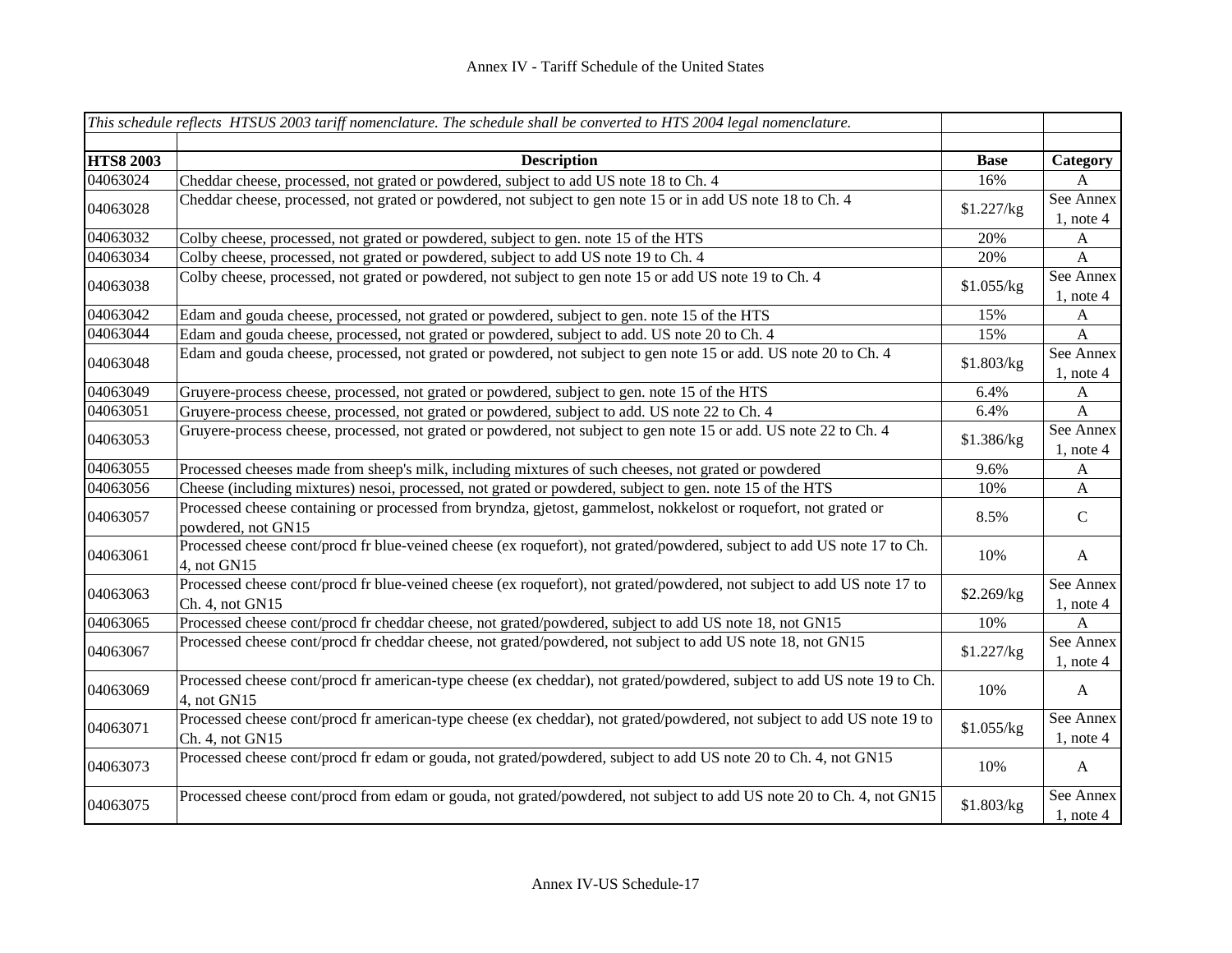|                  | This schedule reflects HTSUS 2003 tariff nomenclature. The schedule shall be converted to HTS 2004 legal nomenclature.                     |             |                             |
|------------------|--------------------------------------------------------------------------------------------------------------------------------------------|-------------|-----------------------------|
|                  |                                                                                                                                            |             |                             |
| <b>HTS8 2003</b> | <b>Description</b>                                                                                                                         | <b>Base</b> | Category                    |
| 04063024         | Cheddar cheese, processed, not grated or powdered, subject to add US note 18 to Ch. 4                                                      | 16%         | A                           |
| 04063028         | Cheddar cheese, processed, not grated or powdered, not subject to gen note 15 or in add US note 18 to Ch. 4                                | \$1.227/kg  | See Annex<br>$1$ , note 4   |
| 04063032         | Colby cheese, processed, not grated or powdered, subject to gen. note 15 of the HTS                                                        | 20%         | $\mathbf{A}$                |
| 04063034         | Colby cheese, processed, not grated or powdered, subject to add US note 19 to Ch. 4                                                        | 20%         | $\mathbf{A}$                |
| 04063038         | Colby cheese, processed, not grated or powdered, not subject to gen note 15 or add US note 19 to Ch. 4                                     | \$1.055/kg  | See Annex<br>$1$ , note 4   |
| 04063042         | Edam and gouda cheese, processed, not grated or powdered, subject to gen. note 15 of the HTS                                               | 15%         | A                           |
| 04063044         | Edam and gouda cheese, processed, not grated or powdered, subject to add. US note 20 to Ch. 4                                              | 15%         | $\mathbf{A}$                |
| 04063048         | Edam and gouda cheese, processed, not grated or powdered, not subject to gen note 15 or add. US note 20 to Ch. 4                           | \$1.803/kg  | See Annex<br>$1$ , note 4   |
| 04063049         | Gruyere-process cheese, processed, not grated or powdered, subject to gen. note 15 of the HTS                                              | 6.4%        | $\mathbf{A}$                |
| 04063051         | Gruyere-process cheese, processed, not grated or powdered, subject to add. US note 22 to Ch. 4                                             | 6.4%        | $\mathbf{A}$                |
| 04063053         | Gruyere-process cheese, processed, not grated or powdered, not subject to gen note 15 or add. US note 22 to Ch. 4                          | \$1.386/kg  | See Annex<br>$1$ , note 4   |
| 04063055         | Processed cheeses made from sheep's milk, including mixtures of such cheeses, not grated or powdered                                       | 9.6%        | A                           |
| 04063056         | Cheese (including mixtures) nesoi, processed, not grated or powdered, subject to gen. note 15 of the HTS                                   | 10%         | $\mathbf{A}$                |
| 04063057         | Processed cheese containing or processed from bryndza, gjetost, gammelost, nokkelost or roquefort, not grated or<br>powdered, not GN15     | 8.5%        | $\mathsf{C}$                |
| 04063061         | Processed cheese cont/procd fr blue-veined cheese (ex roquefort), not grated/powdered, subject to add US note 17 to Ch.<br>4, not GN15     | 10%         | $\mathbf{A}$                |
| 04063063         | Processed cheese cont/procd fr blue-veined cheese (ex roquefort), not grated/powdered, not subject to add US note 17 to<br>Ch. 4, not GN15 | \$2.269/kg  | See Annex<br>$1$ , note $4$ |
| 04063065         | Processed cheese cont/procd fr cheddar cheese, not grated/powdered, subject to add US note 18, not GN15                                    | 10%         | $\mathbf{A}$                |
| 04063067         | Processed cheese cont/procd fr cheddar cheese, not grated/powdered, not subject to add US note 18, not GN15                                | \$1.227/kg  | See Annex<br>$1$ , note 4   |
| 04063069         | Processed cheese cont/procd fr american-type cheese (ex cheddar), not grated/powdered, subject to add US note 19 to Ch.<br>4, not GN15     | 10%         | $\mathbf{A}$                |
| 04063071         | Processed cheese cont/procd fr american-type cheese (ex cheddar), not grated/powdered, not subject to add US note 19 to<br>Ch. 4, not GN15 | \$1.055/kg  | See Annex<br>$1$ , note $4$ |
| 04063073         | Processed cheese cont/procd fr edam or gouda, not grated/powdered, subject to add US note 20 to Ch. 4, not GN15                            | 10%         | $\mathbf{A}$                |
| 04063075         | Processed cheese cont/procd from edam or gouda, not grated/powdered, not subject to add US note 20 to Ch. 4, not GN15                      | \$1.803/kg  | See Annex<br>$1$ , note 4   |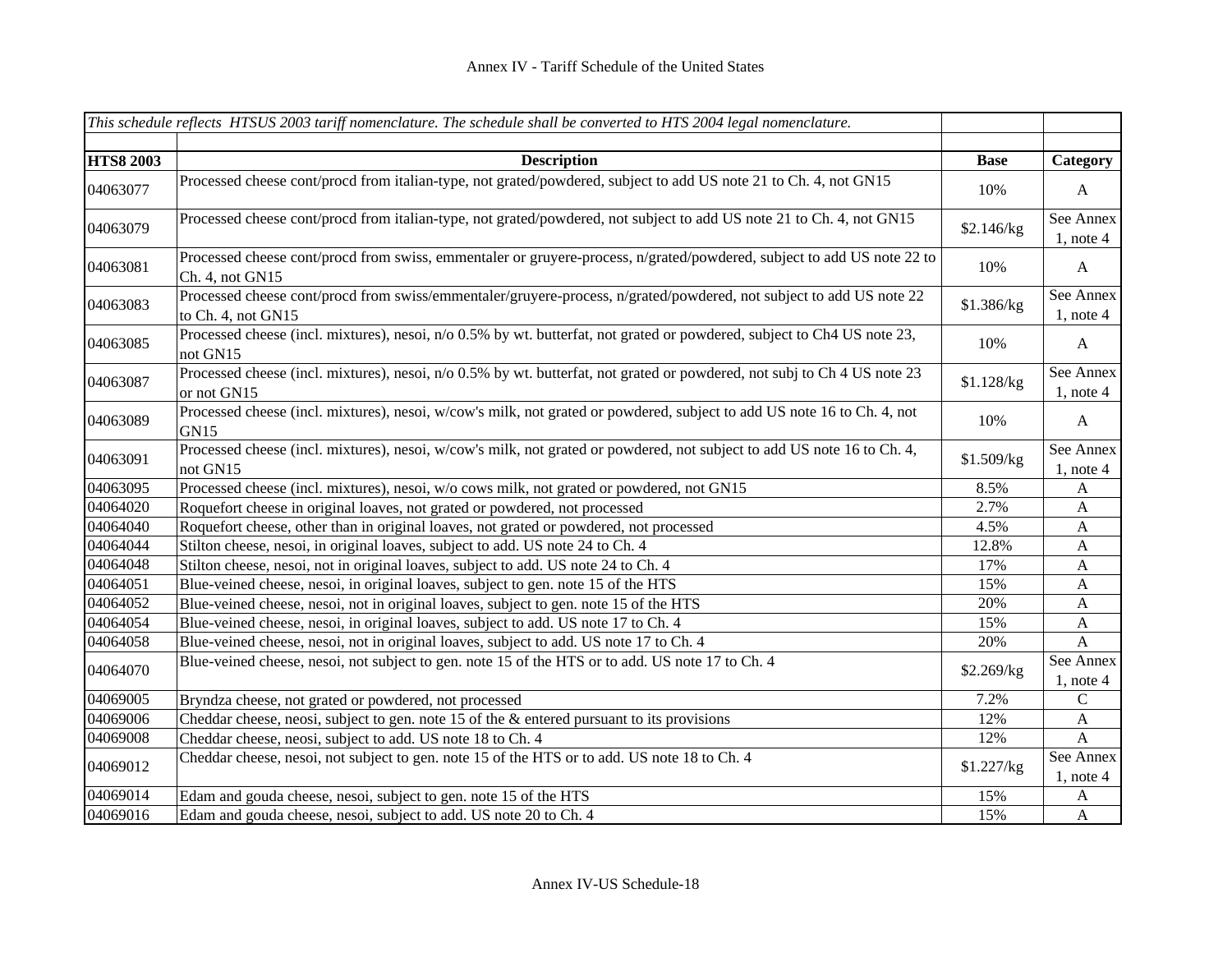|                  | This schedule reflects HTSUS 2003 tariff nomenclature. The schedule shall be converted to HTS 2004 legal nomenclature.                    |             |                           |
|------------------|-------------------------------------------------------------------------------------------------------------------------------------------|-------------|---------------------------|
|                  |                                                                                                                                           |             |                           |
| <b>HTS8 2003</b> | <b>Description</b>                                                                                                                        | <b>Base</b> | Category                  |
| 04063077         | Processed cheese cont/procd from italian-type, not grated/powdered, subject to add US note 21 to Ch. 4, not GN15                          | 10%         | $\mathbf{A}$              |
| 04063079         | Processed cheese cont/procd from italian-type, not grated/powdered, not subject to add US note 21 to Ch. 4, not GN15                      | \$2.146/kg  | See Annex<br>$1$ , note 4 |
| 04063081         | Processed cheese cont/procd from swiss, emmentaler or gruyere-process, n/grated/powdered, subject to add US note 22 to<br>Ch. 4, not GN15 | 10%         | $\mathbf{A}$              |
| 04063083         | Processed cheese cont/procd from swiss/emmentaler/gruyere-process, n/grated/powdered, not subject to add US note 22<br>to Ch. 4, not GN15 | \$1.386/kg  | See Annex<br>$1$ , note 4 |
| 04063085         | Processed cheese (incl. mixtures), nesoi, n/o 0.5% by wt. butterfat, not grated or powdered, subject to Ch4 US note 23,<br>not GN15       | 10%         | $\mathbf{A}$              |
| 04063087         | Processed cheese (incl. mixtures), nesoi, n/o 0.5% by wt. butterfat, not grated or powdered, not subj to Ch 4 US note 23<br>or not GN15   | \$1.128/kg  | See Annex<br>$1$ , note 4 |
| 04063089         | Processed cheese (incl. mixtures), nesoi, w/cow's milk, not grated or powdered, subject to add US note 16 to Ch. 4, not<br>GN15           | 10%         | $\mathbf{A}$              |
| 04063091         | Processed cheese (incl. mixtures), nesoi, w/cow's milk, not grated or powdered, not subject to add US note 16 to Ch. 4,<br>not GN15       | \$1.509/kg  | See Annex<br>$1$ , note 4 |
| 04063095         | Processed cheese (incl. mixtures), nesoi, w/o cows milk, not grated or powdered, not GN15                                                 | 8.5%        | A                         |
| 04064020         | Roquefort cheese in original loaves, not grated or powdered, not processed                                                                | 2.7%        | $\mathbf{A}$              |
| 04064040         | Roquefort cheese, other than in original loaves, not grated or powdered, not processed                                                    | 4.5%        | $\mathbf{A}$              |
| 04064044         | Stilton cheese, nesoi, in original loaves, subject to add. US note 24 to Ch. 4                                                            | 12.8%       | $\mathbf{A}$              |
| 04064048         | Stilton cheese, nesoi, not in original loaves, subject to add. US note 24 to Ch. 4                                                        | 17%         | $\mathbf{A}$              |
| 04064051         | Blue-veined cheese, nesoi, in original loaves, subject to gen. note 15 of the HTS                                                         | 15%         | A                         |
| 04064052         | Blue-veined cheese, nesoi, not in original loaves, subject to gen. note 15 of the HTS                                                     | 20%         | A                         |
| 04064054         | Blue-veined cheese, nesoi, in original loaves, subject to add. US note 17 to Ch. 4                                                        | 15%         | $\mathbf{A}$              |
| 04064058         | Blue-veined cheese, nesoi, not in original loaves, subject to add. US note 17 to Ch. 4                                                    | 20%         | $\mathbf{A}$              |
| 04064070         | Blue-veined cheese, nesoi, not subject to gen. note 15 of the HTS or to add. US note 17 to Ch. 4                                          | \$2.269/kg  | See Annex<br>$1$ , note 4 |
| 04069005         | Bryndza cheese, not grated or powdered, not processed                                                                                     | 7.2%        | ${\bf C}$                 |
| 04069006         | Cheddar cheese, neosi, subject to gen. note 15 of the $\&$ entered pursuant to its provisions                                             | 12%         | $\boldsymbol{\mathsf{A}}$ |
| 04069008         | Cheddar cheese, neosi, subject to add. US note 18 to Ch. 4                                                                                | 12%         | $\mathbf{A}$              |
| 04069012         | Cheddar cheese, nesoi, not subject to gen. note 15 of the HTS or to add. US note 18 to Ch. 4                                              | \$1.227/kg  | See Annex<br>$1$ , note 4 |
| 04069014         | Edam and gouda cheese, nesoi, subject to gen. note 15 of the HTS                                                                          | 15%         | $\mathbf{A}$              |
| 04069016         | Edam and gouda cheese, nesoi, subject to add. US note 20 to Ch. 4                                                                         | 15%         | $\mathbf{A}$              |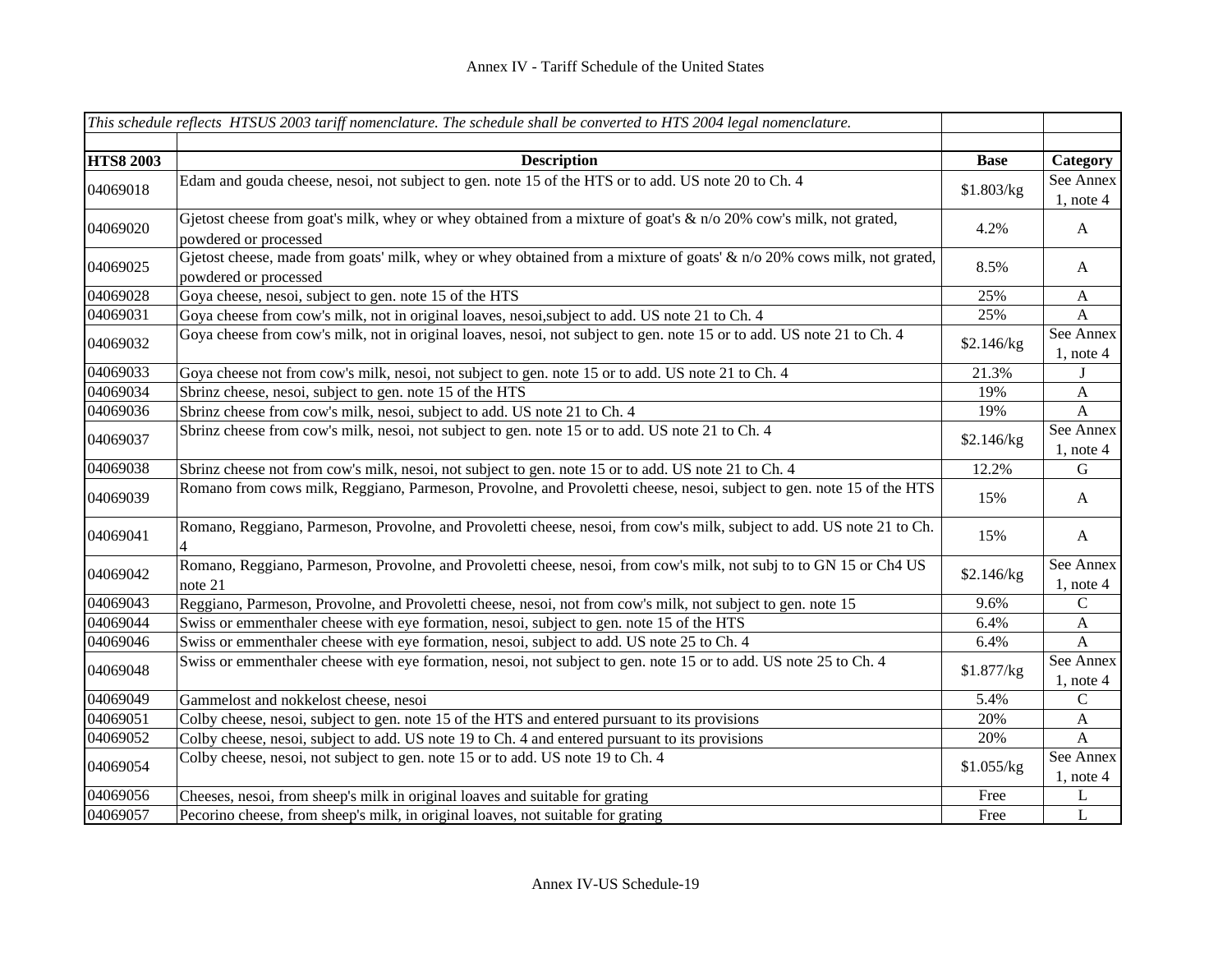|                  | This schedule reflects HTSUS 2003 tariff nomenclature. The schedule shall be converted to HTS 2004 legal nomenclature.                            |             |                           |
|------------------|---------------------------------------------------------------------------------------------------------------------------------------------------|-------------|---------------------------|
|                  |                                                                                                                                                   |             |                           |
| <b>HTS8 2003</b> | <b>Description</b>                                                                                                                                | <b>Base</b> | Category                  |
| 04069018         | Edam and gouda cheese, nesoi, not subject to gen. note 15 of the HTS or to add. US note 20 to Ch. 4                                               | \$1.803/kg  | See Annex<br>$1$ , note 4 |
| 04069020         | Gjetost cheese from goat's milk, whey or whey obtained from a mixture of goat's $\&$ n/o 20% cow's milk, not grated,<br>powdered or processed     | 4.2%        | $\mathbf{A}$              |
| 04069025         | Gjetost cheese, made from goats' milk, whey or whey obtained from a mixture of goats' & $n/0$ 20% cows milk, not grated,<br>powdered or processed | 8.5%        | $\mathbf{A}$              |
| 04069028         | Goya cheese, nesoi, subject to gen. note 15 of the HTS                                                                                            | 25%         | $\mathbf{A}$              |
| 04069031         | Goya cheese from cow's milk, not in original loaves, nesoi, subject to add. US note 21 to Ch. 4                                                   | 25%         | A                         |
| 04069032         | Goya cheese from cow's milk, not in original loaves, nesoi, not subject to gen. note 15 or to add. US note 21 to Ch. 4                            | \$2.146/kg  | See Annex<br>$1$ , note 4 |
| 04069033         | Goya cheese not from cow's milk, nesoi, not subject to gen. note 15 or to add. US note 21 to Ch. 4                                                | 21.3%       |                           |
| 04069034         | Sbrinz cheese, nesoi, subject to gen. note 15 of the HTS                                                                                          | 19%         | $\boldsymbol{\mathsf{A}}$ |
| 04069036         | Sbrinz cheese from cow's milk, nesoi, subject to add. US note 21 to Ch. 4                                                                         | 19%         | A                         |
| 04069037         | Sbrinz cheese from cow's milk, nesoi, not subject to gen. note 15 or to add. US note 21 to Ch. 4                                                  | \$2.146/kg  | See Annex<br>$1$ , note 4 |
| 04069038         | Sbrinz cheese not from cow's milk, nesoi, not subject to gen. note 15 or to add. US note 21 to Ch. 4                                              | 12.2%       | G                         |
| 04069039         | Romano from cows milk, Reggiano, Parmeson, Provolne, and Provoletti cheese, nesoi, subject to gen. note 15 of the HTS                             | 15%         | $\mathbf{A}$              |
| 04069041         | Romano, Reggiano, Parmeson, Provolne, and Provoletti cheese, nesoi, from cow's milk, subject to add. US note 21 to Ch.                            | 15%         | $\mathbf{A}$              |
| 04069042         | Romano, Reggiano, Parmeson, Provolne, and Provoletti cheese, nesoi, from cow's milk, not subj to to GN 15 or Ch4 US<br>note 21                    | \$2.146/kg  | See Annex<br>$1$ , note 4 |
| 04069043         | Reggiano, Parmeson, Provolne, and Provoletti cheese, nesoi, not from cow's milk, not subject to gen. note 15                                      | 9.6%        | $\mathsf{C}$              |
| 04069044         | Swiss or emmenthaler cheese with eye formation, nesoi, subject to gen. note 15 of the HTS                                                         | 6.4%        | $\mathbf{A}$              |
| 04069046         | Swiss or emmenthaler cheese with eye formation, nesoi, subject to add. US note 25 to Ch. 4                                                        | 6.4%        | A                         |
| 04069048         | Swiss or emmenthaler cheese with eye formation, nesoi, not subject to gen. note 15 or to add. US note 25 to Ch. 4                                 | \$1.877/kg  | See Annex<br>$1$ , note 4 |
| 04069049         | Gammelost and nokkelost cheese, nesoi                                                                                                             | 5.4%        | $\mathbf C$               |
| 04069051         | Colby cheese, nesoi, subject to gen. note 15 of the HTS and entered pursuant to its provisions                                                    | 20%         | $\mathbf{A}$              |
| 04069052         | Colby cheese, nesoi, subject to add. US note 19 to Ch. 4 and entered pursuant to its provisions                                                   | 20%         | $\mathbf{A}$              |
| 04069054         | Colby cheese, nesoi, not subject to gen. note 15 or to add. US note 19 to Ch. 4                                                                   | \$1.055/kg  | See Annex<br>$1$ , note 4 |
| 04069056         | Cheeses, nesoi, from sheep's milk in original loaves and suitable for grating                                                                     | Free        | L                         |
| 04069057         | Pecorino cheese, from sheep's milk, in original loaves, not suitable for grating                                                                  | Free        | $\bf L$                   |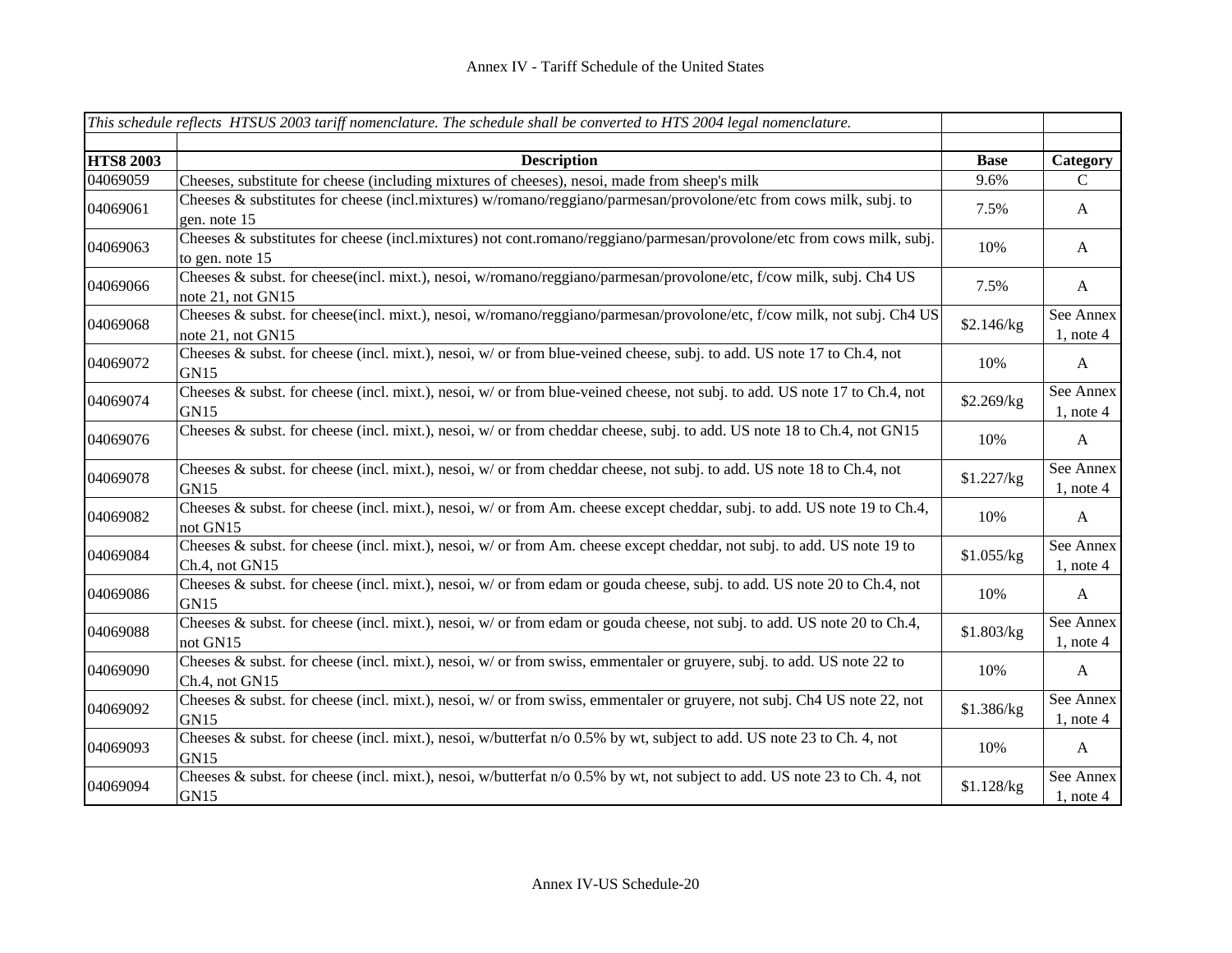|                  | This schedule reflects HTSUS 2003 tariff nomenclature. The schedule shall be converted to HTS 2004 legal nomenclature.                           |             |                             |
|------------------|--------------------------------------------------------------------------------------------------------------------------------------------------|-------------|-----------------------------|
| <b>HTS8 2003</b> | <b>Description</b>                                                                                                                               | <b>Base</b> | Category                    |
| 04069059         | Cheeses, substitute for cheese (including mixtures of cheeses), nesoi, made from sheep's milk                                                    | 9.6%        | $\mathcal{C}$               |
| 04069061         | Cheeses & substitutes for cheese (incl.mixtures) w/romano/reggiano/parmesan/provolone/etc from cows milk, subj. to<br>gen. note 15               | 7.5%        | A                           |
| 04069063         | Cheeses & substitutes for cheese (incl.mixtures) not cont.romano/reggiano/parmesan/provolone/etc from cows milk, subj.<br>to gen. note 15        | 10%         | A                           |
| 04069066         | Cheeses & subst. for cheese(incl. mixt.), nesoi, w/romano/reggiano/parmesan/provolone/etc, f/cow milk, subj. Ch4 US<br>note 21, not GN15         | 7.5%        | $\mathbf{A}$                |
| 04069068         | Cheeses & subst. for cheese(incl. mixt.), nesoi, w/romano/reggiano/parmesan/provolone/etc, f/cow milk, not subj. Ch4 US<br>note 21, not GN15     | \$2.146/kg  | See Annex<br>$1$ , note $4$ |
| 04069072         | Cheeses & subst. for cheese (incl. mixt.), nesoi, w/ or from blue-veined cheese, subj. to add. US note 17 to Ch.4, not<br>GN15                   | 10%         | $\mathbf{A}$                |
| 04069074         | Cheeses & subst. for cheese (incl. mixt.), nesoi, $w/$ or from blue-veined cheese, not subj. to add. US note 17 to Ch.4, not<br>GN <sub>15</sub> | \$2.269/kg  | See Annex<br>$1$ , note $4$ |
| 04069076         | Cheeses & subst. for cheese (incl. mixt.), nesoi, w/ or from cheddar cheese, subj. to add. US note 18 to Ch.4, not GN15                          | 10%         | $\mathbf{A}$                |
| 04069078         | Cheeses & subst. for cheese (incl. mixt.), nesoi, w/ or from cheddar cheese, not subj. to add. US note 18 to Ch.4, not<br><b>GN15</b>            | \$1.227/kg  | See Annex<br>$1$ , note 4   |
| 04069082         | Cheeses & subst. for cheese (incl. mixt.), nesoi, $w/$ or from Am. cheese except cheddar, subj. to add. US note 19 to Ch.4,<br>not GN15          | 10%         | $\mathbf{A}$                |
| 04069084         | Cheeses & subst. for cheese (incl. mixt.), nesoi, w/ or from Am. cheese except cheddar, not subj. to add. US note 19 to<br>Ch.4, not GN15        | \$1.055/kg  | See Annex<br>$1$ , note 4   |
| 04069086         | Cheeses & subst. for cheese (incl. mixt.), nesoi, w/ or from edam or gouda cheese, subj. to add. US note 20 to Ch.4, not<br>GN <sub>15</sub>     | 10%         | $\mathbf{A}$                |
| 04069088         | Cheeses & subst. for cheese (incl. mixt.), nesoi, $w/$ or from edam or gouda cheese, not subj. to add. US note 20 to Ch.4,<br>not GN15           | \$1.803/kg  | See Annex<br>$1$ , note 4   |
| 04069090         | Cheeses & subst. for cheese (incl. mixt.), nesoi, $w/$ or from swiss, emmentaler or gruyere, subj. to add. US note 22 to<br>Ch.4, not GN15       | 10%         | $\mathbf{A}$                |
| 04069092         | Cheeses & subst. for cheese (incl. mixt.), nesoi, $w/$ or from swiss, emmentaler or gruyere, not subj. Ch4 US note 22, not<br>GN <sub>15</sub>   | \$1.386/kg  | See Annex<br>$1$ , note 4   |
| 04069093         | Cheeses & subst. for cheese (incl. mixt.), nesoi, w/butterfat $n/0.5\%$ by wt, subject to add. US note 23 to Ch. 4, not<br>GN15                  | 10%         | $\mathbf{A}$                |
| 04069094         | Cheeses & subst. for cheese (incl. mixt.), nesoi, w/butterfat $n/0.5\%$ by wt, not subject to add. US note 23 to Ch. 4, not<br>GN15              | \$1.128/kg  | See Annex<br>$1$ , note 4   |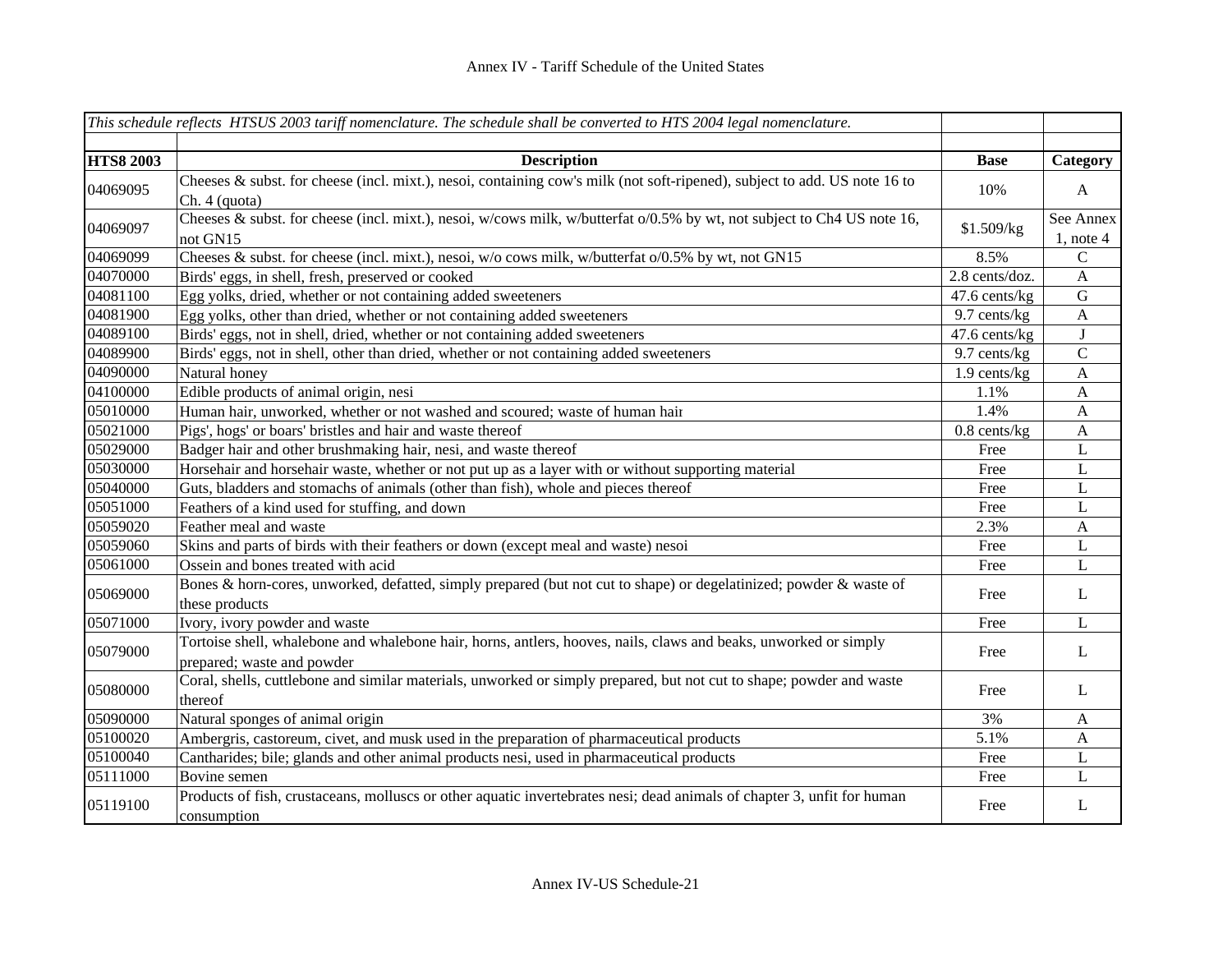|                  | This schedule reflects HTSUS 2003 tariff nomenclature. The schedule shall be converted to HTS 2004 legal nomenclature.                         |                |                           |
|------------------|------------------------------------------------------------------------------------------------------------------------------------------------|----------------|---------------------------|
|                  |                                                                                                                                                |                |                           |
| <b>HTS8 2003</b> | <b>Description</b>                                                                                                                             | <b>Base</b>    | Category                  |
| 04069095         | Cheeses & subst. for cheese (incl. mixt.), nesoi, containing cow's milk (not soft-ripened), subject to add. US note 16 to<br>Ch. 4 (quota)     | 10%            | $\mathbf{A}$              |
| 04069097         | Cheeses & subst. for cheese (incl. mixt.), nesoi, w/cows milk, w/butterfat o/0.5% by wt, not subject to Ch4 US note 16,<br>not GN15            | \$1.509/kg     | See Annex<br>$1$ , note 4 |
| 04069099         | Cheeses & subst. for cheese (incl. mixt.), nesoi, $w/o$ cows milk, w/butterfat $o/0.5\%$ by wt, not GN15                                       | 8.5%           | $\mathcal{C}$             |
| 04070000         | Birds' eggs, in shell, fresh, preserved or cooked                                                                                              | 2.8 cents/doz. | $\mathbf{A}$              |
| 04081100         | Egg yolks, dried, whether or not containing added sweeteners                                                                                   | 47.6 cents/kg  | ${\bf G}$                 |
| 04081900         | Egg yolks, other than dried, whether or not containing added sweeteners                                                                        | 9.7 cents/kg   | $\mathbf{A}$              |
| 04089100         | Birds' eggs, not in shell, dried, whether or not containing added sweeteners                                                                   | 47.6 cents/kg  | $\bf J$                   |
| 04089900         | Birds' eggs, not in shell, other than dried, whether or not containing added sweeteners                                                        | 9.7 cents/kg   | ${\bf C}$                 |
| 04090000         | Natural honey                                                                                                                                  | $1.9$ cents/kg | $\mathbf{A}$              |
| 04100000         | Edible products of animal origin, nesi                                                                                                         | 1.1%           | $\mathbf{A}$              |
| 05010000         | Human hair, unworked, whether or not washed and scoured; waste of human hair                                                                   | 1.4%           | $\boldsymbol{\mathsf{A}}$ |
| 05021000         | Pigs', hogs' or boars' bristles and hair and waste thereof                                                                                     | $0.8$ cents/kg | $\mathbf{A}$              |
| 05029000         | Badger hair and other brushmaking hair, nesi, and waste thereof                                                                                | Free           | $\bf L$                   |
| 05030000         | Horsehair and horsehair waste, whether or not put up as a layer with or without supporting material                                            | Free           | L                         |
| 05040000         | Guts, bladders and stomachs of animals (other than fish), whole and pieces thereof                                                             | Free           | L                         |
| 05051000         | Feathers of a kind used for stuffing, and down                                                                                                 | Free           | L                         |
| 05059020         | Feather meal and waste                                                                                                                         | 2.3%           | $\mathbf{A}$              |
| 05059060         | Skins and parts of birds with their feathers or down (except meal and waste) nesoi                                                             | Free           | $\mathbf L$               |
| 05061000         | Ossein and bones treated with acid                                                                                                             | Free           | L                         |
| 05069000         | Bones & horn-cores, unworked, defatted, simply prepared (but not cut to shape) or degelatinized; powder & waste of<br>these products           | Free           | L                         |
| 05071000         | Ivory, ivory powder and waste                                                                                                                  | Free           | $\mathbf{L}$              |
| 05079000         | Tortoise shell, whalebone and whalebone hair, horns, antlers, hooves, nails, claws and beaks, unworked or simply<br>prepared; waste and powder | Free           | L                         |
| 05080000         | Coral, shells, cuttlebone and similar materials, unworked or simply prepared, but not cut to shape; powder and waste<br>thereof                | Free           | L                         |
| 05090000         | Natural sponges of animal origin                                                                                                               | 3%             | $\mathbf{A}$              |
| 05100020         | Ambergris, castoreum, civet, and musk used in the preparation of pharmaceutical products                                                       | 5.1%           | $\mathbf{A}$              |
| 05100040         | Cantharides; bile; glands and other animal products nesi, used in pharmaceutical products                                                      | Free           | L                         |
| 05111000         | Bovine semen                                                                                                                                   | Free           | L                         |
| 05119100         | Products of fish, crustaceans, molluscs or other aquatic invertebrates nesi; dead animals of chapter 3, unfit for human<br>consumption         | Free           | L                         |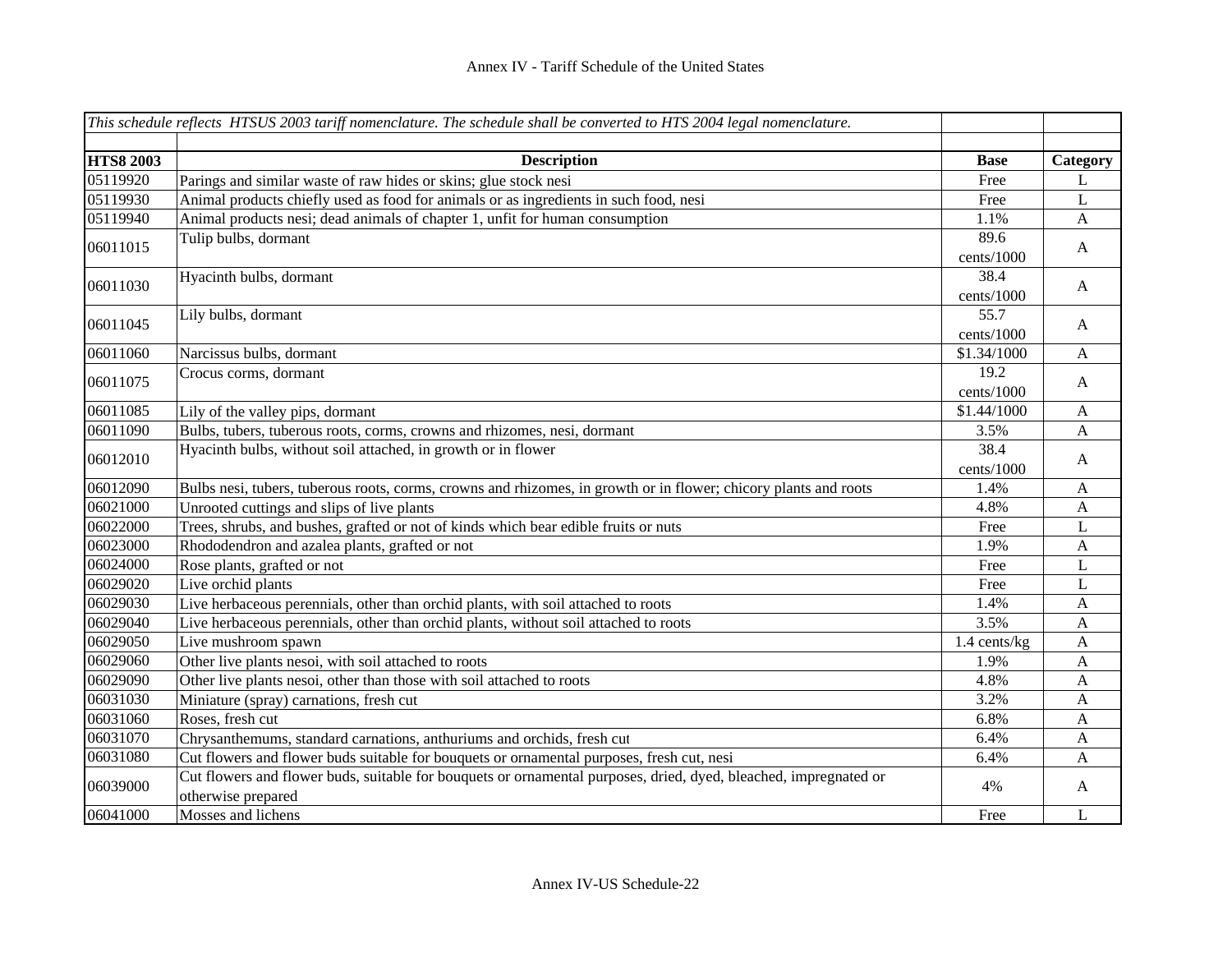|                  | This schedule reflects HTSUS 2003 tariff nomenclature. The schedule shall be converted to HTS 2004 legal nomenclature. |              |              |
|------------------|------------------------------------------------------------------------------------------------------------------------|--------------|--------------|
|                  |                                                                                                                        |              |              |
| <b>HTS8 2003</b> | <b>Description</b>                                                                                                     | <b>Base</b>  | Category     |
| 05119920         | Parings and similar waste of raw hides or skins; glue stock nesi                                                       | Free         | L            |
| 05119930         | Animal products chiefly used as food for animals or as ingredients in such food, nesi                                  | Free         | $\mathbf L$  |
| 05119940         | Animal products nesi; dead animals of chapter 1, unfit for human consumption                                           | 1.1%         | $\mathbf{A}$ |
| 06011015         | Tulip bulbs, dormant                                                                                                   | 89.6         | $\mathbf{A}$ |
|                  |                                                                                                                        | cents/1000   |              |
| 06011030         | Hyacinth bulbs, dormant                                                                                                | 38.4         | $\mathbf{A}$ |
|                  |                                                                                                                        | cents/1000   |              |
| 06011045         | Lily bulbs, dormant                                                                                                    | 55.7         |              |
|                  |                                                                                                                        | cents/1000   | $\mathbf{A}$ |
| 06011060         | Narcissus bulbs, dormant                                                                                               | \$1.34/1000  | $\mathbf{A}$ |
| 06011075         | Crocus corms, dormant                                                                                                  | 19.2         | $\mathbf{A}$ |
|                  |                                                                                                                        | cents/1000   |              |
| 06011085         | Lily of the valley pips, dormant                                                                                       | \$1.44/1000  | $\mathbf A$  |
| 06011090         | Bulbs, tubers, tuberous roots, corms, crowns and rhizomes, nesi, dormant                                               | 3.5%         | A            |
| 06012010         | Hyacinth bulbs, without soil attached, in growth or in flower                                                          | 38.4         | $\mathbf{A}$ |
|                  |                                                                                                                        | cents/1000   |              |
| 06012090         | Bulbs nesi, tubers, tuberous roots, corms, crowns and rhizomes, in growth or in flower; chicory plants and roots       | 1.4%         | $\mathbf{A}$ |
| 06021000         | Unrooted cuttings and slips of live plants                                                                             | 4.8%         | $\mathbf{A}$ |
| 06022000         | Trees, shrubs, and bushes, grafted or not of kinds which bear edible fruits or nuts                                    | Free         | $\mathbf L$  |
| 06023000         | Rhododendron and azalea plants, grafted or not                                                                         | 1.9%         | $\mathbf{A}$ |
| 06024000         | Rose plants, grafted or not                                                                                            | Free         | L            |
| 06029020         | Live orchid plants                                                                                                     | Free         | L            |
| 06029030         | Live herbaceous perennials, other than orchid plants, with soil attached to roots                                      | 1.4%         | A            |
| 06029040         | Live herbaceous perennials, other than orchid plants, without soil attached to roots                                   | 3.5%         | A            |
| 06029050         | Live mushroom spawn                                                                                                    | 1.4 cents/kg | A            |
| 06029060         | Other live plants nesoi, with soil attached to roots                                                                   | 1.9%         | A            |
| 06029090         | Other live plants nesoi, other than those with soil attached to roots                                                  | 4.8%         | A            |
| 06031030         | Miniature (spray) carnations, fresh cut                                                                                | 3.2%         | A            |
| 06031060         | Roses, fresh cut                                                                                                       | 6.8%         | A            |
| 06031070         | Chrysanthemums, standard carnations, anthuriums and orchids, fresh cut                                                 | 6.4%         | $\mathbf{A}$ |
| 06031080         | Cut flowers and flower buds suitable for bouquets or ornamental purposes, fresh cut, nesi                              | 6.4%         | A            |
| 06039000         | Cut flowers and flower buds, suitable for bouquets or ornamental purposes, dried, dyed, bleached, impregnated or       | 4%           | $\mathbf{A}$ |
|                  | otherwise prepared                                                                                                     |              |              |
| 06041000         | Mosses and lichens                                                                                                     | Free         | L            |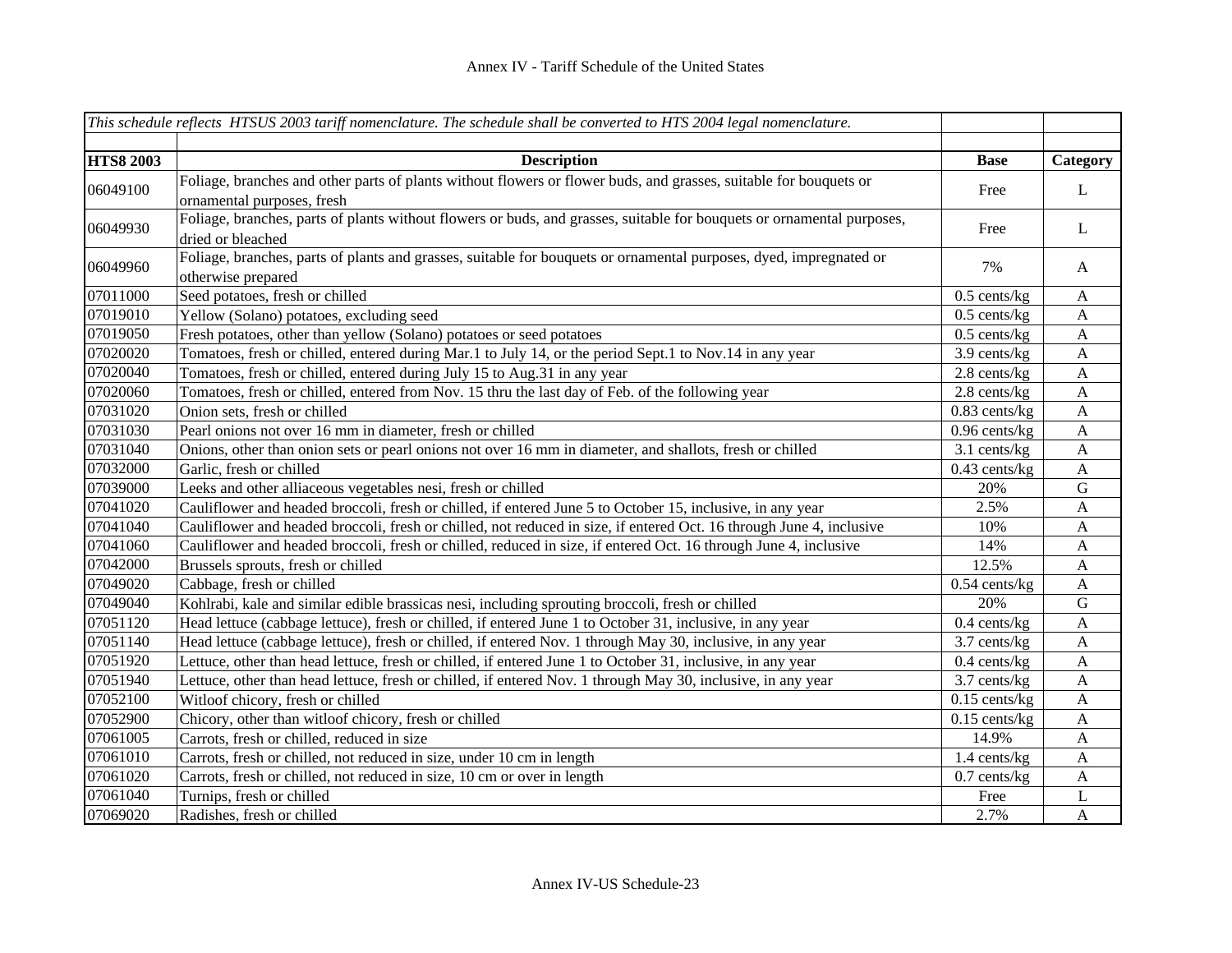|                  | This schedule reflects HTSUS 2003 tariff nomenclature. The schedule shall be converted to HTS 2004 legal nomenclature. |                 |              |
|------------------|------------------------------------------------------------------------------------------------------------------------|-----------------|--------------|
|                  |                                                                                                                        |                 |              |
| <b>HTS8 2003</b> | <b>Description</b>                                                                                                     | <b>Base</b>     | Category     |
| 06049100         | Foliage, branches and other parts of plants without flowers or flower buds, and grasses, suitable for bouquets or      | Free            | L            |
|                  | ornamental purposes, fresh                                                                                             |                 |              |
| 06049930         | Foliage, branches, parts of plants without flowers or buds, and grasses, suitable for bouquets or ornamental purposes, | Free            | L            |
|                  | dried or bleached                                                                                                      |                 |              |
| 06049960         | Foliage, branches, parts of plants and grasses, suitable for bouquets or ornamental purposes, dyed, impregnated or     | 7%              | $\mathbf{A}$ |
|                  | otherwise prepared                                                                                                     |                 |              |
| 07011000         | Seed potatoes, fresh or chilled                                                                                        | $0.5$ cents/kg  | $\mathbf{A}$ |
| 07019010         | Yellow (Solano) potatoes, excluding seed                                                                               | $0.5$ cents/kg  | A            |
| 07019050         | Fresh potatoes, other than yellow (Solano) potatoes or seed potatoes                                                   | $0.5$ cents/kg  | A            |
| 07020020         | Tomatoes, fresh or chilled, entered during Mar.1 to July 14, or the period Sept.1 to Nov.14 in any year                | 3.9 cents/kg    | $\mathbf{A}$ |
| 07020040         | Tomatoes, fresh or chilled, entered during July 15 to Aug.31 in any year                                               | 2.8 cents/kg    | $\mathbf{A}$ |
| 07020060         | Tomatoes, fresh or chilled, entered from Nov. 15 thru the last day of Feb. of the following year                       | 2.8 cents/kg    | $\mathbf{A}$ |
| 07031020         | Onion sets, fresh or chilled                                                                                           | $0.83$ cents/kg | $\mathbf{A}$ |
| 07031030         | Pearl onions not over 16 mm in diameter, fresh or chilled                                                              | $0.96$ cents/kg | $\mathbf{A}$ |
| 07031040         | Onions, other than onion sets or pearl onions not over 16 mm in diameter, and shallots, fresh or chilled               | $3.1$ cents/kg  | A            |
| 07032000         | Garlic, fresh or chilled                                                                                               | $0.43$ cents/kg | $\mathbf{A}$ |
| 07039000         | Leeks and other alliaceous vegetables nesi, fresh or chilled                                                           | 20%             | $\mathbf G$  |
| 07041020         | Cauliflower and headed broccoli, fresh or chilled, if entered June 5 to October 15, inclusive, in any year             | 2.5%            | $\mathbf{A}$ |
| 07041040         | Cauliflower and headed broccoli, fresh or chilled, not reduced in size, if entered Oct. 16 through June 4, inclusive   | 10%             | $\mathbf{A}$ |
| 07041060         | Cauliflower and headed broccoli, fresh or chilled, reduced in size, if entered Oct. 16 through June 4, inclusive       | 14%             | $\mathbf{A}$ |
| 07042000         | Brussels sprouts, fresh or chilled                                                                                     | 12.5%           | $\mathbf{A}$ |
| 07049020         | Cabbage, fresh or chilled                                                                                              | $0.54$ cents/kg | $\mathbf{A}$ |
| 07049040         | Kohlrabi, kale and similar edible brassicas nesi, including sprouting broccoli, fresh or chilled                       | 20%             | G            |
| 07051120         | Head lettuce (cabbage lettuce), fresh or chilled, if entered June 1 to October 31, inclusive, in any year              | $0.4$ cents/kg  | $\mathbf{A}$ |
| 07051140         | Head lettuce (cabbage lettuce), fresh or chilled, if entered Nov. 1 through May 30, inclusive, in any year             | 3.7 cents/kg    | A            |
| 07051920         | Lettuce, other than head lettuce, fresh or chilled, if entered June 1 to October 31, inclusive, in any year            | $0.4$ cents/kg  | $\mathbf{A}$ |
| 07051940         | Lettuce, other than head lettuce, fresh or chilled, if entered Nov. 1 through May 30, inclusive, in any year           | 3.7 cents/kg    | $\mathbf{A}$ |
| 07052100         | Witloof chicory, fresh or chilled                                                                                      | $0.15$ cents/kg | A            |
| 07052900         | Chicory, other than witloof chicory, fresh or chilled                                                                  | $0.15$ cents/kg | A            |
| 07061005         | Carrots, fresh or chilled, reduced in size                                                                             | 14.9%           | A            |
| 07061010         | Carrots, fresh or chilled, not reduced in size, under 10 cm in length                                                  | 1.4 cents/kg    | A            |
| 07061020         | Carrots, fresh or chilled, not reduced in size, 10 cm or over in length                                                | $0.7$ cents/kg  | $\mathbf{A}$ |
| 07061040         | Turnips, fresh or chilled                                                                                              | Free            | L            |
| 07069020         | Radishes, fresh or chilled                                                                                             | 2.7%            | $\mathbf{A}$ |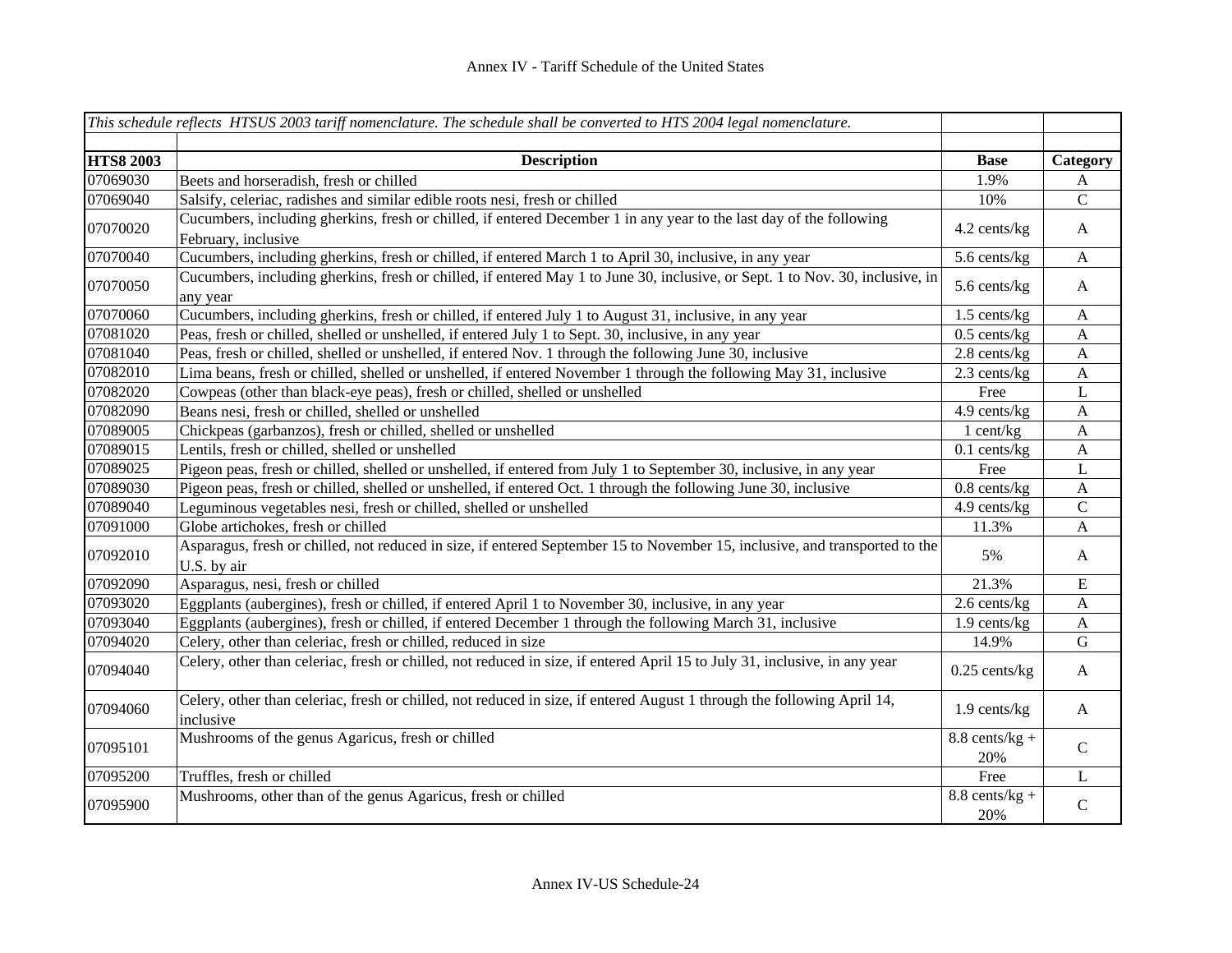|                  | This schedule reflects HTSUS 2003 tariff nomenclature. The schedule shall be converted to HTS 2004 legal nomenclature.                     |                         |               |
|------------------|--------------------------------------------------------------------------------------------------------------------------------------------|-------------------------|---------------|
| <b>HTS8 2003</b> | <b>Description</b>                                                                                                                         | <b>Base</b>             | Category      |
| 07069030         | Beets and horseradish, fresh or chilled                                                                                                    | 1.9%                    | A             |
| 07069040         | Salsify, celeriac, radishes and similar edible roots nesi, fresh or chilled                                                                | 10%                     | $\mathbf C$   |
| 07070020         | Cucumbers, including gherkins, fresh or chilled, if entered December 1 in any year to the last day of the following<br>February, inclusive | 4.2 cents/kg            | A             |
| 07070040         | Cucumbers, including gherkins, fresh or chilled, if entered March 1 to April 30, inclusive, in any year                                    | 5.6 cents/kg            | A             |
| 07070050         | Cucumbers, including gherkins, fresh or chilled, if entered May 1 to June 30, inclusive, or Sept. 1 to Nov. 30, inclusive, in<br>any year  | 5.6 cents/kg            | $\mathbf{A}$  |
| 07070060         | Cucumbers, including gherkins, fresh or chilled, if entered July 1 to August 31, inclusive, in any year                                    | 1.5 cents/kg            | A             |
| 07081020         | Peas, fresh or chilled, shelled or unshelled, if entered July 1 to Sept. 30, inclusive, in any year                                        | $0.5$ cents/kg          | A             |
| 07081040         | Peas, fresh or chilled, shelled or unshelled, if entered Nov. 1 through the following June 30, inclusive                                   | 2.8 cents/kg            | A             |
| 07082010         | Lima beans, fresh or chilled, shelled or unshelled, if entered November 1 through the following May 31, inclusive                          | 2.3 cents/kg            | $\mathbf{A}$  |
| 07082020         | Cowpeas (other than black-eye peas), fresh or chilled, shelled or unshelled                                                                | Free                    | L             |
| 07082090         | Beans nesi, fresh or chilled, shelled or unshelled                                                                                         | 4.9 cents/kg            | $\mathbf{A}$  |
| 07089005         | Chickpeas (garbanzos), fresh or chilled, shelled or unshelled                                                                              | $1$ cent/kg             | $\mathbf{A}$  |
| 07089015         | Lentils, fresh or chilled, shelled or unshelled                                                                                            | $0.1$ cents/kg          | $\mathbf{A}$  |
| 07089025         | Pigeon peas, fresh or chilled, shelled or unshelled, if entered from July 1 to September 30, inclusive, in any year                        | Free                    | L             |
| 07089030         | Pigeon peas, fresh or chilled, shelled or unshelled, if entered Oct. 1 through the following June 30, inclusive                            | $0.8$ cents/ $kg$       | A             |
| 07089040         | Leguminous vegetables nesi, fresh or chilled, shelled or unshelled                                                                         | 4.9 cents/kg            | $\mathcal{C}$ |
| 07091000         | Globe artichokes, fresh or chilled                                                                                                         | 11.3%                   | A             |
| 07092010         | Asparagus, fresh or chilled, not reduced in size, if entered September 15 to November 15, inclusive, and transported to the<br>U.S. by air | 5%                      | $\mathbf{A}$  |
| 07092090         | Asparagus, nesi, fresh or chilled                                                                                                          | 21.3%                   | ${\bf E}$     |
| 07093020         | Eggplants (aubergines), fresh or chilled, if entered April 1 to November 30, inclusive, in any year                                        | 2.6 cents/kg            | A             |
| 07093040         | Eggplants (aubergines), fresh or chilled, if entered December 1 through the following March 31, inclusive                                  | 1.9 cents/kg            | $\mathbf{A}$  |
| 07094020         | Celery, other than celeriac, fresh or chilled, reduced in size                                                                             | 14.9%                   | ${\bf G}$     |
| 07094040         | Celery, other than celeriac, fresh or chilled, not reduced in size, if entered April 15 to July 31, inclusive, in any year                 | $0.25$ cents/kg         | $\mathbf{A}$  |
| 07094060         | Celery, other than celeriac, fresh or chilled, not reduced in size, if entered August 1 through the following April 14,<br>inclusive       | 1.9 cents/kg            | $\mathbf{A}$  |
| 07095101         | Mushrooms of the genus Agaricus, fresh or chilled                                                                                          | $8.8$ cents/kg +<br>20% | $\mathbf C$   |
| 07095200         | Truffles, fresh or chilled                                                                                                                 | Free                    | $\mathbf L$   |
| 07095900         | Mushrooms, other than of the genus Agaricus, fresh or chilled                                                                              | $8.8$ cents/kg +<br>20% | $\mathbf C$   |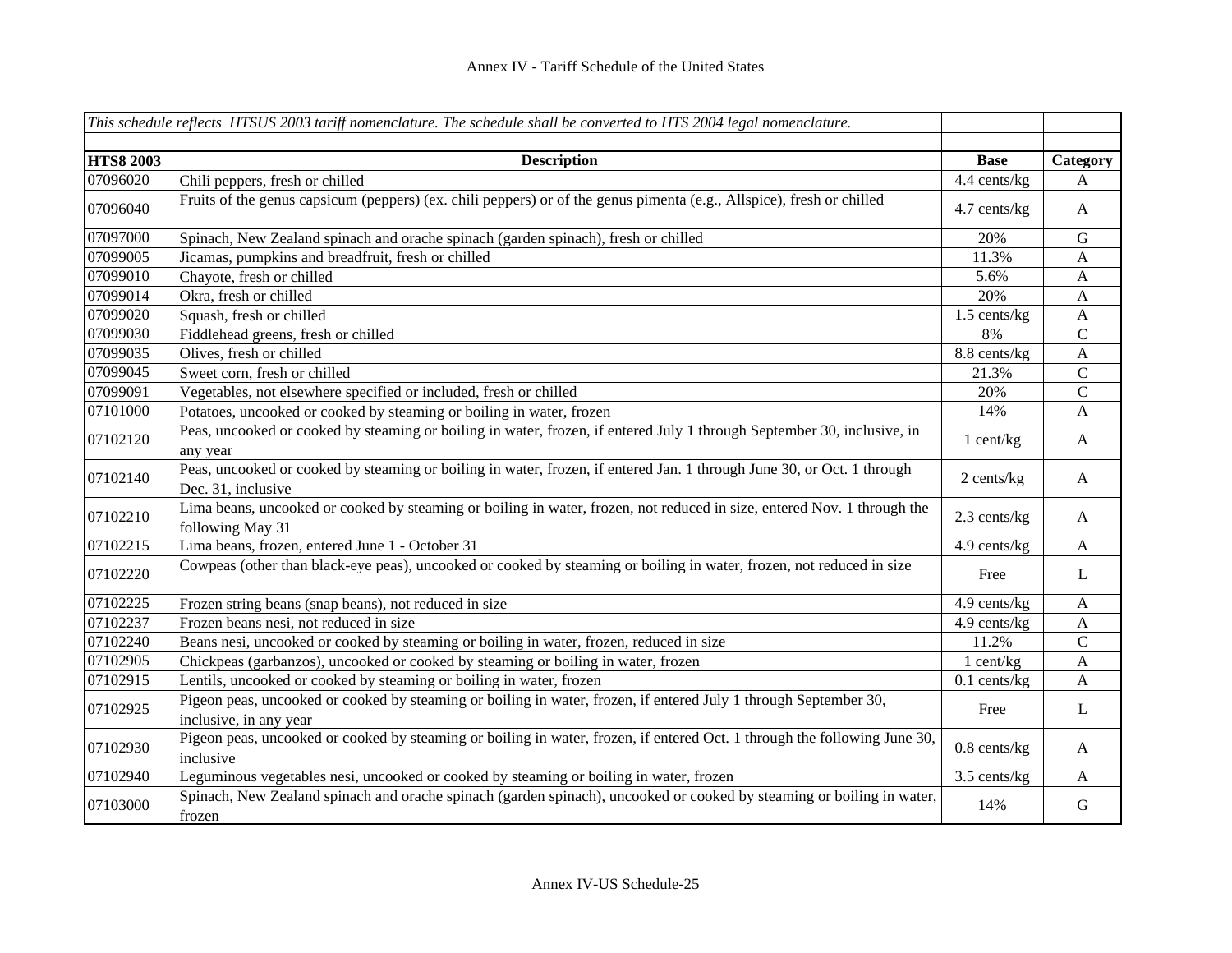|                  | This schedule reflects HTSUS 2003 tariff nomenclature. The schedule shall be converted to HTS 2004 legal nomenclature.                       |                |                           |
|------------------|----------------------------------------------------------------------------------------------------------------------------------------------|----------------|---------------------------|
|                  |                                                                                                                                              |                |                           |
| <b>HTS8 2003</b> | <b>Description</b>                                                                                                                           | <b>Base</b>    | Category                  |
| 07096020         | Chili peppers, fresh or chilled                                                                                                              | 4.4 cents/kg   | A                         |
| 07096040         | Fruits of the genus capsicum (peppers) (ex. chili peppers) or of the genus pimenta (e.g., Allspice), fresh or chilled                        | 4.7 cents/kg   | $\mathbf{A}$              |
| 07097000         | Spinach, New Zealand spinach and orache spinach (garden spinach), fresh or chilled                                                           | 20%            | ${\bf G}$                 |
| 07099005         | Jicamas, pumpkins and breadfruit, fresh or chilled                                                                                           | 11.3%          | $\mathbf{A}$              |
| 07099010         | Chayote, fresh or chilled                                                                                                                    | 5.6%           | $\mathbf{A}$              |
| 07099014         | Okra, fresh or chilled                                                                                                                       | 20%            | $\boldsymbol{A}$          |
| 07099020         | Squash, fresh or chilled                                                                                                                     | 1.5 cents/kg   | $\mathbf{A}$              |
| 07099030         | Fiddlehead greens, fresh or chilled                                                                                                          | 8%             | $\mathbf C$               |
| 07099035         | Olives, fresh or chilled                                                                                                                     | 8.8 cents/kg   | $\boldsymbol{\mathsf{A}}$ |
| 07099045         | Sweet corn, fresh or chilled                                                                                                                 | 21.3%          | ${\bf C}$                 |
| 07099091         | Vegetables, not elsewhere specified or included, fresh or chilled                                                                            | 20%            | $\mathsf C$               |
| 07101000         | Potatoes, uncooked or cooked by steaming or boiling in water, frozen                                                                         | 14%            | A                         |
| 07102120         | Peas, uncooked or cooked by steaming or boiling in water, frozen, if entered July 1 through September 30, inclusive, in<br>any year          | $1$ cent/kg    | A                         |
| 07102140         | Peas, uncooked or cooked by steaming or boiling in water, frozen, if entered Jan. 1 through June 30, or Oct. 1 through<br>Dec. 31, inclusive | 2 cents/kg     | $\mathbf{A}$              |
| 07102210         | Lima beans, uncooked or cooked by steaming or boiling in water, frozen, not reduced in size, entered Nov. 1 through the<br>following May 31  | 2.3 cents/kg   | A                         |
| 07102215         | Lima beans, frozen, entered June 1 - October 31                                                                                              | 4.9 cents/kg   | $\mathbf{A}$              |
| 07102220         | Cowpeas (other than black-eye peas), uncooked or cooked by steaming or boiling in water, frozen, not reduced in size                         | Free           | L                         |
| 07102225         | Frozen string beans (snap beans), not reduced in size                                                                                        | 4.9 cents/kg   | $\mathbf{A}$              |
| 07102237         | Frozen beans nesi, not reduced in size                                                                                                       | 4.9 cents/kg   | $\mathbf{A}$              |
| 07102240         | Beans nesi, uncooked or cooked by steaming or boiling in water, frozen, reduced in size                                                      | 11.2%          | $\mathbf C$               |
| 07102905         | Chickpeas (garbanzos), uncooked or cooked by steaming or boiling in water, frozen                                                            | 1 cent/kg      | $\boldsymbol{\mathsf{A}}$ |
| 07102915         | Lentils, uncooked or cooked by steaming or boiling in water, frozen                                                                          | $0.1$ cents/kg | A                         |
| 07102925         | Pigeon peas, uncooked or cooked by steaming or boiling in water, frozen, if entered July 1 through September 30,                             | Free           | L                         |
|                  | inclusive, in any year                                                                                                                       |                |                           |
| 07102930         | Pigeon peas, uncooked or cooked by steaming or boiling in water, frozen, if entered Oct. 1 through the following June 30,<br>inclusive       | $0.8$ cents/kg | A                         |
| 07102940         | Leguminous vegetables nesi, uncooked or cooked by steaming or boiling in water, frozen                                                       | 3.5 cents/kg   | A                         |
| 07103000         | Spinach, New Zealand spinach and orache spinach (garden spinach), uncooked or cooked by steaming or boiling in water,<br>frozen              | 14%            | $\mathbf G$               |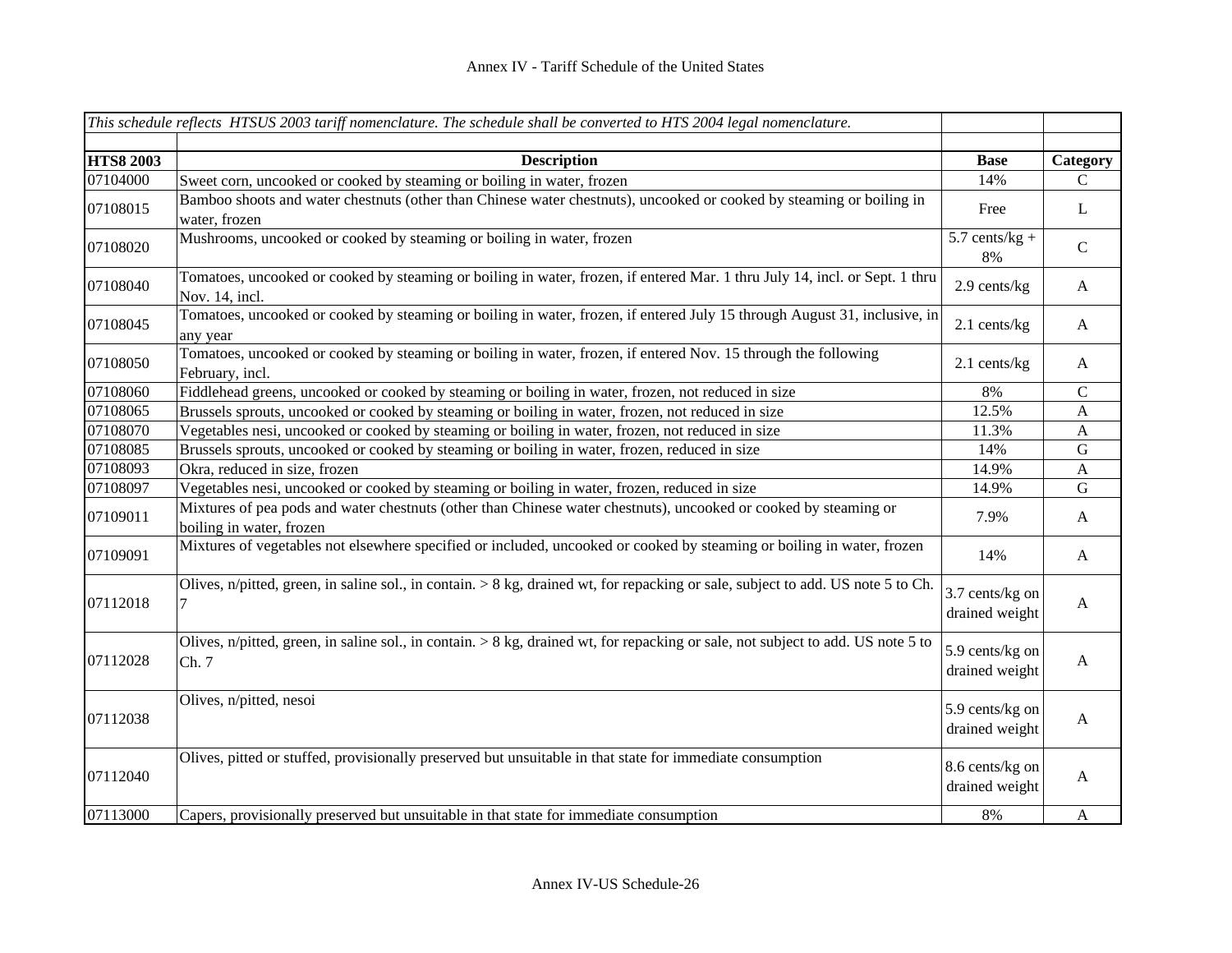|                  | This schedule reflects HTSUS 2003 tariff nomenclature. The schedule shall be converted to HTS 2004 legal nomenclature.                        |                                   |              |
|------------------|-----------------------------------------------------------------------------------------------------------------------------------------------|-----------------------------------|--------------|
| <b>HTS8 2003</b> | <b>Description</b>                                                                                                                            | <b>Base</b>                       | Category     |
| 07104000         | Sweet corn, uncooked or cooked by steaming or boiling in water, frozen                                                                        | 14%                               | C            |
| 07108015         | Bamboo shoots and water chestnuts (other than Chinese water chestnuts), uncooked or cooked by steaming or boiling in<br>water, frozen         | Free                              | L            |
| 07108020         | Mushrooms, uncooked or cooked by steaming or boiling in water, frozen                                                                         | $5.7$ cents/kg +<br>8%            | $\mathsf{C}$ |
| 07108040         | Tomatoes, uncooked or cooked by steaming or boiling in water, frozen, if entered Mar. 1 thru July 14, incl. or Sept. 1 thru<br>Nov. 14, incl. | 2.9 cents/kg                      | $\mathbf{A}$ |
| 07108045         | Tomatoes, uncooked or cooked by steaming or boiling in water, frozen, if entered July 15 through August 31, inclusive, in<br>any year         | 2.1 cents/kg                      | $\mathbf{A}$ |
| 07108050         | Tomatoes, uncooked or cooked by steaming or boiling in water, frozen, if entered Nov. 15 through the following<br>February, incl.             | $2.1$ cents/kg                    | $\mathbf{A}$ |
| 07108060         | Fiddlehead greens, uncooked or cooked by steaming or boiling in water, frozen, not reduced in size                                            | 8%                                | $\mathbf C$  |
| 07108065         | Brussels sprouts, uncooked or cooked by steaming or boiling in water, frozen, not reduced in size                                             | 12.5%                             | $\mathbf A$  |
| 07108070         | Vegetables nesi, uncooked or cooked by steaming or boiling in water, frozen, not reduced in size                                              | 11.3%                             | $\mathbf{A}$ |
| 07108085         | Brussels sprouts, uncooked or cooked by steaming or boiling in water, frozen, reduced in size                                                 | 14%                               | ${\bf G}$    |
| 07108093         | Okra, reduced in size, frozen                                                                                                                 | 14.9%                             | $\mathbf{A}$ |
| 07108097         | Vegetables nesi, uncooked or cooked by steaming or boiling in water, frozen, reduced in size                                                  | 14.9%                             | ${\bf G}$    |
| 07109011         | Mixtures of pea pods and water chestnuts (other than Chinese water chestnuts), uncooked or cooked by steaming or<br>boiling in water, frozen  | 7.9%                              | $\mathbf{A}$ |
| 07109091         | Mixtures of vegetables not elsewhere specified or included, uncooked or cooked by steaming or boiling in water, frozen                        | 14%                               | $\mathbf{A}$ |
| 07112018         | Olives, n/pitted, green, in saline sol., in contain. $> 8$ kg, drained wt, for repacking or sale, subject to add. US note 5 to Ch.            | 3.7 cents/kg on<br>drained weight | $\mathbf{A}$ |
| 07112028         | Olives, n/pitted, green, in saline sol., in contain. $> 8$ kg, drained wt, for repacking or sale, not subject to add. US note 5 to<br>Ch. 7   | 5.9 cents/kg on<br>drained weight | $\mathbf{A}$ |
| 07112038         | Olives, n/pitted, nesoi                                                                                                                       | 5.9 cents/kg on<br>drained weight | A            |
| 07112040         | Olives, pitted or stuffed, provisionally preserved but unsuitable in that state for immediate consumption                                     | 8.6 cents/kg on<br>drained weight | A            |
| 07113000         | Capers, provisionally preserved but unsuitable in that state for immediate consumption                                                        | 8%                                | $\mathbf{A}$ |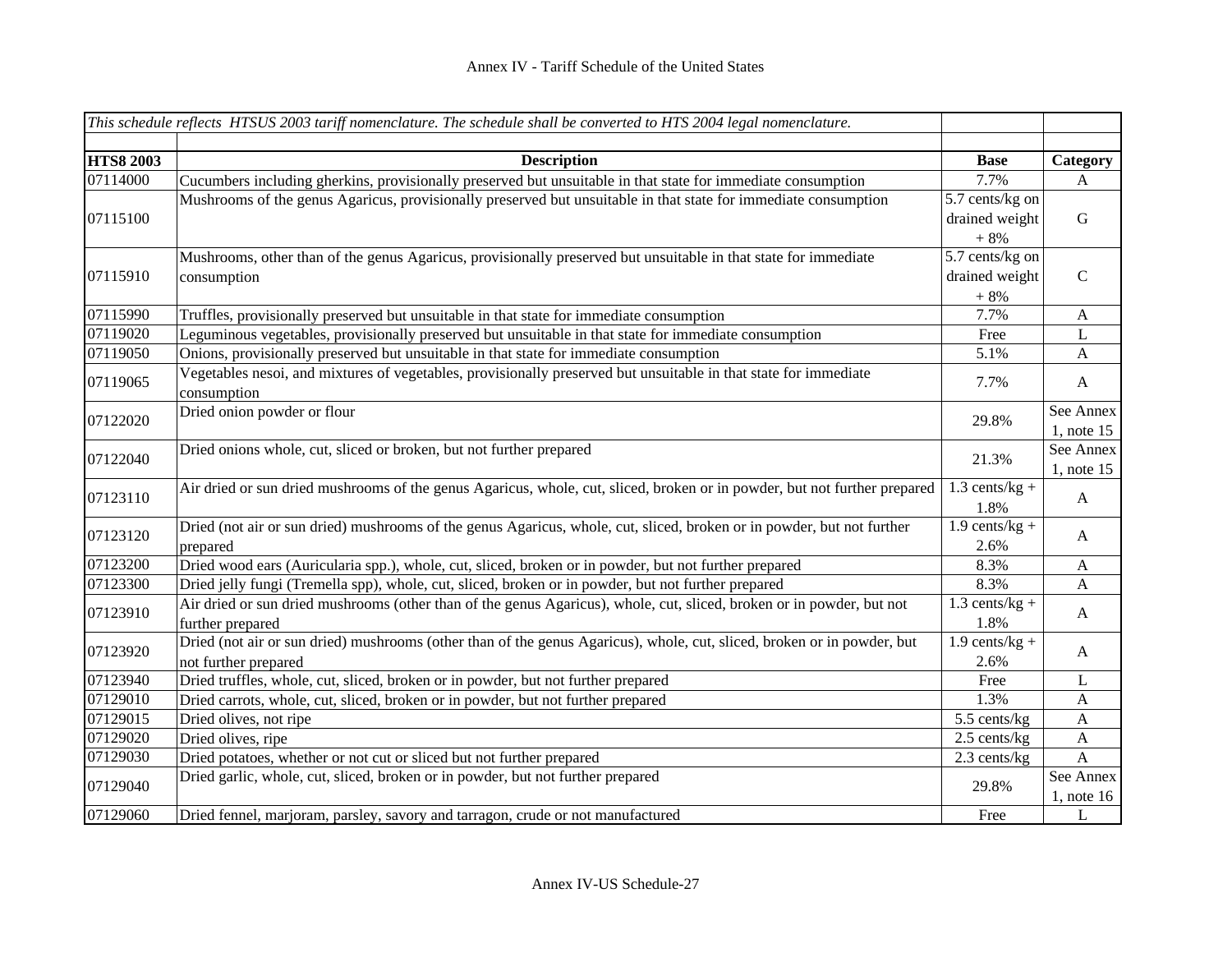|                  | This schedule reflects HTSUS 2003 tariff nomenclature. The schedule shall be converted to HTS 2004 legal nomenclature.    |                  |                           |
|------------------|---------------------------------------------------------------------------------------------------------------------------|------------------|---------------------------|
|                  |                                                                                                                           |                  |                           |
| <b>HTS8 2003</b> | <b>Description</b>                                                                                                        | <b>Base</b>      | Category                  |
| 07114000         | Cucumbers including gherkins, provisionally preserved but unsuitable in that state for immediate consumption              | 7.7%             | $\mathbf{A}$              |
|                  | Mushrooms of the genus Agaricus, provisionally preserved but unsuitable in that state for immediate consumption           | 5.7 cents/kg on  |                           |
| 07115100         |                                                                                                                           | drained weight   | $\mathbf G$               |
|                  |                                                                                                                           | $+8%$            |                           |
|                  | Mushrooms, other than of the genus Agaricus, provisionally preserved but unsuitable in that state for immediate           | 5.7 cents/kg on  |                           |
| 07115910         | consumption                                                                                                               | drained weight   | $\mathbf C$               |
|                  |                                                                                                                           | $+8%$            |                           |
| 07115990         | Truffles, provisionally preserved but unsuitable in that state for immediate consumption                                  | 7.7%             | $\mathbf{A}$              |
| 07119020         | Leguminous vegetables, provisionally preserved but unsuitable in that state for immediate consumption                     | Free             | $\bf L$                   |
| 07119050         | Onions, provisionally preserved but unsuitable in that state for immediate consumption                                    | 5.1%             | $\mathbf{A}$              |
| 07119065         | Vegetables nesoi, and mixtures of vegetables, provisionally preserved but unsuitable in that state for immediate          | 7.7%             | $\mathbf{A}$              |
|                  | consumption                                                                                                               |                  |                           |
| 07122020         | Dried onion powder or flour                                                                                               | 29.8%            | See Annex                 |
|                  |                                                                                                                           |                  | $1$ , note $15$           |
| 07122040         | Dried onions whole, cut, sliced or broken, but not further prepared                                                       | 21.3%            | See Annex                 |
|                  |                                                                                                                           |                  | 1, note 15                |
| 07123110         | Air dried or sun dried mushrooms of the genus Agaricus, whole, cut, sliced, broken or in powder, but not further prepared | $1.3$ cents/kg + | A                         |
|                  |                                                                                                                           | 1.8%             |                           |
| 07123120         | Dried (not air or sun dried) mushrooms of the genus Agaricus, whole, cut, sliced, broken or in powder, but not further    | $1.9$ cents/kg + | A                         |
|                  | prepared                                                                                                                  | 2.6%             |                           |
| 07123200         | Dried wood ears (Auricularia spp.), whole, cut, sliced, broken or in powder, but not further prepared                     | 8.3%             | $\boldsymbol{\mathsf{A}}$ |
| 07123300         | Dried jelly fungi (Tremella spp), whole, cut, sliced, broken or in powder, but not further prepared                       | 8.3%             | $\mathbf{A}$              |
| 07123910         | Air dried or sun dried mushrooms (other than of the genus Agaricus), whole, cut, sliced, broken or in powder, but not     | $1.3$ cents/kg + | A                         |
|                  | further prepared                                                                                                          | 1.8%             |                           |
| 07123920         | Dried (not air or sun dried) mushrooms (other than of the genus Agaricus), whole, cut, sliced, broken or in powder, but   | $1.9$ cents/kg + | A                         |
|                  | not further prepared                                                                                                      | 2.6%             |                           |
| 07123940         | Dried truffles, whole, cut, sliced, broken or in powder, but not further prepared                                         | Free             | $\mathbf{L}$              |
| 07129010         | Dried carrots, whole, cut, sliced, broken or in powder, but not further prepared                                          | 1.3%             | $\boldsymbol{\mathsf{A}}$ |
| 07129015         | Dried olives, not ripe                                                                                                    | 5.5 cents/kg     | $\mathbf{A}$              |
| 07129020         | Dried olives, ripe                                                                                                        | 2.5 cents/kg     | $\boldsymbol{A}$          |
| 07129030         | Dried potatoes, whether or not cut or sliced but not further prepared                                                     | 2.3 cents/kg     | $\mathbf{A}$              |
| 07129040         | Dried garlic, whole, cut, sliced, broken or in powder, but not further prepared                                           | 29.8%            | See Annex                 |
|                  |                                                                                                                           |                  | $1$ , note 16             |
| 07129060         | Dried fennel, marjoram, parsley, savory and tarragon, crude or not manufactured                                           | Free             | $\mathbf{L}$              |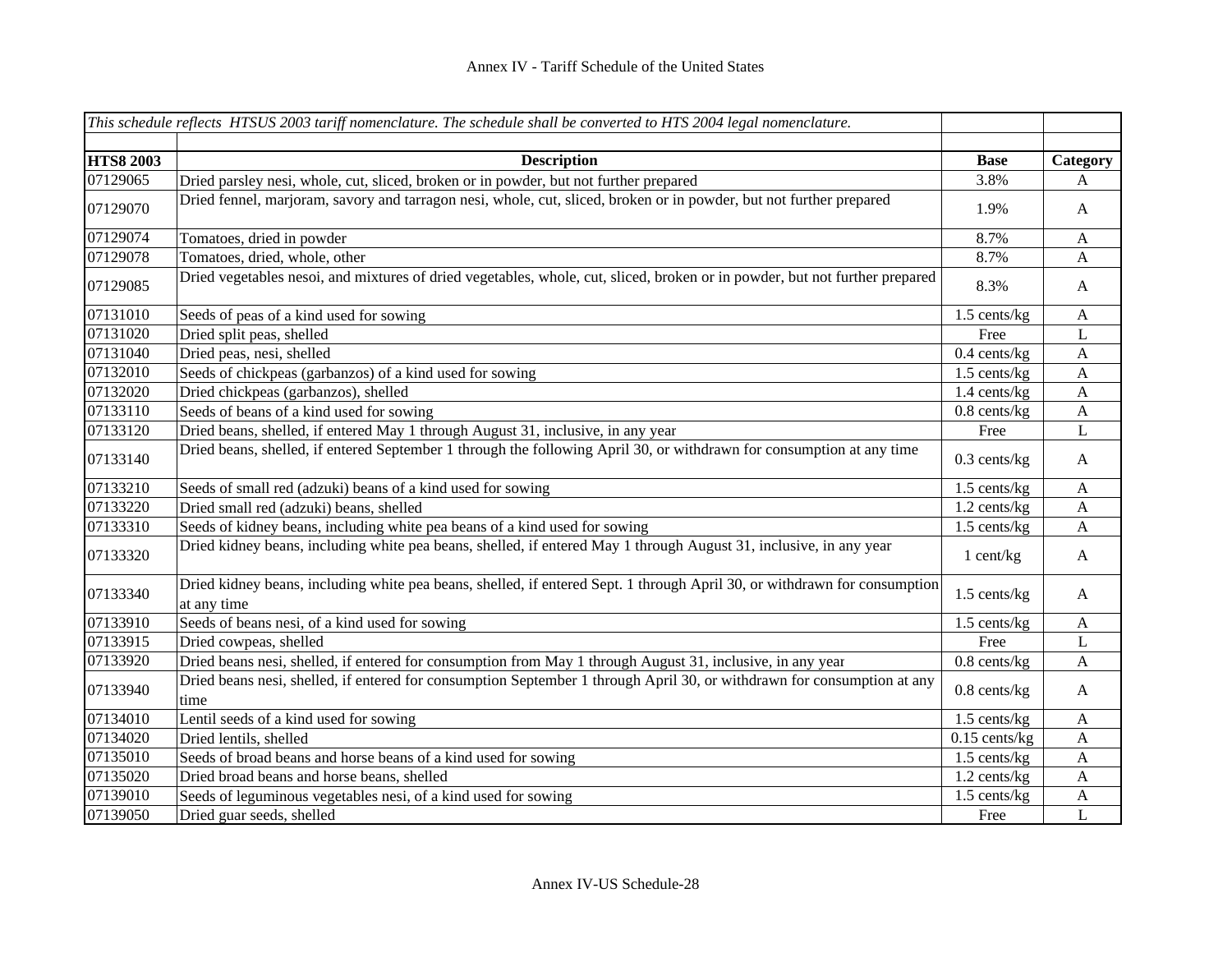|                  | This schedule reflects HTSUS 2003 tariff nomenclature. The schedule shall be converted to HTS 2004 legal nomenclature.                   |                 |                |
|------------------|------------------------------------------------------------------------------------------------------------------------------------------|-----------------|----------------|
|                  |                                                                                                                                          |                 |                |
| <b>HTS8 2003</b> | <b>Description</b>                                                                                                                       | <b>Base</b>     | Category       |
| 07129065         | Dried parsley nesi, whole, cut, sliced, broken or in powder, but not further prepared                                                    | 3.8%            | A              |
| 07129070         | Dried fennel, marjoram, savory and tarragon nesi, whole, cut, sliced, broken or in powder, but not further prepared                      | 1.9%            | $\mathbf{A}$   |
| 07129074         | Tomatoes, dried in powder                                                                                                                | 8.7%            | $\mathbf{A}$   |
| 07129078         | Tomatoes, dried, whole, other                                                                                                            | 8.7%            | A              |
| 07129085         | Dried vegetables nesoi, and mixtures of dried vegetables, whole, cut, sliced, broken or in powder, but not further prepared              | 8.3%            | $\mathbf{A}$   |
| 07131010         | Seeds of peas of a kind used for sowing                                                                                                  | 1.5 cents/kg    | $\mathbf{A}$   |
| 07131020         | Dried split peas, shelled                                                                                                                | Free            | L              |
| 07131040         | Dried peas, nesi, shelled                                                                                                                | $0.4$ cents/kg  | $\mathbf{A}$   |
| 07132010         | Seeds of chickpeas (garbanzos) of a kind used for sowing                                                                                 | 1.5 cents/kg    | $\mathbf{A}$   |
| 07132020         | Dried chickpeas (garbanzos), shelled                                                                                                     | 1.4 cents/kg    | $\mathbf{A}$   |
| 07133110         | Seeds of beans of a kind used for sowing                                                                                                 | $0.8$ cents/kg  | $\mathbf{A}$   |
| 07133120         | Dried beans, shelled, if entered May 1 through August 31, inclusive, in any year                                                         | Free            | L              |
| 07133140         | Dried beans, shelled, if entered September 1 through the following April 30, or withdrawn for consumption at any time                    | $0.3$ cents/kg  | $\mathbf{A}$   |
| 07133210         | Seeds of small red (adzuki) beans of a kind used for sowing                                                                              | 1.5 cents/kg    | $\mathbf{A}$   |
| 07133220         | Dried small red (adzuki) beans, shelled                                                                                                  | 1.2 cents/kg    | A              |
| 07133310         | Seeds of kidney beans, including white pea beans of a kind used for sowing                                                               | 1.5 cents/kg    | A              |
| 07133320         | Dried kidney beans, including white pea beans, shelled, if entered May 1 through August 31, inclusive, in any year                       | $1$ cent/kg     | $\mathbf{A}$   |
| 07133340         | Dried kidney beans, including white pea beans, shelled, if entered Sept. 1 through April 30, or withdrawn for consumption<br>at any time | 1.5 cents/kg    | $\mathbf{A}$   |
| 07133910         | Seeds of beans nesi, of a kind used for sowing                                                                                           | 1.5 cents/kg    | $\mathbf{A}$   |
| 07133915         | Dried cowpeas, shelled                                                                                                                   | Free            | L              |
| 07133920         | Dried beans nesi, shelled, if entered for consumption from May 1 through August 31, inclusive, in any year                               | $0.8$ cents/kg  | $\mathbf{A}$   |
| 07133940         | Dried beans nesi, shelled, if entered for consumption September 1 through April 30, or withdrawn for consumption at any<br>time          | $0.8$ cents/kg  | $\mathbf{A}$   |
| 07134010         | Lentil seeds of a kind used for sowing                                                                                                   | 1.5 cents/kg    | $\mathbf{A}$   |
| 07134020         | Dried lentils, shelled                                                                                                                   | $0.15$ cents/kg | A              |
| 07135010         | Seeds of broad beans and horse beans of a kind used for sowing                                                                           | 1.5 cents/kg    | $\mathbf{A}$   |
| 07135020         | Dried broad beans and horse beans, shelled                                                                                               | 1.2 cents/kg    | $\mathbf{A}$   |
| 07139010         | Seeds of leguminous vegetables nesi, of a kind used for sowing                                                                           | 1.5 cents/kg    | $\mathbf{A}$   |
| 07139050         | Dried guar seeds, shelled                                                                                                                | Free            | $\overline{L}$ |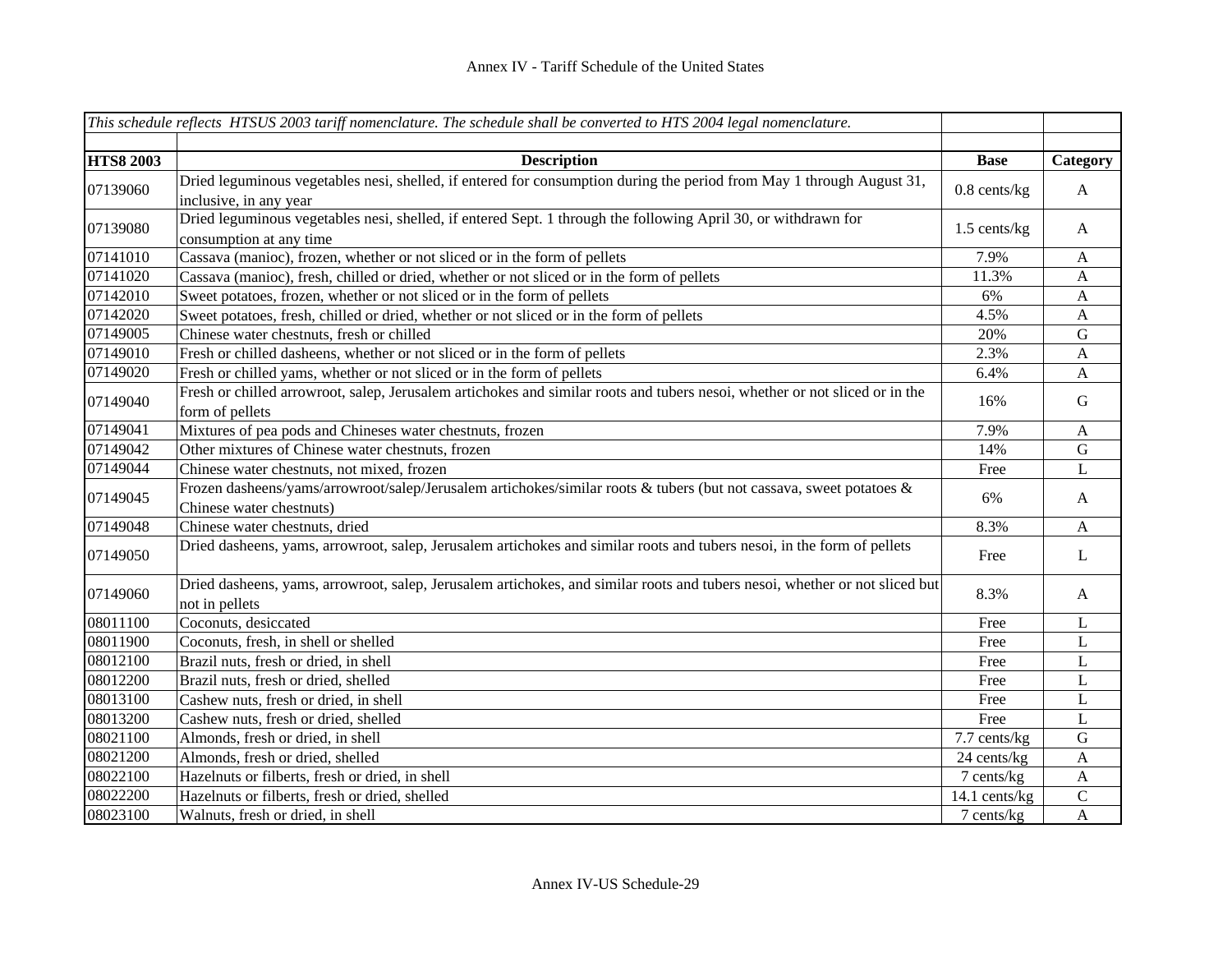|                  | This schedule reflects HTSUS 2003 tariff nomenclature. The schedule shall be converted to $\overline{HTS}$ 2004 legal nomenclature.             |                   |              |
|------------------|-------------------------------------------------------------------------------------------------------------------------------------------------|-------------------|--------------|
|                  |                                                                                                                                                 |                   |              |
| <b>HTS8 2003</b> | <b>Description</b>                                                                                                                              | <b>Base</b>       | Category     |
| 07139060         | Dried leguminous vegetables nesi, shelled, if entered for consumption during the period from May 1 through August 31,<br>inclusive, in any year | $0.8$ cents/ $kg$ | $\mathbf{A}$ |
| 07139080         | Dried leguminous vegetables nesi, shelled, if entered Sept. 1 through the following April 30, or withdrawn for<br>consumption at any time       | 1.5 cents/kg      | $\mathbf{A}$ |
| 07141010         | Cassava (manioc), frozen, whether or not sliced or in the form of pellets                                                                       | 7.9%              | $\mathbf{A}$ |
| 07141020         | Cassava (manioc), fresh, chilled or dried, whether or not sliced or in the form of pellets                                                      | 11.3%             | A            |
| 07142010         | Sweet potatoes, frozen, whether or not sliced or in the form of pellets                                                                         | 6%                | $\mathbf{A}$ |
| 07142020         | Sweet potatoes, fresh, chilled or dried, whether or not sliced or in the form of pellets                                                        | 4.5%              | $\mathbf{A}$ |
| 07149005         | Chinese water chestnuts, fresh or chilled                                                                                                       | 20%               | ${\bf G}$    |
| 07149010         | Fresh or chilled dasheens, whether or not sliced or in the form of pellets                                                                      | 2.3%              | $\mathbf{A}$ |
| 07149020         | Fresh or chilled yams, whether or not sliced or in the form of pellets                                                                          | 6.4%              | A            |
| 07149040         | Fresh or chilled arrowroot, salep, Jerusalem artichokes and similar roots and tubers nesoi, whether or not sliced or in the<br>form of pellets  | 16%               | $\mathbf G$  |
| 07149041         | Mixtures of pea pods and Chineses water chestnuts, frozen                                                                                       | 7.9%              | $\mathbf{A}$ |
| 07149042         | Other mixtures of Chinese water chestnuts, frozen                                                                                               | 14%               | ${\bf G}$    |
| 07149044         | Chinese water chestnuts, not mixed, frozen                                                                                                      | Free              | L            |
| 07149045         | Frozen dasheens/yams/arrowroot/salep/Jerusalem artichokes/similar roots & tubers (but not cassava, sweet potatoes &<br>Chinese water chestnuts) | 6%                | $\mathbf{A}$ |
| 07149048         | Chinese water chestnuts, dried                                                                                                                  | 8.3%              | $\mathbf{A}$ |
| 07149050         | Dried dasheens, yams, arrowroot, salep, Jerusalem artichokes and similar roots and tubers nesoi, in the form of pellets                         | Free              | $\mathbf{L}$ |
| 07149060         | Dried dasheens, yams, arrowroot, salep, Jerusalem artichokes, and similar roots and tubers nesoi, whether or not sliced but<br>not in pellets   | 8.3%              | A            |
| 08011100         | Coconuts, desiccated                                                                                                                            | Free              | L            |
| 08011900         | Coconuts, fresh, in shell or shelled                                                                                                            | Free              | L            |
| 08012100         | Brazil nuts, fresh or dried, in shell                                                                                                           | Free              | L            |
| 08012200         | Brazil nuts, fresh or dried, shelled                                                                                                            | Free              | L            |
| 08013100         | Cashew nuts, fresh or dried, in shell                                                                                                           | Free              | L            |
| 08013200         | Cashew nuts, fresh or dried, shelled                                                                                                            | Free              | L            |
| 08021100         | Almonds, fresh or dried, in shell                                                                                                               | 7.7 cents/kg      | ${\bf G}$    |
| 08021200         | Almonds, fresh or dried, shelled                                                                                                                | 24 cents/kg       | $\mathbf{A}$ |
| 08022100         | Hazelnuts or filberts, fresh or dried, in shell                                                                                                 | 7 cents/kg        | $\mathbf{A}$ |
| 08022200         | Hazelnuts or filberts, fresh or dried, shelled                                                                                                  | 14.1 cents/kg     | ${\bf C}$    |
| 08023100         | Walnuts, fresh or dried, in shell                                                                                                               | 7 cents/kg        | $\mathbf{A}$ |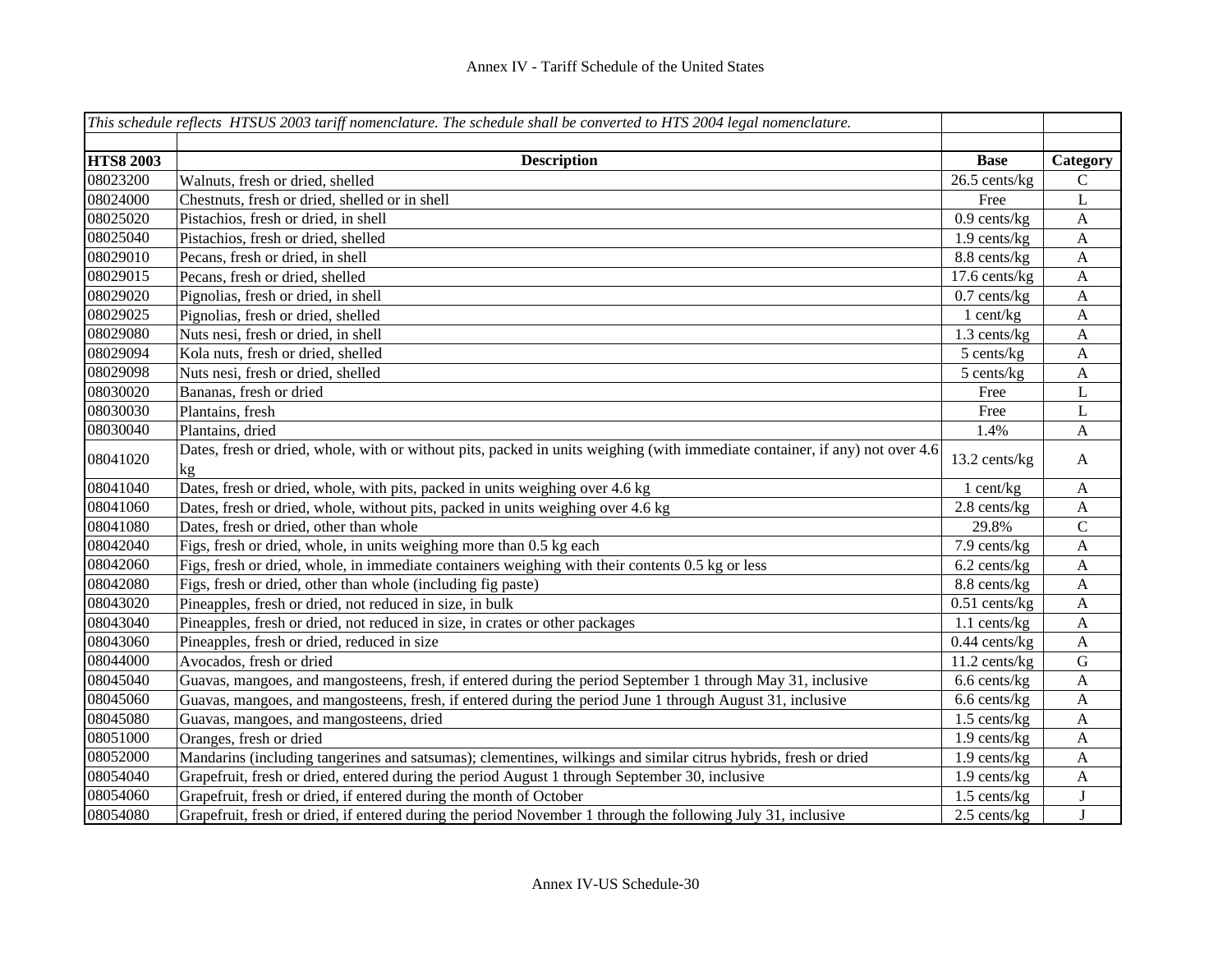|                  | This schedule reflects HTSUS 2003 tariff nomenclature. The schedule shall be converted to HTS 2004 legal nomenclature.             |                 |                           |
|------------------|------------------------------------------------------------------------------------------------------------------------------------|-----------------|---------------------------|
|                  |                                                                                                                                    |                 |                           |
| <b>HTS8 2003</b> | <b>Description</b>                                                                                                                 | <b>Base</b>     | Category                  |
| 08023200         | Walnuts, fresh or dried, shelled                                                                                                   | 26.5 cents/kg   | $\mathbf C$               |
| 08024000         | Chestnuts, fresh or dried, shelled or in shell                                                                                     | Free            | L                         |
| 08025020         | Pistachios, fresh or dried, in shell                                                                                               | $0.9$ cents/kg  | $\boldsymbol{\mathsf{A}}$ |
| 08025040         | Pistachios, fresh or dried, shelled                                                                                                | 1.9 cents/kg    | $\boldsymbol{A}$          |
| 08029010         | Pecans, fresh or dried, in shell                                                                                                   | 8.8 cents/kg    | $\mathbf{A}$              |
| 08029015         | Pecans, fresh or dried, shelled                                                                                                    | 17.6 cents/kg   | $\mathbf{A}$              |
| 08029020         | Pignolias, fresh or dried, in shell                                                                                                | $0.7$ cents/kg  | A                         |
| 08029025         | Pignolias, fresh or dried, shelled                                                                                                 | $1$ cent/kg     | $\boldsymbol{A}$          |
| 08029080         | Nuts nesi, fresh or dried, in shell                                                                                                | 1.3 cents/kg    | $\boldsymbol{\mathsf{A}}$ |
| 08029094         | Kola nuts, fresh or dried, shelled                                                                                                 | 5 cents/kg      | $\mathbf{A}$              |
| 08029098         | Nuts nesi, fresh or dried, shelled                                                                                                 | 5 cents/kg      | $\boldsymbol{\mathsf{A}}$ |
| 08030020         | Bananas, fresh or dried                                                                                                            | Free            | $\mathbf L$               |
| 08030030         | Plantains, fresh                                                                                                                   | Free            | L                         |
| 08030040         | Plantains, dried                                                                                                                   | 1.4%            | A                         |
| 08041020         | Dates, fresh or dried, whole, with or without pits, packed in units weighing (with immediate container, if any) not over 4.6<br>kg | 13.2 cents/kg   | $\mathbf{A}$              |
| 08041040         | Dates, fresh or dried, whole, with pits, packed in units weighing over 4.6 kg                                                      | 1 cent/kg       | A                         |
| 08041060         | Dates, fresh or dried, whole, without pits, packed in units weighing over 4.6 kg                                                   | 2.8 cents/kg    | $\boldsymbol{\mathsf{A}}$ |
| 08041080         | Dates, fresh or dried, other than whole                                                                                            | 29.8%           | $\mathsf{C}$              |
| 08042040         | Figs, fresh or dried, whole, in units weighing more than 0.5 kg each                                                               | 7.9 cents/kg    | $\mathbf{A}$              |
| 08042060         | Figs, fresh or dried, whole, in immediate containers weighing with their contents 0.5 kg or less                                   | 6.2 cents/kg    | $\mathbf{A}$              |
| 08042080         | Figs, fresh or dried, other than whole (including fig paste)                                                                       | 8.8 cents/kg    | $\mathbf{A}$              |
| 08043020         | Pineapples, fresh or dried, not reduced in size, in bulk                                                                           | $0.51$ cents/kg | $\mathbf{A}$              |
| 08043040         | Pineapples, fresh or dried, not reduced in size, in crates or other packages                                                       | 1.1 cents/kg    | $\mathbf{A}$              |
| 08043060         | Pineapples, fresh or dried, reduced in size                                                                                        | $0.44$ cents/kg | $\mathbf{A}$              |
| 08044000         | Avocados, fresh or dried                                                                                                           | 11.2 cents/kg   | ${\bf G}$                 |
| 08045040         | Guavas, mangoes, and mangosteens, fresh, if entered during the period September 1 through May 31, inclusive                        | 6.6 cents/kg    | $\mathbf{A}$              |
| 08045060         | Guavas, mangoes, and mangosteens, fresh, if entered during the period June 1 through August 31, inclusive                          | 6.6 cents/kg    | $\mathbf{A}$              |
| 08045080         | Guavas, mangoes, and mangosteens, dried                                                                                            | 1.5 cents/kg    | $\mathbf{A}$              |
| 08051000         | Oranges, fresh or dried                                                                                                            | 1.9 cents/kg    | $\mathbf{A}$              |
| 08052000         | Mandarins (including tangerines and satsumas); clementines, wilkings and similar citrus hybrids, fresh or dried                    | 1.9 cents/kg    | $\boldsymbol{\mathsf{A}}$ |
| 08054040         | Grapefruit, fresh or dried, entered during the period August 1 through September 30, inclusive                                     | 1.9 cents/kg    | $\mathbf{A}$              |
| 08054060         | Grapefruit, fresh or dried, if entered during the month of October                                                                 | 1.5 cents/kg    | $\bf J$                   |
| 08054080         | Grapefruit, fresh or dried, if entered during the period November 1 through the following July 31, inclusive                       | 2.5 cents/kg    | J                         |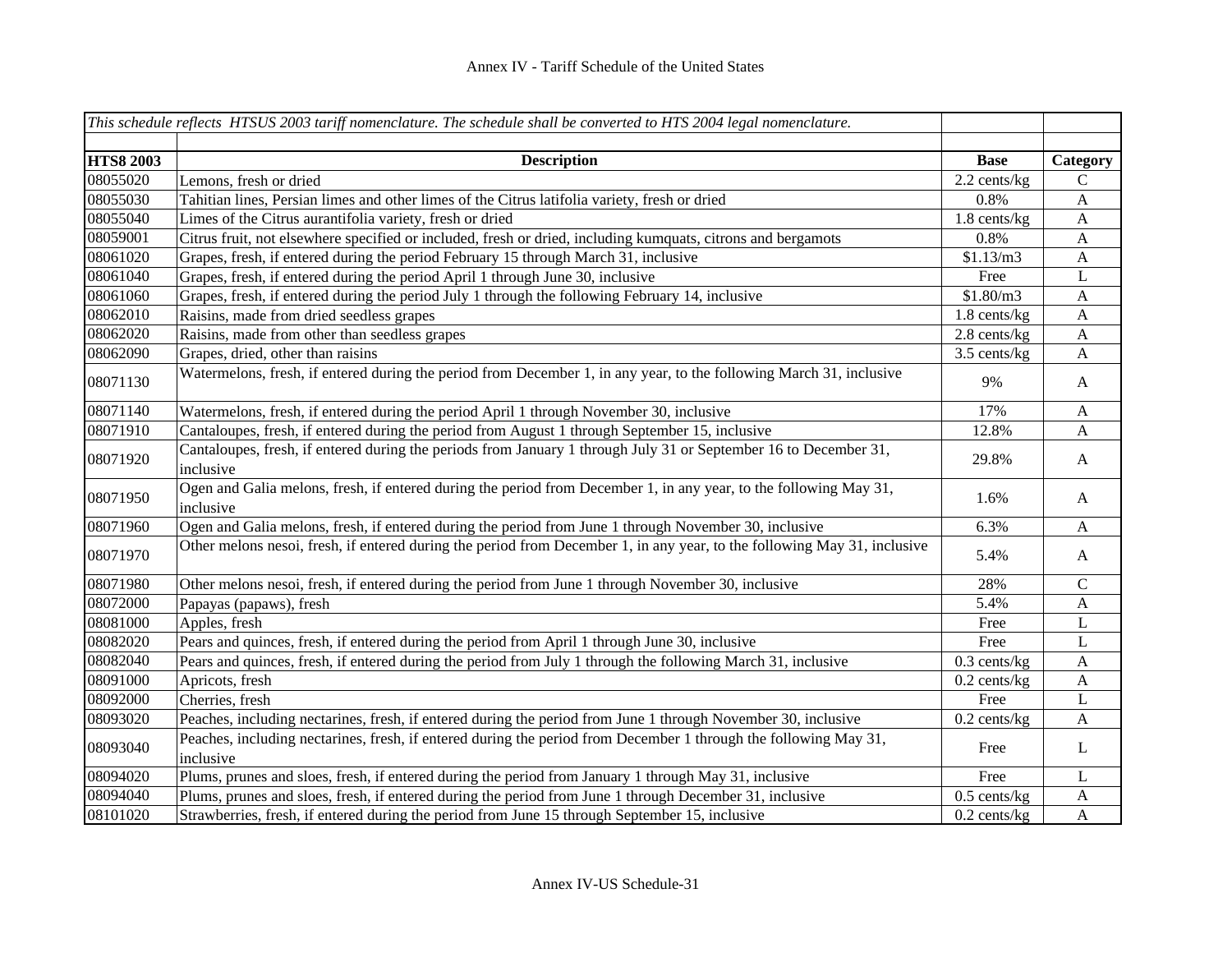|                  | This schedule reflects HTSUS 2003 tariff nomenclature. The schedule shall be converted to HTS 2004 legal nomenclature.         |                |                           |
|------------------|--------------------------------------------------------------------------------------------------------------------------------|----------------|---------------------------|
|                  |                                                                                                                                |                |                           |
| <b>HTS8 2003</b> | <b>Description</b>                                                                                                             | <b>Base</b>    | Category                  |
| 08055020         | Lemons, fresh or dried                                                                                                         | 2.2 cents/kg   | ${\bf C}$                 |
| 08055030         | Tahitian lines, Persian limes and other limes of the Citrus latifolia variety, fresh or dried                                  | 0.8%           | $\mathbf{A}$              |
| 08055040         | Limes of the Citrus aurantifolia variety, fresh or dried                                                                       | 1.8 cents/kg   | $\boldsymbol{\mathsf{A}}$ |
| 08059001         | Citrus fruit, not elsewhere specified or included, fresh or dried, including kumquats, citrons and bergamots                   | 0.8%           | $\mathbf{A}$              |
| 08061020         | Grapes, fresh, if entered during the period February 15 through March 31, inclusive                                            | \$1.13/m3      | $\mathbf{A}$              |
| 08061040         | Grapes, fresh, if entered during the period April 1 through June 30, inclusive                                                 | Free           | L                         |
| 08061060         | Grapes, fresh, if entered during the period July 1 through the following February 14, inclusive                                | \$1.80/m3      | $\mathbf{A}$              |
| 08062010         | Raisins, made from dried seedless grapes                                                                                       | 1.8 cents/kg   | $\mathbf{A}$              |
| 08062020         | Raisins, made from other than seedless grapes                                                                                  | 2.8 cents/kg   | $\mathbf{A}$              |
| 08062090         | Grapes, dried, other than raisins                                                                                              | 3.5 cents/kg   | $\mathbf{A}$              |
| 08071130         | Watermelons, fresh, if entered during the period from December 1, in any year, to the following March 31, inclusive            | 9%             | $\mathbf{A}$              |
| 08071140         | Watermelons, fresh, if entered during the period April 1 through November 30, inclusive                                        | 17%            | $\mathbf{A}$              |
| 08071910         | Cantaloupes, fresh, if entered during the period from August 1 through September 15, inclusive                                 | 12.8%          | A                         |
| 08071920         | Cantaloupes, fresh, if entered during the periods from January 1 through July 31 or September 16 to December 31,<br>inclusive  | 29.8%          | $\mathbf{A}$              |
| 08071950         | Ogen and Galia melons, fresh, if entered during the period from December 1, in any year, to the following May 31,<br>inclusive | 1.6%           | $\mathbf{A}$              |
| 08071960         | Ogen and Galia melons, fresh, if entered during the period from June 1 through November 30, inclusive                          | 6.3%           | $\mathbf{A}$              |
| 08071970         | Other melons nesoi, fresh, if entered during the period from December 1, in any year, to the following May 31, inclusive       | 5.4%           | $\mathbf{A}$              |
| 08071980         | Other melons nesoi, fresh, if entered during the period from June 1 through November 30, inclusive                             | 28%            | ${\bf C}$                 |
| 08072000         | Papayas (papaws), fresh                                                                                                        | 5.4%           | A                         |
| 08081000         | Apples, fresh                                                                                                                  | Free           | L                         |
| 08082020         | Pears and quinces, fresh, if entered during the period from April 1 through June 30, inclusive                                 | Free           | L                         |
| 08082040         | Pears and quinces, fresh, if entered during the period from July 1 through the following March 31, inclusive                   | $0.3$ cents/kg | $\mathbf{A}$              |
| 08091000         | Apricots, fresh                                                                                                                | $0.2$ cents/kg | $\mathbf{A}$              |
| 08092000         | Cherries, fresh                                                                                                                | Free           | L                         |
| 08093020         | Peaches, including nectarines, fresh, if entered during the period from June 1 through November 30, inclusive                  | $0.2$ cents/kg | A                         |
| 08093040         | Peaches, including nectarines, fresh, if entered during the period from December 1 through the following May 31,<br>inclusive  | Free           | $\mathbf{L}$              |
| 08094020         | Plums, prunes and sloes, fresh, if entered during the period from January 1 through May 31, inclusive                          | Free           | L                         |
| 08094040         | Plums, prunes and sloes, fresh, if entered during the period from June 1 through December 31, inclusive                        | $0.5$ cents/kg | $\mathbf{A}$              |
| 08101020         | Strawberries, fresh, if entered during the period from June 15 through September 15, inclusive                                 | $0.2$ cents/kg | $\mathbf{A}$              |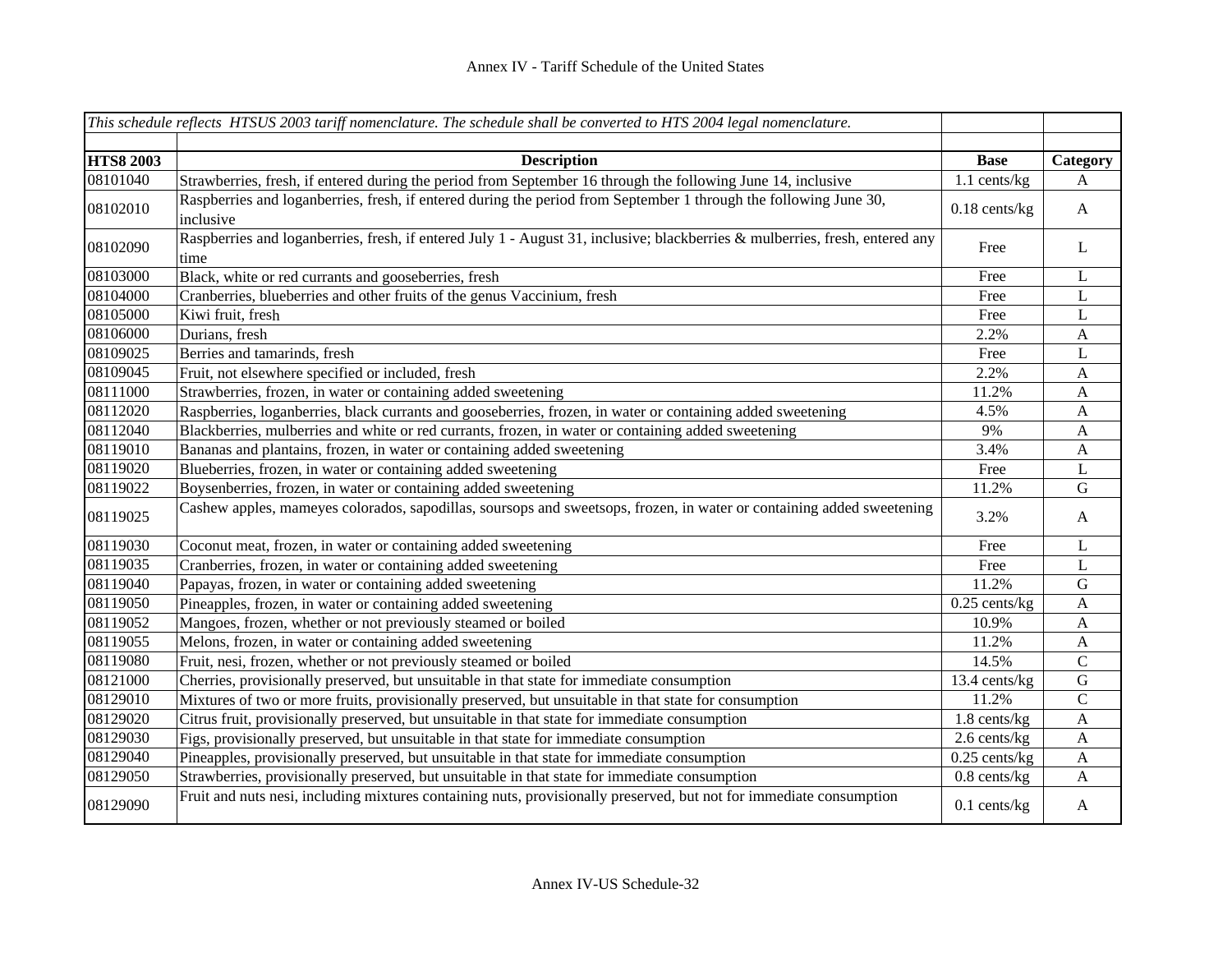|                  | This schedule reflects HTSUS 2003 tariff nomenclature. The schedule shall be converted to HTS 2004 legal nomenclature.               |                 |                  |
|------------------|--------------------------------------------------------------------------------------------------------------------------------------|-----------------|------------------|
|                  |                                                                                                                                      |                 |                  |
| <b>HTS8 2003</b> | <b>Description</b>                                                                                                                   | <b>Base</b>     | Category         |
| 08101040         | Strawberries, fresh, if entered during the period from September 16 through the following June 14, inclusive                         | 1.1 cents/kg    | A                |
| 08102010         | Raspberries and loganberries, fresh, if entered during the period from September 1 through the following June 30,<br>inclusive       | $0.18$ cents/kg | $\mathbf{A}$     |
| 08102090         | Raspberries and loganberries, fresh, if entered July 1 - August 31, inclusive; blackberries & mulberries, fresh, entered any<br>time | Free            | L                |
| 08103000         | Black, white or red currants and gooseberries, fresh                                                                                 | Free            | $\bf L$          |
| 08104000         | Cranberries, blueberries and other fruits of the genus Vaccinium, fresh                                                              | Free            | L                |
| 08105000         | Kiwi fruit, fresh                                                                                                                    | Free            | L                |
| 08106000         | Durians, fresh                                                                                                                       | 2.2%            | $\mathbf{A}$     |
| 08109025         | Berries and tamarinds, fresh                                                                                                         | Free            | L                |
| 08109045         | Fruit, not elsewhere specified or included, fresh                                                                                    | 2.2%            | A                |
| 08111000         | Strawberries, frozen, in water or containing added sweetening                                                                        | 11.2%           | A                |
| 08112020         | Raspberries, loganberries, black currants and gooseberries, frozen, in water or containing added sweetening                          | 4.5%            | $\mathbf{A}$     |
| 08112040         | Blackberries, mulberries and white or red currants, frozen, in water or containing added sweetening                                  | 9%              | $\mathbf{A}$     |
| 08119010         | Bananas and plantains, frozen, in water or containing added sweetening                                                               | 3.4%            | A                |
| 08119020         | Blueberries, frozen, in water or containing added sweetening                                                                         | Free            | L                |
| 08119022         | Boysenberries, frozen, in water or containing added sweetening                                                                       | 11.2%           | G                |
| 08119025         | Cashew apples, mameyes colorados, sapodillas, soursops and sweetsops, frozen, in water or containing added sweetening                | 3.2%            | A                |
| 08119030         | Coconut meat, frozen, in water or containing added sweetening                                                                        | Free            | L                |
| 08119035         | Cranberries, frozen, in water or containing added sweetening                                                                         | Free            | L                |
| 08119040         | Papayas, frozen, in water or containing added sweetening                                                                             | 11.2%           | $\mathbf G$      |
| 08119050         | Pineapples, frozen, in water or containing added sweetening                                                                          | $0.25$ cents/kg | $\mathbf{A}$     |
| 08119052         | Mangoes, frozen, whether or not previously steamed or boiled                                                                         | 10.9%           | $\boldsymbol{A}$ |
| 08119055         | Melons, frozen, in water or containing added sweetening                                                                              | 11.2%           | $\boldsymbol{A}$ |
| 08119080         | Fruit, nesi, frozen, whether or not previously steamed or boiled                                                                     | 14.5%           | $\mathbf C$      |
| 08121000         | Cherries, provisionally preserved, but unsuitable in that state for immediate consumption                                            | 13.4 cents/kg   | ${\bf G}$        |
| 08129010         | Mixtures of two or more fruits, provisionally preserved, but unsuitable in that state for consumption                                | 11.2%           | $\mathbf C$      |
| 08129020         | Citrus fruit, provisionally preserved, but unsuitable in that state for immediate consumption                                        | 1.8 cents/kg    | $\boldsymbol{A}$ |
| 08129030         | Figs, provisionally preserved, but unsuitable in that state for immediate consumption                                                | 2.6 cents/kg    | A                |
| 08129040         | Pineapples, provisionally preserved, but unsuitable in that state for immediate consumption                                          | $0.25$ cents/kg | A                |
| 08129050         | Strawberries, provisionally preserved, but unsuitable in that state for immediate consumption                                        | $0.8$ cents/kg  | A                |
| 08129090         | Fruit and nuts nesi, including mixtures containing nuts, provisionally preserved, but not for immediate consumption                  | $0.1$ cents/kg  | $\mathbf{A}$     |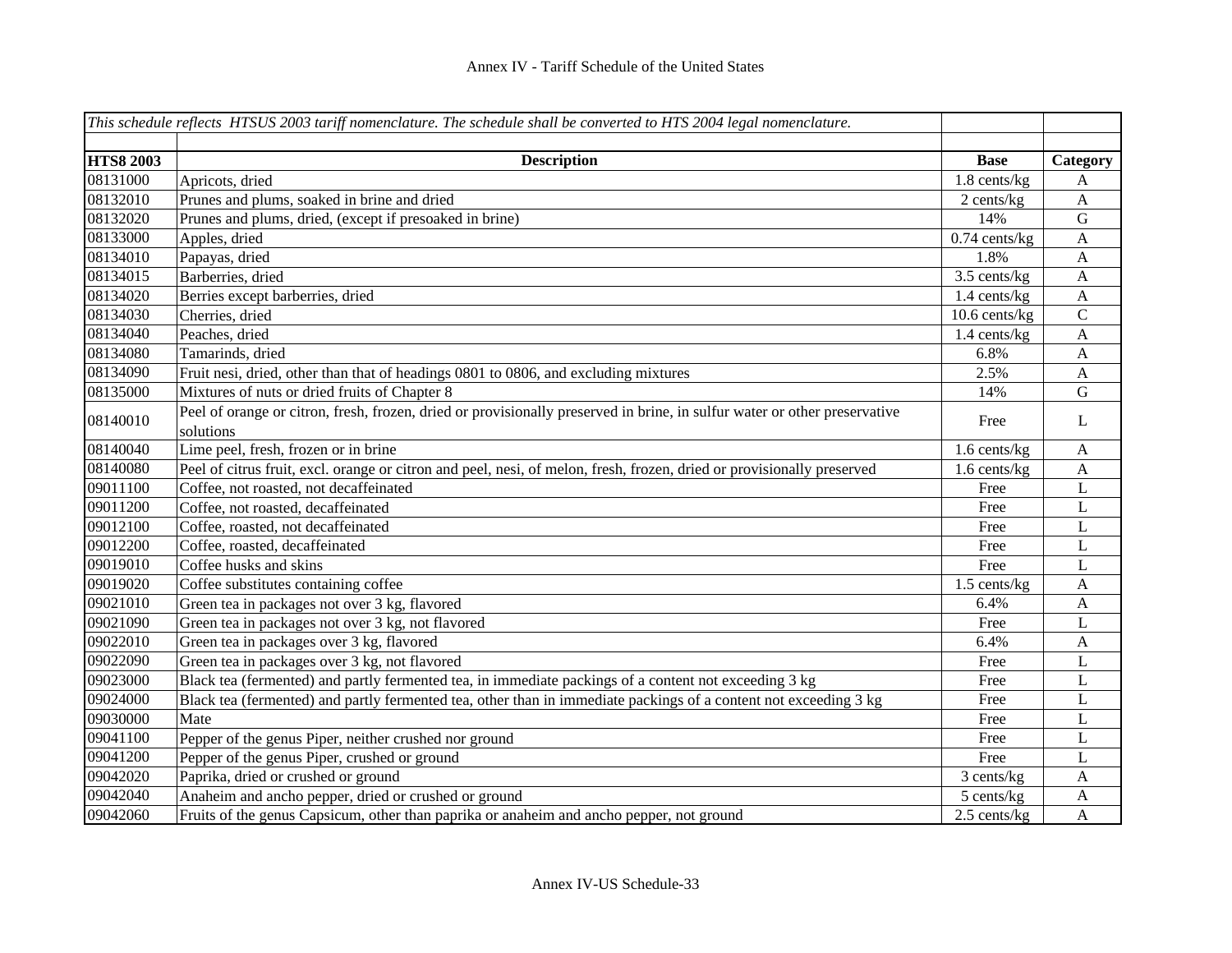|                  | This schedule reflects HTSUS 2003 tariff nomenclature. The schedule shall be converted to HTS 2004 legal nomenclature.    |                 |                           |
|------------------|---------------------------------------------------------------------------------------------------------------------------|-----------------|---------------------------|
|                  |                                                                                                                           |                 |                           |
| <b>HTS8 2003</b> | <b>Description</b>                                                                                                        | <b>Base</b>     | Category                  |
| 08131000         | Apricots, dried                                                                                                           | 1.8 cents/kg    | A                         |
| 08132010         | Prunes and plums, soaked in brine and dried                                                                               | 2 cents/kg      | $\mathbf{A}$              |
| 08132020         | Prunes and plums, dried, (except if presoaked in brine)                                                                   | 14%             | ${\bf G}$                 |
| 08133000         | Apples, dried                                                                                                             | $0.74$ cents/kg | $\mathbf{A}$              |
| 08134010         | Papayas, dried                                                                                                            | 1.8%            | A                         |
| 08134015         | Barberries, dried                                                                                                         | 3.5 cents/kg    | A                         |
| 08134020         | Berries except barberries, dried                                                                                          | 1.4 cents/kg    | $\mathbf{A}$              |
| 08134030         | Cherries, dried                                                                                                           | 10.6 cents/kg   | $\mathsf C$               |
| 08134040         | Peaches, dried                                                                                                            | 1.4 cents/kg    | $\mathbf{A}$              |
| 08134080         | Tamarinds, dried                                                                                                          | 6.8%            | $\mathbf{A}$              |
| 08134090         | Fruit nesi, dried, other than that of headings 0801 to 0806, and excluding mixtures                                       | 2.5%            | A                         |
| 08135000         | Mixtures of nuts or dried fruits of Chapter 8                                                                             | 14%             | $\mathbf G$               |
| 08140010         | Peel of orange or citron, fresh, frozen, dried or provisionally preserved in brine, in sulfur water or other preservative | Free            | L                         |
|                  | solutions                                                                                                                 |                 |                           |
| 08140040         | Lime peel, fresh, frozen or in brine                                                                                      | 1.6 cents/kg    | $\boldsymbol{\mathsf{A}}$ |
| 08140080         | Peel of citrus fruit, excl. orange or citron and peel, nesi, of melon, fresh, frozen, dried or provisionally preserved    | 1.6 cents/kg    | $\mathbf{A}$              |
| 09011100         | Coffee, not roasted, not decaffeinated                                                                                    | Free            | L                         |
| 09011200         | Coffee, not roasted, decaffeinated                                                                                        | Free            | L                         |
| 09012100         | Coffee, roasted, not decaffeinated                                                                                        | Free            | L                         |
| 09012200         | Coffee, roasted, decaffeinated                                                                                            | Free            | $\mathbf L$               |
| 09019010         | Coffee husks and skins                                                                                                    | Free            | L                         |
| 09019020         | Coffee substitutes containing coffee                                                                                      | 1.5 cents/kg    | $\mathbf{A}$              |
| 09021010         | Green tea in packages not over 3 kg, flavored                                                                             | 6.4%            | $\mathbf{A}$              |
| 09021090         | Green tea in packages not over 3 kg, not flavored                                                                         | Free            | $\mathbf L$               |
| 09022010         | Green tea in packages over 3 kg, flavored                                                                                 | 6.4%            | A                         |
| 09022090         | Green tea in packages over 3 kg, not flavored                                                                             | Free            | L                         |
| 09023000         | Black tea (fermented) and partly fermented tea, in immediate packings of a content not exceeding 3 kg                     | Free            | L                         |
| 09024000         | Black tea (fermented) and partly fermented tea, other than in immediate packings of a content not exceeding 3 kg          | Free            | L                         |
| 09030000         | Mate                                                                                                                      | Free            | L                         |
| 09041100         | Pepper of the genus Piper, neither crushed nor ground                                                                     | Free            | L                         |
| 09041200         | Pepper of the genus Piper, crushed or ground                                                                              | Free            | L                         |
| 09042020         | Paprika, dried or crushed or ground                                                                                       | 3 cents/kg      | A                         |
| 09042040         | Anaheim and ancho pepper, dried or crushed or ground                                                                      | 5 cents/kg      | $\mathbf{A}$              |
| 09042060         | Fruits of the genus Capsicum, other than paprika or anaheim and ancho pepper, not ground                                  | 2.5 cents/kg    | $\mathbf{A}$              |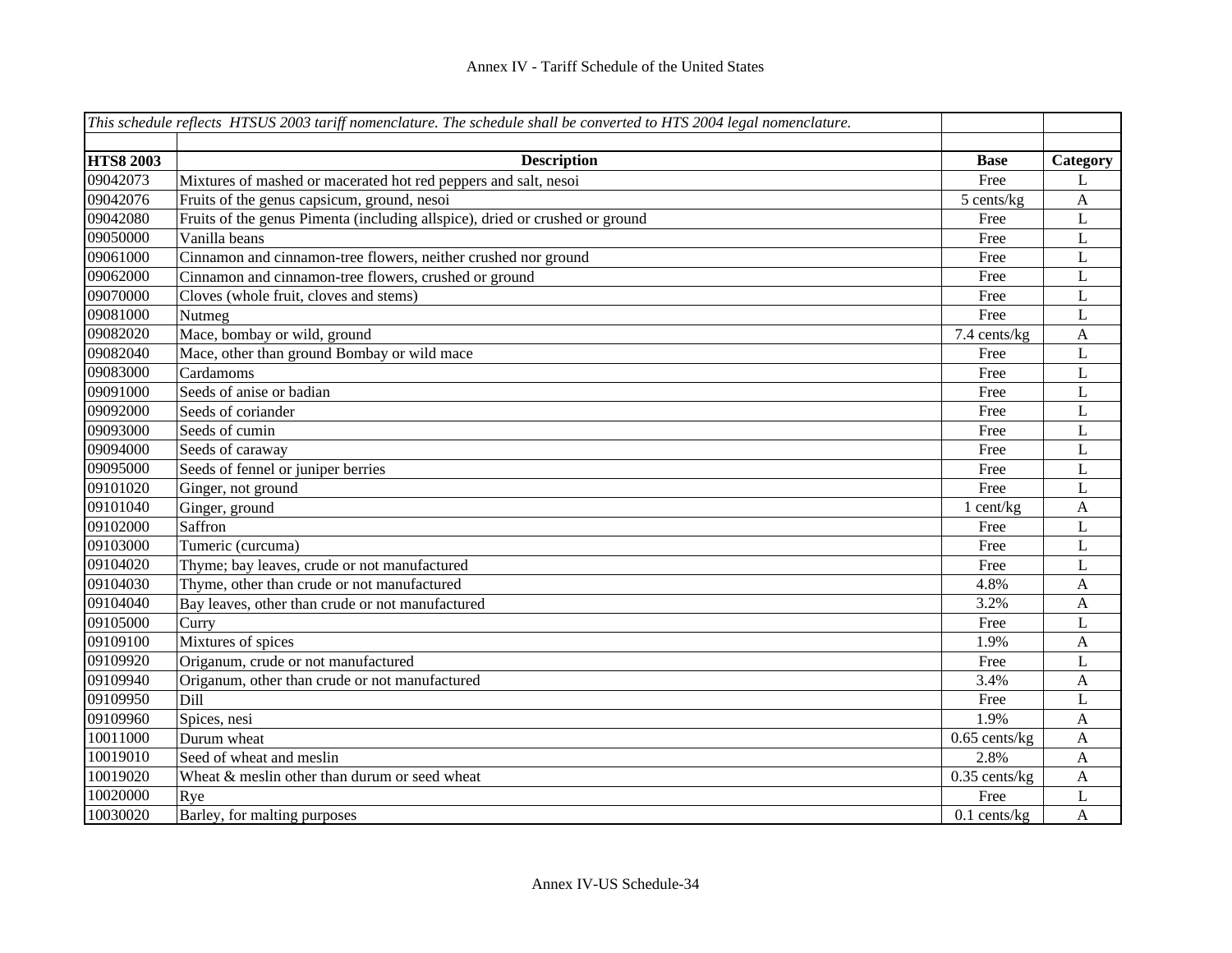|                  | This schedule reflects HTSUS 2003 tariff nomenclature. The schedule shall be converted to $\overline{HTS}$ 2004 legal nomenclature. |                 |                  |
|------------------|-------------------------------------------------------------------------------------------------------------------------------------|-----------------|------------------|
|                  |                                                                                                                                     |                 |                  |
| <b>HTS8 2003</b> | <b>Description</b>                                                                                                                  | <b>Base</b>     | Category         |
| 09042073         | Mixtures of mashed or macerated hot red peppers and salt, nesoi                                                                     | Free            | L                |
| 09042076         | Fruits of the genus capsicum, ground, nesoi                                                                                         | 5 cents/kg      | A                |
| 09042080         | Fruits of the genus Pimenta (including allspice), dried or crushed or ground                                                        | Free            | L                |
| 09050000         | Vanilla beans                                                                                                                       | Free            | L                |
| 09061000         | Cinnamon and cinnamon-tree flowers, neither crushed nor ground                                                                      | Free            | L                |
| 09062000         | Cinnamon and cinnamon-tree flowers, crushed or ground                                                                               | Free            | L                |
| 09070000         | Cloves (whole fruit, cloves and stems)                                                                                              | Free            | L                |
| 09081000         | Nutmeg                                                                                                                              | Free            | $\mathbf L$      |
| 09082020         | Mace, bombay or wild, ground                                                                                                        | 7.4 cents/kg    | $\boldsymbol{A}$ |
| 09082040         | Mace, other than ground Bombay or wild mace                                                                                         | Free            | L                |
| 09083000         | Cardamoms                                                                                                                           | Free            | $\mathbf L$      |
| 09091000         | Seeds of anise or badian                                                                                                            | Free            | $\mathbf L$      |
| 09092000         | Seeds of coriander                                                                                                                  | Free            | L                |
| 09093000         | Seeds of cumin                                                                                                                      | Free            | $\mathbf L$      |
| 09094000         | Seeds of caraway                                                                                                                    | Free            | L                |
| 09095000         | Seeds of fennel or juniper berries                                                                                                  | Free            | L                |
| 09101020         | Ginger, not ground                                                                                                                  | Free            | L                |
| 09101040         | Ginger, ground                                                                                                                      | 1 cent/kg       | A                |
| 09102000         | Saffron                                                                                                                             | Free            | L                |
| 09103000         | Tumeric (curcuma)                                                                                                                   | Free            | L                |
| 09104020         | Thyme; bay leaves, crude or not manufactured                                                                                        | Free            | L                |
| 09104030         | Thyme, other than crude or not manufactured                                                                                         | 4.8%            | A                |
| 09104040         | Bay leaves, other than crude or not manufactured                                                                                    | 3.2%            | A                |
| 09105000         | Curry                                                                                                                               | Free            | L                |
| 09109100         | Mixtures of spices                                                                                                                  | 1.9%            | A                |
| 09109920         | Origanum, crude or not manufactured                                                                                                 | Free            | L                |
| 09109940         | Origanum, other than crude or not manufactured                                                                                      | 3.4%            | A                |
| 09109950         | Dill                                                                                                                                | Free            | L                |
| 09109960         | Spices, nesi                                                                                                                        | 1.9%            | A                |
| 10011000         | Durum wheat                                                                                                                         | $0.65$ cents/kg | A                |
| 10019010         | Seed of wheat and meslin                                                                                                            | 2.8%            | A                |
| 10019020         | Wheat & meslin other than durum or seed wheat                                                                                       | $0.35$ cents/kg | A                |
| 10020000         | Rye                                                                                                                                 | Free            | L                |
| 10030020         | Barley, for malting purposes                                                                                                        | $0.1$ cents/kg  | A                |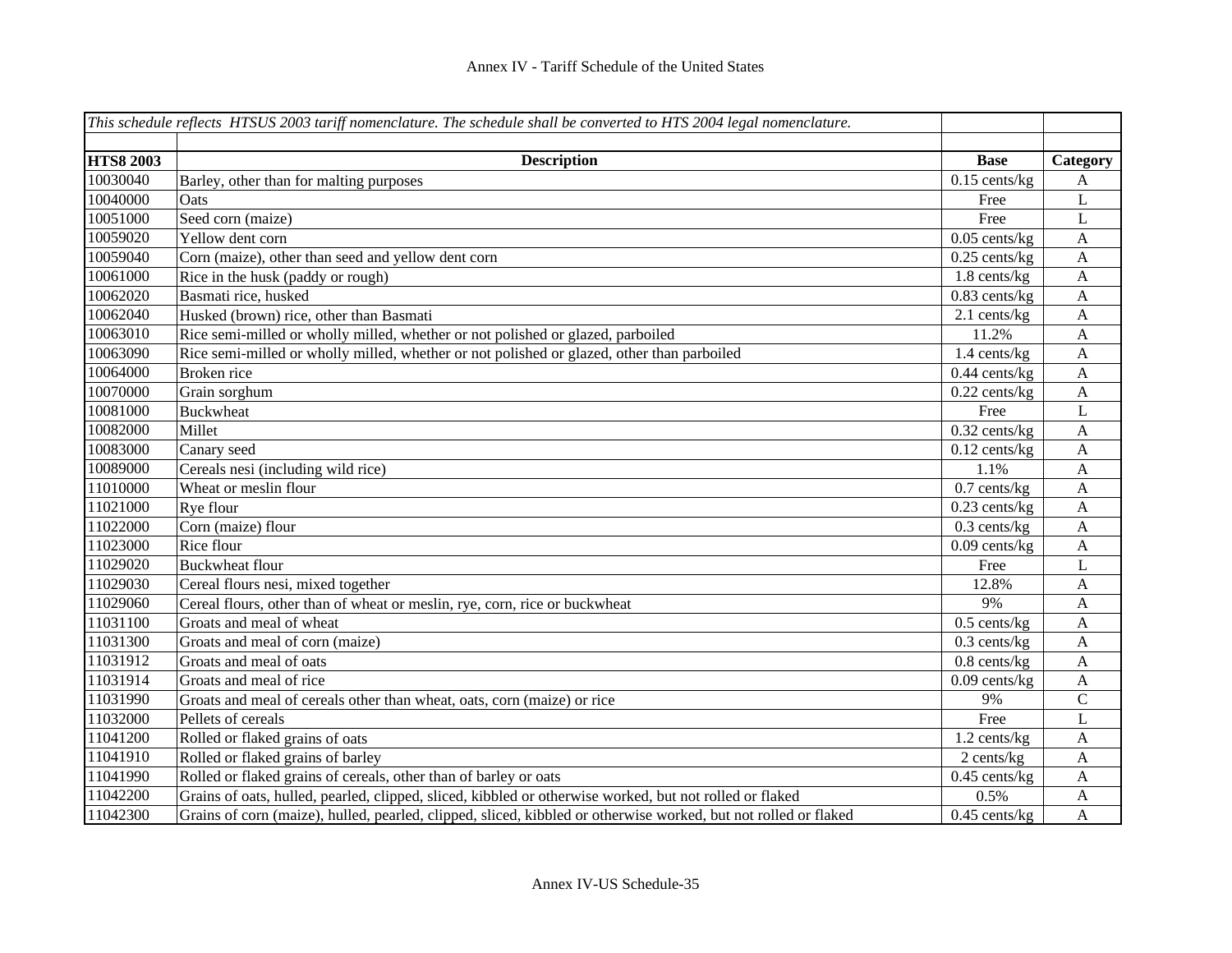|                  | This schedule reflects HTSUS 2003 tariff nomenclature. The schedule shall be converted to HTS 2004 legal nomenclature. |                   |              |
|------------------|------------------------------------------------------------------------------------------------------------------------|-------------------|--------------|
|                  |                                                                                                                        |                   |              |
| <b>HTS8 2003</b> | <b>Description</b>                                                                                                     | <b>Base</b>       | Category     |
| 10030040         | Barley, other than for malting purposes                                                                                | $0.15$ cents/kg   | A            |
| 10040000         | Oats                                                                                                                   | Free              | L            |
| 10051000         | Seed corn (maize)                                                                                                      | Free              | L            |
| 10059020         | Yellow dent corn                                                                                                       | $0.05$ cents/kg   | $\mathbf{A}$ |
| 10059040         | Corn (maize), other than seed and yellow dent corn                                                                     | $0.25$ cents/kg   | A            |
| 10061000         | Rice in the husk (paddy or rough)                                                                                      | $1.8$ cents/ $kg$ | A            |
| 10062020         | Basmati rice, husked                                                                                                   | $0.83$ cents/kg   | $\mathbf{A}$ |
| 10062040         | Husked (brown) rice, other than Basmati                                                                                | 2.1 cents/kg      | $\mathbf{A}$ |
| 10063010         | Rice semi-milled or wholly milled, whether or not polished or glazed, parboiled                                        | 11.2%             | $\mathbf{A}$ |
| 10063090         | Rice semi-milled or wholly milled, whether or not polished or glazed, other than parboiled                             | 1.4 cents/kg      | $\mathbf{A}$ |
| 10064000         | Broken rice                                                                                                            | $0.44$ cents/kg   | A            |
| 10070000         | Grain sorghum                                                                                                          | $0.22$ cents/kg   | $\mathbf{A}$ |
| 10081000         | <b>Buckwheat</b>                                                                                                       | Free              | L            |
| 10082000         | Millet                                                                                                                 | $0.32$ cents/kg   | $\mathbf{A}$ |
| 10083000         | Canary seed                                                                                                            | $0.12$ cents/kg   | $\mathbf{A}$ |
| 10089000         | Cereals nesi (including wild rice)                                                                                     | 1.1%              | $\mathbf{A}$ |
| 11010000         | Wheat or meslin flour                                                                                                  | $0.7$ cents/kg    | $\mathbf{A}$ |
| 11021000         | Rye flour                                                                                                              | $0.23$ cents/kg   | $\mathbf{A}$ |
| 11022000         | Corn (maize) flour                                                                                                     | $0.3$ cents/kg    | $\mathbf{A}$ |
| 11023000         | Rice flour                                                                                                             | $0.09$ cents/kg   | $\mathbf{A}$ |
| 11029020         | <b>Buckwheat flour</b>                                                                                                 | Free              | L            |
| 11029030         | Cereal flours nesi, mixed together                                                                                     | 12.8%             | $\mathbf{A}$ |
| 11029060         | Cereal flours, other than of wheat or meslin, rye, corn, rice or buckwheat                                             | 9%                | $\mathbf{A}$ |
| 11031100         | Groats and meal of wheat                                                                                               | $0.5$ cents/kg    | $\mathbf{A}$ |
| 11031300         | Groats and meal of corn (maize)                                                                                        | $0.3$ cents/kg    | A            |
| 11031912         | Groats and meal of oats                                                                                                | $0.8$ cents/ $kg$ | A            |
| 11031914         | Groats and meal of rice                                                                                                | $0.09$ cents/kg   | A            |
| 11031990         | Groats and meal of cereals other than wheat, oats, corn (maize) or rice                                                | 9%                | $\mathsf C$  |
| 11032000         | Pellets of cereals                                                                                                     | Free              | L            |
| 11041200         | Rolled or flaked grains of oats                                                                                        | 1.2 cents/kg      | A            |
| 11041910         | Rolled or flaked grains of barley                                                                                      | 2 cents/kg        | $\mathbf{A}$ |
| 11041990         | Rolled or flaked grains of cereals, other than of barley or oats                                                       | $0.45$ cents/kg   | A            |
| 11042200         | Grains of oats, hulled, pearled, clipped, sliced, kibbled or otherwise worked, but not rolled or flaked                | 0.5%              | A            |
| 11042300         | Grains of corn (maize), hulled, pearled, clipped, sliced, kibbled or otherwise worked, but not rolled or flaked        | $0.45$ cents/kg   | A            |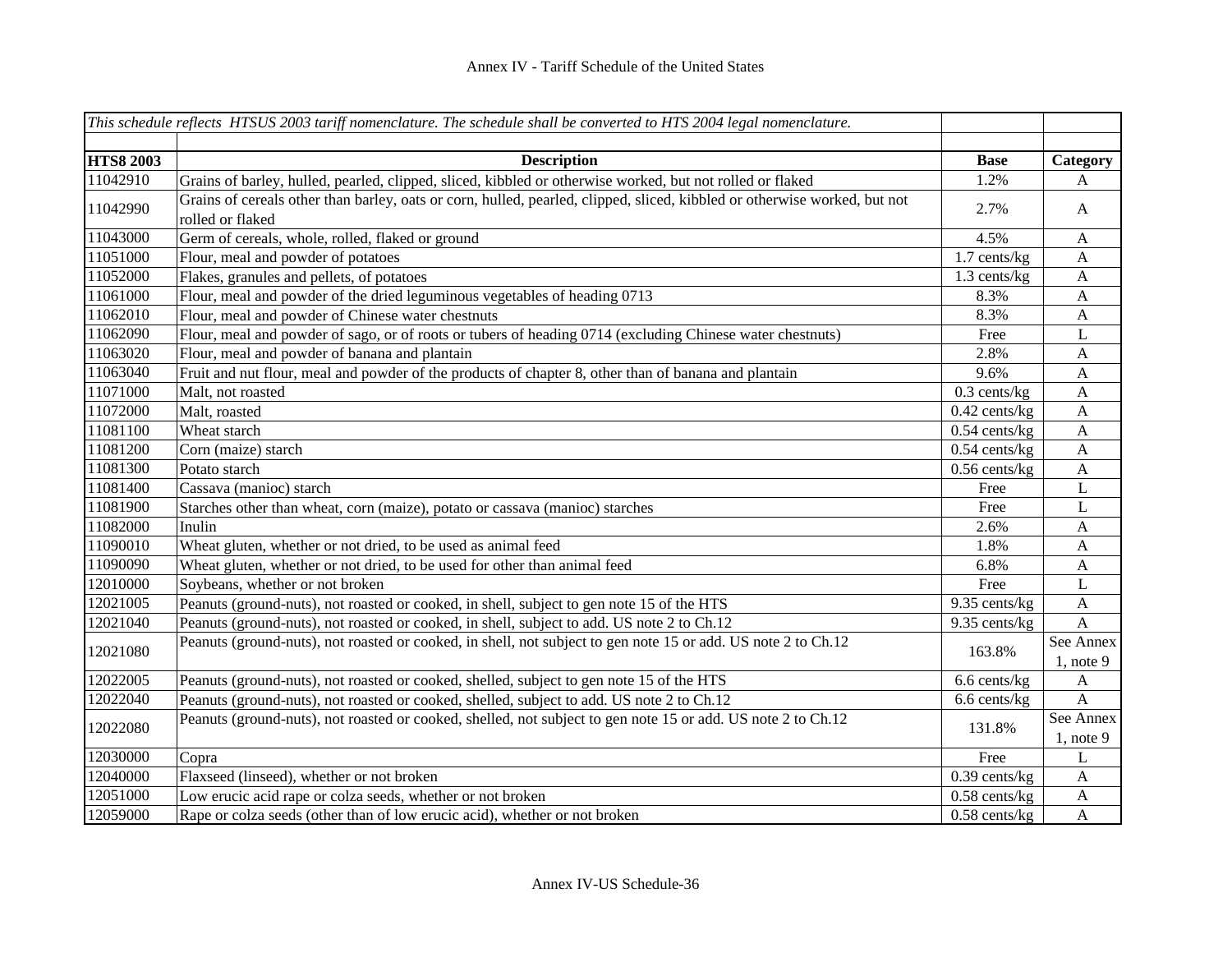|                  | This schedule reflects HTSUS 2003 tariff nomenclature. The schedule shall be converted to HTS 2004 legal nomenclature.                        |                 |                             |
|------------------|-----------------------------------------------------------------------------------------------------------------------------------------------|-----------------|-----------------------------|
|                  |                                                                                                                                               |                 |                             |
| <b>HTS8 2003</b> | <b>Description</b>                                                                                                                            | <b>Base</b>     | Category                    |
| 11042910         | Grains of barley, hulled, pearled, clipped, sliced, kibbled or otherwise worked, but not rolled or flaked                                     | 1.2%            | A                           |
| 11042990         | Grains of cereals other than barley, oats or corn, hulled, pearled, clipped, sliced, kibbled or otherwise worked, but not<br>rolled or flaked | 2.7%            | $\mathbf{A}$                |
| 11043000         | Germ of cereals, whole, rolled, flaked or ground                                                                                              | 4.5%            | $\boldsymbol{A}$            |
| 11051000         | Flour, meal and powder of potatoes                                                                                                            | $1.7$ cents/kg  | $\mathbf{A}$                |
| 11052000         | Flakes, granules and pellets, of potatoes                                                                                                     | 1.3 cents/kg    | $\boldsymbol{A}$            |
| 11061000         | Flour, meal and powder of the dried leguminous vegetables of heading 0713                                                                     | 8.3%            | $\mathbf{A}$                |
| 11062010         | Flour, meal and powder of Chinese water chestnuts                                                                                             | 8.3%            | $\mathbf{A}$                |
| 11062090         | Flour, meal and powder of sago, or of roots or tubers of heading 0714 (excluding Chinese water chestnuts)                                     | Free            | L                           |
| 11063020         | Flour, meal and powder of banana and plantain                                                                                                 | 2.8%            | $\mathbf{A}$                |
| 11063040         | Fruit and nut flour, meal and powder of the products of chapter 8, other than of banana and plantain                                          | 9.6%            | $\boldsymbol{\mathsf{A}}$   |
| 11071000         | Malt, not roasted                                                                                                                             | $0.3$ cents/kg  | $\boldsymbol{\mathsf{A}}$   |
| 11072000         | Malt, roasted                                                                                                                                 | $0.42$ cents/kg | $\mathbf{A}$                |
| 11081100         | Wheat starch                                                                                                                                  | $0.54$ cents/kg | $\mathbf A$                 |
| 11081200         | Corn (maize) starch                                                                                                                           | $0.54$ cents/kg | $\mathbf{A}$                |
| 11081300         | Potato starch                                                                                                                                 | $0.56$ cents/kg | $\boldsymbol{\mathsf{A}}$   |
| 11081400         | Cassava (manioc) starch                                                                                                                       | Free            | L                           |
| 11081900         | Starches other than wheat, corn (maize), potato or cassava (manioc) starches                                                                  | Free            | L                           |
| 11082000         | Inulin                                                                                                                                        | 2.6%            | A                           |
| 11090010         | Wheat gluten, whether or not dried, to be used as animal feed                                                                                 | 1.8%            | A                           |
| 11090090         | Wheat gluten, whether or not dried, to be used for other than animal feed                                                                     | 6.8%            | A                           |
| 12010000         | Soybeans, whether or not broken                                                                                                               | Free            | L                           |
| 12021005         | Peanuts (ground-nuts), not roasted or cooked, in shell, subject to gen note 15 of the HTS                                                     | 9.35 cents/kg   | $\boldsymbol{\mathsf{A}}$   |
| 12021040         | Peanuts (ground-nuts), not roasted or cooked, in shell, subject to add. US note 2 to Ch.12                                                    | 9.35 cents/kg   | $\mathbf{A}$                |
| 12021080         | Peanuts (ground-nuts), not roasted or cooked, in shell, not subject to gen note 15 or add. US note 2 to Ch.12                                 | 163.8%          | See Annex<br>$1$ , note 9   |
| 12022005         | Peanuts (ground-nuts), not roasted or cooked, shelled, subject to gen note 15 of the HTS                                                      | 6.6 cents/kg    | $\mathbf{A}$                |
| 12022040         | Peanuts (ground-nuts), not roasted or cooked, shelled, subject to add. US note 2 to Ch.12                                                     | 6.6 cents/kg    | $\overline{A}$              |
| 12022080         | Peanuts (ground-nuts), not roasted or cooked, shelled, not subject to gen note 15 or add. US note 2 to Ch.12                                  | 131.8%          | See Annex<br>$1$ , note $9$ |
| 12030000         | Copra                                                                                                                                         | Free            | L                           |
| 12040000         | Flaxseed (linseed), whether or not broken                                                                                                     | $0.39$ cents/kg | A                           |
| 12051000         | Low erucic acid rape or colza seeds, whether or not broken                                                                                    | $0.58$ cents/kg | $\boldsymbol{A}$            |
| 12059000         | Rape or colza seeds (other than of low erucic acid), whether or not broken                                                                    | $0.58$ cents/kg | $\mathbf{A}$                |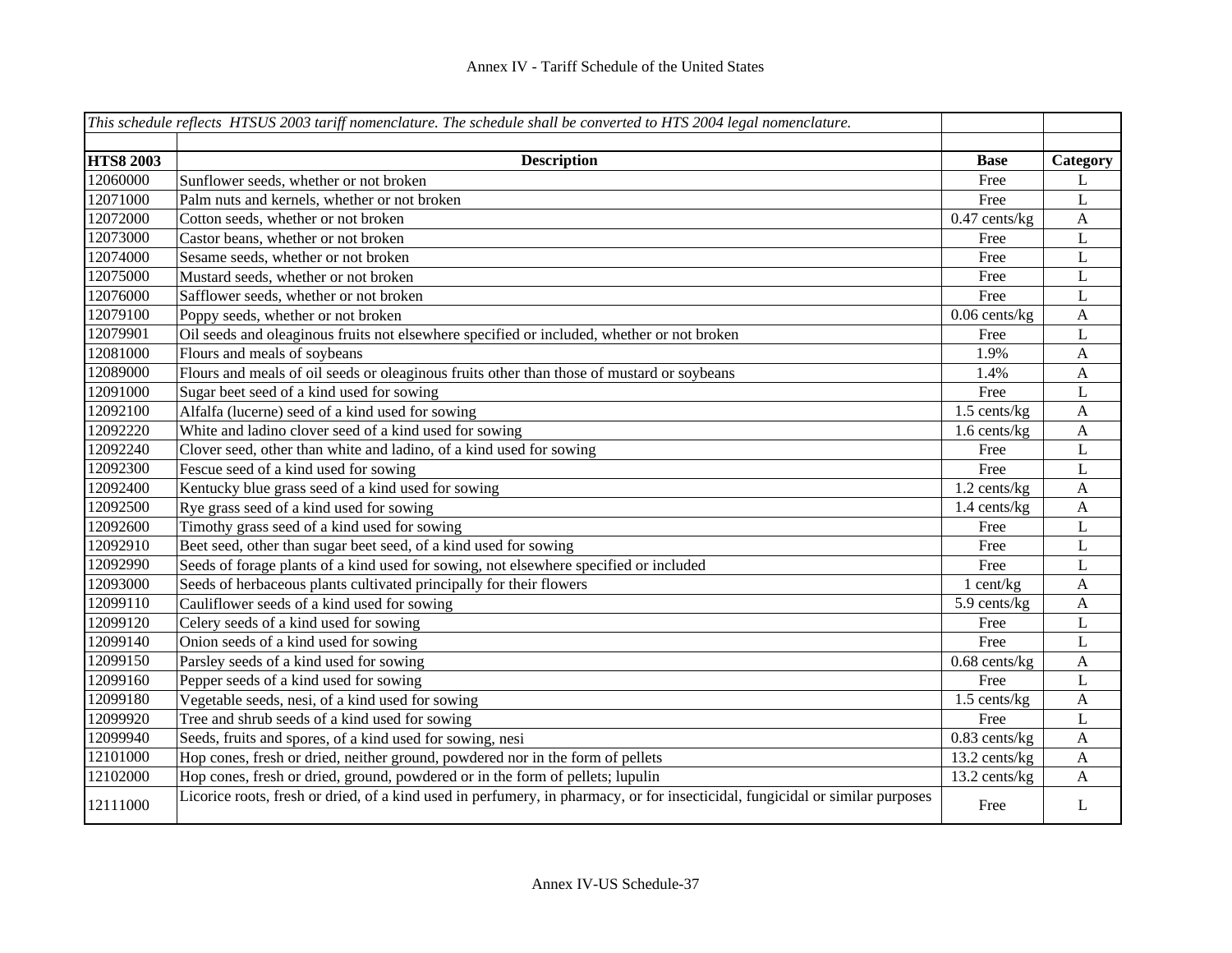|                  | This schedule reflects HTSUS 2003 tariff nomenclature. The schedule shall be converted to HTS 2004 legal nomenclature.        |                 |                  |
|------------------|-------------------------------------------------------------------------------------------------------------------------------|-----------------|------------------|
|                  |                                                                                                                               |                 |                  |
| <b>HTS8 2003</b> | <b>Description</b>                                                                                                            | <b>Base</b>     | Category         |
| 12060000         | Sunflower seeds, whether or not broken                                                                                        | Free            | L                |
| 12071000         | Palm nuts and kernels, whether or not broken                                                                                  | Free            | $\mathbf L$      |
| 12072000         | Cotton seeds, whether or not broken                                                                                           | $0.47$ cents/kg | $\mathbf{A}$     |
| 12073000         | Castor beans, whether or not broken                                                                                           | Free            | L                |
| 12074000         | Sesame seeds, whether or not broken                                                                                           | Free            | $\mathbf L$      |
| 12075000         | Mustard seeds, whether or not broken                                                                                          | Free            | $\mathbf L$      |
| 12076000         | Safflower seeds, whether or not broken                                                                                        | Free            | $\mathbf L$      |
| 12079100         | Poppy seeds, whether or not broken                                                                                            | $0.06$ cents/kg | $\boldsymbol{A}$ |
| 12079901         | Oil seeds and oleaginous fruits not elsewhere specified or included, whether or not broken                                    | Free            | L                |
| 12081000         | Flours and meals of soybeans                                                                                                  | 1.9%            | $\mathbf{A}$     |
| 12089000         | Flours and meals of oil seeds or oleaginous fruits other than those of mustard or soybeans                                    | 1.4%            | $\mathbf{A}$     |
| 12091000         | Sugar beet seed of a kind used for sowing                                                                                     | Free            | L                |
| 12092100         | Alfalfa (lucerne) seed of a kind used for sowing                                                                              | $1.5$ cents/kg  | $\mathbf{A}$     |
| 12092220         | White and ladino clover seed of a kind used for sowing                                                                        | 1.6 cents/kg    | $\boldsymbol{A}$ |
| 12092240         | Clover seed, other than white and ladino, of a kind used for sowing                                                           | Free            | $\mathbf L$      |
| 12092300         | Fescue seed of a kind used for sowing                                                                                         | Free            | $\mathbf L$      |
| 12092400         | Kentucky blue grass seed of a kind used for sowing                                                                            | 1.2 cents/kg    | $\boldsymbol{A}$ |
| 12092500         | Rye grass seed of a kind used for sowing                                                                                      | 1.4 cents/kg    | $\mathbf{A}$     |
| 12092600         | Timothy grass seed of a kind used for sowing                                                                                  | Free            | $\mathbf L$      |
| 12092910         | Beet seed, other than sugar beet seed, of a kind used for sowing                                                              | Free            | $\mathbf L$      |
| 12092990         | Seeds of forage plants of a kind used for sowing, not elsewhere specified or included                                         | Free            | L                |
| 12093000         | Seeds of herbaceous plants cultivated principally for their flowers                                                           | $1$ cent/kg     | A                |
| 12099110         | Cauliflower seeds of a kind used for sowing                                                                                   | 5.9 cents/kg    | A                |
| 12099120         | Celery seeds of a kind used for sowing                                                                                        | Free            | L                |
| 12099140         | Onion seeds of a kind used for sowing                                                                                         | Free            | L                |
| 12099150         | Parsley seeds of a kind used for sowing                                                                                       | $0.68$ cents/kg | $\boldsymbol{A}$ |
| 12099160         | Pepper seeds of a kind used for sowing                                                                                        | Free            | L                |
| 12099180         | Vegetable seeds, nesi, of a kind used for sowing                                                                              | 1.5 cents/kg    | $\mathbf{A}$     |
| 12099920         | Tree and shrub seeds of a kind used for sowing                                                                                | Free            | $\mathbf L$      |
| 12099940         | Seeds, fruits and spores, of a kind used for sowing, nesi                                                                     | $0.83$ cents/kg | $\mathbf{A}$     |
| 12101000         | Hop cones, fresh or dried, neither ground, powdered nor in the form of pellets                                                | 13.2 cents/kg   | A                |
| 12102000         | Hop cones, fresh or dried, ground, powdered or in the form of pellets; lupulin                                                | 13.2 cents/kg   | A                |
| 12111000         | Licorice roots, fresh or dried, of a kind used in perfumery, in pharmacy, or for insecticidal, fungicidal or similar purposes | Free            | L                |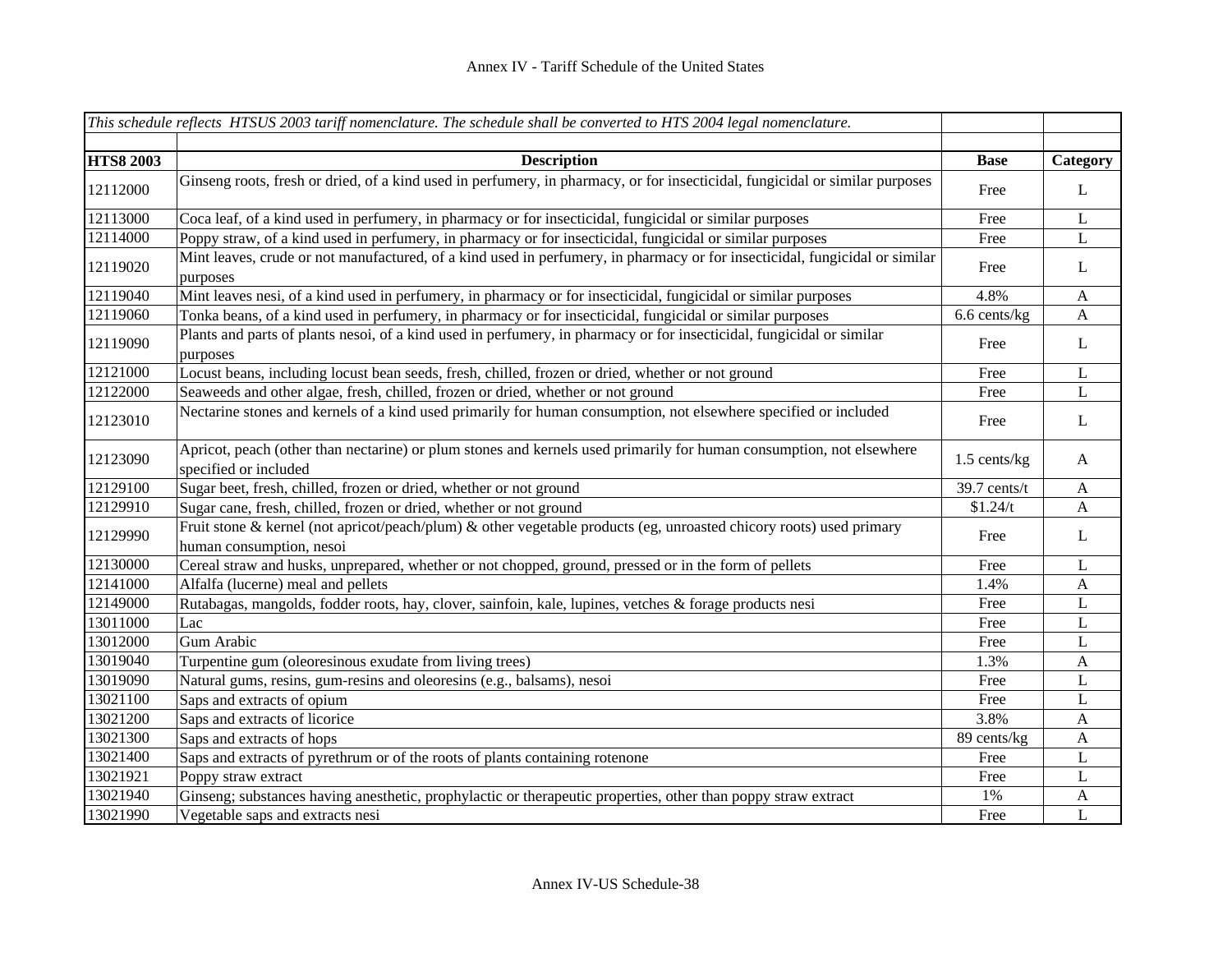|                  | This schedule reflects HTSUS 2003 tariff nomenclature. The schedule shall be converted to HTS 2004 legal nomenclature.                          |              |              |
|------------------|-------------------------------------------------------------------------------------------------------------------------------------------------|--------------|--------------|
|                  |                                                                                                                                                 |              |              |
| <b>HTS8 2003</b> | <b>Description</b>                                                                                                                              | <b>Base</b>  | Category     |
| 12112000         | Ginseng roots, fresh or dried, of a kind used in perfumery, in pharmacy, or for insecticidal, fungicidal or similar purposes                    | Free         | L            |
| 12113000         | Coca leaf, of a kind used in perfumery, in pharmacy or for insecticidal, fungicidal or similar purposes                                         | Free         | L            |
| 12114000         | Poppy straw, of a kind used in perfumery, in pharmacy or for insecticidal, fungicidal or similar purposes                                       | Free         | L            |
| 12119020         | Mint leaves, crude or not manufactured, of a kind used in perfumery, in pharmacy or for insecticidal, fungicidal or similar<br>purposes         | Free         | L            |
| 12119040         | Mint leaves nesi, of a kind used in perfumery, in pharmacy or for insecticidal, fungicidal or similar purposes                                  | 4.8%         | $\mathbf{A}$ |
| 12119060         | Tonka beans, of a kind used in perfumery, in pharmacy or for insecticidal, fungicidal or similar purposes                                       | 6.6 cents/kg | $\mathbf{A}$ |
| 12119090         | Plants and parts of plants nesoi, of a kind used in perfumery, in pharmacy or for insecticidal, fungicidal or similar<br>purposes               | Free         | L            |
| 12121000         | Locust beans, including locust bean seeds, fresh, chilled, frozen or dried, whether or not ground                                               | Free         | L            |
| 12122000         | Seaweeds and other algae, fresh, chilled, frozen or dried, whether or not ground                                                                | Free         | L            |
| 12123010         | Nectarine stones and kernels of a kind used primarily for human consumption, not elsewhere specified or included                                | Free         | L            |
| 12123090         | Apricot, peach (other than nectarine) or plum stones and kernels used primarily for human consumption, not elsewhere<br>specified or included   | 1.5 cents/kg | A            |
| 12129100         | Sugar beet, fresh, chilled, frozen or dried, whether or not ground                                                                              | 39.7 cents/t | $\mathbf{A}$ |
| 12129910         | Sugar cane, fresh, chilled, frozen or dried, whether or not ground                                                                              | \$1.24/t     | $\mathbf{A}$ |
| 12129990         | Fruit stone & kernel (not apricot/peach/plum) & other vegetable products (eg, unroasted chicory roots) used primary<br>human consumption, nesoi | Free         | L            |
| 12130000         | Cereal straw and husks, unprepared, whether or not chopped, ground, pressed or in the form of pellets                                           | Free         | L            |
| 12141000         | Alfalfa (lucerne) meal and pellets                                                                                                              | 1.4%         | $\mathbf{A}$ |
| 12149000         | Rutabagas, mangolds, fodder roots, hay, clover, sainfoin, kale, lupines, vetches & forage products nesi                                         | Free         | L            |
| 13011000         | Lac                                                                                                                                             | Free         | L            |
| 13012000         | Gum Arabic                                                                                                                                      | Free         | L            |
| 13019040         | Turpentine gum (oleoresinous exudate from living trees)                                                                                         | 1.3%         | $\mathbf{A}$ |
| 13019090         | Natural gums, resins, gum-resins and oleoresins (e.g., balsams), nesoi                                                                          | Free         | L            |
| 13021100         | Saps and extracts of opium                                                                                                                      | Free         | L            |
| 13021200         | Saps and extracts of licorice                                                                                                                   | 3.8%         | A            |
| 13021300         | Saps and extracts of hops                                                                                                                       | 89 cents/kg  | A            |
| 13021400         | Saps and extracts of pyrethrum or of the roots of plants containing rotenone                                                                    | Free         | L            |
| 13021921         | Poppy straw extract                                                                                                                             | Free         | L            |
| 13021940         | Ginseng; substances having anesthetic, prophylactic or therapeutic properties, other than poppy straw extract                                   | 1%           | A            |
| 13021990         | Vegetable saps and extracts nesi                                                                                                                | Free         | L            |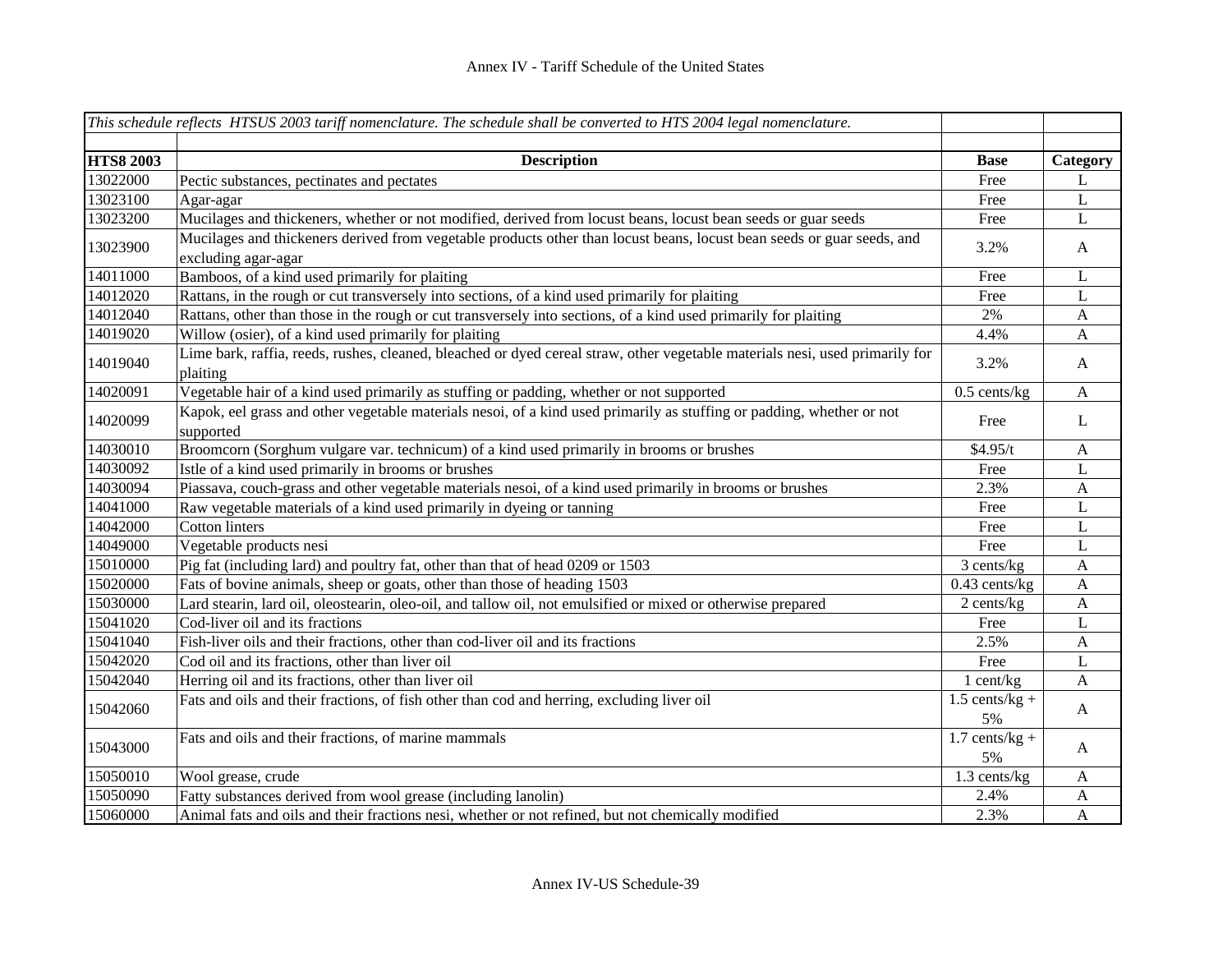|                  | This schedule reflects HTSUS 2003 tariff nomenclature. The schedule shall be converted to HTS 2004 legal nomenclature.                        |                        |              |
|------------------|-----------------------------------------------------------------------------------------------------------------------------------------------|------------------------|--------------|
|                  |                                                                                                                                               |                        |              |
| <b>HTS8 2003</b> | <b>Description</b>                                                                                                                            | <b>Base</b>            | Category     |
| 13022000         | Pectic substances, pectinates and pectates                                                                                                    | Free                   | L            |
| 13023100         | Agar-agar                                                                                                                                     | Free                   | $\mathbf L$  |
| 13023200         | Mucilages and thickeners, whether or not modified, derived from locust beans, locust bean seeds or guar seeds                                 | Free                   | L            |
| 13023900         | Mucilages and thickeners derived from vegetable products other than locust beans, locust bean seeds or guar seeds, and<br>excluding agar-agar | 3.2%                   | $\mathbf{A}$ |
| 14011000         | Bamboos, of a kind used primarily for plaiting                                                                                                | Free                   | L            |
| 14012020         | Rattans, in the rough or cut transversely into sections, of a kind used primarily for plaiting                                                | Free                   | L            |
| 14012040         | Rattans, other than those in the rough or cut transversely into sections, of a kind used primarily for plaiting                               | 2%                     | A            |
| 14019020         | Willow (osier), of a kind used primarily for plaiting                                                                                         | 4.4%                   | A            |
| 14019040         | Lime bark, raffia, reeds, rushes, cleaned, bleached or dyed cereal straw, other vegetable materials nesi, used primarily for<br>plaiting      | 3.2%                   | $\mathbf{A}$ |
| 14020091         | Vegetable hair of a kind used primarily as stuffing or padding, whether or not supported                                                      | $0.5$ cents/kg         | $\mathbf{A}$ |
| 14020099         | Kapok, eel grass and other vegetable materials nesoi, of a kind used primarily as stuffing or padding, whether or not<br>supported            | Free                   | $\mathbf L$  |
| 14030010         | Broomcorn (Sorghum vulgare var. technicum) of a kind used primarily in brooms or brushes                                                      | \$4.95/t               | A            |
| 14030092         | Istle of a kind used primarily in brooms or brushes                                                                                           | Free                   | L            |
| 14030094         | Piassava, couch-grass and other vegetable materials nesoi, of a kind used primarily in brooms or brushes                                      | 2.3%                   | $\mathbf{A}$ |
| 14041000         | Raw vegetable materials of a kind used primarily in dyeing or tanning                                                                         | Free                   | $\mathbf L$  |
| 14042000         | <b>Cotton linters</b>                                                                                                                         | Free                   | $\mathbf L$  |
| 14049000         | Vegetable products nesi                                                                                                                       | Free                   | $\mathbf L$  |
| 15010000         | Pig fat (including lard) and poultry fat, other than that of head 0209 or 1503                                                                | 3 cents/kg             | $\mathbf{A}$ |
| 15020000         | Fats of bovine animals, sheep or goats, other than those of heading 1503                                                                      | $0.43$ cents/kg        | $\mathbf{A}$ |
| 15030000         | Lard stearin, lard oil, oleostearin, oleo-oil, and tallow oil, not emulsified or mixed or otherwise prepared                                  | 2 cents/kg             | A            |
| 15041020         | Cod-liver oil and its fractions                                                                                                               | Free                   | L            |
| 15041040         | Fish-liver oils and their fractions, other than cod-liver oil and its fractions                                                               | 2.5%                   | $\mathbf{A}$ |
| 15042020         | Cod oil and its fractions, other than liver oil                                                                                               | Free                   | L            |
| 15042040         | Herring oil and its fractions, other than liver oil                                                                                           | 1 cent/kg              | A            |
| 15042060         | Fats and oils and their fractions, of fish other than cod and herring, excluding liver oil                                                    | $1.5$ cents/kg +<br>5% | $\mathbf{A}$ |
| 15043000         | Fats and oils and their fractions, of marine mammals                                                                                          | $1.7$ cents/kg +<br>5% | A            |
| 15050010         | Wool grease, crude                                                                                                                            | 1.3 cents/kg           | $\mathbf{A}$ |
| 15050090         | Fatty substances derived from wool grease (including lanolin)                                                                                 | 2.4%                   | $\mathbf{A}$ |
| 15060000         | Animal fats and oils and their fractions nesi, whether or not refined, but not chemically modified                                            | 2.3%                   | $\mathbf{A}$ |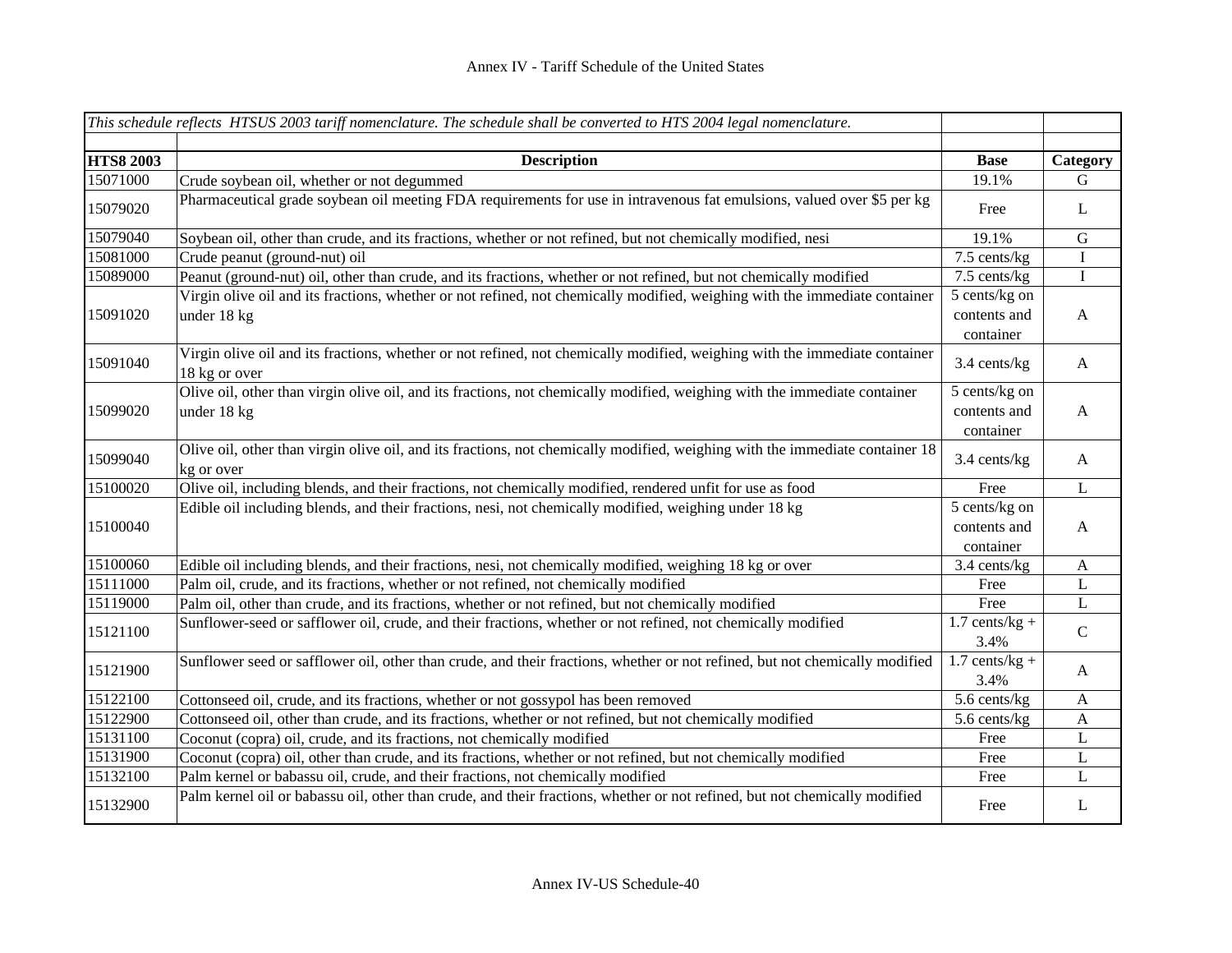|                  | This schedule reflects HTSUS 2003 tariff nomenclature. The schedule shall be converted to HTS 2004 legal nomenclature.                      |                                            |                  |
|------------------|---------------------------------------------------------------------------------------------------------------------------------------------|--------------------------------------------|------------------|
|                  |                                                                                                                                             |                                            |                  |
| <b>HTS8 2003</b> | <b>Description</b>                                                                                                                          | <b>Base</b>                                | Category         |
| 15071000         | Crude soybean oil, whether or not degummed                                                                                                  | 19.1%                                      | G                |
| 15079020         | Pharmaceutical grade soybean oil meeting FDA requirements for use in intravenous fat emulsions, valued over \$5 per kg                      | Free                                       | L                |
| 15079040         | Soybean oil, other than crude, and its fractions, whether or not refined, but not chemically modified, nesi                                 | 19.1%                                      | ${\bf G}$        |
| 15081000         | Crude peanut (ground-nut) oil                                                                                                               | 7.5 cents/kg                               | $\bf I$          |
| 15089000         | Peanut (ground-nut) oil, other than crude, and its fractions, whether or not refined, but not chemically modified                           | 7.5 cents/kg                               | $\rm I$          |
| 15091020         | Virgin olive oil and its fractions, whether or not refined, not chemically modified, weighing with the immediate container<br>under 18 kg   | 5 cents/kg on<br>contents and<br>container | A                |
| 15091040         | Virgin olive oil and its fractions, whether or not refined, not chemically modified, weighing with the immediate container<br>18 kg or over | 3.4 cents/kg                               | A                |
| 15099020         | Olive oil, other than virgin olive oil, and its fractions, not chemically modified, weighing with the immediate container<br>under 18 kg    | 5 cents/kg on<br>contents and<br>container | A                |
| 15099040         | Olive oil, other than virgin olive oil, and its fractions, not chemically modified, weighing with the immediate container 18<br>kg or over  | 3.4 cents/kg                               | $\mathbf{A}$     |
| 15100020         | Olive oil, including blends, and their fractions, not chemically modified, rendered unfit for use as food                                   | Free                                       | $\bf L$          |
| 15100040         | Edible oil including blends, and their fractions, nesi, not chemically modified, weighing under 18 kg                                       | 5 cents/kg on<br>contents and<br>container | $\boldsymbol{A}$ |
| 15100060         | Edible oil including blends, and their fractions, nesi, not chemically modified, weighing 18 kg or over                                     | 3.4 cents/kg                               | $\mathbf{A}$     |
| 15111000         | Palm oil, crude, and its fractions, whether or not refined, not chemically modified                                                         | Free                                       | L                |
| 15119000         | Palm oil, other than crude, and its fractions, whether or not refined, but not chemically modified                                          | Free                                       | L                |
| 15121100         | Sunflower-seed or safflower oil, crude, and their fractions, whether or not refined, not chemically modified                                | $1.7$ cents/kg +<br>3.4%                   | ${\bf C}$        |
| 15121900         | Sunflower seed or safflower oil, other than crude, and their fractions, whether or not refined, but not chemically modified                 | $1.7$ cents/kg +<br>3.4%                   | A                |
| 15122100         | Cottonseed oil, crude, and its fractions, whether or not gossypol has been removed                                                          | 5.6 cents/kg                               | $\mathbf{A}$     |
| 15122900         | Cottonseed oil, other than crude, and its fractions, whether or not refined, but not chemically modified                                    | 5.6 cents/kg                               | A                |
| 15131100         | Coconut (copra) oil, crude, and its fractions, not chemically modified                                                                      | Free                                       | L                |
| 15131900         | Coconut (copra) oil, other than crude, and its fractions, whether or not refined, but not chemically modified                               | Free                                       | $\mathbf L$      |
| 15132100         | Palm kernel or babassu oil, crude, and their fractions, not chemically modified                                                             | Free                                       | L                |
| 15132900         | Palm kernel oil or babassu oil, other than crude, and their fractions, whether or not refined, but not chemically modified                  | Free                                       | L                |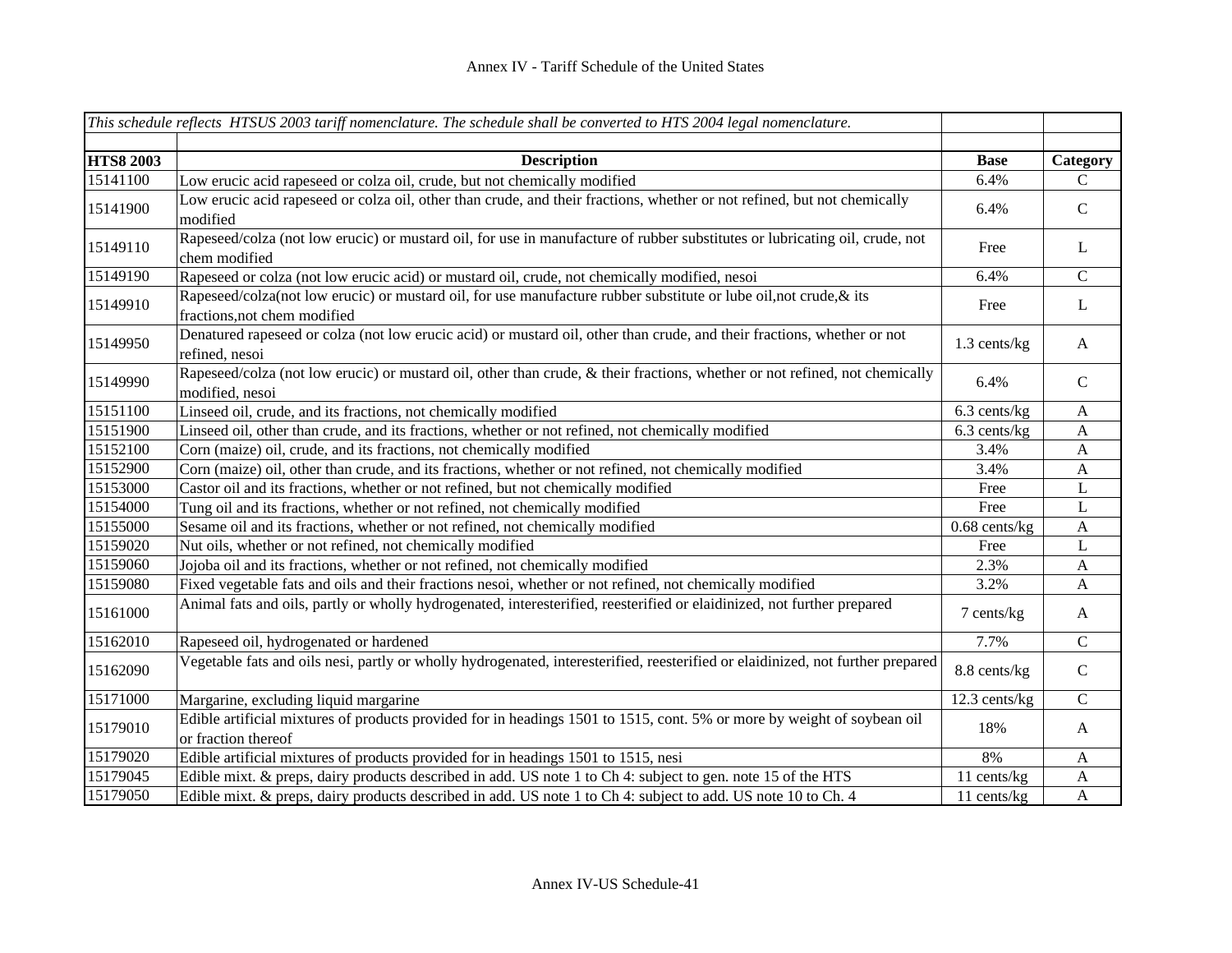|                  | This schedule reflects HTSUS 2003 tariff nomenclature. The schedule shall be converted to HTS 2004 legal nomenclature.                            |                 |                           |
|------------------|---------------------------------------------------------------------------------------------------------------------------------------------------|-----------------|---------------------------|
| <b>HTS8 2003</b> |                                                                                                                                                   |                 |                           |
|                  | <b>Description</b>                                                                                                                                | <b>Base</b>     | Category                  |
| 15141100         | Low erucic acid rapeseed or colza oil, crude, but not chemically modified                                                                         | 6.4%            | $\mathcal{C}$             |
| 15141900         | Low erucic acid rapeseed or colza oil, other than crude, and their fractions, whether or not refined, but not chemically<br>modified              | 6.4%            | $\mathbf C$               |
| 15149110         | Rapeseed/colza (not low erucic) or mustard oil, for use in manufacture of rubber substitutes or lubricating oil, crude, not<br>chem modified      | Free            | L                         |
| 15149190         | Rapeseed or colza (not low erucic acid) or mustard oil, crude, not chemically modified, nesoi                                                     | 6.4%            | $\mathcal{C}$             |
| 15149910         | Rapeseed/colza(not low erucic) or mustard oil, for use manufacture rubber substitute or lube oil,not crude, & its<br>fractions, not chem modified | Free            | $\mathbf{L}$              |
| 15149950         | Denatured rapeseed or colza (not low erucic acid) or mustard oil, other than crude, and their fractions, whether or not<br>refined, nesoi         | 1.3 cents/kg    | $\mathbf{A}$              |
| 15149990         | Rapeseed/colza (not low erucic) or mustard oil, other than crude, & their fractions, whether or not refined, not chemically<br>modified, nesoi    | 6.4%            | $\mathbf C$               |
| 15151100         | Linseed oil, crude, and its fractions, not chemically modified                                                                                    | 6.3 cents/kg    | $\mathbf{A}$              |
| 15151900         | Linseed oil, other than crude, and its fractions, whether or not refined, not chemically modified                                                 | 6.3 cents/kg    | $\mathbf{A}$              |
| 15152100         | Corn (maize) oil, crude, and its fractions, not chemically modified                                                                               | 3.4%            | $\mathbf{A}$              |
| 15152900         | Corn (maize) oil, other than crude, and its fractions, whether or not refined, not chemically modified                                            | 3.4%            | $\mathbf{A}$              |
| 15153000         | Castor oil and its fractions, whether or not refined, but not chemically modified                                                                 | Free            | L                         |
| 15154000         | Tung oil and its fractions, whether or not refined, not chemically modified                                                                       | Free            | L                         |
| 15155000         | Sesame oil and its fractions, whether or not refined, not chemically modified                                                                     | $0.68$ cents/kg | $\mathbf{A}$              |
| 15159020         | Nut oils, whether or not refined, not chemically modified                                                                                         | Free            | L                         |
| 15159060         | Jojoba oil and its fractions, whether or not refined, not chemically modified                                                                     | 2.3%            | $\mathbf{A}$              |
| 15159080         | Fixed vegetable fats and oils and their fractions nesoi, whether or not refined, not chemically modified                                          | 3.2%            | $\mathbf{A}$              |
| 15161000         | Animal fats and oils, partly or wholly hydrogenated, interesterified, reesterified or elaidinized, not further prepared                           | 7 cents/kg      | A                         |
| 15162010         | Rapeseed oil, hydrogenated or hardened                                                                                                            | 7.7%            | $\mathbf C$               |
| 15162090         | Vegetable fats and oils nesi, partly or wholly hydrogenated, interesterified, reesterified or elaidinized, not further prepared                   | 8.8 cents/kg    | $\mathbf C$               |
| 15171000         | Margarine, excluding liquid margarine                                                                                                             | 12.3 cents/kg   | $\mathsf{C}$              |
| 15179010         | Edible artificial mixtures of products provided for in headings 1501 to 1515, cont. 5% or more by weight of soybean oil<br>or fraction thereof    | 18%             | $\mathbf{A}$              |
| 15179020         | Edible artificial mixtures of products provided for in headings 1501 to 1515, nesi                                                                | 8%              | $\mathbf{A}$              |
| 15179045         | Edible mixt. & preps, dairy products described in add. US note 1 to Ch 4: subject to gen. note 15 of the HTS                                      | 11 cents/kg     | $\boldsymbol{\mathsf{A}}$ |
| 15179050         | Edible mixt. & preps, dairy products described in add. US note 1 to Ch 4: subject to add. US note 10 to Ch. 4                                     | 11 cents/kg     | $\mathbf{A}$              |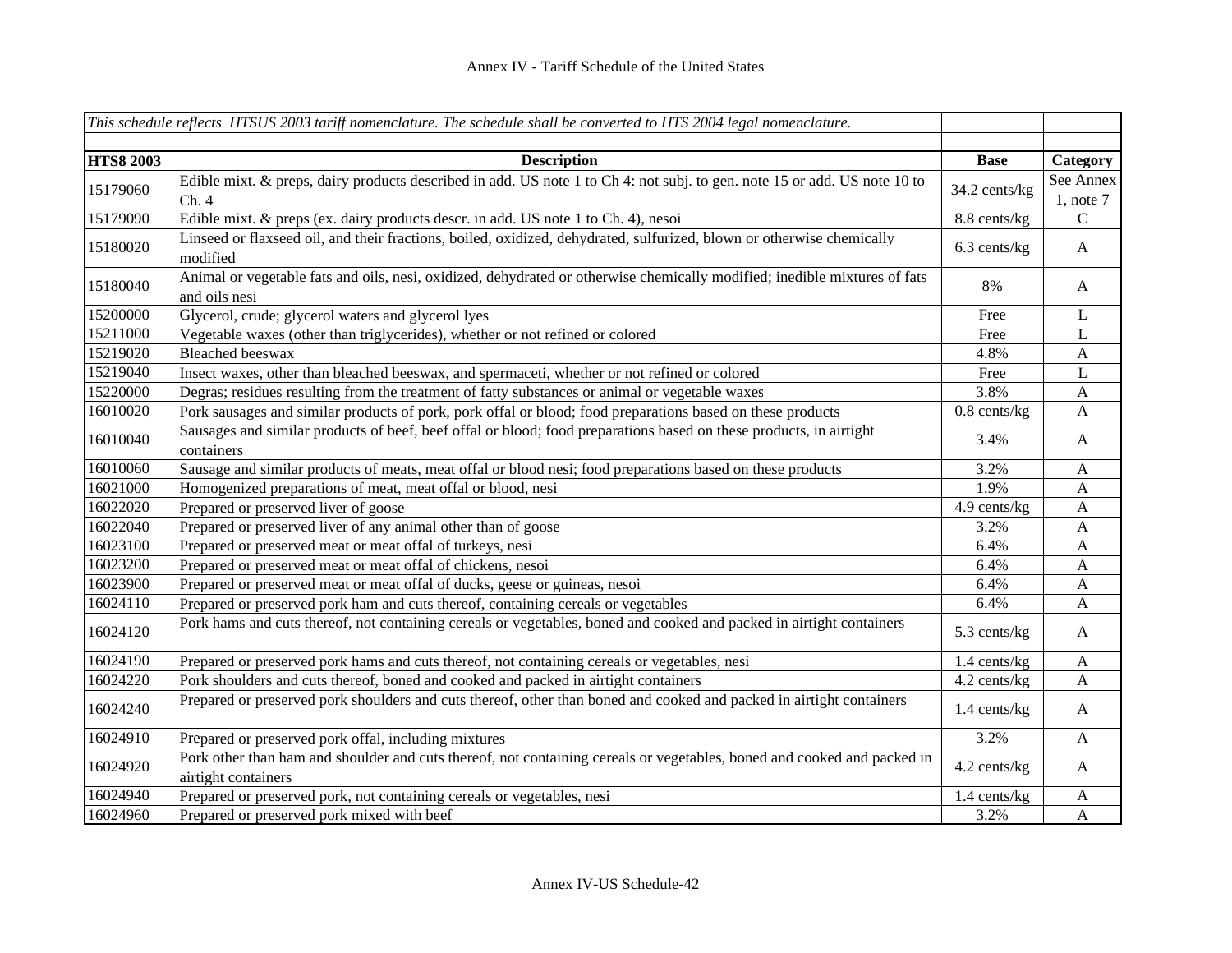|                  | This schedule reflects HTSUS 2003 tariff nomenclature. The schedule shall be converted to HTS 2004 legal nomenclature.                         |                |                             |
|------------------|------------------------------------------------------------------------------------------------------------------------------------------------|----------------|-----------------------------|
|                  |                                                                                                                                                |                |                             |
| <b>HTS8 2003</b> | <b>Description</b>                                                                                                                             | <b>Base</b>    | Category                    |
| 15179060         | Edible mixt. & preps, dairy products described in add. US note 1 to Ch 4: not subj. to gen. note 15 or add. US note 10 to<br>Ch.4              | 34.2 cents/kg  | See Annex<br>$1$ , note $7$ |
| 15179090         | Edible mixt. & preps (ex. dairy products descr. in add. US note 1 to Ch. 4), nesoi                                                             | 8.8 cents/kg   | $\mathsf{C}$                |
| 15180020         | Linseed or flaxseed oil, and their fractions, boiled, oxidized, dehydrated, sulfurized, blown or otherwise chemically<br>modified              | 6.3 cents/kg   | $\mathbf{A}$                |
| 15180040         | Animal or vegetable fats and oils, nesi, oxidized, dehydrated or otherwise chemically modified; inedible mixtures of fats<br>and oils nesi     | 8%             | $\mathbf{A}$                |
| 15200000         | Glycerol, crude; glycerol waters and glycerol lyes                                                                                             | Free           | L                           |
| 15211000         | Vegetable waxes (other than triglycerides), whether or not refined or colored                                                                  | Free           | L                           |
| 15219020         | <b>Bleached</b> beeswax                                                                                                                        | 4.8%           | A                           |
| 15219040         | Insect waxes, other than bleached beeswax, and spermaceti, whether or not refined or colored                                                   | Free           | L                           |
| 15220000         | Degras; residues resulting from the treatment of fatty substances or animal or vegetable waxes                                                 | 3.8%           | A                           |
| 16010020         | Pork sausages and similar products of pork, pork offal or blood; food preparations based on these products                                     | $0.8$ cents/kg | A                           |
| 16010040         | Sausages and similar products of beef, beef offal or blood; food preparations based on these products, in airtight<br>containers               | 3.4%           | $\mathbf{A}$                |
| 16010060         | Sausage and similar products of meats, meat offal or blood nesi; food preparations based on these products                                     | 3.2%           | A                           |
| 16021000         | Homogenized preparations of meat, meat offal or blood, nesi                                                                                    | 1.9%           | A                           |
| 16022020         | Prepared or preserved liver of goose                                                                                                           | 4.9 cents/kg   | $\mathbf{A}$                |
| 16022040         | Prepared or preserved liver of any animal other than of goose                                                                                  | 3.2%           | A                           |
| 16023100         | Prepared or preserved meat or meat offal of turkeys, nesi                                                                                      | 6.4%           | A                           |
| 16023200         | Prepared or preserved meat or meat offal of chickens, nesoi                                                                                    | 6.4%           | A                           |
| 16023900         | Prepared or preserved meat or meat offal of ducks, geese or guineas, nesoi                                                                     | 6.4%           | A                           |
| 16024110         | Prepared or preserved pork ham and cuts thereof, containing cereals or vegetables                                                              | 6.4%           | A                           |
| 16024120         | Pork hams and cuts thereof, not containing cereals or vegetables, boned and cooked and packed in airtight containers                           | 5.3 cents/kg   | $\mathbf{A}$                |
| 16024190         | Prepared or preserved pork hams and cuts thereof, not containing cereals or vegetables, nesi                                                   | 1.4 cents/kg   | $\mathbf{A}$                |
| 16024220         | Pork shoulders and cuts thereof, boned and cooked and packed in airtight containers                                                            | 4.2 cents/kg   | A                           |
| 16024240         | Prepared or preserved pork shoulders and cuts thereof, other than boned and cooked and packed in airtight containers                           | 1.4 cents/kg   | $\mathbf{A}$                |
| 16024910         | Prepared or preserved pork offal, including mixtures                                                                                           | 3.2%           | $\mathbf{A}$                |
| 16024920         | Pork other than ham and shoulder and cuts thereof, not containing cereals or vegetables, boned and cooked and packed in<br>airtight containers | 4.2 cents/kg   | $\mathbf{A}$                |
| 16024940         | Prepared or preserved pork, not containing cereals or vegetables, nesi                                                                         | 1.4 cents/kg   | $\mathbf{A}$                |
| 16024960         | Prepared or preserved pork mixed with beef                                                                                                     | 3.2%           | $\mathbf{A}$                |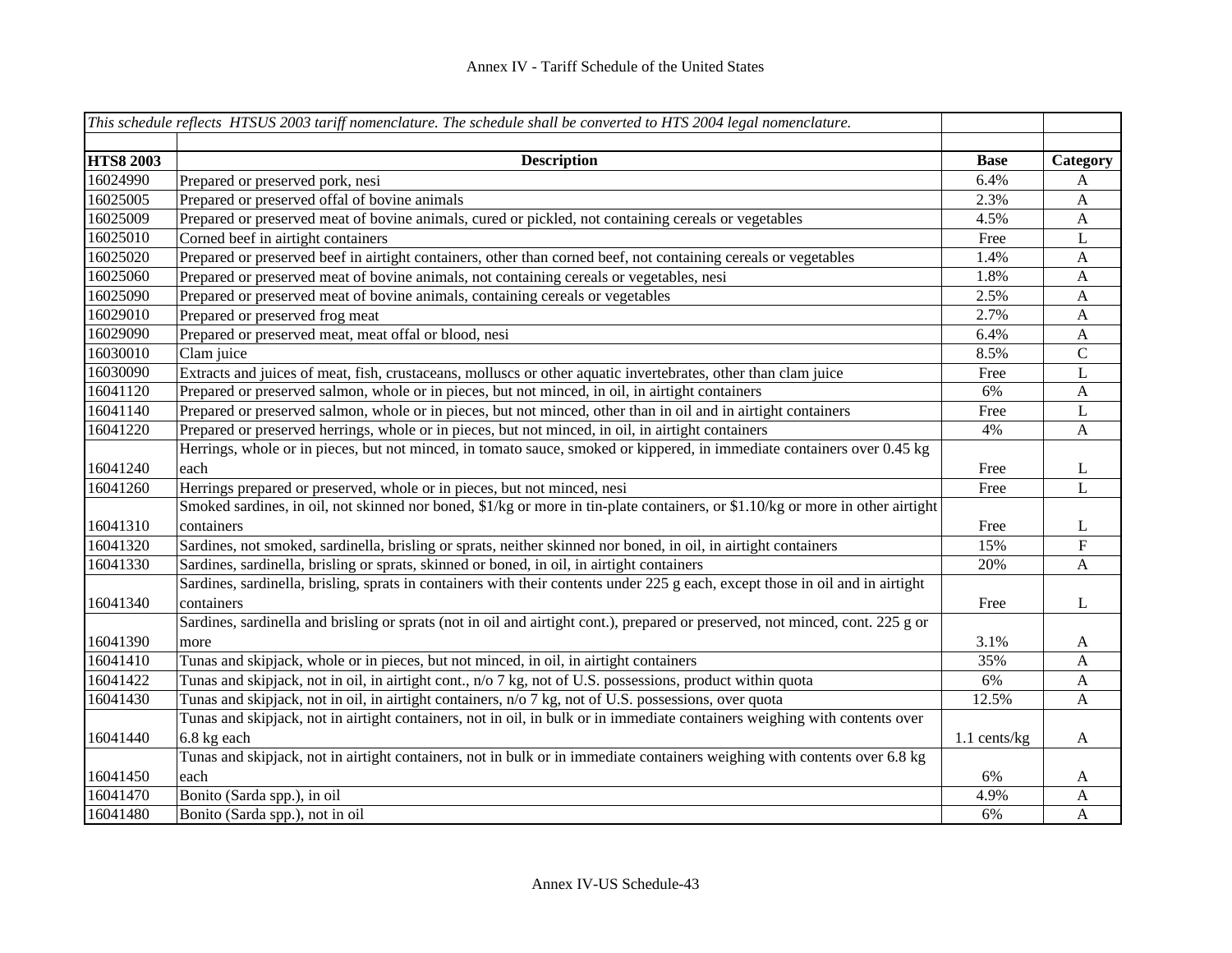|                  | This schedule reflects HTSUS 2003 tariff nomenclature. The schedule shall be converted to HTS 2004 legal nomenclature.         |                |                           |
|------------------|--------------------------------------------------------------------------------------------------------------------------------|----------------|---------------------------|
| <b>HTS8 2003</b> | <b>Description</b>                                                                                                             | <b>Base</b>    | Category                  |
| 16024990         | Prepared or preserved pork, nesi                                                                                               | 6.4%           | A                         |
| 16025005         | Prepared or preserved offal of bovine animals                                                                                  | 2.3%           | $\boldsymbol{\mathsf{A}}$ |
| 16025009         | Prepared or preserved meat of bovine animals, cured or pickled, not containing cereals or vegetables                           | 4.5%           | $\mathbf{A}$              |
| 16025010         | Corned beef in airtight containers                                                                                             | Free           | $\bf L$                   |
| 16025020         | Prepared or preserved beef in airtight containers, other than corned beef, not containing cereals or vegetables                | 1.4%           | $\boldsymbol{A}$          |
| 16025060         | Prepared or preserved meat of bovine animals, not containing cereals or vegetables, nesi                                       | 1.8%           | $\mathbf{A}$              |
| 16025090         | Prepared or preserved meat of bovine animals, containing cereals or vegetables                                                 | 2.5%           | $\boldsymbol{A}$          |
| 16029010         | Prepared or preserved frog meat                                                                                                | 2.7%           | $\mathbf{A}$              |
| 16029090         | Prepared or preserved meat, meat offal or blood, nesi                                                                          | 6.4%           | $\mathbf{A}$              |
| 16030010         | Clam juice                                                                                                                     | 8.5%           | $\mathsf{C}$              |
| 16030090         | Extracts and juices of meat, fish, crustaceans, molluscs or other aquatic invertebrates, other than clam juice                 | Free           | L                         |
| 16041120         | Prepared or preserved salmon, whole or in pieces, but not minced, in oil, in airtight containers                               | 6%             | $\mathbf{A}$              |
| 16041140         | Prepared or preserved salmon, whole or in pieces, but not minced, other than in oil and in airtight containers                 | Free           | $\mathbf{L}$              |
| 16041220         | Prepared or preserved herrings, whole or in pieces, but not minced, in oil, in airtight containers                             | 4%             | $\mathbf{A}$              |
|                  | Herrings, whole or in pieces, but not minced, in tomato sauce, smoked or kippered, in immediate containers over 0.45 kg        |                |                           |
| 16041240         | each                                                                                                                           | Free           | L                         |
| 16041260         | Herrings prepared or preserved, whole or in pieces, but not minced, nesi                                                       | Free           | $\mathbf L$               |
|                  | Smoked sardines, in oil, not skinned nor boned, \$1/kg or more in tin-plate containers, or \$1.10/kg or more in other airtight |                |                           |
| 16041310         | containers                                                                                                                     | Free           | L                         |
| 16041320         | Sardines, not smoked, sardinella, brisling or sprats, neither skinned nor boned, in oil, in airtight containers                | 15%            | ${\bf F}$                 |
| 16041330         | Sardines, sardinella, brisling or sprats, skinned or boned, in oil, in airtight containers                                     | 20%            | $\mathbf{A}$              |
|                  | Sardines, sardinella, brisling, sprats in containers with their contents under 225 g each, except those in oil and in airtight |                |                           |
| 16041340         | containers                                                                                                                     | Free           | L                         |
|                  | Sardines, sardinella and brisling or sprats (not in oil and airtight cont.), prepared or preserved, not minced, cont. 225 g or |                |                           |
| 16041390         | more                                                                                                                           | 3.1%           | $\mathbf{A}$              |
| 16041410         | Tunas and skipjack, whole or in pieces, but not minced, in oil, in airtight containers                                         | 35%            | $\mathbf{A}$              |
| 16041422         | Tunas and skipjack, not in oil, in airtight cont., n/o 7 kg, not of U.S. possessions, product within quota                     | 6%             | A                         |
| 16041430         | Tunas and skipjack, not in oil, in airtight containers, n/o 7 kg, not of U.S. possessions, over quota                          | 12.5%          | A                         |
|                  | Tunas and skipjack, not in airtight containers, not in oil, in bulk or in immediate containers weighing with contents over     |                |                           |
| 16041440         | 6.8 kg each                                                                                                                    | $1.1$ cents/kg | $\mathbf{A}$              |
|                  | Tunas and skipjack, not in airtight containers, not in bulk or in immediate containers weighing with contents over 6.8 kg      |                |                           |
| 16041450         | each                                                                                                                           | 6%             | A                         |
| 16041470         | Bonito (Sarda spp.), in oil                                                                                                    | 4.9%           | A                         |
| 16041480         | Bonito (Sarda spp.), not in oil                                                                                                | 6%             | A                         |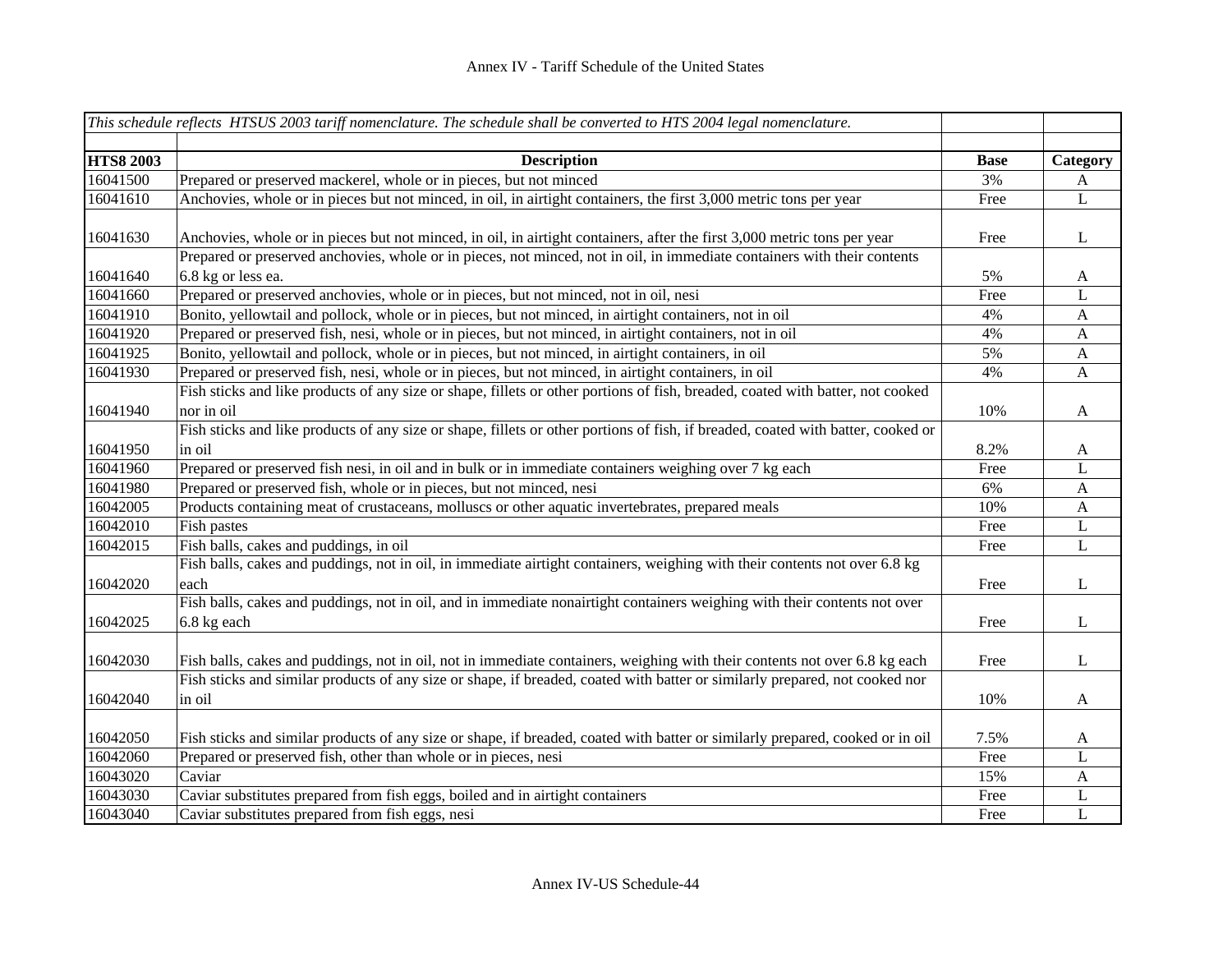|                  | This schedule reflects HTSUS 2003 tariff nomenclature. The schedule shall be converted to HTS 2004 legal nomenclature.                                                                                                                               |             |              |
|------------------|------------------------------------------------------------------------------------------------------------------------------------------------------------------------------------------------------------------------------------------------------|-------------|--------------|
|                  |                                                                                                                                                                                                                                                      |             |              |
| <b>HTS8 2003</b> | <b>Description</b>                                                                                                                                                                                                                                   | <b>Base</b> | Category     |
| 16041500         | Prepared or preserved mackerel, whole or in pieces, but not minced                                                                                                                                                                                   | 3%          | A            |
| 16041610         | Anchovies, whole or in pieces but not minced, in oil, in airtight containers, the first 3,000 metric tons per year                                                                                                                                   | Free        | L            |
| 16041630         | Anchovies, whole or in pieces but not minced, in oil, in airtight containers, after the first 3,000 metric tons per year<br>Prepared or preserved anchovies, whole or in pieces, not minced, not in oil, in immediate containers with their contents | Free        | L            |
| 16041640         | 6.8 kg or less ea.                                                                                                                                                                                                                                   | 5%          | $\mathbf{A}$ |
| 16041660         | Prepared or preserved anchovies, whole or in pieces, but not minced, not in oil, nesi                                                                                                                                                                | Free        | L            |
| 16041910         | Bonito, yellowtail and pollock, whole or in pieces, but not minced, in airtight containers, not in oil                                                                                                                                               | 4%          | $\mathbf{A}$ |
| 16041920         | Prepared or preserved fish, nesi, whole or in pieces, but not minced, in airtight containers, not in oil                                                                                                                                             | 4%          | $\mathbf{A}$ |
| 16041925         | Bonito, yellowtail and pollock, whole or in pieces, but not minced, in airtight containers, in oil                                                                                                                                                   | 5%          | A            |
| 16041930         | Prepared or preserved fish, nesi, whole or in pieces, but not minced, in airtight containers, in oil                                                                                                                                                 | 4%          | A            |
| 16041940         | Fish sticks and like products of any size or shape, fillets or other portions of fish, breaded, coated with batter, not cooked<br>nor in oil                                                                                                         | 10%         | $\mathbf{A}$ |
| 16041950         | Fish sticks and like products of any size or shape, fillets or other portions of fish, if breaded, coated with batter, cooked or<br>in oil                                                                                                           | 8.2%        | $\mathbf{A}$ |
| 16041960         | Prepared or preserved fish nesi, in oil and in bulk or in immediate containers weighing over 7 kg each                                                                                                                                               | Free        | L            |
| 16041980         | Prepared or preserved fish, whole or in pieces, but not minced, nesi                                                                                                                                                                                 | 6%          | $\mathbf{A}$ |
| 16042005         | Products containing meat of crustaceans, molluscs or other aquatic invertebrates, prepared meals                                                                                                                                                     | 10%         | $\mathbf{A}$ |
| 16042010         | Fish pastes                                                                                                                                                                                                                                          | Free        | L            |
| 16042015         | Fish balls, cakes and puddings, in oil                                                                                                                                                                                                               | Free        | $\mathbf L$  |
| 16042020         | Fish balls, cakes and puddings, not in oil, in immediate airtight containers, weighing with their contents not over 6.8 kg<br>each                                                                                                                   | Free        | L            |
| 16042025         | Fish balls, cakes and puddings, not in oil, and in immediate nonairtight containers weighing with their contents not over<br>6.8 kg each                                                                                                             | Free        | $\bf L$      |
| 16042030         | Fish balls, cakes and puddings, not in oil, not in immediate containers, weighing with their contents not over 6.8 kg each                                                                                                                           | Free        | L            |
| 16042040         | Fish sticks and similar products of any size or shape, if breaded, coated with batter or similarly prepared, not cooked nor<br>in oil                                                                                                                | 10%         | $\mathbf{A}$ |
| 16042050         | Fish sticks and similar products of any size or shape, if breaded, coated with batter or similarly prepared, cooked or in oil                                                                                                                        | 7.5%        | A            |
| 16042060         | Prepared or preserved fish, other than whole or in pieces, nesi                                                                                                                                                                                      | Free        | L            |
| 16043020         | Caviar                                                                                                                                                                                                                                               | 15%         | $\mathbf{A}$ |
| 16043030         | Caviar substitutes prepared from fish eggs, boiled and in airtight containers                                                                                                                                                                        | Free        | L            |
| 16043040         | Caviar substitutes prepared from fish eggs, nesi                                                                                                                                                                                                     | Free        | $\mathbf L$  |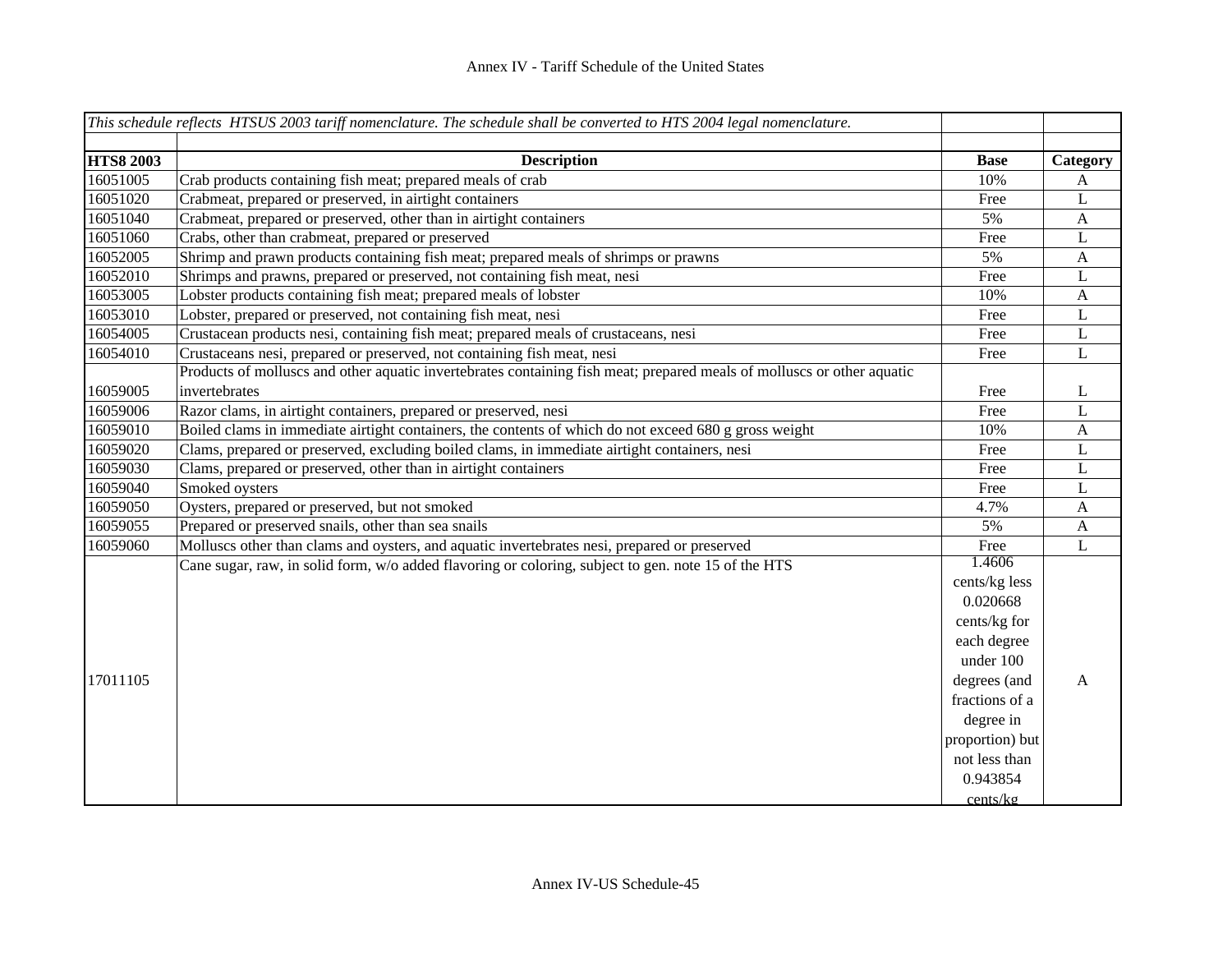|                  | This schedule reflects HTSUS 2003 tariff nomenclature. The schedule shall be converted to HTS 2004 legal nomenclature. |                 |              |
|------------------|------------------------------------------------------------------------------------------------------------------------|-----------------|--------------|
|                  |                                                                                                                        |                 |              |
| <b>HTS8 2003</b> | <b>Description</b>                                                                                                     | <b>Base</b>     | Category     |
| 16051005         | Crab products containing fish meat; prepared meals of crab                                                             | 10%             | A            |
| 16051020         | Crabmeat, prepared or preserved, in airtight containers                                                                | Free            | $\mathbf{L}$ |
| 16051040         | Crabmeat, prepared or preserved, other than in airtight containers                                                     | 5%              | $\mathbf{A}$ |
| 16051060         | Crabs, other than crabmeat, prepared or preserved                                                                      | Free            | L            |
| 16052005         | Shrimp and prawn products containing fish meat; prepared meals of shrimps or prawns                                    | 5%              | $\mathbf{A}$ |
| 16052010         | Shrimps and prawns, prepared or preserved, not containing fish meat, nesi                                              | Free            | L            |
| 16053005         | Lobster products containing fish meat; prepared meals of lobster                                                       | 10%             | $\mathbf{A}$ |
| 16053010         | Lobster, prepared or preserved, not containing fish meat, nesi                                                         | Free            | L            |
| 16054005         | Crustacean products nesi, containing fish meat; prepared meals of crustaceans, nesi                                    | Free            | $\mathbf L$  |
| 16054010         | Crustaceans nesi, prepared or preserved, not containing fish meat, nesi                                                | Free            | L            |
|                  | Products of molluscs and other aquatic invertebrates containing fish meat; prepared meals of molluscs or other aquatic |                 |              |
| 16059005         | invertebrates                                                                                                          | Free            | L            |
| 16059006         | Razor clams, in airtight containers, prepared or preserved, nesi                                                       | Free            | L            |
| 16059010         | Boiled clams in immediate airtight containers, the contents of which do not exceed 680 g gross weight                  | 10%             | $\mathbf{A}$ |
| 16059020         | Clams, prepared or preserved, excluding boiled clams, in immediate airtight containers, nesi                           | Free            | $\mathbf{L}$ |
| 16059030         | Clams, prepared or preserved, other than in airtight containers                                                        | Free            | L            |
| 16059040         | Smoked oysters                                                                                                         | Free            | L            |
| 16059050         | Oysters, prepared or preserved, but not smoked                                                                         | 4.7%            | $\mathbf{A}$ |
| 16059055         | Prepared or preserved snails, other than sea snails                                                                    | 5%              | $\mathbf{A}$ |
| 16059060         | Molluscs other than clams and oysters, and aquatic invertebrates nesi, prepared or preserved                           | Free            | L            |
|                  | Cane sugar, raw, in solid form, w/o added flavoring or coloring, subject to gen. note 15 of the HTS                    | 1.4606          |              |
|                  |                                                                                                                        | cents/kg less   |              |
|                  |                                                                                                                        | 0.020668        |              |
|                  |                                                                                                                        | cents/kg for    |              |
|                  |                                                                                                                        | each degree     |              |
|                  |                                                                                                                        | under 100       |              |
| 17011105         |                                                                                                                        | degrees (and    | A            |
|                  |                                                                                                                        | fractions of a  |              |
|                  |                                                                                                                        | degree in       |              |
|                  |                                                                                                                        | proportion) but |              |
|                  |                                                                                                                        | not less than   |              |
|                  |                                                                                                                        | 0.943854        |              |
|                  |                                                                                                                        | cents/kg        |              |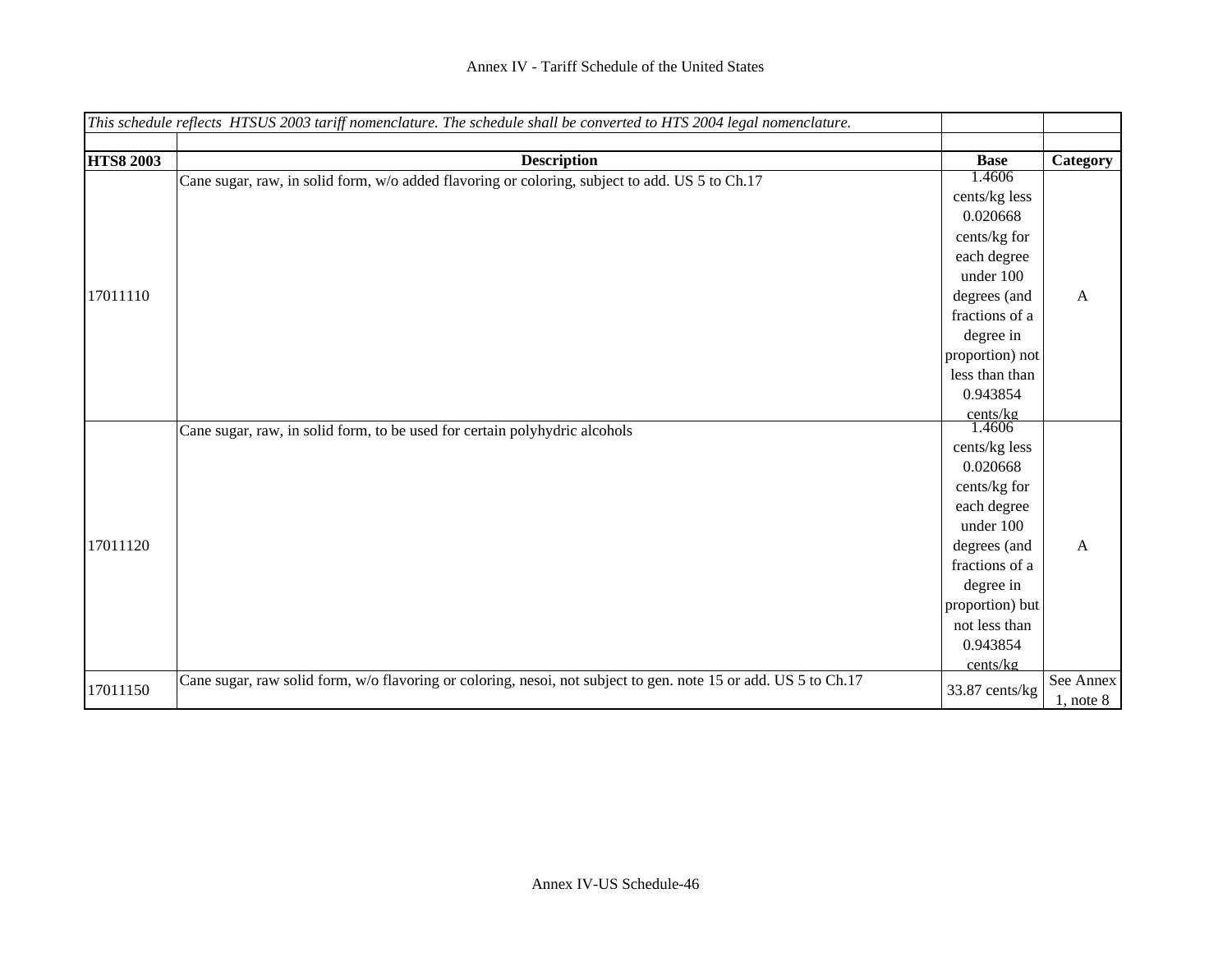|                  | This schedule reflects HTSUS 2003 tariff nomenclature. The schedule shall be converted to HTS 2004 legal nomenclature. |                                |               |
|------------------|------------------------------------------------------------------------------------------------------------------------|--------------------------------|---------------|
|                  |                                                                                                                        |                                |               |
| <b>HTS8 2003</b> | <b>Description</b>                                                                                                     | <b>Base</b>                    | Category      |
|                  | Cane sugar, raw, in solid form, w/o added flavoring or coloring, subject to add. US 5 to Ch.17                         | 1.4606                         |               |
|                  |                                                                                                                        | cents/kg less                  |               |
|                  |                                                                                                                        | 0.020668                       |               |
|                  |                                                                                                                        | cents/kg for                   |               |
|                  |                                                                                                                        | each degree                    |               |
|                  |                                                                                                                        | under 100                      |               |
| 17011110         |                                                                                                                        | degrees (and                   | A             |
|                  |                                                                                                                        | fractions of a                 |               |
|                  |                                                                                                                        | degree in                      |               |
|                  |                                                                                                                        | proportion) not                |               |
|                  |                                                                                                                        | less than than                 |               |
|                  |                                                                                                                        | 0.943854                       |               |
|                  |                                                                                                                        | $rac{\text{cents/kg}}{1.4606}$ |               |
|                  | Cane sugar, raw, in solid form, to be used for certain polyhydric alcohols                                             |                                |               |
|                  |                                                                                                                        | cents/kg less                  |               |
|                  |                                                                                                                        | 0.020668                       |               |
|                  |                                                                                                                        | cents/kg for                   |               |
|                  |                                                                                                                        | each degree                    |               |
|                  |                                                                                                                        | under 100                      |               |
| 17011120         |                                                                                                                        | degrees (and                   | A             |
|                  |                                                                                                                        | fractions of a                 |               |
|                  |                                                                                                                        | degree in                      |               |
|                  |                                                                                                                        | proportion) but                |               |
|                  |                                                                                                                        | not less than                  |               |
|                  |                                                                                                                        | 0.943854                       |               |
|                  |                                                                                                                        | cents/kg                       |               |
| 17011150         | Cane sugar, raw solid form, w/o flavoring or coloring, nesoi, not subject to gen. note 15 or add. US 5 to Ch.17        | 33.87 cents/kg                 | See Annex     |
|                  |                                                                                                                        |                                | $1,$ note $8$ |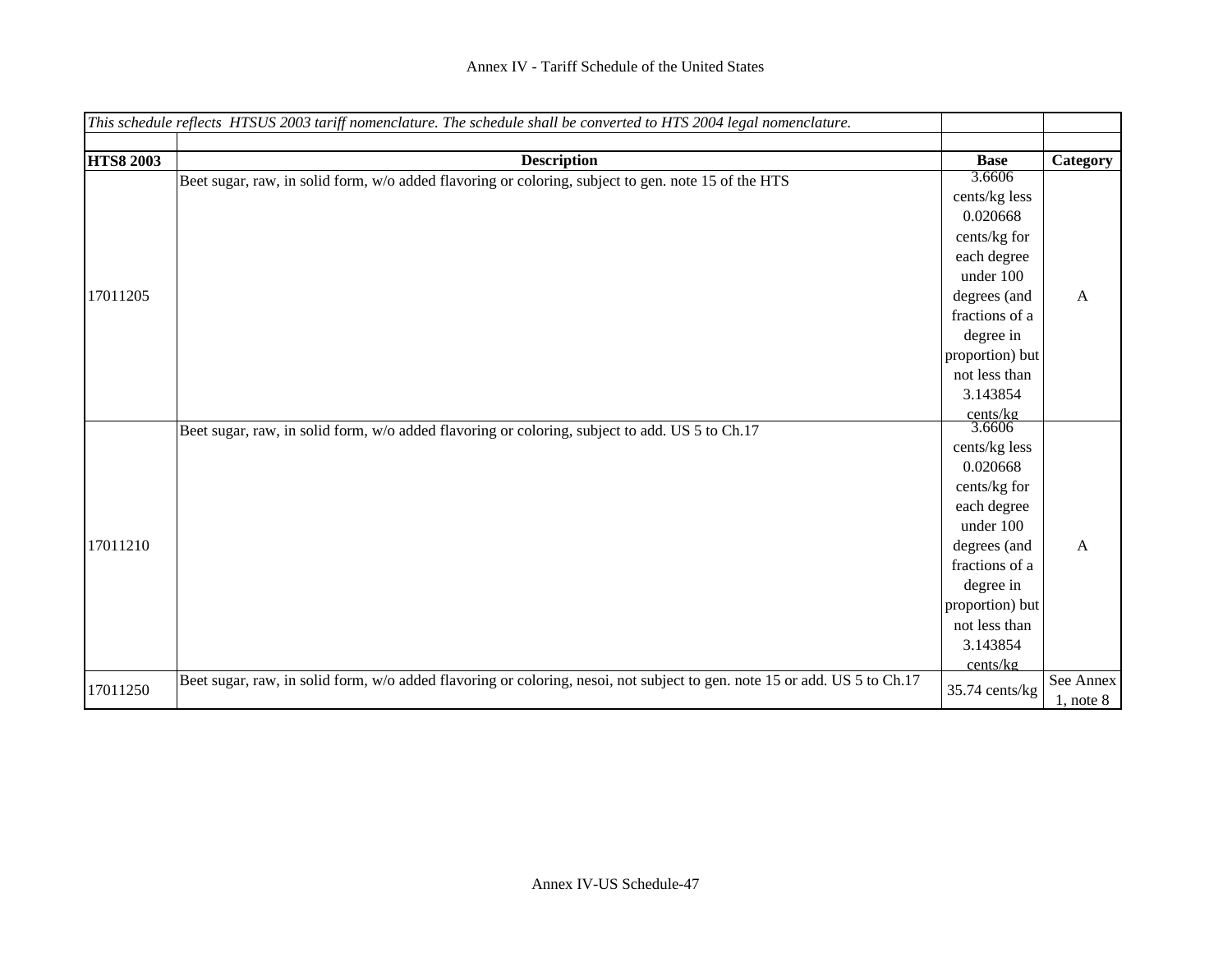|                  | This schedule reflects HTSUS 2003 tariff nomenclature. The schedule shall be converted to HTS 2004 legal nomenclature.    |                                |               |
|------------------|---------------------------------------------------------------------------------------------------------------------------|--------------------------------|---------------|
|                  |                                                                                                                           |                                |               |
| <b>HTS8 2003</b> | <b>Description</b>                                                                                                        | <b>Base</b>                    | Category      |
|                  | Beet sugar, raw, in solid form, w/o added flavoring or coloring, subject to gen. note 15 of the HTS                       | 3.6606                         |               |
|                  |                                                                                                                           | cents/kg less                  |               |
|                  |                                                                                                                           | 0.020668                       |               |
|                  |                                                                                                                           | cents/kg for                   |               |
|                  |                                                                                                                           | each degree                    |               |
|                  |                                                                                                                           | under 100                      |               |
| 17011205         |                                                                                                                           | degrees (and                   | A             |
|                  |                                                                                                                           | fractions of a                 |               |
|                  |                                                                                                                           | degree in                      |               |
|                  |                                                                                                                           | proportion) but                |               |
|                  |                                                                                                                           | not less than                  |               |
|                  |                                                                                                                           | 3.143854                       |               |
|                  |                                                                                                                           | $rac{\text{cents/kg}}{3.6606}$ |               |
|                  | Beet sugar, raw, in solid form, w/o added flavoring or coloring, subject to add. US 5 to Ch.17                            |                                |               |
|                  |                                                                                                                           | cents/kg less                  |               |
|                  |                                                                                                                           | 0.020668                       |               |
|                  |                                                                                                                           | cents/kg for                   |               |
|                  |                                                                                                                           | each degree                    |               |
|                  |                                                                                                                           | under 100                      |               |
| 17011210         |                                                                                                                           | degrees (and                   | A             |
|                  |                                                                                                                           | fractions of a                 |               |
|                  |                                                                                                                           | degree in                      |               |
|                  |                                                                                                                           | proportion) but                |               |
|                  |                                                                                                                           | not less than                  |               |
|                  |                                                                                                                           | 3.143854                       |               |
|                  |                                                                                                                           | cents/kg                       |               |
| 17011250         | Beet sugar, raw, in solid form, w/o added flavoring or coloring, nesoi, not subject to gen. note 15 or add. US 5 to Ch.17 | 35.74 cents/kg                 | See Annex     |
|                  |                                                                                                                           |                                | $1,$ note $8$ |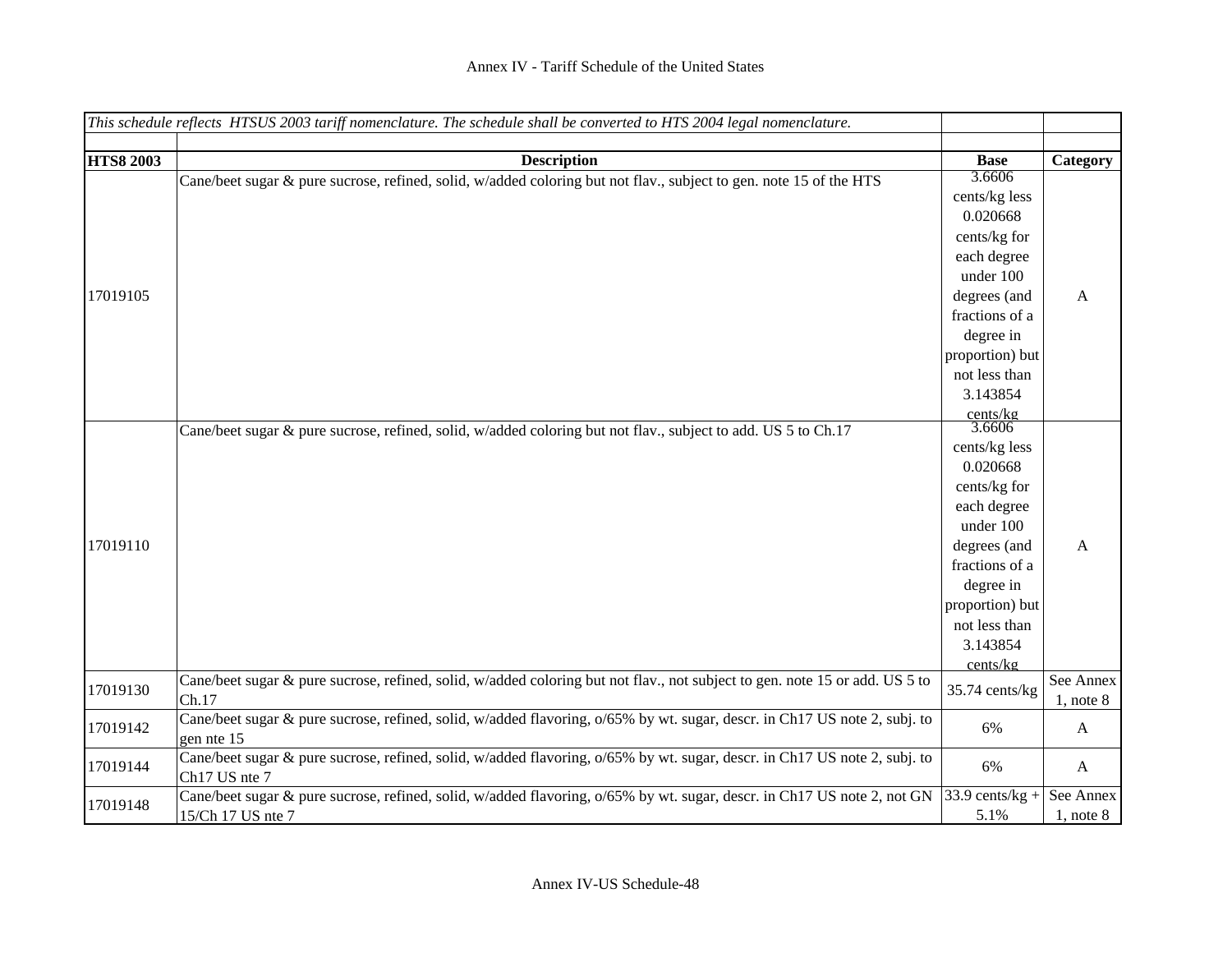|                  | This schedule reflects HTSUS 2003 tariff nomenclature. The schedule shall be converted to HTS 2004 legal nomenclature.      |                   |                |
|------------------|-----------------------------------------------------------------------------------------------------------------------------|-------------------|----------------|
|                  |                                                                                                                             |                   |                |
| <b>HTS8 2003</b> | <b>Description</b>                                                                                                          | <b>Base</b>       | Category       |
|                  | Cane/beet sugar & pure sucrose, refined, solid, w/added coloring but not flav., subject to gen. note 15 of the HTS          | 3.6606            |                |
|                  |                                                                                                                             | cents/kg less     |                |
|                  |                                                                                                                             | 0.020668          |                |
|                  |                                                                                                                             | cents/kg for      |                |
|                  |                                                                                                                             | each degree       |                |
|                  |                                                                                                                             | under 100         |                |
| 17019105         |                                                                                                                             | degrees (and      | A              |
|                  |                                                                                                                             | fractions of a    |                |
|                  |                                                                                                                             | degree in         |                |
|                  |                                                                                                                             | proportion) but   |                |
|                  |                                                                                                                             | not less than     |                |
|                  |                                                                                                                             | 3.143854          |                |
|                  |                                                                                                                             | cents/kg          |                |
|                  | Cane/beet sugar & pure sucrose, refined, solid, w/added coloring but not flav., subject to add. US 5 to Ch.17               | 3.6606            |                |
|                  |                                                                                                                             | cents/kg less     |                |
|                  |                                                                                                                             | 0.020668          |                |
|                  |                                                                                                                             | cents/kg for      |                |
|                  |                                                                                                                             | each degree       |                |
|                  |                                                                                                                             | under 100         |                |
| 17019110         |                                                                                                                             | degrees (and      | A              |
|                  |                                                                                                                             | fractions of a    |                |
|                  |                                                                                                                             | degree in         |                |
|                  |                                                                                                                             | proportion) but   |                |
|                  |                                                                                                                             | not less than     |                |
|                  |                                                                                                                             | 3.143854          |                |
|                  |                                                                                                                             | cents/kg          |                |
| 17019130         | Cane/beet sugar & pure sucrose, refined, solid, w/added coloring but not flav., not subject to gen. note 15 or add. US 5 to | $35.74$ cents/kg  | See Annex      |
|                  | Ch.17                                                                                                                       |                   | $1$ , note $8$ |
| 17019142         | Cane/beet sugar & pure sucrose, refined, solid, w/added flavoring, o/65% by wt. sugar, descr. in Ch17 US note 2, subj. to   | 6%                | A              |
|                  | gen nte 15                                                                                                                  |                   |                |
| 17019144         | Cane/beet sugar & pure sucrose, refined, solid, w/added flavoring, o/65% by wt. sugar, descr. in Ch17 US note 2, subj. to   | 6%                | $\mathbf{A}$   |
|                  | Ch17 US nte 7                                                                                                               |                   |                |
| 17019148         | Cane/beet sugar & pure sucrose, refined, solid, w/added flavoring, o/65% by wt. sugar, descr. in Ch17 US note 2, not GN     | $33.9$ cents/kg + | See Annex      |
|                  | 15/Ch 17 US nte 7                                                                                                           | 5.1%              | $1$ , note $8$ |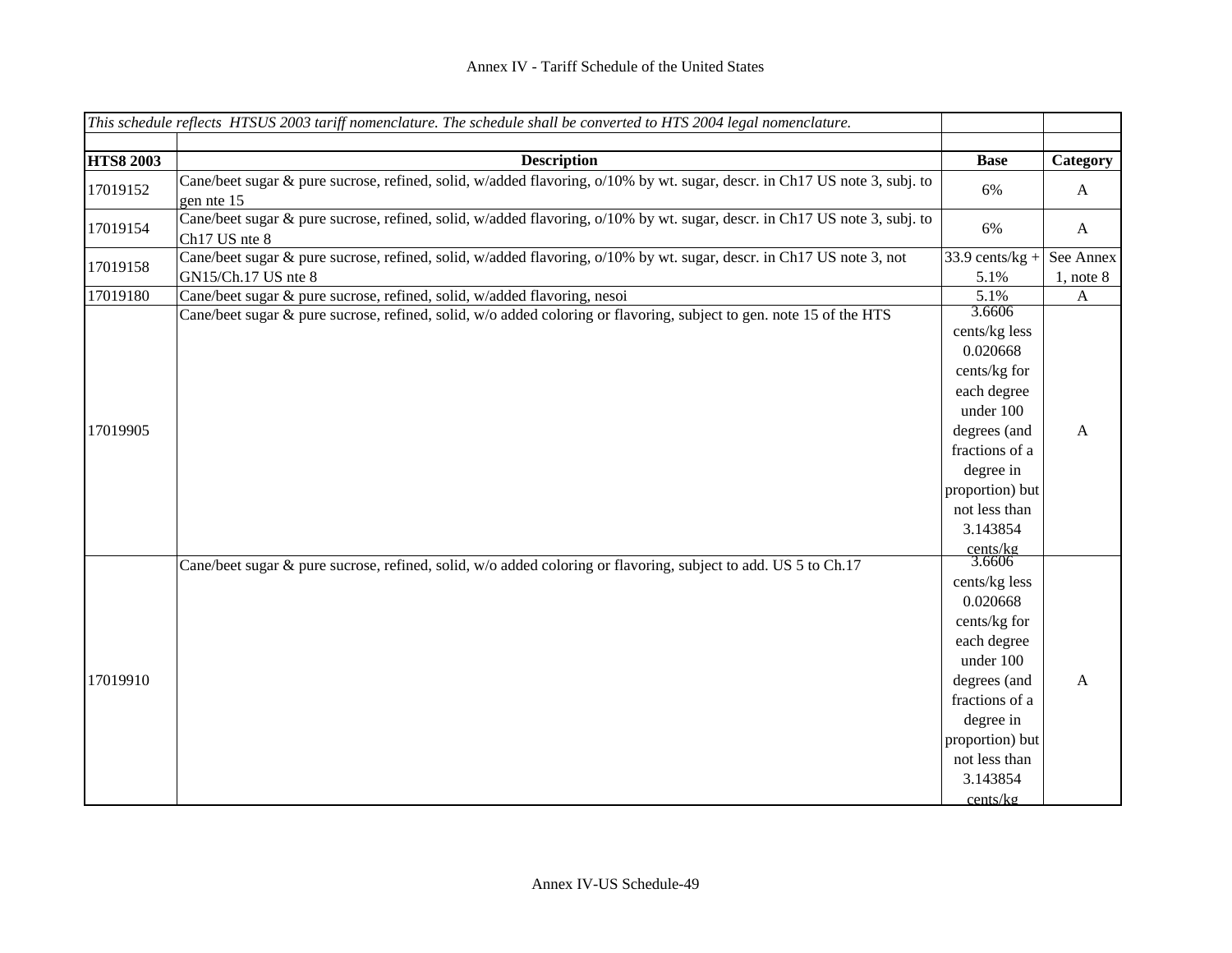|                  | This schedule reflects HTSUS 2003 tariff nomenclature. The schedule shall be converted to HTS 2004 legal nomenclature.                     |                                                                                                                                                                                                                    |                |
|------------------|--------------------------------------------------------------------------------------------------------------------------------------------|--------------------------------------------------------------------------------------------------------------------------------------------------------------------------------------------------------------------|----------------|
|                  |                                                                                                                                            |                                                                                                                                                                                                                    |                |
| <b>HTS8 2003</b> | <b>Description</b>                                                                                                                         | <b>Base</b>                                                                                                                                                                                                        | Category       |
| 17019152         | Cane/beet sugar & pure sucrose, refined, solid, w/added flavoring, o/10% by wt. sugar, descr. in Ch17 US note 3, subj. to<br>gen nte 15    | 6%                                                                                                                                                                                                                 | $\mathbf{A}$   |
| 17019154         | Cane/beet sugar & pure sucrose, refined, solid, w/added flavoring, o/10% by wt. sugar, descr. in Ch17 US note 3, subj. to<br>Ch17 US nte 8 | 6%                                                                                                                                                                                                                 | $\mathbf{A}$   |
| 17019158         | Cane/beet sugar & pure sucrose, refined, solid, w/added flavoring, o/10% by wt. sugar, descr. in Ch17 US note 3, not                       | $33.9$ cents/kg +                                                                                                                                                                                                  | See Annex      |
|                  | GN15/Ch.17 US nte 8                                                                                                                        | 5.1%                                                                                                                                                                                                               | $1$ , note $8$ |
| 17019180         | Cane/beet sugar & pure sucrose, refined, solid, w/added flavoring, nesoi                                                                   | 5.1%                                                                                                                                                                                                               | $\mathbf{A}$   |
| 17019905         | Cane/beet sugar & pure sucrose, refined, solid, w/o added coloring or flavoring, subject to gen. note 15 of the HTS                        | 3.6606<br>cents/kg less<br>0.020668<br>cents/kg for<br>each degree<br>under 100<br>degrees (and<br>fractions of a<br>degree in<br>proportion) but<br>not less than<br>3.143854                                     | A              |
| 17019910         | Cane/beet sugar & pure sucrose, refined, solid, w/o added coloring or flavoring, subject to add. US 5 to Ch.17                             | $rac{\text{cents/kg}}{3.6606}$<br>cents/kg less<br>0.020668<br>cents/kg for<br>each degree<br>under 100<br>degrees (and<br>fractions of a<br>degree in<br>proportion) but<br>not less than<br>3.143854<br>cents/kg | $\mathbf{A}$   |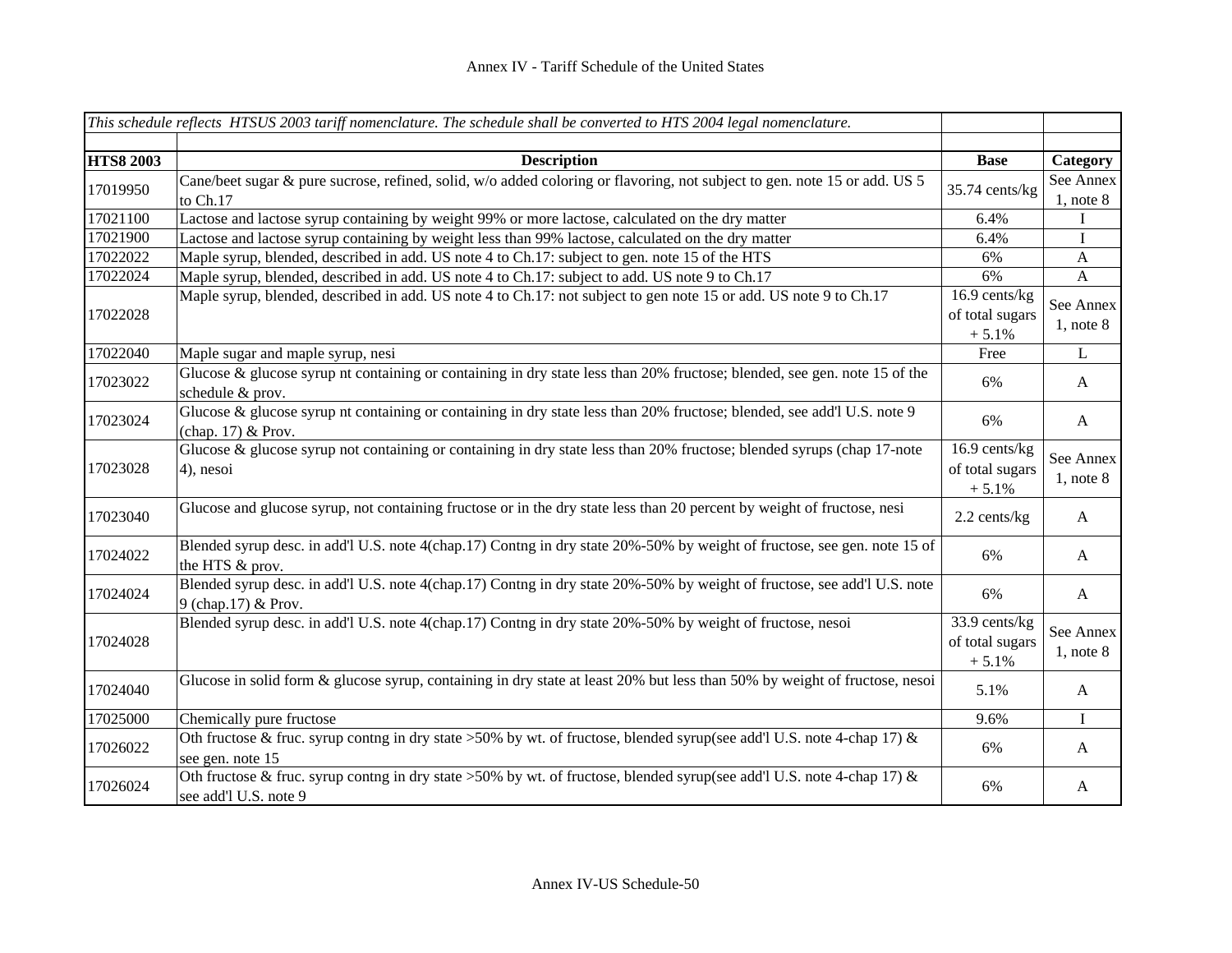|                  | This schedule reflects HTSUS 2003 tariff nomenclature. The schedule shall be converted to HTS 2004 legal nomenclature.                              |                                              |                             |
|------------------|-----------------------------------------------------------------------------------------------------------------------------------------------------|----------------------------------------------|-----------------------------|
|                  |                                                                                                                                                     |                                              |                             |
| <b>HTS8 2003</b> | <b>Description</b>                                                                                                                                  | <b>Base</b>                                  | Category                    |
| 17019950         | Cane/beet sugar & pure sucrose, refined, solid, w/o added coloring or flavoring, not subject to gen. note 15 or add. US 5<br>to Ch.17               | 35.74 cents/kg                               | See Annex<br>$1$ , note $8$ |
| 17021100         | Lactose and lactose syrup containing by weight 99% or more lactose, calculated on the dry matter                                                    | 6.4%                                         | Ι                           |
| 17021900         | Lactose and lactose syrup containing by weight less than 99% lactose, calculated on the dry matter                                                  | 6.4%                                         | $\mathbf I$                 |
| 17022022         | Maple syrup, blended, described in add. US note 4 to Ch.17: subject to gen. note 15 of the HTS                                                      | 6%                                           | $\mathbf{A}$                |
| 17022024         | Maple syrup, blended, described in add. US note 4 to Ch.17: subject to add. US note 9 to Ch.17                                                      | 6%                                           | $\mathbf{A}$                |
| 17022028         | Maple syrup, blended, described in add. US note 4 to Ch.17: not subject to gen note 15 or add. US note 9 to Ch.17                                   | 16.9 cents/kg<br>of total sugars<br>$+5.1%$  | See Annex<br>$1,$ note $8$  |
| 17022040         | Maple sugar and maple syrup, nesi                                                                                                                   | Free                                         | $\mathbf{L}$                |
| 17023022         | Glucose & glucose syrup nt containing or containing in dry state less than 20% fructose; blended, see gen. note 15 of the<br>schedule & prov.       | 6%                                           | A                           |
| 17023024         | Glucose & glucose syrup nt containing or containing in dry state less than 20% fructose; blended, see add'l U.S. note 9<br>(chap. 17) & Prov.       | 6%                                           | $\mathbf{A}$                |
| 17023028         | Glucose & glucose syrup not containing or containing in dry state less than 20% fructose; blended syrups (chap 17-note<br>4), nesoi                 | 16.9 cents/kg<br>of total sugars<br>$+ 5.1%$ | See Annex<br>$1,$ note $8$  |
| 17023040         | Glucose and glucose syrup, not containing fructose or in the dry state less than 20 percent by weight of fructose, nesi                             | 2.2 cents/kg                                 | $\mathbf{A}$                |
| 17024022         | Blended syrup desc. in add'l U.S. note 4(chap.17) Contng in dry state 20%-50% by weight of fructose, see gen. note 15 of<br>the HTS & prov.         | 6%                                           | A                           |
| 17024024         | Blended syrup desc. in add'l U.S. note 4(chap.17) Contng in dry state 20%-50% by weight of fructose, see add'l U.S. note<br>9 (chap.17) & Prov.     | 6%                                           | $\mathbf{A}$                |
| 17024028         | Blended syrup desc. in add'l U.S. note 4(chap.17) Contng in dry state 20%-50% by weight of fructose, nesoi                                          | 33.9 cents/kg<br>of total sugars<br>$+5.1%$  | See Annex<br>$1$ , note $8$ |
| 17024040         | Glucose in solid form & glucose syrup, containing in dry state at least 20% but less than 50% by weight of fructose, nesoi                          | 5.1%                                         | $\mathbf{A}$                |
| 17025000         | Chemically pure fructose                                                                                                                            | 9.6%                                         | $\mathbf I$                 |
| 17026022         | Oth fructose & fruc. syrup conting in dry state >50% by wt. of fructose, blended syrup(see add'l U.S. note 4-chap 17) &<br>see gen. note 15         | 6%                                           | A                           |
| 17026024         | Oth fructose & fruc. syrup conting in dry state >50% by wt. of fructose, blended syrup(see add'l U.S. note 4-chap 17) $\&$<br>see add'l U.S. note 9 | 6%                                           | A                           |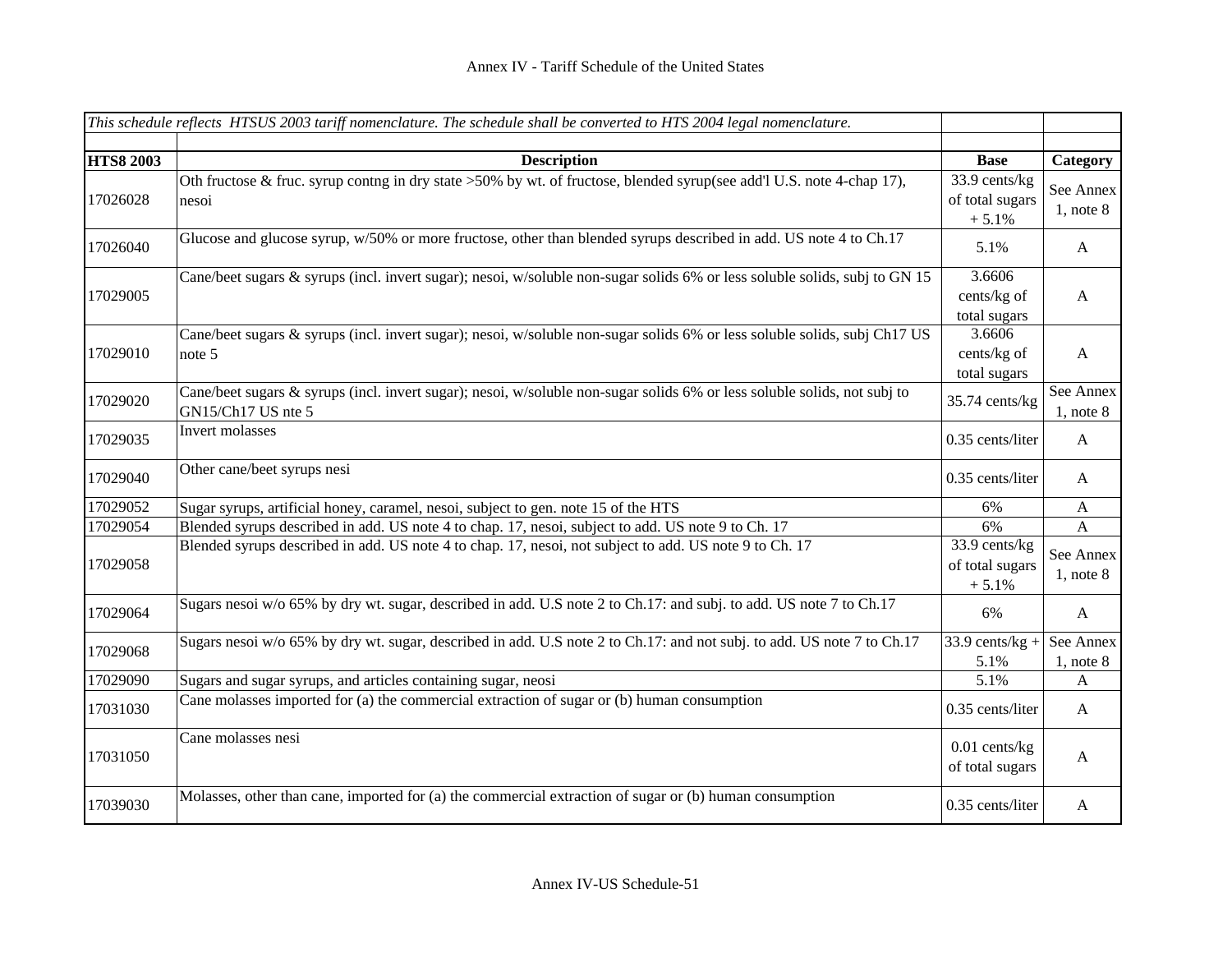|                  | This schedule reflects HTSUS 2003 tariff nomenclature. The schedule shall be converted to HTS 2004 legal nomenclature.                         |                                              |                             |
|------------------|------------------------------------------------------------------------------------------------------------------------------------------------|----------------------------------------------|-----------------------------|
|                  |                                                                                                                                                |                                              |                             |
| <b>HTS8 2003</b> | <b>Description</b>                                                                                                                             | <b>Base</b>                                  | Category                    |
| 17026028         | Oth fructose & fruc. syrup conting in dry state >50% by wt. of fructose, blended syrup(see add'l U.S. note 4-chap 17),<br>nesoi                | 33.9 cents/kg<br>of total sugars<br>$+5.1%$  | See Annex<br>$1$ , note $8$ |
| 17026040         | Glucose and glucose syrup, w/50% or more fructose, other than blended syrups described in add. US note 4 to Ch.17                              | 5.1%                                         | $\mathbf{A}$                |
| 17029005         | Cane/beet sugars & syrups (incl. invert sugar); nesoi, w/soluble non-sugar solids 6% or less soluble solids, subj to GN 15                     | 3.6606<br>cents/kg of<br>total sugars        | $\mathbf{A}$                |
| 17029010         | Cane/beet sugars & syrups (incl. invert sugar); nesoi, w/soluble non-sugar solids 6% or less soluble solids, subj Ch17 US<br>note 5            | 3.6606<br>cents/kg of<br>total sugars        | $\mathbf{A}$                |
| 17029020         | Cane/beet sugars & syrups (incl. invert sugar); nesoi, w/soluble non-sugar solids 6% or less soluble solids, not subj to<br>GN15/Ch17 US nte 5 | 35.74 cents/kg                               | See Annex<br>$1$ , note $8$ |
| 17029035         | Invert molasses                                                                                                                                | 0.35 cents/liter                             | $\mathbf{A}$                |
| 17029040         | Other cane/beet syrups nesi                                                                                                                    | 0.35 cents/liter                             | A                           |
| 17029052         | Sugar syrups, artificial honey, caramel, nesoi, subject to gen. note 15 of the HTS                                                             | 6%                                           | $\mathbf{A}$                |
| 17029054         | Blended syrups described in add. US note 4 to chap. 17, nesoi, subject to add. US note 9 to Ch. 17                                             | 6%                                           | $\mathbf{A}$                |
| 17029058         | Blended syrups described in add. US note 4 to chap. 17, nesoi, not subject to add. US note 9 to Ch. 17                                         | 33.9 cents/kg<br>of total sugars<br>$+ 5.1%$ | See Annex<br>$1$ , note $8$ |
| 17029064         | Sugars nesoi w/o 65% by dry wt. sugar, described in add. U.S note 2 to Ch.17: and subj. to add. US note 7 to Ch.17                             | 6%                                           | A                           |
| 17029068         | Sugars nesoi w/o 65% by dry wt. sugar, described in add. U.S note 2 to Ch.17: and not subj. to add. US note 7 to Ch.17                         | $33.9$ cents/kg +<br>5.1%                    | See Annex<br>$1$ , note $8$ |
| 17029090         | Sugars and sugar syrups, and articles containing sugar, neosi                                                                                  | 5.1%                                         | A                           |
| 17031030         | Cane molasses imported for (a) the commercial extraction of sugar or (b) human consumption                                                     | 0.35 cents/liter                             | A                           |
| 17031050         | Cane molasses nesi                                                                                                                             | $0.01$ cents/kg<br>of total sugars           | $\mathbf{A}$                |
| 17039030         | Molasses, other than cane, imported for (a) the commercial extraction of sugar or (b) human consumption                                        | 0.35 cents/liter                             | A                           |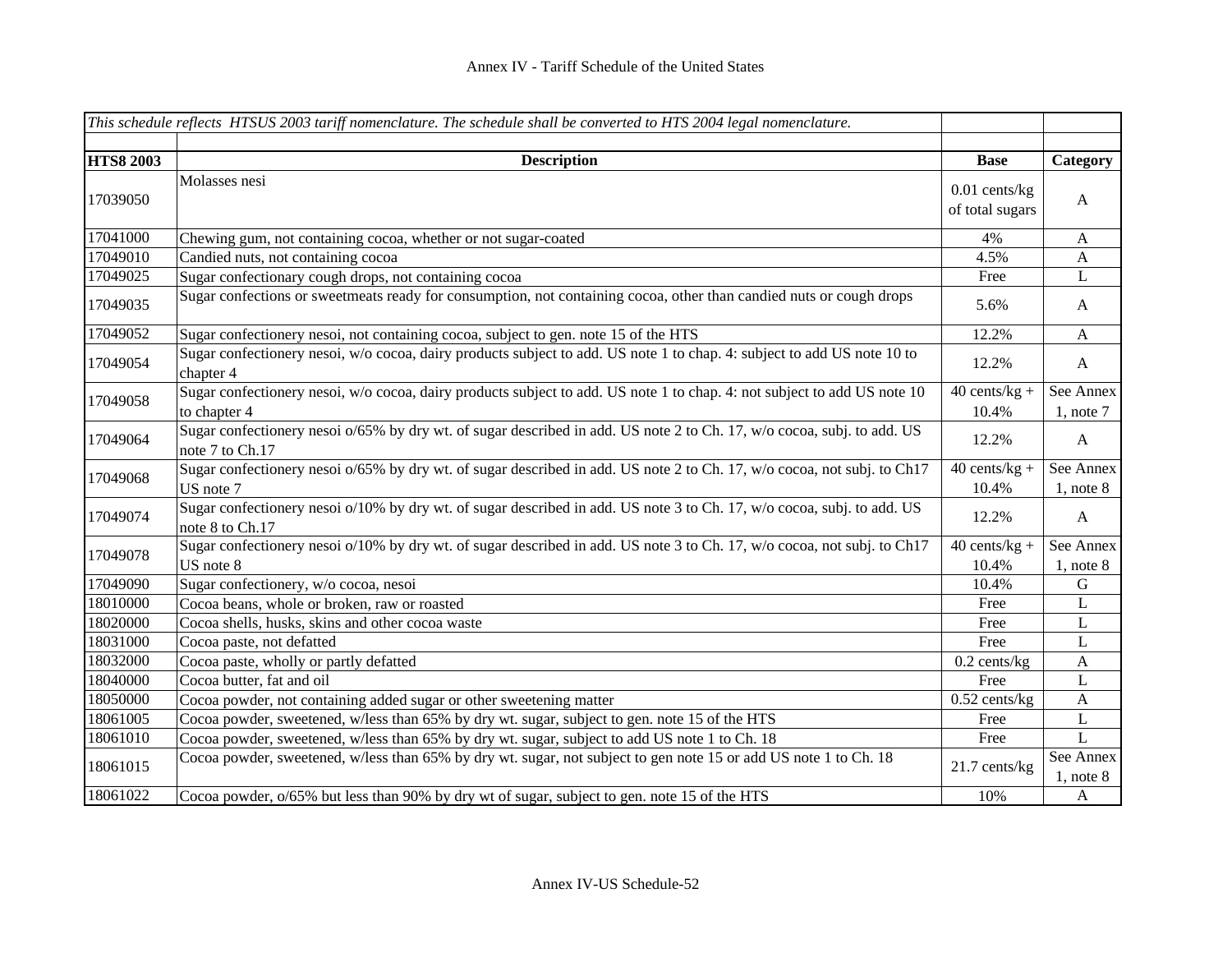|                  | This schedule reflects HTSUS 2003 tariff nomenclature. The schedule shall be converted to HTS 2004 legal nomenclature.                    |                                    |                             |
|------------------|-------------------------------------------------------------------------------------------------------------------------------------------|------------------------------------|-----------------------------|
|                  |                                                                                                                                           |                                    |                             |
| <b>HTS8 2003</b> | <b>Description</b>                                                                                                                        | <b>Base</b>                        | Category                    |
| 17039050         | Molasses nesi                                                                                                                             | $0.01$ cents/kg<br>of total sugars | A                           |
| 17041000         | Chewing gum, not containing cocoa, whether or not sugar-coated                                                                            | 4%                                 | $\mathbf{A}$                |
| 17049010         | Candied nuts, not containing cocoa                                                                                                        | 4.5%                               | $\mathbf{A}$                |
| 17049025         | Sugar confectionary cough drops, not containing cocoa                                                                                     | Free                               | $\mathbf{L}$                |
| 17049035         | Sugar confections or sweetmeats ready for consumption, not containing cocoa, other than candied nuts or cough drops                       | 5.6%                               | A                           |
| 17049052         | Sugar confectionery nesoi, not containing cocoa, subject to gen. note 15 of the HTS                                                       | 12.2%                              | $\mathbf{A}$                |
| 17049054         | Sugar confectionery nesoi, w/o cocoa, dairy products subject to add. US note 1 to chap. 4: subject to add US note 10 to<br>chapter 4      | 12.2%                              | $\mathbf{A}$                |
| 17049058         | Sugar confectionery nesoi, w/o cocoa, dairy products subject to add. US note 1 to chap. 4: not subject to add US note 10<br>to chapter 4  | $40$ cents/kg +<br>10.4%           | See Annex<br>$1$ , note $7$ |
| 17049064         | Sugar confectionery nesoi o/65% by dry wt. of sugar described in add. US note 2 to Ch. 17, w/o cocoa, subj. to add. US<br>note 7 to Ch.17 | 12.2%                              | $\mathbf{A}$                |
| 17049068         | Sugar confectionery nesoi o/65% by dry wt. of sugar described in add. US note 2 to Ch. 17, w/o cocoa, not subj. to Ch17<br>US note 7      | $40$ cents/kg +<br>10.4%           | See Annex<br>$1$ , note $8$ |
| 17049074         | Sugar confectionery nesoi o/10% by dry wt. of sugar described in add. US note 3 to Ch. 17, w/o cocoa, subj. to add. US<br>note 8 to Ch.17 | 12.2%                              | $\mathbf{A}$                |
| 17049078         | Sugar confectionery nesoi o/10% by dry wt. of sugar described in add. US note 3 to Ch. 17, w/o cocoa, not subj. to Ch17<br>US note 8      | $40$ cents/kg +<br>10.4%           | See Annex<br>$1$ , note $8$ |
| 17049090         | Sugar confectionery, w/o cocoa, nesoi                                                                                                     | 10.4%                              | $\mathbf G$                 |
| 18010000         | Cocoa beans, whole or broken, raw or roasted                                                                                              | Free                               | L                           |
| 18020000         | Cocoa shells, husks, skins and other cocoa waste                                                                                          | Free                               | L                           |
| 18031000         | Cocoa paste, not defatted                                                                                                                 | Free                               | $\bf L$                     |
| 18032000         | Cocoa paste, wholly or partly defatted                                                                                                    | $0.2$ cents/kg                     | $\mathbf{A}$                |
| 18040000         | Cocoa butter, fat and oil                                                                                                                 | Free                               | L                           |
| 18050000         | Cocoa powder, not containing added sugar or other sweetening matter                                                                       | $0.52$ cents/kg                    | $\mathbf{A}$                |
| 18061005         | Cocoa powder, sweetened, w/less than 65% by dry wt. sugar, subject to gen. note 15 of the HTS                                             | Free                               | $\bf L$                     |
| 18061010         | Cocoa powder, sweetened, w/less than 65% by dry wt. sugar, subject to add US note 1 to Ch. 18                                             | Free                               | $\mathbf L$                 |
| 18061015         | Cocoa powder, sweetened, w/less than 65% by dry wt. sugar, not subject to gen note 15 or add US note 1 to Ch. 18                          | 21.7 cents/kg                      | See Annex<br>$1$ , note $8$ |
| 18061022         | Cocoa powder, o/65% but less than 90% by dry wt of sugar, subject to gen. note 15 of the HTS                                              | 10%                                | $\mathbf{A}$                |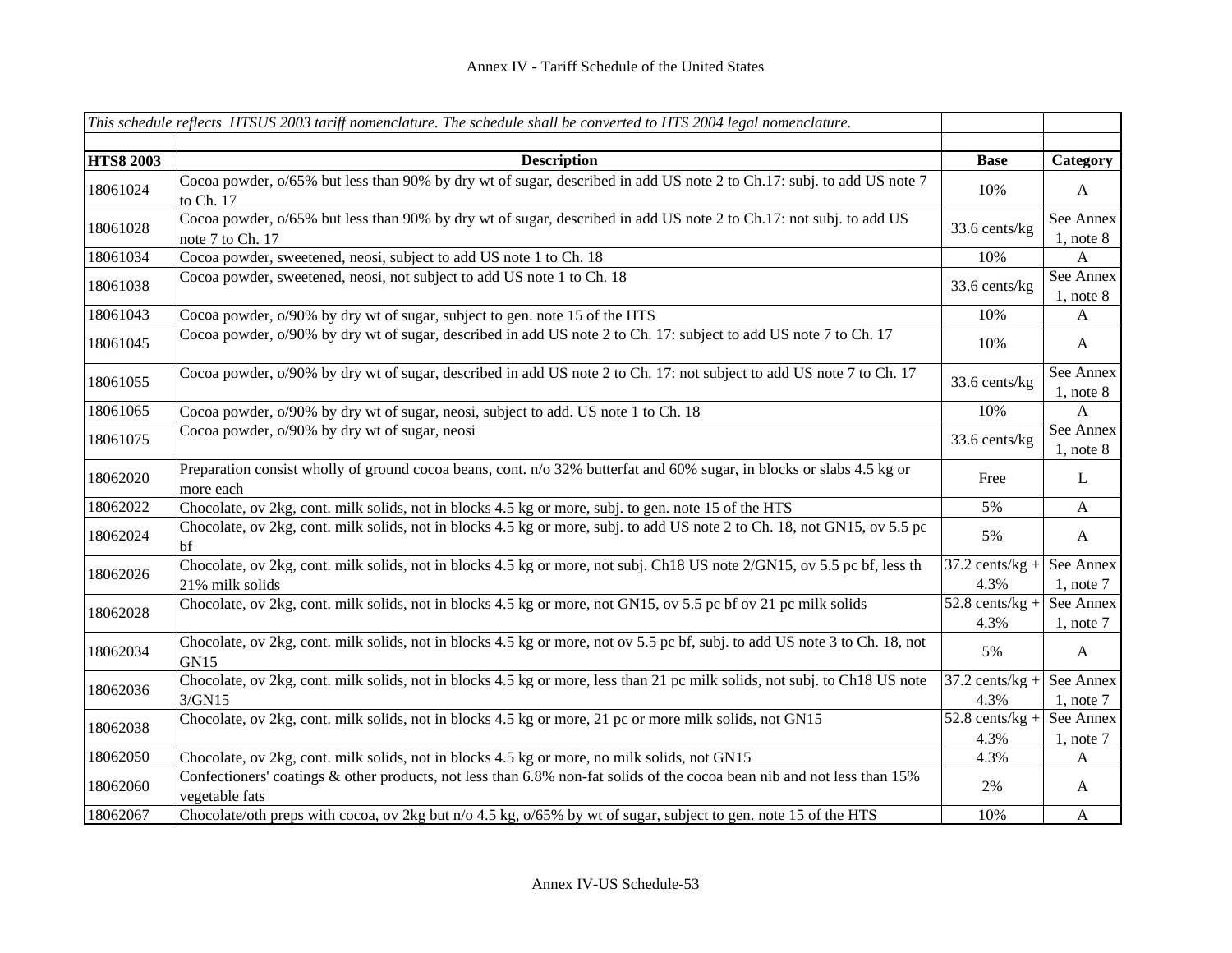|                  | This schedule reflects HTSUS 2003 tariff nomenclature. The schedule shall be converted to HTS 2004 legal nomenclature.                    |                                      |                             |
|------------------|-------------------------------------------------------------------------------------------------------------------------------------------|--------------------------------------|-----------------------------|
|                  |                                                                                                                                           |                                      |                             |
| <b>HTS8 2003</b> | <b>Description</b>                                                                                                                        | <b>Base</b>                          | Category                    |
| 18061024         | Cocoa powder, o/65% but less than 90% by dry wt of sugar, described in add US note 2 to Ch.17: subj. to add US note 7<br>to Ch. 17        | 10%                                  | $\mathbf{A}$                |
| 18061028         | Cocoa powder, o/65% but less than 90% by dry wt of sugar, described in add US note 2 to Ch.17: not subj. to add US<br>note 7 to Ch. 17    | 33.6 cents/kg                        | See Annex<br>$1$ , note $8$ |
| 18061034         | Cocoa powder, sweetened, neosi, subject to add US note 1 to Ch. 18                                                                        | 10%                                  | A                           |
| 18061038         | Cocoa powder, sweetened, neosi, not subject to add US note 1 to Ch. 18                                                                    | 33.6 cents/kg                        | See Annex<br>$1$ , note $8$ |
| 18061043         | Cocoa powder, o/90% by dry wt of sugar, subject to gen. note 15 of the HTS                                                                | 10%                                  | A                           |
| 18061045         | Cocoa powder, o/90% by dry wt of sugar, described in add US note 2 to Ch. 17: subject to add US note 7 to Ch. 17                          | 10%                                  | A                           |
| 18061055         | Cocoa powder, o/90% by dry wt of sugar, described in add US note 2 to Ch. 17: not subject to add US note 7 to Ch. 17                      | 33.6 cents/kg                        | See Annex<br>$1$ , note $8$ |
| 18061065         | Cocoa powder, o/90% by dry wt of sugar, neosi, subject to add. US note 1 to Ch. 18                                                        | 10%                                  | $\boldsymbol{\mathsf{A}}$   |
| 18061075         | Cocoa powder, o/90% by dry wt of sugar, neosi                                                                                             | 33.6 cents/kg                        | See Annex<br>$1$ , note $8$ |
| 18062020         | Preparation consist wholly of ground cocoa beans, cont. n/o 32% butterfat and 60% sugar, in blocks or slabs 4.5 kg or<br>more each        | Free                                 | $\mathbf{L}$                |
| 18062022         | Chocolate, ov 2kg, cont. milk solids, not in blocks 4.5 kg or more, subj. to gen. note 15 of the HTS                                      | 5%                                   | $\mathbf{A}$                |
| 18062024         | Chocolate, ov 2kg, cont. milk solids, not in blocks 4.5 kg or more, subj. to add US note 2 to Ch. 18, not GN15, ov 5.5 pc<br>bf           | 5%                                   | $\mathbf{A}$                |
| 18062026         | Chocolate, ov 2kg, cont. milk solids, not in blocks 4.5 kg or more, not subj. Ch18 US note 2/GN15, ov 5.5 pc bf, less th                  | $37.2$ cents/kg +                    | See Annex                   |
|                  | 21% milk solids                                                                                                                           | 4.3%                                 | $1$ , note $7$              |
| 18062028         | Chocolate, ov 2kg, cont. milk solids, not in blocks 4.5 kg or more, not GN15, ov 5.5 pc bf ov 21 pc milk solids                           | $\overline{52.8}$ cents/kg +<br>4.3% | See Annex<br>$1,$ note $7$  |
| 18062034         | Chocolate, ov 2kg, cont. milk solids, not in blocks 4.5 kg or more, not ov 5.5 pc bf, subj. to add US note 3 to Ch. 18, not<br>GN15       | 5%                                   | $\mathbf{A}$                |
| 18062036         | Chocolate, ov 2kg, cont. milk solids, not in blocks 4.5 kg or more, less than 21 pc milk solids, not subj. to Ch18 US note<br>3/GN15      | $37.2$ cents/kg +<br>4.3%            | See Annex<br>$1$ , note $7$ |
|                  | Chocolate, ov 2kg, cont. milk solids, not in blocks 4.5 kg or more, 21 pc or more milk solids, not GN15                                   | $52.8$ cents/kg +                    | See Annex                   |
| 18062038         |                                                                                                                                           | 4.3%                                 | $1$ , note $7$              |
| 18062050         | Chocolate, ov 2kg, cont. milk solids, not in blocks 4.5 kg or more, no milk solids, not GN15                                              | 4.3%                                 | A                           |
| 18062060         | Confectioners' coatings & other products, not less than 6.8% non-fat solids of the cocoa bean nib and not less than 15%<br>vegetable fats | 2%                                   | $\mathbf{A}$                |
| 18062067         | Chocolate/oth preps with cocoa, ov 2kg but n/o 4.5 kg, o/65% by wt of sugar, subject to gen. note 15 of the HTS                           | 10%                                  | $\mathbf{A}$                |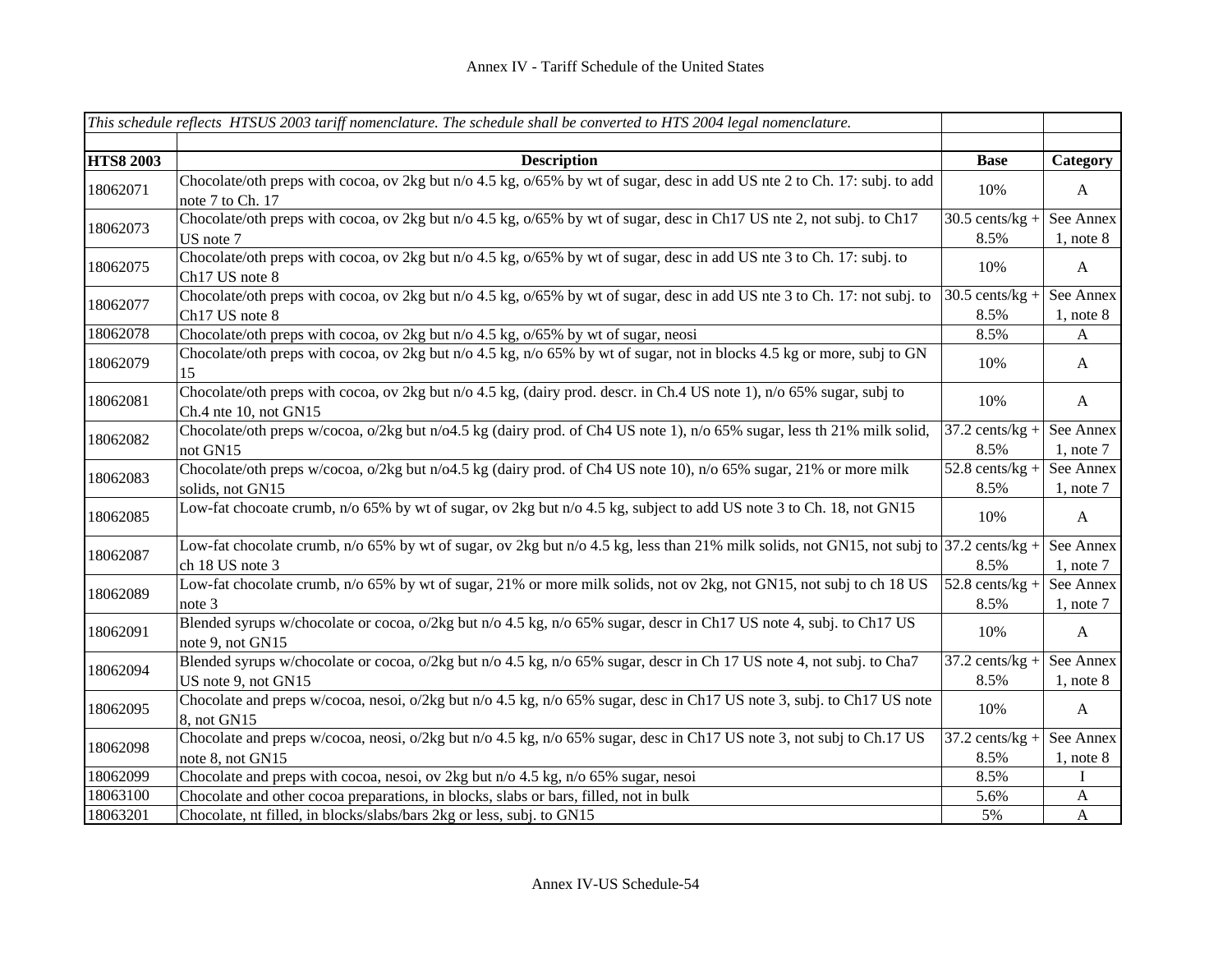|                  | This schedule reflects HTSUS 2003 tariff nomenclature. The schedule shall be converted to HTS 2004 legal nomenclature.                                      |                           |                             |
|------------------|-------------------------------------------------------------------------------------------------------------------------------------------------------------|---------------------------|-----------------------------|
|                  |                                                                                                                                                             |                           |                             |
| <b>HTS8 2003</b> | <b>Description</b>                                                                                                                                          | <b>Base</b>               | Category                    |
| 18062071         | Chocolate/oth preps with cocoa, ov 2kg but n/o 4.5 kg, o/65% by wt of sugar, desc in add US nte 2 to Ch. 17: subj. to add<br>note 7 to Ch. 17               | 10%                       | A                           |
| 18062073         | Chocolate/oth preps with cocoa, ov 2kg but n/o 4.5 kg, o/65% by wt of sugar, desc in Ch17 US nte 2, not subj. to Ch17<br>US note 7                          | $30.5$ cents/kg +<br>8.5% | See Annex<br>$1$ , note $8$ |
| 18062075         | Chocolate/oth preps with cocoa, ov 2kg but n/o 4.5 kg, o/65% by wt of sugar, desc in add US nte 3 to Ch. 17: subj. to<br>Ch17 US note 8                     | 10%                       | $\mathbf{A}$                |
| 18062077         | Chocolate/oth preps with cocoa, ov 2kg but n/o 4.5 kg, o/65% by wt of sugar, desc in add US nte 3 to Ch. 17: not subj. to<br>Ch17 US note 8                 | $30.5$ cents/kg +<br>8.5% | See Annex<br>$1$ , note $8$ |
| 18062078         | Chocolate/oth preps with cocoa, ov 2kg but n/o 4.5 kg, o/65% by wt of sugar, neosi                                                                          | 8.5%                      | A                           |
| 18062079         | Chocolate/oth preps with cocoa, ov 2kg but n/o 4.5 kg, n/o 65% by wt of sugar, not in blocks 4.5 kg or more, subj to GN<br>15                               | 10%                       | $\mathbf{A}$                |
| 18062081         | Chocolate/oth preps with cocoa, ov 2kg but n/o 4.5 kg, (dairy prod. descr. in Ch.4 US note 1), n/o 65% sugar, subj to<br>Ch.4 nte 10, not GN15              | 10%                       | $\mathbf{A}$                |
| 18062082         | Chocolate/oth preps w/cocoa, o/2kg but n/o4.5 kg (dairy prod. of Ch4 US note 1), n/o 65% sugar, less th 21% milk solid,<br>not GN15                         | $37.2$ cents/kg +<br>8.5% | See Annex<br>$1$ , note $7$ |
| 18062083         | Chocolate/oth preps w/cocoa, o/2kg but n/o4.5 kg (dairy prod. of Ch4 US note 10), n/o 65% sugar, 21% or more milk<br>solids, not GN15                       | $52.8$ cents/kg +<br>8.5% | See Annex<br>$1$ , note $7$ |
| 18062085         | Low-fat chocoate crumb, n/o 65% by wt of sugar, ov 2kg but n/o 4.5 kg, subject to add US note 3 to Ch. 18, not GN15                                         | 10%                       | $\mathbf{A}$                |
| 18062087         | Low-fat chocolate crumb, n/o 65% by wt of sugar, ov 2kg but n/o 4.5 kg, less than 21% milk solids, not GN15, not subj to 37.2 cents/kg +<br>ch 18 US note 3 | 8.5%                      | See Annex<br>$1$ , note $7$ |
| 18062089         | Low-fat chocolate crumb, n/o 65% by wt of sugar, 21% or more milk solids, not ov 2kg, not GN15, not subj to ch 18 US<br>note 3                              | $52.8$ cents/kg +<br>8.5% | See Annex<br>$1$ , note $7$ |
| 18062091         | Blended syrups w/chocolate or cocoa, o/2kg but n/o 4.5 kg, n/o 65% sugar, descr in Ch17 US note 4, subj. to Ch17 US<br>note 9, not GN15                     | 10%                       | $\mathbf{A}$                |
| 18062094         | Blended syrups w/chocolate or cocoa, o/2kg but n/o 4.5 kg, n/o 65% sugar, descr in Ch 17 US note 4, not subj. to Cha7<br>US note 9, not GN15                | $37.2$ cents/kg +<br>8.5% | See Annex<br>$1$ , note $8$ |
| 18062095         | Chocolate and preps w/cocoa, nesoi, o/2kg but n/o 4.5 kg, n/o 65% sugar, desc in Ch17 US note 3, subj. to Ch17 US note<br>8, not GN15                       | 10%                       | $\mathbf{A}$                |
| 18062098         | Chocolate and preps w/cocoa, neosi, o/2kg but n/o 4.5 kg, n/o 65% sugar, desc in Ch17 US note 3, not subj to Ch.17 US<br>note 8, not GN15                   | $37.2$ cents/kg +<br>8.5% | See Annex<br>$1$ , note $8$ |
| 18062099         | Chocolate and preps with cocoa, nesoi, ov 2kg but n/o 4.5 kg, n/o 65% sugar, nesoi                                                                          | 8.5%                      | L                           |
| 18063100         | Chocolate and other cocoa preparations, in blocks, slabs or bars, filled, not in bulk                                                                       | 5.6%                      | $\mathbf{A}$                |
| 18063201         | Chocolate, nt filled, in blocks/slabs/bars 2kg or less, subj. to GN15                                                                                       | 5%                        | $\mathbf{A}$                |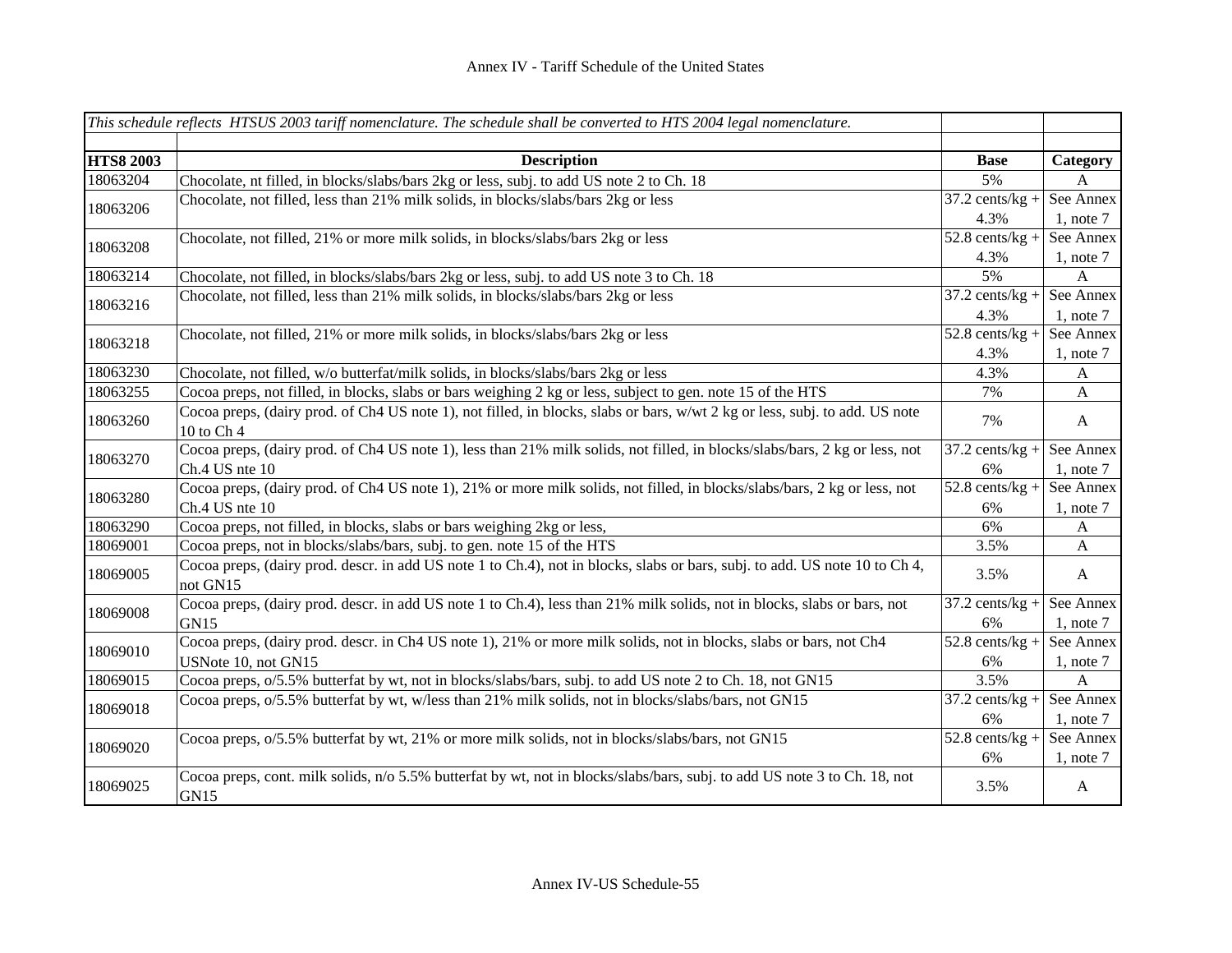|                  | This schedule reflects HTSUS 2003 tariff nomenclature. The schedule shall be converted to HTS 2004 legal nomenclature.                  |                              |                |
|------------------|-----------------------------------------------------------------------------------------------------------------------------------------|------------------------------|----------------|
| <b>HTS8 2003</b> | <b>Description</b>                                                                                                                      | <b>Base</b>                  | Category       |
| 18063204         | Chocolate, nt filled, in blocks/slabs/bars 2kg or less, subj. to add US note 2 to Ch. 18                                                | 5%                           | $\mathbf{A}$   |
|                  | Chocolate, not filled, less than 21% milk solids, in blocks/slabs/bars 2kg or less                                                      | $37.2$ cents/kg +            | See Annex      |
| 18063206         |                                                                                                                                         | 4.3%                         | 1, note $7$    |
|                  | Chocolate, not filled, 21% or more milk solids, in blocks/slabs/bars 2kg or less                                                        | $\overline{52.8}$ cents/kg + | See Annex      |
| 18063208         |                                                                                                                                         | 4.3%                         | $1$ , note $7$ |
| 18063214         | Chocolate, not filled, in blocks/slabs/bars 2kg or less, subj. to add US note 3 to Ch. 18                                               | 5%                           | $\mathbf{A}$   |
|                  | Chocolate, not filled, less than 21% milk solids, in blocks/slabs/bars 2kg or less                                                      | $37.2$ cents/kg +            | See Annex      |
| 18063216         |                                                                                                                                         | 4.3%                         | $1$ , note $7$ |
| 18063218         | Chocolate, not filled, 21% or more milk solids, in blocks/slabs/bars 2kg or less                                                        | $52.8$ cents/kg +            | See Annex      |
|                  |                                                                                                                                         | 4.3%                         | $1$ , note $7$ |
| 18063230         | Chocolate, not filled, w/o butterfat/milk solids, in blocks/slabs/bars 2kg or less                                                      | 4.3%                         | A              |
| 18063255         | Cocoa preps, not filled, in blocks, slabs or bars weighing 2 kg or less, subject to gen. note 15 of the HTS                             | 7%                           | $\mathbf{A}$   |
| 18063260         | Cocoa preps, (dairy prod. of Ch4 US note 1), not filled, in blocks, slabs or bars, w/wt 2 kg or less, subj. to add. US note             | 7%                           | $\mathbf{A}$   |
|                  | 10 to Ch 4                                                                                                                              |                              |                |
| 18063270         | Cocoa preps, (dairy prod. of Ch4 US note 1), less than 21% milk solids, not filled, in blocks/slabs/bars, 2 kg or less, not             | $37.2$ cents/kg +            | See Annex      |
|                  | Ch.4 US nte 10                                                                                                                          | 6%                           | 1, note $7$    |
| 18063280         | Cocoa preps, (dairy prod. of Ch4 US note 1), 21% or more milk solids, not filled, in blocks/slabs/bars, 2 kg or less, not               | $52.8$ cents/kg +            | See Annex      |
|                  | Ch.4 US nte 10                                                                                                                          | 6%                           | $1$ , note $7$ |
| 18063290         | Cocoa preps, not filled, in blocks, slabs or bars weighing 2kg or less,                                                                 | 6%                           | $\mathbf{A}$   |
| 18069001         | Cocoa preps, not in blocks/slabs/bars, subj. to gen. note 15 of the HTS                                                                 | 3.5%                         | $\mathbf{A}$   |
| 18069005         | Cocoa preps, (dairy prod. descr. in add US note 1 to Ch.4), not in blocks, slabs or bars, subj. to add. US note 10 to Ch 4,<br>not GN15 | 3.5%                         | A              |
| 18069008         | Cocoa preps, (dairy prod. descr. in add US note 1 to Ch.4), less than 21% milk solids, not in blocks, slabs or bars, not                | $37.2$ cents/kg +            | See Annex      |
|                  | GN15                                                                                                                                    | 6%                           | $1$ , note $7$ |
| 18069010         | Cocoa preps, (dairy prod. descr. in Ch4 US note 1), 21% or more milk solids, not in blocks, slabs or bars, not Ch4                      | $52.8$ cents/kg +            | See Annex      |
|                  | USNote 10, not GN15                                                                                                                     | 6%                           | $1$ , note $7$ |
| 18069015         | Cocoa preps, $o/5.5\%$ butterfat by wt, not in blocks/slabs/bars, subj. to add US note 2 to Ch. 18, not GN15                            | 3.5%                         | $\mathbf{A}$   |
| 18069018         | Cocoa preps, o/5.5% butterfat by wt, w/less than 21% milk solids, not in blocks/slabs/bars, not GN15                                    | $37.2$ cents/kg +            | See Annex      |
|                  |                                                                                                                                         | 6%                           | $1$ , note $7$ |
| 18069020         | Cocoa preps, o/5.5% butterfat by wt, 21% or more milk solids, not in blocks/slabs/bars, not GN15                                        | $52.8$ cents/kg +            | See Annex      |
|                  |                                                                                                                                         | 6%                           | $1$ , note $7$ |
| 18069025         | Cocoa preps, cont. milk solids, n/o 5.5% butterfat by wt, not in blocks/slabs/bars, subj. to add US note 3 to Ch. 18, not<br>GN15       | 3.5%                         | $\mathbf{A}$   |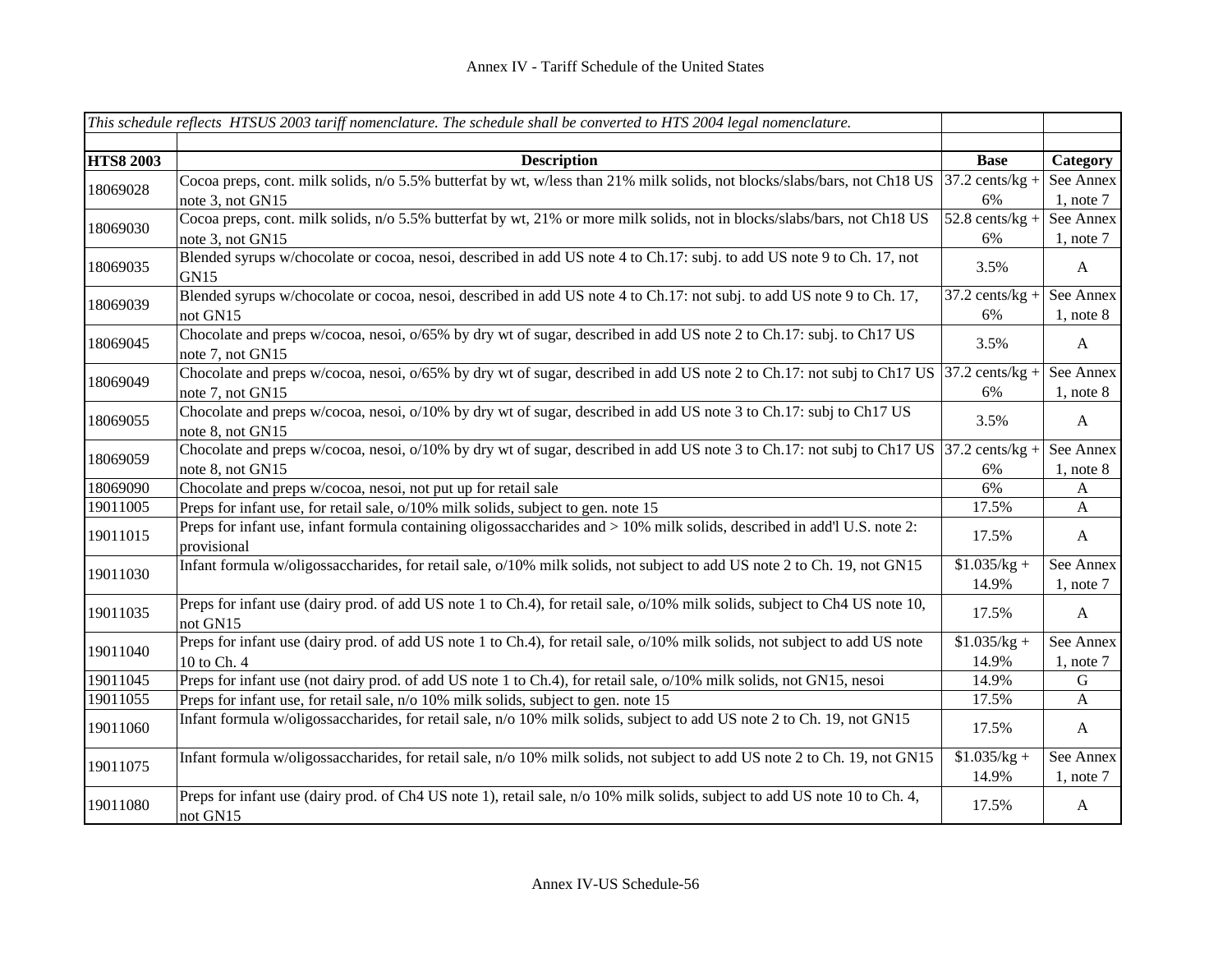|                  | This schedule reflects HTSUS 2003 tariff nomenclature. The schedule shall be converted to HTS 2004 legal nomenclature.                     |                              |                           |
|------------------|--------------------------------------------------------------------------------------------------------------------------------------------|------------------------------|---------------------------|
|                  |                                                                                                                                            |                              |                           |
| <b>HTS8 2003</b> | <b>Description</b>                                                                                                                         | <b>Base</b>                  | Category                  |
| 18069028         | Cocoa preps, cont. milk solids, n/o 5.5% butterfat by wt, w/less than 21% milk solids, not blocks/slabs/bars, not Ch18 US                  | $37.2$ cents/kg +            | See Annex                 |
|                  | note 3, not GN15                                                                                                                           | 6%                           | $1$ , note $7$            |
| 18069030         | Cocoa preps, cont. milk solids, n/o 5.5% butterfat by wt, 21% or more milk solids, not in blocks/slabs/bars, not Ch18 US                   | $\overline{52.8}$ cents/kg + | See Annex                 |
|                  | note 3, not GN15                                                                                                                           | 6%                           | $1$ , note $7$            |
| 18069035         | Blended syrups w/chocolate or cocoa, nesoi, described in add US note 4 to Ch.17: subj. to add US note 9 to Ch. 17, not<br>GN15             | 3.5%                         | $\mathbf{A}$              |
| 18069039         | Blended syrups w/chocolate or cocoa, nesoi, described in add US note 4 to Ch.17: not subj. to add US note 9 to Ch.17,                      | $37.2$ cents/kg +            | See Annex                 |
|                  | not GN15                                                                                                                                   | 6%                           | $1$ , note $8$            |
| 18069045         | Chocolate and preps w/cocoa, nesoi, $o/65\%$ by dry wt of sugar, described in add US note 2 to Ch.17: subj. to Ch17 US<br>note 7, not GN15 | 3.5%                         | $\mathbf{A}$              |
| 18069049         | Chocolate and preps w/cocoa, nesoi, $o/65\%$ by dry wt of sugar, described in add US note 2 to Ch.17: not subj to Ch17 US 37.2 cents/kg +  |                              | See Annex                 |
|                  | note 7, not GN15                                                                                                                           | 6%                           | $1$ , note $8$            |
| 18069055         | Chocolate and preps w/cocoa, nesoi, o/10% by dry wt of sugar, described in add US note 3 to Ch.17: subj to Ch17 US<br>note 8, not GN15     | 3.5%                         | $\mathbf{A}$              |
| 18069059         | Chocolate and preps w/cocoa, nesoi, $o/10\%$ by dry wt of sugar, described in add US note 3 to Ch.17: not subj to Ch17 US 37.2 cents/kg +  |                              | See Annex                 |
|                  | note 8, not GN15                                                                                                                           | 6%                           | $1$ , note $8$            |
| 18069090         | Chocolate and preps w/cocoa, nesoi, not put up for retail sale                                                                             | 6%                           | $\mathbf{A}$              |
| 19011005         | Preps for infant use, for retail sale, o/10% milk solids, subject to gen. note 15                                                          | 17.5%                        | $\boldsymbol{\mathsf{A}}$ |
| 19011015         | Preps for infant use, infant formula containing oligossaccharides and > 10% milk solids, described in add'l U.S. note 2:<br>provisional    | 17.5%                        | $\mathbf{A}$              |
| 19011030         | Infant formula w/oligossaccharides, for retail sale, o/10% milk solids, not subject to add US note 2 to Ch. 19, not GN15                   | $$1.035/kg +$                | See Annex                 |
|                  |                                                                                                                                            | 14.9%                        | $1$ , note $7$            |
| 19011035         | Preps for infant use (dairy prod. of add US note 1 to Ch.4), for retail sale, $o/10\%$ milk solids, subject to Ch4 US note 10,<br>not GN15 | 17.5%                        | $\mathbf{A}$              |
| 19011040         | Preps for infant use (dairy prod. of add US note 1 to Ch.4), for retail sale, $o/10\%$ milk solids, not subject to add US note             | $$1.035/kg +$                | See Annex                 |
|                  | 10 to Ch. 4                                                                                                                                | 14.9%                        | $1$ , note $7$            |
| 19011045         | Preps for infant use (not dairy prod. of add US note 1 to Ch.4), for retail sale, o/10% milk solids, not GN15, nesoi                       | 14.9%                        | $\mathbf G$               |
| 19011055         | Preps for infant use, for retail sale, n/o 10% milk solids, subject to gen. note 15                                                        | 17.5%                        | $\boldsymbol{\mathsf{A}}$ |
| 19011060         | Infant formula w/oligossaccharides, for retail sale, n/o 10% milk solids, subject to add US note 2 to Ch. 19, not GN15                     | 17.5%                        | A                         |
| 19011075         | Infant formula w/oligossaccharides, for retail sale, n/o 10% milk solids, not subject to add US note 2 to Ch. 19, not GN15                 | $$1.035/kg +$                | See Annex                 |
|                  |                                                                                                                                            | 14.9%                        | $1$ , note $7$            |
| 19011080         | Preps for infant use (dairy prod. of Ch4 US note 1), retail sale, n/o 10% milk solids, subject to add US note 10 to Ch. 4,<br>not GN15     | 17.5%                        | $\mathbf{A}$              |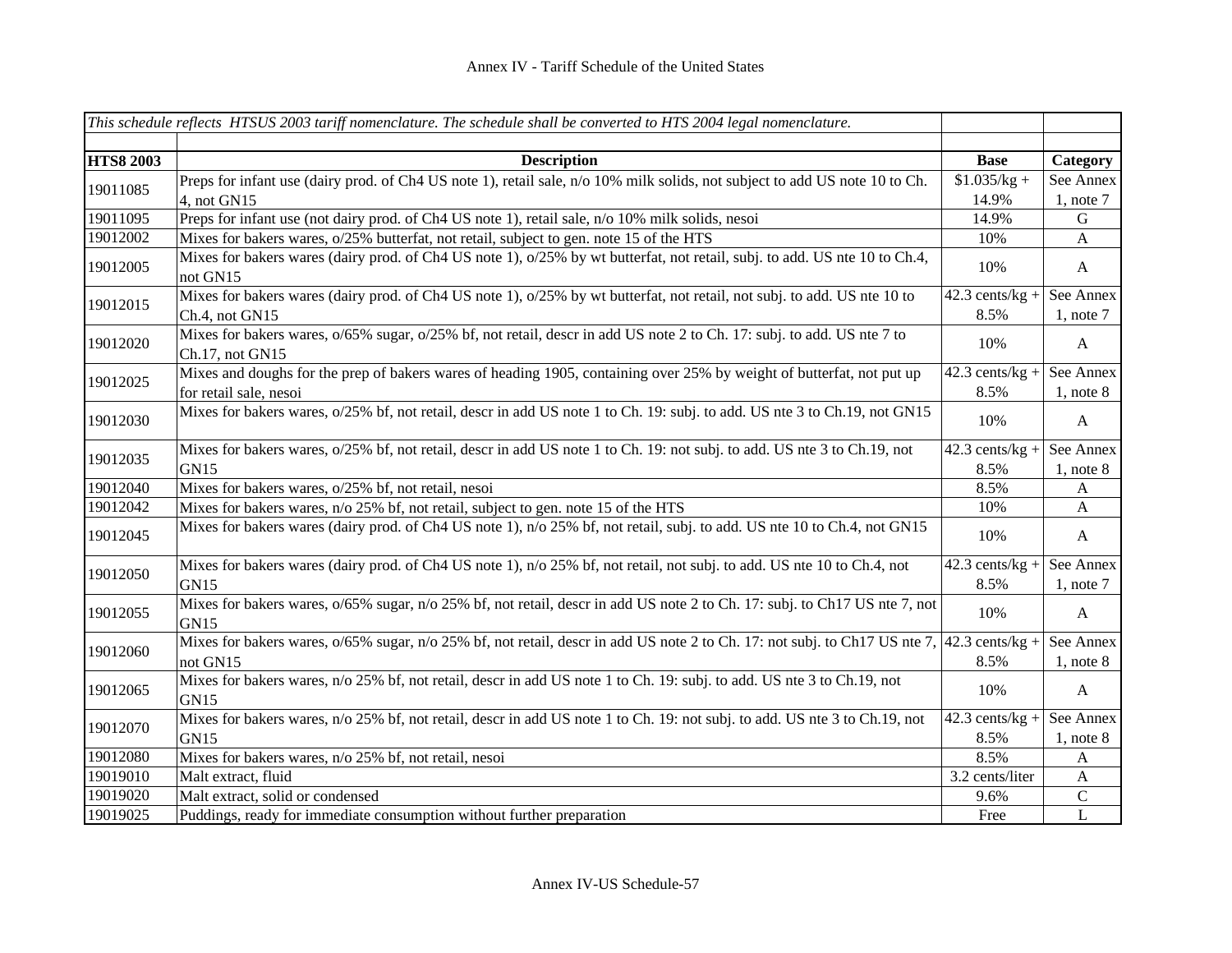|                  | This schedule reflects HTSUS 2003 tariff nomenclature. The schedule shall be converted to HTS 2004 legal nomenclature.                            |                   |                |
|------------------|---------------------------------------------------------------------------------------------------------------------------------------------------|-------------------|----------------|
|                  |                                                                                                                                                   |                   |                |
| <b>HTS8 2003</b> | <b>Description</b>                                                                                                                                | <b>Base</b>       | Category       |
| 19011085         | Preps for infant use (dairy prod. of Ch4 US note 1), retail sale, n/o 10% milk solids, not subject to add US note 10 to Ch.                       | $$1.035/kg +$     | See Annex      |
|                  | 4, not $GN15$                                                                                                                                     | 14.9%             | $1$ , note $7$ |
| 19011095         | Preps for infant use (not dairy prod. of Ch4 US note 1), retail sale, n/o 10% milk solids, nesoi                                                  | 14.9%             | ${\bf G}$      |
| 19012002         | Mixes for bakers wares, o/25% butterfat, not retail, subject to gen. note 15 of the HTS                                                           | 10%               | $\mathbf{A}$   |
| 19012005         | Mixes for bakers wares (dairy prod. of Ch4 US note 1), o/25% by wt butterfat, not retail, subj. to add. US nte 10 to Ch.4,<br>not GN15            | 10%               | $\mathbf{A}$   |
| 19012015         | Mixes for bakers wares (dairy prod. of Ch4 US note 1), o/25% by wt butterfat, not retail, not subj. to add. US nte 10 to                          | $42.3$ cents/kg + | See Annex      |
|                  | Ch.4, not GN15                                                                                                                                    | 8.5%              | $1$ , note $7$ |
| 19012020         | Mixes for bakers wares, o/65% sugar, o/25% bf, not retail, descr in add US note 2 to Ch. 17: subj. to add. US nte 7 to<br>Ch.17, not GN15         | 10%               | $\mathbf{A}$   |
| 19012025         | Mixes and doughs for the prep of bakers wares of heading 1905, containing over 25% by weight of butterfat, not put up                             | $42.3$ cents/kg + | See Annex      |
|                  | for retail sale, nesoi                                                                                                                            | 8.5%              | $1,$ note $8$  |
| 19012030         | Mixes for bakers wares, $o/25\%$ bf, not retail, descr in add US note 1 to Ch. 19: subj. to add. US nte 3 to Ch. 19, not GN15                     | 10%               | $\mathbf{A}$   |
| 19012035         | Mixes for bakers wares, $o/25\%$ bf, not retail, descr in add US note 1 to Ch. 19: not subj. to add. US nte 3 to Ch.19, not                       | $42.3$ cents/kg + | See Annex      |
|                  | GN <sub>15</sub>                                                                                                                                  | 8.5%              | $1$ , note $8$ |
| 19012040         | Mixes for bakers wares, o/25% bf, not retail, nesoi                                                                                               | 8.5%              | A              |
| 19012042         | Mixes for bakers wares, n/o 25% bf, not retail, subject to gen. note 15 of the HTS                                                                | 10%               | $\mathbf{A}$   |
| 19012045         | Mixes for bakers wares (dairy prod. of Ch4 US note 1), n/o 25% bf, not retail, subj. to add. US nte 10 to Ch.4, not GN15                          | 10%               | $\mathbf{A}$   |
| 19012050         | Mixes for bakers wares (dairy prod. of Ch4 US note 1), n/o 25% bf, not retail, not subj. to add. US nte 10 to Ch.4, not                           | $42.3$ cents/kg + | See Annex      |
|                  | GN <sub>15</sub>                                                                                                                                  | 8.5%              | $1$ , note $7$ |
| 19012055         | Mixes for bakers wares, $o/65\%$ sugar, n/o 25% bf, not retail, descr in add US note 2 to Ch. 17: subj. to Ch17 US nte 7, not<br>GN <sub>15</sub> | 10%               | $\mathbf{A}$   |
| 19012060         | Mixes for bakers wares, $o/65\%$ sugar, n/o 25% bf, not retail, descr in add US note 2 to Ch. 17: not subj. to Ch17 US nte 7,                     | $42.3$ cents/kg + | See Annex      |
|                  | not GN15                                                                                                                                          | 8.5%              | $1$ , note $8$ |
| 19012065         | Mixes for bakers wares, n/o 25% bf, not retail, descr in add US note 1 to Ch. 19: subj. to add. US nte 3 to Ch.19, not<br>GN15                    | 10%               | $\mathbf{A}$   |
|                  | Mixes for bakers wares, n/o 25% bf, not retail, descr in add US note 1 to Ch. 19: not subj. to add. US nte 3 to Ch.19, not                        | $42.3$ cents/kg + | See Annex      |
| 19012070         | GN15                                                                                                                                              | 8.5%              | $1$ , note $8$ |
| 19012080         | Mixes for bakers wares, n/o 25% bf, not retail, nesoi                                                                                             | 8.5%              | A              |
| 19019010         | Malt extract, fluid                                                                                                                               | 3.2 cents/liter   | $\mathbf{A}$   |
| 19019020         | Malt extract, solid or condensed                                                                                                                  | 9.6%              | ${\bf C}$      |
| 19019025         | Puddings, ready for immediate consumption without further preparation                                                                             | Free              | $\overline{L}$ |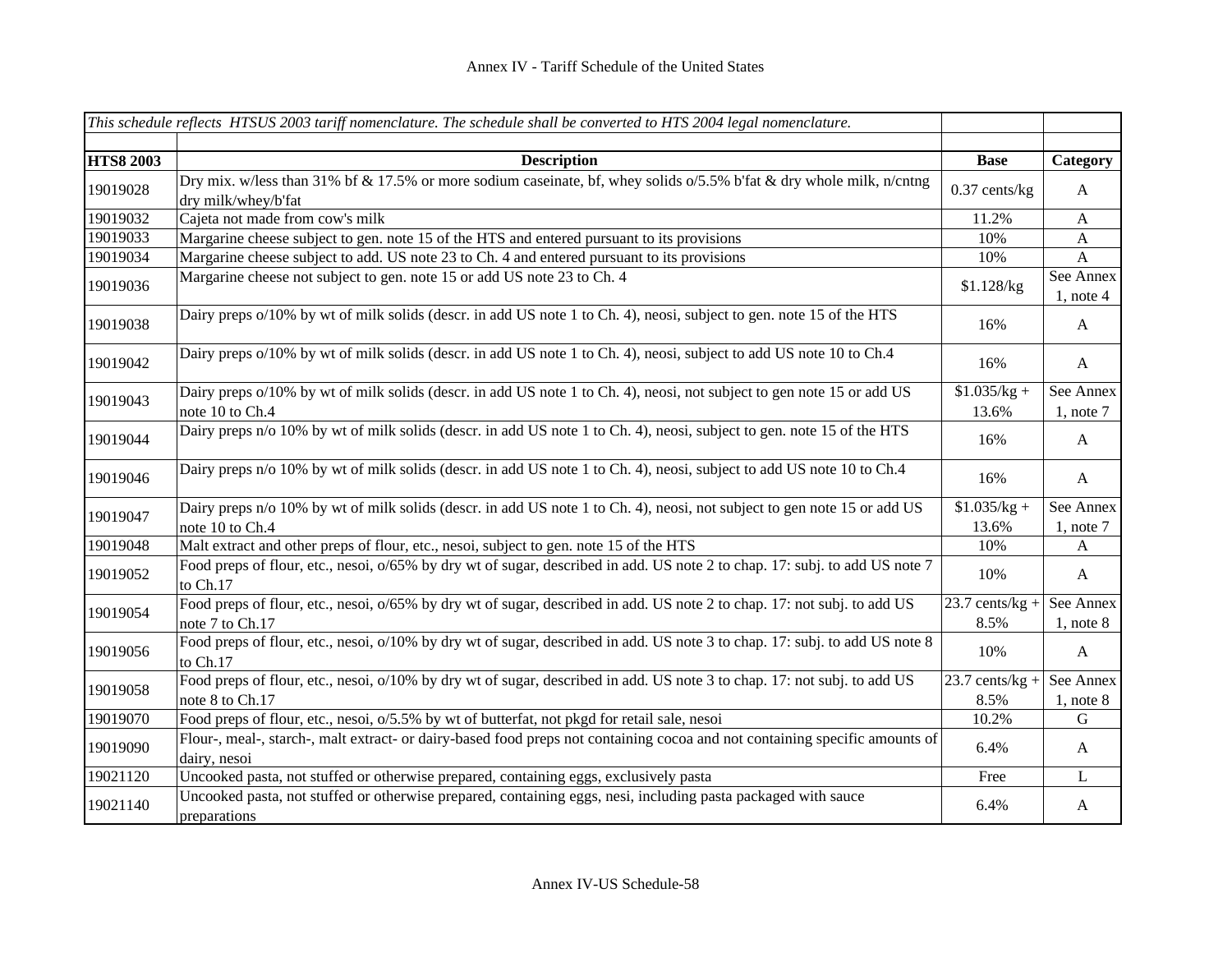|                  | This schedule reflects HTSUS 2003 tariff nomenclature. The schedule shall be converted to HTS 2004 legal nomenclature.                      |                           |                             |
|------------------|---------------------------------------------------------------------------------------------------------------------------------------------|---------------------------|-----------------------------|
|                  |                                                                                                                                             |                           |                             |
| <b>HTS8 2003</b> | <b>Description</b>                                                                                                                          | <b>Base</b>               | Category                    |
| 19019028         | Dry mix. w/less than 31% bf & 17.5% or more sodium caseinate, bf, whey solids o/5.5% b'fat & dry whole milk, n/cntng<br>dry milk/whey/b'fat | $0.37$ cents/kg           | $\mathbf{A}$                |
| 19019032         | Cajeta not made from cow's milk                                                                                                             | 11.2%                     | $\mathbf{A}$                |
| 19019033         | Margarine cheese subject to gen. note 15 of the HTS and entered pursuant to its provisions                                                  | 10%                       | A                           |
| 19019034         | Margarine cheese subject to add. US note 23 to Ch. 4 and entered pursuant to its provisions                                                 | 10%                       | $\mathbf{A}$                |
| 19019036         | Margarine cheese not subject to gen. note 15 or add US note 23 to Ch. 4                                                                     | \$1.128/kg                | See Annex<br>$1$ , note 4   |
| 19019038         | Dairy preps o/10% by wt of milk solids (descr. in add US note 1 to Ch. 4), neosi, subject to gen. note 15 of the HTS                        | 16%                       | A                           |
| 19019042         | Dairy preps o/10% by wt of milk solids (descr. in add US note 1 to Ch. 4), neosi, subject to add US note 10 to Ch.4                         | 16%                       | $\mathbf{A}$                |
| 19019043         | Dairy preps o/10% by wt of milk solids (descr. in add US note 1 to Ch. 4), neosi, not subject to gen note 15 or add US<br>note 10 to Ch.4   | $$1.035/kg +$<br>13.6%    | See Annex<br>$1$ , note $7$ |
| 19019044         | Dairy preps n/o 10% by wt of milk solids (descr. in add US note 1 to Ch. 4), neosi, subject to gen. note 15 of the HTS                      | 16%                       | A                           |
| 19019046         | Dairy preps n/o 10% by wt of milk solids (descr. in add US note 1 to Ch. 4), neosi, subject to add US note 10 to Ch.4                       | 16%                       | $\mathbf{A}$                |
| 19019047         | Dairy preps n/o 10% by wt of milk solids (descr. in add US note 1 to Ch. 4), neosi, not subject to gen note 15 or add US<br>note 10 to Ch.4 | $$1.035/kg +$<br>13.6%    | See Annex<br>$1$ , note $7$ |
| 19019048         | Malt extract and other preps of flour, etc., nesoi, subject to gen. note 15 of the HTS                                                      | 10%                       | A                           |
| 19019052         | Food preps of flour, etc., nesoi, $o/65\%$ by dry wt of sugar, described in add. US note 2 to chap. 17: subj. to add US note 7<br>to Ch.17  | 10%                       | $\mathbf{A}$                |
| 19019054         | Food preps of flour, etc., nesoi, o/65% by dry wt of sugar, described in add. US note 2 to chap. 17: not subj. to add US<br>note 7 to Ch.17 | $23.7$ cents/kg +<br>8.5% | See Annex<br>$1$ , note $8$ |
| 19019056         | Food preps of flour, etc., nesoi, $o/10\%$ by dry wt of sugar, described in add. US note 3 to chap. 17: subj. to add US note 8<br>to Ch.17  | 10%                       | $\mathbf{A}$                |
| 19019058         | Food preps of flour, etc., nesoi, o/10% by dry wt of sugar, described in add. US note 3 to chap. 17: not subj. to add US<br>note 8 to Ch.17 | $23.7$ cents/kg +<br>8.5% | See Annex<br>$1$ , note $8$ |
| 19019070         | Food preps of flour, etc., nesoi, o/5.5% by wt of butterfat, not pkgd for retail sale, nesoi                                                | 10.2%                     | G                           |
| 19019090         | Flour-, meal-, starch-, malt extract- or dairy-based food preps not containing cocoa and not containing specific amounts of<br>dairy, nesoi | 6.4%                      | A                           |
| 19021120         | Uncooked pasta, not stuffed or otherwise prepared, containing eggs, exclusively pasta                                                       | Free                      | L                           |
| 19021140         | Uncooked pasta, not stuffed or otherwise prepared, containing eggs, nesi, including pasta packaged with sauce<br>preparations               | 6.4%                      | A                           |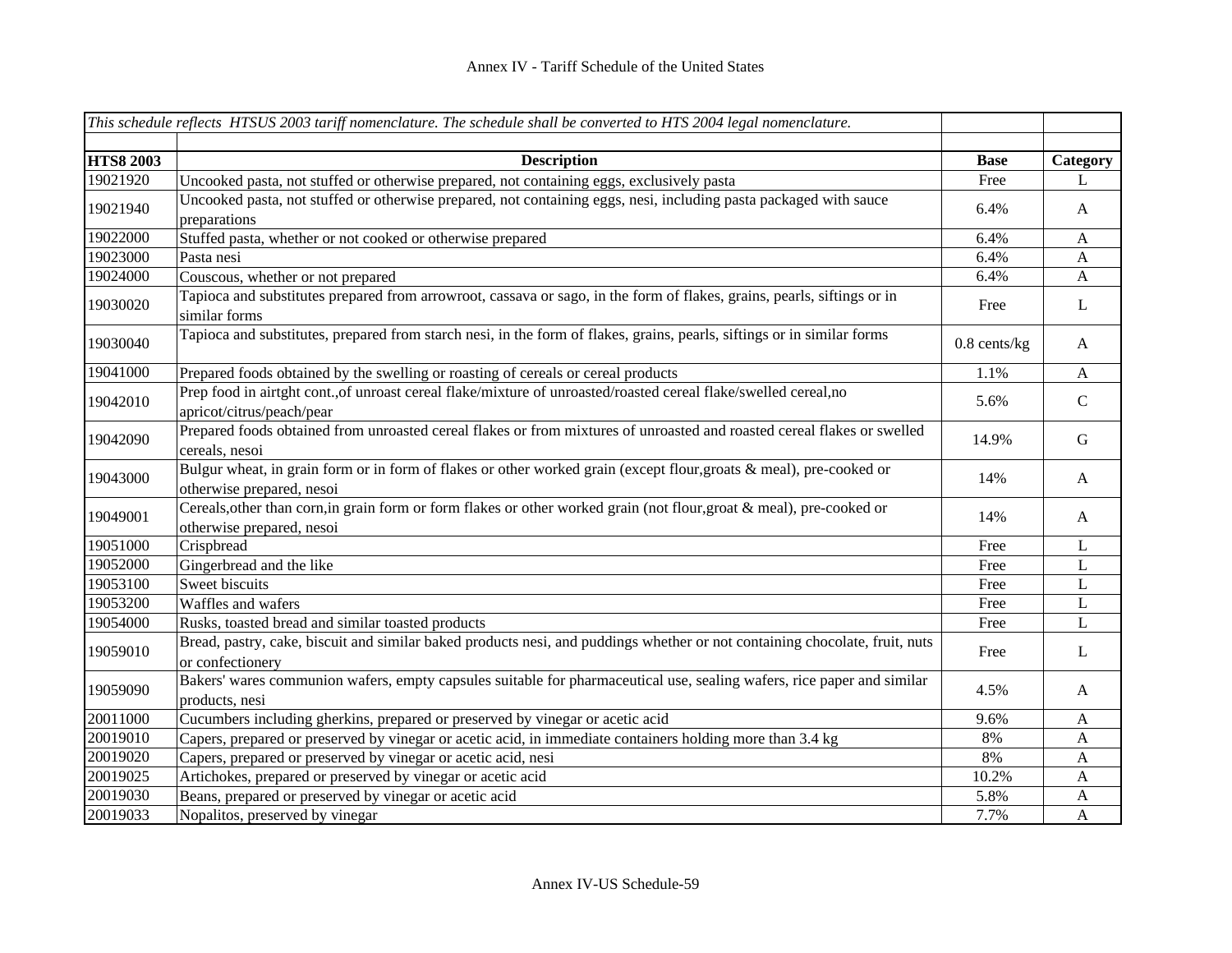|                  | This schedule reflects HTSUS 2003 tariff nomenclature. The schedule shall be converted to HTS 2004 legal nomenclature.                             |                |               |
|------------------|----------------------------------------------------------------------------------------------------------------------------------------------------|----------------|---------------|
|                  |                                                                                                                                                    |                |               |
| <b>HTS8 2003</b> | <b>Description</b>                                                                                                                                 | <b>Base</b>    | Category      |
| 19021920         | Uncooked pasta, not stuffed or otherwise prepared, not containing eggs, exclusively pasta                                                          | Free           | L             |
| 19021940         | Uncooked pasta, not stuffed or otherwise prepared, not containing eggs, nesi, including pasta packaged with sauce<br>preparations                  | 6.4%           | A             |
| 19022000         | Stuffed pasta, whether or not cooked or otherwise prepared                                                                                         | 6.4%           | $\mathbf{A}$  |
| 19023000         | Pasta nesi                                                                                                                                         | 6.4%           | $\mathbf{A}$  |
| 19024000         | Couscous, whether or not prepared                                                                                                                  | 6.4%           | $\mathbf{A}$  |
| 19030020         | Tapioca and substitutes prepared from arrowroot, cassava or sago, in the form of flakes, grains, pearls, siftings or in<br>similar forms           | Free           | L             |
| 19030040         | Tapioca and substitutes, prepared from starch nesi, in the form of flakes, grains, pearls, siftings or in similar forms                            | $0.8$ cents/kg | A             |
| 19041000         | Prepared foods obtained by the swelling or roasting of cereals or cereal products                                                                  | 1.1%           | $\mathbf{A}$  |
| 19042010         | Prep food in airtght cont., of unroast cereal flake/mixture of unroasted/roasted cereal flake/swelled cereal, no<br>apricot/citrus/peach/pear      | 5.6%           | $\mathcal{C}$ |
| 19042090         | Prepared foods obtained from unroasted cereal flakes or from mixtures of unroasted and roasted cereal flakes or swelled<br>cereals, nesoi          | 14.9%          | G             |
| 19043000         | Bulgur wheat, in grain form or in form of flakes or other worked grain (except flour, groats & meal), pre-cooked or<br>otherwise prepared, nesoi   | 14%            | $\mathbf{A}$  |
| 19049001         | Cereals, other than corn, in grain form or form flakes or other worked grain (not flour, groat & meal), pre-cooked or<br>otherwise prepared, nesoi | 14%            | $\mathbf{A}$  |
| 19051000         | Crispbread                                                                                                                                         | Free           | L             |
| 19052000         | Gingerbread and the like                                                                                                                           | Free           | L             |
| 19053100         | Sweet biscuits                                                                                                                                     | Free           | L             |
| 19053200         | Waffles and wafers                                                                                                                                 | Free           | L             |
| 19054000         | Rusks, toasted bread and similar toasted products                                                                                                  | Free           | L             |
| 19059010         | Bread, pastry, cake, biscuit and similar baked products nesi, and puddings whether or not containing chocolate, fruit, nuts<br>or confectionery    | Free           | L             |
| 19059090         | Bakers' wares communion wafers, empty capsules suitable for pharmaceutical use, sealing wafers, rice paper and similar<br>products, nesi           | 4.5%           | A             |
| 20011000         | Cucumbers including gherkins, prepared or preserved by vinegar or acetic acid                                                                      | 9.6%           | $\mathbf{A}$  |
| 20019010         | Capers, prepared or preserved by vinegar or acetic acid, in immediate containers holding more than 3.4 kg                                          | 8%             | A             |
| 20019020         | Capers, prepared or preserved by vinegar or acetic acid, nesi                                                                                      | $8\%$          | A             |
| 20019025         | Artichokes, prepared or preserved by vinegar or acetic acid                                                                                        | 10.2%          | A             |
| 20019030         | Beans, prepared or preserved by vinegar or acetic acid                                                                                             | 5.8%           | A             |
| 20019033         | Nopalitos, preserved by vinegar                                                                                                                    | 7.7%           | A             |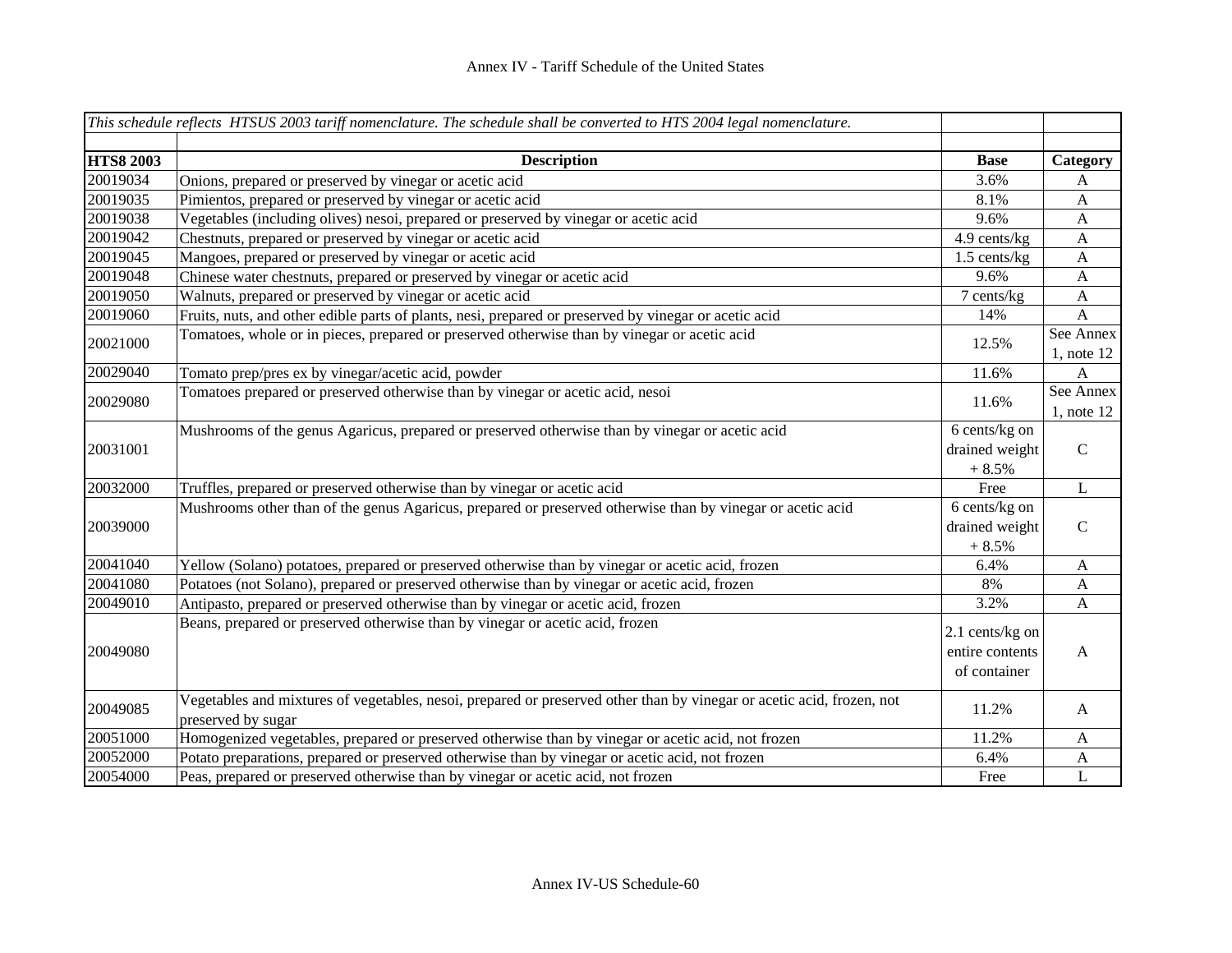|                  | This schedule reflects HTSUS 2003 tariff nomenclature. The schedule shall be converted to HTS 2004 legal nomenclature.                      |                                                    |                              |
|------------------|---------------------------------------------------------------------------------------------------------------------------------------------|----------------------------------------------------|------------------------------|
|                  |                                                                                                                                             |                                                    |                              |
| <b>HTS8 2003</b> | <b>Description</b>                                                                                                                          | <b>Base</b>                                        | Category                     |
| 20019034         | Onions, prepared or preserved by vinegar or acetic acid                                                                                     | 3.6%                                               | A                            |
| 20019035         | Pimientos, prepared or preserved by vinegar or acetic acid                                                                                  | 8.1%                                               | A                            |
| 20019038         | Vegetables (including olives) nesoi, prepared or preserved by vinegar or acetic acid                                                        | 9.6%                                               | A                            |
| 20019042         | Chestnuts, prepared or preserved by vinegar or acetic acid                                                                                  | 4.9 cents/kg                                       | $\mathbf{A}$                 |
| 20019045         | Mangoes, prepared or preserved by vinegar or acetic acid                                                                                    | $1.5$ cents/kg                                     | $\mathbf{A}$                 |
| 20019048         | Chinese water chestnuts, prepared or preserved by vinegar or acetic acid                                                                    | 9.6%                                               | $\mathbf{A}$                 |
| 20019050         | Walnuts, prepared or preserved by vinegar or acetic acid                                                                                    | 7 cents/kg                                         | $\mathbf{A}$                 |
| 20019060         | Fruits, nuts, and other edible parts of plants, nesi, prepared or preserved by vinegar or acetic acid                                       | 14%                                                | A                            |
| 20021000         | Tomatoes, whole or in pieces, prepared or preserved otherwise than by vinegar or acetic acid                                                | 12.5%                                              | See Annex<br>$1$ , note $12$ |
| 20029040         | Tomato prep/pres ex by vinegar/acetic acid, powder                                                                                          | 11.6%                                              | A                            |
| 20029080         | Tomatoes prepared or preserved otherwise than by vinegar or acetic acid, nesoi                                                              | 11.6%                                              | See Annex<br>$1$ , note $12$ |
|                  | Mushrooms of the genus Agaricus, prepared or preserved otherwise than by vinegar or acetic acid                                             | 6 cents/kg on                                      |                              |
| 20031001         |                                                                                                                                             | drained weight<br>$+8.5%$                          | $\mathcal{C}$                |
| 20032000         | Truffles, prepared or preserved otherwise than by vinegar or acetic acid                                                                    | Free                                               | L                            |
| 20039000         | Mushrooms other than of the genus Agaricus, prepared or preserved otherwise than by vinegar or acetic acid                                  | 6 cents/kg on<br>drained weight<br>$+8.5%$         | $\mathbf C$                  |
| 20041040         | Yellow (Solano) potatoes, prepared or preserved otherwise than by vinegar or acetic acid, frozen                                            | 6.4%                                               | $\mathbf{A}$                 |
| 20041080         | Potatoes (not Solano), prepared or preserved otherwise than by vinegar or acetic acid, frozen                                               | 8%                                                 | A                            |
| 20049010         | Antipasto, prepared or preserved otherwise than by vinegar or acetic acid, frozen                                                           | 3.2%                                               | A                            |
| 20049080         | Beans, prepared or preserved otherwise than by vinegar or acetic acid, frozen                                                               | 2.1 cents/kg on<br>entire contents<br>of container | $\mathbf{A}$                 |
| 20049085         | Vegetables and mixtures of vegetables, nesoi, prepared or preserved other than by vinegar or acetic acid, frozen, not<br>preserved by sugar | 11.2%                                              | $\mathbf{A}$                 |
| 20051000         | Homogenized vegetables, prepared or preserved otherwise than by vinegar or acetic acid, not frozen                                          | 11.2%                                              | A                            |
| 20052000         | Potato preparations, prepared or preserved otherwise than by vinegar or acetic acid, not frozen                                             | 6.4%                                               | A                            |
| 20054000         | Peas, prepared or preserved otherwise than by vinegar or acetic acid, not frozen                                                            | Free                                               | $\mathbf L$                  |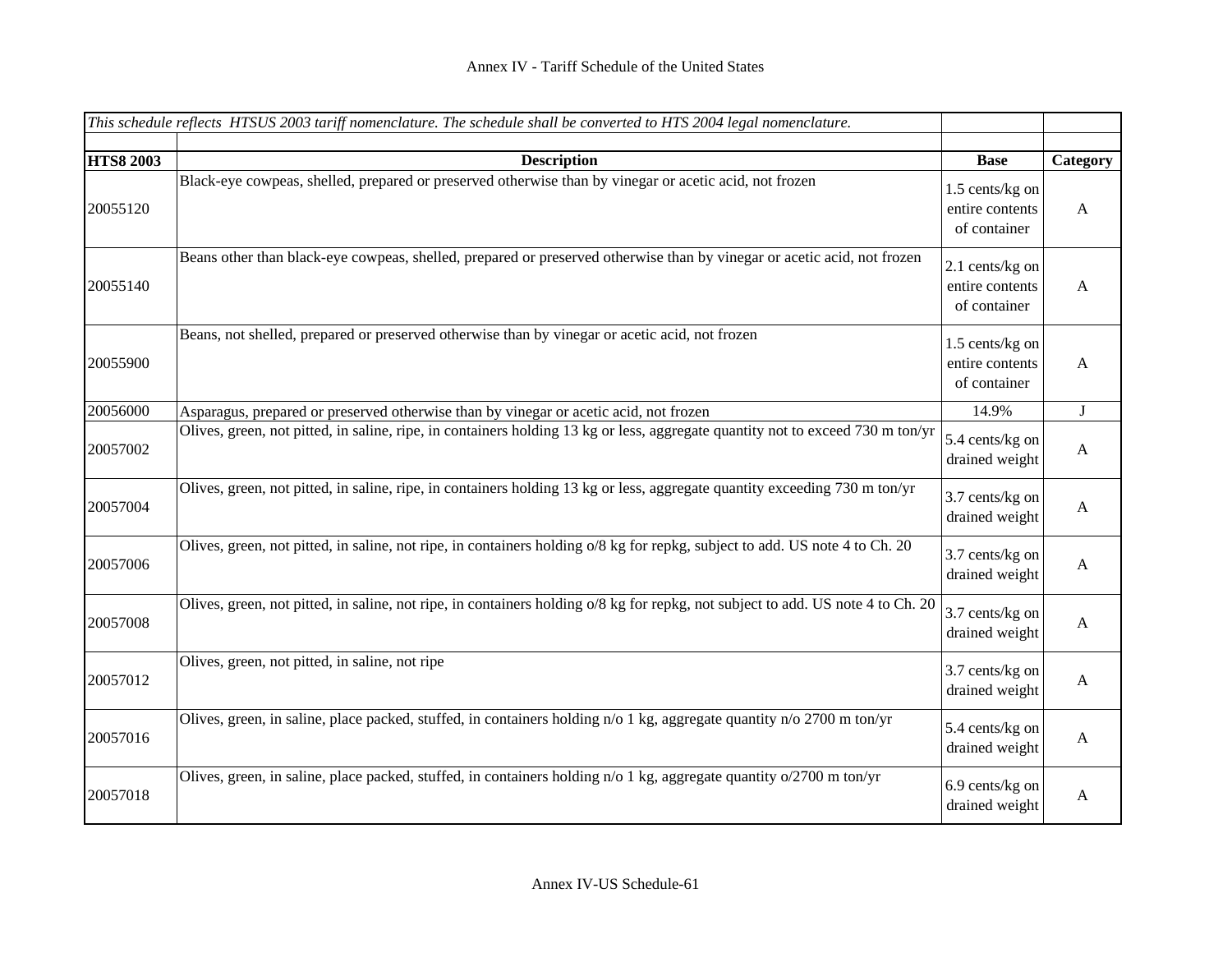|                  | This schedule reflects HTSUS 2003 tariff nomenclature. The schedule shall be converted to HTS 2004 legal nomenclature.          |                                                    |              |
|------------------|---------------------------------------------------------------------------------------------------------------------------------|----------------------------------------------------|--------------|
|                  |                                                                                                                                 |                                                    |              |
| <b>HTS8 2003</b> | <b>Description</b>                                                                                                              | <b>Base</b>                                        | Category     |
| 20055120         | Black-eye cowpeas, shelled, prepared or preserved otherwise than by vinegar or acetic acid, not frozen                          | 1.5 cents/kg on<br>entire contents<br>of container | A            |
| 20055140         | Beans other than black-eye cowpeas, shelled, prepared or preserved otherwise than by vinegar or acetic acid, not frozen         | 2.1 cents/kg on<br>entire contents<br>of container | A            |
| 20055900         | Beans, not shelled, prepared or preserved otherwise than by vinegar or acetic acid, not frozen                                  | 1.5 cents/kg on<br>entire contents<br>of container | $\mathbf{A}$ |
| 20056000         | Asparagus, prepared or preserved otherwise than by vinegar or acetic acid, not frozen                                           | 14.9%                                              | J            |
| 20057002         | Olives, green, not pitted, in saline, ripe, in containers holding 13 kg or less, aggregate quantity not to exceed 730 m ton/yr  | 5.4 cents/kg on<br>drained weight                  | $\mathbf{A}$ |
| 20057004         | Olives, green, not pitted, in saline, ripe, in containers holding 13 kg or less, aggregate quantity exceeding 730 m ton/yr      | 3.7 cents/kg on<br>drained weight                  | $\mathbf{A}$ |
| 20057006         | Olives, green, not pitted, in saline, not ripe, in containers holding o/8 kg for repkg, subject to add. US note 4 to Ch. 20     | 3.7 cents/kg on<br>drained weight                  | $\mathbf{A}$ |
| 20057008         | Olives, green, not pitted, in saline, not ripe, in containers holding o/8 kg for repkg, not subject to add. US note 4 to Ch. 20 | 3.7 cents/kg on<br>drained weight                  | $\mathbf{A}$ |
| 20057012         | Olives, green, not pitted, in saline, not ripe                                                                                  | 3.7 cents/kg on<br>drained weight                  | A            |
| 20057016         | Olives, green, in saline, place packed, stuffed, in containers holding n/o 1 kg, aggregate quantity n/o 2700 m ton/yr           | 5.4 cents/kg on<br>drained weight                  | $\mathbf{A}$ |
| 20057018         | Olives, green, in saline, place packed, stuffed, in containers holding $n/0$ 1 kg, aggregate quantity $o/2700$ m ton/yr         | 6.9 cents/kg on<br>drained weight                  | $\mathbf{A}$ |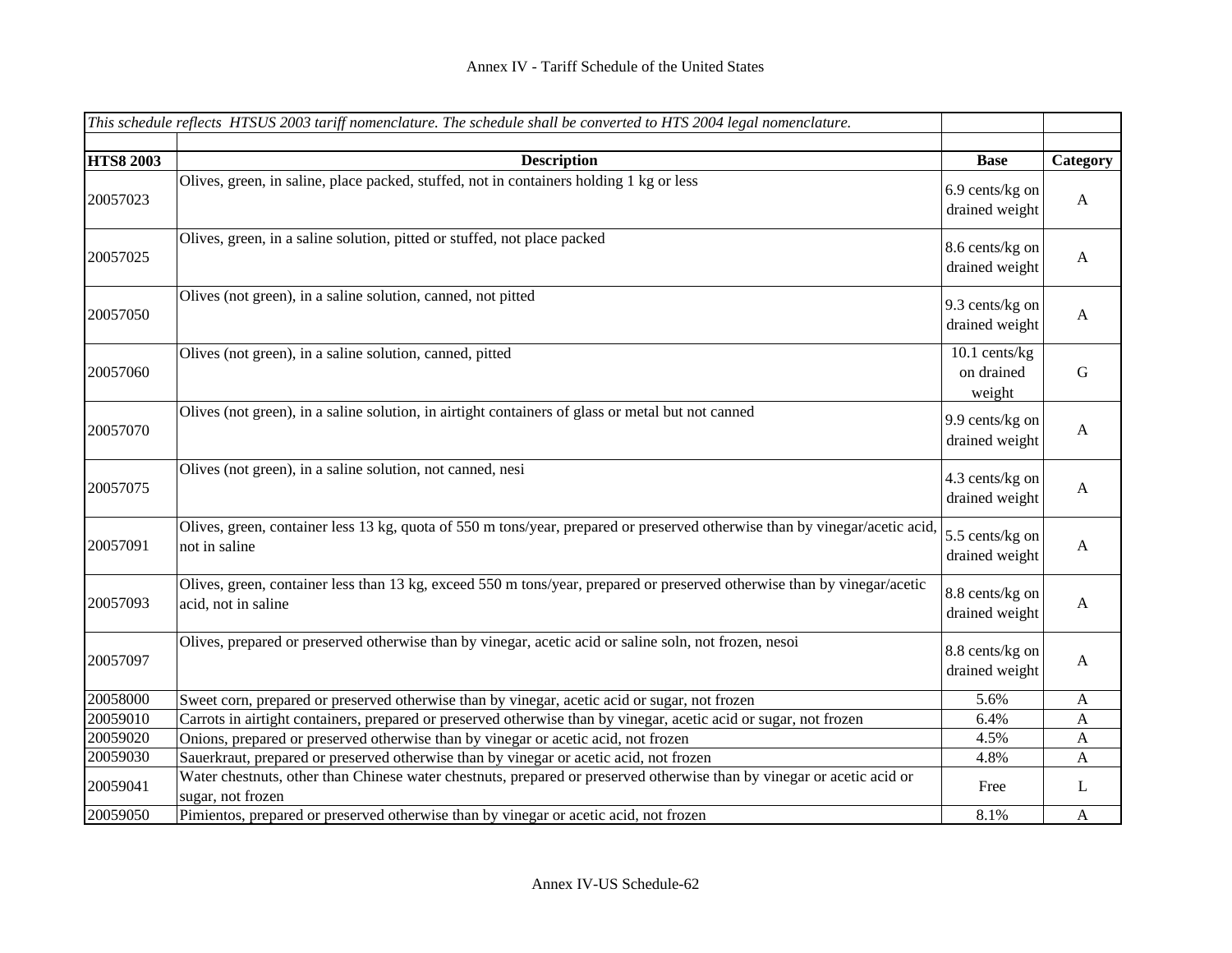|                  | This schedule reflects HTSUS 2003 tariff nomenclature. The schedule shall be converted to HTS 2004 legal nomenclature.                          |                                       |              |
|------------------|-------------------------------------------------------------------------------------------------------------------------------------------------|---------------------------------------|--------------|
|                  |                                                                                                                                                 |                                       |              |
| <b>HTS8 2003</b> | <b>Description</b>                                                                                                                              | <b>Base</b>                           | Category     |
| 20057023         | Olives, green, in saline, place packed, stuffed, not in containers holding 1 kg or less                                                         | 6.9 cents/kg on<br>drained weight     | A            |
| 20057025         | Olives, green, in a saline solution, pitted or stuffed, not place packed                                                                        | 8.6 cents/kg on<br>drained weight     | A            |
| 20057050         | Olives (not green), in a saline solution, canned, not pitted                                                                                    | 9.3 cents/kg on<br>drained weight     | A            |
| 20057060         | Olives (not green), in a saline solution, canned, pitted                                                                                        | 10.1 cents/kg<br>on drained<br>weight | $\mathbf G$  |
| 20057070         | Olives (not green), in a saline solution, in airtight containers of glass or metal but not canned                                               | 9.9 cents/kg on<br>drained weight     | $\mathbf{A}$ |
| 20057075         | Olives (not green), in a saline solution, not canned, nesi                                                                                      | 4.3 cents/kg on<br>drained weight     | A            |
| 20057091         | Olives, green, container less 13 kg, quota of 550 m tons/year, prepared or preserved otherwise than by vinegar/acetic acid,<br>not in saline    | 5.5 cents/kg on<br>drained weight     | A            |
| 20057093         | Olives, green, container less than 13 kg, exceed 550 m tons/year, prepared or preserved otherwise than by vinegar/acetic<br>acid, not in saline | 8.8 cents/kg on<br>drained weight     | A            |
| 20057097         | Olives, prepared or preserved otherwise than by vinegar, acetic acid or saline soln, not frozen, nesoi                                          | 8.8 cents/kg on<br>drained weight     | A            |
| 20058000         | Sweet corn, prepared or preserved otherwise than by vinegar, acetic acid or sugar, not frozen                                                   | 5.6%                                  | A            |
| 20059010         | Carrots in airtight containers, prepared or preserved otherwise than by vinegar, acetic acid or sugar, not frozen                               | 6.4%                                  | A            |
| 20059020         | Onions, prepared or preserved otherwise than by vinegar or acetic acid, not frozen                                                              | 4.5%                                  | A            |
| 20059030         | Sauerkraut, prepared or preserved otherwise than by vinegar or acetic acid, not frozen                                                          | 4.8%                                  | A            |
| 20059041         | Water chestnuts, other than Chinese water chestnuts, prepared or preserved otherwise than by vinegar or acetic acid or<br>sugar, not frozen     | Free                                  | L            |
| 20059050         | Pimientos, prepared or preserved otherwise than by vinegar or acetic acid, not frozen                                                           | 8.1%                                  | $\mathbf{A}$ |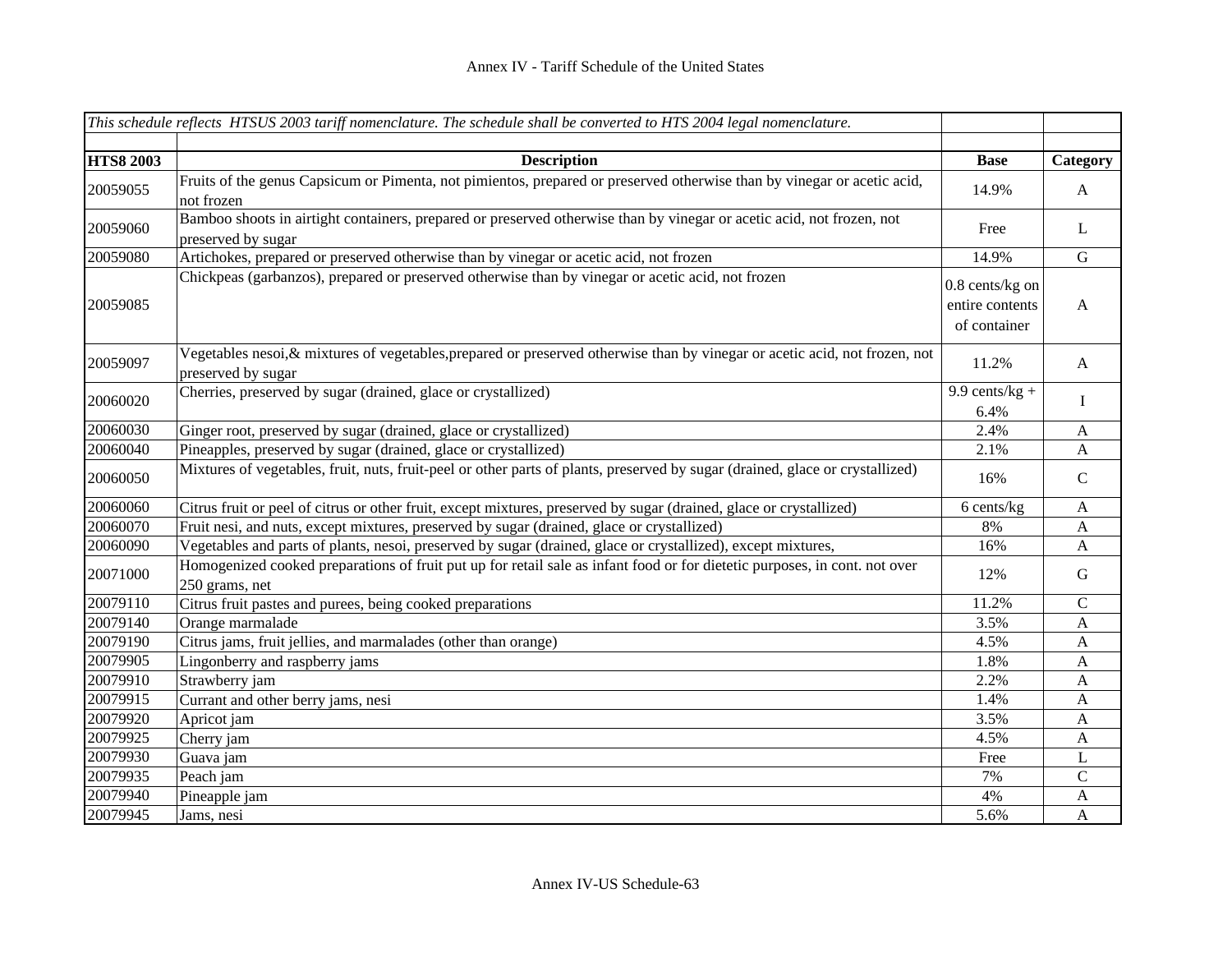|                  | This schedule reflects HTSUS 2003 tariff nomenclature. The schedule shall be converted to HTS 2004 legal nomenclature.                            |                                                      |              |
|------------------|---------------------------------------------------------------------------------------------------------------------------------------------------|------------------------------------------------------|--------------|
|                  |                                                                                                                                                   |                                                      |              |
| <b>HTS8 2003</b> | <b>Description</b>                                                                                                                                | <b>Base</b>                                          | Category     |
| 20059055         | Fruits of the genus Capsicum or Pimenta, not pimientos, prepared or preserved otherwise than by vinegar or acetic acid,<br>not frozen             | 14.9%                                                | $\mathbf{A}$ |
| 20059060         | Bamboo shoots in airtight containers, prepared or preserved otherwise than by vinegar or acetic acid, not frozen, not<br>preserved by sugar       | Free                                                 | L            |
| 20059080         | Artichokes, prepared or preserved otherwise than by vinegar or acetic acid, not frozen                                                            | 14.9%                                                | ${\bf G}$    |
| 20059085         | Chickpeas (garbanzos), prepared or preserved otherwise than by vinegar or acetic acid, not frozen                                                 | $0.8$ cents/kg on<br>entire contents<br>of container | $\mathbf{A}$ |
| 20059097         | Vegetables nesoi, & mixtures of vegetables, prepared or preserved otherwise than by vinegar or acetic acid, not frozen, not<br>preserved by sugar | 11.2%                                                | $\mathbf{A}$ |
| 20060020         | Cherries, preserved by sugar (drained, glace or crystallized)                                                                                     | 9.9 cents/ $kg +$<br>6.4%                            | I            |
| 20060030         | Ginger root, preserved by sugar (drained, glace or crystallized)                                                                                  | 2.4%                                                 | $\mathbf{A}$ |
| 20060040         | Pineapples, preserved by sugar (drained, glace or crystallized)                                                                                   | 2.1%                                                 | $\mathbf{A}$ |
| 20060050         | Mixtures of vegetables, fruit, nuts, fruit-peel or other parts of plants, preserved by sugar (drained, glace or crystallized)                     | 16%                                                  | $\mathsf{C}$ |
| 20060060         | Citrus fruit or peel of citrus or other fruit, except mixtures, preserved by sugar (drained, glace or crystallized)                               | 6 cents/kg                                           | $\mathbf{A}$ |
| 20060070         | Fruit nesi, and nuts, except mixtures, preserved by sugar (drained, glace or crystallized)                                                        | 8%                                                   | $\mathbf{A}$ |
| 20060090         | Vegetables and parts of plants, nesoi, preserved by sugar (drained, glace or crystallized), except mixtures,                                      | 16%                                                  | $\mathbf{A}$ |
| 20071000         | Homogenized cooked preparations of fruit put up for retail sale as infant food or for dietetic purposes, in cont. not over<br>250 grams, net      | 12%                                                  | G            |
| 20079110         | Citrus fruit pastes and purees, being cooked preparations                                                                                         | 11.2%                                                | $\mathbf C$  |
| 20079140         | Orange marmalade                                                                                                                                  | 3.5%                                                 | A            |
| 20079190         | Citrus jams, fruit jellies, and marmalades (other than orange)                                                                                    | 4.5%                                                 | A            |
| 20079905         | Lingonberry and raspberry jams                                                                                                                    | 1.8%                                                 | A            |
| 20079910         | Strawberry jam                                                                                                                                    | 2.2%                                                 | A            |
| 20079915         | Currant and other berry jams, nesi                                                                                                                | 1.4%                                                 | A            |
| 20079920         | Apricot jam                                                                                                                                       | 3.5%                                                 | A            |
| 20079925         | Cherry jam                                                                                                                                        | 4.5%                                                 | A            |
| 20079930         | Guava jam                                                                                                                                         | Free                                                 | L            |
| 20079935         | Peach jam                                                                                                                                         | 7%                                                   | $\mathsf{C}$ |
| 20079940         | Pineapple jam                                                                                                                                     | 4%                                                   | A            |
| 20079945         | Jams, nesi                                                                                                                                        | 5.6%                                                 | A            |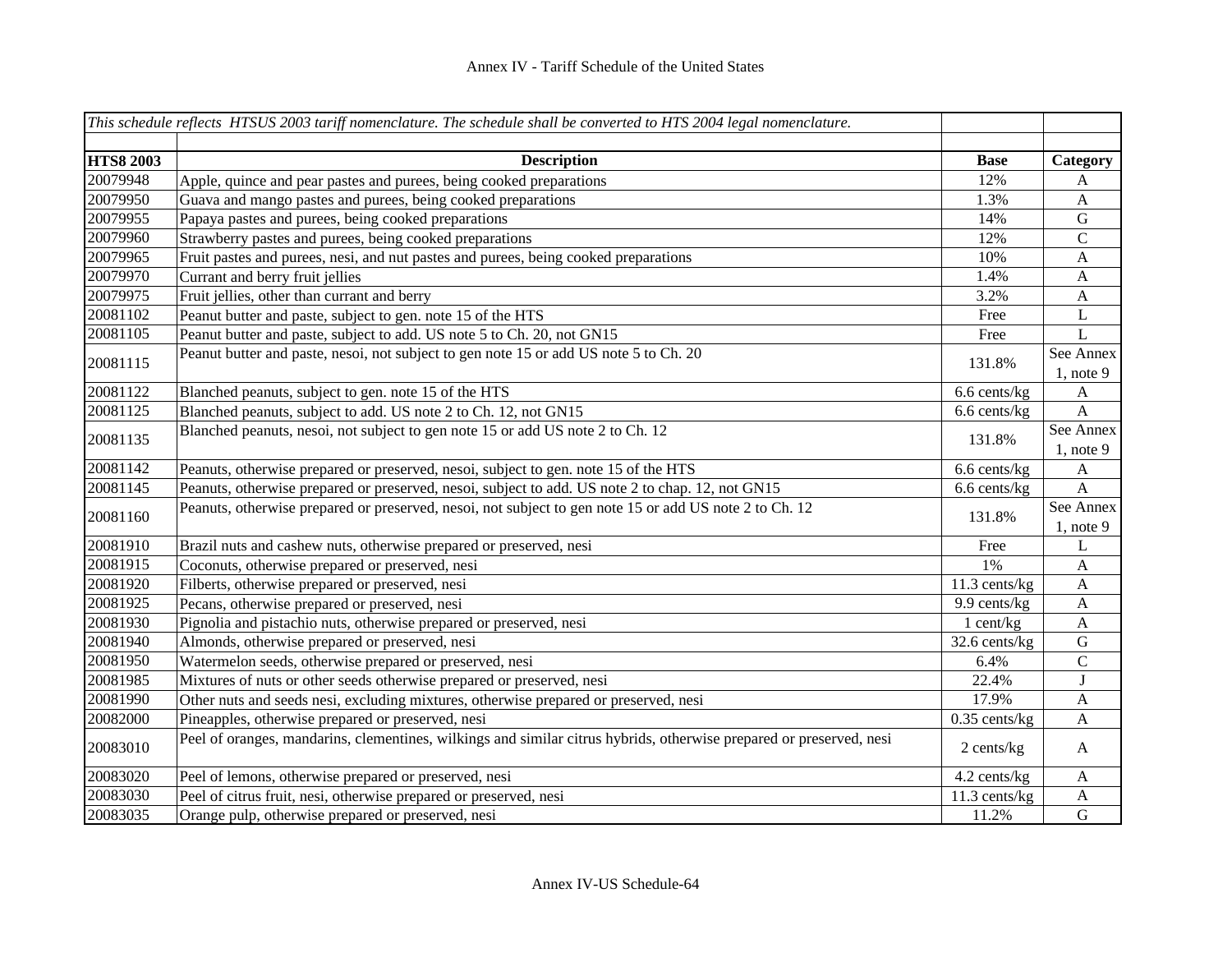|                  | This schedule reflects HTSUS 2003 tariff nomenclature. The schedule shall be converted to HTS 2004 legal nomenclature. |                 |              |
|------------------|------------------------------------------------------------------------------------------------------------------------|-----------------|--------------|
|                  |                                                                                                                        |                 |              |
| <b>HTS8 2003</b> | <b>Description</b>                                                                                                     | <b>Base</b>     | Category     |
| 20079948         | Apple, quince and pear pastes and purees, being cooked preparations                                                    | 12%             | A            |
| 20079950         | Guava and mango pastes and purees, being cooked preparations                                                           | 1.3%            | $\mathbf{A}$ |
| 20079955         | Papaya pastes and purees, being cooked preparations                                                                    | 14%             | ${\bf G}$    |
| 20079960         | Strawberry pastes and purees, being cooked preparations                                                                | 12%             | $\mathsf C$  |
| 20079965         | Fruit pastes and purees, nesi, and nut pastes and purees, being cooked preparations                                    | 10%             | $\mathbf{A}$ |
| 20079970         | Currant and berry fruit jellies                                                                                        | 1.4%            | $\mathbf{A}$ |
| 20079975         | Fruit jellies, other than currant and berry                                                                            | 3.2%            | $\mathbf{A}$ |
| 20081102         | Peanut butter and paste, subject to gen. note 15 of the HTS                                                            | Free            | $\mathbf L$  |
| 20081105         | Peanut butter and paste, subject to add. US note 5 to Ch. 20, not GN15                                                 | Free            | L            |
| 20081115         | Peanut butter and paste, nesoi, not subject to gen note 15 or add US note 5 to Ch. 20                                  | 131.8%          | See Annex    |
|                  |                                                                                                                        |                 | $1$ , note 9 |
| 20081122         | Blanched peanuts, subject to gen. note 15 of the HTS                                                                   | 6.6 cents/kg    | A            |
| 20081125         | Blanched peanuts, subject to add. US note 2 to Ch. 12, not GN15                                                        | 6.6 cents/kg    | $\mathbf{A}$ |
| 20081135         | Blanched peanuts, nesoi, not subject to gen note 15 or add US note 2 to Ch. 12                                         | 131.8%          | See Annex    |
|                  |                                                                                                                        |                 | $1$ , note 9 |
| 20081142         | Peanuts, otherwise prepared or preserved, nesoi, subject to gen. note 15 of the HTS                                    | 6.6 cents/kg    | A            |
| 20081145         | Peanuts, otherwise prepared or preserved, nesoi, subject to add. US note 2 to chap. 12, not GN15                       | 6.6 cents/kg    | $\mathbf{A}$ |
| 20081160         | Peanuts, otherwise prepared or preserved, nesoi, not subject to gen note 15 or add US note 2 to Ch. 12                 | 131.8%          | See Annex    |
|                  |                                                                                                                        |                 | $1$ , note 9 |
| 20081910         | Brazil nuts and cashew nuts, otherwise prepared or preserved, nesi                                                     | Free            | L            |
| 20081915         | Coconuts, otherwise prepared or preserved, nesi                                                                        | 1%              | A            |
| 20081920         | Filberts, otherwise prepared or preserved, nesi                                                                        | 11.3 cents/kg   | A            |
| 20081925         | Pecans, otherwise prepared or preserved, nesi                                                                          | 9.9 cents/kg    | A            |
| 20081930         | Pignolia and pistachio nuts, otherwise prepared or preserved, nesi                                                     | 1 cent/kg       | $\mathbf{A}$ |
| 20081940         | Almonds, otherwise prepared or preserved, nesi                                                                         | 32.6 cents/kg   | ${\bf G}$    |
| 20081950         | Watermelon seeds, otherwise prepared or preserved, nesi                                                                | 6.4%            | $\mathbf C$  |
| 20081985         | Mixtures of nuts or other seeds otherwise prepared or preserved, nesi                                                  | 22.4%           | ${\bf J}$    |
| 20081990         | Other nuts and seeds nesi, excluding mixtures, otherwise prepared or preserved, nesi                                   | 17.9%           | $\mathbf{A}$ |
| 20082000         | Pineapples, otherwise prepared or preserved, nesi                                                                      | $0.35$ cents/kg | $\mathbf{A}$ |
| 20083010         | Peel of oranges, mandarins, clementines, wilkings and similar citrus hybrids, otherwise prepared or preserved, nesi    | 2 cents/kg      | $\mathbf{A}$ |
| 20083020         | Peel of lemons, otherwise prepared or preserved, nesi                                                                  | 4.2 cents/kg    | $\mathbf{A}$ |
| 20083030         | Peel of citrus fruit, nesi, otherwise prepared or preserved, nesi                                                      | 11.3 cents/kg   | $\mathbf{A}$ |
| 20083035         | Orange pulp, otherwise prepared or preserved, nesi                                                                     | 11.2%           | ${\bf G}$    |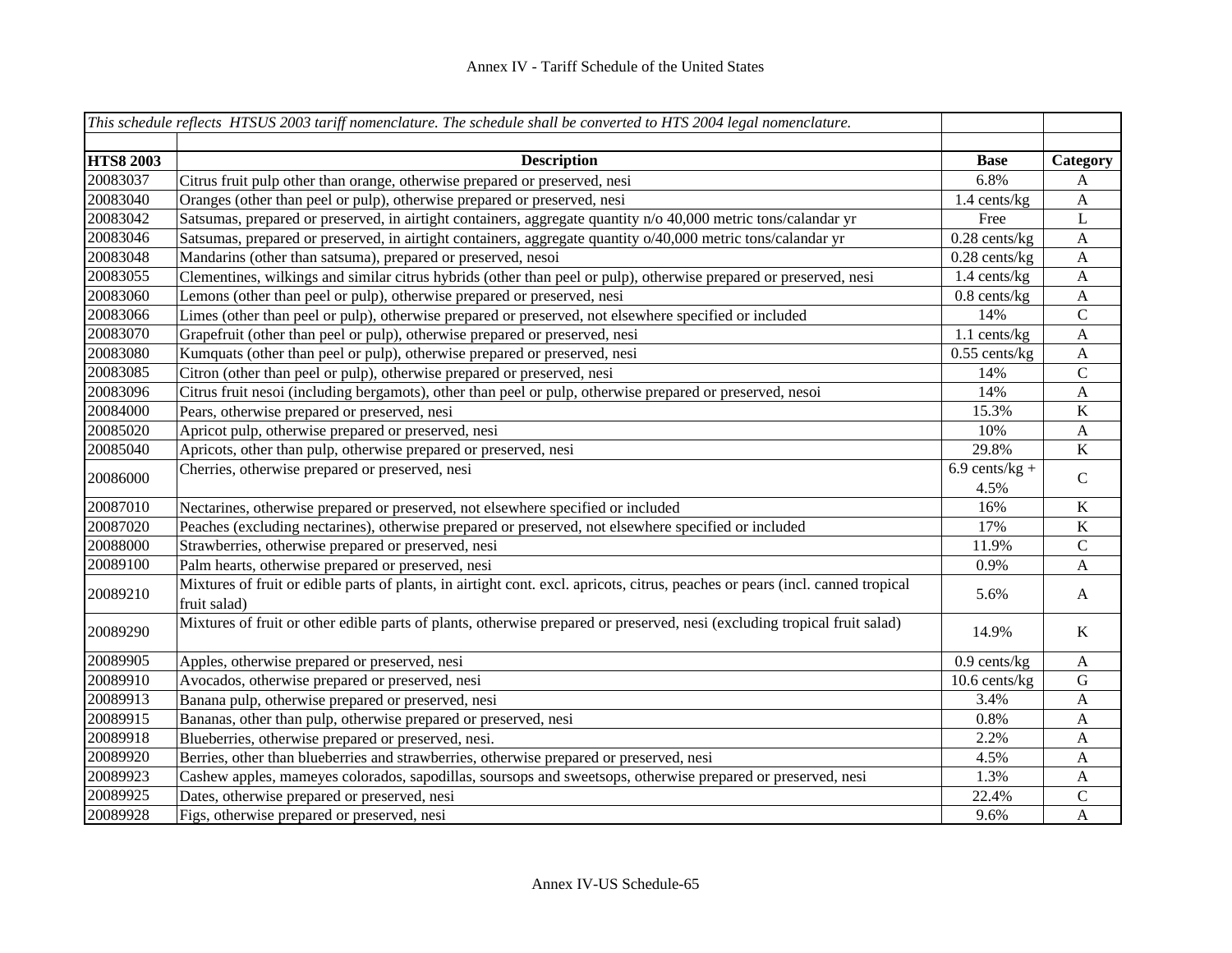|                  | This schedule reflects HTSUS 2003 tariff nomenclature. The schedule shall be converted to HTS 2004 legal nomenclature.                         |                  |                           |
|------------------|------------------------------------------------------------------------------------------------------------------------------------------------|------------------|---------------------------|
| <b>HTS8 2003</b> | <b>Description</b>                                                                                                                             | <b>Base</b>      | Category                  |
| 20083037         | Citrus fruit pulp other than orange, otherwise prepared or preserved, nesi                                                                     | 6.8%             | A                         |
| 20083040         | Oranges (other than peel or pulp), otherwise prepared or preserved, nesi                                                                       | 1.4 cents/kg     | $\boldsymbol{A}$          |
| 20083042         | Satsumas, prepared or preserved, in airtight containers, aggregate quantity n/o 40,000 metric tons/calandar yr                                 | Free             | L                         |
| 20083046         | Satsumas, prepared or preserved, in airtight containers, aggregate quantity o/40,000 metric tons/calandar yr                                   | $0.28$ cents/kg  | $\boldsymbol{A}$          |
| 20083048         | Mandarins (other than satsuma), prepared or preserved, nesoi                                                                                   | $0.28$ cents/kg  | $\boldsymbol{\mathsf{A}}$ |
| 20083055         | Clementines, wilkings and similar citrus hybrids (other than peel or pulp), otherwise prepared or preserved, nesi                              | 1.4 cents/kg     | $\mathbf{A}$              |
| 20083060         | Lemons (other than peel or pulp), otherwise prepared or preserved, nesi                                                                        | $0.8$ cents/kg   | $\mathbf{A}$              |
| 20083066         | Limes (other than peel or pulp), otherwise prepared or preserved, not elsewhere specified or included                                          | 14%              | $\mathbf C$               |
| 20083070         | Grapefruit (other than peel or pulp), otherwise prepared or preserved, nesi                                                                    | $1.1$ cents/kg   | $\mathbf{A}$              |
| 20083080         | Kumquats (other than peel or pulp), otherwise prepared or preserved, nesi                                                                      | $0.55$ cents/kg  | $\boldsymbol{\mathsf{A}}$ |
| 20083085         | Citron (other than peel or pulp), otherwise prepared or preserved, nesi                                                                        | 14%              | $\mathsf{C}$              |
| 20083096         | Citrus fruit nesoi (including bergamots), other than peel or pulp, otherwise prepared or preserved, nesoi                                      | 14%              | $\mathbf{A}$              |
| 20084000         | Pears, otherwise prepared or preserved, nesi                                                                                                   | 15.3%            | $\overline{K}$            |
| 20085020         | Apricot pulp, otherwise prepared or preserved, nesi                                                                                            | 10%              | $\boldsymbol{\mathsf{A}}$ |
| 20085040         | Apricots, other than pulp, otherwise prepared or preserved, nesi                                                                               | 29.8%            | $\bf K$                   |
| 20086000         | Cherries, otherwise prepared or preserved, nesi                                                                                                | $6.9$ cents/kg + | $\mathsf{C}$              |
|                  |                                                                                                                                                | 4.5%             |                           |
| 20087010         | Nectarines, otherwise prepared or preserved, not elsewhere specified or included                                                               | 16%              | $\bf K$                   |
| 20087020         | Peaches (excluding nectarines), otherwise prepared or preserved, not elsewhere specified or included                                           | 17%              | $\bf K$                   |
| 20088000         | Strawberries, otherwise prepared or preserved, nesi                                                                                            | 11.9%            | $\mathbf C$               |
| 20089100         | Palm hearts, otherwise prepared or preserved, nesi                                                                                             | 0.9%             | A                         |
| 20089210         | Mixtures of fruit or edible parts of plants, in airtight cont. excl. apricots, citrus, peaches or pears (incl. canned tropical<br>fruit salad) | 5.6%             | A                         |
| 20089290         | Mixtures of fruit or other edible parts of plants, otherwise prepared or preserved, nesi (excluding tropical fruit salad)                      | 14.9%            | $\rm K$                   |
| 20089905         | Apples, otherwise prepared or preserved, nesi                                                                                                  | $0.9$ cents/kg   | $\mathbf{A}$              |
| 20089910         | Avocados, otherwise prepared or preserved, nesi                                                                                                | 10.6 cents/kg    | ${\bf G}$                 |
| 20089913         | Banana pulp, otherwise prepared or preserved, nesi                                                                                             | 3.4%             | $\mathbf{A}$              |
| 20089915         | Bananas, other than pulp, otherwise prepared or preserved, nesi                                                                                | 0.8%             | A                         |
| 20089918         | Blueberries, otherwise prepared or preserved, nesi.                                                                                            | 2.2%             | A                         |
| 20089920         | Berries, other than blueberries and strawberries, otherwise prepared or preserved, nesi                                                        | 4.5%             | A                         |
| 20089923         | Cashew apples, mameyes colorados, sapodillas, soursops and sweetsops, otherwise prepared or preserved, nesi                                    | 1.3%             | A                         |
| 20089925         | Dates, otherwise prepared or preserved, nesi                                                                                                   | 22.4%            | $\mathsf{C}$              |
| 20089928         | Figs, otherwise prepared or preserved, nesi                                                                                                    | 9.6%             | $\mathbf{A}$              |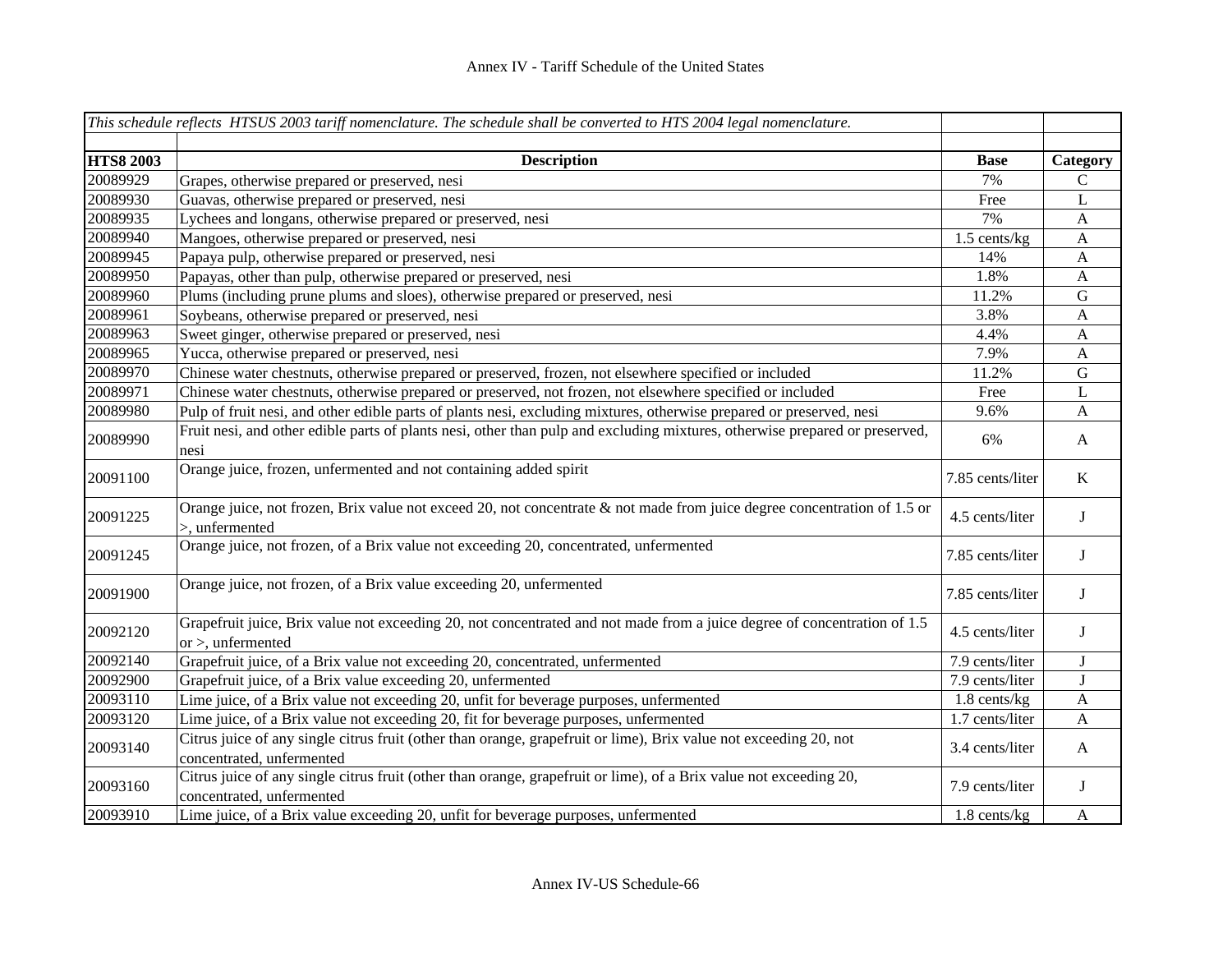|                  | This schedule reflects HTSUS 2003 tariff nomenclature. The schedule shall be converted to HTS 2004 legal nomenclature.                           |                  |                  |
|------------------|--------------------------------------------------------------------------------------------------------------------------------------------------|------------------|------------------|
| <b>HTS8 2003</b> | <b>Description</b>                                                                                                                               | <b>Base</b>      | Category         |
| 20089929         | Grapes, otherwise prepared or preserved, nesi                                                                                                    | 7%               | C                |
| 20089930         | Guavas, otherwise prepared or preserved, nesi                                                                                                    | Free             | $\mathbf L$      |
| 20089935         | Lychees and longans, otherwise prepared or preserved, nesi                                                                                       | 7%               | $\boldsymbol{A}$ |
| 20089940         | Mangoes, otherwise prepared or preserved, nesi                                                                                                   | 1.5 cents/kg     | $\mathbf{A}$     |
| 20089945         | Papaya pulp, otherwise prepared or preserved, nesi                                                                                               | 14%              | $\mathbf{A}$     |
| 20089950         | Papayas, other than pulp, otherwise prepared or preserved, nesi                                                                                  | 1.8%             | $\mathbf{A}$     |
| 20089960         | Plums (including prune plums and sloes), otherwise prepared or preserved, nesi                                                                   | 11.2%            | ${\bf G}$        |
| 20089961         | Soybeans, otherwise prepared or preserved, nesi                                                                                                  | 3.8%             | $\mathbf{A}$     |
| 20089963         | Sweet ginger, otherwise prepared or preserved, nesi                                                                                              | 4.4%             | $\mathbf{A}$     |
| 20089965         | Yucca, otherwise prepared or preserved, nesi                                                                                                     | 7.9%             | $\mathbf{A}$     |
| 20089970         | Chinese water chestnuts, otherwise prepared or preserved, frozen, not elsewhere specified or included                                            | 11.2%            | ${\bf G}$        |
| 20089971         | Chinese water chestnuts, otherwise prepared or preserved, not frozen, not elsewhere specified or included                                        | Free             | L                |
| 20089980         | Pulp of fruit nesi, and other edible parts of plants nesi, excluding mixtures, otherwise prepared or preserved, nesi                             | 9.6%             | A                |
| 20089990         | Fruit nesi, and other edible parts of plants nesi, other than pulp and excluding mixtures, otherwise prepared or preserved,<br>nesi              | 6%               | $\mathbf{A}$     |
| 20091100         | Orange juice, frozen, unfermented and not containing added spirit                                                                                | 7.85 cents/liter | K                |
| 20091225         | Orange juice, not frozen, Brix value not exceed 20, not concentrate & not made from juice degree concentration of 1.5 or<br>$>$ , unfermented    | 4.5 cents/liter  | J                |
| 20091245         | Orange juice, not frozen, of a Brix value not exceeding 20, concentrated, unfermented                                                            | 7.85 cents/liter | J                |
| 20091900         | Orange juice, not frozen, of a Brix value exceeding 20, unfermented                                                                              | 7.85 cents/liter | $\bf{J}$         |
| 20092120         | Grapefruit juice, Brix value not exceeding 20, not concentrated and not made from a juice degree of concentration of 1.5<br>or $>$ , unfermented | 4.5 cents/liter  | J                |
| 20092140         | Grapefruit juice, of a Brix value not exceeding 20, concentrated, unfermented                                                                    | 7.9 cents/liter  | J                |
| 20092900         | Grapefruit juice, of a Brix value exceeding 20, unfermented                                                                                      | 7.9 cents/liter  | $\mathbf{J}$     |
| 20093110         | Lime juice, of a Brix value not exceeding 20, unfit for beverage purposes, unfermented                                                           | 1.8 cents/kg     | $\boldsymbol{A}$ |
| 20093120         | Lime juice, of a Brix value not exceeding 20, fit for beverage purposes, unfermented                                                             | 1.7 cents/liter  | A                |
| 20093140         | Citrus juice of any single citrus fruit (other than orange, grapefruit or lime), Brix value not exceeding 20, not<br>concentrated, unfermented   | 3.4 cents/liter  | $\mathbf{A}$     |
| 20093160         | Citrus juice of any single citrus fruit (other than orange, grapefruit or lime), of a Brix value not exceeding 20,<br>concentrated, unfermented  | 7.9 cents/liter  | J                |
| 20093910         | Lime juice, of a Brix value exceeding 20, unfit for beverage purposes, unfermented                                                               | 1.8 cents/kg     | $\mathbf{A}$     |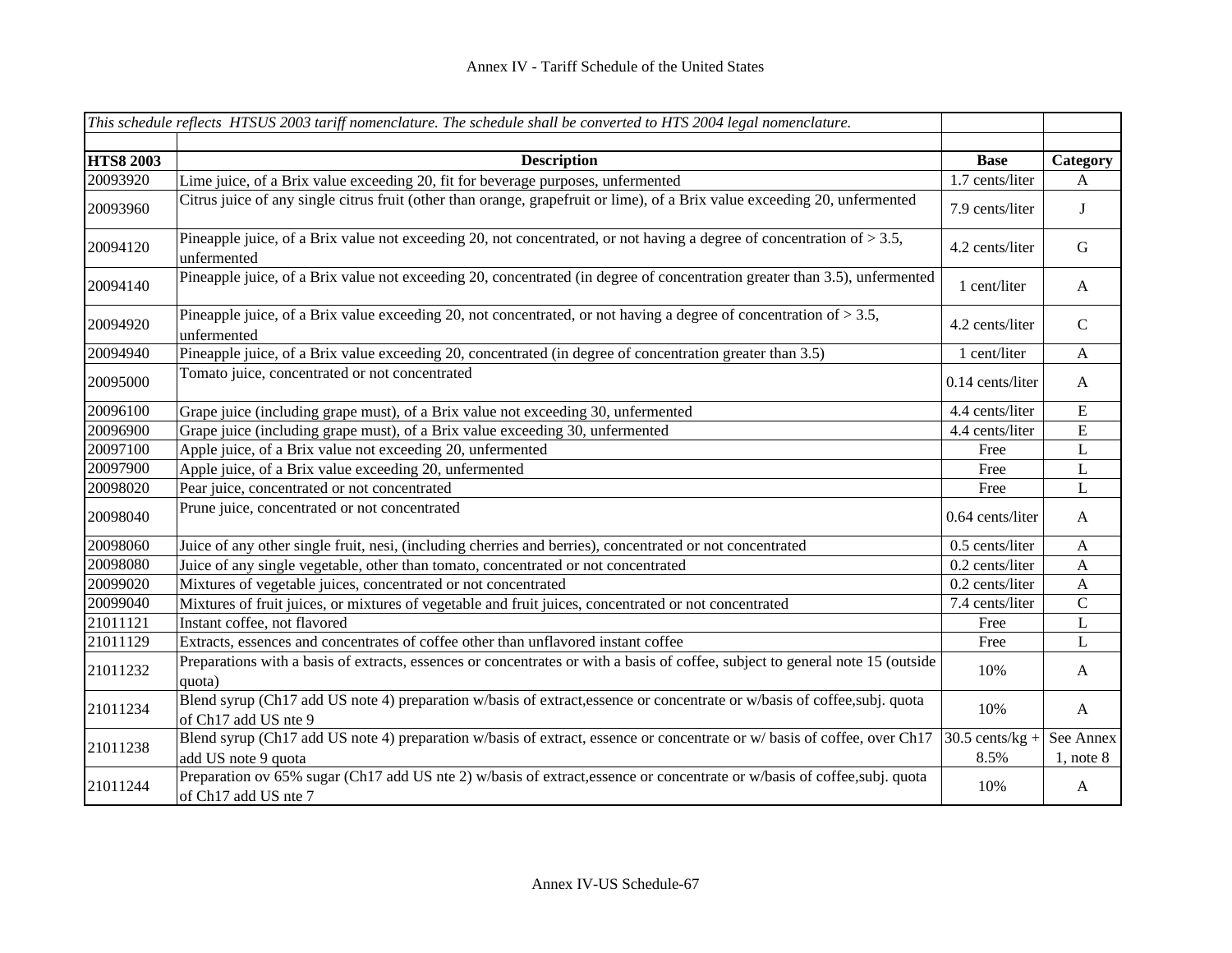|                  | This schedule reflects HTSUS 2003 tariff nomenclature. The schedule shall be converted to HTS 2004 legal nomenclature.                            |                           |                             |
|------------------|---------------------------------------------------------------------------------------------------------------------------------------------------|---------------------------|-----------------------------|
|                  |                                                                                                                                                   |                           |                             |
| <b>HTS8 2003</b> | <b>Description</b>                                                                                                                                | <b>Base</b>               | Category                    |
| 20093920         | Lime juice, of a Brix value exceeding 20, fit for beverage purposes, unfermented                                                                  | 1.7 cents/liter           | A                           |
| 20093960         | Citrus juice of any single citrus fruit (other than orange, grapefruit or lime), of a Brix value exceeding 20, unfermented                        | 7.9 cents/liter           | J                           |
| 20094120         | Pineapple juice, of a Brix value not exceeding 20, not concentrated, or not having a degree of concentration of $> 3.5$ ,<br>unfermented          | 4.2 cents/liter           | $\mathbf G$                 |
| 20094140         | Pineapple juice, of a Brix value not exceeding 20, concentrated (in degree of concentration greater than 3.5), unfermented                        | 1 cent/liter              | $\mathbf{A}$                |
| 20094920         | Pineapple juice, of a Brix value exceeding 20, not concentrated, or not having a degree of concentration of $> 3.5$ ,<br>unfermented              | 4.2 cents/liter           | $\mathbf C$                 |
| 20094940         | Pineapple juice, of a Brix value exceeding 20, concentrated (in degree of concentration greater than 3.5)                                         | 1 cent/liter              | $\mathbf{A}$                |
| 20095000         | Tomato juice, concentrated or not concentrated                                                                                                    | 0.14 cents/liter          | $\mathbf{A}$                |
| 20096100         | Grape juice (including grape must), of a Brix value not exceeding 30, unfermented                                                                 | 4.4 cents/liter           | E                           |
| 20096900         | Grape juice (including grape must), of a Brix value exceeding 30, unfermented                                                                     | 4.4 cents/liter           | ${\bf E}$                   |
| 20097100         | Apple juice, of a Brix value not exceeding 20, unfermented                                                                                        | Free                      | L                           |
| 20097900         | Apple juice, of a Brix value exceeding 20, unfermented                                                                                            | Free                      | $\mathbf{L}$                |
| 20098020         | Pear juice, concentrated or not concentrated                                                                                                      | Free                      | $\bf L$                     |
| 20098040         | Prune juice, concentrated or not concentrated                                                                                                     | 0.64 cents/liter          | $\mathbf{A}$                |
| 20098060         | Juice of any other single fruit, nesi, (including cherries and berries), concentrated or not concentrated                                         | 0.5 cents/liter           | $\boldsymbol{A}$            |
| 20098080         | Juice of any single vegetable, other than tomato, concentrated or not concentrated                                                                | 0.2 cents/liter           | A                           |
| 20099020         | Mixtures of vegetable juices, concentrated or not concentrated                                                                                    | 0.2 cents/liter           | $\mathbf{A}$                |
| 20099040         | Mixtures of fruit juices, or mixtures of vegetable and fruit juices, concentrated or not concentrated                                             | 7.4 cents/liter           | $\overline{C}$              |
| 21011121         | Instant coffee, not flavored                                                                                                                      | Free                      | $\bf L$                     |
| 21011129         | Extracts, essences and concentrates of coffee other than unflavored instant coffee                                                                | Free                      | L                           |
| 21011232         | Preparations with a basis of extracts, essences or concentrates or with a basis of coffee, subject to general note 15 (outside<br>quota)          | 10%                       | A                           |
| 21011234         | Blend syrup (Ch17 add US note 4) preparation w/basis of extract, essence or concentrate or w/basis of coffee, subj. quota<br>of Ch17 add US nte 9 | 10%                       | $\mathbf{A}$                |
| 21011238         | Blend syrup (Ch17 add US note 4) preparation w/basis of extract, essence or concentrate or w/basis of coffee, over Ch17<br>add US note 9 quota    | $30.5$ cents/kg +<br>8.5% | See Annex<br>$1$ , note $8$ |
| 21011244         | Preparation ov 65% sugar (Ch17 add US nte 2) w/basis of extract, essence or concentrate or w/basis of coffee, subj. quota<br>of Ch17 add US nte 7 | 10%                       | $\mathbf{A}$                |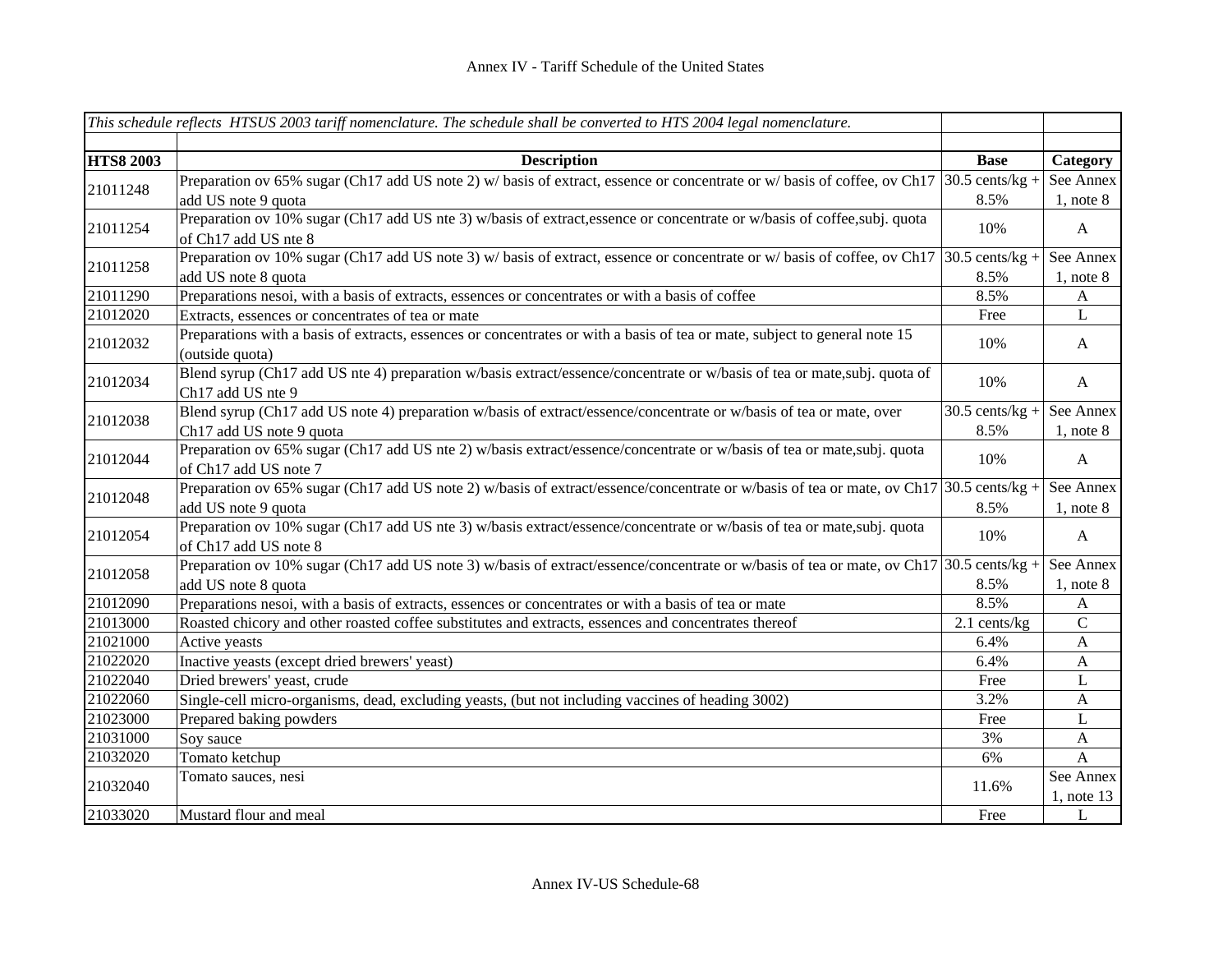|                  | This schedule reflects HTSUS 2003 tariff nomenclature. The schedule shall be converted to HTS 2004 legal nomenclature.                            |                   |                |           |
|------------------|---------------------------------------------------------------------------------------------------------------------------------------------------|-------------------|----------------|-----------|
|                  |                                                                                                                                                   |                   |                |           |
| <b>HTS8 2003</b> | <b>Description</b>                                                                                                                                | <b>Base</b>       | Category       |           |
| 21011248         | Preparation ov 65% sugar (Ch17 add US note 2) w/ basis of extract, essence or concentrate or w/ basis of coffee, ov Ch17                          | $30.5$ cents/kg + | See Annex      |           |
|                  | add US note 9 quota                                                                                                                               | 8.5%              | $1,$ note $8$  |           |
| 21011254         | Preparation ov 10% sugar (Ch17 add US nte 3) w/basis of extract, essence or concentrate or w/basis of coffee, subj. quota<br>of Ch17 add US nte 8 | 10%               | $\mathbf{A}$   |           |
|                  | Preparation ov 10% sugar (Ch17 add US note 3) w/ basis of extract, essence or concentrate or w/ basis of coffee, ov Ch17                          | $30.5$ cents/kg + | See Annex      |           |
| 21011258         | add US note 8 quota                                                                                                                               | 8.5%              | $1$ , note $8$ |           |
| 21011290         | Preparations nesoi, with a basis of extracts, essences or concentrates or with a basis of coffee                                                  | 8.5%              | $\mathbf{A}$   |           |
| 21012020         | Extracts, essences or concentrates of tea or mate                                                                                                 | Free              | L              |           |
| 21012032         | Preparations with a basis of extracts, essences or concentrates or with a basis of tea or mate, subject to general note 15<br>(outside quota)     | 10%               | $\mathbf{A}$   |           |
| 21012034         | Blend syrup (Ch17 add US nte 4) preparation w/basis extract/essence/concentrate or w/basis of tea or mate,subj. quota of<br>Ch17 add US nte 9     | 10%               | $\mathbf{A}$   |           |
|                  | Blend syrup (Ch17 add US note 4) preparation w/basis of extract/essence/concentrate or w/basis of tea or mate, over                               | $30.5$ cents/kg + | See Annex      |           |
| 21012038         | Ch17 add US note 9 quota                                                                                                                          | 8.5%              | $1,$ note $8$  |           |
| 21012044         | Preparation ov 65% sugar (Ch17 add US nte 2) w/basis extract/essence/concentrate or w/basis of tea or mate,subj. quota<br>of Ch17 add US note 7   | 10%               | $\mathbf{A}$   |           |
|                  | Preparation ov 65% sugar (Ch17 add US note 2) w/basis of extract/essence/concentrate or w/basis of tea or mate, ov Ch17 30.5 cents/kg +           |                   | See Annex      |           |
| 21012048         | add US note 9 quota                                                                                                                               | 8.5%              | $1,$ note $8$  |           |
| 21012054         | Preparation ov 10% sugar (Ch17 add US nte 3) w/basis extract/essence/concentrate or w/basis of tea or mate,subj. quota<br>of Ch17 add US note 8   | 10%               | $\mathbf{A}$   |           |
|                  | Preparation ov 10% sugar (Ch17 add US note 3) w/basis of extract/essence/concentrate or w/basis of tea or mate, ov Ch17 30.5 cents/kg +           |                   | See Annex      |           |
| 21012058         | add US note 8 quota                                                                                                                               | 8.5%              | $1$ , note $8$ |           |
| 21012090         | Preparations nesoi, with a basis of extracts, essences or concentrates or with a basis of tea or mate                                             | 8.5%              | A              |           |
| 21013000         | Roasted chicory and other roasted coffee substitutes and extracts, essences and concentrates thereof                                              | 2.1 cents/kg      | $\mathbf C$    |           |
| 21021000         | Active yeasts                                                                                                                                     | 6.4%              | $\mathbf{A}$   |           |
| 21022020         | Inactive yeasts (except dried brewers' yeast)                                                                                                     | 6.4%              | $\mathbf{A}$   |           |
| 21022040         | Dried brewers' yeast, crude                                                                                                                       | Free              | L              |           |
| 21022060         | Single-cell micro-organisms, dead, excluding yeasts, (but not including vaccines of heading 3002)                                                 | 3.2%              | A              |           |
| 21023000         | Prepared baking powders                                                                                                                           | Free              | $\mathbf{L}$   |           |
| 21031000         | Soy sauce                                                                                                                                         | 3%                | $\mathbf A$    |           |
| 21032020         | Tomato ketchup                                                                                                                                    | 6%                | $\mathbf{A}$   |           |
| 21032040         | Tomato sauces, nesi                                                                                                                               | 11.6%             |                | See Annex |
|                  |                                                                                                                                                   |                   | $1$ , note 13  |           |
| 21033020         | Mustard flour and meal                                                                                                                            | Free              | L              |           |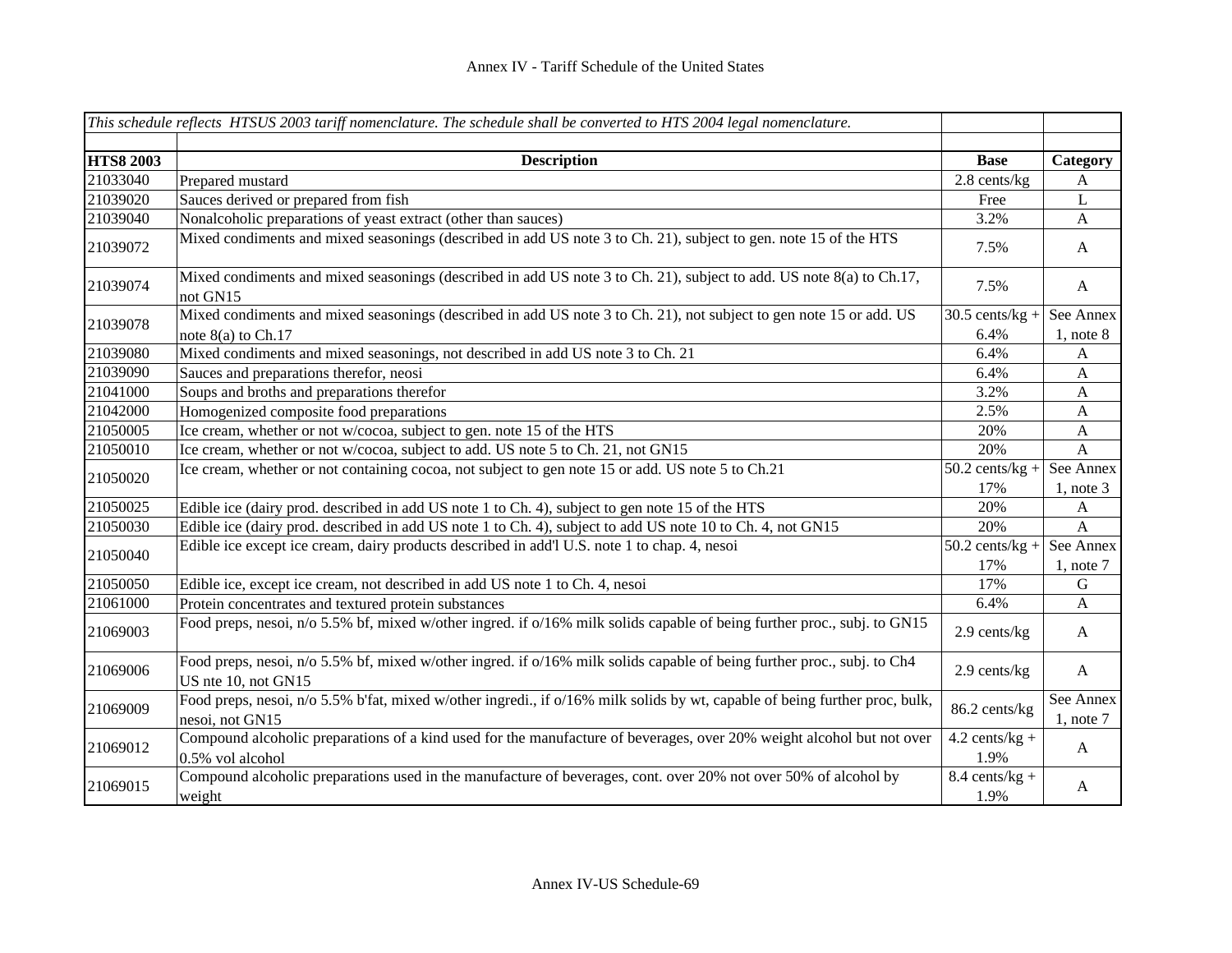|                  | This schedule reflects HTSUS 2003 tariff nomenclature. The schedule shall be converted to HTS 2004 legal nomenclature.                         |                          |                             |
|------------------|------------------------------------------------------------------------------------------------------------------------------------------------|--------------------------|-----------------------------|
| <b>HTS8 2003</b> | <b>Description</b>                                                                                                                             | <b>Base</b>              | Category                    |
| 21033040         | Prepared mustard                                                                                                                               | $2.8$ cents/kg           | $\mathbf{A}$                |
| 21039020         | Sauces derived or prepared from fish                                                                                                           | Free                     | $\mathbf{L}$                |
| 21039040         | Nonalcoholic preparations of yeast extract (other than sauces)                                                                                 | 3.2%                     | $\mathbf{A}$                |
| 21039072         | Mixed condiments and mixed seasonings (described in add US note 3 to Ch. 21), subject to gen. note 15 of the HTS                               | 7.5%                     | $\mathbf{A}$                |
| 21039074         | Mixed condiments and mixed seasonings (described in add US note 3 to Ch. 21), subject to add. US note 8(a) to Ch.17,<br>not GN15               | 7.5%                     | $\mathbf{A}$                |
| 21039078         | Mixed condiments and mixed seasonings (described in add US note 3 to Ch. 21), not subject to gen note 15 or add. US                            | $30.5$ cents/kg +        | See Annex                   |
|                  | note $8(a)$ to Ch.17                                                                                                                           | 6.4%                     | $1$ , note $8$              |
| 21039080         | Mixed condiments and mixed seasonings, not described in add US note 3 to Ch. 21                                                                | 6.4%                     | $\mathbf{A}$                |
| 21039090         | Sauces and preparations therefor, neosi                                                                                                        | 6.4%                     | $\mathbf{A}$                |
| 21041000         | Soups and broths and preparations therefor                                                                                                     | 3.2%                     | $\mathbf{A}$                |
| 21042000         | Homogenized composite food preparations                                                                                                        | 2.5%                     | $\mathbf{A}$                |
| 21050005         | Ice cream, whether or not w/cocoa, subject to gen. note 15 of the HTS                                                                          | 20%                      | $\boldsymbol{\mathsf{A}}$   |
| 21050010         | Ice cream, whether or not w/cocoa, subject to add. US note 5 to Ch. 21, not GN15                                                               | 20%                      | $\mathbf{A}$                |
| 21050020         | Ice cream, whether or not containing cocoa, not subject to gen note 15 or add. US note 5 to Ch.21                                              | $50.2$ cents/kg +        | See Annex                   |
|                  |                                                                                                                                                | 17%                      | $1$ , note $3$              |
| 21050025         | Edible ice (dairy prod. described in add US note 1 to Ch. 4), subject to gen note 15 of the HTS                                                | 20%                      | $\mathbf{A}$                |
| 21050030         | Edible ice (dairy prod. described in add US note 1 to Ch. 4), subject to add US note 10 to Ch. 4, not GN15                                     | 20%                      | $\mathbf{A}$                |
| 21050040         | Edible ice except ice cream, dairy products described in add'l U.S. note 1 to chap. 4, nesoi                                                   | $50.2$ cents/kg +        | See Annex                   |
|                  |                                                                                                                                                | 17%<br>17%               | $1$ , note $7$              |
| 21050050         | Edible ice, except ice cream, not described in add US note 1 to Ch. 4, nesoi                                                                   |                          | G                           |
| 21061000         | Protein concentrates and textured protein substances                                                                                           | 6.4%                     | $\mathbf{A}$                |
| 21069003         | Food preps, nesoi, n/o 5.5% bf, mixed w/other ingred. if o/16% milk solids capable of being further proc., subj. to GN15                       | 2.9 cents/kg             | $\mathbf{A}$                |
| 21069006         | Food preps, nesoi, n/o 5.5% bf, mixed w/other ingred. if o/16% milk solids capable of being further proc., subj. to Ch4<br>US nte 10, not GN15 | 2.9 cents/kg             | $\mathbf{A}$                |
| 21069009         | Food preps, nesoi, n/o 5.5% b'fat, mixed w/other ingredi., if o/16% milk solids by wt, capable of being further proc, bulk,<br>nesoi, not GN15 | 86.2 cents/kg            | See Annex<br>$1$ , note $7$ |
| 21069012         | Compound alcoholic preparations of a kind used for the manufacture of beverages, over 20% weight alcohol but not over<br>0.5% vol alcohol      | $4.2$ cents/kg +<br>1.9% | A                           |
| 21069015         | Compound alcoholic preparations used in the manufacture of beverages, cont. over 20% not over 50% of alcohol by<br>weight                      | $8.4$ cents/kg +<br>1.9% | A                           |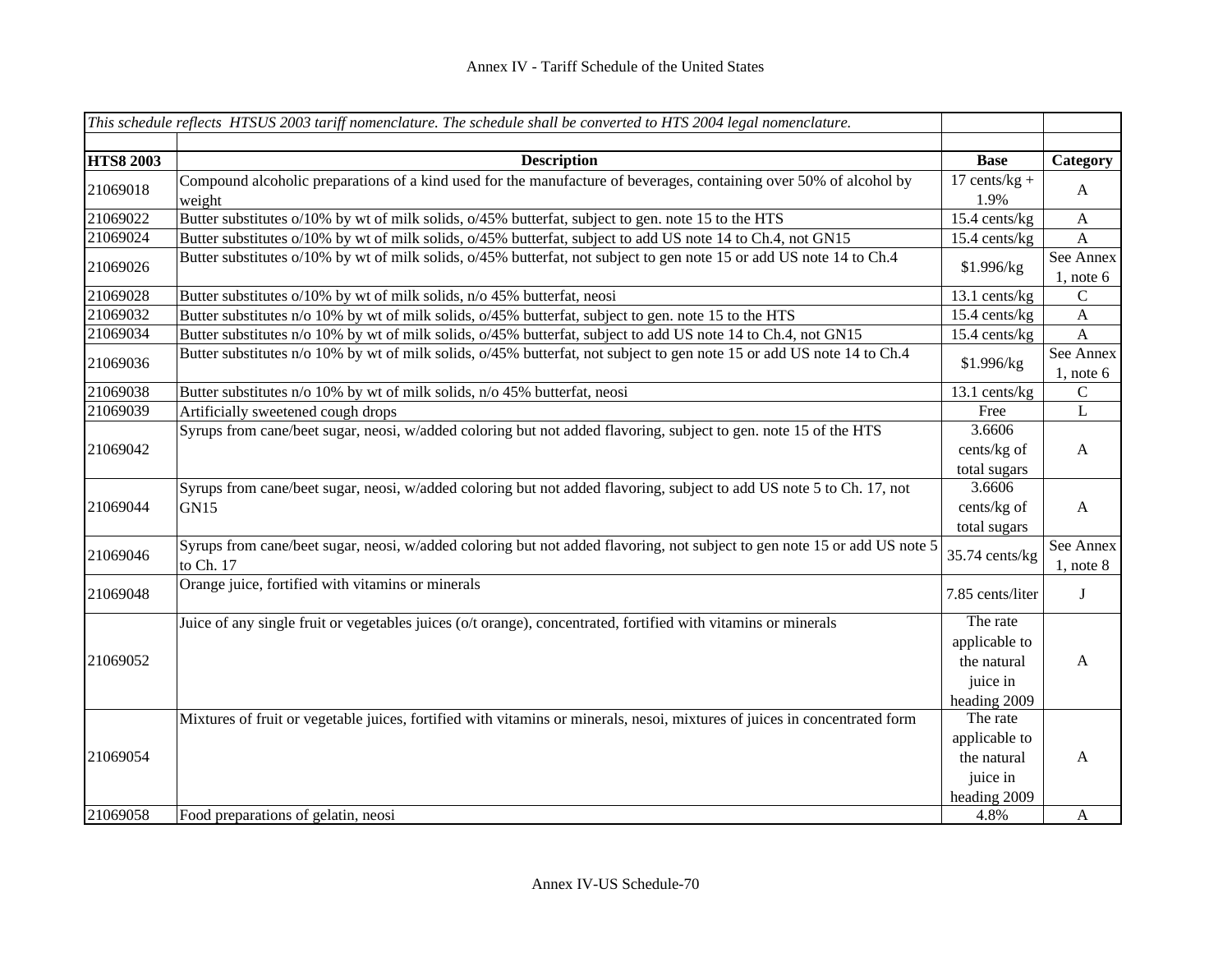|                      | This schedule reflects HTSUS 2003 tariff nomenclature. The schedule shall be converted to HTS 2004 legal nomenclature.                 |                                                                      |                             |
|----------------------|----------------------------------------------------------------------------------------------------------------------------------------|----------------------------------------------------------------------|-----------------------------|
| <b>HTS8 2003</b>     | <b>Description</b>                                                                                                                     | <b>Base</b>                                                          | Category                    |
| 21069018             | Compound alcoholic preparations of a kind used for the manufacture of beverages, containing over 50% of alcohol by<br>weight           | $17$ cents/kg +<br>1.9%                                              | $\mathbf{A}$                |
| 21069022             | Butter substitutes o/10% by wt of milk solids, o/45% butterfat, subject to gen. note 15 to the HTS                                     | $15.4$ cents/kg                                                      | $\mathbf{A}$                |
| 21069024             | Butter substitutes o/10% by wt of milk solids, o/45% butterfat, subject to add US note 14 to Ch.4, not GN15                            | 15.4 cents/kg                                                        | $\mathbf{A}$                |
| 21069026             | Butter substitutes o/10% by wt of milk solids, o/45% butterfat, not subject to gen note 15 or add US note 14 to Ch.4                   | \$1.996/kg                                                           | See Annex<br>1, note $6$    |
| 21069028             | Butter substitutes o/10% by wt of milk solids, n/o 45% butterfat, neosi                                                                | $13.1$ cents/kg                                                      | $\mathsf{C}$                |
| 21069032             | Butter substitutes n/o 10% by wt of milk solids, o/45% butterfat, subject to gen. note 15 to the HTS                                   | 15.4 cents/kg                                                        | $\mathbf{A}$                |
| 21069034             | Butter substitutes n/o 10% by wt of milk solids, o/45% butterfat, subject to add US note 14 to Ch.4, not GN15                          | 15.4 cents/kg                                                        | $\mathbf{A}$                |
| 21069036             | Butter substitutes n/o 10% by wt of milk solids, o/45% butterfat, not subject to gen note 15 or add US note 14 to Ch.4                 | \$1.996/kg                                                           | See Annex<br>$1$ , note $6$ |
| 21069038             | Butter substitutes n/o 10% by wt of milk solids, n/o 45% butterfat, neosi                                                              | 13.1 cents/kg                                                        | $\mathbf C$                 |
| 21069039             | Artificially sweetened cough drops                                                                                                     | Free                                                                 | ${\bf L}$                   |
| 21069042             | Syrups from cane/beet sugar, neosi, w/added coloring but not added flavoring, subject to gen. note 15 of the HTS                       | 3.6606<br>cents/kg of<br>total sugars                                | $\mathbf{A}$                |
| 21069044             | Syrups from cane/beet sugar, neosi, w/added coloring but not added flavoring, subject to add US note 5 to Ch. 17, not<br>GN15          | 3.6606<br>cents/kg of<br>total sugars                                | $\mathbf{A}$                |
| 21069046             | Syrups from cane/beet sugar, neosi, w/added coloring but not added flavoring, not subject to gen note 15 or add US note 5<br>to Ch. 17 | 35.74 cents/kg                                                       | See Annex<br>$1$ , note $8$ |
| 21069048             | Orange juice, fortified with vitamins or minerals                                                                                      | 7.85 cents/liter                                                     | J                           |
| 21069052             | Juice of any single fruit or vegetables juices (o/t orange), concentrated, fortified with vitamins or minerals                         | The rate<br>applicable to<br>the natural<br>juice in<br>heading 2009 | $\mathbf{A}$                |
| 21069054<br>21069058 | Mixtures of fruit or vegetable juices, fortified with vitamins or minerals, nesoi, mixtures of juices in concentrated form             | The rate<br>applicable to<br>the natural<br>juice in<br>heading 2009 | $\mathbf{A}$                |
|                      | Food preparations of gelatin, neosi                                                                                                    | 4.8%                                                                 | A                           |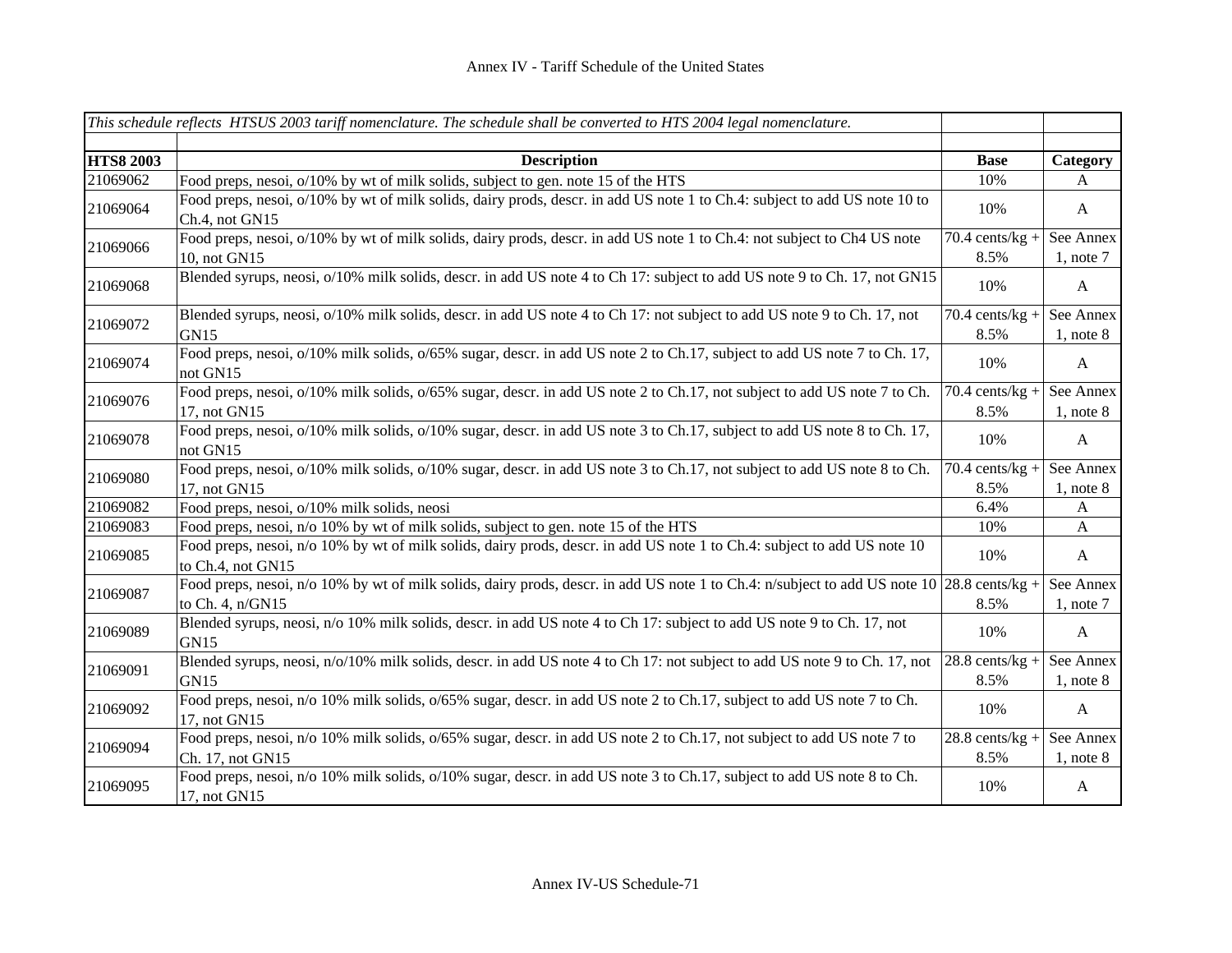|                  | This schedule reflects HTSUS 2003 tariff nomenclature. The schedule shall be converted to HTS 2004 legal nomenclature.                                         |                           |                             |
|------------------|----------------------------------------------------------------------------------------------------------------------------------------------------------------|---------------------------|-----------------------------|
| <b>HTS8 2003</b> | <b>Description</b>                                                                                                                                             | <b>Base</b>               | Category                    |
| 21069062         | Food preps, nesoi, o/10% by wt of milk solids, subject to gen. note 15 of the HTS                                                                              | 10%                       | A                           |
| 21069064         | Food preps, nesoi, o/10% by wt of milk solids, dairy prods, descr. in add US note 1 to Ch.4: subject to add US note 10 to<br>Ch.4, not GN15                    | 10%                       | $\mathbf{A}$                |
| 21069066         | Food preps, nesoi, o/10% by wt of milk solids, dairy prods, descr. in add US note 1 to Ch.4: not subject to Ch4 US note<br>10, not GN15                        | $70.4$ cents/kg +<br>8.5% | See Annex<br>$1$ , note $7$ |
| 21069068         | Blended syrups, neosi, o/10% milk solids, descr. in add US note 4 to Ch 17: subject to add US note 9 to Ch. 17, not GN15                                       | 10%                       | $\mathbf{A}$                |
| 21069072         | Blended syrups, neosi, o/10% milk solids, descr. in add US note 4 to Ch 17: not subject to add US note 9 to Ch. 17, not<br>GN <sub>15</sub>                    | $70.4$ cents/kg +<br>8.5% | See Annex<br>$1$ , note $8$ |
| 21069074         | Food preps, nesoi, o/10% milk solids, o/65% sugar, descr. in add US note 2 to Ch.17, subject to add US note 7 to Ch.17,<br>not GN15                            | 10%                       | $\mathbf{A}$                |
| 21069076         | Food preps, nesoi, o/10% milk solids, o/65% sugar, descr. in add US note 2 to Ch.17, not subject to add US note 7 to Ch.<br>17, not GN15                       | $70.4$ cents/kg +<br>8.5% | See Annex<br>$1$ , note $8$ |
| 21069078         | Food preps, nesoi, o/10% milk solids, o/10% sugar, descr. in add US note 3 to Ch.17, subject to add US note 8 to Ch.17,<br>not GN15                            | 10%                       | $\mathbf{A}$                |
| 21069080         | Food preps, nesoi, $o/10\%$ milk solids, $o/10\%$ sugar, descr. in add US note 3 to Ch.17, not subject to add US note 8 to Ch.                                 | $70.4$ cents/kg +         | See Annex                   |
|                  | 17, not GN15                                                                                                                                                   | 8.5%                      | $1$ , note $8$              |
| 21069082         | Food preps, nesoi, o/10% milk solids, neosi                                                                                                                    | 6.4%                      | A                           |
| 21069083         | Food preps, nesoi, n/o 10% by wt of milk solids, subject to gen. note 15 of the HTS                                                                            | 10%                       | $\mathbf{A}$                |
| 21069085         | Food preps, nesoi, n/o 10% by wt of milk solids, dairy prods, descr. in add US note 1 to Ch.4: subject to add US note 10<br>to Ch.4, not GN15                  | 10%                       | $\mathbf{A}$                |
| 21069087         | Food preps, nesoi, n/o 10% by wt of milk solids, dairy prods, descr. in add US note 1 to Ch.4: n/subject to add US note 10 28.8 cents/kg +<br>to Ch. 4, n/GN15 | 8.5%                      | See Annex<br>$1$ , note $7$ |
| 21069089         | Blended syrups, neosi, n/o 10% milk solids, descr. in add US note 4 to Ch 17: subject to add US note 9 to Ch. 17, not<br>GN15                                  | 10%                       | $\mathbf{A}$                |
| 21069091         | Blended syrups, neosi, n/o/10% milk solids, descr. in add US note 4 to Ch 17: not subject to add US note 9 to Ch. 17, not<br>GN15                              | $28.8$ cents/kg +<br>8.5% | See Annex<br>$1$ , note $8$ |
| 21069092         | Food preps, nesoi, n/o 10% milk solids, o/65% sugar, descr. in add US note 2 to Ch.17, subject to add US note 7 to Ch.<br>17, not GN15                         | 10%                       | $\mathbf{A}$                |
| 21069094         | Food preps, nesoi, n/o 10% milk solids, o/65% sugar, descr. in add US note 2 to Ch.17, not subject to add US note 7 to<br>Ch. 17, not GN15                     | $28.8$ cents/kg +<br>8.5% | See Annex<br>$1$ , note $8$ |
| 21069095         | Food preps, nesoi, n/o 10% milk solids, o/10% sugar, descr. in add US note 3 to Ch.17, subject to add US note 8 to Ch.<br>17, not GN15                         | 10%                       | A                           |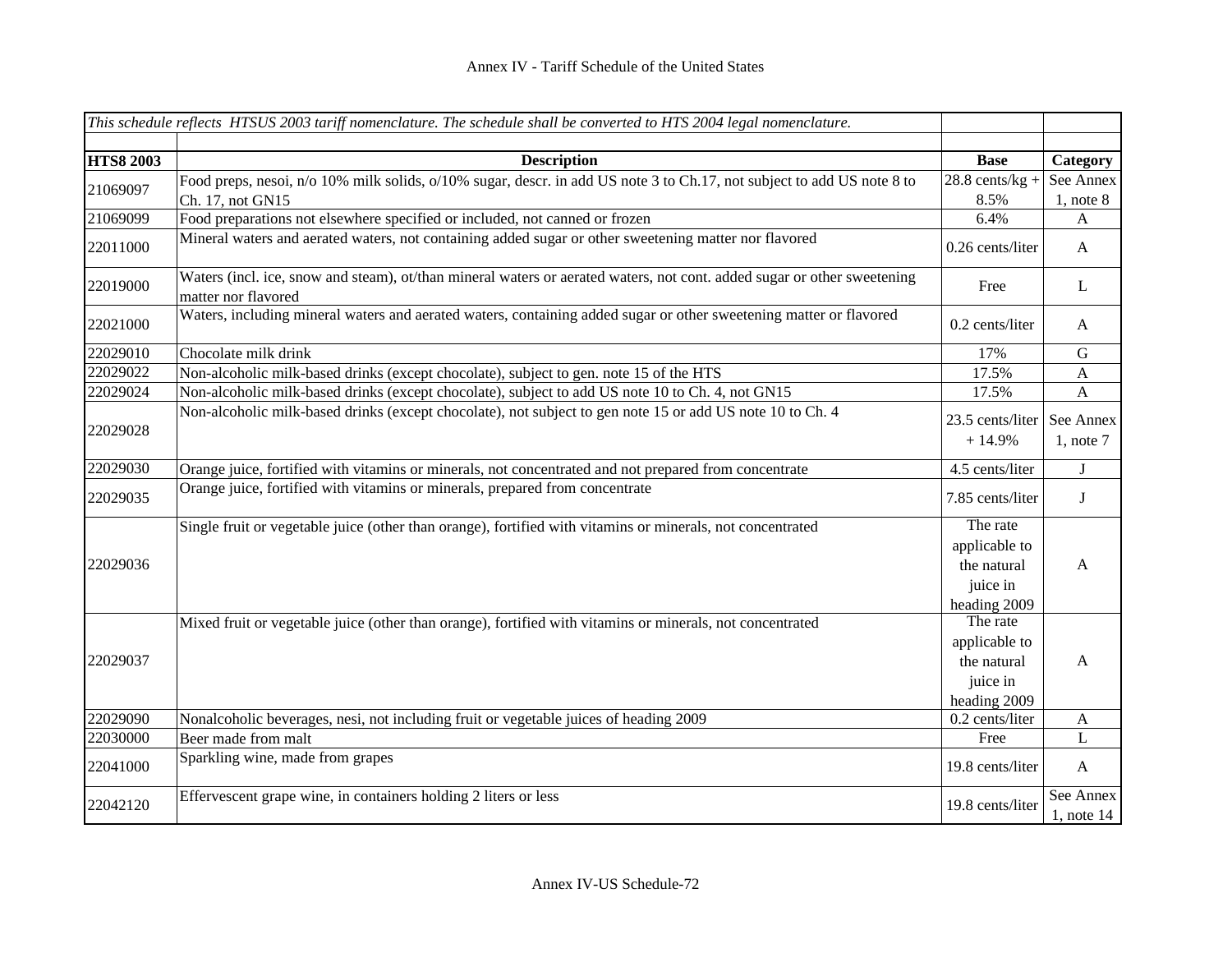|                  | This schedule reflects HTSUS 2003 tariff nomenclature. The schedule shall be converted to HTS 2004 legal nomenclature.                         |                                                                      |                              |
|------------------|------------------------------------------------------------------------------------------------------------------------------------------------|----------------------------------------------------------------------|------------------------------|
| <b>HTS8 2003</b> | <b>Description</b>                                                                                                                             | <b>Base</b>                                                          | Category                     |
|                  | Food preps, nesoi, n/o 10% milk solids, o/10% sugar, descr. in add US note 3 to Ch.17, not subject to add US note 8 to                         | $28.8$ cents/kg +                                                    | See Annex                    |
| 21069097         | Ch. 17, not GN15                                                                                                                               | 8.5%                                                                 | $1$ , note $8$               |
| 21069099         | Food preparations not elsewhere specified or included, not canned or frozen                                                                    | 6.4%                                                                 | A                            |
| 22011000         | Mineral waters and aerated waters, not containing added sugar or other sweetening matter nor flavored                                          | 0.26 cents/liter                                                     | $\mathbf{A}$                 |
| 22019000         | Waters (incl. ice, snow and steam), ot/than mineral waters or aerated waters, not cont. added sugar or other sweetening<br>matter nor flavored | Free                                                                 | L                            |
| 22021000         | Waters, including mineral waters and aerated waters, containing added sugar or other sweetening matter or flavored                             | 0.2 cents/liter                                                      | $\mathbf{A}$                 |
| 22029010         | Chocolate milk drink                                                                                                                           | 17%                                                                  | ${\bf G}$                    |
| 22029022         | Non-alcoholic milk-based drinks (except chocolate), subject to gen. note 15 of the HTS                                                         | 17.5%                                                                | $\mathbf{A}$                 |
| 22029024         | Non-alcoholic milk-based drinks (except chocolate), subject to add US note 10 to Ch. 4, not GN15                                               | 17.5%                                                                | $\boldsymbol{\mathsf{A}}$    |
| 22029028         | Non-alcoholic milk-based drinks (except chocolate), not subject to gen note 15 or add US note 10 to Ch. 4                                      | 23.5 cents/liter                                                     | See Annex                    |
|                  |                                                                                                                                                | $+14.9%$                                                             | $1$ , note $7$               |
| 22029030         | Orange juice, fortified with vitamins or minerals, not concentrated and not prepared from concentrate                                          | 4.5 cents/liter                                                      | J                            |
| 22029035         | Orange juice, fortified with vitamins or minerals, prepared from concentrate                                                                   | 7.85 cents/liter                                                     | J                            |
| 22029036         | Single fruit or vegetable juice (other than orange), fortified with vitamins or minerals, not concentrated                                     | The rate<br>applicable to<br>the natural<br>juice in<br>heading 2009 | $\mathbf{A}$                 |
| 22029037         | Mixed fruit or vegetable juice (other than orange), fortified with vitamins or minerals, not concentrated                                      | The rate<br>applicable to<br>the natural<br>juice in<br>heading 2009 | $\mathbf{A}$                 |
| 22029090         | Nonalcoholic beverages, nesi, not including fruit or vegetable juices of heading 2009                                                          | 0.2 cents/liter                                                      | $\mathbf{A}$                 |
| 22030000         | Beer made from malt                                                                                                                            | Free                                                                 | $\mathbf L$                  |
| 22041000         | Sparkling wine, made from grapes                                                                                                               | 19.8 cents/liter                                                     | $\mathbf{A}$                 |
| 22042120         | Effervescent grape wine, in containers holding 2 liters or less                                                                                | 19.8 cents/liter                                                     | See Annex<br>$1$ , note $14$ |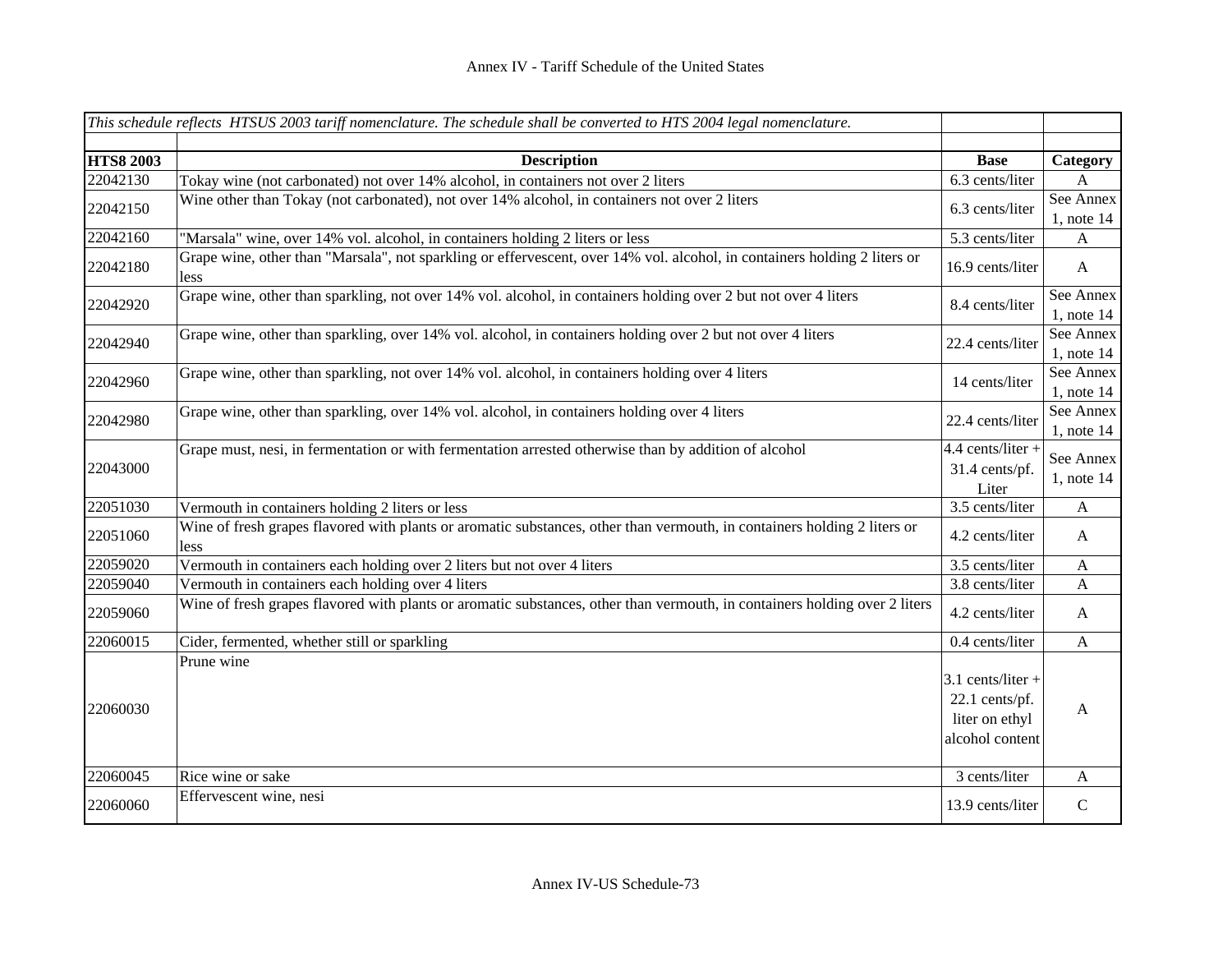|                  | This schedule reflects HTSUS 2003 tariff nomenclature. The schedule shall be converted to HTS 2004 legal nomenclature.            |                                                                            |                              |
|------------------|-----------------------------------------------------------------------------------------------------------------------------------|----------------------------------------------------------------------------|------------------------------|
| <b>HTS8 2003</b> | <b>Description</b>                                                                                                                | <b>Base</b>                                                                | Category                     |
| 22042130         | Tokay wine (not carbonated) not over 14% alcohol, in containers not over 2 liters                                                 | 6.3 cents/liter                                                            | A                            |
| 22042150         | Wine other than Tokay (not carbonated), not over 14% alcohol, in containers not over 2 liters                                     | 6.3 cents/liter                                                            | See Annex<br>$1$ , note $14$ |
| 22042160         | "Marsala" wine, over 14% vol. alcohol, in containers holding 2 liters or less                                                     | 5.3 cents/liter                                                            | A                            |
| 22042180         | Grape wine, other than "Marsala", not sparkling or effervescent, over 14% vol. alcohol, in containers holding 2 liters or<br>less | 16.9 cents/liter                                                           | $\mathbf{A}$                 |
| 22042920         | Grape wine, other than sparkling, not over 14% vol. alcohol, in containers holding over 2 but not over 4 liters                   | 8.4 cents/liter                                                            | See Annex<br>$1$ , note $14$ |
| 22042940         | Grape wine, other than sparkling, over 14% vol. alcohol, in containers holding over 2 but not over 4 liters                       | 22.4 cents/liter                                                           | See Annex<br>$1$ , note $14$ |
| 22042960         | Grape wine, other than sparkling, not over 14% vol. alcohol, in containers holding over 4 liters                                  | 14 cents/liter                                                             | See Annex<br>$1$ , note $14$ |
| 22042980         | Grape wine, other than sparkling, over 14% vol. alcohol, in containers holding over 4 liters                                      | 22.4 cents/liter                                                           | See Annex<br>$1$ , note $14$ |
| 22043000         | Grape must, nesi, in fermentation or with fermentation arrested otherwise than by addition of alcohol                             | 4.4 cents/liter +<br>31.4 cents/pf.<br>Liter                               | See Annex<br>$1$ , note $14$ |
| 22051030         | Vermouth in containers holding 2 liters or less                                                                                   | 3.5 cents/liter                                                            | $\mathbf{A}$                 |
| 22051060         | Wine of fresh grapes flavored with plants or aromatic substances, other than vermouth, in containers holding 2 liters or<br>less  | 4.2 cents/liter                                                            | $\boldsymbol{\mathsf{A}}$    |
| 22059020         | Vermouth in containers each holding over 2 liters but not over 4 liters                                                           | 3.5 cents/liter                                                            | $\boldsymbol{\mathsf{A}}$    |
| 22059040         | Vermouth in containers each holding over 4 liters                                                                                 | 3.8 cents/liter                                                            | A                            |
| 22059060         | Wine of fresh grapes flavored with plants or aromatic substances, other than vermouth, in containers holding over 2 liters        | 4.2 cents/liter                                                            | A                            |
| 22060015         | Cider, fermented, whether still or sparkling                                                                                      | 0.4 cents/liter                                                            | $\mathbf{A}$                 |
| 22060030         | Prune wine                                                                                                                        | $3.1$ cents/liter +<br>22.1 cents/pf.<br>liter on ethyl<br>alcohol content | $\mathbf{A}$                 |
| 22060045         | Rice wine or sake                                                                                                                 | 3 cents/liter                                                              | $\mathbf{A}$                 |
| 22060060         | Effervescent wine, nesi                                                                                                           | 13.9 cents/liter                                                           | ${\bf C}$                    |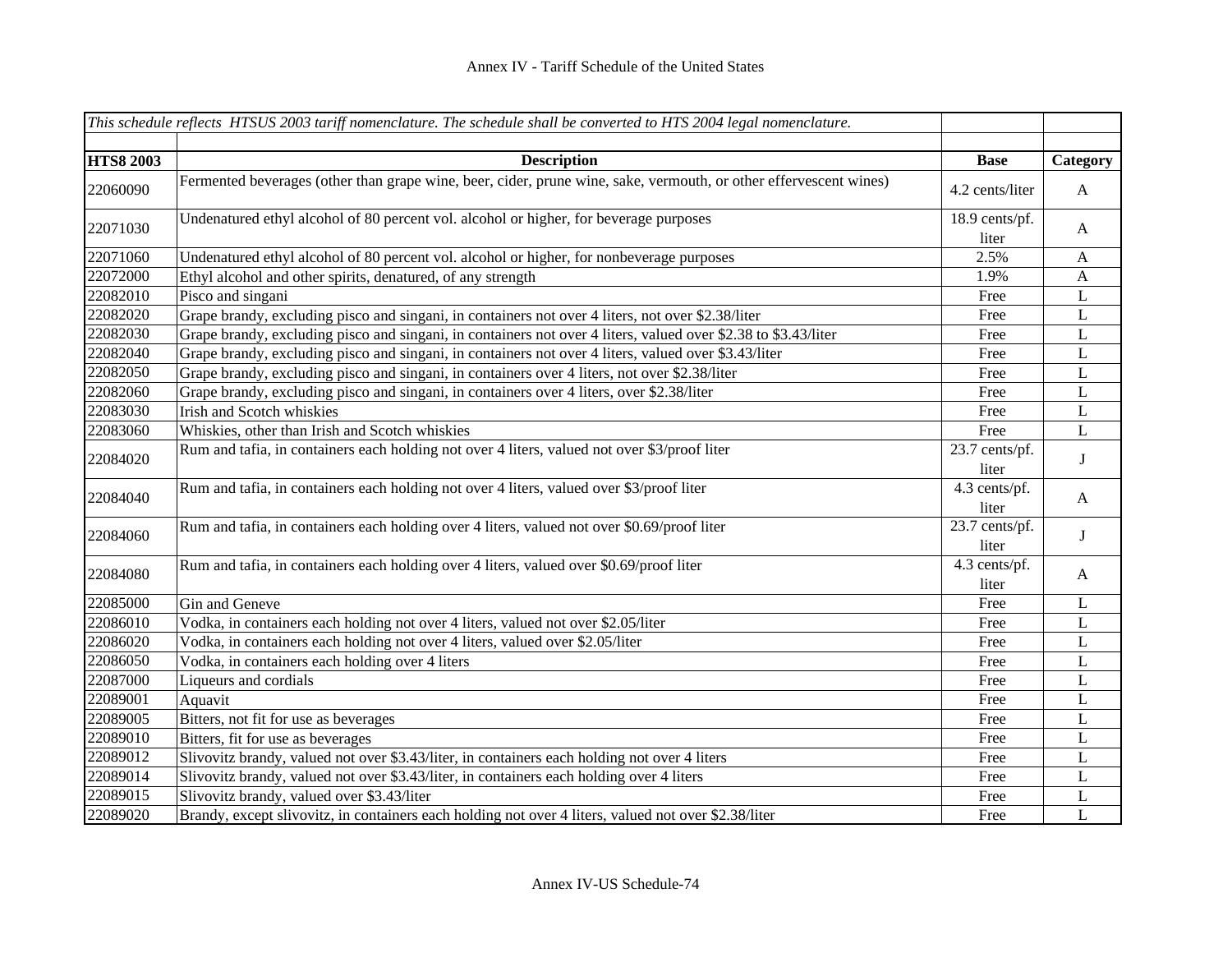|                  | This schedule reflects HTSUS 2003 tariff nomenclature. The schedule shall be converted to HTS 2004 legal nomenclature. |                         |              |
|------------------|------------------------------------------------------------------------------------------------------------------------|-------------------------|--------------|
|                  |                                                                                                                        |                         |              |
| <b>HTS8 2003</b> | <b>Description</b>                                                                                                     | <b>Base</b>             | Category     |
| 22060090         | Fermented beverages (other than grape wine, beer, cider, prune wine, sake, vermouth, or other effervescent wines)      | 4.2 cents/liter         | $\mathbf{A}$ |
| 22071030         | Undenatured ethyl alcohol of 80 percent vol. alcohol or higher, for beverage purposes                                  | 18.9 cents/pf.<br>liter | $\mathbf{A}$ |
| 22071060         | Undenatured ethyl alcohol of 80 percent vol. alcohol or higher, for nonbeverage purposes                               | 2.5%                    | A            |
| 22072000         | Ethyl alcohol and other spirits, denatured, of any strength                                                            | 1.9%                    | A            |
| 22082010         | Pisco and singani                                                                                                      | Free                    | L            |
| 22082020         | Grape brandy, excluding pisco and singani, in containers not over 4 liters, not over \$2.38/liter                      | Free                    | $\mathbf L$  |
| 22082030         | Grape brandy, excluding pisco and singani, in containers not over 4 liters, valued over \$2.38 to \$3.43/liter         | Free                    | $\mathbf L$  |
| 22082040         | Grape brandy, excluding pisco and singani, in containers not over 4 liters, valued over \$3.43/liter                   | Free                    | $\mathbf L$  |
| 22082050         | Grape brandy, excluding pisco and singani, in containers over 4 liters, not over \$2.38/liter                          | Free                    | L            |
| 22082060         | Grape brandy, excluding pisco and singani, in containers over 4 liters, over \$2.38/liter                              | Free                    | L            |
| 22083030         | Irish and Scotch whiskies                                                                                              | Free                    | L            |
| 22083060         | Whiskies, other than Irish and Scotch whiskies                                                                         | Free                    | $\mathbf L$  |
| 22084020         | Rum and tafia, in containers each holding not over 4 liters, valued not over \$3/proof liter                           | 23.7 cents/pf.<br>liter | $\bf J$      |
| 22084040         | Rum and tafia, in containers each holding not over 4 liters, valued over \$3/proof liter                               | 4.3 cents/pf.<br>liter  | $\mathbf{A}$ |
| 22084060         | Rum and tafia, in containers each holding over 4 liters, valued not over \$0.69/proof liter                            | 23.7 cents/pf.<br>liter | $\bf J$      |
| 22084080         | Rum and tafia, in containers each holding over 4 liters, valued over \$0.69/proof liter                                | 4.3 cents/pf.<br>liter  | $\mathbf{A}$ |
| 22085000         | Gin and Geneve                                                                                                         | Free                    | L            |
| 22086010         | Vodka, in containers each holding not over 4 liters, valued not over \$2.05/liter                                      | Free                    | L            |
| 22086020         | Vodka, in containers each holding not over 4 liters, valued over \$2.05/liter                                          | Free                    | L            |
| 22086050         | Vodka, in containers each holding over 4 liters                                                                        | Free                    | L            |
| 22087000         | Liqueurs and cordials                                                                                                  | Free                    | L            |
| 22089001         | Aquavit                                                                                                                | Free                    | L            |
| 22089005         | Bitters, not fit for use as beverages                                                                                  | Free                    | L            |
| 22089010         | Bitters, fit for use as beverages                                                                                      | Free                    | L            |
| 22089012         | Slivovitz brandy, valued not over \$3.43/liter, in containers each holding not over 4 liters                           | Free                    | L            |
| 22089014         | Slivovitz brandy, valued not over \$3.43/liter, in containers each holding over 4 liters                               | Free                    | L            |
| 22089015         | Slivovitz brandy, valued over \$3.43/liter                                                                             | Free                    | L            |
| 22089020         | Brandy, except slivovitz, in containers each holding not over 4 liters, valued not over \$2.38/liter                   | Free                    | L            |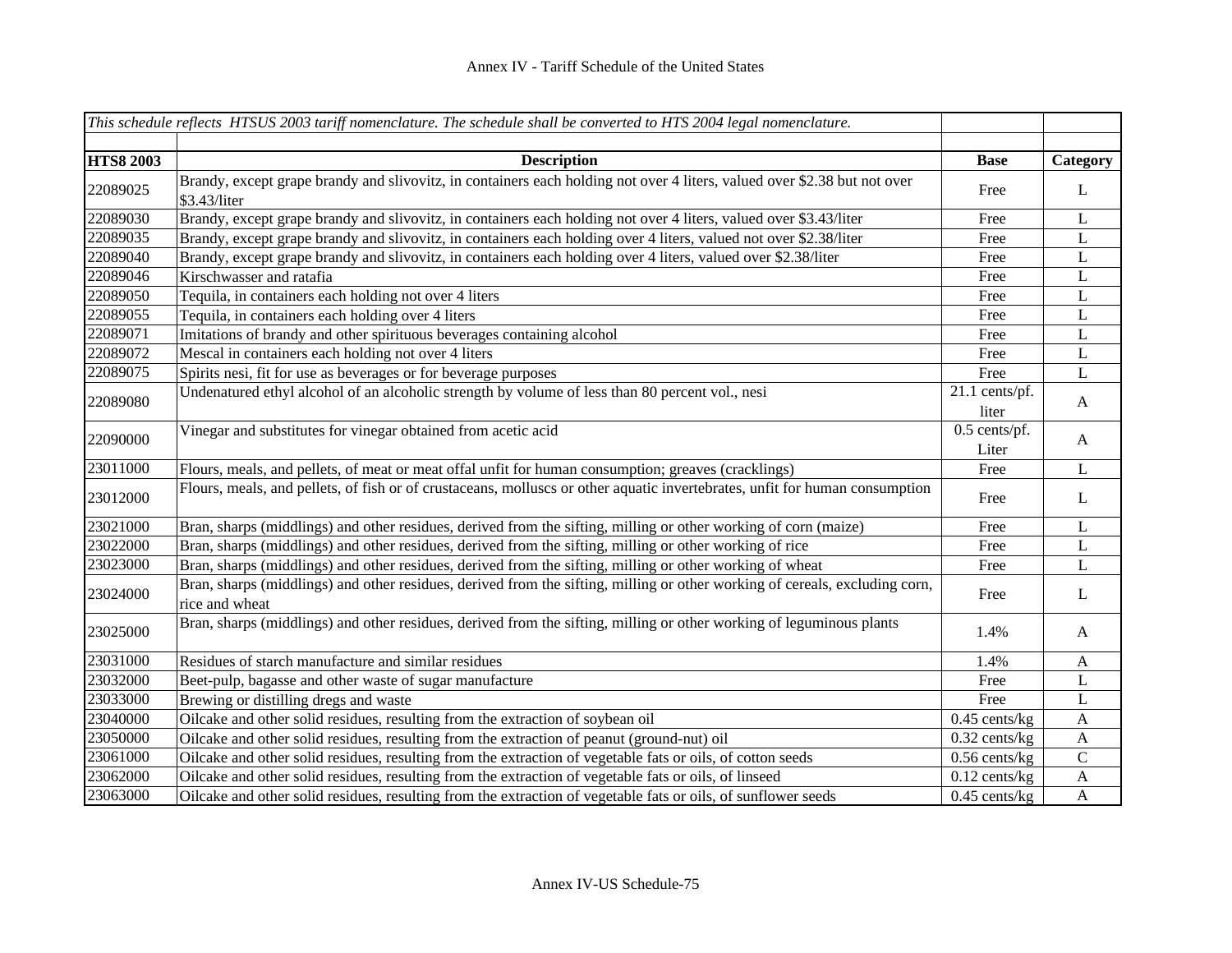|                  | This schedule reflects HTSUS 2003 tariff nomenclature. The schedule shall be converted to HTS 2004 legal nomenclature.                        |                         |                           |
|------------------|-----------------------------------------------------------------------------------------------------------------------------------------------|-------------------------|---------------------------|
|                  |                                                                                                                                               |                         |                           |
| <b>HTS8 2003</b> | <b>Description</b>                                                                                                                            | <b>Base</b>             | Category                  |
| 22089025         | Brandy, except grape brandy and slivovitz, in containers each holding not over 4 liters, valued over \$2.38 but not over<br>\$3.43/liter      | Free                    | L                         |
| 22089030         | Brandy, except grape brandy and slivovitz, in containers each holding not over 4 liters, valued over \$3.43/liter                             | Free                    | L                         |
| 22089035         | Brandy, except grape brandy and slivovitz, in containers each holding over 4 liters, valued not over \$2.38/liter                             | Free                    | L                         |
| 22089040         | Brandy, except grape brandy and slivovitz, in containers each holding over 4 liters, valued over \$2.38/liter                                 | Free                    | L                         |
| 22089046         | Kirschwasser and ratafia                                                                                                                      | Free                    | $\mathbf L$               |
| 22089050         | Tequila, in containers each holding not over 4 liters                                                                                         | Free                    | L                         |
| 22089055         | Tequila, in containers each holding over 4 liters                                                                                             | Free                    | $\mathbf L$               |
| 22089071         | Imitations of brandy and other spirituous beverages containing alcohol                                                                        | Free                    | $\mathbf L$               |
| 22089072         | Mescal in containers each holding not over 4 liters                                                                                           | Free                    | $\mathbf L$               |
| 22089075         | Spirits nesi, fit for use as beverages or for beverage purposes                                                                               | Free                    | L                         |
| 22089080         | Undenatured ethyl alcohol of an alcoholic strength by volume of less than 80 percent vol., nesi                                               | 21.1 cents/pf.<br>liter | $\mathbf{A}$              |
| 22090000         | Vinegar and substitutes for vinegar obtained from acetic acid                                                                                 | 0.5 cents/pf.<br>Liter  | $\mathbf{A}$              |
| 23011000         | Flours, meals, and pellets, of meat or meat offal unfit for human consumption; greaves (cracklings)                                           | Free                    | L                         |
| 23012000         | Flours, meals, and pellets, of fish or of crustaceans, molluscs or other aquatic invertebrates, unfit for human consumption                   | Free                    | L                         |
| 23021000         | Bran, sharps (middlings) and other residues, derived from the sifting, milling or other working of corn (maize)                               | Free                    | L                         |
| 23022000         | Bran, sharps (middlings) and other residues, derived from the sifting, milling or other working of rice                                       | Free                    | $\mathbf L$               |
| 23023000         | Bran, sharps (middlings) and other residues, derived from the sifting, milling or other working of wheat                                      | Free                    | $\mathbf{L}$              |
| 23024000         | Bran, sharps (middlings) and other residues, derived from the sifting, milling or other working of cereals, excluding corn,<br>rice and wheat | Free                    | L                         |
| 23025000         | Bran, sharps (middlings) and other residues, derived from the sifting, milling or other working of leguminous plants                          | 1.4%                    | $\mathbf{A}$              |
| 23031000         | Residues of starch manufacture and similar residues                                                                                           | 1.4%                    | $\mathbf{A}$              |
| 23032000         | Beet-pulp, bagasse and other waste of sugar manufacture                                                                                       | Free                    | L                         |
| 23033000         | Brewing or distilling dregs and waste                                                                                                         | Free                    | $\mathbf L$               |
| 23040000         | Oilcake and other solid residues, resulting from the extraction of soybean oil                                                                | $0.45$ cents/kg         | $\mathbf{A}$              |
| 23050000         | Oilcake and other solid residues, resulting from the extraction of peanut (ground-nut) oil                                                    | $0.32$ cents/kg         | $\mathbf{A}$              |
| 23061000         | Oilcake and other solid residues, resulting from the extraction of vegetable fats or oils, of cotton seeds                                    | $0.56$ cents/kg         | $\mathbf C$               |
| 23062000         | Oilcake and other solid residues, resulting from the extraction of vegetable fats or oils, of linseed                                         | $0.12$ cents/kg         | $\boldsymbol{A}$          |
| 23063000         | Oilcake and other solid residues, resulting from the extraction of vegetable fats or oils, of sunflower seeds                                 | $0.45$ cents/kg         | $\boldsymbol{\mathsf{A}}$ |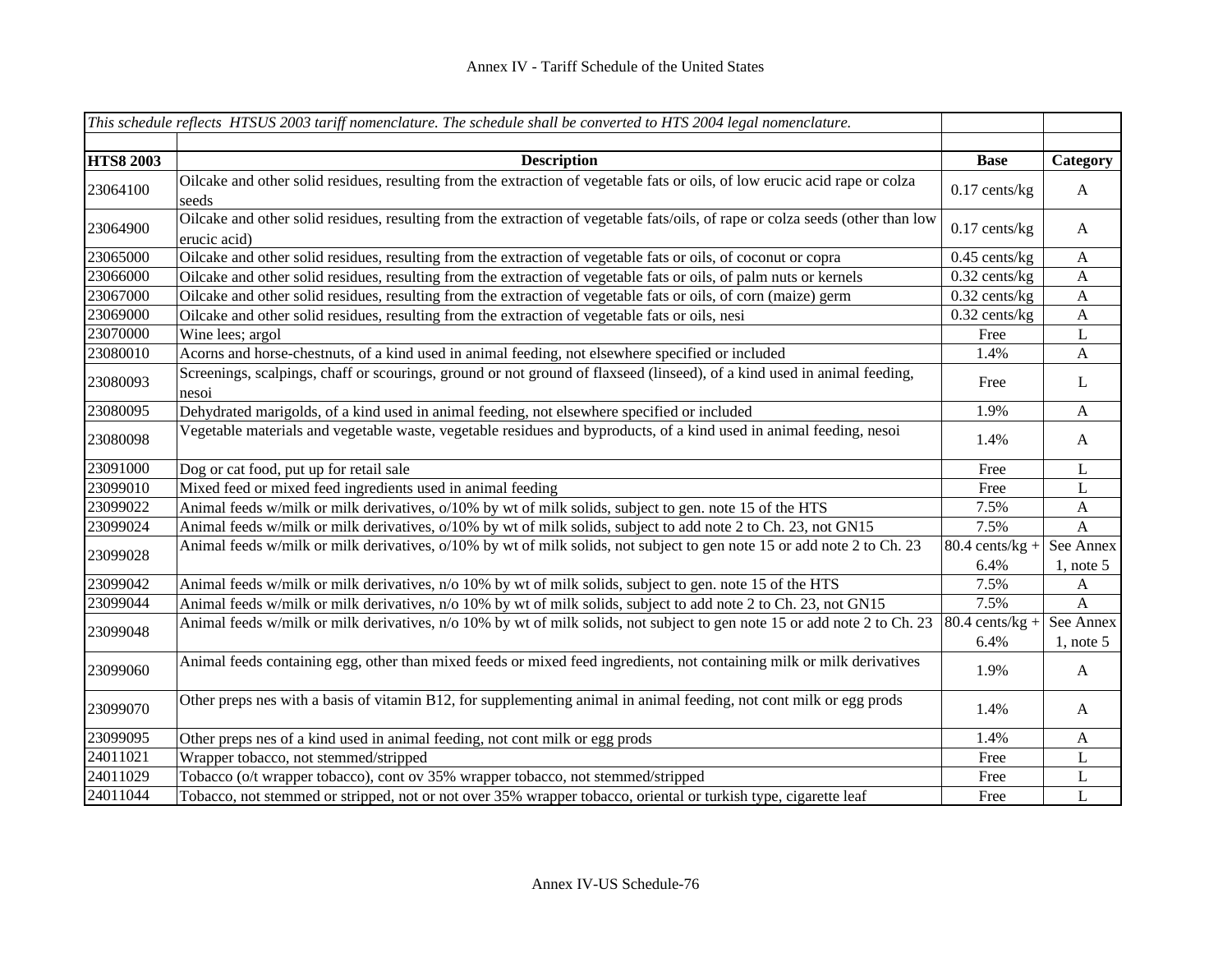|                  | This schedule reflects HTSUS 2003 tariff nomenclature. The schedule shall be converted to HTS 2004 legal nomenclature.                         |                           |                           |
|------------------|------------------------------------------------------------------------------------------------------------------------------------------------|---------------------------|---------------------------|
| <b>HTS8 2003</b> | <b>Description</b>                                                                                                                             | <b>Base</b>               | Category                  |
| 23064100         | Oilcake and other solid residues, resulting from the extraction of vegetable fats or oils, of low erucic acid rape or colza<br>seeds           | $0.17$ cents/kg           | A                         |
| 23064900         | Oilcake and other solid residues, resulting from the extraction of vegetable fats/oils, of rape or colza seeds (other than low<br>erucic acid) | $0.17$ cents/kg           | A                         |
| 23065000         | Oilcake and other solid residues, resulting from the extraction of vegetable fats or oils, of coconut or copra                                 | $0.45$ cents/kg           | $\mathbf{A}$              |
| 23066000         | Oilcake and other solid residues, resulting from the extraction of vegetable fats or oils, of palm nuts or kernels                             | $0.32$ cents/kg           | $\boldsymbol{A}$          |
| 23067000         | Oilcake and other solid residues, resulting from the extraction of vegetable fats or oils, of corn (maize) germ                                | $0.32$ cents/kg           | $\boldsymbol{A}$          |
| 23069000         | Oilcake and other solid residues, resulting from the extraction of vegetable fats or oils, nesi                                                | $0.32$ cents/kg           | $\mathbf{A}$              |
| 23070000         | Wine lees; argol                                                                                                                               | Free                      | L                         |
| 23080010         | Acorns and horse-chestnuts, of a kind used in animal feeding, not elsewhere specified or included                                              | 1.4%                      | $\mathbf{A}$              |
| 23080093         | Screenings, scalpings, chaff or scourings, ground or not ground of flaxseed (linseed), of a kind used in animal feeding,<br>nesoi              | Free                      | L                         |
| 23080095         | Dehydrated marigolds, of a kind used in animal feeding, not elsewhere specified or included                                                    | 1.9%                      | $\boldsymbol{\mathsf{A}}$ |
| 23080098         | Vegetable materials and vegetable waste, vegetable residues and byproducts, of a kind used in animal feeding, nesoi                            | 1.4%                      | $\mathbf{A}$              |
| 23091000         | Dog or cat food, put up for retail sale                                                                                                        | Free                      | L                         |
| 23099010         | Mixed feed or mixed feed ingredients used in animal feeding                                                                                    | Free                      | L                         |
| 23099022         | Animal feeds w/milk or milk derivatives, o/10% by wt of milk solids, subject to gen. note 15 of the HTS                                        | 7.5%                      | $\mathbf{A}$              |
| 23099024         | Animal feeds w/milk or milk derivatives, o/10% by wt of milk solids, subject to add note 2 to Ch. 23, not GN15                                 | 7.5%                      | A                         |
| 23099028         | Animal feeds w/milk or milk derivatives, o/10% by wt of milk solids, not subject to gen note 15 or add note 2 to Ch. 23                        | $80.4$ cents/kg +<br>6.4% | See Annex<br>$1$ , note 5 |
| 23099042         | Animal feeds w/milk or milk derivatives, n/o 10% by wt of milk solids, subject to gen. note 15 of the HTS                                      | 7.5%                      | $\mathbf{A}$              |
| 23099044         | Animal feeds w/milk or milk derivatives, n/o 10% by wt of milk solids, subject to add note 2 to Ch. 23, not GN15                               | 7.5%                      | $\boldsymbol{A}$          |
|                  | Animal feeds w/milk or milk derivatives, n/o 10% by wt of milk solids, not subject to gen note 15 or add note 2 to Ch. 23                      | $80.4$ cents/kg +         | See Annex                 |
| 23099048         |                                                                                                                                                | 6.4%                      | $1$ , note 5              |
| 23099060         | Animal feeds containing egg, other than mixed feeds or mixed feed ingredients, not containing milk or milk derivatives                         | 1.9%                      | A                         |
| 23099070         | Other preps nes with a basis of vitamin B12, for supplementing animal in animal feeding, not cont milk or egg prods                            | 1.4%                      | A                         |
| 23099095         | Other preps nes of a kind used in animal feeding, not cont milk or egg prods                                                                   | 1.4%                      | $\mathbf{A}$              |
| 24011021         | Wrapper tobacco, not stemmed/stripped                                                                                                          | Free                      | L                         |
| 24011029         | Tobacco (o/t wrapper tobacco), cont ov 35% wrapper tobacco, not stemmed/stripped                                                               | Free                      | $\mathbf L$               |
| 24011044         | Tobacco, not stemmed or stripped, not or not over 35% wrapper tobacco, oriental or turkish type, cigarette leaf                                | Free                      | $\mathbf L$               |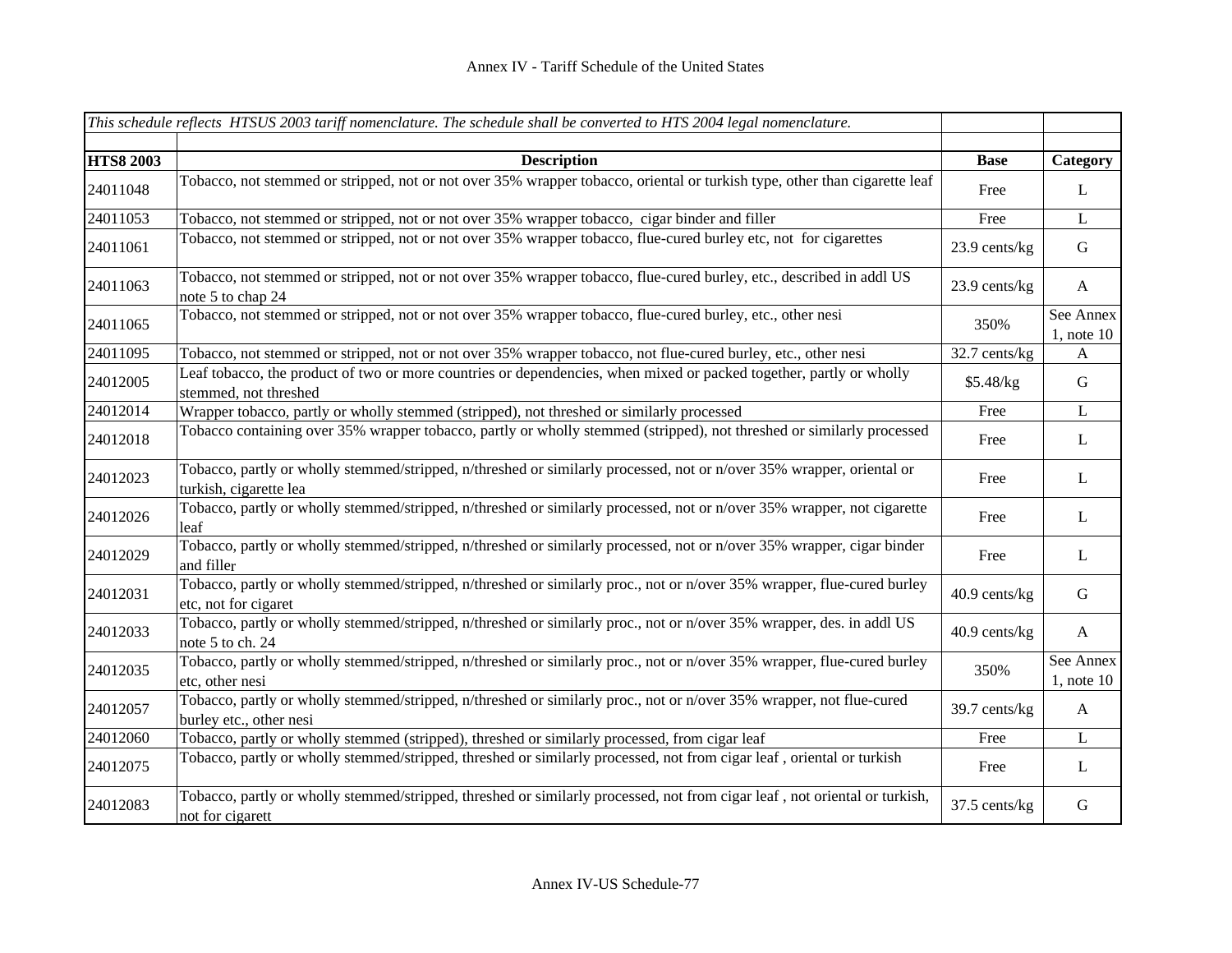|                  | This schedule reflects HTSUS 2003 tariff nomenclature. The schedule shall be converted to HTS 2004 legal nomenclature.                          |               |                              |
|------------------|-------------------------------------------------------------------------------------------------------------------------------------------------|---------------|------------------------------|
|                  |                                                                                                                                                 |               |                              |
| <b>HTS8 2003</b> | <b>Description</b>                                                                                                                              | <b>Base</b>   | Category                     |
| 24011048         | Tobacco, not stemmed or stripped, not or not over 35% wrapper tobacco, oriental or turkish type, other than cigarette leaf                      | Free          | $\mathbf{L}$                 |
| 24011053         | Tobacco, not stemmed or stripped, not or not over 35% wrapper tobacco, cigar binder and filler                                                  | Free          | $\bf L$                      |
| 24011061         | Tobacco, not stemmed or stripped, not or not over 35% wrapper tobacco, flue-cured burley etc, not for cigarettes                                | 23.9 cents/kg | $\mathbf G$                  |
| 24011063         | Tobacco, not stemmed or stripped, not or not over 35% wrapper tobacco, flue-cured burley, etc., described in addl US<br>note 5 to chap 24       | 23.9 cents/kg | $\mathbf{A}$                 |
| 24011065         | Tobacco, not stemmed or stripped, not or not over 35% wrapper tobacco, flue-cured burley, etc., other nesi                                      | 350%          | See Annex<br>$1$ , note $10$ |
| 24011095         | Tobacco, not stemmed or stripped, not or not over 35% wrapper tobacco, not flue-cured burley, etc., other nesi                                  | 32.7 cents/kg | A                            |
| 24012005         | Leaf tobacco, the product of two or more countries or dependencies, when mixed or packed together, partly or wholly<br>stemmed, not threshed    | \$5.48/kg     | ${\bf G}$                    |
| 24012014         | Wrapper tobacco, partly or wholly stemmed (stripped), not threshed or similarly processed                                                       | Free          | $\mathbf L$                  |
| 24012018         | Tobacco containing over 35% wrapper tobacco, partly or wholly stemmed (stripped), not threshed or similarly processed                           | Free          | $\mathbf{L}$                 |
| 24012023         | Tobacco, partly or wholly stemmed/stripped, n/threshed or similarly processed, not or n/over 35% wrapper, oriental or<br>turkish, cigarette lea | Free          | L                            |
| 24012026         | Tobacco, partly or wholly stemmed/stripped, n/threshed or similarly processed, not or n/over 35% wrapper, not cigarette<br>leaf                 | Free          | $\mathbf{L}$                 |
| 24012029         | Tobacco, partly or wholly stemmed/stripped, n/threshed or similarly processed, not or n/over 35% wrapper, cigar binder<br>and filler            | Free          | $\bf L$                      |
| 24012031         | Tobacco, partly or wholly stemmed/stripped, n/threshed or similarly proc., not or n/over 35% wrapper, flue-cured burley<br>etc, not for cigaret | 40.9 cents/kg | $\mathbf G$                  |
| 24012033         | Tobacco, partly or wholly stemmed/stripped, n/threshed or similarly proc., not or n/over 35% wrapper, des. in addl US<br>note 5 to ch. 24       | 40.9 cents/kg | $\mathbf{A}$                 |
| 24012035         | Tobacco, partly or wholly stemmed/stripped, n/threshed or similarly proc., not or n/over 35% wrapper, flue-cured burley<br>etc, other nesi      | 350%          | See Annex<br>$1$ , note $10$ |
| 24012057         | Tobacco, partly or wholly stemmed/stripped, n/threshed or similarly proc., not or n/over 35% wrapper, not flue-cured<br>burley etc., other nesi | 39.7 cents/kg | $\mathbf{A}$                 |
| 24012060         | Tobacco, partly or wholly stemmed (stripped), threshed or similarly processed, from cigar leaf                                                  | Free          | $\mathbf{L}$                 |
| 24012075         | Tobacco, partly or wholly stemmed/stripped, threshed or similarly processed, not from cigar leaf, oriental or turkish                           | Free          | $\mathbf{L}$                 |
| 24012083         | Tobacco, partly or wholly stemmed/stripped, threshed or similarly processed, not from cigar leaf, not oriental or turkish,<br>not for cigarett  | 37.5 cents/kg | $\mathbf G$                  |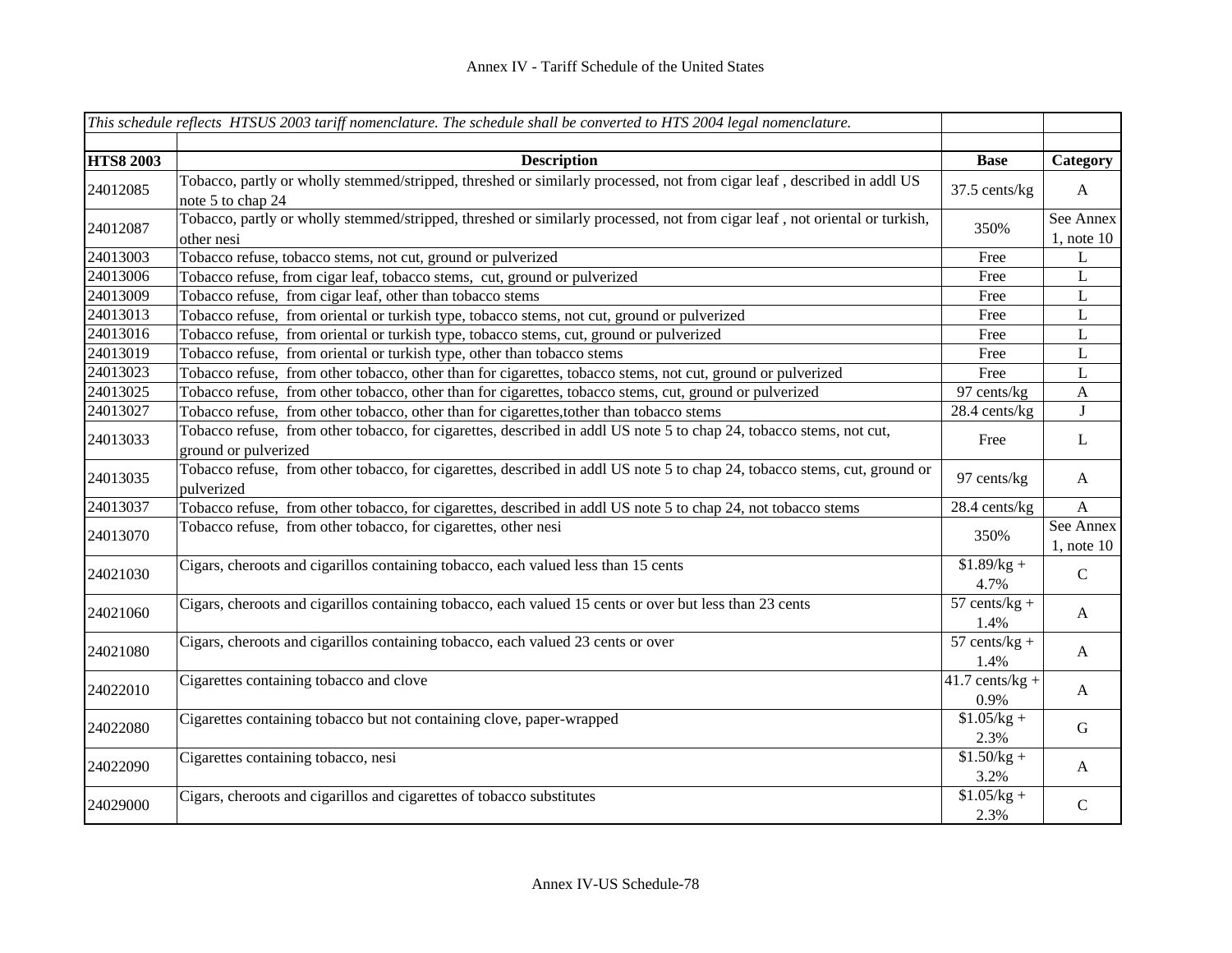|                  | This schedule reflects HTSUS 2003 tariff nomenclature. The schedule shall be converted to HTS 2004 legal nomenclature.                      |                           |                              |
|------------------|---------------------------------------------------------------------------------------------------------------------------------------------|---------------------------|------------------------------|
|                  |                                                                                                                                             |                           |                              |
| <b>HTS8 2003</b> | <b>Description</b>                                                                                                                          | <b>Base</b>               | Category                     |
| 24012085         | Tobacco, partly or wholly stemmed/stripped, threshed or similarly processed, not from cigar leaf, described in addl US<br>note 5 to chap 24 | 37.5 cents/kg             | $\mathbf{A}$                 |
| 24012087         | Tobacco, partly or wholly stemmed/stripped, threshed or similarly processed, not from cigar leaf, not oriental or turkish,<br>other nesi    | 350%                      | See Annex<br>$1$ , note $10$ |
| 24013003         | Tobacco refuse, tobacco stems, not cut, ground or pulverized                                                                                | Free                      | L                            |
| 24013006         | Tobacco refuse, from cigar leaf, tobacco stems, cut, ground or pulverized                                                                   | Free                      | L                            |
| 24013009         | Tobacco refuse, from cigar leaf, other than tobacco stems                                                                                   | Free                      | L                            |
| 24013013         | Tobacco refuse, from oriental or turkish type, tobacco stems, not cut, ground or pulverized                                                 | Free                      | L                            |
| 24013016         | Tobacco refuse, from oriental or turkish type, tobacco stems, cut, ground or pulverized                                                     | Free                      | $\mathbf L$                  |
| 24013019         | Tobacco refuse, from oriental or turkish type, other than tobacco stems                                                                     | Free                      | $\bf L$                      |
| 24013023         | Tobacco refuse, from other tobacco, other than for cigarettes, tobacco stems, not cut, ground or pulverized                                 | Free                      | $\mathbf L$                  |
| 24013025         | Tobacco refuse, from other tobacco, other than for cigarettes, tobacco stems, cut, ground or pulverized                                     | 97 cents/kg               | $\boldsymbol{A}$             |
| 24013027         | Tobacco refuse, from other tobacco, other than for cigarettes, to ther than tobacco stems                                                   | 28.4 cents/kg             | $\mathbf{J}$                 |
| 24013033         | Tobacco refuse, from other tobacco, for cigarettes, described in addl US note 5 to chap 24, tobacco stems, not cut,<br>ground or pulverized | Free                      | $\mathbf{L}$                 |
| 24013035         | Tobacco refuse, from other tobacco, for cigarettes, described in addl US note 5 to chap 24, tobacco stems, cut, ground or<br>pulverized     | 97 cents/kg               | $\mathbf{A}$                 |
| 24013037         | Tobacco refuse, from other tobacco, for cigarettes, described in addl US note 5 to chap 24, not tobacco stems                               | 28.4 cents/kg             | $\mathbf{A}$                 |
| 24013070         | Tobacco refuse, from other tobacco, for cigarettes, other nesi                                                                              | 350%                      | See Annex<br>$1$ , note $10$ |
| 24021030         | Cigars, cheroots and cigarillos containing tobacco, each valued less than 15 cents                                                          | $$1.89/kg +$<br>4.7%      | $\mathcal{C}$                |
| 24021060         | Cigars, cheroots and cigarillos containing tobacco, each valued 15 cents or over but less than 23 cents                                     | $57$ cents/kg +<br>1.4%   | $\mathbf{A}$                 |
| 24021080         | Cigars, cheroots and cigarillos containing tobacco, each valued 23 cents or over                                                            | $57$ cents/kg +<br>1.4%   | $\mathbf{A}$                 |
| 24022010         | Cigarettes containing tobacco and clove                                                                                                     | $41.7$ cents/kg +<br>0.9% | $\mathbf{A}$                 |
| 24022080         | Cigarettes containing tobacco but not containing clove, paper-wrapped                                                                       | $$1.05/kg +$<br>2.3%      | $\mathbf G$                  |
| 24022090         | Cigarettes containing tobacco, nesi                                                                                                         | $$1.50/kg +$<br>3.2%      | A                            |
| 24029000         | Cigars, cheroots and cigarillos and cigarettes of tobacco substitutes                                                                       | $$1.05/kg +$<br>2.3%      | $\mathbf C$                  |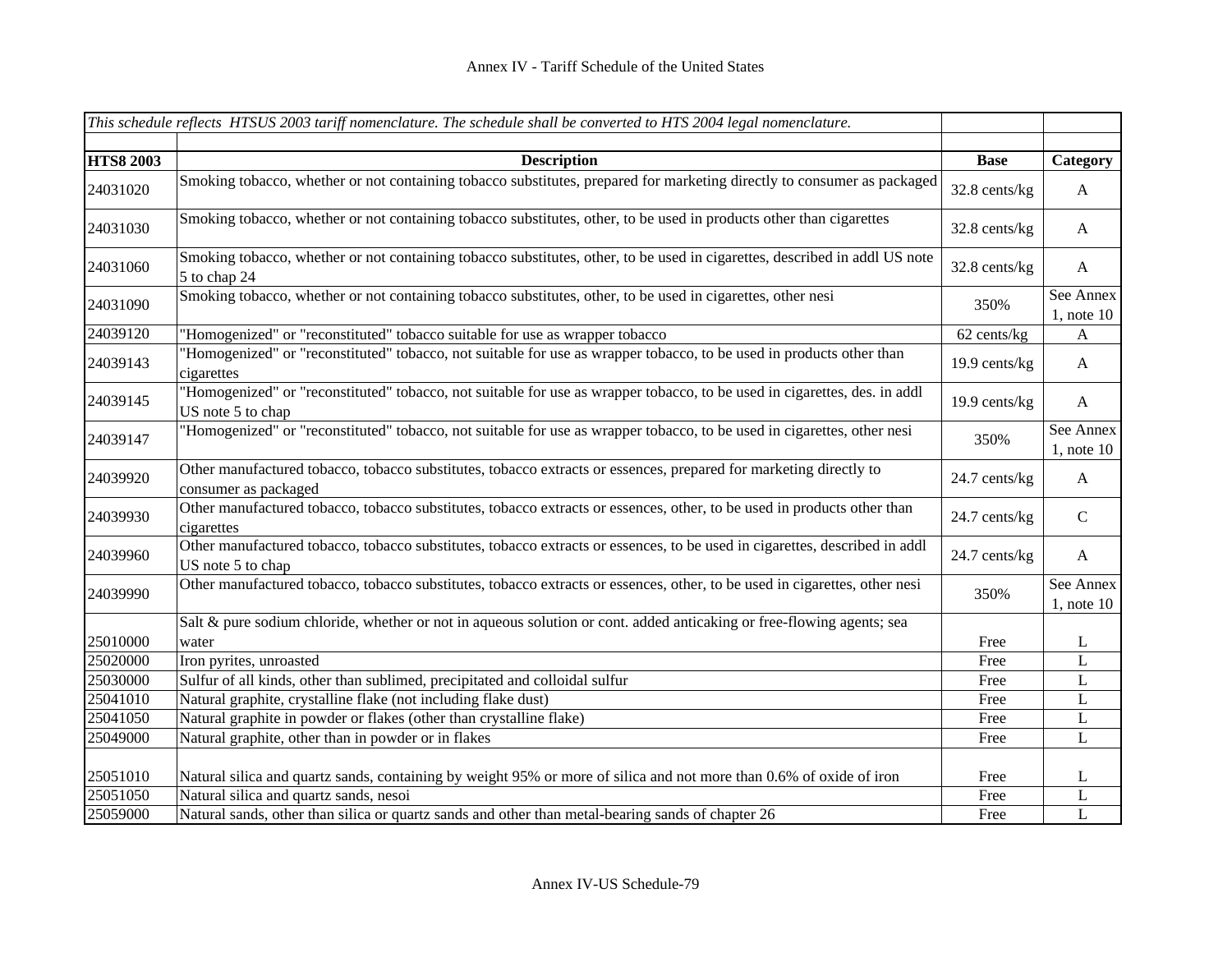|                  | This schedule reflects HTSUS 2003 tariff nomenclature. The schedule shall be converted to HTS 2004 legal nomenclature.                          |               |                              |
|------------------|-------------------------------------------------------------------------------------------------------------------------------------------------|---------------|------------------------------|
| <b>HTS8 2003</b> | <b>Description</b>                                                                                                                              | <b>Base</b>   | Category                     |
| 24031020         | Smoking tobacco, whether or not containing tobacco substitutes, prepared for marketing directly to consumer as packaged                         | 32.8 cents/kg | $\mathbf{A}$                 |
| 24031030         | Smoking tobacco, whether or not containing tobacco substitutes, other, to be used in products other than cigarettes                             | 32.8 cents/kg | $\mathbf{A}$                 |
| 24031060         | Smoking tobacco, whether or not containing tobacco substitutes, other, to be used in cigarettes, described in addl US note<br>5 to chap 24      | 32.8 cents/kg | $\mathbf{A}$                 |
| 24031090         | Smoking tobacco, whether or not containing tobacco substitutes, other, to be used in cigarettes, other nesi                                     | 350%          | See Annex<br>$1$ , note $10$ |
| 24039120         | 'Homogenized" or "reconstituted" tobacco suitable for use as wrapper tobacco                                                                    | 62 cents/kg   | A                            |
| 24039143         | 'Homogenized" or "reconstituted" tobacco, not suitable for use as wrapper tobacco, to be used in products other than<br>cigarettes              | 19.9 cents/kg | $\mathbf{A}$                 |
| 24039145         | "Homogenized" or "reconstituted" tobacco, not suitable for use as wrapper tobacco, to be used in cigarettes, des. in addl<br>US note 5 to chap  | 19.9 cents/kg | $\mathbf{A}$                 |
| 24039147         | "Homogenized" or "reconstituted" tobacco, not suitable for use as wrapper tobacco, to be used in cigarettes, other nesi                         | 350%          | See Annex<br>$1$ , note $10$ |
| 24039920         | Other manufactured tobacco, tobacco substitutes, tobacco extracts or essences, prepared for marketing directly to<br>consumer as packaged       | 24.7 cents/kg | $\mathbf{A}$                 |
| 24039930         | Other manufactured tobacco, tobacco substitutes, tobacco extracts or essences, other, to be used in products other than<br>cigarettes           | 24.7 cents/kg | $\mathsf C$                  |
| 24039960         | Other manufactured tobacco, tobacco substitutes, tobacco extracts or essences, to be used in cigarettes, described in addl<br>US note 5 to chap | 24.7 cents/kg | A                            |
| 24039990         | Other manufactured tobacco, tobacco substitutes, tobacco extracts or essences, other, to be used in cigarettes, other nesi                      | 350%          | See Annex<br>$1$ , note $10$ |
| 25010000         | Salt & pure sodium chloride, whether or not in aqueous solution or cont. added anticaking or free-flowing agents; sea<br>water                  | Free          | L                            |
| 25020000         | Iron pyrites, unroasted                                                                                                                         | Free          | L                            |
| 25030000         | Sulfur of all kinds, other than sublimed, precipitated and colloidal sulfur                                                                     | Free          | L                            |
| 25041010         | Natural graphite, crystalline flake (not including flake dust)                                                                                  | Free          | $\mathbf L$                  |
| 25041050         | Natural graphite in powder or flakes (other than crystalline flake)                                                                             | Free          | L                            |
| 25049000         | Natural graphite, other than in powder or in flakes                                                                                             | Free          | $\mathbf L$                  |
| 25051010         | Natural silica and quartz sands, containing by weight 95% or more of silica and not more than 0.6% of oxide of iron                             | Free          | L                            |
| 25051050         | Natural silica and quartz sands, nesoi                                                                                                          | Free          | $\mathbf L$                  |
| 25059000         | Natural sands, other than silica or quartz sands and other than metal-bearing sands of chapter 26                                               | Free          | $\mathbf{L}$                 |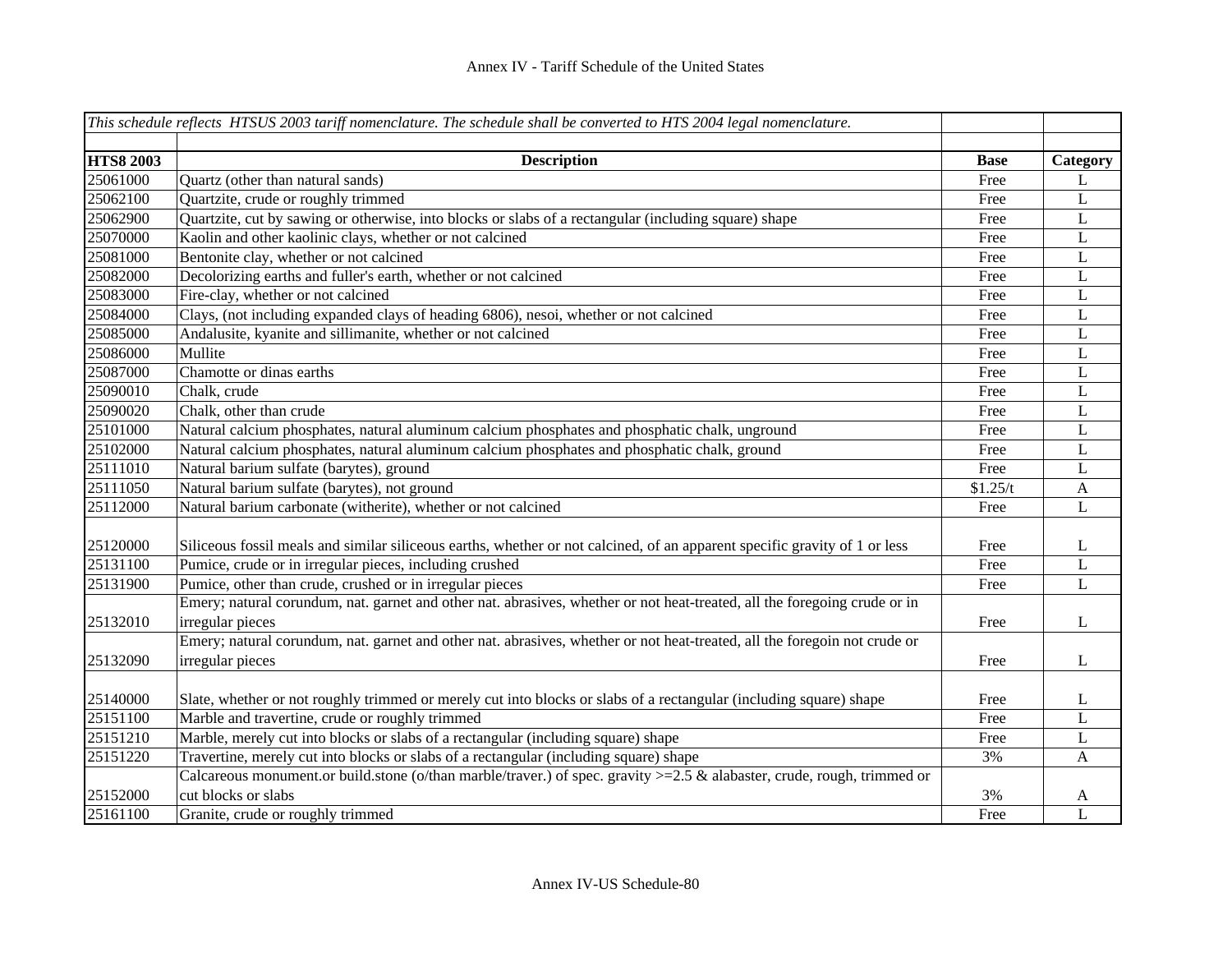|                  | This schedule reflects HTSUS 2003 tariff nomenclature. The schedule shall be converted to HTS 2004 legal nomenclature.     |             |              |
|------------------|----------------------------------------------------------------------------------------------------------------------------|-------------|--------------|
|                  |                                                                                                                            |             |              |
| <b>HTS8 2003</b> | <b>Description</b>                                                                                                         | <b>Base</b> | Category     |
| 25061000         | Quartz (other than natural sands)                                                                                          | Free        | L            |
| 25062100         | Quartzite, crude or roughly trimmed                                                                                        | Free        | L            |
| 25062900         | Quartzite, cut by sawing or otherwise, into blocks or slabs of a rectangular (including square) shape                      | Free        | $\mathbf L$  |
| 25070000         | Kaolin and other kaolinic clays, whether or not calcined                                                                   | Free        | $\mathbf L$  |
| 25081000         | Bentonite clay, whether or not calcined                                                                                    | Free        | $\mathbf L$  |
| 25082000         | Decolorizing earths and fuller's earth, whether or not calcined                                                            | Free        | $\mathbf L$  |
| 25083000         | Fire-clay, whether or not calcined                                                                                         | Free        | $\mathbf L$  |
| 25084000         | Clays, (not including expanded clays of heading 6806), nesoi, whether or not calcined                                      | Free        | $\mathbf L$  |
| 25085000         | Andalusite, kyanite and sillimanite, whether or not calcined                                                               | Free        | $\mathbf L$  |
| 25086000         | Mullite                                                                                                                    | Free        | L            |
| 25087000         | Chamotte or dinas earths                                                                                                   | Free        | L            |
| 25090010         | Chalk, crude                                                                                                               | Free        | L            |
| 25090020         | Chalk, other than crude                                                                                                    | Free        | L            |
| 25101000         | Natural calcium phosphates, natural aluminum calcium phosphates and phosphatic chalk, unground                             | Free        | L            |
| 25102000         | Natural calcium phosphates, natural aluminum calcium phosphates and phosphatic chalk, ground                               | Free        | $\mathbf{L}$ |
| 25111010         | Natural barium sulfate (barytes), ground                                                                                   | Free        | L            |
| 25111050         | Natural barium sulfate (barytes), not ground                                                                               | \$1.25/t    | $\mathbf{A}$ |
| 25112000         | Natural barium carbonate (witherite), whether or not calcined                                                              | Free        | $\mathbf{L}$ |
|                  |                                                                                                                            |             |              |
| 25120000         | Siliceous fossil meals and similar siliceous earths, whether or not calcined, of an apparent specific gravity of 1 or less | Free        | L            |
| 25131100         | Pumice, crude or in irregular pieces, including crushed                                                                    | Free        | L            |
| 25131900         | Pumice, other than crude, crushed or in irregular pieces                                                                   | Free        | $\mathbf L$  |
|                  | Emery; natural corundum, nat. garnet and other nat. abrasives, whether or not heat-treated, all the foregoing crude or in  |             |              |
| 25132010         | irregular pieces                                                                                                           | Free        | L            |
|                  | Emery; natural corundum, nat. garnet and other nat. abrasives, whether or not heat-treated, all the foregoin not crude or  |             |              |
| 25132090         | irregular pieces                                                                                                           | Free        | L            |
|                  |                                                                                                                            |             |              |
| 25140000         | Slate, whether or not roughly trimmed or merely cut into blocks or slabs of a rectangular (including square) shape         | Free        | L            |
| 25151100         | Marble and travertine, crude or roughly trimmed                                                                            | Free        | L            |
| 25151210         | Marble, merely cut into blocks or slabs of a rectangular (including square) shape                                          | Free        | L            |
| 25151220         | Travertine, merely cut into blocks or slabs of a rectangular (including square) shape                                      | 3%          | $\mathbf{A}$ |
|                  | Calcareous monument.or build.stone (o/than marble/traver.) of spec. gravity >=2.5 & alabaster, crude, rough, trimmed or    |             |              |
| 25152000         | cut blocks or slabs                                                                                                        | 3%          | A            |
| 25161100         | Granite, crude or roughly trimmed                                                                                          | Free        | L            |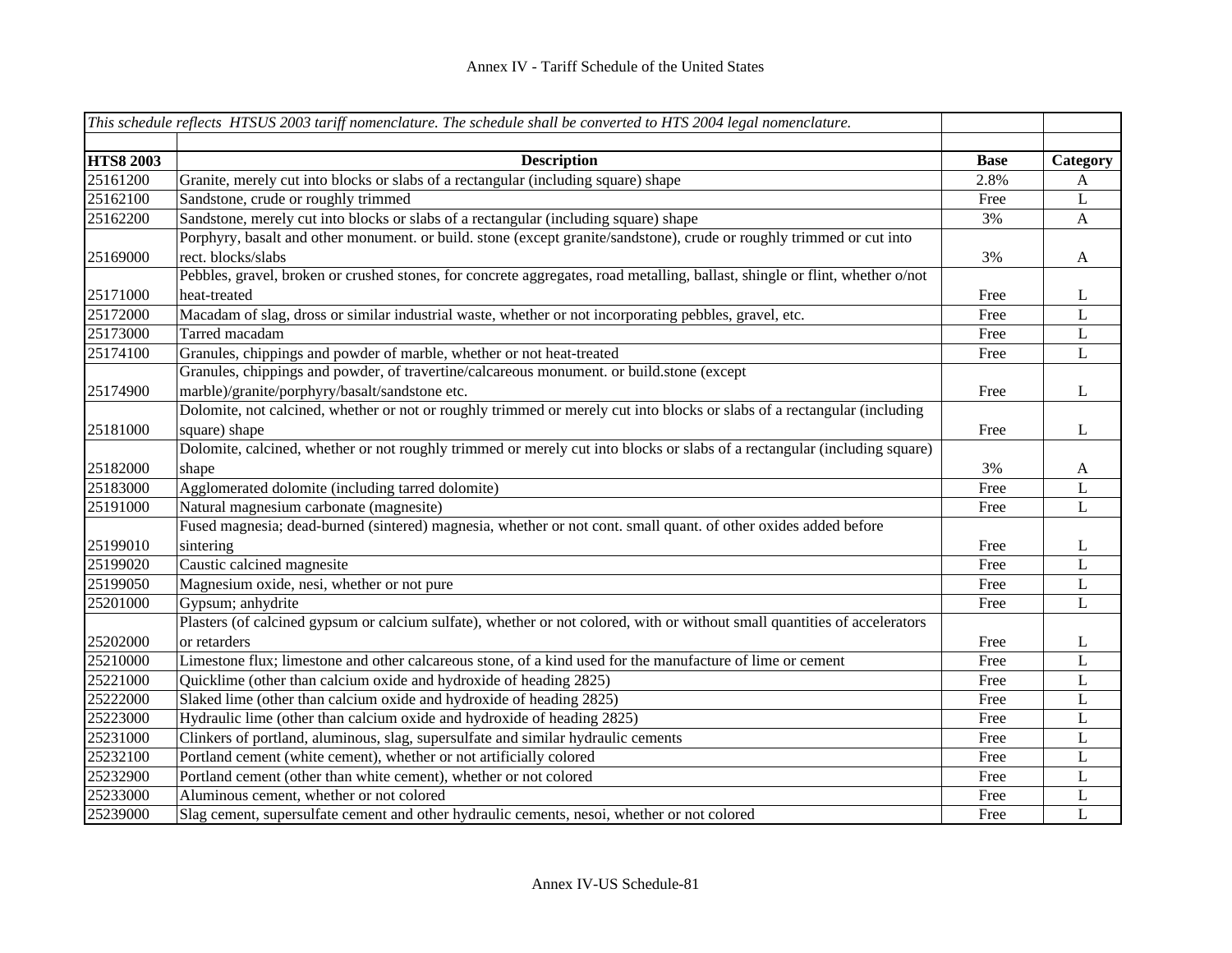|                  | This schedule reflects HTSUS 2003 tariff nomenclature. The schedule shall be converted to HTS 2004 legal nomenclature.       |             |              |
|------------------|------------------------------------------------------------------------------------------------------------------------------|-------------|--------------|
|                  |                                                                                                                              |             |              |
| <b>HTS8 2003</b> | <b>Description</b>                                                                                                           | <b>Base</b> | Category     |
| 25161200         | Granite, merely cut into blocks or slabs of a rectangular (including square) shape                                           | 2.8%        | A            |
| 25162100         | Sandstone, crude or roughly trimmed                                                                                          | Free        | $\mathbf L$  |
| 25162200         | Sandstone, merely cut into blocks or slabs of a rectangular (including square) shape                                         | 3%          | $\mathbf{A}$ |
|                  | Porphyry, basalt and other monument. or build. stone (except granite/sandstone), crude or roughly trimmed or cut into        |             |              |
| 25169000         | rect. blocks/slabs                                                                                                           | 3%          | $\mathbf{A}$ |
|                  | Pebbles, gravel, broken or crushed stones, for concrete aggregates, road metalling, ballast, shingle or flint, whether o/not |             |              |
| 25171000         | heat-treated                                                                                                                 | Free        | L            |
| 25172000         | Macadam of slag, dross or similar industrial waste, whether or not incorporating pebbles, gravel, etc.                       | Free        | L            |
| 25173000         | Tarred macadam                                                                                                               | Free        | $\mathbf L$  |
| 25174100         | Granules, chippings and powder of marble, whether or not heat-treated                                                        | Free        | L            |
|                  | Granules, chippings and powder, of travertine/calcareous monument. or build.stone (except                                    |             |              |
| 25174900         | marble)/granite/porphyry/basalt/sandstone etc.                                                                               | Free        | $\mathbf{L}$ |
|                  | Dolomite, not calcined, whether or not or roughly trimmed or merely cut into blocks or slabs of a rectangular (including     |             |              |
| 25181000         | square) shape                                                                                                                | Free        | $\mathbf{L}$ |
|                  | Dolomite, calcined, whether or not roughly trimmed or merely cut into blocks or slabs of a rectangular (including square)    |             |              |
| 25182000         | shape                                                                                                                        | 3%          | $\mathbf{A}$ |
| 25183000         | Agglomerated dolomite (including tarred dolomite)                                                                            | Free        | L            |
| 25191000         | Natural magnesium carbonate (magnesite)                                                                                      | Free        | $\mathbf L$  |
|                  | Fused magnesia; dead-burned (sintered) magnesia, whether or not cont. small quant. of other oxides added before              |             |              |
| 25199010         | sintering                                                                                                                    | Free        | L            |
| 25199020         | Caustic calcined magnesite                                                                                                   | Free        | L            |
| 25199050         | Magnesium oxide, nesi, whether or not pure                                                                                   | Free        | L            |
| 25201000         | Gypsum; anhydrite                                                                                                            | Free        | L            |
|                  | Plasters (of calcined gypsum or calcium sulfate), whether or not colored, with or without small quantities of accelerators   |             |              |
| 25202000         | or retarders                                                                                                                 | Free        | L            |
| 25210000         | Limestone flux; limestone and other calcareous stone, of a kind used for the manufacture of lime or cement                   | Free        | L            |
| 25221000         | Quicklime (other than calcium oxide and hydroxide of heading 2825)                                                           | Free        | $\mathbf L$  |
| 25222000         | Slaked lime (other than calcium oxide and hydroxide of heading 2825)                                                         | Free        | L            |
| 25223000         | Hydraulic lime (other than calcium oxide and hydroxide of heading 2825)                                                      | Free        | L            |
| 25231000         | Clinkers of portland, aluminous, slag, supersulfate and similar hydraulic cements                                            | Free        | L            |
| 25232100         | Portland cement (white cement), whether or not artificially colored                                                          | Free        | L            |
| 25232900         | Portland cement (other than white cement), whether or not colored                                                            | Free        | L            |
| 25233000         | Aluminous cement, whether or not colored                                                                                     | Free        | L            |
| 25239000         | Slag cement, supersulfate cement and other hydraulic cements, nesoi, whether or not colored                                  | Free        | L            |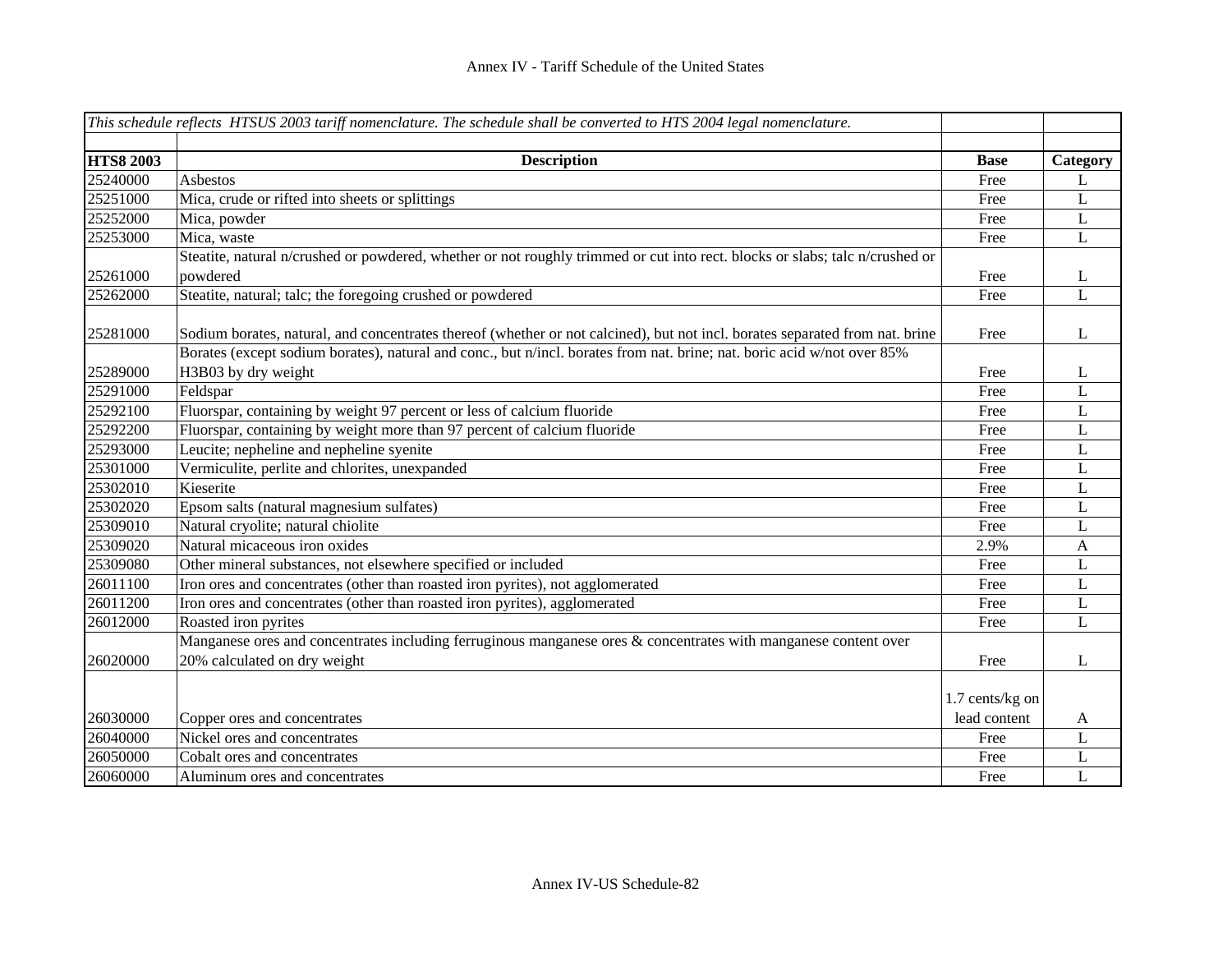|                  | This schedule reflects HTSUS 2003 tariff nomenclature. The schedule shall be converted to HTS 2004 legal nomenclature.                                                                                                                                  |                 |             |
|------------------|---------------------------------------------------------------------------------------------------------------------------------------------------------------------------------------------------------------------------------------------------------|-----------------|-------------|
| <b>HTS8 2003</b> | <b>Description</b>                                                                                                                                                                                                                                      | <b>Base</b>     | Category    |
| 25240000         | Asbestos                                                                                                                                                                                                                                                | Free            | L           |
| 25251000         | Mica, crude or rifted into sheets or splittings                                                                                                                                                                                                         | Free            | L           |
| 25252000         | Mica, powder                                                                                                                                                                                                                                            | Free            | L           |
| 25253000         | Mica, waste                                                                                                                                                                                                                                             | Free            | L           |
|                  | Steatite, natural n/crushed or powdered, whether or not roughly trimmed or cut into rect. blocks or slabs; talc n/crushed or                                                                                                                            |                 |             |
| 25261000         | powdered                                                                                                                                                                                                                                                | Free            | L           |
| 25262000         | Steatite, natural; talc; the foregoing crushed or powdered                                                                                                                                                                                              | Free            | L           |
| 25281000         | Sodium borates, natural, and concentrates thereof (whether or not calcined), but not incl. borates separated from nat. brine<br>Borates (except sodium borates), natural and conc., but n/incl. borates from nat. brine; nat. boric acid w/not over 85% | Free            | L           |
| 25289000         | H3B03 by dry weight                                                                                                                                                                                                                                     | Free            | L           |
| 25291000         | Feldspar                                                                                                                                                                                                                                                | Free            | L           |
| 25292100         | Fluorspar, containing by weight 97 percent or less of calcium fluoride                                                                                                                                                                                  | Free            | L           |
| 25292200         | Fluorspar, containing by weight more than 97 percent of calcium fluoride                                                                                                                                                                                | Free            | L           |
| 25293000         | Leucite; nepheline and nepheline syenite                                                                                                                                                                                                                | Free            | $\mathbf L$ |
| 25301000         | Vermiculite, perlite and chlorites, unexpanded                                                                                                                                                                                                          | Free            | L           |
| 25302010         | Kieserite                                                                                                                                                                                                                                               | Free            | L           |
| 25302020         | Epsom salts (natural magnesium sulfates)                                                                                                                                                                                                                | Free            | L           |
| 25309010         | Natural cryolite; natural chiolite                                                                                                                                                                                                                      | Free            | L           |
| 25309020         | Natural micaceous iron oxides                                                                                                                                                                                                                           | 2.9%            | A           |
| 25309080         | Other mineral substances, not elsewhere specified or included                                                                                                                                                                                           | Free            | L           |
| 26011100         | Iron ores and concentrates (other than roasted iron pyrites), not agglomerated                                                                                                                                                                          | Free            | L           |
| 26011200         | Iron ores and concentrates (other than roasted iron pyrites), agglomerated                                                                                                                                                                              | Free            | L           |
| 26012000         | Roasted iron pyrites                                                                                                                                                                                                                                    | Free            | L           |
|                  | Manganese ores and concentrates including ferruginous manganese ores & concentrates with manganese content over                                                                                                                                         |                 |             |
| 26020000         | 20% calculated on dry weight                                                                                                                                                                                                                            | Free            | L           |
|                  |                                                                                                                                                                                                                                                         | 1.7 cents/kg on |             |
| 26030000         | Copper ores and concentrates                                                                                                                                                                                                                            | lead content    | A           |
| 26040000         | Nickel ores and concentrates                                                                                                                                                                                                                            | Free            | L           |
| 26050000         | Cobalt ores and concentrates                                                                                                                                                                                                                            | Free            | L           |
| 26060000         | Aluminum ores and concentrates                                                                                                                                                                                                                          | Free            | L           |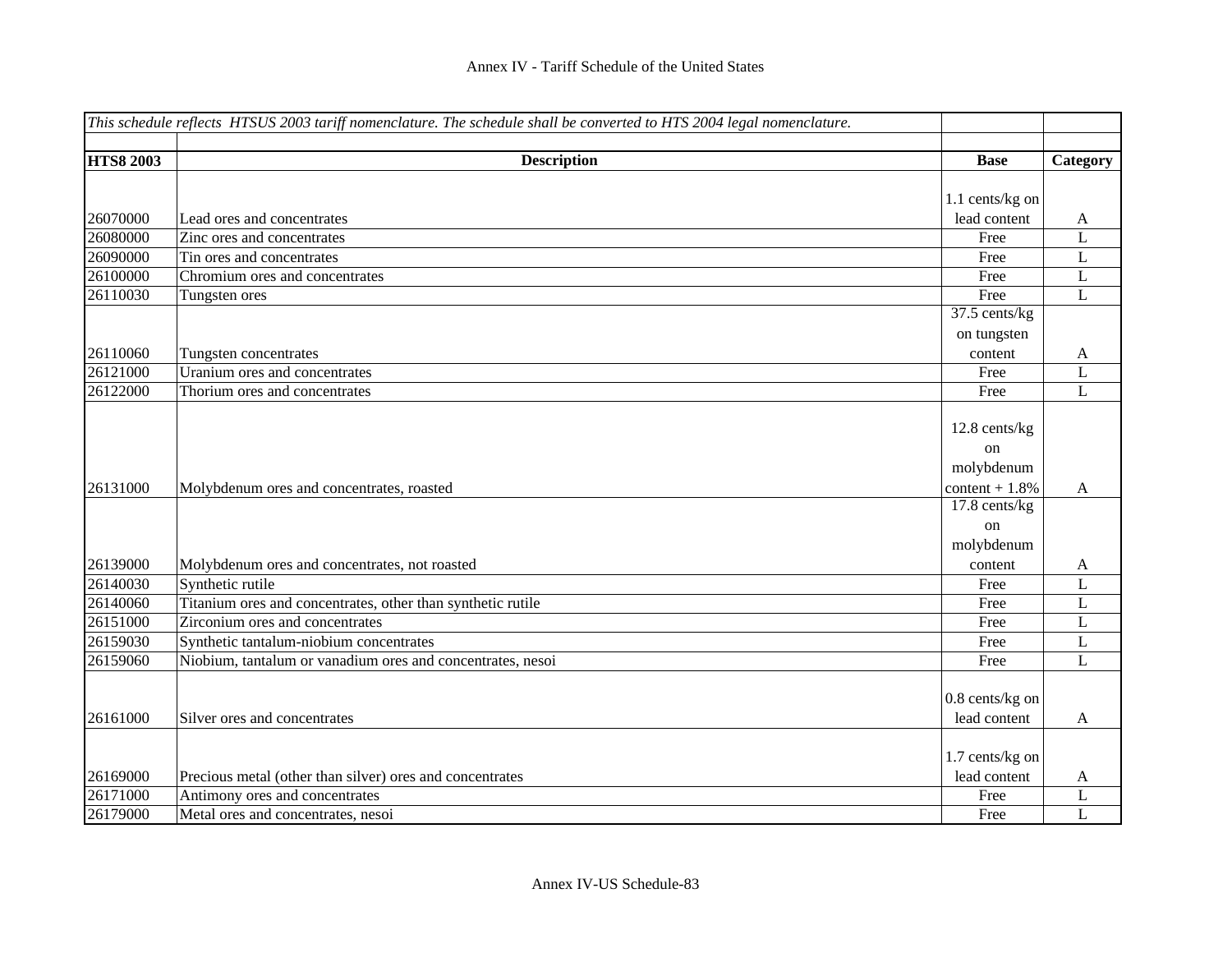|                  | This schedule reflects HTSUS 2003 tariff nomenclature. The schedule shall be converted to HTS 2004 legal nomenclature. |                  |              |
|------------------|------------------------------------------------------------------------------------------------------------------------|------------------|--------------|
|                  |                                                                                                                        |                  |              |
| <b>HTS8 2003</b> | <b>Description</b>                                                                                                     | <b>Base</b>      | Category     |
|                  |                                                                                                                        |                  |              |
|                  |                                                                                                                        | 1.1 cents/kg on  |              |
| 26070000         | Lead ores and concentrates                                                                                             | lead content     | A            |
| 26080000         | Zinc ores and concentrates                                                                                             | Free             | L            |
| 26090000         | Tin ores and concentrates                                                                                              | Free             | L            |
| 26100000         | Chromium ores and concentrates                                                                                         | Free             | L            |
| 26110030         | Tungsten ores                                                                                                          | Free             | $\mathbf L$  |
|                  |                                                                                                                        | 37.5 cents/kg    |              |
|                  |                                                                                                                        | on tungsten      |              |
| 26110060         | Tungsten concentrates                                                                                                  | content          | A            |
| 26121000         | Uranium ores and concentrates                                                                                          | Free             | L            |
| 26122000         | Thorium ores and concentrates                                                                                          | Free             | $\mathbf{L}$ |
|                  |                                                                                                                        |                  |              |
|                  |                                                                                                                        | 12.8 cents/kg    |              |
|                  |                                                                                                                        | on               |              |
|                  |                                                                                                                        | molybdenum       |              |
| 26131000         | Molybdenum ores and concentrates, roasted                                                                              | content $+1.8\%$ | A            |
|                  |                                                                                                                        | 17.8 cents/kg    |              |
|                  |                                                                                                                        | on               |              |
|                  |                                                                                                                        | molybdenum       |              |
| 26139000         | Molybdenum ores and concentrates, not roasted                                                                          | content          | A            |
| 26140030         | Synthetic rutile                                                                                                       | Free             | L            |
| 26140060         | Titanium ores and concentrates, other than synthetic rutile                                                            | Free             | $\mathbf L$  |
| 26151000         | Zirconium ores and concentrates                                                                                        | Free             | L            |
| 26159030         | Synthetic tantalum-niobium concentrates                                                                                | Free             | L            |
| 26159060         | Niobium, tantalum or vanadium ores and concentrates, nesoi                                                             | Free             | L            |
|                  |                                                                                                                        |                  |              |
|                  |                                                                                                                        | 0.8 cents/kg on  |              |
| 26161000         | Silver ores and concentrates                                                                                           | lead content     | $\mathbf{A}$ |
|                  |                                                                                                                        |                  |              |
|                  |                                                                                                                        | 1.7 cents/kg on  |              |
| 26169000         | Precious metal (other than silver) ores and concentrates                                                               | lead content     | A            |
| 26171000         | Antimony ores and concentrates                                                                                         | Free             | L            |
| 26179000         | Metal ores and concentrates, nesoi                                                                                     | Free             | L            |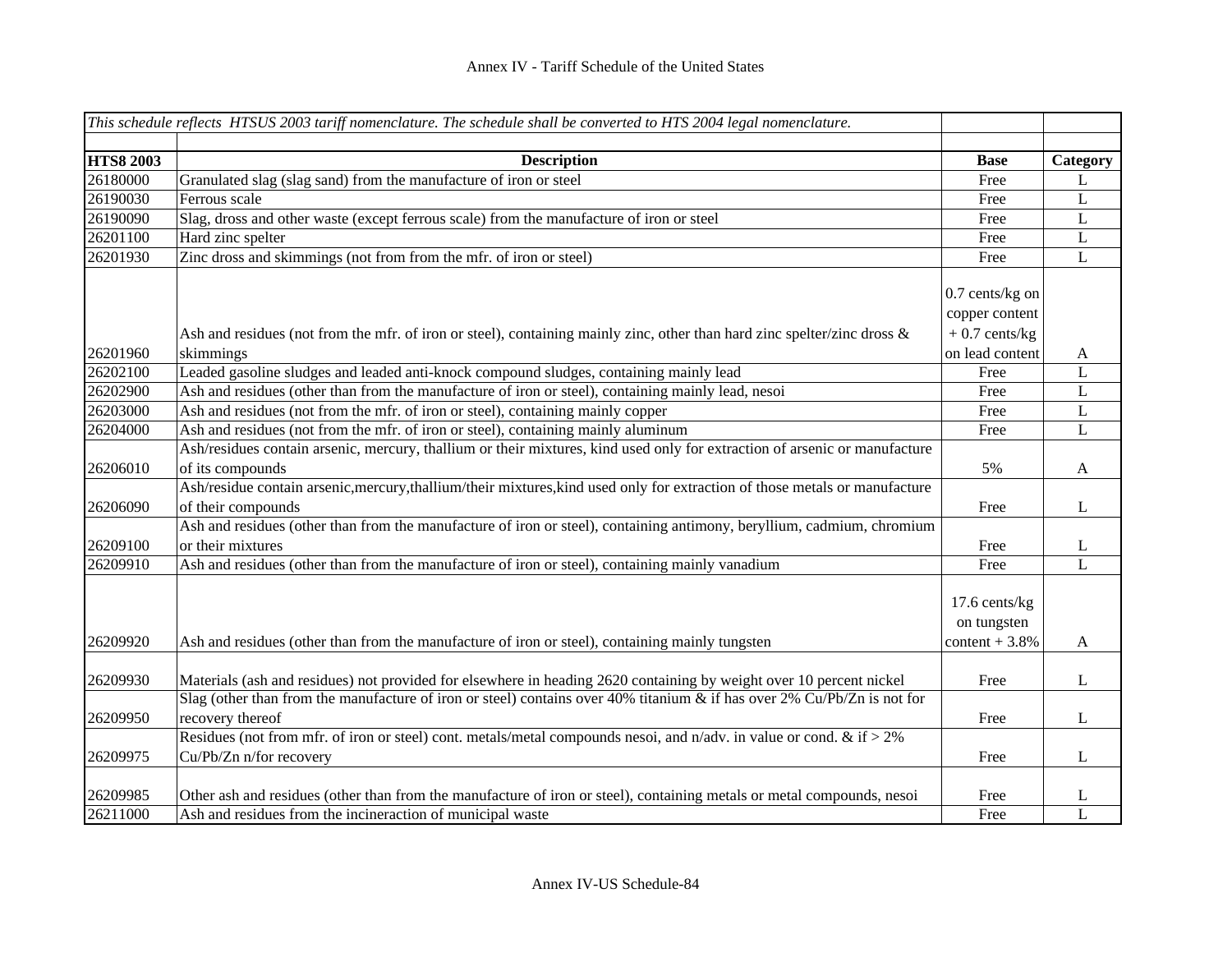|                  | This schedule reflects HTSUS 2003 tariff nomenclature. The schedule shall be converted to HTS 2004 legal nomenclature.                      |                              |                |
|------------------|---------------------------------------------------------------------------------------------------------------------------------------------|------------------------------|----------------|
|                  |                                                                                                                                             |                              |                |
| <b>HTS8 2003</b> | <b>Description</b>                                                                                                                          | <b>Base</b>                  | Category       |
| 26180000         | Granulated slag (slag sand) from the manufacture of iron or steel                                                                           | Free                         | L              |
| 26190030         | Ferrous scale                                                                                                                               | Free                         | L              |
| 26190090         | Slag, dross and other waste (except ferrous scale) from the manufacture of iron or steel                                                    | Free                         | $\mathbf L$    |
| 26201100         | Hard zinc spelter                                                                                                                           | Free                         | L              |
| 26201930         | Zinc dross and skimmings (not from from the mfr. of iron or steel)                                                                          | Free                         | L              |
|                  |                                                                                                                                             | $0.7$ cents/kg on            |                |
|                  |                                                                                                                                             | copper content               |                |
|                  | Ash and residues (not from the mfr. of iron or steel), containing mainly zinc, other than hard zinc spelter/zinc dross &                    | $+0.7$ cents/kg              |                |
| 26201960         | skimmings                                                                                                                                   | on lead content              | A              |
| 26202100         | Leaded gasoline sludges and leaded anti-knock compound sludges, containing mainly lead                                                      | Free                         | $\mathbf L$    |
| 26202900         | Ash and residues (other than from the manufacture of iron or steel), containing mainly lead, nesoi                                          | Free                         | $\overline{L}$ |
| 26203000         | Ash and residues (not from the mfr. of iron or steel), containing mainly copper                                                             | Free                         | $\mathbf L$    |
| 26204000         | Ash and residues (not from the mfr. of iron or steel), containing mainly aluminum                                                           | Free                         | $\mathbf L$    |
|                  | Ash/residues contain arsenic, mercury, thallium or their mixtures, kind used only for extraction of arsenic or manufacture                  |                              |                |
| 26206010         | of its compounds                                                                                                                            | 5%                           | A              |
|                  | Ash/residue contain arsenic, mercury, thallium/their mixtures, kind used only for extraction of those metals or manufacture                 |                              |                |
| 26206090         | of their compounds                                                                                                                          | Free                         | L              |
|                  | Ash and residues (other than from the manufacture of iron or steel), containing antimony, beryllium, cadmium, chromium                      |                              |                |
| 26209100         | or their mixtures                                                                                                                           | Free                         | L              |
| 26209910         | Ash and residues (other than from the manufacture of iron or steel), containing mainly vanadium                                             | Free                         | $\mathbf L$    |
|                  |                                                                                                                                             | 17.6 cents/kg<br>on tungsten |                |
| 26209920         | Ash and residues (other than from the manufacture of iron or steel), containing mainly tungsten                                             | content $+3.8%$              | A              |
| 26209930         | Materials (ash and residues) not provided for elsewhere in heading 2620 containing by weight over 10 percent nickel                         | Free                         | L              |
|                  | Slag (other than from the manufacture of iron or steel) contains over 40% titanium & if has over 2% Cu/Pb/Zn is not for                     |                              |                |
| 26209950         | recovery thereof<br>Residues (not from mfr. of iron or steel) cont. metals/metal compounds nesoi, and n/adv. in value or cond. & if $> 2\%$ | Free                         | L              |
|                  |                                                                                                                                             |                              |                |
| 26209975         | Cu/Pb/Zn n/for recovery                                                                                                                     | Free                         | L              |
| 26209985         | Other ash and residues (other than from the manufacture of iron or steel), containing metals or metal compounds, nesoi                      | Free                         | L              |
| 26211000         | Ash and residues from the incineraction of municipal waste                                                                                  | Free                         | $\mathbf{L}$   |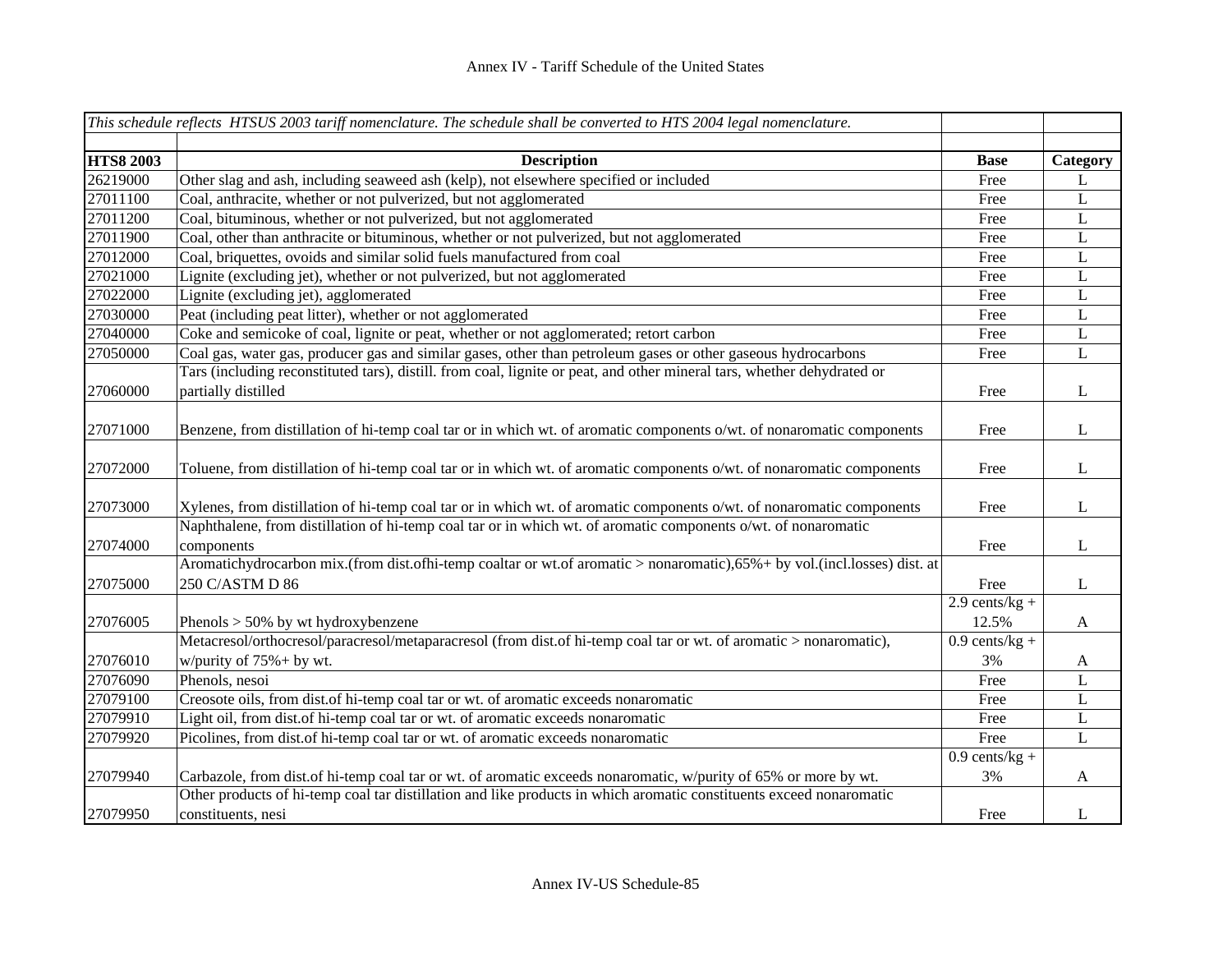|                  | This schedule reflects HTSUS 2003 tariff nomenclature. The schedule shall be converted to HTS 2004 legal nomenclature.   |                  |          |
|------------------|--------------------------------------------------------------------------------------------------------------------------|------------------|----------|
|                  |                                                                                                                          |                  |          |
| <b>HTS8 2003</b> | <b>Description</b>                                                                                                       | <b>Base</b>      | Category |
| 26219000         | Other slag and ash, including seaweed ash (kelp), not elsewhere specified or included                                    | Free             | L        |
| 27011100         | Coal, anthracite, whether or not pulverized, but not agglomerated                                                        | Free             | L        |
| 27011200         | Coal, bituminous, whether or not pulverized, but not agglomerated                                                        | Free             | L        |
| 27011900         | Coal, other than anthracite or bituminous, whether or not pulverized, but not agglomerated                               | Free             | L        |
| 27012000         | Coal, briquettes, ovoids and similar solid fuels manufactured from coal                                                  | Free             | L        |
| 27021000         | Lignite (excluding jet), whether or not pulverized, but not agglomerated                                                 | Free             | L        |
| 27022000         | Lignite (excluding jet), agglomerated                                                                                    | Free             | L        |
| 27030000         | Peat (including peat litter), whether or not agglomerated                                                                | Free             | L        |
| 27040000         | Coke and semicoke of coal, lignite or peat, whether or not agglomerated; retort carbon                                   | Free             | L        |
| 27050000         | Coal gas, water gas, producer gas and similar gases, other than petroleum gases or other gaseous hydrocarbons            | Free             | L        |
|                  | Tars (including reconstituted tars), distill. from coal, lignite or peat, and other mineral tars, whether dehydrated or  |                  |          |
| 27060000         | partially distilled                                                                                                      | Free             | L        |
|                  |                                                                                                                          |                  |          |
| 27071000         | Benzene, from distillation of hi-temp coal tar or in which wt. of aromatic components o/wt. of nonaromatic components    | Free             | L        |
|                  |                                                                                                                          |                  |          |
| 27072000         | Toluene, from distillation of hi-temp coal tar or in which wt. of aromatic components o/wt. of nonaromatic components    | Free             | L        |
|                  |                                                                                                                          |                  |          |
| 27073000         | Xylenes, from distillation of hi-temp coal tar or in which wt. of aromatic components o/wt. of nonaromatic components    | Free             | L        |
|                  | Naphthalene, from distillation of hi-temp coal tar or in which wt. of aromatic components o/wt. of nonaromatic           |                  |          |
| 27074000         | components                                                                                                               | Free             | L        |
|                  | Aromatichydrocarbon mix.(from dist.ofhi-temp coaltar or wt.of aromatic > nonaromatic),65%+ by vol.(incl.losses) dist. at |                  |          |
| 27075000         | 250 C/ASTM D 86                                                                                                          | Free             | L        |
|                  |                                                                                                                          | $2.9$ cents/kg + |          |
| 27076005         | Phenols $> 50\%$ by wt hydroxybenzene                                                                                    | 12.5%            | A        |
|                  | Metacresol/orthocresol/paracresol/metaparacresol (from dist.of hi-temp coal tar or wt. of aromatic > nonaromatic),       | $0.9$ cents/kg + |          |
| 27076010         | w/purity of $75% + by$ wt.                                                                                               | 3%               | A        |
| 27076090         | Phenols, nesoi                                                                                                           | Free             | L        |
| 27079100         | Creosote oils, from dist of hi-temp coal tar or wt. of aromatic exceeds nonaromatic                                      | Free             | L        |
| 27079910         | Light oil, from dist.of hi-temp coal tar or wt. of aromatic exceeds nonaromatic                                          | Free             | L        |
| 27079920         | Picolines, from dist.of hi-temp coal tar or wt. of aromatic exceeds nonaromatic                                          | Free             | L        |
|                  |                                                                                                                          | $0.9$ cents/kg + |          |
| 27079940         | Carbazole, from dist of hi-temp coal tar or wt. of aromatic exceeds nonaromatic, w/purity of 65% or more by wt.          | 3%               | A        |
|                  | Other products of hi-temp coal tar distillation and like products in which aromatic constituents exceed nonaromatic      |                  |          |
| 27079950         | constituents, nesi                                                                                                       | Free             | L        |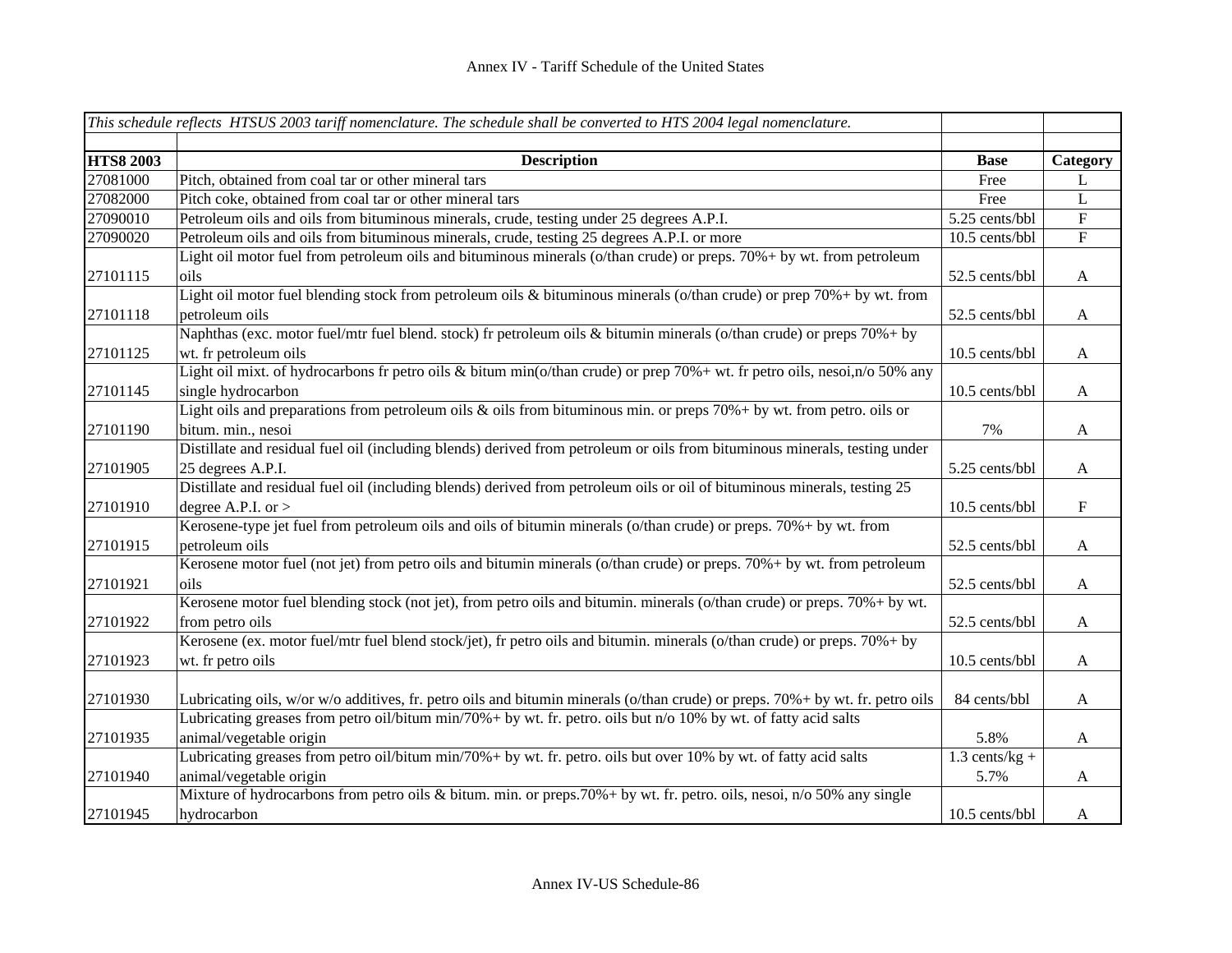|                  | This schedule reflects HTSUS 2003 tariff nomenclature. The schedule shall be converted to HTS 2004 legal nomenclature.            |                  |                           |
|------------------|-----------------------------------------------------------------------------------------------------------------------------------|------------------|---------------------------|
|                  |                                                                                                                                   |                  |                           |
| <b>HTS8 2003</b> | <b>Description</b>                                                                                                                | <b>Base</b>      | Category                  |
| 27081000         | Pitch, obtained from coal tar or other mineral tars                                                                               | Free             | L                         |
| 27082000         | Pitch coke, obtained from coal tar or other mineral tars                                                                          | Free             | L                         |
| 27090010         | Petroleum oils and oils from bituminous minerals, crude, testing under 25 degrees A.P.I.                                          | 5.25 cents/bbl   | $\overline{F}$            |
| 27090020         | Petroleum oils and oils from bituminous minerals, crude, testing 25 degrees A.P.I. or more                                        | 10.5 cents/bbl   | $\overline{F}$            |
|                  | Light oil motor fuel from petroleum oils and bituminous minerals (o/than crude) or preps. 70%+ by wt. from petroleum              |                  |                           |
| 27101115         | oils                                                                                                                              | 52.5 cents/bbl   | $\mathbf{A}$              |
|                  | Light oil motor fuel blending stock from petroleum oils & bituminous minerals (o/than crude) or prep 70%+ by wt. from             |                  |                           |
| 27101118         | petroleum oils                                                                                                                    | 52.5 cents/bbl   | $\mathbf{A}$              |
|                  | Naphthas (exc. motor fuel/mtr fuel blend. stock) fr petroleum oils & bitumin minerals (o/than crude) or preps 70%+ by             |                  |                           |
| 27101125         | wt. fr petroleum oils                                                                                                             | 10.5 cents/bbl   | $\mathbf{A}$              |
|                  | Light oil mixt. of hydrocarbons fr petro oils & bitum min( $o$ /than crude) or prep 70% + wt. fr petro oils, nesoi,n/ $o$ 50% any |                  |                           |
| 27101145         | single hydrocarbon                                                                                                                | 10.5 cents/bbl   | $\mathbf{A}$              |
|                  | Light oils and preparations from petroleum oils $\&$ oils from bituminous min. or preps 70%+ by wt. from petro. oils or           |                  |                           |
| 27101190         | bitum. min., nesoi                                                                                                                | 7%               | $\mathbf{A}$              |
|                  | Distillate and residual fuel oil (including blends) derived from petroleum or oils from bituminous minerals, testing under        |                  |                           |
| 27101905         | 25 degrees A.P.I.                                                                                                                 | 5.25 cents/bbl   | $\mathbf{A}$              |
|                  | Distillate and residual fuel oil (including blends) derived from petroleum oils or oil of bituminous minerals, testing 25         |                  |                           |
| 27101910         | degree A.P.I. or $>$                                                                                                              | 10.5 cents/bbl   | $\boldsymbol{\mathrm{F}}$ |
|                  | Kerosene-type jet fuel from petroleum oils and oils of bitumin minerals (o/than crude) or preps. 70% + by wt. from                |                  |                           |
| 27101915         | petroleum oils                                                                                                                    | 52.5 cents/bbl   | $\mathbf{A}$              |
|                  | Kerosene motor fuel (not jet) from petro oils and bitumin minerals (o/than crude) or preps. 70%+ by wt. from petroleum            |                  |                           |
| 27101921         | oils                                                                                                                              | 52.5 cents/bbl   | A                         |
|                  | Kerosene motor fuel blending stock (not jet), from petro oils and bitumin. minerals (o/than crude) or preps. 70%+ by wt.          |                  |                           |
| 27101922         | from petro oils                                                                                                                   | 52.5 cents/bbl   | A                         |
|                  | Kerosene (ex. motor fuel/mtr fuel blend stock/jet), fr petro oils and bitumin. minerals (o/than crude) or preps. 70%+ by          |                  |                           |
| 27101923         | wt. fr petro oils                                                                                                                 | 10.5 cents/bbl   | $\mathbf{A}$              |
|                  |                                                                                                                                   |                  |                           |
| 27101930         | Lubricating oils, w/or w/o additives, fr. petro oils and bitumin minerals (o/than crude) or preps. 70%+ by wt. fr. petro oils     | 84 cents/bbl     | $\mathbf{A}$              |
|                  | Lubricating greases from petro oil/bitum min/70%+ by wt. fr. petro. oils but n/o 10% by wt. of fatty acid salts                   |                  |                           |
| 27101935         | animal/vegetable origin                                                                                                           | 5.8%             | $\mathbf{A}$              |
|                  | Lubricating greases from petro oil/bitum min/70% + by wt. fr. petro. oils but over 10% by wt. of fatty acid salts                 | $1.3$ cents/kg + |                           |
| 27101940         | animal/vegetable origin                                                                                                           | 5.7%             | A                         |
|                  | Mixture of hydrocarbons from petro oils & bitum. min. or preps.70%+ by wt. fr. petro. oils, nesoi, n/o 50% any single             |                  |                           |
| 27101945         | hydrocarbon                                                                                                                       | 10.5 cents/bbl   | A                         |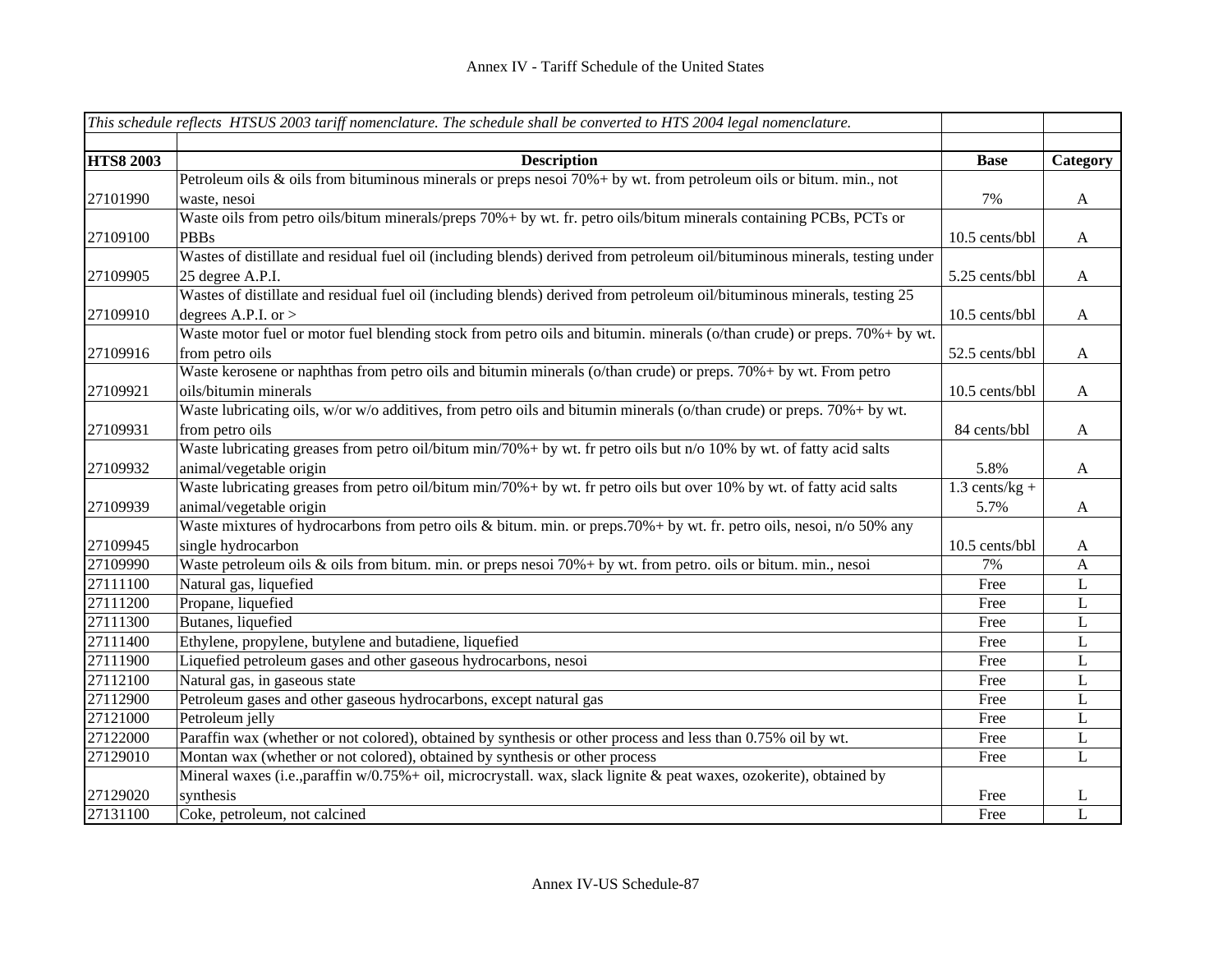|                  | This schedule reflects HTSUS 2003 tariff nomenclature. The schedule shall be converted to $\overline{HTS}$ 2004 legal nomenclature. |                  |                           |
|------------------|-------------------------------------------------------------------------------------------------------------------------------------|------------------|---------------------------|
|                  |                                                                                                                                     |                  |                           |
| <b>HTS8 2003</b> | <b>Description</b>                                                                                                                  | <b>Base</b>      | Category                  |
|                  | Petroleum oils & oils from bituminous minerals or preps nesoi 70%+ by wt. from petroleum oils or bitum. min., not                   |                  |                           |
| 27101990         | waste, nesoi                                                                                                                        | 7%               | $\mathbf{A}$              |
|                  | Waste oils from petro oils/bitum minerals/preps 70%+ by wt. fr. petro oils/bitum minerals containing PCBs, PCTs or                  |                  |                           |
| 27109100         | <b>PBBs</b>                                                                                                                         | 10.5 cents/bbl   | $\mathbf{A}$              |
|                  | Wastes of distillate and residual fuel oil (including blends) derived from petroleum oil/bituminous minerals, testing under         |                  |                           |
| 27109905         | 25 degree A.P.I.                                                                                                                    | 5.25 cents/bbl   | $\mathbf{A}$              |
|                  | Wastes of distillate and residual fuel oil (including blends) derived from petroleum oil/bituminous minerals, testing 25            |                  |                           |
| 27109910         | degrees A.P.I. or $>$                                                                                                               | 10.5 cents/bbl   | $\mathbf{A}$              |
|                  | Waste motor fuel or motor fuel blending stock from petro oils and bitumin. minerals (o/than crude) or preps. 70%+ by wt.            |                  |                           |
| 27109916         | from petro oils                                                                                                                     | 52.5 cents/bbl   | $\mathbf{A}$              |
|                  | Waste kerosene or naphthas from petro oils and bitumin minerals (o/than crude) or preps. 70%+ by wt. From petro                     |                  |                           |
| 27109921         | oils/bitumin minerals                                                                                                               | 10.5 cents/bbl   | $\mathbf{A}$              |
|                  | Waste lubricating oils, w/or w/o additives, from petro oils and bitumin minerals (o/than crude) or preps. 70%+ by wt.               |                  |                           |
| 27109931         | from petro oils                                                                                                                     | 84 cents/bbl     | $\mathbf{A}$              |
|                  | Waste lubricating greases from petro oil/bitum min/70%+ by wt. fr petro oils but n/o 10% by wt. of fatty acid salts                 |                  |                           |
| 27109932         | animal/vegetable origin                                                                                                             | 5.8%             | $\boldsymbol{\mathsf{A}}$ |
|                  | Waste lubricating greases from petro oil/bitum min/70% + by wt. fr petro oils but over 10% by wt. of fatty acid salts               | $1.3$ cents/kg + |                           |
| 27109939         | animal/vegetable origin                                                                                                             | 5.7%             | $\mathbf{A}$              |
|                  | Waste mixtures of hydrocarbons from petro oils & bitum. min. or preps.70%+ by wt. fr. petro oils, nesoi, n/o 50% any                |                  |                           |
| 27109945         | single hydrocarbon                                                                                                                  | 10.5 cents/bbl   | $\mathbf{A}$              |
| 27109990         | Waste petroleum oils & oils from bitum. min. or preps nesoi 70% + by wt. from petro. oils or bitum. min., nesoi                     | 7%               | $\mathbf{A}$              |
| 27111100         | Natural gas, liquefied                                                                                                              | Free             | $\mathbf L$               |
| 27111200         | Propane, liquefied                                                                                                                  | Free             | $\mathbf L$               |
| 27111300         | Butanes, liquefied                                                                                                                  | Free             | L                         |
| 27111400         | Ethylene, propylene, butylene and butadiene, liquefied                                                                              | Free             | L                         |
| 27111900         | Liquefied petroleum gases and other gaseous hydrocarbons, nesoi                                                                     | Free             | L                         |
| 27112100         | Natural gas, in gaseous state                                                                                                       | Free             | L                         |
| 27112900         | Petroleum gases and other gaseous hydrocarbons, except natural gas                                                                  | Free             | L                         |
| 27121000         | Petroleum jelly                                                                                                                     | Free             | L                         |
| 27122000         | Paraffin wax (whether or not colored), obtained by synthesis or other process and less than 0.75% oil by wt.                        | Free             | L                         |
| 27129010         | Montan wax (whether or not colored), obtained by synthesis or other process                                                         | Free             | $\mathbf L$               |
|                  | Mineral waxes (i.e., paraffin w/0.75% + oil, microcrystall. wax, slack lignite & peat waxes, ozokerite), obtained by                |                  |                           |
| 27129020         | synthesis                                                                                                                           | Free             | L                         |
| 27131100         | Coke, petroleum, not calcined                                                                                                       | Free             | L                         |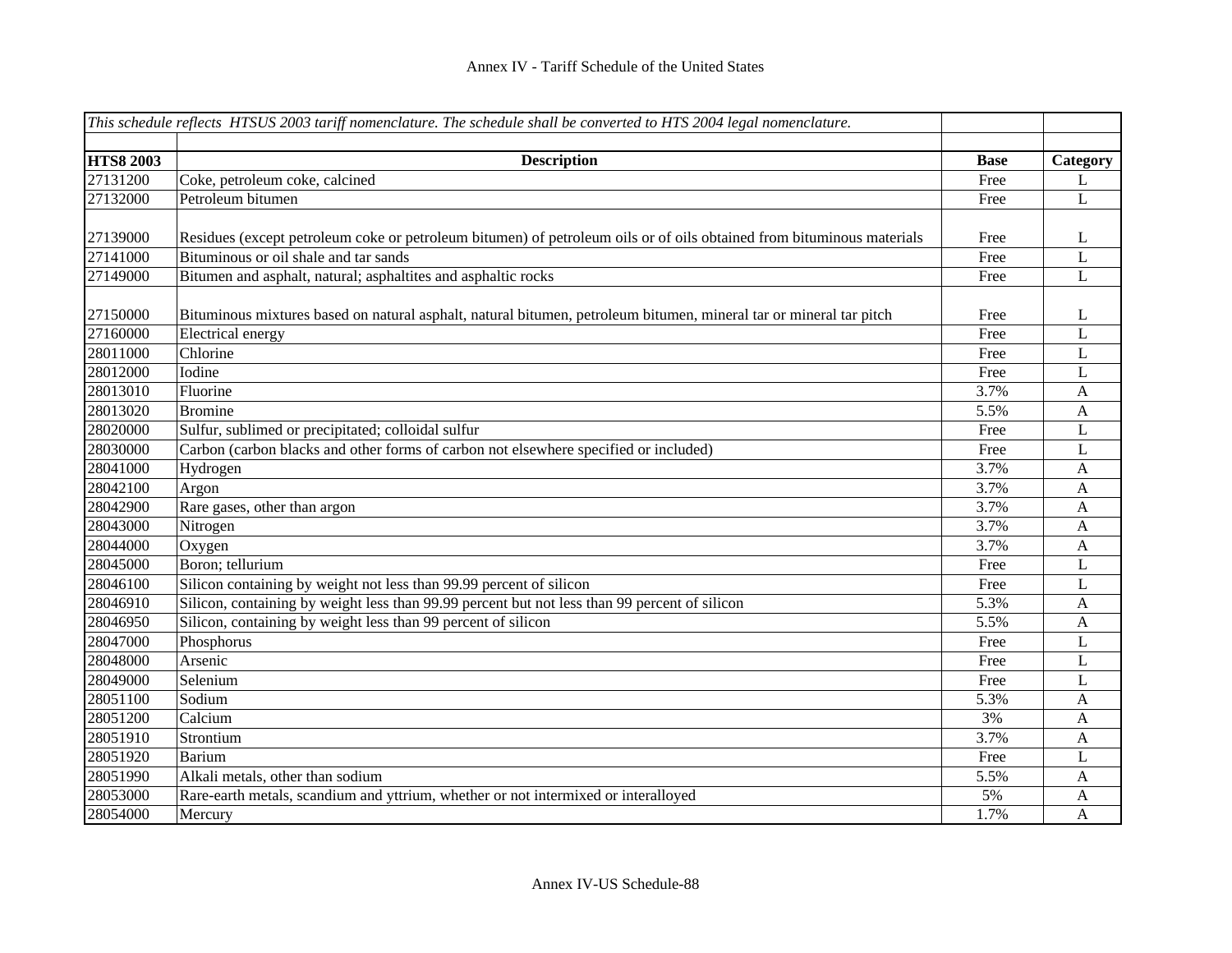|                  | This schedule reflects HTSUS 2003 tariff nomenclature. The schedule shall be converted to HTS 2004 legal nomenclature. |             |                           |
|------------------|------------------------------------------------------------------------------------------------------------------------|-------------|---------------------------|
|                  |                                                                                                                        |             |                           |
| <b>HTS8 2003</b> | <b>Description</b>                                                                                                     | <b>Base</b> | Category                  |
| 27131200         | Coke, petroleum coke, calcined                                                                                         | Free        | L                         |
| 27132000         | Petroleum bitumen                                                                                                      | Free        | L                         |
|                  |                                                                                                                        |             |                           |
| 27139000         | Residues (except petroleum coke or petroleum bitumen) of petroleum oils or of oils obtained from bituminous materials  | Free        | L                         |
| 27141000         | Bituminous or oil shale and tar sands                                                                                  | Free        | L                         |
| 27149000         | Bitumen and asphalt, natural; asphaltites and asphaltic rocks                                                          | Free        | L                         |
|                  |                                                                                                                        |             |                           |
| 27150000         | Bituminous mixtures based on natural asphalt, natural bitumen, petroleum bitumen, mineral tar or mineral tar pitch     | Free        | L                         |
| 27160000         | Electrical energy                                                                                                      | Free        | $\mathbf L$               |
| 28011000         | Chlorine                                                                                                               | Free        | $\mathbf L$               |
| 28012000         | Iodine                                                                                                                 | Free        | $\mathbf L$               |
| 28013010         | Fluorine                                                                                                               | 3.7%        | $\boldsymbol{\mathsf{A}}$ |
| 28013020         | <b>Bromine</b>                                                                                                         | 5.5%        | $\mathbf{A}$              |
| 28020000         | Sulfur, sublimed or precipitated; colloidal sulfur                                                                     | Free        | L                         |
| 28030000         | Carbon (carbon blacks and other forms of carbon not elsewhere specified or included)                                   | Free        | L                         |
| 28041000         | Hydrogen                                                                                                               | 3.7%        | $\mathbf{A}$              |
| 28042100         | Argon                                                                                                                  | 3.7%        | A                         |
| 28042900         | Rare gases, other than argon                                                                                           | 3.7%        | $\mathbf{A}$              |
| 28043000         | Nitrogen                                                                                                               | 3.7%        | $\mathbf{A}$              |
| 28044000         | Oxygen                                                                                                                 | 3.7%        | $\mathbf{A}$              |
| 28045000         | Boron; tellurium                                                                                                       | Free        | L                         |
| 28046100         | Silicon containing by weight not less than 99.99 percent of silicon                                                    | Free        | L                         |
| 28046910         | Silicon, containing by weight less than 99.99 percent but not less than 99 percent of silicon                          | 5.3%        | A                         |
| 28046950         | Silicon, containing by weight less than 99 percent of silicon                                                          | 5.5%        | $\overline{A}$            |
| 28047000         | Phosphorus                                                                                                             | Free        | L                         |
| 28048000         | Arsenic                                                                                                                | Free        | L                         |
| 28049000         | Selenium                                                                                                               | Free        | L                         |
| 28051100         | Sodium                                                                                                                 | 5.3%        | A                         |
| 28051200         | Calcium                                                                                                                | 3%          | A                         |
| 28051910         | Strontium                                                                                                              | 3.7%        | A                         |
| 28051920         | Barium                                                                                                                 | Free        | L                         |
| 28051990         | Alkali metals, other than sodium                                                                                       | 5.5%        | A                         |
| 28053000         | Rare-earth metals, scandium and yttrium, whether or not intermixed or interalloyed                                     | 5%          | A                         |
| 28054000         | Mercury                                                                                                                | 1.7%        | A                         |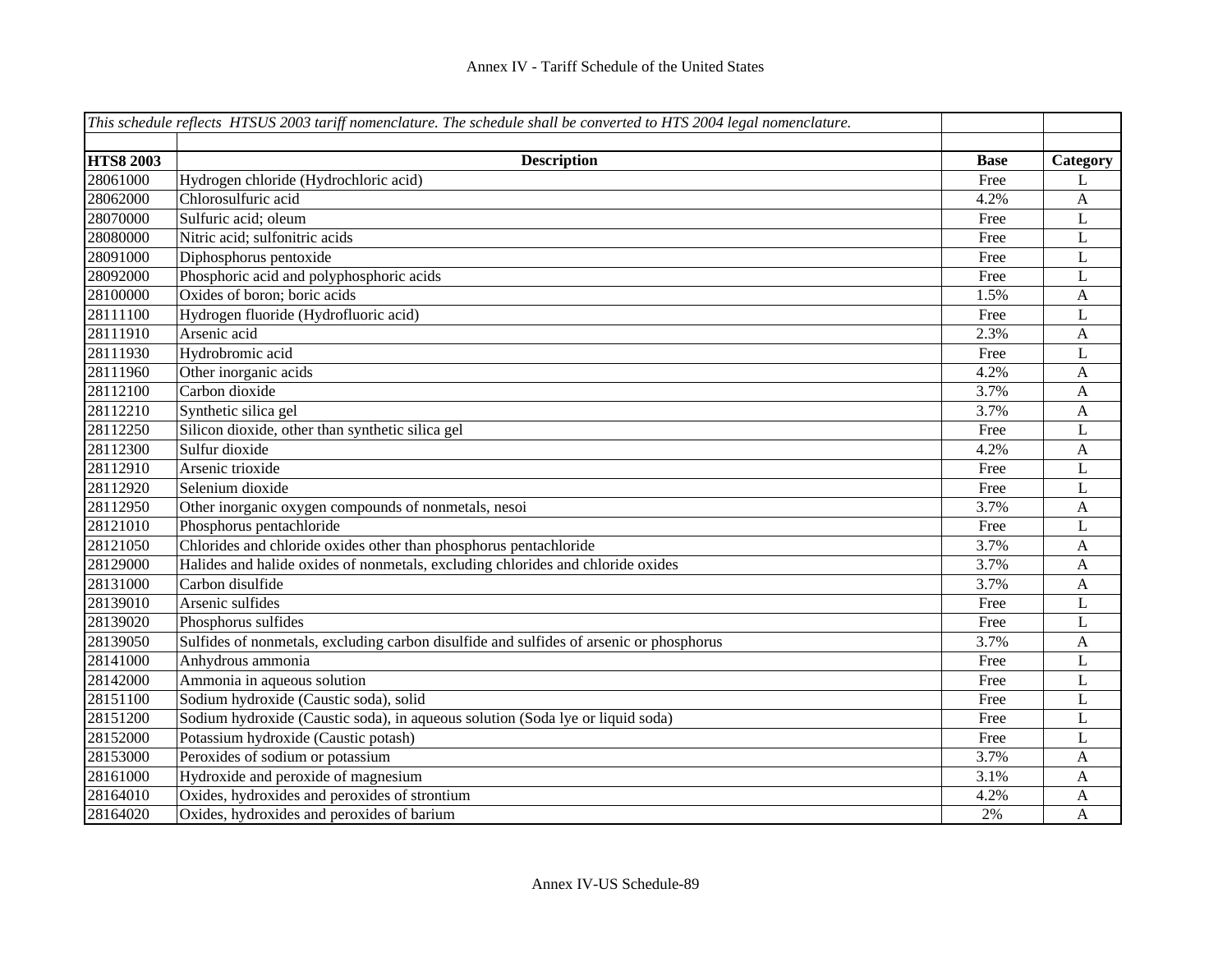|                  | This schedule reflects HTSUS 2003 tariff nomenclature. The schedule shall be converted to HTS 2004 legal nomenclature. |             |              |
|------------------|------------------------------------------------------------------------------------------------------------------------|-------------|--------------|
|                  |                                                                                                                        |             |              |
| <b>HTS8 2003</b> | <b>Description</b>                                                                                                     | <b>Base</b> | Category     |
| 28061000         | Hydrogen chloride (Hydrochloric acid)                                                                                  | Free        | L            |
| 28062000         | Chlorosulfuric acid                                                                                                    | 4.2%        | A            |
| 28070000         | Sulfuric acid; oleum                                                                                                   | Free        | L            |
| 28080000         | Nitric acid; sulfonitric acids                                                                                         | Free        | L            |
| 28091000         | Diphosphorus pentoxide                                                                                                 | Free        | L            |
| 28092000         | Phosphoric acid and polyphosphoric acids                                                                               | Free        | L            |
| 28100000         | Oxides of boron; boric acids                                                                                           | 1.5%        | $\mathbf{A}$ |
| 28111100         | Hydrogen fluoride (Hydrofluoric acid)                                                                                  | Free        | $\mathbf L$  |
| 28111910         | Arsenic acid                                                                                                           | 2.3%        | $\mathbf{A}$ |
| 28111930         | Hydrobromic acid                                                                                                       | Free        | L            |
| 28111960         | Other inorganic acids                                                                                                  | 4.2%        | A            |
| 28112100         | Carbon dioxide                                                                                                         | 3.7%        | A            |
| 28112210         | Synthetic silica gel                                                                                                   | 3.7%        | $\mathbf{A}$ |
| 28112250         | Silicon dioxide, other than synthetic silica gel                                                                       | Free        | $\mathbf L$  |
| 28112300         | Sulfur dioxide                                                                                                         | 4.2%        | $\mathbf{A}$ |
| 28112910         | Arsenic trioxide                                                                                                       | Free        | $\mathbf L$  |
| 28112920         | Selenium dioxide                                                                                                       | Free        | $\mathbf L$  |
| 28112950         | Other inorganic oxygen compounds of nonmetals, nesoi                                                                   | 3.7%        | A            |
| 28121010         | Phosphorus pentachloride                                                                                               | Free        | L            |
| 28121050         | Chlorides and chloride oxides other than phosphorus pentachloride                                                      | 3.7%        | A            |
| 28129000         | Halides and halide oxides of nonmetals, excluding chlorides and chloride oxides                                        | 3.7%        | $\mathbf{A}$ |
| 28131000         | Carbon disulfide                                                                                                       | 3.7%        | $\mathbf{A}$ |
| 28139010         | Arsenic sulfides                                                                                                       | Free        | L            |
| 28139020         | Phosphorus sulfides                                                                                                    | Free        | L            |
| 28139050         | Sulfides of nonmetals, excluding carbon disulfide and sulfides of arsenic or phosphorus                                | 3.7%        | $\mathbf{A}$ |
| 28141000         | Anhydrous ammonia                                                                                                      | Free        | L            |
| 28142000         | Ammonia in aqueous solution                                                                                            | Free        | L            |
| 28151100         | Sodium hydroxide (Caustic soda), solid                                                                                 | Free        | L            |
| 28151200         | Sodium hydroxide (Caustic soda), in aqueous solution (Soda lye or liquid soda)                                         | Free        | L            |
| 28152000         | Potassium hydroxide (Caustic potash)                                                                                   | Free        | L            |
| 28153000         | Peroxides of sodium or potassium                                                                                       | 3.7%        | $\mathbf{A}$ |
| 28161000         | Hydroxide and peroxide of magnesium                                                                                    | 3.1%        | A            |
| 28164010         | Oxides, hydroxides and peroxides of strontium                                                                          | 4.2%        | A            |
| 28164020         | Oxides, hydroxides and peroxides of barium                                                                             | 2%          | A            |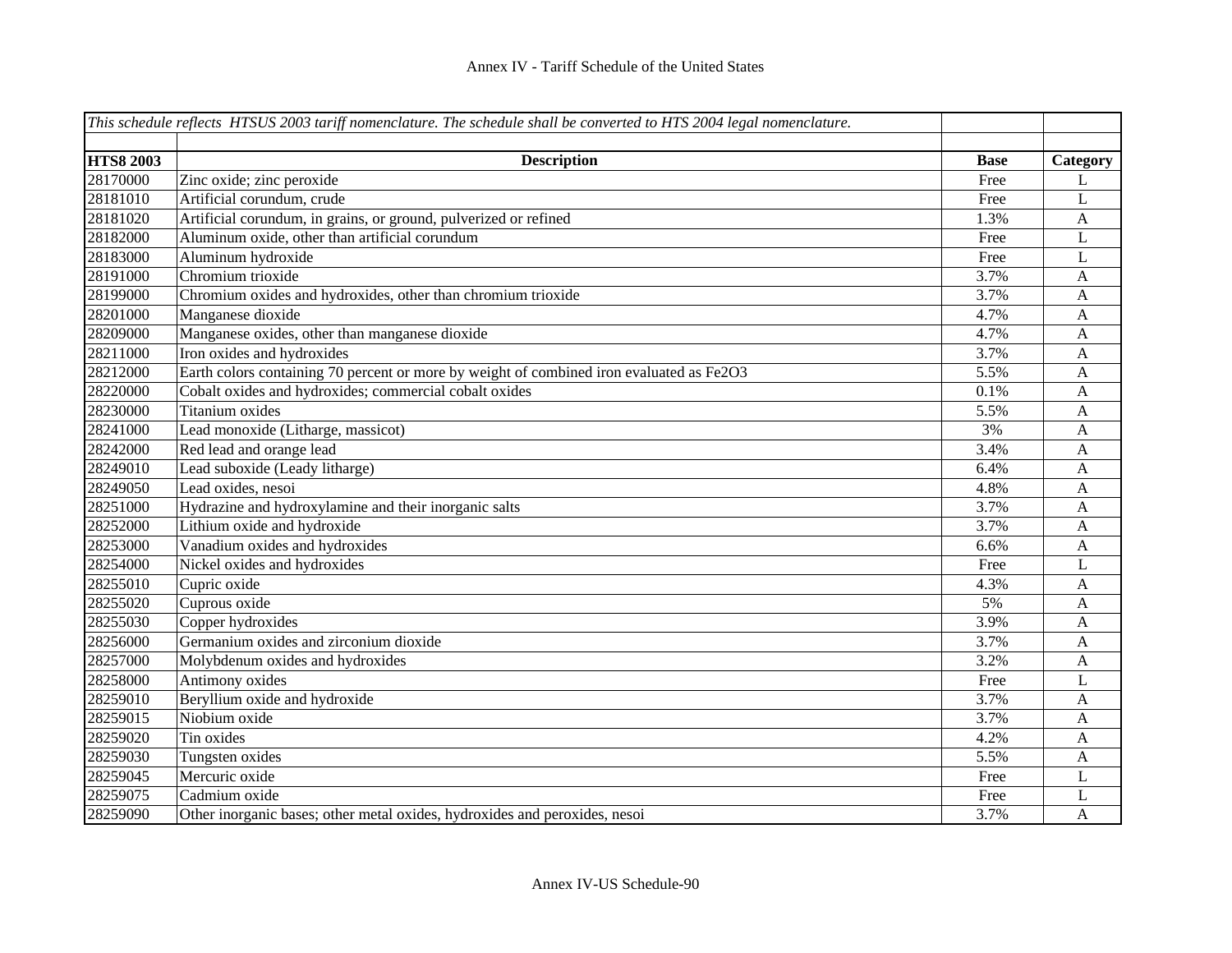|                  | This schedule reflects HTSUS 2003 tariff nomenclature. The schedule shall be converted to HTS 2004 legal nomenclature. |             |                |
|------------------|------------------------------------------------------------------------------------------------------------------------|-------------|----------------|
|                  |                                                                                                                        |             |                |
| <b>HTS8 2003</b> | <b>Description</b>                                                                                                     | <b>Base</b> | Category       |
| 28170000         | Zinc oxide; zinc peroxide                                                                                              | Free        | L              |
| 28181010         | Artificial corundum, crude                                                                                             | Free        | L              |
| 28181020         | Artificial corundum, in grains, or ground, pulverized or refined                                                       | 1.3%        | $\mathbf{A}$   |
| 28182000         | Aluminum oxide, other than artificial corundum                                                                         | Free        | $\mathbf{L}$   |
| 28183000         | Aluminum hydroxide                                                                                                     | Free        | $\mathbf L$    |
| 28191000         | Chromium trioxide                                                                                                      | 3.7%        | A              |
| 28199000         | Chromium oxides and hydroxides, other than chromium trioxide                                                           | 3.7%        | A              |
| 28201000         | Manganese dioxide                                                                                                      | 4.7%        | A              |
| 28209000         | Manganese oxides, other than manganese dioxide                                                                         | 4.7%        | $\mathbf{A}$   |
| 28211000         | Iron oxides and hydroxides                                                                                             | 3.7%        | $\mathbf{A}$   |
| 28212000         | Earth colors containing 70 percent or more by weight of combined iron evaluated as Fe2O3                               | 5.5%        | $\mathbf{A}$   |
| 28220000         | Cobalt oxides and hydroxides; commercial cobalt oxides                                                                 | 0.1%        | $\mathbf{A}$   |
| 28230000         | Titanium oxides                                                                                                        | 5.5%        | $\mathbf{A}$   |
| 28241000         | Lead monoxide (Litharge, massicot)                                                                                     | 3%          | $\mathbf{A}$   |
| 28242000         | Red lead and orange lead                                                                                               | 3.4%        | $\mathbf{A}$   |
| 28249010         | Lead suboxide (Leady litharge)                                                                                         | 6.4%        | $\mathbf{A}$   |
| 28249050         | Lead oxides, nesoi                                                                                                     | 4.8%        | A              |
| 28251000         | Hydrazine and hydroxylamine and their inorganic salts                                                                  | 3.7%        | $\mathbf{A}$   |
| 28252000         | Lithium oxide and hydroxide                                                                                            | 3.7%        | $\mathbf{A}$   |
| 28253000         | Vanadium oxides and hydroxides                                                                                         | 6.6%        | $\mathbf{A}$   |
| 28254000         | Nickel oxides and hydroxides                                                                                           | Free        | L              |
| 28255010         | Cupric oxide                                                                                                           | 4.3%        | $\mathbf{A}$   |
| 28255020         | Cuprous oxide                                                                                                          | 5%          | A              |
| 28255030         | Copper hydroxides                                                                                                      | 3.9%        | A              |
| 28256000         | Germanium oxides and zirconium dioxide                                                                                 | 3.7%        | A              |
| 28257000         | Molybdenum oxides and hydroxides                                                                                       | 3.2%        | $\mathbf{A}$   |
| 28258000         | Antimony oxides                                                                                                        | Free        | $\mathbf{L}$   |
| 28259010         | Beryllium oxide and hydroxide                                                                                          | 3.7%        | $\mathbf{A}$   |
| 28259015         | Niobium oxide                                                                                                          | 3.7%        | $\mathbf{A}$   |
| 28259020         | Tin oxides                                                                                                             | 4.2%        | $\mathbf{A}$   |
| 28259030         | Tungsten oxides                                                                                                        | 5.5%        | $\mathbf{A}$   |
| 28259045         | Mercuric oxide                                                                                                         | Free        | L              |
| 28259075         | Cadmium oxide                                                                                                          | Free        | L              |
| 28259090         | Other inorganic bases; other metal oxides, hydroxides and peroxides, nesoi                                             | 3.7%        | $\overline{A}$ |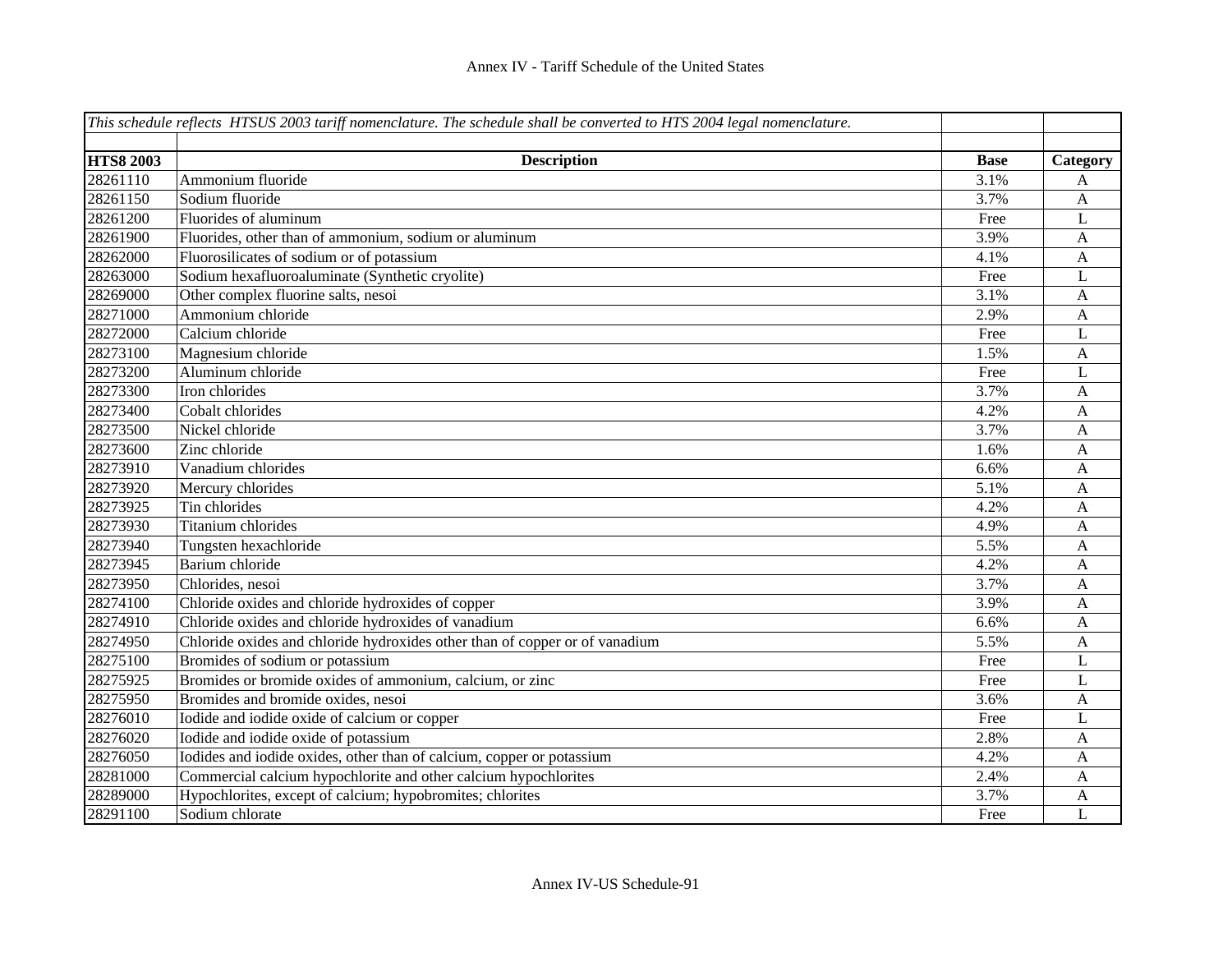|                  | This schedule reflects HTSUS 2003 tariff nomenclature. The schedule shall be converted to $\overline{HTS}$ 2004 legal nomenclature. |             |              |
|------------------|-------------------------------------------------------------------------------------------------------------------------------------|-------------|--------------|
|                  |                                                                                                                                     |             |              |
| <b>HTS8 2003</b> | <b>Description</b>                                                                                                                  | <b>Base</b> | Category     |
| 28261110         | Ammonium fluoride                                                                                                                   | 3.1%        | A            |
| 28261150         | Sodium fluoride                                                                                                                     | 3.7%        | A            |
| 28261200         | Fluorides of aluminum                                                                                                               | Free        | L            |
| 28261900         | Fluorides, other than of ammonium, sodium or aluminum                                                                               | 3.9%        | A            |
| 28262000         | Fluorosilicates of sodium or of potassium                                                                                           | 4.1%        | A            |
| 28263000         | Sodium hexafluoroaluminate (Synthetic cryolite)                                                                                     | Free        | L            |
| 28269000         | Other complex fluorine salts, nesoi                                                                                                 | 3.1%        | A            |
| 28271000         | Ammonium chloride                                                                                                                   | 2.9%        | $\mathbf A$  |
| 28272000         | Calcium chloride                                                                                                                    | Free        | L            |
| 28273100         | Magnesium chloride                                                                                                                  | 1.5%        | $\mathbf{A}$ |
| 28273200         | Aluminum chloride                                                                                                                   | Free        | L            |
| 28273300         | Iron chlorides                                                                                                                      | 3.7%        | $\mathbf{A}$ |
| 28273400         | Cobalt chlorides                                                                                                                    | 4.2%        | $\mathbf{A}$ |
| 28273500         | Nickel chloride                                                                                                                     | 3.7%        | $\mathbf{A}$ |
| 28273600         | Zinc chloride                                                                                                                       | 1.6%        | A            |
| 28273910         | Vanadium chlorides                                                                                                                  | 6.6%        | A            |
| 28273920         | Mercury chlorides                                                                                                                   | 5.1%        | A            |
| 28273925         | Tin chlorides                                                                                                                       | 4.2%        | A            |
| 28273930         | Titanium chlorides                                                                                                                  | 4.9%        | A            |
| 28273940         | Tungsten hexachloride                                                                                                               | 5.5%        | A            |
| 28273945         | Barium chloride                                                                                                                     | 4.2%        | A            |
| 28273950         | Chlorides, nesoi                                                                                                                    | 3.7%        | A            |
| 28274100         | Chloride oxides and chloride hydroxides of copper                                                                                   | 3.9%        | A            |
| 28274910         | Chloride oxides and chloride hydroxides of vanadium                                                                                 | 6.6%        | A            |
| 28274950         | Chloride oxides and chloride hydroxides other than of copper or of vanadium                                                         | 5.5%        | A            |
| 28275100         | Bromides of sodium or potassium                                                                                                     | Free        | L            |
| 28275925         | Bromides or bromide oxides of ammonium, calcium, or zinc                                                                            | Free        | L            |
| 28275950         | Bromides and bromide oxides, nesoi                                                                                                  | 3.6%        | A            |
| 28276010         | Iodide and iodide oxide of calcium or copper                                                                                        | Free        | L            |
| 28276020         | Iodide and iodide oxide of potassium                                                                                                | 2.8%        | A            |
| 28276050         | Iodides and iodide oxides, other than of calcium, copper or potassium                                                               | 4.2%        | A            |
| 28281000         | Commercial calcium hypochlorite and other calcium hypochlorites                                                                     | 2.4%        | A            |
| 28289000         | Hypochlorites, except of calcium; hypobromites; chlorites                                                                           | 3.7%        | A            |
| 28291100         | Sodium chlorate                                                                                                                     | Free        | L            |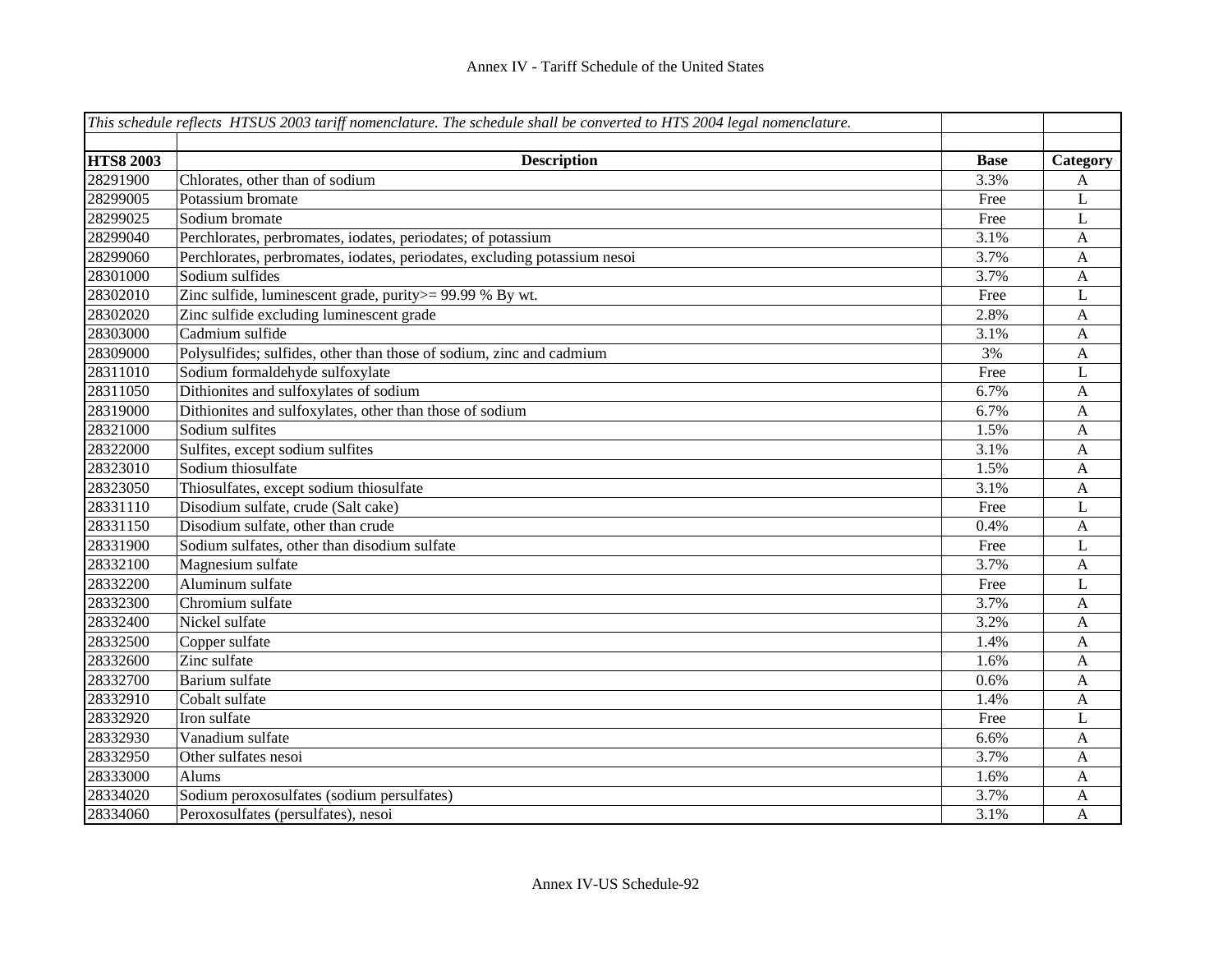|                  | This schedule reflects HTSUS 2003 tariff nomenclature. The schedule shall be converted to HTS 2004 legal nomenclature. |             |                |
|------------------|------------------------------------------------------------------------------------------------------------------------|-------------|----------------|
| <b>HTS8 2003</b> |                                                                                                                        | <b>Base</b> |                |
| 28291900         | <b>Description</b><br>Chlorates, other than of sodium                                                                  | 3.3%        | Category       |
| 28299005         | Potassium bromate                                                                                                      | Free        | A              |
| 28299025         | Sodium bromate                                                                                                         |             | L              |
|                  |                                                                                                                        | Free        | L              |
| 28299040         | Perchlorates, perbromates, iodates, periodates; of potassium                                                           | 3.1%        | $\mathbf{A}$   |
| 28299060         | Perchlorates, perbromates, iodates, periodates, excluding potassium nesoi                                              | 3.7%        | $\mathbf{A}$   |
| 28301000         | Sodium sulfides                                                                                                        | 3.7%        | $\mathbf{A}$   |
| 28302010         | Zinc sulfide, luminescent grade, purity >= 99.99 % By wt.                                                              | Free        | L              |
| 28302020         | Zinc sulfide excluding luminescent grade                                                                               | 2.8%        | $\mathbf{A}$   |
| 28303000         | Cadmium sulfide                                                                                                        | 3.1%        | $\mathbf{A}$   |
| 28309000         | Polysulfides; sulfides, other than those of sodium, zinc and cadmium                                                   | 3%          | $\mathbf{A}$   |
| 28311010         | Sodium formaldehyde sulfoxylate                                                                                        | Free        | $\bf L$        |
| 28311050         | Dithionites and sulfoxylates of sodium                                                                                 | 6.7%        | $\mathbf{A}$   |
| 28319000         | Dithionites and sulfoxylates, other than those of sodium                                                               | 6.7%        | $\mathbf{A}$   |
| 28321000         | Sodium sulfites                                                                                                        | 1.5%        | A              |
| 28322000         | Sulfites, except sodium sulfites                                                                                       | 3.1%        | A              |
| 28323010         | Sodium thiosulfate                                                                                                     | 1.5%        | A              |
| 28323050         | Thiosulfates, except sodium thiosulfate                                                                                | 3.1%        | $\mathbf{A}$   |
| 28331110         | Disodium sulfate, crude (Salt cake)                                                                                    | Free        | L              |
| 28331150         | Disodium sulfate, other than crude                                                                                     | 0.4%        | $\mathbf{A}$   |
| 28331900         | Sodium sulfates, other than disodium sulfate                                                                           | Free        | L              |
| 28332100         | Magnesium sulfate                                                                                                      | 3.7%        | $\overline{A}$ |
| 28332200         | Aluminum sulfate                                                                                                       | Free        | L              |
| 28332300         | Chromium sulfate                                                                                                       | 3.7%        | A              |
| 28332400         | Nickel sulfate                                                                                                         | 3.2%        | A              |
| 28332500         | Copper sulfate                                                                                                         | 1.4%        | A              |
| 28332600         | Zinc sulfate                                                                                                           | 1.6%        | A              |
| 28332700         | Barium sulfate                                                                                                         | 0.6%        | A              |
| 28332910         | Cobalt sulfate                                                                                                         | 1.4%        | A              |
| 28332920         | Iron sulfate                                                                                                           | Free        | L              |
| 28332930         | Vanadium sulfate                                                                                                       | 6.6%        | A              |
| 28332950         | Other sulfates nesoi                                                                                                   | 3.7%        | A              |
| 28333000         | Alums                                                                                                                  | 1.6%        | A              |
| 28334020         | Sodium peroxosulfates (sodium persulfates)                                                                             | 3.7%        | A              |
| 28334060         | Peroxosulfates (persulfates), nesoi                                                                                    | 3.1%        | A              |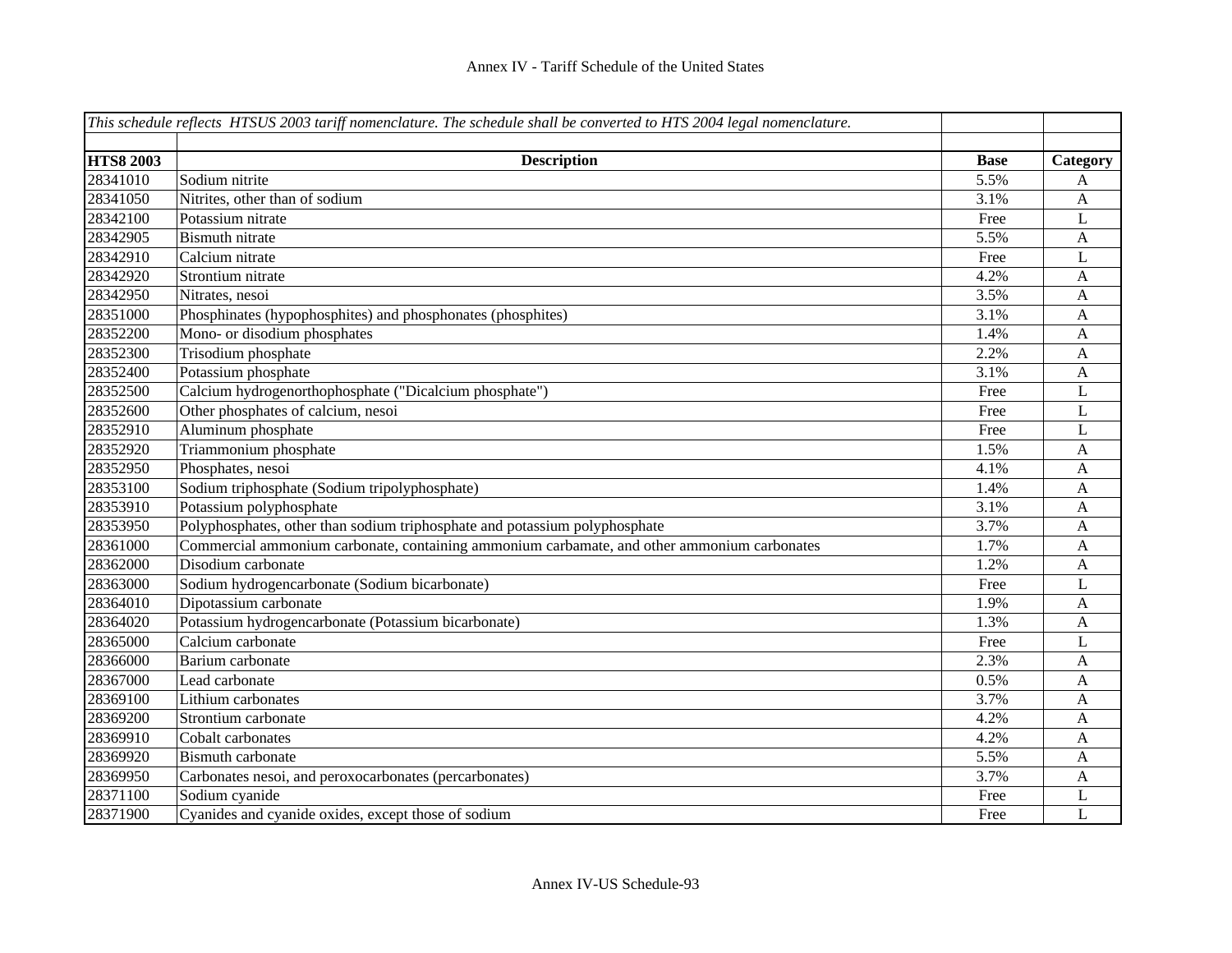|                  | This schedule reflects HTSUS 2003 tariff nomenclature. The schedule shall be converted to HTS 2004 legal nomenclature. |             |                           |
|------------------|------------------------------------------------------------------------------------------------------------------------|-------------|---------------------------|
|                  |                                                                                                                        |             |                           |
| <b>HTS8 2003</b> | <b>Description</b>                                                                                                     | <b>Base</b> | Category                  |
| 28341010         | Sodium nitrite                                                                                                         | 5.5%        | A                         |
| 28341050         | Nitrites, other than of sodium                                                                                         | 3.1%        | $\mathbf{A}$              |
| 28342100         | Potassium nitrate                                                                                                      | Free        | L                         |
| 28342905         | <b>Bismuth</b> nitrate                                                                                                 | 5.5%        | A                         |
| 28342910         | Calcium nitrate                                                                                                        | Free        | L                         |
| 28342920         | Strontium nitrate                                                                                                      | 4.2%        | $\mathbf{A}$              |
| 28342950         | Nitrates, nesoi                                                                                                        | 3.5%        | A                         |
| 28351000         | Phosphinates (hypophosphites) and phosphonates (phosphites)                                                            | 3.1%        | $\boldsymbol{\mathsf{A}}$ |
| 28352200         | Mono- or disodium phosphates                                                                                           | 1.4%        | $\boldsymbol{\mathsf{A}}$ |
| 28352300         | Trisodium phosphate                                                                                                    | 2.2%        | A                         |
| 28352400         | Potassium phosphate                                                                                                    | 3.1%        | $\mathbf{A}$              |
| 28352500         | Calcium hydrogenorthophosphate ("Dicalcium phosphate")                                                                 | Free        | $\mathbf L$               |
| 28352600         | Other phosphates of calcium, nesoi                                                                                     | Free        | $\mathbf L$               |
| 28352910         | Aluminum phosphate                                                                                                     | Free        | L                         |
| 28352920         | Triammonium phosphate                                                                                                  | 1.5%        | $\mathbf{A}$              |
| 28352950         | Phosphates, nesoi                                                                                                      | 4.1%        | A                         |
| 28353100         | Sodium triphosphate (Sodium tripolyphosphate)                                                                          | 1.4%        | $\mathbf{A}$              |
| 28353910         | Potassium polyphosphate                                                                                                | 3.1%        | $\boldsymbol{A}$          |
| 28353950         | Polyphosphates, other than sodium triphosphate and potassium polyphosphate                                             | 3.7%        | $\mathbf{A}$              |
| 28361000         | Commercial ammonium carbonate, containing ammonium carbamate, and other ammonium carbonates                            | 1.7%        | A                         |
| 28362000         | Disodium carbonate                                                                                                     | 1.2%        | $\mathbf{A}$              |
| 28363000         | Sodium hydrogencarbonate (Sodium bicarbonate)                                                                          | Free        | L                         |
| 28364010         | Dipotassium carbonate                                                                                                  | 1.9%        | A                         |
| 28364020         | Potassium hydrogencarbonate (Potassium bicarbonate)                                                                    | 1.3%        | $\overline{A}$            |
| 28365000         | Calcium carbonate                                                                                                      | Free        | L                         |
| 28366000         | Barium carbonate                                                                                                       | 2.3%        | A                         |
| 28367000         | Lead carbonate                                                                                                         | 0.5%        | $\mathbf{A}$              |
| 28369100         | Lithium carbonates                                                                                                     | 3.7%        | A                         |
| 28369200         | Strontium carbonate                                                                                                    | 4.2%        | A                         |
| 28369910         | Cobalt carbonates                                                                                                      | 4.2%        | $\mathbf{A}$              |
| 28369920         | <b>Bismuth carbonate</b>                                                                                               | 5.5%        | A                         |
| 28369950         | Carbonates nesoi, and peroxocarbonates (percarbonates)                                                                 | 3.7%        | A                         |
| 28371100         | Sodium cyanide                                                                                                         | Free        | L                         |
| 28371900         | Cyanides and cyanide oxides, except those of sodium                                                                    | Free        | L                         |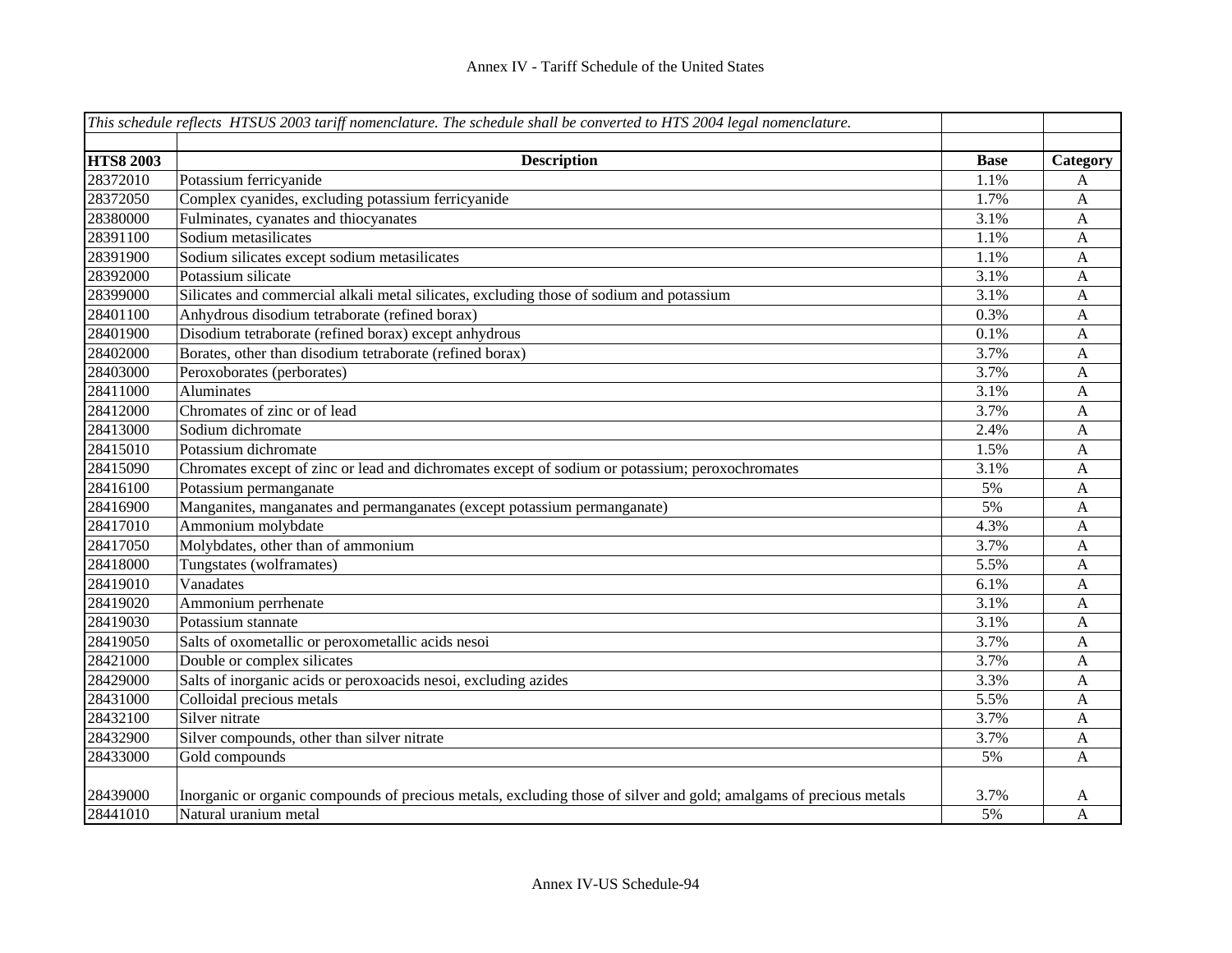|                  | This schedule reflects HTSUS 2003 tariff nomenclature. The schedule shall be converted to HTS 2004 legal nomenclature. |             |              |
|------------------|------------------------------------------------------------------------------------------------------------------------|-------------|--------------|
|                  |                                                                                                                        |             |              |
| <b>HTS8 2003</b> | <b>Description</b>                                                                                                     | <b>Base</b> | Category     |
| 28372010         | Potassium ferricyanide                                                                                                 | 1.1%        | A            |
| 28372050         | Complex cyanides, excluding potassium ferricyanide                                                                     | 1.7%        | A            |
| 28380000         | Fulminates, cyanates and thiocyanates                                                                                  | 3.1%        | A            |
| 28391100         | Sodium metasilicates                                                                                                   | 1.1%        | A            |
| 28391900         | Sodium silicates except sodium metasilicates                                                                           | 1.1%        | A            |
| 28392000         | Potassium silicate                                                                                                     | 3.1%        | A            |
| 28399000         | Silicates and commercial alkali metal silicates, excluding those of sodium and potassium                               | 3.1%        | A            |
| 28401100         | Anhydrous disodium tetraborate (refined borax)                                                                         | 0.3%        | $\mathbf{A}$ |
| 28401900         | Disodium tetraborate (refined borax) except anhydrous                                                                  | 0.1%        | $\mathbf A$  |
| 28402000         | Borates, other than disodium tetraborate (refined borax)                                                               | 3.7%        | A            |
| 28403000         | Peroxoborates (perborates)                                                                                             | 3.7%        | A            |
| 28411000         | Aluminates                                                                                                             | 3.1%        | $\mathbf{A}$ |
| 28412000         | Chromates of zinc or of lead                                                                                           | 3.7%        | $\mathbf{A}$ |
| 28413000         | Sodium dichromate                                                                                                      | 2.4%        | $\mathbf A$  |
| 28415010         | Potassium dichromate                                                                                                   | 1.5%        | $\mathbf{A}$ |
| 28415090         | Chromates except of zinc or lead and dichromates except of sodium or potassium; peroxochromates                        | 3.1%        | $\mathbf{A}$ |
| 28416100         | Potassium permanganate                                                                                                 | 5%          | A            |
| 28416900         | Manganites, manganates and permanganates (except potassium permanganate)                                               | 5%          | $\mathbf{A}$ |
| 28417010         | Ammonium molybdate                                                                                                     | 4.3%        | A            |
| 28417050         | Molybdates, other than of ammonium                                                                                     | 3.7%        | A            |
| 28418000         | Tungstates (wolframates)                                                                                               | 5.5%        | A            |
| 28419010         | Vanadates                                                                                                              | 6.1%        | A            |
| 28419020         | Ammonium perrhenate                                                                                                    | 3.1%        | A            |
| 28419030         | Potassium stannate                                                                                                     | 3.1%        | A            |
| 28419050         | Salts of oxometallic or peroxometallic acids nesoi                                                                     | 3.7%        | A            |
| 28421000         | Double or complex silicates                                                                                            | 3.7%        | A            |
| 28429000         | Salts of inorganic acids or peroxoacids nesoi, excluding azides                                                        | 3.3%        | A            |
| 28431000         | Colloidal precious metals                                                                                              | 5.5%        | A            |
| 28432100         | Silver nitrate                                                                                                         | 3.7%        | A            |
| 28432900         | Silver compounds, other than silver nitrate                                                                            | 3.7%        | A            |
| 28433000         | Gold compounds                                                                                                         | 5%          | A            |
|                  |                                                                                                                        |             |              |
| 28439000         | Inorganic or organic compounds of precious metals, excluding those of silver and gold; amalgams of precious metals     | 3.7%        | A            |
| 28441010         | Natural uranium metal                                                                                                  | 5%          | A            |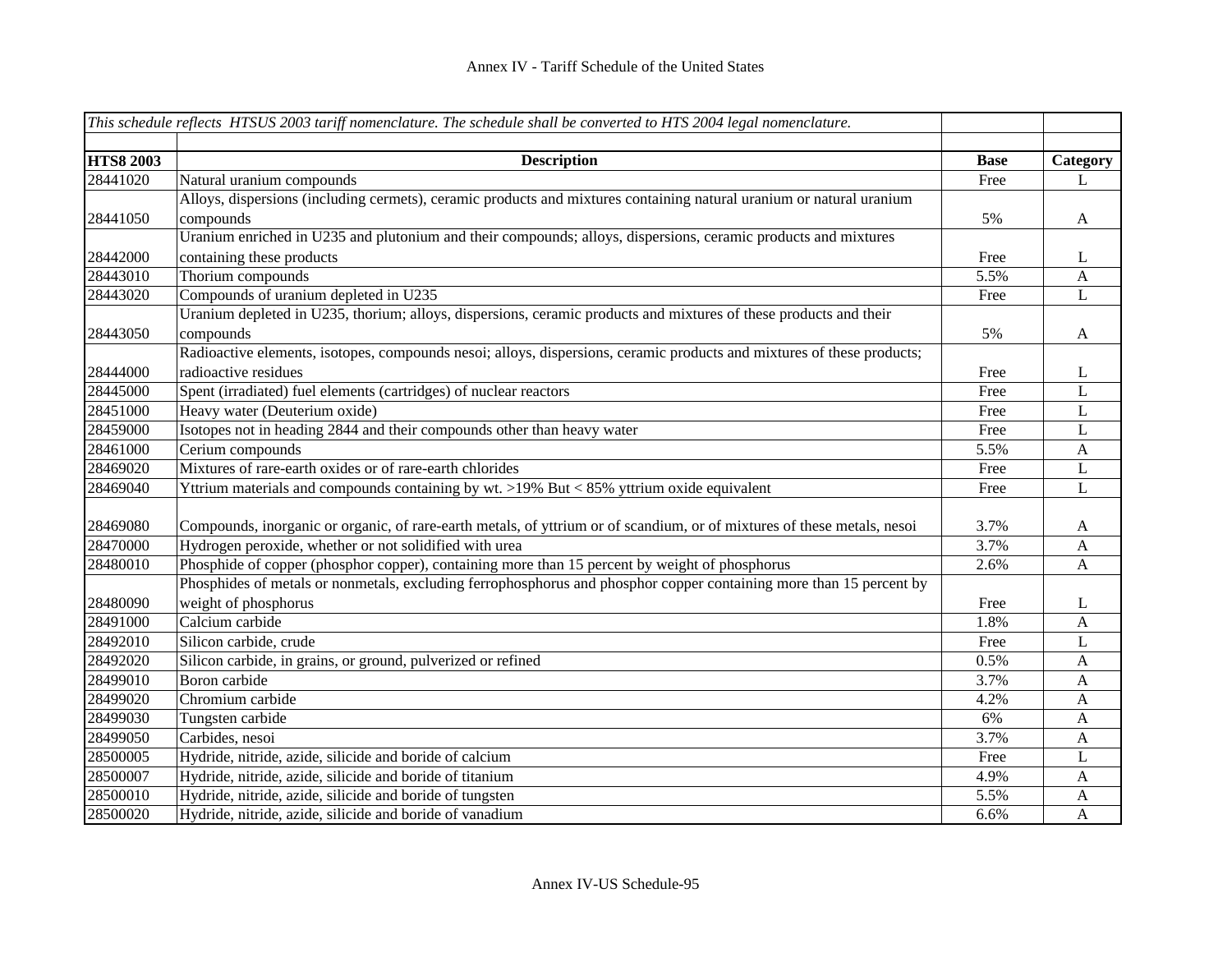|                  | This schedule reflects HTSUS 2003 tariff nomenclature. The schedule shall be converted to HTS 2004 legal nomenclature.  |             |              |
|------------------|-------------------------------------------------------------------------------------------------------------------------|-------------|--------------|
|                  |                                                                                                                         |             |              |
| <b>HTS8 2003</b> | <b>Description</b>                                                                                                      | <b>Base</b> | Category     |
| 28441020         | Natural uranium compounds                                                                                               | Free        | L            |
|                  | Alloys, dispersions (including cermets), ceramic products and mixtures containing natural uranium or natural uranium    |             |              |
| 28441050         | compounds                                                                                                               | 5%          | $\mathbf{A}$ |
|                  | Uranium enriched in U235 and plutonium and their compounds; alloys, dispersions, ceramic products and mixtures          |             |              |
| 28442000         | containing these products                                                                                               | Free        | L            |
| 28443010         | Thorium compounds                                                                                                       | 5.5%        | A            |
| 28443020         | Compounds of uranium depleted in U235                                                                                   | Free        | L            |
|                  | Uranium depleted in U235, thorium; alloys, dispersions, ceramic products and mixtures of these products and their       |             |              |
| 28443050         | compounds                                                                                                               | 5%          | $\mathbf{A}$ |
|                  | Radioactive elements, isotopes, compounds nesoi; alloys, dispersions, ceramic products and mixtures of these products;  |             |              |
| 28444000         | radioactive residues                                                                                                    | Free        | L            |
| 28445000         | Spent (irradiated) fuel elements (cartridges) of nuclear reactors                                                       | Free        | $\mathbf{L}$ |
| 28451000         | Heavy water (Deuterium oxide)                                                                                           | Free        | $\mathbf L$  |
| 28459000         | Isotopes not in heading 2844 and their compounds other than heavy water                                                 | Free        | $\mathbf L$  |
| 28461000         | Cerium compounds                                                                                                        | 5.5%        | $\mathbf{A}$ |
| 28469020         | Mixtures of rare-earth oxides or of rare-earth chlorides                                                                | Free        | $\bf L$      |
| 28469040         | Yttrium materials and compounds containing by wt. >19% But < 85% yttrium oxide equivalent                               | Free        | $\mathbf{L}$ |
|                  |                                                                                                                         |             |              |
| 28469080         | Compounds, inorganic or organic, of rare-earth metals, of yttrium or of scandium, or of mixtures of these metals, nesoi | 3.7%        | A            |
| 28470000         | Hydrogen peroxide, whether or not solidified with urea                                                                  | 3.7%        | A            |
| 28480010         | Phosphide of copper (phosphor copper), containing more than 15 percent by weight of phosphorus                          | 2.6%        | $\mathbf{A}$ |
|                  | Phosphides of metals or nonmetals, excluding ferrophosphorus and phosphor copper containing more than 15 percent by     |             |              |
| 28480090         | weight of phosphorus                                                                                                    | Free        | L            |
| 28491000         | Calcium carbide                                                                                                         | 1.8%        | A            |
| 28492010         | Silicon carbide, crude                                                                                                  | Free        | L            |
| 28492020         | Silicon carbide, in grains, or ground, pulverized or refined                                                            | 0.5%        | A            |
| 28499010         | Boron carbide                                                                                                           | 3.7%        | A            |
| 28499020         | Chromium carbide                                                                                                        | 4.2%        | $\mathbf{A}$ |
| 28499030         | Tungsten carbide                                                                                                        | 6%          | $\mathbf{A}$ |
| 28499050         | Carbides, nesoi                                                                                                         | 3.7%        | $\mathbf{A}$ |
| 28500005         | Hydride, nitride, azide, silicide and boride of calcium                                                                 | Free        | L            |
| 28500007         | Hydride, nitride, azide, silicide and boride of titanium                                                                | 4.9%        | A            |
| 28500010         | Hydride, nitride, azide, silicide and boride of tungsten                                                                | 5.5%        | A            |
| 28500020         | Hydride, nitride, azide, silicide and boride of vanadium                                                                | 6.6%        | A            |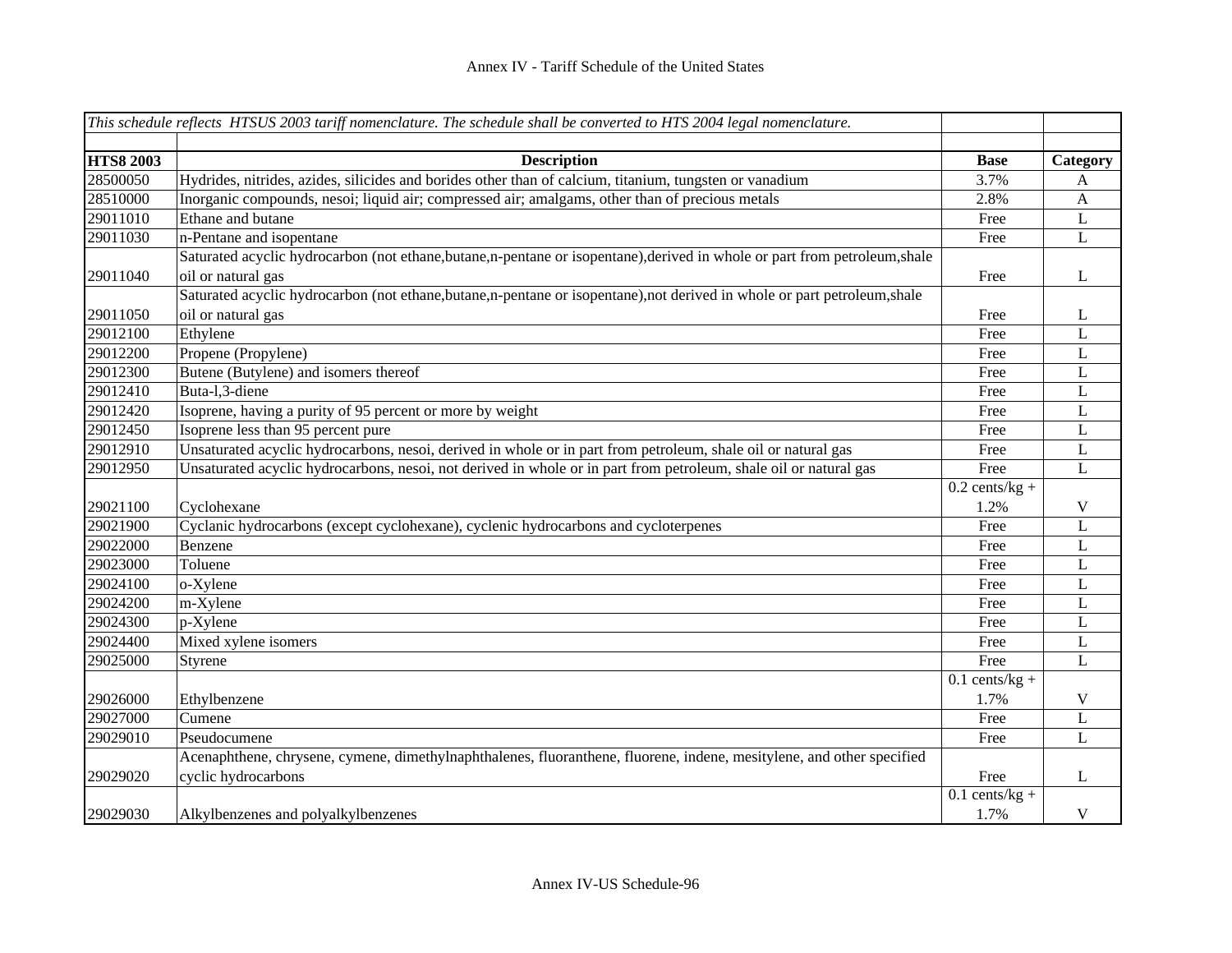|                  | This schedule reflects HTSUS 2003 tariff nomenclature. The schedule shall be converted to HTS 2004 legal nomenclature.     |                  |              |
|------------------|----------------------------------------------------------------------------------------------------------------------------|------------------|--------------|
|                  |                                                                                                                            |                  |              |
| <b>HTS8 2003</b> | <b>Description</b>                                                                                                         | <b>Base</b>      | Category     |
| 28500050         | Hydrides, nitrides, azides, silicides and borides other than of calcium, titanium, tungsten or vanadium                    | 3.7%             | A            |
| 28510000         | Inorganic compounds, nesoi; liquid air; compressed air; amalgams, other than of precious metals                            | 2.8%             | $\mathbf{A}$ |
| 29011010         | Ethane and butane                                                                                                          | Free             | $\mathbf L$  |
| 29011030         | n-Pentane and isopentane                                                                                                   | Free             | L            |
|                  | Saturated acyclic hydrocarbon (not ethane,butane,n-pentane or isopentane),derived in whole or part from petroleum,shale    |                  |              |
| 29011040         | oil or natural gas                                                                                                         | Free             | L            |
|                  | Saturated acyclic hydrocarbon (not ethane, butane, n-pentane or isopentane), not derived in whole or part petroleum, shale |                  |              |
| 29011050         | oil or natural gas                                                                                                         | Free             | L            |
| 29012100         | Ethylene                                                                                                                   | Free             | $\mathbf{L}$ |
| 29012200         | Propene (Propylene)                                                                                                        | Free             | $\mathbf L$  |
| 29012300         | Butene (Butylene) and isomers thereof                                                                                      | Free             | L            |
| 29012410         | Buta-1,3-diene                                                                                                             | Free             | L            |
| 29012420         | Isoprene, having a purity of 95 percent or more by weight                                                                  | Free             | L            |
| 29012450         | Isoprene less than 95 percent pure                                                                                         | Free             | L            |
| 29012910         | Unsaturated acyclic hydrocarbons, nesoi, derived in whole or in part from petroleum, shale oil or natural gas              | Free             | L            |
| 29012950         | Unsaturated acyclic hydrocarbons, nesoi, not derived in whole or in part from petroleum, shale oil or natural gas          | Free             | $\mathbf{L}$ |
|                  |                                                                                                                            | $0.2$ cents/kg + |              |
| 29021100         | Cyclohexane                                                                                                                | 1.2%             | V            |
| 29021900         | Cyclanic hydrocarbons (except cyclohexane), cyclenic hydrocarbons and cycloterpenes                                        | Free             | L            |
| 29022000         | Benzene                                                                                                                    | Free             | L            |
| 29023000         | Toluene                                                                                                                    | Free             | L            |
| 29024100         | o-Xylene                                                                                                                   | Free             | L            |
| 29024200         | m-Xylene                                                                                                                   | Free             | L            |
| 29024300         | p-Xylene                                                                                                                   | Free             | L            |
| 29024400         | Mixed xylene isomers                                                                                                       | Free             | L            |
| 29025000         | Styrene                                                                                                                    | Free             | $\mathbf{L}$ |
|                  |                                                                                                                            | $0.1$ cents/kg + |              |
| 29026000         | Ethylbenzene                                                                                                               | 1.7%             | V            |
| 29027000         | Cumene                                                                                                                     | Free             | L            |
| 29029010         | Pseudocumene                                                                                                               | Free             | L            |
|                  | Acenaphthene, chrysene, cymene, dimethylnaphthalenes, fluoranthene, fluorene, indene, mesitylene, and other specified      |                  |              |
| 29029020         | cyclic hydrocarbons                                                                                                        | Free             | $\mathbf{L}$ |
|                  |                                                                                                                            | $0.1$ cents/kg + |              |
| 29029030         | Alkylbenzenes and polyalkylbenzenes                                                                                        | 1.7%             | $\mathbf V$  |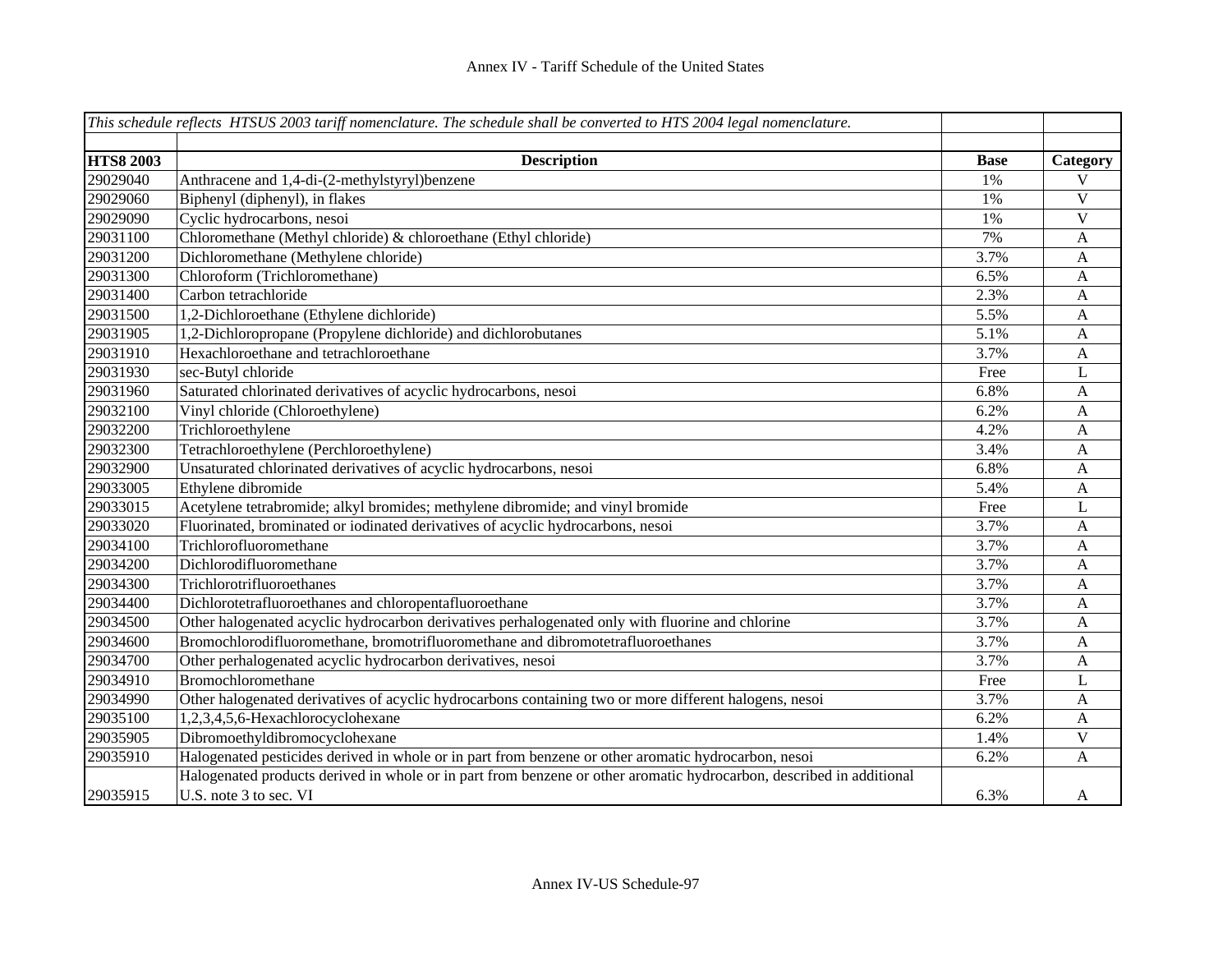|                  | This schedule reflects HTSUS 2003 tariff nomenclature. The schedule shall be converted to HTS 2004 legal nomenclature. |             |              |
|------------------|------------------------------------------------------------------------------------------------------------------------|-------------|--------------|
|                  |                                                                                                                        |             |              |
| <b>HTS8 2003</b> | <b>Description</b>                                                                                                     | <b>Base</b> | Category     |
| 29029040         | Anthracene and 1,4-di-(2-methylstyryl)benzene                                                                          | 1%          | V            |
| 29029060         | Biphenyl (diphenyl), in flakes                                                                                         | 1%          | $\mathbf V$  |
| 29029090         | Cyclic hydrocarbons, nesoi                                                                                             | 1%          | $\mathbf V$  |
| 29031100         | Chloromethane (Methyl chloride) & chloroethane (Ethyl chloride)                                                        | 7%          | A            |
| 29031200         | Dichloromethane (Methylene chloride)                                                                                   | 3.7%        | A            |
| 29031300         | Chloroform (Trichloromethane)                                                                                          | 6.5%        | A            |
| 29031400         | Carbon tetrachloride                                                                                                   | 2.3%        | A            |
| 29031500         | 1,2-Dichloroethane (Ethylene dichloride)                                                                               | 5.5%        | A            |
| 29031905         | 1,2-Dichloropropane (Propylene dichloride) and dichlorobutanes                                                         | 5.1%        | A            |
| 29031910         | Hexachloroethane and tetrachloroethane                                                                                 | 3.7%        | A            |
| 29031930         | sec-Butyl chloride                                                                                                     | Free        | L            |
| 29031960         | Saturated chlorinated derivatives of acyclic hydrocarbons, nesoi                                                       | 6.8%        | A            |
| 29032100         | Vinyl chloride (Chloroethylene)                                                                                        | 6.2%        | A            |
| 29032200         | Trichloroethylene                                                                                                      | 4.2%        | A            |
| 29032300         | Tetrachloroethylene (Perchloroethylene)                                                                                | 3.4%        | A            |
| 29032900         | Unsaturated chlorinated derivatives of acyclic hydrocarbons, nesoi                                                     | 6.8%        | A            |
| 29033005         | Ethylene dibromide                                                                                                     | 5.4%        | A            |
| 29033015         | Acetylene tetrabromide; alkyl bromides; methylene dibromide; and vinyl bromide                                         | Free        | L            |
| 29033020         | Fluorinated, brominated or iodinated derivatives of acyclic hydrocarbons, nesoi                                        | 3.7%        | A            |
| 29034100         | Trichlorofluoromethane                                                                                                 | 3.7%        | A            |
| 29034200         | Dichlorodifluoromethane                                                                                                | 3.7%        | A            |
| 29034300         | Trichlorotrifluoroethanes                                                                                              | 3.7%        | A            |
| 29034400         | Dichlorotetrafluoroethanes and chloropentafluoroethane                                                                 | 3.7%        | A            |
| 29034500         | Other halogenated acyclic hydrocarbon derivatives perhalogenated only with fluorine and chlorine                       | 3.7%        | A            |
| 29034600         | Bromochlorodifluoromethane, bromotrifluoromethane and dibromotetrafluoroethanes                                        | 3.7%        | A            |
| 29034700         | Other perhalogenated acyclic hydrocarbon derivatives, nesoi                                                            | 3.7%        | A            |
| 29034910         | Bromochloromethane                                                                                                     | Free        | L            |
| 29034990         | Other halogenated derivatives of acyclic hydrocarbons containing two or more different halogens, nesoi                 | 3.7%        | $\mathbf{A}$ |
| 29035100         | 1,2,3,4,5,6-Hexachlorocyclohexane                                                                                      | 6.2%        | $\mathbf{A}$ |
| 29035905         | Dibromoethyldibromocyclohexane                                                                                         | 1.4%        | V            |
| 29035910         | Halogenated pesticides derived in whole or in part from benzene or other aromatic hydrocarbon, nesoi                   | 6.2%        | A            |
|                  | Halogenated products derived in whole or in part from benzene or other aromatic hydrocarbon, described in additional   |             |              |
| 29035915         | U.S. note 3 to sec. VI                                                                                                 | 6.3%        | A            |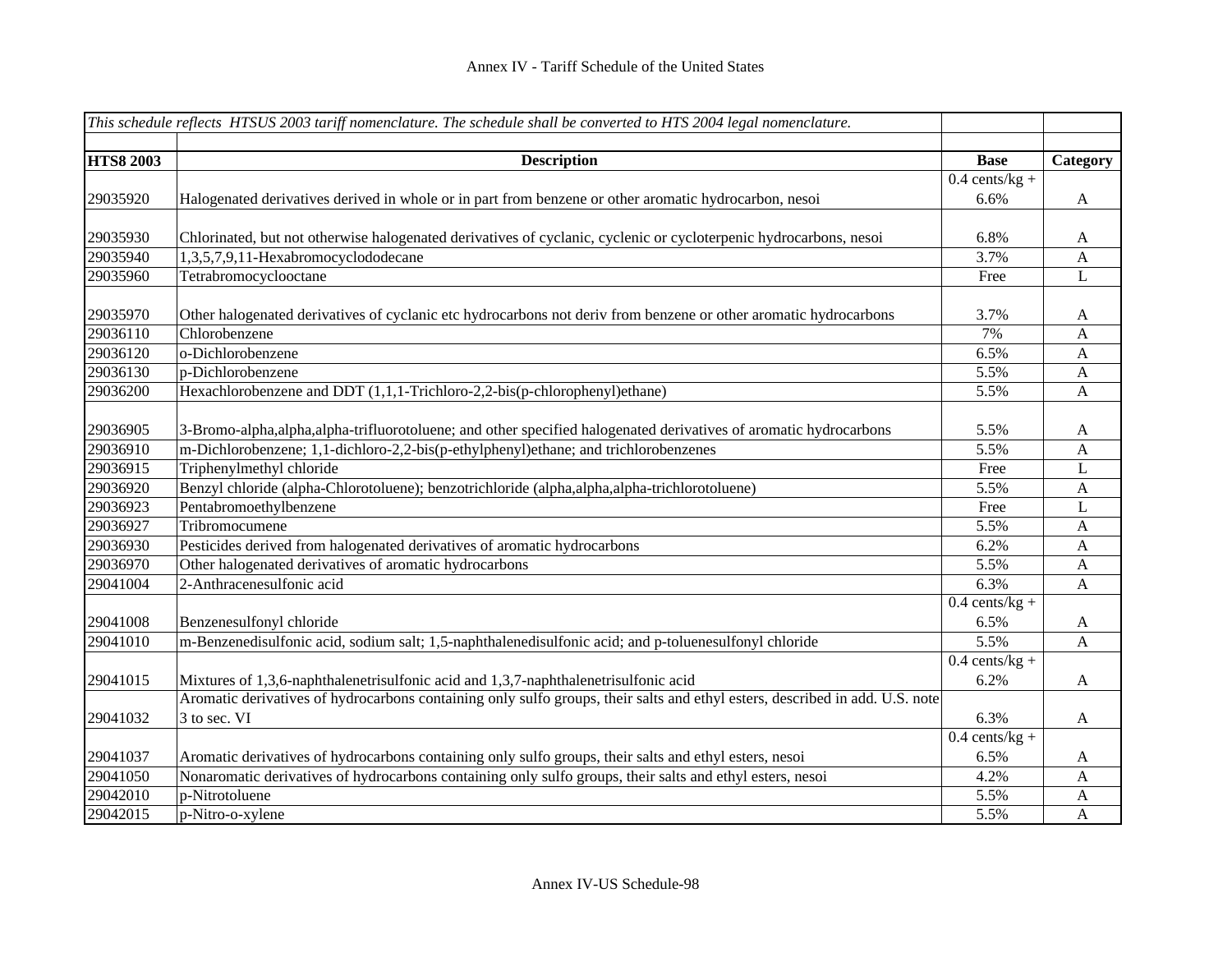|                  | This schedule reflects HTSUS 2003 tariff nomenclature. The schedule shall be converted to HTS 2004 legal nomenclature.       |                  |                           |
|------------------|------------------------------------------------------------------------------------------------------------------------------|------------------|---------------------------|
| <b>HTS8 2003</b> | <b>Description</b>                                                                                                           | <b>Base</b>      | Category                  |
|                  |                                                                                                                              | $0.4$ cents/kg + |                           |
| 29035920         | Halogenated derivatives derived in whole or in part from benzene or other aromatic hydrocarbon, nesoi                        | 6.6%             | A                         |
|                  |                                                                                                                              |                  |                           |
| 29035930         | Chlorinated, but not otherwise halogenated derivatives of cyclanic, cyclenic or cycloterpenic hydrocarbons, nesoi            | 6.8%             | A                         |
| 29035940         | 1,3,5,7,9,11-Hexabromocyclododecane                                                                                          | 3.7%             | $\mathbf{A}$              |
| 29035960         | Tetrabromocyclooctane                                                                                                        | Free             | L                         |
| 29035970         | Other halogenated derivatives of cyclanic etc hydrocarbons not deriv from benzene or other aromatic hydrocarbons             | 3.7%             | A                         |
| 29036110         | Chlorobenzene                                                                                                                | 7%               | $\mathbf{A}$              |
| 29036120         | o-Dichlorobenzene                                                                                                            | 6.5%             | $\mathbf{A}$              |
| 29036130         | p-Dichlorobenzene                                                                                                            | 5.5%             | $\boldsymbol{\mathsf{A}}$ |
| 29036200         | Hexachlorobenzene and DDT (1,1,1-Trichloro-2,2-bis(p-chlorophenyl)ethane)                                                    | 5.5%             | A                         |
| 29036905         | 3-Bromo-alpha, alpha, alpha-trifluorotoluene; and other specified halogenated derivatives of aromatic hydrocarbons           | 5.5%             | A                         |
| 29036910         | m-Dichlorobenzene; 1,1-dichloro-2,2-bis(p-ethylphenyl)ethane; and trichlorobenzenes                                          | 5.5%             | A                         |
| 29036915         | Triphenylmethyl chloride                                                                                                     | Free             | L                         |
| 29036920         | Benzyl chloride (alpha-Chlorotoluene); benzotrichloride (alpha, alpha, alpha-trichlorotoluene)                               | 5.5%             | A                         |
| 29036923         | Pentabromoethylbenzene                                                                                                       | Free             | L                         |
| 29036927         | Tribromocumene                                                                                                               | 5.5%             | A                         |
| 29036930         | Pesticides derived from halogenated derivatives of aromatic hydrocarbons                                                     | 6.2%             | A                         |
| 29036970         | Other halogenated derivatives of aromatic hydrocarbons                                                                       | 5.5%             | A                         |
| 29041004         | 2-Anthracenesulfonic acid                                                                                                    | $6.3\%$          | A                         |
|                  |                                                                                                                              | $0.4$ cents/kg + |                           |
| 29041008         | Benzenesulfonyl chloride                                                                                                     | 6.5%             | A                         |
| 29041010         | m-Benzenedisulfonic acid, sodium salt; 1,5-naphthalenedisulfonic acid; and p-toluenesulfonyl chloride                        | 5.5%             | A                         |
|                  |                                                                                                                              | $0.4$ cents/kg + |                           |
| 29041015         | Mixtures of 1,3,6-naphthalenetrisulfonic acid and 1,3,7-naphthalenetrisulfonic acid                                          | 6.2%             | A                         |
|                  | Aromatic derivatives of hydrocarbons containing only sulfo groups, their salts and ethyl esters, described in add. U.S. note |                  |                           |
| 29041032         | 3 to sec. VI                                                                                                                 | 6.3%             | A                         |
|                  |                                                                                                                              | $0.4$ cents/kg + |                           |
| 29041037         | Aromatic derivatives of hydrocarbons containing only sulfo groups, their salts and ethyl esters, nesoi                       | 6.5%             | A                         |
| 29041050         | Nonaromatic derivatives of hydrocarbons containing only sulfo groups, their salts and ethyl esters, nesoi                    | 4.2%             | A                         |
| 29042010         | p-Nitrotoluene                                                                                                               | 5.5%             | A                         |
| 29042015         | p-Nitro-o-xylene                                                                                                             | 5.5%             | A                         |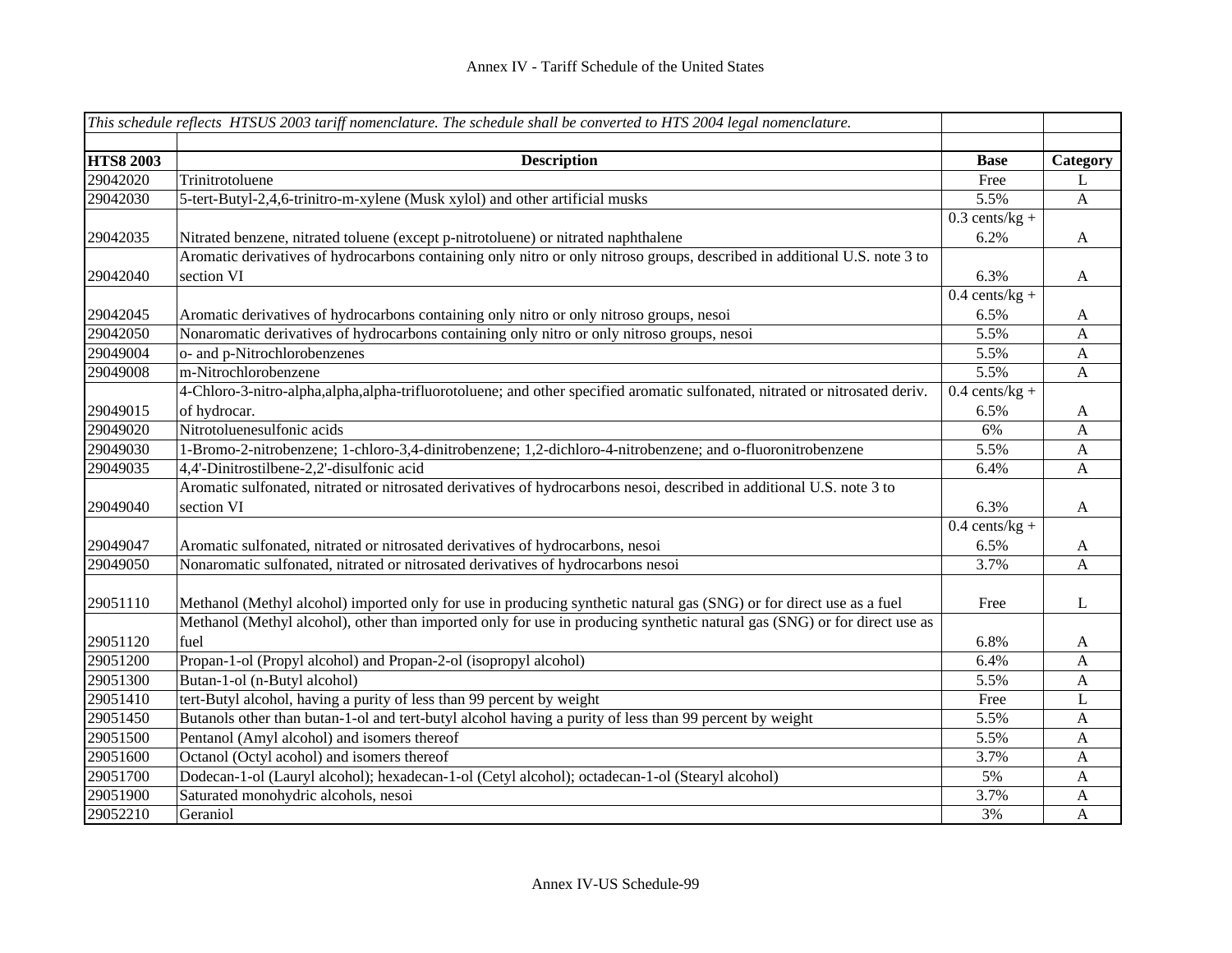|                  | This schedule reflects HTSUS 2003 tariff nomenclature. The schedule shall be converted to HTS 2004 legal nomenclature.      |                  |                |
|------------------|-----------------------------------------------------------------------------------------------------------------------------|------------------|----------------|
|                  |                                                                                                                             |                  |                |
| <b>HTS8 2003</b> | <b>Description</b>                                                                                                          | <b>Base</b>      | Category       |
| 29042020         | Trinitrotoluene                                                                                                             | Free             | L              |
| 29042030         | 5-tert-Butyl-2,4,6-trinitro-m-xylene (Musk xylol) and other artificial musks                                                | 5.5%             | $\mathbf{A}$   |
|                  |                                                                                                                             | $0.3$ cents/kg + |                |
| 29042035         | Nitrated benzene, nitrated toluene (except p-nitrotoluene) or nitrated naphthalene                                          | 6.2%             | $\mathbf{A}$   |
|                  | Aromatic derivatives of hydrocarbons containing only nitro or only nitroso groups, described in additional U.S. note 3 to   |                  |                |
| 29042040         | section VI                                                                                                                  | 6.3%             | A              |
|                  |                                                                                                                             | $0.4$ cents/kg + |                |
| 29042045         | Aromatic derivatives of hydrocarbons containing only nitro or only nitroso groups, nesoi                                    | 6.5%             | A              |
| 29042050         | Nonaromatic derivatives of hydrocarbons containing only nitro or only nitroso groups, nesoi                                 | 5.5%             | $\mathbf{A}$   |
| 29049004         | o- and p-Nitrochlorobenzenes                                                                                                | 5.5%             | $\overline{A}$ |
| 29049008         | m-Nitrochlorobenzene                                                                                                        | 5.5%             | $\mathbf{A}$   |
|                  | 4-Chloro-3-nitro-alpha,alpha,alpha-trifluorotoluene; and other specified aromatic sulfonated, nitrated or nitrosated deriv. | $0.4$ cents/kg + |                |
| 29049015         | of hydrocar.                                                                                                                | 6.5%             | A              |
| 29049020         | Nitrotoluenesulfonic acids                                                                                                  | 6%               | $\mathbf{A}$   |
| 29049030         | 1-Bromo-2-nitrobenzene; 1-chloro-3,4-dinitrobenzene; 1,2-dichloro-4-nitrobenzene; and o-fluoronitrobenzene                  | 5.5%             | $\mathbf{A}$   |
| 29049035         | 4,4'-Dinitrostilbene-2,2'-disulfonic acid                                                                                   | 6.4%             | A              |
|                  | Aromatic sulfonated, nitrated or nitrosated derivatives of hydrocarbons nesoi, described in additional U.S. note 3 to       |                  |                |
| 29049040         | section VI                                                                                                                  | 6.3%             | A              |
|                  |                                                                                                                             | $0.4$ cents/kg + |                |
| 29049047         | Aromatic sulfonated, nitrated or nitrosated derivatives of hydrocarbons, nesoi                                              | 6.5%             | $\mathbf{A}$   |
| 29049050         | Nonaromatic sulfonated, nitrated or nitrosated derivatives of hydrocarbons nesoi                                            | 3.7%             | $\mathbf{A}$   |
|                  |                                                                                                                             |                  |                |
| 29051110         | Methanol (Methyl alcohol) imported only for use in producing synthetic natural gas (SNG) or for direct use as a fuel        | Free             | L              |
|                  | Methanol (Methyl alcohol), other than imported only for use in producing synthetic natural gas (SNG) or for direct use as   |                  |                |
| 29051120         | fuel                                                                                                                        | 6.8%             | A              |
| 29051200         | Propan-1-ol (Propyl alcohol) and Propan-2-ol (isopropyl alcohol)                                                            | 6.4%             | $\mathbf{A}$   |
| 29051300         | Butan-1-ol (n-Butyl alcohol)                                                                                                | 5.5%             | $\mathbf{A}$   |
| 29051410         | tert-Butyl alcohol, having a purity of less than 99 percent by weight                                                       | Free             | L              |
| 29051450         | Butanols other than butan-1-ol and tert-butyl alcohol having a purity of less than 99 percent by weight                     | 5.5%             | $\mathbf{A}$   |
| 29051500         | Pentanol (Amyl alcohol) and isomers thereof                                                                                 | 5.5%             | $\mathbf{A}$   |
| 29051600         | Octanol (Octyl acohol) and isomers thereof                                                                                  | 3.7%             | A              |
| 29051700         | Dodecan-1-ol (Lauryl alcohol); hexadecan-1-ol (Cetyl alcohol); octadecan-1-ol (Stearyl alcohol)                             | 5%               | A              |
| 29051900         | Saturated monohydric alcohols, nesoi                                                                                        | 3.7%             | A              |
| 29052210         | Geraniol                                                                                                                    | 3%               | A              |
|                  |                                                                                                                             |                  |                |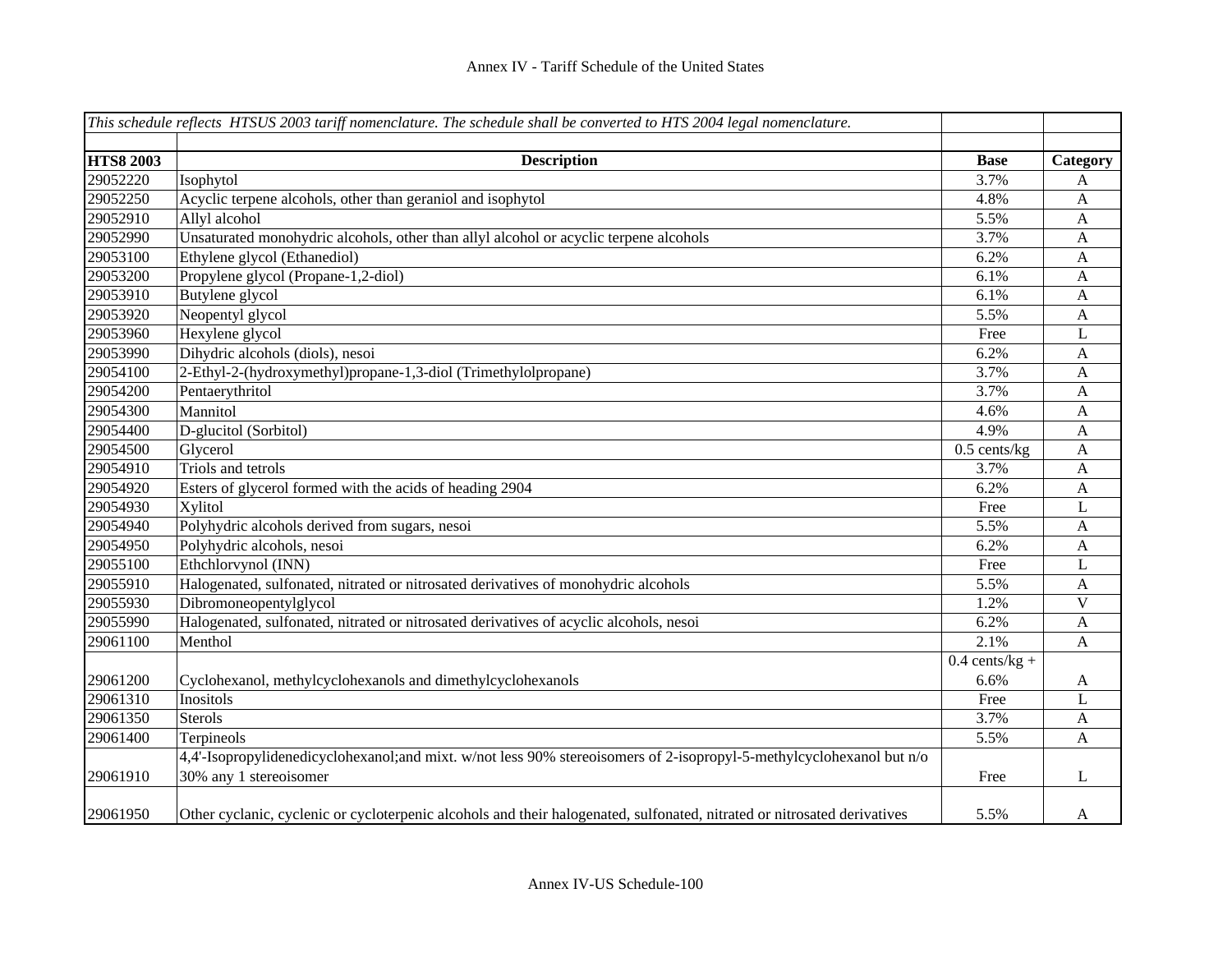|                  | This schedule reflects HTSUS 2003 tariff nomenclature. The schedule shall be converted to HTS 2004 legal nomenclature.   |                  |              |
|------------------|--------------------------------------------------------------------------------------------------------------------------|------------------|--------------|
|                  |                                                                                                                          |                  |              |
| <b>HTS8 2003</b> | <b>Description</b>                                                                                                       | <b>Base</b>      | Category     |
| 29052220         | Isophytol                                                                                                                | 3.7%             | A            |
| 29052250         | Acyclic terpene alcohols, other than geraniol and isophytol                                                              | 4.8%             | A            |
| 29052910         | Allyl alcohol                                                                                                            | 5.5%             | A            |
| 29052990         | Unsaturated monohydric alcohols, other than allyl alcohol or acyclic terpene alcohols                                    | 3.7%             | A            |
| 29053100         | Ethylene glycol (Ethanediol)                                                                                             | 6.2%             | A            |
| 29053200         | Propylene glycol (Propane-1,2-diol)                                                                                      | 6.1%             | A            |
| 29053910         | Butylene glycol                                                                                                          | 6.1%             | A            |
| 29053920         | Neopentyl glycol                                                                                                         | 5.5%             | $\mathbf{A}$ |
| 29053960         | Hexylene glycol                                                                                                          | Free             | $\mathbf{L}$ |
| 29053990         | Dihydric alcohols (diols), nesoi                                                                                         | 6.2%             | $\mathbf{A}$ |
| 29054100         | 2-Ethyl-2-(hydroxymethyl)propane-1,3-diol (Trimethylolpropane)                                                           | 3.7%             | A            |
| 29054200         | Pentaerythritol                                                                                                          | 3.7%             | A            |
| 29054300         | Mannitol                                                                                                                 | 4.6%             | A            |
| 29054400         | D-glucitol (Sorbitol)                                                                                                    | 4.9%             | A            |
| 29054500         | Glycerol                                                                                                                 | $0.5$ cents/kg   | $\mathbf{A}$ |
| 29054910         | Triols and tetrols                                                                                                       | 3.7%             | $\mathbf{A}$ |
| 29054920         | Esters of glycerol formed with the acids of heading 2904                                                                 | 6.2%             | $\mathbf{A}$ |
| 29054930         | Xylitol                                                                                                                  | Free             | L            |
| 29054940         | Polyhydric alcohols derived from sugars, nesoi                                                                           | 5.5%             | A            |
| 29054950         | Polyhydric alcohols, nesoi                                                                                               | 6.2%             | $\mathbf{A}$ |
| 29055100         | Ethchlorvynol (INN)                                                                                                      | Free             | $\mathbf L$  |
| 29055910         | Halogenated, sulfonated, nitrated or nitrosated derivatives of monohydric alcohols                                       | 5.5%             | $\mathbf{A}$ |
| 29055930         | Dibromoneopentylglycol                                                                                                   | 1.2%             | $\mathbf V$  |
| 29055990         | Halogenated, sulfonated, nitrated or nitrosated derivatives of acyclic alcohols, nesoi                                   | 6.2%             | $\mathbf{A}$ |
| 29061100         | Menthol                                                                                                                  | 2.1%             | $\mathbf{A}$ |
|                  |                                                                                                                          | $0.4$ cents/kg + |              |
| 29061200         | Cyclohexanol, methylcyclohexanols and dimethylcyclohexanols                                                              | 6.6%             | A            |
| 29061310         | Inositols                                                                                                                | Free             | L            |
| 29061350         | <b>Sterols</b>                                                                                                           | 3.7%             | $\mathbf{A}$ |
| 29061400         | Terpineols                                                                                                               | 5.5%             | $\mathbf{A}$ |
|                  | 4,4'-Isopropylidenedicyclohexanol;and mixt. w/not less 90% stereoisomers of 2-isopropyl-5-methylcyclohexanol but n/o     |                  |              |
| 29061910         | 30% any 1 stereoisomer                                                                                                   | Free             | L            |
| 29061950         | Other cyclanic, cyclenic or cycloterpenic alcohols and their halogenated, sulfonated, nitrated or nitrosated derivatives | 5.5%             | A            |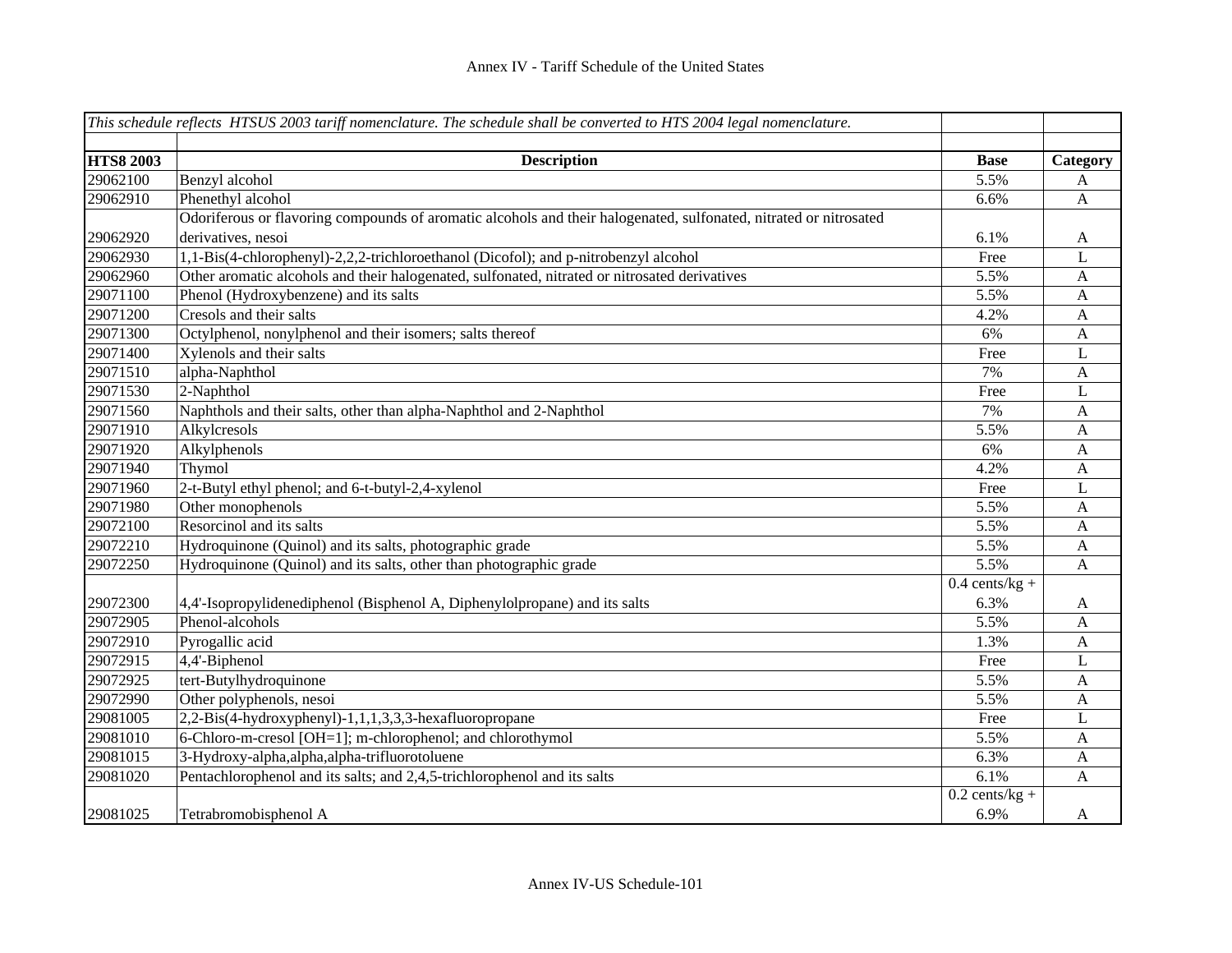|                  | This schedule reflects HTSUS 2003 tariff nomenclature. The schedule shall be converted to HTS 2004 legal nomenclature. |                  |              |
|------------------|------------------------------------------------------------------------------------------------------------------------|------------------|--------------|
|                  |                                                                                                                        |                  |              |
| <b>HTS8 2003</b> | <b>Description</b>                                                                                                     | <b>Base</b>      | Category     |
| 29062100         | Benzyl alcohol                                                                                                         | 5.5%             | A            |
| 29062910         | Phenethyl alcohol                                                                                                      | 6.6%             | A            |
|                  | Odoriferous or flavoring compounds of aromatic alcohols and their halogenated, sulfonated, nitrated or nitrosated      |                  |              |
| 29062920         | derivatives, nesoi                                                                                                     | 6.1%             | A            |
| 29062930         | 1,1-Bis(4-chlorophenyl)-2,2,2-trichloroethanol (Dicofol); and p-nitrobenzyl alcohol                                    | Free             | L            |
| 29062960         | Other aromatic alcohols and their halogenated, sulfonated, nitrated or nitrosated derivatives                          | 5.5%             | A            |
| 29071100         | Phenol (Hydroxybenzene) and its salts                                                                                  | 5.5%             | $\mathbf{A}$ |
| 29071200         | Cresols and their salts                                                                                                | 4.2%             | $\mathbf{A}$ |
| 29071300         | Octylphenol, nonylphenol and their isomers; salts thereof                                                              | 6%               | $\mathbf{A}$ |
| 29071400         | Xylenols and their salts                                                                                               | Free             | L            |
| 29071510         | alpha-Naphthol                                                                                                         | 7%               | $\mathbf{A}$ |
| 29071530         | 2-Naphthol                                                                                                             | Free             | L            |
| 29071560         | Naphthols and their salts, other than alpha-Naphthol and 2-Naphthol                                                    | 7%               | A            |
| 29071910         | Alkylcresols                                                                                                           | 5.5%             | $\mathbf{A}$ |
| 29071920         | Alkylphenols                                                                                                           | 6%               | $\mathbf{A}$ |
| 29071940         | Thymol                                                                                                                 | 4.2%             | $\mathbf{A}$ |
| 29071960         | 2-t-Butyl ethyl phenol; and 6-t-butyl-2,4-xylenol                                                                      | Free             | L            |
| 29071980         | Other monophenols                                                                                                      | 5.5%             | $\mathbf{A}$ |
| 29072100         | Resorcinol and its salts                                                                                               | 5.5%             | A            |
| 29072210         | Hydroquinone (Quinol) and its salts, photographic grade                                                                | 5.5%             | A            |
| 29072250         | Hydroquinone (Quinol) and its salts, other than photographic grade                                                     | 5.5%             | $\mathbf{A}$ |
|                  |                                                                                                                        | $0.4$ cents/kg + |              |
| 29072300         | 4,4'-Isopropylidenediphenol (Bisphenol A, Diphenylolpropane) and its salts                                             | 6.3%             | A            |
| 29072905         | Phenol-alcohols                                                                                                        | 5.5%             | $\mathbf{A}$ |
| 29072910         | Pyrogallic acid                                                                                                        | 1.3%             | A            |
| 29072915         | 4,4'-Biphenol                                                                                                          | Free             | L            |
| 29072925         | tert-Butylhydroquinone                                                                                                 | 5.5%             | A            |
| 29072990         | Other polyphenols, nesoi                                                                                               | 5.5%             | $\mathbf{A}$ |
| 29081005         | 2,2-Bis(4-hydroxyphenyl)-1,1,1,3,3,3-hexafluoropropane                                                                 | Free             | L            |
| 29081010         | 6-Chloro-m-cresol [OH=1]; m-chlorophenol; and chlorothymol                                                             | 5.5%             | $\mathbf{A}$ |
| 29081015         | 3-Hydroxy-alpha, alpha, alpha-trifluorotoluene                                                                         | 6.3%             | $\mathbf{A}$ |
| 29081020         | Pentachlorophenol and its salts; and 2,4,5-trichlorophenol and its salts                                               | 6.1%             | $\mathbf{A}$ |
|                  |                                                                                                                        | $0.2$ cents/kg + |              |
| 29081025         | Tetrabromobisphenol A                                                                                                  | 6.9%             | A            |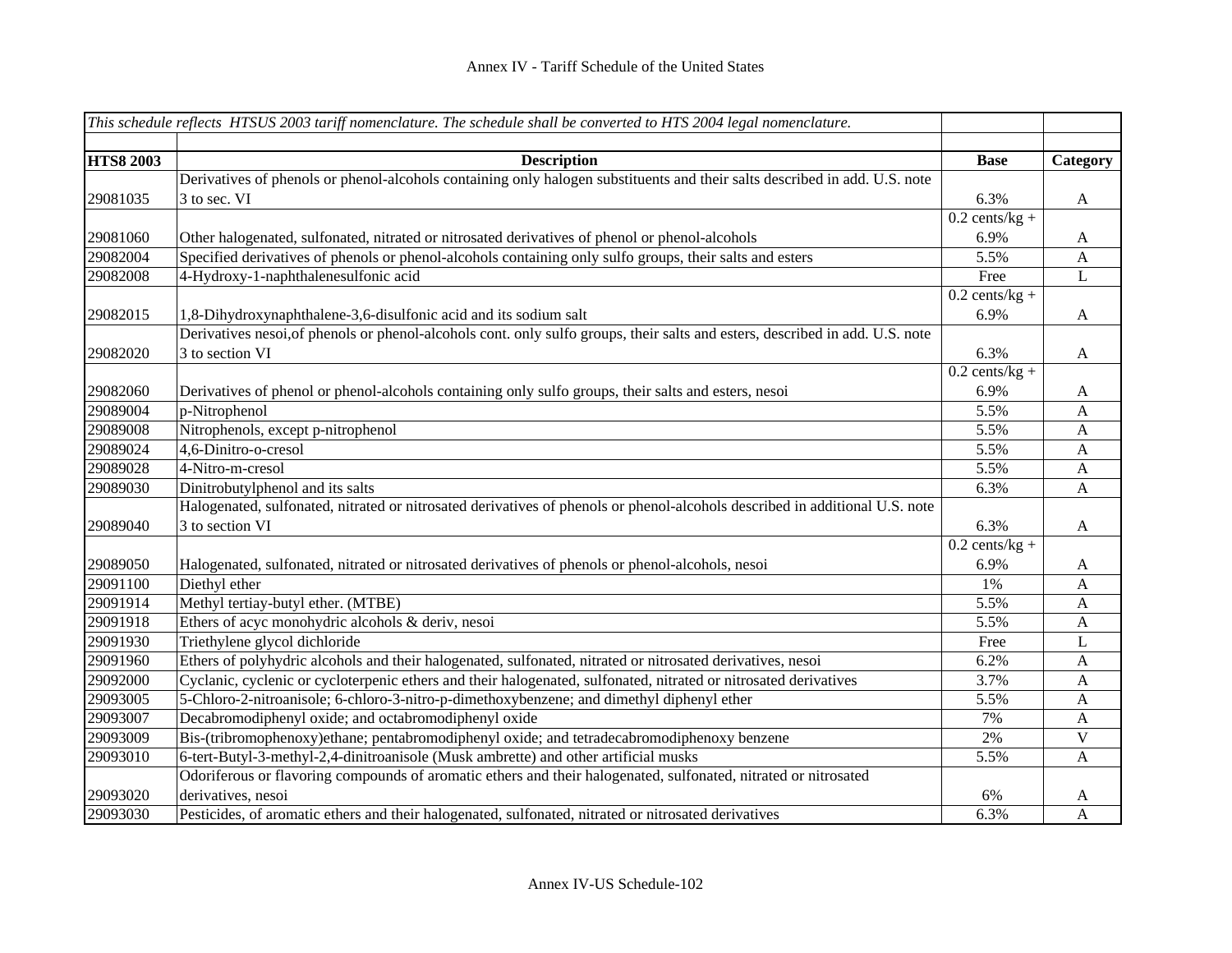|                  | This schedule reflects HTSUS 2003 tariff nomenclature. The schedule shall be converted to HTS 2004 legal nomenclature.        |                  |              |
|------------------|-------------------------------------------------------------------------------------------------------------------------------|------------------|--------------|
|                  |                                                                                                                               |                  |              |
| <b>HTS8 2003</b> | <b>Description</b>                                                                                                            | <b>Base</b>      | Category     |
|                  | Derivatives of phenols or phenol-alcohols containing only halogen substituents and their salts described in add. U.S. note    |                  |              |
| 29081035         | 3 to sec. VI                                                                                                                  | 6.3%             | A            |
|                  |                                                                                                                               | $0.2$ cents/kg + |              |
| 29081060         | Other halogenated, sulfonated, nitrated or nitrosated derivatives of phenol or phenol-alcohols                                | 6.9%             | A            |
| 29082004         | Specified derivatives of phenols or phenol-alcohols containing only sulfo groups, their salts and esters                      | 5.5%             | $\mathbf{A}$ |
| 29082008         | 4-Hydroxy-1-naphthalenesulfonic acid                                                                                          | Free             | L            |
|                  |                                                                                                                               | $0.2$ cents/kg + |              |
| 29082015         | 1,8-Dihydroxynaphthalene-3,6-disulfonic acid and its sodium salt                                                              | 6.9%             | A            |
|                  | Derivatives nesoi, of phenols or phenol-alcohols cont. only sulfo groups, their salts and esters, described in add. U.S. note |                  |              |
| 29082020         | 3 to section VI                                                                                                               | 6.3%             | A            |
|                  |                                                                                                                               | $0.2$ cents/kg + |              |
| 29082060         | Derivatives of phenol or phenol-alcohols containing only sulfo groups, their salts and esters, nesoi                          | 6.9%             | A            |
| 29089004         | p-Nitrophenol                                                                                                                 | 5.5%             | A            |
| 29089008         | Nitrophenols, except p-nitrophenol                                                                                            | 5.5%             | $\mathbf{A}$ |
| 29089024         | 4,6-Dinitro-o-cresol                                                                                                          | 5.5%             | A            |
| 29089028         | 4-Nitro-m-cresol                                                                                                              | 5.5%             | $\mathbf{A}$ |
| 29089030         | Dinitrobutylphenol and its salts                                                                                              | 6.3%             | $\mathbf{A}$ |
|                  | Halogenated, sulfonated, nitrated or nitrosated derivatives of phenols or phenol-alcohols described in additional U.S. note   |                  |              |
| 29089040         | 3 to section VI                                                                                                               | 6.3%             | $\mathbf{A}$ |
|                  |                                                                                                                               | $0.2$ cents/kg + |              |
| 29089050         | Halogenated, sulfonated, nitrated or nitrosated derivatives of phenols or phenol-alcohols, nesoi                              | 6.9%             | A            |
| 29091100         | Diethyl ether                                                                                                                 | 1%               | $\mathbf{A}$ |
| 29091914         | Methyl tertiay-butyl ether. (MTBE)                                                                                            | 5.5%             | $\mathbf{A}$ |
| 29091918         | Ethers of acyc monohydric alcohols & deriv, nesoi                                                                             | 5.5%             | $\mathbf{A}$ |
| 29091930         | Triethylene glycol dichloride                                                                                                 | Free             | L            |
| 29091960         | Ethers of polyhydric alcohols and their halogenated, sulfonated, nitrated or nitrosated derivatives, nesoi                    | 6.2%             | A            |
| 29092000         | Cyclanic, cyclenic or cycloterpenic ethers and their halogenated, sulfonated, nitrated or nitrosated derivatives              | 3.7%             | A            |
| 29093005         | 5-Chloro-2-nitroanisole; 6-chloro-3-nitro-p-dimethoxybenzene; and dimethyl diphenyl ether                                     | 5.5%             | $\mathbf{A}$ |
| 29093007         | Decabromodiphenyl oxide; and octabromodiphenyl oxide                                                                          | 7%               | $\mathbf{A}$ |
| 29093009         | Bis-(tribromophenoxy)ethane; pentabromodiphenyl oxide; and tetradecabromodiphenoxy benzene                                    | 2%               | $\mathbf V$  |
| 29093010         | 6-tert-Butyl-3-methyl-2,4-dinitroanisole (Musk ambrette) and other artificial musks                                           | 5.5%             | $\mathbf{A}$ |
|                  | Odoriferous or flavoring compounds of aromatic ethers and their halogenated, sulfonated, nitrated or nitrosated               |                  |              |
| 29093020         | derivatives, nesoi                                                                                                            | 6%               | A            |
| 29093030         | Pesticides, of aromatic ethers and their halogenated, sulfonated, nitrated or nitrosated derivatives                          | 6.3%             | A            |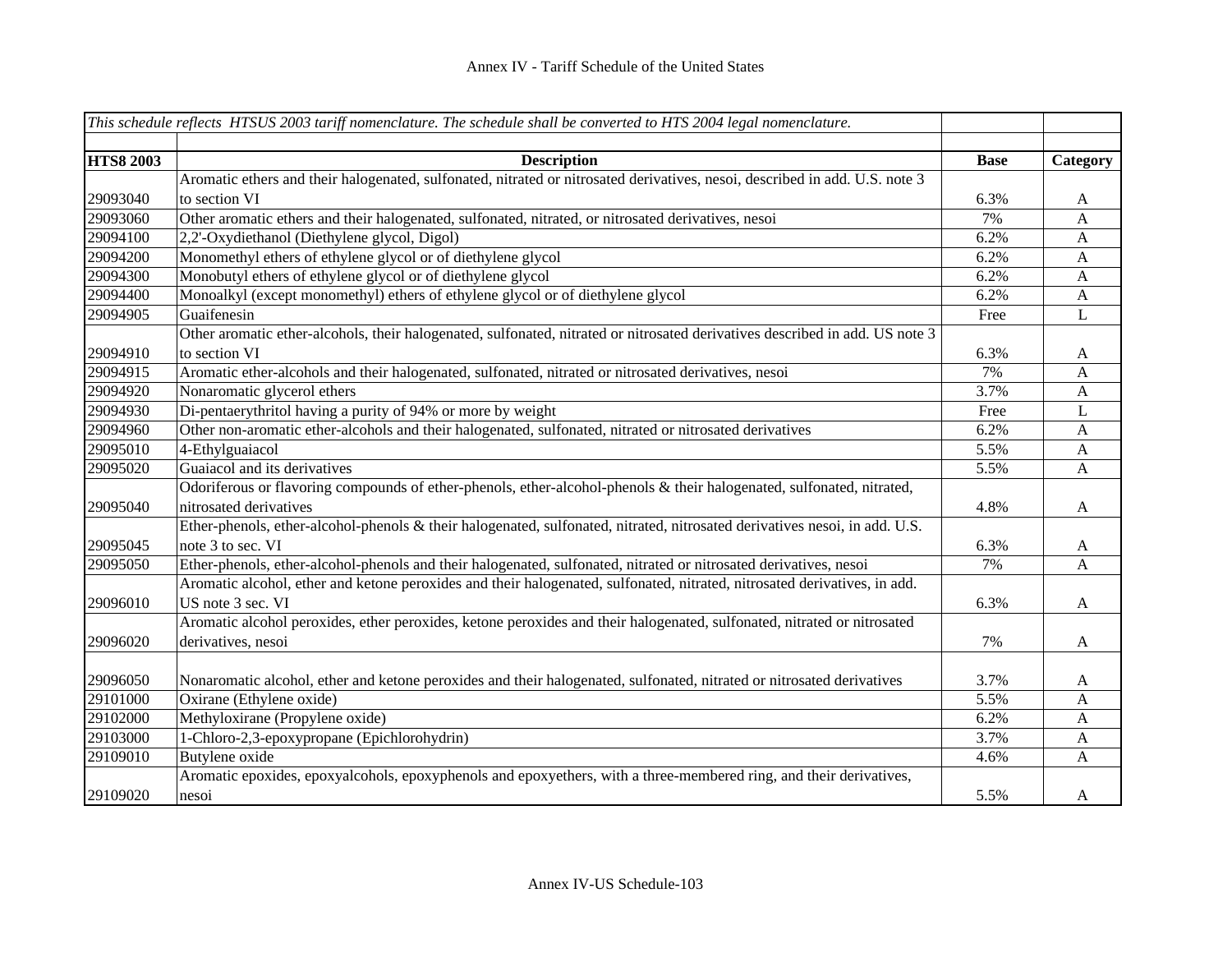|                  | This schedule reflects HTSUS 2003 tariff nomenclature. The schedule shall be converted to HTS 2004 legal nomenclature.       |             |              |
|------------------|------------------------------------------------------------------------------------------------------------------------------|-------------|--------------|
|                  |                                                                                                                              |             |              |
| <b>HTS8 2003</b> | <b>Description</b>                                                                                                           | <b>Base</b> | Category     |
|                  | Aromatic ethers and their halogenated, sulfonated, nitrated or nitrosated derivatives, nesoi, described in add. U.S. note 3  |             |              |
| 29093040         | to section VI                                                                                                                | 6.3%        | A            |
| 29093060         | Other aromatic ethers and their halogenated, sulfonated, nitrated, or nitrosated derivatives, nesoi                          | 7%          | $\mathbf{A}$ |
| 29094100         | 2,2'-Oxydiethanol (Diethylene glycol, Digol)                                                                                 | 6.2%        | $\mathbf{A}$ |
| 29094200         | Monomethyl ethers of ethylene glycol or of diethylene glycol                                                                 | 6.2%        | $\mathbf{A}$ |
| 29094300         | Monobutyl ethers of ethylene glycol or of diethylene glycol                                                                  | 6.2%        | $\mathbf{A}$ |
| 29094400         | Monoalkyl (except monomethyl) ethers of ethylene glycol or of diethylene glycol                                              | 6.2%        | $\mathbf{A}$ |
| 29094905         | Guaifenesin                                                                                                                  | Free        | L            |
|                  | Other aromatic ether-alcohols, their halogenated, sulfonated, nitrated or nitrosated derivatives described in add. US note 3 |             |              |
| 29094910         | to section VI                                                                                                                | 6.3%        | A            |
| 29094915         | Aromatic ether-alcohols and their halogenated, sulfonated, nitrated or nitrosated derivatives, nesoi                         | 7%          | A            |
| 29094920         | Nonaromatic glycerol ethers                                                                                                  | 3.7%        | A            |
| 29094930         | Di-pentaerythritol having a purity of 94% or more by weight                                                                  | Free        | L            |
| 29094960         | Other non-aromatic ether-alcohols and their halogenated, sulfonated, nitrated or nitrosated derivatives                      | 6.2%        | $\mathbf{A}$ |
| 29095010         | 4-Ethylguaiacol                                                                                                              | 5.5%        | $\mathbf{A}$ |
| 29095020         | Guaiacol and its derivatives                                                                                                 | 5.5%        | A            |
|                  | Odoriferous or flavoring compounds of ether-phenols, ether-alcohol-phenols & their halogenated, sulfonated, nitrated,        |             |              |
| 29095040         | nitrosated derivatives                                                                                                       | 4.8%        | A            |
|                  | Ether-phenols, ether-alcohol-phenols & their halogenated, sulfonated, nitrated, nitrosated derivatives nesoi, in add. U.S.   |             |              |
| 29095045         | note 3 to sec. VI                                                                                                            | 6.3%        | $\mathbf{A}$ |
| 29095050         | Ether-phenols, ether-alcohol-phenols and their halogenated, sulfonated, nitrated or nitrosated derivatives, nesoi            | 7%          | A            |
|                  | Aromatic alcohol, ether and ketone peroxides and their halogenated, sulfonated, nitrated, nitrosated derivatives, in add.    |             |              |
| 29096010         | US note 3 sec. VI                                                                                                            | 6.3%        | $\mathbf{A}$ |
|                  | Aromatic alcohol peroxides, ether peroxides, ketone peroxides and their halogenated, sulfonated, nitrated or nitrosated      |             |              |
| 29096020         | derivatives, nesoi                                                                                                           | 7%          | $\mathbf{A}$ |
|                  |                                                                                                                              |             |              |
| 29096050         | Nonaromatic alcohol, ether and ketone peroxides and their halogenated, sulfonated, nitrated or nitrosated derivatives        | 3.7%        | $\mathbf{A}$ |
| 29101000         | Oxirane (Ethylene oxide)                                                                                                     | 5.5%        | $\mathbf{A}$ |
| 29102000         | Methyloxirane (Propylene oxide)                                                                                              | 6.2%        | A            |
| 29103000         | 1-Chloro-2,3-epoxypropane (Epichlorohydrin)                                                                                  | 3.7%        | A            |
| 29109010         | Butylene oxide                                                                                                               | 4.6%        | A            |
|                  | Aromatic epoxides, epoxyalcohols, epoxyphenols and epoxyethers, with a three-membered ring, and their derivatives,           |             |              |
| 29109020         | nesoi                                                                                                                        | 5.5%        | A            |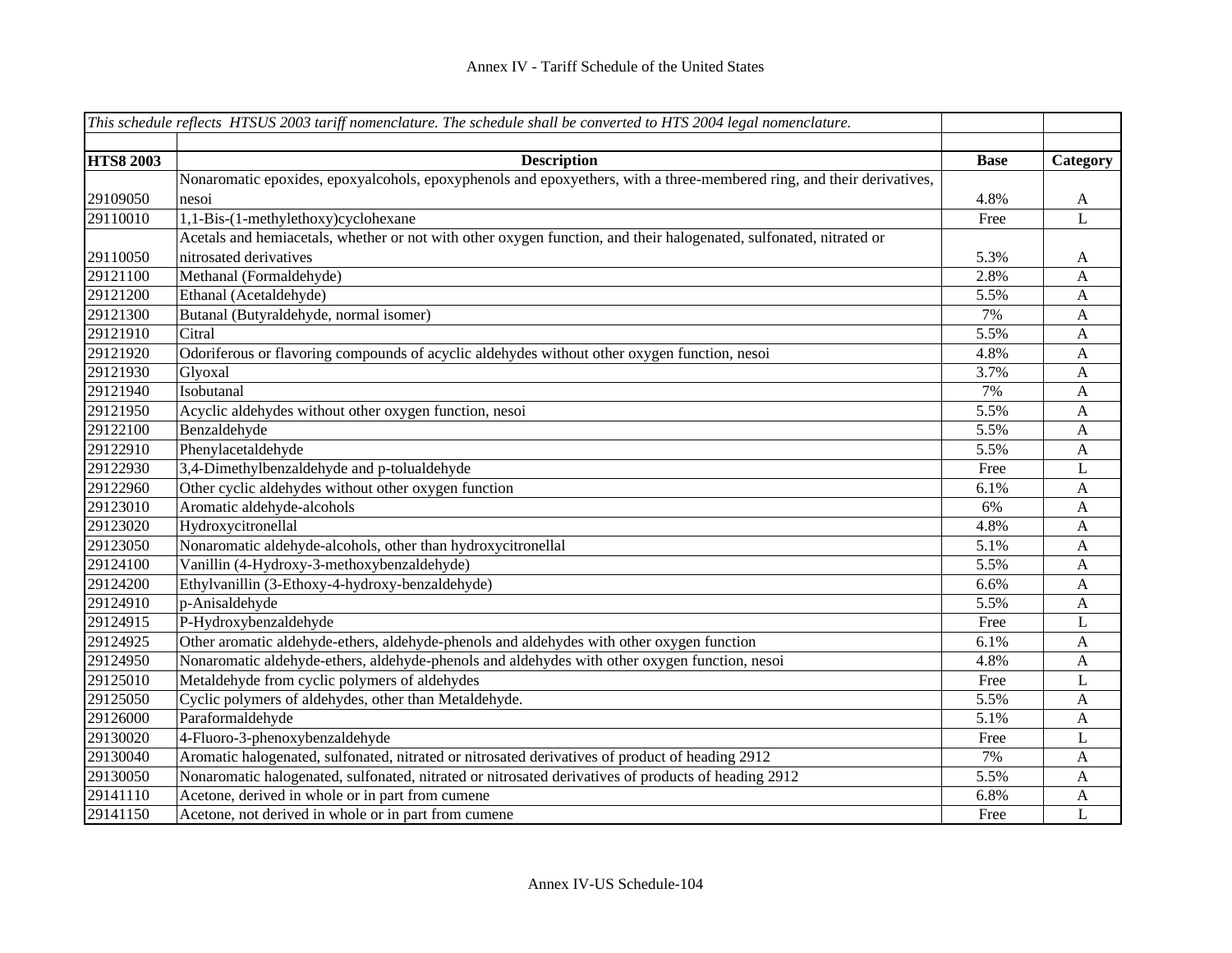|                  | This schedule reflects HTSUS 2003 tariff nomenclature. The schedule shall be converted to HTS 2004 legal nomenclature. |             |              |
|------------------|------------------------------------------------------------------------------------------------------------------------|-------------|--------------|
|                  |                                                                                                                        |             |              |
| <b>HTS8 2003</b> | <b>Description</b>                                                                                                     | <b>Base</b> | Category     |
|                  | Nonaromatic epoxides, epoxyalcohols, epoxyphenols and epoxyethers, with a three-membered ring, and their derivatives,  |             |              |
| 29109050         | nesoi                                                                                                                  | 4.8%        | A            |
| 29110010         | 1,1-Bis-(1-methylethoxy)cyclohexane                                                                                    | Free        | L            |
|                  | Acetals and hemiacetals, whether or not with other oxygen function, and their halogenated, sulfonated, nitrated or     |             |              |
| 29110050         | nitrosated derivatives                                                                                                 | 5.3%        | A            |
| 29121100         | Methanal (Formaldehyde)                                                                                                | 2.8%        | A            |
| 29121200         | Ethanal (Acetaldehyde)                                                                                                 | 5.5%        | $\mathbf{A}$ |
| 29121300         | Butanal (Butyraldehyde, normal isomer)                                                                                 | 7%          | $\mathbf{A}$ |
| 29121910         | Citral                                                                                                                 | 5.5%        | $\mathbf{A}$ |
| 29121920         | Odoriferous or flavoring compounds of acyclic aldehydes without other oxygen function, nesoi                           | 4.8%        | $\mathbf{A}$ |
| 29121930         | Glyoxal                                                                                                                | 3.7%        | A            |
| 29121940         | Isobutanal                                                                                                             | 7%          | $\mathbf{A}$ |
| 29121950         | Acyclic aldehydes without other oxygen function, nesoi                                                                 | 5.5%        | $\mathbf{A}$ |
| 29122100         | Benzaldehyde                                                                                                           | 5.5%        | $\mathbf{A}$ |
| 29122910         | Phenylacetaldehyde                                                                                                     | 5.5%        | $\mathbf{A}$ |
| 29122930         | 3,4-Dimethylbenzaldehyde and p-tolualdehyde                                                                            | Free        | L            |
| 29122960         | Other cyclic aldehydes without other oxygen function                                                                   | 6.1%        | $\mathbf{A}$ |
| 29123010         | Aromatic aldehyde-alcohols                                                                                             | 6%          | $\mathbf{A}$ |
| 29123020         | Hydroxycitronellal                                                                                                     | 4.8%        | $\mathbf{A}$ |
| 29123050         | Nonaromatic aldehyde-alcohols, other than hydroxycitronellal                                                           | 5.1%        | $\mathbf{A}$ |
| 29124100         | Vanillin (4-Hydroxy-3-methoxybenzaldehyde)                                                                             | 5.5%        | $\mathbf{A}$ |
| 29124200         | Ethylvanillin (3-Ethoxy-4-hydroxy-benzaldehyde)                                                                        | 6.6%        | $\mathbf{A}$ |
| 29124910         | p-Anisaldehyde                                                                                                         | 5.5%        | $\mathbf{A}$ |
| 29124915         | P-Hydroxybenzaldehyde                                                                                                  | Free        | L            |
| 29124925         | Other aromatic aldehyde-ethers, aldehyde-phenols and aldehydes with other oxygen function                              | 6.1%        | A            |
| 29124950         | Nonaromatic aldehyde-ethers, aldehyde-phenols and aldehydes with other oxygen function, nesoi                          | 4.8%        | $\mathbf{A}$ |
| 29125010         | Metaldehyde from cyclic polymers of aldehydes                                                                          | Free        | L            |
| 29125050         | Cyclic polymers of aldehydes, other than Metaldehyde.                                                                  | 5.5%        | $\mathbf{A}$ |
| 29126000         | Paraformaldehyde                                                                                                       | 5.1%        | $\mathbf{A}$ |
| 29130020         | 4-Fluoro-3-phenoxybenzaldehyde                                                                                         | Free        | $\bf L$      |
| 29130040         | Aromatic halogenated, sulfonated, nitrated or nitrosated derivatives of product of heading 2912                        | 7%          | $\mathbf{A}$ |
| 29130050         | Nonaromatic halogenated, sulfonated, nitrated or nitrosated derivatives of products of heading 2912                    | 5.5%        | A            |
| 29141110         | Acetone, derived in whole or in part from cumene                                                                       | 6.8%        | $\mathbf{A}$ |
| 29141150         | Acetone, not derived in whole or in part from cumene                                                                   | Free        | L            |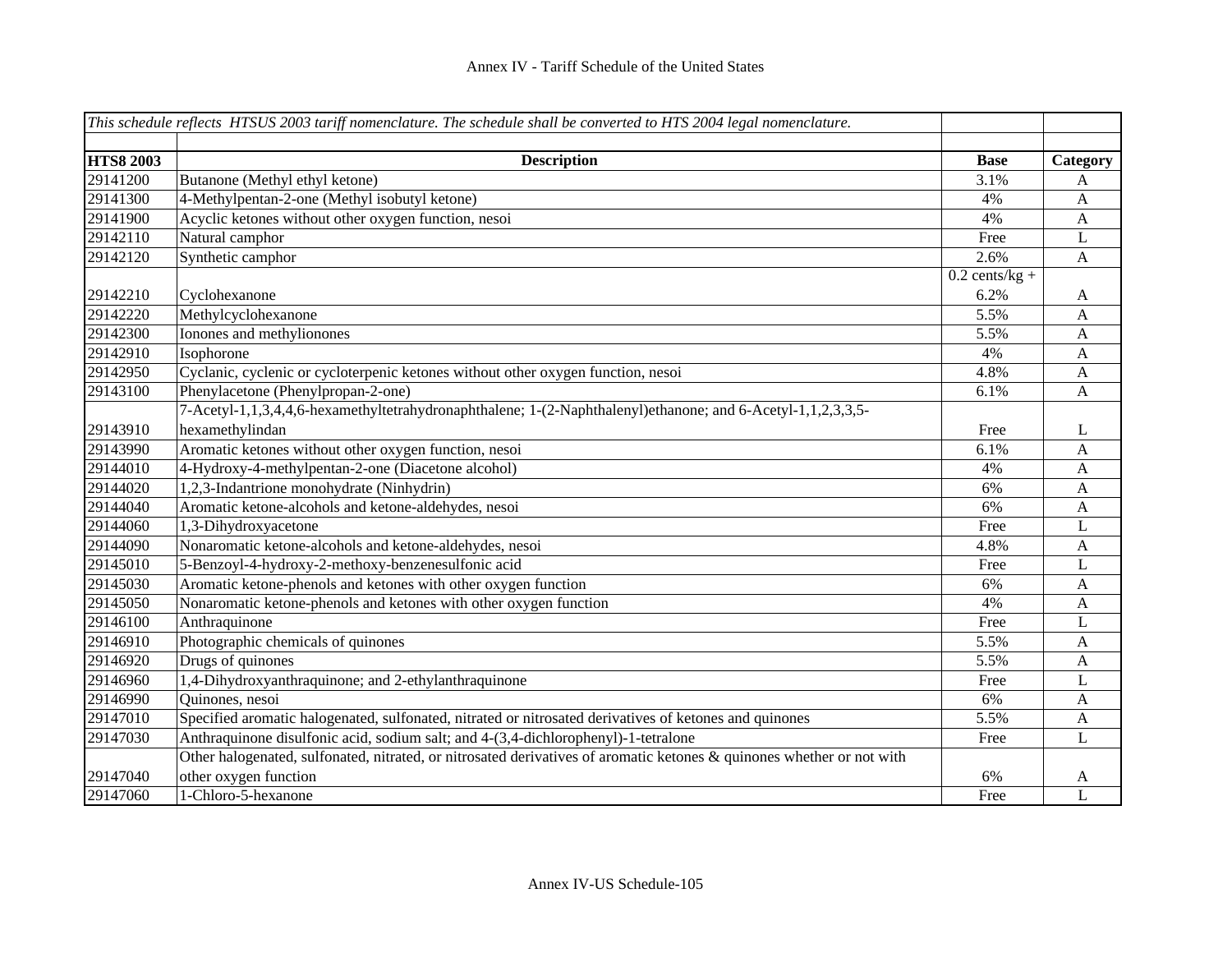|                  | This schedule reflects HTSUS 2003 tariff nomenclature. The schedule shall be converted to HTS 2004 legal nomenclature. |                  |              |
|------------------|------------------------------------------------------------------------------------------------------------------------|------------------|--------------|
| <b>HTS8 2003</b> | <b>Description</b>                                                                                                     | <b>Base</b>      | Category     |
| 29141200         | Butanone (Methyl ethyl ketone)                                                                                         | 3.1%             | A            |
| 29141300         | 4-Methylpentan-2-one (Methyl isobutyl ketone)                                                                          | 4%               | $\mathbf{A}$ |
| 29141900         | Acyclic ketones without other oxygen function, nesoi                                                                   | 4%               | $\mathbf{A}$ |
| 29142110         | Natural camphor                                                                                                        | Free             | L            |
| 29142120         | Synthetic camphor                                                                                                      | 2.6%             |              |
|                  |                                                                                                                        | $0.2$ cents/kg + | A            |
| 29142210         | Cyclohexanone                                                                                                          | 6.2%             | A            |
| 29142220         | Methylcyclohexanone                                                                                                    | 5.5%             | A            |
| 29142300         | Ionones and methylionones                                                                                              | 5.5%             | A            |
| 29142910         | Isophorone                                                                                                             | 4%               |              |
| 29142950         |                                                                                                                        | 4.8%             | A            |
|                  | Cyclanic, cyclenic or cycloterpenic ketones without other oxygen function, nesoi                                       |                  | A            |
| 29143100         | Phenylacetone (Phenylpropan-2-one)                                                                                     | 6.1%             | $\mathbf{A}$ |
|                  | 7-Acetyl-1,1,3,4,4,6-hexamethyltetrahydronaphthalene; 1-(2-Naphthalenyl)ethanone; and 6-Acetyl-1,1,2,3,3,5-            |                  |              |
| 29143910         | hexamethylindan                                                                                                        | Free             | L            |
| 29143990         | Aromatic ketones without other oxygen function, nesoi                                                                  | 6.1%             | A            |
| 29144010         | 4-Hydroxy-4-methylpentan-2-one (Diacetone alcohol)                                                                     | 4%               | A            |
| 29144020         | 1,2,3-Indantrione monohydrate (Ninhydrin)                                                                              | 6%               | A            |
| 29144040         | Aromatic ketone-alcohols and ketone-aldehydes, nesoi                                                                   | 6%               | A            |
| 29144060         | 1,3-Dihydroxyacetone                                                                                                   | Free             | L            |
| 29144090         | Nonaromatic ketone-alcohols and ketone-aldehydes, nesoi                                                                | 4.8%             | A            |
| 29145010         | 5-Benzoyl-4-hydroxy-2-methoxy-benzenesulfonic acid                                                                     | Free             | L            |
| 29145030         | Aromatic ketone-phenols and ketones with other oxygen function                                                         | 6%               | $\mathbf{A}$ |
| 29145050         | Nonaromatic ketone-phenols and ketones with other oxygen function                                                      | 4%               | $\mathbf{A}$ |
| 29146100         | Anthraquinone                                                                                                          | Free             | L            |
| 29146910         | Photographic chemicals of quinones                                                                                     | 5.5%             | $\mathbf{A}$ |
| 29146920         | Drugs of quinones                                                                                                      | 5.5%             | $\mathbf{A}$ |
| 29146960         | 1,4-Dihydroxyanthraquinone; and 2-ethylanthraquinone                                                                   | Free             | L            |
| 29146990         | Quinones, nesoi                                                                                                        | 6%               | $\mathbf{A}$ |
| 29147010         | Specified aromatic halogenated, sulfonated, nitrated or nitrosated derivatives of ketones and quinones                 | 5.5%             | A            |
| 29147030         | Anthraquinone disulfonic acid, sodium salt; and 4-(3,4-dichlorophenyl)-1-tetralone                                     | Free             | L            |
|                  | Other halogenated, sulfonated, nitrated, or nitrosated derivatives of aromatic ketones & quinones whether or not with  |                  |              |
| 29147040         | other oxygen function                                                                                                  | 6%               | A            |
| 29147060         | 1-Chloro-5-hexanone                                                                                                    | Free             | $\mathbf{L}$ |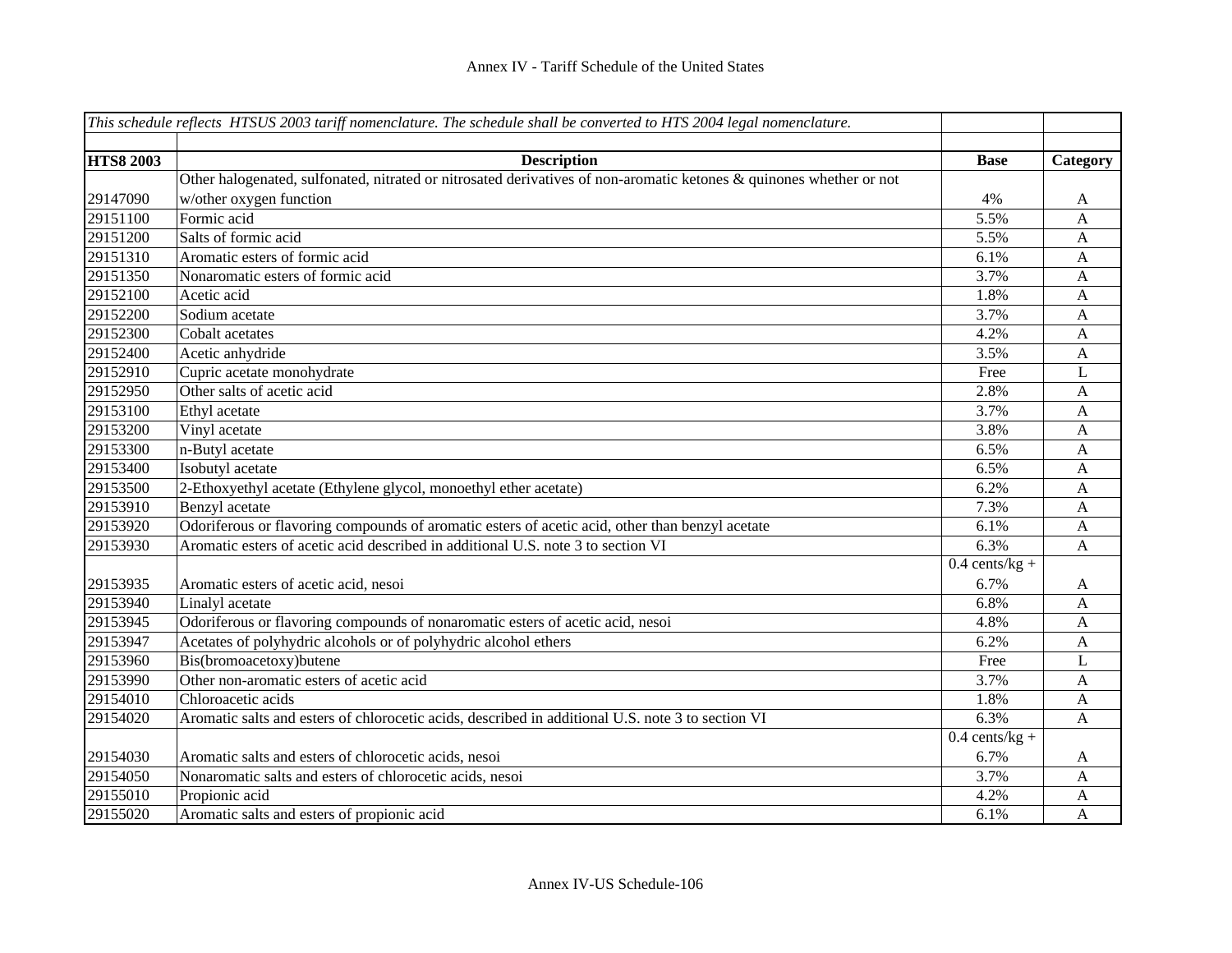|                  | This schedule reflects HTSUS 2003 tariff nomenclature. The schedule shall be converted to HTS 2004 legal nomenclature. |                  |              |
|------------------|------------------------------------------------------------------------------------------------------------------------|------------------|--------------|
|                  |                                                                                                                        |                  |              |
| <b>HTS8 2003</b> | <b>Description</b>                                                                                                     | <b>Base</b>      | Category     |
|                  | Other halogenated, sulfonated, nitrated or nitrosated derivatives of non-aromatic ketones & quinones whether or not    |                  |              |
| 29147090         | w/other oxygen function                                                                                                | 4%               | A            |
| 29151100         | Formic acid                                                                                                            | 5.5%             | A            |
| 29151200         | Salts of formic acid                                                                                                   | 5.5%             | A            |
| 29151310         | Aromatic esters of formic acid                                                                                         | 6.1%             | A            |
| 29151350         | Nonaromatic esters of formic acid                                                                                      | 3.7%             | A            |
| 29152100         | Acetic acid                                                                                                            | 1.8%             | $\mathbf{A}$ |
| 29152200         | Sodium acetate                                                                                                         | 3.7%             | $\mathbf{A}$ |
| 29152300         | Cobalt acetates                                                                                                        | 4.2%             | $\mathbf{A}$ |
| 29152400         | Acetic anhydride                                                                                                       | 3.5%             | $\mathbf{A}$ |
| 29152910         | Cupric acetate monohydrate                                                                                             | Free             | L            |
| 29152950         | Other salts of acetic acid                                                                                             | 2.8%             | A            |
| 29153100         | Ethyl acetate                                                                                                          | 3.7%             | A            |
| 29153200         | Vinyl acetate                                                                                                          | 3.8%             | $\mathbf{A}$ |
| 29153300         | n-Butyl acetate                                                                                                        | 6.5%             | $\mathbf{A}$ |
| 29153400         | Isobutyl acetate                                                                                                       | 6.5%             | $\mathbf{A}$ |
| 29153500         | 2-Ethoxyethyl acetate (Ethylene glycol, monoethyl ether acetate)                                                       | 6.2%             | $\mathbf{A}$ |
| 29153910         | Benzyl acetate                                                                                                         | 7.3%             | $\mathbf{A}$ |
| 29153920         | Odoriferous or flavoring compounds of aromatic esters of acetic acid, other than benzyl acetate                        | 6.1%             | $\mathbf{A}$ |
| 29153930         | Aromatic esters of acetic acid described in additional U.S. note 3 to section VI                                       | 6.3%             | $\mathbf{A}$ |
|                  |                                                                                                                        | $0.4$ cents/kg + |              |
| 29153935         | Aromatic esters of acetic acid, nesoi                                                                                  | 6.7%             | A            |
| 29153940         | Linalyl acetate                                                                                                        | 6.8%             | $\mathbf{A}$ |
| 29153945         | Odoriferous or flavoring compounds of nonaromatic esters of acetic acid, nesoi                                         | 4.8%             | $\mathbf{A}$ |
| 29153947         | Acetates of polyhydric alcohols or of polyhydric alcohol ethers                                                        | 6.2%             | $\mathbf{A}$ |
| 29153960         | Bis(bromoacetoxy)butene                                                                                                | Free             | L            |
| 29153990         | Other non-aromatic esters of acetic acid                                                                               | 3.7%             | A            |
| 29154010         | Chloroacetic acids                                                                                                     | 1.8%             | $\mathbf{A}$ |
| 29154020         | Aromatic salts and esters of chlorocetic acids, described in additional U.S. note 3 to section VI                      | 6.3%             | $\mathbf{A}$ |
|                  |                                                                                                                        | $0.4$ cents/kg + |              |
| 29154030         | Aromatic salts and esters of chlorocetic acids, nesoi                                                                  | 6.7%             | A            |
| 29154050         | Nonaromatic salts and esters of chlorocetic acids, nesoi                                                               | 3.7%             | A            |
| 29155010         | Propionic acid                                                                                                         | 4.2%             | A            |
| 29155020         | Aromatic salts and esters of propionic acid                                                                            | 6.1%             | $\mathbf{A}$ |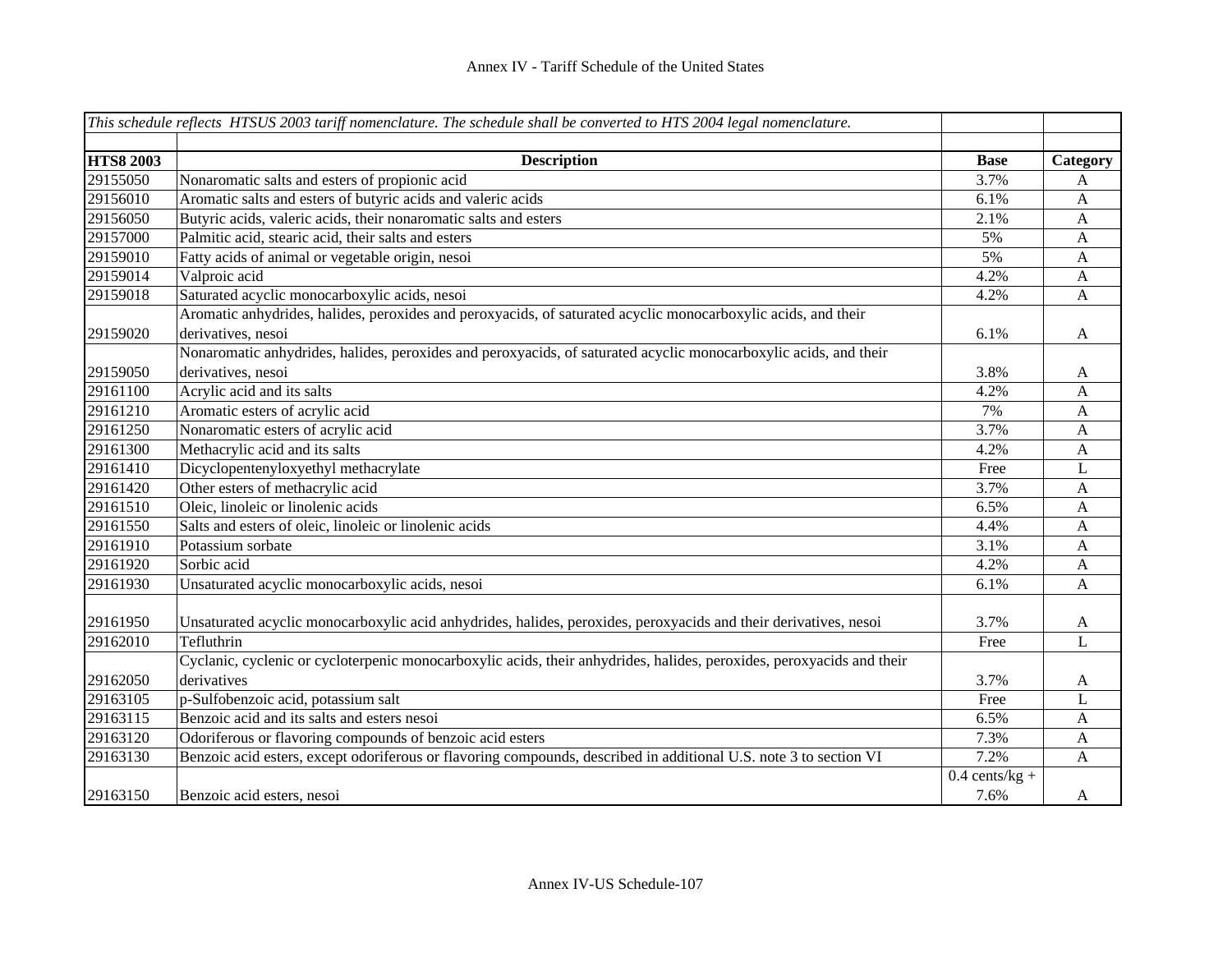|                  | This schedule reflects HTSUS 2003 tariff nomenclature. The schedule shall be converted to HTS 2004 legal nomenclature.              |                  |                |
|------------------|-------------------------------------------------------------------------------------------------------------------------------------|------------------|----------------|
| <b>HTS8 2003</b> | <b>Description</b>                                                                                                                  | <b>Base</b>      | Category       |
| 29155050         | Nonaromatic salts and esters of propionic acid                                                                                      | 3.7%             | A              |
| 29156010         | Aromatic salts and esters of butyric acids and valeric acids                                                                        | 6.1%             | A              |
| 29156050         | Butyric acids, valeric acids, their nonaromatic salts and esters                                                                    | 2.1%             | $\mathbf{A}$   |
| 29157000         | Palmitic acid, stearic acid, their salts and esters                                                                                 | 5%               | A              |
| 29159010         | Fatty acids of animal or vegetable origin, nesoi                                                                                    | 5%               | A              |
| 29159014         | Valproic acid                                                                                                                       | 4.2%             | A              |
| 29159018         | Saturated acyclic monocarboxylic acids, nesoi                                                                                       | 4.2%             | A              |
| 29159020         | Aromatic anhydrides, halides, peroxides and peroxyacids, of saturated acyclic monocarboxylic acids, and their<br>derivatives, nesoi | 6.1%             | A              |
|                  | Nonaromatic anhydrides, halides, peroxides and peroxyacids, of saturated acyclic monocarboxylic acids, and their                    |                  |                |
| 29159050         | derivatives, nesoi                                                                                                                  | 3.8%             | A              |
| 29161100         | Acrylic acid and its salts                                                                                                          | 4.2%             | A              |
| 29161210         | Aromatic esters of acrylic acid                                                                                                     | 7%               | A              |
| 29161250         | Nonaromatic esters of acrylic acid                                                                                                  | 3.7%             | A              |
| 29161300         | Methacrylic acid and its salts                                                                                                      | 4.2%             | A              |
| 29161410         | Dicyclopentenyloxyethyl methacrylate                                                                                                | Free             | L              |
| 29161420         | Other esters of methacrylic acid                                                                                                    | 3.7%             | A              |
| 29161510         | Oleic, linoleic or linolenic acids                                                                                                  | 6.5%             | A              |
| 29161550         | Salts and esters of oleic, linoleic or linolenic acids                                                                              | 4.4%             | A              |
| 29161910         | Potassium sorbate                                                                                                                   | 3.1%             | A              |
| 29161920         | Sorbic acid                                                                                                                         | 4.2%             | A              |
| 29161930         | Unsaturated acyclic monocarboxylic acids, nesoi                                                                                     | 6.1%             | $\mathbf{A}$   |
| 29161950         | Unsaturated acyclic monocarboxylic acid anhydrides, halides, peroxides, peroxyacids and their derivatives, nesoi                    | 3.7%             | A              |
| 29162010         | Tefluthrin                                                                                                                          | Free             | $\overline{L}$ |
|                  | Cyclanic, cyclenic or cycloterpenic monocarboxylic acids, their anhydrides, halides, peroxides, peroxyacids and their               |                  |                |
| 29162050         | derivatives                                                                                                                         | 3.7%             | A              |
| 29163105         | p-Sulfobenzoic acid, potassium salt                                                                                                 | Free             | L              |
| 29163115         | Benzoic acid and its salts and esters nesoi                                                                                         | 6.5%             | A              |
| 29163120         | Odoriferous or flavoring compounds of benzoic acid esters                                                                           | 7.3%             | $\mathbf{A}$   |
| 29163130         | Benzoic acid esters, except odoriferous or flavoring compounds, described in additional U.S. note 3 to section VI                   | 7.2%             | A              |
|                  |                                                                                                                                     | $0.4$ cents/kg + |                |
| 29163150         | Benzoic acid esters, nesoi                                                                                                          | 7.6%             | A              |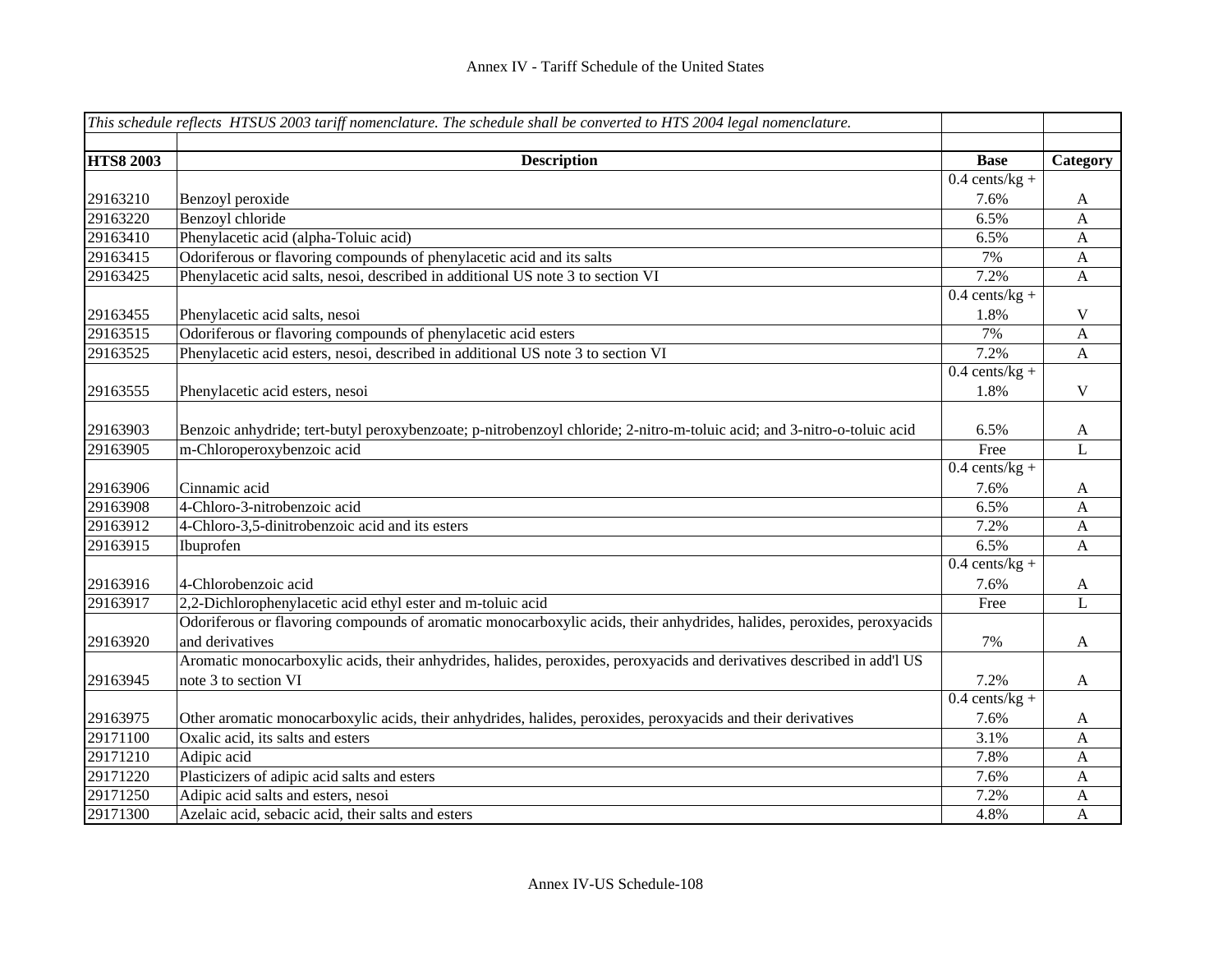|                  | This schedule reflects HTSUS 2003 tariff nomenclature. The schedule shall be converted to HTS 2004 legal nomenclature.  |                  |              |
|------------------|-------------------------------------------------------------------------------------------------------------------------|------------------|--------------|
|                  |                                                                                                                         |                  |              |
| <b>HTS8 2003</b> | <b>Description</b>                                                                                                      | <b>Base</b>      | Category     |
|                  |                                                                                                                         | $0.4$ cents/kg + |              |
| 29163210         | Benzoyl peroxide                                                                                                        | 7.6%             | A            |
| 29163220         | Benzoyl chloride                                                                                                        | 6.5%             | $\mathbf{A}$ |
| 29163410         | Phenylacetic acid (alpha-Toluic acid)                                                                                   | 6.5%             | $\mathbf{A}$ |
| 29163415         | Odoriferous or flavoring compounds of phenylacetic acid and its salts                                                   | 7%               | $\mathbf{A}$ |
| 29163425         | Phenylacetic acid salts, nesoi, described in additional US note 3 to section VI                                         | 7.2%             | $\mathbf{A}$ |
|                  |                                                                                                                         | $0.4$ cents/kg + |              |
| 29163455         | Phenylacetic acid salts, nesoi                                                                                          | 1.8%             | V            |
| 29163515         | Odoriferous or flavoring compounds of phenylacetic acid esters                                                          | 7%               | $\mathbf{A}$ |
| 29163525         | Phenylacetic acid esters, nesoi, described in additional US note 3 to section VI                                        | 7.2%             | $\mathbf{A}$ |
|                  |                                                                                                                         | $0.4$ cents/kg + |              |
| 29163555         | Phenylacetic acid esters, nesoi                                                                                         | 1.8%             | $\mathbf V$  |
|                  |                                                                                                                         |                  |              |
| 29163903         | Benzoic anhydride; tert-butyl peroxybenzoate; p-nitrobenzoyl chloride; 2-nitro-m-toluic acid; and 3-nitro-o-toluic acid | 6.5%             | A            |
| 29163905         | m-Chloroperoxybenzoic acid                                                                                              | Free             | L            |
|                  |                                                                                                                         | $0.4$ cents/kg + |              |
| 29163906         | Cinnamic acid                                                                                                           | 7.6%             | A            |
| 29163908         | 4-Chloro-3-nitrobenzoic acid                                                                                            | 6.5%             | $\mathbf{A}$ |
| 29163912         | 4-Chloro-3,5-dinitrobenzoic acid and its esters                                                                         | 7.2%             | $\mathbf{A}$ |
| 29163915         | Ibuprofen                                                                                                               | 6.5%             | $\mathbf{A}$ |
|                  |                                                                                                                         | $0.4$ cents/kg + |              |
| 29163916         | 4-Chlorobenzoic acid                                                                                                    | 7.6%             | A            |
| 29163917         | 2,2-Dichlorophenylacetic acid ethyl ester and m-toluic acid                                                             | Free             | $\mathbf{L}$ |
|                  | Odoriferous or flavoring compounds of aromatic monocarboxylic acids, their anhydrides, halides, peroxides, peroxyacids  |                  |              |
| 29163920         | and derivatives                                                                                                         | 7%               | A            |
|                  | Aromatic monocarboxylic acids, their anhydrides, halides, peroxides, peroxyacids and derivatives described in add'l US  |                  |              |
| 29163945         | note 3 to section VI                                                                                                    | 7.2%             | $\mathbf{A}$ |
|                  |                                                                                                                         | $0.4$ cents/kg + |              |
| 29163975         | Other aromatic monocarboxylic acids, their anhydrides, halides, peroxides, peroxyacids and their derivatives            | 7.6%             | A            |
| 29171100         | Oxalic acid, its salts and esters                                                                                       | 3.1%             | $\mathbf{A}$ |
| 29171210         | Adipic acid                                                                                                             | 7.8%             | $\mathbf{A}$ |
| 29171220         | Plasticizers of adipic acid salts and esters                                                                            | 7.6%             | A            |
| 29171250         | Adipic acid salts and esters, nesoi                                                                                     | 7.2%             | A            |
| 29171300         | Azelaic acid, sebacic acid, their salts and esters                                                                      | 4.8%             | A            |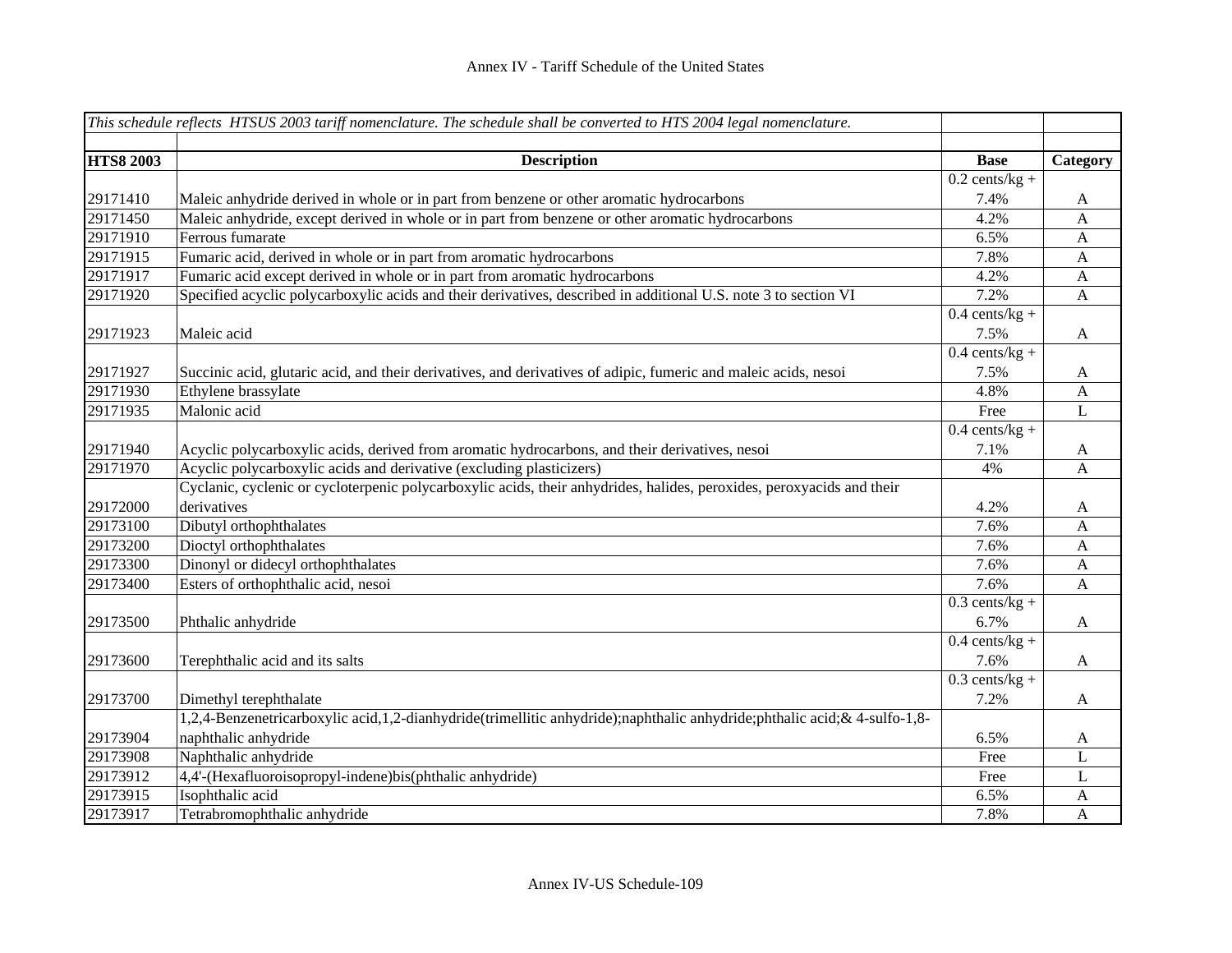|                  | This schedule reflects HTSUS 2003 tariff nomenclature. The schedule shall be converted to HTS 2004 legal nomenclature.    |                  |              |
|------------------|---------------------------------------------------------------------------------------------------------------------------|------------------|--------------|
|                  |                                                                                                                           |                  |              |
| <b>HTS8 2003</b> | <b>Description</b>                                                                                                        | <b>Base</b>      | Category     |
|                  |                                                                                                                           | $0.2$ cents/kg + |              |
| 29171410         | Maleic anhydride derived in whole or in part from benzene or other aromatic hydrocarbons                                  | 7.4%             | A            |
| 29171450         | Maleic anhydride, except derived in whole or in part from benzene or other aromatic hydrocarbons                          | 4.2%             | $\mathbf{A}$ |
| 29171910         | Ferrous fumarate                                                                                                          | 6.5%             | $\mathbf{A}$ |
| 29171915         | Fumaric acid, derived in whole or in part from aromatic hydrocarbons                                                      | 7.8%             | $\mathbf{A}$ |
| 29171917         | Fumaric acid except derived in whole or in part from aromatic hydrocarbons                                                | 4.2%             | $\mathbf{A}$ |
| 29171920         | Specified acyclic polycarboxylic acids and their derivatives, described in additional U.S. note 3 to section VI           | 7.2%             | $\mathbf{A}$ |
|                  |                                                                                                                           | $0.4$ cents/kg + |              |
| 29171923         | Maleic acid                                                                                                               | 7.5%             | A            |
|                  |                                                                                                                           | $0.4$ cents/kg + |              |
| 29171927         | Succinic acid, glutaric acid, and their derivatives, and derivatives of adipic, fumeric and maleic acids, nesoi           | 7.5%             | A            |
| 29171930         | Ethylene brassylate                                                                                                       | 4.8%             | A            |
| 29171935         | Malonic acid                                                                                                              | Free             | L            |
|                  |                                                                                                                           | $0.4$ cents/kg + |              |
| 29171940         | Acyclic polycarboxylic acids, derived from aromatic hydrocarbons, and their derivatives, nesoi                            | 7.1%             | A            |
| 29171970         | Acyclic polycarboxylic acids and derivative (excluding plasticizers)                                                      | 4%               | A            |
|                  | Cyclanic, cyclenic or cycloterpenic polycarboxylic acids, their anhydrides, halides, peroxides, peroxyacids and their     |                  |              |
| 29172000         | derivatives                                                                                                               | 4.2%             | A            |
| 29173100         | Dibutyl orthophthalates                                                                                                   | 7.6%             | A            |
| 29173200         | Dioctyl orthophthalates                                                                                                   | 7.6%             | A            |
| 29173300         | Dinonyl or didecyl orthophthalates                                                                                        | 7.6%             | A            |
| 29173400         | Esters of orthophthalic acid, nesoi                                                                                       | 7.6%             | A            |
|                  |                                                                                                                           | $0.3$ cents/kg + |              |
| 29173500         | Phthalic anhydride                                                                                                        | 6.7%             | A            |
|                  |                                                                                                                           | $0.4$ cents/kg + |              |
| 29173600         | Terephthalic acid and its salts                                                                                           | 7.6%             | $\mathbf{A}$ |
|                  |                                                                                                                           | $0.3$ cents/kg + |              |
| 29173700         | Dimethyl terephthalate                                                                                                    | 7.2%             | $\mathbf{A}$ |
|                  | 1,2,4-Benzenetricarboxylic acid,1,2-dianhydride(trimellitic anhydride);naphthalic anhydride;phthalic acid; & 4-sulfo-1,8- |                  |              |
| 29173904         | naphthalic anhydride                                                                                                      | 6.5%             | A            |
| 29173908         | Naphthalic anhydride                                                                                                      | Free             | L            |
| 29173912         | 4,4'-(Hexafluoroisopropyl-indene)bis(phthalic anhydride)                                                                  | Free             | L            |
| 29173915         | Isophthalic acid                                                                                                          | 6.5%             | A            |
| 29173917         | Tetrabromophthalic anhydride                                                                                              | 7.8%             | A            |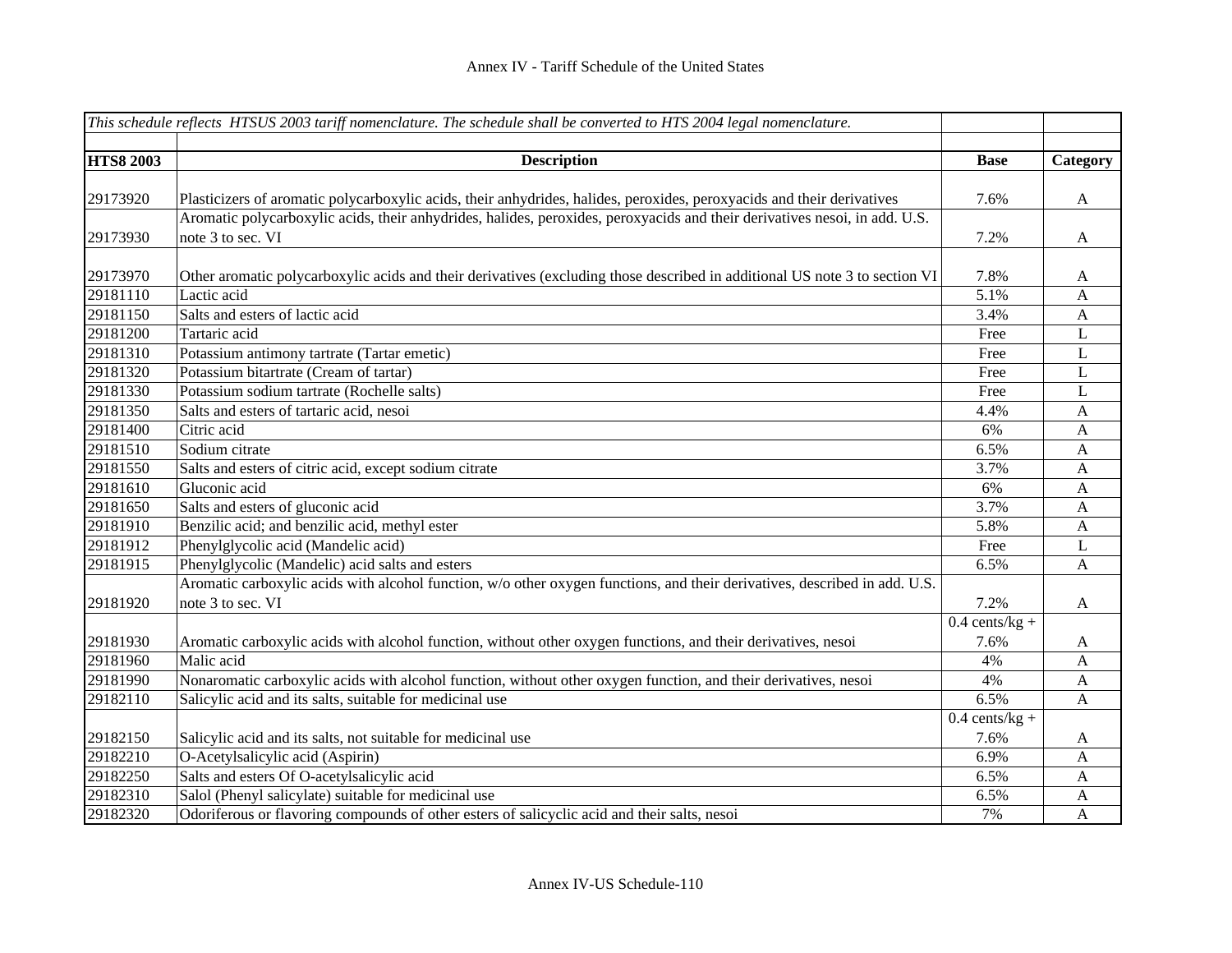|                  | This schedule reflects HTSUS 2003 tariff nomenclature. The schedule shall be converted to HTS 2004 legal nomenclature.                                                                                                                               |                  |              |
|------------------|------------------------------------------------------------------------------------------------------------------------------------------------------------------------------------------------------------------------------------------------------|------------------|--------------|
|                  |                                                                                                                                                                                                                                                      |                  |              |
| <b>HTS8 2003</b> | <b>Description</b>                                                                                                                                                                                                                                   | <b>Base</b>      | Category     |
|                  |                                                                                                                                                                                                                                                      | 7.6%             |              |
| 29173920         | Plasticizers of aromatic polycarboxylic acids, their anhydrides, halides, peroxides, peroxyacids and their derivatives<br>Aromatic polycarboxylic acids, their anhydrides, halides, peroxides, peroxyacids and their derivatives nesoi, in add. U.S. |                  | A            |
| 29173930         | note 3 to sec. VI                                                                                                                                                                                                                                    |                  |              |
|                  |                                                                                                                                                                                                                                                      | 7.2%             | $\mathbf A$  |
| 29173970         | Other aromatic polycarboxylic acids and their derivatives (excluding those described in additional US note 3 to section VI                                                                                                                           | 7.8%             | A            |
| 29181110         | Lactic acid                                                                                                                                                                                                                                          | 5.1%             | $\mathbf{A}$ |
| 29181150         | Salts and esters of lactic acid                                                                                                                                                                                                                      | 3.4%             | $\mathbf{A}$ |
| 29181200         | Tartaric acid                                                                                                                                                                                                                                        | Free             | $\mathbf L$  |
| 29181310         | Potassium antimony tartrate (Tartar emetic)                                                                                                                                                                                                          | Free             | $\mathbf L$  |
| 29181320         | Potassium bitartrate (Cream of tartar)                                                                                                                                                                                                               | Free             | $\mathbf L$  |
| 29181330         | Potassium sodium tartrate (Rochelle salts)                                                                                                                                                                                                           | Free             | $\mathbf L$  |
| 29181350         | Salts and esters of tartaric acid, nesoi                                                                                                                                                                                                             | 4.4%             | $\mathbf{A}$ |
| 29181400         | Citric acid                                                                                                                                                                                                                                          | 6%               | $\mathbf{A}$ |
| 29181510         | Sodium citrate                                                                                                                                                                                                                                       | 6.5%             | $\mathbf{A}$ |
| 29181550         | Salts and esters of citric acid, except sodium citrate                                                                                                                                                                                               | 3.7%             | $\mathbf{A}$ |
| 29181610         | Gluconic acid                                                                                                                                                                                                                                        | 6%               | $\mathbf{A}$ |
| 29181650         | Salts and esters of gluconic acid                                                                                                                                                                                                                    | 3.7%             | $\mathbf{A}$ |
| 29181910         | Benzilic acid; and benzilic acid, methyl ester                                                                                                                                                                                                       | 5.8%             | A            |
| 29181912         | Phenylglycolic acid (Mandelic acid)                                                                                                                                                                                                                  | Free             | L            |
| 29181915         | Phenylglycolic (Mandelic) acid salts and esters                                                                                                                                                                                                      | 6.5%             | A            |
|                  | Aromatic carboxylic acids with alcohol function, w/o other oxygen functions, and their derivatives, described in add. U.S.                                                                                                                           |                  |              |
| 29181920         | note 3 to sec. VI                                                                                                                                                                                                                                    | 7.2%             | A            |
|                  |                                                                                                                                                                                                                                                      | $0.4$ cents/kg + |              |
| 29181930         | Aromatic carboxylic acids with alcohol function, without other oxygen functions, and their derivatives, nesoi                                                                                                                                        | 7.6%             | A            |
| 29181960         | Malic acid                                                                                                                                                                                                                                           | 4%               | $\mathbf{A}$ |
| 29181990         | Nonaromatic carboxylic acids with alcohol function, without other oxygen function, and their derivatives, nesoi                                                                                                                                      | 4%               | $\mathbf{A}$ |
| 29182110         | Salicylic acid and its salts, suitable for medicinal use                                                                                                                                                                                             | 6.5%             | $\mathbf{A}$ |
|                  |                                                                                                                                                                                                                                                      | $0.4$ cents/kg + |              |
| 29182150         | Salicylic acid and its salts, not suitable for medicinal use                                                                                                                                                                                         | 7.6%             | A            |
| 29182210         | O-Acetylsalicylic acid (Aspirin)                                                                                                                                                                                                                     | 6.9%             | A            |
| 29182250         | Salts and esters Of O-acetylsalicylic acid                                                                                                                                                                                                           | 6.5%             | A            |
| 29182310         | Salol (Phenyl salicylate) suitable for medicinal use                                                                                                                                                                                                 | 6.5%             | A            |
| 29182320         | Odoriferous or flavoring compounds of other esters of salicyclic acid and their salts, nesoi                                                                                                                                                         | 7%               | $\mathbf{A}$ |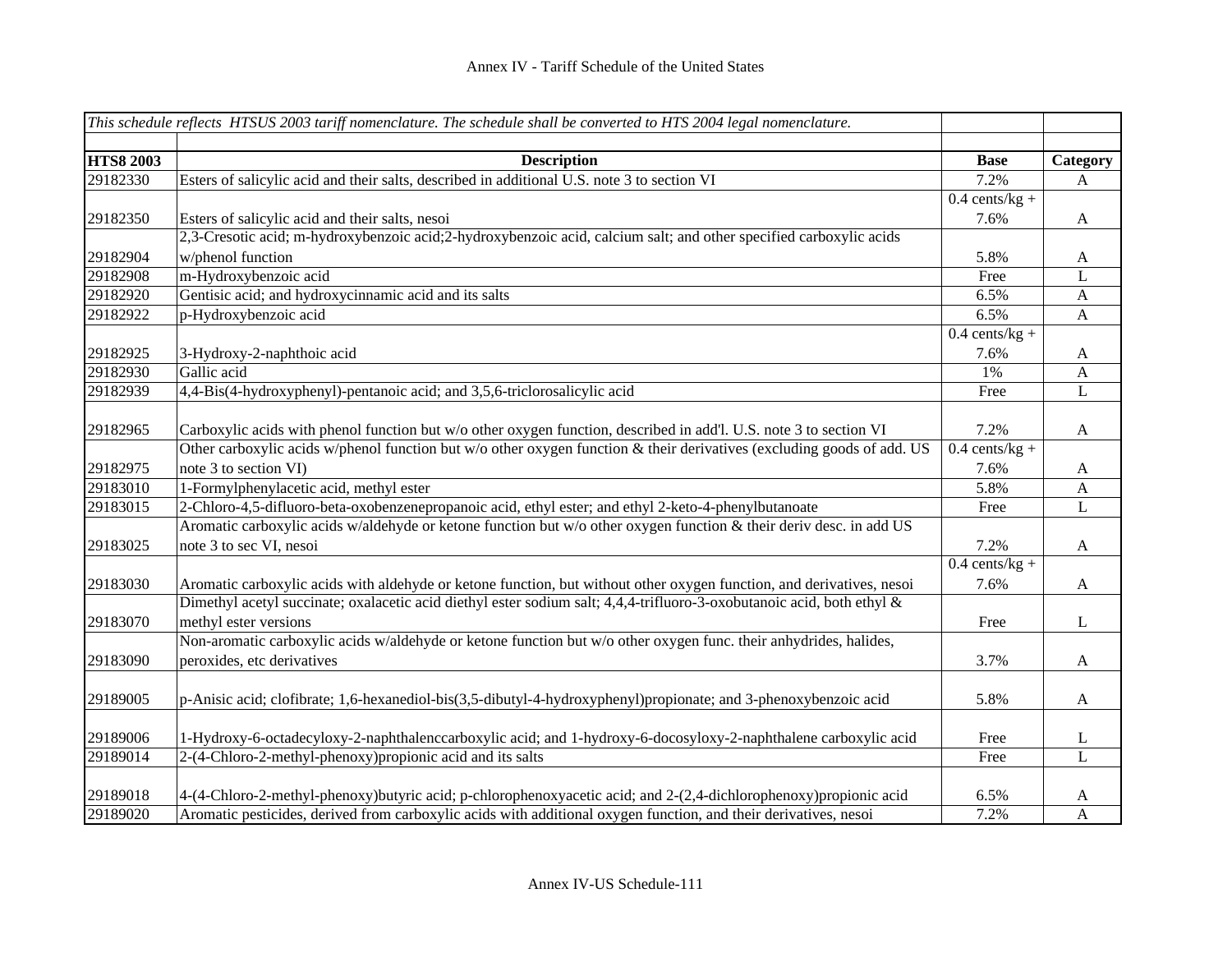|                  | This schedule reflects HTSUS 2003 tariff nomenclature. The schedule shall be converted to HTS 2004 legal nomenclature. |                  |                           |
|------------------|------------------------------------------------------------------------------------------------------------------------|------------------|---------------------------|
|                  |                                                                                                                        |                  |                           |
| <b>HTS8 2003</b> | <b>Description</b>                                                                                                     | <b>Base</b>      | Category                  |
| 29182330         | Esters of salicylic acid and their salts, described in additional U.S. note 3 to section VI                            | 7.2%             | A                         |
|                  |                                                                                                                        | $0.4$ cents/kg + |                           |
| 29182350         | Esters of salicylic acid and their salts, nesoi                                                                        | 7.6%             | $\mathbf{A}$              |
|                  | 2,3-Cresotic acid; m-hydroxybenzoic acid; 2-hydroxybenzoic acid, calcium salt; and other specified carboxylic acids    |                  |                           |
| 29182904         | w/phenol function                                                                                                      | 5.8%             | A                         |
| 29182908         | m-Hydroxybenzoic acid                                                                                                  | Free             | L                         |
| 29182920         | Gentisic acid; and hydroxycinnamic acid and its salts                                                                  | 6.5%             | $\mathbf{A}$              |
| 29182922         | p-Hydroxybenzoic acid                                                                                                  | 6.5%             | $\mathbf{A}$              |
|                  |                                                                                                                        | $0.4$ cents/kg + |                           |
| 29182925         | 3-Hydroxy-2-naphthoic acid                                                                                             | 7.6%             | $\mathbf{A}$              |
| 29182930         | Gallic acid                                                                                                            | 1%               | $\mathbf{A}$              |
| 29182939         | 4,4-Bis(4-hydroxyphenyl)-pentanoic acid; and 3,5,6-triclorosalicylic acid                                              | Free             | $\mathbf{L}$              |
|                  |                                                                                                                        |                  |                           |
| 29182965         | Carboxylic acids with phenol function but w/o other oxygen function, described in add'l. U.S. note 3 to section VI     | 7.2%             | $\boldsymbol{\mathsf{A}}$ |
|                  | Other carboxylic acids w/phenol function but w/o other oxygen function & their derivatives (excluding goods of add. US | $0.4$ cents/kg + |                           |
| 29182975         | note 3 to section VI)                                                                                                  | 7.6%             | $\mathbf{A}$              |
| 29183010         | 1-Formylphenylacetic acid, methyl ester                                                                                | 5.8%             | $\mathbf{A}$              |
| 29183015         | 2-Chloro-4,5-difluoro-beta-oxobenzenepropanoic acid, ethyl ester; and ethyl 2-keto-4-phenylbutanoate                   | Free             | $\mathbf L$               |
|                  | Aromatic carboxylic acids w/aldehyde or ketone function but w/o other oxygen function & their deriv desc. in add US    |                  |                           |
| 29183025         | note 3 to sec VI, nesoi                                                                                                | 7.2%             | $\mathbf{A}$              |
|                  |                                                                                                                        | $0.4$ cents/kg + |                           |
| 29183030         | Aromatic carboxylic acids with aldehyde or ketone function, but without other oxygen function, and derivatives, nesoi  | 7.6%             | $\mathbf{A}$              |
|                  | Dimethyl acetyl succinate; oxalacetic acid diethyl ester sodium salt; 4,4,4-trifluoro-3-oxobutanoic acid, both ethyl & |                  |                           |
| 29183070         | methyl ester versions                                                                                                  | Free             | $\mathbf L$               |
|                  | Non-aromatic carboxylic acids w/aldehyde or ketone function but w/o other oxygen func. their anhydrides, halides,      |                  |                           |
| 29183090         | peroxides, etc derivatives                                                                                             | 3.7%             | $\mathbf{A}$              |
|                  |                                                                                                                        |                  |                           |
| 29189005         | p-Anisic acid; clofibrate; 1,6-hexanediol-bis(3,5-dibutyl-4-hydroxyphenyl)propionate; and 3-phenoxybenzoic acid        | 5.8%             | $\mathbf A$               |
|                  |                                                                                                                        |                  |                           |
| 29189006         | 1-Hydroxy-6-octadecyloxy-2-naphthalenccarboxylic acid; and 1-hydroxy-6-docosyloxy-2-naphthalene carboxylic acid        | Free             | L                         |
| 29189014         | 2-(4-Chloro-2-methyl-phenoxy) propionic acid and its salts                                                             | Free             | $\mathbf L$               |
|                  |                                                                                                                        |                  |                           |
| 29189018         | 4-(4-Chloro-2-methyl-phenoxy)butyric acid; p-chlorophenoxyacetic acid; and 2-(2,4-dichlorophenoxy)propionic acid       | 6.5%             | A                         |
| 29189020         | Aromatic pesticides, derived from carboxylic acids with additional oxygen function, and their derivatives, nesoi       | 7.2%             | $\mathbf{A}$              |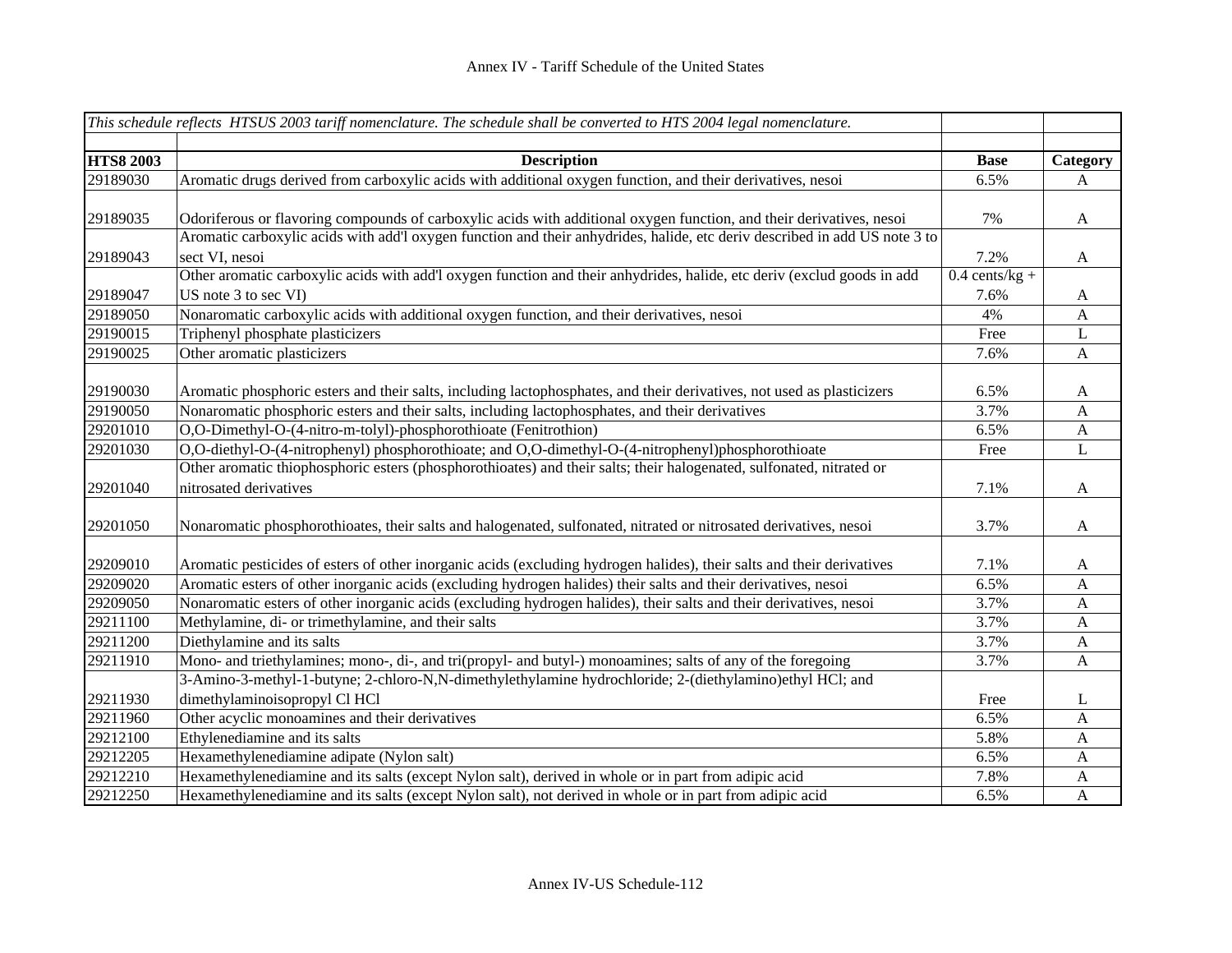|                  | This schedule reflects HTSUS 2003 tariff nomenclature. The schedule shall be converted to HTS 2004 legal nomenclature.     |                  |                  |
|------------------|----------------------------------------------------------------------------------------------------------------------------|------------------|------------------|
| <b>HTS8 2003</b> | <b>Description</b>                                                                                                         | <b>Base</b>      | Category         |
| 29189030         | Aromatic drugs derived from carboxylic acids with additional oxygen function, and their derivatives, nesoi                 | 6.5%             | A                |
|                  |                                                                                                                            |                  |                  |
| 29189035         | Odoriferous or flavoring compounds of carboxylic acids with additional oxygen function, and their derivatives, nesoi       | 7%               | A                |
|                  | Aromatic carboxylic acids with add'l oxygen function and their anhydrides, halide, etc deriv described in add US note 3 to |                  |                  |
| 29189043         | sect VI, nesoi                                                                                                             | 7.2%             | $\mathbf{A}$     |
|                  | Other aromatic carboxylic acids with add'l oxygen function and their anhydrides, halide, etc deriv (exclud goods in add    | $0.4$ cents/kg + |                  |
| 29189047         | US note $3$ to sec $VI$ )                                                                                                  | 7.6%             | A                |
| 29189050         | Nonaromatic carboxylic acids with additional oxygen function, and their derivatives, nesoi                                 | 4%               | A                |
| 29190015         | Triphenyl phosphate plasticizers                                                                                           | Free             | L                |
| 29190025         | Other aromatic plasticizers                                                                                                | 7.6%             | $\mathbf A$      |
|                  |                                                                                                                            |                  |                  |
| 29190030         | Aromatic phosphoric esters and their salts, including lactophosphates, and their derivatives, not used as plasticizers     | 6.5%             | $\mathbf{A}$     |
| 29190050         | Nonaromatic phosphoric esters and their salts, including lactophosphates, and their derivatives                            | 3.7%             | A                |
| 29201010         | O,O-Dimethyl-O-(4-nitro-m-tolyl)-phosphorothioate (Fenitrothion)                                                           | 6.5%             | $\mathbf{A}$     |
| 29201030         | O,O-diethyl-O-(4-nitrophenyl) phosphorothioate; and O,O-dimethyl-O-(4-nitrophenyl)phosphorothioate                         | Free             | $\mathbf L$      |
|                  | Other aromatic thiophosphoric esters (phosphorothioates) and their salts; their halogenated, sulfonated, nitrated or       |                  |                  |
| 29201040         | nitrosated derivatives                                                                                                     | 7.1%             | $\mathbf{A}$     |
|                  |                                                                                                                            |                  |                  |
| 29201050         | Nonaromatic phosphorothioates, their salts and halogenated, sulfonated, nitrated or nitrosated derivatives, nesoi          | 3.7%             | $\mathbf{A}$     |
|                  |                                                                                                                            |                  |                  |
| 29209010         | Aromatic pesticides of esters of other inorganic acids (excluding hydrogen halides), their salts and their derivatives     | 7.1%             | $\mathbf{A}$     |
| 29209020         | Aromatic esters of other inorganic acids (excluding hydrogen halides) their salts and their derivatives, nesoi             | 6.5%             | $\mathbf A$      |
| 29209050         | Nonaromatic esters of other inorganic acids (excluding hydrogen halides), their salts and their derivatives, nesoi         | 3.7%             | $\boldsymbol{A}$ |
| 29211100         | Methylamine, di- or trimethylamine, and their salts                                                                        | 3.7%             | $\mathbf{A}$     |
| 29211200         | Diethylamine and its salts                                                                                                 | 3.7%             | $\mathbf{A}$     |
| 29211910         | Mono- and triethylamines; mono-, di-, and tri(propyl- and butyl-) monoamines; salts of any of the foregoing                | 3.7%             | $\mathbf{A}$     |
|                  | 3-Amino-3-methyl-1-butyne; 2-chloro-N,N-dimethylethylamine hydrochloride; 2-(diethylamino)ethyl HCl; and                   |                  |                  |
| 29211930         | dimethylaminoisopropyl Cl HCl                                                                                              | Free             | L                |
| 29211960         | Other acyclic monoamines and their derivatives                                                                             | 6.5%             | $\mathbf{A}$     |
| 29212100         | Ethylenediamine and its salts                                                                                              | 5.8%             | $\mathbf{A}$     |
| 29212205         | Hexamethylenediamine adipate (Nylon salt)                                                                                  | 6.5%             | $\mathbf{A}$     |
| 29212210         | Hexamethylenediamine and its salts (except Nylon salt), derived in whole or in part from adipic acid                       | 7.8%             | $\mathbf A$      |
| 29212250         | Hexamethylenediamine and its salts (except Nylon salt), not derived in whole or in part from adipic acid                   | 6.5%             | A                |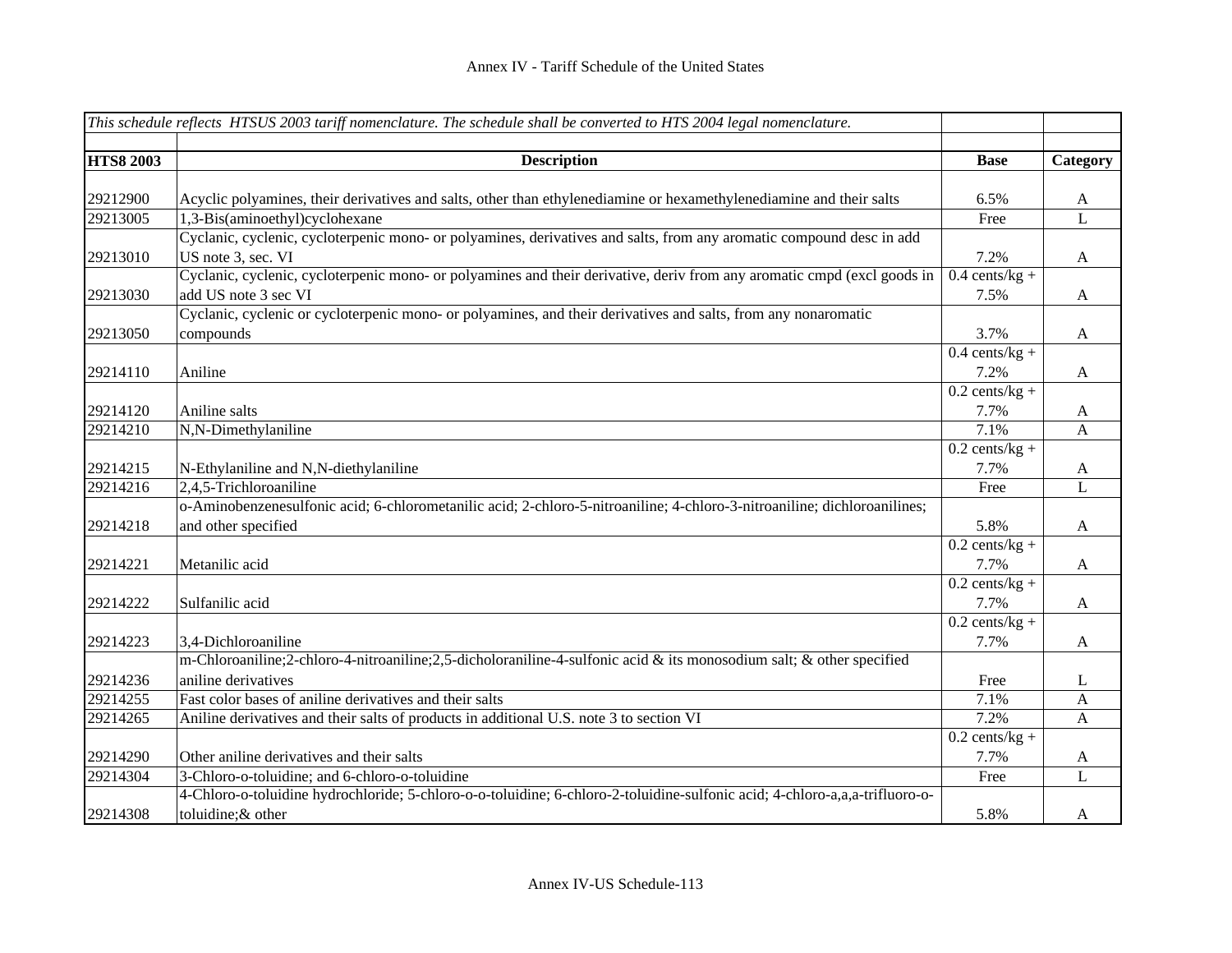|                  | This schedule reflects HTSUS 2003 tariff nomenclature. The schedule shall be converted to HTS 2004 legal nomenclature.      |                  |                |
|------------------|-----------------------------------------------------------------------------------------------------------------------------|------------------|----------------|
|                  |                                                                                                                             |                  |                |
| <b>HTS8 2003</b> | <b>Description</b>                                                                                                          | <b>Base</b>      | Category       |
|                  |                                                                                                                             |                  |                |
| 29212900         | Acyclic polyamines, their derivatives and salts, other than ethylenediamine or hexamethylenediamine and their salts         | 6.5%             | $\mathbf{A}$   |
| 29213005         | 1,3-Bis(aminoethyl)cyclohexane                                                                                              | Free             | $\overline{L}$ |
|                  | Cyclanic, cyclenic, cycloterpenic mono- or polyamines, derivatives and salts, from any aromatic compound desc in add        |                  |                |
| 29213010         | US note 3, sec. VI                                                                                                          | 7.2%             | $\mathbf A$    |
|                  | Cyclanic, cyclenic, cycloterpenic mono- or polyamines and their derivative, deriv from any aromatic cmpd (excl goods in     | $0.4$ cents/kg + |                |
| 29213030         | add US note 3 sec VI                                                                                                        | 7.5%             | $\mathbf{A}$   |
|                  | Cyclanic, cyclenic or cycloterpenic mono- or polyamines, and their derivatives and salts, from any nonaromatic              |                  |                |
| 29213050         | compounds                                                                                                                   | 3.7%             | $\mathbf{A}$   |
|                  |                                                                                                                             | $0.4$ cents/kg + |                |
| 29214110         | Aniline                                                                                                                     | 7.2%             | $\mathbf{A}$   |
|                  |                                                                                                                             | $0.2$ cents/kg + |                |
| 29214120         | Aniline salts                                                                                                               | 7.7%             | $\mathbf{A}$   |
| 29214210         | N,N-Dimethylaniline                                                                                                         | 7.1%             | $\mathbf{A}$   |
|                  |                                                                                                                             | $0.2$ cents/kg + |                |
| 29214215         | N-Ethylaniline and N,N-diethylaniline                                                                                       | 7.7%             | $\mathbf{A}$   |
| 29214216         | 2,4,5-Trichloroaniline                                                                                                      | Free             | L              |
|                  | o-Aminobenzenesulfonic acid; 6-chlorometanilic acid; 2-chloro-5-nitroaniline; 4-chloro-3-nitroaniline; dichloroanilines;    |                  |                |
| 29214218         | and other specified                                                                                                         | 5.8%             | $\mathbf{A}$   |
|                  |                                                                                                                             | $0.2$ cents/kg + |                |
| 29214221         | Metanilic acid                                                                                                              | 7.7%             | $\mathbf{A}$   |
|                  |                                                                                                                             | $0.2$ cents/kg + |                |
| 29214222         | Sulfanilic acid                                                                                                             | 7.7%             | $\mathbf{A}$   |
|                  |                                                                                                                             | $0.2$ cents/kg + |                |
| 29214223         | 3,4-Dichloroaniline                                                                                                         | 7.7%             | $\mathbf{A}$   |
|                  | m-Chloroaniline; 2-chloro-4-nitroaniline; 2,5-dicholoraniline-4-sulfonic acid & its monosodium salt; & other specified      |                  |                |
| 29214236         | aniline derivatives                                                                                                         | Free             | L              |
| 29214255         | Fast color bases of aniline derivatives and their salts                                                                     | 7.1%             | $\mathbf{A}$   |
| 29214265         | Aniline derivatives and their salts of products in additional U.S. note 3 to section VI                                     | 7.2%             | $\mathbf{A}$   |
|                  |                                                                                                                             | $0.2$ cents/kg + |                |
| 29214290         | Other aniline derivatives and their salts                                                                                   | 7.7%             | A              |
| 29214304         | 3-Chloro-o-toluidine; and 6-chloro-o-toluidine                                                                              | Free             | L              |
|                  | 4-Chloro-o-toluidine hydrochloride; 5-chloro-o-o-toluidine; 6-chloro-2-toluidine-sulfonic acid; 4-chloro-a,a,a-trifluoro-o- |                  |                |
| 29214308         | toluidine; & other                                                                                                          | 5.8%             | A              |
|                  |                                                                                                                             |                  |                |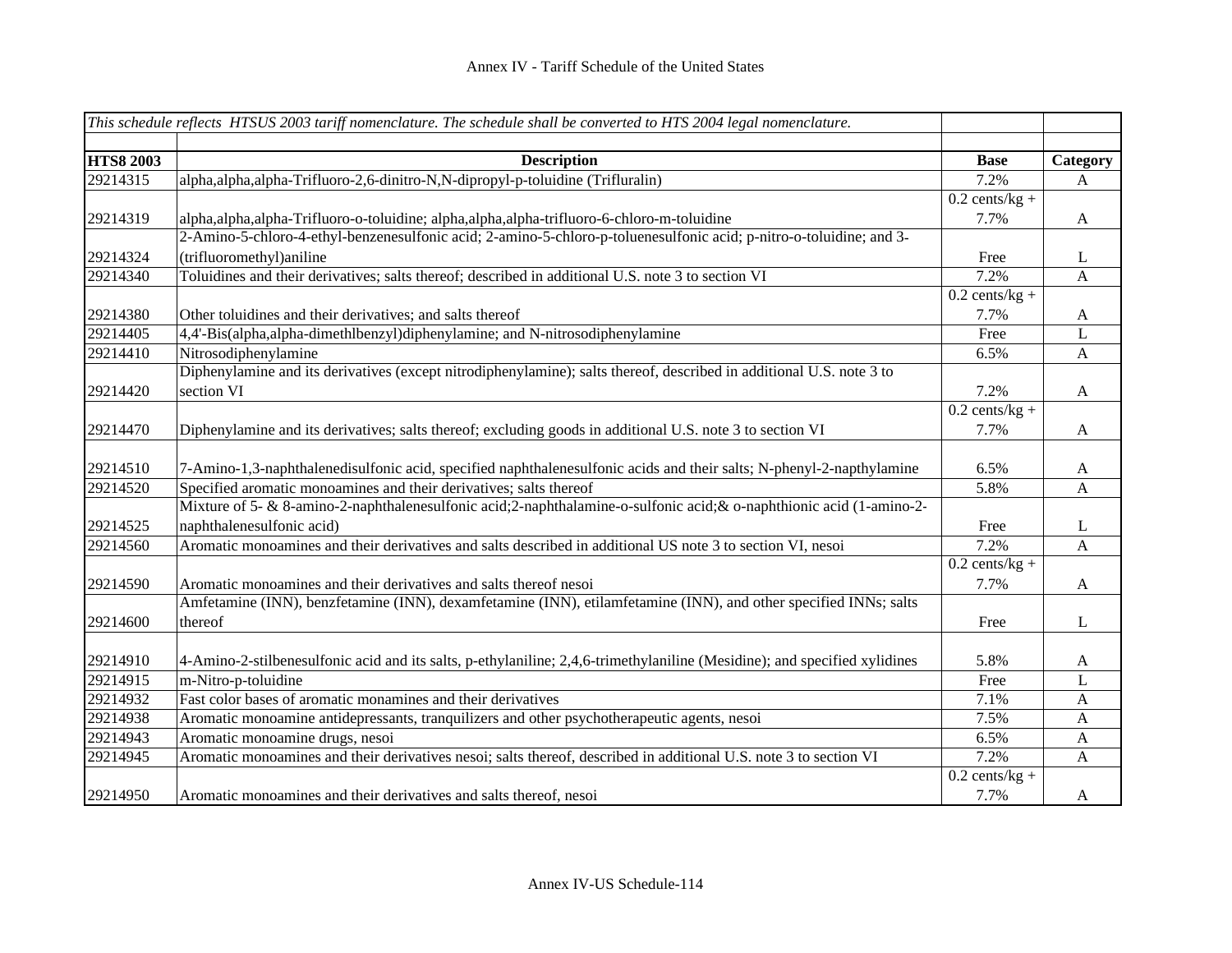|                  | This schedule reflects HTSUS 2003 tariff nomenclature. The schedule shall be converted to HTS 2004 legal nomenclature.    |                  |              |
|------------------|---------------------------------------------------------------------------------------------------------------------------|------------------|--------------|
|                  |                                                                                                                           |                  |              |
| <b>HTS8 2003</b> | <b>Description</b>                                                                                                        | <b>Base</b>      | Category     |
| 29214315         | alpha, alpha, alpha-Trifluoro-2, 6-dinitro-N, N-dipropyl-p-toluidine (Trifluralin)                                        | 7.2%             | A            |
|                  |                                                                                                                           | $0.2$ cents/kg + |              |
| 29214319         | alpha, alpha, alpha-Trifluoro-o-toluidine; alpha, alpha, alpha-trifluoro-6-chloro-m-toluidine                             | 7.7%             | A            |
|                  | 2-Amino-5-chloro-4-ethyl-benzenesulfonic acid; 2-amino-5-chloro-p-toluenesulfonic acid; p-nitro-o-toluidine; and 3-       |                  |              |
| 29214324         | (trifluoromethyl)aniline                                                                                                  | Free             | L            |
| 29214340         | Toluidines and their derivatives; salts thereof; described in additional U.S. note 3 to section VI                        | 7.2%             | A            |
|                  |                                                                                                                           | $0.2$ cents/kg + |              |
| 29214380         | Other toluidines and their derivatives; and salts thereof                                                                 | 7.7%             | A            |
| 29214405         | 4,4'-Bis(alpha,alpha-dimethlbenzyl)diphenylamine; and N-nitrosodiphenylamine                                              | Free             | $\mathbf{L}$ |
| 29214410         | Nitrosodiphenylamine                                                                                                      | 6.5%             | A            |
|                  | Diphenylamine and its derivatives (except nitrodiphenylamine); salts thereof, described in additional U.S. note 3 to      |                  |              |
| 29214420         | section VI                                                                                                                | 7.2%             | A            |
|                  |                                                                                                                           | $0.2$ cents/kg + |              |
| 29214470         | Diphenylamine and its derivatives; salts thereof; excluding goods in additional U.S. note 3 to section VI                 | 7.7%             | A            |
|                  |                                                                                                                           |                  |              |
| 29214510         | 7-Amino-1,3-naphthalenedisulfonic acid, specified naphthalenesulfonic acids and their salts; N-phenyl-2-napthylamine      | 6.5%             | A            |
| 29214520         | Specified aromatic monoamines and their derivatives; salts thereof                                                        | 5.8%             | A            |
|                  | Mixture of 5- & 8-amino-2-naphthalenesulfonic acid; 2-naphthalamine-o-sulfonic acid; & o-naphthionic acid (1-amino-2-     |                  |              |
| 29214525         | naphthalenesulfonic acid)                                                                                                 | Free             | L            |
| 29214560         | Aromatic monoamines and their derivatives and salts described in additional US note 3 to section VI, nesoi                | 7.2%             | A            |
|                  |                                                                                                                           | $0.2$ cents/kg + |              |
| 29214590         | Aromatic monoamines and their derivatives and salts thereof nesoi                                                         | 7.7%             | A            |
|                  | Amfetamine (INN), benzfetamine (INN), dexamfetamine (INN), etilamfetamine (INN), and other specified INNs; salts          |                  |              |
| 29214600         | thereof                                                                                                                   | Free             | L            |
|                  |                                                                                                                           |                  |              |
| 29214910         | 4-Amino-2-stilbenesulfonic acid and its salts, p-ethylaniline; 2,4,6-trimethylaniline (Mesidine); and specified xylidines | 5.8%             | A            |
| 29214915         | m-Nitro-p-toluidine                                                                                                       | Free             | L            |
| 29214932         | Fast color bases of aromatic monamines and their derivatives                                                              | 7.1%             | $\mathbf{A}$ |
| 29214938         | Aromatic monoamine antidepressants, tranquilizers and other psychotherapeutic agents, nesoi                               | 7.5%             | $\mathbf{A}$ |
| 29214943         | Aromatic monoamine drugs, nesoi                                                                                           | 6.5%             | $\mathbf{A}$ |
| 29214945         | Aromatic monoamines and their derivatives nesoi; salts thereof, described in additional U.S. note 3 to section VI         | 7.2%             | $\mathbf{A}$ |
|                  |                                                                                                                           | $0.2$ cents/kg + |              |
| 29214950         | Aromatic monoamines and their derivatives and salts thereof, nesoi                                                        | 7.7%             | A            |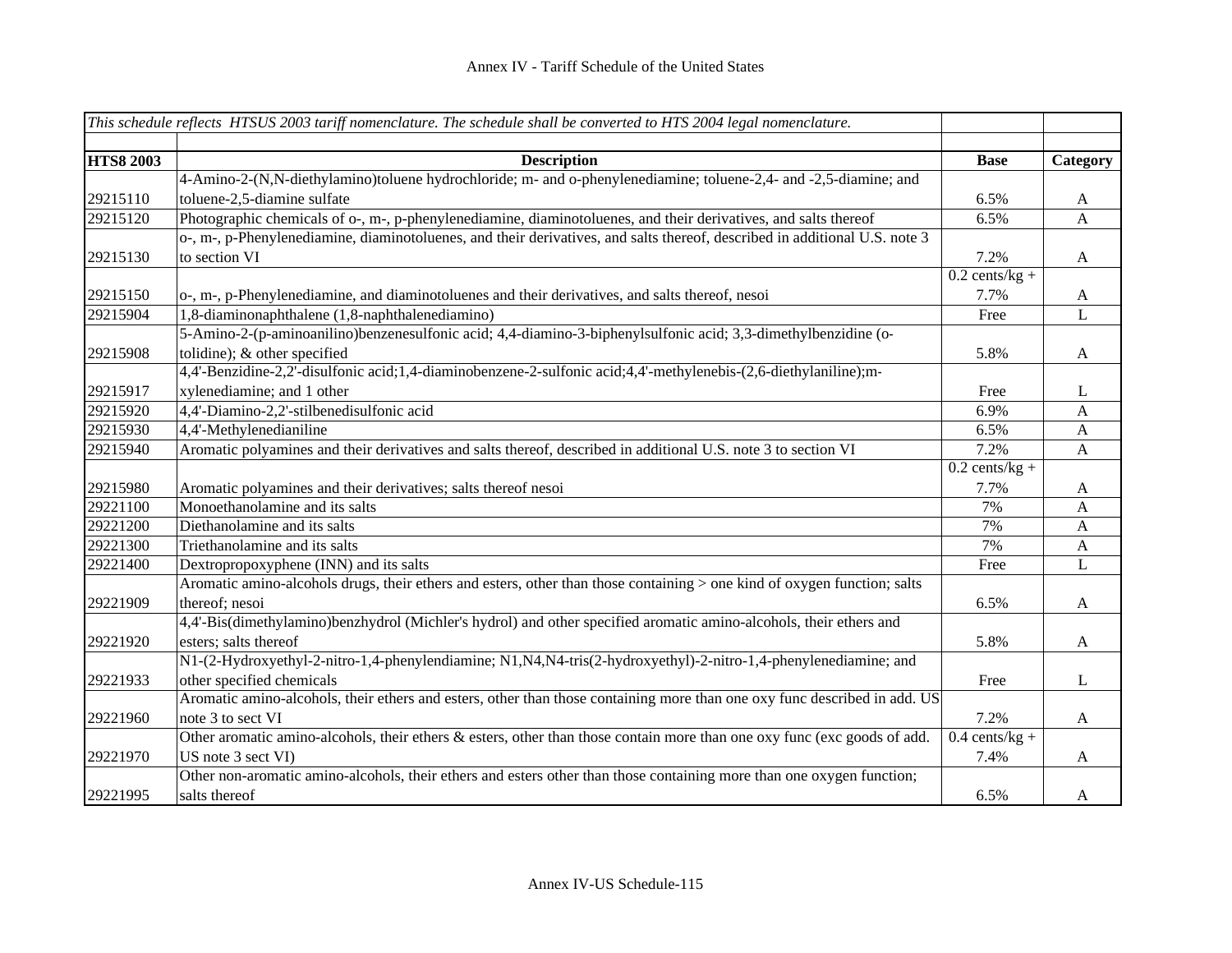|                  | This schedule reflects HTSUS 2003 tariff nomenclature. The schedule shall be converted to HTS 2004 legal nomenclature.      |                  |              |
|------------------|-----------------------------------------------------------------------------------------------------------------------------|------------------|--------------|
| <b>HTS8 2003</b> | <b>Description</b>                                                                                                          | <b>Base</b>      | Category     |
|                  | 4-Amino-2-(N,N-diethylamino)toluene hydrochloride; m- and o-phenylenediamine; toluene-2,4- and -2,5-diamine; and            |                  |              |
| 29215110         | toluene-2,5-diamine sulfate                                                                                                 | 6.5%             | A            |
| 29215120         | Photographic chemicals of o-, m-, p-phenylenediamine, diaminotoluenes, and their derivatives, and salts thereof             | 6.5%             | $\mathbf{A}$ |
|                  | o-, m-, p-Phenylenediamine, diaminotoluenes, and their derivatives, and salts thereof, described in additional U.S. note 3  |                  |              |
| 29215130         | to section VI                                                                                                               | 7.2%             | $\mathbf{A}$ |
|                  |                                                                                                                             | $0.2$ cents/kg + |              |
| 29215150         | o-, m-, p-Phenylenediamine, and diaminotoluenes and their derivatives, and salts thereof, nesoi                             | 7.7%             | $\mathbf{A}$ |
| 29215904         | 1,8-diaminonaphthalene (1,8-naphthalenediamino)                                                                             | Free             | L            |
|                  | 5-Amino-2-(p-aminoanilino)benzenesulfonic acid; 4,4-diamino-3-biphenylsulfonic acid; 3,3-dimethylbenzidine (o-              |                  |              |
| 29215908         | tolidine); & other specified                                                                                                | 5.8%             | $\mathbf{A}$ |
|                  | 4,4'-Benzidine-2,2'-disulfonic acid;1,4-diaminobenzene-2-sulfonic acid;4,4'-methylenebis-(2,6-diethylaniline);m-            |                  |              |
| 29215917         | xylenediamine; and 1 other                                                                                                  | Free             | L            |
| 29215920         | 4,4'-Diamino-2,2'-stilbenedisulfonic acid                                                                                   | 6.9%             | $\mathbf{A}$ |
| 29215930         | 4,4'-Methylenedianiline                                                                                                     | 6.5%             | $\mathbf{A}$ |
| 29215940         | Aromatic polyamines and their derivatives and salts thereof, described in additional U.S. note 3 to section VI              | 7.2%             | $\mathbf{A}$ |
|                  |                                                                                                                             | $0.2$ cents/kg + |              |
| 29215980         | Aromatic polyamines and their derivatives; salts thereof nesoi                                                              | 7.7%             | $\mathbf{A}$ |
| 29221100         | Monoethanolamine and its salts                                                                                              | 7%               | $\mathbf{A}$ |
| 29221200         | Diethanolamine and its salts                                                                                                | 7%               | A            |
| 29221300         | Triethanolamine and its salts                                                                                               | 7%               | $\mathbf{A}$ |
| 29221400         | Dextropropoxyphene (INN) and its salts                                                                                      | Free             | L            |
|                  | Aromatic amino-alcohols drugs, their ethers and esters, other than those containing > one kind of oxygen function; salts    |                  |              |
| 29221909         | thereof; nesoi                                                                                                              | 6.5%             | $\mathbf{A}$ |
|                  | 4,4'-Bis(dimethylamino)benzhydrol (Michler's hydrol) and other specified aromatic amino-alcohols, their ethers and          |                  |              |
| 29221920         | esters; salts thereof                                                                                                       | 5.8%             | $\mathbf{A}$ |
|                  | N1-(2-Hydroxyethyl-2-nitro-1,4-phenylendiamine; N1, N4, N4-tris(2-hydroxyethyl)-2-nitro-1,4-phenylenediamine; and           |                  |              |
| 29221933         | other specified chemicals                                                                                                   | Free             | L            |
|                  | Aromatic amino-alcohols, their ethers and esters, other than those containing more than one oxy func described in add. US   |                  |              |
| 29221960         | note 3 to sect VI                                                                                                           | 7.2%             | $\mathbf{A}$ |
|                  | Other aromatic amino-alcohols, their ethers $\&$ esters, other than those contain more than one oxy func (exc goods of add. | $0.4$ cents/kg + |              |
| 29221970         | US note 3 sect VI)                                                                                                          | 7.4%             | $\mathbf{A}$ |
|                  | Other non-aromatic amino-alcohols, their ethers and esters other than those containing more than one oxygen function;       |                  |              |
| 29221995         | salts thereof                                                                                                               | 6.5%             | A            |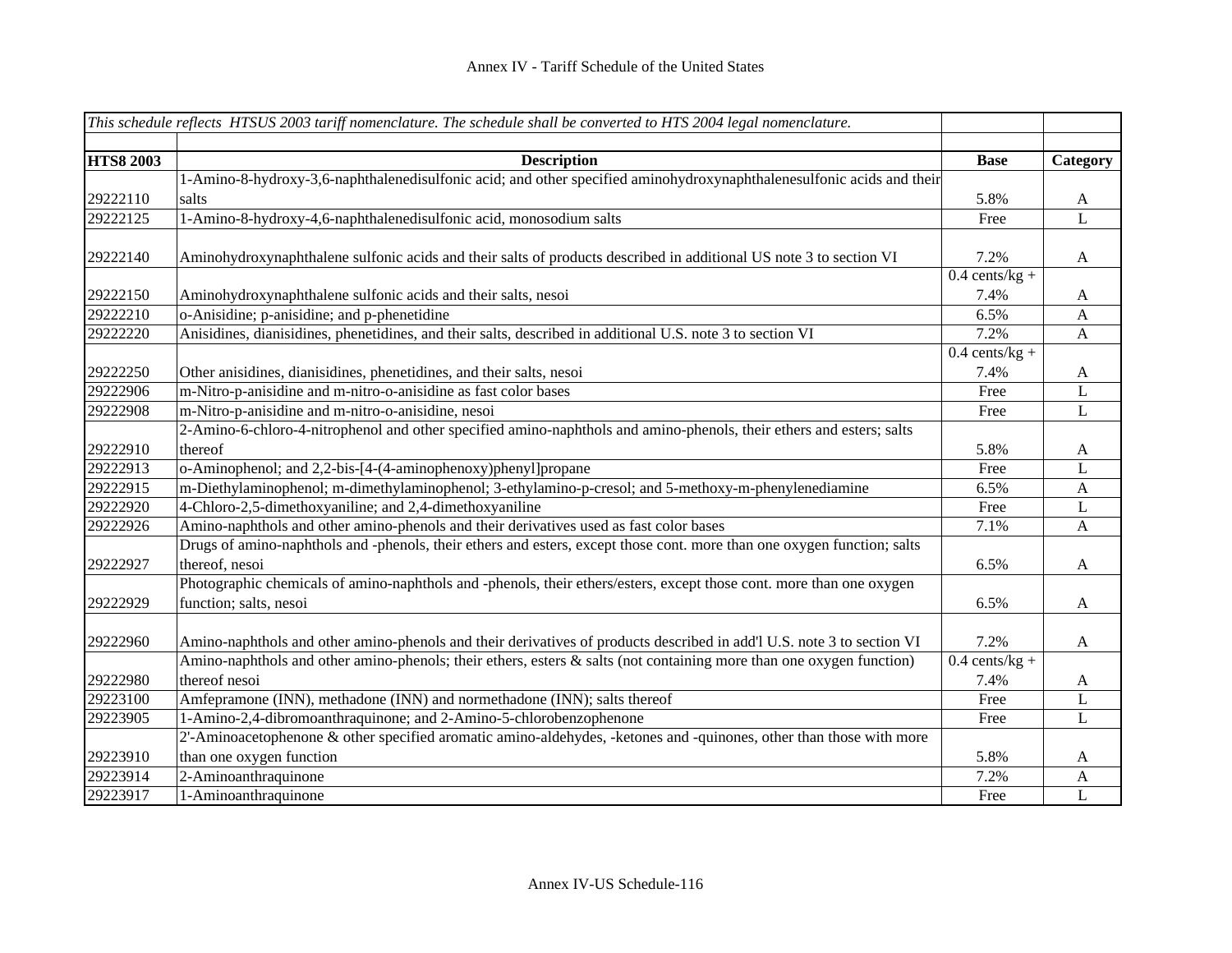|                  | This schedule reflects HTSUS 2003 tariff nomenclature. The schedule shall be converted to HTS 2004 legal nomenclature.  |                  |          |
|------------------|-------------------------------------------------------------------------------------------------------------------------|------------------|----------|
|                  |                                                                                                                         |                  |          |
| <b>HTS8 2003</b> | <b>Description</b>                                                                                                      | <b>Base</b>      | Category |
|                  | 1-Amino-8-hydroxy-3,6-naphthalenedisulfonic acid; and other specified aminohydroxynaphthalenesulfonic acids and their   |                  |          |
| 29222110         | salts                                                                                                                   | 5.8%             | A        |
| 29222125         | 1-Amino-8-hydroxy-4,6-naphthalenedisulfonic acid, monosodium salts                                                      | Free             | L        |
|                  |                                                                                                                         |                  |          |
| 29222140         | Aminohydroxynaphthalene sulfonic acids and their salts of products described in additional US note 3 to section VI      | 7.2%             | A        |
|                  |                                                                                                                         | $0.4$ cents/kg + |          |
| 29222150         | Aminohydroxynaphthalene sulfonic acids and their salts, nesoi                                                           | 7.4%             | A        |
| 29222210         | o-Anisidine; p-anisidine; and p-phenetidine                                                                             | 6.5%             | A        |
| 29222220         | Anisidines, dianisidines, phenetidines, and their salts, described in additional U.S. note 3 to section VI              | 7.2%             | A        |
|                  |                                                                                                                         | $0.4$ cents/kg + |          |
| 29222250         | Other anisidines, dianisidines, phenetidines, and their salts, nesoi                                                    | 7.4%             | A        |
| 29222906         | m-Nitro-p-anisidine and m-nitro-o-anisidine as fast color bases                                                         | Free             | L        |
| 29222908         | m-Nitro-p-anisidine and m-nitro-o-anisidine, nesoi                                                                      | Free             | L        |
|                  | 2-Amino-6-chloro-4-nitrophenol and other specified amino-naphthols and amino-phenols, their ethers and esters; salts    |                  |          |
| 29222910         | thereof                                                                                                                 | 5.8%             | A        |
| 29222913         | o-Aminophenol; and 2,2-bis-[4-(4-aminophenoxy)phenyl]propane                                                            | Free             | L        |
| 29222915         | m-Diethylaminophenol; m-dimethylaminophenol; 3-ethylamino-p-cresol; and 5-methoxy-m-phenylenediamine                    | 6.5%             | A        |
| 29222920         | 4-Chloro-2,5-dimethoxyaniline; and 2,4-dimethoxyaniline                                                                 | Free             | L        |
| 29222926         | Amino-naphthols and other amino-phenols and their derivatives used as fast color bases                                  | 7.1%             | A        |
|                  | Drugs of amino-naphthols and -phenols, their ethers and esters, except those cont. more than one oxygen function; salts |                  |          |
| 29222927         | thereof, nesoi                                                                                                          | 6.5%             | A        |
|                  | Photographic chemicals of amino-naphthols and -phenols, their ethers/esters, except those cont. more than one oxygen    |                  |          |
| 29222929         | function; salts, nesoi                                                                                                  | 6.5%             | A        |
|                  |                                                                                                                         |                  |          |
| 29222960         | Amino-naphthols and other amino-phenols and their derivatives of products described in add'l U.S. note 3 to section VI  | 7.2%             | A        |
|                  | Amino-naphthols and other amino-phenols; their ethers, esters & salts (not containing more than one oxygen function)    | $0.4$ cents/kg + |          |
| 29222980         | thereof nesoi                                                                                                           | 7.4%             | A        |
| 29223100         | Amfepramone (INN), methadone (INN) and normethadone (INN); salts thereof                                                | Free             | L        |
| 29223905         | 1-Amino-2,4-dibromoanthraquinone; and 2-Amino-5-chlorobenzophenone                                                      | Free             | L        |
|                  | 2'-Aminoacetophenone & other specified aromatic amino-aldehydes, -ketones and -quinones, other than those with more     |                  |          |
| 29223910         | than one oxygen function                                                                                                | 5.8%             | A        |
| 29223914         | 2-Aminoanthraquinone                                                                                                    | 7.2%             | A        |
| 29223917         | 1-Aminoanthraquinone                                                                                                    | Free             | L        |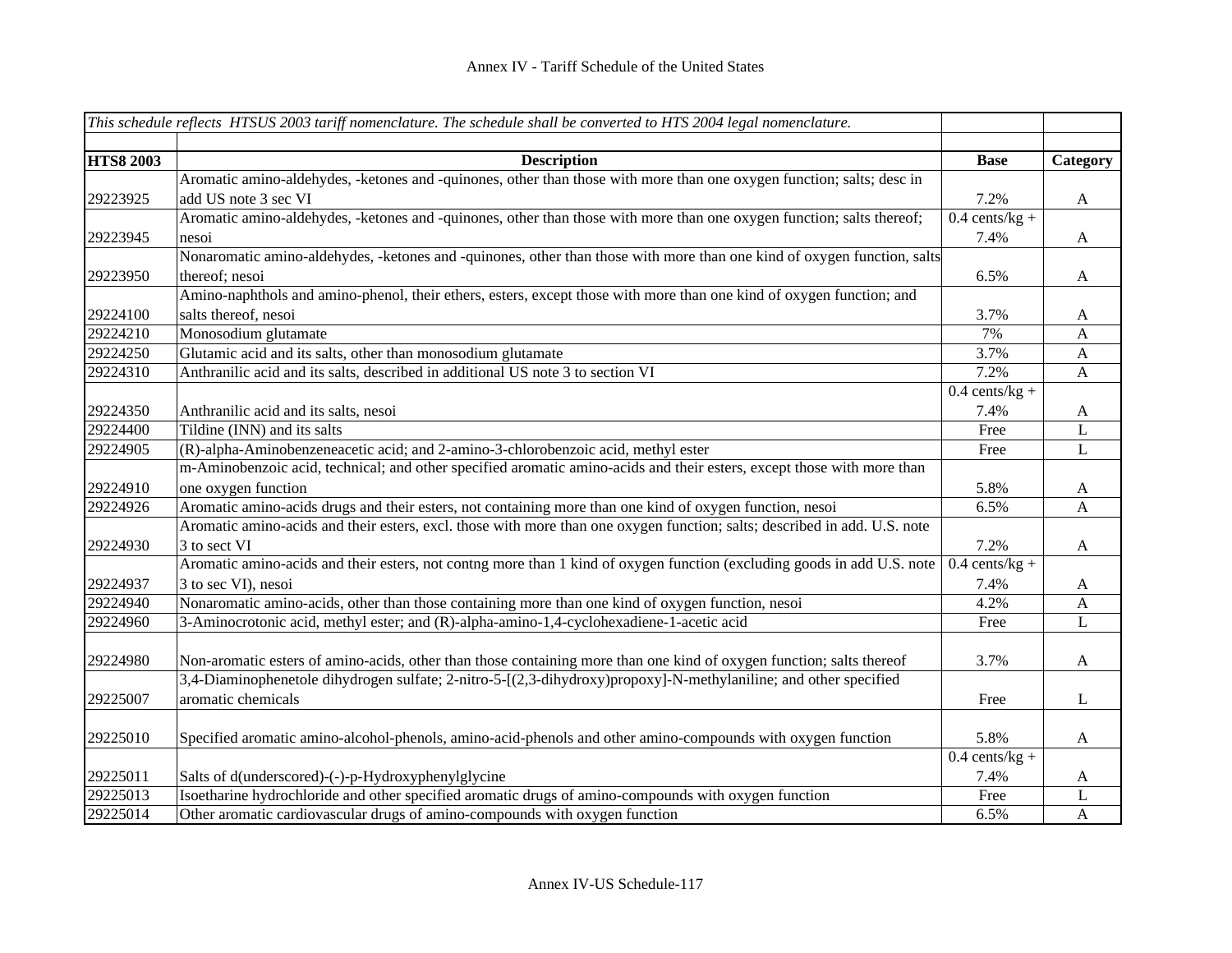|                  | This schedule reflects HTSUS 2003 tariff nomenclature. The schedule shall be converted to HTS 2004 legal nomenclature.    |                  |              |
|------------------|---------------------------------------------------------------------------------------------------------------------------|------------------|--------------|
|                  |                                                                                                                           |                  |              |
| <b>HTS8 2003</b> | <b>Description</b>                                                                                                        | <b>Base</b>      | Category     |
|                  | Aromatic amino-aldehydes, -ketones and -quinones, other than those with more than one oxygen function; salts; desc in     |                  |              |
| 29223925         | add US note 3 sec VI                                                                                                      | 7.2%             | $\mathbf{A}$ |
|                  | Aromatic amino-aldehydes, -ketones and -quinones, other than those with more than one oxygen function; salts thereof;     | $0.4$ cents/kg + |              |
| 29223945         | nesoi                                                                                                                     | 7.4%             | $\mathbf{A}$ |
|                  | Nonaromatic amino-aldehydes, -ketones and -quinones, other than those with more than one kind of oxygen function, salts   |                  |              |
| 29223950         | thereof; nesoi                                                                                                            | 6.5%             | $\mathbf{A}$ |
|                  | Amino-naphthols and amino-phenol, their ethers, esters, except those with more than one kind of oxygen function; and      |                  |              |
| 29224100         | salts thereof, nesoi                                                                                                      | 3.7%             | $\mathbf{A}$ |
| 29224210         | Monosodium glutamate                                                                                                      | 7%               | A            |
| 29224250         | Glutamic acid and its salts, other than monosodium glutamate                                                              | 3.7%             | $\mathbf{A}$ |
| 29224310         | Anthranilic acid and its salts, described in additional US note 3 to section VI                                           | 7.2%             | $\mathbf{A}$ |
|                  |                                                                                                                           | $0.4$ cents/kg + |              |
| 29224350         | Anthranilic acid and its salts, nesoi                                                                                     | 7.4%             | $\mathbf{A}$ |
| 29224400         | Tildine (INN) and its salts                                                                                               | Free             | $\mathbf L$  |
| 29224905         | (R)-alpha-Aminobenzeneacetic acid; and 2-amino-3-chlorobenzoic acid, methyl ester                                         | Free             | $\mathbf{L}$ |
|                  | m-Aminobenzoic acid, technical; and other specified aromatic amino-acids and their esters, except those with more than    |                  |              |
| 29224910         | one oxygen function                                                                                                       | 5.8%             | A            |
| 29224926         | Aromatic amino-acids drugs and their esters, not containing more than one kind of oxygen function, nesoi                  | 6.5%             | $\mathbf{A}$ |
|                  | Aromatic amino-acids and their esters, excl. those with more than one oxygen function; salts; described in add. U.S. note |                  |              |
| 29224930         | 3 to sect VI                                                                                                              | 7.2%             | $\mathbf{A}$ |
|                  | Aromatic amino-acids and their esters, not contng more than 1 kind of oxygen function (excluding goods in add U.S. note   | $0.4$ cents/kg + |              |
| 29224937         | 3 to sec VI), nesoi                                                                                                       | 7.4%             | A            |
| 29224940         | Nonaromatic amino-acids, other than those containing more than one kind of oxygen function, nesoi                         | 4.2%             | A            |
| 29224960         | 3-Aminocrotonic acid, methyl ester; and (R)-alpha-amino-1,4-cyclohexadiene-1-acetic acid                                  | Free             | L            |
|                  |                                                                                                                           |                  |              |
| 29224980         | Non-aromatic esters of amino-acids, other than those containing more than one kind of oxygen function; salts thereof      | 3.7%             | $\mathbf{A}$ |
|                  | 3,4-Diaminophenetole dihydrogen sulfate; 2-nitro-5-[(2,3-dihydroxy)propoxy]-N-methylaniline; and other specified          |                  |              |
| 29225007         | aromatic chemicals                                                                                                        | Free             | $\bf L$      |
|                  |                                                                                                                           |                  |              |
| 29225010         | Specified aromatic amino-alcohol-phenols, amino-acid-phenols and other amino-compounds with oxygen function               | 5.8%             | $\mathbf{A}$ |
|                  |                                                                                                                           | $0.4$ cents/kg + |              |
| 29225011         | Salts of d(underscored)-(-)-p-Hydroxyphenylglycine                                                                        | 7.4%             | A            |
| 29225013         | Isoetharine hydrochloride and other specified aromatic drugs of amino-compounds with oxygen function                      | Free             | L            |
| 29225014         | Other aromatic cardiovascular drugs of amino-compounds with oxygen function                                               | 6.5%             | $\mathbf{A}$ |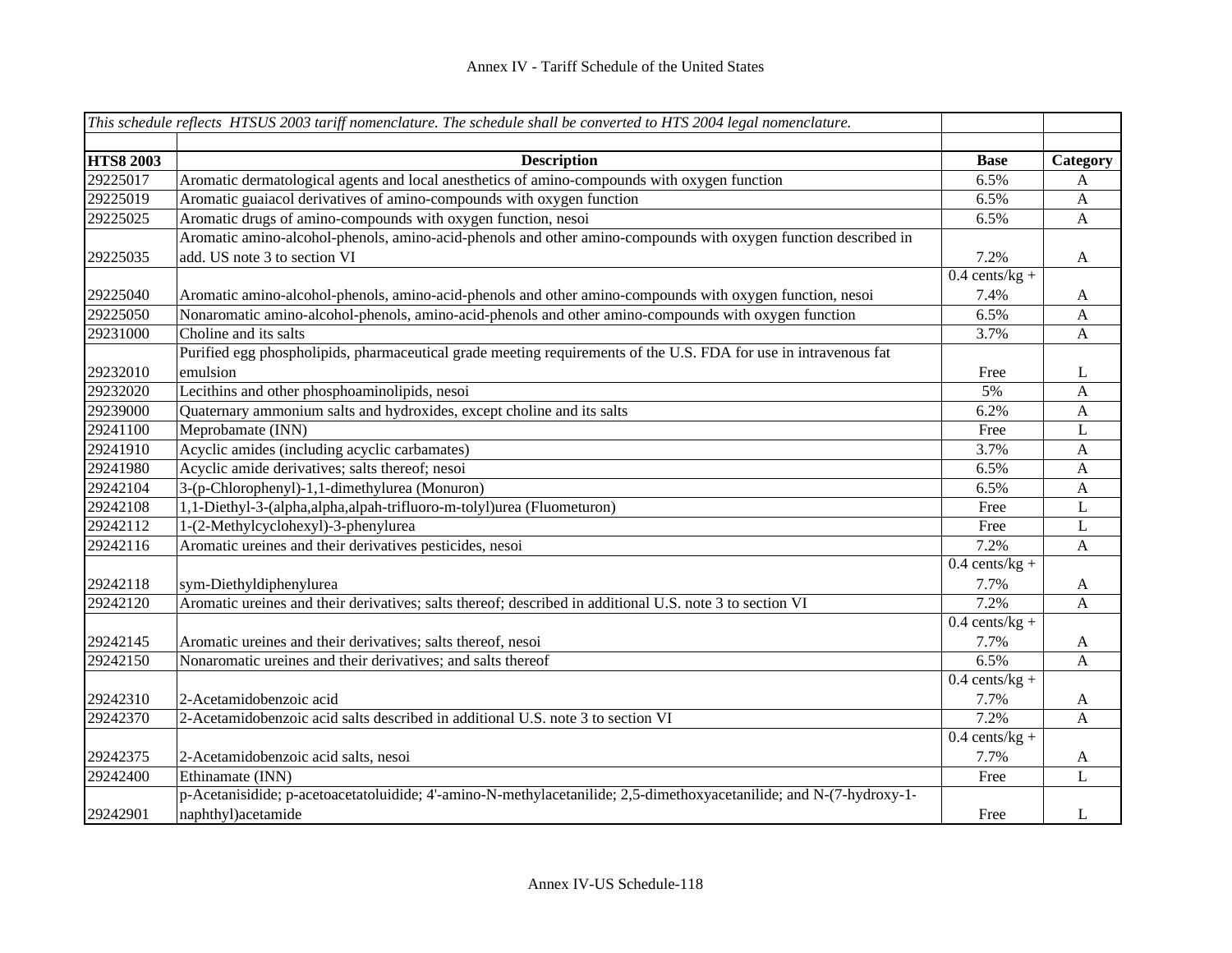|                  | This schedule reflects HTSUS 2003 tariff nomenclature. The schedule shall be converted to HTS 2004 legal nomenclature. |                               |                  |
|------------------|------------------------------------------------------------------------------------------------------------------------|-------------------------------|------------------|
| <b>HTS8 2003</b> | <b>Description</b>                                                                                                     | <b>Base</b>                   | Category         |
| 29225017         | Aromatic dermatological agents and local anesthetics of amino-compounds with oxygen function                           | 6.5%                          | A                |
| 29225019         | Aromatic guaiacol derivatives of amino-compounds with oxygen function                                                  | 6.5%                          | $\mathbf{A}$     |
| 29225025         | Aromatic drugs of amino-compounds with oxygen function, nesoi                                                          | 6.5%                          | $\mathbf{A}$     |
|                  | Aromatic amino-alcohol-phenols, amino-acid-phenols and other amino-compounds with oxygen function described in         |                               |                  |
| 29225035         | add. US note 3 to section VI                                                                                           | 7.2%                          | $\mathbf{A}$     |
|                  |                                                                                                                        | $0.4$ cents/kg +              |                  |
| 29225040         | Aromatic amino-alcohol-phenols, amino-acid-phenols and other amino-compounds with oxygen function, nesoi               | 7.4%                          | A                |
| 29225050         | Nonaromatic amino-alcohol-phenols, amino-acid-phenols and other amino-compounds with oxygen function                   | 6.5%                          | $\mathbf{A}$     |
| 29231000         | Choline and its salts                                                                                                  | 3.7%                          | $\boldsymbol{A}$ |
|                  | Purified egg phospholipids, pharmaceutical grade meeting requirements of the U.S. FDA for use in intravenous fat       |                               |                  |
| 29232010         | emulsion                                                                                                               | Free                          | L                |
| 29232020         | Lecithins and other phosphoaminolipids, nesoi                                                                          | 5%                            | $\mathbf{A}$     |
| 29239000         | Quaternary ammonium salts and hydroxides, except choline and its salts                                                 | 6.2%                          | $\mathbf{A}$     |
| 29241100         | Meprobamate (INN)                                                                                                      | Free                          | $\mathbf L$      |
| 29241910         | Acyclic amides (including acyclic carbamates)                                                                          | 3.7%                          | $\mathbf{A}$     |
| 29241980         | Acyclic amide derivatives; salts thereof; nesoi                                                                        | 6.5%                          | $\boldsymbol{A}$ |
| 29242104         | 3-(p-Chlorophenyl)-1,1-dimethylurea (Monuron)                                                                          | 6.5%                          | $\mathbf{A}$     |
| 29242108         | 1,1-Diethyl-3-(alpha,alpha,alpah-trifluoro-m-tolyl)urea (Fluometuron)                                                  | Free                          | L                |
| 29242112         | 1-(2-Methylcyclohexyl)-3-phenylurea                                                                                    | Free                          | $\mathbf L$      |
| 29242116         | Aromatic ureines and their derivatives pesticides, nesoi                                                               | 7.2%                          | $\mathbf{A}$     |
|                  |                                                                                                                        | $0.4$ cents/kg +              |                  |
| 29242118         | sym-Diethyldiphenylurea                                                                                                | 7.7%                          | A                |
| 29242120         | Aromatic ureines and their derivatives; salts thereof; described in additional U.S. note 3 to section VI               | 7.2%                          | $\mathbf{A}$     |
|                  |                                                                                                                        | $0.4$ cents/kg +              |                  |
| 29242145         | Aromatic ureines and their derivatives; salts thereof, nesoi                                                           | 7.7%                          | A                |
| 29242150         | Nonaromatic ureines and their derivatives; and salts thereof                                                           | 6.5%                          | $\mathbf{A}$     |
|                  |                                                                                                                        | $0.4 \overline{ cents/kg + }$ |                  |
| 29242310         | 2-Acetamidobenzoic acid                                                                                                | 7.7%                          | $\mathbf{A}$     |
| 29242370         | 2-Acetamidobenzoic acid salts described in additional U.S. note 3 to section VI                                        | 7.2%                          | $\mathbf{A}$     |
|                  |                                                                                                                        | $0.4$ cents/kg +              |                  |
| 29242375         | 2-Acetamidobenzoic acid salts, nesoi                                                                                   | 7.7%                          | A                |
| 29242400         | Ethinamate (INN)                                                                                                       | Free                          | $\overline{L}$   |
|                  | p-Acetanisidide; p-acetoacetatoluidide; 4'-amino-N-methylacetanilide; 2,5-dimethoxyacetanilide; and N-(7-hydroxy-1-    |                               |                  |
| 29242901         | naphthyl) acetamide                                                                                                    | Free                          | L                |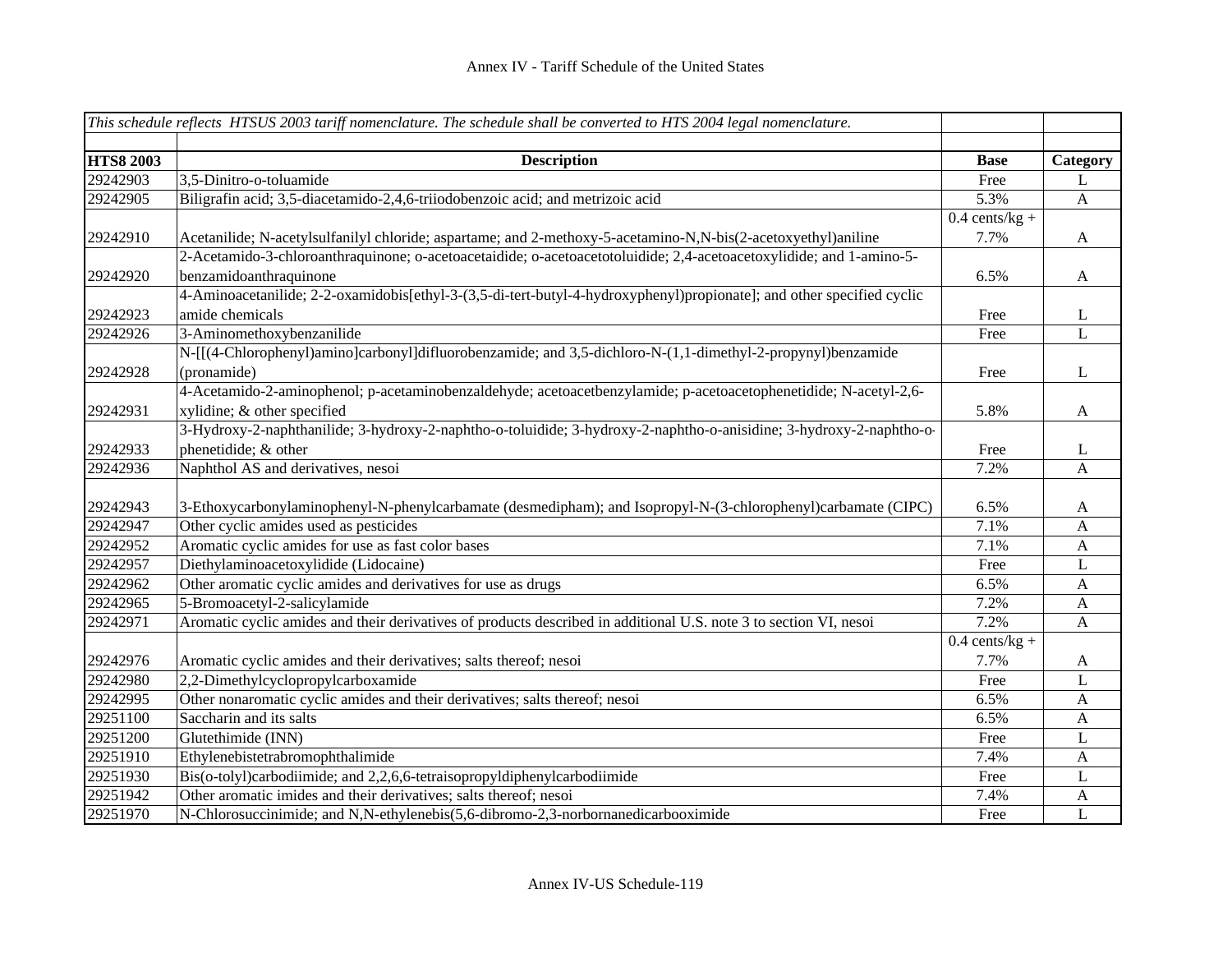|                  | This schedule reflects HTSUS 2003 tariff nomenclature. The schedule shall be converted to HTS 2004 legal nomenclature. |                  |                           |
|------------------|------------------------------------------------------------------------------------------------------------------------|------------------|---------------------------|
|                  |                                                                                                                        |                  |                           |
| <b>HTS8 2003</b> | <b>Description</b>                                                                                                     | <b>Base</b>      | Category                  |
| 29242903         | 3,5-Dinitro-o-toluamide                                                                                                | Free             | L                         |
| 29242905         | Biligrafin acid; 3,5-diacetamido-2,4,6-triiodobenzoic acid; and metrizoic acid                                         | 5.3%             | $\boldsymbol{\mathsf{A}}$ |
|                  |                                                                                                                        | $0.4$ cents/kg + |                           |
| 29242910         | Acetanilide; N-acetylsulfanilyl chloride; aspartame; and 2-methoxy-5-acetamino-N,N-bis(2-acetoxyethyl)aniline          | 7.7%             | $\mathbf{A}$              |
|                  | 2-Acetamido-3-chloroanthraquinone; o-acetoacetaidide; o-acetoacetotoluidide; 2,4-acetoacetoxylidide; and 1-amino-5-    |                  |                           |
| 29242920         | benzamidoanthraquinone                                                                                                 | 6.5%             | $\mathbf{A}$              |
|                  | 4-Aminoacetanilide; 2-2-oxamidobis[ethyl-3-(3,5-di-tert-butyl-4-hydroxyphenyl)propionate]; and other specified cyclic  |                  |                           |
| 29242923         | amide chemicals                                                                                                        | Free             | L                         |
| 29242926         | 3-Aminomethoxybenzanilide                                                                                              | Free             | $\mathbf{L}$              |
|                  | N-[[(4-Chlorophenyl)amino]carbonyl]difluorobenzamide; and 3,5-dichloro-N-(1,1-dimethyl-2-propynyl)benzamide            |                  |                           |
| 29242928         | (pronamide)                                                                                                            | Free             | L                         |
|                  | 4-Acetamido-2-aminophenol; p-acetaminobenzaldehyde; acetoacetbenzylamide; p-acetoacetophenetidide; N-acetyl-2,6-       |                  |                           |
| 29242931         | xylidine; & other specified                                                                                            | 5.8%             | $\mathbf{A}$              |
|                  | 3-Hydroxy-2-naphthanilide; 3-hydroxy-2-naphtho-o-toluidide; 3-hydroxy-2-naphtho-o-anisidine; 3-hydroxy-2-naphtho-o-    |                  |                           |
| 29242933         | phenetidide; & other                                                                                                   | Free             | L                         |
| 29242936         | Naphthol AS and derivatives, nesoi                                                                                     | 7.2%             | $\mathbf{A}$              |
|                  |                                                                                                                        |                  |                           |
| 29242943         | 3-Ethoxycarbonylaminophenyl-N-phenylcarbamate (desmedipham); and Isopropyl-N-(3-chlorophenyl)carbamate (CIPC)          | 6.5%             | $\mathbf{A}$              |
| 29242947         | Other cyclic amides used as pesticides                                                                                 | 7.1%             | $\mathbf{A}$              |
| 29242952         | Aromatic cyclic amides for use as fast color bases                                                                     | 7.1%             | $\mathbf{A}$              |
| 29242957         | Diethylaminoacetoxylidide (Lidocaine)                                                                                  | Free             | L                         |
| 29242962         | Other aromatic cyclic amides and derivatives for use as drugs                                                          | 6.5%             | $\mathbf{A}$              |
| 29242965         | 5-Bromoacetyl-2-salicylamide                                                                                           | 7.2%             | A                         |
| 29242971         | Aromatic cyclic amides and their derivatives of products described in additional U.S. note 3 to section VI, nesoi      | 7.2%             | A                         |
|                  |                                                                                                                        | $0.4$ cents/kg + |                           |
| 29242976         | Aromatic cyclic amides and their derivatives; salts thereof; nesoi                                                     | 7.7%             | $\mathbf{A}$              |
| 29242980         | 2,2-Dimethylcyclopropylcarboxamide                                                                                     | Free             | L                         |
| 29242995         | Other nonaromatic cyclic amides and their derivatives; salts thereof; nesoi                                            | 6.5%             | $\mathbf{A}$              |
| 29251100         | Saccharin and its salts                                                                                                | 6.5%             | $\mathbf{A}$              |
| 29251200         | Glutethimide (INN)                                                                                                     | Free             | L                         |
| 29251910         | Ethylenebistetrabromophthalimide                                                                                       | 7.4%             | A                         |
| 29251930         | Bis(o-tolyl)carbodiimide; and 2,2,6,6-tetraisopropyldiphenylcarbodiimide                                               | Free             | L                         |
| 29251942         | Other aromatic imides and their derivatives; salts thereof; nesoi                                                      | 7.4%             | A                         |
| 29251970         | N-Chlorosuccinimide; and N,N-ethylenebis(5,6-dibromo-2,3-norbornanedicarbooximide                                      | Free             | L                         |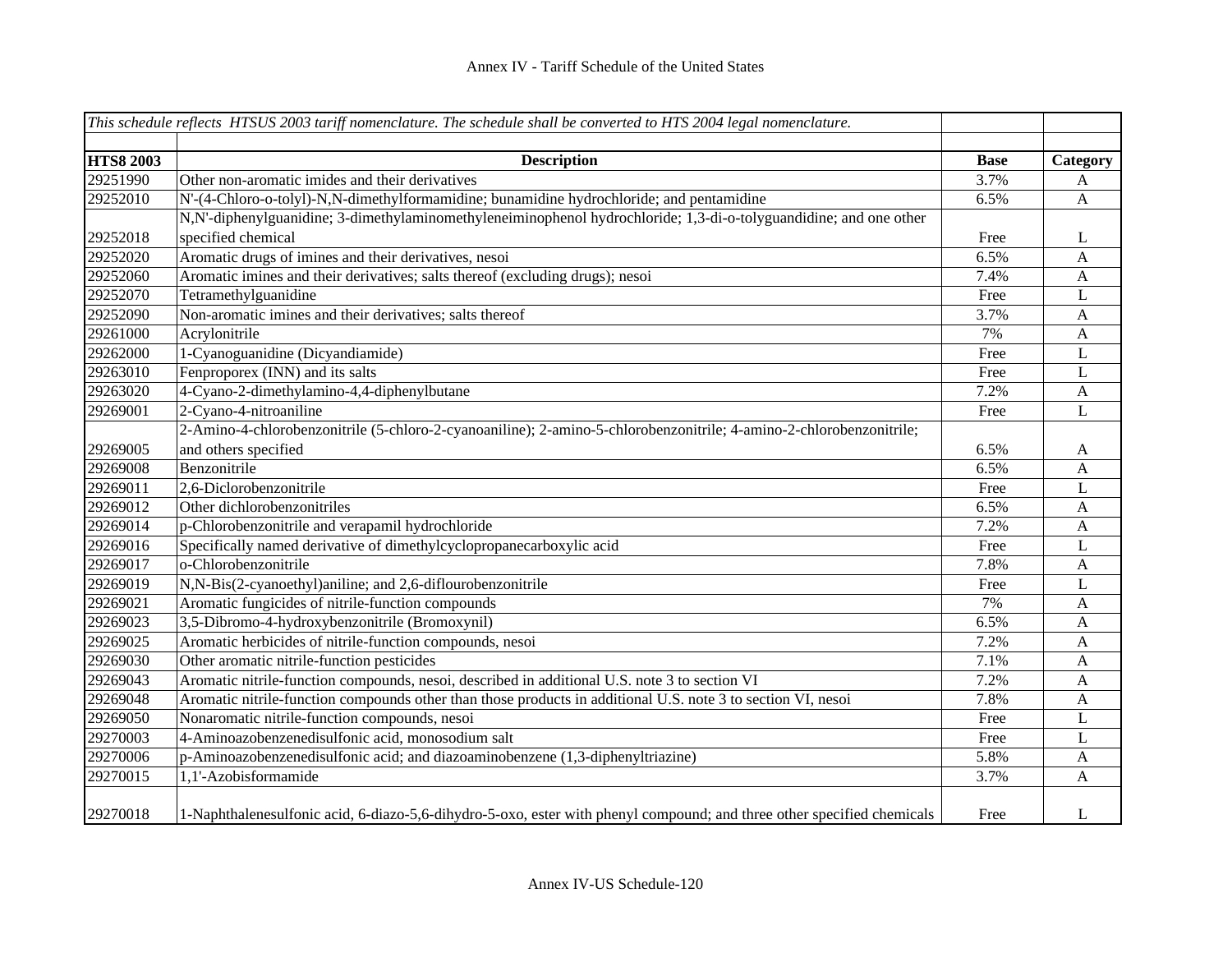|                  | This schedule reflects HTSUS 2003 tariff nomenclature. The schedule shall be converted to HTS 2004 legal nomenclature. |             |                  |
|------------------|------------------------------------------------------------------------------------------------------------------------|-------------|------------------|
|                  |                                                                                                                        |             |                  |
| <b>HTS8 2003</b> | <b>Description</b>                                                                                                     | <b>Base</b> | Category         |
| 29251990         | Other non-aromatic imides and their derivatives                                                                        | 3.7%        | A                |
| 29252010         | N'-(4-Chloro-o-tolyl)-N,N-dimethylformamidine; bunamidine hydrochloride; and pentamidine                               | 6.5%        | $\mathbf{A}$     |
|                  | N,N'-diphenylguanidine; 3-dimethylaminomethyleneiminophenol hydrochloride; 1,3-di-o-tolyguandidine; and one other      |             |                  |
| 29252018         | specified chemical                                                                                                     | Free        | L                |
| 29252020         | Aromatic drugs of imines and their derivatives, nesoi                                                                  | 6.5%        | $\mathbf{A}$     |
| 29252060         | Aromatic imines and their derivatives; salts thereof (excluding drugs); nesoi                                          | 7.4%        | $\mathbf{A}$     |
| 29252070         | Tetramethylguanidine                                                                                                   | Free        | L                |
| 29252090         | Non-aromatic imines and their derivatives; salts thereof                                                               | 3.7%        | $\mathbf{A}$     |
| 29261000         | Acrylonitrile                                                                                                          | 7%          | $\mathbf{A}$     |
| 29262000         | 1-Cyanoguanidine (Dicyandiamide)                                                                                       | Free        | $\mathbf{L}$     |
| 29263010         | Fenproporex (INN) and its salts                                                                                        | Free        | $\mathbf{L}$     |
| 29263020         | 4-Cyano-2-dimethylamino-4,4-diphenylbutane                                                                             | 7.2%        | $\mathbf{A}$     |
| 29269001         | 2-Cyano-4-nitroaniline                                                                                                 | Free        | $\mathbf{L}$     |
|                  | 2-Amino-4-chlorobenzonitrile (5-chloro-2-cyanoaniline); 2-amino-5-chlorobenzonitrile; 4-amino-2-chlorobenzonitrile;    |             |                  |
| 29269005         | and others specified                                                                                                   | 6.5%        | A                |
| 29269008         | Benzonitrile                                                                                                           | 6.5%        | $\mathbf{A}$     |
| 29269011         | 2,6-Diclorobenzonitrile                                                                                                | Free        | L                |
| 29269012         | Other dichlorobenzonitriles                                                                                            | 6.5%        | $\mathbf{A}$     |
| 29269014         | p-Chlorobenzonitrile and verapamil hydrochloride                                                                       | 7.2%        | $\boldsymbol{A}$ |
| 29269016         | Specifically named derivative of dimethylcyclopropanecarboxylic acid                                                   | Free        | L                |
| 29269017         | o-Chlorobenzonitrile                                                                                                   | 7.8%        | $\mathbf{A}$     |
| 29269019         | N,N-Bis(2-cyanoethyl)aniline; and 2,6-diflourobenzonitrile                                                             | Free        | L                |
| 29269021         | Aromatic fungicides of nitrile-function compounds                                                                      | 7%          | $\mathbf{A}$     |
| 29269023         | 3,5-Dibromo-4-hydroxybenzonitrile (Bromoxynil)                                                                         | 6.5%        | $\mathbf{A}$     |
| 29269025         | Aromatic herbicides of nitrile-function compounds, nesoi                                                               | 7.2%        | $\mathbf{A}$     |
| 29269030         | Other aromatic nitrile-function pesticides                                                                             | 7.1%        | $\mathbf{A}$     |
| 29269043         | Aromatic nitrile-function compounds, nesoi, described in additional U.S. note 3 to section VI                          | 7.2%        | $\mathbf{A}$     |
| 29269048         | Aromatic nitrile-function compounds other than those products in additional U.S. note 3 to section VI, nesoi           | 7.8%        | $\mathbf{A}$     |
| 29269050         | Nonaromatic nitrile-function compounds, nesoi                                                                          | Free        | L                |
| 29270003         | 4-Aminoazobenzenedisulfonic acid, monosodium salt                                                                      | Free        | L                |
| 29270006         | $p$ -Aminoazobenzenedisulfonic acid; and diazoaminobenzene $(\overline{1,3}$ -diphenyltriazine)                        | 5.8%        | $\mathbf{A}$     |
| 29270015         | 1,1'-Azobisformamide                                                                                                   | 3.7%        | A                |
| 29270018         | 1-Naphthalenesulfonic acid, 6-diazo-5,6-dihydro-5-oxo, ester with phenyl compound; and three other specified chemicals | Free        | L                |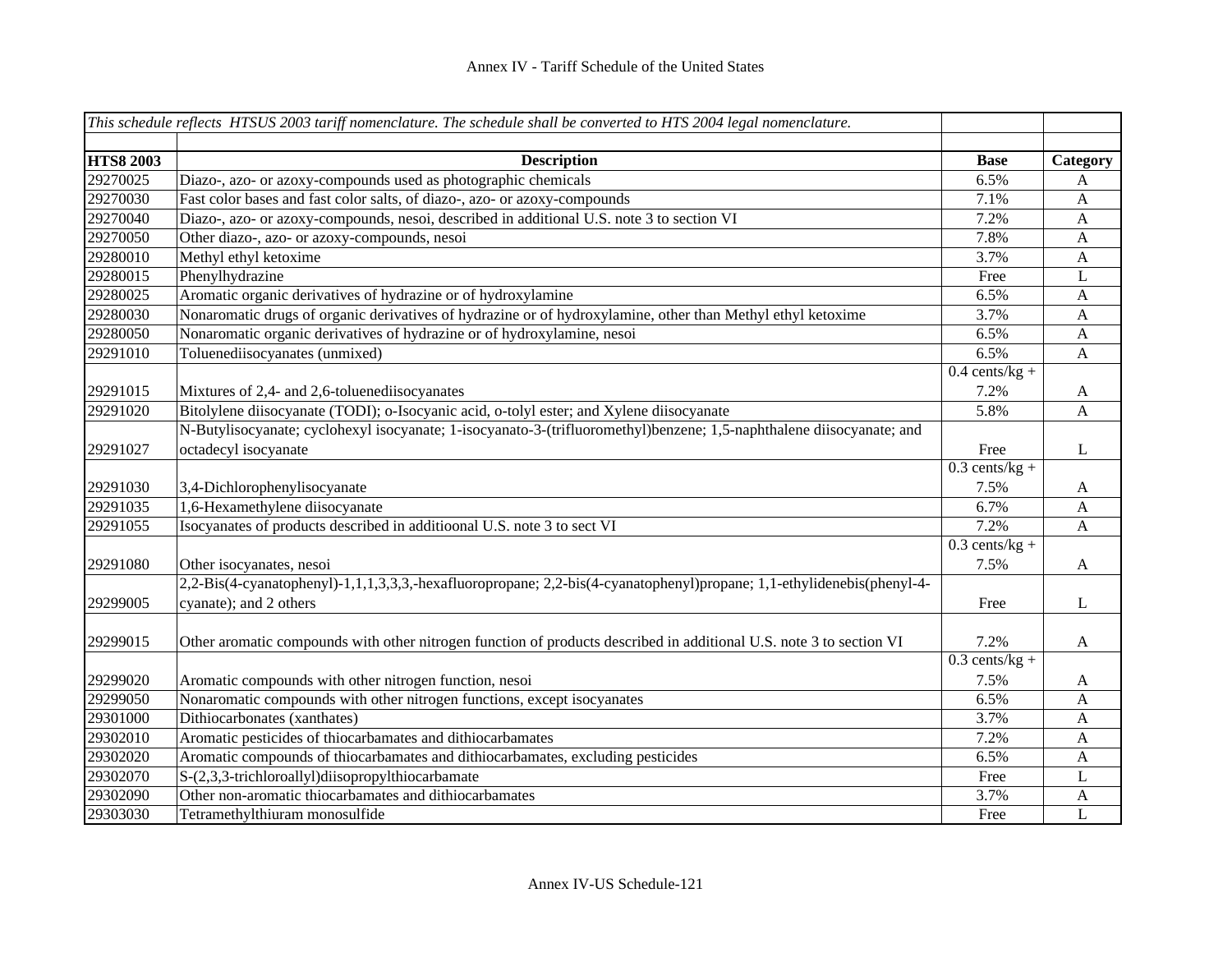|                  | This schedule reflects HTSUS 2003 tariff nomenclature. The schedule shall be converted to HTS 2004 legal nomenclature. |                  |              |
|------------------|------------------------------------------------------------------------------------------------------------------------|------------------|--------------|
|                  |                                                                                                                        |                  |              |
| <b>HTS8 2003</b> | <b>Description</b>                                                                                                     | <b>Base</b>      | Category     |
| 29270025         | Diazo-, azo- or azoxy-compounds used as photographic chemicals                                                         | 6.5%             | A            |
| 29270030         | Fast color bases and fast color salts, of diazo-, azo- or azoxy-compounds                                              | 7.1%             | $\mathbf{A}$ |
| 29270040         | Diazo-, azo- or azoxy-compounds, nesoi, described in additional U.S. note 3 to section VI                              | 7.2%             | $\mathbf{A}$ |
| 29270050         | Other diazo-, azo- or azoxy-compounds, nesoi                                                                           | 7.8%             | $\mathbf{A}$ |
| 29280010         | Methyl ethyl ketoxime                                                                                                  | 3.7%             | $\mathbf{A}$ |
| 29280015         | Phenylhydrazine                                                                                                        | Free             | L            |
| 29280025         | Aromatic organic derivatives of hydrazine or of hydroxylamine                                                          | 6.5%             | $\mathbf{A}$ |
| 29280030         | Nonaromatic drugs of organic derivatives of hydrazine or of hydroxylamine, other than Methyl ethyl ketoxime            | 3.7%             | A            |
| 29280050         | Nonaromatic organic derivatives of hydrazine or of hydroxylamine, nesoi                                                | 6.5%             | $\mathbf{A}$ |
| 29291010         | Toluenediisocyanates (unmixed)                                                                                         | 6.5%             | $\mathbf{A}$ |
|                  |                                                                                                                        | $0.4$ cents/kg + |              |
| 29291015         | Mixtures of 2,4- and 2,6-toluenediisocyanates                                                                          | 7.2%             | A            |
| 29291020         | Bitolylene diisocyanate (TODI); o-Isocyanic acid, o-tolyl ester; and Xylene diisocyanate                               | 5.8%             | $\mathbf{A}$ |
|                  | N-Butylisocyanate; cyclohexyl isocyanate; 1-isocyanato-3-(trifluoromethyl)benzene; 1,5-naphthalene diisocyanate; and   |                  |              |
| 29291027         | octadecyl isocyanate                                                                                                   | Free             | L            |
|                  |                                                                                                                        | $0.3$ cents/kg + |              |
| 29291030         | 3,4-Dichlorophenylisocyanate                                                                                           | 7.5%             | A            |
| 29291035         | 1,6-Hexamethylene diisocyanate                                                                                         | 6.7%             | $\mathbf{A}$ |
| 29291055         | Isocyanates of products described in additioonal U.S. note 3 to sect VI                                                | 7.2%             | $\mathbf{A}$ |
|                  |                                                                                                                        | $0.3$ cents/kg + |              |
| 29291080         | Other isocyanates, nesoi                                                                                               | 7.5%             | A            |
|                  | 2,2-Bis(4-cyanatophenyl)-1,1,1,3,3,3,-hexafluoropropane; 2,2-bis(4-cyanatophenyl)propane; 1,1-ethylidenebis(phenyl-4-  |                  |              |
| 29299005         | cyanate); and 2 others                                                                                                 | Free             | L            |
|                  |                                                                                                                        |                  |              |
| 29299015         | Other aromatic compounds with other nitrogen function of products described in additional U.S. note 3 to section VI    | 7.2%             | $\mathbf{A}$ |
|                  |                                                                                                                        | $0.3$ cents/kg + |              |
| 29299020         | Aromatic compounds with other nitrogen function, nesoi                                                                 | 7.5%             | A            |
| 29299050         | Nonaromatic compounds with other nitrogen functions, except isocyanates                                                | 6.5%             | $\mathbf{A}$ |
| 29301000         | Dithiocarbonates (xanthates)                                                                                           | 3.7%             | $\mathbf{A}$ |
| 29302010         | Aromatic pesticides of thiocarbamates and dithiocarbamates                                                             | 7.2%             | A            |
| 29302020         | Aromatic compounds of thiocarbamates and dithiocarbamates, excluding pesticides                                        | 6.5%             | $\mathbf{A}$ |
| 29302070         | S-(2,3,3-trichloroallyl)diisopropylthiocarbamate                                                                       | Free             | L            |
| 29302090         | Other non-aromatic thiocarbamates and dithiocarbamates                                                                 | 3.7%             | A            |
| 29303030         | Tetramethylthiuram monosulfide                                                                                         | Free             | $\mathbf{L}$ |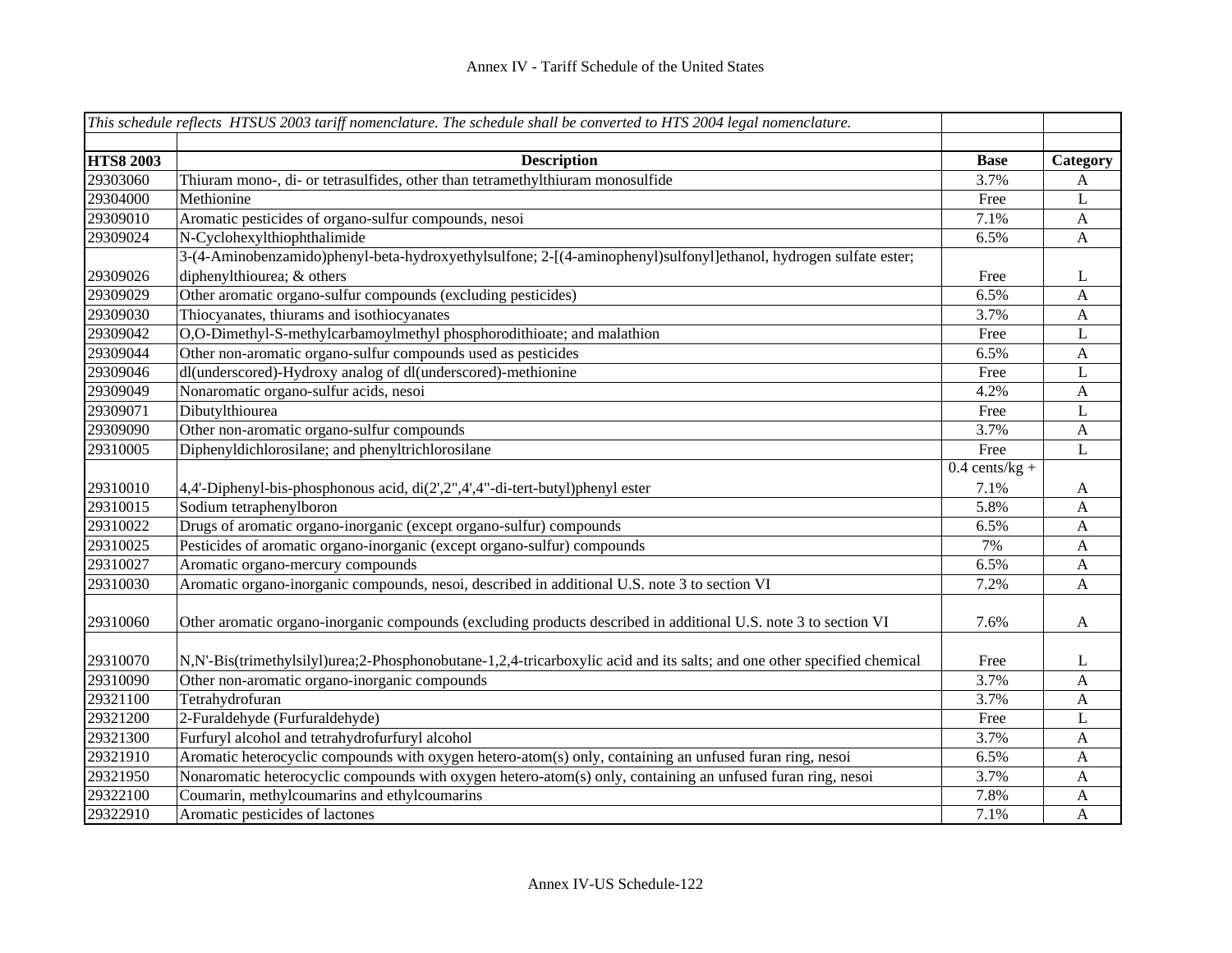|                  | This schedule reflects HTSUS 2003 tariff nomenclature. The schedule shall be converted to HTS 2004 legal nomenclature.  |                  |                             |
|------------------|-------------------------------------------------------------------------------------------------------------------------|------------------|-----------------------------|
| <b>HTS8 2003</b> | <b>Description</b>                                                                                                      | <b>Base</b>      |                             |
| 29303060         | Thiuram mono-, di- or tetrasulfides, other than tetramethylthiuram monosulfide                                          | 3.7%             | Category<br>A               |
| 29304000         | Methionine                                                                                                              | Free             | L                           |
| 29309010         | Aromatic pesticides of organo-sulfur compounds, nesoi                                                                   | 7.1%             | $\mathbf{A}$                |
| 29309024         | N-Cyclohexylthiophthalimide                                                                                             | 6.5%             | $\mathbf{A}$                |
|                  | 3-(4-Aminobenzamido)phenyl-beta-hydroxyethylsulfone; 2-[(4-aminophenyl)sulfonyl]ethanol, hydrogen sulfate ester;        |                  |                             |
| 29309026         | diphenylthiourea; & others                                                                                              | Free             | L                           |
| 29309029         | Other aromatic organo-sulfur compounds (excluding pesticides)                                                           | 6.5%             | A                           |
| 29309030         | Thiocyanates, thiurams and isothiocyanates                                                                              | 3.7%             | $\mathbf{A}$                |
| 29309042         | O,O-Dimethyl-S-methylcarbamoylmethyl phosphorodithioate; and malathion                                                  | Free             | $\mathbf L$                 |
| 29309044         | Other non-aromatic organo-sulfur compounds used as pesticides                                                           | 6.5%             | $\mathbf{A}$                |
| 29309046         | dl(underscored)-Hydroxy analog of dl(underscored)-methionine                                                            | Free             | $\mathbf{L}$                |
| 29309049         | Nonaromatic organo-sulfur acids, nesoi                                                                                  | 4.2%             |                             |
| 29309071         |                                                                                                                         | Free             | $\mathbf{A}$<br>$\mathbf L$ |
| 29309090         | Dibutylthiourea<br>Other non-aromatic organo-sulfur compounds                                                           |                  |                             |
|                  |                                                                                                                         | 3.7%             | $\mathbf{A}$                |
| 29310005         | Diphenyldichlorosilane; and phenyltrichlorosilane                                                                       | Free             | $\mathbf{L}$                |
|                  |                                                                                                                         | $0.4$ cents/kg + |                             |
| 29310010         | 4,4'-Diphenyl-bis-phosphonous acid, di(2',2",4',4"-di-tert-butyl)phenyl ester                                           | 7.1%             | A                           |
| 29310015         | Sodium tetraphenylboron                                                                                                 | 5.8%             | $\mathbf{A}$                |
| 29310022         | Drugs of aromatic organo-inorganic (except organo-sulfur) compounds                                                     | 6.5%             | $\mathbf{A}$                |
| 29310025         | Pesticides of aromatic organo-inorganic (except organo-sulfur) compounds                                                | 7%               | $\mathbf{A}$                |
| 29310027         | Aromatic organo-mercury compounds                                                                                       | 6.5%             | $\mathbf{A}$                |
| 29310030         | Aromatic organo-inorganic compounds, nesoi, described in additional U.S. note 3 to section VI                           | 7.2%             | $\mathbf{A}$                |
| 29310060         | Other aromatic organo-inorganic compounds (excluding products described in additional U.S. note 3 to section VI         | 7.6%             | A                           |
| 29310070         | N,N'-Bis(trimethylsilyl)urea;2-Phosphonobutane-1,2,4-tricarboxylic acid and its salts; and one other specified chemical | Free             | L                           |
| 29310090         | Other non-aromatic organo-inorganic compounds                                                                           | 3.7%             | $\mathbf{A}$                |
| 29321100         | Tetrahydrofuran                                                                                                         | 3.7%             | $\mathbf{A}$                |
| 29321200         | 2-Furaldehyde (Furfuraldehyde)                                                                                          | Free             | L                           |
| 29321300         | Furfuryl alcohol and tetrahydrofurfuryl alcohol                                                                         | 3.7%             | $\mathbf{A}$                |
| 29321910         | Aromatic heterocyclic compounds with oxygen hetero-atom(s) only, containing an unfused furan ring, nesoi                | 6.5%             | $\mathbf{A}$                |
| 29321950         | Nonaromatic heterocyclic compounds with oxygen hetero-atom(s) only, containing an unfused furan ring, nesoi             | 3.7%             | $\mathbf{A}$                |
| 29322100         | Coumarin, methylcoumarins and ethylcoumarins                                                                            | 7.8%             | $\mathbf{A}$                |
| 29322910         | Aromatic pesticides of lactones                                                                                         | 7.1%             | $\mathbf{A}$                |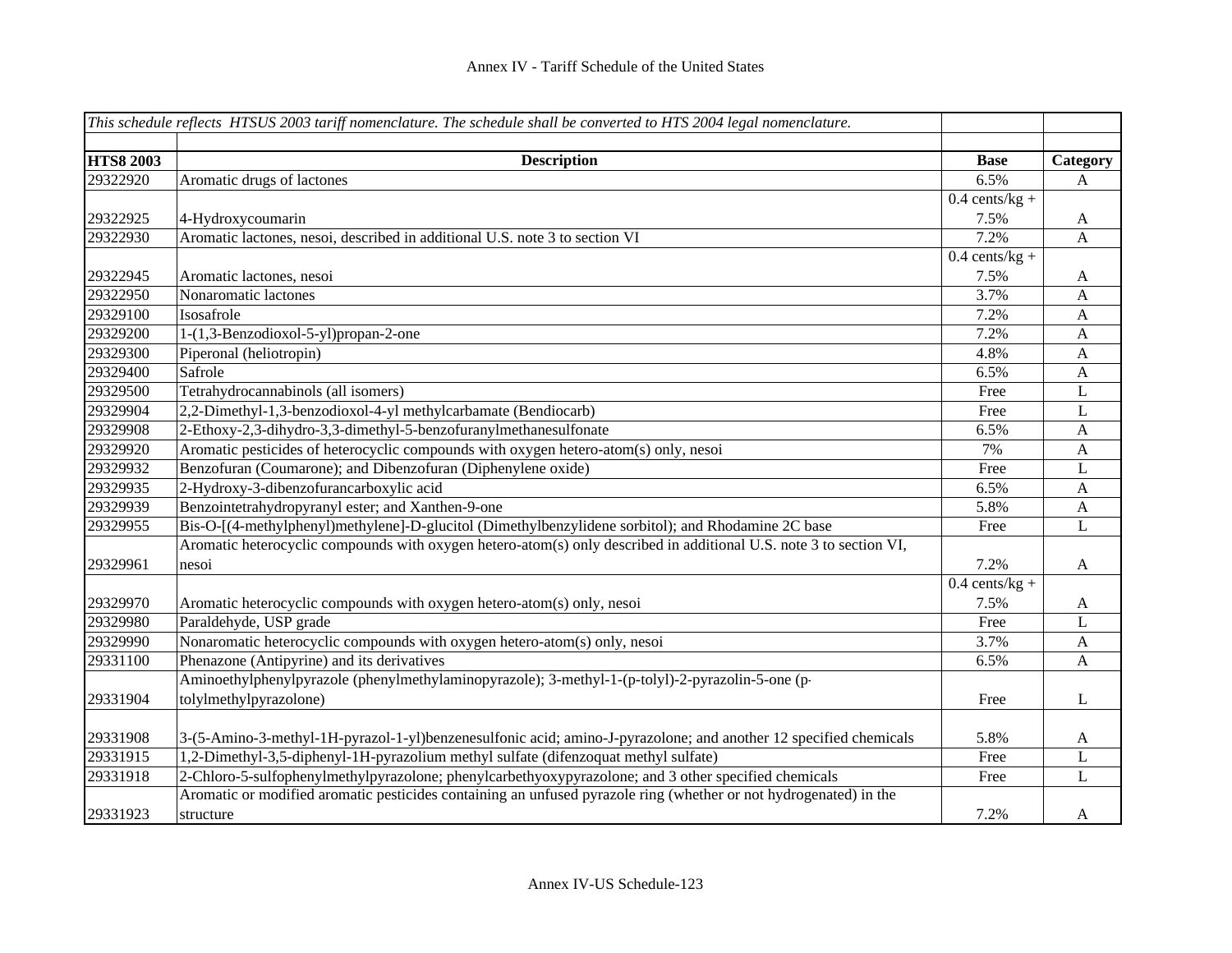|                  | This schedule reflects HTSUS 2003 tariff nomenclature. The schedule shall be converted to HTS 2004 legal nomenclature. |                  |              |
|------------------|------------------------------------------------------------------------------------------------------------------------|------------------|--------------|
|                  |                                                                                                                        |                  |              |
| <b>HTS8 2003</b> | <b>Description</b>                                                                                                     | <b>Base</b>      | Category     |
| 29322920         | Aromatic drugs of lactones                                                                                             | 6.5%             | A            |
|                  |                                                                                                                        | $0.4$ cents/kg + |              |
| 29322925         | 4-Hydroxycoumarin                                                                                                      | 7.5%             | $\mathbf{A}$ |
| 29322930         | Aromatic lactones, nesoi, described in additional U.S. note 3 to section VI                                            | 7.2%             | A            |
|                  |                                                                                                                        | $0.4$ cents/kg + |              |
| 29322945         | Aromatic lactones, nesoi                                                                                               | 7.5%             | A            |
| 29322950         | Nonaromatic lactones                                                                                                   | 3.7%             | $\mathbf{A}$ |
| 29329100         | Isosafrole                                                                                                             | 7.2%             | $\mathbf{A}$ |
| 29329200         | 1-(1,3-Benzodioxol-5-yl)propan-2-one                                                                                   | 7.2%             | $\mathbf{A}$ |
| 29329300         | Piperonal (heliotropin)                                                                                                | 4.8%             | $\mathbf{A}$ |
| 29329400         | Safrole                                                                                                                | 6.5%             | $\mathbf{A}$ |
| 29329500         | Tetrahydrocannabinols (all isomers)                                                                                    | Free             | L            |
| 29329904         | 2,2-Dimethyl-1,3-benzodioxol-4-yl methylcarbamate (Bendiocarb)                                                         | Free             | $\mathbf L$  |
| 29329908         | 2-Ethoxy-2,3-dihydro-3,3-dimethyl-5-benzofuranylmethanesulfonate                                                       | 6.5%             | $\mathbf{A}$ |
| 29329920         | Aromatic pesticides of heterocyclic compounds with oxygen hetero-atom(s) only, nesoi                                   | 7%               | $\mathbf{A}$ |
| 29329932         | Benzofuran (Coumarone); and Dibenzofuran (Diphenylene oxide)                                                           | Free             | $\mathbf{L}$ |
| 29329935         | 2-Hydroxy-3-dibenzofurancarboxylic acid                                                                                | 6.5%             | $\mathbf{A}$ |
| 29329939         | Benzointetrahydropyranyl ester; and Xanthen-9-one                                                                      | 5.8%             | $\mathbf{A}$ |
| 29329955         | Bis-O-[(4-methylphenyl)methylene]-D-glucitol (Dimethylbenzylidene sorbitol); and Rhodamine 2C base                     | Free             | $\mathbf L$  |
|                  | Aromatic heterocyclic compounds with oxygen hetero-atom(s) only described in additional U.S. note 3 to section VI,     |                  |              |
| 29329961         | nesoi                                                                                                                  | 7.2%             | $\mathbf{A}$ |
|                  |                                                                                                                        | $0.4$ cents/kg + |              |
| 29329970         | Aromatic heterocyclic compounds with oxygen hetero-atom(s) only, nesoi                                                 | 7.5%             | $\mathbf{A}$ |
| 29329980         | Paraldehyde, USP grade                                                                                                 | Free             | L            |
| 29329990         | Nonaromatic heterocyclic compounds with oxygen hetero-atom(s) only, nesoi                                              | 3.7%             | A            |
| 29331100         | Phenazone (Antipyrine) and its derivatives                                                                             | 6.5%             | A            |
|                  | Aminoethylphenylpyrazole (phenylmethylaminopyrazole); 3-methyl-1-(p-tolyl)-2-pyrazolin-5-one (p-                       |                  |              |
| 29331904         | tolylmethylpyrazolone)                                                                                                 | Free             | L            |
|                  |                                                                                                                        |                  |              |
| 29331908         | 3-(5-Amino-3-methyl-1H-pyrazol-1-yl)benzenesulfonic acid; amino-J-pyrazolone; and another 12 specified chemicals       | 5.8%             | $\mathbf{A}$ |
| 29331915         | 1,2-Dimethyl-3,5-diphenyl-1H-pyrazolium methyl sulfate (difenzoquat methyl sulfate)                                    | Free             | L            |
| 29331918         | 2-Chloro-5-sulfophenylmethylpyrazolone; phenylcarbethyoxypyrazolone; and 3 other specified chemicals                   | Free             | L            |
|                  | Aromatic or modified aromatic pesticides containing an unfused pyrazole ring (whether or not hydrogenated) in the      |                  |              |
| 29331923         | structure                                                                                                              | 7.2%             | A            |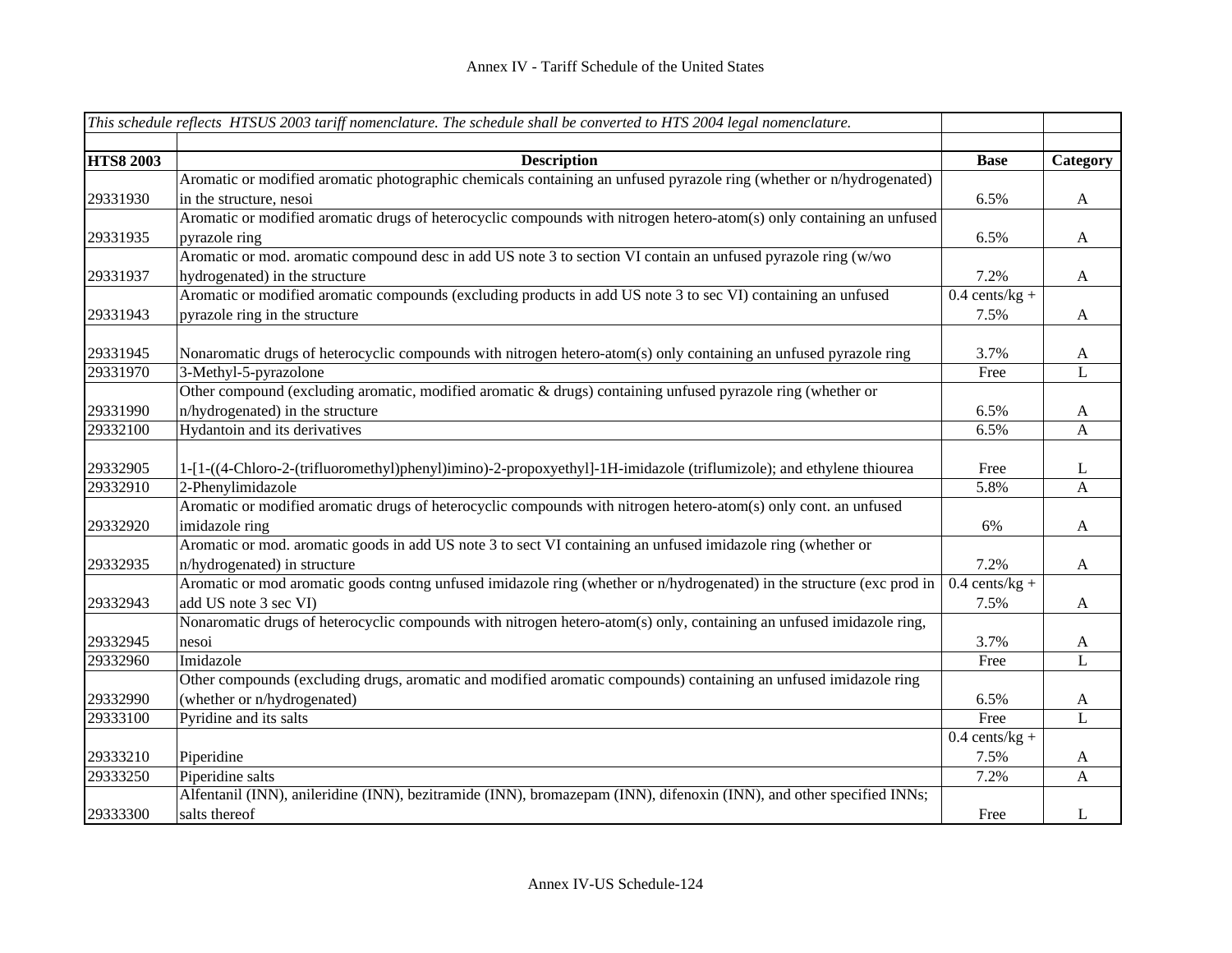|                  | This schedule reflects HTSUS 2003 tariff nomenclature. The schedule shall be converted to HTS 2004 legal nomenclature. |                  |              |
|------------------|------------------------------------------------------------------------------------------------------------------------|------------------|--------------|
|                  |                                                                                                                        |                  |              |
| <b>HTS8 2003</b> | <b>Description</b>                                                                                                     | <b>Base</b>      | Category     |
|                  | Aromatic or modified aromatic photographic chemicals containing an unfused pyrazole ring (whether or n/hydrogenated)   |                  |              |
| 29331930         | in the structure, nesoi                                                                                                | 6.5%             | A            |
|                  | Aromatic or modified aromatic drugs of heterocyclic compounds with nitrogen hetero-atom(s) only containing an unfused  |                  |              |
| 29331935         | pyrazole ring                                                                                                          | 6.5%             | $\mathbf{A}$ |
|                  | Aromatic or mod. aromatic compound desc in add US note 3 to section VI contain an unfused pyrazole ring (w/wo          |                  |              |
| 29331937         | hydrogenated) in the structure                                                                                         | 7.2%             | $\mathbf{A}$ |
|                  | Aromatic or modified aromatic compounds (excluding products in add US note 3 to sec VI) containing an unfused          | $0.4$ cents/kg + |              |
| 29331943         | pyrazole ring in the structure                                                                                         | 7.5%             | $\mathbf{A}$ |
|                  |                                                                                                                        |                  |              |
| 29331945         | Nonaromatic drugs of heterocyclic compounds with nitrogen hetero-atom(s) only containing an unfused pyrazole ring      | 3.7%             | A            |
| 29331970         | 3-Methyl-5-pyrazolone                                                                                                  | Free             | L            |
|                  | Other compound (excluding aromatic, modified aromatic & drugs) containing unfused pyrazole ring (whether or            |                  |              |
| 29331990         | n/hydrogenated) in the structure                                                                                       | 6.5%             | A            |
| 29332100         | Hydantoin and its derivatives                                                                                          | 6.5%             | $\mathbf{A}$ |
|                  |                                                                                                                        |                  |              |
| 29332905         | 1-[1-((4-Chloro-2-(trifluoromethyl)phenyl)imino)-2-propoxyethyl]-1H-imidazole (triflumizole); and ethylene thiourea    | Free             | L            |
| 29332910         | 2-Phenylimidazole                                                                                                      | 5.8%             | A            |
|                  | Aromatic or modified aromatic drugs of heterocyclic compounds with nitrogen hetero-atom(s) only cont. an unfused       |                  |              |
| 29332920         | imidazole ring                                                                                                         | 6%               | A            |
|                  | Aromatic or mod. aromatic goods in add US note 3 to sect VI containing an unfused imidazole ring (whether or           |                  |              |
| 29332935         | n/hydrogenated) in structure                                                                                           | 7.2%             | $\mathbf{A}$ |
|                  | Aromatic or mod aromatic goods contng unfused imidazole ring (whether or n/hydrogenated) in the structure (exc prod in | $0.4$ cents/kg + |              |
| 29332943         | add US note 3 sec VI)                                                                                                  | 7.5%             | A            |
|                  | Nonaromatic drugs of heterocyclic compounds with nitrogen hetero-atom(s) only, containing an unfused imidazole ring,   |                  |              |
| 29332945         | nesoi                                                                                                                  | 3.7%             | A            |
| 29332960         | Imidazole                                                                                                              | Free             | $\mathbf{L}$ |
|                  | Other compounds (excluding drugs, aromatic and modified aromatic compounds) containing an unfused imidazole ring       |                  |              |
| 29332990         | (whether or n/hydrogenated)                                                                                            | 6.5%             | A            |
| 29333100         | Pyridine and its salts                                                                                                 | Free             | L            |
|                  |                                                                                                                        | $0.4$ cents/kg + |              |
| 29333210         | Piperidine                                                                                                             | 7.5%             | A            |
| 29333250         | Piperidine salts                                                                                                       | 7.2%             | $\mathbf{A}$ |
|                  | Alfentanil (INN), anileridine (INN), bezitramide (INN), bromazepam (INN), difenoxin (INN), and other specified INNs;   |                  |              |
| 29333300         | salts thereof                                                                                                          | Free             | L            |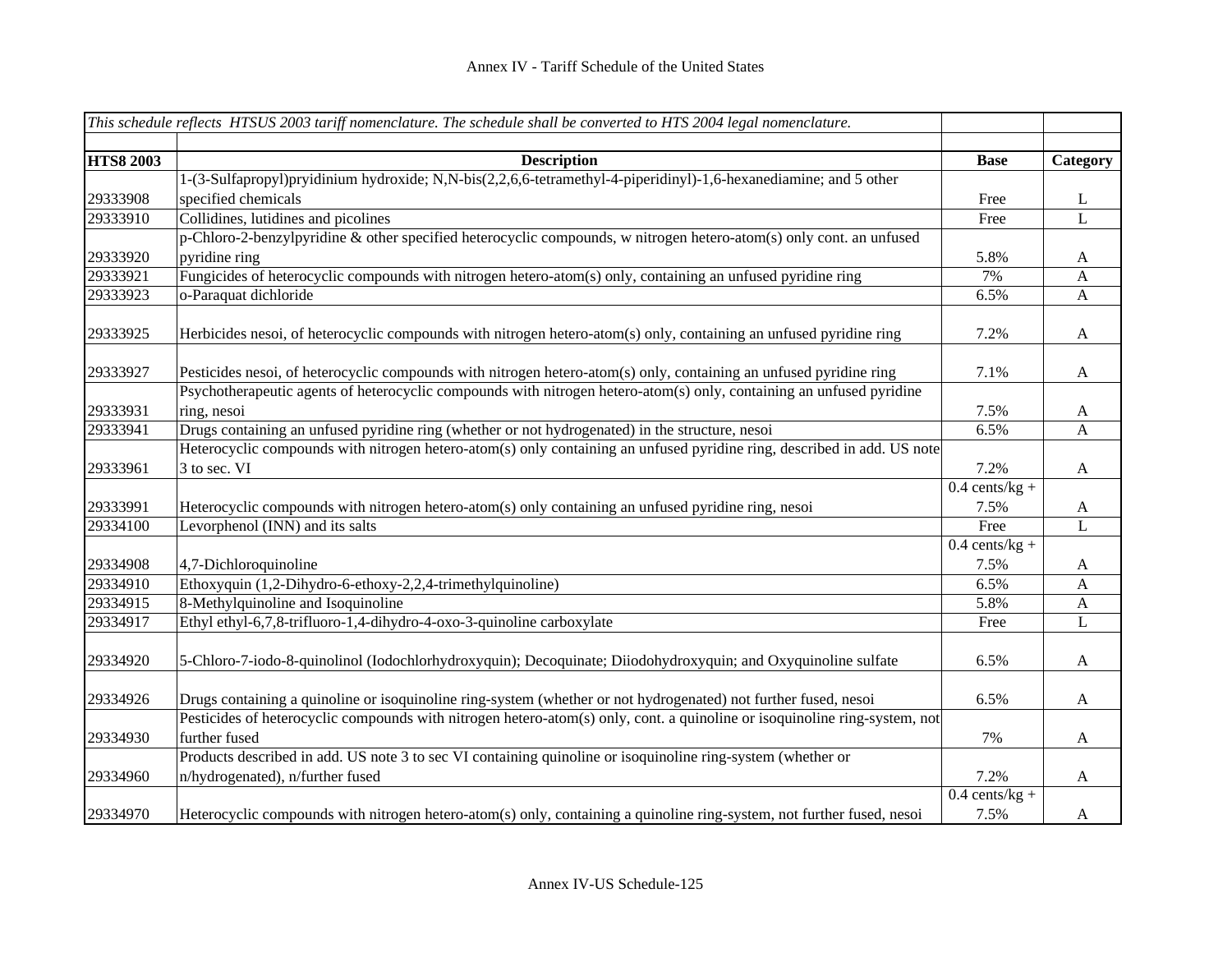|                  | This schedule reflects HTSUS 2003 tariff nomenclature. The schedule shall be converted to HTS 2004 legal nomenclature.     |                  |                  |
|------------------|----------------------------------------------------------------------------------------------------------------------------|------------------|------------------|
| <b>HTS8 2003</b> | <b>Description</b>                                                                                                         | <b>Base</b>      | Category         |
|                  | 1-(3-Sulfapropyl)pryidinium hydroxide; N,N-bis(2,2,6,6-tetramethyl-4-piperidinyl)-1,6-hexanediamine; and 5 other           |                  |                  |
| 29333908         | specified chemicals                                                                                                        | Free             | L                |
| 29333910         | Collidines, lutidines and picolines                                                                                        | Free             | L                |
|                  | p-Chloro-2-benzylpyridine & other specified heterocyclic compounds, w nitrogen hetero-atom(s) only cont. an unfused        |                  |                  |
| 29333920         | pyridine ring                                                                                                              | 5.8%             | A                |
| 29333921         | Fungicides of heterocyclic compounds with nitrogen hetero-atom(s) only, containing an unfused pyridine ring                | 7%               | $\mathbf{A}$     |
| 29333923         | o-Paraquat dichloride                                                                                                      | 6.5%             | A                |
|                  |                                                                                                                            |                  |                  |
| 29333925         | Herbicides nesoi, of heterocyclic compounds with nitrogen hetero-atom(s) only, containing an unfused pyridine ring         | 7.2%             | $\mathbf{A}$     |
| 29333927         | Pesticides nesoi, of heterocyclic compounds with nitrogen hetero-atom(s) only, containing an unfused pyridine ring         | 7.1%             | A                |
|                  | Psychotherapeutic agents of heterocyclic compounds with nitrogen hetero-atom(s) only, containing an unfused pyridine       |                  |                  |
| 29333931         | ring, nesoi                                                                                                                | 7.5%             | A                |
| 29333941         | Drugs containing an unfused pyridine ring (whether or not hydrogenated) in the structure, nesoi                            | 6.5%             | $\mathbf{A}$     |
|                  | Heterocyclic compounds with nitrogen hetero-atom(s) only containing an unfused pyridine ring, described in add. US note    |                  |                  |
| 29333961         | 3 to sec. VI                                                                                                               | 7.2%             | $\mathbf{A}$     |
|                  |                                                                                                                            | $0.4$ cents/kg + |                  |
| 29333991         | Heterocyclic compounds with nitrogen hetero-atom(s) only containing an unfused pyridine ring, nesoi                        | 7.5%             | A                |
| 29334100         | Levorphenol (INN) and its salts                                                                                            | Free             | $\mathbf L$      |
|                  |                                                                                                                            | $0.4$ cents/kg + |                  |
| 29334908         | 4,7-Dichloroquinoline                                                                                                      | 7.5%             | A                |
| 29334910         | Ethoxyquin (1,2-Dihydro-6-ethoxy-2,2,4-trimethylquinoline)                                                                 | 6.5%             | $\boldsymbol{A}$ |
| 29334915         | 8-Methylquinoline and Isoquinoline                                                                                         | 5.8%             | $\mathbf{A}$     |
| 29334917         | Ethyl ethyl-6,7,8-trifluoro-1,4-dihydro-4-oxo-3-quinoline carboxylate                                                      | Free             | L                |
| 29334920         | 5-Chloro-7-iodo-8-quinolinol (Iodochlorhydroxyquin); Decoquinate; Diiodohydroxyquin; and Oxyquinoline sulfate              | 6.5%             | $\mathbf{A}$     |
| 29334926         | Drugs containing a quinoline or isoquinoline ring-system (whether or not hydrogenated) not further fused, nesoi            | 6.5%             | $\mathbf{A}$     |
|                  | Pesticides of heterocyclic compounds with nitrogen hetero-atom(s) only, cont. a quinoline or isoquinoline ring-system, not |                  |                  |
| 29334930         | further fused                                                                                                              | 7%               | $\mathbf{A}$     |
|                  | Products described in add. US note 3 to sec VI containing quinoline or isoquinoline ring-system (whether or                |                  |                  |
| 29334960         | n/hydrogenated), n/further fused                                                                                           | 7.2%             | $\mathbf{A}$     |
|                  |                                                                                                                            | $0.4$ cents/kg + |                  |
| 29334970         | Heterocyclic compounds with nitrogen hetero-atom(s) only, containing a quinoline ring-system, not further fused, nesoi     | 7.5%             | A                |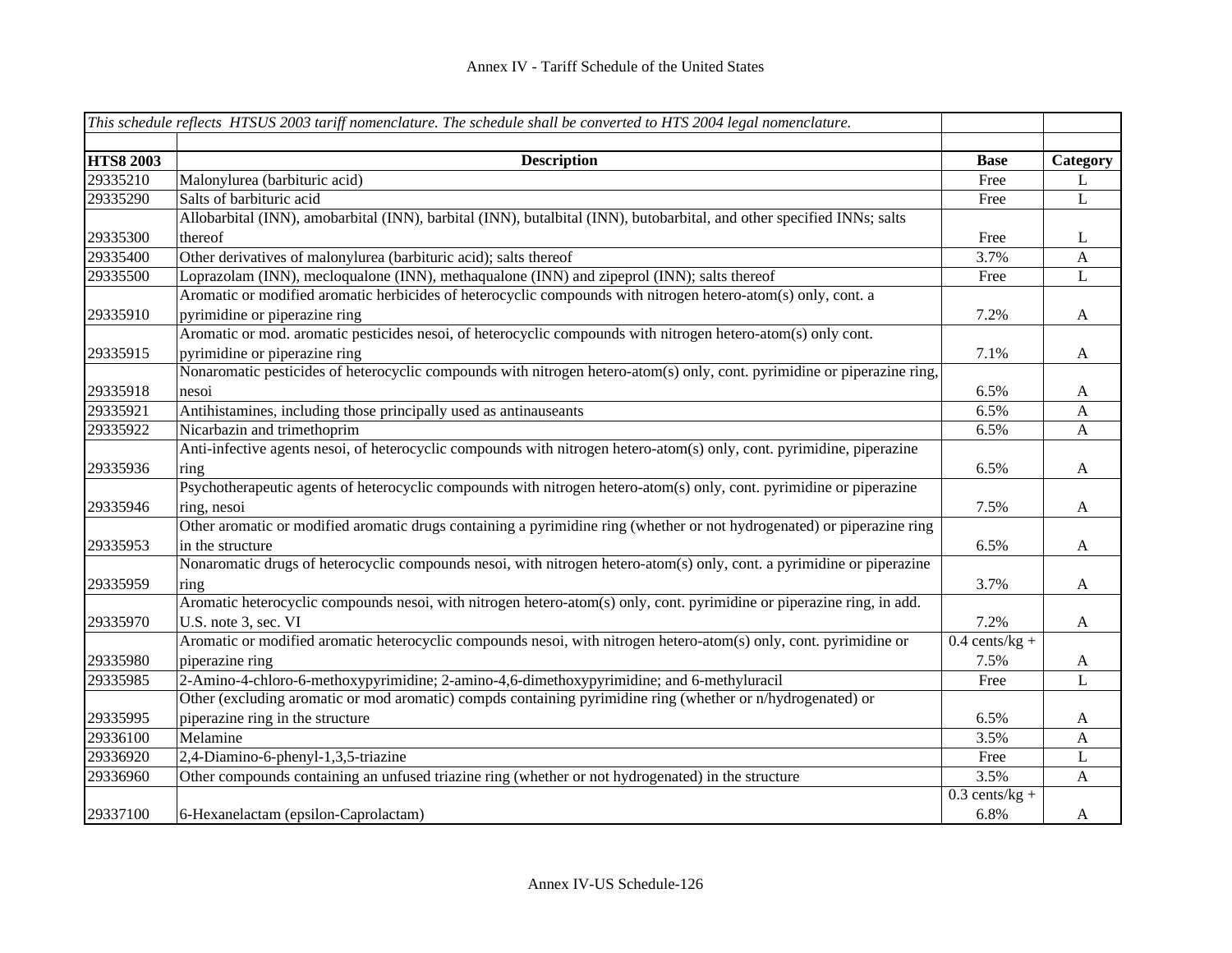|                  | This schedule reflects HTSUS 2003 tariff nomenclature. The schedule shall be converted to HTS 2004 legal nomenclature.   |                  |                           |
|------------------|--------------------------------------------------------------------------------------------------------------------------|------------------|---------------------------|
| <b>HTS8 2003</b> | <b>Description</b>                                                                                                       | <b>Base</b>      | Category                  |
| 29335210         | Malonylurea (barbituric acid)                                                                                            | Free             | L                         |
| 29335290         | Salts of barbituric acid                                                                                                 | Free             | L                         |
|                  | Allobarbital (INN), amobarbital (INN), barbital (INN), butalbital (INN), butobarbital, and other specified INNs; salts   |                  |                           |
| 29335300         | thereof                                                                                                                  | Free             | L                         |
| 29335400         | Other derivatives of malonylurea (barbituric acid); salts thereof                                                        | 3.7%             | $\mathbf{A}$              |
| 29335500         | Loprazolam (INN), mecloqualone (INN), methaqualone (INN) and zipeprol (INN); salts thereof                               | Free             | $\mathbf{L}$              |
|                  | Aromatic or modified aromatic herbicides of heterocyclic compounds with nitrogen hetero-atom(s) only, cont. a            |                  |                           |
| 29335910         | pyrimidine or piperazine ring                                                                                            | 7.2%             | A                         |
|                  | Aromatic or mod. aromatic pesticides nesoi, of heterocyclic compounds with nitrogen hetero-atom(s) only cont.            |                  |                           |
| 29335915         | pyrimidine or piperazine ring                                                                                            | 7.1%             | A                         |
|                  | Nonaromatic pesticides of heterocyclic compounds with nitrogen hetero-atom(s) only, cont. pyrimidine or piperazine ring, |                  |                           |
| 29335918         | nesoi                                                                                                                    | 6.5%             | A                         |
| 29335921         | Antihistamines, including those principally used as antinauseants                                                        | 6.5%             | $\boldsymbol{A}$          |
| 29335922         | Nicarbazin and trimethoprim                                                                                              | 6.5%             | $\boldsymbol{\mathsf{A}}$ |
|                  | Anti-infective agents nesoi, of heterocyclic compounds with nitrogen hetero-atom(s) only, cont. pyrimidine, piperazine   |                  |                           |
| 29335936         | ring                                                                                                                     | 6.5%             | $\boldsymbol{A}$          |
|                  | Psychotherapeutic agents of heterocyclic compounds with nitrogen hetero-atom(s) only, cont. pyrimidine or piperazine     |                  |                           |
| 29335946         | ring, nesoi                                                                                                              | 7.5%             | $\mathbf{A}$              |
|                  | Other aromatic or modified aromatic drugs containing a pyrimidine ring (whether or not hydrogenated) or piperazine ring  |                  |                           |
| 29335953         | in the structure                                                                                                         | 6.5%             | $\mathbf{A}$              |
|                  | Nonaromatic drugs of heterocyclic compounds nesoi, with nitrogen hetero-atom(s) only, cont. a pyrimidine or piperazine   |                  |                           |
| 29335959         | ring                                                                                                                     | 3.7%             | $\mathbf{A}$              |
|                  | Aromatic heterocyclic compounds nesoi, with nitrogen hetero-atom(s) only, cont. pyrimidine or piperazine ring, in add.   |                  |                           |
| 29335970         | U.S. note 3, sec. VI                                                                                                     | 7.2%             | $\mathbf{A}$              |
|                  | Aromatic or modified aromatic heterocyclic compounds nesoi, with nitrogen hetero-atom(s) only, cont. pyrimidine or       | $0.4$ cents/kg + |                           |
| 29335980         | piperazine ring                                                                                                          | 7.5%             | $\mathbf{A}$              |
| 29335985         | 2-Amino-4-chloro-6-methoxypyrimidine; 2-amino-4,6-dimethoxypyrimidine; and 6-methyluracil                                | Free             | L                         |
|                  | Other (excluding aromatic or mod aromatic) compds containing pyrimidine ring (whether or n/hydrogenated) or              |                  |                           |
| 29335995         | piperazine ring in the structure                                                                                         | 6.5%             | $\mathbf{A}$              |
| 29336100         | Melamine                                                                                                                 | 3.5%             | $\mathbf{A}$              |
| 29336920         | 2,4-Diamino-6-phenyl-1,3,5-triazine                                                                                      | Free             | $\mathbf{L}$              |
| 29336960         | Other compounds containing an unfused triazine ring (whether or not hydrogenated) in the structure                       | 3.5%             | $\mathbf{A}$              |
|                  |                                                                                                                          | $0.3$ cents/kg + |                           |
| 29337100         | 6-Hexanelactam (epsilon-Caprolactam)                                                                                     | 6.8%             | $\mathbf{A}$              |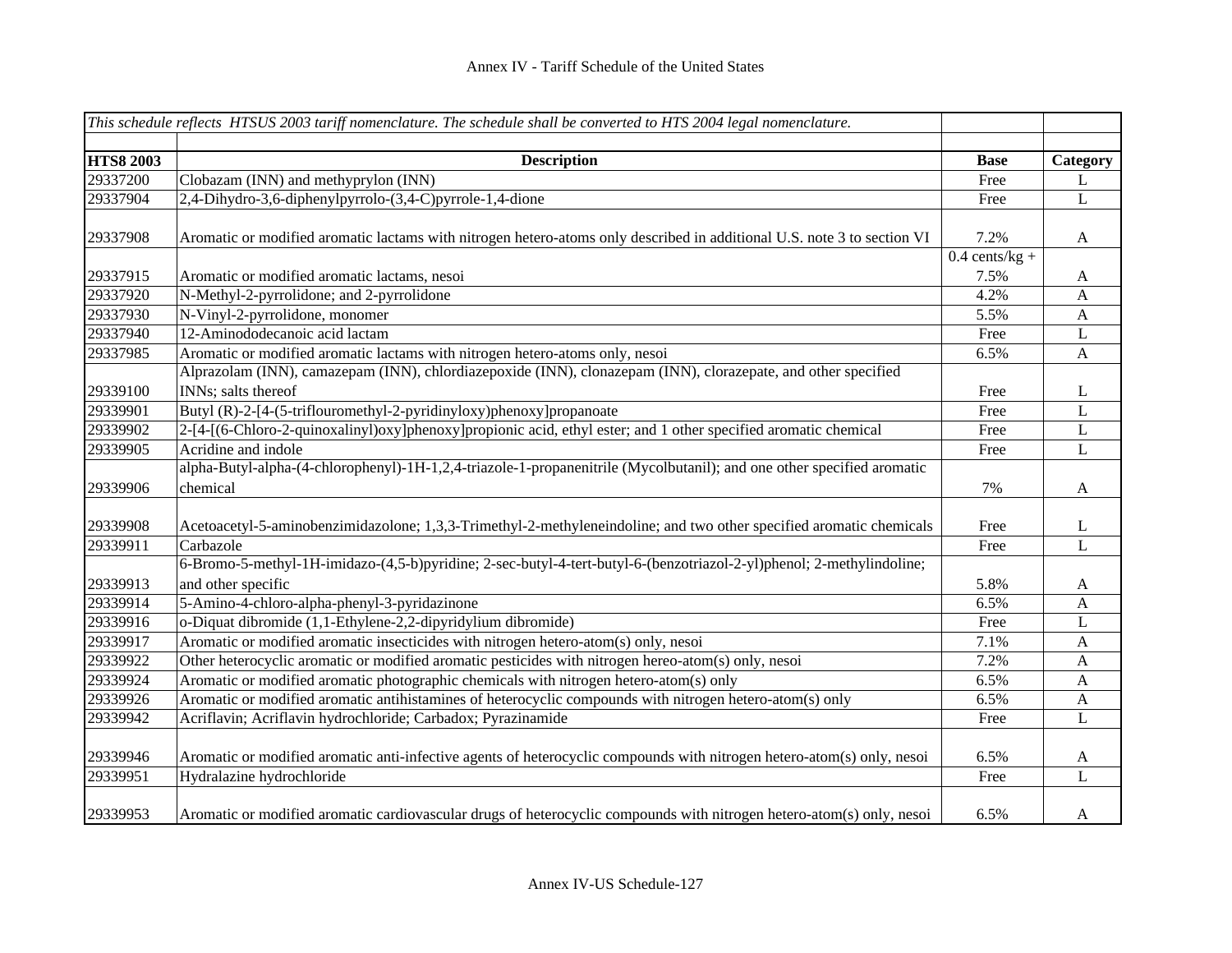|                  | This schedule reflects HTSUS 2003 tariff nomenclature. The schedule shall be converted to HTS 2004 legal nomenclature.                     |                                     |              |
|------------------|--------------------------------------------------------------------------------------------------------------------------------------------|-------------------------------------|--------------|
|                  |                                                                                                                                            |                                     |              |
| <b>HTS8 2003</b> | <b>Description</b>                                                                                                                         | <b>Base</b>                         | Category     |
| 29337200         | Clobazam (INN) and methyprylon (INN)                                                                                                       | Free                                | L            |
| 29337904         | 2,4-Dihydro-3,6-diphenylpyrrolo-(3,4-C)pyrrole-1,4-dione                                                                                   | Free                                | L            |
| 29337908         | Aromatic or modified aromatic lactams with nitrogen hetero-atoms only described in additional U.S. note 3 to section VI                    | 7.2%<br>$\overline{0.4}$ cents/kg + | $\mathbf{A}$ |
| 29337915         | Aromatic or modified aromatic lactams, nesoi                                                                                               | 7.5%                                | $\mathbf{A}$ |
| 29337920         | N-Methyl-2-pyrrolidone; and 2-pyrrolidone                                                                                                  | 4.2%                                | $\mathbf{A}$ |
| 29337930         | N-Vinyl-2-pyrrolidone, monomer                                                                                                             | 5.5%                                | $\mathbf{A}$ |
| 29337940         | 12-Aminododecanoic acid lactam                                                                                                             | Free                                | $\mathbf L$  |
| 29337985         | Aromatic or modified aromatic lactams with nitrogen hetero-atoms only, nesoi                                                               | 6.5%                                | $\mathbf{A}$ |
|                  | Alprazolam (INN), camazepam (INN), chlordiazepoxide (INN), clonazepam (INN), clorazepate, and other specified                              |                                     |              |
| 29339100         | INNs; salts thereof                                                                                                                        | Free                                | L            |
| 29339901         | Butyl (R)-2-[4-(5-triflouromethyl-2-pyridinyloxy)phenoxy]propanoate                                                                        | Free                                | $\mathbf{L}$ |
| 29339902         | 2-[4-[(6-Chloro-2-quinoxalinyl)oxy]phenoxy]propionic acid, ethyl ester; and 1 other specified aromatic chemical                            | Free                                | $\mathbf L$  |
| 29339905         | Acridine and indole                                                                                                                        | Free                                | L            |
| 29339906         | alpha-Butyl-alpha-(4-chlorophenyl)-1H-1,2,4-triazole-1-propanenitrile (Mycolbutanil); and one other specified aromatic<br>chemical         | 7%                                  | $\mathbf{A}$ |
| 29339908         | Acetoacetyl-5-aminobenzimidazolone; 1,3,3-Trimethyl-2-methyleneindoline; and two other specified aromatic chemicals                        | Free                                | L            |
| 29339911         | Carbazole                                                                                                                                  | Free                                | $\mathbf{L}$ |
| 29339913         | 6-Bromo-5-methyl-1H-imidazo-(4,5-b)pyridine; 2-sec-butyl-4-tert-butyl-6-(benzotriazol-2-yl)phenol; 2-methylindoline;<br>and other specific | 5.8%                                | A            |
| 29339914         | 5-Amino-4-chloro-alpha-phenyl-3-pyridazinone                                                                                               | 6.5%                                | $\mathbf{A}$ |
| 29339916         | o-Diquat dibromide (1,1-Ethylene-2,2-dipyridylium dibromide)                                                                               | Free                                | $\mathbf L$  |
| 29339917         | Aromatic or modified aromatic insecticides with nitrogen hetero-atom(s) only, nesoi                                                        | 7.1%                                | $\mathbf{A}$ |
| 29339922         | Other heterocyclic aromatic or modified aromatic pesticides with nitrogen hereo-atom(s) only, nesoi                                        | 7.2%                                | $\mathbf{A}$ |
| 29339924         | Aromatic or modified aromatic photographic chemicals with nitrogen hetero-atom(s) only                                                     | 6.5%                                | $\mathbf{A}$ |
| 29339926         | Aromatic or modified aromatic antihistamines of heterocyclic compounds with nitrogen hetero-atom(s) only                                   | 6.5%                                | $\mathbf{A}$ |
| 29339942         | Acriflavin; Acriflavin hydrochloride; Carbadox; Pyrazinamide                                                                               | Free                                | $\mathbf L$  |
| 29339946         | Aromatic or modified aromatic anti-infective agents of heterocyclic compounds with nitrogen hetero-atom(s) only, nesoi                     | 6.5%                                | A            |
| 29339951         | Hydralazine hydrochloride                                                                                                                  | Free                                | $\mathbf L$  |
| 29339953         | Aromatic or modified aromatic cardiovascular drugs of heterocyclic compounds with nitrogen hetero-atom(s) only, nesoi                      | 6.5%                                | A            |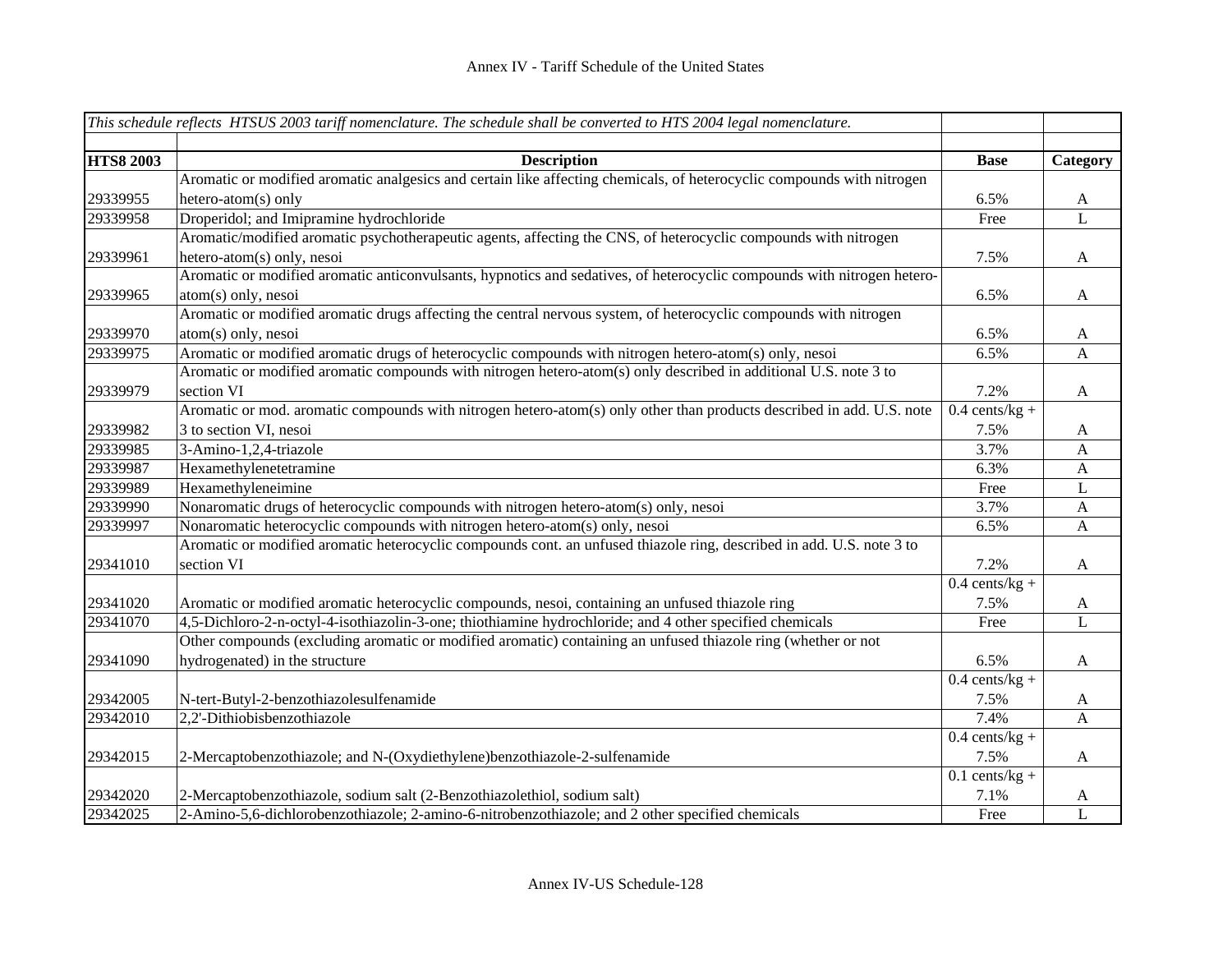|                  | This schedule reflects HTSUS 2003 tariff nomenclature. The schedule shall be converted to HTS 2004 legal nomenclature.  |                  |              |
|------------------|-------------------------------------------------------------------------------------------------------------------------|------------------|--------------|
|                  |                                                                                                                         |                  |              |
| <b>HTS8 2003</b> | <b>Description</b>                                                                                                      | <b>Base</b>      | Category     |
|                  | Aromatic or modified aromatic analgesics and certain like affecting chemicals, of heterocyclic compounds with nitrogen  |                  |              |
| 29339955         | hetero-atom(s) only                                                                                                     | 6.5%             | $\mathbf{A}$ |
| 29339958         | Droperidol; and Imipramine hydrochloride                                                                                | Free             | L            |
|                  | Aromatic/modified aromatic psychotherapeutic agents, affecting the CNS, of heterocyclic compounds with nitrogen         |                  |              |
| 29339961         | hetero-atom(s) only, nesoi                                                                                              | 7.5%             | A            |
|                  | Aromatic or modified aromatic anticonvulsants, hypnotics and sedatives, of heterocyclic compounds with nitrogen hetero- |                  |              |
| 29339965         | atom(s) only, nesoi                                                                                                     | 6.5%             | $\mathbf{A}$ |
|                  | Aromatic or modified aromatic drugs affecting the central nervous system, of heterocyclic compounds with nitrogen       |                  |              |
| 29339970         | atom(s) only, nesoi                                                                                                     | 6.5%             | $\mathbf{A}$ |
| 29339975         | Aromatic or modified aromatic drugs of heterocyclic compounds with nitrogen hetero-atom(s) only, nesoi                  | 6.5%             | $\mathbf{A}$ |
|                  | Aromatic or modified aromatic compounds with nitrogen hetero-atom(s) only described in additional U.S. note 3 to        |                  |              |
| 29339979         | section VI                                                                                                              | 7.2%             | $\mathbf{A}$ |
|                  | Aromatic or mod. aromatic compounds with nitrogen hetero-atom(s) only other than products described in add. U.S. note   | $0.4$ cents/kg + |              |
| 29339982         | 3 to section VI, nesoi                                                                                                  | 7.5%             | $\mathbf{A}$ |
| 29339985         | 3-Amino-1,2,4-triazole                                                                                                  | 3.7%             | $\mathbf{A}$ |
| 29339987         | Hexamethylenetetramine                                                                                                  | 6.3%             | $\mathbf{A}$ |
| 29339989         | Hexamethyleneimine                                                                                                      | Free             | L            |
| 29339990         | Nonaromatic drugs of heterocyclic compounds with nitrogen hetero-atom(s) only, nesoi                                    | 3.7%             | $\mathbf{A}$ |
| 29339997         | Nonaromatic heterocyclic compounds with nitrogen hetero-atom(s) only, nesoi                                             | 6.5%             | A            |
|                  | Aromatic or modified aromatic heterocyclic compounds cont. an unfused thiazole ring, described in add. U.S. note 3 to   |                  |              |
| 29341010         | section VI                                                                                                              | 7.2%             | $\mathbf{A}$ |
|                  |                                                                                                                         | $0.4$ cents/kg + |              |
| 29341020         | Aromatic or modified aromatic heterocyclic compounds, nesoi, containing an unfused thiazole ring                        | 7.5%             | A            |
| 29341070         | 4,5-Dichloro-2-n-octyl-4-isothiazolin-3-one; thiothiamine hydrochloride; and 4 other specified chemicals                | Free             | $\mathbf{L}$ |
|                  | Other compounds (excluding aromatic or modified aromatic) containing an unfused thiazole ring (whether or not           |                  |              |
| 29341090         | hydrogenated) in the structure                                                                                          | 6.5%             | $\mathbf{A}$ |
|                  |                                                                                                                         | $0.4$ cents/kg + |              |
| 29342005         | N-tert-Butyl-2-benzothiazolesulfenamide                                                                                 | 7.5%             | $\mathbf{A}$ |
| 29342010         | 2,2'-Dithiobisbenzothiazole                                                                                             | 7.4%             | $\mathbf{A}$ |
|                  |                                                                                                                         | $0.4$ cents/kg + |              |
| 29342015         | 2-Mercaptobenzothiazole; and N-(Oxydiethylene)benzothiazole-2-sulfenamide                                               | 7.5%             | $\mathbf{A}$ |
|                  |                                                                                                                         | $0.1$ cents/kg + |              |
| 29342020         | 2-Mercaptobenzothiazole, sodium salt (2-Benzothiazolethiol, sodium salt)                                                | 7.1%             | A            |
| 29342025         | 2-Amino-5,6-dichlorobenzothiazole; 2-amino-6-nitrobenzothiazole; and 2 other specified chemicals                        | Free             | $\mathbf{L}$ |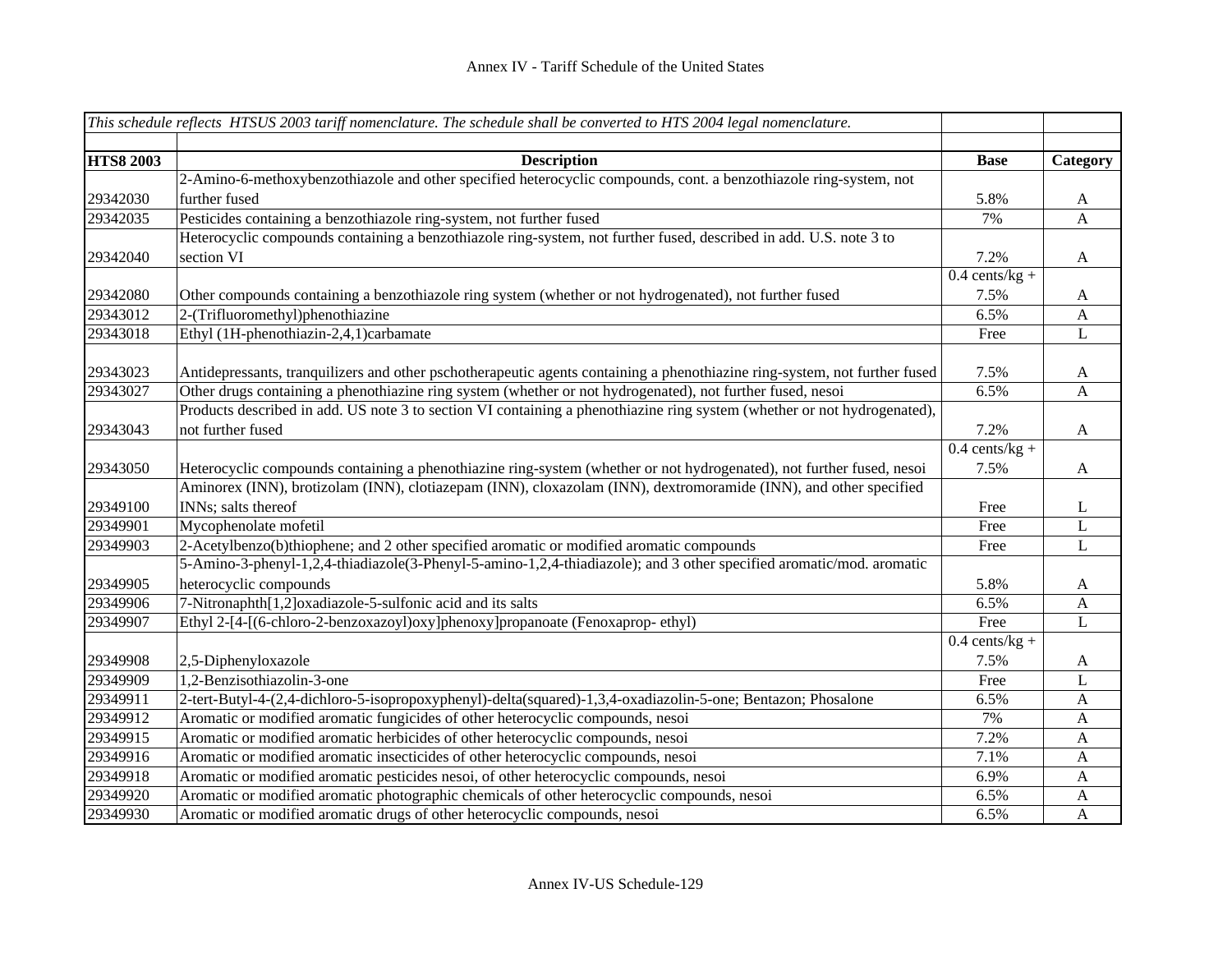|                  | This schedule reflects HTSUS 2003 tariff nomenclature. The schedule shall be converted to HTS 2004 legal nomenclature.     |                  |              |
|------------------|----------------------------------------------------------------------------------------------------------------------------|------------------|--------------|
|                  |                                                                                                                            |                  |              |
| <b>HTS8 2003</b> | <b>Description</b>                                                                                                         | <b>Base</b>      | Category     |
|                  | 2-Amino-6-methoxybenzothiazole and other specified heterocyclic compounds, cont. a benzothiazole ring-system, not          |                  |              |
| 29342030         | further fused                                                                                                              | 5.8%             | $\mathbf{A}$ |
| 29342035         | Pesticides containing a benzothiazole ring-system, not further fused                                                       | 7%               | $\mathbf{A}$ |
|                  | Heterocyclic compounds containing a benzothiazole ring-system, not further fused, described in add. U.S. note 3 to         |                  |              |
| 29342040         | section VI                                                                                                                 | 7.2%             | A            |
|                  |                                                                                                                            | $0.4$ cents/kg + |              |
| 29342080         | Other compounds containing a benzothiazole ring system (whether or not hydrogenated), not further fused                    | 7.5%             | $\mathbf{A}$ |
| 29343012         | 2-(Trifluoromethyl)phenothiazine                                                                                           | 6.5%             | $\mathbf{A}$ |
| 29343018         | Ethyl (1H-phenothiazin-2,4,1)carbamate                                                                                     | Free             | $\mathbf{L}$ |
|                  |                                                                                                                            |                  |              |
| 29343023         | Antidepressants, tranquilizers and other pschotherapeutic agents containing a phenothiazine ring-system, not further fused | 7.5%             | $\mathbf{A}$ |
| 29343027         | Other drugs containing a phenothiazine ring system (whether or not hydrogenated), not further fused, nesoi                 | 6.5%             | A            |
|                  | Products described in add. US note 3 to section VI containing a phenothiazine ring system (whether or not hydrogenated),   |                  |              |
| 29343043         | not further fused                                                                                                          | 7.2%             | $\mathbf{A}$ |
|                  |                                                                                                                            | $0.4$ cents/kg + |              |
| 29343050         | Heterocyclic compounds containing a phenothiazine ring-system (whether or not hydrogenated), not further fused, nesoi      | 7.5%             | $\mathbf{A}$ |
|                  | Aminorex (INN), brotizolam (INN), clotiazepam (INN), cloxazolam (INN), dextromoramide (INN), and other specified           |                  |              |
| 29349100         | INNs; salts thereof                                                                                                        | Free             | L            |
| 29349901         | Mycophenolate mofetil                                                                                                      | Free             | L            |
| 29349903         | 2-Acetylbenzo(b)thiophene; and 2 other specified aromatic or modified aromatic compounds                                   | Free             | L            |
|                  | 5-Amino-3-phenyl-1,2,4-thiadiazole(3-Phenyl-5-amino-1,2,4-thiadiazole); and 3 other specified aromatic/mod. aromatic       |                  |              |
| 29349905         | heterocyclic compounds                                                                                                     | 5.8%             | $\mathbf{A}$ |
| 29349906         | 7-Nitronaphth[1,2]oxadiazole-5-sulfonic acid and its salts                                                                 | 6.5%             | $\mathbf{A}$ |
| 29349907         | Ethyl 2-[4-[(6-chloro-2-benzoxazoyl)oxy]phenoxy]propanoate (Fenoxaprop-ethyl)                                              | Free             | $\bf L$      |
|                  |                                                                                                                            | $0.4$ cents/kg + |              |
| 29349908         | 2,5-Diphenyloxazole                                                                                                        | 7.5%             | A            |
| 29349909         | 1,2-Benzisothiazolin-3-one                                                                                                 | Free             | L            |
| 29349911         | 2-tert-Butyl-4-(2,4-dichloro-5-isopropoxyphenyl)-delta(squared)-1,3,4-oxadiazolin-5-one; Bentazon; Phosalone               | 6.5%             | $\mathbf{A}$ |
| 29349912         | Aromatic or modified aromatic fungicides of other heterocyclic compounds, nesoi                                            | 7%               | $\mathbf{A}$ |
| 29349915         | Aromatic or modified aromatic herbicides of other heterocyclic compounds, nesoi                                            | 7.2%             | $\mathbf{A}$ |
| 29349916         | Aromatic or modified aromatic insecticides of other heterocyclic compounds, nesoi                                          | 7.1%             | $\mathbf{A}$ |
| 29349918         | Aromatic or modified aromatic pesticides nesoi, of other heterocyclic compounds, nesoi                                     | 6.9%             | A            |
| 29349920         | Aromatic or modified aromatic photographic chemicals of other heterocyclic compounds, nesoi                                | 6.5%             | A            |
| 29349930         | Aromatic or modified aromatic drugs of other heterocyclic compounds, nesoi                                                 | 6.5%             | $\mathbf{A}$ |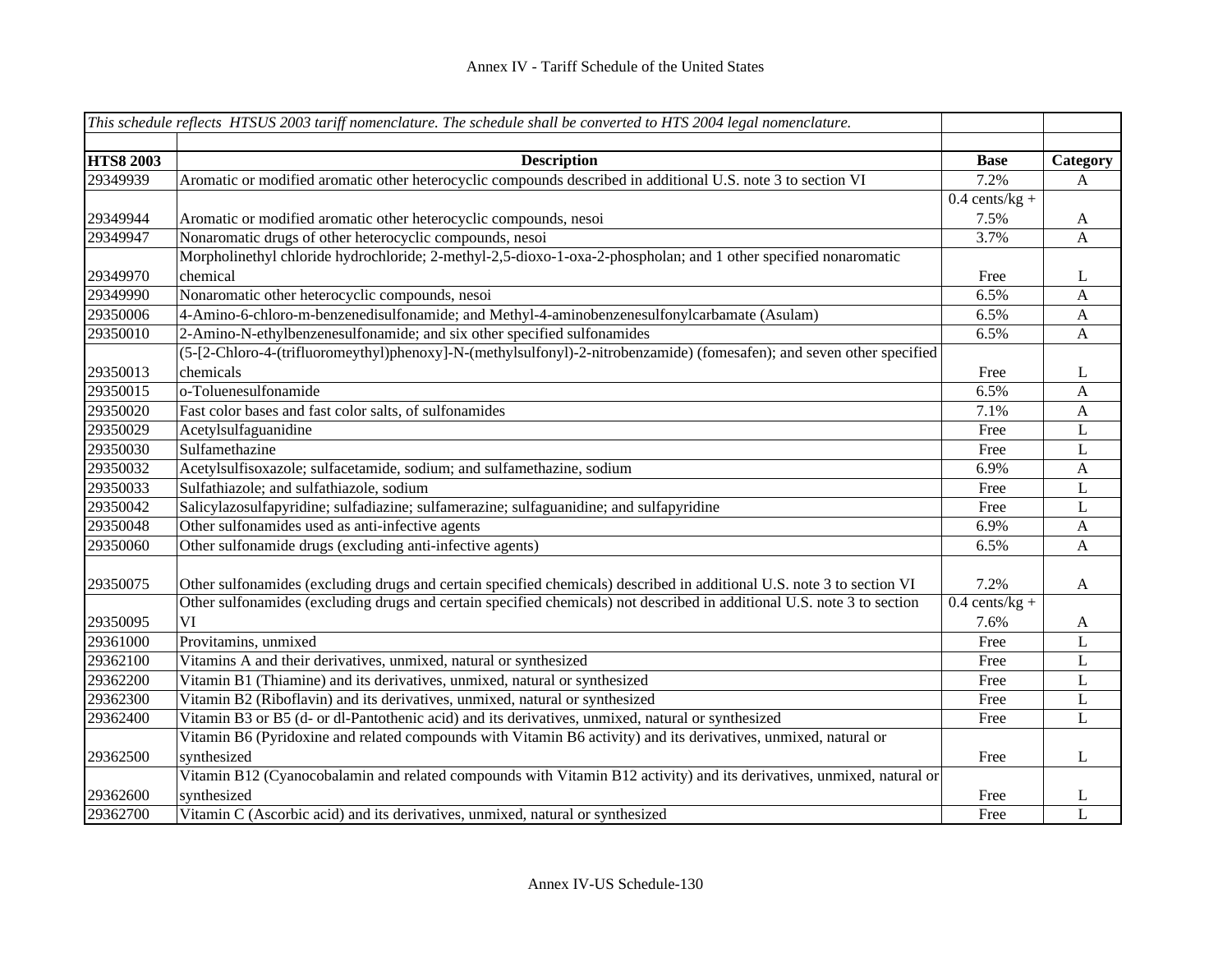|                  | This schedule reflects HTSUS 2003 tariff nomenclature. The schedule shall be converted to HTS 2004 legal nomenclature.  |                  |                |
|------------------|-------------------------------------------------------------------------------------------------------------------------|------------------|----------------|
|                  |                                                                                                                         |                  |                |
| <b>HTS8 2003</b> | <b>Description</b>                                                                                                      | <b>Base</b>      | Category       |
| 29349939         | Aromatic or modified aromatic other heterocyclic compounds described in additional U.S. note 3 to section VI            | 7.2%             | A              |
|                  |                                                                                                                         | $0.4$ cents/kg + |                |
| 29349944         | Aromatic or modified aromatic other heterocyclic compounds, nesoi                                                       | 7.5%             | $\mathbf{A}$   |
| 29349947         | Nonaromatic drugs of other heterocyclic compounds, nesoi                                                                | 3.7%             | $\overline{A}$ |
|                  | Morpholinethyl chloride hydrochloride; 2-methyl-2,5-dioxo-1-oxa-2-phospholan; and 1 other specified nonaromatic         |                  |                |
| 29349970         | chemical                                                                                                                | Free             | L              |
| 29349990         | Nonaromatic other heterocyclic compounds, nesoi                                                                         | 6.5%             | A              |
| 29350006         | 4-Amino-6-chloro-m-benzenedisulfonamide; and Methyl-4-aminobenzenesulfonylcarbamate (Asulam)                            | 6.5%             | A              |
| 29350010         | 2-Amino-N-ethylbenzenesulfonamide; and six other specified sulfonamides                                                 | 6.5%             | $\mathbf{A}$   |
|                  | (5-[2-Chloro-4-(trifluoromeythyl)phenoxy]-N-(methylsulfonyl)-2-nitrobenzamide) (fomesafen); and seven other specified   |                  |                |
| 29350013         | chemicals                                                                                                               | Free             | L              |
| 29350015         | o-Toluenesulfonamide                                                                                                    | 6.5%             | $\mathbf{A}$   |
| 29350020         | Fast color bases and fast color salts, of sulfonamides                                                                  | 7.1%             | $\mathbf{A}$   |
| 29350029         | Acetylsulfaguanidine                                                                                                    | Free             | $\mathbf L$    |
| 29350030         | Sulfamethazine                                                                                                          | Free             | L              |
| 29350032         | Acetylsulfisoxazole; sulfacetamide, sodium; and sulfamethazine, sodium                                                  | 6.9%             | $\mathbf{A}$   |
| 29350033         | Sulfathiazole; and sulfathiazole, sodium                                                                                | Free             | L              |
| 29350042         | Salicylazosulfapyridine; sulfadiazine; sulfamerazine; sulfaguanidine; and sulfapyridine                                 | Free             | $\mathbf L$    |
| 29350048         | Other sulfonamides used as anti-infective agents                                                                        | 6.9%             | $\mathbf{A}$   |
| 29350060         | Other sulfonamide drugs (excluding anti-infective agents)                                                               | 6.5%             | $\mathbf{A}$   |
|                  |                                                                                                                         |                  |                |
| 29350075         | Other sulfonamides (excluding drugs and certain specified chemicals) described in additional U.S. note 3 to section VI  | 7.2%             | A              |
|                  | Other sulfonamides (excluding drugs and certain specified chemicals) not described in additional U.S. note 3 to section | $0.4$ cents/kg + |                |
| 29350095         | VI                                                                                                                      | 7.6%             | A              |
| 29361000         | Provitamins, unmixed                                                                                                    | Free             | L              |
| 29362100         | Vitamins A and their derivatives, unmixed, natural or synthesized                                                       | Free             | L              |
| 29362200         | Vitamin B1 (Thiamine) and its derivatives, unmixed, natural or synthesized                                              | Free             | $\mathbf L$    |
| 29362300         | Vitamin B2 (Riboflavin) and its derivatives, unmixed, natural or synthesized                                            | Free             | L              |
| 29362400         | Vitamin B3 or B5 (d- or dl-Pantothenic acid) and its derivatives, unmixed, natural or synthesized                       | Free             | $\mathbf L$    |
|                  | Vitamin B6 (Pyridoxine and related compounds with Vitamin B6 activity) and its derivatives, unmixed, natural or         |                  |                |
| 29362500         | synthesized                                                                                                             | Free             | L              |
|                  | Vitamin B12 (Cyanocobalamin and related compounds with Vitamin B12 activity) and its derivatives, unmixed, natural or   |                  |                |
| 29362600         | synthesized                                                                                                             | Free             | L              |
| 29362700         | Vitamin C (Ascorbic acid) and its derivatives, unmixed, natural or synthesized                                          | Free             | L              |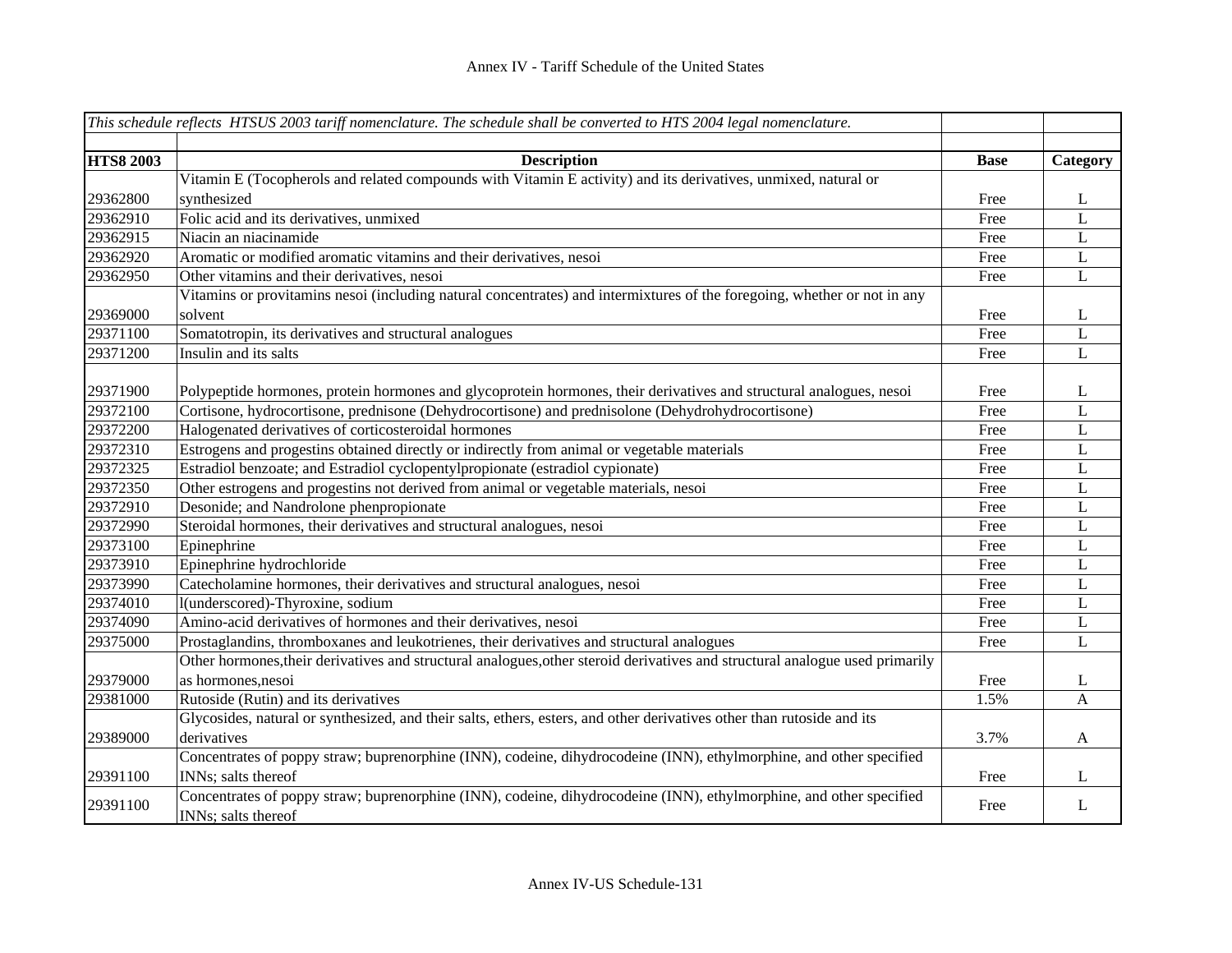|                  | This schedule reflects HTSUS 2003 tariff nomenclature. The schedule shall be converted to HTS 2004 legal nomenclature.                     |             |                |
|------------------|--------------------------------------------------------------------------------------------------------------------------------------------|-------------|----------------|
|                  |                                                                                                                                            |             |                |
| <b>HTS8 2003</b> | <b>Description</b>                                                                                                                         | <b>Base</b> | Category       |
|                  | Vitamin E (Tocopherols and related compounds with Vitamin E activity) and its derivatives, unmixed, natural or                             |             |                |
| 29362800         | synthesized                                                                                                                                | Free        | L              |
| 29362910         | Folic acid and its derivatives, unmixed                                                                                                    | Free        | L              |
| 29362915         | Niacin an niacinamide                                                                                                                      | Free        | $\overline{L}$ |
| 29362920         | Aromatic or modified aromatic vitamins and their derivatives, nesoi                                                                        | Free        | $\mathbf L$    |
| 29362950         | Other vitamins and their derivatives, nesoi                                                                                                | Free        | L              |
|                  | Vitamins or provitamins nesoi (including natural concentrates) and intermixtures of the foregoing, whether or not in any                   |             |                |
| 29369000         | solvent                                                                                                                                    | Free        | L              |
| 29371100         | Somatotropin, its derivatives and structural analogues                                                                                     | Free        | $\mathbf L$    |
| 29371200         | Insulin and its salts                                                                                                                      | Free        | L              |
|                  |                                                                                                                                            |             |                |
| 29371900         | Polypeptide hormones, protein hormones and glycoprotein hormones, their derivatives and structural analogues, nesoi                        | Free        | L              |
| 29372100         | Cortisone, hydrocortisone, prednisone (Dehydrocortisone) and prednisolone (Dehydrohydrocortisone)                                          | Free        | L              |
| 29372200         | Halogenated derivatives of corticosteroidal hormones                                                                                       | Free        | L              |
| 29372310         | Estrogens and progestins obtained directly or indirectly from animal or vegetable materials                                                | Free        | $\mathbf L$    |
| 29372325         | Estradiol benzoate; and Estradiol cyclopentylpropionate (estradiol cypionate)                                                              | Free        | $\mathbf L$    |
| 29372350         | Other estrogens and progestins not derived from animal or vegetable materials, nesoi                                                       | Free        | $\mathbf L$    |
| 29372910         | Desonide; and Nandrolone phenpropionate                                                                                                    | Free        | $\mathbf L$    |
| 29372990         | Steroidal hormones, their derivatives and structural analogues, nesoi                                                                      | Free        | $\mathbf L$    |
| 29373100         | Epinephrine                                                                                                                                | Free        | $\bf L$        |
| 29373910         | Epinephrine hydrochloride                                                                                                                  | Free        | $\bf L$        |
| 29373990         | Catecholamine hormones, their derivatives and structural analogues, nesoi                                                                  | Free        | $\mathbf L$    |
| 29374010         | l(underscored)-Thyroxine, sodium                                                                                                           | Free        | $\mathbf L$    |
| 29374090         | Amino-acid derivatives of hormones and their derivatives, nesoi                                                                            | Free        | $\mathbf L$    |
| 29375000         | Prostaglandins, thromboxanes and leukotrienes, their derivatives and structural analogues                                                  | Free        | $\mathbf{L}$   |
|                  | Other hormones, their derivatives and structural analogues, other steroid derivatives and structural analogue used primarily               |             |                |
| 29379000         | as hormones, nesoi                                                                                                                         | Free        | L              |
| 29381000         | Rutoside (Rutin) and its derivatives                                                                                                       | 1.5%        | $\mathbf{A}$   |
|                  | Glycosides, natural or synthesized, and their salts, ethers, esters, and other derivatives other than rutoside and its                     |             |                |
| 29389000         | derivatives                                                                                                                                | 3.7%        | A              |
|                  | Concentrates of poppy straw; buprenorphine (INN), codeine, dihydrocodeine (INN), ethylmorphine, and other specified                        |             |                |
| 29391100         | INNs; salts thereof                                                                                                                        | Free        | L              |
| 29391100         | Concentrates of poppy straw; buprenorphine (INN), codeine, dihydrocodeine (INN), ethylmorphine, and other specified<br>INNs; salts thereof | Free        | L              |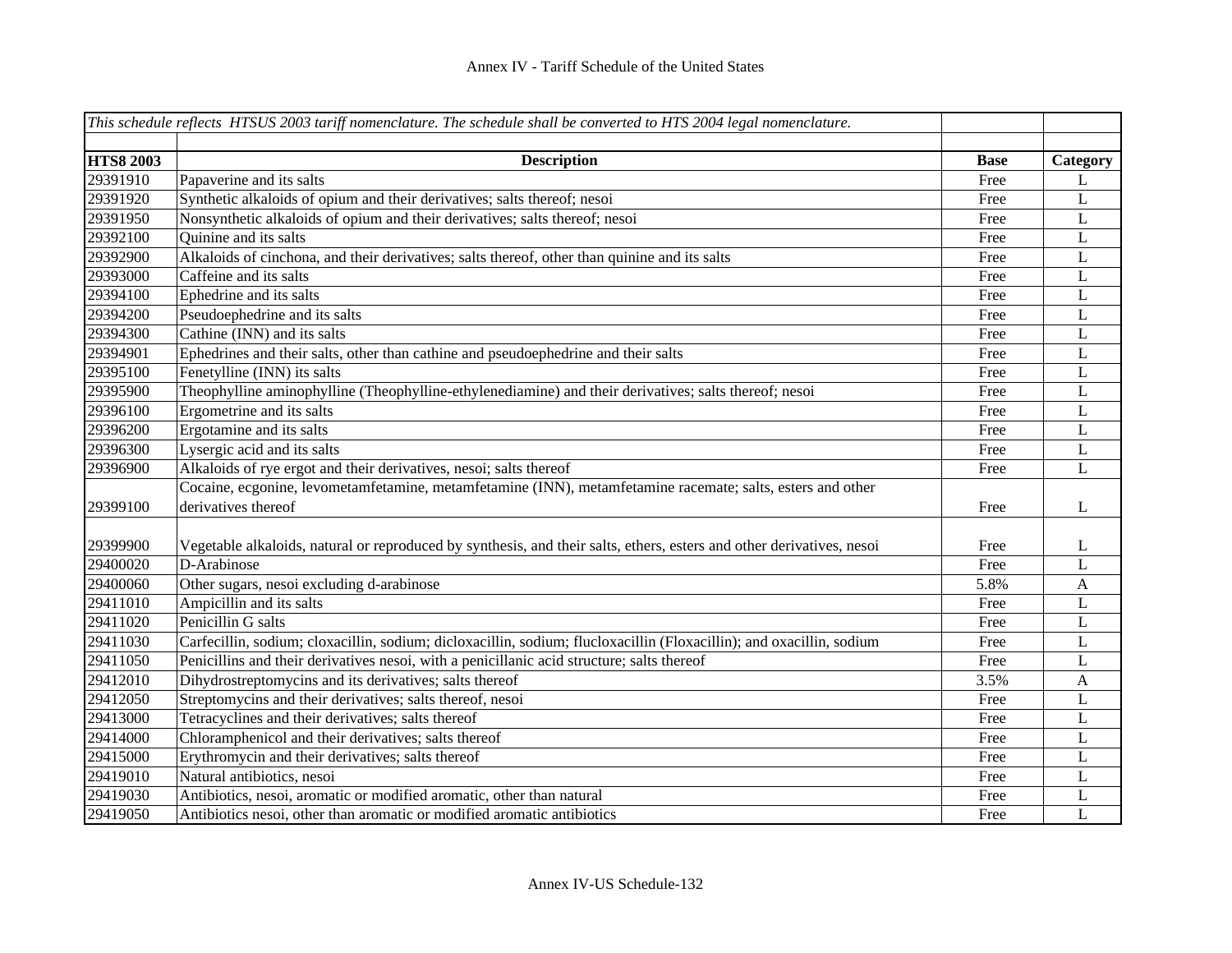|                  | This schedule reflects HTSUS 2003 tariff nomenclature. The schedule shall be converted to HTS 2004 legal nomenclature. |             |              |
|------------------|------------------------------------------------------------------------------------------------------------------------|-------------|--------------|
|                  |                                                                                                                        |             |              |
| <b>HTS8 2003</b> | <b>Description</b>                                                                                                     | <b>Base</b> | Category     |
| 29391910         | Papaverine and its salts                                                                                               | Free        | L            |
| 29391920         | Synthetic alkaloids of opium and their derivatives; salts thereof; nesoi                                               | Free        | $\mathbf L$  |
| 29391950         | Nonsynthetic alkaloids of opium and their derivatives; salts thereof; nesoi                                            | Free        | $\mathbf L$  |
| 29392100         | Quinine and its salts                                                                                                  | Free        | $\mathbf L$  |
| 29392900         | Alkaloids of cinchona, and their derivatives; salts thereof, other than quinine and its salts                          | Free        | $\mathbf L$  |
| 29393000         | Caffeine and its salts                                                                                                 | Free        | L            |
| 29394100         | Ephedrine and its salts                                                                                                | Free        | L            |
| 29394200         | Pseudoephedrine and its salts                                                                                          | Free        | L            |
| 29394300         | Cathine (INN) and its salts                                                                                            | Free        | L            |
| 29394901         | Ephedrines and their salts, other than cathine and pseudoephedrine and their salts                                     | Free        | L            |
| 29395100         | Fenetylline (INN) its salts                                                                                            | Free        | L            |
| 29395900         | Theophylline aminophylline (Theophylline-ethylenediamine) and their derivatives; salts thereof; nesoi                  | Free        | L            |
| 29396100         | Ergometrine and its salts                                                                                              | Free        | $\mathbf L$  |
| 29396200         | Ergotamine and its salts                                                                                               | Free        | $\mathbf L$  |
| 29396300         | Lysergic acid and its salts                                                                                            | Free        | L            |
| 29396900         | Alkaloids of rye ergot and their derivatives, nesoi; salts thereof                                                     | Free        | $\mathbf L$  |
|                  | Cocaine, ecgonine, levometamfetamine, metamfetamine (INN), metamfetamine racemate; salts, esters and other             |             |              |
| 29399100         | derivatives thereof                                                                                                    | Free        | L            |
|                  |                                                                                                                        |             |              |
| 29399900         | Vegetable alkaloids, natural or reproduced by synthesis, and their salts, ethers, esters and other derivatives, nesoi  | Free        | L            |
| 29400020         | D-Arabinose                                                                                                            | Free        | L            |
| 29400060         | Other sugars, nesoi excluding d-arabinose                                                                              | 5.8%        | $\mathbf{A}$ |
| 29411010         | Ampicillin and its salts                                                                                               | Free        | L            |
| 29411020         | Penicillin G salts                                                                                                     | Free        | $\mathbf L$  |
| 29411030         | Carfecillin, sodium; cloxacillin, sodium; dicloxacillin, sodium; flucloxacillin (Floxacillin); and oxacillin, sodium   | Free        | $\mathbf L$  |
| 29411050         | Penicillins and their derivatives nesoi, with a penicillanic acid structure; salts thereof                             | Free        | L            |
| 29412010         | Dihydrostreptomycins and its derivatives; salts thereof                                                                | 3.5%        | A            |
| 29412050         | Streptomycins and their derivatives; salts thereof, nesoi                                                              | Free        | L            |
| 29413000         | Tetracyclines and their derivatives; salts thereof                                                                     | Free        | L            |
| 29414000         | Chloramphenicol and their derivatives; salts thereof                                                                   | Free        | L            |
| 29415000         | Erythromycin and their derivatives; salts thereof                                                                      | Free        | L            |
| 29419010         | Natural antibiotics, nesoi                                                                                             | Free        | L            |
| 29419030         | Antibiotics, nesoi, aromatic or modified aromatic, other than natural                                                  | Free        | L            |
| 29419050         | Antibiotics nesoi, other than aromatic or modified aromatic antibiotics                                                | Free        | $\mathbf{L}$ |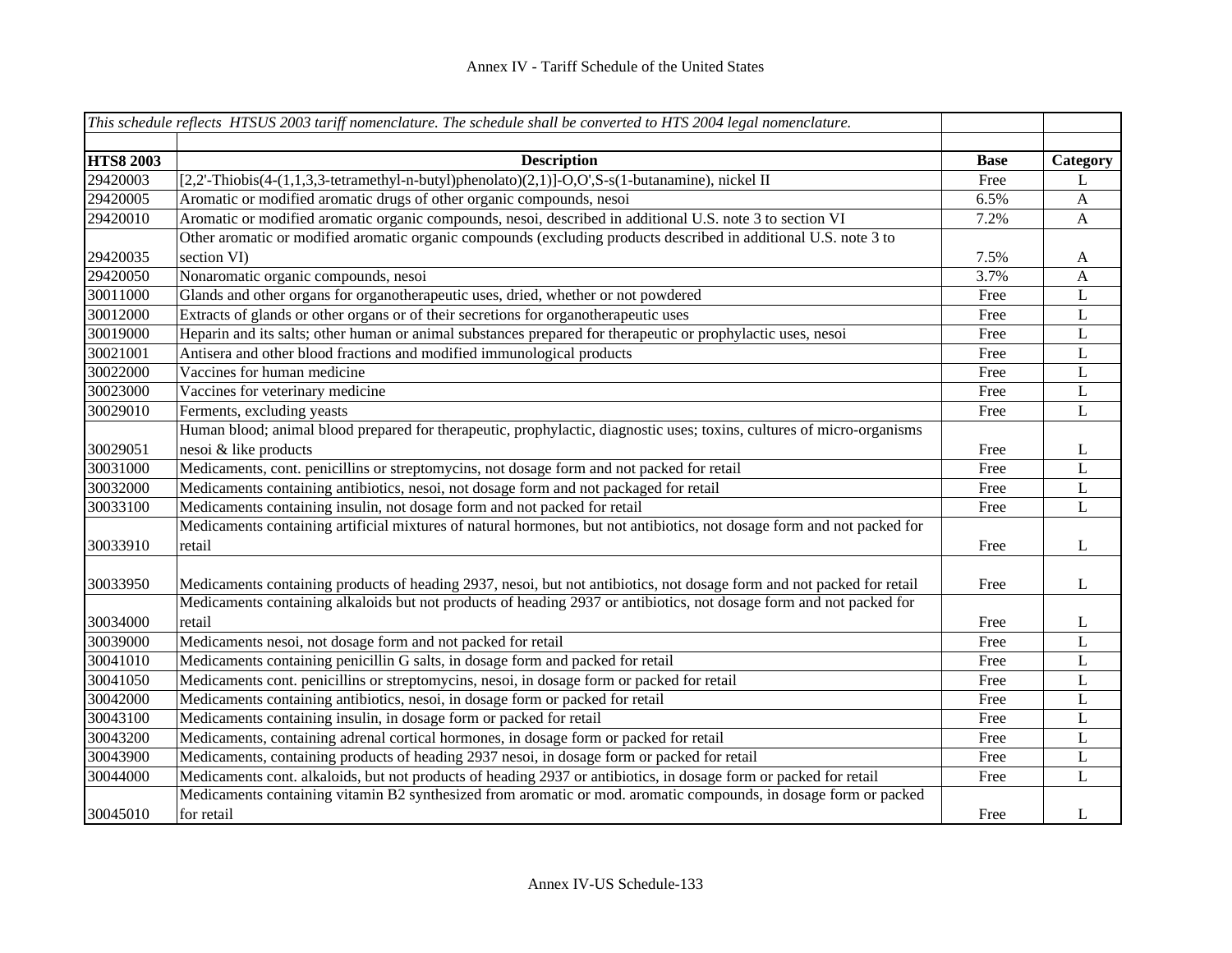|                  | This schedule reflects HTSUS 2003 tariff nomenclature. The schedule shall be converted to HTS 2004 legal nomenclature.         |             |              |
|------------------|--------------------------------------------------------------------------------------------------------------------------------|-------------|--------------|
| <b>HTS8 2003</b> | <b>Description</b>                                                                                                             | <b>Base</b> | Category     |
| 29420003         | [2,2'-Thiobis(4-(1,1,3,3-tetramethyl-n-butyl)phenolato)(2,1)]-O,O',S-s(1-butanamine), nickel II                                | Free        | L            |
| 29420005         | Aromatic or modified aromatic drugs of other organic compounds, nesoi                                                          | 6.5%        | $\mathbf{A}$ |
| 29420010         | Aromatic or modified aromatic organic compounds, nesoi, described in additional U.S. note 3 to section VI                      | 7.2%        | A            |
|                  | Other aromatic or modified aromatic organic compounds (excluding products described in additional U.S. note 3 to               |             |              |
| 29420035         | section VI)                                                                                                                    | 7.5%        | $\mathbf{A}$ |
| 29420050         | Nonaromatic organic compounds, nesoi                                                                                           | 3.7%        | A            |
| 30011000         | Glands and other organs for organotherapeutic uses, dried, whether or not powdered                                             | Free        | L            |
| 30012000         | Extracts of glands or other organs or of their secretions for organotherapeutic uses                                           | Free        | L            |
| 30019000         | Heparin and its salts; other human or animal substances prepared for therapeutic or prophylactic uses, nesoi                   | Free        | L            |
| 30021001         | Antisera and other blood fractions and modified immunological products                                                         | Free        | L            |
| 30022000         | Vaccines for human medicine                                                                                                    | Free        | L            |
| 30023000         | Vaccines for veterinary medicine                                                                                               | Free        | L            |
| 30029010         | Ferments, excluding yeasts                                                                                                     | Free        | $\mathbf L$  |
|                  | Human blood; animal blood prepared for therapeutic, prophylactic, diagnostic uses; toxins, cultures of micro-organisms         |             |              |
| 30029051         | nesoi & like products                                                                                                          | Free        | L            |
| 30031000         | Medicaments, cont. penicillins or streptomycins, not dosage form and not packed for retail                                     | Free        | L            |
| 30032000         | Medicaments containing antibiotics, nesoi, not dosage form and not packaged for retail                                         | Free        | L            |
| 30033100         | Medicaments containing insulin, not dosage form and not packed for retail                                                      | Free        | L            |
|                  | Medicaments containing artificial mixtures of natural hormones, but not antibiotics, not dosage form and not packed for        |             |              |
| 30033910         | retail                                                                                                                         | Free        | L            |
| 30033950         | Medicaments containing products of heading 2937, nesoi, but not antibiotics, not dosage form and not packed for retail         | Free        | L            |
| 30034000         | Medicaments containing alkaloids but not products of heading 2937 or antibiotics, not dosage form and not packed for<br>retail | Free        | L            |
| 30039000         | Medicaments nesoi, not dosage form and not packed for retail                                                                   | Free        | L            |
| 30041010         | Medicaments containing penicillin G salts, in dosage form and packed for retail                                                | Free        | $\mathbf L$  |
| 30041050         | Medicaments cont. penicillins or streptomycins, nesoi, in dosage form or packed for retail                                     | Free        | L            |
| 30042000         | Medicaments containing antibiotics, nesoi, in dosage form or packed for retail                                                 | Free        | L            |
| 30043100         | Medicaments containing insulin, in dosage form or packed for retail                                                            | Free        | L            |
| 30043200         | Medicaments, containing adrenal cortical hormones, in dosage form or packed for retail                                         | Free        | L            |
| 30043900         | Medicaments, containing products of heading 2937 nesoi, in dosage form or packed for retail                                    | Free        | L            |
| 30044000         | Medicaments cont. alkaloids, but not products of heading 2937 or antibiotics, in dosage form or packed for retail              | Free        | L            |
| 30045010         | Medicaments containing vitamin B2 synthesized from aromatic or mod. aromatic compounds, in dosage form or packed<br>for retail | Free        | L            |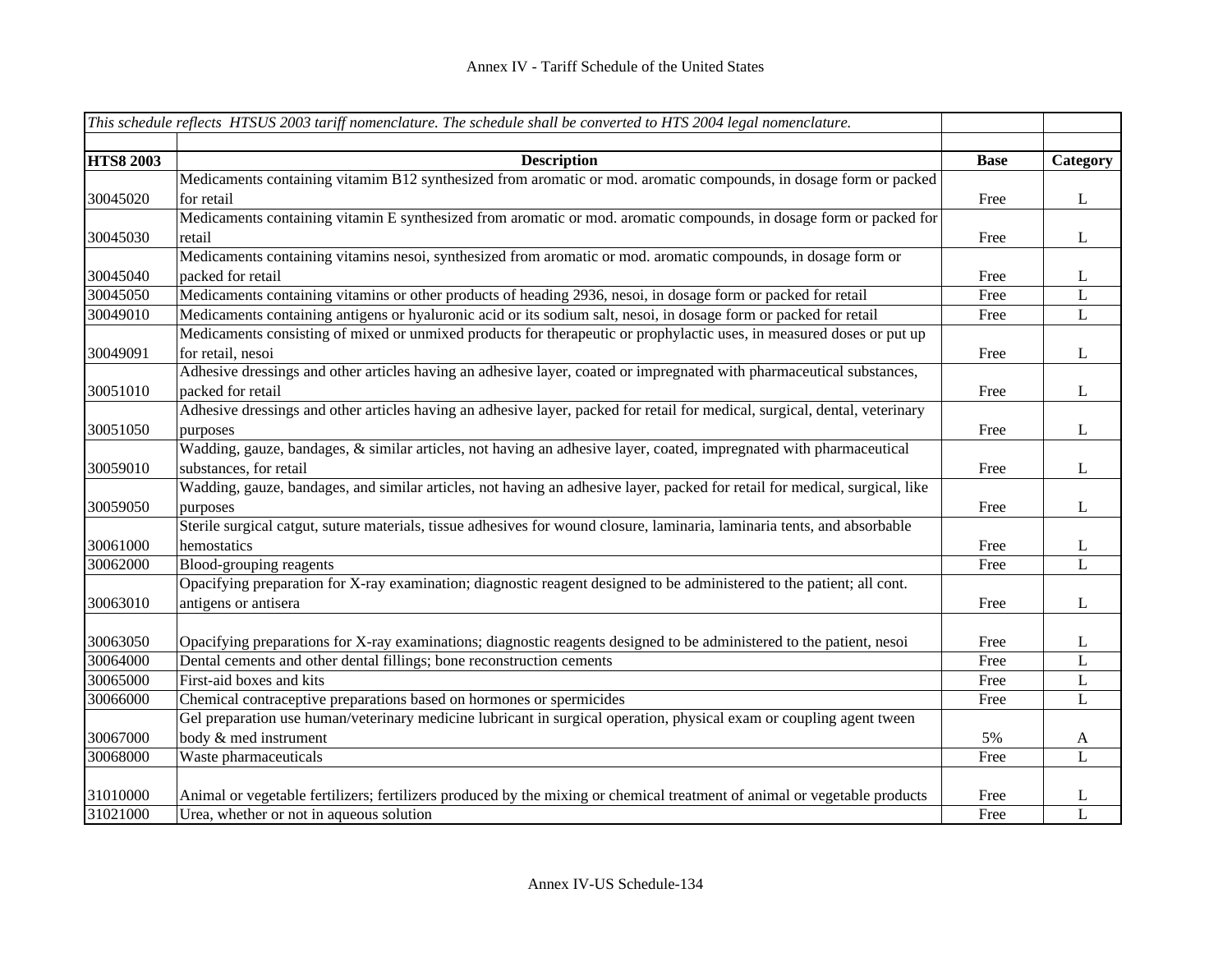|                  | This schedule reflects HTSUS 2003 tariff nomenclature. The schedule shall be converted to HTS 2004 legal nomenclature.      |             |              |
|------------------|-----------------------------------------------------------------------------------------------------------------------------|-------------|--------------|
|                  |                                                                                                                             |             |              |
| <b>HTS8 2003</b> | <b>Description</b>                                                                                                          | <b>Base</b> | Category     |
|                  | Medicaments containing vitamim B12 synthesized from aromatic or mod. aromatic compounds, in dosage form or packed           |             |              |
| 30045020         | for retail                                                                                                                  | Free        | $\mathbf{L}$ |
|                  | Medicaments containing vitamin E synthesized from aromatic or mod. aromatic compounds, in dosage form or packed for         |             |              |
| 30045030         | retail                                                                                                                      | Free        | L            |
|                  | Medicaments containing vitamins nesoi, synthesized from aromatic or mod. aromatic compounds, in dosage form or              |             |              |
| 30045040         | packed for retail                                                                                                           | Free        | L            |
| 30045050         | Medicaments containing vitamins or other products of heading 2936, nesoi, in dosage form or packed for retail               | Free        | L            |
| 30049010         | Medicaments containing antigens or hyaluronic acid or its sodium salt, nesoi, in dosage form or packed for retail           | Free        | $\mathbf L$  |
|                  | Medicaments consisting of mixed or unmixed products for therapeutic or prophylactic uses, in measured doses or put up       |             |              |
| 30049091         | for retail, nesoi                                                                                                           | Free        | L            |
|                  | Adhesive dressings and other articles having an adhesive layer, coated or impregnated with pharmaceutical substances,       |             |              |
| 30051010         | packed for retail                                                                                                           | Free        | $\mathbf{L}$ |
|                  | Adhesive dressings and other articles having an adhesive layer, packed for retail for medical, surgical, dental, veterinary |             |              |
| 30051050         | purposes                                                                                                                    | Free        | $\bf L$      |
|                  | Wadding, gauze, bandages, & similar articles, not having an adhesive layer, coated, impregnated with pharmaceutical         |             |              |
| 30059010         | substances, for retail                                                                                                      | Free        | $\mathbf{L}$ |
|                  | Wadding, gauze, bandages, and similar articles, not having an adhesive layer, packed for retail for medical, surgical, like |             |              |
| 30059050         | purposes                                                                                                                    | Free        | $\bf L$      |
|                  | Sterile surgical catgut, suture materials, tissue adhesives for wound closure, laminaria, laminaria tents, and absorbable   |             |              |
| 30061000         | hemostatics                                                                                                                 | Free        | $\mathbf{L}$ |
| 30062000         | Blood-grouping reagents                                                                                                     | Free        | $\bf L$      |
|                  | Opacifying preparation for X-ray examination; diagnostic reagent designed to be administered to the patient; all cont.      |             |              |
| 30063010         | antigens or antisera                                                                                                        | Free        | L            |
|                  |                                                                                                                             |             |              |
| 30063050         | Opacifying preparations for X-ray examinations; diagnostic reagents designed to be administered to the patient, nesoi       | Free        | L            |
| 30064000         | Dental cements and other dental fillings; bone reconstruction cements                                                       | Free        | L            |
| 30065000         | First-aid boxes and kits                                                                                                    | Free        | $\bf L$      |
| 30066000         | Chemical contraceptive preparations based on hormones or spermicides                                                        | Free        | $\mathbf{L}$ |
|                  | Gel preparation use human/veterinary medicine lubricant in surgical operation, physical exam or coupling agent tween        |             |              |
| 30067000         | body & med instrument                                                                                                       | 5%          | A            |
| 30068000         | Waste pharmaceuticals                                                                                                       | Free        | $\mathbf{L}$ |
|                  |                                                                                                                             |             |              |
| 31010000         | Animal or vegetable fertilizers; fertilizers produced by the mixing or chemical treatment of animal or vegetable products   | Free        | L            |
| 31021000         | Urea, whether or not in aqueous solution                                                                                    | Free        | L            |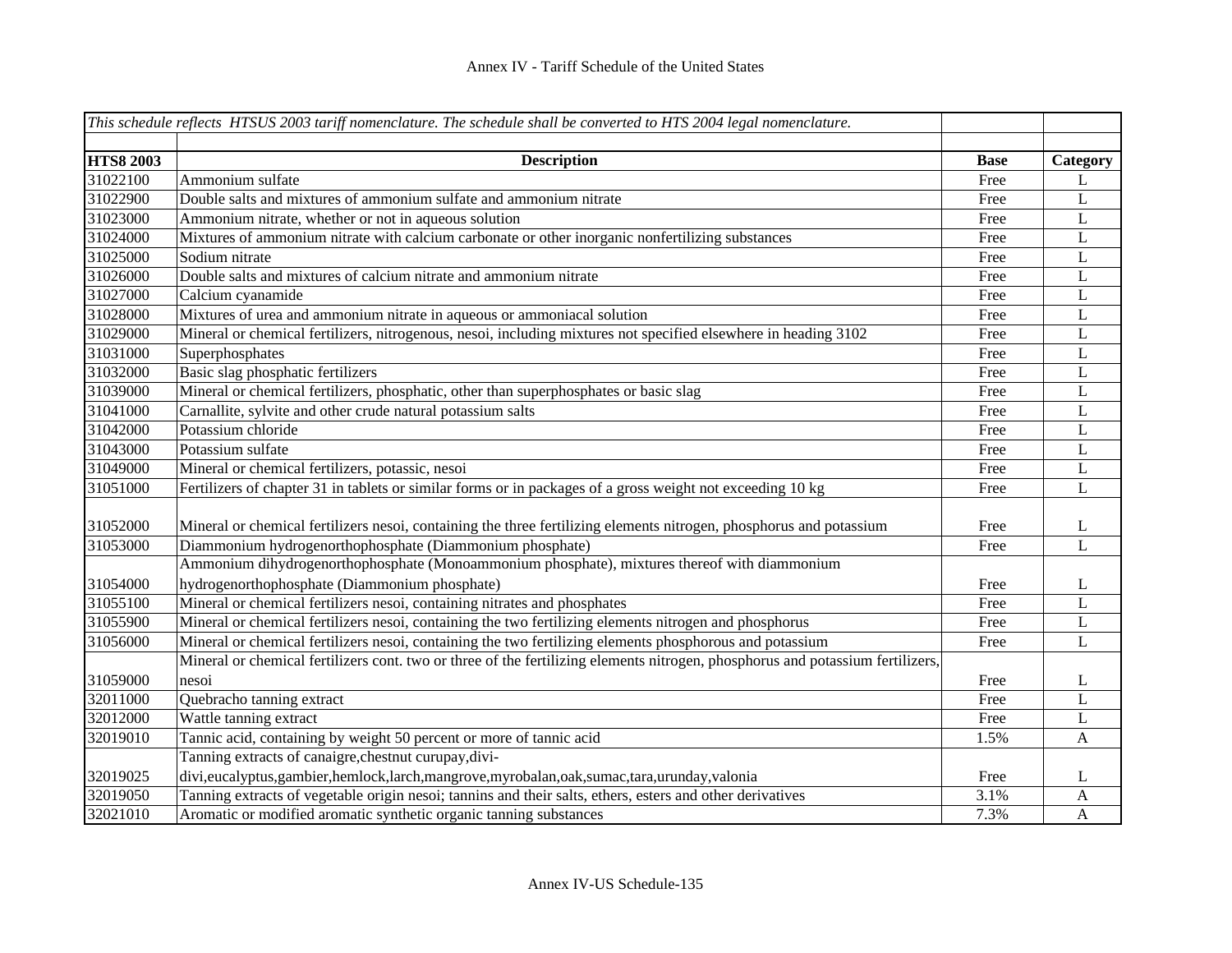|                  | This schedule reflects HTSUS 2003 tariff nomenclature. The schedule shall be converted to HTS 2004 legal nomenclature.         |             |              |
|------------------|--------------------------------------------------------------------------------------------------------------------------------|-------------|--------------|
|                  |                                                                                                                                |             |              |
| <b>HTS8 2003</b> | <b>Description</b>                                                                                                             | <b>Base</b> | Category     |
| 31022100         | Ammonium sulfate                                                                                                               | Free        | L            |
| 31022900         | Double salts and mixtures of ammonium sulfate and ammonium nitrate                                                             | Free        | $\mathbf L$  |
| 31023000         | Ammonium nitrate, whether or not in aqueous solution                                                                           | Free        | $\mathbf L$  |
| 31024000         | Mixtures of ammonium nitrate with calcium carbonate or other inorganic nonfertilizing substances                               | Free        | $\mathbf L$  |
| 31025000         | Sodium nitrate                                                                                                                 | Free        | $\mathbf L$  |
| 31026000         | Double salts and mixtures of calcium nitrate and ammonium nitrate                                                              | Free        | L            |
| 31027000         | Calcium cyanamide                                                                                                              | Free        | L            |
| 31028000         | Mixtures of urea and ammonium nitrate in aqueous or ammoniacal solution                                                        | Free        | L            |
| 31029000         | Mineral or chemical fertilizers, nitrogenous, nesoi, including mixtures not specified elsewhere in heading 3102                | Free        | $\mathbf L$  |
| 31031000         | Superphosphates                                                                                                                | Free        | $\mathbf{L}$ |
| 31032000         | Basic slag phosphatic fertilizers                                                                                              | Free        | $\mathbf{L}$ |
| 31039000         | Mineral or chemical fertilizers, phosphatic, other than superphosphates or basic slag                                          | Free        | $\mathbf{L}$ |
| 31041000         | Carnallite, sylvite and other crude natural potassium salts                                                                    | Free        | $\mathbf L$  |
| 31042000         | Potassium chloride                                                                                                             | Free        | $\mathbf L$  |
| 31043000         | Potassium sulfate                                                                                                              | Free        | $\mathbf L$  |
| 31049000         | Mineral or chemical fertilizers, potassic, nesoi                                                                               | Free        | $\mathbf L$  |
| 31051000         | Fertilizers of chapter 31 in tablets or similar forms or in packages of a gross weight not exceeding 10 kg                     | Free        | $\mathbf{L}$ |
| 31052000         | Mineral or chemical fertilizers nesoi, containing the three fertilizing elements nitrogen, phosphorus and potassium            | Free        | L            |
| 31053000         | Diammonium hydrogenorthophosphate (Diammonium phosphate)                                                                       | Free        | $\mathbf{L}$ |
|                  | Ammonium dihydrogenorthophosphate (Monoammonium phosphate), mixtures thereof with diammonium                                   |             |              |
| 31054000         | hydrogenorthophosphate (Diammonium phosphate)                                                                                  | Free        | L            |
| 31055100         | Mineral or chemical fertilizers nesoi, containing nitrates and phosphates                                                      | Free        | $\mathbf L$  |
| 31055900         | Mineral or chemical fertilizers nesoi, containing the two fertilizing elements nitrogen and phosphorus                         | Free        | $\mathbf L$  |
| 31056000         | Mineral or chemical fertilizers nesoi, containing the two fertilizing elements phosphorous and potassium                       | Free        | L            |
|                  | Mineral or chemical fertilizers cont. two or three of the fertilizing elements nitrogen, phosphorus and potassium fertilizers, |             |              |
| 31059000         | nesoi                                                                                                                          | Free        | L            |
| 32011000         | Quebracho tanning extract                                                                                                      | Free        | L            |
| 32012000         | Wattle tanning extract                                                                                                         | Free        | L            |
| 32019010         | Tannic acid, containing by weight 50 percent or more of tannic acid                                                            | 1.5%        | $\mathbf{A}$ |
|                  | Tanning extracts of canaigre, chestnut curupay, divi-                                                                          |             |              |
| 32019025         | divi,eucalyptus,gambier,hemlock,larch,mangrove,myrobalan,oak,sumac,tara,urunday,valonia                                        | Free        | L            |
| 32019050         | Tanning extracts of vegetable origin nesoi; tannins and their salts, ethers, esters and other derivatives                      | 3.1%        | A            |
| 32021010         | Aromatic or modified aromatic synthetic organic tanning substances                                                             | 7.3%        | $\mathbf{A}$ |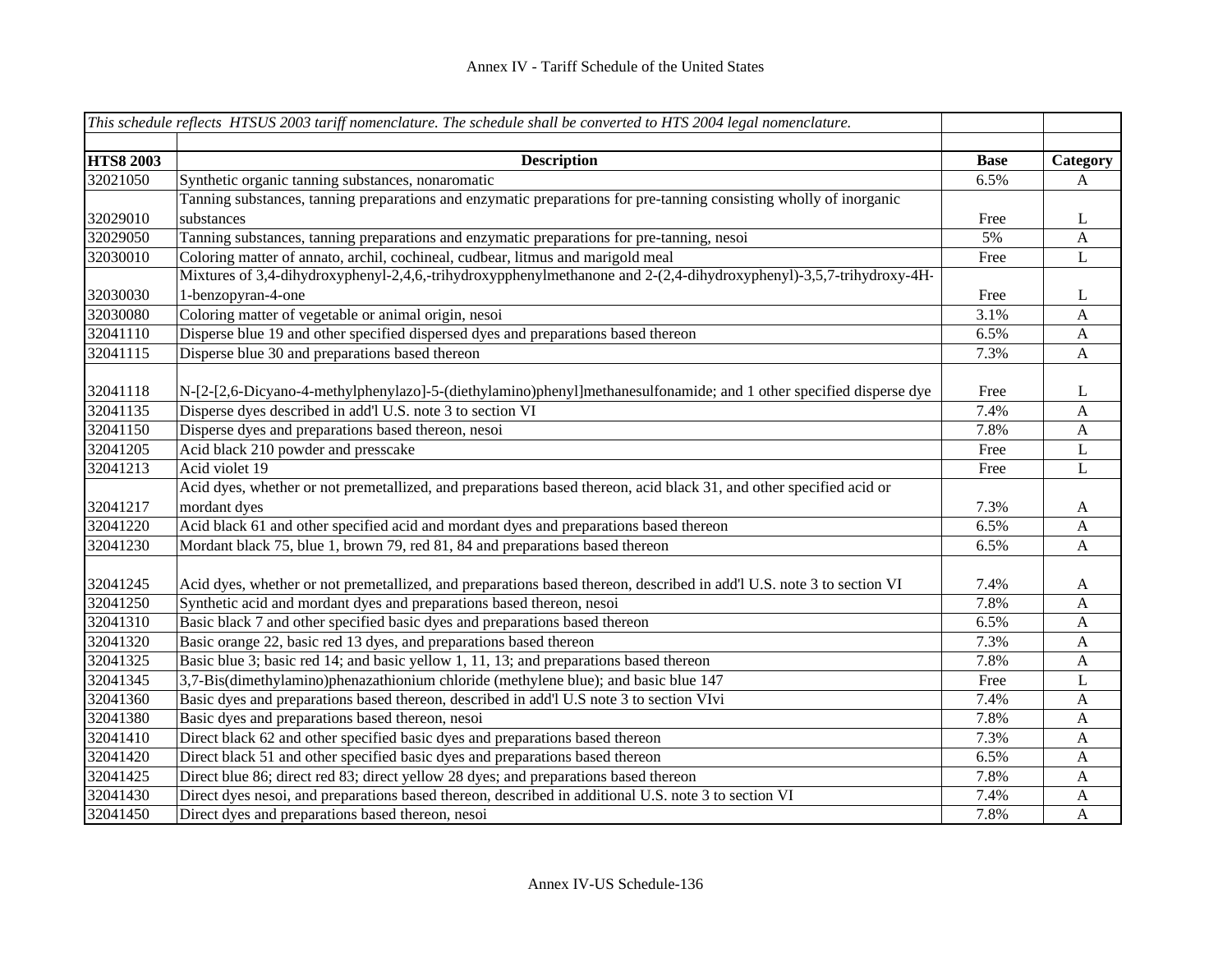|                  | This schedule reflects HTSUS 2003 tariff nomenclature. The schedule shall be converted to HTS 2004 legal nomenclature. |             |                           |
|------------------|------------------------------------------------------------------------------------------------------------------------|-------------|---------------------------|
| <b>HTS8 2003</b> | <b>Description</b>                                                                                                     | <b>Base</b> | Category                  |
| 32021050         | Synthetic organic tanning substances, nonaromatic                                                                      | 6.5%        | A                         |
|                  | Tanning substances, tanning preparations and enzymatic preparations for pre-tanning consisting wholly of inorganic     |             |                           |
| 32029010         | substances                                                                                                             | Free        | L                         |
| 32029050         | Tanning substances, tanning preparations and enzymatic preparations for pre-tanning, nesoi                             | 5%          | $\mathbf{A}$              |
| 32030010         | Coloring matter of annato, archil, cochineal, cudbear, litmus and marigold meal                                        | Free        | $\mathbf L$               |
|                  | Mixtures of 3,4-dihydroxyphenyl-2,4,6,-trihydroxypphenylmethanone and 2-(2,4-dihydroxyphenyl)-3,5,7-trihydroxy-4H-     |             |                           |
| 32030030         | 1-benzopyran-4-one                                                                                                     | Free        | L                         |
| 32030080         | Coloring matter of vegetable or animal origin, nesoi                                                                   | 3.1%        | A                         |
| 32041110         | Disperse blue 19 and other specified dispersed dyes and preparations based thereon                                     | 6.5%        | A                         |
| 32041115         | Disperse blue 30 and preparations based thereon                                                                        | 7.3%        | $\mathbf{A}$              |
|                  |                                                                                                                        |             |                           |
| 32041118         | N-[2-[2,6-Dicyano-4-methylphenylazo]-5-(diethylamino)phenyl]methanesulfonamide; and 1 other specified disperse dye     | Free        | L                         |
| 32041135         | Disperse dyes described in add'l U.S. note 3 to section VI                                                             | 7.4%        | $\mathbf{A}$              |
| 32041150         | Disperse dyes and preparations based thereon, nesoi                                                                    | 7.8%        | $\boldsymbol{\mathsf{A}}$ |
| 32041205         | Acid black 210 powder and presscake                                                                                    | Free        | L                         |
| 32041213         | Acid violet 19                                                                                                         | Free        | L                         |
|                  | Acid dyes, whether or not premetallized, and preparations based thereon, acid black 31, and other specified acid or    |             |                           |
| 32041217         | mordant dyes                                                                                                           | 7.3%        | $\mathbf{A}$              |
| 32041220         | Acid black 61 and other specified acid and mordant dyes and preparations based thereon                                 | 6.5%        | $\mathbf{A}$              |
| 32041230         | Mordant black 75, blue 1, brown 79, red 81, 84 and preparations based thereon                                          | 6.5%        | $\mathbf{A}$              |
|                  |                                                                                                                        |             |                           |
| 32041245         | Acid dyes, whether or not premetallized, and preparations based thereon, described in add'l U.S. note 3 to section VI  | 7.4%        | A                         |
| 32041250         | Synthetic acid and mordant dyes and preparations based thereon, nesoi                                                  | 7.8%        | A                         |
| 32041310         | Basic black 7 and other specified basic dyes and preparations based thereon                                            | 6.5%        | A                         |
| 32041320         | Basic orange 22, basic red 13 dyes, and preparations based thereon                                                     | 7.3%        | A                         |
| 32041325         | Basic blue 3; basic red 14; and basic yellow 1, 11, 13; and preparations based thereon                                 | 7.8%        | $\mathbf{A}$              |
| 32041345         | $3,7$ -Bis(dimethylamino)phenazathionium chloride (methylene blue); and basic blue 147                                 | Free        | L                         |
| 32041360         | Basic dyes and preparations based thereon, described in add'l U.S note 3 to section VIvi                               | 7.4%        | $\mathbf{A}$              |
| 32041380         | Basic dyes and preparations based thereon, nesoi                                                                       | 7.8%        | $\mathbf{A}$              |
| 32041410         | Direct black 62 and other specified basic dyes and preparations based thereon                                          | 7.3%        | $\mathbf{A}$              |
| 32041420         | Direct black 51 and other specified basic dyes and preparations based thereon                                          | 6.5%        | A                         |
| 32041425         | Direct blue 86; direct red 83; direct yellow 28 dyes; and preparations based thereon                                   | 7.8%        | $\mathbf{A}$              |
| 32041430         | Direct dyes nesoi, and preparations based thereon, described in additional U.S. note 3 to section VI                   | 7.4%        | $\mathbf{A}$              |
| 32041450         | Direct dyes and preparations based thereon, nesoi                                                                      | 7.8%        | $\mathbf{A}$              |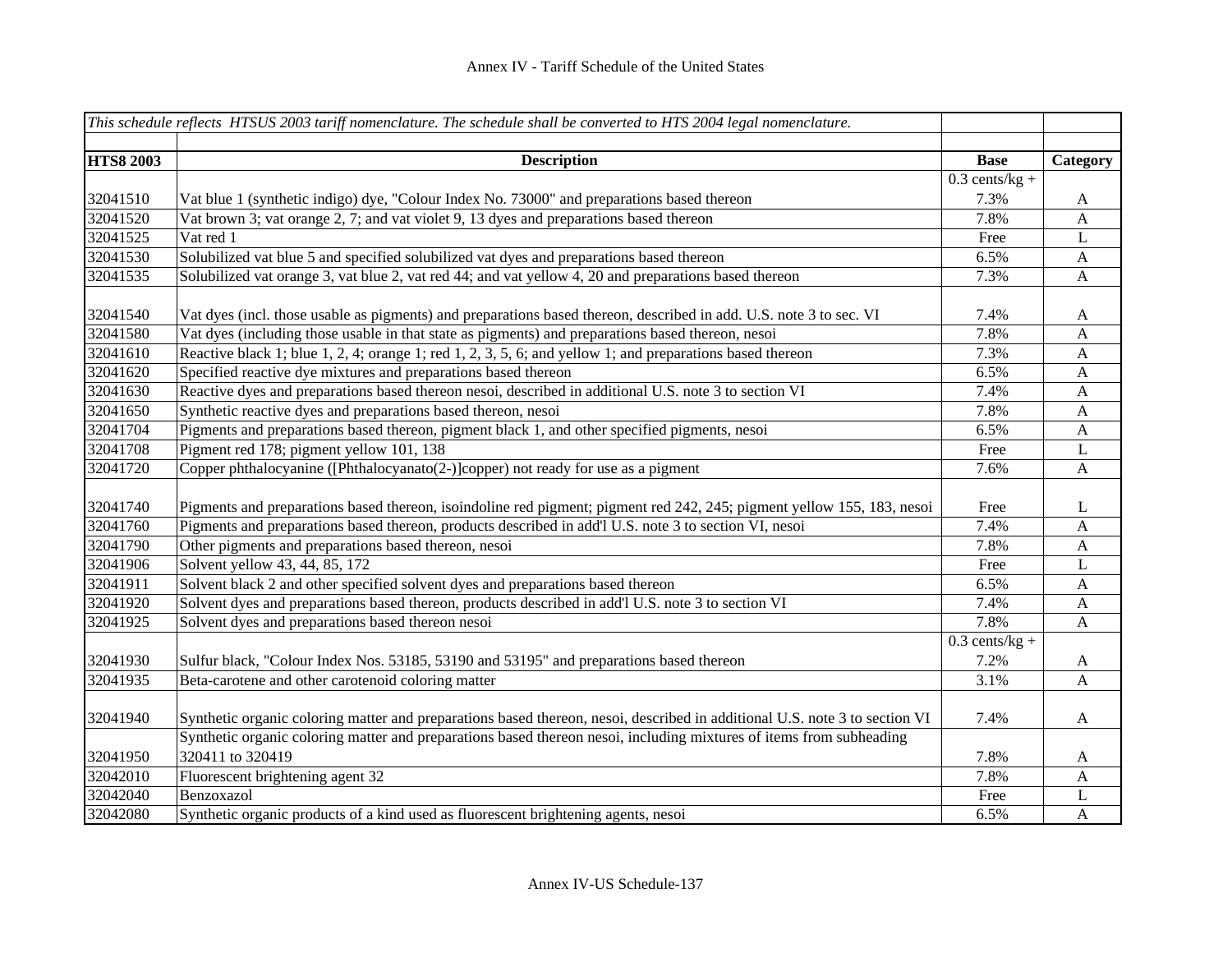|                  | This schedule reflects HTSUS 2003 tariff nomenclature. The schedule shall be converted to HTS 2004 legal nomenclature.     |                  |                           |
|------------------|----------------------------------------------------------------------------------------------------------------------------|------------------|---------------------------|
| <b>HTS8 2003</b> | <b>Description</b>                                                                                                         | <b>Base</b>      | Category                  |
|                  |                                                                                                                            | $0.3$ cents/kg + |                           |
| 32041510         | Vat blue 1 (synthetic indigo) dye, "Colour Index No. 73000" and preparations based thereon                                 | 7.3%             | A                         |
| 32041520         | Vat brown 3; vat orange 2, 7; and vat violet 9, 13 dyes and preparations based thereon                                     | 7.8%             | $\mathbf{A}$              |
| 32041525         | Vat red 1                                                                                                                  | Free             | L                         |
| 32041530         | Solubilized vat blue 5 and specified solubilized vat dyes and preparations based thereon                                   | 6.5%             | $\mathbf{A}$              |
| 32041535         | Solubilized vat orange 3, vat blue 2, vat red 44; and vat yellow 4, 20 and preparations based thereon                      | 7.3%             | $\mathbf{A}$              |
| 32041540         | Vat dyes (incl. those usable as pigments) and preparations based thereon, described in add. U.S. note 3 to sec. VI         | 7.4%             | A                         |
| 32041580         | Vat dyes (including those usable in that state as pigments) and preparations based thereon, nesoi                          | 7.8%             | A                         |
| 32041610         | Reactive black 1; blue 1, 2, 4; orange 1; red 1, 2, 3, 5, 6; and yellow 1; and preparations based thereon                  | 7.3%             | $\mathbf{A}$              |
| 32041620         | Specified reactive dye mixtures and preparations based thereon                                                             | 6.5%             | $\boldsymbol{\mathsf{A}}$ |
| 32041630         | Reactive dyes and preparations based thereon nesoi, described in additional U.S. note 3 to section VI                      | 7.4%             | $\mathbf A$               |
| 32041650         | Synthetic reactive dyes and preparations based thereon, nesoi                                                              | 7.8%             | $\mathbf{A}$              |
| 32041704         | Pigments and preparations based thereon, pigment black 1, and other specified pigments, nesoi                              | 6.5%             | $\mathbf{A}$              |
| 32041708         | Pigment red 178; pigment yellow 101, 138                                                                                   | Free             | L                         |
| 32041720         | Copper phthalocyanine ([Phthalocyanato(2-)]copper) not ready for use as a pigment                                          | 7.6%             | $\mathbf{A}$              |
| 32041740         | Pigments and preparations based thereon, isoindoline red pigment; pigment red 242, 245; pigment yellow 155, 183, nesoi     | Free             | L                         |
| 32041760         | Pigments and preparations based thereon, products described in add'l U.S. note 3 to section VI, nesoi                      | 7.4%             | A                         |
| 32041790         | Other pigments and preparations based thereon, nesoi                                                                       | 7.8%             | A                         |
| 32041906         | Solvent yellow 43, 44, 85, 172                                                                                             | Free             | L                         |
| 32041911         | Solvent black 2 and other specified solvent dyes and preparations based thereon                                            | 6.5%             | A                         |
| 32041920         | Solvent dyes and preparations based thereon, products described in add'l U.S. note 3 to section VI                         | 7.4%             | A                         |
| 32041925         | Solvent dyes and preparations based thereon nesoi                                                                          | 7.8%             | $\mathbf{A}$              |
|                  |                                                                                                                            | $0.3$ cents/kg + |                           |
| 32041930         | Sulfur black, "Colour Index Nos. 53185, 53190 and 53195" and preparations based thereon                                    | 7.2%             | A                         |
| 32041935         | Beta-carotene and other carotenoid coloring matter                                                                         | 3.1%             | A                         |
| 32041940         | Synthetic organic coloring matter and preparations based thereon, nesoi, described in additional U.S. note 3 to section VI | 7.4%             | A                         |
|                  | Synthetic organic coloring matter and preparations based thereon nesoi, including mixtures of items from subheading        |                  |                           |
| 32041950         | 320411 to 320419                                                                                                           | 7.8%             | A                         |
| 32042010         | Fluorescent brightening agent 32                                                                                           | 7.8%             | A                         |
| 32042040         | Benzoxazol                                                                                                                 | Free             | L                         |
| 32042080         | Synthetic organic products of a kind used as fluorescent brightening agents, nesoi                                         | 6.5%             | A                         |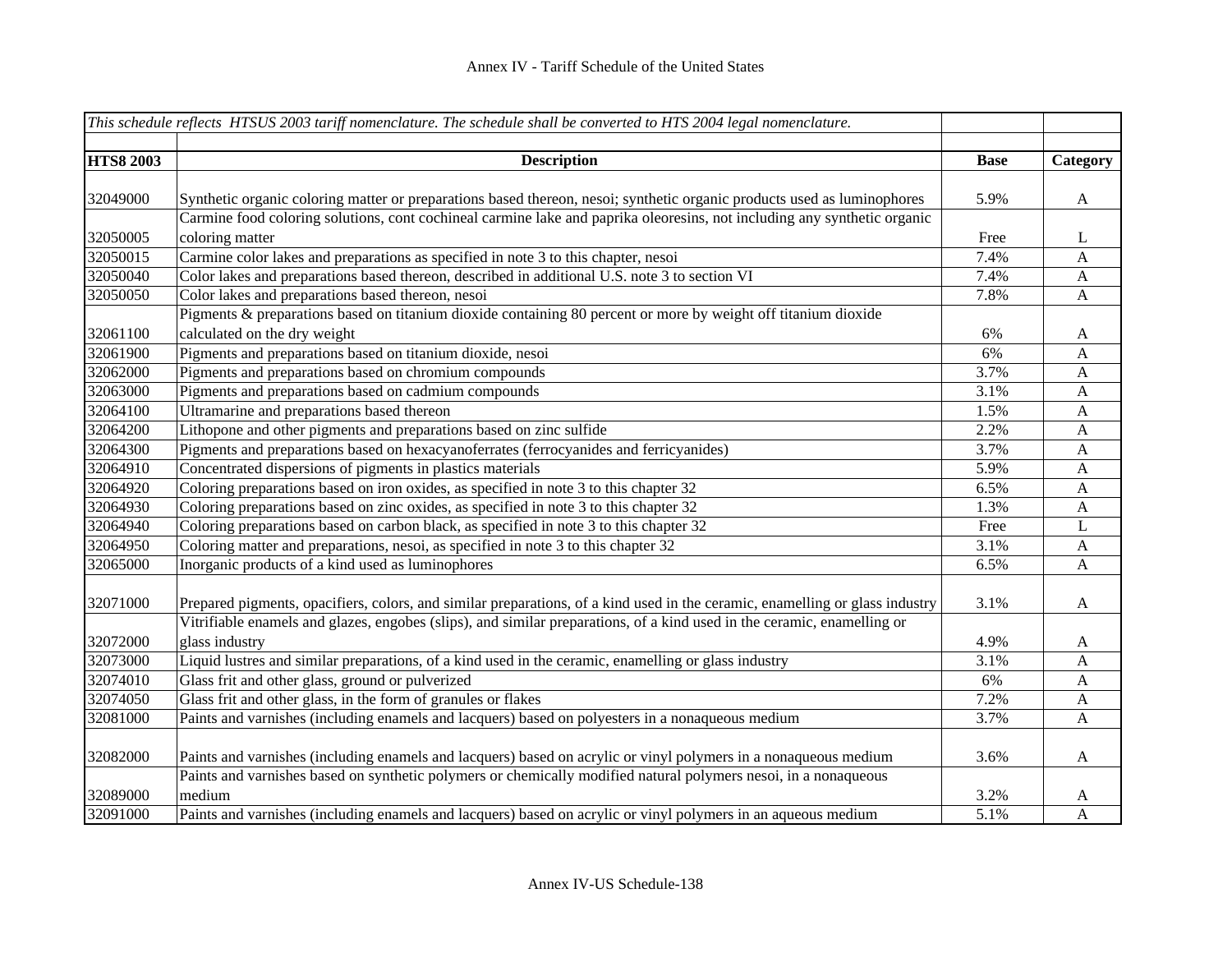|                  | This schedule reflects HTSUS 2003 tariff nomenclature. The schedule shall be converted to HTS 2004 legal nomenclature.       |             |                           |
|------------------|------------------------------------------------------------------------------------------------------------------------------|-------------|---------------------------|
| <b>HTS8 2003</b> | <b>Description</b>                                                                                                           | <b>Base</b> | Category                  |
|                  |                                                                                                                              |             |                           |
| 32049000         | Synthetic organic coloring matter or preparations based thereon, nesoi; synthetic organic products used as luminophores      | 5.9%        | $\mathbf{A}$              |
|                  | Carmine food coloring solutions, cont cochineal carmine lake and paprika oleoresins, not including any synthetic organic     |             |                           |
| 32050005         | coloring matter                                                                                                              | Free        | $\mathbf{L}$              |
| 32050015         | Carmine color lakes and preparations as specified in note 3 to this chapter, nesoi                                           | 7.4%        | $\mathbf{A}$              |
| 32050040         | Color lakes and preparations based thereon, described in additional U.S. note 3 to section VI                                | 7.4%        | $\mathbf{A}$              |
| 32050050         | Color lakes and preparations based thereon, nesoi                                                                            | 7.8%        | $\boldsymbol{\mathsf{A}}$ |
|                  | Pigments & preparations based on titanium dioxide containing 80 percent or more by weight off titanium dioxide               |             |                           |
| 32061100         | calculated on the dry weight                                                                                                 | 6%          | A                         |
| 32061900         | Pigments and preparations based on titanium dioxide, nesoi                                                                   | 6%          | $\boldsymbol{A}$          |
| 32062000         | Pigments and preparations based on chromium compounds                                                                        | 3.7%        | $\mathbf{A}$              |
| 32063000         | Pigments and preparations based on cadmium compounds                                                                         | 3.1%        | $\mathbf{A}$              |
| 32064100         | Ultramarine and preparations based thereon                                                                                   | 1.5%        | $\mathbf{A}$              |
| 32064200         | Lithopone and other pigments and preparations based on zinc sulfide                                                          | 2.2%        | A                         |
| 32064300         | Pigments and preparations based on hexacyanoferrates (ferrocyanides and ferricyanides)                                       | 3.7%        | $\mathbf{A}$              |
| 32064910         | Concentrated dispersions of pigments in plastics materials                                                                   | 5.9%        | $\mathbf{A}$              |
| 32064920         | Coloring preparations based on iron oxides, as specified in note 3 to this chapter 32                                        | 6.5%        | $\mathbf{A}$              |
| 32064930         | Coloring preparations based on zinc oxides, as specified in note 3 to this chapter 32                                        | 1.3%        | $\boldsymbol{A}$          |
| 32064940         | Coloring preparations based on carbon black, as specified in note 3 to this chapter 32                                       | Free        | L                         |
| 32064950         | Coloring matter and preparations, nesoi, as specified in note 3 to this chapter 32                                           | 3.1%        | $\boldsymbol{A}$          |
| 32065000         | Inorganic products of a kind used as luminophores                                                                            | 6.5%        | A                         |
| 32071000         | Prepared pigments, opacifiers, colors, and similar preparations, of a kind used in the ceramic, enamelling or glass industry | 3.1%        | $\mathbf{A}$              |
|                  | Vitrifiable enamels and glazes, engobes (slips), and similar preparations, of a kind used in the ceramic, enamelling or      |             |                           |
| 32072000         | glass industry                                                                                                               | 4.9%        | A                         |
| 32073000         | Liquid lustres and similar preparations, of a kind used in the ceramic, enamelling or glass industry                         | 3.1%        | $\mathbf{A}$              |
| 32074010         | Glass frit and other glass, ground or pulverized                                                                             | 6%          | A                         |
| 32074050         | Glass frit and other glass, in the form of granules or flakes                                                                | 7.2%        | $\boldsymbol{A}$          |
| 32081000         | Paints and varnishes (including enamels and lacquers) based on polyesters in a nonaqueous medium                             | 3.7%        | $\mathbf{A}$              |
| 32082000         |                                                                                                                              |             |                           |
|                  | Paints and varnishes (including enamels and lacquers) based on acrylic or vinyl polymers in a nonaqueous medium              | 3.6%        | $\mathbf{A}$              |
|                  | Paints and varnishes based on synthetic polymers or chemically modified natural polymers nesoi, in a nonaqueous              |             |                           |
| 32089000         | medium                                                                                                                       | 3.2%        | A                         |
| 32091000         | Paints and varnishes (including enamels and lacquers) based on acrylic or vinyl polymers in an aqueous medium                | 5.1%        | $\mathbf{A}$              |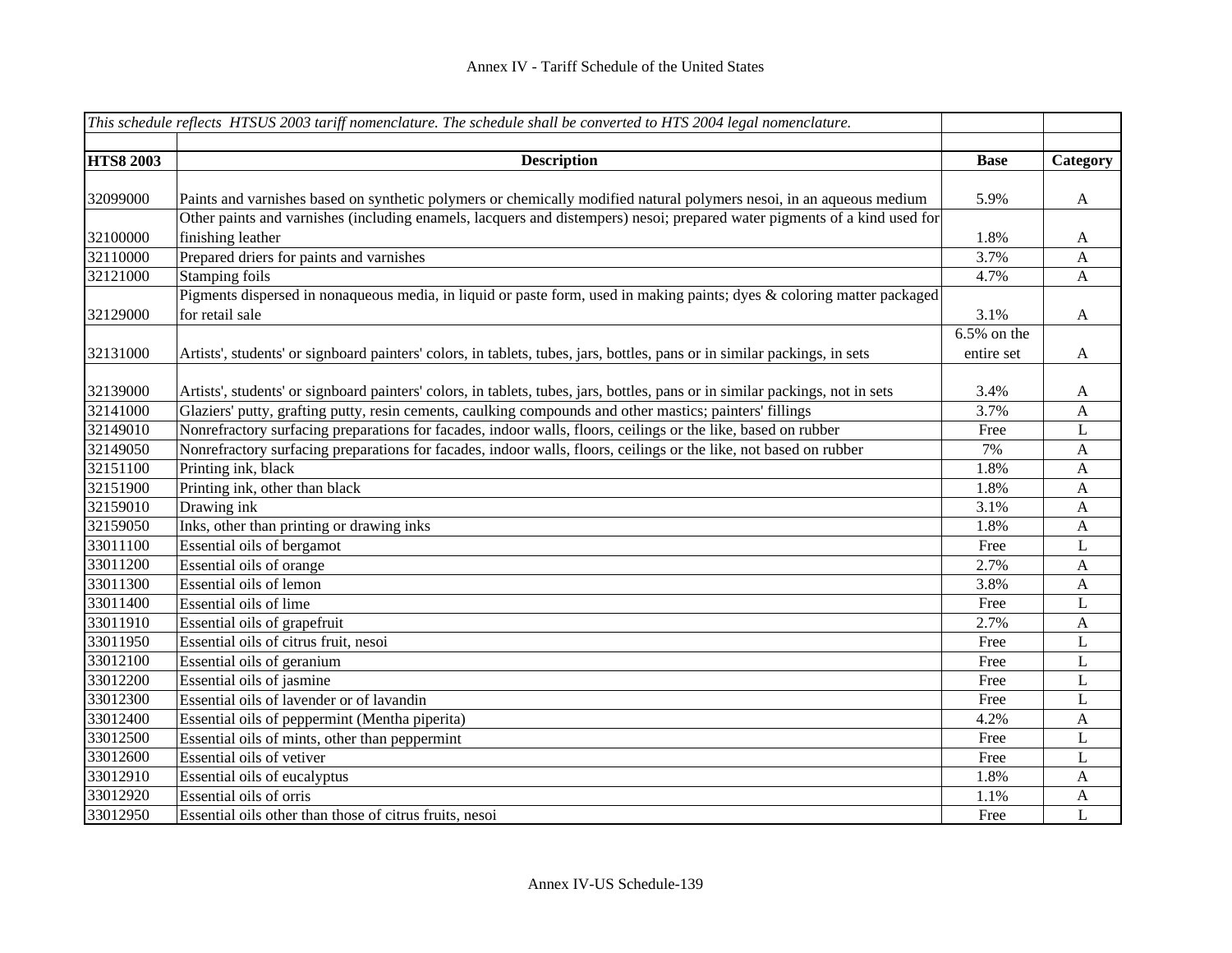|                  | This schedule reflects HTSUS 2003 tariff nomenclature. The schedule shall be converted to HTS 2004 legal nomenclature.        |                |              |
|------------------|-------------------------------------------------------------------------------------------------------------------------------|----------------|--------------|
|                  |                                                                                                                               |                |              |
| <b>HTS8 2003</b> | <b>Description</b>                                                                                                            | <b>Base</b>    | Category     |
|                  |                                                                                                                               |                |              |
| 32099000         | Paints and varnishes based on synthetic polymers or chemically modified natural polymers nesoi, in an aqueous medium          | 5.9%           | $\mathbf{A}$ |
|                  | Other paints and varnishes (including enamels, lacquers and distempers) nesoi; prepared water pigments of a kind used for     |                |              |
| 32100000         | finishing leather                                                                                                             | 1.8%           | $\mathbf{A}$ |
| 32110000         | Prepared driers for paints and varnishes                                                                                      | 3.7%           | $\mathbf{A}$ |
| 32121000         | Stamping foils                                                                                                                | 4.7%           | $\mathbf{A}$ |
|                  | Pigments dispersed in nonaqueous media, in liquid or paste form, used in making paints; dyes & coloring matter packaged       |                |              |
| 32129000         | for retail sale                                                                                                               | 3.1%           | $\mathbf{A}$ |
|                  |                                                                                                                               | $6.5\%$ on the |              |
| 32131000         | Artists', students' or signboard painters' colors, in tablets, tubes, jars, bottles, pans or in similar packings, in sets     | entire set     | $\mathbf{A}$ |
| 32139000         | Artists', students' or signboard painters' colors, in tablets, tubes, jars, bottles, pans or in similar packings, not in sets | 3.4%           | A            |
| 32141000         | Glaziers' putty, grafting putty, resin cements, caulking compounds and other mastics; painters' fillings                      | 3.7%           | $\mathbf{A}$ |
| 32149010         | Nonrefractory surfacing preparations for facades, indoor walls, floors, ceilings or the like, based on rubber                 | Free           | L            |
| 32149050         | Nonrefractory surfacing preparations for facades, indoor walls, floors, ceilings or the like, not based on rubber             | 7%             | $\mathbf{A}$ |
| 32151100         | Printing ink, black                                                                                                           | 1.8%           | $\mathbf{A}$ |
| 32151900         | Printing ink, other than black                                                                                                | 1.8%           | $\mathbf{A}$ |
| 32159010         | Drawing ink                                                                                                                   | 3.1%           | $\mathbf{A}$ |
| 32159050         | Inks, other than printing or drawing inks                                                                                     | 1.8%           | $\mathbf{A}$ |
| 33011100         | Essential oils of bergamot                                                                                                    | Free           | $\mathbf L$  |
| 33011200         | Essential oils of orange                                                                                                      | 2.7%           | $\mathbf{A}$ |
| 33011300         | Essential oils of lemon                                                                                                       | 3.8%           | $\mathbf{A}$ |
| 33011400         | Essential oils of lime                                                                                                        | Free           | L            |
| 33011910         | Essential oils of grapefruit                                                                                                  | 2.7%           | A            |
| 33011950         | Essential oils of citrus fruit, nesoi                                                                                         | Free           | L            |
| 33012100         | Essential oils of geranium                                                                                                    | Free           | L            |
| 33012200         | Essential oils of jasmine                                                                                                     | Free           | L            |
| 33012300         | Essential oils of lavender or of lavandin                                                                                     | Free           | L            |
| 33012400         | Essential oils of peppermint (Mentha piperita)                                                                                | 4.2%           | $\mathbf{A}$ |
| 33012500         | Essential oils of mints, other than peppermint                                                                                | Free           | L            |
| 33012600         | Essential oils of vetiver                                                                                                     | Free           | $\mathbf L$  |
| 33012910         | Essential oils of eucalyptus                                                                                                  | 1.8%           | A            |
| 33012920         | Essential oils of orris                                                                                                       | 1.1%           | $\mathbf{A}$ |
| 33012950         | Essential oils other than those of citrus fruits, nesoi                                                                       | Free           | $\mathbf{L}$ |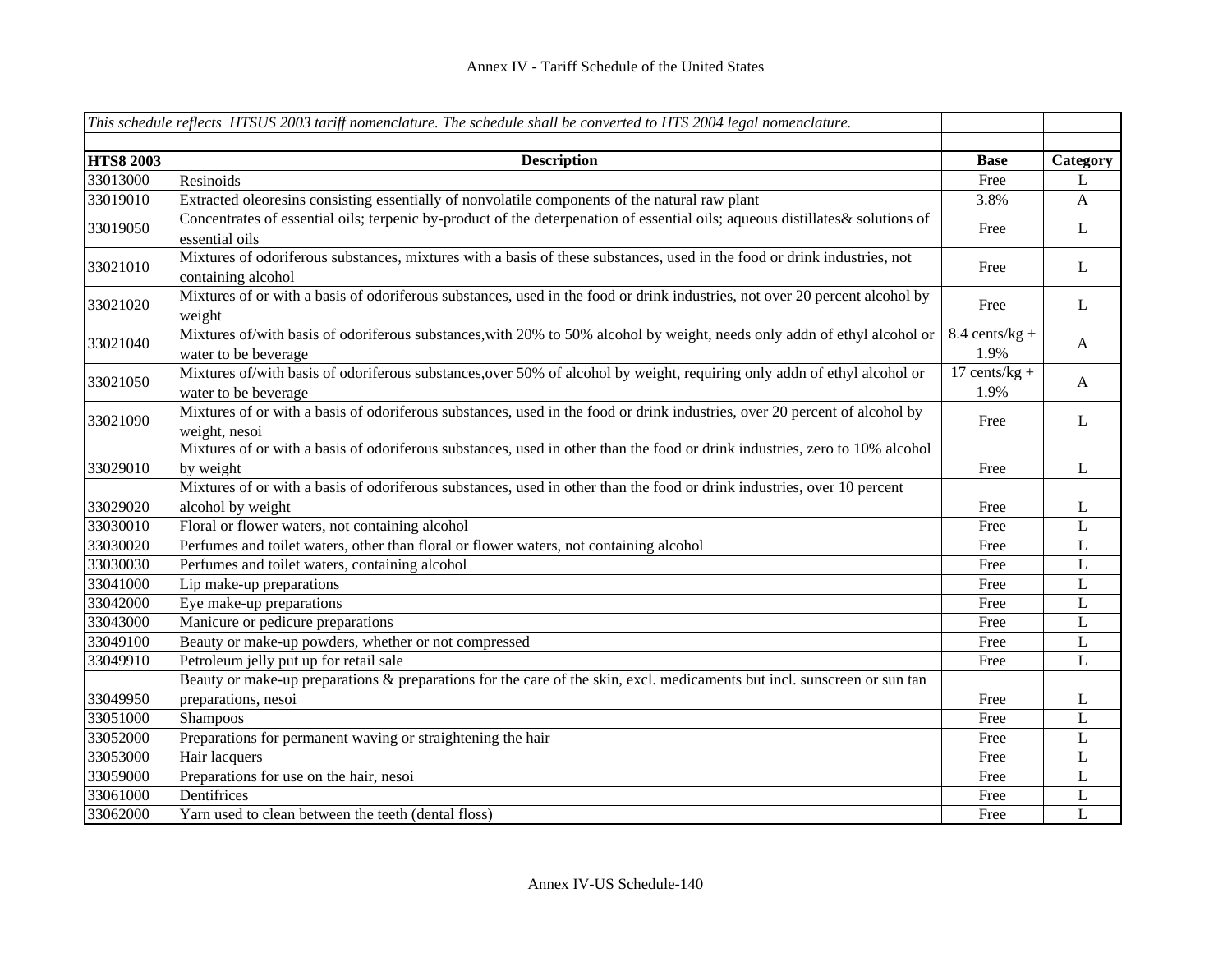|                  | This schedule reflects HTSUS 2003 tariff nomenclature. The schedule shall be converted to HTS 2004 legal nomenclature.                           |                                 |              |
|------------------|--------------------------------------------------------------------------------------------------------------------------------------------------|---------------------------------|--------------|
|                  |                                                                                                                                                  |                                 |              |
| <b>HTS8 2003</b> | <b>Description</b>                                                                                                                               | <b>Base</b>                     | Category     |
| 33013000         | Resinoids                                                                                                                                        | Free                            | L            |
| 33019010         | Extracted oleoresins consisting essentially of nonvolatile components of the natural raw plant                                                   | 3.8%                            | $\mathbf{A}$ |
| 33019050         | Concentrates of essential oils; terpenic by-product of the deterpenation of essential oils; aqueous distillates & solutions of<br>essential oils | Free                            | L            |
| 33021010         | Mixtures of odoriferous substances, mixtures with a basis of these substances, used in the food or drink industries, not<br>containing alcohol   | Free                            | L            |
| 33021020         | Mixtures of or with a basis of odoriferous substances, used in the food or drink industries, not over 20 percent alcohol by<br>weight            | Free                            | L            |
| 33021040         | Mixtures of/with basis of odoriferous substances, with 20% to 50% alcohol by weight, needs only addn of ethyl alcohol or<br>water to be beverage | $8.4$ cents/kg +<br>1.9%        | $\mathbf{A}$ |
| 33021050         | Mixtures of/with basis of odoriferous substances, over 50% of alcohol by weight, requiring only addn of ethyl alcohol or<br>water to be beverage | $17 \text{ cents/kg} +$<br>1.9% | $\mathbf{A}$ |
| 33021090         | Mixtures of or with a basis of odoriferous substances, used in the food or drink industries, over 20 percent of alcohol by<br>weight, nesoi      | Free                            | L            |
| 33029010         | Mixtures of or with a basis of odoriferous substances, used in other than the food or drink industries, zero to 10% alcohol<br>by weight         | Free                            | L            |
|                  | Mixtures of or with a basis of odoriferous substances, used in other than the food or drink industries, over 10 percent                          |                                 |              |
| 33029020         | alcohol by weight                                                                                                                                | Free                            | L            |
| 33030010         | Floral or flower waters, not containing alcohol                                                                                                  | Free                            | $\mathbf{L}$ |
| 33030020         | Perfumes and toilet waters, other than floral or flower waters, not containing alcohol                                                           | Free                            | L            |
| 33030030         | Perfumes and toilet waters, containing alcohol                                                                                                   | Free                            | $\mathbf L$  |
| 33041000         | Lip make-up preparations                                                                                                                         | Free                            | $\mathbf L$  |
| 33042000         | Eye make-up preparations                                                                                                                         | Free                            | L            |
| 33043000         | Manicure or pedicure preparations                                                                                                                | Free                            | $\mathbf L$  |
| 33049100         | Beauty or make-up powders, whether or not compressed                                                                                             | Free                            | L            |
| 33049910         | Petroleum jelly put up for retail sale                                                                                                           | Free                            | L            |
|                  | Beauty or make-up preparations & preparations for the care of the skin, excl. medicaments but incl. sunscreen or sun tan                         |                                 |              |
| 33049950         | preparations, nesoi                                                                                                                              | Free                            | L            |
| 33051000         | Shampoos                                                                                                                                         | Free                            | $\mathbf L$  |
| 33052000         | Preparations for permanent waving or straightening the hair                                                                                      | Free                            | $\mathbf L$  |
| 33053000         | Hair lacquers                                                                                                                                    | Free                            | $\mathbf L$  |
| 33059000         | Preparations for use on the hair, nesoi                                                                                                          | Free                            | $\mathbf L$  |
| 33061000         | Dentifrices                                                                                                                                      | Free                            | L            |
| 33062000         | Yarn used to clean between the teeth (dental floss)                                                                                              | Free                            | L            |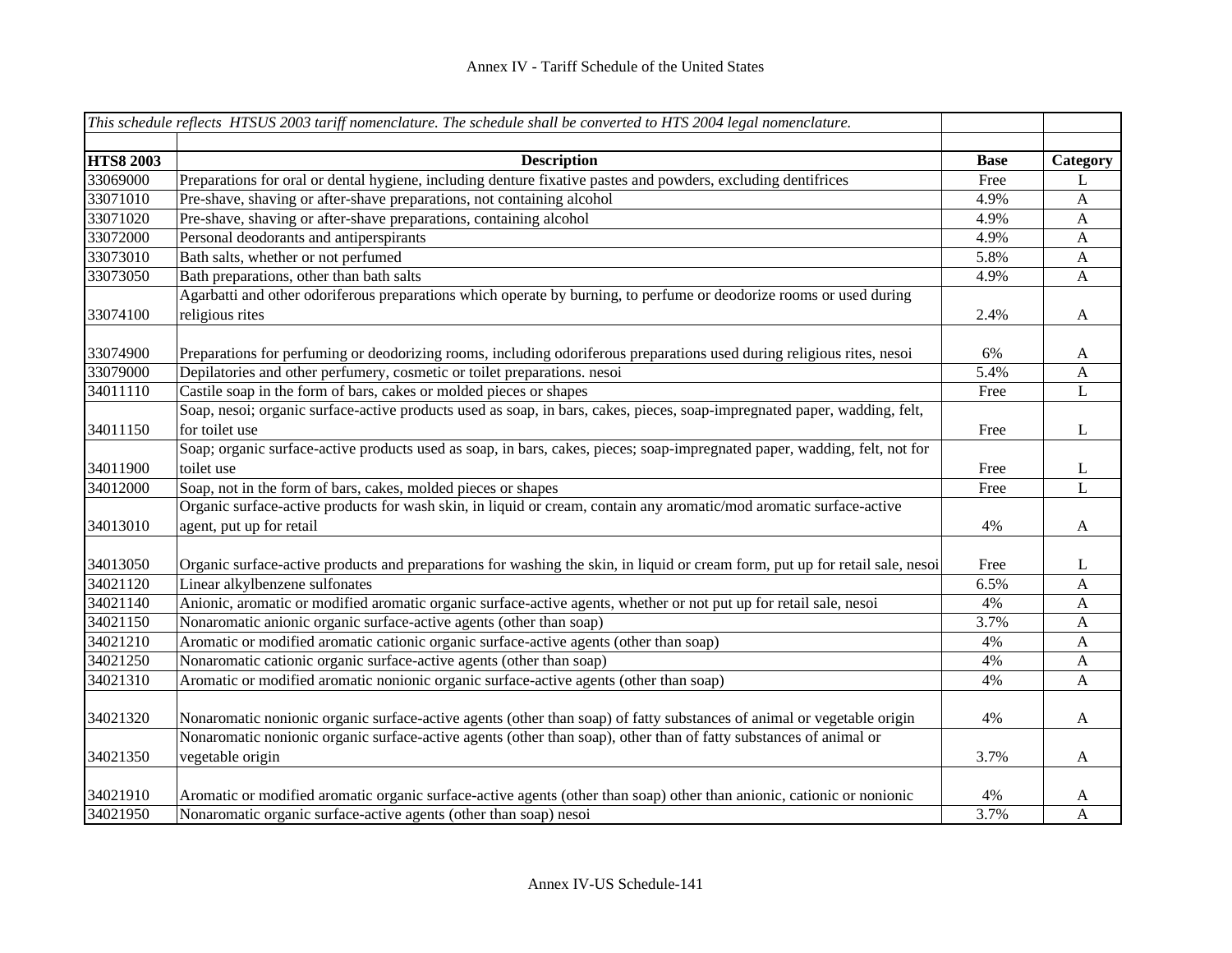|                  | This schedule reflects HTSUS 2003 tariff nomenclature. The schedule shall be converted to HTS 2004 legal nomenclature.        |             |              |
|------------------|-------------------------------------------------------------------------------------------------------------------------------|-------------|--------------|
|                  |                                                                                                                               |             |              |
| <b>HTS8 2003</b> | <b>Description</b>                                                                                                            | <b>Base</b> | Category     |
| 33069000         | Preparations for oral or dental hygiene, including denture fixative pastes and powders, excluding dentifrices                 | Free        | L            |
| 33071010         | Pre-shave, shaving or after-shave preparations, not containing alcohol                                                        | 4.9%        | $\mathbf{A}$ |
| 33071020         | Pre-shave, shaving or after-shave preparations, containing alcohol                                                            | 4.9%        | $\mathbf{A}$ |
| 33072000         | Personal deodorants and antiperspirants                                                                                       | 4.9%        | $\mathbf{A}$ |
| 33073010         | Bath salts, whether or not perfumed                                                                                           | 5.8%        | $\mathbf{A}$ |
| 33073050         | Bath preparations, other than bath salts                                                                                      | 4.9%        | $\mathbf{A}$ |
|                  | Agarbatti and other odoriferous preparations which operate by burning, to perfume or deodorize rooms or used during           |             |              |
| 33074100         | religious rites                                                                                                               | 2.4%        | $\mathbf{A}$ |
| 33074900         |                                                                                                                               |             |              |
| 33079000         | Preparations for perfuming or deodorizing rooms, including odoriferous preparations used during religious rites, nesoi        | 6%          | $\mathbf{A}$ |
|                  | Depilatories and other perfumery, cosmetic or toilet preparations. nesoi                                                      | 5.4%        | A            |
| 34011110         | Castile soap in the form of bars, cakes or molded pieces or shapes                                                            | Free        | L            |
|                  | Soap, nesoi; organic surface-active products used as soap, in bars, cakes, pieces, soap-impregnated paper, wadding, felt,     |             |              |
| 34011150         | for toilet use                                                                                                                | Free        | L            |
|                  | Soap; organic surface-active products used as soap, in bars, cakes, pieces; soap-impregnated paper, wadding, felt, not for    |             |              |
| 34011900         | toilet use                                                                                                                    | Free        | L            |
| 34012000         | Soap, not in the form of bars, cakes, molded pieces or shapes                                                                 | Free        | L            |
|                  | Organic surface-active products for wash skin, in liquid or cream, contain any aromatic/mod aromatic surface-active           |             |              |
| 34013010         | agent, put up for retail                                                                                                      | 4%          | $\mathbf{A}$ |
| 34013050         | Organic surface-active products and preparations for washing the skin, in liquid or cream form, put up for retail sale, nesoi | Free        | L            |
| 34021120         | Linear alkylbenzene sulfonates                                                                                                | 6.5%        | A            |
| 34021140         | Anionic, aromatic or modified aromatic organic surface-active agents, whether or not put up for retail sale, nesoi            | 4%          | $\mathbf{A}$ |
| 34021150         | Nonaromatic anionic organic surface-active agents (other than soap)                                                           | 3.7%        | $\mathbf{A}$ |
| 34021210         | Aromatic or modified aromatic cationic organic surface-active agents (other than soap)                                        | 4%          | A            |
| 34021250         | Nonaromatic cationic organic surface-active agents (other than soap)                                                          | 4%          | $\mathbf{A}$ |
| 34021310         | Aromatic or modified aromatic nonionic organic surface-active agents (other than soap)                                        | 4%          | $\mathbf{A}$ |
|                  |                                                                                                                               |             |              |
| 34021320         | Nonaromatic nonionic organic surface-active agents (other than soap) of fatty substances of animal or vegetable origin        | 4%          | $\mathbf{A}$ |
|                  | Nonaromatic nonionic organic surface-active agents (other than soap), other than of fatty substances of animal or             |             |              |
| 34021350         | vegetable origin                                                                                                              | 3.7%        | A            |
|                  |                                                                                                                               |             |              |
| 34021910         | Aromatic or modified aromatic organic surface-active agents (other than soap) other than anionic, cationic or nonionic        | 4%          | A            |
| 34021950         | Nonaromatic organic surface-active agents (other than soap) nesoi                                                             | 3.7%        | $\mathbf{A}$ |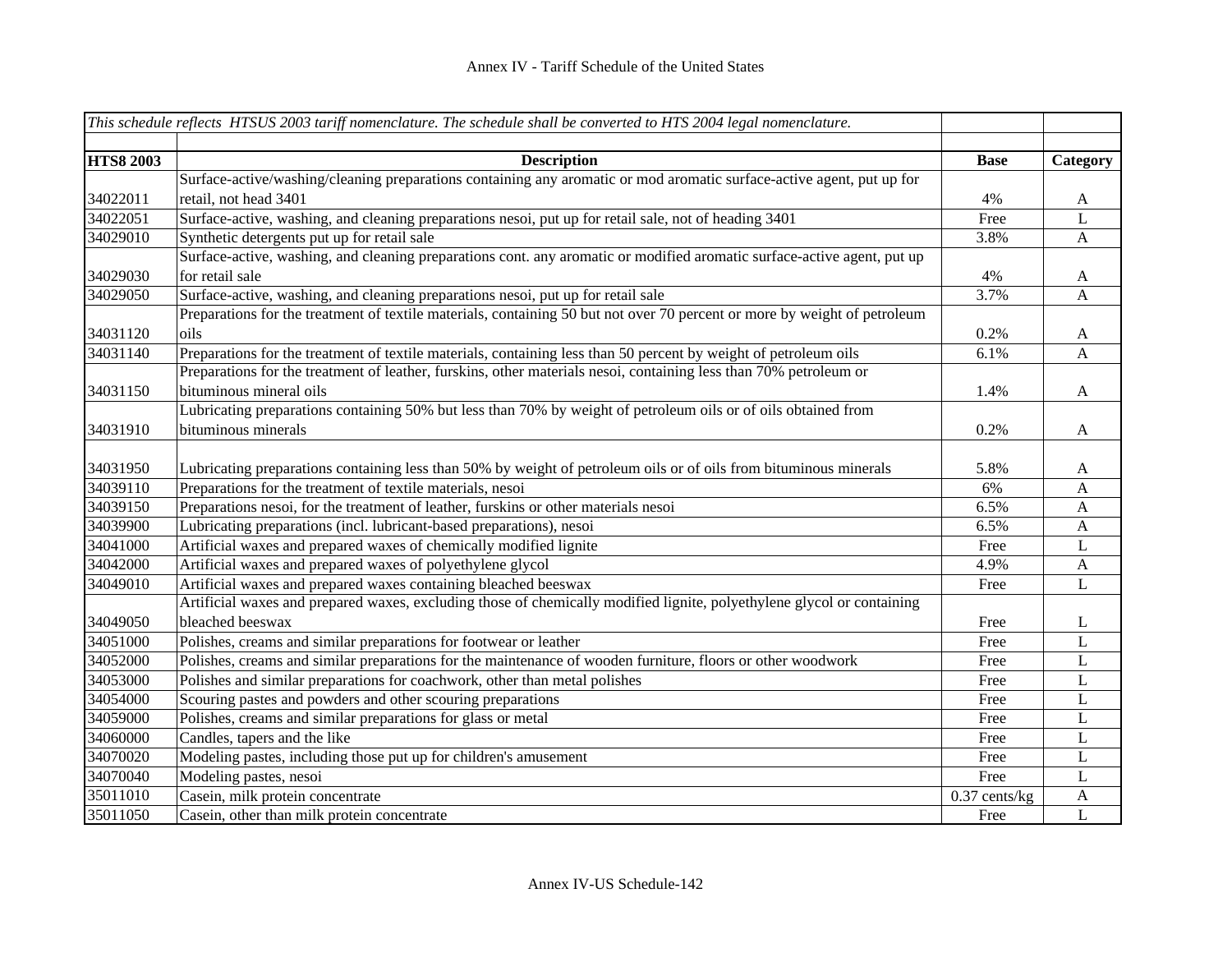|                  | This schedule reflects HTSUS 2003 tariff nomenclature. The schedule shall be converted to HTS 2004 legal nomenclature.    |                 |              |
|------------------|---------------------------------------------------------------------------------------------------------------------------|-----------------|--------------|
|                  |                                                                                                                           |                 |              |
| <b>HTS8 2003</b> | <b>Description</b>                                                                                                        | <b>Base</b>     | Category     |
|                  | Surface-active/washing/cleaning preparations containing any aromatic or mod aromatic surface-active agent, put up for     |                 |              |
| 34022011         | retail, not head 3401                                                                                                     | 4%              | $\mathbf{A}$ |
| 34022051         | Surface-active, washing, and cleaning preparations nesoi, put up for retail sale, not of heading 3401                     | Free            | L            |
| 34029010         | Synthetic detergents put up for retail sale                                                                               | 3.8%            | $\mathbf{A}$ |
|                  | Surface-active, washing, and cleaning preparations cont. any aromatic or modified aromatic surface-active agent, put up   |                 |              |
| 34029030         | for retail sale                                                                                                           | 4%              | $\mathbf{A}$ |
| 34029050         | Surface-active, washing, and cleaning preparations nesoi, put up for retail sale                                          | 3.7%            | A            |
|                  | Preparations for the treatment of textile materials, containing 50 but not over 70 percent or more by weight of petroleum |                 |              |
| 34031120         | oils                                                                                                                      | 0.2%            | $\mathbf{A}$ |
| 34031140         | Preparations for the treatment of textile materials, containing less than 50 percent by weight of petroleum oils          | 6.1%            | $\mathbf{A}$ |
|                  | Preparations for the treatment of leather, furskins, other materials nesoi, containing less than 70% petroleum or         |                 |              |
| 34031150         | bituminous mineral oils                                                                                                   | 1.4%            | $\mathbf{A}$ |
|                  | Lubricating preparations containing 50% but less than 70% by weight of petroleum oils or of oils obtained from            |                 |              |
| 34031910         | bituminous minerals                                                                                                       | 0.2%            | $\mathbf{A}$ |
|                  |                                                                                                                           |                 |              |
| 34031950         | Lubricating preparations containing less than 50% by weight of petroleum oils or of oils from bituminous minerals         | 5.8%            | $\mathbf{A}$ |
| 34039110         | Preparations for the treatment of textile materials, nesoi                                                                | 6%              | $\mathbf{A}$ |
| 34039150         | Preparations nesoi, for the treatment of leather, furskins or other materials nesoi                                       | 6.5%            | $\mathbf{A}$ |
| 34039900         | Lubricating preparations (incl. lubricant-based preparations), nesoi                                                      | 6.5%            | A            |
| 34041000         | Artificial waxes and prepared waxes of chemically modified lignite                                                        | Free            | L            |
| 34042000         | Artificial waxes and prepared waxes of polyethylene glycol                                                                | 4.9%            | $\mathbf{A}$ |
| 34049010         | Artificial waxes and prepared waxes containing bleached beeswax                                                           | Free            | L            |
|                  | Artificial waxes and prepared waxes, excluding those of chemically modified lignite, polyethylene glycol or containing    |                 |              |
| 34049050         | bleached beeswax                                                                                                          | Free            | L            |
| 34051000         | Polishes, creams and similar preparations for footwear or leather                                                         | Free            | L            |
| 34052000         | Polishes, creams and similar preparations for the maintenance of wooden furniture, floors or other woodwork               | Free            | L            |
| 34053000         | Polishes and similar preparations for coachwork, other than metal polishes                                                | Free            | L            |
| 34054000         | Scouring pastes and powders and other scouring preparations                                                               | Free            | L            |
| 34059000         | Polishes, creams and similar preparations for glass or metal                                                              | Free            | L            |
| 34060000         | Candles, tapers and the like                                                                                              | Free            | L            |
| 34070020         | Modeling pastes, including those put up for children's amusement                                                          | Free            | L            |
| 34070040         | Modeling pastes, nesoi                                                                                                    | Free            | L            |
| 35011010         | Casein, milk protein concentrate                                                                                          | $0.37$ cents/kg | $\mathbf{A}$ |
| 35011050         | Casein, other than milk protein concentrate                                                                               | Free            | $\mathbf{L}$ |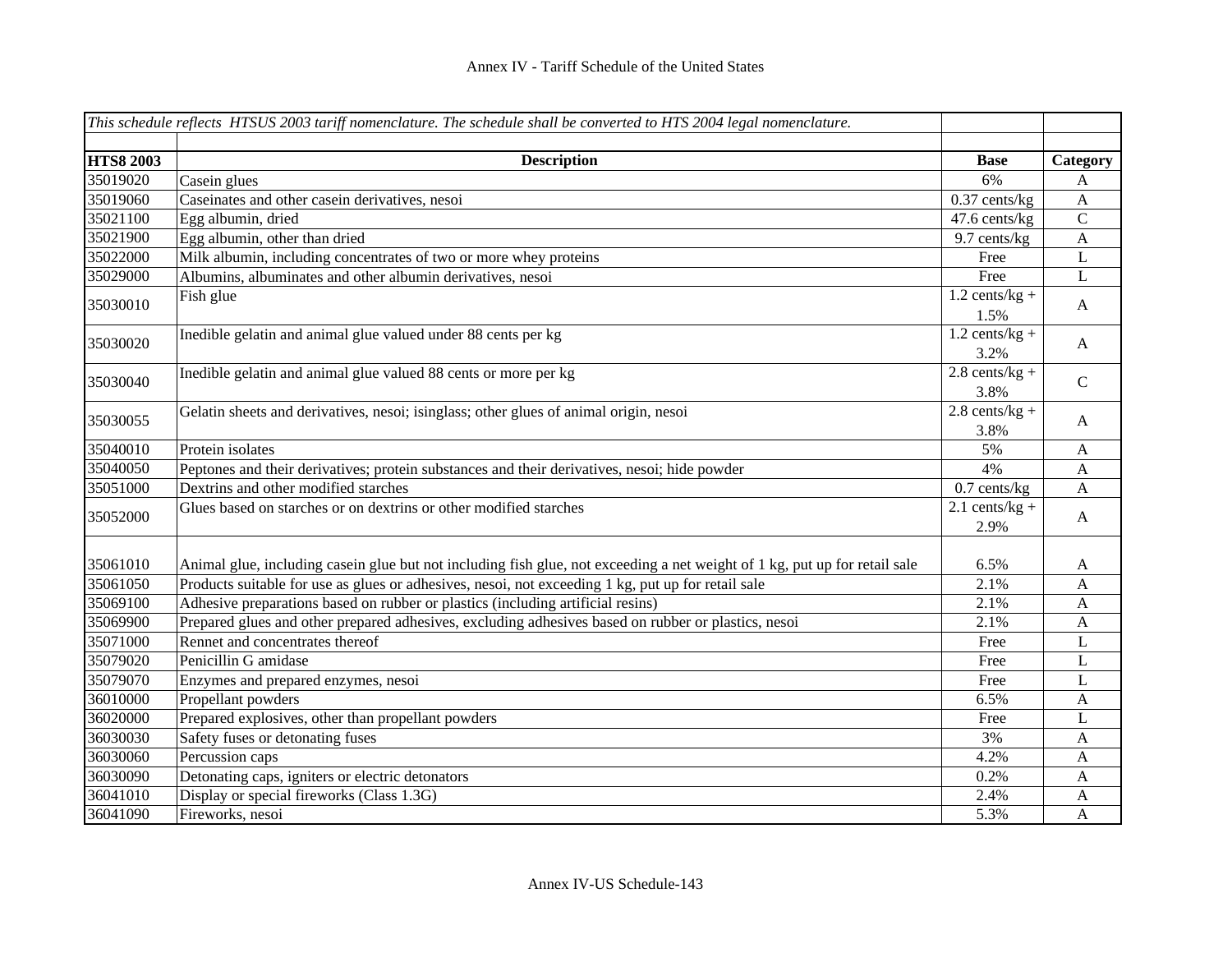|                  | This schedule reflects HTSUS 2003 tariff nomenclature. The schedule shall be converted to HTS 2004 legal nomenclature.     |                          |                           |
|------------------|----------------------------------------------------------------------------------------------------------------------------|--------------------------|---------------------------|
| <b>HTS8 2003</b> | <b>Description</b>                                                                                                         | <b>Base</b>              | Category                  |
| 35019020         | Casein glues                                                                                                               | 6%                       | A                         |
| 35019060         | Caseinates and other casein derivatives, nesoi                                                                             | $0.37$ cents/kg          | $\boldsymbol{A}$          |
| 35021100         | Egg albumin, dried                                                                                                         | 47.6 cents/kg            | $\mathbf C$               |
| 35021900         | Egg albumin, other than dried                                                                                              | 9.7 cents/kg             | $\boldsymbol{\mathsf{A}}$ |
| 35022000         | Milk albumin, including concentrates of two or more whey proteins                                                          | Free                     | $\bf L$                   |
| 35029000         | Albumins, albuminates and other albumin derivatives, nesoi                                                                 | Free                     | $\mathbf{L}$              |
| 35030010         | Fish glue                                                                                                                  | $1.2$ cents/kg +<br>1.5% | $\mathbf{A}$              |
| 35030020         | Inedible gelatin and animal glue valued under 88 cents per kg                                                              | $1.2$ cents/kg +<br>3.2% | $\mathbf{A}$              |
| 35030040         | Inedible gelatin and animal glue valued 88 cents or more per kg                                                            | $2.8$ cents/kg +<br>3.8% | $\mathbf C$               |
| 35030055         | Gelatin sheets and derivatives, nesoi; isinglass; other glues of animal origin, nesoi                                      | $2.8$ cents/kg +<br>3.8% | A                         |
| 35040010         | Protein isolates                                                                                                           | 5%                       | A                         |
| 35040050         | Peptones and their derivatives; protein substances and their derivatives, nesoi; hide powder                               | 4%                       | $\mathbf{A}$              |
| 35051000         | Dextrins and other modified starches                                                                                       | $0.7$ cents/kg           | A                         |
| 35052000         | Glues based on starches or on dextrins or other modified starches                                                          | $2.1$ cents/kg +<br>2.9% | $\mathbf{A}$              |
| 35061010         | Animal glue, including casein glue but not including fish glue, not exceeding a net weight of 1 kg, put up for retail sale | 6.5%                     | A                         |
| 35061050         | Products suitable for use as glues or adhesives, nesoi, not exceeding 1 kg, put up for retail sale                         | 2.1%                     | A                         |
| 35069100         | Adhesive preparations based on rubber or plastics (including artificial resins)                                            | 2.1%                     | A                         |
| 35069900         | Prepared glues and other prepared adhesives, excluding adhesives based on rubber or plastics, nesoi                        | 2.1%                     | A                         |
| 35071000         | Rennet and concentrates thereof                                                                                            | Free                     | L                         |
| 35079020         | Penicillin G amidase                                                                                                       | Free                     | L                         |
| 35079070         | Enzymes and prepared enzymes, nesoi                                                                                        | Free                     | L                         |
| 36010000         | Propellant powders                                                                                                         | 6.5%                     | A                         |
| 36020000         | Prepared explosives, other than propellant powders                                                                         | Free                     | L                         |
| 36030030         | Safety fuses or detonating fuses                                                                                           | 3%                       | $\mathbf A$               |
| 36030060         | Percussion caps                                                                                                            | 4.2%                     | A                         |
| 36030090         | Detonating caps, igniters or electric detonators                                                                           | 0.2%                     | A                         |
| 36041010         | Display or special fireworks (Class 1.3G)                                                                                  | 2.4%                     | $\mathbf A$               |
| 36041090         | Fireworks, nesoi                                                                                                           | 5.3%                     | A                         |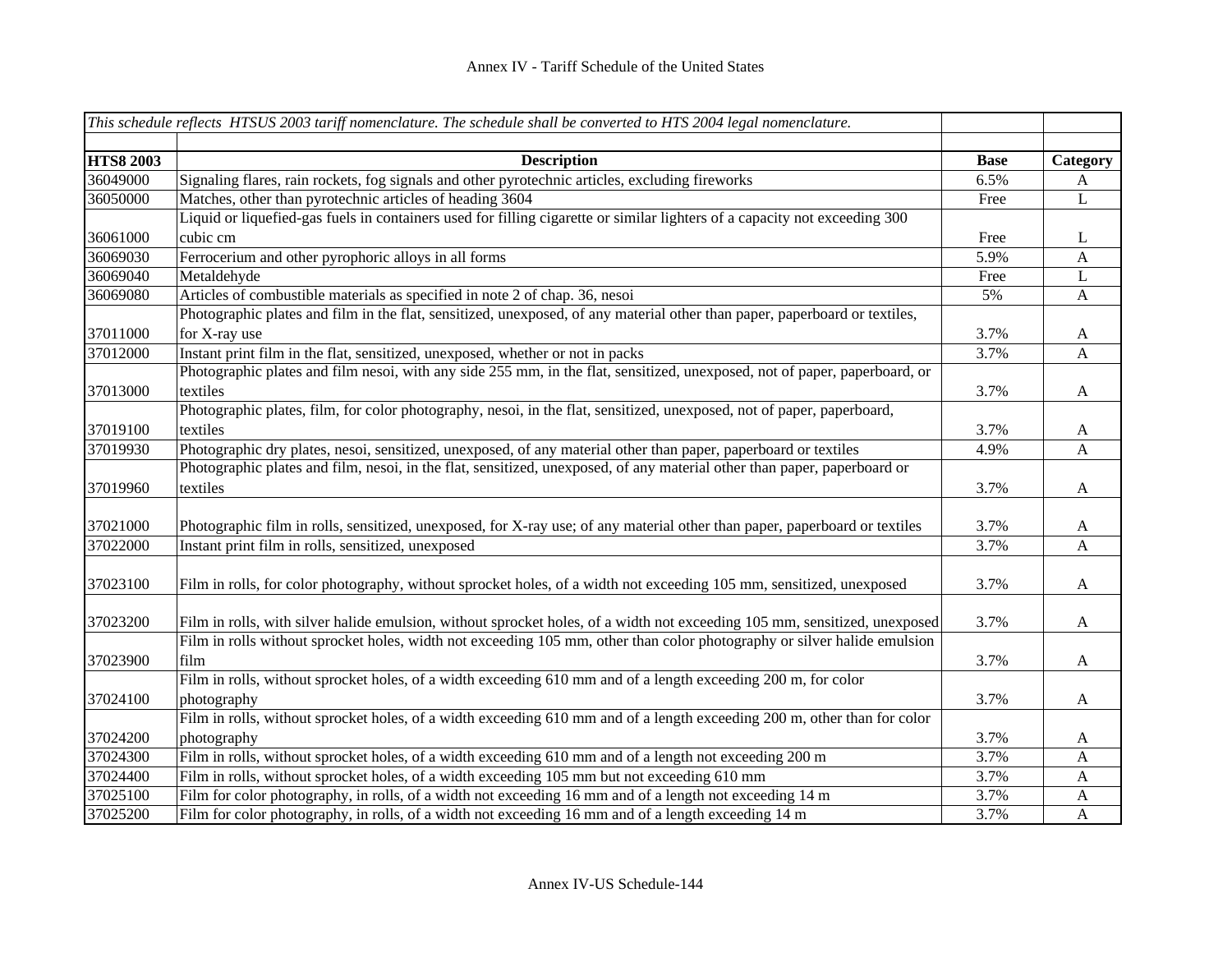|                  | This schedule reflects HTSUS 2003 tariff nomenclature. The schedule shall be converted to HTS 2004 legal nomenclature.     |             |                          |
|------------------|----------------------------------------------------------------------------------------------------------------------------|-------------|--------------------------|
| <b>HTS8 2003</b> | <b>Description</b>                                                                                                         | <b>Base</b> |                          |
| 36049000         | Signaling flares, rain rockets, fog signals and other pyrotechnic articles, excluding fireworks                            | 6.5%        | Category<br>$\mathbf{A}$ |
| 36050000         | Matches, other than pyrotechnic articles of heading 3604                                                                   | Free        | L                        |
|                  | Liquid or liquefied-gas fuels in containers used for filling cigarette or similar lighters of a capacity not exceeding 300 |             |                          |
| 36061000         | cubic cm                                                                                                                   | Free        | L                        |
| 36069030         | Ferrocerium and other pyrophoric alloys in all forms                                                                       | 5.9%        | $\mathbf{A}$             |
| 36069040         | Metaldehyde                                                                                                                | Free        | L                        |
| 36069080         | Articles of combustible materials as specified in note 2 of chap. 36, nesoi                                                | 5%          | A                        |
|                  | Photographic plates and film in the flat, sensitized, unexposed, of any material other than paper, paperboard or textiles, |             |                          |
| 37011000         | for X-ray use                                                                                                              | 3.7%        | $\mathbf{A}$             |
| 37012000         | Instant print film in the flat, sensitized, unexposed, whether or not in packs                                             | 3.7%        | $\mathbf{A}$             |
|                  | Photographic plates and film nesoi, with any side 255 mm, in the flat, sensitized, unexposed, not of paper, paperboard, or |             |                          |
| 37013000         | textiles                                                                                                                   | 3.7%        | $\mathbf{A}$             |
|                  | Photographic plates, film, for color photography, nesoi, in the flat, sensitized, unexposed, not of paper, paperboard,     |             |                          |
| 37019100         | textiles                                                                                                                   | 3.7%        | $\mathbf{A}$             |
| 37019930         | Photographic dry plates, nesoi, sensitized, unexposed, of any material other than paper, paperboard or textiles            | 4.9%        | A                        |
|                  | Photographic plates and film, nesoi, in the flat, sensitized, unexposed, of any material other than paper, paperboard or   |             |                          |
| 37019960         | textiles                                                                                                                   | 3.7%        | $\mathbf{A}$             |
|                  |                                                                                                                            |             |                          |
| 37021000         | Photographic film in rolls, sensitized, unexposed, for X-ray use; of any material other than paper, paperboard or textiles | 3.7%        | $\mathbf{A}$             |
| 37022000         | Instant print film in rolls, sensitized, unexposed                                                                         | 3.7%        | $\mathbf{A}$             |
|                  |                                                                                                                            |             |                          |
| 37023100         | Film in rolls, for color photography, without sprocket holes, of a width not exceeding 105 mm, sensitized, unexposed       | 3.7%        | $\mathbf{A}$             |
|                  |                                                                                                                            |             |                          |
| 37023200         | Film in rolls, with silver halide emulsion, without sprocket holes, of a width not exceeding 105 mm, sensitized, unexposed | 3.7%        | $\mathbf{A}$             |
|                  | Film in rolls without sprocket holes, width not exceeding 105 mm, other than color photography or silver halide emulsion   |             |                          |
| 37023900         | film                                                                                                                       | 3.7%        | $\mathbf A$              |
|                  | Film in rolls, without sprocket holes, of a width exceeding 610 mm and of a length exceeding 200 m, for color              |             |                          |
| 37024100         | photography                                                                                                                | 3.7%        | $\mathbf{A}$             |
|                  | Film in rolls, without sprocket holes, of a width exceeding 610 mm and of a length exceeding 200 m, other than for color   |             |                          |
| 37024200         | photography                                                                                                                | 3.7%        | A                        |
| 37024300         | Film in rolls, without sprocket holes, of a width exceeding 610 mm and of a length not exceeding 200 m                     | 3.7%        | $\mathbf{A}$             |
| 37024400         | Film in rolls, without sprocket holes, of a width exceeding 105 mm but not exceeding 610 mm                                | 3.7%        | $\mathbf A$              |
| 37025100         | Film for color photography, in rolls, of a width not exceeding 16 mm and of a length not exceeding 14 m                    | 3.7%        | $\mathbf{A}$             |
| 37025200         | Film for color photography, in rolls, of a width not exceeding 16 mm and of a length exceeding 14 m                        | 3.7%        | $\mathbf{A}$             |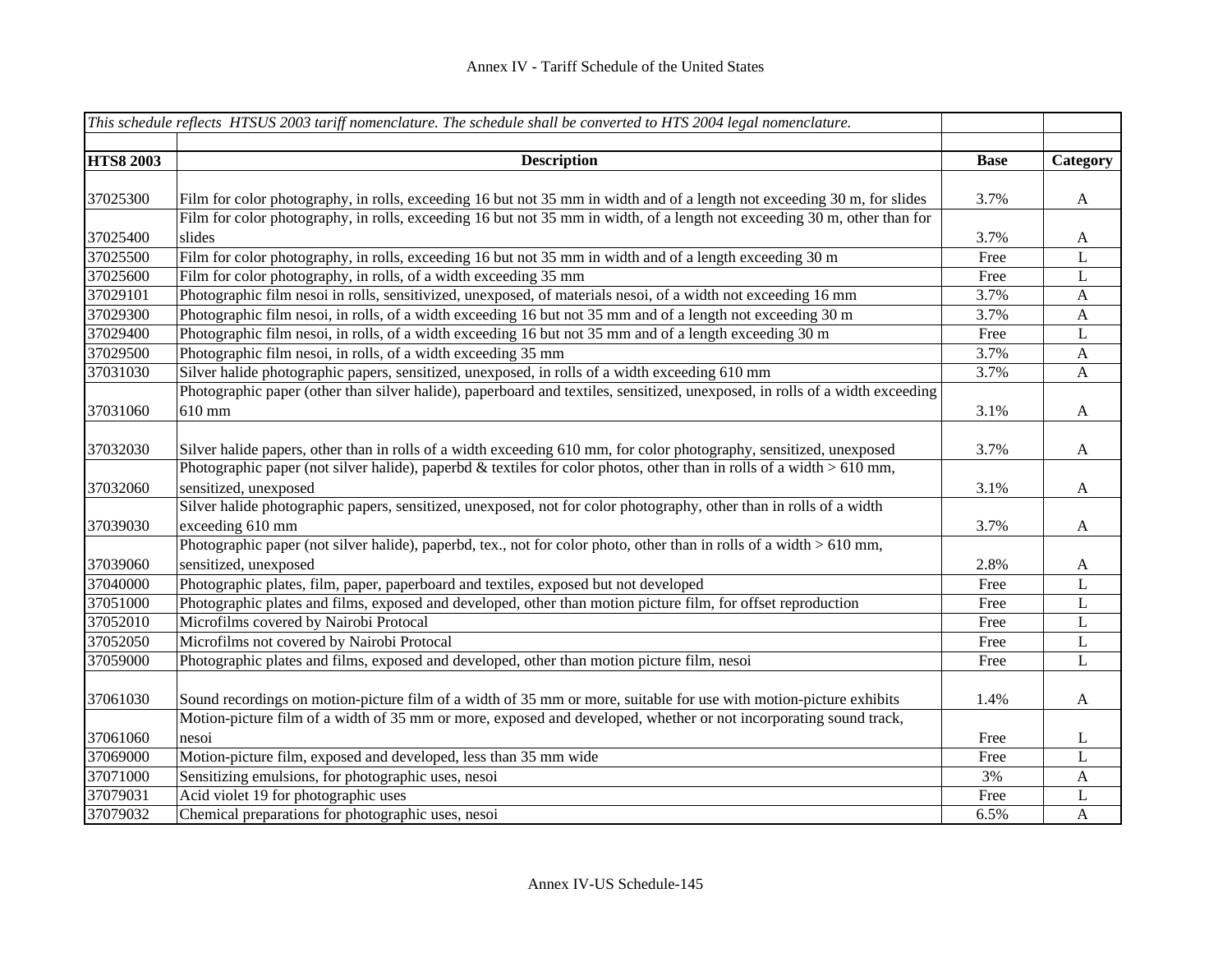|                  | This schedule reflects HTSUS 2003 tariff nomenclature. The schedule shall be converted to HTS 2004 legal nomenclature.       |             |              |
|------------------|------------------------------------------------------------------------------------------------------------------------------|-------------|--------------|
| <b>HTS8 2003</b> | <b>Description</b>                                                                                                           | <b>Base</b> | Category     |
|                  |                                                                                                                              |             |              |
| 37025300         | Film for color photography, in rolls, exceeding 16 but not 35 mm in width and of a length not exceeding 30 m, for slides     | 3.7%        | $\mathbf{A}$ |
|                  | Film for color photography, in rolls, exceeding 16 but not 35 mm in width, of a length not exceeding 30 m, other than for    |             |              |
| 37025400         | slides                                                                                                                       | 3.7%        | A            |
| 37025500         | Film for color photography, in rolls, exceeding 16 but not 35 mm in width and of a length exceeding 30 m                     | Free        | L            |
| 37025600         | Film for color photography, in rolls, of a width exceeding 35 mm                                                             | Free        | L            |
| 37029101         | Photographic film nesoi in rolls, sensitivized, unexposed, of materials nesoi, of a width not exceeding 16 mm                | 3.7%        | $\mathbf{A}$ |
| 37029300         | Photographic film nesoi, in rolls, of a width exceeding 16 but not 35 mm and of a length not exceeding 30 m                  | 3.7%        | $\mathbf{A}$ |
| 37029400         | Photographic film nesoi, in rolls, of a width exceeding 16 but not 35 mm and of a length exceeding 30 m                      | Free        | $\bf L$      |
| 37029500         | Photographic film nesoi, in rolls, of a width exceeding 35 mm                                                                | 3.7%        | $\mathbf{A}$ |
| 37031030         | Silver halide photographic papers, sensitized, unexposed, in rolls of a width exceeding 610 mm                               | 3.7%        | $\mathbf{A}$ |
|                  | Photographic paper (other than silver halide), paperboard and textiles, sensitized, unexposed, in rolls of a width exceeding |             |              |
| 37031060         | 610 mm                                                                                                                       | 3.1%        | $\mathbf{A}$ |
| 37032030         | Silver halide papers, other than in rolls of a width exceeding 610 mm, for color photography, sensitized, unexposed          | 3.7%        | A            |
|                  | Photographic paper (not silver halide), paperbd & textiles for color photos, other than in rolls of a width $>610$ mm,       |             |              |
| 37032060         | sensitized, unexposed                                                                                                        | 3.1%        | A            |
|                  | Silver halide photographic papers, sensitized, unexposed, not for color photography, other than in rolls of a width          |             |              |
| 37039030         | exceeding 610 mm                                                                                                             | 3.7%        | A            |
|                  | Photographic paper (not silver halide), paperbd, tex., not for color photo, other than in rolls of a width $> 610$ mm,       |             |              |
| 37039060         | sensitized, unexposed                                                                                                        | 2.8%        | $\mathbf{A}$ |
| 37040000         | Photographic plates, film, paper, paperboard and textiles, exposed but not developed                                         | Free        | $\mathbf{L}$ |
| 37051000         | Photographic plates and films, exposed and developed, other than motion picture film, for offset reproduction                | Free        | L            |
| 37052010         | Microfilms covered by Nairobi Protocal                                                                                       | Free        | L            |
| 37052050         | Microfilms not covered by Nairobi Protocal                                                                                   | Free        | L            |
| 37059000         | Photographic plates and films, exposed and developed, other than motion picture film, nesoi                                  | Free        | L            |
|                  |                                                                                                                              |             |              |
| 37061030         | Sound recordings on motion-picture film of a width of 35 mm or more, suitable for use with motion-picture exhibits           | 1.4%        | $\mathbf{A}$ |
|                  | Motion-picture film of a width of 35 mm or more, exposed and developed, whether or not incorporating sound track,            |             |              |
| 37061060         | nesoi                                                                                                                        | Free        | L            |
| 37069000         | Motion-picture film, exposed and developed, less than 35 mm wide                                                             | Free        | L            |
| 37071000         | Sensitizing emulsions, for photographic uses, nesoi                                                                          | 3%          | A            |
| 37079031         | Acid violet 19 for photographic uses                                                                                         | Free        | L            |
| 37079032         | Chemical preparations for photographic uses, nesoi                                                                           | 6.5%        | $\mathbf{A}$ |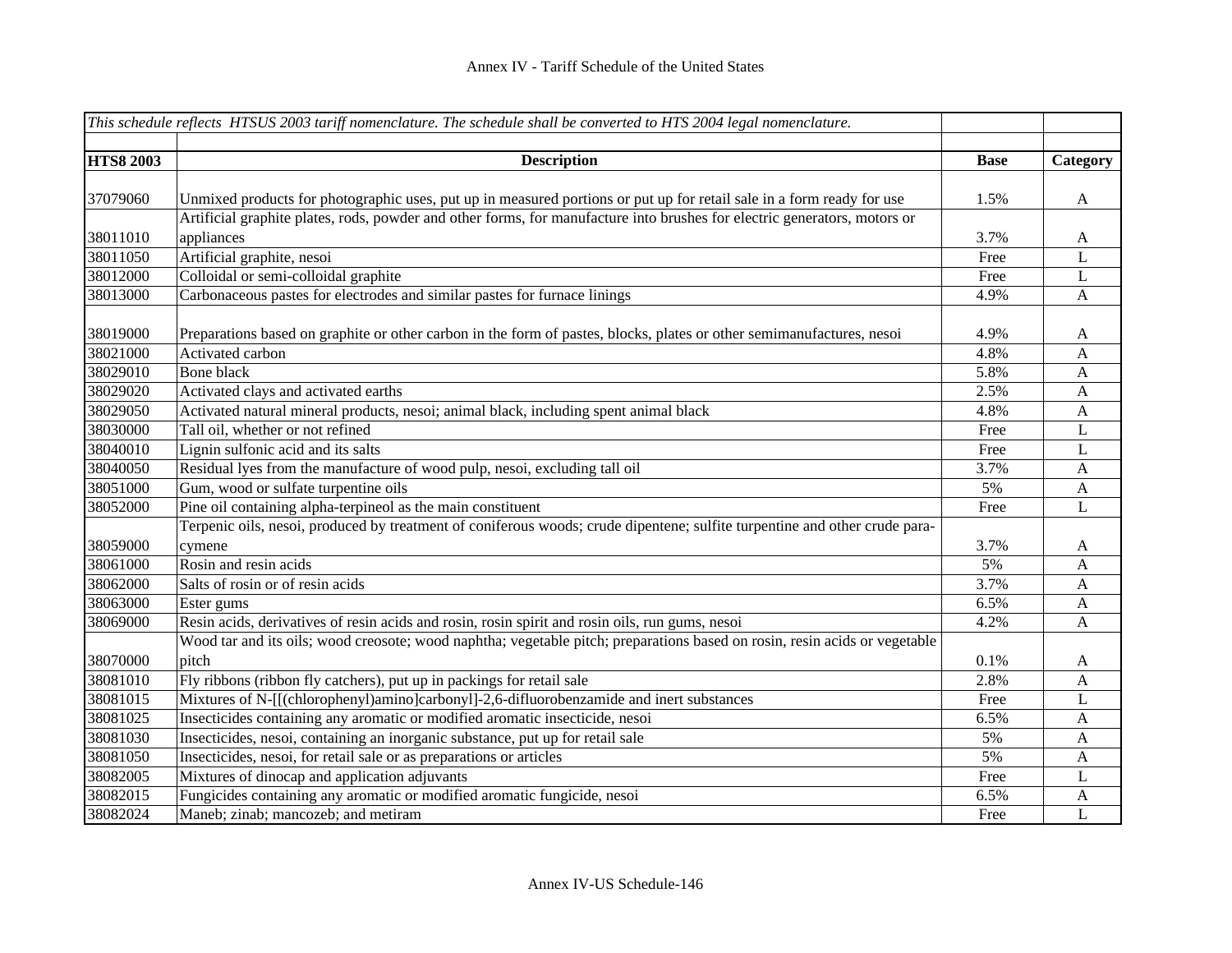|                  | This schedule reflects HTSUS 2003 tariff nomenclature. The schedule shall be converted to HTS 2004 legal nomenclature.     |             |              |
|------------------|----------------------------------------------------------------------------------------------------------------------------|-------------|--------------|
|                  |                                                                                                                            |             |              |
| <b>HTS8 2003</b> | <b>Description</b>                                                                                                         | <b>Base</b> | Category     |
|                  |                                                                                                                            |             |              |
| 37079060         | Unmixed products for photographic uses, put up in measured portions or put up for retail sale in a form ready for use      | 1.5%        | $\mathbf{A}$ |
|                  | Artificial graphite plates, rods, powder and other forms, for manufacture into brushes for electric generators, motors or  |             |              |
| 38011010         | appliances                                                                                                                 | 3.7%        | $\mathbf{A}$ |
| 38011050         | Artificial graphite, nesoi                                                                                                 | Free        | $\mathbf L$  |
| 38012000         | Colloidal or semi-colloidal graphite                                                                                       | Free        | $\mathbf L$  |
| 38013000         | Carbonaceous pastes for electrodes and similar pastes for furnace linings                                                  | 4.9%        | A            |
| 38019000         | Preparations based on graphite or other carbon in the form of pastes, blocks, plates or other semimanufactures, nesoi      | 4.9%        | A            |
| 38021000         | Activated carbon                                                                                                           | 4.8%        | $\mathbf{A}$ |
| 38029010         | Bone black                                                                                                                 | 5.8%        | $\mathbf{A}$ |
| 38029020         | Activated clays and activated earths                                                                                       | 2.5%        | $\mathbf{A}$ |
| 38029050         | Activated natural mineral products, nesoi; animal black, including spent animal black                                      | 4.8%        | $\mathbf{A}$ |
| 38030000         | Tall oil, whether or not refined                                                                                           | Free        | $\mathbf L$  |
| 38040010         | Lignin sulfonic acid and its salts                                                                                         | Free        | $\mathbf L$  |
| 38040050         | Residual lyes from the manufacture of wood pulp, nesoi, excluding tall oil                                                 | 3.7%        | A            |
| 38051000         | Gum, wood or sulfate turpentine oils                                                                                       | 5%          | $\mathbf{A}$ |
| 38052000         | Pine oil containing alpha-terpineol as the main constituent                                                                | Free        | L            |
|                  | Terpenic oils, nesoi, produced by treatment of coniferous woods; crude dipentene; sulfite turpentine and other crude para- |             |              |
| 38059000         | cymene                                                                                                                     | 3.7%        | A            |
| 38061000         | Rosin and resin acids                                                                                                      | 5%          | $\mathbf{A}$ |
| 38062000         | Salts of rosin or of resin acids                                                                                           | 3.7%        | $\mathbf{A}$ |
| 38063000         | Ester gums                                                                                                                 | 6.5%        | A            |
| 38069000         | Resin acids, derivatives of resin acids and rosin, rosin spirit and rosin oils, run gums, nesoi                            | 4.2%        | A            |
|                  | Wood tar and its oils; wood creosote; wood naphtha; vegetable pitch; preparations based on rosin, resin acids or vegetable |             |              |
| 38070000         | pitch                                                                                                                      | 0.1%        | $\mathbf{A}$ |
| 38081010         | Fly ribbons (ribbon fly catchers), put up in packings for retail sale                                                      | 2.8%        | $\mathbf{A}$ |
| 38081015         | Mixtures of N-[[(chlorophenyl)amino]carbonyl]-2,6-difluorobenzamide and inert substances                                   | Free        | $\mathbf L$  |
| 38081025         | Insecticides containing any aromatic or modified aromatic insecticide, nesoi                                               | 6.5%        | $\mathbf{A}$ |
| 38081030         | Insecticides, nesoi, containing an inorganic substance, put up for retail sale                                             | 5%          | $\mathbf{A}$ |
| 38081050         | Insecticides, nesoi, for retail sale or as preparations or articles                                                        | 5%          | A            |
| 38082005         | Mixtures of dinocap and application adjuvants                                                                              | Free        | L            |
| 38082015         | Fungicides containing any aromatic or modified aromatic fungicide, nesoi                                                   | 6.5%        | A            |
| 38082024         | Maneb; zinab; mancozeb; and metiram                                                                                        | Free        | L            |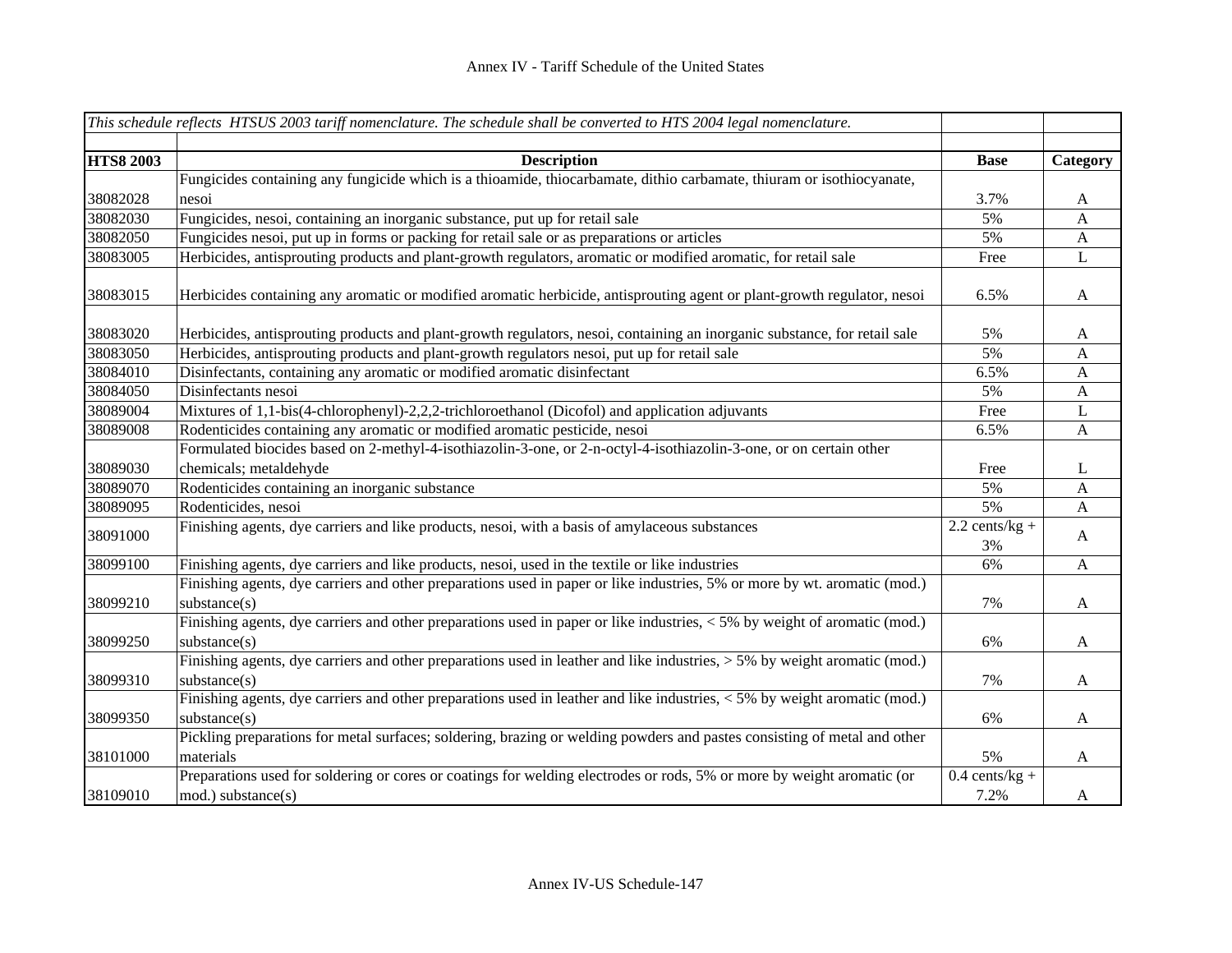|                  | This schedule reflects HTSUS 2003 tariff nomenclature. The schedule shall be converted to HTS 2004 legal nomenclature.      |                  |              |
|------------------|-----------------------------------------------------------------------------------------------------------------------------|------------------|--------------|
|                  |                                                                                                                             |                  |              |
| <b>HTS8 2003</b> | <b>Description</b>                                                                                                          | <b>Base</b>      | Category     |
|                  | Fungicides containing any fungicide which is a thioamide, thiocarbamate, dithio carbamate, thiuram or isothiocyanate,       |                  |              |
| 38082028         | nesoi                                                                                                                       | 3.7%             | A            |
| 38082030         | Fungicides, nesoi, containing an inorganic substance, put up for retail sale                                                | 5%               | A            |
| 38082050         | Fungicides nesoi, put up in forms or packing for retail sale or as preparations or articles                                 | 5%               | $\mathbf{A}$ |
| 38083005         | Herbicides, antisprouting products and plant-growth regulators, aromatic or modified aromatic, for retail sale              | Free             | L            |
| 38083015         | Herbicides containing any aromatic or modified aromatic herbicide, antisprouting agent or plant-growth regulator, nesoi     | 6.5%             | $\mathbf{A}$ |
| 38083020         | Herbicides, antisprouting products and plant-growth regulators, nesoi, containing an inorganic substance, for retail sale   | 5%               | A            |
| 38083050         | Herbicides, antisprouting products and plant-growth regulators nesoi, put up for retail sale                                | 5%               | A            |
| 38084010         | Disinfectants, containing any aromatic or modified aromatic disinfectant                                                    | 6.5%             | A            |
| 38084050         | Disinfectants nesoi                                                                                                         | 5%               | $\mathbf{A}$ |
| 38089004         | Mixtures of 1,1-bis(4-chlorophenyl)-2,2,2-trichloroethanol (Dicofol) and application adjuvants                              | Free             | L            |
| 38089008         | Rodenticides containing any aromatic or modified aromatic pesticide, nesoi                                                  | 6.5%             | $\mathbf{A}$ |
|                  | Formulated biocides based on 2-methyl-4-isothiazolin-3-one, or 2-n-octyl-4-isothiazolin-3-one, or on certain other          |                  |              |
| 38089030         | chemicals; metaldehyde                                                                                                      | Free             | L            |
| 38089070         | Rodenticides containing an inorganic substance                                                                              | 5%               | A            |
| 38089095         | Rodenticides, nesoi                                                                                                         | 5%               | $\mathbf{A}$ |
| 38091000         | Finishing agents, dye carriers and like products, nesoi, with a basis of amylaceous substances                              | $2.2$ cents/kg + | $\mathbf{A}$ |
|                  |                                                                                                                             | 3%               |              |
| 38099100         | Finishing agents, dye carriers and like products, nesoi, used in the textile or like industries                             | 6%               | $\mathbf{A}$ |
|                  | Finishing agents, dye carriers and other preparations used in paper or like industries, 5% or more by wt. aromatic (mod.)   |                  |              |
| 38099210         | substance(s)                                                                                                                | 7%               | $\mathbf{A}$ |
|                  | Finishing agents, dye carriers and other preparations used in paper or like industries, $<$ 5% by weight of aromatic (mod.) |                  |              |
| 38099250         | substance(s)                                                                                                                | 6%               | A            |
|                  | Finishing agents, dye carriers and other preparations used in leather and like industries, > 5% by weight aromatic (mod.)   |                  |              |
| 38099310         | substance(s)                                                                                                                | 7%               | A            |
|                  | Finishing agents, dye carriers and other preparations used in leather and like industries, < 5% by weight aromatic (mod.)   |                  |              |
| 38099350         | substance(s)                                                                                                                | 6%               | A            |
|                  | Pickling preparations for metal surfaces; soldering, brazing or welding powders and pastes consisting of metal and other    |                  |              |
| 38101000         | materials                                                                                                                   | 5%               | $\mathbf{A}$ |
|                  | Preparations used for soldering or cores or coatings for welding electrodes or rods, 5% or more by weight aromatic (or      | $0.4$ cents/kg + |              |
| 38109010         | mod.) substance(s)                                                                                                          | 7.2%             | $\mathbf{A}$ |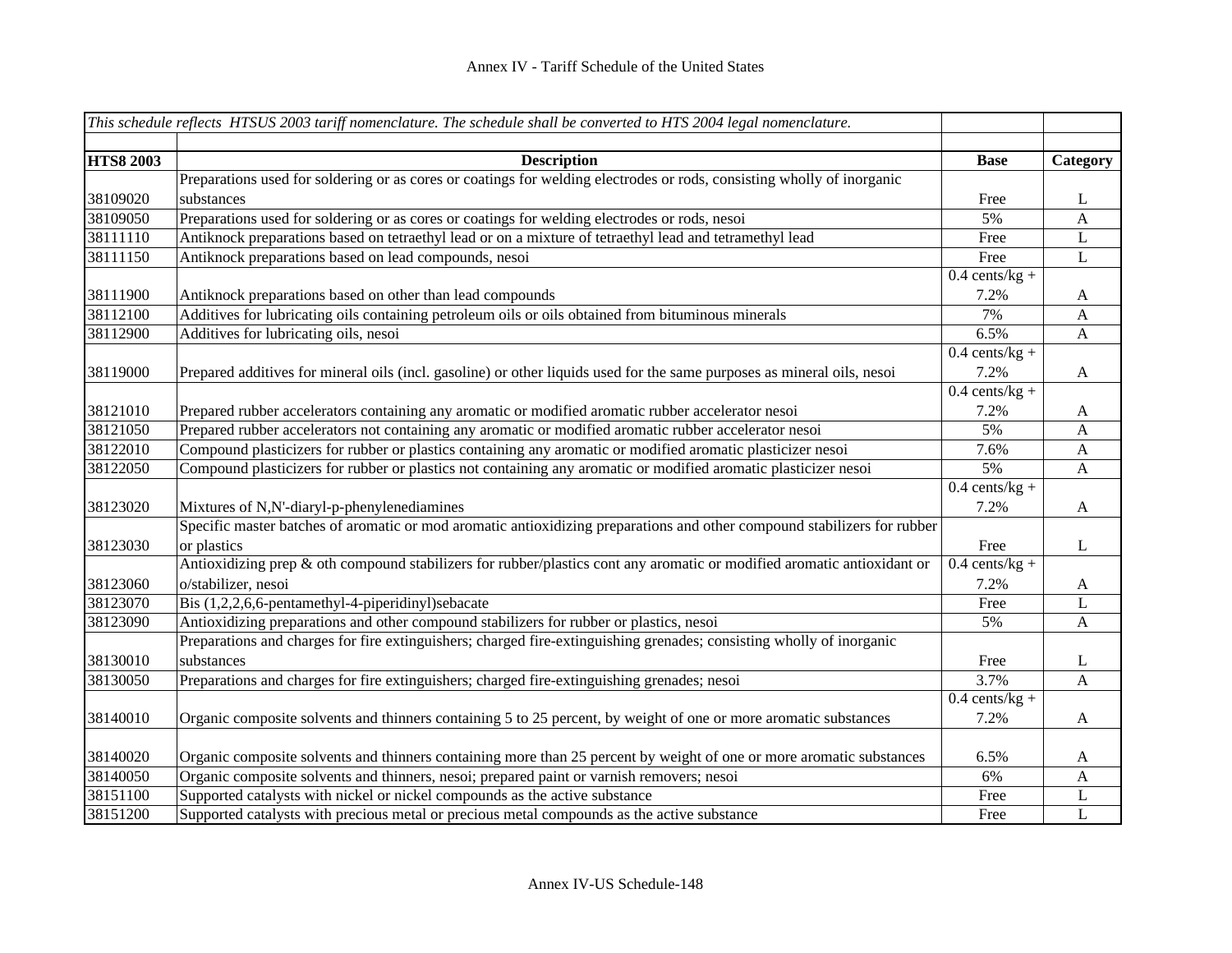|                  | This schedule reflects HTSUS 2003 tariff nomenclature. The schedule shall be converted to HTS 2004 legal nomenclature.   |                  |                           |
|------------------|--------------------------------------------------------------------------------------------------------------------------|------------------|---------------------------|
|                  |                                                                                                                          |                  |                           |
| <b>HTS8 2003</b> | <b>Description</b>                                                                                                       | <b>Base</b>      | Category                  |
|                  | Preparations used for soldering or as cores or coatings for welding electrodes or rods, consisting wholly of inorganic   |                  |                           |
| 38109020         | substances                                                                                                               | Free             | L                         |
| 38109050         | Preparations used for soldering or as cores or coatings for welding electrodes or rods, nesoi                            | 5%               | A                         |
| 38111110         | Antiknock preparations based on tetraethyl lead or on a mixture of tetraethyl lead and tetramethyl lead                  | Free             | L                         |
| 38111150         | Antiknock preparations based on lead compounds, nesoi                                                                    | Free             | L                         |
|                  |                                                                                                                          | $0.4$ cents/kg + |                           |
| 38111900         | Antiknock preparations based on other than lead compounds                                                                | 7.2%             | $\mathbf{A}$              |
| 38112100         | Additives for lubricating oils containing petroleum oils or oils obtained from bituminous minerals                       | 7%               | $\boldsymbol{\mathsf{A}}$ |
| 38112900         | Additives for lubricating oils, nesoi                                                                                    | 6.5%             | $\mathbf{A}$              |
|                  |                                                                                                                          | $0.4$ cents/kg + |                           |
| 38119000         | Prepared additives for mineral oils (incl. gasoline) or other liquids used for the same purposes as mineral oils, nesoi  | 7.2%             | $\mathbf{A}$              |
|                  |                                                                                                                          | $0.4$ cents/kg + |                           |
| 38121010         | Prepared rubber accelerators containing any aromatic or modified aromatic rubber accelerator nesoi                       | 7.2%             | $\mathbf{A}$              |
| 38121050         | Prepared rubber accelerators not containing any aromatic or modified aromatic rubber accelerator nesoi                   | 5%               | $\mathbf{A}$              |
| 38122010         | Compound plasticizers for rubber or plastics containing any aromatic or modified aromatic plasticizer nesoi              | 7.6%             | $\mathbf{A}$              |
| 38122050         | Compound plasticizers for rubber or plastics not containing any aromatic or modified aromatic plasticizer nesoi          | 5%               | $\mathbf{A}$              |
|                  |                                                                                                                          | $0.4$ cents/kg + |                           |
| 38123020         | Mixtures of N,N'-diaryl-p-phenylenediamines                                                                              | 7.2%             | $\mathbf{A}$              |
|                  | Specific master batches of aromatic or mod aromatic antioxidizing preparations and other compound stabilizers for rubber |                  |                           |
| 38123030         | or plastics                                                                                                              | Free             | L                         |
|                  | Antioxidizing prep & oth compound stabilizers for rubber/plastics cont any aromatic or modified aromatic antioxidant or  | $0.4$ cents/kg + |                           |
| 38123060         | o/stabilizer, nesoi                                                                                                      | 7.2%             | $\mathbf{A}$              |
| 38123070         | Bis (1,2,2,6,6-pentamethyl-4-piperidinyl)sebacate                                                                        | Free             | L                         |
| 38123090         | Antioxidizing preparations and other compound stabilizers for rubber or plastics, nesoi                                  | 5%               | $\mathbf{A}$              |
|                  | Preparations and charges for fire extinguishers; charged fire-extinguishing grenades; consisting wholly of inorganic     |                  |                           |
| 38130010         | substances                                                                                                               | Free             | L                         |
| 38130050         | Preparations and charges for fire extinguishers; charged fire-extinguishing grenades; nesoi                              | 3.7%             | A                         |
|                  |                                                                                                                          | $0.4$ cents/kg + |                           |
| 38140010         | Organic composite solvents and thinners containing 5 to 25 percent, by weight of one or more aromatic substances         | 7.2%             | $\mathbf{A}$              |
| 38140020         | Organic composite solvents and thinners containing more than 25 percent by weight of one or more aromatic substances     | 6.5%             | A                         |
| 38140050         | Organic composite solvents and thinners, nesoi; prepared paint or varnish removers; nesoi                                | 6%               | $\mathbf{A}$              |
| 38151100         | Supported catalysts with nickel or nickel compounds as the active substance                                              | Free             | L                         |
| 38151200         | Supported catalysts with precious metal or precious metal compounds as the active substance                              | Free             | L                         |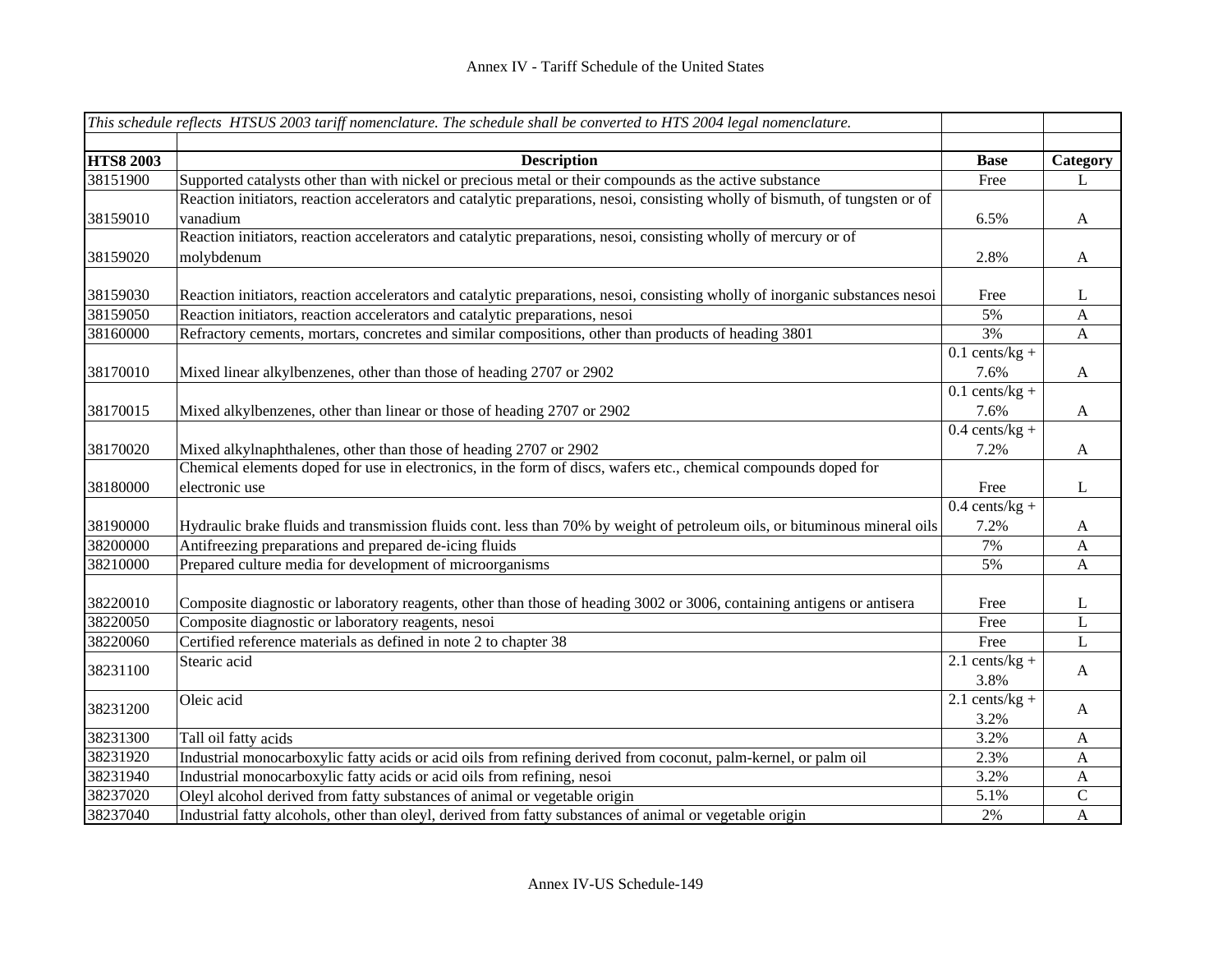|                  | This schedule reflects HTSUS 2003 tariff nomenclature. The schedule shall be converted to HTS 2004 legal nomenclature.        |                  |              |
|------------------|-------------------------------------------------------------------------------------------------------------------------------|------------------|--------------|
|                  |                                                                                                                               |                  |              |
| <b>HTS8 2003</b> | <b>Description</b>                                                                                                            | <b>Base</b>      | Category     |
| 38151900         | Supported catalysts other than with nickel or precious metal or their compounds as the active substance                       | Free             | L            |
|                  | Reaction initiators, reaction accelerators and catalytic preparations, nesoi, consisting wholly of bismuth, of tungsten or of |                  |              |
| 38159010         | vanadium                                                                                                                      | 6.5%             | $\mathbf A$  |
|                  | Reaction initiators, reaction accelerators and catalytic preparations, nesoi, consisting wholly of mercury or of              |                  |              |
| 38159020         | molybdenum                                                                                                                    | 2.8%             | $\mathbf A$  |
| 38159030         |                                                                                                                               | Free             | L            |
|                  | Reaction initiators, reaction accelerators and catalytic preparations, nesoi, consisting wholly of inorganic substances nesoi | 5%               |              |
| 38159050         | Reaction initiators, reaction accelerators and catalytic preparations, nesoi                                                  |                  | A            |
| 38160000         | Refractory cements, mortars, concretes and similar compositions, other than products of heading 3801                          | 3%               | $\mathbf{A}$ |
|                  |                                                                                                                               | $0.1$ cents/kg + |              |
| 38170010         | Mixed linear alkylbenzenes, other than those of heading 2707 or 2902                                                          | 7.6%             | $\mathbf{A}$ |
|                  |                                                                                                                               | $0.1$ cents/kg + |              |
| 38170015         | Mixed alkylbenzenes, other than linear or those of heading 2707 or 2902                                                       | 7.6%             | $\mathbf A$  |
|                  |                                                                                                                               | $0.4$ cents/kg + |              |
| 38170020         | Mixed alkylnaphthalenes, other than those of heading 2707 or 2902                                                             | 7.2%             | $\mathbf{A}$ |
|                  | Chemical elements doped for use in electronics, in the form of discs, wafers etc., chemical compounds doped for               |                  |              |
| 38180000         | electronic use                                                                                                                | Free             | L            |
|                  |                                                                                                                               | $0.4$ cents/kg + |              |
| 38190000         | Hydraulic brake fluids and transmission fluids cont. less than 70% by weight of petroleum oils, or bituminous mineral oils    | 7.2%             | A            |
| 38200000         | Antifreezing preparations and prepared de-icing fluids                                                                        | 7%               | A            |
| 38210000         | Prepared culture media for development of microorganisms                                                                      | 5%               | A            |
| 38220010         | Composite diagnostic or laboratory reagents, other than those of heading 3002 or 3006, containing antigens or antisera        | Free             | L            |
| 38220050         | Composite diagnostic or laboratory reagents, nesoi                                                                            | Free             | L            |
| 38220060         | Certified reference materials as defined in note 2 to chapter 38                                                              | Free             | L            |
|                  | Stearic acid                                                                                                                  | $2.1$ cents/kg + |              |
| 38231100         |                                                                                                                               | 3.8%             | $\mathbf{A}$ |
| 38231200         | Oleic acid                                                                                                                    | $2.1$ cents/kg + | A            |
|                  |                                                                                                                               | 3.2%             |              |
| 38231300         | Tall oil fatty acids                                                                                                          | 3.2%             | $\mathbf{A}$ |
| 38231920         | Industrial monocarboxylic fatty acids or acid oils from refining derived from coconut, palm-kernel, or palm oil               | 2.3%             | A            |
| 38231940         | Industrial monocarboxylic fatty acids or acid oils from refining, nesoi                                                       | 3.2%             | $\mathbf{A}$ |
| 38237020         | Oleyl alcohol derived from fatty substances of animal or vegetable origin                                                     | 5.1%             | $\mathbf C$  |
| 38237040         | Industrial fatty alcohols, other than oleyl, derived from fatty substances of animal or vegetable origin                      | 2%               | $\mathbf{A}$ |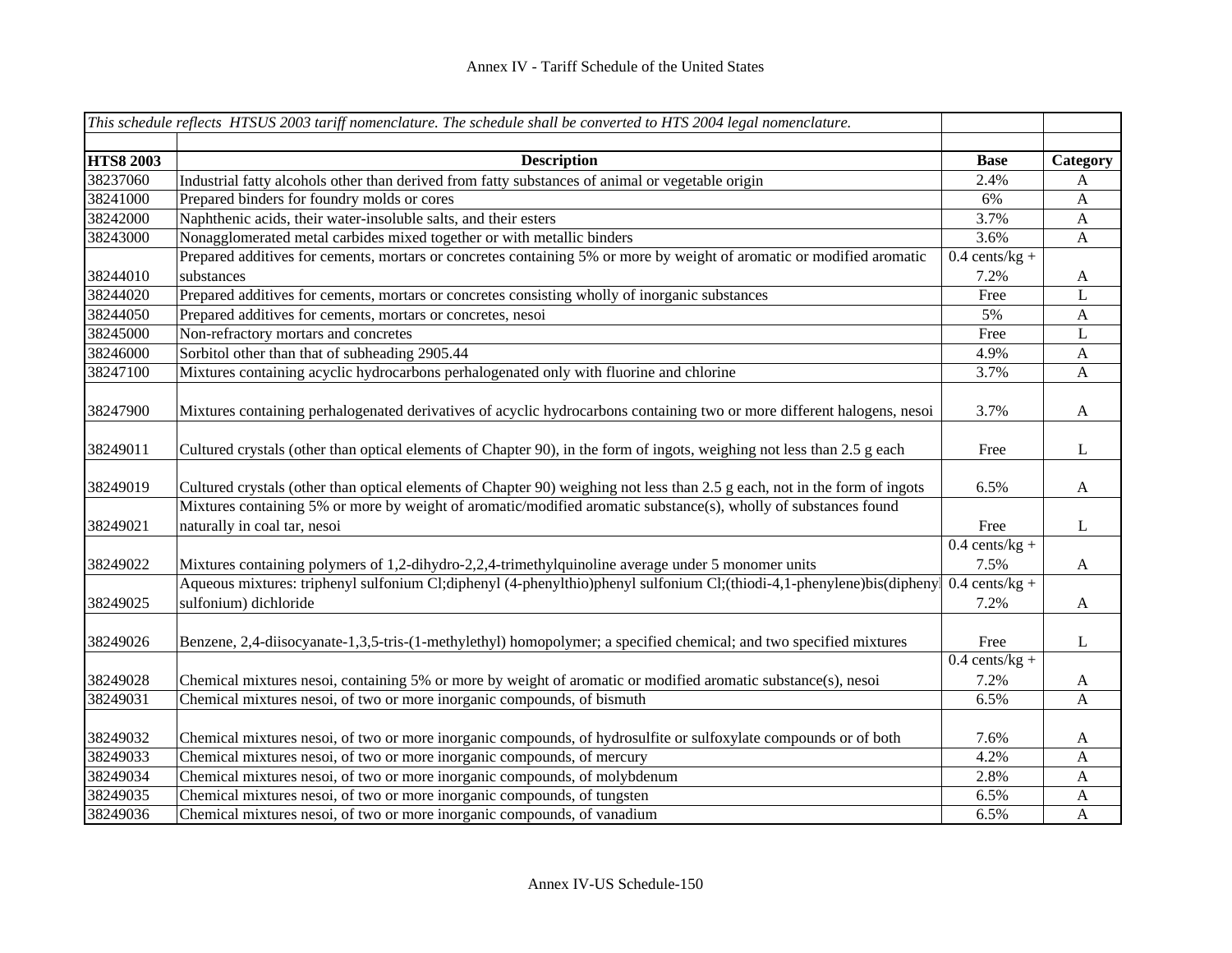|                  | This schedule reflects HTSUS 2003 tariff nomenclature. The schedule shall be converted to HTS 2004 legal nomenclature.                          |                  |                           |
|------------------|-------------------------------------------------------------------------------------------------------------------------------------------------|------------------|---------------------------|
|                  |                                                                                                                                                 |                  |                           |
| <b>HTS8 2003</b> | <b>Description</b>                                                                                                                              | <b>Base</b>      | Category                  |
| 38237060         | Industrial fatty alcohols other than derived from fatty substances of animal or vegetable origin                                                | 2.4%             | A                         |
| 38241000         | Prepared binders for foundry molds or cores                                                                                                     | 6%               | $\mathbf{A}$              |
| 38242000         | Naphthenic acids, their water-insoluble salts, and their esters                                                                                 | 3.7%             | $\boldsymbol{\mathsf{A}}$ |
| 38243000         | Nonagglomerated metal carbides mixed together or with metallic binders                                                                          | 3.6%             | $\mathbf{A}$              |
|                  | Prepared additives for cements, mortars or concretes containing 5% or more by weight of aromatic or modified aromatic                           | $0.4$ cents/kg + |                           |
| 38244010         | substances                                                                                                                                      | 7.2%             | $\mathbf{A}$              |
| 38244020         | Prepared additives for cements, mortars or concretes consisting wholly of inorganic substances                                                  | Free             | L                         |
| 38244050         | Prepared additives for cements, mortars or concretes, nesoi                                                                                     | 5%               | $\mathbf{A}$              |
| 38245000         | Non-refractory mortars and concretes                                                                                                            | Free             | L                         |
| 38246000         | Sorbitol other than that of subheading 2905.44                                                                                                  | 4.9%             | $\mathbf{A}$              |
| 38247100         | Mixtures containing acyclic hydrocarbons perhalogenated only with fluorine and chlorine                                                         | 3.7%             | A                         |
| 38247900         | Mixtures containing perhalogenated derivatives of acyclic hydrocarbons containing two or more different halogens, nesoi                         | 3.7%             | $\mathbf{A}$              |
| 38249011         | Cultured crystals (other than optical elements of Chapter 90), in the form of ingots, weighing not less than 2.5 g each                         | Free             | L                         |
| 38249019         | Cultured crystals (other than optical elements of Chapter 90) weighing not less than 2.5 g each, not in the form of ingots                      | 6.5%             | $\mathbf{A}$              |
| 38249021         | Mixtures containing 5% or more by weight of aromatic/modified aromatic substance(s), wholly of substances found<br>naturally in coal tar, nesoi | Free             | $\bf L$                   |
|                  |                                                                                                                                                 | $0.4$ cents/kg + |                           |
| 38249022         | Mixtures containing polymers of 1,2-dihydro-2,2,4-trimethylquinoline average under 5 monomer units                                              | 7.5%             | $\mathbf{A}$              |
|                  | Aqueous mixtures: triphenyl sulfonium Cl;diphenyl (4-phenylthio)phenyl sulfonium Cl;(thiodi-4,1-phenylene)bis(diphenyl                          | $0.4$ cents/kg + |                           |
| 38249025         | sulfonium) dichloride                                                                                                                           | 7.2%             | $\mathbf{A}$              |
| 38249026         | Benzene, 2,4-diisocyanate-1,3,5-tris-(1-methylethyl) homopolymer; a specified chemical; and two specified mixtures                              | Free             | $\bf L$                   |
|                  |                                                                                                                                                 | $0.4$ cents/kg + |                           |
| 38249028         | Chemical mixtures nesoi, containing 5% or more by weight of aromatic or modified aromatic substance(s), nesoi                                   | 7.2%             | A                         |
| 38249031         | Chemical mixtures nesoi, of two or more inorganic compounds, of bismuth                                                                         | 6.5%             | $\mathbf{A}$              |
| 38249032         | Chemical mixtures nesoi, of two or more inorganic compounds, of hydrosulfite or sulfoxylate compounds or of both                                | 7.6%             | A                         |
| 38249033         | Chemical mixtures nesoi, of two or more inorganic compounds, of mercury                                                                         | 4.2%             | $\mathbf{A}$              |
| 38249034         | Chemical mixtures nesoi, of two or more inorganic compounds, of molybdenum                                                                      | 2.8%             | $\mathbf{A}$              |
| 38249035         | Chemical mixtures nesoi, of two or more inorganic compounds, of tungsten                                                                        | 6.5%             | A                         |
| 38249036         | Chemical mixtures nesoi, of two or more inorganic compounds, of vanadium                                                                        | 6.5%             | $\mathbf{A}$              |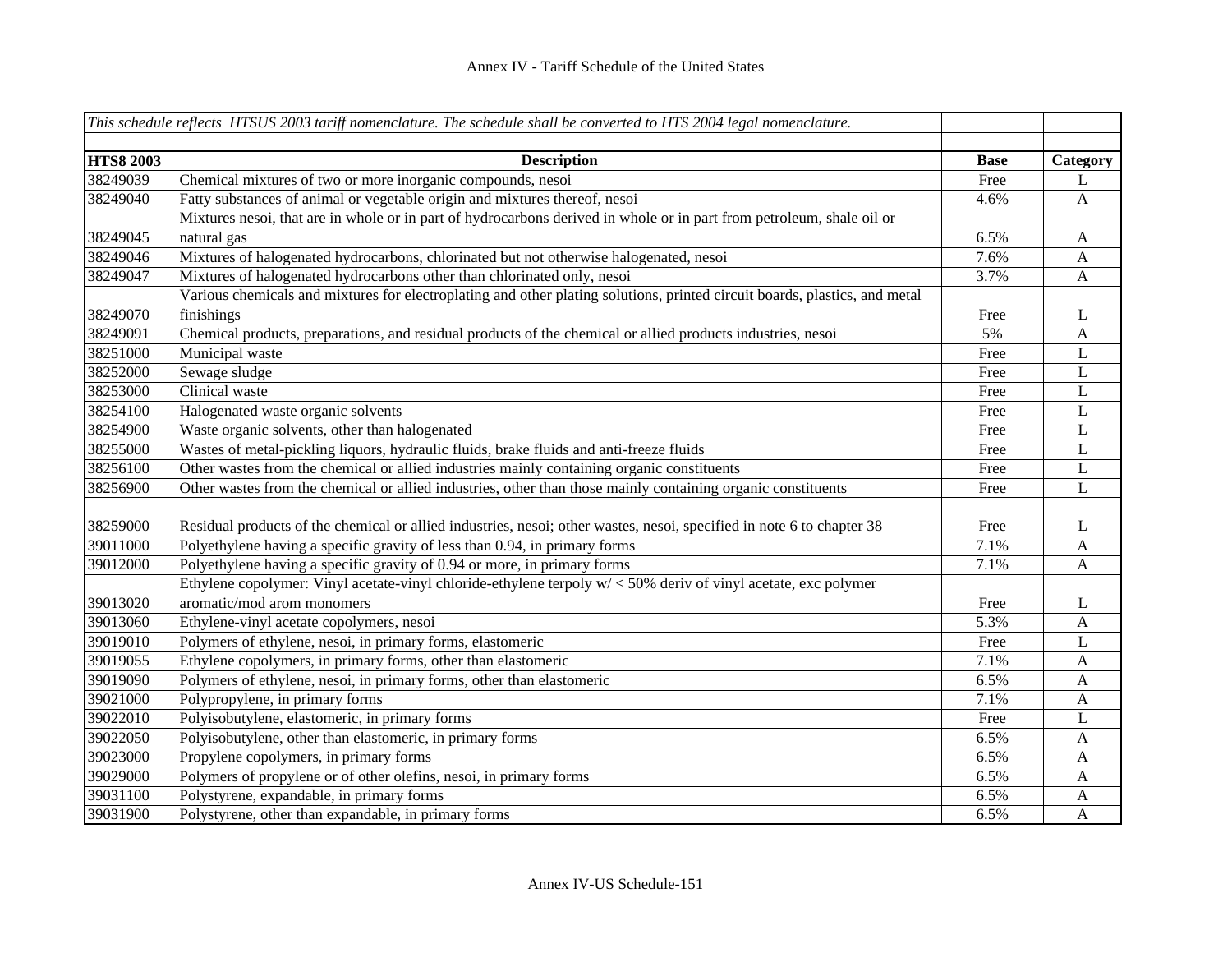|                  | This schedule reflects HTSUS 2003 tariff nomenclature. The schedule shall be converted to HTS 2004 legal nomenclature.     |             |              |
|------------------|----------------------------------------------------------------------------------------------------------------------------|-------------|--------------|
|                  |                                                                                                                            |             |              |
| <b>HTS8 2003</b> | <b>Description</b>                                                                                                         | <b>Base</b> | Category     |
| 38249039         | Chemical mixtures of two or more inorganic compounds, nesoi                                                                | Free        | L            |
| 38249040         | Fatty substances of animal or vegetable origin and mixtures thereof, nesoi                                                 | 4.6%        | $\mathbf{A}$ |
|                  | Mixtures nesoi, that are in whole or in part of hydrocarbons derived in whole or in part from petroleum, shale oil or      |             |              |
| 38249045         | natural gas                                                                                                                | 6.5%        | A            |
| 38249046         | Mixtures of halogenated hydrocarbons, chlorinated but not otherwise halogenated, nesoi                                     | 7.6%        | $\mathbf{A}$ |
| 38249047         | Mixtures of halogenated hydrocarbons other than chlorinated only, nesoi                                                    | 3.7%        | $\mathbf{A}$ |
|                  | Various chemicals and mixtures for electroplating and other plating solutions, printed circuit boards, plastics, and metal |             |              |
| 38249070         | finishings                                                                                                                 | Free        | L            |
| 38249091         | Chemical products, preparations, and residual products of the chemical or allied products industries, nesoi                | 5%          | $\mathbf{A}$ |
| 38251000         | Municipal waste                                                                                                            | Free        | L            |
| 38252000         | Sewage sludge                                                                                                              | Free        | L            |
| 38253000         | Clinical waste                                                                                                             | Free        | L            |
| 38254100         | Halogenated waste organic solvents                                                                                         | Free        | L            |
| 38254900         | Waste organic solvents, other than halogenated                                                                             | Free        | L            |
| 38255000         | Wastes of metal-pickling liquors, hydraulic fluids, brake fluids and anti-freeze fluids                                    | Free        | L            |
| 38256100         | Other wastes from the chemical or allied industries mainly containing organic constituents                                 | Free        | L            |
| 38256900         | Other wastes from the chemical or allied industries, other than those mainly containing organic constituents               | Free        | L            |
|                  |                                                                                                                            |             |              |
| 38259000         | Residual products of the chemical or allied industries, nesoi; other wastes, nesoi, specified in note 6 to chapter 38      | Free        | L            |
| 39011000         | Polyethylene having a specific gravity of less than 0.94, in primary forms                                                 | 7.1%        | A            |
| 39012000         | Polyethylene having a specific gravity of 0.94 or more, in primary forms                                                   | 7.1%        | A            |
|                  | Ethylene copolymer: Vinyl acetate-vinyl chloride-ethylene terpoly w/ < 50% deriv of vinyl acetate, exc polymer             |             |              |
| 39013020         | aromatic/mod arom monomers                                                                                                 | Free        | L            |
| 39013060         | Ethylene-vinyl acetate copolymers, nesoi                                                                                   | 5.3%        | $\mathbf{A}$ |
| 39019010         | Polymers of ethylene, nesoi, in primary forms, elastomeric                                                                 | Free        | L            |
| 39019055         | Ethylene copolymers, in primary forms, other than elastomeric                                                              | 7.1%        | $\mathbf{A}$ |
| 39019090         | Polymers of ethylene, nesoi, in primary forms, other than elastomeric                                                      | 6.5%        | $\mathbf{A}$ |
| 39021000         | Polypropylene, in primary forms                                                                                            | 7.1%        | $\mathbf{A}$ |
| 39022010         | Polyisobutylene, elastomeric, in primary forms                                                                             | Free        | L            |
| 39022050         | Polyisobutylene, other than elastomeric, in primary forms                                                                  | 6.5%        | A            |
| 39023000         | Propylene copolymers, in primary forms                                                                                     | 6.5%        | A            |
| 39029000         | Polymers of propylene or of other olefins, nesoi, in primary forms                                                         | 6.5%        | A            |
| 39031100         | Polystyrene, expandable, in primary forms                                                                                  | 6.5%        | A            |
| 39031900         | Polystyrene, other than expandable, in primary forms                                                                       | 6.5%        | $\mathbf{A}$ |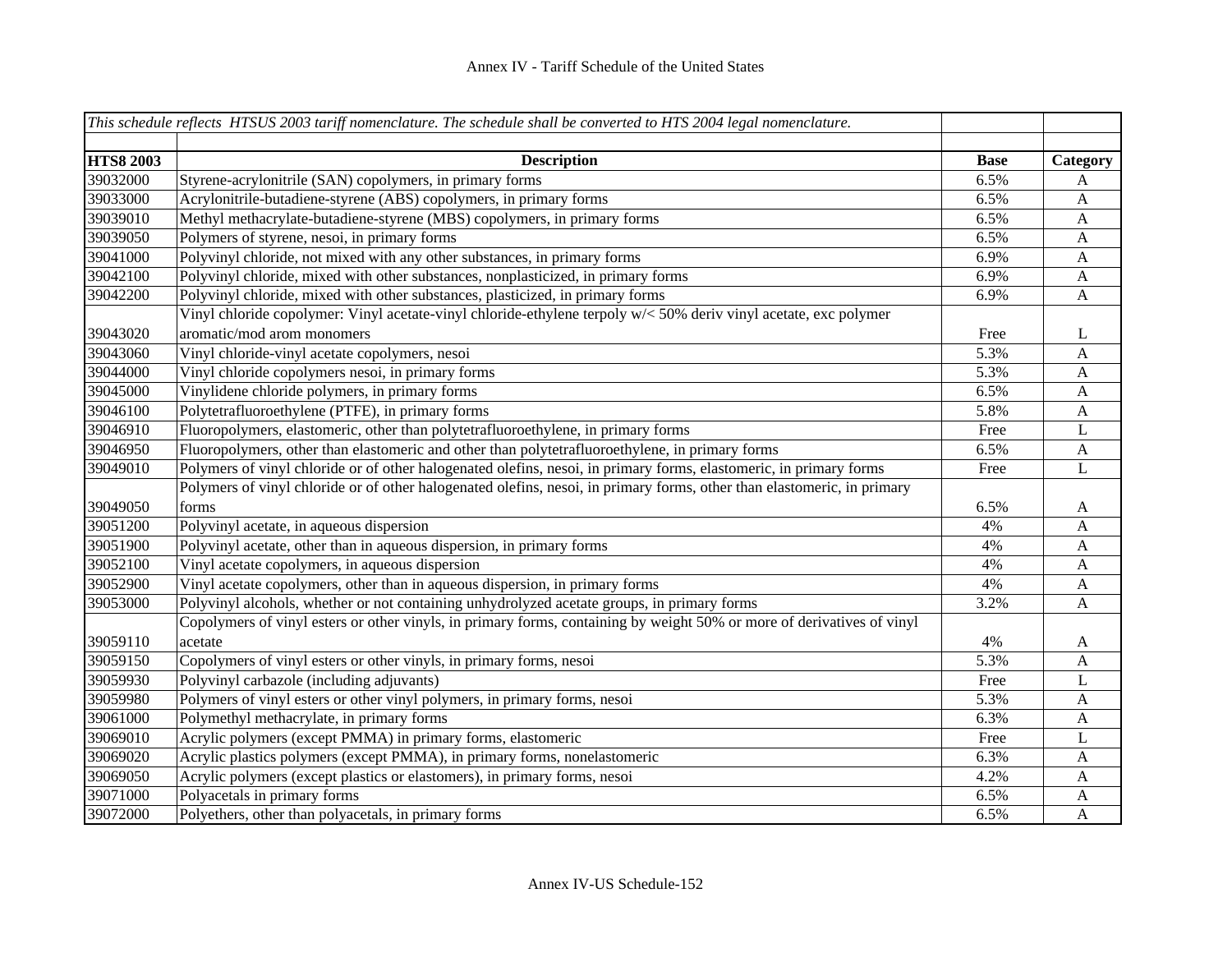|                  | This schedule reflects HTSUS 2003 tariff nomenclature. The schedule shall be converted to HTS 2004 legal nomenclature.  |             |                           |
|------------------|-------------------------------------------------------------------------------------------------------------------------|-------------|---------------------------|
| <b>HTS8 2003</b> | <b>Description</b>                                                                                                      | <b>Base</b> | Category                  |
| 39032000         | Styrene-acrylonitrile (SAN) copolymers, in primary forms                                                                | 6.5%        | A                         |
| 39033000         | Acrylonitrile-butadiene-styrene (ABS) copolymers, in primary forms                                                      | 6.5%        | $\mathbf{A}$              |
| 39039010         | Methyl methacrylate-butadiene-styrene (MBS) copolymers, in primary forms                                                | 6.5%        | $\mathbf{A}$              |
| 39039050         | Polymers of styrene, nesoi, in primary forms                                                                            | 6.5%        | $\mathbf{A}$              |
| 39041000         | Polyvinyl chloride, not mixed with any other substances, in primary forms                                               | 6.9%        | $\mathbf{A}$              |
| 39042100         | Polyvinyl chloride, mixed with other substances, nonplasticized, in primary forms                                       | 6.9%        | $\boldsymbol{A}$          |
| 39042200         | Polyvinyl chloride, mixed with other substances, plasticized, in primary forms                                          | 6.9%        | $\mathbf{A}$              |
|                  | Vinyl chloride copolymer: Vinyl acetate-vinyl chloride-ethylene terpoly w/< 50% deriv vinyl acetate, exc polymer        |             |                           |
| 39043020         | aromatic/mod arom monomers                                                                                              | Free        | L                         |
| 39043060         | Vinyl chloride-vinyl acetate copolymers, nesoi                                                                          | 5.3%        | $\boldsymbol{A}$          |
| 39044000         | Vinyl chloride copolymers nesoi, in primary forms                                                                       | 5.3%        | $\mathbf{A}$              |
| 39045000         | Vinylidene chloride polymers, in primary forms                                                                          | 6.5%        | $\mathbf{A}$              |
| 39046100         | Polytetrafluoroethylene (PTFE), in primary forms                                                                        | 5.8%        | $\boldsymbol{\mathsf{A}}$ |
| 39046910         | Fluoropolymers, elastomeric, other than polytetrafluoroethylene, in primary forms                                       | Free        | L                         |
| 39046950         | Fluoropolymers, other than elastomeric and other than polytetrafluoroethylene, in primary forms                         | 6.5%        | $\boldsymbol{A}$          |
| 39049010         | Polymers of vinyl chloride or of other halogenated olefins, nesoi, in primary forms, elastomeric, in primary forms      | Free        | $\mathbf L$               |
|                  | Polymers of vinyl chloride or of other halogenated olefins, nesoi, in primary forms, other than elastomeric, in primary |             |                           |
| 39049050         | forms                                                                                                                   | 6.5%        | A                         |
| 39051200         | Polyvinyl acetate, in aqueous dispersion                                                                                | 4%          | $\boldsymbol{\mathsf{A}}$ |
| 39051900         | Polyvinyl acetate, other than in aqueous dispersion, in primary forms                                                   | 4%          | $\mathbf A$               |
| 39052100         | Vinyl acetate copolymers, in aqueous dispersion                                                                         | 4%          | A                         |
| 39052900         | Vinyl acetate copolymers, other than in aqueous dispersion, in primary forms                                            | 4%          | A                         |
| 39053000         | Polyvinyl alcohols, whether or not containing unhydrolyzed acetate groups, in primary forms                             | 3.2%        | $\mathbf{A}$              |
|                  | Copolymers of vinyl esters or other vinyls, in primary forms, containing by weight 50% or more of derivatives of vinyl  |             |                           |
| 39059110         | acetate                                                                                                                 | 4%          | A                         |
| 39059150         | Copolymers of vinyl esters or other vinyls, in primary forms, nesoi                                                     | 5.3%        | $\mathbf{A}$              |
| 39059930         | Polyvinyl carbazole (including adjuvants)                                                                               | Free        | L                         |
| 39059980         | Polymers of vinyl esters or other vinyl polymers, in primary forms, nesoi                                               | 5.3%        | A                         |
| 39061000         | Polymethyl methacrylate, in primary forms                                                                               | 6.3%        | A                         |
| 39069010         | Acrylic polymers (except PMMA) in primary forms, elastomeric                                                            | Free        | L                         |
| 39069020         | Acrylic plastics polymers (except PMMA), in primary forms, nonelastomeric                                               | 6.3%        | A                         |
| 39069050         | Acrylic polymers (except plastics or elastomers), in primary forms, nesoi                                               | 4.2%        | A                         |
| 39071000         | Polyacetals in primary forms                                                                                            | 6.5%        | $\mathbf A$               |
| 39072000         | Polyethers, other than polyacetals, in primary forms                                                                    | 6.5%        | A                         |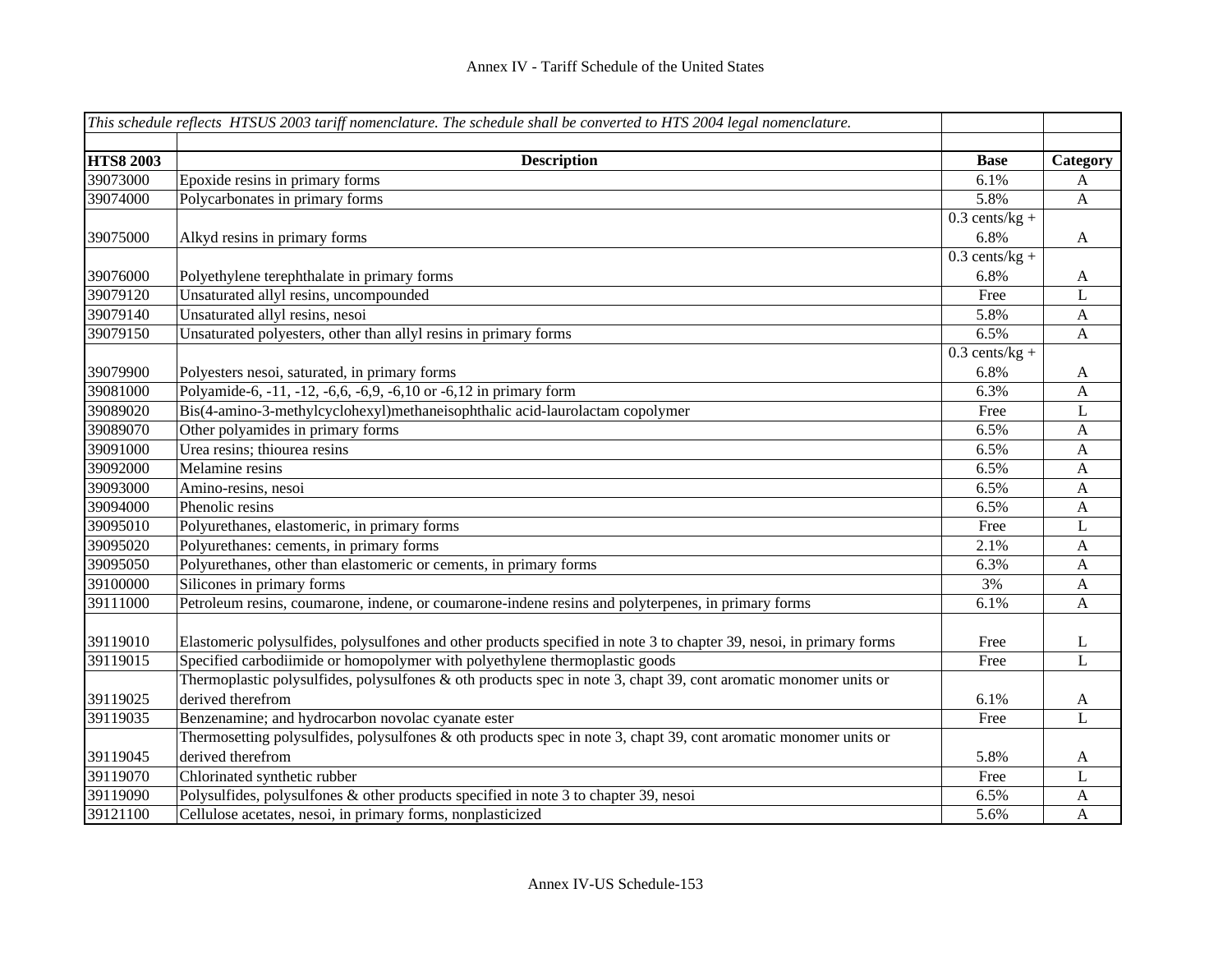|                  | This schedule reflects HTSUS 2003 tariff nomenclature. The schedule shall be converted to HTS 2004 legal nomenclature. |                  |                           |
|------------------|------------------------------------------------------------------------------------------------------------------------|------------------|---------------------------|
|                  |                                                                                                                        |                  |                           |
| <b>HTS8 2003</b> | <b>Description</b>                                                                                                     | <b>Base</b>      | Category                  |
| 39073000         | Epoxide resins in primary forms                                                                                        | 6.1%             | A                         |
| 39074000         | Polycarbonates in primary forms                                                                                        | 5.8%             | $\boldsymbol{\mathsf{A}}$ |
|                  |                                                                                                                        | $0.3$ cents/kg + |                           |
| 39075000         | Alkyd resins in primary forms                                                                                          | 6.8%             | $\mathbf{A}$              |
|                  |                                                                                                                        | $0.3$ cents/kg + |                           |
| 39076000         | Polyethylene terephthalate in primary forms                                                                            | 6.8%             | A                         |
| 39079120         | Unsaturated allyl resins, uncompounded                                                                                 | Free             | L                         |
| 39079140         | Unsaturated allyl resins, nesoi                                                                                        | 5.8%             | A                         |
| 39079150         | Unsaturated polyesters, other than allyl resins in primary forms                                                       | 6.5%             | $\mathbf{A}$              |
|                  |                                                                                                                        | $0.3$ cents/kg + |                           |
| 39079900         | Polyesters nesoi, saturated, in primary forms                                                                          | 6.8%             | $\mathbf{A}$              |
| 39081000         | Polyamide-6, -11, -12, -6,6, -6,9, -6,10 or -6,12 in primary form                                                      | 6.3%             | $\mathbf{A}$              |
| 39089020         | Bis(4-amino-3-methylcyclohexyl)methaneisophthalic acid-laurolactam copolymer                                           | Free             | $\mathbf L$               |
| 39089070         | Other polyamides in primary forms                                                                                      | 6.5%             | $\mathbf{A}$              |
| 39091000         | Urea resins; thiourea resins                                                                                           | 6.5%             | $\mathbf{A}$              |
| 39092000         | Melamine resins                                                                                                        | 6.5%             | $\mathbf{A}$              |
| 39093000         | Amino-resins, nesoi                                                                                                    | 6.5%             | $\mathbf{A}$              |
| 39094000         | Phenolic resins                                                                                                        | 6.5%             | $\mathbf{A}$              |
| 39095010         | Polyurethanes, elastomeric, in primary forms                                                                           | Free             | L                         |
| 39095020         | Polyurethanes: cements, in primary forms                                                                               | 2.1%             | $\mathbf{A}$              |
| 39095050         | Polyurethanes, other than elastomeric or cements, in primary forms                                                     | 6.3%             | $\mathbf{A}$              |
| 39100000         | Silicones in primary forms                                                                                             | 3%               | $\mathbf{A}$              |
| 39111000         | Petroleum resins, coumarone, indene, or coumarone-indene resins and polyterpenes, in primary forms                     | 6.1%             | A                         |
|                  |                                                                                                                        |                  |                           |
| 39119010         | Elastomeric polysulfides, polysulfones and other products specified in note 3 to chapter 39, nesoi, in primary forms   | Free             | L                         |
| 39119015         | Specified carbodiimide or homopolymer with polyethylene thermoplastic goods                                            | Free             | $\mathbf{L}$              |
|                  | Thermoplastic polysulfides, polysulfones $\&$ oth products spec in note 3, chapt 39, cont aromatic monomer units or    |                  |                           |
| 39119025         | derived therefrom                                                                                                      | 6.1%             | $\mathbf{A}$              |
| 39119035         | Benzenamine; and hydrocarbon novolac cyanate ester                                                                     | Free             | L                         |
|                  | Thermosetting polysulfides, polysulfones & oth products spec in note 3, chapt 39, cont aromatic monomer units or       |                  |                           |
| 39119045         | derived therefrom                                                                                                      | 5.8%             | A                         |
| 39119070         | Chlorinated synthetic rubber                                                                                           | Free             | L                         |
| 39119090         | Polysulfides, polysulfones & other products specified in note 3 to chapter 39, nesoi                                   | 6.5%             | $\mathbf{A}$              |
| 39121100         | Cellulose acetates, nesoi, in primary forms, nonplasticized                                                            | 5.6%             | $\mathbf{A}$              |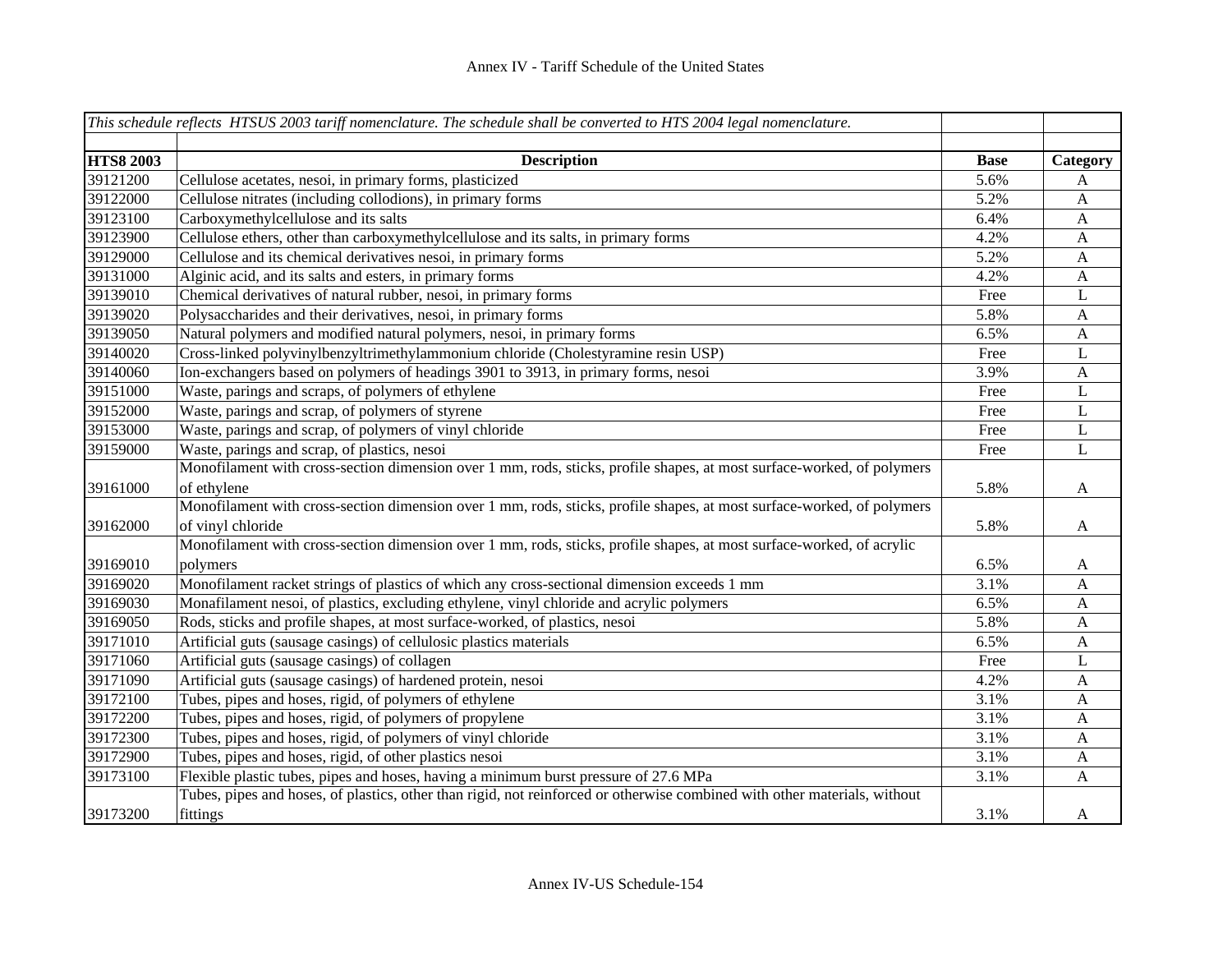|                  | This schedule reflects HTSUS 2003 tariff nomenclature. The schedule shall be converted to HTS 2004 legal nomenclature.    |             |                           |
|------------------|---------------------------------------------------------------------------------------------------------------------------|-------------|---------------------------|
|                  |                                                                                                                           |             |                           |
| <b>HTS8 2003</b> | <b>Description</b>                                                                                                        | <b>Base</b> | Category                  |
| 39121200         | Cellulose acetates, nesoi, in primary forms, plasticized                                                                  | 5.6%        | A                         |
| 39122000         | Cellulose nitrates (including collodions), in primary forms                                                               | 5.2%        | $\mathbf{A}$              |
| 39123100         | Carboxymethylcellulose and its salts                                                                                      | 6.4%        | $\boldsymbol{A}$          |
| 39123900         | Cellulose ethers, other than carboxymethylcellulose and its salts, in primary forms                                       | 4.2%        | $\mathbf{A}$              |
| 39129000         | Cellulose and its chemical derivatives nesoi, in primary forms                                                            | 5.2%        | $\mathbf{A}$              |
| 39131000         | Alginic acid, and its salts and esters, in primary forms                                                                  | 4.2%        | $\boldsymbol{A}$          |
| 39139010         | Chemical derivatives of natural rubber, nesoi, in primary forms                                                           | Free        | L                         |
| 39139020         | Polysaccharides and their derivatives, nesoi, in primary forms                                                            | 5.8%        | $\mathbf{A}$              |
| 39139050         | Natural polymers and modified natural polymers, nesoi, in primary forms                                                   | 6.5%        | $\boldsymbol{A}$          |
| 39140020         | Cross-linked polyvinylbenzyltrimethylammonium chloride (Cholestyramine resin USP)                                         | Free        | $\mathbf L$               |
| 39140060         | Ion-exchangers based on polymers of headings 3901 to 3913, in primary forms, nesoi                                        | 3.9%        | $\mathbf{A}$              |
| 39151000         | Waste, parings and scraps, of polymers of ethylene                                                                        | Free        | $\mathbf L$               |
| 39152000         | Waste, parings and scrap, of polymers of styrene                                                                          | Free        | $\mathbf L$               |
| 39153000         | Waste, parings and scrap, of polymers of vinyl chloride                                                                   | Free        | $\bf L$                   |
| 39159000         | Waste, parings and scrap, of plastics, nesoi                                                                              | Free        | $\mathbf{L}$              |
|                  | Monofilament with cross-section dimension over 1 mm, rods, sticks, profile shapes, at most surface-worked, of polymers    |             |                           |
| 39161000         | of ethylene                                                                                                               | 5.8%        | A                         |
|                  | Monofilament with cross-section dimension over 1 mm, rods, sticks, profile shapes, at most surface-worked, of polymers    |             |                           |
| 39162000         | of vinyl chloride                                                                                                         | 5.8%        | $\mathbf{A}$              |
|                  | Monofilament with cross-section dimension over 1 mm, rods, sticks, profile shapes, at most surface-worked, of acrylic     |             |                           |
| 39169010         | polymers                                                                                                                  | 6.5%        | A                         |
| 39169020         | Monofilament racket strings of plastics of which any cross-sectional dimension exceeds 1 mm                               | 3.1%        | A                         |
| 39169030         | Monafilament nesoi, of plastics, excluding ethylene, vinyl chloride and acrylic polymers                                  | 6.5%        | $\boldsymbol{\mathsf{A}}$ |
| 39169050         | Rods, sticks and profile shapes, at most surface-worked, of plastics, nesoi                                               | 5.8%        | A                         |
| 39171010         | Artificial guts (sausage casings) of cellulosic plastics materials                                                        | 6.5%        | A                         |
| 39171060         | Artificial guts (sausage casings) of collagen                                                                             | Free        | L                         |
| 39171090         | Artificial guts (sausage casings) of hardened protein, nesoi                                                              | 4.2%        | A                         |
| 39172100         | Tubes, pipes and hoses, rigid, of polymers of ethylene                                                                    | 3.1%        | A                         |
| 39172200         | Tubes, pipes and hoses, rigid, of polymers of propylene                                                                   | 3.1%        | $\mathbf{A}$              |
| 39172300         | Tubes, pipes and hoses, rigid, of polymers of vinyl chloride                                                              | 3.1%        | $\mathbf{A}$              |
| 39172900         | Tubes, pipes and hoses, rigid, of other plastics nesoi                                                                    | 3.1%        | A                         |
| 39173100         | Flexible plastic tubes, pipes and hoses, having a minimum burst pressure of 27.6 MPa                                      | 3.1%        | A                         |
|                  | Tubes, pipes and hoses, of plastics, other than rigid, not reinforced or otherwise combined with other materials, without |             |                           |
| 39173200         | fittings                                                                                                                  | 3.1%        | A                         |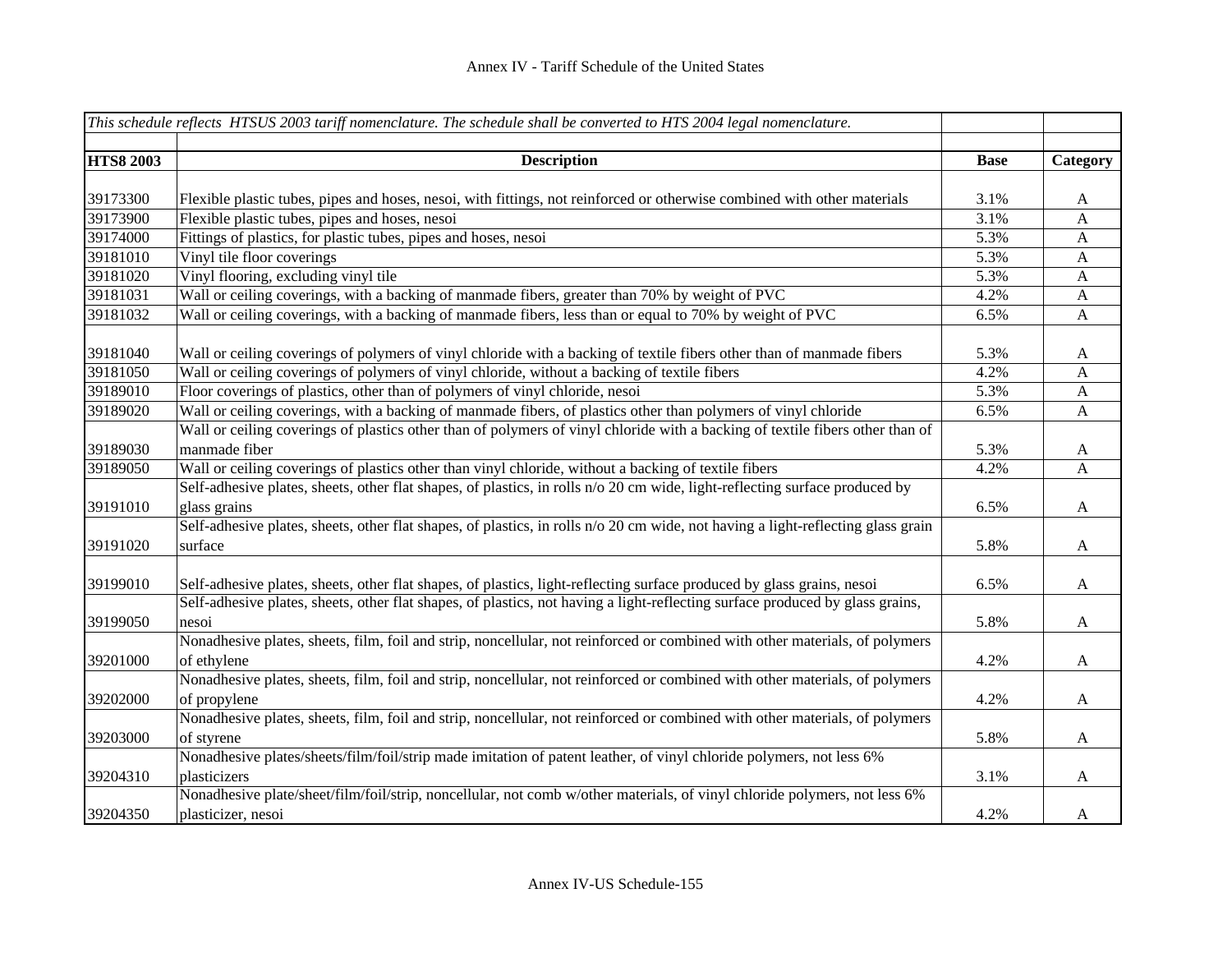|                  | This schedule reflects HTSUS 2003 tariff nomenclature. The schedule shall be converted to HTS 2004 legal nomenclature.           |             |                           |
|------------------|----------------------------------------------------------------------------------------------------------------------------------|-------------|---------------------------|
|                  |                                                                                                                                  |             |                           |
| <b>HTS8 2003</b> | <b>Description</b>                                                                                                               | <b>Base</b> | Category                  |
|                  |                                                                                                                                  |             |                           |
| 39173300         | Flexible plastic tubes, pipes and hoses, nesoi, with fittings, not reinforced or otherwise combined with other materials         | 3.1%        | $\mathbf{A}$              |
| 39173900         | Flexible plastic tubes, pipes and hoses, nesoi                                                                                   | 3.1%        | A                         |
| 39174000         | Fittings of plastics, for plastic tubes, pipes and hoses, nesoi                                                                  | 5.3%        | A                         |
| 39181010         | Vinyl tile floor coverings                                                                                                       | 5.3%        | A                         |
| 39181020         | Vinyl flooring, excluding vinyl tile                                                                                             | 5.3%        | A                         |
| 39181031         | Wall or ceiling coverings, with a backing of manmade fibers, greater than 70% by weight of PVC                                   | 4.2%        | $\mathbf{A}$              |
| 39181032         | Wall or ceiling coverings, with a backing of manmade fibers, less than or equal to 70% by weight of PVC                          | 6.5%        | $\boldsymbol{\mathsf{A}}$ |
|                  |                                                                                                                                  |             |                           |
| 39181040         | Wall or ceiling coverings of polymers of vinyl chloride with a backing of textile fibers other than of manmade fibers            | 5.3%        | $\mathbf{A}$              |
| 39181050         | Wall or ceiling coverings of polymers of vinyl chloride, without a backing of textile fibers                                     | 4.2%        | A                         |
| 39189010         | Floor coverings of plastics, other than of polymers of vinyl chloride, nesoi                                                     | 5.3%        | $\mathbf{A}$              |
| 39189020         | Wall or ceiling coverings, with a backing of manmade fibers, of plastics other than polymers of vinyl chloride                   | 6.5%        | $\mathbf{A}$              |
|                  | Wall or ceiling coverings of plastics other than of polymers of vinyl chloride with a backing of textile fibers other than of    |             |                           |
| 39189030         | manmade fiber                                                                                                                    | 5.3%        | $\mathbf{A}$              |
| 39189050         | Wall or ceiling coverings of plastics other than vinyl chloride, without a backing of textile fibers                             | 4.2%        | $\mathbf{A}$              |
|                  | Self-adhesive plates, sheets, other flat shapes, of plastics, in rolls n/o 20 cm wide, light-reflecting surface produced by      |             |                           |
| 39191010         | glass grains                                                                                                                     | 6.5%        | $\mathbf{A}$              |
|                  | Self-adhesive plates, sheets, other flat shapes, of plastics, in rolls n/o 20 cm wide, not having a light-reflecting glass grain |             |                           |
| 39191020         | surface                                                                                                                          | 5.8%        | $\mathbf{A}$              |
|                  |                                                                                                                                  |             |                           |
| 39199010         | Self-adhesive plates, sheets, other flat shapes, of plastics, light-reflecting surface produced by glass grains, nesoi           | 6.5%        | $\mathbf{A}$              |
|                  | Self-adhesive plates, sheets, other flat shapes, of plastics, not having a light-reflecting surface produced by glass grains,    |             |                           |
| 39199050         | nesoi                                                                                                                            | 5.8%        | $\mathbf{A}$              |
|                  | Nonadhesive plates, sheets, film, foil and strip, noncellular, not reinforced or combined with other materials, of polymers      |             |                           |
| 39201000         | of ethylene                                                                                                                      | 4.2%        | $\mathbf{A}$              |
|                  | Nonadhesive plates, sheets, film, foil and strip, noncellular, not reinforced or combined with other materials, of polymers      |             |                           |
| 39202000         | of propylene                                                                                                                     | 4.2%        | $\mathbf{A}$              |
|                  | Nonadhesive plates, sheets, film, foil and strip, noncellular, not reinforced or combined with other materials, of polymers      |             |                           |
| 39203000         | of styrene                                                                                                                       | 5.8%        | $\mathbf{A}$              |
|                  | Nonadhesive plates/sheets/film/foil/strip made imitation of patent leather, of vinyl chloride polymers, not less 6%              |             |                           |
| 39204310         | plasticizers                                                                                                                     | 3.1%        | $\mathbf{A}$              |
|                  | Nonadhesive plate/sheet/film/foil/strip, noncellular, not comb w/other materials, of vinyl chloride polymers, not less 6%        |             |                           |
| 39204350         | plasticizer, nesoi                                                                                                               | 4.2%        | A                         |
|                  |                                                                                                                                  |             |                           |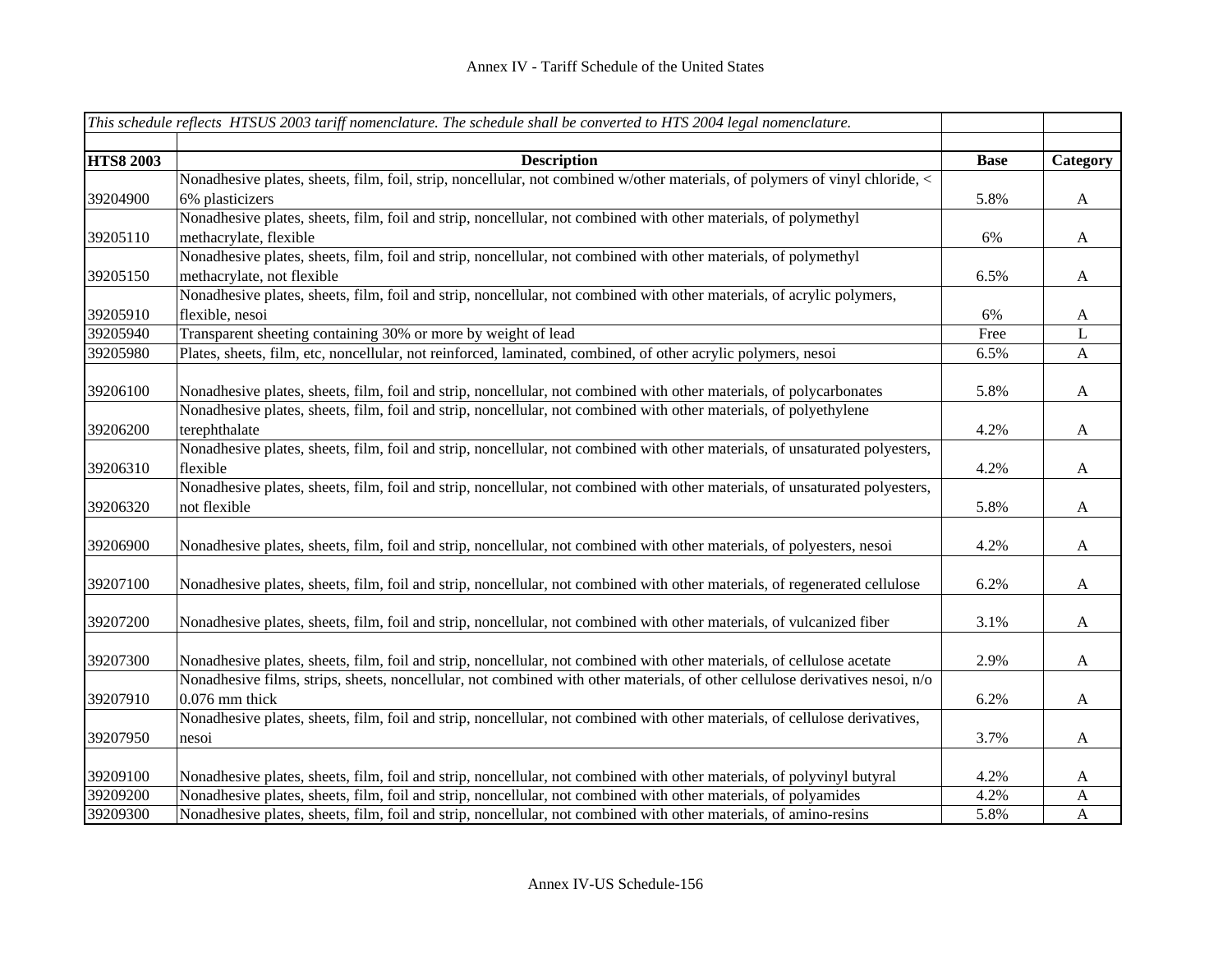|                  | This schedule reflects HTSUS 2003 tariff nomenclature. The schedule shall be converted to HTS 2004 legal nomenclature.                                                                                                                                 |             |              |
|------------------|--------------------------------------------------------------------------------------------------------------------------------------------------------------------------------------------------------------------------------------------------------|-------------|--------------|
| <b>HTS8 2003</b> | <b>Description</b>                                                                                                                                                                                                                                     | <b>Base</b> | Category     |
|                  | Nonadhesive plates, sheets, film, foil, strip, noncellular, not combined w/other materials, of polymers of vinyl chloride, <                                                                                                                           |             |              |
| 39204900         | 6% plasticizers                                                                                                                                                                                                                                        | 5.8%        | $\mathbf{A}$ |
|                  | Nonadhesive plates, sheets, film, foil and strip, noncellular, not combined with other materials, of polymethyl                                                                                                                                        |             |              |
| 39205110         | methacrylate, flexible                                                                                                                                                                                                                                 | 6%          | $\mathbf{A}$ |
|                  | Nonadhesive plates, sheets, film, foil and strip, noncellular, not combined with other materials, of polymethyl                                                                                                                                        |             |              |
| 39205150         | methacrylate, not flexible                                                                                                                                                                                                                             | 6.5%        | A            |
|                  | Nonadhesive plates, sheets, film, foil and strip, noncellular, not combined with other materials, of acrylic polymers,                                                                                                                                 |             |              |
| 39205910         | flexible, nesoi                                                                                                                                                                                                                                        | 6%          | A            |
| 39205940         | Transparent sheeting containing 30% or more by weight of lead                                                                                                                                                                                          | Free        | L            |
| 39205980         | Plates, sheets, film, etc, noncellular, not reinforced, laminated, combined, of other acrylic polymers, nesoi                                                                                                                                          | 6.5%        | $\mathbf{A}$ |
|                  |                                                                                                                                                                                                                                                        |             |              |
| 39206100         | Nonadhesive plates, sheets, film, foil and strip, noncellular, not combined with other materials, of polycarbonates                                                                                                                                    | 5.8%        | $\mathbf{A}$ |
|                  | Nonadhesive plates, sheets, film, foil and strip, noncellular, not combined with other materials, of polyethylene                                                                                                                                      |             |              |
| 39206200         | terephthalate                                                                                                                                                                                                                                          | 4.2%        | A            |
|                  | Nonadhesive plates, sheets, film, foil and strip, noncellular, not combined with other materials, of unsaturated polyesters,                                                                                                                           |             |              |
| 39206310         | flexible                                                                                                                                                                                                                                               | 4.2%        | A            |
|                  | Nonadhesive plates, sheets, film, foil and strip, noncellular, not combined with other materials, of unsaturated polyesters,                                                                                                                           |             |              |
| 39206320         | not flexible                                                                                                                                                                                                                                           | 5.8%        | $\mathbf{A}$ |
|                  |                                                                                                                                                                                                                                                        |             |              |
| 39206900         | Nonadhesive plates, sheets, film, foil and strip, noncellular, not combined with other materials, of polyesters, nesoi                                                                                                                                 | 4.2%        | $\mathbf{A}$ |
|                  |                                                                                                                                                                                                                                                        |             |              |
| 39207100         | Nonadhesive plates, sheets, film, foil and strip, noncellular, not combined with other materials, of regenerated cellulose                                                                                                                             | 6.2%        | A            |
|                  |                                                                                                                                                                                                                                                        |             |              |
| 39207200         | Nonadhesive plates, sheets, film, foil and strip, noncellular, not combined with other materials, of vulcanized fiber                                                                                                                                  | 3.1%        | $\mathbf{A}$ |
| 39207300         |                                                                                                                                                                                                                                                        |             |              |
|                  | Nonadhesive plates, sheets, film, foil and strip, noncellular, not combined with other materials, of cellulose acetate<br>Nonadhesive films, strips, sheets, noncellular, not combined with other materials, of other cellulose derivatives nesoi, n/o | 2.9%        | $\mathbf{A}$ |
| 39207910         | $0.076$ mm thick                                                                                                                                                                                                                                       |             |              |
|                  | Nonadhesive plates, sheets, film, foil and strip, noncellular, not combined with other materials, of cellulose derivatives,                                                                                                                            | 6.2%        | $\mathbf{A}$ |
| 39207950         | nesoi                                                                                                                                                                                                                                                  | 3.7%        |              |
|                  |                                                                                                                                                                                                                                                        |             | A            |
| 39209100         | Nonadhesive plates, sheets, film, foil and strip, noncellular, not combined with other materials, of polyvinyl butyral                                                                                                                                 | 4.2%        | A            |
| 39209200         | Nonadhesive plates, sheets, film, foil and strip, noncellular, not combined with other materials, of polyamides                                                                                                                                        | 4.2%        | A            |
| 39209300         | Nonadhesive plates, sheets, film, foil and strip, noncellular, not combined with other materials, of amino-resins                                                                                                                                      | 5.8%        | $\mathbf{A}$ |
|                  |                                                                                                                                                                                                                                                        |             |              |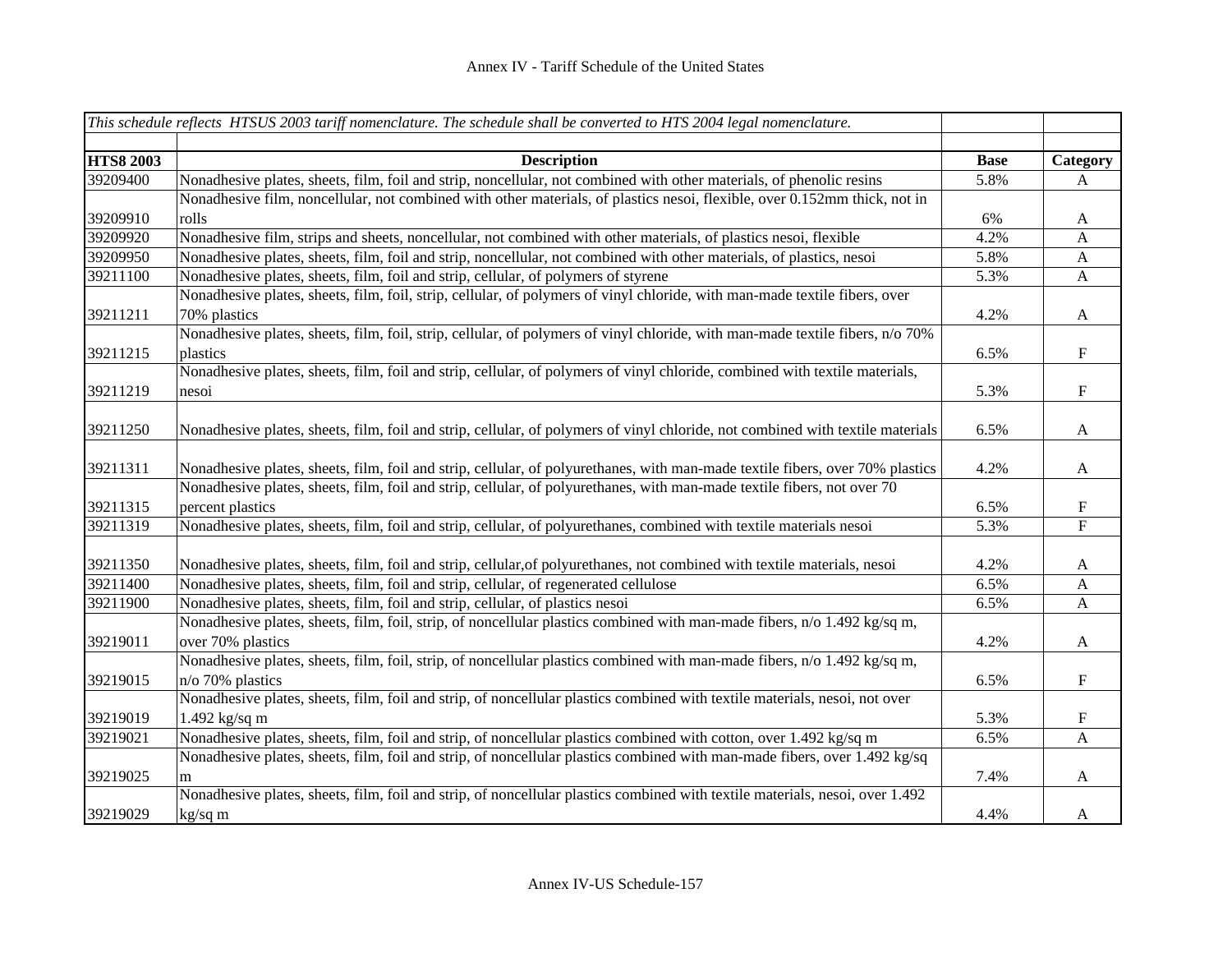|                  | This schedule reflects HTSUS 2003 tariff nomenclature. The schedule shall be converted to HTS 2004 legal nomenclature.         |             |                           |
|------------------|--------------------------------------------------------------------------------------------------------------------------------|-------------|---------------------------|
|                  |                                                                                                                                |             |                           |
| <b>HTS8 2003</b> | <b>Description</b>                                                                                                             | <b>Base</b> | Category                  |
| 39209400         | Nonadhesive plates, sheets, film, foil and strip, noncellular, not combined with other materials, of phenolic resins           | 5.8%        | A                         |
|                  | Nonadhesive film, noncellular, not combined with other materials, of plastics nesoi, flexible, over 0.152mm thick, not in      |             |                           |
| 39209910         | rolls                                                                                                                          | 6%          | $\mathbf{A}$              |
| 39209920         | Nonadhesive film, strips and sheets, noncellular, not combined with other materials, of plastics nesoi, flexible               | 4.2%        | A                         |
| 39209950         | Nonadhesive plates, sheets, film, foil and strip, noncellular, not combined with other materials, of plastics, nesoi           | 5.8%        | $\mathbf{A}$              |
| 39211100         | Nonadhesive plates, sheets, film, foil and strip, cellular, of polymers of styrene                                             | 5.3%        | $\mathbf{A}$              |
|                  | Nonadhesive plates, sheets, film, foil, strip, cellular, of polymers of vinyl chloride, with man-made textile fibers, over     |             |                           |
| 39211211         | 70% plastics                                                                                                                   | 4.2%        | $\mathbf{A}$              |
|                  | Nonadhesive plates, sheets, film, foil, strip, cellular, of polymers of vinyl chloride, with man-made textile fibers, n/o 70%  |             |                           |
| 39211215         | plastics                                                                                                                       | 6.5%        | $\boldsymbol{\mathrm{F}}$ |
|                  | Nonadhesive plates, sheets, film, foil and strip, cellular, of polymers of vinyl chloride, combined with textile materials,    |             |                           |
| 39211219         | nesoi                                                                                                                          | 5.3%        | $\mathbf F$               |
|                  |                                                                                                                                |             |                           |
| 39211250         | Nonadhesive plates, sheets, film, foil and strip, cellular, of polymers of vinyl chloride, not combined with textile materials | 6.5%        | $\mathbf{A}$              |
|                  |                                                                                                                                |             |                           |
| 39211311         | Nonadhesive plates, sheets, film, foil and strip, cellular, of polyurethanes, with man-made textile fibers, over 70% plastics  | 4.2%        | $\mathbf{A}$              |
|                  | Nonadhesive plates, sheets, film, foil and strip, cellular, of polyurethanes, with man-made textile fibers, not over 70        |             |                           |
| 39211315         | percent plastics                                                                                                               | 6.5%        | $\mathbf F$               |
| 39211319         | Nonadhesive plates, sheets, film, foil and strip, cellular, of polyurethanes, combined with textile materials nesoi            | 5.3%        | $\boldsymbol{\mathrm{F}}$ |
|                  |                                                                                                                                |             |                           |
| 39211350         | Nonadhesive plates, sheets, film, foil and strip, cellular, of polyurethanes, not combined with textile materials, nesoi       | 4.2%        | $\mathbf{A}$              |
| 39211400         | Nonadhesive plates, sheets, film, foil and strip, cellular, of regenerated cellulose                                           | 6.5%        | A                         |
| 39211900         | Nonadhesive plates, sheets, film, foil and strip, cellular, of plastics nesoi                                                  | 6.5%        | $\mathbf{A}$              |
|                  | Nonadhesive plates, sheets, film, foil, strip, of noncellular plastics combined with man-made fibers, n/o 1.492 kg/sq m,       |             |                           |
| 39219011         | over 70% plastics                                                                                                              | 4.2%        | $\mathbf{A}$              |
|                  | Nonadhesive plates, sheets, film, foil, strip, of noncellular plastics combined with man-made fibers, n/o 1.492 kg/sq m,       |             |                           |
| 39219015         | $n$ /o 70% plastics                                                                                                            | 6.5%        | $\mathbf F$               |
|                  | Nonadhesive plates, sheets, film, foil and strip, of noncellular plastics combined with textile materials, nesoi, not over     |             |                           |
| 39219019         | $1.492$ kg/sq m                                                                                                                | 5.3%        | ${\bf F}$                 |
| 39219021         | Nonadhesive plates, sheets, film, foil and strip, of noncellular plastics combined with cotton, over 1.492 kg/sq m             | 6.5%        | $\boldsymbol{\mathsf{A}}$ |
|                  | Nonadhesive plates, sheets, film, foil and strip, of noncellular plastics combined with man-made fibers, over 1.492 kg/sq      |             |                           |
| 39219025         | m                                                                                                                              | 7.4%        | $\mathbf{A}$              |
|                  | Nonadhesive plates, sheets, film, foil and strip, of noncellular plastics combined with textile materials, nesoi, over 1.492   |             |                           |
| 39219029         | kg/sq m                                                                                                                        | 4.4%        | $\mathbf{A}$              |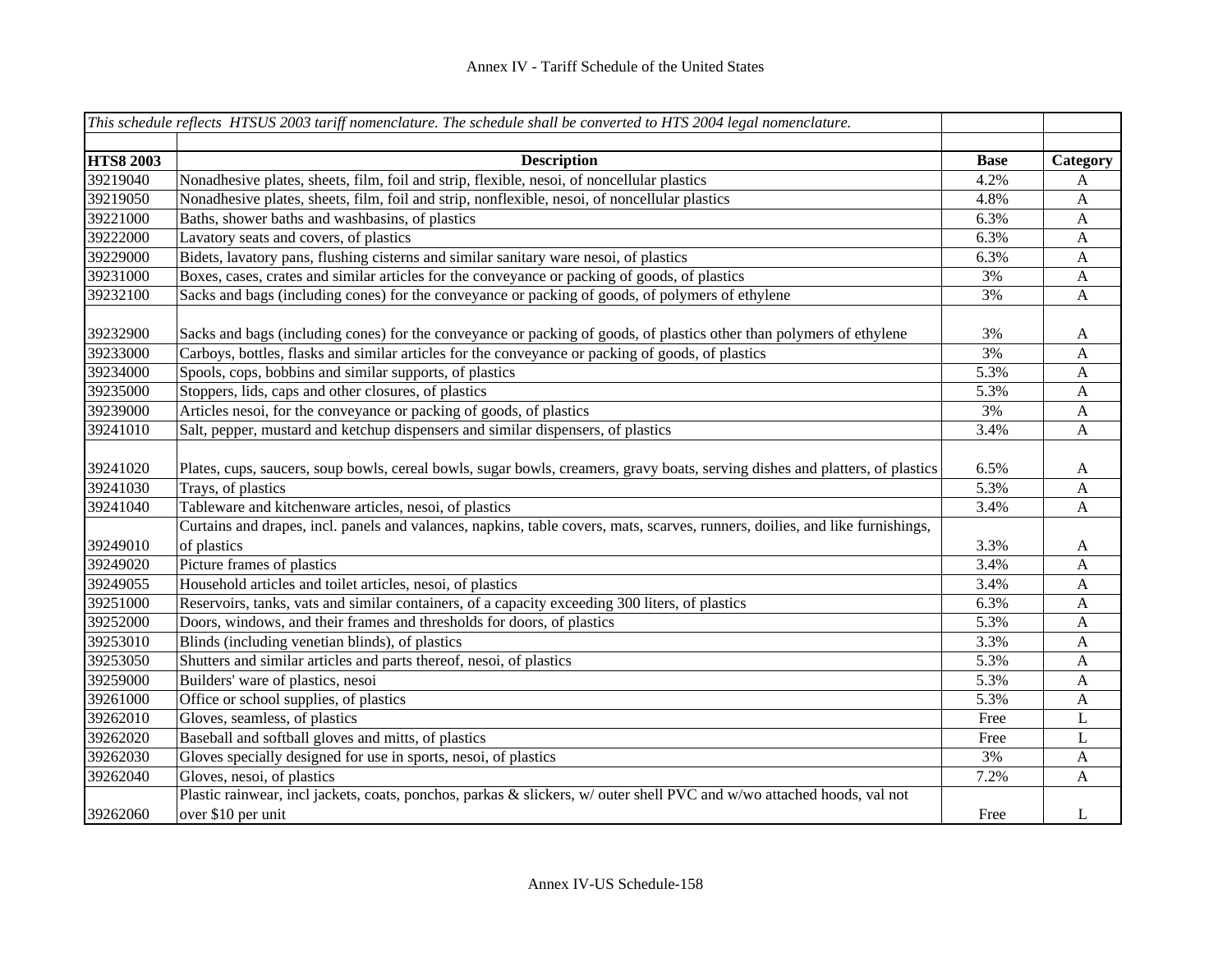|                  | This schedule reflects HTSUS 2003 tariff nomenclature. The schedule shall be converted to HTS 2004 legal nomenclature.        |             |                           |
|------------------|-------------------------------------------------------------------------------------------------------------------------------|-------------|---------------------------|
|                  |                                                                                                                               |             |                           |
| <b>HTS8 2003</b> | <b>Description</b>                                                                                                            | <b>Base</b> | Category                  |
| 39219040         | Nonadhesive plates, sheets, film, foil and strip, flexible, nesoi, of noncellular plastics                                    | 4.2%        | A                         |
| 39219050         | Nonadhesive plates, sheets, film, foil and strip, nonflexible, nesoi, of noncellular plastics                                 | 4.8%        | A                         |
| 39221000         | Baths, shower baths and washbasins, of plastics                                                                               | 6.3%        | $\mathbf{A}$              |
| 39222000         | Lavatory seats and covers, of plastics                                                                                        | 6.3%        | $\mathbf{A}$              |
| 39229000         | Bidets, lavatory pans, flushing cisterns and similar sanitary ware nesoi, of plastics                                         | 6.3%        | $\mathbf{A}$              |
| 39231000         | Boxes, cases, crates and similar articles for the conveyance or packing of goods, of plastics                                 | 3%          | $\mathbf{A}$              |
| 39232100         | Sacks and bags (including cones) for the conveyance or packing of goods, of polymers of ethylene                              | 3%          | $\boldsymbol{\mathsf{A}}$ |
| 39232900         | Sacks and bags (including cones) for the conveyance or packing of goods, of plastics other than polymers of ethylene          | 3%          | A                         |
| 39233000         | Carboys, bottles, flasks and similar articles for the conveyance or packing of goods, of plastics                             | 3%          | $\mathbf{A}$              |
| 39234000         | Spools, cops, bobbins and similar supports, of plastics                                                                       | 5.3%        | $\boldsymbol{\mathsf{A}}$ |
| 39235000         | Stoppers, lids, caps and other closures, of plastics                                                                          | 5.3%        | $\mathbf{A}$              |
| 39239000         | Articles nesoi, for the conveyance or packing of goods, of plastics                                                           | 3%          | $\mathbf{A}$              |
| 39241010         | Salt, pepper, mustard and ketchup dispensers and similar dispensers, of plastics                                              | 3.4%        | A                         |
| 39241020         | Plates, cups, saucers, soup bowls, cereal bowls, sugar bowls, creamers, gravy boats, serving dishes and platters, of plastics | 6.5%        | A                         |
| 39241030         | Trays, of plastics                                                                                                            | 5.3%        | A                         |
| 39241040         | Tableware and kitchenware articles, nesoi, of plastics                                                                        | 3.4%        | A                         |
|                  | Curtains and drapes, incl. panels and valances, napkins, table covers, mats, scarves, runners, doilies, and like furnishings, |             |                           |
| 39249010         | of plastics                                                                                                                   | 3.3%        | A                         |
| 39249020         | Picture frames of plastics                                                                                                    | 3.4%        | A                         |
| 39249055         | Household articles and toilet articles, nesoi, of plastics                                                                    | 3.4%        | A                         |
| 39251000         | Reservoirs, tanks, vats and similar containers, of a capacity exceeding 300 liters, of plastics                               | 6.3%        | A                         |
| 39252000         | Doors, windows, and their frames and thresholds for doors, of plastics                                                        | 5.3%        | A                         |
| 39253010         | Blinds (including venetian blinds), of plastics                                                                               | 3.3%        | A                         |
| 39253050         | Shutters and similar articles and parts thereof, nesoi, of plastics                                                           | 5.3%        | A                         |
| 39259000         | Builders' ware of plastics, nesoi                                                                                             | 5.3%        | A                         |
| 39261000         | Office or school supplies, of plastics                                                                                        | 5.3%        | A                         |
| 39262010         | Gloves, seamless, of plastics                                                                                                 | Free        | L                         |
| 39262020         | Baseball and softball gloves and mitts, of plastics                                                                           | Free        | L                         |
| 39262030         | Gloves specially designed for use in sports, nesoi, of plastics                                                               | 3%          | A                         |
| 39262040         | Gloves, nesoi, of plastics                                                                                                    | 7.2%        | A                         |
|                  | Plastic rainwear, incl jackets, coats, ponchos, parkas & slickers, w/ outer shell PVC and w/wo attached hoods, val not        |             |                           |
| 39262060         | over \$10 per unit                                                                                                            | Free        | L                         |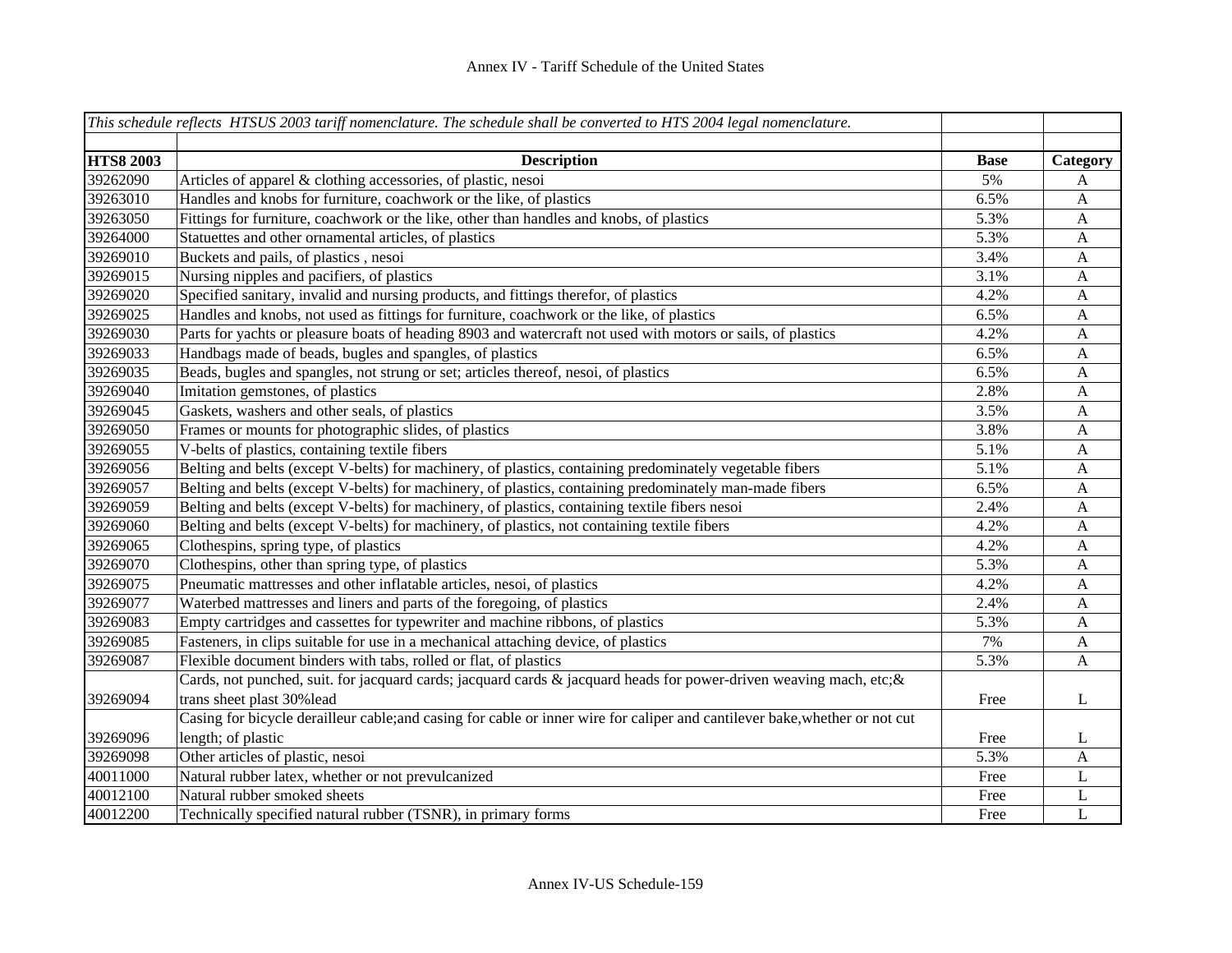|                  | This schedule reflects HTSUS 2003 tariff nomenclature. The schedule shall be converted to HTS 2004 legal nomenclature.     |             |              |
|------------------|----------------------------------------------------------------------------------------------------------------------------|-------------|--------------|
|                  |                                                                                                                            |             |              |
| <b>HTS8 2003</b> | <b>Description</b>                                                                                                         | <b>Base</b> | Category     |
| 39262090         | Articles of apparel & clothing accessories, of plastic, nesoi                                                              | 5%          | A            |
| 39263010         | Handles and knobs for furniture, coachwork or the like, of plastics                                                        | 6.5%        | $\mathbf{A}$ |
| 39263050         | Fittings for furniture, coachwork or the like, other than handles and knobs, of plastics                                   | 5.3%        | $\mathbf{A}$ |
| 39264000         | Statuettes and other ornamental articles, of plastics                                                                      | 5.3%        | $\mathbf{A}$ |
| 39269010         | Buckets and pails, of plastics, nesoi                                                                                      | 3.4%        | $\mathbf{A}$ |
| 39269015         | Nursing nipples and pacifiers, of plastics                                                                                 | 3.1%        | $\mathbf{A}$ |
| 39269020         | Specified sanitary, invalid and nursing products, and fittings therefor, of plastics                                       | 4.2%        | $\mathbf{A}$ |
| 39269025         | Handles and knobs, not used as fittings for furniture, coachwork or the like, of plastics                                  | 6.5%        | $\mathbf{A}$ |
| 39269030         | Parts for yachts or pleasure boats of heading 8903 and watercraft not used with motors or sails, of plastics               | 4.2%        | $\mathbf{A}$ |
| 39269033         | Handbags made of beads, bugles and spangles, of plastics                                                                   | 6.5%        | A            |
| 39269035         | Beads, bugles and spangles, not strung or set; articles thereof, nesoi, of plastics                                        | 6.5%        | A            |
| 39269040         | Imitation gemstones, of plastics                                                                                           | 2.8%        | A            |
| 39269045         | Gaskets, washers and other seals, of plastics                                                                              | 3.5%        | $\mathbf{A}$ |
| 39269050         | Frames or mounts for photographic slides, of plastics                                                                      | 3.8%        | $\mathbf{A}$ |
| 39269055         | V-belts of plastics, containing textile fibers                                                                             | 5.1%        | $\mathbf{A}$ |
| 39269056         | Belting and belts (except V-belts) for machinery, of plastics, containing predominately vegetable fibers                   | 5.1%        | $\mathbf{A}$ |
| 39269057         | Belting and belts (except V-belts) for machinery, of plastics, containing predominately man-made fibers                    | 6.5%        | $\mathbf{A}$ |
| 39269059         | Belting and belts (except V-belts) for machinery, of plastics, containing textile fibers nesoi                             | 2.4%        | $\mathbf{A}$ |
| 39269060         | Belting and belts (except V-belts) for machinery, of plastics, not containing textile fibers                               | 4.2%        | A            |
| 39269065         | Clothespins, spring type, of plastics                                                                                      | 4.2%        | $\mathbf{A}$ |
| 39269070         | Clothespins, other than spring type, of plastics                                                                           | 5.3%        | $\mathbf{A}$ |
| 39269075         | Pneumatic mattresses and other inflatable articles, nesoi, of plastics                                                     | 4.2%        | $\mathbf{A}$ |
| 39269077         | Waterbed mattresses and liners and parts of the foregoing, of plastics                                                     | 2.4%        | $\mathbf{A}$ |
| 39269083         | Empty cartridges and cassettes for typewriter and machine ribbons, of plastics                                             | 5.3%        | $\mathbf{A}$ |
| 39269085         | Fasteners, in clips suitable for use in a mechanical attaching device, of plastics                                         | 7%          | $\mathbf{A}$ |
| 39269087         | Flexible document binders with tabs, rolled or flat, of plastics                                                           | 5.3%        | $\mathbf{A}$ |
|                  | Cards, not punched, suit. for jacquard cards; jacquard cards & jacquard heads for power-driven weaving mach, etc; &        |             |              |
| 39269094         | trans sheet plast 30% lead                                                                                                 | Free        | L            |
|                  | Casing for bicycle derailleur cable;and casing for cable or inner wire for caliper and cantilever bake, whether or not cut |             |              |
| 39269096         | length; of plastic                                                                                                         | Free        | L            |
| 39269098         | Other articles of plastic, nesoi                                                                                           | 5.3%        | $\mathbf{A}$ |
| 40011000         | Natural rubber latex, whether or not prevulcanized                                                                         | Free        | L            |
| 40012100         | Natural rubber smoked sheets                                                                                               | Free        | L            |
| 40012200         | Technically specified natural rubber (TSNR), in primary forms                                                              | Free        | $\mathbf{L}$ |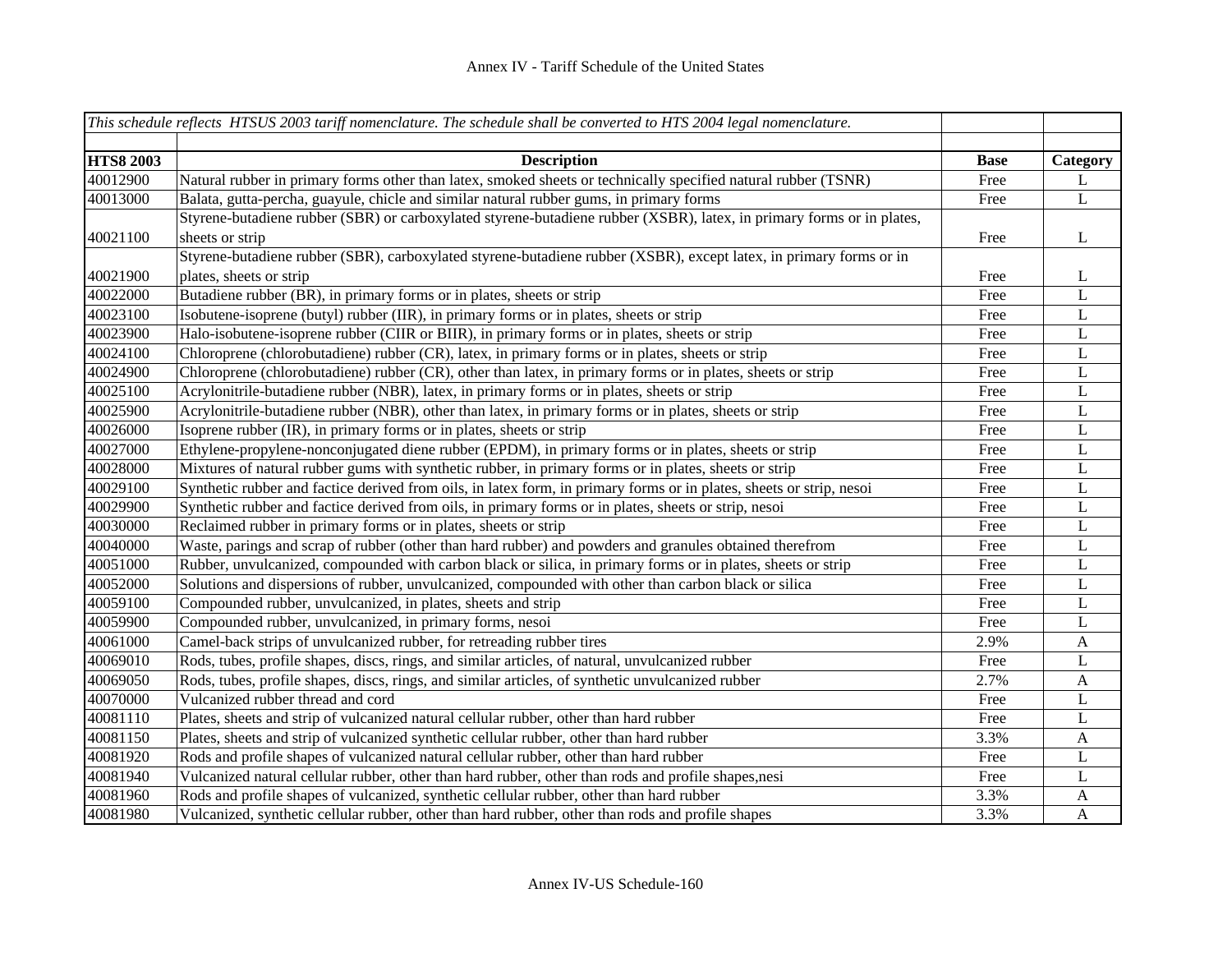|                  | This schedule reflects HTSUS 2003 tariff nomenclature. The schedule shall be converted to HTS 2004 legal nomenclature. |             |              |
|------------------|------------------------------------------------------------------------------------------------------------------------|-------------|--------------|
|                  |                                                                                                                        |             |              |
| <b>HTS8 2003</b> | <b>Description</b>                                                                                                     | <b>Base</b> | Category     |
| 40012900         | Natural rubber in primary forms other than latex, smoked sheets or technically specified natural rubber (TSNR)         | Free        | L            |
| 40013000         | Balata, gutta-percha, guayule, chicle and similar natural rubber gums, in primary forms                                | Free        | L            |
|                  | Styrene-butadiene rubber (SBR) or carboxylated styrene-butadiene rubber (XSBR), latex, in primary forms or in plates,  |             |              |
| 40021100         | sheets or strip                                                                                                        | Free        | L            |
|                  | Styrene-butadiene rubber (SBR), carboxylated styrene-butadiene rubber (XSBR), except latex, in primary forms or in     |             |              |
| 40021900         | plates, sheets or strip                                                                                                | Free        | L            |
| 40022000         | Butadiene rubber (BR), in primary forms or in plates, sheets or strip                                                  | Free        | L            |
| 40023100         | Isobutene-isoprene (butyl) rubber (IIR), in primary forms or in plates, sheets or strip                                | Free        | L            |
| 40023900         | Halo-isobutene-isoprene rubber (CIIR or BIIR), in primary forms or in plates, sheets or strip                          | Free        | $\mathbf L$  |
| 40024100         | Chloroprene (chlorobutadiene) rubber (CR), latex, in primary forms or in plates, sheets or strip                       | Free        | $\mathbf L$  |
| 40024900         | Chloroprene (chlorobutadiene) rubber (CR), other than latex, in primary forms or in plates, sheets or strip            | Free        | $\mathbf L$  |
| 40025100         | Acrylonitrile-butadiene rubber (NBR), latex, in primary forms or in plates, sheets or strip                            | Free        | L            |
| 40025900         | Acrylonitrile-butadiene rubber (NBR), other than latex, in primary forms or in plates, sheets or strip                 | Free        | $\bf L$      |
| 40026000         | Isoprene rubber (IR), in primary forms or in plates, sheets or strip                                                   | Free        | $\bf L$      |
| 40027000         | Ethylene-propylene-nonconjugated diene rubber (EPDM), in primary forms or in plates, sheets or strip                   | Free        | L            |
| 40028000         | Mixtures of natural rubber gums with synthetic rubber, in primary forms or in plates, sheets or strip                  | Free        | L            |
| 40029100         | Synthetic rubber and factice derived from oils, in latex form, in primary forms or in plates, sheets or strip, nesoi   | Free        | L            |
| 40029900         | Synthetic rubber and factice derived from oils, in primary forms or in plates, sheets or strip, nesoi                  | Free        | L            |
| 40030000         | Reclaimed rubber in primary forms or in plates, sheets or strip                                                        | Free        | L            |
| 40040000         | Waste, parings and scrap of rubber (other than hard rubber) and powders and granules obtained therefrom                | Free        | L            |
| 40051000         | Rubber, unvulcanized, compounded with carbon black or silica, in primary forms or in plates, sheets or strip           | Free        | L            |
| 40052000         | Solutions and dispersions of rubber, unvulcanized, compounded with other than carbon black or silica                   | Free        | L            |
| 40059100         | Compounded rubber, unvulcanized, in plates, sheets and strip                                                           | Free        | L            |
| 40059900         | Compounded rubber, unvulcanized, in primary forms, nesoi                                                               | Free        | L            |
| 40061000         | Camel-back strips of unvulcanized rubber, for retreading rubber tires                                                  | 2.9%        | $\mathbf{A}$ |
| 40069010         | Rods, tubes, profile shapes, discs, rings, and similar articles, of natural, unvulcanized rubber                       | Free        | L            |
| 40069050         | Rods, tubes, profile shapes, discs, rings, and similar articles, of synthetic unvulcanized rubber                      | 2.7%        | $\mathbf{A}$ |
| 40070000         | Vulcanized rubber thread and cord                                                                                      | Free        | L            |
| 40081110         | Plates, sheets and strip of vulcanized natural cellular rubber, other than hard rubber                                 | Free        | L            |
| 40081150         | Plates, sheets and strip of vulcanized synthetic cellular rubber, other than hard rubber                               | 3.3%        | $\mathbf{A}$ |
| 40081920         | Rods and profile shapes of vulcanized natural cellular rubber, other than hard rubber                                  | Free        | L            |
| 40081940         | Vulcanized natural cellular rubber, other than hard rubber, other than rods and profile shapes, nesi                   | Free        | L            |
| 40081960         | Rods and profile shapes of vulcanized, synthetic cellular rubber, other than hard rubber                               | 3.3%        | A            |
| 40081980         | Vulcanized, synthetic cellular rubber, other than hard rubber, other than rods and profile shapes                      | 3.3%        | A            |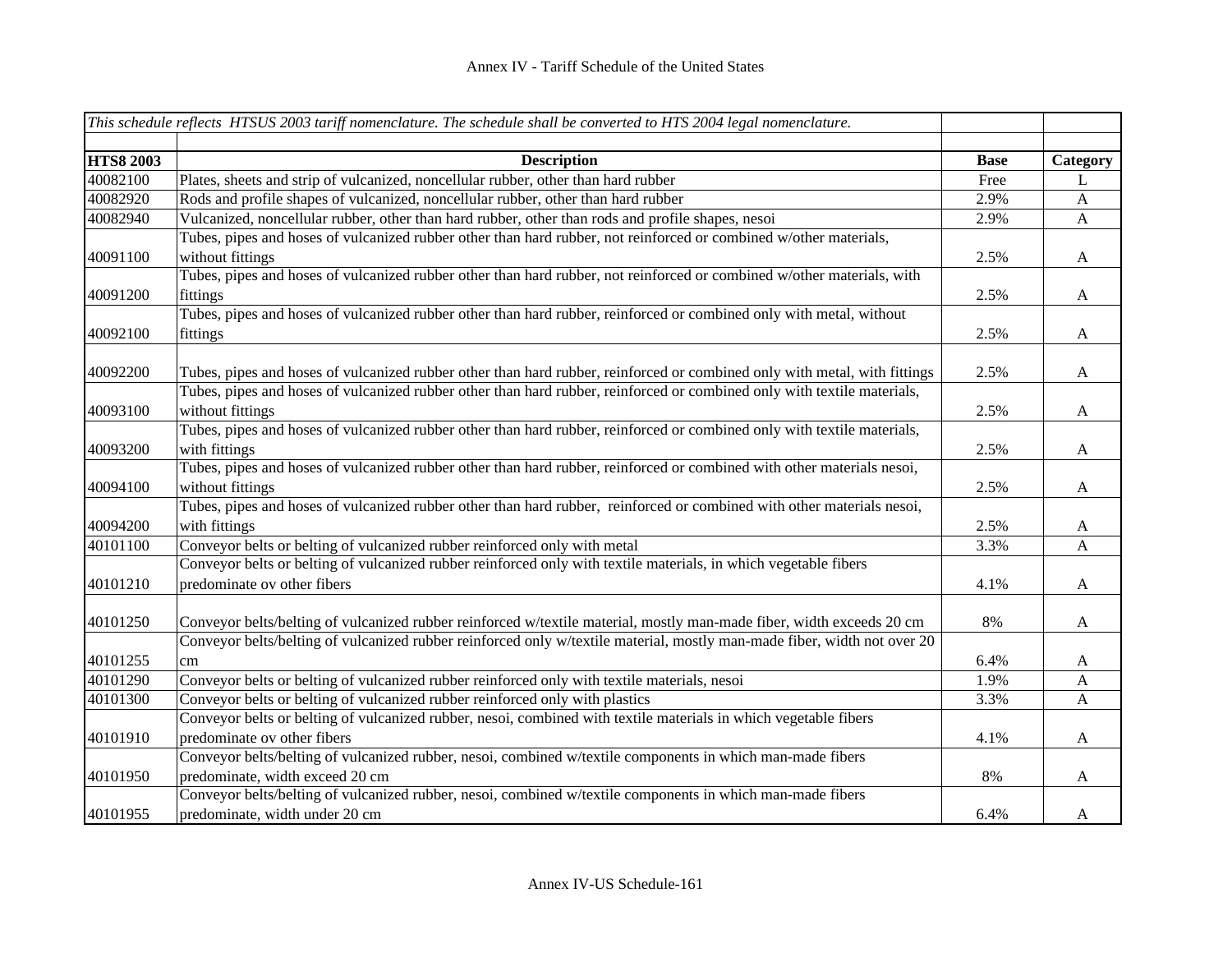|                  | This schedule reflects HTSUS 2003 tariff nomenclature. The schedule shall be converted to HTS 2004 legal nomenclature.                      |             |              |
|------------------|---------------------------------------------------------------------------------------------------------------------------------------------|-------------|--------------|
| <b>HTS8 2003</b> | <b>Description</b>                                                                                                                          | <b>Base</b> | Category     |
| 40082100         | Plates, sheets and strip of vulcanized, noncellular rubber, other than hard rubber                                                          | Free        | L            |
| 40082920         | Rods and profile shapes of vulcanized, noncellular rubber, other than hard rubber                                                           | 2.9%        | $\mathbf{A}$ |
| 40082940         | Vulcanized, noncellular rubber, other than hard rubber, other than rods and profile shapes, nesoi                                           | 2.9%        | A            |
| 40091100         | Tubes, pipes and hoses of vulcanized rubber other than hard rubber, not reinforced or combined w/other materials,<br>without fittings       | 2.5%        | A            |
|                  | Tubes, pipes and hoses of vulcanized rubber other than hard rubber, not reinforced or combined w/other materials, with                      |             |              |
| 40091200         | fittings                                                                                                                                    | 2.5%        | $\mathbf{A}$ |
|                  | Tubes, pipes and hoses of vulcanized rubber other than hard rubber, reinforced or combined only with metal, without                         |             |              |
| 40092100         | fittings                                                                                                                                    | 2.5%        | A            |
|                  |                                                                                                                                             |             |              |
| 40092200         | Tubes, pipes and hoses of vulcanized rubber other than hard rubber, reinforced or combined only with metal, with fittings                   | 2.5%        | A            |
| 40093100         | Tubes, pipes and hoses of vulcanized rubber other than hard rubber, reinforced or combined only with textile materials,<br>without fittings | 2.5%        | $\mathbf{A}$ |
|                  | Tubes, pipes and hoses of vulcanized rubber other than hard rubber, reinforced or combined only with textile materials,                     |             |              |
| 40093200         | with fittings                                                                                                                               | 2.5%        | $\mathbf{A}$ |
|                  | Tubes, pipes and hoses of vulcanized rubber other than hard rubber, reinforced or combined with other materials nesoi,                      |             |              |
| 40094100         | without fittings                                                                                                                            | 2.5%        | A            |
|                  | Tubes, pipes and hoses of vulcanized rubber other than hard rubber, reinforced or combined with other materials nesoi,                      |             |              |
| 40094200         | with fittings                                                                                                                               | 2.5%        | A            |
| 40101100         | Conveyor belts or belting of vulcanized rubber reinforced only with metal                                                                   | 3.3%        | $\mathbf{A}$ |
|                  | Conveyor belts or belting of vulcanized rubber reinforced only with textile materials, in which vegetable fibers                            |             |              |
| 40101210         | predominate ov other fibers                                                                                                                 | 4.1%        | A            |
| 40101250         | Conveyor belts/belting of vulcanized rubber reinforced w/textile material, mostly man-made fiber, width exceeds 20 cm                       | 8%          | A            |
|                  | Conveyor belts/belting of vulcanized rubber reinforced only w/textile material, mostly man-made fiber, width not over 20                    |             |              |
| 40101255         | cm                                                                                                                                          | 6.4%        | A            |
| 40101290         | Conveyor belts or belting of vulcanized rubber reinforced only with textile materials, nesoi                                                | 1.9%        | $\mathbf{A}$ |
| 40101300         | Conveyor belts or belting of vulcanized rubber reinforced only with plastics                                                                | 3.3%        | $\mathbf{A}$ |
|                  | Conveyor belts or belting of vulcanized rubber, nesoi, combined with textile materials in which vegetable fibers                            |             |              |
| 40101910         | predominate ov other fibers                                                                                                                 | 4.1%        | A            |
|                  | Conveyor belts/belting of vulcanized rubber, nesoi, combined w/textile components in which man-made fibers                                  |             |              |
| 40101950         | predominate, width exceed 20 cm                                                                                                             | 8%          | $\mathbf{A}$ |
|                  | Conveyor belts/belting of vulcanized rubber, nesoi, combined w/textile components in which man-made fibers                                  |             |              |
| 40101955         | predominate, width under 20 cm                                                                                                              | 6.4%        | A            |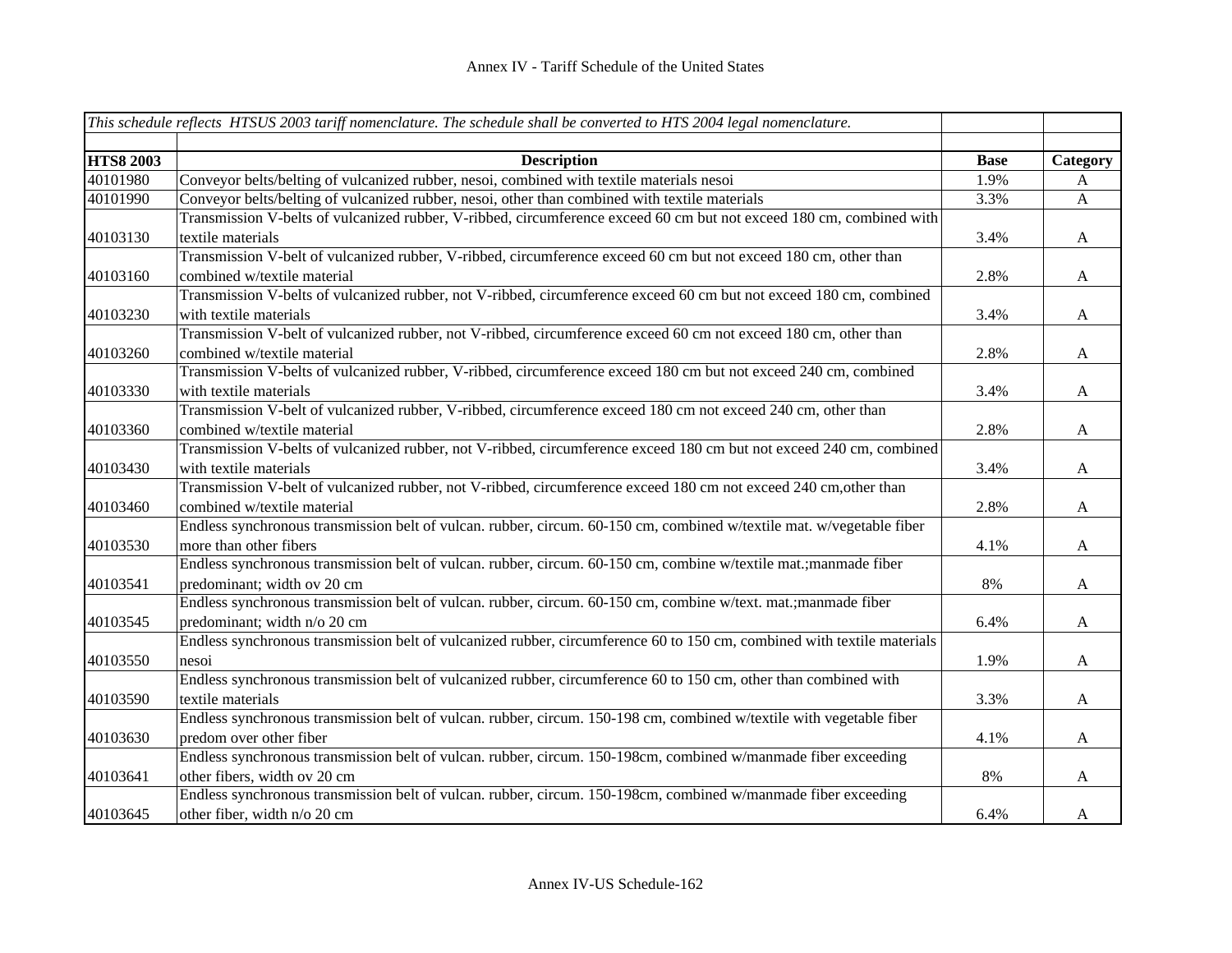|                  | This schedule reflects HTSUS 2003 tariff nomenclature. The schedule shall be converted to HTS 2004 legal nomenclature.  |             |              |
|------------------|-------------------------------------------------------------------------------------------------------------------------|-------------|--------------|
|                  |                                                                                                                         |             |              |
| <b>HTS8 2003</b> | <b>Description</b>                                                                                                      | <b>Base</b> | Category     |
| 40101980         | Conveyor belts/belting of vulcanized rubber, nesoi, combined with textile materials nesoi                               | 1.9%        | A            |
| 40101990         | Conveyor belts/belting of vulcanized rubber, nesoi, other than combined with textile materials                          | 3.3%        | $\mathbf{A}$ |
|                  | Transmission V-belts of vulcanized rubber, V-ribbed, circumference exceed 60 cm but not exceed 180 cm, combined with    |             |              |
| 40103130         | textile materials                                                                                                       | 3.4%        | $\mathbf{A}$ |
|                  | Transmission V-belt of vulcanized rubber, V-ribbed, circumference exceed 60 cm but not exceed 180 cm, other than        |             |              |
| 40103160         | combined w/textile material                                                                                             | 2.8%        | $\mathbf{A}$ |
|                  | Transmission V-belts of vulcanized rubber, not V-ribbed, circumference exceed 60 cm but not exceed 180 cm, combined     |             |              |
| 40103230         | with textile materials                                                                                                  | 3.4%        | $\mathbf{A}$ |
|                  | Transmission V-belt of vulcanized rubber, not V-ribbed, circumference exceed 60 cm not exceed 180 cm, other than        |             |              |
| 40103260         | combined w/textile material                                                                                             | 2.8%        | $\mathbf{A}$ |
|                  | Transmission V-belts of vulcanized rubber, V-ribbed, circumference exceed 180 cm but not exceed 240 cm, combined        |             |              |
| 40103330         | with textile materials                                                                                                  | 3.4%        | $\mathbf{A}$ |
|                  | Transmission V-belt of vulcanized rubber, V-ribbed, circumference exceed 180 cm not exceed 240 cm, other than           |             |              |
| 40103360         | combined w/textile material                                                                                             | 2.8%        | $\mathbf{A}$ |
|                  | Transmission V-belts of vulcanized rubber, not V-ribbed, circumference exceed 180 cm but not exceed 240 cm, combined    |             |              |
| 40103430         | with textile materials                                                                                                  | 3.4%        | $\mathbf{A}$ |
|                  | Transmission V-belt of vulcanized rubber, not V-ribbed, circumference exceed 180 cm not exceed 240 cm, other than       |             |              |
| 40103460         | combined w/textile material                                                                                             | 2.8%        | $\mathbf{A}$ |
|                  | Endless synchronous transmission belt of vulcan. rubber, circum. 60-150 cm, combined w/textile mat. w/vegetable fiber   |             |              |
| 40103530         | more than other fibers                                                                                                  | 4.1%        | $\mathbf{A}$ |
|                  | Endless synchronous transmission belt of vulcan. rubber, circum. 60-150 cm, combine w/textile mat.;manmade fiber        |             |              |
| 40103541         | predominant; width ov 20 cm                                                                                             | 8%          | $\mathbf{A}$ |
|                  | Endless synchronous transmission belt of vulcan. rubber, circum. 60-150 cm, combine w/text. mat.;manmade fiber          |             |              |
| 40103545         | predominant; width n/o 20 cm                                                                                            | 6.4%        | $\mathbf{A}$ |
|                  | Endless synchronous transmission belt of vulcanized rubber, circumference 60 to 150 cm, combined with textile materials |             |              |
| 40103550         | nesoi                                                                                                                   | 1.9%        | $\mathbf{A}$ |
|                  | Endless synchronous transmission belt of vulcanized rubber, circumference 60 to 150 cm, other than combined with        |             |              |
| 40103590         | textile materials                                                                                                       | 3.3%        | $\mathbf{A}$ |
|                  | Endless synchronous transmission belt of vulcan. rubber, circum. 150-198 cm, combined w/textile with vegetable fiber    |             |              |
| 40103630         | predom over other fiber                                                                                                 | 4.1%        | $\mathbf{A}$ |
|                  | Endless synchronous transmission belt of vulcan. rubber, circum. 150-198cm, combined w/manmade fiber exceeding          |             |              |
| 40103641         | other fibers, width ov 20 cm                                                                                            | 8%          | $\mathbf{A}$ |
|                  | Endless synchronous transmission belt of vulcan. rubber, circum. 150-198cm, combined w/manmade fiber exceeding          |             |              |
| 40103645         | other fiber, width n/o 20 cm                                                                                            | 6.4%        | $\mathbf{A}$ |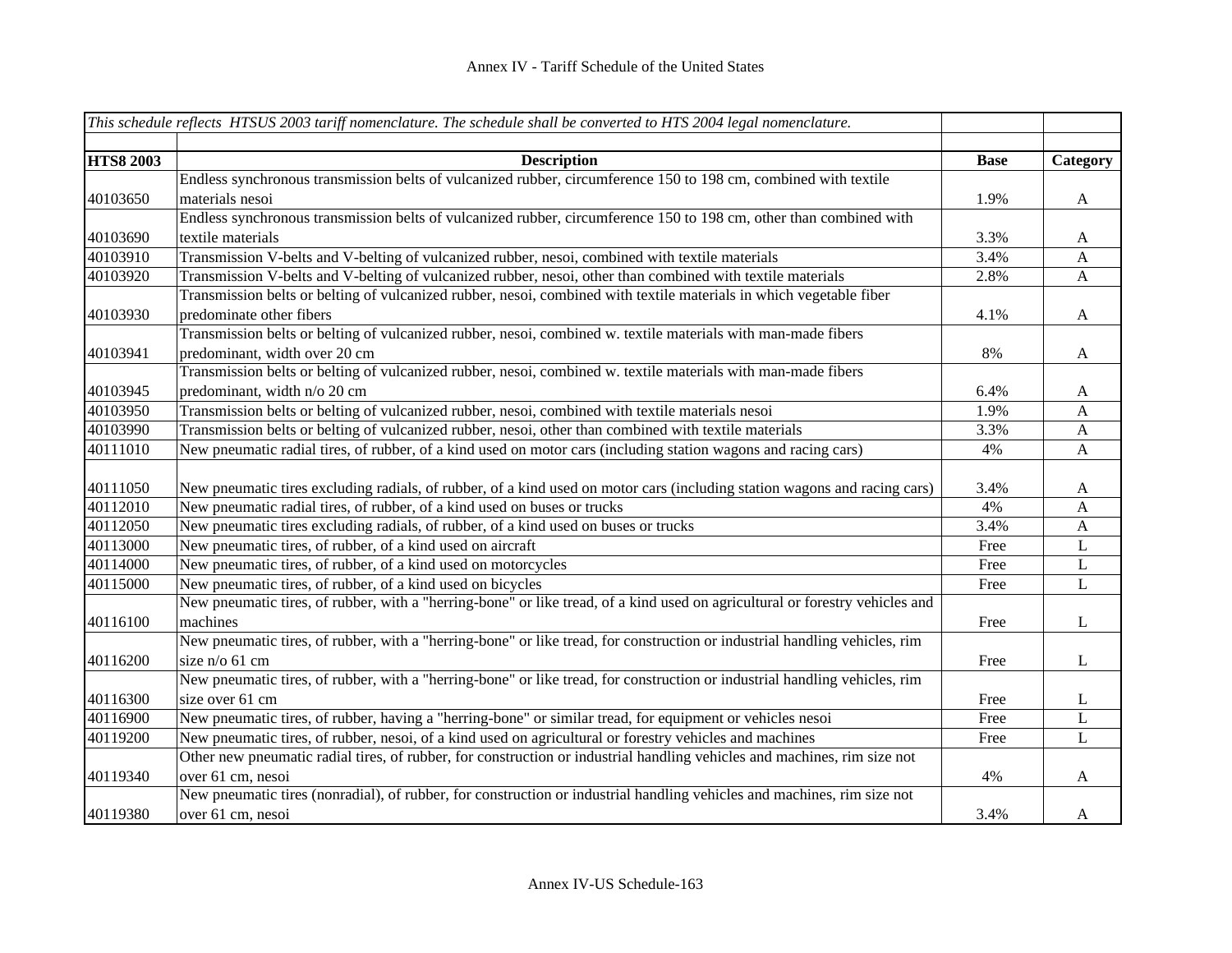|                  | This schedule reflects HTSUS 2003 tariff nomenclature. The schedule shall be converted to HTS 2004 legal nomenclature.       |             |                       |
|------------------|------------------------------------------------------------------------------------------------------------------------------|-------------|-----------------------|
|                  |                                                                                                                              |             |                       |
| <b>HTS8 2003</b> | <b>Description</b>                                                                                                           | <b>Base</b> | Category              |
|                  | Endless synchronous transmission belts of vulcanized rubber, circumference 150 to 198 cm, combined with textile              |             |                       |
| 40103650         | materials nesoi                                                                                                              | 1.9%        | A                     |
|                  | Endless synchronous transmission belts of vulcanized rubber, circumference 150 to 198 cm, other than combined with           |             |                       |
| 40103690         | textile materials                                                                                                            | 3.3%        | A                     |
| 40103910         | Transmission V-belts and V-belting of vulcanized rubber, nesoi, combined with textile materials                              | 3.4%        | $\mathbf{A}$          |
| 40103920         | Transmission V-belts and V-belting of vulcanized rubber, nesoi, other than combined with textile materials                   | 2.8%        | $\mathbf{A}$          |
|                  | Transmission belts or belting of vulcanized rubber, nesoi, combined with textile materials in which vegetable fiber          |             |                       |
| 40103930         | predominate other fibers                                                                                                     | 4.1%        | A                     |
|                  | Transmission belts or belting of vulcanized rubber, nesoi, combined w. textile materials with man-made fibers                |             |                       |
| 40103941         | predominant, width over 20 cm                                                                                                | 8%          | $\mathbf{A}$          |
|                  | Transmission belts or belting of vulcanized rubber, nesoi, combined w. textile materials with man-made fibers                |             |                       |
| 40103945         | predominant, width n/o 20 cm                                                                                                 | 6.4%        | A                     |
| 40103950         | Transmission belts or belting of vulcanized rubber, nesoi, combined with textile materials nesoi                             | 1.9%        | $\mathbf{A}$          |
| 40103990         | Transmission belts or belting of vulcanized rubber, nesoi, other than combined with textile materials                        | 3.3%        | $\mathbf{A}$          |
| 40111010         | New pneumatic radial tires, of rubber, of a kind used on motor cars (including station wagons and racing cars)               | 4%          | $\mathbf{A}$          |
|                  |                                                                                                                              |             |                       |
| 40111050         | New pneumatic tires excluding radials, of rubber, of a kind used on motor cars (including station wagons and racing cars)    | 3.4%        | A                     |
| 40112010         | New pneumatic radial tires, of rubber, of a kind used on buses or trucks                                                     | 4%          | $\mathbf{A}$          |
| 40112050         | New pneumatic tires excluding radials, of rubber, of a kind used on buses or trucks                                          | 3.4%        | $\mathbf{A}$          |
| 40113000         | New pneumatic tires, of rubber, of a kind used on aircraft                                                                   | Free        | ${\bf L}$             |
| 40114000         | New pneumatic tires, of rubber, of a kind used on motorcycles                                                                | Free        | $\bf L$               |
| 40115000         | New pneumatic tires, of rubber, of a kind used on bicycles                                                                   | Free        | $\mathbf L$           |
|                  | New pneumatic tires, of rubber, with a "herring-bone" or like tread, of a kind used on agricultural or forestry vehicles and |             |                       |
| 40116100         | machines                                                                                                                     | Free        | L                     |
|                  | New pneumatic tires, of rubber, with a "herring-bone" or like tread, for construction or industrial handling vehicles, rim   |             |                       |
| 40116200         | size n/o 61 cm                                                                                                               | Free        | $\mathbf L$           |
|                  | New pneumatic tires, of rubber, with a "herring-bone" or like tread, for construction or industrial handling vehicles, rim   |             |                       |
| 40116300         | size over 61 cm                                                                                                              | Free        | L                     |
| 40116900         | New pneumatic tires, of rubber, having a "herring-bone" or similar tread, for equipment or vehicles nesoi                    | Free        | $\overline{\text{L}}$ |
| 40119200         | New pneumatic tires, of rubber, nesoi, of a kind used on agricultural or forestry vehicles and machines                      | Free        | $\overline{L}$        |
|                  | Other new pneumatic radial tires, of rubber, for construction or industrial handling vehicles and machines, rim size not     |             |                       |
| 40119340         | over 61 cm, nesoi                                                                                                            | 4%          | $\mathbf{A}$          |
|                  | New pneumatic tires (nonradial), of rubber, for construction or industrial handling vehicles and machines, rim size not      |             |                       |
| 40119380         | over 61 cm, nesoi                                                                                                            | 3.4%        | A                     |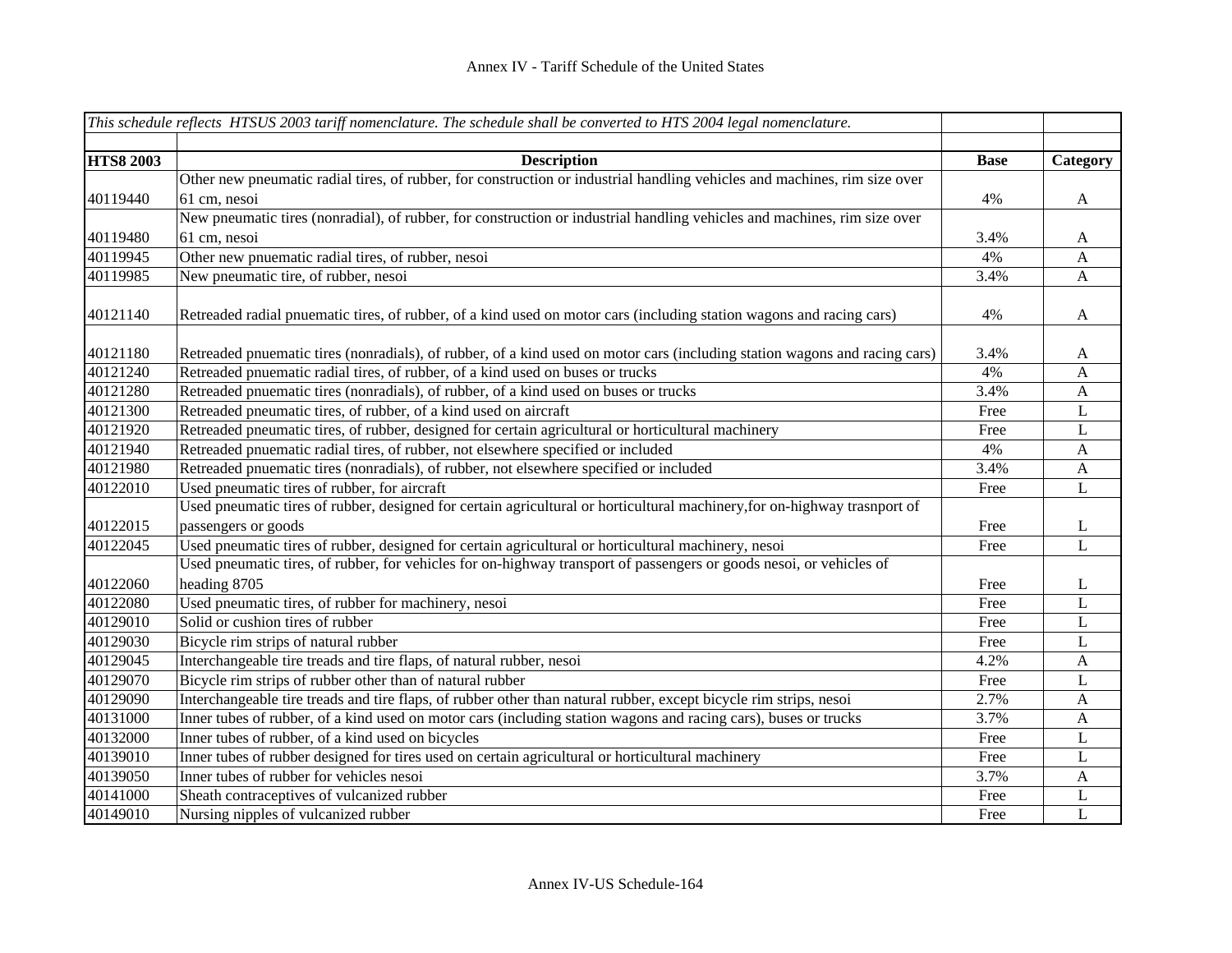|                  | This schedule reflects HTSUS 2003 tariff nomenclature. The schedule shall be converted to HTS 2004 legal nomenclature.     |             |              |
|------------------|----------------------------------------------------------------------------------------------------------------------------|-------------|--------------|
|                  |                                                                                                                            |             |              |
| <b>HTS8 2003</b> | <b>Description</b>                                                                                                         | <b>Base</b> | Category     |
|                  | Other new pneumatic radial tires, of rubber, for construction or industrial handling vehicles and machines, rim size over  |             |              |
| 40119440         | 61 cm, nesoi                                                                                                               | 4%          | $\mathbf{A}$ |
|                  | New pneumatic tires (nonradial), of rubber, for construction or industrial handling vehicles and machines, rim size over   |             |              |
| 40119480         | 61 cm, nesoi                                                                                                               | 3.4%        | $\mathbf{A}$ |
| 40119945         | Other new pnuematic radial tires, of rubber, nesoi                                                                         | 4%          | A            |
| 40119985         | New pneumatic tire, of rubber, nesoi                                                                                       | 3.4%        | $\mathbf{A}$ |
|                  |                                                                                                                            |             |              |
| 40121140         | Retreaded radial pnuematic tires, of rubber, of a kind used on motor cars (including station wagons and racing cars)       | 4%          | $\mathbf{A}$ |
|                  |                                                                                                                            |             |              |
| 40121180         | Retreaded pnuematic tires (nonradials), of rubber, of a kind used on motor cars (including station wagons and racing cars) | 3.4%        | $\mathbf{A}$ |
| 40121240         | Retreaded pnuematic radial tires, of rubber, of a kind used on buses or trucks                                             | 4%          | A            |
| 40121280         | Retreaded pnuematic tires (nonradials), of rubber, of a kind used on buses or trucks                                       | 3.4%        | $\mathbf{A}$ |
| 40121300         | Retreaded pneumatic tires, of rubber, of a kind used on aircraft                                                           | Free        | L            |
| 40121920         | Retreaded pneumatic tires, of rubber, designed for certain agricultural or horticultural machinery                         | Free        | L            |
| 40121940         | Retreaded pnuematic radial tires, of rubber, not elsewhere specified or included                                           | 4%          | $\mathbf{A}$ |
| 40121980         | Retreaded pnuematic tires (nonradials), of rubber, not elsewhere specified or included                                     | 3.4%        | $\mathbf{A}$ |
| 40122010         | Used pneumatic tires of rubber, for aircraft                                                                               | Free        | $\mathbf L$  |
|                  | Used pneumatic tires of rubber, designed for certain agricultural or horticultural machinery, for on-highway trasnport of  |             |              |
| 40122015         | passengers or goods                                                                                                        | Free        | L            |
| 40122045         | Used pneumatic tires of rubber, designed for certain agricultural or horticultural machinery, nesoi                        | Free        | $\mathbf{L}$ |
|                  | Used pneumatic tires, of rubber, for vehicles for on-highway transport of passengers or goods nesoi, or vehicles of        |             |              |
| 40122060         | heading 8705                                                                                                               | Free        | L            |
| 40122080         | Used pneumatic tires, of rubber for machinery, nesoi                                                                       | Free        | $\mathbf L$  |
| 40129010         | Solid or cushion tires of rubber                                                                                           | Free        | $\mathbf L$  |
| 40129030         | Bicycle rim strips of natural rubber                                                                                       | Free        | L            |
| 40129045         | Interchangeable tire treads and tire flaps, of natural rubber, nesoi                                                       | 4.2%        | A            |
| 40129070         | Bicycle rim strips of rubber other than of natural rubber                                                                  | Free        | L            |
| 40129090         | Interchangeable tire treads and tire flaps, of rubber other than natural rubber, except bicycle rim strips, nesoi          | 2.7%        | $\mathbf{A}$ |
| 40131000         | Inner tubes of rubber, of a kind used on motor cars (including station wagons and racing cars), buses or trucks            | 3.7%        | $\mathbf{A}$ |
| 40132000         | Inner tubes of rubber, of a kind used on bicycles                                                                          | Free        | L            |
| 40139010         | Inner tubes of rubber designed for tires used on certain agricultural or horticultural machinery                           | Free        | L            |
| 40139050         | Inner tubes of rubber for vehicles nesoi                                                                                   | 3.7%        | $\mathbf{A}$ |
| 40141000         | Sheath contraceptives of vulcanized rubber                                                                                 | Free        | L            |
| 40149010         | Nursing nipples of vulcanized rubber                                                                                       | Free        | $\mathbf L$  |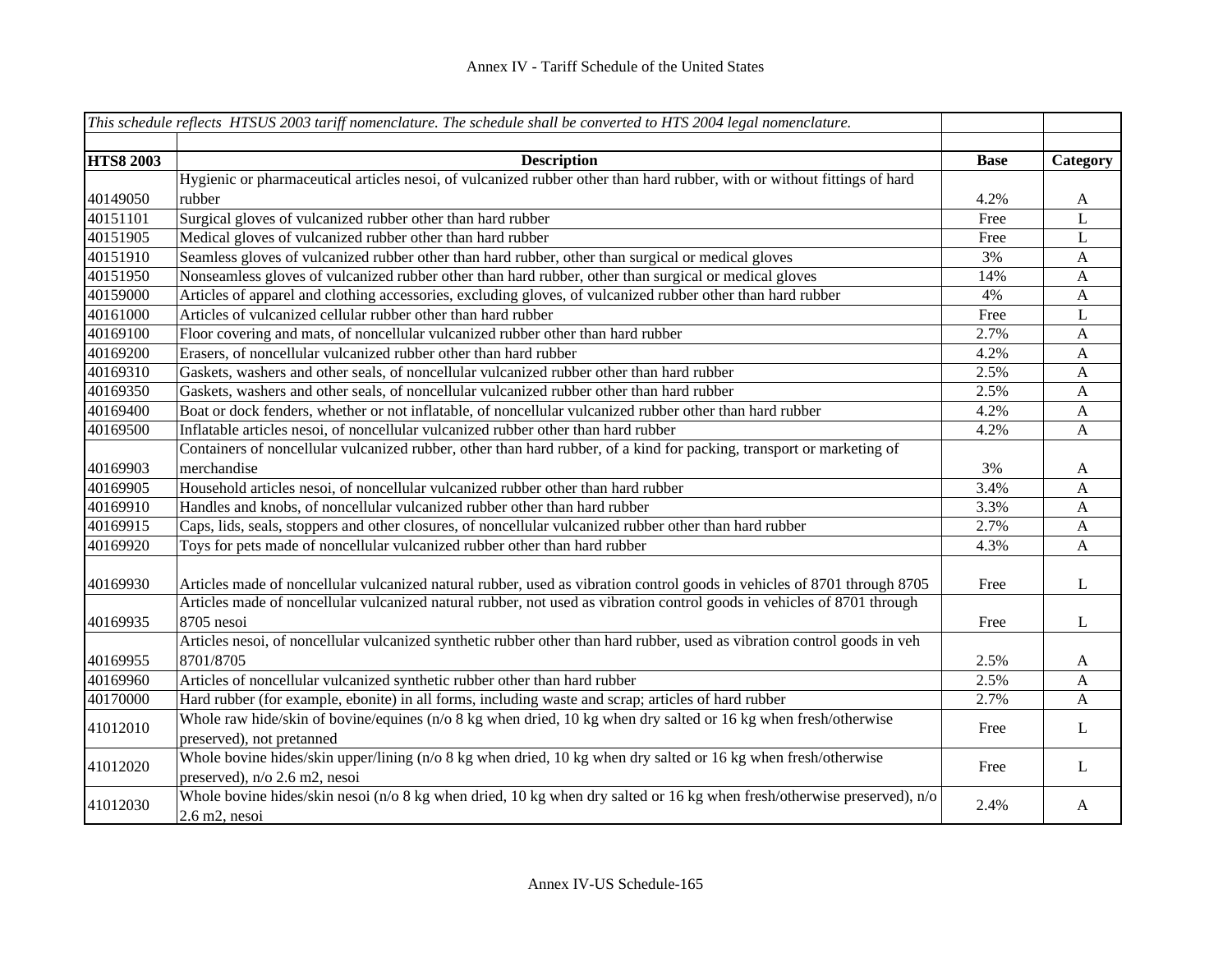|                  | This schedule reflects HTSUS 2003 tariff nomenclature. The schedule shall be converted to HTS 2004 legal nomenclature.                              |             |                           |
|------------------|-----------------------------------------------------------------------------------------------------------------------------------------------------|-------------|---------------------------|
|                  |                                                                                                                                                     |             |                           |
| <b>HTS8 2003</b> | <b>Description</b>                                                                                                                                  | <b>Base</b> | Category                  |
|                  | Hygienic or pharmaceutical articles nesoi, of vulcanized rubber other than hard rubber, with or without fittings of hard                            |             |                           |
| 40149050         | rubber                                                                                                                                              | 4.2%        | A                         |
| 40151101         | Surgical gloves of vulcanized rubber other than hard rubber                                                                                         | Free        | L                         |
| 40151905         | Medical gloves of vulcanized rubber other than hard rubber                                                                                          | Free        | L                         |
| 40151910         | Seamless gloves of vulcanized rubber other than hard rubber, other than surgical or medical gloves                                                  | 3%          | $\mathbf{A}$              |
| 40151950         | Nonseamless gloves of vulcanized rubber other than hard rubber, other than surgical or medical gloves                                               | 14%         | $\mathbf{A}$              |
| 40159000         | Articles of apparel and clothing accessories, excluding gloves, of vulcanized rubber other than hard rubber                                         | 4%          | $\mathbf{A}$              |
| 40161000         | Articles of vulcanized cellular rubber other than hard rubber                                                                                       | Free        | L                         |
| 40169100         | Floor covering and mats, of noncellular vulcanized rubber other than hard rubber                                                                    | 2.7%        | $\mathbf{A}$              |
| 40169200         | Erasers, of noncellular vulcanized rubber other than hard rubber                                                                                    | 4.2%        | $\boldsymbol{A}$          |
| 40169310         | Gaskets, washers and other seals, of noncellular vulcanized rubber other than hard rubber                                                           | 2.5%        | $\mathbf{A}$              |
| 40169350         | Gaskets, washers and other seals, of noncellular vulcanized rubber other than hard rubber                                                           | 2.5%        | $\mathbf{A}$              |
| 40169400         | Boat or dock fenders, whether or not inflatable, of noncellular vulcanized rubber other than hard rubber                                            | 4.2%        | $\boldsymbol{\mathsf{A}}$ |
| 40169500         | Inflatable articles nesoi, of noncellular vulcanized rubber other than hard rubber                                                                  | 4.2%        | $\mathbf{A}$              |
|                  | Containers of noncellular vulcanized rubber, other than hard rubber, of a kind for packing, transport or marketing of                               |             |                           |
| 40169903         | merchandise                                                                                                                                         | 3%          | A                         |
| 40169905         | Household articles nesoi, of noncellular vulcanized rubber other than hard rubber                                                                   | 3.4%        | $\mathbf{A}$              |
| 40169910         | Handles and knobs, of noncellular vulcanized rubber other than hard rubber                                                                          | 3.3%        | $\mathbf{A}$              |
| 40169915         | Caps, lids, seals, stoppers and other closures, of noncellular vulcanized rubber other than hard rubber                                             | 2.7%        | $\mathbf{A}$              |
| 40169920         | Toys for pets made of noncellular vulcanized rubber other than hard rubber                                                                          | 4.3%        | $\boldsymbol{A}$          |
| 40169930         | Articles made of noncellular vulcanized natural rubber, used as vibration control goods in vehicles of 8701 through 8705                            | Free        | L                         |
| 40169935         | Articles made of noncellular vulcanized natural rubber, not used as vibration control goods in vehicles of 8701 through<br>8705 nesoi               | Free        | L                         |
| 40169955         | Articles nesoi, of noncellular vulcanized synthetic rubber other than hard rubber, used as vibration control goods in veh<br>8701/8705              | 2.5%        | A                         |
| 40169960         | Articles of noncellular vulcanized synthetic rubber other than hard rubber                                                                          | 2.5%        | A                         |
| 40170000         | Hard rubber (for example, ebonite) in all forms, including waste and scrap; articles of hard rubber                                                 | 2.7%        | $\mathbf{A}$              |
| 41012010         | Whole raw hide/skin of bovine/equines (n/o 8 kg when dried, 10 kg when dry salted or 16 kg when fresh/otherwise<br>preserved), not pretanned        | Free        | L                         |
| 41012020         | Whole bovine hides/skin upper/lining $(n/0 8 kg$ when dried, 10 kg when dry salted or 16 kg when fresh/otherwise<br>preserved), n/o 2.6 m2, nesoi   | Free        | L                         |
| 41012030         | Whole bovine hides/skin nesoi ( $n/0$ 8 kg when dried, 10 kg when dry salted or 16 kg when fresh/otherwise preserved), $n/0$<br>$2.6$ m $2$ , nesoi | 2.4%        | A                         |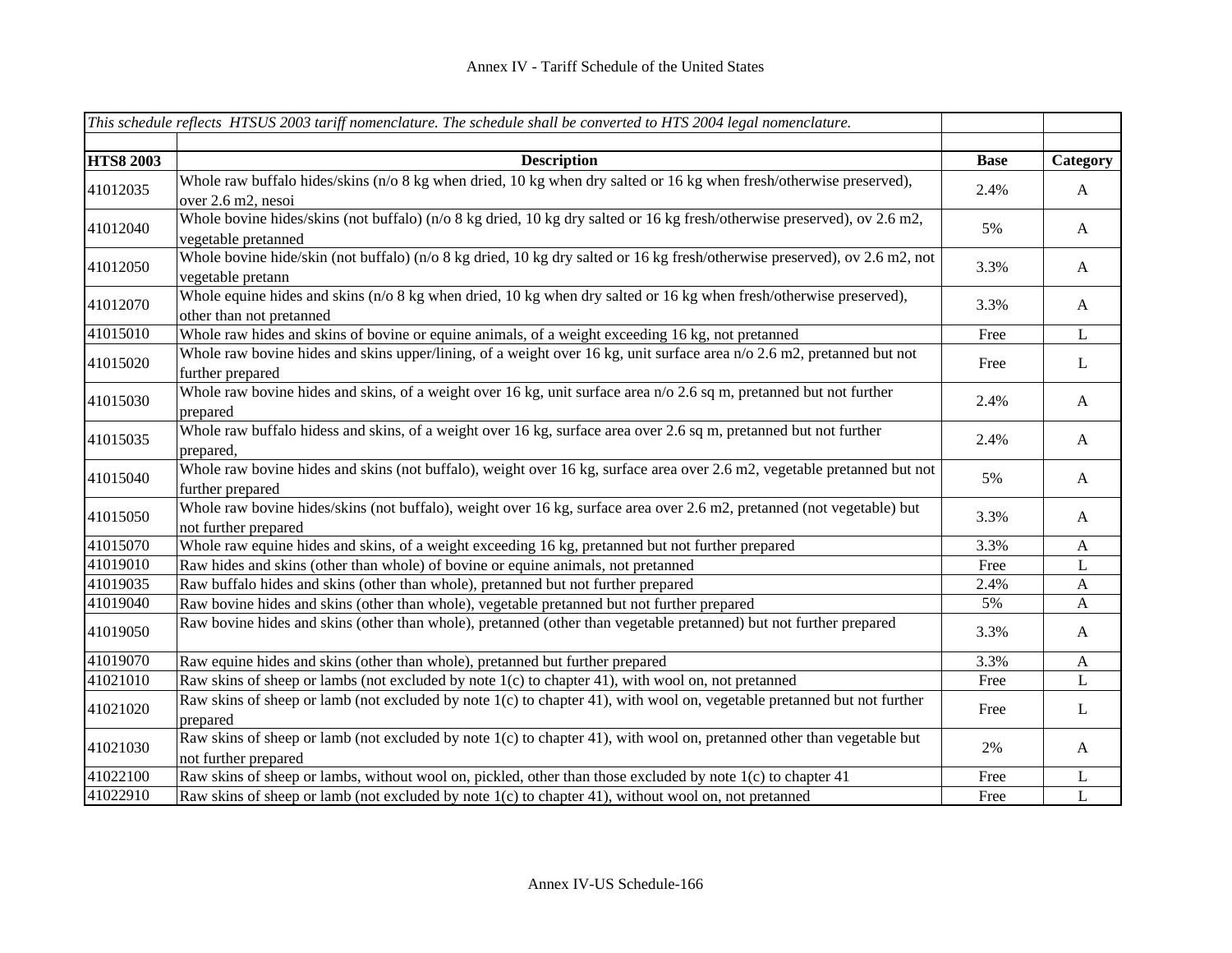|                  | This schedule reflects HTSUS 2003 tariff nomenclature. The schedule shall be converted to HTS 2004 legal nomenclature.                            |             |              |
|------------------|---------------------------------------------------------------------------------------------------------------------------------------------------|-------------|--------------|
| <b>HTS8 2003</b> | <b>Description</b>                                                                                                                                | <b>Base</b> | Category     |
| 41012035         | Whole raw buffalo hides/skins (n/o 8 kg when dried, 10 kg when dry salted or 16 kg when fresh/otherwise preserved),<br>over 2.6 m2, nesoi         | 2.4%        | A            |
| 41012040         | Whole bovine hides/skins (not buffalo) (n/o 8 kg dried, 10 kg dry salted or 16 kg fresh/otherwise preserved), ov 2.6 m2,<br>vegetable pretanned   | 5%          | A            |
| 41012050         | Whole bovine hide/skin (not buffalo) (n/o 8 kg dried, 10 kg dry salted or 16 kg fresh/otherwise preserved), ov 2.6 m2, not<br>vegetable pretann   | 3.3%        | A            |
| 41012070         | Whole equine hides and skins ( $n/0$ 8 kg when dried, 10 kg when dry salted or 16 kg when fresh/otherwise preserved),<br>other than not pretanned | 3.3%        | A            |
| 41015010         | Whole raw hides and skins of bovine or equine animals, of a weight exceeding 16 kg, not pretanned                                                 | Free        | $\mathbf L$  |
| 41015020         | Whole raw bovine hides and skins upper/lining, of a weight over 16 kg, unit surface area n/o 2.6 m2, pretanned but not<br>further prepared        | Free        | L            |
| 41015030         | Whole raw bovine hides and skins, of a weight over 16 kg, unit surface area n/o 2.6 sq m, pretanned but not further<br>prepared                   | 2.4%        | $\mathbf{A}$ |
| 41015035         | Whole raw buffalo hidess and skins, of a weight over 16 kg, surface area over 2.6 sq m, pretanned but not further<br>prepared,                    | 2.4%        | A            |
| 41015040         | Whole raw bovine hides and skins (not buffalo), weight over 16 kg, surface area over 2.6 m2, vegetable pretanned but not<br>further prepared      | 5%          | A            |
| 41015050         | Whole raw bovine hides/skins (not buffalo), weight over 16 kg, surface area over 2.6 m2, pretanned (not vegetable) but<br>not further prepared    | 3.3%        | A            |
| 41015070         | Whole raw equine hides and skins, of a weight exceeding 16 kg, pretanned but not further prepared                                                 | 3.3%        | $\mathbf{A}$ |
| 41019010         | Raw hides and skins (other than whole) of bovine or equine animals, not pretanned                                                                 | Free        | L            |
| 41019035         | Raw buffalo hides and skins (other than whole), pretanned but not further prepared                                                                | 2.4%        | A            |
| 41019040         | Raw bovine hides and skins (other than whole), vegetable pretanned but not further prepared                                                       | 5%          | $\mathbf{A}$ |
| 41019050         | Raw bovine hides and skins (other than whole), pretanned (other than vegetable pretanned) but not further prepared                                | 3.3%        | $\mathbf{A}$ |
| 41019070         | Raw equine hides and skins (other than whole), pretanned but further prepared                                                                     | 3.3%        | $\mathbf{A}$ |
| 41021010         | Raw skins of sheep or lambs (not excluded by note $1(c)$ to chapter 41), with wool on, not pretanned                                              | Free        | $\mathbf{L}$ |
| 41021020         | Raw skins of sheep or lamb (not excluded by note 1(c) to chapter 41), with wool on, vegetable pretanned but not further<br>prepared               | Free        | $\mathbf{L}$ |
| 41021030         | Raw skins of sheep or lamb (not excluded by note 1(c) to chapter 41), with wool on, pretanned other than vegetable but<br>not further prepared    | 2%          | A            |
| 41022100         | Raw skins of sheep or lambs, without wool on, pickled, other than those excluded by note 1(c) to chapter 41                                       | Free        | L            |
| 41022910         | Raw skins of sheep or lamb (not excluded by note 1(c) to chapter 41), without wool on, not pretanned                                              | Free        | L            |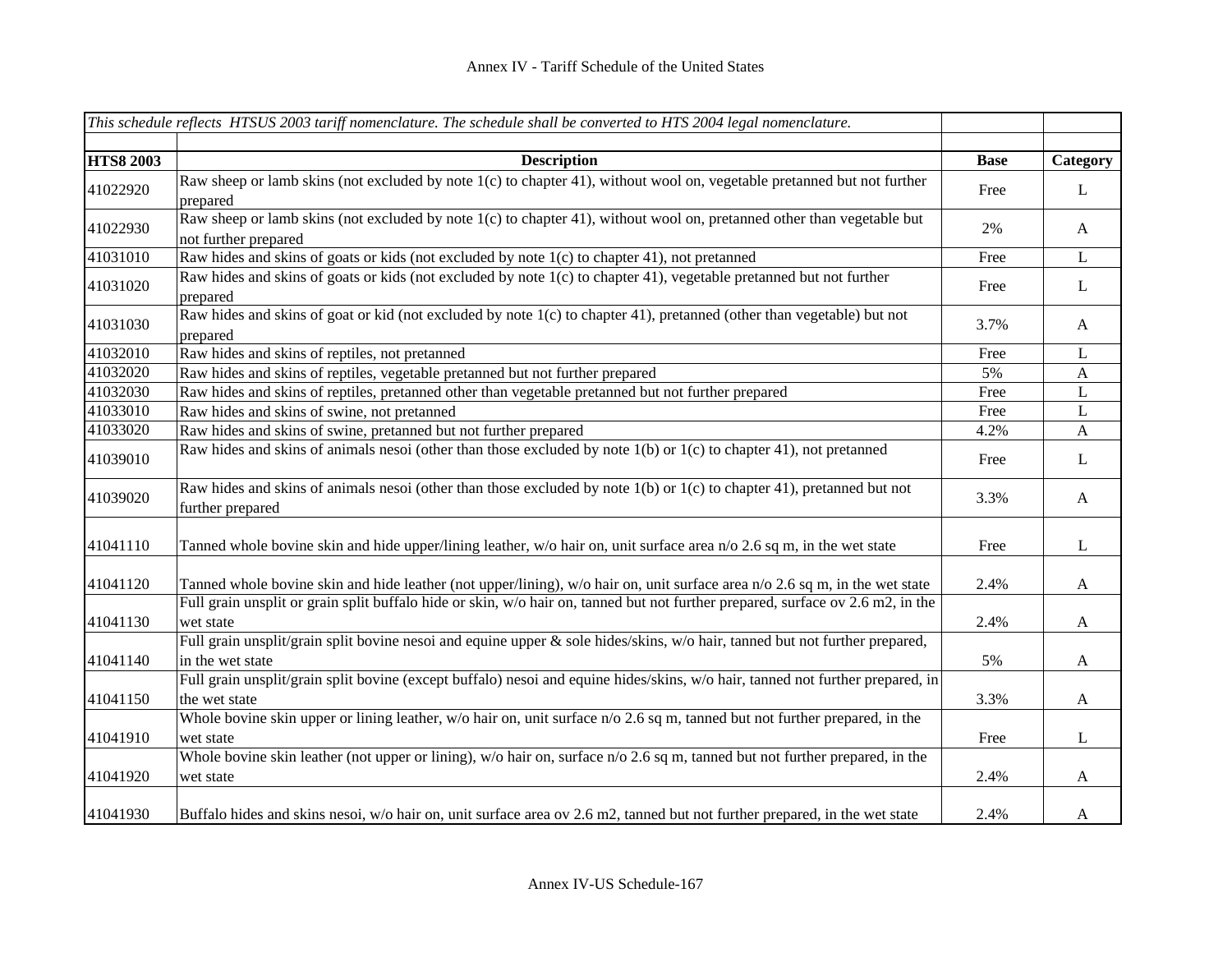|                  | This schedule reflects HTSUS 2003 tariff nomenclature. The schedule shall be converted to HTS 2004 legal nomenclature.                          |             |                  |
|------------------|-------------------------------------------------------------------------------------------------------------------------------------------------|-------------|------------------|
| <b>HTS8 2003</b> | <b>Description</b>                                                                                                                              | <b>Base</b> | Category         |
| 41022920         | Raw sheep or lamb skins (not excluded by note 1(c) to chapter 41), without wool on, vegetable pretanned but not further<br>prepared             | Free        | L                |
| 41022930         | Raw sheep or lamb skins (not excluded by note 1(c) to chapter 41), without wool on, pretanned other than vegetable but<br>not further prepared  | 2%          | $\mathbf{A}$     |
| 41031010         | Raw hides and skins of goats or kids (not excluded by note 1(c) to chapter 41), not pretanned                                                   | Free        | $\mathbf{L}$     |
| 41031020         | Raw hides and skins of goats or kids (not excluded by note 1(c) to chapter 41), vegetable pretanned but not further<br>prepared                 | Free        | L                |
| 41031030         | Raw hides and skins of goat or kid (not excluded by note 1(c) to chapter 41), pretanned (other than vegetable) but not<br>prepared              | 3.7%        | A                |
| 41032010         | Raw hides and skins of reptiles, not pretanned                                                                                                  | Free        | L                |
| 41032020         | Raw hides and skins of reptiles, vegetable pretanned but not further prepared                                                                   | 5%          | $\mathbf{A}$     |
| 41032030         | Raw hides and skins of reptiles, pretanned other than vegetable pretanned but not further prepared                                              | Free        | L                |
| 41033010         | Raw hides and skins of swine, not pretanned                                                                                                     | Free        | L                |
| 41033020         | Raw hides and skins of swine, pretanned but not further prepared                                                                                | 4.2%        | $\boldsymbol{A}$ |
| 41039010         | Raw hides and skins of animals nesoi (other than those excluded by note $1(b)$ or $1(c)$ to chapter 41), not pretanned                          | Free        | L                |
| 41039020         | Raw hides and skins of animals nesoi (other than those excluded by note 1(b) or 1(c) to chapter 41), pretanned but not<br>further prepared      | 3.3%        | A                |
| 41041110         | Tanned whole bovine skin and hide upper/lining leather, w/o hair on, unit surface area n/o 2.6 sq m, in the wet state                           | Free        | L                |
| 41041120         | Tanned whole bovine skin and hide leather (not upper/lining), w/o hair on, unit surface area n/o 2.6 sq m, in the wet state                     | 2.4%        | $\mathbf{A}$     |
| 41041130         | Full grain unsplit or grain split buffalo hide or skin, w/o hair on, tanned but not further prepared, surface ov 2.6 m2, in the<br>wet state    | 2.4%        | $\mathbf{A}$     |
| 41041140         | Full grain unsplit/grain split bovine nesoi and equine upper & sole hides/skins, w/o hair, tanned but not further prepared,<br>in the wet state | 5%          | $\mathbf{A}$     |
| 41041150         | Full grain unsplit/grain split bovine (except buffalo) nesoi and equine hides/skins, w/o hair, tanned not further prepared, in<br>the wet state | 3.3%        | $\boldsymbol{A}$ |
| 41041910         | Whole bovine skin upper or lining leather, $w$ /o hair on, unit surface $n/0$ 2.6 sq m, tanned but not further prepared, in the<br>wet state    | Free        | L                |
| 41041920         | Whole bovine skin leather (not upper or lining), $w$ /o hair on, surface $n/0$ 2.6 sq m, tanned but not further prepared, in the<br>wet state   | 2.4%        | $\mathbf{A}$     |
| 41041930         | Buffalo hides and skins nesoi, w/o hair on, unit surface area ov 2.6 m2, tanned but not further prepared, in the wet state                      | 2.4%        | A                |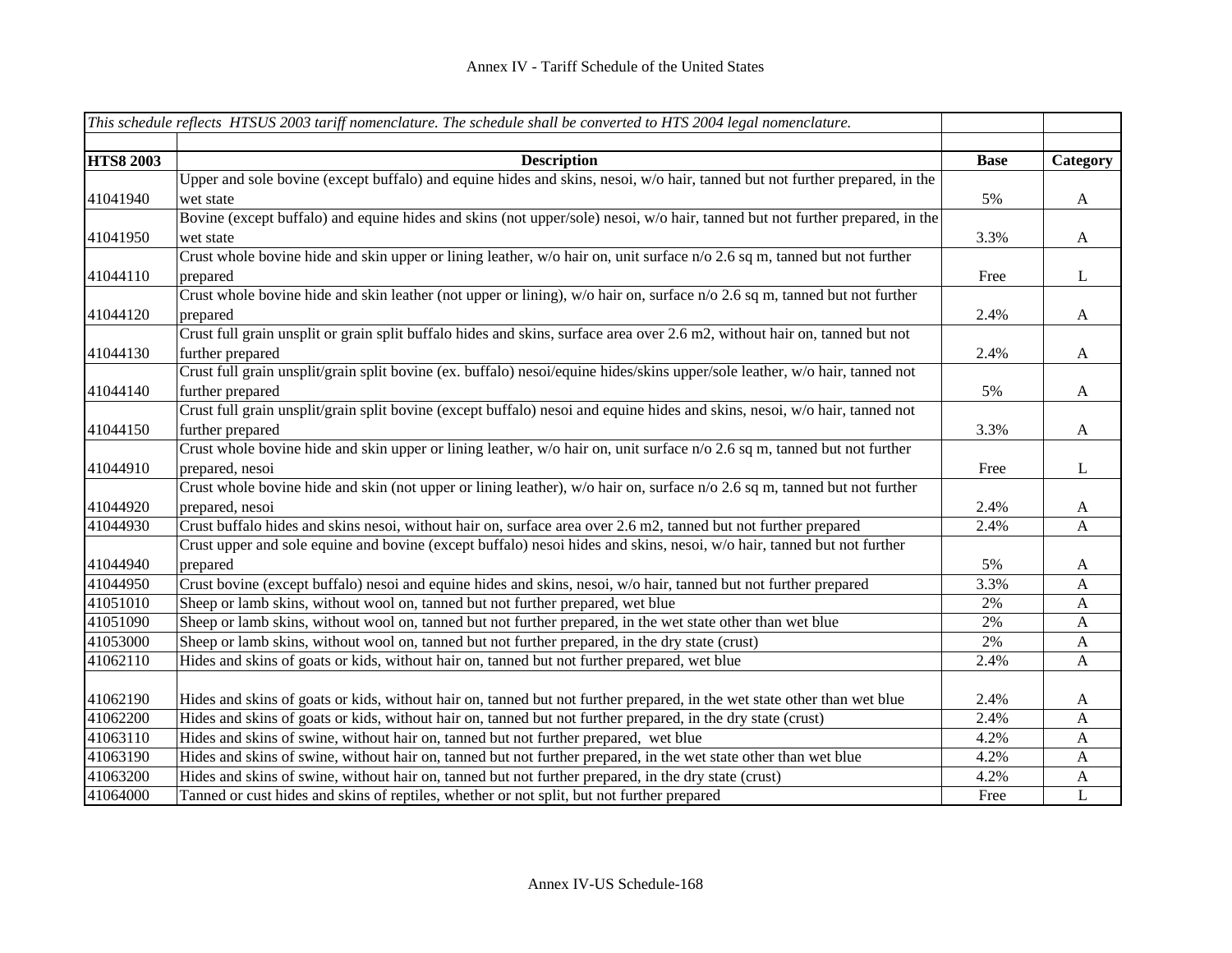|                  | This schedule reflects HTSUS 2003 tariff nomenclature. The schedule shall be converted to HTS 2004 legal nomenclature.       |             |              |
|------------------|------------------------------------------------------------------------------------------------------------------------------|-------------|--------------|
|                  |                                                                                                                              |             |              |
| <b>HTS8 2003</b> | <b>Description</b>                                                                                                           | <b>Base</b> | Category     |
|                  | Upper and sole bovine (except buffalo) and equine hides and skins, nesoi, w/o hair, tanned but not further prepared, in the  |             |              |
| 41041940         | wet state                                                                                                                    | 5%          | $\mathbf{A}$ |
|                  | Bovine (except buffalo) and equine hides and skins (not upper/sole) nesoi, w/o hair, tanned but not further prepared, in the |             |              |
| 41041950         | wet state                                                                                                                    | 3.3%        | $\mathbf{A}$ |
|                  | Crust whole bovine hide and skin upper or lining leather, $w/o$ hair on, unit surface $n/o$ 2.6 sq m, tanned but not further |             |              |
| 41044110         | prepared                                                                                                                     | Free        | $\mathbf{L}$ |
|                  | Crust whole bovine hide and skin leather (not upper or lining), w/o hair on, surface n/o 2.6 sq m, tanned but not further    |             |              |
| 41044120         | prepared                                                                                                                     | 2.4%        | $\mathbf{A}$ |
|                  | Crust full grain unsplit or grain split buffalo hides and skins, surface area over 2.6 m2, without hair on, tanned but not   |             |              |
| 41044130         | further prepared                                                                                                             | 2.4%        | $\mathbf{A}$ |
|                  | Crust full grain unsplit/grain split bovine (ex. buffalo) nesoi/equine hides/skins upper/sole leather, w/o hair, tanned not  |             |              |
| 41044140         | further prepared                                                                                                             | 5%          | A            |
|                  | Crust full grain unsplit/grain split bovine (except buffalo) nesoi and equine hides and skins, nesoi, w/o hair, tanned not   |             |              |
| 41044150         | further prepared                                                                                                             | 3.3%        | $\mathbf{A}$ |
|                  | Crust whole bovine hide and skin upper or lining leather, w/o hair on, unit surface n/o 2.6 sq m, tanned but not further     |             |              |
| 41044910         | prepared, nesoi                                                                                                              | Free        | $\mathbf{L}$ |
|                  | Crust whole bovine hide and skin (not upper or lining leather), w/o hair on, surface n/o 2.6 sq m, tanned but not further    |             |              |
| 41044920         | prepared, nesoi                                                                                                              | 2.4%        | $\mathbf{A}$ |
| 41044930         | Crust buffalo hides and skins nesoi, without hair on, surface area over 2.6 m2, tanned but not further prepared              | 2.4%        | A            |
|                  | Crust upper and sole equine and bovine (except buffalo) nesoi hides and skins, nesoi, w/o hair, tanned but not further       |             |              |
| 41044940         | prepared                                                                                                                     | 5%          | $\mathbf{A}$ |
| 41044950         | Crust bovine (except buffalo) nesoi and equine hides and skins, nesoi, w/o hair, tanned but not further prepared             | 3.3%        | $\mathbf{A}$ |
| 41051010         | Sheep or lamb skins, without wool on, tanned but not further prepared, wet blue                                              | 2%          | $\mathbf{A}$ |
| 41051090         | Sheep or lamb skins, without wool on, tanned but not further prepared, in the wet state other than wet blue                  | 2%          | $\mathbf{A}$ |
| 41053000         | Sheep or lamb skins, without wool on, tanned but not further prepared, in the dry state (crust)                              | 2%          | $\mathbf{A}$ |
| 41062110         | Hides and skins of goats or kids, without hair on, tanned but not further prepared, wet blue                                 | 2.4%        | $\mathbf{A}$ |
|                  |                                                                                                                              |             |              |
| 41062190         | Hides and skins of goats or kids, without hair on, tanned but not further prepared, in the wet state other than wet blue     | 2.4%        | A            |
| 41062200         | Hides and skins of goats or kids, without hair on, tanned but not further prepared, in the dry state (crust)                 | 2.4%        | $\mathbf{A}$ |
| 41063110         | Hides and skins of swine, without hair on, tanned but not further prepared, wet blue                                         | 4.2%        | $\mathbf{A}$ |
| 41063190         | Hides and skins of swine, without hair on, tanned but not further prepared, in the wet state other than wet blue             | 4.2%        | $\mathbf{A}$ |
| 41063200         | Hides and skins of swine, without hair on, tanned but not further prepared, in the dry state (crust)                         | 4.2%        | $\mathbf{A}$ |
| 41064000         | Tanned or cust hides and skins of reptiles, whether or not split, but not further prepared                                   | Free        | $\mathbf L$  |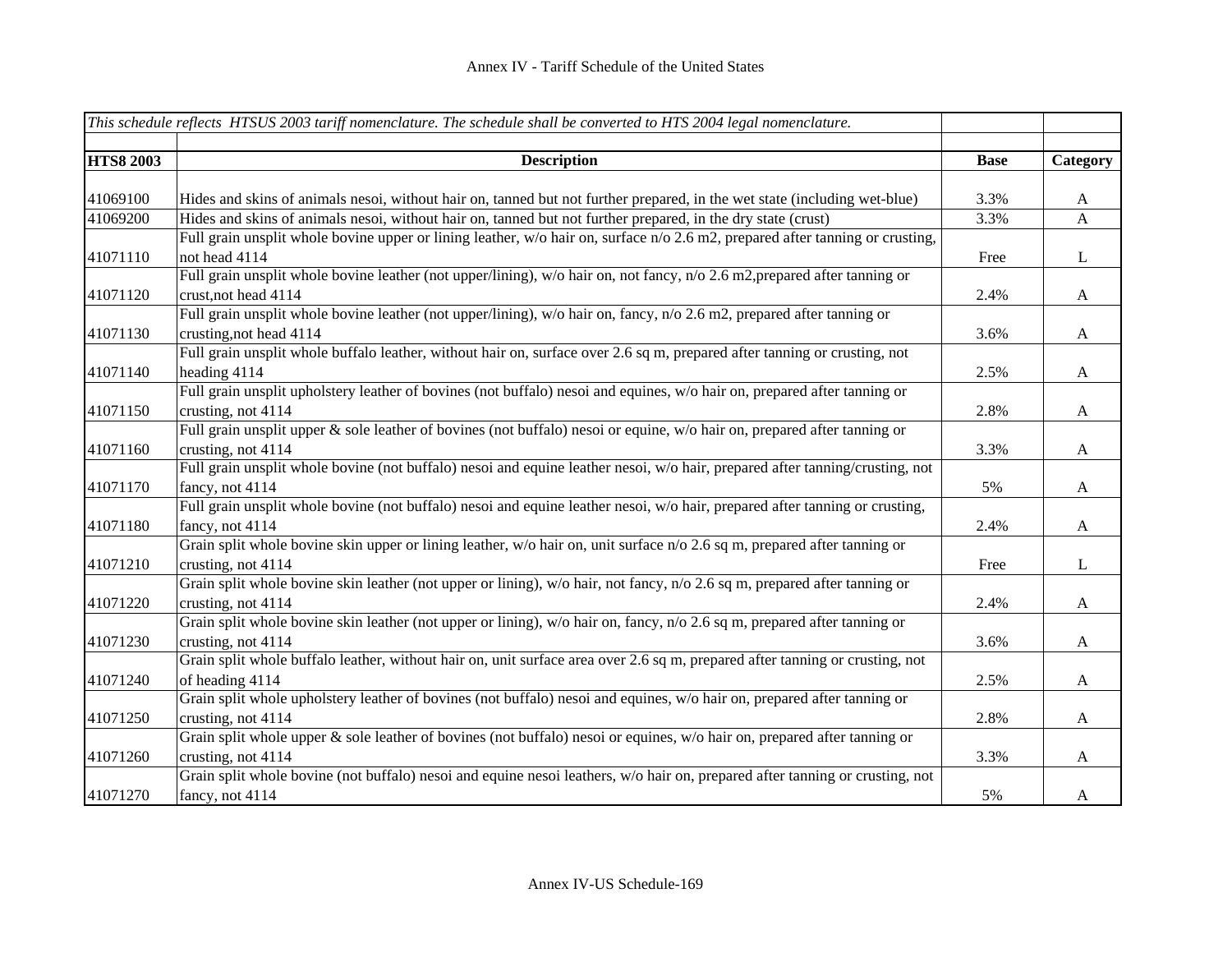|                  | This schedule reflects HTSUS 2003 tariff nomenclature. The schedule shall be converted to HTS 2004 legal nomenclature.        |             |                           |
|------------------|-------------------------------------------------------------------------------------------------------------------------------|-------------|---------------------------|
| <b>HTS8 2003</b> | <b>Description</b>                                                                                                            | <b>Base</b> | Category                  |
|                  |                                                                                                                               |             |                           |
| 41069100         | Hides and skins of animals nesoi, without hair on, tanned but not further prepared, in the wet state (including wet-blue)     | 3.3%        | A                         |
| 41069200         | Hides and skins of animals nesoi, without hair on, tanned but not further prepared, in the dry state (crust)                  | 3.3%        | $\mathbf{A}$              |
|                  | Full grain unsplit whole bovine upper or lining leather, w/o hair on, surface n/o 2.6 m2, prepared after tanning or crusting, |             |                           |
| 41071110         | not head 4114                                                                                                                 | Free        | $\mathbf{L}$              |
|                  | Full grain unsplit whole bovine leather (not upper/lining), w/o hair on, not fancy, n/o 2.6 m2, prepared after tanning or     |             |                           |
| 41071120         | crust, not head 4114                                                                                                          | 2.4%        | $\mathbf{A}$              |
|                  | Full grain unsplit whole bovine leather (not upper/lining), w/o hair on, fancy, n/o 2.6 m2, prepared after tanning or         |             |                           |
| 41071130         | crusting, not head 4114                                                                                                       | 3.6%        | $\boldsymbol{\mathsf{A}}$ |
|                  | Full grain unsplit whole buffalo leather, without hair on, surface over 2.6 sq m, prepared after tanning or crusting, not     |             |                           |
| 41071140         | heading 4114                                                                                                                  | 2.5%        | A                         |
|                  | Full grain unsplit upholstery leather of bovines (not buffalo) nesoi and equines, w/o hair on, prepared after tanning or      |             |                           |
| 41071150         | crusting, not 4114                                                                                                            | 2.8%        | $\mathbf{A}$              |
|                  | Full grain unsplit upper & sole leather of bovines (not buffalo) nesoi or equine, w/o hair on, prepared after tanning or      |             |                           |
| 41071160         | crusting, not 4114                                                                                                            | 3.3%        | $\mathbf{A}$              |
|                  | Full grain unsplit whole bovine (not buffalo) nesoi and equine leather nesoi, w/o hair, prepared after tanning/crusting, not  |             |                           |
| 41071170         | fancy, not 4114                                                                                                               | 5%          | $\mathbf{A}$              |
|                  | Full grain unsplit whole bovine (not buffalo) nesoi and equine leather nesoi, w/o hair, prepared after tanning or crusting,   |             |                           |
| 41071180         | fancy, not 4114                                                                                                               | 2.4%        | $\mathbf{A}$              |
|                  | Grain split whole bovine skin upper or lining leather, w/o hair on, unit surface n/o 2.6 sq m, prepared after tanning or      |             |                           |
| 41071210         | crusting, not 4114                                                                                                            | Free        | $\mathbf L$               |
|                  | Grain split whole bovine skin leather (not upper or lining), w/o hair, not fancy, n/o 2.6 sq m, prepared after tanning or     |             |                           |
| 41071220         | crusting, not 4114                                                                                                            | 2.4%        | $\mathbf{A}$              |
|                  | Grain split whole bovine skin leather (not upper or lining), w/o hair on, fancy, n/o 2.6 sq m, prepared after tanning or      |             |                           |
| 41071230         | crusting, not 4114                                                                                                            | 3.6%        | A                         |
|                  | Grain split whole buffalo leather, without hair on, unit surface area over 2.6 sq m, prepared after tanning or crusting, not  |             |                           |
| 41071240         | of heading 4114                                                                                                               | 2.5%        | $\mathbf{A}$              |
|                  | Grain split whole upholstery leather of bovines (not buffalo) nesoi and equines, w/o hair on, prepared after tanning or       |             |                           |
| 41071250         | crusting, not 4114                                                                                                            | 2.8%        | $\mathbf{A}$              |
|                  | Grain split whole upper & sole leather of bovines (not buffalo) nesoi or equines, w/o hair on, prepared after tanning or      |             |                           |
| 41071260         | crusting, not 4114                                                                                                            | 3.3%        | $\mathbf{A}$              |
|                  | Grain split whole bovine (not buffalo) nesoi and equine nesoi leathers, w/o hair on, prepared after tanning or crusting, not  |             |                           |
| 41071270         | fancy, not 4114                                                                                                               | 5%          | A                         |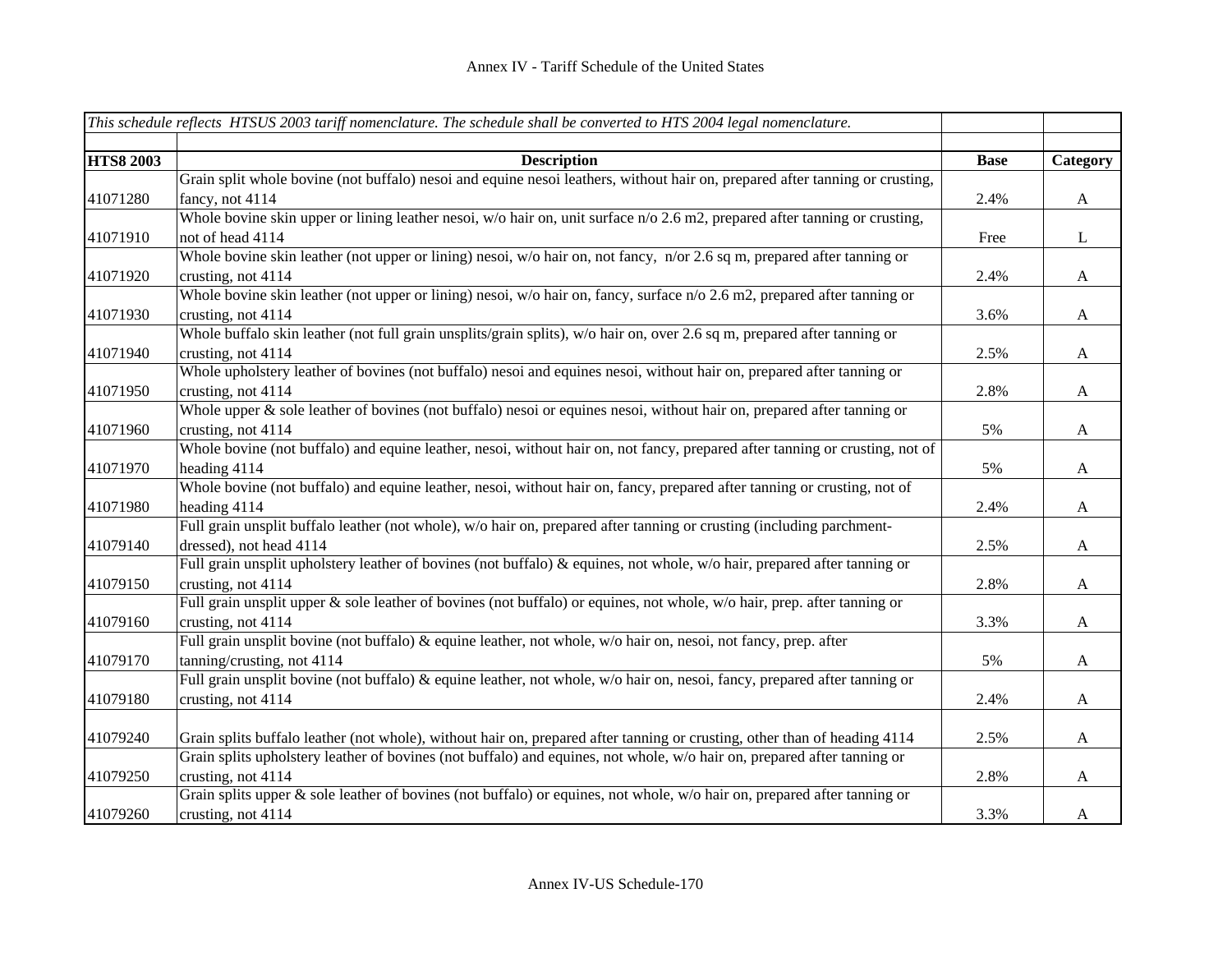|                  | This schedule reflects HTSUS 2003 tariff nomenclature. The schedule shall be converted to HTS 2004 legal nomenclature.       |             |                           |
|------------------|------------------------------------------------------------------------------------------------------------------------------|-------------|---------------------------|
|                  |                                                                                                                              |             |                           |
| <b>HTS8 2003</b> | <b>Description</b>                                                                                                           | <b>Base</b> | Category                  |
|                  | Grain split whole bovine (not buffalo) nesoi and equine nesoi leathers, without hair on, prepared after tanning or crusting, |             |                           |
| 41071280         | fancy, not 4114                                                                                                              | 2.4%        | $\boldsymbol{A}$          |
|                  | Whole bovine skin upper or lining leather nesoi, w/o hair on, unit surface n/o 2.6 m2, prepared after tanning or crusting,   |             |                           |
| 41071910         | not of head 4114                                                                                                             | Free        | $\bf L$                   |
|                  | Whole bovine skin leather (not upper or lining) nesoi, w/o hair on, not fancy, n/or 2.6 sq m, prepared after tanning or      |             |                           |
| 41071920         | crusting, not 4114                                                                                                           | 2.4%        | $\boldsymbol{A}$          |
|                  | Whole bovine skin leather (not upper or lining) nesoi, w/o hair on, fancy, surface n/o 2.6 m2, prepared after tanning or     |             |                           |
| 41071930         | crusting, not 4114                                                                                                           | 3.6%        | $\boldsymbol{\mathsf{A}}$ |
|                  | Whole buffalo skin leather (not full grain unsplits/grain splits), w/o hair on, over 2.6 sq m, prepared after tanning or     |             |                           |
| 41071940         | crusting, not 4114                                                                                                           | 2.5%        | $\boldsymbol{\mathsf{A}}$ |
|                  | Whole upholstery leather of bovines (not buffalo) nesoi and equines nesoi, without hair on, prepared after tanning or        |             |                           |
| 41071950         | crusting, not 4114                                                                                                           | 2.8%        | $\boldsymbol{A}$          |
|                  | Whole upper $\&$ sole leather of bovines (not buffalo) nesoi or equines nesoi, without hair on, prepared after tanning or    |             |                           |
| 41071960         | crusting, not 4114                                                                                                           | 5%          | $\boldsymbol{\mathsf{A}}$ |
|                  | Whole bovine (not buffalo) and equine leather, nesoi, without hair on, not fancy, prepared after tanning or crusting, not of |             |                           |
| 41071970         | heading 4114                                                                                                                 | 5%          | $\boldsymbol{A}$          |
|                  | Whole bovine (not buffalo) and equine leather, nesoi, without hair on, fancy, prepared after tanning or crusting, not of     |             |                           |
| 41071980         | heading 4114                                                                                                                 | 2.4%        | $\mathbf{A}$              |
|                  | Full grain unsplit buffalo leather (not whole), w/o hair on, prepared after tanning or crusting (including parchment-        |             |                           |
| 41079140         | dressed), not head 4114                                                                                                      | 2.5%        | $\mathbf{A}$              |
|                  | Full grain unsplit upholstery leather of bovines (not buffalo) & equines, not whole, w/o hair, prepared after tanning or     |             |                           |
| 41079150         | crusting, not 4114                                                                                                           | 2.8%        | $\boldsymbol{\mathsf{A}}$ |
|                  | Full grain unsplit upper & sole leather of bovines (not buffalo) or equines, not whole, w/o hair, prep. after tanning or     |             |                           |
| 41079160         | crusting, not 4114                                                                                                           | 3.3%        | $\boldsymbol{\mathsf{A}}$ |
|                  | Full grain unsplit bovine (not buffalo) & equine leather, not whole, w/o hair on, nesoi, not fancy, prep. after              |             |                           |
| 41079170         | tanning/crusting, not 4114                                                                                                   | 5%          | $\mathbf{A}$              |
|                  | Full grain unsplit bovine (not buffalo) & equine leather, not whole, w/o hair on, nesoi, fancy, prepared after tanning or    |             |                           |
| 41079180         | crusting, not 4114                                                                                                           | 2.4%        | $\mathbf{A}$              |
| 41079240         | Grain splits buffalo leather (not whole), without hair on, prepared after tanning or crusting, other than of heading 4114    | 2.5%        | $\boldsymbol{A}$          |
|                  | Grain splits upholstery leather of bovines (not buffalo) and equines, not whole, w/o hair on, prepared after tanning or      |             |                           |
| 41079250         | crusting, not 4114                                                                                                           | 2.8%        | $\mathbf{A}$              |
|                  | Grain splits upper $\&$ sole leather of bovines (not buffalo) or equines, not whole, w/o hair on, prepared after tanning or  |             |                           |
| 41079260         | crusting, not 4114                                                                                                           | 3.3%        | $\mathbf{A}$              |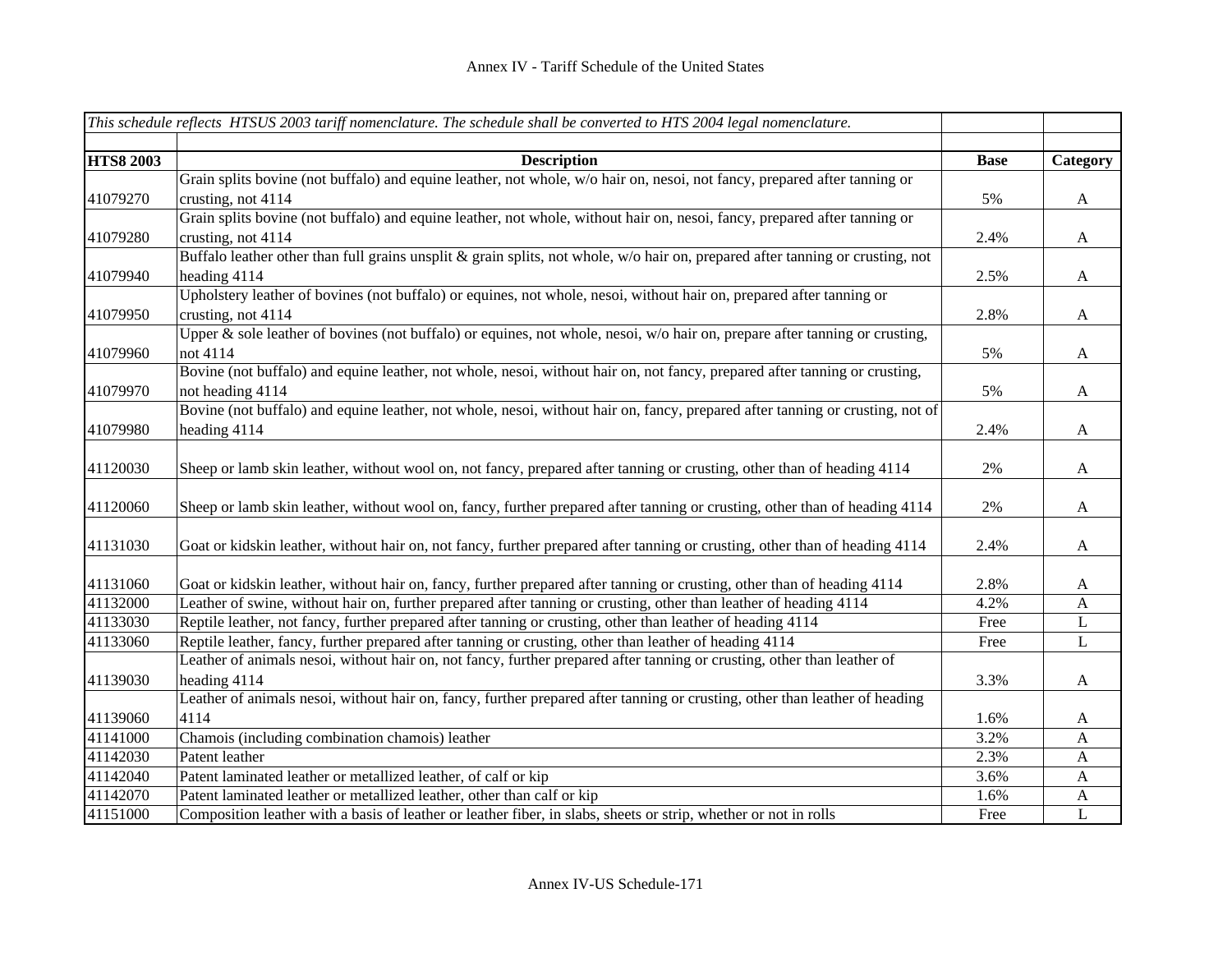|                  | This schedule reflects HTSUS 2003 tariff nomenclature. The schedule shall be converted to HTS 2004 legal nomenclature.         |             |                           |
|------------------|--------------------------------------------------------------------------------------------------------------------------------|-------------|---------------------------|
|                  |                                                                                                                                |             |                           |
| <b>HTS8 2003</b> | <b>Description</b>                                                                                                             | <b>Base</b> | Category                  |
|                  | Grain splits bovine (not buffalo) and equine leather, not whole, w/o hair on, nesoi, not fancy, prepared after tanning or      |             |                           |
| 41079270         | crusting, not 4114                                                                                                             | 5%          | $\mathbf{A}$              |
|                  | Grain splits bovine (not buffalo) and equine leather, not whole, without hair on, nesoi, fancy, prepared after tanning or      |             |                           |
| 41079280         | crusting, not 4114                                                                                                             | 2.4%        | $\boldsymbol{\mathsf{A}}$ |
|                  | Buffalo leather other than full grains unsplit & grain splits, not whole, w/o hair on, prepared after tanning or crusting, not |             |                           |
| 41079940         | heading 4114                                                                                                                   | 2.5%        | $\boldsymbol{A}$          |
|                  | Upholstery leather of bovines (not buffalo) or equines, not whole, nesoi, without hair on, prepared after tanning or           |             |                           |
| 41079950         | crusting, not 4114                                                                                                             | 2.8%        | $\boldsymbol{A}$          |
|                  | Upper & sole leather of bovines (not buffalo) or equines, not whole, nesoi, w/o hair on, prepare after tanning or crusting,    |             |                           |
| 41079960         | not 4114                                                                                                                       | 5%          | $\boldsymbol{\mathsf{A}}$ |
|                  | Bovine (not buffalo) and equine leather, not whole, nesoi, without hair on, not fancy, prepared after tanning or crusting,     |             |                           |
| 41079970         | not heading 4114                                                                                                               | 5%          | $\boldsymbol{\mathsf{A}}$ |
|                  | Bovine (not buffalo) and equine leather, not whole, nesoi, without hair on, fancy, prepared after tanning or crusting, not of  |             |                           |
| 41079980         | heading 4114                                                                                                                   | 2.4%        | $\boldsymbol{A}$          |
|                  |                                                                                                                                |             |                           |
| 41120030         | Sheep or lamb skin leather, without wool on, not fancy, prepared after tanning or crusting, other than of heading 4114         | 2%          | $\boldsymbol{A}$          |
|                  |                                                                                                                                |             |                           |
| 41120060         | Sheep or lamb skin leather, without wool on, fancy, further prepared after tanning or crusting, other than of heading 4114     | 2%          | $\boldsymbol{\mathsf{A}}$ |
|                  |                                                                                                                                |             |                           |
| 41131030         | Goat or kidskin leather, without hair on, not fancy, further prepared after tanning or crusting, other than of heading 4114    | 2.4%        | $\boldsymbol{\mathsf{A}}$ |
|                  |                                                                                                                                |             |                           |
| 41131060         | Goat or kidskin leather, without hair on, fancy, further prepared after tanning or crusting, other than of heading 4114        | 2.8%        | $\mathbf{A}$              |
| 41132000         | Leather of swine, without hair on, further prepared after tanning or crusting, other than leather of heading 4114              | 4.2%        | $\mathbf{A}$              |
| 41133030         | Reptile leather, not fancy, further prepared after tanning or crusting, other than leather of heading 4114                     | Free        | L                         |
| 41133060         | Reptile leather, fancy, further prepared after tanning or crusting, other than leather of heading 4114                         | Free        | L                         |
|                  | Leather of animals nesoi, without hair on, not fancy, further prepared after tanning or crusting, other than leather of        |             |                           |
| 41139030         | heading 4114                                                                                                                   | 3.3%        | $\boldsymbol{A}$          |
|                  | Leather of animals nesoi, without hair on, fancy, further prepared after tanning or crusting, other than leather of heading    |             |                           |
| 41139060         | 4114                                                                                                                           | 1.6%        | $\mathbf{A}$              |
| 41141000         | Chamois (including combination chamois) leather                                                                                | 3.2%        | $\mathbf{A}$              |
| 41142030         | Patent leather                                                                                                                 | 2.3%        | $\mathbf{A}$              |
| 41142040         | Patent laminated leather or metallized leather, of calf or kip                                                                 | 3.6%        | $\mathbf{A}$              |
| 41142070         | Patent laminated leather or metallized leather, other than calf or kip                                                         | 1.6%        | $\mathbf{A}$              |
| 41151000         | Composition leather with a basis of leather or leather fiber, in slabs, sheets or strip, whether or not in rolls               | Free        | L                         |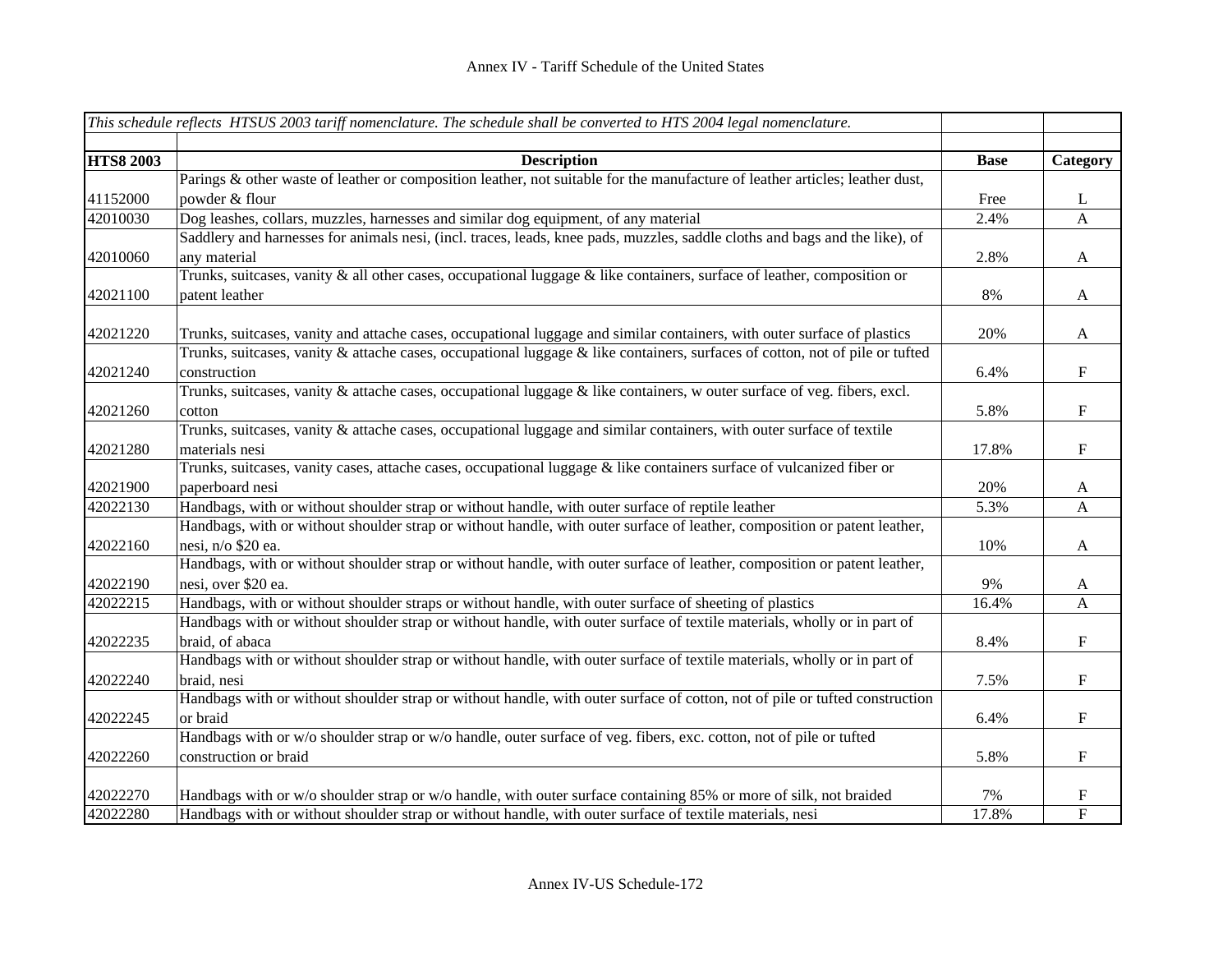|                  | This schedule reflects HTSUS 2003 tariff nomenclature. The schedule shall be converted to HTS 2004 legal nomenclature.       |             |                           |
|------------------|------------------------------------------------------------------------------------------------------------------------------|-------------|---------------------------|
|                  |                                                                                                                              |             |                           |
| <b>HTS8 2003</b> | <b>Description</b>                                                                                                           | <b>Base</b> | Category                  |
|                  | Parings & other waste of leather or composition leather, not suitable for the manufacture of leather articles; leather dust, |             |                           |
| 41152000         | powder & flour                                                                                                               | Free        | $\mathbf{L}$              |
| 42010030         | Dog leashes, collars, muzzles, harnesses and similar dog equipment, of any material                                          | 2.4%        | $\mathbf{A}$              |
|                  | Saddlery and harnesses for animals nesi, (incl. traces, leads, knee pads, muzzles, saddle cloths and bags and the like), of  |             |                           |
| 42010060         | any material                                                                                                                 | 2.8%        | $\mathbf{A}$              |
|                  | Trunks, suitcases, vanity & all other cases, occupational luggage & like containers, surface of leather, composition or      |             |                           |
| 42021100         | patent leather                                                                                                               | 8%          | $\mathbf{A}$              |
|                  |                                                                                                                              |             |                           |
| 42021220         | Trunks, suitcases, vanity and attache cases, occupational luggage and similar containers, with outer surface of plastics     | 20%         | $\boldsymbol{\mathsf{A}}$ |
|                  | Trunks, suitcases, vanity & attache cases, occupational luggage & like containers, surfaces of cotton, not of pile or tufted |             |                           |
| 42021240         | construction                                                                                                                 | 6.4%        | $\mathbf F$               |
|                  | Trunks, suitcases, vanity & attache cases, occupational luggage & like containers, w outer surface of veg. fibers, excl.     |             |                           |
| 42021260         | cotton                                                                                                                       | 5.8%        | $\boldsymbol{\mathrm{F}}$ |
|                  | Trunks, suitcases, vanity & attache cases, occupational luggage and similar containers, with outer surface of textile        |             |                           |
| 42021280         | materials nesi                                                                                                               | 17.8%       | $\mathbf F$               |
|                  | Trunks, suitcases, vanity cases, attache cases, occupational luggage & like containers surface of vulcanized fiber or        |             |                           |
| 42021900         | paperboard nesi                                                                                                              | 20%         | $\mathbf{A}$              |
| 42022130         | Handbags, with or without shoulder strap or without handle, with outer surface of reptile leather                            | 5.3%        | $\mathbf{A}$              |
|                  | Handbags, with or without shoulder strap or without handle, with outer surface of leather, composition or patent leather,    |             |                           |
| 42022160         | nesi, n/o \$20 ea.                                                                                                           | 10%         | $\mathbf{A}$              |
|                  | Handbags, with or without shoulder strap or without handle, with outer surface of leather, composition or patent leather,    |             |                           |
| 42022190         | nesi, over \$20 ea.                                                                                                          | 9%          | $\mathbf{A}$              |
| 42022215         | Handbags, with or without shoulder straps or without handle, with outer surface of sheeting of plastics                      | 16.4%       | $\mathbf{A}$              |
|                  | Handbags with or without shoulder strap or without handle, with outer surface of textile materials, wholly or in part of     |             |                           |
| 42022235         | braid, of abaca                                                                                                              | 8.4%        | $\mathbf F$               |
|                  | Handbags with or without shoulder strap or without handle, with outer surface of textile materials, wholly or in part of     |             |                           |
| 42022240         | braid, nesi                                                                                                                  | 7.5%        | $\mathbf F$               |
|                  | Handbags with or without shoulder strap or without handle, with outer surface of cotton, not of pile or tufted construction  |             |                           |
| 42022245         | or braid                                                                                                                     | 6.4%        | $\boldsymbol{\mathrm{F}}$ |
|                  | Handbags with or w/o shoulder strap or w/o handle, outer surface of veg. fibers, exc. cotton, not of pile or tufted          |             |                           |
| 42022260         | construction or braid                                                                                                        | 5.8%        | $\boldsymbol{\mathrm{F}}$ |
|                  |                                                                                                                              |             |                           |
| 42022270         | Handbags with or w/o shoulder strap or w/o handle, with outer surface containing 85% or more of silk, not braided            | 7%          | $\mathbf F$               |
| 42022280         | Handbags with or without shoulder strap or without handle, with outer surface of textile materials, nesi                     | 17.8%       | $\overline{F}$            |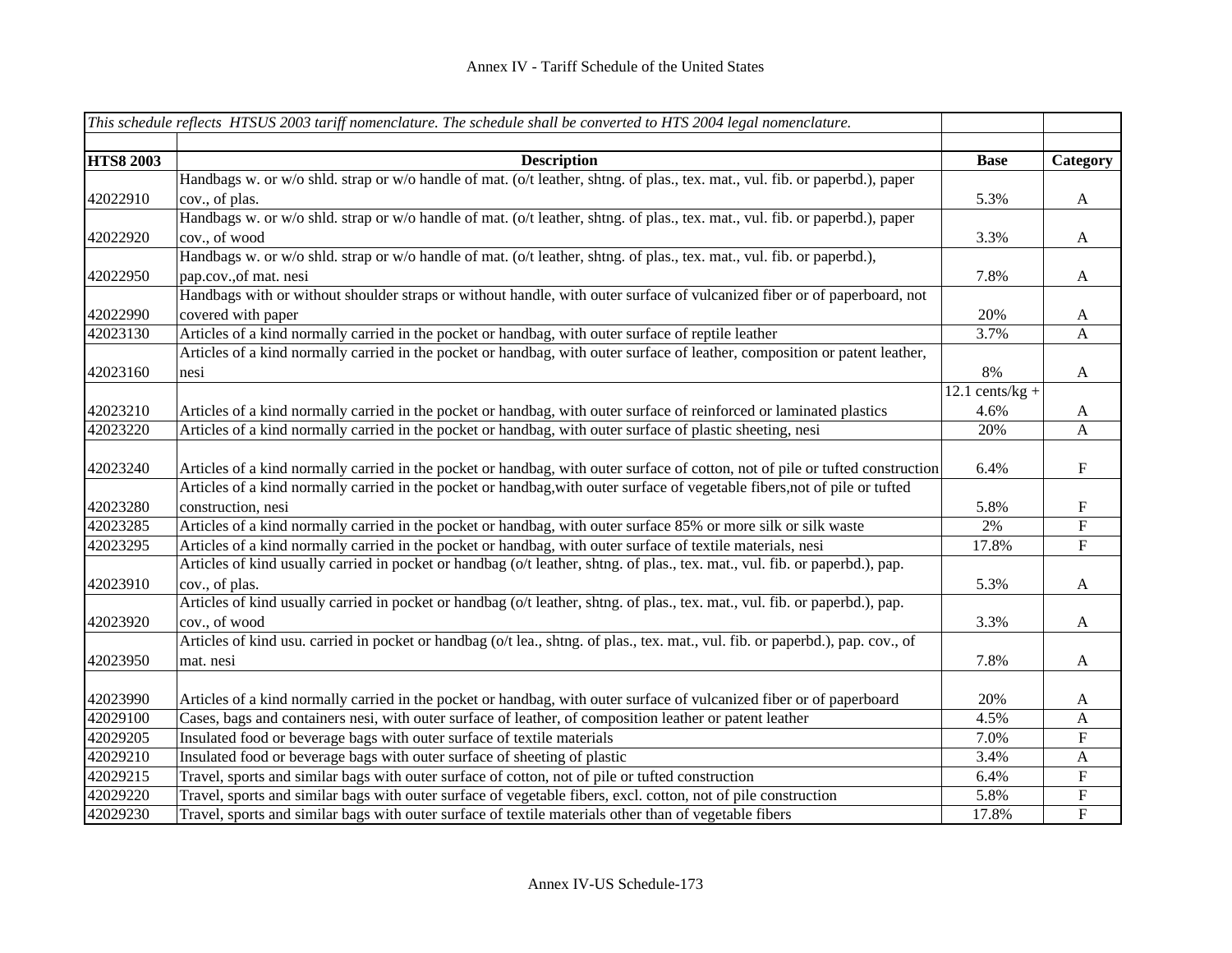|                  | This schedule reflects HTSUS 2003 tariff nomenclature. The schedule shall be converted to HTS 2004 legal nomenclature.          |                   |                           |
|------------------|---------------------------------------------------------------------------------------------------------------------------------|-------------------|---------------------------|
|                  |                                                                                                                                 |                   |                           |
| <b>HTS8 2003</b> | <b>Description</b>                                                                                                              | <b>Base</b>       | Category                  |
|                  | Handbags w. or w/o shld. strap or w/o handle of mat. (o/t leather, shtng. of plas., tex. mat., vul. fib. or paperbd.), paper    |                   |                           |
| 42022910         | cov., of plas.                                                                                                                  | 5.3%              | $\mathbf{A}$              |
|                  | Handbags w. or w/o shld. strap or w/o handle of mat. (o/t leather, shtng. of plas., tex. mat., vul. fib. or paperbd.), paper    |                   |                           |
| 42022920         | cov., of wood                                                                                                                   | 3.3%              | $\mathbf{A}$              |
|                  | Handbags w. or w/o shld. strap or w/o handle of mat. (o/t leather, shtng. of plas., tex. mat., vul. fib. or paperbd.),          |                   |                           |
| 42022950         | pap.cov., of mat. nesi                                                                                                          | 7.8%              | $\mathbf{A}$              |
|                  | Handbags with or without shoulder straps or without handle, with outer surface of vulcanized fiber or of paperboard, not        |                   |                           |
| 42022990         | covered with paper                                                                                                              | 20%               | $\mathbf{A}$              |
| 42023130         | Articles of a kind normally carried in the pocket or handbag, with outer surface of reptile leather                             | 3.7%              | A                         |
|                  | Articles of a kind normally carried in the pocket or handbag, with outer surface of leather, composition or patent leather,     |                   |                           |
| 42023160         | nesi                                                                                                                            | 8%                | $\mathbf{A}$              |
|                  |                                                                                                                                 | $12.1$ cents/kg + |                           |
| 42023210         | Articles of a kind normally carried in the pocket or handbag, with outer surface of reinforced or laminated plastics            | 4.6%              | $\mathbf{A}$              |
| 42023220         | Articles of a kind normally carried in the pocket or handbag, with outer surface of plastic sheeting, nesi                      | 20%               | A                         |
|                  |                                                                                                                                 |                   |                           |
| 42023240         | Articles of a kind normally carried in the pocket or handbag, with outer surface of cotton, not of pile or tufted construction  | 6.4%              | $\boldsymbol{\mathrm{F}}$ |
|                  | Articles of a kind normally carried in the pocket or handbag, with outer surface of vegetable fibers, not of pile or tufted     |                   |                           |
| 42023280         | construction, nesi                                                                                                              | 5.8%              | ${\bf F}$                 |
| 42023285         | Articles of a kind normally carried in the pocket or handbag, with outer surface 85% or more silk or silk waste                 | 2%                | $\overline{F}$            |
| 42023295         | Articles of a kind normally carried in the pocket or handbag, with outer surface of textile materials, nesi                     | 17.8%             | ${\bf F}$                 |
|                  | Articles of kind usually carried in pocket or handbag (o/t leather, shtng. of plas., tex. mat., vul. fib. or paperbd.), pap.    |                   |                           |
| 42023910         | cov., of plas.                                                                                                                  | 5.3%              | $\mathbf{A}$              |
|                  | Articles of kind usually carried in pocket or handbag (o/t leather, shtng. of plas., tex. mat., vul. fib. or paperbd.), pap.    |                   |                           |
| 42023920         | cov., of wood                                                                                                                   | 3.3%              | $\mathbf{A}$              |
|                  | Articles of kind usu. carried in pocket or handbag (o/t lea., shtng. of plas., tex. mat., vul. fib. or paperbd.), pap. cov., of |                   |                           |
| 42023950         | mat. nesi                                                                                                                       | 7.8%              | $\mathbf{A}$              |
|                  |                                                                                                                                 |                   |                           |
| 42023990         | Articles of a kind normally carried in the pocket or handbag, with outer surface of vulcanized fiber or of paperboard           | 20%               | $\mathbf{A}$              |
| 42029100         | Cases, bags and containers nesi, with outer surface of leather, of composition leather or patent leather                        | 4.5%              | $\mathbf{A}$              |
| 42029205         | Insulated food or beverage bags with outer surface of textile materials                                                         | 7.0%              | ${\bf F}$                 |
| 42029210         | Insulated food or beverage bags with outer surface of sheeting of plastic                                                       | 3.4%              | $\mathbf{A}$              |
| 42029215         | Travel, sports and similar bags with outer surface of cotton, not of pile or tufted construction                                | 6.4%              | ${\bf F}$                 |
| 42029220         | Travel, sports and similar bags with outer surface of vegetable fibers, excl. cotton, not of pile construction                  | 5.8%              | ${\bf F}$                 |
| 42029230         | Travel, sports and similar bags with outer surface of textile materials other than of vegetable fibers                          | 17.8%             | $\overline{F}$            |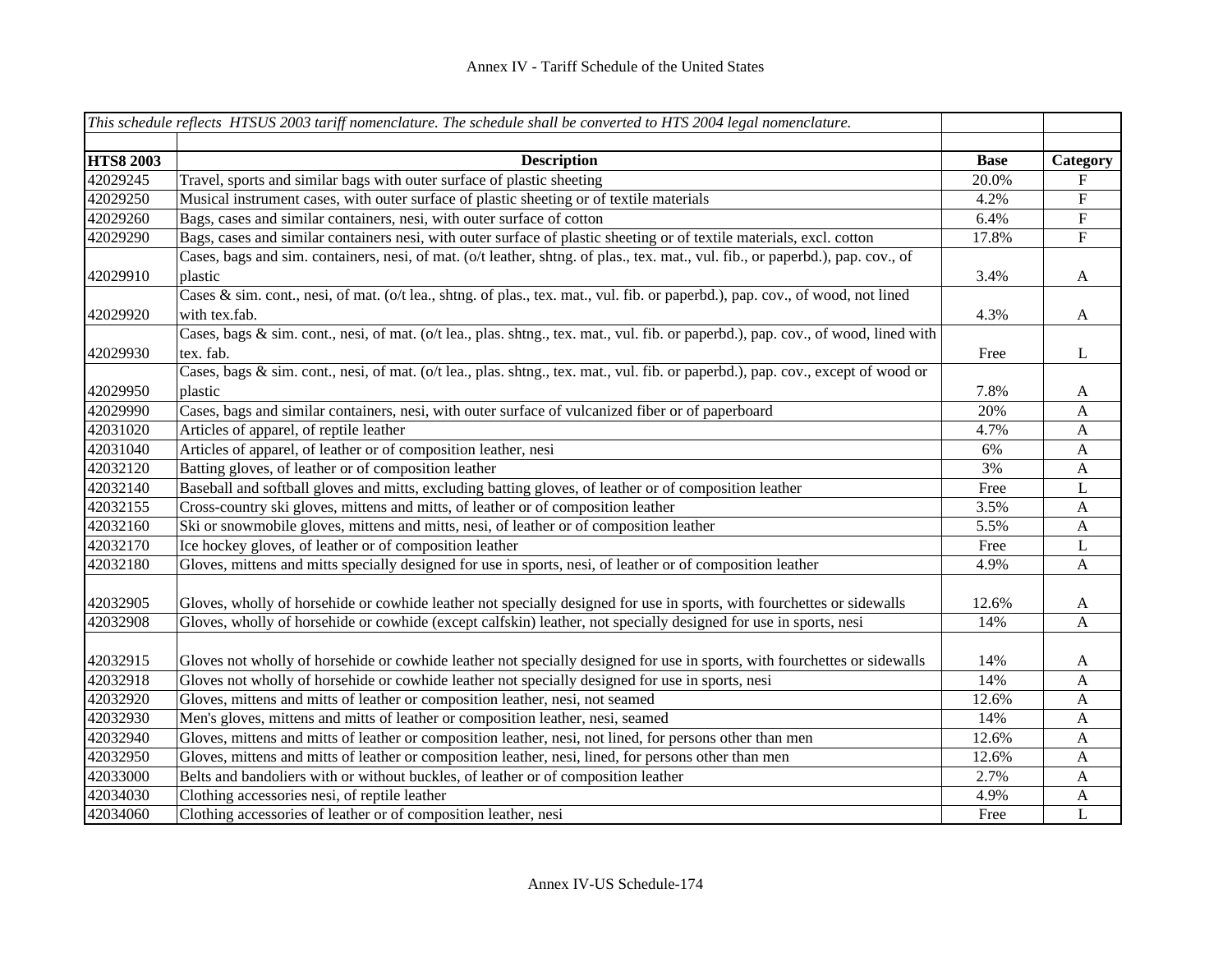|                  | This schedule reflects HTSUS 2003 tariff nomenclature. The schedule shall be converted to HTS 2004 legal nomenclature.                          |             |                       |
|------------------|-------------------------------------------------------------------------------------------------------------------------------------------------|-------------|-----------------------|
| <b>HTS8 2003</b> | <b>Description</b>                                                                                                                              | <b>Base</b> | Category              |
| 42029245         | Travel, sports and similar bags with outer surface of plastic sheeting                                                                          | 20.0%       | F                     |
| 42029250         | Musical instrument cases, with outer surface of plastic sheeting or of textile materials                                                        | 4.2%        | ${\bf F}$             |
| 42029260         | Bags, cases and similar containers, nesi, with outer surface of cotton                                                                          | 6.4%        | ${\bf F}$             |
| 42029290         | Bags, cases and similar containers nesi, with outer surface of plastic sheeting or of textile materials, excl. cotton                           | 17.8%       | ${\bf F}$             |
| 42029910         | Cases, bags and sim. containers, nesi, of mat. (o/t leather, shtng. of plas., tex. mat., vul. fib., or paperbd.), pap. cov., of<br>plastic      | 3.4%        | $\mathbf{A}$          |
| 42029920         | Cases & sim. cont., nesi, of mat. (o/t lea., shtng. of plas., tex. mat., vul. fib. or paperbd.), pap. cov., of wood, not lined<br>with tex.fab. | 4.3%        | A                     |
| 42029930         | Cases, bags & sim. cont., nesi, of mat. (o/t lea., plas. shtng., tex. mat., vul. fib. or paperbd.), pap. cov., of wood, lined with<br>tex. fab. | Free        | L                     |
| 42029950         | Cases, bags & sim. cont., nesi, of mat. (o/t lea., plas. shtng., tex. mat., vul. fib. or paperbd.), pap. cov., except of wood or<br>plastic     | 7.8%        | $\mathbf{A}$          |
| 42029990         | Cases, bags and similar containers, nesi, with outer surface of vulcanized fiber or of paperboard                                               | 20%         | $\mathbf{A}$          |
| 42031020         | Articles of apparel, of reptile leather                                                                                                         | 4.7%        | $\mathbf{A}$          |
| 42031040         | Articles of apparel, of leather or of composition leather, nesi                                                                                 | 6%          | $\mathbf{A}$          |
| 42032120         | Batting gloves, of leather or of composition leather                                                                                            | 3%          | A                     |
| 42032140         | Baseball and softball gloves and mitts, excluding batting gloves, of leather or of composition leather                                          | Free        | $\mathbf L$           |
| 42032155         | Cross-country ski gloves, mittens and mitts, of leather or of composition leather                                                               | 3.5%        | $\mathbf{A}$          |
| 42032160         | Ski or snowmobile gloves, mittens and mitts, nesi, of leather or of composition leather                                                         | 5.5%        | $\mathbf{A}$          |
| 42032170         | Ice hockey gloves, of leather or of composition leather                                                                                         | Free        | L                     |
| 42032180         | Gloves, mittens and mitts specially designed for use in sports, nesi, of leather or of composition leather                                      | 4.9%        | $\mathbf{A}$          |
| 42032905         | Gloves, wholly of horsehide or cowhide leather not specially designed for use in sports, with fourchettes or sidewalls                          | 12.6%       | $\mathbf{A}$          |
| 42032908         | Gloves, wholly of horsehide or cowhide (except calfskin) leather, not specially designed for use in sports, nesi                                | 14%         | A                     |
| 42032915         | Gloves not wholly of horsehide or cowhide leather not specially designed for use in sports, with fourchettes or sidewalls                       | 14%         | A                     |
| 42032918         | Gloves not wholly of horsehide or cowhide leather not specially designed for use in sports, nesi                                                | 14%         | A                     |
| 42032920         | Gloves, mittens and mitts of leather or composition leather, nesi, not seamed                                                                   | 12.6%       | $\mathbf{A}$          |
| 42032930         | Men's gloves, mittens and mitts of leather or composition leather, nesi, seamed                                                                 | 14%         | A                     |
| 42032940         | Gloves, mittens and mitts of leather or composition leather, nesi, not lined, for persons other than men                                        | 12.6%       | A                     |
| 42032950         | Gloves, mittens and mitts of leather or composition leather, nesi, lined, for persons other than men                                            | 12.6%       | $\boldsymbol{A}$      |
| 42033000         | Belts and bandoliers with or without buckles, of leather or of composition leather                                                              | 2.7%        | A                     |
| 42034030         | Clothing accessories nesi, of reptile leather                                                                                                   | 4.9%        | $\boldsymbol{\rm{A}}$ |
| 42034060         | Clothing accessories of leather or of composition leather, nesi                                                                                 | Free        | $\overline{L}$        |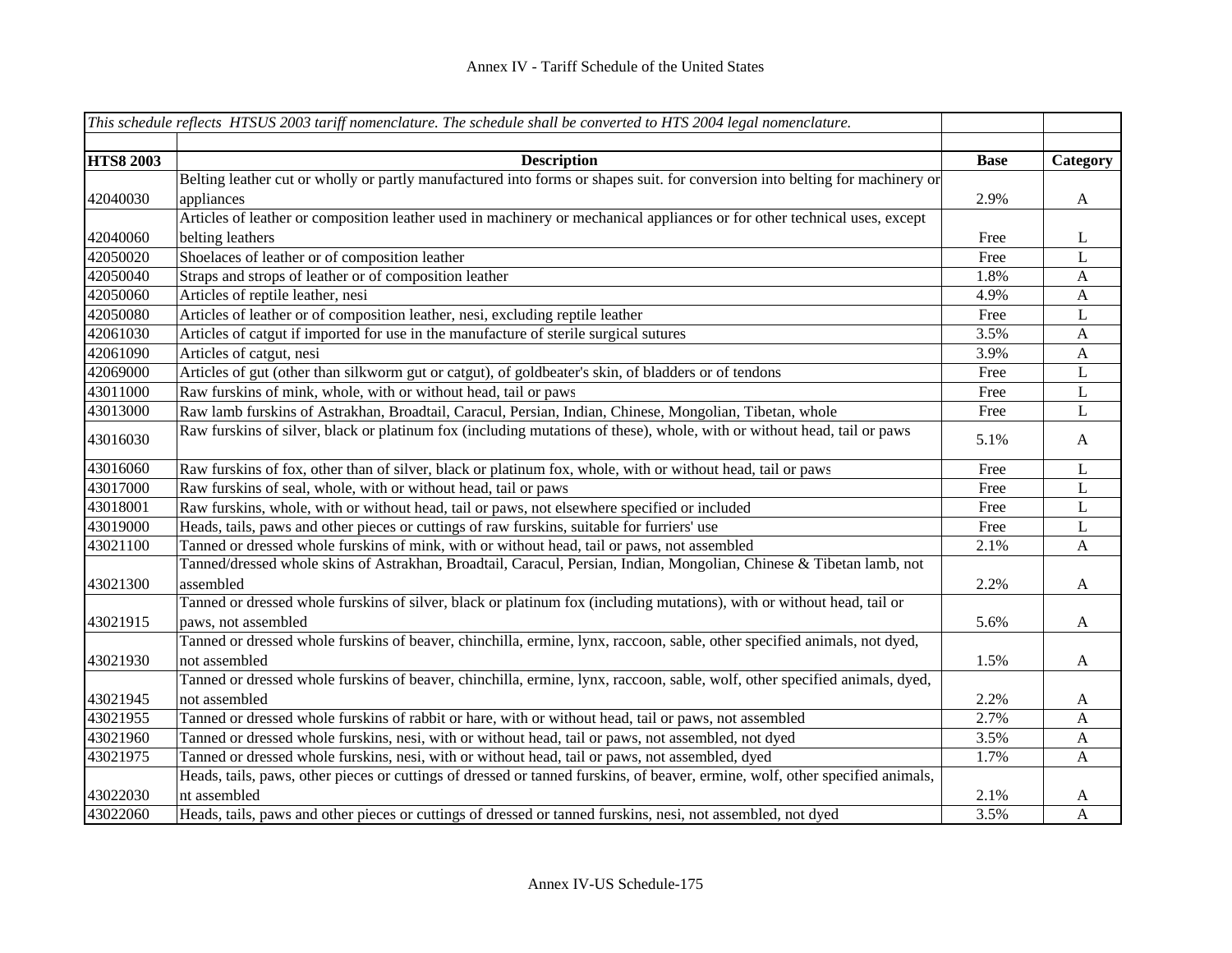|                  | This schedule reflects HTSUS 2003 tariff nomenclature. The schedule shall be converted to HTS 2004 legal nomenclature.        |             |                           |
|------------------|-------------------------------------------------------------------------------------------------------------------------------|-------------|---------------------------|
|                  |                                                                                                                               |             |                           |
| <b>HTS8 2003</b> | <b>Description</b>                                                                                                            | <b>Base</b> | Category                  |
|                  | Belting leather cut or wholly or partly manufactured into forms or shapes suit. for conversion into belting for machinery or  |             |                           |
| 42040030         | appliances                                                                                                                    | 2.9%        | $\mathbf{A}$              |
|                  | Articles of leather or composition leather used in machinery or mechanical appliances or for other technical uses, except     |             |                           |
| 42040060         | belting leathers                                                                                                              | Free        | L                         |
| 42050020         | Shoelaces of leather or of composition leather                                                                                | Free        | L                         |
| 42050040         | Straps and strops of leather or of composition leather                                                                        | 1.8%        | A                         |
| 42050060         | Articles of reptile leather, nesi                                                                                             | 4.9%        | $\mathbf{A}$              |
| 42050080         | Articles of leather or of composition leather, nesi, excluding reptile leather                                                | Free        | $\mathbf L$               |
| 42061030         | Articles of catgut if imported for use in the manufacture of sterile surgical sutures                                         | 3.5%        | $\boldsymbol{\mathsf{A}}$ |
| 42061090         | Articles of catgut, nesi                                                                                                      | 3.9%        | $\mathbf{A}$              |
| 42069000         | Articles of gut (other than silkworm gut or catgut), of goldbeater's skin, of bladders or of tendons                          | Free        | $\mathbf L$               |
| 43011000         | Raw furskins of mink, whole, with or without head, tail or paws                                                               | Free        | $\mathbf L$               |
| 43013000         | Raw lamb furskins of Astrakhan, Broadtail, Caracul, Persian, Indian, Chinese, Mongolian, Tibetan, whole                       | Free        | L                         |
| 43016030         | Raw furskins of silver, black or platinum fox (including mutations of these), whole, with or without head, tail or paws       | 5.1%        | $\mathbf{A}$              |
| 43016060         | Raw furskins of fox, other than of silver, black or platinum fox, whole, with or without head, tail or paws                   | Free        | L                         |
| 43017000         | Raw furskins of seal, whole, with or without head, tail or paws                                                               | Free        | L                         |
| 43018001         | Raw furskins, whole, with or without head, tail or paws, not elsewhere specified or included                                  | Free        | $\mathbf L$               |
| 43019000         | Heads, tails, paws and other pieces or cuttings of raw furskins, suitable for furriers' use                                   | Free        | $\mathbf L$               |
| 43021100         | Tanned or dressed whole furskins of mink, with or without head, tail or paws, not assembled                                   | 2.1%        | $\mathbf{A}$              |
|                  | Tanned/dressed whole skins of Astrakhan, Broadtail, Caracul, Persian, Indian, Mongolian, Chinese & Tibetan lamb, not          |             |                           |
| 43021300         | assembled                                                                                                                     | 2.2%        | $\mathbf{A}$              |
|                  | Tanned or dressed whole furskins of silver, black or platinum fox (including mutations), with or without head, tail or        |             |                           |
| 43021915         | paws, not assembled                                                                                                           | 5.6%        | $\mathbf{A}$              |
|                  | Tanned or dressed whole furskins of beaver, chinchilla, ermine, lynx, raccoon, sable, other specified animals, not dyed,      |             |                           |
| 43021930         | not assembled                                                                                                                 | 1.5%        | $\mathbf{A}$              |
|                  | Tanned or dressed whole furskins of beaver, chinchilla, ermine, lynx, raccoon, sable, wolf, other specified animals, dyed,    |             |                           |
| 43021945         | not assembled                                                                                                                 | 2.2%        | $\mathbf{A}$              |
| 43021955         | Tanned or dressed whole furskins of rabbit or hare, with or without head, tail or paws, not assembled                         | 2.7%        | $\mathbf{A}$              |
| 43021960         | Tanned or dressed whole furskins, nesi, with or without head, tail or paws, not assembled, not dyed                           | 3.5%        | $\mathbf{A}$              |
| 43021975         | Tanned or dressed whole furskins, nesi, with or without head, tail or paws, not assembled, dyed                               | 1.7%        | $\mathbf{A}$              |
|                  | Heads, tails, paws, other pieces or cuttings of dressed or tanned furskins, of beaver, ermine, wolf, other specified animals, |             |                           |
| 43022030         | nt assembled                                                                                                                  | 2.1%        | $\mathbf{A}$              |
| 43022060         | Heads, tails, paws and other pieces or cuttings of dressed or tanned furskins, nesi, not assembled, not dyed                  | 3.5%        | $\mathbf{A}$              |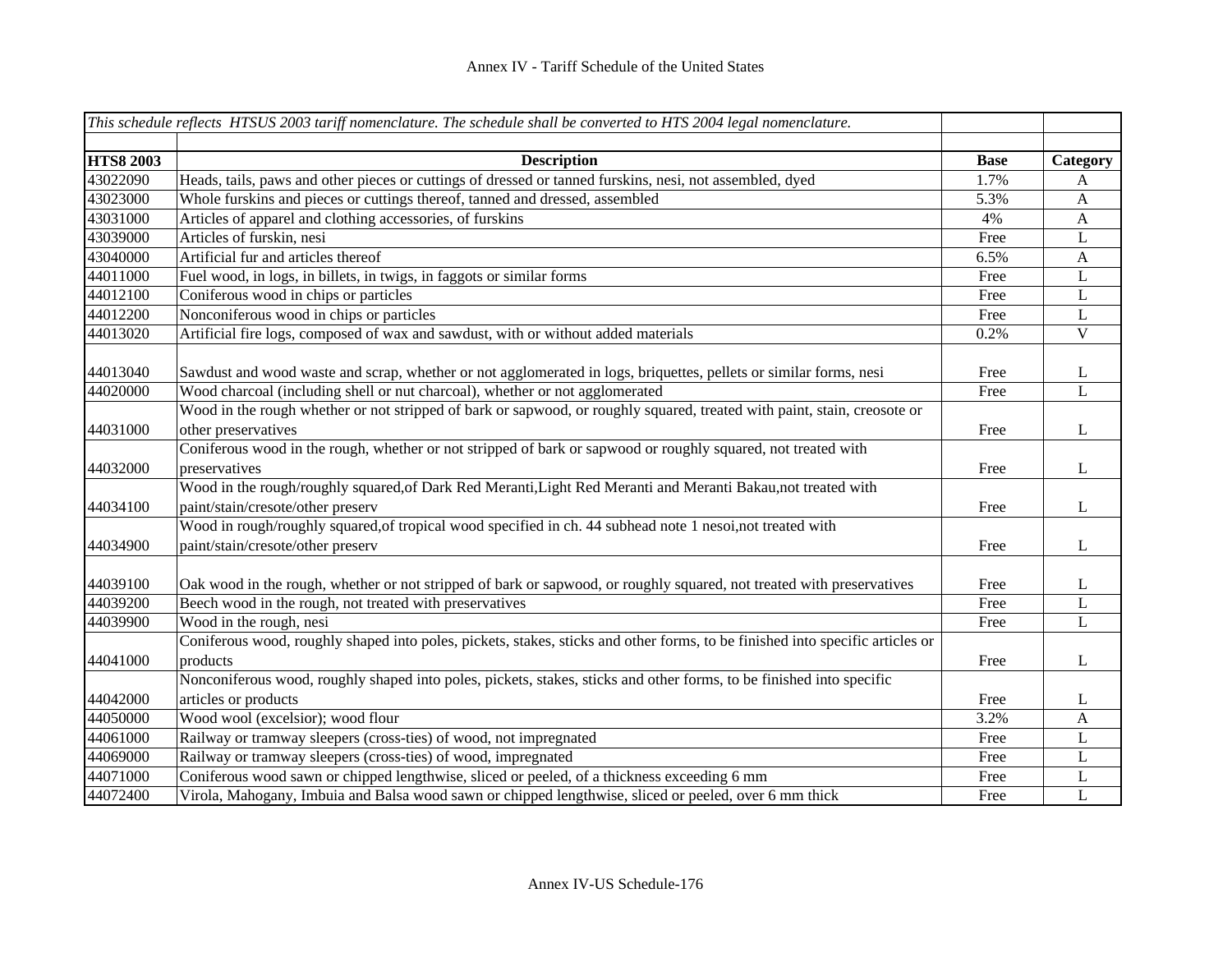|                  | This schedule reflects HTSUS 2003 tariff nomenclature. The schedule shall be converted to HTS 2004 legal nomenclature.         |             |                |
|------------------|--------------------------------------------------------------------------------------------------------------------------------|-------------|----------------|
| <b>HTS8 2003</b> | <b>Description</b>                                                                                                             | <b>Base</b> | Category       |
| 43022090         | Heads, tails, paws and other pieces or cuttings of dressed or tanned furskins, nesi, not assembled, dyed                       | 1.7%        | A              |
| 43023000         | Whole furskins and pieces or cuttings thereof, tanned and dressed, assembled                                                   | 5.3%        | A              |
| 43031000         | Articles of apparel and clothing accessories, of furskins                                                                      | 4%          | A              |
| 43039000         | Articles of furskin, nesi                                                                                                      | Free        | L              |
| 43040000         | Artificial fur and articles thereof                                                                                            | 6.5%        | A              |
| 44011000         | Fuel wood, in logs, in billets, in twigs, in faggots or similar forms                                                          | Free        | L              |
| 44012100         | Coniferous wood in chips or particles                                                                                          | Free        | L              |
| 44012200         | Nonconiferous wood in chips or particles                                                                                       | Free        | L              |
| 44013020         | Artificial fire logs, composed of wax and sawdust, with or without added materials                                             | 0.2%        | $\mathbf V$    |
| 44013040         | Sawdust and wood waste and scrap, whether or not agglomerated in logs, briquettes, pellets or similar forms, nesi              | Free        | L              |
| 44020000         | Wood charcoal (including shell or nut charcoal), whether or not agglomerated                                                   | Free        | $\mathbf{L}$   |
|                  | Wood in the rough whether or not stripped of bark or sapwood, or roughly squared, treated with paint, stain, creosote or       |             |                |
| 44031000         | other preservatives                                                                                                            | Free        | L              |
| 44032000         | Coniferous wood in the rough, whether or not stripped of bark or sapwood or roughly squared, not treated with<br>preservatives | Free        | L              |
|                  | Wood in the rough/roughly squared, of Dark Red Meranti, Light Red Meranti and Meranti Bakau, not treated with                  |             |                |
| 44034100         | paint/stain/cresote/other preserv                                                                                              | Free        | L              |
|                  | Wood in rough/roughly squared, of tropical wood specified in ch. 44 subhead note 1 nesoi, not treated with                     |             |                |
| 44034900         | paint/stain/cresote/other preserv                                                                                              | Free        | L              |
|                  |                                                                                                                                |             |                |
| 44039100         | Oak wood in the rough, whether or not stripped of bark or sapwood, or roughly squared, not treated with preservatives          | Free        | L              |
| 44039200         | Beech wood in the rough, not treated with preservatives                                                                        | Free        | $\mathbf L$    |
| 44039900         | Wood in the rough, nesi                                                                                                        | Free        | $\overline{L}$ |
|                  | Coniferous wood, roughly shaped into poles, pickets, stakes, sticks and other forms, to be finished into specific articles or  |             |                |
| 44041000         | products                                                                                                                       | Free        | L              |
|                  | Nonconiferous wood, roughly shaped into poles, pickets, stakes, sticks and other forms, to be finished into specific           |             |                |
| 44042000         | articles or products                                                                                                           | Free        | L              |
| 44050000         | Wood wool (excelsior); wood flour                                                                                              | 3.2%        | $\mathbf{A}$   |
| 44061000         | Railway or tramway sleepers (cross-ties) of wood, not impregnated                                                              | Free        | L              |
| 44069000         | Railway or tramway sleepers (cross-ties) of wood, impregnated                                                                  | Free        | L              |
| 44071000         | Coniferous wood sawn or chipped lengthwise, sliced or peeled, of a thickness exceeding 6 mm                                    | Free        | L              |
| 44072400         | Virola, Mahogany, Imbuia and Balsa wood sawn or chipped lengthwise, sliced or peeled, over 6 mm thick                          | Free        | L              |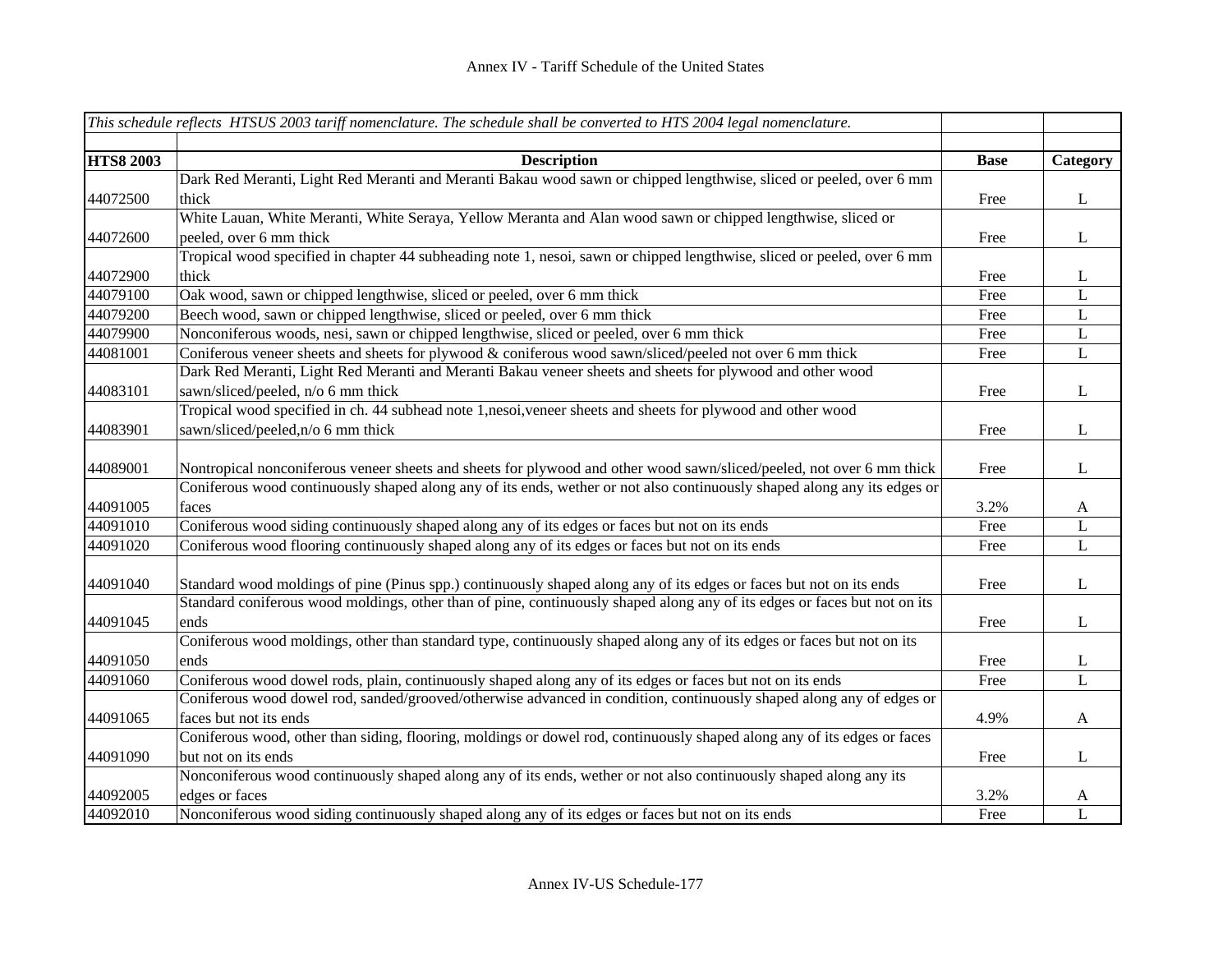|                  | This schedule reflects HTSUS 2003 tariff nomenclature. The schedule shall be converted to HTS 2004 legal nomenclature.    |             |              |
|------------------|---------------------------------------------------------------------------------------------------------------------------|-------------|--------------|
|                  |                                                                                                                           |             |              |
| <b>HTS8 2003</b> | <b>Description</b>                                                                                                        | <b>Base</b> | Category     |
|                  | Dark Red Meranti, Light Red Meranti and Meranti Bakau wood sawn or chipped lengthwise, sliced or peeled, over 6 mm        |             |              |
| 44072500         | thick                                                                                                                     | Free        | L            |
|                  | White Lauan, White Meranti, White Seraya, Yellow Meranta and Alan wood sawn or chipped lengthwise, sliced or              |             |              |
| 44072600         | peeled, over 6 mm thick                                                                                                   | Free        | L            |
|                  | Tropical wood specified in chapter 44 subheading note 1, nesoi, sawn or chipped lengthwise, sliced or peeled, over 6 mm   |             |              |
| 44072900         | thick                                                                                                                     | Free        | L            |
| 44079100         | Oak wood, sawn or chipped lengthwise, sliced or peeled, over 6 mm thick                                                   | Free        | L            |
| 44079200         | Beech wood, sawn or chipped lengthwise, sliced or peeled, over 6 mm thick                                                 | Free        | L            |
| 44079900         | Nonconiferous woods, nesi, sawn or chipped lengthwise, sliced or peeled, over 6 mm thick                                  | Free        | $\mathbf L$  |
| 44081001         | Coniferous veneer sheets and sheets for plywood & coniferous wood sawn/sliced/peeled not over 6 mm thick                  | Free        | $\mathbf L$  |
|                  | Dark Red Meranti, Light Red Meranti and Meranti Bakau veneer sheets and sheets for plywood and other wood                 |             |              |
| 44083101         | sawn/sliced/peeled, n/o 6 mm thick                                                                                        | Free        | L            |
|                  | Tropical wood specified in ch. 44 subhead note 1,nesoi, veneer sheets and sheets for plywood and other wood               |             |              |
| 44083901         | sawn/sliced/peeled, n/o 6 mm thick                                                                                        | Free        | L            |
|                  |                                                                                                                           |             |              |
| 44089001         | Nontropical nonconiferous veneer sheets and sheets for plywood and other wood sawn/sliced/peeled, not over 6 mm thick     | Free        | L            |
|                  | Coniferous wood continuously shaped along any of its ends, wether or not also continuously shaped along any its edges or  |             |              |
| 44091005         | faces                                                                                                                     | 3.2%        | A            |
| 44091010         | Coniferous wood siding continuously shaped along any of its edges or faces but not on its ends                            | Free        | L            |
| 44091020         | Coniferous wood flooring continuously shaped along any of its edges or faces but not on its ends                          | Free        | L            |
|                  |                                                                                                                           |             |              |
| 44091040         | Standard wood moldings of pine (Pinus spp.) continuously shaped along any of its edges or faces but not on its ends       | Free        | L            |
|                  | Standard coniferous wood moldings, other than of pine, continuously shaped along any of its edges or faces but not on its |             |              |
| 44091045         | ends                                                                                                                      | Free        | L            |
|                  | Coniferous wood moldings, other than standard type, continuously shaped along any of its edges or faces but not on its    |             |              |
| 44091050         | ends                                                                                                                      | Free        | L            |
| 44091060         | Coniferous wood dowel rods, plain, continuously shaped along any of its edges or faces but not on its ends                | Free        | $\mathbf{L}$ |
|                  | Coniferous wood dowel rod, sanded/grooved/otherwise advanced in condition, continuously shaped along any of edges or      |             |              |
| 44091065         | faces but not its ends                                                                                                    | 4.9%        | $\mathbf{A}$ |
|                  | Coniferous wood, other than siding, flooring, moldings or dowel rod, continuously shaped along any of its edges or faces  |             |              |
| 44091090         | but not on its ends                                                                                                       | Free        | L            |
|                  | Nonconiferous wood continuously shaped along any of its ends, wether or not also continuously shaped along any its        |             |              |
| 44092005         | edges or faces                                                                                                            | 3.2%        | A            |
| 44092010         | Nonconiferous wood siding continuously shaped along any of its edges or faces but not on its ends                         | Free        | $\mathbf{L}$ |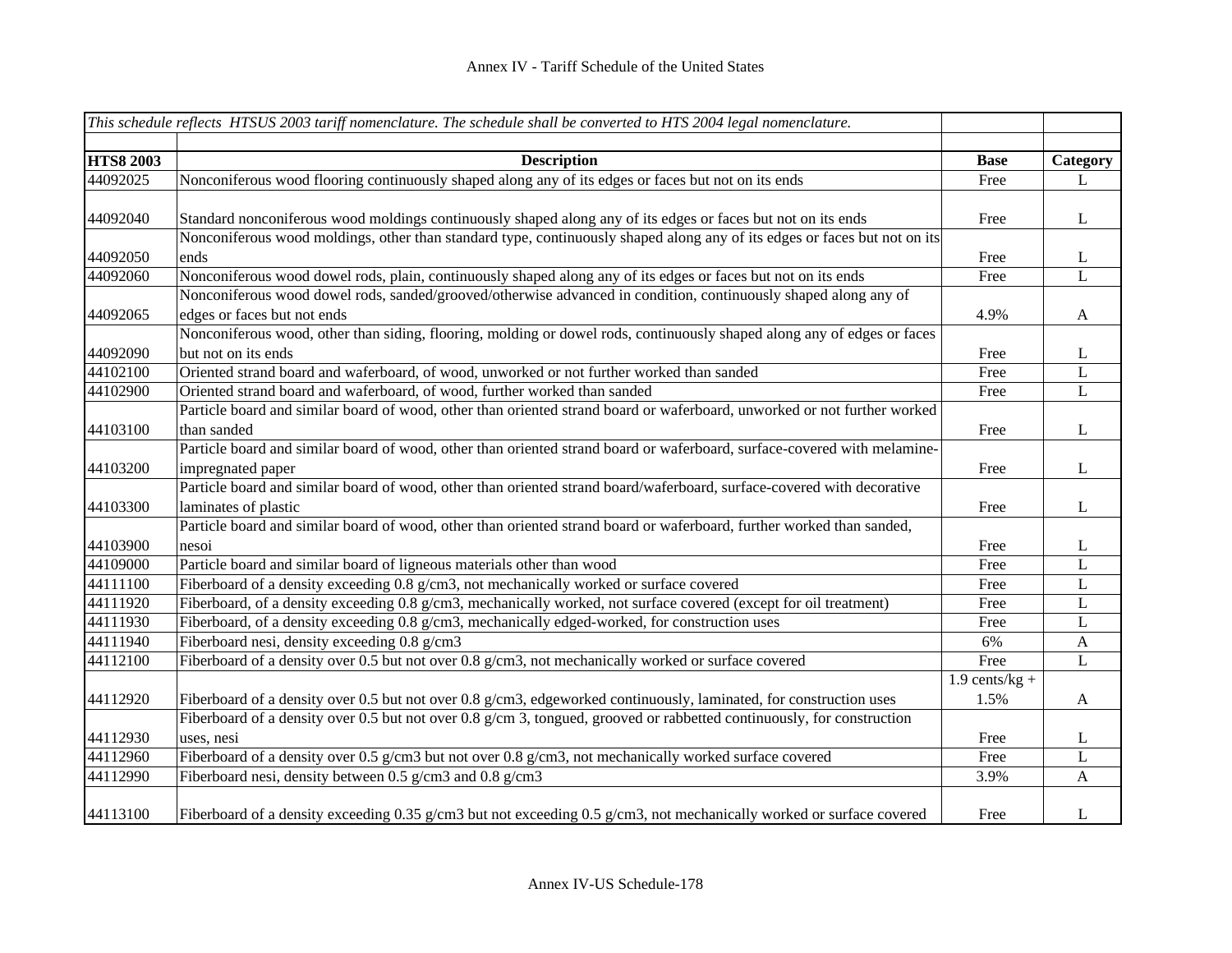|                  | This schedule reflects HTSUS 2003 tariff nomenclature. The schedule shall be converted to HTS 2004 legal nomenclature.    |                  |                  |
|------------------|---------------------------------------------------------------------------------------------------------------------------|------------------|------------------|
| <b>HTS8 2003</b> | <b>Description</b>                                                                                                        | <b>Base</b>      | Category         |
| 44092025         | Nonconiferous wood flooring continuously shaped along any of its edges or faces but not on its ends                       | Free             | L                |
|                  |                                                                                                                           |                  |                  |
| 44092040         | Standard nonconiferous wood moldings continuously shaped along any of its edges or faces but not on its ends              | Free             | L                |
|                  | Nonconiferous wood moldings, other than standard type, continuously shaped along any of its edges or faces but not on its |                  |                  |
| 44092050         | ends                                                                                                                      | Free             | $\Gamma$         |
| 44092060         | Nonconiferous wood dowel rods, plain, continuously shaped along any of its edges or faces but not on its ends             | Free             | $\overline{L}$   |
|                  | Nonconiferous wood dowel rods, sanded/grooved/otherwise advanced in condition, continuously shaped along any of           |                  |                  |
| 44092065         | edges or faces but not ends                                                                                               | 4.9%             | A                |
|                  | Nonconiferous wood, other than siding, flooring, molding or dowel rods, continuously shaped along any of edges or faces   |                  |                  |
| 44092090         | but not on its ends                                                                                                       | Free             | L                |
| 44102100         | Oriented strand board and waferboard, of wood, unworked or not further worked than sanded                                 | Free             | $\mathbf L$      |
| 44102900         | Oriented strand board and waferboard, of wood, further worked than sanded                                                 | Free             | $\mathbf L$      |
|                  | Particle board and similar board of wood, other than oriented strand board or waferboard, unworked or not further worked  |                  |                  |
| 44103100         | than sanded                                                                                                               | Free             | L                |
|                  | Particle board and similar board of wood, other than oriented strand board or waferboard, surface-covered with melamine-  |                  |                  |
| 44103200         | impregnated paper                                                                                                         | Free             | $\mathbf{L}$     |
|                  | Particle board and similar board of wood, other than oriented strand board/waferboard, surface-covered with decorative    |                  |                  |
| 44103300         | laminates of plastic                                                                                                      | Free             | L                |
|                  | Particle board and similar board of wood, other than oriented strand board or waferboard, further worked than sanded,     |                  |                  |
| 44103900         | nesoi                                                                                                                     | Free             | L                |
| 44109000         | Particle board and similar board of ligneous materials other than wood                                                    | Free             | $\mathbf{L}$     |
| 44111100         | Fiberboard of a density exceeding 0.8 g/cm3, not mechanically worked or surface covered                                   | Free             | L                |
| 44111920         | Fiberboard, of a density exceeding 0.8 g/cm3, mechanically worked, not surface covered (except for oil treatment)         | Free             | L                |
| 44111930         | Fiberboard, of a density exceeding 0.8 g/cm3, mechanically edged-worked, for construction uses                            | Free             | L                |
| 44111940         | Fiberboard nesi, density exceeding 0.8 g/cm3                                                                              | 6%               | $\mathbf{A}$     |
| 44112100         | Fiberboard of a density over 0.5 but not over 0.8 g/cm3, not mechanically worked or surface covered                       | Free             | L                |
|                  |                                                                                                                           | $1.9$ cents/kg + |                  |
| 44112920         | Fiberboard of a density over 0.5 but not over 0.8 g/cm3, edgeworked continuously, laminated, for construction uses        | 1.5%             | $\boldsymbol{A}$ |
|                  | Fiberboard of a density over 0.5 but not over 0.8 g/cm 3, tongued, grooved or rabbetted continuously, for construction    |                  |                  |
| 44112930         | uses, nesi                                                                                                                | Free             | L                |
| 44112960         | Fiberboard of a density over 0.5 g/cm3 but not over 0.8 g/cm3, not mechanically worked surface covered                    | Free             | $\mathbf L$      |
| 44112990         | Fiberboard nesi, density between 0.5 g/cm3 and 0.8 g/cm3                                                                  | 3.9%             | $\mathbf{A}$     |
|                  |                                                                                                                           |                  |                  |
| 44113100         | Fiberboard of a density exceeding 0.35 g/cm3 but not exceeding 0.5 g/cm3, not mechanically worked or surface covered      | Free             | L                |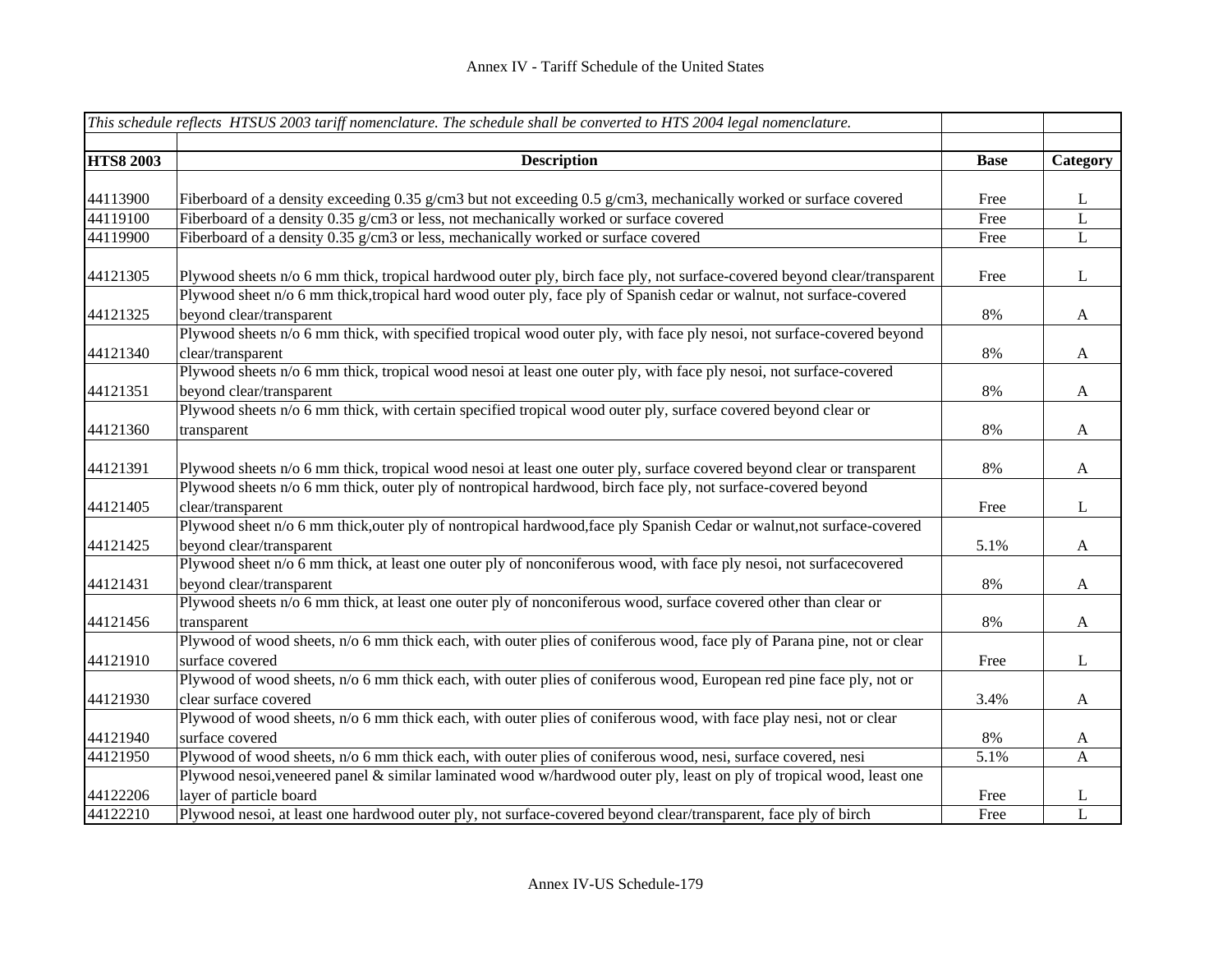|                  | This schedule reflects HTSUS 2003 tariff nomenclature. The schedule shall be converted to HTS 2004 legal nomenclature.                       |             |                  |
|------------------|----------------------------------------------------------------------------------------------------------------------------------------------|-------------|------------------|
| <b>HTS8 2003</b> | <b>Description</b>                                                                                                                           | <b>Base</b> | Category         |
|                  |                                                                                                                                              |             |                  |
| 44113900         | Fiberboard of a density exceeding 0.35 g/cm3 but not exceeding 0.5 g/cm3, mechanically worked or surface covered                             | Free        | L                |
| 44119100         | Fiberboard of a density 0.35 g/cm3 or less, not mechanically worked or surface covered                                                       | Free        | L                |
| 44119900         | Fiberboard of a density 0.35 g/cm3 or less, mechanically worked or surface covered                                                           | Free        | $\bf L$          |
| 44121305         | Plywood sheets n/o 6 mm thick, tropical hardwood outer ply, birch face ply, not surface-covered beyond clear/transparent                     | Free        | $\mathbf{L}$     |
|                  | Plywood sheet n/o 6 mm thick, tropical hard wood outer ply, face ply of Spanish cedar or walnut, not surface-covered                         |             |                  |
| 44121325         | beyond clear/transparent                                                                                                                     | 8%          | A                |
| 44121340         | Plywood sheets n/o 6 mm thick, with specified tropical wood outer ply, with face ply nesoi, not surface-covered beyond<br>clear/transparent  | 8%          | A                |
|                  | Plywood sheets n/o 6 mm thick, tropical wood nesoi at least one outer ply, with face ply nesoi, not surface-covered                          |             |                  |
| 44121351         | beyond clear/transparent                                                                                                                     | 8%          | A                |
|                  | Plywood sheets n/o 6 mm thick, with certain specified tropical wood outer ply, surface covered beyond clear or                               |             |                  |
| 44121360         | transparent                                                                                                                                  | 8%          | $\mathbf{A}$     |
|                  |                                                                                                                                              |             |                  |
| 44121391         | Plywood sheets n/o 6 mm thick, tropical wood nesoi at least one outer ply, surface covered beyond clear or transparent                       | 8%          | $\boldsymbol{A}$ |
|                  | Plywood sheets n/o 6 mm thick, outer ply of nontropical hardwood, birch face ply, not surface-covered beyond                                 |             |                  |
| 44121405         | clear/transparent                                                                                                                            | Free        | L                |
|                  | Plywood sheet n/o 6 mm thick, outer ply of nontropical hardwood, face ply Spanish Cedar or walnut, not surface-covered                       |             |                  |
| 44121425         | beyond clear/transparent                                                                                                                     | 5.1%        | $\mathbf{A}$     |
|                  | Plywood sheet n/o 6 mm thick, at least one outer ply of nonconiferous wood, with face ply nesoi, not surfacecovered                          |             |                  |
| 44121431         | beyond clear/transparent                                                                                                                     | 8%          | $\mathbf{A}$     |
|                  | Plywood sheets n/o 6 mm thick, at least one outer ply of nonconiferous wood, surface covered other than clear or                             |             |                  |
| 44121456         | transparent                                                                                                                                  | 8%          | $\mathbf{A}$     |
|                  | Plywood of wood sheets, n/o 6 mm thick each, with outer plies of coniferous wood, face ply of Parana pine, not or clear                      |             |                  |
| 44121910         | surface covered                                                                                                                              | Free        | $\mathbf{L}$     |
|                  | Plywood of wood sheets, n/o 6 mm thick each, with outer plies of coniferous wood, European red pine face ply, not or                         |             |                  |
| 44121930         | clear surface covered<br>Plywood of wood sheets, n/o 6 mm thick each, with outer plies of coniferous wood, with face play nesi, not or clear | 3.4%        | $\mathbf{A}$     |
| 44121940         | surface covered                                                                                                                              | $8\%$       | $\mathbf{A}$     |
| 44121950         | Plywood of wood sheets, n/o 6 mm thick each, with outer plies of coniferous wood, nesi, surface covered, nesi                                | 5.1%        | A                |
|                  | Plywood nesoi, veneered panel & similar laminated wood w/hardwood outer ply, least on ply of tropical wood, least one                        |             |                  |
| 44122206         | layer of particle board                                                                                                                      | Free        | L                |
| 44122210         | Plywood nesoi, at least one hardwood outer ply, not surface-covered beyond clear/transparent, face ply of birch                              | Free        | $\mathbf{L}$     |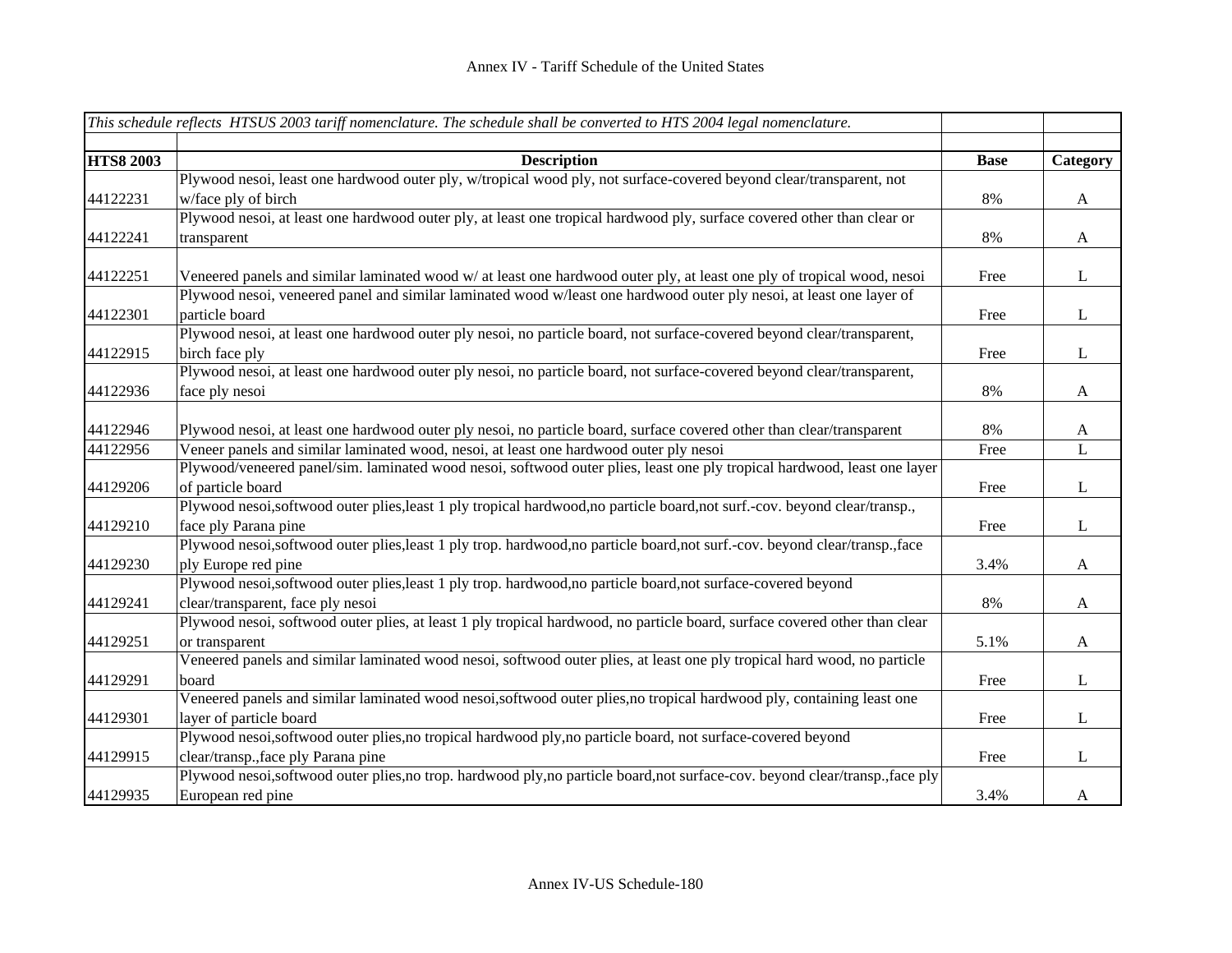|                  | This schedule reflects HTSUS 2003 tariff nomenclature. The schedule shall be converted to HTS 2004 legal nomenclature.        |             |              |
|------------------|-------------------------------------------------------------------------------------------------------------------------------|-------------|--------------|
| <b>HTS8 2003</b> | <b>Description</b>                                                                                                            | <b>Base</b> | Category     |
|                  | Plywood nesoi, least one hardwood outer ply, w/tropical wood ply, not surface-covered beyond clear/transparent, not           |             |              |
| 44122231         | w/face ply of birch                                                                                                           | 8%          | $\mathbf{A}$ |
|                  | Plywood nesoi, at least one hardwood outer ply, at least one tropical hardwood ply, surface covered other than clear or       |             |              |
| 44122241         | transparent                                                                                                                   | 8%          | $\mathbf{A}$ |
|                  |                                                                                                                               |             |              |
| 44122251         | Veneered panels and similar laminated wood w/ at least one hardwood outer ply, at least one ply of tropical wood, nesoi       | Free        | $\mathbf{L}$ |
|                  | Plywood nesoi, veneered panel and similar laminated wood w/least one hardwood outer ply nesoi, at least one layer of          |             |              |
| 44122301         | particle board                                                                                                                | Free        | $\mathbf{L}$ |
|                  | Plywood nesoi, at least one hardwood outer ply nesoi, no particle board, not surface-covered beyond clear/transparent,        |             |              |
| 44122915         | birch face ply                                                                                                                | Free        | L            |
|                  | Plywood nesoi, at least one hardwood outer ply nesoi, no particle board, not surface-covered beyond clear/transparent,        |             |              |
| 44122936         | face ply nesoi                                                                                                                | 8%          | $\mathbf{A}$ |
|                  |                                                                                                                               |             |              |
| 44122946         | Plywood nesoi, at least one hardwood outer ply nesoi, no particle board, surface covered other than clear/transparent         | 8%          | $\mathbf{A}$ |
| 44122956         | Veneer panels and similar laminated wood, nesoi, at least one hardwood outer ply nesoi                                        | Free        | $\mathbf{L}$ |
|                  | Plywood/veneered panel/sim. laminated wood nesoi, softwood outer plies, least one ply tropical hardwood, least one layer      |             |              |
| 44129206         | of particle board                                                                                                             | Free        | $\mathbf{L}$ |
|                  | Plywood nesoi,softwood outer plies, least 1 ply tropical hardwood, no particle board, not surf.-cov. beyond clear/transp.,    |             |              |
| 44129210         | face ply Parana pine                                                                                                          | Free        | $\bf L$      |
|                  | Plywood nesoi, softwood outer plies, least 1 ply trop. hardwood, no particle board, not surf.-cov. beyond clear/transp., face |             |              |
| 44129230         | ply Europe red pine                                                                                                           | 3.4%        | $\mathbf{A}$ |
|                  | Plywood nesoi,softwood outer plies, least 1 ply trop. hardwood, no particle board, not surface-covered beyond                 |             |              |
| 44129241         | clear/transparent, face ply nesoi                                                                                             | 8%          | $\mathbf{A}$ |
|                  | Plywood nesoi, softwood outer plies, at least 1 ply tropical hardwood, no particle board, surface covered other than clear    |             |              |
| 44129251         | or transparent                                                                                                                | 5.1%        | A            |
|                  | Veneered panels and similar laminated wood nesoi, softwood outer plies, at least one ply tropical hard wood, no particle      |             |              |
| 44129291         | board                                                                                                                         | Free        | L            |
|                  | Veneered panels and similar laminated wood nesoi,softwood outer plies,no tropical hardwood ply, containing least one          |             |              |
| 44129301         | layer of particle board                                                                                                       | Free        | $\mathbf{L}$ |
|                  | Plywood nesoi,softwood outer plies,no tropical hardwood ply,no particle board, not surface-covered beyond                     |             |              |
| 44129915         | clear/transp., face ply Parana pine                                                                                           | Free        | L            |
|                  | Plywood nesoi,softwood outer plies,no trop. hardwood ply,no particle board,not surface-cov. beyond clear/transp.,face ply     |             |              |
| 44129935         | European red pine                                                                                                             | 3.4%        | A            |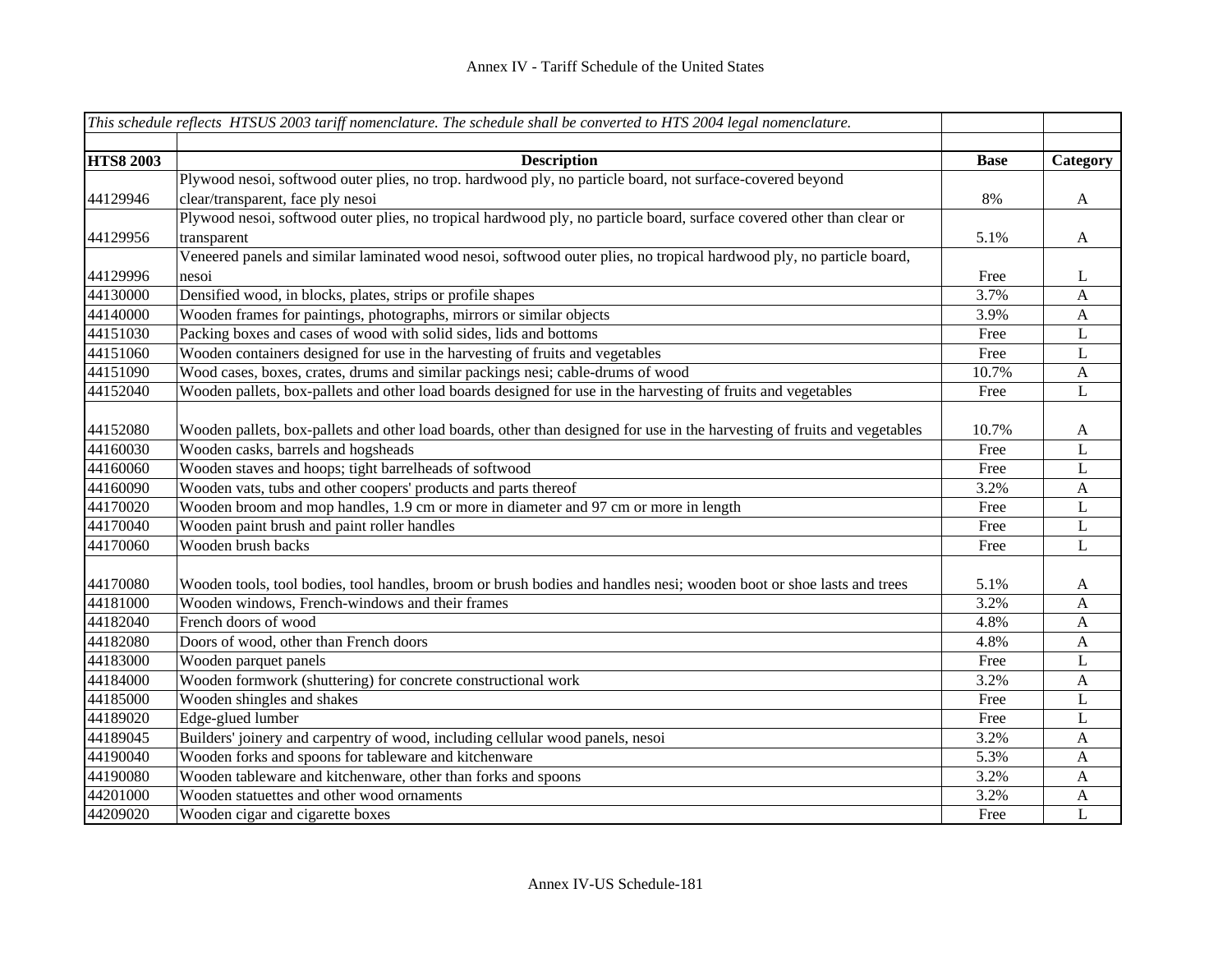|                  | This schedule reflects HTSUS 2003 tariff nomenclature. The schedule shall be converted to HTS 2004 legal nomenclature.    |             |              |
|------------------|---------------------------------------------------------------------------------------------------------------------------|-------------|--------------|
|                  |                                                                                                                           |             |              |
| <b>HTS8 2003</b> | <b>Description</b>                                                                                                        | <b>Base</b> | Category     |
|                  | Plywood nesoi, softwood outer plies, no trop. hardwood ply, no particle board, not surface-covered beyond                 |             |              |
| 44129946         | clear/transparent, face ply nesoi                                                                                         | 8%          | $\mathbf{A}$ |
|                  | Plywood nesoi, softwood outer plies, no tropical hardwood ply, no particle board, surface covered other than clear or     |             |              |
| 44129956         | transparent                                                                                                               | 5.1%        | $\mathbf{A}$ |
|                  | Veneered panels and similar laminated wood nesoi, softwood outer plies, no tropical hardwood ply, no particle board,      |             |              |
| 44129996         | nesoi                                                                                                                     | Free        | L            |
| 44130000         | Densified wood, in blocks, plates, strips or profile shapes                                                               | 3.7%        | $\mathbf{A}$ |
| 44140000         | Wooden frames for paintings, photographs, mirrors or similar objects                                                      | 3.9%        | $\mathbf{A}$ |
| 44151030         | Packing boxes and cases of wood with solid sides, lids and bottoms                                                        | Free        | L            |
| 44151060         | Wooden containers designed for use in the harvesting of fruits and vegetables                                             | Free        | L            |
| 44151090         | Wood cases, boxes, crates, drums and similar packings nesi; cable-drums of wood                                           | 10.7%       | $\mathbf{A}$ |
| 44152040         | Wooden pallets, box-pallets and other load boards designed for use in the harvesting of fruits and vegetables             | Free        | L            |
|                  |                                                                                                                           |             |              |
| 44152080         | Wooden pallets, box-pallets and other load boards, other than designed for use in the harvesting of fruits and vegetables | 10.7%       | $\mathbf{A}$ |
| 44160030         | Wooden casks, barrels and hogsheads                                                                                       | Free        | $\mathbf L$  |
| 44160060         | Wooden staves and hoops; tight barrelheads of softwood                                                                    | Free        | $\mathbf L$  |
| 44160090         | Wooden vats, tubs and other coopers' products and parts thereof                                                           | 3.2%        | $\mathbf{A}$ |
| 44170020         | Wooden broom and mop handles, 1.9 cm or more in diameter and 97 cm or more in length                                      | Free        | $\bf L$      |
| 44170040         | Wooden paint brush and paint roller handles                                                                               | Free        | $\bf L$      |
| 44170060         | Wooden brush backs                                                                                                        | Free        | L            |
|                  |                                                                                                                           |             |              |
| 44170080         | Wooden tools, tool bodies, tool handles, broom or brush bodies and handles nesi; wooden boot or shoe lasts and trees      | 5.1%        | A            |
| 44181000         | Wooden windows, French-windows and their frames                                                                           | 3.2%        | A            |
| 44182040         | French doors of wood                                                                                                      | 4.8%        | A            |
| 44182080         | Doors of wood, other than French doors                                                                                    | 4.8%        | A            |
| 44183000         | Wooden parquet panels                                                                                                     | Free        | L            |
| 44184000         | Wooden formwork (shuttering) for concrete constructional work                                                             | 3.2%        | $\mathbf{A}$ |
| 44185000         | Wooden shingles and shakes                                                                                                | Free        | L            |
| 44189020         | Edge-glued lumber                                                                                                         | Free        | $\mathbf L$  |
| 44189045         | Builders' joinery and carpentry of wood, including cellular wood panels, nesoi                                            | 3.2%        | $\mathbf{A}$ |
| 44190040         | Wooden forks and spoons for tableware and kitchenware                                                                     | 5.3%        | $\mathbf{A}$ |
| 44190080         | Wooden tableware and kitchenware, other than forks and spoons                                                             | 3.2%        | A            |
| 44201000         | Wooden statuettes and other wood ornaments                                                                                | 3.2%        | $\mathbf{A}$ |
| 44209020         | Wooden cigar and cigarette boxes                                                                                          | Free        | L            |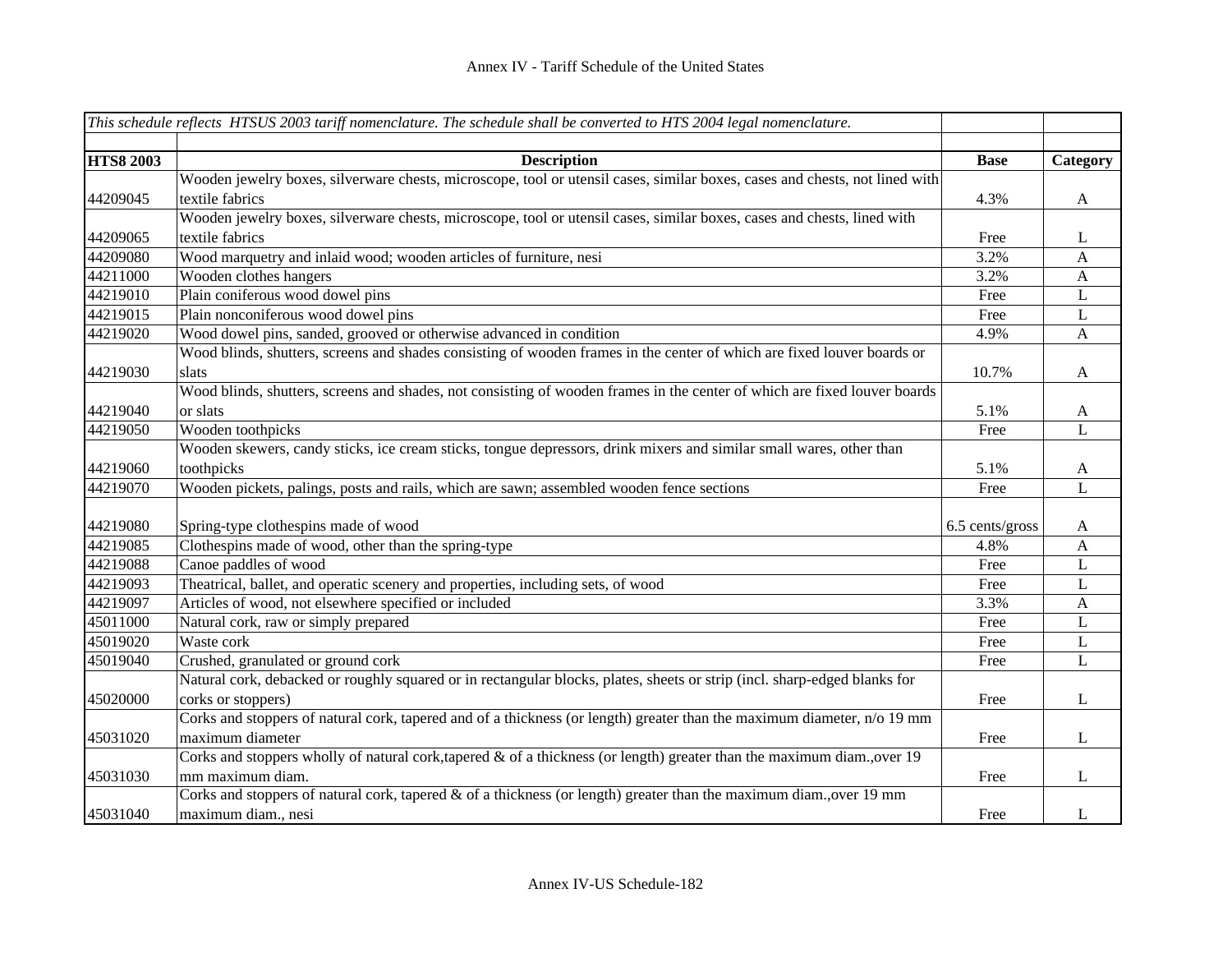|                  | This schedule reflects HTSUS 2003 tariff nomenclature. The schedule shall be converted to HTS 2004 legal nomenclature.      |                 |                           |
|------------------|-----------------------------------------------------------------------------------------------------------------------------|-----------------|---------------------------|
|                  |                                                                                                                             |                 |                           |
| <b>HTS8 2003</b> | <b>Description</b>                                                                                                          | <b>Base</b>     | Category                  |
|                  | Wooden jewelry boxes, silverware chests, microscope, tool or utensil cases, similar boxes, cases and chests, not lined with |                 |                           |
| 44209045         | textile fabrics                                                                                                             | 4.3%            | $\boldsymbol{\mathsf{A}}$ |
|                  | Wooden jewelry boxes, silverware chests, microscope, tool or utensil cases, similar boxes, cases and chests, lined with     |                 |                           |
| 44209065         | textile fabrics                                                                                                             | Free            | L                         |
| 44209080         | Wood marquetry and inlaid wood; wooden articles of furniture, nesi                                                          | 3.2%            | $\mathbf{A}$              |
| 44211000         | Wooden clothes hangers                                                                                                      | 3.2%            | $\boldsymbol{A}$          |
| 44219010         | Plain coniferous wood dowel pins                                                                                            | Free            | L                         |
| 44219015         | Plain nonconiferous wood dowel pins                                                                                         | Free            | $\bf L$                   |
| 44219020         | Wood dowel pins, sanded, grooved or otherwise advanced in condition                                                         | 4.9%            | $\boldsymbol{A}$          |
|                  | Wood blinds, shutters, screens and shades consisting of wooden frames in the center of which are fixed louver boards or     |                 |                           |
| 44219030         | slats                                                                                                                       | 10.7%           | $\mathbf{A}$              |
|                  | Wood blinds, shutters, screens and shades, not consisting of wooden frames in the center of which are fixed louver boards   |                 |                           |
| 44219040         | or slats                                                                                                                    | 5.1%            | A                         |
| 44219050         | Wooden toothpicks                                                                                                           | Free            | $\bf L$                   |
|                  | Wooden skewers, candy sticks, ice cream sticks, tongue depressors, drink mixers and similar small wares, other than         |                 |                           |
| 44219060         | toothpicks                                                                                                                  | 5.1%            | A                         |
| 44219070         | Wooden pickets, palings, posts and rails, which are sawn; assembled wooden fence sections                                   | Free            | $\bf L$                   |
|                  |                                                                                                                             |                 |                           |
| 44219080         | Spring-type clothespins made of wood                                                                                        | 6.5 cents/gross | A                         |
| 44219085         | Clothespins made of wood, other than the spring-type                                                                        | 4.8%            | $\mathbf{A}$              |
| 44219088         | Canoe paddles of wood                                                                                                       | Free            | $\mathbf L$               |
| 44219093         | Theatrical, ballet, and operatic scenery and properties, including sets, of wood                                            | Free            | L                         |
| 44219097         | Articles of wood, not elsewhere specified or included                                                                       | 3.3%            | $\boldsymbol{\mathsf{A}}$ |
| 45011000         | Natural cork, raw or simply prepared                                                                                        | Free            | $\mathbf L$               |
| 45019020         | Waste cork                                                                                                                  | Free            | L                         |
| 45019040         | Crushed, granulated or ground cork                                                                                          | Free            | $\overline{L}$            |
|                  | Natural cork, debacked or roughly squared or in rectangular blocks, plates, sheets or strip (incl. sharp-edged blanks for   |                 |                           |
| 45020000         | corks or stoppers)                                                                                                          | Free            | L                         |
|                  | Corks and stoppers of natural cork, tapered and of a thickness (or length) greater than the maximum diameter, n/o 19 mm     |                 |                           |
| 45031020         | maximum diameter                                                                                                            | Free            | L                         |
|                  | Corks and stoppers wholly of natural cork, tapered $\&$ of a thickness (or length) greater than the maximum diam., over 19  |                 |                           |
| 45031030         | mm maximum diam.                                                                                                            | Free            | L                         |
|                  | Corks and stoppers of natural cork, tapered $\&$ of a thickness (or length) greater than the maximum diam., over 19 mm      |                 |                           |
| 45031040         | maximum diam., nesi                                                                                                         | Free            | L                         |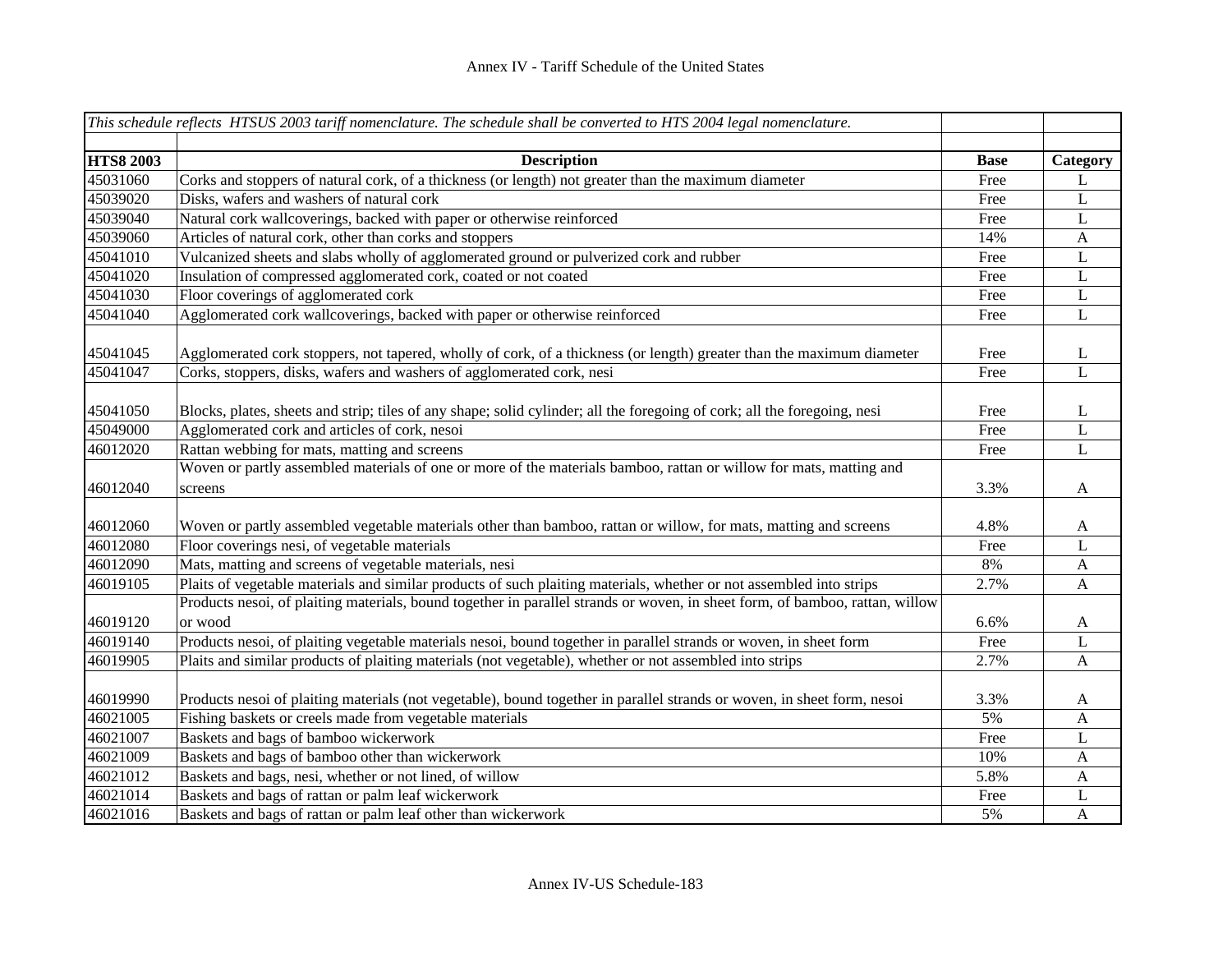|                  | This schedule reflects HTSUS 2003 tariff nomenclature. The schedule shall be converted to HTS 2004 legal nomenclature.                                             |             |              |
|------------------|--------------------------------------------------------------------------------------------------------------------------------------------------------------------|-------------|--------------|
|                  |                                                                                                                                                                    |             |              |
| <b>HTS8 2003</b> | <b>Description</b>                                                                                                                                                 | <b>Base</b> | Category     |
| 45031060         | Corks and stoppers of natural cork, of a thickness (or length) not greater than the maximum diameter                                                               | Free        | L            |
| 45039020         | Disks, wafers and washers of natural cork                                                                                                                          | Free        | $\mathbf L$  |
| 45039040         | Natural cork wallcoverings, backed with paper or otherwise reinforced                                                                                              | Free        | $\mathbf L$  |
| 45039060         | Articles of natural cork, other than corks and stoppers                                                                                                            | 14%         | $\mathbf{A}$ |
| 45041010         | Vulcanized sheets and slabs wholly of agglomerated ground or pulverized cork and rubber                                                                            | Free        | $\mathbf L$  |
| 45041020         | Insulation of compressed agglomerated cork, coated or not coated                                                                                                   | Free        | $\mathbf L$  |
| 45041030         | Floor coverings of agglomerated cork                                                                                                                               | Free        | $\mathbf L$  |
| 45041040         | Agglomerated cork wallcoverings, backed with paper or otherwise reinforced                                                                                         | Free        | L            |
|                  |                                                                                                                                                                    |             |              |
| 45041045         | Agglomerated cork stoppers, not tapered, wholly of cork, of a thickness (or length) greater than the maximum diameter                                              | Free        | L            |
| 45041047         | Corks, stoppers, disks, wafers and washers of agglomerated cork, nesi                                                                                              | Free        | L            |
|                  |                                                                                                                                                                    |             |              |
| 45041050         | Blocks, plates, sheets and strip; tiles of any shape; solid cylinder; all the foregoing of cork; all the foregoing, nesi                                           | Free        | L            |
| 45049000         | Agglomerated cork and articles of cork, nesoi                                                                                                                      | Free        | L            |
| 46012020         | Rattan webbing for mats, matting and screens<br>Woven or partly assembled materials of one or more of the materials bamboo, rattan or willow for mats, matting and | Free        | $\mathbf L$  |
|                  |                                                                                                                                                                    |             |              |
| 46012040         | screens                                                                                                                                                            | 3.3%        | $\mathbf{A}$ |
| 46012060         | Woven or partly assembled vegetable materials other than bamboo, rattan or willow, for mats, matting and screens                                                   | 4.8%        | A            |
| 46012080         | Floor coverings nesi, of vegetable materials                                                                                                                       | Free        | L            |
| 46012090         | Mats, matting and screens of vegetable materials, nesi                                                                                                             | 8%          | $\mathbf{A}$ |
| 46019105         | Plaits of vegetable materials and similar products of such plaiting materials, whether or not assembled into strips                                                | 2.7%        | A            |
|                  | Products nesoi, of plaiting materials, bound together in parallel strands or woven, in sheet form, of bamboo, rattan, willow                                       |             |              |
| 46019120         | or wood                                                                                                                                                            | 6.6%        | A            |
| 46019140         | Products nesoi, of plaiting vegetable materials nesoi, bound together in parallel strands or woven, in sheet form                                                  | Free        | L            |
| 46019905         | Plaits and similar products of plaiting materials (not vegetable), whether or not assembled into strips                                                            | 2.7%        | $\mathbf{A}$ |
|                  |                                                                                                                                                                    |             |              |
| 46019990         | Products nesoi of plaiting materials (not vegetable), bound together in parallel strands or woven, in sheet form, nesoi                                            | 3.3%        | $\mathbf{A}$ |
| 46021005         | Fishing baskets or creels made from vegetable materials                                                                                                            | 5%          | $\mathbf{A}$ |
| 46021007         | Baskets and bags of bamboo wickerwork                                                                                                                              | Free        | $\mathbf L$  |
| 46021009         | Baskets and bags of bamboo other than wickerwork                                                                                                                   | 10%         | $\mathbf{A}$ |
| 46021012         | Baskets and bags, nesi, whether or not lined, of willow                                                                                                            | 5.8%        | $\mathbf{A}$ |
| 46021014         | Baskets and bags of rattan or palm leaf wickerwork                                                                                                                 | Free        | L            |
| 46021016         | Baskets and bags of rattan or palm leaf other than wickerwork                                                                                                      | 5%          | $\mathbf{A}$ |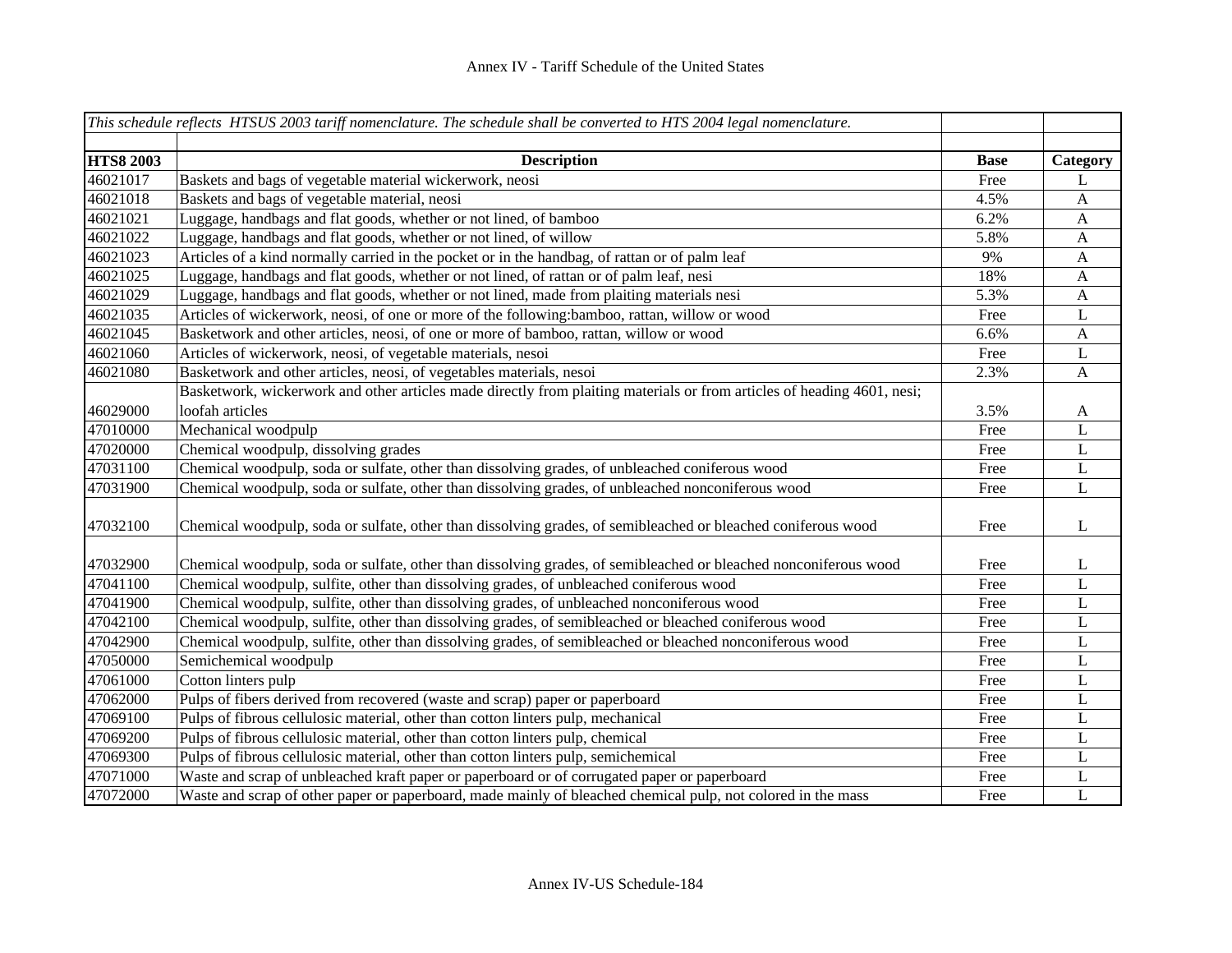|                  | This schedule reflects HTSUS 2003 tariff nomenclature. The schedule shall be converted to HTS 2004 legal nomenclature.  |             |               |
|------------------|-------------------------------------------------------------------------------------------------------------------------|-------------|---------------|
| <b>HTS8 2003</b> | <b>Description</b>                                                                                                      | <b>Base</b> |               |
| 46021017         | Baskets and bags of vegetable material wickerwork, neosi                                                                | Free        | Category<br>L |
| 46021018         | Baskets and bags of vegetable material, neosi                                                                           | 4.5%        |               |
|                  |                                                                                                                         |             | A             |
| 46021021         | Luggage, handbags and flat goods, whether or not lined, of bamboo                                                       | 6.2%        | A             |
| 46021022         | Luggage, handbags and flat goods, whether or not lined, of willow                                                       | 5.8%        | A             |
| 46021023         | Articles of a kind normally carried in the pocket or in the handbag, of rattan or of palm leaf                          | 9%          | A             |
| 46021025         | Luggage, handbags and flat goods, whether or not lined, of rattan or of palm leaf, nesi                                 | 18%         | A             |
| 46021029         | Luggage, handbags and flat goods, whether or not lined, made from plaiting materials nesi                               | 5.3%        | A             |
| 46021035         | Articles of wickerwork, neosi, of one or more of the following: bamboo, rattan, willow or wood                          | Free        | L             |
| 46021045         | Basketwork and other articles, neosi, of one or more of bamboo, rattan, willow or wood                                  | 6.6%        | A             |
| 46021060         | Articles of wickerwork, neosi, of vegetable materials, nesoi                                                            | Free        | L             |
| 46021080         | Basketwork and other articles, neosi, of vegetables materials, nesoi                                                    | 2.3%        | A             |
|                  | Basketwork, wickerwork and other articles made directly from plaiting materials or from articles of heading 4601, nesi; |             |               |
| 46029000         | loofah articles                                                                                                         | 3.5%        | A             |
| 47010000         | Mechanical woodpulp                                                                                                     | Free        | L             |
| 47020000         | Chemical woodpulp, dissolving grades                                                                                    | Free        | L             |
| 47031100         | Chemical woodpulp, soda or sulfate, other than dissolving grades, of unbleached coniferous wood                         | Free        | L             |
| 47031900         | Chemical woodpulp, soda or sulfate, other than dissolving grades, of unbleached nonconiferous wood                      | Free        | $\mathbf L$   |
| 47032100         | Chemical woodpulp, soda or sulfate, other than dissolving grades, of semibleached or bleached coniferous wood           | Free        | L             |
| 47032900         | Chemical woodpulp, soda or sulfate, other than dissolving grades, of semibleached or bleached nonconiferous wood        | Free        | L             |
| 47041100         | Chemical woodpulp, sulfite, other than dissolving grades, of unbleached coniferous wood                                 | Free        | $\mathbf{L}$  |
| 47041900         | Chemical woodpulp, sulfite, other than dissolving grades, of unbleached nonconiferous wood                              | Free        | L             |
| 47042100         | Chemical woodpulp, sulfite, other than dissolving grades, of semibleached or bleached coniferous wood                   | Free        | L             |
| 47042900         | Chemical woodpulp, sulfite, other than dissolving grades, of semibleached or bleached nonconiferous wood                | Free        | L             |
| 47050000         | Semichemical woodpulp                                                                                                   | Free        | L             |
| 47061000         | Cotton linters pulp                                                                                                     | Free        | L             |
| 47062000         | Pulps of fibers derived from recovered (waste and scrap) paper or paperboard                                            | Free        | L             |
| 47069100         | Pulps of fibrous cellulosic material, other than cotton linters pulp, mechanical                                        | Free        | L             |
| 47069200         | Pulps of fibrous cellulosic material, other than cotton linters pulp, chemical                                          | Free        | L             |
| 47069300         | Pulps of fibrous cellulosic material, other than cotton linters pulp, semichemical                                      | Free        | L             |
| 47071000         | Waste and scrap of unbleached kraft paper or paperboard or of corrugated paper or paperboard                            | Free        | L             |
| 47072000         | Waste and scrap of other paper or paperboard, made mainly of bleached chemical pulp, not colored in the mass            | Free        | L             |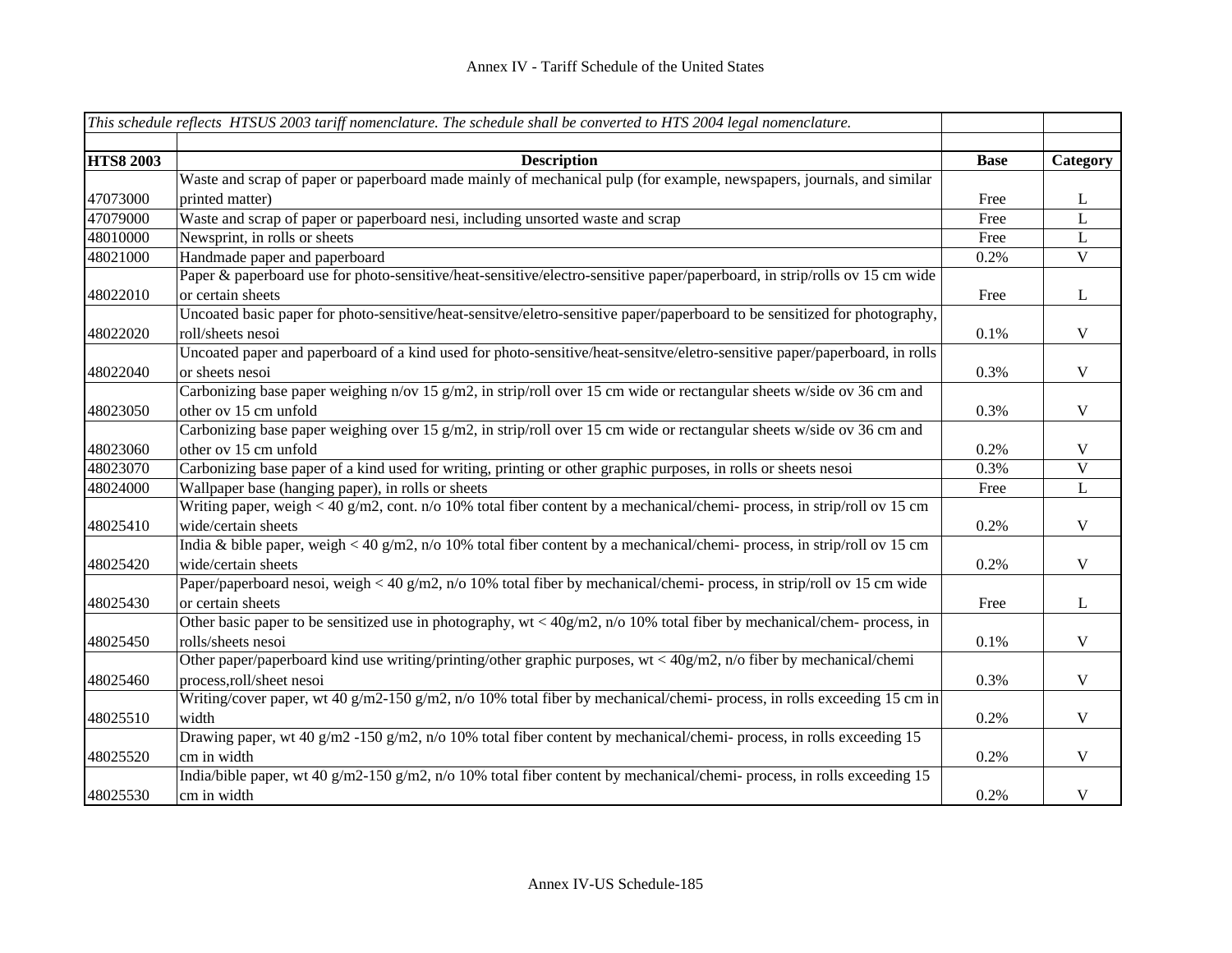|                  | This schedule reflects HTSUS 2003 tariff nomenclature. The schedule shall be converted to HTS 2004 legal nomenclature.     |             |                         |
|------------------|----------------------------------------------------------------------------------------------------------------------------|-------------|-------------------------|
|                  |                                                                                                                            |             |                         |
| <b>HTS8 2003</b> | <b>Description</b>                                                                                                         | <b>Base</b> | Category                |
|                  | Waste and scrap of paper or paperboard made mainly of mechanical pulp (for example, newspapers, journals, and similar      |             |                         |
| 47073000         | printed matter)                                                                                                            | Free        | L                       |
| 47079000         | Waste and scrap of paper or paperboard nesi, including unsorted waste and scrap                                            | Free        | $\mathbf{L}$            |
| 48010000         | Newsprint, in rolls or sheets                                                                                              | Free        | $\mathbf{L}$            |
| 48021000         | Handmade paper and paperboard                                                                                              | 0.2%        | $\overline{\mathbf{V}}$ |
|                  | Paper & paperboard use for photo-sensitive/heat-sensitive/electro-sensitive paper/paperboard, in strip/rolls ov 15 cm wide |             |                         |
| 48022010         | or certain sheets                                                                                                          | Free        | $\mathbf{L}$            |
|                  | Uncoated basic paper for photo-sensitive/heat-sensitve/eletro-sensitive paper/paperboard to be sensitized for photography, |             |                         |
| 48022020         | roll/sheets nesoi                                                                                                          | 0.1%        | $\mathbf V$             |
|                  | Uncoated paper and paperboard of a kind used for photo-sensitive/heat-sensitve/eletro-sensitive paper/paperboard, in rolls |             |                         |
| 48022040         | or sheets nesoi                                                                                                            | 0.3%        | $\mathbf V$             |
|                  | Carbonizing base paper weighing n/ov 15 g/m2, in strip/roll over 15 cm wide or rectangular sheets w/side ov 36 cm and      |             |                         |
| 48023050         | other ov 15 cm unfold                                                                                                      | 0.3%        | $\mathbf{V}$            |
|                  | Carbonizing base paper weighing over 15 g/m2, in strip/roll over 15 cm wide or rectangular sheets w/side ov 36 cm and      |             |                         |
| 48023060         | other ov 15 cm unfold                                                                                                      | 0.2%        | $\mathbf V$             |
| 48023070         | Carbonizing base paper of a kind used for writing, printing or other graphic purposes, in rolls or sheets nesoi            | 0.3%        | $\overline{\text{V}}$   |
| 48024000         | Wallpaper base (hanging paper), in rolls or sheets                                                                         | Free        | $\bf L$                 |
|                  | Writing paper, weigh < 40 g/m2, cont. $n/0$ 10% total fiber content by a mechanical/chemi- process, in strip/roll ov 15 cm |             |                         |
| 48025410         | wide/certain sheets                                                                                                        | 0.2%        | $\mathbf V$             |
|                  | India & bible paper, weigh < 40 g/m2, n/o 10% total fiber content by a mechanical/chemi- process, in strip/roll ov 15 cm   |             |                         |
| 48025420         | wide/certain sheets                                                                                                        | 0.2%        | $\mathbf V$             |
|                  | Paper/paperboard nesoi, weigh < 40 g/m2, n/o 10% total fiber by mechanical/chemi- process, in strip/roll ov 15 cm wide     |             |                         |
| 48025430         | or certain sheets                                                                                                          | Free        | $\bf L$                 |
|                  | Other basic paper to be sensitized use in photography, wt < $40g/m2$ , n/o 10% total fiber by mechanical/chem-process, in  |             |                         |
| 48025450         | rolls/sheets nesoi                                                                                                         | 0.1%        | $\mathbf V$             |
|                  | Other paper/paperboard kind use writing/printing/other graphic purposes, $wt < 40g/m2$ , n/o fiber by mechanical/chemi     |             |                         |
| 48025460         | process,roll/sheet nesoi                                                                                                   | 0.3%        | $\mathbf V$             |
|                  | Writing/cover paper, wt 40 g/m2-150 g/m2, n/o 10% total fiber by mechanical/chemi- process, in rolls exceeding 15 cm in    |             |                         |
| 48025510         | width                                                                                                                      | 0.2%        | $\mathbf V$             |
|                  | Drawing paper, wt 40 g/m2 -150 g/m2, n/o 10% total fiber content by mechanical/chemi- process, in rolls exceeding 15       |             |                         |
| 48025520         | cm in width                                                                                                                | 0.2%        | $\mathbf{V}$            |
|                  | India/bible paper, wt 40 g/m2-150 g/m2, n/o 10% total fiber content by mechanical/chemi- process, in rolls exceeding 15    |             |                         |
| 48025530         | cm in width                                                                                                                | 0.2%        | $\mathbf V$             |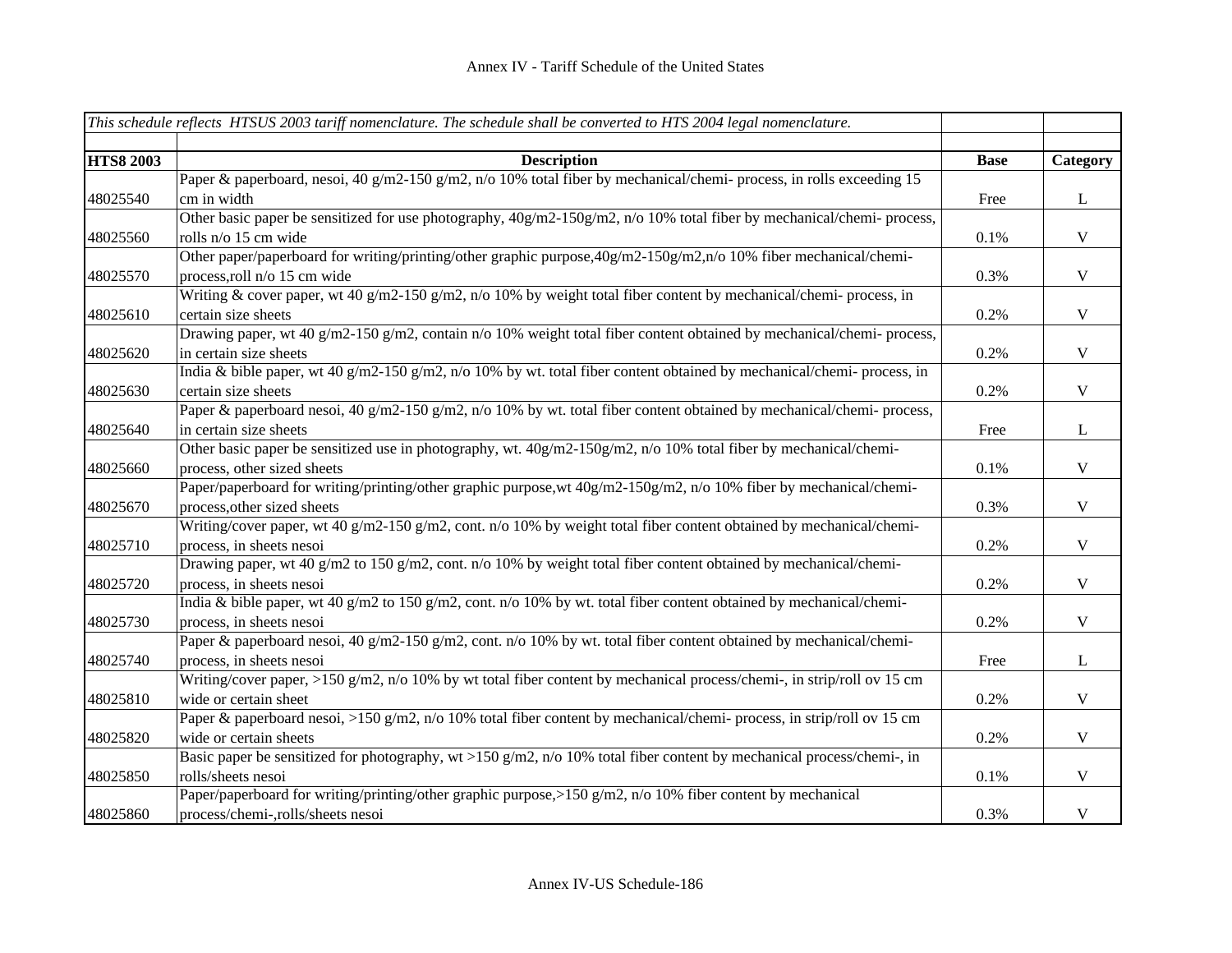|                  | This schedule reflects HTSUS 2003 tariff nomenclature. The schedule shall be converted to HTS 2004 legal nomenclature.                             |             |              |
|------------------|----------------------------------------------------------------------------------------------------------------------------------------------------|-------------|--------------|
|                  |                                                                                                                                                    |             |              |
| <b>HTS8 2003</b> | <b>Description</b>                                                                                                                                 | <b>Base</b> | Category     |
| 48025540         | Paper & paperboard, nesoi, 40 g/m2-150 g/m2, n/o 10% total fiber by mechanical/chemi- process, in rolls exceeding 15<br>cm in width                | Free        | $\mathbf{L}$ |
| 48025560         | Other basic paper be sensitized for use photography, 40g/m2-150g/m2, n/o 10% total fiber by mechanical/chemi-process,<br>rolls n/o 15 cm wide      | 0.1%        | $\mathbf{V}$ |
| 48025570         | Other paper/paperboard for writing/printing/other graphic purpose, 40g/m2-150g/m2, n/o 10% fiber mechanical/chemi-<br>process, roll n/o 15 cm wide | 0.3%        | $\mathbf{V}$ |
| 48025610         | Writing & cover paper, wt 40 g/m2-150 g/m2, n/o 10% by weight total fiber content by mechanical/chemi- process, in<br>certain size sheets          | 0.2%        | $\mathbf V$  |
| 48025620         | Drawing paper, wt 40 g/m2-150 g/m2, contain n/o 10% weight total fiber content obtained by mechanical/chemi-process,<br>in certain size sheets     | 0.2%        | $\mathbf V$  |
| 48025630         | India & bible paper, wt 40 g/m2-150 g/m2, n/o 10% by wt. total fiber content obtained by mechanical/chemi- process, in<br>certain size sheets      | 0.2%        | $\mathbf{V}$ |
| 48025640         | Paper & paperboard nesoi, 40 g/m2-150 g/m2, n/o 10% by wt. total fiber content obtained by mechanical/chemi-process,<br>in certain size sheets     | Free        | $\mathbf L$  |
| 48025660         | Other basic paper be sensitized use in photography, wt. 40g/m2-150g/m2, n/o 10% total fiber by mechanical/chemi-<br>process, other sized sheets    | 0.1%        | $\mathbf V$  |
| 48025670         | Paper/paperboard for writing/printing/other graphic purpose, wt 40g/m2-150g/m2, n/o 10% fiber by mechanical/chemi-<br>process, other sized sheets  | 0.3%        | $\mathbf V$  |
| 48025710         | Writing/cover paper, wt 40 g/m2-150 g/m2, cont. n/o 10% by weight total fiber content obtained by mechanical/chemi-<br>process, in sheets nesoi    | 0.2%        | $\mathbf V$  |
| 48025720         | Drawing paper, wt 40 g/m2 to 150 g/m2, cont. n/o 10% by weight total fiber content obtained by mechanical/chemi-<br>process, in sheets nesoi       | 0.2%        | $\mathbf V$  |
| 48025730         | India & bible paper, wt 40 g/m2 to 150 g/m2, cont. n/o 10% by wt. total fiber content obtained by mechanical/chemi-<br>process, in sheets nesoi    | 0.2%        | $\mathbf V$  |
| 48025740         | Paper & paperboard nesoi, 40 g/m2-150 g/m2, cont. n/o 10% by wt. total fiber content obtained by mechanical/chemi-<br>process, in sheets nesoi     | Free        | $\mathbf{L}$ |
| 48025810         | Writing/cover paper, >150 g/m2, n/o 10% by wt total fiber content by mechanical process/chemi-, in strip/roll ov 15 cm<br>wide or certain sheet    | 0.2%        | $\mathbf V$  |
| 48025820         | Paper & paperboard nesoi, >150 g/m2, n/o 10% total fiber content by mechanical/chemi- process, in strip/roll ov 15 cm<br>wide or certain sheets    | 0.2%        | $\mathbf V$  |
| 48025850         | Basic paper be sensitized for photography, wt >150 g/m2, n/o 10% total fiber content by mechanical process/chemi-, in<br>rolls/sheets nesoi        | 0.1%        | $\mathbf V$  |
| 48025860         | Paper/paperboard for writing/printing/other graphic purpose, >150 g/m2, n/o 10% fiber content by mechanical<br>process/chemi-,rolls/sheets nesoi   | 0.3%        | $\mathbf V$  |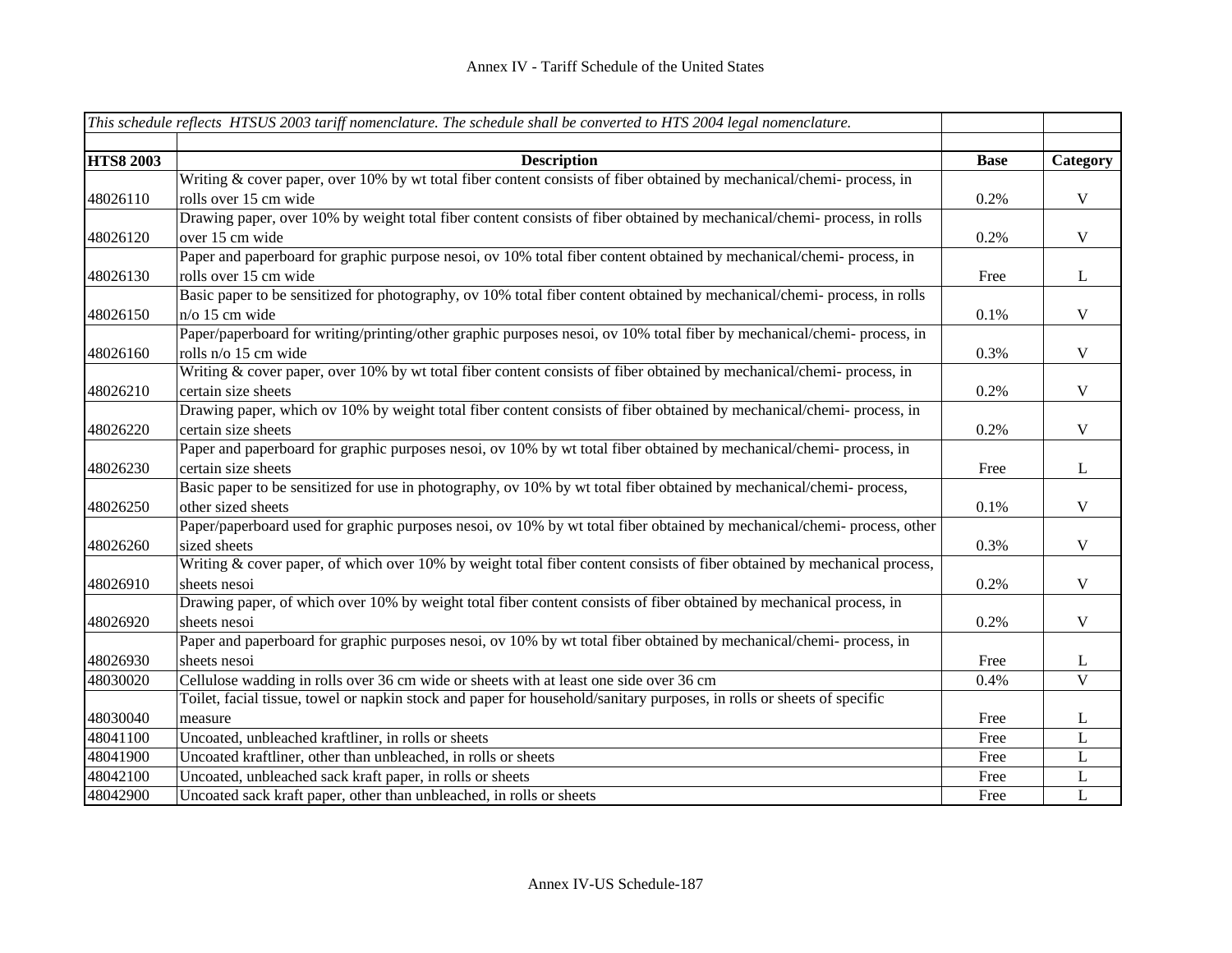|                  | This schedule reflects HTSUS 2003 tariff nomenclature. The schedule shall be converted to HTS 2004 legal nomenclature.   |             |                |
|------------------|--------------------------------------------------------------------------------------------------------------------------|-------------|----------------|
| <b>HTS8 2003</b> | <b>Description</b>                                                                                                       | <b>Base</b> | Category       |
|                  | Writing & cover paper, over 10% by wt total fiber content consists of fiber obtained by mechanical/chemi- process, in    |             |                |
| 48026110         | rolls over 15 cm wide                                                                                                    | 0.2%        | $\mathbf V$    |
|                  | Drawing paper, over 10% by weight total fiber content consists of fiber obtained by mechanical/chemi- process, in rolls  |             |                |
| 48026120         | over 15 cm wide                                                                                                          | 0.2%        | $\mathbf V$    |
|                  | Paper and paperboard for graphic purpose nesoi, ov 10% total fiber content obtained by mechanical/chemi- process, in     |             |                |
| 48026130         | rolls over 15 cm wide                                                                                                    | Free        | $\bf L$        |
|                  | Basic paper to be sensitized for photography, ov 10% total fiber content obtained by mechanical/chemi- process, in rolls |             |                |
| 48026150         | $n$ /o 15 cm wide                                                                                                        | 0.1%        | $\mathbf V$    |
|                  | Paper/paperboard for writing/printing/other graphic purposes nesoi, ov 10% total fiber by mechanical/chemi-process, in   |             |                |
| 48026160         | rolls n/o 15 cm wide                                                                                                     | 0.3%        | $\mathbf V$    |
|                  | Writing & cover paper, over 10% by wt total fiber content consists of fiber obtained by mechanical/chemi- process, in    |             |                |
| 48026210         | certain size sheets                                                                                                      | 0.2%        | $\mathbf V$    |
|                  | Drawing paper, which ov 10% by weight total fiber content consists of fiber obtained by mechanical/chemi- process, in    |             |                |
| 48026220         | certain size sheets                                                                                                      | 0.2%        | $\mathbf V$    |
|                  | Paper and paperboard for graphic purposes nesoi, ov 10% by wt total fiber obtained by mechanical/chemi- process, in      |             |                |
| 48026230         | certain size sheets                                                                                                      | Free        | $\bf L$        |
|                  | Basic paper to be sensitized for use in photography, ov 10% by wt total fiber obtained by mechanical/chemi-process,      |             |                |
| 48026250         | other sized sheets                                                                                                       | 0.1%        | $\mathbf V$    |
|                  | Paper/paperboard used for graphic purposes nesoi, ov 10% by wt total fiber obtained by mechanical/chemi- process, other  |             |                |
| 48026260         | sized sheets                                                                                                             | 0.3%        | $\mathbf V$    |
|                  | Writing & cover paper, of which over 10% by weight total fiber content consists of fiber obtained by mechanical process, |             |                |
| 48026910         | sheets nesoi                                                                                                             | 0.2%        | $\mathbf V$    |
|                  | Drawing paper, of which over 10% by weight total fiber content consists of fiber obtained by mechanical process, in      |             |                |
| 48026920         | sheets nesoi                                                                                                             | 0.2%        | $\mathbf V$    |
|                  | Paper and paperboard for graphic purposes nesoi, ov 10% by wt total fiber obtained by mechanical/chemi-process, in       |             |                |
| 48026930         | sheets nesoi                                                                                                             | Free        | L              |
| 48030020         | Cellulose wadding in rolls over 36 cm wide or sheets with at least one side over 36 cm                                   | 0.4%        | $\overline{V}$ |
|                  | Toilet, facial tissue, towel or napkin stock and paper for household/sanitary purposes, in rolls or sheets of specific   |             |                |
| 48030040         | measure                                                                                                                  | Free        | L              |
| 48041100         | Uncoated, unbleached kraftliner, in rolls or sheets                                                                      | Free        | $\mathbf{L}$   |
| 48041900         | Uncoated kraftliner, other than unbleached, in rolls or sheets                                                           | Free        | L              |
| 48042100         | Uncoated, unbleached sack kraft paper, in rolls or sheets                                                                | Free        | $\mathbf L$    |
| 48042900         | Uncoated sack kraft paper, other than unbleached, in rolls or sheets                                                     | Free        | $\mathbf{L}$   |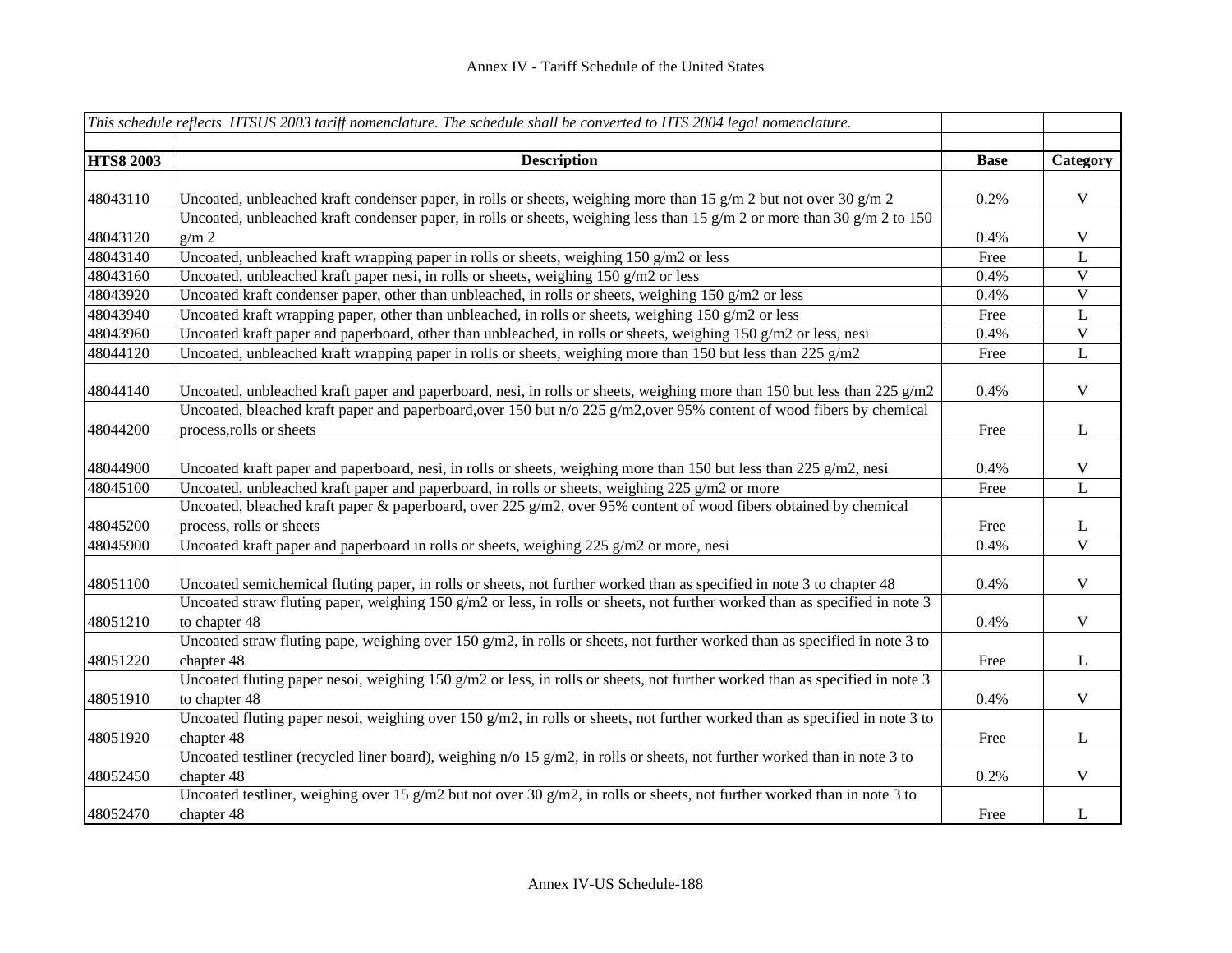|                  | This schedule reflects HTSUS 2003 tariff nomenclature. The schedule shall be converted to HTS 2004 legal nomenclature.                      |             |                         |
|------------------|---------------------------------------------------------------------------------------------------------------------------------------------|-------------|-------------------------|
|                  |                                                                                                                                             |             |                         |
| <b>HTS8 2003</b> | <b>Description</b>                                                                                                                          | <b>Base</b> | Category                |
|                  |                                                                                                                                             |             |                         |
| 48043110         | Uncoated, unbleached kraft condenser paper, in rolls or sheets, weighing more than 15 g/m 2 but not over 30 g/m 2                           | 0.2%        | $\mathbf V$             |
|                  | Uncoated, unbleached kraft condenser paper, in rolls or sheets, weighing less than 15 g/m 2 or more than 30 g/m 2 to 150                    |             |                         |
| 48043120         | $g/m$ 2                                                                                                                                     | 0.4%        | $\mathbf V$             |
| 48043140         | Uncoated, unbleached kraft wrapping paper in rolls or sheets, weighing 150 g/m2 or less                                                     | Free        | $\mathbf L$             |
| 48043160         | Uncoated, unbleached kraft paper nesi, in rolls or sheets, weighing 150 g/m2 or less                                                        | 0.4%        | $\overline{V}$          |
| 48043920         | Uncoated kraft condenser paper, other than unbleached, in rolls or sheets, weighing 150 g/m2 or less                                        | 0.4%        | $\overline{\mathbf{V}}$ |
| 48043940         | Uncoated kraft wrapping paper, other than unbleached, in rolls or sheets, weighing 150 g/m2 or less                                         | Free        | $\mathbf L$             |
| 48043960         | Uncoated kraft paper and paperboard, other than unbleached, in rolls or sheets, weighing 150 g/m2 or less, nesi                             | 0.4%        | $\mathbf V$             |
| 48044120         | Uncoated, unbleached kraft wrapping paper in rolls or sheets, weighing more than 150 but less than 225 $g/m2$                               | Free        | L                       |
| 48044140         | Uncoated, unbleached kraft paper and paperboard, nesi, in rolls or sheets, weighing more than 150 but less than 225 $g/m2$                  | 0.4%        | $\mathbf V$             |
|                  | Uncoated, bleached kraft paper and paperboard, over 150 but n/o 225 g/m2, over 95% content of wood fibers by chemical                       |             |                         |
| 48044200         | process, rolls or sheets                                                                                                                    | Free        | $\bf L$                 |
|                  |                                                                                                                                             |             |                         |
| 48044900         | Uncoated kraft paper and paperboard, nesi, in rolls or sheets, weighing more than 150 but less than 225 $g/m2$ , nesi                       | 0.4%        | $\mathbf V$             |
| 48045100         | Uncoated, unbleached kraft paper and paperboard, in rolls or sheets, weighing 225 g/m2 or more                                              | Free        | $\mathbf L$             |
|                  | Uncoated, bleached kraft paper & paperboard, over $225 \text{ g/m}$ , over 95% content of wood fibers obtained by chemical                  |             |                         |
| 48045200         | process, rolls or sheets                                                                                                                    | Free        | L                       |
| 48045900         | Uncoated kraft paper and paperboard in rolls or sheets, weighing 225 g/m2 or more, nesi                                                     | 0.4%        | $\overline{\mathbf{V}}$ |
|                  |                                                                                                                                             |             |                         |
| 48051100         | Uncoated semichemical fluting paper, in rolls or sheets, not further worked than as specified in note 3 to chapter 48                       | 0.4%        | $\mathbf V$             |
|                  | Uncoated straw fluting paper, weighing 150 $g/m2$ or less, in rolls or sheets, not further worked than as specified in note 3               |             |                         |
| 48051210         | to chapter 48                                                                                                                               | 0.4%        | $\mathbf V$             |
|                  | Uncoated straw fluting pape, weighing over 150 g/m2, in rolls or sheets, not further worked than as specified in note 3 to                  |             |                         |
| 48051220         | chapter 48<br>Uncoated fluting paper nesoi, weighing $150 g/m2$ or less, in rolls or sheets, not further worked than as specified in note 3 | Free        | $\bf L$                 |
| 48051910         | to chapter 48                                                                                                                               | 0.4%        | $\mathbf V$             |
|                  | Uncoated fluting paper nesoi, weighing over 150 g/m2, in rolls or sheets, not further worked than as specified in note 3 to                 |             |                         |
| 48051920         | chapter 48                                                                                                                                  | Free        | $\bf L$                 |
|                  | Uncoated testliner (recycled liner board), weighing $n/0$ 15 g/m2, in rolls or sheets, not further worked than in note 3 to                 |             |                         |
| 48052450         | chapter 48                                                                                                                                  | 0.2%        | $\mathbf V$             |
|                  | Uncoated testliner, weighing over 15 g/m2 but not over 30 g/m2, in rolls or sheets, not further worked than in note 3 to                    |             |                         |
| 48052470         | chapter 48                                                                                                                                  | Free        | $\bf L$                 |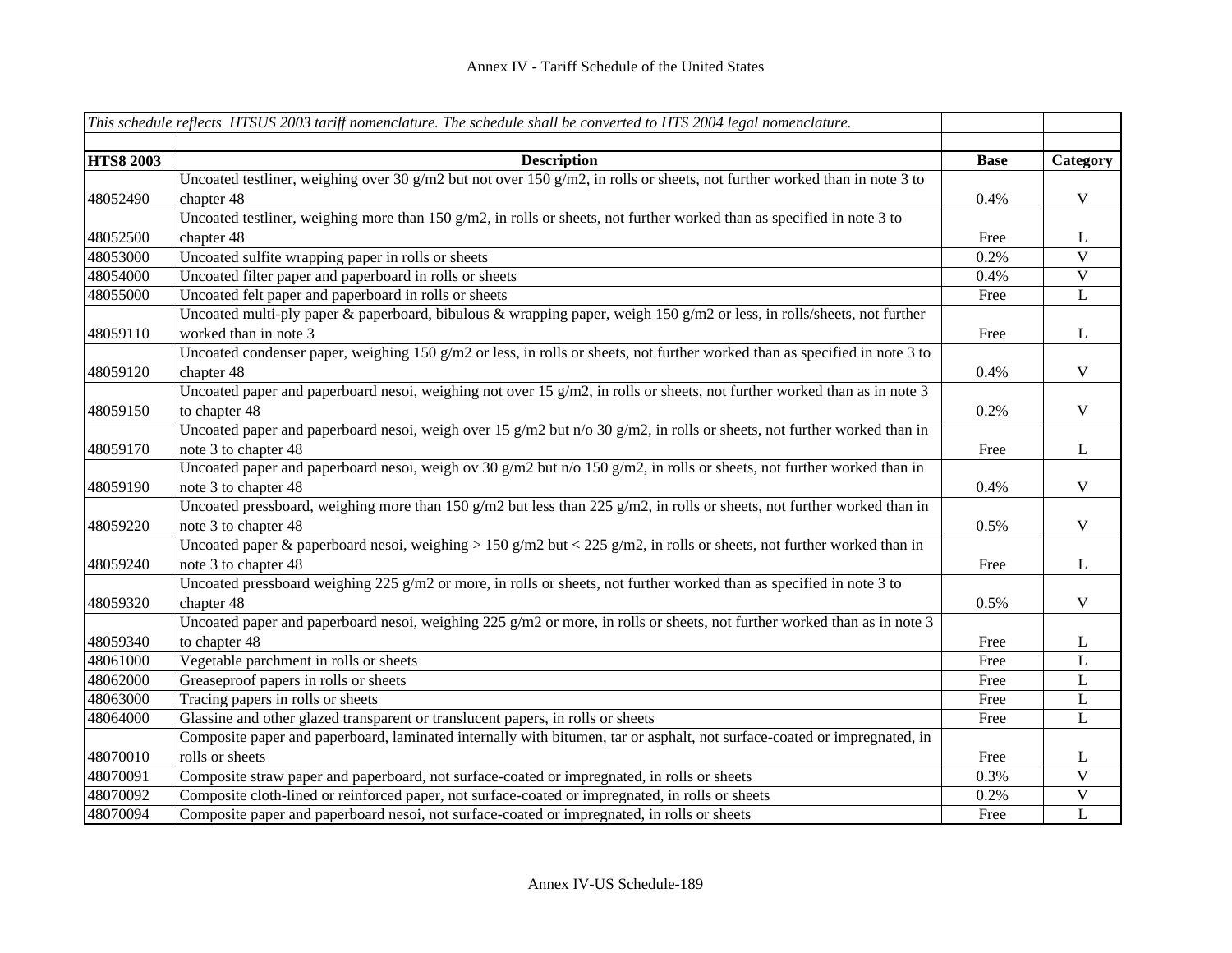|                  | This schedule reflects HTSUS 2003 tariff nomenclature. The schedule shall be converted to $\overline{HTS}$ 2004 legal nomenclature. |             |                |
|------------------|-------------------------------------------------------------------------------------------------------------------------------------|-------------|----------------|
|                  |                                                                                                                                     |             |                |
| <b>HTS8 2003</b> | <b>Description</b>                                                                                                                  | <b>Base</b> | Category       |
|                  | Uncoated testliner, weighing over 30 g/m2 but not over 150 g/m2, in rolls or sheets, not further worked than in note 3 to           |             |                |
| 48052490         | chapter 48                                                                                                                          | 0.4%        | $\mathbf V$    |
|                  | Uncoated testliner, weighing more than $150 g/m2$ , in rolls or sheets, not further worked than as specified in note 3 to           |             |                |
| 48052500         | chapter 48                                                                                                                          | Free        | L              |
| 48053000         | Uncoated sulfite wrapping paper in rolls or sheets                                                                                  | 0.2%        | $\overline{V}$ |
| 48054000         | Uncoated filter paper and paperboard in rolls or sheets                                                                             | 0.4%        | $\overline{V}$ |
| 48055000         | Uncoated felt paper and paperboard in rolls or sheets                                                                               | Free        | $\bf L$        |
|                  | Uncoated multi-ply paper & paperboard, bibulous & wrapping paper, weigh 150 g/m2 or less, in rolls/sheets, not further              |             |                |
| 48059110         | worked than in note 3                                                                                                               | Free        | $\bf L$        |
|                  | Uncoated condenser paper, weighing $150 g/m2$ or less, in rolls or sheets, not further worked than as specified in note 3 to        |             |                |
| 48059120         | chapter 48                                                                                                                          | 0.4%        | V              |
|                  | Uncoated paper and paperboard nesoi, weighing not over 15 $g/m2$ , in rolls or sheets, not further worked than as in note 3         |             |                |
| 48059150         | to chapter 48                                                                                                                       | 0.2%        | $\mathbf{V}$   |
|                  | Uncoated paper and paperboard nesoi, weigh over 15 g/m2 but $n/0$ 30 g/m2, in rolls or sheets, not further worked than in           |             |                |
| 48059170         | note 3 to chapter 48                                                                                                                | Free        | $\mathbf{L}$   |
|                  | Uncoated paper and paperboard nesoi, weigh ov 30 g/m2 but n/o 150 g/m2, in rolls or sheets, not further worked than in              |             |                |
| 48059190         | note 3 to chapter 48                                                                                                                | 0.4%        | $\mathbf V$    |
|                  | Uncoated pressboard, weighing more than 150 g/m2 but less than 225 g/m2, in rolls or sheets, not further worked than in             |             |                |
| 48059220         | note 3 to chapter 48                                                                                                                | 0.5%        | $\mathbf V$    |
|                  | Uncoated paper & paperboard nesoi, weighing > 150 g/m2 but < 225 g/m2, in rolls or sheets, not further worked than in               |             |                |
| 48059240         | note 3 to chapter 48                                                                                                                | Free        | $\bf L$        |
|                  | Uncoated pressboard weighing 225 g/m2 or more, in rolls or sheets, not further worked than as specified in note 3 to                |             |                |
| 48059320         | chapter 48                                                                                                                          | 0.5%        | $\mathbf V$    |
|                  | Uncoated paper and paperboard nesoi, weighing 225 g/m2 or more, in rolls or sheets, not further worked than as in note 3            |             |                |
| 48059340         | to chapter 48                                                                                                                       | Free        | L              |
| 48061000         | Vegetable parchment in rolls or sheets                                                                                              | Free        | L              |
| 48062000         | Greaseproof papers in rolls or sheets                                                                                               | Free        | L              |
| 48063000         | Tracing papers in rolls or sheets                                                                                                   | Free        | L              |
| 48064000         | Glassine and other glazed transparent or translucent papers, in rolls or sheets                                                     | Free        | L              |
|                  | Composite paper and paperboard, laminated internally with bitumen, tar or asphalt, not surface-coated or impregnated, in            |             |                |
| 48070010         | rolls or sheets                                                                                                                     | Free        | L              |
| 48070091         | Composite straw paper and paperboard, not surface-coated or impregnated, in rolls or sheets                                         | 0.3%        | V              |
| 48070092         | Composite cloth-lined or reinforced paper, not surface-coated or impregnated, in rolls or sheets                                    | 0.2%        | $\mathbf V$    |
| 48070094         | Composite paper and paperboard nesoi, not surface-coated or impregnated, in rolls or sheets                                         | Free        | L              |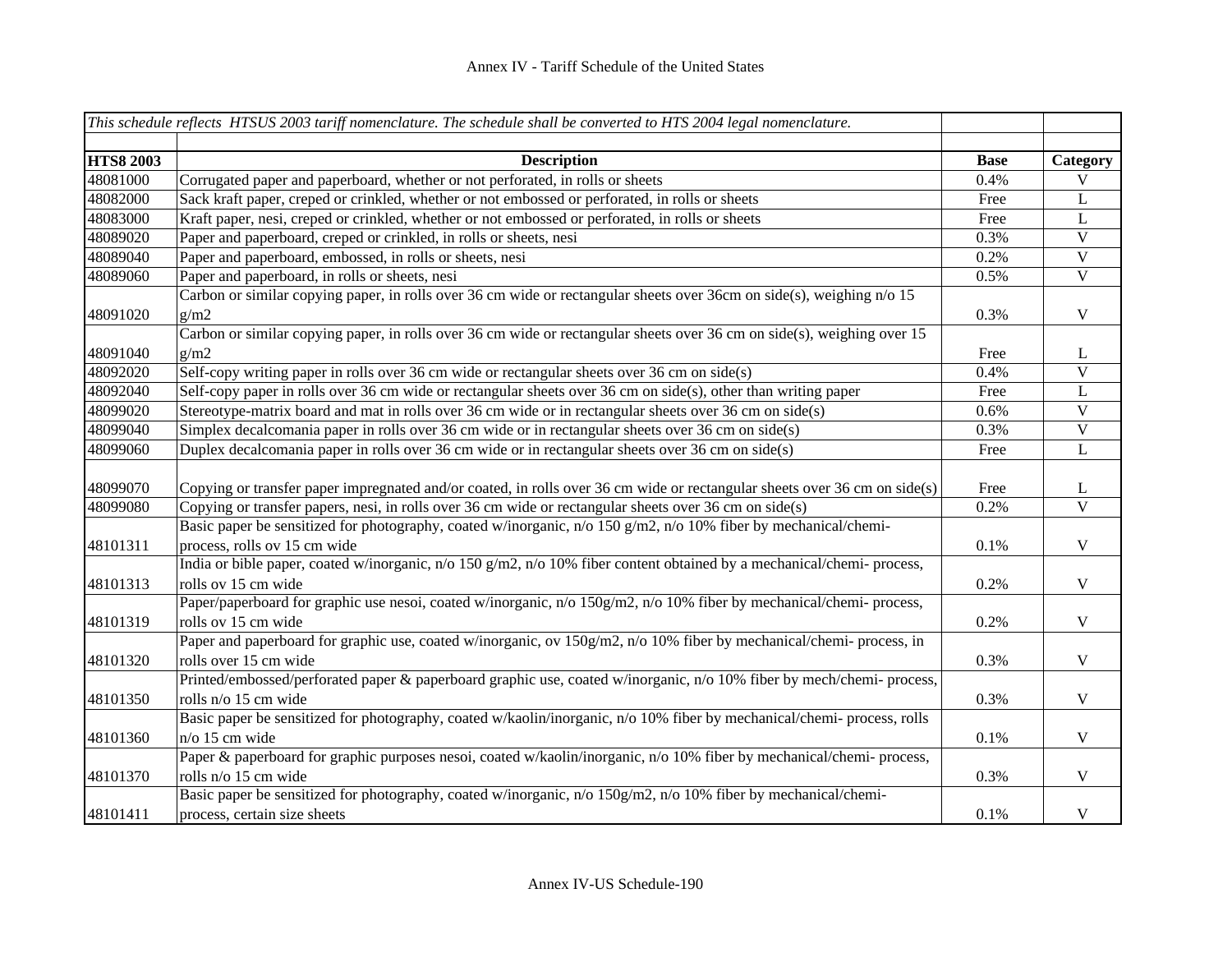|                  | This schedule reflects HTSUS 2003 tariff nomenclature. The schedule shall be converted to HTS 2004 legal nomenclature.     |             |                         |
|------------------|----------------------------------------------------------------------------------------------------------------------------|-------------|-------------------------|
|                  |                                                                                                                            |             |                         |
| <b>HTS8 2003</b> | <b>Description</b>                                                                                                         | <b>Base</b> | Category                |
| 48081000         | Corrugated paper and paperboard, whether or not perforated, in rolls or sheets                                             | 0.4%        | $\overline{V}$          |
| 48082000         | Sack kraft paper, creped or crinkled, whether or not embossed or perforated, in rolls or sheets                            | Free        | $\bf L$                 |
| 48083000         | Kraft paper, nesi, creped or crinkled, whether or not embossed or perforated, in rolls or sheets                           | Free        | L                       |
| 48089020         | Paper and paperboard, creped or crinkled, in rolls or sheets, nesi                                                         | 0.3%        | $\overline{\mathbf{V}}$ |
| 48089040         | Paper and paperboard, embossed, in rolls or sheets, nesi                                                                   | 0.2%        | $\overline{\mathbf{V}}$ |
| 48089060         | Paper and paperboard, in rolls or sheets, nesi                                                                             | 0.5%        | $\overline{\mathbf{V}}$ |
|                  | Carbon or similar copying paper, in rolls over 36 cm wide or rectangular sheets over 36cm on side(s), weighing n/o 15      |             |                         |
| 48091020         | g/m2                                                                                                                       | 0.3%        | $\mathbf V$             |
|                  | Carbon or similar copying paper, in rolls over 36 cm wide or rectangular sheets over 36 cm on side(s), weighing over 15    |             |                         |
| 48091040         | g/m2                                                                                                                       | Free        | L                       |
| 48092020         | Self-copy writing paper in rolls over 36 cm wide or rectangular sheets over 36 cm on side(s)                               | 0.4%        | $\mathbf{V}$            |
| 48092040         | Self-copy paper in rolls over 36 cm wide or rectangular sheets over 36 cm on side(s), other than writing paper             | Free        | L                       |
| 48099020         | Stereotype-matrix board and mat in rolls over 36 cm wide or in rectangular sheets over 36 cm on side(s)                    | 0.6%        | $\mathbf V$             |
| 48099040         | Simplex decalcomania paper in rolls over 36 cm wide or in rectangular sheets over 36 cm on side(s)                         | 0.3%        | $\mathbf V$             |
| 48099060         | Duplex decalcomania paper in rolls over 36 cm wide or in rectangular sheets over 36 cm on side(s)                          | Free        | L                       |
|                  |                                                                                                                            |             |                         |
| 48099070         | Copying or transfer paper impregnated and/or coated, in rolls over 36 cm wide or rectangular sheets over 36 cm on side(s)  | Free        | L                       |
| 48099080         | Copying or transfer papers, nesi, in rolls over 36 cm wide or rectangular sheets over 36 cm on side(s)                     | 0.2%        | $\mathbf V$             |
|                  | Basic paper be sensitized for photography, coated w/inorganic, n/o 150 g/m2, n/o 10% fiber by mechanical/chemi-            |             |                         |
| 48101311         | process, rolls ov 15 cm wide                                                                                               | 0.1%        | $\mathbf V$             |
|                  | India or bible paper, coated w/inorganic, $n/0$ 150 g/m2, $n/0$ 10% fiber content obtained by a mechanical/chemi- process, |             |                         |
| 48101313         | rolls ov 15 cm wide                                                                                                        | 0.2%        | $\mathbf V$             |
|                  | Paper/paperboard for graphic use nesoi, coated w/inorganic, n/o 150g/m2, n/o 10% fiber by mechanical/chemi-process,        |             |                         |
| 48101319         | rolls ov 15 cm wide                                                                                                        | 0.2%        | $\mathbf V$             |
|                  | Paper and paperboard for graphic use, coated w/inorganic, ov 150g/m2, n/o 10% fiber by mechanical/chemi-process, in        |             |                         |
| 48101320         | rolls over 15 cm wide                                                                                                      | 0.3%        | $\mathbf V$             |
|                  | Printed/embossed/perforated paper & paperboard graphic use, coated w/inorganic, n/o 10% fiber by mech/chemi-process,       |             |                         |
| 48101350         | rolls n/o 15 cm wide                                                                                                       | 0.3%        | $\mathbf V$             |
|                  | Basic paper be sensitized for photography, coated w/kaolin/inorganic, n/o 10% fiber by mechanical/chemi-process, rolls     |             |                         |
| 48101360         | n/o 15 cm wide                                                                                                             | 0.1%        | $\mathbf V$             |
|                  | Paper & paperboard for graphic purposes nesoi, coated w/kaolin/inorganic, n/o 10% fiber by mechanical/chemi- process,      |             |                         |
| 48101370         | rolls n/o 15 cm wide                                                                                                       | 0.3%        | $\mathbf V$             |
|                  | Basic paper be sensitized for photography, coated w/inorganic, n/o 150g/m2, n/o 10% fiber by mechanical/chemi-             |             |                         |
| 48101411         | process, certain size sheets                                                                                               | 0.1%        | $\mathbf V$             |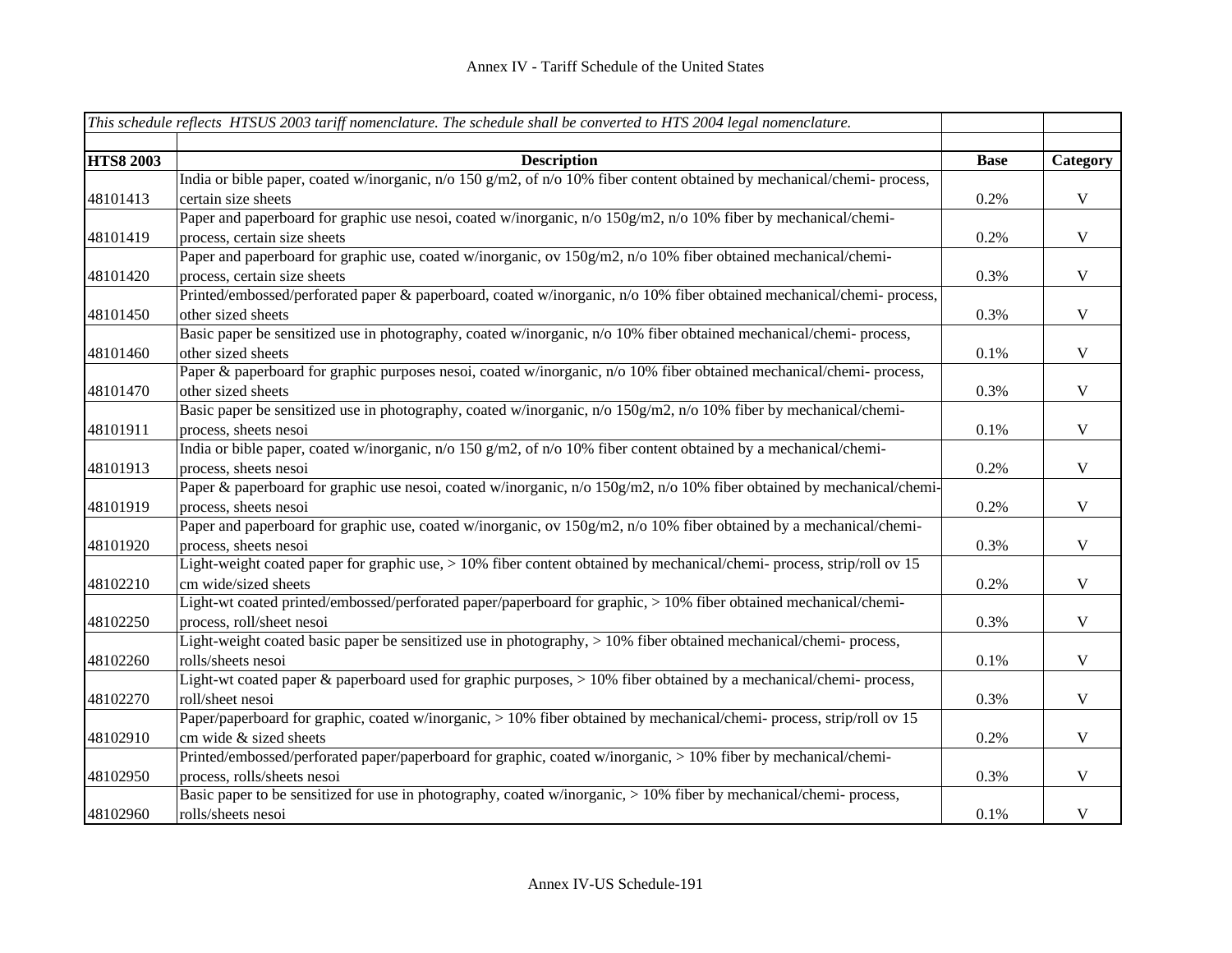|                  | This schedule reflects HTSUS 2003 tariff nomenclature. The schedule shall be converted to HTS 2004 legal nomenclature. |             |              |
|------------------|------------------------------------------------------------------------------------------------------------------------|-------------|--------------|
|                  |                                                                                                                        |             |              |
| <b>HTS8 2003</b> | <b>Description</b>                                                                                                     | <b>Base</b> | Category     |
|                  | India or bible paper, coated w/inorganic, n/o 150 g/m2, of n/o 10% fiber content obtained by mechanical/chemi-process, |             |              |
| 48101413         | certain size sheets                                                                                                    | 0.2%        | $\mathbf V$  |
|                  | Paper and paperboard for graphic use nesoi, coated w/inorganic, n/o 150g/m2, n/o 10% fiber by mechanical/chemi-        |             |              |
| 48101419         | process, certain size sheets                                                                                           | 0.2%        | $\mathbf{V}$ |
|                  | Paper and paperboard for graphic use, coated w/inorganic, ov 150g/m2, n/o 10% fiber obtained mechanical/chemi-         |             |              |
| 48101420         | process, certain size sheets                                                                                           | 0.3%        | $\mathbf{V}$ |
|                  | Printed/embossed/perforated paper & paperboard, coated w/inorganic, n/o 10% fiber obtained mechanical/chemi-process,   |             |              |
| 48101450         | other sized sheets                                                                                                     | 0.3%        | $\mathbf V$  |
|                  | Basic paper be sensitized use in photography, coated w/inorganic, n/o 10% fiber obtained mechanical/chemi-process,     |             |              |
| 48101460         | other sized sheets                                                                                                     | 0.1%        | $\mathbf V$  |
|                  | Paper & paperboard for graphic purposes nesoi, coated w/inorganic, n/o 10% fiber obtained mechanical/chemi- process,   |             |              |
| 48101470         | other sized sheets                                                                                                     | 0.3%        | $\mathbf{V}$ |
|                  | Basic paper be sensitized use in photography, coated w/inorganic, n/o 150g/m2, n/o 10% fiber by mechanical/chemi-      |             |              |
| 48101911         | process, sheets nesoi                                                                                                  | 0.1%        | $\mathbf{V}$ |
|                  | India or bible paper, coated w/inorganic, n/o 150 g/m2, of n/o 10% fiber content obtained by a mechanical/chemi-       |             |              |
| 48101913         | process, sheets nesoi                                                                                                  | 0.2%        | $\mathbf V$  |
|                  | Paper & paperboard for graphic use nesoi, coated w/inorganic, n/o 150g/m2, n/o 10% fiber obtained by mechanical/chemi- |             |              |
| 48101919         | process, sheets nesoi                                                                                                  | 0.2%        | $\mathbf V$  |
|                  | Paper and paperboard for graphic use, coated w/inorganic, ov 150g/m2, n/o 10% fiber obtained by a mechanical/chemi-    |             |              |
| 48101920         | process, sheets nesoi                                                                                                  | 0.3%        | $\mathbf V$  |
|                  | Light-weight coated paper for graphic use, > 10% fiber content obtained by mechanical/chemi-process, strip/roll ov 15  |             |              |
| 48102210         | cm wide/sized sheets                                                                                                   | 0.2%        | $\mathbf V$  |
|                  | Light-wt coated printed/embossed/perforated paper/paperboard for graphic, > 10% fiber obtained mechanical/chemi-       |             |              |
| 48102250         | process, roll/sheet nesoi                                                                                              | 0.3%        | $\mathbf V$  |
|                  | Light-weight coated basic paper be sensitized use in photography, > 10% fiber obtained mechanical/chemi-process,       |             |              |
| 48102260         | rolls/sheets nesoi                                                                                                     | 0.1%        | $\mathbf V$  |
|                  | Light-wt coated paper & paperboard used for graphic purposes, > 10% fiber obtained by a mechanical/chemi-process,      |             |              |
| 48102270         | roll/sheet nesoi                                                                                                       | 0.3%        | $\mathbf V$  |
|                  | Paper/paperboard for graphic, coated w/inorganic, > 10% fiber obtained by mechanical/chemi-process, strip/roll ov 15   |             |              |
| 48102910         | cm wide & sized sheets                                                                                                 | 0.2%        | $\mathbf V$  |
|                  | Printed/embossed/perforated paper/paperboard for graphic, coated w/inorganic, > 10% fiber by mechanical/chemi-         |             |              |
| 48102950         | process, rolls/sheets nesoi                                                                                            | 0.3%        | $\mathbf{V}$ |
|                  | Basic paper to be sensitized for use in photography, coated w/inorganic, > 10% fiber by mechanical/chemi-process,      |             |              |
| 48102960         | rolls/sheets nesoi                                                                                                     | 0.1%        | $\mathbf V$  |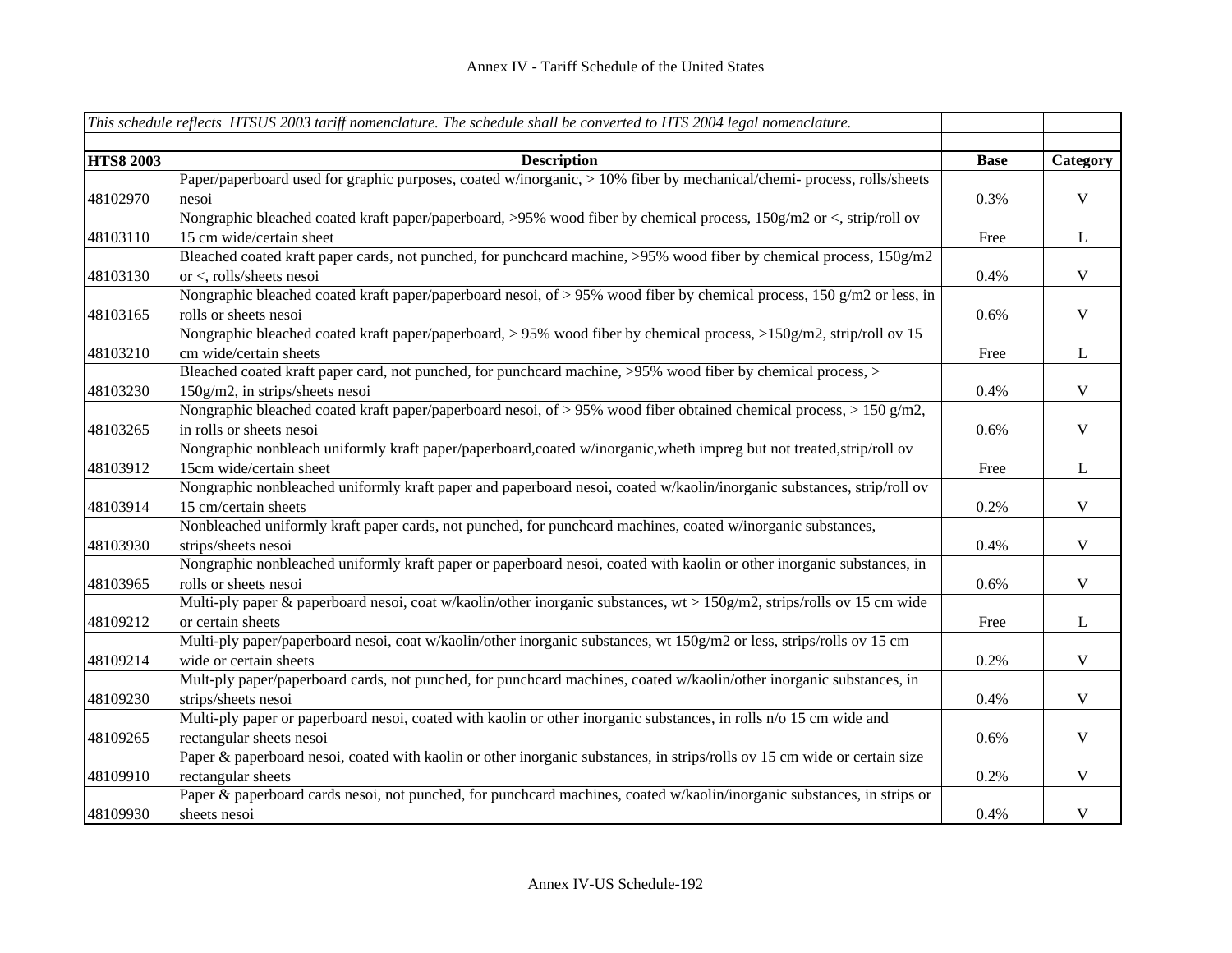|                  | This schedule reflects HTSUS 2003 tariff nomenclature. The schedule shall be converted to HTS 2004 legal nomenclature.    |             |              |
|------------------|---------------------------------------------------------------------------------------------------------------------------|-------------|--------------|
|                  |                                                                                                                           |             |              |
| <b>HTS8 2003</b> | <b>Description</b>                                                                                                        | <b>Base</b> | Category     |
|                  | Paper/paperboard used for graphic purposes, coated w/inorganic, > 10% fiber by mechanical/chemi-process, rolls/sheets     |             |              |
| 48102970         | nesoi                                                                                                                     | 0.3%        | $\mathbf V$  |
|                  | Nongraphic bleached coated kraft paper/paperboard, >95% wood fiber by chemical process, 150g/m2 or <, strip/roll ov       |             |              |
| 48103110         | 15 cm wide/certain sheet                                                                                                  | Free        | $\bf L$      |
|                  | Bleached coated kraft paper cards, not punched, for punchcard machine, >95% wood fiber by chemical process, 150g/m2       |             |              |
| 48103130         | or <, rolls/sheets nesoi                                                                                                  | 0.4%        | $\mathbf{V}$ |
|                  | Nongraphic bleached coated kraft paper/paperboard nesoi, of > 95% wood fiber by chemical process, 150 g/m2 or less, in    |             |              |
| 48103165         | rolls or sheets nesoi                                                                                                     | 0.6%        | $\mathbf V$  |
|                  | Nongraphic bleached coated kraft paper/paperboard, > 95% wood fiber by chemical process, >150g/m2, strip/roll ov 15       |             |              |
| 48103210         | cm wide/certain sheets                                                                                                    | Free        | $\bf L$      |
|                  | Bleached coated kraft paper card, not punched, for punchcard machine, >95% wood fiber by chemical process, >              |             |              |
| 48103230         | 150g/m2, in strips/sheets nesoi                                                                                           | 0.4%        | $\mathbf V$  |
|                  | Nongraphic bleached coated kraft paper/paperboard nesoi, of $> 95\%$ wood fiber obtained chemical process, $> 150$ g/m2,  |             |              |
| 48103265         | in rolls or sheets nesoi                                                                                                  | 0.6%        | $\mathbf V$  |
|                  | Nongraphic nonbleach uniformly kraft paper/paperboard,coated w/inorganic,wheth impreg but not treated,strip/roll ov       |             |              |
| 48103912         | 15cm wide/certain sheet                                                                                                   | Free        | $\mathbf{L}$ |
|                  | Nongraphic nonbleached uniformly kraft paper and paperboard nesoi, coated w/kaolin/inorganic substances, strip/roll ov    |             |              |
| 48103914         | 15 cm/certain sheets                                                                                                      | 0.2%        | $\mathbf V$  |
|                  | Nonbleached uniformly kraft paper cards, not punched, for punchcard machines, coated w/inorganic substances,              |             |              |
| 48103930         | strips/sheets nesoi                                                                                                       | 0.4%        | $\mathbf V$  |
|                  | Nongraphic nonbleached uniformly kraft paper or paperboard nesoi, coated with kaolin or other inorganic substances, in    |             |              |
| 48103965         | rolls or sheets nesoi                                                                                                     | 0.6%        | $\mathbf V$  |
|                  | Multi-ply paper & paperboard nesoi, coat w/kaolin/other inorganic substances, wt > 150g/m2, strips/rolls ov 15 cm wide    |             |              |
| 48109212         | or certain sheets                                                                                                         | Free        | $\mathbf{L}$ |
|                  | Multi-ply paper/paperboard nesoi, coat w/kaolin/other inorganic substances, wt 150g/m2 or less, strips/rolls ov 15 cm     |             |              |
| 48109214         | wide or certain sheets                                                                                                    | 0.2%        | $\mathbf V$  |
|                  | Mult-ply paper/paperboard cards, not punched, for punchcard machines, coated w/kaolin/other inorganic substances, in      |             |              |
| 48109230         | strips/sheets nesoi                                                                                                       | 0.4%        | $\mathbf V$  |
|                  | Multi-ply paper or paperboard nesoi, coated with kaolin or other inorganic substances, in rolls n/o 15 cm wide and        |             |              |
| 48109265         | rectangular sheets nesoi                                                                                                  | 0.6%        | $\mathbf V$  |
|                  | Paper & paperboard nesoi, coated with kaolin or other inorganic substances, in strips/rolls ov 15 cm wide or certain size |             |              |
| 48109910         | rectangular sheets                                                                                                        | 0.2%        | $\mathbf V$  |
|                  | Paper & paperboard cards nesoi, not punched, for punchcard machines, coated w/kaolin/inorganic substances, in strips or   |             |              |
| 48109930         | sheets nesoi                                                                                                              | 0.4%        | $\mathbf V$  |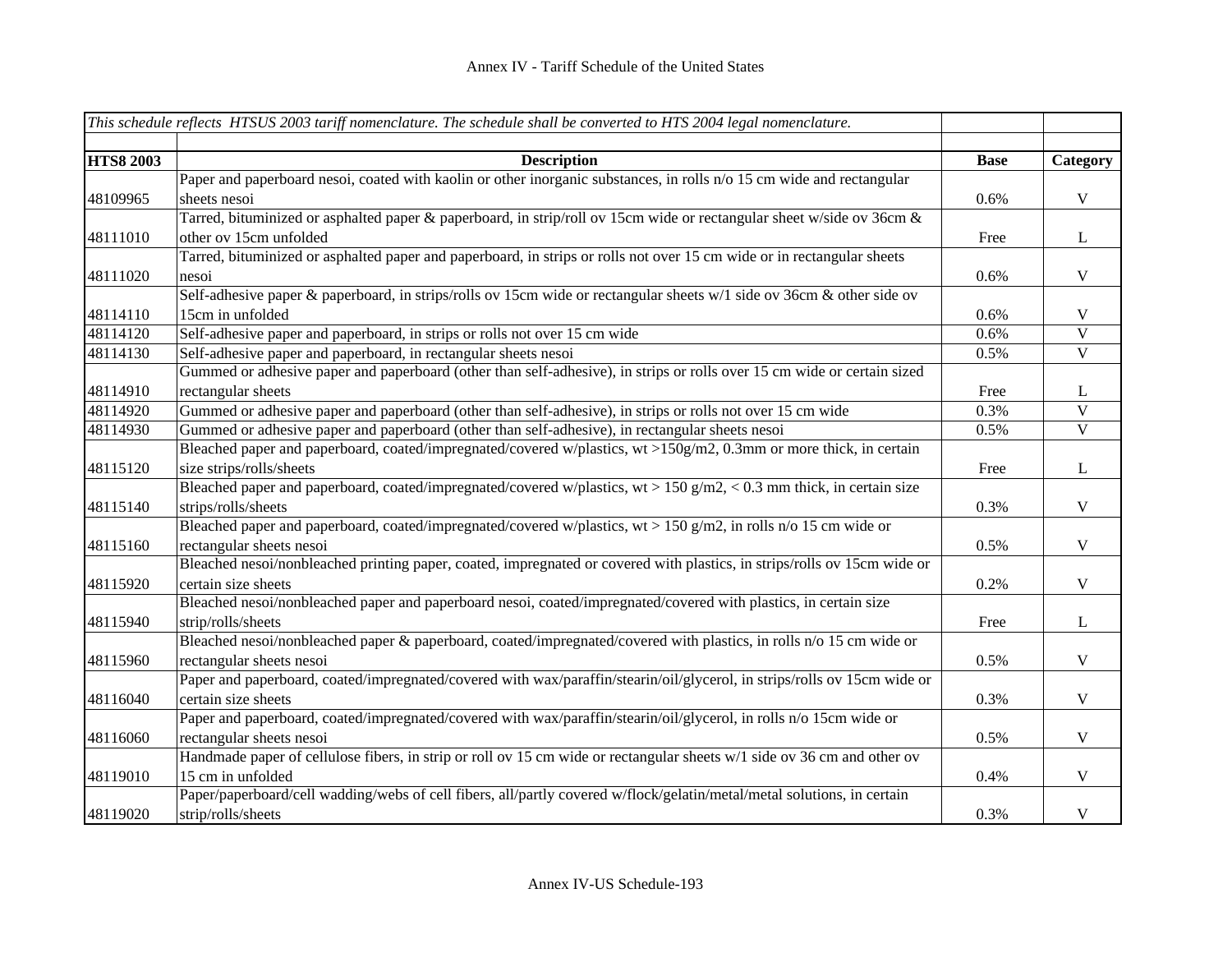|                  | This schedule reflects HTSUS 2003 tariff nomenclature. The schedule shall be converted to HTS 2004 legal nomenclature.   |             |                |
|------------------|--------------------------------------------------------------------------------------------------------------------------|-------------|----------------|
|                  |                                                                                                                          |             |                |
| <b>HTS8 2003</b> | <b>Description</b>                                                                                                       | <b>Base</b> | Category       |
|                  | Paper and paperboard nesoi, coated with kaolin or other inorganic substances, in rolls n/o 15 cm wide and rectangular    |             |                |
| 48109965         | sheets nesoi                                                                                                             | 0.6%        | $\mathbf V$    |
|                  | Tarred, bituminized or asphalted paper & paperboard, in strip/roll ov 15cm wide or rectangular sheet w/side ov 36cm &    |             |                |
| 48111010         | other ov 15cm unfolded                                                                                                   | Free        | $\mathbf{L}$   |
|                  | Tarred, bituminized or asphalted paper and paperboard, in strips or rolls not over 15 cm wide or in rectangular sheets   |             |                |
| 48111020         | nesoi                                                                                                                    | 0.6%        | $\mathbf{V}$   |
|                  | Self-adhesive paper & paperboard, in strips/rolls ov 15cm wide or rectangular sheets w/1 side ov 36cm & other side ov    |             |                |
| 48114110         | 15cm in unfolded                                                                                                         | 0.6%        | $\mathbf{V}$   |
| 48114120         | Self-adhesive paper and paperboard, in strips or rolls not over 15 cm wide                                               | 0.6%        | $\mathbf{V}$   |
| 48114130         | Self-adhesive paper and paperboard, in rectangular sheets nesoi                                                          | 0.5%        | $\mathbf V$    |
|                  | Gummed or adhesive paper and paperboard (other than self-adhesive), in strips or rolls over 15 cm wide or certain sized  |             |                |
| 48114910         | rectangular sheets                                                                                                       | Free        | $\bf L$        |
| 48114920         | Gummed or adhesive paper and paperboard (other than self-adhesive), in strips or rolls not over 15 cm wide               | 0.3%        | $\mathbf V$    |
| 48114930         | Gummed or adhesive paper and paperboard (other than self-adhesive), in rectangular sheets nesoi                          | 0.5%        | $\overline{V}$ |
|                  | Bleached paper and paperboard, coated/impregnated/covered w/plastics, wt >150g/m2, 0.3mm or more thick, in certain       |             |                |
| 48115120         | size strips/rolls/sheets                                                                                                 | Free        | $\bf L$        |
|                  | Bleached paper and paperboard, coated/impregnated/covered w/plastics, $wt > 150$ g/m2, < 0.3 mm thick, in certain size   |             |                |
| 48115140         | strips/rolls/sheets                                                                                                      | 0.3%        | $\mathbf V$    |
|                  | Bleached paper and paperboard, coated/impregnated/covered w/plastics, $wt > 150$ g/m2, in rolls n/o 15 cm wide or        |             |                |
| 48115160         | rectangular sheets nesoi                                                                                                 | 0.5%        | $\mathbf V$    |
|                  | Bleached nesoi/nonbleached printing paper, coated, impregnated or covered with plastics, in strips/rolls ov 15cm wide or |             |                |
| 48115920         | certain size sheets                                                                                                      | 0.2%        | $\mathbf V$    |
|                  | Bleached nesoi/nonbleached paper and paperboard nesoi, coated/impregnated/covered with plastics, in certain size         |             |                |
| 48115940         | strip/rolls/sheets                                                                                                       | Free        | $\mathbf{L}$   |
|                  | Bleached nesoi/nonbleached paper & paperboard, coated/impregnated/covered with plastics, in rolls n/o 15 cm wide or      |             |                |
| 48115960         | rectangular sheets nesoi                                                                                                 | 0.5%        | $\mathbf V$    |
|                  | Paper and paperboard, coated/impregnated/covered with wax/paraffin/stearin/oil/glycerol, in strips/rolls ov 15cm wide or |             |                |
| 48116040         | certain size sheets                                                                                                      | 0.3%        | $\mathbf V$    |
|                  | Paper and paperboard, coated/impregnated/covered with wax/paraffin/stearin/oil/glycerol, in rolls n/o 15cm wide or       |             |                |
| 48116060         | rectangular sheets nesoi                                                                                                 | 0.5%        | $\mathbf V$    |
|                  | Handmade paper of cellulose fibers, in strip or roll ov 15 cm wide or rectangular sheets w/1 side ov 36 cm and other ov  |             |                |
| 48119010         | 15 cm in unfolded                                                                                                        | 0.4%        | $\mathbf V$    |
|                  | Paper/paperboard/cell wadding/webs of cell fibers, all/partly covered w/flock/gelatin/metal/metal solutions, in certain  |             |                |
| 48119020         | strip/rolls/sheets                                                                                                       | 0.3%        | $\mathbf V$    |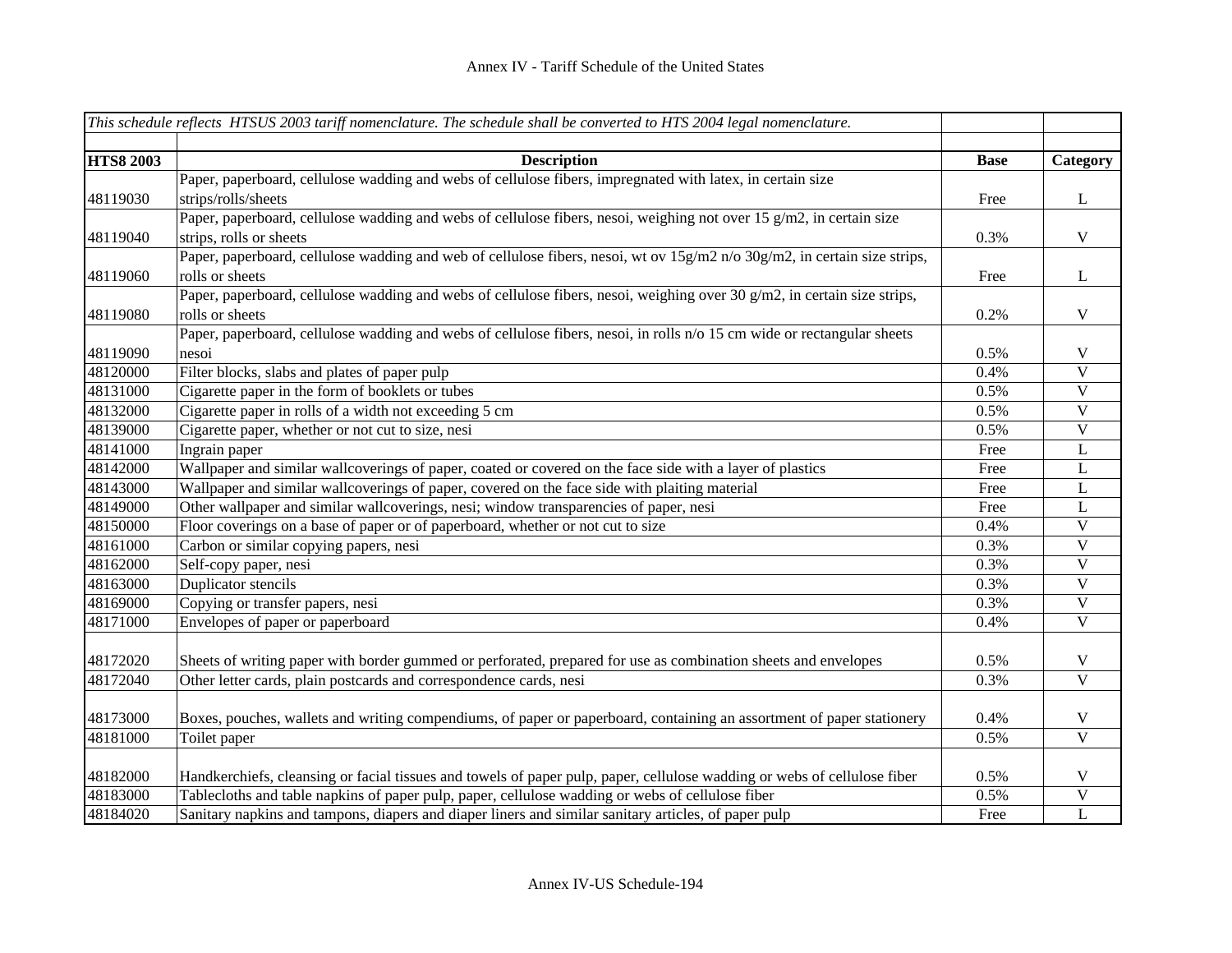|                  | This schedule reflects HTSUS 2003 tariff nomenclature. The schedule shall be converted to HTS 2004 legal nomenclature.      |             |                         |
|------------------|-----------------------------------------------------------------------------------------------------------------------------|-------------|-------------------------|
|                  |                                                                                                                             |             |                         |
| <b>HTS8 2003</b> | <b>Description</b>                                                                                                          | <b>Base</b> | Category                |
|                  | Paper, paperboard, cellulose wadding and webs of cellulose fibers, impregnated with latex, in certain size                  |             |                         |
| 48119030         | strips/rolls/sheets                                                                                                         | Free        | $\bf L$                 |
|                  | Paper, paperboard, cellulose wadding and webs of cellulose fibers, nesoi, weighing not over 15 g/m2, in certain size        |             |                         |
| 48119040         | strips, rolls or sheets                                                                                                     | 0.3%        | $\mathbf V$             |
|                  | Paper, paperboard, cellulose wadding and web of cellulose fibers, nesoi, wt ov 15g/m2 n/o 30g/m2, in certain size strips,   |             |                         |
| 48119060         | rolls or sheets                                                                                                             | Free        | $\mathbf{L}$            |
|                  | Paper, paperboard, cellulose wadding and webs of cellulose fibers, nesoi, weighing over 30 $g/m2$ , in certain size strips, |             |                         |
| 48119080         | rolls or sheets                                                                                                             | 0.2%        | $\mathbf V$             |
|                  | Paper, paperboard, cellulose wadding and webs of cellulose fibers, nesoi, in rolls n/o 15 cm wide or rectangular sheets     |             |                         |
| 48119090         | nesoi                                                                                                                       | 0.5%        | $\mathbf V$             |
| 48120000         | Filter blocks, slabs and plates of paper pulp                                                                               | 0.4%        | $\overline{V}$          |
| 48131000         | Cigarette paper in the form of booklets or tubes                                                                            | 0.5%        | $\overline{V}$          |
| 48132000         | Cigarette paper in rolls of a width not exceeding 5 cm                                                                      | 0.5%        | $\overline{V}$          |
| 48139000         | Cigarette paper, whether or not cut to size, nesi                                                                           | 0.5%        | $\mathbf V$             |
| 48141000         | Ingrain paper                                                                                                               | Free        | L                       |
| 48142000         | Wallpaper and similar wallcoverings of paper, coated or covered on the face side with a layer of plastics                   | Free        | L                       |
| 48143000         | Wallpaper and similar wallcoverings of paper, covered on the face side with plaiting material                               | Free        | L                       |
| 48149000         | Other wallpaper and similar wallcoverings, nesi; window transparencies of paper, nesi                                       | Free        | L                       |
| 48150000         | Floor coverings on a base of paper or of paperboard, whether or not cut to size                                             | 0.4%        | $\mathbf V$             |
| 48161000         | Carbon or similar copying papers, nesi                                                                                      | 0.3%        | $\mathbf V$             |
| 48162000         | Self-copy paper, nesi                                                                                                       | 0.3%        | $\mathbf V$             |
| 48163000         | Duplicator stencils                                                                                                         | 0.3%        | $\mathbf V$             |
| 48169000         | Copying or transfer papers, nesi                                                                                            | 0.3%        | $\mathbf V$             |
| 48171000         | Envelopes of paper or paperboard                                                                                            | 0.4%        | $\mathbf{V}$            |
| 48172020         | Sheets of writing paper with border gummed or perforated, prepared for use as combination sheets and envelopes              | 0.5%        | $\mathbf V$             |
| 48172040         | Other letter cards, plain postcards and correspondence cards, nesi                                                          | 0.3%        | $\overline{\mathbf{V}}$ |
|                  |                                                                                                                             |             |                         |
| 48173000         | Boxes, pouches, wallets and writing compendiums, of paper or paperboard, containing an assortment of paper stationery       | 0.4%        | $\mathbf V$             |
| 48181000         | Toilet paper                                                                                                                | 0.5%        | $\overline{\mathbf{V}}$ |
|                  |                                                                                                                             |             |                         |
| 48182000         | Handkerchiefs, cleansing or facial tissues and towels of paper pulp, paper, cellulose wadding or webs of cellulose fiber    | 0.5%        | $\mathbf V$             |
| 48183000         | Tablecloths and table napkins of paper pulp, paper, cellulose wadding or webs of cellulose fiber                            | 0.5%        | $\overline{\mathbf{V}}$ |
| 48184020         | Sanitary napkins and tampons, diapers and diaper liners and similar sanitary articles, of paper pulp                        | Free        | L                       |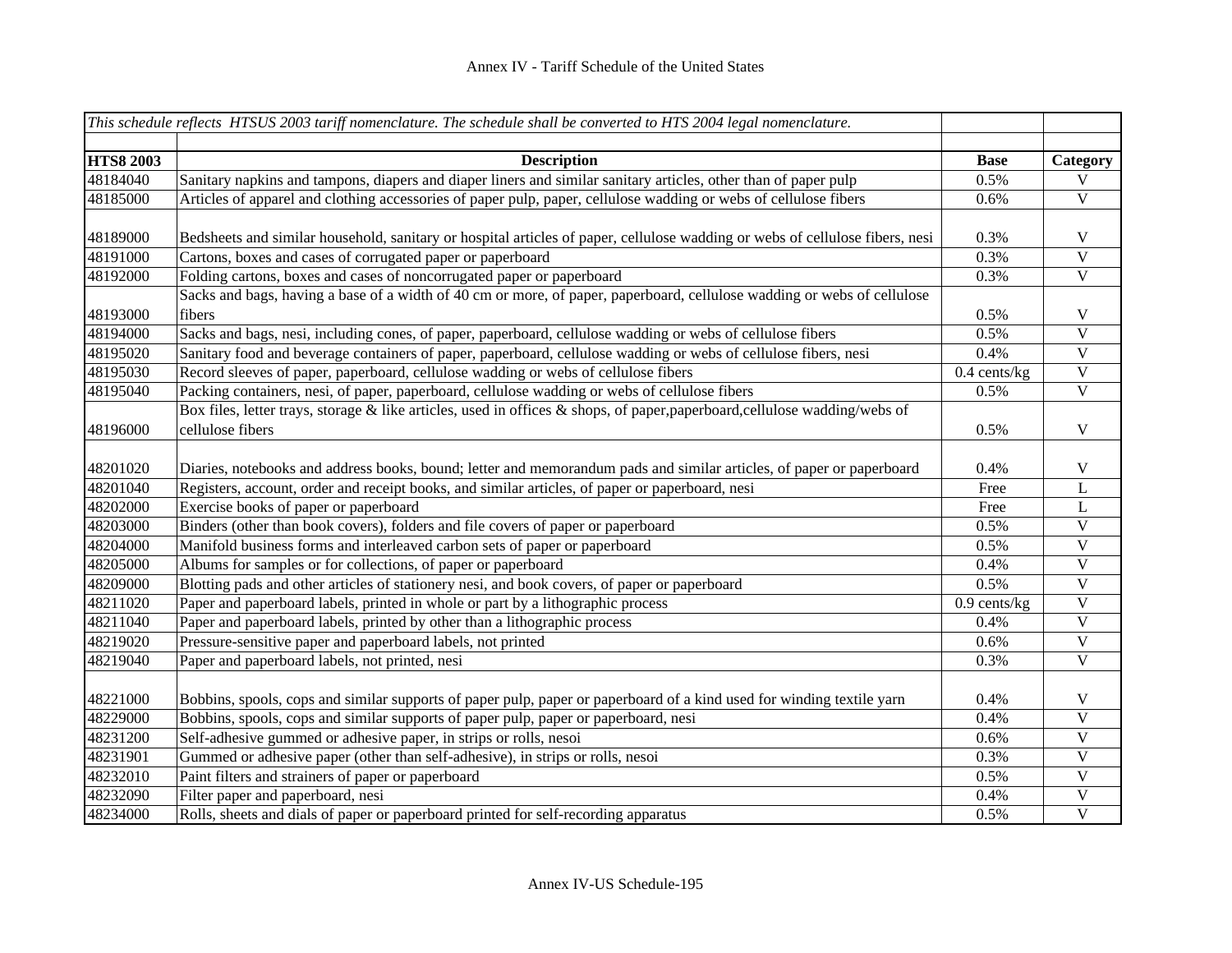|                      | This schedule reflects HTSUS 2003 tariff nomenclature. The schedule shall be converted to HTS 2004 legal nomenclature.                                                                                                  |                |                                        |
|----------------------|-------------------------------------------------------------------------------------------------------------------------------------------------------------------------------------------------------------------------|----------------|----------------------------------------|
| <b>HTS8 2003</b>     | <b>Description</b>                                                                                                                                                                                                      | <b>Base</b>    | Category                               |
| 48184040             | Sanitary napkins and tampons, diapers and diaper liners and similar sanitary articles, other than of paper pulp                                                                                                         | 0.5%           | V                                      |
| 48185000             | Articles of apparel and clothing accessories of paper pulp, paper, cellulose wadding or webs of cellulose fibers                                                                                                        | 0.6%           | $\overline{\mathbf{V}}$                |
| 48189000             | Bedsheets and similar household, sanitary or hospital articles of paper, cellulose wadding or webs of cellulose fibers, nesi                                                                                            | 0.3%           | V                                      |
| 48191000             | Cartons, boxes and cases of corrugated paper or paperboard                                                                                                                                                              | 0.3%           | $\mathbf V$                            |
| 48192000             | Folding cartons, boxes and cases of noncorrugated paper or paperboard                                                                                                                                                   | 0.3%           | $\overline{\mathbf{V}}$                |
| 48193000             | Sacks and bags, having a base of a width of 40 cm or more, of paper, paperboard, cellulose wadding or webs of cellulose<br>fibers                                                                                       | 0.5%           | V                                      |
| 48194000             | Sacks and bags, nesi, including cones, of paper, paperboard, cellulose wadding or webs of cellulose fibers                                                                                                              | 0.5%           | $\overline{\mathbf{V}}$                |
| 48195020             | Sanitary food and beverage containers of paper, paperboard, cellulose wadding or webs of cellulose fibers, nesi                                                                                                         | 0.4%           | $\mathbf V$                            |
| 48195030             | Record sleeves of paper, paperboard, cellulose wadding or webs of cellulose fibers                                                                                                                                      | $0.4$ cents/kg | $\mathbf V$                            |
| 48195040             | Packing containers, nesi, of paper, paperboard, cellulose wadding or webs of cellulose fibers                                                                                                                           | 0.5%           | $\mathbf V$                            |
| 48196000             | Box files, letter trays, storage & like articles, used in offices & shops, of paper, paperboard, cellulose wadding/webs of<br>cellulose fibers                                                                          | 0.5%           | $\mathbf V$                            |
| 48201020<br>48201040 | Diaries, notebooks and address books, bound; letter and memorandum pads and similar articles, of paper or paperboard<br>Registers, account, order and receipt books, and similar articles, of paper or paperboard, nesi | 0.4%<br>Free   | V<br>L                                 |
| 48202000             | Exercise books of paper or paperboard                                                                                                                                                                                   | Free           | L                                      |
| 48203000             | Binders (other than book covers), folders and file covers of paper or paperboard                                                                                                                                        | 0.5%           | $\mathbf{V}$                           |
| 48204000             | Manifold business forms and interleaved carbon sets of paper or paperboard                                                                                                                                              | 0.5%           | $\mathbf{V}$                           |
| 48205000             | Albums for samples or for collections, of paper or paperboard                                                                                                                                                           | 0.4%           | $\mathbf{V}$                           |
| 48209000             | Blotting pads and other articles of stationery nesi, and book covers, of paper or paperboard                                                                                                                            | 0.5%           | V                                      |
| 48211020             | Paper and paperboard labels, printed in whole or part by a lithographic process                                                                                                                                         | $0.9$ cents/kg | $\ensuremath{\mathsf{V}}$              |
| 48211040             | Paper and paperboard labels, printed by other than a lithographic process                                                                                                                                               | 0.4%           | V                                      |
| 48219020             | Pressure-sensitive paper and paperboard labels, not printed                                                                                                                                                             | 0.6%           | $\mathbf{V}$                           |
| 48219040             | Paper and paperboard labels, not printed, nesi                                                                                                                                                                          | 0.3%           | $\mathbf{V}$                           |
| 48221000             | Bobbins, spools, cops and similar supports of paper pulp, paper or paperboard of a kind used for winding textile yarn                                                                                                   | 0.4%           | $\mathbf V$<br>$\overline{\mathbf{V}}$ |
| 48229000             | Bobbins, spools, cops and similar supports of paper pulp, paper or paperboard, nesi                                                                                                                                     | 0.4%           |                                        |
| 48231200             | Self-adhesive gummed or adhesive paper, in strips or rolls, nesoi                                                                                                                                                       | 0.6%           | $\mathbf V$                            |
| 48231901             | Gummed or adhesive paper (other than self-adhesive), in strips or rolls, nesoi                                                                                                                                          | 0.3%           | $\mathbf V$<br>$\overline{\mathbf{V}}$ |
| 48232010             | Paint filters and strainers of paper or paperboard                                                                                                                                                                      | 0.5%           |                                        |
| 48232090             | Filter paper and paperboard, nesi                                                                                                                                                                                       | 0.4%           | $\mathbf V$<br>$\overline{\mathbf{V}}$ |
| 48234000             | Rolls, sheets and dials of paper or paperboard printed for self-recording apparatus                                                                                                                                     | 0.5%           |                                        |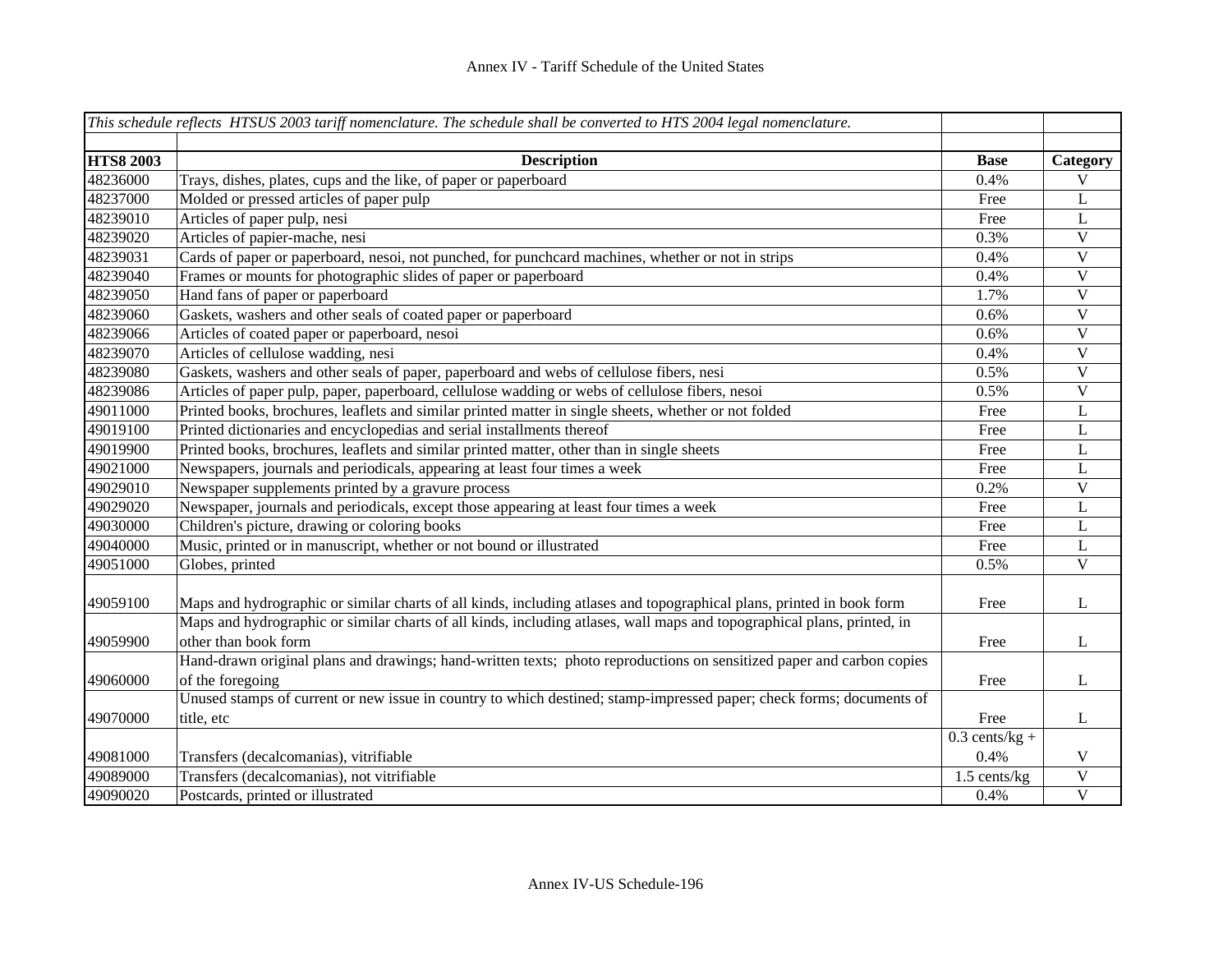|                  | This schedule reflects HTSUS 2003 tariff nomenclature. The schedule shall be converted to HTS 2004 legal nomenclature.  |                  |                           |
|------------------|-------------------------------------------------------------------------------------------------------------------------|------------------|---------------------------|
|                  |                                                                                                                         |                  |                           |
| <b>HTS8 2003</b> | <b>Description</b>                                                                                                      | <b>Base</b>      | Category                  |
| 48236000         | Trays, dishes, plates, cups and the like, of paper or paperboard                                                        | 0.4%             | V                         |
| 48237000         | Molded or pressed articles of paper pulp                                                                                | Free             | L                         |
| 48239010         | Articles of paper pulp, nesi                                                                                            | Free             | L                         |
| 48239020         | Articles of papier-mache, nesi                                                                                          | 0.3%             | $\bar{V}$                 |
| 48239031         | Cards of paper or paperboard, nesoi, not punched, for punchcard machines, whether or not in strips                      | 0.4%             | $\mathbf V$               |
| 48239040         | Frames or mounts for photographic slides of paper or paperboard                                                         | 0.4%             | $\mathbf V$               |
| 48239050         | Hand fans of paper or paperboard                                                                                        | 1.7%             | $\mathbf V$               |
| 48239060         | Gaskets, washers and other seals of coated paper or paperboard                                                          | 0.6%             | $\mathbf V$               |
| 48239066         | Articles of coated paper or paperboard, nesoi                                                                           | 0.6%             | $\boldsymbol{\mathrm{V}}$ |
| 48239070         | Articles of cellulose wadding, nesi                                                                                     | 0.4%             | $\mathbf V$               |
| 48239080         | Gaskets, washers and other seals of paper, paperboard and webs of cellulose fibers, nesi                                | 0.5%             | $\mathbf V$               |
| 48239086         | Articles of paper pulp, paper, paperboard, cellulose wadding or webs of cellulose fibers, nesoi                         | 0.5%             | $\mathbf V$               |
| 49011000         | Printed books, brochures, leaflets and similar printed matter in single sheets, whether or not folded                   | Free             | L                         |
| 49019100         | Printed dictionaries and encyclopedias and serial installments thereof                                                  | Free             | L                         |
| 49019900         | Printed books, brochures, leaflets and similar printed matter, other than in single sheets                              | Free             | L                         |
| 49021000         | Newspapers, journals and periodicals, appearing at least four times a week                                              | Free             | L                         |
| 49029010         | Newspaper supplements printed by a gravure process                                                                      | 0.2%             | $\overline{\mathsf{V}}$   |
| 49029020         | Newspaper, journals and periodicals, except those appearing at least four times a week                                  | Free             | L                         |
| 49030000         | Children's picture, drawing or coloring books                                                                           | Free             | L                         |
| 49040000         | Music, printed or in manuscript, whether or not bound or illustrated                                                    | Free             | L                         |
| 49051000         | Globes, printed                                                                                                         | 0.5%             | $\mathbf V$               |
| 49059100         | Maps and hydrographic or similar charts of all kinds, including atlases and topographical plans, printed in book form   | Free             | L                         |
|                  | Maps and hydrographic or similar charts of all kinds, including atlases, wall maps and topographical plans, printed, in |                  |                           |
| 49059900         | other than book form                                                                                                    | Free             | L                         |
|                  | Hand-drawn original plans and drawings; hand-written texts; photo reproductions on sensitized paper and carbon copies   |                  |                           |
| 49060000         | of the foregoing                                                                                                        | Free             | L                         |
|                  | Unused stamps of current or new issue in country to which destined; stamp-impressed paper; check forms; documents of    |                  |                           |
| 49070000         | title, etc                                                                                                              | Free             | L                         |
|                  |                                                                                                                         | $0.3$ cents/kg + |                           |
| 49081000         | Transfers (decalcomanias), vitrifiable                                                                                  | 0.4%             | V                         |
| 49089000         | Transfers (decalcomanias), not vitrifiable                                                                              | 1.5 cents/kg     | $\boldsymbol{\mathrm{V}}$ |
| 49090020         | Postcards, printed or illustrated                                                                                       | 0.4%             | $\mathbf V$               |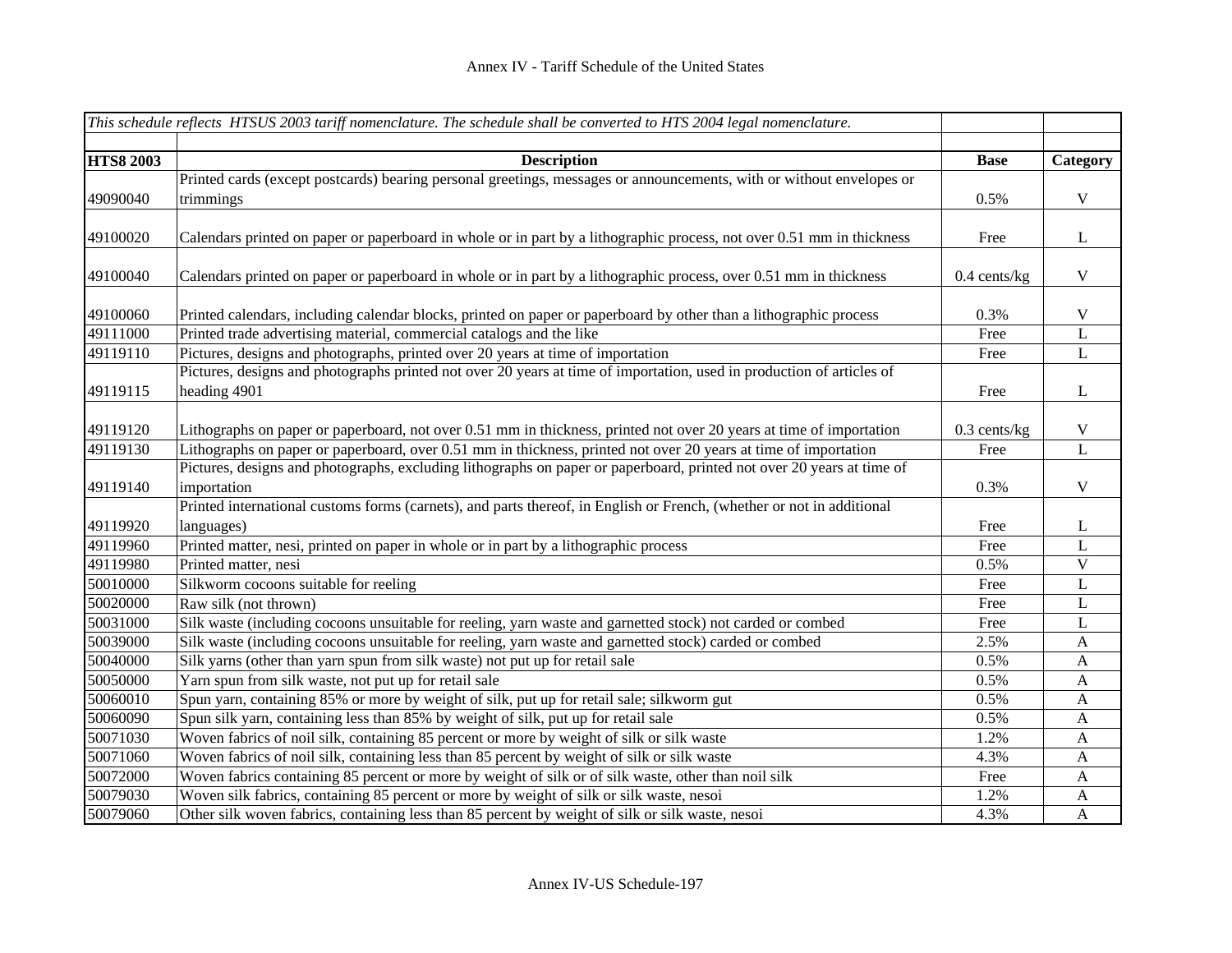|                  | This schedule reflects HTSUS 2003 tariff nomenclature. The schedule shall be converted to HTS 2004 legal nomenclature. |                |                  |
|------------------|------------------------------------------------------------------------------------------------------------------------|----------------|------------------|
|                  |                                                                                                                        |                |                  |
| <b>HTS8 2003</b> | <b>Description</b>                                                                                                     | <b>Base</b>    | Category         |
|                  | Printed cards (except postcards) bearing personal greetings, messages or announcements, with or without envelopes or   |                |                  |
| 49090040         | trimmings                                                                                                              | 0.5%           | $\mathbf V$      |
|                  |                                                                                                                        |                |                  |
| 49100020         | Calendars printed on paper or paperboard in whole or in part by a lithographic process, not over 0.51 mm in thickness  | Free           | L                |
|                  |                                                                                                                        |                |                  |
| 49100040         | Calendars printed on paper or paperboard in whole or in part by a lithographic process, over 0.51 mm in thickness      | $0.4$ cents/kg | $\mathbf V$      |
|                  |                                                                                                                        |                |                  |
| 49100060         | Printed calendars, including calendar blocks, printed on paper or paperboard by other than a lithographic process      | 0.3%           | $\mathbf V$      |
| 49111000         | Printed trade advertising material, commercial catalogs and the like                                                   | Free           | $\overline{L}$   |
| 49119110         | Pictures, designs and photographs, printed over 20 years at time of importation                                        | Free           | $\mathbf L$      |
|                  | Pictures, designs and photographs printed not over 20 years at time of importation, used in production of articles of  |                |                  |
| 49119115         | heading 4901                                                                                                           | Free           | $\mathbf{L}$     |
|                  |                                                                                                                        |                |                  |
| 49119120         | Lithographs on paper or paperboard, not over 0.51 mm in thickness, printed not over 20 years at time of importation    | $0.3$ cents/kg | $\mathbf V$      |
| 49119130         | Lithographs on paper or paperboard, over 0.51 mm in thickness, printed not over 20 years at time of importation        | Free           | $\overline{L}$   |
|                  | Pictures, designs and photographs, excluding lithographs on paper or paperboard, printed not over 20 years at time of  |                |                  |
| 49119140         | importation                                                                                                            | 0.3%           | $\mathbf V$      |
|                  | Printed international customs forms (carnets), and parts thereof, in English or French, (whether or not in additional  |                |                  |
| 49119920         | languages)                                                                                                             | Free           | L                |
| 49119960         | Printed matter, nesi, printed on paper in whole or in part by a lithographic process                                   | Free           | $\mathbf L$      |
| 49119980         | Printed matter, nesi                                                                                                   | 0.5%           | $\mathbf V$      |
| 50010000         | Silkworm cocoons suitable for reeling                                                                                  | Free           | $\mathbf L$      |
| 50020000         | Raw silk (not thrown)                                                                                                  | Free           | $\mathbf L$      |
| 50031000         | Silk waste (including cocoons unsuitable for reeling, yarn waste and garnetted stock) not carded or combed             | Free           | $\mathbf L$      |
| 50039000         | Silk waste (including cocoons unsuitable for reeling, yarn waste and garnetted stock) carded or combed                 | 2.5%           | $\boldsymbol{A}$ |
| 50040000         | Silk yarns (other than yarn spun from silk waste) not put up for retail sale                                           | 0.5%           | $\mathbf{A}$     |
| 50050000         | Yarn spun from silk waste, not put up for retail sale                                                                  | 0.5%           | $\boldsymbol{A}$ |
| 50060010         | Spun yarn, containing 85% or more by weight of silk, put up for retail sale; silkworm gut                              | 0.5%           | A                |
| 50060090         | Spun silk yarn, containing less than 85% by weight of silk, put up for retail sale                                     | 0.5%           | $\mathbf{A}$     |
| 50071030         | Woven fabrics of noil silk, containing 85 percent or more by weight of silk or silk waste                              | 1.2%           | $\boldsymbol{A}$ |
| 50071060         | Woven fabrics of noil silk, containing less than 85 percent by weight of silk or silk waste                            | 4.3%           | $\mathbf{A}$     |
| 50072000         | Woven fabrics containing 85 percent or more by weight of silk or of silk waste, other than noil silk                   | Free           | $\mathbf{A}$     |
| 50079030         | Woven silk fabrics, containing 85 percent or more by weight of silk or silk waste, nesoi                               | 1.2%           | $\mathbf{A}$     |
| 50079060         | Other silk woven fabrics, containing less than 85 percent by weight of silk or silk waste, nesoi                       | 4.3%           | $\mathbf{A}$     |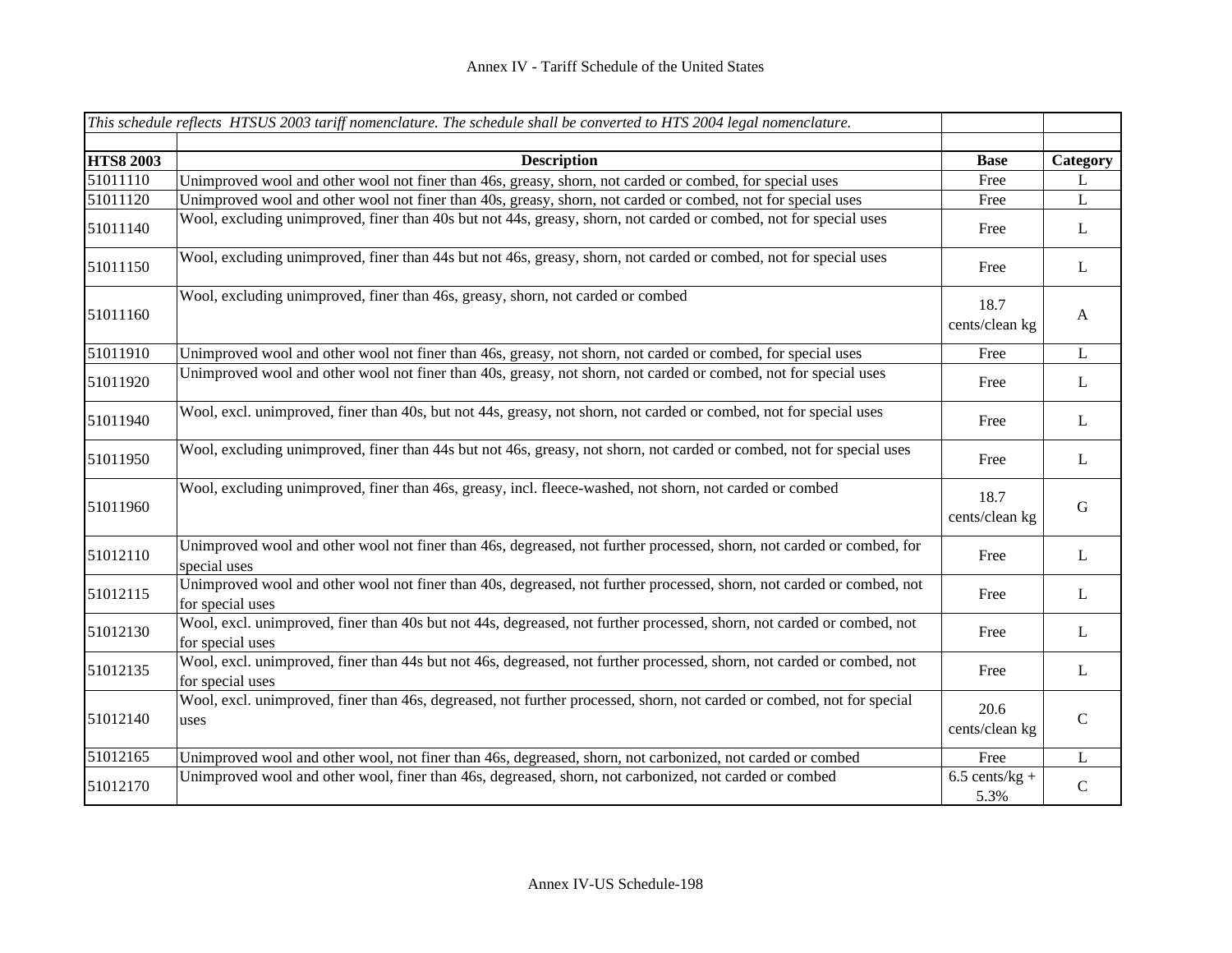|                  | This schedule reflects HTSUS 2003 tariff nomenclature. The schedule shall be converted to HTS 2004 legal nomenclature.                     |                          |              |
|------------------|--------------------------------------------------------------------------------------------------------------------------------------------|--------------------------|--------------|
| <b>HTS8 2003</b> | <b>Description</b>                                                                                                                         | <b>Base</b>              | Category     |
| 51011110         | Unimproved wool and other wool not finer than 46s, greasy, shorn, not carded or combed, for special uses                                   | Free                     | L            |
| 51011120         | Unimproved wool and other wool not finer than 40s, greasy, shorn, not carded or combed, not for special uses                               | Free                     | $\mathbf{L}$ |
| 51011140         | Wool, excluding unimproved, finer than 40s but not 44s, greasy, shorn, not carded or combed, not for special uses                          | Free                     | L            |
| 51011150         | Wool, excluding unimproved, finer than 44s but not 46s, greasy, shorn, not carded or combed, not for special uses                          | Free                     | L            |
| 51011160         | Wool, excluding unimproved, finer than 46s, greasy, shorn, not carded or combed                                                            | 18.7<br>cents/clean kg   | $\mathbf{A}$ |
| 51011910         | Unimproved wool and other wool not finer than 46s, greasy, not shorn, not carded or combed, for special uses                               | Free                     | $\mathbf L$  |
| 51011920         | Unimproved wool and other wool not finer than 40s, greasy, not shorn, not carded or combed, not for special uses                           | Free                     | L            |
| 51011940         | Wool, excl. unimproved, finer than 40s, but not 44s, greasy, not shorn, not carded or combed, not for special uses                         | Free                     | L            |
| 51011950         | Wool, excluding unimproved, finer than 44s but not 46s, greasy, not shorn, not carded or combed, not for special uses                      | Free                     | $\mathbf{L}$ |
| 51011960         | Wool, excluding unimproved, finer than 46s, greasy, incl. fleece-washed, not shorn, not carded or combed                                   | 18.7<br>cents/clean kg   | $\mathbf G$  |
| 51012110         | Unimproved wool and other wool not finer than 46s, degreased, not further processed, shorn, not carded or combed, for<br>special uses      | Free                     | $\mathbf{L}$ |
| 51012115         | Unimproved wool and other wool not finer than 40s, degreased, not further processed, shorn, not carded or combed, not<br>for special uses  | Free                     | L            |
| 51012130         | Wool, excl. unimproved, finer than 40s but not 44s, degreased, not further processed, shorn, not carded or combed, not<br>for special uses | Free                     | L            |
| 51012135         | Wool, excl. unimproved, finer than 44s but not 46s, degreased, not further processed, shorn, not carded or combed, not<br>for special uses | Free                     | $\mathbf{L}$ |
| 51012140         | Wool, excl. unimproved, finer than 46s, degreased, not further processed, shorn, not carded or combed, not for special<br>uses             | 20.6<br>cents/clean kg   | $\mathbf C$  |
| 51012165         | Unimproved wool and other wool, not finer than 46s, degreased, shorn, not carbonized, not carded or combed                                 | Free                     | $\mathbf L$  |
| 51012170         | Unimproved wool and other wool, finer than 46s, degreased, shorn, not carbonized, not carded or combed                                     | $6.5$ cents/kg +<br>5.3% | ${\bf C}$    |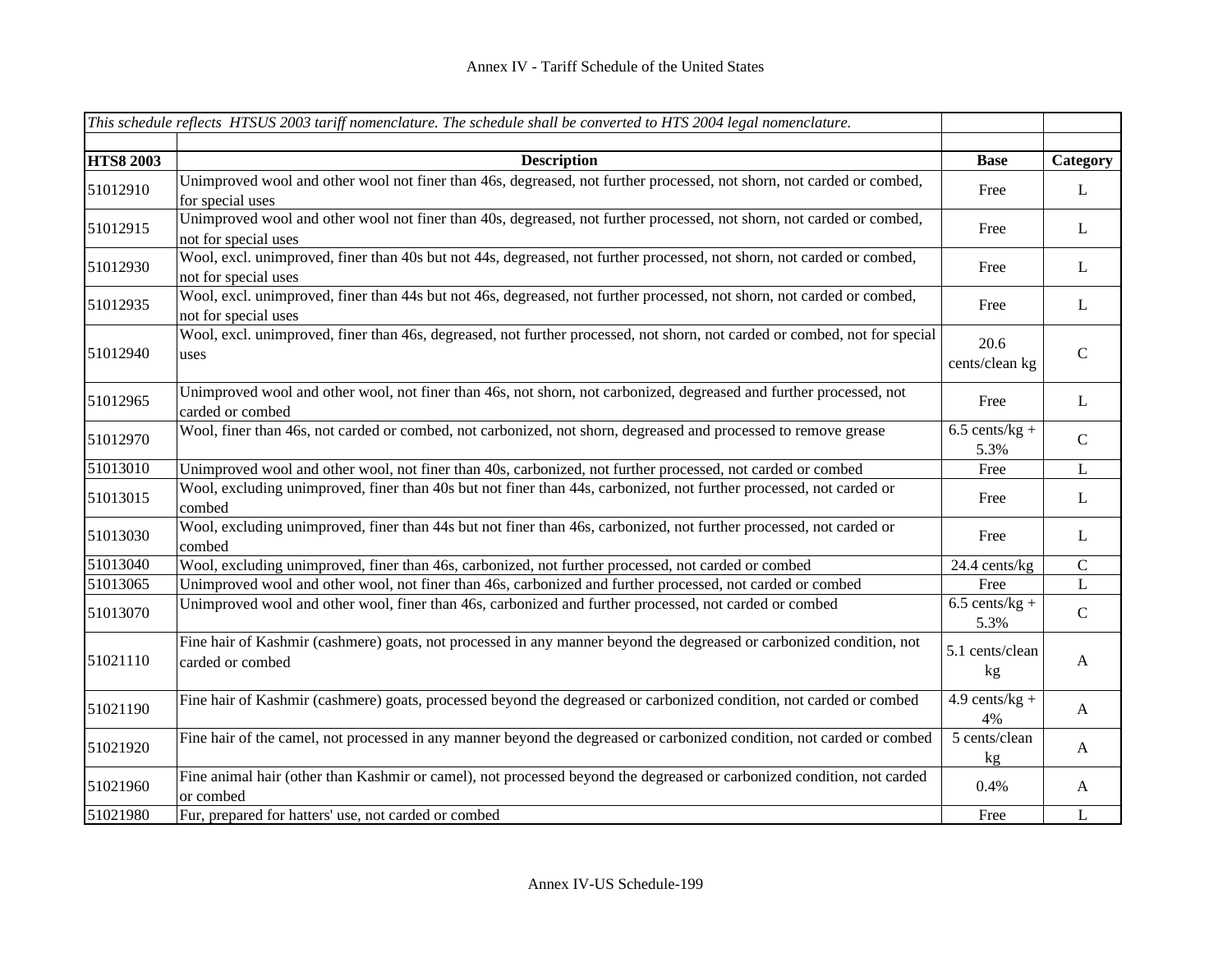|                  | This schedule reflects HTSUS 2003 tariff nomenclature. The schedule shall be converted to HTS 2004 legal nomenclature.                         |                                   |              |
|------------------|------------------------------------------------------------------------------------------------------------------------------------------------|-----------------------------------|--------------|
| <b>HTS8 2003</b> | <b>Description</b>                                                                                                                             | <b>Base</b>                       | Category     |
| 51012910         | Unimproved wool and other wool not finer than 46s, degreased, not further processed, not shorn, not carded or combed,<br>for special uses      | Free                              | L            |
| 51012915         | Unimproved wool and other wool not finer than 40s, degreased, not further processed, not shorn, not carded or combed,<br>not for special uses  | Free                              | $\bf L$      |
| 51012930         | Wool, excl. unimproved, finer than 40s but not 44s, degreased, not further processed, not shorn, not carded or combed,<br>not for special uses | Free                              | $\bf L$      |
| 51012935         | Wool, excl. unimproved, finer than 44s but not 46s, degreased, not further processed, not shorn, not carded or combed,<br>not for special uses | Free                              | L            |
| 51012940         | Wool, excl. unimproved, finer than 46s, degreased, not further processed, not shorn, not carded or combed, not for special<br>uses             | 20.6<br>cents/clean kg            | $\mathsf{C}$ |
| 51012965         | Unimproved wool and other wool, not finer than 46s, not shorn, not carbonized, degreased and further processed, not<br>carded or combed        | Free                              | $\mathbf{L}$ |
| 51012970         | Wool, finer than 46s, not carded or combed, not carbonized, not shorn, degreased and processed to remove grease                                | $6.5$ cents/kg +<br>5.3%          | $\mathsf{C}$ |
| 51013010         | Unimproved wool and other wool, not finer than 40s, carbonized, not further processed, not carded or combed                                    | Free                              | $\bf L$      |
| 51013015         | Wool, excluding unimproved, finer than 40s but not finer than 44s, carbonized, not further processed, not carded or<br>combed                  | Free                              | L            |
| 51013030         | Wool, excluding unimproved, finer than 44s but not finer than 46s, carbonized, not further processed, not carded or<br>combed                  | Free                              | L            |
| 51013040         | Wool, excluding unimproved, finer than 46s, carbonized, not further processed, not carded or combed                                            | 24.4 cents/kg                     | $\mathbf C$  |
| 51013065         | Unimproved wool and other wool, not finer than 46s, carbonized and further processed, not carded or combed                                     | Free                              | $\mathbf L$  |
| 51013070         | Unimproved wool and other wool, finer than 46s, carbonized and further processed, not carded or combed                                         | $6.5$ cents/kg +<br>5.3%          | $\mathbf C$  |
| 51021110         | Fine hair of Kashmir (cashmere) goats, not processed in any manner beyond the degreased or carbonized condition, not<br>carded or combed       | 5.1 cents/clean<br>kg             | $\mathbf{A}$ |
| 51021190         | Fine hair of Kashmir (cashmere) goats, processed beyond the degreased or carbonized condition, not carded or combed                            | $\overline{4.9}$ cents/kg +<br>4% | A            |
| 51021920         | Fine hair of the camel, not processed in any manner beyond the degreased or carbonized condition, not carded or combed                         | 5 cents/clean<br>kg               | A            |
| 51021960         | Fine animal hair (other than Kashmir or camel), not processed beyond the degreased or carbonized condition, not carded<br>or combed            | 0.4%                              | $\mathbf{A}$ |
| 51021980         | Fur, prepared for hatters' use, not carded or combed                                                                                           | Free                              | L            |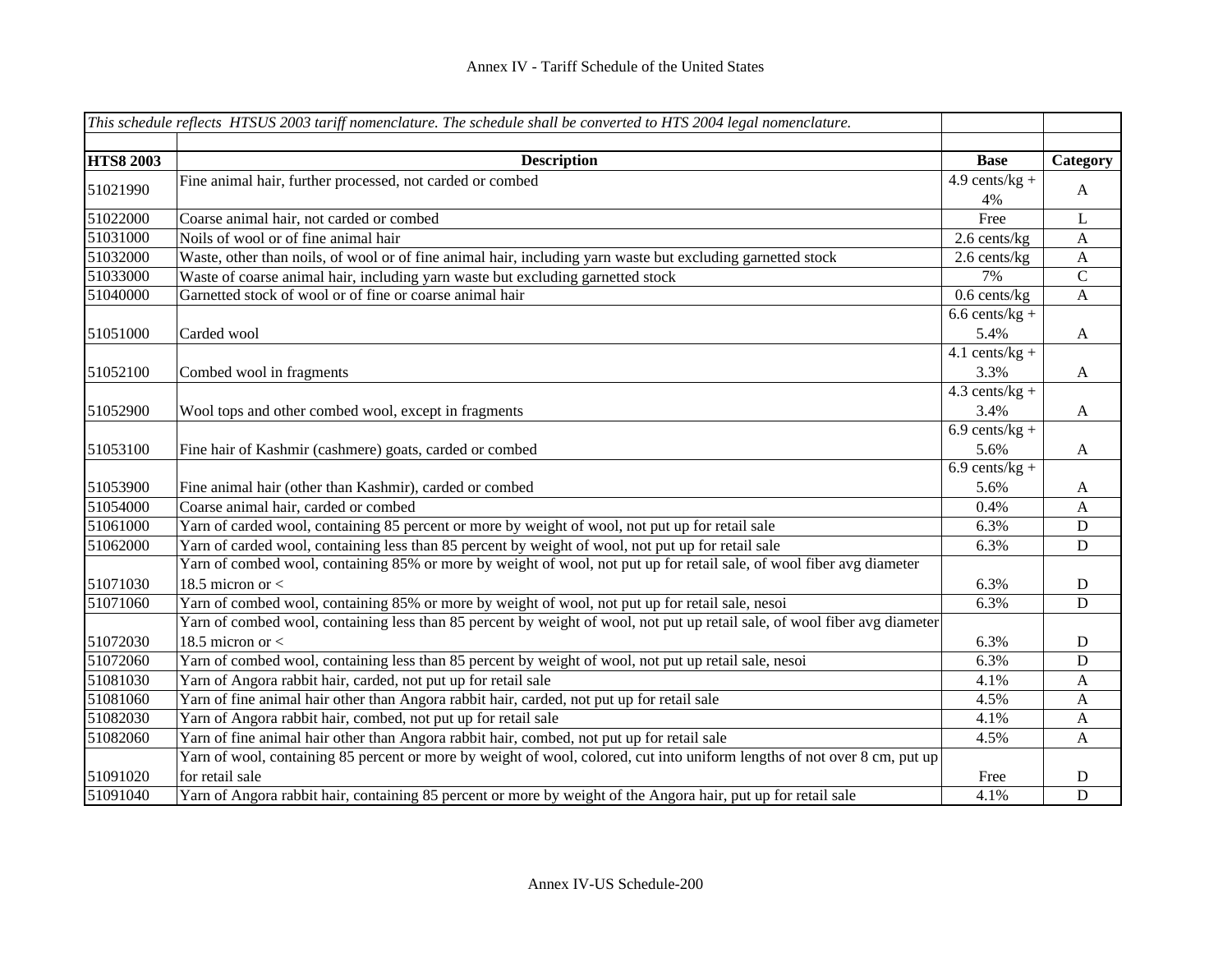|                  | This schedule reflects HTSUS 2003 tariff nomenclature. The schedule shall be converted to HTS 2004 legal nomenclature.     |                             |                           |
|------------------|----------------------------------------------------------------------------------------------------------------------------|-----------------------------|---------------------------|
|                  |                                                                                                                            |                             |                           |
| <b>HTS8 2003</b> | <b>Description</b>                                                                                                         | <b>Base</b>                 | Category                  |
| 51021990         | Fine animal hair, further processed, not carded or combed                                                                  | $\overline{4.9}$ cents/kg + | A                         |
|                  |                                                                                                                            | 4%                          |                           |
| 51022000         | Coarse animal hair, not carded or combed                                                                                   | Free                        | $\mathbf{L}$              |
| 51031000         | Noils of wool or of fine animal hair                                                                                       | 2.6 cents/kg                | $\mathbf{A}$              |
| 51032000         | Waste, other than noils, of wool or of fine animal hair, including yarn waste but excluding garnetted stock                | 2.6 cents/kg                | $\boldsymbol{\mathsf{A}}$ |
| 51033000         | Waste of coarse animal hair, including yarn waste but excluding garnetted stock                                            | 7%                          | $\mathcal{C}$             |
| 51040000         | Garnetted stock of wool or of fine or coarse animal hair                                                                   | $0.6$ cents/kg              | $\mathbf{A}$              |
|                  |                                                                                                                            | $6.6$ cents/kg +            |                           |
| 51051000         | Carded wool                                                                                                                | 5.4%                        | $\mathbf{A}$              |
|                  |                                                                                                                            | $4.1$ cents/kg +            |                           |
| 51052100         | Combed wool in fragments                                                                                                   | 3.3%                        | $\mathbf{A}$              |
|                  |                                                                                                                            | $4.3$ cents/kg +            |                           |
| 51052900         | Wool tops and other combed wool, except in fragments                                                                       | 3.4%                        | $\mathbf{A}$              |
|                  |                                                                                                                            | $6.9$ cents/kg +            |                           |
| 51053100         | Fine hair of Kashmir (cashmere) goats, carded or combed                                                                    | 5.6%                        | $\mathbf{A}$              |
|                  |                                                                                                                            | $6.9$ cents/kg +            |                           |
| 51053900         | Fine animal hair (other than Kashmir), carded or combed                                                                    | 5.6%                        | A                         |
| 51054000         | Coarse animal hair, carded or combed                                                                                       | 0.4%                        | $\mathbf{A}$              |
| 51061000         | Yarn of carded wool, containing 85 percent or more by weight of wool, not put up for retail sale                           | 6.3%                        | $\mathbf D$               |
| 51062000         | Yarn of carded wool, containing less than 85 percent by weight of wool, not put up for retail sale                         | 6.3%                        | D                         |
|                  | Yarn of combed wool, containing 85% or more by weight of wool, not put up for retail sale, of wool fiber avg diameter      |                             |                           |
| 51071030         | 18.5 micron or $<$                                                                                                         | 6.3%                        | ${\bf D}$                 |
| 51071060         | Yarn of combed wool, containing 85% or more by weight of wool, not put up for retail sale, nesoi                           | 6.3%                        | $\mathbf D$               |
|                  | Yarn of combed wool, containing less than 85 percent by weight of wool, not put up retail sale, of wool fiber avg diameter |                             |                           |
| 51072030         | 18.5 micron or $<$                                                                                                         | 6.3%                        | $\mathbf D$               |
| 51072060         | Yarn of combed wool, containing less than 85 percent by weight of wool, not put up retail sale, nesoi                      | 6.3%                        | D                         |
| 51081030         | Yarn of Angora rabbit hair, carded, not put up for retail sale                                                             | 4.1%                        | $\mathbf{A}$              |
| 51081060         | Yarn of fine animal hair other than Angora rabbit hair, carded, not put up for retail sale                                 | 4.5%                        | $\mathbf{A}$              |
| 51082030         | Yarn of Angora rabbit hair, combed, not put up for retail sale                                                             | 4.1%                        | $\boldsymbol{A}$          |
| 51082060         | Yarn of fine animal hair other than Angora rabbit hair, combed, not put up for retail sale                                 | 4.5%                        | $\mathbf{A}$              |
|                  | Yarn of wool, containing 85 percent or more by weight of wool, colored, cut into uniform lengths of not over 8 cm, put up  |                             |                           |
| 51091020         | for retail sale                                                                                                            | Free                        | $\mathbf D$               |
| 51091040         | Yarn of Angora rabbit hair, containing 85 percent or more by weight of the Angora hair, put up for retail sale             | 4.1%                        | $\mathbf D$               |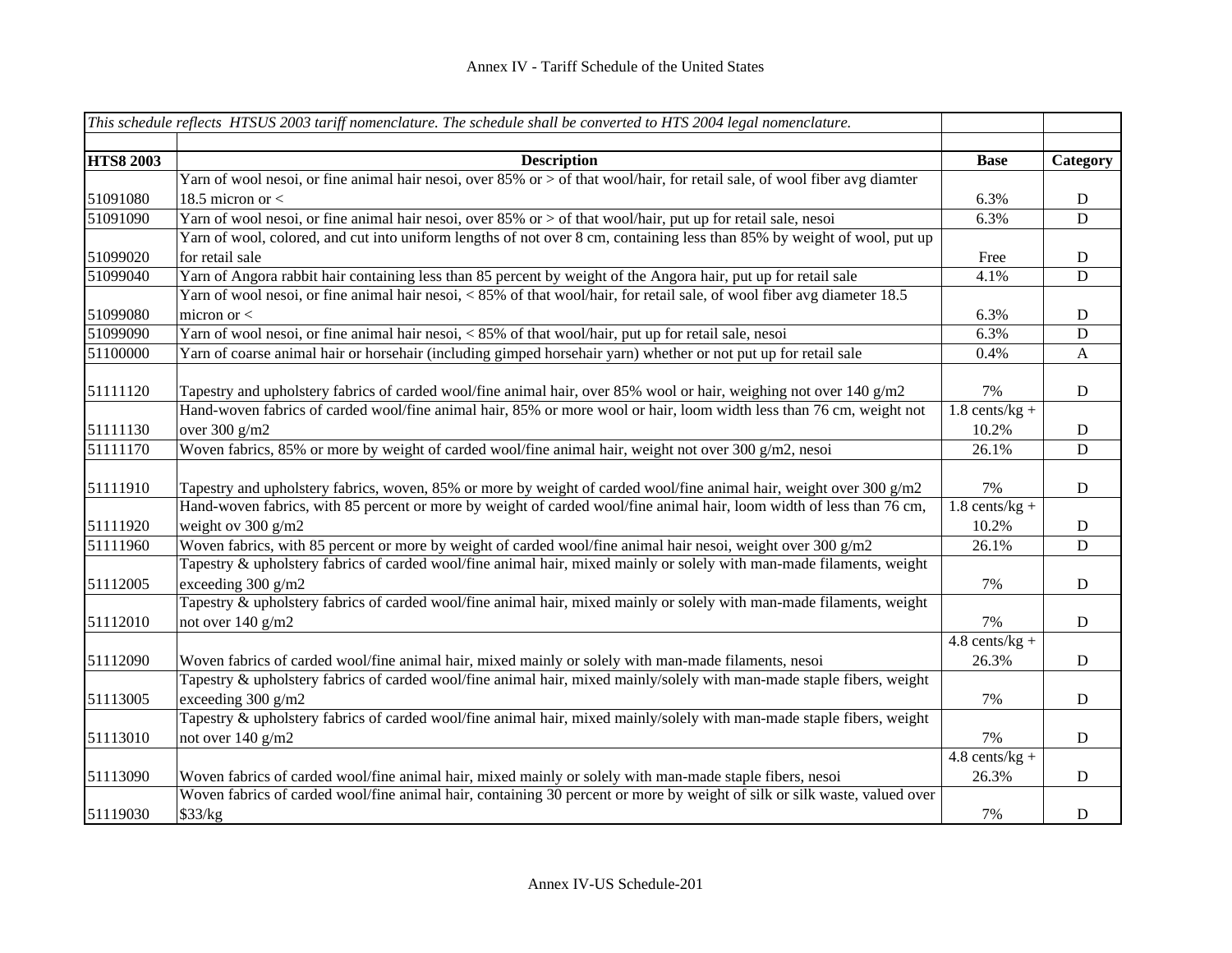|                  | This schedule reflects HTSUS 2003 tariff nomenclature. The schedule shall be converted to HTS 2004 legal nomenclature.                      |                  |                  |
|------------------|---------------------------------------------------------------------------------------------------------------------------------------------|------------------|------------------|
|                  |                                                                                                                                             |                  |                  |
| <b>HTS8 2003</b> | <b>Description</b>                                                                                                                          | <b>Base</b>      | Category         |
|                  | Yarn of wool nesoi, or fine animal hair nesoi, over 85% or > of that wool/hair, for retail sale, of wool fiber avg diamter                  |                  |                  |
| 51091080         | 18.5 micron or $<$                                                                                                                          | 6.3%             | $\mathbf D$      |
| 51091090         | Yarn of wool nesoi, or fine animal hair nesoi, over 85% or > of that wool/hair, put up for retail sale, nesoi                               | 6.3%             | $\mathbf D$      |
|                  | Yarn of wool, colored, and cut into uniform lengths of not over 8 cm, containing less than 85% by weight of wool, put up                    |                  |                  |
| 51099020         | for retail sale                                                                                                                             | Free             | $\mathbf D$      |
| 51099040         | Yarn of Angora rabbit hair containing less than 85 percent by weight of the Angora hair, put up for retail sale                             | 4.1%             | D                |
|                  | Yarn of wool nesoi, or fine animal hair nesoi, < 85% of that wool/hair, for retail sale, of wool fiber avg diameter 18.5                    |                  |                  |
| 51099080         | micron or $<$                                                                                                                               | 6.3%             | ${\bf D}$        |
| 51099090         | Yarn of wool nesoi, or fine animal hair nesoi, < 85% of that wool/hair, put up for retail sale, nesoi                                       | 6.3%             | $\mathbf D$      |
| 51100000         | Yarn of coarse animal hair or horsehair (including gimped horsehair yarn) whether or not put up for retail sale                             | 0.4%             | $\boldsymbol{A}$ |
| 51111120         | Tapestry and upholstery fabrics of carded wool/fine animal hair, over 85% wool or hair, weighing not over 140 g/m2                          | 7%               | D                |
|                  | Hand-woven fabrics of carded wool/fine animal hair, 85% or more wool or hair, loom width less than 76 cm, weight not                        | $1.8$ cents/kg + |                  |
| 51111130         | over 300 g/m2                                                                                                                               | 10.2%            | $\mathbf D$      |
| 51111170         | Woven fabrics, 85% or more by weight of carded wool/fine animal hair, weight not over 300 g/m2, nesoi                                       | 26.1%            | $\mathbf D$      |
| 51111910         | Tapestry and upholstery fabrics, woven, 85% or more by weight of carded wool/fine animal hair, weight over 300 g/m2                         | 7%               | $\mathbf D$      |
|                  | Hand-woven fabrics, with 85 percent or more by weight of carded wool/fine animal hair, loom width of less than 76 cm,                       | $1.8$ cents/kg + |                  |
| 51111920         | weight ov 300 g/m2                                                                                                                          | 10.2%            | $\mathbf D$      |
| 51111960         | Woven fabrics, with 85 percent or more by weight of carded wool/fine animal hair nesoi, weight over 300 $g/m2$                              | 26.1%            | D                |
| 51112005         | Tapestry & upholstery fabrics of carded wool/fine animal hair, mixed mainly or solely with man-made filaments, weight<br>exceeding 300 g/m2 | 7%               | $\mathbf D$      |
|                  | Tapestry & upholstery fabrics of carded wool/fine animal hair, mixed mainly or solely with man-made filaments, weight                       |                  |                  |
| 51112010         | not over 140 g/m2                                                                                                                           | 7%               | ${\bf D}$        |
|                  |                                                                                                                                             | $4.8$ cents/kg + |                  |
| 51112090         | Woven fabrics of carded wool/fine animal hair, mixed mainly or solely with man-made filaments, nesoi                                        | 26.3%            | $\mathbf D$      |
|                  | Tapestry & upholstery fabrics of carded wool/fine animal hair, mixed mainly/solely with man-made staple fibers, weight                      |                  |                  |
| 51113005         | exceeding 300 g/m2                                                                                                                          | 7%               | $\mathbf D$      |
|                  | Tapestry & upholstery fabrics of carded wool/fine animal hair, mixed mainly/solely with man-made staple fibers, weight                      |                  |                  |
| 51113010         | not over 140 g/m2                                                                                                                           | 7%               | ${\bf D}$        |
|                  |                                                                                                                                             | $4.8$ cents/kg + |                  |
| 51113090         | Woven fabrics of carded wool/fine animal hair, mixed mainly or solely with man-made staple fibers, nesoi                                    | 26.3%            | $\mathbf D$      |
|                  | Woven fabrics of carded wool/fine animal hair, containing 30 percent or more by weight of silk or silk waste, valued over                   |                  |                  |
| 51119030         | \$33/kg                                                                                                                                     | 7%               | $\mathbf D$      |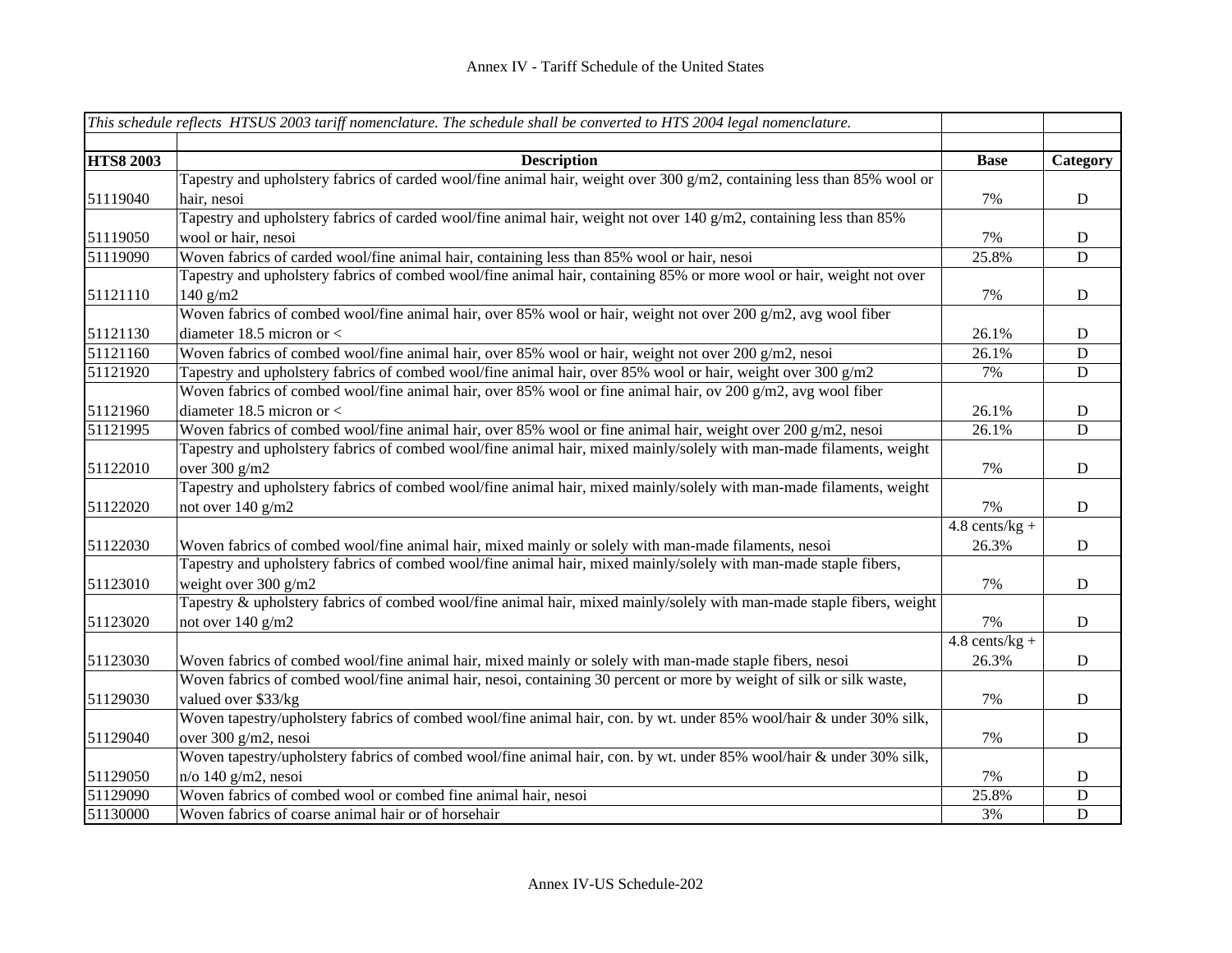|                  | This schedule reflects HTSUS 2003 tariff nomenclature. The schedule shall be converted to HTS 2004 legal nomenclature.      |                  |             |
|------------------|-----------------------------------------------------------------------------------------------------------------------------|------------------|-------------|
| <b>HTS8 2003</b> | <b>Description</b>                                                                                                          | <b>Base</b>      | Category    |
|                  | Tapestry and upholstery fabrics of carded wool/fine animal hair, weight over 300 g/m2, containing less than 85% wool or     |                  |             |
| 51119040         | hair, nesoi                                                                                                                 | 7%               | D           |
|                  | Tapestry and upholstery fabrics of carded wool/fine animal hair, weight not over 140 g/m2, containing less than 85%         |                  |             |
| 51119050         | wool or hair, nesoi                                                                                                         | 7%               | D           |
| 51119090         | Woven fabrics of carded wool/fine animal hair, containing less than 85% wool or hair, nesoi                                 | 25.8%            | D           |
|                  | Tapestry and upholstery fabrics of combed wool/fine animal hair, containing 85% or more wool or hair, weight not over       |                  |             |
| 51121110         | $140$ g/m2                                                                                                                  | 7%               | $\mathbf D$ |
|                  | Woven fabrics of combed wool/fine animal hair, over 85% wool or hair, weight not over 200 g/m2, avg wool fiber              |                  |             |
| 51121130         | diameter 18.5 micron or $<$                                                                                                 | 26.1%            | D           |
| 51121160         | Woven fabrics of combed wool/fine animal hair, over 85% wool or hair, weight not over 200 $g/m2$ , nesoi                    | 26.1%            | $\mathbf D$ |
| 51121920         | Tapestry and upholstery fabrics of combed wool/fine animal hair, over 85% wool or hair, weight over 300 $g/m2$              | 7%               | D           |
|                  | Woven fabrics of combed wool/fine animal hair, over 85% wool or fine animal hair, ov 200 $g/\overline{m2}$ , avg wool fiber |                  |             |
| 51121960         | diameter 18.5 micron or $<$                                                                                                 | 26.1%            | D           |
| 51121995         | Woven fabrics of combed wool/fine animal hair, over 85% wool or fine animal hair, weight over 200 $g/m2$ , nesoi            | 26.1%            | $\mathbf D$ |
|                  | Tapestry and upholstery fabrics of combed wool/fine animal hair, mixed mainly/solely with man-made filaments, weight        |                  |             |
| 51122010         | over 300 g/m2                                                                                                               | 7%               | $\mathbf D$ |
|                  | Tapestry and upholstery fabrics of combed wool/fine animal hair, mixed mainly/solely with man-made filaments, weight        |                  |             |
| 51122020         | not over 140 g/m2                                                                                                           | 7%               | $\mathbf D$ |
|                  |                                                                                                                             | $4.8$ cents/kg + |             |
| 51122030         | Woven fabrics of combed wool/fine animal hair, mixed mainly or solely with man-made filaments, nesoi                        | 26.3%            | $\mathbf D$ |
|                  | Tapestry and upholstery fabrics of combed wool/fine animal hair, mixed mainly/solely with man-made staple fibers,           |                  |             |
| 51123010         | weight over 300 g/m2                                                                                                        | 7%               | $\mathbf D$ |
|                  | Tapestry & upholstery fabrics of combed wool/fine animal hair, mixed mainly/solely with man-made staple fibers, weight      |                  |             |
| 51123020         | not over 140 g/m2                                                                                                           | 7%               | $\mathbf D$ |
|                  |                                                                                                                             | $4.8$ cents/kg + |             |
| 51123030         | Woven fabrics of combed wool/fine animal hair, mixed mainly or solely with man-made staple fibers, nesoi                    | 26.3%            | $\mathbf D$ |
|                  | Woven fabrics of combed wool/fine animal hair, nesoi, containing 30 percent or more by weight of silk or silk waste,        |                  |             |
| 51129030         | valued over \$33/kg                                                                                                         | 7%               | D           |
|                  | Woven tapestry/upholstery fabrics of combed wool/fine animal hair, con. by wt. under 85% wool/hair & under 30% silk,        |                  |             |
| 51129040         | over 300 g/m2, nesoi                                                                                                        | 7%               | D           |
|                  | Woven tapestry/upholstery fabrics of combed wool/fine animal hair, con. by wt. under 85% wool/hair & under 30% silk,        |                  |             |
| 51129050         | $n$ /o 140 g/m2, nesoi                                                                                                      | 7%               | $\mathbf D$ |
| 51129090         | Woven fabrics of combed wool or combed fine animal hair, nesoi                                                              | 25.8%            | ${\bf D}$   |
| 51130000         | Woven fabrics of coarse animal hair or of horsehair                                                                         | 3%               | ${\bf D}$   |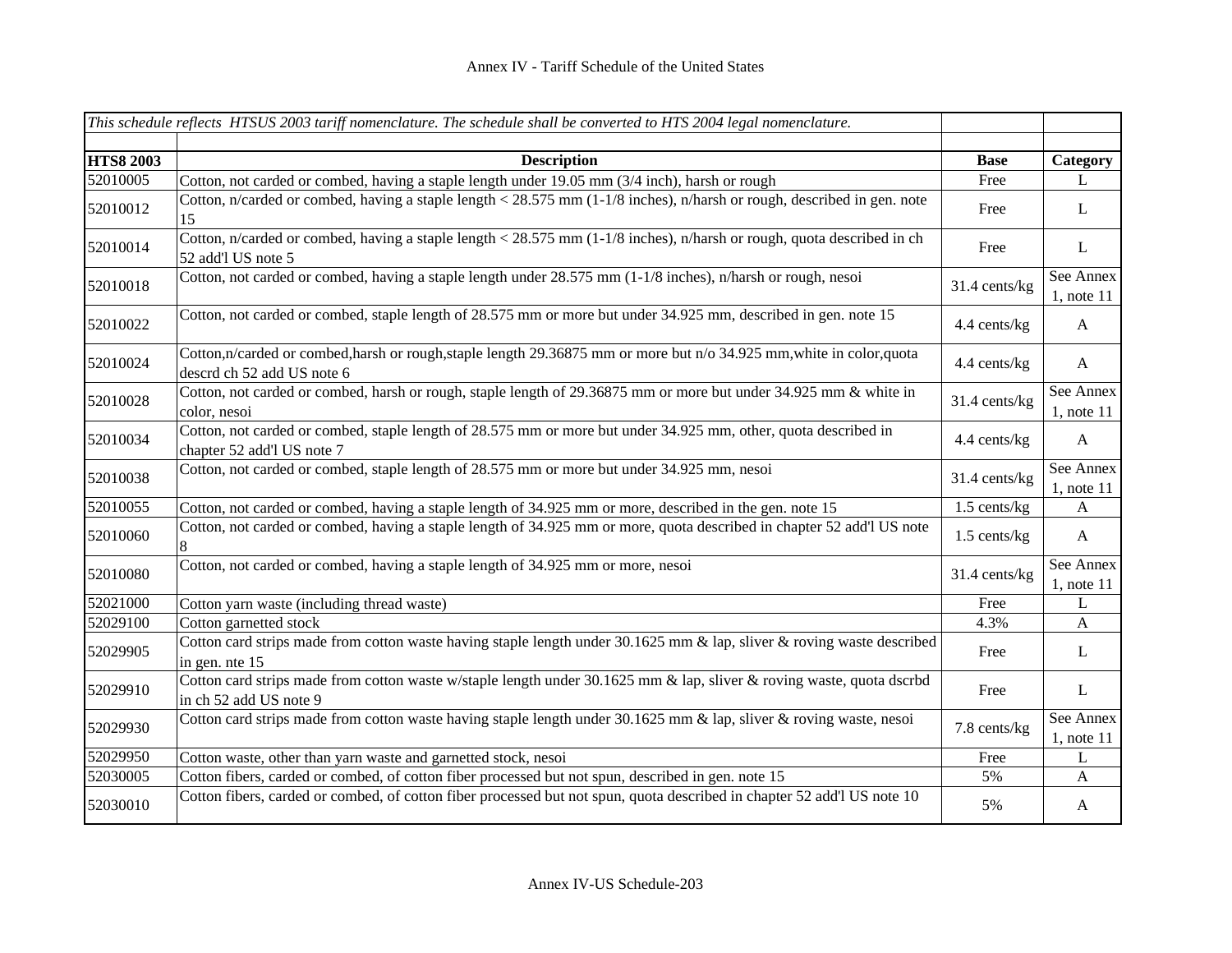|                  | This schedule reflects HTSUS 2003 tariff nomenclature. The schedule shall be converted to HTS 2004 legal nomenclature.                          |               |                              |
|------------------|-------------------------------------------------------------------------------------------------------------------------------------------------|---------------|------------------------------|
| <b>HTS8 2003</b> | <b>Description</b>                                                                                                                              | <b>Base</b>   | Category                     |
| 52010005         | Cotton, not carded or combed, having a staple length under 19.05 mm (3/4 inch), harsh or rough                                                  | Free          | L                            |
| 52010012         | Cotton, n/carded or combed, having a staple length < 28.575 mm (1-1/8 inches), n/harsh or rough, described in gen. note<br>15                   | Free          | $\mathbf{L}$                 |
| 52010014         | Cotton, n/carded or combed, having a staple length < 28.575 mm $(1-1/8)$ inches), n/harsh or rough, quota described in ch<br>52 add'l US note 5 | Free          | $\mathbf{L}$                 |
| 52010018         | Cotton, not carded or combed, having a staple length under 28.575 mm (1-1/8 inches), n/harsh or rough, nesoi                                    | 31.4 cents/kg | See Annex<br>$1$ , note $11$ |
| 52010022         | Cotton, not carded or combed, staple length of 28.575 mm or more but under 34.925 mm, described in gen. note 15                                 | 4.4 cents/kg  | $\mathbf{A}$                 |
| 52010024         | Cotton,n/carded or combed,harsh or rough,staple length 29.36875 mm or more but n/o 34.925 mm,white in color,quota<br>descrd ch 52 add US note 6 | 4.4 cents/kg  | $\mathbf{A}$                 |
| 52010028         | Cotton, not carded or combed, harsh or rough, staple length of 29.36875 mm or more but under 34.925 mm & white in<br>color, nesoi               | 31.4 cents/kg | See Annex<br>$1$ , note $11$ |
| 52010034         | Cotton, not carded or combed, staple length of 28.575 mm or more but under 34.925 mm, other, quota described in<br>chapter 52 add'l US note 7   | 4.4 cents/kg  | $\mathbf{A}$                 |
| 52010038         | Cotton, not carded or combed, staple length of 28.575 mm or more but under 34.925 mm, nesoi                                                     | 31.4 cents/kg | See Annex<br>$1$ , note $11$ |
| 52010055         | Cotton, not carded or combed, having a staple length of 34.925 mm or more, described in the gen. note 15                                        | 1.5 cents/kg  | A                            |
| 52010060         | Cotton, not carded or combed, having a staple length of 34.925 mm or more, quota described in chapter 52 add'l US note<br>8                     | 1.5 cents/kg  | $\mathbf{A}$                 |
| 52010080         | Cotton, not carded or combed, having a staple length of 34.925 mm or more, nesoi                                                                | 31.4 cents/kg | See Annex<br>$1$ , note $11$ |
| 52021000         | Cotton yarn waste (including thread waste)                                                                                                      | Free          | L                            |
| 52029100         | Cotton garnetted stock                                                                                                                          | 4.3%          | $\mathbf{A}$                 |
| 52029905         | Cotton card strips made from cotton waste having staple length under 30.1625 mm & lap, sliver & roving waste described<br>in gen. nte 15        | Free          | L                            |
| 52029910         | Cotton card strips made from cotton waste w/staple length under 30.1625 mm & lap, sliver & roving waste, quota dscrbd<br>in ch 52 add US note 9 | Free          | $\bf L$                      |
| 52029930         | Cotton card strips made from cotton waste having staple length under 30.1625 mm & lap, sliver & roving waste, nesoi                             | 7.8 cents/kg  | See Annex<br>$1$ , note $11$ |
| 52029950         | Cotton waste, other than yarn waste and garnetted stock, nesoi                                                                                  | Free          | $\bf L$                      |
| 52030005         | Cotton fibers, carded or combed, of cotton fiber processed but not spun, described in gen. note 15                                              | 5%            | $\mathbf{A}$                 |
| 52030010         | Cotton fibers, carded or combed, of cotton fiber processed but not spun, quota described in chapter 52 add'l US note 10                         | 5%            | $\mathbf{A}$                 |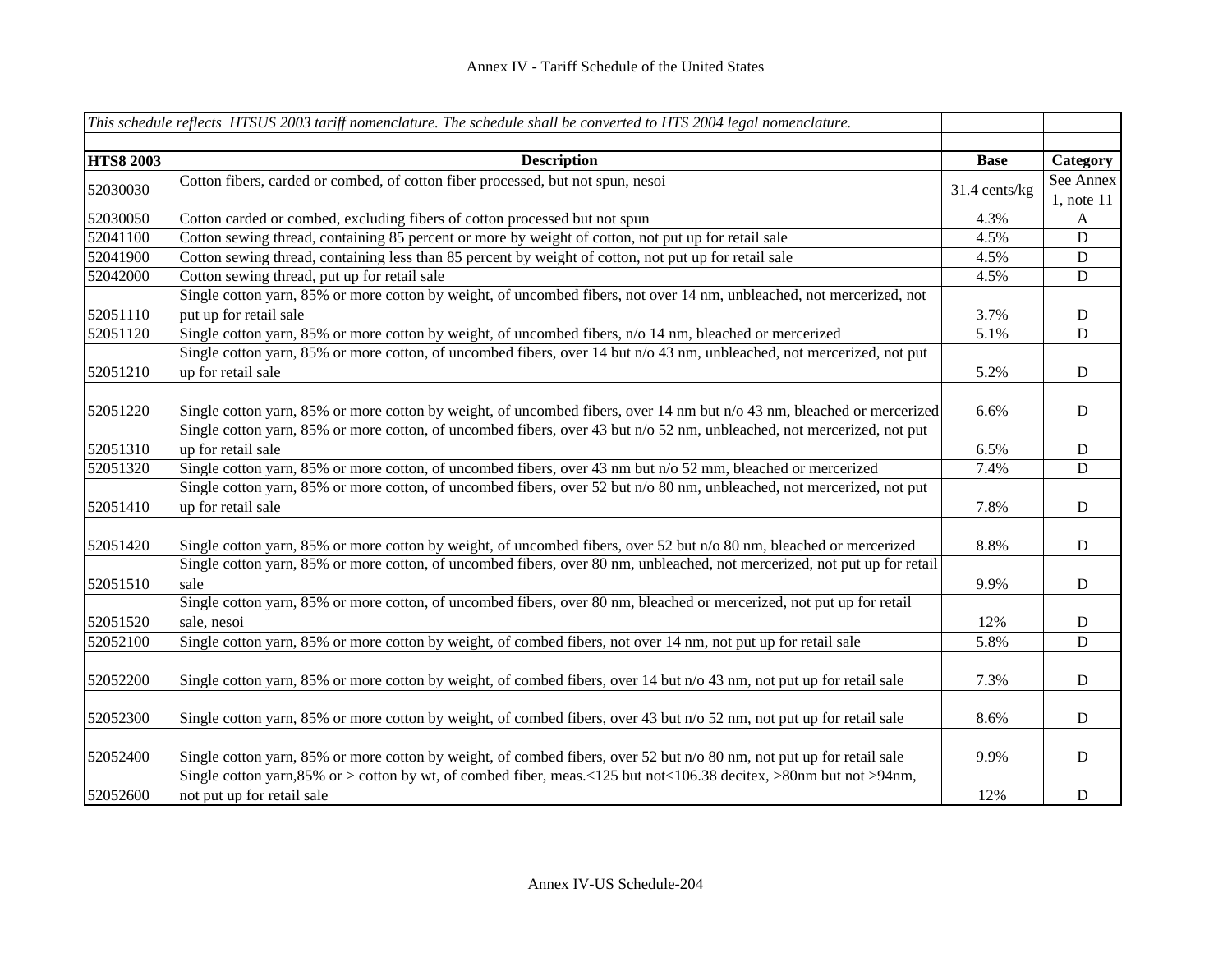|                  | This schedule reflects HTSUS 2003 tariff nomenclature. The schedule shall be converted to HTS 2004 legal nomenclature.                             |               |                              |
|------------------|----------------------------------------------------------------------------------------------------------------------------------------------------|---------------|------------------------------|
| <b>HTS8 2003</b> | <b>Description</b>                                                                                                                                 | <b>Base</b>   | Category                     |
| 52030030         | Cotton fibers, carded or combed, of cotton fiber processed, but not spun, nesoi                                                                    | 31.4 cents/kg | See Annex<br>$1$ , note $11$ |
| 52030050         | Cotton carded or combed, excluding fibers of cotton processed but not spun                                                                         | 4.3%          | $\mathbf{A}$                 |
| 52041100         | Cotton sewing thread, containing 85 percent or more by weight of cotton, not put up for retail sale                                                | 4.5%          | D                            |
| 52041900         | Cotton sewing thread, containing less than 85 percent by weight of cotton, not put up for retail sale                                              | 4.5%          | ${\bf D}$                    |
| 52042000         | Cotton sewing thread, put up for retail sale                                                                                                       | 4.5%          | D                            |
| 52051110         | Single cotton yarn, 85% or more cotton by weight, of uncombed fibers, not over 14 nm, unbleached, not mercerized, not<br>put up for retail sale    | 3.7%          | $\mathbf D$                  |
| 52051120         | Single cotton yarn, 85% or more cotton by weight, of uncombed fibers, n/o 14 nm, bleached or mercerized                                            | 5.1%          | $\mathbf D$                  |
| 52051210         | Single cotton yarn, 85% or more cotton, of uncombed fibers, over 14 but n/o 43 nm, unbleached, not mercerized, not put<br>up for retail sale       | 5.2%          | $\mathbf D$                  |
| 52051220         | Single cotton yarn, 85% or more cotton by weight, of uncombed fibers, over 14 nm but n/o 43 nm, bleached or mercerized                             | 6.6%          | $\mathbf D$                  |
| 52051310         | Single cotton yarn, 85% or more cotton, of uncombed fibers, over 43 but n/o 52 nm, unbleached, not mercerized, not put<br>up for retail sale       | 6.5%          | D                            |
| 52051320         | Single cotton yarn, 85% or more cotton, of uncombed fibers, over 43 nm but n/o 52 mm, bleached or mercerized                                       | 7.4%          | $\mathbf D$                  |
| 52051410         | Single cotton yarn, 85% or more cotton, of uncombed fibers, over 52 but n/o 80 nm, unbleached, not mercerized, not put<br>up for retail sale       | 7.8%          | ${\bf D}$                    |
| 52051420         | Single cotton yarn, 85% or more cotton by weight, of uncombed fibers, over 52 but n/o 80 nm, bleached or mercerized                                | 8.8%          | $\mathbf D$                  |
| 52051510         | Single cotton yarn, 85% or more cotton, of uncombed fibers, over 80 nm, unbleached, not mercerized, not put up for retail<br>sale                  | 9.9%          | $\mathbf D$                  |
| 52051520         | Single cotton yarn, 85% or more cotton, of uncombed fibers, over 80 nm, bleached or mercerized, not put up for retail<br>sale, nesoi               | 12%           | $\mathbf D$                  |
| 52052100         | Single cotton yarn, 85% or more cotton by weight, of combed fibers, not over 14 nm, not put up for retail sale                                     | 5.8%          | D                            |
| 52052200         | Single cotton yarn, 85% or more cotton by weight, of combed fibers, over 14 but n/o 43 nm, not put up for retail sale                              | 7.3%          | $\mathbf D$                  |
| 52052300         | Single cotton yarn, 85% or more cotton by weight, of combed fibers, over 43 but n/o 52 nm, not put up for retail sale                              | 8.6%          | $\mathbf D$                  |
| 52052400         | Single cotton yarn, 85% or more cotton by weight, of combed fibers, over 52 but n/o 80 nm, not put up for retail sale                              | 9.9%          | $\mathbf D$                  |
| 52052600         | Single cotton yarn, 85% or > cotton by wt, of combed fiber, meas. <125 but not <106.38 decitex, >80nm but not >94nm,<br>not put up for retail sale | 12%           | $\mathbf D$                  |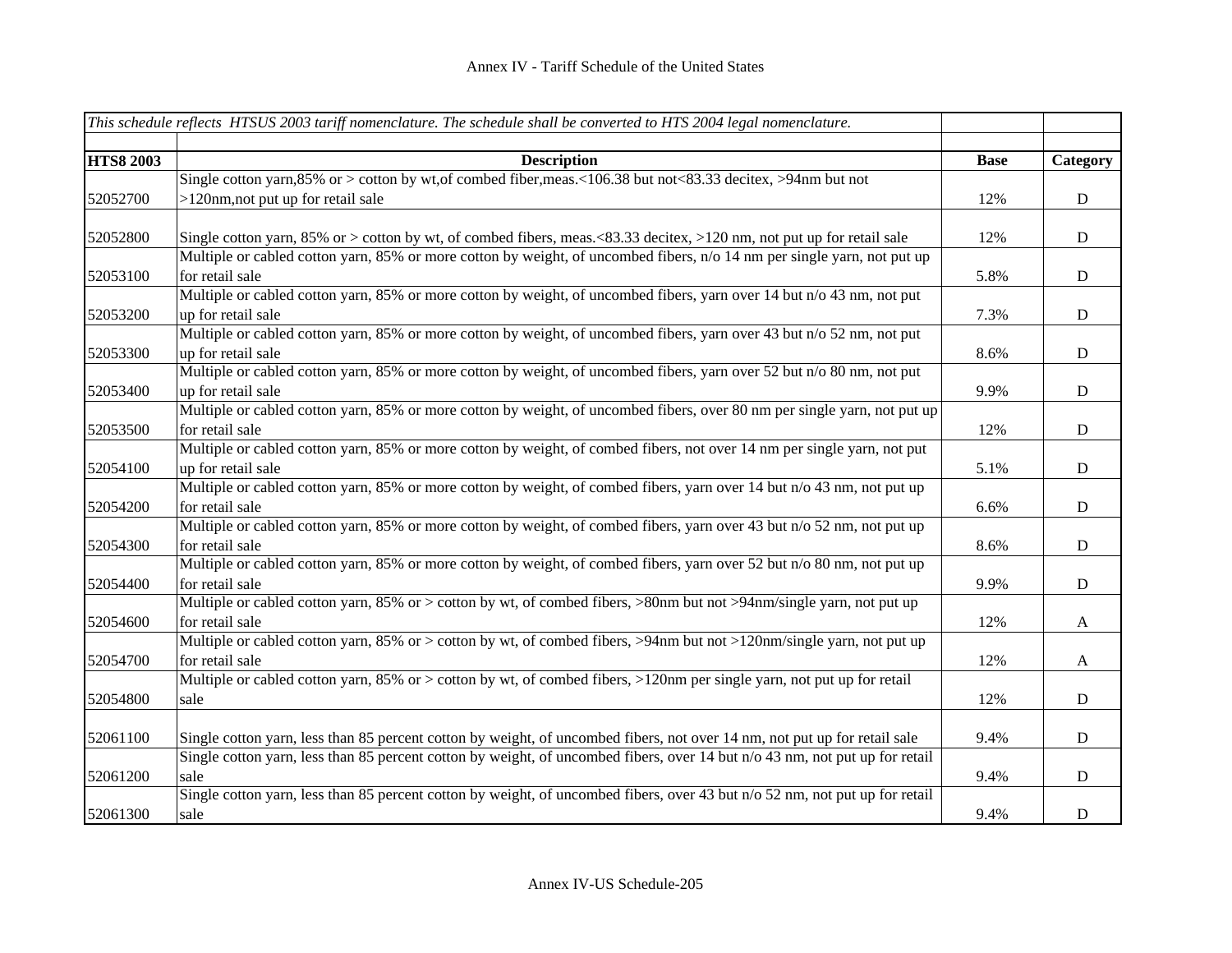|                  | This schedule reflects HTSUS 2003 tariff nomenclature. The schedule shall be converted to HTS 2004 legal nomenclature.      |             |              |
|------------------|-----------------------------------------------------------------------------------------------------------------------------|-------------|--------------|
|                  |                                                                                                                             |             |              |
| <b>HTS8 2003</b> | <b>Description</b>                                                                                                          | <b>Base</b> | Category     |
|                  | Single cotton yarn, 85% or > cotton by wt, of combed fiber, meas.<106.38 but not<83.33 decitex, >94nm but not               |             |              |
| 52052700         | >120nm, not put up for retail sale                                                                                          | 12%         | ${\bf D}$    |
|                  |                                                                                                                             |             |              |
| 52052800         | Single cotton yarn, 85% or > cotton by wt, of combed fibers, meas. $83.33$ decitex, $>120$ nm, not put up for retail sale   | 12%         | D            |
|                  | Multiple or cabled cotton yarn, 85% or more cotton by weight, of uncombed fibers, n/o 14 nm per single yarn, not put up     |             |              |
| 52053100         | for retail sale                                                                                                             | 5.8%        | $\mathbf D$  |
|                  | Multiple or cabled cotton yarn, 85% or more cotton by weight, of uncombed fibers, yarn over 14 but n/o 43 nm, not put       |             |              |
| 52053200         | up for retail sale                                                                                                          | 7.3%        | ${\bf D}$    |
|                  | Multiple or cabled cotton yarn, 85% or more cotton by weight, of uncombed fibers, yarn over 43 but n/o 52 nm, not put       |             |              |
| 52053300         | up for retail sale                                                                                                          | 8.6%        | ${\bf D}$    |
|                  | Multiple or cabled cotton yarn, 85% or more cotton by weight, of uncombed fibers, yarn over 52 but n/o 80 nm, not put       |             |              |
| 52053400         | up for retail sale                                                                                                          | 9.9%        | $\mathbf D$  |
|                  | Multiple or cabled cotton yarn, 85% or more cotton by weight, of uncombed fibers, over 80 nm per single yarn, not put up    |             |              |
| 52053500         | for retail sale                                                                                                             | 12%         | $\mathbf D$  |
|                  | Multiple or cabled cotton yarn, 85% or more cotton by weight, of combed fibers, not over 14 nm per single yarn, not put     |             |              |
| 52054100         | up for retail sale                                                                                                          | 5.1%        | ${\bf D}$    |
|                  | Multiple or cabled cotton yarn, 85% or more cotton by weight, of combed fibers, yarn over 14 but n/o 43 nm, not put up      |             |              |
| 52054200         | for retail sale                                                                                                             | 6.6%        | ${\bf D}$    |
|                  | Multiple or cabled cotton yarn, 85% or more cotton by weight, of combed fibers, yarn over 43 but n/o 52 nm, not put up      |             |              |
| 52054300         | for retail sale                                                                                                             | 8.6%        | $\mathbf D$  |
|                  | Multiple or cabled cotton yarn, 85% or more cotton by weight, of combed fibers, yarn over 52 but n/o 80 nm, not put up      |             |              |
| 52054400         | for retail sale                                                                                                             | 9.9%        | ${\bf D}$    |
|                  | Multiple or cabled cotton yarn, 85% or > cotton by wt, of combed fibers, >80nm but not >94nm/single yarn, not put up        |             |              |
| 52054600         | for retail sale                                                                                                             | 12%         | $\mathbf{A}$ |
|                  | Multiple or cabled cotton yarn, 85% or > cotton by wt, of combed fibers, >94nm but not >120nm/single yarn, not put up       |             |              |
| 52054700         | for retail sale                                                                                                             | 12%         | $\mathbf{A}$ |
|                  | Multiple or cabled cotton yarn, 85% or $>$ cotton by wt, of combed fibers, $>120$ nm per single yarn, not put up for retail |             |              |
| 52054800         | sale                                                                                                                        | 12%         | ${\bf D}$    |
|                  |                                                                                                                             |             |              |
| 52061100         | Single cotton yarn, less than 85 percent cotton by weight, of uncombed fibers, not over 14 nm, not put up for retail sale   | 9.4%        | ${\rm D}$    |
|                  | Single cotton yarn, less than 85 percent cotton by weight, of uncombed fibers, over 14 but n/o 43 nm, not put up for retail |             |              |
| 52061200         | sale                                                                                                                        | 9.4%        | D            |
|                  | Single cotton yarn, less than 85 percent cotton by weight, of uncombed fibers, over 43 but n/o 52 nm, not put up for retail |             |              |
| 52061300         | sale                                                                                                                        | 9.4%        | $\mathbf D$  |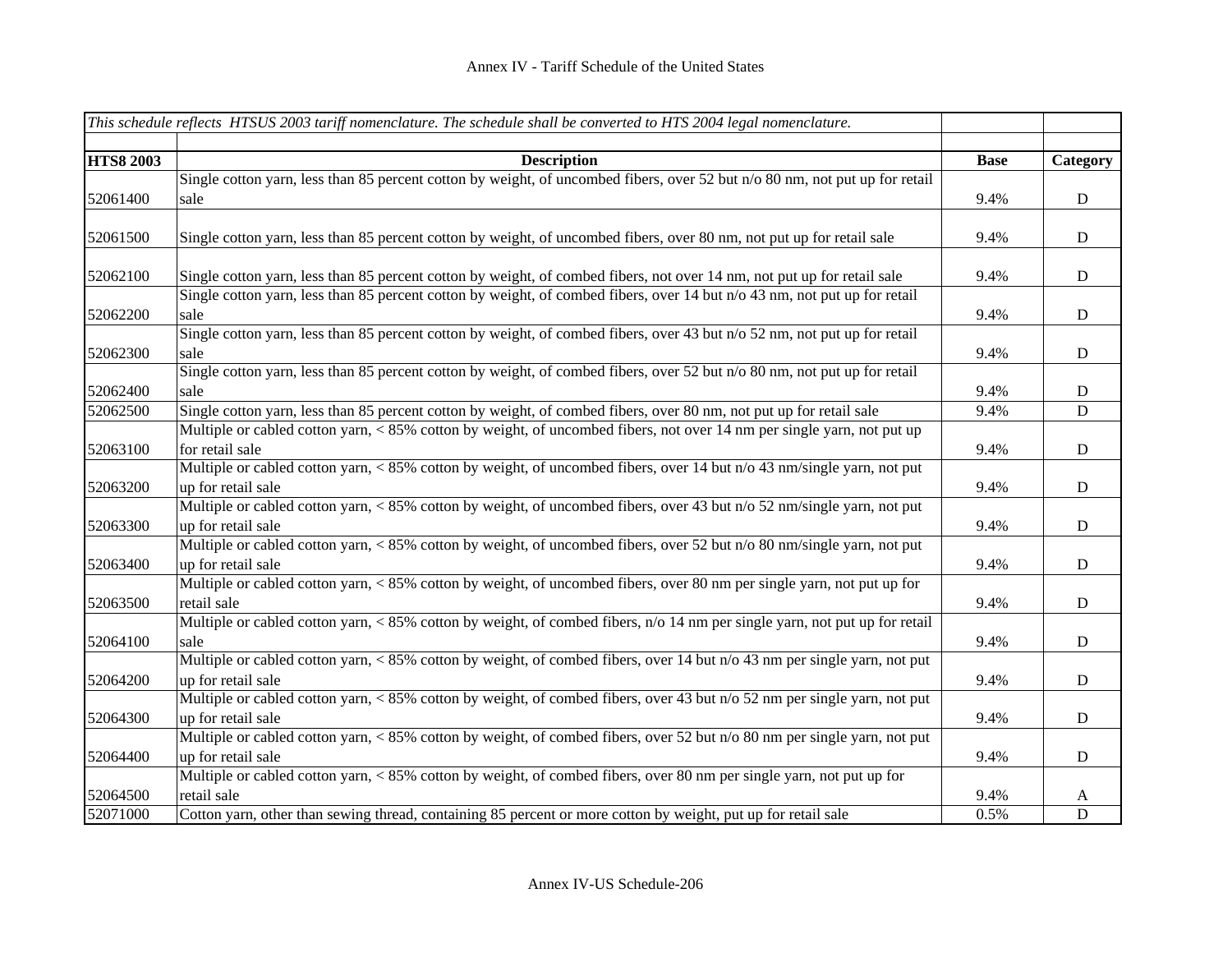|                  | This schedule reflects HTSUS 2003 tariff nomenclature. The schedule shall be converted to HTS 2004 legal nomenclature.      |             |             |
|------------------|-----------------------------------------------------------------------------------------------------------------------------|-------------|-------------|
|                  |                                                                                                                             |             |             |
| <b>HTS8 2003</b> | <b>Description</b>                                                                                                          | <b>Base</b> | Category    |
|                  | Single cotton yarn, less than 85 percent cotton by weight, of uncombed fibers, over 52 but n/o 80 nm, not put up for retail |             |             |
| 52061400         | sale                                                                                                                        | 9.4%        | ${\bf D}$   |
|                  |                                                                                                                             |             |             |
| 52061500         | Single cotton yarn, less than 85 percent cotton by weight, of uncombed fibers, over 80 nm, not put up for retail sale       | 9.4%        | D           |
| 52062100         | Single cotton yarn, less than 85 percent cotton by weight, of combed fibers, not over 14 nm, not put up for retail sale     | 9.4%        | ${\bf D}$   |
|                  | Single cotton yarn, less than 85 percent cotton by weight, of combed fibers, over 14 but n/o 43 nm, not put up for retail   |             |             |
| 52062200         | sale                                                                                                                        | 9.4%        | ${\bf D}$   |
|                  | Single cotton yarn, less than 85 percent cotton by weight, of combed fibers, over 43 but n/o 52 nm, not put up for retail   |             |             |
| 52062300         | sale                                                                                                                        | 9.4%        | $\mathbf D$ |
|                  | Single cotton yarn, less than 85 percent cotton by weight, of combed fibers, over 52 but n/o 80 nm, not put up for retail   |             |             |
| 52062400         | sale                                                                                                                        | 9.4%        | D           |
| 52062500         | Single cotton yarn, less than 85 percent cotton by weight, of combed fibers, over 80 nm, not put up for retail sale         | 9.4%        | D           |
|                  | Multiple or cabled cotton yarn, < 85% cotton by weight, of uncombed fibers, not over 14 nm per single yarn, not put up      |             |             |
| 52063100         | for retail sale                                                                                                             | 9.4%        | ${\bf D}$   |
|                  | Multiple or cabled cotton yarn, < 85% cotton by weight, of uncombed fibers, over 14 but n/o 43 nm/single yarn, not put      |             |             |
| 52063200         | up for retail sale                                                                                                          | 9.4%        | ${\bf D}$   |
|                  | Multiple or cabled cotton yarn, < 85% cotton by weight, of uncombed fibers, over 43 but n/o 52 nm/single yarn, not put      |             |             |
| 52063300         | up for retail sale                                                                                                          | 9.4%        | ${\bf D}$   |
|                  | Multiple or cabled cotton yarn, < 85% cotton by weight, of uncombed fibers, over 52 but n/o 80 nm/single yarn, not put      |             |             |
| 52063400         | up for retail sale                                                                                                          | 9.4%        | ${\bf D}$   |
|                  | Multiple or cabled cotton yarn, < 85% cotton by weight, of uncombed fibers, over 80 nm per single yarn, not put up for      |             |             |
| 52063500         | retail sale                                                                                                                 | 9.4%        | ${\bf D}$   |
|                  | Multiple or cabled cotton yarn, < 85% cotton by weight, of combed fibers, n/o 14 nm per single yarn, not put up for retail  |             |             |
| 52064100         | sale                                                                                                                        | 9.4%        | D           |
|                  | Multiple or cabled cotton yarn, < 85% cotton by weight, of combed fibers, over 14 but n/o 43 nm per single yarn, not put    |             |             |
| 52064200         | up for retail sale                                                                                                          | 9.4%        | $\mathbf D$ |
|                  | Multiple or cabled cotton yarn, < 85% cotton by weight, of combed fibers, over 43 but n/o 52 nm per single yarn, not put    |             |             |
| 52064300         | up for retail sale                                                                                                          | 9.4%        | ${\bf D}$   |
|                  | Multiple or cabled cotton yarn, < 85% cotton by weight, of combed fibers, over 52 but n/o 80 nm per single yarn, not put    |             |             |
| 52064400         | up for retail sale                                                                                                          | 9.4%        | D           |
|                  | Multiple or cabled cotton yarn, < 85% cotton by weight, of combed fibers, over 80 nm per single yarn, not put up for        |             |             |
| 52064500         | retail sale                                                                                                                 | 9.4%        | A           |
| 52071000         | Cotton yarn, other than sewing thread, containing 85 percent or more cotton by weight, put up for retail sale               | 0.5%        | $\mathbf D$ |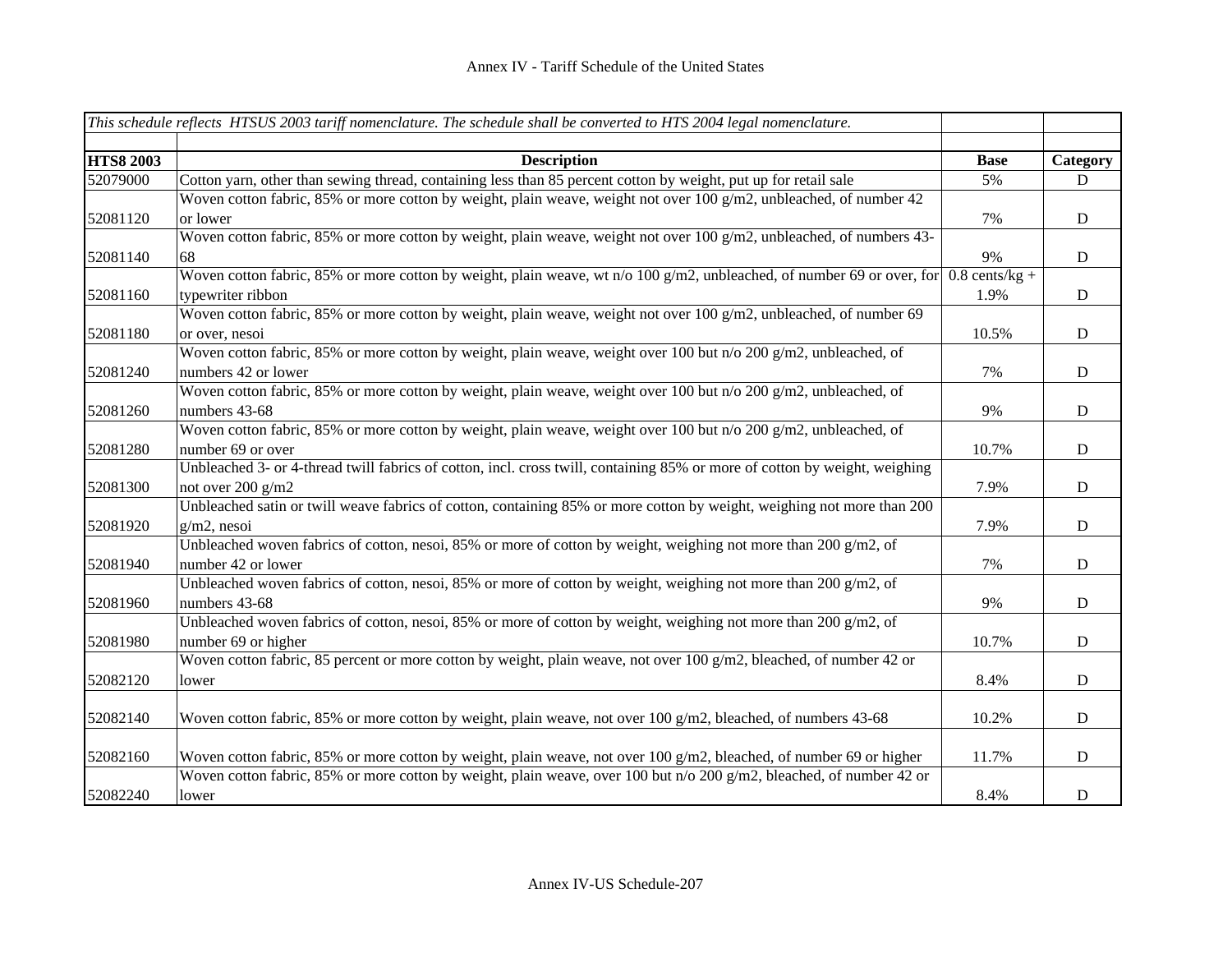| This schedule reflects HTSUS 2003 tariff nomenclature. The schedule shall be converted to HTS 2004 legal nomenclature. |                                                                                                                                                 |                          |             |
|------------------------------------------------------------------------------------------------------------------------|-------------------------------------------------------------------------------------------------------------------------------------------------|--------------------------|-------------|
| <b>HTS8 2003</b>                                                                                                       | <b>Description</b>                                                                                                                              | <b>Base</b>              | Category    |
| 52079000                                                                                                               | Cotton yarn, other than sewing thread, containing less than 85 percent cotton by weight, put up for retail sale                                 | 5%                       | D           |
| 52081120                                                                                                               | Woven cotton fabric, 85% or more cotton by weight, plain weave, weight not over 100 $g/m2$ , unbleached, of number 42<br>or lower               | 7%                       | D           |
| 52081140                                                                                                               | Woven cotton fabric, 85% or more cotton by weight, plain weave, weight not over 100 g/m2, unbleached, of numbers 43-<br>68                      | 9%                       | ${\bf D}$   |
| 52081160                                                                                                               | Woven cotton fabric, 85% or more cotton by weight, plain weave, wt n/o 100 g/m2, unbleached, of number 69 or over, for<br>typewriter ribbon     | $0.8$ cents/kg +<br>1.9% | ${\bf D}$   |
| 52081180                                                                                                               | Woven cotton fabric, 85% or more cotton by weight, plain weave, weight not over 100 $g/m2$ , unbleached, of number 69<br>or over, nesoi         | 10.5%                    | ${\bf D}$   |
| 52081240                                                                                                               | Woven cotton fabric, 85% or more cotton by weight, plain weave, weight over 100 but n/o 200 g/m2, unbleached, of<br>numbers 42 or lower         | 7%                       | $\mathbf D$ |
| 52081260                                                                                                               | Woven cotton fabric, 85% or more cotton by weight, plain weave, weight over 100 but n/o 200 g/m2, unbleached, of<br>numbers 43-68               | 9%                       | ${\bf D}$   |
| 52081280                                                                                                               | Woven cotton fabric, 85% or more cotton by weight, plain weave, weight over 100 but n/o 200 g/m2, unbleached, of<br>number 69 or over           | 10.7%                    | ${\rm D}$   |
| 52081300                                                                                                               | Unbleached 3- or 4-thread twill fabrics of cotton, incl. cross twill, containing 85% or more of cotton by weight, weighing<br>not over 200 g/m2 | 7.9%                     | ${\bf D}$   |
| 52081920                                                                                                               | Unbleached satin or twill weave fabrics of cotton, containing 85% or more cotton by weight, weighing not more than 200<br>$g/m2$ , nesoi        | 7.9%                     | D           |
| 52081940                                                                                                               | Unbleached woven fabrics of cotton, nesoi, 85% or more of cotton by weight, weighing not more than 200 g/m2, of<br>number 42 or lower           | 7%                       | ${\bf D}$   |
| 52081960                                                                                                               | Unbleached woven fabrics of cotton, nesoi, 85% or more of cotton by weight, weighing not more than 200 g/m2, of<br>numbers 43-68                | 9%                       | $\mathbf D$ |
| 52081980                                                                                                               | Unbleached woven fabrics of cotton, nesoi, 85% or more of cotton by weight, weighing not more than 200 $g/m2$ , of<br>number 69 or higher       | 10.7%                    | $\mathbf D$ |
| 52082120                                                                                                               | Woven cotton fabric, 85 percent or more cotton by weight, plain weave, not over 100 $g/m2$ , bleached, of number 42 or<br>lower                 | 8.4%                     | ${\bf D}$   |
| 52082140                                                                                                               | Woven cotton fabric, 85% or more cotton by weight, plain weave, not over 100 g/m2, bleached, of numbers 43-68                                   | 10.2%                    | D           |
| 52082160                                                                                                               | Woven cotton fabric, 85% or more cotton by weight, plain weave, not over 100 g/m2, bleached, of number 69 or higher                             | 11.7%                    | ${\bf D}$   |
| 52082240                                                                                                               | Woven cotton fabric, 85% or more cotton by weight, plain weave, over 100 but n/o 200 g/m2, bleached, of number 42 or<br>lower                   | 8.4%                     | $\mathbf D$ |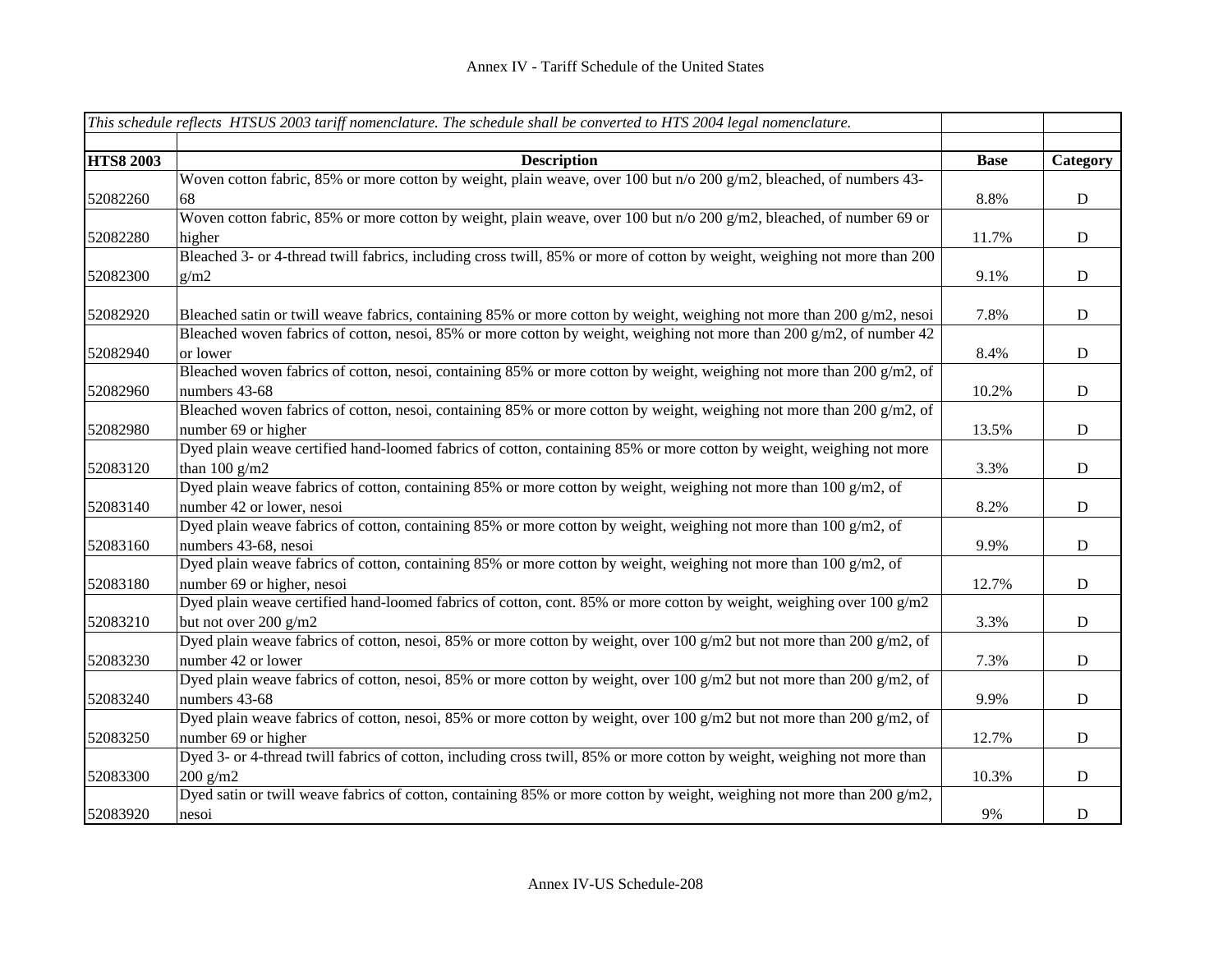|                  | This schedule reflects HTSUS 2003 tariff nomenclature. The schedule shall be converted to HTS 2004 legal nomenclature.    |             |             |
|------------------|---------------------------------------------------------------------------------------------------------------------------|-------------|-------------|
|                  |                                                                                                                           |             |             |
| <b>HTS8 2003</b> | <b>Description</b>                                                                                                        | <b>Base</b> | Category    |
|                  | Woven cotton fabric, 85% or more cotton by weight, plain weave, over 100 but n/o 200 g/m2, bleached, of numbers 43-       |             |             |
| 52082260         | 68                                                                                                                        | 8.8%        | ${\bf D}$   |
|                  | Woven cotton fabric, 85% or more cotton by weight, plain weave, over 100 but n/o 200 g/m2, bleached, of number 69 or      |             |             |
| 52082280         | higher                                                                                                                    | 11.7%       | ${\bf D}$   |
|                  | Bleached 3- or 4-thread twill fabrics, including cross twill, 85% or more of cotton by weight, weighing not more than 200 |             |             |
| 52082300         | g/m2                                                                                                                      | 9.1%        | $\mathbf D$ |
|                  |                                                                                                                           |             |             |
| 52082920         | Bleached satin or twill weave fabrics, containing 85% or more cotton by weight, weighing not more than 200 $g/m2$ , nesoi | 7.8%        | $\mathbf D$ |
|                  | Bleached woven fabrics of cotton, nesoi, 85% or more cotton by weight, weighing not more than 200 g/m2, of number 42      |             |             |
| 52082940         | or lower                                                                                                                  | 8.4%        | ${\bf D}$   |
|                  | Bleached woven fabrics of cotton, nesoi, containing 85% or more cotton by weight, weighing not more than 200 g/m2, of     |             |             |
| 52082960         | numbers 43-68                                                                                                             | 10.2%       | ${\bf D}$   |
|                  | Bleached woven fabrics of cotton, nesoi, containing 85% or more cotton by weight, weighing not more than 200 g/m2, of     |             |             |
| 52082980         | number 69 or higher                                                                                                       | 13.5%       | $\mathbf D$ |
|                  | Dyed plain weave certified hand-loomed fabrics of cotton, containing 85% or more cotton by weight, weighing not more      |             |             |
| 52083120         | than $100 g/m2$                                                                                                           | 3.3%        | $\mathbf D$ |
|                  | Dyed plain weave fabrics of cotton, containing 85% or more cotton by weight, weighing not more than 100 g/m2, of          |             |             |
| 52083140         | number 42 or lower, nesoi                                                                                                 | 8.2%        | $\mathbf D$ |
|                  | Dyed plain weave fabrics of cotton, containing 85% or more cotton by weight, weighing not more than 100 g/m2, of          |             |             |
| 52083160         | numbers 43-68, nesoi                                                                                                      | 9.9%        | ${\bf D}$   |
|                  | Dyed plain weave fabrics of cotton, containing 85% or more cotton by weight, weighing not more than 100 g/m2, of          |             |             |
| 52083180         | number 69 or higher, nesoi                                                                                                | 12.7%       | ${\bf D}$   |
|                  | Dyed plain weave certified hand-loomed fabrics of cotton, cont. 85% or more cotton by weight, weighing over 100 g/m2      |             |             |
| 52083210         | but not over 200 g/m2                                                                                                     | 3.3%        | $\mathbf D$ |
|                  | Dyed plain weave fabrics of cotton, nesoi, 85% or more cotton by weight, over 100 g/m2 but not more than 200 g/m2, of     |             |             |
| 52083230         | number 42 or lower                                                                                                        | 7.3%        | $\mathbf D$ |
|                  | Dyed plain weave fabrics of cotton, nesoi, 85% or more cotton by weight, over 100 g/m2 but not more than 200 g/m2, of     |             |             |
| 52083240         | numbers 43-68                                                                                                             | 9.9%        | ${\bf D}$   |
|                  | Dyed plain weave fabrics of cotton, nesoi, 85% or more cotton by weight, over 100 g/m2 but not more than 200 g/m2, of     |             |             |
| 52083250         | number 69 or higher                                                                                                       | 12.7%       | ${\bf D}$   |
|                  | Dyed 3- or 4-thread twill fabrics of cotton, including cross twill, 85% or more cotton by weight, weighing not more than  |             |             |
| 52083300         | $200$ g/m2                                                                                                                | 10.3%       | ${\bf D}$   |
|                  | Dyed satin or twill weave fabrics of cotton, containing 85% or more cotton by weight, weighing not more than 200 g/m2,    |             |             |
| 52083920         | nesoi                                                                                                                     | 9%          | $\mathbf D$ |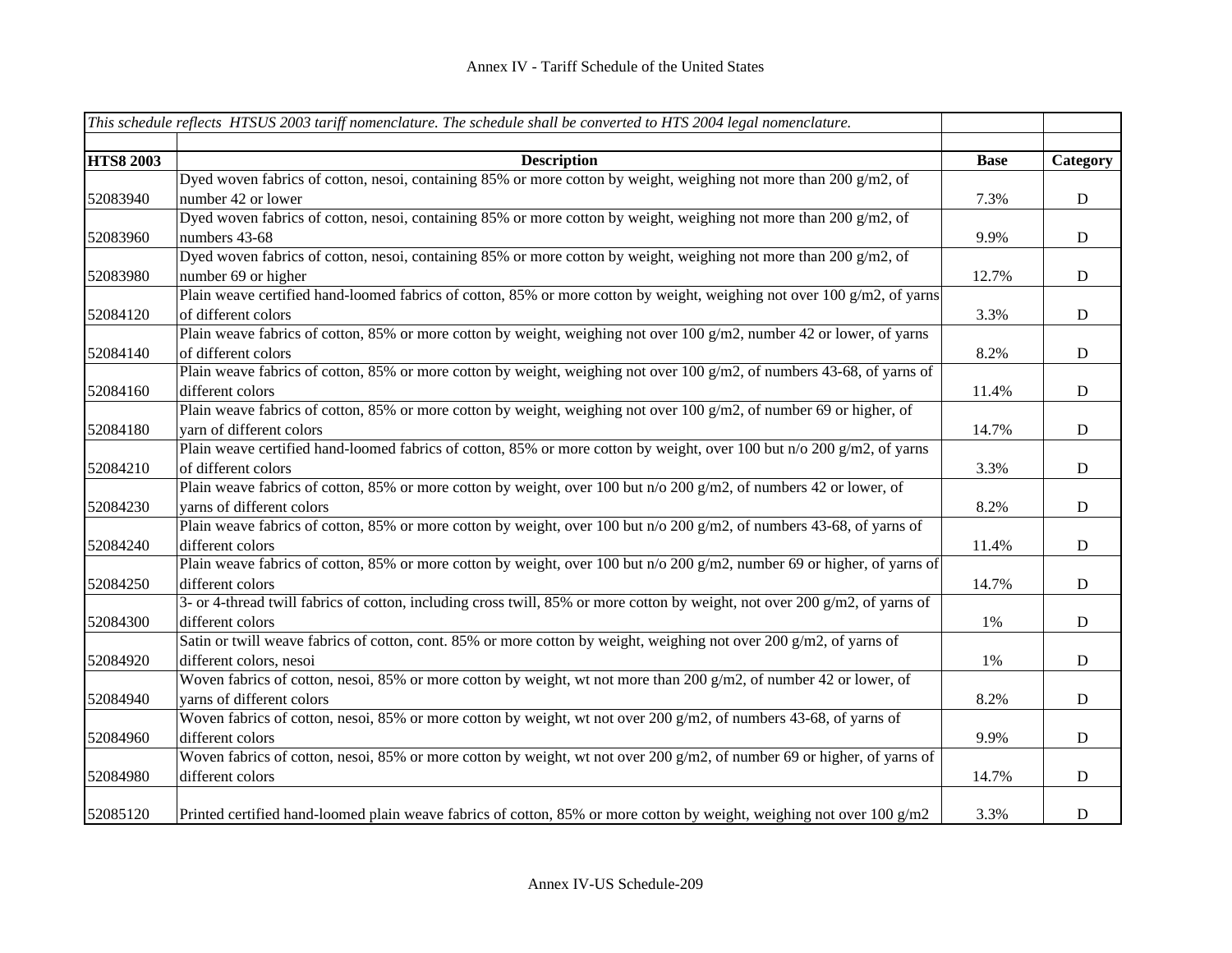|                  | This schedule reflects HTSUS 2003 tariff nomenclature. The schedule shall be converted to HTS 2004 legal nomenclature.      |             |             |
|------------------|-----------------------------------------------------------------------------------------------------------------------------|-------------|-------------|
|                  |                                                                                                                             |             |             |
| <b>HTS8 2003</b> | <b>Description</b>                                                                                                          | <b>Base</b> | Category    |
|                  | Dyed woven fabrics of cotton, nesoi, containing 85% or more cotton by weight, weighing not more than 200 g/m2, of           |             |             |
| 52083940         | number 42 or lower                                                                                                          | 7.3%        | ${\bf D}$   |
|                  | Dyed woven fabrics of cotton, nesoi, containing 85% or more cotton by weight, weighing not more than 200 g/m2, of           |             |             |
| 52083960         | numbers 43-68                                                                                                               | 9.9%        | ${\bf D}$   |
|                  | Dyed woven fabrics of cotton, nesoi, containing 85% or more cotton by weight, weighing not more than 200 g/m2, of           |             |             |
| 52083980         | number 69 or higher                                                                                                         | 12.7%       | $\mathbf D$ |
|                  | Plain weave certified hand-loomed fabrics of cotton, 85% or more cotton by weight, weighing not over 100 g/m2, of yarns     |             |             |
| 52084120         | of different colors                                                                                                         | 3.3%        | ${\bf D}$   |
|                  | Plain weave fabrics of cotton, 85% or more cotton by weight, weighing not over 100 g/m2, number 42 or lower, of yarns       |             |             |
| 52084140         | of different colors                                                                                                         | 8.2%        | ${\bf D}$   |
|                  | Plain weave fabrics of cotton, 85% or more cotton by weight, weighing not over 100 g/m2, of numbers 43-68, of yarns of      |             |             |
| 52084160         | different colors                                                                                                            | 11.4%       | ${\bf D}$   |
|                  | Plain weave fabrics of cotton, 85% or more cotton by weight, weighing not over 100 g/m2, of number 69 or higher, of         |             |             |
| 52084180         | yarn of different colors                                                                                                    | 14.7%       | ${\bf D}$   |
|                  | Plain weave certified hand-loomed fabrics of cotton, 85% or more cotton by weight, over 100 but n/o 200 g/m2, of yarns      |             |             |
| 52084210         | of different colors                                                                                                         | 3.3%        | ${\bf D}$   |
|                  | Plain weave fabrics of cotton, 85% or more cotton by weight, over 100 but n/o 200 g/m2, of numbers 42 or lower, of          |             |             |
| 52084230         | varns of different colors                                                                                                   | 8.2%        | ${\bf D}$   |
|                  | Plain weave fabrics of cotton, 85% or more cotton by weight, over 100 but n/o 200 g/m2, of numbers 43-68, of yarns of       |             |             |
| 52084240         | different colors                                                                                                            | 11.4%       | ${\bf D}$   |
|                  | Plain weave fabrics of cotton, 85% or more cotton by weight, over 100 but n/o 200 g/m2, number 69 or higher, of yarns of    |             |             |
| 52084250         | different colors                                                                                                            | 14.7%       | ${\bf D}$   |
|                  | 3- or 4-thread twill fabrics of cotton, including cross twill, 85% or more cotton by weight, not over 200 g/m2, of yarns of |             |             |
| 52084300         | different colors                                                                                                            | 1%          | $\mathbf D$ |
|                  | Satin or twill weave fabrics of cotton, cont. 85% or more cotton by weight, weighing not over 200 g/m2, of yarns of         |             |             |
| 52084920         | different colors, nesoi                                                                                                     | 1%          | $\mathbf D$ |
|                  | Woven fabrics of cotton, nesoi, 85% or more cotton by weight, wt not more than 200 g/m2, of number 42 or lower, of          |             |             |
| 52084940         | yarns of different colors                                                                                                   | 8.2%        | ${\bf D}$   |
|                  | Woven fabrics of cotton, nesoi, 85% or more cotton by weight, wt not over 200 g/m2, of numbers 43-68, of yarns of           |             |             |
| 52084960         | different colors                                                                                                            | 9.9%        | ${\bf D}$   |
|                  | Woven fabrics of cotton, nesoi, 85% or more cotton by weight, wt not over 200 g/m2, of number 69 or higher, of yarns of     |             |             |
| 52084980         | different colors                                                                                                            | 14.7%       | D           |
| 52085120         | Printed certified hand-loomed plain weave fabrics of cotton, 85% or more cotton by weight, weighing not over 100 $g/m2$     | 3.3%        | ${\bf D}$   |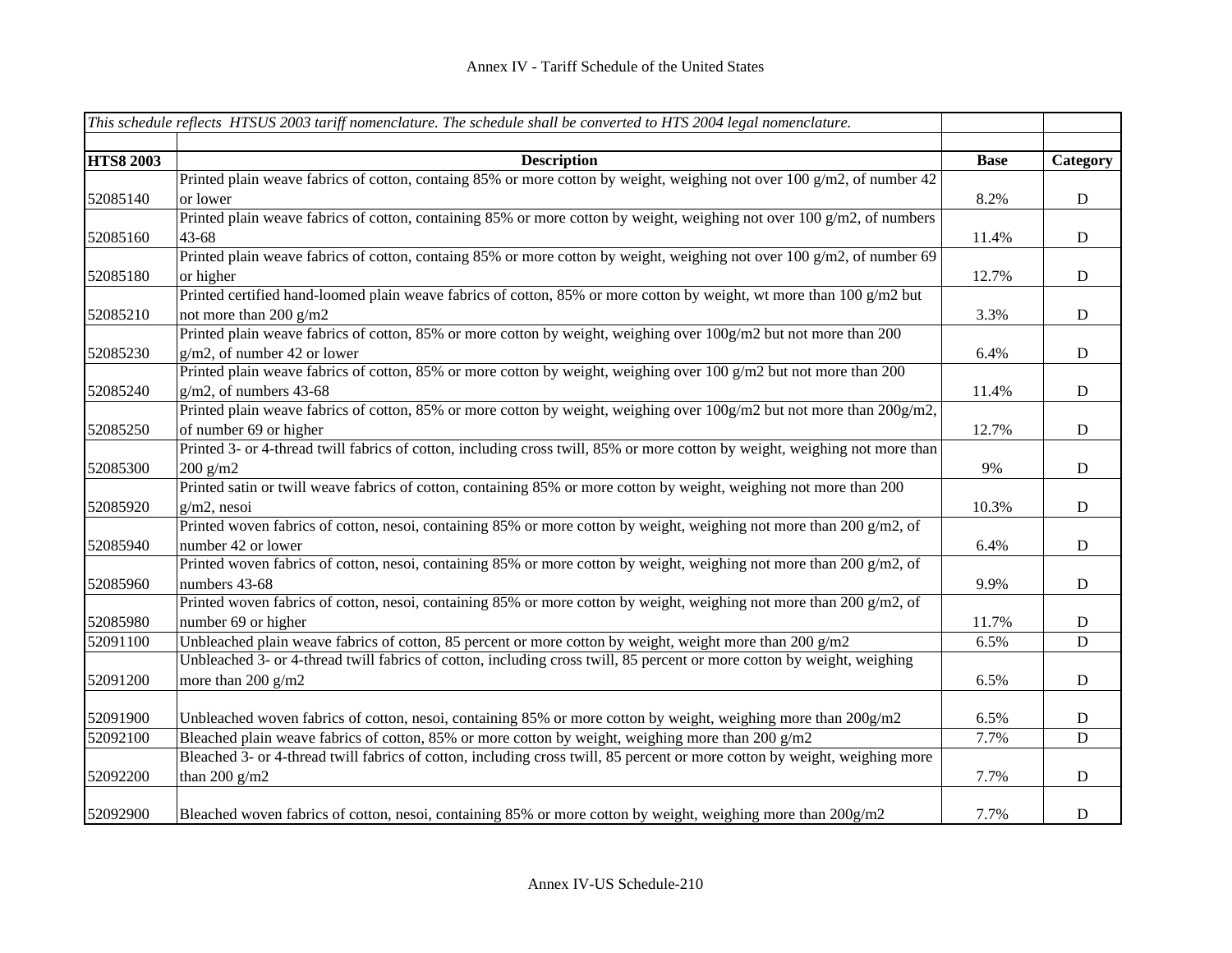|                  | This schedule reflects HTSUS 2003 tariff nomenclature. The schedule shall be converted to HTS 2004 legal nomenclature.      |             |             |
|------------------|-----------------------------------------------------------------------------------------------------------------------------|-------------|-------------|
| <b>HTS8 2003</b> | <b>Description</b>                                                                                                          | <b>Base</b> | Category    |
|                  | Printed plain weave fabrics of cotton, containg 85% or more cotton by weight, weighing not over 100 g/m2, of number 42      |             |             |
| 52085140         | or lower                                                                                                                    | 8.2%        | D           |
|                  | Printed plain weave fabrics of cotton, containing 85% or more cotton by weight, weighing not over 100 g/m2, of numbers      |             |             |
| 52085160         | 43-68                                                                                                                       | 11.4%       | $\mathbf D$ |
|                  | Printed plain weave fabrics of cotton, containg 85% or more cotton by weight, weighing not over 100 g/m2, of number 69      |             |             |
| 52085180         | or higher                                                                                                                   | 12.7%       | ${\rm D}$   |
|                  | Printed certified hand-loomed plain weave fabrics of cotton, 85% or more cotton by weight, wt more than 100 g/m2 but        |             |             |
| 52085210         | not more than 200 $g/m2$                                                                                                    | 3.3%        | ${\bf D}$   |
|                  | Printed plain weave fabrics of cotton, 85% or more cotton by weight, weighing over 100g/m2 but not more than 200            |             |             |
| 52085230         | $g/m2$ , of number 42 or lower                                                                                              | 6.4%        | ${\rm D}$   |
|                  | Printed plain weave fabrics of cotton, 85% or more cotton by weight, weighing over 100 g/m2 but not more than 200           |             |             |
| 52085240         | $g/m2$ , of numbers 43-68                                                                                                   | 11.4%       | ${\rm D}$   |
|                  | Printed plain weave fabrics of cotton, 85% or more cotton by weight, weighing over 100g/m2 but not more than 200g/m2,       |             |             |
| 52085250         | of number 69 or higher                                                                                                      | 12.7%       | ${\rm D}$   |
|                  | Printed 3- or 4-thread twill fabrics of cotton, including cross twill, 85% or more cotton by weight, weighing not more than |             |             |
| 52085300         | $200$ g/m2                                                                                                                  | 9%          | ${\rm D}$   |
|                  | Printed satin or twill weave fabrics of cotton, containing 85% or more cotton by weight, weighing not more than 200         |             |             |
| 52085920         | $g/m2$ , nesoi                                                                                                              | 10.3%       | ${\rm D}$   |
|                  | Printed woven fabrics of cotton, nesoi, containing 85% or more cotton by weight, weighing not more than 200 g/m2, of        |             |             |
| 52085940         | number 42 or lower                                                                                                          | 6.4%        | ${\bf D}$   |
|                  | Printed woven fabrics of cotton, nesoi, containing 85% or more cotton by weight, weighing not more than 200 g/m2, of        |             |             |
| 52085960         | numbers 43-68                                                                                                               | 9.9%        | ${\bf D}$   |
|                  | Printed woven fabrics of cotton, nesoi, containing 85% or more cotton by weight, weighing not more than 200 g/m2, of        |             |             |
| 52085980         | number 69 or higher                                                                                                         | 11.7%       | D           |
| 52091100         | Unbleached plain weave fabrics of cotton, 85 percent or more cotton by weight, weight more than 200 g/m2                    | 6.5%        | ${\bf D}$   |
|                  | Unbleached 3- or 4-thread twill fabrics of cotton, including cross twill, 85 percent or more cotton by weight, weighing     |             |             |
| 52091200         | more than $200$ g/m2                                                                                                        | 6.5%        | ${\bf D}$   |
| 52091900         | Unbleached woven fabrics of cotton, nesoi, containing 85% or more cotton by weight, weighing more than 200g/m2              | 6.5%        | ${\bf D}$   |
| 52092100         | Bleached plain weave fabrics of cotton, 85% or more cotton by weight, weighing more than 200 $g/m2$                         | 7.7%        | D           |
|                  | Bleached 3- or 4-thread twill fabrics of cotton, including cross twill, 85 percent or more cotton by weight, weighing more  |             |             |
| 52092200         | than 200 $g/m2$                                                                                                             | 7.7%        | D           |
| 52092900         | Bleached woven fabrics of cotton, nesoi, containing 85% or more cotton by weight, weighing more than 200g/m2                | 7.7%        | ${\bf D}$   |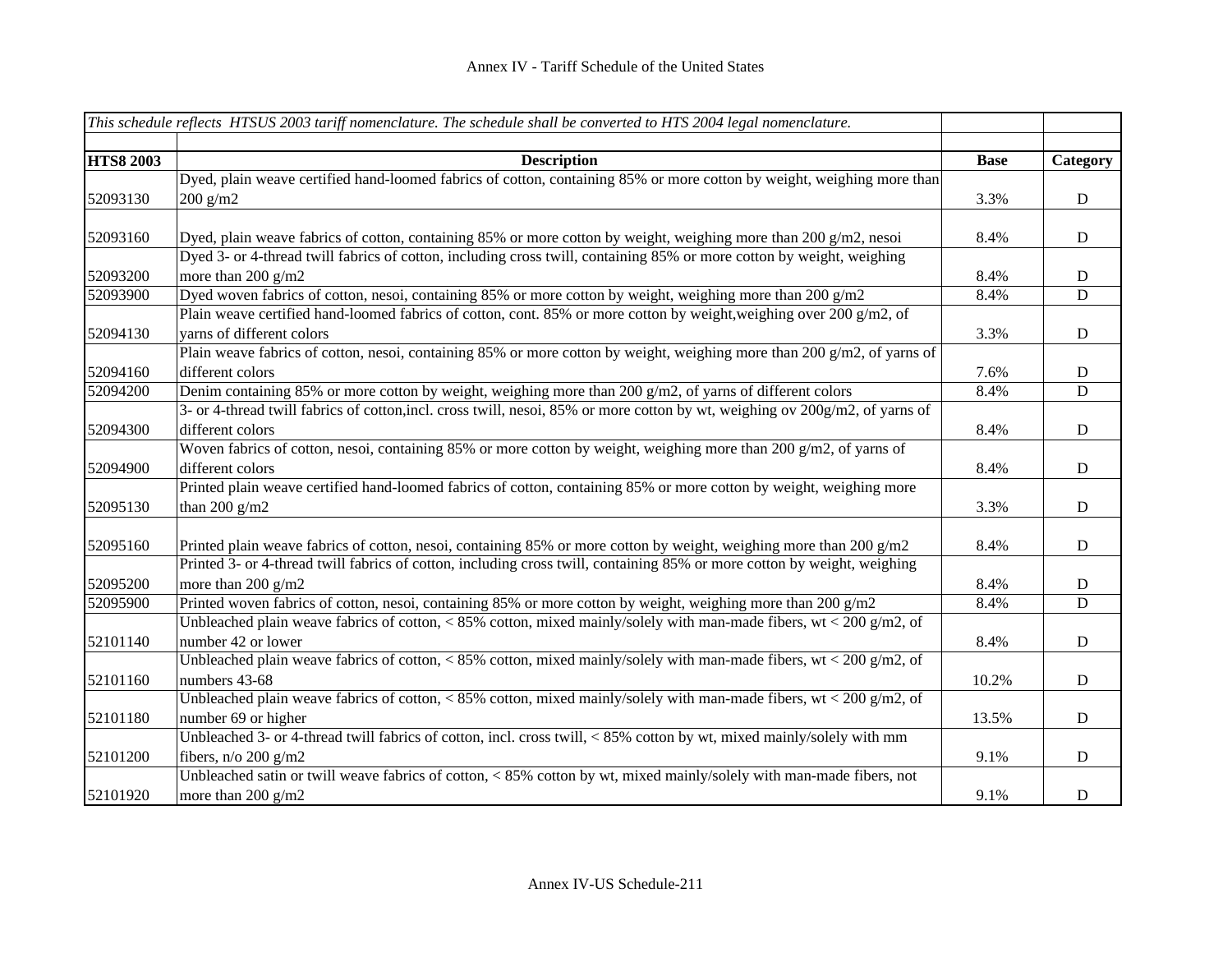|                  | This schedule reflects HTSUS 2003 tariff nomenclature. The schedule shall be converted to HTS 2004 legal nomenclature.       |             |             |
|------------------|------------------------------------------------------------------------------------------------------------------------------|-------------|-------------|
|                  |                                                                                                                              |             |             |
| <b>HTS8 2003</b> | <b>Description</b>                                                                                                           | <b>Base</b> | Category    |
|                  | Dyed, plain weave certified hand-loomed fabrics of cotton, containing 85% or more cotton by weight, weighing more than       |             |             |
| 52093130         | $200$ g/m2                                                                                                                   | 3.3%        | D           |
|                  |                                                                                                                              |             |             |
| 52093160         | Dyed, plain weave fabrics of cotton, containing 85% or more cotton by weight, weighing more than 200 $g/m2$ , nesoi          | 8.4%        | D           |
|                  | Dyed 3- or 4-thread twill fabrics of cotton, including cross twill, containing 85% or more cotton by weight, weighing        |             |             |
| 52093200         | more than 200 g/m2                                                                                                           | 8.4%        | D           |
| 52093900         | Dyed woven fabrics of cotton, nesoi, containing 85% or more cotton by weight, weighing more than 200 $g/m2$                  | 8.4%        | D           |
|                  | Plain weave certified hand-loomed fabrics of cotton, cont. 85% or more cotton by weight, weighing over 200 g/m2, of          |             |             |
| 52094130         | varns of different colors                                                                                                    | 3.3%        | D           |
|                  | Plain weave fabrics of cotton, nesoi, containing 85% or more cotton by weight, weighing more than 200 g/m2, of yarns of      |             |             |
| 52094160         | different colors                                                                                                             | 7.6%        | D           |
| 52094200         | Denim containing 85% or more cotton by weight, weighing more than 200 $g/m2$ , of yarns of different colors                  | 8.4%        | D           |
|                  | 3- or 4-thread twill fabrics of cotton, incl. cross twill, nesoi, 85% or more cotton by wt, weighing ov 200g/m2, of yarns of |             |             |
| 52094300         | different colors                                                                                                             | 8.4%        | $\mathbf D$ |
|                  | Woven fabrics of cotton, nesoi, containing 85% or more cotton by weight, weighing more than 200 g/m2, of yarns of            |             |             |
| 52094900         | different colors                                                                                                             | 8.4%        | D           |
|                  | Printed plain weave certified hand-loomed fabrics of cotton, containing 85% or more cotton by weight, weighing more          |             |             |
| 52095130         | than 200 $g/m2$                                                                                                              | 3.3%        | ${\bf D}$   |
|                  |                                                                                                                              |             |             |
| 52095160         | Printed plain weave fabrics of cotton, nesoi, containing 85% or more cotton by weight, weighing more than 200 $g/m2$         | 8.4%        | D           |
|                  | Printed 3- or 4-thread twill fabrics of cotton, including cross twill, containing 85% or more cotton by weight, weighing     |             |             |
| 52095200         | more than $200$ g/m2                                                                                                         | 8.4%        | ${\bf D}$   |
| 52095900         | Printed woven fabrics of cotton, nesoi, containing 85% or more cotton by weight, weighing more than 200 g/m2                 | 8.4%        | ${\bf D}$   |
|                  | Unbleached plain weave fabrics of cotton, < 85% cotton, mixed mainly/solely with man-made fibers, wt < 200 $g/m2$ , of       |             |             |
| 52101140         | number 42 or lower                                                                                                           | 8.4%        | $\mathbf D$ |
|                  | Unbleached plain weave fabrics of cotton, < 85% cotton, mixed mainly/solely with man-made fibers, wt < 200 $g/m2$ , of       |             |             |
| 52101160         | numbers 43-68                                                                                                                | 10.2%       | $\mathbf D$ |
|                  | Unbleached plain weave fabrics of cotton, < 85% cotton, mixed mainly/solely with man-made fibers, wt < 200 $g/m2$ , of       |             |             |
| 52101180         | number 69 or higher                                                                                                          | 13.5%       | $\mathbf D$ |
|                  | Unbleached 3- or 4-thread twill fabrics of cotton, incl. cross twill, <85% cotton by wt, mixed mainly/solely with mm         |             |             |
| 52101200         | fibers, $n/o 200 g/m2$                                                                                                       | 9.1%        | ${\bf D}$   |
|                  | Unbleached satin or twill weave fabrics of cotton, < 85% cotton by wt, mixed mainly/solely with man-made fibers, not         |             |             |
| 52101920         | more than 200 g/m2                                                                                                           | 9.1%        | ${\bf D}$   |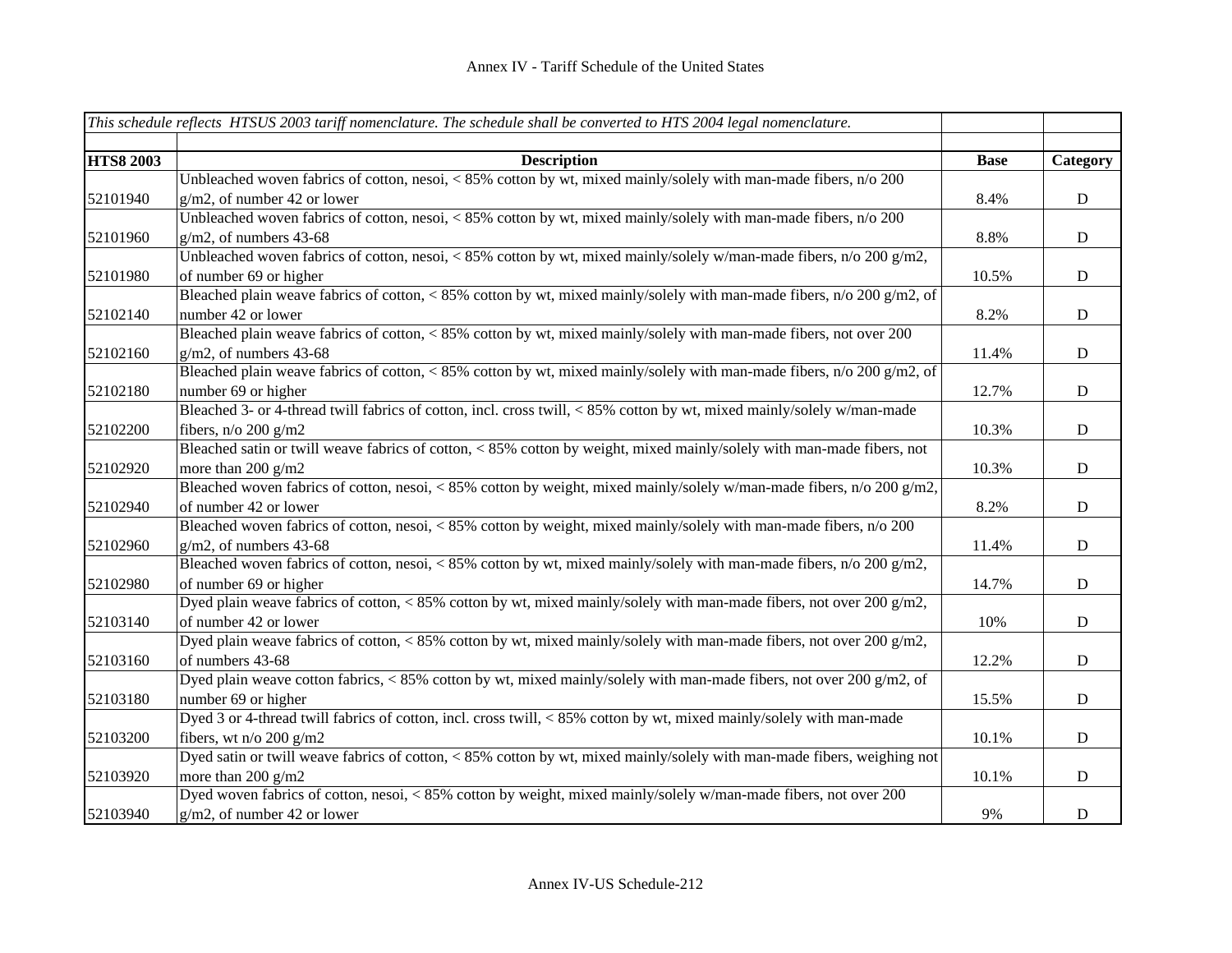|                  | This schedule reflects HTSUS 2003 tariff nomenclature. The schedule shall be converted to HTS 2004 legal nomenclature.  |             |             |
|------------------|-------------------------------------------------------------------------------------------------------------------------|-------------|-------------|
|                  |                                                                                                                         |             |             |
| <b>HTS8 2003</b> | <b>Description</b>                                                                                                      | <b>Base</b> | Category    |
|                  | Unbleached woven fabrics of cotton, nesoi, < 85% cotton by wt, mixed mainly/solely with man-made fibers, n/o 200        |             |             |
| 52101940         | $g/m2$ , of number 42 or lower                                                                                          | 8.4%        | ${\bf D}$   |
|                  | Unbleached woven fabrics of cotton, nesoi, < 85% cotton by wt, mixed mainly/solely with man-made fibers, n/o 200        |             |             |
| 52101960         | $g/m2$ , of numbers 43-68                                                                                               | 8.8%        | ${\bf D}$   |
|                  | Unbleached woven fabrics of cotton, nesoi, < 85% cotton by wt, mixed mainly/solely w/man-made fibers, n/o 200 g/m2,     |             |             |
| 52101980         | of number 69 or higher                                                                                                  | 10.5%       | $\mathbf D$ |
|                  | Bleached plain weave fabrics of cotton, < 85% cotton by wt, mixed mainly/solely with man-made fibers, n/o 200 g/m2, of  |             |             |
| 52102140         | number 42 or lower                                                                                                      | 8.2%        | $\mathbf D$ |
|                  | Bleached plain weave fabrics of cotton, < 85% cotton by wt, mixed mainly/solely with man-made fibers, not over 200      |             |             |
| 52102160         | $g/m2$ , of numbers 43-68                                                                                               | 11.4%       | ${\bf D}$   |
|                  | Bleached plain weave fabrics of cotton, < 85% cotton by wt, mixed mainly/solely with man-made fibers, n/o 200 g/m2, of  |             |             |
| 52102180         | number 69 or higher                                                                                                     | 12.7%       | ${\bf D}$   |
|                  | Bleached 3- or 4-thread twill fabrics of cotton, incl. cross twill, <85% cotton by wt, mixed mainly/solely w/man-made   |             |             |
| 52102200         | fibers, $n/o 200 g/m2$                                                                                                  | 10.3%       | $\mathbf D$ |
|                  | Bleached satin or twill weave fabrics of cotton, < 85% cotton by weight, mixed mainly/solely with man-made fibers, not  |             |             |
| 52102920         | more than $200$ g/m2                                                                                                    | 10.3%       | $\mathbf D$ |
|                  | Bleached woven fabrics of cotton, nesoi, < 85% cotton by weight, mixed mainly/solely w/man-made fibers, n/o 200 g/m2,   |             |             |
| 52102940         | of number 42 or lower                                                                                                   | 8.2%        | $\mathbf D$ |
|                  | Bleached woven fabrics of cotton, nesoi, < 85% cotton by weight, mixed mainly/solely with man-made fibers, n/o 200      |             |             |
| 52102960         | $g/m2$ , of numbers 43-68                                                                                               | 11.4%       | ${\bf D}$   |
|                  | Bleached woven fabrics of cotton, nesoi, < 85% cotton by wt, mixed mainly/solely with man-made fibers, n/o 200 g/m2,    |             |             |
| 52102980         | of number 69 or higher                                                                                                  | 14.7%       | ${\bf D}$   |
|                  | Dyed plain weave fabrics of cotton, < 85% cotton by wt, mixed mainly/solely with man-made fibers, not over 200 g/m2,    |             |             |
| 52103140         | of number 42 or lower                                                                                                   | 10%         | ${\bf D}$   |
|                  | Dyed plain weave fabrics of cotton, < 85% cotton by wt, mixed mainly/solely with man-made fibers, not over 200 g/m2,    |             |             |
| 52103160         | of numbers 43-68                                                                                                        | 12.2%       | $\mathbf D$ |
|                  | Dyed plain weave cotton fabrics, < 85% cotton by wt, mixed mainly/solely with man-made fibers, not over 200 g/m2, of    |             |             |
| 52103180         | number 69 or higher                                                                                                     | 15.5%       | ${\bf D}$   |
|                  | Dyed 3 or 4-thread twill fabrics of cotton, incl. cross twill, < 85% cotton by wt, mixed mainly/solely with man-made    |             |             |
| 52103200         | fibers, wt n/o 200 g/m2                                                                                                 | 10.1%       | ${\bf D}$   |
|                  | Dyed satin or twill weave fabrics of cotton, < 85% cotton by wt, mixed mainly/solely with man-made fibers, weighing not |             |             |
| 52103920         | more than 200 g/m2                                                                                                      | 10.1%       | ${\bf D}$   |
|                  | Dyed woven fabrics of cotton, nesoi, < 85% cotton by weight, mixed mainly/solely w/man-made fibers, not over 200        |             |             |
| 52103940         | $g/m2$ , of number 42 or lower                                                                                          | 9%          | ${\bf D}$   |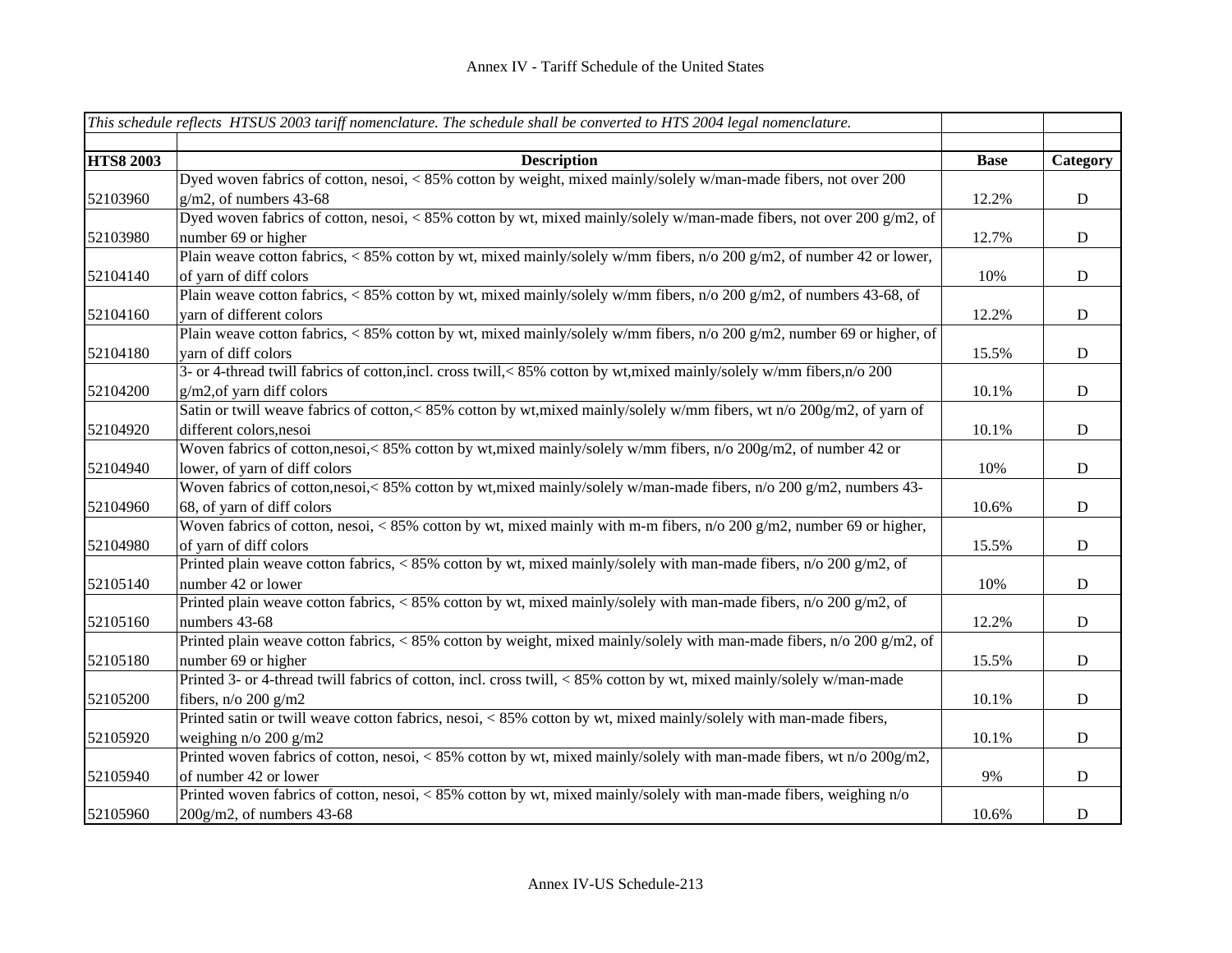|                  | This schedule reflects HTSUS 2003 tariff nomenclature. The schedule shall be converted to HTS 2004 legal nomenclature.          |             |             |
|------------------|---------------------------------------------------------------------------------------------------------------------------------|-------------|-------------|
|                  |                                                                                                                                 |             |             |
| <b>HTS8 2003</b> | <b>Description</b>                                                                                                              | <b>Base</b> | Category    |
|                  | Dyed woven fabrics of cotton, nesoi, < 85% cotton by weight, mixed mainly/solely w/man-made fibers, not over 200                |             |             |
| 52103960         | $g/m2$ , of numbers 43-68                                                                                                       | 12.2%       | ${\bf D}$   |
|                  | Dyed woven fabrics of cotton, nesoi, < 85% cotton by wt, mixed mainly/solely w/man-made fibers, not over 200 g/m2, of           |             |             |
| 52103980         | number 69 or higher                                                                                                             | 12.7%       | ${\bf D}$   |
|                  | Plain weave cotton fabrics, < 85% cotton by wt, mixed mainly/solely w/mm fibers, n/o 200 g/m2, of number 42 or lower,           |             |             |
| 52104140         | of yarn of diff colors                                                                                                          | 10%         | $\mathbf D$ |
|                  | Plain weave cotton fabrics, < 85% cotton by wt, mixed mainly/solely w/mm fibers, $n/0$ 200 g/m2, of numbers 43-68, of           |             |             |
| 52104160         | yarn of different colors                                                                                                        | 12.2%       | $\mathbf D$ |
|                  | Plain weave cotton fabrics, < 85% cotton by wt, mixed mainly/solely w/mm fibers, n/o 200 g/m2, number 69 or higher, of          |             |             |
| 52104180         | yarn of diff colors                                                                                                             | 15.5%       | $\mathbf D$ |
|                  | 3- or 4-thread twill fabrics of cotton, incl. cross twill, < 85% cotton by wt, mixed mainly/solely w/mm fibers, n/o 200         |             |             |
| 52104200         | g/m2, of yarn diff colors                                                                                                       | 10.1%       | ${\bf D}$   |
|                  | Satin or twill weave fabrics of cotton,<85% cotton by wt, mixed mainly/solely w/mm fibers, wt n/o 200g/m2, of yarn of           |             |             |
| 52104920         | different colors, nesoi                                                                                                         | 10.1%       | $\mathbf D$ |
|                  | Woven fabrics of cotton,nesoi,<85% cotton by wt,mixed mainly/solely w/mm fibers, n/o 200g/m2, of number 42 or                   |             |             |
| 52104940         | lower, of yarn of diff colors                                                                                                   | 10%         | $\mathbf D$ |
|                  | Woven fabrics of cotton,nesoi,< 85% cotton by wt,mixed mainly/solely w/man-made fibers, n/o 200 g/m2, numbers 43-               |             |             |
| 52104960         | 68, of yarn of diff colors                                                                                                      | 10.6%       | $\mathbf D$ |
|                  | Woven fabrics of cotton, nesoi, < 85% cotton by wt, mixed mainly with m-m fibers, $n/0.200 \text{ g/m2}$ , number 69 or higher, |             |             |
| 52104980         | of yarn of diff colors                                                                                                          | 15.5%       | $\mathbf D$ |
|                  | Printed plain weave cotton fabrics, < 85% cotton by wt, mixed mainly/solely with man-made fibers, $n/0$ 200 g/m2, of            |             |             |
| 52105140         | number 42 or lower                                                                                                              | 10%         | $\mathbf D$ |
|                  | Printed plain weave cotton fabrics, < 85% cotton by wt, mixed mainly/solely with man-made fibers, n/o 200 g/m2, of              |             |             |
| 52105160         | numbers 43-68                                                                                                                   | 12.2%       | $\mathbf D$ |
|                  | Printed plain weave cotton fabrics, < 85% cotton by weight, mixed mainly/solely with man-made fibers, n/o 200 g/m2, of          |             |             |
| 52105180         | number 69 or higher                                                                                                             | 15.5%       | $\mathbf D$ |
|                  | Printed 3- or 4-thread twill fabrics of cotton, incl. cross twill, < 85% cotton by wt, mixed mainly/solely w/man-made           |             |             |
| 52105200         | fibers, $n/o 200 g/m2$                                                                                                          | 10.1%       | ${\bf D}$   |
|                  | Printed satin or twill weave cotton fabrics, nesoi, < 85% cotton by wt, mixed mainly/solely with man-made fibers,               |             |             |
| 52105920         | weighing n/o 200 g/m2                                                                                                           | 10.1%       | ${\bf D}$   |
|                  | Printed woven fabrics of cotton, nesoi, <85% cotton by wt, mixed mainly/solely with man-made fibers, wt n/o 200g/m2,            |             |             |
| 52105940         | of number 42 or lower                                                                                                           | 9%          | ${\bf D}$   |
|                  | Printed woven fabrics of cotton, nesoi, < 85% cotton by wt, mixed mainly/solely with man-made fibers, weighing n/o              |             |             |
| 52105960         | $200g/m2$ , of numbers 43-68                                                                                                    | 10.6%       | $\mathbf D$ |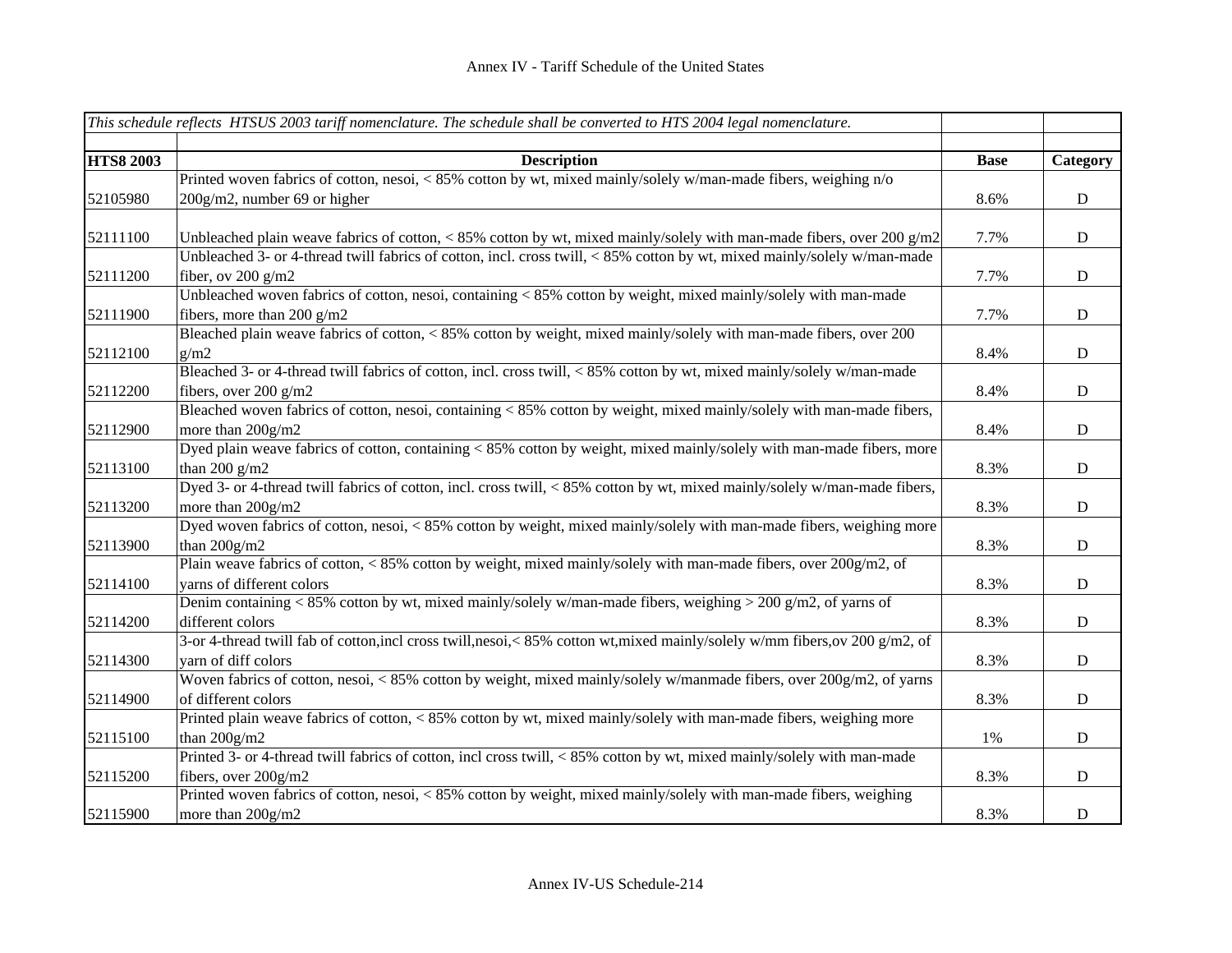|                  | This schedule reflects HTSUS 2003 tariff nomenclature. The schedule shall be converted to HTS 2004 legal nomenclature.        |             |             |
|------------------|-------------------------------------------------------------------------------------------------------------------------------|-------------|-------------|
|                  |                                                                                                                               |             |             |
| <b>HTS8 2003</b> | <b>Description</b>                                                                                                            | <b>Base</b> | Category    |
|                  | Printed woven fabrics of cotton, nesoi, < 85% cotton by wt, mixed mainly/solely w/man-made fibers, weighing n/o               |             |             |
| 52105980         | 200g/m2, number 69 or higher                                                                                                  | 8.6%        | ${\bf D}$   |
|                  |                                                                                                                               |             |             |
| 52111100         | Unbleached plain weave fabrics of cotton, < 85% cotton by wt, mixed mainly/solely with man-made fibers, over 200 $g/m2$       | 7.7%        | D           |
|                  | Unbleached 3- or 4-thread twill fabrics of cotton, incl. cross twill, <85% cotton by wt, mixed mainly/solely w/man-made       |             |             |
| 52111200         | fiber, ov $200$ g/m2                                                                                                          | 7.7%        | $\mathbf D$ |
|                  | Unbleached woven fabrics of cotton, nesoi, containing < 85% cotton by weight, mixed mainly/solely with man-made               |             |             |
| 52111900         | fibers, more than 200 g/m2                                                                                                    | 7.7%        | ${\bf D}$   |
|                  | Bleached plain weave fabrics of cotton, < 85% cotton by weight, mixed mainly/solely with man-made fibers, over 200            |             |             |
| 52112100         | g/m2                                                                                                                          | 8.4%        | ${\bf D}$   |
|                  | Bleached 3- or 4-thread twill fabrics of cotton, incl. cross twill, <85% cotton by wt, mixed mainly/solely w/man-made         |             |             |
| 52112200         | fibers, over 200 g/m2                                                                                                         | 8.4%        | $\mathbf D$ |
|                  | Bleached woven fabrics of cotton, nesoi, containing < 85% cotton by weight, mixed mainly/solely with man-made fibers,         |             |             |
| 52112900         | more than 200g/m2                                                                                                             | 8.4%        | ${\bf D}$   |
|                  | Dyed plain weave fabrics of cotton, containing < 85% cotton by weight, mixed mainly/solely with man-made fibers, more         |             |             |
| 52113100         | than 200 $g/m2$                                                                                                               | 8.3%        | ${\bf D}$   |
|                  | Dyed 3- or 4-thread twill fabrics of cotton, incl. cross twill, < 85% cotton by wt, mixed mainly/solely w/man-made fibers,    |             |             |
| 52113200         | more than 200g/m2                                                                                                             | 8.3%        | ${\bf D}$   |
|                  | Dyed woven fabrics of cotton, nesoi, < 85% cotton by weight, mixed mainly/solely with man-made fibers, weighing more          |             |             |
| 52113900         | than $200g/m2$                                                                                                                | 8.3%        | $\mathbf D$ |
|                  | Plain weave fabrics of cotton, < 85% cotton by weight, mixed mainly/solely with man-made fibers, over 200g/m2, of             |             |             |
| 52114100         | varns of different colors                                                                                                     | 8.3%        | $\mathbf D$ |
|                  | Denim containing < 85% cotton by wt, mixed mainly/solely w/man-made fibers, weighing > 200 g/m2, of yarns of                  |             |             |
| 52114200         | different colors                                                                                                              | 8.3%        | ${\bf D}$   |
|                  | 3-or 4-thread twill fab of cotton, incl cross twill, nesoi, < 85% cotton wt, mixed mainly/solely w/mm fibers, ov 200 g/m2, of |             |             |
| 52114300         | yarn of diff colors                                                                                                           | 8.3%        | ${\bf D}$   |
|                  | Woven fabrics of cotton, nesoi, < 85% cotton by weight, mixed mainly/solely w/manmade fibers, over 200g/m2, of yarns          |             |             |
| 52114900         | of different colors                                                                                                           | 8.3%        | ${\bf D}$   |
|                  | Printed plain weave fabrics of cotton, < 85% cotton by wt, mixed mainly/solely with man-made fibers, weighing more            |             |             |
| 52115100         | than $200g/m2$                                                                                                                | 1%          | ${\bf D}$   |
|                  | Printed 3- or 4-thread twill fabrics of cotton, incl cross twill, < 85% cotton by wt, mixed mainly/solely with man-made       |             |             |
| 52115200         | fibers, over 200g/m2                                                                                                          | 8.3%        | ${\bf D}$   |
|                  | Printed woven fabrics of cotton, nesoi, <85% cotton by weight, mixed mainly/solely with man-made fibers, weighing             |             |             |
| 52115900         | more than 200g/m2                                                                                                             | 8.3%        | $\mathbf D$ |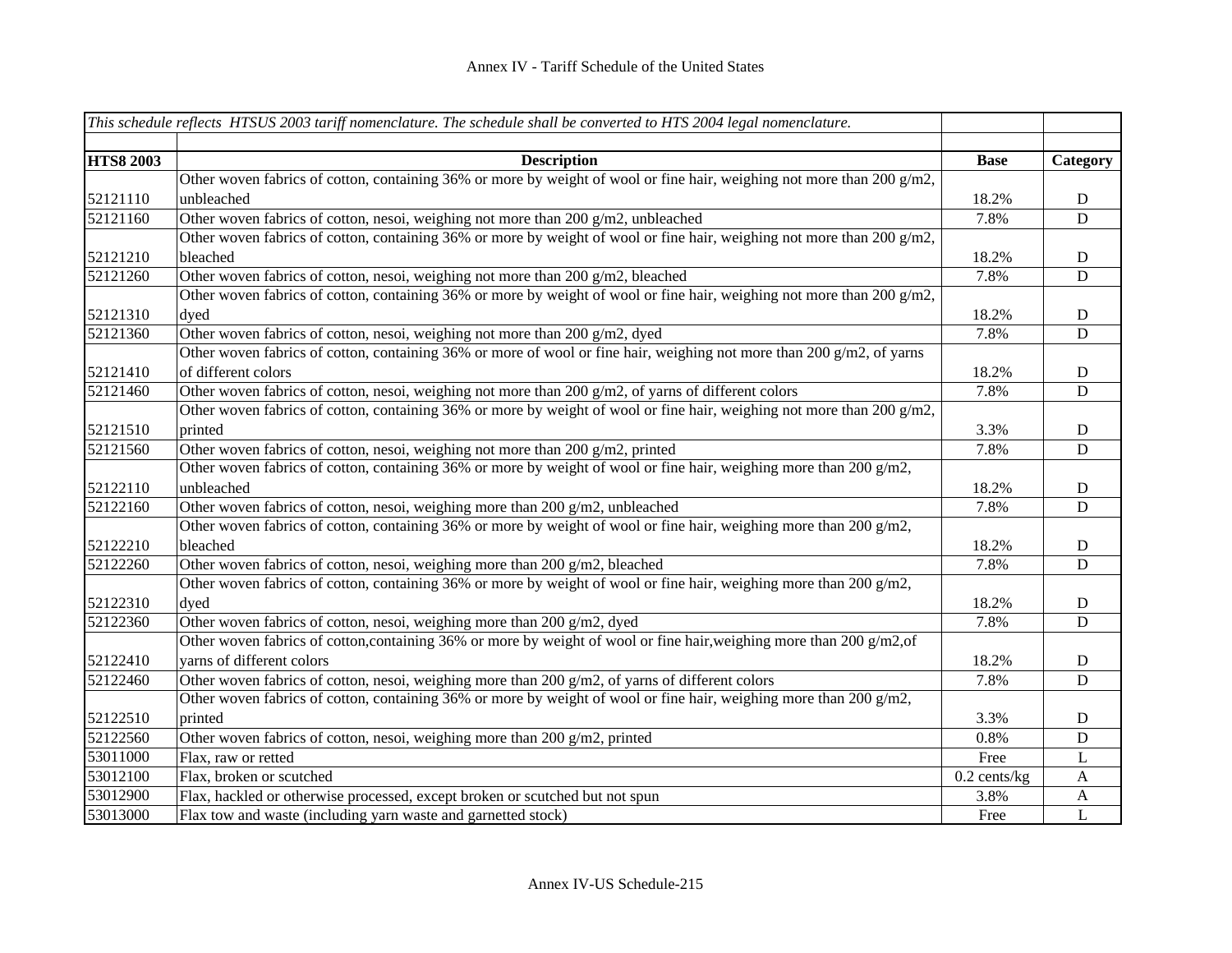|                  | This schedule reflects HTSUS 2003 tariff nomenclature. The schedule shall be converted to HTS 2004 legal nomenclature.    |                |              |
|------------------|---------------------------------------------------------------------------------------------------------------------------|----------------|--------------|
|                  |                                                                                                                           |                |              |
| <b>HTS8 2003</b> | <b>Description</b>                                                                                                        | <b>Base</b>    | Category     |
|                  | Other woven fabrics of cotton, containing 36% or more by weight of wool or fine hair, weighing not more than 200 g/m2,    |                |              |
| 52121110         | unbleached                                                                                                                | 18.2%          | $\mathbf D$  |
| 52121160         | Other woven fabrics of cotton, nesoi, weighing not more than 200 g/m2, unbleached                                         | 7.8%           | $\mathbf D$  |
|                  | Other woven fabrics of cotton, containing 36% or more by weight of wool or fine hair, weighing not more than 200 $g/m2$ , |                |              |
| 52121210         | bleached                                                                                                                  | 18.2%          | $\mathbf D$  |
| 52121260         | Other woven fabrics of cotton, nesoi, weighing not more than 200 g/m2, bleached                                           | 7.8%           | D            |
|                  | Other woven fabrics of cotton, containing 36% or more by weight of wool or fine hair, weighing not more than 200 g/m2,    |                |              |
| 52121310         | dyed                                                                                                                      | 18.2%          | ${\bf D}$    |
| 52121360         | Other woven fabrics of cotton, nesoi, weighing not more than 200 g/m2, dyed                                               | 7.8%           | $\mathbf D$  |
|                  | Other woven fabrics of cotton, containing 36% or more of wool or fine hair, weighing not more than 200 g/m2, of yarns     |                |              |
| 52121410         | of different colors                                                                                                       | 18.2%          | $\mathbf D$  |
| 52121460         | Other woven fabrics of cotton, nesoi, weighing not more than $200 g/m2$ , of yarns of different colors                    | 7.8%           | D            |
|                  | Other woven fabrics of cotton, containing 36% or more by weight of wool or fine hair, weighing not more than 200 $g/m2$ , |                |              |
| 52121510         | printed                                                                                                                   | 3.3%           | $\mathbf D$  |
| 52121560         | Other woven fabrics of cotton, nesoi, weighing not more than 200 g/m2, printed                                            | 7.8%           | $\mathbf D$  |
|                  | Other woven fabrics of cotton, containing 36% or more by weight of wool or fine hair, weighing more than 200 g/m2,        |                |              |
| 52122110         | unbleached                                                                                                                | 18.2%          | $\mathbf D$  |
| 52122160         | Other woven fabrics of cotton, nesoi, weighing more than $200 \frac{\text{g}}{\text{m2}}$ , unbleached                    | 7.8%           | D            |
|                  | Other woven fabrics of cotton, containing 36% or more by weight of wool or fine hair, weighing more than 200 g/m2,        |                |              |
| 52122210         | bleached                                                                                                                  | 18.2%          | $\mathbf D$  |
| 52122260         | Other woven fabrics of cotton, nesoi, weighing more than 200 g/m2, bleached                                               | 7.8%           | $\mathbf D$  |
|                  | Other woven fabrics of cotton, containing 36% or more by weight of wool or fine hair, weighing more than 200 $g/m2$ ,     |                |              |
| 52122310         | dyed                                                                                                                      | 18.2%          | $\mathbf D$  |
| 52122360         | Other woven fabrics of cotton, nesoi, weighing more than 200 g/m2, dyed                                                   | 7.8%           | $\mathbf D$  |
|                  | Other woven fabrics of cotton, containing 36% or more by weight of wool or fine hair, weighing more than 200 $g/m2$ , of  |                |              |
| 52122410         | yarns of different colors                                                                                                 | 18.2%          | $\mathbf D$  |
| 52122460         | Other woven fabrics of cotton, nesoi, weighing more than 200 g/m2, of yarns of different colors                           | 7.8%           | D            |
|                  | Other woven fabrics of cotton, containing 36% or more by weight of wool or fine hair, weighing more than 200 $g/m2$ ,     |                |              |
| 52122510         | printed                                                                                                                   | 3.3%           | $\mathbf D$  |
| 52122560         | Other woven fabrics of cotton, nesoi, weighing more than 200 g/m2, printed                                                | 0.8%           | $\mathbf D$  |
| 53011000         | Flax, raw or retted                                                                                                       | Free           | L            |
| 53012100         | Flax, broken or scutched                                                                                                  | $0.2$ cents/kg | $\mathbf{A}$ |
| 53012900         | Flax, hackled or otherwise processed, except broken or scutched but not spun                                              | 3.8%           | A            |
| 53013000         | Flax tow and waste (including yarn waste and garnetted stock)                                                             | Free           | L            |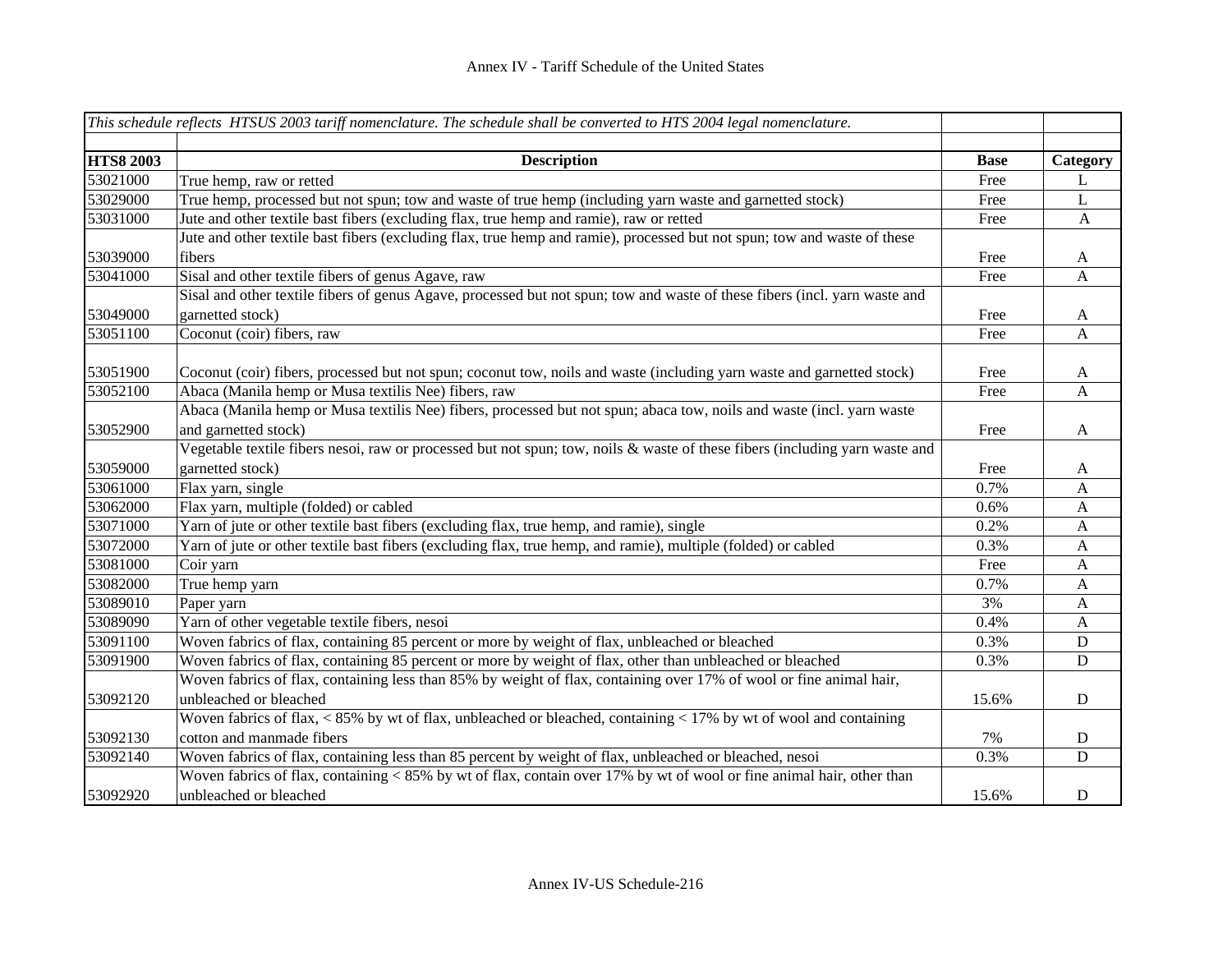|                  | This schedule reflects HTSUS 2003 tariff nomenclature. The schedule shall be converted to HTS 2004 legal nomenclature.      |             |              |
|------------------|-----------------------------------------------------------------------------------------------------------------------------|-------------|--------------|
|                  |                                                                                                                             |             |              |
| <b>HTS8 2003</b> | <b>Description</b>                                                                                                          | <b>Base</b> | Category     |
| 53021000         | True hemp, raw or retted                                                                                                    | Free        | L            |
| 53029000         | True hemp, processed but not spun; tow and waste of true hemp (including yarn waste and garnetted stock)                    | Free        | L            |
| 53031000         | Jute and other textile bast fibers (excluding flax, true hemp and ramie), raw or retted                                     | Free        | $\mathbf{A}$ |
|                  | Jute and other textile bast fibers (excluding flax, true hemp and ramie), processed but not spun; tow and waste of these    |             |              |
| 53039000         | fibers                                                                                                                      | Free        | A            |
| 53041000         | Sisal and other textile fibers of genus Agave, raw                                                                          | Free        | $\mathbf{A}$ |
|                  | Sisal and other textile fibers of genus Agave, processed but not spun; tow and waste of these fibers (incl. yarn waste and  |             |              |
| 53049000         | garnetted stock)                                                                                                            | Free        | A            |
| 53051100         | Coconut (coir) fibers, raw                                                                                                  | Free        | A            |
|                  |                                                                                                                             |             |              |
| 53051900         | Coconut (coir) fibers, processed but not spun; coconut tow, noils and waste (including yarn waste and garnetted stock)      | Free        | A            |
| 53052100         | Abaca (Manila hemp or Musa textilis Nee) fibers, raw                                                                        | Free        | A            |
|                  | Abaca (Manila hemp or Musa textilis Nee) fibers, processed but not spun; abaca tow, noils and waste (incl. yarn waste       |             |              |
| 53052900         | and garnetted stock)                                                                                                        | Free        | A            |
|                  | Vegetable textile fibers nesoi, raw or processed but not spun; tow, noils & waste of these fibers (including yarn waste and |             |              |
| 53059000         | garnetted stock)                                                                                                            | Free        | A            |
| 53061000         | Flax yarn, single                                                                                                           | 0.7%        | $\mathbf{A}$ |
| 53062000         | Flax yarn, multiple (folded) or cabled                                                                                      | 0.6%        | $\mathbf{A}$ |
| 53071000         | Yarn of jute or other textile bast fibers (excluding flax, true hemp, and ramie), single                                    | 0.2%        | $\mathbf{A}$ |
| 53072000         | Yarn of jute or other textile bast fibers (excluding flax, true hemp, and ramie), multiple (folded) or cabled               | 0.3%        | $\mathbf{A}$ |
| 53081000         | Coir yarn                                                                                                                   | Free        | A            |
| 53082000         | True hemp yarn                                                                                                              | 0.7%        | $\mathbf{A}$ |
| 53089010         | Paper yarn                                                                                                                  | 3%          | $\mathbf{A}$ |
| 53089090         | Yarn of other vegetable textile fibers, nesoi                                                                               | 0.4%        | $\mathbf{A}$ |
| 53091100         | Woven fabrics of flax, containing 85 percent or more by weight of flax, unbleached or bleached                              | 0.3%        | $\mathbf D$  |
| 53091900         | Woven fabrics of flax, containing 85 percent or more by weight of flax, other than unbleached or bleached                   | 0.3%        | ${\bf D}$    |
|                  | Woven fabrics of flax, containing less than 85% by weight of flax, containing over 17% of wool or fine animal hair,         |             |              |
| 53092120         | unbleached or bleached                                                                                                      | 15.6%       | D            |
|                  | Woven fabrics of flax, $\lt 85\%$ by wt of flax, unbleached or bleached, containing $\lt 17\%$ by wt of wool and containing |             |              |
| 53092130         | cotton and manmade fibers                                                                                                   | 7%          | $\mathbf D$  |
| 53092140         | Woven fabrics of flax, containing less than 85 percent by weight of flax, unbleached or bleached, nesoi                     | 0.3%        | $\mathbf D$  |
|                  | Woven fabrics of flax, containing < 85% by wt of flax, contain over 17% by wt of wool or fine animal hair, other than       |             |              |
| 53092920         | unbleached or bleached                                                                                                      | 15.6%       | $\mathbf D$  |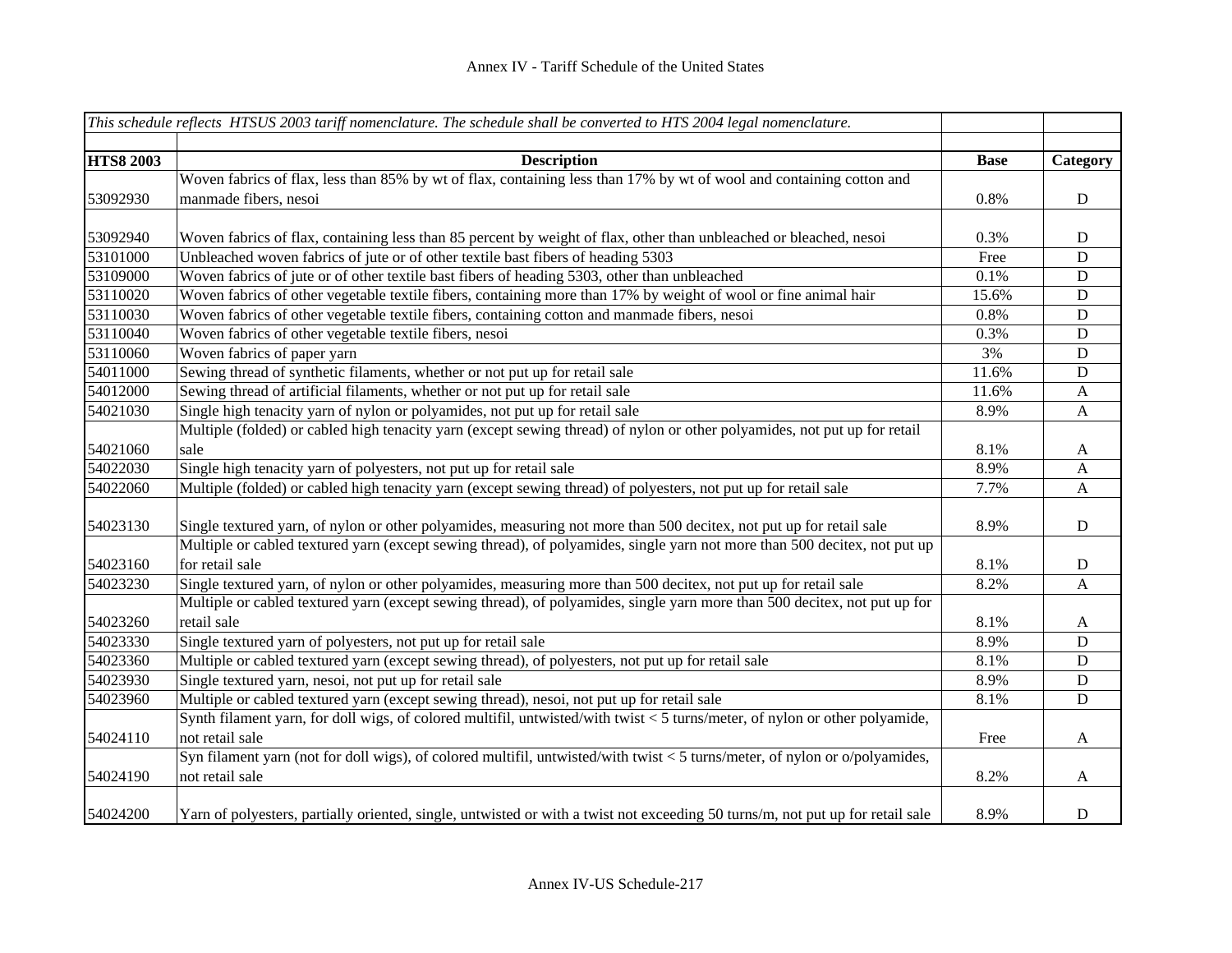|                  | This schedule reflects HTSUS 2003 tariff nomenclature. The schedule shall be converted to HTS 2004 legal nomenclature.         |             |              |
|------------------|--------------------------------------------------------------------------------------------------------------------------------|-------------|--------------|
|                  |                                                                                                                                |             |              |
| <b>HTS8 2003</b> | <b>Description</b>                                                                                                             | <b>Base</b> | Category     |
|                  | Woven fabrics of flax, less than 85% by wt of flax, containing less than 17% by wt of wool and containing cotton and           |             |              |
| 53092930         | manmade fibers, nesoi                                                                                                          | 0.8%        | $\mathbf D$  |
|                  |                                                                                                                                |             |              |
| 53092940         | Woven fabrics of flax, containing less than 85 percent by weight of flax, other than unbleached or bleached, nesoi             | 0.3%        | $\mathbf D$  |
| 53101000         | Unbleached woven fabrics of jute or of other textile bast fibers of heading 5303                                               | Free        | $\mathbf D$  |
| 53109000         | Woven fabrics of jute or of other textile bast fibers of heading 5303, other than unbleached                                   | 0.1%        | $\mathbf D$  |
| 53110020         | Woven fabrics of other vegetable textile fibers, containing more than 17% by weight of wool or fine animal hair                | 15.6%       | $\mathbf D$  |
| 53110030         | Woven fabrics of other vegetable textile fibers, containing cotton and manmade fibers, nesoi                                   | 0.8%        | $\mathbf D$  |
| 53110040         | Woven fabrics of other vegetable textile fibers, nesoi                                                                         | 0.3%        | $\mathbf D$  |
| 53110060         | Woven fabrics of paper yarn                                                                                                    | 3%          | $\mathbf D$  |
| 54011000         | Sewing thread of synthetic filaments, whether or not put up for retail sale                                                    | 11.6%       | $\mathbf D$  |
| 54012000         | Sewing thread of artificial filaments, whether or not put up for retail sale                                                   | 11.6%       | A            |
| 54021030         | Single high tenacity yarn of nylon or polyamides, not put up for retail sale                                                   | 8.9%        | $\mathbf{A}$ |
|                  | Multiple (folded) or cabled high tenacity yarn (except sewing thread) of nylon or other polyamides, not put up for retail      |             |              |
| 54021060         | sale                                                                                                                           | 8.1%        | $\mathbf{A}$ |
| 54022030         | Single high tenacity yarn of polyesters, not put up for retail sale                                                            | 8.9%        | $\mathbf{A}$ |
| 54022060         | Multiple (folded) or cabled high tenacity yarn (except sewing thread) of polyesters, not put up for retail sale                | 7.7%        | $\mathbf{A}$ |
|                  |                                                                                                                                |             |              |
| 54023130         | Single textured yarn, of nylon or other polyamides, measuring not more than 500 decitex, not put up for retail sale            | 8.9%        | $\mathbf D$  |
|                  | Multiple or cabled textured yarn (except sewing thread), of polyamides, single yarn not more than 500 decitex, not put up      |             |              |
| 54023160         | for retail sale                                                                                                                | 8.1%        | $\mathbf D$  |
| 54023230         | Single textured yarn, of nylon or other polyamides, measuring more than 500 decitex, not put up for retail sale                | 8.2%        | $\mathbf{A}$ |
|                  | Multiple or cabled textured yarn (except sewing thread), of polyamides, single yarn more than 500 decitex, not put up for      |             |              |
| 54023260         | retail sale                                                                                                                    | 8.1%        | $\mathbf{A}$ |
| 54023330         | Single textured yarn of polyesters, not put up for retail sale                                                                 | 8.9%        | D            |
| 54023360         | Multiple or cabled textured yarn (except sewing thread), of polyesters, not put up for retail sale                             | 8.1%        | $\mathbf D$  |
| 54023930         | Single textured yarn, nesoi, not put up for retail sale                                                                        | 8.9%        | $\mathbf D$  |
| 54023960         | Multiple or cabled textured yarn (except sewing thread), nesoi, not put up for retail sale                                     | 8.1%        | $\mathbf D$  |
|                  | Synth filament yarn, for doll wigs, of colored multifil, untwisted/with twist < 5 turns/meter, of nylon or other polyamide,    |             |              |
| 54024110         | not retail sale                                                                                                                | Free        | $\mathbf{A}$ |
|                  | Syn filament yarn (not for doll wigs), of colored multifil, untwisted/with twist < 5 turns/meter, of nylon or o/polyamides,    |             |              |
| 54024190         | not retail sale                                                                                                                | 8.2%        | A            |
| 54024200         | Yarn of polyesters, partially oriented, single, untwisted or with a twist not exceeding 50 turns/m, not put up for retail sale | 8.9%        | $\mathbf D$  |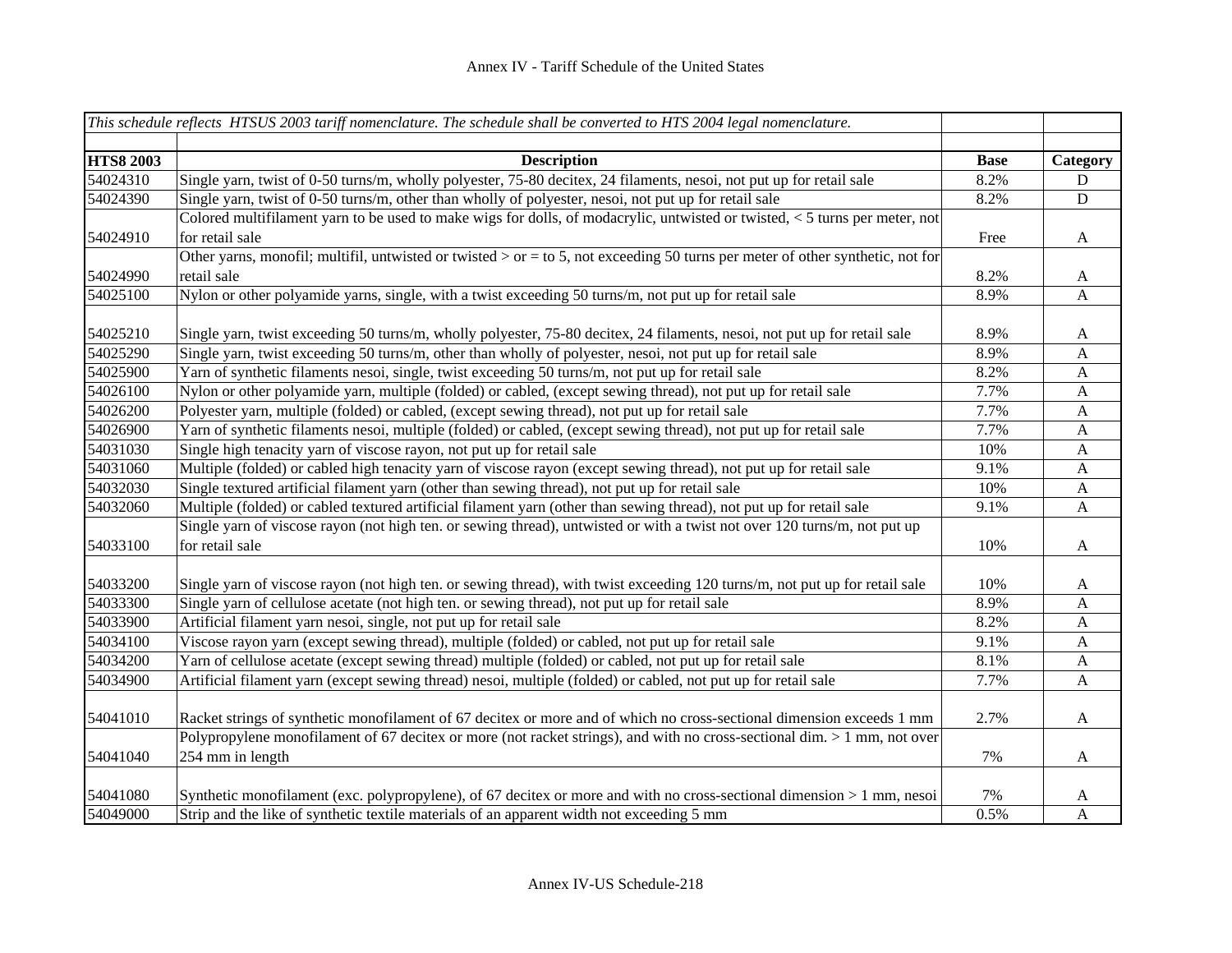|                  | This schedule reflects HTSUS 2003 tariff nomenclature. The schedule shall be converted to HTS 2004 legal nomenclature.                       |             |              |
|------------------|----------------------------------------------------------------------------------------------------------------------------------------------|-------------|--------------|
|                  |                                                                                                                                              |             |              |
| <b>HTS8 2003</b> | <b>Description</b>                                                                                                                           | <b>Base</b> | Category     |
| 54024310         | Single yarn, twist of 0-50 turns/m, wholly polyester, 75-80 decitex, 24 filaments, nesoi, not put up for retail sale                         | 8.2%        | D            |
| 54024390         | Single yarn, twist of 0-50 turns/m, other than wholly of polyester, nesoi, not put up for retail sale                                        | 8.2%        | $\mathbf D$  |
|                  | Colored multifilament yarn to be used to make wigs for dolls, of modacrylic, untwisted or twisted, < 5 turns per meter, not                  |             |              |
| 54024910         | for retail sale                                                                                                                              | Free        | $\mathbf{A}$ |
|                  | Other yarns, monofil; multifil, untwisted or twisted $>$ or $=$ to 5, not exceeding 50 turns per meter of other synthetic, not for           |             |              |
| 54024990         | retail sale                                                                                                                                  | 8.2%        | $\mathbf{A}$ |
| 54025100         | Nylon or other polyamide yarns, single, with a twist exceeding 50 turns/m, not put up for retail sale                                        | 8.9%        | A            |
| 54025210         | Single yarn, twist exceeding 50 turns/m, wholly polyester, 75-80 decitex, 24 filaments, nesoi, not put up for retail sale                    | 8.9%        | A            |
| 54025290         | Single yarn, twist exceeding 50 turns/m, other than wholly of polyester, nesoi, not put up for retail sale                                   | 8.9%        | $\mathbf{A}$ |
| 54025900         | Yarn of synthetic filaments nesoi, single, twist exceeding 50 turns/m, not put up for retail sale                                            | 8.2%        | $\mathbf{A}$ |
| 54026100         | Nylon or other polyamide yarn, multiple (folded) or cabled, (except sewing thread), not put up for retail sale                               | 7.7%        | $\mathbf{A}$ |
| 54026200         | Polyester yarn, multiple (folded) or cabled, (except sewing thread), not put up for retail sale                                              | 7.7%        | $\mathbf{A}$ |
| 54026900         | Yarn of synthetic filaments nesoi, multiple (folded) or cabled, (except sewing thread), not put up for retail sale                           | 7.7%        | $\mathbf{A}$ |
| 54031030         | Single high tenacity yarn of viscose rayon, not put up for retail sale                                                                       | 10%         | $\mathbf{A}$ |
| 54031060         | Multiple (folded) or cabled high tenacity yarn of viscose rayon (except sewing thread), not put up for retail sale                           | 9.1%        | $\mathbf{A}$ |
| 54032030         | Single textured artificial filament yarn (other than sewing thread), not put up for retail sale                                              | 10%         | A            |
| 54032060         | Multiple (folded) or cabled textured artificial filament yarn (other than sewing thread), not put up for retail sale                         | 9.1%        | A            |
|                  | Single yarn of viscose rayon (not high ten. or sewing thread), untwisted or with a twist not over 120 turns/m, not put up                    |             |              |
| 54033100         | for retail sale                                                                                                                              | 10%         | $\mathbf{A}$ |
| 54033200         | Single yarn of viscose rayon (not high ten. or sewing thread), with twist exceeding 120 turns/m, not put up for retail sale                  | 10%         | A            |
| 54033300         | Single yarn of cellulose acetate (not high ten. or sewing thread), not put up for retail sale                                                | 8.9%        | A            |
| 54033900         | Artificial filament yarn nesoi, single, not put up for retail sale                                                                           | 8.2%        | A            |
| 54034100         | Viscose rayon yarn (except sewing thread), multiple (folded) or cabled, not put up for retail sale                                           | 9.1%        | $\mathbf{A}$ |
| 54034200         | Yarn of cellulose acetate (except sewing thread) multiple (folded) or cabled, not put up for retail sale                                     | 8.1%        | $\mathbf{A}$ |
| 54034900         | Artificial filament yarn (except sewing thread) nesoi, multiple (folded) or cabled, not put up for retail sale                               | 7.7%        | $\mathbf{A}$ |
| 54041010         | Racket strings of synthetic monofilament of 67 decitex or more and of which no cross-sectional dimension exceeds 1 mm                        | 2.7%        | $\mathbf{A}$ |
| 54041040         | Polypropylene monofilament of 67 decitex or more (not racket strings), and with no cross-sectional dim. > 1 mm, not over<br>254 mm in length | 7%          | A            |
| 54041080         | Synthetic monofilament (exc. polypropylene), of 67 decitex or more and with no cross-sectional dimension > 1 mm, nesoi                       | 7%          | A            |
| 54049000         | Strip and the like of synthetic textile materials of an apparent width not exceeding 5 mm                                                    | 0.5%        | $\mathbf{A}$ |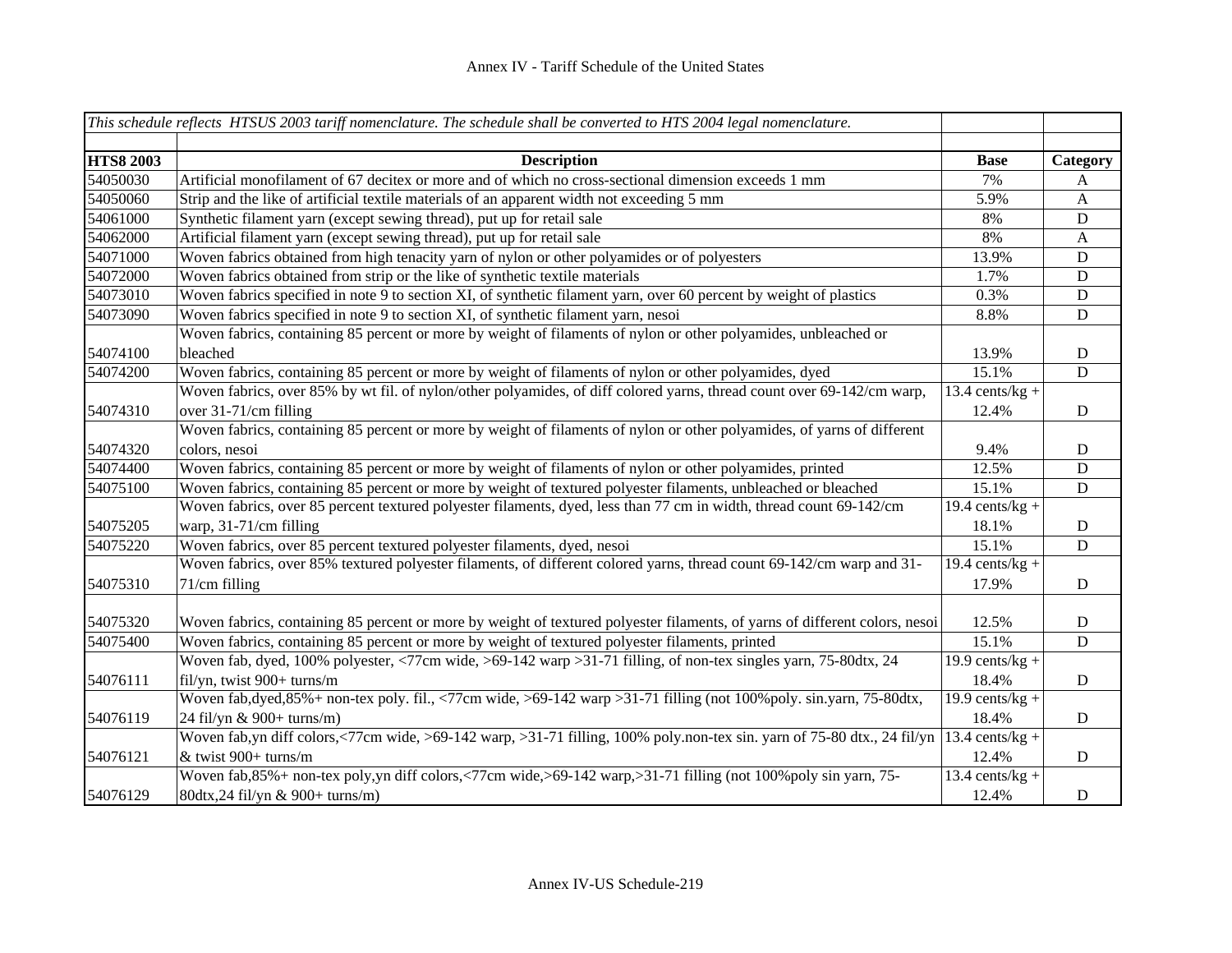|                  | This schedule reflects HTSUS 2003 tariff nomenclature. The schedule shall be converted to HTS 2004 legal nomenclature.      |                              |              |
|------------------|-----------------------------------------------------------------------------------------------------------------------------|------------------------------|--------------|
| <b>HTS8 2003</b> | <b>Description</b>                                                                                                          | <b>Base</b>                  | Category     |
| 54050030         | Artificial monofilament of 67 decitex or more and of which no cross-sectional dimension exceeds 1 mm                        | 7%                           | A            |
| 54050060         | Strip and the like of artificial textile materials of an apparent width not exceeding 5 mm                                  | 5.9%                         | $\mathbf{A}$ |
| 54061000         | Synthetic filament yarn (except sewing thread), put up for retail sale                                                      | 8%                           | ${\bf D}$    |
| 54062000         | Artificial filament yarn (except sewing thread), put up for retail sale                                                     | 8%                           | $\mathbf{A}$ |
| 54071000         | Woven fabrics obtained from high tenacity yarn of nylon or other polyamides or of polyesters                                | 13.9%                        | D            |
| 54072000         | Woven fabrics obtained from strip or the like of synthetic textile materials                                                | 1.7%                         | ${\bf D}$    |
| 54073010         | Woven fabrics specified in note 9 to section XI, of synthetic filament yarn, over 60 percent by weight of plastics          | 0.3%                         | ${\bf D}$    |
| 54073090         | Woven fabrics specified in note 9 to section XI, of synthetic filament yarn, nesoi                                          | 8.8%                         | ${\bf D}$    |
|                  | Woven fabrics, containing 85 percent or more by weight of filaments of nylon or other polyamides, unbleached or             |                              |              |
| 54074100         | bleached                                                                                                                    | 13.9%                        | ${\bf D}$    |
| 54074200         | Woven fabrics, containing 85 percent or more by weight of filaments of nylon or other polyamides, dyed                      | 15.1%                        | $\mathbf D$  |
|                  | Woven fabrics, over 85% by wt fil. of nylon/other polyamides, of diff colored yarns, thread count over 69-142/cm warp,      | $13.4$ cents/kg +            |              |
| 54074310         | over 31-71/cm filling                                                                                                       | 12.4%                        | D            |
|                  | Woven fabrics, containing 85 percent or more by weight of filaments of nylon or other polyamides, of yarns of different     |                              |              |
| 54074320         | colors, nesoi                                                                                                               | 9.4%                         | D            |
| 54074400         | Woven fabrics, containing 85 percent or more by weight of filaments of nylon or other polyamides, printed                   | 12.5%                        | ${\bf D}$    |
| 54075100         | Woven fabrics, containing 85 percent or more by weight of textured polyester filaments, unbleached or bleached              | 15.1%                        | ${\bf D}$    |
|                  | Woven fabrics, over 85 percent textured polyester filaments, dyed, less than 77 cm in width, thread count 69-142/cm         | 19.4 cents/ $kg +$           |              |
| 54075205         | warp, 31-71/cm filling                                                                                                      | 18.1%                        | ${\bf D}$    |
| 54075220         | Woven fabrics, over 85 percent textured polyester filaments, dyed, nesoi                                                    | 15.1%                        | D            |
|                  | Woven fabrics, over 85% textured polyester filaments, of different colored yarns, thread count 69-142/cm warp and 31-       | 19.4 cents/kg +              |              |
| 54075310         | 71/cm filling                                                                                                               | 17.9%                        | ${\bf D}$    |
|                  |                                                                                                                             |                              |              |
| 54075320         | Woven fabrics, containing 85 percent or more by weight of textured polyester filaments, of yarns of different colors, nesoi | 12.5%                        | ${\bf D}$    |
| 54075400         | Woven fabrics, containing 85 percent or more by weight of textured polyester filaments, printed                             | 15.1%                        | ${\bf D}$    |
|                  | Woven fab, dyed, 100% polyester, <77cm wide, >69-142 warp > 31-71 filling, of non-tex singles yarn, 75-80dtx, 24            | 19.9 cents/ $kg +$           |              |
| 54076111         | fil/yn, twist 900+ turns/m                                                                                                  | 18.4%                        | $\mathbf D$  |
|                  | Woven fab, dyed, $85\%$ + non-tex poly. fil., <77cm wide, >69-142 warp >31-71 filling (not 100% poly. sin.yarn, 75-80dtx,   | 19.9 cents/ $kg +$           |              |
| 54076119         | 24 fil/yn & 900+ turns/m)                                                                                                   | 18.4%                        | $\mathbf D$  |
|                  | Woven fab,yn diff colors,<77cm wide, >69-142 warp, >31-71 filling, 100% poly.non-tex sin. yarn of 75-80 dtx., 24 fil/yn     | $\overline{13.4}$ cents/kg + |              |
| 54076121         | & twist 900+ turns/m                                                                                                        | 12.4%                        | ${\rm D}$    |
|                  | Woven fab, 85% + non-tex poly, yn diff colors, <77cm wide, >69-142 warp, >31-71 filling (not 100% poly sin yarn, 75-        | $13.4$ cents/kg +            |              |
| 54076129         | 80dtx, 24 fil/yn & 900+ turns/m)                                                                                            | 12.4%                        | $\mathbf D$  |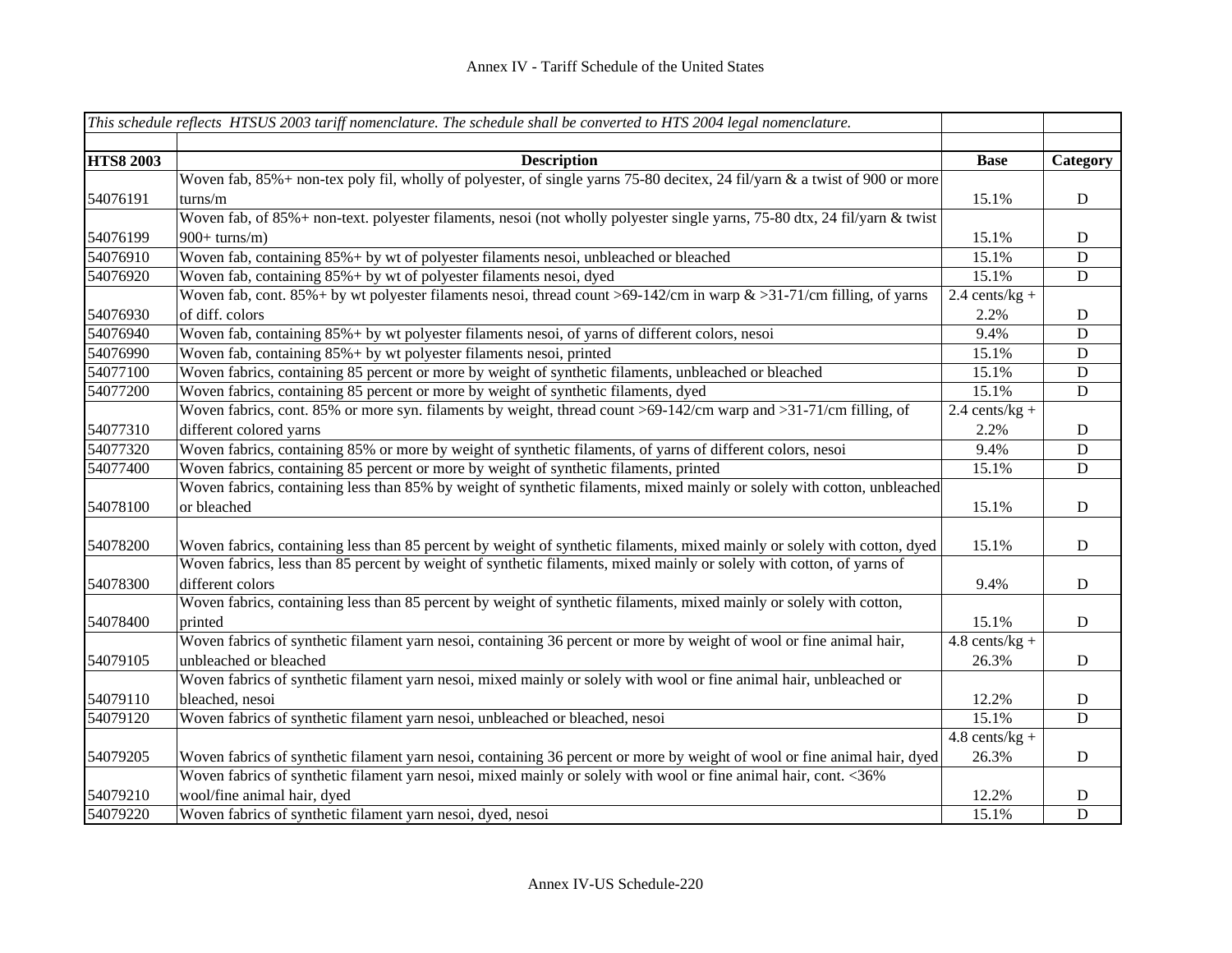|                  | This schedule reflects HTSUS 2003 tariff nomenclature. The schedule shall be converted to HTS 2004 legal nomenclature.     |                  |             |
|------------------|----------------------------------------------------------------------------------------------------------------------------|------------------|-------------|
|                  |                                                                                                                            |                  |             |
| <b>HTS8 2003</b> | <b>Description</b>                                                                                                         | <b>Base</b>      | Category    |
|                  | Woven fab, 85%+ non-tex poly fil, wholly of polyester, of single yarns 75-80 decitex, 24 fil/yarn & a twist of 900 or more |                  |             |
| 54076191         | turns/m                                                                                                                    | 15.1%            | D           |
|                  | Woven fab, of 85%+ non-text. polyester filaments, nesoi (not wholly polyester single yarns, 75-80 dtx, 24 fil/yarn & twist |                  |             |
| 54076199         | $900+ \text{turns/m}$                                                                                                      | 15.1%            | D           |
| 54076910         | Woven fab, containing 85%+ by wt of polyester filaments nesoi, unbleached or bleached                                      | 15.1%            | $\mathbf D$ |
| 54076920         | Woven fab, containing 85%+ by wt of polyester filaments nesoi, dyed                                                        | 15.1%            | ${\bf D}$   |
|                  | Woven fab, cont. 85% + by wt polyester filaments nesoi, thread count >69-142/cm in warp $\&$ >31-71/cm filling, of yarns   | $2.4$ cents/kg + |             |
| 54076930         | of diff. colors                                                                                                            | 2.2%             | D           |
| 54076940         | Woven fab, containing 85%+ by wt polyester filaments nesoi, of yarns of different colors, nesoi                            | 9.4%             | ${\bf D}$   |
| 54076990         | Woven fab, containing 85%+ by wt polyester filaments nesoi, printed                                                        | 15.1%            | ${\bf D}$   |
| 54077100         | Woven fabrics, containing 85 percent or more by weight of synthetic filaments, unbleached or bleached                      | 15.1%            | ${\bf D}$   |
| 54077200         | Woven fabrics, containing 85 percent or more by weight of synthetic filaments, dyed                                        | 15.1%            | ${\bf D}$   |
|                  | Woven fabrics, cont. 85% or more syn. filaments by weight, thread count >69-142/cm warp and >31-71/cm filling, of          | $2.4$ cents/kg + |             |
| 54077310         | different colored yarns                                                                                                    | 2.2%             | D           |
| 54077320         | Woven fabrics, containing 85% or more by weight of synthetic filaments, of yarns of different colors, nesoi                | 9.4%             | ${\bf D}$   |
| 54077400         | Woven fabrics, containing 85 percent or more by weight of synthetic filaments, printed                                     | 15.1%            | ${\bf D}$   |
|                  | Woven fabrics, containing less than 85% by weight of synthetic filaments, mixed mainly or solely with cotton, unbleached   |                  |             |
| 54078100         | or bleached                                                                                                                | 15.1%            | ${\bf D}$   |
|                  |                                                                                                                            |                  |             |
| 54078200         | Woven fabrics, containing less than 85 percent by weight of synthetic filaments, mixed mainly or solely with cotton, dyed  | 15.1%            | ${\bf D}$   |
|                  | Woven fabrics, less than 85 percent by weight of synthetic filaments, mixed mainly or solely with cotton, of yarns of      |                  |             |
| 54078300         | different colors                                                                                                           | 9.4%             | ${\bf D}$   |
|                  | Woven fabrics, containing less than 85 percent by weight of synthetic filaments, mixed mainly or solely with cotton,       |                  |             |
| 54078400         | printed                                                                                                                    | 15.1%            | ${\bf D}$   |
|                  | Woven fabrics of synthetic filament yarn nesoi, containing 36 percent or more by weight of wool or fine animal hair,       | $4.8$ cents/kg + |             |
| 54079105         | unbleached or bleached                                                                                                     | 26.3%            | D           |
|                  | Woven fabrics of synthetic filament yarn nesoi, mixed mainly or solely with wool or fine animal hair, unbleached or        |                  |             |
| 54079110         | bleached, nesoi                                                                                                            | 12.2%            | D           |
| 54079120         | Woven fabrics of synthetic filament yarn nesoi, unbleached or bleached, nesoi                                              | 15.1%            | ${\bf D}$   |
|                  |                                                                                                                            | $4.8$ cents/kg + |             |
| 54079205         | Woven fabrics of synthetic filament yarn nesoi, containing 36 percent or more by weight of wool or fine animal hair, dyed  | 26.3%            | ${\bf D}$   |
|                  | Woven fabrics of synthetic filament yarn nesoi, mixed mainly or solely with wool or fine animal hair, cont. <36%           |                  |             |
| 54079210         | wool/fine animal hair, dyed                                                                                                | 12.2%            | $\mathbf D$ |
| 54079220         | Woven fabrics of synthetic filament yarn nesoi, dyed, nesoi                                                                | 15.1%            | $\mathbf D$ |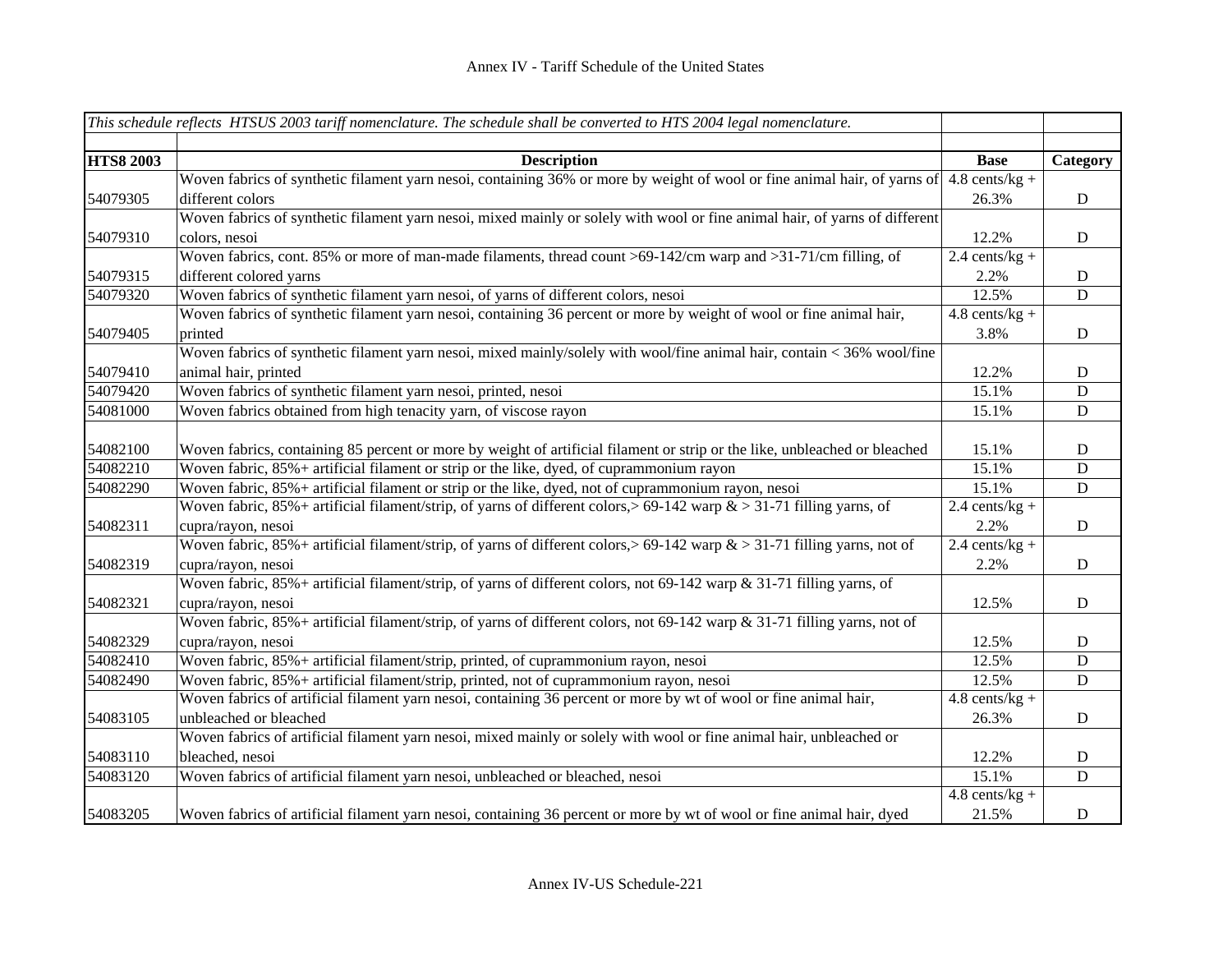|                  | This schedule reflects HTSUS 2003 tariff nomenclature. The schedule shall be converted to HTS 2004 legal nomenclature.                   |                  |                |
|------------------|------------------------------------------------------------------------------------------------------------------------------------------|------------------|----------------|
|                  |                                                                                                                                          |                  |                |
| <b>HTS8 2003</b> | <b>Description</b>                                                                                                                       | <b>Base</b>      | Category       |
|                  | Woven fabrics of synthetic filament yarn nesoi, containing 36% or more by weight of wool or fine animal hair, of yarns of 4.8 cents/kg + |                  |                |
| 54079305         | different colors                                                                                                                         | 26.3%            | ${\bf D}$      |
|                  | Woven fabrics of synthetic filament yarn nesoi, mixed mainly or solely with wool or fine animal hair, of yarns of different              |                  |                |
| 54079310         | colors, nesoi                                                                                                                            | 12.2%            | $\mathbf D$    |
|                  | Woven fabrics, cont. 85% or more of man-made filaments, thread count >69-142/cm warp and >31-71/cm filling, of                           | $2.4$ cents/kg + |                |
| 54079315         | different colored yarns                                                                                                                  | 2.2%             | $\mathbf D$    |
| 54079320         | Woven fabrics of synthetic filament yarn nesoi, of yarns of different colors, nesoi                                                      | 12.5%            | $\overline{D}$ |
|                  | Woven fabrics of synthetic filament yarn nesoi, containing 36 percent or more by weight of wool or fine animal hair,                     | $4.8$ cents/kg + |                |
| 54079405         | printed                                                                                                                                  | 3.8%             | $\mathbf D$    |
|                  | Woven fabrics of synthetic filament yarn nesoi, mixed mainly/solely with wool/fine animal hair, contain < 36% wool/fine                  |                  |                |
| 54079410         | animal hair, printed                                                                                                                     | 12.2%            | $\mathbf D$    |
| 54079420         | Woven fabrics of synthetic filament yarn nesoi, printed, nesoi                                                                           | 15.1%            | $\mathbf D$    |
| 54081000         | Woven fabrics obtained from high tenacity yarn, of viscose rayon                                                                         | 15.1%            | $\mathbf D$    |
|                  |                                                                                                                                          |                  |                |
| 54082100         | Woven fabrics, containing 85 percent or more by weight of artificial filament or strip or the like, unbleached or bleached               | 15.1%            | D              |
| 54082210         | Woven fabric, 85%+ artificial filament or strip or the like, dyed, of cuprammonium rayon                                                 | 15.1%            | D              |
| 54082290         | Woven fabric, 85% + artificial filament or strip or the like, dyed, not of cuprammonium rayon, nesoi                                     | 15.1%            | $\mathbf D$    |
|                  | Woven fabric, $85\%$ + artificial filament/strip, of yarns of different colors, > 69-142 warp $\&$ > 31-71 filling yarns, of             | $2.4$ cents/kg + |                |
| 54082311         | cupra/rayon, nesoi                                                                                                                       | 2.2%             | $\mathbf D$    |
|                  | Woven fabric, $85\%$ + artificial filament/strip, of yarns of different colors, > 69-142 warp $\&$ > 31-71 filling yarns, not of         | $2.4$ cents/kg + |                |
| 54082319         | cupra/rayon, nesoi                                                                                                                       | 2.2%             | $\mathbf D$    |
|                  | Woven fabric, 85%+ artificial filament/strip, of yarns of different colors, not 69-142 warp & 31-71 filling yarns, of                    |                  |                |
| 54082321         | cupra/rayon, nesoi                                                                                                                       | 12.5%            | D              |
|                  | Woven fabric, 85%+ artificial filament/strip, of yarns of different colors, not 69-142 warp & 31-71 filling yarns, not of                |                  |                |
| 54082329         | cupra/rayon, nesoi                                                                                                                       | 12.5%            | D              |
| 54082410         | Woven fabric, 85% + artificial filament/strip, printed, of cuprammonium rayon, nesoi                                                     | 12.5%            | D              |
| 54082490         | Woven fabric, 85%+ artificial filament/strip, printed, not of cuprammonium rayon, nesoi                                                  | 12.5%            | $\mathbf D$    |
|                  | Woven fabrics of artificial filament yarn nesoi, containing 36 percent or more by wt of wool or fine animal hair,                        | $4.8$ cents/kg + |                |
| 54083105         | unbleached or bleached                                                                                                                   | 26.3%            | $\mathbf D$    |
|                  | Woven fabrics of artificial filament yarn nesoi, mixed mainly or solely with wool or fine animal hair, unbleached or                     |                  |                |
| 54083110         | bleached, nesoi                                                                                                                          | 12.2%            | D              |
| 54083120         | Woven fabrics of artificial filament yarn nesoi, unbleached or bleached, nesoi                                                           | 15.1%            | $\mathbf D$    |
|                  |                                                                                                                                          | $4.8$ cents/kg + |                |
| 54083205         | Woven fabrics of artificial filament yarn nesoi, containing 36 percent or more by wt of wool or fine animal hair, dyed                   | 21.5%            | $\mathbf D$    |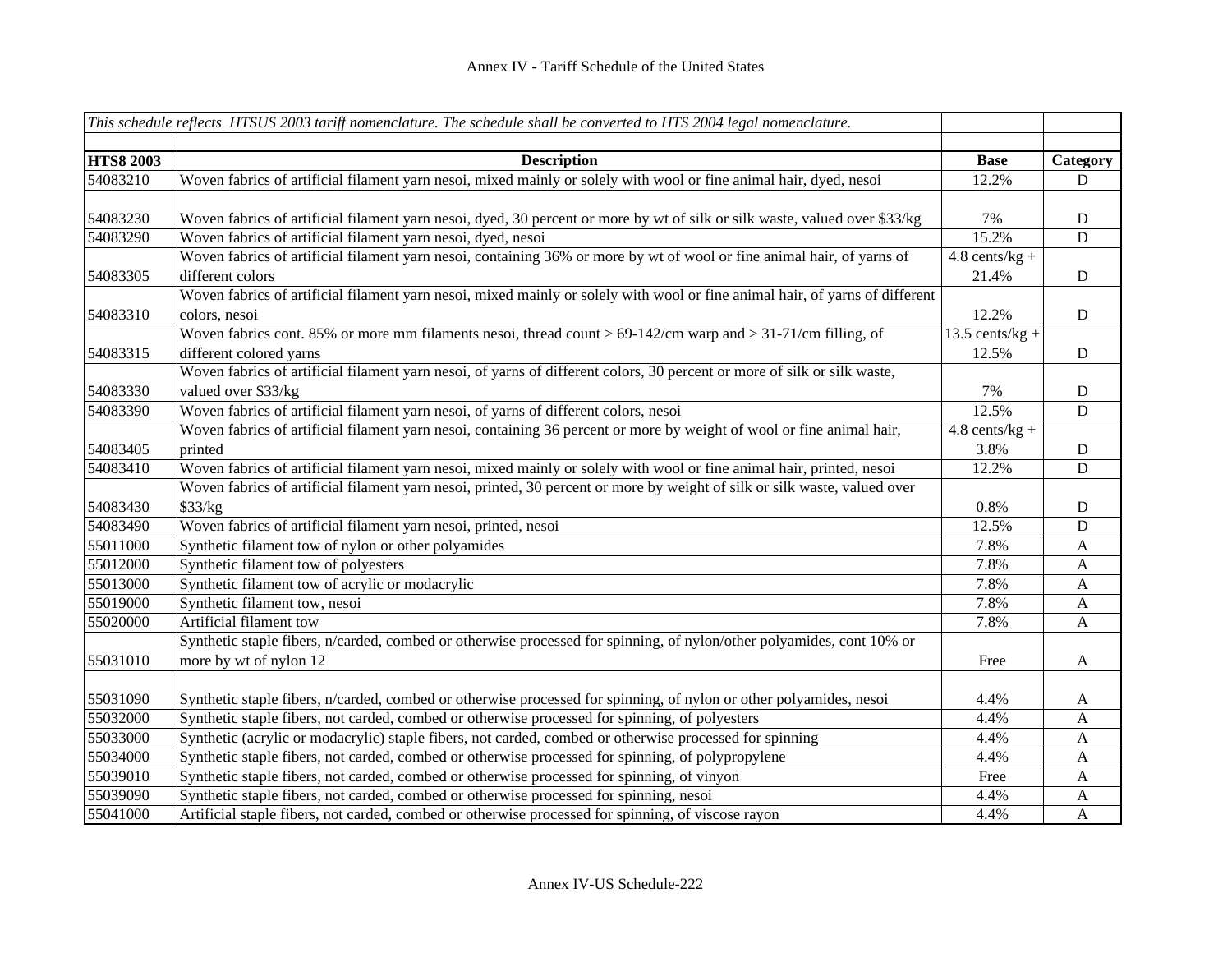|                  | This schedule reflects HTSUS 2003 tariff nomenclature. The schedule shall be converted to HTS 2004 legal nomenclature.       |                   |                |
|------------------|------------------------------------------------------------------------------------------------------------------------------|-------------------|----------------|
|                  |                                                                                                                              |                   |                |
| <b>HTS8 2003</b> | <b>Description</b>                                                                                                           | <b>Base</b>       | Category       |
| 54083210         | Woven fabrics of artificial filament yarn nesoi, mixed mainly or solely with wool or fine animal hair, dyed, nesoi           | 12.2%             | $\mathbf D$    |
|                  |                                                                                                                              |                   |                |
| 54083230         | Woven fabrics of artificial filament yarn nesoi, dyed, 30 percent or more by wt of silk or silk waste, valued over \$33/kg   | 7%                | ${\bf D}$      |
| 54083290         | Woven fabrics of artificial filament yarn nesoi, dyed, nesoi                                                                 | 15.2%             | $\overline{D}$ |
|                  | Woven fabrics of artificial filament yarn nesoi, containing 36% or more by wt of wool or fine animal hair, of yarns of       | $4.8$ cents/kg +  |                |
| 54083305         | different colors                                                                                                             | 21.4%             | $\mathbf D$    |
|                  | Woven fabrics of artificial filament yarn nesoi, mixed mainly or solely with wool or fine animal hair, of yarns of different |                   |                |
| 54083310         | colors, nesoi                                                                                                                | 12.2%             | $\mathbf D$    |
|                  | Woven fabrics cont. 85% or more mm filaments nesoi, thread count > $69-142$ /cm warp and > 31-71/cm filling, of              | $13.5$ cents/kg + |                |
| 54083315         | different colored yarns                                                                                                      | 12.5%             | $\mathbf D$    |
|                  | Woven fabrics of artificial filament yarn nesoi, of yarns of different colors, 30 percent or more of silk or silk waste,     |                   |                |
| 54083330         | valued over \$33/kg                                                                                                          | 7%                | ${\bf D}$      |
| 54083390         | Woven fabrics of artificial filament yarn nesoi, of yarns of different colors, nesoi                                         | 12.5%             | $\mathbf D$    |
|                  | Woven fabrics of artificial filament yarn nesoi, containing 36 percent or more by weight of wool or fine animal hair,        | $4.8$ cents/kg +  |                |
| 54083405         | printed                                                                                                                      | 3.8%              | $\mathbf D$    |
| 54083410         | Woven fabrics of artificial filament yarn nesoi, mixed mainly or solely with wool or fine animal hair, printed, nesoi        | 12.2%             | D              |
|                  | Woven fabrics of artificial filament yarn nesoi, printed, 30 percent or more by weight of silk or silk waste, valued over    |                   |                |
| 54083430         | \$33/kg                                                                                                                      | 0.8%              | $\mathbf D$    |
| 54083490         | Woven fabrics of artificial filament yarn nesoi, printed, nesoi                                                              | 12.5%             | $\mathbf D$    |
| 55011000         | Synthetic filament tow of nylon or other polyamides                                                                          | 7.8%              | $\mathbf{A}$   |
| 55012000         | Synthetic filament tow of polyesters                                                                                         | 7.8%              | $\mathbf{A}$   |
| 55013000         | Synthetic filament tow of acrylic or modacrylic                                                                              | 7.8%              | $\mathbf{A}$   |
| 55019000         | Synthetic filament tow, nesoi                                                                                                | 7.8%              | $\mathbf{A}$   |
| 55020000         | Artificial filament tow                                                                                                      | 7.8%              | A              |
|                  | Synthetic staple fibers, n/carded, combed or otherwise processed for spinning, of nylon/other polyamides, cont 10% or        |                   |                |
| 55031010         | more by wt of nylon 12                                                                                                       | Free              | $\mathbf{A}$   |
|                  |                                                                                                                              |                   |                |
| 55031090         | Synthetic staple fibers, n/carded, combed or otherwise processed for spinning, of nylon or other polyamides, nesoi           | 4.4%              | $\mathbf{A}$   |
| 55032000         | Synthetic staple fibers, not carded, combed or otherwise processed for spinning, of polyesters                               | 4.4%              | $\mathbf{A}$   |
| 55033000         | Synthetic (acrylic or modacrylic) staple fibers, not carded, combed or otherwise processed for spinning                      | 4.4%              | $\mathbf{A}$   |
| 55034000         | Synthetic staple fibers, not carded, combed or otherwise processed for spinning, of polypropylene                            | 4.4%              | $\mathbf{A}$   |
| 55039010         | Synthetic staple fibers, not carded, combed or otherwise processed for spinning, of vinyon                                   | Free              | $\mathbf{A}$   |
| 55039090         | Synthetic staple fibers, not carded, combed or otherwise processed for spinning, nesoi                                       | 4.4%              | A              |
| 55041000         | Artificial staple fibers, not carded, combed or otherwise processed for spinning, of viscose rayon                           | 4.4%              | $\mathbf{A}$   |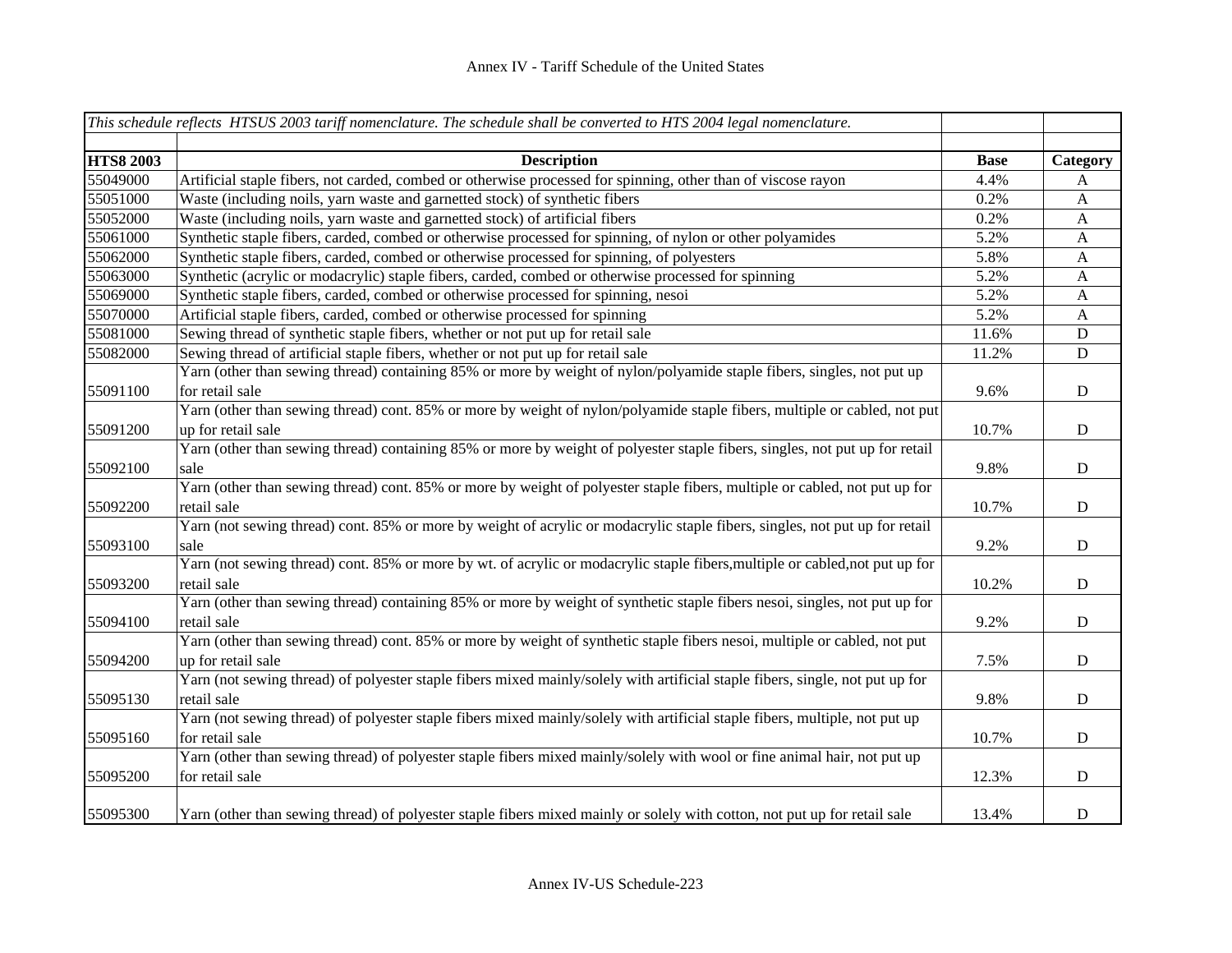|                  | This schedule reflects HTSUS 2003 tariff nomenclature. The schedule shall be converted to HTS 2004 legal nomenclature.        |             |              |
|------------------|-------------------------------------------------------------------------------------------------------------------------------|-------------|--------------|
| <b>HTS8 2003</b> | <b>Description</b>                                                                                                            | <b>Base</b> | Category     |
| 55049000         | Artificial staple fibers, not carded, combed or otherwise processed for spinning, other than of viscose rayon                 | 4.4%        | A            |
| 55051000         | Waste (including noils, yarn waste and garnetted stock) of synthetic fibers                                                   | 0.2%        | $\mathbf{A}$ |
| 55052000         | Waste (including noils, yarn waste and garnetted stock) of artificial fibers                                                  | 0.2%        | $\mathbf{A}$ |
| 55061000         | Synthetic staple fibers, carded, combed or otherwise processed for spinning, of nylon or other polyamides                     | 5.2%        | $\mathbf{A}$ |
| 55062000         | Synthetic staple fibers, carded, combed or otherwise processed for spinning, of polyesters                                    | 5.8%        | $\mathbf{A}$ |
| 55063000         | Synthetic (acrylic or modacrylic) staple fibers, carded, combed or otherwise processed for spinning                           | 5.2%        | $\mathbf{A}$ |
| 55069000         | Synthetic staple fibers, carded, combed or otherwise processed for spinning, nesoi                                            | 5.2%        | $\mathbf{A}$ |
| 55070000         | Artificial staple fibers, carded, combed or otherwise processed for spinning                                                  | 5.2%        | $\mathbf{A}$ |
| 55081000         | Sewing thread of synthetic staple fibers, whether or not put up for retail sale                                               | 11.6%       | ${\bf D}$    |
| 55082000         | Sewing thread of artificial staple fibers, whether or not put up for retail sale                                              | 11.2%       | ${\bf D}$    |
|                  | Yarn (other than sewing thread) containing 85% or more by weight of nylon/polyamide staple fibers, singles, not put up        |             |              |
| 55091100         | for retail sale                                                                                                               | 9.6%        | ${\bf D}$    |
|                  | Yarn (other than sewing thread) cont. 85% or more by weight of nylon/polyamide staple fibers, multiple or cabled, not put     |             |              |
| 55091200         | up for retail sale                                                                                                            | 10.7%       | ${\rm D}$    |
|                  | Yarn (other than sewing thread) containing 85% or more by weight of polyester staple fibers, singles, not put up for retail   |             |              |
| 55092100         | sale                                                                                                                          | 9.8%        | ${\bf D}$    |
|                  | Yarn (other than sewing thread) cont. 85% or more by weight of polyester staple fibers, multiple or cabled, not put up for    |             |              |
| 55092200         | retail sale                                                                                                                   | 10.7%       | ${\rm D}$    |
|                  | Yarn (not sewing thread) cont. 85% or more by weight of acrylic or modacrylic staple fibers, singles, not put up for retail   |             |              |
| 55093100         | sale                                                                                                                          | 9.2%        | ${\bf D}$    |
|                  | Yarn (not sewing thread) cont. 85% or more by wt. of acrylic or modacrylic staple fibers, multiple or cabled, not put up for  |             |              |
| 55093200         | retail sale                                                                                                                   | 10.2%       | ${\bf D}$    |
|                  | Yarn (other than sewing thread) containing 85% or more by weight of synthetic staple fibers nesoi, singles, not put up for    |             |              |
| 55094100         | retail sale                                                                                                                   | 9.2%        | ${\bf D}$    |
|                  | Yarn (other than sewing thread) cont. 85% or more by weight of synthetic staple fibers nesoi, multiple or cabled, not put     |             |              |
| 55094200         | up for retail sale                                                                                                            | 7.5%        | ${\bf D}$    |
|                  | Yarn (not sewing thread) of polyester staple fibers mixed mainly/solely with artificial staple fibers, single, not put up for |             |              |
| 55095130         | retail sale                                                                                                                   | 9.8%        | ${\bf D}$    |
|                  | Yarn (not sewing thread) of polyester staple fibers mixed mainly/solely with artificial staple fibers, multiple, not put up   |             |              |
| 55095160         | for retail sale                                                                                                               | 10.7%       | ${\rm D}$    |
|                  | Yarn (other than sewing thread) of polyester staple fibers mixed mainly/solely with wool or fine animal hair, not put up      |             |              |
| 55095200         | for retail sale                                                                                                               | 12.3%       | ${\bf D}$    |
|                  |                                                                                                                               |             |              |
| 55095300         | Yarn (other than sewing thread) of polyester staple fibers mixed mainly or solely with cotton, not put up for retail sale     | 13.4%       | ${\bf D}$    |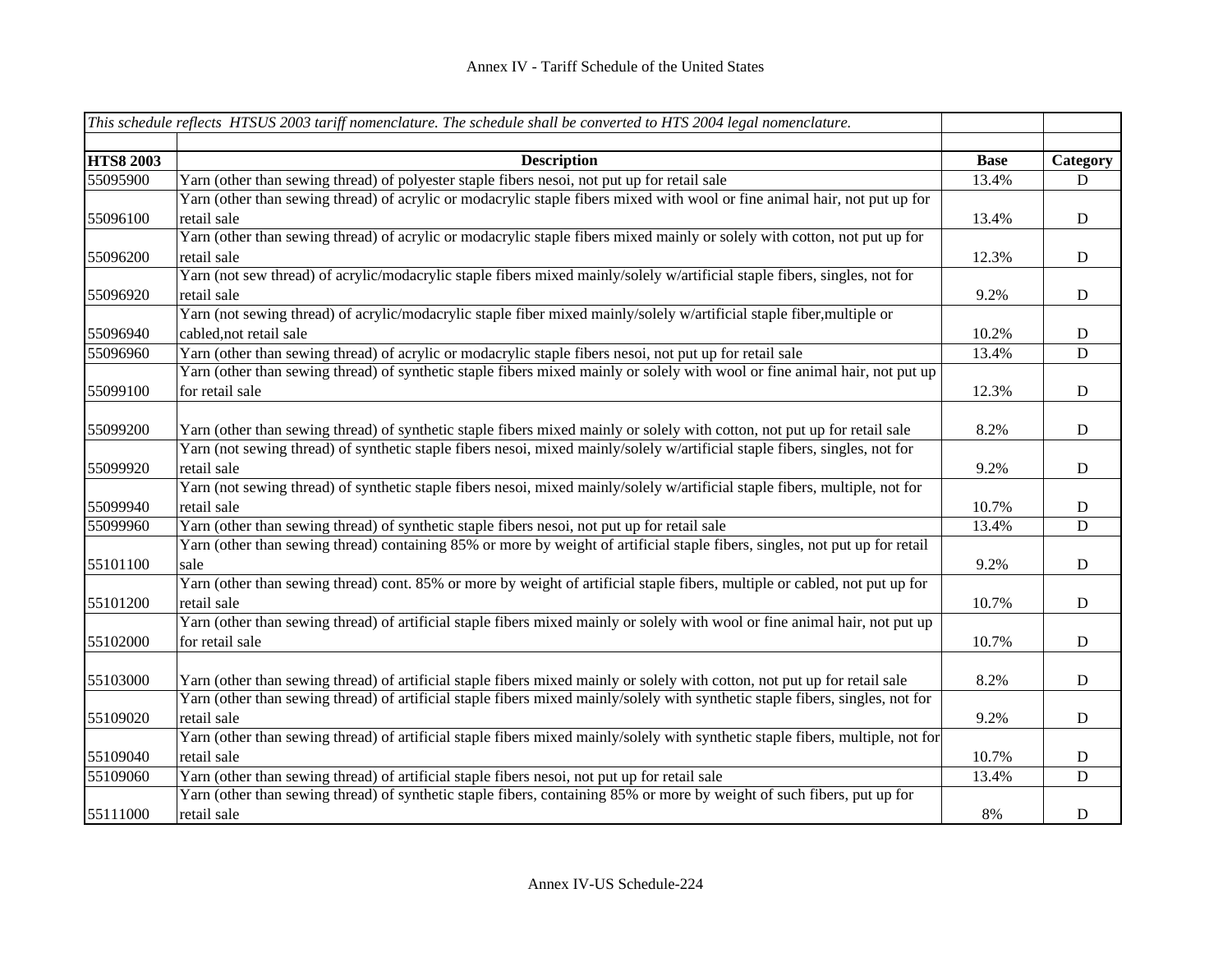|                  | This schedule reflects HTSUS 2003 tariff nomenclature. The schedule shall be converted to HTS 2004 legal nomenclature.          |             |             |
|------------------|---------------------------------------------------------------------------------------------------------------------------------|-------------|-------------|
|                  |                                                                                                                                 |             |             |
| <b>HTS8 2003</b> | <b>Description</b>                                                                                                              | <b>Base</b> | Category    |
| 55095900         | Yarn (other than sewing thread) of polyester staple fibers nesoi, not put up for retail sale                                    | 13.4%       | D           |
|                  | Yarn (other than sewing thread) of acrylic or modacrylic staple fibers mixed with wool or fine animal hair, not put up for      |             |             |
| 55096100         | retail sale                                                                                                                     | 13.4%       | $\mathbf D$ |
|                  | Yarn (other than sewing thread) of acrylic or modacrylic staple fibers mixed mainly or solely with cotton, not put up for       |             |             |
| 55096200         | retail sale                                                                                                                     | 12.3%       | $\mathbf D$ |
|                  | Yarn (not sew thread) of acrylic/modacrylic staple fibers mixed mainly/solely w/artificial staple fibers, singles, not for      |             |             |
| 55096920         | retail sale                                                                                                                     | 9.2%        | $\mathbf D$ |
|                  | Yarn (not sewing thread) of acrylic/modacrylic staple fiber mixed mainly/solely w/artificial staple fiber, multiple or          |             |             |
| 55096940         | cabled, not retail sale                                                                                                         | 10.2%       | $\mathbf D$ |
| 55096960         | Yarn (other than sewing thread) of acrylic or modacrylic staple fibers nesoi, not put up for retail sale                        | 13.4%       | D           |
|                  | Yarn (other than sewing thread) of synthetic staple fibers mixed mainly or solely with wool or fine animal hair, not put up     |             |             |
| 55099100         | for retail sale                                                                                                                 | 12.3%       | $\mathbf D$ |
|                  |                                                                                                                                 |             |             |
| 55099200         | Yarn (other than sewing thread) of synthetic staple fibers mixed mainly or solely with cotton, not put up for retail sale       | 8.2%        | $\mathbf D$ |
|                  | Yarn (not sewing thread) of synthetic staple fibers nesoi, mixed mainly/solely w/artificial staple fibers, singles, not for     |             |             |
| 55099920         | retail sale                                                                                                                     | 9.2%        | $\mathbf D$ |
|                  | Yarn (not sewing thread) of synthetic staple fibers nesoi, mixed mainly/solely w/artificial staple fibers, multiple, not for    |             |             |
| 55099940         | retail sale                                                                                                                     | 10.7%       | $\mathbf D$ |
| 55099960         | Yarn (other than sewing thread) of synthetic staple fibers nesoi, not put up for retail sale                                    | 13.4%       | D           |
|                  | Yarn (other than sewing thread) containing 85% or more by weight of artificial staple fibers, singles, not put up for retail    |             |             |
| 55101100         | sale                                                                                                                            | 9.2%        | $\mathbf D$ |
|                  | Yarn (other than sewing thread) cont. 85% or more by weight of artificial staple fibers, multiple or cabled, not put up for     |             |             |
| 55101200         | retail sale                                                                                                                     | 10.7%       | $\mathbf D$ |
|                  | Yarn (other than sewing thread) of artificial staple fibers mixed mainly or solely with wool or fine animal hair, not put up    |             |             |
| 55102000         | for retail sale                                                                                                                 | 10.7%       | $\mathbf D$ |
|                  |                                                                                                                                 |             |             |
| 55103000         | Yarn (other than sewing thread) of artificial staple fibers mixed mainly or solely with cotton, not put up for retail sale      | 8.2%        | $\mathbf D$ |
|                  | Yarn (other than sewing thread) of artificial staple fibers mixed mainly/solely with synthetic staple fibers, singles, not for  |             |             |
| 55109020         | retail sale                                                                                                                     | 9.2%        | ${\bf D}$   |
|                  | Yarn (other than sewing thread) of artificial staple fibers mixed mainly/solely with synthetic staple fibers, multiple, not for |             |             |
| 55109040         | retail sale                                                                                                                     | 10.7%       | D           |
| 55109060         | Yarn (other than sewing thread) of artificial staple fibers nesoi, not put up for retail sale                                   | 13.4%       | D           |
|                  | Yarn (other than sewing thread) of synthetic staple fibers, containing 85% or more by weight of such fibers, put up for         |             |             |
| 55111000         | retail sale                                                                                                                     | 8%          | $\mathbf D$ |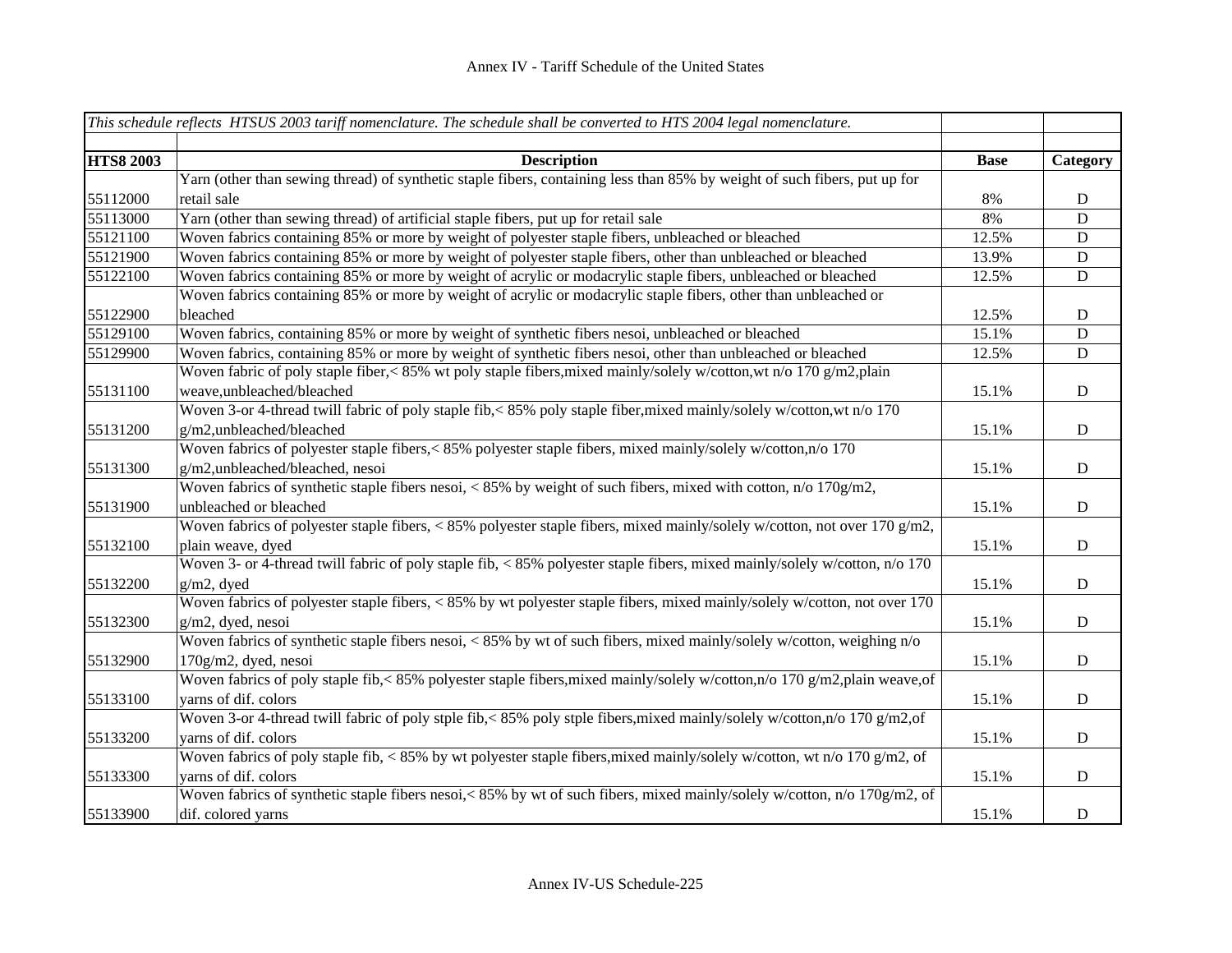|                  | This schedule reflects HTSUS 2003 tariff nomenclature. The schedule shall be converted to HTS 2004 legal nomenclature.      |             |             |
|------------------|-----------------------------------------------------------------------------------------------------------------------------|-------------|-------------|
|                  |                                                                                                                             |             |             |
| <b>HTS8 2003</b> | <b>Description</b>                                                                                                          | <b>Base</b> | Category    |
|                  | Yarn (other than sewing thread) of synthetic staple fibers, containing less than 85% by weight of such fibers, put up for   |             |             |
| 55112000         | retail sale                                                                                                                 | 8%          | ${\bf D}$   |
| 55113000         | Yarn (other than sewing thread) of artificial staple fibers, put up for retail sale                                         | 8%          | $\mathbf D$ |
| 55121100         | Woven fabrics containing 85% or more by weight of polyester staple fibers, unbleached or bleached                           | 12.5%       | D           |
| 55121900         | Woven fabrics containing 85% or more by weight of polyester staple fibers, other than unbleached or bleached                | 13.9%       | $\mathbf D$ |
| 55122100         | Woven fabrics containing 85% or more by weight of acrylic or modacrylic staple fibers, unbleached or bleached               | 12.5%       | $\mathbf D$ |
|                  | Woven fabrics containing 85% or more by weight of acrylic or modacrylic staple fibers, other than unbleached or             |             |             |
| 55122900         | bleached                                                                                                                    | 12.5%       | ${\bf D}$   |
| 55129100         | Woven fabrics, containing 85% or more by weight of synthetic fibers nesoi, unbleached or bleached                           | 15.1%       | $\mathbf D$ |
| 55129900         | Woven fabrics, containing 85% or more by weight of synthetic fibers nesoi, other than unbleached or bleached                | 12.5%       | $\mathbf D$ |
|                  | Woven fabric of poly staple fiber,< 85% wt poly staple fibers, mixed mainly/solely w/cotton, wt n/o 170 g/m2, plain         |             |             |
| 55131100         | weave,unbleached/bleached                                                                                                   | 15.1%       | $\mathbf D$ |
|                  | Woven 3-or 4-thread twill fabric of poly staple fib, < 85% poly staple fiber, mixed mainly/solely w/cotton, wt n/o 170      |             |             |
| 55131200         | g/m2,unbleached/bleached                                                                                                    | 15.1%       | $\mathbf D$ |
|                  | Woven fabrics of polyester staple fibers,<85% polyester staple fibers, mixed mainly/solely w/cotton,n/o 170                 |             |             |
| 55131300         | g/m2,unbleached/bleached, nesoi                                                                                             | 15.1%       | ${\bf D}$   |
|                  | Woven fabrics of synthetic staple fibers nesoi, < 85% by weight of such fibers, mixed with cotton, $n/0$ 170g/m2,           |             |             |
| 55131900         | unbleached or bleached                                                                                                      | 15.1%       | $\mathbf D$ |
|                  | Woven fabrics of polyester staple fibers, < 85% polyester staple fibers, mixed mainly/solely w/cotton, not over 170 g/m2,   |             |             |
| 55132100         | plain weave, dyed                                                                                                           | 15.1%       | $\mathbf D$ |
|                  | Woven 3- or 4-thread twill fabric of poly staple fib, < 85% polyester staple fibers, mixed mainly/solely w/cotton, n/o 170  |             |             |
| 55132200         | $g/m2$ , dyed                                                                                                               | 15.1%       | ${\bf D}$   |
|                  | Woven fabrics of polyester staple fibers, < 85% by wt polyester staple fibers, mixed mainly/solely w/cotton, not over 170   |             |             |
| 55132300         | g/m2, dyed, nesoi                                                                                                           | 15.1%       | ${\bf D}$   |
|                  | Woven fabrics of synthetic staple fibers nesoi, < 85% by wt of such fibers, mixed mainly/solely w/cotton, weighing n/o      |             |             |
| 55132900         | $170g/m2$ , dyed, nesoi                                                                                                     | 15.1%       | $\mathbf D$ |
|                  | Woven fabrics of poly staple fib,< 85% polyester staple fibers, mixed mainly/solely w/cotton, n/o 170 g/m2, plain weave, of |             |             |
| 55133100         | yarns of dif. colors                                                                                                        | 15.1%       | $\mathbf D$ |
|                  | Woven 3-or 4-thread twill fabric of poly stple fib,< 85% poly stple fibers, mixed mainly/solely w/cotton, n/o 170 g/m2, of  |             |             |
| 55133200         | yarns of dif. colors                                                                                                        | 15.1%       | ${\bf D}$   |
|                  | Woven fabrics of poly staple fib, < 85% by wt polyester staple fibers, mixed mainly/solely w/cotton, wt n/o 170 g/m2, of    |             |             |
| 55133300         | varns of dif. colors                                                                                                        | 15.1%       | ${\bf D}$   |
|                  | Woven fabrics of synthetic staple fibers nesoi,< 85% by wt of such fibers, mixed mainly/solely w/cotton, n/o 170g/m2, of    |             |             |
| 55133900         | dif. colored yarns                                                                                                          | 15.1%       | ${\bf D}$   |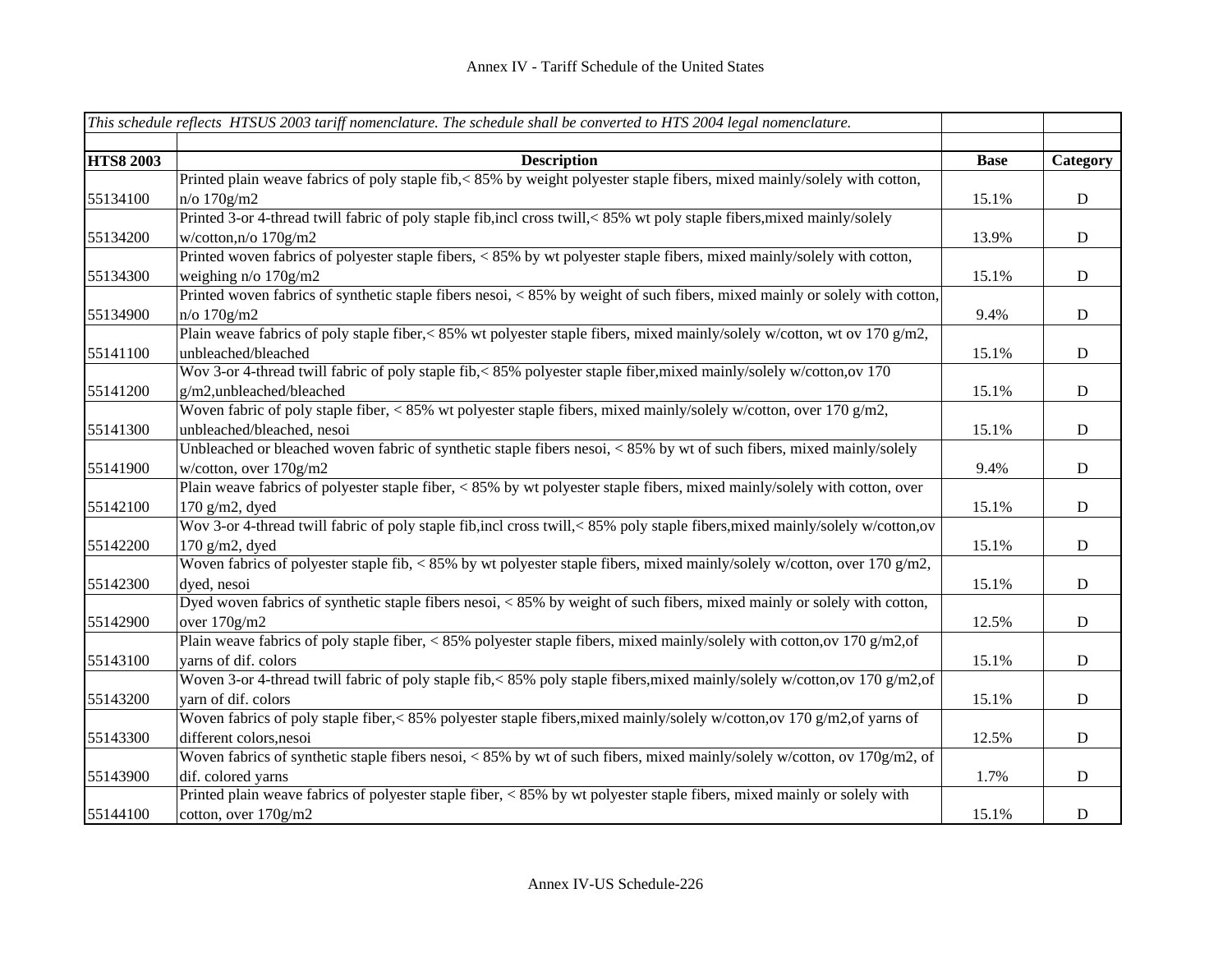|                  | This schedule reflects HTSUS 2003 tariff nomenclature. The schedule shall be converted to HTS 2004 legal nomenclature.       |             |              |
|------------------|------------------------------------------------------------------------------------------------------------------------------|-------------|--------------|
|                  |                                                                                                                              |             |              |
| <b>HTS8 2003</b> | <b>Description</b>                                                                                                           | <b>Base</b> | Category     |
|                  | Printed plain weave fabrics of poly staple fib,< 85% by weight polyester staple fibers, mixed mainly/solely with cotton,     |             |              |
| 55134100         | $n$ /o 170 $g$ /m2                                                                                                           | 15.1%       | ${\bf D}$    |
|                  | Printed 3-or 4-thread twill fabric of poly staple fib,incl cross twill,<85% wt poly staple fibers, mixed mainly/solely       |             |              |
| 55134200         | w/cotton, n/o $170$ g/m2                                                                                                     | 13.9%       | D            |
|                  | Printed woven fabrics of polyester staple fibers, < 85% by wt polyester staple fibers, mixed mainly/solely with cotton,      |             |              |
| 55134300         | weighing $n/o$ 170g/m2                                                                                                       | 15.1%       | ${\bf D}$    |
|                  | Printed woven fabrics of synthetic staple fibers nesoi, < 85% by weight of such fibers, mixed mainly or solely with cotton,  |             |              |
| 55134900         | $n/o$ 170 $g$ /m2                                                                                                            | 9.4%        | ${\bf D}$    |
|                  | Plain weave fabrics of poly staple fiber,< 85% wt polyester staple fibers, mixed mainly/solely w/cotton, wt ov 170 g/m2,     |             |              |
| 55141100         | unbleached/bleached                                                                                                          | 15.1%       | ${\bf D}$    |
|                  | Wov 3-or 4-thread twill fabric of poly staple fib,<85% polyester staple fiber, mixed mainly/solely w/cotton, ov 170          |             |              |
| 55141200         | g/m2,unbleached/bleached                                                                                                     | 15.1%       | $\mathbf D$  |
|                  | Woven fabric of poly staple fiber, < 85% wt polyester staple fibers, mixed mainly/solely w/cotton, over 170 g/m2,            |             |              |
| 55141300         | unbleached/bleached, nesoi                                                                                                   | 15.1%       | $\mathbf D$  |
|                  | Unbleached or bleached woven fabric of synthetic staple fibers nesoi, < 85% by wt of such fibers, mixed mainly/solely        |             |              |
| 55141900         | w/cotton, over 170g/m2                                                                                                       | 9.4%        | ${\bf D}$    |
|                  | Plain weave fabrics of polyester staple fiber, < 85% by wt polyester staple fibers, mixed mainly/solely with cotton, over    |             |              |
| 55142100         | 170 $g/m2$ , dyed                                                                                                            | 15.1%       | ${\bf D}$    |
|                  | Wov 3-or 4-thread twill fabric of poly staple fib,incl cross twill,<85% poly staple fibers, mixed mainly/solely w/cotton, ov |             |              |
| 55142200         | $170$ g/m2, dyed                                                                                                             | 15.1%       | ${\bf D}$    |
|                  | Woven fabrics of polyester staple fib, < 85% by wt polyester staple fibers, mixed mainly/solely w/cotton, over 170 g/m2,     |             |              |
| 55142300         | dyed, nesoi                                                                                                                  | 15.1%       | ${\bf D}$    |
|                  | Dyed woven fabrics of synthetic staple fibers nesoi, < 85% by weight of such fibers, mixed mainly or solely with cotton,     |             |              |
| 55142900         | over 170g/m2                                                                                                                 | 12.5%       | ${\bf D}$    |
|                  | Plain weave fabrics of poly staple fiber, < 85% polyester staple fibers, mixed mainly/solely with cotton, ov 170 g/m2, of    |             |              |
| 55143100         | varns of dif. colors                                                                                                         | 15.1%       | D            |
|                  | Woven 3-or 4-thread twill fabric of poly staple fib,< 85% poly staple fibers, mixed mainly/solely w/cotton, ov 170 g/m2, of  |             |              |
| 55143200         | yarn of dif. colors                                                                                                          | 15.1%       | ${\bf D}$    |
|                  | Woven fabrics of poly staple fiber,<85% polyester staple fibers, mixed mainly/solely w/cotton, ov 170 g/m2, of yarns of      |             |              |
| 55143300         | different colors, nesoi                                                                                                      | 12.5%       | ${\bf D}$    |
|                  | Woven fabrics of synthetic staple fibers nesoi, < 85% by wt of such fibers, mixed mainly/solely w/cotton, ov 170g/m2, of     |             |              |
| 55143900         | dif. colored yarns                                                                                                           | 1.7%        | $\mathbf{D}$ |
|                  | Printed plain weave fabrics of polyester staple fiber, $\lt 85\%$ by wt polyester staple fibers, mixed mainly or solely with |             |              |
| 55144100         | cotton, over 170g/m2                                                                                                         | 15.1%       | ${\rm D}$    |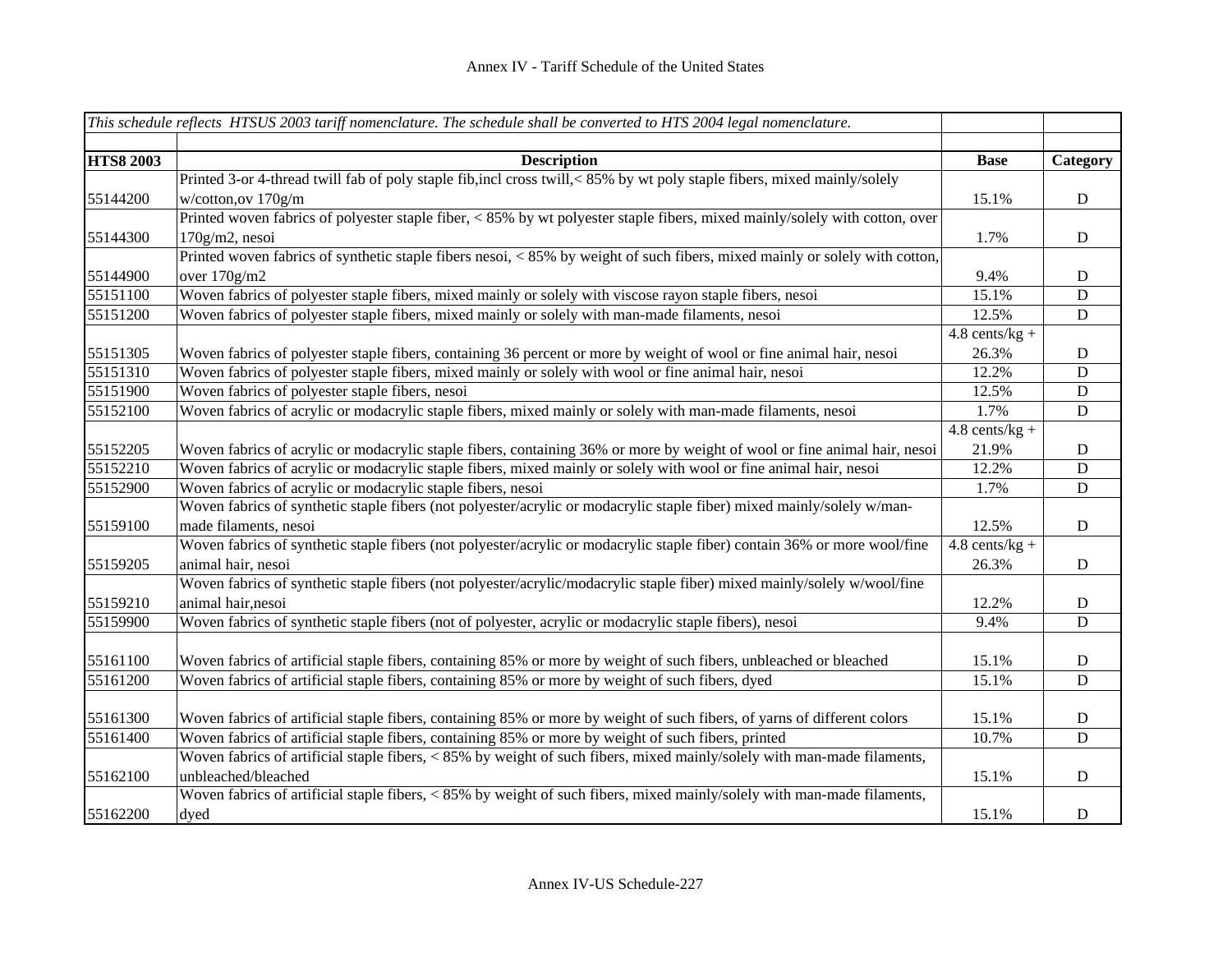|                  | This schedule reflects HTSUS 2003 tariff nomenclature. The schedule shall be converted to HTS 2004 legal nomenclature.               |                  |                |
|------------------|--------------------------------------------------------------------------------------------------------------------------------------|------------------|----------------|
|                  |                                                                                                                                      |                  |                |
| <b>HTS8 2003</b> | <b>Description</b>                                                                                                                   | <b>Base</b>      | Category       |
|                  | Printed 3-or 4-thread twill fab of poly staple fib, incl cross twill,<85% by wt poly staple fibers, mixed mainly/solely              |                  |                |
| 55144200         | w/cotton,ov 170g/m                                                                                                                   | 15.1%            | ${\bf D}$      |
|                  | Printed woven fabrics of polyester staple fiber, < 85% by wt polyester staple fibers, mixed mainly/solely with cotton, over          |                  |                |
| 55144300         | 170g/m2, nesoi                                                                                                                       | 1.7%             | ${\bf D}$      |
|                  | Printed woven fabrics of synthetic staple fibers nesoi, $\langle 85\%$ by weight of such fibers, mixed mainly or solely with cotton, |                  |                |
| 55144900         | over 170g/m2                                                                                                                         | 9.4%             | $\mathbf D$    |
| 55151100         | Woven fabrics of polyester staple fibers, mixed mainly or solely with viscose rayon staple fibers, nesoi                             | 15.1%            | D              |
| 55151200         | Woven fabrics of polyester staple fibers, mixed mainly or solely with man-made filaments, nesoi                                      | 12.5%            | $\mathbf D$    |
|                  |                                                                                                                                      | $4.8$ cents/kg + |                |
| 55151305         | Woven fabrics of polyester staple fibers, containing 36 percent or more by weight of wool or fine animal hair, nesoi                 | 26.3%            | ${\bf D}$      |
| 55151310         | Woven fabrics of polyester staple fibers, mixed mainly or solely with wool or fine animal hair, nesoi                                | 12.2%            | $\overline{D}$ |
| 55151900         | Woven fabrics of polyester staple fibers, nesoi                                                                                      | 12.5%            | $\mathbf D$    |
| 55152100         | Woven fabrics of acrylic or modacrylic staple fibers, mixed mainly or solely with man-made filaments, nesoi                          | 1.7%             | $\mathbf D$    |
|                  |                                                                                                                                      | $4.8$ cents/kg + |                |
| 55152205         | Woven fabrics of acrylic or modacrylic staple fibers, containing 36% or more by weight of wool or fine animal hair, nesoi            | 21.9%            | $\mathbf D$    |
| 55152210         | Woven fabrics of acrylic or modacrylic staple fibers, mixed mainly or solely with wool or fine animal hair, nesoi                    | 12.2%            | D              |
| 55152900         | Woven fabrics of acrylic or modacrylic staple fibers, nesoi                                                                          | 1.7%             | $\mathbf D$    |
|                  | Woven fabrics of synthetic staple fibers (not polyester/acrylic or modacrylic staple fiber) mixed mainly/solely w/man-               |                  |                |
| 55159100         | made filaments, nesoi                                                                                                                | 12.5%            | $\mathbf D$    |
|                  | Woven fabrics of synthetic staple fibers (not polyester/acrylic or modacrylic staple fiber) contain 36% or more wool/fine            | $4.8$ cents/kg + |                |
| 55159205         | animal hair, nesoi                                                                                                                   | 26.3%            | $\mathbf D$    |
|                  | Woven fabrics of synthetic staple fibers (not polyester/acrylic/modacrylic staple fiber) mixed mainly/solely w/wool/fine             |                  |                |
| 55159210         | animal hair, nesoi                                                                                                                   | 12.2%            | $\mathbf D$    |
| 55159900         | Woven fabrics of synthetic staple fibers (not of polyester, acrylic or modacrylic staple fibers), nesoi                              | 9.4%             | D              |
| 55161100         | Woven fabrics of artificial staple fibers, containing 85% or more by weight of such fibers, unbleached or bleached                   | 15.1%            | $\mathbf D$    |
| 55161200         | Woven fabrics of artificial staple fibers, containing 85% or more by weight of such fibers, dyed                                     | 15.1%            | $\mathbf D$    |
|                  |                                                                                                                                      |                  |                |
| 55161300         | Woven fabrics of artificial staple fibers, containing 85% or more by weight of such fibers, of yarns of different colors             | 15.1%            | $\mathbf D$    |
| 55161400         | Woven fabrics of artificial staple fibers, containing 85% or more by weight of such fibers, printed                                  | 10.7%            | ${\bf D}$      |
|                  | Woven fabrics of artificial staple fibers, < 85% by weight of such fibers, mixed mainly/solely with man-made filaments,              |                  |                |
| 55162100         | unbleached/bleached                                                                                                                  | 15.1%            | $\mathbf D$    |
|                  | Woven fabrics of artificial staple fibers, < 85% by weight of such fibers, mixed mainly/solely with man-made filaments,              |                  |                |
| 55162200         | dyed                                                                                                                                 | 15.1%            | $\mathbf D$    |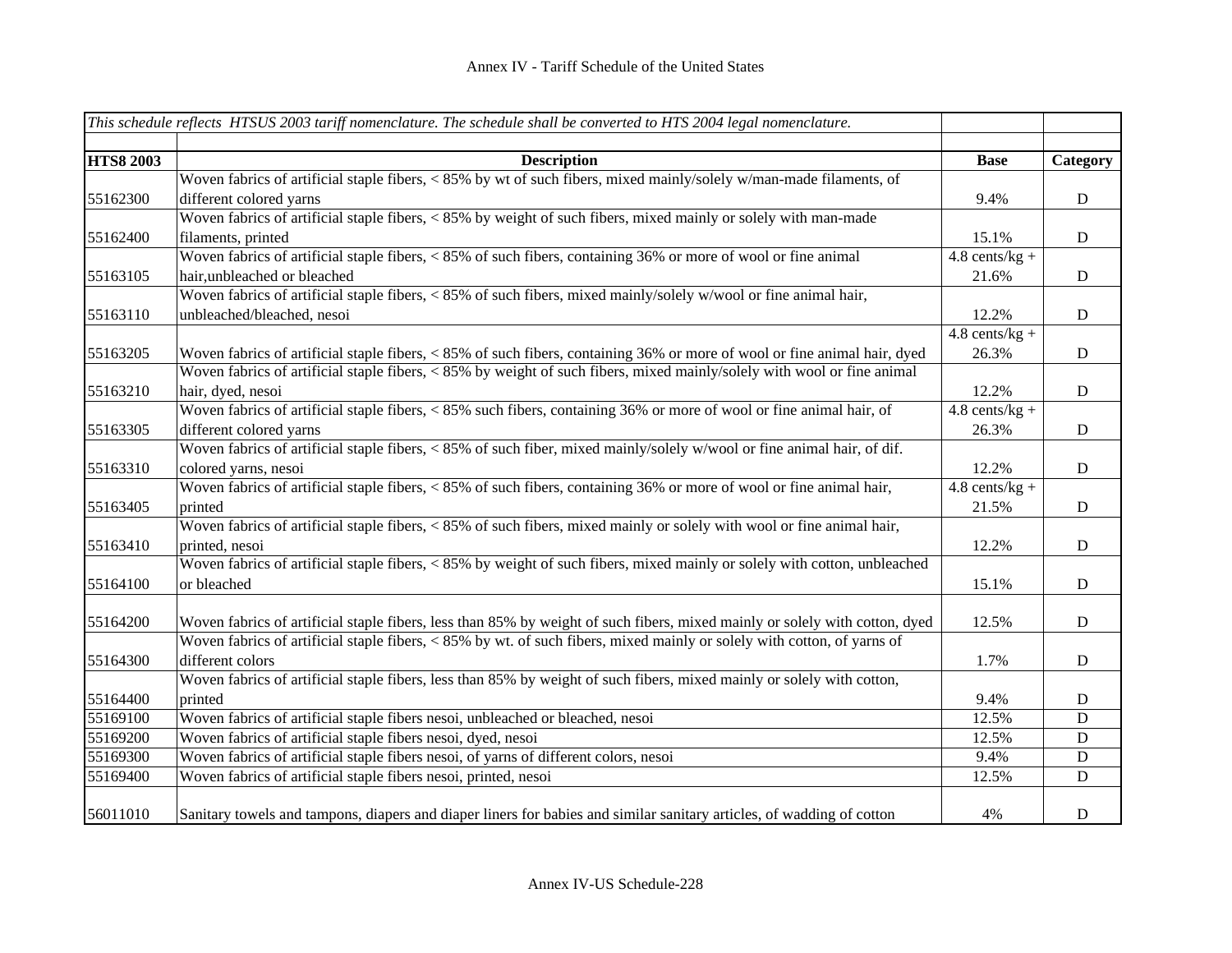|                  | This schedule reflects HTSUS 2003 tariff nomenclature. The schedule shall be converted to HTS 2004 legal nomenclature.      |                  |             |
|------------------|-----------------------------------------------------------------------------------------------------------------------------|------------------|-------------|
|                  |                                                                                                                             |                  |             |
| <b>HTS8 2003</b> | <b>Description</b>                                                                                                          | <b>Base</b>      | Category    |
|                  | Woven fabrics of artificial staple fibers, < 85% by wt of such fibers, mixed mainly/solely w/man-made filaments, of         |                  |             |
| 55162300         | different colored yarns                                                                                                     | 9.4%             | ${\bf D}$   |
|                  | Woven fabrics of artificial staple fibers, < 85% by weight of such fibers, mixed mainly or solely with man-made             |                  |             |
| 55162400         | filaments, printed                                                                                                          | 15.1%            | $\mathbf D$ |
|                  | Woven fabrics of artificial staple fibers, < 85% of such fibers, containing 36% or more of wool or fine animal              | $4.8$ cents/kg + |             |
| 55163105         | hair, unbleached or bleached                                                                                                | 21.6%            | $\mathbf D$ |
|                  | Woven fabrics of artificial staple fibers, $\lt 85\%$ of such fibers, mixed mainly/solely w/wool or fine animal hair,       |                  |             |
| 55163110         | unbleached/bleached, nesoi                                                                                                  | 12.2%            | $\mathbf D$ |
|                  |                                                                                                                             | $4.8$ cents/kg + |             |
| 55163205         | Woven fabrics of artificial staple fibers, < 85% of such fibers, containing 36% or more of wool or fine animal hair, dyed   | 26.3%            | $\mathbf D$ |
|                  | Woven fabrics of artificial staple fibers, < 85% by weight of such fibers, mixed mainly/solely with wool or fine animal     |                  |             |
| 55163210         | hair, dyed, nesoi                                                                                                           | 12.2%            | $\mathbf D$ |
|                  | Woven fabrics of artificial staple fibers, < 85% such fibers, containing 36% or more of wool or fine animal hair, of        | $4.8$ cents/kg + |             |
| 55163305         | different colored yarns                                                                                                     | 26.3%            | $\mathbf D$ |
|                  | Woven fabrics of artificial staple fibers, < 85% of such fiber, mixed mainly/solely w/wool or fine animal hair, of dif.     |                  |             |
| 55163310         | colored yarns, nesoi                                                                                                        | 12.2%            | $\mathbf D$ |
|                  | Woven fabrics of artificial staple fibers, < 85% of such fibers, containing 36% or more of wool or fine animal hair,        | $4.8$ cents/kg + |             |
| 55163405         | printed                                                                                                                     | 21.5%            | $\mathbf D$ |
|                  | Woven fabrics of artificial staple fibers, < 85% of such fibers, mixed mainly or solely with wool or fine animal hair,      |                  |             |
| 55163410         | printed, nesoi                                                                                                              | 12.2%            | $\mathbf D$ |
|                  | Woven fabrics of artificial staple fibers, < 85% by weight of such fibers, mixed mainly or solely with cotton, unbleached   |                  |             |
| 55164100         | or bleached                                                                                                                 | 15.1%            | $\mathbf D$ |
|                  |                                                                                                                             |                  |             |
| 55164200         | Woven fabrics of artificial staple fibers, less than 85% by weight of such fibers, mixed mainly or solely with cotton, dyed | 12.5%            | $\mathbf D$ |
|                  | Woven fabrics of artificial staple fibers, < 85% by wt. of such fibers, mixed mainly or solely with cotton, of yarns of     |                  |             |
| 55164300         | different colors                                                                                                            | 1.7%             | $\mathbf D$ |
|                  | Woven fabrics of artificial staple fibers, less than 85% by weight of such fibers, mixed mainly or solely with cotton,      |                  |             |
| 55164400         | printed                                                                                                                     | 9.4%             | $\mathbf D$ |
| 55169100         | Woven fabrics of artificial staple fibers nesoi, unbleached or bleached, nesoi                                              | 12.5%            | D           |
| 55169200         | Woven fabrics of artificial staple fibers nesoi, dyed, nesoi                                                                | 12.5%            | $\mathbf D$ |
| 55169300         | Woven fabrics of artificial staple fibers nesoi, of yarns of different colors, nesoi                                        | 9.4%             | $\mathbf D$ |
| 55169400         | Woven fabrics of artificial staple fibers nesoi, printed, nesoi                                                             | 12.5%            | D           |
|                  |                                                                                                                             |                  |             |
| 56011010         | Sanitary towels and tampons, diapers and diaper liners for babies and similar sanitary articles, of wadding of cotton       | 4%               | $\mathbf D$ |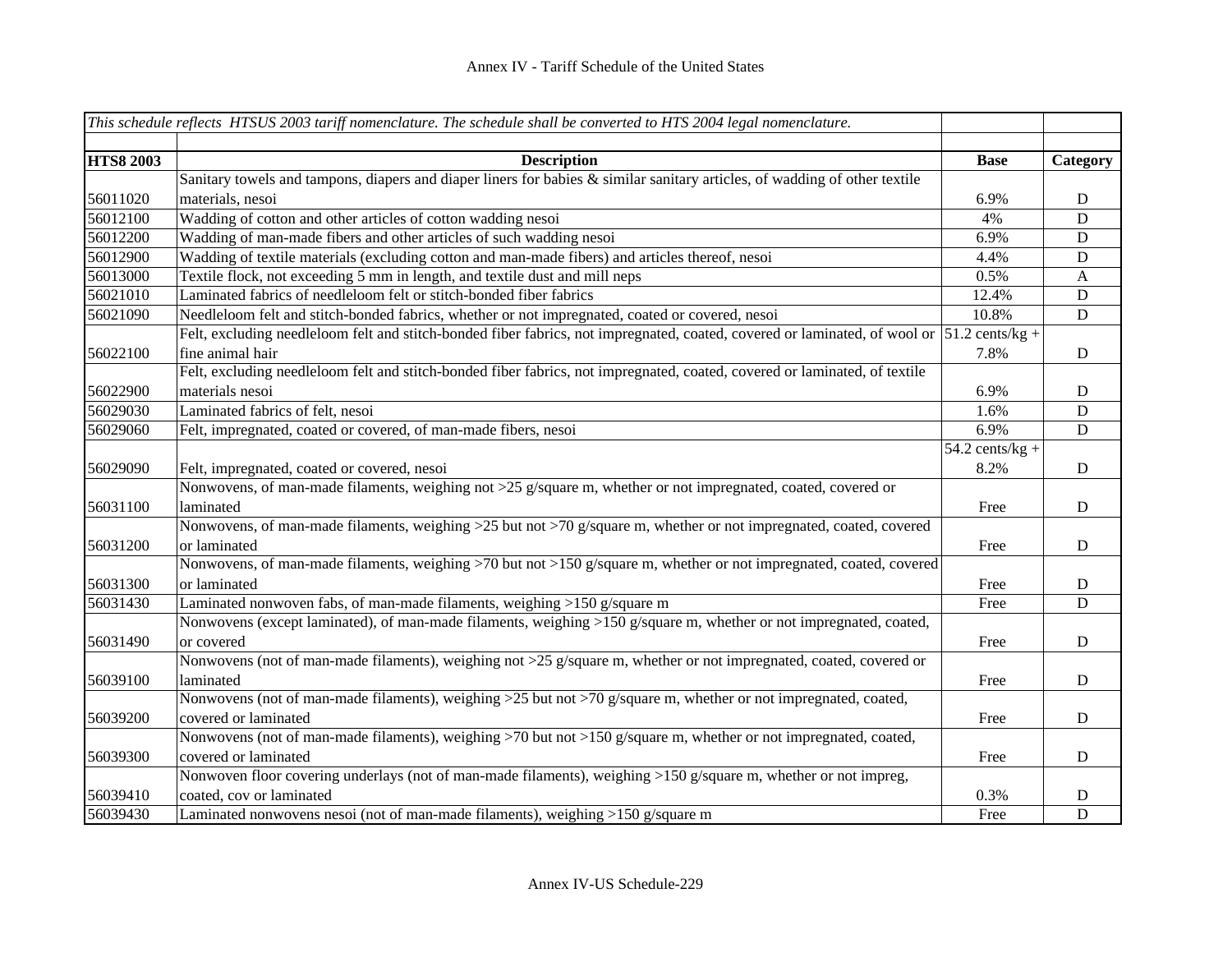|                  | This schedule reflects HTSUS 2003 tariff nomenclature. The schedule shall be converted to HTS 2004 legal nomenclature.                                |                   |              |
|------------------|-------------------------------------------------------------------------------------------------------------------------------------------------------|-------------------|--------------|
|                  |                                                                                                                                                       |                   |              |
| <b>HTS8 2003</b> | <b>Description</b>                                                                                                                                    | <b>Base</b>       | Category     |
|                  | Sanitary towels and tampons, diapers and diaper liners for babies & similar sanitary articles, of wadding of other textile                            |                   |              |
| 56011020         | materials, nesoi                                                                                                                                      | 6.9%              | $\mathbf D$  |
| 56012100         | Wadding of cotton and other articles of cotton wadding nesoi                                                                                          | 4%                | $\mathbf D$  |
| 56012200         | Wadding of man-made fibers and other articles of such wadding nesoi                                                                                   | 6.9%              | D            |
| 56012900         | Wadding of textile materials (excluding cotton and man-made fibers) and articles thereof, nesoi                                                       | 4.4%              | D            |
| 56013000         | Textile flock, not exceeding 5 mm in length, and textile dust and mill neps                                                                           | 0.5%              | $\mathbf{A}$ |
| 56021010         | Laminated fabrics of needleloom felt or stitch-bonded fiber fabrics                                                                                   | 12.4%             | ${\bf D}$    |
| 56021090         | Needleloom felt and stitch-bonded fabrics, whether or not impregnated, coated or covered, nesoi                                                       | 10.8%             | $\mathbf D$  |
|                  | Felt, excluding needleloom felt and stitch-bonded fiber fabrics, not impregnated, coated, covered or laminated, of wool or $ 51.2 \text{ cents/kg} +$ |                   |              |
| 56022100         | fine animal hair                                                                                                                                      | 7.8%              | $\mathbf D$  |
|                  | Felt, excluding needleloom felt and stitch-bonded fiber fabrics, not impregnated, coated, covered or laminated, of textile                            |                   |              |
| 56022900         | materials nesoi                                                                                                                                       | 6.9%              | D            |
| 56029030         | Laminated fabrics of felt, nesoi                                                                                                                      | 1.6%              | D            |
| 56029060         | Felt, impregnated, coated or covered, of man-made fibers, nesoi                                                                                       | 6.9%              | $\mathbf D$  |
|                  |                                                                                                                                                       | $54.2$ cents/kg + |              |
| 56029090         | Felt, impregnated, coated or covered, nesoi                                                                                                           | 8.2%              | ${\bf D}$    |
|                  | Nonwovens, of man-made filaments, weighing not >25 g/square m, whether or not impregnated, coated, covered or                                         |                   |              |
| 56031100         | laminated                                                                                                                                             | Free              | D            |
|                  | Nonwovens, of man-made filaments, weighing >25 but not >70 g/square m, whether or not impregnated, coated, covered                                    |                   |              |
| 56031200         | or laminated                                                                                                                                          | Free              | D            |
|                  | Nonwovens, of man-made filaments, weighing >70 but not >150 g/square m, whether or not impregnated, coated, covered                                   |                   |              |
| 56031300         | or laminated                                                                                                                                          | Free              | $\mathbf D$  |
| 56031430         | Laminated nonwoven fabs, of man-made filaments, weighing >150 g/square m                                                                              | Free              | $\mathbf D$  |
|                  | Nonwovens (except laminated), of man-made filaments, weighing >150 g/square m, whether or not impregnated, coated,                                    |                   |              |
| 56031490         | or covered                                                                                                                                            | Free              | D            |
|                  | Nonwovens (not of man-made filaments), weighing not >25 g/square m, whether or not impregnated, coated, covered or                                    |                   |              |
| 56039100         | laminated                                                                                                                                             | Free              | $\mathbf D$  |
|                  | Nonwovens (not of man-made filaments), weighing >25 but not >70 g/square m, whether or not impregnated, coated,                                       |                   |              |
| 56039200         | covered or laminated                                                                                                                                  | Free              | ${\bf D}$    |
|                  | Nonwovens (not of man-made filaments), weighing >70 but not >150 g/square m, whether or not impregnated, coated,                                      |                   |              |
| 56039300         | covered or laminated                                                                                                                                  | Free              | ${\bf D}$    |
|                  | Nonwoven floor covering underlays (not of man-made filaments), weighing >150 g/square m, whether or not impreg,                                       |                   |              |
| 56039410         | coated, cov or laminated                                                                                                                              | 0.3%              | D            |
| 56039430         | Laminated nonwovens nesoi (not of man-made filaments), weighing >150 g/square m                                                                       | Free              | $\mathbf D$  |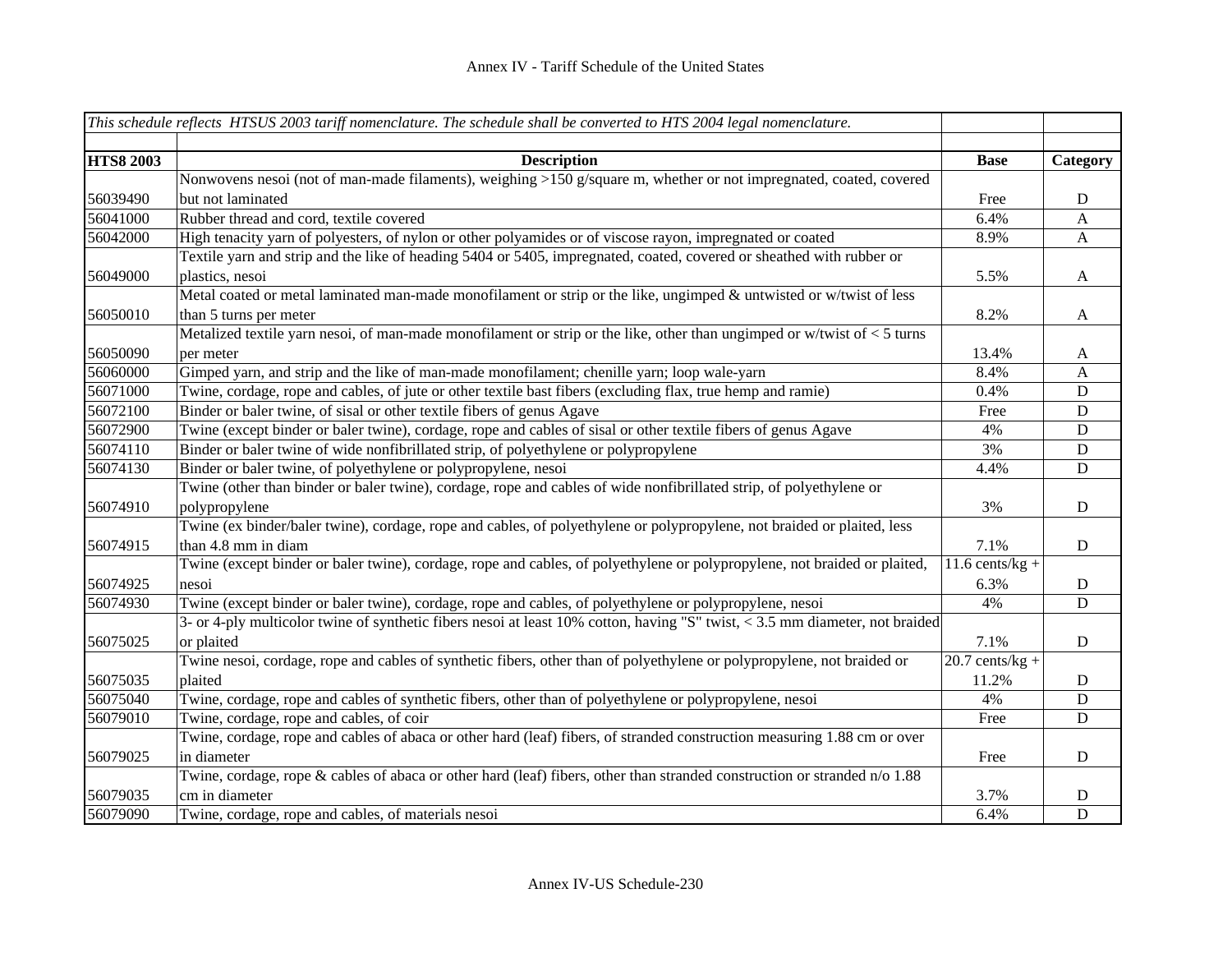|                  | This schedule reflects HTSUS 2003 tariff nomenclature. The schedule shall be converted to HTS 2004 legal nomenclature.          |                              |              |
|------------------|---------------------------------------------------------------------------------------------------------------------------------|------------------------------|--------------|
| <b>HTS8 2003</b> | <b>Description</b>                                                                                                              | <b>Base</b>                  | Category     |
|                  | Nonwovens nesoi (not of man-made filaments), weighing >150 g/square m, whether or not impregnated, coated, covered              |                              |              |
| 56039490         | but not laminated                                                                                                               | Free                         | D            |
| 56041000         | Rubber thread and cord, textile covered                                                                                         | 6.4%                         | A            |
| 56042000         | High tenacity yarn of polyesters, of nylon or other polyamides or of viscose rayon, impregnated or coated                       | 8.9%                         | $\mathbf{A}$ |
|                  | Textile yarn and strip and the like of heading 5404 or 5405, impregnated, coated, covered or sheathed with rubber or            |                              |              |
| 56049000         | plastics, nesoi                                                                                                                 | 5.5%                         | $\mathbf{A}$ |
|                  | Metal coated or metal laminated man-made monofilament or strip or the like, ungimped & untwisted or w/twist of less             |                              |              |
| 56050010         | than 5 turns per meter                                                                                                          | 8.2%                         | $\mathbf{A}$ |
|                  | Metalized textile yarn nesoi, of man-made monofilament or strip or the like, other than ungimped or w/twist of < 5 turns        |                              |              |
| 56050090         | per meter                                                                                                                       | 13.4%                        | A            |
| 56060000         | Gimped yarn, and strip and the like of man-made monofilament; chenille yarn; loop wale-yarn                                     | 8.4%                         | $\mathbf{A}$ |
| 56071000         | Twine, cordage, rope and cables, of jute or other textile bast fibers (excluding flax, true hemp and ramie)                     | 0.4%                         | ${\bf D}$    |
| 56072100         | Binder or baler twine, of sisal or other textile fibers of genus Agave                                                          | Free                         | ${\bf D}$    |
| 56072900         | Twine (except binder or baler twine), cordage, rope and cables of sisal or other textile fibers of genus Agave                  | 4%                           | ${\bf D}$    |
| 56074110         | Binder or baler twine of wide nonfibrillated strip, of polyethylene or polypropylene                                            | 3%                           | ${\bf D}$    |
| 56074130         | Binder or baler twine, of polyethylene or polypropylene, nesoi                                                                  | 4.4%                         | ${\bf D}$    |
|                  | Twine (other than binder or baler twine), cordage, rope and cables of wide nonfibrillated strip, of polyethylene or             |                              |              |
| 56074910         | polypropylene                                                                                                                   | 3%                           | $\mathbf D$  |
|                  | Twine (ex binder/baler twine), cordage, rope and cables, of polyethylene or polypropylene, not braided or plaited, less         |                              |              |
| 56074915         | than 4.8 mm in diam                                                                                                             | 7.1%                         | D            |
|                  | Twine (except binder or baler twine), cordage, rope and cables, of polyethylene or polypropylene, not braided or plaited,       | $\overline{11.6}$ cents/kg + |              |
| 56074925         | nesoi                                                                                                                           | 6.3%                         | D            |
| 56074930         | Twine (except binder or baler twine), cordage, rope and cables, of polyethylene or polypropylene, nesoi                         | 4%                           | D            |
|                  | 3- or 4-ply multicolor twine of synthetic fibers nesoi at least $10\%$ cotton, having "S" twist, < 3.5 mm diameter, not braided |                              |              |
| 56075025         | or plaited                                                                                                                      | 7.1%                         | D            |
|                  | Twine nesoi, cordage, rope and cables of synthetic fibers, other than of polyethylene or polypropylene, not braided or          | $20.7$ cents/kg +            |              |
| 56075035         | plaited                                                                                                                         | 11.2%                        | D            |
| 56075040         | Twine, cordage, rope and cables of synthetic fibers, other than of polyethylene or polypropylene, nesoi                         | 4%                           | D            |
| 56079010         | Twine, cordage, rope and cables, of coir                                                                                        | Free                         | ${\bf D}$    |
|                  | Twine, cordage, rope and cables of abaca or other hard (leaf) fibers, of stranded construction measuring 1.88 cm or over        |                              |              |
| 56079025         | in diameter                                                                                                                     | Free                         | $\mathbf D$  |
|                  | Twine, cordage, rope $\&$ cables of abaca or other hard (leaf) fibers, other than stranded construction or stranded $n/0$ 1.88  |                              |              |
| 56079035         | cm in diameter                                                                                                                  | 3.7%                         | D            |
| 56079090         | Twine, cordage, rope and cables, of materials nesoi                                                                             | 6.4%                         | $\mathbf D$  |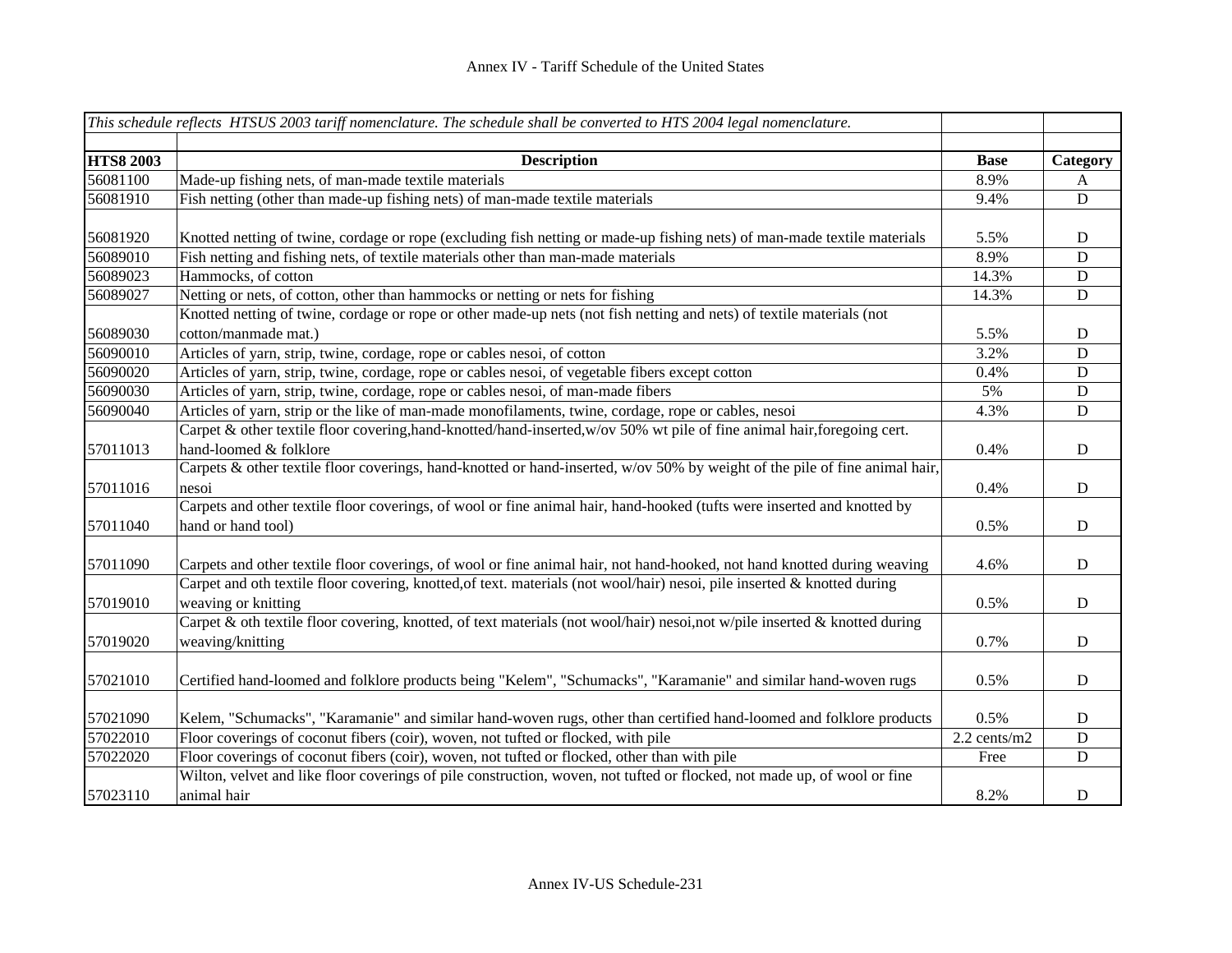|                  | This schedule reflects HTSUS 2003 tariff nomenclature. The schedule shall be converted to HTS 2004 legal nomenclature.      |              |             |
|------------------|-----------------------------------------------------------------------------------------------------------------------------|--------------|-------------|
| <b>HTS8 2003</b> | <b>Description</b>                                                                                                          | <b>Base</b>  | Category    |
| 56081100         | Made-up fishing nets, of man-made textile materials                                                                         | 8.9%         | A           |
| 56081910         | Fish netting (other than made-up fishing nets) of man-made textile materials                                                | 9.4%         | D           |
|                  |                                                                                                                             |              |             |
| 56081920         | Knotted netting of twine, cordage or rope (excluding fish netting or made-up fishing nets) of man-made textile materials    | 5.5%         | D           |
| 56089010         | Fish netting and fishing nets, of textile materials other than man-made materials                                           | 8.9%         | D           |
| 56089023         | Hammocks, of cotton                                                                                                         | 14.3%        | $\mathbf D$ |
| 56089027         | Netting or nets, of cotton, other than hammocks or netting or nets for fishing                                              | 14.3%        | $\mathbf D$ |
|                  | Knotted netting of twine, cordage or rope or other made-up nets (not fish netting and nets) of textile materials (not       |              |             |
| 56089030         | cotton/manmade mat.)                                                                                                        | 5.5%         | $\mathbf D$ |
| 56090010         | Articles of yarn, strip, twine, cordage, rope or cables nesoi, of cotton                                                    | 3.2%         | $\mathbf D$ |
| 56090020         | Articles of yarn, strip, twine, cordage, rope or cables nesoi, of vegetable fibers except cotton                            | 0.4%         | $\mathbf D$ |
| 56090030         | Articles of yarn, strip, twine, cordage, rope or cables nesoi, of man-made fibers                                           | 5%           | $\mathbf D$ |
| 56090040         | Articles of yarn, strip or the like of man-made monofilaments, twine, cordage, rope or cables, nesoi                        | 4.3%         | $\mathbf D$ |
|                  | Carpet & other textile floor covering, hand-knotted/hand-inserted, w/ov 50% wt pile of fine animal hair, foregoing cert.    |              |             |
| 57011013         | hand-loomed & folklore                                                                                                      | 0.4%         | $\mathbf D$ |
|                  | Carpets & other textile floor coverings, hand-knotted or hand-inserted, w/ov 50% by weight of the pile of fine animal hair, |              |             |
| 57011016         | nesoi                                                                                                                       | 0.4%         | $\mathbf D$ |
|                  | Carpets and other textile floor coverings, of wool or fine animal hair, hand-hooked (tufts were inserted and knotted by     |              |             |
| 57011040         | hand or hand tool)                                                                                                          | 0.5%         | $\mathbf D$ |
|                  |                                                                                                                             |              |             |
| 57011090         | Carpets and other textile floor coverings, of wool or fine animal hair, not hand-hooked, not hand knotted during weaving    | 4.6%         | $\mathbf D$ |
|                  | Carpet and oth textile floor covering, knotted, of text. materials (not wool/hair) nesoi, pile inserted & knotted during    |              |             |
| 57019010         | weaving or knitting                                                                                                         | 0.5%         | $\mathbf D$ |
|                  | Carpet & oth textile floor covering, knotted, of text materials (not wool/hair) nesoi,not w/pile inserted & knotted during  |              |             |
| 57019020         | weaving/knitting                                                                                                            | 0.7%         | $\mathbf D$ |
|                  |                                                                                                                             |              |             |
| 57021010         | Certified hand-loomed and folklore products being "Kelem", "Schumacks", "Karamanie" and similar hand-woven rugs             | 0.5%         | $\mathbf D$ |
|                  |                                                                                                                             |              |             |
| 57021090         | Kelem, "Schumacks", "Karamanie" and similar hand-woven rugs, other than certified hand-loomed and folklore products         | 0.5%         | D           |
| 57022010         | Floor coverings of coconut fibers (coir), woven, not tufted or flocked, with pile                                           | 2.2 cents/m2 | $\mathbf D$ |
| 57022020         | Floor coverings of coconut fibers (coir), woven, not tufted or flocked, other than with pile                                | Free         | $\mathbf D$ |
|                  | Wilton, velvet and like floor coverings of pile construction, woven, not tufted or flocked, not made up, of wool or fine    |              |             |
| 57023110         | animal hair                                                                                                                 | 8.2%         | $\mathbf D$ |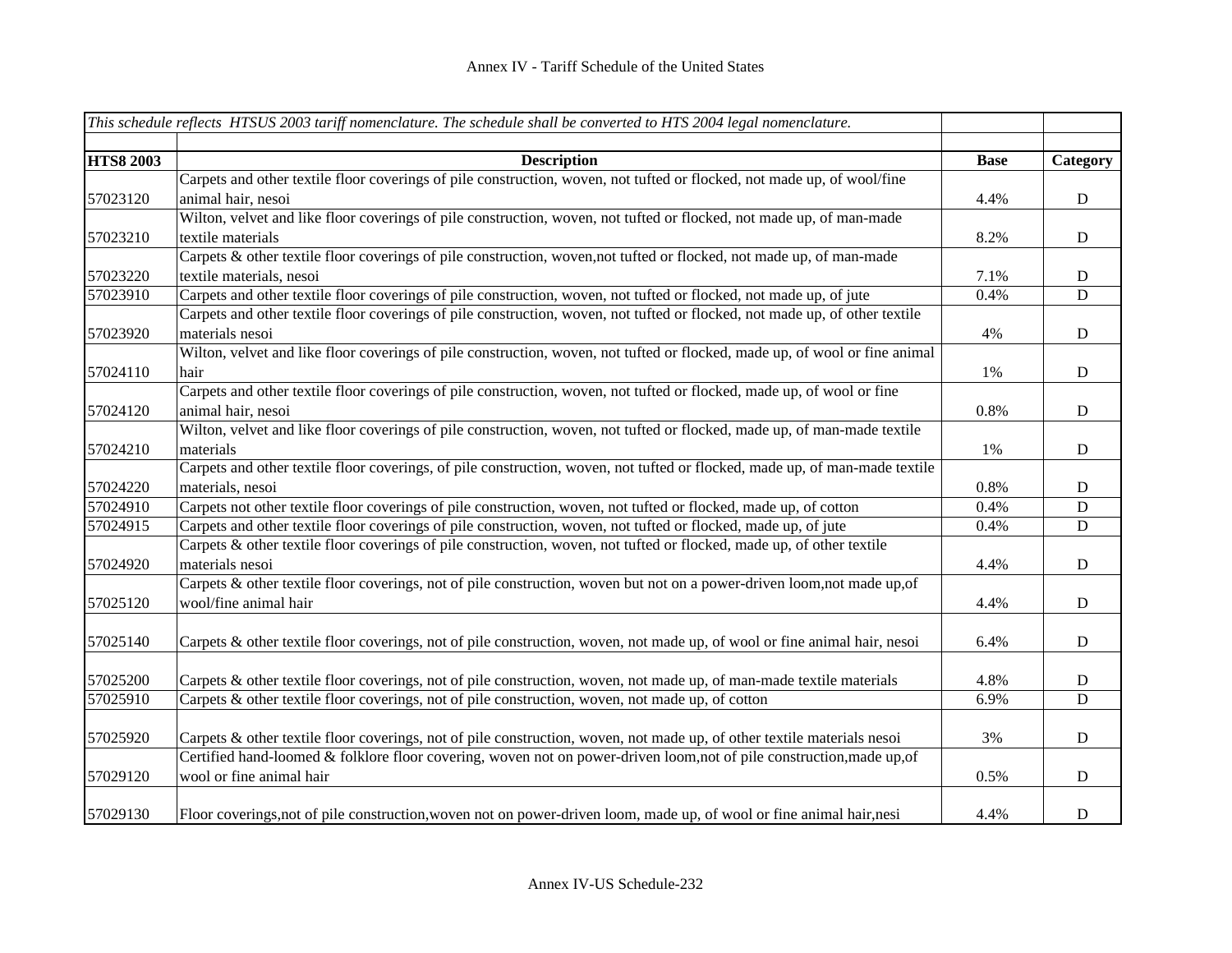|                  | This schedule reflects HTSUS 2003 tariff nomenclature. The schedule shall be converted to HTS 2004 legal nomenclature.      |             |             |
|------------------|-----------------------------------------------------------------------------------------------------------------------------|-------------|-------------|
| <b>HTS8 2003</b> | <b>Description</b>                                                                                                          | <b>Base</b> | Category    |
|                  | Carpets and other textile floor coverings of pile construction, woven, not tufted or flocked, not made up, of wool/fine     |             |             |
| 57023120         | animal hair, nesoi                                                                                                          | 4.4%        | D           |
|                  | Wilton, velvet and like floor coverings of pile construction, woven, not tufted or flocked, not made up, of man-made        |             |             |
| 57023210         | textile materials                                                                                                           | 8.2%        | $\mathbf D$ |
|                  | Carpets & other textile floor coverings of pile construction, woven, not tufted or flocked, not made up, of man-made        |             |             |
| 57023220         | textile materials, nesoi                                                                                                    | 7.1%        | $\mathbf D$ |
| 57023910         | Carpets and other textile floor coverings of pile construction, woven, not tufted or flocked, not made up, of jute          | 0.4%        | D           |
|                  | Carpets and other textile floor coverings of pile construction, woven, not tufted or flocked, not made up, of other textile |             |             |
| 57023920         | materials nesoi                                                                                                             | 4%          | ${\bf D}$   |
|                  | Wilton, velvet and like floor coverings of pile construction, woven, not tufted or flocked, made up, of wool or fine animal |             |             |
| 57024110         | hair                                                                                                                        | 1%          | $\mathbf D$ |
|                  | Carpets and other textile floor coverings of pile construction, woven, not tufted or flocked, made up, of wool or fine      |             |             |
| 57024120         | animal hair, nesoi                                                                                                          | 0.8%        | D           |
|                  | Wilton, velvet and like floor coverings of pile construction, woven, not tufted or flocked, made up, of man-made textile    |             |             |
| 57024210         | materials                                                                                                                   | 1%          | $\mathbf D$ |
|                  | Carpets and other textile floor coverings, of pile construction, woven, not tufted or flocked, made up, of man-made textile |             |             |
| 57024220         | materials, nesoi                                                                                                            | 0.8%        | D           |
| 57024910         | Carpets not other textile floor coverings of pile construction, woven, not tufted or flocked, made up, of cotton            | 0.4%        | $\mathbf D$ |
| 57024915         | Carpets and other textile floor coverings of pile construction, woven, not tufted or flocked, made up, of jute              | 0.4%        | ${\bf D}$   |
|                  | Carpets & other textile floor coverings of pile construction, woven, not tufted or flocked, made up, of other textile       |             |             |
| 57024920         | materials nesoi                                                                                                             | 4.4%        | ${\bf D}$   |
|                  | Carpets & other textile floor coverings, not of pile construction, woven but not on a power-driven loom, not made up, of    |             |             |
| 57025120         | wool/fine animal hair                                                                                                       | 4.4%        | $\mathbf D$ |
|                  |                                                                                                                             |             |             |
| 57025140         | Carpets & other textile floor coverings, not of pile construction, woven, not made up, of wool or fine animal hair, nesoi   | 6.4%        | $\mathbf D$ |
|                  |                                                                                                                             |             |             |
| 57025200         | Carpets & other textile floor coverings, not of pile construction, woven, not made up, of man-made textile materials        | 4.8%        | D           |
| 57025910         | Carpets & other textile floor coverings, not of pile construction, woven, not made up, of cotton                            | 6.9%        | D           |
|                  |                                                                                                                             |             |             |
| 57025920         | Carpets & other textile floor coverings, not of pile construction, woven, not made up, of other textile materials nesoi     | 3%          | $\mathbf D$ |
|                  | Certified hand-loomed & folklore floor covering, woven not on power-driven loom, not of pile construction, made up, of      |             |             |
| 57029120         | wool or fine animal hair                                                                                                    | 0.5%        | D           |
|                  |                                                                                                                             |             |             |
| 57029130         | Floor coverings, not of pile construction, woven not on power-driven loom, made up, of wool or fine animal hair, nesi       | 4.4%        | D           |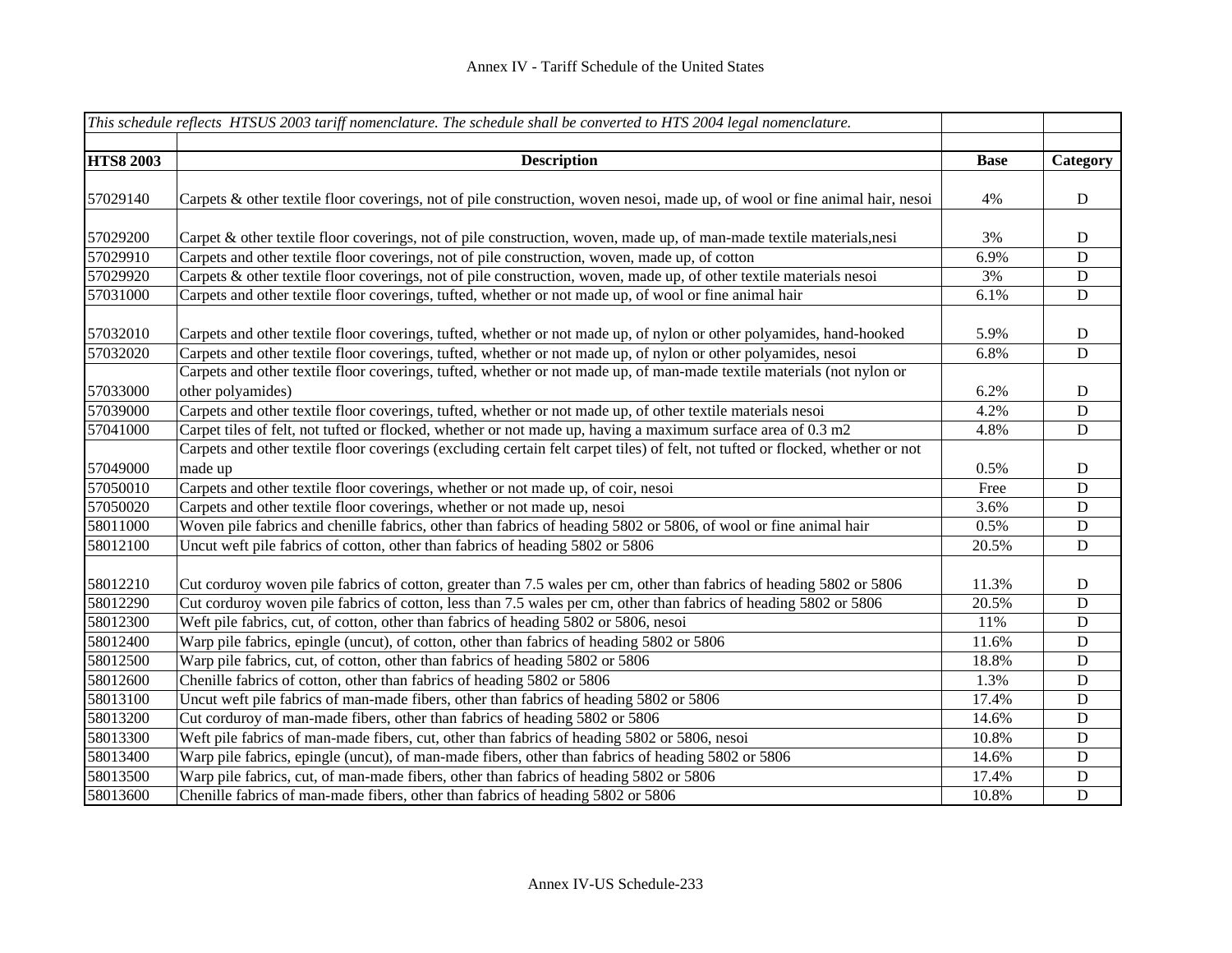|                  | This schedule reflects HTSUS 2003 tariff nomenclature. The schedule shall be converted to HTS 2004 legal nomenclature.         |             |             |
|------------------|--------------------------------------------------------------------------------------------------------------------------------|-------------|-------------|
| <b>HTS8 2003</b> | <b>Description</b>                                                                                                             | <b>Base</b> | Category    |
|                  |                                                                                                                                |             |             |
| 57029140         | Carpets & other textile floor coverings, not of pile construction, woven nesoi, made up, of wool or fine animal hair, nesoi    | 4%          | ${\bf D}$   |
| 57029200         | Carpet & other textile floor coverings, not of pile construction, woven, made up, of man-made textile materials,nesi           | 3%          | D           |
| 57029910         | Carpets and other textile floor coverings, not of pile construction, woven, made up, of cotton                                 | 6.9%        | $\mathbf D$ |
| 57029920         | Carpets & other textile floor coverings, not of pile construction, woven, made up, of other textile materials nesoi            | 3%          | $\mathbf D$ |
| 57031000         | Carpets and other textile floor coverings, tufted, whether or not made up, of wool or fine animal hair                         | 6.1%        | $\mathbf D$ |
| 57032010         | Carpets and other textile floor coverings, tufted, whether or not made up, of nylon or other polyamides, hand-hooked           | 5.9%        | $\mathbf D$ |
| 57032020         | Carpets and other textile floor coverings, tufted, whether or not made up, of nylon or other polyamides, nesoi                 | 6.8%        | $\mathbf D$ |
|                  | Carpets and other textile floor coverings, tufted, whether or not made up, of man-made textile materials (not nylon or         |             |             |
| 57033000         | other polyamides)                                                                                                              | 6.2%        | $\mathbf D$ |
| 57039000         | Carpets and other textile floor coverings, tufted, whether or not made up, of other textile materials nesoi                    | 4.2%        | $\mathbf D$ |
| 57041000         | Carpet tiles of felt, not tufted or flocked, whether or not made up, having a maximum surface area of 0.3 m2                   | 4.8%        | $\mathbf D$ |
|                  | Carpets and other textile floor coverings (excluding certain felt carpet tiles) of felt, not tufted or flocked, whether or not |             |             |
| 57049000         | made up                                                                                                                        | 0.5%        | $\mathbf D$ |
| 57050010         | Carpets and other textile floor coverings, whether or not made up, of coir, nesoi                                              | Free        | $\mathbf D$ |
| 57050020         | Carpets and other textile floor coverings, whether or not made up, nesoi                                                       | 3.6%        | $\mathbf D$ |
| 58011000         | Woven pile fabrics and chenille fabrics, other than fabrics of heading 5802 or 5806, of wool or fine animal hair               | 0.5%        | $\mathbf D$ |
| 58012100         | Uncut weft pile fabrics of cotton, other than fabrics of heading 5802 or 5806                                                  | 20.5%       | $\mathbf D$ |
| 58012210         | Cut corduroy woven pile fabrics of cotton, greater than 7.5 wales per cm, other than fabrics of heading 5802 or 5806           | 11.3%       | $\mathbf D$ |
| 58012290         | Cut corduroy woven pile fabrics of cotton, less than 7.5 wales per cm, other than fabrics of heading 5802 or 5806              | 20.5%       | $\mathbf D$ |
| 58012300         | Weft pile fabrics, cut, of cotton, other than fabrics of heading 5802 or 5806, nesoi                                           | 11%         | ${\bf D}$   |
| 58012400         | Warp pile fabrics, epingle (uncut), of cotton, other than fabrics of heading 5802 or 5806                                      | 11.6%       | $\mathbf D$ |
| 58012500         | Warp pile fabrics, cut, of cotton, other than fabrics of heading 5802 or 5806                                                  | 18.8%       | $\mathbf D$ |
| 58012600         | Chenille fabrics of cotton, other than fabrics of heading 5802 or 5806                                                         | 1.3%        | $\mathbf D$ |
| 58013100         | Uncut weft pile fabrics of man-made fibers, other than fabrics of heading 5802 or 5806                                         | 17.4%       | ${\bf D}$   |
| 58013200         | Cut corduroy of man-made fibers, other than fabrics of heading 5802 or 5806                                                    | 14.6%       | ${\bf D}$   |
| 58013300         | Weft pile fabrics of man-made fibers, cut, other than fabrics of heading 5802 or 5806, nesoi                                   | 10.8%       | $\mathbf D$ |
| 58013400         | Warp pile fabrics, epingle (uncut), of man-made fibers, other than fabrics of heading 5802 or 5806                             | 14.6%       | $\mathbf D$ |
| 58013500         | Warp pile fabrics, cut, of man-made fibers, other than fabrics of heading 5802 or 5806                                         | 17.4%       | ${\bf D}$   |
| 58013600         | Chenille fabrics of man-made fibers, other than fabrics of heading 5802 or 5806                                                | 10.8%       | $\mathbf D$ |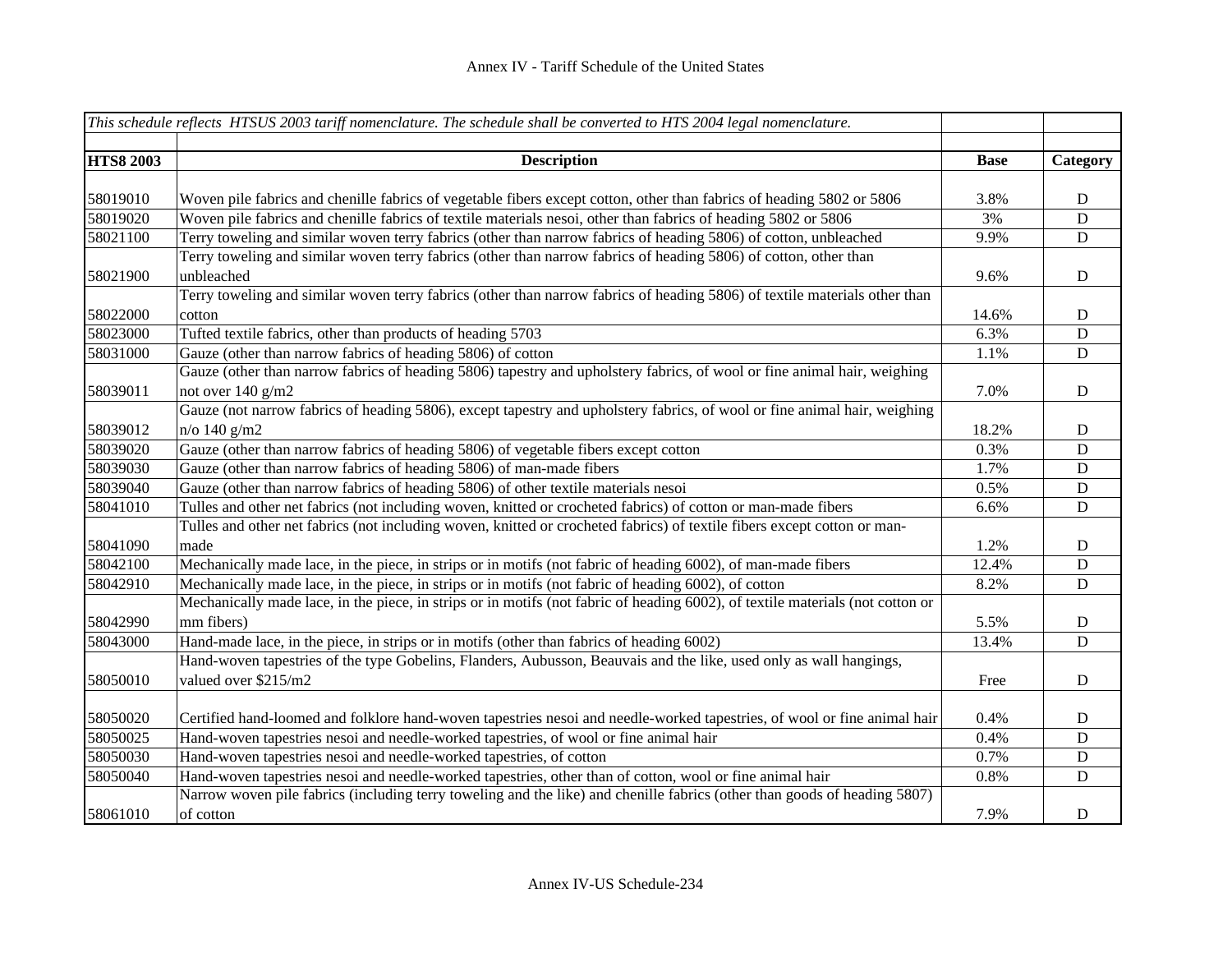|                  | This schedule reflects HTSUS 2003 tariff nomenclature. The schedule shall be converted to HTS 2004 legal nomenclature.         |             |             |
|------------------|--------------------------------------------------------------------------------------------------------------------------------|-------------|-------------|
| <b>HTS8 2003</b> | <b>Description</b>                                                                                                             | <b>Base</b> | Category    |
|                  |                                                                                                                                |             |             |
| 58019010         | Woven pile fabrics and chenille fabrics of vegetable fibers except cotton, other than fabrics of heading 5802 or 5806          | 3.8%        | D           |
| 58019020         | Woven pile fabrics and chenille fabrics of textile materials nesoi, other than fabrics of heading 5802 or 5806                 | 3%          | D           |
| 58021100         | Terry toweling and similar woven terry fabrics (other than narrow fabrics of heading 5806) of cotton, unbleached               | 9.9%        | ${\bf D}$   |
|                  | Terry toweling and similar woven terry fabrics (other than narrow fabrics of heading 5806) of cotton, other than               |             |             |
| 58021900         | unbleached                                                                                                                     | 9.6%        | $\mathbf D$ |
|                  | Terry toweling and similar woven terry fabrics (other than narrow fabrics of heading 5806) of textile materials other than     |             |             |
| 58022000         | cotton                                                                                                                         | 14.6%       | D           |
| 58023000         | Tufted textile fabrics, other than products of heading 5703                                                                    | 6.3%        | ${\bf D}$   |
| 58031000         | Gauze (other than narrow fabrics of heading 5806) of cotton                                                                    | 1.1%        | ${\bf D}$   |
|                  | Gauze (other than narrow fabrics of heading 5806) tapestry and upholstery fabrics, of wool or fine animal hair, weighing       |             |             |
| 58039011         | not over 140 g/m2                                                                                                              | 7.0%        | $\mathbf D$ |
|                  | Gauze (not narrow fabrics of heading 5806), except tapestry and upholstery fabrics, of wool or fine animal hair, weighing      |             |             |
| 58039012         | $n$ o 140 g/m2                                                                                                                 | 18.2%       | $\mathbf D$ |
| 58039020         | Gauze (other than narrow fabrics of heading 5806) of vegetable fibers except cotton                                            | 0.3%        | $\mathbf D$ |
| 58039030         | Gauze (other than narrow fabrics of heading 5806) of man-made fibers                                                           | 1.7%        | $\mathbf D$ |
| 58039040         | Gauze (other than narrow fabrics of heading 5806) of other textile materials nesoi                                             | 0.5%        | $\mathbf D$ |
| 58041010         | Tulles and other net fabrics (not including woven, knitted or crocheted fabrics) of cotton or man-made fibers                  | 6.6%        | $\mathbf D$ |
|                  | Tulles and other net fabrics (not including woven, knitted or crocheted fabrics) of textile fibers except cotton or man-       |             |             |
| 58041090         | made                                                                                                                           | 1.2%        | $\mathbf D$ |
| 58042100         | Mechanically made lace, in the piece, in strips or in motifs (not fabric of heading 6002), of man-made fibers                  | 12.4%       | $\mathbf D$ |
| 58042910         | Mechanically made lace, in the piece, in strips or in motifs (not fabric of heading 6002), of cotton                           | 8.2%        | D           |
|                  | Mechanically made lace, in the piece, in strips or in motifs (not fabric of heading 6002), of textile materials (not cotton or |             |             |
| 58042990         | mm fibers)                                                                                                                     | 5.5%        | $\mathbf D$ |
| 58043000         | Hand-made lace, in the piece, in strips or in motifs (other than fabrics of heading 6002)                                      | 13.4%       | $\mathbf D$ |
|                  | Hand-woven tapestries of the type Gobelins, Flanders, Aubusson, Beauvais and the like, used only as wall hangings,             |             |             |
| 58050010         | valued over \$215/m2                                                                                                           | Free        | D           |
| 58050020         | Certified hand-loomed and folklore hand-woven tapestries nesoi and needle-worked tapestries, of wool or fine animal hair       | 0.4%        | $\mathbf D$ |
| 58050025         | Hand-woven tapestries nesoi and needle-worked tapestries, of wool or fine animal hair                                          | 0.4%        | D           |
| 58050030         | Hand-woven tapestries nesoi and needle-worked tapestries, of cotton                                                            | 0.7%        | ${\bf D}$   |
| 58050040         | Hand-woven tapestries nesoi and needle-worked tapestries, other than of cotton, wool or fine animal hair                       | 0.8%        | D           |
|                  | Narrow woven pile fabrics (including terry toweling and the like) and chenille fabrics (other than goods of heading 5807)      |             |             |
| 58061010         | of cotton                                                                                                                      | 7.9%        | D           |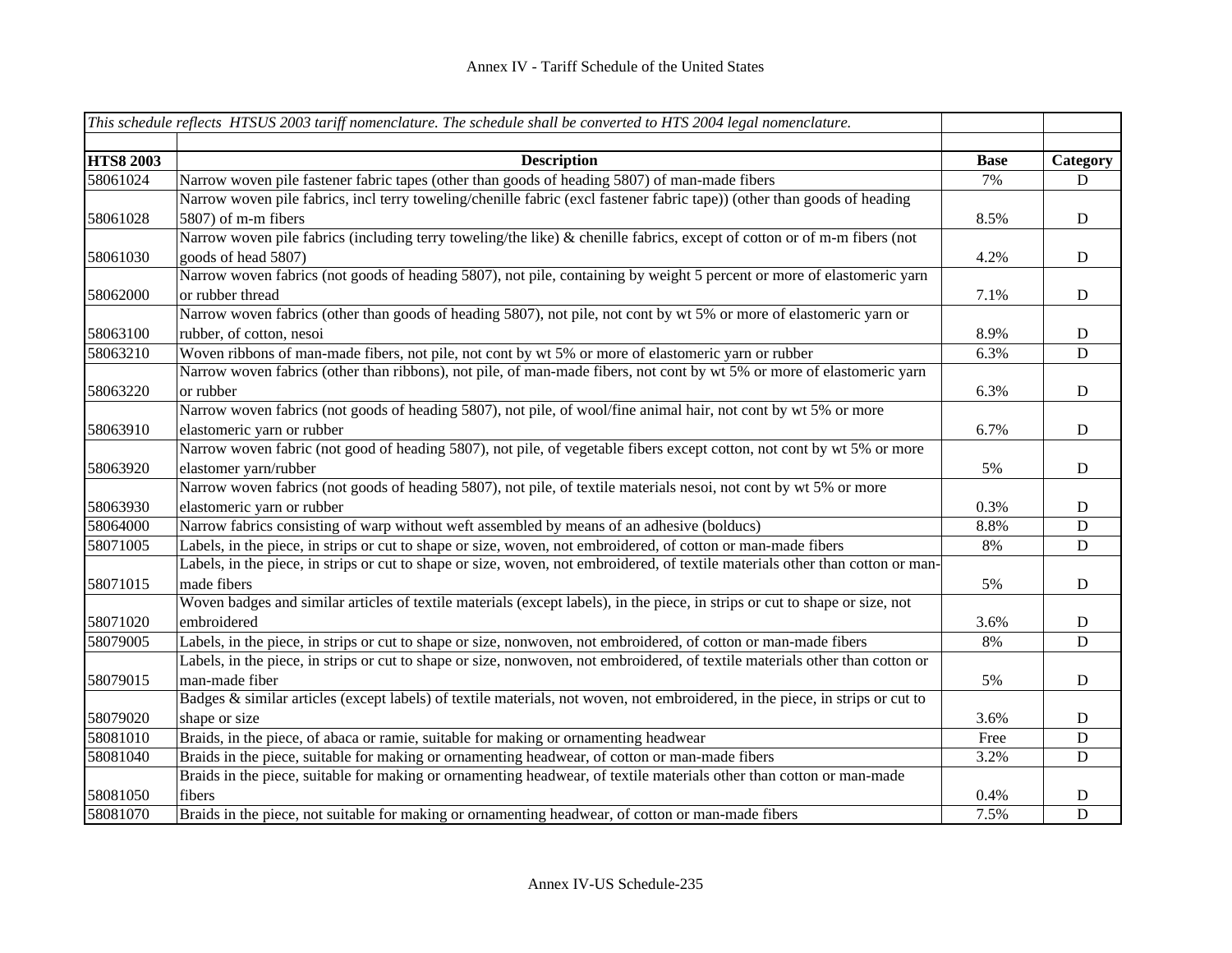|                  | This schedule reflects HTSUS 2003 tariff nomenclature. The schedule shall be converted to HTS 2004 legal nomenclature.          |             |             |
|------------------|---------------------------------------------------------------------------------------------------------------------------------|-------------|-------------|
| <b>HTS8 2003</b> | <b>Description</b>                                                                                                              | <b>Base</b> | Category    |
| 58061024         | Narrow woven pile fastener fabric tapes (other than goods of heading 5807) of man-made fibers                                   | 7%          | D           |
|                  | Narrow woven pile fabrics, incl terry toweling/chenille fabric (excl fastener fabric tape)) (other than goods of heading        |             |             |
| 58061028         | 5807) of m-m fibers                                                                                                             | 8.5%        | D           |
|                  | Narrow woven pile fabrics (including terry toweling/the like) & chenille fabrics, except of cotton or of m-m fibers (not        |             |             |
| 58061030         | goods of head 5807)                                                                                                             | 4.2%        | $\mathbf D$ |
|                  | Narrow woven fabrics (not goods of heading 5807), not pile, containing by weight 5 percent or more of elastomeric yarn          |             |             |
| 58062000         | or rubber thread                                                                                                                | 7.1%        | ${\bf D}$   |
|                  | Narrow woven fabrics (other than goods of heading 5807), not pile, not cont by wt 5% or more of elastomeric yarn or             |             |             |
| 58063100         | rubber, of cotton, nesoi                                                                                                        | 8.9%        | D           |
| 58063210         | Woven ribbons of man-made fibers, not pile, not cont by wt 5% or more of elastomeric yarn or rubber                             | 6.3%        | ${\bf D}$   |
|                  | Narrow woven fabrics (other than ribbons), not pile, of man-made fibers, not cont by wt 5% or more of elastomeric yarn          |             |             |
| 58063220         | or rubber                                                                                                                       | 6.3%        | ${\rm D}$   |
|                  | Narrow woven fabrics (not goods of heading 5807), not pile, of wool/fine animal hair, not cont by wt 5% or more                 |             |             |
| 58063910         | elastomeric yarn or rubber                                                                                                      | 6.7%        | ${\rm D}$   |
|                  | Narrow woven fabric (not good of heading 5807), not pile, of vegetable fibers except cotton, not cont by wt 5% or more          |             |             |
| 58063920         | elastomer yarn/rubber                                                                                                           | 5%          | $\mathbf D$ |
|                  | Narrow woven fabrics (not goods of heading 5807), not pile, of textile materials nesoi, not cont by wt 5% or more               |             |             |
| 58063930         | elastomeric yarn or rubber                                                                                                      | 0.3%        | D           |
| 58064000         | Narrow fabrics consisting of warp without weft assembled by means of an adhesive (bolducs)                                      | 8.8%        | $\mathbf D$ |
| 58071005         | Labels, in the piece, in strips or cut to shape or size, woven, not embroidered, of cotton or man-made fibers                   | 8%          | $\mathbf D$ |
|                  | Labels, in the piece, in strips or cut to shape or size, woven, not embroidered, of textile materials other than cotton or man- |             |             |
| 58071015         | made fibers                                                                                                                     | 5%          | D           |
|                  | Woven badges and similar articles of textile materials (except labels), in the piece, in strips or cut to shape or size, not    |             |             |
| 58071020         | embroidered                                                                                                                     | 3.6%        | D           |
| 58079005         | Labels, in the piece, in strips or cut to shape or size, nonwoven, not embroidered, of cotton or man-made fibers                | 8%          | $\mathbf D$ |
|                  | Labels, in the piece, in strips or cut to shape or size, nonwoven, not embroidered, of textile materials other than cotton or   |             |             |
| 58079015         | man-made fiber                                                                                                                  | 5%          | D           |
|                  | Badges & similar articles (except labels) of textile materials, not woven, not embroidered, in the piece, in strips or cut to   |             |             |
| 58079020         | shape or size                                                                                                                   | 3.6%        | D           |
| 58081010         | Braids, in the piece, of abaca or ramie, suitable for making or ornamenting headwear                                            | Free        | ${\bf D}$   |
| 58081040         | Braids in the piece, suitable for making or ornamenting headwear, of cotton or man-made fibers                                  | 3.2%        | ${\bf D}$   |
|                  | Braids in the piece, suitable for making or ornamenting headwear, of textile materials other than cotton or man-made            |             |             |
| 58081050         | fibers                                                                                                                          | 0.4%        | ${\bf D}$   |
| 58081070         | Braids in the piece, not suitable for making or ornamenting headwear, of cotton or man-made fibers                              | 7.5%        | $\mathbf D$ |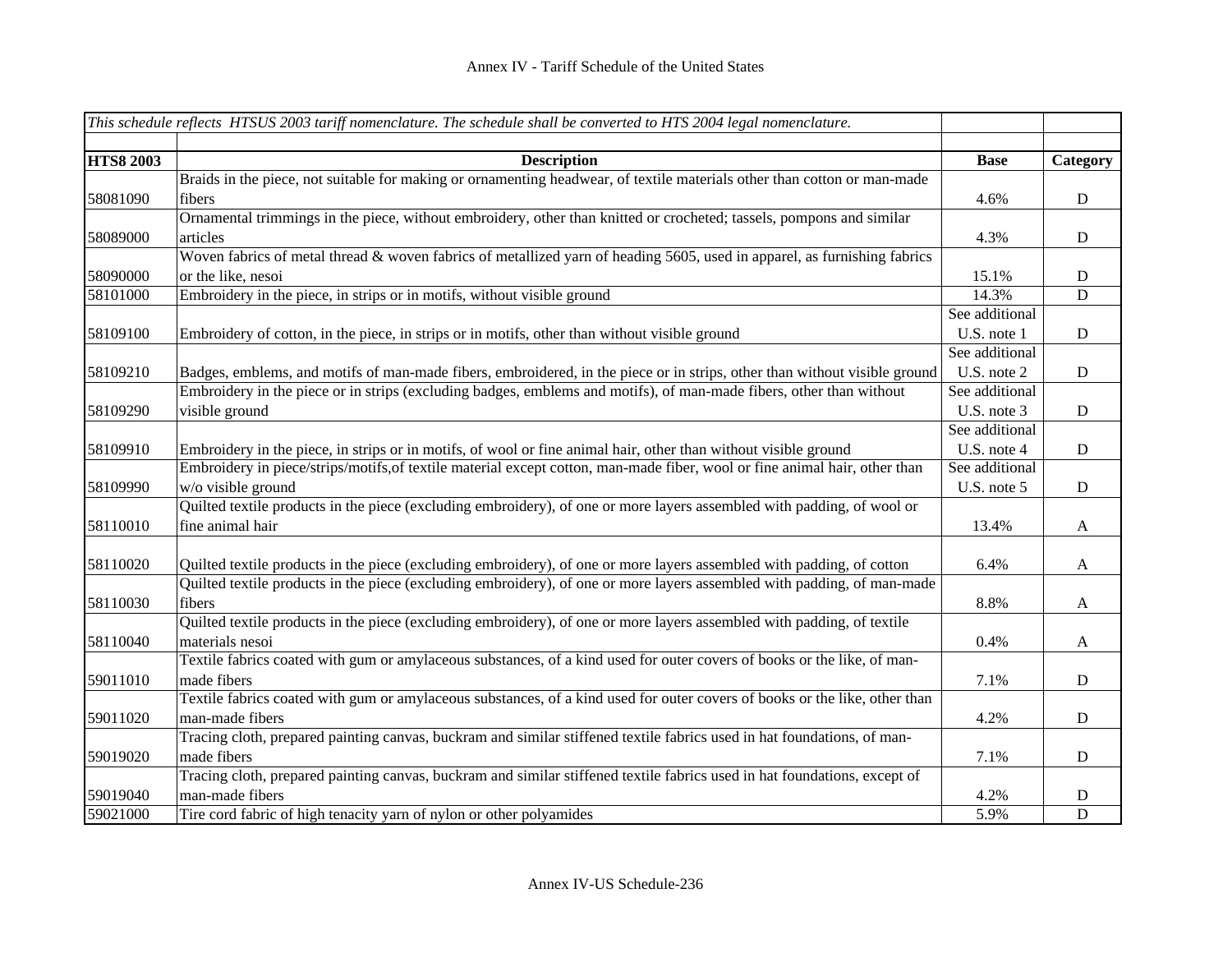|                  | This schedule reflects HTSUS 2003 tariff nomenclature. The schedule shall be converted to HTS 2004 legal nomenclature.     |                |              |
|------------------|----------------------------------------------------------------------------------------------------------------------------|----------------|--------------|
|                  |                                                                                                                            |                |              |
| <b>HTS8 2003</b> | <b>Description</b>                                                                                                         | <b>Base</b>    | Category     |
|                  | Braids in the piece, not suitable for making or ornamenting headwear, of textile materials other than cotton or man-made   |                |              |
| 58081090         | fibers                                                                                                                     | 4.6%           | $\mathbf D$  |
|                  | Ornamental trimmings in the piece, without embroidery, other than knitted or crocheted; tassels, pompons and similar       |                |              |
| 58089000         | articles                                                                                                                   | 4.3%           | D            |
|                  | Woven fabrics of metal thread & woven fabrics of metallized yarn of heading 5605, used in apparel, as furnishing fabrics   |                |              |
| 58090000         | or the like, nesoi                                                                                                         | 15.1%          | $\mathbf D$  |
| 58101000         | Embroidery in the piece, in strips or in motifs, without visible ground                                                    | 14.3%          | D            |
|                  |                                                                                                                            | See additional |              |
| 58109100         | Embroidery of cotton, in the piece, in strips or in motifs, other than without visible ground                              | U.S. note 1    | D            |
|                  |                                                                                                                            | See additional |              |
| 58109210         | Badges, emblems, and motifs of man-made fibers, embroidered, in the piece or in strips, other than without visible ground  | U.S. note 2    | ${\bf D}$    |
|                  | Embroidery in the piece or in strips (excluding badges, emblems and motifs), of man-made fibers, other than without        | See additional |              |
| 58109290         | visible ground                                                                                                             | U.S. note 3    | ${\rm D}$    |
|                  |                                                                                                                            | See additional |              |
| 58109910         | Embroidery in the piece, in strips or in motifs, of wool or fine animal hair, other than without visible ground            | U.S. note 4    | ${\rm D}$    |
|                  | Embroidery in piece/strips/motifs, of textile material except cotton, man-made fiber, wool or fine animal hair, other than | See additional |              |
| 58109990         | w/o visible ground                                                                                                         | U.S. note 5    | ${\rm D}$    |
|                  | Quilted textile products in the piece (excluding embroidery), of one or more layers assembled with padding, of wool or     |                |              |
| 58110010         | fine animal hair                                                                                                           | 13.4%          | $\mathbf{A}$ |
|                  |                                                                                                                            |                |              |
| 58110020         | Quilted textile products in the piece (excluding embroidery), of one or more layers assembled with padding, of cotton      | 6.4%           | $\mathbf{A}$ |
|                  | Quilted textile products in the piece (excluding embroidery), of one or more layers assembled with padding, of man-made    |                |              |
| 58110030         | fibers                                                                                                                     | 8.8%           | $\mathbf{A}$ |
|                  | Quilted textile products in the piece (excluding embroidery), of one or more layers assembled with padding, of textile     |                |              |
| 58110040         | materials nesoi                                                                                                            | 0.4%           | $\mathbf{A}$ |
|                  | Textile fabrics coated with gum or amylaceous substances, of a kind used for outer covers of books or the like, of man-    |                |              |
| 59011010         | made fibers                                                                                                                | 7.1%           | D            |
|                  | Textile fabrics coated with gum or amylaceous substances, of a kind used for outer covers of books or the like, other than |                |              |
| 59011020         | man-made fibers                                                                                                            | 4.2%           | $\mathbf D$  |
|                  | Tracing cloth, prepared painting canvas, buckram and similar stiffened textile fabrics used in hat foundations, of man-    |                |              |
| 59019020         | made fibers                                                                                                                | 7.1%           | $\mathbf D$  |
|                  | Tracing cloth, prepared painting canvas, buckram and similar stiffened textile fabrics used in hat foundations, except of  |                |              |
| 59019040         | man-made fibers                                                                                                            | 4.2%           | ${\bf D}$    |
| 59021000         | Tire cord fabric of high tenacity yarn of nylon or other polyamides                                                        | 5.9%           | $\mathbf D$  |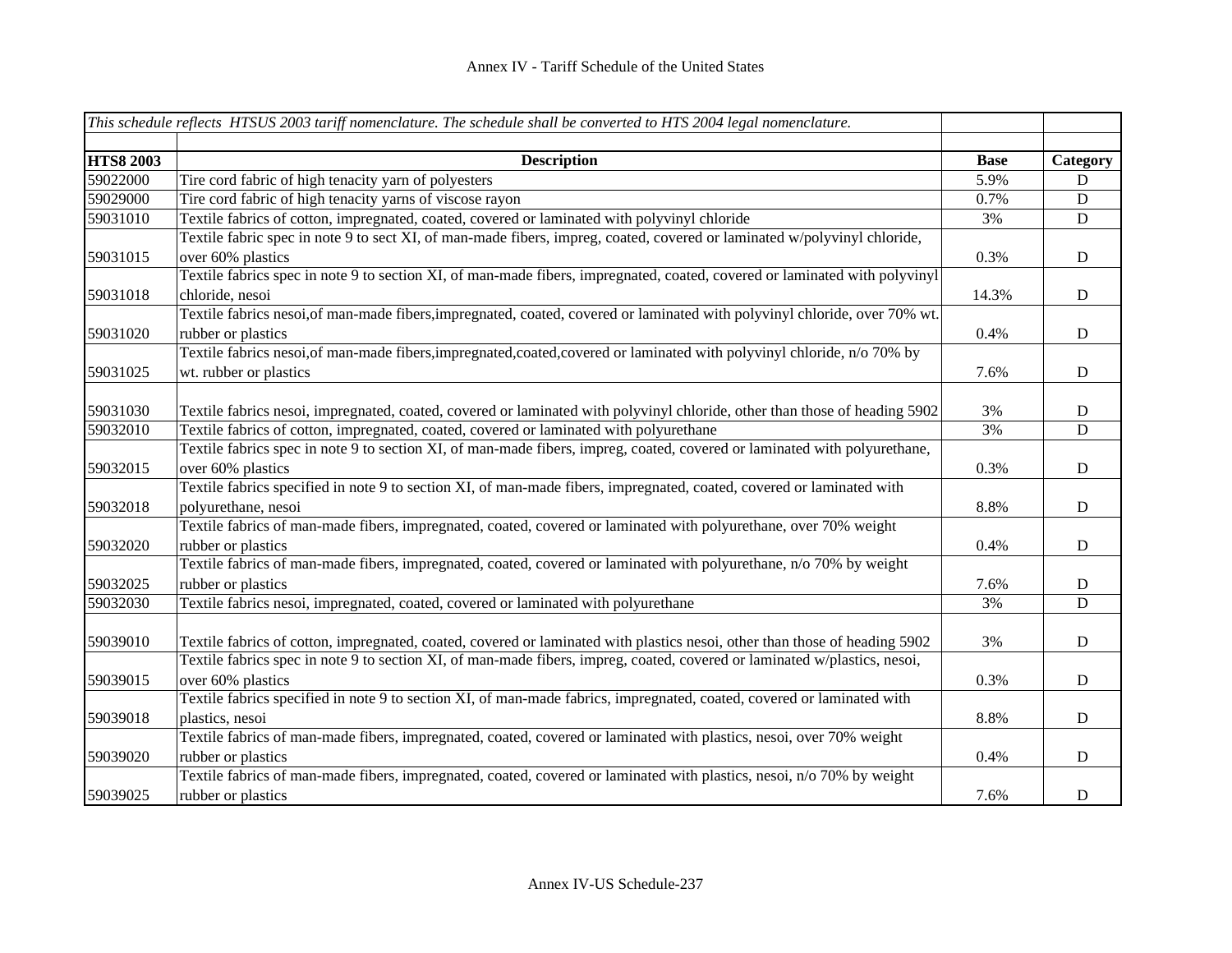|                  | This schedule reflects HTSUS 2003 tariff nomenclature. The schedule shall be converted to HTS 2004 legal nomenclature.     |             |             |
|------------------|----------------------------------------------------------------------------------------------------------------------------|-------------|-------------|
| <b>HTS8 2003</b> | <b>Description</b>                                                                                                         | <b>Base</b> | Category    |
| 59022000         | Tire cord fabric of high tenacity yarn of polyesters                                                                       | 5.9%        | D           |
| 59029000         | Tire cord fabric of high tenacity yarns of viscose rayon                                                                   | 0.7%        | D           |
| 59031010         | Textile fabrics of cotton, impregnated, coated, covered or laminated with polyvinyl chloride                               | 3%          | ${\bf D}$   |
|                  | Textile fabric spec in note 9 to sect XI, of man-made fibers, impreg, coated, covered or laminated w/polyvinyl chloride,   |             |             |
| 59031015         | over 60% plastics                                                                                                          | 0.3%        | D           |
|                  | Textile fabrics spec in note 9 to section XI, of man-made fibers, impregnated, coated, covered or laminated with polyvinyl |             |             |
| 59031018         | chloride, nesoi                                                                                                            | 14.3%       | $\mathbf D$ |
|                  | Textile fabrics nesoi, of man-made fibers, impregnated, coated, covered or laminated with polyvinyl chloride, over 70% wt. |             |             |
| 59031020         | rubber or plastics                                                                                                         | 0.4%        | $\mathbf D$ |
|                  | Textile fabrics nesoi, of man-made fibers, impregnated, coated, covered or laminated with polyvinyl chloride, n/o 70% by   |             |             |
| 59031025         | wt. rubber or plastics                                                                                                     | 7.6%        | D           |
|                  |                                                                                                                            |             |             |
| 59031030         | Textile fabrics nesoi, impregnated, coated, covered or laminated with polyvinyl chloride, other than those of heading 5902 | 3%          | $\mathbf D$ |
| 59032010         | Textile fabrics of cotton, impregnated, coated, covered or laminated with polyurethane                                     | 3%          | $\mathbf D$ |
|                  | Textile fabrics spec in note 9 to section XI, of man-made fibers, impreg, coated, covered or laminated with polyurethane,  |             |             |
| 59032015         | over 60% plastics                                                                                                          | 0.3%        | ${\bf D}$   |
|                  | Textile fabrics specified in note 9 to section XI, of man-made fibers, impregnated, coated, covered or laminated with      |             |             |
| 59032018         | polyurethane, nesoi                                                                                                        | 8.8%        | ${\bf D}$   |
|                  | Textile fabrics of man-made fibers, impregnated, coated, covered or laminated with polyurethane, over 70% weight           |             |             |
| 59032020         | rubber or plastics                                                                                                         | 0.4%        | D           |
|                  | Textile fabrics of man-made fibers, impregnated, coated, covered or laminated with polyurethane, n/o 70% by weight         |             |             |
| 59032025         | rubber or plastics                                                                                                         | 7.6%        | ${\bf D}$   |
| 59032030         | Textile fabrics nesoi, impregnated, coated, covered or laminated with polyurethane                                         | 3%          | $\mathbf D$ |
|                  |                                                                                                                            |             |             |
| 59039010         | Textile fabrics of cotton, impregnated, coated, covered or laminated with plastics nesoi, other than those of heading 5902 | 3%          | $\mathbf D$ |
|                  | Textile fabrics spec in note 9 to section XI, of man-made fibers, impreg, coated, covered or laminated w/plastics, nesoi,  |             |             |
| 59039015         | over 60% plastics                                                                                                          | 0.3%        | $\mathbf D$ |
|                  | Textile fabrics specified in note 9 to section XI, of man-made fabrics, impregnated, coated, covered or laminated with     |             |             |
| 59039018         | plastics, nesoi                                                                                                            | 8.8%        | D           |
|                  | Textile fabrics of man-made fibers, impregnated, coated, covered or laminated with plastics, nesoi, over 70% weight        |             |             |
| 59039020         | rubber or plastics                                                                                                         | 0.4%        | $\mathbf D$ |
|                  | Textile fabrics of man-made fibers, impregnated, coated, covered or laminated with plastics, nesoi, n/o 70% by weight      |             |             |
| 59039025         | rubber or plastics                                                                                                         | 7.6%        | $\mathbf D$ |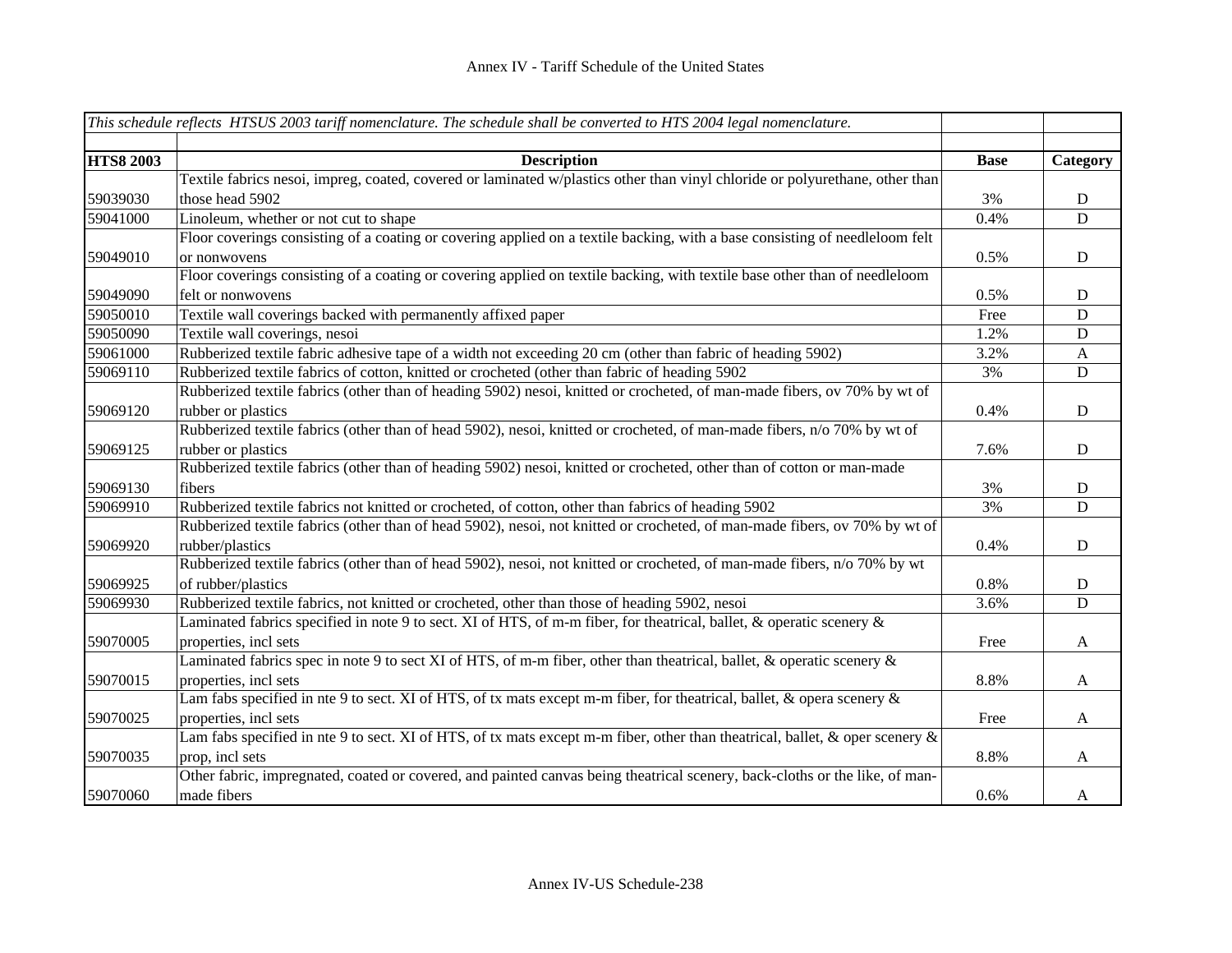|                  | This schedule reflects HTSUS 2003 tariff nomenclature. The schedule shall be converted to HTS 2004 legal nomenclature.             |             |                |
|------------------|------------------------------------------------------------------------------------------------------------------------------------|-------------|----------------|
| <b>HTS8 2003</b> | <b>Description</b>                                                                                                                 | <b>Base</b> | Category       |
|                  | Textile fabrics nesoi, impreg, coated, covered or laminated w/plastics other than vinyl chloride or polyurethane, other than       |             |                |
| 59039030         | those head 5902                                                                                                                    | 3%          | D              |
| 59041000         | Linoleum, whether or not cut to shape                                                                                              | 0.4%        | $\overline{D}$ |
|                  | Floor coverings consisting of a coating or covering applied on a textile backing, with a base consisting of needleloom felt        |             |                |
| 59049010         | or nonwovens                                                                                                                       | 0.5%        | D              |
|                  | Floor coverings consisting of a coating or covering applied on textile backing, with textile base other than of needleloom         |             |                |
| 59049090         | felt or nonwovens                                                                                                                  | 0.5%        | D              |
| 59050010         | Textile wall coverings backed with permanently affixed paper                                                                       | Free        | D              |
| 59050090         | Textile wall coverings, nesoi                                                                                                      | 1.2%        | D              |
| 59061000         | Rubberized textile fabric adhesive tape of a width not exceeding 20 cm (other than fabric of heading 5902)                         | 3.2%        | $\mathbf{A}$   |
| 59069110         | Rubberized textile fabrics of cotton, knitted or crocheted (other than fabric of heading 5902                                      | 3%          | D              |
|                  | Rubberized textile fabrics (other than of heading 5902) nesoi, knitted or crocheted, of man-made fibers, ov 70% by wt of           |             |                |
| 59069120         | rubber or plastics                                                                                                                 | 0.4%        | D              |
|                  | Rubberized textile fabrics (other than of head 5902), nesoi, knitted or crocheted, of man-made fibers, n/o 70% by wt of            |             |                |
| 59069125         | rubber or plastics                                                                                                                 | 7.6%        | ${\bf D}$      |
|                  | Rubberized textile fabrics (other than of heading 5902) nesoi, knitted or crocheted, other than of cotton or man-made              |             |                |
| 59069130         | fibers                                                                                                                             | 3%          | $\mathbf D$    |
| 59069910         | Rubberized textile fabrics not knitted or crocheted, of cotton, other than fabrics of heading 5902                                 | 3%          | D              |
|                  | Rubberized textile fabrics (other than of head 5902), nesoi, not knitted or crocheted, of man-made fibers, ov 70% by wt of         |             |                |
| 59069920         | rubber/plastics                                                                                                                    | 0.4%        | D              |
|                  | Rubberized textile fabrics (other than of head 5902), nesoi, not knitted or crocheted, of man-made fibers, n/o 70% by wt           |             |                |
| 59069925         | of rubber/plastics                                                                                                                 | 0.8%        | ${\bf D}$      |
| 59069930         | Rubberized textile fabrics, not knitted or crocheted, other than those of heading 5902, nesoi                                      | 3.6%        | D              |
|                  | Laminated fabrics specified in note 9 to sect. XI of HTS, of m-m fiber, for theatrical, ballet, & operatic scenery &               |             |                |
| 59070005         | properties, incl sets                                                                                                              | Free        | $\mathbf{A}$   |
|                  | Laminated fabrics spec in note 9 to sect XI of HTS, of m-m fiber, other than theatrical, ballet, & operatic scenery &              |             |                |
| 59070015         | properties, incl sets                                                                                                              | 8.8%        | A              |
|                  | Lam fabs specified in nte 9 to sect. XI of HTS, of tx mats except m-m fiber, for theatrical, ballet, & opera scenery &             |             |                |
| 59070025         | properties, incl sets                                                                                                              | Free        | A              |
|                  | Lam fabs specified in nte 9 to sect. XI of HTS, of tx mats except m-m fiber, other than theatrical, ballet, $\&$ oper scenery $\&$ |             |                |
| 59070035         | prop, incl sets                                                                                                                    | 8.8%        | $\mathbf{A}$   |
|                  | Other fabric, impregnated, coated or covered, and painted canvas being theatrical scenery, back-cloths or the like, of man-        |             |                |
| 59070060         | made fibers                                                                                                                        | 0.6%        | A              |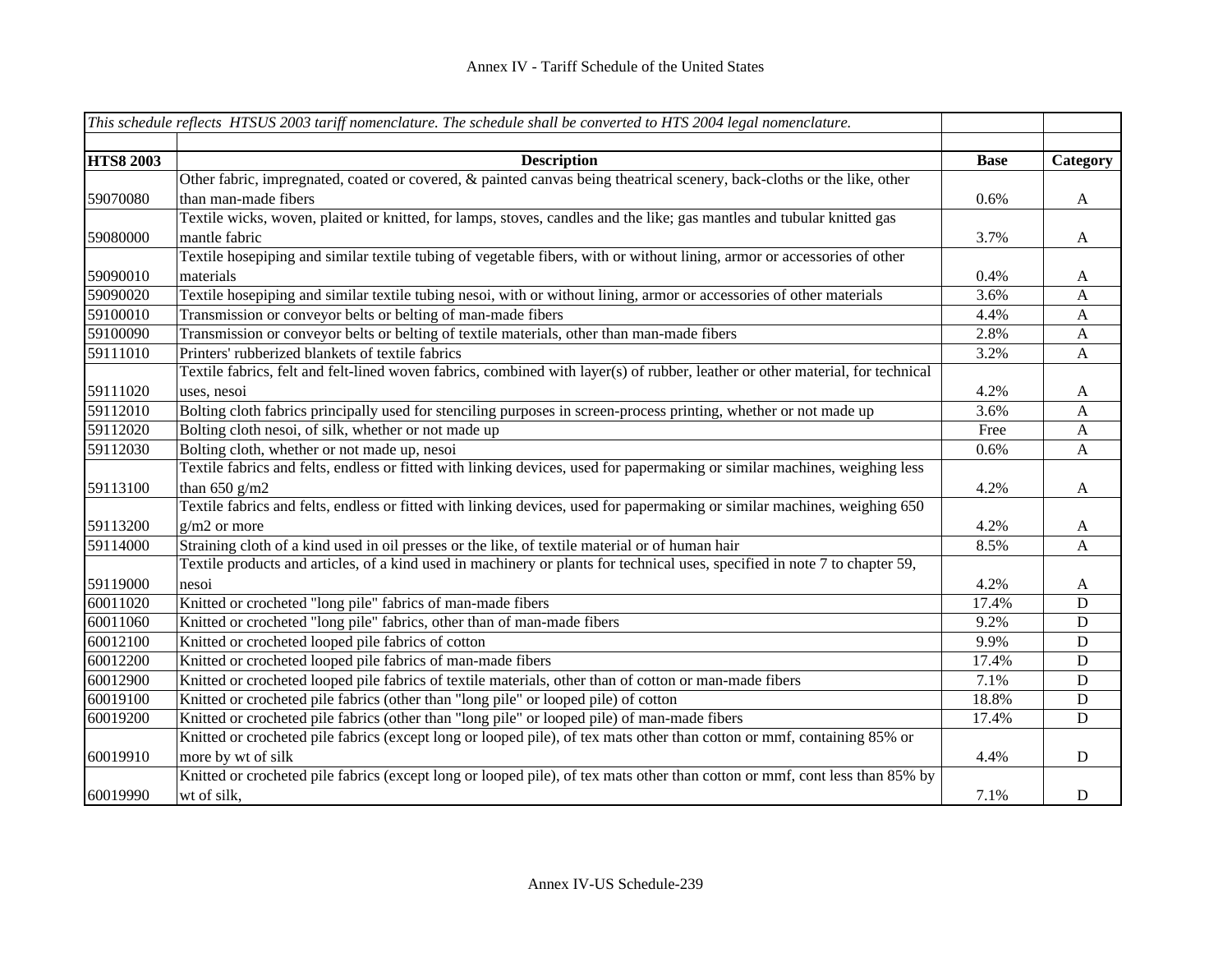|                  | This schedule reflects HTSUS 2003 tariff nomenclature. The schedule shall be converted to HTS 2004 legal nomenclature.         |             |              |
|------------------|--------------------------------------------------------------------------------------------------------------------------------|-------------|--------------|
| <b>HTS8 2003</b> | <b>Description</b>                                                                                                             | <b>Base</b> | Category     |
|                  | Other fabric, impregnated, coated or covered, & painted canvas being theatrical scenery, back-cloths or the like, other        |             |              |
| 59070080         | than man-made fibers                                                                                                           | 0.6%        | A            |
|                  | Textile wicks, woven, plaited or knitted, for lamps, stoves, candles and the like; gas mantles and tubular knitted gas         |             |              |
| 59080000         | mantle fabric                                                                                                                  | 3.7%        | A            |
|                  | Textile hosepiping and similar textile tubing of vegetable fibers, with or without lining, armor or accessories of other       |             |              |
| 59090010         | materials                                                                                                                      | 0.4%        | A            |
| 59090020         | Textile hosepiping and similar textile tubing nesoi, with or without lining, armor or accessories of other materials           | 3.6%        | A            |
| 59100010         | Transmission or conveyor belts or belting of man-made fibers                                                                   | 4.4%        | $\mathbf{A}$ |
| 59100090         | Transmission or conveyor belts or belting of textile materials, other than man-made fibers                                     | 2.8%        | $\mathbf{A}$ |
| 59111010         | Printers' rubberized blankets of textile fabrics                                                                               | 3.2%        | A            |
|                  | Textile fabrics, felt and felt-lined woven fabrics, combined with layer(s) of rubber, leather or other material, for technical |             |              |
| 59111020         | uses, nesoi                                                                                                                    | 4.2%        | A            |
| 59112010         | Bolting cloth fabrics principally used for stenciling purposes in screen-process printing, whether or not made up              | 3.6%        | A            |
| 59112020         | Bolting cloth nesoi, of silk, whether or not made up                                                                           | Free        | $\mathbf{A}$ |
| 59112030         | Bolting cloth, whether or not made up, nesoi                                                                                   | 0.6%        | $\mathbf{A}$ |
|                  | Textile fabrics and felts, endless or fitted with linking devices, used for papermaking or similar machines, weighing less     |             |              |
| 59113100         | than $650$ g/m2                                                                                                                | 4.2%        | $\mathbf{A}$ |
|                  | Textile fabrics and felts, endless or fitted with linking devices, used for papermaking or similar machines, weighing 650      |             |              |
| 59113200         | $g/m2$ or more                                                                                                                 | 4.2%        | $\mathbf{A}$ |
| 59114000         | Straining cloth of a kind used in oil presses or the like, of textile material or of human hair                                | 8.5%        | A            |
|                  | Textile products and articles, of a kind used in machinery or plants for technical uses, specified in note 7 to chapter 59,    |             |              |
| 59119000         | nesoi                                                                                                                          | 4.2%        | $\mathbf{A}$ |
| 60011020         | Knitted or crocheted "long pile" fabrics of man-made fibers                                                                    | 17.4%       | ${\bf D}$    |
| 60011060         | Knitted or crocheted "long pile" fabrics, other than of man-made fibers                                                        | 9.2%        | ${\bf D}$    |
| 60012100         | Knitted or crocheted looped pile fabrics of cotton                                                                             | 9.9%        | ${\bf D}$    |
| 60012200         | Knitted or crocheted looped pile fabrics of man-made fibers                                                                    | 17.4%       | D            |
| 60012900         | Knitted or crocheted looped pile fabrics of textile materials, other than of cotton or man-made fibers                         | 7.1%        | $\mathbf D$  |
| 60019100         | Knitted or crocheted pile fabrics (other than "long pile" or looped pile) of cotton                                            | 18.8%       | ${\rm D}$    |
| 60019200         | Knitted or crocheted pile fabrics (other than "long pile" or looped pile) of man-made fibers                                   | 17.4%       | ${\bf D}$    |
|                  | Knitted or crocheted pile fabrics (except long or looped pile), of tex mats other than cotton or mmf, containing 85% or        |             |              |
| 60019910         | more by wt of silk                                                                                                             | 4.4%        | D            |
|                  | Knitted or crocheted pile fabrics (except long or looped pile), of tex mats other than cotton or mmf, cont less than 85% by    |             |              |
| 60019990         | wt of silk,                                                                                                                    | 7.1%        | ${\bf D}$    |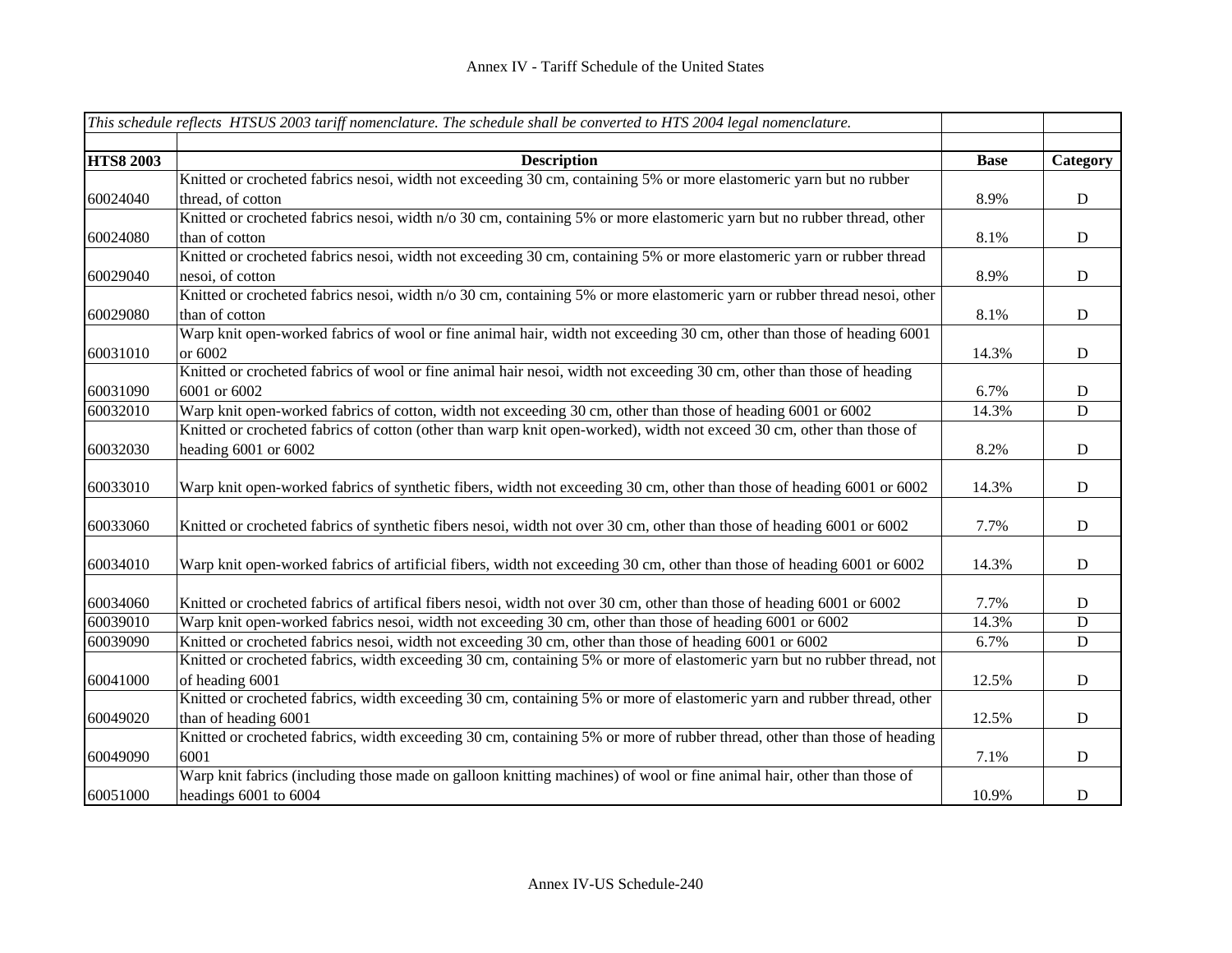|                  | This schedule reflects HTSUS 2003 tariff nomenclature. The schedule shall be converted to HTS 2004 legal nomenclature.                                                                                                             |             |             |
|------------------|------------------------------------------------------------------------------------------------------------------------------------------------------------------------------------------------------------------------------------|-------------|-------------|
|                  |                                                                                                                                                                                                                                    |             |             |
| <b>HTS8 2003</b> | <b>Description</b>                                                                                                                                                                                                                 | <b>Base</b> | Category    |
|                  | Knitted or crocheted fabrics nesoi, width not exceeding 30 cm, containing 5% or more elastomeric yarn but no rubber                                                                                                                |             |             |
| 60024040         | thread, of cotton                                                                                                                                                                                                                  | 8.9%        | ${\bf D}$   |
|                  | Knitted or crocheted fabrics nesoi, width n/o 30 cm, containing 5% or more elastomeric yarn but no rubber thread, other                                                                                                            |             |             |
| 60024080         | than of cotton                                                                                                                                                                                                                     | 8.1%        | ${\rm D}$   |
|                  | Knitted or crocheted fabrics nesoi, width not exceeding 30 cm, containing 5% or more elastomeric yarn or rubber thread                                                                                                             |             |             |
| 60029040         | nesoi, of cotton                                                                                                                                                                                                                   | 8.9%        | ${\bf D}$   |
|                  | Knitted or crocheted fabrics nesoi, width n/o 30 cm, containing 5% or more elastomeric yarn or rubber thread nesoi, other                                                                                                          |             |             |
| 60029080         | than of cotton                                                                                                                                                                                                                     | 8.1%        | ${\bf D}$   |
|                  | Warp knit open-worked fabrics of wool or fine animal hair, width not exceeding 30 cm, other than those of heading 6001                                                                                                             |             |             |
| 60031010         | or 6002                                                                                                                                                                                                                            | 14.3%       | ${\bf D}$   |
|                  | Knitted or crocheted fabrics of wool or fine animal hair nesoi, width not exceeding 30 cm, other than those of heading                                                                                                             |             |             |
| 60031090         | 6001 or 6002                                                                                                                                                                                                                       | 6.7%        | $\mathbf D$ |
| 60032010         | Warp knit open-worked fabrics of cotton, width not exceeding 30 cm, other than those of heading 6001 or 6002                                                                                                                       | 14.3%       | D           |
|                  | Knitted or crocheted fabrics of cotton (other than warp knit open-worked), width not exceed 30 cm, other than those of                                                                                                             |             |             |
| 60032030         | heading 6001 or 6002                                                                                                                                                                                                               | 8.2%        | $\mathbf D$ |
|                  |                                                                                                                                                                                                                                    |             |             |
| 60033010         | Warp knit open-worked fabrics of synthetic fibers, width not exceeding 30 cm, other than those of heading 6001 or 6002                                                                                                             | 14.3%       | ${\bf D}$   |
|                  |                                                                                                                                                                                                                                    |             |             |
| 60033060         | Knitted or crocheted fabrics of synthetic fibers nesoi, width not over 30 cm, other than those of heading 6001 or 6002                                                                                                             | 7.7%        | $\mathbf D$ |
|                  |                                                                                                                                                                                                                                    |             |             |
| 60034010         | Warp knit open-worked fabrics of artificial fibers, width not exceeding 30 cm, other than those of heading 6001 or 6002                                                                                                            | 14.3%       | ${\bf D}$   |
| 60034060         |                                                                                                                                                                                                                                    | 7.7%        | ${\bf D}$   |
| 60039010         | Knitted or crocheted fabrics of artifical fibers nesoi, width not over 30 cm, other than those of heading 6001 or 6002<br>Warp knit open-worked fabrics nesoi, width not exceeding 30 cm, other than those of heading 6001 or 6002 | 14.3%       | ${\bf D}$   |
| 60039090         | Knitted or crocheted fabrics nesoi, width not exceeding 30 cm, other than those of heading 6001 or 6002                                                                                                                            | 6.7%        | ${\bf D}$   |
|                  | Knitted or crocheted fabrics, width exceeding 30 cm, containing 5% or more of elastomeric yarn but no rubber thread, not                                                                                                           |             |             |
| 60041000         | of heading 6001                                                                                                                                                                                                                    | 12.5%       | ${\bf D}$   |
|                  | Knitted or crocheted fabrics, width exceeding 30 cm, containing 5% or more of elastomeric yarn and rubber thread, other                                                                                                            |             |             |
| 60049020         | than of heading 6001                                                                                                                                                                                                               | 12.5%       | ${\bf D}$   |
|                  | Knitted or crocheted fabrics, width exceeding 30 cm, containing 5% or more of rubber thread, other than those of heading                                                                                                           |             |             |
| 60049090         | 6001                                                                                                                                                                                                                               | 7.1%        | ${\bf D}$   |
|                  | Warp knit fabrics (including those made on galloon knitting machines) of wool or fine animal hair, other than those of                                                                                                             |             |             |
| 60051000         |                                                                                                                                                                                                                                    |             | ${\bf D}$   |
|                  | headings 6001 to 6004                                                                                                                                                                                                              | 10.9%       |             |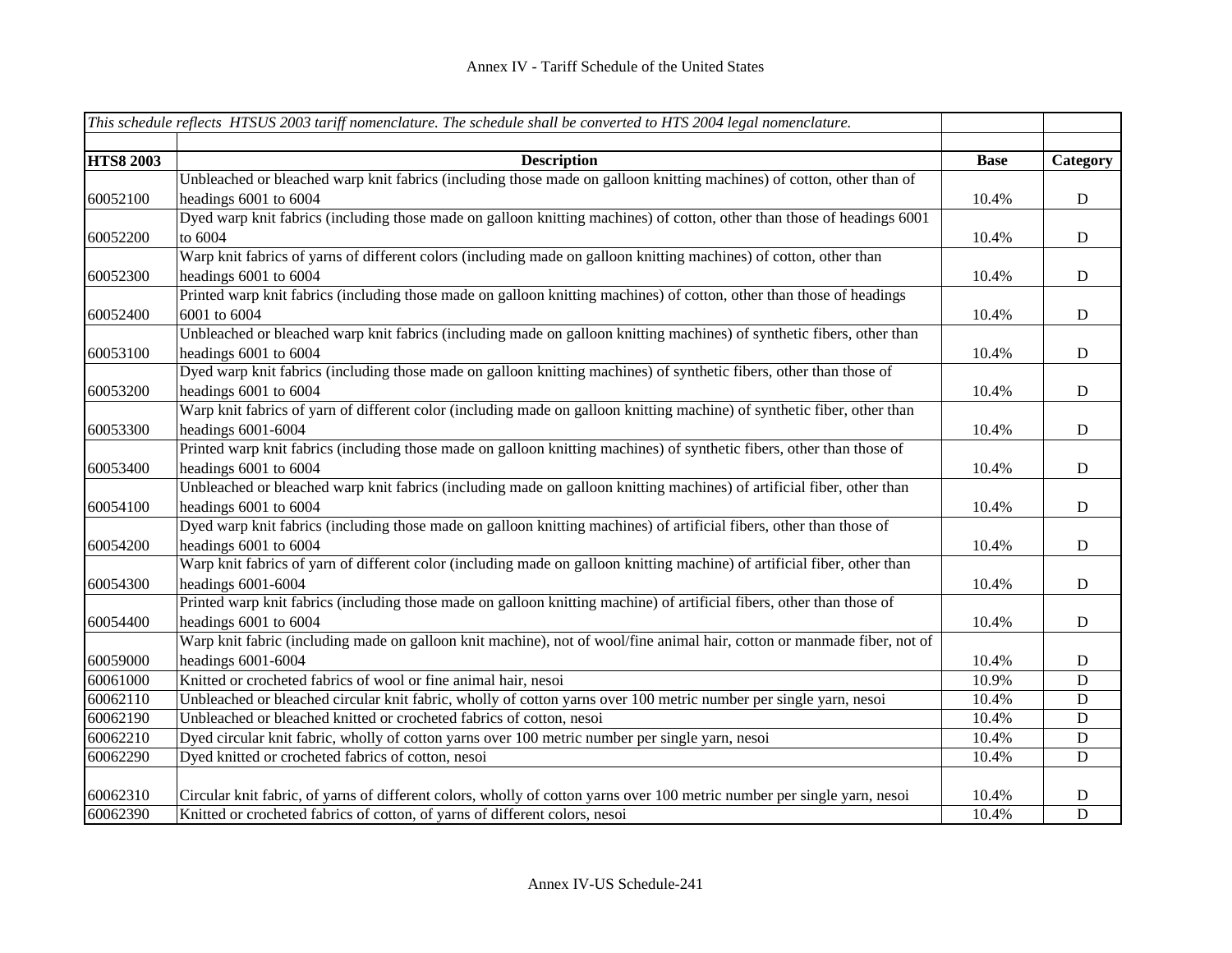|                  | This schedule reflects HTSUS 2003 tariff nomenclature. The schedule shall be converted to HTS 2004 legal nomenclature.    |             |             |
|------------------|---------------------------------------------------------------------------------------------------------------------------|-------------|-------------|
|                  |                                                                                                                           |             |             |
| <b>HTS8 2003</b> | <b>Description</b>                                                                                                        | <b>Base</b> | Category    |
|                  | Unbleached or bleached warp knit fabrics (including those made on galloon knitting machines) of cotton, other than of     |             |             |
| 60052100         | headings 6001 to 6004                                                                                                     | 10.4%       | ${\bf D}$   |
|                  | Dyed warp knit fabrics (including those made on galloon knitting machines) of cotton, other than those of headings 6001   |             |             |
| 60052200         | to 6004                                                                                                                   | 10.4%       | ${\bf D}$   |
|                  | Warp knit fabrics of yarns of different colors (including made on galloon knitting machines) of cotton, other than        |             |             |
| 60052300         | headings 6001 to 6004                                                                                                     | 10.4%       | $\mathbf D$ |
|                  | Printed warp knit fabrics (including those made on galloon knitting machines) of cotton, other than those of headings     |             |             |
| 60052400         | 6001 to 6004                                                                                                              | 10.4%       | $\mathbf D$ |
|                  | Unbleached or bleached warp knit fabrics (including made on galloon knitting machines) of synthetic fibers, other than    |             |             |
| 60053100         | headings 6001 to 6004                                                                                                     | 10.4%       | ${\bf D}$   |
|                  | Dyed warp knit fabrics (including those made on galloon knitting machines) of synthetic fibers, other than those of       |             |             |
| 60053200         | headings 6001 to 6004                                                                                                     | 10.4%       | ${\bf D}$   |
|                  | Warp knit fabrics of yarn of different color (including made on galloon knitting machine) of synthetic fiber, other than  |             |             |
| 60053300         | headings 6001-6004                                                                                                        | 10.4%       | $\mathbf D$ |
|                  | Printed warp knit fabrics (including those made on galloon knitting machines) of synthetic fibers, other than those of    |             |             |
| 60053400         | headings 6001 to 6004                                                                                                     | 10.4%       | $\mathbf D$ |
|                  | Unbleached or bleached warp knit fabrics (including made on galloon knitting machines) of artificial fiber, other than    |             |             |
| 60054100         | headings 6001 to 6004                                                                                                     | 10.4%       | $\mathbf D$ |
|                  | Dyed warp knit fabrics (including those made on galloon knitting machines) of artificial fibers, other than those of      |             |             |
| 60054200         | headings 6001 to 6004                                                                                                     | 10.4%       | $\mathbf D$ |
|                  | Warp knit fabrics of yarn of different color (including made on galloon knitting machine) of artificial fiber, other than |             |             |
| 60054300         | headings 6001-6004                                                                                                        | 10.4%       | ${\bf D}$   |
|                  | Printed warp knit fabrics (including those made on galloon knitting machine) of artificial fibers, other than those of    |             |             |
| 60054400         | headings 6001 to 6004                                                                                                     | 10.4%       | $\mathbf D$ |
|                  | Warp knit fabric (including made on galloon knit machine), not of wool/fine animal hair, cotton or manmade fiber, not of  |             |             |
| 60059000         | headings 6001-6004                                                                                                        | 10.4%       | D           |
| 60061000         | Knitted or crocheted fabrics of wool or fine animal hair, nesoi                                                           | 10.9%       | D           |
| 60062110         | Unbleached or bleached circular knit fabric, wholly of cotton yarns over 100 metric number per single yarn, nesoi         | 10.4%       | $\mathbf D$ |
| 60062190         | Unbleached or bleached knitted or crocheted fabrics of cotton, nesoi                                                      | 10.4%       | $\mathbf D$ |
| 60062210         | Dyed circular knit fabric, wholly of cotton yarns over 100 metric number per single yarn, nesoi                           | 10.4%       | $\mathbf D$ |
| 60062290         | Dyed knitted or crocheted fabrics of cotton, nesoi                                                                        | 10.4%       | D           |
|                  |                                                                                                                           |             |             |
| 60062310         | Circular knit fabric, of yarns of different colors, wholly of cotton yarns over 100 metric number per single yarn, nesoi  | 10.4%       | D           |
| 60062390         | Knitted or crocheted fabrics of cotton, of yarns of different colors, nesoi                                               | 10.4%       | $\mathbf D$ |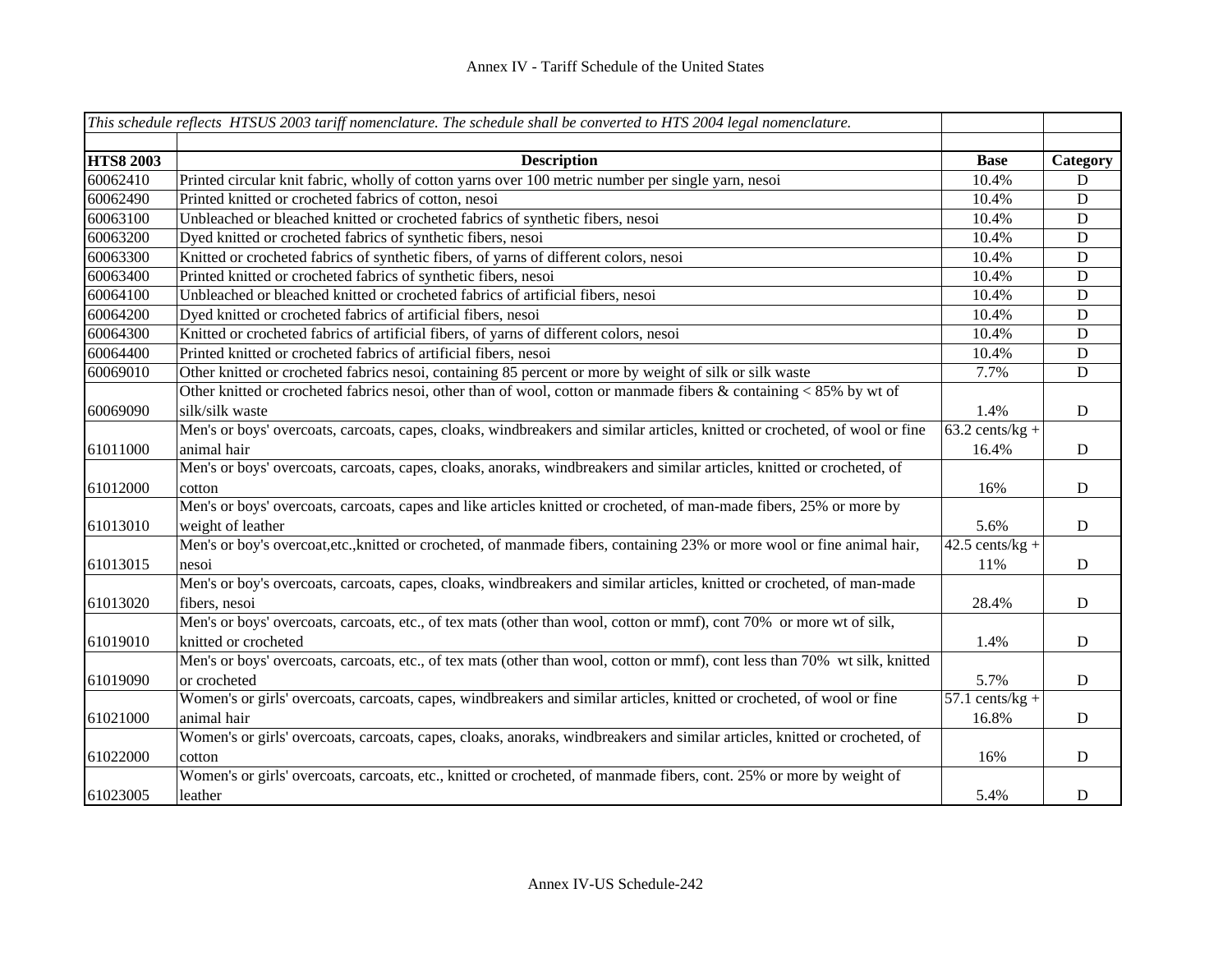|                  | This schedule reflects HTSUS 2003 tariff nomenclature. The schedule shall be converted to HTS 2004 legal nomenclature.      |                   |             |
|------------------|-----------------------------------------------------------------------------------------------------------------------------|-------------------|-------------|
| <b>HTS8 2003</b> | <b>Description</b>                                                                                                          | <b>Base</b>       | Category    |
| 60062410         | Printed circular knit fabric, wholly of cotton yarns over 100 metric number per single yarn, nesoi                          | 10.4%             | D           |
| 60062490         | Printed knitted or crocheted fabrics of cotton, nesoi                                                                       | 10.4%             | ${\bf D}$   |
| 60063100         | Unbleached or bleached knitted or crocheted fabrics of synthetic fibers, nesoi                                              | 10.4%             | D           |
| 60063200         | Dyed knitted or crocheted fabrics of synthetic fibers, nesoi                                                                | 10.4%             | $\mathbf D$ |
| 60063300         | Knitted or crocheted fabrics of synthetic fibers, of yarns of different colors, nesoi                                       | 10.4%             | $\mathbf D$ |
| 60063400         | Printed knitted or crocheted fabrics of synthetic fibers, nesoi                                                             | 10.4%             | $\mathbf D$ |
| 60064100         | Unbleached or bleached knitted or crocheted fabrics of artificial fibers, nesoi                                             | 10.4%             | $\mathbf D$ |
| 60064200         | Dyed knitted or crocheted fabrics of artificial fibers, nesoi                                                               | 10.4%             | $\mathbf D$ |
| 60064300         | Knitted or crocheted fabrics of artificial fibers, of yarns of different colors, nesoi                                      | 10.4%             | ${\bf D}$   |
| 60064400         | Printed knitted or crocheted fabrics of artificial fibers, nesoi                                                            | 10.4%             | ${\bf D}$   |
| 60069010         | Other knitted or crocheted fabrics nesoi, containing 85 percent or more by weight of silk or silk waste                     | 7.7%              | $\mathbf D$ |
|                  | Other knitted or crocheted fabrics nesoi, other than of wool, cotton or manmade fibers & containing $< 85\%$ by wt of       |                   |             |
| 60069090         | silk/silk waste                                                                                                             | 1.4%              | D           |
|                  | Men's or boys' overcoats, carcoats, capes, cloaks, windbreakers and similar articles, knitted or crocheted, of wool or fine | $63.2$ cents/kg + |             |
| 61011000         | animal hair                                                                                                                 | 16.4%             | $\mathbf D$ |
|                  | Men's or boys' overcoats, carcoats, capes, cloaks, anoraks, windbreakers and similar articles, knitted or crocheted, of     |                   |             |
| 61012000         | cotton                                                                                                                      | 16%               | $\mathbf D$ |
|                  | Men's or boys' overcoats, carcoats, capes and like articles knitted or crocheted, of man-made fibers, 25% or more by        |                   |             |
| 61013010         | weight of leather                                                                                                           | 5.6%              | D           |
|                  | Men's or boy's overcoat, etc., knitted or crocheted, of manmade fibers, containing 23% or more wool or fine animal hair,    | $42.5$ cents/kg + |             |
| 61013015         | nesoi                                                                                                                       | 11%               | ${\bf D}$   |
|                  | Men's or boy's overcoats, carcoats, capes, cloaks, windbreakers and similar articles, knitted or crocheted, of man-made     |                   |             |
| 61013020         | fibers, nesoi                                                                                                               | 28.4%             | $\mathbf D$ |
|                  | Men's or boys' overcoats, carcoats, etc., of tex mats (other than wool, cotton or mmf), cont 70% or more wt of silk,        |                   |             |
| 61019010         | knitted or crocheted                                                                                                        | 1.4%              | $\mathbf D$ |
|                  | Men's or boys' overcoats, carcoats, etc., of tex mats (other than wool, cotton or mmf), cont less than 70% wt silk, knitted |                   |             |
| 61019090         | or crocheted                                                                                                                | 5.7%              | D           |
|                  | Women's or girls' overcoats, carcoats, capes, windbreakers and similar articles, knitted or crocheted, of wool or fine      | $57.1$ cents/kg + |             |
| 61021000         | animal hair                                                                                                                 | 16.8%             | $\mathbf D$ |
|                  | Women's or girls' overcoats, carcoats, capes, cloaks, anoraks, windbreakers and similar articles, knitted or crocheted, of  |                   |             |
| 61022000         | cotton                                                                                                                      | 16%               | $\mathbf D$ |
|                  | Women's or girls' overcoats, carcoats, etc., knitted or crocheted, of manmade fibers, cont. 25% or more by weight of        |                   |             |
| 61023005         | leather                                                                                                                     | 5.4%              | $\mathbf D$ |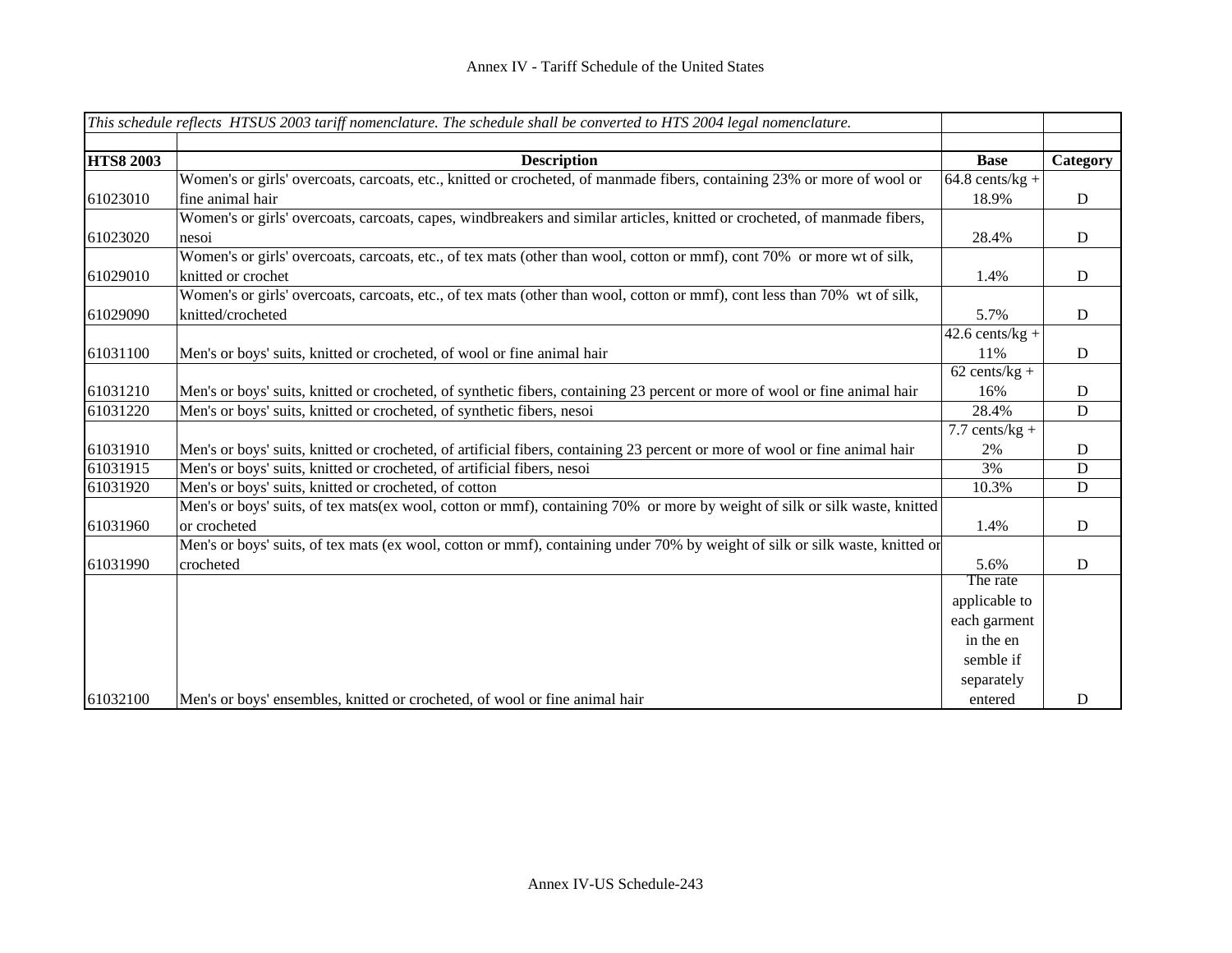|                  | This schedule reflects HTSUS 2003 tariff nomenclature. The schedule shall be converted to HTS 2004 legal nomenclature.       |                   |           |
|------------------|------------------------------------------------------------------------------------------------------------------------------|-------------------|-----------|
|                  |                                                                                                                              |                   |           |
| <b>HTS8 2003</b> | <b>Description</b>                                                                                                           | <b>Base</b>       | Category  |
|                  | Women's or girls' overcoats, carcoats, etc., knitted or crocheted, of manmade fibers, containing 23% or more of wool or      | $64.8$ cents/kg + |           |
| 61023010         | fine animal hair                                                                                                             | 18.9%             | ${\bf D}$ |
|                  | Women's or girls' overcoats, carcoats, capes, windbreakers and similar articles, knitted or crocheted, of manmade fibers,    |                   |           |
| 61023020         | nesoi                                                                                                                        | 28.4%             | ${\bf D}$ |
|                  | Women's or girls' overcoats, carcoats, etc., of tex mats (other than wool, cotton or mmf), cont 70% or more wt of silk,      |                   |           |
| 61029010         | knitted or crochet                                                                                                           | 1.4%              | D         |
|                  | Women's or girls' overcoats, carcoats, etc., of tex mats (other than wool, cotton or mmf), cont less than 70% wt of silk,    |                   |           |
| 61029090         | knitted/crocheted                                                                                                            | 5.7%              | ${\bf D}$ |
|                  |                                                                                                                              | $42.6$ cents/kg + |           |
| 61031100         | Men's or boys' suits, knitted or crocheted, of wool or fine animal hair                                                      | 11%               | D         |
|                  |                                                                                                                              | $62$ cents/kg +   |           |
| 61031210         | Men's or boys' suits, knitted or crocheted, of synthetic fibers, containing 23 percent or more of wool or fine animal hair   | 16%               | D         |
| 61031220         | Men's or boys' suits, knitted or crocheted, of synthetic fibers, nesoi                                                       | 28.4%             | ${\bf D}$ |
|                  |                                                                                                                              | 7.7 cents/ $kg +$ |           |
| 61031910         | Men's or boys' suits, knitted or crocheted, of artificial fibers, containing 23 percent or more of wool or fine animal hair  | 2%                | D         |
| 61031915         | Men's or boys' suits, knitted or crocheted, of artificial fibers, nesoi                                                      | 3%                | D         |
| 61031920         | Men's or boys' suits, knitted or crocheted, of cotton                                                                        | 10.3%             | ${\bf D}$ |
|                  | Men's or boys' suits, of tex mats(ex wool, cotton or mmf), containing 70% or more by weight of silk or silk waste, knitted   |                   |           |
| 61031960         | or crocheted                                                                                                                 | 1.4%              | D         |
|                  | Men's or boys' suits, of tex mats (ex wool, cotton or mmf), containing under 70% by weight of silk or silk waste, knitted or |                   |           |
| 61031990         | crocheted                                                                                                                    | 5.6%              | ${\bf D}$ |
|                  |                                                                                                                              | The rate          |           |
|                  |                                                                                                                              | applicable to     |           |
|                  |                                                                                                                              | each garment      |           |
|                  |                                                                                                                              | in the en         |           |
|                  |                                                                                                                              | semble if         |           |
|                  |                                                                                                                              | separately        |           |
| 61032100         | Men's or boys' ensembles, knitted or crocheted, of wool or fine animal hair                                                  | entered           | D         |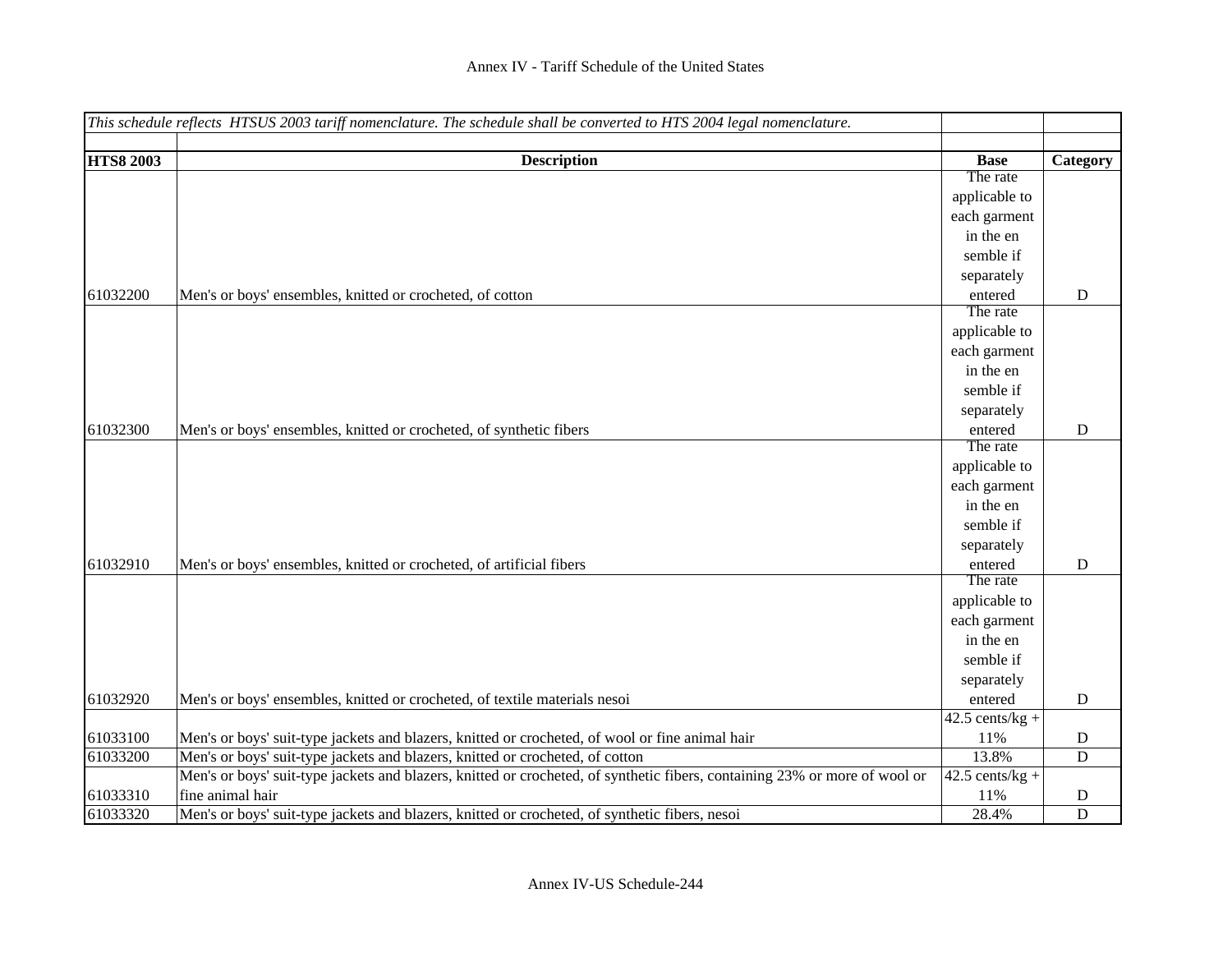|                  | This schedule reflects HTSUS 2003 tariff nomenclature. The schedule shall be converted to HTS 2004 legal nomenclature.     |                          |             |
|------------------|----------------------------------------------------------------------------------------------------------------------------|--------------------------|-------------|
|                  |                                                                                                                            |                          |             |
| <b>HTS8 2003</b> | <b>Description</b>                                                                                                         | <b>Base</b>              | Category    |
|                  |                                                                                                                            | The rate                 |             |
|                  |                                                                                                                            | applicable to            |             |
|                  |                                                                                                                            | each garment             |             |
|                  |                                                                                                                            | in the en                |             |
|                  |                                                                                                                            | semble if                |             |
|                  |                                                                                                                            | separately               |             |
| 61032200         | Men's or boys' ensembles, knitted or crocheted, of cotton                                                                  | entered                  | D           |
|                  |                                                                                                                            | The rate                 |             |
|                  |                                                                                                                            | applicable to            |             |
|                  |                                                                                                                            | each garment             |             |
|                  |                                                                                                                            | in the en                |             |
|                  |                                                                                                                            | semble if                |             |
|                  |                                                                                                                            | separately               |             |
| 61032300         | Men's or boys' ensembles, knitted or crocheted, of synthetic fibers                                                        | entered                  | $\mathbf D$ |
|                  |                                                                                                                            | The rate                 |             |
|                  |                                                                                                                            | applicable to            |             |
|                  |                                                                                                                            | each garment             |             |
|                  |                                                                                                                            | in the en                |             |
|                  |                                                                                                                            | semble if                |             |
|                  |                                                                                                                            | separately               |             |
| 61032910         | Men's or boys' ensembles, knitted or crocheted, of artificial fibers                                                       | entered                  | D           |
|                  |                                                                                                                            | The rate                 |             |
|                  |                                                                                                                            | applicable to            |             |
|                  |                                                                                                                            | each garment             |             |
|                  |                                                                                                                            | in the en                |             |
|                  |                                                                                                                            | semble if                |             |
|                  |                                                                                                                            | separately               |             |
| 61032920         | Men's or boys' ensembles, knitted or crocheted, of textile materials nesoi                                                 | entered                  | D           |
|                  |                                                                                                                            | $\sqrt{42.5}$ cents/kg + |             |
| 61033100         | Men's or boys' suit-type jackets and blazers, knitted or crocheted, of wool or fine animal hair                            | 11%                      | D           |
| 61033200         | Men's or boys' suit-type jackets and blazers, knitted or crocheted, of cotton                                              | 13.8%                    | D           |
|                  | Men's or boys' suit-type jackets and blazers, knitted or crocheted, of synthetic fibers, containing 23% or more of wool or | $42.5$ cents/kg +        |             |
| 61033310         | fine animal hair                                                                                                           | 11%                      | D           |
| 61033320         | Men's or boys' suit-type jackets and blazers, knitted or crocheted, of synthetic fibers, nesoi                             | 28.4%                    | D           |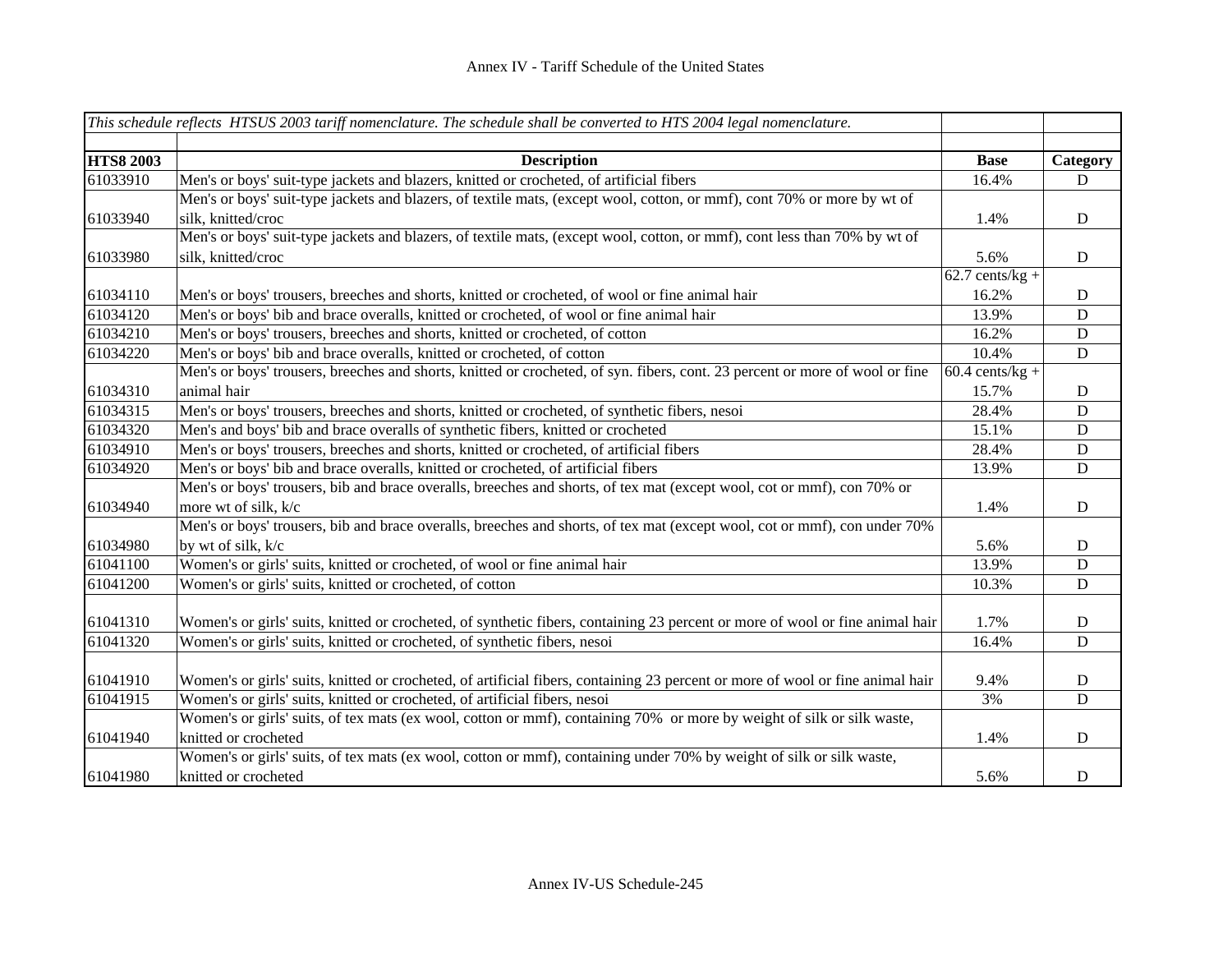|                      | This schedule reflects HTSUS 2003 tariff nomenclature. The schedule shall be converted to HTS 2004 legal nomenclature.                                                                                                                                                      |                                       |             |
|----------------------|-----------------------------------------------------------------------------------------------------------------------------------------------------------------------------------------------------------------------------------------------------------------------------|---------------------------------------|-------------|
| <b>HTS8 2003</b>     | <b>Description</b>                                                                                                                                                                                                                                                          | <b>Base</b>                           | Category    |
| 61033910             | Men's or boys' suit-type jackets and blazers, knitted or crocheted, of artificial fibers                                                                                                                                                                                    | 16.4%                                 | D           |
| 61033940             | Men's or boys' suit-type jackets and blazers, of textile mats, (except wool, cotton, or mmf), cont 70% or more by wt of<br>silk, knitted/croc                                                                                                                               | 1.4%                                  | D           |
| 61033980             | Men's or boys' suit-type jackets and blazers, of textile mats, (except wool, cotton, or mmf), cont less than 70% by wt of<br>silk, knitted/croc                                                                                                                             | 5.6%                                  | D           |
| 61034110             | Men's or boys' trousers, breeches and shorts, knitted or crocheted, of wool or fine animal hair                                                                                                                                                                             | $\overline{62.7}$ cents/kg +<br>16.2% | D           |
| 61034120             | Men's or boys' bib and brace overalls, knitted or crocheted, of wool or fine animal hair                                                                                                                                                                                    | 13.9%                                 | D           |
| 61034210             | Men's or boys' trousers, breeches and shorts, knitted or crocheted, of cotton                                                                                                                                                                                               | 16.2%                                 | $\mathbf D$ |
| 61034220             | Men's or boys' bib and brace overalls, knitted or crocheted, of cotton                                                                                                                                                                                                      | 10.4%                                 | D           |
|                      | Men's or boys' trousers, breeches and shorts, knitted or crocheted, of syn. fibers, cont. 23 percent or more of wool or fine                                                                                                                                                | $60.4$ cents/kg +                     |             |
| 61034310             | animal hair                                                                                                                                                                                                                                                                 | 15.7%                                 | D           |
| 61034315             | Men's or boys' trousers, breeches and shorts, knitted or crocheted, of synthetic fibers, nesoi                                                                                                                                                                              | 28.4%                                 | D           |
| 61034320             | Men's and boys' bib and brace overalls of synthetic fibers, knitted or crocheted                                                                                                                                                                                            | 15.1%                                 | D           |
| 61034910             | Men's or boys' trousers, breeches and shorts, knitted or crocheted, of artificial fibers                                                                                                                                                                                    | 28.4%                                 | D           |
| 61034920             | Men's or boys' bib and brace overalls, knitted or crocheted, of artificial fibers                                                                                                                                                                                           | 13.9%                                 | D           |
| 61034940             | Men's or boys' trousers, bib and brace overalls, breeches and shorts, of tex mat (except wool, cot or mmf), con 70% or<br>more wt of silk, k/c<br>Men's or boys' trousers, bib and brace overalls, breeches and shorts, of tex mat (except wool, cot or mmf), con under 70% | 1.4%                                  | D           |
| 61034980             | by wt of silk, k/c                                                                                                                                                                                                                                                          | 5.6%                                  | D           |
| 61041100             | Women's or girls' suits, knitted or crocheted, of wool or fine animal hair                                                                                                                                                                                                  | 13.9%                                 | D           |
| 61041200             | Women's or girls' suits, knitted or crocheted, of cotton                                                                                                                                                                                                                    | 10.3%                                 | $\mathbf D$ |
| 61041310<br>61041320 | Women's or girls' suits, knitted or crocheted, of synthetic fibers, containing 23 percent or more of wool or fine animal hair<br>Women's or girls' suits, knitted or crocheted, of synthetic fibers, nesoi                                                                  | 1.7%<br>16.4%                         | D<br>D      |
|                      |                                                                                                                                                                                                                                                                             |                                       |             |
| 61041910             | Women's or girls' suits, knitted or crocheted, of artificial fibers, containing 23 percent or more of wool or fine animal hair                                                                                                                                              | 9.4%                                  | $\mathbf D$ |
| 61041915             | Women's or girls' suits, knitted or crocheted, of artificial fibers, nesoi                                                                                                                                                                                                  | 3%                                    | $\mathbf D$ |
| 61041940             | Women's or girls' suits, of tex mats (ex wool, cotton or mmf), containing 70% or more by weight of silk or silk waste,<br>knitted or crocheted                                                                                                                              | 1.4%                                  | $\mathbf D$ |
| 61041980             | Women's or girls' suits, of tex mats (ex wool, cotton or mmf), containing under 70% by weight of silk or silk waste,<br>knitted or crocheted                                                                                                                                | 5.6%                                  | $\mathbf D$ |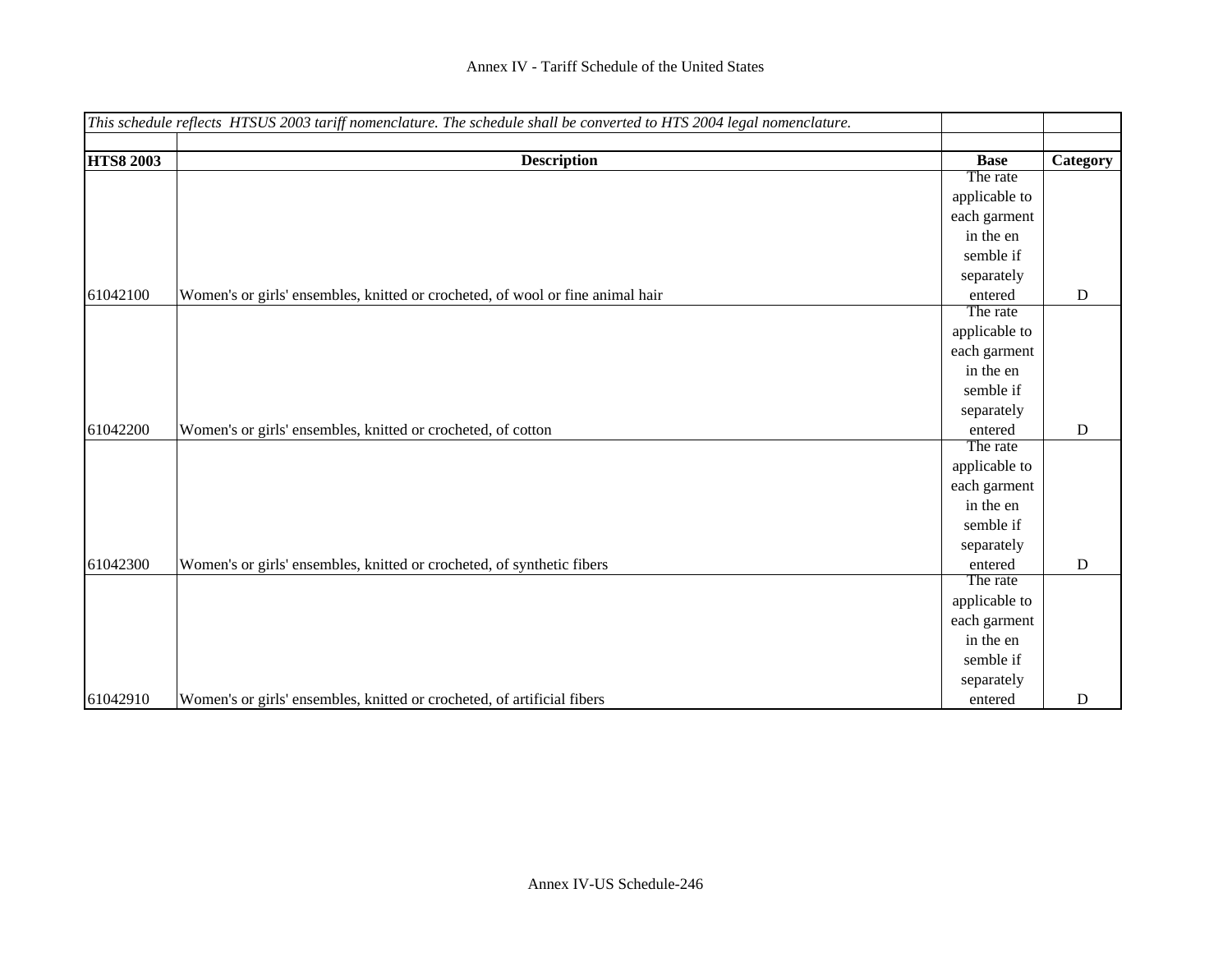|                  | This schedule reflects HTSUS 2003 tariff nomenclature. The schedule shall be converted to HTS 2004 legal nomenclature. |               |             |
|------------------|------------------------------------------------------------------------------------------------------------------------|---------------|-------------|
| <b>HTS8 2003</b> | <b>Description</b>                                                                                                     | <b>Base</b>   | Category    |
|                  |                                                                                                                        | The rate      |             |
|                  |                                                                                                                        | applicable to |             |
|                  |                                                                                                                        | each garment  |             |
|                  |                                                                                                                        | in the en     |             |
|                  |                                                                                                                        | semble if     |             |
|                  |                                                                                                                        | separately    |             |
| 61042100         | Women's or girls' ensembles, knitted or crocheted, of wool or fine animal hair                                         | entered       | ${\bf D}$   |
|                  |                                                                                                                        | The rate      |             |
|                  |                                                                                                                        | applicable to |             |
|                  |                                                                                                                        | each garment  |             |
|                  |                                                                                                                        | in the en     |             |
|                  |                                                                                                                        | semble if     |             |
|                  |                                                                                                                        | separately    |             |
| 61042200         | Women's or girls' ensembles, knitted or crocheted, of cotton                                                           | entered       | ${\bf D}$   |
|                  |                                                                                                                        | The rate      |             |
|                  |                                                                                                                        | applicable to |             |
|                  |                                                                                                                        | each garment  |             |
|                  |                                                                                                                        | in the en     |             |
|                  |                                                                                                                        | semble if     |             |
|                  |                                                                                                                        | separately    |             |
| 61042300         | Women's or girls' ensembles, knitted or crocheted, of synthetic fibers                                                 | entered       | $\mathbf D$ |
|                  |                                                                                                                        | The rate      |             |
|                  |                                                                                                                        | applicable to |             |
|                  |                                                                                                                        | each garment  |             |
|                  |                                                                                                                        | in the en     |             |
|                  |                                                                                                                        | semble if     |             |
|                  |                                                                                                                        | separately    |             |
| 61042910         | Women's or girls' ensembles, knitted or crocheted, of artificial fibers                                                | entered       | $\mathbf D$ |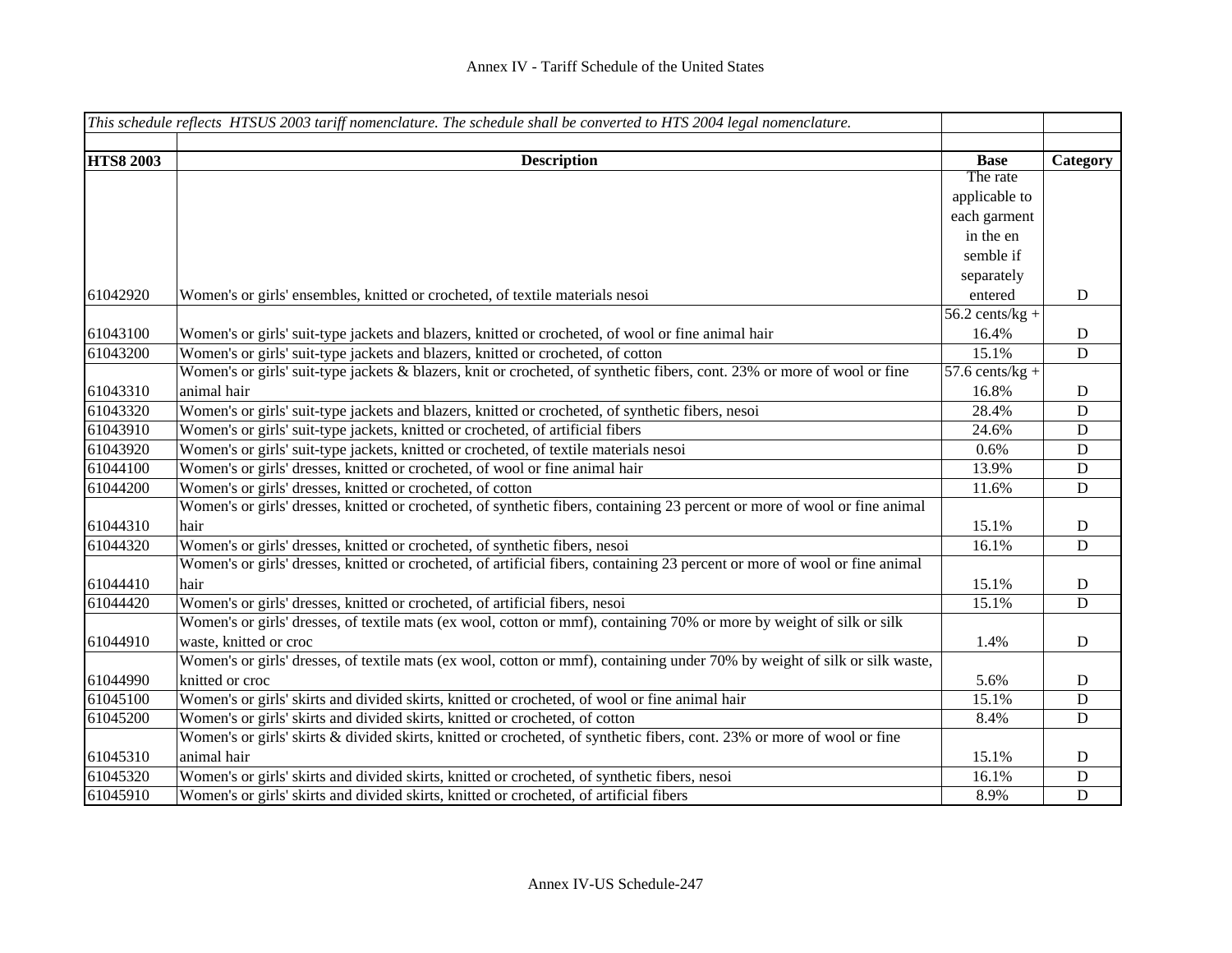|                  | This schedule reflects HTSUS 2003 tariff nomenclature. The schedule shall be converted to HTS 2004 legal nomenclature.      |                                      |             |
|------------------|-----------------------------------------------------------------------------------------------------------------------------|--------------------------------------|-------------|
|                  |                                                                                                                             |                                      |             |
| <b>HTS8 2003</b> | <b>Description</b>                                                                                                          | <b>Base</b>                          | Category    |
|                  |                                                                                                                             | The rate                             |             |
|                  |                                                                                                                             | applicable to                        |             |
|                  |                                                                                                                             | each garment                         |             |
|                  |                                                                                                                             | in the en                            |             |
|                  |                                                                                                                             | semble if                            |             |
|                  |                                                                                                                             | separately                           |             |
| 61042920         | Women's or girls' ensembles, knitted or crocheted, of textile materials nesoi                                               | entered                              | $\mathbf D$ |
|                  |                                                                                                                             | $\overline{56.2 \text{ cents/kg}}$ + |             |
| 61043100         | Women's or girls' suit-type jackets and blazers, knitted or crocheted, of wool or fine animal hair                          | 16.4%                                | $\mathbf D$ |
| 61043200         | Women's or girls' suit-type jackets and blazers, knitted or crocheted, of cotton                                            | 15.1%                                | ${\bf D}$   |
|                  | Women's or girls' suit-type jackets & blazers, knit or crocheted, of synthetic fibers, cont. 23% or more of wool or fine    | $57.6$ cents/kg +                    |             |
| 61043310         | animal hair                                                                                                                 | 16.8%                                | $\mathbf D$ |
| 61043320         | Women's or girls' suit-type jackets and blazers, knitted or crocheted, of synthetic fibers, nesoi                           | 28.4%                                | $\mathbf D$ |
| 61043910         | Women's or girls' suit-type jackets, knitted or crocheted, of artificial fibers                                             | 24.6%                                | $\mathbf D$ |
| 61043920         | Women's or girls' suit-type jackets, knitted or crocheted, of textile materials nesoi                                       | 0.6%                                 | ${\bf D}$   |
| 61044100         | Women's or girls' dresses, knitted or crocheted, of wool or fine animal hair                                                | 13.9%                                | ${\bf D}$   |
| 61044200         | Women's or girls' dresses, knitted or crocheted, of cotton                                                                  | 11.6%                                | ${\bf D}$   |
|                  | Women's or girls' dresses, knitted or crocheted, of synthetic fibers, containing 23 percent or more of wool or fine animal  |                                      |             |
| 61044310         | hair                                                                                                                        | 15.1%                                | $\mathbf D$ |
| 61044320         | Women's or girls' dresses, knitted or crocheted, of synthetic fibers, nesoi                                                 | 16.1%                                | $\mathbf D$ |
|                  | Women's or girls' dresses, knitted or crocheted, of artificial fibers, containing 23 percent or more of wool or fine animal |                                      |             |
| 61044410         | hair                                                                                                                        | 15.1%                                | ${\bf D}$   |
| 61044420         | Women's or girls' dresses, knitted or crocheted, of artificial fibers, nesoi                                                | 15.1%                                | $\mathbf D$ |
|                  | Women's or girls' dresses, of textile mats (ex wool, cotton or mmf), containing 70% or more by weight of silk or silk       |                                      |             |
| 61044910         | waste, knitted or croc                                                                                                      | 1.4%                                 | $\mathbf D$ |
|                  | Women's or girls' dresses, of textile mats (ex wool, cotton or mmf), containing under 70% by weight of silk or silk waste,  |                                      |             |
| 61044990         | knitted or croc                                                                                                             | 5.6%                                 | $\mathbf D$ |
| 61045100         | Women's or girls' skirts and divided skirts, knitted or crocheted, of wool or fine animal hair                              | 15.1%                                | ${\bf D}$   |
| 61045200         | Women's or girls' skirts and divided skirts, knitted or crocheted, of cotton                                                | 8.4%                                 | ${\bf D}$   |
|                  | Women's or girls' skirts & divided skirts, knitted or crocheted, of synthetic fibers, cont. 23% or more of wool or fine     |                                      |             |
| 61045310         | animal hair                                                                                                                 | 15.1%                                | $\mathbf D$ |
| 61045320         | Women's or girls' skirts and divided skirts, knitted or crocheted, of synthetic fibers, nesoi                               | 16.1%                                | ${\bf D}$   |
| 61045910         | Women's or girls' skirts and divided skirts, knitted or crocheted, of artificial fibers                                     | 8.9%                                 | $\mathbf D$ |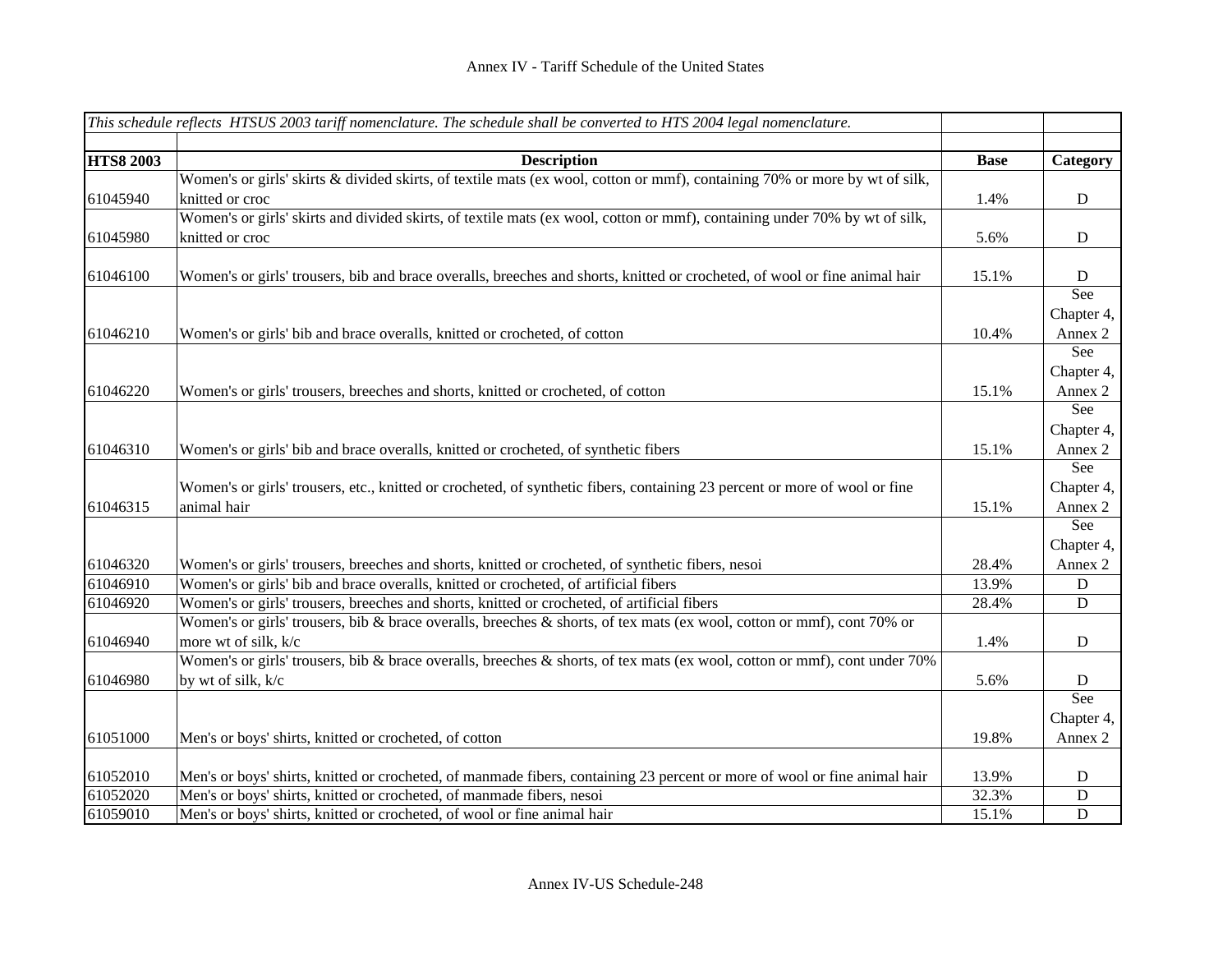|                  | This schedule reflects HTSUS 2003 tariff nomenclature. The schedule shall be converted to HTS 2004 legal nomenclature.                        |             |                   |
|------------------|-----------------------------------------------------------------------------------------------------------------------------------------------|-------------|-------------------|
|                  |                                                                                                                                               |             |                   |
| <b>HTS8 2003</b> | <b>Description</b>                                                                                                                            | <b>Base</b> | Category          |
| 61045940         | Women's or girls' skirts & divided skirts, of textile mats (ex wool, cotton or mmf), containing 70% or more by wt of silk,<br>knitted or croc | 1.4%        | ${\bf D}$         |
| 61045980         | Women's or girls' skirts and divided skirts, of textile mats (ex wool, cotton or mmf), containing under 70% by wt of silk,<br>knitted or croc | 5.6%        | $\mathbf D$       |
| 61046100         | Women's or girls' trousers, bib and brace overalls, breeches and shorts, knitted or crocheted, of wool or fine animal hair                    | 15.1%       | ${\bf D}$         |
|                  |                                                                                                                                               |             | See<br>Chapter 4, |
| 61046210         | Women's or girls' bib and brace overalls, knitted or crocheted, of cotton                                                                     | 10.4%       | Annex 2           |
|                  |                                                                                                                                               |             | See               |
|                  |                                                                                                                                               |             | Chapter 4,        |
| 61046220         | Women's or girls' trousers, breeches and shorts, knitted or crocheted, of cotton                                                              | 15.1%       | Annex 2           |
|                  |                                                                                                                                               |             | See               |
|                  |                                                                                                                                               |             | Chapter 4,        |
| 61046310         | Women's or girls' bib and brace overalls, knitted or crocheted, of synthetic fibers                                                           | 15.1%       | Annex 2           |
|                  |                                                                                                                                               |             | See               |
|                  | Women's or girls' trousers, etc., knitted or crocheted, of synthetic fibers, containing 23 percent or more of wool or fine                    |             | Chapter 4,        |
| 61046315         | animal hair                                                                                                                                   | 15.1%       | Annex 2           |
|                  |                                                                                                                                               |             | See               |
|                  |                                                                                                                                               |             | Chapter 4,        |
| 61046320         | Women's or girls' trousers, breeches and shorts, knitted or crocheted, of synthetic fibers, nesoi                                             | 28.4%       | Annex 2           |
| 61046910         | Women's or girls' bib and brace overalls, knitted or crocheted, of artificial fibers                                                          | 13.9%       | D                 |
| 61046920         | Women's or girls' trousers, breeches and shorts, knitted or crocheted, of artificial fibers                                                   | 28.4%       | $\mathbf D$       |
|                  | Women's or girls' trousers, bib & brace overalls, breeches & shorts, of tex mats (ex wool, cotton or mmf), cont 70% or                        |             |                   |
| 61046940         | more wt of silk, k/c                                                                                                                          | 1.4%        | $\mathbf D$       |
|                  | Women's or girls' trousers, bib & brace overalls, breeches & shorts, of tex mats (ex wool, cotton or mmf), cont under 70%                     |             |                   |
| 61046980         | by wt of silk, k/c                                                                                                                            | 5.6%        | D                 |
|                  |                                                                                                                                               |             | See               |
|                  |                                                                                                                                               |             | Chapter 4,        |
| 61051000         | Men's or boys' shirts, knitted or crocheted, of cotton                                                                                        | 19.8%       | Annex 2           |
| 61052010         | Men's or boys' shirts, knitted or crocheted, of manmade fibers, containing 23 percent or more of wool or fine animal hair                     | 13.9%       | D                 |
| 61052020         | Men's or boys' shirts, knitted or crocheted, of manmade fibers, nesoi                                                                         | 32.3%       | $\mathbf D$       |
| 61059010         | Men's or boys' shirts, knitted or crocheted, of wool or fine animal hair                                                                      | 15.1%       | $\mathbf D$       |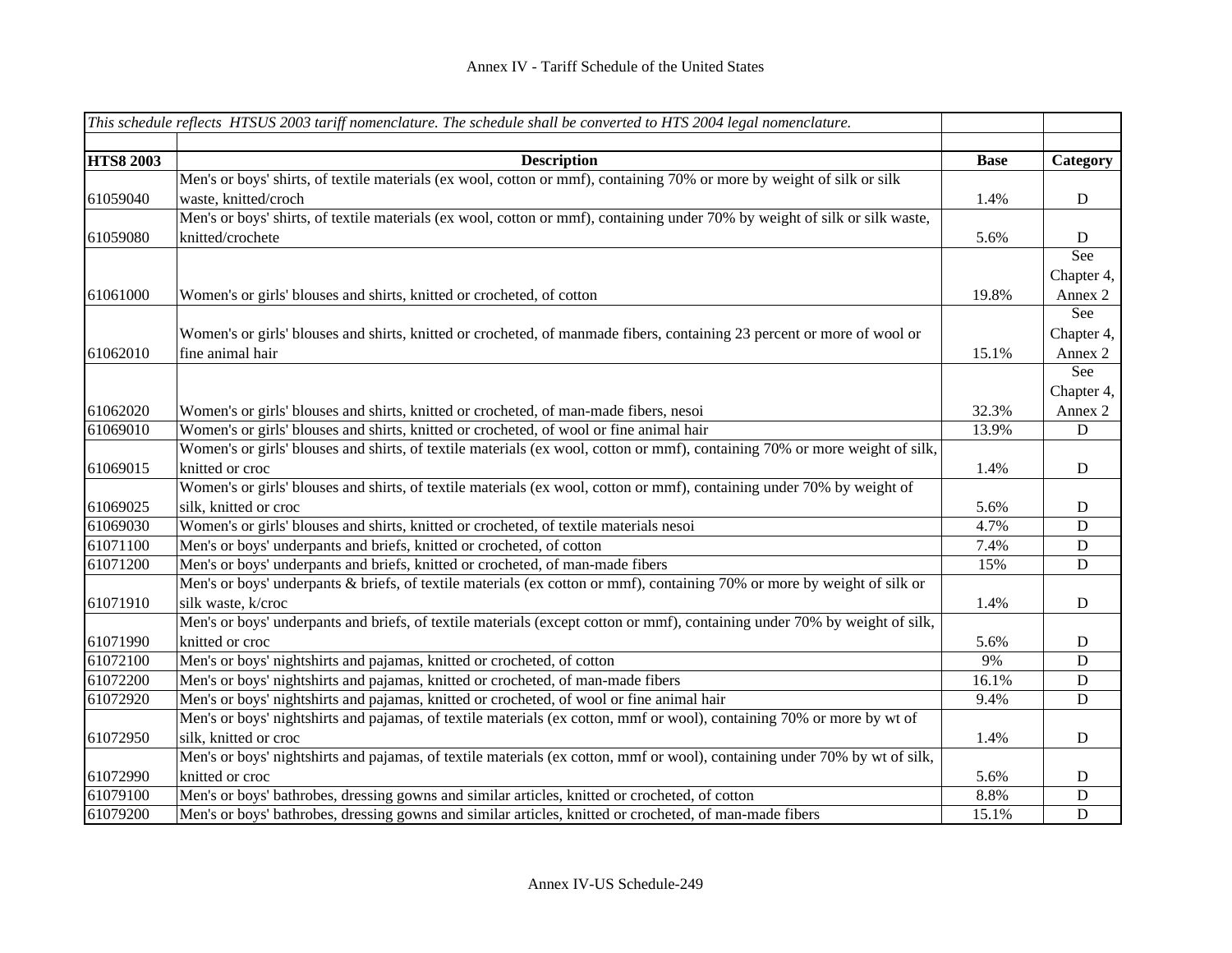|                  | This schedule reflects HTSUS 2003 tariff nomenclature. The schedule shall be converted to HTS 2004 legal nomenclature.      |             |             |
|------------------|-----------------------------------------------------------------------------------------------------------------------------|-------------|-------------|
|                  |                                                                                                                             |             |             |
| <b>HTS8 2003</b> | <b>Description</b>                                                                                                          | <b>Base</b> | Category    |
|                  | Men's or boys' shirts, of textile materials (ex wool, cotton or mmf), containing 70% or more by weight of silk or silk      |             |             |
| 61059040         | waste, knitted/croch                                                                                                        | 1.4%        | $\mathbf D$ |
|                  | Men's or boys' shirts, of textile materials (ex wool, cotton or mmf), containing under 70% by weight of silk or silk waste, |             |             |
| 61059080         | knitted/crochete                                                                                                            | 5.6%        | D           |
|                  |                                                                                                                             |             | See         |
|                  |                                                                                                                             |             | Chapter 4,  |
| 61061000         | Women's or girls' blouses and shirts, knitted or crocheted, of cotton                                                       | 19.8%       | Annex 2     |
|                  |                                                                                                                             |             | See         |
|                  | Women's or girls' blouses and shirts, knitted or crocheted, of manmade fibers, containing 23 percent or more of wool or     |             | Chapter 4,  |
| 61062010         | fine animal hair                                                                                                            | 15.1%       | Annex 2     |
|                  |                                                                                                                             |             | See         |
|                  |                                                                                                                             |             | Chapter 4,  |
| 61062020         | Women's or girls' blouses and shirts, knitted or crocheted, of man-made fibers, nesoi                                       | 32.3%       | Annex 2     |
| 61069010         | Women's or girls' blouses and shirts, knitted or crocheted, of wool or fine animal hair                                     | 13.9%       | D           |
|                  | Women's or girls' blouses and shirts, of textile materials (ex wool, cotton or mmf), containing 70% or more weight of silk, |             |             |
| 61069015         | knitted or croc                                                                                                             | 1.4%        | $\mathbf D$ |
|                  | Women's or girls' blouses and shirts, of textile materials (ex wool, cotton or mmf), containing under 70% by weight of      |             |             |
| 61069025         | silk, knitted or croc                                                                                                       | 5.6%        | $\mathbf D$ |
| 61069030         | Women's or girls' blouses and shirts, knitted or crocheted, of textile materials nesoi                                      | 4.7%        | D           |
| 61071100         | Men's or boys' underpants and briefs, knitted or crocheted, of cotton                                                       | 7.4%        | $\mathbf D$ |
| 61071200         | Men's or boys' underpants and briefs, knitted or crocheted, of man-made fibers                                              | 15%         | $\mathbf D$ |
|                  | Men's or boys' underpants & briefs, of textile materials (ex cotton or mmf), containing 70% or more by weight of silk or    |             |             |
| 61071910         | silk waste, k/croc                                                                                                          | 1.4%        | ${\bf D}$   |
|                  | Men's or boys' underpants and briefs, of textile materials (except cotton or mmf), containing under 70% by weight of silk,  |             |             |
| 61071990         | knitted or croc                                                                                                             | 5.6%        | D           |
| 61072100         | Men's or boys' nightshirts and pajamas, knitted or crocheted, of cotton                                                     | 9%          | D           |
| 61072200         | Men's or boys' nightshirts and pajamas, knitted or crocheted, of man-made fibers                                            | 16.1%       | $\mathbf D$ |
| 61072920         | Men's or boys' nightshirts and pajamas, knitted or crocheted, of wool or fine animal hair                                   | 9.4%        | $\mathbf D$ |
|                  | Men's or boys' nightshirts and pajamas, of textile materials (ex cotton, mmf or wool), containing 70% or more by wt of      |             |             |
| 61072950         | silk, knitted or croc                                                                                                       | 1.4%        | ${\bf D}$   |
|                  | Men's or boys' nightshirts and pajamas, of textile materials (ex cotton, mmf or wool), containing under 70% by wt of silk,  |             |             |
| 61072990         | knitted or croc                                                                                                             | 5.6%        | $\mathbf D$ |
| 61079100         | Men's or boys' bathrobes, dressing gowns and similar articles, knitted or crocheted, of cotton                              | 8.8%        | $\mathbf D$ |
| 61079200         | Men's or boys' bathrobes, dressing gowns and similar articles, knitted or crocheted, of man-made fibers                     | 15.1%       | $\mathbf D$ |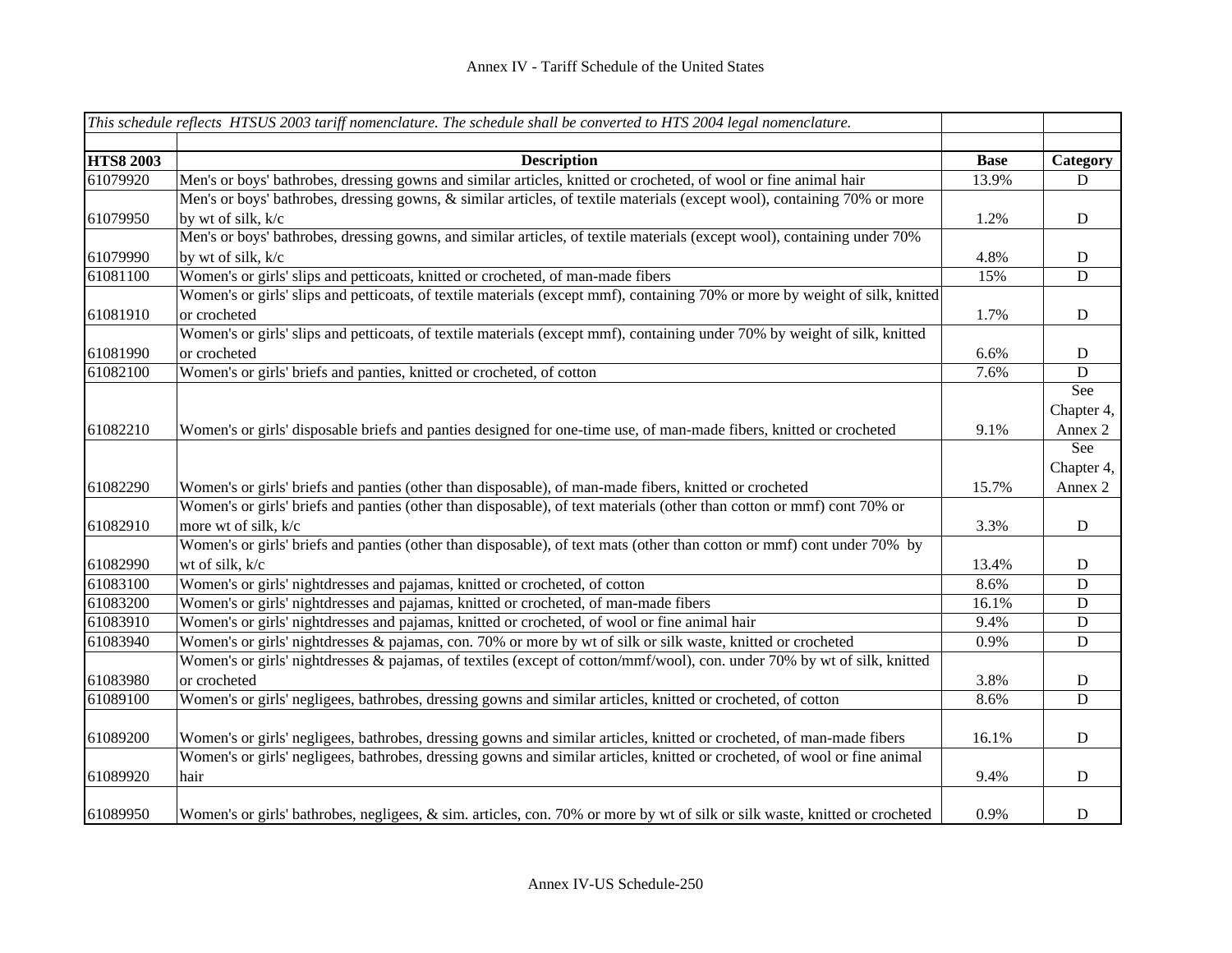|                  | This schedule reflects HTSUS 2003 tariff nomenclature. The schedule shall be converted to HTS 2004 legal nomenclature.       |             |             |
|------------------|------------------------------------------------------------------------------------------------------------------------------|-------------|-------------|
|                  |                                                                                                                              |             |             |
| <b>HTS8 2003</b> | <b>Description</b>                                                                                                           | <b>Base</b> | Category    |
| 61079920         | Men's or boys' bathrobes, dressing gowns and similar articles, knitted or crocheted, of wool or fine animal hair             | 13.9%       | $\mathbf D$ |
|                  | Men's or boys' bathrobes, dressing gowns, & similar articles, of textile materials (except wool), containing 70% or more     |             |             |
| 61079950         | by wt of silk, k/c                                                                                                           | 1.2%        | ${\bf D}$   |
|                  | Men's or boys' bathrobes, dressing gowns, and similar articles, of textile materials (except wool), containing under 70%     |             |             |
| 61079990         | by wt of silk, k/c                                                                                                           | 4.8%        | $\mathbf D$ |
| 61081100         | Women's or girls' slips and petticoats, knitted or crocheted, of man-made fibers                                             | 15%         | D           |
|                  | Women's or girls' slips and petticoats, of textile materials (except mmf), containing 70% or more by weight of silk, knitted |             |             |
| 61081910         | or crocheted                                                                                                                 | 1.7%        | $\mathbf D$ |
|                  | Women's or girls' slips and petticoats, of textile materials (except mmf), containing under 70% by weight of silk, knitted   |             |             |
| 61081990         | or crocheted                                                                                                                 | 6.6%        | $\mathbf D$ |
| 61082100         | Women's or girls' briefs and panties, knitted or crocheted, of cotton                                                        | 7.6%        | $\mathbf D$ |
|                  |                                                                                                                              |             | See         |
|                  |                                                                                                                              |             | Chapter 4,  |
| 61082210         | Women's or girls' disposable briefs and panties designed for one-time use, of man-made fibers, knitted or crocheted          | 9.1%        | Annex 2     |
|                  |                                                                                                                              |             | See         |
|                  |                                                                                                                              |             | Chapter 4,  |
| 61082290         | Women's or girls' briefs and panties (other than disposable), of man-made fibers, knitted or crocheted                       | 15.7%       | Annex 2     |
|                  | Women's or girls' briefs and panties (other than disposable), of text materials (other than cotton or mmf) cont 70% or       |             |             |
| 61082910         | more wt of silk, k/c                                                                                                         | 3.3%        | $\mathbf D$ |
|                  | Women's or girls' briefs and panties (other than disposable), of text mats (other than cotton or mmf) cont under 70% by      |             |             |
| 61082990         | wt of silk, k/c                                                                                                              | 13.4%       | $\mathbf D$ |
| 61083100         | Women's or girls' nightdresses and pajamas, knitted or crocheted, of cotton                                                  | 8.6%        | D           |
| 61083200         | Women's or girls' nightdresses and pajamas, knitted or crocheted, of man-made fibers                                         | 16.1%       | $\mathbf D$ |
| 61083910         | Women's or girls' nightdresses and pajamas, knitted or crocheted, of wool or fine animal hair                                | 9.4%        | $\mathbf D$ |
| 61083940         | Women's or girls' nightdresses & pajamas, con. 70% or more by wt of silk or silk waste, knitted or crocheted                 | 0.9%        | D           |
|                  | Women's or girls' nightdresses & pajamas, of textiles (except of cotton/mmf/wool), con. under 70% by wt of silk, knitted     |             |             |
| 61083980         | or crocheted                                                                                                                 | 3.8%        | $\mathbf D$ |
| 61089100         | Women's or girls' negligees, bathrobes, dressing gowns and similar articles, knitted or crocheted, of cotton                 | 8.6%        | $\mathbf D$ |
| 61089200         | Women's or girls' negligees, bathrobes, dressing gowns and similar articles, knitted or crocheted, of man-made fibers        | 16.1%       | $\mathbf D$ |
|                  | Women's or girls' negligees, bathrobes, dressing gowns and similar articles, knitted or crocheted, of wool or fine animal    |             |             |
| 61089920         | hair                                                                                                                         | 9.4%        | $\mathbf D$ |
| 61089950         | Women's or girls' bathrobes, negligees, & sim. articles, con. 70% or more by wt of silk or silk waste, knitted or crocheted  | 0.9%        | $\mathbf D$ |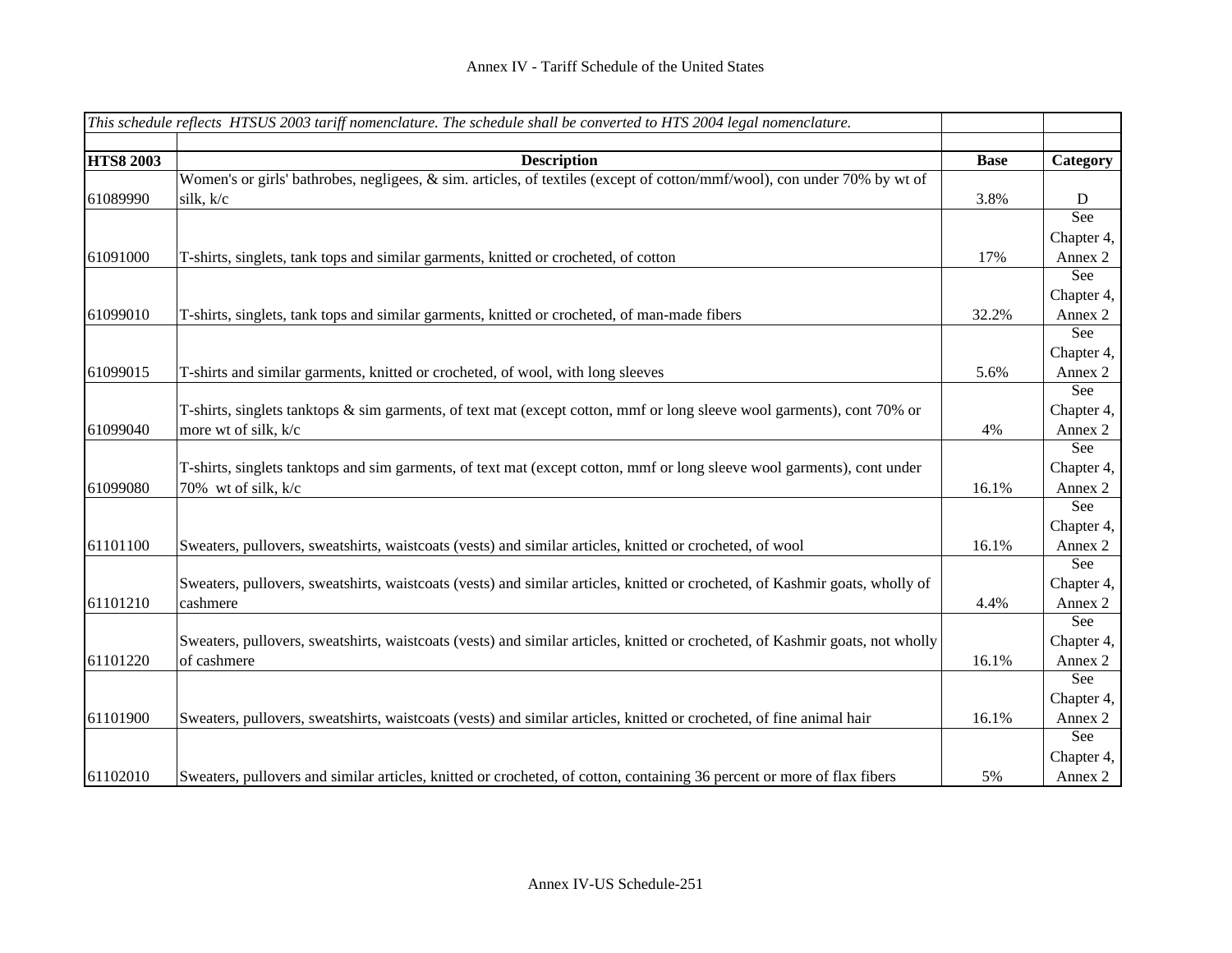|                  | This schedule reflects HTSUS 2003 tariff nomenclature. The schedule shall be converted to HTS 2004 legal nomenclature.        |             |            |
|------------------|-------------------------------------------------------------------------------------------------------------------------------|-------------|------------|
|                  |                                                                                                                               |             |            |
| <b>HTS8 2003</b> | <b>Description</b>                                                                                                            | <b>Base</b> | Category   |
|                  | Women's or girls' bathrobes, negligees, & sim. articles, of textiles (except of cotton/mmf/wool), con under 70% by wt of      |             |            |
| 61089990         | silk, k/c                                                                                                                     | 3.8%        | D          |
|                  |                                                                                                                               |             | See        |
|                  |                                                                                                                               |             | Chapter 4, |
| 61091000         | T-shirts, singlets, tank tops and similar garments, knitted or crocheted, of cotton                                           | 17%         | Annex 2    |
|                  |                                                                                                                               |             | See        |
|                  |                                                                                                                               |             | Chapter 4, |
| 61099010         | T-shirts, singlets, tank tops and similar garments, knitted or crocheted, of man-made fibers                                  | 32.2%       | Annex 2    |
|                  |                                                                                                                               |             | See        |
|                  |                                                                                                                               |             | Chapter 4, |
| 61099015         | T-shirts and similar garments, knitted or crocheted, of wool, with long sleeves                                               | 5.6%        | Annex 2    |
|                  |                                                                                                                               |             | See        |
|                  | T-shirts, singlets tanktops & sim garments, of text mat (except cotton, mmf or long sleeve wool garments), cont 70% or        |             | Chapter 4, |
| 61099040         | more wt of silk, k/c                                                                                                          | 4%          | Annex 2    |
|                  |                                                                                                                               |             | See        |
|                  | T-shirts, singlets tanktops and sim garments, of text mat (except cotton, mmf or long sleeve wool garments), cont under       |             | Chapter 4, |
| 61099080         | 70% wt of silk, k/c                                                                                                           | 16.1%       | Annex 2    |
|                  |                                                                                                                               |             | See        |
|                  |                                                                                                                               |             | Chapter 4, |
| 61101100         | Sweaters, pullovers, sweatshirts, waistcoats (vests) and similar articles, knitted or crocheted, of wool                      | 16.1%       | Annex 2    |
|                  |                                                                                                                               |             | See        |
|                  | Sweaters, pullovers, sweatshirts, waistcoats (vests) and similar articles, knitted or crocheted, of Kashmir goats, wholly of  |             | Chapter 4, |
| 61101210         | cashmere                                                                                                                      | 4.4%        | Annex 2    |
|                  |                                                                                                                               |             | See        |
|                  | Sweaters, pullovers, sweatshirts, waistcoats (vests) and similar articles, knitted or crocheted, of Kashmir goats, not wholly |             | Chapter 4, |
| 61101220         | of cashmere                                                                                                                   | 16.1%       | Annex 2    |
|                  |                                                                                                                               |             | See        |
|                  |                                                                                                                               |             | Chapter 4, |
| 61101900         | Sweaters, pullovers, sweatshirts, waistcoats (vests) and similar articles, knitted or crocheted, of fine animal hair          | 16.1%       | Annex 2    |
|                  |                                                                                                                               |             | See        |
|                  |                                                                                                                               |             | Chapter 4, |
| 61102010         | Sweaters, pullovers and similar articles, knitted or crocheted, of cotton, containing 36 percent or more of flax fibers       | 5%          | Annex 2    |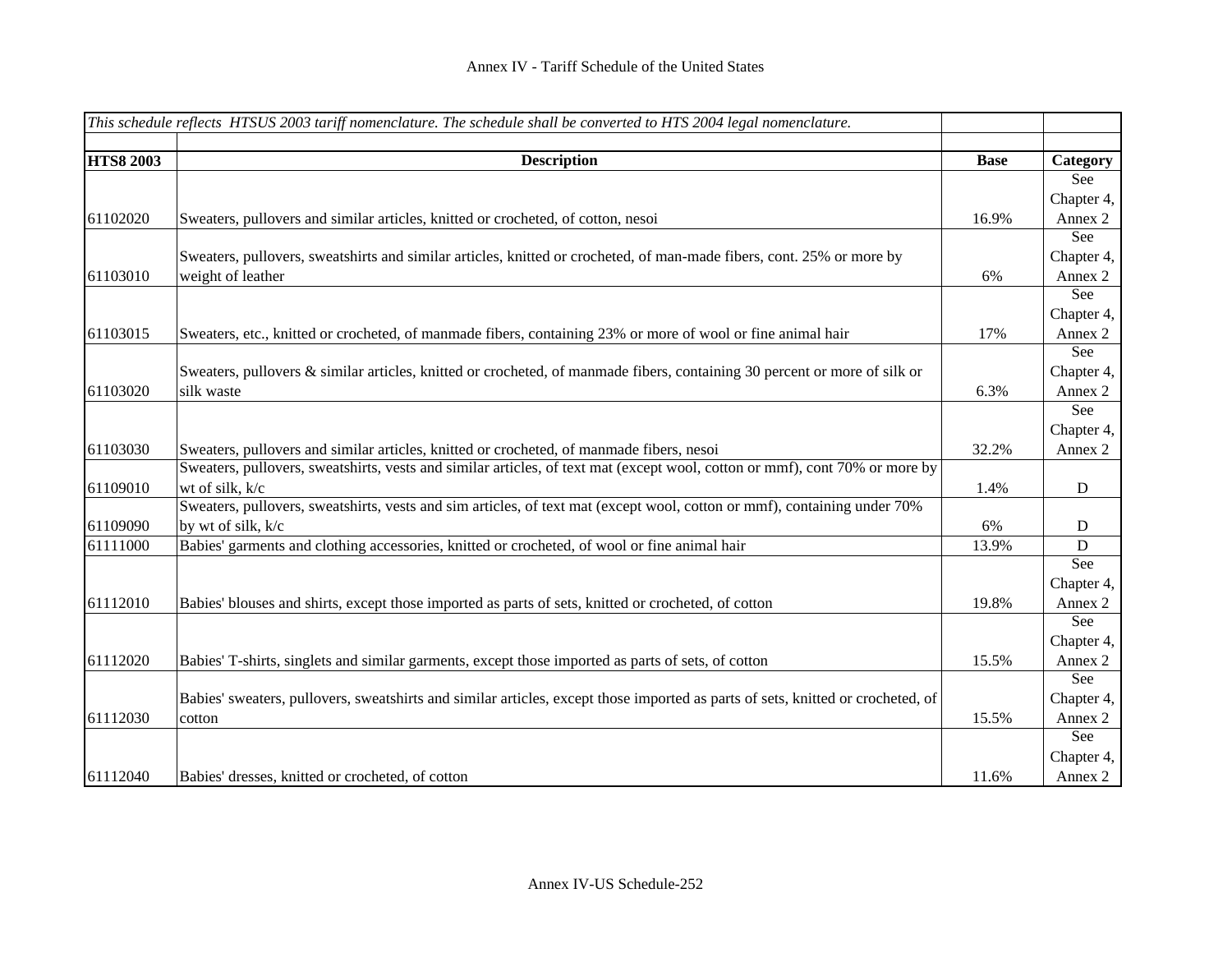| This schedule reflects HTSUS 2003 tariff nomenclature. The schedule shall be converted to HTS 2004 legal nomenclature. |                                                                                                                                 |             |             |
|------------------------------------------------------------------------------------------------------------------------|---------------------------------------------------------------------------------------------------------------------------------|-------------|-------------|
|                                                                                                                        |                                                                                                                                 |             |             |
| <b>HTS8 2003</b>                                                                                                       | <b>Description</b>                                                                                                              | <b>Base</b> | Category    |
|                                                                                                                        |                                                                                                                                 |             | See         |
|                                                                                                                        |                                                                                                                                 |             | Chapter 4,  |
| 61102020                                                                                                               | Sweaters, pullovers and similar articles, knitted or crocheted, of cotton, nesoi                                                | 16.9%       | Annex 2     |
|                                                                                                                        |                                                                                                                                 |             | See         |
|                                                                                                                        | Sweaters, pullovers, sweatshirts and similar articles, knitted or crocheted, of man-made fibers, cont. 25% or more by           |             | Chapter 4,  |
| 61103010                                                                                                               | weight of leather                                                                                                               | 6%          | Annex 2     |
|                                                                                                                        |                                                                                                                                 |             | See         |
|                                                                                                                        |                                                                                                                                 |             | Chapter 4,  |
| 61103015                                                                                                               | Sweaters, etc., knitted or crocheted, of manmade fibers, containing 23% or more of wool or fine animal hair                     | 17%         | Annex 2     |
|                                                                                                                        |                                                                                                                                 |             | See         |
|                                                                                                                        | Sweaters, pullovers & similar articles, knitted or crocheted, of manmade fibers, containing 30 percent or more of silk or       |             | Chapter 4,  |
| 61103020                                                                                                               | silk waste                                                                                                                      | 6.3%        | Annex 2     |
|                                                                                                                        |                                                                                                                                 |             | See         |
|                                                                                                                        |                                                                                                                                 |             | Chapter 4,  |
| 61103030                                                                                                               | Sweaters, pullovers and similar articles, knitted or crocheted, of manmade fibers, nesoi                                        | 32.2%       | Annex 2     |
|                                                                                                                        | Sweaters, pullovers, sweatshirts, vests and similar articles, of text mat (except wool, cotton or mmf), cont 70% or more by     |             |             |
| 61109010                                                                                                               | wt of silk, k/c                                                                                                                 | 1.4%        | ${\bf D}$   |
|                                                                                                                        | Sweaters, pullovers, sweatshirts, vests and sim articles, of text mat (except wool, cotton or mmf), containing under 70%        |             |             |
| 61109090                                                                                                               | by wt of silk, k/c                                                                                                              | 6%          | D           |
| 61111000                                                                                                               | Babies' garments and clothing accessories, knitted or crocheted, of wool or fine animal hair                                    | 13.9%       | $\mathbf D$ |
|                                                                                                                        |                                                                                                                                 |             | See         |
|                                                                                                                        |                                                                                                                                 |             | Chapter 4,  |
| 61112010                                                                                                               | Babies' blouses and shirts, except those imported as parts of sets, knitted or crocheted, of cotton                             | 19.8%       | Annex 2     |
|                                                                                                                        |                                                                                                                                 |             | See         |
|                                                                                                                        |                                                                                                                                 |             | Chapter 4,  |
| 61112020                                                                                                               | Babies' T-shirts, singlets and similar garments, except those imported as parts of sets, of cotton                              | 15.5%       | Annex 2     |
|                                                                                                                        |                                                                                                                                 |             | See         |
|                                                                                                                        | Babies' sweaters, pullovers, sweatshirts and similar articles, except those imported as parts of sets, knitted or crocheted, of |             | Chapter 4,  |
| 61112030                                                                                                               | cotton                                                                                                                          | 15.5%       | Annex 2     |
|                                                                                                                        |                                                                                                                                 |             | See         |
|                                                                                                                        |                                                                                                                                 |             | Chapter 4,  |
| 61112040                                                                                                               | Babies' dresses, knitted or crocheted, of cotton                                                                                | 11.6%       | Annex 2     |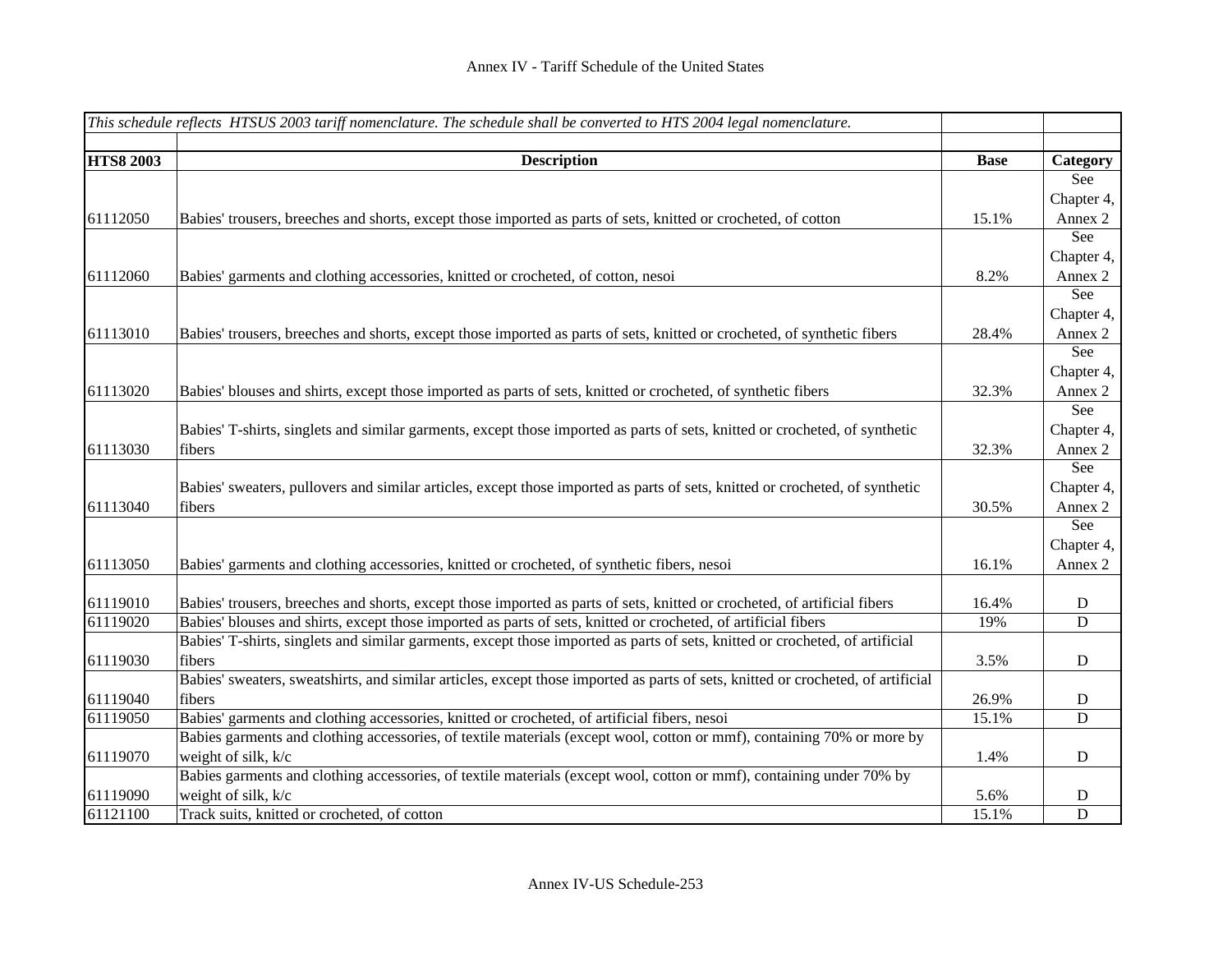|                  | This schedule reflects HTSUS 2003 tariff nomenclature. The schedule shall be converted to HTS 2004 legal nomenclature.           |             |             |
|------------------|----------------------------------------------------------------------------------------------------------------------------------|-------------|-------------|
|                  |                                                                                                                                  |             |             |
| <b>HTS8 2003</b> | <b>Description</b>                                                                                                               | <b>Base</b> | Category    |
|                  |                                                                                                                                  |             | See         |
|                  |                                                                                                                                  |             | Chapter 4,  |
| 61112050         | Babies' trousers, breeches and shorts, except those imported as parts of sets, knitted or crocheted, of cotton                   | 15.1%       | Annex 2     |
|                  |                                                                                                                                  |             | See         |
|                  |                                                                                                                                  |             | Chapter 4,  |
| 61112060         | Babies' garments and clothing accessories, knitted or crocheted, of cotton, nesoi                                                | 8.2%        | Annex 2     |
|                  |                                                                                                                                  |             | See         |
|                  |                                                                                                                                  |             | Chapter 4,  |
| 61113010         | Babies' trousers, breeches and shorts, except those imported as parts of sets, knitted or crocheted, of synthetic fibers         | 28.4%       | Annex 2     |
|                  |                                                                                                                                  |             | See         |
|                  |                                                                                                                                  |             | Chapter 4,  |
| 61113020         | Babies' blouses and shirts, except those imported as parts of sets, knitted or crocheted, of synthetic fibers                    | 32.3%       | Annex 2     |
|                  |                                                                                                                                  |             | See         |
|                  | Babies' T-shirts, singlets and similar garments, except those imported as parts of sets, knitted or crocheted, of synthetic      |             | Chapter 4,  |
| 61113030         | fibers                                                                                                                           | 32.3%       | Annex 2     |
|                  |                                                                                                                                  |             | See         |
|                  | Babies' sweaters, pullovers and similar articles, except those imported as parts of sets, knitted or crocheted, of synthetic     |             | Chapter 4,  |
| 61113040         | fibers                                                                                                                           | 30.5%       | Annex 2     |
|                  |                                                                                                                                  |             | See         |
|                  |                                                                                                                                  |             | Chapter 4,  |
| 61113050         | Babies' garments and clothing accessories, knitted or crocheted, of synthetic fibers, nesoi                                      | 16.1%       | Annex 2     |
| 61119010         | Babies' trousers, breeches and shorts, except those imported as parts of sets, knitted or crocheted, of artificial fibers        | 16.4%       | ${\bf D}$   |
| 61119020         | Babies' blouses and shirts, except those imported as parts of sets, knitted or crocheted, of artificial fibers                   | 19%         | D           |
|                  | Babies' T-shirts, singlets and similar garments, except those imported as parts of sets, knitted or crocheted, of artificial     |             |             |
| 61119030         | fibers                                                                                                                           | 3.5%        | D           |
|                  | Babies' sweaters, sweatshirts, and similar articles, except those imported as parts of sets, knitted or crocheted, of artificial |             |             |
| 61119040         | fibers                                                                                                                           | 26.9%       | D           |
| 61119050         | Babies' garments and clothing accessories, knitted or crocheted, of artificial fibers, nesoi                                     | 15.1%       | D           |
|                  | Babies garments and clothing accessories, of textile materials (except wool, cotton or mmf), containing 70% or more by           |             |             |
| 61119070         | weight of silk, k/c                                                                                                              | 1.4%        | D           |
|                  | Babies garments and clothing accessories, of textile materials (except wool, cotton or mmf), containing under 70% by             |             |             |
| 61119090         | weight of silk, k/c                                                                                                              | 5.6%        | $\mathbf D$ |
| 61121100         | Track suits, knitted or crocheted, of cotton                                                                                     | 15.1%       | ${\bf D}$   |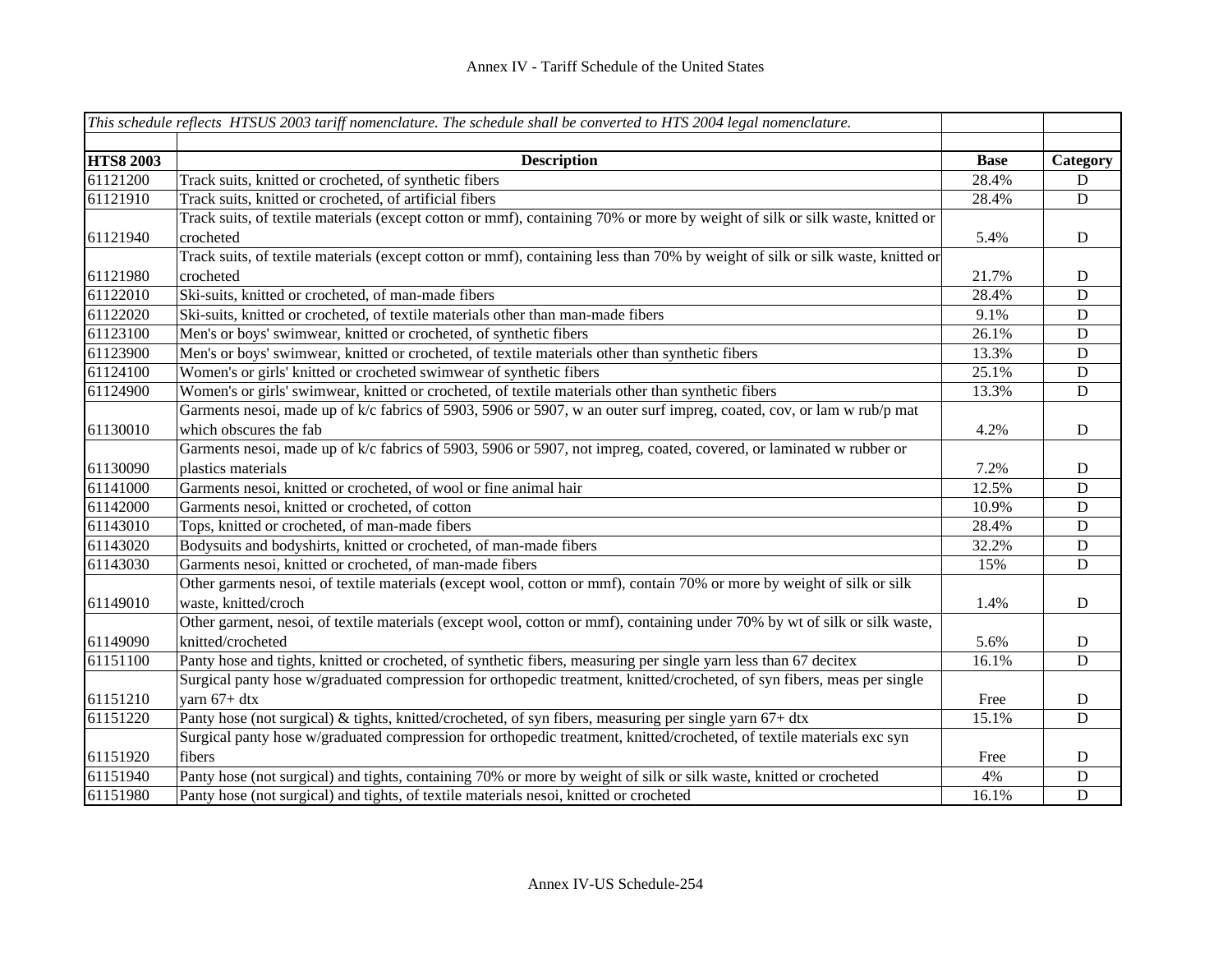|                  | This schedule reflects HTSUS 2003 tariff nomenclature. The schedule shall be converted to HTS 2004 legal nomenclature.         |             |             |
|------------------|--------------------------------------------------------------------------------------------------------------------------------|-------------|-------------|
| <b>HTS8 2003</b> | <b>Description</b>                                                                                                             | <b>Base</b> | Category    |
| 61121200         | Track suits, knitted or crocheted, of synthetic fibers                                                                         | 28.4%       | D           |
| 61121910         | Track suits, knitted or crocheted, of artificial fibers                                                                        | 28.4%       | ${\bf D}$   |
|                  | Track suits, of textile materials (except cotton or mmf), containing 70% or more by weight of silk or silk waste, knitted or   |             |             |
| 61121940         | crocheted                                                                                                                      | 5.4%        | D           |
|                  | Track suits, of textile materials (except cotton or mmf), containing less than 70% by weight of silk or silk waste, knitted or |             |             |
| 61121980         | crocheted                                                                                                                      | 21.7%       | D           |
| 61122010         | Ski-suits, knitted or crocheted, of man-made fibers                                                                            | 28.4%       | ${\bf D}$   |
| 61122020         | Ski-suits, knitted or crocheted, of textile materials other than man-made fibers                                               | 9.1%        | ${\bf D}$   |
| 61123100         | Men's or boys' swimwear, knitted or crocheted, of synthetic fibers                                                             | 26.1%       | ${\bf D}$   |
| 61123900         | Men's or boys' swimwear, knitted or crocheted, of textile materials other than synthetic fibers                                | 13.3%       | ${\bf D}$   |
| 61124100         | Women's or girls' knitted or crocheted swimwear of synthetic fibers                                                            | 25.1%       | $\mathbf D$ |
| 61124900         | Women's or girls' swimwear, knitted or crocheted, of textile materials other than synthetic fibers                             | 13.3%       | $\mathbf D$ |
|                  | Garments nesoi, made up of k/c fabrics of 5903, 5906 or 5907, w an outer surf impreg, coated, cov, or lam w rub/p mat          |             |             |
| 61130010         | which obscures the fab                                                                                                         | 4.2%        | D           |
|                  | Garments nesoi, made up of k/c fabrics of 5903, 5906 or 5907, not impreg, coated, covered, or laminated w rubber or            |             |             |
| 61130090         | plastics materials                                                                                                             | 7.2%        | $\mathbf D$ |
| 61141000         | Garments nesoi, knitted or crocheted, of wool or fine animal hair                                                              | 12.5%       | D           |
| 61142000         | Garments nesoi, knitted or crocheted, of cotton                                                                                | 10.9%       | ${\bf D}$   |
| 61143010         | Tops, knitted or crocheted, of man-made fibers                                                                                 | 28.4%       | $\mathbf D$ |
| 61143020         | Bodysuits and bodyshirts, knitted or crocheted, of man-made fibers                                                             | 32.2%       | ${\bf D}$   |
| 61143030         | Garments nesoi, knitted or crocheted, of man-made fibers                                                                       | 15%         | ${\bf D}$   |
|                  | Other garments nesoi, of textile materials (except wool, cotton or mmf), contain 70% or more by weight of silk or silk         |             |             |
| 61149010         | waste, knitted/croch                                                                                                           | 1.4%        | D           |
|                  | Other garment, nesoi, of textile materials (except wool, cotton or mmf), containing under 70% by wt of silk or silk waste,     |             |             |
| 61149090         | knitted/crocheted                                                                                                              | 5.6%        | D           |
| 61151100         | Panty hose and tights, knitted or crocheted, of synthetic fibers, measuring per single yarn less than 67 decitex               | 16.1%       | ${\bf D}$   |
|                  | Surgical panty hose w/graduated compression for orthopedic treatment, knitted/crocheted, of syn fibers, meas per single        |             |             |
| 61151210         | yarn 67+ dtx                                                                                                                   | Free        | D           |
| 61151220         | Panty hose (not surgical) & tights, knitted/crocheted, of syn fibers, measuring per single yarn 67+ dtx                        | 15.1%       | ${\bf D}$   |
|                  | Surgical panty hose w/graduated compression for orthopedic treatment, knitted/crocheted, of textile materials exc syn          |             |             |
| 61151920         | fibers                                                                                                                         | Free        | D           |
| 61151940         | Panty hose (not surgical) and tights, containing 70% or more by weight of silk or silk waste, knitted or crocheted             | 4%          | $\mathbf D$ |
| 61151980         | Panty hose (not surgical) and tights, of textile materials nesoi, knitted or crocheted                                         | 16.1%       | ${\bf D}$   |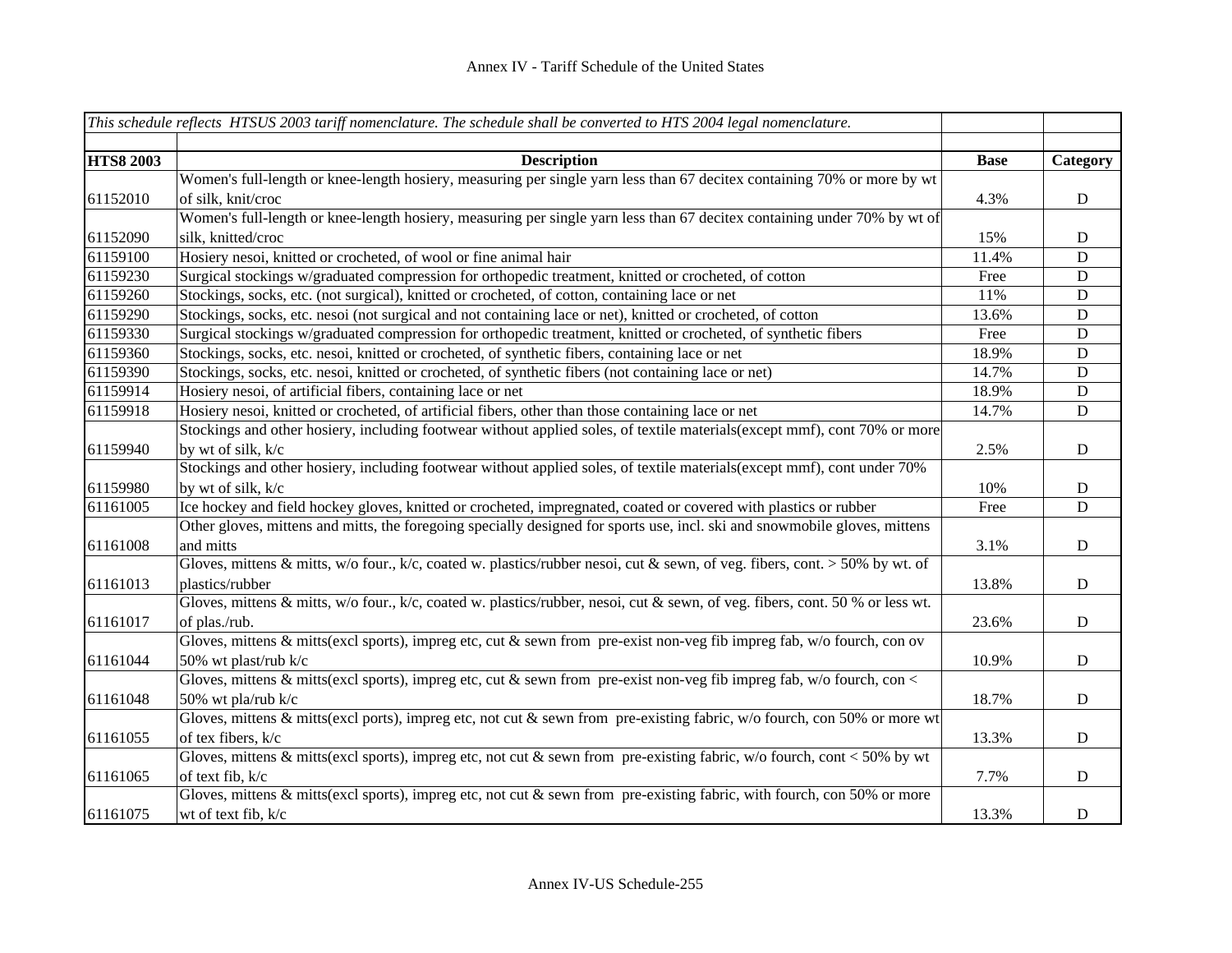|                  | This schedule reflects HTSUS 2003 tariff nomenclature. The schedule shall be converted to HTS 2004 legal nomenclature.        |             |             |
|------------------|-------------------------------------------------------------------------------------------------------------------------------|-------------|-------------|
|                  |                                                                                                                               |             |             |
| <b>HTS8 2003</b> | <b>Description</b>                                                                                                            | <b>Base</b> | Category    |
|                  | Women's full-length or knee-length hosiery, measuring per single yarn less than 67 decitex containing 70% or more by wt       |             |             |
| 61152010         | of silk, knit/croc                                                                                                            | 4.3%        | ${\bf D}$   |
|                  | Women's full-length or knee-length hosiery, measuring per single yarn less than 67 decitex containing under 70% by wt of      |             |             |
| 61152090         | silk, knitted/croc                                                                                                            | 15%         | $\mathbf D$ |
| 61159100         | Hosiery nesoi, knitted or crocheted, of wool or fine animal hair                                                              | 11.4%       | $\mathbf D$ |
| 61159230         | Surgical stockings w/graduated compression for orthopedic treatment, knitted or crocheted, of cotton                          | Free        | D           |
| 61159260         | Stockings, socks, etc. (not surgical), knitted or crocheted, of cotton, containing lace or net                                | 11%         | D           |
| 61159290         | Stockings, socks, etc. nesoi (not surgical and not containing lace or net), knitted or crocheted, of cotton                   | 13.6%       | $\mathbf D$ |
| 61159330         | Surgical stockings w/graduated compression for orthopedic treatment, knitted or crocheted, of synthetic fibers                | Free        | $\mathbf D$ |
| 61159360         | Stockings, socks, etc. nesoi, knitted or crocheted, of synthetic fibers, containing lace or net                               | 18.9%       | $\mathbf D$ |
| 61159390         | Stockings, socks, etc. nesoi, knitted or crocheted, of synthetic fibers (not containing lace or net)                          | 14.7%       | $\mathbf D$ |
| 61159914         | Hosiery nesoi, of artificial fibers, containing lace or net                                                                   | 18.9%       | $\mathbf D$ |
| 61159918         | Hosiery nesoi, knitted or crocheted, of artificial fibers, other than those containing lace or net                            | 14.7%       | $\mathbf D$ |
|                  | Stockings and other hosiery, including footwear without applied soles, of textile materials(except mmf), cont 70% or more     |             |             |
| 61159940         | by wt of silk, k/c                                                                                                            | 2.5%        | D           |
|                  | Stockings and other hosiery, including footwear without applied soles, of textile materials(except mmf), cont under 70%       |             |             |
| 61159980         | by wt of silk, k/c                                                                                                            | 10%         | $\mathbf D$ |
| 61161005         | Ice hockey and field hockey gloves, knitted or crocheted, impregnated, coated or covered with plastics or rubber              | Free        | $\mathbf D$ |
|                  | Other gloves, mittens and mitts, the foregoing specially designed for sports use, incl. ski and snowmobile gloves, mittens    |             |             |
| 61161008         | and mitts                                                                                                                     | 3.1%        | $\mathbf D$ |
|                  | Gloves, mittens & mitts, w/o four., k/c, coated w. plastics/rubber nesoi, cut & sewn, of veg. fibers, cont. > 50% by wt. of   |             |             |
| 61161013         | plastics/rubber                                                                                                               | 13.8%       | ${\bf D}$   |
|                  | Gloves, mittens & mitts, w/o four., k/c, coated w. plastics/rubber, nesoi, cut & sewn, of veg. fibers, cont. 50 % or less wt. |             |             |
| 61161017         | of plas./rub.                                                                                                                 | 23.6%       | $\mathbf D$ |
|                  | Gloves, mittens & mitts(excl sports), impreg etc, cut & sewn from pre-exist non-veg fib impreg fab, w/o fourch, con ov        |             |             |
| 61161044         | 50% wt plast/rub k/c                                                                                                          | 10.9%       | $\mathbf D$ |
|                  | Gloves, mittens & mitts(excl sports), impreg etc, cut & sewn from pre-exist non-veg fib impreg fab, w/o fourch, con <         |             |             |
| 61161048         | 50% wt pla/rub k/c                                                                                                            | 18.7%       | ${\bf D}$   |
|                  | Gloves, mittens & mitts(excl ports), impreg etc, not cut & sewn from pre-existing fabric, w/o fourch, con 50% or more wt      |             |             |
| 61161055         | of tex fibers, k/c                                                                                                            | 13.3%       | ${\bf D}$   |
|                  | Gloves, mittens & mitts(excl sports), impreg etc, not cut & sewn from pre-existing fabric, w/o fourch, cont < 50% by wt       |             |             |
| 61161065         | of text fib, k/c                                                                                                              | 7.7%        | $\mathbf D$ |
|                  | Gloves, mittens & mitts(excl sports), impreg etc, not cut & sewn from pre-existing fabric, with fourch, con 50% or more       |             |             |
| 61161075         | wt of text fib, k/c                                                                                                           | 13.3%       | $\mathbf D$ |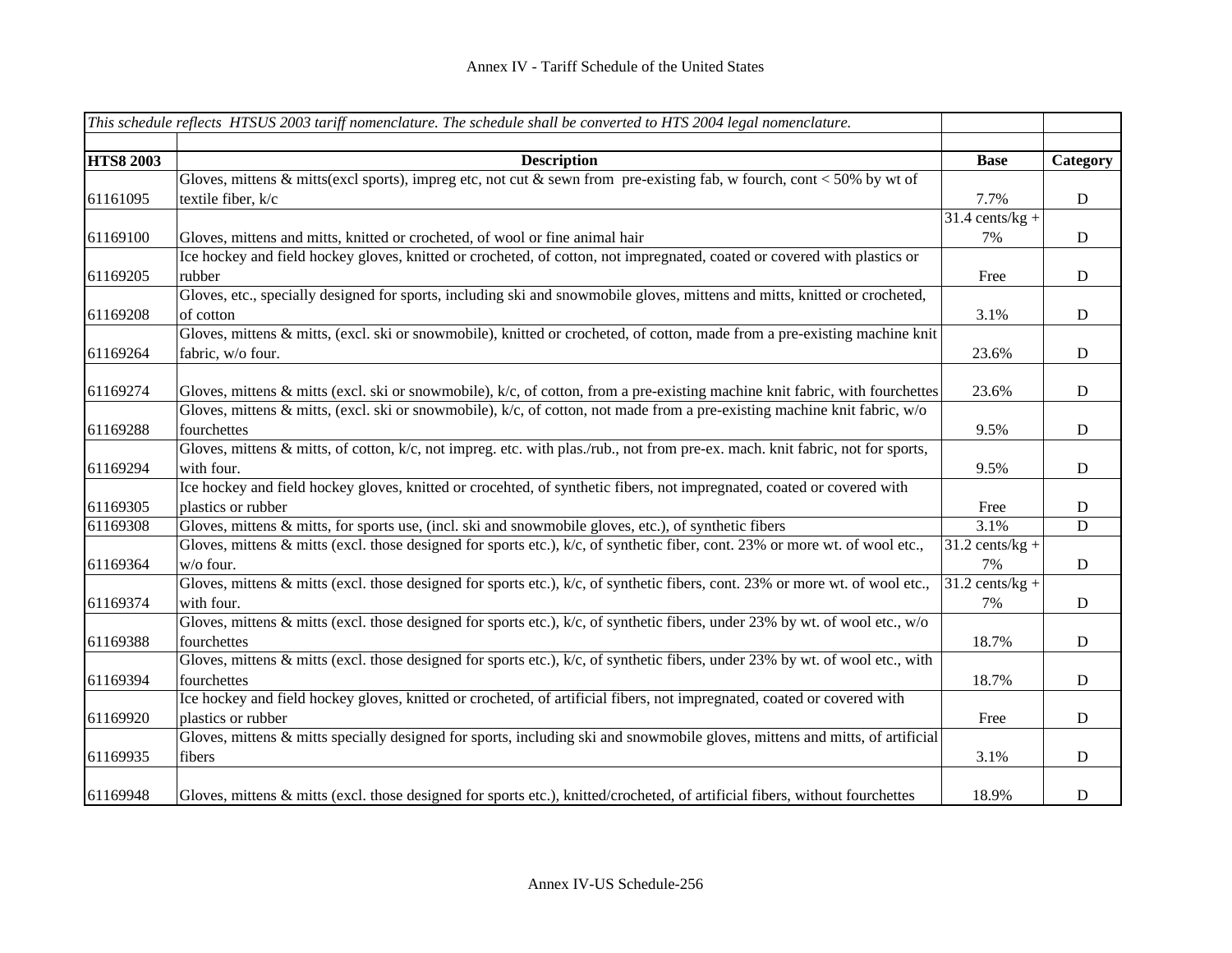|                  | This schedule reflects HTSUS 2003 tariff nomenclature. The schedule shall be converted to HTS 2004 legal nomenclature.               |                              |             |
|------------------|--------------------------------------------------------------------------------------------------------------------------------------|------------------------------|-------------|
|                  |                                                                                                                                      |                              |             |
| <b>HTS8 2003</b> | <b>Description</b>                                                                                                                   | <b>Base</b>                  | Category    |
|                  | Gloves, mittens & mitts(excl sports), impreg etc, not cut & sewn from pre-existing fab, w fourch, cont < 50% by wt of                |                              |             |
| 61161095         | textile fiber, k/c                                                                                                                   | 7.7%                         | D           |
|                  |                                                                                                                                      | $31.4$ cents/kg +            |             |
| 61169100         | Gloves, mittens and mitts, knitted or crocheted, of wool or fine animal hair                                                         | 7%                           | D           |
|                  | Ice hockey and field hockey gloves, knitted or crocheted, of cotton, not impregnated, coated or covered with plastics or             |                              |             |
| 61169205         | rubber                                                                                                                               | Free                         | D           |
|                  | Gloves, etc., specially designed for sports, including ski and snowmobile gloves, mittens and mitts, knitted or crocheted,           |                              |             |
| 61169208         | of cotton                                                                                                                            | 3.1%                         | D           |
|                  | Gloves, mittens & mitts, (excl. ski or snowmobile), knitted or crocheted, of cotton, made from a pre-existing machine knit           |                              |             |
| 61169264         | fabric, w/o four.                                                                                                                    | 23.6%                        | ${\bf D}$   |
|                  |                                                                                                                                      |                              |             |
| 61169274         | Gloves, mittens & mitts (excl. ski or snowmobile), $k/c$ , of cotton, from a pre-existing machine knit fabric, with fourchettes      | 23.6%                        | D           |
|                  | Gloves, mittens & mitts, (excl. ski or snowmobile), $k/c$ , of cotton, not made from a pre-existing machine knit fabric, $w/o$       |                              |             |
| 61169288         | fourchettes                                                                                                                          | 9.5%                         | D           |
|                  | Gloves, mittens $\&$ mitts, of cotton, $k/c$ , not impreg. etc. with plas./rub., not from pre-ex. mach. knit fabric, not for sports, |                              |             |
| 61169294         | with four.                                                                                                                           | 9.5%                         | D           |
|                  | Ice hockey and field hockey gloves, knitted or crocehted, of synthetic fibers, not impregnated, coated or covered with               |                              |             |
| 61169305         | plastics or rubber                                                                                                                   | Free                         | D           |
| 61169308         | Gloves, mittens $\&$ mitts, for sports use, (incl. ski and snowmobile gloves, etc.), of synthetic fibers                             | 3.1%                         | D           |
|                  | Gloves, mittens & mitts (excl. those designed for sports etc.), $k/c$ , of synthetic fiber, cont. 23% or more wt. of wool etc.,      | $31.2$ cents/kg +            |             |
| 61169364         | w/o four.                                                                                                                            | 7%                           | ${\bf D}$   |
|                  | Gloves, mittens $\&$ mitts (excl. those designed for sports etc.), $k/c$ , of synthetic fibers, cont. 23% or more wt. of wool etc.,  | $\overline{31.2}$ cents/kg + |             |
| 61169374         | with four.                                                                                                                           | 7%                           | $\mathbf D$ |
|                  | Gloves, mittens & mitts (excl. those designed for sports etc.), $k/c$ , of synthetic fibers, under 23% by wt. of wool etc., $w/o$    |                              |             |
| 61169388         | fourchettes                                                                                                                          | 18.7%                        | ${\bf D}$   |
|                  | Gloves, mittens & mitts (excl. those designed for sports etc.), k/c, of synthetic fibers, under 23% by wt. of wool etc., with        |                              |             |
| 61169394         | fourchettes                                                                                                                          | 18.7%                        | ${\bf D}$   |
|                  | Ice hockey and field hockey gloves, knitted or crocheted, of artificial fibers, not impregnated, coated or covered with              |                              |             |
| 61169920         | plastics or rubber                                                                                                                   | Free                         | $\mathbf D$ |
|                  | Gloves, mittens & mitts specially designed for sports, including ski and snowmobile gloves, mittens and mitts, of artificial         |                              |             |
| 61169935         | fibers                                                                                                                               | 3.1%                         | $\mathbf D$ |
|                  |                                                                                                                                      |                              |             |
| 61169948         | Gloves, mittens & mitts (excl. those designed for sports etc.), knitted/crocheted, of artificial fibers, without fourchettes         | 18.9%                        | ${\bf D}$   |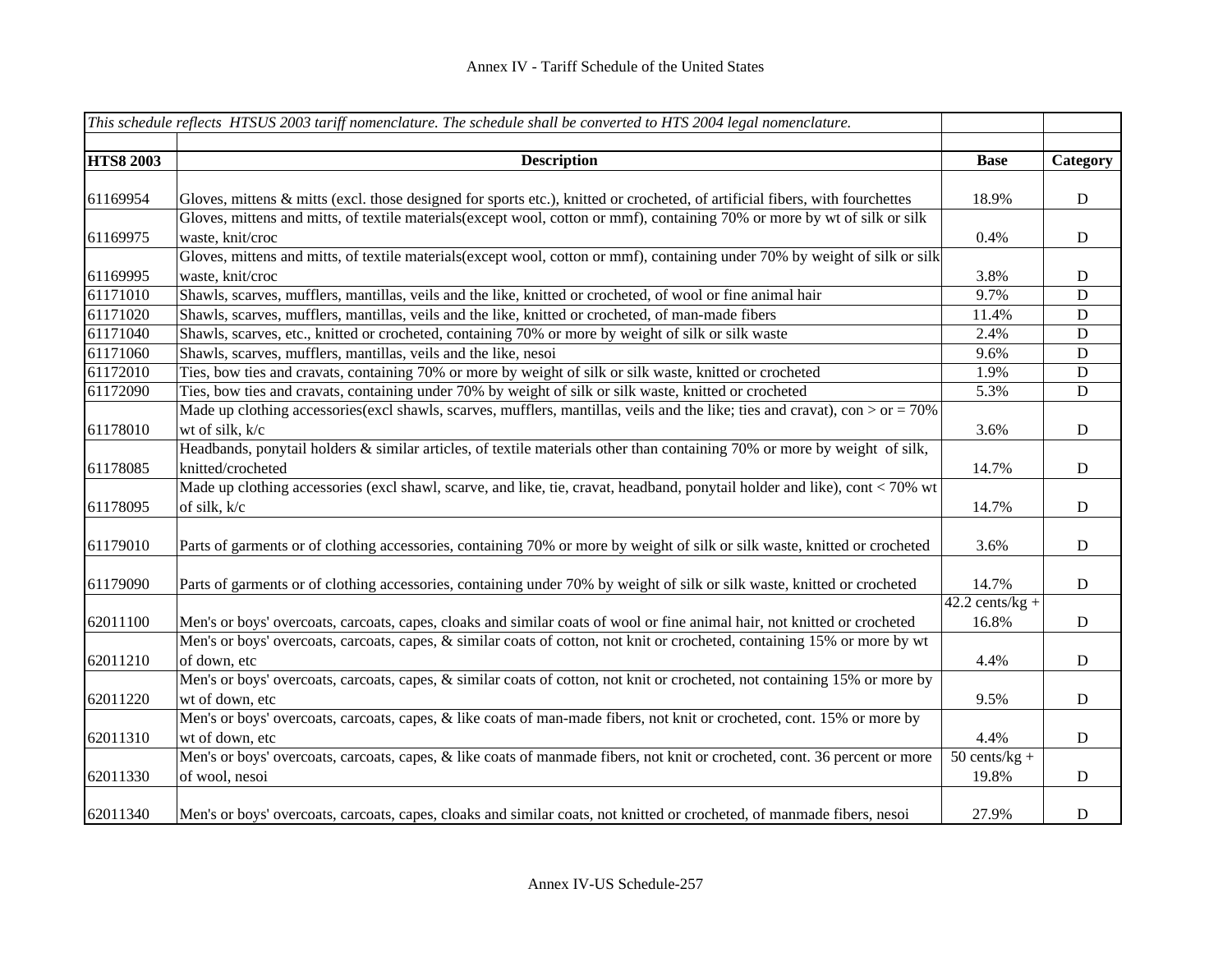|                  | This schedule reflects HTSUS 2003 tariff nomenclature. The schedule shall be converted to HTS 2004 legal nomenclature.          |                              |             |
|------------------|---------------------------------------------------------------------------------------------------------------------------------|------------------------------|-------------|
| <b>HTS8 2003</b> | <b>Description</b>                                                                                                              | <b>Base</b>                  | Category    |
|                  |                                                                                                                                 |                              |             |
| 61169954         | Gloves, mittens & mitts (excl. those designed for sports etc.), knitted or crocheted, of artificial fibers, with fourchettes    | 18.9%                        | $\mathbf D$ |
|                  | Gloves, mittens and mitts, of textile materials (except wool, cotton or mmf), containing 70% or more by wt of silk or silk      |                              |             |
| 61169975         | waste, knit/croc                                                                                                                | 0.4%                         | $\mathbf D$ |
|                  | Gloves, mittens and mitts, of textile materials (except wool, cotton or mmf), containing under 70% by weight of silk or silk    |                              |             |
| 61169995         | waste, knit/croc                                                                                                                | 3.8%                         | D           |
| 61171010         | Shawls, scarves, mufflers, mantillas, veils and the like, knitted or crocheted, of wool or fine animal hair                     | 9.7%                         | ${\bf D}$   |
| 61171020         | Shawls, scarves, mufflers, mantillas, veils and the like, knitted or crocheted, of man-made fibers                              | 11.4%                        | ${\bf D}$   |
| 61171040         | Shawls, scarves, etc., knitted or crocheted, containing 70% or more by weight of silk or silk waste                             | 2.4%                         | $\mathbf D$ |
| 61171060         | Shawls, scarves, mufflers, mantillas, veils and the like, nesoi                                                                 | 9.6%                         | ${\bf D}$   |
| 61172010         | Ties, bow ties and cravats, containing 70% or more by weight of silk or silk waste, knitted or crocheted                        | 1.9%                         | ${\bf D}$   |
| 61172090         | Ties, bow ties and cravats, containing under 70% by weight of silk or silk waste, knitted or crocheted                          | 5.3%                         | ${\bf D}$   |
|                  | Made up clothing accessories (excl shawls, scarves, mufflers, mantillas, veils and the like; ties and cravat), con $>$ or = 70% |                              |             |
| 61178010         | wt of silk, k/c                                                                                                                 | 3.6%                         | ${\rm D}$   |
|                  | Headbands, ponytail holders & similar articles, of textile materials other than containing 70% or more by weight of silk,       |                              |             |
| 61178085         | knitted/crocheted                                                                                                               | 14.7%                        | ${\bf D}$   |
|                  | Made up clothing accessories (excl shawl, scarve, and like, tie, cravat, headband, ponytail holder and like), cont < 70% wt     |                              |             |
| 61178095         | of silk, k/c                                                                                                                    | 14.7%                        | ${\bf D}$   |
|                  |                                                                                                                                 |                              |             |
| 61179010         | Parts of garments or of clothing accessories, containing 70% or more by weight of silk or silk waste, knitted or crocheted      | 3.6%                         | ${\bf D}$   |
|                  |                                                                                                                                 |                              |             |
| 61179090         | Parts of garments or of clothing accessories, containing under 70% by weight of silk or silk waste, knitted or crocheted        | 14.7%                        | $\mathbf D$ |
|                  |                                                                                                                                 | $\overline{42.2}$ cents/kg + |             |
| 62011100         | Men's or boys' overcoats, carcoats, capes, cloaks and similar coats of wool or fine animal hair, not knitted or crocheted       | 16.8%                        | ${\bf D}$   |
|                  | Men's or boys' overcoats, carcoats, capes, & similar coats of cotton, not knit or crocheted, containing 15% or more by wt       |                              |             |
| 62011210         | of down, etc                                                                                                                    | 4.4%                         | D           |
|                  | Men's or boys' overcoats, carcoats, capes, & similar coats of cotton, not knit or crocheted, not containing 15% or more by      |                              |             |
| 62011220         | wt of down, etc                                                                                                                 | 9.5%                         | $\mathbf D$ |
|                  | Men's or boys' overcoats, carcoats, capes, & like coats of man-made fibers, not knit or crocheted, cont. 15% or more by         |                              |             |
| 62011310         | wt of down, etc                                                                                                                 | 4.4%                         | $\mathbf D$ |
|                  | Men's or boys' overcoats, carcoats, capes, & like coats of manmade fibers, not knit or crocheted, cont. 36 percent or more      | $50$ cents/kg +              |             |
| 62011330         | of wool, nesoi                                                                                                                  | 19.8%                        | ${\bf D}$   |
|                  |                                                                                                                                 |                              |             |
| 62011340         | Men's or boys' overcoats, carcoats, capes, cloaks and similar coats, not knitted or crocheted, of manmade fibers, nesoi         | 27.9%                        | D           |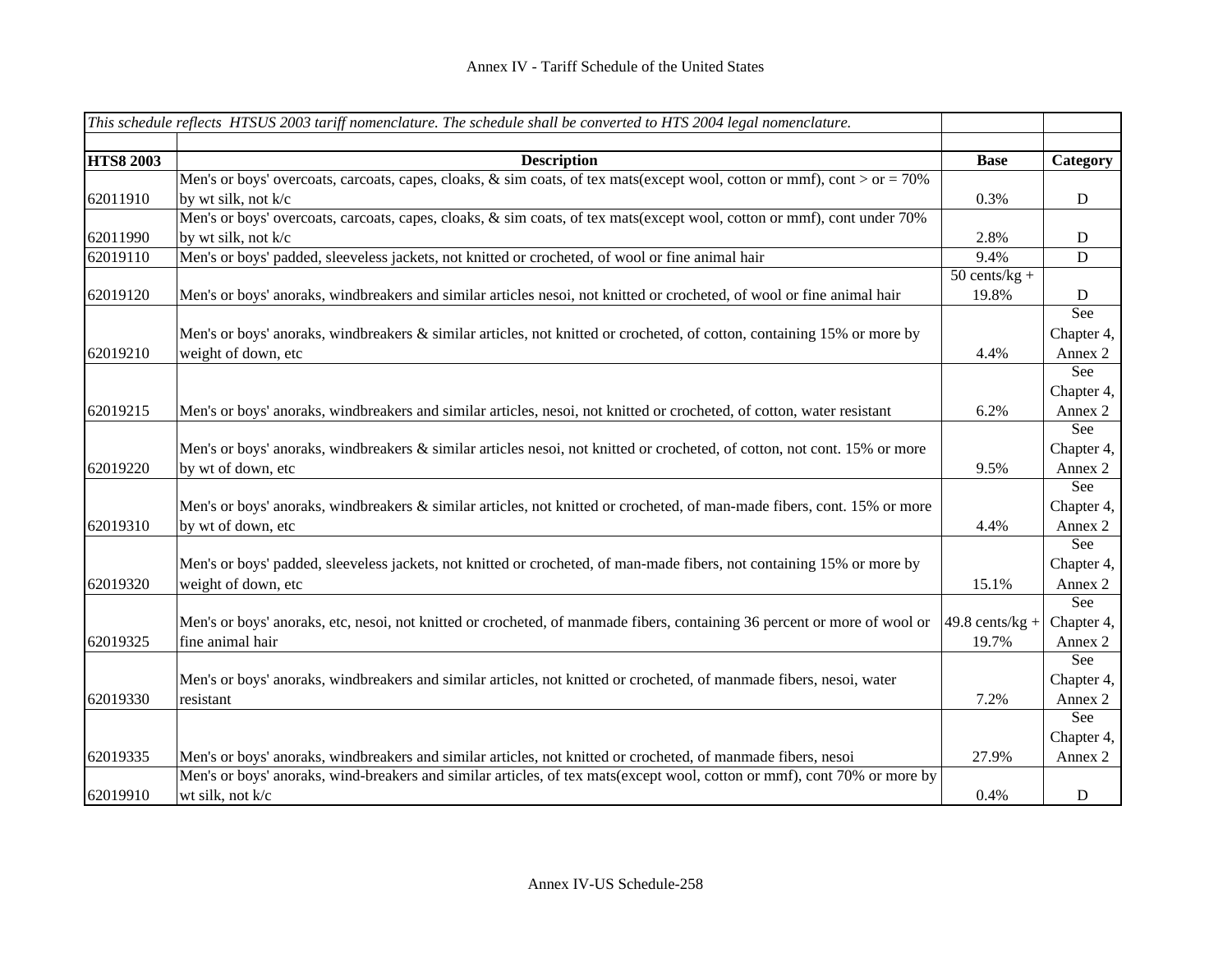|                  | This schedule reflects HTSUS 2003 tariff nomenclature. The schedule shall be converted to HTS 2004 legal nomenclature.      |                   |             |
|------------------|-----------------------------------------------------------------------------------------------------------------------------|-------------------|-------------|
|                  |                                                                                                                             |                   |             |
| <b>HTS8 2003</b> | <b>Description</b>                                                                                                          | <b>Base</b>       | Category    |
|                  | Men's or boys' overcoats, carcoats, capes, cloaks, $\&$ sim coats, of tex mats(except wool, cotton or mmf), cont > or = 70% |                   |             |
| 62011910         | by wt silk, not k/c                                                                                                         | 0.3%              | D           |
|                  | Men's or boys' overcoats, carcoats, capes, cloaks, & sim coats, of tex mats(except wool, cotton or mmf), cont under 70%     |                   |             |
| 62011990         | by wt silk, not k/c                                                                                                         | 2.8%              | D           |
| 62019110         | Men's or boys' padded, sleeveless jackets, not knitted or crocheted, of wool or fine animal hair                            | 9.4%              | $\mathbf D$ |
|                  |                                                                                                                             | $50$ cents/kg +   |             |
| 62019120         | Men's or boys' anoraks, windbreakers and similar articles nesoi, not knitted or crocheted, of wool or fine animal hair      | 19.8%             | D           |
|                  |                                                                                                                             |                   | See         |
|                  | Men's or boys' anoraks, windbreakers & similar articles, not knitted or crocheted, of cotton, containing 15% or more by     |                   | Chapter 4,  |
| 62019210         | weight of down, etc                                                                                                         | 4.4%              | Annex 2     |
|                  |                                                                                                                             |                   | See         |
|                  |                                                                                                                             |                   | Chapter 4,  |
| 62019215         | Men's or boys' anoraks, windbreakers and similar articles, nesoi, not knitted or crocheted, of cotton, water resistant      | 6.2%              | Annex 2     |
|                  |                                                                                                                             |                   | See         |
|                  | Men's or boys' anoraks, windbreakers & similar articles nesoi, not knitted or crocheted, of cotton, not cont. 15% or more   |                   | Chapter 4,  |
| 62019220         | by wt of down, etc                                                                                                          | 9.5%              | Annex 2     |
|                  |                                                                                                                             |                   | See         |
|                  | Men's or boys' anoraks, windbreakers & similar articles, not knitted or crocheted, of man-made fibers, cont. 15% or more    |                   | Chapter 4,  |
| 62019310         | by wt of down, etc                                                                                                          | 4.4%              | Annex 2     |
|                  |                                                                                                                             |                   | See         |
|                  | Men's or boys' padded, sleeveless jackets, not knitted or crocheted, of man-made fibers, not containing 15% or more by      |                   | Chapter 4,  |
| 62019320         | weight of down, etc                                                                                                         | 15.1%             | Annex 2     |
|                  |                                                                                                                             |                   | See         |
|                  | Men's or boys' anoraks, etc, nesoi, not knitted or crocheted, of manmade fibers, containing 36 percent or more of wool or   | $49.8$ cents/kg + | Chapter 4,  |
| 62019325         | fine animal hair                                                                                                            | 19.7%             | Annex 2     |
|                  |                                                                                                                             |                   | See         |
|                  | Men's or boys' anoraks, windbreakers and similar articles, not knitted or crocheted, of manmade fibers, nesoi, water        |                   | Chapter 4,  |
| 62019330         | resistant                                                                                                                   | 7.2%              | Annex 2     |
|                  |                                                                                                                             |                   | See         |
|                  |                                                                                                                             |                   | Chapter 4,  |
| 62019335         | Men's or boys' anoraks, windbreakers and similar articles, not knitted or crocheted, of manmade fibers, nesoi               | 27.9%             | Annex 2     |
|                  | Men's or boys' anoraks, wind-breakers and similar articles, of tex mats(except wool, cotton or mmf), cont 70% or more by    |                   |             |
| 62019910         | wt silk, not k/c                                                                                                            | 0.4%              | ${\bf D}$   |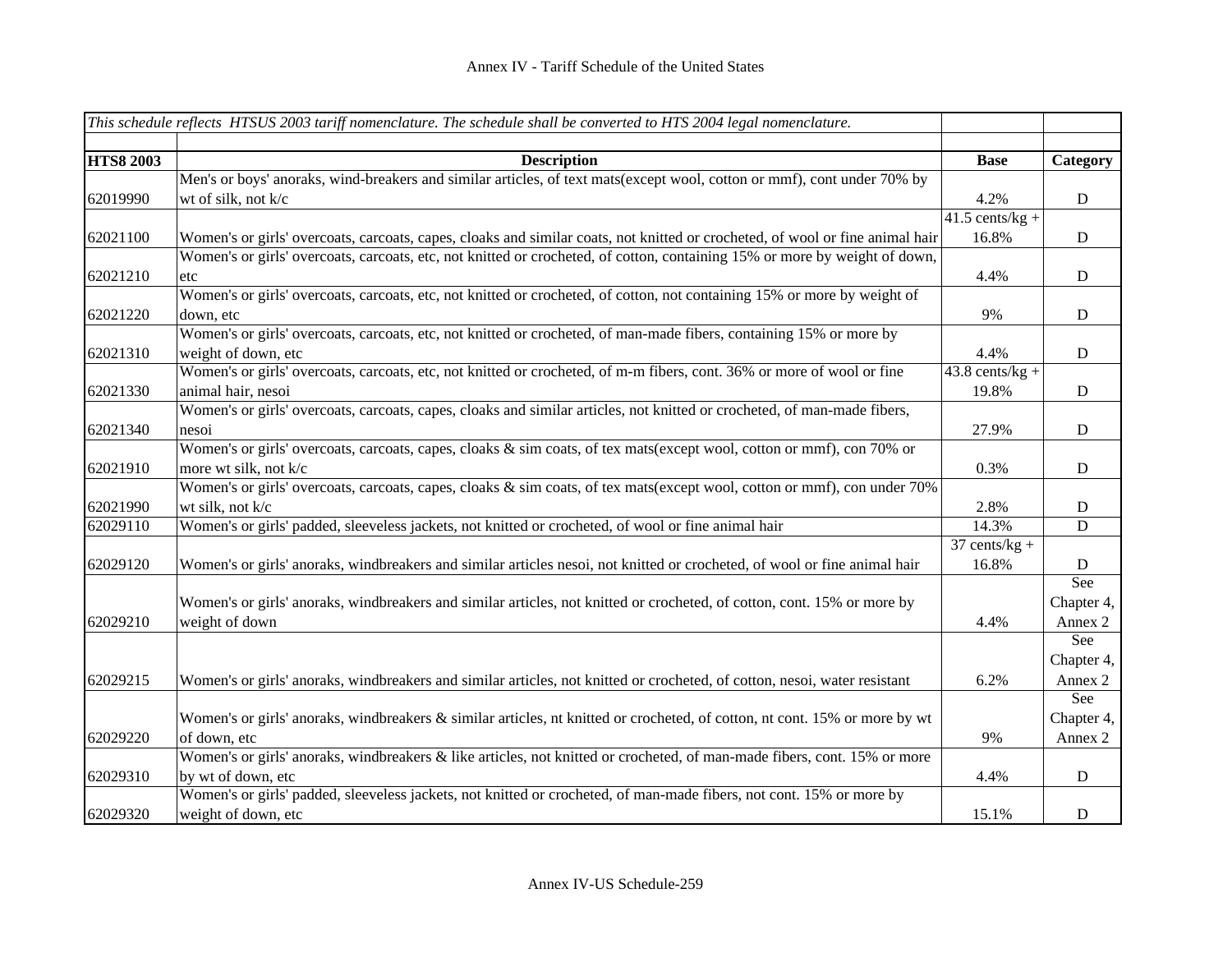|                  | This schedule reflects HTSUS 2003 tariff nomenclature. The schedule shall be converted to HTS 2004 legal nomenclature.        |                         |             |
|------------------|-------------------------------------------------------------------------------------------------------------------------------|-------------------------|-------------|
|                  |                                                                                                                               |                         |             |
| <b>HTS8 2003</b> | <b>Description</b>                                                                                                            | <b>Base</b>             | Category    |
|                  | Men's or boys' anoraks, wind-breakers and similar articles, of text mats(except wool, cotton or mmf), cont under 70% by       |                         |             |
| 62019990         | wt of silk, not k/c                                                                                                           | 4.2%                    | ${\bf D}$   |
|                  |                                                                                                                               | $41.5$ cents/kg +       |             |
| 62021100         | Women's or girls' overcoats, carcoats, capes, cloaks and similar coats, not knitted or crocheted, of wool or fine animal hair | 16.8%                   | $\mathbf D$ |
|                  | Women's or girls' overcoats, carcoats, etc, not knitted or crocheted, of cotton, containing 15% or more by weight of down,    |                         |             |
| 62021210         | etc                                                                                                                           | 4.4%                    | D           |
|                  | Women's or girls' overcoats, carcoats, etc, not knitted or crocheted, of cotton, not containing 15% or more by weight of      |                         |             |
| 62021220         | down, etc                                                                                                                     | 9%                      | $\mathbf D$ |
|                  | Women's or girls' overcoats, carcoats, etc, not knitted or crocheted, of man-made fibers, containing 15% or more by           |                         |             |
| 62021310         | weight of down, etc                                                                                                           | 4.4%                    | $\mathbf D$ |
|                  | Women's or girls' overcoats, carcoats, etc, not knitted or crocheted, of m-m fibers, cont. 36% or more of wool or fine        | $43.8$ cents/kg +       |             |
| 62021330         | animal hair, nesoi                                                                                                            | 19.8%                   | $\mathbf D$ |
|                  | Women's or girls' overcoats, carcoats, capes, cloaks and similar articles, not knitted or crocheted, of man-made fibers,      |                         |             |
| 62021340         | nesoi                                                                                                                         | 27.9%                   | $\mathbf D$ |
|                  | Women's or girls' overcoats, carcoats, capes, cloaks & sim coats, of tex mats(except wool, cotton or mmf), con 70% or         |                         |             |
| 62021910         | more wt silk, not k/c                                                                                                         | 0.3%                    | D           |
|                  | Women's or girls' overcoats, carcoats, capes, cloaks & sim coats, of tex mats(except wool, cotton or mmf), con under 70%      |                         |             |
| 62021990         | wt silk, not k/c                                                                                                              | 2.8%                    | $\mathbf D$ |
| 62029110         | Women's or girls' padded, sleeveless jackets, not knitted or crocheted, of wool or fine animal hair                           | 14.3%                   | D           |
|                  |                                                                                                                               | $37 \text{ cents/kg} +$ |             |
| 62029120         | Women's or girls' anoraks, windbreakers and similar articles nesoi, not knitted or crocheted, of wool or fine animal hair     | 16.8%                   | $\mathbf D$ |
|                  |                                                                                                                               |                         | See         |
|                  | Women's or girls' anoraks, windbreakers and similar articles, not knitted or crocheted, of cotton, cont. 15% or more by       |                         | Chapter 4,  |
| 62029210         | weight of down                                                                                                                | 4.4%                    | Annex 2     |
|                  |                                                                                                                               |                         | See         |
|                  |                                                                                                                               |                         | Chapter 4,  |
| 62029215         | Women's or girls' anoraks, windbreakers and similar articles, not knitted or crocheted, of cotton, nesoi, water resistant     | 6.2%                    | Annex 2     |
|                  |                                                                                                                               |                         | See         |
|                  | Women's or girls' anoraks, windbreakers & similar articles, nt knitted or crocheted, of cotton, nt cont. 15% or more by wt    |                         | Chapter 4,  |
| 62029220         | of down, etc                                                                                                                  | 9%                      | Annex 2     |
|                  | Women's or girls' anoraks, windbreakers & like articles, not knitted or crocheted, of man-made fibers, cont. 15% or more      |                         |             |
| 62029310         | by wt of down, etc                                                                                                            | 4.4%                    | $\mathbf D$ |
|                  | Women's or girls' padded, sleeveless jackets, not knitted or crocheted, of man-made fibers, not cont. 15% or more by          |                         |             |
| 62029320         | weight of down, etc                                                                                                           | 15.1%                   | $\mathbf D$ |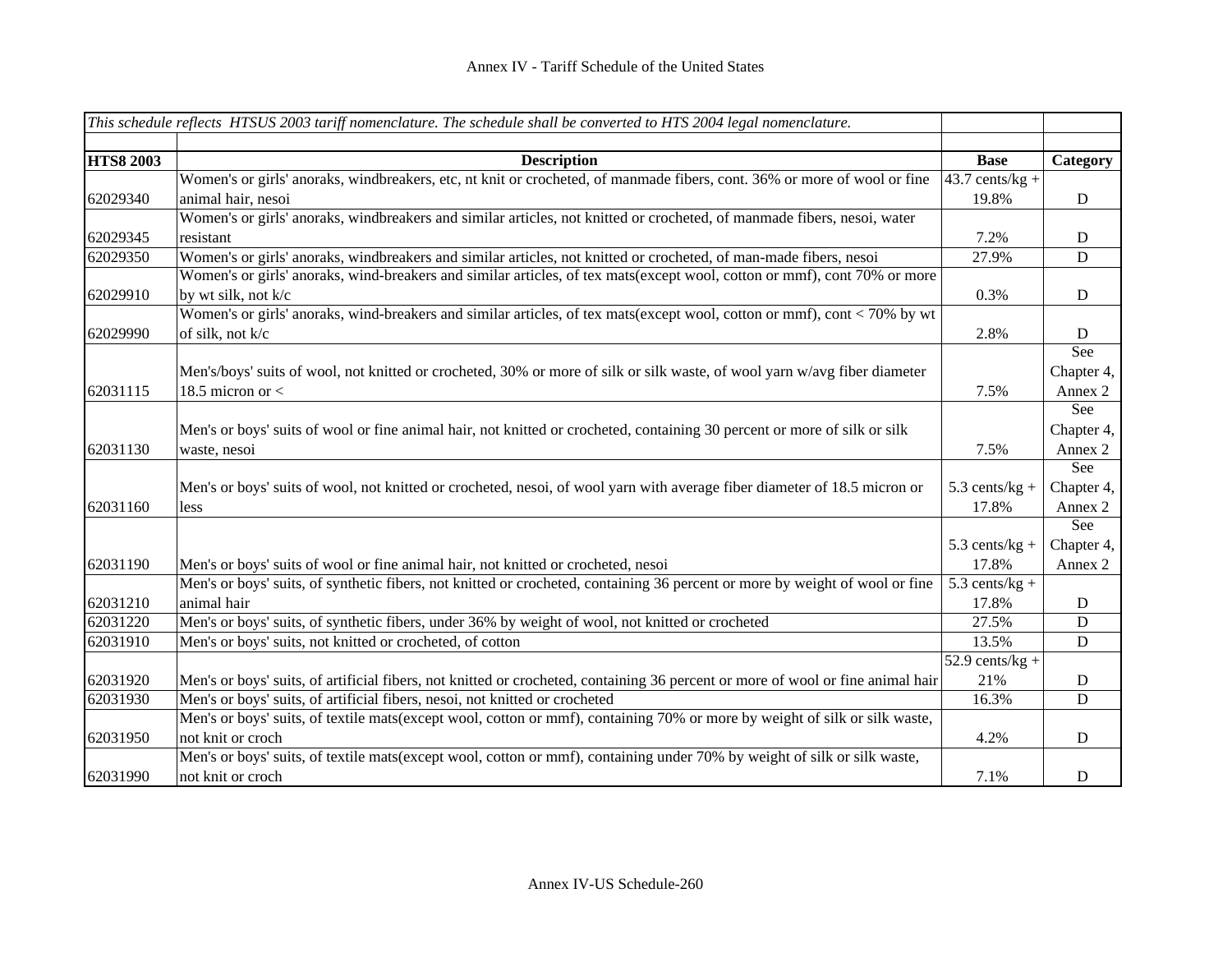|                  | This schedule reflects HTSUS 2003 tariff nomenclature. The schedule shall be converted to HTS 2004 legal nomenclature.                         |                              |             |
|------------------|------------------------------------------------------------------------------------------------------------------------------------------------|------------------------------|-------------|
|                  |                                                                                                                                                |                              |             |
| <b>HTS8 2003</b> | <b>Description</b><br>Women's or girls' anoraks, windbreakers, etc, nt knit or crocheted, of manmade fibers, cont. 36% or more of wool or fine | <b>Base</b>                  | Category    |
|                  |                                                                                                                                                | $43.7$ cents/kg +            |             |
| 62029340         | animal hair, nesoi                                                                                                                             | 19.8%                        | D           |
|                  | Women's or girls' anoraks, windbreakers and similar articles, not knitted or crocheted, of manmade fibers, nesoi, water                        |                              |             |
| 62029345         | resistant                                                                                                                                      | 7.2%                         | D           |
| 62029350         | Women's or girls' anoraks, windbreakers and similar articles, not knitted or crocheted, of man-made fibers, nesoi                              | 27.9%                        | $\mathbf D$ |
|                  | Women's or girls' anoraks, wind-breakers and similar articles, of tex mats(except wool, cotton or mmf), cont 70% or more                       |                              |             |
| 62029910         | by wt silk, not k/c                                                                                                                            | 0.3%                         | $\mathbf D$ |
|                  | Women's or girls' anoraks, wind-breakers and similar articles, of tex mats(except wool, cotton or mmf), cont < 70% by wt                       |                              |             |
| 62029990         | of silk, not k/c                                                                                                                               | 2.8%                         | $\mathbf D$ |
|                  |                                                                                                                                                |                              | See         |
|                  | Men's/boys' suits of wool, not knitted or crocheted, 30% or more of silk or silk waste, of wool yarn w/avg fiber diameter                      |                              | Chapter 4,  |
| 62031115         | 18.5 micron or $<$                                                                                                                             | 7.5%                         | Annex 2     |
|                  |                                                                                                                                                |                              | See         |
|                  | Men's or boys' suits of wool or fine animal hair, not knitted or crocheted, containing 30 percent or more of silk or silk                      |                              | Chapter 4,  |
| 62031130         | waste, nesoi                                                                                                                                   | 7.5%                         | Annex 2     |
|                  |                                                                                                                                                |                              | See         |
|                  | Men's or boys' suits of wool, not knitted or crocheted, nesoi, of wool yarn with average fiber diameter of 18.5 micron or                      | $5.3$ cents/kg +             | Chapter 4,  |
| 62031160         | less                                                                                                                                           | 17.8%                        | Annex 2     |
|                  |                                                                                                                                                |                              | See         |
|                  |                                                                                                                                                | 5.3 cents/ $kg +$            | Chapter 4,  |
| 62031190         | Men's or boys' suits of wool or fine animal hair, not knitted or crocheted, nesoi                                                              | 17.8%                        | Annex 2     |
|                  | Men's or boys' suits, of synthetic fibers, not knitted or crocheted, containing 36 percent or more by weight of wool or fine                   | $5.3$ cents/kg +             |             |
| 62031210         | animal hair                                                                                                                                    | 17.8%                        | $\mathbf D$ |
| 62031220         | Men's or boys' suits, of synthetic fibers, under 36% by weight of wool, not knitted or crocheted                                               | 27.5%                        | D           |
| 62031910         | Men's or boys' suits, not knitted or crocheted, of cotton                                                                                      | 13.5%                        | $\mathbf D$ |
|                  |                                                                                                                                                | $\overline{52.9}$ cents/kg + |             |
| 62031920         | Men's or boys' suits, of artificial fibers, not knitted or crocheted, containing 36 percent or more of wool or fine animal hair                | 21%                          | D           |
| 62031930         | Men's or boys' suits, of artificial fibers, nesoi, not knitted or crocheted                                                                    | 16.3%                        | $\mathbf D$ |
|                  | Men's or boys' suits, of textile mats(except wool, cotton or mmf), containing 70% or more by weight of silk or silk waste,                     |                              |             |
| 62031950         | not knit or croch                                                                                                                              | 4.2%                         | $\mathbf D$ |
|                  | Men's or boys' suits, of textile mats(except wool, cotton or mmf), containing under 70% by weight of silk or silk waste,                       |                              |             |
|                  |                                                                                                                                                |                              | $\mathbf D$ |
| 62031990         | not knit or croch                                                                                                                              | 7.1%                         |             |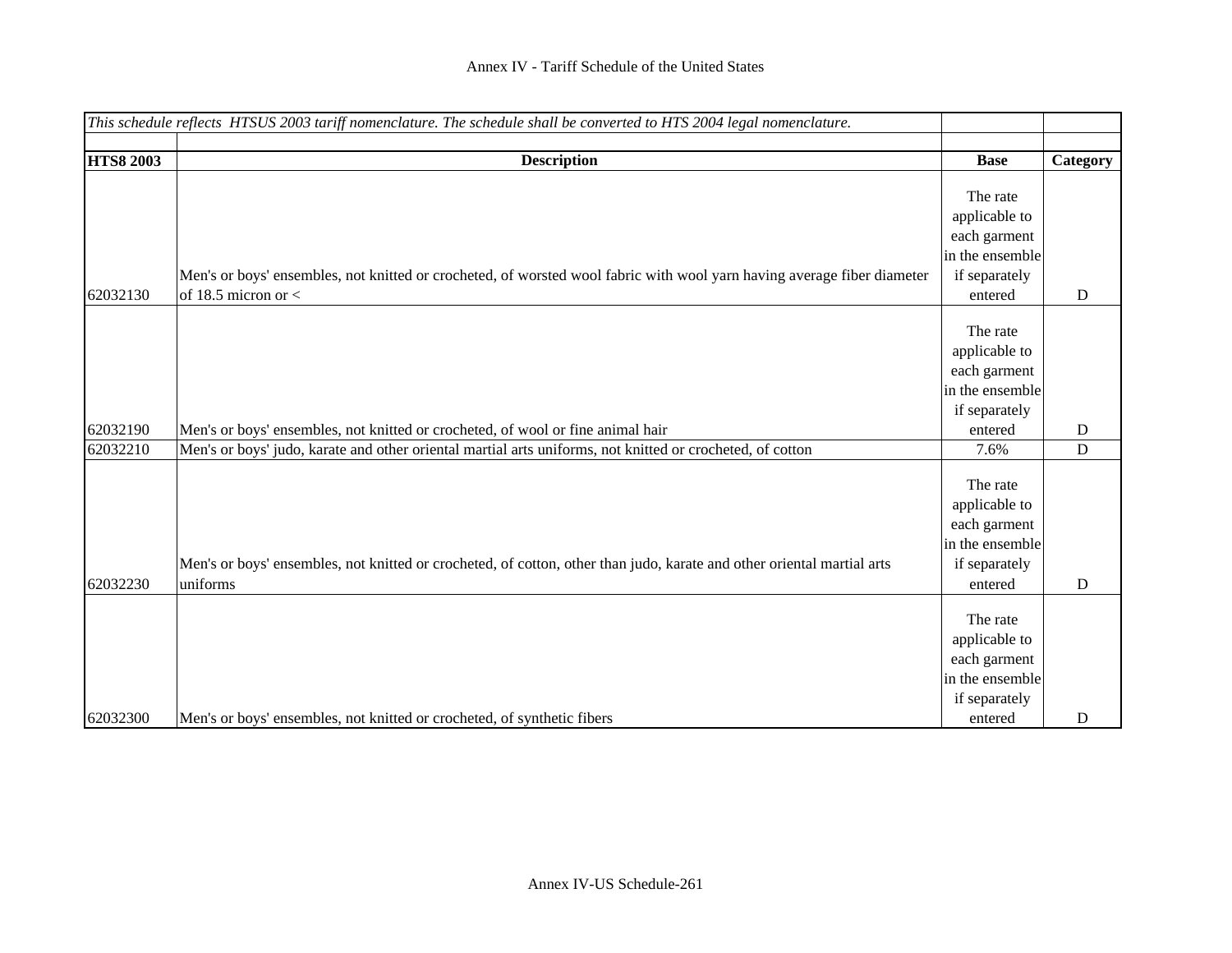|                  | This schedule reflects HTSUS 2003 tariff nomenclature. The schedule shall be converted to HTS 2004 legal nomenclature.                           |                                                                                          |             |
|------------------|--------------------------------------------------------------------------------------------------------------------------------------------------|------------------------------------------------------------------------------------------|-------------|
| <b>HTS8 2003</b> | <b>Description</b>                                                                                                                               | <b>Base</b>                                                                              | Category    |
|                  |                                                                                                                                                  | The rate<br>applicable to<br>each garment<br>in the ensemble                             |             |
| 62032130         | Men's or boys' ensembles, not knitted or crocheted, of worsted wool fabric with wool yarn having average fiber diameter<br>of 18.5 micron or $<$ | if separately<br>entered                                                                 | $\mathbf D$ |
|                  |                                                                                                                                                  | The rate<br>applicable to<br>each garment<br>in the ensemble<br>if separately            |             |
| 62032190         | Men's or boys' ensembles, not knitted or crocheted, of wool or fine animal hair                                                                  | entered                                                                                  | $\mathbf D$ |
| 62032210         | Men's or boys' judo, karate and other oriental martial arts uniforms, not knitted or crocheted, of cotton                                        | 7.6%                                                                                     | $\mathbf D$ |
|                  | Men's or boys' ensembles, not knitted or crocheted, of cotton, other than judo, karate and other oriental martial arts                           | The rate<br>applicable to<br>each garment<br>in the ensemble<br>if separately            |             |
| 62032230         | uniforms                                                                                                                                         | entered<br>The rate<br>applicable to<br>each garment<br>in the ensemble<br>if separately | $\mathbf D$ |
| 62032300         | Men's or boys' ensembles, not knitted or crocheted, of synthetic fibers                                                                          | entered                                                                                  | D           |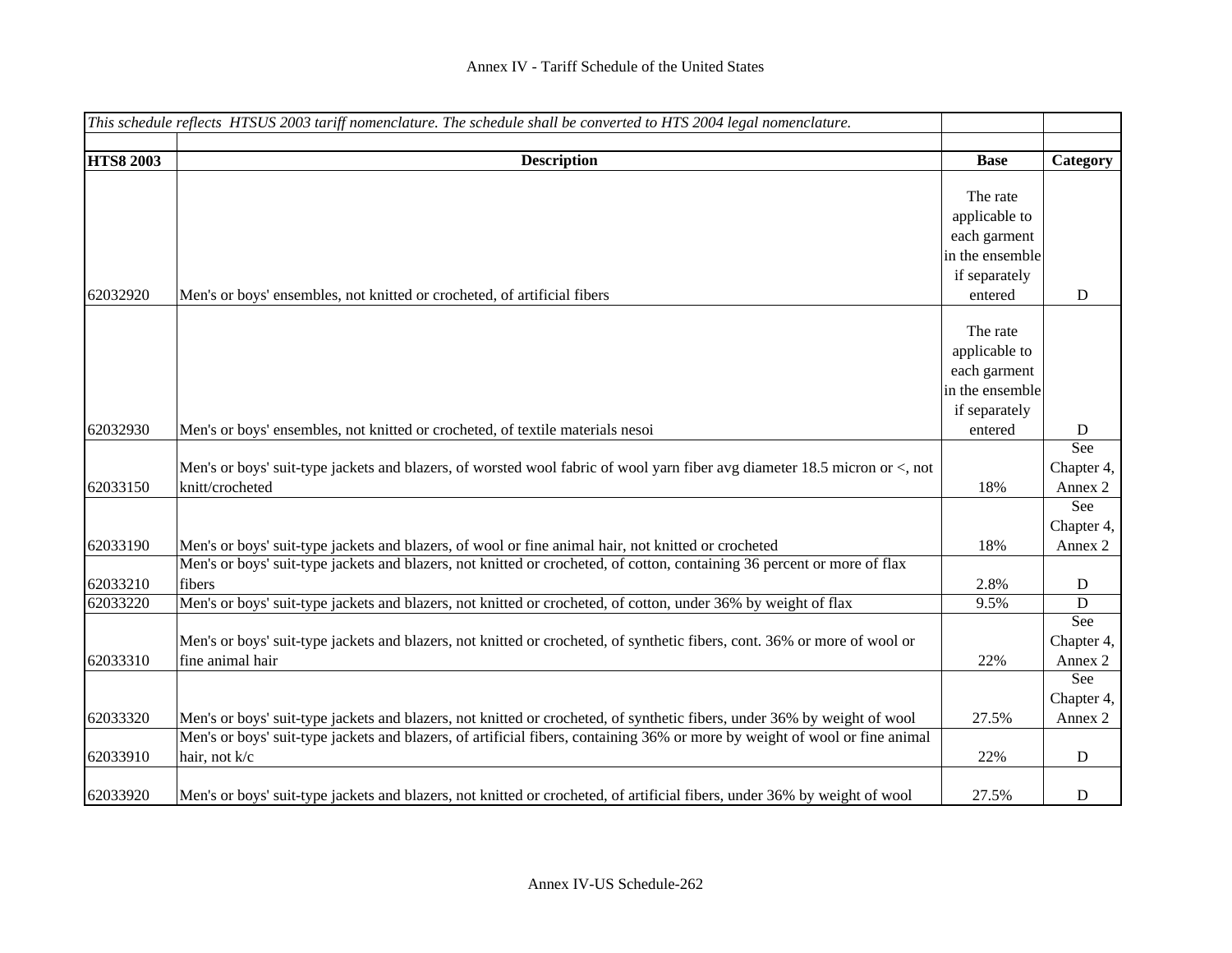| This schedule reflects HTSUS 2003 tariff nomenclature. The schedule shall be converted to HTS 2004 legal nomenclature. |                                                                                                                                               |                                 |                |
|------------------------------------------------------------------------------------------------------------------------|-----------------------------------------------------------------------------------------------------------------------------------------------|---------------------------------|----------------|
| <b>HTS8 2003</b>                                                                                                       |                                                                                                                                               | <b>Base</b>                     |                |
|                                                                                                                        | <b>Description</b>                                                                                                                            |                                 | Category       |
|                                                                                                                        |                                                                                                                                               | The rate                        |                |
|                                                                                                                        |                                                                                                                                               | applicable to                   |                |
|                                                                                                                        |                                                                                                                                               | each garment                    |                |
|                                                                                                                        |                                                                                                                                               | in the ensemble                 |                |
|                                                                                                                        |                                                                                                                                               | if separately                   |                |
| 62032920                                                                                                               | Men's or boys' ensembles, not knitted or crocheted, of artificial fibers                                                                      | entered                         | ${\bf D}$      |
|                                                                                                                        |                                                                                                                                               |                                 |                |
|                                                                                                                        |                                                                                                                                               | The rate                        |                |
|                                                                                                                        |                                                                                                                                               | applicable to                   |                |
|                                                                                                                        |                                                                                                                                               | each garment<br>in the ensemble |                |
|                                                                                                                        |                                                                                                                                               | if separately                   |                |
| 62032930                                                                                                               | Men's or boys' ensembles, not knitted or crocheted, of textile materials nesoi                                                                | entered                         | D              |
|                                                                                                                        |                                                                                                                                               |                                 | See            |
|                                                                                                                        | Men's or boys' suit-type jackets and blazers, of worsted wool fabric of wool yarn fiber avg diameter 18.5 micron or <, not                    |                                 | Chapter 4,     |
| 62033150                                                                                                               | knitt/crocheted                                                                                                                               | 18%                             | Annex 2        |
|                                                                                                                        |                                                                                                                                               |                                 | See            |
|                                                                                                                        |                                                                                                                                               |                                 | Chapter 4,     |
| 62033190                                                                                                               | Men's or boys' suit-type jackets and blazers, of wool or fine animal hair, not knitted or crocheted                                           | 18%                             | Annex 2        |
|                                                                                                                        | Men's or boys' suit-type jackets and blazers, not knitted or crocheted, of cotton, containing 36 percent or more of flax                      |                                 |                |
| 62033210                                                                                                               | fibers                                                                                                                                        | 2.8%                            | ${\bf D}$      |
| 62033220                                                                                                               | Men's or boys' suit-type jackets and blazers, not knitted or crocheted, of cotton, under 36% by weight of flax                                | 9.5%                            | $\mathbf D$    |
|                                                                                                                        |                                                                                                                                               |                                 | See            |
|                                                                                                                        | Men's or boys' suit-type jackets and blazers, not knitted or crocheted, of synthetic fibers, cont. 36% or more of wool or<br>fine animal hair |                                 | Chapter 4,     |
| 62033310                                                                                                               |                                                                                                                                               | 22%                             | Annex 2<br>See |
|                                                                                                                        |                                                                                                                                               |                                 | Chapter 4,     |
| 62033320                                                                                                               | Men's or boys' suit-type jackets and blazers, not knitted or crocheted, of synthetic fibers, under 36% by weight of wool                      | 27.5%                           | Annex 2        |
|                                                                                                                        | Men's or boys' suit-type jackets and blazers, of artificial fibers, containing 36% or more by weight of wool or fine animal                   |                                 |                |
| 62033910                                                                                                               | hair, not k/c                                                                                                                                 | 22%                             | ${\bf D}$      |
| 62033920                                                                                                               | Men's or boys' suit-type jackets and blazers, not knitted or crocheted, of artificial fibers, under 36% by weight of wool                     | 27.5%                           | ${\bf D}$      |
|                                                                                                                        |                                                                                                                                               |                                 |                |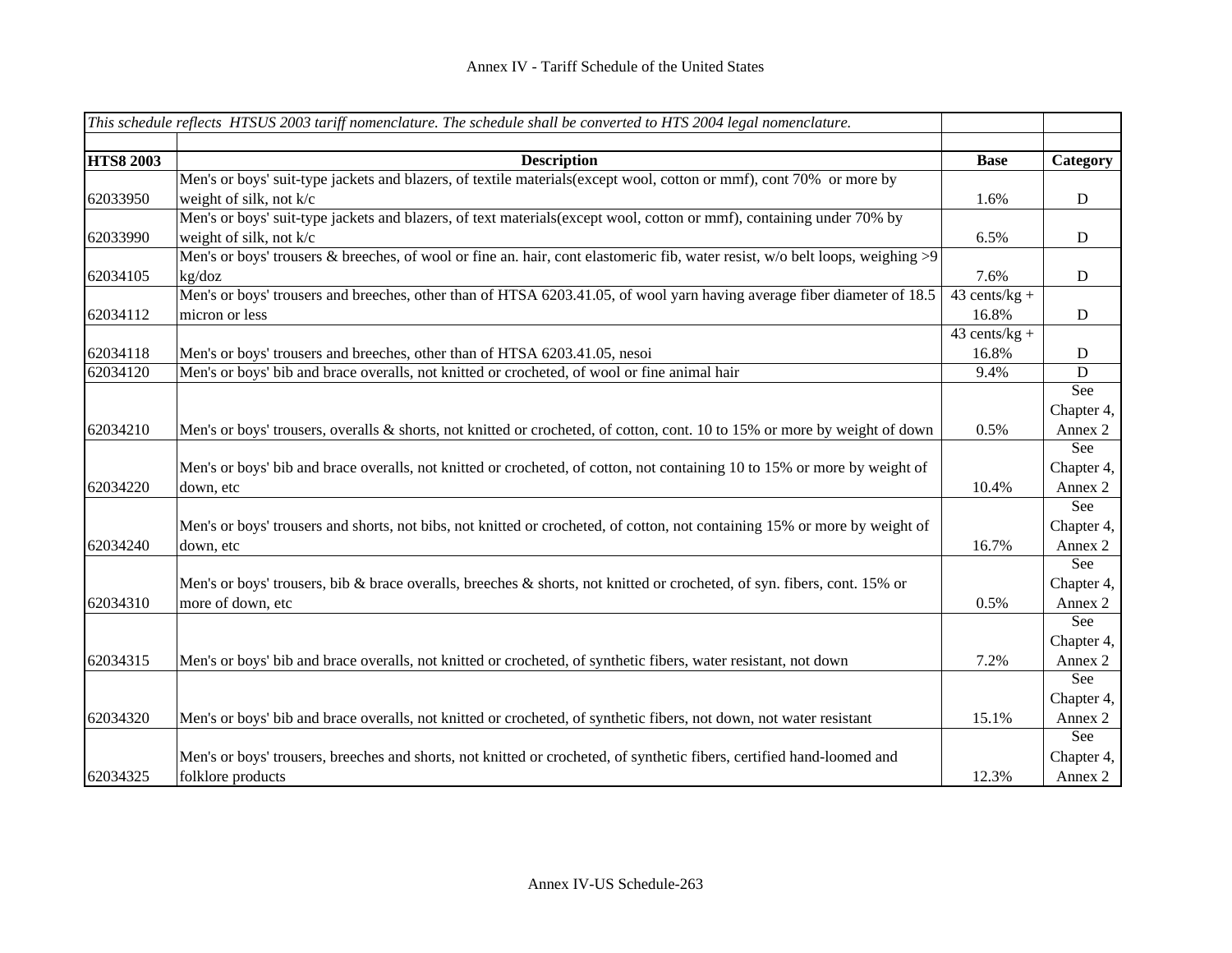| This schedule reflects HTSUS 2003 tariff nomenclature. The schedule shall be converted to HTS 2004 legal nomenclature. |                                                                                                                                 |                  |             |
|------------------------------------------------------------------------------------------------------------------------|---------------------------------------------------------------------------------------------------------------------------------|------------------|-------------|
| <b>HTS8 2003</b>                                                                                                       | <b>Description</b>                                                                                                              | <b>Base</b>      | Category    |
|                                                                                                                        | Men's or boys' suit-type jackets and blazers, of textile materials (except wool, cotton or mmf), cont 70% or more by            |                  |             |
| 62033950                                                                                                               | weight of silk, not k/c                                                                                                         | 1.6%             | $\mathbf D$ |
|                                                                                                                        | Men's or boys' suit-type jackets and blazers, of text materials (except wool, cotton or mmf), containing under 70% by           |                  |             |
| 62033990                                                                                                               | weight of silk, not k/c                                                                                                         | 6.5%             | ${\bf D}$   |
|                                                                                                                        | Men's or boys' trousers & breeches, of wool or fine an. hair, cont elastomeric fib, water resist, w/o belt loops, weighing $>9$ |                  |             |
| 62034105                                                                                                               | kg/doz                                                                                                                          | 7.6%             | D           |
|                                                                                                                        | Men's or boys' trousers and breeches, other than of HTSA 6203.41.05, of wool yarn having average fiber diameter of 18.5         | 43 cents/ $kg +$ |             |
| 62034112                                                                                                               | micron or less                                                                                                                  | 16.8%            | D           |
|                                                                                                                        |                                                                                                                                 | $43$ cents/kg +  |             |
| 62034118                                                                                                               | Men's or boys' trousers and breeches, other than of HTSA 6203.41.05, nesoi                                                      | 16.8%            | D           |
| 62034120                                                                                                               | Men's or boys' bib and brace overalls, not knitted or crocheted, of wool or fine animal hair                                    | 9.4%             | $\mathbf D$ |
|                                                                                                                        |                                                                                                                                 |                  | See         |
|                                                                                                                        |                                                                                                                                 |                  | Chapter 4,  |
| 62034210                                                                                                               | Men's or boys' trousers, overalls & shorts, not knitted or crocheted, of cotton, cont. 10 to 15% or more by weight of down      | 0.5%             | Annex 2     |
|                                                                                                                        |                                                                                                                                 |                  | See         |
|                                                                                                                        | Men's or boys' bib and brace overalls, not knitted or crocheted, of cotton, not containing 10 to 15% or more by weight of       |                  | Chapter 4,  |
| 62034220                                                                                                               | down, etc                                                                                                                       | 10.4%            | Annex 2     |
|                                                                                                                        |                                                                                                                                 |                  | See         |
|                                                                                                                        | Men's or boys' trousers and shorts, not bibs, not knitted or crocheted, of cotton, not containing 15% or more by weight of      |                  | Chapter 4,  |
| 62034240                                                                                                               | down, etc                                                                                                                       | 16.7%            | Annex 2     |
|                                                                                                                        |                                                                                                                                 |                  | See         |
|                                                                                                                        | Men's or boys' trousers, bib & brace overalls, breeches & shorts, not knitted or crocheted, of syn. fibers, cont. 15% or        |                  | Chapter 4,  |
| 62034310                                                                                                               | more of down, etc                                                                                                               | 0.5%             | Annex 2     |
|                                                                                                                        |                                                                                                                                 |                  | See         |
|                                                                                                                        |                                                                                                                                 |                  | Chapter 4,  |
| 62034315                                                                                                               | Men's or boys' bib and brace overalls, not knitted or crocheted, of synthetic fibers, water resistant, not down                 | 7.2%             | Annex 2     |
|                                                                                                                        |                                                                                                                                 |                  | See         |
|                                                                                                                        |                                                                                                                                 |                  | Chapter 4,  |
| 62034320                                                                                                               | Men's or boys' bib and brace overalls, not knitted or crocheted, of synthetic fibers, not down, not water resistant             | 15.1%            | Annex 2     |
|                                                                                                                        |                                                                                                                                 |                  | See         |
|                                                                                                                        | Men's or boys' trousers, breeches and shorts, not knitted or crocheted, of synthetic fibers, certified hand-loomed and          |                  | Chapter 4,  |
| 62034325                                                                                                               | folklore products                                                                                                               | 12.3%            | Annex 2     |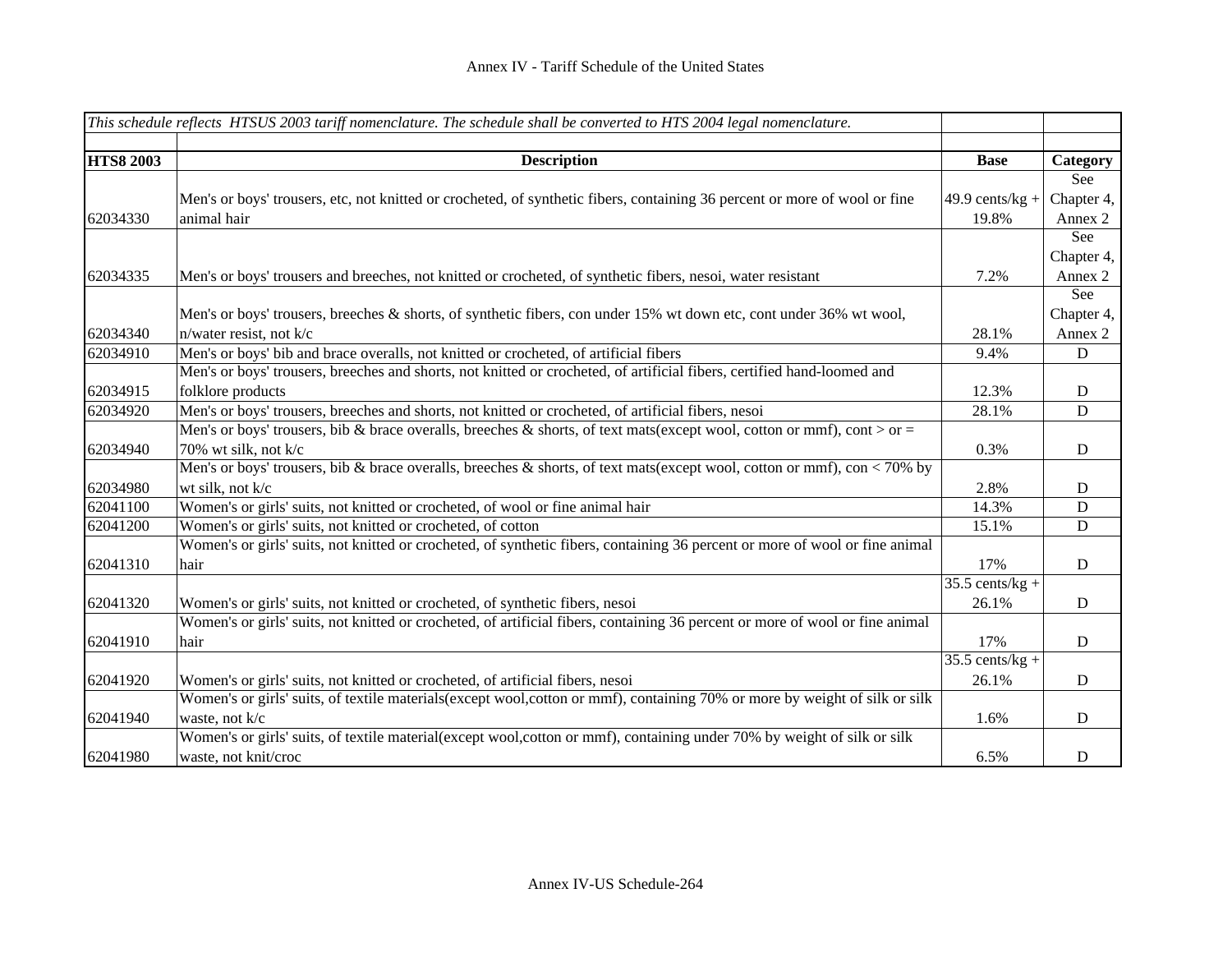| This schedule reflects HTSUS 2003 tariff nomenclature. The schedule shall be converted to HTS 2004 legal nomenclature. |                                                                                                                               |                    |             |
|------------------------------------------------------------------------------------------------------------------------|-------------------------------------------------------------------------------------------------------------------------------|--------------------|-------------|
|                                                                                                                        |                                                                                                                               |                    |             |
| <b>HTS8 2003</b>                                                                                                       | <b>Description</b>                                                                                                            | <b>Base</b>        | Category    |
|                                                                                                                        |                                                                                                                               |                    | See         |
|                                                                                                                        | Men's or boys' trousers, etc, not knitted or crocheted, of synthetic fibers, containing 36 percent or more of wool or fine    | 49.9 cents/ $kg +$ | Chapter 4,  |
| 62034330                                                                                                               | animal hair                                                                                                                   | 19.8%              | Annex 2     |
|                                                                                                                        |                                                                                                                               |                    | See         |
|                                                                                                                        |                                                                                                                               |                    | Chapter 4,  |
| 62034335                                                                                                               | Men's or boys' trousers and breeches, not knitted or crocheted, of synthetic fibers, nesoi, water resistant                   | 7.2%               | Annex 2     |
|                                                                                                                        |                                                                                                                               |                    | See         |
|                                                                                                                        | Men's or boys' trousers, breeches & shorts, of synthetic fibers, con under 15% wt down etc, cont under 36% wt wool,           |                    | Chapter 4,  |
| 62034340                                                                                                               | n/water resist, not k/c                                                                                                       | 28.1%              | Annex 2     |
| 62034910                                                                                                               | Men's or boys' bib and brace overalls, not knitted or crocheted, of artificial fibers                                         | 9.4%               | D           |
|                                                                                                                        | Men's or boys' trousers, breeches and shorts, not knitted or crocheted, of artificial fibers, certified hand-loomed and       |                    |             |
| 62034915                                                                                                               | folklore products                                                                                                             | 12.3%              | D           |
| 62034920                                                                                                               | Men's or boys' trousers, breeches and shorts, not knitted or crocheted, of artificial fibers, nesoi                           | 28.1%              | $\mathbf D$ |
|                                                                                                                        | Men's or boys' trousers, bib & brace overalls, breeches & shorts, of text mats (except wool, cotton or mmf), cont > or =      |                    |             |
| 62034940                                                                                                               | 70% wt silk, not k/c                                                                                                          | 0.3%               | D           |
|                                                                                                                        | Men's or boys' trousers, bib & brace overalls, breeches & shorts, of text mats(except wool, cotton or mmf), con < 70% by      |                    |             |
| 62034980                                                                                                               | wt silk, not k/c                                                                                                              | 2.8%               | D           |
| 62041100                                                                                                               | Women's or girls' suits, not knitted or crocheted, of wool or fine animal hair                                                | 14.3%              | D           |
| 62041200                                                                                                               | Women's or girls' suits, not knitted or crocheted, of cotton                                                                  | 15.1%              | ${\bf D}$   |
|                                                                                                                        | Women's or girls' suits, not knitted or crocheted, of synthetic fibers, containing 36 percent or more of wool or fine animal  |                    |             |
| 62041310                                                                                                               | hair                                                                                                                          | 17%                | D           |
|                                                                                                                        |                                                                                                                               | $35.5$ cents/kg +  |             |
| 62041320                                                                                                               | Women's or girls' suits, not knitted or crocheted, of synthetic fibers, nesoi                                                 | 26.1%              | D           |
|                                                                                                                        | Women's or girls' suits, not knitted or crocheted, of artificial fibers, containing 36 percent or more of wool or fine animal |                    |             |
| 62041910                                                                                                               | hair                                                                                                                          | 17%                | D           |
|                                                                                                                        |                                                                                                                               | $35.5$ cents/kg +  |             |
| 62041920                                                                                                               | Women's or girls' suits, not knitted or crocheted, of artificial fibers, nesoi                                                | 26.1%              | D           |
|                                                                                                                        | Women's or girls' suits, of textile materials(except wool, cotton or mmf), containing 70% or more by weight of silk or silk   |                    |             |
| 62041940                                                                                                               | waste, not k/c                                                                                                                | 1.6%               | D           |
|                                                                                                                        | Women's or girls' suits, of textile material(except wool, cotton or mmf), containing under 70% by weight of silk or silk      |                    |             |
| 62041980                                                                                                               | waste, not knit/croc                                                                                                          | 6.5%               | D           |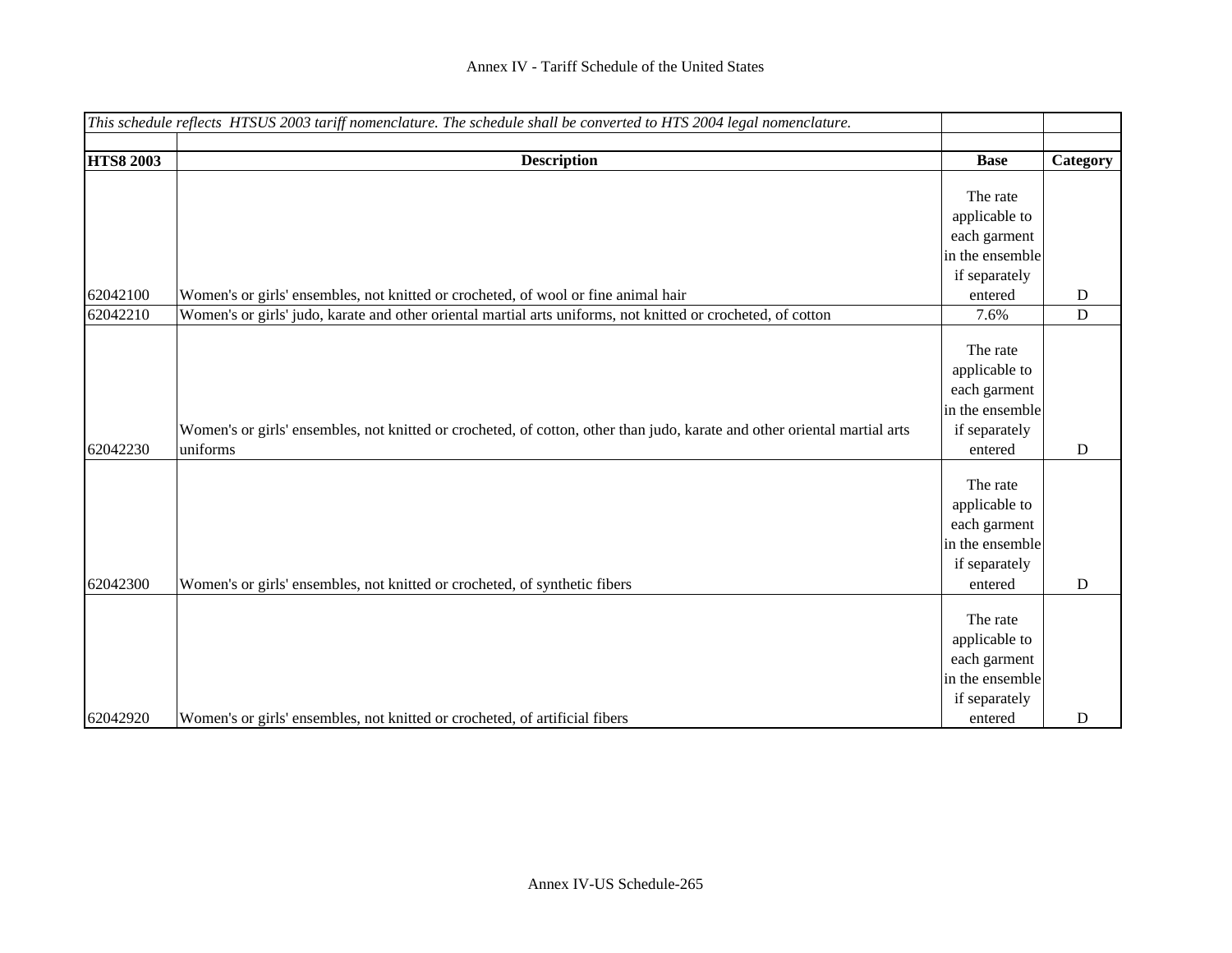|                  | This schedule reflects HTSUS 2003 tariff nomenclature. The schedule shall be converted to HTS 2004 legal nomenclature.    |                 |             |
|------------------|---------------------------------------------------------------------------------------------------------------------------|-----------------|-------------|
|                  |                                                                                                                           |                 |             |
| <b>HTS8 2003</b> | <b>Description</b>                                                                                                        | <b>Base</b>     | Category    |
|                  |                                                                                                                           |                 |             |
|                  |                                                                                                                           | The rate        |             |
|                  |                                                                                                                           | applicable to   |             |
|                  |                                                                                                                           | each garment    |             |
|                  |                                                                                                                           | in the ensemble |             |
|                  |                                                                                                                           | if separately   |             |
| 62042100         | Women's or girls' ensembles, not knitted or crocheted, of wool or fine animal hair                                        | entered         | $\mathbf D$ |
| 62042210         | Women's or girls' judo, karate and other oriental martial arts uniforms, not knitted or crocheted, of cotton              | 7.6%            | D           |
|                  |                                                                                                                           |                 |             |
|                  |                                                                                                                           | The rate        |             |
|                  |                                                                                                                           | applicable to   |             |
|                  |                                                                                                                           | each garment    |             |
|                  |                                                                                                                           | in the ensemble |             |
|                  | Women's or girls' ensembles, not knitted or crocheted, of cotton, other than judo, karate and other oriental martial arts | if separately   |             |
| 62042230         | uniforms                                                                                                                  | entered         | $\mathbf D$ |
|                  |                                                                                                                           |                 |             |
|                  |                                                                                                                           | The rate        |             |
|                  |                                                                                                                           | applicable to   |             |
|                  |                                                                                                                           | each garment    |             |
|                  |                                                                                                                           | in the ensemble |             |
|                  |                                                                                                                           | if separately   |             |
| 62042300         | Women's or girls' ensembles, not knitted or crocheted, of synthetic fibers                                                | entered         | D           |
|                  |                                                                                                                           |                 |             |
|                  |                                                                                                                           | The rate        |             |
|                  |                                                                                                                           | applicable to   |             |
|                  |                                                                                                                           | each garment    |             |
|                  |                                                                                                                           | in the ensemble |             |
|                  |                                                                                                                           | if separately   |             |
| 62042920         | Women's or girls' ensembles, not knitted or crocheted, of artificial fibers                                               | entered         | D           |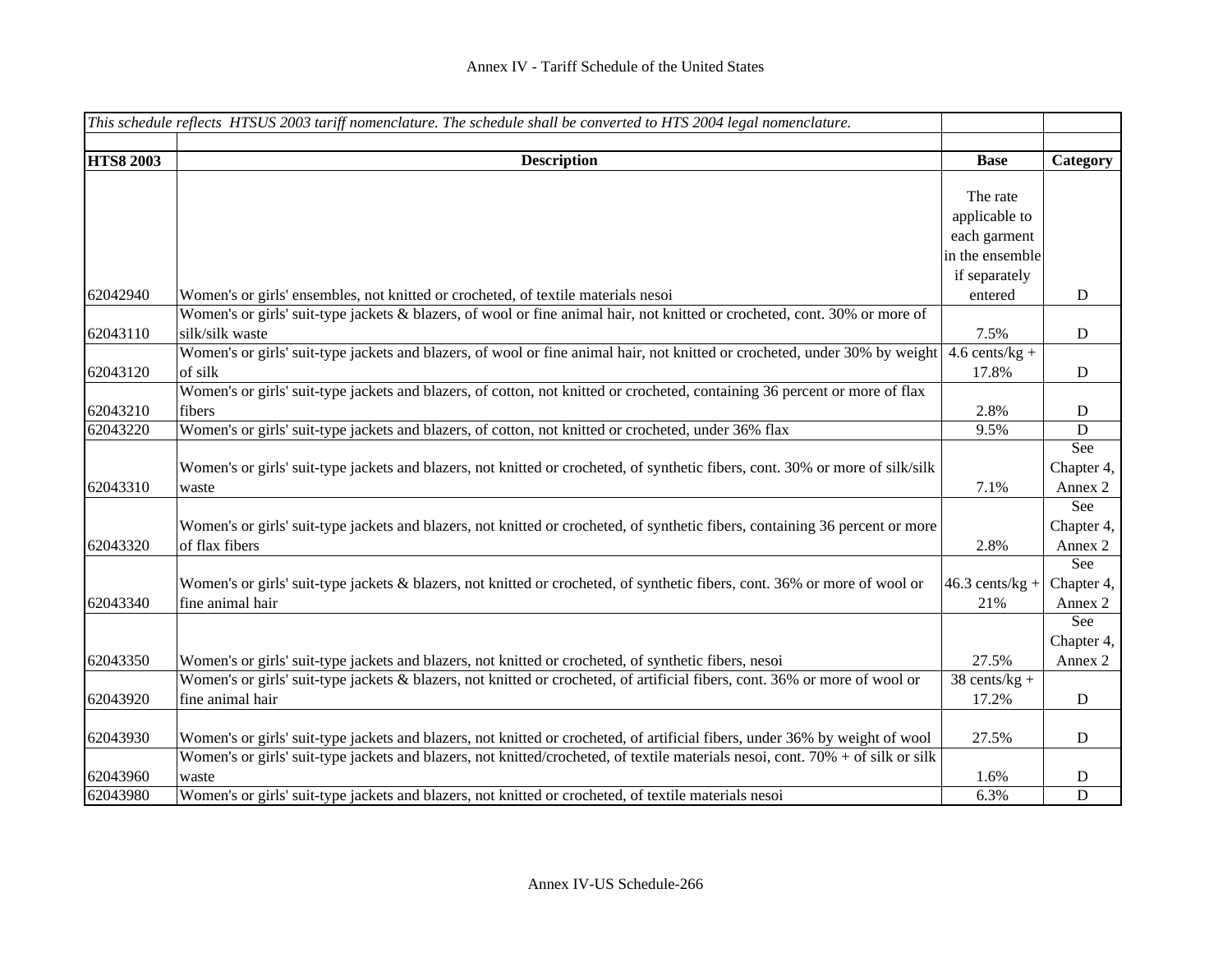|                  | This schedule reflects HTSUS 2003 tariff nomenclature. The schedule shall be converted to HTS 2004 legal nomenclature.          |                   |             |
|------------------|---------------------------------------------------------------------------------------------------------------------------------|-------------------|-------------|
|                  |                                                                                                                                 |                   |             |
| <b>HTS8 2003</b> | <b>Description</b>                                                                                                              | <b>Base</b>       | Category    |
|                  |                                                                                                                                 | The rate          |             |
|                  |                                                                                                                                 | applicable to     |             |
|                  |                                                                                                                                 | each garment      |             |
|                  |                                                                                                                                 | in the ensemble   |             |
|                  |                                                                                                                                 | if separately     |             |
| 62042940         | Women's or girls' ensembles, not knitted or crocheted, of textile materials nesoi                                               | entered           | ${\bf D}$   |
|                  | Women's or girls' suit-type jackets & blazers, of wool or fine animal hair, not knitted or crocheted, cont. 30% or more of      |                   |             |
| 62043110         | silk/silk waste                                                                                                                 | 7.5%              | ${\bf D}$   |
|                  | Women's or girls' suit-type jackets and blazers, of wool or fine animal hair, not knitted or crocheted, under 30% by weight     | $4.6$ cents/kg +  |             |
| 62043120         | of silk                                                                                                                         | 17.8%             | ${\bf D}$   |
|                  | Women's or girls' suit-type jackets and blazers, of cotton, not knitted or crocheted, containing 36 percent or more of flax     |                   |             |
| 62043210         | fibers                                                                                                                          | 2.8%              | D           |
| 62043220         | Women's or girls' suit-type jackets and blazers, of cotton, not knitted or crocheted, under 36% flax                            | 9.5%              | $\mathbf D$ |
|                  |                                                                                                                                 |                   | See         |
|                  | Women's or girls' suit-type jackets and blazers, not knitted or crocheted, of synthetic fibers, cont. 30% or more of silk/silk  |                   | Chapter 4,  |
| 62043310         | waste                                                                                                                           | 7.1%              | Annex 2     |
|                  |                                                                                                                                 |                   | See         |
|                  | Women's or girls' suit-type jackets and blazers, not knitted or crocheted, of synthetic fibers, containing 36 percent or more   |                   | Chapter 4,  |
| 62043320         | of flax fibers                                                                                                                  | 2.8%              | Annex 2     |
|                  |                                                                                                                                 |                   | See         |
|                  | Women's or girls' suit-type jackets & blazers, not knitted or crocheted, of synthetic fibers, cont. 36% or more of wool or      | $46.3$ cents/kg + | Chapter 4,  |
| 62043340         | fine animal hair                                                                                                                | 21%               | Annex 2     |
|                  |                                                                                                                                 |                   | See         |
|                  |                                                                                                                                 |                   | Chapter 4,  |
| 62043350         | Women's or girls' suit-type jackets and blazers, not knitted or crocheted, of synthetic fibers, nesoi                           | 27.5%             | Annex 2     |
|                  | Women's or girls' suit-type jackets & blazers, not knitted or crocheted, of artificial fibers, cont. 36% or more of wool or     | $38$ cents/kg +   |             |
| 62043920         | fine animal hair                                                                                                                | 17.2%             | $\mathbf D$ |
| 62043930         | Women's or girls' suit-type jackets and blazers, not knitted or crocheted, of artificial fibers, under 36% by weight of wool    |                   |             |
|                  | Women's or girls' suit-type jackets and blazers, not knitted/crocheted, of textile materials nesoi, cont. 70% + of silk or silk | 27.5%             | ${\bf D}$   |
| 62043960         | waste                                                                                                                           | 1.6%              | $\mathbf D$ |
| 62043980         | Women's or girls' suit-type jackets and blazers, not knitted or crocheted, of textile materials nesoi                           | 6.3%              | $\mathbf D$ |
|                  |                                                                                                                                 |                   |             |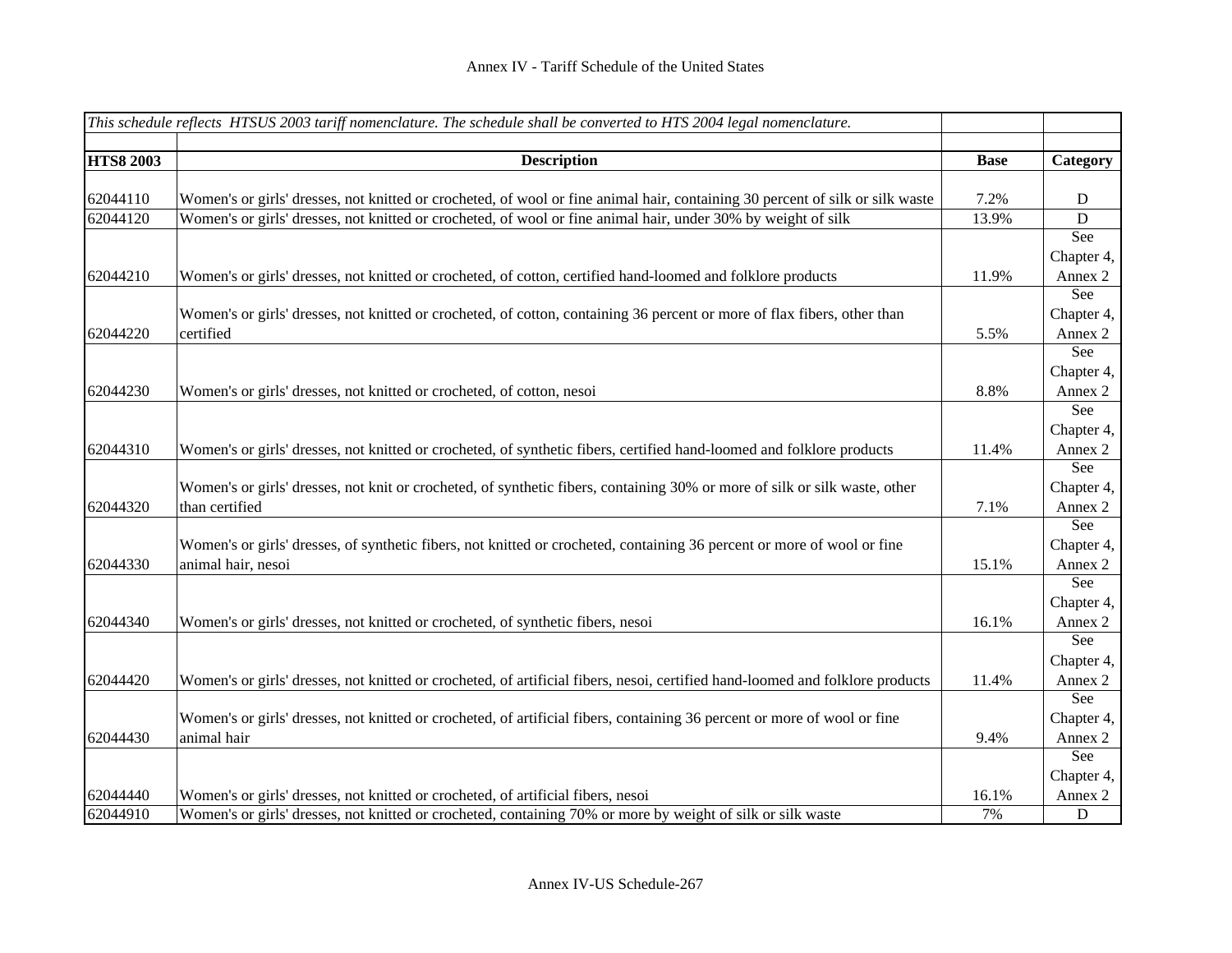|                  | This schedule reflects HTSUS 2003 tariff nomenclature. The schedule shall be converted to HTS 2004 legal nomenclature.        |             |            |
|------------------|-------------------------------------------------------------------------------------------------------------------------------|-------------|------------|
|                  |                                                                                                                               |             |            |
| <b>HTS8 2003</b> | <b>Description</b>                                                                                                            | <b>Base</b> | Category   |
|                  |                                                                                                                               |             |            |
| 62044110         | Women's or girls' dresses, not knitted or crocheted, of wool or fine animal hair, containing 30 percent of silk or silk waste | 7.2%        | D          |
| 62044120         | Women's or girls' dresses, not knitted or crocheted, of wool or fine animal hair, under 30% by weight of silk                 | 13.9%       | ${\bf D}$  |
|                  |                                                                                                                               |             | See        |
|                  |                                                                                                                               |             | Chapter 4, |
| 62044210         | Women's or girls' dresses, not knitted or crocheted, of cotton, certified hand-loomed and folklore products                   | 11.9%       | Annex 2    |
|                  |                                                                                                                               |             | See        |
|                  | Women's or girls' dresses, not knitted or crocheted, of cotton, containing 36 percent or more of flax fibers, other than      |             | Chapter 4, |
| 62044220         | certified                                                                                                                     | 5.5%        | Annex 2    |
|                  |                                                                                                                               |             | See        |
|                  |                                                                                                                               |             | Chapter 4, |
| 62044230         | Women's or girls' dresses, not knitted or crocheted, of cotton, nesoi                                                         | 8.8%        | Annex 2    |
|                  |                                                                                                                               |             | See        |
|                  |                                                                                                                               |             | Chapter 4, |
| 62044310         | Women's or girls' dresses, not knitted or crocheted, of synthetic fibers, certified hand-loomed and folklore products         | 11.4%       | Annex 2    |
|                  |                                                                                                                               |             | See        |
|                  | Women's or girls' dresses, not knit or crocheted, of synthetic fibers, containing 30% or more of silk or silk waste, other    |             | Chapter 4, |
| 62044320         | than certified                                                                                                                | 7.1%        | Annex 2    |
|                  |                                                                                                                               |             | See        |
|                  | Women's or girls' dresses, of synthetic fibers, not knitted or crocheted, containing 36 percent or more of wool or fine       |             | Chapter 4, |
| 62044330         | animal hair, nesoi                                                                                                            | 15.1%       | Annex 2    |
|                  |                                                                                                                               |             | See        |
|                  |                                                                                                                               |             | Chapter 4, |
| 62044340         | Women's or girls' dresses, not knitted or crocheted, of synthetic fibers, nesoi                                               | 16.1%       | Annex 2    |
|                  |                                                                                                                               |             | See        |
|                  |                                                                                                                               |             | Chapter 4, |
| 62044420         | Women's or girls' dresses, not knitted or crocheted, of artificial fibers, nesoi, certified hand-loomed and folklore products | 11.4%       | Annex 2    |
|                  |                                                                                                                               |             | See        |
|                  | Women's or girls' dresses, not knitted or crocheted, of artificial fibers, containing 36 percent or more of wool or fine      |             | Chapter 4, |
| 62044430         | animal hair                                                                                                                   | 9.4%        | Annex 2    |
|                  |                                                                                                                               |             | See        |
|                  |                                                                                                                               |             | Chapter 4, |
| 62044440         | Women's or girls' dresses, not knitted or crocheted, of artificial fibers, nesoi                                              | 16.1%       | Annex 2    |
| 62044910         | Women's or girls' dresses, not knitted or crocheted, containing 70% or more by weight of silk or silk waste                   | 7%          | D          |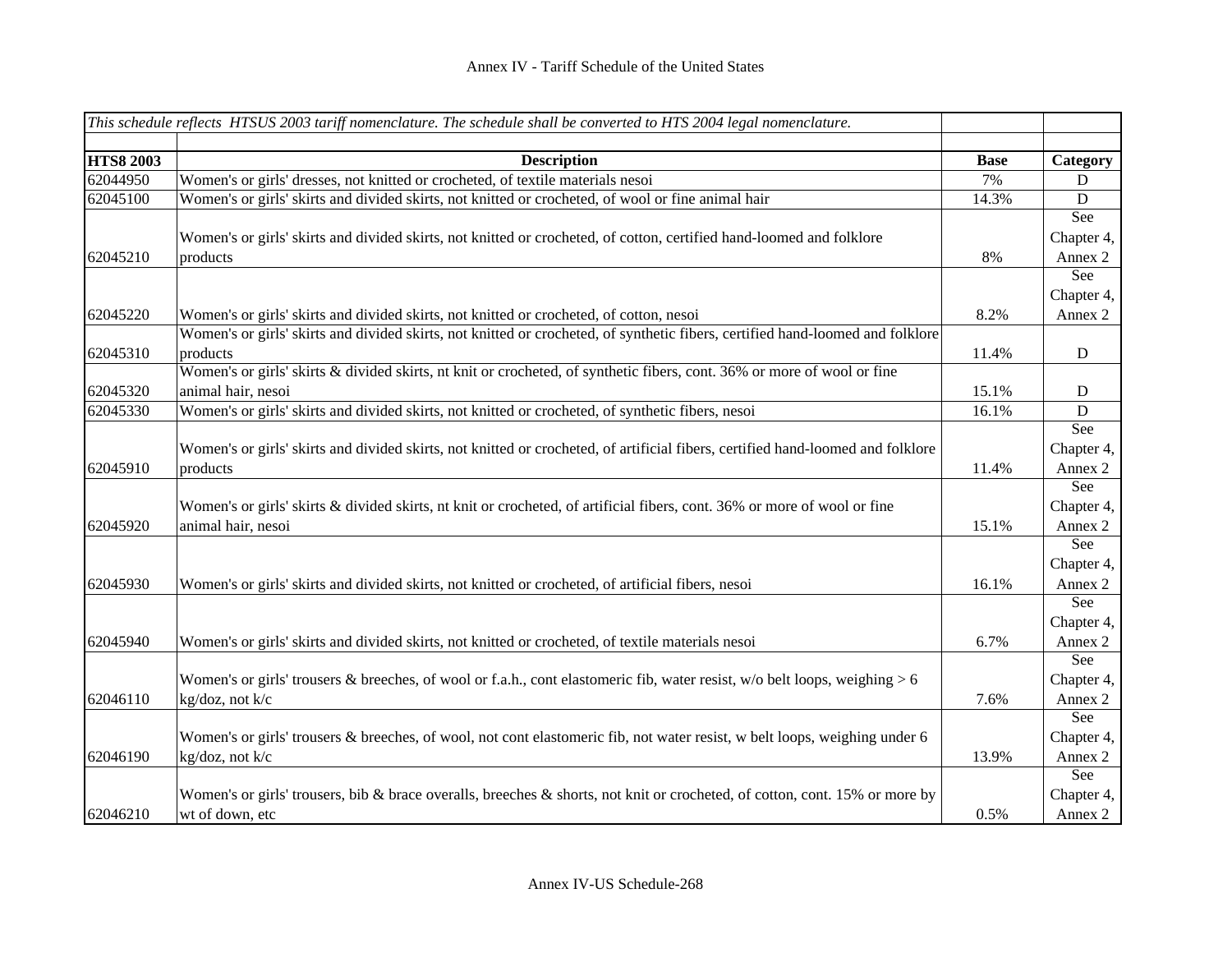|                  | This schedule reflects HTSUS 2003 tariff nomenclature. The schedule shall be converted to HTS 2004 legal nomenclature.          |             |            |
|------------------|---------------------------------------------------------------------------------------------------------------------------------|-------------|------------|
|                  |                                                                                                                                 |             |            |
| <b>HTS8 2003</b> | <b>Description</b>                                                                                                              | <b>Base</b> | Category   |
| 62044950         | Women's or girls' dresses, not knitted or crocheted, of textile materials nesoi                                                 | 7%          | D          |
| 62045100         | Women's or girls' skirts and divided skirts, not knitted or crocheted, of wool or fine animal hair                              | 14.3%       | D          |
|                  |                                                                                                                                 |             | See        |
|                  | Women's or girls' skirts and divided skirts, not knitted or crocheted, of cotton, certified hand-loomed and folklore            |             | Chapter 4, |
| 62045210         | products                                                                                                                        | 8%          | Annex 2    |
|                  |                                                                                                                                 |             | See        |
|                  |                                                                                                                                 |             | Chapter 4, |
| 62045220         | Women's or girls' skirts and divided skirts, not knitted or crocheted, of cotton, nesoi                                         | 8.2%        | Annex 2    |
|                  | Women's or girls' skirts and divided skirts, not knitted or crocheted, of synthetic fibers, certified hand-loomed and folklore  |             |            |
| 62045310         | products                                                                                                                        | 11.4%       | ${\bf D}$  |
|                  | Women's or girls' skirts & divided skirts, nt knit or crocheted, of synthetic fibers, cont. 36% or more of wool or fine         |             |            |
| 62045320         | animal hair, nesoi                                                                                                              | 15.1%       | D          |
| 62045330         | Women's or girls' skirts and divided skirts, not knitted or crocheted, of synthetic fibers, nesoi                               | 16.1%       | D          |
|                  |                                                                                                                                 |             | See        |
|                  | Women's or girls' skirts and divided skirts, not knitted or crocheted, of artificial fibers, certified hand-loomed and folklore |             | Chapter 4, |
| 62045910         | products                                                                                                                        | 11.4%       | Annex 2    |
|                  |                                                                                                                                 |             | See        |
|                  | Women's or girls' skirts & divided skirts, nt knit or crocheted, of artificial fibers, cont. 36% or more of wool or fine        |             | Chapter 4, |
| 62045920         | animal hair, nesoi                                                                                                              | 15.1%       | Annex 2    |
|                  |                                                                                                                                 |             | See        |
|                  |                                                                                                                                 |             | Chapter 4, |
| 62045930         | Women's or girls' skirts and divided skirts, not knitted or crocheted, of artificial fibers, nesoi                              | 16.1%       | Annex 2    |
|                  |                                                                                                                                 |             | See        |
|                  |                                                                                                                                 |             | Chapter 4, |
| 62045940         | Women's or girls' skirts and divided skirts, not knitted or crocheted, of textile materials nesoi                               | 6.7%        | Annex 2    |
|                  |                                                                                                                                 |             | See        |
|                  | Women's or girls' trousers & breeches, of wool or f.a.h., cont elastomeric fib, water resist, $w/o$ belt loops, weighing > 6    |             | Chapter 4, |
| 62046110         | kg/doz, not k/c                                                                                                                 | 7.6%        | Annex 2    |
|                  |                                                                                                                                 |             | See        |
|                  | Women's or girls' trousers & breeches, of wool, not cont elastomeric fib, not water resist, w belt loops, weighing under 6      |             | Chapter 4, |
| 62046190         | kg/doz, not k/c                                                                                                                 | 13.9%       | Annex 2    |
|                  |                                                                                                                                 |             | See        |
|                  | Women's or girls' trousers, bib & brace overalls, breeches & shorts, not knit or crocheted, of cotton, cont. 15% or more by     |             | Chapter 4, |
| 62046210         | wt of down, etc                                                                                                                 | 0.5%        | Annex 2    |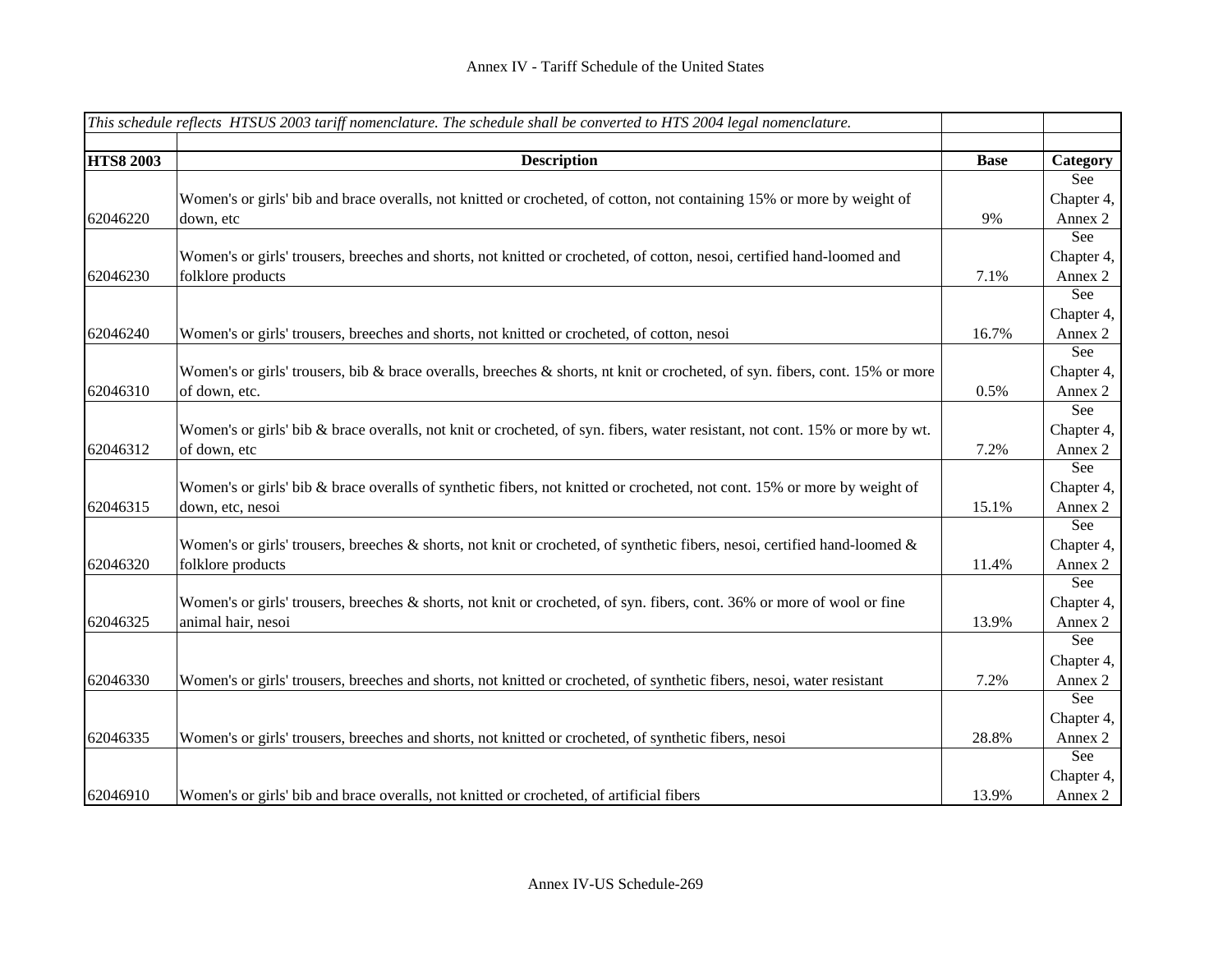|                  | This schedule reflects HTSUS 2003 tariff nomenclature. The schedule shall be converted to HTS 2004 legal nomenclature.       |             |            |
|------------------|------------------------------------------------------------------------------------------------------------------------------|-------------|------------|
|                  |                                                                                                                              |             |            |
| <b>HTS8 2003</b> | <b>Description</b>                                                                                                           | <b>Base</b> | Category   |
|                  |                                                                                                                              |             | See        |
|                  | Women's or girls' bib and brace overalls, not knitted or crocheted, of cotton, not containing 15% or more by weight of       |             | Chapter 4, |
| 62046220         | down, etc                                                                                                                    | 9%          | Annex 2    |
|                  |                                                                                                                              |             | See        |
|                  | Women's or girls' trousers, breeches and shorts, not knitted or crocheted, of cotton, nesoi, certified hand-loomed and       |             | Chapter 4, |
| 62046230         | folklore products                                                                                                            | 7.1%        | Annex 2    |
|                  |                                                                                                                              |             | See        |
|                  |                                                                                                                              |             | Chapter 4, |
| 62046240         | Women's or girls' trousers, breeches and shorts, not knitted or crocheted, of cotton, nesoi                                  | 16.7%       | Annex 2    |
|                  |                                                                                                                              |             | See        |
|                  | Women's or girls' trousers, bib & brace overalls, breeches & shorts, nt knit or crocheted, of syn. fibers, cont. 15% or more |             | Chapter 4, |
| 62046310         | of down, etc.                                                                                                                | 0.5%        | Annex 2    |
|                  |                                                                                                                              |             | See        |
|                  | Women's or girls' bib & brace overalls, not knit or crocheted, of syn. fibers, water resistant, not cont. 15% or more by wt. |             | Chapter 4, |
| 62046312         | of down, etc                                                                                                                 | 7.2%        | Annex 2    |
|                  |                                                                                                                              |             | See        |
|                  | Women's or girls' bib & brace overalls of synthetic fibers, not knitted or crocheted, not cont. 15% or more by weight of     |             | Chapter 4, |
| 62046315         | down, etc, nesoi                                                                                                             | 15.1%       | Annex 2    |
|                  |                                                                                                                              |             | See        |
|                  | Women's or girls' trousers, breeches & shorts, not knit or crocheted, of synthetic fibers, nesoi, certified hand-loomed $\&$ |             | Chapter 4, |
| 62046320         | folklore products                                                                                                            | 11.4%       | Annex 2    |
|                  |                                                                                                                              |             | See        |
|                  | Women's or girls' trousers, breeches & shorts, not knit or crocheted, of syn. fibers, cont. 36% or more of wool or fine      |             | Chapter 4, |
| 62046325         | animal hair, nesoi                                                                                                           | 13.9%       | Annex 2    |
|                  |                                                                                                                              |             | See        |
|                  |                                                                                                                              |             | Chapter 4, |
| 62046330         | Women's or girls' trousers, breeches and shorts, not knitted or crocheted, of synthetic fibers, nesoi, water resistant       | 7.2%        | Annex 2    |
|                  |                                                                                                                              |             | See        |
|                  |                                                                                                                              |             | Chapter 4, |
| 62046335         | Women's or girls' trousers, breeches and shorts, not knitted or crocheted, of synthetic fibers, nesoi                        | 28.8%       | Annex 2    |
|                  |                                                                                                                              |             | See        |
|                  |                                                                                                                              |             | Chapter 4, |
| 62046910         | Women's or girls' bib and brace overalls, not knitted or crocheted, of artificial fibers                                     | 13.9%       | Annex 2    |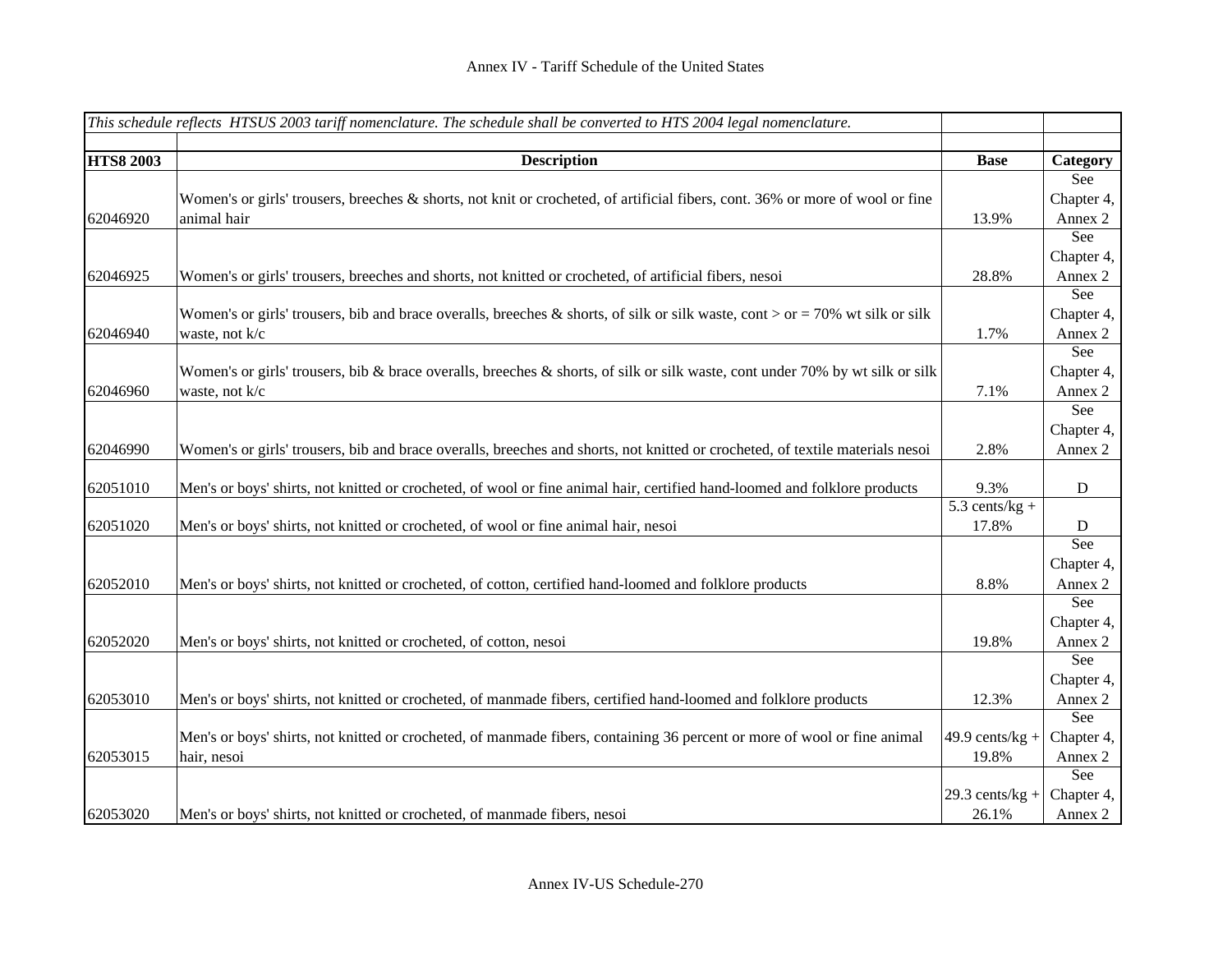|                  | This schedule reflects HTSUS 2003 tariff nomenclature. The schedule shall be converted to HTS 2004 legal nomenclature.        |                    |             |
|------------------|-------------------------------------------------------------------------------------------------------------------------------|--------------------|-------------|
|                  |                                                                                                                               |                    |             |
| <b>HTS8 2003</b> | <b>Description</b>                                                                                                            | <b>Base</b>        | Category    |
|                  |                                                                                                                               |                    | See         |
|                  | Women's or girls' trousers, breeches & shorts, not knit or crocheted, of artificial fibers, cont. 36% or more of wool or fine |                    | Chapter 4,  |
| 62046920         | animal hair                                                                                                                   | 13.9%              | Annex 2     |
|                  |                                                                                                                               |                    | See         |
|                  |                                                                                                                               |                    | Chapter 4,  |
| 62046925         | Women's or girls' trousers, breeches and shorts, not knitted or crocheted, of artificial fibers, nesoi                        | 28.8%              | Annex 2     |
|                  |                                                                                                                               |                    | See         |
|                  | Women's or girls' trousers, bib and brace overalls, breeches & shorts, of silk or silk waste, cont > or = 70% wt silk or silk |                    | Chapter 4,  |
| 62046940         | waste, not k/c                                                                                                                | 1.7%               | Annex 2     |
|                  |                                                                                                                               |                    | See         |
|                  | Women's or girls' trousers, bib & brace overalls, breeches & shorts, of silk or silk waste, cont under 70% by wt silk or silk |                    | Chapter 4,  |
| 62046960         | waste, not k/c                                                                                                                | 7.1%               | Annex 2     |
|                  |                                                                                                                               |                    | See         |
|                  |                                                                                                                               |                    | Chapter 4,  |
| 62046990         | Women's or girls' trousers, bib and brace overalls, breeches and shorts, not knitted or crocheted, of textile materials nesoi | 2.8%               | Annex 2     |
|                  |                                                                                                                               |                    |             |
| 62051010         | Men's or boys' shirts, not knitted or crocheted, of wool or fine animal hair, certified hand-loomed and folklore products     | 9.3%               | $\mathbf D$ |
|                  |                                                                                                                               | $5.3$ cents/kg +   |             |
| 62051020         | Men's or boys' shirts, not knitted or crocheted, of wool or fine animal hair, nesoi                                           | 17.8%              | D           |
|                  |                                                                                                                               |                    | See         |
|                  |                                                                                                                               |                    | Chapter 4,  |
| 62052010         | Men's or boys' shirts, not knitted or crocheted, of cotton, certified hand-loomed and folklore products                       | 8.8%               | Annex 2     |
|                  |                                                                                                                               |                    | See         |
|                  |                                                                                                                               |                    | Chapter 4,  |
| 62052020         | Men's or boys' shirts, not knitted or crocheted, of cotton, nesoi                                                             | 19.8%              | Annex 2     |
|                  |                                                                                                                               |                    | See         |
|                  |                                                                                                                               |                    | Chapter 4,  |
| 62053010         | Men's or boys' shirts, not knitted or crocheted, of manmade fibers, certified hand-loomed and folklore products               | 12.3%              | Annex 2     |
|                  |                                                                                                                               |                    | See         |
|                  | Men's or boys' shirts, not knitted or crocheted, of manmade fibers, containing 36 percent or more of wool or fine animal      | 49.9 cents/ $kg +$ | Chapter 4,  |
| 62053015         | hair, nesoi                                                                                                                   | 19.8%              | Annex 2     |
|                  |                                                                                                                               |                    | See         |
|                  |                                                                                                                               | $29.3$ cents/kg +  | Chapter 4,  |
| 62053020         | Men's or boys' shirts, not knitted or crocheted, of manmade fibers, nesoi                                                     | 26.1%              | Annex 2     |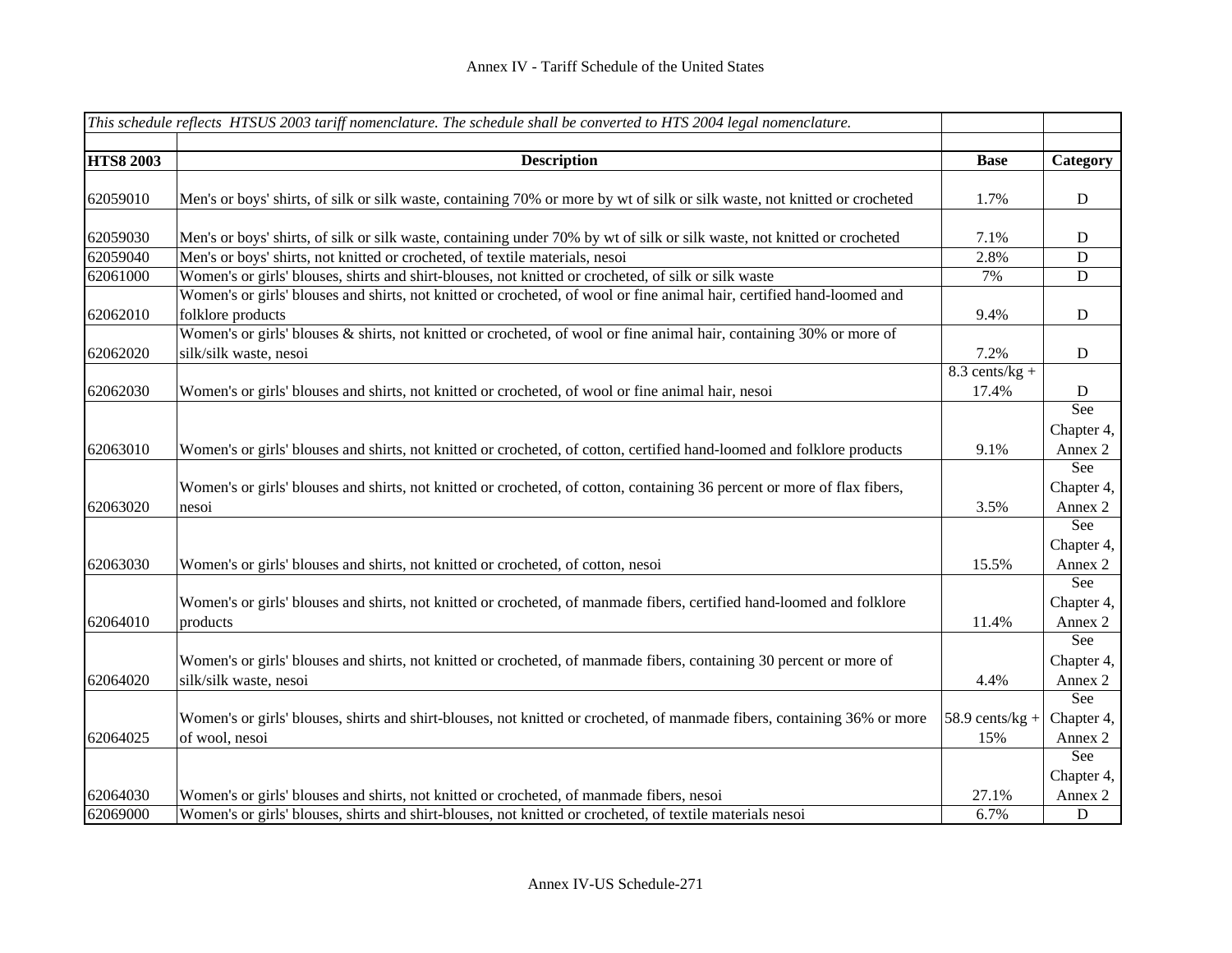|                  | This schedule reflects HTSUS 2003 tariff nomenclature. The schedule shall be converted to HTS 2004 legal nomenclature.     |                   |             |
|------------------|----------------------------------------------------------------------------------------------------------------------------|-------------------|-------------|
|                  |                                                                                                                            |                   |             |
| <b>HTS8 2003</b> | <b>Description</b>                                                                                                         | <b>Base</b>       | Category    |
| 62059010         | Men's or boys' shirts, of silk or silk waste, containing 70% or more by wt of silk or silk waste, not knitted or crocheted | 1.7%              | $\mathbf D$ |
|                  |                                                                                                                            |                   |             |
| 62059030         | Men's or boys' shirts, of silk or silk waste, containing under 70% by wt of silk or silk waste, not knitted or crocheted   | 7.1%              | D           |
| 62059040         | Men's or boys' shirts, not knitted or crocheted, of textile materials, nesoi                                               | 2.8%              | D           |
| 62061000         | Women's or girls' blouses, shirts and shirt-blouses, not knitted or crocheted, of silk or silk waste                       | 7%                | $\mathbf D$ |
|                  | Women's or girls' blouses and shirts, not knitted or crocheted, of wool or fine animal hair, certified hand-loomed and     |                   |             |
| 62062010         | folklore products                                                                                                          | 9.4%              | $\mathbf D$ |
|                  | Women's or girls' blouses & shirts, not knitted or crocheted, of wool or fine animal hair, containing 30% or more of       |                   |             |
| 62062020         | silk/silk waste, nesoi                                                                                                     | 7.2%              | D           |
|                  |                                                                                                                            | $8.3$ cents/kg +  |             |
| 62062030         | Women's or girls' blouses and shirts, not knitted or crocheted, of wool or fine animal hair, nesoi                         | 17.4%             | D           |
|                  |                                                                                                                            |                   | See         |
|                  |                                                                                                                            |                   | Chapter 4,  |
| 62063010         | Women's or girls' blouses and shirts, not knitted or crocheted, of cotton, certified hand-loomed and folklore products     | 9.1%              | Annex 2     |
|                  |                                                                                                                            |                   | See         |
|                  | Women's or girls' blouses and shirts, not knitted or crocheted, of cotton, containing 36 percent or more of flax fibers,   |                   | Chapter 4,  |
| 62063020         | nesoi                                                                                                                      | 3.5%              | Annex 2     |
|                  |                                                                                                                            |                   | See         |
|                  |                                                                                                                            |                   | Chapter 4,  |
| 62063030         | Women's or girls' blouses and shirts, not knitted or crocheted, of cotton, nesoi                                           | 15.5%             | Annex 2     |
|                  |                                                                                                                            |                   | See         |
|                  | Women's or girls' blouses and shirts, not knitted or crocheted, of manmade fibers, certified hand-loomed and folklore      |                   | Chapter 4,  |
| 62064010         | products                                                                                                                   | 11.4%             | Annex 2     |
|                  |                                                                                                                            |                   | See         |
|                  | Women's or girls' blouses and shirts, not knitted or crocheted, of manmade fibers, containing 30 percent or more of        |                   | Chapter 4,  |
| 62064020         | silk/silk waste, nesoi                                                                                                     | 4.4%              | Annex 2     |
|                  |                                                                                                                            |                   | See         |
|                  | Women's or girls' blouses, shirts and shirt-blouses, not knitted or crocheted, of manmade fibers, containing 36% or more   | $58.9$ cents/kg + | Chapter 4,  |
| 62064025         | of wool, nesoi                                                                                                             | 15%               | Annex 2     |
|                  |                                                                                                                            |                   | See         |
|                  |                                                                                                                            |                   | Chapter 4,  |
| 62064030         | Women's or girls' blouses and shirts, not knitted or crocheted, of manmade fibers, nesoi                                   | 27.1%             | Annex 2     |
| 62069000         | Women's or girls' blouses, shirts and shirt-blouses, not knitted or crocheted, of textile materials nesoi                  | 6.7%              | $\mathbf D$ |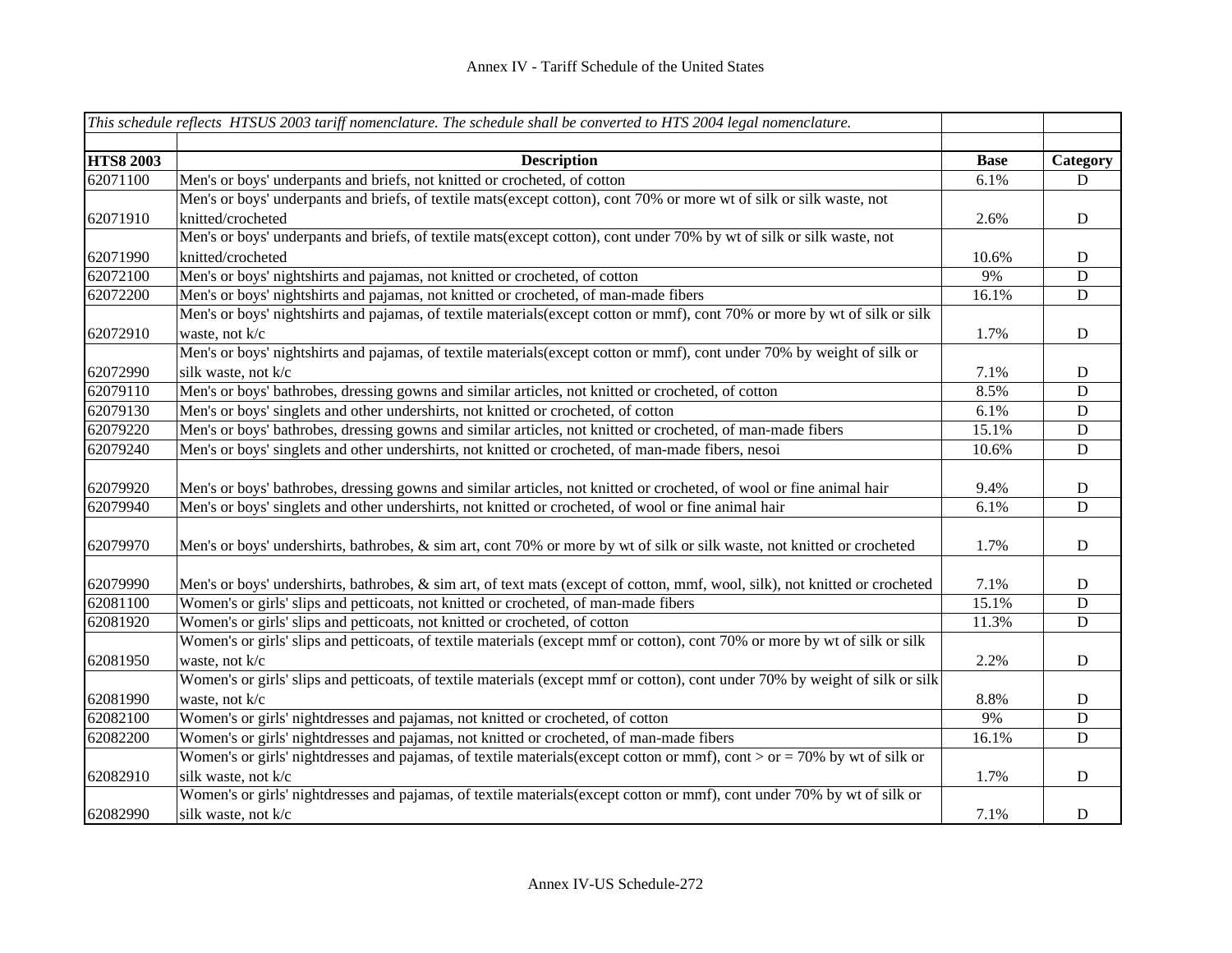|                  | This schedule reflects HTSUS 2003 tariff nomenclature. The schedule shall be converted to HTS 2004 legal nomenclature.        |             |             |
|------------------|-------------------------------------------------------------------------------------------------------------------------------|-------------|-------------|
| <b>HTS8 2003</b> | <b>Description</b>                                                                                                            | <b>Base</b> | Category    |
| 62071100         | Men's or boys' underpants and briefs, not knitted or crocheted, of cotton                                                     | 6.1%        | $\mathbf D$ |
|                  | Men's or boys' underpants and briefs, of textile mats(except cotton), cont 70% or more wt of silk or silk waste, not          |             |             |
| 62071910         | knitted/crocheted                                                                                                             | 2.6%        | ${\bf D}$   |
|                  | Men's or boys' underpants and briefs, of textile mats(except cotton), cont under 70% by wt of silk or silk waste, not         |             |             |
| 62071990         | knitted/crocheted                                                                                                             | 10.6%       | $\mathbf D$ |
| 62072100         | Men's or boys' nightshirts and pajamas, not knitted or crocheted, of cotton                                                   | 9%          | D           |
| 62072200         | Men's or boys' nightshirts and pajamas, not knitted or crocheted, of man-made fibers                                          | 16.1%       | D           |
|                  | Men's or boys' nightshirts and pajamas, of textile materials (except cotton or mmf), cont 70% or more by wt of silk or silk   |             |             |
| 62072910         | waste, not k/c                                                                                                                | 1.7%        | $\mathbf D$ |
|                  | Men's or boys' nightshirts and pajamas, of textile materials (except cotton or mmf), cont under 70% by weight of silk or      |             |             |
| 62072990         | silk waste, not k/c                                                                                                           | 7.1%        | $\mathbf D$ |
| 62079110         | Men's or boys' bathrobes, dressing gowns and similar articles, not knitted or crocheted, of cotton                            | 8.5%        | D           |
| 62079130         | Men's or boys' singlets and other undershirts, not knitted or crocheted, of cotton                                            | 6.1%        | $\mathbf D$ |
| 62079220         | Men's or boys' bathrobes, dressing gowns and similar articles, not knitted or crocheted, of man-made fibers                   | 15.1%       | $\mathbf D$ |
| 62079240         | Men's or boys' singlets and other undershirts, not knitted or crocheted, of man-made fibers, nesoi                            | 10.6%       | D           |
| 62079920         | Men's or boys' bathrobes, dressing gowns and similar articles, not knitted or crocheted, of wool or fine animal hair          | 9.4%        | $\mathbf D$ |
| 62079940         | Men's or boys' singlets and other undershirts, not knitted or crocheted, of wool or fine animal hair                          | 6.1%        | D           |
|                  |                                                                                                                               |             |             |
| 62079970         | Men's or boys' undershirts, bathrobes, & sim art, cont 70% or more by wt of silk or silk waste, not knitted or crocheted      | 1.7%        | $\mathbf D$ |
| 62079990         | Men's or boys' undershirts, bathrobes, & sim art, of text mats (except of cotton, mmf, wool, silk), not knitted or crocheted  | 7.1%        | $\mathbf D$ |
| 62081100         | Women's or girls' slips and petticoats, not knitted or crocheted, of man-made fibers                                          | 15.1%       | D           |
| 62081920         | Women's or girls' slips and petticoats, not knitted or crocheted, of cotton                                                   | 11.3%       | $\mathbf D$ |
|                  | Women's or girls' slips and petticoats, of textile materials (except mmf or cotton), cont 70% or more by wt of silk or silk   |             |             |
| 62081950         | waste, not k/c                                                                                                                | 2.2%        | $\mathbf D$ |
|                  | Women's or girls' slips and petticoats, of textile materials (except mmf or cotton), cont under 70% by weight of silk or silk |             |             |
| 62081990         | waste, not k/c                                                                                                                | 8.8%        | $\mathbf D$ |
| 62082100         | Women's or girls' nightdresses and pajamas, not knitted or crocheted, of cotton                                               | 9%          | D           |
| 62082200         | Women's or girls' nightdresses and pajamas, not knitted or crocheted, of man-made fibers                                      | 16.1%       | $\mathbf D$ |
|                  | Women's or girls' nightdresses and pajamas, of textile materials (except cotton or mmf), cont > or = 70% by wt of silk or     |             |             |
| 62082910         | silk waste, not k/c                                                                                                           | 1.7%        | $\mathbf D$ |
|                  | Women's or girls' nightdresses and pajamas, of textile materials(except cotton or mmf), cont under 70% by wt of silk or       |             |             |
| 62082990         | silk waste, not k/c                                                                                                           | 7.1%        | $\mathbf D$ |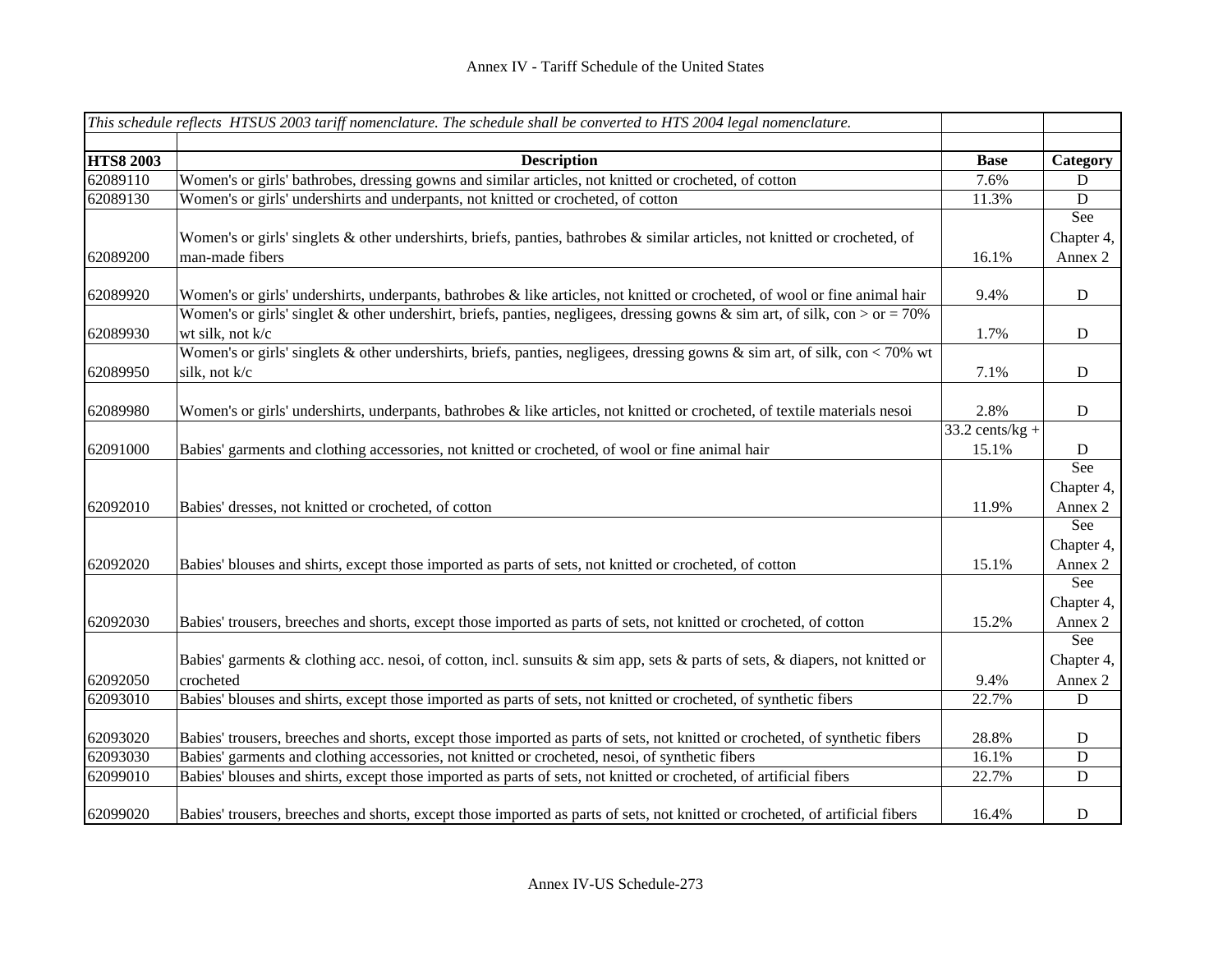|                      | This schedule reflects HTSUS 2003 tariff nomenclature. The schedule shall be converted to HTS 2004 legal nomenclature.         |                   |                        |
|----------------------|--------------------------------------------------------------------------------------------------------------------------------|-------------------|------------------------|
| <b>HTS8 2003</b>     | <b>Description</b>                                                                                                             | <b>Base</b>       | Category               |
| 62089110             | Women's or girls' bathrobes, dressing gowns and similar articles, not knitted or crocheted, of cotton                          | 7.6%              | D                      |
| 62089130             | Women's or girls' undershirts and underpants, not knitted or crocheted, of cotton                                              | 11.3%             | D                      |
|                      |                                                                                                                                |                   | See                    |
|                      | Women's or girls' singlets & other undershirts, briefs, panties, bathrobes & similar articles, not knitted or crocheted, of    |                   | Chapter 4,             |
| 62089200             | man-made fibers                                                                                                                | 16.1%             | Annex 2                |
| 62089920             | Women's or girls' undershirts, underpants, bathrobes & like articles, not knitted or crocheted, of wool or fine animal hair    | 9.4%              | $\mathbf D$            |
|                      | Women's or girls' singlet & other undershirt, briefs, panties, negligees, dressing gowns & sim art, of silk, con > or = 70%    |                   |                        |
| 62089930             | wt silk, not k/c                                                                                                               | 1.7%              | $\mathbf D$            |
|                      | Women's or girls' singlets & other undershirts, briefs, panties, negligees, dressing gowns $\&$ sim art, of silk, con < 70% wt |                   |                        |
| 62089950             | silk, not k/c                                                                                                                  | 7.1%              | $\mathbf D$            |
|                      |                                                                                                                                |                   |                        |
| 62089980             | Women's or girls' undershirts, underpants, bathrobes & like articles, not knitted or crocheted, of textile materials nesoi     | 2.8%              | $\mathbf D$            |
|                      |                                                                                                                                | $33.2$ cents/kg + |                        |
| 62091000             | Babies' garments and clothing accessories, not knitted or crocheted, of wool or fine animal hair                               | 15.1%             | D                      |
|                      |                                                                                                                                |                   | See                    |
|                      |                                                                                                                                |                   | Chapter 4,             |
| 62092010             | Babies' dresses, not knitted or crocheted, of cotton                                                                           | 11.9%             | Annex 2                |
|                      |                                                                                                                                |                   | See                    |
|                      |                                                                                                                                |                   | Chapter 4,             |
| 62092020             | Babies' blouses and shirts, except those imported as parts of sets, not knitted or crocheted, of cotton                        | 15.1%             | Annex 2                |
|                      |                                                                                                                                |                   | See                    |
|                      |                                                                                                                                |                   | Chapter 4,             |
| 62092030             | Babies' trousers, breeches and shorts, except those imported as parts of sets, not knitted or crocheted, of cotton             | 15.2%             | Annex 2                |
|                      |                                                                                                                                |                   | See                    |
|                      | Babies' garments & clothing acc. nesoi, of cotton, incl. sunsuits & sim app, sets & parts of sets, & diapers, not knitted or   |                   | Chapter 4,             |
| 62092050<br>62093010 | crocheted<br>Babies' blouses and shirts, except those imported as parts of sets, not knitted or crocheted, of synthetic fibers | 9.4%<br>22.7%     | Annex 2<br>$\mathbf D$ |
|                      |                                                                                                                                |                   |                        |
| 62093020             | Babies' trousers, breeches and shorts, except those imported as parts of sets, not knitted or crocheted, of synthetic fibers   | 28.8%             | $\mathbf D$            |
| 62093030             | Babies' garments and clothing accessories, not knitted or crocheted, nesoi, of synthetic fibers                                | 16.1%             | ${\bf D}$              |
| 62099010             | Babies' blouses and shirts, except those imported as parts of sets, not knitted or crocheted, of artificial fibers             | 22.7%             | $\mathbf D$            |
| 62099020             | Babies' trousers, breeches and shorts, except those imported as parts of sets, not knitted or crocheted, of artificial fibers  | 16.4%             | $\mathbf D$            |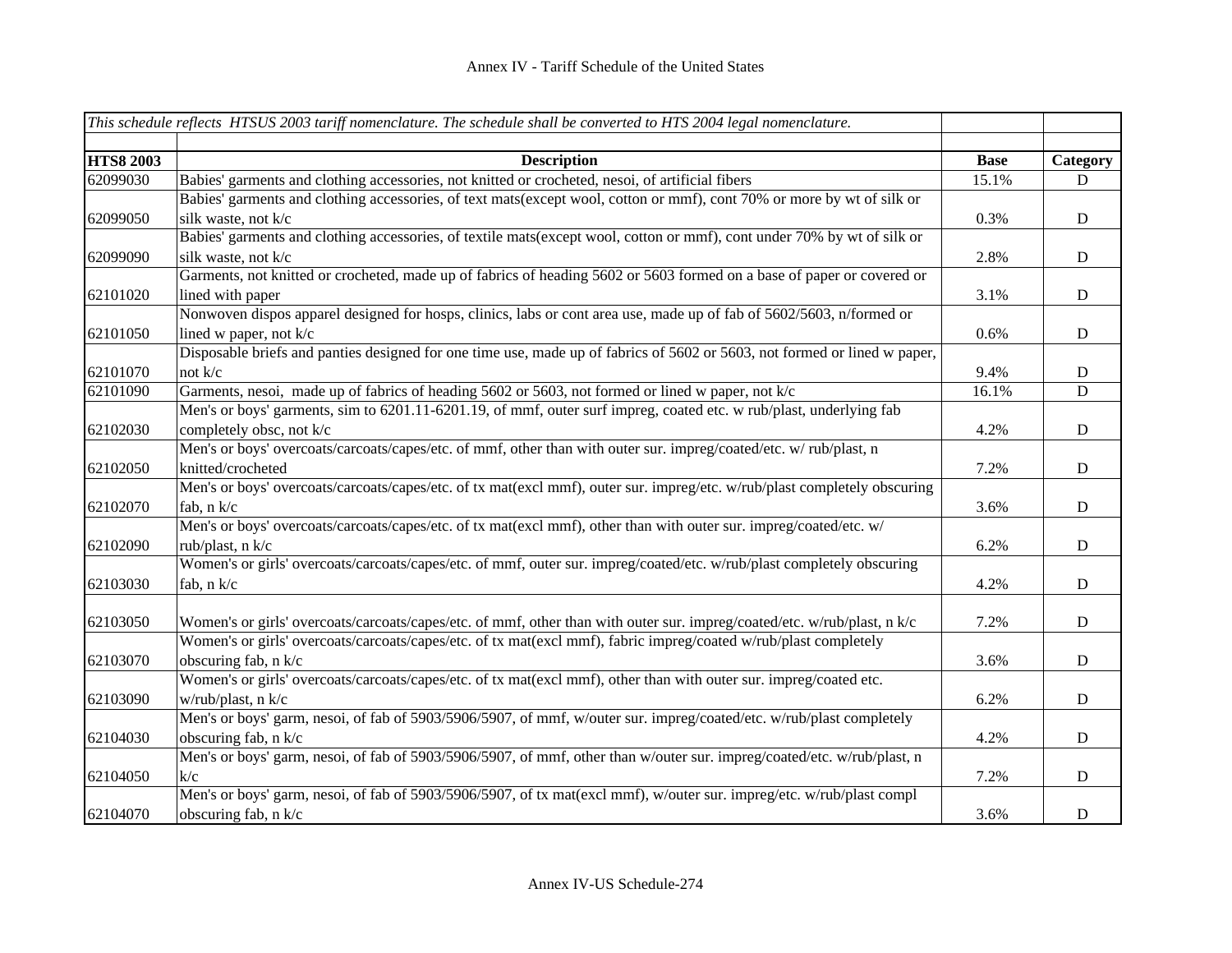|                  | This schedule reflects HTSUS 2003 tariff nomenclature. The schedule shall be converted to HTS 2004 legal nomenclature.    |             |             |
|------------------|---------------------------------------------------------------------------------------------------------------------------|-------------|-------------|
| <b>HTS8 2003</b> | <b>Description</b>                                                                                                        | <b>Base</b> | Category    |
| 62099030         | Babies' garments and clothing accessories, not knitted or crocheted, nesoi, of artificial fibers                          | 15.1%       | D           |
|                  | Babies' garments and clothing accessories, of text mats(except wool, cotton or mmf), cont 70% or more by wt of silk or    |             |             |
| 62099050         | silk waste, not k/c                                                                                                       | 0.3%        | $\mathbf D$ |
|                  | Babies' garments and clothing accessories, of textile mats(except wool, cotton or mmf), cont under 70% by wt of silk or   |             |             |
| 62099090         | silk waste, not k/c                                                                                                       | 2.8%        | $\mathbf D$ |
|                  | Garments, not knitted or crocheted, made up of fabrics of heading 5602 or 5603 formed on a base of paper or covered or    |             |             |
| 62101020         | lined with paper                                                                                                          | 3.1%        | $\mathbf D$ |
|                  | Nonwoven dispos apparel designed for hosps, clinics, labs or cont area use, made up of fab of 5602/5603, n/formed or      |             |             |
| 62101050         | lined w paper, not $k/c$                                                                                                  | 0.6%        | D           |
|                  | Disposable briefs and panties designed for one time use, made up of fabrics of 5602 or 5603, not formed or lined w paper, |             |             |
| 62101070         | not $k/c$                                                                                                                 | 9.4%        | $\mathbf D$ |
| 62101090         | Garments, nesoi, made up of fabrics of heading 5602 or 5603, not formed or lined w paper, not k/c                         | 16.1%       | $\mathbf D$ |
|                  | Men's or boys' garments, sim to 6201.11-6201.19, of mmf, outer surf impreg, coated etc. w rub/plast, underlying fab       |             |             |
| 62102030         | completely obsc, not k/c                                                                                                  | 4.2%        | $\mathbf D$ |
|                  | Men's or boys' overcoats/carcoats/capes/etc. of mmf, other than with outer sur. impreg/coated/etc. w/rub/plast, n         |             |             |
| 62102050         | knitted/crocheted                                                                                                         | 7.2%        | ${\bf D}$   |
|                  | Men's or boys' overcoats/carcoats/capes/etc. of tx mat(excl mmf), outer sur. impreg/etc. w/rub/plast completely obscuring |             |             |
| 62102070         | fab, n k/c                                                                                                                | 3.6%        | $\mathbf D$ |
|                  | Men's or boys' overcoats/carcoats/capes/etc. of tx mat(excl mmf), other than with outer sur. impreg/coated/etc. w/        |             |             |
| 62102090         | rub/plast, n k/c                                                                                                          | 6.2%        | $\mathbf D$ |
|                  | Women's or girls' overcoats/carcoats/capes/etc. of mmf, outer sur. impreg/coated/etc. w/rub/plast completely obscuring    |             |             |
| 62103030         | fab, n k/c                                                                                                                | 4.2%        | $\mathbf D$ |
|                  |                                                                                                                           |             |             |
| 62103050         | Women's or girls' overcoats/carcoats/capes/etc. of mmf, other than with outer sur. impreg/coated/etc. w/rub/plast, n k/c  | 7.2%        | ${\bf D}$   |
|                  | Women's or girls' overcoats/carcoats/capes/etc. of tx mat(excl mmf), fabric impreg/coated w/rub/plast completely          |             |             |
| 62103070         | obscuring fab, n k/c                                                                                                      | 3.6%        | ${\bf D}$   |
|                  | Women's or girls' overcoats/carcoats/capes/etc. of tx mat(excl mmf), other than with outer sur. impreg/coated etc.        |             |             |
| 62103090         | w/rub/plast, n k/c                                                                                                        | 6.2%        | ${\bf D}$   |
|                  | Men's or boys' garm, nesoi, of fab of 5903/5906/5907, of mmf, w/outer sur. impreg/coated/etc. w/rub/plast completely      |             |             |
| 62104030         | obscuring fab, n k/c                                                                                                      | 4.2%        | ${\bf D}$   |
|                  | Men's or boys' garm, nesoi, of fab of 5903/5906/5907, of mmf, other than w/outer sur. impreg/coated/etc. w/rub/plast, n   |             |             |
| 62104050         | k/c                                                                                                                       | 7.2%        | $\mathbf D$ |
|                  | Men's or boys' garm, nesoi, of fab of 5903/5906/5907, of tx mat(excl mmf), w/outer sur. impreg/etc. w/rub/plast compl     |             |             |
| 62104070         | obscuring fab, n k/c                                                                                                      | 3.6%        | ${\bf D}$   |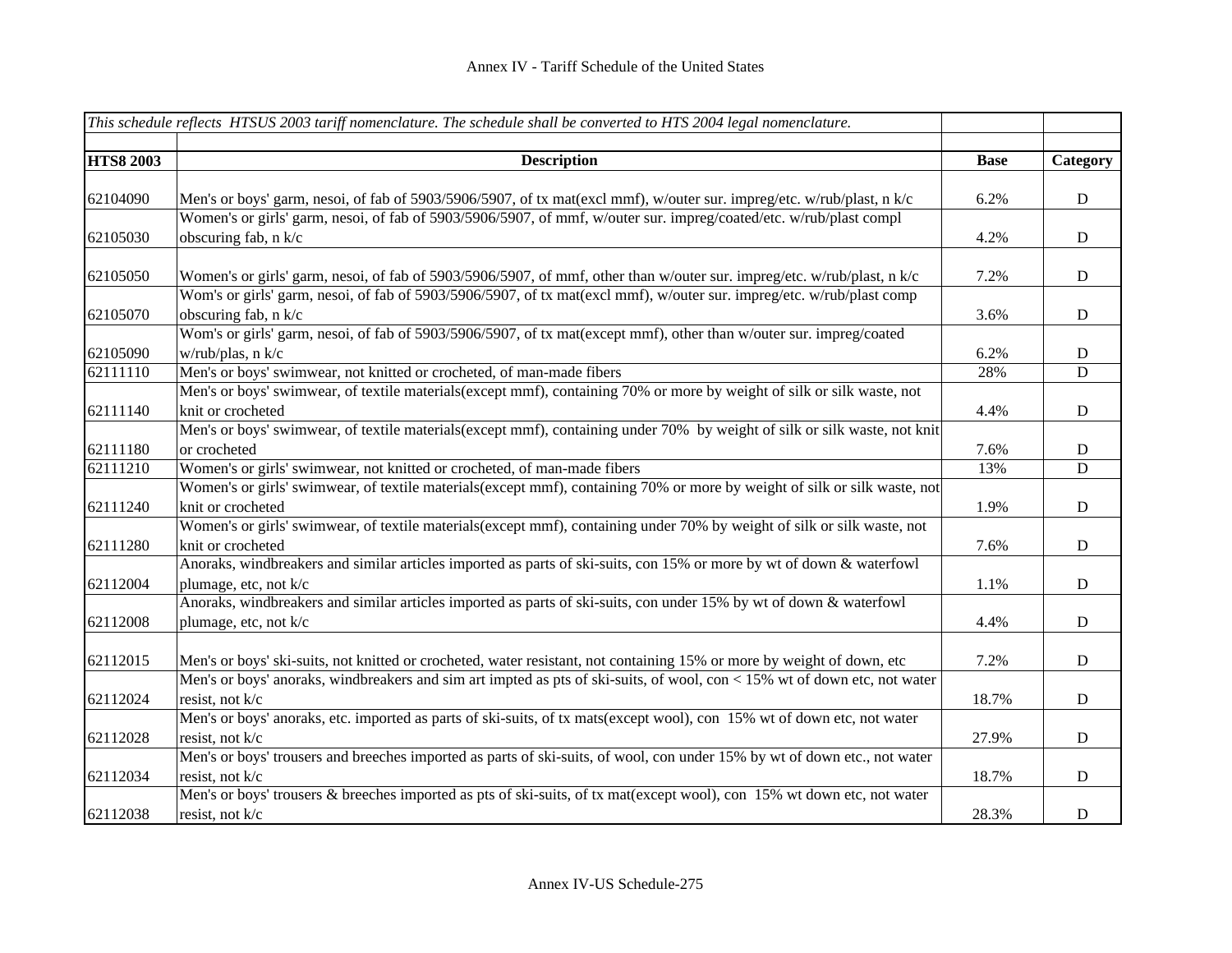|                  | This schedule reflects HTSUS 2003 tariff nomenclature. The schedule shall be converted to HTS 2004 legal nomenclature.    |             |             |
|------------------|---------------------------------------------------------------------------------------------------------------------------|-------------|-------------|
|                  |                                                                                                                           |             |             |
| <b>HTS8 2003</b> | <b>Description</b>                                                                                                        | <b>Base</b> | Category    |
| 62104090         | Men's or boys' garm, nesoi, of fab of 5903/5906/5907, of tx mat(excl mmf), w/outer sur. impreg/etc. w/rub/plast, n k/c    | 6.2%        | ${\bf D}$   |
|                  | Women's or girls' garm, nesoi, of fab of 5903/5906/5907, of mmf, w/outer sur. impreg/coated/etc. w/rub/plast compl        |             |             |
| 62105030         | obscuring fab, n k/c                                                                                                      | 4.2%        | $\mathbf D$ |
|                  |                                                                                                                           |             |             |
| 62105050         | Women's or girls' garm, nesoi, of fab of 5903/5906/5907, of mmf, other than w/outer sur. impreg/etc. w/rub/plast, n k/c   | 7.2%        | $\mathbf D$ |
|                  | Wom's or girls' garm, nesoi, of fab of 5903/5906/5907, of tx mat(excl mmf), w/outer sur. impreg/etc. w/rub/plast comp     |             |             |
| 62105070         | obscuring fab, n k/c                                                                                                      | 3.6%        | $\mathbf D$ |
|                  | Wom's or girls' garm, nesoi, of fab of 5903/5906/5907, of tx mat(except mmf), other than w/outer sur. impreg/coated       |             |             |
| 62105090         | w/rub/plas, n k/c                                                                                                         | 6.2%        | $\mathbf D$ |
| 62111110         | Men's or boys' swimwear, not knitted or crocheted, of man-made fibers                                                     | 28%         | D           |
|                  | Men's or boys' swimwear, of textile materials(except mmf), containing 70% or more by weight of silk or silk waste, not    |             |             |
| 62111140         | knit or crocheted                                                                                                         | 4.4%        | $\mathbf D$ |
|                  | Men's or boys' swimwear, of textile materials(except mmf), containing under 70% by weight of silk or silk waste, not knit |             |             |
| 62111180         | or crocheted                                                                                                              | 7.6%        | $\mathbf D$ |
| 62111210         | Women's or girls' swimwear, not knitted or crocheted, of man-made fibers                                                  | 13%         | D           |
|                  | Women's or girls' swimwear, of textile materials(except mmf), containing 70% or more by weight of silk or silk waste, not |             |             |
| 62111240         | knit or crocheted                                                                                                         | 1.9%        | $\mathbf D$ |
|                  | Women's or girls' swimwear, of textile materials(except mmf), containing under 70% by weight of silk or silk waste, not   |             |             |
| 62111280         | knit or crocheted                                                                                                         | 7.6%        | $\mathbf D$ |
|                  | Anoraks, windbreakers and similar articles imported as parts of ski-suits, con 15% or more by wt of down & waterfowl      |             |             |
| 62112004         | plumage, etc, not k/c                                                                                                     | 1.1%        | $\mathbf D$ |
|                  | Anoraks, windbreakers and similar articles imported as parts of ski-suits, con under 15% by wt of down & waterfowl        |             |             |
| 62112008         | plumage, etc, not k/c                                                                                                     | 4.4%        | ${\bf D}$   |
| 62112015         | Men's or boys' ski-suits, not knitted or crocheted, water resistant, not containing 15% or more by weight of down, etc    | 7.2%        | ${\bf D}$   |
|                  | Men's or boys' anoraks, windbreakers and sim art impted as pts of ski-suits, of wool, con < 15% wt of down etc, not water |             |             |
| 62112024         | resist, not k/c                                                                                                           | 18.7%       | ${\bf D}$   |
|                  | Men's or boys' anoraks, etc. imported as parts of ski-suits, of tx mats(except wool), con 15% wt of down etc, not water   |             |             |
| 62112028         | resist, not k/c                                                                                                           | 27.9%       | $\mathbf D$ |
|                  | Men's or boys' trousers and breeches imported as parts of ski-suits, of wool, con under 15% by wt of down etc., not water |             |             |
| 62112034         | resist, not k/c                                                                                                           | 18.7%       | $\mathbf D$ |
|                  | Men's or boys' trousers & breeches imported as pts of ski-suits, of tx mat(except wool), con 15% wt down etc, not water   |             |             |
| 62112038         | resist, not k/c                                                                                                           | 28.3%       | ${\bf D}$   |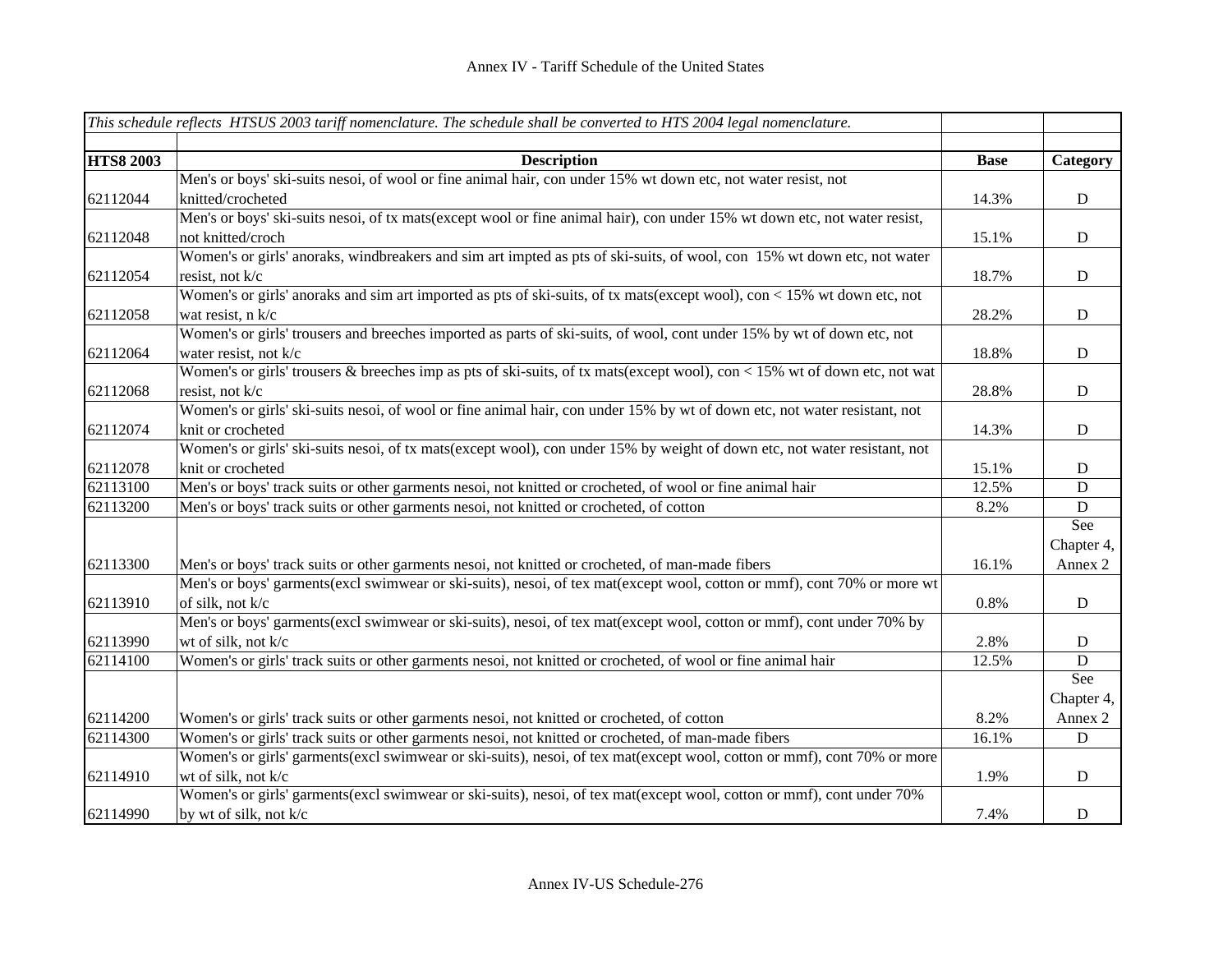|                  | This schedule reflects HTSUS 2003 tariff nomenclature. The schedule shall be converted to HTS 2004 legal nomenclature.    |             |             |
|------------------|---------------------------------------------------------------------------------------------------------------------------|-------------|-------------|
|                  |                                                                                                                           |             |             |
| <b>HTS8 2003</b> | <b>Description</b>                                                                                                        | <b>Base</b> | Category    |
|                  | Men's or boys' ski-suits nesoi, of wool or fine animal hair, con under 15% wt down etc, not water resist, not             |             |             |
| 62112044         | knitted/crocheted                                                                                                         | 14.3%       | ${\bf D}$   |
|                  | Men's or boys' ski-suits nesoi, of tx mats(except wool or fine animal hair), con under 15% wt down etc, not water resist, |             |             |
| 62112048         | not knitted/croch                                                                                                         | 15.1%       | $\mathbf D$ |
|                  | Women's or girls' anoraks, windbreakers and sim art impted as pts of ski-suits, of wool, con 15% wt down etc, not water   |             |             |
| 62112054         | resist, not k/c                                                                                                           | 18.7%       | ${\bf D}$   |
|                  | Women's or girls' anoraks and sim art imported as pts of ski-suits, of tx mats(except wool), con < 15% wt down etc, not   |             |             |
| 62112058         | wat resist, n k/c                                                                                                         | 28.2%       | ${\bf D}$   |
|                  | Women's or girls' trousers and breeches imported as parts of ski-suits, of wool, cont under 15% by wt of down etc, not    |             |             |
| 62112064         | water resist, not k/c                                                                                                     | 18.8%       | ${\bf D}$   |
|                  | Women's or girls' trousers & breeches imp as pts of ski-suits, of tx mats(except wool), con < 15% wt of down etc, not wat |             |             |
| 62112068         | resist, not k/c                                                                                                           | 28.8%       | $\mathbf D$ |
|                  | Women's or girls' ski-suits nesoi, of wool or fine animal hair, con under 15% by wt of down etc, not water resistant, not |             |             |
| 62112074         | knit or crocheted                                                                                                         | 14.3%       | $\mathbf D$ |
|                  | Women's or girls' ski-suits nesoi, of tx mats(except wool), con under 15% by weight of down etc, not water resistant, not |             |             |
| 62112078         | knit or crocheted                                                                                                         | 15.1%       | $\mathbf D$ |
| 62113100         | Men's or boys' track suits or other garments nesoi, not knitted or crocheted, of wool or fine animal hair                 | 12.5%       | $\mathbf D$ |
| 62113200         | Men's or boys' track suits or other garments nesoi, not knitted or crocheted, of cotton                                   | 8.2%        | ${\bf D}$   |
|                  |                                                                                                                           |             | See         |
|                  |                                                                                                                           |             | Chapter 4,  |
| 62113300         | Men's or boys' track suits or other garments nesoi, not knitted or crocheted, of man-made fibers                          | 16.1%       | Annex 2     |
|                  | Men's or boys' garments(excl swimwear or ski-suits), nesoi, of tex mat(except wool, cotton or mmf), cont 70% or more wt   |             |             |
| 62113910         | of silk, not k/c                                                                                                          | 0.8%        | ${\bf D}$   |
|                  | Men's or boys' garments(excl swimwear or ski-suits), nesoi, of tex mat(except wool, cotton or mmf), cont under 70% by     |             |             |
| 62113990         | wt of silk, not k/c                                                                                                       | 2.8%        | D           |
| 62114100         | Women's or girls' track suits or other garments nesoi, not knitted or crocheted, of wool or fine animal hair              | 12.5%       | D           |
|                  |                                                                                                                           |             | See         |
|                  |                                                                                                                           |             | Chapter 4,  |
| 62114200         | Women's or girls' track suits or other garments nesoi, not knitted or crocheted, of cotton                                | 8.2%        | Annex 2     |
| 62114300         | Women's or girls' track suits or other garments nesoi, not knitted or crocheted, of man-made fibers                       | 16.1%       | ${\bf D}$   |
|                  | Women's or girls' garments(excl swimwear or ski-suits), nesoi, of tex mat(except wool, cotton or mmf), cont 70% or more   |             |             |
| 62114910         | wt of silk, not k/c                                                                                                       | 1.9%        | $\mathbf D$ |
|                  | Women's or girls' garments(excl swimwear or ski-suits), nesoi, of tex mat(except wool, cotton or mmf), cont under 70%     |             |             |
| 62114990         | by wt of silk, not k/c                                                                                                    | 7.4%        | $\mathbf D$ |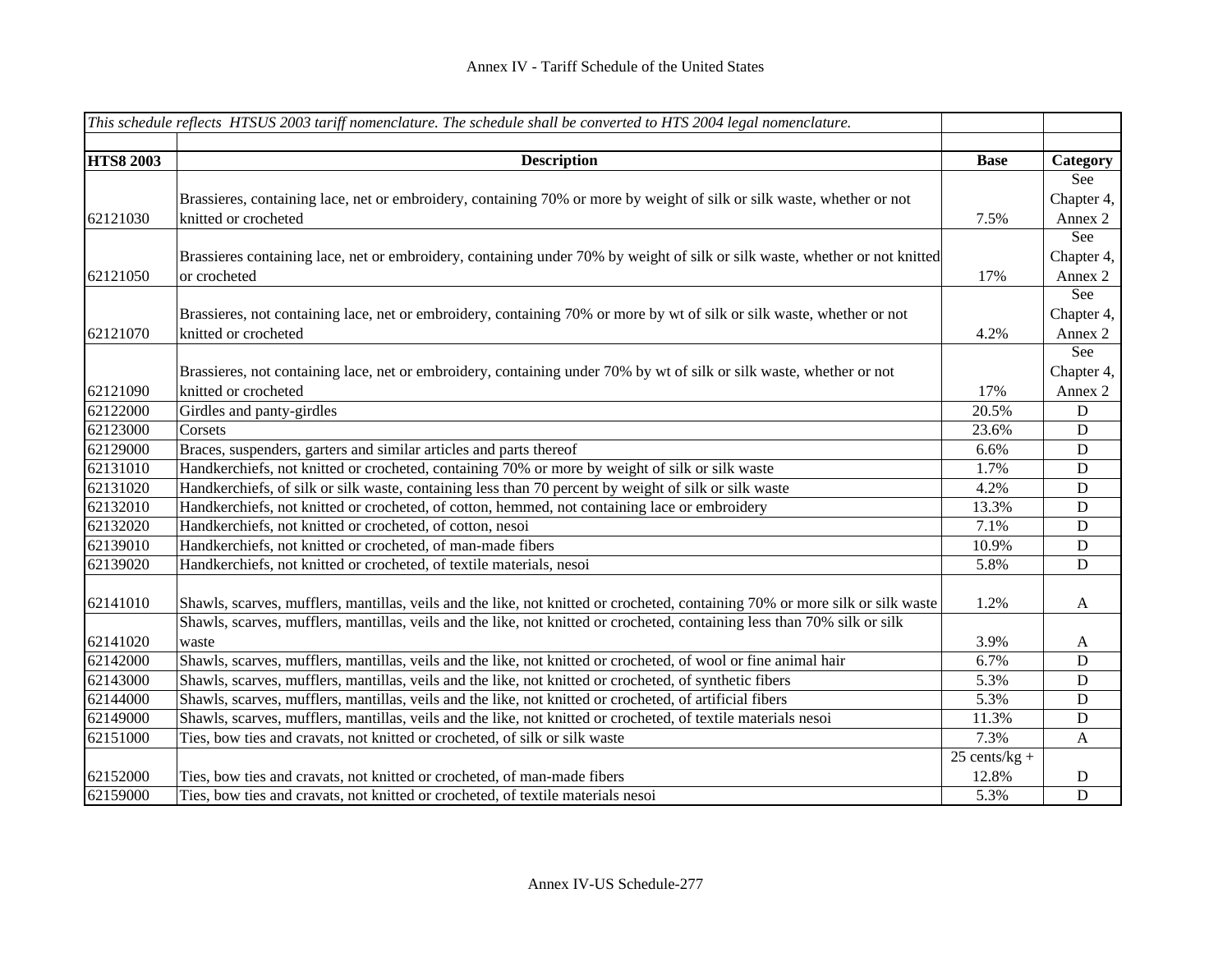|                  | This schedule reflects HTSUS 2003 tariff nomenclature. The schedule shall be converted to HTS 2004 legal nomenclature.        |                 |                |
|------------------|-------------------------------------------------------------------------------------------------------------------------------|-----------------|----------------|
|                  |                                                                                                                               |                 |                |
| <b>HTS8 2003</b> | <b>Description</b>                                                                                                            | <b>Base</b>     | Category       |
|                  |                                                                                                                               |                 | See            |
|                  | Brassieres, containing lace, net or embroidery, containing 70% or more by weight of silk or silk waste, whether or not        |                 | Chapter 4,     |
| 62121030         | knitted or crocheted                                                                                                          | 7.5%            | Annex 2        |
|                  |                                                                                                                               |                 | See            |
|                  | Brassieres containing lace, net or embroidery, containing under 70% by weight of silk or silk waste, whether or not knitted   |                 | Chapter 4,     |
| 62121050         | or crocheted                                                                                                                  | 17%             | Annex 2        |
|                  |                                                                                                                               |                 | See            |
|                  | Brassieres, not containing lace, net or embroidery, containing 70% or more by wt of silk or silk waste, whether or not        |                 | Chapter 4,     |
| 62121070         | knitted or crocheted                                                                                                          | 4.2%            | Annex 2        |
|                  |                                                                                                                               |                 | See            |
|                  | Brassieres, not containing lace, net or embroidery, containing under 70% by wt of silk or silk waste, whether or not          |                 | Chapter 4,     |
| 62121090         | knitted or crocheted                                                                                                          | 17%             | Annex 2        |
| 62122000         | Girdles and panty-girdles                                                                                                     | 20.5%           | $\mathbf D$    |
| 62123000         | Corsets                                                                                                                       | 23.6%           | ${\bf D}$      |
| 62129000         | Braces, suspenders, garters and similar articles and parts thereof                                                            | 6.6%            | $\mathbf D$    |
| 62131010         | Handkerchiefs, not knitted or crocheted, containing 70% or more by weight of silk or silk waste                               | 1.7%            | D              |
| 62131020         | Handkerchiefs, of silk or silk waste, containing less than 70 percent by weight of silk or silk waste                         | 4.2%            | $\mathbf D$    |
| 62132010         | Handkerchiefs, not knitted or crocheted, of cotton, hemmed, not containing lace or embroidery                                 | 13.3%           | $\mathbf D$    |
| 62132020         | Handkerchiefs, not knitted or crocheted, of cotton, nesoi                                                                     | 7.1%            | D              |
| 62139010         | Handkerchiefs, not knitted or crocheted, of man-made fibers                                                                   | 10.9%           | ${\bf D}$      |
| 62139020         | Handkerchiefs, not knitted or crocheted, of textile materials, nesoi                                                          | 5.8%            | ${\bf D}$      |
|                  |                                                                                                                               |                 |                |
| 62141010         | Shawls, scarves, mufflers, mantillas, veils and the like, not knitted or crocheted, containing 70% or more silk or silk waste | 1.2%            | A              |
|                  | Shawls, scarves, mufflers, mantillas, veils and the like, not knitted or crocheted, containing less than 70% silk or silk     |                 |                |
| 62141020         | waste                                                                                                                         | 3.9%            | A              |
| 62142000         | Shawls, scarves, mufflers, mantillas, veils and the like, not knitted or crocheted, of wool or fine animal hair               | 6.7%            | $\mathbf D$    |
| 62143000         | Shawls, scarves, mufflers, mantillas, veils and the like, not knitted or crocheted, of synthetic fibers                       | 5.3%            | ${\bf D}$      |
| 62144000         | Shawls, scarves, mufflers, mantillas, veils and the like, not knitted or crocheted, of artificial fibers                      | 5.3%            | ${\bf D}$      |
| 62149000         | Shawls, scarves, mufflers, mantillas, veils and the like, not knitted or crocheted, of textile materials nesoi                | 11.3%           | ${\bf D}$      |
| 62151000         | Ties, bow ties and cravats, not knitted or crocheted, of silk or silk waste                                                   | 7.3%            | $\mathbf{A}$   |
|                  |                                                                                                                               | $25$ cents/kg + |                |
| 62152000         | Ties, bow ties and cravats, not knitted or crocheted, of man-made fibers                                                      | 12.8%           | D              |
| 62159000         | Ties, bow ties and cravats, not knitted or crocheted, of textile materials nesoi                                              | 5.3%            | $\overline{D}$ |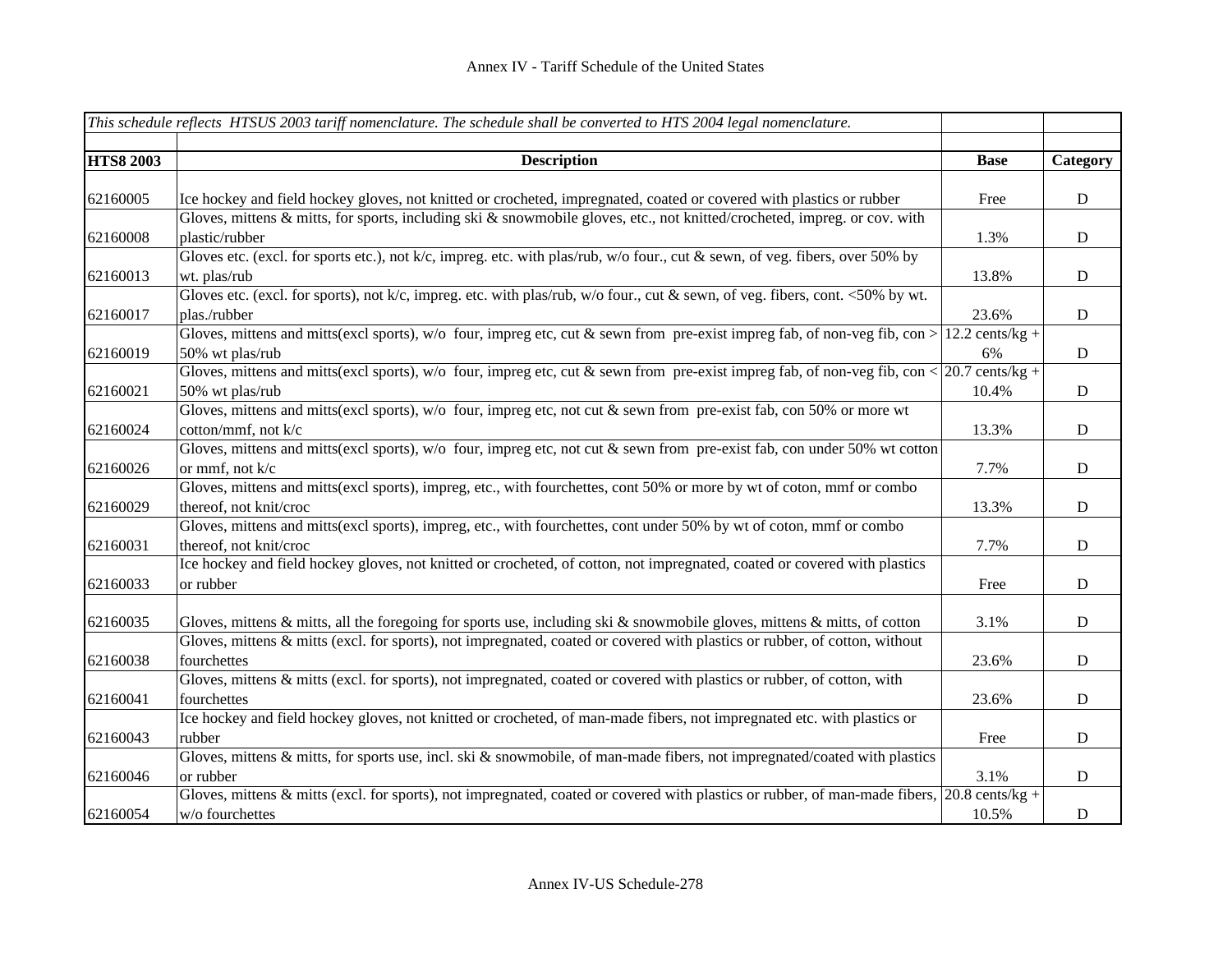|                  | This schedule reflects HTSUS 2003 tariff nomenclature. The schedule shall be converted to HTS 2004 legal nomenclature.                                             |                 |             |
|------------------|--------------------------------------------------------------------------------------------------------------------------------------------------------------------|-----------------|-------------|
|                  |                                                                                                                                                                    |                 |             |
| <b>HTS8 2003</b> | <b>Description</b>                                                                                                                                                 | <b>Base</b>     | Category    |
|                  |                                                                                                                                                                    |                 |             |
| 62160005         | Ice hockey and field hockey gloves, not knitted or crocheted, impregnated, coated or covered with plastics or rubber                                               | Free            | ${\bf D}$   |
|                  | Gloves, mittens & mitts, for sports, including ski & snowmobile gloves, etc., not knitted/crocheted, impreg. or cov. with                                          |                 |             |
| 62160008         | plastic/rubber                                                                                                                                                     | 1.3%            | $\mathbf D$ |
|                  | Gloves etc. (excl. for sports etc.), not k/c, impreg. etc. with plas/rub, w/o four., cut & sewn, of veg. fibers, over 50% by                                       |                 |             |
| 62160013         | wt. plas/rub                                                                                                                                                       | 13.8%           | $\mathbf D$ |
|                  | Gloves etc. (excl. for sports), not $k/c$ , impreg. etc. with plas/rub, w/o four., cut & sewn, of veg. fibers, cont. <50% by wt.                                   |                 |             |
| 62160017         | plas./rubber                                                                                                                                                       | 23.6%           | $\mathbf D$ |
|                  | Gloves, mittens and mitts(excl sports), w/o four, impreg etc, cut & sewn from pre-exist impreg fab, of non-veg fib, con >                                          | 12.2 cents/kg + |             |
| 62160019         | 50% wt plas/rub                                                                                                                                                    | 6%              | $\mathbf D$ |
|                  | Gloves, mittens and mitts(excl sports), w/o four, impreg etc, cut & sewn from pre-exist impreg fab, of non-veg fib, con < $ 20.7 \text{ cents/kg} +$               |                 |             |
| 62160021         | 50% wt plas/rub                                                                                                                                                    | 10.4%           | $\mathbf D$ |
|                  | Gloves, mittens and mitts(excl sports), w/o four, impreg etc, not cut & sewn from pre-exist fab, con 50% or more wt                                                |                 |             |
| 62160024         | cotton/mmf, not k/c                                                                                                                                                | 13.3%           | D           |
|                  | Gloves, mittens and mitts(excl sports), w/o four, impreg etc, not cut & sewn from pre-exist fab, con under 50% wt cotton                                           |                 |             |
| 62160026         | or mmf, not $k/c$                                                                                                                                                  | 7.7%            | $\mathbf D$ |
|                  | Gloves, mittens and mitts(excl sports), impreg, etc., with fourchettes, cont 50% or more by wt of coton, mmf or combo                                              |                 |             |
| 62160029         | thereof, not knit/croc                                                                                                                                             | 13.3%           | $\mathbf D$ |
|                  | Gloves, mittens and mitts(excl sports), impreg, etc., with fourchettes, cont under 50% by wt of coton, mmf or combo                                                |                 |             |
| 62160031         | thereof, not knit/croc                                                                                                                                             | 7.7%            | $\mathbf D$ |
|                  | Ice hockey and field hockey gloves, not knitted or crocheted, of cotton, not impregnated, coated or covered with plastics                                          |                 |             |
| 62160033         | or rubber                                                                                                                                                          | Free            | $\mathbf D$ |
|                  |                                                                                                                                                                    |                 |             |
| 62160035         | Gloves, mittens & mitts, all the foregoing for sports use, including ski & snowmobile gloves, mittens & mitts, of cotton                                           | 3.1%            | $\mathbf D$ |
|                  | Gloves, mittens & mitts (excl. for sports), not impregnated, coated or covered with plastics or rubber, of cotton, without                                         |                 |             |
| 62160038         | fourchettes                                                                                                                                                        | 23.6%           | $\mathbf D$ |
|                  | Gloves, mittens & mitts (excl. for sports), not impregnated, coated or covered with plastics or rubber, of cotton, with                                            |                 |             |
| 62160041         | fourchettes                                                                                                                                                        | 23.6%           | $\mathbf D$ |
|                  | Ice hockey and field hockey gloves, not knitted or crocheted, of man-made fibers, not impregnated etc. with plastics or                                            |                 |             |
| 62160043         | rubber                                                                                                                                                             | Free            | ${\bf D}$   |
|                  | Gloves, mittens & mitts, for sports use, incl. ski & snowmobile, of man-made fibers, not impregnated/coated with plastics                                          |                 |             |
| 62160046         | or rubber                                                                                                                                                          | 3.1%            | $\mathbf D$ |
|                  | Gloves, mittens & mitts (excl. for sports), not impregnated, coated or covered with plastics or rubber, of man-made fibers, $\left  20.8 \text{ cents/kg} \right $ |                 |             |
| 62160054         | w/o fourchettes                                                                                                                                                    | 10.5%           | $\mathbf D$ |
|                  |                                                                                                                                                                    |                 |             |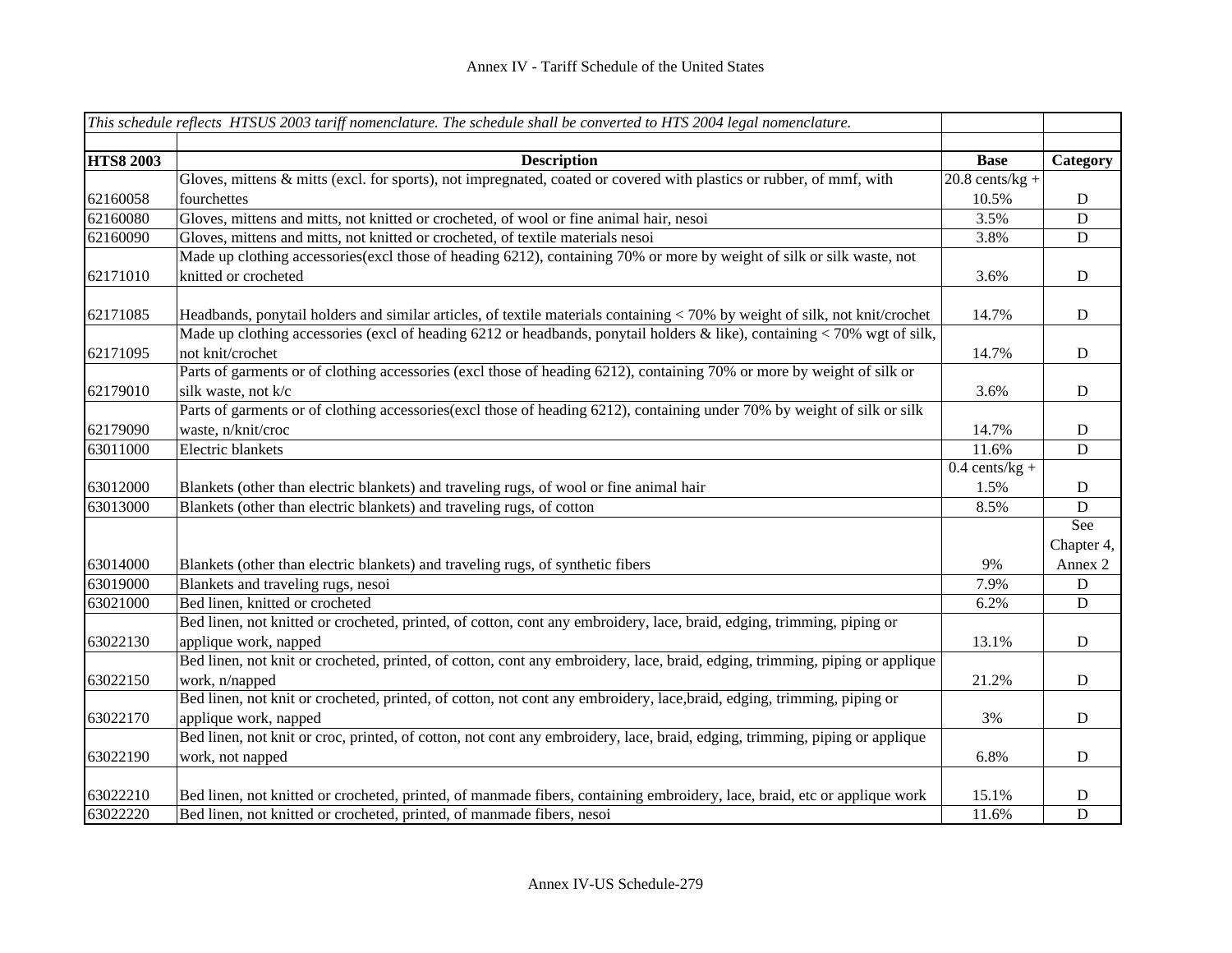|                  | This schedule reflects HTSUS 2003 tariff nomenclature. The schedule shall be converted to HTS 2004 legal nomenclature.       |                   |                |
|------------------|------------------------------------------------------------------------------------------------------------------------------|-------------------|----------------|
|                  |                                                                                                                              |                   |                |
| <b>HTS8 2003</b> | <b>Description</b>                                                                                                           | <b>Base</b>       | Category       |
|                  | Gloves, mittens & mitts (excl. for sports), not impregnated, coated or covered with plastics or rubber, of mmf, with         | $20.8$ cents/kg + |                |
| 62160058         | fourchettes                                                                                                                  | 10.5%             | $\mathbf D$    |
| 62160080         | Gloves, mittens and mitts, not knitted or crocheted, of wool or fine animal hair, nesoi                                      | 3.5%              | $\overline{D}$ |
| 62160090         | Gloves, mittens and mitts, not knitted or crocheted, of textile materials nesoi                                              | 3.8%              | $\mathbf D$    |
|                  | Made up clothing accessories (excl those of heading 6212), containing 70% or more by weight of silk or silk waste, not       |                   |                |
| 62171010         | knitted or crocheted                                                                                                         | 3.6%              | $\mathbf D$    |
| 62171085         | Headbands, ponytail holders and similar articles, of textile materials containing < 70% by weight of silk, not knit/crochet  | 14.7%             | $\mathbf D$    |
|                  | Made up clothing accessories (excl of heading 6212 or headbands, ponytail holders & like), containing < 70% wgt of silk,     |                   |                |
| 62171095         | not knit/crochet                                                                                                             | 14.7%             | $\mathbf D$    |
|                  | Parts of garments or of clothing accessories (excl those of heading 6212), containing 70% or more by weight of silk or       |                   |                |
| 62179010         | silk waste, not k/c                                                                                                          | 3.6%              | $\mathbf D$    |
|                  | Parts of garments or of clothing accessories(excl those of heading 6212), containing under 70% by weight of silk or silk     |                   |                |
| 62179090         | waste, n/knit/croc                                                                                                           | 14.7%             | $\mathbf D$    |
| 63011000         | Electric blankets                                                                                                            | 11.6%             | $\mathbf D$    |
|                  |                                                                                                                              | $0.4$ cents/kg +  |                |
| 63012000         | Blankets (other than electric blankets) and traveling rugs, of wool or fine animal hair                                      | 1.5%              | D              |
| 63013000         | Blankets (other than electric blankets) and traveling rugs, of cotton                                                        | 8.5%              | $\mathbf D$    |
|                  |                                                                                                                              |                   | See            |
|                  |                                                                                                                              |                   | Chapter 4,     |
| 63014000         | Blankets (other than electric blankets) and traveling rugs, of synthetic fibers                                              | 9%                | Annex 2        |
| 63019000         | Blankets and traveling rugs, nesoi                                                                                           | 7.9%              | $\mathbf D$    |
| 63021000         | Bed linen, knitted or crocheted                                                                                              | 6.2%              | D              |
|                  | Bed linen, not knitted or crocheted, printed, of cotton, cont any embroidery, lace, braid, edging, trimming, piping or       |                   |                |
| 63022130         | applique work, napped                                                                                                        | 13.1%             | D              |
|                  | Bed linen, not knit or crocheted, printed, of cotton, cont any embroidery, lace, braid, edging, trimming, piping or applique |                   |                |
| 63022150         | work, n/napped                                                                                                               | 21.2%             | $\mathbf D$    |
|                  | Bed linen, not knit or crocheted, printed, of cotton, not cont any embroidery, lace, braid, edging, trimming, piping or      |                   |                |
| 63022170         | applique work, napped                                                                                                        | 3%                | $\mathbf D$    |
|                  | Bed linen, not knit or croc, printed, of cotton, not cont any embroidery, lace, braid, edging, trimming, piping or applique  |                   |                |
| 63022190         | work, not napped                                                                                                             | 6.8%              | $\mathbf D$    |
| 63022210         | Bed linen, not knitted or crocheted, printed, of manmade fibers, containing embroidery, lace, braid, etc or applique work    | 15.1%             | D              |
| 63022220         | Bed linen, not knitted or crocheted, printed, of manmade fibers, nesoi                                                       | 11.6%             | $\mathbf D$    |
|                  |                                                                                                                              |                   |                |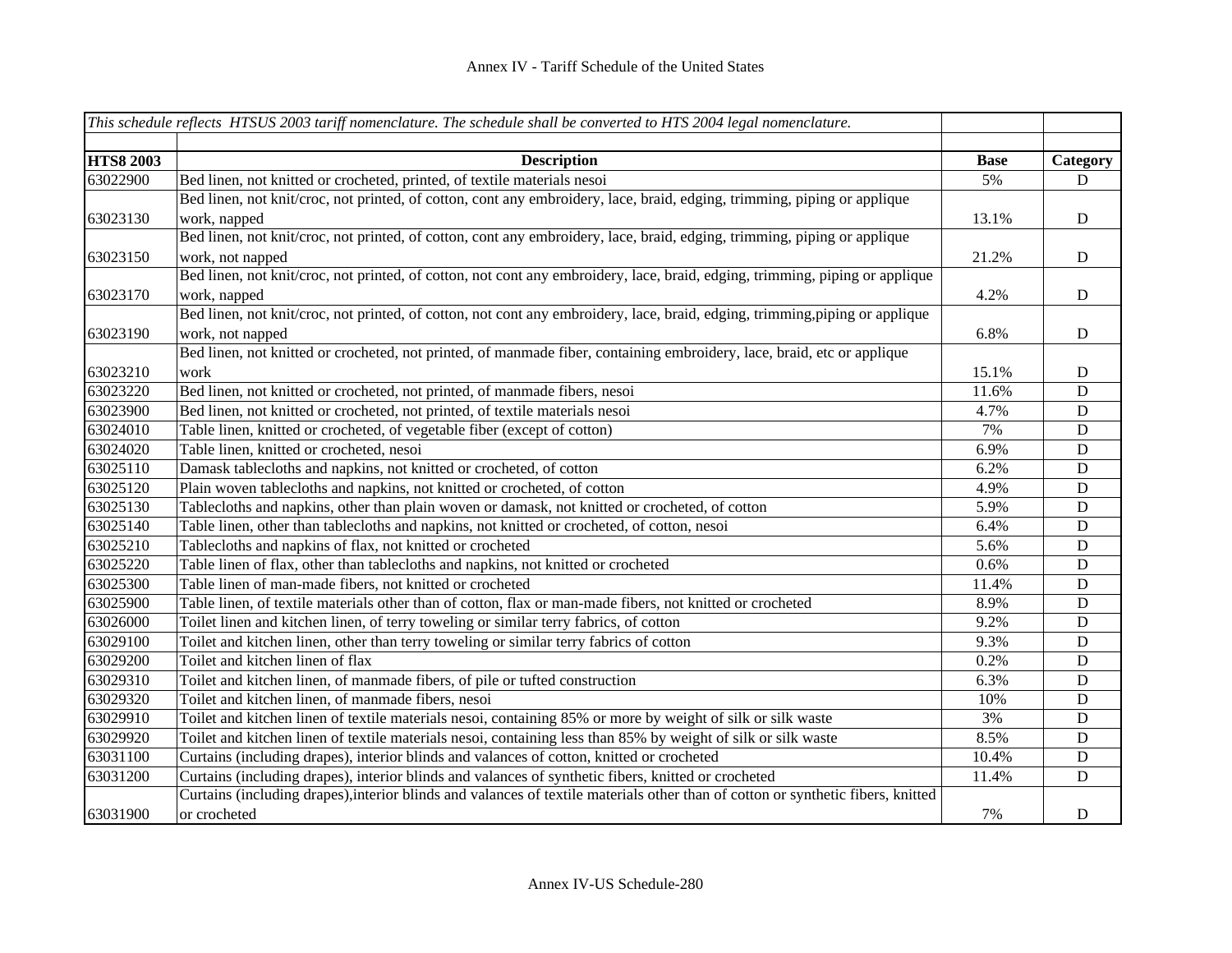|                  | This schedule reflects HTSUS 2003 tariff nomenclature. The schedule shall be converted to HTS 2004 legal nomenclature.           |                   |                         |
|------------------|----------------------------------------------------------------------------------------------------------------------------------|-------------------|-------------------------|
| <b>HTS8 2003</b> |                                                                                                                                  |                   |                         |
| 63022900         | <b>Description</b><br>Bed linen, not knitted or crocheted, printed, of textile materials nesoi                                   | <b>Base</b><br>5% | Category<br>$\mathbf D$ |
|                  | Bed linen, not knit/croc, not printed, of cotton, cont any embroidery, lace, braid, edging, trimming, piping or applique         |                   |                         |
| 63023130         | work, napped                                                                                                                     | 13.1%             | ${\bf D}$               |
|                  | Bed linen, not knit/croc, not printed, of cotton, cont any embroidery, lace, braid, edging, trimming, piping or applique         |                   |                         |
| 63023150         | work, not napped                                                                                                                 | 21.2%             | ${\bf D}$               |
|                  | Bed linen, not knit/croc, not printed, of cotton, not cont any embroidery, lace, braid, edging, trimming, piping or applique     |                   |                         |
| 63023170         | work, napped                                                                                                                     | 4.2%              | $\mathbf D$             |
|                  | Bed linen, not knit/croc, not printed, of cotton, not cont any embroidery, lace, braid, edging, trimming, piping or applique     |                   |                         |
| 63023190         | work, not napped                                                                                                                 | 6.8%              | $\mathbf D$             |
|                  | Bed linen, not knitted or crocheted, not printed, of manmade fiber, containing embroidery, lace, braid, etc or applique          |                   |                         |
| 63023210         | work                                                                                                                             | 15.1%             | $\mathbf D$             |
| 63023220         | Bed linen, not knitted or crocheted, not printed, of manmade fibers, nesoi                                                       | 11.6%             | D                       |
| 63023900         | Bed linen, not knitted or crocheted, not printed, of textile materials nesoi                                                     | 4.7%              | $\mathbf D$             |
| 63024010         | Table linen, knitted or crocheted, of vegetable fiber (except of cotton)                                                         | 7%                | D                       |
| 63024020         | Table linen, knitted or crocheted, nesoi                                                                                         | 6.9%              | D                       |
| 63025110         | Damask tablecloths and napkins, not knitted or crocheted, of cotton                                                              | 6.2%              | $\mathbf D$             |
| 63025120         | Plain woven tablecloths and napkins, not knitted or crocheted, of cotton                                                         | 4.9%              | $\mathbf D$             |
| 63025130         | Tablecloths and napkins, other than plain woven or damask, not knitted or crocheted, of cotton                                   | 5.9%              | $\mathbf D$             |
| 63025140         | Table linen, other than tablecloths and napkins, not knitted or crocheted, of cotton, nesoi                                      | 6.4%              | $\mathbf D$             |
| 63025210         | Tablecloths and napkins of flax, not knitted or crocheted                                                                        | 5.6%              | $\mathbf D$             |
| 63025220         | Table linen of flax, other than tablecloths and napkins, not knitted or crocheted                                                | 0.6%              | $\mathbf D$             |
| 63025300         | Table linen of man-made fibers, not knitted or crocheted                                                                         | 11.4%             | $\mathbf D$             |
| 63025900         | Table linen, of textile materials other than of cotton, flax or man-made fibers, not knitted or crocheted                        | 8.9%              | D                       |
| 63026000         | Toilet linen and kitchen linen, of terry toweling or similar terry fabrics, of cotton                                            | 9.2%              | D                       |
| 63029100         | Toilet and kitchen linen, other than terry toweling or similar terry fabrics of cotton                                           | 9.3%              | D                       |
| 63029200         | Toilet and kitchen linen of flax                                                                                                 | 0.2%              | $\mathbf D$             |
| 63029310         | Toilet and kitchen linen, of manmade fibers, of pile or tufted construction                                                      | 6.3%              | $\mathbf D$             |
| 63029320         | Toilet and kitchen linen, of manmade fibers, nesoi                                                                               | 10%               | $\mathbf D$             |
| 63029910         | Toilet and kitchen linen of textile materials nesoi, containing 85% or more by weight of silk or silk waste                      | 3%                | $\mathbf D$             |
| 63029920         | Toilet and kitchen linen of textile materials nesoi, containing less than 85% by weight of silk or silk waste                    | 8.5%              | $\mathbf D$             |
| 63031100         | Curtains (including drapes), interior blinds and valances of cotton, knitted or crocheted                                        | 10.4%             | $\mathbf D$             |
| 63031200         | Curtains (including drapes), interior blinds and valances of synthetic fibers, knitted or crocheted                              | 11.4%             | D                       |
|                  | Curtains (including drapes), interior blinds and valances of textile materials other than of cotton or synthetic fibers, knitted |                   |                         |
| 63031900         | or crocheted                                                                                                                     | 7%                | $\mathbf D$             |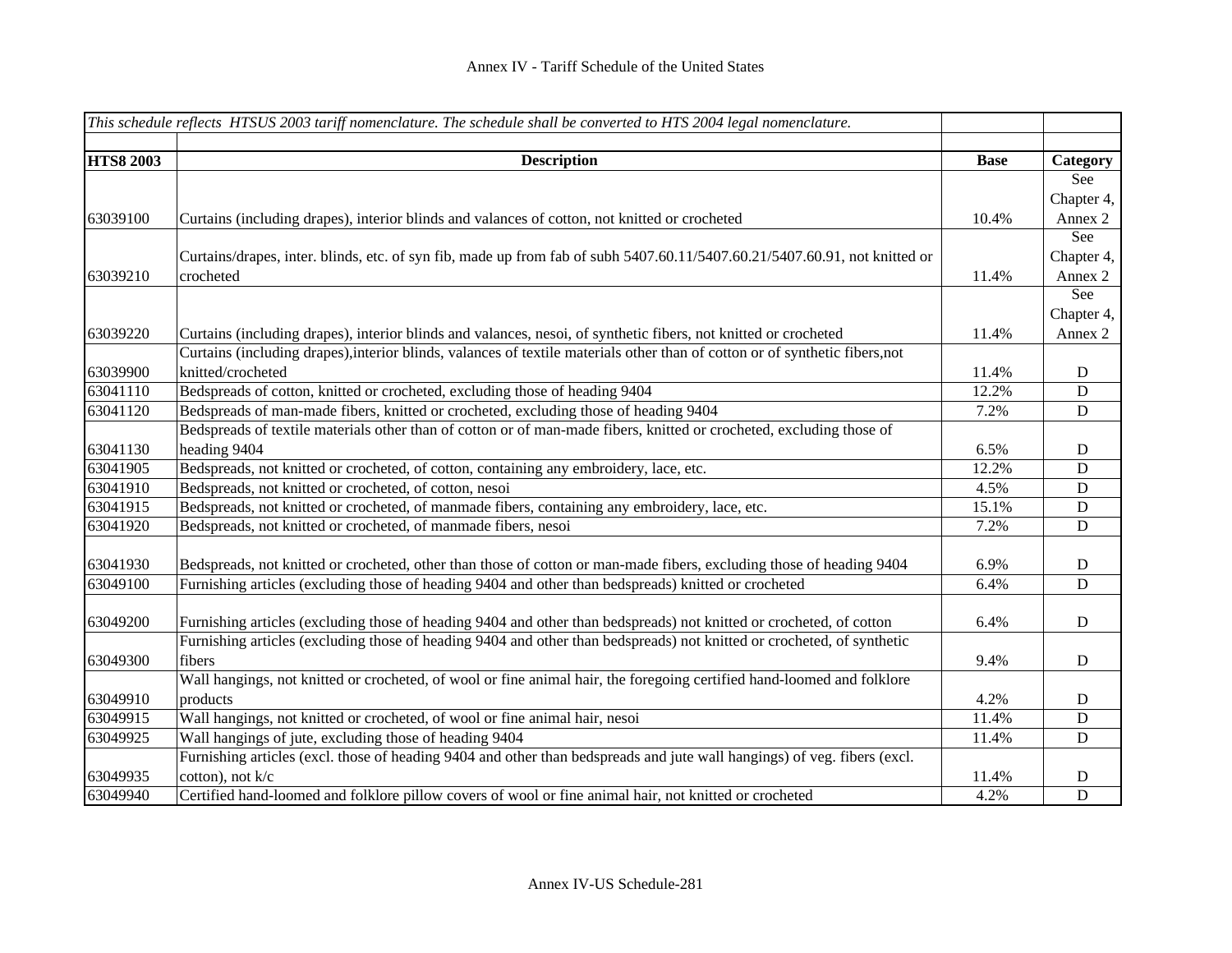|                  | This schedule reflects HTSUS 2003 tariff nomenclature. The schedule shall be converted to HTS 2004 legal nomenclature.       |             |             |
|------------------|------------------------------------------------------------------------------------------------------------------------------|-------------|-------------|
|                  |                                                                                                                              |             |             |
| <b>HTS8 2003</b> | <b>Description</b>                                                                                                           | <b>Base</b> | Category    |
|                  |                                                                                                                              |             | See         |
|                  |                                                                                                                              |             | Chapter 4,  |
| 63039100         | Curtains (including drapes), interior blinds and valances of cotton, not knitted or crocheted                                | 10.4%       | Annex 2     |
|                  |                                                                                                                              |             | See         |
|                  | Curtains/drapes, inter. blinds, etc. of syn fib, made up from fab of subh 5407.60.11/5407.60.21/5407.60.91, not knitted or   |             | Chapter 4,  |
| 63039210         | crocheted                                                                                                                    | 11.4%       | Annex 2     |
|                  |                                                                                                                              |             | See         |
|                  |                                                                                                                              |             | Chapter 4,  |
| 63039220         | Curtains (including drapes), interior blinds and valances, nesoi, of synthetic fibers, not knitted or crocheted              | 11.4%       | Annex 2     |
|                  | Curtains (including drapes), interior blinds, valances of textile materials other than of cotton or of synthetic fibers, not |             |             |
| 63039900         | knitted/crocheted                                                                                                            | 11.4%       | $\mathbf D$ |
| 63041110         | Bedspreads of cotton, knitted or crocheted, excluding those of heading 9404                                                  | 12.2%       | ${\bf D}$   |
| 63041120         | Bedspreads of man-made fibers, knitted or crocheted, excluding those of heading 9404                                         | 7.2%        | ${\bf D}$   |
|                  | Bedspreads of textile materials other than of cotton or of man-made fibers, knitted or crocheted, excluding those of         |             |             |
| 63041130         | heading 9404                                                                                                                 | 6.5%        | D           |
| 63041905         | Bedspreads, not knitted or crocheted, of cotton, containing any embroidery, lace, etc.                                       | 12.2%       | D           |
| 63041910         | Bedspreads, not knitted or crocheted, of cotton, nesoi                                                                       | 4.5%        | ${\bf D}$   |
| 63041915         | Bedspreads, not knitted or crocheted, of manmade fibers, containing any embroidery, lace, etc.                               | 15.1%       | D           |
| 63041920         | Bedspreads, not knitted or crocheted, of manmade fibers, nesoi                                                               | 7.2%        | D           |
|                  |                                                                                                                              |             |             |
| 63041930         | Bedspreads, not knitted or crocheted, other than those of cotton or man-made fibers, excluding those of heading 9404         | 6.9%        | $\mathbf D$ |
| 63049100         | Furnishing articles (excluding those of heading 9404 and other than bedspreads) knitted or crocheted                         | 6.4%        | D           |
|                  |                                                                                                                              |             |             |
| 63049200         | Furnishing articles (excluding those of heading 9404 and other than bedspreads) not knitted or crocheted, of cotton          | 6.4%        | $\mathbf D$ |
|                  | Furnishing articles (excluding those of heading 9404 and other than bedspreads) not knitted or crocheted, of synthetic       |             |             |
| 63049300         | fibers                                                                                                                       | 9.4%        | ${\bf D}$   |
|                  | Wall hangings, not knitted or crocheted, of wool or fine animal hair, the foregoing certified hand-loomed and folklore       |             |             |
| 63049910         | products                                                                                                                     | 4.2%        | $\mathbf D$ |
| 63049915         | Wall hangings, not knitted or crocheted, of wool or fine animal hair, nesoi                                                  | 11.4%       | ${\bf D}$   |
| 63049925         | Wall hangings of jute, excluding those of heading 9404                                                                       | 11.4%       | ${\bf D}$   |
|                  | Furnishing articles (excl. those of heading 9404 and other than bedspreads and jute wall hangings) of veg. fibers (excl.     |             |             |
| 63049935         | cotton), not k/c                                                                                                             | 11.4%       | D           |
| 63049940         | Certified hand-loomed and folklore pillow covers of wool or fine animal hair, not knitted or crocheted                       | 4.2%        | D           |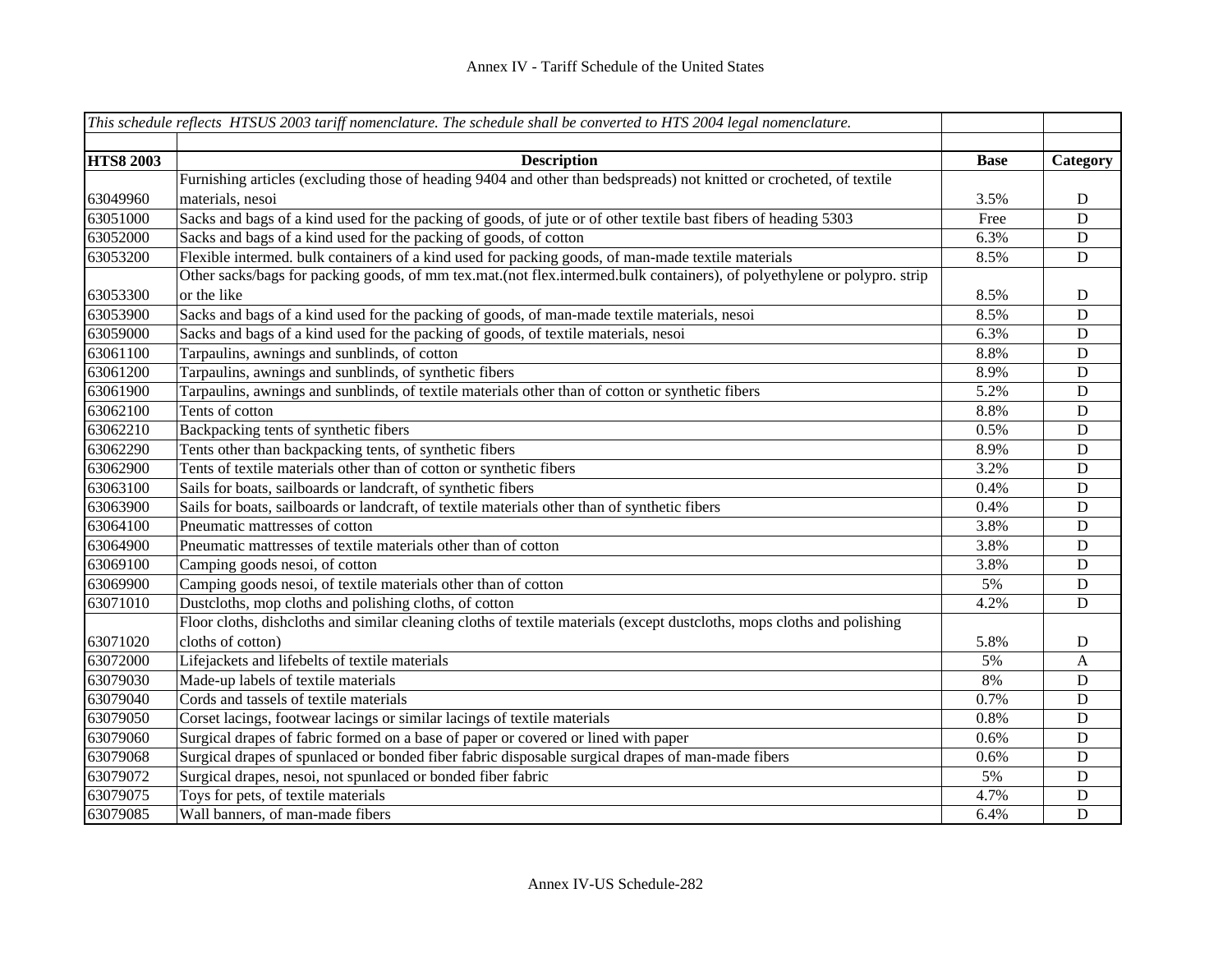|                  | This schedule reflects HTSUS 2003 tariff nomenclature. The schedule shall be converted to HTS 2004 legal nomenclature.   |             |                |
|------------------|--------------------------------------------------------------------------------------------------------------------------|-------------|----------------|
|                  |                                                                                                                          |             |                |
| <b>HTS8 2003</b> | <b>Description</b>                                                                                                       | <b>Base</b> | Category       |
|                  | Furnishing articles (excluding those of heading 9404 and other than bedspreads) not knitted or crocheted, of textile     |             |                |
| 63049960         | materials, nesoi                                                                                                         | 3.5%        | $\mathbf D$    |
| 63051000         | Sacks and bags of a kind used for the packing of goods, of jute or of other textile bast fibers of heading 5303          | Free        | $\overline{D}$ |
| 63052000         | Sacks and bags of a kind used for the packing of goods, of cotton                                                        | 6.3%        | $\mathbf D$    |
| 63053200         | Flexible intermed. bulk containers of a kind used for packing goods, of man-made textile materials                       | 8.5%        | D              |
|                  | Other sacks/bags for packing goods, of mm tex.mat.(not flex.intermed.bulk containers), of polyethylene or polypro. strip |             |                |
| 63053300         | or the like                                                                                                              | 8.5%        | D              |
| 63053900         | Sacks and bags of a kind used for the packing of goods, of man-made textile materials, nesoi                             | 8.5%        | D              |
| 63059000         | Sacks and bags of a kind used for the packing of goods, of textile materials, nesoi                                      | 6.3%        | $\mathbf D$    |
| 63061100         | Tarpaulins, awnings and sunblinds, of cotton                                                                             | 8.8%        | $\mathbf D$    |
| 63061200         | Tarpaulins, awnings and sunblinds, of synthetic fibers                                                                   | 8.9%        | $\mathbf D$    |
| 63061900         | Tarpaulins, awnings and sunblinds, of textile materials other than of cotton or synthetic fibers                         | 5.2%        | $\mathbf D$    |
| 63062100         | Tents of cotton                                                                                                          | 8.8%        | $\mathbf D$    |
| 63062210         | Backpacking tents of synthetic fibers                                                                                    | 0.5%        | D              |
| 63062290         | Tents other than backpacking tents, of synthetic fibers                                                                  | 8.9%        | D              |
| 63062900         | Tents of textile materials other than of cotton or synthetic fibers                                                      | 3.2%        | D              |
| 63063100         | Sails for boats, sailboards or landcraft, of synthetic fibers                                                            | 0.4%        | D              |
| 63063900         | Sails for boats, sailboards or landcraft, of textile materials other than of synthetic fibers                            | 0.4%        | D              |
| 63064100         | Pneumatic mattresses of cotton                                                                                           | 3.8%        | D              |
| 63064900         | Pneumatic mattresses of textile materials other than of cotton                                                           | 3.8%        | D              |
| 63069100         | Camping goods nesoi, of cotton                                                                                           | 3.8%        | D              |
| 63069900         | Camping goods nesoi, of textile materials other than of cotton                                                           | 5%          | D              |
| 63071010         | Dustcloths, mop cloths and polishing cloths, of cotton                                                                   | 4.2%        | D              |
|                  | Floor cloths, dishcloths and similar cleaning cloths of textile materials (except dustcloths, mops cloths and polishing  |             |                |
| 63071020         | cloths of cotton)                                                                                                        | 5.8%        | D              |
| 63072000         | Lifejackets and lifebelts of textile materials                                                                           | 5%          | A              |
| 63079030         | Made-up labels of textile materials                                                                                      | 8%          | D              |
| 63079040         | Cords and tassels of textile materials                                                                                   | 0.7%        | D              |
| 63079050         | Corset lacings, footwear lacings or similar lacings of textile materials                                                 | $0.8\%$     | D              |
| 63079060         | Surgical drapes of fabric formed on a base of paper or covered or lined with paper                                       | 0.6%        | D              |
| 63079068         | Surgical drapes of spunlaced or bonded fiber fabric disposable surgical drapes of man-made fibers                        | 0.6%        | D              |
| 63079072         | Surgical drapes, nesoi, not spunlaced or bonded fiber fabric                                                             | 5%          | D              |
| 63079075         | Toys for pets, of textile materials                                                                                      | 4.7%        | D              |
| 63079085         | Wall banners, of man-made fibers                                                                                         | 6.4%        | D              |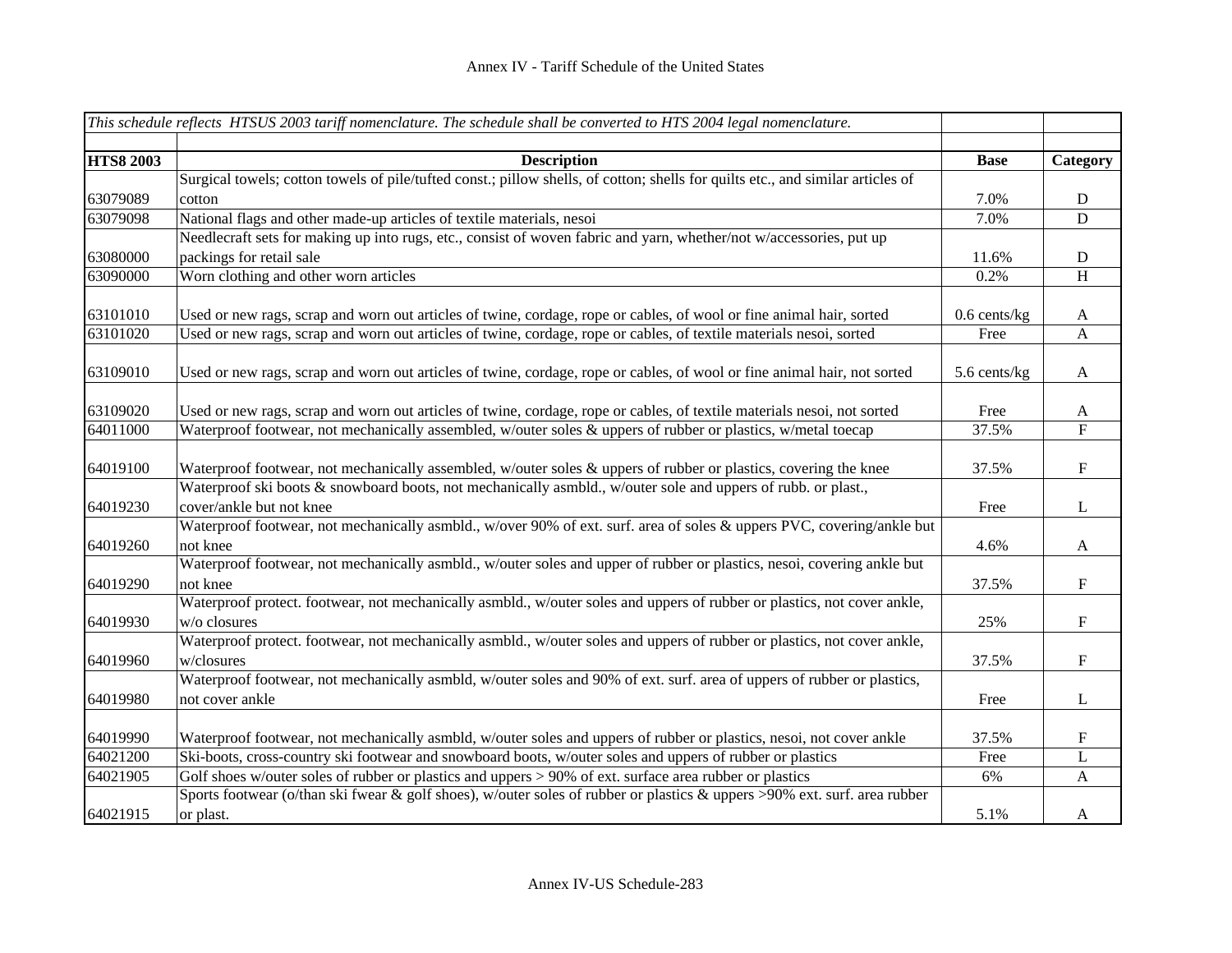| <b>HTS8 2003</b><br><b>Description</b><br><b>Base</b><br>Category<br>Surgical towels; cotton towels of pile/tufted const.; pillow shells, of cotton; shells for quilts etc., and similar articles of<br>63079089<br>7.0%<br>D<br>cotton<br>63079098<br>National flags and other made-up articles of textile materials, nesoi<br>7.0%<br>${\bf D}$<br>Needlecraft sets for making up into rugs, etc., consist of woven fabric and yarn, whether/not w/accessories, put up<br>63080000<br>packings for retail sale<br>11.6%<br>D<br>Worn clothing and other worn articles<br>63090000<br>0.2%<br>$\boldsymbol{\mathrm{H}}$<br>63101010<br>Used or new rags, scrap and worn out articles of twine, cordage, rope or cables, of wool or fine animal hair, sorted<br>$0.6$ cents/kg<br>$\mathbf{A}$<br>63101020<br>Used or new rags, scrap and worn out articles of twine, cordage, rope or cables, of textile materials nesoi, sorted<br>Free<br>$\mathbf{A}$<br>63109010<br>Used or new rags, scrap and worn out articles of twine, cordage, rope or cables, of wool or fine animal hair, not sorted<br>5.6 cents/kg<br>A<br>63109020<br>Used or new rags, scrap and worn out articles of twine, cordage, rope or cables, of textile materials nesoi, not sorted<br>Free<br>A<br>${\bf F}$<br>64011000<br>Waterproof footwear, not mechanically assembled, w/outer soles & uppers of rubber or plastics, w/metal toecap<br>37.5%<br>64019100<br>Waterproof footwear, not mechanically assembled, w/outer soles & uppers of rubber or plastics, covering the knee<br>$\mathbf F$<br>37.5%<br>Waterproof ski boots & snowboard boots, not mechanically asmbld., w/outer sole and uppers of rubb. or plast., | This schedule reflects HTSUS 2003 tariff nomenclature. The schedule shall be converted to HTS 2004 legal nomenclature. |  |
|--------------------------------------------------------------------------------------------------------------------------------------------------------------------------------------------------------------------------------------------------------------------------------------------------------------------------------------------------------------------------------------------------------------------------------------------------------------------------------------------------------------------------------------------------------------------------------------------------------------------------------------------------------------------------------------------------------------------------------------------------------------------------------------------------------------------------------------------------------------------------------------------------------------------------------------------------------------------------------------------------------------------------------------------------------------------------------------------------------------------------------------------------------------------------------------------------------------------------------------------------------------------------------------------------------------------------------------------------------------------------------------------------------------------------------------------------------------------------------------------------------------------------------------------------------------------------------------------------------------------------------------------------------------------------------------------------------|------------------------------------------------------------------------------------------------------------------------|--|
|                                                                                                                                                                                                                                                                                                                                                                                                                                                                                                                                                                                                                                                                                                                                                                                                                                                                                                                                                                                                                                                                                                                                                                                                                                                                                                                                                                                                                                                                                                                                                                                                                                                                                                        |                                                                                                                        |  |
|                                                                                                                                                                                                                                                                                                                                                                                                                                                                                                                                                                                                                                                                                                                                                                                                                                                                                                                                                                                                                                                                                                                                                                                                                                                                                                                                                                                                                                                                                                                                                                                                                                                                                                        |                                                                                                                        |  |
|                                                                                                                                                                                                                                                                                                                                                                                                                                                                                                                                                                                                                                                                                                                                                                                                                                                                                                                                                                                                                                                                                                                                                                                                                                                                                                                                                                                                                                                                                                                                                                                                                                                                                                        |                                                                                                                        |  |
|                                                                                                                                                                                                                                                                                                                                                                                                                                                                                                                                                                                                                                                                                                                                                                                                                                                                                                                                                                                                                                                                                                                                                                                                                                                                                                                                                                                                                                                                                                                                                                                                                                                                                                        |                                                                                                                        |  |
|                                                                                                                                                                                                                                                                                                                                                                                                                                                                                                                                                                                                                                                                                                                                                                                                                                                                                                                                                                                                                                                                                                                                                                                                                                                                                                                                                                                                                                                                                                                                                                                                                                                                                                        |                                                                                                                        |  |
|                                                                                                                                                                                                                                                                                                                                                                                                                                                                                                                                                                                                                                                                                                                                                                                                                                                                                                                                                                                                                                                                                                                                                                                                                                                                                                                                                                                                                                                                                                                                                                                                                                                                                                        |                                                                                                                        |  |
|                                                                                                                                                                                                                                                                                                                                                                                                                                                                                                                                                                                                                                                                                                                                                                                                                                                                                                                                                                                                                                                                                                                                                                                                                                                                                                                                                                                                                                                                                                                                                                                                                                                                                                        |                                                                                                                        |  |
|                                                                                                                                                                                                                                                                                                                                                                                                                                                                                                                                                                                                                                                                                                                                                                                                                                                                                                                                                                                                                                                                                                                                                                                                                                                                                                                                                                                                                                                                                                                                                                                                                                                                                                        |                                                                                                                        |  |
|                                                                                                                                                                                                                                                                                                                                                                                                                                                                                                                                                                                                                                                                                                                                                                                                                                                                                                                                                                                                                                                                                                                                                                                                                                                                                                                                                                                                                                                                                                                                                                                                                                                                                                        |                                                                                                                        |  |
|                                                                                                                                                                                                                                                                                                                                                                                                                                                                                                                                                                                                                                                                                                                                                                                                                                                                                                                                                                                                                                                                                                                                                                                                                                                                                                                                                                                                                                                                                                                                                                                                                                                                                                        |                                                                                                                        |  |
|                                                                                                                                                                                                                                                                                                                                                                                                                                                                                                                                                                                                                                                                                                                                                                                                                                                                                                                                                                                                                                                                                                                                                                                                                                                                                                                                                                                                                                                                                                                                                                                                                                                                                                        |                                                                                                                        |  |
|                                                                                                                                                                                                                                                                                                                                                                                                                                                                                                                                                                                                                                                                                                                                                                                                                                                                                                                                                                                                                                                                                                                                                                                                                                                                                                                                                                                                                                                                                                                                                                                                                                                                                                        |                                                                                                                        |  |
|                                                                                                                                                                                                                                                                                                                                                                                                                                                                                                                                                                                                                                                                                                                                                                                                                                                                                                                                                                                                                                                                                                                                                                                                                                                                                                                                                                                                                                                                                                                                                                                                                                                                                                        |                                                                                                                        |  |
|                                                                                                                                                                                                                                                                                                                                                                                                                                                                                                                                                                                                                                                                                                                                                                                                                                                                                                                                                                                                                                                                                                                                                                                                                                                                                                                                                                                                                                                                                                                                                                                                                                                                                                        |                                                                                                                        |  |
|                                                                                                                                                                                                                                                                                                                                                                                                                                                                                                                                                                                                                                                                                                                                                                                                                                                                                                                                                                                                                                                                                                                                                                                                                                                                                                                                                                                                                                                                                                                                                                                                                                                                                                        |                                                                                                                        |  |
|                                                                                                                                                                                                                                                                                                                                                                                                                                                                                                                                                                                                                                                                                                                                                                                                                                                                                                                                                                                                                                                                                                                                                                                                                                                                                                                                                                                                                                                                                                                                                                                                                                                                                                        |                                                                                                                        |  |
|                                                                                                                                                                                                                                                                                                                                                                                                                                                                                                                                                                                                                                                                                                                                                                                                                                                                                                                                                                                                                                                                                                                                                                                                                                                                                                                                                                                                                                                                                                                                                                                                                                                                                                        |                                                                                                                        |  |
|                                                                                                                                                                                                                                                                                                                                                                                                                                                                                                                                                                                                                                                                                                                                                                                                                                                                                                                                                                                                                                                                                                                                                                                                                                                                                                                                                                                                                                                                                                                                                                                                                                                                                                        |                                                                                                                        |  |
| 64019230<br>cover/ankle but not knee<br>L<br>Free                                                                                                                                                                                                                                                                                                                                                                                                                                                                                                                                                                                                                                                                                                                                                                                                                                                                                                                                                                                                                                                                                                                                                                                                                                                                                                                                                                                                                                                                                                                                                                                                                                                      |                                                                                                                        |  |
| Waterproof footwear, not mechanically asmbld., w/over 90% of ext. surf. area of soles & uppers PVC, covering/ankle but                                                                                                                                                                                                                                                                                                                                                                                                                                                                                                                                                                                                                                                                                                                                                                                                                                                                                                                                                                                                                                                                                                                                                                                                                                                                                                                                                                                                                                                                                                                                                                                 |                                                                                                                        |  |
| 64019260<br>not knee<br>4.6%<br>$\mathbf{A}$                                                                                                                                                                                                                                                                                                                                                                                                                                                                                                                                                                                                                                                                                                                                                                                                                                                                                                                                                                                                                                                                                                                                                                                                                                                                                                                                                                                                                                                                                                                                                                                                                                                           |                                                                                                                        |  |
| Waterproof footwear, not mechanically asmbld., w/outer soles and upper of rubber or plastics, nesoi, covering ankle but                                                                                                                                                                                                                                                                                                                                                                                                                                                                                                                                                                                                                                                                                                                                                                                                                                                                                                                                                                                                                                                                                                                                                                                                                                                                                                                                                                                                                                                                                                                                                                                |                                                                                                                        |  |
| ${\bf F}$<br>64019290<br>37.5%<br>not knee                                                                                                                                                                                                                                                                                                                                                                                                                                                                                                                                                                                                                                                                                                                                                                                                                                                                                                                                                                                                                                                                                                                                                                                                                                                                                                                                                                                                                                                                                                                                                                                                                                                             |                                                                                                                        |  |
| Waterproof protect. footwear, not mechanically asmbld., w/outer soles and uppers of rubber or plastics, not cover ankle,                                                                                                                                                                                                                                                                                                                                                                                                                                                                                                                                                                                                                                                                                                                                                                                                                                                                                                                                                                                                                                                                                                                                                                                                                                                                                                                                                                                                                                                                                                                                                                               |                                                                                                                        |  |
| 64019930<br>${\bf F}$<br>w/o closures<br>25%                                                                                                                                                                                                                                                                                                                                                                                                                                                                                                                                                                                                                                                                                                                                                                                                                                                                                                                                                                                                                                                                                                                                                                                                                                                                                                                                                                                                                                                                                                                                                                                                                                                           |                                                                                                                        |  |
| Waterproof protect. footwear, not mechanically asmbld., w/outer soles and uppers of rubber or plastics, not cover ankle,                                                                                                                                                                                                                                                                                                                                                                                                                                                                                                                                                                                                                                                                                                                                                                                                                                                                                                                                                                                                                                                                                                                                                                                                                                                                                                                                                                                                                                                                                                                                                                               |                                                                                                                        |  |
| 64019960<br>$\boldsymbol{\mathrm{F}}$<br>37.5%<br>w/closures                                                                                                                                                                                                                                                                                                                                                                                                                                                                                                                                                                                                                                                                                                                                                                                                                                                                                                                                                                                                                                                                                                                                                                                                                                                                                                                                                                                                                                                                                                                                                                                                                                           |                                                                                                                        |  |
| Waterproof footwear, not mechanically asmbld, w/outer soles and 90% of ext. surf. area of uppers of rubber or plastics,                                                                                                                                                                                                                                                                                                                                                                                                                                                                                                                                                                                                                                                                                                                                                                                                                                                                                                                                                                                                                                                                                                                                                                                                                                                                                                                                                                                                                                                                                                                                                                                |                                                                                                                        |  |
| 64019980<br>L<br>not cover ankle<br>Free                                                                                                                                                                                                                                                                                                                                                                                                                                                                                                                                                                                                                                                                                                                                                                                                                                                                                                                                                                                                                                                                                                                                                                                                                                                                                                                                                                                                                                                                                                                                                                                                                                                               |                                                                                                                        |  |
| 64019990<br>Waterproof footwear, not mechanically asmbld, w/outer soles and uppers of rubber or plastics, nesoi, not cover ankle<br>37.5%<br>F                                                                                                                                                                                                                                                                                                                                                                                                                                                                                                                                                                                                                                                                                                                                                                                                                                                                                                                                                                                                                                                                                                                                                                                                                                                                                                                                                                                                                                                                                                                                                         |                                                                                                                        |  |
| Ski-boots, cross-country ski footwear and snowboard boots, w/outer soles and uppers of rubber or plastics<br>$\mathbf L$<br>64021200<br>Free                                                                                                                                                                                                                                                                                                                                                                                                                                                                                                                                                                                                                                                                                                                                                                                                                                                                                                                                                                                                                                                                                                                                                                                                                                                                                                                                                                                                                                                                                                                                                           |                                                                                                                        |  |
| Golf shoes w/outer soles of rubber or plastics and uppers > 90% of ext. surface area rubber or plastics<br>64021905<br>6%<br>$\mathbf{A}$                                                                                                                                                                                                                                                                                                                                                                                                                                                                                                                                                                                                                                                                                                                                                                                                                                                                                                                                                                                                                                                                                                                                                                                                                                                                                                                                                                                                                                                                                                                                                              |                                                                                                                        |  |
| Sports footwear (o/than ski fwear & golf shoes), w/outer soles of rubber or plastics & uppers >90% ext. surf. area rubber                                                                                                                                                                                                                                                                                                                                                                                                                                                                                                                                                                                                                                                                                                                                                                                                                                                                                                                                                                                                                                                                                                                                                                                                                                                                                                                                                                                                                                                                                                                                                                              |                                                                                                                        |  |
| 64021915<br>5.1%<br>or plast.<br>A                                                                                                                                                                                                                                                                                                                                                                                                                                                                                                                                                                                                                                                                                                                                                                                                                                                                                                                                                                                                                                                                                                                                                                                                                                                                                                                                                                                                                                                                                                                                                                                                                                                                     |                                                                                                                        |  |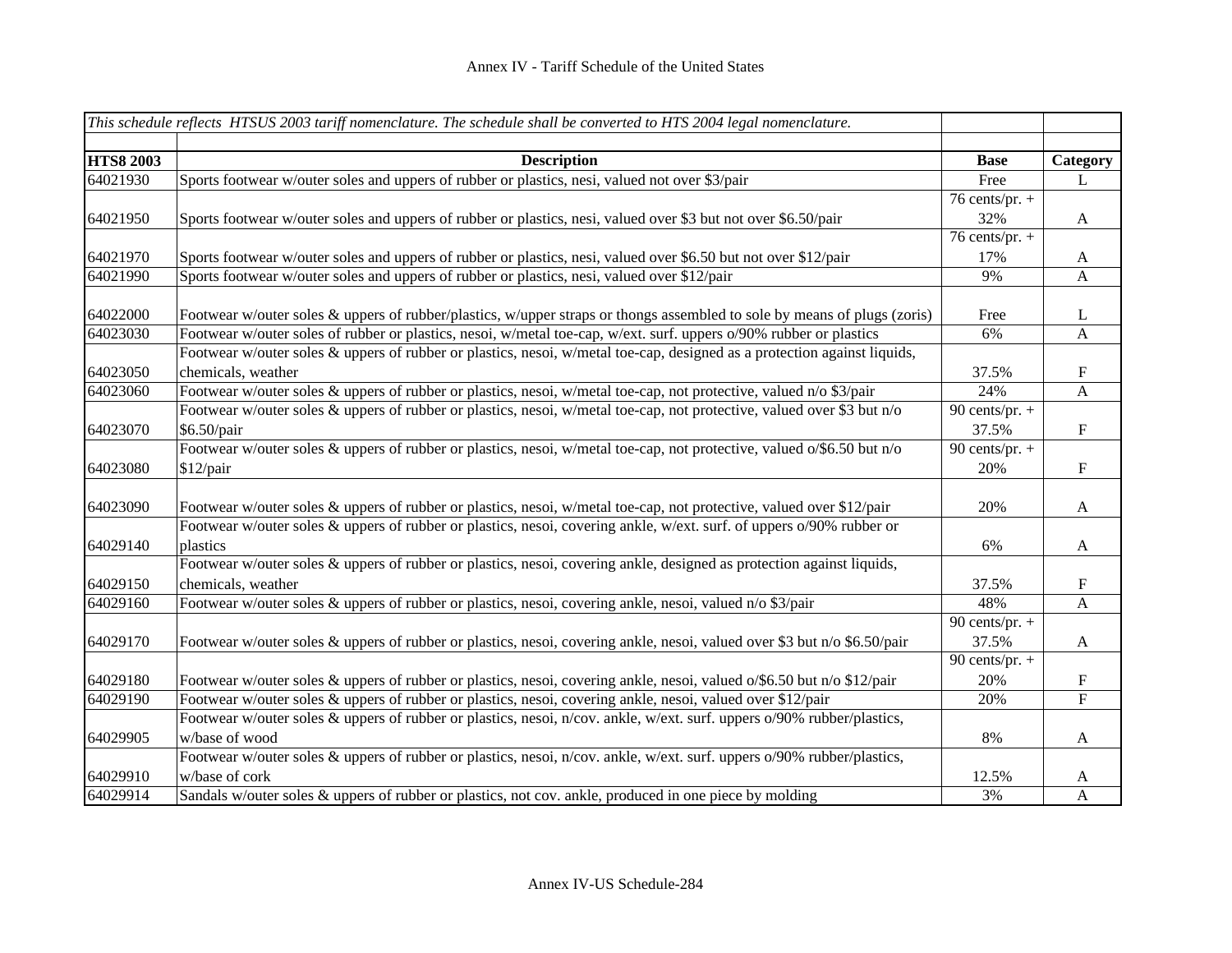|                  | This schedule reflects HTSUS 2003 tariff nomenclature. The schedule shall be converted to HTS 2004 legal nomenclature.   |                  |                         |
|------------------|--------------------------------------------------------------------------------------------------------------------------|------------------|-------------------------|
| <b>HTS8 2003</b> | <b>Description</b>                                                                                                       | <b>Base</b>      | Category                |
| 64021930         | Sports footwear w/outer soles and uppers of rubber or plastics, nesi, valued not over \$3/pair                           | Free             | L                       |
|                  |                                                                                                                          | 76 cents/pr. $+$ |                         |
| 64021950         | Sports footwear w/outer soles and uppers of rubber or plastics, nesi, valued over \$3 but not over \$6.50/pair           | 32%              | $\mathbf{A}$            |
|                  |                                                                                                                          | 76 cents/pr. $+$ |                         |
| 64021970         | Sports footwear w/outer soles and uppers of rubber or plastics, nesi, valued over \$6.50 but not over \$12/pair          | 17%              | A                       |
| 64021990         | Sports footwear w/outer soles and uppers of rubber or plastics, nesi, valued over \$12/pair                              | 9%               | A                       |
| 64022000         | Footwear w/outer soles & uppers of rubber/plastics, w/upper straps or thongs assembled to sole by means of plugs (zoris) | Free             | L                       |
| 64023030         | Footwear w/outer soles of rubber or plastics, nesoi, w/metal toe-cap, w/ext. surf. uppers o/90% rubber or plastics       | 6%               | A                       |
|                  | Footwear w/outer soles & uppers of rubber or plastics, nesoi, w/metal toe-cap, designed as a protection against liquids, |                  |                         |
| 64023050         | chemicals, weather                                                                                                       | 37.5%            | $\mathbf F$             |
| 64023060         | Footwear w/outer soles & uppers of rubber or plastics, nesoi, w/metal toe-cap, not protective, valued n/o \$3/pair       | 24%              | $\mathbf{A}$            |
|                  | Footwear w/outer soles & uppers of rubber or plastics, nesoi, w/metal toe-cap, not protective, valued over \$3 but n/o   | 90 cents/pr. $+$ |                         |
| 64023070         | \$6.50/pair                                                                                                              | 37.5%            | $\mathbf F$             |
|                  | Footwear w/outer soles & uppers of rubber or plastics, nesoi, w/metal toe-cap, not protective, valued o/\$6.50 but n/o   | 90 cents/pr. $+$ |                         |
| 64023080         | \$12/pair                                                                                                                | 20%              | $\mathbf F$             |
| 64023090         | Footwear w/outer soles & uppers of rubber or plastics, nesoi, w/metal toe-cap, not protective, valued over \$12/pair     | 20%              | $\mathbf{A}$            |
|                  | Footwear w/outer soles & uppers of rubber or plastics, nesoi, covering ankle, w/ext. surf. of uppers o/90% rubber or     |                  |                         |
| 64029140         | plastics                                                                                                                 | 6%               | $\mathbf{A}$            |
|                  | Footwear w/outer soles & uppers of rubber or plastics, nesoi, covering ankle, designed as protection against liquids,    |                  |                         |
| 64029150         | chemicals, weather                                                                                                       | 37.5%            | $\mathbf F$             |
| 64029160         | Footwear w/outer soles & uppers of rubber or plastics, nesoi, covering ankle, nesoi, valued n/o \$3/pair                 | 48%              | $\mathbf{A}$            |
|                  |                                                                                                                          | 90 cents/pr. $+$ |                         |
| 64029170         | Footwear w/outer soles & uppers of rubber or plastics, nesoi, covering ankle, nesoi, valued over \$3 but n/o \$6.50/pair | 37.5%            | $\mathbf{A}$            |
|                  |                                                                                                                          | 90 cents/pr. $+$ |                         |
| 64029180         | Footwear w/outer soles & uppers of rubber or plastics, nesoi, covering ankle, nesoi, valued o/\$6.50 but n/o \$12/pair   | 20%              | $\mathbf F$             |
| 64029190         | Footwear w/outer soles & uppers of rubber or plastics, nesoi, covering ankle, nesoi, valued over \$12/pair               | 20%              | $\overline{\mathrm{F}}$ |
|                  | Footwear w/outer soles & uppers of rubber or plastics, nesoi, n/cov. ankle, w/ext. surf. uppers o/90% rubber/plastics,   |                  |                         |
| 64029905         | w/base of wood                                                                                                           | 8%               | $\mathbf{A}$            |
|                  | Footwear w/outer soles & uppers of rubber or plastics, nesoi, n/cov. ankle, w/ext. surf. uppers o/90% rubber/plastics,   |                  |                         |
| 64029910         | w/base of cork                                                                                                           | 12.5%            | A                       |
| 64029914         | Sandals w/outer soles & uppers of rubber or plastics, not cov. ankle, produced in one piece by molding                   | 3%               | $\mathbf{A}$            |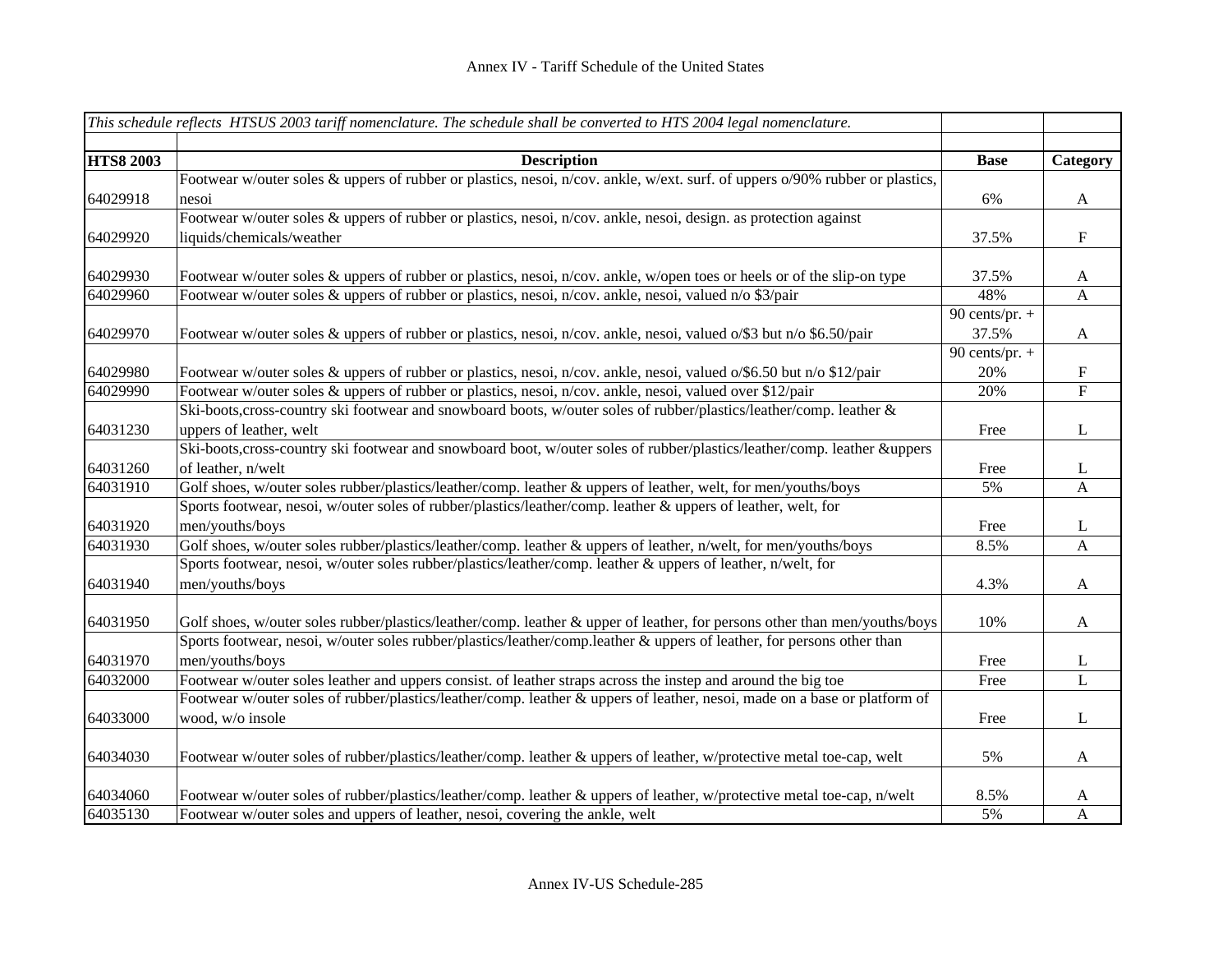|                  | This schedule reflects HTSUS 2003 tariff nomenclature. The schedule shall be converted to HTS 2004 legal nomenclature.       |                  |                           |
|------------------|------------------------------------------------------------------------------------------------------------------------------|------------------|---------------------------|
|                  |                                                                                                                              |                  |                           |
| <b>HTS8 2003</b> | <b>Description</b>                                                                                                           | <b>Base</b>      | Category                  |
|                  | Footwear w/outer soles & uppers of rubber or plastics, nesoi, n/cov. ankle, w/ext. surf. of uppers o/90% rubber or plastics, |                  |                           |
| 64029918         | nesoi                                                                                                                        | 6%               | $\mathbf{A}$              |
|                  | Footwear w/outer soles & uppers of rubber or plastics, nesoi, n/cov. ankle, nesoi, design. as protection against             |                  |                           |
| 64029920         | liquids/chemicals/weather                                                                                                    | 37.5%            | $\mathbf F$               |
| 64029930         | Footwear w/outer soles & uppers of rubber or plastics, nesoi, n/cov. ankle, w/open toes or heels or of the slip-on type      | 37.5%            | $\mathbf{A}$              |
| 64029960         | Footwear w/outer soles & uppers of rubber or plastics, nesoi, n/cov. ankle, nesoi, valued n/o \$3/pair                       | 48%              | $\mathbf{A}$              |
|                  |                                                                                                                              | 90 cents/pr. $+$ |                           |
| 64029970         | Footwear w/outer soles & uppers of rubber or plastics, nesoi, n/cov. ankle, nesoi, valued o/\$3 but n/o \$6.50/pair          | 37.5%            | $\mathbf{A}$              |
|                  |                                                                                                                              | 90 cents/pr. $+$ |                           |
| 64029980         | Footwear w/outer soles & uppers of rubber or plastics, nesoi, n/cov. ankle, nesoi, valued o/\$6.50 but n/o \$12/pair         | 20%              | ${\bf F}$                 |
| 64029990         | Footwear w/outer soles & uppers of rubber or plastics, nesoi, n/cov. ankle, nesoi, valued over \$12/pair                     | 20%              | $\boldsymbol{\mathrm{F}}$ |
|                  | Ski-boots, cross-country ski footwear and snowboard boots, w/outer soles of rubber/plastics/leather/comp. leather &          |                  |                           |
| 64031230         | uppers of leather, welt                                                                                                      | Free             | $\bf L$                   |
|                  | Ski-boots, cross-country ski footwear and snowboard boot, w/outer soles of rubber/plastics/leather/comp. leather &uppers     |                  |                           |
| 64031260         | of leather, n/welt                                                                                                           | Free             | $\mathbf{L}$              |
| 64031910         | Golf shoes, w/outer soles rubber/plastics/leather/comp. leather & uppers of leather, welt, for men/youths/boys               | 5%               | A                         |
|                  | Sports footwear, nesoi, w/outer soles of rubber/plastics/leather/comp. leather & uppers of leather, welt, for                |                  |                           |
| 64031920         | men/youths/boys                                                                                                              | Free             | L                         |
| 64031930         | Golf shoes, w/outer soles rubber/plastics/leather/comp. leather & uppers of leather, n/welt, for men/youths/boys             | 8.5%             | $\mathbf{A}$              |
|                  | Sports footwear, nesoi, w/outer soles rubber/plastics/leather/comp. leather & uppers of leather, n/welt, for                 |                  |                           |
| 64031940         | men/youths/boys                                                                                                              | 4.3%             | $\mathbf{A}$              |
| 64031950         | Golf shoes, w/outer soles rubber/plastics/leather/comp. leather & upper of leather, for persons other than men/youths/boys   | 10%              | $\mathbf{A}$              |
|                  | Sports footwear, nesoi, w/outer soles rubber/plastics/leather/comp.leather & uppers of leather, for persons other than       |                  |                           |
| 64031970         | men/youths/boys                                                                                                              | Free             | L                         |
| 64032000         | Footwear w/outer soles leather and uppers consist. of leather straps across the instep and around the big toe                | Free             | $\mathbf L$               |
|                  | Footwear w/outer soles of rubber/plastics/leather/comp. leather & uppers of leather, nesoi, made on a base or platform of    |                  |                           |
| 64033000         | wood, w/o insole                                                                                                             | Free             | $\bf L$                   |
| 64034030         | Footwear w/outer soles of rubber/plastics/leather/comp. leather & uppers of leather, w/protective metal toe-cap, welt        | 5%               | $\mathbf{A}$              |
| 64034060         | Footwear w/outer soles of rubber/plastics/leather/comp. leather & uppers of leather, w/protective metal toe-cap, n/welt      | 8.5%             | $\mathbf{A}$              |
| 64035130         | Footwear w/outer soles and uppers of leather, nesoi, covering the ankle, welt                                                | 5%               | $\mathbf{A}$              |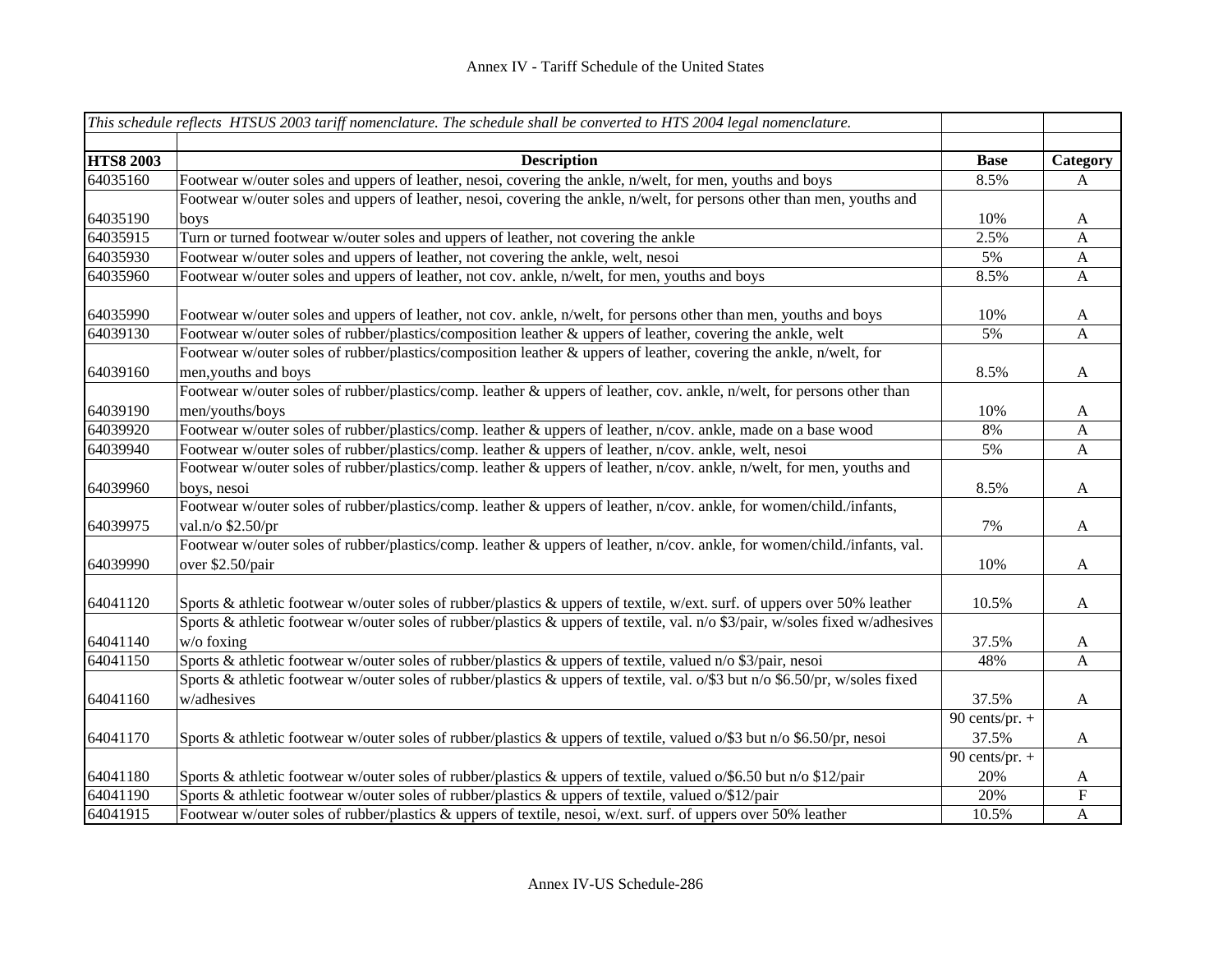| <b>HTS8 2003</b><br><b>Base</b><br><b>Description</b><br>Category<br>Footwear w/outer soles and uppers of leather, nesoi, covering the ankle, n/welt, for men, youths and boys<br>64035160<br>8.5%<br>A<br>Footwear w/outer soles and uppers of leather, nesoi, covering the ankle, n/welt, for persons other than men, youths and<br>64035190<br>10%<br>A<br>boys<br>64035915<br>Turn or turned footwear w/outer soles and uppers of leather, not covering the ankle<br>2.5%<br>$\mathbf{A}$<br>Footwear w/outer soles and uppers of leather, not covering the ankle, welt, nesoi<br>64035930<br>5%<br>$\mathbf{A}$<br>64035960<br>Footwear w/outer soles and uppers of leather, not cov. ankle, n/welt, for men, youths and boys<br>8.5%<br>$\mathbf{A}$<br>64035990<br>Footwear w/outer soles and uppers of leather, not cov. ankle, n/welt, for persons other than men, youths and boys<br>10%<br>A<br>Footwear w/outer soles of rubber/plastics/composition leather & uppers of leather, covering the ankle, welt<br>64039130<br>5%<br>$\mathbf{A}$<br>Footwear w/outer soles of rubber/plastics/composition leather & uppers of leather, covering the ankle, n/welt, for<br>64039160<br>men, youths and boys<br>8.5%<br>$\mathbf{A}$<br>Footwear w/outer soles of rubber/plastics/comp. leather & uppers of leather, cov. ankle, n/welt, for persons other than<br>64039190<br>men/youths/boys<br>10%<br>A<br>64039920<br>Footwear w/outer soles of rubber/plastics/comp. leather & uppers of leather, n/cov. ankle, made on a base wood<br>8%<br>$\boldsymbol{\mathsf{A}}$<br>Footwear w/outer soles of rubber/plastics/comp. leather & uppers of leather, n/cov. ankle, welt, nesoi<br>64039940<br>5%<br>A<br>Footwear w/outer soles of rubber/plastics/comp. leather & uppers of leather, n/cov. ankle, n/welt, for men, youths and<br>64039960<br>8.5%<br>boys, nesoi<br>$\mathbf{A}$<br>Footwear w/outer soles of rubber/plastics/comp. leather & uppers of leather, n/cov. ankle, for women/child./infants,<br>64039975<br>7%<br>val.n/o \$2.50/pr<br>$\mathbf{A}$<br>Footwear w/outer soles of rubber/plastics/comp. leather & uppers of leather, n/cov. ankle, for women/child./infants, val.<br>64039990<br>10%<br>over \$2.50/pair<br>$\mathbf{A}$<br>64041120<br>Sports & athletic footwear w/outer soles of rubber/plastics & uppers of textile, w/ext. surf. of uppers over 50% leather<br>10.5%<br>A<br>Sports & athletic footwear w/outer soles of rubber/plastics & uppers of textile, val. n/o \$3/pair, w/soles fixed w/adhesives<br>64041140<br>37.5%<br>$w/o$ foxing<br>A<br>64041150<br>Sports & athletic footwear w/outer soles of rubber/plastics & uppers of textile, valued n/o \$3/pair, nesoi<br>48%<br>$\mathbf{A}$<br>Sports & athletic footwear w/outer soles of rubber/plastics & uppers of textile, val. $\frac{6}{5}$ but n/o \$6.50/pr, w/soles fixed<br>64041160<br>w/adhesives<br>37.5%<br>$\mathbf A$<br>90 cents/pr. $+$<br>64041170<br>Sports & athletic footwear w/outer soles of rubber/plastics & uppers of textile, valued $\frac{0}{93}$ but n/o \$6.50/pr, nesoi<br>37.5%<br>$\mathbf{A}$<br>90 cents/pr. $+$<br>64041180<br>Sports & athletic footwear w/outer soles of rubber/plastics & uppers of textile, valued $o$ /\$6.50 but n/o \$12/pair<br>20%<br>$\mathbf{A}$<br>64041190<br>Sports & athletic footwear w/outer soles of rubber/plastics & uppers of textile, valued o/\$12/pair<br>${\bf F}$<br>20% |          | This schedule reflects HTSUS 2003 tariff nomenclature. The schedule shall be converted to HTS 2004 legal nomenclature. |       |              |
|---------------------------------------------------------------------------------------------------------------------------------------------------------------------------------------------------------------------------------------------------------------------------------------------------------------------------------------------------------------------------------------------------------------------------------------------------------------------------------------------------------------------------------------------------------------------------------------------------------------------------------------------------------------------------------------------------------------------------------------------------------------------------------------------------------------------------------------------------------------------------------------------------------------------------------------------------------------------------------------------------------------------------------------------------------------------------------------------------------------------------------------------------------------------------------------------------------------------------------------------------------------------------------------------------------------------------------------------------------------------------------------------------------------------------------------------------------------------------------------------------------------------------------------------------------------------------------------------------------------------------------------------------------------------------------------------------------------------------------------------------------------------------------------------------------------------------------------------------------------------------------------------------------------------------------------------------------------------------------------------------------------------------------------------------------------------------------------------------------------------------------------------------------------------------------------------------------------------------------------------------------------------------------------------------------------------------------------------------------------------------------------------------------------------------------------------------------------------------------------------------------------------------------------------------------------------------------------------------------------------------------------------------------------------------------------------------------------------------------------------------------------------------------------------------------------------------------------------------------------------------------------------------------------------------------------------------------------------------------------------------------------------------------------------------------------------------------------------------------------------------------------------------------------------------------------------------------------------------------------------------------------------------------------------------------------------------------------------------------------------------------------------------------------------------------------------------------------------|----------|------------------------------------------------------------------------------------------------------------------------|-------|--------------|
|                                                                                                                                                                                                                                                                                                                                                                                                                                                                                                                                                                                                                                                                                                                                                                                                                                                                                                                                                                                                                                                                                                                                                                                                                                                                                                                                                                                                                                                                                                                                                                                                                                                                                                                                                                                                                                                                                                                                                                                                                                                                                                                                                                                                                                                                                                                                                                                                                                                                                                                                                                                                                                                                                                                                                                                                                                                                                                                                                                                                                                                                                                                                                                                                                                                                                                                                                                                                                                                                     |          |                                                                                                                        |       |              |
|                                                                                                                                                                                                                                                                                                                                                                                                                                                                                                                                                                                                                                                                                                                                                                                                                                                                                                                                                                                                                                                                                                                                                                                                                                                                                                                                                                                                                                                                                                                                                                                                                                                                                                                                                                                                                                                                                                                                                                                                                                                                                                                                                                                                                                                                                                                                                                                                                                                                                                                                                                                                                                                                                                                                                                                                                                                                                                                                                                                                                                                                                                                                                                                                                                                                                                                                                                                                                                                                     |          |                                                                                                                        |       |              |
|                                                                                                                                                                                                                                                                                                                                                                                                                                                                                                                                                                                                                                                                                                                                                                                                                                                                                                                                                                                                                                                                                                                                                                                                                                                                                                                                                                                                                                                                                                                                                                                                                                                                                                                                                                                                                                                                                                                                                                                                                                                                                                                                                                                                                                                                                                                                                                                                                                                                                                                                                                                                                                                                                                                                                                                                                                                                                                                                                                                                                                                                                                                                                                                                                                                                                                                                                                                                                                                                     |          |                                                                                                                        |       |              |
|                                                                                                                                                                                                                                                                                                                                                                                                                                                                                                                                                                                                                                                                                                                                                                                                                                                                                                                                                                                                                                                                                                                                                                                                                                                                                                                                                                                                                                                                                                                                                                                                                                                                                                                                                                                                                                                                                                                                                                                                                                                                                                                                                                                                                                                                                                                                                                                                                                                                                                                                                                                                                                                                                                                                                                                                                                                                                                                                                                                                                                                                                                                                                                                                                                                                                                                                                                                                                                                                     |          |                                                                                                                        |       |              |
|                                                                                                                                                                                                                                                                                                                                                                                                                                                                                                                                                                                                                                                                                                                                                                                                                                                                                                                                                                                                                                                                                                                                                                                                                                                                                                                                                                                                                                                                                                                                                                                                                                                                                                                                                                                                                                                                                                                                                                                                                                                                                                                                                                                                                                                                                                                                                                                                                                                                                                                                                                                                                                                                                                                                                                                                                                                                                                                                                                                                                                                                                                                                                                                                                                                                                                                                                                                                                                                                     |          |                                                                                                                        |       |              |
|                                                                                                                                                                                                                                                                                                                                                                                                                                                                                                                                                                                                                                                                                                                                                                                                                                                                                                                                                                                                                                                                                                                                                                                                                                                                                                                                                                                                                                                                                                                                                                                                                                                                                                                                                                                                                                                                                                                                                                                                                                                                                                                                                                                                                                                                                                                                                                                                                                                                                                                                                                                                                                                                                                                                                                                                                                                                                                                                                                                                                                                                                                                                                                                                                                                                                                                                                                                                                                                                     |          |                                                                                                                        |       |              |
|                                                                                                                                                                                                                                                                                                                                                                                                                                                                                                                                                                                                                                                                                                                                                                                                                                                                                                                                                                                                                                                                                                                                                                                                                                                                                                                                                                                                                                                                                                                                                                                                                                                                                                                                                                                                                                                                                                                                                                                                                                                                                                                                                                                                                                                                                                                                                                                                                                                                                                                                                                                                                                                                                                                                                                                                                                                                                                                                                                                                                                                                                                                                                                                                                                                                                                                                                                                                                                                                     |          |                                                                                                                        |       |              |
|                                                                                                                                                                                                                                                                                                                                                                                                                                                                                                                                                                                                                                                                                                                                                                                                                                                                                                                                                                                                                                                                                                                                                                                                                                                                                                                                                                                                                                                                                                                                                                                                                                                                                                                                                                                                                                                                                                                                                                                                                                                                                                                                                                                                                                                                                                                                                                                                                                                                                                                                                                                                                                                                                                                                                                                                                                                                                                                                                                                                                                                                                                                                                                                                                                                                                                                                                                                                                                                                     |          |                                                                                                                        |       |              |
|                                                                                                                                                                                                                                                                                                                                                                                                                                                                                                                                                                                                                                                                                                                                                                                                                                                                                                                                                                                                                                                                                                                                                                                                                                                                                                                                                                                                                                                                                                                                                                                                                                                                                                                                                                                                                                                                                                                                                                                                                                                                                                                                                                                                                                                                                                                                                                                                                                                                                                                                                                                                                                                                                                                                                                                                                                                                                                                                                                                                                                                                                                                                                                                                                                                                                                                                                                                                                                                                     |          |                                                                                                                        |       |              |
|                                                                                                                                                                                                                                                                                                                                                                                                                                                                                                                                                                                                                                                                                                                                                                                                                                                                                                                                                                                                                                                                                                                                                                                                                                                                                                                                                                                                                                                                                                                                                                                                                                                                                                                                                                                                                                                                                                                                                                                                                                                                                                                                                                                                                                                                                                                                                                                                                                                                                                                                                                                                                                                                                                                                                                                                                                                                                                                                                                                                                                                                                                                                                                                                                                                                                                                                                                                                                                                                     |          |                                                                                                                        |       |              |
|                                                                                                                                                                                                                                                                                                                                                                                                                                                                                                                                                                                                                                                                                                                                                                                                                                                                                                                                                                                                                                                                                                                                                                                                                                                                                                                                                                                                                                                                                                                                                                                                                                                                                                                                                                                                                                                                                                                                                                                                                                                                                                                                                                                                                                                                                                                                                                                                                                                                                                                                                                                                                                                                                                                                                                                                                                                                                                                                                                                                                                                                                                                                                                                                                                                                                                                                                                                                                                                                     |          |                                                                                                                        |       |              |
|                                                                                                                                                                                                                                                                                                                                                                                                                                                                                                                                                                                                                                                                                                                                                                                                                                                                                                                                                                                                                                                                                                                                                                                                                                                                                                                                                                                                                                                                                                                                                                                                                                                                                                                                                                                                                                                                                                                                                                                                                                                                                                                                                                                                                                                                                                                                                                                                                                                                                                                                                                                                                                                                                                                                                                                                                                                                                                                                                                                                                                                                                                                                                                                                                                                                                                                                                                                                                                                                     |          |                                                                                                                        |       |              |
|                                                                                                                                                                                                                                                                                                                                                                                                                                                                                                                                                                                                                                                                                                                                                                                                                                                                                                                                                                                                                                                                                                                                                                                                                                                                                                                                                                                                                                                                                                                                                                                                                                                                                                                                                                                                                                                                                                                                                                                                                                                                                                                                                                                                                                                                                                                                                                                                                                                                                                                                                                                                                                                                                                                                                                                                                                                                                                                                                                                                                                                                                                                                                                                                                                                                                                                                                                                                                                                                     |          |                                                                                                                        |       |              |
|                                                                                                                                                                                                                                                                                                                                                                                                                                                                                                                                                                                                                                                                                                                                                                                                                                                                                                                                                                                                                                                                                                                                                                                                                                                                                                                                                                                                                                                                                                                                                                                                                                                                                                                                                                                                                                                                                                                                                                                                                                                                                                                                                                                                                                                                                                                                                                                                                                                                                                                                                                                                                                                                                                                                                                                                                                                                                                                                                                                                                                                                                                                                                                                                                                                                                                                                                                                                                                                                     |          |                                                                                                                        |       |              |
|                                                                                                                                                                                                                                                                                                                                                                                                                                                                                                                                                                                                                                                                                                                                                                                                                                                                                                                                                                                                                                                                                                                                                                                                                                                                                                                                                                                                                                                                                                                                                                                                                                                                                                                                                                                                                                                                                                                                                                                                                                                                                                                                                                                                                                                                                                                                                                                                                                                                                                                                                                                                                                                                                                                                                                                                                                                                                                                                                                                                                                                                                                                                                                                                                                                                                                                                                                                                                                                                     |          |                                                                                                                        |       |              |
|                                                                                                                                                                                                                                                                                                                                                                                                                                                                                                                                                                                                                                                                                                                                                                                                                                                                                                                                                                                                                                                                                                                                                                                                                                                                                                                                                                                                                                                                                                                                                                                                                                                                                                                                                                                                                                                                                                                                                                                                                                                                                                                                                                                                                                                                                                                                                                                                                                                                                                                                                                                                                                                                                                                                                                                                                                                                                                                                                                                                                                                                                                                                                                                                                                                                                                                                                                                                                                                                     |          |                                                                                                                        |       |              |
|                                                                                                                                                                                                                                                                                                                                                                                                                                                                                                                                                                                                                                                                                                                                                                                                                                                                                                                                                                                                                                                                                                                                                                                                                                                                                                                                                                                                                                                                                                                                                                                                                                                                                                                                                                                                                                                                                                                                                                                                                                                                                                                                                                                                                                                                                                                                                                                                                                                                                                                                                                                                                                                                                                                                                                                                                                                                                                                                                                                                                                                                                                                                                                                                                                                                                                                                                                                                                                                                     |          |                                                                                                                        |       |              |
|                                                                                                                                                                                                                                                                                                                                                                                                                                                                                                                                                                                                                                                                                                                                                                                                                                                                                                                                                                                                                                                                                                                                                                                                                                                                                                                                                                                                                                                                                                                                                                                                                                                                                                                                                                                                                                                                                                                                                                                                                                                                                                                                                                                                                                                                                                                                                                                                                                                                                                                                                                                                                                                                                                                                                                                                                                                                                                                                                                                                                                                                                                                                                                                                                                                                                                                                                                                                                                                                     |          |                                                                                                                        |       |              |
|                                                                                                                                                                                                                                                                                                                                                                                                                                                                                                                                                                                                                                                                                                                                                                                                                                                                                                                                                                                                                                                                                                                                                                                                                                                                                                                                                                                                                                                                                                                                                                                                                                                                                                                                                                                                                                                                                                                                                                                                                                                                                                                                                                                                                                                                                                                                                                                                                                                                                                                                                                                                                                                                                                                                                                                                                                                                                                                                                                                                                                                                                                                                                                                                                                                                                                                                                                                                                                                                     |          |                                                                                                                        |       |              |
|                                                                                                                                                                                                                                                                                                                                                                                                                                                                                                                                                                                                                                                                                                                                                                                                                                                                                                                                                                                                                                                                                                                                                                                                                                                                                                                                                                                                                                                                                                                                                                                                                                                                                                                                                                                                                                                                                                                                                                                                                                                                                                                                                                                                                                                                                                                                                                                                                                                                                                                                                                                                                                                                                                                                                                                                                                                                                                                                                                                                                                                                                                                                                                                                                                                                                                                                                                                                                                                                     |          |                                                                                                                        |       |              |
|                                                                                                                                                                                                                                                                                                                                                                                                                                                                                                                                                                                                                                                                                                                                                                                                                                                                                                                                                                                                                                                                                                                                                                                                                                                                                                                                                                                                                                                                                                                                                                                                                                                                                                                                                                                                                                                                                                                                                                                                                                                                                                                                                                                                                                                                                                                                                                                                                                                                                                                                                                                                                                                                                                                                                                                                                                                                                                                                                                                                                                                                                                                                                                                                                                                                                                                                                                                                                                                                     |          |                                                                                                                        |       |              |
|                                                                                                                                                                                                                                                                                                                                                                                                                                                                                                                                                                                                                                                                                                                                                                                                                                                                                                                                                                                                                                                                                                                                                                                                                                                                                                                                                                                                                                                                                                                                                                                                                                                                                                                                                                                                                                                                                                                                                                                                                                                                                                                                                                                                                                                                                                                                                                                                                                                                                                                                                                                                                                                                                                                                                                                                                                                                                                                                                                                                                                                                                                                                                                                                                                                                                                                                                                                                                                                                     |          |                                                                                                                        |       |              |
|                                                                                                                                                                                                                                                                                                                                                                                                                                                                                                                                                                                                                                                                                                                                                                                                                                                                                                                                                                                                                                                                                                                                                                                                                                                                                                                                                                                                                                                                                                                                                                                                                                                                                                                                                                                                                                                                                                                                                                                                                                                                                                                                                                                                                                                                                                                                                                                                                                                                                                                                                                                                                                                                                                                                                                                                                                                                                                                                                                                                                                                                                                                                                                                                                                                                                                                                                                                                                                                                     |          |                                                                                                                        |       |              |
|                                                                                                                                                                                                                                                                                                                                                                                                                                                                                                                                                                                                                                                                                                                                                                                                                                                                                                                                                                                                                                                                                                                                                                                                                                                                                                                                                                                                                                                                                                                                                                                                                                                                                                                                                                                                                                                                                                                                                                                                                                                                                                                                                                                                                                                                                                                                                                                                                                                                                                                                                                                                                                                                                                                                                                                                                                                                                                                                                                                                                                                                                                                                                                                                                                                                                                                                                                                                                                                                     |          |                                                                                                                        |       |              |
|                                                                                                                                                                                                                                                                                                                                                                                                                                                                                                                                                                                                                                                                                                                                                                                                                                                                                                                                                                                                                                                                                                                                                                                                                                                                                                                                                                                                                                                                                                                                                                                                                                                                                                                                                                                                                                                                                                                                                                                                                                                                                                                                                                                                                                                                                                                                                                                                                                                                                                                                                                                                                                                                                                                                                                                                                                                                                                                                                                                                                                                                                                                                                                                                                                                                                                                                                                                                                                                                     |          |                                                                                                                        |       |              |
|                                                                                                                                                                                                                                                                                                                                                                                                                                                                                                                                                                                                                                                                                                                                                                                                                                                                                                                                                                                                                                                                                                                                                                                                                                                                                                                                                                                                                                                                                                                                                                                                                                                                                                                                                                                                                                                                                                                                                                                                                                                                                                                                                                                                                                                                                                                                                                                                                                                                                                                                                                                                                                                                                                                                                                                                                                                                                                                                                                                                                                                                                                                                                                                                                                                                                                                                                                                                                                                                     |          |                                                                                                                        |       |              |
|                                                                                                                                                                                                                                                                                                                                                                                                                                                                                                                                                                                                                                                                                                                                                                                                                                                                                                                                                                                                                                                                                                                                                                                                                                                                                                                                                                                                                                                                                                                                                                                                                                                                                                                                                                                                                                                                                                                                                                                                                                                                                                                                                                                                                                                                                                                                                                                                                                                                                                                                                                                                                                                                                                                                                                                                                                                                                                                                                                                                                                                                                                                                                                                                                                                                                                                                                                                                                                                                     |          |                                                                                                                        |       |              |
|                                                                                                                                                                                                                                                                                                                                                                                                                                                                                                                                                                                                                                                                                                                                                                                                                                                                                                                                                                                                                                                                                                                                                                                                                                                                                                                                                                                                                                                                                                                                                                                                                                                                                                                                                                                                                                                                                                                                                                                                                                                                                                                                                                                                                                                                                                                                                                                                                                                                                                                                                                                                                                                                                                                                                                                                                                                                                                                                                                                                                                                                                                                                                                                                                                                                                                                                                                                                                                                                     |          |                                                                                                                        |       |              |
|                                                                                                                                                                                                                                                                                                                                                                                                                                                                                                                                                                                                                                                                                                                                                                                                                                                                                                                                                                                                                                                                                                                                                                                                                                                                                                                                                                                                                                                                                                                                                                                                                                                                                                                                                                                                                                                                                                                                                                                                                                                                                                                                                                                                                                                                                                                                                                                                                                                                                                                                                                                                                                                                                                                                                                                                                                                                                                                                                                                                                                                                                                                                                                                                                                                                                                                                                                                                                                                                     |          |                                                                                                                        |       |              |
|                                                                                                                                                                                                                                                                                                                                                                                                                                                                                                                                                                                                                                                                                                                                                                                                                                                                                                                                                                                                                                                                                                                                                                                                                                                                                                                                                                                                                                                                                                                                                                                                                                                                                                                                                                                                                                                                                                                                                                                                                                                                                                                                                                                                                                                                                                                                                                                                                                                                                                                                                                                                                                                                                                                                                                                                                                                                                                                                                                                                                                                                                                                                                                                                                                                                                                                                                                                                                                                                     |          |                                                                                                                        |       |              |
|                                                                                                                                                                                                                                                                                                                                                                                                                                                                                                                                                                                                                                                                                                                                                                                                                                                                                                                                                                                                                                                                                                                                                                                                                                                                                                                                                                                                                                                                                                                                                                                                                                                                                                                                                                                                                                                                                                                                                                                                                                                                                                                                                                                                                                                                                                                                                                                                                                                                                                                                                                                                                                                                                                                                                                                                                                                                                                                                                                                                                                                                                                                                                                                                                                                                                                                                                                                                                                                                     |          |                                                                                                                        |       |              |
|                                                                                                                                                                                                                                                                                                                                                                                                                                                                                                                                                                                                                                                                                                                                                                                                                                                                                                                                                                                                                                                                                                                                                                                                                                                                                                                                                                                                                                                                                                                                                                                                                                                                                                                                                                                                                                                                                                                                                                                                                                                                                                                                                                                                                                                                                                                                                                                                                                                                                                                                                                                                                                                                                                                                                                                                                                                                                                                                                                                                                                                                                                                                                                                                                                                                                                                                                                                                                                                                     |          |                                                                                                                        |       |              |
|                                                                                                                                                                                                                                                                                                                                                                                                                                                                                                                                                                                                                                                                                                                                                                                                                                                                                                                                                                                                                                                                                                                                                                                                                                                                                                                                                                                                                                                                                                                                                                                                                                                                                                                                                                                                                                                                                                                                                                                                                                                                                                                                                                                                                                                                                                                                                                                                                                                                                                                                                                                                                                                                                                                                                                                                                                                                                                                                                                                                                                                                                                                                                                                                                                                                                                                                                                                                                                                                     | 64041915 | Footwear w/outer soles of rubber/plastics & uppers of textile, nesoi, w/ext. surf. of uppers over 50% leather          | 10.5% | $\mathbf{A}$ |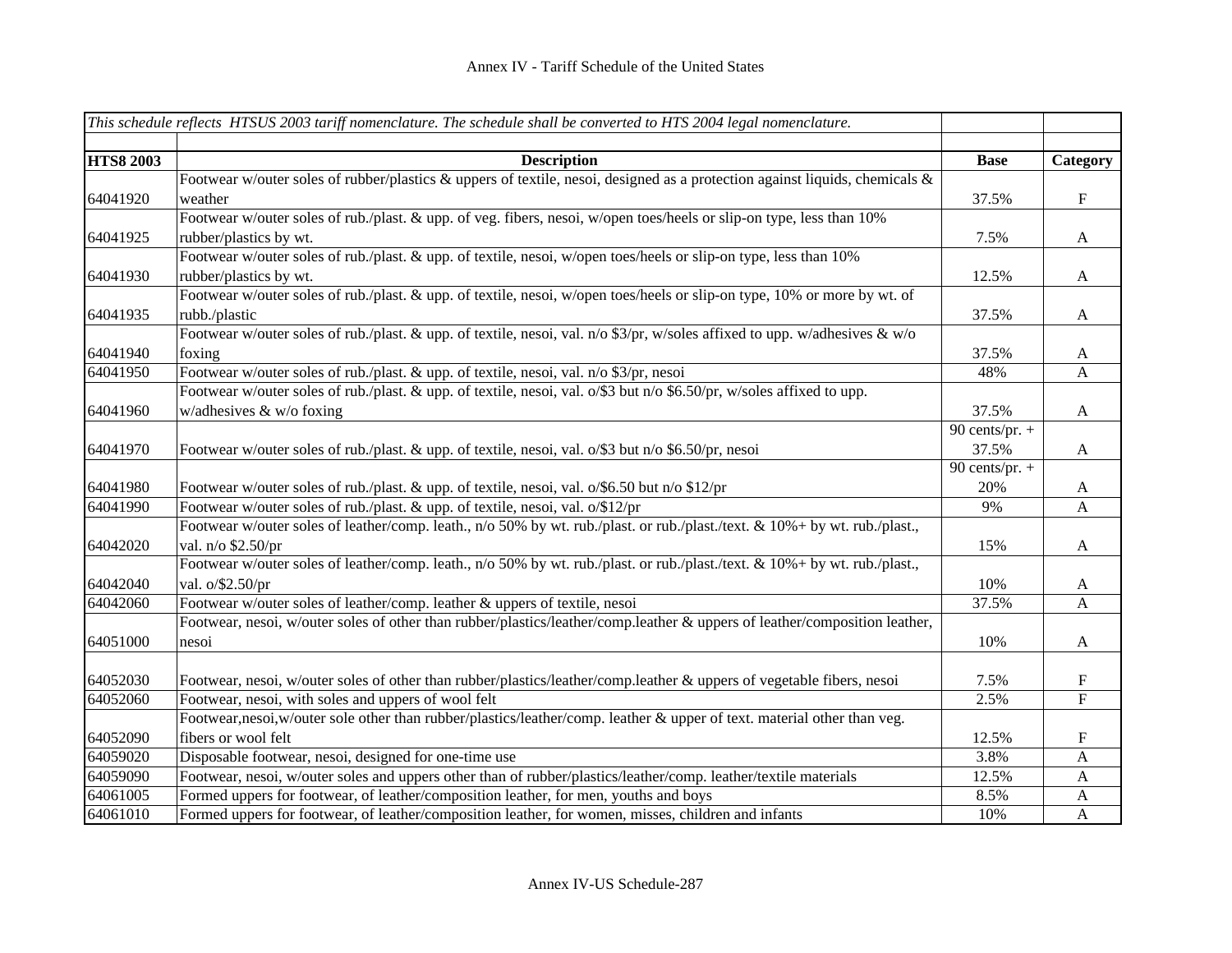|                  | This schedule reflects HTSUS 2003 tariff nomenclature. The schedule shall be converted to HTS 2004 legal nomenclature.      |                  |                           |
|------------------|-----------------------------------------------------------------------------------------------------------------------------|------------------|---------------------------|
|                  |                                                                                                                             |                  |                           |
| <b>HTS8 2003</b> | <b>Description</b>                                                                                                          | <b>Base</b>      | Category                  |
|                  | Footwear w/outer soles of rubber/plastics & uppers of textile, nesoi, designed as a protection against liquids, chemicals & |                  |                           |
| 64041920         | weather                                                                                                                     | 37.5%            | $\boldsymbol{\mathrm{F}}$ |
|                  | Footwear w/outer soles of rub./plast. & upp. of veg. fibers, nesoi, w/open toes/heels or slip-on type, less than 10%        |                  |                           |
| 64041925         | rubber/plastics by wt.                                                                                                      | 7.5%             | $\mathbf A$               |
|                  | Footwear w/outer soles of rub./plast. & upp. of textile, nesoi, w/open toes/heels or slip-on type, less than 10%            |                  |                           |
| 64041930         | rubber/plastics by wt.                                                                                                      | 12.5%            | $\mathbf{A}$              |
|                  | Footwear w/outer soles of rub./plast. & upp. of textile, nesoi, w/open toes/heels or slip-on type, 10% or more by wt. of    |                  |                           |
| 64041935         | rubb./plastic                                                                                                               | 37.5%            | $\boldsymbol{\mathsf{A}}$ |
|                  | Footwear w/outer soles of rub./plast. & upp. of textile, nesoi, val. n/o \$3/pr, w/soles affixed to upp. w/adhesives & w/o  |                  |                           |
| 64041940         | foxing                                                                                                                      | 37.5%            | $\mathbf{A}$              |
| 64041950         | Footwear w/outer soles of rub./plast. & upp. of textile, nesoi, val. n/o \$3/pr, nesoi                                      | 48%              | $\mathbf{A}$              |
|                  | Footwear w/outer soles of rub./plast. & upp. of textile, nesoi, val. o/\$3 but n/o \$6.50/pr, w/soles affixed to upp.       |                  |                           |
| 64041960         | w/adhesives $&$ w/o foxing                                                                                                  | 37.5%            | $\mathbf A$               |
|                  |                                                                                                                             | 90 cents/pr. $+$ |                           |
| 64041970         | Footwear w/outer soles of rub./plast. & upp. of textile, nesoi, val. o/\$3 but n/o \$6.50/pr, nesoi                         | 37.5%            | $\boldsymbol{A}$          |
|                  |                                                                                                                             | 90 cents/pr. $+$ |                           |
| 64041980         | Footwear w/outer soles of rub./plast. & upp. of textile, nesoi, val. o/\$6.50 but n/o \$12/pr                               | 20%              | $\mathbf{A}$              |
| 64041990         | Footwear w/outer soles of rub./plast. & upp. of textile, nesoi, val. o/\$12/pr                                              | 9%               | $\mathbf{A}$              |
|                  | Footwear w/outer soles of leather/comp. leath., n/o 50% by wt. rub./plast. or rub./plast./text. & 10%+ by wt. rub./plast.,  |                  |                           |
| 64042020         | val. n/o \$2.50/pr                                                                                                          | 15%              | $\mathbf{A}$              |
|                  | Footwear w/outer soles of leather/comp. leath., n/o 50% by wt. rub./plast. or rub./plast./text. & 10%+ by wt. rub./plast.,  |                  |                           |
| 64042040         | val. $o$ /\$2.50/pr                                                                                                         | 10%              | $\mathbf{A}$              |
| 64042060         | Footwear w/outer soles of leather/comp. leather & uppers of textile, nesoi                                                  | 37.5%            | $\mathbf{A}$              |
|                  | Footwear, nesoi, w/outer soles of other than rubber/plastics/leather/comp.leather & uppers of leather/composition leather,  |                  |                           |
| 64051000         | nesoi                                                                                                                       | 10%              | $\mathbf{A}$              |
|                  |                                                                                                                             |                  |                           |
| 64052030         | Footwear, nesoi, w/outer soles of other than rubber/plastics/leather/comp.leather & uppers of vegetable fibers, nesoi       | 7.5%             | $\boldsymbol{\mathrm{F}}$ |
| 64052060         | Footwear, nesoi, with soles and uppers of wool felt                                                                         | 2.5%             | $\overline{\mathrm{F}}$   |
|                  | Footwear,nesoi,w/outer sole other than rubber/plastics/leather/comp. leather & upper of text. material other than veg.      |                  |                           |
| 64052090         | fibers or wool felt                                                                                                         | 12.5%            | ${\bf F}$                 |
| 64059020         | Disposable footwear, nesoi, designed for one-time use                                                                       | 3.8%             | $\mathbf{A}$              |
| 64059090         | Footwear, nesoi, w/outer soles and uppers other than of rubber/plastics/leather/comp. leather/textile materials             | 12.5%            | $\mathbf{A}$              |
| 64061005         | Formed uppers for footwear, of leather/composition leather, for men, youths and boys                                        | 8.5%             | $\mathbf{A}$              |
| 64061010         | Formed uppers for footwear, of leather/composition leather, for women, misses, children and infants                         | 10%              | $\mathbf{A}$              |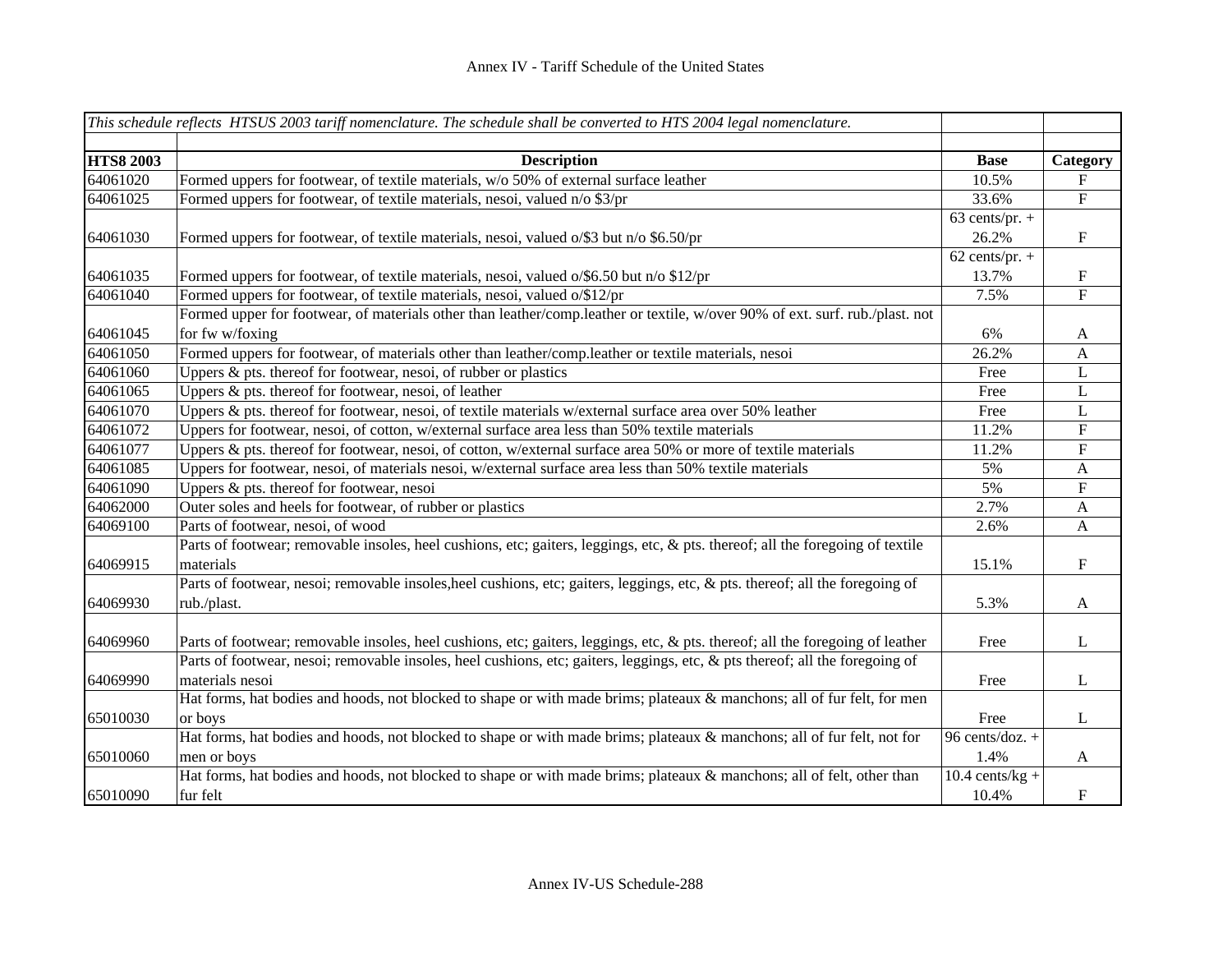|                  | This schedule reflects HTSUS 2003 tariff nomenclature. The schedule shall be converted to HTS 2004 legal nomenclature.         |                              |                           |
|------------------|--------------------------------------------------------------------------------------------------------------------------------|------------------------------|---------------------------|
| <b>HTS8 2003</b> | <b>Description</b>                                                                                                             | <b>Base</b>                  | Category                  |
| 64061020         | Formed uppers for footwear, of textile materials, w/o 50% of external surface leather                                          | 10.5%                        | $\mathbf F$               |
| 64061025         | Formed uppers for footwear, of textile materials, nesoi, valued n/o \$3/pr                                                     | 33.6%                        | ${\bf F}$                 |
|                  |                                                                                                                                | $63$ cents/pr. +             |                           |
| 64061030         | Formed uppers for footwear, of textile materials, nesoi, valued o/\$3 but n/o \$6.50/pr                                        | 26.2%                        | $\mathbf F$               |
|                  |                                                                                                                                | $\overline{62}$ cents/pr. +  |                           |
| 64061035         | Formed uppers for footwear, of textile materials, nesoi, valued o/\$6.50 but n/o \$12/pr                                       | 13.7%                        | $\boldsymbol{\mathrm{F}}$ |
| 64061040         | Formed uppers for footwear, of textile materials, nesoi, valued o/\$12/pr                                                      | 7.5%                         | $\overline{F}$            |
|                  | Formed upper for footwear, of materials other than leather/comp.leather or textile, w/over 90% of ext. surf. rub./plast. not   |                              |                           |
| 64061045         | for fw w/foxing                                                                                                                | 6%                           | A                         |
| 64061050         | Formed uppers for footwear, of materials other than leather/comp.leather or textile materials, nesoi                           | 26.2%                        | $\mathsf{A}$              |
| 64061060         | Uppers $\&$ pts. thereof for footwear, nesoi, of rubber or plastics                                                            | Free                         | $\mathbf L$               |
| 64061065         | Uppers & pts. thereof for footwear, nesoi, of leather                                                                          | Free                         | L                         |
| 64061070         | Uppers & pts. thereof for footwear, nesoi, of textile materials w/external surface area over 50% leather                       | Free                         | L                         |
| 64061072         | Uppers for footwear, nesoi, of cotton, w/external surface area less than 50% textile materials                                 | 11.2%                        | ${\rm F}$                 |
| 64061077         | Uppers & pts. thereof for footwear, nesoi, of cotton, w/external surface area 50% or more of textile materials                 | 11.2%                        | ${\bf F}$                 |
| 64061085         | Uppers for footwear, nesoi, of materials nesoi, w/external surface area less than 50% textile materials                        | 5%                           | $\mathbf{A}$              |
| 64061090         | Uppers & pts. thereof for footwear, nesoi                                                                                      | 5%                           | ${\bf F}$                 |
| 64062000         | Outer soles and heels for footwear, of rubber or plastics                                                                      | 2.7%                         | A                         |
| 64069100         | Parts of footwear, nesoi, of wood                                                                                              | 2.6%                         | $\mathbf{A}$              |
|                  | Parts of footwear; removable insoles, heel cushions, etc; gaiters, leggings, etc, & pts. thereof; all the foregoing of textile |                              |                           |
| 64069915         | materials                                                                                                                      | 15.1%                        | ${\bf F}$                 |
|                  | Parts of footwear, nesoi; removable insoles, heel cushions, etc; gaiters, leggings, etc, & pts. thereof; all the foregoing of  |                              |                           |
| 64069930         | rub./plast.                                                                                                                    | 5.3%                         | $\mathbf{A}$              |
|                  |                                                                                                                                |                              |                           |
| 64069960         | Parts of footwear; removable insoles, heel cushions, etc; gaiters, leggings, etc, & pts. thereof; all the foregoing of leather | Free                         | $\mathbf{L}$              |
|                  | Parts of footwear, nesoi; removable insoles, heel cushions, etc; gaiters, leggings, etc, & pts thereof; all the foregoing of   |                              |                           |
| 64069990         | materials nesoi                                                                                                                | Free                         | L                         |
|                  | Hat forms, hat bodies and hoods, not blocked to shape or with made brims; plateaux & manchons; all of fur felt, for men        |                              |                           |
| 65010030         | or boys                                                                                                                        | Free                         | L                         |
|                  | Hat forms, hat bodies and hoods, not blocked to shape or with made brims; plateaux & manchons; all of fur felt, not for        | 96 cents/doz. +              |                           |
| 65010060         | men or boys                                                                                                                    | 1.4%                         | A                         |
|                  | Hat forms, hat bodies and hoods, not blocked to shape or with made brims; plateaux & manchons; all of felt, other than         | $\overline{10.4}$ cents/kg + |                           |
| 65010090         | fur felt                                                                                                                       | 10.4%                        | $\mathbf F$               |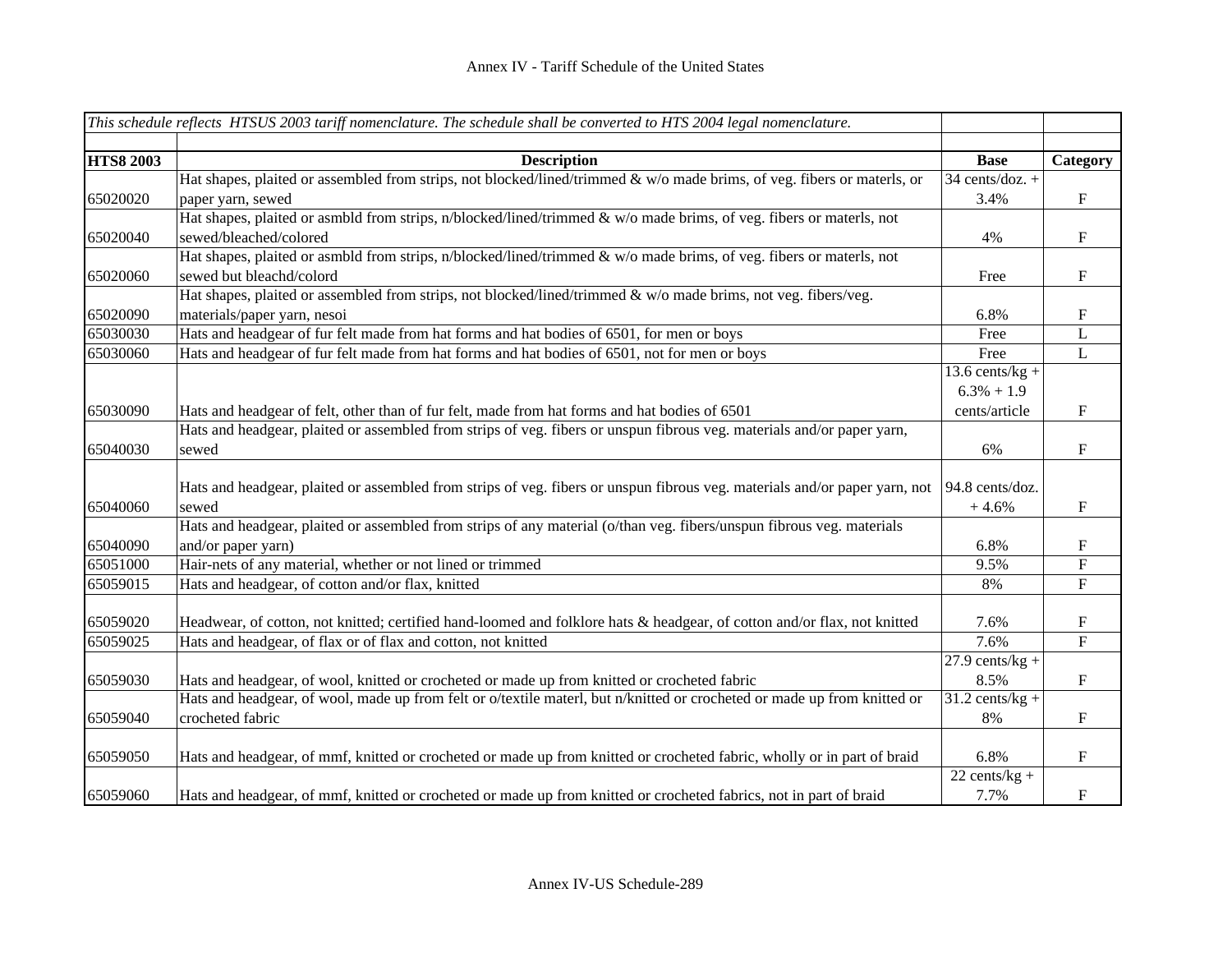|                  | This schedule reflects HTSUS 2003 tariff nomenclature. The schedule shall be converted to HTS 2004 legal nomenclature.     |                              |                           |
|------------------|----------------------------------------------------------------------------------------------------------------------------|------------------------------|---------------------------|
|                  |                                                                                                                            |                              |                           |
| <b>HTS8 2003</b> | <b>Description</b>                                                                                                         | <b>Base</b>                  | Category                  |
|                  | Hat shapes, plaited or assembled from strips, not blocked/lined/trimmed & w/o made brims, of veg. fibers or materls, or    | $34$ cents/doz. +            |                           |
| 65020020         | paper yarn, sewed                                                                                                          | 3.4%                         | $\boldsymbol{\mathrm{F}}$ |
|                  | Hat shapes, plaited or asmbld from strips, $n/blocked/lined/trimmed \& w/o$ made brims, of veg. fibers or materls, not     |                              |                           |
| 65020040         | sewed/bleached/colored                                                                                                     | 4%                           | $\boldsymbol{\mathrm{F}}$ |
|                  | Hat shapes, plaited or asmbld from strips, n/blocked/lined/trimmed & w/o made brims, of veg. fibers or materls, not        |                              |                           |
| 65020060         | sewed but bleachd/colord                                                                                                   | Free                         | $\boldsymbol{\mathrm{F}}$ |
|                  | Hat shapes, plaited or assembled from strips, not blocked/lined/trimmed & w/o made brims, not veg. fibers/veg.             |                              |                           |
| 65020090         | materials/paper yarn, nesoi                                                                                                | 6.8%                         | F                         |
| 65030030         | Hats and headgear of fur felt made from hat forms and hat bodies of 6501, for men or boys                                  | Free                         | L                         |
| 65030060         | Hats and headgear of fur felt made from hat forms and hat bodies of 6501, not for men or boys                              | Free                         | $\overline{L}$            |
|                  |                                                                                                                            | 13.6 cents/ $kg +$           |                           |
|                  |                                                                                                                            | $6.3\% + 1.9$                |                           |
| 65030090         | Hats and headgear of felt, other than of fur felt, made from hat forms and hat bodies of 6501                              | cents/article                | F                         |
|                  | Hats and headgear, plaited or assembled from strips of veg. fibers or unspun fibrous veg. materials and/or paper yarn,     |                              |                           |
| 65040030         | sewed                                                                                                                      | 6%                           | F                         |
|                  |                                                                                                                            |                              |                           |
|                  | Hats and headgear, plaited or assembled from strips of veg. fibers or unspun fibrous veg. materials and/or paper yarn, not | 94.8 cents/doz.              |                           |
| 65040060         | sewed                                                                                                                      | $+4.6%$                      | $\boldsymbol{\mathrm{F}}$ |
|                  | Hats and headgear, plaited or assembled from strips of any material (o/than veg. fibers/unspun fibrous veg. materials      |                              |                           |
| 65040090         | and/or paper yarn)                                                                                                         | 6.8%                         | $\mathbf F$               |
| 65051000         | Hair-nets of any material, whether or not lined or trimmed                                                                 | 9.5%                         | ${\bf F}$                 |
| 65059015         | Hats and headgear, of cotton and/or flax, knitted                                                                          | 8%                           | $\mathbf F$               |
|                  |                                                                                                                            |                              |                           |
| 65059020         | Headwear, of cotton, not knitted; certified hand-loomed and folklore hats & headgear, of cotton and/or flax, not knitted   | 7.6%                         | $\mathbf F$               |
| 65059025         | Hats and headgear, of flax or of flax and cotton, not knitted                                                              | 7.6%                         | $\overline{F}$            |
|                  |                                                                                                                            | $\overline{27.9}$ cents/kg + |                           |
| 65059030         | Hats and headgear, of wool, knitted or crocheted or made up from knitted or crocheted fabric                               | 8.5%                         | $\mathbf{F}$              |
|                  | Hats and headgear, of wool, made up from felt or o/textile materl, but n/knitted or crocheted or made up from knitted or   | $31.2$ cents/kg +            |                           |
| 65059040         | crocheted fabric                                                                                                           | 8%                           | F                         |
|                  |                                                                                                                            |                              |                           |
| 65059050         | Hats and headgear, of mmf, knitted or crocheted or made up from knitted or crocheted fabric, wholly or in part of braid    | 6.8%                         | $\boldsymbol{\mathrm{F}}$ |
|                  |                                                                                                                            | $22$ cents/kg +              |                           |
| 65059060         | Hats and headgear, of mmf, knitted or crocheted or made up from knitted or crocheted fabrics, not in part of braid         | 7.7%                         | $\boldsymbol{\mathrm{F}}$ |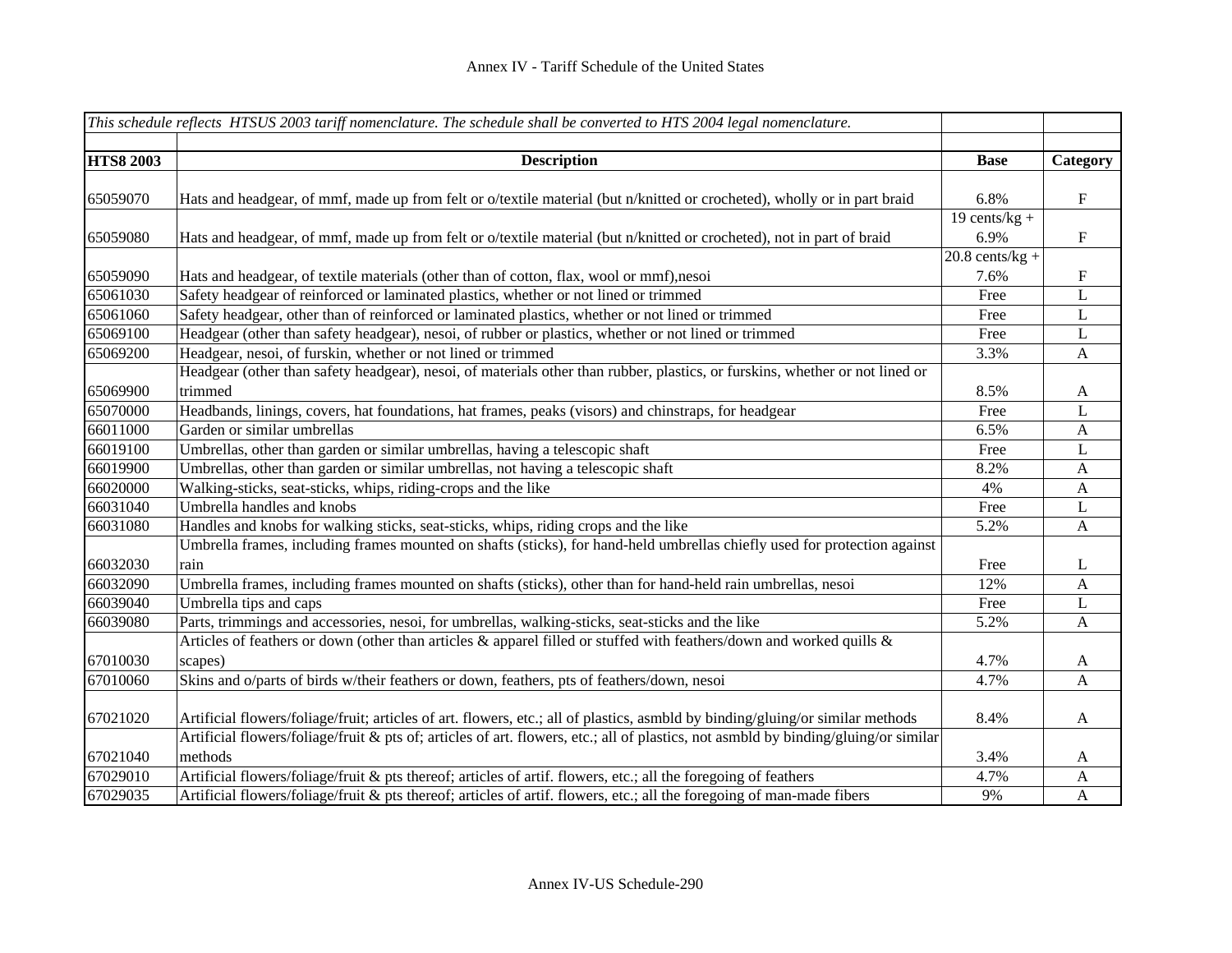|                  | This schedule reflects HTSUS 2003 tariff nomenclature. The schedule shall be converted to HTS 2004 legal nomenclature.              |                   |                           |
|------------------|-------------------------------------------------------------------------------------------------------------------------------------|-------------------|---------------------------|
| <b>HTS8 2003</b> | <b>Description</b>                                                                                                                  | <b>Base</b>       | Category                  |
|                  |                                                                                                                                     |                   |                           |
| 65059070         | Hats and headgear, of mmf, made up from felt or o/textile material (but n/knitted or crocheted), wholly or in part braid            | 6.8%              | $\mathbf F$               |
|                  |                                                                                                                                     | 19 cents/ $kg +$  |                           |
| 65059080         | Hats and headgear, of mmf, made up from felt or o/textile material (but n/knitted or crocheted), not in part of braid               | 6.9%              | $\mathbf F$               |
|                  |                                                                                                                                     | $20.8$ cents/kg + |                           |
| 65059090         | Hats and headgear, of textile materials (other than of cotton, flax, wool or mmf), nesoi                                            | 7.6%              | $\boldsymbol{\mathrm{F}}$ |
| 65061030         | Safety headgear of reinforced or laminated plastics, whether or not lined or trimmed                                                | Free              | L                         |
| 65061060         | Safety headgear, other than of reinforced or laminated plastics, whether or not lined or trimmed                                    | Free              | L                         |
| 65069100         | Headgear (other than safety headgear), nesoi, of rubber or plastics, whether or not lined or trimmed                                | Free              | L                         |
| 65069200         | Headgear, nesoi, of furskin, whether or not lined or trimmed                                                                        | 3.3%              | $\mathbf{A}$              |
|                  | Headgear (other than safety headgear), nesoi, of materials other than rubber, plastics, or furskins, whether or not lined or        |                   |                           |
| 65069900         | trimmed                                                                                                                             | 8.5%              | A                         |
| 65070000         | Headbands, linings, covers, hat foundations, hat frames, peaks (visors) and chinstraps, for headgear                                | Free              | $\mathbf L$               |
| 66011000         | Garden or similar umbrellas                                                                                                         | 6.5%              | $\mathbf{A}$              |
| 66019100         | Umbrellas, other than garden or similar umbrellas, having a telescopic shaft                                                        | Free              | L                         |
| 66019900         | Umbrellas, other than garden or similar umbrellas, not having a telescopic shaft                                                    | 8.2%              | A                         |
| 66020000         | Walking-sticks, seat-sticks, whips, riding-crops and the like                                                                       | 4%                | $\mathbf{A}$              |
| 66031040         | Umbrella handles and knobs                                                                                                          | Free              | L                         |
| 66031080         | Handles and knobs for walking sticks, seat-sticks, whips, riding crops and the like                                                 | 5.2%              | A                         |
|                  | Umbrella frames, including frames mounted on shafts (sticks), for hand-held umbrellas chiefly used for protection against           |                   |                           |
| 66032030         | rain                                                                                                                                | Free              | L                         |
| 66032090         | Umbrella frames, including frames mounted on shafts (sticks), other than for hand-held rain umbrellas, nesoi                        | 12%               | $\boldsymbol{A}$          |
| 66039040         | Umbrella tips and caps                                                                                                              | Free              | L                         |
| 66039080         | Parts, trimmings and accessories, nesoi, for umbrellas, walking-sticks, seat-sticks and the like                                    | 5.2%              | $\mathbf{A}$              |
|                  | Articles of feathers or down (other than articles & apparel filled or stuffed with feathers/down and worked quills &                |                   |                           |
| 67010030         | scapes)                                                                                                                             | 4.7%              | A                         |
| 67010060         | Skins and o/parts of birds w/their feathers or down, feathers, pts of feathers/down, nesoi                                          | 4.7%              | $\mathbf{A}$              |
| 67021020         | Artificial flowers/foliage/fruit; articles of art. flowers, etc.; all of plastics, asmbld by binding/gluing/or similar methods      | 8.4%              | A                         |
|                  | Artificial flowers/foliage/fruit & pts of; articles of art. flowers, etc.; all of plastics, not asmbld by binding/gluing/or similar |                   |                           |
| 67021040         | methods                                                                                                                             | 3.4%              | A                         |
| 67029010         | Artificial flowers/foliage/fruit & pts thereof; articles of artif. flowers, etc.; all the foregoing of feathers                     | 4.7%              | $\mathbf{A}$              |
| 67029035         | Artificial flowers/foliage/fruit & pts thereof; articles of artif. flowers, etc.; all the foregoing of man-made fibers              | 9%                | A                         |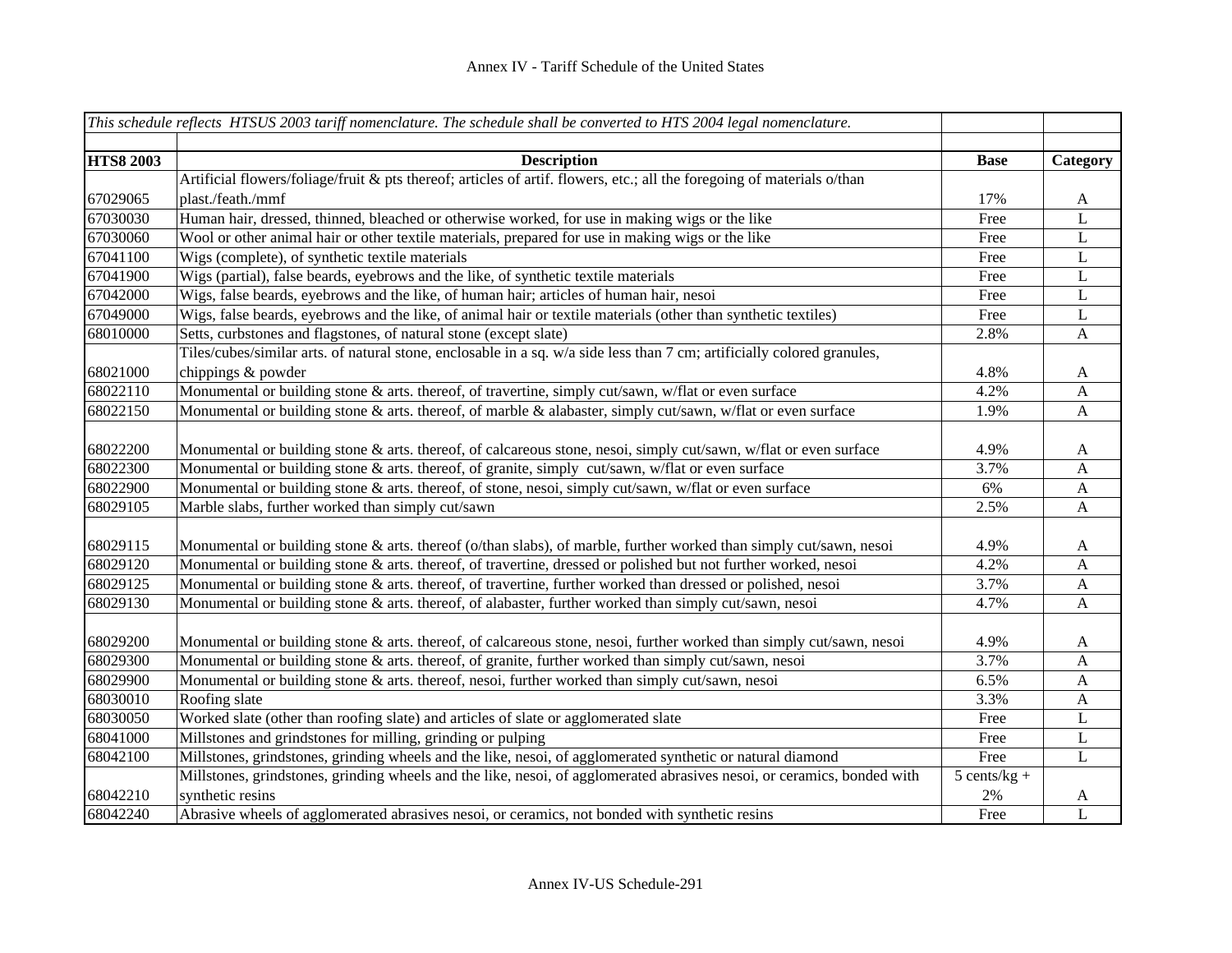|                  | This schedule reflects HTSUS 2003 tariff nomenclature. The schedule shall be converted to HTS 2004 legal nomenclature.  |                |                           |
|------------------|-------------------------------------------------------------------------------------------------------------------------|----------------|---------------------------|
| <b>HTS8 2003</b> | <b>Description</b>                                                                                                      | <b>Base</b>    | Category                  |
|                  | Artificial flowers/foliage/fruit & pts thereof; articles of artif. flowers, etc.; all the foregoing of materials o/than |                |                           |
| 67029065         | plast./feath./mmf                                                                                                       | 17%            | A                         |
| 67030030         | Human hair, dressed, thinned, bleached or otherwise worked, for use in making wigs or the like                          | Free           | L                         |
| 67030060         | Wool or other animal hair or other textile materials, prepared for use in making wigs or the like                       | Free           | L                         |
| 67041100         | Wigs (complete), of synthetic textile materials                                                                         | Free           | L                         |
| 67041900         | Wigs (partial), false beards, eyebrows and the like, of synthetic textile materials                                     | Free           | L                         |
| 67042000         | Wigs, false beards, eyebrows and the like, of human hair; articles of human hair, nesoi                                 | Free           | L                         |
| 67049000         | Wigs, false beards, eyebrows and the like, of animal hair or textile materials (other than synthetic textiles)          | Free           | L                         |
| 68010000         | Setts, curbstones and flagstones, of natural stone (except slate)                                                       | 2.8%           | $\boldsymbol{\mathsf{A}}$ |
|                  | Tiles/cubes/similar arts. of natural stone, enclosable in a sq. w/a side less than 7 cm; artificially colored granules, |                |                           |
| 68021000         | chippings & powder                                                                                                      | 4.8%           | A                         |
| 68022110         | Monumental or building stone & arts. thereof, of travertine, simply cut/sawn, w/flat or even surface                    | 4.2%           | $\mathbf{A}$              |
| 68022150         | Monumental or building stone & arts. thereof, of marble & alabaster, simply cut/sawn, w/flat or even surface            | 1.9%           | $\mathbf{A}$              |
| 68022200         | Monumental or building stone & arts. thereof, of calcareous stone, nesoi, simply cut/sawn, w/flat or even surface       | 4.9%           | A                         |
| 68022300         | Monumental or building stone & arts. thereof, of granite, simply cut/sawn, w/flat or even surface                       | 3.7%           | $\mathbf A$               |
| 68022900         | Monumental or building stone & arts. thereof, of stone, nesoi, simply cut/sawn, w/flat or even surface                  | 6%             | $\boldsymbol{\mathsf{A}}$ |
| 68029105         | Marble slabs, further worked than simply cut/sawn                                                                       | 2.5%           | $\mathbf{A}$              |
| 68029115         | Monumental or building stone & arts. thereof (o/than slabs), of marble, further worked than simply cut/sawn, nesoi      | 4.9%           | A                         |
| 68029120         | Monumental or building stone & arts. thereof, of travertine, dressed or polished but not further worked, nesoi          | 4.2%           | A                         |
| 68029125         | Monumental or building stone & arts. thereof, of travertine, further worked than dressed or polished, nesoi             | 3.7%           | $\mathbf{A}$              |
| 68029130         | Monumental or building stone & arts. thereof, of alabaster, further worked than simply cut/sawn, nesoi                  | 4.7%           | A                         |
| 68029200         | Monumental or building stone & arts. thereof, of calcareous stone, nesoi, further worked than simply cut/sawn, nesoi    | 4.9%           | A                         |
| 68029300         | Monumental or building stone & arts. thereof, of granite, further worked than simply cut/sawn, nesoi                    | 3.7%           | A                         |
| 68029900         | Monumental or building stone & arts. thereof, nesoi, further worked than simply cut/sawn, nesoi                         | 6.5%           | A                         |
| 68030010         | Roofing slate                                                                                                           | 3.3%           | A                         |
| 68030050         | Worked slate (other than roofing slate) and articles of slate or agglomerated slate                                     | Free           | L                         |
| 68041000         | Millstones and grindstones for milling, grinding or pulping                                                             | Free           | L                         |
| 68042100         | Millstones, grindstones, grinding wheels and the like, nesoi, of agglomerated synthetic or natural diamond              | Free           | $\mathbf L$               |
|                  | Millstones, grindstones, grinding wheels and the like, nesoi, of agglomerated abrasives nesoi, or ceramics, bonded with | $5$ cents/kg + |                           |
| 68042210         | synthetic resins                                                                                                        | $2\%$          | A                         |
| 68042240         | Abrasive wheels of agglomerated abrasives nesoi, or ceramics, not bonded with synthetic resins                          | Free           | $\overline{L}$            |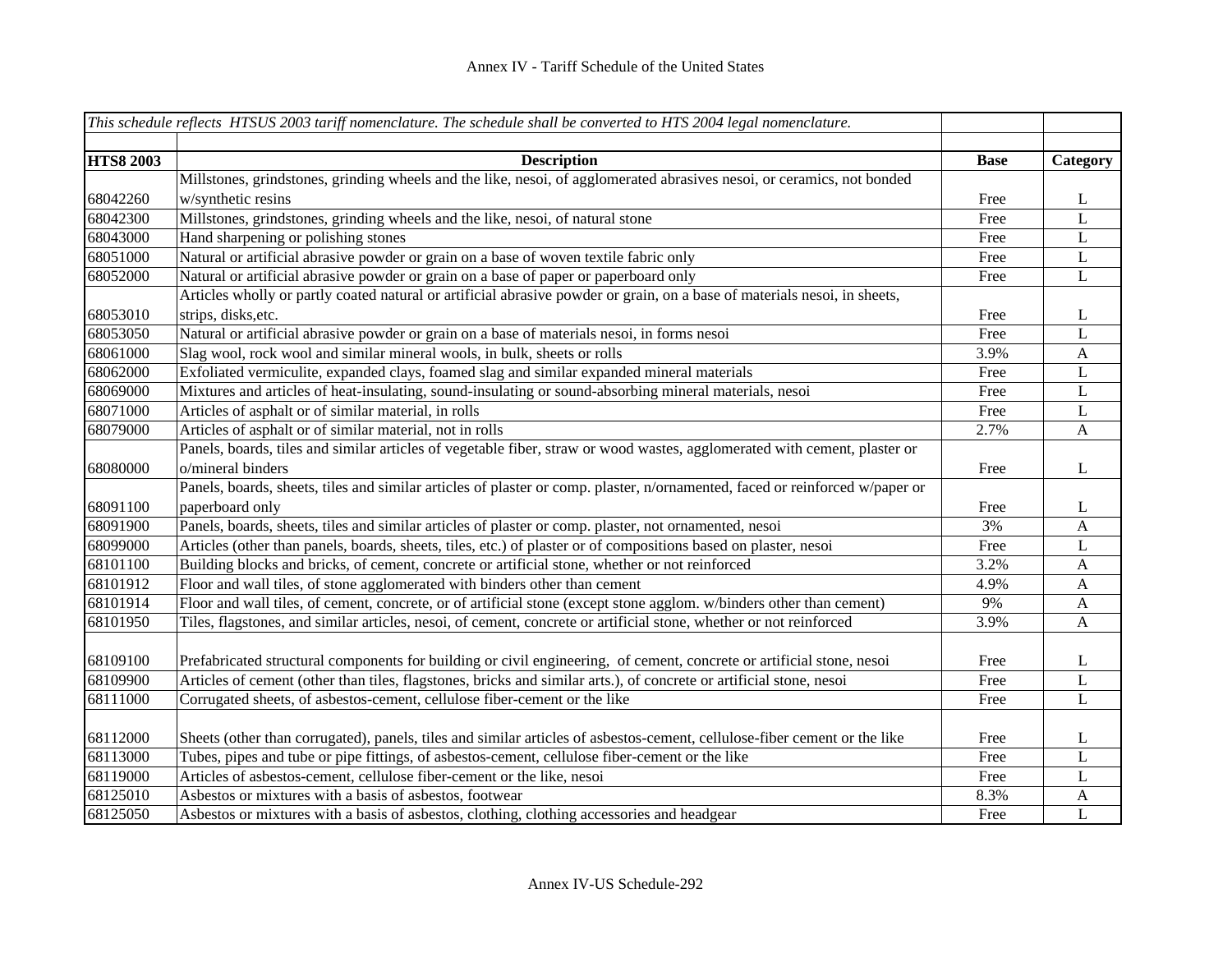|                  | This schedule reflects HTSUS 2003 tariff nomenclature. The schedule shall be converted to HTS 2004 legal nomenclature.       |             |              |
|------------------|------------------------------------------------------------------------------------------------------------------------------|-------------|--------------|
|                  |                                                                                                                              |             |              |
| <b>HTS8 2003</b> | <b>Description</b>                                                                                                           | <b>Base</b> | Category     |
|                  | Millstones, grindstones, grinding wheels and the like, nesoi, of agglomerated abrasives nesoi, or ceramics, not bonded       |             |              |
| 68042260         | w/synthetic resins                                                                                                           | Free        | $\mathbf{L}$ |
| 68042300         | Millstones, grindstones, grinding wheels and the like, nesoi, of natural stone                                               | Free        | L            |
| 68043000         | Hand sharpening or polishing stones                                                                                          | Free        | L            |
| 68051000         | Natural or artificial abrasive powder or grain on a base of woven textile fabric only                                        | Free        | L            |
| 68052000         | Natural or artificial abrasive powder or grain on a base of paper or paperboard only                                         | Free        | L            |
|                  | Articles wholly or partly coated natural or artificial abrasive powder or grain, on a base of materials nesoi, in sheets,    |             |              |
| 68053010         | strips, disks, etc.                                                                                                          | Free        | L            |
| 68053050         | Natural or artificial abrasive powder or grain on a base of materials nesoi, in forms nesoi                                  | Free        | $\mathbf L$  |
| 68061000         | Slag wool, rock wool and similar mineral wools, in bulk, sheets or rolls                                                     | 3.9%        | $\mathbf{A}$ |
| 68062000         | Exfoliated vermiculite, expanded clays, foamed slag and similar expanded mineral materials                                   | Free        | $\mathbf L$  |
| 68069000         | Mixtures and articles of heat-insulating, sound-insulating or sound-absorbing mineral materials, nesoi                       | Free        | L            |
| 68071000         | Articles of asphalt or of similar material, in rolls                                                                         | Free        | L            |
| 68079000         | Articles of asphalt or of similar material, not in rolls                                                                     | 2.7%        | $\mathbf{A}$ |
|                  | Panels, boards, tiles and similar articles of vegetable fiber, straw or wood wastes, agglomerated with cement, plaster or    |             |              |
| 68080000         | o/mineral binders                                                                                                            | Free        | L            |
|                  | Panels, boards, sheets, tiles and similar articles of plaster or comp. plaster, n/ornamented, faced or reinforced w/paper or |             |              |
| 68091100         | paperboard only                                                                                                              | Free        | L            |
| 68091900         | Panels, boards, sheets, tiles and similar articles of plaster or comp. plaster, not ornamented, nesoi                        | 3%          | $\mathbf{A}$ |
| 68099000         | Articles (other than panels, boards, sheets, tiles, etc.) of plaster or of compositions based on plaster, nesoi              | Free        | L            |
| 68101100         | Building blocks and bricks, of cement, concrete or artificial stone, whether or not reinforced                               | 3.2%        | $\mathbf{A}$ |
| 68101912         | Floor and wall tiles, of stone agglomerated with binders other than cement                                                   | 4.9%        | $\mathbf{A}$ |
| 68101914         | Floor and wall tiles, of cement, concrete, or of artificial stone (except stone agglom. w/binders other than cement)         | 9%          | $\mathbf{A}$ |
| 68101950         | Tiles, flagstones, and similar articles, nesoi, of cement, concrete or artificial stone, whether or not reinforced           | 3.9%        | $\mathbf{A}$ |
|                  |                                                                                                                              |             |              |
| 68109100         | Prefabricated structural components for building or civil engineering, of cement, concrete or artificial stone, nesoi        | Free        | L            |
| 68109900         | Articles of cement (other than tiles, flagstones, bricks and similar arts.), of concrete or artificial stone, nesoi          | Free        | L            |
| 68111000         | Corrugated sheets, of asbestos-cement, cellulose fiber-cement or the like                                                    | Free        | L            |
|                  |                                                                                                                              |             |              |
| 68112000         | Sheets (other than corrugated), panels, tiles and similar articles of asbestos-cement, cellulose-fiber cement or the like    | Free        | L            |
| 68113000         | Tubes, pipes and tube or pipe fittings, of asbestos-cement, cellulose fiber-cement or the like                               | Free        | L            |
| 68119000         | Articles of asbestos-cement, cellulose fiber-cement or the like, nesoi                                                       | Free        | L            |
| 68125010         | Asbestos or mixtures with a basis of asbestos, footwear                                                                      | 8.3%        | A            |
| 68125050         | Asbestos or mixtures with a basis of asbestos, clothing, clothing accessories and headgear                                   | Free        | L            |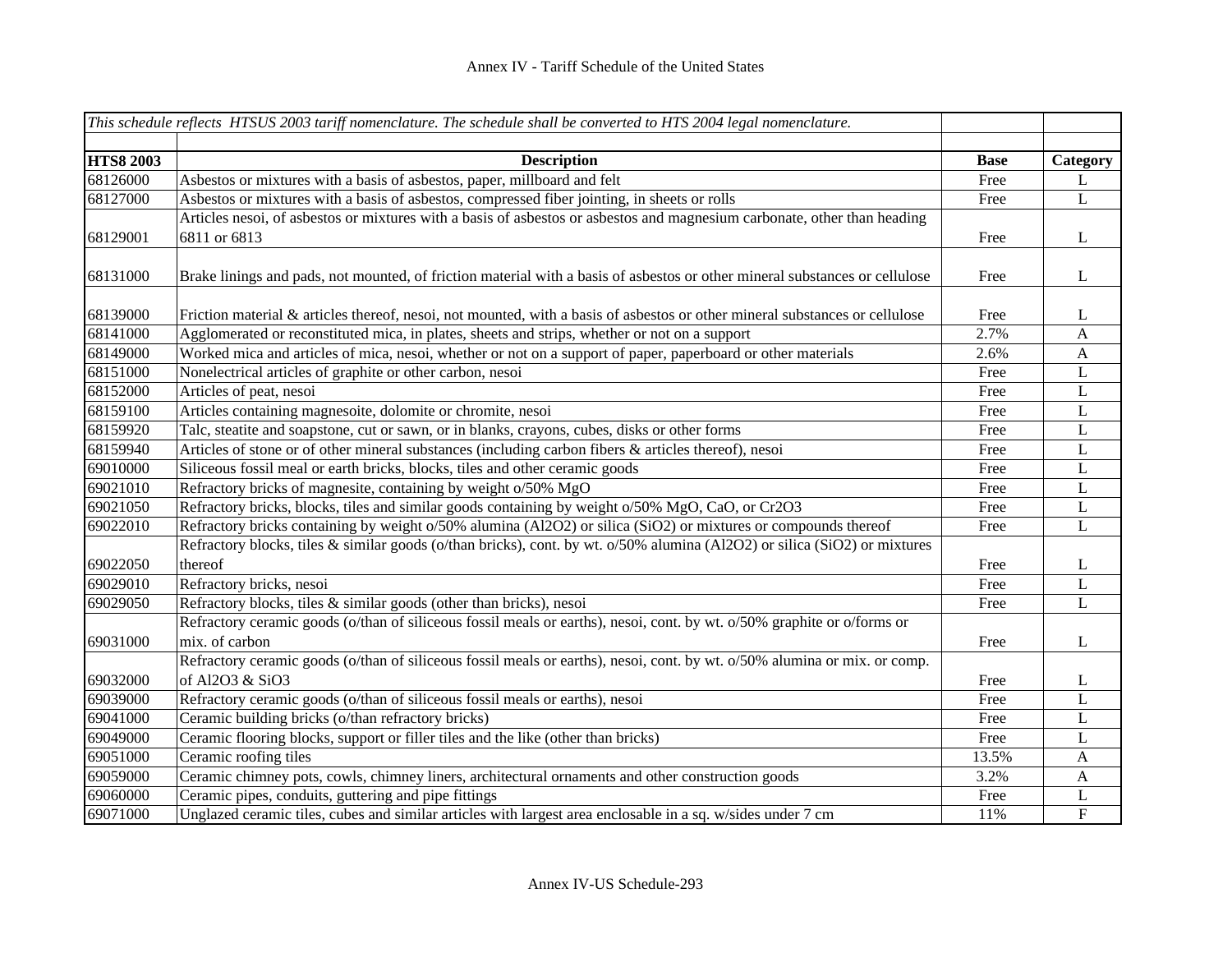|                      | This schedule reflects HTSUS 2003 tariff nomenclature. The schedule shall be converted to HTS 2004 legal nomenclature.                      |              |                     |
|----------------------|---------------------------------------------------------------------------------------------------------------------------------------------|--------------|---------------------|
|                      |                                                                                                                                             |              |                     |
| <b>HTS8 2003</b>     | <b>Description</b>                                                                                                                          | <b>Base</b>  | Category            |
| 68126000             | Asbestos or mixtures with a basis of asbestos, paper, millboard and felt                                                                    | Free         | L                   |
| 68127000             | Asbestos or mixtures with a basis of asbestos, compressed fiber jointing, in sheets or rolls                                                | Free         | L                   |
|                      | Articles nesoi, of asbestos or mixtures with a basis of asbestos or asbestos and magnesium carbonate, other than heading                    |              |                     |
| 68129001             | 6811 or 6813                                                                                                                                | Free         | L                   |
| 68131000             | Brake linings and pads, not mounted, of friction material with a basis of asbestos or other mineral substances or cellulose                 | Free         | L                   |
| 68139000             | Friction material & articles thereof, nesoi, not mounted, with a basis of asbestos or other mineral substances or cellulose                 | Free         | L                   |
| 68141000             | Agglomerated or reconstituted mica, in plates, sheets and strips, whether or not on a support                                               | 2.7%         | $\mathbf{A}$        |
| 68149000             | Worked mica and articles of mica, nesoi, whether or not on a support of paper, paperboard or other materials                                | 2.6%         | $\mathbf{A}$        |
| 68151000             | Nonelectrical articles of graphite or other carbon, nesoi                                                                                   | Free         | L                   |
| 68152000             | Articles of peat, nesoi                                                                                                                     | Free         | L                   |
| 68159100             | Articles containing magnesoite, dolomite or chromite, nesoi                                                                                 | Free         | L                   |
| 68159920             | Talc, steatite and soapstone, cut or sawn, or in blanks, crayons, cubes, disks or other forms                                               | Free         | $\mathbf L$         |
| 68159940             | Articles of stone or of other mineral substances (including carbon fibers & articles thereof), nesoi                                        | Free         | L                   |
| 69010000             | Siliceous fossil meal or earth bricks, blocks, tiles and other ceramic goods                                                                | Free         | L                   |
| 69021010             | Refractory bricks of magnesite, containing by weight o/50% MgO                                                                              | Free         | L                   |
| 69021050             | Refractory bricks, blocks, tiles and similar goods containing by weight o/50% MgO, CaO, or Cr2O3                                            | Free         | L                   |
| 69022010             | Refractory bricks containing by weight o/50% alumina (Al2O2) or silica (SiO2) or mixtures or compounds thereof                              | Free         | $\mathbf{L}$        |
|                      | Refractory blocks, tiles & similar goods (o/than bricks), cont. by wt. o/50% alumina (Al2O2) or silica (SiO2) or mixtures                   |              |                     |
| 69022050             | thereof                                                                                                                                     | Free         | L                   |
| 69029010             | Refractory bricks, nesoi                                                                                                                    | Free         | L                   |
| 69029050             | Refractory blocks, tiles & similar goods (other than bricks), nesoi                                                                         | Free         | L                   |
|                      | Refractory ceramic goods (o/than of siliceous fossil meals or earths), nesoi, cont. by wt. o/50% graphite or o/forms or                     |              |                     |
| 69031000             | mix. of carbon<br>Refractory ceramic goods (o/than of siliceous fossil meals or earths), nesoi, cont. by wt. o/50% alumina or mix. or comp. | Free         | L                   |
| 69032000             | of Al2O3 & SiO3                                                                                                                             |              |                     |
| 69039000             | Refractory ceramic goods (o/than of siliceous fossil meals or earths), nesoi                                                                | Free<br>Free | L<br>L              |
| 69041000             | Ceramic building bricks (o/than refractory bricks)                                                                                          |              |                     |
| 69049000             |                                                                                                                                             | Free<br>Free | $\bf L$<br>L        |
| 69051000             | Ceramic flooring blocks, support or filler tiles and the like (other than bricks)                                                           | 13.5%        |                     |
|                      | Ceramic roofing tiles                                                                                                                       |              | $\mathbf{A}$        |
| 69059000<br>69060000 | Ceramic chimney pots, cowls, chimney liners, architectural ornaments and other construction goods                                           | 3.2%         | $\mathbf{A}$        |
|                      | Ceramic pipes, conduits, guttering and pipe fittings                                                                                        | Free         | L<br>$\overline{F}$ |
| 69071000             | Unglazed ceramic tiles, cubes and similar articles with largest area enclosable in a sq. w/sides under 7 cm                                 | 11%          |                     |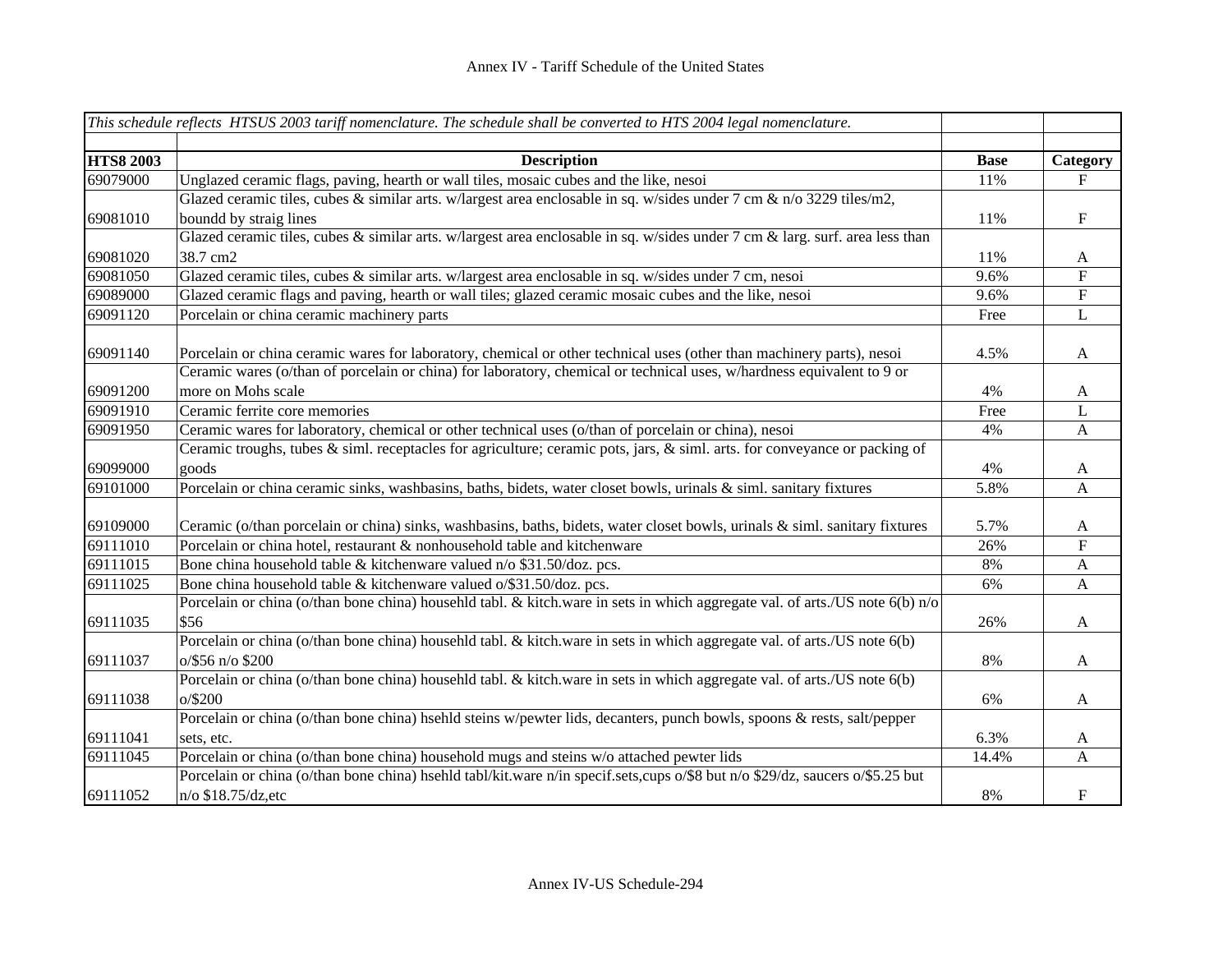|                  | This schedule reflects HTSUS 2003 tariff nomenclature. The schedule shall be converted to HTS 2004 legal nomenclature.                                                                                                                          |             |                           |
|------------------|-------------------------------------------------------------------------------------------------------------------------------------------------------------------------------------------------------------------------------------------------|-------------|---------------------------|
| <b>HTS8 2003</b> | <b>Description</b>                                                                                                                                                                                                                              | <b>Base</b> | Category                  |
| 69079000         | Unglazed ceramic flags, paving, hearth or wall tiles, mosaic cubes and the like, nesoi                                                                                                                                                          | 11%         | F                         |
| 69081010         | Glazed ceramic tiles, cubes $\&$ similar arts. w/largest area enclosable in sq. w/sides under 7 cm $\&$ n/o 3229 tiles/m2,<br>boundd by straig lines                                                                                            | 11%         | $\mathbf F$               |
| 69081020         | Glazed ceramic tiles, cubes & similar arts. w/largest area enclosable in sq. w/sides under 7 cm & larg. surf. area less than<br>38.7 cm2                                                                                                        | 11%         | A                         |
| 69081050         | Glazed ceramic tiles, cubes & similar arts. w/largest area enclosable in sq. w/sides under 7 cm, nesoi                                                                                                                                          | 9.6%        | ${\bf F}$                 |
| 69089000         | Glazed ceramic flags and paving, hearth or wall tiles; glazed ceramic mosaic cubes and the like, nesoi                                                                                                                                          | 9.6%        | ${\bf F}$                 |
| 69091120         | Porcelain or china ceramic machinery parts                                                                                                                                                                                                      | Free        | $\mathbf L$               |
| 69091140         | Porcelain or china ceramic wares for laboratory, chemical or other technical uses (other than machinery parts), nesoi<br>Ceramic wares (o/than of porcelain or china) for laboratory, chemical or technical uses, w/hardness equivalent to 9 or | 4.5%        | $\mathbf{A}$              |
| 69091200         | more on Mohs scale                                                                                                                                                                                                                              | 4%          | A                         |
| 69091910         | Ceramic ferrite core memories                                                                                                                                                                                                                   | Free        | $\mathbf L$               |
| 69091950         | Ceramic wares for laboratory, chemical or other technical uses (o/than of porcelain or china), nesoi                                                                                                                                            | 4%          | $\mathbf{A}$              |
|                  | Ceramic troughs, tubes $\&$ siml. receptacles for agriculture; ceramic pots, jars, $\&$ siml. arts. for conveyance or packing of                                                                                                                |             |                           |
| 69099000         | goods                                                                                                                                                                                                                                           | 4%          | $\mathbf{A}$              |
| 69101000         | Porcelain or china ceramic sinks, washbasins, baths, bidets, water closet bowls, urinals & siml. sanitary fixtures                                                                                                                              | 5.8%        | $\mathbf{A}$              |
| 69109000         | Ceramic (o/than porcelain or china) sinks, washbasins, baths, bidets, water closet bowls, urinals & siml. sanitary fixtures                                                                                                                     | 5.7%        | A                         |
| 69111010         | Porcelain or china hotel, restaurant & nonhousehold table and kitchenware                                                                                                                                                                       | 26%         | ${\bf F}$                 |
| 69111015         | Bone china household table & kitchenware valued n/o \$31.50/doz. pcs.                                                                                                                                                                           | 8%          | $\boldsymbol{\mathsf{A}}$ |
| 69111025         | Bone china household table & kitchenware valued o/\$31.50/doz. pcs.                                                                                                                                                                             | 6%          | $\mathbf{A}$              |
| 69111035         | Porcelain or china (o/than bone china) househld tabl. & kitch.ware in sets in which aggregate val. of arts./US note 6(b) n/o<br>\$56                                                                                                            | 26%         | A                         |
| 69111037         | Porcelain or china (o/than bone china) househld tabl. & kitch.ware in sets in which aggregate val. of arts./US note 6(b)<br>o/\$56 n/o \$200                                                                                                    | 8%          | $\mathbf{A}$              |
| 69111038         | Porcelain or china (o/than bone china) househld tabl. & kitch.ware in sets in which aggregate val. of arts./US note 6(b)<br>$o$ /\$200                                                                                                          | 6%          | A                         |
|                  | Porcelain or china (o/than bone china) hsehld steins w/pewter lids, decanters, punch bowls, spoons & rests, salt/pepper                                                                                                                         |             |                           |
| 69111041         | sets, etc.                                                                                                                                                                                                                                      | 6.3%        | A                         |
| 69111045         | Porcelain or china (o/than bone china) household mugs and steins w/o attached pewter lids                                                                                                                                                       | 14.4%       | A                         |
| 69111052         | Porcelain or china (o/than bone china) hsehld tabl/kit.ware n/in specif.sets,cups o/\$8 but n/o \$29/dz, saucers o/\$5.25 but<br>n/o \$18.75/dz,etc                                                                                             | 8%          | $\boldsymbol{\mathrm{F}}$ |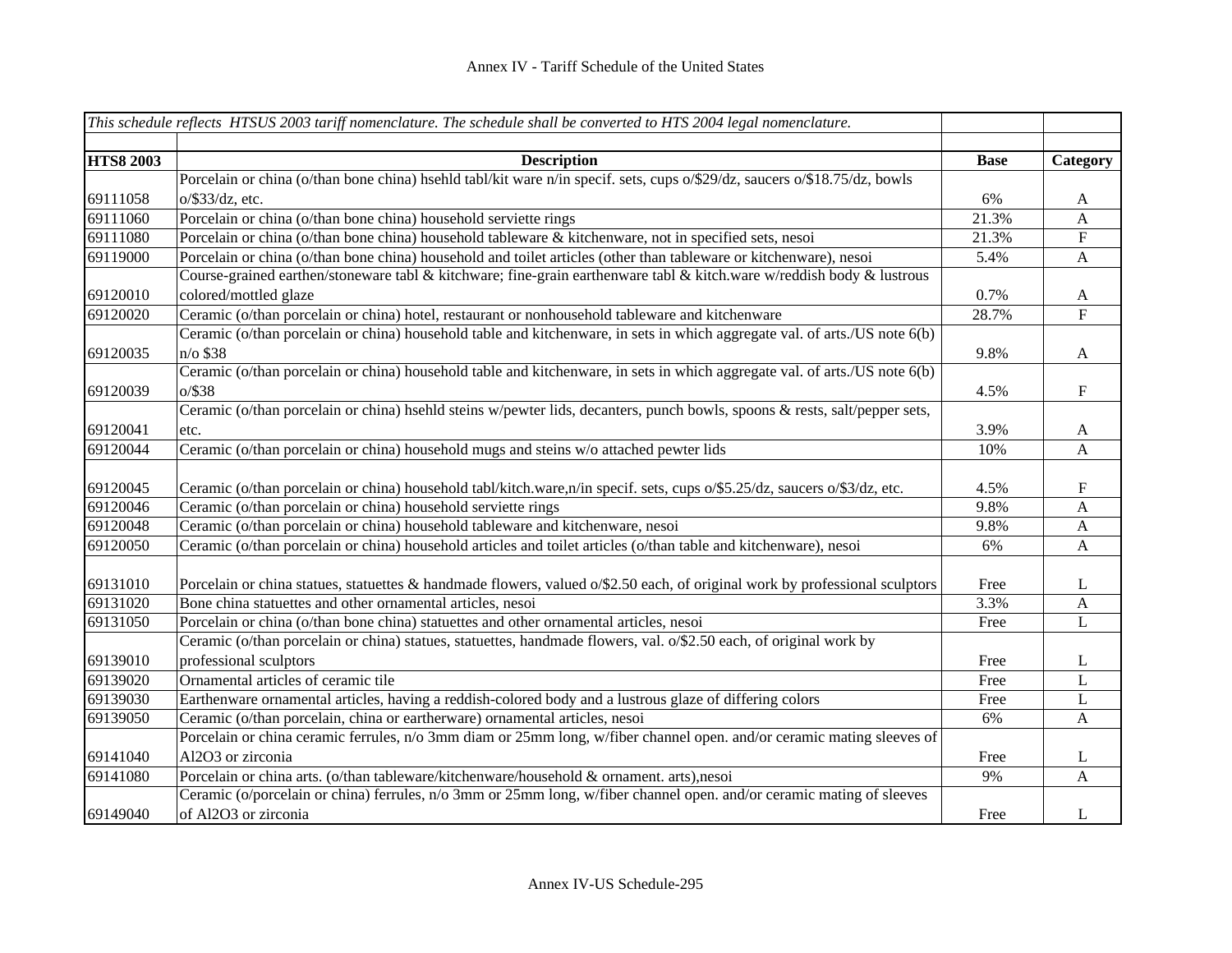|                  | This schedule reflects HTSUS 2003 tariff nomenclature. The schedule shall be converted to HTS 2004 legal nomenclature.      |             |                           |
|------------------|-----------------------------------------------------------------------------------------------------------------------------|-------------|---------------------------|
|                  |                                                                                                                             |             |                           |
| <b>HTS8 2003</b> | <b>Description</b>                                                                                                          | <b>Base</b> | Category                  |
|                  | Porcelain or china (o/than bone china) hsehld tabl/kit ware n/in specif. sets, cups o/\$29/dz, saucers o/\$18.75/dz, bowls  |             |                           |
| 69111058         | $o$ /\$33/dz, etc.                                                                                                          | 6%          | A                         |
| 69111060         | Porcelain or china (o/than bone china) household serviette rings                                                            | 21.3%       | $\boldsymbol{\mathsf{A}}$ |
| 69111080         | Porcelain or china (o/than bone china) household tableware & kitchenware, not in specified sets, nesoi                      | 21.3%       | ${\bf F}$                 |
| 69119000         | Porcelain or china (o/than bone china) household and toilet articles (other than tableware or kitchenware), nesoi           | 5.4%        | $\boldsymbol{A}$          |
|                  | Course-grained earthen/stoneware tabl & kitchware; fine-grain earthenware tabl & kitch.ware w/reddish body & lustrous       |             |                           |
| 69120010         | colored/mottled glaze                                                                                                       | 0.7%        | A                         |
| 69120020         | Ceramic (o/than porcelain or china) hotel, restaurant or nonhousehold tableware and kitchenware                             | 28.7%       | $\boldsymbol{\mathrm{F}}$ |
|                  | Ceramic (o/than porcelain or china) household table and kitchenware, in sets in which aggregate val. of arts./US note 6(b)  |             |                           |
| 69120035         | $n$ o \$38                                                                                                                  | 9.8%        | A                         |
|                  | Ceramic (o/than porcelain or china) household table and kitchenware, in sets in which aggregate val. of arts./US note 6(b)  |             |                           |
| 69120039         | $o$ /\$38                                                                                                                   | 4.5%        | $\boldsymbol{\mathrm{F}}$ |
|                  | Ceramic (o/than porcelain or china) hsehld steins w/pewter lids, decanters, punch bowls, spoons & rests, salt/pepper sets,  |             |                           |
| 69120041         | etc.                                                                                                                        | 3.9%        | A                         |
| 69120044         | Ceramic (o/than porcelain or china) household mugs and steins w/o attached pewter lids                                      | 10%         | $\boldsymbol{A}$          |
|                  |                                                                                                                             |             |                           |
| 69120045         | Ceramic (o/than porcelain or china) household tabl/kitch.ware,n/in specif. sets, cups o/\$5.25/dz, saucers o/\$3/dz, etc.   | 4.5%        | $\boldsymbol{\mathrm{F}}$ |
| 69120046         | Ceramic (o/than porcelain or china) household serviette rings                                                               | 9.8%        | $\boldsymbol{A}$          |
| 69120048         | Ceramic (o/than porcelain or china) household tableware and kitchenware, nesoi                                              | 9.8%        | $\boldsymbol{A}$          |
| 69120050         | Ceramic (o/than porcelain or china) household articles and toilet articles (o/than table and kitchenware), nesoi            | 6%          | $\mathbf{A}$              |
|                  |                                                                                                                             |             |                           |
| 69131010         | Porcelain or china statues, statuettes & handmade flowers, valued o/\$2.50 each, of original work by professional sculptors | Free        | L                         |
| 69131020         | Bone china statuettes and other ornamental articles, nesoi                                                                  | 3.3%        | A                         |
| 69131050         | Porcelain or china (o/than bone china) statuettes and other ornamental articles, nesoi                                      | Free        | L                         |
|                  | Ceramic (o/than porcelain or china) statues, statuettes, handmade flowers, val. o/\$2.50 each, of original work by          |             |                           |
| 69139010         | professional sculptors                                                                                                      | Free        | L                         |
| 69139020         | Ornamental articles of ceramic tile                                                                                         | Free        | L                         |
| 69139030         | Earthenware ornamental articles, having a reddish-colored body and a lustrous glaze of differing colors                     | Free        | L                         |
| 69139050         | Ceramic (o/than porcelain, china or eartherware) ornamental articles, nesoi                                                 | 6%          | $\mathbf{A}$              |
|                  | Porcelain or china ceramic ferrules, n/o 3mm diam or 25mm long, w/fiber channel open. and/or ceramic mating sleeves of      |             |                           |
| 69141040         | Al2O3 or zirconia                                                                                                           | Free        | L                         |
| 69141080         | Porcelain or china arts. (o/than tableware/kitchenware/household & ornament. arts), nesoi                                   | 9%          | A                         |
|                  | Ceramic (o/porcelain or china) ferrules, n/o 3mm or 25mm long, w/fiber channel open. and/or ceramic mating of sleeves       |             |                           |
| 69149040         | of Al2O3 or zirconia                                                                                                        | Free        | L                         |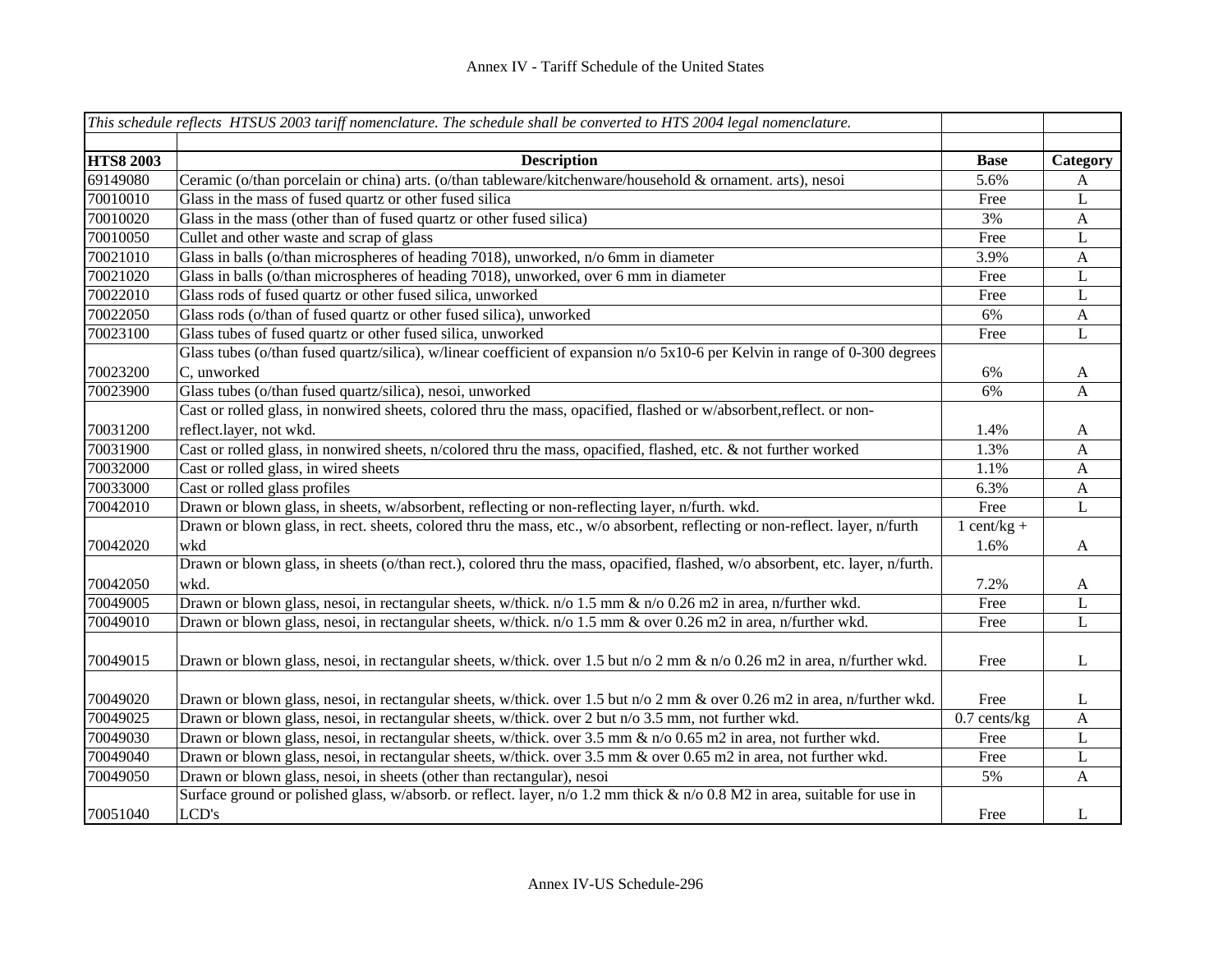|                  | This schedule reflects HTSUS 2003 tariff nomenclature. The schedule shall be converted to HTS 2004 legal nomenclature.         |                |              |
|------------------|--------------------------------------------------------------------------------------------------------------------------------|----------------|--------------|
|                  |                                                                                                                                |                |              |
| <b>HTS8 2003</b> | <b>Description</b>                                                                                                             | <b>Base</b>    | Category     |
| 69149080         | Ceramic (o/than porcelain or china) arts. (o/than tableware/kitchenware/household & ornament. arts), nesoi                     | 5.6%           | A            |
| 70010010         | Glass in the mass of fused quartz or other fused silica                                                                        | Free           | L            |
| 70010020         | Glass in the mass (other than of fused quartz or other fused silica)                                                           | 3%             | $\mathbf{A}$ |
| 70010050         | Cullet and other waste and scrap of glass                                                                                      | Free           | $\mathbf L$  |
| 70021010         | Glass in balls (o/than microspheres of heading 7018), unworked, n/o 6mm in diameter                                            | 3.9%           | $\mathbf{A}$ |
| 70021020         | Glass in balls (o/than microspheres of heading 7018), unworked, over 6 mm in diameter                                          | Free           | $\mathbf L$  |
| 70022010         | Glass rods of fused quartz or other fused silica, unworked                                                                     | Free           | $\mathbf L$  |
| 70022050         | Glass rods (o/than of fused quartz or other fused silica), unworked                                                            | 6%             | $\mathbf{A}$ |
| 70023100         | Glass tubes of fused quartz or other fused silica, unworked                                                                    | Free           | L            |
|                  | Glass tubes (o/than fused quartz/silica), w/linear coefficient of expansion n/o 5x10-6 per Kelvin in range of 0-300 degrees    |                |              |
| 70023200         | C, unworked                                                                                                                    | 6%             | A            |
| 70023900         | Glass tubes (o/than fused quartz/silica), nesoi, unworked                                                                      | 6%             | $\mathbf{A}$ |
|                  | Cast or rolled glass, in nonwired sheets, colored thru the mass, opacified, flashed or w/absorbent,reflect. or non-            |                |              |
| 70031200         | reflect.layer, not wkd.                                                                                                        | 1.4%           | $\mathbf{A}$ |
| 70031900         | Cast or rolled glass, in nonwired sheets, n/colored thru the mass, opacified, flashed, etc. & not further worked               | 1.3%           | A            |
| 70032000         | Cast or rolled glass, in wired sheets                                                                                          | 1.1%           | $\mathbf{A}$ |
| 70033000         | Cast or rolled glass profiles                                                                                                  | 6.3%           | $\mathbf{A}$ |
| 70042010         | Drawn or blown glass, in sheets, w/absorbent, reflecting or non-reflecting layer, n/furth. wkd.                                | Free           | L            |
|                  | Drawn or blown glass, in rect. sheets, colored thru the mass, etc., w/o absorbent, reflecting or non-reflect. layer, n/furth   | $1$ cent/kg +  |              |
| 70042020         | wkd                                                                                                                            | 1.6%           | A            |
|                  | Drawn or blown glass, in sheets (o/than rect.), colored thru the mass, opacified, flashed, w/o absorbent, etc. layer, n/furth. |                |              |
| 70042050         | wkd.                                                                                                                           | 7.2%           | A            |
| 70049005         | Drawn or blown glass, nesoi, in rectangular sheets, w/thick. n/o 1.5 mm & n/o 0.26 m2 in area, n/further wkd.                  | Free           | L            |
| 70049010         | Drawn or blown glass, nesoi, in rectangular sheets, w/thick. n/o 1.5 mm & over 0.26 m2 in area, n/further wkd.                 | Free           | $\mathbf L$  |
|                  |                                                                                                                                |                |              |
| 70049015         | Drawn or blown glass, nesoi, in rectangular sheets, w/thick. over 1.5 but n/o 2 mm & n/o 0.26 m2 in area, n/further wkd.       | Free           | L            |
|                  |                                                                                                                                |                |              |
| 70049020         | Drawn or blown glass, nesoi, in rectangular sheets, w/thick. over 1.5 but n/o 2 mm & over 0.26 m2 in area, n/further wkd.      | Free           | L            |
| 70049025         | Drawn or blown glass, nesoi, in rectangular sheets, w/thick. over 2 but n/o 3.5 mm, not further wkd.                           | $0.7$ cents/kg | $\mathbf{A}$ |
| 70049030         | Drawn or blown glass, nesoi, in rectangular sheets, w/thick. over 3.5 mm & n/o 0.65 m2 in area, not further wkd.               | Free           | L            |
| 70049040         | Drawn or blown glass, nesoi, in rectangular sheets, w/thick. over 3.5 mm & over 0.65 m2 in area, not further wkd.              | Free           | L            |
| 70049050         | Drawn or blown glass, nesoi, in sheets (other than rectangular), nesoi                                                         | 5%             | A            |
|                  | Surface ground or polished glass, w/absorb. or reflect. layer, n/o 1.2 mm thick & n/o 0.8 M2 in area, suitable for use in      |                |              |
| 70051040         | LCD's                                                                                                                          | Free           | L            |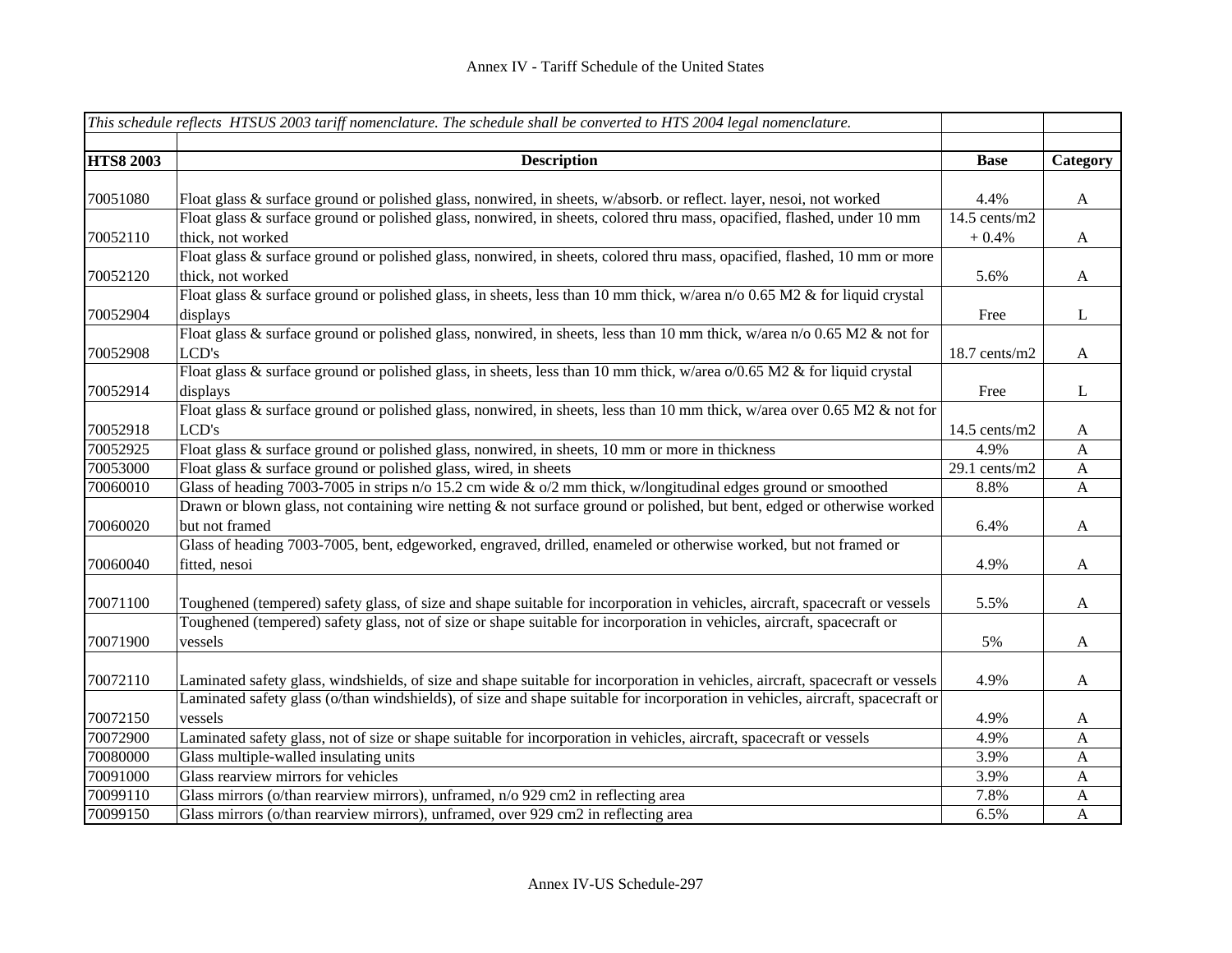|                  | This schedule reflects HTSUS 2003 tariff nomenclature. The schedule shall be converted to HTS 2004 legal nomenclature.         |                 |              |
|------------------|--------------------------------------------------------------------------------------------------------------------------------|-----------------|--------------|
| <b>HTS8 2003</b> | <b>Description</b>                                                                                                             | <b>Base</b>     | Category     |
|                  |                                                                                                                                |                 |              |
| 70051080         | Float glass & surface ground or polished glass, nonwired, in sheets, w/absorb. or reflect. layer, nesoi, not worked            | 4.4%            | $\mathbf{A}$ |
|                  | Float glass & surface ground or polished glass, nonwired, in sheets, colored thru mass, opacified, flashed, under 10 mm        | $14.5$ cents/m2 |              |
| 70052110         | thick, not worked                                                                                                              | $+0.4%$         | $\mathbf{A}$ |
|                  | Float glass & surface ground or polished glass, nonwired, in sheets, colored thru mass, opacified, flashed, 10 mm or more      |                 |              |
| 70052120         | thick, not worked                                                                                                              | 5.6%            | $\mathbf{A}$ |
|                  | Float glass & surface ground or polished glass, in sheets, less than 10 mm thick, w/area n/o 0.65 M2 & for liquid crystal      |                 |              |
| 70052904         | displays                                                                                                                       | Free            | L            |
|                  | Float glass & surface ground or polished glass, nonwired, in sheets, less than 10 mm thick, w/area n/o 0.65 M2 & not for       |                 |              |
| 70052908         | LCD's                                                                                                                          | 18.7 cents/m2   | $\mathbf{A}$ |
|                  | Float glass & surface ground or polished glass, in sheets, less than 10 mm thick, w/area o/0.65 M2 & for liquid crystal        |                 |              |
| 70052914         | displays                                                                                                                       | Free            | L            |
|                  | Float glass & surface ground or polished glass, nonwired, in sheets, less than 10 mm thick, w/area over 0.65 M2 & not for      |                 |              |
| 70052918         | LCD's                                                                                                                          | $14.5$ cents/m2 | A            |
| 70052925         | Float glass & surface ground or polished glass, nonwired, in sheets, 10 mm or more in thickness                                | 4.9%            | $\mathbf{A}$ |
| 70053000         | Float glass & surface ground or polished glass, wired, in sheets                                                               | 29.1 cents/m2   | $\mathbf{A}$ |
| 70060010         | Glass of heading 7003-7005 in strips n/o 15.2 cm wide & o/2 mm thick, w/longitudinal edges ground or smoothed                  | 8.8%            | $\mathbf{A}$ |
|                  | Drawn or blown glass, not containing wire netting & not surface ground or polished, but bent, edged or otherwise worked        |                 |              |
| 70060020         | but not framed                                                                                                                 | 6.4%            | A            |
|                  | Glass of heading 7003-7005, bent, edgeworked, engraved, drilled, enameled or otherwise worked, but not framed or               |                 |              |
| 70060040         | fitted, nesoi                                                                                                                  | 4.9%            | $\mathbf{A}$ |
|                  |                                                                                                                                |                 |              |
| 70071100         | Toughened (tempered) safety glass, of size and shape suitable for incorporation in vehicles, aircraft, spacecraft or vessels   | 5.5%            | $\mathbf{A}$ |
|                  | Toughened (tempered) safety glass, not of size or shape suitable for incorporation in vehicles, aircraft, spacecraft or        |                 |              |
| 70071900         | vessels                                                                                                                        | 5%              | $\mathbf{A}$ |
|                  |                                                                                                                                |                 |              |
| 70072110         | Laminated safety glass, windshields, of size and shape suitable for incorporation in vehicles, aircraft, spacecraft or vessels | 4.9%            | $\mathbf{A}$ |
|                  | Laminated safety glass (o/than windshields), of size and shape suitable for incorporation in vehicles, aircraft, spacecraft or |                 |              |
| 70072150         | vessels                                                                                                                        | 4.9%            | A            |
| 70072900         | Laminated safety glass, not of size or shape suitable for incorporation in vehicles, aircraft, spacecraft or vessels           | 4.9%            | A            |
| 70080000         | Glass multiple-walled insulating units                                                                                         | 3.9%            | $\mathbf{A}$ |
| 70091000         | Glass rearview mirrors for vehicles                                                                                            | 3.9%            | $\mathbf{A}$ |
| 70099110         | Glass mirrors (o/than rearview mirrors), unframed, n/o 929 cm2 in reflecting area                                              | 7.8%            | $\mathbf{A}$ |
| 70099150         | Glass mirrors (o/than rearview mirrors), unframed, over 929 cm2 in reflecting area                                             | 6.5%            | $\mathbf{A}$ |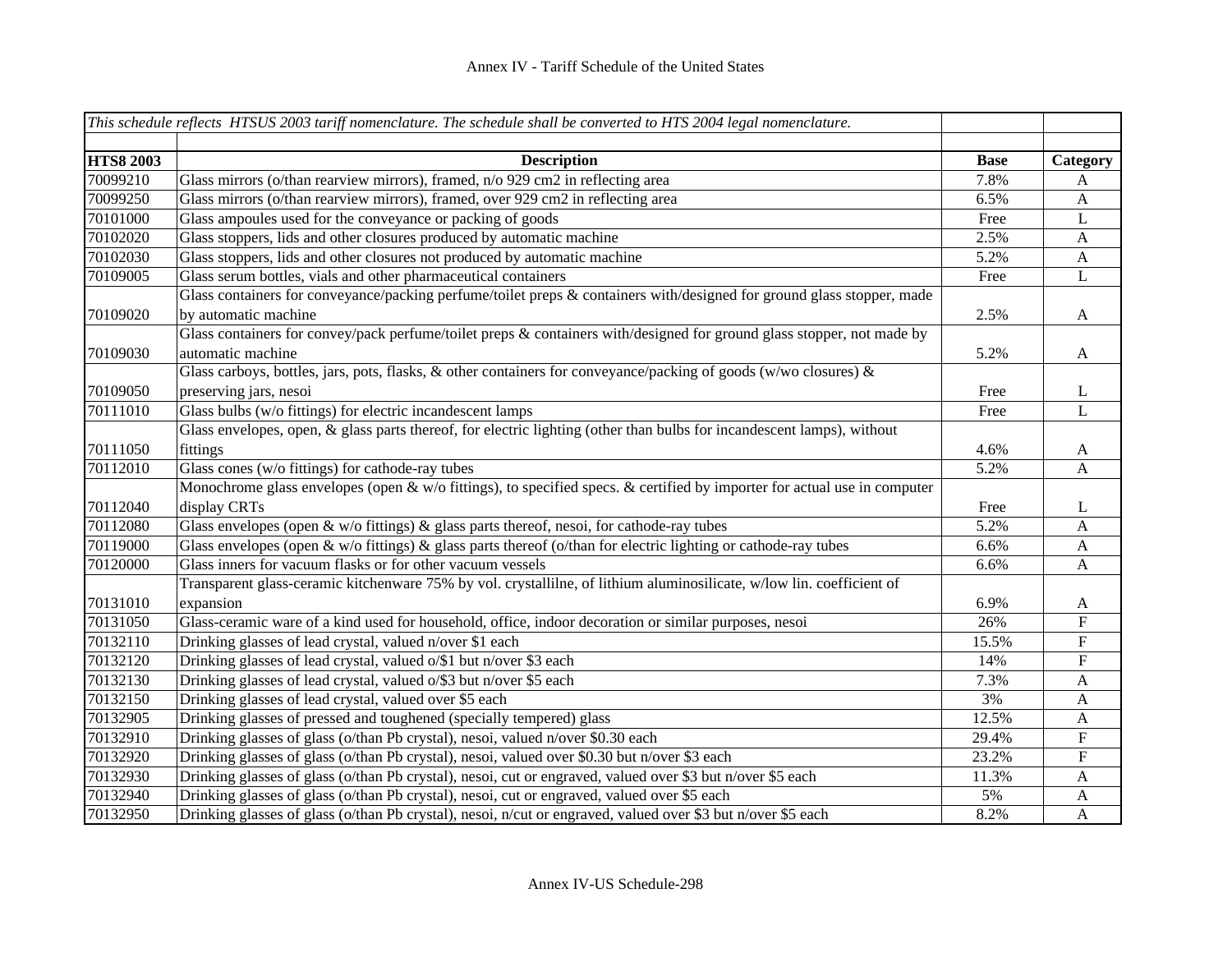|                  | This schedule reflects HTSUS 2003 tariff nomenclature. The schedule shall be converted to HTS 2004 legal nomenclature.   |             |                           |
|------------------|--------------------------------------------------------------------------------------------------------------------------|-------------|---------------------------|
|                  |                                                                                                                          |             |                           |
| <b>HTS8 2003</b> | <b>Description</b>                                                                                                       | <b>Base</b> | Category                  |
| 70099210         | Glass mirrors (o/than rearview mirrors), framed, n/o 929 cm2 in reflecting area                                          | 7.8%        | A                         |
| 70099250         | Glass mirrors (o/than rearview mirrors), framed, over 929 cm2 in reflecting area                                         | 6.5%        | $\mathbf{A}$              |
| 70101000         | Glass ampoules used for the conveyance or packing of goods                                                               | Free        | $\mathbf L$               |
| 70102020         | Glass stoppers, lids and other closures produced by automatic machine                                                    | 2.5%        | $\mathbf{A}$              |
| 70102030         | Glass stoppers, lids and other closures not produced by automatic machine                                                | 5.2%        | $\mathbf{A}$              |
| 70109005         | Glass serum bottles, vials and other pharmaceutical containers                                                           | Free        | L                         |
|                  | Glass containers for conveyance/packing perfume/toilet preps & containers with/designed for ground glass stopper, made   |             |                           |
| 70109020         | by automatic machine                                                                                                     | 2.5%        | $\mathbf{A}$              |
|                  | Glass containers for convey/pack perfume/toilet preps & containers with/designed for ground glass stopper, not made by   |             |                           |
| 70109030         | automatic machine                                                                                                        | 5.2%        | $\mathbf{A}$              |
|                  | Glass carboys, bottles, jars, pots, flasks, & other containers for conveyance/packing of goods (w/wo closures) &         |             |                           |
| 70109050         | preserving jars, nesoi                                                                                                   | Free        | $\mathbf{L}$              |
| 70111010         | Glass bulbs ( $w/o$ fittings) for electric incandescent lamps                                                            | Free        | L                         |
|                  | Glass envelopes, open, & glass parts thereof, for electric lighting (other than bulbs for incandescent lamps), without   |             |                           |
| 70111050         | fittings                                                                                                                 | 4.6%        | A                         |
| 70112010         | Glass cones (w/o fittings) for cathode-ray tubes                                                                         | 5.2%        | A                         |
|                  | Monochrome glass envelopes (open & w/o fittings), to specified specs. & certified by importer for actual use in computer |             |                           |
| 70112040         | display CRTs                                                                                                             | Free        | L                         |
| 70112080         | Glass envelopes (open $\&$ w/o fittings) $\&$ glass parts thereof, nesoi, for cathode-ray tubes                          | 5.2%        | $\mathbf{A}$              |
| 70119000         | Glass envelopes (open & w/o fittings) & glass parts thereof (o/than for electric lighting or cathode-ray tubes           | 6.6%        | $\mathbf{A}$              |
| 70120000         | Glass inners for vacuum flasks or for other vacuum vessels                                                               | 6.6%        | $\mathbf{A}$              |
|                  | Transparent glass-ceramic kitchenware 75% by vol. crystallilne, of lithium aluminosilicate, w/low lin. coefficient of    |             |                           |
| 70131010         | expansion                                                                                                                | 6.9%        | A                         |
| 70131050         | Glass-ceramic ware of a kind used for household, office, indoor decoration or similar purposes, nesoi                    | 26%         | $\boldsymbol{\mathrm{F}}$ |
| 70132110         | Drinking glasses of lead crystal, valued n/over \$1 each                                                                 | 15.5%       | ${\bf F}$                 |
| 70132120         | Drinking glasses of lead crystal, valued o/\$1 but n/over \$3 each                                                       | 14%         | $\overline{F}$            |
| 70132130         | Drinking glasses of lead crystal, valued o/\$3 but n/over \$5 each                                                       | 7.3%        | $\mathbf{A}$              |
| 70132150         | Drinking glasses of lead crystal, valued over \$5 each                                                                   | 3%          | $\mathbf{A}$              |
| 70132905         | Drinking glasses of pressed and toughened (specially tempered) glass                                                     | 12.5%       | $\mathbf{A}$              |
| 70132910         | Drinking glasses of glass (o/than Pb crystal), nesoi, valued n/over \$0.30 each                                          | 29.4%       | ${\bf F}$                 |
| 70132920         | Drinking glasses of glass (o/than Pb crystal), nesoi, valued over \$0.30 but n/over \$3 each                             | 23.2%       | ${\bf F}$                 |
| 70132930         | Drinking glasses of glass (o/than Pb crystal), nesoi, cut or engraved, valued over \$3 but n/over \$5 each               | 11.3%       | $\mathbf{A}$              |
| 70132940         | Drinking glasses of glass (o/than Pb crystal), nesoi, cut or engraved, valued over \$5 each                              | 5%          | A                         |
| 70132950         | Drinking glasses of glass (o/than Pb crystal), nesoi, n/cut or engraved, valued over \$3 but n/over \$5 each             | 8.2%        | $\mathbf{A}$              |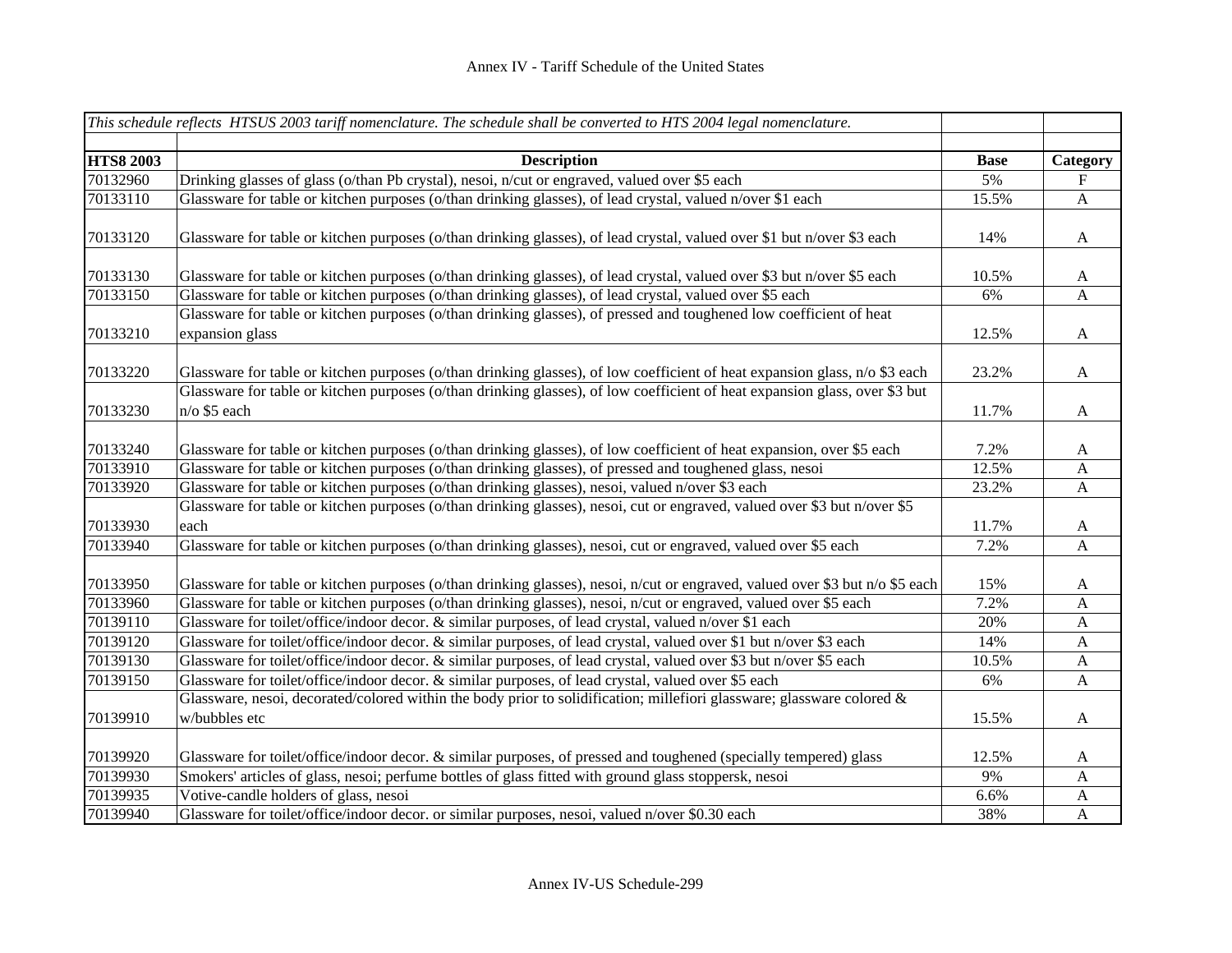|                      | This schedule reflects HTSUS 2003 tariff nomenclature. The schedule shall be converted to HTS 2004 legal nomenclature.                                                                                                      |             |                           |
|----------------------|-----------------------------------------------------------------------------------------------------------------------------------------------------------------------------------------------------------------------------|-------------|---------------------------|
| <b>HTS8 2003</b>     | <b>Description</b>                                                                                                                                                                                                          | <b>Base</b> | Category                  |
| 70132960             | Drinking glasses of glass (o/than Pb crystal), nesoi, n/cut or engraved, valued over \$5 each                                                                                                                               | 5%          | F                         |
| 70133110             | Glassware for table or kitchen purposes (o/than drinking glasses), of lead crystal, valued n/over \$1 each                                                                                                                  | 15.5%       | $\mathbf{A}$              |
| 70133120             | Glassware for table or kitchen purposes (o/than drinking glasses), of lead crystal, valued over \$1 but n/over \$3 each                                                                                                     | 14%         | A                         |
| 70133130             | Glassware for table or kitchen purposes (o/than drinking glasses), of lead crystal, valued over \$3 but n/over \$5 each                                                                                                     | 10.5%       | A                         |
| 70133150             | Glassware for table or kitchen purposes (o/than drinking glasses), of lead crystal, valued over \$5 each                                                                                                                    | 6%          | A                         |
| 70133210             | Glassware for table or kitchen purposes (o/than drinking glasses), of pressed and toughened low coefficient of heat<br>expansion glass                                                                                      | 12.5%       | A                         |
| 70133220             | Glassware for table or kitchen purposes (o/than drinking glasses), of low coefficient of heat expansion glass, n/o \$3 each                                                                                                 | 23.2%       | A                         |
| 70133230             | Glassware for table or kitchen purposes (o/than drinking glasses), of low coefficient of heat expansion glass, over \$3 but<br>n/o \$5 each                                                                                 | 11.7%       | $\mathbf{A}$              |
| 70133240             | Glassware for table or kitchen purposes (o/than drinking glasses), of low coefficient of heat expansion, over \$5 each                                                                                                      | 7.2%        | A                         |
| 70133910             | Glassware for table or kitchen purposes (o/than drinking glasses), of pressed and toughened glass, nesoi                                                                                                                    | 12.5%       | $\boldsymbol{\mathsf{A}}$ |
| 70133920             | Glassware for table or kitchen purposes (o/than drinking glasses), nesoi, valued n/over \$3 each                                                                                                                            | 23.2%       | A                         |
| 70133930             | Glassware for table or kitchen purposes (o/than drinking glasses), nesoi, cut or engraved, valued over \$3 but n/over \$5<br>each                                                                                           | 11.7%       | A                         |
| 70133940             | Glassware for table or kitchen purposes (o/than drinking glasses), nesoi, cut or engraved, valued over \$5 each                                                                                                             | 7.2%        | $\mathbf{A}$              |
| 70133950             | Glassware for table or kitchen purposes (o/than drinking glasses), nesoi, n/cut or engraved, valued over \$3 but n/o \$5 each                                                                                               | 15%         | A                         |
| 70133960             | Glassware for table or kitchen purposes (o/than drinking glasses), nesoi, n/cut or engraved, valued over \$5 each                                                                                                           | 7.2%        | A                         |
| 70139110<br>70139120 | Glassware for toilet/office/indoor decor. & similar purposes, of lead crystal, valued n/over \$1 each<br>Glassware for toilet/office/indoor decor. & similar purposes, of lead crystal, valued over \$1 but n/over \$3 each | 20%<br>14%  | A                         |
| 70139130             | Glassware for toilet/office/indoor decor. & similar purposes, of lead crystal, valued over \$3 but n/over \$5 each                                                                                                          | 10.5%       | A<br>A                    |
| 70139150             | Glassware for toilet/office/indoor decor. & similar purposes, of lead crystal, valued over \$5 each                                                                                                                         | 6%          | A                         |
|                      | Glassware, nesoi, decorated/colored within the body prior to solidification; millefiori glassware; glassware colored $\&$                                                                                                   |             |                           |
| 70139910             | w/bubbles etc                                                                                                                                                                                                               | 15.5%       | A                         |
| 70139920             | Glassware for toilet/office/indoor decor. & similar purposes, of pressed and toughened (specially tempered) glass                                                                                                           | 12.5%       | A                         |
| 70139930             | Smokers' articles of glass, nesoi; perfume bottles of glass fitted with ground glass stoppersk, nesoi                                                                                                                       | 9%          | A                         |
| 70139935             | Votive-candle holders of glass, nesoi                                                                                                                                                                                       | 6.6%        | A                         |
| 70139940             | Glassware for toilet/office/indoor decor. or similar purposes, nesoi, valued n/over \$0.30 each                                                                                                                             | 38%         | $\mathbf{A}$              |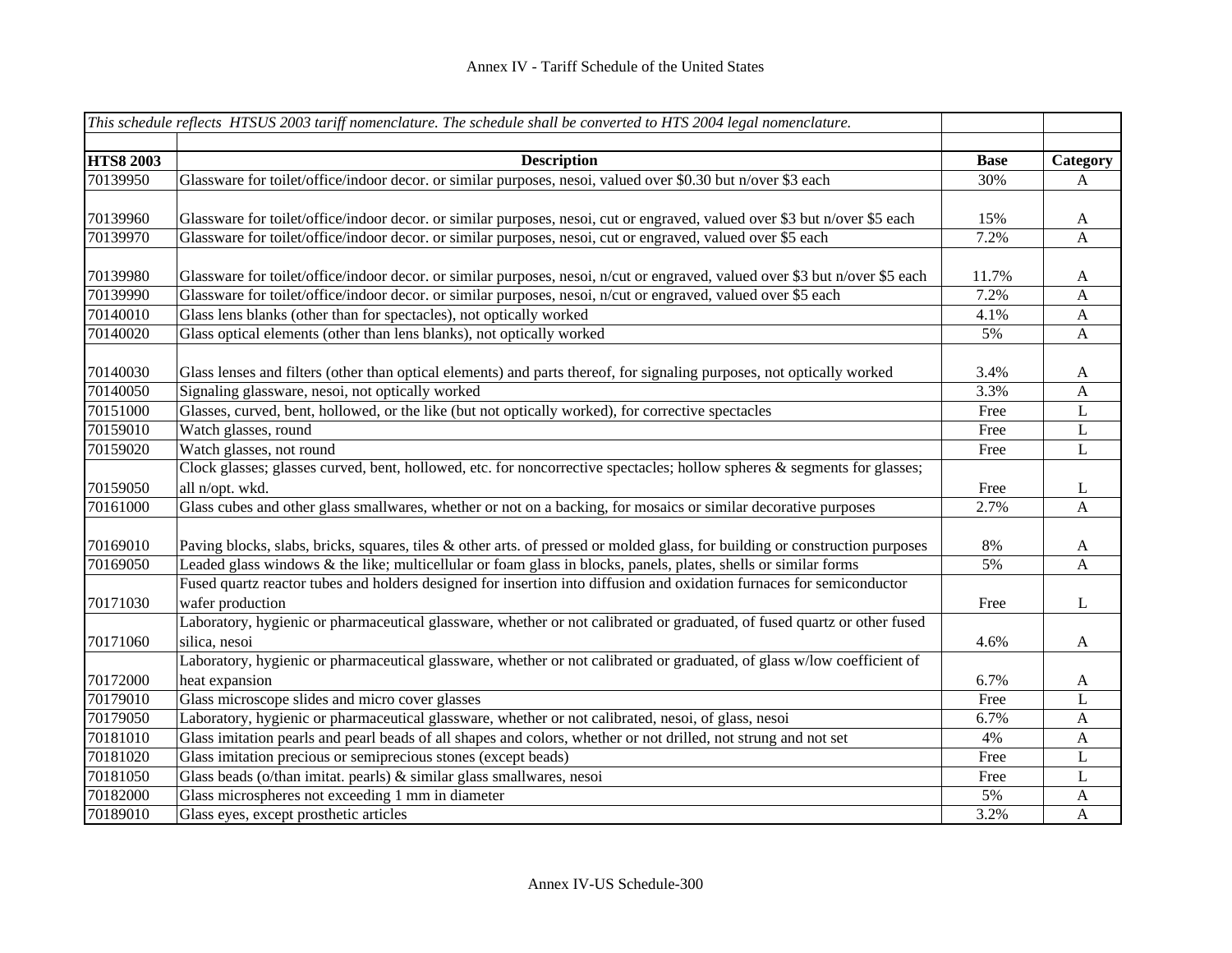|                  | This schedule reflects HTSUS 2003 tariff nomenclature. The schedule shall be converted to HTS 2004 legal nomenclature.       |             |                  |
|------------------|------------------------------------------------------------------------------------------------------------------------------|-------------|------------------|
| <b>HTS8 2003</b> | <b>Description</b>                                                                                                           | <b>Base</b> | Category         |
| 70139950         | Glassware for toilet/office/indoor decor. or similar purposes, nesoi, valued over \$0.30 but n/over \$3 each                 | 30%         | A                |
| 70139960         | Glassware for toilet/office/indoor decor. or similar purposes, nesoi, cut or engraved, valued over \$3 but n/over \$5 each   | 15%         | A                |
| 70139970         | Glassware for toilet/office/indoor decor. or similar purposes, nesoi, cut or engraved, valued over \$5 each                  | 7.2%        | $\mathbf{A}$     |
|                  |                                                                                                                              |             |                  |
| 70139980         | Glassware for toilet/office/indoor decor. or similar purposes, nesoi, n/cut or engraved, valued over \$3 but n/over \$5 each | 11.7%       | A                |
| 70139990         | Glassware for toilet/office/indoor decor. or similar purposes, nesoi, n/cut or engraved, valued over \$5 each                | 7.2%        | $\boldsymbol{A}$ |
| 70140010         | Glass lens blanks (other than for spectacles), not optically worked                                                          | 4.1%        | $\boldsymbol{A}$ |
| 70140020         | Glass optical elements (other than lens blanks), not optically worked                                                        | 5%          | $\mathbf{A}$     |
| 70140030         | Glass lenses and filters (other than optical elements) and parts thereof, for signaling purposes, not optically worked       | 3.4%        | A                |
| 70140050         | Signaling glassware, nesoi, not optically worked                                                                             | 3.3%        | $\mathbf{A}$     |
| 70151000         | Glasses, curved, bent, hollowed, or the like (but not optically worked), for corrective spectacles                           | Free        | L                |
| 70159010         | Watch glasses, round                                                                                                         | Free        | L                |
| 70159020         | Watch glasses, not round                                                                                                     | Free        | L                |
|                  | Clock glasses; glasses curved, bent, hollowed, etc. for noncorrective spectacles; hollow spheres & segments for glasses;     |             |                  |
| 70159050         | all n/opt. wkd.                                                                                                              | Free        | L                |
| 70161000         | Glass cubes and other glass smallwares, whether or not on a backing, for mosaics or similar decorative purposes              | 2.7%        | $\mathbf{A}$     |
|                  |                                                                                                                              |             |                  |
| 70169010         | Paving blocks, slabs, bricks, squares, tiles & other arts. of pressed or molded glass, for building or construction purposes | 8%          | A                |
| 70169050         | Leaded glass windows & the like; multicellular or foam glass in blocks, panels, plates, shells or similar forms              | 5%          | $\mathbf{A}$     |
|                  | Fused quartz reactor tubes and holders designed for insertion into diffusion and oxidation furnaces for semiconductor        |             |                  |
| 70171030         | wafer production                                                                                                             | Free        | L                |
|                  | Laboratory, hygienic or pharmaceutical glassware, whether or not calibrated or graduated, of fused quartz or other fused     |             |                  |
| 70171060         | silica, nesoi                                                                                                                | 4.6%        | $\mathbf{A}$     |
|                  | Laboratory, hygienic or pharmaceutical glassware, whether or not calibrated or graduated, of glass w/low coefficient of      |             |                  |
| 70172000         | heat expansion                                                                                                               | 6.7%        | A                |
| 70179010         | Glass microscope slides and micro cover glasses                                                                              | Free        | L                |
| 70179050         | Laboratory, hygienic or pharmaceutical glassware, whether or not calibrated, nesoi, of glass, nesoi                          | 6.7%        | $\mathbf{A}$     |
| 70181010         | Glass imitation pearls and pearl beads of all shapes and colors, whether or not drilled, not strung and not set              | 4%          | $\mathbf{A}$     |
| 70181020         | Glass imitation precious or semiprecious stones (except beads)                                                               | Free        | L                |
| 70181050         | Glass beads (o/than imitat. pearls) & similar glass smallwares, nesoi                                                        | Free        | L                |
| 70182000         | Glass microspheres not exceeding 1 mm in diameter                                                                            | 5%          | $\mathbf{A}$     |
| 70189010         | Glass eyes, except prosthetic articles                                                                                       | 3.2%        | $\mathbf{A}$     |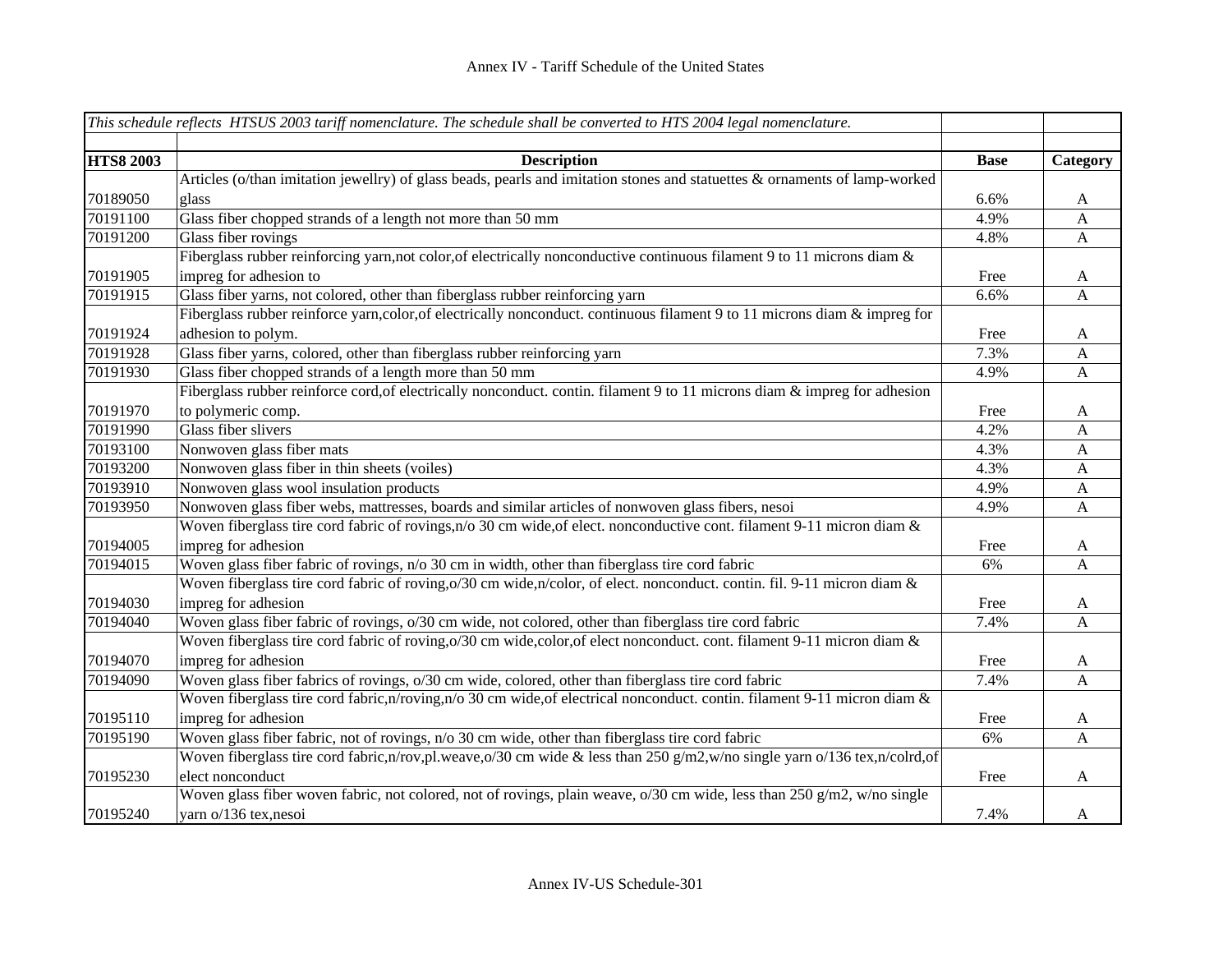|                  | This schedule reflects HTSUS 2003 tariff nomenclature. The schedule shall be converted to HTS 2004 legal nomenclature.     |             |                           |
|------------------|----------------------------------------------------------------------------------------------------------------------------|-------------|---------------------------|
|                  |                                                                                                                            |             |                           |
| <b>HTS8 2003</b> | <b>Description</b>                                                                                                         | <b>Base</b> | Category                  |
|                  | Articles (o/than imitation jewellry) of glass beads, pearls and imitation stones and statuettes & ornaments of lamp-worked |             |                           |
| 70189050         | glass                                                                                                                      | 6.6%        | A                         |
| 70191100         | Glass fiber chopped strands of a length not more than 50 mm                                                                | 4.9%        | $\boldsymbol{\mathsf{A}}$ |
| 70191200         | Glass fiber rovings                                                                                                        | 4.8%        | $\mathbf{A}$              |
|                  | Fiberglass rubber reinforcing yarn, not color, of electrically nonconductive continuous filament 9 to 11 microns diam &    |             |                           |
| 70191905         | impreg for adhesion to                                                                                                     | Free        | A                         |
| 70191915         | Glass fiber yarns, not colored, other than fiberglass rubber reinforcing yarn                                              | 6.6%        | A                         |
|                  | Fiberglass rubber reinforce yarn, color, of electrically nonconduct. continuous filament 9 to 11 microns diam & impreg for |             |                           |
| 70191924         | adhesion to polym.                                                                                                         | Free        | A                         |
| 70191928         | Glass fiber yarns, colored, other than fiberglass rubber reinforcing yarn                                                  | 7.3%        | A                         |
| 70191930         | Glass fiber chopped strands of a length more than 50 mm                                                                    | 4.9%        | $\boldsymbol{A}$          |
|                  | Fiberglass rubber reinforce cord, of electrically nonconduct. contin. filament 9 to 11 microns diam & impreg for adhesion  |             |                           |
| 70191970         | to polymeric comp.                                                                                                         | Free        | A                         |
| 70191990         | Glass fiber slivers                                                                                                        | 4.2%        | $\mathbf{A}$              |
| 70193100         | Nonwoven glass fiber mats                                                                                                  | 4.3%        | $\boldsymbol{A}$          |
| 70193200         | Nonwoven glass fiber in thin sheets (voiles)                                                                               | 4.3%        | $\mathbf{A}$              |
| 70193910         | Nonwoven glass wool insulation products                                                                                    | 4.9%        | $\boldsymbol{\mathsf{A}}$ |
| 70193950         | Nonwoven glass fiber webs, mattresses, boards and similar articles of nonwoven glass fibers, nesoi                         | 4.9%        | $\mathbf{A}$              |
|                  | Woven fiberglass tire cord fabric of rovings, n/o 30 cm wide, of elect. nonconductive cont. filament 9-11 micron diam $\&$ |             |                           |
| 70194005         | impreg for adhesion                                                                                                        | Free        | A                         |
| 70194015         | Woven glass fiber fabric of rovings, n/o 30 cm in width, other than fiberglass tire cord fabric                            | 6%          | $\mathbf{A}$              |
|                  | Woven fiberglass tire cord fabric of roving, 0/30 cm wide, n/color, of elect. nonconduct. contin. fil. 9-11 micron diam &  |             |                           |
| 70194030         | impreg for adhesion                                                                                                        | Free        | A                         |
| 70194040         | Woven glass fiber fabric of rovings, $o/30$ cm wide, not colored, other than fiberglass tire cord fabric                   | 7.4%        | $\mathbf{A}$              |
|                  | Woven fiberglass tire cord fabric of roving, o/30 cm wide, color, of elect nonconduct. cont. filament 9-11 micron diam &   |             |                           |
| 70194070         | impreg for adhesion                                                                                                        | Free        | A                         |
| 70194090         | Woven glass fiber fabrics of rovings, o/30 cm wide, colored, other than fiberglass tire cord fabric                        | 7.4%        | $\mathbf{A}$              |
|                  | Woven fiberglass tire cord fabric, n/roving, n/o 30 cm wide, of electrical nonconduct. contin. filament 9-11 micron diam & |             |                           |
| 70195110         | impreg for adhesion                                                                                                        | Free        | A                         |
| 70195190         | Woven glass fiber fabric, not of rovings, n/o 30 cm wide, other than fiberglass tire cord fabric                           | 6%          | $\mathbf{A}$              |
|                  | Woven fiberglass tire cord fabric,n/rov,pl.weave,o/30 cm wide & less than 250 g/m2,w/no single yarn o/136 tex,n/colrd,of   |             |                           |
| 70195230         | elect nonconduct                                                                                                           | Free        | $\mathbf{A}$              |
|                  | Woven glass fiber woven fabric, not colored, not of rovings, plain weave, o/30 cm wide, less than 250 g/m2, w/no single    |             |                           |
| 70195240         | yarn o/136 tex, nesoi                                                                                                      | 7.4%        | A                         |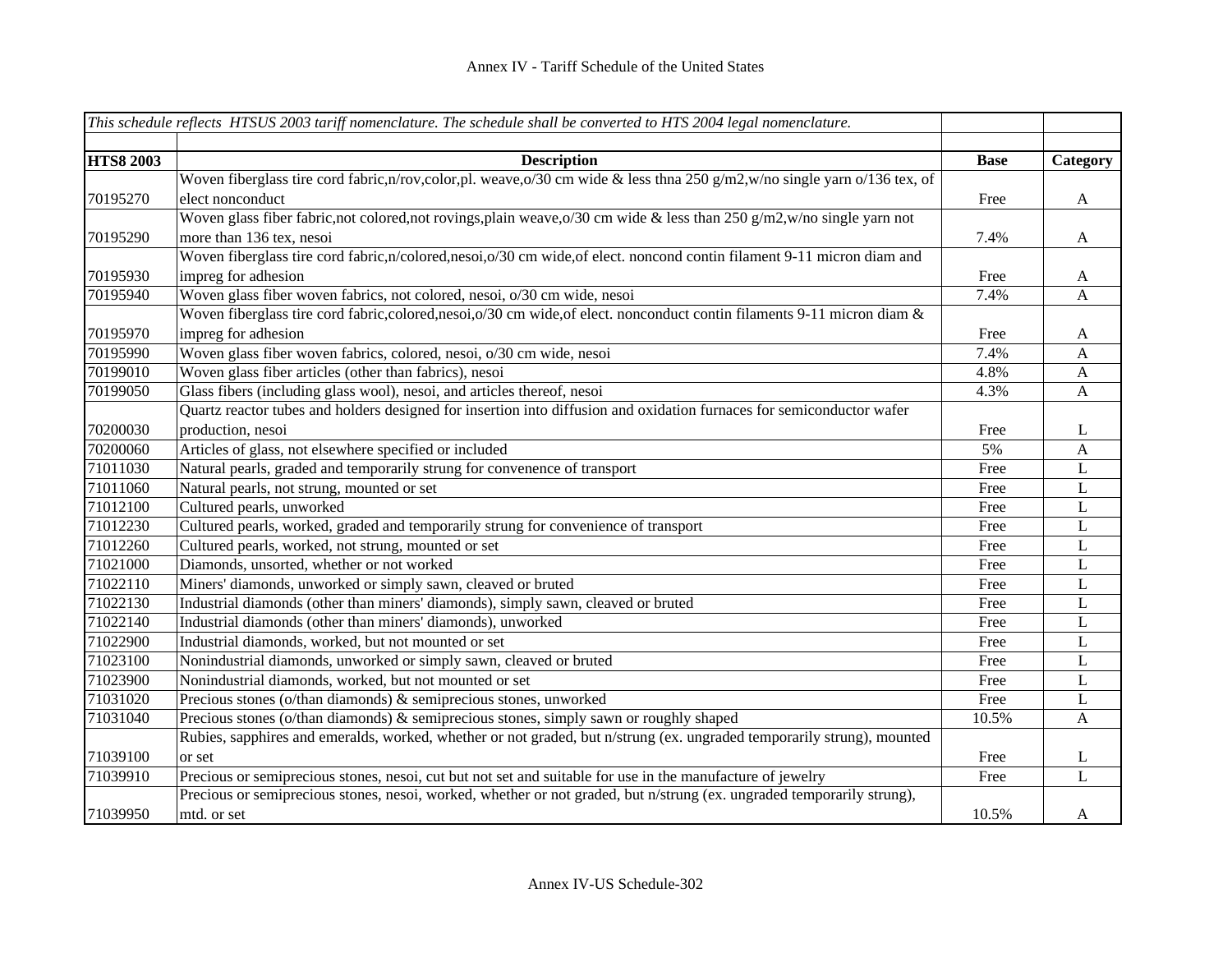|                  | This schedule reflects HTSUS 2003 tariff nomenclature. The schedule shall be converted to HTS 2004 legal nomenclature.        |             |              |
|------------------|-------------------------------------------------------------------------------------------------------------------------------|-------------|--------------|
|                  |                                                                                                                               |             |              |
| <b>HTS8 2003</b> | <b>Description</b>                                                                                                            | <b>Base</b> | Category     |
|                  | Woven fiberglass tire cord fabric, n/rov, color, pl. weave, o/30 cm wide & less thna 250 g/m2, w/no single yarn o/136 tex, of |             |              |
| 70195270         | elect nonconduct                                                                                                              | Free        | $\mathbf{A}$ |
|                  | Woven glass fiber fabric, not colored, not rovings, plain weave, o/30 cm wide & less than 250 g/m2, w/no single yarn not      |             |              |
| 70195290         | more than 136 tex, nesoi                                                                                                      | 7.4%        | $\mathbf{A}$ |
|                  | Woven fiberglass tire cord fabric,n/colored,nesoi,o/30 cm wide,of elect. noncond contin filament 9-11 micron diam and         |             |              |
| 70195930         | impreg for adhesion                                                                                                           | Free        | A            |
| 70195940         | Woven glass fiber woven fabrics, not colored, nesoi, o/30 cm wide, nesoi                                                      | 7.4%        | A            |
|                  | Woven fiberglass tire cord fabric, colored, nesoi, o/30 cm wide, of elect. nonconduct contin filaments 9-11 micron diam &     |             |              |
| 70195970         | impreg for adhesion                                                                                                           | Free        | A            |
| 70195990         | Woven glass fiber woven fabrics, colored, nesoi, o/30 cm wide, nesoi                                                          | 7.4%        | $\mathbf{A}$ |
| 70199010         | Woven glass fiber articles (other than fabrics), nesoi                                                                        | 4.8%        | $\mathbf{A}$ |
| 70199050         | Glass fibers (including glass wool), nesoi, and articles thereof, nesoi                                                       | 4.3%        | $\mathbf{A}$ |
|                  | Quartz reactor tubes and holders designed for insertion into diffusion and oxidation furnaces for semiconductor wafer         |             |              |
| 70200030         | production, nesoi                                                                                                             | Free        | L            |
| 70200060         | Articles of glass, not elsewhere specified or included                                                                        | 5%          | $\mathbf{A}$ |
| 71011030         | Natural pearls, graded and temporarily strung for convenence of transport                                                     | Free        | L            |
| 71011060         | Natural pearls, not strung, mounted or set                                                                                    | Free        | L            |
| 71012100         | Cultured pearls, unworked                                                                                                     | Free        | L            |
| 71012230         | Cultured pearls, worked, graded and temporarily strung for convenience of transport                                           | Free        | L            |
| 71012260         | Cultured pearls, worked, not strung, mounted or set                                                                           | Free        | L            |
| 71021000         | Diamonds, unsorted, whether or not worked                                                                                     | Free        | L            |
| 71022110         | Miners' diamonds, unworked or simply sawn, cleaved or bruted                                                                  | Free        | L            |
| 71022130         | Industrial diamonds (other than miners' diamonds), simply sawn, cleaved or bruted                                             | Free        | L            |
| 71022140         | Industrial diamonds (other than miners' diamonds), unworked                                                                   | Free        | L            |
| 71022900         | Industrial diamonds, worked, but not mounted or set                                                                           | Free        | L            |
| 71023100         | Nonindustrial diamonds, unworked or simply sawn, cleaved or bruted                                                            | Free        | L            |
| 71023900         | Nonindustrial diamonds, worked, but not mounted or set                                                                        | Free        | L            |
| 71031020         | Precious stones (o/than diamonds) & semiprecious stones, unworked                                                             | Free        | L            |
| 71031040         | Precious stones (o/than diamonds) & semiprecious stones, simply sawn or roughly shaped                                        | 10.5%       | $\mathbf{A}$ |
|                  | Rubies, sapphires and emeralds, worked, whether or not graded, but n/strung (ex. ungraded temporarily strung), mounted        |             |              |
| 71039100         | or set                                                                                                                        | Free        | L            |
| 71039910         | Precious or semiprecious stones, nesoi, cut but not set and suitable for use in the manufacture of jewelry                    | Free        | L            |
|                  | Precious or semiprecious stones, nesoi, worked, whether or not graded, but n/strung (ex. ungraded temporarily strung),        |             |              |
| 71039950         | mtd. or set                                                                                                                   | 10.5%       | A            |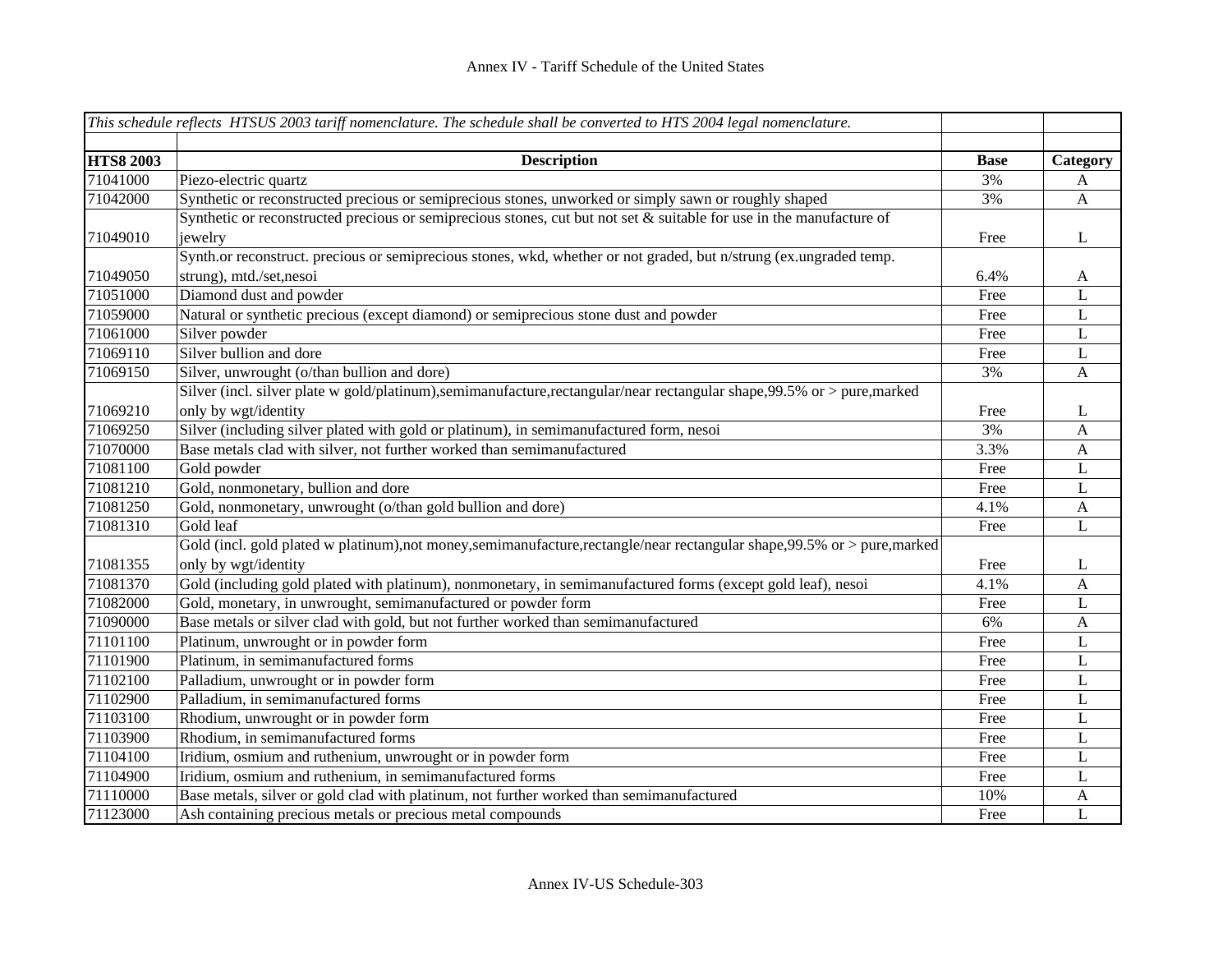|                  | This schedule reflects HTSUS 2003 tariff nomenclature. The schedule shall be converted to HTS 2004 legal nomenclature.     |             |              |
|------------------|----------------------------------------------------------------------------------------------------------------------------|-------------|--------------|
|                  |                                                                                                                            |             |              |
| <b>HTS8 2003</b> | <b>Description</b>                                                                                                         | <b>Base</b> | Category     |
| 71041000         | Piezo-electric quartz                                                                                                      | 3%          | A            |
| 71042000         | Synthetic or reconstructed precious or semiprecious stones, unworked or simply sawn or roughly shaped                      | 3%          | $\mathbf{A}$ |
|                  | Synthetic or reconstructed precious or semiprecious stones, cut but not set $\&$ suitable for use in the manufacture of    |             |              |
| 71049010         | jewelry                                                                                                                    | Free        | L            |
|                  | Synth.or reconstruct. precious or semiprecious stones, wkd, whether or not graded, but n/strung (ex.ungraded temp.         |             |              |
| 71049050         | strung), mtd./set,nesoi                                                                                                    | 6.4%        | $\mathbf{A}$ |
| 71051000         | Diamond dust and powder                                                                                                    | Free        | L            |
| 71059000         | Natural or synthetic precious (except diamond) or semiprecious stone dust and powder                                       | Free        | L            |
| 71061000         | Silver powder                                                                                                              | Free        | L            |
| 71069110         | Silver bullion and dore                                                                                                    | Free        | L            |
| 71069150         | Silver, unwrought (o/than bullion and dore)                                                                                | 3%          | $\mathbf{A}$ |
|                  | Silver (incl. silver plate w gold/platinum),semimanufacture,rectangular/near rectangular shape,99.5% or > pure,marked      |             |              |
| 71069210         | only by wgt/identity                                                                                                       | Free        | L            |
| 71069250         | Silver (including silver plated with gold or platinum), in semimanufactured form, nesoi                                    | 3%          | $\mathbf{A}$ |
| 71070000         | Base metals clad with silver, not further worked than semimanufactured                                                     | 3.3%        | $\mathbf{A}$ |
| 71081100         | Gold powder                                                                                                                | Free        | L            |
| 71081210         | Gold, nonmonetary, bullion and dore                                                                                        | Free        | $\mathbf L$  |
| 71081250         | Gold, nonmonetary, unwrought (o/than gold bullion and dore)                                                                | 4.1%        | $\mathbf{A}$ |
| 71081310         | Gold leaf                                                                                                                  | Free        | $\mathbf{L}$ |
|                  | Gold (incl. gold plated w platinum), not money, semimanufacture, rectangle/near rectangular shape, 99.5% or > pure, marked |             |              |
| 71081355         | only by wgt/identity                                                                                                       | Free        | L            |
| 71081370         | Gold (including gold plated with platinum), nonmonetary, in semimanufactured forms (except gold leaf), nesoi               | 4.1%        | $\mathbf{A}$ |
| 71082000         | Gold, monetary, in unwrought, semimanufactured or powder form                                                              | Free        | L            |
| 71090000         | Base metals or silver clad with gold, but not further worked than semimanufactured                                         | 6%          | A            |
| 71101100         | Platinum, unwrought or in powder form                                                                                      | Free        | L            |
| 71101900         | Platinum, in semimanufactured forms                                                                                        | Free        | L            |
| 71102100         | Palladium, unwrought or in powder form                                                                                     | Free        | L            |
| 71102900         | Palladium, in semimanufactured forms                                                                                       | Free        | L            |
| 71103100         | Rhodium, unwrought or in powder form                                                                                       | Free        | L            |
| 71103900         | Rhodium, in semimanufactured forms                                                                                         | Free        | L            |
| 71104100         | Iridium, osmium and ruthenium, unwrought or in powder form                                                                 | Free        | L            |
| 71104900         | Iridium, osmium and ruthenium, in semimanufactured forms                                                                   | Free        | L            |
| 71110000         | Base metals, silver or gold clad with platinum, not further worked than semimanufactured                                   | 10%         | A            |
| 71123000         | Ash containing precious metals or precious metal compounds                                                                 | Free        | L            |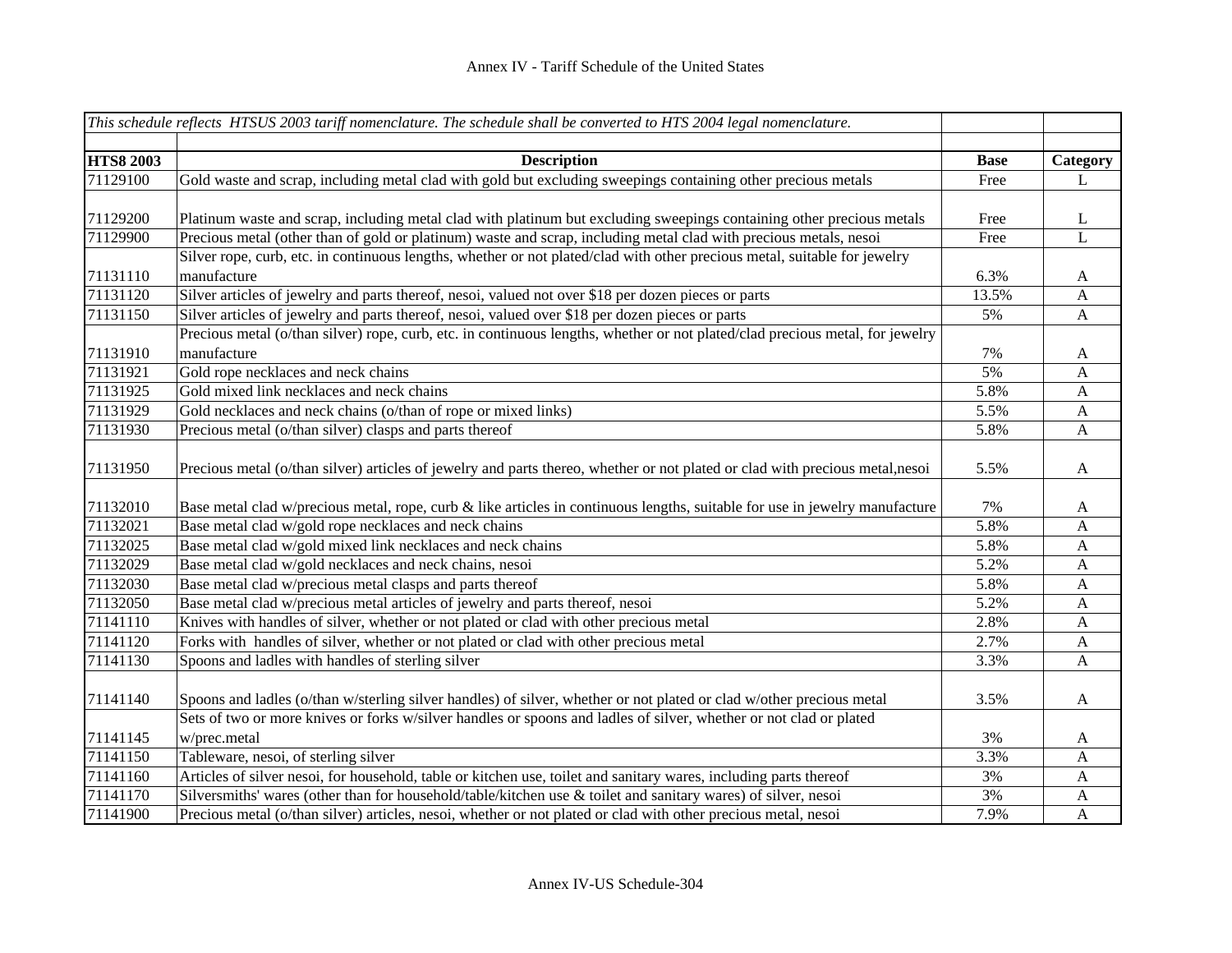|                  | This schedule reflects HTSUS 2003 tariff nomenclature. The schedule shall be converted to HTS 2004 legal nomenclature.        |             |                           |
|------------------|-------------------------------------------------------------------------------------------------------------------------------|-------------|---------------------------|
|                  |                                                                                                                               |             |                           |
| <b>HTS8 2003</b> | <b>Description</b>                                                                                                            | <b>Base</b> | Category                  |
| 71129100         | Gold waste and scrap, including metal clad with gold but excluding sweepings containing other precious metals                 | Free        | L                         |
|                  |                                                                                                                               |             |                           |
| 71129200         | Platinum waste and scrap, including metal clad with platinum but excluding sweepings containing other precious metals         | Free        | L                         |
| 71129900         | Precious metal (other than of gold or platinum) waste and scrap, including metal clad with precious metals, nesoi             | Free        | L                         |
|                  | Silver rope, curb, etc. in continuous lengths, whether or not plated/clad with other precious metal, suitable for jewelry     |             |                           |
| 71131110         | manufacture                                                                                                                   | 6.3%        | A                         |
| 71131120         | Silver articles of jewelry and parts thereof, nesoi, valued not over \$18 per dozen pieces or parts                           | 13.5%       | $\mathbf{A}$              |
| 71131150         | Silver articles of jewelry and parts thereof, nesoi, valued over \$18 per dozen pieces or parts                               | 5%          | $\mathbf{A}$              |
|                  | Precious metal (o/than silver) rope, curb, etc. in continuous lengths, whether or not plated/clad precious metal, for jewelry |             |                           |
| 71131910         | manufacture                                                                                                                   | 7%          | A                         |
| 71131921         | Gold rope necklaces and neck chains                                                                                           | 5%          | $\boldsymbol{\mathsf{A}}$ |
| 71131925         | Gold mixed link necklaces and neck chains                                                                                     | 5.8%        | $\mathbf{A}$              |
| 71131929         | Gold necklaces and neck chains (o/than of rope or mixed links)                                                                | 5.5%        | $\mathbf{A}$              |
| 71131930         | Precious metal (o/than silver) clasps and parts thereof                                                                       | 5.8%        | $\boldsymbol{\mathsf{A}}$ |
|                  |                                                                                                                               |             |                           |
| 71131950         | Precious metal (o/than silver) articles of jewelry and parts thereo, whether or not plated or clad with precious metal, nesoi | 5.5%        | $\mathbf{A}$              |
|                  |                                                                                                                               |             |                           |
| 71132010         | Base metal clad w/precious metal, rope, curb & like articles in continuous lengths, suitable for use in jewelry manufacture   | 7%          | A                         |
| 71132021         | Base metal clad w/gold rope necklaces and neck chains                                                                         | 5.8%        | $\mathbf{A}$              |
| 71132025         | Base metal clad w/gold mixed link necklaces and neck chains                                                                   | 5.8%        | A                         |
| 71132029         | Base metal clad w/gold necklaces and neck chains, nesoi                                                                       | 5.2%        | $\boldsymbol{A}$          |
| 71132030         | Base metal clad w/precious metal clasps and parts thereof                                                                     | 5.8%        | $\mathbf{A}$              |
| 71132050         | Base metal clad w/precious metal articles of jewelry and parts thereof, nesoi                                                 | 5.2%        | $\mathbf{A}$              |
| 71141110         | Knives with handles of silver, whether or not plated or clad with other precious metal                                        | 2.8%        | $\mathbf{A}$              |
| 71141120         | Forks with handles of silver, whether or not plated or clad with other precious metal                                         | 2.7%        | $\mathbf{A}$              |
| 71141130         | Spoons and ladles with handles of sterling silver                                                                             | 3.3%        | A                         |
|                  |                                                                                                                               |             |                           |
| 71141140         | Spoons and ladles (o/than w/sterling silver handles) of silver, whether or not plated or clad w/other precious metal          | 3.5%        | $\mathbf{A}$              |
|                  | Sets of two or more knives or forks w/silver handles or spoons and ladles of silver, whether or not clad or plated            |             |                           |
| 71141145         | w/prec.metal                                                                                                                  | 3%          | A                         |
| 71141150         | Tableware, nesoi, of sterling silver                                                                                          | 3.3%        | $\mathbf{A}$              |
| 71141160         | Articles of silver nesoi, for household, table or kitchen use, toilet and sanitary wares, including parts thereof             | 3%          | $\mathbf{A}$              |
| 71141170         | Silversmiths' wares (other than for household/table/kitchen use & toilet and sanitary wares) of silver, nesoi                 | 3%          | $\mathbf{A}$              |
| 71141900         | Precious metal (o/than silver) articles, nesoi, whether or not plated or clad with other precious metal, nesoi                | 7.9%        | $\mathbf{A}$              |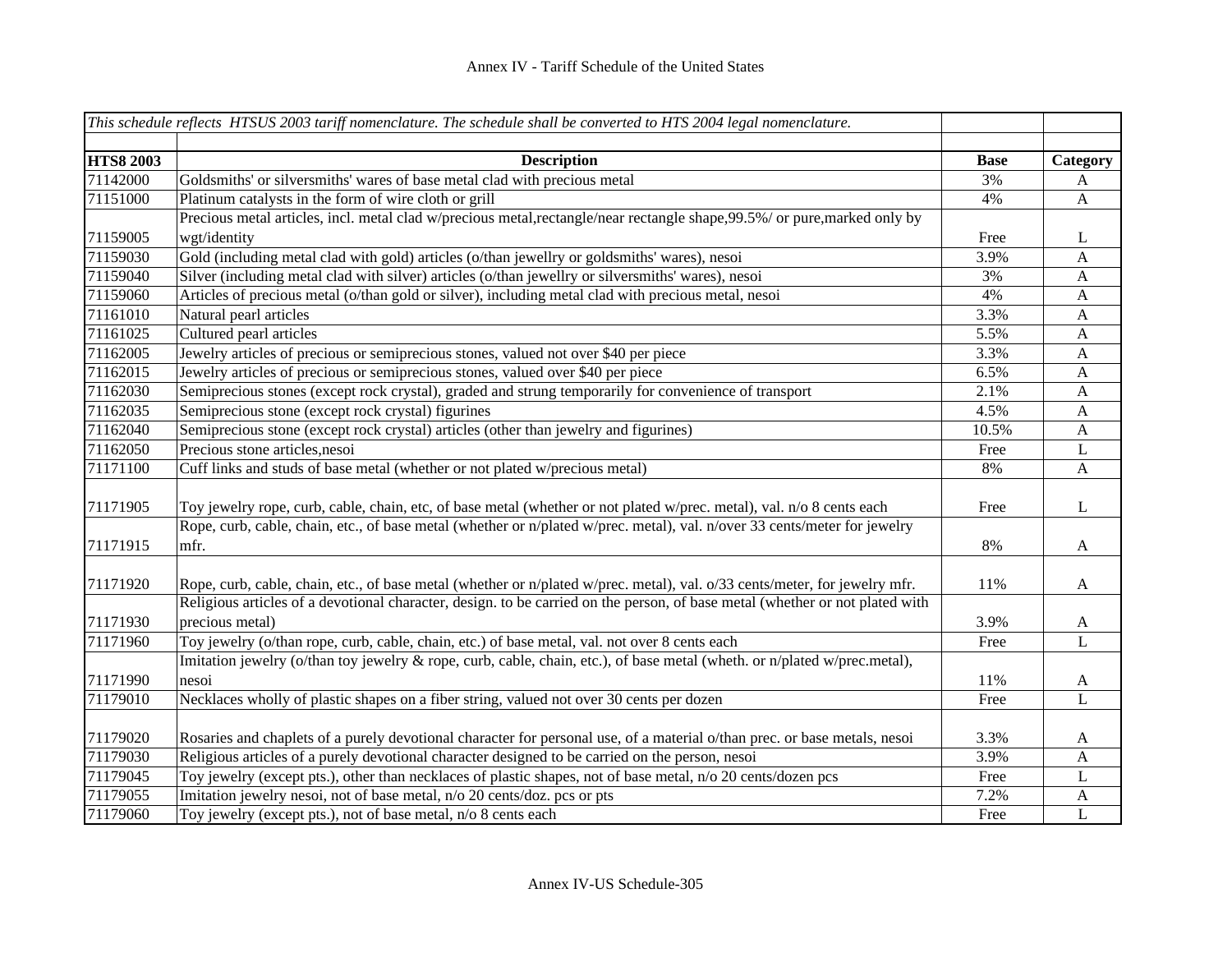|                  | This schedule reflects HTSUS 2003 tariff nomenclature. The schedule shall be converted to HTS 2004 legal nomenclature.       |             |                           |
|------------------|------------------------------------------------------------------------------------------------------------------------------|-------------|---------------------------|
| <b>HTS8 2003</b> | <b>Description</b>                                                                                                           | <b>Base</b> | Category                  |
| 71142000         | Goldsmiths' or silversmiths' wares of base metal clad with precious metal                                                    | 3%          | $\mathbf{A}$              |
| 71151000         | Platinum catalysts in the form of wire cloth or grill                                                                        | 4%          | $\mathbf{A}$              |
|                  | Precious metal articles, incl. metal clad w/precious metal, rectangle/near rectangle shape, 99.5%/ or pure, marked only by   |             |                           |
| 71159005         | wgt/identity                                                                                                                 | Free        | L                         |
| 71159030         | Gold (including metal clad with gold) articles (o/than jewellry or goldsmiths' wares), nesoi                                 | 3.9%        | A                         |
| 71159040         | Silver (including metal clad with silver) articles (o/than jewellry or silversmiths' wares), nesoi                           | 3%          | $\mathbf{A}$              |
| 71159060         | Articles of precious metal (o/than gold or silver), including metal clad with precious metal, nesoi                          | 4%          | $\mathbf{A}$              |
| 71161010         | Natural pearl articles                                                                                                       | 3.3%        | $\mathbf{A}$              |
| 71161025         | Cultured pearl articles                                                                                                      | 5.5%        | $\mathbf{A}$              |
| 71162005         | Jewelry articles of precious or semiprecious stones, valued not over \$40 per piece                                          | 3.3%        | $\mathbf{A}$              |
| 71162015         | Jewelry articles of precious or semiprecious stones, valued over \$40 per piece                                              | 6.5%        | $\mathbf{A}$              |
| 71162030         | Semiprecious stones (except rock crystal), graded and strung temporarily for convenience of transport                        | 2.1%        | $\boldsymbol{\mathsf{A}}$ |
| 71162035         | Semiprecious stone (except rock crystal) figurines                                                                           | 4.5%        | $\mathbf{A}$              |
| 71162040         | Semiprecious stone (except rock crystal) articles (other than jewelry and figurines)                                         | 10.5%       | $\boldsymbol{\mathsf{A}}$ |
| 71162050         | Precious stone articles, nesoi                                                                                               | Free        | L                         |
| 71171100         | Cuff links and studs of base metal (whether or not plated w/precious metal)                                                  | $8\%$       | $\boldsymbol{\mathsf{A}}$ |
| 71171905         | Toy jewelry rope, curb, cable, chain, etc, of base metal (whether or not plated w/prec. metal), val. n/o 8 cents each        | Free        | L                         |
|                  | Rope, curb, cable, chain, etc., of base metal (whether or n/plated w/prec. metal), val. n/over 33 cents/meter for jewelry    |             |                           |
| 71171915         | mfr.                                                                                                                         | 8%          | A                         |
| 71171920         | Rope, curb, cable, chain, etc., of base metal (whether or n/plated w/prec. metal), val. o/33 cents/meter, for jewelry mfr.   | 11%         | A                         |
|                  | Religious articles of a devotional character, design. to be carried on the person, of base metal (whether or not plated with |             |                           |
| 71171930         | precious metal)                                                                                                              | 3.9%        | A                         |
| 71171960         | Toy jewelry (o/than rope, curb, cable, chain, etc.) of base metal, val. not over 8 cents each                                | Free        | L                         |
|                  | Imitation jewelry (o/than toy jewelry & rope, curb, cable, chain, etc.), of base metal (wheth. or n/plated w/prec.metal),    |             |                           |
| 71171990         | nesoi                                                                                                                        | 11%         | A                         |
| 71179010         | Necklaces wholly of plastic shapes on a fiber string, valued not over 30 cents per dozen                                     | Free        | $\overline{L}$            |
| 71179020         | Rosaries and chaplets of a purely devotional character for personal use, of a material o/than prec. or base metals, nesoi    | 3.3%        | A                         |
| 71179030         | Religious articles of a purely devotional character designed to be carried on the person, nesoi                              | 3.9%        | $\mathbf A$               |
| 71179045         | Toy jewelry (except pts.), other than necklaces of plastic shapes, not of base metal, n/o 20 cents/dozen pcs                 | Free        | L                         |
| 71179055         | Imitation jewelry nesoi, not of base metal, n/o 20 cents/doz. pcs or pts                                                     | 7.2%        | $\mathbf A$               |
| 71179060         | Toy jewelry (except pts.), not of base metal, n/o 8 cents each                                                               | Free        | L                         |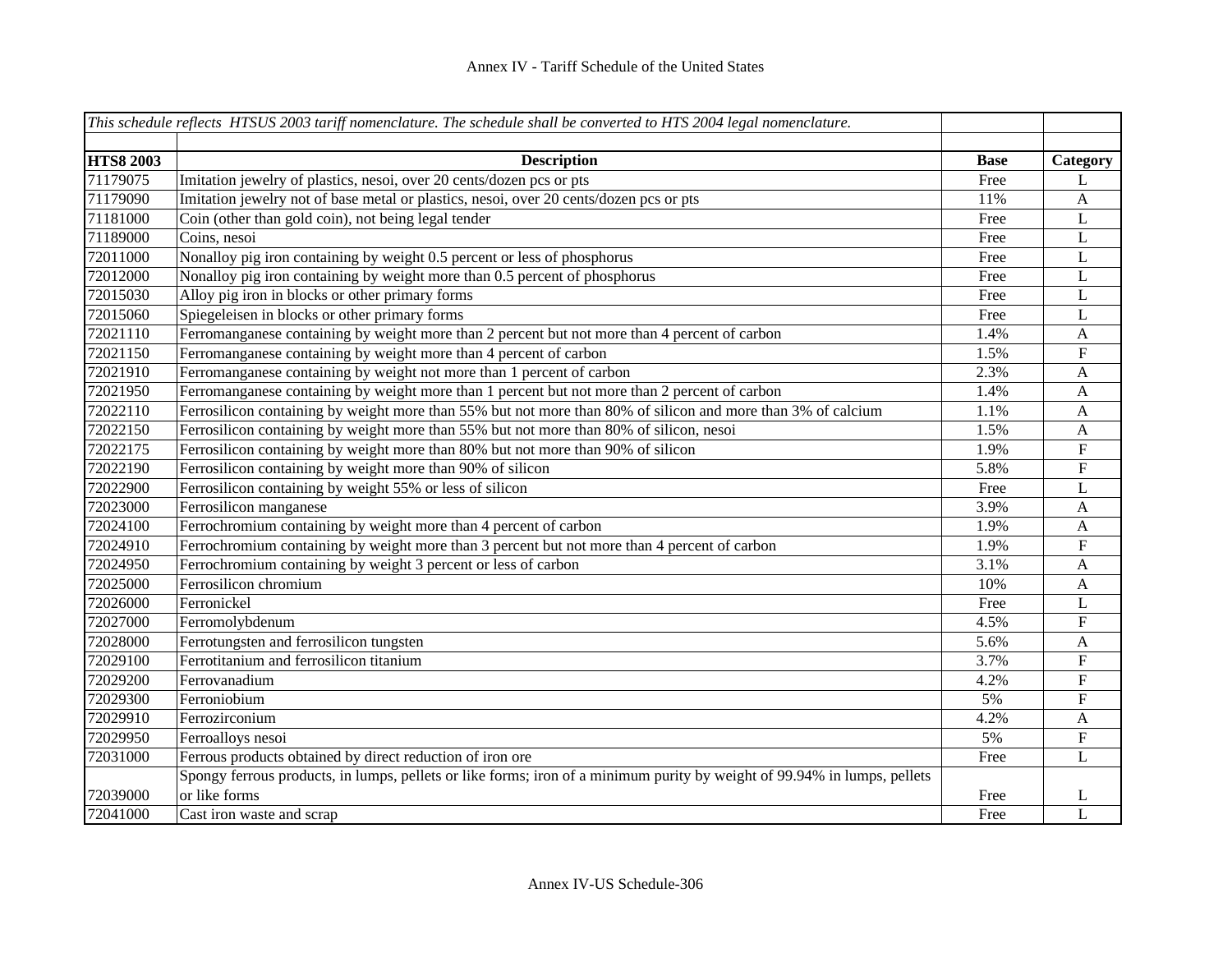|                  | This schedule reflects HTSUS 2003 tariff nomenclature. The schedule shall be converted to HTS 2004 legal nomenclature.   |             |                           |
|------------------|--------------------------------------------------------------------------------------------------------------------------|-------------|---------------------------|
|                  |                                                                                                                          |             |                           |
| <b>HTS8 2003</b> | <b>Description</b>                                                                                                       | <b>Base</b> | Category                  |
| 71179075         | Imitation jewelry of plastics, nesoi, over 20 cents/dozen pcs or pts                                                     | Free        | L                         |
| 71179090         | Imitation jewelry not of base metal or plastics, nesoi, over 20 cents/dozen pcs or pts                                   | 11%         | $\mathbf{A}$              |
| 71181000         | Coin (other than gold coin), not being legal tender                                                                      | Free        | $\mathbf L$               |
| 71189000         | Coins, nesoi                                                                                                             | Free        | $\mathbf L$               |
| 72011000         | Nonalloy pig iron containing by weight 0.5 percent or less of phosphorus                                                 | Free        | L                         |
| 72012000         | Nonalloy pig iron containing by weight more than 0.5 percent of phosphorus                                               | Free        | L                         |
| 72015030         | Alloy pig iron in blocks or other primary forms                                                                          | Free        | L                         |
| 72015060         | Spiegeleisen in blocks or other primary forms                                                                            | Free        | L                         |
| 72021110         | Ferromanganese containing by weight more than 2 percent but not more than 4 percent of carbon                            | 1.4%        | $\mathbf{A}$              |
| 72021150         | Ferromanganese containing by weight more than 4 percent of carbon                                                        | 1.5%        | ${\bf F}$                 |
| 72021910         | Ferromanganese containing by weight not more than 1 percent of carbon                                                    | 2.3%        | $\mathbf{A}$              |
| 72021950         | Ferromanganese containing by weight more than 1 percent but not more than 2 percent of carbon                            | 1.4%        | $\mathbf{A}$              |
| 72022110         | Ferrosilicon containing by weight more than 55% but not more than 80% of silicon and more than 3% of calcium             | 1.1%        | $\mathbf{A}$              |
| 72022150         | Ferrosilicon containing by weight more than 55% but not more than 80% of silicon, nesoi                                  | 1.5%        | $\mathbf{A}$              |
| 72022175         | Ferrosilicon containing by weight more than 80% but not more than 90% of silicon                                         | 1.9%        | ${\bf F}$                 |
| 72022190         | Ferrosilicon containing by weight more than 90% of silicon                                                               | 5.8%        | ${\bf F}$                 |
| 72022900         | Ferrosilicon containing by weight 55% or less of silicon                                                                 | Free        | L                         |
| 72023000         | Ferrosilicon manganese                                                                                                   | 3.9%        | $\mathbf{A}$              |
| 72024100         | Ferrochromium containing by weight more than 4 percent of carbon                                                         | 1.9%        | $\mathbf{A}$              |
| 72024910         | Ferrochromium containing by weight more than 3 percent but not more than 4 percent of carbon                             | 1.9%        | ${\bf F}$                 |
| 72024950         | Ferrochromium containing by weight 3 percent or less of carbon                                                           | 3.1%        | $\mathbf{A}$              |
| 72025000         | Ferrosilicon chromium                                                                                                    | 10%         | $\mathbf{A}$              |
| 72026000         | Ferronickel                                                                                                              | Free        | L                         |
| 72027000         | Ferromolybdenum                                                                                                          | 4.5%        | ${\bf F}$                 |
| 72028000         | Ferrotungsten and ferrosilicon tungsten                                                                                  | 5.6%        | A                         |
| 72029100         | Ferrotitanium and ferrosilicon titanium                                                                                  | 3.7%        | $\boldsymbol{\mathrm{F}}$ |
| 72029200         | Ferrovanadium                                                                                                            | 4.2%        | $\overline{\mathrm{F}}$   |
| 72029300         | Ferroniobium                                                                                                             | 5%          | ${\bf F}$                 |
| 72029910         | Ferrozirconium                                                                                                           | 4.2%        | $\mathbf{A}$              |
| 72029950         | Ferroalloys nesoi                                                                                                        | 5%          | ${\bf F}$                 |
| 72031000         | Ferrous products obtained by direct reduction of iron ore                                                                | Free        | L                         |
|                  | Spongy ferrous products, in lumps, pellets or like forms; iron of a minimum purity by weight of 99.94% in lumps, pellets |             |                           |
| 72039000         | or like forms                                                                                                            | Free        | L                         |
| 72041000         | Cast iron waste and scrap                                                                                                | Free        | L                         |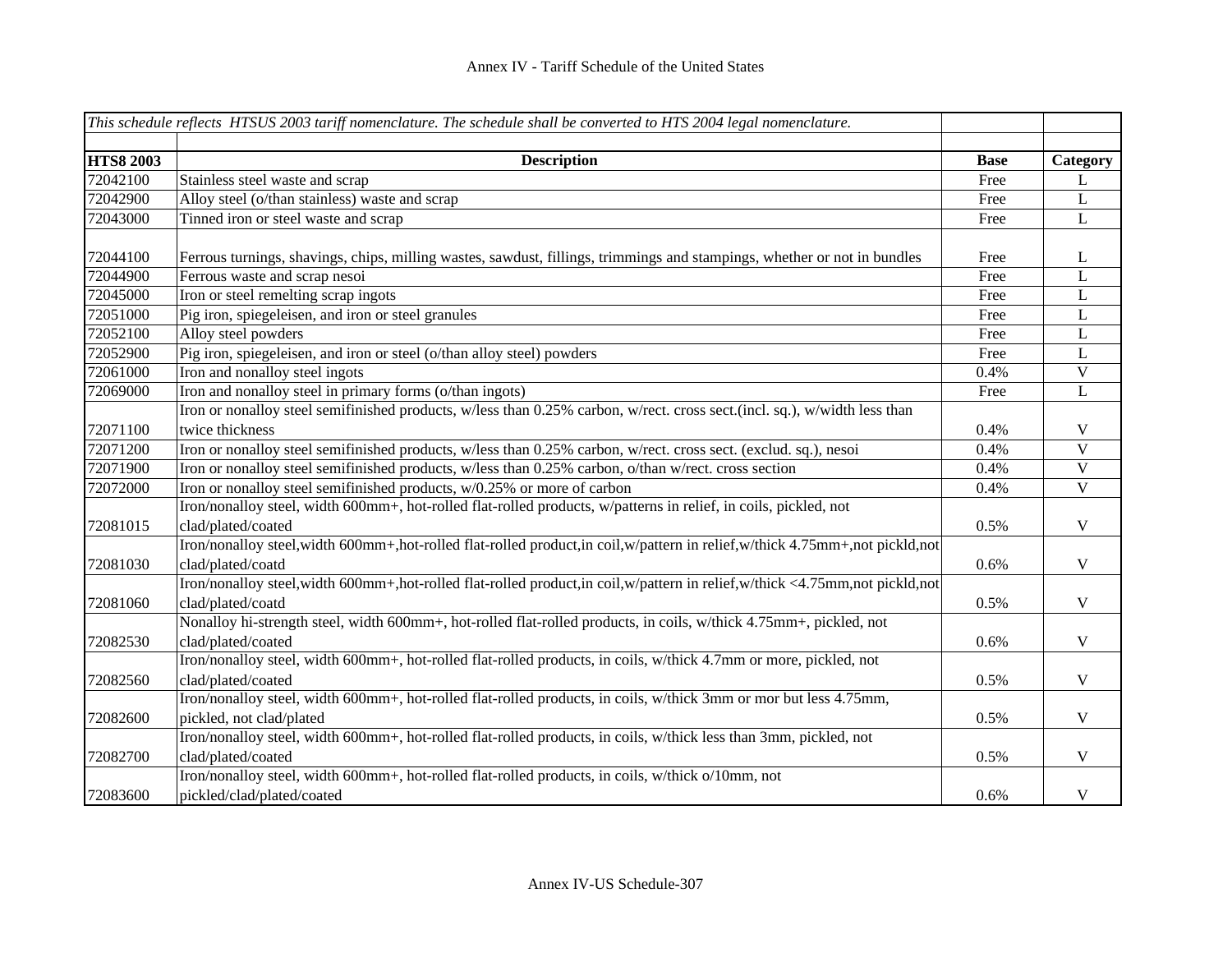|                  | This schedule reflects HTSUS 2003 tariff nomenclature. The schedule shall be converted to HTS 2004 legal nomenclature.            |             |              |
|------------------|-----------------------------------------------------------------------------------------------------------------------------------|-------------|--------------|
|                  |                                                                                                                                   |             |              |
| <b>HTS8 2003</b> | <b>Description</b>                                                                                                                | <b>Base</b> | Category     |
| 72042100         | Stainless steel waste and scrap                                                                                                   | Free        | L            |
| 72042900         | Alloy steel (o/than stainless) waste and scrap                                                                                    | Free        | $\mathbf{L}$ |
| 72043000         | Tinned iron or steel waste and scrap                                                                                              | Free        | $\mathbf{L}$ |
| 72044100         | Ferrous turnings, shavings, chips, milling wastes, sawdust, fillings, trimmings and stampings, whether or not in bundles          | Free        | L            |
| 72044900         | Ferrous waste and scrap nesoi                                                                                                     | Free        | L            |
| 72045000         | Iron or steel remelting scrap ingots                                                                                              | Free        | L            |
| 72051000         | Pig iron, spiegeleisen, and iron or steel granules                                                                                | Free        | L            |
| 72052100         | Alloy steel powders                                                                                                               | Free        | $\mathbf L$  |
| 72052900         | Pig iron, spiegeleisen, and iron or steel (o/than alloy steel) powders                                                            | Free        | L            |
| 72061000         | Iron and nonalloy steel ingots                                                                                                    | 0.4%        | $\mathbf V$  |
| 72069000         | Iron and nonalloy steel in primary forms (o/than ingots)                                                                          | Free        | L            |
|                  | Iron or nonalloy steel semifinished products, w/less than 0.25% carbon, w/rect. cross sect.(incl. sq.), w/width less than         |             |              |
| 72071100         | twice thickness                                                                                                                   | 0.4%        | V            |
| 72071200         | Iron or nonalloy steel semifinished products, w/less than 0.25% carbon, w/rect. cross sect. (exclud. sq.), nesoi                  | 0.4%        | $\mathbf{V}$ |
| 72071900         | Iron or nonalloy steel semifinished products, w/less than 0.25% carbon, o/than w/rect. cross section                              | 0.4%        | $\mathbf V$  |
| 72072000         | Iron or nonalloy steel semifinished products, w/0.25% or more of carbon                                                           | 0.4%        | $\mathbf V$  |
|                  | Iron/nonalloy steel, width 600mm+, hot-rolled flat-rolled products, w/patterns in relief, in coils, pickled, not                  |             |              |
| 72081015         | clad/plated/coated                                                                                                                | 0.5%        | $\mathbf V$  |
|                  | Iron/nonalloy steel, width 600mm+, hot-rolled flat-rolled product, in coil, w/pattern in relief, w/thick 4.75mm+, not pickld, not |             |              |
| 72081030         | clad/plated/coatd                                                                                                                 | 0.6%        | $\mathbf V$  |
|                  | Iron/nonalloy steel, width 600mm+, hot-rolled flat-rolled product, in coil, w/pattern in relief, w/thick <4.75mm, not pickld, not |             |              |
| 72081060         | clad/plated/coatd                                                                                                                 | 0.5%        | $\mathbf V$  |
|                  | Nonalloy hi-strength steel, width 600mm+, hot-rolled flat-rolled products, in coils, w/thick 4.75mm+, pickled, not                |             |              |
| 72082530         | clad/plated/coated                                                                                                                | 0.6%        | $\mathbf V$  |
|                  | Iron/nonalloy steel, width 600mm+, hot-rolled flat-rolled products, in coils, w/thick 4.7mm or more, pickled, not                 |             |              |
| 72082560         | clad/plated/coated                                                                                                                | 0.5%        | $\mathbf V$  |
|                  | Iron/nonalloy steel, width 600mm+, hot-rolled flat-rolled products, in coils, w/thick 3mm or mor but less 4.75mm,                 |             |              |
| 72082600         | pickled, not clad/plated                                                                                                          | 0.5%        | $\mathbf V$  |
|                  | Iron/nonalloy steel, width 600mm+, hot-rolled flat-rolled products, in coils, w/thick less than 3mm, pickled, not                 |             |              |
| 72082700         | clad/plated/coated                                                                                                                | 0.5%        | $\mathbf V$  |
|                  | Iron/nonalloy steel, width 600mm+, hot-rolled flat-rolled products, in coils, w/thick o/10mm, not                                 |             |              |
| 72083600         | pickled/clad/plated/coated                                                                                                        | 0.6%        | $\mathbf V$  |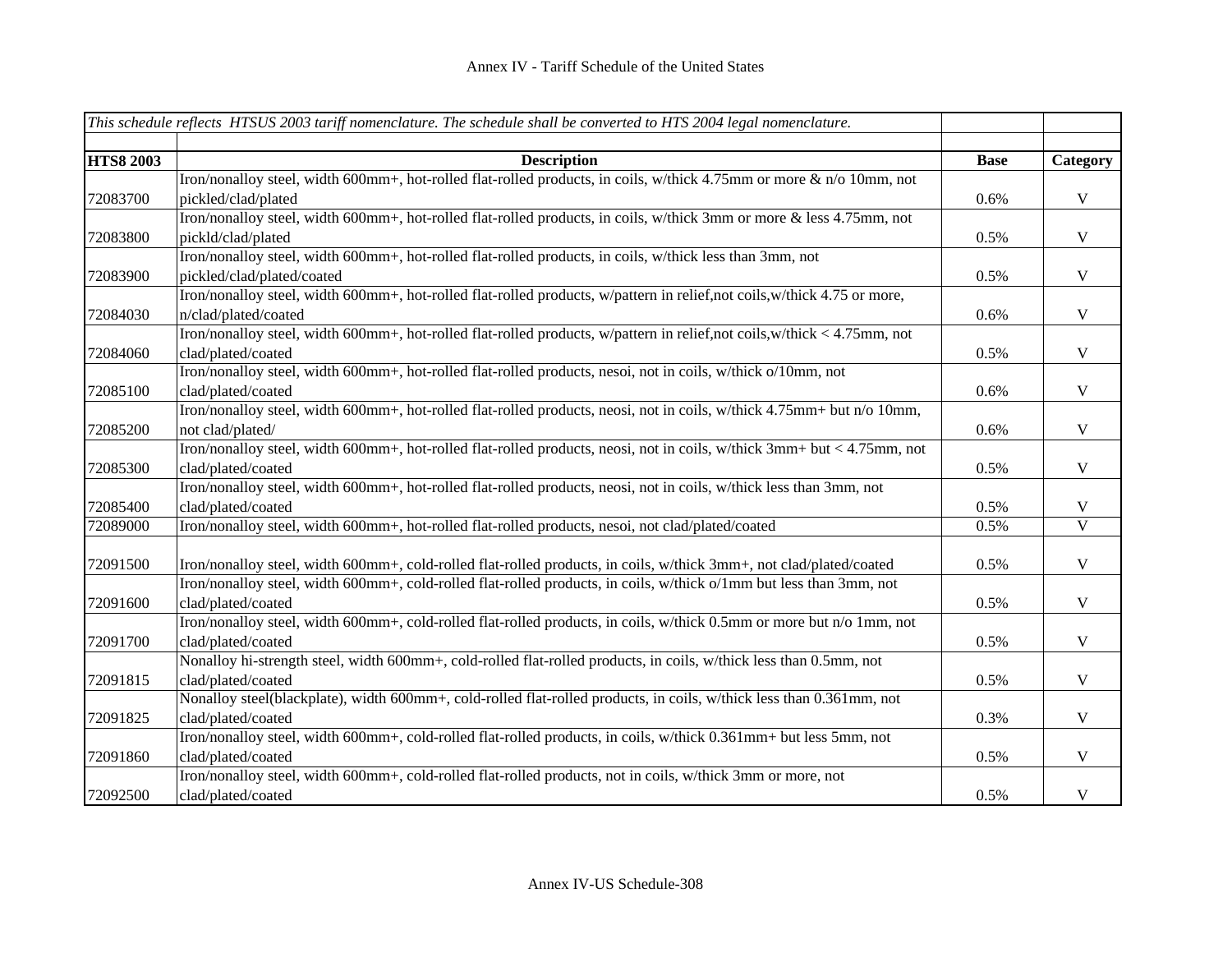|                  | This schedule reflects HTSUS 2003 tariff nomenclature. The schedule shall be converted to HTS 2004 legal nomenclature.                       |             |              |
|------------------|----------------------------------------------------------------------------------------------------------------------------------------------|-------------|--------------|
| <b>HTS8 2003</b> | <b>Description</b>                                                                                                                           | <b>Base</b> | Category     |
|                  | Iron/nonalloy steel, width 600mm+, hot-rolled flat-rolled products, in coils, w/thick 4.75mm or more & n/o 10mm, not                         |             |              |
| 72083700         | pickled/clad/plated                                                                                                                          | 0.6%        | $\mathbf V$  |
|                  | Iron/nonalloy steel, width 600mm+, hot-rolled flat-rolled products, in coils, w/thick 3mm or more & less 4.75mm, not                         |             |              |
| 72083800         | pickld/clad/plated                                                                                                                           | 0.5%        | $\mathbf V$  |
|                  | Iron/nonalloy steel, width 600mm+, hot-rolled flat-rolled products, in coils, w/thick less than 3mm, not                                     |             |              |
| 72083900         | pickled/clad/plated/coated                                                                                                                   | 0.5%        | $\mathbf V$  |
|                  | Iron/nonalloy steel, width 600mm+, hot-rolled flat-rolled products, w/pattern in relief, not coils, w/thick 4.75 or more,                    |             |              |
| 72084030         | n/clad/plated/coated                                                                                                                         | 0.6%        | $\mathbf V$  |
|                  | Iron/nonalloy steel, width 600mm+, hot-rolled flat-rolled products, w/pattern in relief,not coils,w/thick < 4.75mm, not                      |             |              |
| 72084060         | clad/plated/coated                                                                                                                           | 0.5%        | $\mathbf V$  |
|                  | Iron/nonalloy steel, width 600mm+, hot-rolled flat-rolled products, nesoi, not in coils, w/thick o/10mm, not                                 |             |              |
|                  |                                                                                                                                              |             | $\mathbf V$  |
| 72085100         | clad/plated/coated<br>Iron/nonalloy steel, width 600mm+, hot-rolled flat-rolled products, neosi, not in coils, w/thick 4.75mm+ but n/o 10mm, | 0.6%        |              |
|                  |                                                                                                                                              |             |              |
| 72085200         | not clad/plated/                                                                                                                             | 0.6%        | $\mathbf V$  |
|                  | Iron/nonalloy steel, width 600mm+, hot-rolled flat-rolled products, neosi, not in coils, w/thick 3mm+ but < 4.75mm, not                      |             |              |
| 72085300         | clad/plated/coated                                                                                                                           | 0.5%        | $\mathbf V$  |
|                  | Iron/nonalloy steel, width 600mm+, hot-rolled flat-rolled products, neosi, not in coils, w/thick less than 3mm, not                          |             |              |
| 72085400         | clad/plated/coated                                                                                                                           | 0.5%        | $\mathbf V$  |
| 72089000         | Iron/nonalloy steel, width 600mm+, hot-rolled flat-rolled products, nesoi, not clad/plated/coated                                            | 0.5%        | $\mathbf{V}$ |
| 72091500         | Iron/nonalloy steel, width 600mm+, cold-rolled flat-rolled products, in coils, w/thick 3mm+, not clad/plated/coated                          | 0.5%        | $\mathbf V$  |
|                  | Iron/nonalloy steel, width 600mm+, cold-rolled flat-rolled products, in coils, w/thick o/1mm but less than 3mm, not                          |             |              |
|                  | clad/plated/coated                                                                                                                           |             | $\mathbf V$  |
| 72091600         | Iron/nonalloy steel, width 600mm+, cold-rolled flat-rolled products, in coils, w/thick 0.5mm or more but n/o 1mm, not                        | 0.5%        |              |
| 72091700         | clad/plated/coated                                                                                                                           | 0.5%        | $\mathbf V$  |
|                  | Nonalloy hi-strength steel, width 600mm+, cold-rolled flat-rolled products, in coils, w/thick less than 0.5mm, not                           |             |              |
|                  |                                                                                                                                              |             | $\mathbf V$  |
| 72091815         | clad/plated/coated<br>Nonalloy steel(blackplate), width 600mm+, cold-rolled flat-rolled products, in coils, w/thick less than 0.361mm, not   | 0.5%        |              |
|                  |                                                                                                                                              |             |              |
| 72091825         | clad/plated/coated                                                                                                                           | 0.3%        | $\mathbf V$  |
|                  | Iron/nonalloy steel, width 600mm+, cold-rolled flat-rolled products, in coils, w/thick 0.361mm+ but less 5mm, not                            |             |              |
| 72091860         | clad/plated/coated                                                                                                                           | 0.5%        | $\mathbf V$  |
|                  | Iron/nonalloy steel, width 600mm+, cold-rolled flat-rolled products, not in coils, w/thick 3mm or more, not                                  |             |              |
| 72092500         | clad/plated/coated                                                                                                                           | 0.5%        | V            |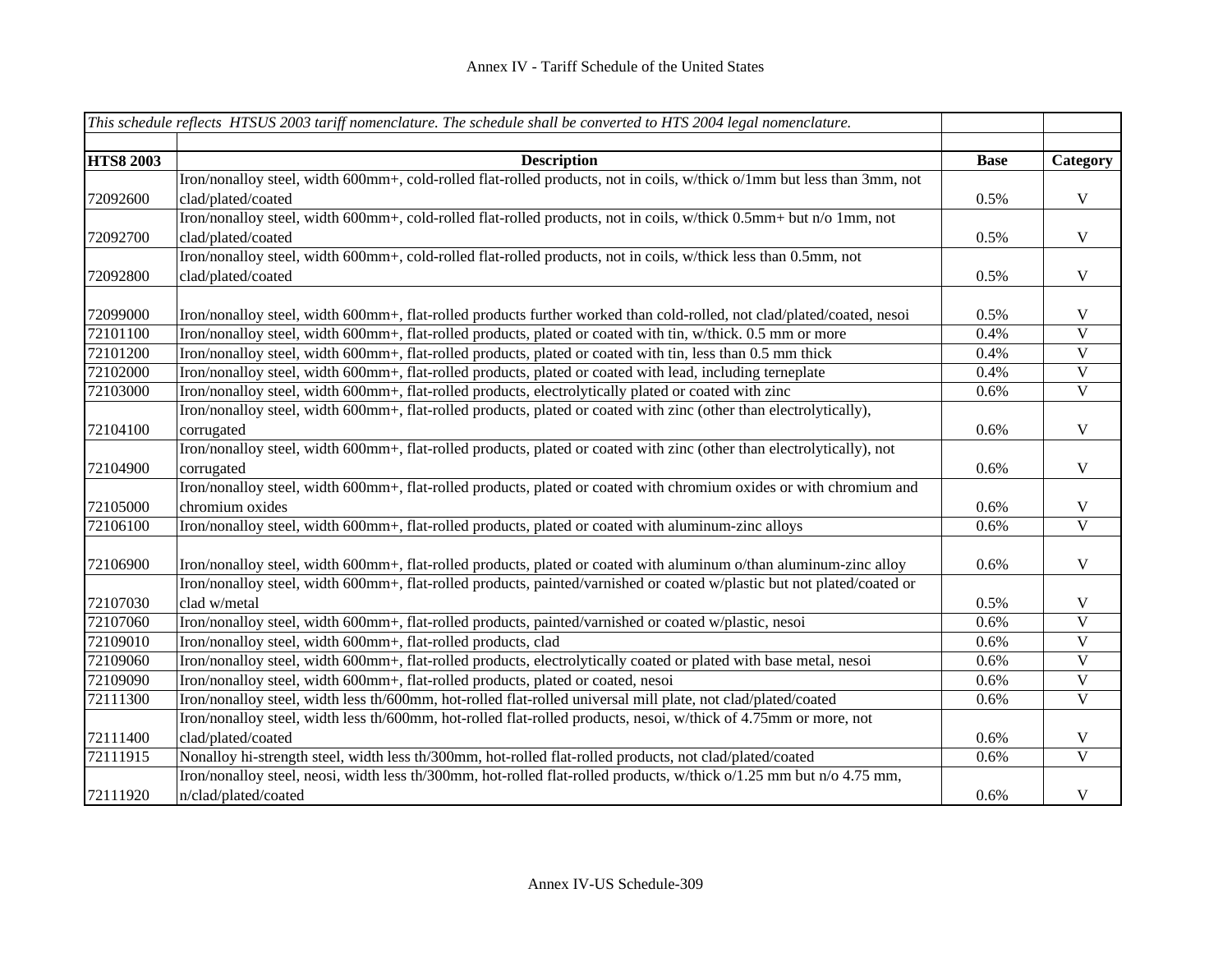|                  | This schedule reflects HTSUS 2003 tariff nomenclature. The schedule shall be converted to HTS 2004 legal nomenclature.  |             |                         |
|------------------|-------------------------------------------------------------------------------------------------------------------------|-------------|-------------------------|
| <b>HTS8 2003</b> | <b>Description</b>                                                                                                      | <b>Base</b> | Category                |
|                  | Iron/nonalloy steel, width 600mm+, cold-rolled flat-rolled products, not in coils, w/thick o/1mm but less than 3mm, not |             |                         |
| 72092600         | clad/plated/coated                                                                                                      | 0.5%        | V                       |
|                  | Iron/nonalloy steel, width 600mm+, cold-rolled flat-rolled products, not in coils, w/thick 0.5mm+ but n/o 1mm, not      |             |                         |
| 72092700         | clad/plated/coated                                                                                                      | 0.5%        | $\mathbf V$             |
|                  | Iron/nonalloy steel, width 600mm+, cold-rolled flat-rolled products, not in coils, w/thick less than 0.5mm, not         |             |                         |
| 72092800         | clad/plated/coated                                                                                                      | 0.5%        | $\mathbf V$             |
| 72099000         | Iron/nonalloy steel, width 600mm+, flat-rolled products further worked than cold-rolled, not clad/plated/coated, nesoi  | 0.5%        | V                       |
| 72101100         | Iron/nonalloy steel, width 600mm+, flat-rolled products, plated or coated with tin, w/thick. 0.5 mm or more             | 0.4%        | $\mathbf{V}$            |
| 72101200         | Iron/nonalloy steel, width 600mm+, flat-rolled products, plated or coated with tin, less than 0.5 mm thick              | 0.4%        | $\mathbf V$             |
| 72102000         | Iron/nonalloy steel, width 600mm+, flat-rolled products, plated or coated with lead, including terneplate               | 0.4%        | $\mathbf V$             |
| 72103000         | Iron/nonalloy steel, width 600mm+, flat-rolled products, electrolytically plated or coated with zinc                    | 0.6%        | $\mathbf V$             |
|                  | Iron/nonalloy steel, width 600mm+, flat-rolled products, plated or coated with zinc (other than electrolytically),      |             |                         |
| 72104100         | corrugated                                                                                                              | 0.6%        | $\mathbf V$             |
|                  | Iron/nonalloy steel, width 600mm+, flat-rolled products, plated or coated with zinc (other than electrolytically), not  |             |                         |
| 72104900         | corrugated                                                                                                              | 0.6%        | $\mathbf V$             |
|                  | Iron/nonalloy steel, width 600mm+, flat-rolled products, plated or coated with chromium oxides or with chromium and     |             |                         |
| 72105000         | chromium oxides                                                                                                         | 0.6%        | $\mathbf V$             |
| 72106100         | Iron/nonalloy steel, width 600mm+, flat-rolled products, plated or coated with aluminum-zinc alloys                     | 0.6%        | $\overline{\mathbf{V}}$ |
|                  |                                                                                                                         |             |                         |
| 72106900         | Iron/nonalloy steel, width 600mm+, flat-rolled products, plated or coated with aluminum o/than aluminum-zinc alloy      | 0.6%        | V                       |
|                  | Iron/nonalloy steel, width 600mm+, flat-rolled products, painted/varnished or coated w/plastic but not plated/coated or |             |                         |
| 72107030         | clad w/metal                                                                                                            | 0.5%        | $\mathbf V$             |
| 72107060         | Iron/nonalloy steel, width 600mm+, flat-rolled products, painted/varnished or coated w/plastic, nesoi                   | 0.6%        | $\mathbf V$             |
| 72109010         | Iron/nonalloy steel, width 600mm+, flat-rolled products, clad                                                           | 0.6%        | $\overline{\mathbf{V}}$ |
| 72109060         | Iron/nonalloy steel, width 600mm+, flat-rolled products, electrolytically coated or plated with base metal, nesoi       | 0.6%        | $\overline{\mathbf{V}}$ |
| 72109090         | Iron/nonalloy steel, width 600mm+, flat-rolled products, plated or coated, nesoi                                        | 0.6%        | $\mathbf{V}$            |
| 72111300         | Iron/nonalloy steel, width less th/600mm, hot-rolled flat-rolled universal mill plate, not clad/plated/coated           | 0.6%        | $\mathbf V$             |
|                  | Iron/nonalloy steel, width less th/600mm, hot-rolled flat-rolled products, nesoi, w/thick of 4.75mm or more, not        |             |                         |
| 72111400         | clad/plated/coated                                                                                                      | 0.6%        | V                       |
| 72111915         | Nonalloy hi-strength steel, width less th/300mm, hot-rolled flat-rolled products, not clad/plated/coated                | 0.6%        | $\overline{\mathbf{V}}$ |
|                  | Iron/nonalloy steel, neosi, width less th/300mm, hot-rolled flat-rolled products, w/thick o/1.25 mm but n/o 4.75 mm,    |             |                         |
| 72111920         | n/clad/plated/coated                                                                                                    | 0.6%        | $\mathbf V$             |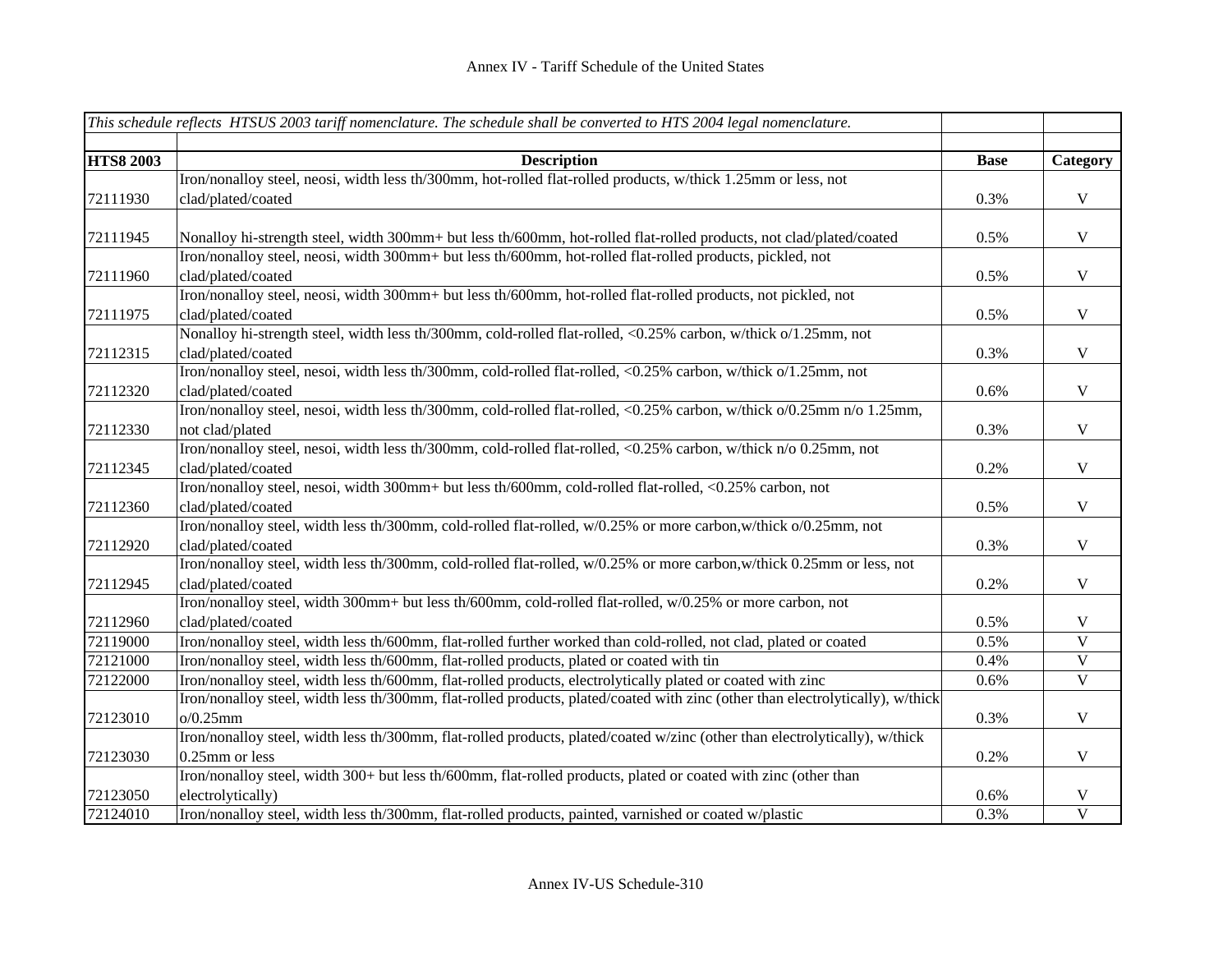|                  | This schedule reflects HTSUS 2003 tariff nomenclature. The schedule shall be converted to HTS 2004 legal nomenclature.         |             |                         |
|------------------|--------------------------------------------------------------------------------------------------------------------------------|-------------|-------------------------|
|                  |                                                                                                                                |             |                         |
| <b>HTS8 2003</b> | <b>Description</b>                                                                                                             | <b>Base</b> | Category                |
|                  | Iron/nonalloy steel, neosi, width less th/300mm, hot-rolled flat-rolled products, w/thick 1.25mm or less, not                  |             |                         |
| 72111930         | clad/plated/coated                                                                                                             | 0.3%        | $\mathbf V$             |
|                  |                                                                                                                                |             |                         |
| 72111945         | Nonalloy hi-strength steel, width 300mm+ but less th/600mm, hot-rolled flat-rolled products, not clad/plated/coated            | 0.5%        | $\mathbf{V}$            |
|                  | Iron/nonalloy steel, neosi, width 300mm+ but less th/600mm, hot-rolled flat-rolled products, pickled, not                      |             |                         |
| 72111960         | clad/plated/coated                                                                                                             | 0.5%        | $\mathbf V$             |
|                  | Iron/nonalloy steel, neosi, width 300mm+ but less th/600mm, hot-rolled flat-rolled products, not pickled, not                  |             |                         |
| 72111975         | clad/plated/coated                                                                                                             | 0.5%        | $\mathbf V$             |
|                  | Nonalloy hi-strength steel, width less th/300mm, cold-rolled flat-rolled, <0.25% carbon, w/thick o/1.25mm, not                 |             |                         |
| 72112315         | clad/plated/coated                                                                                                             | 0.3%        | $\mathbf V$             |
|                  | Iron/nonalloy steel, nesoi, width less th/300mm, cold-rolled flat-rolled, <0.25% carbon, w/thick o/1.25mm, not                 |             |                         |
| 72112320         | clad/plated/coated                                                                                                             | 0.6%        | $\mathbf V$             |
|                  | Iron/nonalloy steel, nesoi, width less th/300mm, cold-rolled flat-rolled, <0.25% carbon, w/thick o/0.25mm n/o 1.25mm,          |             |                         |
| 72112330         | not clad/plated                                                                                                                | 0.3%        | $\mathbf V$             |
|                  | Iron/nonalloy steel, nesoi, width less th/300mm, cold-rolled flat-rolled, <0.25% carbon, w/thick n/o 0.25mm, not               |             |                         |
| 72112345         | clad/plated/coated                                                                                                             | 0.2%        | $\mathbf V$             |
|                  | Iron/nonalloy steel, nesoi, width 300mm+ but less th/600mm, cold-rolled flat-rolled, <0.25% carbon, not                        |             |                         |
| 72112360         | clad/plated/coated                                                                                                             | 0.5%        | $\mathbf V$             |
|                  | Iron/nonalloy steel, width less th/300mm, cold-rolled flat-rolled, w/0.25% or more carbon, w/thick o/0.25mm, not               |             |                         |
| 72112920         | clad/plated/coated                                                                                                             | 0.3%        | $\mathbf V$             |
|                  | Iron/nonalloy steel, width less th/300mm, cold-rolled flat-rolled, w/0.25% or more carbon, w/thick 0.25mm or less, not         |             |                         |
| 72112945         | clad/plated/coated                                                                                                             | 0.2%        | $\mathbf V$             |
|                  | Iron/nonalloy steel, width 300mm+ but less th/600mm, cold-rolled flat-rolled, w/0.25% or more carbon, not                      |             |                         |
| 72112960         | clad/plated/coated                                                                                                             | 0.5%        | $\mathbf V$             |
| 72119000         | Iron/nonalloy steel, width less th/600mm, flat-rolled further worked than cold-rolled, not clad, plated or coated              | 0.5%        | $\overline{\mathbf{V}}$ |
| 72121000         | Iron/nonalloy steel, width less th/600mm, flat-rolled products, plated or coated with tin                                      | 0.4%        | $\overline{\mathbf{V}}$ |
| 72122000         | Iron/nonalloy steel, width less th/600mm, flat-rolled products, electrolytically plated or coated with zinc                    | 0.6%        | $\overline{V}$          |
|                  | Iron/nonalloy steel, width less th/300mm, flat-rolled products, plated/coated with zinc (other than electrolytically), w/thick |             |                         |
| 72123010         | o/0.25mm                                                                                                                       | 0.3%        | $\mathbf V$             |
|                  | Iron/nonalloy steel, width less th/300mm, flat-rolled products, plated/coated w/zinc (other than electrolytically), w/thick    |             |                         |
| 72123030         | 0.25mm or less                                                                                                                 | 0.2%        | $\mathbf V$             |
|                  | Iron/nonalloy steel, width 300+ but less th/600mm, flat-rolled products, plated or coated with zinc (other than                |             |                         |
| 72123050         | electrolytically)                                                                                                              | 0.6%        | $\mathbf V$             |
| 72124010         | Iron/nonalloy steel, width less th/300mm, flat-rolled products, painted, varnished or coated w/plastic                         | 0.3%        | $\overline{V}$          |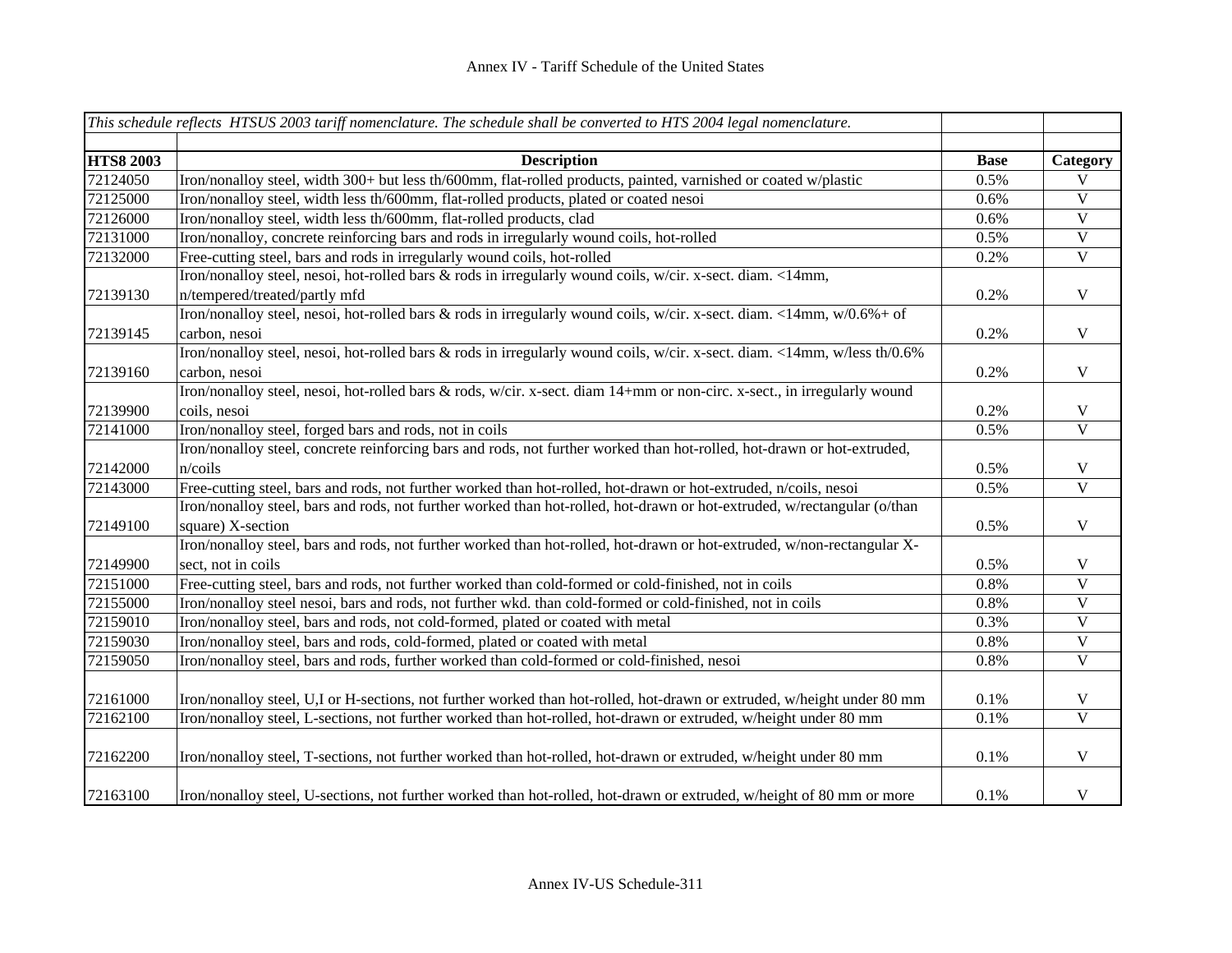|                  | This schedule reflects HTSUS 2003 tariff nomenclature. The schedule shall be converted to HTS 2004 legal nomenclature.    |             |                         |
|------------------|---------------------------------------------------------------------------------------------------------------------------|-------------|-------------------------|
|                  |                                                                                                                           |             |                         |
| <b>HTS8 2003</b> | <b>Description</b>                                                                                                        | <b>Base</b> | Category                |
| 72124050         | Iron/nonalloy steel, width 300+ but less th/600mm, flat-rolled products, painted, varnished or coated w/plastic           | 0.5%        | V                       |
| 72125000         | Iron/nonalloy steel, width less th/600mm, flat-rolled products, plated or coated nesoi                                    | 0.6%        | $\mathbf V$             |
| 72126000         | Iron/nonalloy steel, width less th/600mm, flat-rolled products, clad                                                      | 0.6%        | $\mathbf V$             |
| 72131000         | Iron/nonalloy, concrete reinforcing bars and rods in irregularly wound coils, hot-rolled                                  | 0.5%        | $\overline{V}$          |
| 72132000         | Free-cutting steel, bars and rods in irregularly wound coils, hot-rolled                                                  | 0.2%        | $\overline{V}$          |
|                  | Iron/nonalloy steel, nesoi, hot-rolled bars & rods in irregularly wound coils, w/cir. x-sect. diam. <14mm,                |             |                         |
| 72139130         | n/tempered/treated/partly mfd                                                                                             | 0.2%        | $\mathbf V$             |
|                  | Iron/nonalloy steel, nesoi, hot-rolled bars & rods in irregularly wound coils, w/cir. x-sect. diam. <14mm, w/0.6%+ of     |             |                         |
| 72139145         | carbon, nesoi                                                                                                             | 0.2%        | $\mathbf V$             |
|                  | Iron/nonalloy steel, nesoi, hot-rolled bars & rods in irregularly wound coils, w/cir. x-sect. diam. <14mm, w/less th/0.6% |             |                         |
| 72139160         | carbon, nesoi                                                                                                             | 0.2%        | $\mathbf V$             |
|                  | Iron/nonalloy steel, nesoi, hot-rolled bars & rods, w/cir. x-sect. diam 14+mm or non-circ. x-sect., in irregularly wound  |             |                         |
| 72139900         | coils, nesoi                                                                                                              | 0.2%        | $\mathbf V$             |
| 72141000         | Iron/nonalloy steel, forged bars and rods, not in coils                                                                   | 0.5%        | $\mathbf{V}$            |
|                  | Iron/nonalloy steel, concrete reinforcing bars and rods, not further worked than hot-rolled, hot-drawn or hot-extruded,   |             |                         |
| 72142000         | n/coils                                                                                                                   | 0.5%        | V                       |
| 72143000         | Free-cutting steel, bars and rods, not further worked than hot-rolled, hot-drawn or hot-extruded, n/coils, nesoi          | 0.5%        | $\mathbf V$             |
|                  | Iron/nonalloy steel, bars and rods, not further worked than hot-rolled, hot-drawn or hot-extruded, w/rectangular (o/than  |             |                         |
| 72149100         | square) X-section                                                                                                         | 0.5%        | $\mathbf V$             |
|                  | Iron/nonalloy steel, bars and rods, not further worked than hot-rolled, hot-drawn or hot-extruded, w/non-rectangular X-   |             |                         |
| 72149900         | sect, not in coils                                                                                                        | 0.5%        | $\mathbf V$             |
| 72151000         | Free-cutting steel, bars and rods, not further worked than cold-formed or cold-finished, not in coils                     | 0.8%        | $\overline{\mathbf{V}}$ |
| 72155000         | Iron/nonalloy steel nesoi, bars and rods, not further wkd. than cold-formed or cold-finished, not in coils                | 0.8%        | $\mathbf V$             |
| 72159010         | Iron/nonalloy steel, bars and rods, not cold-formed, plated or coated with metal                                          | 0.3%        | $\mathbf V$             |
| 72159030         | Iron/nonalloy steel, bars and rods, cold-formed, plated or coated with metal                                              | 0.8%        | $\overline{\mathbf{V}}$ |
| 72159050         | Iron/nonalloy steel, bars and rods, further worked than cold-formed or cold-finished, nesoi                               | 0.8%        | $\mathbf V$             |
|                  |                                                                                                                           |             |                         |
| 72161000         | Iron/nonalloy steel, U,I or H-sections, not further worked than hot-rolled, hot-drawn or extruded, w/height under 80 mm   | 0.1%        | $\mathbf V$             |
| 72162100         | Iron/nonalloy steel, L-sections, not further worked than hot-rolled, hot-drawn or extruded, w/height under 80 mm          | $0.1\%$     | $\overline{\mathbf{V}}$ |
|                  |                                                                                                                           |             |                         |
| 72162200         | Iron/nonalloy steel, T-sections, not further worked than hot-rolled, hot-drawn or extruded, w/height under 80 mm          | 0.1%        | $\mathbf V$             |
| 72163100         | Iron/nonalloy steel, U-sections, not further worked than hot-rolled, hot-drawn or extruded, w/height of 80 mm or more     | 0.1%        | $\mathbf V$             |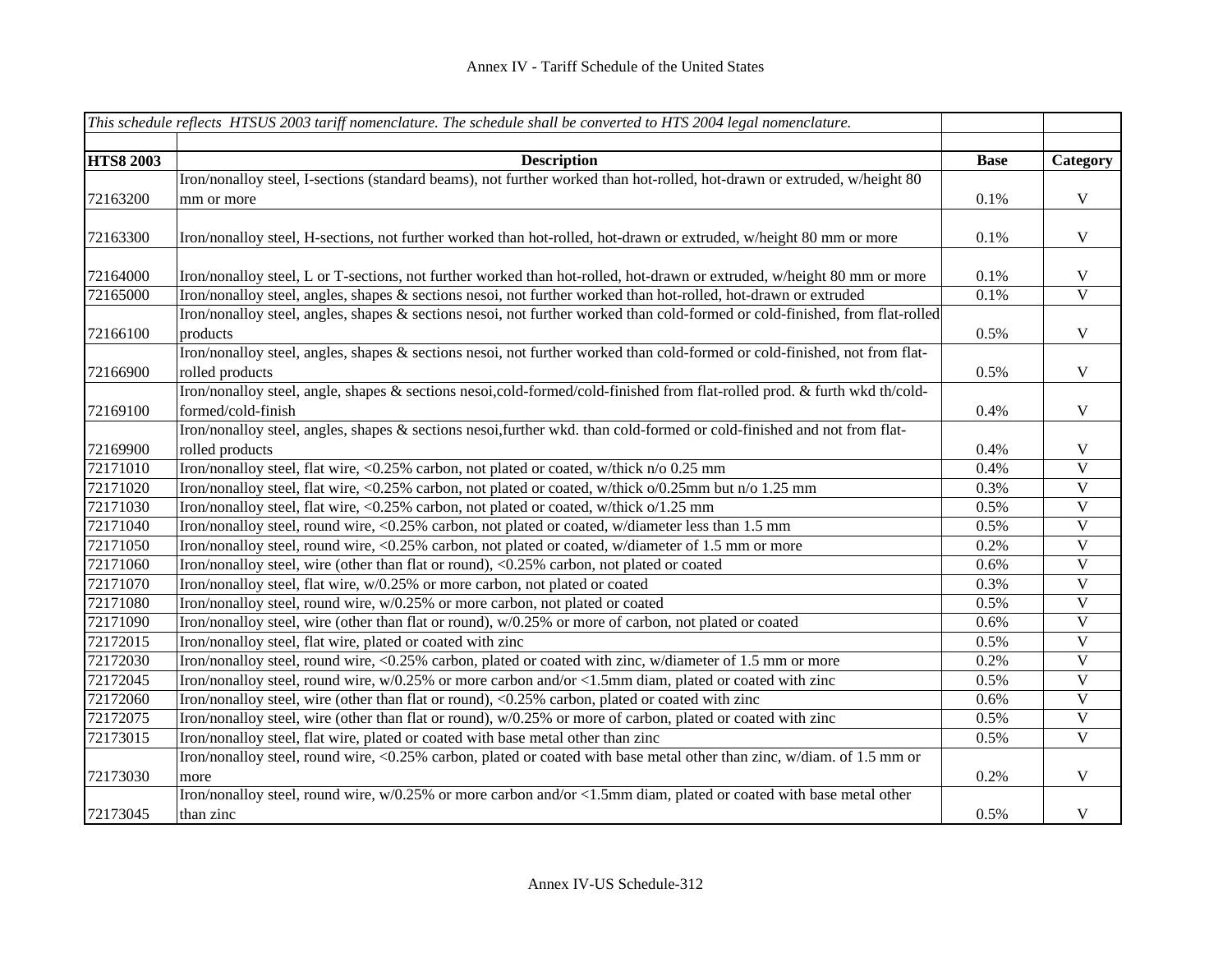|                  | This schedule reflects HTSUS 2003 tariff nomenclature. The schedule shall be converted to HTS 2004 legal nomenclature.       |             |                         |
|------------------|------------------------------------------------------------------------------------------------------------------------------|-------------|-------------------------|
|                  |                                                                                                                              |             |                         |
| <b>HTS8 2003</b> | <b>Description</b>                                                                                                           | <b>Base</b> | Category                |
|                  | Iron/nonalloy steel, I-sections (standard beams), not further worked than hot-rolled, hot-drawn or extruded, w/height 80     |             |                         |
| 72163200         | mm or more                                                                                                                   | 0.1%        | $\mathbf V$             |
|                  |                                                                                                                              |             |                         |
| 72163300         | Iron/nonalloy steel, H-sections, not further worked than hot-rolled, hot-drawn or extruded, w/height 80 mm or more           | 0.1%        | $\mathbf V$             |
|                  |                                                                                                                              |             |                         |
| 72164000         | Iron/nonalloy steel, L or T-sections, not further worked than hot-rolled, hot-drawn or extruded, w/height 80 mm or more      | 0.1%        | $\mathbf V$             |
| 72165000         | Iron/nonalloy steel, angles, shapes & sections nesoi, not further worked than hot-rolled, hot-drawn or extruded              | 0.1%        | $\overline{\mathbf{V}}$ |
|                  | Iron/nonalloy steel, angles, shapes & sections nesoi, not further worked than cold-formed or cold-finished, from flat-rolled |             |                         |
| 72166100         | products                                                                                                                     | 0.5%        | $\mathbf V$             |
|                  | Iron/nonalloy steel, angles, shapes & sections nesoi, not further worked than cold-formed or cold-finished, not from flat-   |             |                         |
| 72166900         | rolled products                                                                                                              | 0.5%        | $\mathbf V$             |
|                  | Iron/nonalloy steel, angle, shapes & sections nesoi,cold-formed/cold-finished from flat-rolled prod. & furth wkd th/cold-    |             |                         |
| 72169100         | formed/cold-finish                                                                                                           | 0.4%        | $\mathbf V$             |
|                  | Iron/nonalloy steel, angles, shapes & sections nesoi, further wkd. than cold-formed or cold-finished and not from flat-      |             |                         |
| 72169900         | rolled products                                                                                                              | 0.4%        | $\mathbf{V}$            |
| 72171010         | Iron/nonalloy steel, flat wire, <0.25% carbon, not plated or coated, w/thick n/o 0.25 mm                                     | 0.4%        | $\mathbf{V}$            |
| 72171020         | Iron/nonalloy steel, flat wire, <0.25% carbon, not plated or coated, w/thick o/0.25mm but n/o 1.25 mm                        | 0.3%        | $\mathbf V$             |
| 72171030         | Iron/nonalloy steel, flat wire, <0.25% carbon, not plated or coated, w/thick o/1.25 mm                                       | 0.5%        | $\mathbf V$             |
| 72171040         | Iron/nonalloy steel, round wire, <0.25% carbon, not plated or coated, w/diameter less than 1.5 mm                            | 0.5%        | $\mathbf V$             |
| 72171050         | Iron/nonalloy steel, round wire, <0.25% carbon, not plated or coated, w/diameter of 1.5 mm or more                           | 0.2%        | $\mathbf V$             |
| 72171060         | Iron/nonalloy steel, wire (other than flat or round), <0.25% carbon, not plated or coated                                    | 0.6%        | $\mathbf V$             |
| 72171070         | Iron/nonalloy steel, flat wire, w/0.25% or more carbon, not plated or coated                                                 | 0.3%        | $\mathbf V$             |
| 72171080         | Iron/nonalloy steel, round wire, w/0.25% or more carbon, not plated or coated                                                | 0.5%        | $\mathbf V$             |
| 72171090         | Iron/nonalloy steel, wire (other than flat or round), w/0.25% or more of carbon, not plated or coated                        | 0.6%        | $\mathbf V$             |
| 72172015         | Iron/nonalloy steel, flat wire, plated or coated with zinc                                                                   | 0.5%        | $\mathbf V$             |
| 72172030         | Iron/nonalloy steel, round wire, <0.25% carbon, plated or coated with zinc, w/diameter of 1.5 mm or more                     | 0.2%        | $\mathbf V$             |
| 72172045         | Iron/nonalloy steel, round wire, w/0.25% or more carbon and/or <1.5mm diam, plated or coated with zinc                       | 0.5%        | $\mathbf V$             |
| 72172060         | Iron/nonalloy steel, wire (other than flat or round), <0.25% carbon, plated or coated with zinc                              | 0.6%        | $\mathbf V$             |
| 72172075         | Iron/nonalloy steel, wire (other than flat or round), w/0.25% or more of carbon, plated or coated with zinc                  | 0.5%        | $\overline{\mathbf{V}}$ |
| 72173015         | Iron/nonalloy steel, flat wire, plated or coated with base metal other than zinc                                             | 0.5%        | $\overline{\mathbf{V}}$ |
|                  | Iron/nonalloy steel, round wire, <0.25% carbon, plated or coated with base metal other than zinc, w/diam. of 1.5 mm or       |             |                         |
| 72173030         | more                                                                                                                         | 0.2%        | $\mathbf V$             |
|                  | Iron/nonalloy steel, round wire, w/0.25% or more carbon and/or <1.5mm diam, plated or coated with base metal other           |             |                         |
| 72173045         | than zinc                                                                                                                    | 0.5%        | $\mathbf V$             |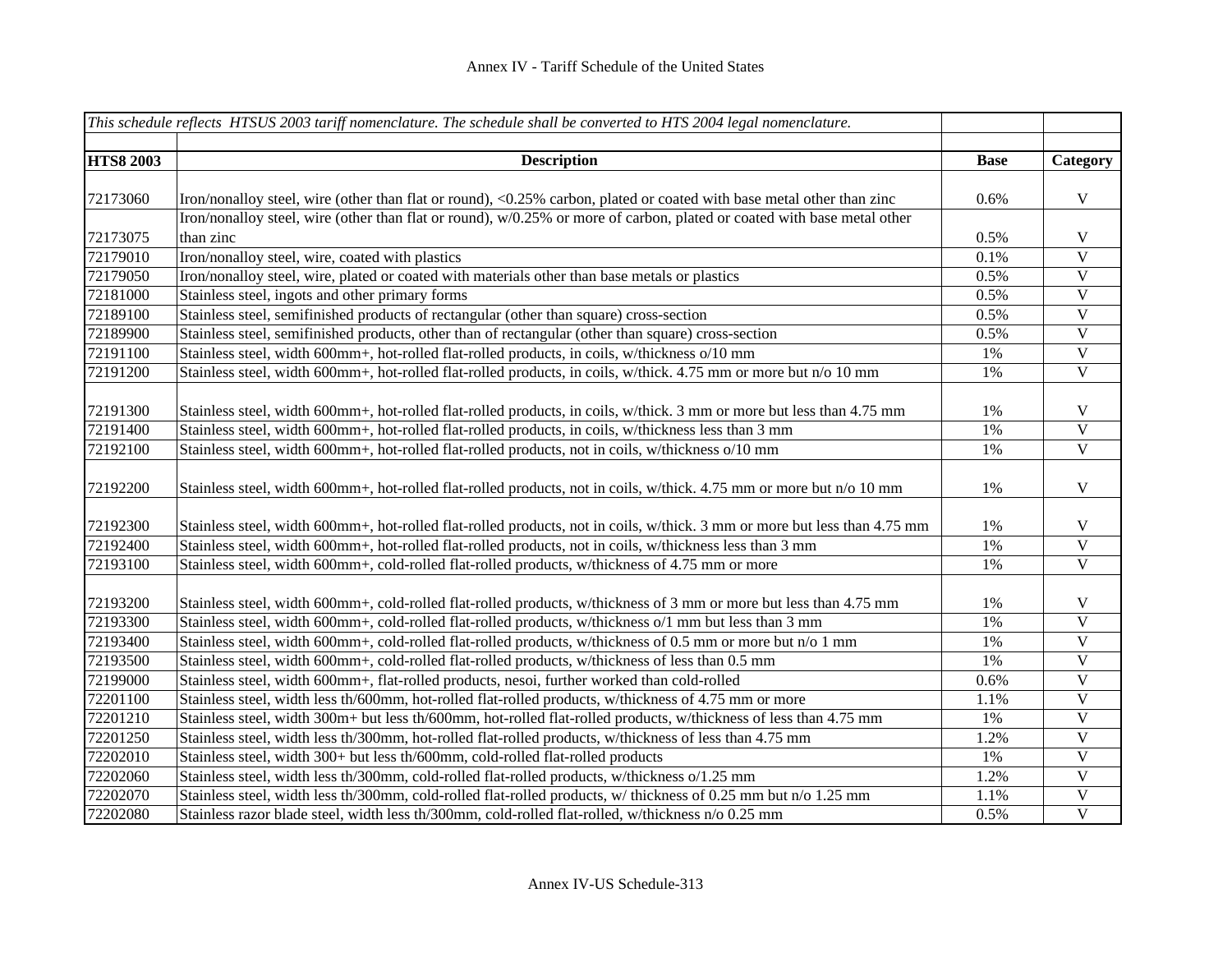|                  | This schedule reflects HTSUS 2003 tariff nomenclature. The schedule shall be converted to HTS 2004 legal nomenclature.    |             |                           |
|------------------|---------------------------------------------------------------------------------------------------------------------------|-------------|---------------------------|
|                  |                                                                                                                           |             |                           |
| <b>HTS8 2003</b> | <b>Description</b>                                                                                                        | <b>Base</b> | Category                  |
| 72173060         | Iron/nonalloy steel, wire (other than flat or round), <0.25% carbon, plated or coated with base metal other than zinc     | 0.6%        | $\mathbf V$               |
|                  | Iron/nonalloy steel, wire (other than flat or round), w/0.25% or more of carbon, plated or coated with base metal other   |             |                           |
| 72173075         | than zinc                                                                                                                 | 0.5%        | $\mathbf V$               |
| 72179010         | Iron/nonalloy steel, wire, coated with plastics                                                                           | 0.1%        | $\overline{\mathbf{V}}$   |
| 72179050         | Iron/nonalloy steel, wire, plated or coated with materials other than base metals or plastics                             | 0.5%        | $\overline{\mathbf{V}}$   |
| 72181000         | Stainless steel, ingots and other primary forms                                                                           | 0.5%        | $\overline{V}$            |
| 72189100         | Stainless steel, semifinished products of rectangular (other than square) cross-section                                   | 0.5%        | $\overline{V}$            |
| 72189900         | Stainless steel, semifinished products, other than of rectangular (other than square) cross-section                       | 0.5%        | $\mathbf V$               |
| 72191100         | Stainless steel, width 600mm+, hot-rolled flat-rolled products, in coils, w/thickness o/10 mm                             | 1%          | $\mathbf V$               |
| 72191200         | Stainless steel, width 600mm+, hot-rolled flat-rolled products, in coils, w/thick. 4.75 mm or more but n/o 10 mm          | 1%          | $\mathbf V$               |
|                  |                                                                                                                           |             |                           |
| 72191300         | Stainless steel, width 600mm+, hot-rolled flat-rolled products, in coils, w/thick. 3 mm or more but less than 4.75 mm     | 1%          | $\mathbf V$               |
| 72191400         | Stainless steel, width 600mm+, hot-rolled flat-rolled products, in coils, w/thickness less than 3 mm                      | 1%          | $\mathbf V$               |
| 72192100         | Stainless steel, width 600mm+, hot-rolled flat-rolled products, not in coils, w/thickness o/10 mm                         | 1%          | $\overline{\mathbf{V}}$   |
|                  |                                                                                                                           |             |                           |
| 72192200         | Stainless steel, width 600mm+, hot-rolled flat-rolled products, not in coils, w/thick. 4.75 mm or more but n/o 10 mm      | 1%          | $\mathbf V$               |
|                  |                                                                                                                           |             |                           |
| 72192300         | Stainless steel, width 600mm+, hot-rolled flat-rolled products, not in coils, w/thick. 3 mm or more but less than 4.75 mm | 1%          | $\ensuremath{\mathsf{V}}$ |
| 72192400         | Stainless steel, width 600mm+, hot-rolled flat-rolled products, not in coils, w/thickness less than 3 mm                  | 1%          | $\mathbf V$               |
| 72193100         | Stainless steel, width 600mm+, cold-rolled flat-rolled products, w/thickness of 4.75 mm or more                           | 1%          | $\mathbf V$               |
| 72193200         | Stainless steel, width 600mm+, cold-rolled flat-rolled products, w/thickness of 3 mm or more but less than 4.75 mm        | 1%          | V                         |
| 72193300         | Stainless steel, width 600mm+, cold-rolled flat-rolled products, w/thickness o/1 mm but less than 3 mm                    | 1%          | $\mathbf V$               |
| 72193400         | Stainless steel, width 600mm+, cold-rolled flat-rolled products, w/thickness of 0.5 mm or more but n/o 1 mm               | 1%          | $\overline{V}$            |
| 72193500         | Stainless steel, width 600mm+, cold-rolled flat-rolled products, w/thickness of less than 0.5 mm                          | 1%          | $\overline{V}$            |
| 72199000         | Stainless steel, width 600mm+, flat-rolled products, nesoi, further worked than cold-rolled                               | 0.6%        | $\overline{\mathbf{V}}$   |
| 72201100         | Stainless steel, width less th/600mm, hot-rolled flat-rolled products, w/thickness of 4.75 mm or more                     | 1.1%        | $\overline{\mathbf{V}}$   |
| 72201210         | Stainless steel, width 300m+ but less th/600mm, hot-rolled flat-rolled products, w/thickness of less than 4.75 mm         | 1%          | $\overline{\mathbf{V}}$   |
| 72201250         | Stainless steel, width less th/300mm, hot-rolled flat-rolled products, w/thickness of less than 4.75 mm                   | 1.2%        | $\overline{\mathbf{V}}$   |
| 72202010         | Stainless steel, width 300+ but less th/600mm, cold-rolled flat-rolled products                                           | 1%          | $\overline{\mathbf{V}}$   |
| 72202060         | Stainless steel, width less th/300mm, cold-rolled flat-rolled products, w/thickness o/1.25 mm                             | 1.2%        | $\mathbf V$               |
| 72202070         | Stainless steel, width less th/300mm, cold-rolled flat-rolled products, w/ thickness of 0.25 mm but n/o 1.25 mm           | 1.1%        | $\mathbf V$               |
| 72202080         | Stainless razor blade steel, width less th/300mm, cold-rolled flat-rolled, w/thickness n/o 0.25 mm                        | 0.5%        | $\overline{\mathbf{V}}$   |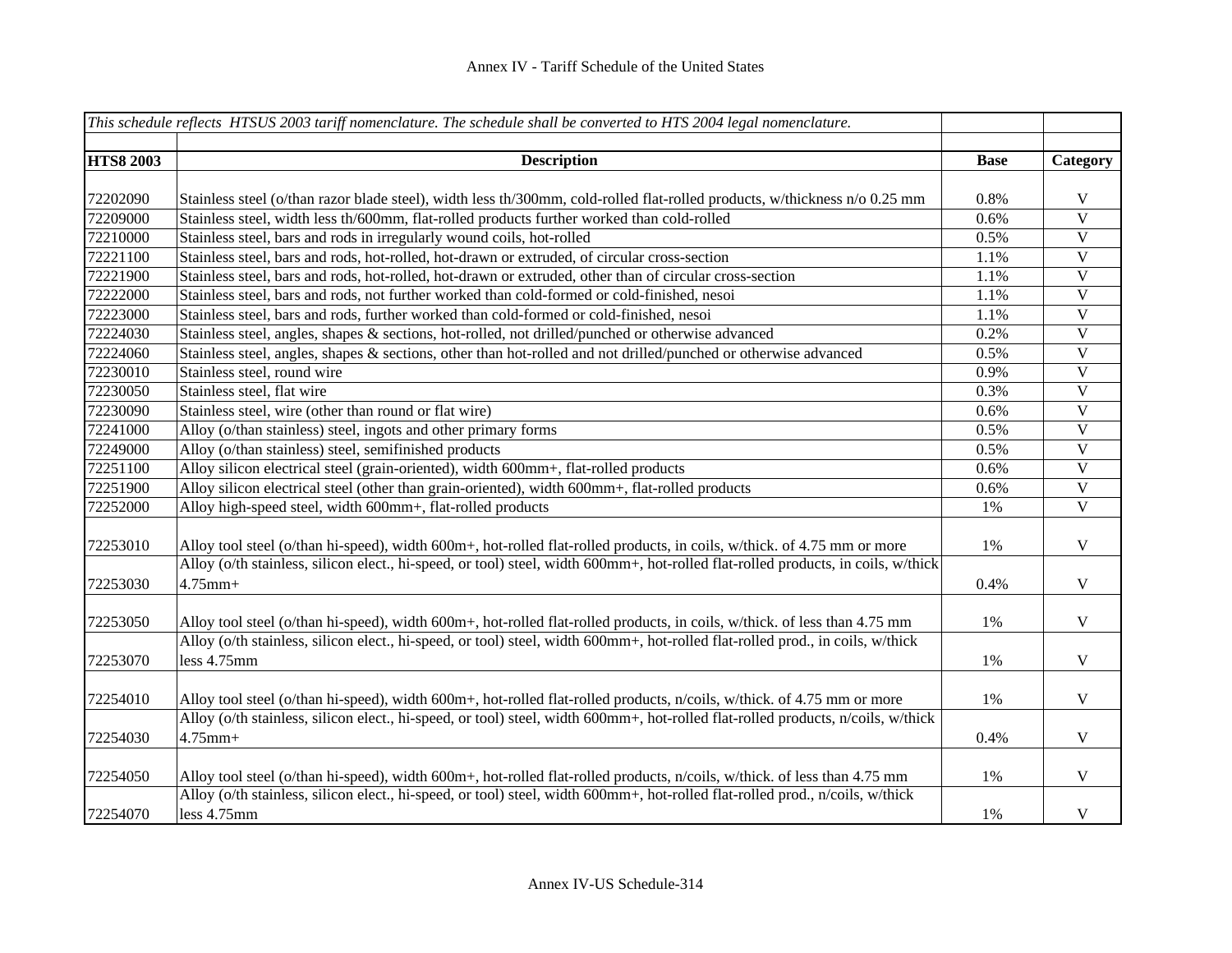|                  | This schedule reflects HTSUS 2003 tariff nomenclature. The schedule shall be converted to HTS 2004 legal nomenclature.            |             |                         |
|------------------|-----------------------------------------------------------------------------------------------------------------------------------|-------------|-------------------------|
|                  |                                                                                                                                   |             |                         |
| <b>HTS8 2003</b> | <b>Description</b>                                                                                                                | <b>Base</b> | Category                |
|                  |                                                                                                                                   |             |                         |
| 72202090         | Stainless steel (o/than razor blade steel), width less th/300mm, cold-rolled flat-rolled products, w/thickness n/o 0.25 mm        | 0.8%        | $\mathbf V$             |
| 72209000         | Stainless steel, width less th/600mm, flat-rolled products further worked than cold-rolled                                        | 0.6%        | $\mathbf V$             |
| 72210000         | Stainless steel, bars and rods in irregularly wound coils, hot-rolled                                                             | 0.5%        | $\mathbf V$             |
| 72221100         | Stainless steel, bars and rods, hot-rolled, hot-drawn or extruded, of circular cross-section                                      | 1.1%        | $\overline{\mathbf{V}}$ |
| 72221900         | Stainless steel, bars and rods, hot-rolled, hot-drawn or extruded, other than of circular cross-section                           | 1.1%        | $\overline{\mathbf{V}}$ |
| 72222000         | Stainless steel, bars and rods, not further worked than cold-formed or cold-finished, nesoi                                       | 1.1%        | $\mathbf V$             |
| 72223000         | Stainless steel, bars and rods, further worked than cold-formed or cold-finished, nesoi                                           | 1.1%        | $\mathbf V$             |
| 72224030         | Stainless steel, angles, shapes & sections, hot-rolled, not drilled/punched or otherwise advanced                                 | 0.2%        | $\mathbf V$             |
| 72224060         | Stainless steel, angles, shapes & sections, other than hot-rolled and not drilled/punched or otherwise advanced                   | 0.5%        | $\mathbf V$             |
| 72230010         | Stainless steel, round wire                                                                                                       | 0.9%        | $\mathbf V$             |
| 72230050         | Stainless steel, flat wire                                                                                                        | 0.3%        | $\mathbf V$             |
| 72230090         | Stainless steel, wire (other than round or flat wire)                                                                             | 0.6%        | V                       |
| 72241000         | Alloy (o/than stainless) steel, ingots and other primary forms                                                                    | 0.5%        | $\mathbf V$             |
| 72249000         | Alloy (o/than stainless) steel, semifinished products                                                                             | 0.5%        | $\mathbf V$             |
| 72251100         | Alloy silicon electrical steel (grain-oriented), width 600mm+, flat-rolled products                                               | 0.6%        | $\mathbf V$             |
| 72251900         | Alloy silicon electrical steel (other than grain-oriented), width 600mm+, flat-rolled products                                    | 0.6%        | $\mathbf V$             |
| 72252000         | Alloy high-speed steel, width 600mm+, flat-rolled products                                                                        | 1%          | $\mathbf V$             |
|                  |                                                                                                                                   |             |                         |
| 72253010         | Alloy tool steel (o/than hi-speed), width 600m+, hot-rolled flat-rolled products, in coils, w/thick. of 4.75 mm or more           | 1%          | V                       |
|                  | Alloy (o/th stainless, silicon elect., hi-speed, or tool) steel, width 600mm+, hot-rolled flat-rolled products, in coils, w/thick |             |                         |
| 72253030         | $4.75$ mm+                                                                                                                        | 0.4%        | $\mathbf V$             |
|                  |                                                                                                                                   |             |                         |
| 72253050         | Alloy tool steel (o/than hi-speed), width 600m+, hot-rolled flat-rolled products, in coils, w/thick. of less than 4.75 mm         | $1\%$       | $\mathbf V$             |
|                  | Alloy (o/th stainless, silicon elect., hi-speed, or tool) steel, width 600mm+, hot-rolled flat-rolled prod., in coils, w/thick    |             |                         |
| 72253070         | less 4.75mm                                                                                                                       | 1%          | $\mathbf V$             |
|                  |                                                                                                                                   |             |                         |
| 72254010         | Alloy tool steel (o/than hi-speed), width 600m+, hot-rolled flat-rolled products, n/coils, w/thick. of 4.75 mm or more            | 1%          | $\mathbf V$             |
|                  | Alloy (o/th stainless, silicon elect., hi-speed, or tool) steel, width 600mm+, hot-rolled flat-rolled products, n/coils, w/thick  |             |                         |
| 72254030         | $4.75$ mm+                                                                                                                        | 0.4%        | $\mathbf V$             |
|                  |                                                                                                                                   |             |                         |
| 72254050         | Alloy tool steel (o/than hi-speed), width 600m+, hot-rolled flat-rolled products, n/coils, w/thick. of less than 4.75 mm          | 1%          | V                       |
|                  | Alloy (o/th stainless, silicon elect., hi-speed, or tool) steel, width 600mm+, hot-rolled flat-rolled prod., n/coils, w/thick     |             |                         |
| 72254070         | less 4.75mm                                                                                                                       | 1%          | V                       |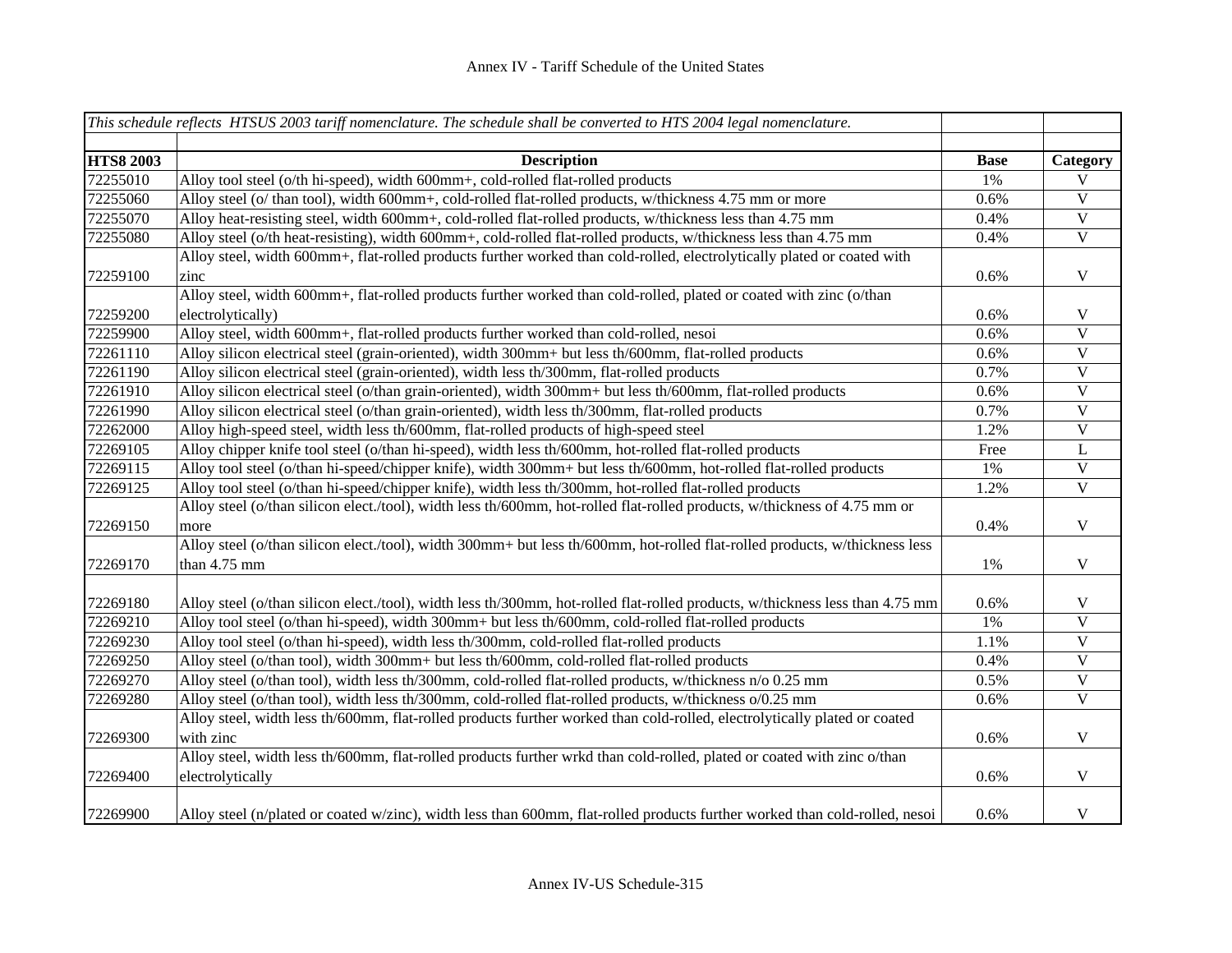|                  | This schedule reflects HTSUS 2003 tariff nomenclature. The schedule shall be converted to HTS 2004 legal nomenclature.        |             |                         |
|------------------|-------------------------------------------------------------------------------------------------------------------------------|-------------|-------------------------|
| <b>HTS8 2003</b> | <b>Description</b>                                                                                                            | <b>Base</b> | Category                |
| 72255010         | Alloy tool steel (o/th hi-speed), width 600mm+, cold-rolled flat-rolled products                                              | 1%          | V                       |
| 72255060         | Alloy steel (o/ than tool), width 600mm+, cold-rolled flat-rolled products, w/thickness 4.75 mm or more                       | 0.6%        | $\mathbf V$             |
| 72255070         | Alloy heat-resisting steel, width 600mm+, cold-rolled flat-rolled products, w/thickness less than 4.75 mm                     | 0.4%        | $\mathbf V$             |
| 72255080         | Alloy steel (o/th heat-resisting), width 600mm+, cold-rolled flat-rolled products, w/thickness less than 4.75 mm              | 0.4%        | $\mathbf V$             |
|                  | Alloy steel, width 600mm+, flat-rolled products further worked than cold-rolled, electrolytically plated or coated with       |             |                         |
| 72259100         | zinc                                                                                                                          | 0.6%        | $\mathbf V$             |
|                  | Alloy steel, width 600mm+, flat-rolled products further worked than cold-rolled, plated or coated with zinc (o/than           |             |                         |
| 72259200         | electrolytically)                                                                                                             | 0.6%        | V                       |
| 72259900         | Alloy steel, width 600mm+, flat-rolled products further worked than cold-rolled, nesoi                                        | 0.6%        | $\mathbf V$             |
| 72261110         | Alloy silicon electrical steel (grain-oriented), width 300mm+ but less th/600mm, flat-rolled products                         | 0.6%        | $\mathbf{V}$            |
| 72261190         | Alloy silicon electrical steel (grain-oriented), width less th/300mm, flat-rolled products                                    | 0.7%        | $\mathbf{V}$            |
| 72261910         | Alloy silicon electrical steel (o/than grain-oriented), width 300mm+ but less th/600mm, flat-rolled products                  | 0.6%        | $\mathbf V$             |
| 72261990         | Alloy silicon electrical steel (o/than grain-oriented), width less th/300mm, flat-rolled products                             | 0.7%        | $\mathbf V$             |
| 72262000         | Alloy high-speed steel, width less th/600mm, flat-rolled products of high-speed steel                                         | 1.2%        | $\mathbf{V}$            |
| 72269105         | Alloy chipper knife tool steel (o/than hi-speed), width less th/600mm, hot-rolled flat-rolled products                        | Free        | L                       |
| 72269115         | Alloy tool steel (o/than hi-speed/chipper knife), width 300mm+ but less th/600mm, hot-rolled flat-rolled products             | 1%          | $\mathbf{V}$            |
| 72269125         | Alloy tool steel (o/than hi-speed/chipper knife), width less th/300mm, hot-rolled flat-rolled products                        | 1.2%        | $\mathbf{V}$            |
|                  | Alloy steel (o/than silicon elect./tool), width less th/600mm, hot-rolled flat-rolled products, w/thickness of 4.75 mm or     |             |                         |
| 72269150         | more                                                                                                                          | 0.4%        | $\mathbf V$             |
|                  | Alloy steel (o/than silicon elect./tool), width 300mm+ but less th/600mm, hot-rolled flat-rolled products, w/thickness less   |             |                         |
| 72269170         | than 4.75 mm                                                                                                                  | $1\%$       | $\mathbf V$             |
| 72269180         | Alloy steel (o/than silicon elect./tool), width less th/300mm, hot-rolled flat-rolled products, w/thickness less than 4.75 mm | 0.6%        | V                       |
| 72269210         | Alloy tool steel (o/than hi-speed), width 300mm+ but less th/600mm, cold-rolled flat-rolled products                          | $1\%$       | $\mathbf{V}$            |
| 72269230         | Alloy tool steel (o/than hi-speed), width less th/300mm, cold-rolled flat-rolled products                                     | 1.1%        | $\overline{\mathbf{V}}$ |
| 72269250         | Alloy steel (o/than tool), width 300mm+ but less th/600mm, cold-rolled flat-rolled products                                   | 0.4%        | $\mathbf V$             |
| 72269270         | Alloy steel (o/than tool), width less th/300mm, cold-rolled flat-rolled products, w/thickness n/o 0.25 mm                     | 0.5%        | $\mathbf V$             |
| 72269280         | Alloy steel (o/than tool), width less th/300mm, cold-rolled flat-rolled products, w/thickness o/0.25 mm                       | 0.6%        | $\mathbf{V}$            |
|                  | Alloy steel, width less th/600mm, flat-rolled products further worked than cold-rolled, electrolytically plated or coated     |             |                         |
| 72269300         | with zinc                                                                                                                     | 0.6%        | V                       |
|                  | Alloy steel, width less th/600mm, flat-rolled products further wrkd than cold-rolled, plated or coated with zinc o/than       |             |                         |
| 72269400         | electrolytically                                                                                                              | 0.6%        | $\mathbf V$             |
| 72269900         | Alloy steel (n/plated or coated w/zinc), width less than 600mm, flat-rolled products further worked than cold-rolled, nesoi   | 0.6%        | $\mathbf V$             |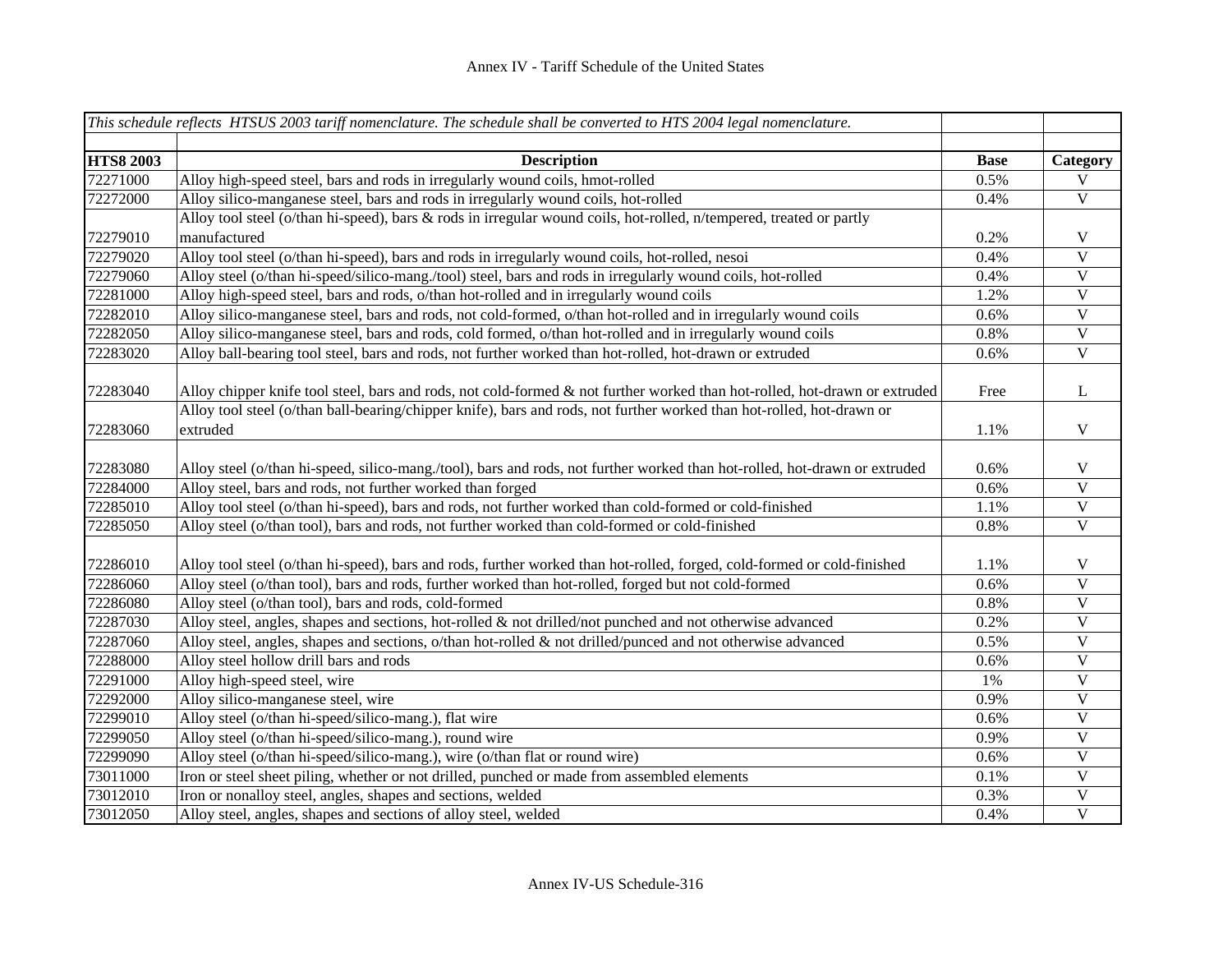|                  | This schedule reflects HTSUS 2003 tariff nomenclature. The schedule shall be converted to HTS 2004 legal nomenclature.     |             |                           |
|------------------|----------------------------------------------------------------------------------------------------------------------------|-------------|---------------------------|
|                  |                                                                                                                            |             |                           |
| <b>HTS8 2003</b> | <b>Description</b>                                                                                                         | <b>Base</b> | Category                  |
| 72271000         | Alloy high-speed steel, bars and rods in irregularly wound coils, hmot-rolled                                              | 0.5%        | $\overline{V}$            |
| 72272000         | Alloy silico-manganese steel, bars and rods in irregularly wound coils, hot-rolled                                         | 0.4%        | $\overline{\mathbf{V}}$   |
|                  | Alloy tool steel (o/than hi-speed), bars & rods in irregular wound coils, hot-rolled, n/tempered, treated or partly        |             |                           |
| 72279010         | manufactured                                                                                                               | 0.2%        | V                         |
| 72279020         | Alloy tool steel (o/than hi-speed), bars and rods in irregularly wound coils, hot-rolled, nesoi                            | 0.4%        | $\mathbf V$               |
| 72279060         | Alloy steel (o/than hi-speed/silico-mang./tool) steel, bars and rods in irregularly wound coils, hot-rolled                | 0.4%        | $\overline{\mathbf{V}}$   |
| 72281000         | Alloy high-speed steel, bars and rods, o/than hot-rolled and in irregularly wound coils                                    | 1.2%        | $\overline{\mathbf{V}}$   |
| 72282010         | Alloy silico-manganese steel, bars and rods, not cold-formed, o/than hot-rolled and in irregularly wound coils             | 0.6%        | $\overline{\mathbf{V}}$   |
| 72282050         | Alloy silico-manganese steel, bars and rods, cold formed, o/than hot-rolled and in irregularly wound coils                 | 0.8%        | $\mathbf V$               |
| 72283020         | Alloy ball-bearing tool steel, bars and rods, not further worked than hot-rolled, hot-drawn or extruded                    | 0.6%        | $\mathbf V$               |
|                  |                                                                                                                            |             |                           |
| 72283040         | Alloy chipper knife tool steel, bars and rods, not cold-formed & not further worked than hot-rolled, hot-drawn or extruded | Free        | L                         |
|                  | Alloy tool steel (o/than ball-bearing/chipper knife), bars and rods, not further worked than hot-rolled, hot-drawn or      |             |                           |
| 72283060         | extruded                                                                                                                   | 1.1%        | $\mathbf V$               |
|                  |                                                                                                                            |             |                           |
| 72283080         | Alloy steel (o/than hi-speed, silico-mang./tool), bars and rods, not further worked than hot-rolled, hot-drawn or extruded | 0.6%        | $\mathbf V$               |
| 72284000         | Alloy steel, bars and rods, not further worked than forged                                                                 | 0.6%        | $\ensuremath{\mathbf{V}}$ |
| 72285010         | Alloy tool steel (o/than hi-speed), bars and rods, not further worked than cold-formed or cold-finished                    | 1.1%        | $\ensuremath{\mathbf{V}}$ |
| 72285050         | Alloy steel (o/than tool), bars and rods, not further worked than cold-formed or cold-finished                             | 0.8%        | $\mathbf V$               |
|                  |                                                                                                                            |             |                           |
| 72286010         | Alloy tool steel (o/than hi-speed), bars and rods, further worked than hot-rolled, forged, cold-formed or cold-finished    | 1.1%        | V                         |
| 72286060         | Alloy steel (o/than tool), bars and rods, further worked than hot-rolled, forged but not cold-formed                       | 0.6%        | $\mathbf V$               |
| 72286080         | Alloy steel (o/than tool), bars and rods, cold-formed                                                                      | 0.8%        | $\mathbf V$               |
| 72287030         | Alloy steel, angles, shapes and sections, hot-rolled $\&$ not drilled/not punched and not otherwise advanced               | 0.2%        | $\mathbf V$               |
| 72287060         | Alloy steel, angles, shapes and sections, $o$ /than hot-rolled & not drilled/punced and not otherwise advanced             | 0.5%        | $\mathbf V$               |
| 72288000         | Alloy steel hollow drill bars and rods                                                                                     | 0.6%        | $\overline{V}$            |
| 72291000         | Alloy high-speed steel, wire                                                                                               | 1%          | $\ensuremath{\mathbf{V}}$ |
| 72292000         | Alloy silico-manganese steel, wire                                                                                         | 0.9%        | $\ensuremath{\mathsf{V}}$ |
| 72299010         | Alloy steel (o/than hi-speed/silico-mang.), flat wire                                                                      | 0.6%        | $\ensuremath{\mathsf{V}}$ |
| 72299050         | Alloy steel (o/than hi-speed/silico-mang.), round wire                                                                     | 0.9%        | $\mathbf V$               |
| 72299090         | Alloy steel (o/than hi-speed/silico-mang.), wire (o/than flat or round wire)                                               | 0.6%        | $\mathbf V$               |
| 73011000         | Iron or steel sheet piling, whether or not drilled, punched or made from assembled elements                                | 0.1%        | $\mathbf V$               |
| 73012010         | Iron or nonalloy steel, angles, shapes and sections, welded                                                                | 0.3%        | $\mathbf V$               |
| 73012050         | Alloy steel, angles, shapes and sections of alloy steel, welded                                                            | 0.4%        | $\overline{\mathbf{V}}$   |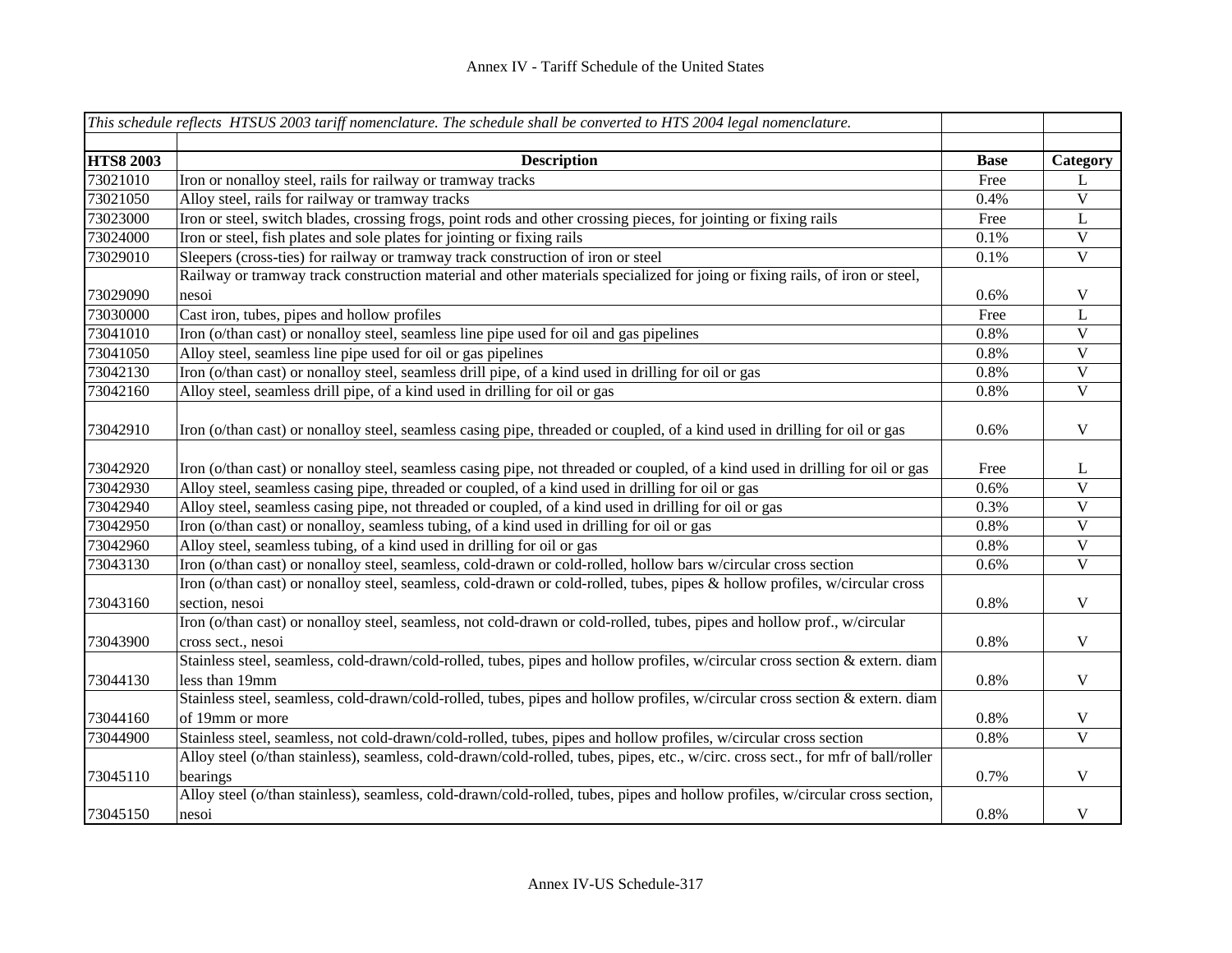|                  | This schedule reflects HTSUS 2003 tariff nomenclature. The schedule shall be converted to HTS 2004 legal nomenclature.                         |             |                         |
|------------------|------------------------------------------------------------------------------------------------------------------------------------------------|-------------|-------------------------|
|                  |                                                                                                                                                |             |                         |
| <b>HTS8 2003</b> | <b>Description</b>                                                                                                                             | <b>Base</b> | Category                |
| 73021010         | Iron or nonalloy steel, rails for railway or tramway tracks                                                                                    | Free        | L                       |
| 73021050         | Alloy steel, rails for railway or tramway tracks                                                                                               | 0.4%        | $\overline{\mathbf{V}}$ |
| 73023000         | Iron or steel, switch blades, crossing frogs, point rods and other crossing pieces, for jointing or fixing rails                               | Free        | $\mathbf L$             |
| 73024000         | Iron or steel, fish plates and sole plates for jointing or fixing rails                                                                        | $0.1\%$     | $\mathbf V$             |
| 73029010         | Sleepers (cross-ties) for railway or tramway track construction of iron or steel                                                               | $0.1\%$     | $\overline{\mathbf{V}}$ |
|                  | Railway or tramway track construction material and other materials specialized for joing or fixing rails, of iron or steel,                    |             |                         |
| 73029090         | nesoi                                                                                                                                          | 0.6%        | $\mathbf V$             |
| 73030000         | Cast iron, tubes, pipes and hollow profiles                                                                                                    | Free        | L                       |
| 73041010         | Iron (o/than cast) or nonalloy steel, seamless line pipe used for oil and gas pipelines                                                        | 0.8%        | $\mathbf V$             |
| 73041050         | Alloy steel, seamless line pipe used for oil or gas pipelines                                                                                  | 0.8%        | $\mathbf V$             |
| 73042130         | Iron (o/than cast) or nonalloy steel, seamless drill pipe, of a kind used in drilling for oil or gas                                           | 0.8%        | $\mathbf V$             |
| 73042160         | Alloy steel, seamless drill pipe, of a kind used in drilling for oil or gas                                                                    | 0.8%        | $\mathbf V$             |
| 73042910         | Iron (o/than cast) or nonalloy steel, seamless casing pipe, threaded or coupled, of a kind used in drilling for oil or gas                     | 0.6%        | $\mathbf V$             |
| 73042920         | Iron (o/than cast) or nonalloy steel, seamless casing pipe, not threaded or coupled, of a kind used in drilling for oil or gas                 | Free        | L                       |
| 73042930         | Alloy steel, seamless casing pipe, threaded or coupled, of a kind used in drilling for oil or gas                                              | 0.6%        | $\mathbf V$             |
| 73042940         | Alloy steel, seamless casing pipe, not threaded or coupled, of a kind used in drilling for oil or gas                                          | 0.3%        | $\mathbf V$             |
| 73042950         | Iron (o/than cast) or nonalloy, seamless tubing, of a kind used in drilling for oil or gas                                                     | 0.8%        | $\mathbf V$             |
| 73042960         | Alloy steel, seamless tubing, of a kind used in drilling for oil or gas                                                                        | 0.8%        | $\mathbf V$             |
| 73043130         | Iron (o/than cast) or nonalloy steel, seamless, cold-drawn or cold-rolled, hollow bars w/circular cross section                                | 0.6%        | $\mathbf V$             |
| 73043160         | Iron (o/than cast) or nonalloy steel, seamless, cold-drawn or cold-rolled, tubes, pipes & hollow profiles, w/circular cross<br>section, nesoi  | 0.8%        | $\mathbf V$             |
| 73043900         | Iron (o/than cast) or nonalloy steel, seamless, not cold-drawn or cold-rolled, tubes, pipes and hollow prof., w/circular<br>cross sect., nesoi | 0.8%        | $\mathbf V$             |
| 73044130         | Stainless steel, seamless, cold-drawn/cold-rolled, tubes, pipes and hollow profiles, w/circular cross section & extern. diam<br>less than 19mm | 0.8%        | $\mathbf V$             |
|                  | Stainless steel, seamless, cold-drawn/cold-rolled, tubes, pipes and hollow profiles, w/circular cross section & extern. diam                   |             |                         |
| 73044160         | of 19mm or more                                                                                                                                | 0.8%        | $\mathbf V$             |
| 73044900         | Stainless steel, seamless, not cold-drawn/cold-rolled, tubes, pipes and hollow profiles, w/circular cross section                              | $0.8\%$     | $\overline{\mathbf{V}}$ |
| 73045110         | Alloy steel (o/than stainless), seamless, cold-drawn/cold-rolled, tubes, pipes, etc., w/circ. cross sect., for mfr of ball/roller<br>bearings  | 0.7%        | $\mathbf V$             |
| 73045150         | Alloy steel (o/than stainless), seamless, cold-drawn/cold-rolled, tubes, pipes and hollow profiles, w/circular cross section,<br>nesoi         | 0.8%        | $\mathbf V$             |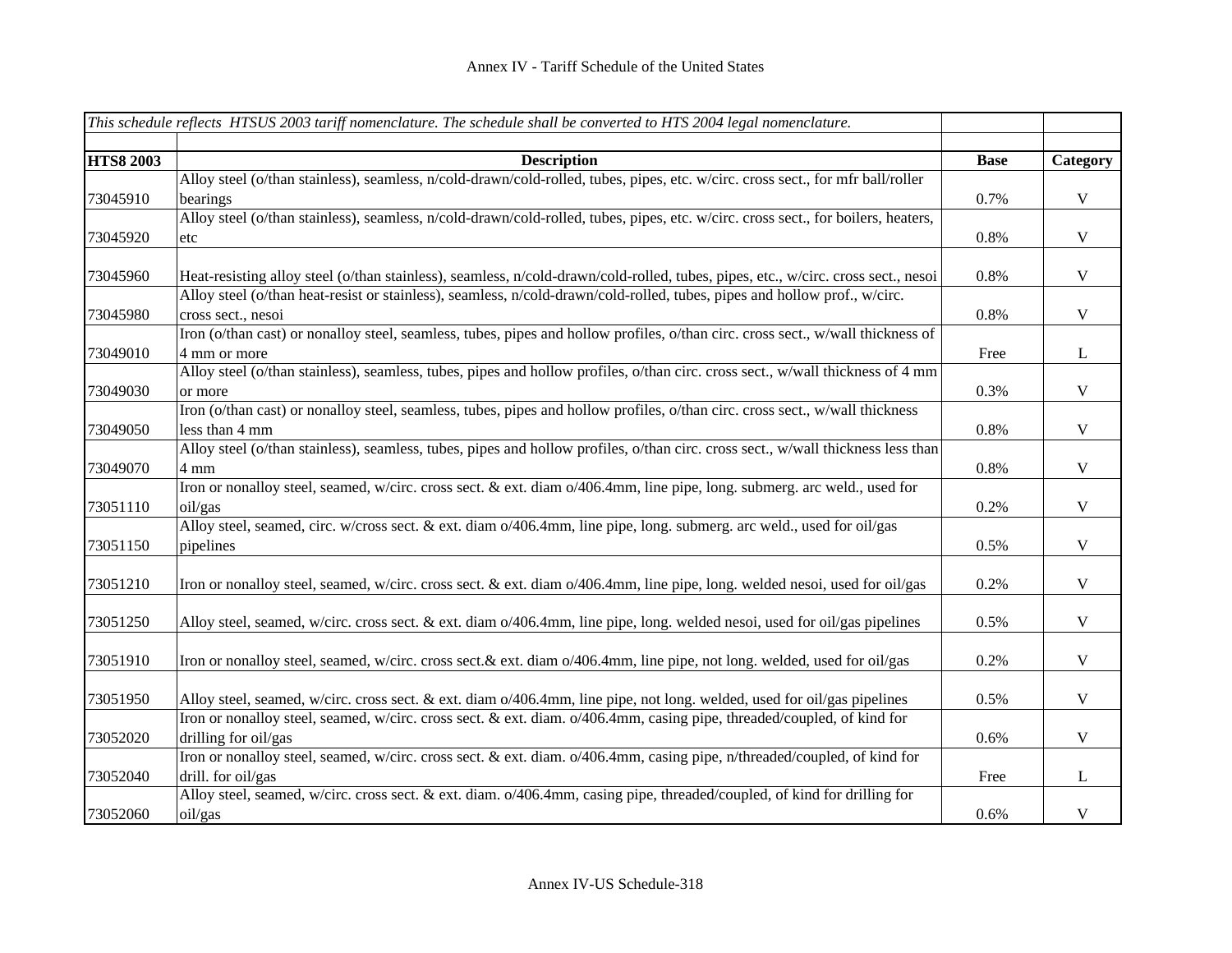|                  | This schedule reflects HTSUS 2003 tariff nomenclature. The schedule shall be converted to HTS 2004 legal nomenclature.            |             |              |
|------------------|-----------------------------------------------------------------------------------------------------------------------------------|-------------|--------------|
|                  |                                                                                                                                   |             |              |
| <b>HTS8 2003</b> | <b>Description</b>                                                                                                                | <b>Base</b> | Category     |
|                  | Alloy steel (o/than stainless), seamless, n/cold-drawn/cold-rolled, tubes, pipes, etc. w/circ. cross sect., for mfr ball/roller   |             |              |
| 73045910         | bearings                                                                                                                          | 0.7%        | $\mathbf V$  |
|                  | Alloy steel (o/than stainless), seamless, n/cold-drawn/cold-rolled, tubes, pipes, etc. w/circ. cross sect., for boilers, heaters, |             |              |
| 73045920         | etc                                                                                                                               | 0.8%        | $\mathbf V$  |
| 73045960         | Heat-resisting alloy steel (o/than stainless), seamless, n/cold-drawn/cold-rolled, tubes, pipes, etc., w/circ. cross sect., nesoi | 0.8%        | $\mathbf V$  |
|                  | Alloy steel (o/than heat-resist or stainless), seamless, n/cold-drawn/cold-rolled, tubes, pipes and hollow prof., w/circ.         |             |              |
| 73045980         | cross sect., nesoi                                                                                                                | 0.8%        | $\mathbf V$  |
|                  | Iron (o/than cast) or nonalloy steel, seamless, tubes, pipes and hollow profiles, o/than circ. cross sect., w/wall thickness of   |             |              |
| 73049010         | 4 mm or more                                                                                                                      | Free        | $\bf L$      |
|                  | Alloy steel (o/than stainless), seamless, tubes, pipes and hollow profiles, o/than circ. cross sect., w/wall thickness of 4 mm    |             |              |
| 73049030         | or more                                                                                                                           | 0.3%        | $\mathbf V$  |
|                  | Iron (o/than cast) or nonalloy steel, seamless, tubes, pipes and hollow profiles, o/than circ. cross sect., w/wall thickness      |             |              |
| 73049050         | less than 4 mm                                                                                                                    | 0.8%        | $\mathbf V$  |
|                  | Alloy steel (o/than stainless), seamless, tubes, pipes and hollow profiles, o/than circ. cross sect., w/wall thickness less than  |             |              |
| 73049070         | 4 mm                                                                                                                              | 0.8%        | $\mathbf V$  |
|                  | Iron or nonalloy steel, seamed, w/circ. cross sect. & ext. diam o/406.4mm, line pipe, long. submerg. arc weld., used for          |             |              |
| 73051110         | oil/gas                                                                                                                           | 0.2%        | $\mathbf V$  |
|                  | Alloy steel, seamed, circ. w/cross sect. & ext. diam o/406.4mm, line pipe, long. submerg. arc weld., used for oil/gas             |             |              |
| 73051150         | pipelines                                                                                                                         | 0.5%        | $\mathbf V$  |
|                  |                                                                                                                                   |             |              |
| 73051210         | Iron or nonalloy steel, seamed, w/circ. cross sect. & ext. diam o/406.4mm, line pipe, long. welded nesoi, used for oil/gas        | 0.2%        | $\mathbf V$  |
| 73051250         | Alloy steel, seamed, w/circ. cross sect. & ext. diam o/406.4mm, line pipe, long. welded nesoi, used for oil/gas pipelines         | 0.5%        | $\mathbf V$  |
| 73051910         | Iron or nonalloy steel, seamed, w/circ. cross sect.& ext. diam o/406.4mm, line pipe, not long. welded, used for oil/gas           | 0.2%        | $\mathbf V$  |
| 73051950         | Alloy steel, seamed, w/circ. cross sect. & ext. diam o/406.4mm, line pipe, not long. welded, used for oil/gas pipelines           | 0.5%        | $\mathbf V$  |
|                  | Iron or nonalloy steel, seamed, w/circ. cross sect. & ext. diam. o/406.4mm, casing pipe, threaded/coupled, of kind for            |             |              |
| 73052020         | drilling for oil/gas                                                                                                              | 0.6%        | $\mathbf V$  |
|                  | Iron or nonalloy steel, seamed, w/circ. cross sect. & ext. diam. o/406.4mm, casing pipe, n/threaded/coupled, of kind for          |             |              |
| 73052040         | drill. for oil/gas                                                                                                                | Free        | $\mathbf{L}$ |
|                  | Alloy steel, seamed, w/circ. cross sect. & ext. diam. o/406.4mm, casing pipe, threaded/coupled, of kind for drilling for          |             |              |
| 73052060         | oil/gas                                                                                                                           | 0.6%        | $\mathbf V$  |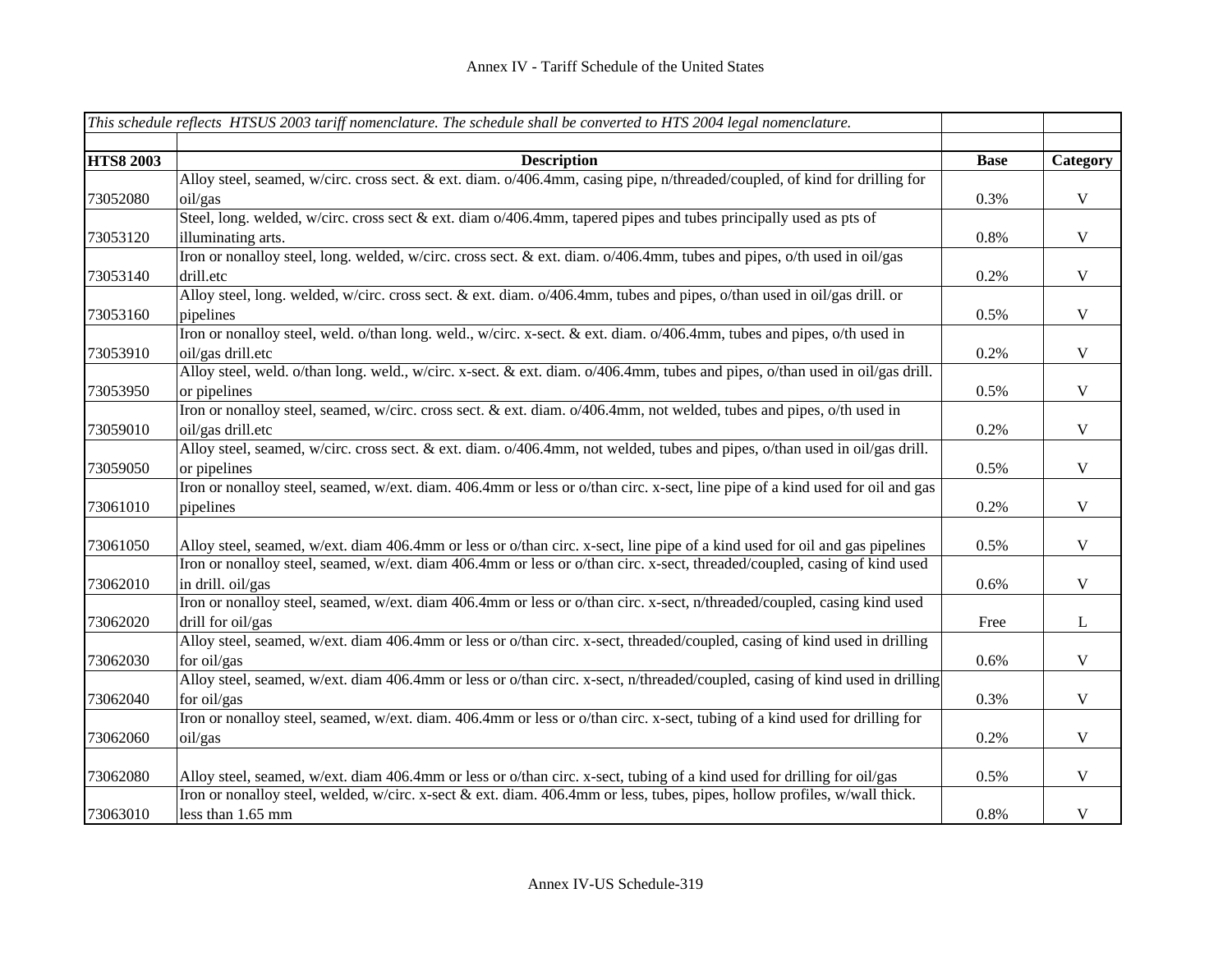|                  | This schedule reflects HTSUS 2003 tariff nomenclature. The schedule shall be converted to HTS 2004 legal nomenclature.        |             |              |
|------------------|-------------------------------------------------------------------------------------------------------------------------------|-------------|--------------|
|                  |                                                                                                                               |             |              |
| <b>HTS8 2003</b> | <b>Description</b>                                                                                                            | <b>Base</b> | Category     |
|                  | Alloy steel, seamed, w/circ. cross sect. & ext. diam. o/406.4mm, casing pipe, n/threaded/coupled, of kind for drilling for    |             |              |
| 73052080         | oil/gas                                                                                                                       | 0.3%        | $\mathbf V$  |
|                  | Steel, long. welded, w/circ. cross sect & ext. diam o/406.4mm, tapered pipes and tubes principally used as pts of             |             |              |
| 73053120         | illuminating arts.                                                                                                            | 0.8%        | $\mathbf{V}$ |
|                  | Iron or nonalloy steel, long. welded, w/circ. cross sect. & ext. diam. o/406.4mm, tubes and pipes, o/th used in oil/gas       |             |              |
| 73053140         | drill.etc                                                                                                                     | 0.2%        | $\mathbf V$  |
|                  | Alloy steel, long. welded, w/circ. cross sect. & ext. diam. o/406.4mm, tubes and pipes, o/than used in oil/gas drill. or      |             |              |
| 73053160         | pipelines                                                                                                                     | 0.5%        | $\mathbf V$  |
|                  | Iron or nonalloy steel, weld. o/than long. weld., w/circ. x-sect. & ext. diam. o/406.4mm, tubes and pipes, o/th used in       |             |              |
| 73053910         | oil/gas drill.etc                                                                                                             | 0.2%        | $\mathbf V$  |
|                  | Alloy steel, weld. o/than long. weld., w/circ. x-sect. & ext. diam. o/406.4mm, tubes and pipes, o/than used in oil/gas drill. |             |              |
| 73053950         | or pipelines                                                                                                                  | 0.5%        | $\mathbf V$  |
|                  | Iron or nonalloy steel, seamed, w/circ. cross sect. & ext. diam. o/406.4mm, not welded, tubes and pipes, o/th used in         |             |              |
| 73059010         | oil/gas drill.etc                                                                                                             | 0.2%        | $\mathbf V$  |
|                  | Alloy steel, seamed, w/circ. cross sect. & ext. diam. o/406.4mm, not welded, tubes and pipes, o/than used in oil/gas drill.   |             |              |
| 73059050         | or pipelines                                                                                                                  | 0.5%        | $\mathbf V$  |
|                  | Iron or nonalloy steel, seamed, w/ext. diam. 406.4mm or less or o/than circ. x-sect, line pipe of a kind used for oil and gas |             |              |
| 73061010         | pipelines                                                                                                                     | 0.2%        | $\mathbf V$  |
|                  |                                                                                                                               |             |              |
| 73061050         | Alloy steel, seamed, w/ext. diam 406.4mm or less or o/than circ. x-sect, line pipe of a kind used for oil and gas pipelines   | 0.5%        | $\mathbf V$  |
|                  | Iron or nonalloy steel, seamed, w/ext. diam 406.4mm or less or o/than circ. x-sect, threaded/coupled, casing of kind used     |             |              |
| 73062010         | in drill. oil/gas                                                                                                             | 0.6%        | $\mathbf V$  |
|                  | Iron or nonalloy steel, seamed, w/ext. diam 406.4mm or less or o/than circ. x-sect, n/threaded/coupled, casing kind used      |             |              |
| 73062020         | drill for oil/gas                                                                                                             | Free        | $\bf L$      |
|                  | Alloy steel, seamed, w/ext. diam 406.4mm or less or o/than circ. x-sect, threaded/coupled, casing of kind used in drilling    |             |              |
| 73062030         | for oil/gas                                                                                                                   | 0.6%        | $\mathbf V$  |
|                  | Alloy steel, seamed, w/ext. diam 406.4mm or less or o/than circ. x-sect, n/threaded/coupled, casing of kind used in drilling  |             |              |
| 73062040         | for oil/gas                                                                                                                   | 0.3%        | $\mathbf V$  |
|                  | Iron or nonalloy steel, seamed, w/ext. diam. 406.4mm or less or o/than circ. x-sect, tubing of a kind used for drilling for   |             |              |
| 73062060         | oil/gas                                                                                                                       | 0.2%        | $\mathbf V$  |
|                  |                                                                                                                               |             |              |
| 73062080         | Alloy steel, seamed, w/ext. diam 406.4mm or less or o/than circ. x-sect, tubing of a kind used for drilling for oil/gas       | 0.5%        | $\mathbf V$  |
|                  | Iron or nonalloy steel, welded, w/circ. x-sect & ext. diam. 406.4mm or less, tubes, pipes, hollow profiles, w/wall thick.     |             |              |
| 73063010         | less than 1.65 mm                                                                                                             | 0.8%        | $\mathbf V$  |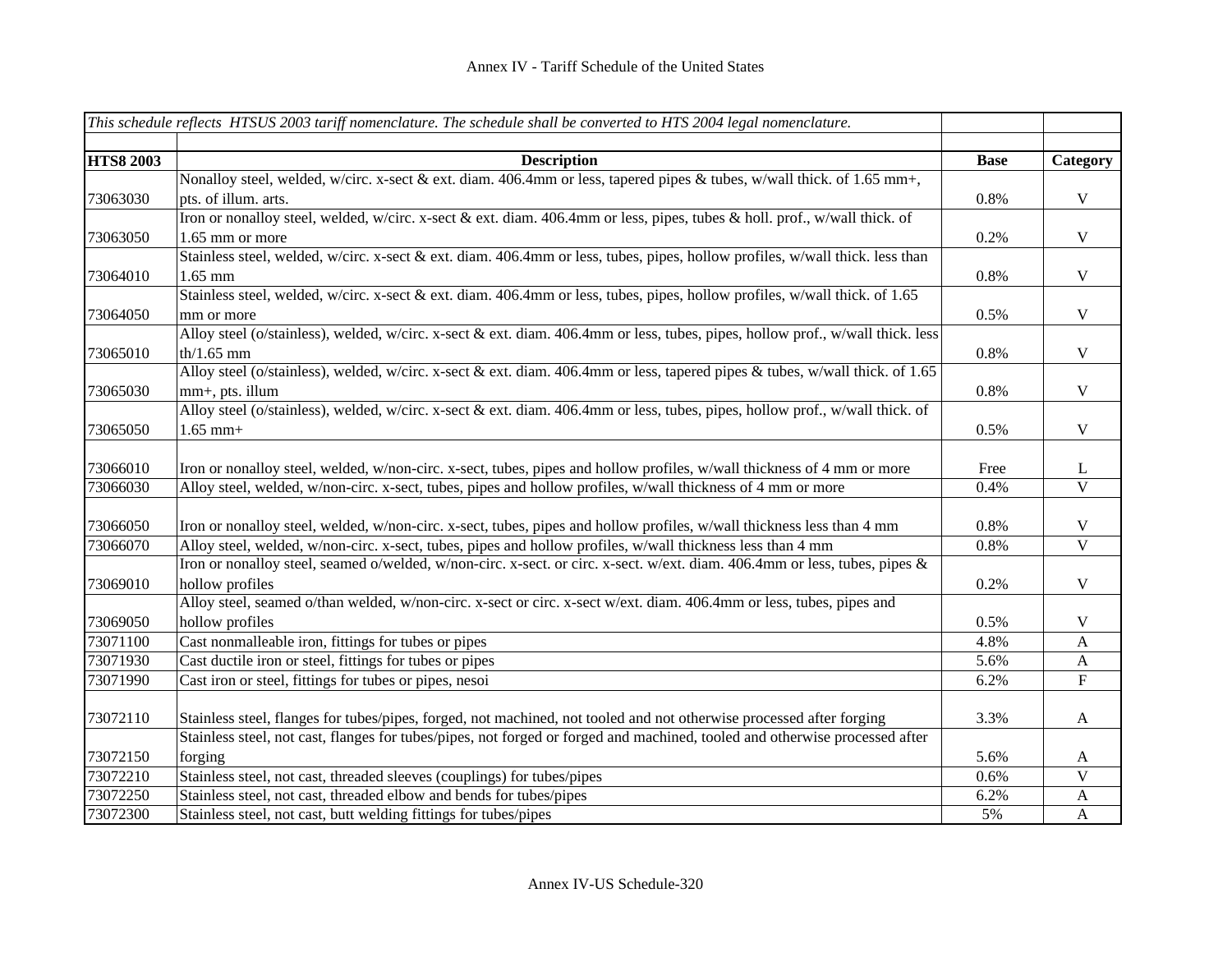|                  | This schedule reflects HTSUS 2003 tariff nomenclature. The schedule shall be converted to HTS 2004 legal nomenclature.         |             |                           |
|------------------|--------------------------------------------------------------------------------------------------------------------------------|-------------|---------------------------|
| <b>HTS8 2003</b> | <b>Description</b>                                                                                                             | <b>Base</b> | Category                  |
|                  | Nonalloy steel, welded, w/circ. x-sect & ext. diam. 406.4mm or less, tapered pipes & tubes, w/wall thick. of 1.65 mm+,         |             |                           |
| 73063030         | pts. of illum. arts.                                                                                                           | 0.8%        | $\mathbf V$               |
|                  | Iron or nonalloy steel, welded, w/circ. x-sect & ext. diam. 406.4mm or less, pipes, tubes & holl. prof., w/wall thick. of      |             |                           |
| 73063050         | 1.65 mm or more                                                                                                                | 0.2%        | $\mathbf V$               |
|                  | Stainless steel, welded, w/circ. x-sect & ext. diam. 406.4mm or less, tubes, pipes, hollow profiles, w/wall thick. less than   |             |                           |
| 73064010         | $1.65$ mm                                                                                                                      | 0.8%        | $\mathbf V$               |
|                  | Stainless steel, welded, w/circ. x-sect & ext. diam. 406.4mm or less, tubes, pipes, hollow profiles, w/wall thick. of 1.65     |             |                           |
| 73064050         | mm or more                                                                                                                     | 0.5%        | $\mathbf V$               |
|                  | Alloy steel (o/stainless), welded, w/circ. x-sect & ext. diam. 406.4mm or less, tubes, pipes, hollow prof., w/wall thick. less |             |                           |
| 73065010         | $th/1.65$ mm                                                                                                                   | 0.8%        | $\mathbf V$               |
|                  | Alloy steel (o/stainless), welded, w/circ. x-sect & ext. diam. 406.4mm or less, tapered pipes & tubes, w/wall thick. of 1.65   |             |                           |
| 73065030         | mm+, pts. illum                                                                                                                | 0.8%        | $\mathbf V$               |
|                  | Alloy steel (o/stainless), welded, w/circ. x-sect & ext. diam. 406.4mm or less, tubes, pipes, hollow prof., w/wall thick. of   |             |                           |
| 73065050         | $1.65$ mm+                                                                                                                     | 0.5%        | $\mathbf V$               |
|                  |                                                                                                                                |             |                           |
| 73066010         | Iron or nonalloy steel, welded, w/non-circ. x-sect, tubes, pipes and hollow profiles, w/wall thickness of 4 mm or more         | Free        | L                         |
| 73066030         | Alloy steel, welded, w/non-circ. x-sect, tubes, pipes and hollow profiles, w/wall thickness of 4 mm or more                    | 0.4%        | $\overline{\mathbf{V}}$   |
|                  |                                                                                                                                |             |                           |
| 73066050         | Iron or nonalloy steel, welded, w/non-circ. x-sect, tubes, pipes and hollow profiles, w/wall thickness less than 4 mm          | 0.8%        | V                         |
| 73066070         | Alloy steel, welded, w/non-circ. x-sect, tubes, pipes and hollow profiles, w/wall thickness less than 4 mm                     | 0.8%        | $\overline{V}$            |
|                  | Iron or nonalloy steel, seamed o/welded, w/non-circ. x-sect. or circ. x-sect. w/ext. diam. 406.4mm or less, tubes, pipes &     |             |                           |
| 73069010         | hollow profiles                                                                                                                | 0.2%        | $\mathbf V$               |
|                  | Alloy steel, seamed o/than welded, w/non-circ. x-sect or circ. x-sect w/ext. diam. 406.4mm or less, tubes, pipes and           |             |                           |
| 73069050         | hollow profiles                                                                                                                | 0.5%        | V                         |
| 73071100         | Cast nonmalleable iron, fittings for tubes or pipes                                                                            | 4.8%        | $\boldsymbol{\mathsf{A}}$ |
| 73071930         | Cast ductile iron or steel, fittings for tubes or pipes                                                                        | 5.6%        | $\boldsymbol{A}$          |
| 73071990         | Cast iron or steel, fittings for tubes or pipes, nesoi                                                                         | 6.2%        | $\overline{F}$            |
| 73072110         | Stainless steel, flanges for tubes/pipes, forged, not machined, not tooled and not otherwise processed after forging           | 3.3%        | $\mathbf{A}$              |
|                  | Stainless steel, not cast, flanges for tubes/pipes, not forged or forged and machined, tooled and otherwise processed after    |             |                           |
| 73072150         | forging                                                                                                                        | 5.6%        | A                         |
| 73072210         | Stainless steel, not cast, threaded sleeves (couplings) for tubes/pipes                                                        | 0.6%        | V                         |
| 73072250         | Stainless steel, not cast, threaded elbow and bends for tubes/pipes                                                            | 6.2%        | $\mathbf{A}$              |
| 73072300         | Stainless steel, not cast, butt welding fittings for tubes/pipes                                                               | 5%          | $\mathbf{A}$              |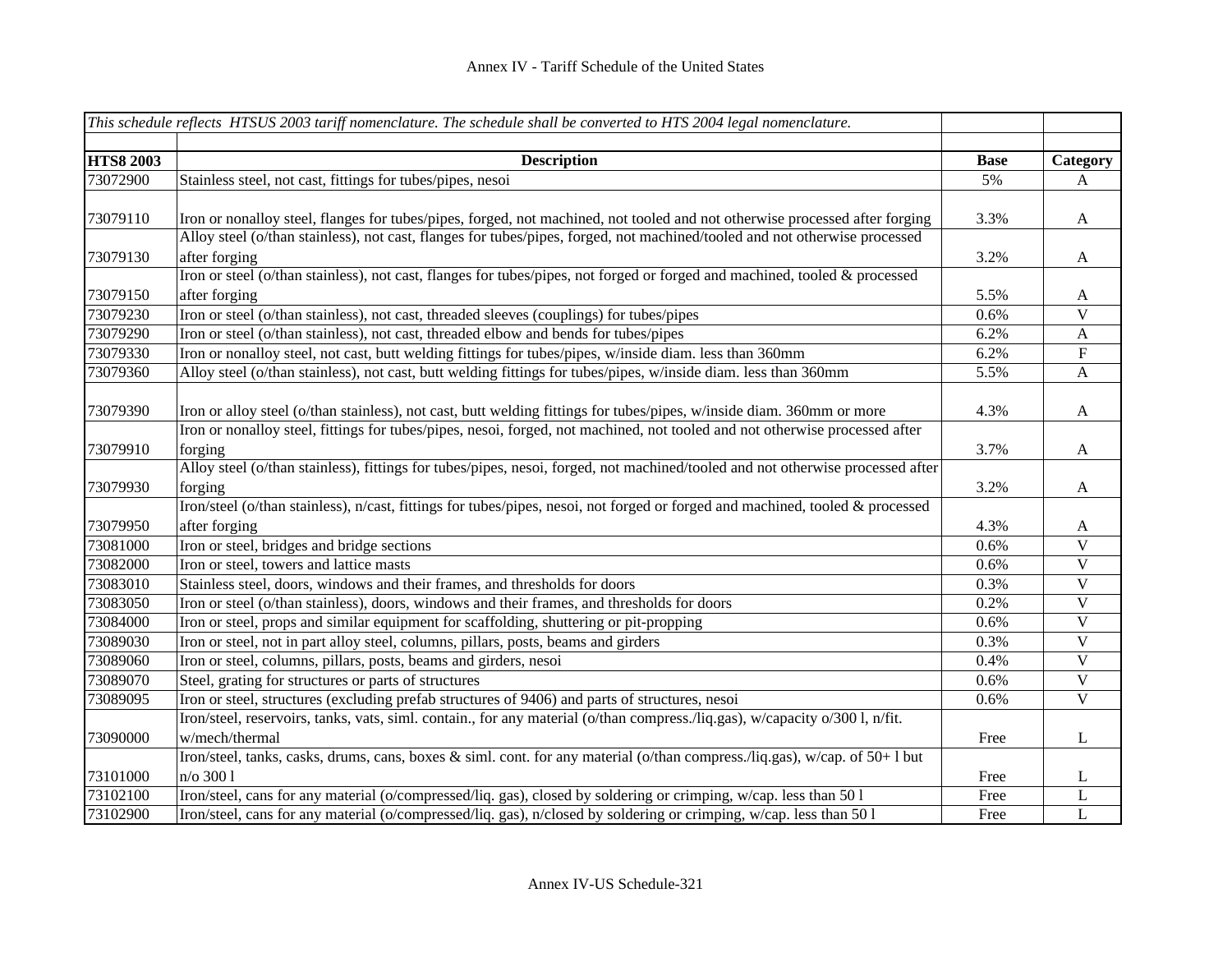|                  | This schedule reflects HTSUS 2003 tariff nomenclature. The schedule shall be converted to HTS 2004 legal nomenclature.         |             |                           |
|------------------|--------------------------------------------------------------------------------------------------------------------------------|-------------|---------------------------|
|                  |                                                                                                                                |             |                           |
| <b>HTS8 2003</b> | <b>Description</b>                                                                                                             | <b>Base</b> | Category                  |
| 73072900         | Stainless steel, not cast, fittings for tubes/pipes, nesoi                                                                     | 5%          | A                         |
|                  |                                                                                                                                |             |                           |
| 73079110         | Iron or nonalloy steel, flanges for tubes/pipes, forged, not machined, not tooled and not otherwise processed after forging    | 3.3%        | $\mathbf{A}$              |
|                  | Alloy steel (o/than stainless), not cast, flanges for tubes/pipes, forged, not machined/tooled and not otherwise processed     |             |                           |
| 73079130         | after forging                                                                                                                  | 3.2%        | $\mathbf{A}$              |
|                  | Iron or steel (o/than stainless), not cast, flanges for tubes/pipes, not forged or forged and machined, tooled & processed     |             |                           |
| 73079150         | after forging                                                                                                                  | 5.5%        | $\mathbf{A}$              |
| 73079230         | Iron or steel (o/than stainless), not cast, threaded sleeves (couplings) for tubes/pipes                                       | 0.6%        | $\overline{\mathbf{V}}$   |
| 73079290         | Iron or steel (o/than stainless), not cast, threaded elbow and bends for tubes/pipes                                           | 6.2%        | $\boldsymbol{\mathsf{A}}$ |
| 73079330         | Iron or nonalloy steel, not cast, butt welding fittings for tubes/pipes, w/inside diam. less than 360mm                        | 6.2%        | $\boldsymbol{\mathrm{F}}$ |
| 73079360         | Alloy steel (o/than stainless), not cast, butt welding fittings for tubes/pipes, w/inside diam. less than 360mm                | 5.5%        | $\mathbf{A}$              |
|                  |                                                                                                                                |             |                           |
| 73079390         | Iron or alloy steel (o/than stainless), not cast, butt welding fittings for tubes/pipes, w/inside diam. 360mm or more          | 4.3%        | $\mathbf{A}$              |
|                  | Iron or nonalloy steel, fittings for tubes/pipes, nesoi, forged, not machined, not tooled and not otherwise processed after    |             |                           |
| 73079910         | forging                                                                                                                        | 3.7%        | $\mathbf{A}$              |
|                  | Alloy steel (o/than stainless), fittings for tubes/pipes, nesoi, forged, not machined/tooled and not otherwise processed after |             |                           |
| 73079930         | forging                                                                                                                        | 3.2%        | $\mathbf{A}$              |
|                  | Iron/steel (o/than stainless), n/cast, fittings for tubes/pipes, nesoi, not forged or forged and machined, tooled & processed  |             |                           |
| 73079950         | after forging                                                                                                                  | 4.3%        | $\mathbf{A}$              |
| 73081000         | Iron or steel, bridges and bridge sections                                                                                     | 0.6%        | $\mathbf V$               |
| 73082000         | Iron or steel, towers and lattice masts                                                                                        | 0.6%        | $\overline{\mathbf{V}}$   |
| 73083010         | Stainless steel, doors, windows and their frames, and thresholds for doors                                                     | 0.3%        | $\ensuremath{\mathbf{V}}$ |
| 73083050         | Iron or steel (o/than stainless), doors, windows and their frames, and thresholds for doors                                    | 0.2%        | $\ensuremath{\mathbf{V}}$ |
| 73084000         | Iron or steel, props and similar equipment for scaffolding, shuttering or pit-propping                                         | 0.6%        | $\ensuremath{\mathbf{V}}$ |
| 73089030         | Iron or steel, not in part alloy steel, columns, pillars, posts, beams and girders                                             | 0.3%        | $\mathbf V$               |
| 73089060         | Iron or steel, columns, pillars, posts, beams and girders, nesoi                                                               | 0.4%        | $\mathbf V$               |
| 73089070         | Steel, grating for structures or parts of structures                                                                           | 0.6%        | $\overline{\mathbf{V}}$   |
| 73089095         | Iron or steel, structures (excluding prefab structures of 9406) and parts of structures, nesoi                                 | 0.6%        | $\overline{\mathbf{V}}$   |
|                  | Iron/steel, reservoirs, tanks, vats, siml. contain., for any material (o/than compress./liq.gas), w/capacity o/300 l, n/fit.   |             |                           |
| 73090000         | w/mech/thermal                                                                                                                 | Free        | $\bf L$                   |
|                  | Iron/steel, tanks, casks, drums, cans, boxes & siml. cont. for any material (o/than compress./liq.gas), w/cap. of 50+1 but     |             |                           |
| 73101000         | n/o 300 1                                                                                                                      | Free        | L                         |
| 73102100         | Iron/steel, cans for any material (o/compressed/liq. gas), closed by soldering or crimping, w/cap. less than 501               | Free        | L                         |
| 73102900         | Iron/steel, cans for any material (o/compressed/liq. gas), n/closed by soldering or crimping, w/cap. less than 50 l            | Free        | $\mathbf L$               |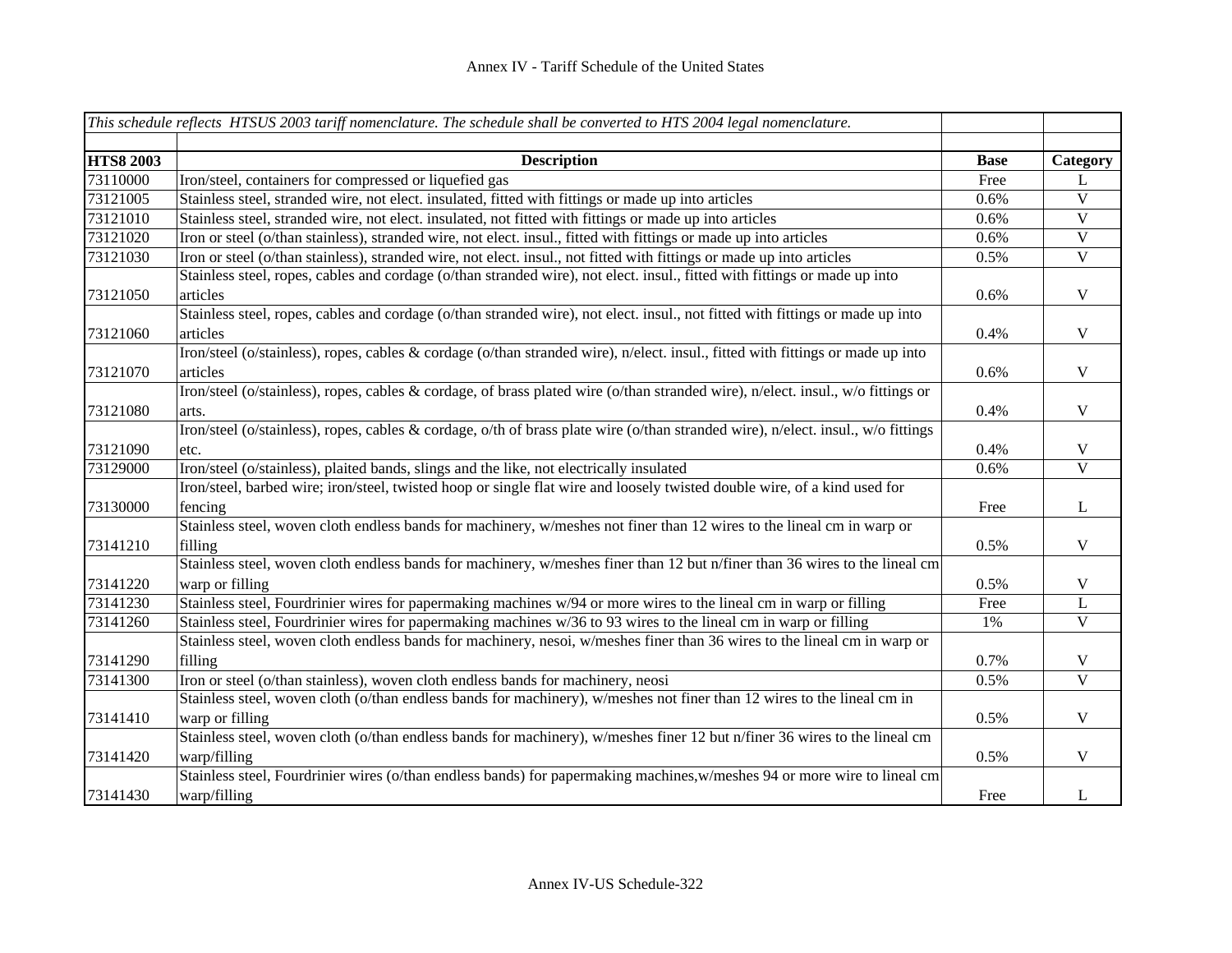|                  | This schedule reflects HTSUS 2003 tariff nomenclature. The schedule shall be converted to HTS 2004 legal nomenclature.            |             |                         |
|------------------|-----------------------------------------------------------------------------------------------------------------------------------|-------------|-------------------------|
|                  |                                                                                                                                   |             |                         |
| <b>HTS8 2003</b> | <b>Description</b>                                                                                                                | <b>Base</b> | Category                |
| 73110000         | Iron/steel, containers for compressed or liquefied gas                                                                            | Free        | L                       |
| 73121005         | Stainless steel, stranded wire, not elect. insulated, fitted with fittings or made up into articles                               | 0.6%        | V                       |
| 73121010         | Stainless steel, stranded wire, not elect. insulated, not fitted with fittings or made up into articles                           | 0.6%        | $\overline{V}$          |
| 73121020         | Iron or steel (o/than stainless), stranded wire, not elect. insul., fitted with fittings or made up into articles                 | 0.6%        | $\overline{\mathbf{V}}$ |
| 73121030         | Iron or steel (o/than stainless), stranded wire, not elect. insul., not fitted with fittings or made up into articles             | 0.5%        | $\overline{\mathbf{V}}$ |
|                  | Stainless steel, ropes, cables and cordage (o/than stranded wire), not elect. insul., fitted with fittings or made up into        |             |                         |
| 73121050         | articles                                                                                                                          | 0.6%        | $\mathbf V$             |
|                  | Stainless steel, ropes, cables and cordage (o/than stranded wire), not elect. insul., not fitted with fittings or made up into    |             |                         |
| 73121060         | articles                                                                                                                          | 0.4%        | $\mathbf V$             |
|                  | Iron/steel (o/stainless), ropes, cables & cordage (o/than stranded wire), n/elect. insul., fitted with fittings or made up into   |             |                         |
| 73121070         | articles                                                                                                                          | 0.6%        | $\mathbf V$             |
|                  | Iron/steel (o/stainless), ropes, cables & cordage, of brass plated wire (o/than stranded wire), n/elect. insul., w/o fittings or  |             |                         |
| 73121080         | arts.                                                                                                                             | 0.4%        | $\mathbf V$             |
|                  | Iron/steel (o/stainless), ropes, cables & cordage, o/th of brass plate wire (o/than stranded wire), n/elect. insul., w/o fittings |             |                         |
| 73121090         | etc.                                                                                                                              | 0.4%        | $\mathbf V$             |
| 73129000         | Iron/steel (o/stainless), plaited bands, slings and the like, not electrically insulated                                          | 0.6%        | $\overline{\mathbf{V}}$ |
|                  | Iron/steel, barbed wire; iron/steel, twisted hoop or single flat wire and loosely twisted double wire, of a kind used for         |             |                         |
| 73130000         | fencing                                                                                                                           | Free        | $\mathbf{L}$            |
|                  | Stainless steel, woven cloth endless bands for machinery, w/meshes not finer than 12 wires to the lineal cm in warp or            |             |                         |
| 73141210         | filling                                                                                                                           | 0.5%        | $\mathbf V$             |
|                  | Stainless steel, woven cloth endless bands for machinery, w/meshes finer than 12 but n/finer than 36 wires to the lineal cm       |             |                         |
| 73141220         | warp or filling                                                                                                                   | 0.5%        | $\mathbf V$             |
| 73141230         | Stainless steel, Fourdrinier wires for papermaking machines w/94 or more wires to the lineal cm in warp or filling                | Free        | L                       |
| 73141260         | Stainless steel, Fourdrinier wires for papermaking machines w/36 to 93 wires to the lineal cm in warp or filling                  | 1%          | $\mathbf V$             |
|                  | Stainless steel, woven cloth endless bands for machinery, nesoi, w/meshes finer than 36 wires to the lineal cm in warp or         |             |                         |
| 73141290         | filling                                                                                                                           | 0.7%        | $\mathbf V$             |
| 73141300         | Iron or steel (o/than stainless), woven cloth endless bands for machinery, neosi                                                  | 0.5%        | $\overline{\mathbf{V}}$ |
|                  | Stainless steel, woven cloth (o/than endless bands for machinery), w/meshes not finer than 12 wires to the lineal cm in           |             |                         |
| 73141410         | warp or filling                                                                                                                   | 0.5%        | $\mathbf V$             |
|                  | Stainless steel, woven cloth (o/than endless bands for machinery), w/meshes finer 12 but n/finer 36 wires to the lineal cm        |             |                         |
| 73141420         | warp/filling                                                                                                                      | 0.5%        | $\mathbf V$             |
|                  | Stainless steel, Fourdrinier wires (o/than endless bands) for papermaking machines, w/meshes 94 or more wire to lineal cm         |             |                         |
| 73141430         | warp/filling                                                                                                                      | Free        | $\mathbf{L}$            |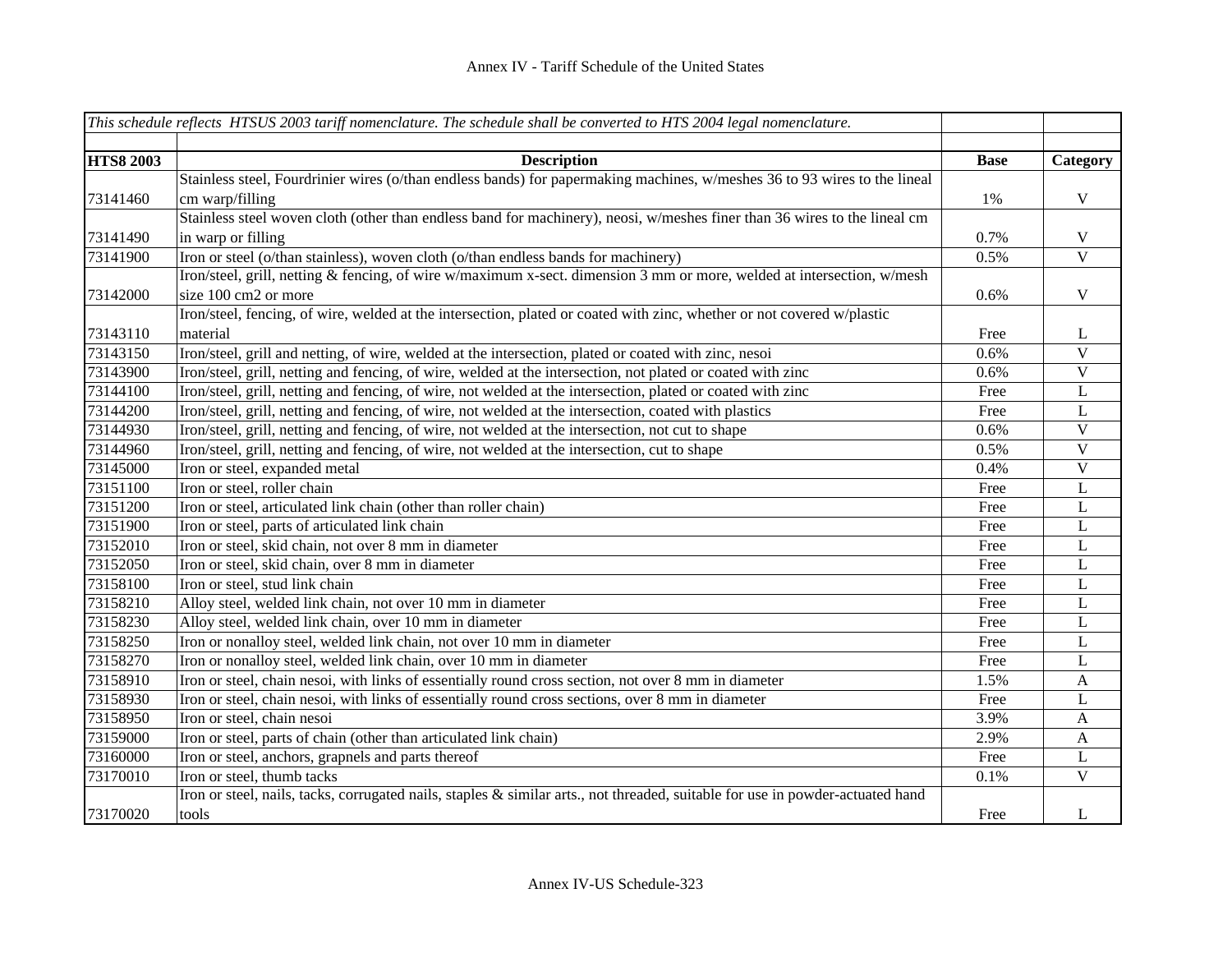|                  | This schedule reflects HTSUS 2003 tariff nomenclature. The schedule shall be converted to HTS 2004 legal nomenclature.         |             |                           |
|------------------|--------------------------------------------------------------------------------------------------------------------------------|-------------|---------------------------|
|                  |                                                                                                                                |             |                           |
| <b>HTS8 2003</b> | <b>Description</b>                                                                                                             | <b>Base</b> | Category                  |
|                  | Stainless steel, Fourdrinier wires (o/than endless bands) for papermaking machines, w/meshes 36 to 93 wires to the lineal      |             |                           |
| 73141460         | cm warp/filling                                                                                                                | 1%          | $\mathbf V$               |
|                  | Stainless steel woven cloth (other than endless band for machinery), neosi, w/meshes finer than 36 wires to the lineal cm      |             |                           |
| 73141490         | in warp or filling                                                                                                             | 0.7%        | V                         |
| 73141900         | Iron or steel (o/than stainless), woven cloth (o/than endless bands for machinery)                                             | 0.5%        | $\overline{\mathbf{V}}$   |
|                  | Iron/steel, grill, netting & fencing, of wire w/maximum x-sect. dimension 3 mm or more, welded at intersection, w/mesh         |             |                           |
| 73142000         | size 100 cm2 or more                                                                                                           | 0.6%        | $\mathbf V$               |
|                  | Iron/steel, fencing, of wire, welded at the intersection, plated or coated with zinc, whether or not covered w/plastic         |             |                           |
| 73143110         | material                                                                                                                       | Free        | L                         |
| 73143150         | Iron/steel, grill and netting, of wire, welded at the intersection, plated or coated with zinc, nesoi                          | 0.6%        | $\ensuremath{\mathbf{V}}$ |
| 73143900         | Iron/steel, grill, netting and fencing, of wire, welded at the intersection, not plated or coated with zinc                    | 0.6%        | $\bar{V}$                 |
| 73144100         | Iron/steel, grill, netting and fencing, of wire, not welded at the intersection, plated or coated with zinc                    | Free        | L                         |
| 73144200         | Iron/steel, grill, netting and fencing, of wire, not welded at the intersection, coated with plastics                          | Free        | L                         |
| 73144930         | Iron/steel, grill, netting and fencing, of wire, not welded at the intersection, not cut to shape                              | 0.6%        | $\mathbf V$               |
| 73144960         | Iron/steel, grill, netting and fencing, of wire, not welded at the intersection, cut to shape                                  | 0.5%        | $\mathbf V$               |
| 73145000         | Iron or steel, expanded metal                                                                                                  | 0.4%        | $\mathbf V$               |
| 73151100         | Iron or steel, roller chain                                                                                                    | Free        | L                         |
| 73151200         | Iron or steel, articulated link chain (other than roller chain)                                                                | Free        | L                         |
| 73151900         | Iron or steel, parts of articulated link chain                                                                                 | Free        | L                         |
| 73152010         | Iron or steel, skid chain, not over 8 mm in diameter                                                                           | Free        | L                         |
| 73152050         | Iron or steel, skid chain, over 8 mm in diameter                                                                               | Free        | L                         |
| 73158100         | Iron or steel, stud link chain                                                                                                 | Free        | L                         |
| 73158210         | Alloy steel, welded link chain, not over 10 mm in diameter                                                                     | Free        | L                         |
| 73158230         | Alloy steel, welded link chain, over 10 mm in diameter                                                                         | Free        | L                         |
| 73158250         | Iron or nonalloy steel, welded link chain, not over 10 mm in diameter                                                          | Free        | L                         |
| 73158270         | Iron or nonalloy steel, welded link chain, over 10 mm in diameter                                                              | Free        | L                         |
| 73158910         | Iron or steel, chain nesoi, with links of essentially round cross section, not over 8 mm in diameter                           | 1.5%        | A                         |
| 73158930         | Iron or steel, chain nesoi, with links of essentially round cross sections, over 8 mm in diameter                              | Free        | L                         |
| 73158950         | Iron or steel, chain nesoi                                                                                                     | 3.9%        | A                         |
| 73159000         | Iron or steel, parts of chain (other than articulated link chain)                                                              | 2.9%        | A                         |
| 73160000         | Iron or steel, anchors, grapnels and parts thereof                                                                             | Free        | L                         |
| 73170010         | Iron or steel, thumb tacks                                                                                                     | 0.1%        | $\mathbf V$               |
|                  | Iron or steel, nails, tacks, corrugated nails, staples & similar arts., not threaded, suitable for use in powder-actuated hand |             |                           |
| 73170020         | tools                                                                                                                          | Free        | L                         |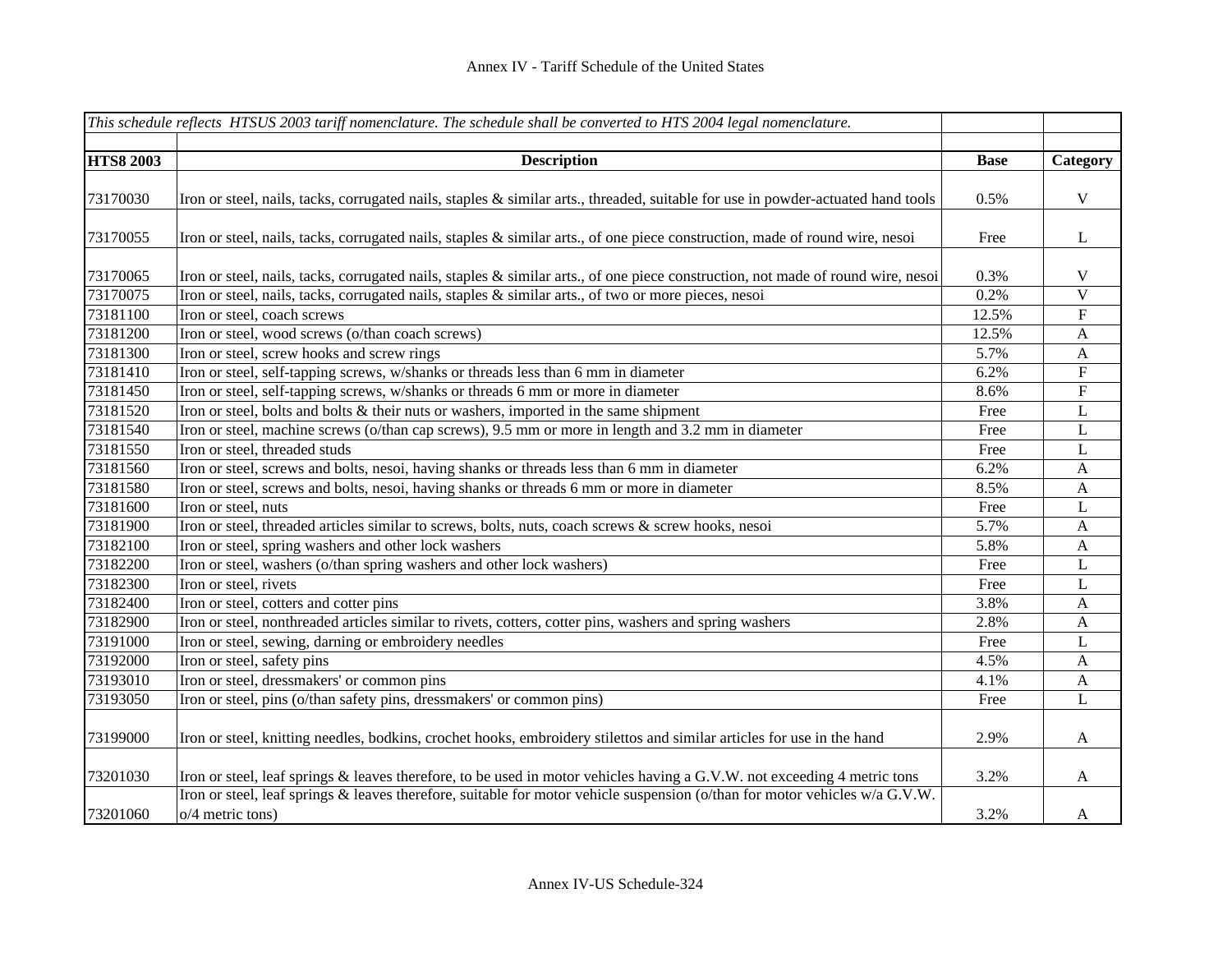|                  | This schedule reflects HTSUS 2003 tariff nomenclature. The schedule shall be converted to HTS 2004 legal nomenclature.                            |             |                           |
|------------------|---------------------------------------------------------------------------------------------------------------------------------------------------|-------------|---------------------------|
|                  |                                                                                                                                                   |             |                           |
| <b>HTS8 2003</b> | <b>Description</b>                                                                                                                                | <b>Base</b> | Category                  |
|                  |                                                                                                                                                   |             |                           |
| 73170030         | Iron or steel, nails, tacks, corrugated nails, staples & similar arts., threaded, suitable for use in powder-actuated hand tools                  | 0.5%        | $\mathbf V$               |
| 73170055         | Iron or steel, nails, tacks, corrugated nails, staples & similar arts., of one piece construction, made of round wire, nesoi                      | Free        | L                         |
| 73170065         | Iron or steel, nails, tacks, corrugated nails, staples & similar arts., of one piece construction, not made of round wire, nesoi                  | 0.3%        | $\mathbf V$               |
| 73170075         | Iron or steel, nails, tacks, corrugated nails, staples & similar arts., of two or more pieces, nesoi                                              | 0.2%        | $\overline{\mathbf{V}}$   |
| 73181100         | Iron or steel, coach screws                                                                                                                       | 12.5%       | ${\rm F}$                 |
| 73181200         | Iron or steel, wood screws (o/than coach screws)                                                                                                  | 12.5%       | $\boldsymbol{A}$          |
| 73181300         | Iron or steel, screw hooks and screw rings                                                                                                        | 5.7%        | $\boldsymbol{\mathsf{A}}$ |
| 73181410         | Iron or steel, self-tapping screws, w/shanks or threads less than 6 mm in diameter                                                                | 6.2%        | ${\bf F}$                 |
| 73181450         | Iron or steel, self-tapping screws, w/shanks or threads 6 mm or more in diameter                                                                  | 8.6%        | $\overline{\mathrm{F}}$   |
| 73181520         | Iron or steel, bolts and bolts & their nuts or washers, imported in the same shipment                                                             | Free        | $\mathbf L$               |
| 73181540         | Iron or steel, machine screws (o/than cap screws), 9.5 mm or more in length and 3.2 mm in diameter                                                | Free        | $\mathbf L$               |
| 73181550         | Iron or steel, threaded studs                                                                                                                     | Free        | L                         |
| 73181560         | Iron or steel, screws and bolts, nesoi, having shanks or threads less than 6 mm in diameter                                                       | 6.2%        | $\boldsymbol{\mathsf{A}}$ |
| 73181580         | Iron or steel, screws and bolts, nesoi, having shanks or threads 6 mm or more in diameter                                                         | 8.5%        | $\mathbf{A}$              |
| 73181600         | Iron or steel, nuts                                                                                                                               | Free        | $\mathbf{L}$              |
| 73181900         | Iron or steel, threaded articles similar to screws, bolts, nuts, coach screws & screw hooks, nesoi                                                | 5.7%        | $\mathbf{A}$              |
| 73182100         | Iron or steel, spring washers and other lock washers                                                                                              | 5.8%        | $\boldsymbol{\mathsf{A}}$ |
| 73182200         | Iron or steel, washers (o/than spring washers and other lock washers)                                                                             | Free        | L                         |
| 73182300         | Iron or steel, rivets                                                                                                                             | Free        | $\mathbf L$               |
| 73182400         | Iron or steel, cotters and cotter pins                                                                                                            | 3.8%        | $\mathbf{A}$              |
| 73182900         | Iron or steel, nonthreaded articles similar to rivets, cotters, cotter pins, washers and spring washers                                           | 2.8%        | A                         |
| 73191000         | Iron or steel, sewing, darning or embroidery needles                                                                                              | Free        | L                         |
| 73192000         | Iron or steel, safety pins                                                                                                                        | 4.5%        | A                         |
| 73193010         | Iron or steel, dressmakers' or common pins                                                                                                        | 4.1%        | A                         |
| 73193050         | Iron or steel, pins (o/than safety pins, dressmakers' or common pins)                                                                             | Free        | L                         |
| 73199000         | Iron or steel, knitting needles, bodkins, crochet hooks, embroidery stilettos and similar articles for use in the hand                            | 2.9%        | $\mathbf{A}$              |
| 73201030         | Iron or steel, leaf springs & leaves therefore, to be used in motor vehicles having a G.V.W. not exceeding 4 metric tons                          | 3.2%        | A                         |
| 73201060         | Iron or steel, leaf springs & leaves therefore, suitable for motor vehicle suspension (o/than for motor vehicles w/a G.V.W.<br>$o/4$ metric tons) | 3.2%        | A                         |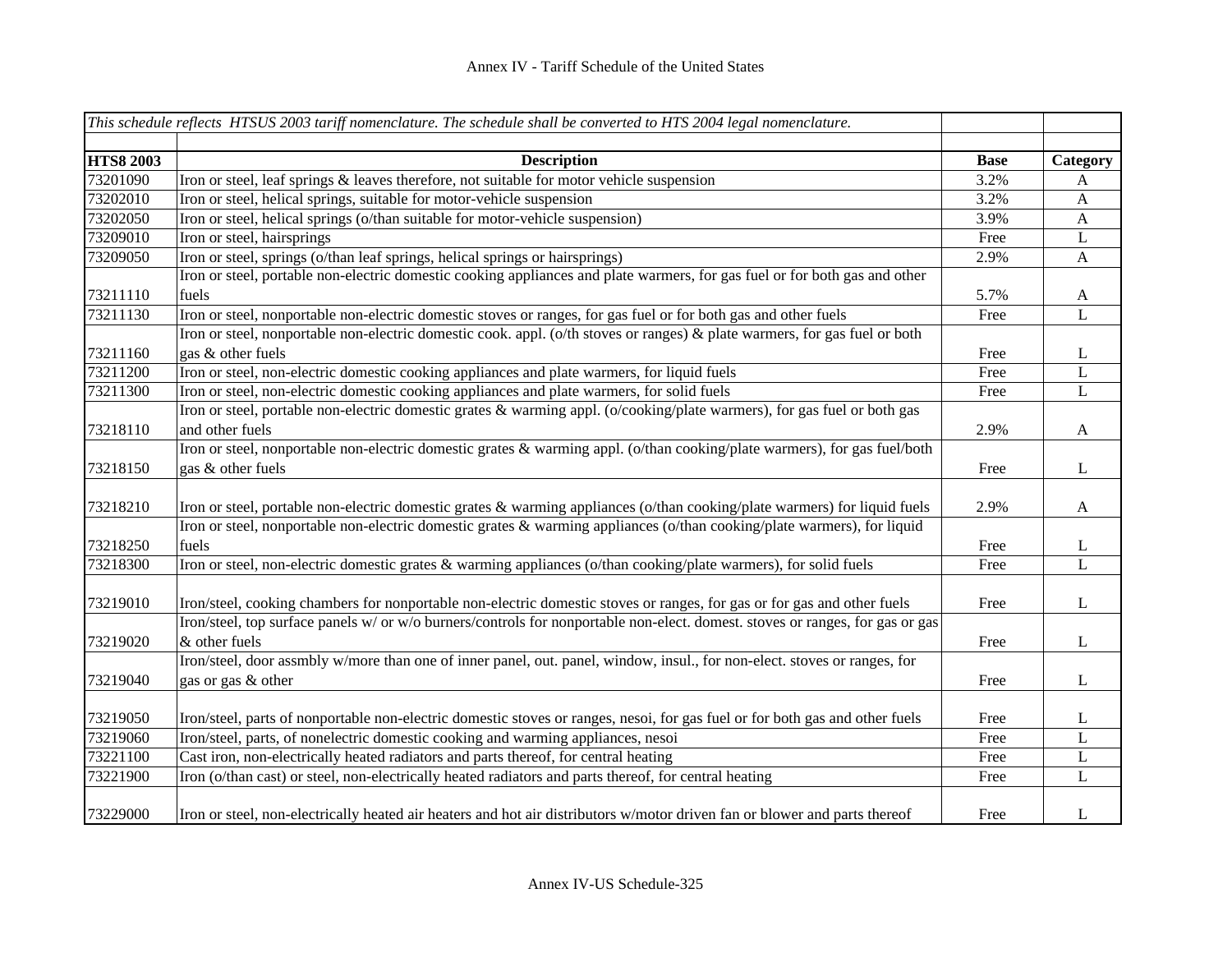|                  | This schedule reflects HTSUS 2003 tariff nomenclature. The schedule shall be converted to HTS 2004 legal nomenclature.        |             |              |
|------------------|-------------------------------------------------------------------------------------------------------------------------------|-------------|--------------|
| <b>HTS8 2003</b> | <b>Description</b>                                                                                                            | <b>Base</b> | Category     |
| 73201090         | Iron or steel, leaf springs $\&$ leaves therefore, not suitable for motor vehicle suspension                                  | 3.2%        | A            |
| 73202010         | Iron or steel, helical springs, suitable for motor-vehicle suspension                                                         | 3.2%        | $\mathbf{A}$ |
| 73202050         | Iron or steel, helical springs (o/than suitable for motor-vehicle suspension)                                                 | 3.9%        | $\mathbf{A}$ |
| 73209010         | Iron or steel, hairsprings                                                                                                    | Free        | L            |
| 73209050         | Iron or steel, springs (o/than leaf springs, helical springs or hairsprings)                                                  | 2.9%        | $\mathbf{A}$ |
|                  | Iron or steel, portable non-electric domestic cooking appliances and plate warmers, for gas fuel or for both gas and other    |             |              |
| 73211110         | fuels                                                                                                                         | 5.7%        | A            |
| 73211130         | Iron or steel, nonportable non-electric domestic stoves or ranges, for gas fuel or for both gas and other fuels               | Free        | L            |
|                  | Iron or steel, nonportable non-electric domestic cook. appl. (o/th stoves or ranges) & plate warmers, for gas fuel or both    |             |              |
| 73211160         | gas & other fuels                                                                                                             | Free        | L            |
| 73211200         | Iron or steel, non-electric domestic cooking appliances and plate warmers, for liquid fuels                                   | Free        | L            |
| 73211300         | Iron or steel, non-electric domestic cooking appliances and plate warmers, for solid fuels                                    | Free        | $\mathbf L$  |
|                  | Iron or steel, portable non-electric domestic grates & warming appl. (o/cooking/plate warmers), for gas fuel or both gas      |             |              |
| 73218110         | and other fuels                                                                                                               | 2.9%        | A            |
|                  | Iron or steel, nonportable non-electric domestic grates & warming appl. (o/than cooking/plate warmers), for gas fuel/both     |             |              |
| 73218150         | gas & other fuels                                                                                                             | Free        | L            |
| 73218210         | Iron or steel, portable non-electric domestic grates & warming appliances (o/than cooking/plate warmers) for liquid fuels     | 2.9%        | $\mathbf{A}$ |
|                  | Iron or steel, nonportable non-electric domestic grates & warming appliances (o/than cooking/plate warmers), for liquid       |             |              |
| 73218250         | fuels                                                                                                                         | Free        | L            |
| 73218300         | Iron or steel, non-electric domestic grates & warming appliances (o/than cooking/plate warmers), for solid fuels              | Free        | L            |
| 73219010         | Iron/steel, cooking chambers for nonportable non-electric domestic stoves or ranges, for gas or for gas and other fuels       | Free        | L            |
|                  | Iron/steel, top surface panels w/ or w/o burners/controls for nonportable non-elect. domest. stoves or ranges, for gas or gas |             |              |
| 73219020         | & other fuels                                                                                                                 | Free        | L            |
|                  | Iron/steel, door assmbly w/more than one of inner panel, out. panel, window, insul., for non-elect. stoves or ranges, for     |             |              |
| 73219040         | gas or gas & other                                                                                                            | Free        | L            |
| 73219050         | Iron/steel, parts of nonportable non-electric domestic stoves or ranges, nesoi, for gas fuel or for both gas and other fuels  | Free        | $\mathbf{L}$ |
| 73219060         | Iron/steel, parts, of nonelectric domestic cooking and warming appliances, nesoi                                              | Free        | L            |
| 73221100         | Cast iron, non-electrically heated radiators and parts thereof, for central heating                                           | Free        | $\mathbf L$  |
| 73221900         | Iron (o/than cast) or steel, non-electrically heated radiators and parts thereof, for central heating                         | Free        | L            |
| 73229000         | Iron or steel, non-electrically heated air heaters and hot air distributors w/motor driven fan or blower and parts thereof    | Free        | L            |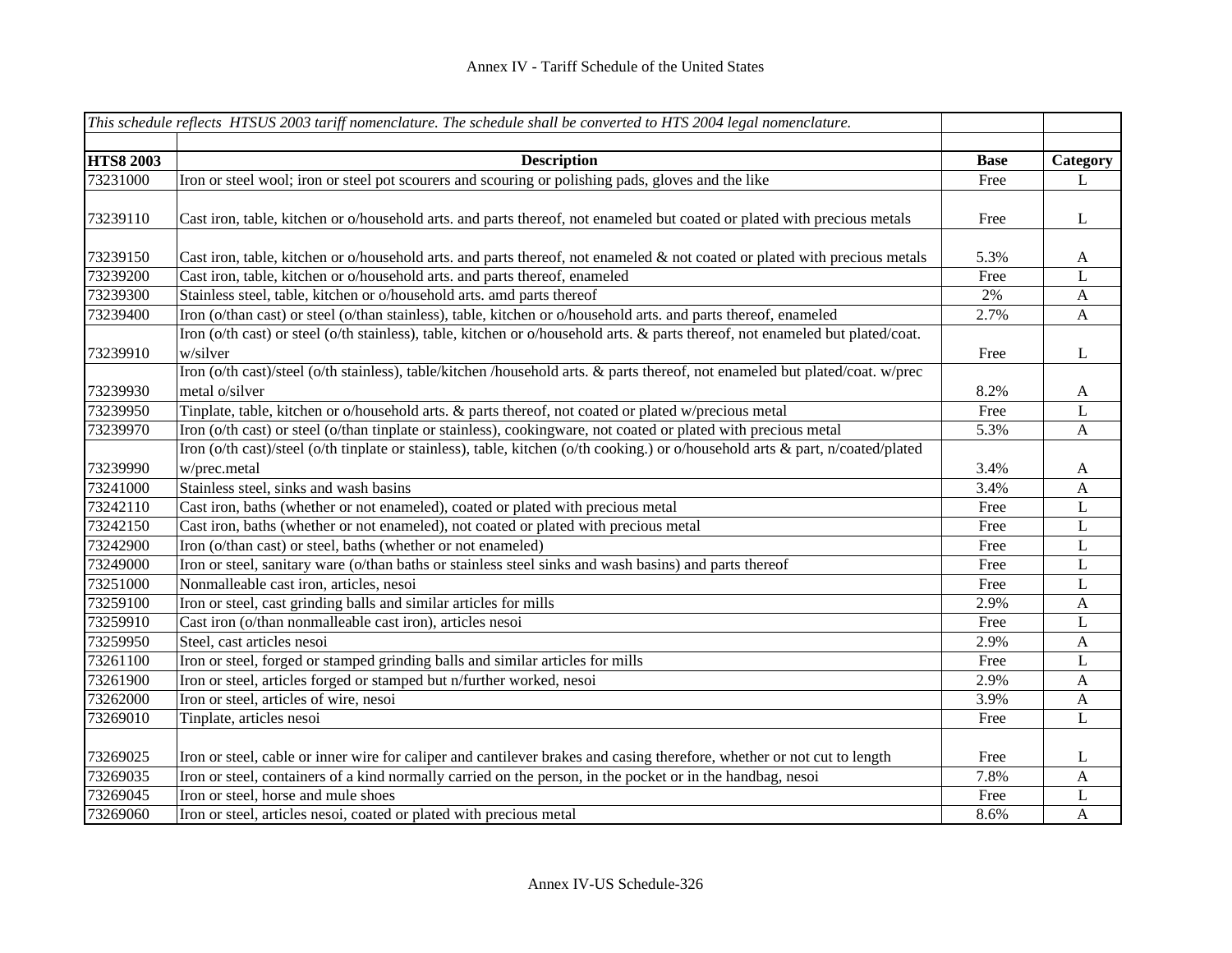|                  | This schedule reflects HTSUS 2003 tariff nomenclature. The schedule shall be converted to HTS 2004 legal nomenclature.                          |             |              |
|------------------|-------------------------------------------------------------------------------------------------------------------------------------------------|-------------|--------------|
|                  |                                                                                                                                                 |             |              |
| <b>HTS8 2003</b> | <b>Description</b>                                                                                                                              | <b>Base</b> | Category     |
| 73231000         | Iron or steel wool; iron or steel pot scourers and scouring or polishing pads, gloves and the like                                              | Free        | L            |
| 73239110         | Cast iron, table, kitchen or o/household arts. and parts thereof, not enameled but coated or plated with precious metals                        | Free        | L            |
| 73239150         | Cast iron, table, kitchen or o/household arts. and parts thereof, not enameled $\&$ not coated or plated with precious metals                   | 5.3%        | A            |
| 73239200         | Cast iron, table, kitchen or o/household arts. and parts thereof, enameled                                                                      | Free        | L            |
| 73239300         | Stainless steel, table, kitchen or o/household arts. amd parts thereof                                                                          | 2%          | $\mathbf{A}$ |
| 73239400         | Iron (o/than cast) or steel (o/than stainless), table, kitchen or o/household arts. and parts thereof, enameled                                 | 2.7%        | $\mathbf{A}$ |
| 73239910         | Iron (o/th cast) or steel (o/th stainless), table, kitchen or o/household arts. & parts thereof, not enameled but plated/coat.<br>w/silver      | Free        | L            |
| 73239930         | Iron (o/th cast)/steel (o/th stainless), table/kitchen /household arts. & parts thereof, not enameled but plated/coat. w/prec<br>metal o/silver | 8.2%        | A            |
| 73239950         | Tinplate, table, kitchen or o/household arts. & parts thereof, not coated or plated w/precious metal                                            | Free        | L            |
| 73239970         | Iron (o/th cast) or steel (o/than tinplate or stainless), cookingware, not coated or plated with precious metal                                 | 5.3%        | $\mathbf{A}$ |
| 73239990         | Iron (o/th cast)/steel (o/th tinplate or stainless), table, kitchen (o/th cooking.) or o/household arts & part, n/coated/plated<br>w/prec.metal | 3.4%        | A            |
| 73241000         | Stainless steel, sinks and wash basins                                                                                                          | 3.4%        | $\mathbf{A}$ |
| 73242110         | Cast iron, baths (whether or not enameled), coated or plated with precious metal                                                                | Free        | L            |
| 73242150         | Cast iron, baths (whether or not enameled), not coated or plated with precious metal                                                            | Free        | L            |
| 73242900         | Iron (o/than cast) or steel, baths (whether or not enameled)                                                                                    | Free        | L            |
| 73249000         | Iron or steel, sanitary ware (o/than baths or stainless steel sinks and wash basins) and parts thereof                                          | Free        | L            |
| 73251000         | Nonmalleable cast iron, articles, nesoi                                                                                                         | Free        | L            |
| 73259100         | Iron or steel, cast grinding balls and similar articles for mills                                                                               | 2.9%        | A            |
| 73259910         | Cast iron (o/than nonmalleable cast iron), articles nesoi                                                                                       | Free        | L            |
| 73259950         | Steel, cast articles nesoi                                                                                                                      | 2.9%        | A            |
| 73261100         | Iron or steel, forged or stamped grinding balls and similar articles for mills                                                                  | Free        | L            |
| 73261900         | Iron or steel, articles forged or stamped but n/further worked, nesoi                                                                           | 2.9%        | A            |
| 73262000         | Iron or steel, articles of wire, nesoi                                                                                                          | 3.9%        | A            |
| 73269010         | Tinplate, articles nesoi                                                                                                                        | Free        | L            |
| 73269025         | Iron or steel, cable or inner wire for caliper and cantilever brakes and casing therefore, whether or not cut to length                         | Free        | L            |
| 73269035         | Iron or steel, containers of a kind normally carried on the person, in the pocket or in the handbag, nesoi                                      | 7.8%        | A            |
| 73269045         | Iron or steel, horse and mule shoes                                                                                                             | Free        | L            |
| 73269060         | Iron or steel, articles nesoi, coated or plated with precious metal                                                                             | 8.6%        | A            |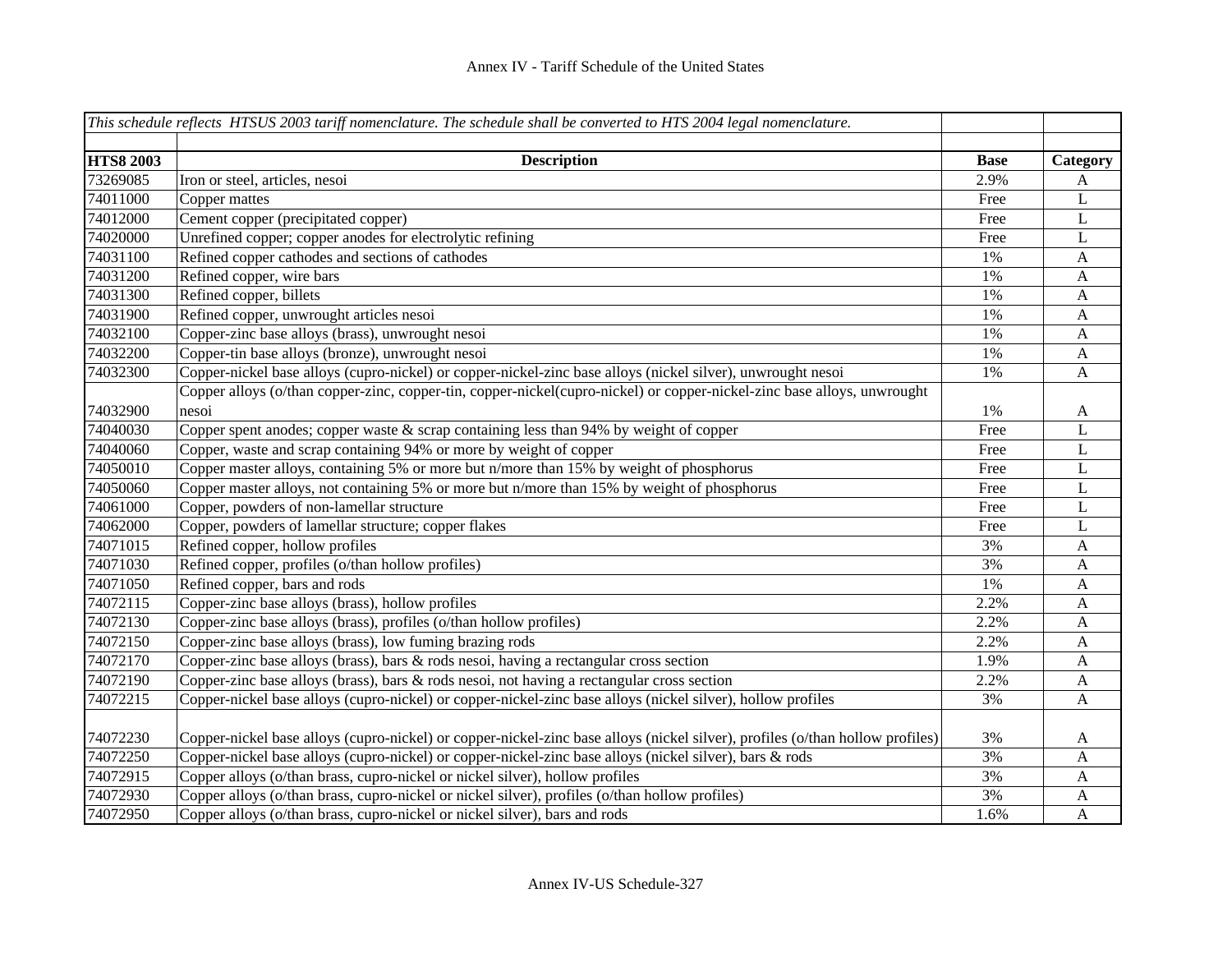|                  | This schedule reflects HTSUS 2003 tariff nomenclature. The schedule shall be converted to HTS 2004 legal nomenclature.        |             |              |
|------------------|-------------------------------------------------------------------------------------------------------------------------------|-------------|--------------|
|                  |                                                                                                                               |             |              |
| <b>HTS8 2003</b> | <b>Description</b>                                                                                                            | <b>Base</b> | Category     |
| 73269085         | Iron or steel, articles, nesoi                                                                                                | 2.9%        | A            |
| 74011000         | Copper mattes                                                                                                                 | Free        | $\mathbf L$  |
| 74012000         | Cement copper (precipitated copper)                                                                                           | Free        | $\mathbf L$  |
| 74020000         | Unrefined copper; copper anodes for electrolytic refining                                                                     | Free        | L            |
| 74031100         | Refined copper cathodes and sections of cathodes                                                                              | 1%          | $\mathbf{A}$ |
| 74031200         | Refined copper, wire bars                                                                                                     | 1%          | A            |
| 74031300         | Refined copper, billets                                                                                                       | 1%          | A            |
| 74031900         | Refined copper, unwrought articles nesoi                                                                                      | 1%          | $\mathbf{A}$ |
| 74032100         | Copper-zinc base alloys (brass), unwrought nesoi                                                                              | 1%          | $\mathbf{A}$ |
| 74032200         | Copper-tin base alloys (bronze), unwrought nesoi                                                                              | 1%          | $\mathbf{A}$ |
| 74032300         | Copper-nickel base alloys (cupro-nickel) or copper-nickel-zinc base alloys (nickel silver), unwrought nesoi                   | 1%          | $\mathbf{A}$ |
|                  | Copper alloys (o/than copper-zinc, copper-tin, copper-nickel(cupro-nickel) or copper-nickel-zinc base alloys, unwrought       |             |              |
| 74032900         | nesoi                                                                                                                         | 1%          | $\mathbf{A}$ |
| 74040030         | Copper spent anodes; copper waste $&$ scrap containing less than 94% by weight of copper                                      | Free        | $\mathbf{L}$ |
| 74040060         | Copper, waste and scrap containing 94% or more by weight of copper                                                            | Free        | L            |
| 74050010         | Copper master alloys, containing 5% or more but n/more than 15% by weight of phosphorus                                       | Free        | L            |
| 74050060         | Copper master alloys, not containing 5% or more but n/more than 15% by weight of phosphorus                                   | Free        | L            |
| 74061000         | Copper, powders of non-lamellar structure                                                                                     | Free        | L            |
| 74062000         | Copper, powders of lamellar structure; copper flakes                                                                          | Free        | L            |
| 74071015         | Refined copper, hollow profiles                                                                                               | 3%          | A            |
| 74071030         | Refined copper, profiles (o/than hollow profiles)                                                                             | 3%          | $\mathbf{A}$ |
| 74071050         | Refined copper, bars and rods                                                                                                 | 1%          | $\mathbf{A}$ |
| 74072115         | Copper-zinc base alloys (brass), hollow profiles                                                                              | 2.2%        | A            |
| 74072130         | Copper-zinc base alloys (brass), profiles (o/than hollow profiles)                                                            | 2.2%        | A            |
| 74072150         | Copper-zinc base alloys (brass), low fuming brazing rods                                                                      | 2.2%        | A            |
| 74072170         | Copper-zinc base alloys (brass), bars & rods nesoi, having a rectangular cross section                                        | 1.9%        | A            |
| 74072190         | Copper-zinc base alloys (brass), bars & rods nesoi, not having a rectangular cross section                                    | 2.2%        | A            |
| 74072215         | Copper-nickel base alloys (cupro-nickel) or copper-nickel-zinc base alloys (nickel silver), hollow profiles                   | 3%          | A            |
|                  |                                                                                                                               |             |              |
| 74072230         | Copper-nickel base alloys (cupro-nickel) or copper-nickel-zinc base alloys (nickel silver), profiles (o/than hollow profiles) | 3%          | A            |
| 74072250         | Copper-nickel base alloys (cupro-nickel) or copper-nickel-zinc base alloys (nickel silver), bars & rods                       | 3%          | A            |
| 74072915         | Copper alloys (o/than brass, cupro-nickel or nickel silver), hollow profiles                                                  | 3%          | A            |
| 74072930         | Copper alloys (o/than brass, cupro-nickel or nickel silver), profiles (o/than hollow profiles)                                | 3%          | A            |
| 74072950         | Copper alloys (o/than brass, cupro-nickel or nickel silver), bars and rods                                                    | 1.6%        | $\mathbf{A}$ |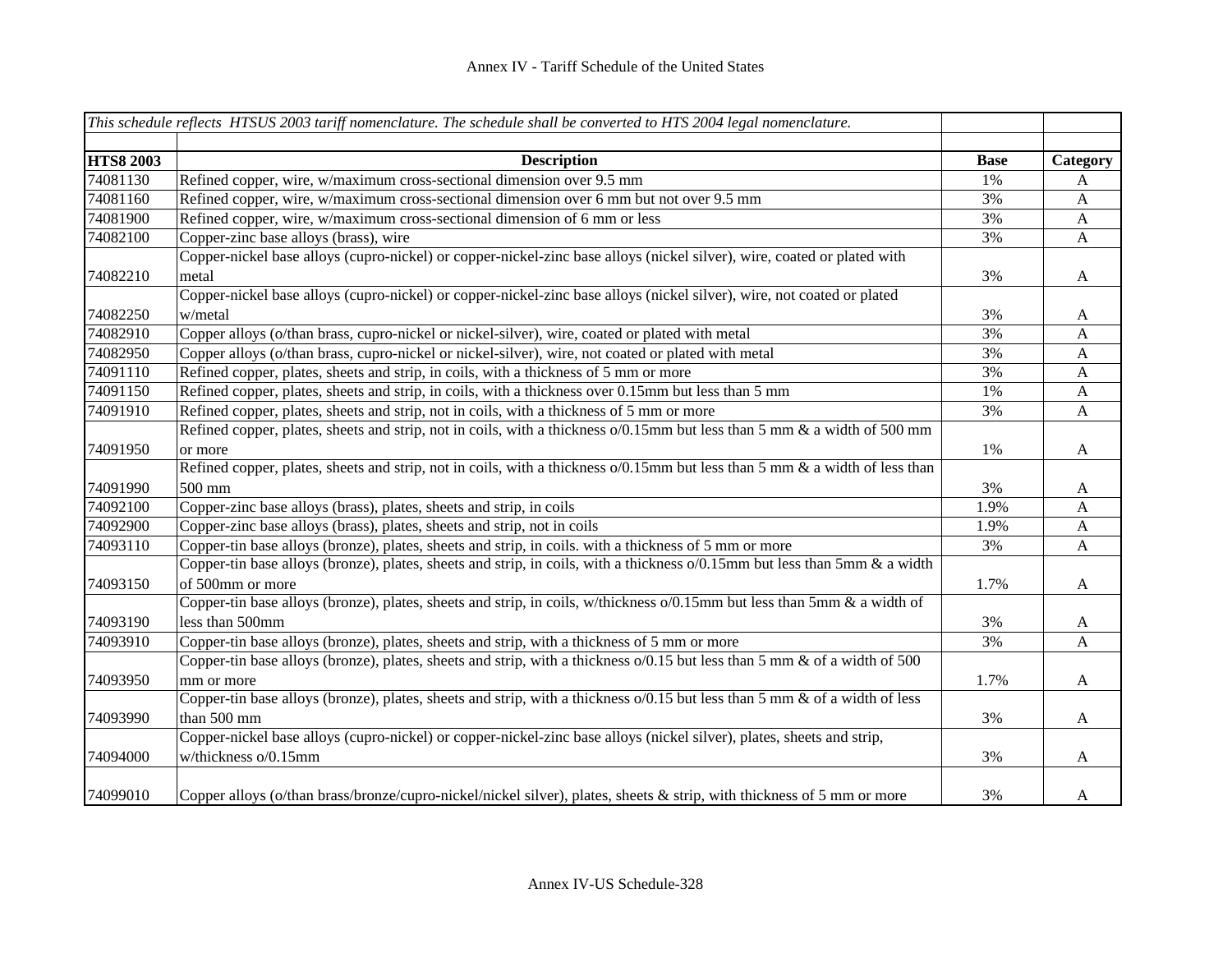|                  | This schedule reflects HTSUS 2003 tariff nomenclature. The schedule shall be converted to HTS 2004 legal nomenclature.      |             |              |
|------------------|-----------------------------------------------------------------------------------------------------------------------------|-------------|--------------|
| <b>HTS8 2003</b> | <b>Description</b>                                                                                                          | <b>Base</b> | Category     |
| 74081130         | Refined copper, wire, w/maximum cross-sectional dimension over 9.5 mm                                                       | 1%          | A            |
| 74081160         | Refined copper, wire, w/maximum cross-sectional dimension over 6 mm but not over 9.5 mm                                     | 3%          | $\mathbf{A}$ |
| 74081900         | Refined copper, wire, w/maximum cross-sectional dimension of 6 mm or less                                                   | 3%          | $\mathbf{A}$ |
| 74082100         | Copper-zinc base alloys (brass), wire                                                                                       | 3%          | $\mathbf{A}$ |
|                  | Copper-nickel base alloys (cupro-nickel) or copper-nickel-zinc base alloys (nickel silver), wire, coated or plated with     |             |              |
| 74082210         | metal                                                                                                                       | 3%          | $\mathbf{A}$ |
|                  | Copper-nickel base alloys (cupro-nickel) or copper-nickel-zinc base alloys (nickel silver), wire, not coated or plated      |             |              |
| 74082250         | w/metal                                                                                                                     | 3%          | A            |
| 74082910         | Copper alloys (o/than brass, cupro-nickel or nickel-silver), wire, coated or plated with metal                              | 3%          | A            |
| 74082950         | Copper alloys (o/than brass, cupro-nickel or nickel-silver), wire, not coated or plated with metal                          | 3%          | $\mathbf{A}$ |
| 74091110         | Refined copper, plates, sheets and strip, in coils, with a thickness of 5 mm or more                                        | 3%          | $\mathbf{A}$ |
| 74091150         | Refined copper, plates, sheets and strip, in coils, with a thickness over 0.15mm but less than 5 mm                         | 1%          | $\mathbf{A}$ |
| 74091910         | Refined copper, plates, sheets and strip, not in coils, with a thickness of 5 mm or more                                    | 3%          | A            |
|                  | Refined copper, plates, sheets and strip, not in coils, with a thickness o/0.15mm but less than 5 mm & a width of 500 mm    |             |              |
| 74091950         | or more                                                                                                                     | 1%          | A            |
|                  | Refined copper, plates, sheets and strip, not in coils, with a thickness o/0.15mm but less than 5 mm & a width of less than |             |              |
| 74091990         | 500 mm                                                                                                                      | 3%          | A            |
| 74092100         | Copper-zinc base alloys (brass), plates, sheets and strip, in coils                                                         | 1.9%        | A            |
| 74092900         | Copper-zinc base alloys (brass), plates, sheets and strip, not in coils                                                     | 1.9%        | $\mathbf{A}$ |
| 74093110         | Copper-tin base alloys (bronze), plates, sheets and strip, in coils. with a thickness of 5 mm or more                       | 3%          | $\mathbf{A}$ |
|                  | Copper-tin base alloys (bronze), plates, sheets and strip, in coils, with a thickness o/0.15mm but less than 5mm & a width  |             |              |
| 74093150         | of 500mm or more                                                                                                            | 1.7%        | $\mathbf{A}$ |
|                  | Copper-tin base alloys (bronze), plates, sheets and strip, in coils, w/thickness o/0.15mm but less than 5mm & a width of    |             |              |
| 74093190         | less than 500mm                                                                                                             | 3%          | $\mathbf{A}$ |
| 74093910         | Copper-tin base alloys (bronze), plates, sheets and strip, with a thickness of 5 mm or more                                 | 3%          | A            |
|                  | Copper-tin base alloys (bronze), plates, sheets and strip, with a thickness o/0.15 but less than 5 mm & of a width of 500   |             |              |
| 74093950         | mm or more                                                                                                                  | 1.7%        | A            |
|                  | Copper-tin base alloys (bronze), plates, sheets and strip, with a thickness o/0.15 but less than 5 mm & of a width of less  |             |              |
| 74093990         | than 500 mm                                                                                                                 | 3%          | A            |
|                  | Copper-nickel base alloys (cupro-nickel) or copper-nickel-zinc base alloys (nickel silver), plates, sheets and strip,       |             |              |
| 74094000         | w/thickness o/0.15mm                                                                                                        | 3%          | A            |
| 74099010         | Copper alloys (o/than brass/bronze/cupro-nickel/nickel silver), plates, sheets & strip, with thickness of 5 mm or more      | 3%          | A            |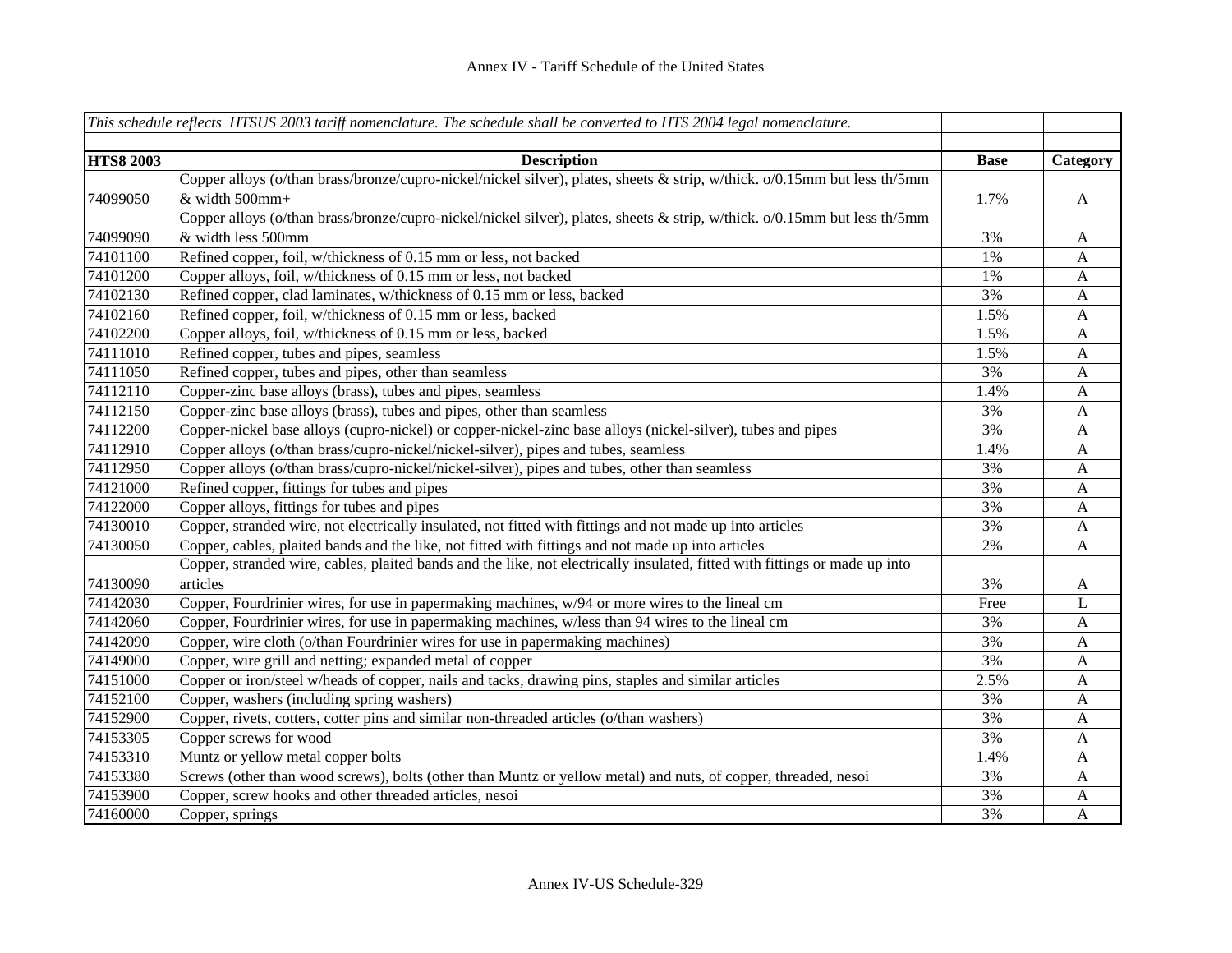|                  | This schedule reflects HTSUS 2003 tariff nomenclature. The schedule shall be converted to HTS 2004 legal nomenclature.      |             |              |
|------------------|-----------------------------------------------------------------------------------------------------------------------------|-------------|--------------|
|                  |                                                                                                                             |             |              |
| <b>HTS8 2003</b> | <b>Description</b>                                                                                                          | <b>Base</b> | Category     |
|                  | Copper alloys (o/than brass/bronze/cupro-nickel/nickel silver), plates, sheets & strip, w/thick. o/0.15mm but less th/5mm   |             |              |
| 74099050         | & width 500mm+                                                                                                              | 1.7%        | $\mathbf{A}$ |
|                  | Copper alloys (o/than brass/bronze/cupro-nickel/nickel silver), plates, sheets & strip, w/thick. o/0.15mm but less th/5mm   |             |              |
| 74099090         | & width less 500mm                                                                                                          | 3%          | $\mathbf{A}$ |
| 74101100         | Refined copper, foil, w/thickness of 0.15 mm or less, not backed                                                            | 1%          | A            |
| 74101200         | Copper alloys, foil, w/thickness of 0.15 mm or less, not backed                                                             | 1%          | A            |
| 74102130         | Refined copper, clad laminates, w/thickness of 0.15 mm or less, backed                                                      | 3%          | A            |
| 74102160         | Refined copper, foil, w/thickness of 0.15 mm or less, backed                                                                | 1.5%        | $\mathbf{A}$ |
| 74102200         | Copper alloys, foil, w/thickness of 0.15 mm or less, backed                                                                 | 1.5%        | $\mathbf{A}$ |
| 74111010         | Refined copper, tubes and pipes, seamless                                                                                   | 1.5%        | $\mathbf{A}$ |
| 74111050         | Refined copper, tubes and pipes, other than seamless                                                                        | 3%          | A            |
| 74112110         | Copper-zinc base alloys (brass), tubes and pipes, seamless                                                                  | 1.4%        | A            |
| 74112150         | Copper-zinc base alloys (brass), tubes and pipes, other than seamless                                                       | 3%          | A            |
| 74112200         | Copper-nickel base alloys (cupro-nickel) or copper-nickel-zinc base alloys (nickel-silver), tubes and pipes                 | 3%          | A            |
| 74112910         | Copper alloys (o/than brass/cupro-nickel/nickel-silver), pipes and tubes, seamless                                          | 1.4%        | A            |
| 74112950         | Copper alloys (o/than brass/cupro-nickel/nickel-silver), pipes and tubes, other than seamless                               | 3%          | $\mathbf{A}$ |
| 74121000         | Refined copper, fittings for tubes and pipes                                                                                | 3%          | $\mathbf{A}$ |
| 74122000         | Copper alloys, fittings for tubes and pipes                                                                                 | 3%          | A            |
| 74130010         | Copper, stranded wire, not electrically insulated, not fitted with fittings and not made up into articles                   | 3%          | $\mathbf{A}$ |
| 74130050         | Copper, cables, plaited bands and the like, not fitted with fittings and not made up into articles                          | 2%          | A            |
|                  | Copper, stranded wire, cables, plaited bands and the like, not electrically insulated, fitted with fittings or made up into |             |              |
| 74130090         | articles                                                                                                                    | 3%          | $\mathbf{A}$ |
| 74142030         | Copper, Fourdrinier wires, for use in papermaking machines, w/94 or more wires to the lineal cm                             | Free        | L            |
| 74142060         | Copper, Fourdrinier wires, for use in papermaking machines, w/less than 94 wires to the lineal cm                           | 3%          | $\mathbf{A}$ |
| 74142090         | Copper, wire cloth (o/than Fourdrinier wires for use in papermaking machines)                                               | 3%          | A            |
| 74149000         | Copper, wire grill and netting; expanded metal of copper                                                                    | 3%          | A            |
| 74151000         | Copper or iron/steel w/heads of copper, nails and tacks, drawing pins, staples and similar articles                         | 2.5%        | A            |
| 74152100         | Copper, washers (including spring washers)                                                                                  | 3%          | A            |
| 74152900         | Copper, rivets, cotters, cotter pins and similar non-threaded articles (o/than washers)                                     | 3%          | $\mathbf{A}$ |
| 74153305         | Copper screws for wood                                                                                                      | 3%          | $\mathbf{A}$ |
| 74153310         | Muntz or yellow metal copper bolts                                                                                          | 1.4%        | $\mathbf{A}$ |
| 74153380         | Screws (other than wood screws), bolts (other than Muntz or yellow metal) and nuts, of copper, threaded, nesoi              | 3%          | A            |
| 74153900         | Copper, screw hooks and other threaded articles, nesoi                                                                      | 3%          | A            |
| 74160000         | Copper, springs                                                                                                             | 3%          | $\mathbf{A}$ |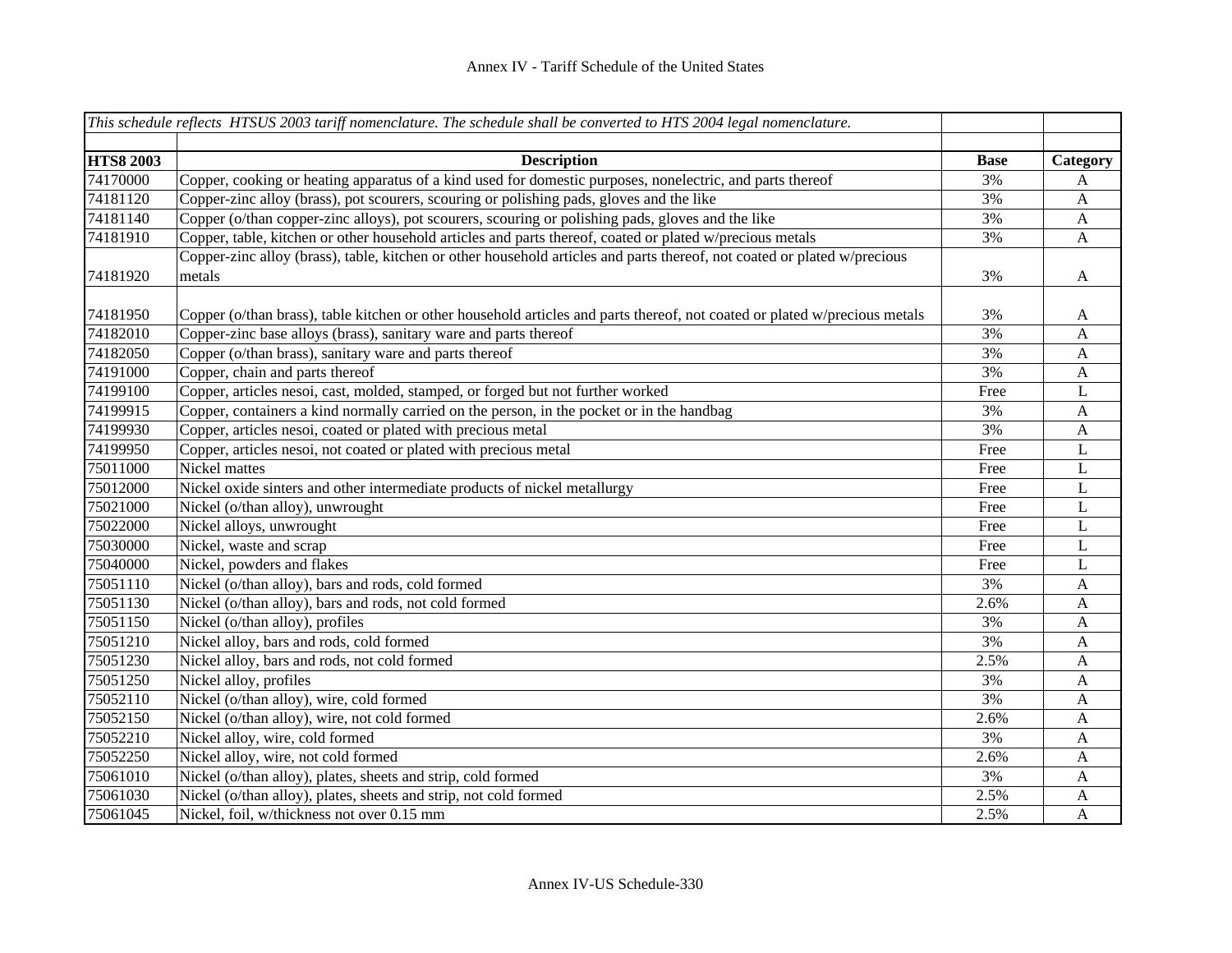|                  | This schedule reflects HTSUS 2003 tariff nomenclature. The schedule shall be converted to HTS 2004 legal nomenclature.     |             |              |
|------------------|----------------------------------------------------------------------------------------------------------------------------|-------------|--------------|
|                  |                                                                                                                            |             |              |
| <b>HTS8 2003</b> | <b>Description</b>                                                                                                         | <b>Base</b> | Category     |
| 74170000         | Copper, cooking or heating apparatus of a kind used for domestic purposes, nonelectric, and parts thereof                  | 3%          | A            |
| 74181120         | Copper-zinc alloy (brass), pot scourers, scouring or polishing pads, gloves and the like                                   | 3%          | A            |
| 74181140         | Copper (o/than copper-zinc alloys), pot scourers, scouring or polishing pads, gloves and the like                          | 3%          | A            |
| 74181910         | Copper, table, kitchen or other household articles and parts thereof, coated or plated w/precious metals                   | 3%          | A            |
|                  | Copper-zinc alloy (brass), table, kitchen or other household articles and parts thereof, not coated or plated w/precious   |             |              |
| 74181920         | metals                                                                                                                     | 3%          | $\mathbf{A}$ |
| 74181950         | Copper (o/than brass), table kitchen or other household articles and parts thereof, not coated or plated w/precious metals | 3%          | A            |
| 74182010         | Copper-zinc base alloys (brass), sanitary ware and parts thereof                                                           | 3%          | A            |
| 74182050         | Copper (o/than brass), sanitary ware and parts thereof                                                                     | 3%          | $\mathbf{A}$ |
| 74191000         | Copper, chain and parts thereof                                                                                            | 3%          | $\mathbf{A}$ |
| 74199100         | Copper, articles nesoi, cast, molded, stamped, or forged but not further worked                                            | Free        | $\mathbf L$  |
| 74199915         | Copper, containers a kind normally carried on the person, in the pocket or in the handbag                                  | 3%          | $\mathbf{A}$ |
| 74199930         | Copper, articles nesoi, coated or plated with precious metal                                                               | 3%          | $\mathbf{A}$ |
| 74199950         | Copper, articles nesoi, not coated or plated with precious metal                                                           | Free        | L            |
| 75011000         | Nickel mattes                                                                                                              | Free        | L            |
| 75012000         | Nickel oxide sinters and other intermediate products of nickel metallurgy                                                  | Free        | L            |
| 75021000         | Nickel (o/than alloy), unwrought                                                                                           | Free        | L            |
| 75022000         | Nickel alloys, unwrought                                                                                                   | Free        | L            |
| 75030000         | Nickel, waste and scrap                                                                                                    | Free        | L            |
| 75040000         | Nickel, powders and flakes                                                                                                 | Free        | L            |
| 75051110         | Nickel (o/than alloy), bars and rods, cold formed                                                                          | 3%          | $\mathbf{A}$ |
| 75051130         | Nickel (o/than alloy), bars and rods, not cold formed                                                                      | 2.6%        | $\mathbf{A}$ |
| 75051150         | Nickel (o/than alloy), profiles                                                                                            | 3%          | A            |
| 75051210         | Nickel alloy, bars and rods, cold formed                                                                                   | 3%          | $\mathbf{A}$ |
| 75051230         | Nickel alloy, bars and rods, not cold formed                                                                               | 2.5%        | A            |
| 75051250         | Nickel alloy, profiles                                                                                                     | 3%          | $\mathbf{A}$ |
| 75052110         | Nickel (o/than alloy), wire, cold formed                                                                                   | 3%          | $\mathbf{A}$ |
| 75052150         | Nickel (o/than alloy), wire, not cold formed                                                                               | 2.6%        | $\mathbf{A}$ |
| 75052210         | Nickel alloy, wire, cold formed                                                                                            | 3%          | A            |
| 75052250         | Nickel alloy, wire, not cold formed                                                                                        | 2.6%        | A            |
| 75061010         | Nickel (o/than alloy), plates, sheets and strip, cold formed                                                               | 3%          | A            |
| 75061030         | Nickel (o/than alloy), plates, sheets and strip, not cold formed                                                           | 2.5%        | A            |
| 75061045         | Nickel, foil, w/thickness not over 0.15 mm                                                                                 | 2.5%        | $\mathbf{A}$ |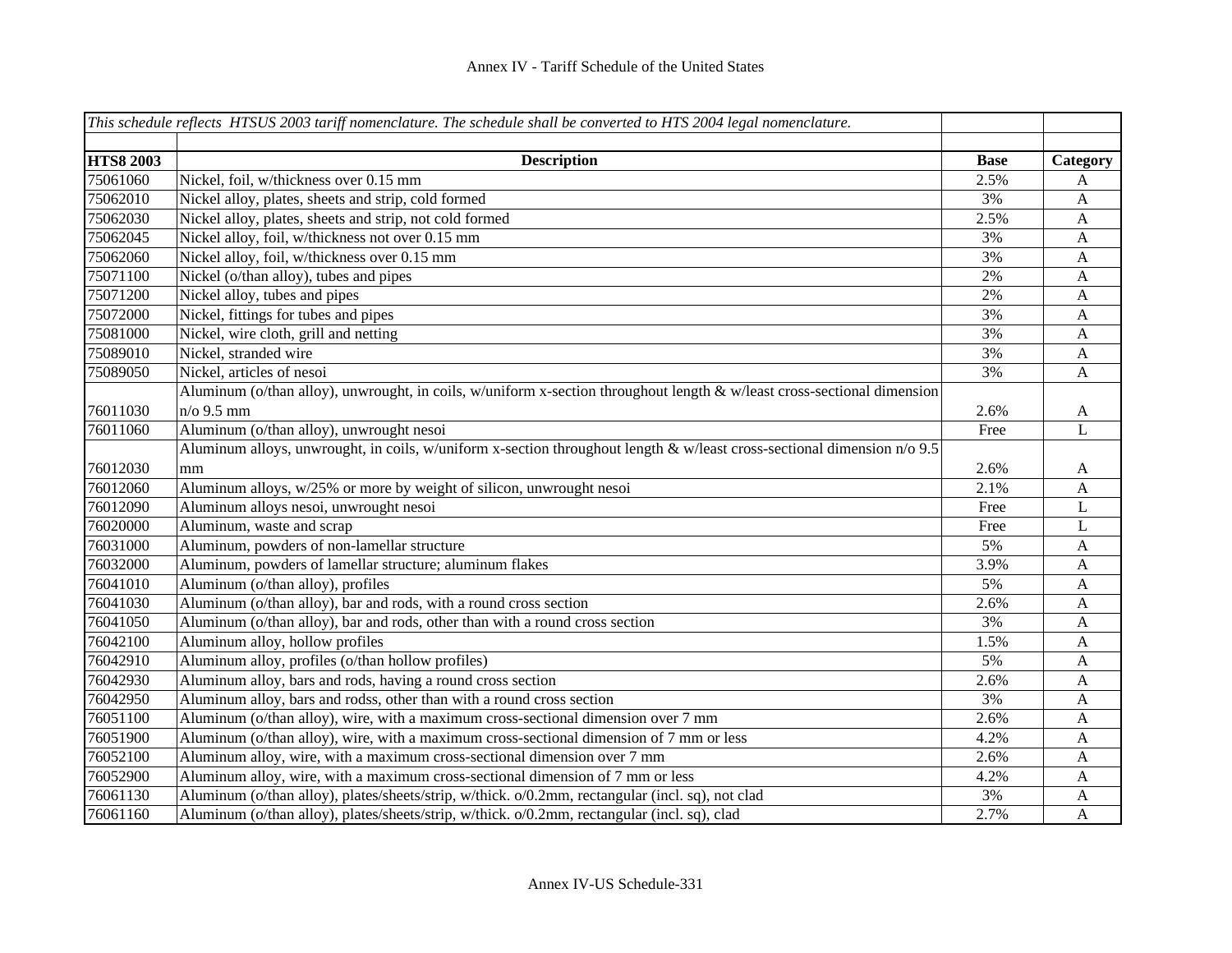|                  | This schedule reflects HTSUS 2003 tariff nomenclature. The schedule shall be converted to HTS 2004 legal nomenclature.  |             |              |
|------------------|-------------------------------------------------------------------------------------------------------------------------|-------------|--------------|
|                  |                                                                                                                         |             |              |
| <b>HTS8 2003</b> | <b>Description</b>                                                                                                      | <b>Base</b> | Category     |
| 75061060         | Nickel, foil, w/thickness over 0.15 mm                                                                                  | 2.5%        | A            |
| 75062010         | Nickel alloy, plates, sheets and strip, cold formed                                                                     | 3%          | $\mathbf{A}$ |
| 75062030         | Nickel alloy, plates, sheets and strip, not cold formed                                                                 | 2.5%        | $\mathbf{A}$ |
| 75062045         | Nickel alloy, foil, w/thickness not over 0.15 mm                                                                        | 3%          | $\mathbf{A}$ |
| 75062060         | Nickel alloy, foil, w/thickness over 0.15 mm                                                                            | 3%          | $\mathbf{A}$ |
| 75071100         | Nickel (o/than alloy), tubes and pipes                                                                                  | 2%          | $\mathbf{A}$ |
| 75071200         | Nickel alloy, tubes and pipes                                                                                           | 2%          | $\mathbf{A}$ |
| 75072000         | Nickel, fittings for tubes and pipes                                                                                    | 3%          | $\mathbf{A}$ |
| 75081000         | Nickel, wire cloth, grill and netting                                                                                   | 3%          | $\mathbf{A}$ |
| 75089010         | Nickel, stranded wire                                                                                                   | 3%          | A            |
| 75089050         | Nickel, articles of nesoi                                                                                               | 3%          | A            |
|                  | Aluminum (o/than alloy), unwrought, in coils, w/uniform x-section throughout length & w/least cross-sectional dimension |             |              |
| 76011030         | $n$ /o 9.5 mm                                                                                                           | 2.6%        | $\mathbf{A}$ |
| 76011060         | Aluminum (o/than alloy), unwrought nesoi                                                                                | Free        | L            |
|                  | Aluminum alloys, unwrought, in coils, w/uniform x-section throughout length & w/least cross-sectional dimension n/o 9.5 |             |              |
| 76012030         | mm                                                                                                                      | 2.6%        | A            |
| 76012060         | Aluminum alloys, w/25% or more by weight of silicon, unwrought nesoi                                                    | 2.1%        | $\mathbf{A}$ |
| 76012090         | Aluminum alloys nesoi, unwrought nesoi                                                                                  | Free        | L            |
| 76020000         | Aluminum, waste and scrap                                                                                               | Free        | L            |
| 76031000         | Aluminum, powders of non-lamellar structure                                                                             | 5%          | $\mathbf{A}$ |
| 76032000         | Aluminum, powders of lamellar structure; aluminum flakes                                                                | 3.9%        | $\mathbf{A}$ |
| 76041010         | Aluminum (o/than alloy), profiles                                                                                       | 5%          | $\mathbf{A}$ |
| 76041030         | Aluminum (o/than alloy), bar and rods, with a round cross section                                                       | 2.6%        | $\mathbf{A}$ |
| 76041050         | Aluminum (o/than alloy), bar and rods, other than with a round cross section                                            | 3%          | $\mathbf{A}$ |
| 76042100         | Aluminum alloy, hollow profiles                                                                                         | 1.5%        | $\mathbf{A}$ |
| 76042910         | Aluminum alloy, profiles (o/than hollow profiles)                                                                       | 5%          | $\mathbf{A}$ |
| 76042930         | Aluminum alloy, bars and rods, having a round cross section                                                             | 2.6%        | $\mathbf{A}$ |
| 76042950         | Aluminum alloy, bars and rodss, other than with a round cross section                                                   | 3%          | $\mathbf{A}$ |
| 76051100         | Aluminum (o/than alloy), wire, with a maximum cross-sectional dimension over 7 mm                                       | 2.6%        | $\mathbf{A}$ |
| 76051900         | Aluminum (o/than alloy), wire, with a maximum cross-sectional dimension of 7 mm or less                                 | 4.2%        | A            |
| 76052100         | Aluminum alloy, wire, with a maximum cross-sectional dimension over 7 mm                                                | 2.6%        | $\mathbf{A}$ |
| 76052900         | Aluminum alloy, wire, with a maximum cross-sectional dimension of 7 mm or less                                          | 4.2%        | A            |
| 76061130         | Aluminum (o/than alloy), plates/sheets/strip, w/thick. o/0.2mm, rectangular (incl. sq), not clad                        | 3%          | A            |
| 76061160         | Aluminum (o/than alloy), plates/sheets/strip, w/thick. o/0.2mm, rectangular (incl. sq), clad                            | 2.7%        | $\mathbf{A}$ |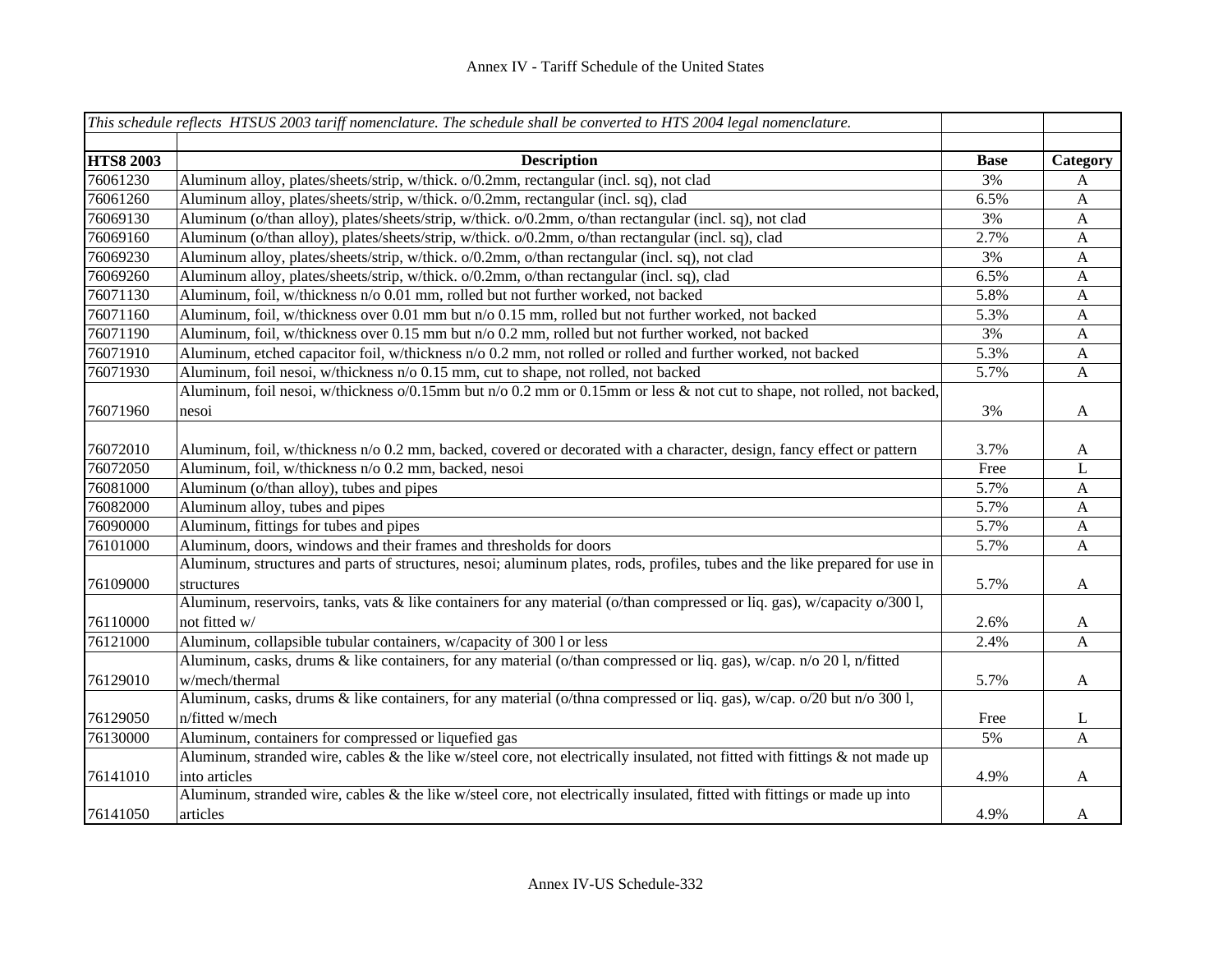|                  | This schedule reflects HTSUS 2003 tariff nomenclature. The schedule shall be converted to HTS 2004 legal nomenclature.       |             |                           |
|------------------|------------------------------------------------------------------------------------------------------------------------------|-------------|---------------------------|
| <b>HTS8 2003</b> | <b>Description</b>                                                                                                           | <b>Base</b> | Category                  |
| 76061230         | Aluminum alloy, plates/sheets/strip, w/thick. o/0.2mm, rectangular (incl. sq), not clad                                      | 3%          | A                         |
| 76061260         | Aluminum alloy, plates/sheets/strip, w/thick. o/0.2mm, rectangular (incl. sq), clad                                          | 6.5%        | $\mathbf{A}$              |
| 76069130         | Aluminum (o/than alloy), plates/sheets/strip, w/thick. o/0.2mm, o/than rectangular (incl. sq), not clad                      | 3%          | $\mathbf{A}$              |
| 76069160         | Aluminum (o/than alloy), plates/sheets/strip, w/thick. o/0.2mm, o/than rectangular (incl. sq), clad                          | 2.7%        | $\mathbf{A}$              |
| 76069230         | Aluminum alloy, plates/sheets/strip, w/thick. o/0.2mm, o/than rectangular (incl. sq), not clad                               | 3%          | $\mathbf{A}$              |
| 76069260         | Aluminum alloy, plates/sheets/strip, w/thick. o/0.2mm, o/than rectangular (incl. sq), clad                                   | 6.5%        | $\mathbf{A}$              |
| 76071130         | Aluminum, foil, w/thickness n/o 0.01 mm, rolled but not further worked, not backed                                           | 5.8%        | $\mathbf{A}$              |
| 76071160         | Aluminum, foil, w/thickness over 0.01 mm but n/o 0.15 mm, rolled but not further worked, not backed                          | 5.3%        | $\mathbf{A}$              |
| 76071190         | Aluminum, foil, w/thickness over 0.15 mm but n/o 0.2 mm, rolled but not further worked, not backed                           | 3%          | $\boldsymbol{\mathsf{A}}$ |
| 76071910         | Aluminum, etched capacitor foil, w/thickness n/o 0.2 mm, not rolled or rolled and further worked, not backed                 | 5.3%        | $\mathbf{A}$              |
| 76071930         | Aluminum, foil nesoi, w/thickness n/o 0.15 mm, cut to shape, not rolled, not backed                                          | 5.7%        | A                         |
|                  | Aluminum, foil nesoi, w/thickness o/0.15mm but n/o 0.2 mm or 0.15mm or less & not cut to shape, not rolled, not backed,      |             |                           |
| 76071960         | nesoi                                                                                                                        | 3%          | $\mathbf{A}$              |
|                  |                                                                                                                              |             |                           |
| 76072010         | Aluminum, foil, w/thickness n/o 0.2 mm, backed, covered or decorated with a character, design, fancy effect or pattern       | 3.7%        | A                         |
| 76072050         | Aluminum, foil, w/thickness n/o 0.2 mm, backed, nesoi                                                                        | Free        | L                         |
| 76081000         | Aluminum (o/than alloy), tubes and pipes                                                                                     | 5.7%        | $\mathbf{A}$              |
| 76082000         | Aluminum alloy, tubes and pipes                                                                                              | 5.7%        | A                         |
| 76090000         | Aluminum, fittings for tubes and pipes                                                                                       | 5.7%        | $\mathbf{A}$              |
| 76101000         | Aluminum, doors, windows and their frames and thresholds for doors                                                           | 5.7%        | $\boldsymbol{\mathsf{A}}$ |
|                  | Aluminum, structures and parts of structures, nesoi; aluminum plates, rods, profiles, tubes and the like prepared for use in |             |                           |
| 76109000         | structures                                                                                                                   | 5.7%        | $\mathbf{A}$              |
|                  | Aluminum, reservoirs, tanks, vats & like containers for any material (o/than compressed or liq. gas), w/capacity o/300 l,    |             |                           |
| 76110000         | not fitted w/                                                                                                                | 2.6%        | $\mathbf{A}$              |
| 76121000         | Aluminum, collapsible tubular containers, w/capacity of 300 l or less                                                        | 2.4%        | A                         |
|                  | Aluminum, casks, drums & like containers, for any material (o/than compressed or liq. gas), w/cap. n/o 201, n/fitted         |             |                           |
| 76129010         | w/mech/thermal                                                                                                               | 5.7%        | $\mathbf{A}$              |
|                  | Aluminum, casks, drums & like containers, for any material (o/thna compressed or liq. gas), w/cap. o/20 but n/o 300 l,       |             |                           |
| 76129050         | n/fitted w/mech                                                                                                              | Free        | L                         |
| 76130000         | Aluminum, containers for compressed or liquefied gas                                                                         | 5%          | A                         |
|                  | Aluminum, stranded wire, cables & the like w/steel core, not electrically insulated, not fitted with fittings & not made up  |             |                           |
| 76141010         | into articles                                                                                                                | 4.9%        | A                         |
|                  | Aluminum, stranded wire, cables & the like w/steel core, not electrically insulated, fitted with fittings or made up into    |             |                           |
| 76141050         | articles                                                                                                                     | 4.9%        | A                         |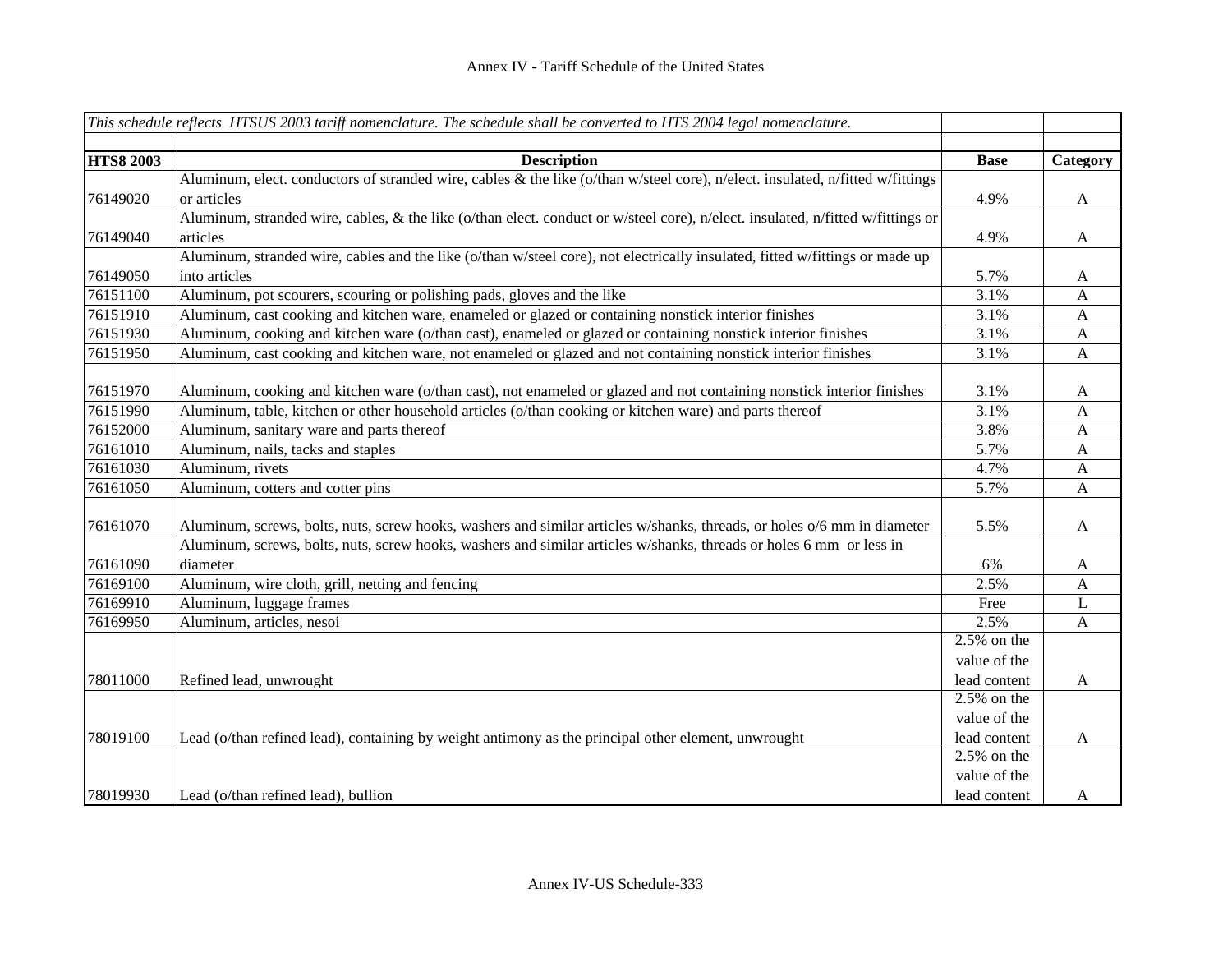|                  | This schedule reflects HTSUS 2003 tariff nomenclature. The schedule shall be converted to HTS 2004 legal nomenclature.          |                           |                  |
|------------------|---------------------------------------------------------------------------------------------------------------------------------|---------------------------|------------------|
|                  |                                                                                                                                 |                           |                  |
| <b>HTS8 2003</b> | <b>Description</b>                                                                                                              | <b>Base</b>               | Category         |
|                  | Aluminum, elect. conductors of stranded wire, cables & the like (o/than w/steel core), n/elect. insulated, n/fitted w/fittings  |                           |                  |
| 76149020         | or articles                                                                                                                     | 4.9%                      | A                |
|                  | Aluminum, stranded wire, cables, & the like (o/than elect. conduct or w/steel core), n/elect. insulated, n/fitted w/fittings or |                           |                  |
| 76149040         | articles                                                                                                                        | 4.9%                      | $\mathbf{A}$     |
|                  | Aluminum, stranded wire, cables and the like (o/than w/steel core), not electrically insulated, fitted w/fittings or made up    |                           |                  |
| 76149050         | into articles                                                                                                                   | 5.7%                      | A                |
| 76151100         | Aluminum, pot scourers, scouring or polishing pads, gloves and the like                                                         | 3.1%                      | $\mathbf{A}$     |
| 76151910         | Aluminum, cast cooking and kitchen ware, enameled or glazed or containing nonstick interior finishes                            | 3.1%                      | $\mathbf{A}$     |
| 76151930         | Aluminum, cooking and kitchen ware (o/than cast), enameled or glazed or containing nonstick interior finishes                   | 3.1%                      | $\mathbf{A}$     |
| 76151950         | Aluminum, cast cooking and kitchen ware, not enameled or glazed and not containing nonstick interior finishes                   | 3.1%                      | $\mathbf{A}$     |
|                  |                                                                                                                                 |                           |                  |
| 76151970         | Aluminum, cooking and kitchen ware (o/than cast), not enameled or glazed and not containing nonstick interior finishes          | 3.1%                      | A                |
| 76151990         | Aluminum, table, kitchen or other household articles (o/than cooking or kitchen ware) and parts thereof                         | 3.1%                      | A                |
| 76152000         | Aluminum, sanitary ware and parts thereof                                                                                       | 3.8%                      | $\mathbf{A}$     |
| 76161010         | Aluminum, nails, tacks and staples                                                                                              | 5.7%                      | $\mathbf{A}$     |
| 76161030         | Aluminum, rivets                                                                                                                | 4.7%                      | $\mathbf{A}$     |
| 76161050         | Aluminum, cotters and cotter pins                                                                                               | 5.7%                      | $\mathbf{A}$     |
|                  |                                                                                                                                 |                           |                  |
| 76161070         | Aluminum, screws, bolts, nuts, screw hooks, washers and similar articles w/shanks, threads, or holes o/6 mm in diameter         | 5.5%                      | $\boldsymbol{A}$ |
|                  | Aluminum, screws, bolts, nuts, screw hooks, washers and similar articles w/shanks, threads or holes 6 mm or less in             |                           |                  |
| 76161090         | diameter                                                                                                                        | 6%                        | A                |
| 76169100         | Aluminum, wire cloth, grill, netting and fencing                                                                                | 2.5%                      | $\mathbf{A}$     |
| 76169910         | Aluminum, luggage frames                                                                                                        | Free                      | $\mathbf{L}$     |
| 76169950         | Aluminum, articles, nesoi                                                                                                       | 2.5%                      | $\mathbf{A}$     |
|                  |                                                                                                                                 | $2.5\%$ on the            |                  |
|                  |                                                                                                                                 | value of the              |                  |
| 78011000         | Refined lead, unwrought                                                                                                         | lead content              | $\mathbf{A}$     |
|                  |                                                                                                                                 | $2.5\%$ on the            |                  |
|                  |                                                                                                                                 | value of the              |                  |
| 78019100         | Lead (o/than refined lead), containing by weight antimony as the principal other element, unwrought                             | lead content              | $\mathbf{A}$     |
|                  |                                                                                                                                 | $\overline{2.5\%}$ on the |                  |
|                  |                                                                                                                                 | value of the              |                  |
| 78019930         | Lead (o/than refined lead), bullion                                                                                             | lead content              | A                |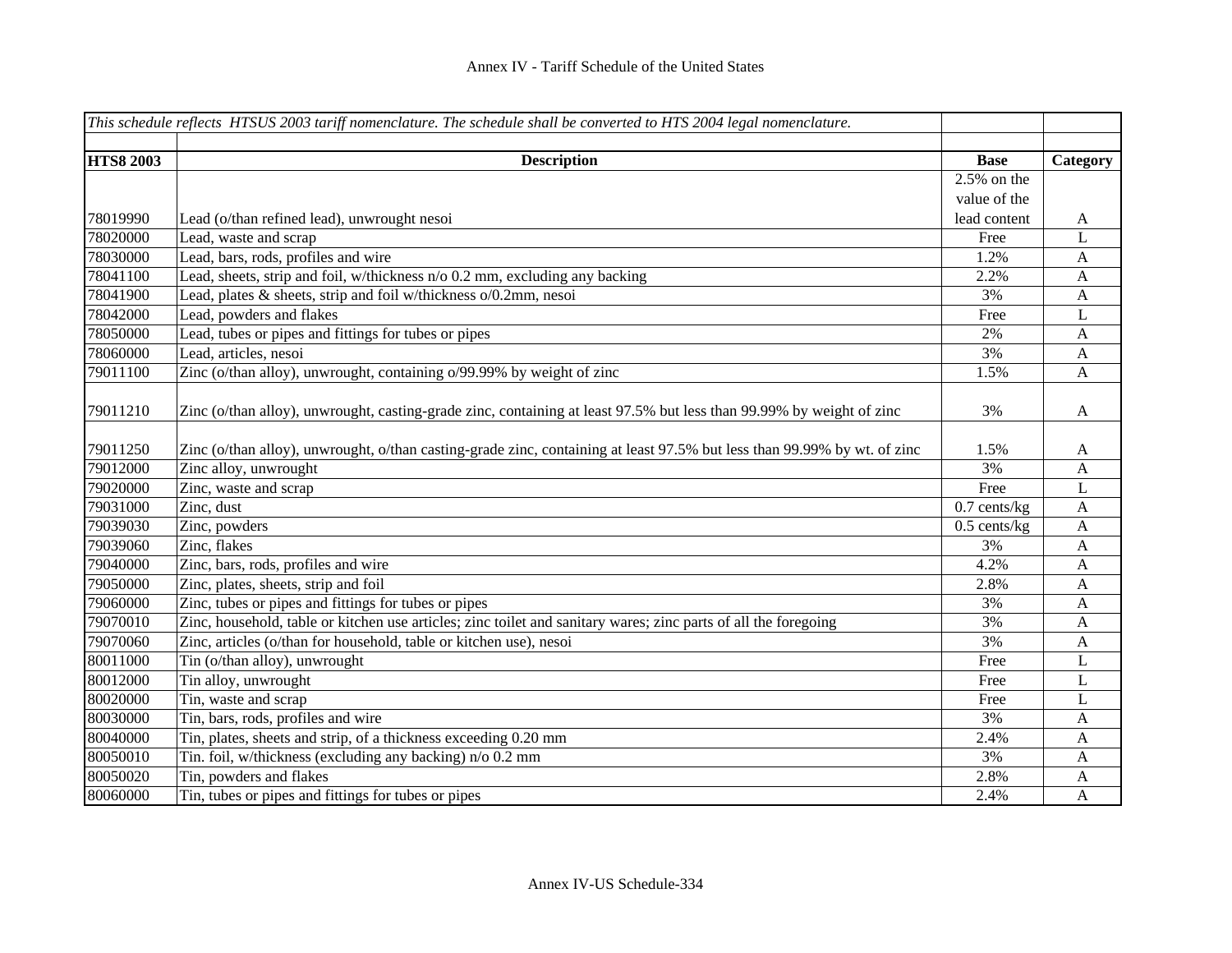|                  | This schedule reflects HTSUS 2003 tariff nomenclature. The schedule shall be converted to HTS 2004 legal nomenclature.   |                |                  |
|------------------|--------------------------------------------------------------------------------------------------------------------------|----------------|------------------|
| <b>HTS8 2003</b> | <b>Description</b>                                                                                                       | <b>Base</b>    | Category         |
|                  |                                                                                                                          | $2.5\%$ on the |                  |
|                  |                                                                                                                          | value of the   |                  |
| 78019990         | Lead (o/than refined lead), unwrought nesoi                                                                              | lead content   | A                |
| 78020000         | Lead, waste and scrap                                                                                                    | Free           | L                |
| 78030000         | Lead, bars, rods, profiles and wire                                                                                      | 1.2%           | A                |
| 78041100         | Lead, sheets, strip and foil, w/thickness n/o 0.2 mm, excluding any backing                                              | 2.2%           | A                |
| 78041900         | Lead, plates & sheets, strip and foil w/thickness o/0.2mm, nesoi                                                         | 3%             | A                |
| 78042000         | Lead, powders and flakes                                                                                                 | Free           | L                |
| 78050000         | Lead, tubes or pipes and fittings for tubes or pipes                                                                     | 2%             | A                |
| 78060000         | Lead, articles, nesoi                                                                                                    | 3%             | A                |
| 79011100         | Zinc (o/than alloy), unwrought, containing o/99.99% by weight of zinc                                                    | 1.5%           | A                |
| 79011210         | Zinc (o/than alloy), unwrought, casting-grade zinc, containing at least 97.5% but less than 99.99% by weight of zinc     | 3%             | A                |
| 79011250         | Zinc (o/than alloy), unwrought, o/than casting-grade zinc, containing at least 97.5% but less than 99.99% by wt. of zinc | 1.5%           | A                |
| 79012000         | Zinc alloy, unwrought                                                                                                    | 3%             | $\mathbf{A}$     |
| 79020000         | Zinc, waste and scrap                                                                                                    | Free           | L                |
| 79031000         | Zinc, dust                                                                                                               | $0.7$ cents/kg | $\mathbf{A}$     |
| 79039030         | Zinc, powders                                                                                                            | $0.5$ cents/kg | $\boldsymbol{A}$ |
| 79039060         | Zinc, flakes                                                                                                             | 3%             | A                |
| 79040000         | Zinc, bars, rods, profiles and wire                                                                                      | 4.2%           | A                |
| 79050000         | Zinc, plates, sheets, strip and foil                                                                                     | 2.8%           | $\mathbf{A}$     |
| 79060000         | Zinc, tubes or pipes and fittings for tubes or pipes                                                                     | 3%             | A                |
| 79070010         | Zinc, household, table or kitchen use articles; zinc toilet and sanitary wares; zinc parts of all the foregoing          | 3%             | $\boldsymbol{A}$ |
| 79070060         | Zinc, articles (o/than for household, table or kitchen use), nesoi                                                       | 3%             | $\mathbf{A}$     |
| 80011000         | Tin (o/than alloy), unwrought                                                                                            | Free           | L                |
| 80012000         | Tin alloy, unwrought                                                                                                     | Free           | L                |
| 80020000         | Tin, waste and scrap                                                                                                     | Free           | L                |
| 80030000         | Tin, bars, rods, profiles and wire                                                                                       | 3%             | $\mathbf{A}$     |
| 80040000         | Tin, plates, sheets and strip, of a thickness exceeding 0.20 mm                                                          | 2.4%           | $\overline{A}$   |
| 80050010         | Tin. foil, w/thickness (excluding any backing) n/o 0.2 mm                                                                | 3%             | A                |
| 80050020         | Tin, powders and flakes                                                                                                  | 2.8%           | A                |
| 80060000         | Tin, tubes or pipes and fittings for tubes or pipes                                                                      | 2.4%           | A                |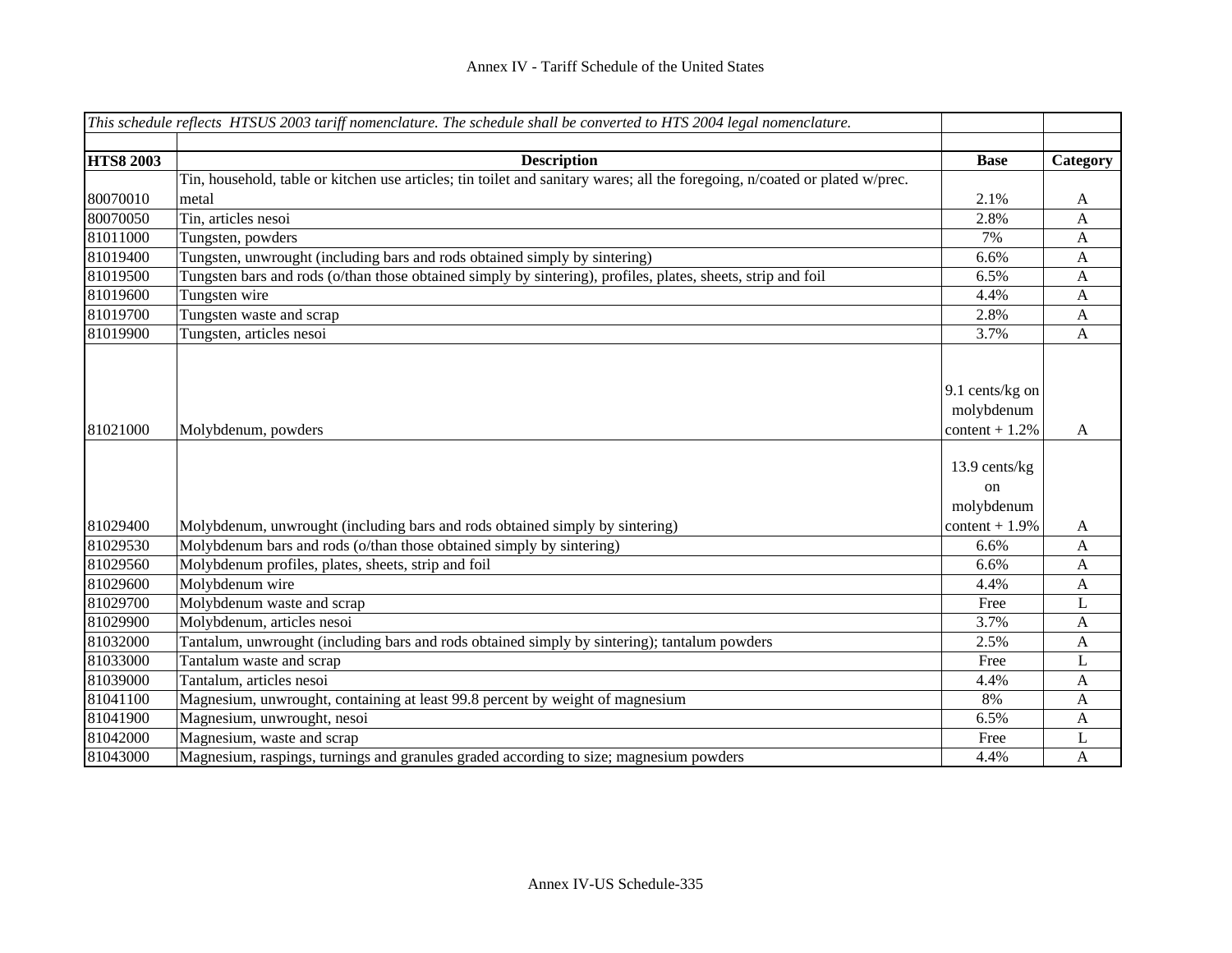|                  | This schedule reflects HTSUS 2003 tariff nomenclature. The schedule shall be converted to HTS 2004 legal nomenclature.      |                                                  |                  |
|------------------|-----------------------------------------------------------------------------------------------------------------------------|--------------------------------------------------|------------------|
|                  |                                                                                                                             |                                                  |                  |
| <b>HTS8 2003</b> | <b>Description</b>                                                                                                          | <b>Base</b>                                      | Category         |
|                  | Tin, household, table or kitchen use articles; tin toilet and sanitary wares; all the foregoing, n/coated or plated w/prec. |                                                  |                  |
| 80070010         | metal                                                                                                                       | 2.1%                                             | A                |
| 80070050         | Tin, articles nesoi                                                                                                         | 2.8%                                             | A                |
| 81011000         | Tungsten, powders                                                                                                           | 7%                                               | A                |
| 81019400         | Tungsten, unwrought (including bars and rods obtained simply by sintering)                                                  | 6.6%                                             | $\mathbf{A}$     |
| 81019500         | Tungsten bars and rods (o/than those obtained simply by sintering), profiles, plates, sheets, strip and foil                | 6.5%                                             | $\mathbf{A}$     |
| 81019600         | Tungsten wire                                                                                                               | 4.4%                                             | A                |
| 81019700         | Tungsten waste and scrap                                                                                                    | 2.8%                                             | A                |
| 81019900         | Tungsten, articles nesoi                                                                                                    | 3.7%                                             | $\mathbf{A}$     |
| 81021000         | Molybdenum, powders                                                                                                         | 9.1 cents/kg on<br>molybdenum<br>content $+1.2%$ | A                |
|                  |                                                                                                                             | 13.9 cents/kg<br>on<br>molybdenum                |                  |
| 81029400         | Molybdenum, unwrought (including bars and rods obtained simply by sintering)                                                | $content + 1.9%$                                 | A                |
| 81029530         | Molybdenum bars and rods (o/than those obtained simply by sintering)                                                        | 6.6%                                             | $\mathbf{A}$     |
| 81029560         | Molybdenum profiles, plates, sheets, strip and foil                                                                         | 6.6%                                             | A                |
| 81029600         | Molybdenum wire                                                                                                             | 4.4%                                             | $\mathbf{A}$     |
| 81029700         | Molybdenum waste and scrap                                                                                                  | Free                                             | L                |
| 81029900         | Molybdenum, articles nesoi                                                                                                  | 3.7%                                             | A                |
| 81032000         | Tantalum, unwrought (including bars and rods obtained simply by sintering); tantalum powders                                | 2.5%                                             | $\mathbf{A}$     |
| 81033000         | Tantalum waste and scrap                                                                                                    | Free                                             | L                |
| 81039000         | Tantalum, articles nesoi                                                                                                    | 4.4%                                             | $\boldsymbol{A}$ |
| 81041100         | Magnesium, unwrought, containing at least 99.8 percent by weight of magnesium                                               | 8%                                               | A                |
| 81041900         | Magnesium, unwrought, nesoi                                                                                                 | 6.5%                                             | A                |
| 81042000         | Magnesium, waste and scrap                                                                                                  | Free                                             | L                |
| 81043000         | Magnesium, raspings, turnings and granules graded according to size; magnesium powders                                      | 4.4%                                             | A                |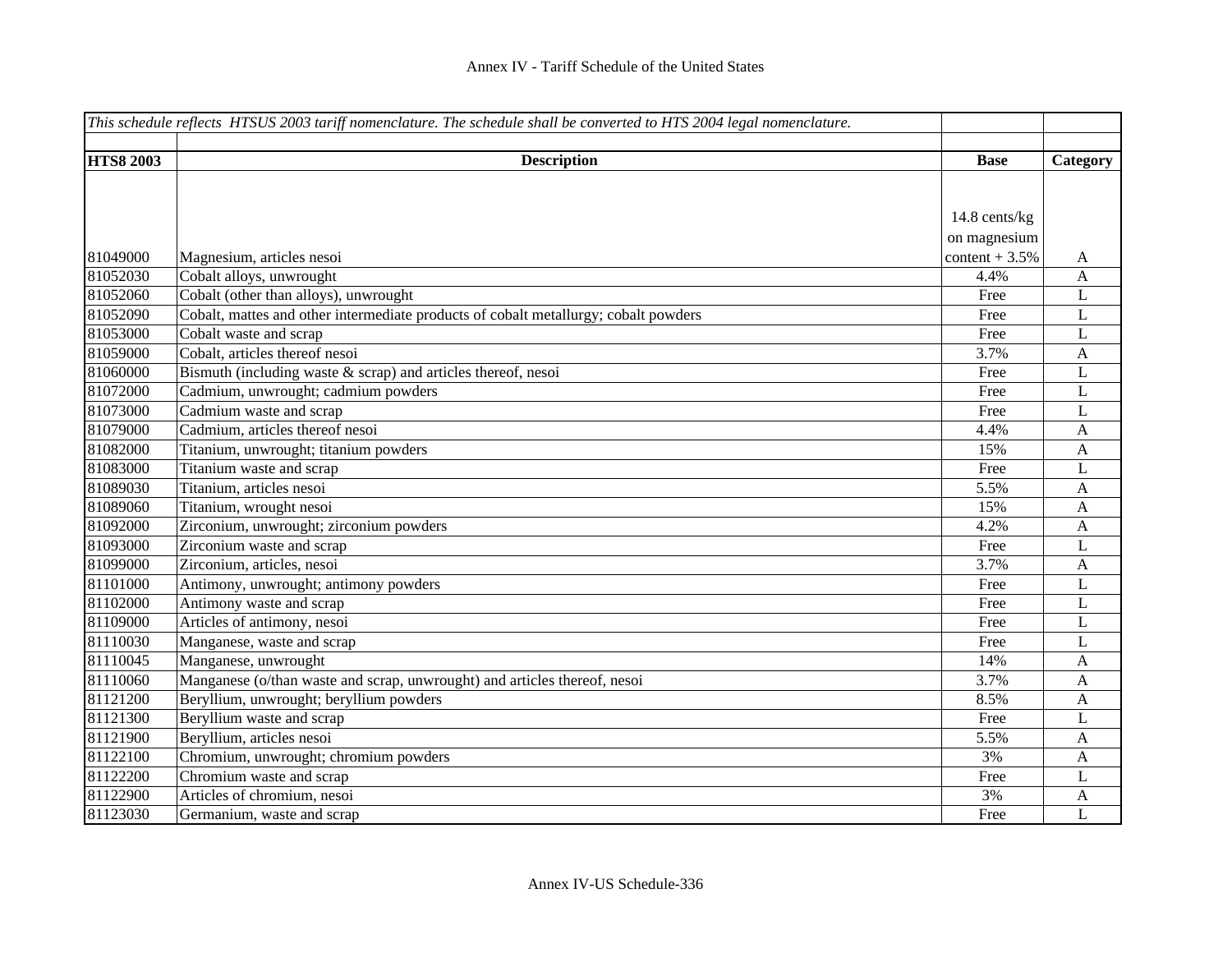|                  | This schedule reflects HTSUS 2003 tariff nomenclature. The schedule shall be converted to HTS 2004 legal nomenclature. |                 |              |
|------------------|------------------------------------------------------------------------------------------------------------------------|-----------------|--------------|
|                  |                                                                                                                        |                 |              |
| <b>HTS8 2003</b> | <b>Description</b>                                                                                                     | <b>Base</b>     | Category     |
|                  |                                                                                                                        |                 |              |
|                  |                                                                                                                        |                 |              |
|                  |                                                                                                                        | 14.8 cents/kg   |              |
|                  |                                                                                                                        | on magnesium    |              |
| 81049000         | Magnesium, articles nesoi                                                                                              | content $+3.5%$ | A            |
| 81052030         | Cobalt alloys, unwrought                                                                                               | 4.4%            | A            |
| 81052060         | Cobalt (other than alloys), unwrought                                                                                  | Free            | L            |
| 81052090         | Cobalt, mattes and other intermediate products of cobalt metallurgy; cobalt powders                                    | Free            | L            |
| 81053000         | Cobalt waste and scrap                                                                                                 | Free            | L            |
| 81059000         | Cobalt, articles thereof nesoi                                                                                         | 3.7%            | $\mathbf{A}$ |
| 81060000         | Bismuth (including waste $&$ scrap) and articles thereof, nesoi                                                        | Free            | L            |
| 81072000         | Cadmium, unwrought; cadmium powders                                                                                    | Free            | L            |
| 81073000         | Cadmium waste and scrap                                                                                                | Free            | L            |
| 81079000         | Cadmium, articles thereof nesoi                                                                                        | 4.4%            | $\mathbf{A}$ |
| 81082000         | Titanium, unwrought; titanium powders                                                                                  | 15%             | $\mathbf{A}$ |
| 81083000         | Titanium waste and scrap                                                                                               | Free            | L            |
| 81089030         | Titanium, articles nesoi                                                                                               | 5.5%            | $\mathbf{A}$ |
| 81089060         | Titanium, wrought nesoi                                                                                                | 15%             | A            |
| 81092000         | Zirconium, unwrought; zirconium powders                                                                                | 4.2%            | $\mathbf{A}$ |
| 81093000         | Zirconium waste and scrap                                                                                              | Free            | L            |
| 81099000         | Zirconium, articles, nesoi                                                                                             | 3.7%            | $\mathbf{A}$ |
| 81101000         | Antimony, unwrought; antimony powders                                                                                  | Free            | L            |
| 81102000         | Antimony waste and scrap                                                                                               | Free            | L            |
| 81109000         | Articles of antimony, nesoi                                                                                            | Free            | $\bf L$      |
| 81110030         | Manganese, waste and scrap                                                                                             | Free            | L            |
| 81110045         | Manganese, unwrought                                                                                                   | 14%             | A            |
| 81110060         | Manganese (o/than waste and scrap, unwrought) and articles thereof, nesoi                                              | 3.7%            | A            |
| 81121200         | Beryllium, unwrought; beryllium powders                                                                                | 8.5%            | $\mathbf{A}$ |
| 81121300         | Beryllium waste and scrap                                                                                              | Free            | $\mathbf L$  |
| 81121900         | Beryllium, articles nesoi                                                                                              | 5.5%            | $\mathbf{A}$ |
| 81122100         | Chromium, unwrought; chromium powders                                                                                  | 3%              | $\mathbf{A}$ |
| 81122200         | Chromium waste and scrap                                                                                               | Free            | L            |
| 81122900         | Articles of chromium, nesoi                                                                                            | 3%              | A            |
| 81123030         | Germanium, waste and scrap                                                                                             | Free            | L            |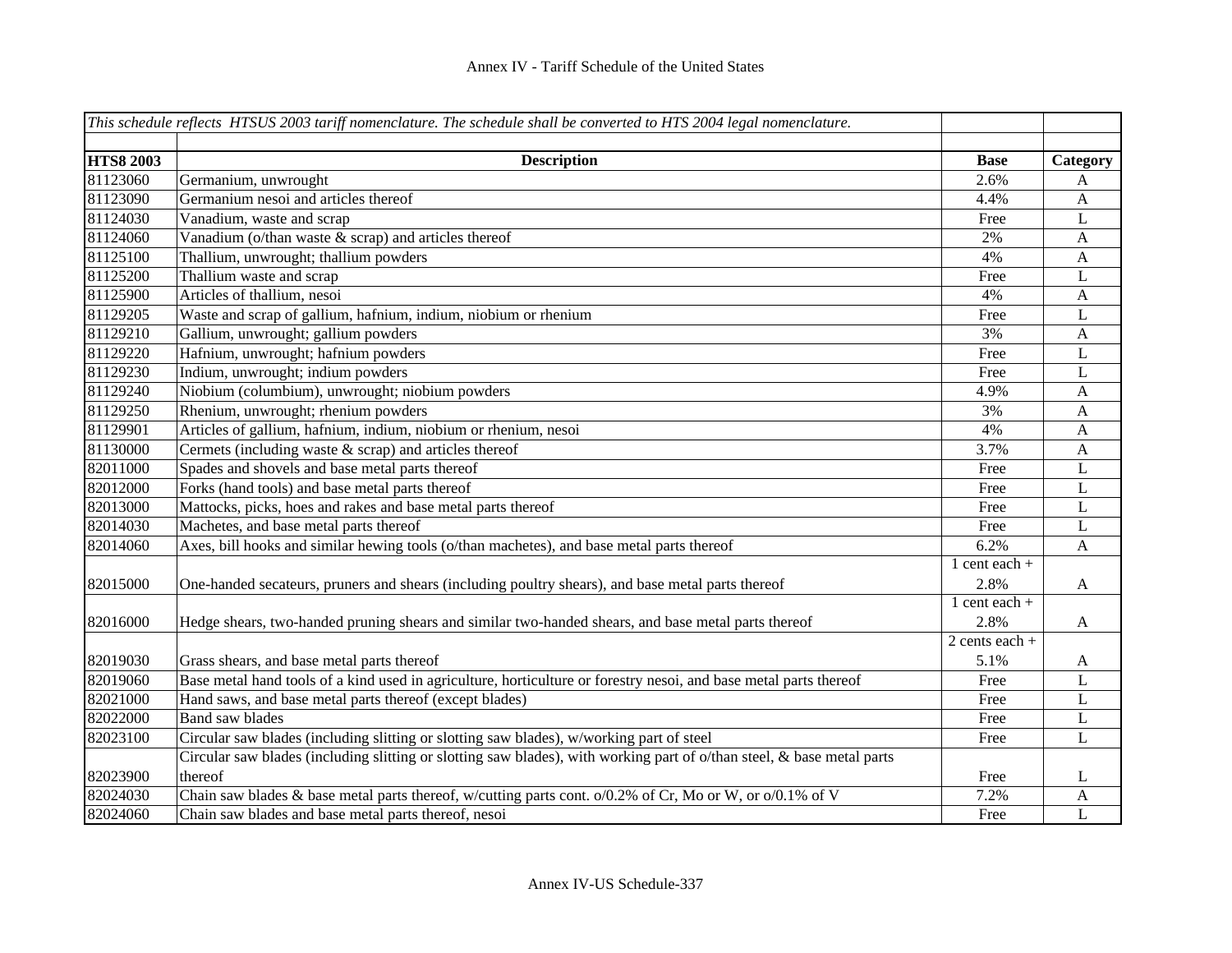|                  | This schedule reflects HTSUS 2003 tariff nomenclature. The schedule shall be converted to HTS 2004 legal nomenclature. |                   |                           |
|------------------|------------------------------------------------------------------------------------------------------------------------|-------------------|---------------------------|
|                  |                                                                                                                        |                   |                           |
| <b>HTS8 2003</b> | <b>Description</b>                                                                                                     | <b>Base</b>       | Category                  |
| 81123060         | Germanium, unwrought                                                                                                   | 2.6%              | A                         |
| 81123090         | Germanium nesoi and articles thereof                                                                                   | 4.4%              | $\mathbf{A}$              |
| 81124030         | Vanadium, waste and scrap                                                                                              | Free              | $\mathbf L$               |
| 81124060         | Vanadium (o/than waste $\&$ scrap) and articles thereof                                                                | 2%                | $\boldsymbol{\mathsf{A}}$ |
| 81125100         | Thallium, unwrought; thallium powders                                                                                  | 4%                | $\mathbf{A}$              |
| 81125200         | Thallium waste and scrap                                                                                               | Free              | L                         |
| 81125900         | Articles of thallium, nesoi                                                                                            | 4%                | $\mathbf{A}$              |
| 81129205         | Waste and scrap of gallium, hafnium, indium, niobium or rhenium                                                        | Free              | L                         |
| 81129210         | Gallium, unwrought; gallium powders                                                                                    | 3%                | $\mathbf{A}$              |
| 81129220         | Hafnium, unwrought; hafnium powders                                                                                    | Free              | L                         |
| 81129230         | Indium, unwrought; indium powders                                                                                      | Free              | L                         |
| 81129240         | Niobium (columbium), unwrought; niobium powders                                                                        | 4.9%              | $\mathbf{A}$              |
| 81129250         | Rhenium, unwrought; rhenium powders                                                                                    | 3%                | $\mathbf{A}$              |
| 81129901         | Articles of gallium, hafnium, indium, niobium or rhenium, nesoi                                                        | 4%                | $\mathbf{A}$              |
| 81130000         | Cermets (including waste & scrap) and articles thereof                                                                 | 3.7%              | $\mathbf{A}$              |
| 82011000         | Spades and shovels and base metal parts thereof                                                                        | Free              | $\mathbf L$               |
| 82012000         | Forks (hand tools) and base metal parts thereof                                                                        | Free              | $\mathbf L$               |
| 82013000         | Mattocks, picks, hoes and rakes and base metal parts thereof                                                           | Free              | $\bf L$                   |
| 82014030         | Machetes, and base metal parts thereof                                                                                 | Free              | $\mathbf L$               |
| 82014060         | Axes, bill hooks and similar hewing tools (o/than machetes), and base metal parts thereof                              | 6.2%              | $\mathbf{A}$              |
|                  |                                                                                                                        | $1$ cent each $+$ |                           |
| 82015000         | One-handed secateurs, pruners and shears (including poultry shears), and base metal parts thereof                      | 2.8%              | $\mathbf{A}$              |
|                  |                                                                                                                        | 1 cent each $+$   |                           |
| 82016000         | Hedge shears, two-handed pruning shears and similar two-handed shears, and base metal parts thereof                    | 2.8%              | A                         |
|                  |                                                                                                                        | 2 cents each $+$  |                           |
| 82019030         | Grass shears, and base metal parts thereof                                                                             | 5.1%              | $\mathbf{A}$              |
| 82019060         | Base metal hand tools of a kind used in agriculture, horticulture or forestry nesoi, and base metal parts thereof      | Free              | $\mathbf L$               |
| 82021000         | Hand saws, and base metal parts thereof (except blades)                                                                | Free              | $\mathbf L$               |
| 82022000         | <b>Band saw blades</b>                                                                                                 | Free              | L                         |
| 82023100         | Circular saw blades (including slitting or slotting saw blades), w/working part of steel                               | Free              | $\mathbf L$               |
|                  | Circular saw blades (including slitting or slotting saw blades), with working part of o/than steel, & base metal parts |                   |                           |
| 82023900         | thereof                                                                                                                | Free              | L                         |
| 82024030         | Chain saw blades & base metal parts thereof, w/cutting parts cont. o/0.2% of Cr, Mo or W, or o/0.1% of V               | 7.2%              | A                         |
| 82024060         | Chain saw blades and base metal parts thereof, nesoi                                                                   | Free              | L                         |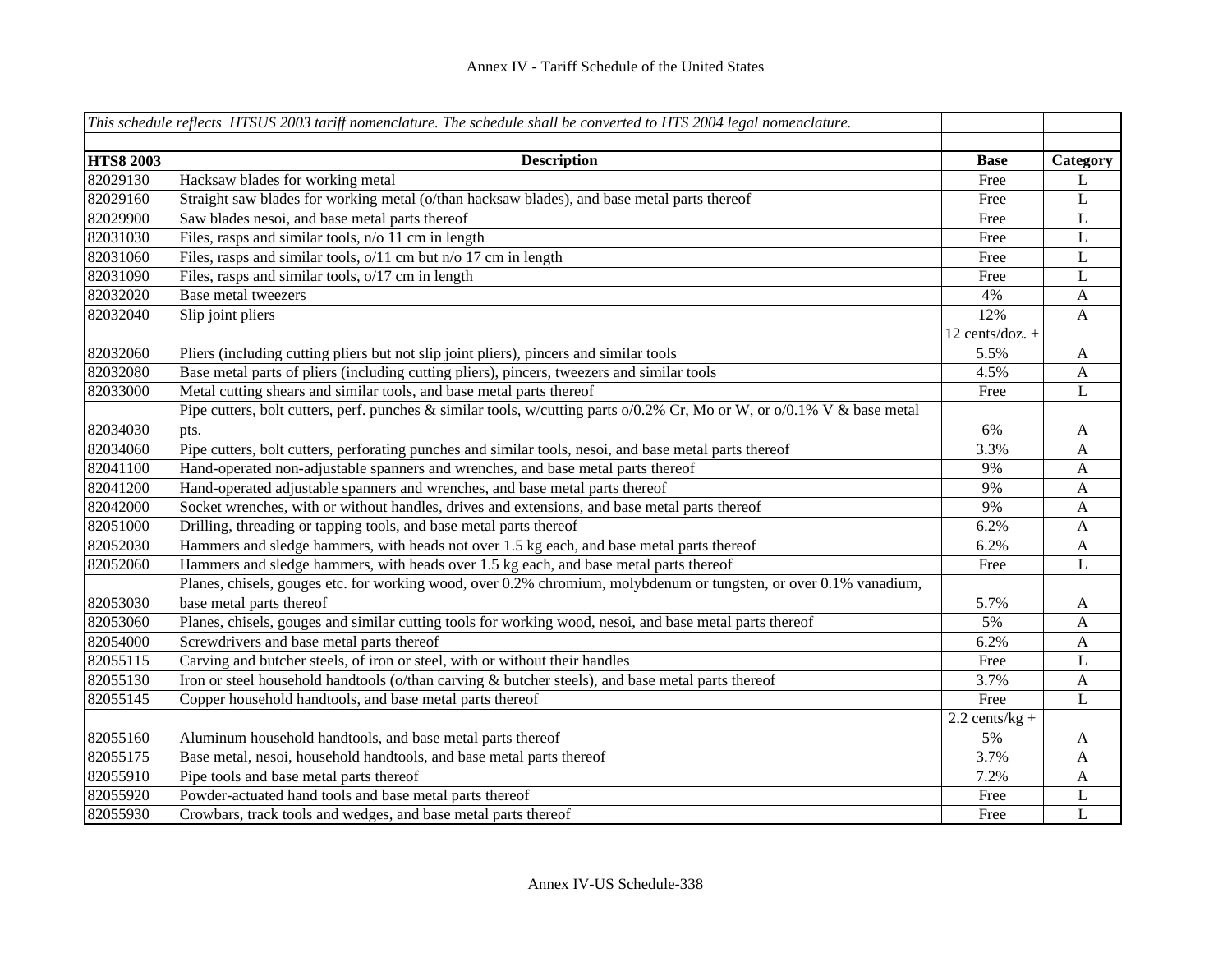|                  | This schedule reflects HTSUS 2003 tariff nomenclature. The schedule shall be converted to HTS 2004 legal nomenclature.        |                   |                           |
|------------------|-------------------------------------------------------------------------------------------------------------------------------|-------------------|---------------------------|
| <b>HTS8 2003</b> | <b>Description</b>                                                                                                            | <b>Base</b>       | Category                  |
| 82029130         | Hacksaw blades for working metal                                                                                              | Free              | L                         |
| 82029160         | Straight saw blades for working metal (o/than hacksaw blades), and base metal parts thereof                                   | Free              | L                         |
| 82029900         | Saw blades nesoi, and base metal parts thereof                                                                                | Free              | L                         |
| 82031030         | Files, rasps and similar tools, n/o 11 cm in length                                                                           | Free              | L                         |
| 82031060         | Files, rasps and similar tools, $\sqrt{11}$ cm but n/o 17 cm in length                                                        | Free              | L                         |
| 82031090         | Files, rasps and similar tools, o/17 cm in length                                                                             | Free              | L                         |
| 82032020         | Base metal tweezers                                                                                                           | 4%                | $\boldsymbol{\mathsf{A}}$ |
| 82032040         | Slip joint pliers                                                                                                             | 12%               | $\mathbf{A}$              |
|                  |                                                                                                                               | 12 cents/doz. $+$ |                           |
| 82032060         | Pliers (including cutting pliers but not slip joint pliers), pincers and similar tools                                        | 5.5%              | A                         |
| 82032080         | Base metal parts of pliers (including cutting pliers), pincers, tweezers and similar tools                                    | 4.5%              | $\mathbf{A}$              |
| 82033000         | Metal cutting shears and similar tools, and base metal parts thereof                                                          | Free              | $\mathbf L$               |
|                  | Pipe cutters, bolt cutters, perf. punches & similar tools, w/cutting parts $o/0.2\%$ Cr, Mo or W, or $o/0.1\%$ V & base metal |                   |                           |
| 82034030         | pts.                                                                                                                          | 6%                | A                         |
| 82034060         | Pipe cutters, bolt cutters, perforating punches and similar tools, nesoi, and base metal parts thereof                        | 3.3%              | A                         |
| 82041100         | Hand-operated non-adjustable spanners and wrenches, and base metal parts thereof                                              | 9%                | A                         |
| 82041200         | Hand-operated adjustable spanners and wrenches, and base metal parts thereof                                                  | 9%                | A                         |
| 82042000         | Socket wrenches, with or without handles, drives and extensions, and base metal parts thereof                                 | 9%                | A                         |
| 82051000         | Drilling, threading or tapping tools, and base metal parts thereof                                                            | 6.2%              | A                         |
| 82052030         | Hammers and sledge hammers, with heads not over 1.5 kg each, and base metal parts thereof                                     | 6.2%              | A                         |
| 82052060         | Hammers and sledge hammers, with heads over 1.5 kg each, and base metal parts thereof                                         | Free              | L                         |
|                  | Planes, chisels, gouges etc. for working wood, over 0.2% chromium, molybdenum or tungsten, or over 0.1% vanadium,             |                   |                           |
| 82053030         | base metal parts thereof                                                                                                      | 5.7%              | A                         |
| 82053060         | Planes, chisels, gouges and similar cutting tools for working wood, nesoi, and base metal parts thereof                       | 5%                | A                         |
| 82054000         | Screwdrivers and base metal parts thereof                                                                                     | 6.2%              | A                         |
| 82055115         | Carving and butcher steels, of iron or steel, with or without their handles                                                   | Free              | L                         |
| 82055130         | Iron or steel household handtools (o/than carving & butcher steels), and base metal parts thereof                             | 3.7%              | A                         |
| 82055145         | Copper household handtools, and base metal parts thereof                                                                      | Free              | $\mathbf L$               |
|                  |                                                                                                                               | $2.2$ cents/kg +  |                           |
| 82055160         | Aluminum household handtools, and base metal parts thereof                                                                    | 5%                | A                         |
| 82055175         | Base metal, nesoi, household handtools, and base metal parts thereof                                                          | 3.7%              | A                         |
| 82055910         | Pipe tools and base metal parts thereof                                                                                       | 7.2%              | A                         |
| 82055920         | Powder-actuated hand tools and base metal parts thereof                                                                       | Free              | L                         |
| 82055930         | Crowbars, track tools and wedges, and base metal parts thereof                                                                | Free              | L                         |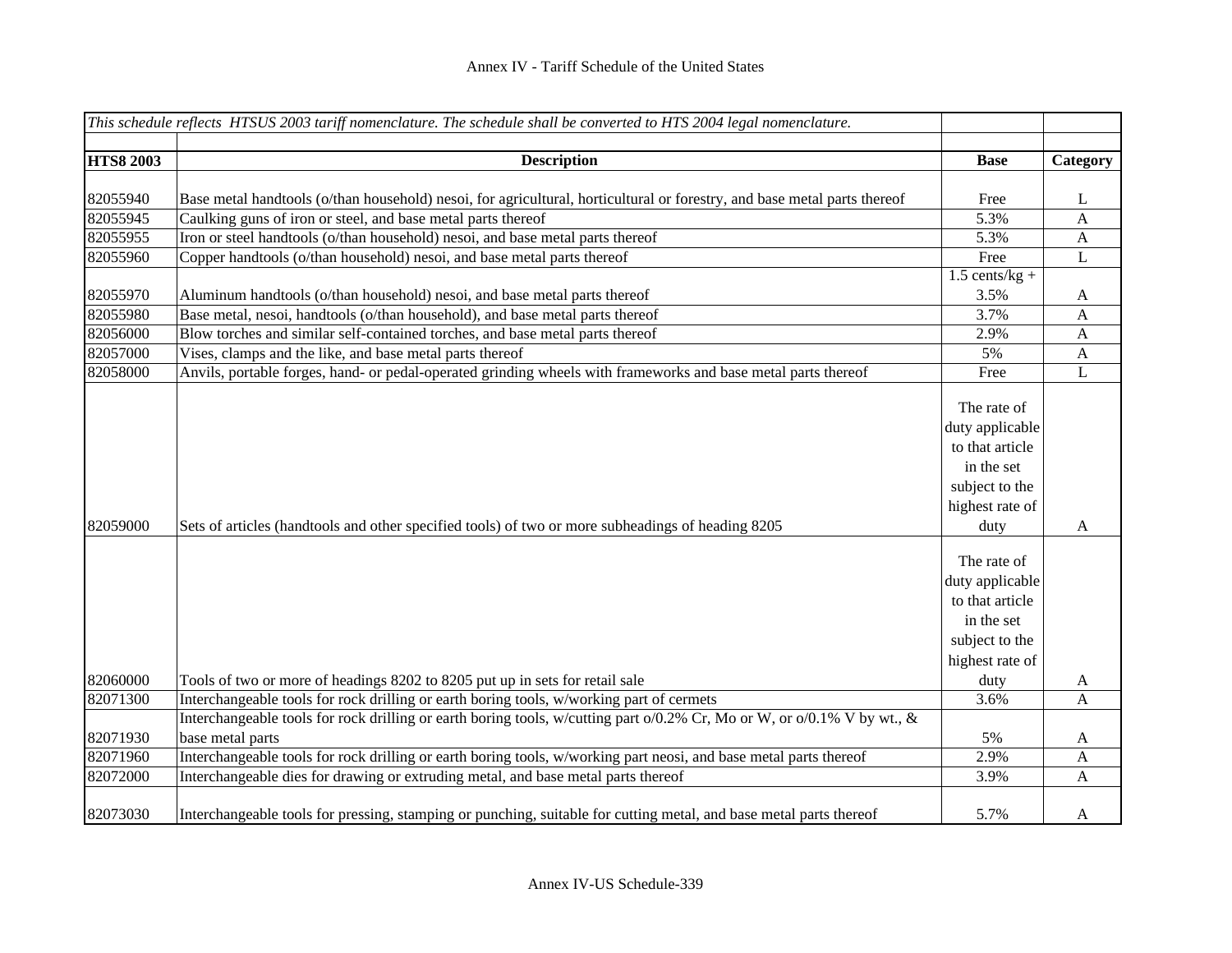|                  | This schedule reflects HTSUS 2003 tariff nomenclature. The schedule shall be converted to HTS 2004 legal nomenclature.                                                                                              |                                                                                                              |                  |
|------------------|---------------------------------------------------------------------------------------------------------------------------------------------------------------------------------------------------------------------|--------------------------------------------------------------------------------------------------------------|------------------|
|                  |                                                                                                                                                                                                                     |                                                                                                              |                  |
| <b>HTS8 2003</b> | <b>Description</b>                                                                                                                                                                                                  | <b>Base</b>                                                                                                  | Category         |
|                  |                                                                                                                                                                                                                     |                                                                                                              |                  |
| 82055940         | Base metal handtools (o/than household) nesoi, for agricultural, horticultural or forestry, and base metal parts thereof                                                                                            | Free                                                                                                         | L                |
| 82055945         | Caulking guns of iron or steel, and base metal parts thereof                                                                                                                                                        | 5.3%                                                                                                         | $\mathbf{A}$     |
| 82055955         | Iron or steel handtools (o/than household) nesoi, and base metal parts thereof                                                                                                                                      | 5.3%                                                                                                         | $\mathbf{A}$     |
| 82055960         | Copper handtools (o/than household) nesoi, and base metal parts thereof                                                                                                                                             | Free                                                                                                         | L                |
|                  |                                                                                                                                                                                                                     | $1.5$ cents/kg +                                                                                             |                  |
| 82055970         | Aluminum handtools (o/than household) nesoi, and base metal parts thereof                                                                                                                                           | 3.5%                                                                                                         | $\mathbf{A}$     |
| 82055980         | Base metal, nesoi, handtools (o/than household), and base metal parts thereof                                                                                                                                       | 3.7%                                                                                                         | $\mathbf{A}$     |
| 82056000         | Blow torches and similar self-contained torches, and base metal parts thereof                                                                                                                                       | 2.9%                                                                                                         | $\mathbf{A}$     |
| 82057000         | Vises, clamps and the like, and base metal parts thereof                                                                                                                                                            | 5%                                                                                                           | $\boldsymbol{A}$ |
| 82058000         | Anvils, portable forges, hand- or pedal-operated grinding wheels with frameworks and base metal parts thereof                                                                                                       | Free                                                                                                         | L                |
| 82059000         | Sets of articles (handtools and other specified tools) of two or more subheadings of heading 8205                                                                                                                   | The rate of<br>duty applicable<br>to that article<br>in the set<br>subject to the<br>highest rate of<br>duty | A                |
| 82060000         | Tools of two or more of headings 8202 to 8205 put up in sets for retail sale                                                                                                                                        | The rate of<br>duty applicable<br>to that article<br>in the set<br>subject to the<br>highest rate of<br>duty | A                |
|                  |                                                                                                                                                                                                                     |                                                                                                              |                  |
| 82071300         | Interchangeable tools for rock drilling or earth boring tools, w/working part of cermets<br>Interchangeable tools for rock drilling or earth boring tools, w/cutting part o/0.2% Cr, Mo or W, or o/0.1% V by wt., & | 3.6%                                                                                                         | $\mathbf{A}$     |
| 82071930         | base metal parts                                                                                                                                                                                                    | 5%                                                                                                           | $\mathbf{A}$     |
| 82071960         | Interchangeable tools for rock drilling or earth boring tools, w/working part neosi, and base metal parts thereof                                                                                                   | 2.9%                                                                                                         | A                |
| 82072000         | Interchangeable dies for drawing or extruding metal, and base metal parts thereof                                                                                                                                   | 3.9%                                                                                                         | $\mathbf{A}$     |
| 82073030         | Interchangeable tools for pressing, stamping or punching, suitable for cutting metal, and base metal parts thereof                                                                                                  | 5.7%                                                                                                         | A                |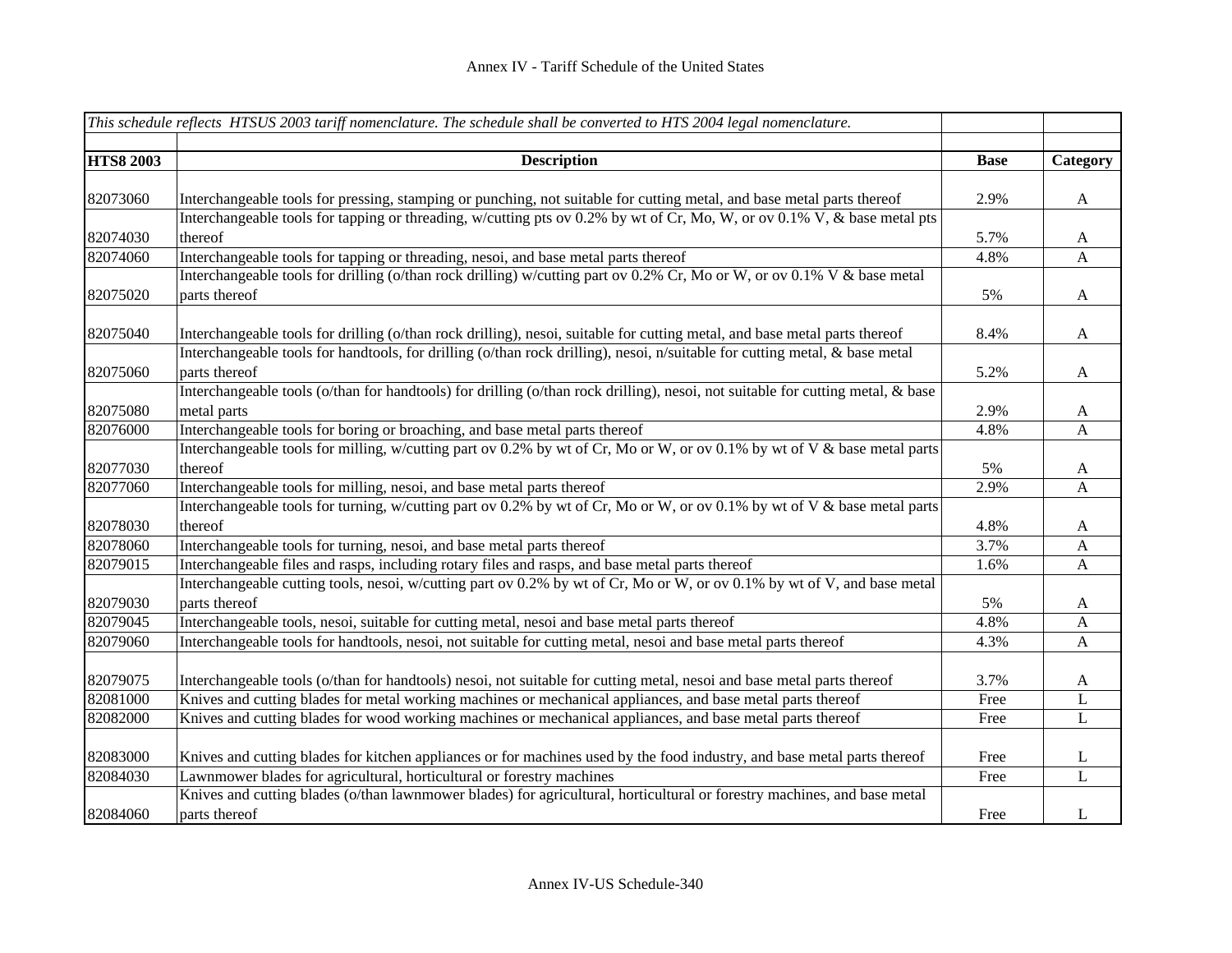|                  | This schedule reflects HTSUS 2003 tariff nomenclature. The schedule shall be converted to HTS 2004 legal nomenclature.          |             |              |
|------------------|---------------------------------------------------------------------------------------------------------------------------------|-------------|--------------|
|                  |                                                                                                                                 |             |              |
| <b>HTS8 2003</b> | <b>Description</b>                                                                                                              | <b>Base</b> | Category     |
| 82073060         | Interchangeable tools for pressing, stamping or punching, not suitable for cutting metal, and base metal parts thereof          | 2.9%        | $\mathbf A$  |
|                  | Interchangeable tools for tapping or threading, w/cutting pts ov 0.2% by wt of Cr, Mo, W, or ov 0.1% V, & base metal pts        |             |              |
| 82074030         | thereof                                                                                                                         | 5.7%        | $\mathbf A$  |
| 82074060         | Interchangeable tools for tapping or threading, nesoi, and base metal parts thereof                                             | 4.8%        | A            |
|                  | Interchangeable tools for drilling (o/than rock drilling) w/cutting part ov 0.2% Cr, Mo or W, or ov 0.1% V & base metal         |             |              |
| 82075020         | parts thereof                                                                                                                   | 5%          | $\mathbf{A}$ |
| 82075040         | Interchangeable tools for drilling (o/than rock drilling), nesoi, suitable for cutting metal, and base metal parts thereof      | 8.4%        | $\mathbf{A}$ |
|                  | Interchangeable tools for handtools, for drilling (o/than rock drilling), nesoi, n/suitable for cutting metal, & base metal     |             |              |
| 82075060         | parts thereof                                                                                                                   | 5.2%        | $\mathbf{A}$ |
|                  | Interchangeable tools (o/than for handtools) for drilling (o/than rock drilling), nesoi, not suitable for cutting metal, & base |             |              |
| 82075080         | metal parts                                                                                                                     | 2.9%        | $\mathbf{A}$ |
| 82076000         | Interchangeable tools for boring or broaching, and base metal parts thereof                                                     | 4.8%        | A            |
|                  | Interchangeable tools for milling, w/cutting part ov 0.2% by wt of Cr, Mo or W, or ov 0.1% by wt of V & base metal parts        |             |              |
| 82077030         | thereof                                                                                                                         | 5%          | $\mathbf{A}$ |
| 82077060         | Interchangeable tools for milling, nesoi, and base metal parts thereof                                                          | 2.9%        | A            |
|                  | Interchangeable tools for turning, w/cutting part ov 0.2% by wt of Cr, Mo or W, or ov 0.1% by wt of V & base metal parts        |             |              |
| 82078030         | thereof                                                                                                                         | 4.8%        | $\mathbf{A}$ |
| 82078060         | Interchangeable tools for turning, nesoi, and base metal parts thereof                                                          | 3.7%        | A            |
| 82079015         | Interchangeable files and rasps, including rotary files and rasps, and base metal parts thereof                                 | 1.6%        | A            |
|                  | Interchangeable cutting tools, nesoi, w/cutting part ov 0.2% by wt of Cr, Mo or W, or ov 0.1% by wt of V, and base metal        |             |              |
| 82079030         | parts thereof                                                                                                                   | 5%          | A            |
| 82079045         | Interchangeable tools, nesoi, suitable for cutting metal, nesoi and base metal parts thereof                                    | 4.8%        | A            |
| 82079060         | Interchangeable tools for handtools, nesoi, not suitable for cutting metal, nesoi and base metal parts thereof                  | 4.3%        | $\mathbf{A}$ |
| 82079075         | Interchangeable tools (o/than for handtools) nesoi, not suitable for cutting metal, nesoi and base metal parts thereof          | 3.7%        | $\mathbf{A}$ |
| 82081000         | Knives and cutting blades for metal working machines or mechanical appliances, and base metal parts thereof                     | Free        | L            |
| 82082000         | Knives and cutting blades for wood working machines or mechanical appliances, and base metal parts thereof                      | Free        | $\mathbf{L}$ |
| 82083000         | Knives and cutting blades for kitchen appliances or for machines used by the food industry, and base metal parts thereof        | Free        | L            |
| 82084030         | Lawnmower blades for agricultural, horticultural or forestry machines                                                           | Free        | L            |
|                  | Knives and cutting blades (o/than lawnmower blades) for agricultural, horticultural or forestry machines, and base metal        |             |              |
| 82084060         | parts thereof                                                                                                                   | Free        | L            |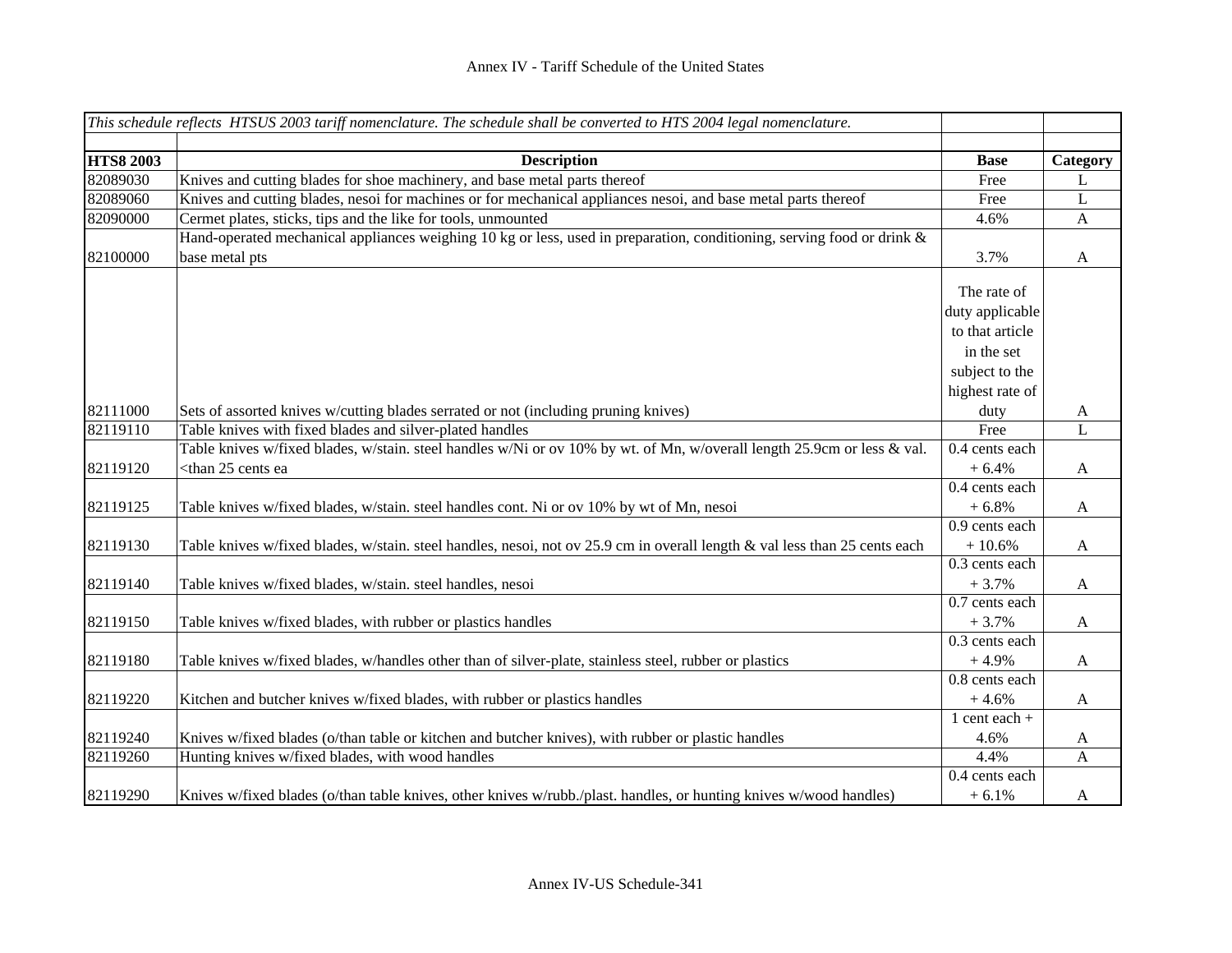|                  | This schedule reflects HTSUS 2003 tariff nomenclature. The schedule shall be converted to HTS 2004 legal nomenclature.     |                   |              |
|------------------|----------------------------------------------------------------------------------------------------------------------------|-------------------|--------------|
| <b>HTS8 2003</b> | <b>Description</b>                                                                                                         | <b>Base</b>       |              |
| 82089030         | Knives and cutting blades for shoe machinery, and base metal parts thereof                                                 | Free              | Category     |
| 82089060         | Knives and cutting blades, nesoi for machines or for mechanical appliances nesoi, and base metal parts thereof             | Free              | L            |
| 82090000         |                                                                                                                            |                   | L            |
|                  | Cermet plates, sticks, tips and the like for tools, unmounted                                                              | 4.6%              | A            |
|                  | Hand-operated mechanical appliances weighing 10 kg or less, used in preparation, conditioning, serving food or drink &     |                   |              |
| 82100000         | base metal pts                                                                                                             | 3.7%              | A            |
|                  |                                                                                                                            | The rate of       |              |
|                  |                                                                                                                            | duty applicable   |              |
|                  |                                                                                                                            | to that article   |              |
|                  |                                                                                                                            |                   |              |
|                  |                                                                                                                            | in the set        |              |
|                  |                                                                                                                            | subject to the    |              |
|                  |                                                                                                                            | highest rate of   |              |
| 82111000         | Sets of assorted knives w/cutting blades serrated or not (including pruning knives)                                        | duty              | A            |
| 82119110         | Table knives with fixed blades and silver-plated handles                                                                   | Free              | L            |
|                  | Table knives w/fixed blades, w/stain. steel handles w/Ni or ov 10% by wt. of Mn, w/overall length 25.9cm or less & val.    | 0.4 cents each    |              |
| 82119120         | <than 25="" cents="" ea<="" td=""><td><math>+6.4%</math></td><td><math>\mathbf{A}</math></td></than>                       | $+6.4%$           | $\mathbf{A}$ |
|                  |                                                                                                                            | 0.4 cents each    |              |
| 82119125         | Table knives w/fixed blades, w/stain. steel handles cont. Ni or ov 10% by wt of Mn, nesoi                                  | $+6.8%$           | $\mathbf{A}$ |
|                  |                                                                                                                            | 0.9 cents each    |              |
| 82119130         | Table knives w/fixed blades, w/stain. steel handles, nesoi, not ov 25.9 cm in overall length & val less than 25 cents each | $+10.6%$          | $\mathbf{A}$ |
|                  |                                                                                                                            | 0.3 cents each    |              |
| 82119140         | Table knives w/fixed blades, w/stain. steel handles, nesoi                                                                 | $+3.7%$           | $\mathbf{A}$ |
|                  |                                                                                                                            | 0.7 cents each    |              |
| 82119150         | Table knives w/fixed blades, with rubber or plastics handles                                                               | $+3.7%$           | $\mathbf{A}$ |
|                  |                                                                                                                            | 0.3 cents each    |              |
| 82119180         | Table knives w/fixed blades, w/handles other than of silver-plate, stainless steel, rubber or plastics                     | $+4.9%$           | A            |
|                  |                                                                                                                            | 0.8 cents each    |              |
| 82119220         | Kitchen and butcher knives w/fixed blades, with rubber or plastics handles                                                 | $+4.6%$           | $\mathbf{A}$ |
|                  |                                                                                                                            | $1$ cent each $+$ |              |
| 82119240         | Knives w/fixed blades (o/than table or kitchen and butcher knives), with rubber or plastic handles                         | 4.6%              | A            |
| 82119260         | Hunting knives w/fixed blades, with wood handles                                                                           | 4.4%              | A            |
|                  |                                                                                                                            | 0.4 cents each    |              |
| 82119290         | Knives w/fixed blades (o/than table knives, other knives w/rubb./plast. handles, or hunting knives w/wood handles)         | $+6.1%$           | A            |
|                  |                                                                                                                            |                   |              |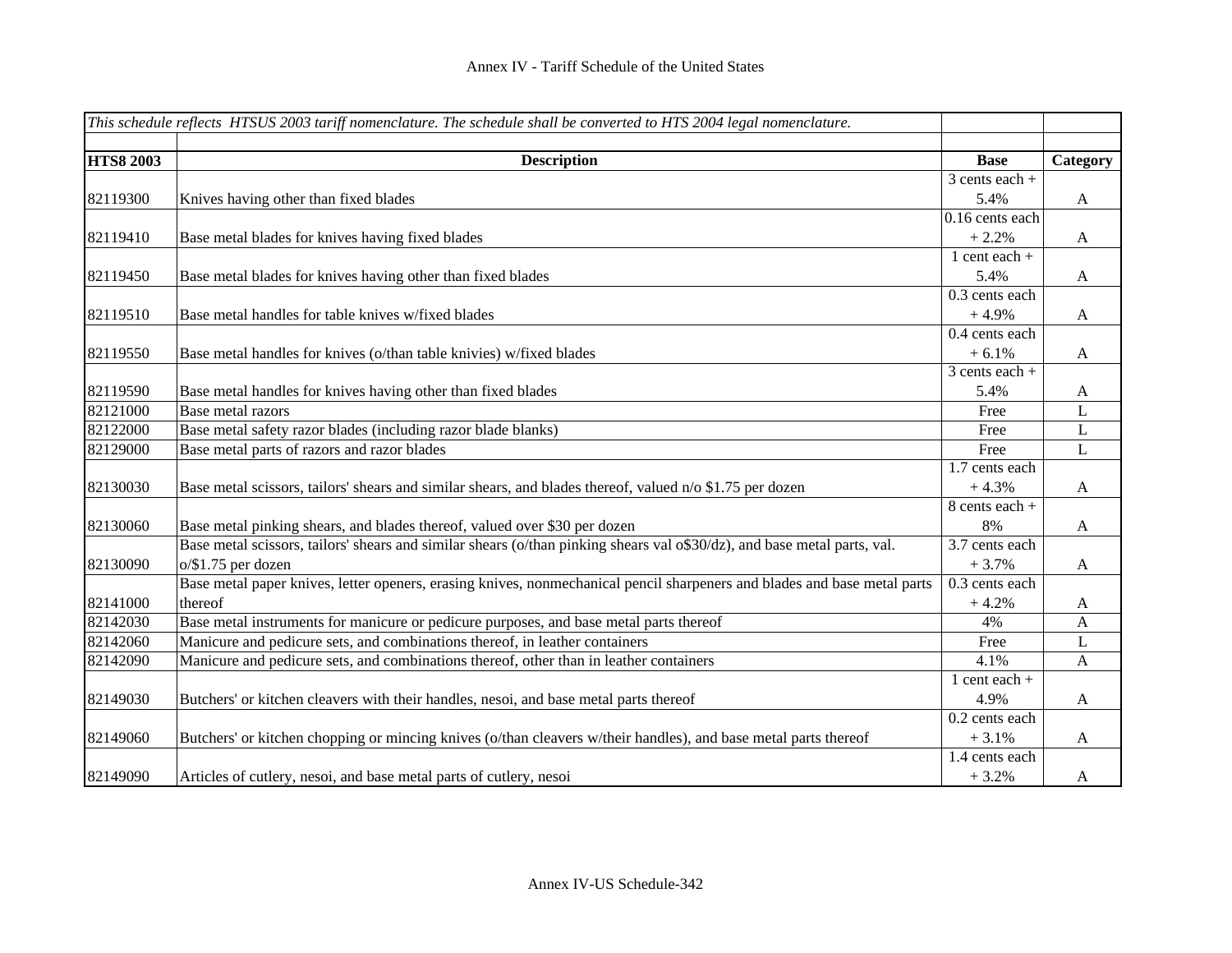|                  | This schedule reflects HTSUS 2003 tariff nomenclature. The schedule shall be converted to HTS 2004 legal nomenclature.   |                   |              |
|------------------|--------------------------------------------------------------------------------------------------------------------------|-------------------|--------------|
| <b>HTS8 2003</b> | <b>Description</b>                                                                                                       | <b>Base</b>       | Category     |
|                  |                                                                                                                          | $3$ cents each +  |              |
| 82119300         | Knives having other than fixed blades                                                                                    | 5.4%              | $\mathbf{A}$ |
|                  |                                                                                                                          | $0.16$ cents each |              |
| 82119410         | Base metal blades for knives having fixed blades                                                                         | $+2.2%$           | $\mathbf{A}$ |
|                  |                                                                                                                          | 1 cent each $+$   |              |
| 82119450         | Base metal blades for knives having other than fixed blades                                                              | 5.4%              | $\mathbf{A}$ |
|                  |                                                                                                                          | 0.3 cents each    |              |
| 82119510         | Base metal handles for table knives w/fixed blades                                                                       | $+4.9%$           | $\mathbf{A}$ |
|                  |                                                                                                                          | 0.4 cents each    |              |
| 82119550         | Base metal handles for knives (o/than table knivies) w/fixed blades                                                      | $+6.1%$           | $\mathbf{A}$ |
|                  |                                                                                                                          | $3$ cents each +  |              |
| 82119590         | Base metal handles for knives having other than fixed blades                                                             | 5.4%              | A            |
| 82121000         | <b>Base metal razors</b>                                                                                                 | Free              | $\mathbf L$  |
| 82122000         | Base metal safety razor blades (including razor blade blanks)                                                            | Free              | $\mathbf L$  |
| 82129000         | Base metal parts of razors and razor blades                                                                              | Free              | $\mathbf{L}$ |
|                  |                                                                                                                          | 1.7 cents each    |              |
| 82130030         | Base metal scissors, tailors' shears and similar shears, and blades thereof, valued n/o \$1.75 per dozen                 | $+4.3%$           | $\mathbf{A}$ |
|                  |                                                                                                                          | 8 cents each +    |              |
| 82130060         | Base metal pinking shears, and blades thereof, valued over \$30 per dozen                                                | 8%                | $\mathbf{A}$ |
|                  | Base metal scissors, tailors' shears and similar shears (o/than pinking shears val o\$30/dz), and base metal parts, val. | 3.7 cents each    |              |
| 82130090         | $o$ /\$1.75 per dozen                                                                                                    | $+3.7%$           | $\mathbf{A}$ |
|                  | Base metal paper knives, letter openers, erasing knives, nonmechanical pencil sharpeners and blades and base metal parts | 0.3 cents each    |              |
| 82141000         | thereof                                                                                                                  | $+4.2%$           | A            |
| 82142030         | Base metal instruments for manicure or pedicure purposes, and base metal parts thereof                                   | 4%                | $\mathbf{A}$ |
| 82142060         | Manicure and pedicure sets, and combinations thereof, in leather containers                                              | Free              | L            |
| 82142090         | Manicure and pedicure sets, and combinations thereof, other than in leather containers                                   | 4.1%              | $\mathbf{A}$ |
|                  |                                                                                                                          | $1$ cent each $+$ |              |
| 82149030         | Butchers' or kitchen cleavers with their handles, nesoi, and base metal parts thereof                                    | 4.9%              | $\mathbf{A}$ |
|                  |                                                                                                                          | 0.2 cents each    |              |
| 82149060         | Butchers' or kitchen chopping or mincing knives (o/than cleavers w/their handles), and base metal parts thereof          | $+3.1%$           | A            |
|                  |                                                                                                                          | 1.4 cents each    |              |
| 82149090         | Articles of cutlery, nesoi, and base metal parts of cutlery, nesoi                                                       | $+3.2%$           | $\mathbf{A}$ |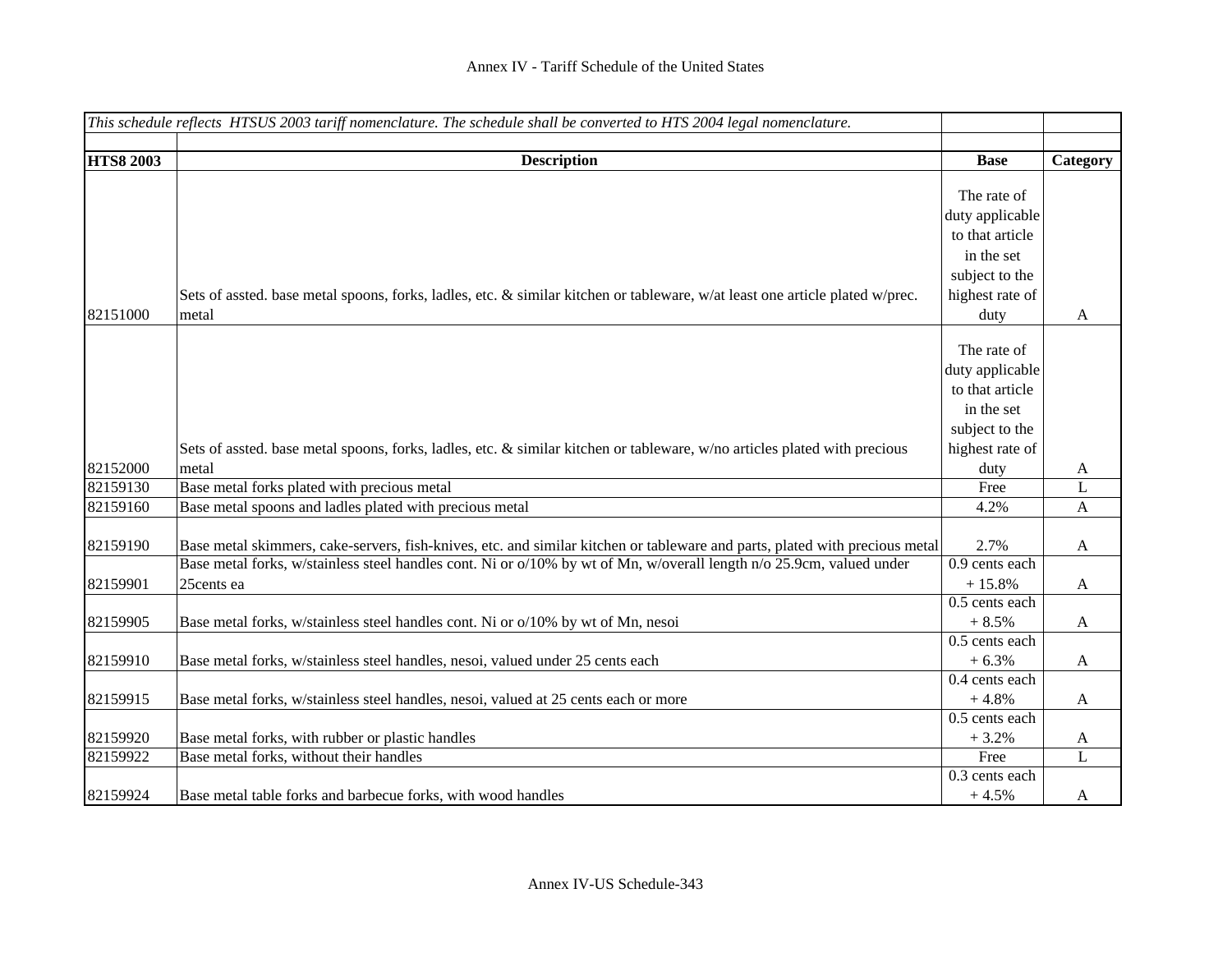|                  | This schedule reflects HTSUS 2003 tariff nomenclature. The schedule shall be converted to HTS 2004 legal nomenclature.       |                 |              |
|------------------|------------------------------------------------------------------------------------------------------------------------------|-----------------|--------------|
|                  |                                                                                                                              |                 |              |
| <b>HTS8 2003</b> | <b>Description</b>                                                                                                           | <b>Base</b>     | Category     |
|                  |                                                                                                                              | The rate of     |              |
|                  |                                                                                                                              | duty applicable |              |
|                  |                                                                                                                              | to that article |              |
|                  |                                                                                                                              | in the set      |              |
|                  |                                                                                                                              | subject to the  |              |
|                  | Sets of assted. base metal spoons, forks, ladles, etc. & similar kitchen or tableware, w/at least one article plated w/prec. | highest rate of |              |
| 82151000         | metal                                                                                                                        | duty            | $\mathbf{A}$ |
|                  |                                                                                                                              |                 |              |
|                  |                                                                                                                              | The rate of     |              |
|                  |                                                                                                                              | duty applicable |              |
|                  |                                                                                                                              | to that article |              |
|                  |                                                                                                                              | in the set      |              |
|                  |                                                                                                                              | subject to the  |              |
|                  | Sets of assted. base metal spoons, forks, ladles, etc. & similar kitchen or tableware, w/no articles plated with precious    | highest rate of |              |
| 82152000         | metal                                                                                                                        | duty            | A            |
| 82159130         | Base metal forks plated with precious metal                                                                                  | Free            | L            |
| 82159160         | Base metal spoons and ladles plated with precious metal                                                                      | 4.2%            | $\mathbf{A}$ |
|                  |                                                                                                                              |                 |              |
| 82159190         | Base metal skimmers, cake-servers, fish-knives, etc. and similar kitchen or tableware and parts, plated with precious metal  | 2.7%            | A            |
|                  | Base metal forks, w/stainless steel handles cont. Ni or o/10% by wt of Mn, w/overall length n/o 25.9cm, valued under         | 0.9 cents each  |              |
| 82159901         | 25cents ea                                                                                                                   | $+15.8%$        | $\mathbf{A}$ |
|                  |                                                                                                                              | 0.5 cents each  |              |
| 82159905         | Base metal forks, w/stainless steel handles cont. Ni or o/10% by wt of Mn, nesoi                                             | $+8.5%$         | $\mathbf{A}$ |
|                  |                                                                                                                              | 0.5 cents each  |              |
| 82159910         | Base metal forks, w/stainless steel handles, nesoi, valued under 25 cents each                                               | $+6.3%$         | $\mathbf{A}$ |
|                  |                                                                                                                              | 0.4 cents each  |              |
| 82159915         | Base metal forks, w/stainless steel handles, nesoi, valued at 25 cents each or more                                          | $+4.8%$         | $\mathbf{A}$ |
|                  |                                                                                                                              | 0.5 cents each  |              |
| 82159920         | Base metal forks, with rubber or plastic handles                                                                             | $+3.2%$         | A            |
| 82159922         | Base metal forks, without their handles                                                                                      | Free            | $\mathbf L$  |
|                  |                                                                                                                              | 0.3 cents each  |              |
| 82159924         | Base metal table forks and barbecue forks, with wood handles                                                                 | $+4.5%$         | A            |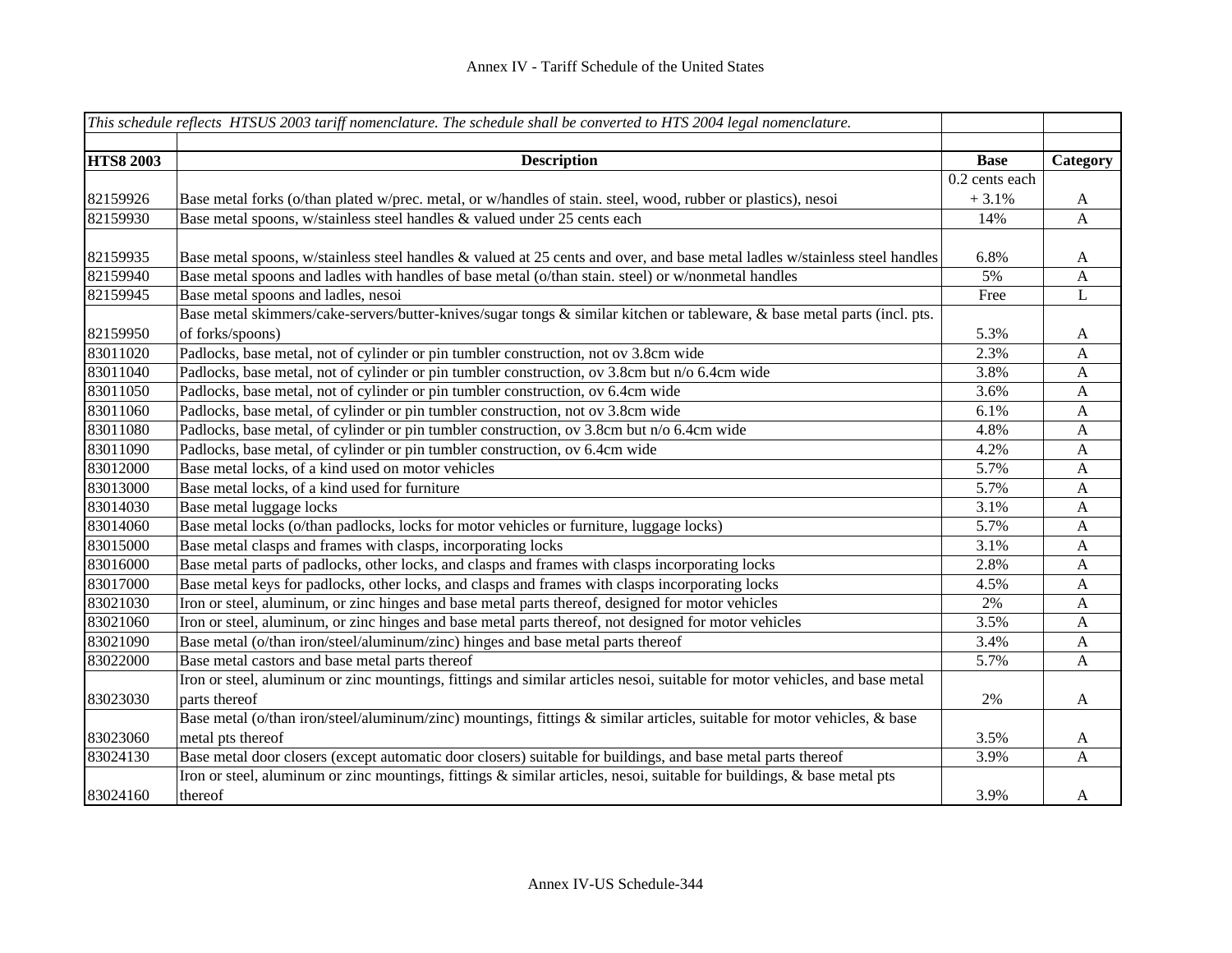|                  | This schedule reflects HTSUS 2003 tariff nomenclature. The schedule shall be converted to HTS 2004 legal nomenclature.      |                  |          |
|------------------|-----------------------------------------------------------------------------------------------------------------------------|------------------|----------|
|                  |                                                                                                                             |                  |          |
| <b>HTS8 2003</b> | <b>Description</b>                                                                                                          | <b>Base</b>      | Category |
|                  |                                                                                                                             | $0.2$ cents each |          |
| 82159926         | Base metal forks (o/than plated w/prec. metal, or w/handles of stain. steel, wood, rubber or plastics), nesoi               | $+3.1%$          | A        |
| 82159930         | Base metal spoons, w/stainless steel handles & valued under 25 cents each                                                   | 14%              | A        |
|                  |                                                                                                                             |                  |          |
| 82159935         | Base metal spoons, w/stainless steel handles & valued at 25 cents and over, and base metal ladles w/stainless steel handles | 6.8%             | A        |
| 82159940         | Base metal spoons and ladles with handles of base metal (o/than stain. steel) or w/nonmetal handles                         | 5%               | A        |
| 82159945         | Base metal spoons and ladles, nesoi                                                                                         | Free             | L        |
|                  | Base metal skimmers/cake-servers/butter-knives/sugar tongs & similar kitchen or tableware, & base metal parts (incl. pts.   |                  |          |
| 82159950         | of forks/spoons)                                                                                                            | 5.3%             | A        |
| 83011020         | Padlocks, base metal, not of cylinder or pin tumbler construction, not ov 3.8cm wide                                        | 2.3%             | A        |
| 83011040         | Padlocks, base metal, not of cylinder or pin tumbler construction, ov 3.8cm but n/o 6.4cm wide                              | 3.8%             | A        |
| 83011050         | Padlocks, base metal, not of cylinder or pin tumbler construction, ov 6.4cm wide                                            | 3.6%             | A        |
| 83011060         | Padlocks, base metal, of cylinder or pin tumbler construction, not ov 3.8cm wide                                            | 6.1%             | A        |
| 83011080         | Padlocks, base metal, of cylinder or pin tumbler construction, ov 3.8cm but n/o 6.4cm wide                                  | 4.8%             | A        |
| 83011090         | Padlocks, base metal, of cylinder or pin tumbler construction, ov 6.4cm wide                                                | 4.2%             | A        |
| 83012000         | Base metal locks, of a kind used on motor vehicles                                                                          | 5.7%             | A        |
| 83013000         | Base metal locks, of a kind used for furniture                                                                              | 5.7%             | A        |
| 83014030         | Base metal luggage locks                                                                                                    | 3.1%             | A        |
| 83014060         | Base metal locks (o/than padlocks, locks for motor vehicles or furniture, luggage locks)                                    | 5.7%             | A        |
| 83015000         | Base metal clasps and frames with clasps, incorporating locks                                                               | 3.1%             | A        |
| 83016000         | Base metal parts of padlocks, other locks, and clasps and frames with clasps incorporating locks                            | 2.8%             | A        |
| 83017000         | Base metal keys for padlocks, other locks, and clasps and frames with clasps incorporating locks                            | 4.5%             | A        |
| 83021030         | Iron or steel, aluminum, or zinc hinges and base metal parts thereof, designed for motor vehicles                           | 2%               | A        |
| 83021060         | Iron or steel, aluminum, or zinc hinges and base metal parts thereof, not designed for motor vehicles                       | 3.5%             | A        |
| 83021090         | Base metal (o/than iron/steel/aluminum/zinc) hinges and base metal parts thereof                                            | 3.4%             | A        |
| 83022000         | Base metal castors and base metal parts thereof                                                                             | 5.7%             | A        |
|                  | Iron or steel, aluminum or zinc mountings, fittings and similar articles nesoi, suitable for motor vehicles, and base metal |                  |          |
| 83023030         | parts thereof                                                                                                               | 2%               | A        |
|                  | Base metal (o/than iron/steel/aluminum/zinc) mountings, fittings & similar articles, suitable for motor vehicles, & base    |                  |          |
| 83023060         | metal pts thereof                                                                                                           | 3.5%             | A        |
| 83024130         | Base metal door closers (except automatic door closers) suitable for buildings, and base metal parts thereof                | 3.9%             | A        |
|                  | Iron or steel, aluminum or zinc mountings, fittings & similar articles, nesoi, suitable for buildings, & base metal pts     |                  |          |
| 83024160         | thereof                                                                                                                     | 3.9%             | A        |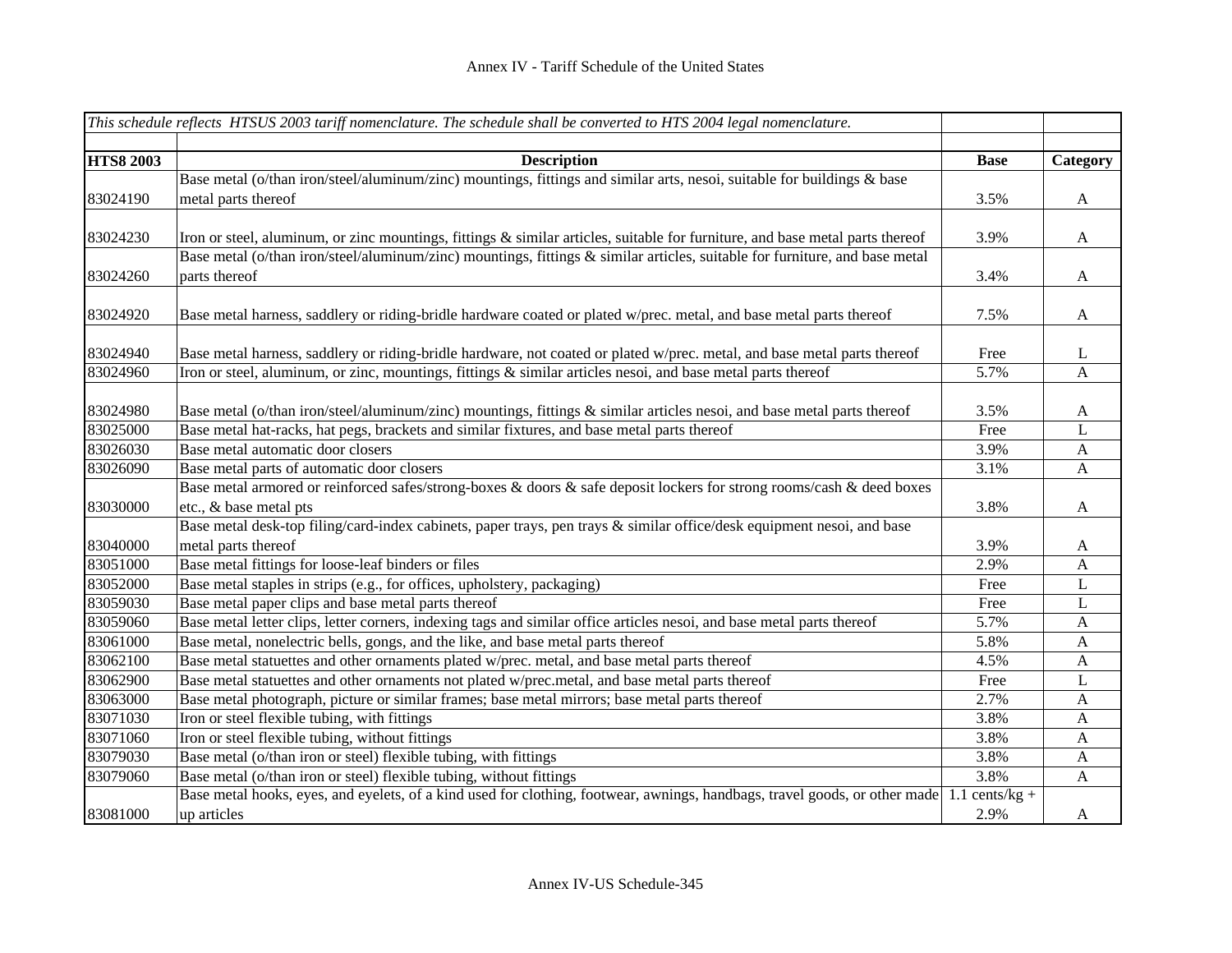|                  | This schedule reflects HTSUS 2003 tariff nomenclature. The schedule shall be converted to HTS 2004 legal nomenclature.           |                     |                           |
|------------------|----------------------------------------------------------------------------------------------------------------------------------|---------------------|---------------------------|
|                  |                                                                                                                                  |                     |                           |
| <b>HTS8 2003</b> | <b>Description</b>                                                                                                               | <b>Base</b>         | Category                  |
|                  | Base metal (o/than iron/steel/aluminum/zinc) mountings, fittings and similar arts, nesoi, suitable for buildings & base          |                     |                           |
| 83024190         | metal parts thereof                                                                                                              | 3.5%                | $\mathbf{A}$              |
|                  |                                                                                                                                  |                     |                           |
| 83024230         | Iron or steel, aluminum, or zinc mountings, fittings $\&$ similar articles, suitable for furniture, and base metal parts thereof | 3.9%                | A                         |
|                  | Base metal (o/than iron/steel/aluminum/zinc) mountings, fittings & similar articles, suitable for furniture, and base metal      |                     |                           |
| 83024260         | parts thereof                                                                                                                    | 3.4%                | A                         |
|                  |                                                                                                                                  |                     |                           |
| 83024920         | Base metal harness, saddlery or riding-bridle hardware coated or plated w/prec. metal, and base metal parts thereof              | 7.5%                | $\mathbf{A}$              |
|                  |                                                                                                                                  |                     |                           |
| 83024940         | Base metal harness, saddlery or riding-bridle hardware, not coated or plated w/prec. metal, and base metal parts thereof         | Free                | L                         |
| 83024960         | Iron or steel, aluminum, or zinc, mountings, fittings & similar articles nesoi, and base metal parts thereof                     | 5.7%                | A                         |
|                  |                                                                                                                                  |                     |                           |
| 83024980         | Base metal (o/than iron/steel/aluminum/zinc) mountings, fittings & similar articles nesoi, and base metal parts thereof          | 3.5%                | A                         |
| 83025000         | Base metal hat-racks, hat pegs, brackets and similar fixtures, and base metal parts thereof                                      | Free                | L                         |
| 83026030         | Base metal automatic door closers                                                                                                | 3.9%                | A                         |
| 83026090         | Base metal parts of automatic door closers                                                                                       | 3.1%                | $\mathbf{A}$              |
|                  | Base metal armored or reinforced safes/strong-boxes & doors & safe deposit lockers for strong rooms/cash & deed boxes            |                     |                           |
| 83030000         | etc., & base metal pts                                                                                                           | 3.8%                | A                         |
|                  | Base metal desk-top filing/card-index cabinets, paper trays, pen trays & similar office/desk equipment nesoi, and base           |                     |                           |
| 83040000         | metal parts thereof                                                                                                              | 3.9%                | A                         |
| 83051000         | Base metal fittings for loose-leaf binders or files                                                                              | 2.9%                | $\mathbf{A}$              |
| 83052000         | Base metal staples in strips (e.g., for offices, upholstery, packaging)                                                          | Free                | L                         |
| 83059030         | Base metal paper clips and base metal parts thereof                                                                              | Free                | L                         |
| 83059060         | Base metal letter clips, letter corners, indexing tags and similar office articles nesoi, and base metal parts thereof           | 5.7%                | $\mathbf{A}$              |
| 83061000         | Base metal, nonelectric bells, gongs, and the like, and base metal parts thereof                                                 | 5.8%                | $\boldsymbol{\mathsf{A}}$ |
| 83062100         | Base metal statuettes and other ornaments plated w/prec. metal, and base metal parts thereof                                     | 4.5%                | A                         |
| 83062900         | Base metal statuettes and other ornaments not plated w/prec.metal, and base metal parts thereof                                  | Free                | L                         |
| 83063000         | Base metal photograph, picture or similar frames; base metal mirrors; base metal parts thereof                                   | 2.7%                | A                         |
| 83071030         | Iron or steel flexible tubing, with fittings                                                                                     | 3.8%                | A                         |
| 83071060         | Iron or steel flexible tubing, without fittings                                                                                  | 3.8%                | A                         |
| 83079030         | Base metal (o/than iron or steel) flexible tubing, with fittings                                                                 | 3.8%                | A                         |
| 83079060         | Base metal (o/than iron or steel) flexible tubing, without fittings                                                              | 3.8%                | A                         |
|                  | Base metal hooks, eyes, and eyelets, of a kind used for clothing, footwear, awnings, handbags, travel goods, or other made       | $cents/kg +$<br>1.1 |                           |
| 83081000         | up articles                                                                                                                      | 2.9%                | A                         |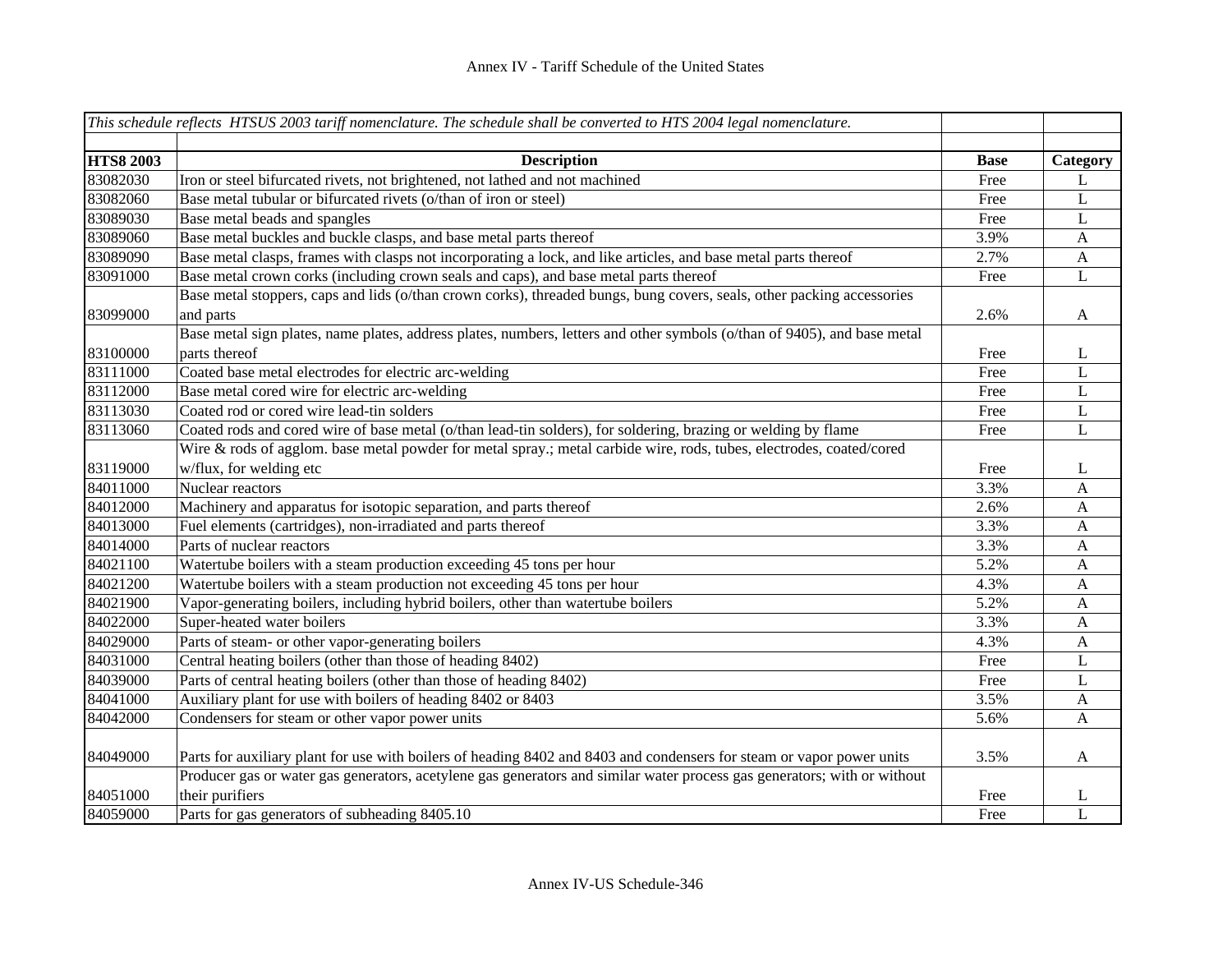|                  | This schedule reflects HTSUS 2003 tariff nomenclature. The schedule shall be converted to HTS 2004 legal nomenclature.              |             |                  |
|------------------|-------------------------------------------------------------------------------------------------------------------------------------|-------------|------------------|
| <b>HTS8 2003</b> | <b>Description</b>                                                                                                                  | <b>Base</b> | Category         |
| 83082030         | Iron or steel bifurcated rivets, not brightened, not lathed and not machined                                                        | Free        | L                |
| 83082060         | Base metal tubular or bifurcated rivets (o/than of iron or steel)                                                                   | Free        | L                |
| 83089030         | Base metal beads and spangles                                                                                                       | Free        | L                |
| 83089060         | Base metal buckles and buckle clasps, and base metal parts thereof                                                                  | 3.9%        | $\boldsymbol{A}$ |
| 83089090         | Base metal clasps, frames with clasps not incorporating a lock, and like articles, and base metal parts thereof                     | 2.7%        | $\mathbf{A}$     |
| 83091000         | Base metal crown corks (including crown seals and caps), and base metal parts thereof                                               | Free        | $\mathbf L$      |
| 83099000         | Base metal stoppers, caps and lids (o/than crown corks), threaded bungs, bung covers, seals, other packing accessories<br>and parts | 2.6%        | $\mathbf{A}$     |
|                  | Base metal sign plates, name plates, address plates, numbers, letters and other symbols (o/than of 9405), and base metal            |             |                  |
| 83100000         | parts thereof                                                                                                                       | Free        | L                |
| 83111000         | Coated base metal electrodes for electric arc-welding                                                                               | Free        | $\mathbf L$      |
| 83112000         | Base metal cored wire for electric arc-welding                                                                                      | Free        | $\mathbf L$      |
| 83113030         | Coated rod or cored wire lead-tin solders                                                                                           | Free        | L                |
| 83113060         | Coated rods and cored wire of base metal (o/than lead-tin solders), for soldering, brazing or welding by flame                      | Free        | L                |
|                  | Wire & rods of agglom. base metal powder for metal spray.; metal carbide wire, rods, tubes, electrodes, coated/cored                |             |                  |
| 83119000         | w/flux, for welding etc                                                                                                             | Free        | L                |
| 84011000         | Nuclear reactors                                                                                                                    | 3.3%        | $\mathbf{A}$     |
| 84012000         | Machinery and apparatus for isotopic separation, and parts thereof                                                                  | 2.6%        | $\mathbf{A}$     |
| 84013000         | Fuel elements (cartridges), non-irradiated and parts thereof                                                                        | 3.3%        | $\mathbf{A}$     |
| 84014000         | Parts of nuclear reactors                                                                                                           | 3.3%        | A                |
| 84021100         | Watertube boilers with a steam production exceeding 45 tons per hour                                                                | 5.2%        | $\mathbf{A}$     |
| 84021200         | Watertube boilers with a steam production not exceeding 45 tons per hour                                                            | 4.3%        | A                |
| 84021900         | Vapor-generating boilers, including hybrid boilers, other than watertube boilers                                                    | 5.2%        | A                |
| 84022000         | Super-heated water boilers                                                                                                          | 3.3%        | A                |
| 84029000         | Parts of steam- or other vapor-generating boilers                                                                                   | 4.3%        | A                |
| 84031000         | Central heating boilers (other than those of heading 8402)                                                                          | Free        | L                |
| 84039000         | Parts of central heating boilers (other than those of heading 8402)                                                                 | Free        | L                |
| 84041000         | Auxiliary plant for use with boilers of heading 8402 or 8403                                                                        | 3.5%        | $\mathbf{A}$     |
| 84042000         | Condensers for steam or other vapor power units                                                                                     | 5.6%        | A                |
| 84049000         | Parts for auxiliary plant for use with boilers of heading 8402 and 8403 and condensers for steam or vapor power units               | 3.5%        | $\mathbf{A}$     |
|                  | Producer gas or water gas generators, acetylene gas generators and similar water process gas generators; with or without            |             |                  |
| 84051000         | their purifiers                                                                                                                     | Free        | L                |
| 84059000         | Parts for gas generators of subheading 8405.10                                                                                      | Free        | L                |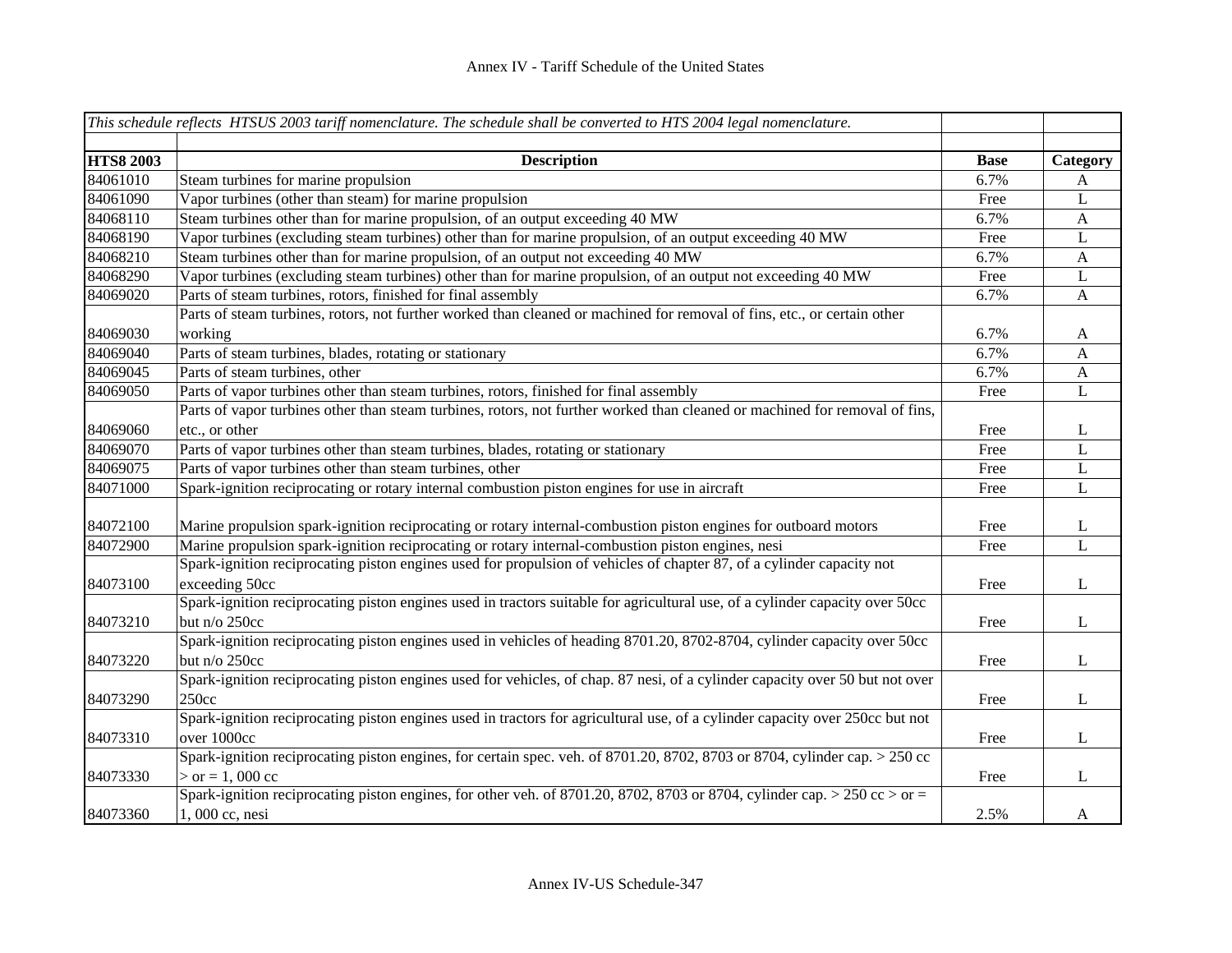|                  | This schedule reflects HTSUS 2003 tariff nomenclature. The schedule shall be converted to HTS 2004 legal nomenclature.                           |             |              |
|------------------|--------------------------------------------------------------------------------------------------------------------------------------------------|-------------|--------------|
|                  |                                                                                                                                                  |             |              |
| <b>HTS8 2003</b> | <b>Description</b>                                                                                                                               | <b>Base</b> | Category     |
| 84061010         | Steam turbines for marine propulsion                                                                                                             | 6.7%        | A            |
| 84061090         | Vapor turbines (other than steam) for marine propulsion                                                                                          | Free        | L            |
| 84068110         | Steam turbines other than for marine propulsion, of an output exceeding 40 MW                                                                    | 6.7%        | $\mathbf{A}$ |
| 84068190         | Vapor turbines (excluding steam turbines) other than for marine propulsion, of an output exceeding 40 MW                                         | Free        | L            |
| 84068210         | Steam turbines other than for marine propulsion, of an output not exceeding 40 MW                                                                | 6.7%        | $\mathbf{A}$ |
| 84068290         | Vapor turbines (excluding steam turbines) other than for marine propulsion, of an output not exceeding 40 MW                                     | Free        | L            |
| 84069020         | Parts of steam turbines, rotors, finished for final assembly                                                                                     | 6.7%        | $\mathbf{A}$ |
|                  | Parts of steam turbines, rotors, not further worked than cleaned or machined for removal of fins, etc., or certain other                         |             |              |
| 84069030         | working                                                                                                                                          | 6.7%        | $\mathbf{A}$ |
| 84069040         | Parts of steam turbines, blades, rotating or stationary                                                                                          | 6.7%        | A            |
| 84069045         | Parts of steam turbines, other                                                                                                                   | 6.7%        | $\mathbf{A}$ |
| 84069050         | Parts of vapor turbines other than steam turbines, rotors, finished for final assembly                                                           | Free        | L            |
|                  | Parts of vapor turbines other than steam turbines, rotors, not further worked than cleaned or machined for removal of fins,                      |             |              |
| 84069060         | etc., or other                                                                                                                                   | Free        | L            |
| 84069070         | Parts of vapor turbines other than steam turbines, blades, rotating or stationary                                                                | Free        | L            |
| 84069075         | Parts of vapor turbines other than steam turbines, other                                                                                         | Free        | L            |
| 84071000         | Spark-ignition reciprocating or rotary internal combustion piston engines for use in aircraft                                                    | Free        | L            |
| 84072100         | Marine propulsion spark-ignition reciprocating or rotary internal-combustion piston engines for outboard motors                                  | Free        | L            |
| 84072900         | Marine propulsion spark-ignition reciprocating or rotary internal-combustion piston engines, nesi                                                | Free        | L            |
| 84073100         | Spark-ignition reciprocating piston engines used for propulsion of vehicles of chapter 87, of a cylinder capacity not<br>exceeding 50cc          | Free        | L            |
| 84073210         | Spark-ignition reciprocating piston engines used in tractors suitable for agricultural use, of a cylinder capacity over 50cc<br>but n/o 250cc    | Free        | $\bf L$      |
| 84073220         | Spark-ignition reciprocating piston engines used in vehicles of heading 8701.20, 8702-8704, cylinder capacity over 50cc<br>but n/o 250cc         | Free        | $\bf L$      |
| 84073290         | Spark-ignition reciprocating piston engines used for vehicles, of chap. 87 nesi, of a cylinder capacity over 50 but not over<br>250cc            | Free        | $\bf L$      |
| 84073310         | Spark-ignition reciprocating piston engines used in tractors for agricultural use, of a cylinder capacity over 250cc but not<br>over 1000cc      | Free        | $\bf L$      |
| 84073330         | Spark-ignition reciprocating piston engines, for certain spec. veh. of 8701.20, 8702, 8703 or 8704, cylinder cap. > 250 cc<br>$>$ or = 1, 000 cc | Free        | L            |
| 84073360         | Spark-ignition reciprocating piston engines, for other veh. of 8701.20, 8702, 8703 or 8704, cylinder cap. > 250 cc > or =<br>1,000 cc, nesi      | 2.5%        | A            |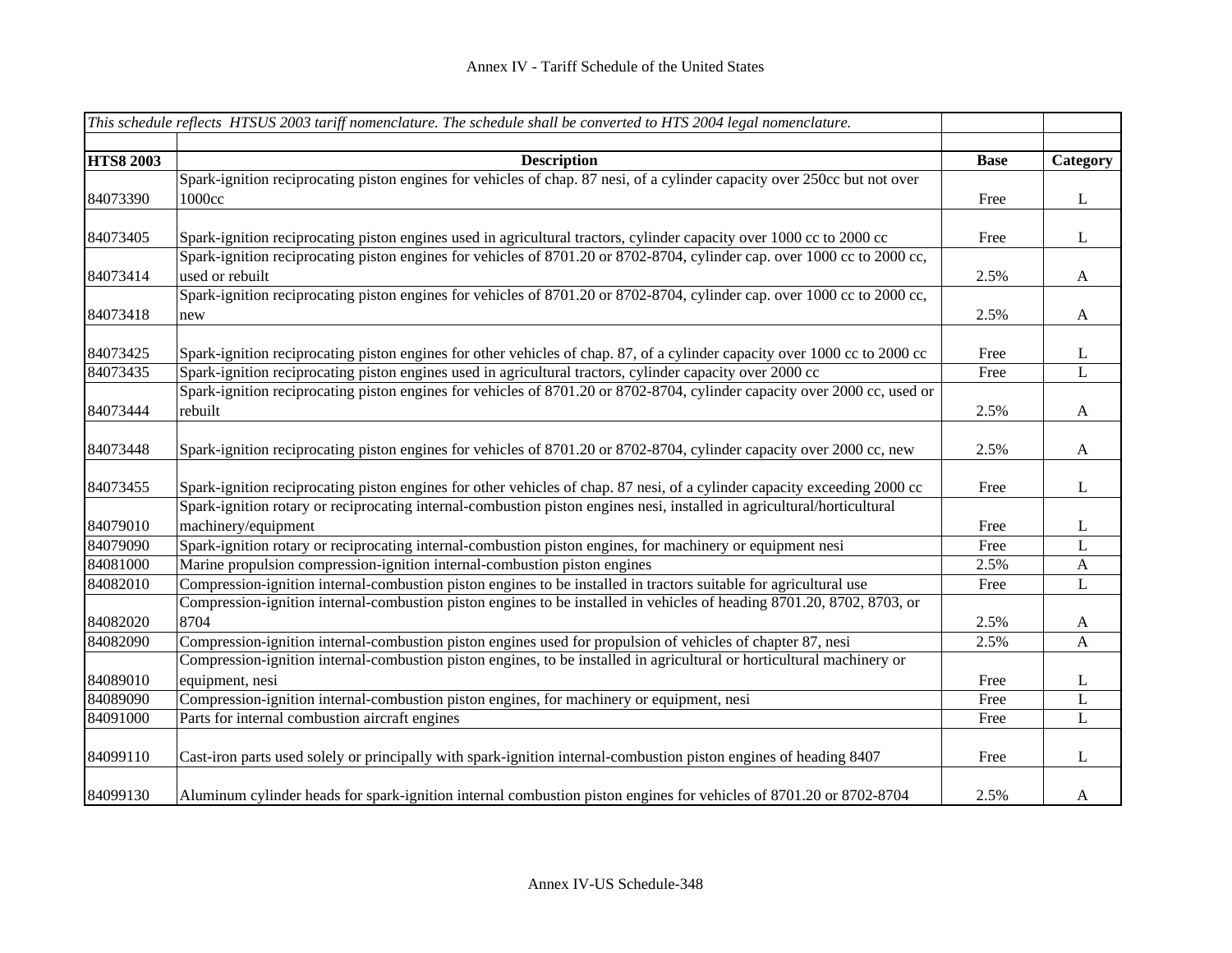| This schedule reflects HTSUS 2003 tariff nomenclature. The schedule shall be converted to HTS 2004 legal nomenclature. |                                                                                                                            |             |                |
|------------------------------------------------------------------------------------------------------------------------|----------------------------------------------------------------------------------------------------------------------------|-------------|----------------|
|                                                                                                                        |                                                                                                                            |             |                |
| <b>HTS8 2003</b>                                                                                                       | <b>Description</b>                                                                                                         | <b>Base</b> | Category       |
|                                                                                                                        | Spark-ignition reciprocating piston engines for vehicles of chap. 87 nesi, of a cylinder capacity over 250cc but not over  |             |                |
| 84073390                                                                                                               | 1000cc                                                                                                                     | Free        | $\mathbf{L}$   |
| 84073405                                                                                                               | Spark-ignition reciprocating piston engines used in agricultural tractors, cylinder capacity over 1000 cc to 2000 cc       | Free        | L              |
|                                                                                                                        | Spark-ignition reciprocating piston engines for vehicles of 8701.20 or 8702-8704, cylinder cap. over 1000 cc to 2000 cc,   |             |                |
| 84073414                                                                                                               | used or rebuilt                                                                                                            | 2.5%        | $\mathbf{A}$   |
|                                                                                                                        | Spark-ignition reciprocating piston engines for vehicles of 8701.20 or 8702-8704, cylinder cap. over 1000 cc to 2000 cc,   |             |                |
| 84073418                                                                                                               | new                                                                                                                        | 2.5%        | $\mathbf{A}$   |
| 84073425                                                                                                               | Spark-ignition reciprocating piston engines for other vehicles of chap. 87, of a cylinder capacity over 1000 cc to 2000 cc | Free        | L              |
| 84073435                                                                                                               | Spark-ignition reciprocating piston engines used in agricultural tractors, cylinder capacity over 2000 cc                  | Free        | L              |
|                                                                                                                        | Spark-ignition reciprocating piston engines for vehicles of 8701.20 or 8702-8704, cylinder capacity over 2000 cc, used or  |             |                |
| 84073444                                                                                                               | rebuilt                                                                                                                    | 2.5%        | A              |
| 84073448                                                                                                               | Spark-ignition reciprocating piston engines for vehicles of 8701.20 or 8702-8704, cylinder capacity over 2000 cc, new      | 2.5%        | $\mathbf{A}$   |
| 84073455                                                                                                               | Spark-ignition reciprocating piston engines for other vehicles of chap. 87 nesi, of a cylinder capacity exceeding 2000 cc  | Free        | L              |
|                                                                                                                        | Spark-ignition rotary or reciprocating internal-combustion piston engines nesi, installed in agricultural/horticultural    |             |                |
| 84079010                                                                                                               | machinery/equipment                                                                                                        | Free        | L              |
| 84079090                                                                                                               | Spark-ignition rotary or reciprocating internal-combustion piston engines, for machinery or equipment nesi                 | Free        | L              |
| 84081000                                                                                                               | Marine propulsion compression-ignition internal-combustion piston engines                                                  | 2.5%        | $\mathbf{A}$   |
| 84082010                                                                                                               | Compression-ignition internal-combustion piston engines to be installed in tractors suitable for agricultural use          | Free        | L              |
|                                                                                                                        | Compression-ignition internal-combustion piston engines to be installed in vehicles of heading 8701.20, 8702, 8703, or     |             |                |
| 84082020                                                                                                               | 8704                                                                                                                       | 2.5%        | A              |
| 84082090                                                                                                               | Compression-ignition internal-combustion piston engines used for propulsion of vehicles of chapter 87, nesi                | 2.5%        | $\overline{A}$ |
|                                                                                                                        | Compression-ignition internal-combustion piston engines, to be installed in agricultural or horticultural machinery or     |             |                |
| 84089010                                                                                                               | equipment, nesi                                                                                                            | Free        | L              |
| 84089090                                                                                                               | Compression-ignition internal-combustion piston engines, for machinery or equipment, nesi                                  | Free        | L              |
| 84091000                                                                                                               | Parts for internal combustion aircraft engines                                                                             | Free        | $\bf L$        |
| 84099110                                                                                                               | Cast-iron parts used solely or principally with spark-ignition internal-combustion piston engines of heading 8407          | Free        | L              |
| 84099130                                                                                                               | Aluminum cylinder heads for spark-ignition internal combustion piston engines for vehicles of 8701.20 or 8702-8704         | 2.5%        | $\mathbf{A}$   |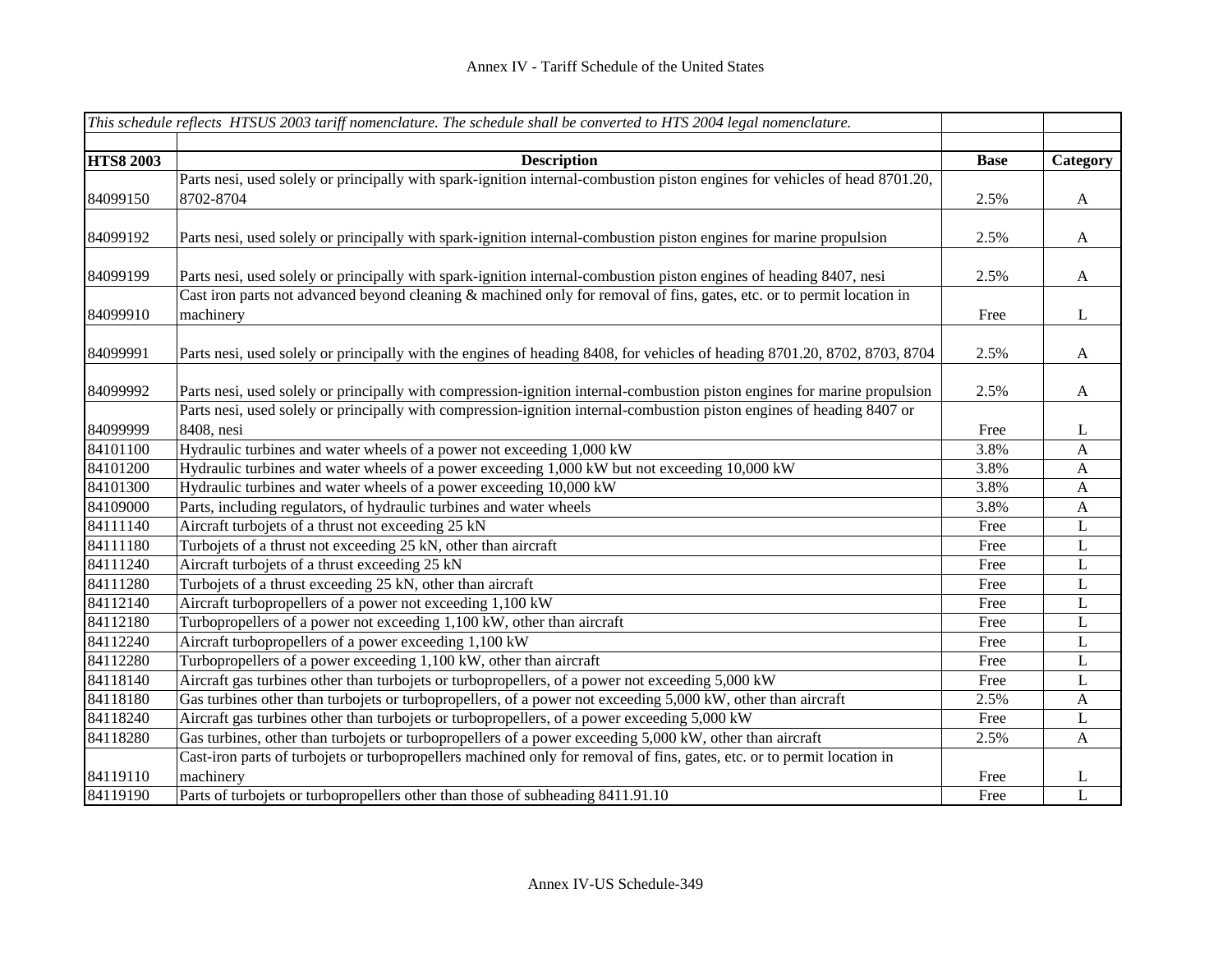|                  | This schedule reflects HTSUS 2003 tariff nomenclature. The schedule shall be converted to HTS 2004 legal nomenclature.      |             |                  |
|------------------|-----------------------------------------------------------------------------------------------------------------------------|-------------|------------------|
|                  |                                                                                                                             |             |                  |
| <b>HTS8 2003</b> | <b>Description</b>                                                                                                          | <b>Base</b> | Category         |
|                  | Parts nesi, used solely or principally with spark-ignition internal-combustion piston engines for vehicles of head 8701.20, |             |                  |
| 84099150         | 8702-8704                                                                                                                   | 2.5%        | A                |
|                  |                                                                                                                             |             |                  |
| 84099192         | Parts nesi, used solely or principally with spark-ignition internal-combustion piston engines for marine propulsion         | 2.5%        | A                |
|                  |                                                                                                                             |             |                  |
| 84099199         | Parts nesi, used solely or principally with spark-ignition internal-combustion piston engines of heading 8407, nesi         | 2.5%        | A                |
|                  | Cast iron parts not advanced beyond cleaning & machined only for removal of fins, gates, etc. or to permit location in      |             |                  |
| 84099910         | machinery                                                                                                                   | Free        | L                |
|                  |                                                                                                                             |             |                  |
| 84099991         | Parts nesi, used solely or principally with the engines of heading 8408, for vehicles of heading 8701.20, 8702, 8703, 8704  | 2.5%        | A                |
|                  |                                                                                                                             |             |                  |
| 84099992         | Parts nesi, used solely or principally with compression-ignition internal-combustion piston engines for marine propulsion   | 2.5%        | $\mathbf{A}$     |
|                  | Parts nesi, used solely or principally with compression-ignition internal-combustion piston engines of heading 8407 or      |             |                  |
| 84099999         | 8408, nesi                                                                                                                  | Free        | $\mathbf{L}$     |
| 84101100         | Hydraulic turbines and water wheels of a power not exceeding 1,000 kW                                                       | 3.8%        | $\mathbf{A}$     |
| 84101200         | Hydraulic turbines and water wheels of a power exceeding 1,000 kW but not exceeding 10,000 kW                               | 3.8%        | $\mathbf{A}$     |
| 84101300         | Hydraulic turbines and water wheels of a power exceeding 10,000 kW                                                          | 3.8%        | $\mathbf{A}$     |
| 84109000         | Parts, including regulators, of hydraulic turbines and water wheels                                                         | 3.8%        | $\mathbf{A}$     |
| 84111140         | Aircraft turbojets of a thrust not exceeding 25 kN                                                                          | Free        | L                |
| 84111180         | Turbojets of a thrust not exceeding 25 kN, other than aircraft                                                              | Free        | L                |
| 84111240         | Aircraft turbojets of a thrust exceeding 25 kN                                                                              | Free        | L                |
| 84111280         | Turbojets of a thrust exceeding 25 kN, other than aircraft                                                                  | Free        | $\mathbf{L}$     |
| 84112140         | Aircraft turbopropellers of a power not exceeding 1,100 kW                                                                  | Free        | $\bf L$          |
| 84112180         | Turbopropellers of a power not exceeding 1,100 kW, other than aircraft                                                      | Free        | $\bf L$          |
| 84112240         | Aircraft turbopropellers of a power exceeding 1,100 kW                                                                      | Free        | L                |
| 84112280         | Turbopropellers of a power exceeding 1,100 kW, other than aircraft                                                          | Free        | L                |
| 84118140         | Aircraft gas turbines other than turbojets or turbopropellers, of a power not exceeding 5,000 kW                            | Free        | L                |
| 84118180         | Gas turbines other than turbojets or turbopropellers, of a power not exceeding 5,000 kW, other than aircraft                | 2.5%        | $\mathbf{A}$     |
| 84118240         | Aircraft gas turbines other than turbojets or turbopropellers, of a power exceeding 5,000 kW                                | Free        | L                |
| 84118280         | Gas turbines, other than turbojets or turbopropellers of a power exceeding 5,000 kW, other than aircraft                    | 2.5%        | $\boldsymbol{A}$ |
|                  | Cast-iron parts of turbojets or turbopropellers machined only for removal of fins, gates, etc. or to permit location in     |             |                  |
| 84119110         | machinery                                                                                                                   | Free        | L                |
| 84119190         | Parts of turbojets or turbopropellers other than those of subheading 8411.91.10                                             | Free        | $\mathbf L$      |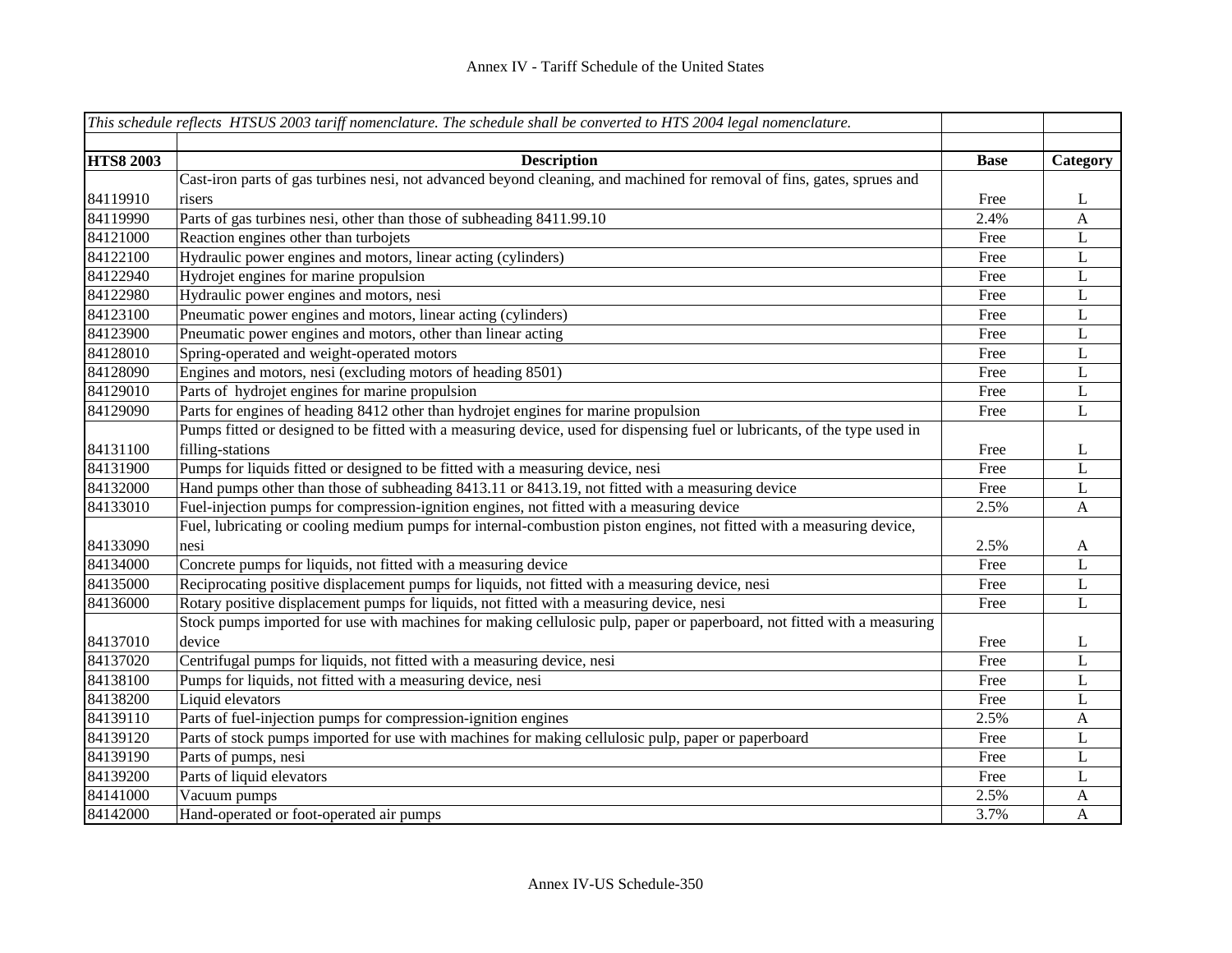|                  | This schedule reflects HTSUS 2003 tariff nomenclature. The schedule shall be converted to HTS 2004 legal nomenclature.     |             |                |
|------------------|----------------------------------------------------------------------------------------------------------------------------|-------------|----------------|
|                  |                                                                                                                            |             |                |
| <b>HTS8 2003</b> | <b>Description</b>                                                                                                         | <b>Base</b> | Category       |
|                  | Cast-iron parts of gas turbines nesi, not advanced beyond cleaning, and machined for removal of fins, gates, sprues and    |             |                |
| 84119910         | risers                                                                                                                     | Free        | L              |
| 84119990         | Parts of gas turbines nesi, other than those of subheading 8411.99.10                                                      | 2.4%        | $\mathbf{A}$   |
| 84121000         | Reaction engines other than turbojets                                                                                      | Free        | L              |
| 84122100         | Hydraulic power engines and motors, linear acting (cylinders)                                                              | Free        | L              |
| 84122940         | Hydrojet engines for marine propulsion                                                                                     | Free        | L              |
| 84122980         | Hydraulic power engines and motors, nesi                                                                                   | Free        | L              |
| 84123100         | Pneumatic power engines and motors, linear acting (cylinders)                                                              | Free        | $\mathbf L$    |
| 84123900         | Pneumatic power engines and motors, other than linear acting                                                               | Free        | $\mathbf L$    |
| 84128010         | Spring-operated and weight-operated motors                                                                                 | Free        | $\mathbf L$    |
| 84128090         | Engines and motors, nesi (excluding motors of heading 8501)                                                                | Free        | $\mathbf L$    |
| 84129010         | Parts of hydrojet engines for marine propulsion                                                                            | Free        | $\mathbf L$    |
| 84129090         | Parts for engines of heading 8412 other than hydrojet engines for marine propulsion                                        | Free        | L              |
|                  | Pumps fitted or designed to be fitted with a measuring device, used for dispensing fuel or lubricants, of the type used in |             |                |
| 84131100         | filling-stations                                                                                                           | Free        | L              |
| 84131900         | Pumps for liquids fitted or designed to be fitted with a measuring device, nesi                                            | Free        | $\overline{L}$ |
| 84132000         | Hand pumps other than those of subheading 8413.11 or 8413.19, not fitted with a measuring device                           | Free        | $\mathbf L$    |
| 84133010         | Fuel-injection pumps for compression-ignition engines, not fitted with a measuring device                                  | 2.5%        | $\mathbf{A}$   |
|                  | Fuel, lubricating or cooling medium pumps for internal-combustion piston engines, not fitted with a measuring device,      |             |                |
| 84133090         | nesi                                                                                                                       | 2.5%        | $\mathbf{A}$   |
| 84134000         | Concrete pumps for liquids, not fitted with a measuring device                                                             | Free        | $\mathbf L$    |
| 84135000         | Reciprocating positive displacement pumps for liquids, not fitted with a measuring device, nesi                            | Free        | $\mathbf L$    |
| 84136000         | Rotary positive displacement pumps for liquids, not fitted with a measuring device, nesi                                   | Free        | L              |
|                  | Stock pumps imported for use with machines for making cellulosic pulp, paper or paperboard, not fitted with a measuring    |             |                |
| 84137010         | device                                                                                                                     | Free        | L              |
| 84137020         | Centrifugal pumps for liquids, not fitted with a measuring device, nesi                                                    | Free        | L              |
| 84138100         | Pumps for liquids, not fitted with a measuring device, nesi                                                                | Free        | L              |
| 84138200         | Liquid elevators                                                                                                           | Free        | $\mathbf L$    |
| 84139110         | Parts of fuel-injection pumps for compression-ignition engines                                                             | 2.5%        | $\mathbf{A}$   |
| 84139120         | Parts of stock pumps imported for use with machines for making cellulosic pulp, paper or paperboard                        | Free        | L              |
| 84139190         | Parts of pumps, nesi                                                                                                       | Free        | L              |
| 84139200         | Parts of liquid elevators                                                                                                  | Free        | L              |
| 84141000         | Vacuum pumps                                                                                                               | 2.5%        | A              |
| 84142000         | Hand-operated or foot-operated air pumps                                                                                   | 3.7%        | $\mathbf{A}$   |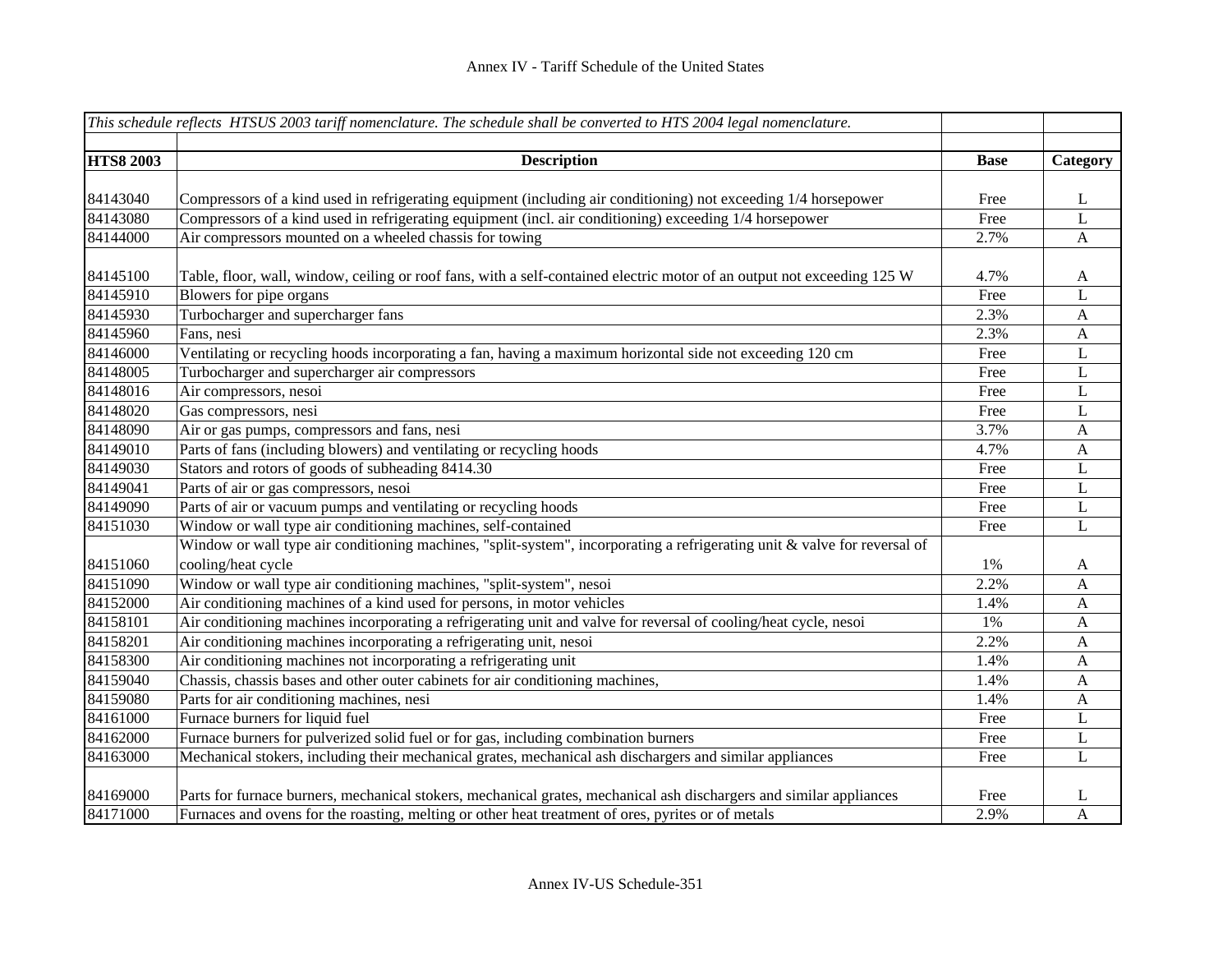|                  | This schedule reflects HTSUS 2003 tariff nomenclature. The schedule shall be converted to HTS 2004 legal nomenclature.    |             |              |
|------------------|---------------------------------------------------------------------------------------------------------------------------|-------------|--------------|
|                  |                                                                                                                           |             |              |
| <b>HTS8 2003</b> | <b>Description</b>                                                                                                        | <b>Base</b> | Category     |
|                  |                                                                                                                           |             |              |
| 84143040         | Compressors of a kind used in refrigerating equipment (including air conditioning) not exceeding 1/4 horsepower           | Free        | L            |
| 84143080         | Compressors of a kind used in refrigerating equipment (incl. air conditioning) exceeding 1/4 horsepower                   | Free        | $\mathbf L$  |
| 84144000         | Air compressors mounted on a wheeled chassis for towing                                                                   | 2.7%        | $\mathbf{A}$ |
| 84145100         | Table, floor, wall, window, ceiling or roof fans, with a self-contained electric motor of an output not exceeding 125 W   | 4.7%        | $\mathbf{A}$ |
| 84145910         | Blowers for pipe organs                                                                                                   | Free        | L            |
| 84145930         | Turbocharger and supercharger fans                                                                                        | 2.3%        | $\mathbf{A}$ |
| 84145960         | Fans, nesi                                                                                                                | 2.3%        | $\mathbf{A}$ |
| 84146000         | Ventilating or recycling hoods incorporating a fan, having a maximum horizontal side not exceeding 120 cm                 | Free        | $\mathbf L$  |
| 84148005         | Turbocharger and supercharger air compressors                                                                             | Free        | $\mathbf L$  |
| 84148016         | Air compressors, nesoi                                                                                                    | Free        | $\mathbf L$  |
| 84148020         | Gas compressors, nesi                                                                                                     | Free        | $\mathbf L$  |
| 84148090         | Air or gas pumps, compressors and fans, nesi                                                                              | 3.7%        | $\mathbf{A}$ |
| 84149010         | Parts of fans (including blowers) and ventilating or recycling hoods                                                      | 4.7%        | $\mathbf{A}$ |
| 84149030         | Stators and rotors of goods of subheading 8414.30                                                                         | Free        | $\mathbf L$  |
| 84149041         | Parts of air or gas compressors, nesoi                                                                                    | Free        | $\bf L$      |
| 84149090         | Parts of air or vacuum pumps and ventilating or recycling hoods                                                           | Free        | $\mathbf L$  |
| 84151030         | Window or wall type air conditioning machines, self-contained                                                             | Free        | $\mathbf L$  |
|                  | Window or wall type air conditioning machines, "split-system", incorporating a refrigerating unit & valve for reversal of |             |              |
| 84151060         | cooling/heat cycle                                                                                                        | 1%          | A            |
| 84151090         | Window or wall type air conditioning machines, "split-system", nesoi                                                      | 2.2%        | $\mathbf{A}$ |
| 84152000         | Air conditioning machines of a kind used for persons, in motor vehicles                                                   | 1.4%        | $\mathbf{A}$ |
| 84158101         | Air conditioning machines incorporating a refrigerating unit and valve for reversal of cooling/heat cycle, nesoi          | 1%          | A            |
| 84158201         | Air conditioning machines incorporating a refrigerating unit, nesoi                                                       | 2.2%        | A            |
| 84158300         | Air conditioning machines not incorporating a refrigerating unit                                                          | 1.4%        | $\mathbf{A}$ |
| 84159040         | Chassis, chassis bases and other outer cabinets for air conditioning machines,                                            | 1.4%        | $\mathbf{A}$ |
| 84159080         | Parts for air conditioning machines, nesi                                                                                 | 1.4%        | $\mathbf{A}$ |
| 84161000         | Furnace burners for liquid fuel                                                                                           | Free        | $\mathbf L$  |
| 84162000         | Furnace burners for pulverized solid fuel or for gas, including combination burners                                       | Free        | L            |
| 84163000         | Mechanical stokers, including their mechanical grates, mechanical ash dischargers and similar appliances                  | Free        | $\mathbf L$  |
| 84169000         | Parts for furnace burners, mechanical stokers, mechanical grates, mechanical ash dischargers and similar appliances       | Free        | L            |
| 84171000         | Furnaces and ovens for the roasting, melting or other heat treatment of ores, pyrites or of metals                        | 2.9%        | $\mathbf{A}$ |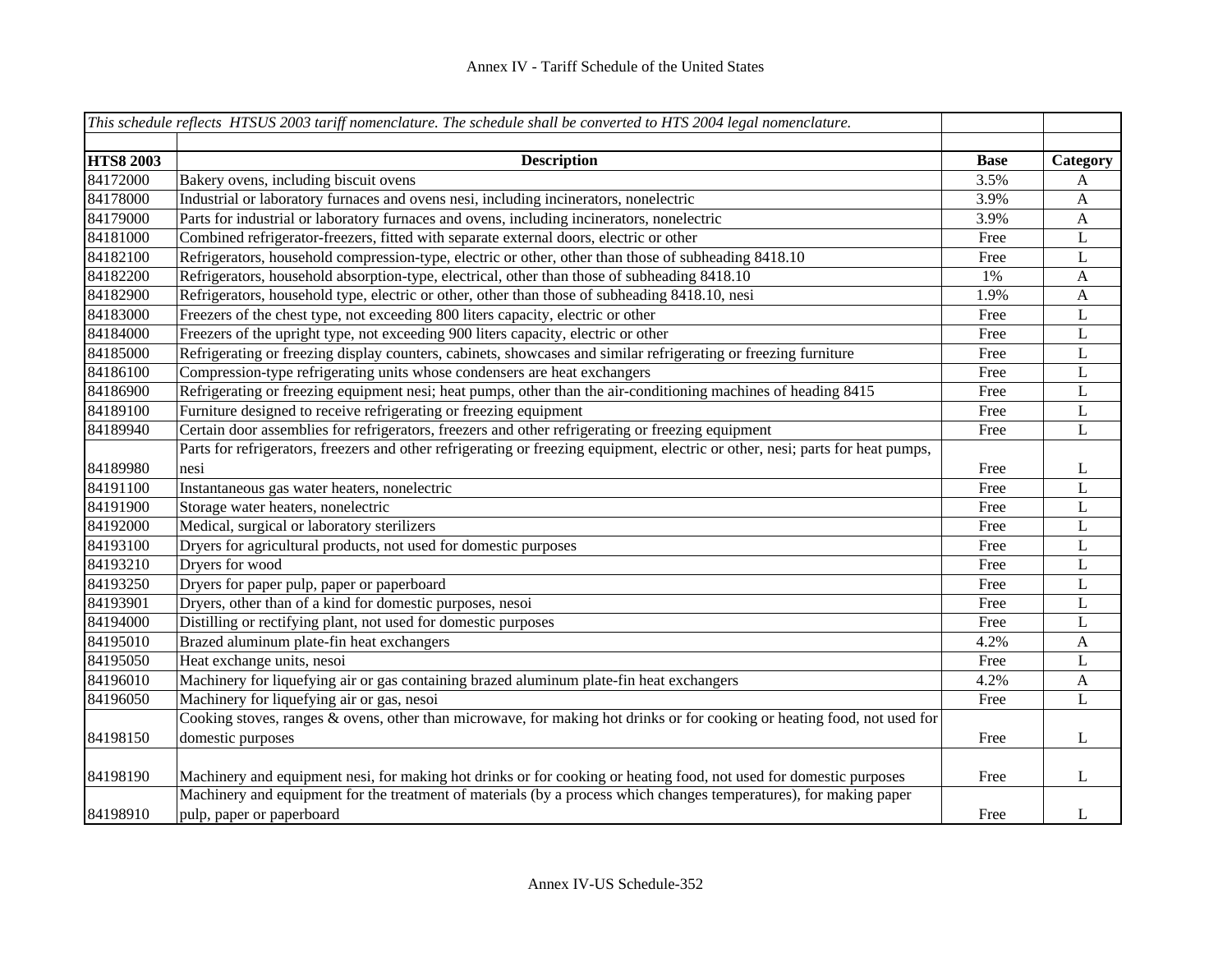|                  | This schedule reflects HTSUS 2003 tariff nomenclature. The schedule shall be converted to HTS 2004 legal nomenclature.          |             |                  |
|------------------|---------------------------------------------------------------------------------------------------------------------------------|-------------|------------------|
| <b>HTS8 2003</b> | <b>Description</b>                                                                                                              | <b>Base</b> | Category         |
| 84172000         | Bakery ovens, including biscuit ovens                                                                                           | 3.5%        | A                |
| 84178000         | Industrial or laboratory furnaces and ovens nesi, including incinerators, nonelectric                                           | 3.9%        | $\mathbf{A}$     |
| 84179000         | Parts for industrial or laboratory furnaces and ovens, including incinerators, nonelectric                                      | 3.9%        | $\mathbf{A}$     |
| 84181000         | Combined refrigerator-freezers, fitted with separate external doors, electric or other                                          | Free        | L                |
| 84182100         | Refrigerators, household compression-type, electric or other, other than those of subheading 8418.10                            | Free        | $\mathbf L$      |
| 84182200         | Refrigerators, household absorption-type, electrical, other than those of subheading 8418.10                                    | 1%          | $\boldsymbol{A}$ |
| 84182900         | Refrigerators, household type, electric or other, other than those of subheading 8418.10, nesi                                  | 1.9%        | $\mathbf{A}$     |
| 84183000         | Freezers of the chest type, not exceeding 800 liters capacity, electric or other                                                | Free        | L                |
| 84184000         | Freezers of the upright type, not exceeding 900 liters capacity, electric or other                                              | Free        | $\mathbf L$      |
| 84185000         | Refrigerating or freezing display counters, cabinets, showcases and similar refrigerating or freezing furniture                 | Free        | $\bf L$          |
| 84186100         | Compression-type refrigerating units whose condensers are heat exchangers                                                       | Free        | $\mathbf L$      |
| 84186900         | Refrigerating or freezing equipment nesi; heat pumps, other than the air-conditioning machines of heading 8415                  | Free        | L                |
| 84189100         | Furniture designed to receive refrigerating or freezing equipment                                                               | Free        | $\mathbf L$      |
| 84189940         | Certain door assemblies for refrigerators, freezers and other refrigerating or freezing equipment                               | Free        | $\mathbf L$      |
|                  | Parts for refrigerators, freezers and other refrigerating or freezing equipment, electric or other, nesi; parts for heat pumps, |             |                  |
| 84189980         | nesi                                                                                                                            | Free        | L                |
| 84191100         | Instantaneous gas water heaters, nonelectric                                                                                    | Free        | L                |
| 84191900         | Storage water heaters, nonelectric                                                                                              | Free        | L                |
| 84192000         | Medical, surgical or laboratory sterilizers                                                                                     | Free        | $\mathbf L$      |
| 84193100         | Dryers for agricultural products, not used for domestic purposes                                                                | Free        | L                |
| 84193210         | Dryers for wood                                                                                                                 | Free        | L                |
| 84193250         | Dryers for paper pulp, paper or paperboard                                                                                      | Free        | L                |
| 84193901         | Dryers, other than of a kind for domestic purposes, nesoi                                                                       | Free        | $\mathbf{L}$     |
| 84194000         | Distilling or rectifying plant, not used for domestic purposes                                                                  | Free        | L                |
| 84195010         | Brazed aluminum plate-fin heat exchangers                                                                                       | 4.2%        | $\mathbf{A}$     |
| 84195050         | Heat exchange units, nesoi                                                                                                      | Free        | L                |
| 84196010         | Machinery for liquefying air or gas containing brazed aluminum plate-fin heat exchangers                                        | 4.2%        | A                |
| 84196050         | Machinery for liquefying air or gas, nesoi                                                                                      | Free        | $\mathbf{L}$     |
|                  | Cooking stoves, ranges & ovens, other than microwave, for making hot drinks or for cooking or heating food, not used for        |             |                  |
| 84198150         | domestic purposes                                                                                                               | Free        | L                |
| 84198190         | Machinery and equipment nesi, for making hot drinks or for cooking or heating food, not used for domestic purposes              | Free        | L                |
|                  | Machinery and equipment for the treatment of materials (by a process which changes temperatures), for making paper              |             |                  |
| 84198910         | pulp, paper or paperboard                                                                                                       | Free        | L                |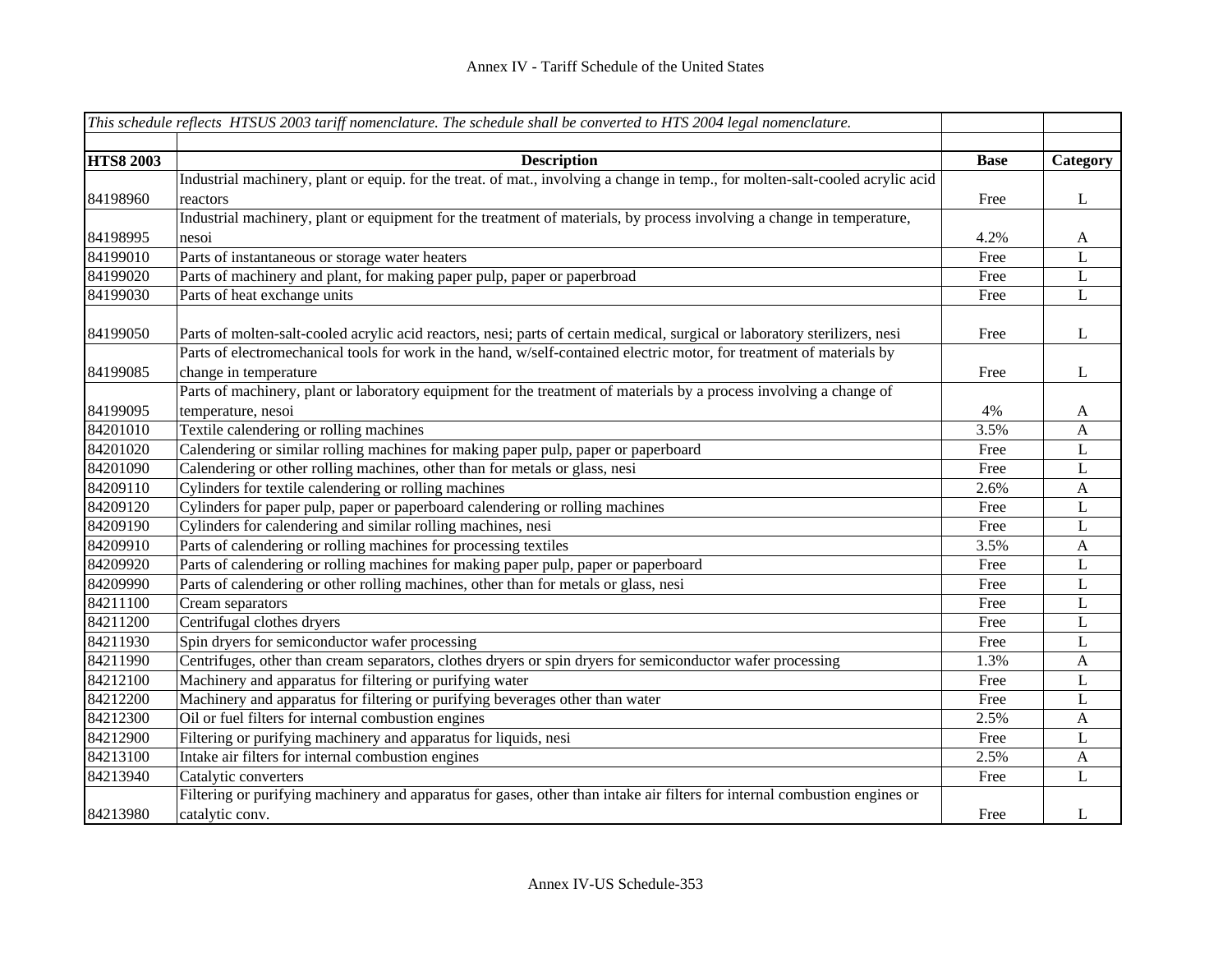|                  | This schedule reflects HTSUS 2003 tariff nomenclature. The schedule shall be converted to HTS 2004 legal nomenclature.         |             |                           |
|------------------|--------------------------------------------------------------------------------------------------------------------------------|-------------|---------------------------|
|                  |                                                                                                                                |             |                           |
| <b>HTS8 2003</b> | <b>Description</b>                                                                                                             | <b>Base</b> | Category                  |
|                  | Industrial machinery, plant or equip. for the treat. of mat., involving a change in temp., for molten-salt-cooled acrylic acid |             |                           |
| 84198960         | reactors                                                                                                                       | Free        | L                         |
|                  | Industrial machinery, plant or equipment for the treatment of materials, by process involving a change in temperature,         |             |                           |
| 84198995         | nesoi                                                                                                                          | 4.2%        | A                         |
| 84199010         | Parts of instantaneous or storage water heaters                                                                                | Free        | L                         |
| 84199020         | Parts of machinery and plant, for making paper pulp, paper or paperbroad                                                       | Free        | L                         |
| 84199030         | Parts of heat exchange units                                                                                                   | Free        | L                         |
| 84199050         | Parts of molten-salt-cooled acrylic acid reactors, nesi; parts of certain medical, surgical or laboratory sterilizers, nesi    | Free        | L                         |
|                  | Parts of electromechanical tools for work in the hand, w/self-contained electric motor, for treatment of materials by          |             |                           |
| 84199085         | change in temperature                                                                                                          | Free        | L                         |
|                  | Parts of machinery, plant or laboratory equipment for the treatment of materials by a process involving a change of            |             |                           |
| 84199095         | temperature, nesoi                                                                                                             | 4%          | A                         |
| 84201010         | Textile calendering or rolling machines                                                                                        | 3.5%        | $\boldsymbol{\mathsf{A}}$ |
| 84201020         | Calendering or similar rolling machines for making paper pulp, paper or paperboard                                             | Free        | $\mathbf L$               |
| 84201090         | Calendering or other rolling machines, other than for metals or glass, nesi                                                    | Free        | $\mathbf L$               |
| 84209110         | Cylinders for textile calendering or rolling machines                                                                          | 2.6%        | $\mathbf{A}$              |
| 84209120         | Cylinders for paper pulp, paper or paperboard calendering or rolling machines                                                  | Free        | L                         |
| 84209190         | Cylinders for calendering and similar rolling machines, nesi                                                                   | Free        | L                         |
| 84209910         | Parts of calendering or rolling machines for processing textiles                                                               | 3.5%        | $\mathbf{A}$              |
| 84209920         | Parts of calendering or rolling machines for making paper pulp, paper or paperboard                                            | Free        | L                         |
| 84209990         | Parts of calendering or other rolling machines, other than for metals or glass, nesi                                           | Free        | L                         |
| 84211100         | Cream separators                                                                                                               | Free        | L                         |
| 84211200         | Centrifugal clothes dryers                                                                                                     | Free        | L                         |
| 84211930         | Spin dryers for semiconductor wafer processing                                                                                 | Free        | L                         |
| 84211990         | Centrifuges, other than cream separators, clothes dryers or spin dryers for semiconductor wafer processing                     | 1.3%        | $\mathbf{A}$              |
| 84212100         | Machinery and apparatus for filtering or purifying water                                                                       | Free        | L                         |
| 84212200         | Machinery and apparatus for filtering or purifying beverages other than water                                                  | Free        | L                         |
| 84212300         | Oil or fuel filters for internal combustion engines                                                                            | 2.5%        | A                         |
| 84212900         | Filtering or purifying machinery and apparatus for liquids, nesi                                                               | Free        | L                         |
| 84213100         | Intake air filters for internal combustion engines                                                                             | 2.5%        | A                         |
| 84213940         | Catalytic converters                                                                                                           | Free        | L                         |
|                  | Filtering or purifying machinery and apparatus for gases, other than intake air filters for internal combustion engines or     |             |                           |
| 84213980         | catalytic conv.                                                                                                                | Free        | L                         |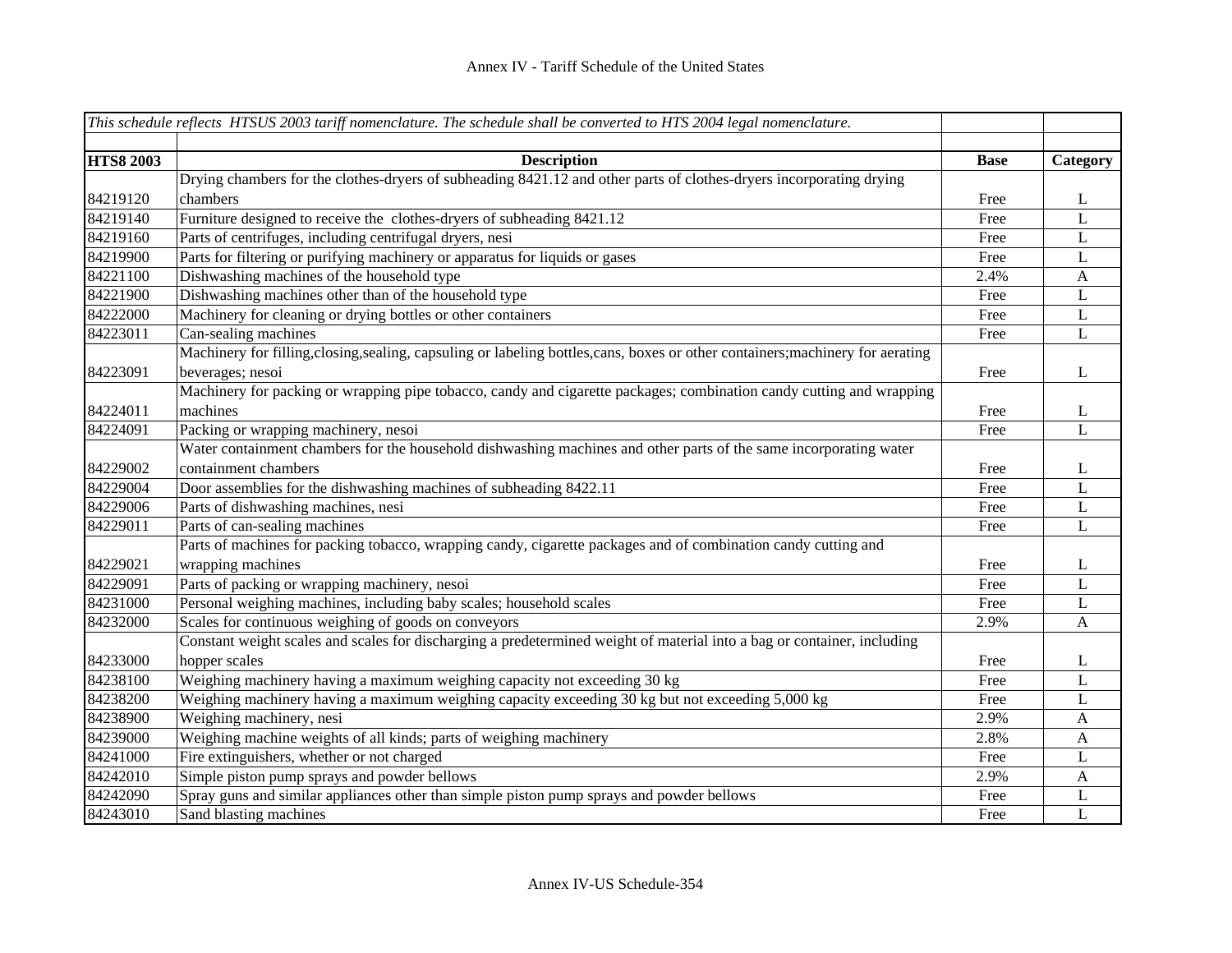|                  | This schedule reflects HTSUS 2003 tariff nomenclature. The schedule shall be converted to HTS 2004 legal nomenclature.          |             |                           |
|------------------|---------------------------------------------------------------------------------------------------------------------------------|-------------|---------------------------|
|                  |                                                                                                                                 |             |                           |
| <b>HTS8 2003</b> | <b>Description</b>                                                                                                              | <b>Base</b> | Category                  |
|                  | Drying chambers for the clothes-dryers of subheading 8421.12 and other parts of clothes-dryers incorporating drying             |             |                           |
| 84219120         | chambers                                                                                                                        | Free        | L                         |
| 84219140         | Furniture designed to receive the clothes-dryers of subheading 8421.12                                                          | Free        | L                         |
| 84219160         | Parts of centrifuges, including centrifugal dryers, nesi                                                                        | Free        | L                         |
| 84219900         | Parts for filtering or purifying machinery or apparatus for liquids or gases                                                    | Free        | L                         |
| 84221100         | Dishwashing machines of the household type                                                                                      | 2.4%        | $\boldsymbol{\mathsf{A}}$ |
| 84221900         | Dishwashing machines other than of the household type                                                                           | Free        | L                         |
| 84222000         | Machinery for cleaning or drying bottles or other containers                                                                    | Free        | $\mathbf L$               |
| 84223011         | Can-sealing machines                                                                                                            | Free        | L                         |
|                  | Machinery for filling, closing, sealing, capsuling or labeling bottles, cans, boxes or other containers; machinery for aerating |             |                           |
| 84223091         | beverages; nesoi                                                                                                                | Free        | L                         |
|                  | Machinery for packing or wrapping pipe tobacco, candy and cigarette packages; combination candy cutting and wrapping            |             |                           |
| 84224011         | machines                                                                                                                        | Free        | L                         |
| 84224091         | Packing or wrapping machinery, nesoi                                                                                            | Free        | $\overline{L}$            |
|                  | Water containment chambers for the household dishwashing machines and other parts of the same incorporating water               |             |                           |
| 84229002         | containment chambers                                                                                                            | Free        | L                         |
| 84229004         | Door assemblies for the dishwashing machines of subheading 8422.11                                                              | Free        | L                         |
| 84229006         | Parts of dishwashing machines, nesi                                                                                             | Free        | L                         |
| 84229011         | Parts of can-sealing machines                                                                                                   | Free        | L                         |
|                  | Parts of machines for packing tobacco, wrapping candy, cigarette packages and of combination candy cutting and                  |             |                           |
| 84229021         | wrapping machines                                                                                                               | Free        | L                         |
| 84229091         | Parts of packing or wrapping machinery, nesoi                                                                                   | Free        | L                         |
| 84231000         | Personal weighing machines, including baby scales; household scales                                                             | Free        | L                         |
| 84232000         | Scales for continuous weighing of goods on conveyors                                                                            | 2.9%        | A                         |
|                  | Constant weight scales and scales for discharging a predetermined weight of material into a bag or container, including         |             |                           |
| 84233000         | hopper scales                                                                                                                   | Free        | L                         |
| 84238100         | Weighing machinery having a maximum weighing capacity not exceeding 30 kg                                                       | Free        | $\mathbf L$               |
| 84238200         | Weighing machinery having a maximum weighing capacity exceeding 30 kg but not exceeding 5,000 kg                                | Free        | L                         |
| 84238900         | Weighing machinery, nesi                                                                                                        | 2.9%        | A                         |
| 84239000         | Weighing machine weights of all kinds; parts of weighing machinery                                                              | 2.8%        | A                         |
| 84241000         | Fire extinguishers, whether or not charged                                                                                      | Free        | L                         |
| 84242010         | Simple piston pump sprays and powder bellows                                                                                    | 2.9%        | A                         |
| 84242090         | Spray guns and similar appliances other than simple piston pump sprays and powder bellows                                       | Free        | L                         |
| 84243010         | Sand blasting machines                                                                                                          | Free        | L                         |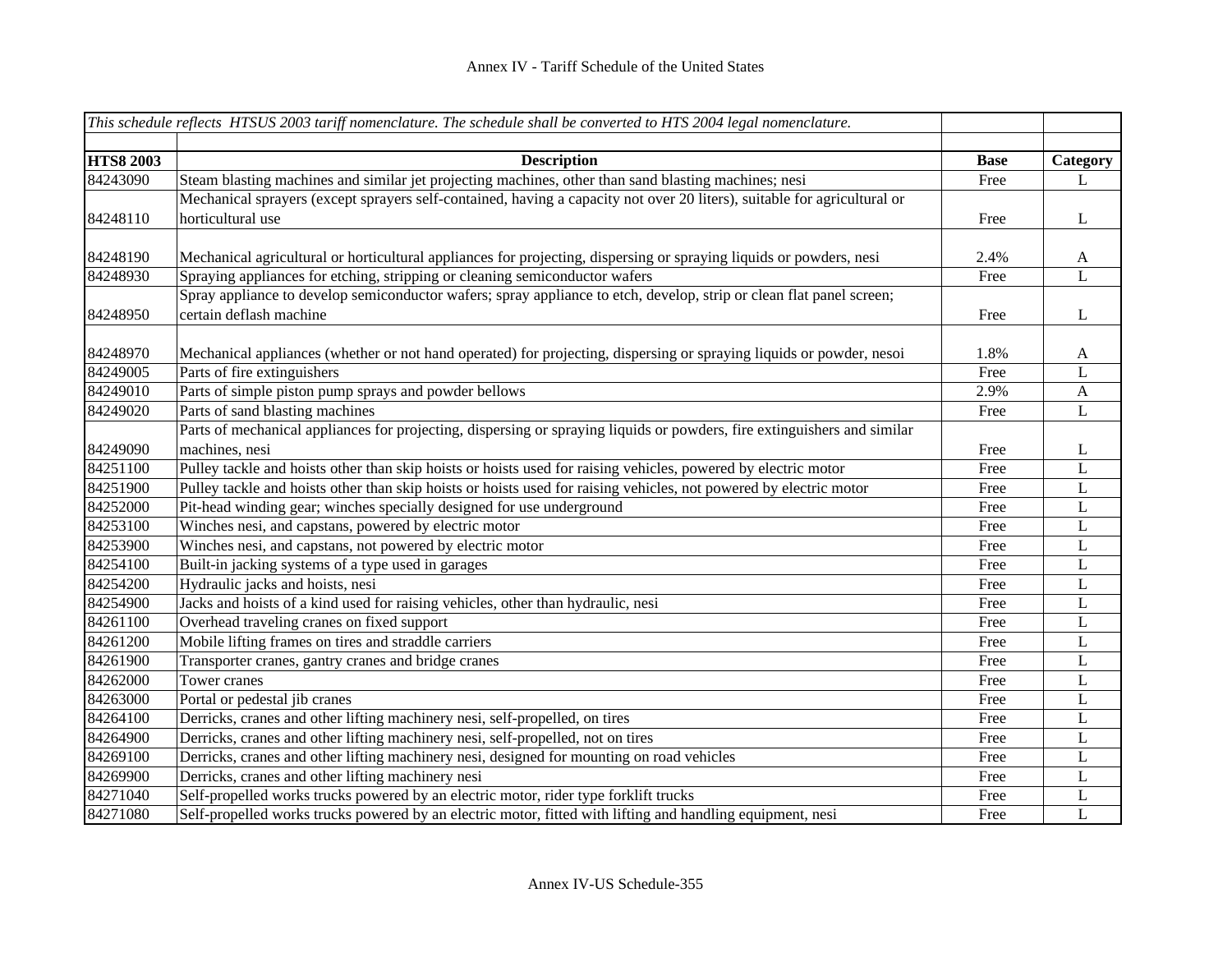|                  | This schedule reflects HTSUS 2003 tariff nomenclature. The schedule shall be converted to HTS 2004 legal nomenclature.   |             |                           |
|------------------|--------------------------------------------------------------------------------------------------------------------------|-------------|---------------------------|
|                  |                                                                                                                          |             |                           |
| <b>HTS8 2003</b> | <b>Description</b>                                                                                                       | <b>Base</b> | Category                  |
| 84243090         | Steam blasting machines and similar jet projecting machines, other than sand blasting machines; nesi                     | Free        | L                         |
|                  | Mechanical sprayers (except sprayers self-contained, having a capacity not over 20 liters), suitable for agricultural or |             |                           |
| 84248110         | horticultural use                                                                                                        | Free        | L                         |
|                  |                                                                                                                          |             |                           |
| 84248190         | Mechanical agricultural or horticultural appliances for projecting, dispersing or spraying liquids or powders, nesi      | 2.4%        | $\mathbf{A}$              |
| 84248930         | Spraying appliances for etching, stripping or cleaning semiconductor wafers                                              | Free        | L                         |
|                  | Spray appliance to develop semiconductor wafers; spray appliance to etch, develop, strip or clean flat panel screen;     |             |                           |
| 84248950         | certain deflash machine                                                                                                  | Free        | L                         |
|                  |                                                                                                                          |             |                           |
| 84248970         | Mechanical appliances (whether or not hand operated) for projecting, dispersing or spraying liquids or powder, nesoi     | 1.8%        | $\mathbf{A}$              |
| 84249005         | Parts of fire extinguishers                                                                                              | Free        | L                         |
| 84249010         | Parts of simple piston pump sprays and powder bellows                                                                    | 2.9%        | $\boldsymbol{\mathsf{A}}$ |
| 84249020         | Parts of sand blasting machines                                                                                          | Free        | $\mathbf L$               |
|                  | Parts of mechanical appliances for projecting, dispersing or spraying liquids or powders, fire extinguishers and similar |             |                           |
| 84249090         | machines, nesi                                                                                                           | Free        | L                         |
| 84251100         | Pulley tackle and hoists other than skip hoists or hoists used for raising vehicles, powered by electric motor           | Free        | L                         |
| 84251900         | Pulley tackle and hoists other than skip hoists or hoists used for raising vehicles, not powered by electric motor       | Free        | $\mathbf L$               |
| 84252000         | Pit-head winding gear; winches specially designed for use underground                                                    | Free        | L                         |
| 84253100         | Winches nesi, and capstans, powered by electric motor                                                                    | Free        | L                         |
| 84253900         | Winches nesi, and capstans, not powered by electric motor                                                                | Free        | L                         |
| 84254100         | Built-in jacking systems of a type used in garages                                                                       | Free        | L                         |
| 84254200         | Hydraulic jacks and hoists, nesi                                                                                         | Free        | L                         |
| 84254900         | Jacks and hoists of a kind used for raising vehicles, other than hydraulic, nesi                                         | Free        | L                         |
| 84261100         | Overhead traveling cranes on fixed support                                                                               | Free        | L                         |
| 84261200         | Mobile lifting frames on tires and straddle carriers                                                                     | Free        | L                         |
| 84261900         | Transporter cranes, gantry cranes and bridge cranes                                                                      | Free        | $\mathbf L$               |
| 84262000         | Tower cranes                                                                                                             | Free        | $\mathbf L$               |
| 84263000         | Portal or pedestal jib cranes                                                                                            | Free        | $\mathbf L$               |
| 84264100         | Derricks, cranes and other lifting machinery nesi, self-propelled, on tires                                              | Free        | L                         |
| 84264900         | Derricks, cranes and other lifting machinery nesi, self-propelled, not on tires                                          | Free        | L                         |
| 84269100         | Derricks, cranes and other lifting machinery nesi, designed for mounting on road vehicles                                | Free        | L                         |
| 84269900         | Derricks, cranes and other lifting machinery nesi                                                                        | Free        | L                         |
| 84271040         | Self-propelled works trucks powered by an electric motor, rider type forklift trucks                                     | Free        | L                         |
| 84271080         | Self-propelled works trucks powered by an electric motor, fitted with lifting and handling equipment, nesi               | Free        | $\mathbf{L}$              |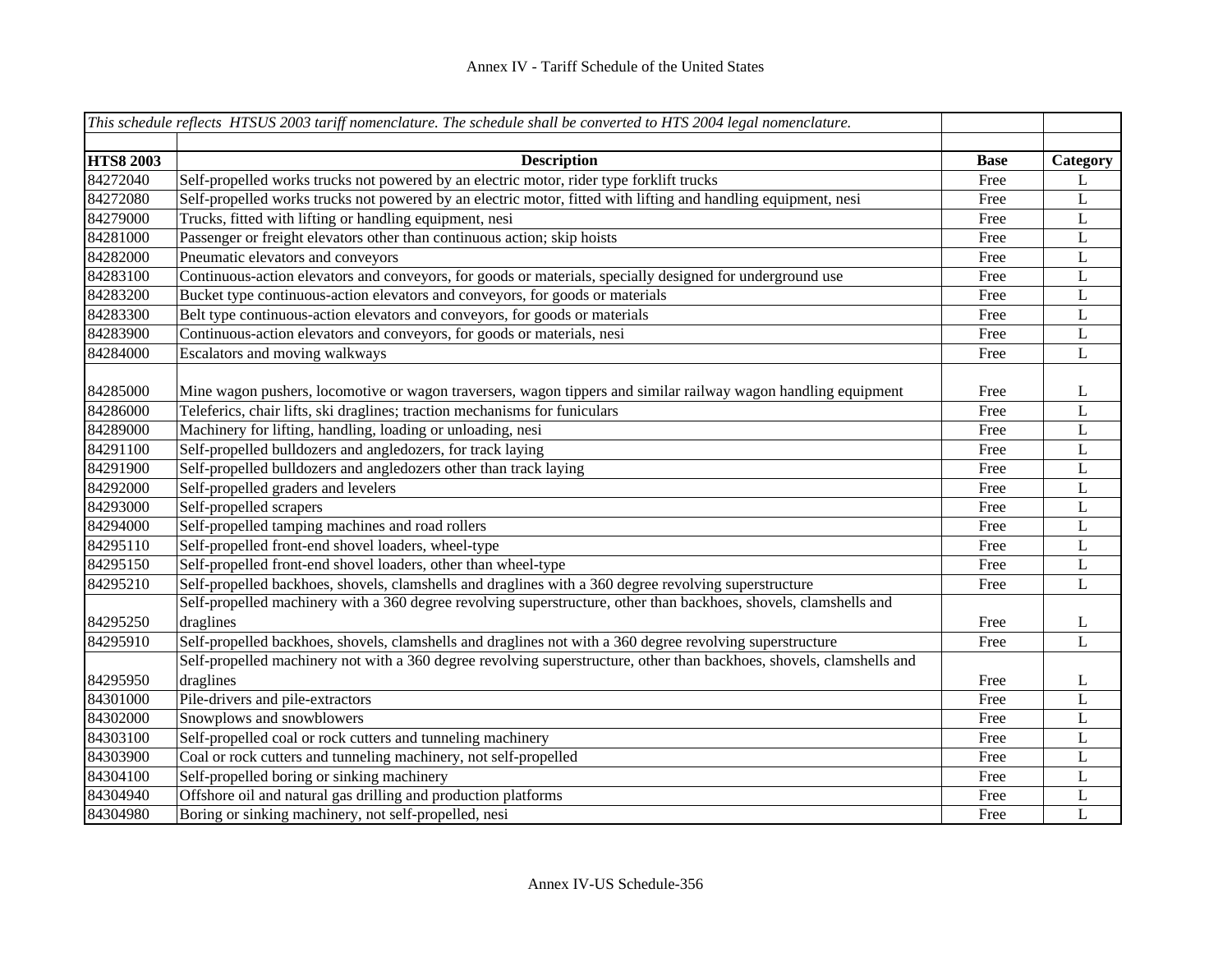|                  | This schedule reflects HTSUS 2003 tariff nomenclature. The schedule shall be converted to HTS 2004 legal nomenclature. |             |             |
|------------------|------------------------------------------------------------------------------------------------------------------------|-------------|-------------|
|                  |                                                                                                                        |             |             |
| <b>HTS8 2003</b> | <b>Description</b>                                                                                                     | <b>Base</b> | Category    |
| 84272040         | Self-propelled works trucks not powered by an electric motor, rider type forklift trucks                               | Free        | L           |
| 84272080         | Self-propelled works trucks not powered by an electric motor, fitted with lifting and handling equipment, nesi         | Free        | $\mathbf L$ |
| 84279000         | Trucks, fitted with lifting or handling equipment, nesi                                                                | Free        | $\mathbf L$ |
| 84281000         | Passenger or freight elevators other than continuous action; skip hoists                                               | Free        | L           |
| 84282000         | Pneumatic elevators and conveyors                                                                                      | Free        | L           |
| 84283100         | Continuous-action elevators and conveyors, for goods or materials, specially designed for underground use              | Free        | L           |
| 84283200         | Bucket type continuous-action elevators and conveyors, for goods or materials                                          | Free        | L           |
| 84283300         | Belt type continuous-action elevators and conveyors, for goods or materials                                            | Free        | L           |
| 84283900         | Continuous-action elevators and conveyors, for goods or materials, nesi                                                | Free        | L           |
| 84284000         | Escalators and moving walkways                                                                                         | Free        | L           |
|                  |                                                                                                                        |             |             |
| 84285000         | Mine wagon pushers, locomotive or wagon traversers, wagon tippers and similar railway wagon handling equipment         | Free        | L           |
| 84286000         | Teleferics, chair lifts, ski draglines; traction mechanisms for funiculars                                             | Free        | $\mathbf L$ |
| 84289000         | Machinery for lifting, handling, loading or unloading, nesi                                                            | Free        | $\mathbf L$ |
| 84291100         | Self-propelled bulldozers and angledozers, for track laying                                                            | Free        | $\mathbf L$ |
| 84291900         | Self-propelled bulldozers and angledozers other than track laying                                                      | Free        | $\mathbf L$ |
| 84292000         | Self-propelled graders and levelers                                                                                    | Free        | $\bf L$     |
| 84293000         | Self-propelled scrapers                                                                                                | Free        | $\mathbf L$ |
| 84294000         | Self-propelled tamping machines and road rollers                                                                       | Free        | $\mathbf L$ |
| 84295110         | Self-propelled front-end shovel loaders, wheel-type                                                                    | Free        | $\mathbf L$ |
| 84295150         | Self-propelled front-end shovel loaders, other than wheel-type                                                         | Free        | L           |
| 84295210         | Self-propelled backhoes, shovels, clamshells and draglines with a 360 degree revolving superstructure                  | Free        | L           |
|                  | Self-propelled machinery with a 360 degree revolving superstructure, other than backhoes, shovels, clamshells and      |             |             |
| 84295250         | draglines                                                                                                              | Free        | L           |
| 84295910         | Self-propelled backhoes, shovels, clamshells and draglines not with a 360 degree revolving superstructure              | Free        | L           |
|                  | Self-propelled machinery not with a 360 degree revolving superstructure, other than backhoes, shovels, clamshells and  |             |             |
| 84295950         | draglines                                                                                                              | Free        | L           |
| 84301000         | Pile-drivers and pile-extractors                                                                                       | Free        | L           |
| 84302000         | Snowplows and snowblowers                                                                                              | Free        | $\mathbf L$ |
| 84303100         | Self-propelled coal or rock cutters and tunneling machinery                                                            | Free        | L           |
| 84303900         | Coal or rock cutters and tunneling machinery, not self-propelled                                                       | Free        | L           |
| 84304100         | Self-propelled boring or sinking machinery                                                                             | Free        | L           |
| 84304940         | Offshore oil and natural gas drilling and production platforms                                                         | Free        | L           |
| 84304980         | Boring or sinking machinery, not self-propelled, nesi                                                                  | Free        | L           |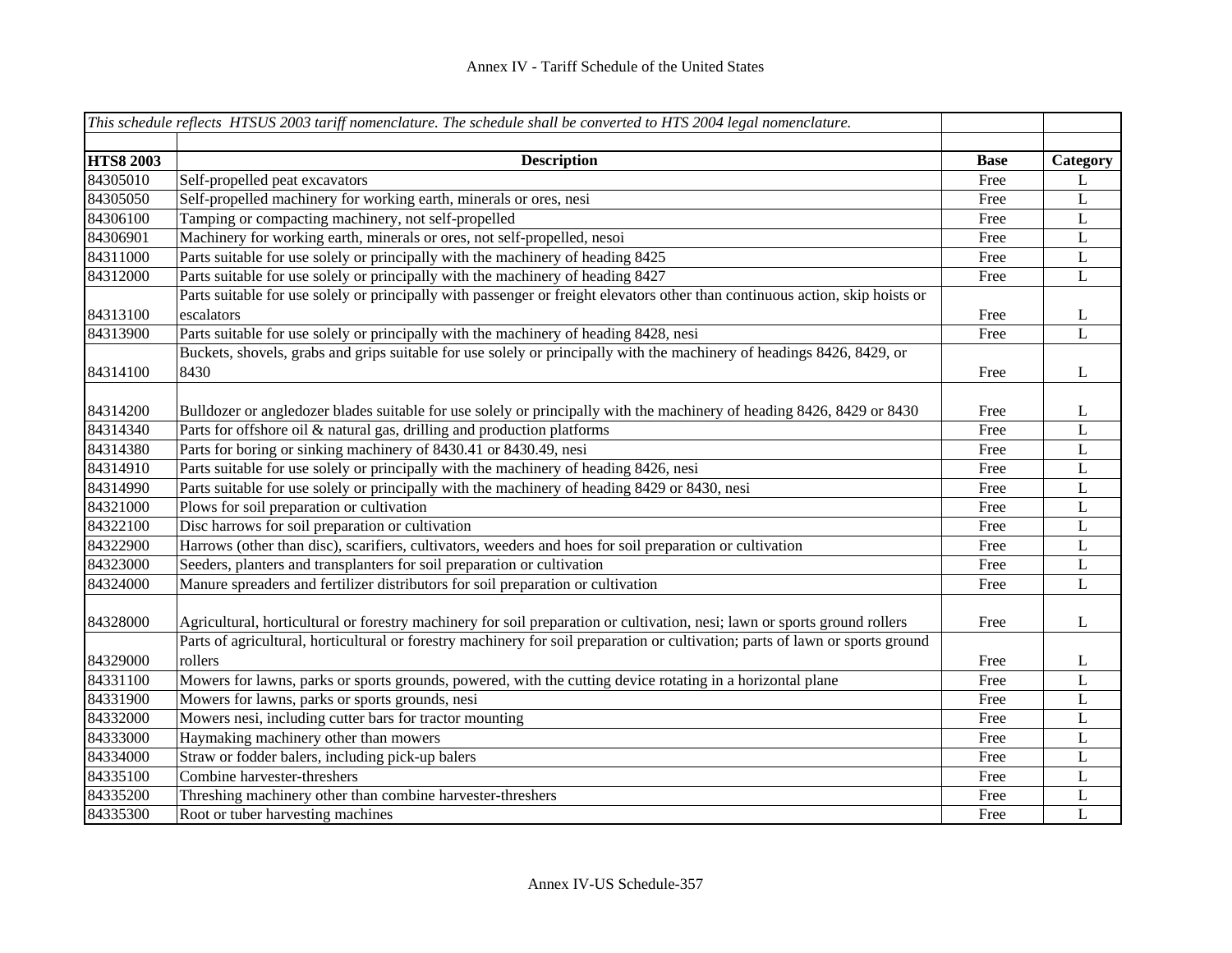|                  | This schedule reflects HTSUS 2003 tariff nomenclature. The schedule shall be converted to HTS 2004 legal nomenclature.         |             |              |
|------------------|--------------------------------------------------------------------------------------------------------------------------------|-------------|--------------|
|                  |                                                                                                                                |             |              |
| <b>HTS8 2003</b> | <b>Description</b>                                                                                                             | <b>Base</b> | Category     |
| 84305010         | Self-propelled peat excavators                                                                                                 | Free        | L            |
| 84305050         | Self-propelled machinery for working earth, minerals or ores, nesi                                                             | Free        | $\mathbf L$  |
| 84306100         | Tamping or compacting machinery, not self-propelled                                                                            | Free        | $\mathbf L$  |
| 84306901         | Machinery for working earth, minerals or ores, not self-propelled, nesoi                                                       | Free        | $\mathbf L$  |
| 84311000         | Parts suitable for use solely or principally with the machinery of heading 8425                                                | Free        | $\mathbf L$  |
| 84312000         | Parts suitable for use solely or principally with the machinery of heading 8427                                                | Free        | $\mathbf{L}$ |
|                  | Parts suitable for use solely or principally with passenger or freight elevators other than continuous action, skip hoists or  |             |              |
| 84313100         | escalators                                                                                                                     | Free        | L            |
| 84313900         | Parts suitable for use solely or principally with the machinery of heading 8428, nesi                                          | Free        | L            |
|                  | Buckets, shovels, grabs and grips suitable for use solely or principally with the machinery of headings 8426, 8429, or         |             |              |
| 84314100         | 8430                                                                                                                           | Free        | L            |
|                  |                                                                                                                                |             |              |
| 84314200         | Bulldozer or angledozer blades suitable for use solely or principally with the machinery of heading 8426, 8429 or 8430         | Free        | L            |
| 84314340         | Parts for offshore oil & natural gas, drilling and production platforms                                                        | Free        | L            |
| 84314380         | Parts for boring or sinking machinery of 8430.41 or 8430.49, nesi                                                              | Free        | $\mathbf L$  |
| 84314910         | Parts suitable for use solely or principally with the machinery of heading 8426, nesi                                          | Free        | L            |
| 84314990         | Parts suitable for use solely or principally with the machinery of heading 8429 or 8430, nesi                                  | Free        | L            |
| 84321000         | Plows for soil preparation or cultivation                                                                                      | Free        | $\mathbf L$  |
| 84322100         | Disc harrows for soil preparation or cultivation                                                                               | Free        | $\mathbf L$  |
| 84322900         | Harrows (other than disc), scarifiers, cultivators, weeders and hoes for soil preparation or cultivation                       | Free        | $\mathbf L$  |
| 84323000         | Seeders, planters and transplanters for soil preparation or cultivation                                                        | Free        | L            |
| 84324000         | Manure spreaders and fertilizer distributors for soil preparation or cultivation                                               | Free        | $\mathbf L$  |
|                  |                                                                                                                                |             |              |
| 84328000         | Agricultural, horticultural or forestry machinery for soil preparation or cultivation, nesi; lawn or sports ground rollers     | Free        | L            |
|                  | Parts of agricultural, horticultural or forestry machinery for soil preparation or cultivation; parts of lawn or sports ground |             |              |
| 84329000         | rollers                                                                                                                        | Free        | L            |
| 84331100         | Mowers for lawns, parks or sports grounds, powered, with the cutting device rotating in a horizontal plane                     | Free        | L            |
| 84331900         | Mowers for lawns, parks or sports grounds, nesi                                                                                | Free        | $\mathbf L$  |
| 84332000         | Mowers nesi, including cutter bars for tractor mounting                                                                        | Free        | L            |
| 84333000         | Haymaking machinery other than mowers                                                                                          | Free        | L            |
| 84334000         | Straw or fodder balers, including pick-up balers                                                                               | Free        | L            |
| 84335100         | Combine harvester-threshers                                                                                                    | Free        | L            |
| 84335200         | Threshing machinery other than combine harvester-threshers                                                                     | Free        | L            |
| 84335300         | Root or tuber harvesting machines                                                                                              | Free        | $\mathbf{L}$ |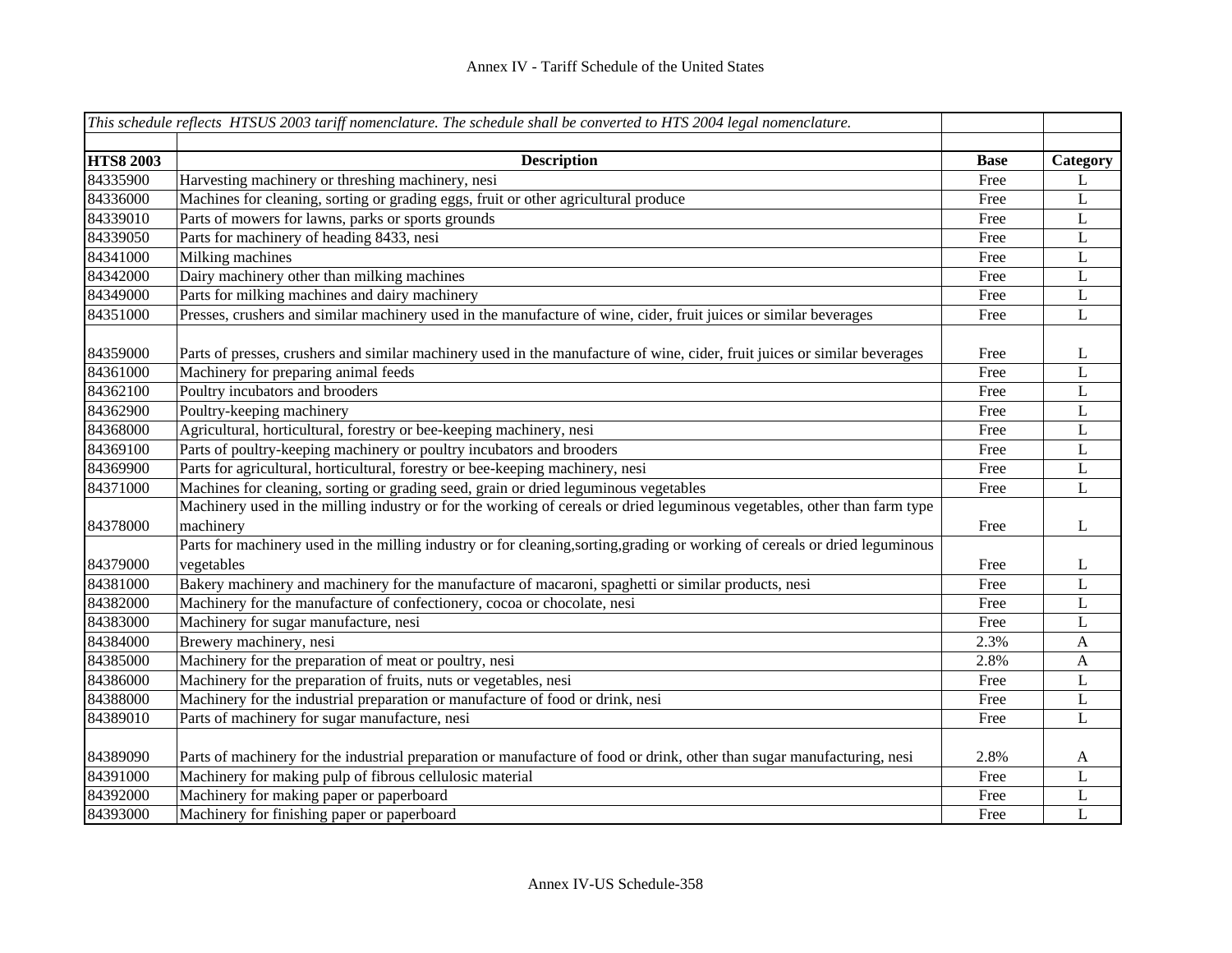|                  | This schedule reflects HTSUS 2003 tariff nomenclature. The schedule shall be converted to HTS 2004 legal nomenclature.       |             |              |
|------------------|------------------------------------------------------------------------------------------------------------------------------|-------------|--------------|
| <b>HTS8 2003</b> | <b>Description</b>                                                                                                           | <b>Base</b> | Category     |
| 84335900         | Harvesting machinery or threshing machinery, nesi                                                                            | Free        | L            |
| 84336000         | Machines for cleaning, sorting or grading eggs, fruit or other agricultural produce                                          | Free        | L            |
| 84339010         | Parts of mowers for lawns, parks or sports grounds                                                                           | Free        | L            |
| 84339050         | Parts for machinery of heading 8433, nesi                                                                                    | Free        | L            |
| 84341000         | Milking machines                                                                                                             | Free        | L            |
| 84342000         | Dairy machinery other than milking machines                                                                                  | Free        | L            |
| 84349000         | Parts for milking machines and dairy machinery                                                                               | Free        | L            |
| 84351000         | Presses, crushers and similar machinery used in the manufacture of wine, cider, fruit juices or similar beverages            | Free        | L            |
| 84359000         | Parts of presses, crushers and similar machinery used in the manufacture of wine, cider, fruit juices or similar beverages   | Free        | L            |
| 84361000         | Machinery for preparing animal feeds                                                                                         | Free        | L            |
| 84362100         | Poultry incubators and brooders                                                                                              | Free        | $\bf L$      |
| 84362900         | Poultry-keeping machinery                                                                                                    | Free        | L            |
| 84368000         | Agricultural, horticultural, forestry or bee-keeping machinery, nesi                                                         | Free        | L            |
| 84369100         | Parts of poultry-keeping machinery or poultry incubators and brooders                                                        | Free        | $\bf L$      |
| 84369900         | Parts for agricultural, horticultural, forestry or bee-keeping machinery, nesi                                               | Free        | L            |
| 84371000         | Machines for cleaning, sorting or grading seed, grain or dried leguminous vegetables                                         | Free        | $\mathbf L$  |
|                  | Machinery used in the milling industry or for the working of cereals or dried leguminous vegetables, other than farm type    |             |              |
| 84378000         | machinery                                                                                                                    | Free        | L            |
|                  | Parts for machinery used in the milling industry or for cleaning, sorting, grading or working of cereals or dried leguminous |             |              |
| 84379000         | vegetables                                                                                                                   | Free        | L            |
| 84381000         | Bakery machinery and machinery for the manufacture of macaroni, spaghetti or similar products, nesi                          | Free        | L            |
| 84382000         | Machinery for the manufacture of confectionery, cocoa or chocolate, nesi                                                     | Free        | L            |
| 84383000         | Machinery for sugar manufacture, nesi                                                                                        | Free        | L            |
| 84384000         | Brewery machinery, nesi                                                                                                      | 2.3%        | A            |
| 84385000         | Machinery for the preparation of meat or poultry, nesi                                                                       | 2.8%        | A            |
| 84386000         | Machinery for the preparation of fruits, nuts or vegetables, nesi                                                            | Free        | L            |
| 84388000         | Machinery for the industrial preparation or manufacture of food or drink, nesi                                               | Free        | L            |
| 84389010         | Parts of machinery for sugar manufacture, nesi                                                                               | Free        | $\mathbf{L}$ |
| 84389090         | Parts of machinery for the industrial preparation or manufacture of food or drink, other than sugar manufacturing, nesi      | 2.8%        | A            |
| 84391000         | Machinery for making pulp of fibrous cellulosic material                                                                     | Free        | L            |
| 84392000         | Machinery for making paper or paperboard                                                                                     | Free        | L            |
| 84393000         | Machinery for finishing paper or paperboard                                                                                  | Free        | L            |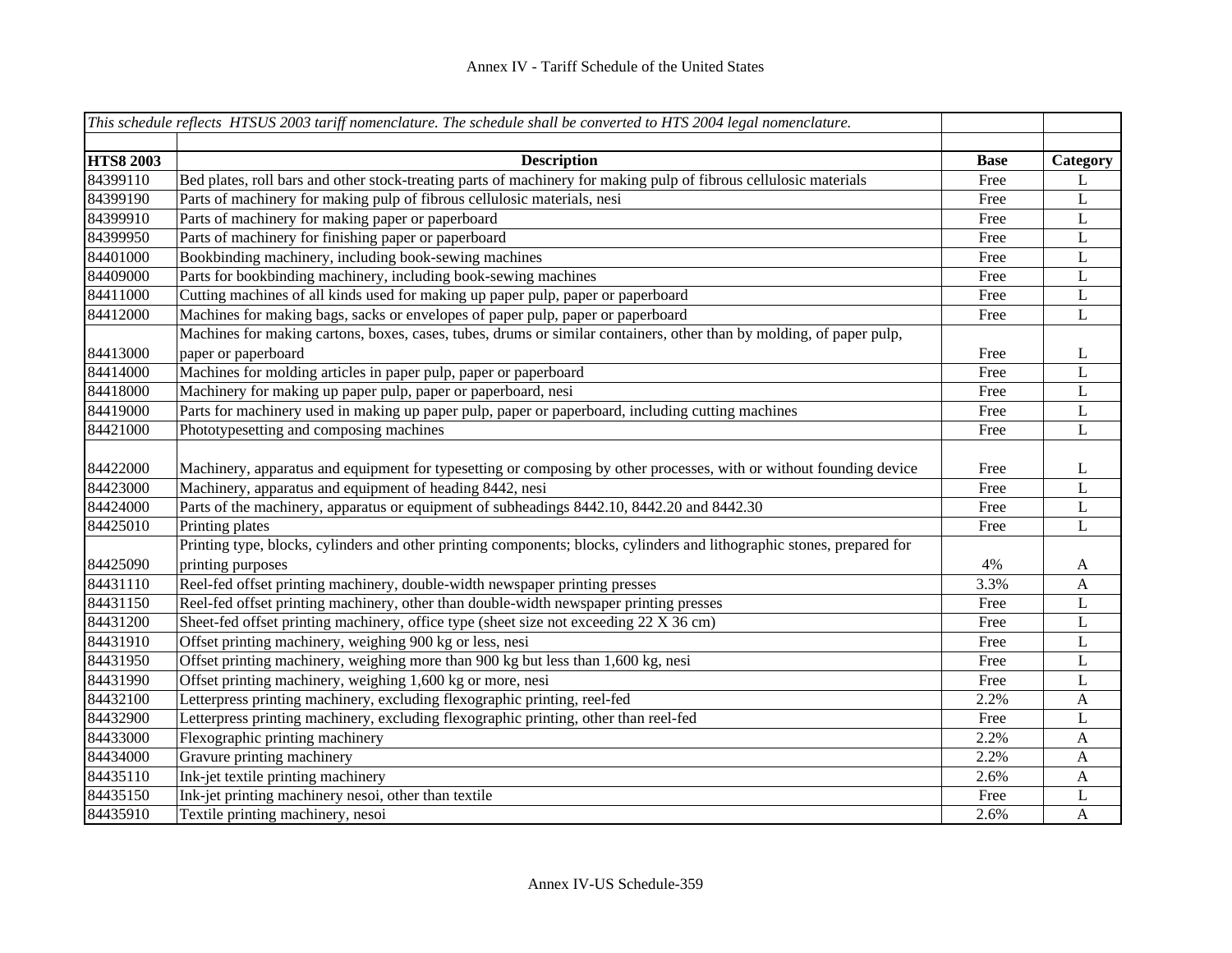|                  | This schedule reflects HTSUS 2003 tariff nomenclature. The schedule shall be converted to HTS 2004 legal nomenclature.  |             |              |
|------------------|-------------------------------------------------------------------------------------------------------------------------|-------------|--------------|
|                  |                                                                                                                         |             |              |
| <b>HTS8 2003</b> | <b>Description</b>                                                                                                      | <b>Base</b> | Category     |
| 84399110         | Bed plates, roll bars and other stock-treating parts of machinery for making pulp of fibrous cellulosic materials       | Free        | L            |
| 84399190         | Parts of machinery for making pulp of fibrous cellulosic materials, nesi                                                | Free        | $\mathbf L$  |
| 84399910         | Parts of machinery for making paper or paperboard                                                                       | Free        | $\bf L$      |
| 84399950         | Parts of machinery for finishing paper or paperboard                                                                    | Free        | $\bf L$      |
| 84401000         | Bookbinding machinery, including book-sewing machines                                                                   | Free        | $\bf L$      |
| 84409000         | Parts for bookbinding machinery, including book-sewing machines                                                         | Free        | L            |
| 84411000         | Cutting machines of all kinds used for making up paper pulp, paper or paperboard                                        | Free        | L            |
| 84412000         | Machines for making bags, sacks or envelopes of paper pulp, paper or paperboard                                         | Free        | L            |
|                  | Machines for making cartons, boxes, cases, tubes, drums or similar containers, other than by molding, of paper pulp,    |             |              |
| 84413000         | paper or paperboard                                                                                                     | Free        | L            |
| 84414000         | Machines for molding articles in paper pulp, paper or paperboard                                                        | Free        | $\mathbf L$  |
| 84418000         | Machinery for making up paper pulp, paper or paperboard, nesi                                                           | Free        | $\mathbf L$  |
| 84419000         | Parts for machinery used in making up paper pulp, paper or paperboard, including cutting machines                       | Free        | $\mathbf L$  |
| 84421000         | Phototypesetting and composing machines                                                                                 | Free        | $\mathbf L$  |
|                  |                                                                                                                         |             |              |
| 84422000         | Machinery, apparatus and equipment for typesetting or composing by other processes, with or without founding device     | Free        | L            |
| 84423000         | Machinery, apparatus and equipment of heading 8442, nesi                                                                | Free        | $\mathbf L$  |
| 84424000         | Parts of the machinery, apparatus or equipment of subheadings 8442.10, 8442.20 and 8442.30                              | Free        | $\mathbf L$  |
| 84425010         | Printing plates                                                                                                         | Free        | $\mathbf L$  |
|                  | Printing type, blocks, cylinders and other printing components; blocks, cylinders and lithographic stones, prepared for |             |              |
| 84425090         | printing purposes                                                                                                       | 4%          | $\mathbf{A}$ |
| 84431110         | Reel-fed offset printing machinery, double-width newspaper printing presses                                             | 3.3%        | $\mathbf{A}$ |
| 84431150         | Reel-fed offset printing machinery, other than double-width newspaper printing presses                                  | Free        | L            |
| 84431200         | Sheet-fed offset printing machinery, office type (sheet size not exceeding 22 X 36 cm)                                  | Free        | L            |
| 84431910         | Offset printing machinery, weighing 900 kg or less, nesi                                                                | Free        | L            |
| 84431950         | Offset printing machinery, weighing more than 900 kg but less than 1,600 kg, nesi                                       | Free        | $\mathbf L$  |
| 84431990         | Offset printing machinery, weighing 1,600 kg or more, nesi                                                              | Free        | $\mathbf L$  |
| 84432100         | Letterpress printing machinery, excluding flexographic printing, reel-fed                                               | 2.2%        | $\mathbf{A}$ |
| 84432900         | Letterpress printing machinery, excluding flexographic printing, other than reel-fed                                    | Free        | L            |
| 84433000         | Flexographic printing machinery                                                                                         | 2.2%        | $\mathbf{A}$ |
| 84434000         | Gravure printing machinery                                                                                              | 2.2%        | $\mathbf{A}$ |
| 84435110         | Ink-jet textile printing machinery                                                                                      | 2.6%        | $\mathbf{A}$ |
| 84435150         | Ink-jet printing machinery nesoi, other than textile                                                                    | Free        | L            |
| 84435910         | Textile printing machinery, nesoi                                                                                       | 2.6%        | $\mathbf{A}$ |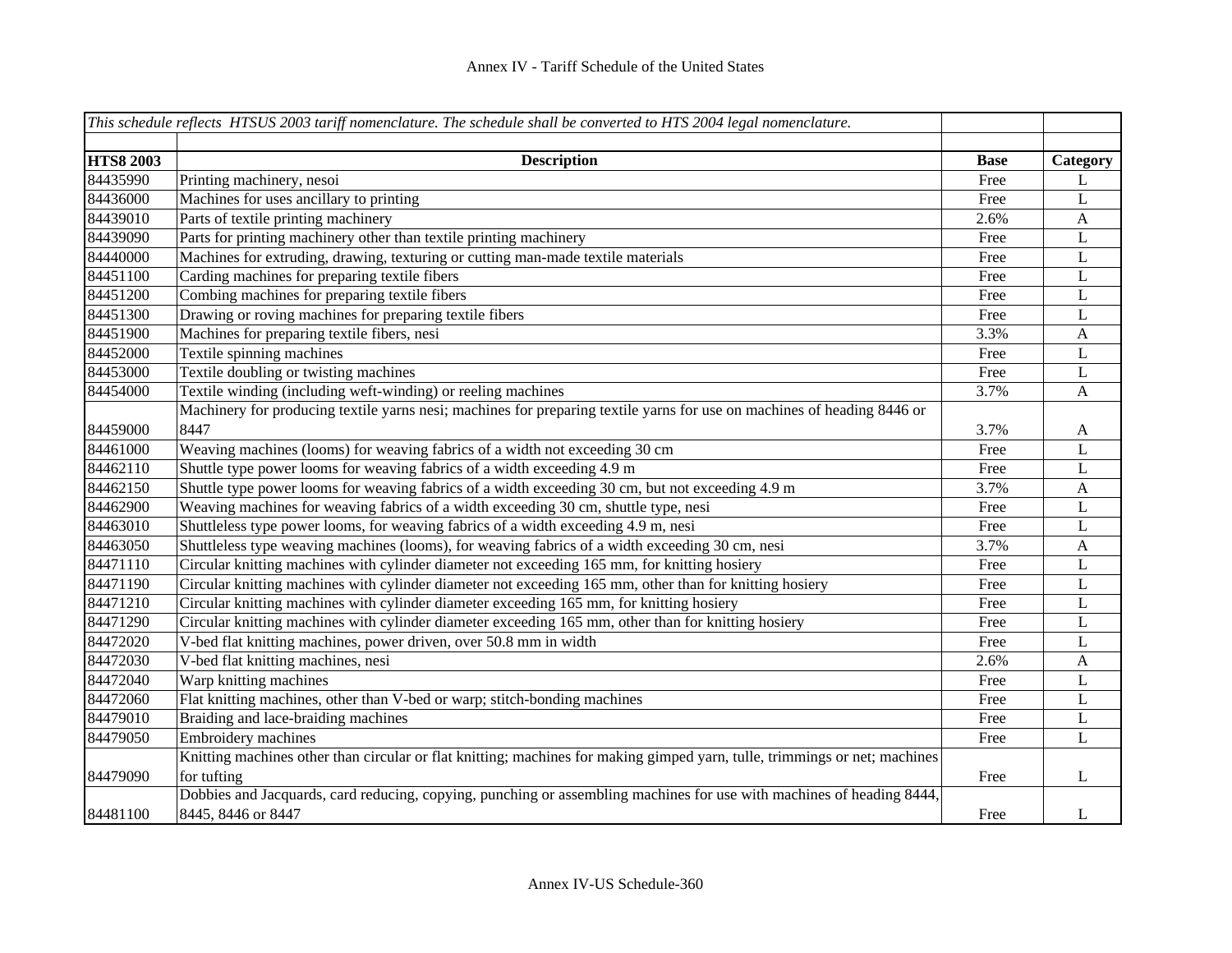|                              | This schedule reflects HTSUS 2003 tariff nomenclature. The schedule shall be converted to HTS 2004 legal nomenclature.     |             |                           |
|------------------------------|----------------------------------------------------------------------------------------------------------------------------|-------------|---------------------------|
|                              |                                                                                                                            |             |                           |
| <b>HTS8 2003</b><br>84435990 | <b>Description</b>                                                                                                         | <b>Base</b> | Category                  |
|                              | Printing machinery, nesoi                                                                                                  | Free        | L                         |
| 84436000                     | Machines for uses ancillary to printing                                                                                    | Free        | L                         |
| 84439010                     | Parts of textile printing machinery                                                                                        | 2.6%        | $\mathbf{A}$              |
| 84439090                     | Parts for printing machinery other than textile printing machinery                                                         | Free        | L                         |
| 84440000                     | Machines for extruding, drawing, texturing or cutting man-made textile materials                                           | Free        | L                         |
| 84451100                     | Carding machines for preparing textile fibers                                                                              | Free        | L                         |
| 84451200                     | Combing machines for preparing textile fibers                                                                              | Free        | $\bf L$                   |
| 84451300                     | Drawing or roving machines for preparing textile fibers                                                                    | Free        | $\mathbf L$               |
| 84451900                     | Machines for preparing textile fibers, nesi                                                                                | 3.3%        | $\mathbf{A}$              |
| 84452000                     | Textile spinning machines                                                                                                  | Free        | L                         |
| 84453000                     | Textile doubling or twisting machines                                                                                      | Free        | L                         |
| 84454000                     | Textile winding (including weft-winding) or reeling machines                                                               | 3.7%        | A                         |
|                              | Machinery for producing textile yarns nesi; machines for preparing textile yarns for use on machines of heading 8446 or    |             |                           |
| 84459000                     | 8447                                                                                                                       | 3.7%        | A                         |
| 84461000                     | Weaving machines (looms) for weaving fabrics of a width not exceeding 30 cm                                                | Free        | L                         |
| 84462110                     | Shuttle type power looms for weaving fabrics of a width exceeding 4.9 m                                                    | Free        | L                         |
| 84462150                     | Shuttle type power looms for weaving fabrics of a width exceeding 30 cm, but not exceeding 4.9 m                           | 3.7%        | $\boldsymbol{\mathsf{A}}$ |
| 84462900                     | Weaving machines for weaving fabrics of a width exceeding 30 cm, shuttle type, nesi                                        | Free        | $\mathbf L$               |
| 84463010                     | Shuttleless type power looms, for weaving fabrics of a width exceeding 4.9 m, nesi                                         | Free        | L                         |
| 84463050                     | Shuttleless type weaving machines (looms), for weaving fabrics of a width exceeding 30 cm, nesi                            | 3.7%        | $\mathbf{A}$              |
| 84471110                     | Circular knitting machines with cylinder diameter not exceeding 165 mm, for knitting hosiery                               | Free        | $\mathbf L$               |
| 84471190                     | Circular knitting machines with cylinder diameter not exceeding 165 mm, other than for knitting hosiery                    | Free        | $\mathbf L$               |
| 84471210                     | Circular knitting machines with cylinder diameter exceeding 165 mm, for knitting hosiery                                   | Free        | L                         |
| 84471290                     | Circular knitting machines with cylinder diameter exceeding 165 mm, other than for knitting hosiery                        | Free        | L                         |
| 84472020                     | V-bed flat knitting machines, power driven, over 50.8 mm in width                                                          | Free        | L                         |
| 84472030                     | V-bed flat knitting machines, nesi                                                                                         | 2.6%        | A                         |
| 84472040                     | Warp knitting machines                                                                                                     | Free        | L                         |
| 84472060                     | Flat knitting machines, other than V-bed or warp; stitch-bonding machines                                                  | Free        | L                         |
| 84479010                     | Braiding and lace-braiding machines                                                                                        | Free        | L                         |
| 84479050                     | Embroidery machines                                                                                                        | Free        | L                         |
|                              | Knitting machines other than circular or flat knitting; machines for making gimped yarn, tulle, trimmings or net; machines |             |                           |
| 84479090                     | for tufting                                                                                                                | Free        | L                         |
|                              | Dobbies and Jacquards, card reducing, copying, punching or assembling machines for use with machines of heading 8444,      |             |                           |
| 84481100                     | 8445, 8446 or 8447                                                                                                         | Free        | L                         |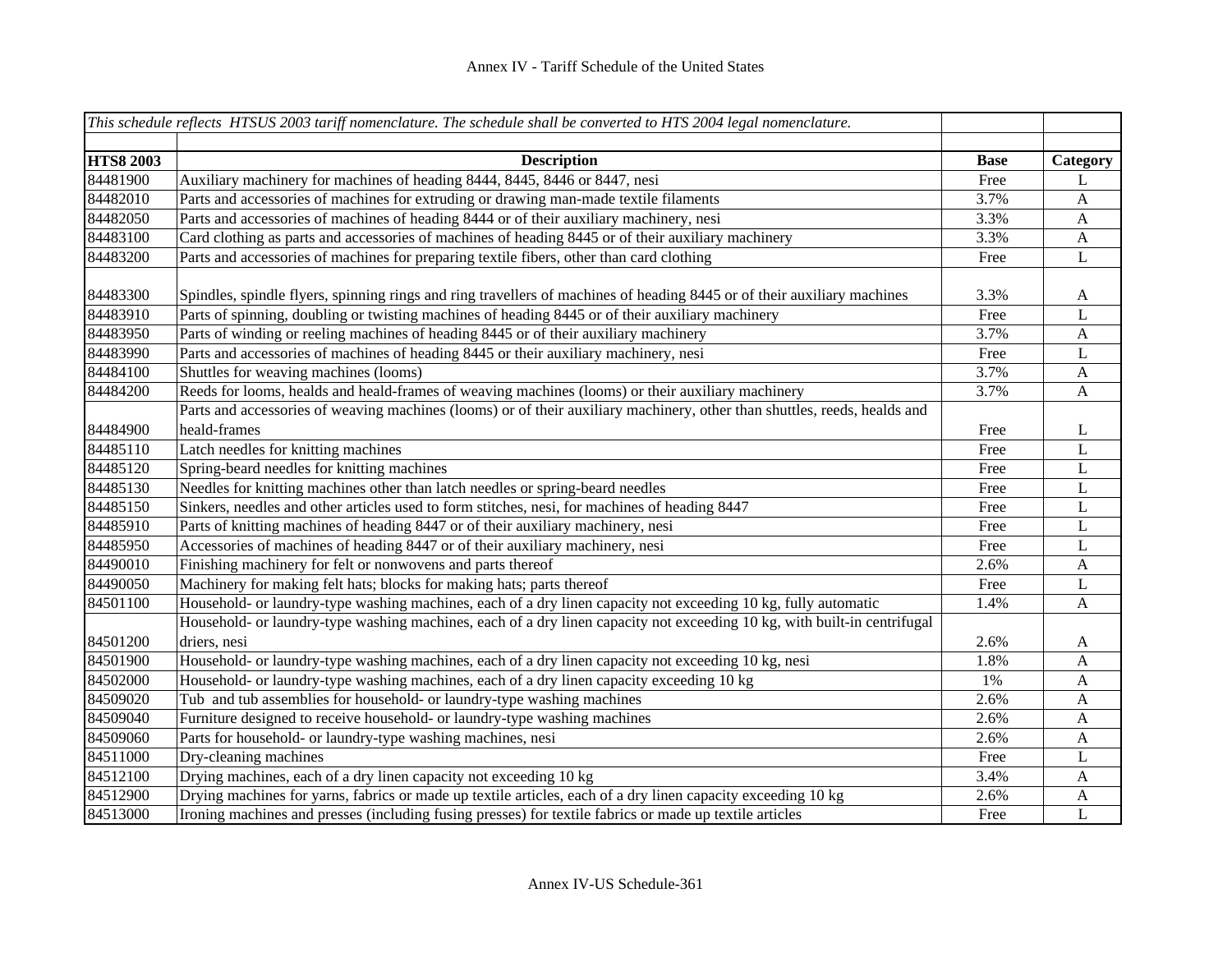|                  | This schedule reflects HTSUS 2003 tariff nomenclature. The schedule shall be converted to HTS 2004 legal nomenclature.                   |             |                           |
|------------------|------------------------------------------------------------------------------------------------------------------------------------------|-------------|---------------------------|
| <b>HTS8 2003</b> | <b>Description</b>                                                                                                                       | <b>Base</b> | Category                  |
| 84481900         | Auxiliary machinery for machines of heading 8444, 8445, 8446 or 8447, nesi                                                               | Free        | L                         |
| 84482010         | Parts and accessories of machines for extruding or drawing man-made textile filaments                                                    | 3.7%        | $\mathbf{A}$              |
| 84482050         | Parts and accessories of machines of heading 8444 or of their auxiliary machinery, nesi                                                  | 3.3%        | $\mathbf{A}$              |
| 84483100         | Card clothing as parts and accessories of machines of heading 8445 or of their auxiliary machinery                                       | 3.3%        | $\mathbf{A}$              |
| 84483200         | Parts and accessories of machines for preparing textile fibers, other than card clothing                                                 | Free        | L                         |
| 84483300         | Spindles, spindle flyers, spinning rings and ring travellers of machines of heading 8445 or of their auxiliary machines                  | 3.3%        | A                         |
| 84483910         | Parts of spinning, doubling or twisting machines of heading 8445 or of their auxiliary machinery                                         | Free        | L                         |
| 84483950         | Parts of winding or reeling machines of heading 8445 or of their auxiliary machinery                                                     | 3.7%        | $\mathbf{A}$              |
| 84483990         | Parts and accessories of machines of heading 8445 or their auxiliary machinery, nesi                                                     | Free        | $\bf L$                   |
| 84484100         | Shuttles for weaving machines (looms)                                                                                                    | 3.7%        | $\boldsymbol{\mathsf{A}}$ |
| 84484200         | Reeds for looms, healds and heald-frames of weaving machines (looms) or their auxiliary machinery                                        | 3.7%        | A                         |
|                  | Parts and accessories of weaving machines (looms) or of their auxiliary machinery, other than shuttles, reeds, healds and                |             |                           |
| 84484900         | heald-frames                                                                                                                             | Free        | L                         |
| 84485110         | Latch needles for knitting machines                                                                                                      | Free        | $\mathbf L$               |
| 84485120         | Spring-beard needles for knitting machines                                                                                               | Free        | L                         |
| 84485130         | Needles for knitting machines other than latch needles or spring-beard needles                                                           | Free        | L                         |
| 84485150         | Sinkers, needles and other articles used to form stitches, nesi, for machines of heading 8447                                            | Free        | L                         |
| 84485910         | Parts of knitting machines of heading 8447 or of their auxiliary machinery, nesi                                                         | Free        | L                         |
| 84485950         | Accessories of machines of heading 8447 or of their auxiliary machinery, nesi                                                            | Free        | L                         |
| 84490010         | Finishing machinery for felt or nonwovens and parts thereof                                                                              | 2.6%        | A                         |
| 84490050         | Machinery for making felt hats; blocks for making hats; parts thereof                                                                    | Free        | L                         |
| 84501100         | Household- or laundry-type washing machines, each of a dry linen capacity not exceeding 10 kg, fully automatic                           | 1.4%        | A                         |
| 84501200         | Household- or laundry-type washing machines, each of a dry linen capacity not exceeding 10 kg, with built-in centrifugal<br>driers, nesi | 2.6%        | A                         |
| 84501900         | Household- or laundry-type washing machines, each of a dry linen capacity not exceeding 10 kg, nesi                                      | 1.8%        | A                         |
| 84502000         | Household- or laundry-type washing machines, each of a dry linen capacity exceeding 10 kg                                                | 1%          | A                         |
| 84509020         | Tub and tub assemblies for household- or laundry-type washing machines                                                                   | 2.6%        | A                         |
| 84509040         | Furniture designed to receive household- or laundry-type washing machines                                                                | 2.6%        | A                         |
| 84509060         | Parts for household- or laundry-type washing machines, nesi                                                                              | 2.6%        | A                         |
| 84511000         | Dry-cleaning machines                                                                                                                    | Free        | L                         |
| 84512100         | Drying machines, each of a dry linen capacity not exceeding 10 kg                                                                        | 3.4%        | A                         |
| 84512900         | Drying machines for yarns, fabrics or made up textile articles, each of a dry linen capacity exceeding 10 kg                             | 2.6%        | A                         |
| 84513000         | Ironing machines and presses (including fusing presses) for textile fabrics or made up textile articles                                  | Free        | $\mathbf{L}$              |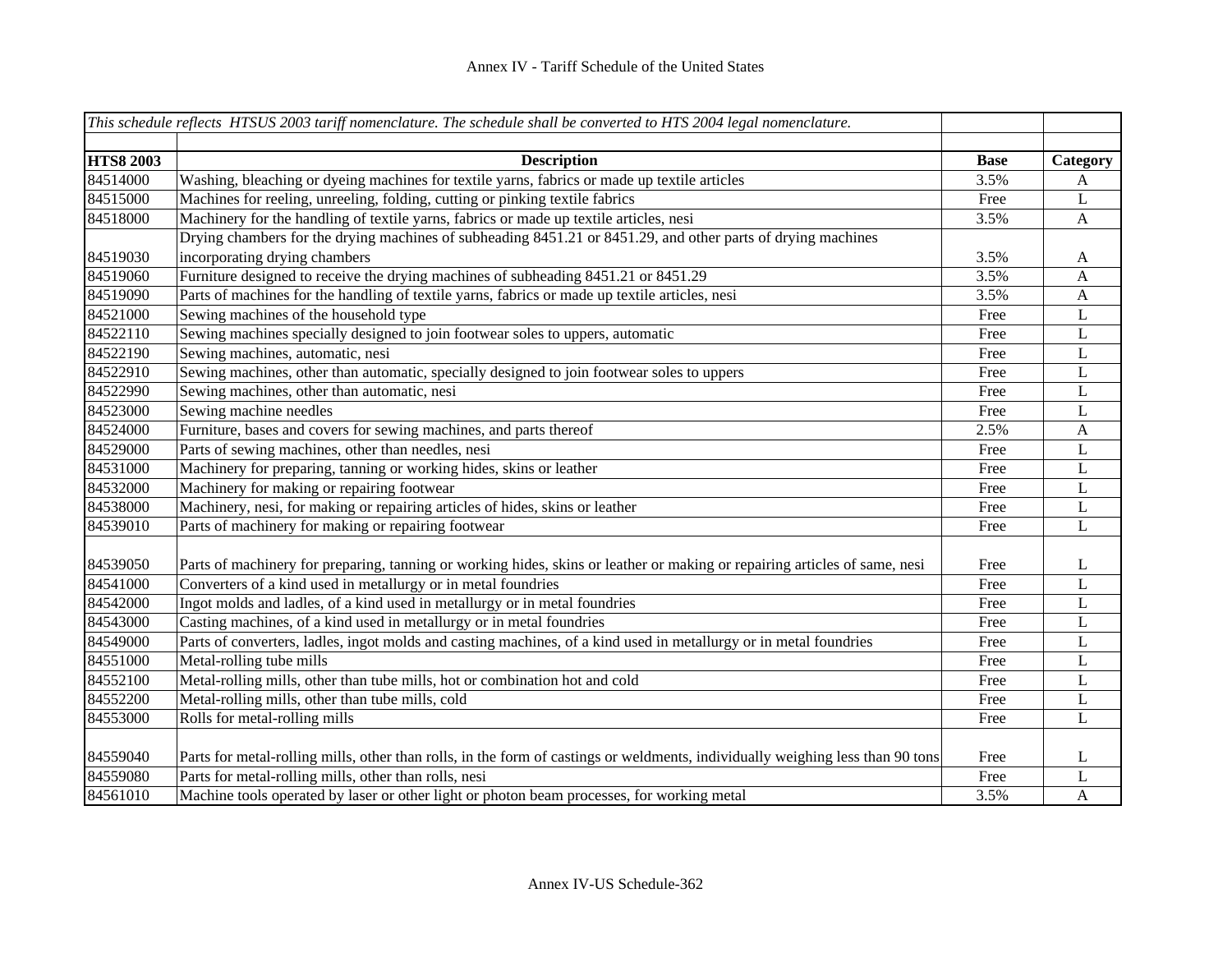|                  | This schedule reflects HTSUS 2003 tariff nomenclature. The schedule shall be converted to HTS 2004 legal nomenclature.         |             |              |
|------------------|--------------------------------------------------------------------------------------------------------------------------------|-------------|--------------|
|                  |                                                                                                                                |             |              |
| <b>HTS8 2003</b> | <b>Description</b>                                                                                                             | <b>Base</b> | Category     |
| 84514000         | Washing, bleaching or dyeing machines for textile yarns, fabrics or made up textile articles                                   | 3.5%        | A            |
| 84515000         | Machines for reeling, unreeling, folding, cutting or pinking textile fabrics                                                   | Free        | L            |
| 84518000         | Machinery for the handling of textile yarns, fabrics or made up textile articles, nesi                                         | 3.5%        | A            |
|                  | Drying chambers for the drying machines of subheading 8451.21 or 8451.29, and other parts of drying machines                   |             |              |
| 84519030         | incorporating drying chambers                                                                                                  | 3.5%        | A            |
| 84519060         | Furniture designed to receive the drying machines of subheading 8451.21 or 8451.29                                             | 3.5%        | A            |
| 84519090         | Parts of machines for the handling of textile yarns, fabrics or made up textile articles, nesi                                 | 3.5%        | A            |
| 84521000         | Sewing machines of the household type                                                                                          | Free        | L            |
| 84522110         | Sewing machines specially designed to join footwear soles to uppers, automatic                                                 | Free        | L            |
| 84522190         | Sewing machines, automatic, nesi                                                                                               | Free        | L            |
| 84522910         | Sewing machines, other than automatic, specially designed to join footwear soles to uppers                                     | Free        | L            |
| 84522990         | Sewing machines, other than automatic, nesi                                                                                    | Free        | L            |
| 84523000         | Sewing machine needles                                                                                                         | Free        | L            |
| 84524000         | Furniture, bases and covers for sewing machines, and parts thereof                                                             | 2.5%        | $\mathbf{A}$ |
| 84529000         | Parts of sewing machines, other than needles, nesi                                                                             | Free        | L            |
| 84531000         | Machinery for preparing, tanning or working hides, skins or leather                                                            | Free        | L            |
| 84532000         | Machinery for making or repairing footwear                                                                                     | Free        | L            |
| 84538000         | Machinery, nesi, for making or repairing articles of hides, skins or leather                                                   | Free        | L            |
| 84539010         | Parts of machinery for making or repairing footwear                                                                            | Free        | $\mathbf L$  |
|                  |                                                                                                                                |             |              |
| 84539050         | Parts of machinery for preparing, tanning or working hides, skins or leather or making or repairing articles of same, nesi     | Free        | L            |
| 84541000         | Converters of a kind used in metallurgy or in metal foundries                                                                  | Free        | L            |
| 84542000         | Ingot molds and ladles, of a kind used in metallurgy or in metal foundries                                                     | Free        | $\mathbf L$  |
| 84543000         | Casting machines, of a kind used in metallurgy or in metal foundries                                                           | Free        | L            |
| 84549000         | Parts of converters, ladles, ingot molds and casting machines, of a kind used in metallurgy or in metal foundries              | Free        | L            |
| 84551000         | Metal-rolling tube mills                                                                                                       | Free        | L            |
| 84552100         | Metal-rolling mills, other than tube mills, hot or combination hot and cold                                                    | Free        | L            |
| 84552200         | Metal-rolling mills, other than tube mills, cold                                                                               | Free        | L            |
| 84553000         | Rolls for metal-rolling mills                                                                                                  | Free        | L            |
|                  |                                                                                                                                |             |              |
| 84559040         | Parts for metal-rolling mills, other than rolls, in the form of castings or weldments, individually weighing less than 90 tons | Free        | L            |
| 84559080         | Parts for metal-rolling mills, other than rolls, nesi                                                                          | Free        | L            |
| 84561010         | Machine tools operated by laser or other light or photon beam processes, for working metal                                     | 3.5%        | A            |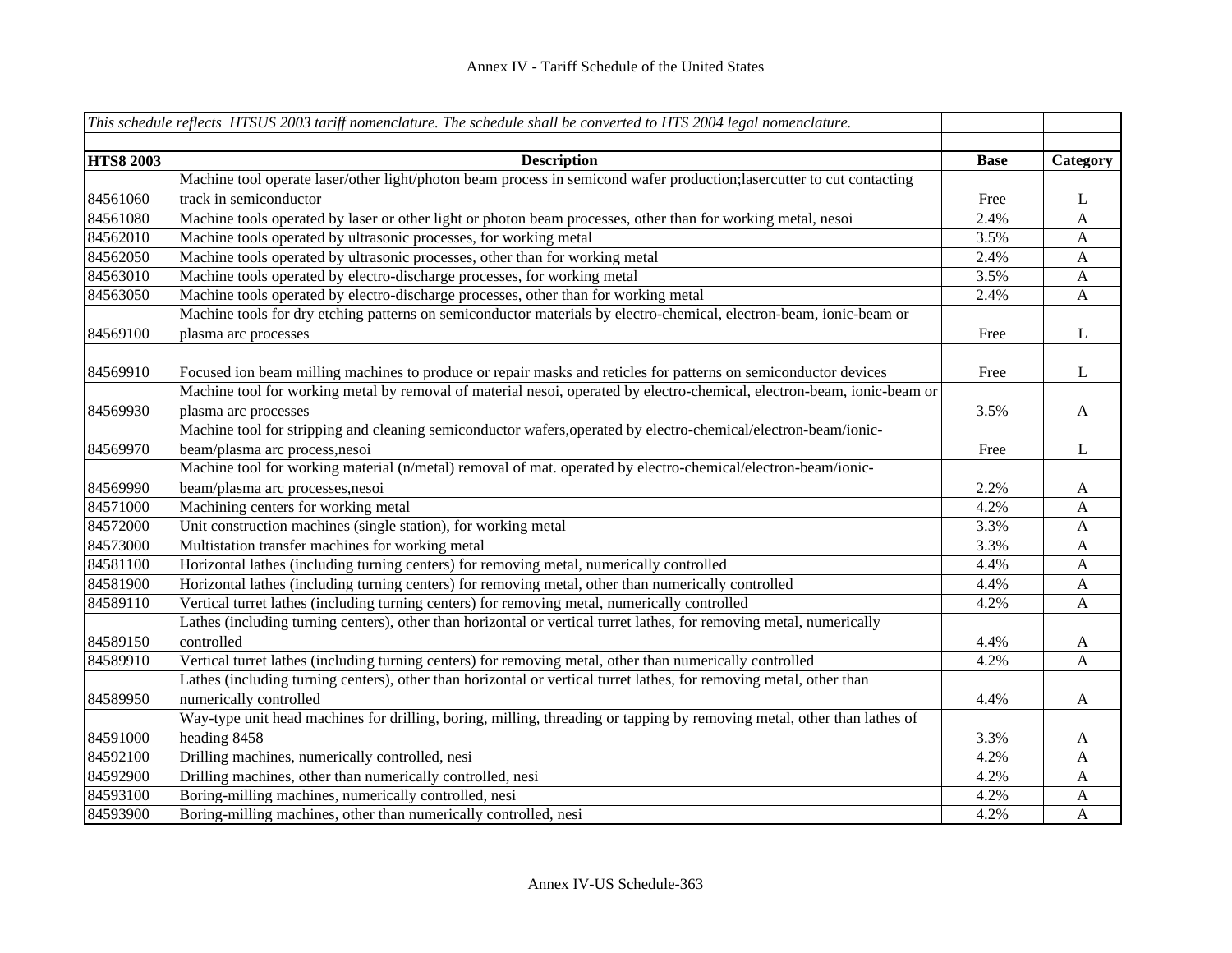|                  | This schedule reflects HTSUS 2003 tariff nomenclature. The schedule shall be converted to HTS 2004 legal nomenclature.  |             |              |
|------------------|-------------------------------------------------------------------------------------------------------------------------|-------------|--------------|
|                  |                                                                                                                         |             |              |
| <b>HTS8 2003</b> | <b>Description</b>                                                                                                      | <b>Base</b> | Category     |
|                  | Machine tool operate laser/other light/photon beam process in semicond wafer production;lasercutter to cut contacting   |             |              |
| 84561060         | track in semiconductor                                                                                                  | Free        | L            |
| 84561080         | Machine tools operated by laser or other light or photon beam processes, other than for working metal, nesoi            | 2.4%        | A            |
| 84562010         | Machine tools operated by ultrasonic processes, for working metal                                                       | 3.5%        | $\mathbf{A}$ |
| 84562050         | Machine tools operated by ultrasonic processes, other than for working metal                                            | 2.4%        | $\mathbf{A}$ |
| 84563010         | Machine tools operated by electro-discharge processes, for working metal                                                | 3.5%        | $\mathbf{A}$ |
| 84563050         | Machine tools operated by electro-discharge processes, other than for working metal                                     | 2.4%        | $\mathbf{A}$ |
|                  | Machine tools for dry etching patterns on semiconductor materials by electro-chemical, electron-beam, ionic-beam or     |             |              |
| 84569100         | plasma arc processes                                                                                                    | Free        | L            |
|                  |                                                                                                                         |             |              |
| 84569910         | Focused ion beam milling machines to produce or repair masks and reticles for patterns on semiconductor devices         | Free        | L            |
|                  | Machine tool for working metal by removal of material nesoi, operated by electro-chemical, electron-beam, ionic-beam or |             |              |
| 84569930         | plasma arc processes                                                                                                    | 3.5%        | $\mathbf{A}$ |
|                  | Machine tool for stripping and cleaning semiconductor wafers, operated by electro-chemical/electron-beam/ionic-         |             |              |
| 84569970         | beam/plasma arc process, nesoi                                                                                          | Free        | L            |
|                  | Machine tool for working material (n/metal) removal of mat. operated by electro-chemical/electron-beam/ionic-           |             |              |
| 84569990         | beam/plasma arc processes, nesoi                                                                                        | 2.2%        | A            |
| 84571000         | Machining centers for working metal                                                                                     | 4.2%        | A            |
| 84572000         | Unit construction machines (single station), for working metal                                                          | 3.3%        | $\mathbf{A}$ |
| 84573000         | Multistation transfer machines for working metal                                                                        | 3.3%        | $\mathbf{A}$ |
| 84581100         | Horizontal lathes (including turning centers) for removing metal, numerically controlled                                | 4.4%        | $\mathbf{A}$ |
| 84581900         | Horizontal lathes (including turning centers) for removing metal, other than numerically controlled                     | 4.4%        | $\mathbf{A}$ |
| 84589110         | Vertical turret lathes (including turning centers) for removing metal, numerically controlled                           | 4.2%        | $\mathbf{A}$ |
|                  | Lathes (including turning centers), other than horizontal or vertical turret lathes, for removing metal, numerically    |             |              |
| 84589150         | controlled                                                                                                              | 4.4%        | A            |
| 84589910         | Vertical turret lathes (including turning centers) for removing metal, other than numerically controlled                | 4.2%        | A            |
|                  | Lathes (including turning centers), other than horizontal or vertical turret lathes, for removing metal, other than     |             |              |
| 84589950         | numerically controlled                                                                                                  | 4.4%        | $\mathbf{A}$ |
|                  | Way-type unit head machines for drilling, boring, milling, threading or tapping by removing metal, other than lathes of |             |              |
| 84591000         | heading 8458                                                                                                            | 3.3%        | A            |
| 84592100         | Drilling machines, numerically controlled, nesi                                                                         | 4.2%        | $\mathbf{A}$ |
| 84592900         | Drilling machines, other than numerically controlled, nesi                                                              | 4.2%        | A            |
| 84593100         | Boring-milling machines, numerically controlled, nesi                                                                   | 4.2%        | $\mathbf{A}$ |
| 84593900         | Boring-milling machines, other than numerically controlled, nesi                                                        | 4.2%        | $\mathbf{A}$ |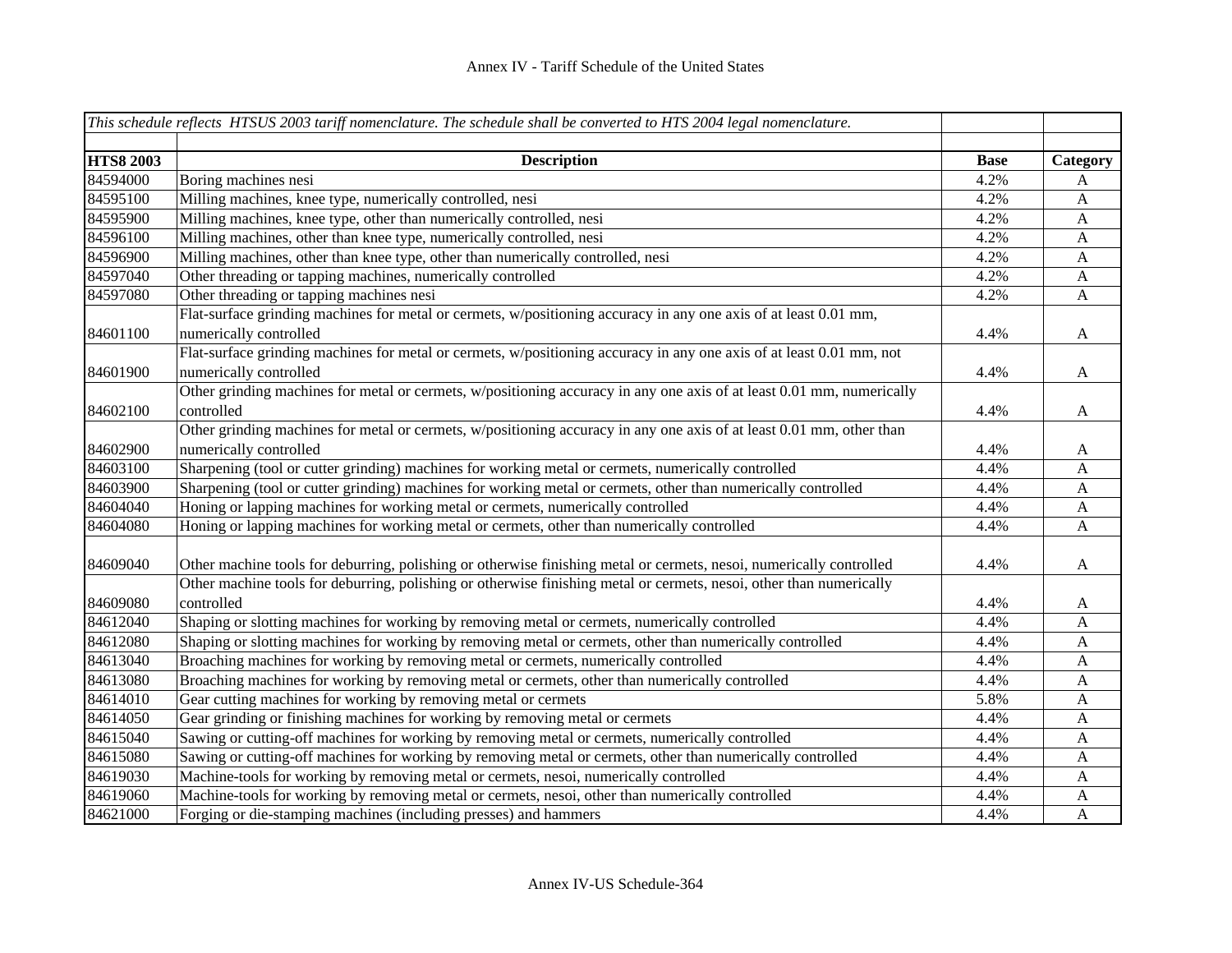|                  | This schedule reflects HTSUS 2003 tariff nomenclature. The schedule shall be converted to HTS 2004 legal nomenclature. |             |                           |
|------------------|------------------------------------------------------------------------------------------------------------------------|-------------|---------------------------|
|                  |                                                                                                                        |             |                           |
| <b>HTS8 2003</b> | <b>Description</b>                                                                                                     | <b>Base</b> | Category                  |
| 84594000         | Boring machines nesi                                                                                                   | 4.2%        | A                         |
| 84595100         | Milling machines, knee type, numerically controlled, nesi                                                              | 4.2%        | $\mathbf{A}$              |
| 84595900         | Milling machines, knee type, other than numerically controlled, nesi                                                   | 4.2%        | $\mathbf{A}$              |
| 84596100         | Milling machines, other than knee type, numerically controlled, nesi                                                   | 4.2%        | $\mathbf{A}$              |
| 84596900         | Milling machines, other than knee type, other than numerically controlled, nesi                                        | 4.2%        | $\mathbf{A}$              |
| 84597040         | Other threading or tapping machines, numerically controlled                                                            | 4.2%        | $\mathbf{A}$              |
| 84597080         | Other threading or tapping machines nesi                                                                               | 4.2%        | $\mathbf{A}$              |
|                  | Flat-surface grinding machines for metal or cermets, w/positioning accuracy in any one axis of at least 0.01 mm,       |             |                           |
| 84601100         | numerically controlled                                                                                                 | 4.4%        | $\mathbf{A}$              |
|                  | Flat-surface grinding machines for metal or cermets, w/positioning accuracy in any one axis of at least 0.01 mm, not   |             |                           |
| 84601900         | numerically controlled                                                                                                 | 4.4%        | $\mathbf{A}$              |
|                  | Other grinding machines for metal or cermets, w/positioning accuracy in any one axis of at least 0.01 mm, numerically  |             |                           |
| 84602100         | controlled                                                                                                             | 4.4%        | $\mathbf{A}$              |
|                  | Other grinding machines for metal or cermets, w/positioning accuracy in any one axis of at least 0.01 mm, other than   |             |                           |
| 84602900         | numerically controlled                                                                                                 | 4.4%        | $\mathbf{A}$              |
| 84603100         | Sharpening (tool or cutter grinding) machines for working metal or cermets, numerically controlled                     | 4.4%        | $\mathbf{A}$              |
| 84603900         | Sharpening (tool or cutter grinding) machines for working metal or cermets, other than numerically controlled          | 4.4%        | $\mathbf{A}$              |
| 84604040         | Honing or lapping machines for working metal or cermets, numerically controlled                                        | 4.4%        | $\mathbf{A}$              |
| 84604080         | Honing or lapping machines for working metal or cermets, other than numerically controlled                             | 4.4%        | $\boldsymbol{\mathsf{A}}$ |
|                  |                                                                                                                        |             |                           |
| 84609040         | Other machine tools for deburring, polishing or otherwise finishing metal or cermets, nesoi, numerically controlled    | 4.4%        | $\mathbf{A}$              |
|                  | Other machine tools for deburring, polishing or otherwise finishing metal or cermets, nesoi, other than numerically    |             |                           |
| 84609080         | controlled                                                                                                             | 4.4%        | $\mathbf{A}$              |
| 84612040         | Shaping or slotting machines for working by removing metal or cermets, numerically controlled                          | 4.4%        | A                         |
| 84612080         | Shaping or slotting machines for working by removing metal or cermets, other than numerically controlled               | 4.4%        | A                         |
| 84613040         | Broaching machines for working by removing metal or cermets, numerically controlled                                    | 4.4%        | $\mathbf{A}$              |
| 84613080         | Broaching machines for working by removing metal or cermets, other than numerically controlled                         | 4.4%        | $\mathbf{A}$              |
| 84614010         | Gear cutting machines for working by removing metal or cermets                                                         | 5.8%        | $\mathbf{A}$              |
| 84614050         | Gear grinding or finishing machines for working by removing metal or cermets                                           | 4.4%        | $\mathbf{A}$              |
| 84615040         | Sawing or cutting-off machines for working by removing metal or cermets, numerically controlled                        | 4.4%        | $\mathbf{A}$              |
| 84615080         | Sawing or cutting-off machines for working by removing metal or cermets, other than numerically controlled             | 4.4%        | $\mathbf{A}$              |
| 84619030         | Machine-tools for working by removing metal or cermets, nesoi, numerically controlled                                  | 4.4%        | A                         |
| 84619060         | Machine-tools for working by removing metal or cermets, nesoi, other than numerically controlled                       | 4.4%        | A                         |
| 84621000         | Forging or die-stamping machines (including presses) and hammers                                                       | 4.4%        | $\mathbf{A}$              |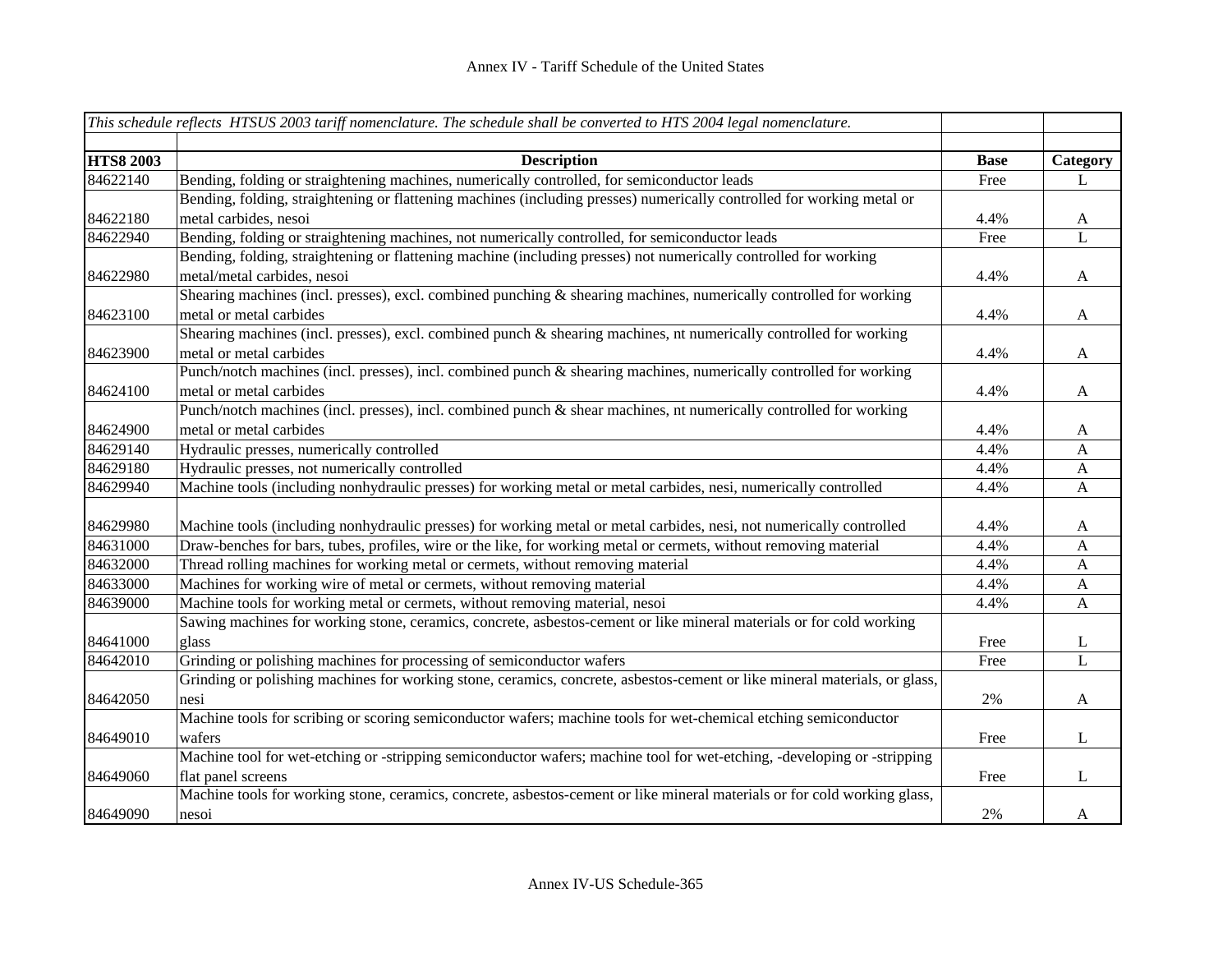|                  | This schedule reflects HTSUS 2003 tariff nomenclature. The schedule shall be converted to HTS 2004 legal nomenclature.     |             |                |
|------------------|----------------------------------------------------------------------------------------------------------------------------|-------------|----------------|
|                  |                                                                                                                            |             |                |
| <b>HTS8 2003</b> | <b>Description</b>                                                                                                         | <b>Base</b> | Category       |
| 84622140         | Bending, folding or straightening machines, numerically controlled, for semiconductor leads                                | Free        | L              |
|                  | Bending, folding, straightening or flattening machines (including presses) numerically controlled for working metal or     |             |                |
| 84622180         | metal carbides, nesoi                                                                                                      | 4.4%        | $\mathbf{A}$   |
| 84622940         | Bending, folding or straightening machines, not numerically controlled, for semiconductor leads                            | Free        | $\overline{L}$ |
|                  | Bending, folding, straightening or flattening machine (including presses) not numerically controlled for working           |             |                |
| 84622980         | metal/metal carbides, nesoi                                                                                                | 4.4%        | $\mathbf{A}$   |
|                  | Shearing machines (incl. presses), excl. combined punching & shearing machines, numerically controlled for working         |             |                |
| 84623100         | metal or metal carbides                                                                                                    | 4.4%        | $\mathbf{A}$   |
|                  | Shearing machines (incl. presses), excl. combined punch & shearing machines, nt numerically controlled for working         |             |                |
| 84623900         | metal or metal carbides                                                                                                    | 4.4%        | $\mathbf{A}$   |
|                  | Punch/notch machines (incl. presses), incl. combined punch & shearing machines, numerically controlled for working         |             |                |
| 84624100         | metal or metal carbides                                                                                                    | 4.4%        | $\mathbf{A}$   |
|                  | Punch/notch machines (incl. presses), incl. combined punch & shear machines, nt numerically controlled for working         |             |                |
| 84624900         | metal or metal carbides                                                                                                    | 4.4%        | $\mathbf{A}$   |
| 84629140         | Hydraulic presses, numerically controlled                                                                                  | 4.4%        | A              |
| 84629180         | Hydraulic presses, not numerically controlled                                                                              | 4.4%        | $\mathbf{A}$   |
| 84629940         | Machine tools (including nonhydraulic presses) for working metal or metal carbides, nesi, numerically controlled           | 4.4%        | $\mathbf{A}$   |
| 84629980         | Machine tools (including nonhydraulic presses) for working metal or metal carbides, nesi, not numerically controlled       | 4.4%        | $\mathbf{A}$   |
| 84631000         | Draw-benches for bars, tubes, profiles, wire or the like, for working metal or cermets, without removing material          | 4.4%        | $\mathbf{A}$   |
| 84632000         | Thread rolling machines for working metal or cermets, without removing material                                            | 4.4%        | $\mathbf{A}$   |
| 84633000         | Machines for working wire of metal or cermets, without removing material                                                   | 4.4%        | $\mathbf{A}$   |
| 84639000         | Machine tools for working metal or cermets, without removing material, nesoi                                               | 4.4%        | A              |
|                  | Sawing machines for working stone, ceramics, concrete, asbestos-cement or like mineral materials or for cold working       |             |                |
| 84641000         | glass                                                                                                                      | Free        | L              |
| 84642010         | Grinding or polishing machines for processing of semiconductor wafers                                                      | Free        | $\mathbf L$    |
|                  | Grinding or polishing machines for working stone, ceramics, concrete, asbestos-cement or like mineral materials, or glass, |             |                |
| 84642050         | nesi                                                                                                                       | 2%          | $\mathbf{A}$   |
|                  | Machine tools for scribing or scoring semiconductor wafers; machine tools for wet-chemical etching semiconductor           |             |                |
| 84649010         | wafers                                                                                                                     | Free        | $\bf L$        |
|                  | Machine tool for wet-etching or -stripping semiconductor wafers; machine tool for wet-etching, -developing or -stripping   |             |                |
| 84649060         | flat panel screens                                                                                                         | Free        | $\bf L$        |
|                  | Machine tools for working stone, ceramics, concrete, asbestos-cement or like mineral materials or for cold working glass,  |             |                |
| 84649090         | nesoi                                                                                                                      | 2%          | A              |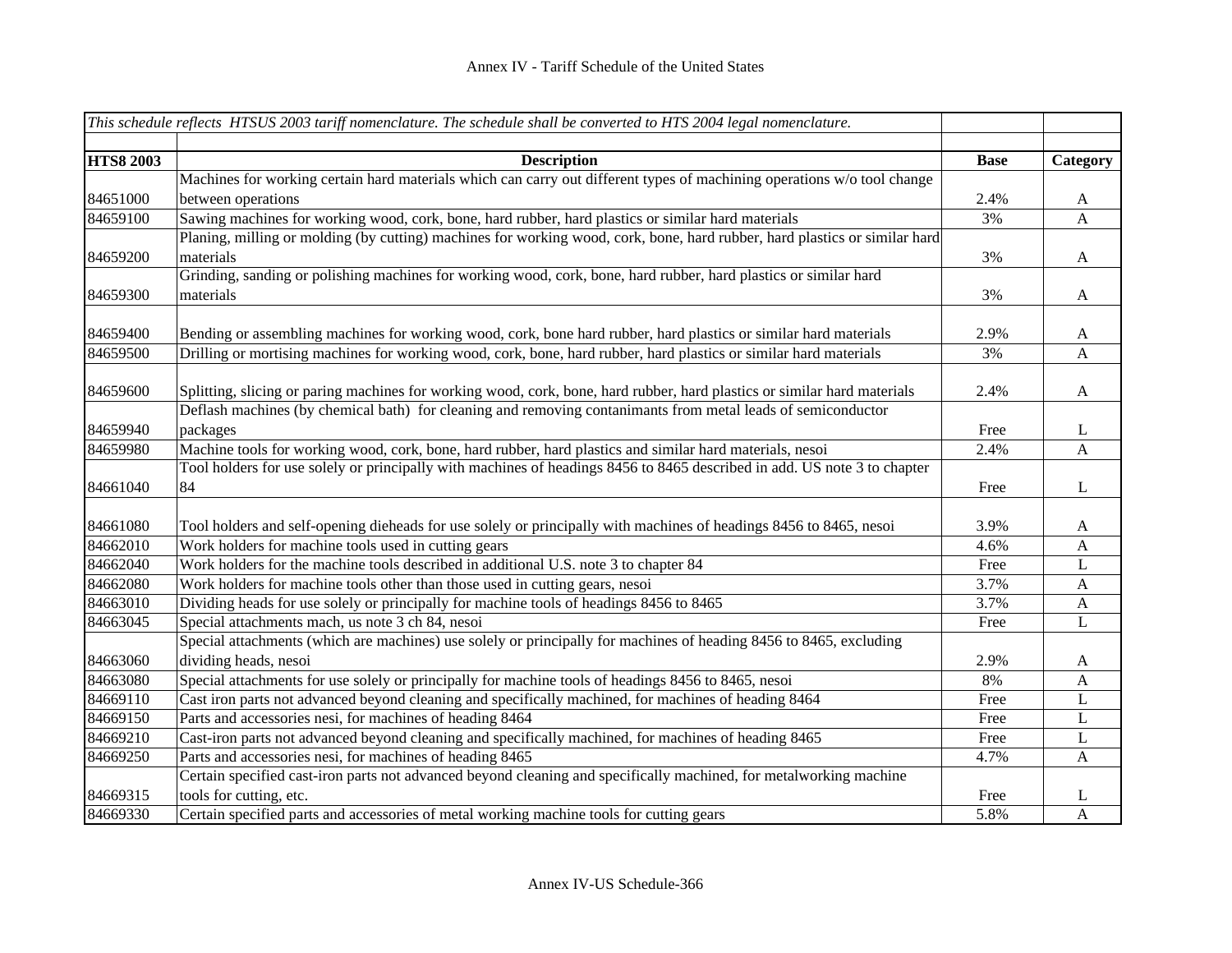|                  | This schedule reflects HTSUS 2003 tariff nomenclature. The schedule shall be converted to HTS 2004 legal nomenclature.     |             |              |
|------------------|----------------------------------------------------------------------------------------------------------------------------|-------------|--------------|
|                  |                                                                                                                            |             |              |
| <b>HTS8 2003</b> | <b>Description</b>                                                                                                         | <b>Base</b> | Category     |
|                  | Machines for working certain hard materials which can carry out different types of machining operations w/o tool change    |             |              |
| 84651000         | between operations                                                                                                         | 2.4%        | A            |
| 84659100         | Sawing machines for working wood, cork, bone, hard rubber, hard plastics or similar hard materials                         | 3%          | A            |
|                  | Planing, milling or molding (by cutting) machines for working wood, cork, bone, hard rubber, hard plastics or similar hard |             |              |
| 84659200         | materials                                                                                                                  | 3%          | A            |
|                  | Grinding, sanding or polishing machines for working wood, cork, bone, hard rubber, hard plastics or similar hard           |             |              |
| 84659300         | materials                                                                                                                  | 3%          | A            |
|                  |                                                                                                                            |             |              |
| 84659400         | Bending or assembling machines for working wood, cork, bone hard rubber, hard plastics or similar hard materials           | 2.9%        | A            |
| 84659500         | Drilling or mortising machines for working wood, cork, bone, hard rubber, hard plastics or similar hard materials          | 3%          | $\mathbf{A}$ |
| 84659600         | Splitting, slicing or paring machines for working wood, cork, bone, hard rubber, hard plastics or similar hard materials   | 2.4%        | A            |
|                  | Deflash machines (by chemical bath) for cleaning and removing contanimants from metal leads of semiconductor               |             |              |
| 84659940         | packages                                                                                                                   | Free        | L            |
| 84659980         | Machine tools for working wood, cork, bone, hard rubber, hard plastics and similar hard materials, nesoi                   | 2.4%        | A            |
|                  | Tool holders for use solely or principally with machines of headings 8456 to 8465 described in add. US note 3 to chapter   |             |              |
| 84661040         | 84                                                                                                                         | Free        | L            |
|                  |                                                                                                                            |             |              |
| 84661080         | Tool holders and self-opening dieheads for use solely or principally with machines of headings 8456 to 8465, nesoi         | 3.9%        | A            |
| 84662010         | Work holders for machine tools used in cutting gears                                                                       | 4.6%        | A            |
| 84662040         | Work holders for the machine tools described in additional U.S. note 3 to chapter 84                                       | Free        | L            |
| 84662080         | Work holders for machine tools other than those used in cutting gears, nesoi                                               | 3.7%        | A            |
| 84663010         | Dividing heads for use solely or principally for machine tools of headings 8456 to 8465                                    | 3.7%        | A            |
| 84663045         | Special attachments mach, us note 3 ch 84, nesoi                                                                           | Free        | L            |
|                  | Special attachments (which are machines) use solely or principally for machines of heading 8456 to 8465, excluding         |             |              |
| 84663060         | dividing heads, nesoi                                                                                                      | 2.9%        | A            |
| 84663080         | Special attachments for use solely or principally for machine tools of headings 8456 to 8465, nesoi                        | 8%          | A            |
| 84669110         | Cast iron parts not advanced beyond cleaning and specifically machined, for machines of heading 8464                       | Free        | L            |
| 84669150         | Parts and accessories nesi, for machines of heading 8464                                                                   | Free        | L            |
| 84669210         | Cast-iron parts not advanced beyond cleaning and specifically machined, for machines of heading 8465                       | Free        | L            |
| 84669250         | Parts and accessories nesi, for machines of heading 8465                                                                   | 4.7%        | A            |
|                  | Certain specified cast-iron parts not advanced beyond cleaning and specifically machined, for metalworking machine         |             |              |
| 84669315         | tools for cutting, etc.                                                                                                    | Free        | L            |
| 84669330         | Certain specified parts and accessories of metal working machine tools for cutting gears                                   | 5.8%        | A            |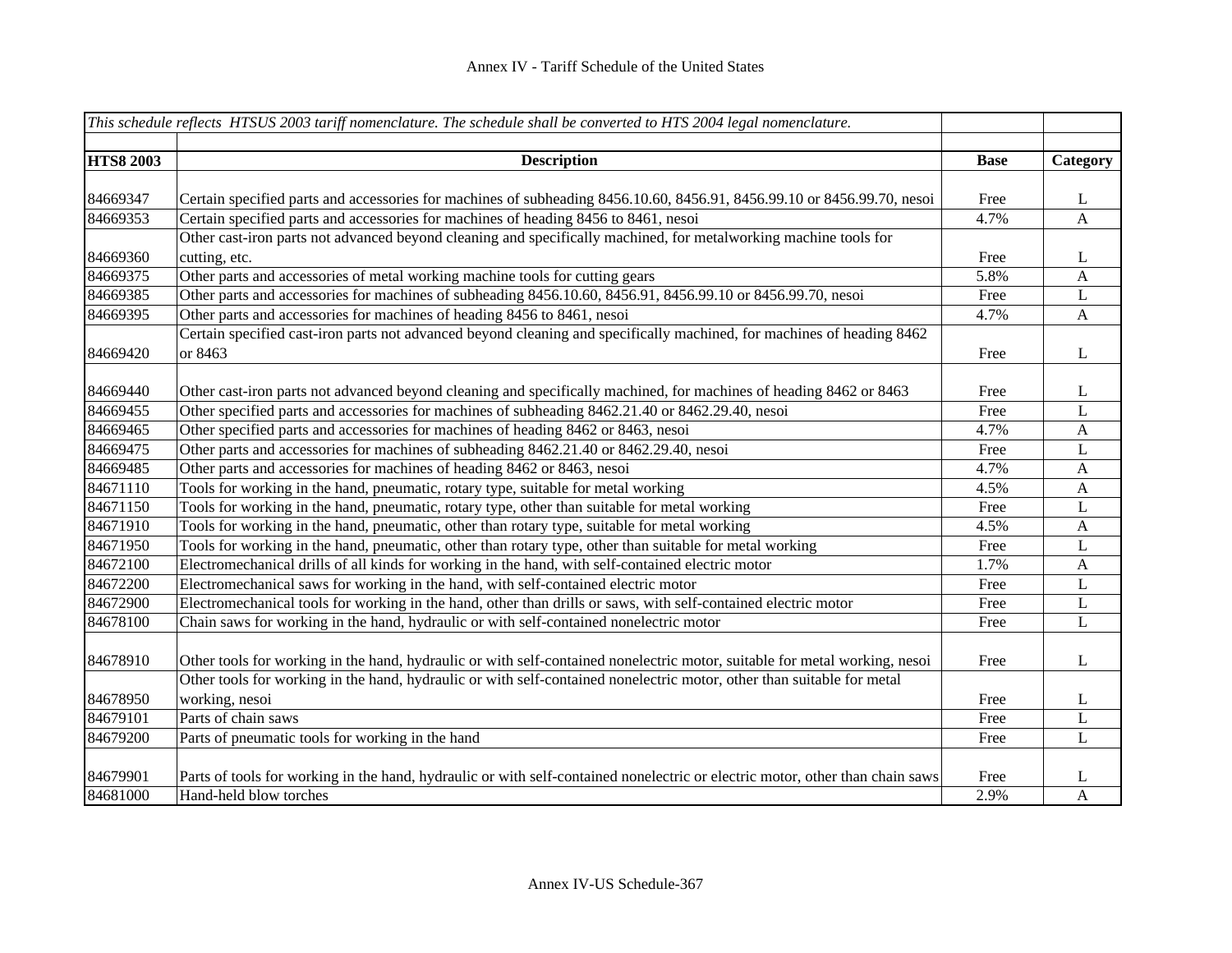|                  | This schedule reflects HTSUS 2003 tariff nomenclature. The schedule shall be converted to HTS 2004 legal nomenclature.        |             |              |
|------------------|-------------------------------------------------------------------------------------------------------------------------------|-------------|--------------|
|                  |                                                                                                                               |             |              |
| <b>HTS8 2003</b> | <b>Description</b>                                                                                                            | <b>Base</b> | Category     |
|                  |                                                                                                                               |             |              |
| 84669347         | Certain specified parts and accessories for machines of subheading 8456.10.60, 8456.91, 8456.99.10 or 8456.99.70, nesoi       | Free        | $\mathbf{L}$ |
| 84669353         | Certain specified parts and accessories for machines of heading 8456 to 8461, nesoi                                           | 4.7%        | A            |
|                  | Other cast-iron parts not advanced beyond cleaning and specifically machined, for metalworking machine tools for              |             |              |
| 84669360         | cutting, etc.                                                                                                                 | Free        | L            |
| 84669375         | Other parts and accessories of metal working machine tools for cutting gears                                                  | 5.8%        | A            |
| 84669385         | Other parts and accessories for machines of subheading 8456.10.60, 8456.91, 8456.99.10 or 8456.99.70, nesoi                   | Free        | L            |
| 84669395         | Other parts and accessories for machines of heading 8456 to 8461, nesoi                                                       | 4.7%        | $\mathbf{A}$ |
|                  | Certain specified cast-iron parts not advanced beyond cleaning and specifically machined, for machines of heading 8462        |             |              |
| 84669420         | or 8463                                                                                                                       | Free        | L            |
|                  |                                                                                                                               |             |              |
| 84669440         | Other cast-iron parts not advanced beyond cleaning and specifically machined, for machines of heading 8462 or 8463            | Free        | L            |
| 84669455         | Other specified parts and accessories for machines of subheading 8462.21.40 or 8462.29.40, nesoi                              | Free        | $\mathbf L$  |
| 84669465         | Other specified parts and accessories for machines of heading 8462 or 8463, nesoi                                             | 4.7%        | A            |
| 84669475         | Other parts and accessories for machines of subheading 8462.21.40 or 8462.29.40, nesoi                                        | Free        | L            |
| 84669485         | Other parts and accessories for machines of heading 8462 or 8463, nesoi                                                       | 4.7%        | $\mathbf{A}$ |
| 84671110         | Tools for working in the hand, pneumatic, rotary type, suitable for metal working                                             | 4.5%        | $\mathbf{A}$ |
| 84671150         | Tools for working in the hand, pneumatic, rotary type, other than suitable for metal working                                  | Free        | L            |
| 84671910         | Tools for working in the hand, pneumatic, other than rotary type, suitable for metal working                                  | 4.5%        | $\mathbf{A}$ |
| 84671950         | Tools for working in the hand, pneumatic, other than rotary type, other than suitable for metal working                       | Free        | L            |
| 84672100         | Electromechanical drills of all kinds for working in the hand, with self-contained electric motor                             | 1.7%        | $\mathbf{A}$ |
| 84672200         | Electromechanical saws for working in the hand, with self-contained electric motor                                            | Free        | $\mathbf{L}$ |
| 84672900         | Electromechanical tools for working in the hand, other than drills or saws, with self-contained electric motor                | Free        | L            |
| 84678100         | Chain saws for working in the hand, hydraulic or with self-contained nonelectric motor                                        | Free        | L            |
|                  |                                                                                                                               |             |              |
| 84678910         | Other tools for working in the hand, hydraulic or with self-contained nonelectric motor, suitable for metal working, nesoi    | Free        | L            |
|                  | Other tools for working in the hand, hydraulic or with self-contained nonelectric motor, other than suitable for metal        |             |              |
| 84678950         | working, nesoi                                                                                                                | Free        | L            |
| 84679101         | Parts of chain saws                                                                                                           | Free        | $\mathbf{L}$ |
| 84679200         | Parts of pneumatic tools for working in the hand                                                                              | Free        | $\bf L$      |
|                  |                                                                                                                               |             |              |
| 84679901         | Parts of tools for working in the hand, hydraulic or with self-contained nonelectric or electric motor, other than chain saws | Free        | L            |
| 84681000         | Hand-held blow torches                                                                                                        | 2.9%        | $\mathbf{A}$ |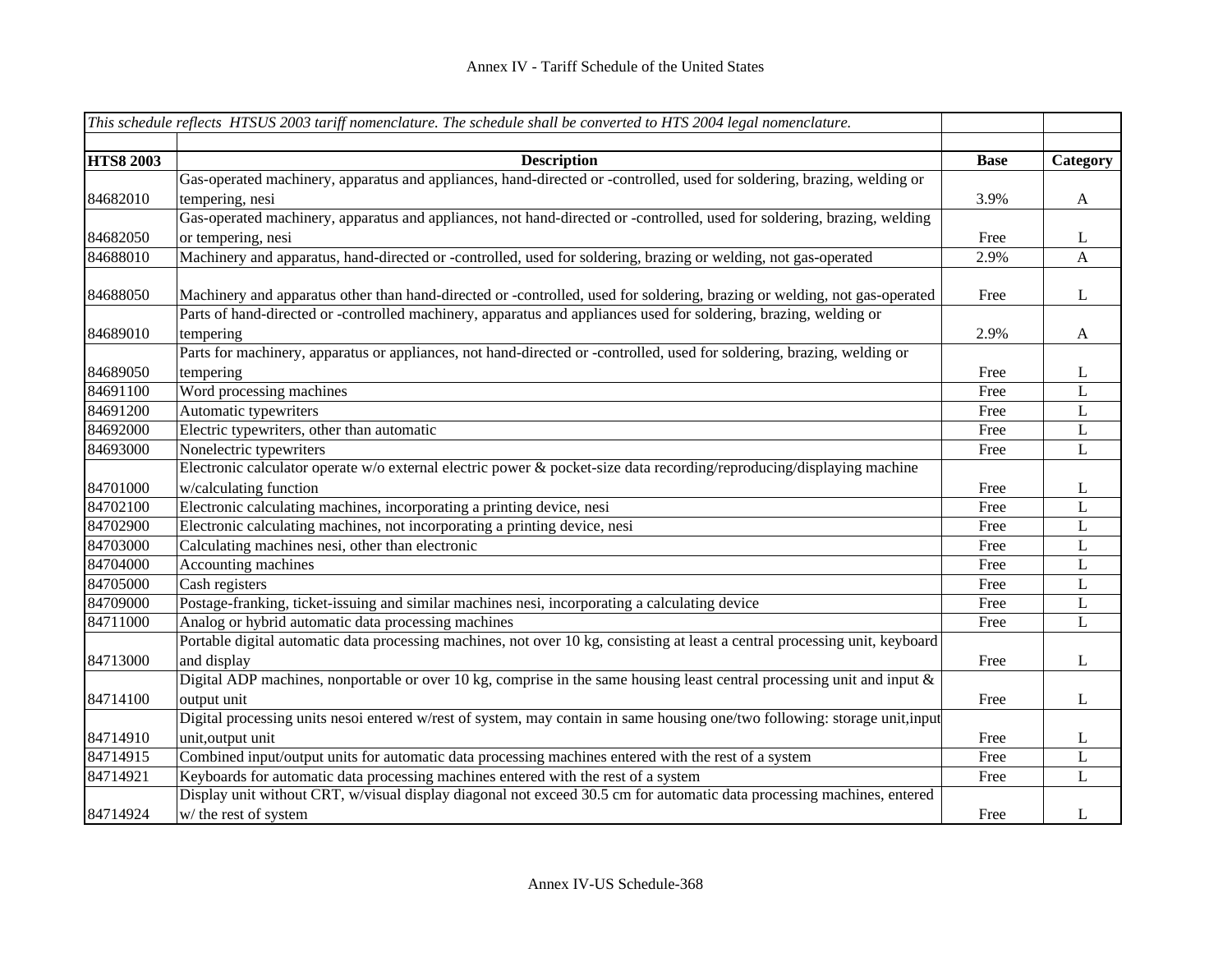|                  | This schedule reflects HTSUS 2003 tariff nomenclature. The schedule shall be converted to HTS 2004 legal nomenclature.       |             |              |
|------------------|------------------------------------------------------------------------------------------------------------------------------|-------------|--------------|
|                  |                                                                                                                              |             |              |
| <b>HTS8 2003</b> | <b>Description</b>                                                                                                           | <b>Base</b> | Category     |
|                  | Gas-operated machinery, apparatus and appliances, hand-directed or -controlled, used for soldering, brazing, welding or      |             |              |
| 84682010         | tempering, nesi                                                                                                              | 3.9%        | $\mathbf{A}$ |
|                  | Gas-operated machinery, apparatus and appliances, not hand-directed or -controlled, used for soldering, brazing, welding     |             |              |
| 84682050         | or tempering, nesi                                                                                                           | Free        | L            |
| 84688010         | Machinery and apparatus, hand-directed or -controlled, used for soldering, brazing or welding, not gas-operated              | 2.9%        | A            |
|                  |                                                                                                                              |             |              |
| 84688050         | Machinery and apparatus other than hand-directed or -controlled, used for soldering, brazing or welding, not gas-operated    | Free        | $\bf L$      |
|                  | Parts of hand-directed or -controlled machinery, apparatus and appliances used for soldering, brazing, welding or            |             |              |
| 84689010         | tempering                                                                                                                    | 2.9%        | $\mathbf{A}$ |
|                  | Parts for machinery, apparatus or appliances, not hand-directed or -controlled, used for soldering, brazing, welding or      |             |              |
| 84689050         | tempering                                                                                                                    | Free        | $\bf L$      |
| 84691100         | Word processing machines                                                                                                     | Free        | L            |
| 84691200         | Automatic typewriters                                                                                                        | Free        | L            |
| 84692000         | Electric typewriters, other than automatic                                                                                   | Free        | L            |
| 84693000         | Nonelectric typewriters                                                                                                      | Free        | L            |
|                  | Electronic calculator operate w/o external electric power & pocket-size data recording/reproducing/displaying machine        |             |              |
| 84701000         | w/calculating function                                                                                                       | Free        | $\mathbf{L}$ |
| 84702100         | Electronic calculating machines, incorporating a printing device, nesi                                                       | Free        | L            |
| 84702900         | Electronic calculating machines, not incorporating a printing device, nesi                                                   | Free        | L            |
| 84703000         | Calculating machines nesi, other than electronic                                                                             | Free        | $\mathbf L$  |
| 84704000         | Accounting machines                                                                                                          | Free        | $\mathbf L$  |
| 84705000         | Cash registers                                                                                                               | Free        | $\mathbf L$  |
| 84709000         | Postage-franking, ticket-issuing and similar machines nesi, incorporating a calculating device                               | Free        | L            |
| 84711000         | Analog or hybrid automatic data processing machines                                                                          | Free        | L            |
|                  | Portable digital automatic data processing machines, not over 10 kg, consisting at least a central processing unit, keyboard |             |              |
| 84713000         | and display                                                                                                                  | Free        | $\mathbf{L}$ |
|                  | Digital ADP machines, nonportable or over 10 kg, comprise in the same housing least central processing unit and input $\&$   |             |              |
| 84714100         | output unit                                                                                                                  | Free        | $\bf L$      |
|                  | Digital processing units nesoi entered w/rest of system, may contain in same housing one/two following: storage unit,input   |             |              |
| 84714910         | unit, output unit                                                                                                            | Free        | $\bf L$      |
| 84714915         | Combined input/output units for automatic data processing machines entered with the rest of a system                         | Free        | L            |
| 84714921         | Keyboards for automatic data processing machines entered with the rest of a system                                           | Free        | $\mathbf{L}$ |
|                  | Display unit without CRT, w/visual display diagonal not exceed 30.5 cm for automatic data processing machines, entered       |             |              |
| 84714924         | w/ the rest of system                                                                                                        | Free        | L            |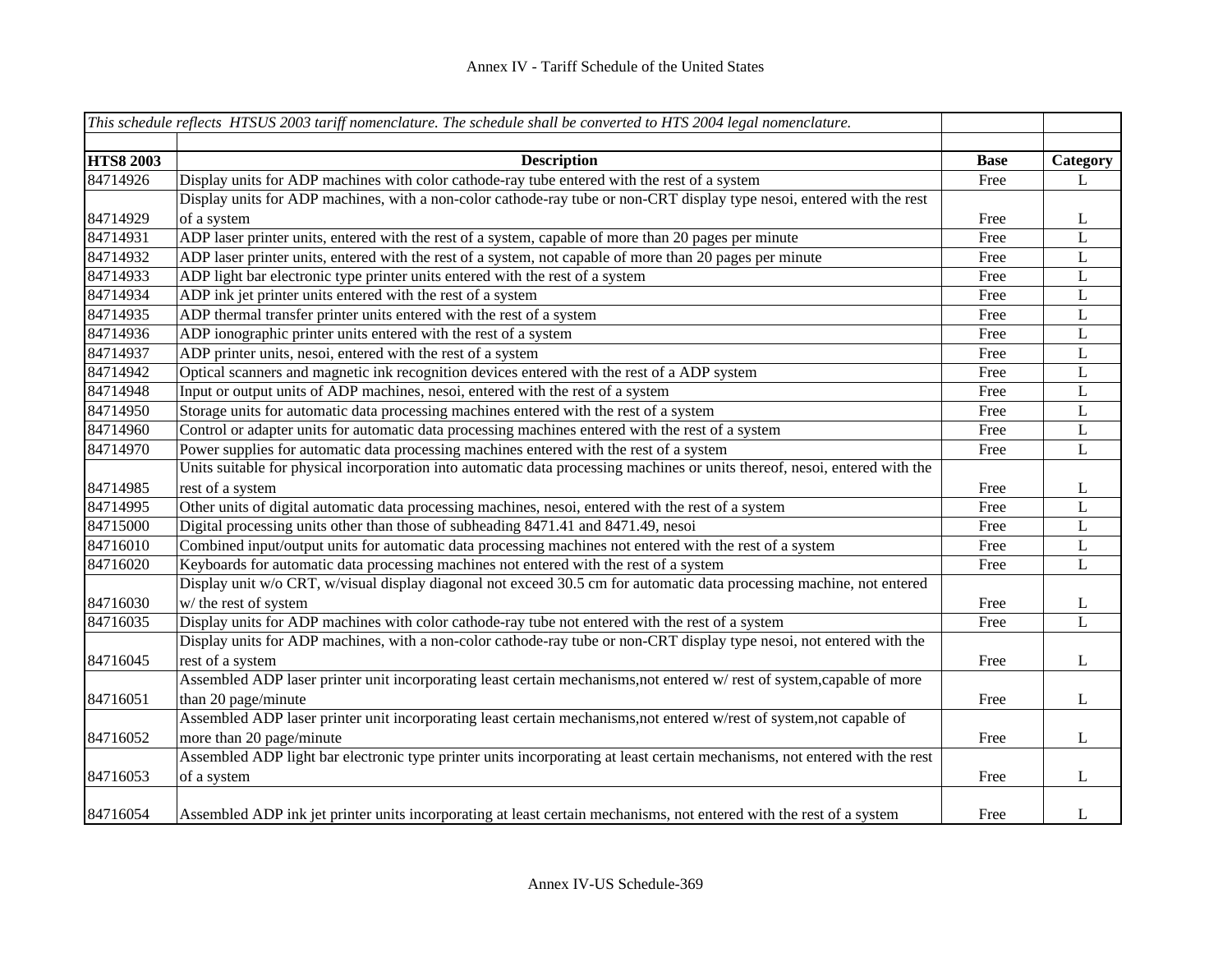|                              | This schedule reflects HTSUS 2003 tariff nomenclature. The schedule shall be converted to HTS 2004 legal nomenclature.      |             |              |
|------------------------------|-----------------------------------------------------------------------------------------------------------------------------|-------------|--------------|
|                              |                                                                                                                             |             |              |
| <b>HTS8 2003</b><br>84714926 | <b>Description</b><br>Display units for ADP machines with color cathode-ray tube entered with the rest of a system          | <b>Base</b> | Category     |
|                              | Display units for ADP machines, with a non-color cathode-ray tube or non-CRT display type nesoi, entered with the rest      | Free        | L            |
| 84714929                     | of a system                                                                                                                 | Free        | L            |
| 84714931                     | ADP laser printer units, entered with the rest of a system, capable of more than 20 pages per minute                        | Free        | L            |
| 84714932                     | ADP laser printer units, entered with the rest of a system, not capable of more than 20 pages per minute                    | Free        | $\mathbf L$  |
| 84714933                     |                                                                                                                             | Free        | $\mathbf L$  |
|                              | ADP light bar electronic type printer units entered with the rest of a system                                               |             |              |
| 84714934                     | ADP ink jet printer units entered with the rest of a system                                                                 | Free        | L            |
| 84714935                     | ADP thermal transfer printer units entered with the rest of a system                                                        | Free        | L            |
| 84714936                     | ADP ionographic printer units entered with the rest of a system                                                             | Free        | $\mathbf L$  |
| 84714937                     | ADP printer units, nesoi, entered with the rest of a system                                                                 | Free        | $\mathbf L$  |
| 84714942                     | Optical scanners and magnetic ink recognition devices entered with the rest of a ADP system                                 | Free        | $\mathbf L$  |
| 84714948                     | Input or output units of ADP machines, nesoi, entered with the rest of a system                                             | Free        | $\mathbf L$  |
| 84714950                     | Storage units for automatic data processing machines entered with the rest of a system                                      | Free        | $\mathbf L$  |
| 84714960                     | Control or adapter units for automatic data processing machines entered with the rest of a system                           | Free        | $\mathbf L$  |
| 84714970                     | Power supplies for automatic data processing machines entered with the rest of a system                                     | Free        | $\mathbf L$  |
|                              | Units suitable for physical incorporation into automatic data processing machines or units thereof, nesoi, entered with the |             |              |
| 84714985                     | rest of a system                                                                                                            | Free        | L            |
| 84714995                     | Other units of digital automatic data processing machines, nesoi, entered with the rest of a system                         | Free        | L            |
| 84715000                     | Digital processing units other than those of subheading 8471.41 and 8471.49, nesoi                                          | Free        | L            |
| 84716010                     | Combined input/output units for automatic data processing machines not entered with the rest of a system                    | Free        | L            |
| 84716020                     | Keyboards for automatic data processing machines not entered with the rest of a system                                      | Free        | L            |
|                              | Display unit w/o CRT, w/visual display diagonal not exceed 30.5 cm for automatic data processing machine, not entered       |             |              |
| 84716030                     | w/ the rest of system                                                                                                       | Free        | L            |
| 84716035                     | Display units for ADP machines with color cathode-ray tube not entered with the rest of a system                            | Free        | L            |
|                              | Display units for ADP machines, with a non-color cathode-ray tube or non-CRT display type nesoi, not entered with the       |             |              |
| 84716045                     | rest of a system                                                                                                            | Free        | $\bf L$      |
|                              | Assembled ADP laser printer unit incorporating least certain mechanisms, not entered w/rest of system, capable of more      |             |              |
| 84716051                     | than 20 page/minute                                                                                                         | Free        | $\bf L$      |
|                              | Assembled ADP laser printer unit incorporating least certain mechanisms, not entered w/rest of system, not capable of       |             |              |
| 84716052                     | more than 20 page/minute                                                                                                    | Free        | $\mathbf{L}$ |
|                              | Assembled ADP light bar electronic type printer units incorporating at least certain mechanisms, not entered with the rest  |             |              |
| 84716053                     | of a system                                                                                                                 | Free        | L            |
| 84716054                     | Assembled ADP ink jet printer units incorporating at least certain mechanisms, not entered with the rest of a system        | Free        | $\bf L$      |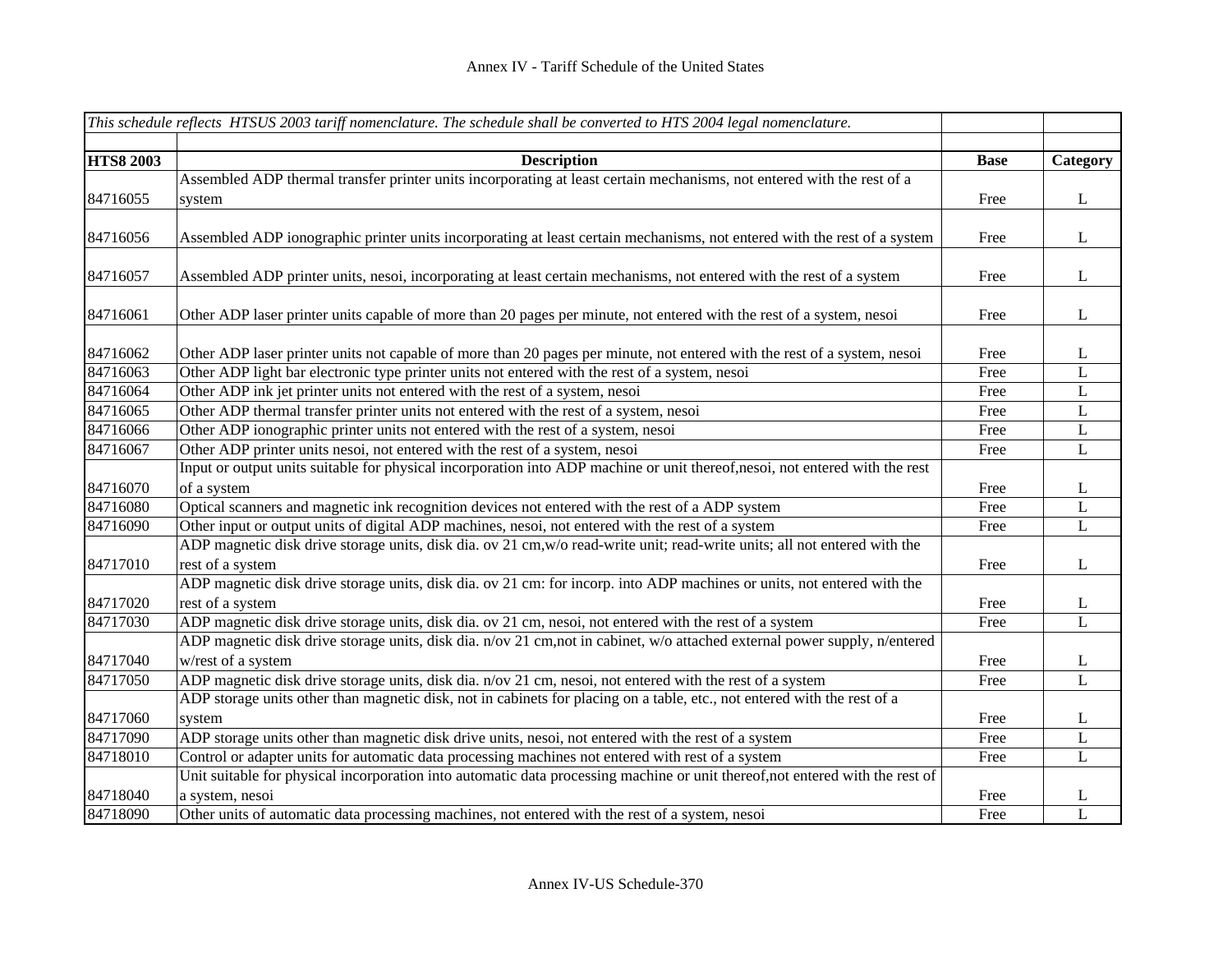|                  | This schedule reflects HTSUS 2003 tariff nomenclature. The schedule shall be converted to HTS 2004 legal nomenclature.        |             |              |
|------------------|-------------------------------------------------------------------------------------------------------------------------------|-------------|--------------|
|                  |                                                                                                                               |             |              |
| <b>HTS8 2003</b> | <b>Description</b>                                                                                                            | <b>Base</b> | Category     |
|                  | Assembled ADP thermal transfer printer units incorporating at least certain mechanisms, not entered with the rest of a        |             |              |
| 84716055         | system                                                                                                                        | Free        | $\bf L$      |
|                  |                                                                                                                               |             |              |
| 84716056         | Assembled ADP ionographic printer units incorporating at least certain mechanisms, not entered with the rest of a system      | Free        | $\bf L$      |
|                  |                                                                                                                               |             |              |
| 84716057         | Assembled ADP printer units, nesoi, incorporating at least certain mechanisms, not entered with the rest of a system          | Free        | $\mathbf{L}$ |
|                  |                                                                                                                               |             |              |
| 84716061         | Other ADP laser printer units capable of more than 20 pages per minute, not entered with the rest of a system, nesoi          | Free        | $\bf L$      |
|                  |                                                                                                                               |             |              |
| 84716062         | Other ADP laser printer units not capable of more than 20 pages per minute, not entered with the rest of a system, nesoi      | Free        | $\bf L$      |
| 84716063         | Other ADP light bar electronic type printer units not entered with the rest of a system, nesoi                                | Free        | $\mathbf L$  |
| 84716064         | Other ADP ink jet printer units not entered with the rest of a system, nesoi                                                  | Free        | $\mathbf L$  |
| 84716065         | Other ADP thermal transfer printer units not entered with the rest of a system, nesoi                                         | Free        | L            |
| 84716066         | Other ADP ionographic printer units not entered with the rest of a system, nesoi                                              | Free        | $\mathbf L$  |
| 84716067         | Other ADP printer units nesoi, not entered with the rest of a system, nesoi                                                   | Free        | $\mathbf L$  |
|                  | Input or output units suitable for physical incorporation into ADP machine or unit thereof,nesoi, not entered with the rest   |             |              |
| 84716070         | of a system                                                                                                                   | Free        | $\mathbf{L}$ |
| 84716080         | Optical scanners and magnetic ink recognition devices not entered with the rest of a ADP system                               | Free        | L            |
| 84716090         | Other input or output units of digital ADP machines, nesoi, not entered with the rest of a system                             | Free        | $\mathbf L$  |
|                  | ADP magnetic disk drive storage units, disk dia. ov 21 cm, w/o read-write unit; read-write units; all not entered with the    |             |              |
| 84717010         | rest of a system                                                                                                              | Free        | $\bf L$      |
|                  | ADP magnetic disk drive storage units, disk dia. ov 21 cm: for incorp. into ADP machines or units, not entered with the       |             |              |
| 84717020         | rest of a system                                                                                                              | Free        | $\Gamma$     |
| 84717030         | ADP magnetic disk drive storage units, disk dia. ov 21 cm, nesoi, not entered with the rest of a system                       | Free        | $\mathbf L$  |
|                  | ADP magnetic disk drive storage units, disk dia. n/ov 21 cm, not in cabinet, w/o attached external power supply, n/entered    |             |              |
| 84717040         | w/rest of a system                                                                                                            | Free        | L            |
| 84717050         | ADP magnetic disk drive storage units, disk dia. n/ov 21 cm, nesoi, not entered with the rest of a system                     | Free        | L            |
|                  | ADP storage units other than magnetic disk, not in cabinets for placing on a table, etc., not entered with the rest of a      |             |              |
| 84717060         | system                                                                                                                        | Free        | $\bf L$      |
| 84717090         | ADP storage units other than magnetic disk drive units, nesoi, not entered with the rest of a system                          | Free        | L            |
| 84718010         | Control or adapter units for automatic data processing machines not entered with rest of a system                             | Free        | $\mathbf L$  |
|                  | Unit suitable for physical incorporation into automatic data processing machine or unit thereof, not entered with the rest of |             |              |
| 84718040         | a system, nesoi                                                                                                               | Free        | $\mathbf{L}$ |
| 84718090         | Other units of automatic data processing machines, not entered with the rest of a system, nesoi                               | Free        | L            |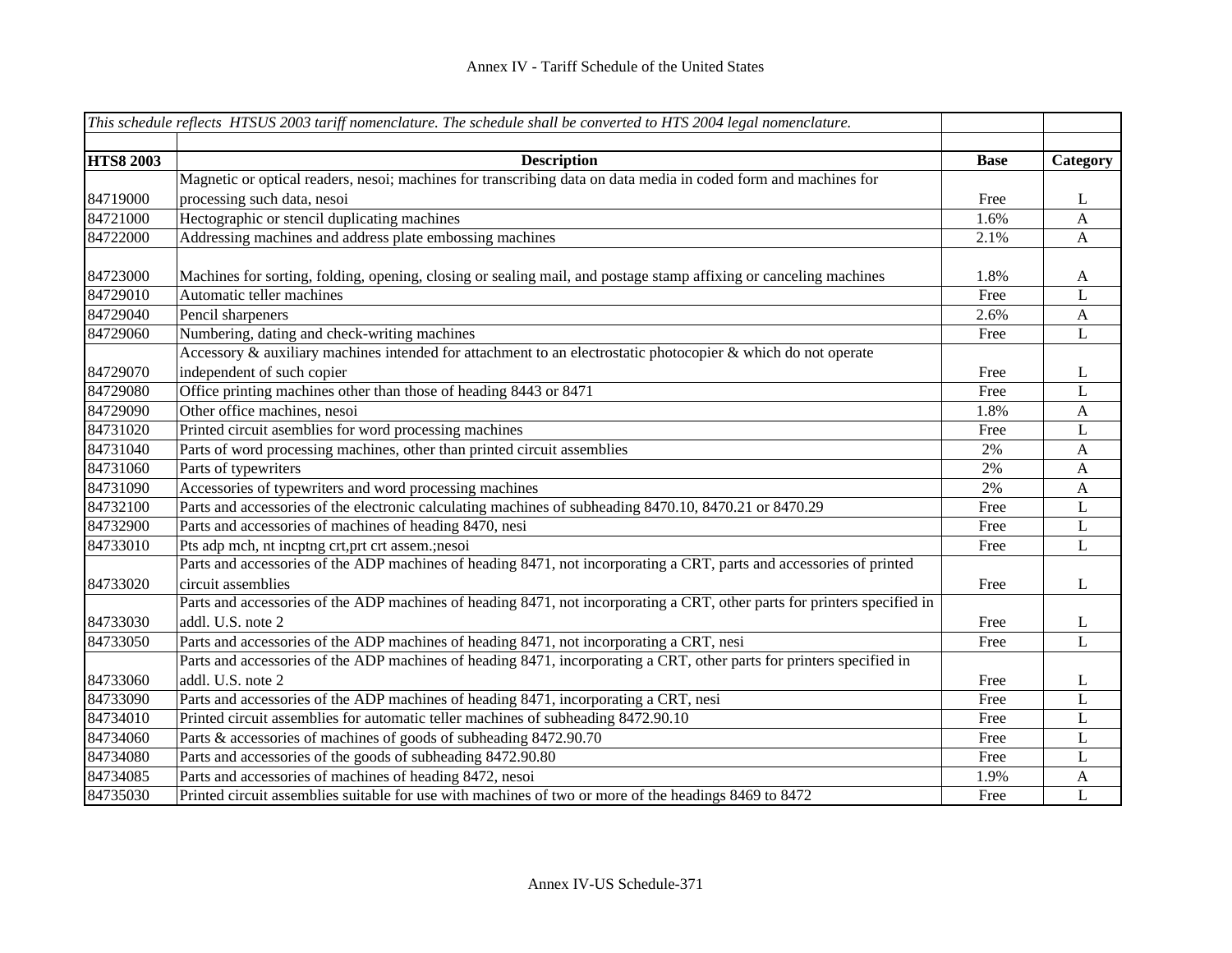| This schedule reflects HTSUS 2003 tariff nomenclature. The schedule shall be converted to HTS 2004 legal nomenclature. |                                                                                                                           |             |                |
|------------------------------------------------------------------------------------------------------------------------|---------------------------------------------------------------------------------------------------------------------------|-------------|----------------|
| <b>HTS8 2003</b>                                                                                                       | <b>Description</b>                                                                                                        | <b>Base</b> | Category       |
|                                                                                                                        | Magnetic or optical readers, nesoi; machines for transcribing data on data media in coded form and machines for           |             |                |
| 84719000                                                                                                               | processing such data, nesoi                                                                                               | Free        | $\mathbf{L}$   |
| 84721000                                                                                                               | Hectographic or stencil duplicating machines                                                                              | 1.6%        | $\mathbf{A}$   |
| 84722000                                                                                                               | Addressing machines and address plate embossing machines                                                                  | 2.1%        | $\mathbf{A}$   |
| 84723000                                                                                                               | Machines for sorting, folding, opening, closing or sealing mail, and postage stamp affixing or canceling machines         | 1.8%        | A              |
| 84729010                                                                                                               | Automatic teller machines                                                                                                 | Free        | L              |
| 84729040                                                                                                               | Pencil sharpeners                                                                                                         | 2.6%        | $\mathbf{A}$   |
| 84729060                                                                                                               | Numbering, dating and check-writing machines                                                                              | Free        | $\mathbf L$    |
|                                                                                                                        | Accessory & auxiliary machines intended for attachment to an electrostatic photocopier & which do not operate             |             |                |
| 84729070                                                                                                               | independent of such copier                                                                                                | Free        | L              |
| 84729080                                                                                                               | Office printing machines other than those of heading 8443 or 8471                                                         | Free        | L              |
| 84729090                                                                                                               | Other office machines, nesoi                                                                                              | 1.8%        | $\mathbf{A}$   |
| 84731020                                                                                                               | Printed circuit asemblies for word processing machines                                                                    | Free        | L              |
| 84731040                                                                                                               | Parts of word processing machines, other than printed circuit assemblies                                                  | 2%          | $\mathbf{A}$   |
| 84731060                                                                                                               | Parts of typewriters                                                                                                      | 2%          | $\mathbf{A}$   |
| 84731090                                                                                                               | Accessories of typewriters and word processing machines                                                                   | 2%          | $\mathbf{A}$   |
| 84732100                                                                                                               | Parts and accessories of the electronic calculating machines of subheading 8470.10, 8470.21 or 8470.29                    | Free        | $\mathbf L$    |
| 84732900                                                                                                               | Parts and accessories of machines of heading 8470, nesi                                                                   | Free        | L              |
| 84733010                                                                                                               | Pts adp mch, nt incptng crt, prt crt assem.; nesoi                                                                        | Free        | L              |
|                                                                                                                        | Parts and accessories of the ADP machines of heading 8471, not incorporating a CRT, parts and accessories of printed      |             |                |
| 84733020                                                                                                               | circuit assemblies                                                                                                        | Free        | L              |
|                                                                                                                        | Parts and accessories of the ADP machines of heading 8471, not incorporating a CRT, other parts for printers specified in |             |                |
| 84733030                                                                                                               | addl. U.S. note 2                                                                                                         | Free        | $\Gamma$       |
| 84733050                                                                                                               | Parts and accessories of the ADP machines of heading 8471, not incorporating a CRT, nesi                                  | Free        | $\overline{L}$ |
|                                                                                                                        | Parts and accessories of the ADP machines of heading 8471, incorporating a CRT, other parts for printers specified in     |             |                |
| 84733060                                                                                                               | addl. U.S. note 2                                                                                                         | Free        | L              |
| 84733090                                                                                                               | Parts and accessories of the ADP machines of heading 8471, incorporating a CRT, nesi                                      | Free        | L              |
| 84734010                                                                                                               | Printed circuit assemblies for automatic teller machines of subheading 8472.90.10                                         | Free        | $\mathbf L$    |
| 84734060                                                                                                               | Parts & accessories of machines of goods of subheading 8472.90.70                                                         | Free        | $\mathbf L$    |
| 84734080                                                                                                               | Parts and accessories of the goods of subheading 8472.90.80                                                               | Free        | $\mathbf L$    |
| 84734085                                                                                                               | Parts and accessories of machines of heading 8472, nesoi                                                                  | 1.9%        | $\mathbf{A}$   |
| 84735030                                                                                                               | Printed circuit assemblies suitable for use with machines of two or more of the headings 8469 to 8472                     | Free        | L              |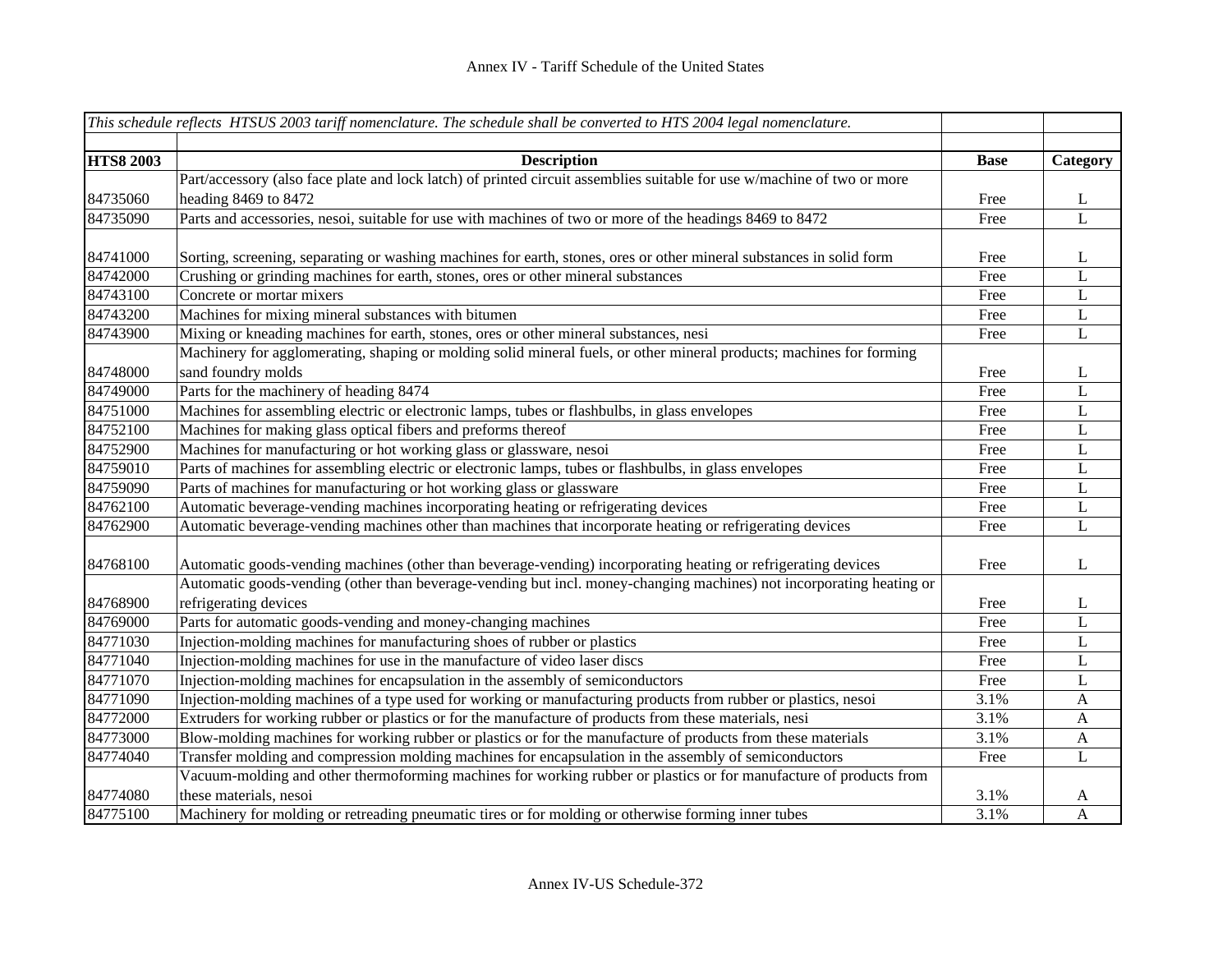|                  | This schedule reflects HTSUS 2003 tariff nomenclature. The schedule shall be converted to HTS 2004 legal nomenclature.                                                                                                                |             |                |
|------------------|---------------------------------------------------------------------------------------------------------------------------------------------------------------------------------------------------------------------------------------|-------------|----------------|
|                  |                                                                                                                                                                                                                                       |             |                |
| <b>HTS8 2003</b> | <b>Description</b>                                                                                                                                                                                                                    | <b>Base</b> | Category       |
|                  | Part/accessory (also face plate and lock latch) of printed circuit assemblies suitable for use w/machine of two or more                                                                                                               |             |                |
| 84735060         | heading 8469 to 8472                                                                                                                                                                                                                  | Free        | L              |
| 84735090         | Parts and accessories, nesoi, suitable for use with machines of two or more of the headings 8469 to 8472                                                                                                                              | Free        | $\overline{L}$ |
| 84741000         | Sorting, screening, separating or washing machines for earth, stones, ores or other mineral substances in solid form                                                                                                                  | Free        | L              |
| 84742000         | Crushing or grinding machines for earth, stones, ores or other mineral substances                                                                                                                                                     | Free        | $\mathbf L$    |
| 84743100         | Concrete or mortar mixers                                                                                                                                                                                                             | Free        | $\mathbf L$    |
| 84743200         | Machines for mixing mineral substances with bitumen                                                                                                                                                                                   | Free        | L              |
| 84743900         | Mixing or kneading machines for earth, stones, ores or other mineral substances, nesi                                                                                                                                                 | Free        | L              |
|                  | Machinery for agglomerating, shaping or molding solid mineral fuels, or other mineral products; machines for forming                                                                                                                  |             |                |
| 84748000         | sand foundry molds                                                                                                                                                                                                                    | Free        | L              |
| 84749000         | Parts for the machinery of heading 8474                                                                                                                                                                                               | Free        | $\mathbf L$    |
| 84751000         | Machines for assembling electric or electronic lamps, tubes or flashbulbs, in glass envelopes                                                                                                                                         | Free        | $\mathbf L$    |
| 84752100         | Machines for making glass optical fibers and preforms thereof                                                                                                                                                                         | Free        | $\mathbf L$    |
| 84752900         | Machines for manufacturing or hot working glass or glassware, nesoi                                                                                                                                                                   | Free        | $\mathbf L$    |
| 84759010         | Parts of machines for assembling electric or electronic lamps, tubes or flashbulbs, in glass envelopes                                                                                                                                | Free        | $\mathbf L$    |
| 84759090         | Parts of machines for manufacturing or hot working glass or glassware                                                                                                                                                                 | Free        | $\mathbf L$    |
| 84762100         | Automatic beverage-vending machines incorporating heating or refrigerating devices                                                                                                                                                    | Free        | $\mathbf L$    |
| 84762900         | Automatic beverage-vending machines other than machines that incorporate heating or refrigerating devices                                                                                                                             | Free        | $\mathbf L$    |
| 84768100         | Automatic goods-vending machines (other than beverage-vending) incorporating heating or refrigerating devices<br>Automatic goods-vending (other than beverage-vending but incl. money-changing machines) not incorporating heating or | Free        | L              |
| 84768900         | refrigerating devices                                                                                                                                                                                                                 | Free        | L              |
| 84769000         | Parts for automatic goods-vending and money-changing machines                                                                                                                                                                         | Free        | L              |
| 84771030         | Injection-molding machines for manufacturing shoes of rubber or plastics                                                                                                                                                              | Free        | L              |
| 84771040         | Injection-molding machines for use in the manufacture of video laser discs                                                                                                                                                            | Free        | $\mathbf L$    |
| 84771070         | Injection-molding machines for encapsulation in the assembly of semiconductors                                                                                                                                                        | Free        | $\mathbf L$    |
| 84771090         | Injection-molding machines of a type used for working or manufacturing products from rubber or plastics, nesoi                                                                                                                        | 3.1%        | $\mathbf{A}$   |
| 84772000         | Extruders for working rubber or plastics or for the manufacture of products from these materials, nesi                                                                                                                                | 3.1%        | $\mathbf{A}$   |
| 84773000         | Blow-molding machines for working rubber or plastics or for the manufacture of products from these materials                                                                                                                          | 3.1%        | $\mathbf{A}$   |
| 84774040         | Transfer molding and compression molding machines for encapsulation in the assembly of semiconductors                                                                                                                                 | Free        | L              |
|                  | Vacuum-molding and other thermoforming machines for working rubber or plastics or for manufacture of products from                                                                                                                    |             |                |
| 84774080         | these materials, nesoi                                                                                                                                                                                                                | 3.1%        | A              |
| 84775100         | Machinery for molding or retreading pneumatic tires or for molding or otherwise forming inner tubes                                                                                                                                   | 3.1%        | $\mathbf{A}$   |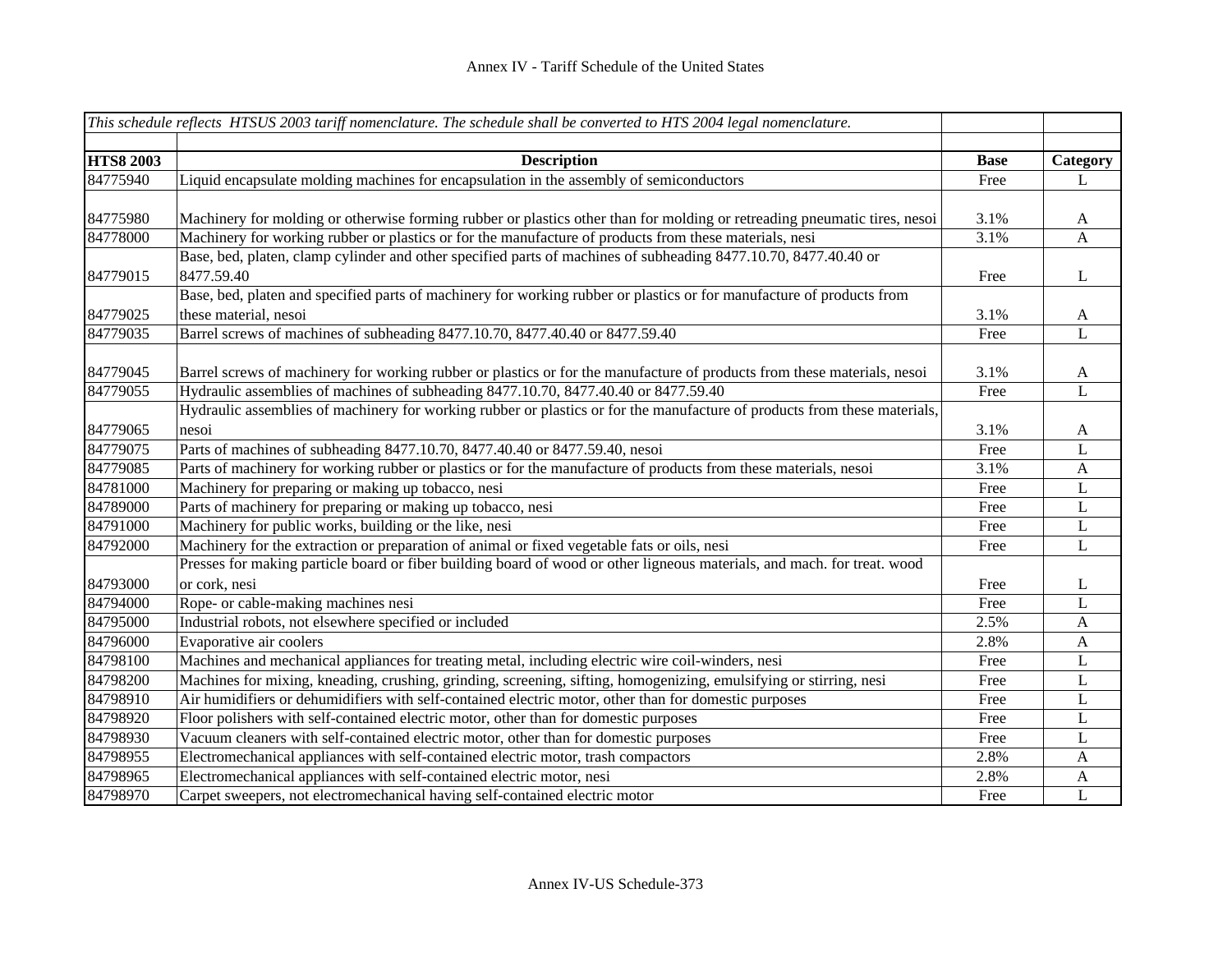|                  | This schedule reflects HTSUS 2003 tariff nomenclature. The schedule shall be converted to HTS 2004 legal nomenclature.    |             |                |
|------------------|---------------------------------------------------------------------------------------------------------------------------|-------------|----------------|
| <b>HTS8 2003</b> | <b>Description</b>                                                                                                        | <b>Base</b> | Category       |
| 84775940         | Liquid encapsulate molding machines for encapsulation in the assembly of semiconductors                                   | Free        | L              |
|                  |                                                                                                                           |             |                |
| 84775980         | Machinery for molding or otherwise forming rubber or plastics other than for molding or retreading pneumatic tires, nesoi | 3.1%        | A              |
| 84778000         | Machinery for working rubber or plastics or for the manufacture of products from these materials, nesi                    | 3.1%        | $\mathbf{A}$   |
|                  | Base, bed, platen, clamp cylinder and other specified parts of machines of subheading 8477.10.70, 8477.40.40 or           |             |                |
| 84779015         | 8477.59.40                                                                                                                | Free        | L              |
|                  | Base, bed, platen and specified parts of machinery for working rubber or plastics or for manufacture of products from     |             |                |
| 84779025         | these material, nesoi                                                                                                     | 3.1%        | A              |
| 84779035         | Barrel screws of machines of subheading 8477.10.70, 8477.40.40 or 8477.59.40                                              | Free        | $\overline{L}$ |
|                  |                                                                                                                           |             |                |
| 84779045         | Barrel screws of machinery for working rubber or plastics or for the manufacture of products from these materials, nesoi  | 3.1%        | A              |
| 84779055         | Hydraulic assemblies of machines of subheading 8477.10.70, 8477.40.40 or 8477.59.40                                       | Free        | $\overline{L}$ |
|                  | Hydraulic assemblies of machinery for working rubber or plastics or for the manufacture of products from these materials, |             |                |
| 84779065         | nesoi                                                                                                                     | 3.1%        | $\mathbf{A}$   |
| 84779075         | Parts of machines of subheading 8477.10.70, 8477.40.40 or 8477.59.40, nesoi                                               | Free        | L              |
| 84779085         | Parts of machinery for working rubber or plastics or for the manufacture of products from these materials, nesoi          | 3.1%        | $\mathbf{A}$   |
| 84781000         | Machinery for preparing or making up tobacco, nesi                                                                        | Free        | L              |
| 84789000         | Parts of machinery for preparing or making up tobacco, nesi                                                               | Free        | $\mathbf{L}$   |
| 84791000         | Machinery for public works, building or the like, nesi                                                                    | Free        | L              |
| 84792000         | Machinery for the extraction or preparation of animal or fixed vegetable fats or oils, nesi                               | Free        | L              |
|                  | Presses for making particle board or fiber building board of wood or other ligneous materials, and mach. for treat. wood  |             |                |
| 84793000         | or cork, nesi                                                                                                             | Free        | L              |
| 84794000         | Rope- or cable-making machines nesi                                                                                       | Free        | L              |
| 84795000         | Industrial robots, not elsewhere specified or included                                                                    | 2.5%        | $\mathbf{A}$   |
| 84796000         | Evaporative air coolers                                                                                                   | 2.8%        | A              |
| 84798100         | Machines and mechanical appliances for treating metal, including electric wire coil-winders, nesi                         | Free        | L              |
| 84798200         | Machines for mixing, kneading, crushing, grinding, screening, sifting, homogenizing, emulsifying or stirring, nesi        | Free        | L              |
| 84798910         | Air humidifiers or dehumidifiers with self-contained electric motor, other than for domestic purposes                     | Free        | L              |
| 84798920         | Floor polishers with self-contained electric motor, other than for domestic purposes                                      | Free        | L              |
| 84798930         | Vacuum cleaners with self-contained electric motor, other than for domestic purposes                                      | Free        | L              |
| 84798955         | Electromechanical appliances with self-contained electric motor, trash compactors                                         | 2.8%        | A              |
| 84798965         | Electromechanical appliances with self-contained electric motor, nesi                                                     | 2.8%        | $\mathbf{A}$   |
| 84798970         | Carpet sweepers, not electromechanical having self-contained electric motor                                               | Free        | L              |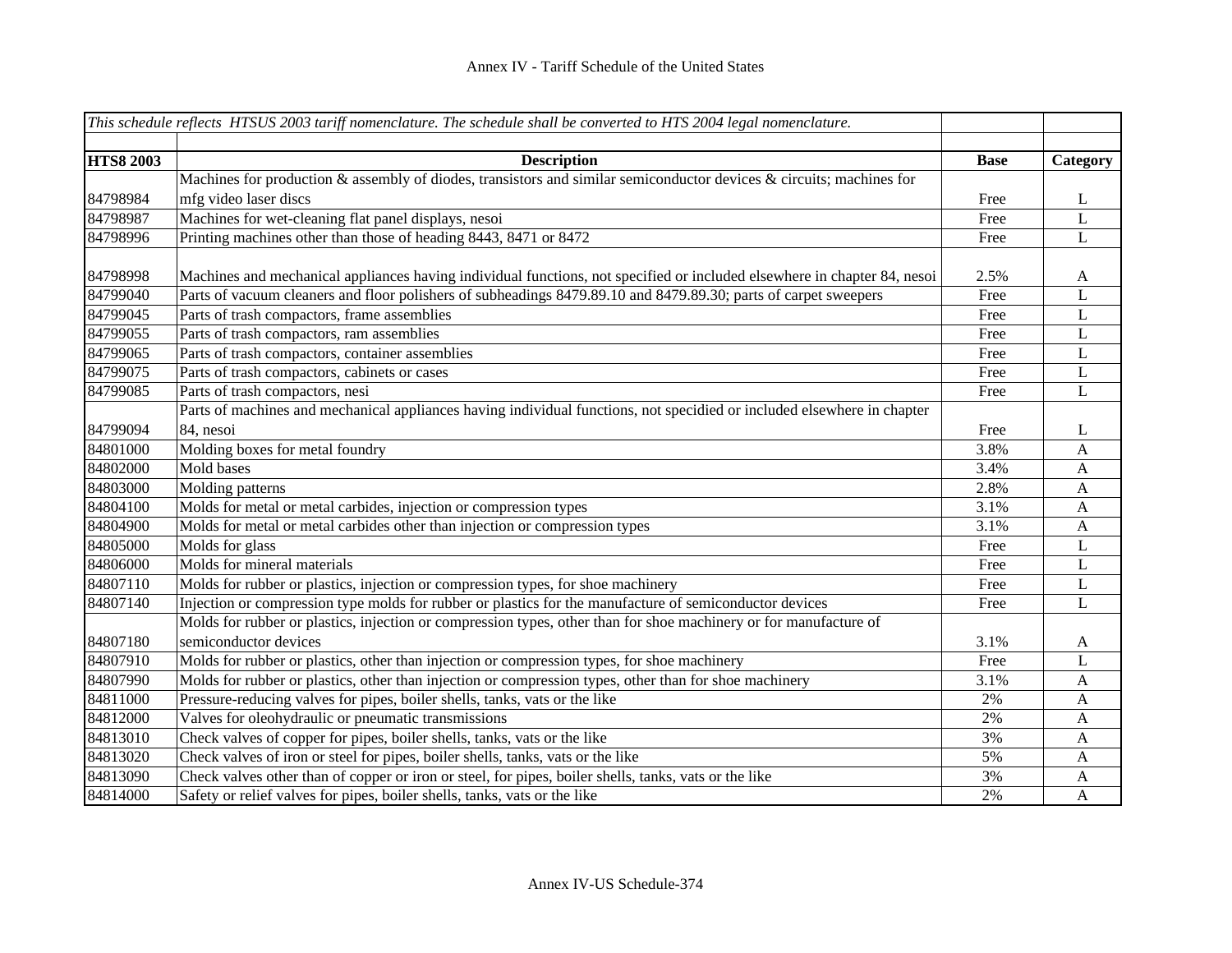|                  | This schedule reflects HTSUS 2003 tariff nomenclature. The schedule shall be converted to HTS 2004 legal nomenclature.   |             |              |
|------------------|--------------------------------------------------------------------------------------------------------------------------|-------------|--------------|
|                  |                                                                                                                          |             |              |
| <b>HTS8 2003</b> | <b>Description</b>                                                                                                       | <b>Base</b> | Category     |
|                  | Machines for production & assembly of diodes, transistors and similar semiconductor devices & circuits; machines for     |             |              |
| 84798984         | mfg video laser discs                                                                                                    | Free        | L            |
| 84798987         | Machines for wet-cleaning flat panel displays, nesoi                                                                     | Free        | L            |
| 84798996         | Printing machines other than those of heading 8443, 8471 or 8472                                                         | Free        | L            |
|                  |                                                                                                                          |             |              |
| 84798998         | Machines and mechanical appliances having individual functions, not specified or included elsewhere in chapter 84, nesoi | 2.5%        | A            |
| 84799040         | Parts of vacuum cleaners and floor polishers of subheadings 8479.89.10 and 8479.89.30; parts of carpet sweepers          | Free        | $\mathbf{L}$ |
| 84799045         | Parts of trash compactors, frame assemblies                                                                              | Free        | L            |
| 84799055         | Parts of trash compactors, ram assemblies                                                                                | Free        | $\mathbf L$  |
| 84799065         | Parts of trash compactors, container assemblies                                                                          | Free        | L            |
| 84799075         | Parts of trash compactors, cabinets or cases                                                                             | Free        | $\mathbf L$  |
| 84799085         | Parts of trash compactors, nesi                                                                                          | Free        | $\mathbf{L}$ |
|                  | Parts of machines and mechanical appliances having individual functions, not specidied or included elsewhere in chapter  |             |              |
| 84799094         | 84, nesoi                                                                                                                | Free        | L            |
| 84801000         | Molding boxes for metal foundry                                                                                          | 3.8%        | A            |
| 84802000         | Mold bases                                                                                                               | 3.4%        | A            |
| 84803000         | Molding patterns                                                                                                         | 2.8%        | A            |
| 84804100         | Molds for metal or metal carbides, injection or compression types                                                        | 3.1%        | A            |
| 84804900         | Molds for metal or metal carbides other than injection or compression types                                              | 3.1%        | $\mathbf{A}$ |
| 84805000         | Molds for glass                                                                                                          | Free        | L            |
| 84806000         | Molds for mineral materials                                                                                              | Free        | L            |
| 84807110         | Molds for rubber or plastics, injection or compression types, for shoe machinery                                         | Free        | L            |
| 84807140         | Injection or compression type molds for rubber or plastics for the manufacture of semiconductor devices                  | Free        | L            |
|                  | Molds for rubber or plastics, injection or compression types, other than for shoe machinery or for manufacture of        |             |              |
| 84807180         | semiconductor devices                                                                                                    | 3.1%        | A            |
| 84807910         | Molds for rubber or plastics, other than injection or compression types, for shoe machinery                              | Free        | L            |
| 84807990         | Molds for rubber or plastics, other than injection or compression types, other than for shoe machinery                   | 3.1%        | $\mathbf{A}$ |
| 84811000         | Pressure-reducing valves for pipes, boiler shells, tanks, vats or the like                                               | 2%          | $\mathbf{A}$ |
| 84812000         | Valves for oleohydraulic or pneumatic transmissions                                                                      | 2%          | $\mathbf{A}$ |
| 84813010         | Check valves of copper for pipes, boiler shells, tanks, vats or the like                                                 | 3%          | $\mathbf{A}$ |
| 84813020         | Check valves of iron or steel for pipes, boiler shells, tanks, vats or the like                                          | 5%          | A            |
| 84813090         | Check valves other than of copper or iron or steel, for pipes, boiler shells, tanks, vats or the like                    | 3%          | $\mathbf{A}$ |
| 84814000         | Safety or relief valves for pipes, boiler shells, tanks, vats or the like                                                | 2%          | A            |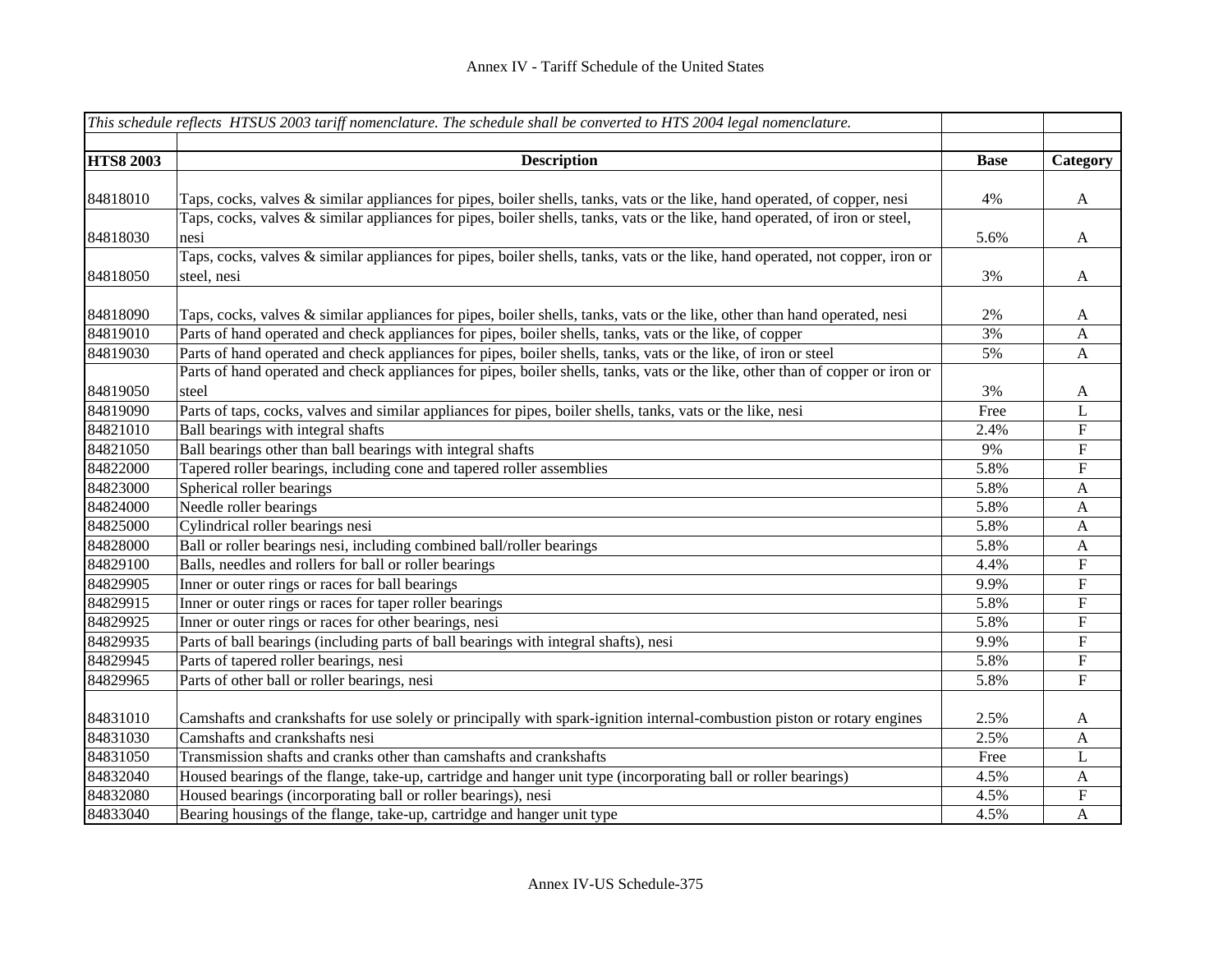|                  | This schedule reflects HTSUS 2003 tariff nomenclature. The schedule shall be converted to HTS 2004 legal nomenclature.         |             |              |
|------------------|--------------------------------------------------------------------------------------------------------------------------------|-------------|--------------|
| <b>HTS8 2003</b> | <b>Description</b>                                                                                                             | <b>Base</b> | Category     |
|                  |                                                                                                                                |             |              |
| 84818010         | Taps, cocks, valves & similar appliances for pipes, boiler shells, tanks, vats or the like, hand operated, of copper, nesi     | 4%          | A            |
|                  | Taps, cocks, valves & similar appliances for pipes, boiler shells, tanks, vats or the like, hand operated, of iron or steel,   |             |              |
| 84818030         | nesi                                                                                                                           | 5.6%        | A            |
|                  | Taps, cocks, valves & similar appliances for pipes, boiler shells, tanks, vats or the like, hand operated, not copper, iron or |             |              |
| 84818050         | steel, nesi                                                                                                                    | 3%          | $\mathbf{A}$ |
| 84818090         | Taps, cocks, valves & similar appliances for pipes, boiler shells, tanks, vats or the like, other than hand operated, nesi     | 2%          | A            |
| 84819010         | Parts of hand operated and check appliances for pipes, boiler shells, tanks, vats or the like, of copper                       | 3%          | $\mathbf{A}$ |
| 84819030         | Parts of hand operated and check appliances for pipes, boiler shells, tanks, vats or the like, of iron or steel                | 5%          | A            |
|                  | Parts of hand operated and check appliances for pipes, boiler shells, tanks, vats or the like, other than of copper or iron or |             |              |
| 84819050         | steel                                                                                                                          | 3%          | A            |
| 84819090         | Parts of taps, cocks, valves and similar appliances for pipes, boiler shells, tanks, vats or the like, nesi                    | Free        | L            |
| 84821010         | Ball bearings with integral shafts                                                                                             | 2.4%        | ${\bf F}$    |
| 84821050         | Ball bearings other than ball bearings with integral shafts                                                                    | 9%          | ${\bf F}$    |
| 84822000         | Tapered roller bearings, including cone and tapered roller assemblies                                                          | 5.8%        | ${\bf F}$    |
| 84823000         | Spherical roller bearings                                                                                                      | 5.8%        | A            |
| 84824000         | Needle roller bearings                                                                                                         | 5.8%        | A            |
| 84825000         | Cylindrical roller bearings nesi                                                                                               | 5.8%        | A            |
| 84828000         | Ball or roller bearings nesi, including combined ball/roller bearings                                                          | 5.8%        | A            |
| 84829100         | Balls, needles and rollers for ball or roller bearings                                                                         | 4.4%        | ${\bf F}$    |
| 84829905         | Inner or outer rings or races for ball bearings                                                                                | 9.9%        | ${\bf F}$    |
| 84829915         | Inner or outer rings or races for taper roller bearings                                                                        | 5.8%        | ${\bf F}$    |
| 84829925         | Inner or outer rings or races for other bearings, nesi                                                                         | 5.8%        | ${\bf F}$    |
| 84829935         | Parts of ball bearings (including parts of ball bearings with integral shafts), nesi                                           | 9.9%        | $\mathbf F$  |
| 84829945         | Parts of tapered roller bearings, nesi                                                                                         | 5.8%        | ${\bf F}$    |
| 84829965         | Parts of other ball or roller bearings, nesi                                                                                   | 5.8%        | $\mathbf F$  |
| 84831010         | Camshafts and crankshafts for use solely or principally with spark-ignition internal-combustion piston or rotary engines       | 2.5%        | A            |
| 84831030         | Camshafts and crankshafts nesi                                                                                                 | 2.5%        | A            |
| 84831050         | Transmission shafts and cranks other than camshafts and crankshafts                                                            | Free        | L            |
| 84832040         | Housed bearings of the flange, take-up, cartridge and hanger unit type (incorporating ball or roller bearings)                 | 4.5%        | A            |
| 84832080         | Housed bearings (incorporating ball or roller bearings), nesi                                                                  | 4.5%        | ${\bf F}$    |
| 84833040         | Bearing housings of the flange, take-up, cartridge and hanger unit type                                                        | 4.5%        | $\mathbf{A}$ |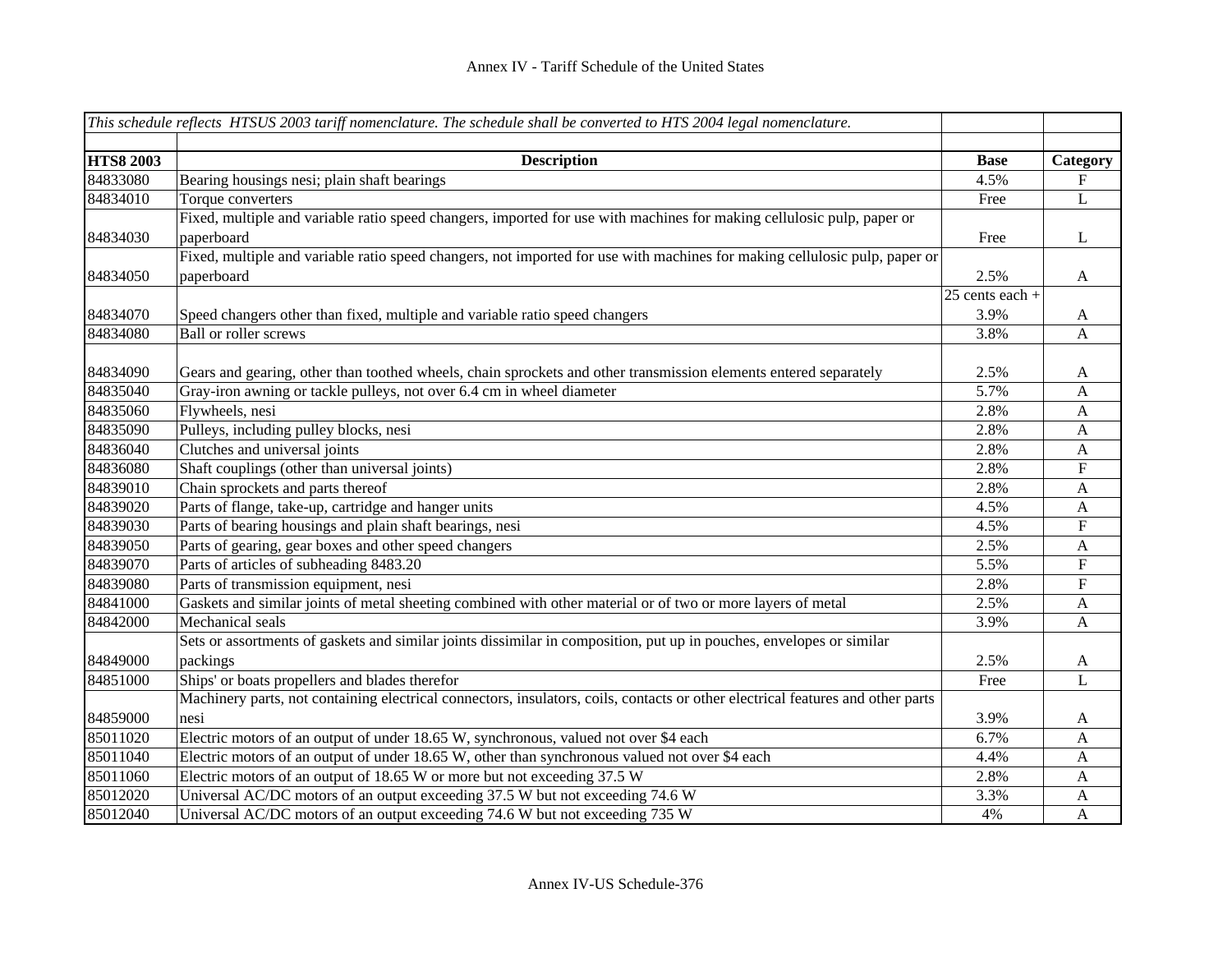|                  | This schedule reflects HTSUS 2003 tariff nomenclature. The schedule shall be converted to HTS 2004 legal nomenclature.          |                   |                           |
|------------------|---------------------------------------------------------------------------------------------------------------------------------|-------------------|---------------------------|
|                  |                                                                                                                                 |                   |                           |
| <b>HTS8 2003</b> | <b>Description</b>                                                                                                              | <b>Base</b>       | Category                  |
| 84833080         | Bearing housings nesi; plain shaft bearings                                                                                     | 4.5%              | $\boldsymbol{\mathrm{F}}$ |
| 84834010         | Torque converters                                                                                                               | Free              | L                         |
|                  | Fixed, multiple and variable ratio speed changers, imported for use with machines for making cellulosic pulp, paper or          |                   |                           |
| 84834030         | paperboard                                                                                                                      | Free              | L                         |
|                  | Fixed, multiple and variable ratio speed changers, not imported for use with machines for making cellulosic pulp, paper or      |                   |                           |
| 84834050         | paperboard                                                                                                                      | 2.5%              | $\mathbf{A}$              |
|                  |                                                                                                                                 | $25$ cents each + |                           |
| 84834070         | Speed changers other than fixed, multiple and variable ratio speed changers                                                     | 3.9%              | $\mathbf{A}$              |
| 84834080         | <b>Ball or roller screws</b>                                                                                                    | 3.8%              | $\mathbf{A}$              |
|                  |                                                                                                                                 |                   |                           |
| 84834090         | Gears and gearing, other than toothed wheels, chain sprockets and other transmission elements entered separately                | 2.5%              | A                         |
| 84835040         | Gray-iron awning or tackle pulleys, not over 6.4 cm in wheel diameter                                                           | 5.7%              | $\mathbf{A}$              |
| 84835060         | Flywheels, nesi                                                                                                                 | 2.8%              | $\mathbf{A}$              |
| 84835090         | Pulleys, including pulley blocks, nesi                                                                                          | 2.8%              | $\mathbf{A}$              |
| 84836040         | Clutches and universal joints                                                                                                   | 2.8%              | $\mathbf{A}$              |
| 84836080         | Shaft couplings (other than universal joints)                                                                                   | 2.8%              | $\boldsymbol{\mathrm{F}}$ |
| 84839010         | Chain sprockets and parts thereof                                                                                               | 2.8%              | A                         |
| 84839020         | Parts of flange, take-up, cartridge and hanger units                                                                            | 4.5%              | $\mathbf{A}$              |
| 84839030         | Parts of bearing housings and plain shaft bearings, nesi                                                                        | 4.5%              | ${\bf F}$                 |
| 84839050         | Parts of gearing, gear boxes and other speed changers                                                                           | 2.5%              | $\mathbf{A}$              |
| 84839070         | Parts of articles of subheading 8483.20                                                                                         | 5.5%              | ${\bf F}$                 |
| 84839080         | Parts of transmission equipment, nesi                                                                                           | 2.8%              | ${\bf F}$                 |
| 84841000         | Gaskets and similar joints of metal sheeting combined with other material or of two or more layers of metal                     | 2.5%              | $\mathbf{A}$              |
| 84842000         | Mechanical seals                                                                                                                | 3.9%              | A                         |
|                  | Sets or assortments of gaskets and similar joints dissimilar in composition, put up in pouches, envelopes or similar            |                   |                           |
| 84849000         | packings                                                                                                                        | 2.5%              | $\mathbf{A}$              |
| 84851000         | Ships' or boats propellers and blades therefor                                                                                  | Free              | $\mathbf{L}$              |
|                  | Machinery parts, not containing electrical connectors, insulators, coils, contacts or other electrical features and other parts |                   |                           |
| 84859000         | nesi                                                                                                                            | 3.9%              | $\mathbf{A}$              |
| 85011020         | Electric motors of an output of under 18.65 W, synchronous, valued not over \$4 each                                            | 6.7%              | $\mathbf{A}$              |
| 85011040         | Electric motors of an output of under 18.65 W, other than synchronous valued not over \$4 each                                  | 4.4%              | A                         |
| 85011060         | Electric motors of an output of 18.65 W or more but not exceeding 37.5 W                                                        | 2.8%              | $\mathbf{A}$              |
| 85012020         | Universal AC/DC motors of an output exceeding 37.5 W but not exceeding 74.6 W                                                   | 3.3%              | A                         |
| 85012040         | Universal AC/DC motors of an output exceeding 74.6 W but not exceeding 735 W                                                    | 4%                | $\mathbf{A}$              |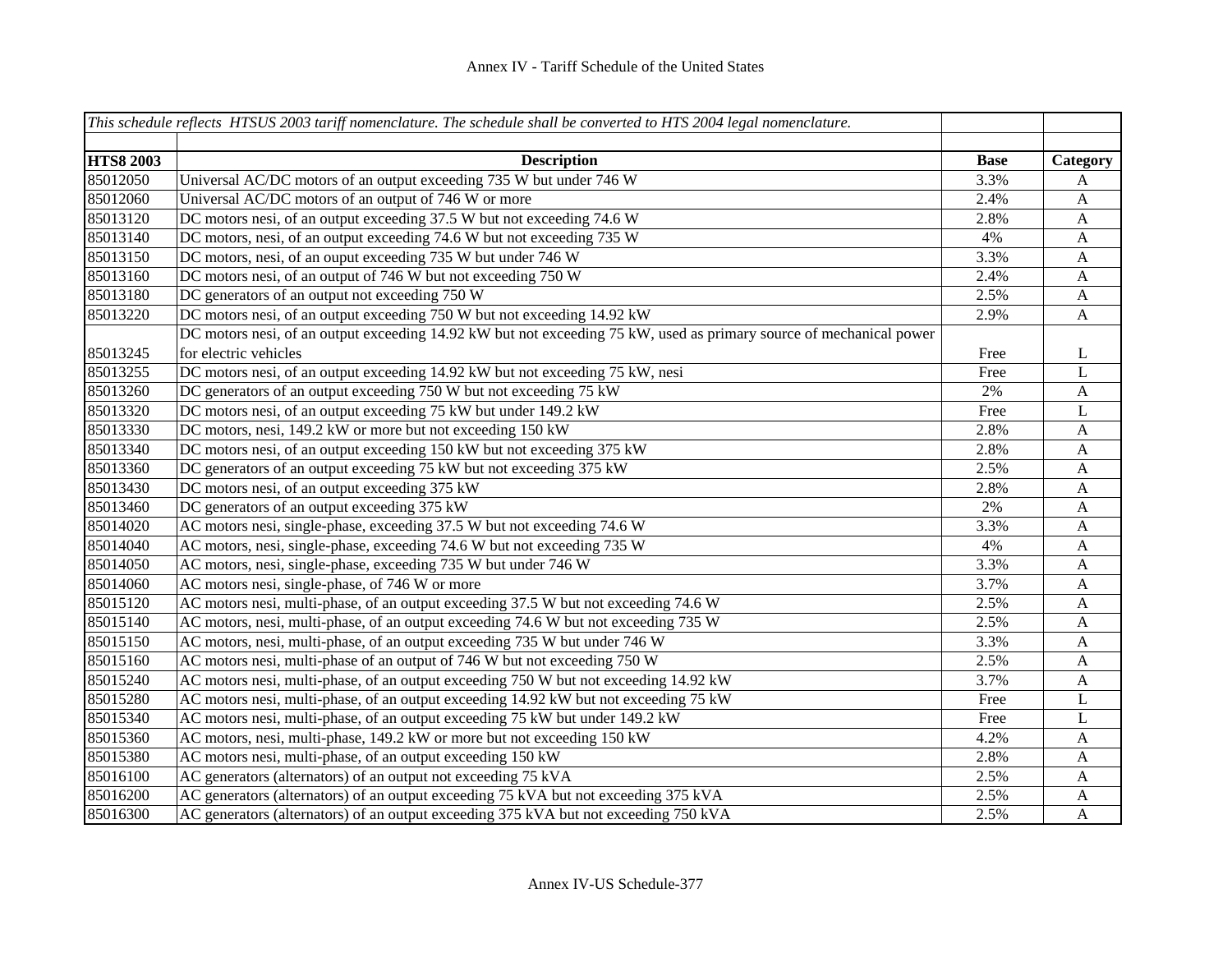|                  | This schedule reflects HTSUS 2003 tariff nomenclature. The schedule shall be converted to HTS 2004 legal nomenclature. |             |              |
|------------------|------------------------------------------------------------------------------------------------------------------------|-------------|--------------|
|                  |                                                                                                                        |             |              |
| <b>HTS8 2003</b> | <b>Description</b>                                                                                                     | <b>Base</b> | Category     |
| 85012050         | Universal AC/DC motors of an output exceeding 735 W but under 746 W                                                    | 3.3%        | A            |
| 85012060         | Universal AC/DC motors of an output of 746 W or more                                                                   | 2.4%        | $\mathbf{A}$ |
| 85013120         | DC motors nesi, of an output exceeding 37.5 W but not exceeding 74.6 W                                                 | 2.8%        | $\mathbf{A}$ |
| 85013140         | DC motors, nesi, of an output exceeding 74.6 W but not exceeding 735 W                                                 | 4%          | $\mathbf{A}$ |
| 85013150         | DC motors, nesi, of an ouput exceeding 735 W but under 746 W                                                           | 3.3%        | $\mathbf{A}$ |
| 85013160         | DC motors nesi, of an output of 746 W but not exceeding 750 W                                                          | 2.4%        | $\mathbf{A}$ |
| 85013180         | DC generators of an output not exceeding 750 W                                                                         | 2.5%        | $\mathbf{A}$ |
| 85013220         | DC motors nesi, of an output exceeding 750 W but not exceeding 14.92 kW                                                | 2.9%        | $\mathbf{A}$ |
|                  | DC motors nesi, of an output exceeding 14.92 kW but not exceeding 75 kW, used as primary source of mechanical power    |             |              |
| 85013245         | for electric vehicles                                                                                                  | Free        | L            |
| 85013255         | DC motors nesi, of an output exceeding 14.92 kW but not exceeding 75 kW, nesi                                          | Free        | L            |
| 85013260         | DC generators of an output exceeding 750 W but not exceeding 75 kW                                                     | $2\%$       | $\mathbf{A}$ |
| 85013320         | DC motors nesi, of an output exceeding 75 kW but under 149.2 kW                                                        | Free        | L            |
| 85013330         | DC motors, nesi, 149.2 kW or more but not exceeding 150 kW                                                             | 2.8%        | $\mathbf{A}$ |
| 85013340         | DC motors nesi, of an output exceeding 150 kW but not exceeding 375 kW                                                 | 2.8%        | $\mathbf{A}$ |
| 85013360         | DC generators of an output exceeding 75 kW but not exceeding 375 kW                                                    | 2.5%        | $\mathbf{A}$ |
| 85013430         | DC motors nesi, of an output exceeding 375 kW                                                                          | 2.8%        | $\mathbf{A}$ |
| 85013460         | DC generators of an output exceeding 375 kW                                                                            | 2%          | $\mathbf{A}$ |
| 85014020         | AC motors nesi, single-phase, exceeding 37.5 W but not exceeding 74.6 W                                                | 3.3%        | $\mathbf{A}$ |
| 85014040         | AC motors, nesi, single-phase, exceeding 74.6 W but not exceeding 735 W                                                | 4%          | $\mathbf{A}$ |
| 85014050         | AC motors, nesi, single-phase, exceeding 735 W but under 746 W                                                         | 3.3%        | $\mathbf{A}$ |
| 85014060         | AC motors nesi, single-phase, of 746 W or more                                                                         | 3.7%        | $\mathbf{A}$ |
| 85015120         | AC motors nesi, multi-phase, of an output exceeding 37.5 W but not exceeding 74.6 W                                    | 2.5%        | A            |
| 85015140         | AC motors, nesi, multi-phase, of an output exceeding 74.6 W but not exceeding 735 W                                    | 2.5%        | A            |
| 85015150         | AC motors, nesi, multi-phase, of an output exceeding 735 W but under 746 W                                             | 3.3%        | A            |
| 85015160         | AC motors nesi, multi-phase of an output of 746 W but not exceeding 750 W                                              | 2.5%        | $\mathbf{A}$ |
| 85015240         | AC motors nesi, multi-phase, of an output exceeding 750 W but not exceeding 14.92 kW                                   | 3.7%        | $\mathbf{A}$ |
| 85015280         | AC motors nesi, multi-phase, of an output exceeding 14.92 kW but not exceeding 75 kW                                   | Free        | L            |
| 85015340         | AC motors nesi, multi-phase, of an output exceeding 75 kW but under 149.2 kW                                           | Free        | L            |
| 85015360         | AC motors, nesi, multi-phase, 149.2 kW or more but not exceeding 150 kW                                                | 4.2%        | $\mathbf{A}$ |
| 85015380         | AC motors nesi, multi-phase, of an output exceeding 150 kW                                                             | 2.8%        | A            |
| 85016100         | AC generators (alternators) of an output not exceeding 75 kVA                                                          | 2.5%        | $\mathbf{A}$ |
| 85016200         | AC generators (alternators) of an output exceeding 75 kVA but not exceeding 375 kVA                                    | 2.5%        | $\mathbf{A}$ |
| 85016300         | AC generators (alternators) of an output exceeding 375 kVA but not exceeding 750 kVA                                   | 2.5%        | A            |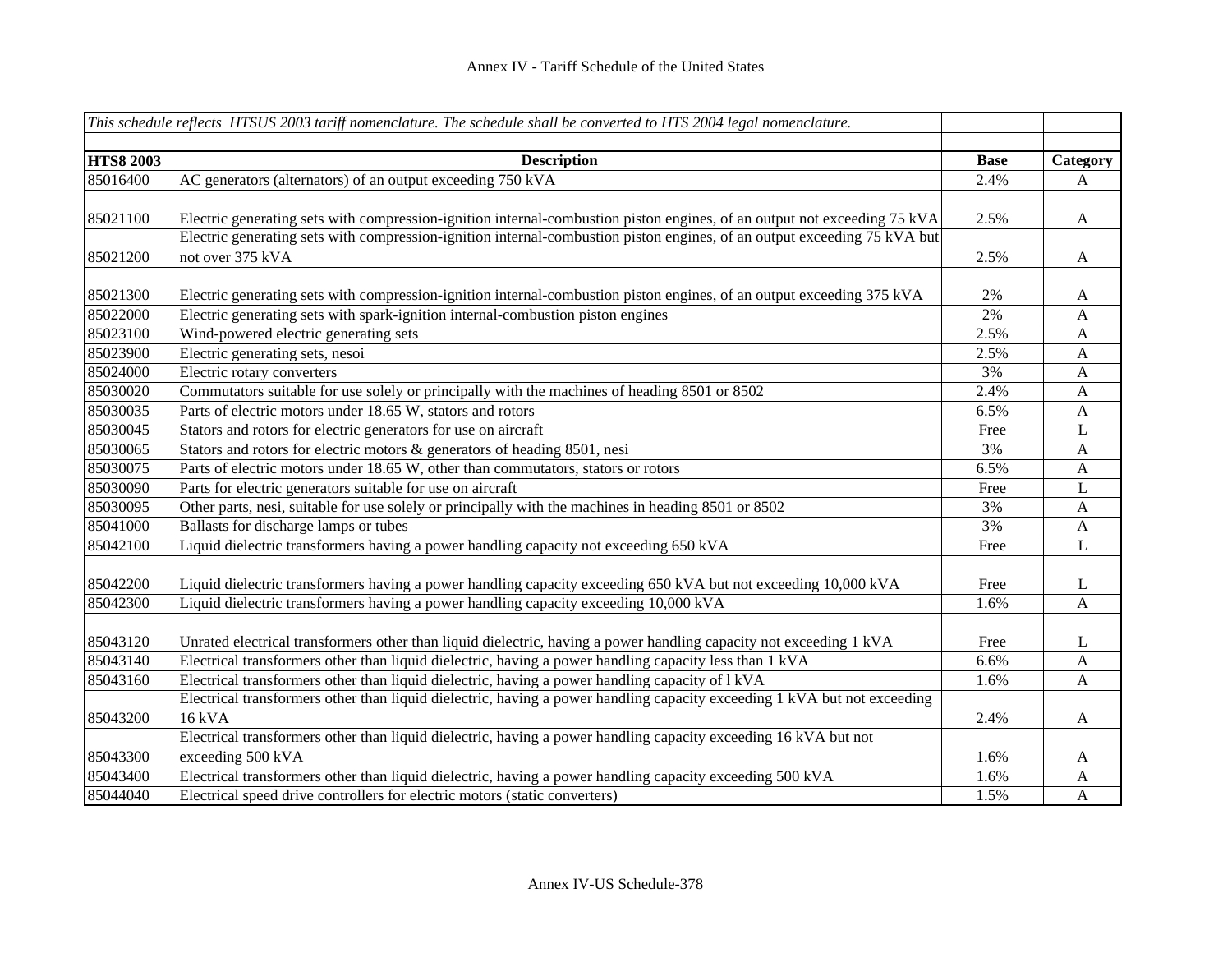|                  | This schedule reflects HTSUS 2003 tariff nomenclature. The schedule shall be converted to HTS 2004 legal nomenclature.   |             |                  |
|------------------|--------------------------------------------------------------------------------------------------------------------------|-------------|------------------|
| <b>HTS8 2003</b> | <b>Description</b>                                                                                                       | <b>Base</b> | Category         |
| 85016400         | AC generators (alternators) of an output exceeding 750 kVA                                                               | 2.4%        | A                |
|                  |                                                                                                                          |             |                  |
| 85021100         | Electric generating sets with compression-ignition internal-combustion piston engines, of an output not exceeding 75 kVA | 2.5%        | $\mathbf{A}$     |
|                  | Electric generating sets with compression-ignition internal-combustion piston engines, of an output exceeding 75 kVA but |             |                  |
| 85021200         | not over 375 kVA                                                                                                         | 2.5%        | $\mathbf{A}$     |
|                  |                                                                                                                          |             |                  |
| 85021300         | Electric generating sets with compression-ignition internal-combustion piston engines, of an output exceeding 375 kVA    | 2%          | A                |
| 85022000         | Electric generating sets with spark-ignition internal-combustion piston engines                                          | 2%          | $\mathbf{A}$     |
| 85023100         | Wind-powered electric generating sets                                                                                    | 2.5%        | A                |
| 85023900         | Electric generating sets, nesoi                                                                                          | 2.5%        | A                |
| 85024000         | Electric rotary converters                                                                                               | 3%          | $\mathbf{A}$     |
| 85030020         | Commutators suitable for use solely or principally with the machines of heading 8501 or 8502                             | 2.4%        | $\mathbf{A}$     |
| 85030035         | Parts of electric motors under 18.65 W, stators and rotors                                                               | 6.5%        | $\mathbf{A}$     |
| 85030045         | Stators and rotors for electric generators for use on aircraft                                                           | Free        | $\mathbf L$      |
| 85030065         | Stators and rotors for electric motors & generators of heading 8501, nesi                                                | 3%          | $\boldsymbol{A}$ |
| 85030075         | Parts of electric motors under 18.65 W, other than commutators, stators or rotors                                        | 6.5%        | $\mathbf{A}$     |
| 85030090         | Parts for electric generators suitable for use on aircraft                                                               | Free        | L                |
| 85030095         | Other parts, nesi, suitable for use solely or principally with the machines in heading 8501 or 8502                      | 3%          | $\mathbf{A}$     |
| 85041000         | Ballasts for discharge lamps or tubes                                                                                    | 3%          | $\boldsymbol{A}$ |
| 85042100         | Liquid dielectric transformers having a power handling capacity not exceeding 650 kVA                                    | Free        | L                |
| 85042200         | Liquid dielectric transformers having a power handling capacity exceeding 650 kVA but not exceeding 10,000 kVA           | Free        | L                |
| 85042300         | Liquid dielectric transformers having a power handling capacity exceeding 10,000 kVA                                     | 1.6%        | $\overline{A}$   |
|                  |                                                                                                                          |             |                  |
| 85043120         | Unrated electrical transformers other than liquid dielectric, having a power handling capacity not exceeding 1 kVA       | Free        | L                |
| 85043140         | Electrical transformers other than liquid dielectric, having a power handling capacity less than 1 kVA                   | 6.6%        | $\mathbf{A}$     |
| 85043160         | Electrical transformers other than liquid dielectric, having a power handling capacity of 1 kVA                          | 1.6%        | $\mathbf{A}$     |
|                  | Electrical transformers other than liquid dielectric, having a power handling capacity exceeding 1 kVA but not exceeding |             |                  |
| 85043200         | 16 kVA                                                                                                                   | 2.4%        | $\mathbf{A}$     |
|                  | Electrical transformers other than liquid dielectric, having a power handling capacity exceeding 16 kVA but not          |             |                  |
| 85043300         | exceeding 500 kVA                                                                                                        | 1.6%        | A                |
| 85043400         | Electrical transformers other than liquid dielectric, having a power handling capacity exceeding 500 kVA                 | 1.6%        | $\mathbf{A}$     |
| 85044040         | Electrical speed drive controllers for electric motors (static converters)                                               | 1.5%        | $\mathbf{A}$     |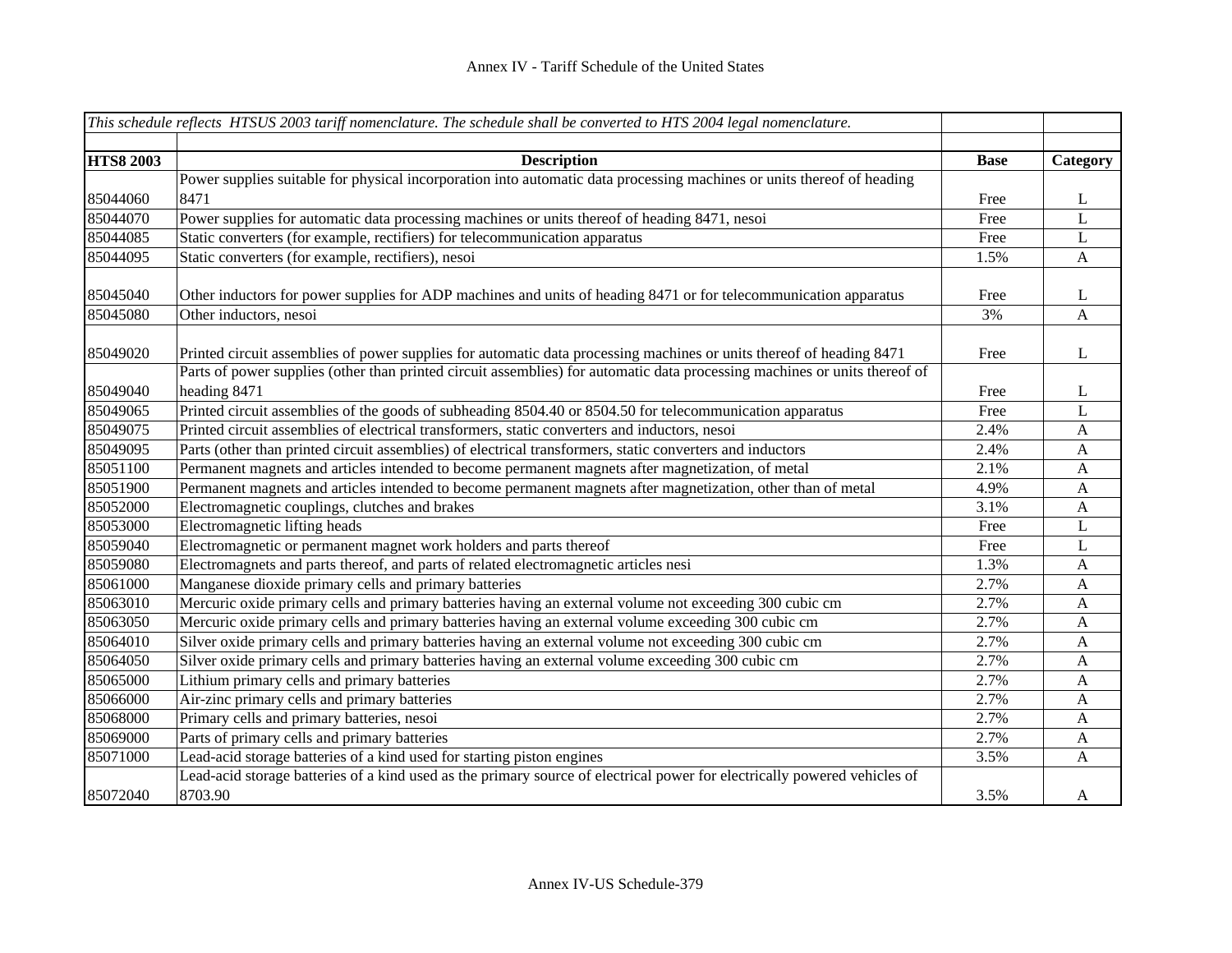|                  | This schedule reflects HTSUS 2003 tariff nomenclature. The schedule shall be converted to HTS 2004 legal nomenclature.                                                                                                                             |             |              |
|------------------|----------------------------------------------------------------------------------------------------------------------------------------------------------------------------------------------------------------------------------------------------|-------------|--------------|
|                  |                                                                                                                                                                                                                                                    |             |              |
| <b>HTS8 2003</b> | <b>Description</b>                                                                                                                                                                                                                                 | <b>Base</b> | Category     |
|                  | Power supplies suitable for physical incorporation into automatic data processing machines or units thereof of heading                                                                                                                             |             |              |
| 85044060         | 8471                                                                                                                                                                                                                                               | Free        | L            |
| 85044070         | Power supplies for automatic data processing machines or units thereof of heading 8471, nesoi                                                                                                                                                      | Free        | L            |
| 85044085         | Static converters (for example, rectifiers) for telecommunication apparatus                                                                                                                                                                        | Free        | $\mathbf L$  |
| 85044095         | Static converters (for example, rectifiers), nesoi                                                                                                                                                                                                 | 1.5%        | $\mathbf{A}$ |
| 85045040         | Other inductors for power supplies for ADP machines and units of heading 8471 or for telecommunication apparatus                                                                                                                                   | Free        | L            |
| 85045080         | Other inductors, nesoi                                                                                                                                                                                                                             | 3%          | A            |
| 85049020         | Printed circuit assemblies of power supplies for automatic data processing machines or units thereof of heading 8471<br>Parts of power supplies (other than printed circuit assemblies) for automatic data processing machines or units thereof of | Free        | L            |
| 85049040         | heading 8471                                                                                                                                                                                                                                       | Free        | L            |
| 85049065         | Printed circuit assemblies of the goods of subheading 8504.40 or 8504.50 for telecommunication apparatus                                                                                                                                           | Free        | L            |
| 85049075         | Printed circuit assemblies of electrical transformers, static converters and inductors, nesoi                                                                                                                                                      | 2.4%        | $\mathbf{A}$ |
| 85049095         | Parts (other than printed circuit assemblies) of electrical transformers, static converters and inductors                                                                                                                                          | 2.4%        | $\mathbf{A}$ |
| 85051100         | Permanent magnets and articles intended to become permanent magnets after magnetization, of metal                                                                                                                                                  | 2.1%        | $\mathbf{A}$ |
| 85051900         | Permanent magnets and articles intended to become permanent magnets after magnetization, other than of metal                                                                                                                                       | 4.9%        | $\mathbf{A}$ |
| 85052000         | Electromagnetic couplings, clutches and brakes                                                                                                                                                                                                     | 3.1%        | A            |
| 85053000         | Electromagnetic lifting heads                                                                                                                                                                                                                      | Free        | L            |
| 85059040         | Electromagnetic or permanent magnet work holders and parts thereof                                                                                                                                                                                 | Free        | L            |
| 85059080         | Electromagnets and parts thereof, and parts of related electromagnetic articles nesi                                                                                                                                                               | 1.3%        | A            |
| 85061000         | Manganese dioxide primary cells and primary batteries                                                                                                                                                                                              | 2.7%        | A            |
| 85063010         | Mercuric oxide primary cells and primary batteries having an external volume not exceeding 300 cubic cm                                                                                                                                            | 2.7%        | A            |
| 85063050         | Mercuric oxide primary cells and primary batteries having an external volume exceeding 300 cubic cm                                                                                                                                                | 2.7%        | A            |
| 85064010         | Silver oxide primary cells and primary batteries having an external volume not exceeding 300 cubic cm                                                                                                                                              | 2.7%        | A            |
| 85064050         | Silver oxide primary cells and primary batteries having an external volume exceeding 300 cubic cm                                                                                                                                                  | 2.7%        | $\mathbf{A}$ |
| 85065000         | Lithium primary cells and primary batteries                                                                                                                                                                                                        | 2.7%        | $\mathbf{A}$ |
| 85066000         | Air-zinc primary cells and primary batteries                                                                                                                                                                                                       | 2.7%        | $\mathbf{A}$ |
| 85068000         | Primary cells and primary batteries, nesoi                                                                                                                                                                                                         | 2.7%        | $\mathbf{A}$ |
| 85069000         | Parts of primary cells and primary batteries                                                                                                                                                                                                       | 2.7%        | $\mathbf{A}$ |
| 85071000         | Lead-acid storage batteries of a kind used for starting piston engines                                                                                                                                                                             | 3.5%        | A            |
| 85072040         | Lead-acid storage batteries of a kind used as the primary source of electrical power for electrically powered vehicles of<br>8703.90                                                                                                               | 3.5%        | A            |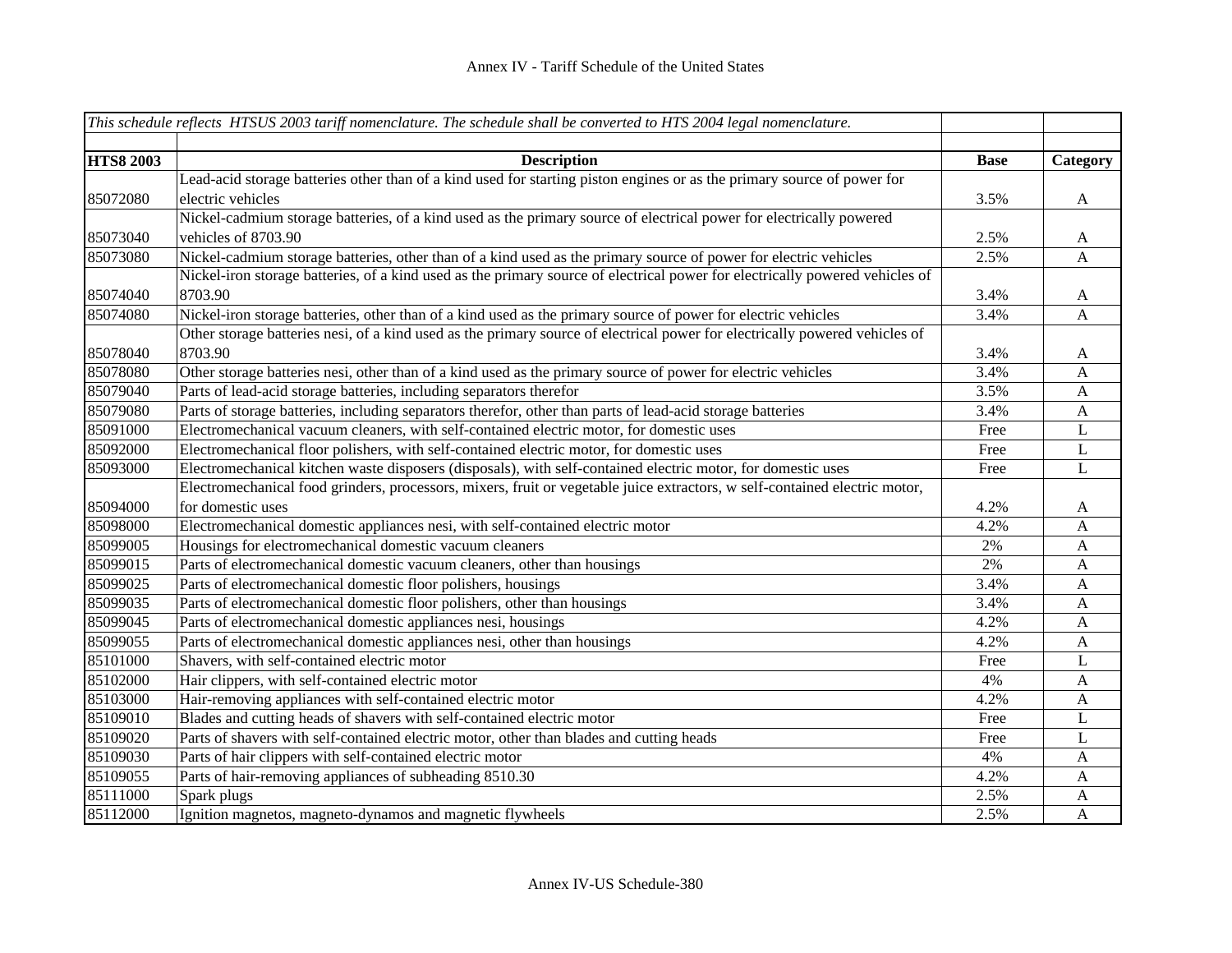|                  | This schedule reflects HTSUS 2003 tariff nomenclature. The schedule shall be converted to HTS 2004 legal nomenclature.       |             |              |
|------------------|------------------------------------------------------------------------------------------------------------------------------|-------------|--------------|
|                  |                                                                                                                              |             |              |
| <b>HTS8 2003</b> | <b>Description</b>                                                                                                           | <b>Base</b> | Category     |
|                  | Lead-acid storage batteries other than of a kind used for starting piston engines or as the primary source of power for      |             |              |
| 85072080         | electric vehicles                                                                                                            | 3.5%        | $\mathbf{A}$ |
|                  | Nickel-cadmium storage batteries, of a kind used as the primary source of electrical power for electrically powered          |             |              |
| 85073040         | vehicles of 8703.90                                                                                                          | 2.5%        | $\mathbf{A}$ |
| 85073080         | Nickel-cadmium storage batteries, other than of a kind used as the primary source of power for electric vehicles             | 2.5%        | A            |
|                  | Nickel-iron storage batteries, of a kind used as the primary source of electrical power for electrically powered vehicles of |             |              |
| 85074040         | 8703.90                                                                                                                      | 3.4%        | $\mathbf{A}$ |
| 85074080         | Nickel-iron storage batteries, other than of a kind used as the primary source of power for electric vehicles                | 3.4%        | $\mathbf{A}$ |
|                  | Other storage batteries nesi, of a kind used as the primary source of electrical power for electrically powered vehicles of  |             |              |
| 85078040         | 8703.90                                                                                                                      | 3.4%        | $\mathbf{A}$ |
| 85078080         | Other storage batteries nesi, other than of a kind used as the primary source of power for electric vehicles                 | 3.4%        | A            |
| 85079040         | Parts of lead-acid storage batteries, including separators therefor                                                          | 3.5%        | A            |
| 85079080         | Parts of storage batteries, including separators therefor, other than parts of lead-acid storage batteries                   | 3.4%        | $\mathbf{A}$ |
| 85091000         | Electromechanical vacuum cleaners, with self-contained electric motor, for domestic uses                                     | Free        | L            |
| 85092000         | Electromechanical floor polishers, with self-contained electric motor, for domestic uses                                     | Free        | L            |
| 85093000         | Electromechanical kitchen waste disposers (disposals), with self-contained electric motor, for domestic uses                 | Free        | L            |
|                  | Electromechanical food grinders, processors, mixers, fruit or vegetable juice extractors, w self-contained electric motor,   |             |              |
| 85094000         | for domestic uses                                                                                                            | 4.2%        | $\mathbf{A}$ |
| 85098000         | Electromechanical domestic appliances nesi, with self-contained electric motor                                               | 4.2%        | A            |
| 85099005         | Housings for electromechanical domestic vacuum cleaners                                                                      | 2%          | A            |
| 85099015         | Parts of electromechanical domestic vacuum cleaners, other than housings                                                     | 2%          | $\mathbf{A}$ |
| 85099025         | Parts of electromechanical domestic floor polishers, housings                                                                | 3.4%        | $\mathbf{A}$ |
| 85099035         | Parts of electromechanical domestic floor polishers, other than housings                                                     | 3.4%        | $\mathbf{A}$ |
| 85099045         | Parts of electromechanical domestic appliances nesi, housings                                                                | 4.2%        | $\mathbf{A}$ |
| 85099055         | Parts of electromechanical domestic appliances nesi, other than housings                                                     | 4.2%        | A            |
| 85101000         | Shavers, with self-contained electric motor                                                                                  | Free        | L            |
| 85102000         | Hair clippers, with self-contained electric motor                                                                            | 4%          | $\mathbf{A}$ |
| 85103000         | Hair-removing appliances with self-contained electric motor                                                                  | 4.2%        | A            |
| 85109010         | Blades and cutting heads of shavers with self-contained electric motor                                                       | Free        | L            |
| 85109020         | Parts of shavers with self-contained electric motor, other than blades and cutting heads                                     | Free        | L            |
| 85109030         | Parts of hair clippers with self-contained electric motor                                                                    | 4%          | $\mathbf{A}$ |
| 85109055         | Parts of hair-removing appliances of subheading 8510.30                                                                      | 4.2%        | A            |
| 85111000         | Spark plugs                                                                                                                  | 2.5%        | $\mathbf{A}$ |
| 85112000         | Ignition magnetos, magneto-dynamos and magnetic flywheels                                                                    | 2.5%        | $\mathbf{A}$ |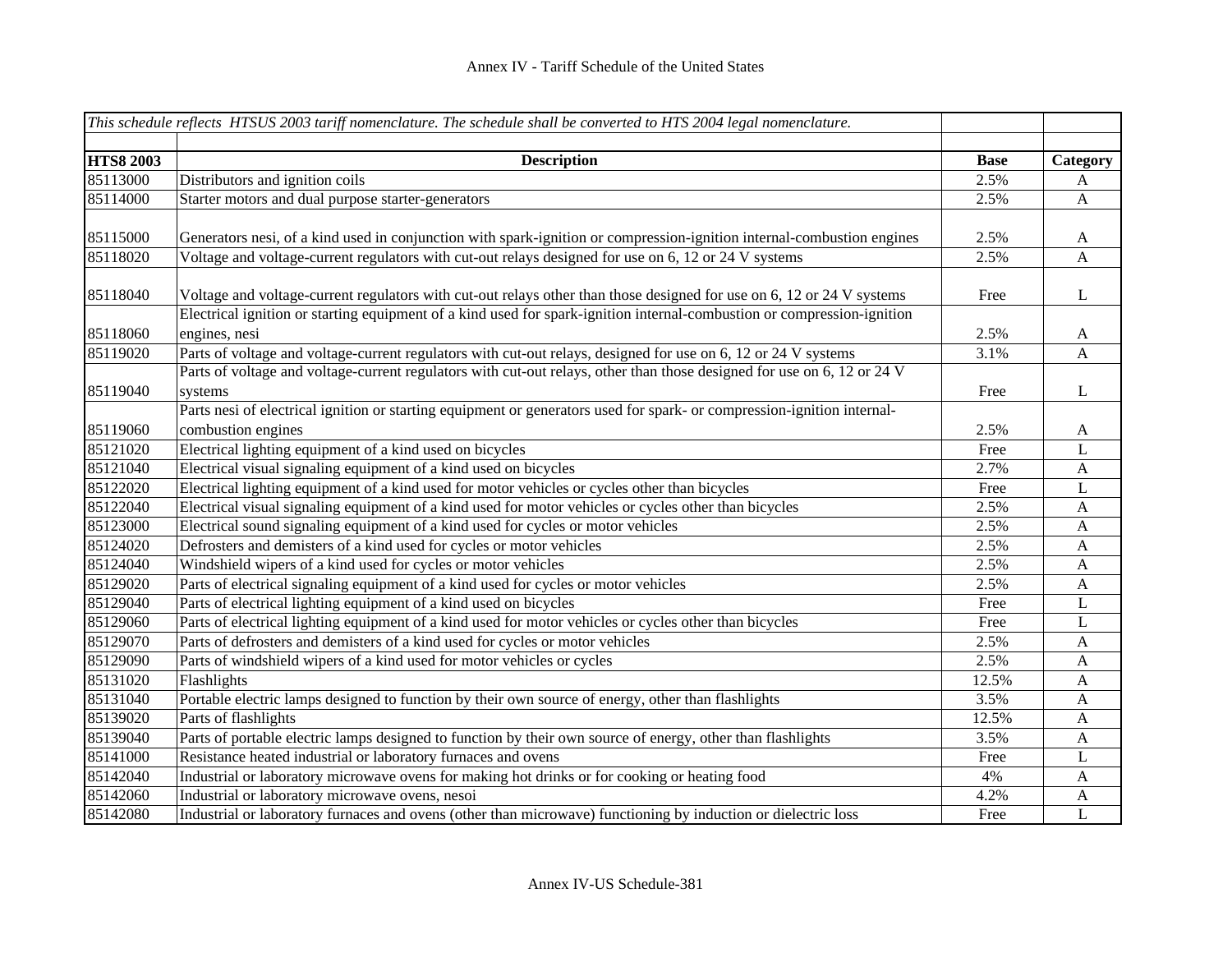|                  | This schedule reflects HTSUS 2003 tariff nomenclature. The schedule shall be converted to HTS 2004 legal nomenclature.  |             |              |
|------------------|-------------------------------------------------------------------------------------------------------------------------|-------------|--------------|
|                  |                                                                                                                         |             |              |
| <b>HTS8 2003</b> | <b>Description</b>                                                                                                      | <b>Base</b> | Category     |
| 85113000         | Distributors and ignition coils                                                                                         | 2.5%        | A            |
| 85114000         | Starter motors and dual purpose starter-generators                                                                      | 2.5%        | $\mathbf{A}$ |
|                  |                                                                                                                         |             |              |
| 85115000         | Generators nesi, of a kind used in conjunction with spark-ignition or compression-ignition internal-combustion engines  | 2.5%        | $\mathbf{A}$ |
| 85118020         | Voltage and voltage-current regulators with cut-out relays designed for use on 6, 12 or 24 V systems                    | 2.5%        | $\mathbf{A}$ |
|                  |                                                                                                                         |             |              |
| 85118040         | Voltage and voltage-current regulators with cut-out relays other than those designed for use on 6, 12 or 24 V systems   | Free        | L            |
|                  | Electrical ignition or starting equipment of a kind used for spark-ignition internal-combustion or compression-ignition |             |              |
| 85118060         | engines, nesi                                                                                                           | 2.5%        | $\mathbf{A}$ |
| 85119020         | Parts of voltage and voltage-current regulators with cut-out relays, designed for use on 6, 12 or 24 V systems          | 3.1%        | A            |
|                  | Parts of voltage and voltage-current regulators with cut-out relays, other than those designed for use on 6, 12 or 24 V |             |              |
| 85119040         | systems                                                                                                                 | Free        | $\mathbf{L}$ |
|                  | Parts nesi of electrical ignition or starting equipment or generators used for spark- or compression-ignition internal- |             |              |
| 85119060         | combustion engines                                                                                                      | 2.5%        | $\mathbf{A}$ |
| 85121020         | Electrical lighting equipment of a kind used on bicycles                                                                | Free        | L            |
| 85121040         | Electrical visual signaling equipment of a kind used on bicycles                                                        | 2.7%        | $\mathbf{A}$ |
| 85122020         | Electrical lighting equipment of a kind used for motor vehicles or cycles other than bicycles                           | Free        | L            |
| 85122040         | Electrical visual signaling equipment of a kind used for motor vehicles or cycles other than bicycles                   | 2.5%        | $\mathbf{A}$ |
| 85123000         | Electrical sound signaling equipment of a kind used for cycles or motor vehicles                                        | 2.5%        | $\mathbf{A}$ |
| 85124020         | Defrosters and demisters of a kind used for cycles or motor vehicles                                                    | 2.5%        | $\mathbf{A}$ |
| 85124040         | Windshield wipers of a kind used for cycles or motor vehicles                                                           | 2.5%        | $\mathbf{A}$ |
| 85129020         | Parts of electrical signaling equipment of a kind used for cycles or motor vehicles                                     | 2.5%        | $\mathbf{A}$ |
| 85129040         | Parts of electrical lighting equipment of a kind used on bicycles                                                       | Free        | L            |
| 85129060         | Parts of electrical lighting equipment of a kind used for motor vehicles or cycles other than bicycles                  | Free        | L            |
| 85129070         | Parts of defrosters and demisters of a kind used for cycles or motor vehicles                                           | 2.5%        | $\mathbf{A}$ |
| 85129090         | Parts of windshield wipers of a kind used for motor vehicles or cycles                                                  | 2.5%        | $\mathbf{A}$ |
| 85131020         | Flashlights                                                                                                             | 12.5%       | $\mathbf{A}$ |
| 85131040         | Portable electric lamps designed to function by their own source of energy, other than flashlights                      | 3.5%        | $\mathbf{A}$ |
| 85139020         | Parts of flashlights                                                                                                    | 12.5%       | $\mathbf{A}$ |
| 85139040         | Parts of portable electric lamps designed to function by their own source of energy, other than flashlights             | 3.5%        | $\mathbf{A}$ |
| 85141000         | Resistance heated industrial or laboratory furnaces and ovens                                                           | Free        | L            |
| 85142040         | Industrial or laboratory microwave ovens for making hot drinks or for cooking or heating food                           | 4%          | $\mathbf{A}$ |
| 85142060         | Industrial or laboratory microwave ovens, nesoi                                                                         | 4.2%        | A            |
| 85142080         | Industrial or laboratory furnaces and ovens (other than microwave) functioning by induction or dielectric loss          | Free        | $\mathbf L$  |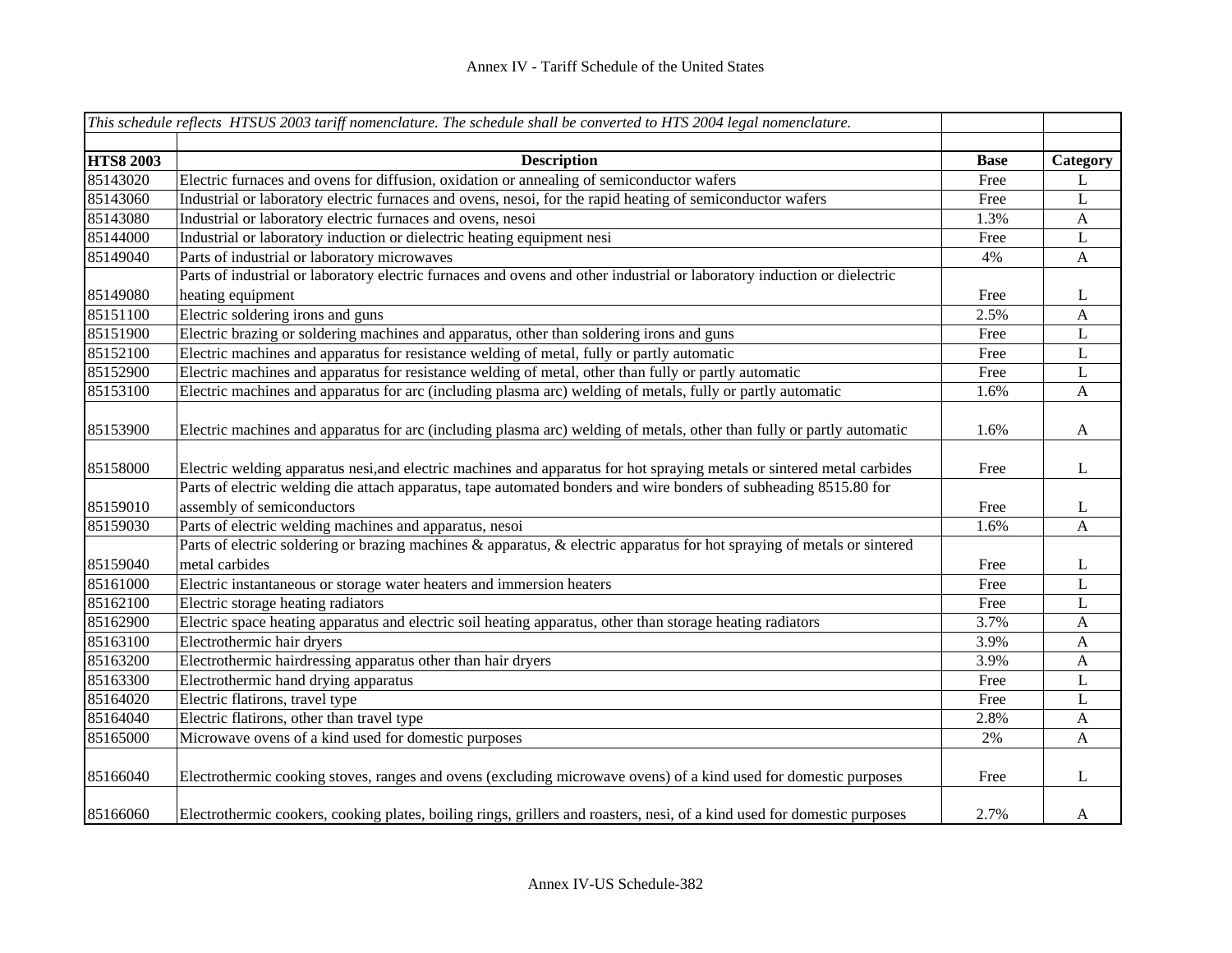|                  | This schedule reflects HTSUS 2003 tariff nomenclature. The schedule shall be converted to HTS 2004 legal nomenclature.   |             |              |
|------------------|--------------------------------------------------------------------------------------------------------------------------|-------------|--------------|
|                  |                                                                                                                          |             |              |
| <b>HTS8 2003</b> | <b>Description</b>                                                                                                       | <b>Base</b> | Category     |
| 85143020         | Electric furnaces and ovens for diffusion, oxidation or annealing of semiconductor wafers                                | Free        | L            |
| 85143060         | Industrial or laboratory electric furnaces and ovens, nesoi, for the rapid heating of semiconductor wafers               | Free        | L            |
| 85143080         | Industrial or laboratory electric furnaces and ovens, nesoi                                                              | 1.3%        | $\mathbf{A}$ |
| 85144000         | Industrial or laboratory induction or dielectric heating equipment nesi                                                  | Free        | $\mathbf L$  |
| 85149040         | Parts of industrial or laboratory microwaves                                                                             | 4%          | $\mathbf{A}$ |
|                  | Parts of industrial or laboratory electric furnaces and ovens and other industrial or laboratory induction or dielectric |             |              |
| 85149080         | heating equipment                                                                                                        | Free        | L            |
| 85151100         | Electric soldering irons and guns                                                                                        | 2.5%        | $\mathbf{A}$ |
| 85151900         | Electric brazing or soldering machines and apparatus, other than soldering irons and guns                                | Free        | L            |
| 85152100         | Electric machines and apparatus for resistance welding of metal, fully or partly automatic                               | Free        | $\mathbf L$  |
| 85152900         | Electric machines and apparatus for resistance welding of metal, other than fully or partly automatic                    | Free        | L            |
| 85153100         | Electric machines and apparatus for arc (including plasma arc) welding of metals, fully or partly automatic              | 1.6%        | A            |
| 85153900         | Electric machines and apparatus for arc (including plasma arc) welding of metals, other than fully or partly automatic   | 1.6%        | $\mathbf{A}$ |
| 85158000         | Electric welding apparatus nesi, and electric machines and apparatus for hot spraying metals or sintered metal carbides  | Free        | L            |
|                  | Parts of electric welding die attach apparatus, tape automated bonders and wire bonders of subheading 8515.80 for        |             |              |
| 85159010         | assembly of semiconductors                                                                                               | Free        | L            |
| 85159030         | Parts of electric welding machines and apparatus, nesoi                                                                  | 1.6%        | $\mathbf{A}$ |
|                  | Parts of electric soldering or brazing machines & apparatus, & electric apparatus for hot spraying of metals or sintered |             |              |
| 85159040         | metal carbides                                                                                                           | Free        | L            |
| 85161000         | Electric instantaneous or storage water heaters and immersion heaters                                                    | Free        | L            |
| 85162100         | Electric storage heating radiators                                                                                       | Free        | L            |
| 85162900         | Electric space heating apparatus and electric soil heating apparatus, other than storage heating radiators               | 3.7%        | $\mathbf{A}$ |
| 85163100         | Electrothermic hair dryers                                                                                               | 3.9%        | $\mathbf{A}$ |
| 85163200         | Electrothermic hairdressing apparatus other than hair dryers                                                             | 3.9%        | $\mathbf{A}$ |
| 85163300         | Electrothermic hand drying apparatus                                                                                     | Free        | L            |
| 85164020         | Electric flatirons, travel type                                                                                          | Free        | L            |
| 85164040         | Electric flatirons, other than travel type                                                                               | 2.8%        | $\mathbf{A}$ |
| 85165000         | Microwave ovens of a kind used for domestic purposes                                                                     | 2%          | $\mathbf{A}$ |
| 85166040         | Electrothermic cooking stoves, ranges and ovens (excluding microwave ovens) of a kind used for domestic purposes         | Free        | L            |
| 85166060         | Electrothermic cookers, cooking plates, boiling rings, grillers and roasters, nesi, of a kind used for domestic purposes | 2.7%        | A            |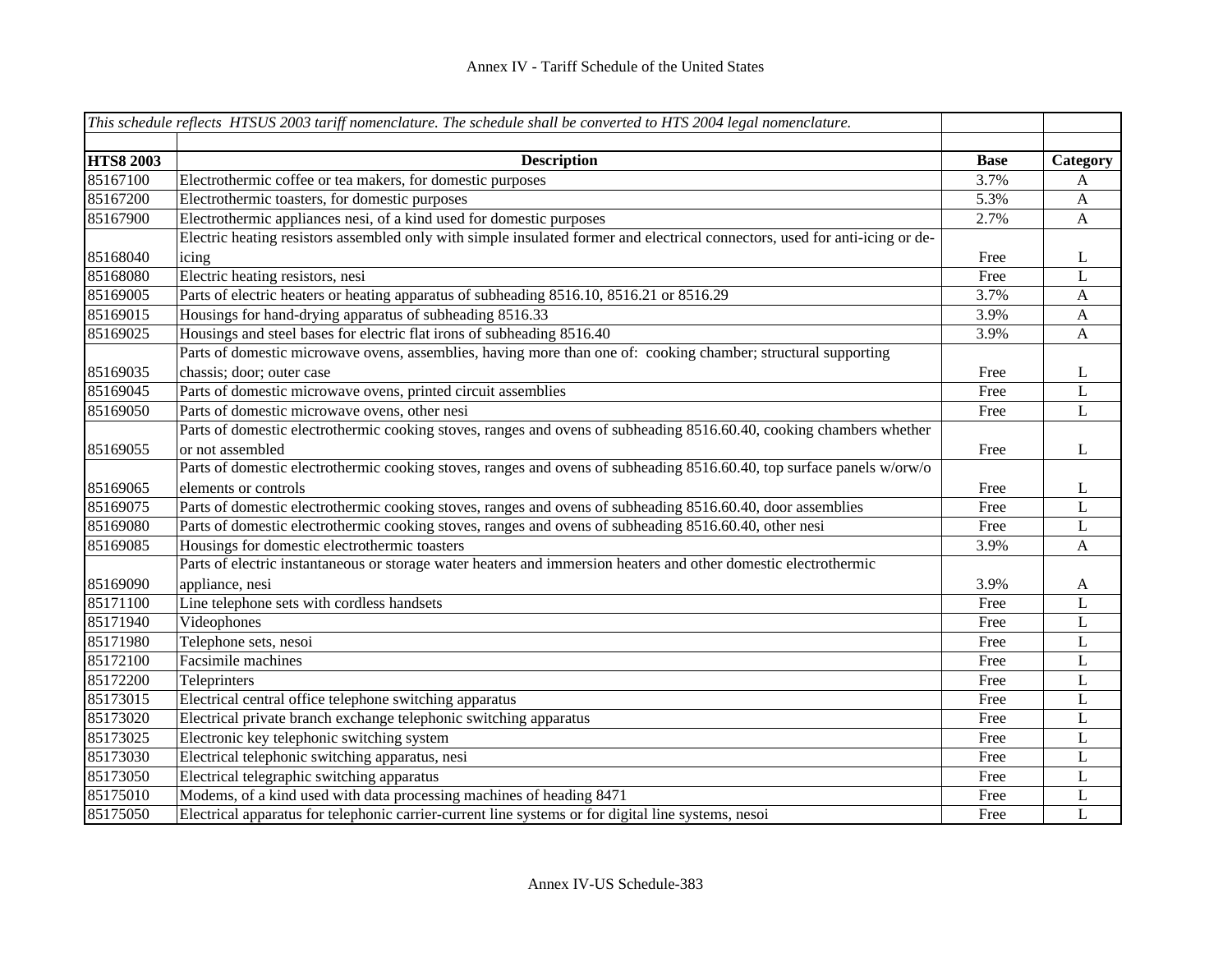|                  | This schedule reflects HTSUS 2003 tariff nomenclature. The schedule shall be converted to HTS 2004 legal nomenclature.       |             |                           |
|------------------|------------------------------------------------------------------------------------------------------------------------------|-------------|---------------------------|
|                  |                                                                                                                              |             |                           |
| <b>HTS8 2003</b> | <b>Description</b>                                                                                                           | <b>Base</b> | Category                  |
| 85167100         | Electrothermic coffee or tea makers, for domestic purposes                                                                   | 3.7%        | A                         |
| 85167200         | Electrothermic toasters, for domestic purposes                                                                               | 5.3%        | $\mathbf{A}$              |
| 85167900         | Electrothermic appliances nesi, of a kind used for domestic purposes                                                         | 2.7%        | $\mathbf{A}$              |
|                  | Electric heating resistors assembled only with simple insulated former and electrical connectors, used for anti-icing or de- |             |                           |
| 85168040         | icing                                                                                                                        | Free        | L                         |
| 85168080         | Electric heating resistors, nesi                                                                                             | Free        | L                         |
| 85169005         | Parts of electric heaters or heating apparatus of subheading 8516.10, 8516.21 or 8516.29                                     | 3.7%        | $\boldsymbol{\mathsf{A}}$ |
| 85169015         | Housings for hand-drying apparatus of subheading 8516.33                                                                     | 3.9%        | $\mathbf{A}$              |
| 85169025         | Housings and steel bases for electric flat irons of subheading 8516.40                                                       | 3.9%        | $\mathbf{A}$              |
|                  | Parts of domestic microwave ovens, assemblies, having more than one of: cooking chamber; structural supporting               |             |                           |
| 85169035         | chassis; door; outer case                                                                                                    | Free        | L                         |
| 85169045         | Parts of domestic microwave ovens, printed circuit assemblies                                                                | Free        | L                         |
| 85169050         | Parts of domestic microwave ovens, other nesi                                                                                | Free        | $\mathbf L$               |
|                  | Parts of domestic electrothermic cooking stoves, ranges and ovens of subheading 8516.60.40, cooking chambers whether         |             |                           |
| 85169055         | or not assembled                                                                                                             | Free        | L                         |
|                  | Parts of domestic electrothermic cooking stoves, ranges and ovens of subheading 8516.60.40, top surface panels w/orw/o       |             |                           |
| 85169065         | elements or controls                                                                                                         | Free        | L                         |
| 85169075         | Parts of domestic electrothermic cooking stoves, ranges and ovens of subheading 8516.60.40, door assemblies                  | Free        | L                         |
| 85169080         | Parts of domestic electrothermic cooking stoves, ranges and ovens of subheading 8516.60.40, other nesi                       | Free        | L                         |
| 85169085         | Housings for domestic electrothermic toasters                                                                                | 3.9%        | A                         |
|                  | Parts of electric instantaneous or storage water heaters and immersion heaters and other domestic electrothermic             |             |                           |
| 85169090         | appliance, nesi                                                                                                              | 3.9%        | A                         |
| 85171100         | Line telephone sets with cordless handsets                                                                                   | Free        | $\mathbf L$               |
| 85171940         | Videophones                                                                                                                  | Free        | L                         |
| 85171980         | Telephone sets, nesoi                                                                                                        | Free        | $\mathbf L$               |
| 85172100         | Facsimile machines                                                                                                           | Free        | L                         |
| 85172200         | Teleprinters                                                                                                                 | Free        | L                         |
| 85173015         | Electrical central office telephone switching apparatus                                                                      | Free        | L                         |
| 85173020         | Electrical private branch exchange telephonic switching apparatus                                                            | Free        | L                         |
| 85173025         | Electronic key telephonic switching system                                                                                   | Free        | L                         |
| 85173030         | Electrical telephonic switching apparatus, nesi                                                                              | Free        | L                         |
| 85173050         | Electrical telegraphic switching apparatus                                                                                   | Free        | L                         |
| 85175010         | Modems, of a kind used with data processing machines of heading 8471                                                         | Free        | L                         |
| 85175050         | Electrical apparatus for telephonic carrier-current line systems or for digital line systems, nesoi                          | Free        | L                         |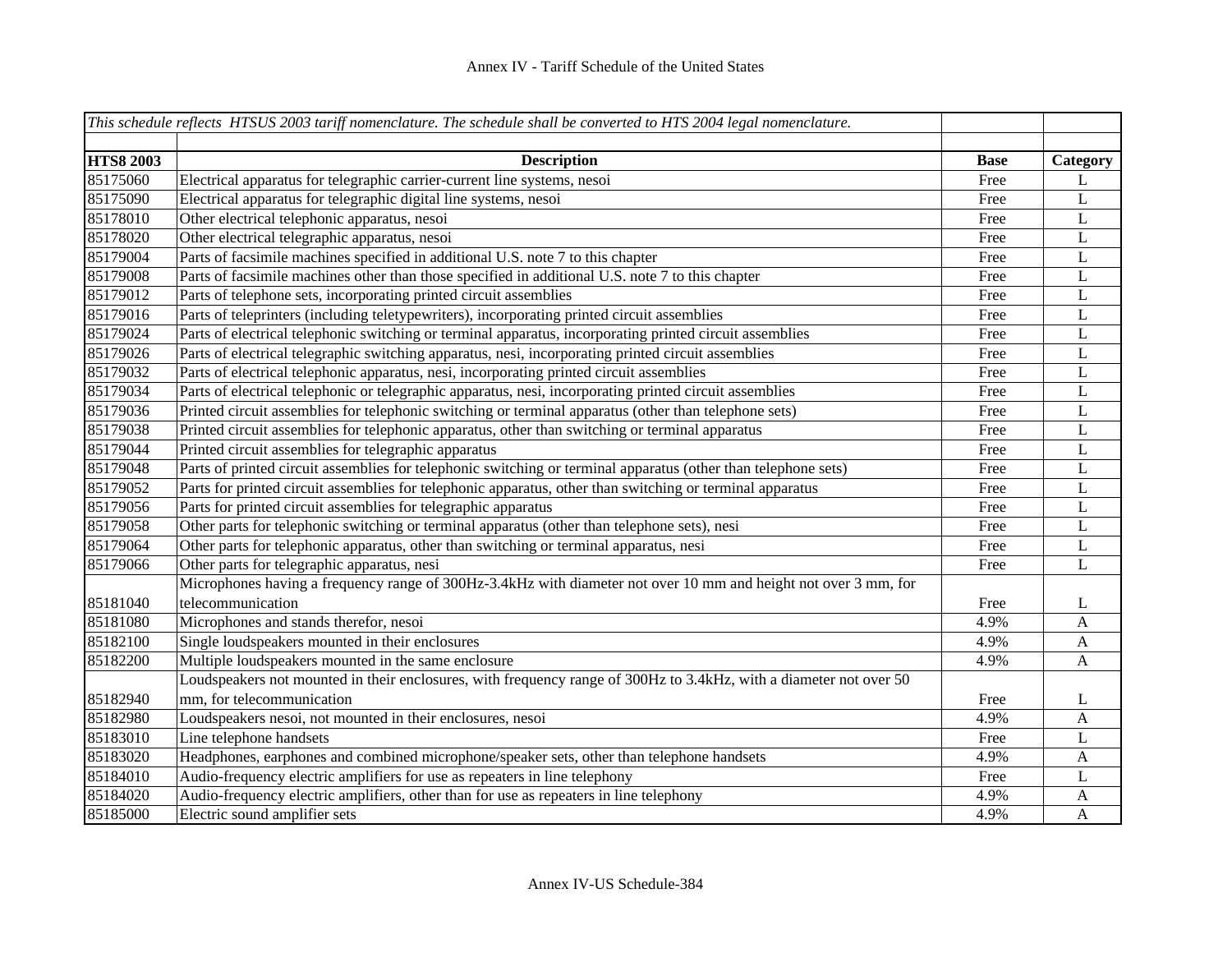|                  | This schedule reflects HTSUS 2003 tariff nomenclature. The schedule shall be converted to HTS 2004 legal nomenclature. |             |              |
|------------------|------------------------------------------------------------------------------------------------------------------------|-------------|--------------|
|                  |                                                                                                                        |             |              |
| <b>HTS8 2003</b> | <b>Description</b>                                                                                                     | <b>Base</b> | Category     |
| 85175060         | Electrical apparatus for telegraphic carrier-current line systems, nesoi                                               | Free        | L            |
| 85175090         | Electrical apparatus for telegraphic digital line systems, nesoi                                                       | Free        | $\mathbf L$  |
| 85178010         | Other electrical telephonic apparatus, nesoi                                                                           | Free        | $\mathbf L$  |
| 85178020         | Other electrical telegraphic apparatus, nesoi                                                                          | Free        | $\mathbf L$  |
| 85179004         | Parts of facsimile machines specified in additional U.S. note 7 to this chapter                                        | Free        | L            |
| 85179008         | Parts of facsimile machines other than those specified in additional U.S. note 7 to this chapter                       | Free        | L            |
| 85179012         | Parts of telephone sets, incorporating printed circuit assemblies                                                      | Free        | L            |
| 85179016         | Parts of teleprinters (including teletypewriters), incorporating printed circuit assemblies                            | Free        | L            |
| 85179024         | Parts of electrical telephonic switching or terminal apparatus, incorporating printed circuit assemblies               | Free        | L            |
| 85179026         | Parts of electrical telegraphic switching apparatus, nesi, incorporating printed circuit assemblies                    | Free        | $\mathbf L$  |
| 85179032         | Parts of electrical telephonic apparatus, nesi, incorporating printed circuit assemblies                               | Free        | $\mathbf L$  |
| 85179034         | Parts of electrical telephonic or telegraphic apparatus, nesi, incorporating printed circuit assemblies                | Free        | $\mathbf L$  |
| 85179036         | Printed circuit assemblies for telephonic switching or terminal apparatus (other than telephone sets)                  | Free        | $\mathbf L$  |
| 85179038         | Printed circuit assemblies for telephonic apparatus, other than switching or terminal apparatus                        | Free        | $\mathbf L$  |
| 85179044         | Printed circuit assemblies for telegraphic apparatus                                                                   | Free        | $\mathbf L$  |
| 85179048         | Parts of printed circuit assemblies for telephonic switching or terminal apparatus (other than telephone sets)         | Free        | $\bf L$      |
| 85179052         | Parts for printed circuit assemblies for telephonic apparatus, other than switching or terminal apparatus              | Free        | $\bf L$      |
| 85179056         | Parts for printed circuit assemblies for telegraphic apparatus                                                         | Free        | $\bf L$      |
| 85179058         | Other parts for telephonic switching or terminal apparatus (other than telephone sets), nesi                           | Free        | $\bf L$      |
| 85179064         | Other parts for telephonic apparatus, other than switching or terminal apparatus, nesi                                 | Free        | L            |
| 85179066         | Other parts for telegraphic apparatus, nesi                                                                            | Free        | $\mathbf L$  |
|                  | Microphones having a frequency range of 300Hz-3.4kHz with diameter not over 10 mm and height not over 3 mm, for        |             |              |
| 85181040         | telecommunication                                                                                                      | Free        | L            |
| 85181080         | Microphones and stands therefor, nesoi                                                                                 | 4.9%        | A            |
| 85182100         | Single loudspeakers mounted in their enclosures                                                                        | 4.9%        | A            |
| 85182200         | Multiple loudspeakers mounted in the same enclosure                                                                    | 4.9%        | $\mathbf{A}$ |
|                  | Loudspeakers not mounted in their enclosures, with frequency range of 300Hz to 3.4kHz, with a diameter not over 50     |             |              |
| 85182940         | mm, for telecommunication                                                                                              | Free        | L            |
| 85182980         | Loudspeakers nesoi, not mounted in their enclosures, nesoi                                                             | 4.9%        | $\mathbf{A}$ |
| 85183010         | Line telephone handsets                                                                                                | Free        | $\bf L$      |
| 85183020         | Headphones, earphones and combined microphone/speaker sets, other than telephone handsets                              | 4.9%        | $\mathbf{A}$ |
| 85184010         | Audio-frequency electric amplifiers for use as repeaters in line telephony                                             | Free        | L            |
| 85184020         | Audio-frequency electric amplifiers, other than for use as repeaters in line telephony                                 | 4.9%        | A            |
| 85185000         | Electric sound amplifier sets                                                                                          | 4.9%        | $\mathbf{A}$ |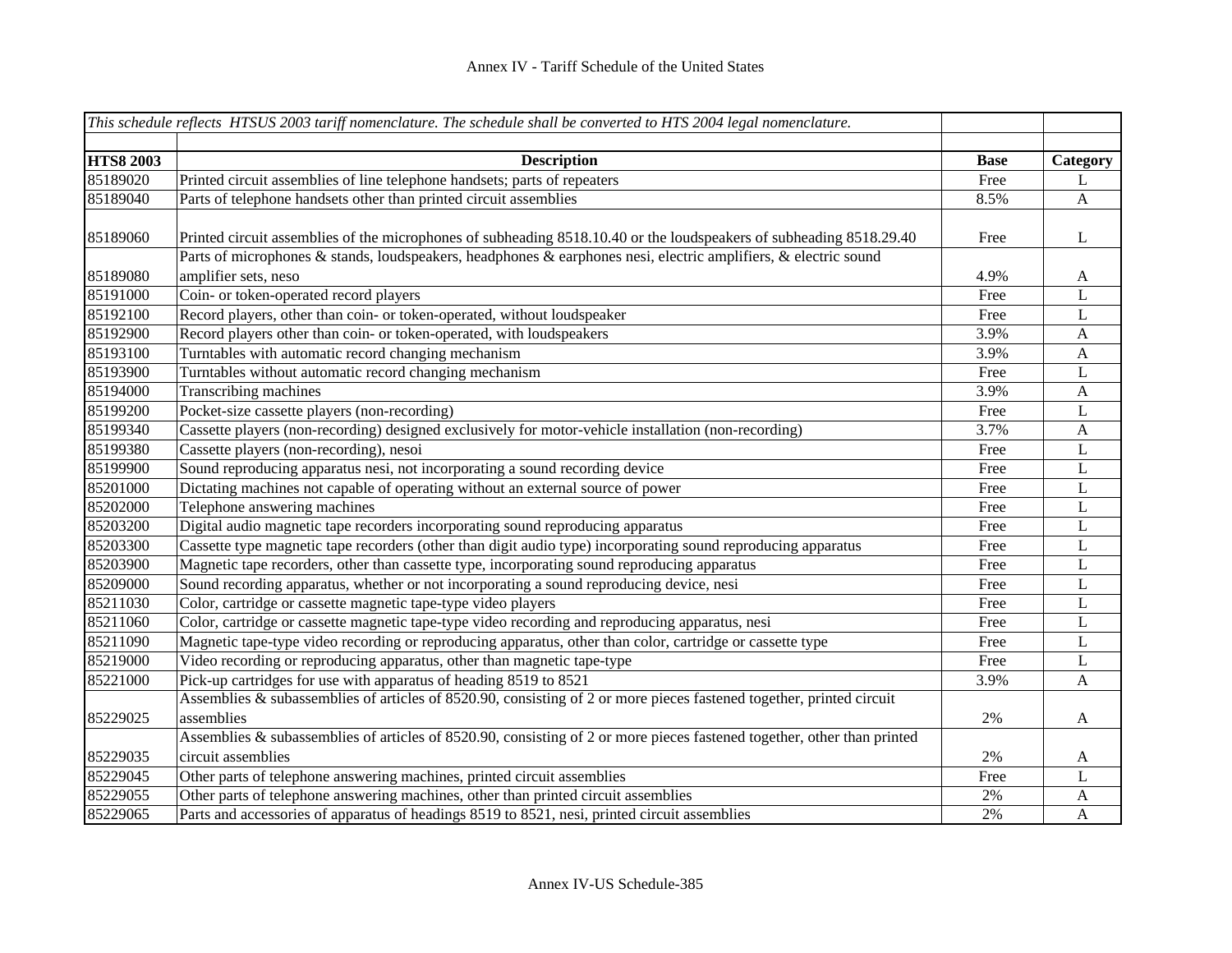|                  | This schedule reflects HTSUS 2003 tariff nomenclature. The schedule shall be converted to HTS 2004 legal nomenclature.  |             |              |
|------------------|-------------------------------------------------------------------------------------------------------------------------|-------------|--------------|
|                  |                                                                                                                         |             |              |
| <b>HTS8 2003</b> | <b>Description</b>                                                                                                      | <b>Base</b> | Category     |
| 85189020         | Printed circuit assemblies of line telephone handsets; parts of repeaters                                               | Free        | L            |
| 85189040         | Parts of telephone handsets other than printed circuit assemblies                                                       | 8.5%        | $\mathbf{A}$ |
|                  |                                                                                                                         |             |              |
| 85189060         | Printed circuit assemblies of the microphones of subheading 8518.10.40 or the loudspeakers of subheading 8518.29.40     | Free        | L            |
|                  | Parts of microphones & stands, loudspeakers, headphones & earphones nesi, electric amplifiers, & electric sound         |             |              |
| 85189080         | amplifier sets, neso                                                                                                    | 4.9%        | A            |
| 85191000         | Coin- or token-operated record players                                                                                  | Free        | L            |
| 85192100         | Record players, other than coin- or token-operated, without loudspeaker                                                 | Free        | $\mathbf L$  |
| 85192900         | Record players other than coin- or token-operated, with loudspeakers                                                    | 3.9%        | $\mathbf{A}$ |
| 85193100         | Turntables with automatic record changing mechanism                                                                     | 3.9%        | $\mathbf{A}$ |
| 85193900         | Turntables without automatic record changing mechanism                                                                  | Free        | L            |
| 85194000         | Transcribing machines                                                                                                   | 3.9%        | $\mathbf{A}$ |
| 85199200         | Pocket-size cassette players (non-recording)                                                                            | Free        | L            |
| 85199340         | Cassette players (non-recording) designed exclusively for motor-vehicle installation (non-recording)                    | 3.7%        | $\mathbf{A}$ |
| 85199380         | Cassette players (non-recording), nesoi                                                                                 | Free        | $\mathbf{L}$ |
| 85199900         | Sound reproducing apparatus nesi, not incorporating a sound recording device                                            | Free        | $\mathbf{L}$ |
| 85201000         | Dictating machines not capable of operating without an external source of power                                         | Free        | $\mathbf L$  |
| 85202000         | Telephone answering machines                                                                                            | Free        | $\mathbf L$  |
| 85203200         | Digital audio magnetic tape recorders incorporating sound reproducing apparatus                                         | Free        | $\mathbf L$  |
| 85203300         | Cassette type magnetic tape recorders (other than digit audio type) incorporating sound reproducing apparatus           | Free        | $\mathbf L$  |
| 85203900         | Magnetic tape recorders, other than cassette type, incorporating sound reproducing apparatus                            | Free        | $\mathbf L$  |
| 85209000         | Sound recording apparatus, whether or not incorporating a sound reproducing device, nesi                                | Free        | $\mathbf L$  |
| 85211030         | Color, cartridge or cassette magnetic tape-type video players                                                           | Free        | L            |
| 85211060         | Color, cartridge or cassette magnetic tape-type video recording and reproducing apparatus, nesi                         | Free        | L            |
| 85211090         | Magnetic tape-type video recording or reproducing apparatus, other than color, cartridge or cassette type               | Free        | L            |
| 85219000         | Video recording or reproducing apparatus, other than magnetic tape-type                                                 | Free        | L            |
| 85221000         | Pick-up cartridges for use with apparatus of heading 8519 to 8521                                                       | 3.9%        | $\mathbf{A}$ |
|                  | Assemblies & subassemblies of articles of 8520.90, consisting of 2 or more pieces fastened together, printed circuit    |             |              |
| 85229025         | assemblies                                                                                                              | 2%          | $\mathbf{A}$ |
|                  | Assemblies & subassemblies of articles of 8520.90, consisting of 2 or more pieces fastened together, other than printed |             |              |
| 85229035         | circuit assemblies                                                                                                      | 2%          | $\mathbf{A}$ |
| 85229045         | Other parts of telephone answering machines, printed circuit assemblies                                                 | Free        | L            |
| 85229055         | Other parts of telephone answering machines, other than printed circuit assemblies                                      | 2%          | $\mathbf{A}$ |
| 85229065         | Parts and accessories of apparatus of headings 8519 to 8521, nesi, printed circuit assemblies                           | 2%          | $\mathbf{A}$ |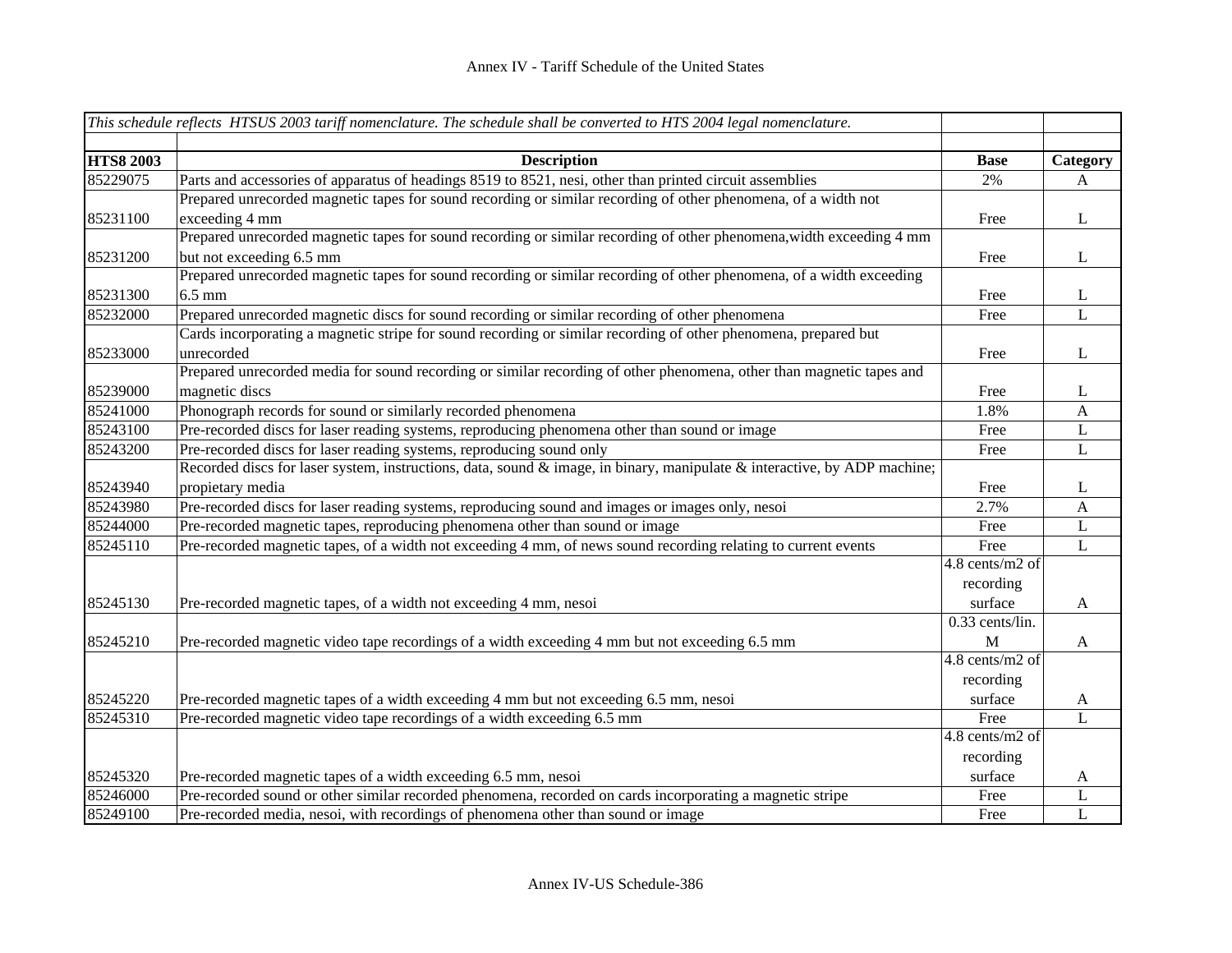|                  | This schedule reflects HTSUS 2003 tariff nomenclature. The schedule shall be converted to HTS 2004 legal nomenclature.                                        |                   |              |
|------------------|---------------------------------------------------------------------------------------------------------------------------------------------------------------|-------------------|--------------|
| <b>HTS8 2003</b> |                                                                                                                                                               |                   |              |
| 85229075         | <b>Description</b><br>Parts and accessories of apparatus of headings 8519 to 8521, nesi, other than printed circuit assemblies                                | <b>Base</b><br>2% | Category     |
|                  | Prepared unrecorded magnetic tapes for sound recording or similar recording of other phenomena, of a width not                                                |                   | A            |
| 85231100         | exceeding 4 mm                                                                                                                                                | Free              | $\bf L$      |
|                  | Prepared unrecorded magnetic tapes for sound recording or similar recording of other phenomena, width exceeding 4 mm                                          |                   |              |
| 85231200         | but not exceeding 6.5 mm                                                                                                                                      | Free              | $\bf L$      |
|                  | Prepared unrecorded magnetic tapes for sound recording or similar recording of other phenomena, of a width exceeding                                          |                   |              |
| 85231300         | $6.5 \text{ mm}$                                                                                                                                              | Free              | L            |
| 85232000         | Prepared unrecorded magnetic discs for sound recording or similar recording of other phenomena                                                                | Free              | L            |
|                  | Cards incorporating a magnetic stripe for sound recording or similar recording of other phenomena, prepared but                                               |                   |              |
| 85233000         | unrecorded                                                                                                                                                    | Free              | $\mathbf{L}$ |
|                  | Prepared unrecorded media for sound recording or similar recording of other phenomena, other than magnetic tapes and                                          |                   |              |
| 85239000         | magnetic discs                                                                                                                                                |                   | $\mathbf{L}$ |
| 85241000         |                                                                                                                                                               | Free<br>1.8%      |              |
| 85243100         | Phonograph records for sound or similarly recorded phenomena<br>Pre-recorded discs for laser reading systems, reproducing phenomena other than sound or image | Free              | $\mathbf{A}$ |
|                  |                                                                                                                                                               |                   | $\mathbf L$  |
| 85243200         | Pre-recorded discs for laser reading systems, reproducing sound only                                                                                          | Free              | L            |
|                  | Recorded discs for laser system, instructions, data, sound $\&$ image, in binary, manipulate $\&$ interactive, by ADP machine;                                |                   |              |
| 85243940         | propietary media                                                                                                                                              | Free              | L            |
| 85243980         | Pre-recorded discs for laser reading systems, reproducing sound and images or images only, nesoi                                                              | 2.7%              | $\mathbf{A}$ |
| 85244000         | Pre-recorded magnetic tapes, reproducing phenomena other than sound or image                                                                                  | Free              | $\mathbf L$  |
| 85245110         | Pre-recorded magnetic tapes, of a width not exceeding 4 mm, of news sound recording relating to current events                                                | Free              | L            |
|                  |                                                                                                                                                               | 4.8 cents/m2 of   |              |
|                  |                                                                                                                                                               | recording         |              |
| 85245130         | Pre-recorded magnetic tapes, of a width not exceeding 4 mm, nesoi                                                                                             | surface           | A            |
|                  |                                                                                                                                                               | 0.33 cents/lin.   |              |
| 85245210         | Pre-recorded magnetic video tape recordings of a width exceeding 4 mm but not exceeding 6.5 mm                                                                | M                 | $\mathbf{A}$ |
|                  |                                                                                                                                                               | 4.8 cents/m2 of   |              |
|                  |                                                                                                                                                               | recording         |              |
| 85245220         | Pre-recorded magnetic tapes of a width exceeding 4 mm but not exceeding 6.5 mm, nesoi                                                                         | surface           | $\mathbf{A}$ |
| 85245310         | Pre-recorded magnetic video tape recordings of a width exceeding 6.5 mm                                                                                       | Free              | L            |
|                  |                                                                                                                                                               | 4.8 cents/m2 of   |              |
|                  |                                                                                                                                                               | recording         |              |
| 85245320         | Pre-recorded magnetic tapes of a width exceeding 6.5 mm, nesoi                                                                                                | surface           | A            |
| 85246000         | Pre-recorded sound or other similar recorded phenomena, recorded on cards incorporating a magnetic stripe                                                     | Free              | L            |
| 85249100         | Pre-recorded media, nesoi, with recordings of phenomena other than sound or image                                                                             | Free              | L            |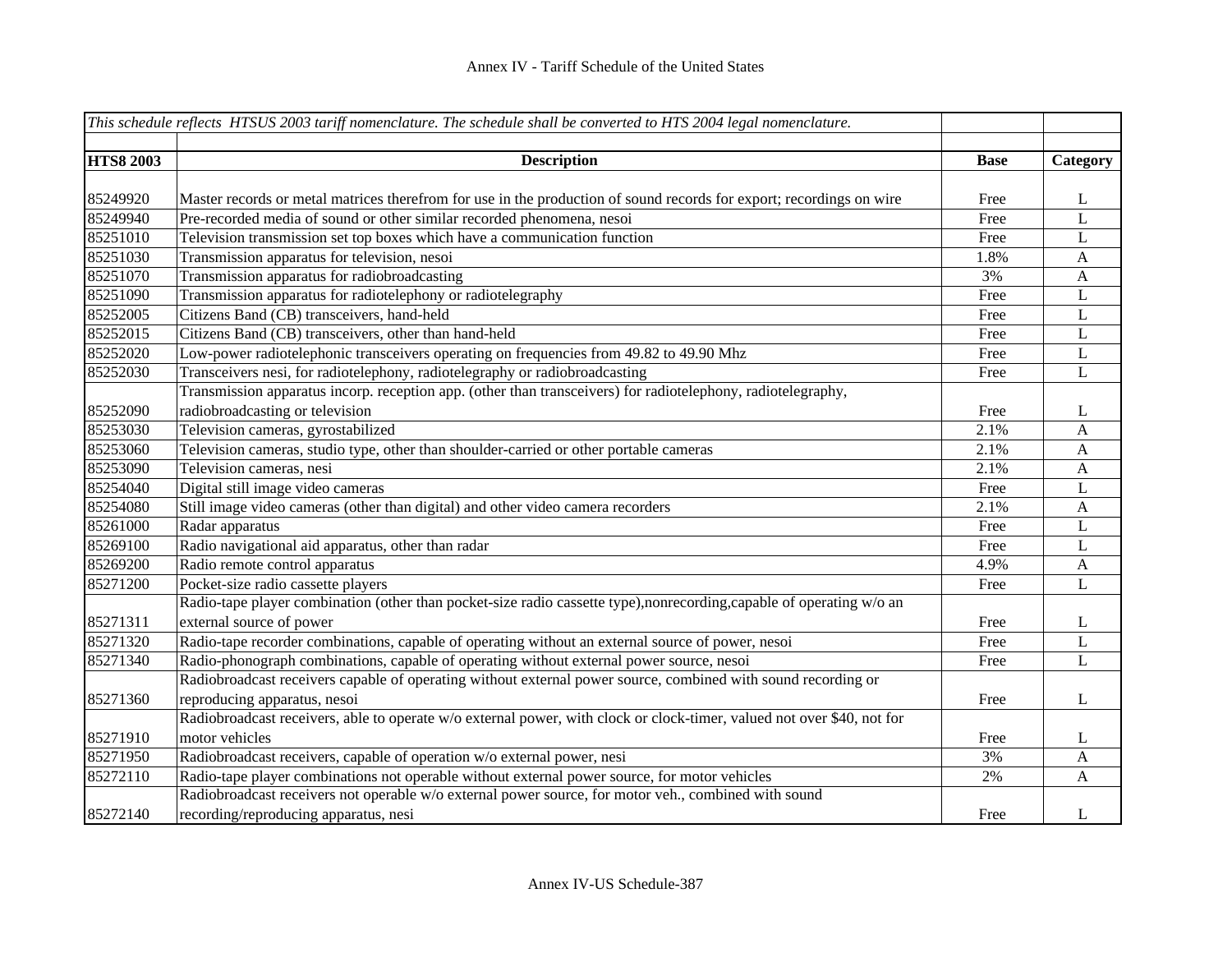|                  | This schedule reflects HTSUS 2003 tariff nomenclature. The schedule shall be converted to HTS 2004 legal nomenclature. |             |              |
|------------------|------------------------------------------------------------------------------------------------------------------------|-------------|--------------|
| <b>HTS8 2003</b> | <b>Description</b>                                                                                                     | <b>Base</b> | Category     |
|                  |                                                                                                                        |             |              |
| 85249920         | Master records or metal matrices therefrom for use in the production of sound records for export; recordings on wire   | Free        | L            |
| 85249940         | Pre-recorded media of sound or other similar recorded phenomena, nesoi                                                 | Free        | L            |
| 85251010         | Television transmission set top boxes which have a communication function                                              | Free        | L            |
| 85251030         | Transmission apparatus for television, nesoi                                                                           | 1.8%        | $\mathbf{A}$ |
| 85251070         | Transmission apparatus for radiobroadcasting                                                                           | 3%          | $\mathbf{A}$ |
| 85251090         | Transmission apparatus for radiotelephony or radiotelegraphy                                                           | Free        | $\mathbf{L}$ |
| 85252005         | Citizens Band (CB) transceivers, hand-held                                                                             | Free        | $\mathbf{L}$ |
| 85252015         | Citizens Band (CB) transceivers, other than hand-held                                                                  | Free        | $\mathbf{L}$ |
| 85252020         | Low-power radiotelephonic transceivers operating on frequencies from 49.82 to 49.90 Mhz                                | Free        | L            |
| 85252030         | Transceivers nesi, for radiotelephony, radiotelegraphy or radiobroadcasting                                            | Free        | $\mathbf L$  |
|                  | Transmission apparatus incorp. reception app. (other than transceivers) for radiotelephony, radiotelegraphy,           |             |              |
| 85252090         | radiobroadcasting or television                                                                                        | Free        | L            |
| 85253030         | Television cameras, gyrostabilized                                                                                     | 2.1%        | $\mathbf{A}$ |
| 85253060         | Television cameras, studio type, other than shoulder-carried or other portable cameras                                 | 2.1%        | $\mathbf{A}$ |
| 85253090         | Television cameras, nesi                                                                                               | 2.1%        | $\mathbf{A}$ |
| 85254040         | Digital still image video cameras                                                                                      | Free        | L            |
| 85254080         | Still image video cameras (other than digital) and other video camera recorders                                        | 2.1%        | A            |
| 85261000         | Radar apparatus                                                                                                        | Free        | L            |
| 85269100         | Radio navigational aid apparatus, other than radar                                                                     | Free        | L            |
| 85269200         | Radio remote control apparatus                                                                                         | 4.9%        | $\mathbf{A}$ |
| 85271200         | Pocket-size radio cassette players                                                                                     | Free        | L            |
|                  | Radio-tape player combination (other than pocket-size radio cassette type),nonrecording,capable of operating w/o an    |             |              |
| 85271311         | external source of power                                                                                               | Free        | L            |
| 85271320         | Radio-tape recorder combinations, capable of operating without an external source of power, nesoi                      | Free        | L            |
| 85271340         | Radio-phonograph combinations, capable of operating without external power source, nesoi                               | Free        | $\mathbf{L}$ |
|                  | Radiobroadcast receivers capable of operating without external power source, combined with sound recording or          |             |              |
| 85271360         | reproducing apparatus, nesoi                                                                                           | Free        | L            |
|                  | Radiobroadcast receivers, able to operate w/o external power, with clock or clock-timer, valued not over \$40, not for |             |              |
| 85271910         | motor vehicles                                                                                                         | Free        | L            |
| 85271950         | Radiobroadcast receivers, capable of operation w/o external power, nesi                                                | 3%          | $\mathbf{A}$ |
| 85272110         | Radio-tape player combinations not operable without external power source, for motor vehicles                          | 2%          | A            |
|                  | Radiobroadcast receivers not operable w/o external power source, for motor veh., combined with sound                   |             |              |
| 85272140         | recording/reproducing apparatus, nesi                                                                                  | Free        | L            |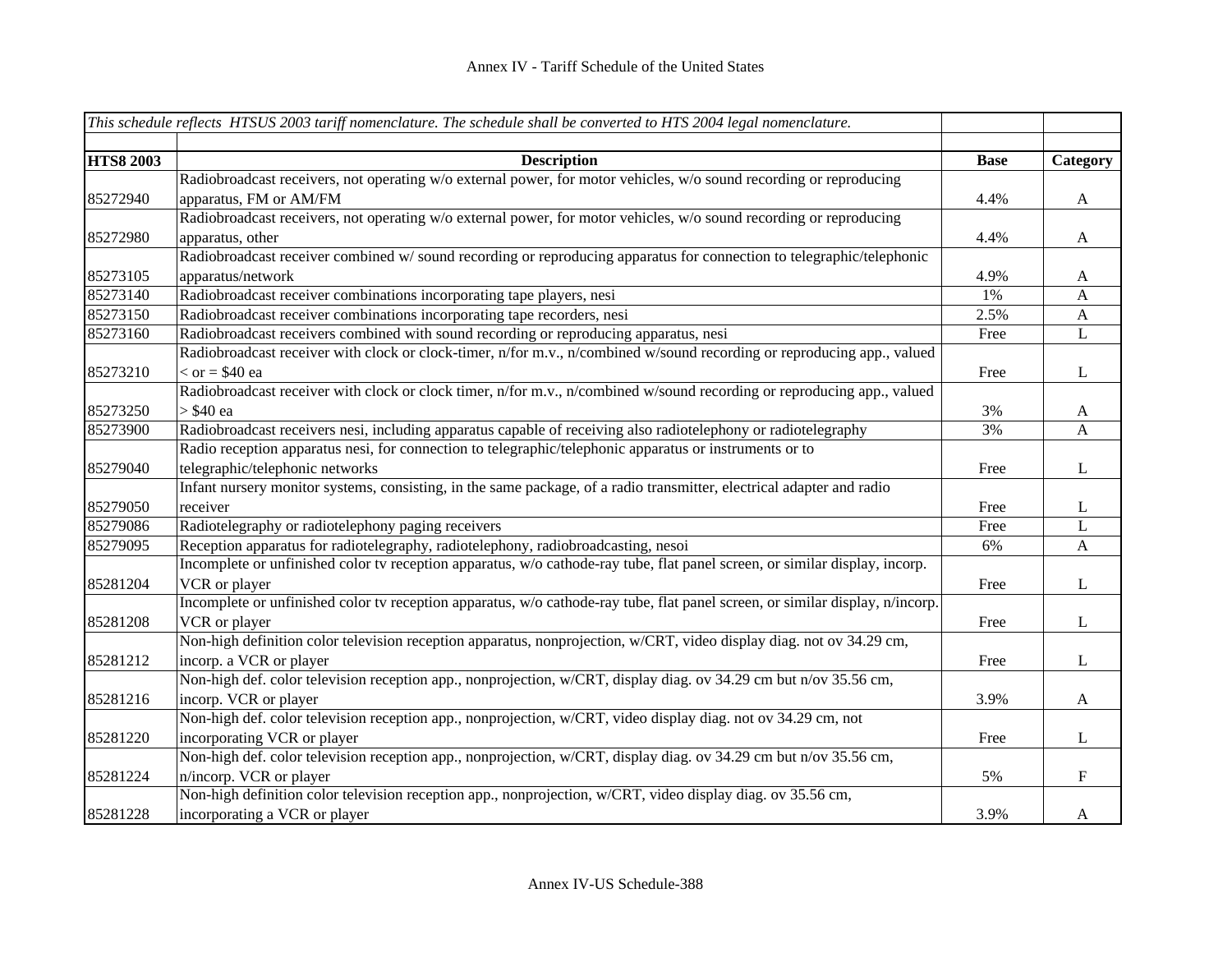|                  | This schedule reflects HTSUS 2003 tariff nomenclature. The schedule shall be converted to HTS 2004 legal nomenclature.        |             |                           |
|------------------|-------------------------------------------------------------------------------------------------------------------------------|-------------|---------------------------|
|                  |                                                                                                                               |             |                           |
| <b>HTS8 2003</b> | <b>Description</b>                                                                                                            | <b>Base</b> | Category                  |
|                  | Radiobroadcast receivers, not operating w/o external power, for motor vehicles, w/o sound recording or reproducing            |             |                           |
| 85272940         | apparatus, FM or AM/FM                                                                                                        | 4.4%        | $\mathbf A$               |
|                  | Radiobroadcast receivers, not operating w/o external power, for motor vehicles, w/o sound recording or reproducing            |             |                           |
| 85272980         | apparatus, other                                                                                                              | 4.4%        | $\mathbf{A}$              |
|                  | Radiobroadcast receiver combined w/ sound recording or reproducing apparatus for connection to telegraphic/telephonic         |             |                           |
| 85273105         | apparatus/network                                                                                                             | 4.9%        | $\mathbf{A}$              |
| 85273140         | Radiobroadcast receiver combinations incorporating tape players, nesi                                                         | $1\%$       | $\mathbf{A}$              |
| 85273150         | Radiobroadcast receiver combinations incorporating tape recorders, nesi                                                       | 2.5%        | $\boldsymbol{\mathsf{A}}$ |
| 85273160         | Radiobroadcast receivers combined with sound recording or reproducing apparatus, nesi                                         | Free        | $\mathbf L$               |
|                  | Radiobroadcast receiver with clock or clock-timer, n/for m.v., n/combined w/sound recording or reproducing app., valued       |             |                           |
| 85273210         | $\epsilon$ or = \$40 ea                                                                                                       | Free        | $\mathbf{L}$              |
|                  | Radiobroadcast receiver with clock or clock timer, n/for m.v., n/combined w/sound recording or reproducing app., valued       |             |                           |
| 85273250         | > \$40 ea                                                                                                                     | 3%          | $\mathbf{A}$              |
| 85273900         | Radiobroadcast receivers nesi, including apparatus capable of receiving also radiotelephony or radiotelegraphy                | 3%          | A                         |
|                  | Radio reception apparatus nesi, for connection to telegraphic/telephonic apparatus or instruments or to                       |             |                           |
| 85279040         | telegraphic/telephonic networks                                                                                               | Free        | $\bf L$                   |
|                  | Infant nursery monitor systems, consisting, in the same package, of a radio transmitter, electrical adapter and radio         |             |                           |
| 85279050         | receiver                                                                                                                      | Free        | $\mathbf{L}$              |
| 85279086         | Radiotelegraphy or radiotelephony paging receivers                                                                            | Free        | L                         |
| 85279095         | Reception apparatus for radiotelegraphy, radiotelephony, radiobroadcasting, nesoi                                             | 6%          | $\boldsymbol{\mathsf{A}}$ |
|                  | Incomplete or unfinished color tv reception apparatus, w/o cathode-ray tube, flat panel screen, or similar display, incorp.   |             |                           |
| 85281204         | VCR or player                                                                                                                 | Free        | $\bf L$                   |
|                  | Incomplete or unfinished color tv reception apparatus, w/o cathode-ray tube, flat panel screen, or similar display, n/incorp. |             |                           |
| 85281208         | VCR or player                                                                                                                 | Free        | $\bf L$                   |
|                  | Non-high definition color television reception apparatus, nonprojection, w/CRT, video display diag. not ov 34.29 cm,          |             |                           |
| 85281212         | incorp. a VCR or player                                                                                                       | Free        | $\mathbf{L}$              |
|                  | Non-high def. color television reception app., nonprojection, w/CRT, display diag. ov 34.29 cm but n/ov 35.56 cm,             |             |                           |
| 85281216         | incorp. VCR or player                                                                                                         | 3.9%        | $\boldsymbol{A}$          |
|                  | Non-high def. color television reception app., nonprojection, w/CRT, video display diag. not ov 34.29 cm, not                 |             |                           |
| 85281220         | incorporating VCR or player                                                                                                   | Free        | $\bf L$                   |
|                  | Non-high def. color television reception app., nonprojection, w/CRT, display diag. ov 34.29 cm but n/ov 35.56 cm,             |             |                           |
| 85281224         | n/incorp. VCR or player                                                                                                       | 5%          | $\mathbf F$               |
|                  | Non-high definition color television reception app., nonprojection, w/CRT, video display diag. ov 35.56 cm,                   |             |                           |
| 85281228         | incorporating a VCR or player                                                                                                 | 3.9%        | A                         |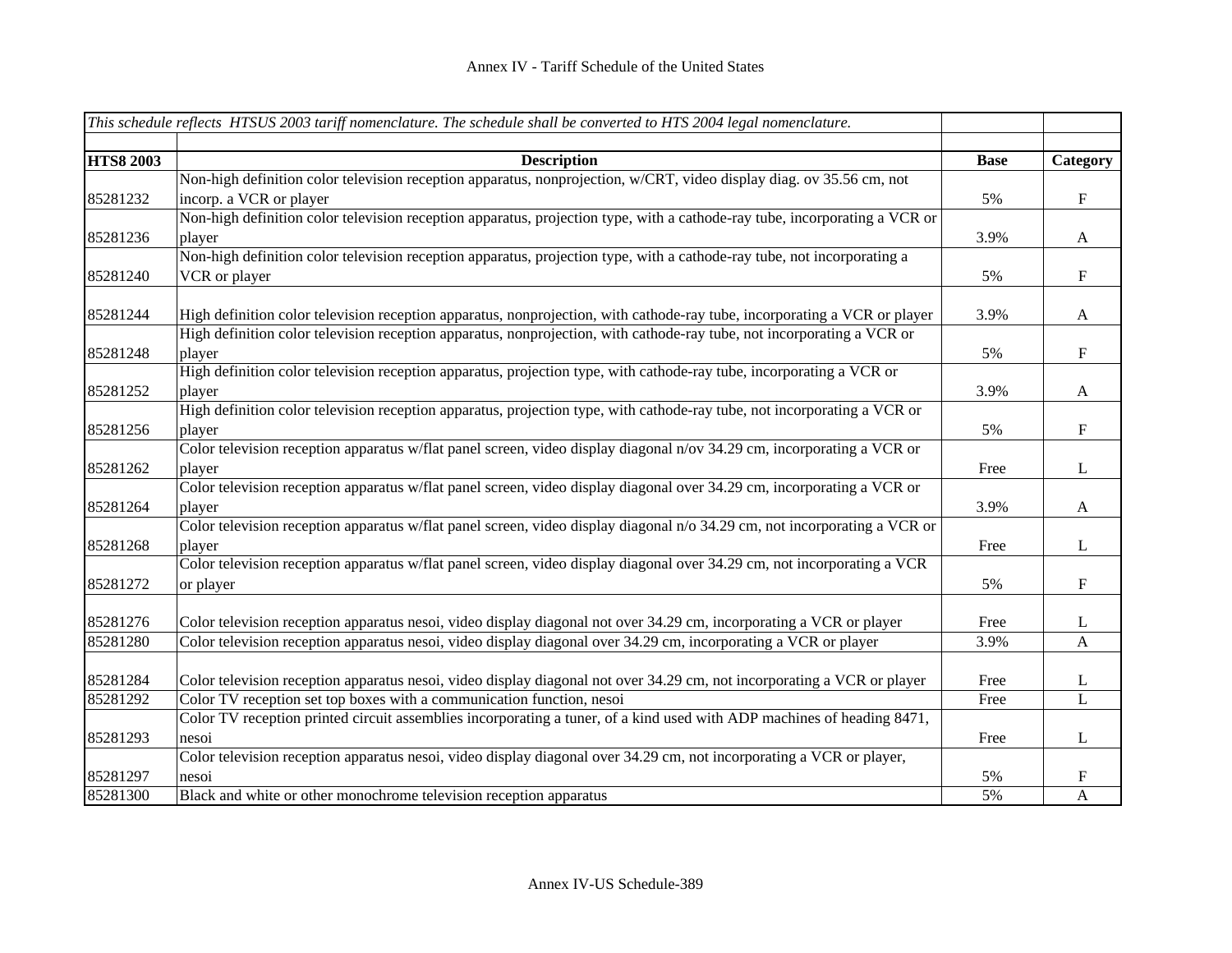|                  | This schedule reflects HTSUS 2003 tariff nomenclature. The schedule shall be converted to HTS 2004 legal nomenclature.     |             |                           |
|------------------|----------------------------------------------------------------------------------------------------------------------------|-------------|---------------------------|
| <b>HTS8 2003</b> | <b>Description</b>                                                                                                         | <b>Base</b> | Category                  |
|                  | Non-high definition color television reception apparatus, nonprojection, w/CRT, video display diag. ov 35.56 cm, not       |             |                           |
| 85281232         | incorp. a VCR or player                                                                                                    | 5%          | $\mathbf F$               |
|                  | Non-high definition color television reception apparatus, projection type, with a cathode-ray tube, incorporating a VCR or |             |                           |
| 85281236         | player                                                                                                                     | 3.9%        | $\mathbf{A}$              |
|                  | Non-high definition color television reception apparatus, projection type, with a cathode-ray tube, not incorporating a    |             |                           |
| 85281240         | VCR or player                                                                                                              | 5%          | $\mathbf F$               |
| 85281244         | High definition color television reception apparatus, nonprojection, with cathode-ray tube, incorporating a VCR or player  | 3.9%        | $\mathbf{A}$              |
|                  | High definition color television reception apparatus, nonprojection, with cathode-ray tube, not incorporating a VCR or     |             |                           |
| 85281248         | player                                                                                                                     | 5%          | $\mathbf F$               |
|                  | High definition color television reception apparatus, projection type, with cathode-ray tube, incorporating a VCR or       |             |                           |
| 85281252         | player                                                                                                                     | 3.9%        | A                         |
|                  | High definition color television reception apparatus, projection type, with cathode-ray tube, not incorporating a VCR or   |             |                           |
| 85281256         | player                                                                                                                     | 5%          | $\boldsymbol{\mathrm{F}}$ |
|                  | Color television reception apparatus w/flat panel screen, video display diagonal n/ov 34.29 cm, incorporating a VCR or     |             |                           |
| 85281262         | player                                                                                                                     | Free        | $\mathbf{L}$              |
|                  | Color television reception apparatus w/flat panel screen, video display diagonal over 34.29 cm, incorporating a VCR or     |             |                           |
| 85281264         | player                                                                                                                     | 3.9%        | $\boldsymbol{\mathsf{A}}$ |
|                  | Color television reception apparatus w/flat panel screen, video display diagonal n/o 34.29 cm, not incorporating a VCR or  |             |                           |
| 85281268         | player                                                                                                                     | Free        | $\bf L$                   |
|                  | Color television reception apparatus w/flat panel screen, video display diagonal over 34.29 cm, not incorporating a VCR    |             |                           |
| 85281272         | or player                                                                                                                  | 5%          | $\mathbf F$               |
| 85281276         | Color television reception apparatus nesoi, video display diagonal not over 34.29 cm, incorporating a VCR or player        | Free        | $\mathbf{L}$              |
| 85281280         | Color television reception apparatus nesoi, video display diagonal over 34.29 cm, incorporating a VCR or player            | 3.9%        | $\mathbf{A}$              |
|                  |                                                                                                                            |             |                           |
| 85281284         | Color television reception apparatus nesoi, video display diagonal not over 34.29 cm, not incorporating a VCR or player    | Free        | $\mathbf{L}$              |
| 85281292         | Color TV reception set top boxes with a communication function, nesoi                                                      | Free        | $\bf L$                   |
|                  | Color TV reception printed circuit assemblies incorporating a tuner, of a kind used with ADP machines of heading 8471,     |             |                           |
| 85281293         | nesoi                                                                                                                      | Free        | L                         |
|                  | Color television reception apparatus nesoi, video display diagonal over 34.29 cm, not incorporating a VCR or player,       |             |                           |
| 85281297         | nesoi                                                                                                                      | 5%          | $\boldsymbol{\mathrm{F}}$ |
| 85281300         | Black and white or other monochrome television reception apparatus                                                         | 5%          | $\mathbf{A}$              |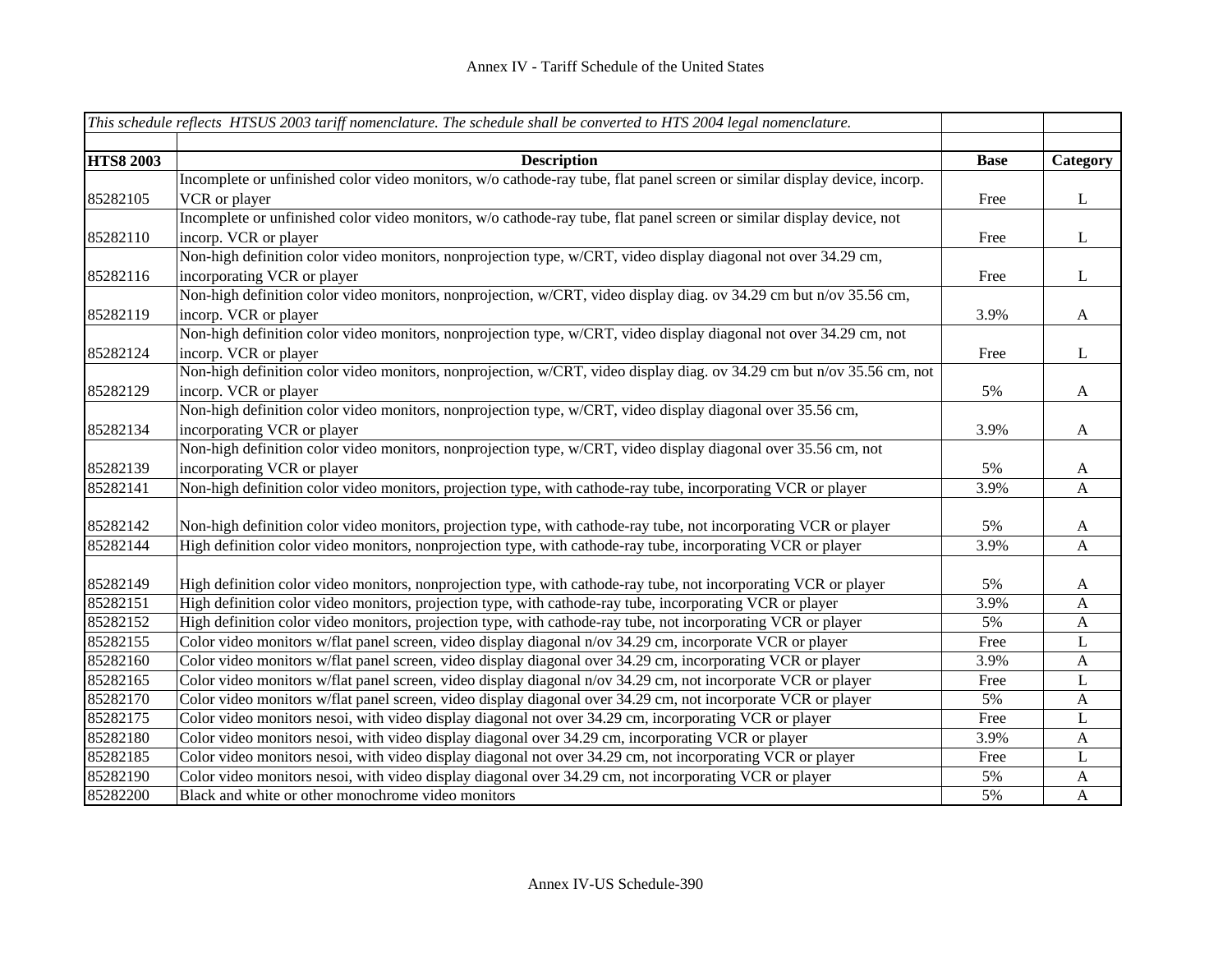|                  | This schedule reflects HTSUS 2003 tariff nomenclature. The schedule shall be converted to HTS 2004 legal nomenclature.    |             |                  |
|------------------|---------------------------------------------------------------------------------------------------------------------------|-------------|------------------|
|                  |                                                                                                                           |             |                  |
| <b>HTS8 2003</b> | <b>Description</b>                                                                                                        | <b>Base</b> | Category         |
|                  | Incomplete or unfinished color video monitors, w/o cathode-ray tube, flat panel screen or similar display device, incorp. |             |                  |
| 85282105         | VCR or player                                                                                                             | Free        | $\mathbf{L}$     |
|                  | Incomplete or unfinished color video monitors, w/o cathode-ray tube, flat panel screen or similar display device, not     |             |                  |
| 85282110         | incorp. VCR or player                                                                                                     | Free        | $\bf L$          |
|                  | Non-high definition color video monitors, nonprojection type, w/CRT, video display diagonal not over 34.29 cm,            |             |                  |
| 85282116         | incorporating VCR or player                                                                                               | Free        | $\mathbf{L}$     |
|                  | Non-high definition color video monitors, nonprojection, w/CRT, video display diag. ov 34.29 cm but n/ov 35.56 cm,        |             |                  |
| 85282119         | incorp. VCR or player                                                                                                     | 3.9%        | $\mathbf{A}$     |
|                  | Non-high definition color video monitors, nonprojection type, w/CRT, video display diagonal not over 34.29 cm, not        |             |                  |
| 85282124         | incorp. VCR or player                                                                                                     | Free        | $\mathbf{L}$     |
|                  | Non-high definition color video monitors, nonprojection, w/CRT, video display diag. ov 34.29 cm but n/ov 35.56 cm, not    |             |                  |
| 85282129         | incorp. VCR or player                                                                                                     | 5%          | $\mathbf{A}$     |
|                  | Non-high definition color video monitors, nonprojection type, w/CRT, video display diagonal over 35.56 cm,                |             |                  |
| 85282134         | incorporating VCR or player                                                                                               | 3.9%        | $\mathbf{A}$     |
|                  | Non-high definition color video monitors, nonprojection type, w/CRT, video display diagonal over 35.56 cm, not            |             |                  |
| 85282139         | incorporating VCR or player                                                                                               | 5%          | $\mathbf{A}$     |
| 85282141         | Non-high definition color video monitors, projection type, with cathode-ray tube, incorporating VCR or player             | 3.9%        | $\mathbf{A}$     |
|                  |                                                                                                                           |             |                  |
| 85282142         | Non-high definition color video monitors, projection type, with cathode-ray tube, not incorporating VCR or player         | 5%          | $\boldsymbol{A}$ |
| 85282144         | High definition color video monitors, nonprojection type, with cathode-ray tube, incorporating VCR or player              | 3.9%        | $\mathbf{A}$     |
|                  |                                                                                                                           |             |                  |
| 85282149         | High definition color video monitors, nonprojection type, with cathode-ray tube, not incorporating VCR or player          | 5%          | $\mathbf{A}$     |
| 85282151         | High definition color video monitors, projection type, with cathode-ray tube, incorporating VCR or player                 | 3.9%        | $\mathbf{A}$     |
| 85282152         | High definition color video monitors, projection type, with cathode-ray tube, not incorporating VCR or player             | 5%          | $\mathbf{A}$     |
| 85282155         | Color video monitors w/flat panel screen, video display diagonal n/ov 34.29 cm, incorporate VCR or player                 | Free        | L                |
| 85282160         | Color video monitors w/flat panel screen, video display diagonal over 34.29 cm, incorporating VCR or player               | 3.9%        | $\mathbf{A}$     |
| 85282165         | Color video monitors w/flat panel screen, video display diagonal n/ov 34.29 cm, not incorporate VCR or player             | Free        | L                |
| 85282170         | Color video monitors w/flat panel screen, video display diagonal over 34.29 cm, not incorporate VCR or player             | 5%          | $\mathbf{A}$     |
| 85282175         | Color video monitors nesoi, with video display diagonal not over 34.29 cm, incorporating VCR or player                    | Free        | $\mathbf{L}$     |
| 85282180         | Color video monitors nesoi, with video display diagonal over 34.29 cm, incorporating VCR or player                        | 3.9%        | $\mathbf{A}$     |
| 85282185         | Color video monitors nesoi, with video display diagonal not over 34.29 cm, not incorporating VCR or player                | Free        | $\bf L$          |
| 85282190         | Color video monitors nesoi, with video display diagonal over 34.29 cm, not incorporating VCR or player                    | 5%          | $\boldsymbol{A}$ |
| 85282200         | Black and white or other monochrome video monitors                                                                        | 5%          | $\boldsymbol{A}$ |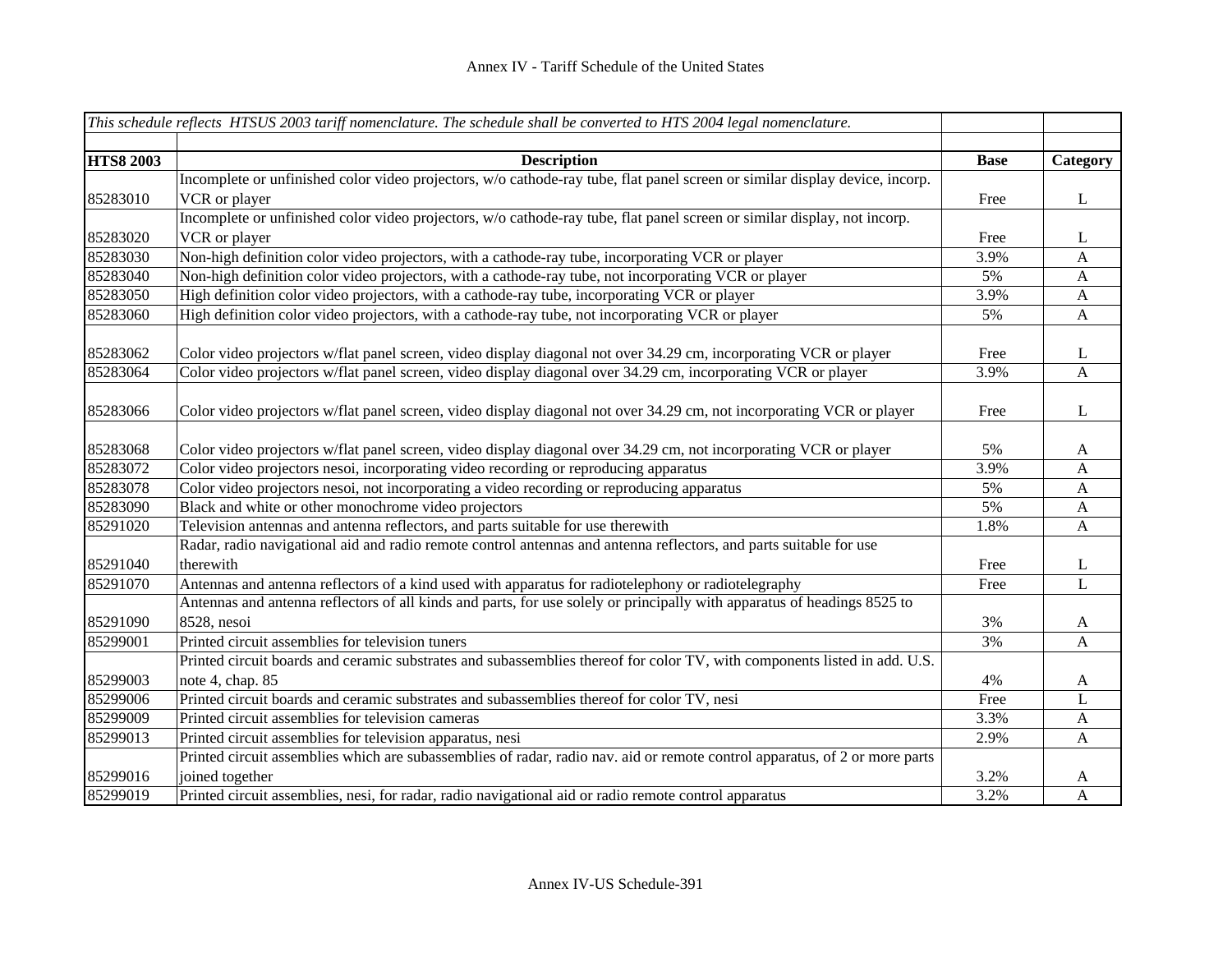|                  | This schedule reflects HTSUS 2003 tariff nomenclature. The schedule shall be converted to HTS 2004 legal nomenclature.      |             |              |
|------------------|-----------------------------------------------------------------------------------------------------------------------------|-------------|--------------|
|                  |                                                                                                                             |             |              |
| <b>HTS8 2003</b> | <b>Description</b>                                                                                                          | <b>Base</b> | Category     |
|                  | Incomplete or unfinished color video projectors, w/o cathode-ray tube, flat panel screen or similar display device, incorp. |             |              |
| 85283010         | VCR or player                                                                                                               | Free        | L            |
|                  | Incomplete or unfinished color video projectors, w/o cathode-ray tube, flat panel screen or similar display, not incorp.    |             |              |
| 85283020         | VCR or player                                                                                                               | Free        | L            |
| 85283030         | Non-high definition color video projectors, with a cathode-ray tube, incorporating VCR or player                            | 3.9%        | $\mathbf{A}$ |
| 85283040         | Non-high definition color video projectors, with a cathode-ray tube, not incorporating VCR or player                        | 5%          | $\mathbf{A}$ |
| 85283050         | High definition color video projectors, with a cathode-ray tube, incorporating VCR or player                                | 3.9%        | $\mathbf{A}$ |
| 85283060         | High definition color video projectors, with a cathode-ray tube, not incorporating VCR or player                            | 5%          | $\mathbf{A}$ |
| 85283062         | Color video projectors w/flat panel screen, video display diagonal not over 34.29 cm, incorporating VCR or player           | Free        | L            |
| 85283064         | Color video projectors w/flat panel screen, video display diagonal over 34.29 cm, incorporating VCR or player               | 3.9%        | A            |
|                  |                                                                                                                             |             |              |
| 85283066         | Color video projectors w/flat panel screen, video display diagonal not over 34.29 cm, not incorporating VCR or player       | Free        | L            |
| 85283068         | Color video projectors w/flat panel screen, video display diagonal over 34.29 cm, not incorporating VCR or player           | 5%          | A            |
| 85283072         | Color video projectors nesoi, incorporating video recording or reproducing apparatus                                        | 3.9%        | $\mathbf{A}$ |
| 85283078         | Color video projectors nesoi, not incorporating a video recording or reproducing apparatus                                  | 5%          | A            |
| 85283090         | Black and white or other monochrome video projectors                                                                        | 5%          | $\mathbf{A}$ |
| 85291020         | Television antennas and antenna reflectors, and parts suitable for use therewith                                            | 1.8%        | $\mathbf{A}$ |
|                  | Radar, radio navigational aid and radio remote control antennas and antenna reflectors, and parts suitable for use          |             |              |
| 85291040         | therewith                                                                                                                   | Free        | L            |
| 85291070         | Antennas and antenna reflectors of a kind used with apparatus for radiotelephony or radiotelegraphy                         | Free        | $\mathbf{L}$ |
|                  | Antennas and antenna reflectors of all kinds and parts, for use solely or principally with apparatus of headings 8525 to    |             |              |
| 85291090         | 8528, nesoi                                                                                                                 | 3%          | A            |
| 85299001         | Printed circuit assemblies for television tuners                                                                            | 3%          | A            |
|                  | Printed circuit boards and ceramic substrates and subassemblies thereof for color TV, with components listed in add. U.S.   |             |              |
| 85299003         | note 4, chap. 85                                                                                                            | 4%          | A            |
| 85299006         | Printed circuit boards and ceramic substrates and subassemblies thereof for color TV, nesi                                  | Free        | L            |
| 85299009         | Printed circuit assemblies for television cameras                                                                           | 3.3%        | A            |
| 85299013         | Printed circuit assemblies for television apparatus, nesi                                                                   | 2.9%        | $\mathbf{A}$ |
|                  | Printed circuit assemblies which are subassemblies of radar, radio nav. aid or remote control apparatus, of 2 or more parts |             |              |
| 85299016         | joined together                                                                                                             | 3.2%        | A            |
| 85299019         | Printed circuit assemblies, nesi, for radar, radio navigational aid or radio remote control apparatus                       | 3.2%        | $\mathbf{A}$ |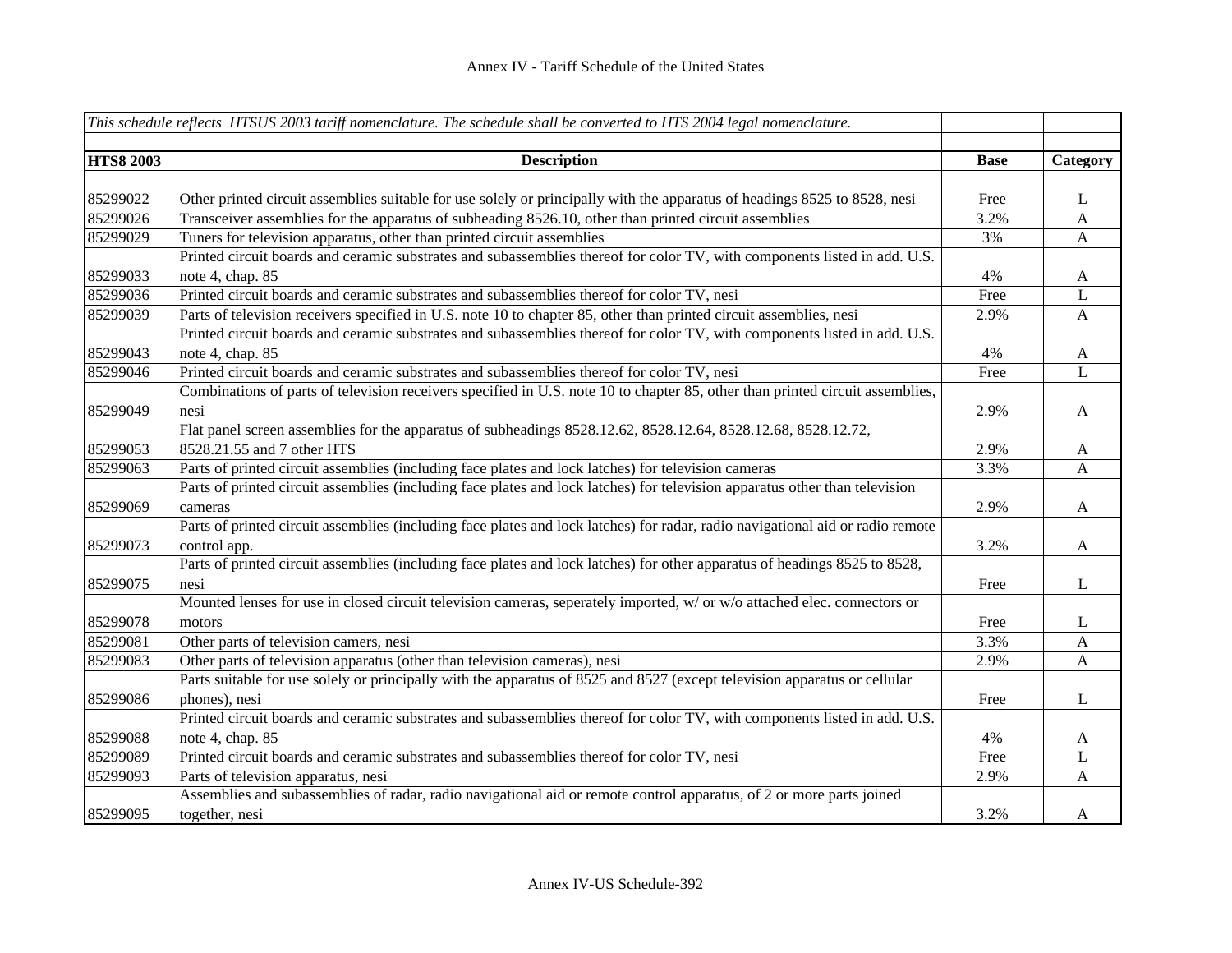|                  | This schedule reflects HTSUS 2003 tariff nomenclature. The schedule shall be converted to HTS 2004 legal nomenclature.         |             |              |
|------------------|--------------------------------------------------------------------------------------------------------------------------------|-------------|--------------|
|                  |                                                                                                                                |             |              |
| <b>HTS8 2003</b> | <b>Description</b>                                                                                                             | <b>Base</b> | Category     |
|                  |                                                                                                                                |             |              |
| 85299022         | Other printed circuit assemblies suitable for use solely or principally with the apparatus of headings 8525 to 8528, nesi      | Free        | L            |
| 85299026         | Transceiver assemblies for the apparatus of subheading 8526.10, other than printed circuit assemblies                          | 3.2%        | $\mathbf{A}$ |
| 85299029         | Tuners for television apparatus, other than printed circuit assemblies                                                         | 3%          | $\mathbf{A}$ |
|                  | Printed circuit boards and ceramic substrates and subassemblies thereof for color TV, with components listed in add. U.S.      |             |              |
| 85299033         | note 4, chap. 85                                                                                                               | 4%          | $\mathbf{A}$ |
| 85299036         | Printed circuit boards and ceramic substrates and subassemblies thereof for color TV, nesi                                     | Free        | L            |
| 85299039         | Parts of television receivers specified in U.S. note 10 to chapter 85, other than printed circuit assemblies, nesi             | 2.9%        | $\mathbf{A}$ |
|                  | Printed circuit boards and ceramic substrates and subassemblies thereof for color TV, with components listed in add. U.S.      |             |              |
| 85299043         | note 4, chap. 85                                                                                                               | 4%          | $\mathbf{A}$ |
| 85299046         | Printed circuit boards and ceramic substrates and subassemblies thereof for color TV, nesi                                     | Free        | L            |
|                  | Combinations of parts of television receivers specified in U.S. note 10 to chapter 85, other than printed circuit assemblies,  |             |              |
| 85299049         | nesi                                                                                                                           | 2.9%        | $\mathbf{A}$ |
|                  | Flat panel screen assemblies for the apparatus of subheadings 8528.12.62, 8528.12.64, 8528.12.68, 8528.12.72,                  |             |              |
| 85299053         | 8528.21.55 and 7 other HTS                                                                                                     | 2.9%        | $\mathbf{A}$ |
| 85299063         | Parts of printed circuit assemblies (including face plates and lock latches) for television cameras                            | 3.3%        | A            |
|                  | Parts of printed circuit assemblies (including face plates and lock latches) for television apparatus other than television    |             |              |
| 85299069         | cameras                                                                                                                        | 2.9%        | $\mathbf{A}$ |
|                  | Parts of printed circuit assemblies (including face plates and lock latches) for radar, radio navigational aid or radio remote |             |              |
| 85299073         | control app.                                                                                                                   | 3.2%        | $\mathbf{A}$ |
|                  | Parts of printed circuit assemblies (including face plates and lock latches) for other apparatus of headings 8525 to 8528,     |             |              |
| 85299075         | nesi                                                                                                                           | Free        | $\bf L$      |
|                  | Mounted lenses for use in closed circuit television cameras, seperately imported, w/ or w/o attached elec. connectors or       |             |              |
| 85299078         | motors                                                                                                                         | Free        | L            |
| 85299081         | Other parts of television camers, nesi                                                                                         | 3.3%        | A            |
| 85299083         | Other parts of television apparatus (other than television cameras), nesi                                                      | 2.9%        | $\mathbf{A}$ |
|                  | Parts suitable for use solely or principally with the apparatus of 8525 and 8527 (except television apparatus or cellular      |             |              |
| 85299086         | phones), nesi                                                                                                                  | Free        | $\bf L$      |
|                  | Printed circuit boards and ceramic substrates and subassemblies thereof for color TV, with components listed in add. U.S.      |             |              |
| 85299088         | note 4, chap. 85                                                                                                               | 4%          | $\mathbf{A}$ |
| 85299089         | Printed circuit boards and ceramic substrates and subassemblies thereof for color TV, nesi                                     | Free        | L            |
| 85299093         | Parts of television apparatus, nesi                                                                                            | 2.9%        | $\mathbf{A}$ |
|                  | Assemblies and subassemblies of radar, radio navigational aid or remote control apparatus, of 2 or more parts joined           |             |              |
| 85299095         | together, nesi                                                                                                                 | 3.2%        | A            |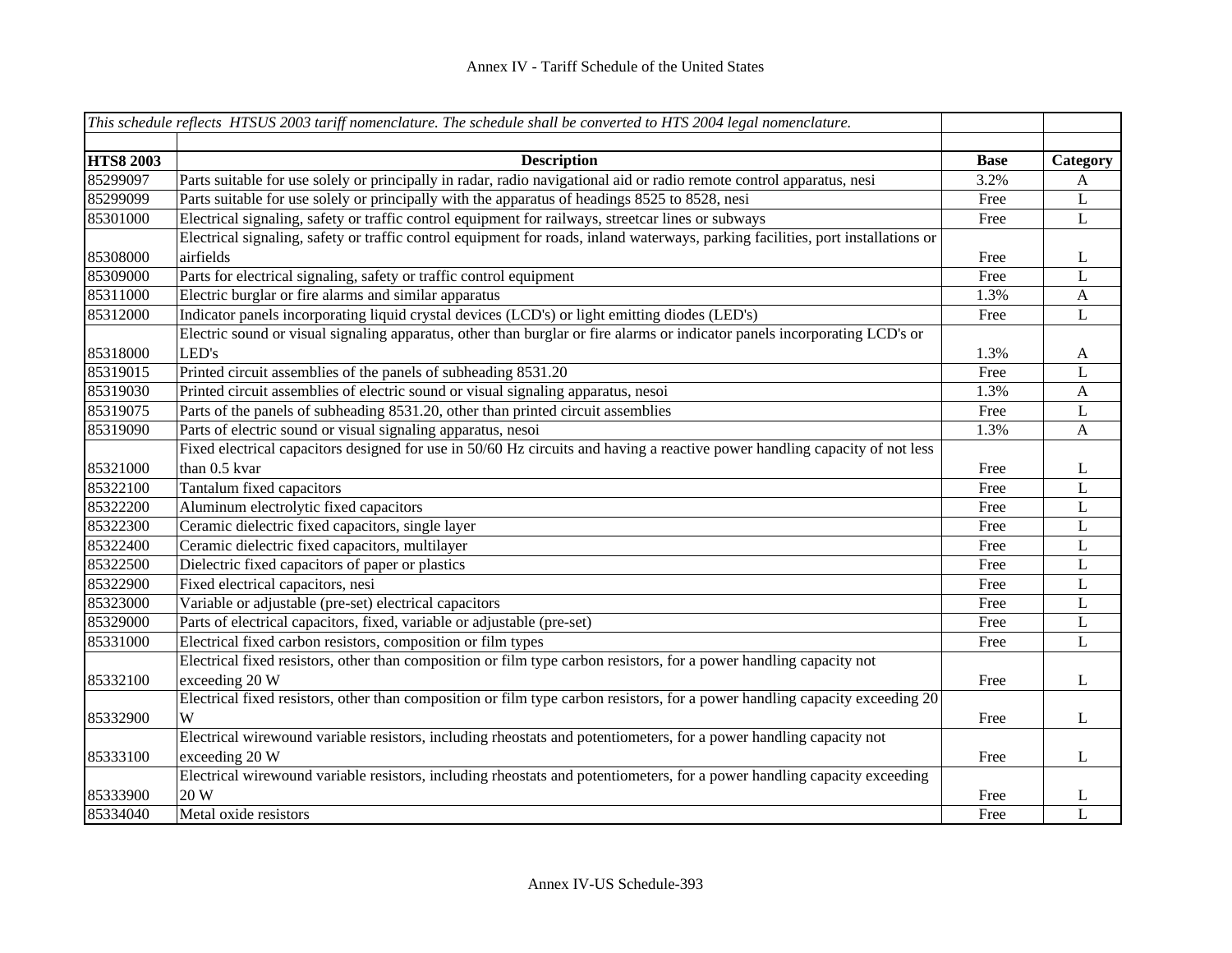|                  | This schedule reflects HTSUS 2003 tariff nomenclature. The schedule shall be converted to HTS 2004 legal nomenclature.           |             |              |
|------------------|----------------------------------------------------------------------------------------------------------------------------------|-------------|--------------|
|                  |                                                                                                                                  |             |              |
| <b>HTS8 2003</b> | <b>Description</b>                                                                                                               | <b>Base</b> | Category     |
| 85299097         | Parts suitable for use solely or principally in radar, radio navigational aid or radio remote control apparatus, nesi            | 3.2%        | A            |
| 85299099         | Parts suitable for use solely or principally with the apparatus of headings 8525 to 8528, nesi                                   | Free        | L            |
| 85301000         | Electrical signaling, safety or traffic control equipment for railways, streetcar lines or subways                               | Free        | L            |
|                  | Electrical signaling, safety or traffic control equipment for roads, inland waterways, parking facilities, port installations or |             |              |
| 85308000         | airfields                                                                                                                        | Free        | L            |
| 85309000         | Parts for electrical signaling, safety or traffic control equipment                                                              | Free        | L            |
| 85311000         | Electric burglar or fire alarms and similar apparatus                                                                            | 1.3%        | $\mathbf{A}$ |
| 85312000         | Indicator panels incorporating liquid crystal devices (LCD's) or light emitting diodes (LED's)                                   | Free        | L            |
|                  | Electric sound or visual signaling apparatus, other than burglar or fire alarms or indicator panels incorporating LCD's or       |             |              |
| 85318000         | LED's                                                                                                                            | 1.3%        | $\mathbf{A}$ |
| 85319015         | Printed circuit assemblies of the panels of subheading 8531.20                                                                   | Free        | $\mathbf{L}$ |
| 85319030         | Printed circuit assemblies of electric sound or visual signaling apparatus, nesoi                                                | 1.3%        | $\mathbf{A}$ |
| 85319075         | Parts of the panels of subheading 8531.20, other than printed circuit assemblies                                                 | Free        | $\mathbf L$  |
| 85319090         | Parts of electric sound or visual signaling apparatus, nesoi                                                                     | 1.3%        | $\mathbf{A}$ |
|                  | Fixed electrical capacitors designed for use in 50/60 Hz circuits and having a reactive power handling capacity of not less      |             |              |
| 85321000         | than 0.5 kvar                                                                                                                    | Free        | L            |
| 85322100         | Tantalum fixed capacitors                                                                                                        | Free        | L            |
| 85322200         | Aluminum electrolytic fixed capacitors                                                                                           | Free        | $\mathbf L$  |
| 85322300         | Ceramic dielectric fixed capacitors, single layer                                                                                | Free        | L            |
| 85322400         | Ceramic dielectric fixed capacitors, multilayer                                                                                  | Free        | L            |
| 85322500         | Dielectric fixed capacitors of paper or plastics                                                                                 | Free        | L            |
| 85322900         | Fixed electrical capacitors, nesi                                                                                                | Free        | L            |
| 85323000         | Variable or adjustable (pre-set) electrical capacitors                                                                           | Free        | L            |
| 85329000         | Parts of electrical capacitors, fixed, variable or adjustable (pre-set)                                                          | Free        | L            |
| 85331000         | Electrical fixed carbon resistors, composition or film types                                                                     | Free        | L            |
|                  | Electrical fixed resistors, other than composition or film type carbon resistors, for a power handling capacity not              |             |              |
| 85332100         | exceeding 20 W                                                                                                                   | Free        | $\bf L$      |
|                  | Electrical fixed resistors, other than composition or film type carbon resistors, for a power handling capacity exceeding 20     |             |              |
| 85332900         | W                                                                                                                                | Free        | $\bf L$      |
|                  | Electrical wirewound variable resistors, including rheostats and potentiometers, for a power handling capacity not               |             |              |
| 85333100         | exceeding 20 W                                                                                                                   | Free        | $\mathbf{L}$ |
|                  | Electrical wirewound variable resistors, including rheostats and potentiometers, for a power handling capacity exceeding         |             |              |
| 85333900         | 20 W                                                                                                                             | Free        | L            |
| 85334040         | Metal oxide resistors                                                                                                            | Free        | L            |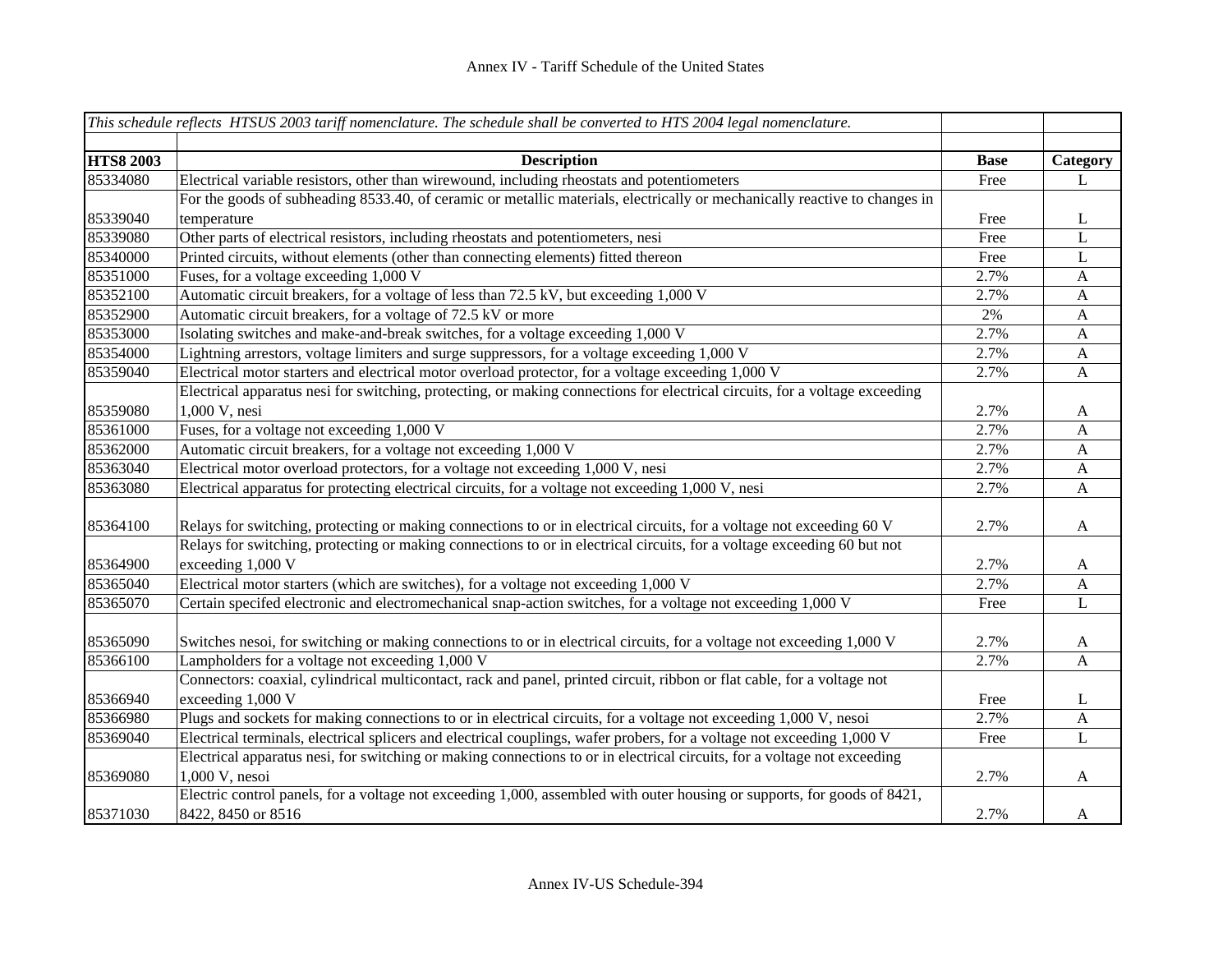|                  | This schedule reflects HTSUS 2003 tariff nomenclature. The schedule shall be converted to HTS 2004 legal nomenclature.                         |             |                       |
|------------------|------------------------------------------------------------------------------------------------------------------------------------------------|-------------|-----------------------|
| <b>HTS8 2003</b> | <b>Description</b>                                                                                                                             | <b>Base</b> | Category              |
| 85334080         | Electrical variable resistors, other than wirewound, including rheostats and potentiometers                                                    | Free        | L                     |
|                  | For the goods of subheading 8533.40, of ceramic or metallic materials, electrically or mechanically reactive to changes in                     |             |                       |
| 85339040         | temperature                                                                                                                                    | Free        | L                     |
| 85339080         | Other parts of electrical resistors, including rheostats and potentiometers, nesi                                                              | Free        | L                     |
| 85340000         | Printed circuits, without elements (other than connecting elements) fitted thereon                                                             | Free        | $\mathbf L$           |
| 85351000         | Fuses, for a voltage exceeding 1,000 V                                                                                                         | 2.7%        | $\mathbf{A}$          |
| 85352100         | Automatic circuit breakers, for a voltage of less than 72.5 kV, but exceeding 1,000 V                                                          | 2.7%        | $\mathbf{A}$          |
| 85352900         | Automatic circuit breakers, for a voltage of 72.5 kV or more                                                                                   | $2\%$       | $\mathbf{A}$          |
| 85353000         | Isolating switches and make-and-break switches, for a voltage exceeding 1,000 V                                                                | 2.7%        | $\mathbf{A}$          |
| 85354000         | Lightning arrestors, voltage limiters and surge suppressors, for a voltage exceeding 1,000 V                                                   | 2.7%        | $\mathbf{A}$          |
| 85359040         | Electrical motor starters and electrical motor overload protector, for a voltage exceeding 1,000 V                                             | 2.7%        | $\mathbf{A}$          |
|                  | Electrical apparatus nesi for switching, protecting, or making connections for electrical circuits, for a voltage exceeding                    |             |                       |
| 85359080         | 1,000 V, nesi                                                                                                                                  | 2.7%        | A                     |
| 85361000         | Fuses, for a voltage not exceeding 1,000 V                                                                                                     | 2.7%        | $\mathbf{A}$          |
| 85362000         | Automatic circuit breakers, for a voltage not exceeding 1,000 V                                                                                | 2.7%        | $\mathbf{A}$          |
| 85363040         | Electrical motor overload protectors, for a voltage not exceeding 1,000 V, nesi                                                                | 2.7%        | $\mathbf{A}$          |
| 85363080         | Electrical apparatus for protecting electrical circuits, for a voltage not exceeding 1,000 V, nesi                                             | 2.7%        | $\boldsymbol{\rm{A}}$ |
| 85364100         | Relays for switching, protecting or making connections to or in electrical circuits, for a voltage not exceeding 60 V                          | 2.7%        | A                     |
| 85364900         | Relays for switching, protecting or making connections to or in electrical circuits, for a voltage exceeding 60 but not<br>exceeding 1,000 V   | 2.7%        | $\mathbf{A}$          |
| 85365040         | Electrical motor starters (which are switches), for a voltage not exceeding 1,000 V                                                            | 2.7%        | A                     |
| 85365070         | Certain specifed electronic and electromechanical snap-action switches, for a voltage not exceeding 1,000 V                                    | Free        | $\mathbf L$           |
| 85365090         | Switches nesoi, for switching or making connections to or in electrical circuits, for a voltage not exceeding 1,000 V                          | 2.7%        | $\mathbf{A}$          |
| 85366100         | Lampholders for a voltage not exceeding 1,000 V                                                                                                | 2.7%        | A                     |
|                  | Connectors: coaxial, cylindrical multicontact, rack and panel, printed circuit, ribbon or flat cable, for a voltage not                        |             |                       |
| 85366940         | exceeding 1,000 V                                                                                                                              | Free        | L                     |
| 85366980         | Plugs and sockets for making connections to or in electrical circuits, for a voltage not exceeding 1,000 V, nesoi                              | 2.7%        | $\boldsymbol{A}$      |
| 85369040         | Electrical terminals, electrical splicers and electrical couplings, wafer probers, for a voltage not exceeding 1,000 V                         | Free        | L                     |
|                  | Electrical apparatus nesi, for switching or making connections to or in electrical circuits, for a voltage not exceeding                       |             |                       |
| 85369080         | 1,000 V, nesoi                                                                                                                                 | 2.7%        | A                     |
| 85371030         | Electric control panels, for a voltage not exceeding 1,000, assembled with outer housing or supports, for goods of 8421,<br>8422, 8450 or 8516 | 2.7%        | A                     |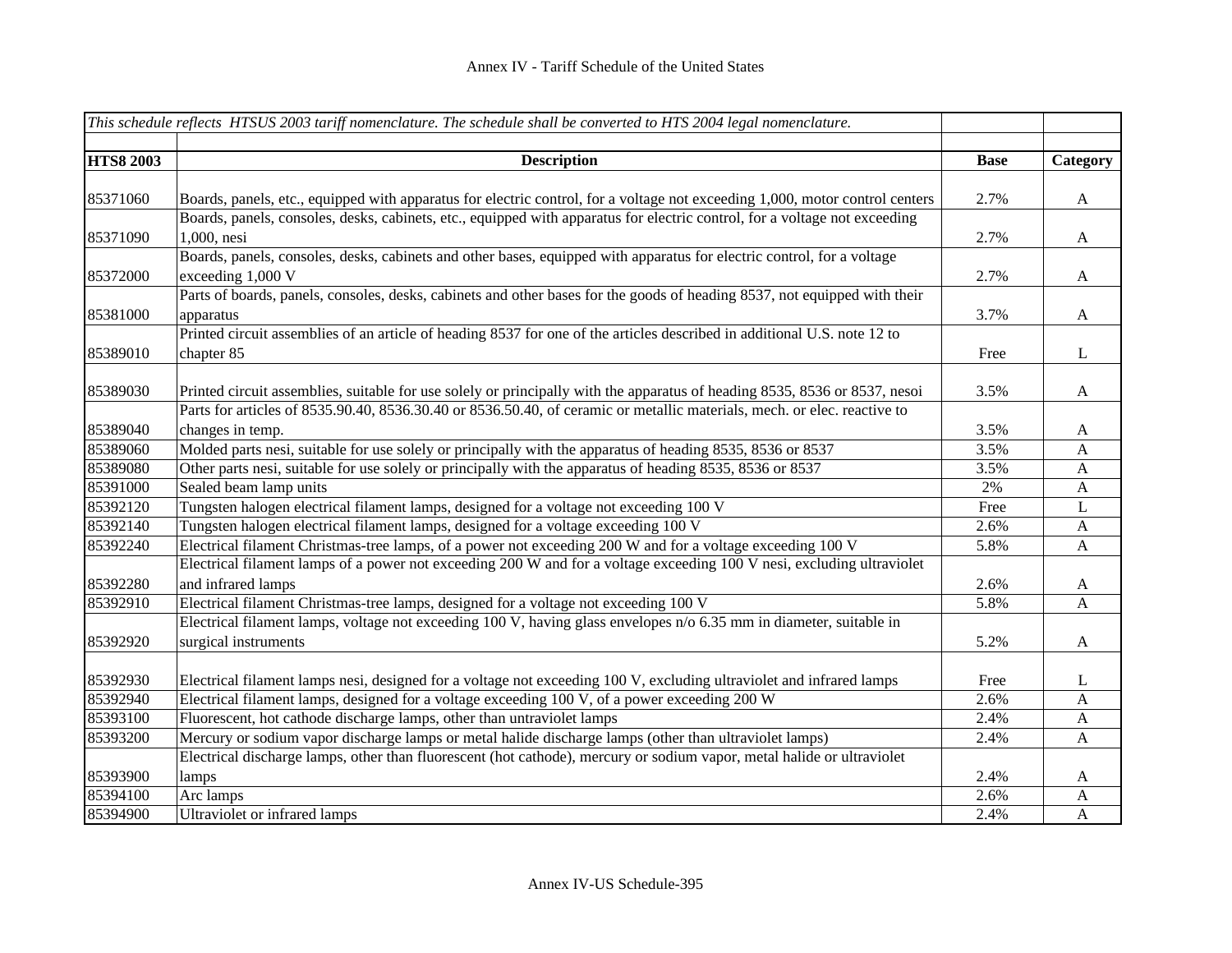|                  | This schedule reflects HTSUS 2003 tariff nomenclature. The schedule shall be converted to HTS 2004 legal nomenclature.       |             |              |
|------------------|------------------------------------------------------------------------------------------------------------------------------|-------------|--------------|
| <b>HTS8 2003</b> | <b>Description</b>                                                                                                           | <b>Base</b> | Category     |
|                  |                                                                                                                              |             |              |
| 85371060         | Boards, panels, etc., equipped with apparatus for electric control, for a voltage not exceeding 1,000, motor control centers | 2.7%        | $\mathbf{A}$ |
|                  | Boards, panels, consoles, desks, cabinets, etc., equipped with apparatus for electric control, for a voltage not exceeding   |             |              |
| 85371090         | 1,000, nesi                                                                                                                  | 2.7%        | $\mathbf{A}$ |
|                  | Boards, panels, consoles, desks, cabinets and other bases, equipped with apparatus for electric control, for a voltage       |             |              |
| 85372000         | exceeding 1,000 V                                                                                                            | 2.7%        | $\mathbf{A}$ |
|                  | Parts of boards, panels, consoles, desks, cabinets and other bases for the goods of heading 8537, not equipped with their    |             |              |
| 85381000         | apparatus                                                                                                                    | 3.7%        | A            |
|                  | Printed circuit assemblies of an article of heading 8537 for one of the articles described in additional U.S. note 12 to     |             |              |
| 85389010         | chapter 85                                                                                                                   | Free        | $\mathbf{L}$ |
|                  |                                                                                                                              |             |              |
| 85389030         | Printed circuit assemblies, suitable for use solely or principally with the apparatus of heading 8535, 8536 or 8537, nesoi   | 3.5%        | $\mathbf{A}$ |
|                  | Parts for articles of 8535.90.40, 8536.30.40 or 8536.50.40, of ceramic or metallic materials, mech. or elec. reactive to     |             |              |
| 85389040         | changes in temp.                                                                                                             | 3.5%        | $\mathbf{A}$ |
| 85389060         | Molded parts nesi, suitable for use solely or principally with the apparatus of heading 8535, 8536 or 8537                   | 3.5%        | $\mathbf{A}$ |
| 85389080         | Other parts nesi, suitable for use solely or principally with the apparatus of heading 8535, 8536 or 8537                    | 3.5%        | $\mathbf{A}$ |
| 85391000         | Sealed beam lamp units                                                                                                       | 2%          | $\mathbf{A}$ |
| 85392120         | Tungsten halogen electrical filament lamps, designed for a voltage not exceeding 100 V                                       | Free        | L            |
| 85392140         | Tungsten halogen electrical filament lamps, designed for a voltage exceeding 100 V                                           | 2.6%        | $\mathbf{A}$ |
| 85392240         | Electrical filament Christmas-tree lamps, of a power not exceeding 200 W and for a voltage exceeding 100 V                   | 5.8%        | $\mathbf{A}$ |
|                  | Electrical filament lamps of a power not exceeding 200 W and for a voltage exceeding 100 V nesi, excluding ultraviolet       |             |              |
| 85392280         | and infrared lamps                                                                                                           | 2.6%        | A            |
| 85392910         | Electrical filament Christmas-tree lamps, designed for a voltage not exceeding 100 V                                         | 5.8%        | $\mathbf{A}$ |
|                  | Electrical filament lamps, voltage not exceeding 100 V, having glass envelopes n/o 6.35 mm in diameter, suitable in          |             |              |
| 85392920         | surgical instruments                                                                                                         | 5.2%        | $\mathbf{A}$ |
|                  |                                                                                                                              |             |              |
| 85392930         | Electrical filament lamps nesi, designed for a voltage not exceeding 100 V, excluding ultraviolet and infrared lamps         | Free        | L            |
| 85392940         | Electrical filament lamps, designed for a voltage exceeding 100 V, of a power exceeding 200 W                                | 2.6%        | $\mathbf{A}$ |
| 85393100         | Fluorescent, hot cathode discharge lamps, other than untraviolet lamps                                                       | 2.4%        | $\mathbf{A}$ |
| 85393200         | Mercury or sodium vapor discharge lamps or metal halide discharge lamps (other than ultraviolet lamps)                       | 2.4%        | $\mathbf{A}$ |
|                  | Electrical discharge lamps, other than fluorescent (hot cathode), mercury or sodium vapor, metal halide or ultraviolet       |             |              |
| 85393900         | lamps                                                                                                                        | 2.4%        | A            |
| 85394100         | Arc lamps                                                                                                                    | 2.6%        | A            |
| 85394900         | Ultraviolet or infrared lamps                                                                                                | 2.4%        | $\mathbf{A}$ |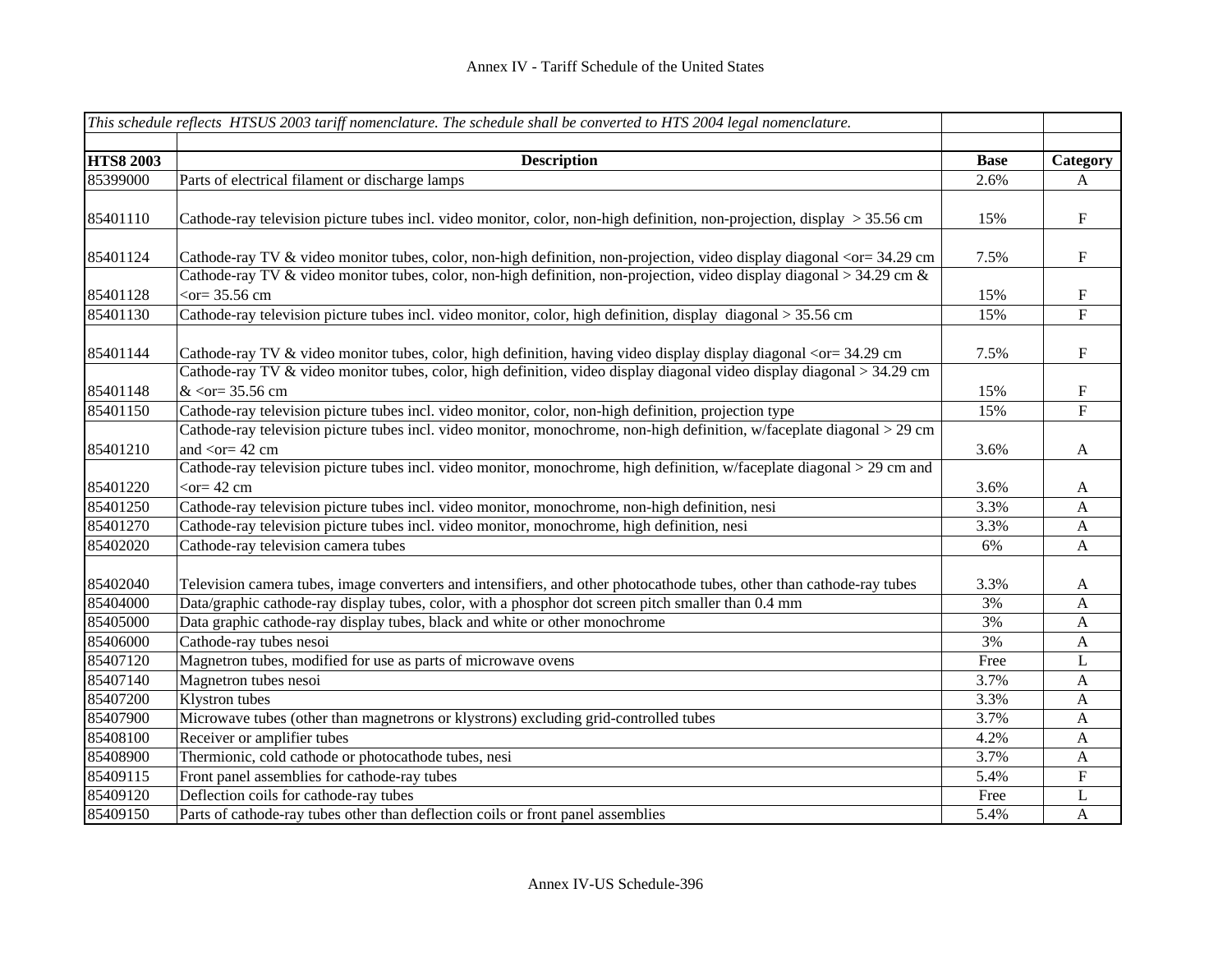|                  | This schedule reflects HTSUS 2003 tariff nomenclature. The schedule shall be converted to HTS 2004 legal nomenclature.                                                                                                                                                         |             |              |
|------------------|--------------------------------------------------------------------------------------------------------------------------------------------------------------------------------------------------------------------------------------------------------------------------------|-------------|--------------|
|                  |                                                                                                                                                                                                                                                                                |             |              |
| <b>HTS8 2003</b> | <b>Description</b>                                                                                                                                                                                                                                                             | <b>Base</b> | Category     |
| 85399000         | Parts of electrical filament or discharge lamps                                                                                                                                                                                                                                | 2.6%        | A            |
| 85401110         | Cathode-ray television picture tubes incl. video monitor, color, non-high definition, non-projection, display > 35.56 cm                                                                                                                                                       | 15%         | ${\bf F}$    |
| 85401124         | Cathode-ray TV & video monitor tubes, color, non-high definition, non-projection, video display diagonal <or 34.29="" =="" cm<="" td=""><td>7.5%</td><td><math>\mathbf F</math></td></or>                                                                                      | 7.5%        | $\mathbf F$  |
| 85401128         | Cathode-ray TV & video monitor tubes, color, non-high definition, non-projection, video display diagonal > 34.29 cm &<br>$<$ or = 35.56 cm                                                                                                                                     | 15%         | $\mathbf F$  |
| 85401130         | Cathode-ray television picture tubes incl. video monitor, color, high definition, display diagonal > 35.56 cm                                                                                                                                                                  | 15%         | $\mathbf F$  |
| 85401144         | Cathode-ray TV & video monitor tubes, color, high definition, having video display display diagonal <or 34.29="" =="" cm<br="">Cathode-ray TV &amp; video monitor tubes, color, high definition, video display diagonal video display diagonal &gt; 34.29 cm</or>              | 7.5%        | $\mathbf F$  |
| 85401148         | $<$ or= 35.56 cm                                                                                                                                                                                                                                                               | 15%         | $\mathbf F$  |
| 85401150         | Cathode-ray television picture tubes incl. video monitor, color, non-high definition, projection type                                                                                                                                                                          | 15%         | ${\bf F}$    |
| 85401210         | Cathode-ray television picture tubes incl. video monitor, monochrome, non-high definition, w/faceplate diagonal > 29 cm<br>and $\langle$ or = 42 cm<br>Cathode-ray television picture tubes incl. video monitor, monochrome, high definition, w/faceplate diagonal > 29 cm and | 3.6%        | $\mathbf{A}$ |
| 85401220         | $<$ or $= 42$ cm                                                                                                                                                                                                                                                               | 3.6%        | A            |
| 85401250         | Cathode-ray television picture tubes incl. video monitor, monochrome, non-high definition, nesi                                                                                                                                                                                | 3.3%        | $\mathbf{A}$ |
| 85401270         | Cathode-ray television picture tubes incl. video monitor, monochrome, high definition, nesi                                                                                                                                                                                    | 3.3%        | $\mathbf{A}$ |
| 85402020         | Cathode-ray television camera tubes                                                                                                                                                                                                                                            | 6%          | $\mathbf{A}$ |
| 85402040         | Television camera tubes, image converters and intensifiers, and other photocathode tubes, other than cathode-ray tubes                                                                                                                                                         | 3.3%        | A            |
| 85404000         | Data/graphic cathode-ray display tubes, color, with a phosphor dot screen pitch smaller than 0.4 mm                                                                                                                                                                            | 3%          | A            |
| 85405000         | Data graphic cathode-ray display tubes, black and white or other monochrome                                                                                                                                                                                                    | 3%          | A            |
| 85406000         | Cathode-ray tubes nesoi                                                                                                                                                                                                                                                        | 3%          | A            |
| 85407120         | Magnetron tubes, modified for use as parts of microwave ovens                                                                                                                                                                                                                  | Free        | L            |
| 85407140         | Magnetron tubes nesoi                                                                                                                                                                                                                                                          | 3.7%        | $\mathbf{A}$ |
| 85407200         | Klystron tubes                                                                                                                                                                                                                                                                 | 3.3%        | $\mathbf{A}$ |
| 85407900         | Microwave tubes (other than magnetrons or klystrons) excluding grid-controlled tubes                                                                                                                                                                                           | 3.7%        | $\mathbf{A}$ |
| 85408100         | Receiver or amplifier tubes                                                                                                                                                                                                                                                    | 4.2%        | $\mathbf{A}$ |
| 85408900         | Thermionic, cold cathode or photocathode tubes, nesi                                                                                                                                                                                                                           | 3.7%        | $\mathbf{A}$ |
| 85409115         | Front panel assemblies for cathode-ray tubes                                                                                                                                                                                                                                   | 5.4%        | ${\bf F}$    |
| 85409120         | Deflection coils for cathode-ray tubes                                                                                                                                                                                                                                         | Free        | L            |
| 85409150         | Parts of cathode-ray tubes other than deflection coils or front panel assemblies                                                                                                                                                                                               | 5.4%        | $\mathbf{A}$ |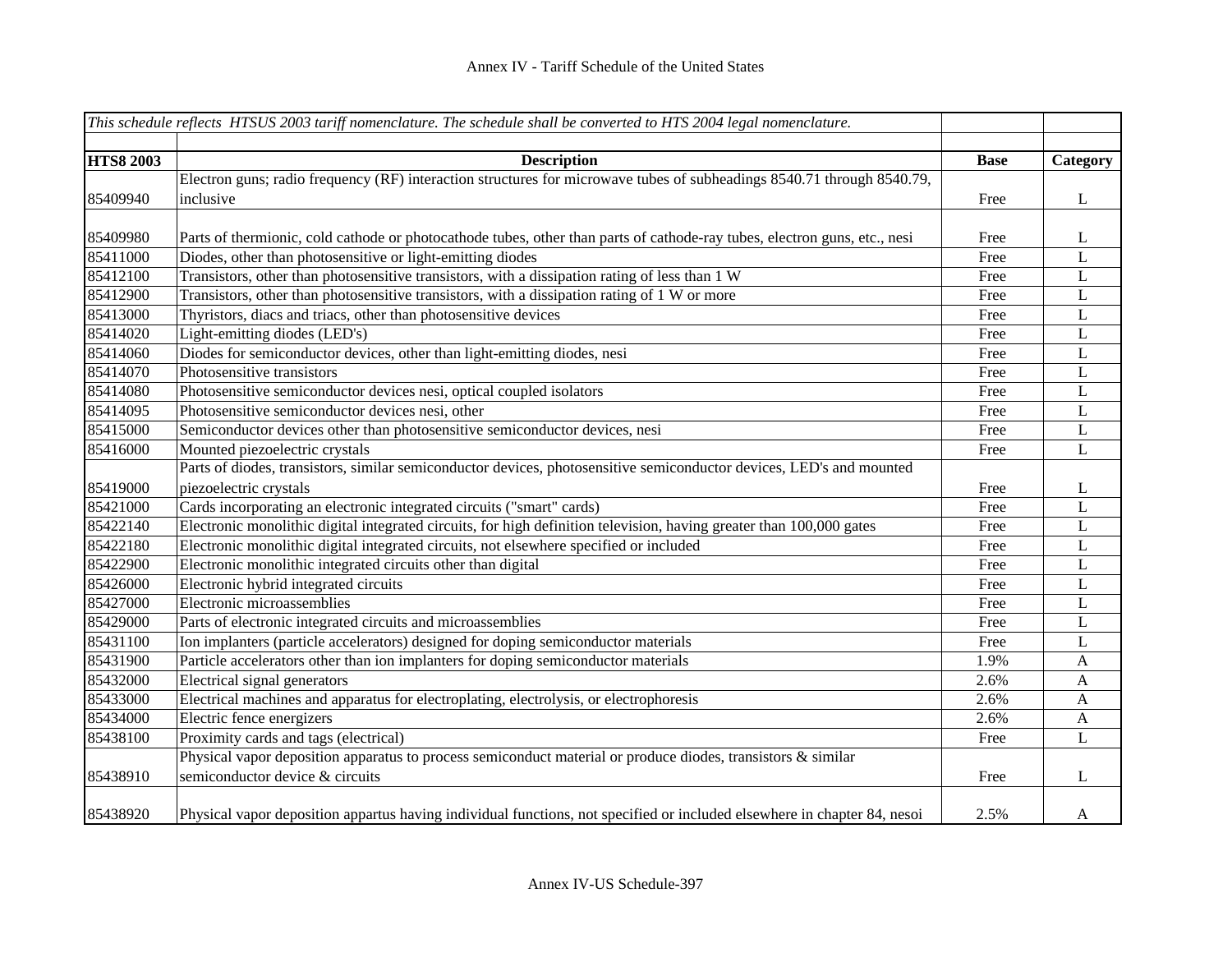|                  | This schedule reflects HTSUS 2003 tariff nomenclature. The schedule shall be converted to HTS 2004 legal nomenclature.    |             |                |
|------------------|---------------------------------------------------------------------------------------------------------------------------|-------------|----------------|
|                  |                                                                                                                           |             |                |
| <b>HTS8 2003</b> | <b>Description</b>                                                                                                        | <b>Base</b> | Category       |
|                  | Electron guns; radio frequency (RF) interaction structures for microwave tubes of subheadings 8540.71 through 8540.79,    |             |                |
| 85409940         | inclusive                                                                                                                 | Free        | $\bf L$        |
|                  |                                                                                                                           |             |                |
| 85409980         | Parts of thermionic, cold cathode or photocathode tubes, other than parts of cathode-ray tubes, electron guns, etc., nesi | Free        | L              |
| 85411000         | Diodes, other than photosensitive or light-emitting diodes                                                                | Free        | $\mathbf{L}$   |
| 85412100         | Transistors, other than photosensitive transistors, with a dissipation rating of less than 1 W                            | Free        | L              |
| 85412900         | Transistors, other than photosensitive transistors, with a dissipation rating of 1 W or more                              | Free        | L              |
| 85413000         | Thyristors, diacs and triacs, other than photosensitive devices                                                           | Free        | $\mathbf L$    |
| 85414020         | Light-emitting diodes (LED's)                                                                                             | Free        | $\mathbf L$    |
| 85414060         | Diodes for semiconductor devices, other than light-emitting diodes, nesi                                                  | Free        | $\mathbf L$    |
| 85414070         | Photosensitive transistors                                                                                                | Free        | $\mathbf L$    |
| 85414080         | Photosensitive semiconductor devices nesi, optical coupled isolators                                                      | Free        | $\mathbf L$    |
| 85414095         | Photosensitive semiconductor devices nesi, other                                                                          | Free        | $\mathbf L$    |
| 85415000         | Semiconductor devices other than photosensitive semiconductor devices, nesi                                               | Free        | $\overline{L}$ |
| 85416000         | Mounted piezoelectric crystals                                                                                            | Free        | L              |
|                  | Parts of diodes, transistors, similar semiconductor devices, photosensitive semiconductor devices, LED's and mounted      |             |                |
| 85419000         | piezoelectric crystals                                                                                                    | Free        | L              |
| 85421000         | Cards incorporating an electronic integrated circuits ("smart" cards)                                                     | Free        | $\mathbf{L}$   |
| 85422140         | Electronic monolithic digital integrated circuits, for high definition television, having greater than 100,000 gates      | Free        | $\mathbf L$    |
| 85422180         | Electronic monolithic digital integrated circuits, not elsewhere specified or included                                    | Free        | $\mathbf L$    |
| 85422900         | Electronic monolithic integrated circuits other than digital                                                              | Free        | $\mathbf L$    |
| 85426000         | Electronic hybrid integrated circuits                                                                                     | Free        | $\mathbf L$    |
| 85427000         | Electronic microassemblies                                                                                                | Free        | $\mathbf L$    |
| 85429000         | Parts of electronic integrated circuits and microassemblies                                                               | Free        | L              |
| 85431100         | Ion implanters (particle accelerators) designed for doping semiconductor materials                                        | Free        | L              |
| 85431900         | Particle accelerators other than ion implanters for doping semiconductor materials                                        | 1.9%        | A              |
| 85432000         | Electrical signal generators                                                                                              | 2.6%        | $\mathbf{A}$   |
| 85433000         | Electrical machines and apparatus for electroplating, electrolysis, or electrophoresis                                    | 2.6%        | $\mathbf{A}$   |
| 85434000         | Electric fence energizers                                                                                                 | 2.6%        | $\mathbf{A}$   |
| 85438100         | Proximity cards and tags (electrical)                                                                                     | Free        | $\mathbf L$    |
|                  | Physical vapor deposition apparatus to process semiconduct material or produce diodes, transistors & similar              |             |                |
| 85438910         | semiconductor device & circuits                                                                                           | Free        | L              |
| 85438920         | Physical vapor deposition appartus having individual functions, not specified or included elsewhere in chapter 84, nesoi  | 2.5%        | A              |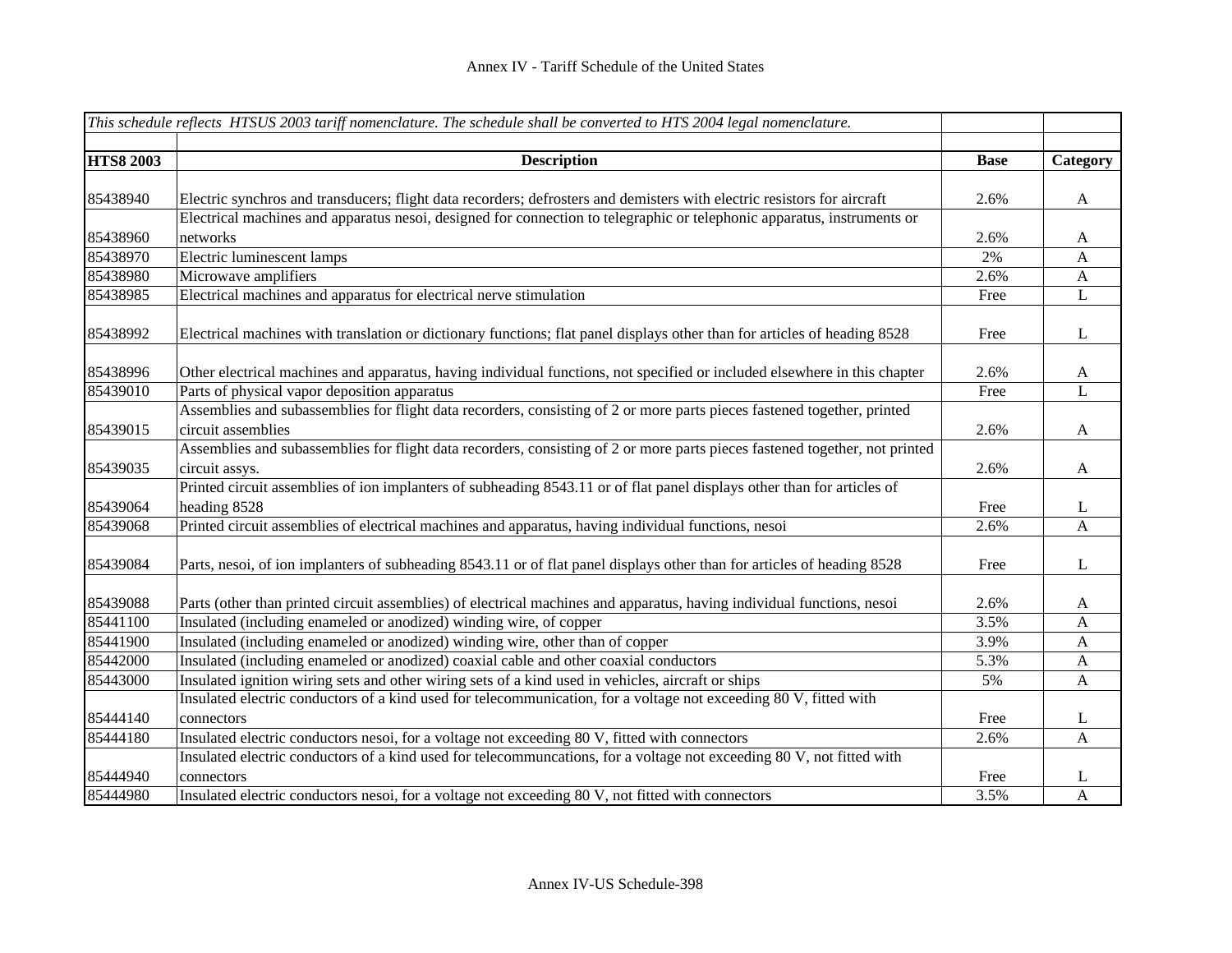|                  | This schedule reflects HTSUS 2003 tariff nomenclature. The schedule shall be converted to HTS 2004 legal nomenclature.      |             |              |
|------------------|-----------------------------------------------------------------------------------------------------------------------------|-------------|--------------|
| <b>HTS8 2003</b> | <b>Description</b>                                                                                                          | <b>Base</b> | Category     |
|                  |                                                                                                                             |             |              |
| 85438940         | Electric synchros and transducers; flight data recorders; defrosters and demisters with electric resistors for aircraft     | 2.6%        | A            |
|                  | Electrical machines and apparatus nesoi, designed for connection to telegraphic or telephonic apparatus, instruments or     |             |              |
| 85438960         | networks                                                                                                                    | 2.6%        | $\mathbf{A}$ |
| 85438970         | Electric luminescent lamps                                                                                                  | 2%          | $\mathbf{A}$ |
| 85438980         | Microwave amplifiers                                                                                                        | 2.6%        | $\mathbf{A}$ |
| 85438985         | Electrical machines and apparatus for electrical nerve stimulation                                                          | Free        | L            |
| 85438992         | Electrical machines with translation or dictionary functions; flat panel displays other than for articles of heading 8528   | Free        | L            |
| 85438996         | Other electrical machines and apparatus, having individual functions, not specified or included elsewhere in this chapter   | 2.6%        | $\mathbf{A}$ |
| 85439010         | Parts of physical vapor deposition apparatus                                                                                | Free        | L            |
|                  | Assemblies and subassemblies for flight data recorders, consisting of 2 or more parts pieces fastened together, printed     |             |              |
| 85439015         | circuit assemblies                                                                                                          | 2.6%        | $\mathbf{A}$ |
|                  | Assemblies and subassemblies for flight data recorders, consisting of 2 or more parts pieces fastened together, not printed |             |              |
| 85439035         | circuit assys.                                                                                                              | 2.6%        | $\mathbf{A}$ |
|                  | Printed circuit assemblies of ion implanters of subheading 8543.11 or of flat panel displays other than for articles of     |             |              |
| 85439064         | heading 8528                                                                                                                | Free        | L            |
| 85439068         | Printed circuit assemblies of electrical machines and apparatus, having individual functions, nesoi                         | 2.6%        | A            |
| 85439084         | Parts, nesoi, of ion implanters of subheading 8543.11 or of flat panel displays other than for articles of heading 8528     | Free        | L            |
| 85439088         | Parts (other than printed circuit assemblies) of electrical machines and apparatus, having individual functions, nesoi      | 2.6%        | A            |
| 85441100         | Insulated (including enameled or anodized) winding wire, of copper                                                          | 3.5%        | $\mathbf{A}$ |
| 85441900         | Insulated (including enameled or anodized) winding wire, other than of copper                                               | 3.9%        | $\mathbf A$  |
| 85442000         | Insulated (including enameled or anodized) coaxial cable and other coaxial conductors                                       | 5.3%        | $\mathbf{A}$ |
| 85443000         | Insulated ignition wiring sets and other wiring sets of a kind used in vehicles, aircraft or ships                          | 5%          | $\mathbf{A}$ |
|                  | Insulated electric conductors of a kind used for telecommunication, for a voltage not exceeding 80 V, fitted with           |             |              |
| 85444140         | connectors                                                                                                                  | Free        | L            |
| 85444180         | Insulated electric conductors nesoi, for a voltage not exceeding 80 V, fitted with connectors                               | 2.6%        | $\mathbf{A}$ |
|                  | Insulated electric conductors of a kind used for telecommuncations, for a voltage not exceeding 80 V, not fitted with       |             |              |
| 85444940         | connectors                                                                                                                  | Free        | L            |
| 85444980         | Insulated electric conductors nesoi, for a voltage not exceeding 80 V, not fitted with connectors                           | 3.5%        | $\mathbf{A}$ |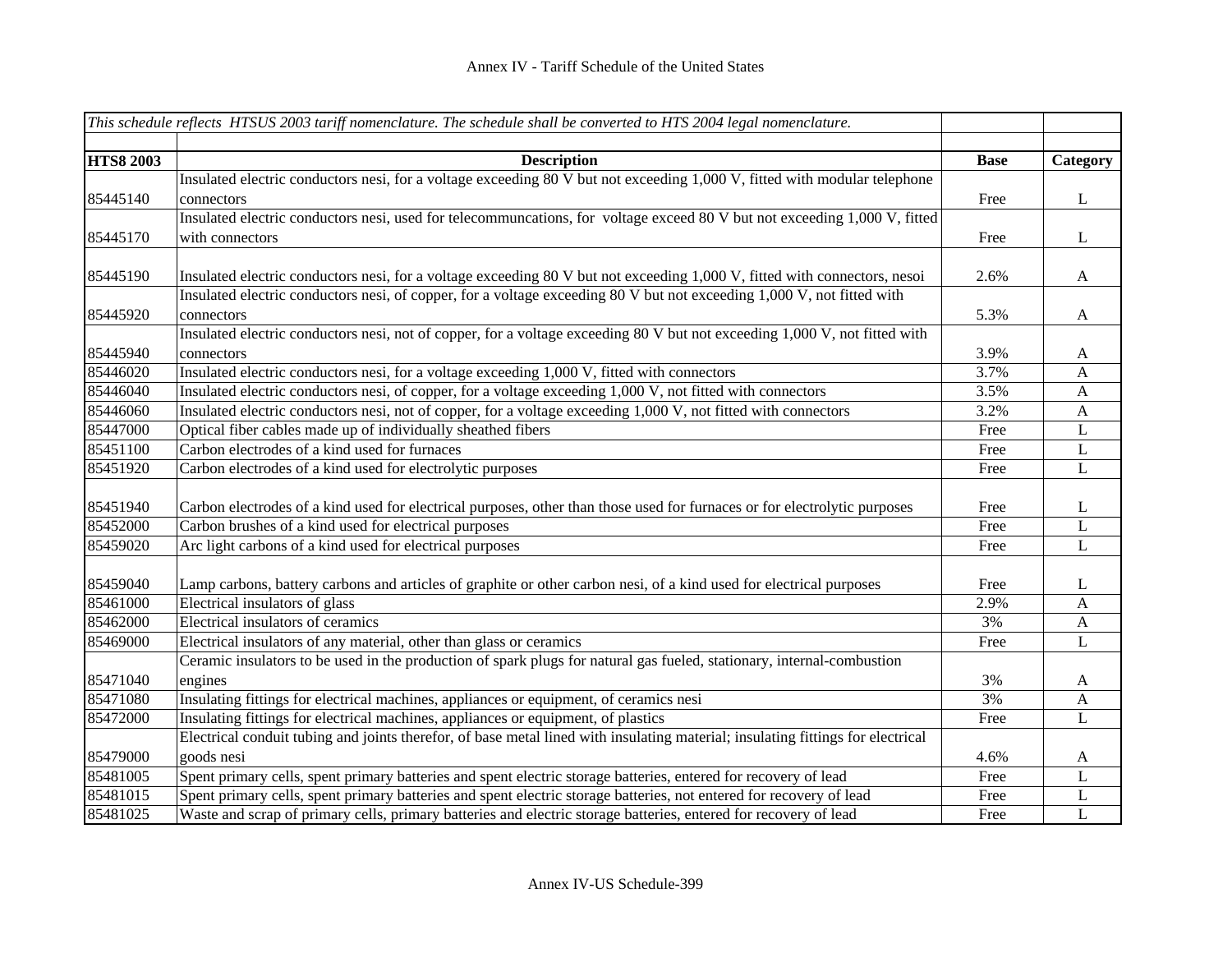|                  | This schedule reflects HTSUS 2003 tariff nomenclature. The schedule shall be converted to HTS 2004 legal nomenclature.          |             |                  |
|------------------|---------------------------------------------------------------------------------------------------------------------------------|-------------|------------------|
|                  |                                                                                                                                 |             |                  |
| <b>HTS8 2003</b> | <b>Description</b>                                                                                                              | <b>Base</b> | Category         |
|                  | Insulated electric conductors nesi, for a voltage exceeding 80 V but not exceeding 1,000 V, fitted with modular telephone       |             |                  |
| 85445140         | connectors                                                                                                                      | Free        | $\mathbf{L}$     |
|                  | Insulated electric conductors nesi, used for telecommuncations, for voltage exceed 80 V but not exceeding 1,000 V, fitted       |             |                  |
| 85445170         | with connectors                                                                                                                 | Free        | $\bf L$          |
|                  |                                                                                                                                 |             |                  |
| 85445190         | Insulated electric conductors nesi, for a voltage exceeding 80 V but not exceeding 1,000 V, fitted with connectors, nesoi       | 2.6%        | $\mathbf{A}$     |
|                  | Insulated electric conductors nesi, of copper, for a voltage exceeding 80 V but not exceeding 1,000 V, not fitted with          |             |                  |
| 85445920         | connectors                                                                                                                      | 5.3%        | $\mathbf{A}$     |
|                  | Insulated electric conductors nesi, not of copper, for a voltage exceeding 80 V but not exceeding 1,000 V, not fitted with      |             |                  |
| 85445940         | connectors                                                                                                                      | 3.9%        | $\mathbf{A}$     |
| 85446020         | Insulated electric conductors nesi, for a voltage exceeding 1,000 V, fitted with connectors                                     | 3.7%        | $\mathbf{A}$     |
| 85446040         | Insulated electric conductors nesi, of copper, for a voltage exceeding 1,000 V, not fitted with connectors                      | 3.5%        | $\mathbf{A}$     |
| 85446060         | Insulated electric conductors nesi, not of copper, for a voltage exceeding 1,000 V, not fitted with connectors                  | 3.2%        | $\mathbf A$      |
| 85447000         | Optical fiber cables made up of individually sheathed fibers                                                                    | Free        | L                |
| 85451100         | Carbon electrodes of a kind used for furnaces                                                                                   | Free        | L                |
| 85451920         | Carbon electrodes of a kind used for electrolytic purposes                                                                      | Free        | $\mathbf L$      |
|                  |                                                                                                                                 |             |                  |
| 85451940         | Carbon electrodes of a kind used for electrical purposes, other than those used for furnaces or for electrolytic purposes       | Free        | $\mathbf{L}$     |
| 85452000         | Carbon brushes of a kind used for electrical purposes                                                                           | Free        | L                |
| 85459020         | Arc light carbons of a kind used for electrical purposes                                                                        | Free        | $\mathbf L$      |
| 85459040         | Lamp carbons, battery carbons and articles of graphite or other carbon nesi, of a kind used for electrical purposes             | Free        | L                |
| 85461000         | Electrical insulators of glass                                                                                                  | 2.9%        | $\mathbf{A}$     |
| 85462000         | Electrical insulators of ceramics                                                                                               | 3%          | $\boldsymbol{A}$ |
| 85469000         | Electrical insulators of any material, other than glass or ceramics                                                             | Free        | L                |
|                  | Ceramic insulators to be used in the production of spark plugs for natural gas fueled, stationary, internal-combustion          |             |                  |
| 85471040         | engines                                                                                                                         | 3%          | $\mathbf{A}$     |
| 85471080         | Insulating fittings for electrical machines, appliances or equipment, of ceramics nesi                                          | 3%          | $\mathbf{A}$     |
| 85472000         | Insulating fittings for electrical machines, appliances or equipment, of plastics                                               | Free        | $\mathbf L$      |
|                  | Electrical conduit tubing and joints therefor, of base metal lined with insulating material; insulating fittings for electrical |             |                  |
| 85479000         | goods nesi                                                                                                                      | 4.6%        | $\mathbf{A}$     |
| 85481005         | Spent primary cells, spent primary batteries and spent electric storage batteries, entered for recovery of lead                 | Free        | L                |
| 85481015         | Spent primary cells, spent primary batteries and spent electric storage batteries, not entered for recovery of lead             | Free        | $\bf L$          |
| 85481025         | Waste and scrap of primary cells, primary batteries and electric storage batteries, entered for recovery of lead                | Free        | L                |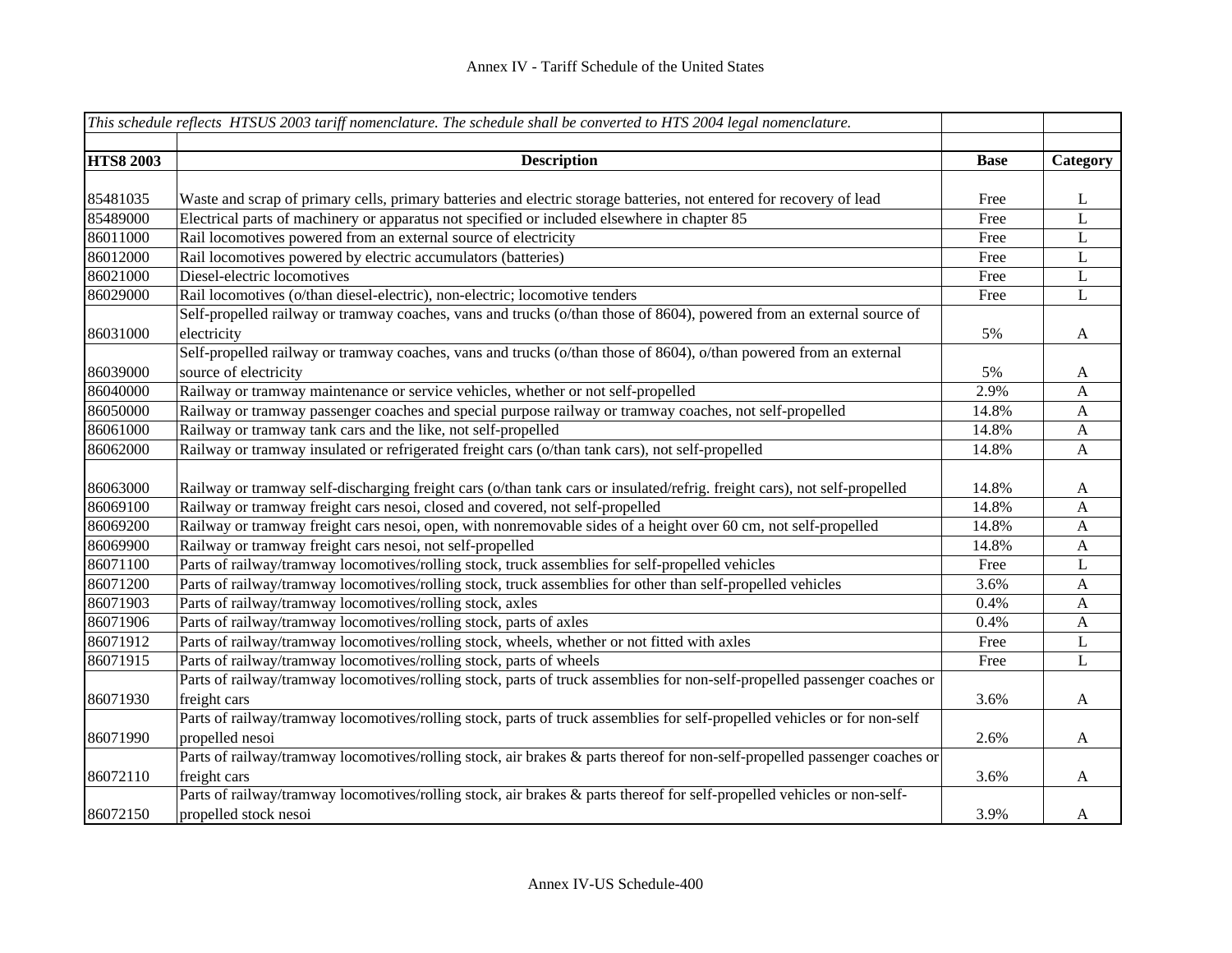|                  | This schedule reflects HTSUS 2003 tariff nomenclature. The schedule shall be converted to HTS 2004 legal nomenclature.     |             |              |
|------------------|----------------------------------------------------------------------------------------------------------------------------|-------------|--------------|
|                  |                                                                                                                            |             |              |
| <b>HTS8 2003</b> | <b>Description</b>                                                                                                         | <b>Base</b> | Category     |
|                  |                                                                                                                            |             |              |
| 85481035         | Waste and scrap of primary cells, primary batteries and electric storage batteries, not entered for recovery of lead       | Free        | L            |
| 85489000         | Electrical parts of machinery or apparatus not specified or included elsewhere in chapter 85                               | Free        | L            |
| 86011000         | Rail locomotives powered from an external source of electricity                                                            | Free        | $\mathbf L$  |
| 86012000         | Rail locomotives powered by electric accumulators (batteries)                                                              | Free        | L            |
| 86021000         | Diesel-electric locomotives                                                                                                | Free        | L            |
| 86029000         | Rail locomotives (o/than diesel-electric), non-electric; locomotive tenders                                                | Free        | L            |
|                  | Self-propelled railway or tramway coaches, vans and trucks (o/than those of 8604), powered from an external source of      |             |              |
| 86031000         | electricity                                                                                                                | 5%          | $\mathbf{A}$ |
|                  | Self-propelled railway or tramway coaches, vans and trucks (o/than those of 8604), o/than powered from an external         |             |              |
| 86039000         | source of electricity                                                                                                      | 5%          | $\mathbf{A}$ |
| 86040000         | Railway or tramway maintenance or service vehicles, whether or not self-propelled                                          | 2.9%        | $\mathbf{A}$ |
| 86050000         | Railway or tramway passenger coaches and special purpose railway or tramway coaches, not self-propelled                    | 14.8%       | $\mathbf{A}$ |
| 86061000         | Railway or tramway tank cars and the like, not self-propelled                                                              | 14.8%       | $\mathbf{A}$ |
| 86062000         | Railway or tramway insulated or refrigerated freight cars (o/than tank cars), not self-propelled                           | 14.8%       | A            |
|                  |                                                                                                                            |             |              |
| 86063000         | Railway or tramway self-discharging freight cars (o/than tank cars or insulated/refrig. freight cars), not self-propelled  | 14.8%       | A            |
| 86069100         | Railway or tramway freight cars nesoi, closed and covered, not self-propelled                                              | 14.8%       | $\mathbf{A}$ |
| 86069200         | Railway or tramway freight cars nesoi, open, with nonremovable sides of a height over 60 cm, not self-propelled            | 14.8%       | $\mathbf{A}$ |
| 86069900         | Railway or tramway freight cars nesoi, not self-propelled                                                                  | 14.8%       | $\mathbf{A}$ |
| 86071100         | Parts of railway/tramway locomotives/rolling stock, truck assemblies for self-propelled vehicles                           | Free        | L            |
| 86071200         | Parts of railway/tramway locomotives/rolling stock, truck assemblies for other than self-propelled vehicles                | 3.6%        | $\mathbf{A}$ |
| 86071903         | Parts of railway/tramway locomotives/rolling stock, axles                                                                  | 0.4%        | A            |
| 86071906         | Parts of railway/tramway locomotives/rolling stock, parts of axles                                                         | 0.4%        | A            |
| 86071912         | Parts of railway/tramway locomotives/rolling stock, wheels, whether or not fitted with axles                               | Free        | L            |
| 86071915         | Parts of railway/tramway locomotives/rolling stock, parts of wheels                                                        | Free        | L            |
|                  | Parts of railway/tramway locomotives/rolling stock, parts of truck assemblies for non-self-propelled passenger coaches or  |             |              |
| 86071930         | freight cars                                                                                                               | 3.6%        | $\mathbf{A}$ |
|                  | Parts of railway/tramway locomotives/rolling stock, parts of truck assemblies for self-propelled vehicles or for non-self  |             |              |
| 86071990         | propelled nesoi                                                                                                            | 2.6%        | $\mathbf{A}$ |
|                  | Parts of railway/tramway locomotives/rolling stock, air brakes & parts thereof for non-self-propelled passenger coaches or |             |              |
| 86072110         | freight cars                                                                                                               | 3.6%        | A            |
|                  | Parts of railway/tramway locomotives/rolling stock, air brakes & parts thereof for self-propelled vehicles or non-self-    |             |              |
| 86072150         | propelled stock nesoi                                                                                                      | 3.9%        | A            |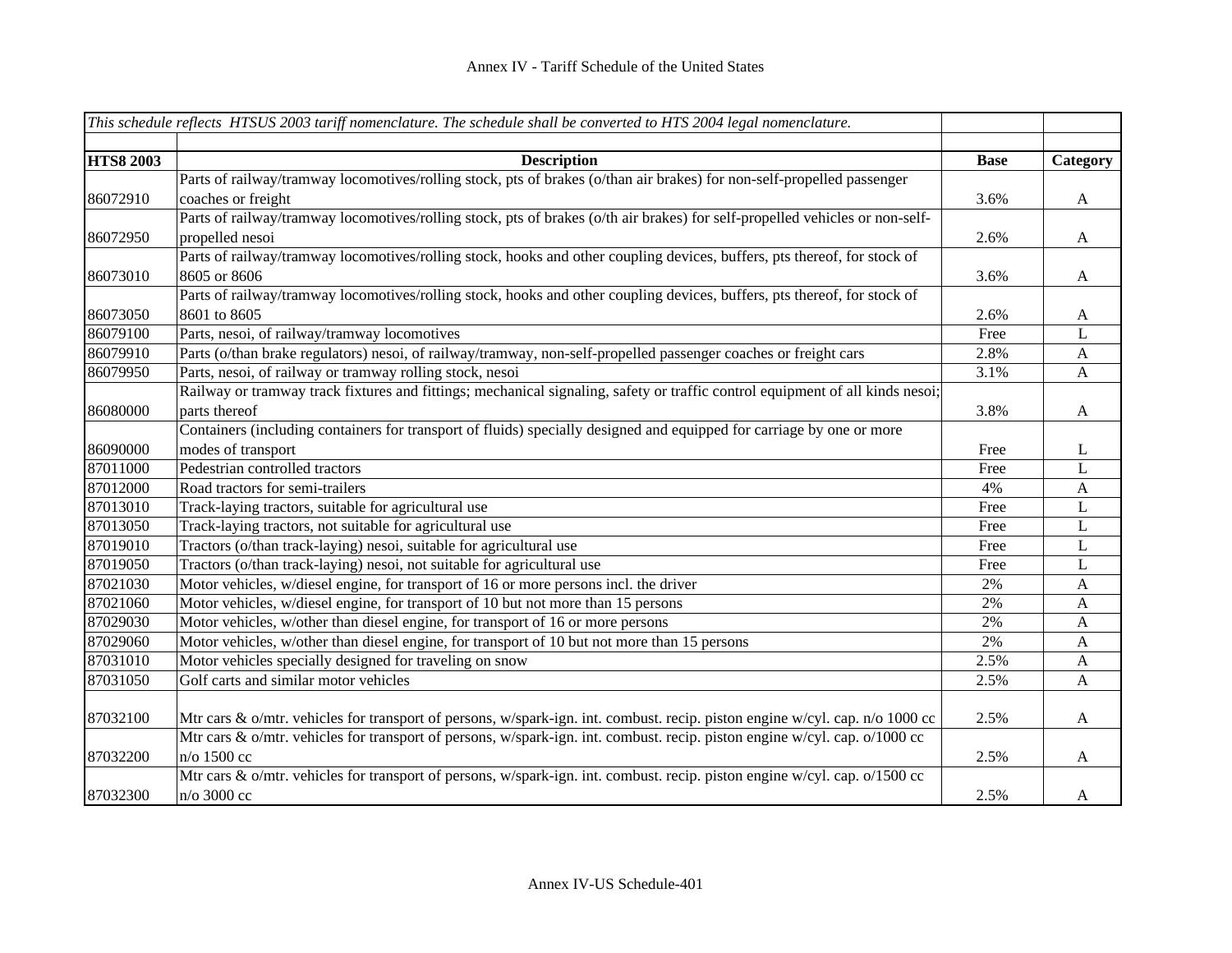|                  | This schedule reflects HTSUS 2003 tariff nomenclature. The schedule shall be converted to HTS 2004 legal nomenclature.        |             |                           |
|------------------|-------------------------------------------------------------------------------------------------------------------------------|-------------|---------------------------|
| <b>HTS8 2003</b> | <b>Description</b>                                                                                                            | <b>Base</b> | Category                  |
|                  | Parts of railway/tramway locomotives/rolling stock, pts of brakes (o/than air brakes) for non-self-propelled passenger        |             |                           |
| 86072910         | coaches or freight                                                                                                            | 3.6%        | $\mathbf{A}$              |
|                  | Parts of railway/tramway locomotives/rolling stock, pts of brakes (o/th air brakes) for self-propelled vehicles or non-self-  |             |                           |
| 86072950         | propelled nesoi                                                                                                               | 2.6%        | A                         |
|                  | Parts of railway/tramway locomotives/rolling stock, hooks and other coupling devices, buffers, pts thereof, for stock of      |             |                           |
| 86073010         | 8605 or 8606                                                                                                                  | 3.6%        | $\mathbf{A}$              |
|                  | Parts of railway/tramway locomotives/rolling stock, hooks and other coupling devices, buffers, pts thereof, for stock of      |             |                           |
| 86073050         | 8601 to 8605                                                                                                                  | 2.6%        | A                         |
| 86079100         | Parts, nesoi, of railway/tramway locomotives                                                                                  | Free        | L                         |
| 86079910         | Parts (o/than brake regulators) nesoi, of railway/tramway, non-self-propelled passenger coaches or freight cars               | 2.8%        | $\boldsymbol{\mathsf{A}}$ |
| 86079950         | Parts, nesoi, of railway or tramway rolling stock, nesoi                                                                      | 3.1%        | A                         |
|                  | Railway or tramway track fixtures and fittings; mechanical signaling, safety or traffic control equipment of all kinds nesoi; |             |                           |
| 86080000         | parts thereof                                                                                                                 | 3.8%        | A                         |
|                  | Containers (including containers for transport of fluids) specially designed and equipped for carriage by one or more         |             |                           |
| 86090000         | modes of transport                                                                                                            | Free        | L                         |
| 87011000         | Pedestrian controlled tractors                                                                                                | Free        | L                         |
| 87012000         | Road tractors for semi-trailers                                                                                               | 4%          | A                         |
| 87013010         | Track-laying tractors, suitable for agricultural use                                                                          | Free        | L                         |
| 87013050         | Track-laying tractors, not suitable for agricultural use                                                                      | Free        | L                         |
| 87019010         | Tractors (o/than track-laying) nesoi, suitable for agricultural use                                                           | Free        | L                         |
| 87019050         | Tractors (o/than track-laying) nesoi, not suitable for agricultural use                                                       | Free        | L                         |
| 87021030         | Motor vehicles, w/diesel engine, for transport of 16 or more persons incl. the driver                                         | 2%          | $\mathbf{A}$              |
| 87021060         | Motor vehicles, w/diesel engine, for transport of 10 but not more than 15 persons                                             | 2%          | $\mathbf{A}$              |
| 87029030         | Motor vehicles, w/other than diesel engine, for transport of 16 or more persons                                               | 2%          | A                         |
| 87029060         | Motor vehicles, w/other than diesel engine, for transport of 10 but not more than 15 persons                                  | 2%          | $\mathbf{A}$              |
| 87031010         | Motor vehicles specially designed for traveling on snow                                                                       | 2.5%        | $\mathbf{A}$              |
| 87031050         | Golf carts and similar motor vehicles                                                                                         | 2.5%        | $\mathbf{A}$              |
|                  |                                                                                                                               |             |                           |
| 87032100         | Mtr cars & o/mtr. vehicles for transport of persons, w/spark-ign. int. combust. recip. piston engine w/cyl. cap. n/o 1000 cc  | 2.5%        | A                         |
|                  | Mtr cars & o/mtr. vehicles for transport of persons, w/spark-ign. int. combust. recip. piston engine w/cyl. cap. o/1000 cc    |             |                           |
| 87032200         | n/o 1500 cc                                                                                                                   | 2.5%        | A                         |
|                  | Mtr cars & o/mtr. vehicles for transport of persons, w/spark-ign. int. combust. recip. piston engine w/cyl. cap. o/1500 cc    |             |                           |
| 87032300         | n/o 3000 cc                                                                                                                   | 2.5%        | A                         |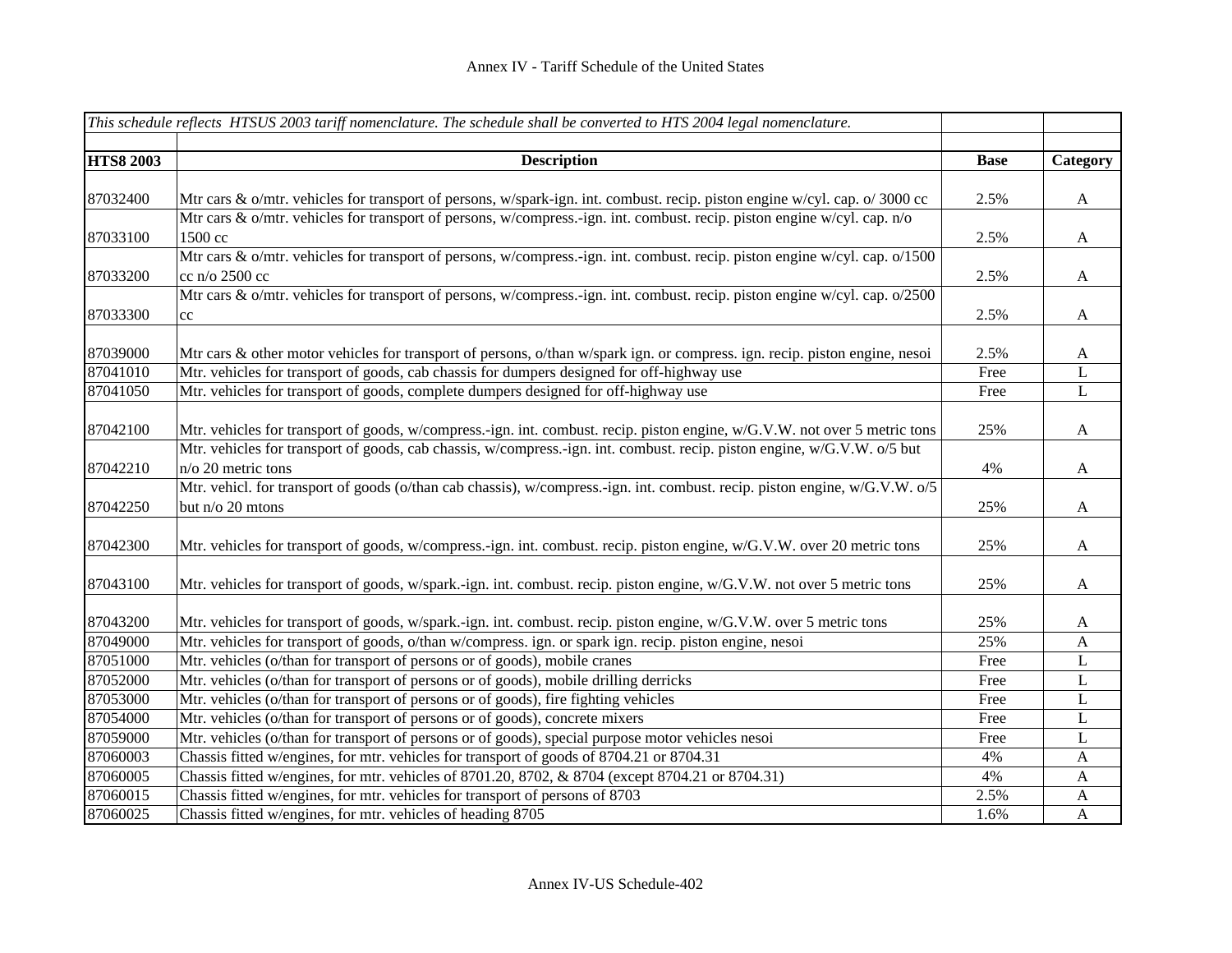|                  | This schedule reflects HTSUS 2003 tariff nomenclature. The schedule shall be converted to HTS 2004 legal nomenclature.                 |             |              |
|------------------|----------------------------------------------------------------------------------------------------------------------------------------|-------------|--------------|
| <b>HTS8 2003</b> | <b>Description</b>                                                                                                                     | <b>Base</b> | Category     |
|                  |                                                                                                                                        |             |              |
| 87032400         | Mtr cars & o/mtr. vehicles for transport of persons, w/spark-ign. int. combust. recip. piston engine w/cyl. cap. o/ 3000 cc            | 2.5%        | A            |
|                  | Mtr cars & o/mtr. vehicles for transport of persons, w/compress.-ign. int. combust. recip. piston engine w/cyl. cap. n/o               |             |              |
| 87033100         | 1500 cc<br>Mtr cars & o/mtr. vehicles for transport of persons, w/compress.-ign. int. combust. recip. piston engine w/cyl. cap. o/1500 | 2.5%        | $\mathbf{A}$ |
|                  |                                                                                                                                        |             |              |
| 87033200         | cc n/o 2500 cc                                                                                                                         | 2.5%        | A            |
|                  | Mtr cars & o/mtr. vehicles for transport of persons, w/compress.-ign. int. combust. recip. piston engine w/cyl. cap. o/2500            |             |              |
| 87033300         | cc                                                                                                                                     | 2.5%        | A            |
|                  |                                                                                                                                        |             |              |
| 87039000         | Mtr cars & other motor vehicles for transport of persons, o/than w/spark ign. or compress. ign. recip. piston engine, nesoi            | 2.5%        | A            |
| 87041010         | Mtr. vehicles for transport of goods, cab chassis for dumpers designed for off-highway use                                             | Free        | L            |
| 87041050         | Mtr. vehicles for transport of goods, complete dumpers designed for off-highway use                                                    | Free        | $\mathbf L$  |
| 87042100         | Mtr. vehicles for transport of goods, w/compress.-ign. int. combust. recip. piston engine, w/G.V.W. not over 5 metric tons             | 25%         | A            |
|                  | Mtr. vehicles for transport of goods, cab chassis, w/compress.-ign. int. combust. recip. piston engine, w/G.V.W. o/5 but               |             |              |
| 87042210         | n/o 20 metric tons                                                                                                                     | 4%          | A            |
|                  | Mtr. vehicl. for transport of goods (o/than cab chassis), w/compress.-ign. int. combust. recip. piston engine, w/G.V.W. o/5            |             |              |
| 87042250         | but n/o 20 mtons                                                                                                                       | 25%         | A            |
|                  |                                                                                                                                        |             |              |
| 87042300         | Mtr. vehicles for transport of goods, w/compress.-ign. int. combust. recip. piston engine, w/G.V.W. over 20 metric tons                | 25%         | A            |
| 87043100         | Mtr. vehicles for transport of goods, w/spark.-ign. int. combust. recip. piston engine, w/G.V.W. not over 5 metric tons                | 25%         | A            |
|                  |                                                                                                                                        |             |              |
| 87043200         | Mtr. vehicles for transport of goods, w/spark.-ign. int. combust. recip. piston engine, w/G.V.W. over 5 metric tons                    | 25%         | A            |
| 87049000         | Mtr. vehicles for transport of goods, o/than w/compress. ign. or spark ign. recip. piston engine, nesoi                                | 25%         | A            |
| 87051000         | Mtr. vehicles (o/than for transport of persons or of goods), mobile cranes                                                             | Free        | L            |
| 87052000         | Mtr. vehicles (o/than for transport of persons or of goods), mobile drilling derricks                                                  | Free        | L            |
| 87053000         | Mtr. vehicles (o/than for transport of persons or of goods), fire fighting vehicles                                                    | Free        | L            |
| 87054000         | Mtr. vehicles (o/than for transport of persons or of goods), concrete mixers                                                           | Free        | L            |
| 87059000         | Mtr. vehicles (o/than for transport of persons or of goods), special purpose motor vehicles nesoi                                      | Free        | L            |
| 87060003         | Chassis fitted w/engines, for mtr. vehicles for transport of goods of 8704.21 or 8704.31                                               | 4%          | $\mathbf{A}$ |
| 87060005         | Chassis fitted w/engines, for mtr. vehicles of 8701.20, 8702, & 8704 (except 8704.21 or 8704.31)                                       | 4%          | A            |
| 87060015         | Chassis fitted w/engines, for mtr. vehicles for transport of persons of 8703                                                           | 2.5%        | A            |
| 87060025         | Chassis fitted w/engines, for mtr. vehicles of heading 8705                                                                            | 1.6%        | $\mathbf{A}$ |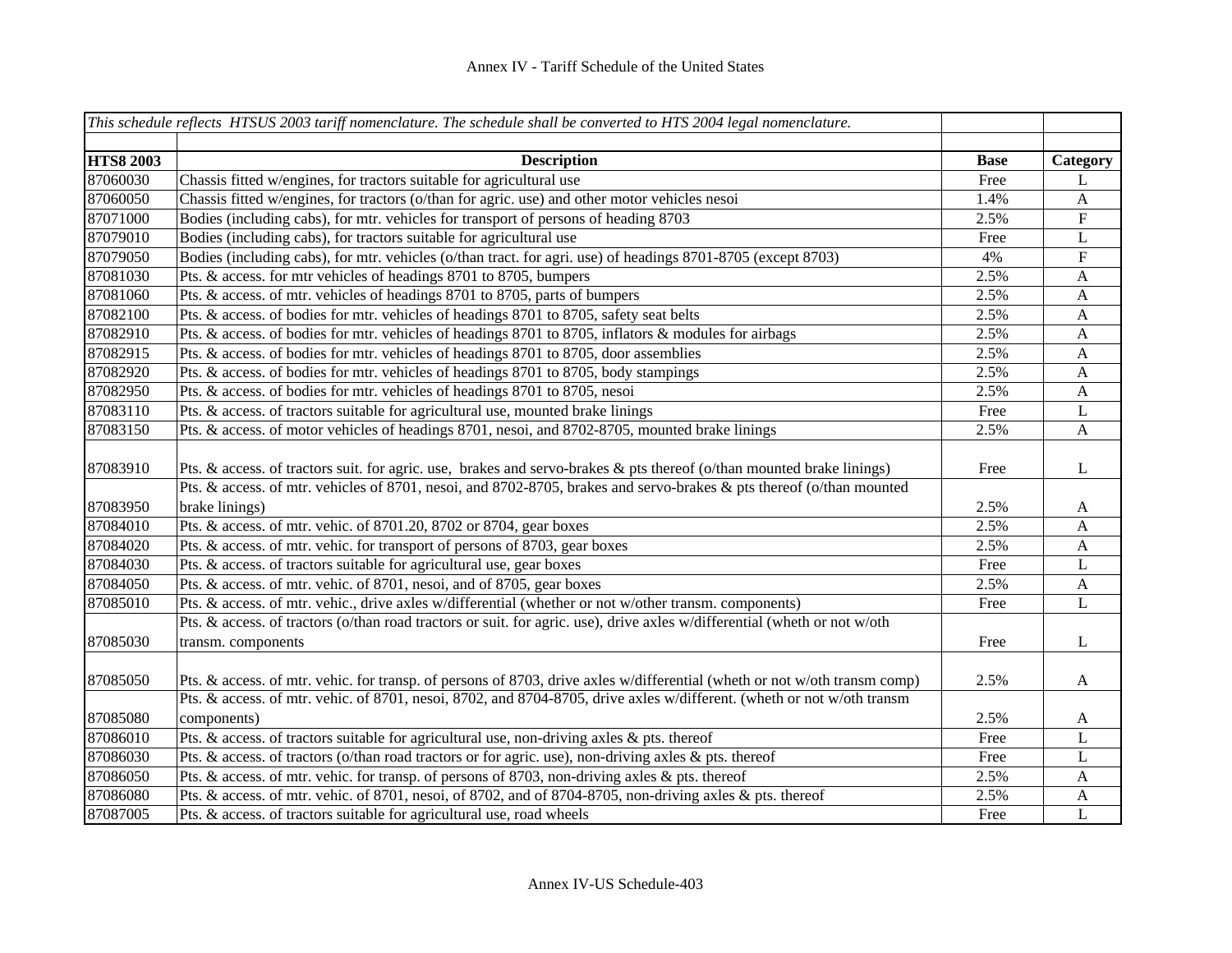|                  | This schedule reflects HTSUS 2003 tariff nomenclature. The schedule shall be converted to HTS 2004 legal nomenclature.                          |             |                         |
|------------------|-------------------------------------------------------------------------------------------------------------------------------------------------|-------------|-------------------------|
|                  |                                                                                                                                                 |             |                         |
| <b>HTS8 2003</b> | <b>Description</b>                                                                                                                              | <b>Base</b> | Category                |
| 87060030         | Chassis fitted w/engines, for tractors suitable for agricultural use                                                                            | Free        | L                       |
| 87060050         | Chassis fitted w/engines, for tractors (o/than for agric. use) and other motor vehicles nesoi                                                   | 1.4%        | $\mathbf{A}$            |
| 87071000         | Bodies (including cabs), for mtr. vehicles for transport of persons of heading 8703                                                             | 2.5%        | ${\bf F}$               |
| 87079010         | Bodies (including cabs), for tractors suitable for agricultural use                                                                             | Free        | $\mathbf L$             |
| 87079050         | Bodies (including cabs), for mtr. vehicles (o/than tract. for agri. use) of headings 8701-8705 (except 8703)                                    | 4%          | $\overline{\mathrm{F}}$ |
| 87081030         | Pts. & access. for mtr vehicles of headings 8701 to 8705, bumpers                                                                               | 2.5%        | $\mathbf{A}$            |
| 87081060         | Pts. & access. of mtr. vehicles of headings 8701 to 8705, parts of bumpers                                                                      | 2.5%        | $\mathbf{A}$            |
| 87082100         | Pts. & access. of bodies for mtr. vehicles of headings 8701 to 8705, safety seat belts                                                          | 2.5%        | $\mathbf{A}$            |
| 87082910         | Pts. & access. of bodies for mtr. vehicles of headings 8701 to 8705, inflators & modules for airbags                                            | 2.5%        | $\mathbf{A}$            |
| 87082915         | Pts. & access. of bodies for mtr. vehicles of headings 8701 to 8705, door assemblies                                                            | 2.5%        | $\mathbf{A}$            |
| 87082920         | Pts. & access. of bodies for mtr. vehicles of headings 8701 to 8705, body stampings                                                             | 2.5%        | $\mathbf{A}$            |
| 87082950         | Pts. & access. of bodies for mtr. vehicles of headings 8701 to 8705, nesoi                                                                      | 2.5%        | $\mathbf{A}$            |
| 87083110         | Pts. & access. of tractors suitable for agricultural use, mounted brake linings                                                                 | Free        | L                       |
| 87083150         | Pts. & access. of motor vehicles of headings 8701, nesoi, and 8702-8705, mounted brake linings                                                  | 2.5%        | $\mathbf{A}$            |
| 87083910         | Pts. & access. of tractors suit. for agric. use, brakes and servo-brakes & pts thereof (o/than mounted brake linings)                           | Free        | L                       |
|                  | Pts. & access. of mtr. vehicles of 8701, nesoi, and 8702-8705, brakes and servo-brakes & pts thereof (o/than mounted                            |             |                         |
| 87083950         | brake linings)                                                                                                                                  | 2.5%        | $\mathbf{A}$            |
| 87084010         | Pts. & access. of mtr. vehic. of 8701.20, 8702 or 8704, gear boxes                                                                              | 2.5%        | A                       |
| 87084020         | Pts. & access. of mtr. vehic. for transport of persons of 8703, gear boxes                                                                      | 2.5%        | $\mathbf{A}$            |
| 87084030         | Pts. & access. of tractors suitable for agricultural use, gear boxes                                                                            | Free        | L                       |
| 87084050         | Pts. & access. of mtr. vehic. of 8701, nesoi, and of 8705, gear boxes                                                                           | 2.5%        | $\mathbf{A}$            |
| 87085010         | Pts. & access. of mtr. vehic., drive axles w/differential (whether or not w/other transm. components)                                           | Free        | L                       |
| 87085030         | Pts. & access. of tractors (o/than road tractors or suit. for agric. use), drive axles w/differential (wheth or not w/oth<br>transm. components | Free        | L                       |
| 87085050         | Pts. & access. of mtr. vehic. for transp. of persons of 8703, drive axles w/differential (wheth or not w/oth transm comp)                       | 2.5%        | $\mathbf{A}$            |
|                  | Pts. & access. of mtr. vehic. of 8701, nesoi, 8702, and 8704-8705, drive axles w/different. (wheth or not w/oth transm                          |             |                         |
| 87085080         | components)                                                                                                                                     | 2.5%        | $\mathbf{A}$            |
| 87086010         | Pts. & access. of tractors suitable for agricultural use, non-driving axles & pts. thereof                                                      | Free        | L                       |
| 87086030         | Pts. & access. of tractors (o/than road tractors or for agric. use), non-driving axles & pts. thereof                                           | Free        | L                       |
| 87086050         | Pts. & access. of mtr. vehic. for transp. of persons of 8703, non-driving axles & pts. thereof                                                  | 2.5%        | A                       |
| 87086080         | Pts. & access. of mtr. vehic. of 8701, nesoi, of 8702, and of 8704-8705, non-driving axles & pts. thereof                                       | 2.5%        | A                       |
| 87087005         | Pts. & access. of tractors suitable for agricultural use, road wheels                                                                           | Free        | $\mathbf L$             |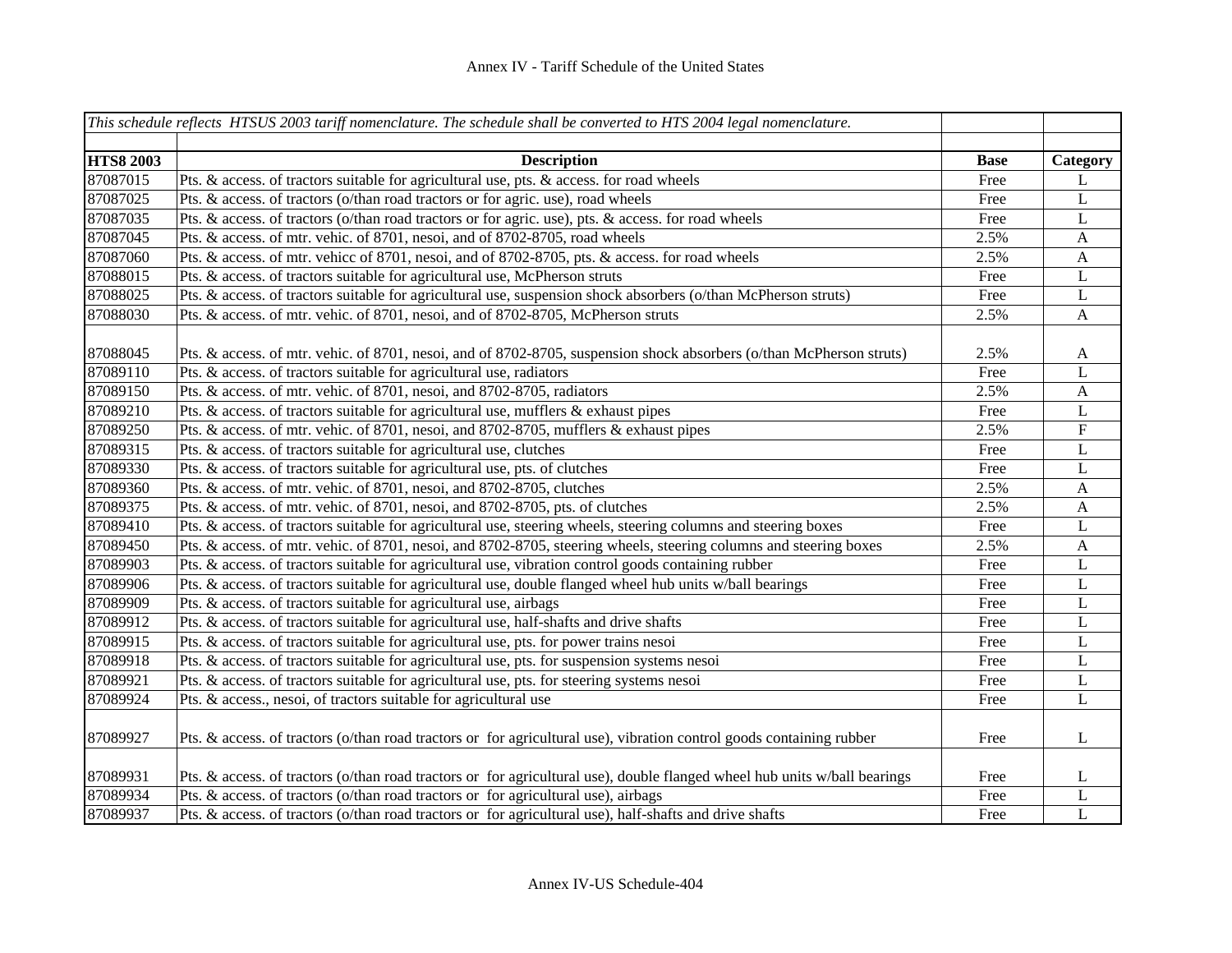|                  | This schedule reflects HTSUS 2003 tariff nomenclature. The schedule shall be converted to HTS 2004 legal nomenclature.    |             |                           |
|------------------|---------------------------------------------------------------------------------------------------------------------------|-------------|---------------------------|
|                  |                                                                                                                           |             |                           |
| <b>HTS8 2003</b> | <b>Description</b>                                                                                                        | <b>Base</b> | Category                  |
| 87087015         | Pts. & access. of tractors suitable for agricultural use, pts. & access. for road wheels                                  | Free        | L                         |
| 87087025         | Pts. & access. of tractors (o/than road tractors or for agric. use), road wheels                                          | Free        | $\mathbf L$               |
| 87087035         | Pts. & access. of tractors (o/than road tractors or for agric. use), pts. & access. for road wheels                       | Free        | $\mathbf L$               |
| 87087045         | Pts. & access. of mtr. vehic. of 8701, nesoi, and of 8702-8705, road wheels                                               | 2.5%        | $\boldsymbol{\mathsf{A}}$ |
| 87087060         | Pts. & access. of mtr. vehicc of 8701, nesoi, and of 8702-8705, pts. & access. for road wheels                            | 2.5%        | $\boldsymbol{\mathsf{A}}$ |
| 87088015         | Pts. & access. of tractors suitable for agricultural use, McPherson struts                                                | Free        | L                         |
| 87088025         | Pts. & access. of tractors suitable for agricultural use, suspension shock absorbers (o/than McPherson struts)            | Free        | L                         |
| 87088030         | Pts. & access. of mtr. vehic. of 8701, nesoi, and of 8702-8705, McPherson struts                                          | 2.5%        | A                         |
|                  |                                                                                                                           |             |                           |
| 87088045         | Pts. & access. of mtr. vehic. of 8701, nesoi, and of 8702-8705, suspension shock absorbers (o/than McPherson struts)      | 2.5%        | $\mathbf{A}$              |
| 87089110         | Pts. & access. of tractors suitable for agricultural use, radiators                                                       | Free        | L                         |
| 87089150         | Pts. & access. of mtr. vehic. of 8701, nesoi, and 8702-8705, radiators                                                    | 2.5%        | $\mathbf{A}$              |
| 87089210         | Pts. & access. of tractors suitable for agricultural use, mufflers & exhaust pipes                                        | Free        | L                         |
| 87089250         | Pts. & access. of mtr. vehic. of 8701, nesoi, and 8702-8705, mufflers & exhaust pipes                                     | 2.5%        | $\boldsymbol{\mathrm{F}}$ |
| 87089315         | Pts. & access. of tractors suitable for agricultural use, clutches                                                        | Free        | $\mathbf L$               |
| 87089330         | Pts. & access. of tractors suitable for agricultural use, pts. of clutches                                                | Free        | $\mathbf L$               |
| 87089360         | Pts. & access. of mtr. vehic. of 8701, nesoi, and 8702-8705, clutches                                                     | 2.5%        | $\mathbf{A}$              |
| 87089375         | Pts. & access. of mtr. vehic. of 8701, nesoi, and 8702-8705, pts. of clutches                                             | 2.5%        | $\mathbf{A}$              |
| 87089410         | Pts. & access. of tractors suitable for agricultural use, steering wheels, steering columns and steering boxes            | Free        | $\mathbf L$               |
| 87089450         | Pts. & access. of mtr. vehic. of 8701, nesoi, and 8702-8705, steering wheels, steering columns and steering boxes         | 2.5%        | $\mathbf{A}$              |
| 87089903         | Pts. & access. of tractors suitable for agricultural use, vibration control goods containing rubber                       | Free        | L                         |
| 87089906         | Pts. & access. of tractors suitable for agricultural use, double flanged wheel hub units w/ball bearings                  | Free        | L                         |
| 87089909         | Pts. & access. of tractors suitable for agricultural use, airbags                                                         | Free        | L                         |
| 87089912         | Pts. & access. of tractors suitable for agricultural use, half-shafts and drive shafts                                    | Free        | L                         |
| 87089915         | Pts. & access. of tractors suitable for agricultural use, pts. for power trains nesoi                                     | Free        | L                         |
| 87089918         | Pts. & access. of tractors suitable for agricultural use, pts. for suspension systems nesoi                               | Free        | $\mathbf L$               |
| 87089921         | Pts. & access. of tractors suitable for agricultural use, pts. for steering systems nesoi                                 | Free        | $\mathbf L$               |
| 87089924         | Pts. & access., nesoi, of tractors suitable for agricultural use                                                          | Free        | $\mathbf L$               |
|                  |                                                                                                                           |             |                           |
| 87089927         | Pts. & access. of tractors (o/than road tractors or for agricultural use), vibration control goods containing rubber      | Free        | $\bf L$                   |
|                  |                                                                                                                           |             |                           |
| 87089931         | Pts. & access. of tractors (o/than road tractors or for agricultural use), double flanged wheel hub units w/ball bearings | Free        | L                         |
| 87089934         | Pts. & access. of tractors (o/than road tractors or for agricultural use), airbags                                        | Free        | L                         |
| 87089937         | Pts. & access. of tractors (o/than road tractors or for agricultural use), half-shafts and drive shafts                   | Free        | L                         |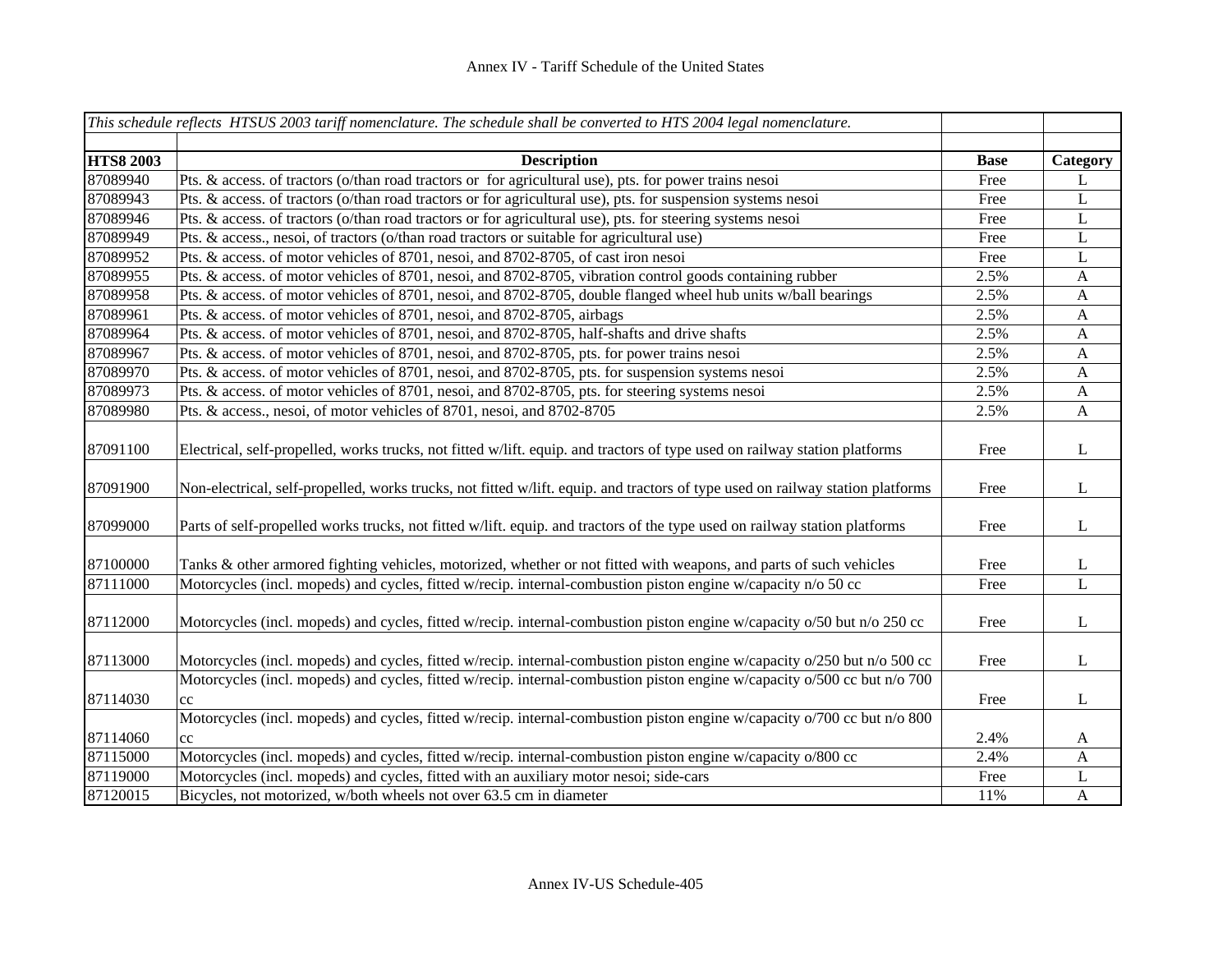|                  | This schedule reflects HTSUS 2003 tariff nomenclature. The schedule shall be converted to HTS 2004 legal nomenclature.         |             |                           |
|------------------|--------------------------------------------------------------------------------------------------------------------------------|-------------|---------------------------|
|                  |                                                                                                                                |             |                           |
| <b>HTS8 2003</b> | <b>Description</b>                                                                                                             | <b>Base</b> | Category                  |
| 87089940         | Pts. & access. of tractors (o/than road tractors or for agricultural use), pts. for power trains nesoi                         | Free        | L                         |
| 87089943         | Pts. & access. of tractors (o/than road tractors or for agricultural use), pts. for suspension systems nesoi                   | Free        | L                         |
| 87089946         | Pts. & access. of tractors (o/than road tractors or for agricultural use), pts. for steering systems nesoi                     | Free        | L                         |
| 87089949         | Pts. & access., nesoi, of tractors (o/than road tractors or suitable for agricultural use)                                     | Free        | L                         |
| 87089952         | Pts. & access. of motor vehicles of 8701, nesoi, and 8702-8705, of cast iron nesoi                                             | Free        | L                         |
| 87089955         | Pts. & access. of motor vehicles of 8701, nesoi, and 8702-8705, vibration control goods containing rubber                      | 2.5%        | A                         |
| 87089958         | Pts. & access. of motor vehicles of 8701, nesoi, and 8702-8705, double flanged wheel hub units w/ball bearings                 | 2.5%        | A                         |
| 87089961         | Pts. & access. of motor vehicles of 8701, nesoi, and 8702-8705, airbags                                                        | 2.5%        | $\mathbf{A}$              |
| 87089964         | Pts. & access. of motor vehicles of 8701, nesoi, and 8702-8705, half-shafts and drive shafts                                   | 2.5%        | $\mathbf{A}$              |
| 87089967         | Pts. & access. of motor vehicles of 8701, nesoi, and 8702-8705, pts. for power trains nesoi                                    | 2.5%        | $\mathbf{A}$              |
| 87089970         | Pts. & access. of motor vehicles of 8701, nesoi, and 8702-8705, pts. for suspension systems nesoi                              | 2.5%        | $\mathbf{A}$              |
| 87089973         | Pts. & access. of motor vehicles of 8701, nesoi, and 8702-8705, pts. for steering systems nesoi                                | 2.5%        | $\mathbf{A}$              |
| 87089980         | Pts. & access., nesoi, of motor vehicles of 8701, nesoi, and 8702-8705                                                         | 2.5%        | $\mathbf{A}$              |
| 87091100         | Electrical, self-propelled, works trucks, not fitted w/lift. equip. and tractors of type used on railway station platforms     | Free        | L                         |
| 87091900         | Non-electrical, self-propelled, works trucks, not fitted w/lift. equip. and tractors of type used on railway station platforms | Free        | L                         |
| 87099000         | Parts of self-propelled works trucks, not fitted w/lift. equip. and tractors of the type used on railway station platforms     | Free        | L                         |
| 87100000         | Tanks & other armored fighting vehicles, motorized, whether or not fitted with weapons, and parts of such vehicles             | Free        | $\overline{L}$            |
| 87111000         | Motorcycles (incl. mopeds) and cycles, fitted w/recip. internal-combustion piston engine w/capacity n/o 50 cc                  | Free        | $\overline{L}$            |
| 87112000         | Motorcycles (incl. mopeds) and cycles, fitted w/recip. internal-combustion piston engine w/capacity o/50 but n/o 250 cc        | Free        | L                         |
| 87113000         | Motorcycles (incl. mopeds) and cycles, fitted w/recip. internal-combustion piston engine w/capacity o/250 but n/o 500 cc       | Free        | L                         |
| 87114030         | Motorcycles (incl. mopeds) and cycles, fitted w/recip. internal-combustion piston engine w/capacity o/500 cc but n/o 700<br>cc | Free        | L                         |
|                  | Motorcycles (incl. mopeds) and cycles, fitted w/recip. internal-combustion piston engine w/capacity o/700 cc but n/o 800       |             |                           |
| 87114060         | cc                                                                                                                             | 2.4%        | A                         |
| 87115000         | Motorcycles (incl. mopeds) and cycles, fitted w/recip. internal-combustion piston engine w/capacity o/800 cc                   | 2.4%        | $\boldsymbol{\mathsf{A}}$ |
| 87119000         | Motorcycles (incl. mopeds) and cycles, fitted with an auxiliary motor nesoi; side-cars                                         | Free        | L                         |
| 87120015         | Bicycles, not motorized, w/both wheels not over 63.5 cm in diameter                                                            | 11%         | $\mathbf{A}$              |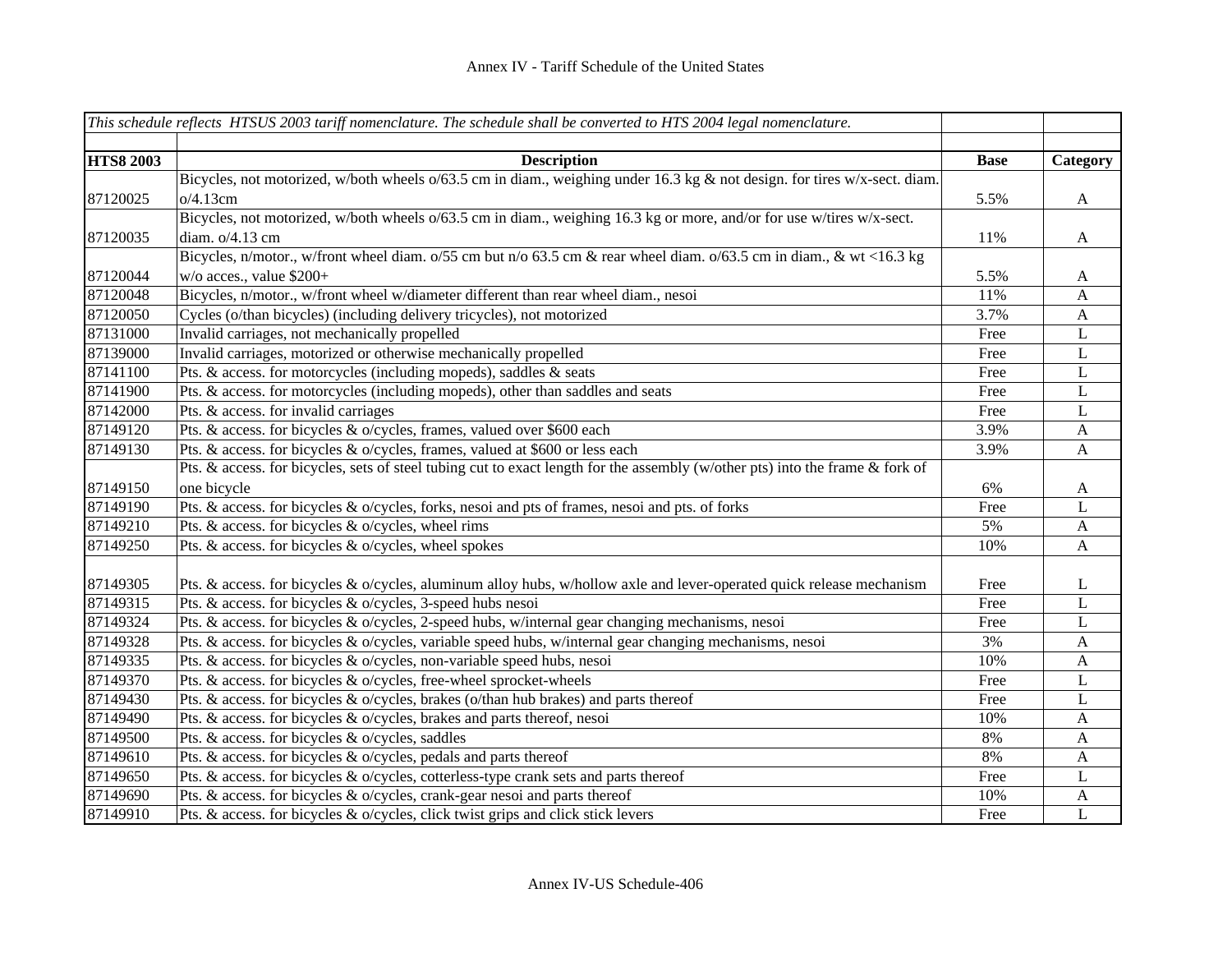|                  | This schedule reflects HTSUS 2003 tariff nomenclature. The schedule shall be converted to HTS 2004 legal nomenclature.        |             |                           |
|------------------|-------------------------------------------------------------------------------------------------------------------------------|-------------|---------------------------|
|                  |                                                                                                                               |             |                           |
| <b>HTS8 2003</b> | <b>Description</b>                                                                                                            | <b>Base</b> | Category                  |
|                  | Bicycles, not motorized, w/both wheels o/63.5 cm in diam., weighing under 16.3 kg & not design. for tires w/x-sect. diam.     |             |                           |
| 87120025         | o/4.13cm                                                                                                                      | 5.5%        | $\mathbf{A}$              |
|                  | Bicycles, not motorized, w/both wheels o/63.5 cm in diam., weighing 16.3 kg or more, and/or for use w/tires w/x-sect.         |             |                           |
| 87120035         | diam. o/4.13 cm                                                                                                               | 11%         | $\mathbf{A}$              |
|                  | Bicycles, n/motor., w/front wheel diam. o/55 cm but n/o 63.5 cm & rear wheel diam. o/63.5 cm in diam., & wt <16.3 kg          |             |                           |
| 87120044         | $w/o$ acces., value \$200+                                                                                                    | 5.5%        | $\mathbf{A}$              |
| 87120048         | Bicycles, n/motor., w/front wheel w/diameter different than rear wheel diam., nesoi                                           | 11%         | A                         |
| 87120050         | Cycles (o/than bicycles) (including delivery tricycles), not motorized                                                        | 3.7%        | $\mathbf{A}$              |
| 87131000         | Invalid carriages, not mechanically propelled                                                                                 | Free        | L                         |
| 87139000         | Invalid carriages, motorized or otherwise mechanically propelled                                                              | Free        | $\mathbf L$               |
| 87141100         | Pts. & access. for motorcycles (including mopeds), saddles & seats                                                            | Free        | $\mathbf L$               |
| 87141900         | Pts. & access. for motorcycles (including mopeds), other than saddles and seats                                               | Free        | $\mathbf L$               |
| 87142000         | Pts. & access. for invalid carriages                                                                                          | Free        | $\mathbf L$               |
| 87149120         | Pts. & access. for bicycles & o/cycles, frames, valued over \$600 each                                                        | 3.9%        | $\boldsymbol{\mathsf{A}}$ |
| 87149130         | Pts. & access. for bicycles & o/cycles, frames, valued at \$600 or less each                                                  | 3.9%        | $\mathbf{A}$              |
|                  | Pts. & access. for bicycles, sets of steel tubing cut to exact length for the assembly (w/other pts) into the frame & fork of |             |                           |
| 87149150         | one bicycle                                                                                                                   | 6%          | $\mathbf{A}$              |
| 87149190         | Pts. & access. for bicycles & o/cycles, forks, nesoi and pts of frames, nesoi and pts. of forks                               | Free        | L                         |
| 87149210         | Pts. & access. for bicycles & o/cycles, wheel rims                                                                            | 5%          | $\boldsymbol{\mathsf{A}}$ |
| 87149250         | Pts. & access. for bicycles & o/cycles, wheel spokes                                                                          | 10%         | $\mathbf{A}$              |
|                  |                                                                                                                               |             |                           |
| 87149305         | Pts. & access. for bicycles & o/cycles, aluminum alloy hubs, w/hollow axle and lever-operated quick release mechanism         | Free        | L                         |
| 87149315         | Pts. & access. for bicycles & o/cycles, 3-speed hubs nesoi                                                                    | Free        | L                         |
| 87149324         | Pts. & access. for bicycles & o/cycles, 2-speed hubs, w/internal gear changing mechanisms, nesoi                              | Free        | L                         |
| 87149328         | Pts. & access. for bicycles & o/cycles, variable speed hubs, w/internal gear changing mechanisms, nesoi                       | 3%          | A                         |
| 87149335         | Pts. & access. for bicycles & o/cycles, non-variable speed hubs, nesoi                                                        | 10%         | $\boldsymbol{\mathsf{A}}$ |
| 87149370         | Pts. & access. for bicycles & o/cycles, free-wheel sprocket-wheels                                                            | Free        | $\mathbf L$               |
| 87149430         | Pts. & access. for bicycles & o/cycles, brakes (o/than hub brakes) and parts thereof                                          | Free        | $\mathbf L$               |
| 87149490         | Pts. & access. for bicycles & o/cycles, brakes and parts thereof, nesoi                                                       | 10%         | $\mathbf{A}$              |
| 87149500         | Pts. & access. for bicycles & o/cycles, saddles                                                                               | 8%          | $\mathbf{A}$              |
| 87149610         | Pts. & access. for bicycles & o/cycles, pedals and parts thereof                                                              | 8%          | $\mathbf{A}$              |
| 87149650         | Pts. & access. for bicycles & o/cycles, cotterless-type crank sets and parts thereof                                          | Free        | L                         |
| 87149690         | Pts. & access. for bicycles & o/cycles, crank-gear nesoi and parts thereof                                                    | 10%         | $\mathbf{A}$              |
| 87149910         | Pts. & access. for bicycles & o/cycles, click twist grips and click stick levers                                              | Free        | L                         |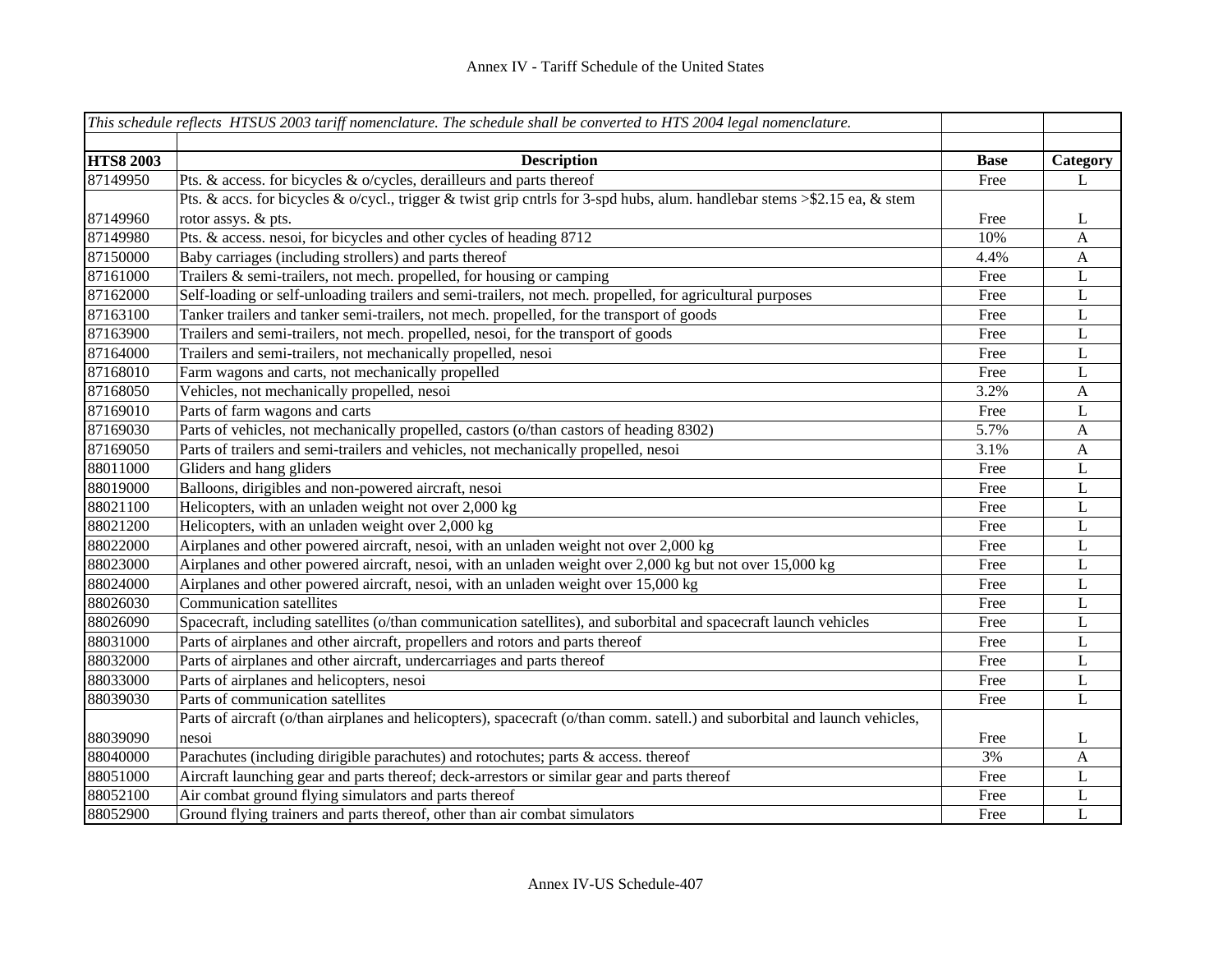|                  | This schedule reflects HTSUS 2003 tariff nomenclature. The schedule shall be converted to HTS 2004 legal nomenclature.      |             |              |
|------------------|-----------------------------------------------------------------------------------------------------------------------------|-------------|--------------|
|                  |                                                                                                                             |             |              |
| <b>HTS8 2003</b> | <b>Description</b>                                                                                                          | <b>Base</b> | Category     |
| 87149950         | Pts. & access. for bicycles & o/cycles, derailleurs and parts thereof                                                       | Free        | L            |
|                  | Pts. & accs. for bicycles & o/cycl., trigger & twist grip cntrls for 3-spd hubs, alum. handlebar stems >\$2.15 ea, & stem   |             |              |
| 87149960         | rotor assys. & pts.                                                                                                         | Free        | L            |
| 87149980         | Pts. & access. nesoi, for bicycles and other cycles of heading 8712                                                         | 10%         | $\mathbf{A}$ |
| 87150000         | Baby carriages (including strollers) and parts thereof                                                                      | 4.4%        | $\mathbf{A}$ |
| 87161000         | Trailers & semi-trailers, not mech. propelled, for housing or camping                                                       | Free        | L            |
| 87162000         | Self-loading or self-unloading trailers and semi-trailers, not mech. propelled, for agricultural purposes                   | Free        | L            |
| 87163100         | Tanker trailers and tanker semi-trailers, not mech. propelled, for the transport of goods                                   | Free        | L            |
| 87163900         | Trailers and semi-trailers, not mech. propelled, nesoi, for the transport of goods                                          | Free        | L            |
| 87164000         | Trailers and semi-trailers, not mechanically propelled, nesoi                                                               | Free        | L            |
| 87168010         | Farm wagons and carts, not mechanically propelled                                                                           | Free        | $\mathbf L$  |
| 87168050         | Vehicles, not mechanically propelled, nesoi                                                                                 | 3.2%        | $\mathbf{A}$ |
| 87169010         | Parts of farm wagons and carts                                                                                              | Free        | $\mathbf L$  |
| 87169030         | Parts of vehicles, not mechanically propelled, castors (o/than castors of heading 8302)                                     | 5.7%        | $\mathbf{A}$ |
| 87169050         | Parts of trailers and semi-trailers and vehicles, not mechanically propelled, nesoi                                         | 3.1%        | $\mathbf{A}$ |
| 88011000         | Gliders and hang gliders                                                                                                    | Free        | $\mathbf L$  |
| 88019000         | Balloons, dirigibles and non-powered aircraft, nesoi                                                                        | Free        | $\mathbf L$  |
| 88021100         | Helicopters, with an unladen weight not over 2,000 kg                                                                       | Free        | $\bf L$      |
| 88021200         | Helicopters, with an unladen weight over 2,000 kg                                                                           | Free        | $\mathbf L$  |
| 88022000         | Airplanes and other powered aircraft, nesoi, with an unladen weight not over 2,000 kg                                       | Free        | $\mathbf L$  |
| 88023000         | Airplanes and other powered aircraft, nesoi, with an unladen weight over 2,000 kg but not over 15,000 kg                    | Free        | L            |
| 88024000         | Airplanes and other powered aircraft, nesoi, with an unladen weight over 15,000 kg                                          | Free        | L            |
| 88026030         | <b>Communication satellites</b>                                                                                             | Free        | L            |
| 88026090         | Spacecraft, including satellites (o/than communication satellites), and suborbital and spacecraft launch vehicles           | Free        | L            |
| 88031000         | Parts of airplanes and other aircraft, propellers and rotors and parts thereof                                              | Free        | L            |
| 88032000         | Parts of airplanes and other aircraft, undercarriages and parts thereof                                                     | Free        | $\mathbf L$  |
| 88033000         | Parts of airplanes and helicopters, nesoi                                                                                   | Free        | $\mathbf L$  |
| 88039030         | Parts of communication satellites                                                                                           | Free        | $\mathbf L$  |
|                  | Parts of aircraft (o/than airplanes and helicopters), spacecraft (o/than comm. satell.) and suborbital and launch vehicles, |             |              |
| 88039090         | nesoi                                                                                                                       | Free        | L            |
| 88040000         | Parachutes (including dirigible parachutes) and rotochutes; parts & access. thereof                                         | 3%          | A            |
| 88051000         | Aircraft launching gear and parts thereof; deck-arrestors or similar gear and parts thereof                                 | Free        | L            |
| 88052100         | Air combat ground flying simulators and parts thereof                                                                       | Free        | L            |
| 88052900         | Ground flying trainers and parts thereof, other than air combat simulators                                                  | Free        | L            |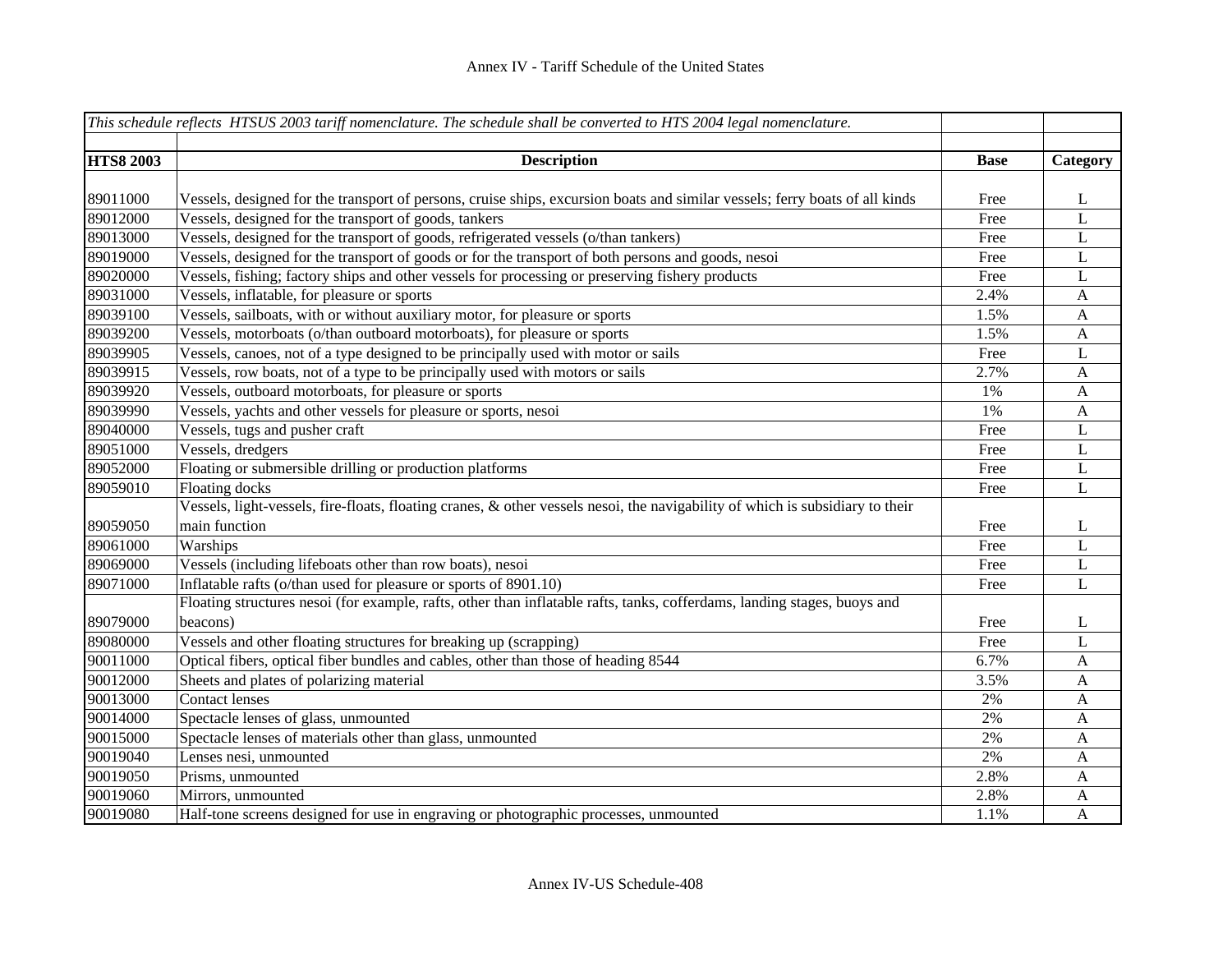|                  | This schedule reflects HTSUS 2003 tariff nomenclature. The schedule shall be converted to HTS 2004 legal nomenclature.        |             |              |
|------------------|-------------------------------------------------------------------------------------------------------------------------------|-------------|--------------|
|                  |                                                                                                                               |             |              |
| <b>HTS8 2003</b> | <b>Description</b>                                                                                                            | <b>Base</b> | Category     |
|                  |                                                                                                                               |             |              |
| 89011000         | Vessels, designed for the transport of persons, cruise ships, excursion boats and similar vessels; ferry boats of all kinds   | Free        | L            |
| 89012000         | Vessels, designed for the transport of goods, tankers                                                                         | Free        | $\mathbf L$  |
| 89013000         | Vessels, designed for the transport of goods, refrigerated vessels (o/than tankers)                                           | Free        | $\mathbf L$  |
| 89019000         | Vessels, designed for the transport of goods or for the transport of both persons and goods, nesoi                            | Free        | L            |
| 89020000         | Vessels, fishing; factory ships and other vessels for processing or preserving fishery products                               | Free        | L            |
| 89031000         | Vessels, inflatable, for pleasure or sports                                                                                   | 2.4%        | A            |
| 89039100         | Vessels, sailboats, with or without auxiliary motor, for pleasure or sports                                                   | 1.5%        | A            |
| 89039200         | Vessels, motorboats (o/than outboard motorboats), for pleasure or sports                                                      | 1.5%        | $\mathbf{A}$ |
| 89039905         | Vessels, canoes, not of a type designed to be principally used with motor or sails                                            | Free        | L            |
| 89039915         | Vessels, row boats, not of a type to be principally used with motors or sails                                                 | 2.7%        | $\mathbf{A}$ |
| 89039920         | Vessels, outboard motorboats, for pleasure or sports                                                                          | 1%          | $\mathbf{A}$ |
| 89039990         | Vessels, yachts and other vessels for pleasure or sports, nesoi                                                               | 1%          | $\mathbf{A}$ |
| 89040000         | Vessels, tugs and pusher craft                                                                                                | Free        | $\mathbf{L}$ |
| 89051000         | Vessels, dredgers                                                                                                             | Free        | $\mathbf L$  |
| 89052000         | Floating or submersible drilling or production platforms                                                                      | Free        | $\mathbf L$  |
| 89059010         | Floating docks                                                                                                                | Free        | L            |
|                  | Vessels, light-vessels, fire-floats, floating cranes, & other vessels nesoi, the navigability of which is subsidiary to their |             |              |
| 89059050         | main function                                                                                                                 | Free        | L            |
| 89061000         | Warships                                                                                                                      | Free        | $\mathbf L$  |
| 89069000         | Vessels (including lifeboats other than row boats), nesoi                                                                     | Free        | $\mathbf L$  |
| 89071000         | Inflatable rafts (o/than used for pleasure or sports of 8901.10)                                                              | Free        | L            |
|                  | Floating structures nesoi (for example, rafts, other than inflatable rafts, tanks, cofferdams, landing stages, buoys and      |             |              |
| 89079000         | beacons)                                                                                                                      | Free        | L            |
| 89080000         | Vessels and other floating structures for breaking up (scrapping)                                                             | Free        | L            |
| 90011000         | Optical fibers, optical fiber bundles and cables, other than those of heading 8544                                            | 6.7%        | $\mathbf{A}$ |
| 90012000         | Sheets and plates of polarizing material                                                                                      | 3.5%        | $\mathbf{A}$ |
| 90013000         | <b>Contact lenses</b>                                                                                                         | 2%          | $\mathbf{A}$ |
| 90014000         | Spectacle lenses of glass, unmounted                                                                                          | 2%          | $\mathbf{A}$ |
| 90015000         | Spectacle lenses of materials other than glass, unmounted                                                                     | 2%          | $\mathbf{A}$ |
| 90019040         | Lenses nesi, unmounted                                                                                                        | 2%          | $\mathbf{A}$ |
| 90019050         | Prisms, unmounted                                                                                                             | 2.8%        | A            |
| 90019060         | Mirrors, unmounted                                                                                                            | 2.8%        | A            |
| 90019080         | Half-tone screens designed for use in engraving or photographic processes, unmounted                                          | 1.1%        | A            |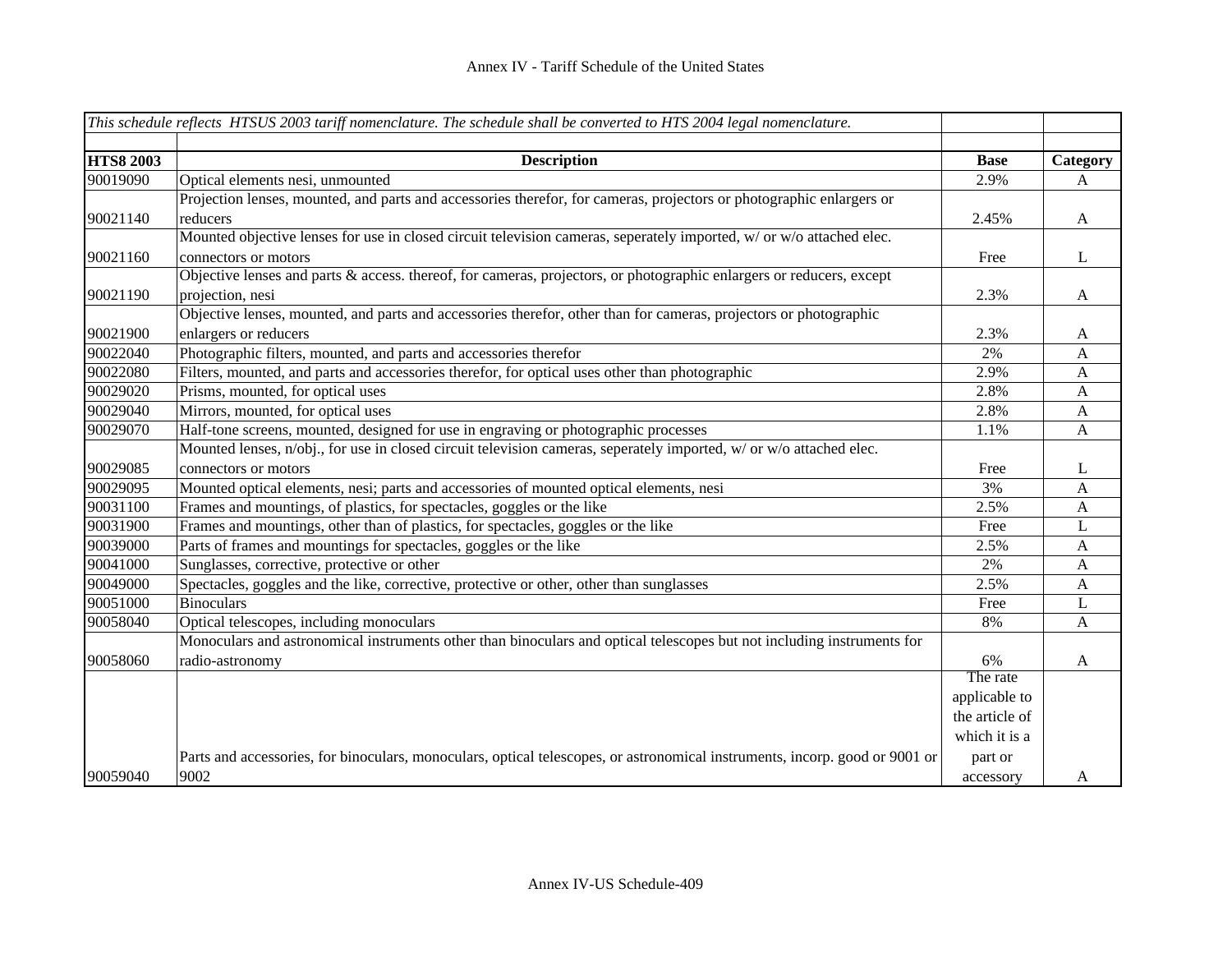| This schedule reflects HTSUS 2003 tariff nomenclature. The schedule shall be converted to HTS 2004 legal nomenclature. |                                                                                                                             |                |              |
|------------------------------------------------------------------------------------------------------------------------|-----------------------------------------------------------------------------------------------------------------------------|----------------|--------------|
| <b>HTS8 2003</b>                                                                                                       | <b>Description</b>                                                                                                          | <b>Base</b>    | Category     |
| 90019090                                                                                                               | Optical elements nesi, unmounted                                                                                            | 2.9%           | A            |
|                                                                                                                        | Projection lenses, mounted, and parts and accessories therefor, for cameras, projectors or photographic enlargers or        |                |              |
| 90021140                                                                                                               | reducers                                                                                                                    | 2.45%          | $\mathbf{A}$ |
|                                                                                                                        | Mounted objective lenses for use in closed circuit television cameras, seperately imported, w/ or w/o attached elec.        |                |              |
| 90021160                                                                                                               | connectors or motors                                                                                                        | Free           | L            |
|                                                                                                                        | Objective lenses and parts & access. thereof, for cameras, projectors, or photographic enlargers or reducers, except        |                |              |
| 90021190                                                                                                               | projection, nesi                                                                                                            | 2.3%           | $\mathbf{A}$ |
|                                                                                                                        | Objective lenses, mounted, and parts and accessories therefor, other than for cameras, projectors or photographic           |                |              |
| 90021900                                                                                                               | enlargers or reducers                                                                                                       | 2.3%           | A            |
| 90022040                                                                                                               | Photographic filters, mounted, and parts and accessories therefor                                                           | 2%             | A            |
| 90022080                                                                                                               | Filters, mounted, and parts and accessories therefor, for optical uses other than photographic                              | 2.9%           | $\mathbf{A}$ |
| 90029020                                                                                                               | Prisms, mounted, for optical uses                                                                                           | 2.8%           | $\mathbf{A}$ |
| 90029040                                                                                                               | Mirrors, mounted, for optical uses                                                                                          | 2.8%           | $\mathbf{A}$ |
| 90029070                                                                                                               | Half-tone screens, mounted, designed for use in engraving or photographic processes                                         | 1.1%           | $\mathbf{A}$ |
|                                                                                                                        | Mounted lenses, n/obj., for use in closed circuit television cameras, seperately imported, w/ or w/o attached elec.         |                |              |
| 90029085                                                                                                               | connectors or motors                                                                                                        | Free           | L            |
| 90029095                                                                                                               | Mounted optical elements, nesi; parts and accessories of mounted optical elements, nesi                                     | 3%             | A            |
| 90031100                                                                                                               | Frames and mountings, of plastics, for spectacles, goggles or the like                                                      | 2.5%           | A            |
| 90031900                                                                                                               | Frames and mountings, other than of plastics, for spectacles, goggles or the like                                           | Free           | $\mathbf L$  |
| 90039000                                                                                                               | Parts of frames and mountings for spectacles, goggles or the like                                                           | 2.5%           | A            |
| 90041000                                                                                                               | Sunglasses, corrective, protective or other                                                                                 | 2%             | $\mathbf{A}$ |
| 90049000                                                                                                               | Spectacles, goggles and the like, corrective, protective or other, other than sunglasses                                    | 2.5%           | $\mathbf{A}$ |
| 90051000                                                                                                               | <b>Binoculars</b>                                                                                                           | Free           | L            |
| 90058040                                                                                                               | Optical telescopes, including monoculars                                                                                    | 8%             | A            |
|                                                                                                                        | Monoculars and astronomical instruments other than binoculars and optical telescopes but not including instruments for      |                |              |
| 90058060                                                                                                               | radio-astronomy                                                                                                             | 6%             | $\mathbf{A}$ |
|                                                                                                                        |                                                                                                                             | The rate       |              |
|                                                                                                                        |                                                                                                                             | applicable to  |              |
|                                                                                                                        |                                                                                                                             | the article of |              |
|                                                                                                                        |                                                                                                                             | which it is a  |              |
|                                                                                                                        | Parts and accessories, for binoculars, monoculars, optical telescopes, or astronomical instruments, incorp. good or 9001 or | part or        |              |
| 90059040                                                                                                               | 9002                                                                                                                        | accessory      | A            |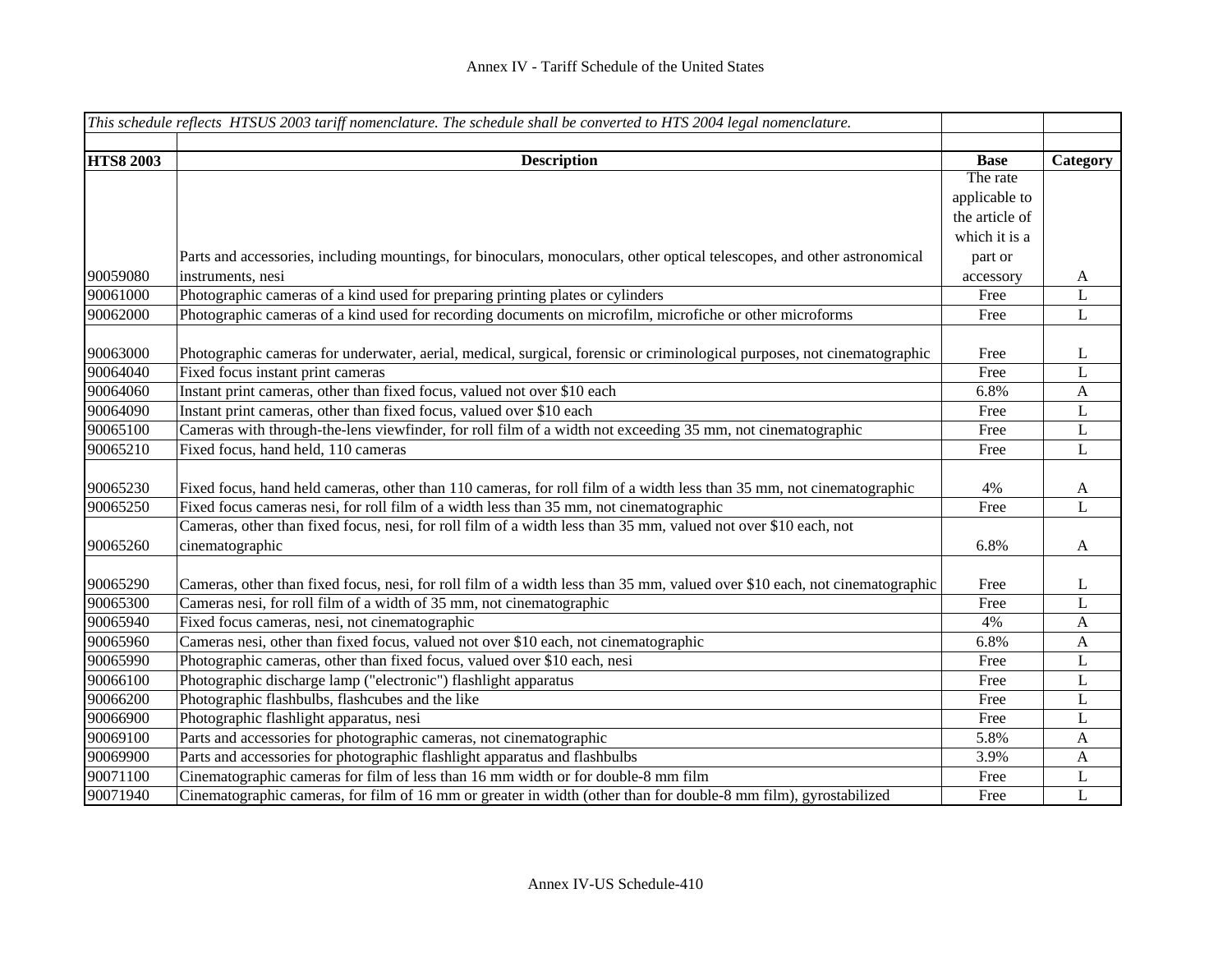|                  | This schedule reflects HTSUS 2003 tariff nomenclature. The schedule shall be converted to HTS 2004 legal nomenclature.      |                |              |
|------------------|-----------------------------------------------------------------------------------------------------------------------------|----------------|--------------|
|                  |                                                                                                                             |                |              |
| <b>HTS8 2003</b> | <b>Description</b>                                                                                                          | <b>Base</b>    | Category     |
|                  |                                                                                                                             | The rate       |              |
|                  |                                                                                                                             | applicable to  |              |
|                  |                                                                                                                             | the article of |              |
|                  |                                                                                                                             | which it is a  |              |
|                  | Parts and accessories, including mountings, for binoculars, monoculars, other optical telescopes, and other astronomical    | part or        |              |
| 90059080         | instruments, nesi                                                                                                           | accessory      | A            |
| 90061000         | Photographic cameras of a kind used for preparing printing plates or cylinders                                              | Free           | L            |
| 90062000         | Photographic cameras of a kind used for recording documents on microfilm, microfiche or other microforms                    | Free           | L            |
|                  |                                                                                                                             |                |              |
| 90063000         | Photographic cameras for underwater, aerial, medical, surgical, forensic or criminological purposes, not cinematographic    | Free           | L            |
| 90064040         | Fixed focus instant print cameras                                                                                           | Free           | L            |
| 90064060         | Instant print cameras, other than fixed focus, valued not over \$10 each                                                    | 6.8%           | A            |
| 90064090         | Instant print cameras, other than fixed focus, valued over \$10 each                                                        | Free           | L            |
| 90065100         | Cameras with through-the-lens viewfinder, for roll film of a width not exceeding 35 mm, not cinematographic                 | Free           | L            |
| 90065210         | Fixed focus, hand held, 110 cameras                                                                                         | Free           | L            |
|                  |                                                                                                                             |                |              |
| 90065230         | Fixed focus, hand held cameras, other than 110 cameras, for roll film of a width less than 35 mm, not cinematographic       | 4%             | A            |
| 90065250         | Fixed focus cameras nesi, for roll film of a width less than 35 mm, not cinematographic                                     | Free           | $\mathbf L$  |
|                  | Cameras, other than fixed focus, nesi, for roll film of a width less than 35 mm, valued not over \$10 each, not             |                |              |
| 90065260         | cinematographic                                                                                                             | 6.8%           | A            |
|                  |                                                                                                                             |                |              |
| 90065290         | Cameras, other than fixed focus, nesi, for roll film of a width less than 35 mm, valued over \$10 each, not cinematographic | Free           | L            |
| 90065300         | Cameras nesi, for roll film of a width of 35 mm, not cinematographic                                                        | Free           | L            |
| 90065940         | Fixed focus cameras, nesi, not cinematographic                                                                              | 4%             | $\mathbf{A}$ |
| 90065960         | Cameras nesi, other than fixed focus, valued not over \$10 each, not cinematographic                                        | 6.8%           | $\mathbf{A}$ |
| 90065990         | Photographic cameras, other than fixed focus, valued over \$10 each, nesi                                                   | Free           | L            |
| 90066100         | Photographic discharge lamp ("electronic") flashlight apparatus                                                             | Free           | L            |
| 90066200         | Photographic flashbulbs, flashcubes and the like                                                                            | Free           | L            |
| 90066900         | Photographic flashlight apparatus, nesi                                                                                     | Free           | L            |
| 90069100         | Parts and accessories for photographic cameras, not cinematographic                                                         | 5.8%           | A            |
| 90069900         | Parts and accessories for photographic flashlight apparatus and flashbulbs                                                  | 3.9%           | $\mathbf{A}$ |
| 90071100         | Cinematographic cameras for film of less than 16 mm width or for double-8 mm film                                           | Free           | L            |
| 90071940         | Cinematographic cameras, for film of 16 mm or greater in width (other than for double-8 mm film), gyrostabilized            | Free           | L            |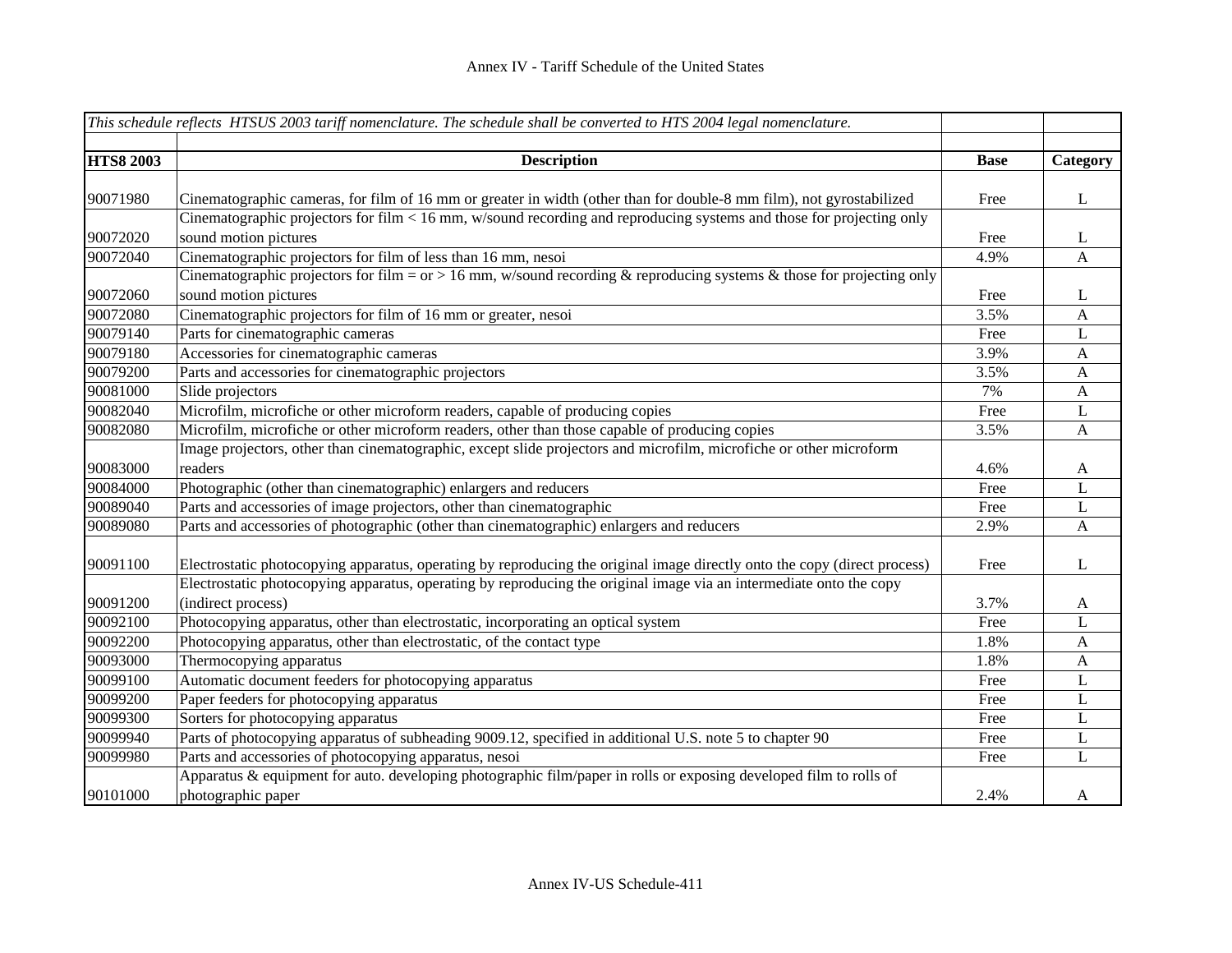|                  | This schedule reflects HTSUS 2003 tariff nomenclature. The schedule shall be converted to HTS 2004 legal nomenclature.                        |             |                |
|------------------|-----------------------------------------------------------------------------------------------------------------------------------------------|-------------|----------------|
| <b>HTS8 2003</b> | <b>Description</b>                                                                                                                            | <b>Base</b> | Category       |
|                  |                                                                                                                                               |             |                |
| 90071980         | Cinematographic cameras, for film of 16 mm or greater in width (other than for double-8 mm film), not gyrostabilized                          | Free        | L              |
| 90072020         | Cinematographic projectors for film < 16 mm, w/sound recording and reproducing systems and those for projecting only<br>sound motion pictures | Free        | L              |
| 90072040         | Cinematographic projectors for film of less than 16 mm, nesoi                                                                                 | 4.9%        | $\overline{A}$ |
|                  | Cinematographic projectors for film = $or$ > 16 mm, w/sound recording & reproducing systems & those for projecting only                       |             |                |
| 90072060         | sound motion pictures                                                                                                                         | Free        | L              |
| 90072080         | Cinematographic projectors for film of 16 mm or greater, nesoi                                                                                | 3.5%        | A              |
| 90079140         | Parts for cinematographic cameras                                                                                                             | Free        | L              |
| 90079180         | Accessories for cinematographic cameras                                                                                                       | 3.9%        | A              |
| 90079200         | Parts and accessories for cinematographic projectors                                                                                          | 3.5%        | A              |
| 90081000         | Slide projectors                                                                                                                              | 7%          | $\mathbf{A}$   |
| 90082040         | Microfilm, microfiche or other microform readers, capable of producing copies                                                                 | Free        | L              |
| 90082080         | Microfilm, microfiche or other microform readers, other than those capable of producing copies                                                | 3.5%        | A              |
|                  | Image projectors, other than cinematographic, except slide projectors and microfilm, microfiche or other microform                            |             |                |
| 90083000         | readers                                                                                                                                       | 4.6%        | $\mathbf{A}$   |
| 90084000         | Photographic (other than cinematographic) enlargers and reducers                                                                              | Free        | L              |
| 90089040         | Parts and accessories of image projectors, other than cinematographic                                                                         | Free        | L              |
| 90089080         | Parts and accessories of photographic (other than cinematographic) enlargers and reducers                                                     | 2.9%        | A              |
| 90091100         | Electrostatic photocopying apparatus, operating by reproducing the original image directly onto the copy (direct process)                     | Free        | L              |
| 90091200         | Electrostatic photocopying apparatus, operating by reproducing the original image via an intermediate onto the copy<br>(indirect process)     | 3.7%        | A              |
| 90092100         | Photocopying apparatus, other than electrostatic, incorporating an optical system                                                             | Free        | L              |
| 90092200         | Photocopying apparatus, other than electrostatic, of the contact type                                                                         | 1.8%        | $\mathbf{A}$   |
| 90093000         | Thermocopying apparatus                                                                                                                       | 1.8%        | $\mathbf{A}$   |
| 90099100         | Automatic document feeders for photocopying apparatus                                                                                         | Free        | L              |
| 90099200         | Paper feeders for photocopying apparatus                                                                                                      | Free        | L              |
| 90099300         | Sorters for photocopying apparatus                                                                                                            | Free        | L              |
| 90099940         | Parts of photocopying apparatus of subheading 9009.12, specified in additional U.S. note 5 to chapter 90                                      | Free        | L              |
| 90099980         | Parts and accessories of photocopying apparatus, nesoi                                                                                        | Free        | L              |
| 90101000         | Apparatus & equipment for auto. developing photographic film/paper in rolls or exposing developed film to rolls of<br>photographic paper      | 2.4%        | A              |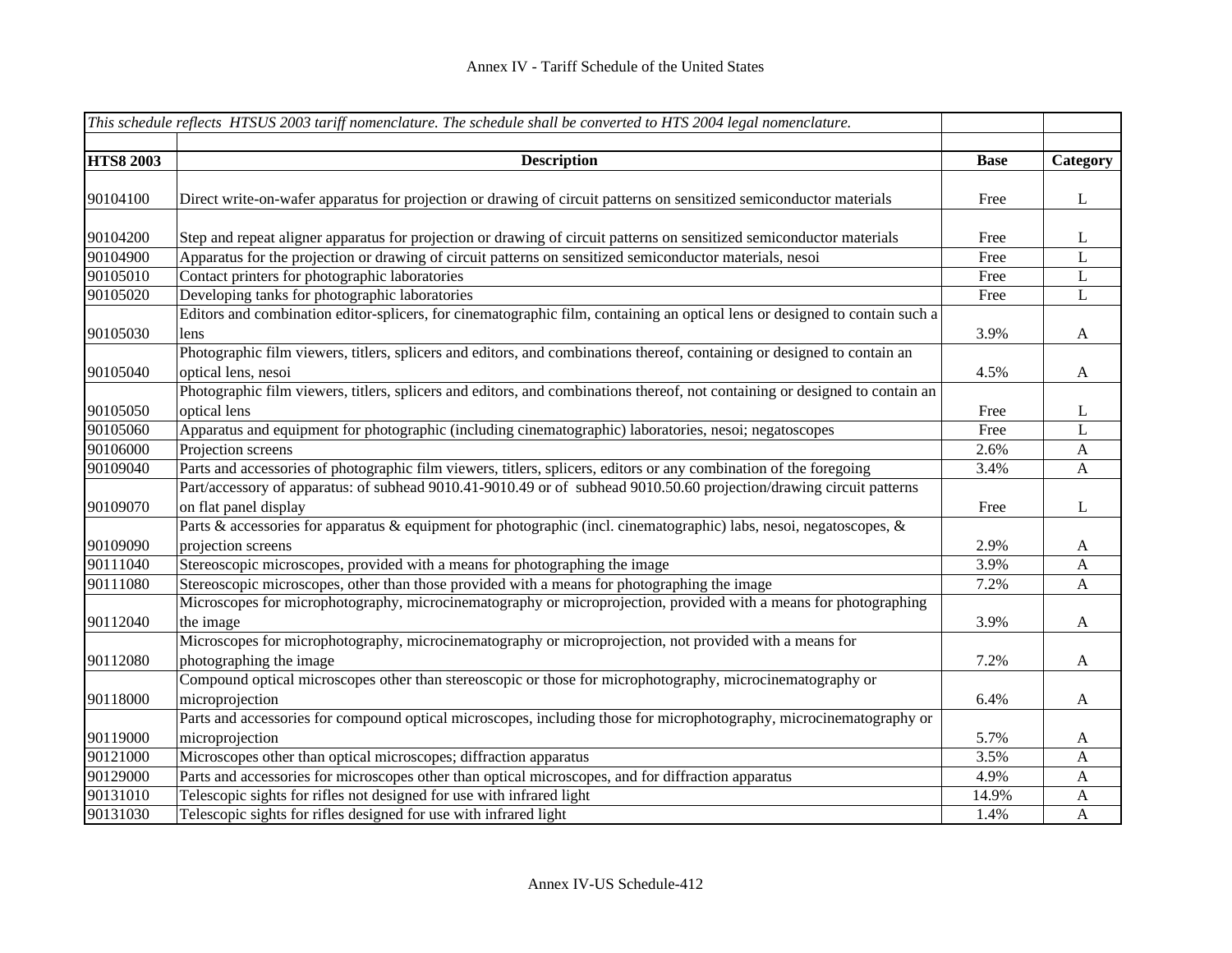|                  | This schedule reflects HTSUS 2003 tariff nomenclature. The schedule shall be converted to HTS 2004 legal nomenclature.       |             |              |
|------------------|------------------------------------------------------------------------------------------------------------------------------|-------------|--------------|
| <b>HTS8 2003</b> | <b>Description</b>                                                                                                           | <b>Base</b> | Category     |
|                  |                                                                                                                              |             |              |
| 90104100         | Direct write-on-wafer apparatus for projection or drawing of circuit patterns on sensitized semiconductor materials          | Free        | L            |
|                  |                                                                                                                              |             |              |
| 90104200         | Step and repeat aligner apparatus for projection or drawing of circuit patterns on sensitized semiconductor materials        | Free        | L            |
| 90104900         | Apparatus for the projection or drawing of circuit patterns on sensitized semiconductor materials, nesoi                     | Free        | L            |
| 90105010         | Contact printers for photographic laboratories                                                                               | Free        | L            |
| 90105020         | Developing tanks for photographic laboratories                                                                               | Free        | L            |
|                  | Editors and combination editor-splicers, for cinematographic film, containing an optical lens or designed to contain such a  |             |              |
| 90105030         | lens                                                                                                                         | 3.9%        | A            |
|                  | Photographic film viewers, titlers, splicers and editors, and combinations thereof, containing or designed to contain an     |             |              |
| 90105040         | optical lens, nesoi                                                                                                          | 4.5%        | A            |
|                  | Photographic film viewers, titlers, splicers and editors, and combinations thereof, not containing or designed to contain an |             |              |
| 90105050         | optical lens                                                                                                                 | Free        | $\mathbf{L}$ |
| 90105060         | Apparatus and equipment for photographic (including cinematographic) laboratories, nesoi; negatoscopes                       | Free        | $\mathbf{L}$ |
| 90106000         | Projection screens                                                                                                           | 2.6%        | $\mathbf{A}$ |
| 90109040         | Parts and accessories of photographic film viewers, titlers, splicers, editors or any combination of the foregoing           | 3.4%        | $\mathbf{A}$ |
|                  | Part/accessory of apparatus: of subhead 9010.41-9010.49 or of subhead 9010.50.60 projection/drawing circuit patterns         |             |              |
| 90109070         | on flat panel display                                                                                                        | Free        | L            |
|                  | Parts & accessories for apparatus & equipment for photographic (incl. cinematographic) labs, nesoi, negatoscopes, &          |             |              |
| 90109090         | projection screens                                                                                                           | 2.9%        | $\mathbf{A}$ |
| 90111040         | Stereoscopic microscopes, provided with a means for photographing the image                                                  | 3.9%        | $\mathbf{A}$ |
| 90111080         | Stereoscopic microscopes, other than those provided with a means for photographing the image                                 | 7.2%        | $\mathbf{A}$ |
|                  | Microscopes for microphotography, microcinematography or microprojection, provided with a means for photographing            |             |              |
| 90112040         | the image                                                                                                                    | 3.9%        | $\mathbf{A}$ |
|                  | Microscopes for microphotography, microcinematography or microprojection, not provided with a means for                      |             |              |
| 90112080         | photographing the image                                                                                                      | 7.2%        | $\mathbf{A}$ |
|                  | Compound optical microscopes other than stereoscopic or those for microphotography, microcinematography or                   |             |              |
| 90118000         | microprojection                                                                                                              | 6.4%        | $\mathbf{A}$ |
|                  | Parts and accessories for compound optical microscopes, including those for microphotography, microcinematography or         |             |              |
| 90119000         | microprojection                                                                                                              | 5.7%        | A            |
| 90121000         | Microscopes other than optical microscopes; diffraction apparatus                                                            | 3.5%        | $\mathbf{A}$ |
| 90129000         | Parts and accessories for microscopes other than optical microscopes, and for diffraction apparatus                          | 4.9%        | $\mathbf{A}$ |
| 90131010         | Telescopic sights for rifles not designed for use with infrared light                                                        | 14.9%       |              |
|                  |                                                                                                                              |             | $\mathbf{A}$ |
| 90131030         | Telescopic sights for rifles designed for use with infrared light                                                            | 1.4%        | $\mathbf{A}$ |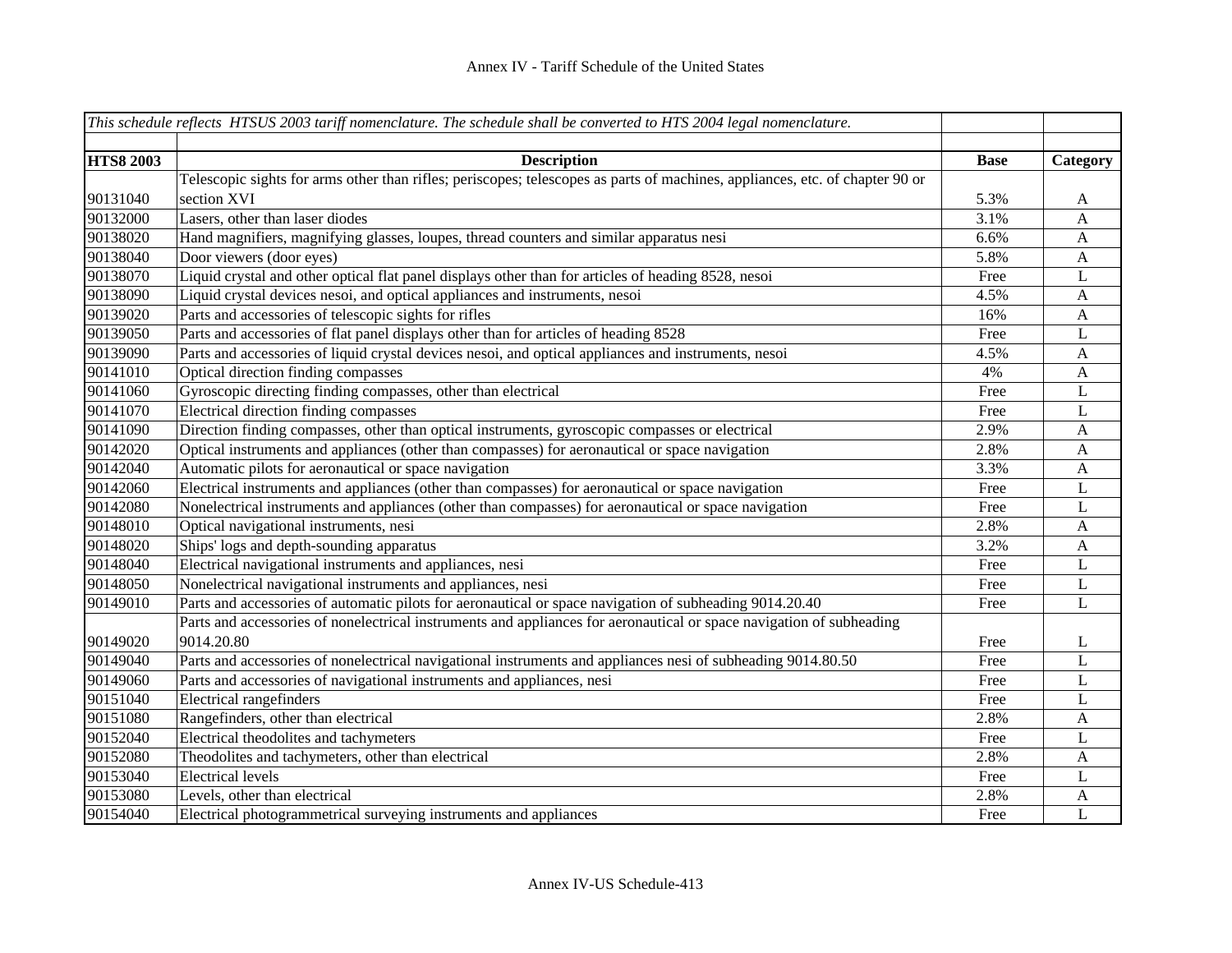|                  | This schedule reflects HTSUS 2003 tariff nomenclature. The schedule shall be converted to HTS 2004 legal nomenclature.       |             |              |
|------------------|------------------------------------------------------------------------------------------------------------------------------|-------------|--------------|
|                  |                                                                                                                              |             |              |
| <b>HTS8 2003</b> | <b>Description</b>                                                                                                           | <b>Base</b> | Category     |
|                  | Telescopic sights for arms other than rifles; periscopes; telescopes as parts of machines, appliances, etc. of chapter 90 or |             |              |
| 90131040         | section XVI                                                                                                                  | 5.3%        | A            |
| 90132000         | Lasers, other than laser diodes                                                                                              | 3.1%        | A            |
| 90138020         | Hand magnifiers, magnifying glasses, loupes, thread counters and similar apparatus nesi                                      | 6.6%        | A            |
| 90138040         | Door viewers (door eyes)                                                                                                     | 5.8%        | A            |
| 90138070         | Liquid crystal and other optical flat panel displays other than for articles of heading 8528, nesoi                          | Free        | L            |
| 90138090         | Liquid crystal devices nesoi, and optical appliances and instruments, nesoi                                                  | 4.5%        | $\mathbf{A}$ |
| 90139020         | Parts and accessories of telescopic sights for rifles                                                                        | 16%         | $\mathbf{A}$ |
| 90139050         | Parts and accessories of flat panel displays other than for articles of heading 8528                                         | Free        | $\mathbf L$  |
| 90139090         | Parts and accessories of liquid crystal devices nesoi, and optical appliances and instruments, nesoi                         | 4.5%        | $\mathbf{A}$ |
| 90141010         | Optical direction finding compasses                                                                                          | 4%          | $\mathbf{A}$ |
| 90141060         | Gyroscopic directing finding compasses, other than electrical                                                                | Free        | L            |
| 90141070         | Electrical direction finding compasses                                                                                       | Free        | L            |
| 90141090         | Direction finding compasses, other than optical instruments, gyroscopic compasses or electrical                              | 2.9%        | $\mathbf{A}$ |
| 90142020         | Optical instruments and appliances (other than compasses) for aeronautical or space navigation                               | 2.8%        | $\mathbf{A}$ |
| 90142040         | Automatic pilots for aeronautical or space navigation                                                                        | 3.3%        | $\mathbf{A}$ |
| 90142060         | Electrical instruments and appliances (other than compasses) for aeronautical or space navigation                            | Free        | L            |
| 90142080         | Nonelectrical instruments and appliances (other than compasses) for aeronautical or space navigation                         | Free        | L            |
| 90148010         | Optical navigational instruments, nesi                                                                                       | 2.8%        | $\mathbf{A}$ |
| 90148020         | Ships' logs and depth-sounding apparatus                                                                                     | 3.2%        | $\mathbf{A}$ |
| 90148040         | Electrical navigational instruments and appliances, nesi                                                                     | Free        | $\bf L$      |
| 90148050         | Nonelectrical navigational instruments and appliances, nesi                                                                  | Free        | $\bf L$      |
| 90149010         | Parts and accessories of automatic pilots for aeronautical or space navigation of subheading 9014.20.40                      | Free        | $\mathbf L$  |
|                  | Parts and accessories of nonelectrical instruments and appliances for aeronautical or space navigation of subheading         |             |              |
| 90149020         | 9014.20.80                                                                                                                   | Free        | L            |
| 90149040         | Parts and accessories of nonelectrical navigational instruments and appliances nesi of subheading 9014.80.50                 | Free        | L            |
| 90149060         | Parts and accessories of navigational instruments and appliances, nesi                                                       | Free        | L            |
| 90151040         | <b>Electrical rangefinders</b>                                                                                               | Free        | L            |
| 90151080         | Rangefinders, other than electrical                                                                                          | 2.8%        | $\mathbf{A}$ |
| 90152040         | Electrical theodolites and tachymeters                                                                                       | Free        | L            |
| 90152080         | Theodolites and tachymeters, other than electrical                                                                           | 2.8%        | $\mathbf{A}$ |
| 90153040         | <b>Electrical levels</b>                                                                                                     | Free        | L            |
| 90153080         | Levels, other than electrical                                                                                                | 2.8%        | A            |
| 90154040         | Electrical photogrammetrical surveying instruments and appliances                                                            | Free        | L            |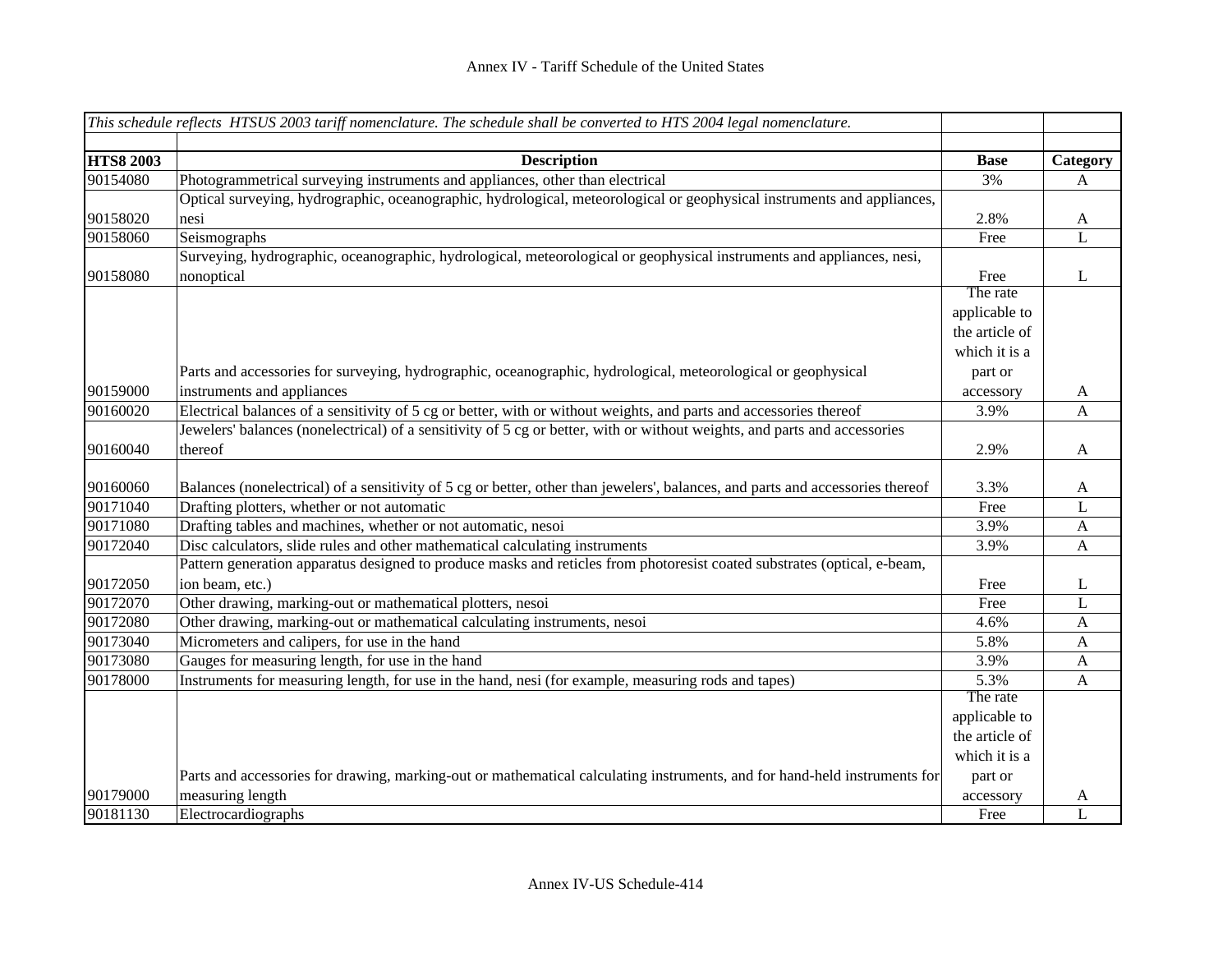|                  | This schedule reflects HTSUS 2003 tariff nomenclature. The schedule shall be converted to HTS 2004 legal nomenclature.         |                |                           |
|------------------|--------------------------------------------------------------------------------------------------------------------------------|----------------|---------------------------|
|                  |                                                                                                                                |                |                           |
| <b>HTS8 2003</b> | <b>Description</b>                                                                                                             | <b>Base</b>    | Category                  |
| 90154080         | Photogrammetrical surveying instruments and appliances, other than electrical                                                  | 3%             | A                         |
|                  | Optical surveying, hydrographic, oceanographic, hydrological, meteorological or geophysical instruments and appliances,        |                |                           |
| 90158020         | nesi                                                                                                                           | 2.8%           | $\mathbf{A}$              |
| 90158060         | Seismographs                                                                                                                   | Free           | L                         |
|                  | Surveying, hydrographic, oceanographic, hydrological, meteorological or geophysical instruments and appliances, nesi,          |                |                           |
| 90158080         | nonoptical                                                                                                                     | Free           | L                         |
|                  |                                                                                                                                | The rate       |                           |
|                  |                                                                                                                                | applicable to  |                           |
|                  |                                                                                                                                | the article of |                           |
|                  |                                                                                                                                | which it is a  |                           |
|                  | Parts and accessories for surveying, hydrographic, oceanographic, hydrological, meteorological or geophysical                  | part or        |                           |
| 90159000         | instruments and appliances                                                                                                     | accessory      | $\mathbf{A}$              |
| 90160020         | Electrical balances of a sensitivity of 5 cg or better, with or without weights, and parts and accessories thereof             | 3.9%           | $\mathbf{A}$              |
|                  | Jewelers' balances (nonelectrical) of a sensitivity of 5 cg or better, with or without weights, and parts and accessories      |                |                           |
| 90160040         | thereof                                                                                                                        | 2.9%           | $\mathbf{A}$              |
|                  |                                                                                                                                |                |                           |
| 90160060         | Balances (nonelectrical) of a sensitivity of 5 cg or better, other than jewelers', balances, and parts and accessories thereof | 3.3%           | $\mathbf{A}$              |
| 90171040         | Drafting plotters, whether or not automatic                                                                                    | Free           | $\mathbf L$               |
| 90171080         | Drafting tables and machines, whether or not automatic, nesoi                                                                  | 3.9%           | $\boldsymbol{\mathsf{A}}$ |
| 90172040         | Disc calculators, slide rules and other mathematical calculating instruments                                                   | 3.9%           | $\mathbf{A}$              |
|                  | Pattern generation apparatus designed to produce masks and reticles from photoresist coated substrates (optical, e-beam,       |                |                           |
| 90172050         | ion beam, etc.)                                                                                                                | Free           | L                         |
| 90172070         | Other drawing, marking-out or mathematical plotters, nesoi                                                                     | Free           | L                         |
| 90172080         | Other drawing, marking-out or mathematical calculating instruments, nesoi                                                      | 4.6%           | $\mathbf{A}$              |
| 90173040         | Micrometers and calipers, for use in the hand                                                                                  | 5.8%           | A                         |
| 90173080         | Gauges for measuring length, for use in the hand                                                                               | 3.9%           | $\mathbf{A}$              |
| 90178000         | Instruments for measuring length, for use in the hand, nesi (for example, measuring rods and tapes)                            | 5.3%           | A                         |
|                  |                                                                                                                                | The rate       |                           |
|                  |                                                                                                                                | applicable to  |                           |
|                  |                                                                                                                                | the article of |                           |
|                  |                                                                                                                                | which it is a  |                           |
|                  | Parts and accessories for drawing, marking-out or mathematical calculating instruments, and for hand-held instruments for      | part or        |                           |
| 90179000         | measuring length                                                                                                               | accessory      | A                         |
| 90181130         | Electrocardiographs                                                                                                            | Free           | L                         |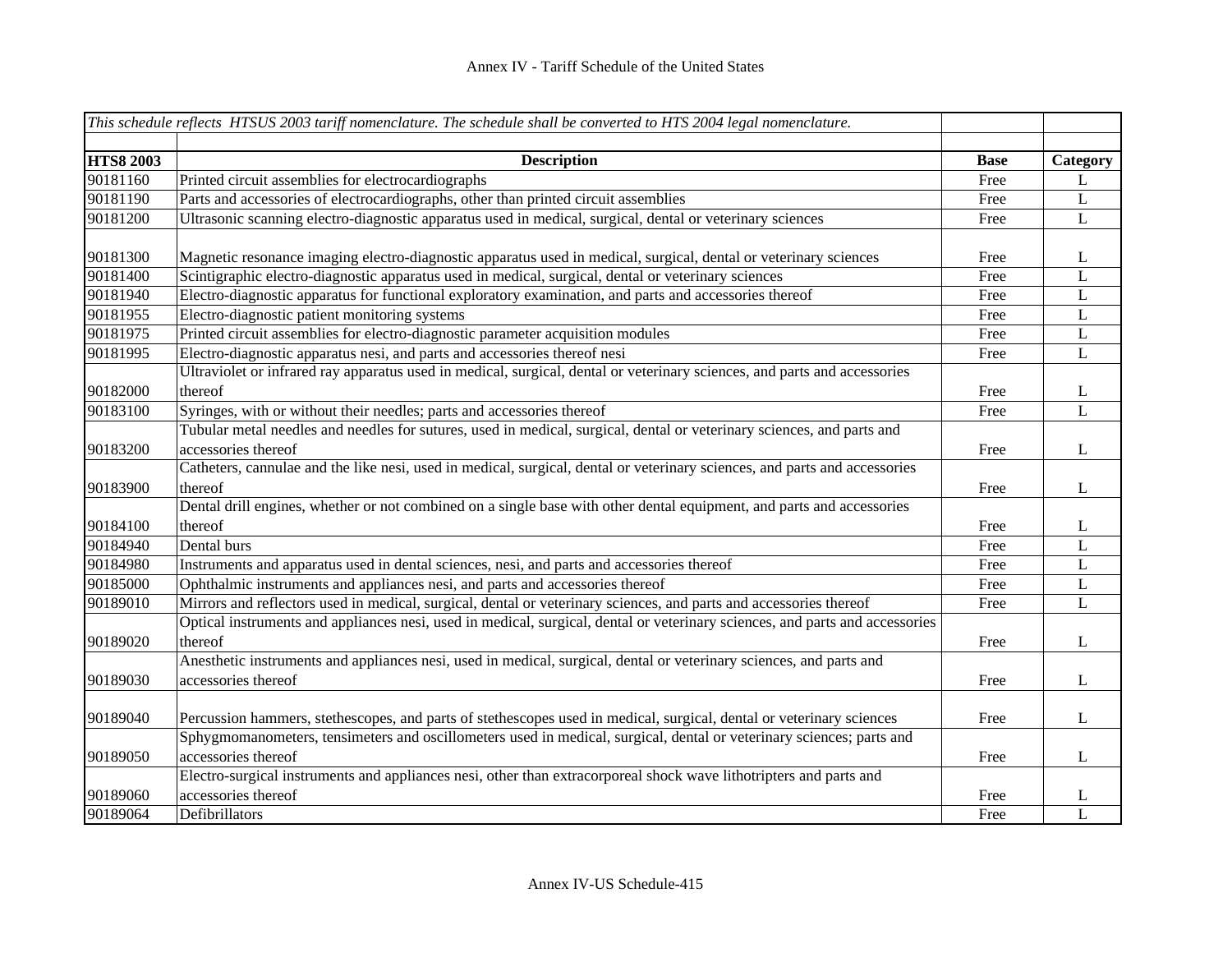|                  | This schedule reflects HTSUS 2003 tariff nomenclature. The schedule shall be converted to HTS 2004 legal nomenclature.                        |             |              |
|------------------|-----------------------------------------------------------------------------------------------------------------------------------------------|-------------|--------------|
| <b>HTS8 2003</b> | <b>Description</b>                                                                                                                            | <b>Base</b> | Category     |
| 90181160         | Printed circuit assemblies for electrocardiographs                                                                                            | Free        | L            |
| 90181190         | Parts and accessories of electrocardiographs, other than printed circuit assemblies                                                           | Free        | $\bf L$      |
| 90181200         | Ultrasonic scanning electro-diagnostic apparatus used in medical, surgical, dental or veterinary sciences                                     | Free        | $\mathbf{L}$ |
| 90181300         | Magnetic resonance imaging electro-diagnostic apparatus used in medical, surgical, dental or veterinary sciences                              | Free        | L            |
| 90181400         | Scintigraphic electro-diagnostic apparatus used in medical, surgical, dental or veterinary sciences                                           | Free        | L            |
| 90181940         | Electro-diagnostic apparatus for functional exploratory examination, and parts and accessories thereof                                        | Free        | L            |
| 90181955         | Electro-diagnostic patient monitoring systems                                                                                                 | Free        | L            |
| 90181975         | Printed circuit assemblies for electro-diagnostic parameter acquisition modules                                                               | Free        | $\bf L$      |
| 90181995         | Electro-diagnostic apparatus nesi, and parts and accessories thereof nesi                                                                     | Free        | $\bf L$      |
|                  | Ultraviolet or infrared ray apparatus used in medical, surgical, dental or veterinary sciences, and parts and accessories                     |             |              |
| 90182000         | thereof                                                                                                                                       | Free        | L            |
| 90183100         | Syringes, with or without their needles; parts and accessories thereof                                                                        | Free        | $\mathbf{L}$ |
| 90183200         | Tubular metal needles and needles for sutures, used in medical, surgical, dental or veterinary sciences, and parts and<br>accessories thereof | Free        | L            |
| 90183900         | Catheters, cannulae and the like nesi, used in medical, surgical, dental or veterinary sciences, and parts and accessories<br>thereof         | Free        | L            |
|                  | Dental drill engines, whether or not combined on a single base with other dental equipment, and parts and accessories                         |             |              |
| 90184100         | thereof                                                                                                                                       | Free        | L            |
| 90184940         | Dental burs                                                                                                                                   | Free        | L            |
| 90184980         | Instruments and apparatus used in dental sciences, nesi, and parts and accessories thereof                                                    | Free        | L            |
| 90185000         | Ophthalmic instruments and appliances nesi, and parts and accessories thereof                                                                 | Free        | L            |
| 90189010         | Mirrors and reflectors used in medical, surgical, dental or veterinary sciences, and parts and accessories thereof                            | Free        | L            |
| 90189020         | Optical instruments and appliances nesi, used in medical, surgical, dental or veterinary sciences, and parts and accessories<br>thereof       | Free        | L            |
| 90189030         | Anesthetic instruments and appliances nesi, used in medical, surgical, dental or veterinary sciences, and parts and<br>accessories thereof    | Free        | L            |
|                  |                                                                                                                                               |             |              |
| 90189040         | Percussion hammers, stethescopes, and parts of stethescopes used in medical, surgical, dental or veterinary sciences                          | Free        | L            |
| 90189050         | Sphygmomanometers, tensimeters and oscillometers used in medical, surgical, dental or veterinary sciences; parts and<br>accessories thereof   | Free        | L            |
|                  | Electro-surgical instruments and appliances nesi, other than extracorporeal shock wave lithotripters and parts and                            |             |              |
| 90189060         | accessories thereof                                                                                                                           | Free        | L            |
| 90189064         | Defibrillators                                                                                                                                | Free        | L            |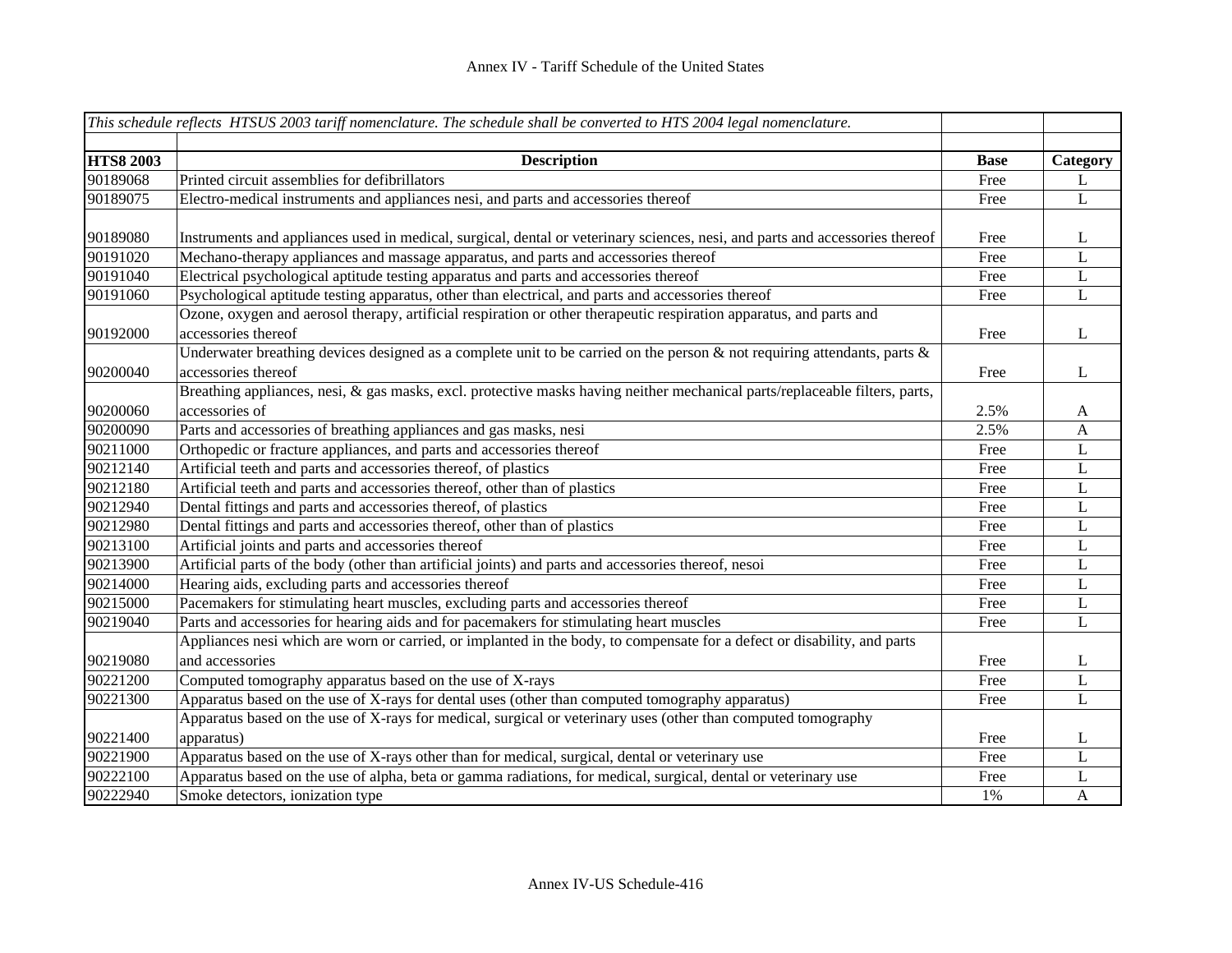| This schedule reflects HTSUS 2003 tariff nomenclature. The schedule shall be converted to HTS 2004 legal nomenclature. |                                                                                                                                            |             |              |
|------------------------------------------------------------------------------------------------------------------------|--------------------------------------------------------------------------------------------------------------------------------------------|-------------|--------------|
|                                                                                                                        |                                                                                                                                            |             |              |
| <b>HTS8 2003</b>                                                                                                       | <b>Description</b>                                                                                                                         | <b>Base</b> | Category     |
| 90189068                                                                                                               | Printed circuit assemblies for defibrillators                                                                                              | Free        | L            |
| 90189075                                                                                                               | Electro-medical instruments and appliances nesi, and parts and accessories thereof                                                         | Free        | $\mathbf{L}$ |
| 90189080                                                                                                               | Instruments and appliances used in medical, surgical, dental or veterinary sciences, nesi, and parts and accessories thereof               | Free        | L            |
| 90191020                                                                                                               | Mechano-therapy appliances and massage apparatus, and parts and accessories thereof                                                        | Free        | L            |
| 90191040                                                                                                               | Electrical psychological aptitude testing apparatus and parts and accessories thereof                                                      | Free        | L            |
| 90191060                                                                                                               | Psychological aptitude testing apparatus, other than electrical, and parts and accessories thereof                                         | Free        | L            |
| 90192000                                                                                                               | Ozone, oxygen and aerosol therapy, artificial respiration or other therapeutic respiration apparatus, and parts and<br>accessories thereof | Free        | L            |
|                                                                                                                        | Underwater breathing devices designed as a complete unit to be carried on the person $\&$ not requiring attendants, parts $\&$             |             |              |
| 90200040                                                                                                               | accessories thereof                                                                                                                        | Free        | L            |
|                                                                                                                        | Breathing appliances, nesi, & gas masks, excl. protective masks having neither mechanical parts/replaceable filters, parts,                |             |              |
| 90200060                                                                                                               | accessories of                                                                                                                             | 2.5%        | A            |
| 90200090                                                                                                               | Parts and accessories of breathing appliances and gas masks, nesi                                                                          | 2.5%        | A            |
| 90211000                                                                                                               | Orthopedic or fracture appliances, and parts and accessories thereof                                                                       | Free        | L            |
| 90212140                                                                                                               | Artificial teeth and parts and accessories thereof, of plastics                                                                            | Free        | L            |
| 90212180                                                                                                               | Artificial teeth and parts and accessories thereof, other than of plastics                                                                 | Free        | L            |
| 90212940                                                                                                               | Dental fittings and parts and accessories thereof, of plastics                                                                             | Free        | L            |
| 90212980                                                                                                               | Dental fittings and parts and accessories thereof, other than of plastics                                                                  | Free        | L            |
| 90213100                                                                                                               | Artificial joints and parts and accessories thereof                                                                                        | Free        | L            |
| 90213900                                                                                                               | Artificial parts of the body (other than artificial joints) and parts and accessories thereof, nesoi                                       | Free        | L            |
| 90214000                                                                                                               | Hearing aids, excluding parts and accessories thereof                                                                                      | Free        | L            |
| 90215000                                                                                                               | Pacemakers for stimulating heart muscles, excluding parts and accessories thereof                                                          | Free        | L            |
| 90219040                                                                                                               | Parts and accessories for hearing aids and for pacemakers for stimulating heart muscles                                                    | Free        | $\mathbf L$  |
|                                                                                                                        | Appliances nesi which are worn or carried, or implanted in the body, to compensate for a defect or disability, and parts                   |             |              |
| 90219080                                                                                                               | and accessories                                                                                                                            | Free        | L            |
| 90221200                                                                                                               | Computed tomography apparatus based on the use of X-rays                                                                                   | Free        | L            |
| 90221300                                                                                                               | Apparatus based on the use of X-rays for dental uses (other than computed tomography apparatus)                                            | Free        | L            |
|                                                                                                                        | Apparatus based on the use of X-rays for medical, surgical or veterinary uses (other than computed tomography                              |             |              |
| 90221400                                                                                                               | apparatus)                                                                                                                                 | Free        | L            |
| 90221900                                                                                                               | Apparatus based on the use of X-rays other than for medical, surgical, dental or veterinary use                                            | Free        | L            |
| 90222100                                                                                                               | Apparatus based on the use of alpha, beta or gamma radiations, for medical, surgical, dental or veterinary use                             | Free        | L            |
| 90222940                                                                                                               | Smoke detectors, ionization type                                                                                                           | 1%          | $\mathbf{A}$ |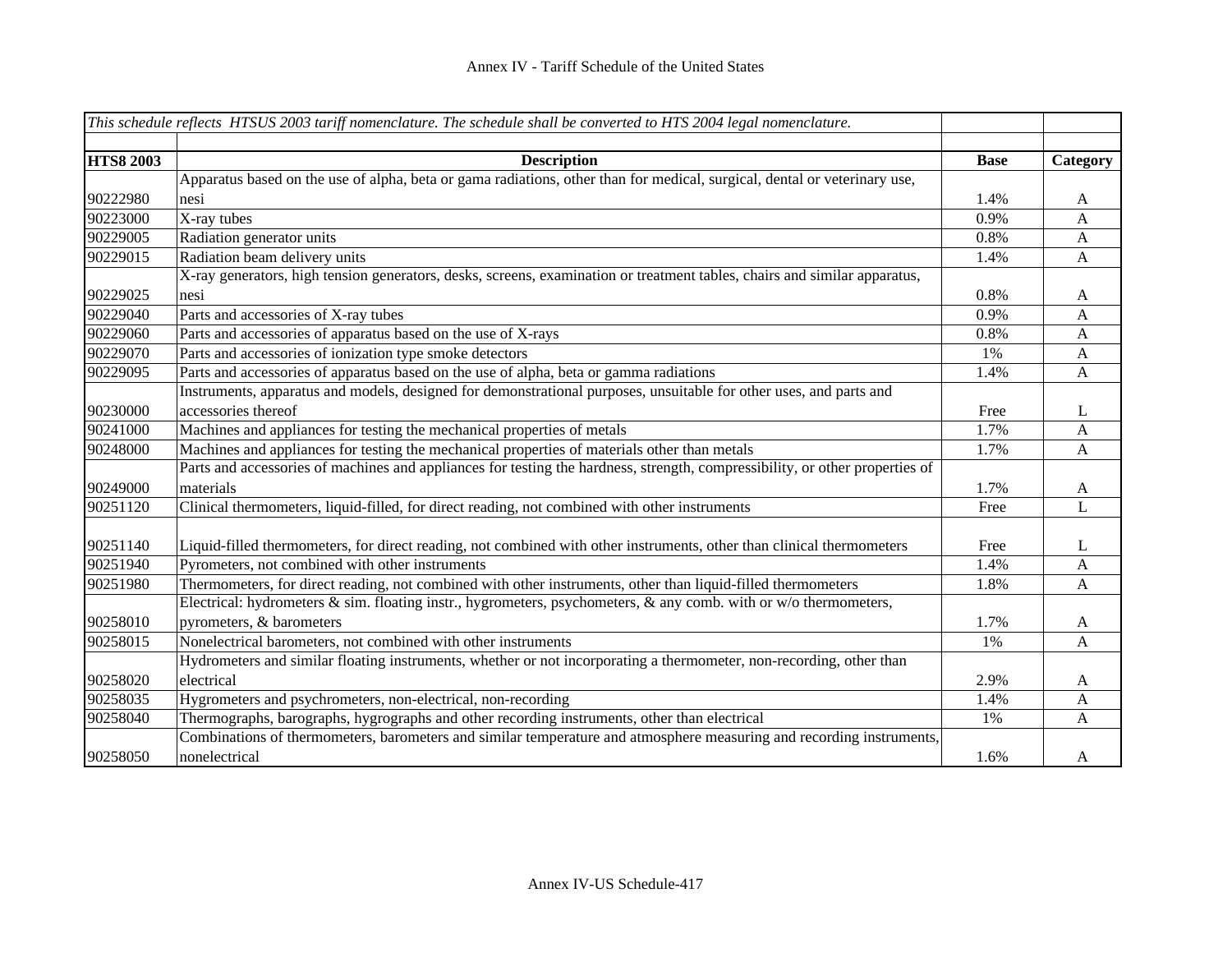|                  | This schedule reflects HTSUS 2003 tariff nomenclature. The schedule shall be converted to HTS 2004 legal nomenclature.       |             |              |
|------------------|------------------------------------------------------------------------------------------------------------------------------|-------------|--------------|
| <b>HTS8 2003</b> | <b>Description</b>                                                                                                           | <b>Base</b> | Category     |
|                  | Apparatus based on the use of alpha, beta or gama radiations, other than for medical, surgical, dental or veterinary use,    |             |              |
| 90222980         | nesi                                                                                                                         | 1.4%        | A            |
| 90223000         | X-ray tubes                                                                                                                  | 0.9%        | A            |
| 90229005         | Radiation generator units                                                                                                    | 0.8%        | A            |
| 90229015         | Radiation beam delivery units                                                                                                | 1.4%        | $\mathbf{A}$ |
|                  | X-ray generators, high tension generators, desks, screens, examination or treatment tables, chairs and similar apparatus,    |             |              |
| 90229025         | nesi                                                                                                                         | 0.8%        | $\mathbf{A}$ |
| 90229040         | Parts and accessories of X-ray tubes                                                                                         | 0.9%        | A            |
| 90229060         | Parts and accessories of apparatus based on the use of X-rays                                                                | 0.8%        | A            |
| 90229070         | Parts and accessories of ionization type smoke detectors                                                                     | 1%          | $\mathbf{A}$ |
| 90229095         | Parts and accessories of apparatus based on the use of alpha, beta or gamma radiations                                       | 1.4%        | $\mathbf{A}$ |
|                  | Instruments, apparatus and models, designed for demonstrational purposes, unsuitable for other uses, and parts and           |             |              |
| 90230000         | accessories thereof                                                                                                          | Free        | L            |
| 90241000         | Machines and appliances for testing the mechanical properties of metals                                                      | 1.7%        | A            |
| 90248000         | Machines and appliances for testing the mechanical properties of materials other than metals                                 | 1.7%        | A            |
|                  | Parts and accessories of machines and appliances for testing the hardness, strength, compressibility, or other properties of |             |              |
| 90249000         | materials                                                                                                                    | 1.7%        | A            |
| 90251120         | Clinical thermometers, liquid-filled, for direct reading, not combined with other instruments                                | Free        | L            |
|                  |                                                                                                                              |             |              |
| 90251140         | Liquid-filled thermometers, for direct reading, not combined with other instruments, other than clinical thermometers        | Free        | L            |
| 90251940         | Pyrometers, not combined with other instruments                                                                              | 1.4%        | A            |
| 90251980         | Thermometers, for direct reading, not combined with other instruments, other than liquid-filled thermometers                 | 1.8%        | A            |
|                  | Electrical: hydrometers $\&$ sim. floating instr., hygrometers, psychometers, $\&$ any comb. with or w/o thermometers,       |             |              |
| 90258010         | pyrometers, & barometers                                                                                                     | 1.7%        | A            |
| 90258015         | Nonelectrical barometers, not combined with other instruments                                                                | 1%          | A            |
|                  | Hydrometers and similar floating instruments, whether or not incorporating a thermometer, non-recording, other than          |             |              |
| 90258020         | electrical                                                                                                                   | 2.9%        | A            |
| 90258035         | Hygrometers and psychrometers, non-electrical, non-recording                                                                 | 1.4%        | A            |
| 90258040         | Thermographs, barographs, hygrographs and other recording instruments, other than electrical                                 | 1%          | A            |
|                  | Combinations of thermometers, barometers and similar temperature and atmosphere measuring and recording instruments,         |             |              |
| 90258050         | nonelectrical                                                                                                                | 1.6%        | A            |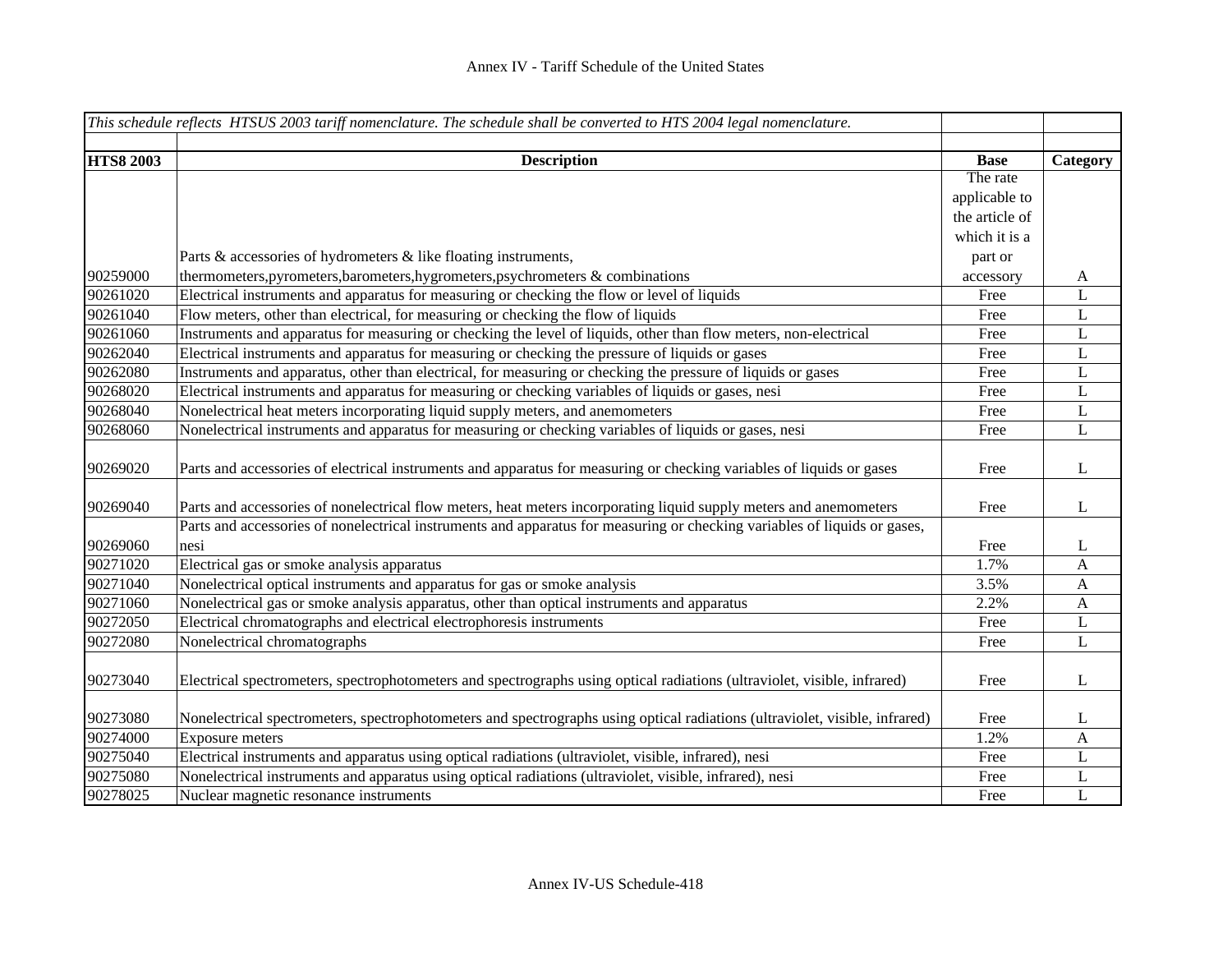| This schedule reflects HTSUS 2003 tariff nomenclature. The schedule shall be converted to HTS 2004 legal nomenclature. |                                                                                                                             |                         |              |
|------------------------------------------------------------------------------------------------------------------------|-----------------------------------------------------------------------------------------------------------------------------|-------------------------|--------------|
|                                                                                                                        |                                                                                                                             |                         |              |
| <b>HTS8 2003</b>                                                                                                       | <b>Description</b>                                                                                                          | <b>Base</b><br>The rate | Category     |
|                                                                                                                        |                                                                                                                             | applicable to           |              |
|                                                                                                                        |                                                                                                                             | the article of          |              |
|                                                                                                                        |                                                                                                                             | which it is a           |              |
|                                                                                                                        |                                                                                                                             |                         |              |
|                                                                                                                        | Parts & accessories of hydrometers & like floating instruments,                                                             | part or                 |              |
| 90259000                                                                                                               | thermometers, pyrometers, barometers, hygrometers, psychrometers $\&$ combinations                                          | accessory               | A            |
| 90261020                                                                                                               | Electrical instruments and apparatus for measuring or checking the flow or level of liquids                                 | Free                    | L            |
| 90261040                                                                                                               | Flow meters, other than electrical, for measuring or checking the flow of liquids                                           | Free                    | L            |
| 90261060                                                                                                               | Instruments and apparatus for measuring or checking the level of liquids, other than flow meters, non-electrical            | Free                    | $\bf L$      |
| 90262040                                                                                                               | Electrical instruments and apparatus for measuring or checking the pressure of liquids or gases                             | Free                    | $\mathbf L$  |
| 90262080                                                                                                               | Instruments and apparatus, other than electrical, for measuring or checking the pressure of liquids or gases                | Free                    | $\mathbf L$  |
| 90268020                                                                                                               | Electrical instruments and apparatus for measuring or checking variables of liquids or gases, nesi                          | Free                    | $\mathbf L$  |
| 90268040                                                                                                               | Nonelectrical heat meters incorporating liquid supply meters, and anemometers                                               | Free                    | L            |
| 90268060                                                                                                               | Nonelectrical instruments and apparatus for measuring or checking variables of liquids or gases, nesi                       | Free                    | L            |
| 90269020                                                                                                               | Parts and accessories of electrical instruments and apparatus for measuring or checking variables of liquids or gases       | Free                    | L            |
| 90269040                                                                                                               | Parts and accessories of nonelectrical flow meters, heat meters incorporating liquid supply meters and anemometers          | Free                    | L            |
|                                                                                                                        | Parts and accessories of nonelectrical instruments and apparatus for measuring or checking variables of liquids or gases,   |                         |              |
| 90269060                                                                                                               | nesi                                                                                                                        | Free                    | L            |
| 90271020                                                                                                               | Electrical gas or smoke analysis apparatus                                                                                  | 1.7%                    | A            |
| 90271040                                                                                                               | Nonelectrical optical instruments and apparatus for gas or smoke analysis                                                   | 3.5%                    | $\mathbf{A}$ |
| 90271060                                                                                                               | Nonelectrical gas or smoke analysis apparatus, other than optical instruments and apparatus                                 | 2.2%                    | $\mathbf{A}$ |
| 90272050                                                                                                               | Electrical chromatographs and electrical electrophoresis instruments                                                        | Free                    | L            |
| 90272080                                                                                                               | Nonelectrical chromatographs                                                                                                | Free                    | L            |
| 90273040                                                                                                               | Electrical spectrometers, spectrophotometers and spectrographs using optical radiations (ultraviolet, visible, infrared)    | Free                    | L            |
| 90273080                                                                                                               | Nonelectrical spectrometers, spectrophotometers and spectrographs using optical radiations (ultraviolet, visible, infrared) | Free                    | L            |
| 90274000                                                                                                               | <b>Exposure meters</b>                                                                                                      | 1.2%                    | $\mathbf{A}$ |
| 90275040                                                                                                               | Electrical instruments and apparatus using optical radiations (ultraviolet, visible, infrared), nesi                        | Free                    | L            |
| 90275080                                                                                                               | Nonelectrical instruments and apparatus using optical radiations (ultraviolet, visible, infrared), nesi                     | Free                    | L            |
| 90278025                                                                                                               | Nuclear magnetic resonance instruments                                                                                      | Free                    | $\mathbf L$  |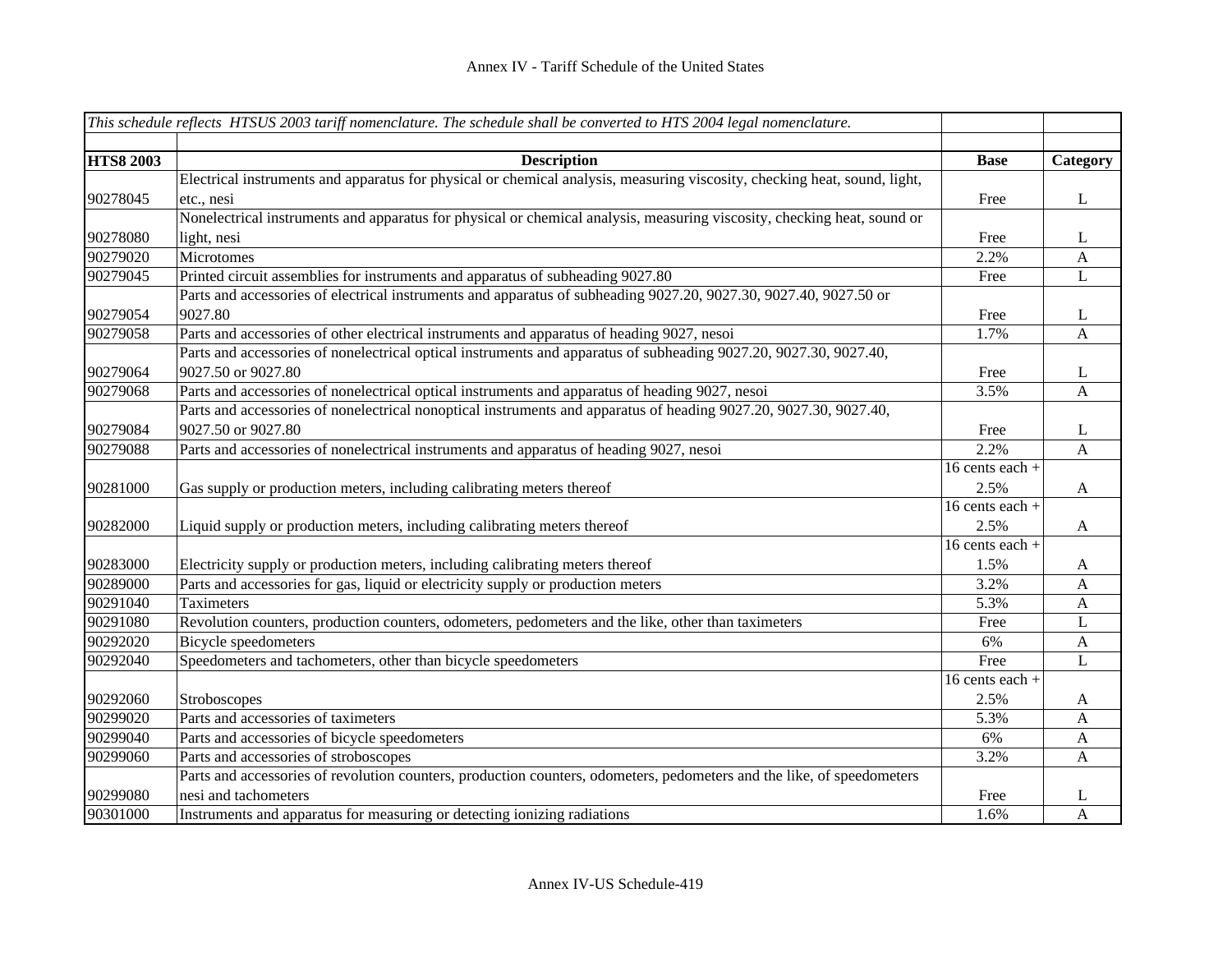|                  | This schedule reflects HTSUS 2003 tariff nomenclature. The schedule shall be converted to HTS 2004 legal nomenclature.    |                   |              |
|------------------|---------------------------------------------------------------------------------------------------------------------------|-------------------|--------------|
|                  |                                                                                                                           |                   |              |
| <b>HTS8 2003</b> | <b>Description</b>                                                                                                        | <b>Base</b>       | Category     |
|                  | Electrical instruments and apparatus for physical or chemical analysis, measuring viscosity, checking heat, sound, light, |                   |              |
| 90278045         | etc., nesi                                                                                                                | Free              | L            |
|                  | Nonelectrical instruments and apparatus for physical or chemical analysis, measuring viscosity, checking heat, sound or   |                   |              |
| 90278080         | light, nesi                                                                                                               | Free              | L            |
| 90279020         | Microtomes                                                                                                                | 2.2%              | A            |
| 90279045         | Printed circuit assemblies for instruments and apparatus of subheading 9027.80                                            | Free              | L            |
|                  | Parts and accessories of electrical instruments and apparatus of subheading 9027.20, 9027.30, 9027.40, 9027.50 or         |                   |              |
| 90279054         | 9027.80                                                                                                                   | Free              | L            |
| 90279058         | Parts and accessories of other electrical instruments and apparatus of heading 9027, nesoi                                | 1.7%              | $\mathbf{A}$ |
|                  | Parts and accessories of nonelectrical optical instruments and apparatus of subheading 9027.20, 9027.30, 9027.40,         |                   |              |
| 90279064         | 9027.50 or 9027.80                                                                                                        | Free              | L            |
| 90279068         | Parts and accessories of nonelectrical optical instruments and apparatus of heading 9027, nesoi                           | 3.5%              | A            |
|                  | Parts and accessories of nonelectrical nonoptical instruments and apparatus of heading 9027.20, 9027.30, 9027.40,         |                   |              |
| 90279084         | 9027.50 or 9027.80                                                                                                        | Free              | L            |
| 90279088         | Parts and accessories of nonelectrical instruments and apparatus of heading 9027, nesoi                                   | 2.2%              | $\mathbf{A}$ |
|                  |                                                                                                                           | 16 cents each +   |              |
| 90281000         | Gas supply or production meters, including calibrating meters thereof                                                     | 2.5%              | $\mathbf{A}$ |
|                  |                                                                                                                           | 16 cents each +   |              |
| 90282000         | Liquid supply or production meters, including calibrating meters thereof                                                  | 2.5%              | A            |
|                  |                                                                                                                           | 16 cents each $+$ |              |
| 90283000         | Electricity supply or production meters, including calibrating meters thereof                                             | 1.5%              | A            |
| 90289000         | Parts and accessories for gas, liquid or electricity supply or production meters                                          | 3.2%              | A            |
| 90291040         | Taximeters                                                                                                                | 5.3%              | A            |
| 90291080         | Revolution counters, production counters, odometers, pedometers and the like, other than taximeters                       | Free              | L            |
| 90292020         | <b>Bicycle</b> speedometers                                                                                               | 6%                | A            |
| 90292040         | Speedometers and tachometers, other than bicycle speedometers                                                             | Free              | L            |
|                  |                                                                                                                           | 16 cents each $+$ |              |
| 90292060         | Stroboscopes                                                                                                              | 2.5%              | A            |
| 90299020         | Parts and accessories of taximeters                                                                                       | 5.3%              | $\mathbf{A}$ |
| 90299040         | Parts and accessories of bicycle speedometers                                                                             | 6%                | A            |
| 90299060         | Parts and accessories of stroboscopes                                                                                     | 3.2%              | A            |
|                  | Parts and accessories of revolution counters, production counters, odometers, pedometers and the like, of speedometers    |                   |              |
| 90299080         | nesi and tachometers                                                                                                      | Free              | L            |
| 90301000         | Instruments and apparatus for measuring or detecting ionizing radiations                                                  | 1.6%              | A            |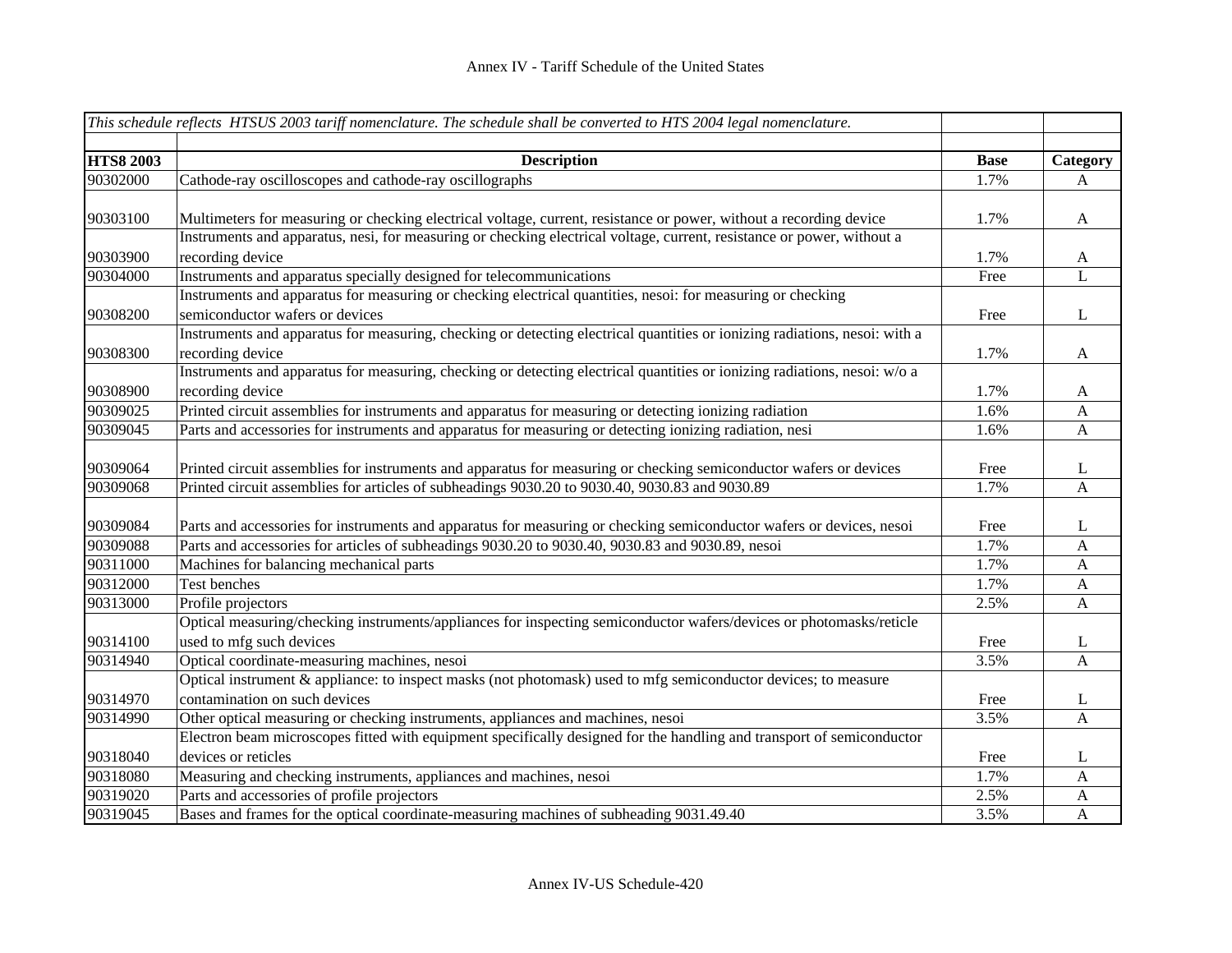|                  | This schedule reflects HTSUS 2003 tariff nomenclature. The schedule shall be converted to HTS 2004 legal nomenclature.     |             |              |
|------------------|----------------------------------------------------------------------------------------------------------------------------|-------------|--------------|
|                  |                                                                                                                            |             |              |
| <b>HTS8 2003</b> | <b>Description</b>                                                                                                         | <b>Base</b> | Category     |
| 90302000         | Cathode-ray oscilloscopes and cathode-ray oscillographs                                                                    | 1.7%        | A            |
| 90303100         | Multimeters for measuring or checking electrical voltage, current, resistance or power, without a recording device         | 1.7%        | $\mathbf{A}$ |
|                  | Instruments and apparatus, nesi, for measuring or checking electrical voltage, current, resistance or power, without a     |             |              |
| 90303900         | recording device                                                                                                           | 1.7%        | $\mathbf{A}$ |
| 90304000         | Instruments and apparatus specially designed for telecommunications                                                        | Free        | L            |
|                  | Instruments and apparatus for measuring or checking electrical quantities, nesoi: for measuring or checking                |             |              |
| 90308200         | semiconductor wafers or devices                                                                                            | Free        | L            |
|                  | Instruments and apparatus for measuring, checking or detecting electrical quantities or ionizing radiations, nesoi: with a |             |              |
| 90308300         | recording device                                                                                                           | 1.7%        | $\mathbf{A}$ |
|                  | Instruments and apparatus for measuring, checking or detecting electrical quantities or ionizing radiations, nesoi: w/o a  |             |              |
| 90308900         | recording device                                                                                                           | 1.7%        | $\mathbf{A}$ |
| 90309025         | Printed circuit assemblies for instruments and apparatus for measuring or detecting ionizing radiation                     | 1.6%        | $\mathbf{A}$ |
| 90309045         | Parts and accessories for instruments and apparatus for measuring or detecting ionizing radiation, nesi                    | 1.6%        | $\mathbf{A}$ |
|                  |                                                                                                                            |             |              |
| 90309064         | Printed circuit assemblies for instruments and apparatus for measuring or checking semiconductor wafers or devices         | Free        | $\mathbf{L}$ |
| 90309068         | Printed circuit assemblies for articles of subheadings 9030.20 to 9030.40, 9030.83 and 9030.89                             | 1.7%        | A            |
|                  |                                                                                                                            |             |              |
| 90309084         | Parts and accessories for instruments and apparatus for measuring or checking semiconductor wafers or devices, nesoi       | Free        | L            |
| 90309088         | Parts and accessories for articles of subheadings 9030.20 to 9030.40, 9030.83 and 9030.89, nesoi                           | 1.7%        | A            |
| 90311000         | Machines for balancing mechanical parts                                                                                    | 1.7%        | A            |
| 90312000         | Test benches                                                                                                               | 1.7%        | $\mathbf{A}$ |
| 90313000         | Profile projectors                                                                                                         | 2.5%        | A            |
|                  | Optical measuring/checking instruments/appliances for inspecting semiconductor wafers/devices or photomasks/reticle        |             |              |
| 90314100         | used to mfg such devices                                                                                                   | Free        | L            |
| 90314940         | Optical coordinate-measuring machines, nesoi                                                                               | 3.5%        | $\mathbf{A}$ |
|                  | Optical instrument & appliance: to inspect masks (not photomask) used to mfg semiconductor devices; to measure             |             |              |
| 90314970         | contamination on such devices                                                                                              | Free        | $\mathbf{L}$ |
| 90314990         | Other optical measuring or checking instruments, appliances and machines, nesoi                                            | 3.5%        | $\mathbf{A}$ |
|                  | Electron beam microscopes fitted with equipment specifically designed for the handling and transport of semiconductor      |             |              |
| 90318040         | devices or reticles                                                                                                        | Free        | L            |
| 90318080         | Measuring and checking instruments, appliances and machines, nesoi                                                         | 1.7%        | A            |
| 90319020         | Parts and accessories of profile projectors                                                                                | 2.5%        | $\mathbf A$  |
| 90319045         | Bases and frames for the optical coordinate-measuring machines of subheading 9031.49.40                                    | 3.5%        | $\mathbf{A}$ |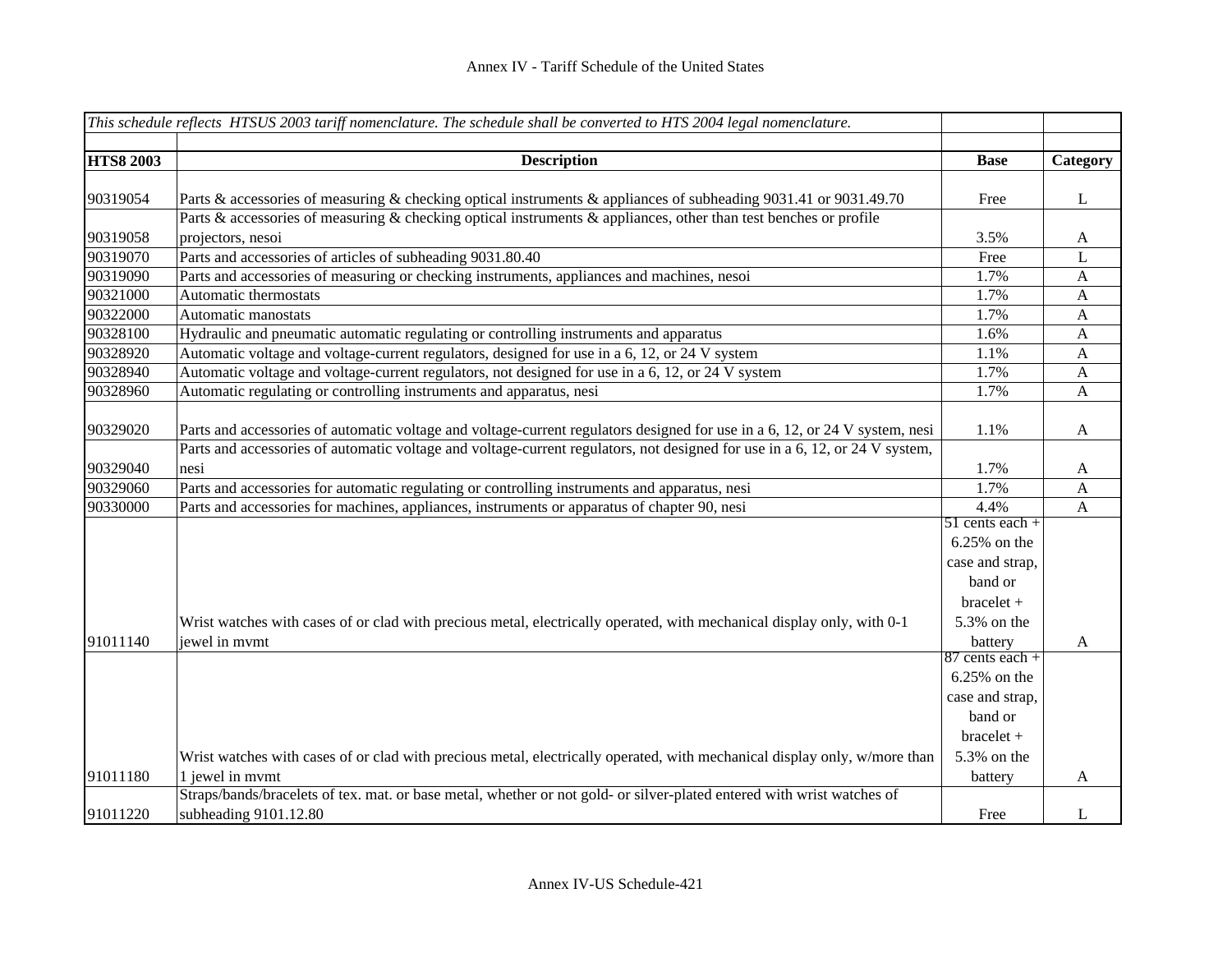|                  | This schedule reflects HTSUS 2003 tariff nomenclature. The schedule shall be converted to HTS 2004 legal nomenclature.      |                   |                |
|------------------|-----------------------------------------------------------------------------------------------------------------------------|-------------------|----------------|
|                  |                                                                                                                             |                   |                |
| <b>HTS8 2003</b> | <b>Description</b>                                                                                                          | <b>Base</b>       | Category       |
|                  |                                                                                                                             |                   |                |
| 90319054         | Parts & accessories of measuring & checking optical instruments & appliances of subheading 9031.41 or 9031.49.70            | Free              | $\bf L$        |
|                  | Parts & accessories of measuring & checking optical instruments $\&$ appliances, other than test benches or profile         |                   |                |
| 90319058         | projectors, nesoi                                                                                                           | 3.5%              | $\mathbf{A}$   |
| 90319070         | Parts and accessories of articles of subheading 9031.80.40                                                                  | Free              | L              |
| 90319090         | Parts and accessories of measuring or checking instruments, appliances and machines, nesoi                                  | 1.7%              | $\mathbf{A}$   |
| 90321000         | Automatic thermostats                                                                                                       | 1.7%              | $\mathbf{A}$   |
| 90322000         | Automatic manostats                                                                                                         | 1.7%              | A              |
| 90328100         | Hydraulic and pneumatic automatic regulating or controlling instruments and apparatus                                       | 1.6%              | $\mathbf{A}$   |
| 90328920         | Automatic voltage and voltage-current regulators, designed for use in a 6, 12, or 24 V system                               | 1.1%              | $\mathbf{A}$   |
| 90328940         | Automatic voltage and voltage-current regulators, not designed for use in a 6, 12, or 24 V system                           | 1.7%              | $\mathbf{A}$   |
| 90328960         | Automatic regulating or controlling instruments and apparatus, nesi                                                         | 1.7%              | $\mathbf{A}$   |
|                  |                                                                                                                             |                   |                |
| 90329020         | Parts and accessories of automatic voltage and voltage-current regulators designed for use in a 6, 12, or 24 V system, nesi | 1.1%              | $\mathbf{A}$   |
|                  | Parts and accessories of automatic voltage and voltage-current regulators, not designed for use in a 6, 12, or 24 V system, |                   |                |
| 90329040         | nesi                                                                                                                        | 1.7%              | $\mathbf{A}$   |
| 90329060         | Parts and accessories for automatic regulating or controlling instruments and apparatus, nesi                               | 1.7%              | $\mathbf{A}$   |
| 90330000         | Parts and accessories for machines, appliances, instruments or apparatus of chapter 90, nesi                                | 4.4%              | $\overline{A}$ |
|                  |                                                                                                                             | $51$ cents each + |                |
|                  |                                                                                                                             | 6.25% on the      |                |
|                  |                                                                                                                             | case and strap,   |                |
|                  |                                                                                                                             | band or           |                |
|                  |                                                                                                                             | $bracelet +$      |                |
|                  | Wrist watches with cases of or clad with precious metal, electrically operated, with mechanical display only, with 0-1      | 5.3% on the       |                |
| 91011140         | jewel in mymt                                                                                                               | battery           | A              |
|                  |                                                                                                                             | $87$ cents each + |                |
|                  |                                                                                                                             | 6.25% on the      |                |
|                  |                                                                                                                             | case and strap,   |                |
|                  |                                                                                                                             |                   |                |
|                  |                                                                                                                             | band or           |                |
|                  |                                                                                                                             | $bracelet +$      |                |
|                  | Wrist watches with cases of or clad with precious metal, electrically operated, with mechanical display only, w/more than   | 5.3% on the       |                |
| 91011180         | 1 jewel in mymt                                                                                                             | battery           | A              |
|                  | Straps/bands/bracelets of tex. mat. or base metal, whether or not gold- or silver-plated entered with wrist watches of      |                   |                |
| 91011220         | subheading 9101.12.80                                                                                                       | Free              | L              |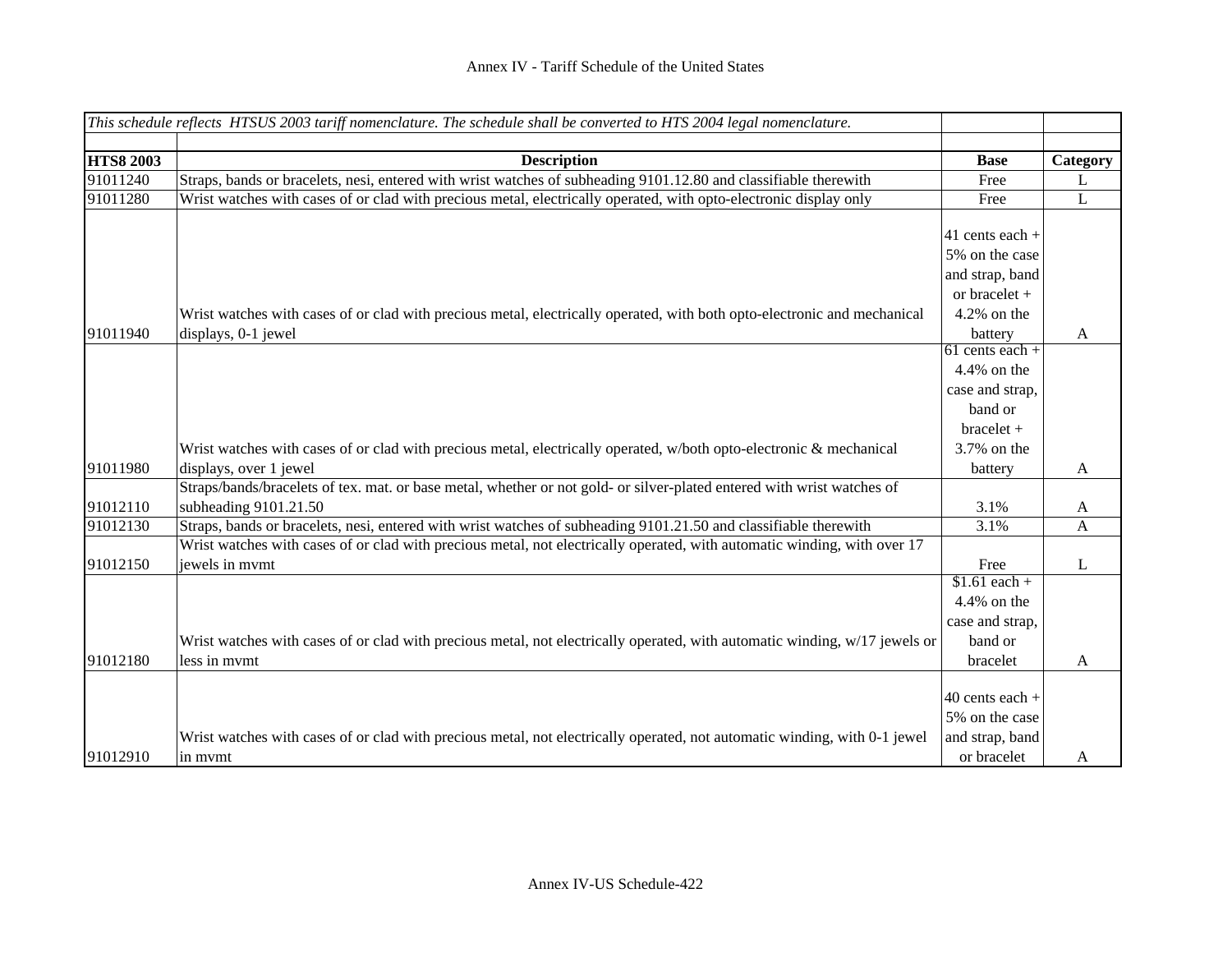|                  | This schedule reflects HTSUS 2003 tariff nomenclature. The schedule shall be converted to HTS 2004 legal nomenclature.                          |                                                                                                                                                                        |          |
|------------------|-------------------------------------------------------------------------------------------------------------------------------------------------|------------------------------------------------------------------------------------------------------------------------------------------------------------------------|----------|
|                  |                                                                                                                                                 |                                                                                                                                                                        |          |
| <b>HTS8 2003</b> | <b>Description</b>                                                                                                                              | <b>Base</b>                                                                                                                                                            | Category |
| 91011240         | Straps, bands or bracelets, nesi, entered with wrist watches of subheading 9101.12.80 and classifiable therewith                                | Free                                                                                                                                                                   | L        |
| 91011280         | Wrist watches with cases of or clad with precious metal, electrically operated, with opto-electronic display only                               | Free                                                                                                                                                                   | L        |
| 91011940         | Wrist watches with cases of or clad with precious metal, electrically operated, with both opto-electronic and mechanical<br>displays, 0-1 jewel | 41 cents each $+$<br>5% on the case<br>and strap, band<br>or bracelet +<br>$4.2\%$ on the<br>battery<br>$61$ cents each +<br>4.4% on the<br>case and strap,<br>band or | A        |
| 91011980         | Wrist watches with cases of or clad with precious metal, electrically operated, w/both opto-electronic & mechanical<br>displays, over 1 jewel   | $bracelet +$<br>3.7% on the<br>battery                                                                                                                                 | A        |
| 91012110         | Straps/bands/bracelets of tex. mat. or base metal, whether or not gold- or silver-plated entered with wrist watches of<br>subheading 9101.21.50 | 3.1%                                                                                                                                                                   | A        |
| 91012130         | Straps, bands or bracelets, nesi, entered with wrist watches of subheading 9101.21.50 and classifiable therewith                                | 3.1%                                                                                                                                                                   | A        |
| 91012150         | Wrist watches with cases of or clad with precious metal, not electrically operated, with automatic winding, with over 17<br>jewels in mymt      | Free                                                                                                                                                                   | L        |
| 91012180         | Wrist watches with cases of or clad with precious metal, not electrically operated, with automatic winding, w/17 jewels or<br>less in mymt      | $$1.61$ each +<br>4.4% on the<br>case and strap,<br>band or<br>bracelet                                                                                                | A        |
| 91012910         | Wrist watches with cases of or clad with precious metal, not electrically operated, not automatic winding, with 0-1 jewel<br>in mymt            | $40$ cents each +<br>5% on the case<br>and strap, band<br>or bracelet                                                                                                  | A        |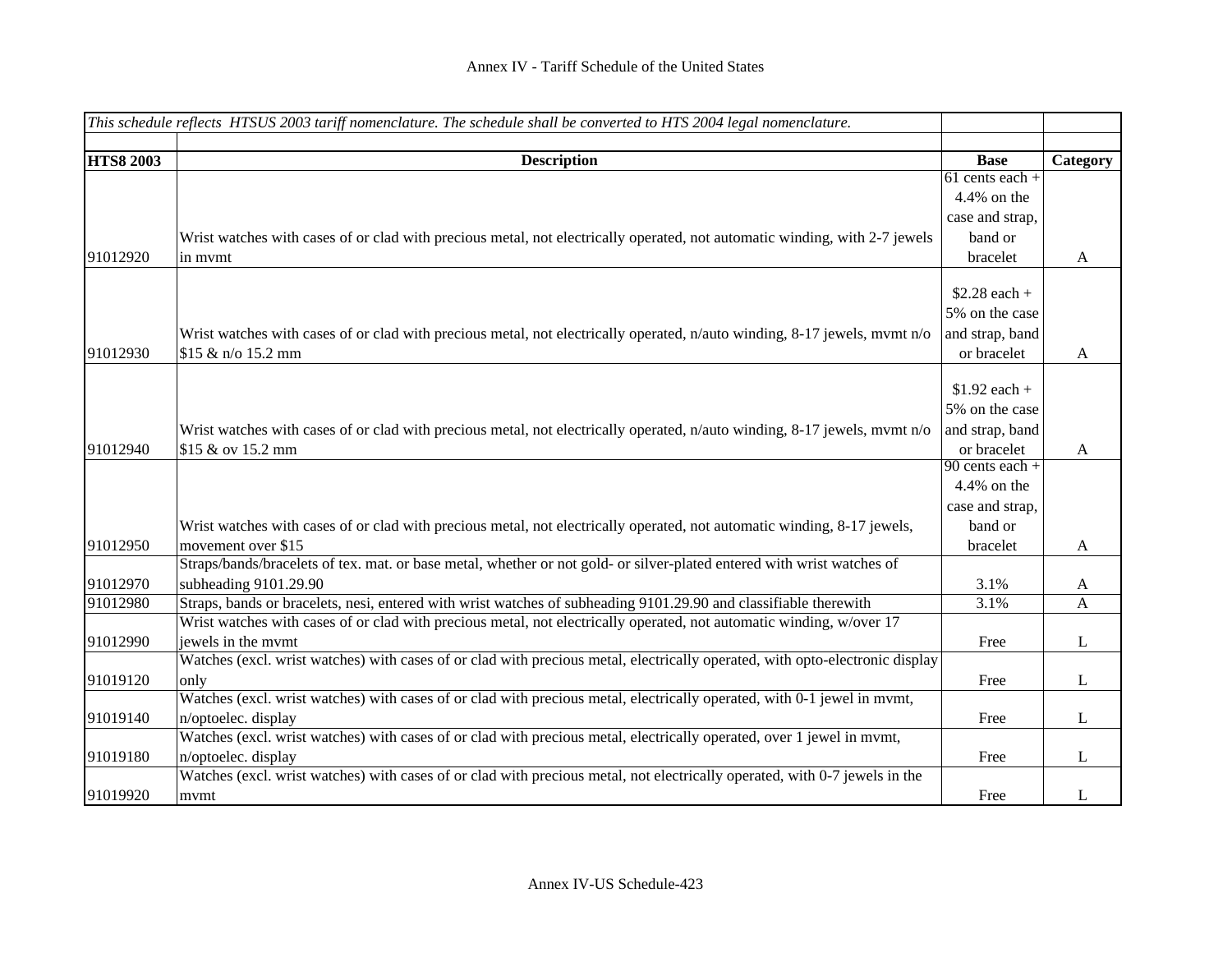|                  | This schedule reflects HTSUS 2003 tariff nomenclature. The schedule shall be converted to HTS 2004 legal nomenclature.       |                   |              |
|------------------|------------------------------------------------------------------------------------------------------------------------------|-------------------|--------------|
|                  |                                                                                                                              |                   |              |
| <b>HTS8 2003</b> | <b>Description</b>                                                                                                           | <b>Base</b>       | Category     |
|                  |                                                                                                                              | $61$ cents each + |              |
|                  |                                                                                                                              | 4.4% on the       |              |
|                  |                                                                                                                              | case and strap,   |              |
|                  | Wrist watches with cases of or clad with precious metal, not electrically operated, not automatic winding, with 2-7 jewels   | band or           |              |
| 91012920         | in mymt                                                                                                                      | bracelet          | $\mathbf{A}$ |
|                  |                                                                                                                              |                   |              |
|                  |                                                                                                                              | $$2.28$ each +    |              |
|                  |                                                                                                                              | 5% on the case    |              |
|                  | Wrist watches with cases of or clad with precious metal, not electrically operated, n/auto winding, 8-17 jewels, mvmt n/o    | and strap, band   |              |
| 91012930         | \$15 & n/o 15.2 mm                                                                                                           | or bracelet       | $\mathbf{A}$ |
|                  |                                                                                                                              |                   |              |
|                  |                                                                                                                              | $$1.92$ each +    |              |
|                  |                                                                                                                              | 5% on the case    |              |
|                  | Wrist watches with cases of or clad with precious metal, not electrically operated, n/auto winding, 8-17 jewels, mvmt n/o    | and strap, band   |              |
| 91012940         | \$15 & ov 15.2 mm                                                                                                            | or bracelet       | A            |
|                  |                                                                                                                              | $90$ cents each + |              |
|                  |                                                                                                                              | 4.4% on the       |              |
|                  |                                                                                                                              | case and strap,   |              |
|                  | Wrist watches with cases of or clad with precious metal, not electrically operated, not automatic winding, 8-17 jewels,      | band or           |              |
| 91012950         | movement over \$15                                                                                                           | bracelet          | $\mathbf{A}$ |
|                  | Straps/bands/bracelets of tex. mat. or base metal, whether or not gold- or silver-plated entered with wrist watches of       |                   |              |
| 91012970         | subheading 9101.29.90                                                                                                        | 3.1%              | A            |
| 91012980         | Straps, bands or bracelets, nesi, entered with wrist watches of subheading 9101.29.90 and classifiable therewith             | 3.1%              | A            |
|                  | Wrist watches with cases of or clad with precious metal, not electrically operated, not automatic winding, w/over 17         |                   |              |
| 91012990         | jewels in the mymt                                                                                                           | Free              | L            |
|                  | Watches (excl. wrist watches) with cases of or clad with precious metal, electrically operated, with opto-electronic display |                   |              |
| 91019120         | only                                                                                                                         | Free              | $\mathbf{L}$ |
|                  | Watches (excl. wrist watches) with cases of or clad with precious metal, electrically operated, with 0-1 jewel in mvmt,      |                   |              |
| 91019140         | n/optoelec. display                                                                                                          | Free              | L            |
|                  | Watches (excl. wrist watches) with cases of or clad with precious metal, electrically operated, over 1 jewel in mymt,        |                   |              |
| 91019180         | n/optoelec. display                                                                                                          | Free              | L            |
|                  | Watches (excl. wrist watches) with cases of or clad with precious metal, not electrically operated, with 0-7 jewels in the   |                   |              |
| 91019920         | mvmt                                                                                                                         | Free              | L            |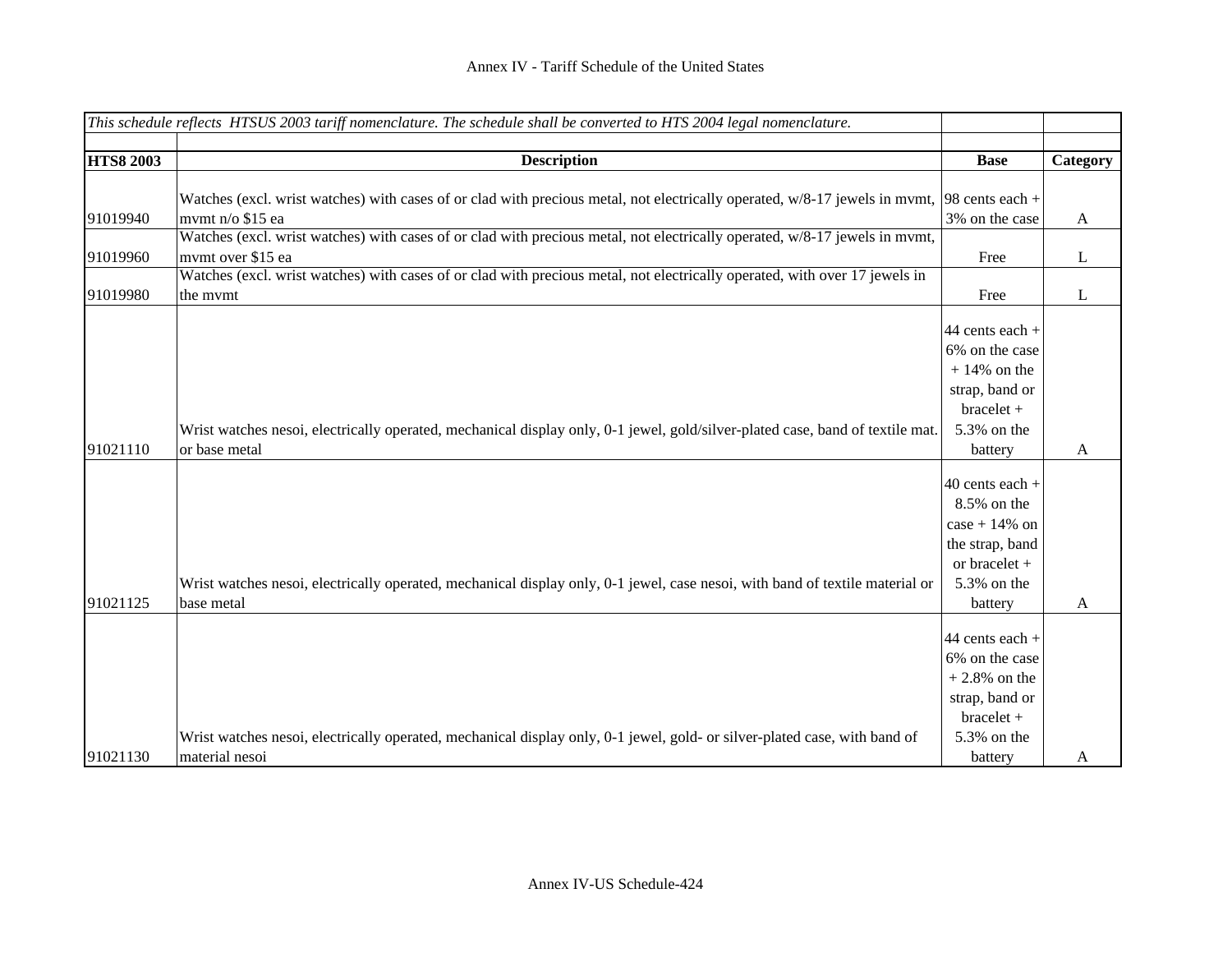|                  | This schedule reflects HTSUS 2003 tariff nomenclature. The schedule shall be converted to HTS 2004 legal nomenclature.                                           |                                                                                                                  |              |
|------------------|------------------------------------------------------------------------------------------------------------------------------------------------------------------|------------------------------------------------------------------------------------------------------------------|--------------|
|                  |                                                                                                                                                                  |                                                                                                                  |              |
| <b>HTS8 2003</b> | <b>Description</b>                                                                                                                                               | <b>Base</b>                                                                                                      | Category     |
| 91019940         | Watches (excl. wrist watches) with cases of or clad with precious metal, not electrically operated, $w/8-17$ jewels in mvmt, 98 cents each +<br>mvmt n/o \$15 ea | 3% on the case                                                                                                   | $\mathbf{A}$ |
| 91019960         | Watches (excl. wrist watches) with cases of or clad with precious metal, not electrically operated, w/8-17 jewels in mvmt,<br>mvmt over \$15 ea                  | Free                                                                                                             | L            |
| 91019980         | Watches (excl. wrist watches) with cases of or clad with precious metal, not electrically operated, with over 17 jewels in<br>the mymt                           | Free                                                                                                             | $\bf L$      |
| 91021110         | Wrist watches nesoi, electrically operated, mechanical display only, 0-1 jewel, gold/silver-plated case, band of textile mat.<br>or base metal                   | 44 cents each +<br>6% on the case<br>$+14\%$ on the<br>strap, band or<br>bracelet +<br>5.3% on the<br>battery    | $\mathbf{A}$ |
| 91021125         | Wrist watches nesoi, electrically operated, mechanical display only, 0-1 jewel, case nesoi, with band of textile material or<br>base metal                       | 40 cents each +<br>8.5% on the<br>$case + 14\%$ on<br>the strap, band<br>or bracelet +<br>5.3% on the<br>battery | $\mathbf{A}$ |
| 91021130         | Wrist watches nesoi, electrically operated, mechanical display only, 0-1 jewel, gold- or silver-plated case, with band of<br>material nesoi                      | 44 cents each +<br>6% on the case<br>$+2.8\%$ on the<br>strap, band or<br>$bracelet +$<br>5.3% on the<br>battery | A            |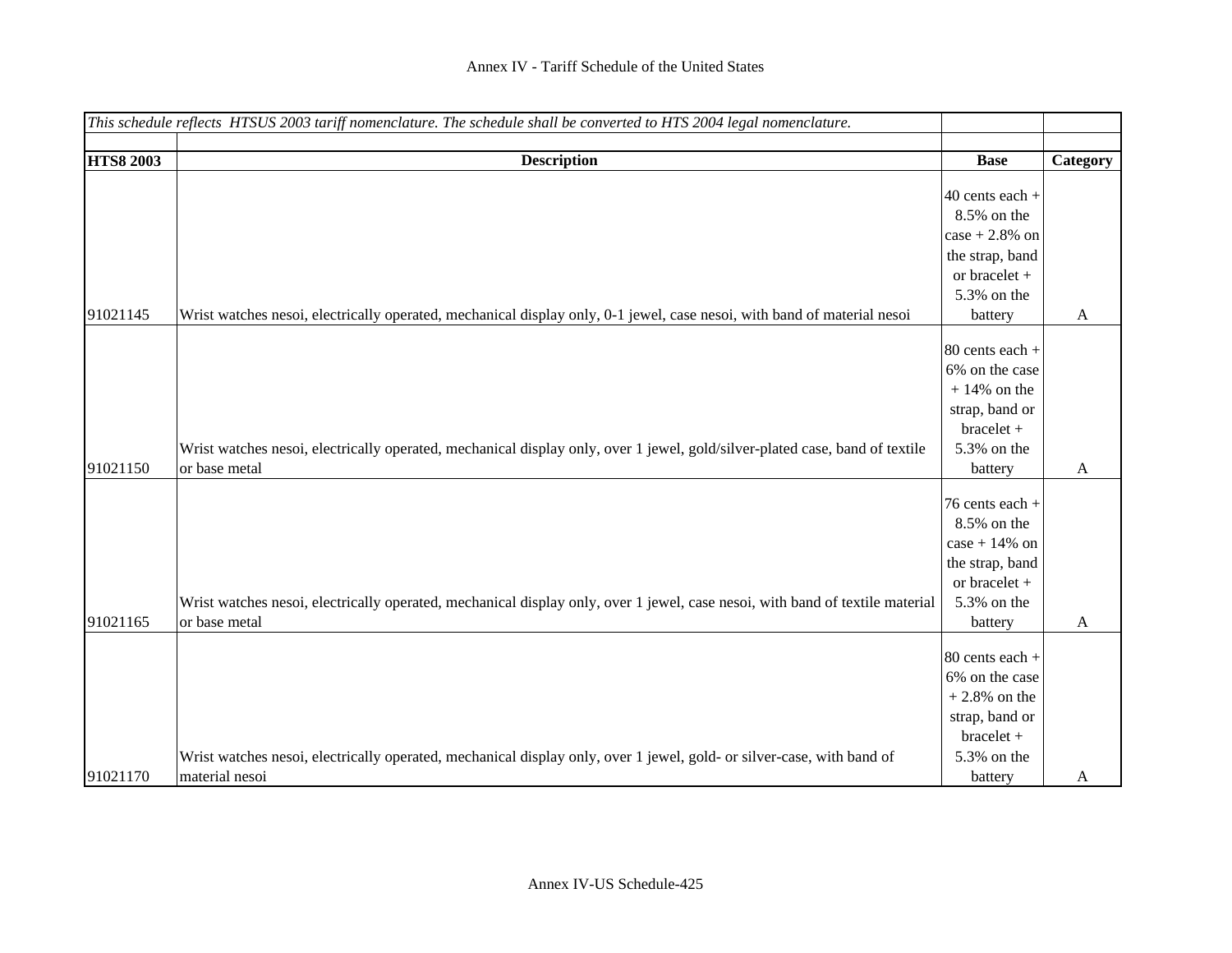|                  | This schedule reflects HTSUS 2003 tariff nomenclature. The schedule shall be converted to HTS 2004 legal nomenclature.       |                   |          |
|------------------|------------------------------------------------------------------------------------------------------------------------------|-------------------|----------|
| <b>HTS8 2003</b> | <b>Description</b>                                                                                                           | <b>Base</b>       | Category |
|                  |                                                                                                                              |                   |          |
|                  |                                                                                                                              | $40$ cents each + |          |
|                  |                                                                                                                              | 8.5% on the       |          |
|                  |                                                                                                                              | $case + 2.8\%$ on |          |
|                  |                                                                                                                              | the strap, band   |          |
|                  |                                                                                                                              | or bracelet +     |          |
|                  |                                                                                                                              | 5.3% on the       |          |
| 91021145         | Wrist watches nesoi, electrically operated, mechanical display only, 0-1 jewel, case nesoi, with band of material nesoi      | battery           | A        |
|                  |                                                                                                                              | 80 cents each +   |          |
|                  |                                                                                                                              | 6% on the case    |          |
|                  |                                                                                                                              | $+14\%$ on the    |          |
|                  |                                                                                                                              | strap, band or    |          |
|                  |                                                                                                                              | bracelet +        |          |
|                  | Wrist watches nesoi, electrically operated, mechanical display only, over 1 jewel, gold/silver-plated case, band of textile  | 5.3% on the       |          |
| 91021150         | or base metal                                                                                                                | battery           | A        |
|                  |                                                                                                                              |                   |          |
|                  |                                                                                                                              | 76 cents each +   |          |
|                  |                                                                                                                              | 8.5% on the       |          |
|                  |                                                                                                                              | case + $14\%$ on  |          |
|                  |                                                                                                                              | the strap, band   |          |
|                  |                                                                                                                              | or bracelet +     |          |
| 91021165         | Wrist watches nesoi, electrically operated, mechanical display only, over 1 jewel, case nesoi, with band of textile material | 5.3% on the       |          |
|                  | or base metal                                                                                                                | battery           | A        |
|                  |                                                                                                                              | 80 cents each +   |          |
|                  |                                                                                                                              | 6% on the case    |          |
|                  |                                                                                                                              | $+2.8\%$ on the   |          |
|                  |                                                                                                                              | strap, band or    |          |
|                  |                                                                                                                              | bracelet +        |          |
|                  | Wrist watches nesoi, electrically operated, mechanical display only, over 1 jewel, gold- or silver-case, with band of        | 5.3% on the       |          |
| 91021170         | material nesoi                                                                                                               | battery           | A        |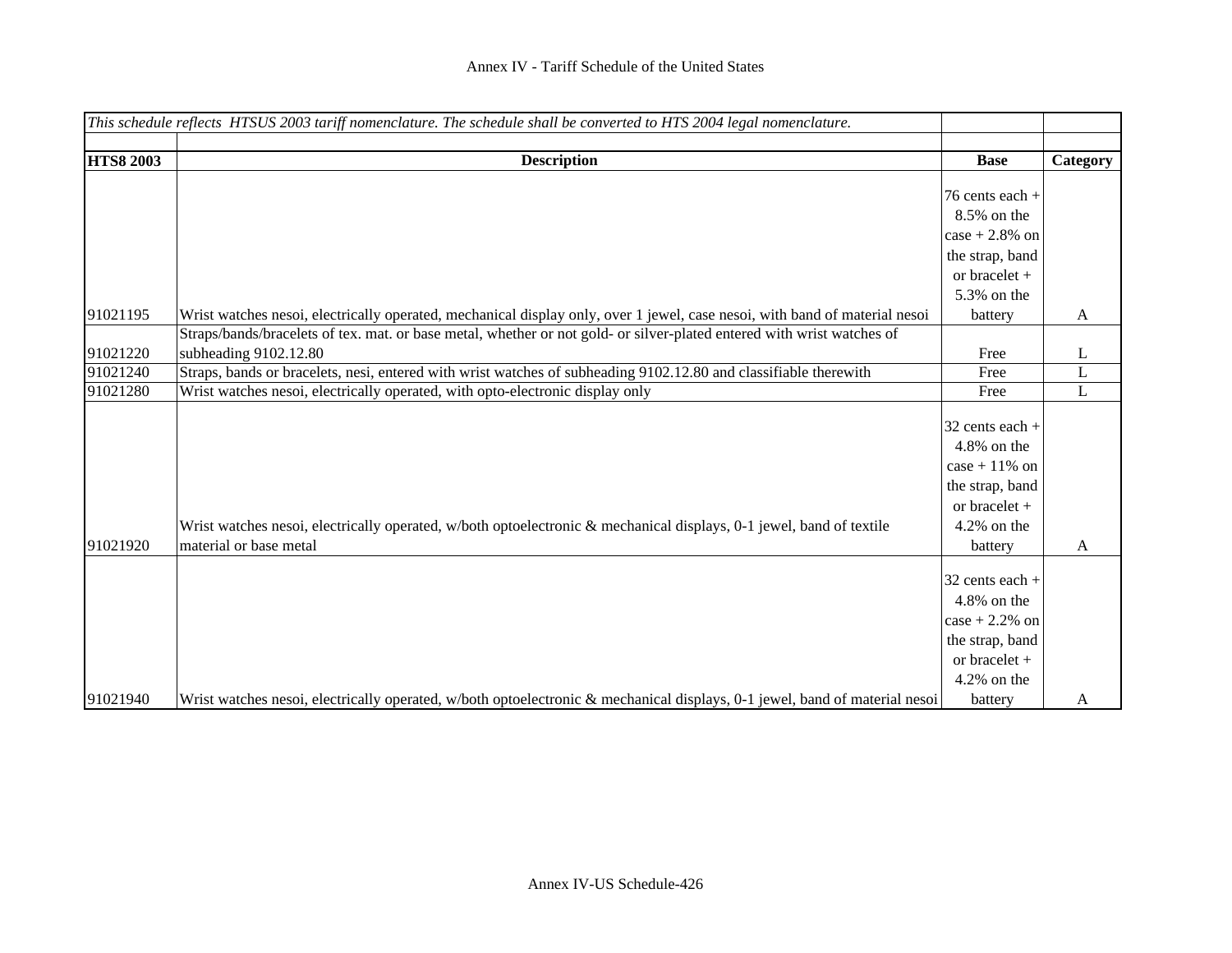|                  | This schedule reflects HTSUS 2003 tariff nomenclature. The schedule shall be converted to HTS 2004 legal nomenclature.     |                   |              |
|------------------|----------------------------------------------------------------------------------------------------------------------------|-------------------|--------------|
|                  |                                                                                                                            |                   |              |
| <b>HTS8 2003</b> | <b>Description</b>                                                                                                         | <b>Base</b>       | Category     |
|                  |                                                                                                                            |                   |              |
|                  |                                                                                                                            | 76 cents each $+$ |              |
|                  |                                                                                                                            | 8.5% on the       |              |
|                  |                                                                                                                            | $case + 2.8\%$ on |              |
|                  |                                                                                                                            | the strap, band   |              |
|                  |                                                                                                                            | or bracelet $+$   |              |
|                  |                                                                                                                            | 5.3% on the       |              |
| 91021195         | Wrist watches nesoi, electrically operated, mechanical display only, over 1 jewel, case nesoi, with band of material nesoi | battery           | $\mathbf{A}$ |
|                  | Straps/bands/bracelets of tex. mat. or base metal, whether or not gold- or silver-plated entered with wrist watches of     |                   |              |
| 91021220         | subheading 9102.12.80                                                                                                      | Free              | L            |
| 91021240         | Straps, bands or bracelets, nesi, entered with wrist watches of subheading 9102.12.80 and classifiable therewith           | Free              | L            |
| 91021280         | Wrist watches nesoi, electrically operated, with opto-electronic display only                                              | Free              | L            |
|                  |                                                                                                                            | $32$ cents each + |              |
|                  |                                                                                                                            | 4.8% on the       |              |
|                  |                                                                                                                            | $case + 11\%$ on  |              |
|                  |                                                                                                                            | the strap, band   |              |
|                  |                                                                                                                            | or bracelet +     |              |
|                  | Wrist watches nesoi, electrically operated, w/both optoelectronic & mechanical displays, 0-1 jewel, band of textile        | 4.2% on the       |              |
| 91021920         | material or base metal                                                                                                     | battery           | A            |
|                  |                                                                                                                            |                   |              |
|                  |                                                                                                                            | 32 cents each +   |              |
|                  |                                                                                                                            | $4.8\%$ on the    |              |
|                  |                                                                                                                            | $case + 2.2%$ on  |              |
|                  |                                                                                                                            | the strap, band   |              |
|                  |                                                                                                                            | or bracelet +     |              |
|                  |                                                                                                                            | $4.2\%$ on the    |              |
| 91021940         | Wrist watches nesoi, electrically operated, w/both optoelectronic & mechanical displays, 0-1 jewel, band of material nesoi | battery           | A            |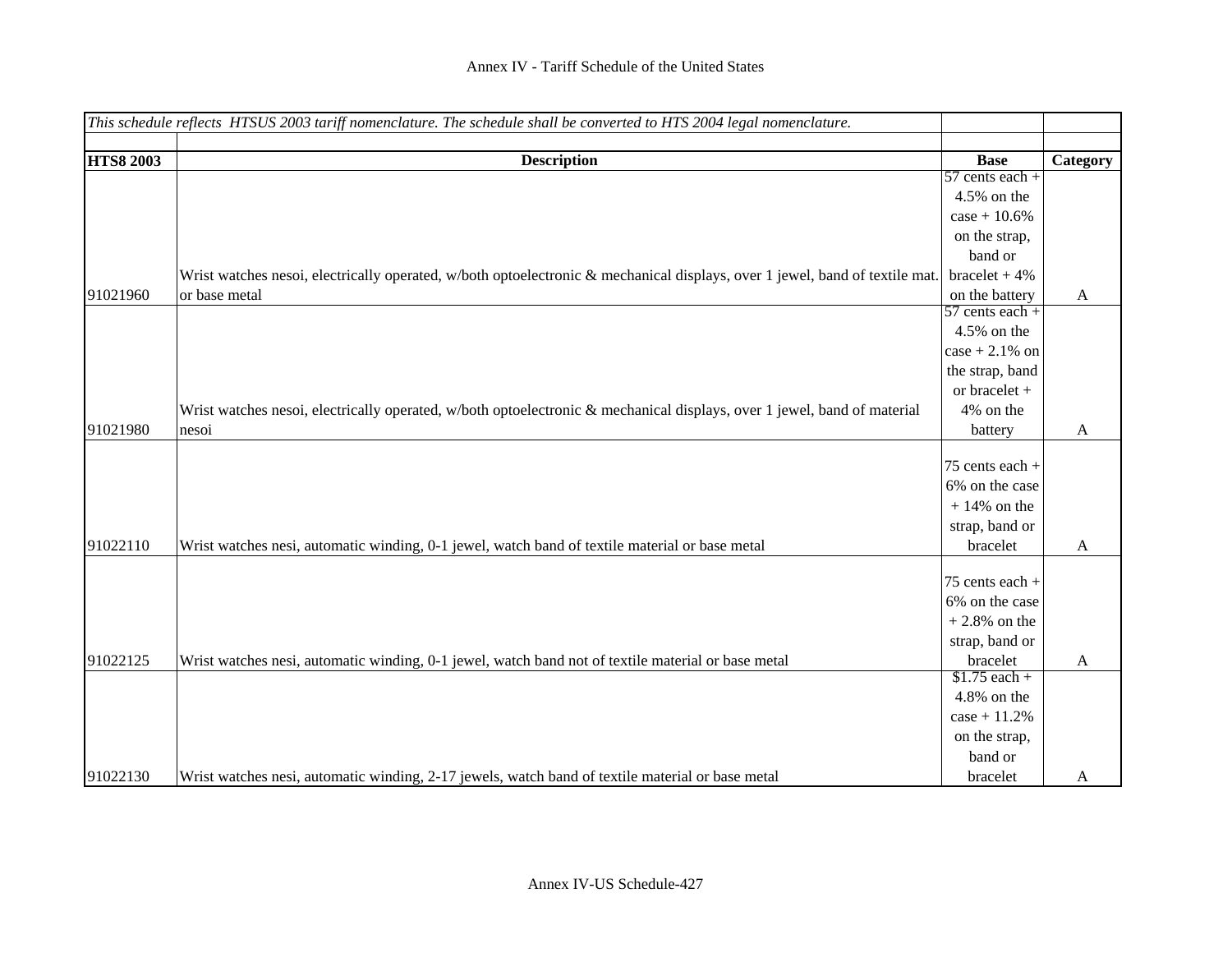|                  | This schedule reflects HTSUS 2003 tariff nomenclature. The schedule shall be converted to HTS 2004 legal nomenclature.      |                   |              |
|------------------|-----------------------------------------------------------------------------------------------------------------------------|-------------------|--------------|
|                  |                                                                                                                             |                   |              |
| <b>HTS8 2003</b> | <b>Description</b>                                                                                                          | <b>Base</b>       | Category     |
|                  |                                                                                                                             | $57$ cents each + |              |
|                  |                                                                                                                             | 4.5% on the       |              |
|                  |                                                                                                                             | $case + 10.6%$    |              |
|                  |                                                                                                                             | on the strap,     |              |
|                  |                                                                                                                             | band or           |              |
|                  | Wrist watches nesoi, electrically operated, w/both optoelectronic & mechanical displays, over 1 jewel, band of textile mat. | $bracket + 4\%$   |              |
| 91021960         | or base metal                                                                                                               | on the battery    | A            |
|                  |                                                                                                                             | $57$ cents each + |              |
|                  |                                                                                                                             | 4.5% on the       |              |
|                  |                                                                                                                             | $case + 2.1\%$ on |              |
|                  |                                                                                                                             | the strap, band   |              |
|                  |                                                                                                                             | or bracelet +     |              |
|                  | Wrist watches nesoi, electrically operated, w/both optoelectronic & mechanical displays, over 1 jewel, band of material     | 4% on the         |              |
| 91021980         | nesoi                                                                                                                       | battery           | $\mathbf{A}$ |
|                  |                                                                                                                             |                   |              |
|                  |                                                                                                                             | 75 cents each +   |              |
|                  |                                                                                                                             | 6% on the case    |              |
|                  |                                                                                                                             | $+14\%$ on the    |              |
|                  |                                                                                                                             | strap, band or    |              |
| 91022110         | Wrist watches nesi, automatic winding, 0-1 jewel, watch band of textile material or base metal                              | bracelet          | A            |
|                  |                                                                                                                             |                   |              |
|                  |                                                                                                                             | 75 cents each +   |              |
|                  |                                                                                                                             | 6% on the case    |              |
|                  |                                                                                                                             | $+2.8\%$ on the   |              |
|                  |                                                                                                                             | strap, band or    |              |
| 91022125         | Wrist watches nesi, automatic winding, 0-1 jewel, watch band not of textile material or base metal                          | bracelet          | A            |
|                  |                                                                                                                             | $$1.75$ each +    |              |
|                  |                                                                                                                             | 4.8% on the       |              |
|                  |                                                                                                                             | $case + 11.2%$    |              |
|                  |                                                                                                                             | on the strap,     |              |
|                  |                                                                                                                             | band or           |              |
| 91022130         | Wrist watches nesi, automatic winding, 2-17 jewels, watch band of textile material or base metal                            | bracelet          | A            |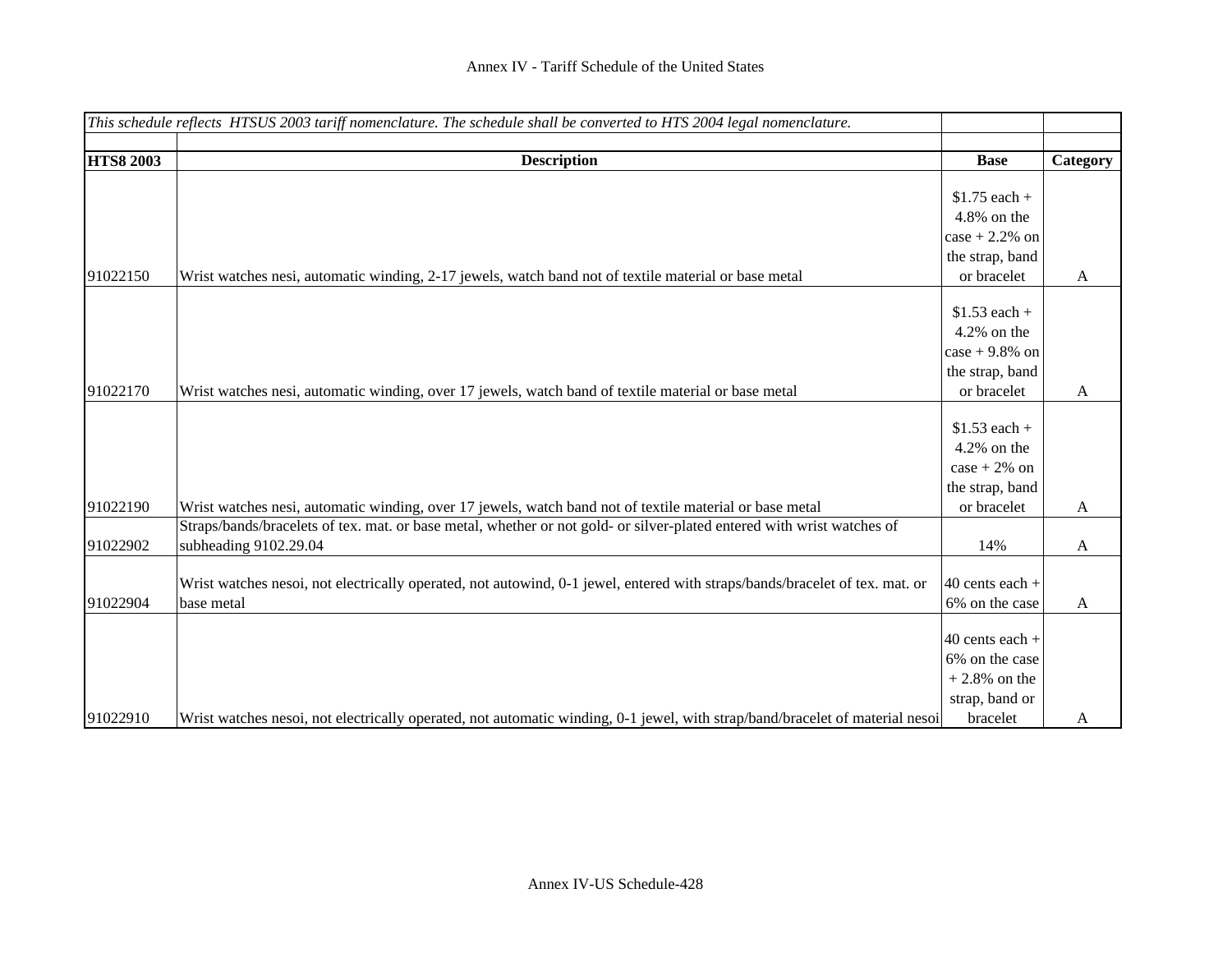|                  | This schedule reflects HTSUS 2003 tariff nomenclature. The schedule shall be converted to HTS 2004 legal nomenclature.       |                   |              |
|------------------|------------------------------------------------------------------------------------------------------------------------------|-------------------|--------------|
|                  |                                                                                                                              |                   |              |
| <b>HTS8 2003</b> | <b>Description</b>                                                                                                           | <b>Base</b>       | Category     |
|                  |                                                                                                                              |                   |              |
|                  |                                                                                                                              | $$1.75$ each +    |              |
|                  |                                                                                                                              | 4.8% on the       |              |
|                  |                                                                                                                              | $case + 2.2\%$ on |              |
|                  |                                                                                                                              | the strap, band   |              |
| 91022150         | Wrist watches nesi, automatic winding, 2-17 jewels, watch band not of textile material or base metal                         | or bracelet       | A            |
|                  |                                                                                                                              |                   |              |
|                  |                                                                                                                              | $$1.53$ each +    |              |
|                  |                                                                                                                              | $4.2\%$ on the    |              |
|                  |                                                                                                                              | case + $9.8\%$ on |              |
|                  |                                                                                                                              | the strap, band   |              |
| 91022170         | Wrist watches nesi, automatic winding, over 17 jewels, watch band of textile material or base metal                          | or bracelet       | $\mathbf{A}$ |
|                  |                                                                                                                              |                   |              |
|                  |                                                                                                                              | $$1.53$ each +    |              |
|                  |                                                                                                                              | $4.2\%$ on the    |              |
|                  |                                                                                                                              | $case + 2\%$ on   |              |
|                  |                                                                                                                              | the strap, band   |              |
| 91022190         | Wrist watches nesi, automatic winding, over 17 jewels, watch band not of textile material or base metal                      | or bracelet       | A            |
|                  | Straps/bands/bracelets of tex. mat. or base metal, whether or not gold- or silver-plated entered with wrist watches of       |                   |              |
| 91022902         | subheading 9102.29.04                                                                                                        | 14%               | A            |
|                  |                                                                                                                              |                   |              |
|                  | Wrist watches nesoi, not electrically operated, not autowind, 0-1 jewel, entered with straps/bands/bracelet of tex. mat. or  | $40$ cents each + |              |
| 91022904         | base metal                                                                                                                   | 6% on the case    | A            |
|                  |                                                                                                                              |                   |              |
|                  |                                                                                                                              | $40$ cents each + |              |
|                  |                                                                                                                              | 6% on the case    |              |
|                  |                                                                                                                              | $+2.8\%$ on the   |              |
|                  |                                                                                                                              | strap, band or    |              |
| 91022910         | Wrist watches nesoi, not electrically operated, not automatic winding, 0-1 jewel, with strap/band/bracelet of material nesoi | bracelet          | A            |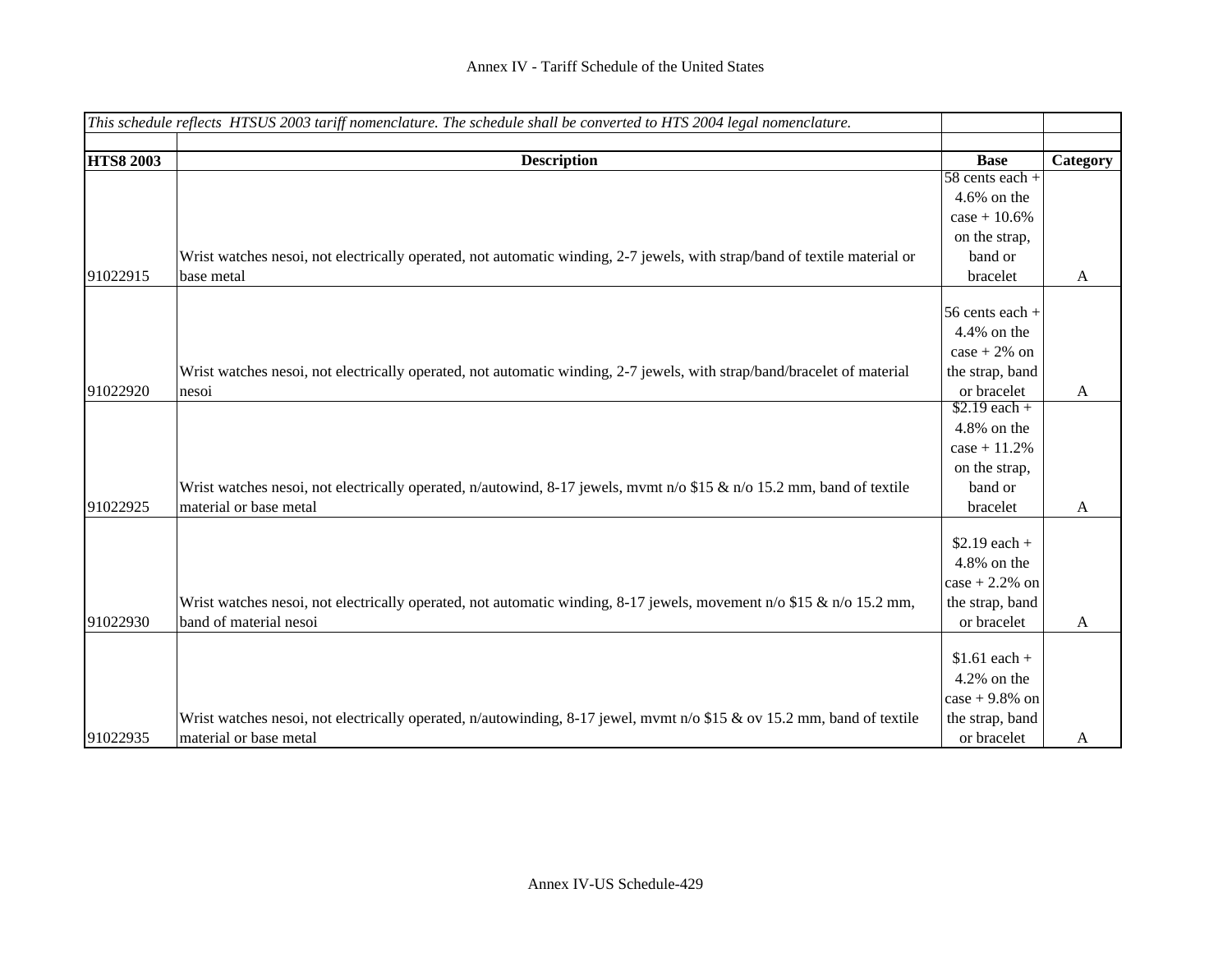|                  | This schedule reflects HTSUS 2003 tariff nomenclature. The schedule shall be converted to HTS 2004 legal nomenclature.    |                   |              |
|------------------|---------------------------------------------------------------------------------------------------------------------------|-------------------|--------------|
|                  |                                                                                                                           |                   |              |
| <b>HTS8 2003</b> | <b>Description</b>                                                                                                        | <b>Base</b>       | Category     |
|                  |                                                                                                                           | $58$ cents each + |              |
|                  |                                                                                                                           | $4.6\%$ on the    |              |
|                  |                                                                                                                           | $case + 10.6%$    |              |
|                  |                                                                                                                           | on the strap,     |              |
|                  | Wrist watches nesoi, not electrically operated, not automatic winding, 2-7 jewels, with strap/band of textile material or | band or           |              |
| 91022915         | base metal                                                                                                                | bracelet          | A            |
|                  |                                                                                                                           | 56 cents each +   |              |
|                  |                                                                                                                           | 4.4% on the       |              |
|                  |                                                                                                                           | $case + 2\%$ on   |              |
|                  | Wrist watches nesoi, not electrically operated, not automatic winding, 2-7 jewels, with strap/band/bracelet of material   | the strap, band   |              |
| 91022920         | nesoi                                                                                                                     | or bracelet       | $\mathbf{A}$ |
|                  |                                                                                                                           | $$2.19$ each +    |              |
|                  |                                                                                                                           | 4.8% on the       |              |
|                  |                                                                                                                           | $case + 11.2%$    |              |
|                  |                                                                                                                           | on the strap,     |              |
|                  | Wrist watches nesoi, not electrically operated, n/autowind, 8-17 jewels, mvmt n/o \$15 & n/o 15.2 mm, band of textile     | band or           |              |
| 91022925         | material or base metal                                                                                                    | bracelet          | A            |
|                  |                                                                                                                           | $$2.19$ each +    |              |
|                  |                                                                                                                           | 4.8% on the       |              |
|                  |                                                                                                                           |                   |              |
|                  |                                                                                                                           | $case + 2.2%$ on  |              |
|                  | Wrist watches nesoi, not electrically operated, not automatic winding, 8-17 jewels, movement $n/0$ \$15 & $n/0$ 15.2 mm,  | the strap, band   |              |
| 91022930         | band of material nesoi                                                                                                    | or bracelet       | A            |
|                  |                                                                                                                           | $$1.61 each +$    |              |
|                  |                                                                                                                           | $4.2\%$ on the    |              |
|                  |                                                                                                                           | $case + 9.8\%$ on |              |
|                  | Wrist watches nesoi, not electrically operated, n/autowinding, 8-17 jewel, mvmt n/o \$15 & ov 15.2 mm, band of textile    | the strap, band   |              |
| 91022935         | material or base metal                                                                                                    | or bracelet       | A            |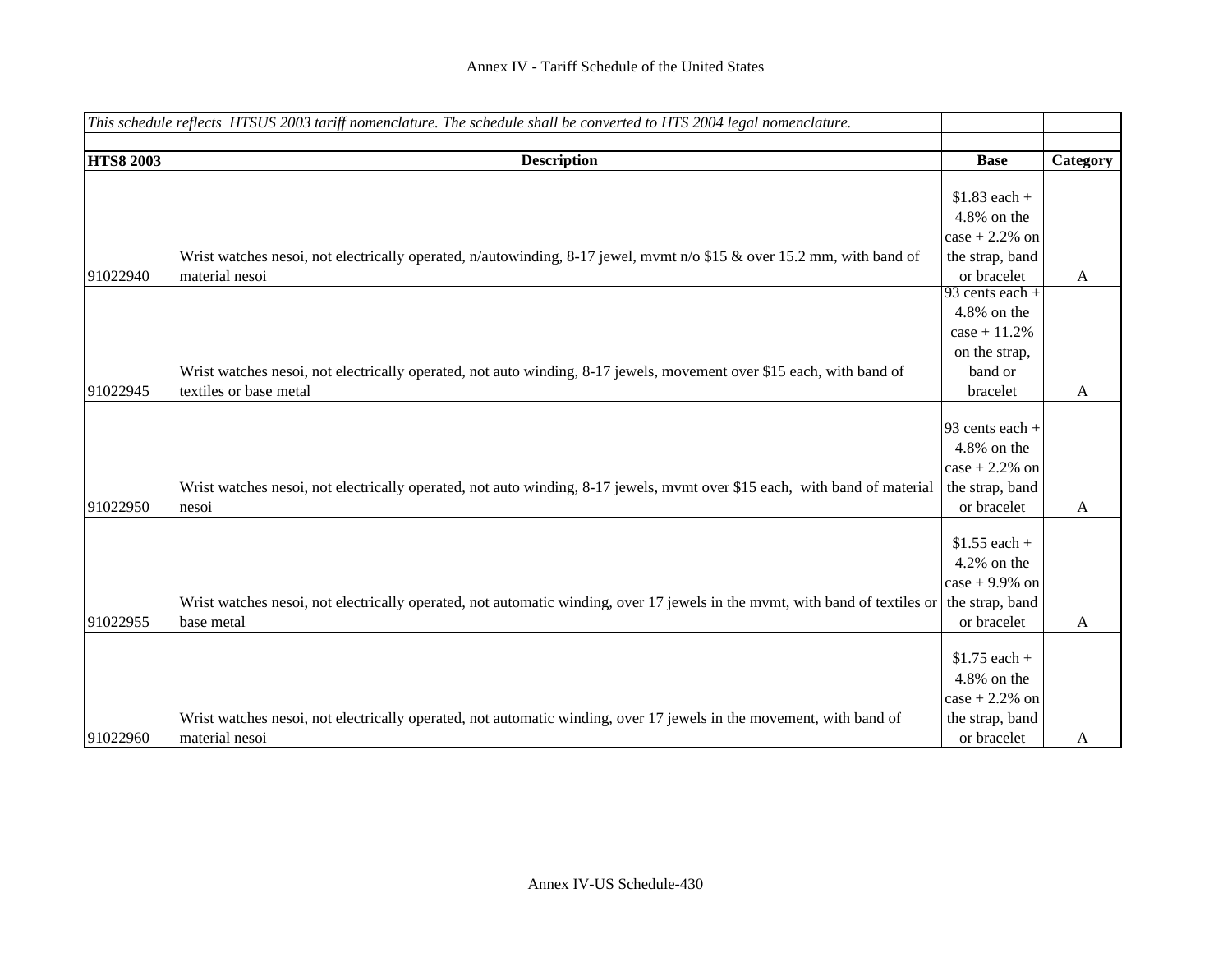|                  | This schedule reflects HTSUS 2003 tariff nomenclature. The schedule shall be converted to HTS 2004 legal nomenclature.      |                   |              |
|------------------|-----------------------------------------------------------------------------------------------------------------------------|-------------------|--------------|
| <b>HTS8 2003</b> | <b>Description</b>                                                                                                          | <b>Base</b>       | Category     |
|                  |                                                                                                                             |                   |              |
|                  |                                                                                                                             | $$1.83$ each +    |              |
|                  |                                                                                                                             | 4.8% on the       |              |
|                  |                                                                                                                             | $case + 2.2%$ on  |              |
|                  | Wrist watches nesoi, not electrically operated, n/autowinding, 8-17 jewel, mvmt n/o \$15 & over 15.2 mm, with band of       | the strap, band   |              |
| 91022940         | material nesoi                                                                                                              | or bracelet       | $\mathbf{A}$ |
|                  |                                                                                                                             | 93 cents each $+$ |              |
|                  |                                                                                                                             | 4.8% on the       |              |
|                  |                                                                                                                             | $case + 11.2%$    |              |
|                  |                                                                                                                             | on the strap,     |              |
|                  | Wrist watches nesoi, not electrically operated, not auto winding, 8-17 jewels, movement over \$15 each, with band of        | band or           |              |
| 91022945         | textiles or base metal                                                                                                      | bracelet          | A            |
|                  |                                                                                                                             |                   |              |
|                  |                                                                                                                             | 93 cents each $+$ |              |
|                  |                                                                                                                             | 4.8% on the       |              |
|                  |                                                                                                                             | $case + 2.2\%$ on |              |
|                  | Wrist watches nesoi, not electrically operated, not auto winding, 8-17 jewels, mymt over \$15 each, with band of material   | the strap, band   |              |
| 91022950         | nesoi                                                                                                                       | or bracelet       | A            |
|                  |                                                                                                                             |                   |              |
|                  |                                                                                                                             | $$1.55$ each +    |              |
|                  |                                                                                                                             | $4.2\%$ on the    |              |
|                  |                                                                                                                             | $case + 9.9\%$ on |              |
|                  | Wrist watches nesoi, not electrically operated, not automatic winding, over 17 jewels in the mvmt, with band of textiles or | the strap, band   |              |
| 91022955         | base metal                                                                                                                  | or bracelet       | $\mathbf{A}$ |
|                  |                                                                                                                             |                   |              |
|                  |                                                                                                                             | $$1.75$ each +    |              |
|                  |                                                                                                                             | 4.8% on the       |              |
|                  |                                                                                                                             | $case + 2.2%$ on  |              |
|                  | Wrist watches nesoi, not electrically operated, not automatic winding, over 17 jewels in the movement, with band of         | the strap, band   |              |
| 91022960         | material nesoi                                                                                                              | or bracelet       | A            |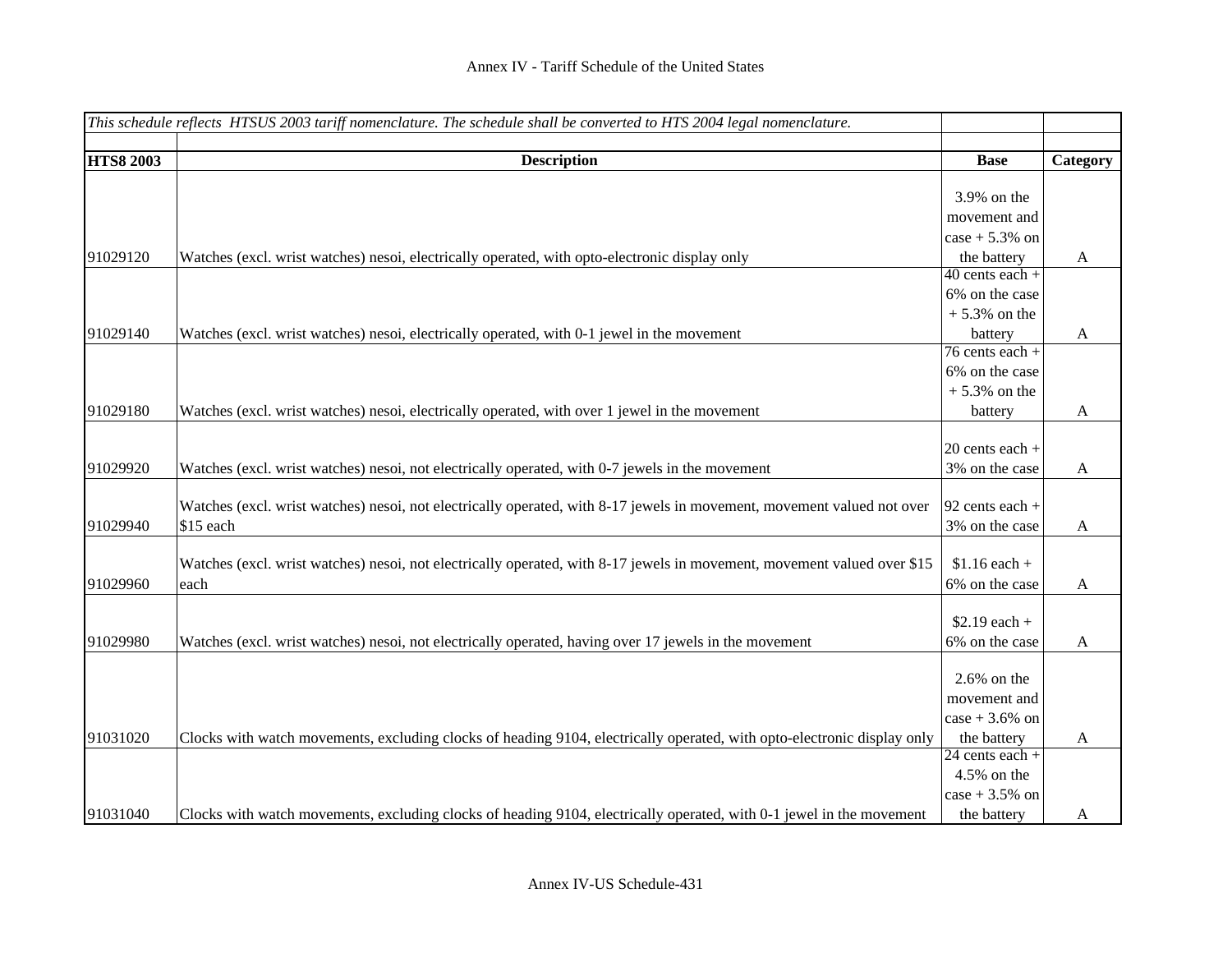|                  | This schedule reflects HTSUS 2003 tariff nomenclature. The schedule shall be converted to HTS 2004 legal nomenclature.  |                   |              |
|------------------|-------------------------------------------------------------------------------------------------------------------------|-------------------|--------------|
|                  |                                                                                                                         |                   |              |
| <b>HTS8 2003</b> | <b>Description</b>                                                                                                      | <b>Base</b>       | Category     |
|                  |                                                                                                                         | 3.9% on the       |              |
|                  |                                                                                                                         |                   |              |
|                  |                                                                                                                         | movement and      |              |
|                  |                                                                                                                         | $case + 5.3\%$ on |              |
| 91029120         | Watches (excl. wrist watches) nesoi, electrically operated, with opto-electronic display only                           | the battery       | A            |
|                  |                                                                                                                         | $40$ cents each + |              |
|                  |                                                                                                                         | 6% on the case    |              |
|                  |                                                                                                                         | $+5.3\%$ on the   |              |
| 91029140         | Watches (excl. wrist watches) nesoi, electrically operated, with 0-1 jewel in the movement                              | battery           | A            |
|                  |                                                                                                                         | $76$ cents each + |              |
|                  |                                                                                                                         | 6% on the case    |              |
|                  |                                                                                                                         | $+5.3\%$ on the   |              |
| 91029180         | Watches (excl. wrist watches) nesoi, electrically operated, with over 1 jewel in the movement                           | battery           | $\mathbf{A}$ |
|                  |                                                                                                                         |                   |              |
|                  |                                                                                                                         | $20$ cents each + |              |
| 91029920         | Watches (excl. wrist watches) nesoi, not electrically operated, with 0-7 jewels in the movement                         | 3% on the case    | $\mathbf{A}$ |
|                  |                                                                                                                         |                   |              |
|                  | Watches (excl. wrist watches) nesoi, not electrically operated, with 8-17 jewels in movement, movement valued not over  | 92 cents each +   |              |
| 91029940         | \$15 each                                                                                                               | 3% on the case    | A            |
|                  |                                                                                                                         |                   |              |
|                  | Watches (excl. wrist watches) nesoi, not electrically operated, with 8-17 jewels in movement, movement valued over \$15 | $$1.16$ each +    |              |
| 91029960         | each                                                                                                                    | 6% on the case    | $\mathbf{A}$ |
|                  |                                                                                                                         |                   |              |
|                  |                                                                                                                         | $$2.19$ each +    |              |
| 91029980         | Watches (excl. wrist watches) nesoi, not electrically operated, having over 17 jewels in the movement                   | 6% on the case    | A            |
|                  |                                                                                                                         |                   |              |
|                  |                                                                                                                         | $2.6\%$ on the    |              |
|                  |                                                                                                                         | movement and      |              |
|                  |                                                                                                                         | case $+3.6%$ on   |              |
| 91031020         | Clocks with watch movements, excluding clocks of heading 9104, electrically operated, with opto-electronic display only | the battery       | A            |
|                  |                                                                                                                         | $24$ cents each + |              |
|                  |                                                                                                                         | 4.5% on the       |              |
|                  |                                                                                                                         | $case + 3.5%$ on  |              |
| 91031040         | Clocks with watch movements, excluding clocks of heading 9104, electrically operated, with 0-1 jewel in the movement    | the battery       | A            |
|                  |                                                                                                                         |                   |              |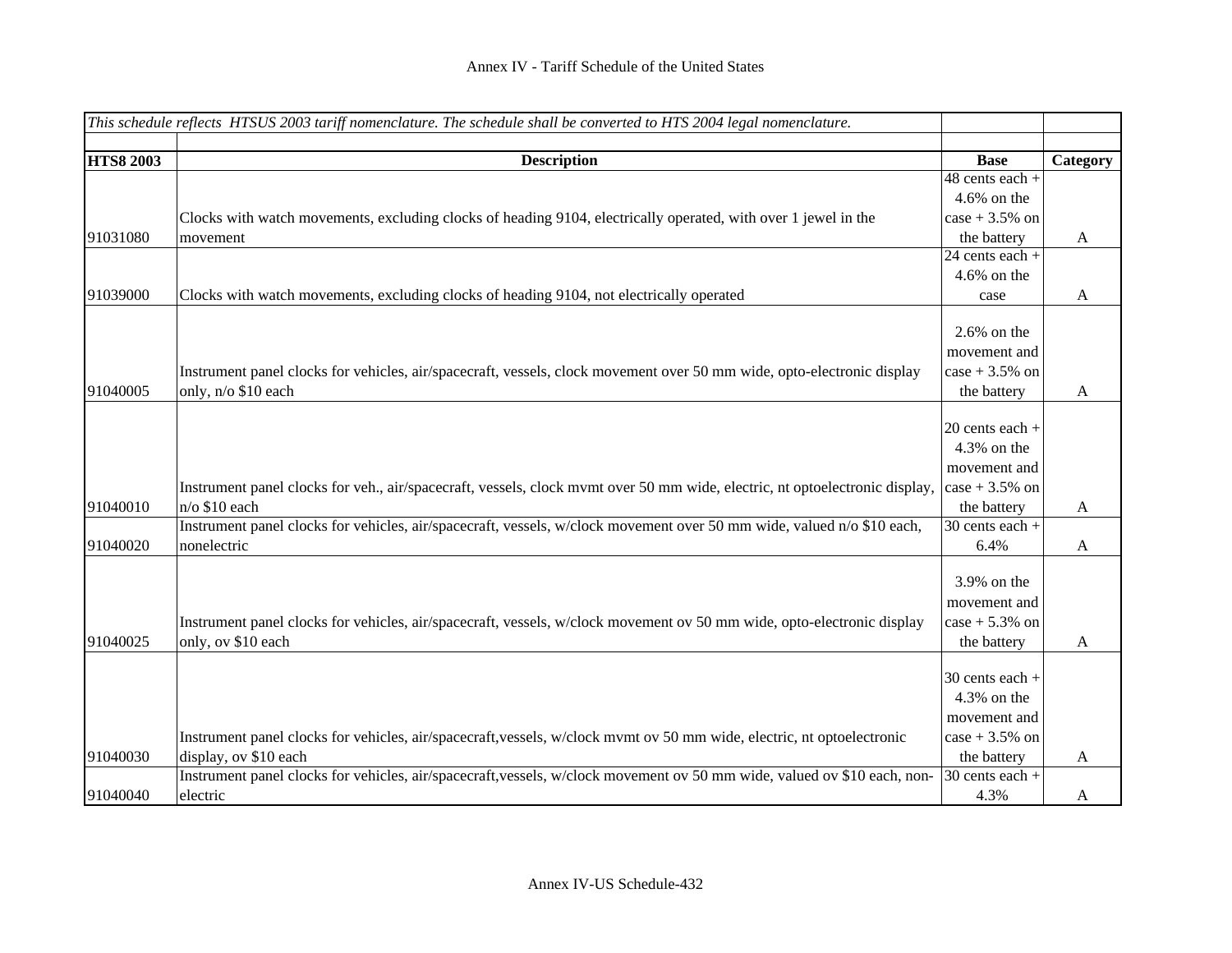|                  | This schedule reflects HTSUS 2003 tariff nomenclature. The schedule shall be converted to HTS 2004 legal nomenclature.      |                   |              |
|------------------|-----------------------------------------------------------------------------------------------------------------------------|-------------------|--------------|
|                  |                                                                                                                             |                   |              |
| <b>HTS8 2003</b> | <b>Description</b>                                                                                                          | <b>Base</b>       | Category     |
|                  |                                                                                                                             | $48$ cents each + |              |
|                  |                                                                                                                             | $4.6\%$ on the    |              |
|                  | Clocks with watch movements, excluding clocks of heading 9104, electrically operated, with over 1 jewel in the              | $case + 3.5%$ on  |              |
| 91031080         | movement                                                                                                                    | the battery       | A            |
|                  |                                                                                                                             | 24 cents each +   |              |
|                  |                                                                                                                             | $4.6\%$ on the    |              |
| 91039000         | Clocks with watch movements, excluding clocks of heading 9104, not electrically operated                                    | case              | A            |
|                  |                                                                                                                             |                   |              |
|                  |                                                                                                                             | $2.6\%$ on the    |              |
|                  |                                                                                                                             | movement and      |              |
|                  | Instrument panel clocks for vehicles, air/spacecraft, vessels, clock movement over 50 mm wide, opto-electronic display      | case + $3.5\%$ on |              |
| 91040005         | only, n/o \$10 each                                                                                                         | the battery       | $\mathbf{A}$ |
|                  |                                                                                                                             |                   |              |
|                  |                                                                                                                             | 20 cents each +   |              |
|                  |                                                                                                                             | 4.3% on the       |              |
|                  |                                                                                                                             | movement and      |              |
|                  | Instrument panel clocks for veh., air/spacecraft, vessels, clock mvmt over 50 mm wide, electric, nt optoelectronic display, | case + $3.5\%$ on |              |
| 91040010         | $n$ /o \$10 each                                                                                                            | the battery       | A            |
|                  | Instrument panel clocks for vehicles, air/spacecraft, vessels, w/clock movement over 50 mm wide, valued n/o \$10 each,      | 30 cents each +   |              |
| 91040020         | nonelectric                                                                                                                 | 6.4%              | $\mathbf{A}$ |
|                  |                                                                                                                             |                   |              |
|                  |                                                                                                                             | 3.9% on the       |              |
|                  |                                                                                                                             | movement and      |              |
|                  | Instrument panel clocks for vehicles, air/spacecraft, vessels, w/clock movement ov 50 mm wide, opto-electronic display      | $case + 5.3\%$ on |              |
| 91040025         | only, ov \$10 each                                                                                                          | the battery       | $\mathbf{A}$ |
|                  |                                                                                                                             |                   |              |
|                  |                                                                                                                             | $30$ cents each + |              |
|                  |                                                                                                                             | 4.3% on the       |              |
|                  |                                                                                                                             | movement and      |              |
|                  | Instrument panel clocks for vehicles, air/spacecraft, vessels, w/clock mvmt ov 50 mm wide, electric, nt optoelectronic      | case + $3.5\%$ on |              |
| 91040030         | display, ov \$10 each                                                                                                       | the battery       | A            |
|                  | Instrument panel clocks for vehicles, air/spacecraft, vessels, w/clock movement ov 50 mm wide, valued ov \$10 each, non-    | 30 cents each +   |              |
| 91040040         | electric                                                                                                                    | 4.3%              | A            |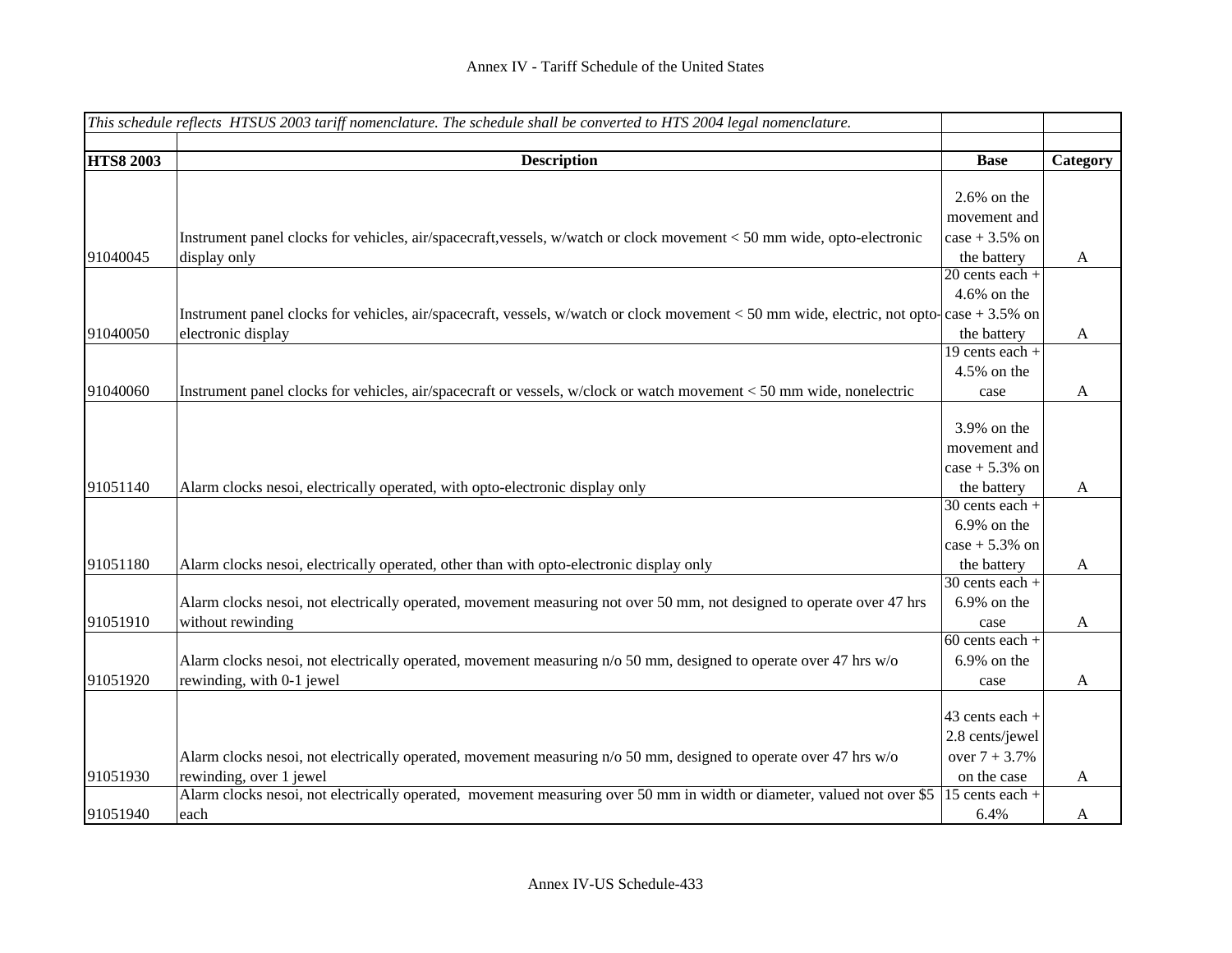|                  | This schedule reflects HTSUS 2003 tariff nomenclature. The schedule shall be converted to HTS 2004 legal nomenclature.                     |                                |              |
|------------------|--------------------------------------------------------------------------------------------------------------------------------------------|--------------------------------|--------------|
|                  |                                                                                                                                            |                                |              |
| <b>HTS8 2003</b> | <b>Description</b>                                                                                                                         | <b>Base</b>                    | Category     |
|                  |                                                                                                                                            | $2.6\%$ on the                 |              |
|                  |                                                                                                                                            | movement and                   |              |
|                  | Instrument panel clocks for vehicles, air/spacecraft, vessels, w/watch or clock movement < 50 mm wide, opto-electronic                     | $case + 3.5%$ on               |              |
| 91040045         | display only                                                                                                                               | the battery                    | $\mathbf{A}$ |
|                  |                                                                                                                                            | $20$ cents each +              |              |
|                  |                                                                                                                                            | 4.6% on the                    |              |
|                  | Instrument panel clocks for vehicles, air/spacecraft, vessels, w/watch or clock movement $<$ 50 mm wide, electric, not opto-case + 3.5% on |                                |              |
| 91040050         | electronic display                                                                                                                         | the battery                    | $\mathbf{A}$ |
|                  |                                                                                                                                            | 19 cents each +                |              |
|                  |                                                                                                                                            | 4.5% on the                    |              |
| 91040060         | Instrument panel clocks for vehicles, air/spacecraft or vessels, w/clock or watch movement < 50 mm wide, nonelectric                       | case                           | $\mathbf{A}$ |
|                  |                                                                                                                                            | $3.9\%$ on the<br>movement and |              |
|                  |                                                                                                                                            | $case + 5.3\%$ on              |              |
| 91051140         | Alarm clocks nesoi, electrically operated, with opto-electronic display only                                                               | the battery                    | $\mathbf{A}$ |
|                  |                                                                                                                                            | $30$ cents each +              |              |
|                  |                                                                                                                                            | $6.9\%$ on the                 |              |
|                  |                                                                                                                                            | $case + 5.3\%$ on              |              |
| 91051180         | Alarm clocks nesoi, electrically operated, other than with opto-electronic display only                                                    | the battery                    | A            |
|                  |                                                                                                                                            | $30$ cents each +              |              |
|                  | Alarm clocks nesoi, not electrically operated, movement measuring not over 50 mm, not designed to operate over 47 hrs                      | 6.9% on the                    |              |
| 91051910         | without rewinding                                                                                                                          | case                           | A            |
|                  |                                                                                                                                            | $60$ cents each +              |              |
|                  | Alarm clocks nesoi, not electrically operated, movement measuring n/o 50 mm, designed to operate over 47 hrs w/o                           | $6.9\%$ on the                 |              |
| 91051920         | rewinding, with 0-1 jewel                                                                                                                  | case                           | A            |
|                  |                                                                                                                                            |                                |              |
|                  |                                                                                                                                            | 43 cents each +                |              |
|                  |                                                                                                                                            | 2.8 cents/jewel                |              |
|                  | Alarm clocks nesoi, not electrically operated, movement measuring n/o 50 mm, designed to operate over 47 hrs w/o                           | over $7 + 3.7%$                |              |
| 91051930         | rewinding, over 1 jewel                                                                                                                    | on the case                    | A            |
|                  | Alarm clocks nesoi, not electrically operated, movement measuring over 50 mm in width or diameter, valued not over \$5                     | 15 cents each +                |              |
| 91051940         | each                                                                                                                                       | 6.4%                           | A            |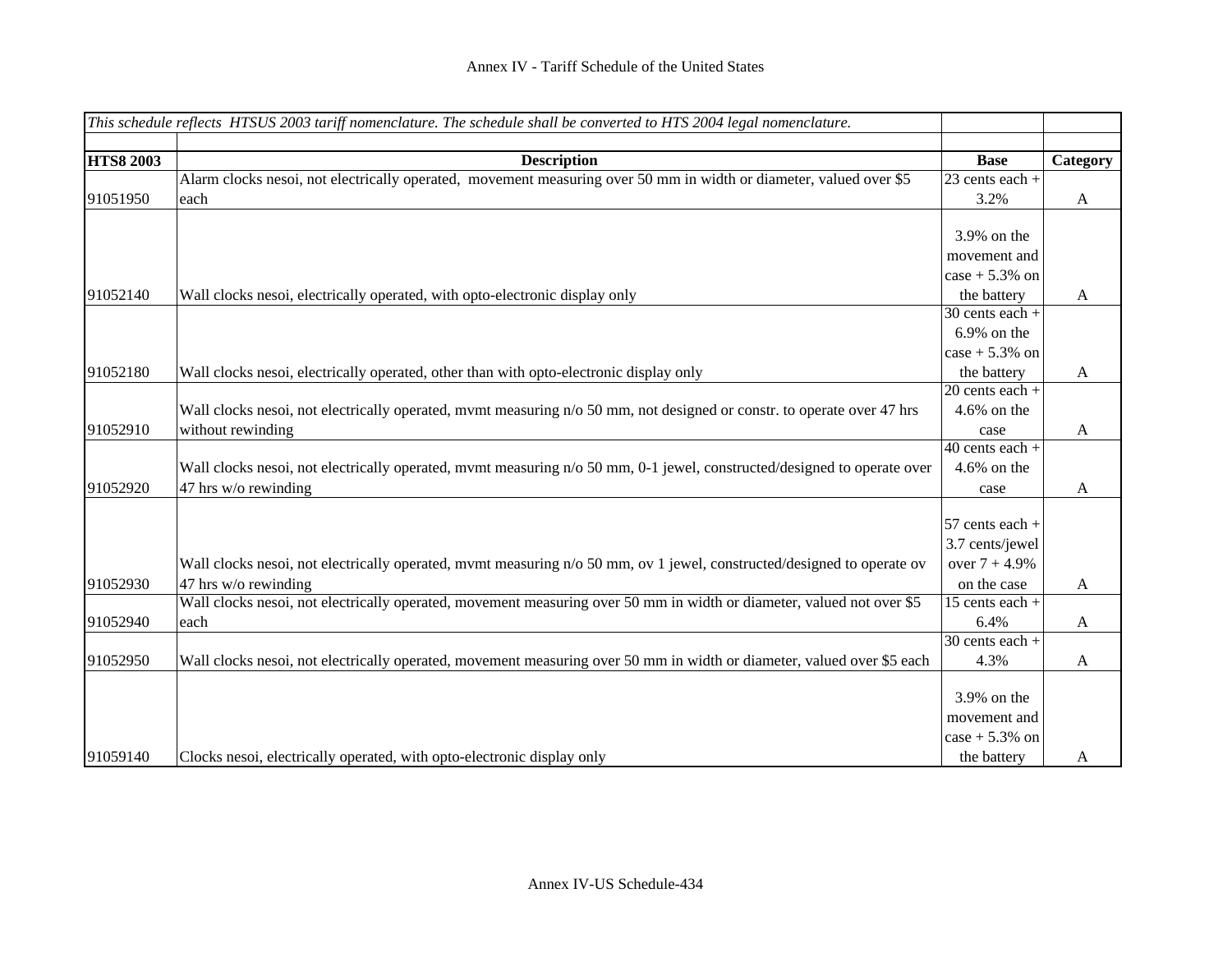| This schedule reflects HTSUS 2003 tariff nomenclature. The schedule shall be converted to HTS 2004 legal nomenclature. |                                                                                                                         |                              |                           |
|------------------------------------------------------------------------------------------------------------------------|-------------------------------------------------------------------------------------------------------------------------|------------------------------|---------------------------|
|                                                                                                                        |                                                                                                                         |                              |                           |
| <b>HTS8 2003</b>                                                                                                       | <b>Description</b>                                                                                                      | <b>Base</b>                  | Category                  |
|                                                                                                                        | Alarm clocks nesoi, not electrically operated, movement measuring over 50 mm in width or diameter, valued over \$5      | $\overline{23}$ cents each + |                           |
| 91051950                                                                                                               | each                                                                                                                    | 3.2%                         | $\boldsymbol{\mathsf{A}}$ |
|                                                                                                                        |                                                                                                                         |                              |                           |
|                                                                                                                        |                                                                                                                         | 3.9% on the                  |                           |
|                                                                                                                        |                                                                                                                         | movement and                 |                           |
|                                                                                                                        |                                                                                                                         | $case + 5.3\%$ on            |                           |
| 91052140                                                                                                               | Wall clocks nesoi, electrically operated, with opto-electronic display only                                             | the battery                  | $\mathbf{A}$              |
|                                                                                                                        |                                                                                                                         | $30$ cents each +            |                           |
|                                                                                                                        |                                                                                                                         | $6.9\%$ on the               |                           |
|                                                                                                                        |                                                                                                                         | $case + 5.3\%$ on            |                           |
| 91052180                                                                                                               | Wall clocks nesoi, electrically operated, other than with opto-electronic display only                                  | the battery                  | $\mathbf{A}$              |
|                                                                                                                        |                                                                                                                         | 20 cents each +              |                           |
|                                                                                                                        | Wall clocks nesoi, not electrically operated, mymt measuring n/o 50 mm, not designed or constr. to operate over 47 hrs  | $4.6\%$ on the               |                           |
| 91052910                                                                                                               | without rewinding                                                                                                       | case                         | $\mathbf{A}$              |
|                                                                                                                        |                                                                                                                         | $\overline{40}$ cents each + |                           |
|                                                                                                                        | Wall clocks nesoi, not electrically operated, mvmt measuring n/o 50 mm, 0-1 jewel, constructed/designed to operate over | $4.6\%$ on the               |                           |
| 91052920                                                                                                               | 47 hrs w/o rewinding                                                                                                    | case                         | A                         |
|                                                                                                                        |                                                                                                                         |                              |                           |
|                                                                                                                        |                                                                                                                         | 57 cents each +              |                           |
|                                                                                                                        |                                                                                                                         | 3.7 cents/jewel              |                           |
|                                                                                                                        | Wall clocks nesoi, not electrically operated, mvmt measuring n/o 50 mm, ov 1 jewel, constructed/designed to operate ov  | over $7 + 4.9%$              |                           |
| 91052930                                                                                                               | 47 hrs w/o rewinding                                                                                                    | on the case                  | $\mathbf{A}$              |
|                                                                                                                        | Wall clocks nesoi, not electrically operated, movement measuring over 50 mm in width or diameter, valued not over \$5   | 15 cents each $+$            |                           |
| 91052940                                                                                                               | each                                                                                                                    | 6.4%                         | $\mathbf{A}$              |
|                                                                                                                        |                                                                                                                         | $30$ cents each +            |                           |
| 91052950                                                                                                               | Wall clocks nesoi, not electrically operated, movement measuring over 50 mm in width or diameter, valued over \$5 each  | 4.3%                         | $\mathbf{A}$              |
|                                                                                                                        |                                                                                                                         |                              |                           |
|                                                                                                                        |                                                                                                                         | 3.9% on the                  |                           |
|                                                                                                                        |                                                                                                                         | movement and                 |                           |
|                                                                                                                        |                                                                                                                         | $case + 5.3\%$ on            |                           |
| 91059140                                                                                                               | Clocks nesoi, electrically operated, with opto-electronic display only                                                  | the battery                  | $\mathbf{A}$              |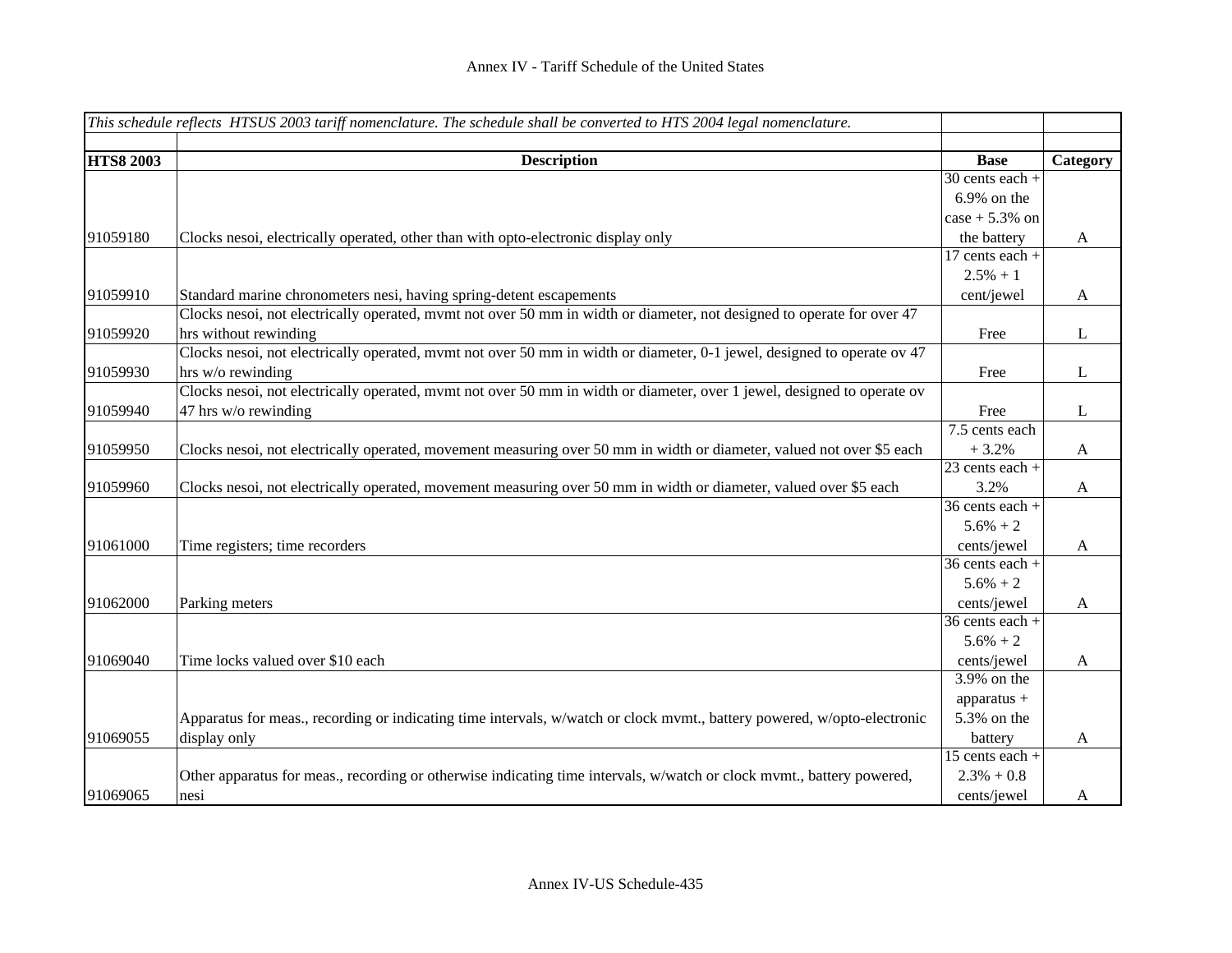|                  | This schedule reflects HTSUS 2003 tariff nomenclature. The schedule shall be converted to HTS 2004 legal nomenclature.  |                   |              |
|------------------|-------------------------------------------------------------------------------------------------------------------------|-------------------|--------------|
|                  |                                                                                                                         |                   |              |
| <b>HTS8 2003</b> | <b>Description</b>                                                                                                      | <b>Base</b>       | Category     |
|                  |                                                                                                                         | $30$ cents each + |              |
|                  |                                                                                                                         | 6.9% on the       |              |
|                  |                                                                                                                         | $case + 5.3\%$ on |              |
| 91059180         | Clocks nesoi, electrically operated, other than with opto-electronic display only                                       | the battery       | $\mathbf{A}$ |
|                  |                                                                                                                         | 17 cents each +   |              |
|                  |                                                                                                                         | $2.5% + 1$        |              |
| 91059910         | Standard marine chronometers nesi, having spring-detent escapements                                                     | cent/jewel        | $\mathbf{A}$ |
|                  | Clocks nesoi, not electrically operated, mymt not over 50 mm in width or diameter, not designed to operate for over 47  |                   |              |
| 91059920         | hrs without rewinding                                                                                                   | Free              | L            |
|                  | Clocks nesoi, not electrically operated, mvmt not over 50 mm in width or diameter, 0-1 jewel, designed to operate ov 47 |                   |              |
| 91059930         | hrs w/o rewinding                                                                                                       | Free              | L            |
|                  | Clocks nesoi, not electrically operated, mvmt not over 50 mm in width or diameter, over 1 jewel, designed to operate ov |                   |              |
| 91059940         | 47 hrs w/o rewinding                                                                                                    | Free              | L            |
|                  |                                                                                                                         | 7.5 cents each    |              |
| 91059950         | Clocks nesoi, not electrically operated, movement measuring over 50 mm in width or diameter, valued not over \$5 each   | $+3.2%$           | $\mathbf{A}$ |
|                  |                                                                                                                         | 23 cents each +   |              |
| 91059960         | Clocks nesoi, not electrically operated, movement measuring over 50 mm in width or diameter, valued over \$5 each       | 3.2%              | $\mathbf{A}$ |
|                  |                                                                                                                         | 36 cents each +   |              |
|                  |                                                                                                                         | $5.6% + 2$        |              |
| 91061000         | Time registers; time recorders                                                                                          | cents/jewel       | $\mathbf{A}$ |
|                  |                                                                                                                         | 36 cents each +   |              |
|                  |                                                                                                                         | $5.6\% + 2$       |              |
| 91062000         | Parking meters                                                                                                          | cents/jewel       | $\mathbf{A}$ |
|                  |                                                                                                                         | 36 cents each +   |              |
|                  |                                                                                                                         | $5.6\% + 2$       |              |
| 91069040         | Time locks valued over \$10 each                                                                                        | cents/jewel       | $\mathbf{A}$ |
|                  |                                                                                                                         | 3.9% on the       |              |
|                  |                                                                                                                         | apparatus $+$     |              |
|                  | Apparatus for meas., recording or indicating time intervals, w/watch or clock mvmt., battery powered, w/opto-electronic | 5.3% on the       |              |
| 91069055         | display only                                                                                                            | battery           | $\mathbf{A}$ |
|                  |                                                                                                                         | $15$ cents each + |              |
|                  | Other apparatus for meas., recording or otherwise indicating time intervals, w/watch or clock mvmt., battery powered,   | $2.3\% + 0.8$     |              |
| 91069065         | nesi                                                                                                                    | cents/jewel       | A            |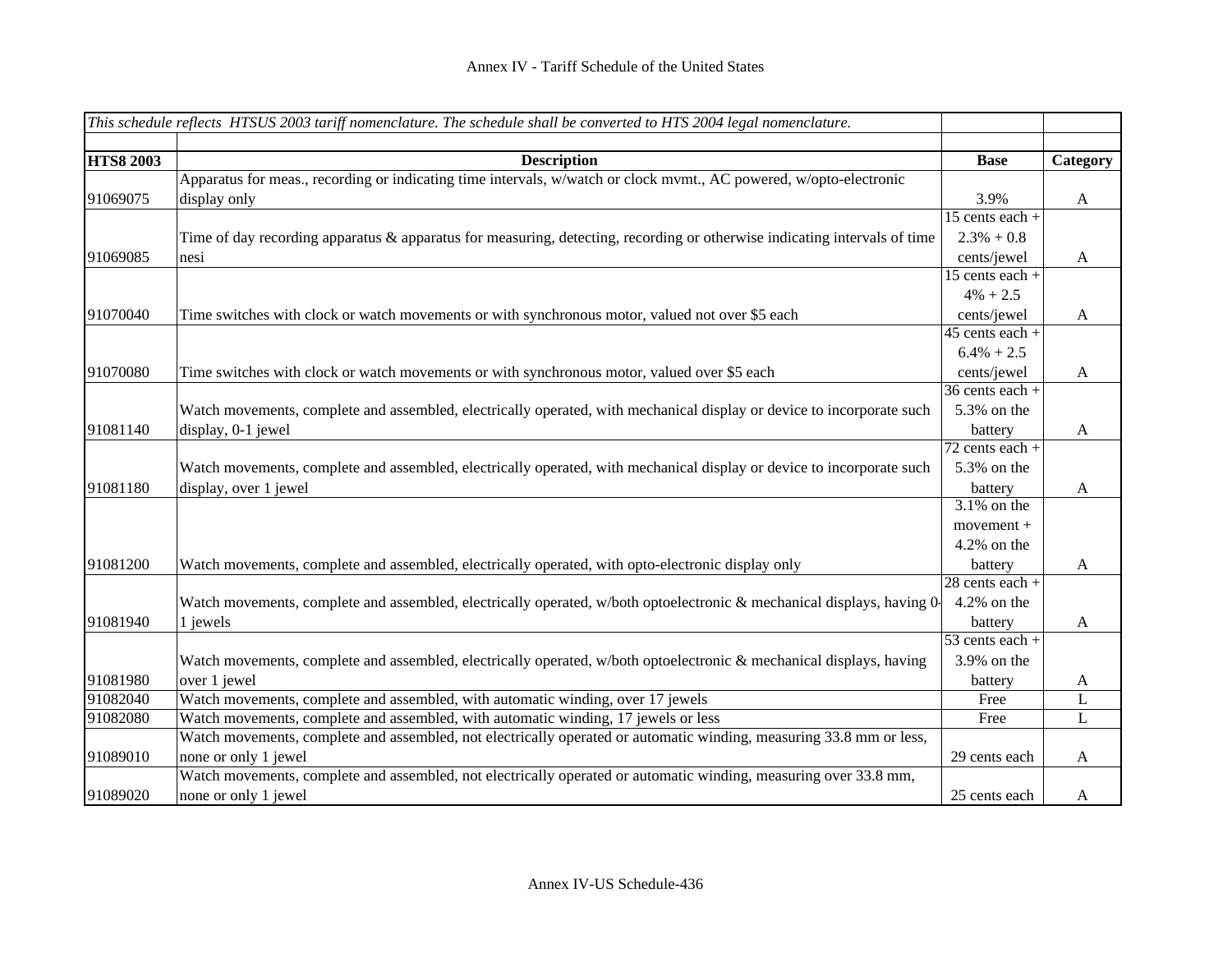| This schedule reflects HTSUS 2003 tariff nomenclature. The schedule shall be converted to HTS 2004 legal nomenclature. |                                                                                                                                          |                                |              |
|------------------------------------------------------------------------------------------------------------------------|------------------------------------------------------------------------------------------------------------------------------------------|--------------------------------|--------------|
| <b>HTS8 2003</b>                                                                                                       |                                                                                                                                          | <b>Base</b>                    |              |
|                                                                                                                        | <b>Description</b><br>Apparatus for meas., recording or indicating time intervals, w/watch or clock mvmt., AC powered, w/opto-electronic |                                | Category     |
| 91069075                                                                                                               | display only                                                                                                                             | 3.9%                           | $\mathbf{A}$ |
|                                                                                                                        |                                                                                                                                          | $15$ cents each +              |              |
|                                                                                                                        | Time of day recording apparatus & apparatus for measuring, detecting, recording or otherwise indicating intervals of time                | $2.3\% + 0.8$                  |              |
| 91069085                                                                                                               | nesi                                                                                                                                     | cents/jewel                    | $\mathbf{A}$ |
|                                                                                                                        |                                                                                                                                          | 15 cents each +                |              |
|                                                                                                                        |                                                                                                                                          | $4\% + 2.5$                    |              |
| 91070040                                                                                                               |                                                                                                                                          |                                | $\mathbf{A}$ |
|                                                                                                                        | Time switches with clock or watch movements or with synchronous motor, valued not over \$5 each                                          | cents/jewel<br>45 cents each + |              |
|                                                                                                                        |                                                                                                                                          | $6.4\% + 2.5$                  |              |
| 91070080                                                                                                               |                                                                                                                                          |                                |              |
|                                                                                                                        | Time switches with clock or watch movements or with synchronous motor, valued over \$5 each                                              | cents/jewel<br>36 cents each + | $\mathbf{A}$ |
|                                                                                                                        |                                                                                                                                          |                                |              |
|                                                                                                                        | Watch movements, complete and assembled, electrically operated, with mechanical display or device to incorporate such                    | 5.3% on the                    |              |
| 91081140                                                                                                               | display, 0-1 jewel                                                                                                                       | battery<br>$72$ cents each +   | A            |
|                                                                                                                        |                                                                                                                                          |                                |              |
|                                                                                                                        | Watch movements, complete and assembled, electrically operated, with mechanical display or device to incorporate such                    | 5.3% on the                    |              |
| 91081180                                                                                                               | display, over 1 jewel                                                                                                                    | battery<br>$3.1\%$ on the      | $\mathbf{A}$ |
|                                                                                                                        |                                                                                                                                          |                                |              |
|                                                                                                                        |                                                                                                                                          | $movement +$                   |              |
|                                                                                                                        |                                                                                                                                          | $4.2\%$ on the                 |              |
| 91081200                                                                                                               | Watch movements, complete and assembled, electrically operated, with opto-electronic display only                                        | battery                        | $\mathbf{A}$ |
|                                                                                                                        |                                                                                                                                          | 28 cents each +                |              |
|                                                                                                                        | Watch movements, complete and assembled, electrically operated, w/both optoelectronic $\&$ mechanical displays, having 0                 | 4.2% on the                    |              |
| 91081940                                                                                                               | 1 jewels                                                                                                                                 | battery                        | $\mathbf{A}$ |
|                                                                                                                        |                                                                                                                                          | $\overline{53}$ cents each +   |              |
|                                                                                                                        | Watch movements, complete and assembled, electrically operated, w/both optoelectronic & mechanical displays, having                      | 3.9% on the                    |              |
| 91081980                                                                                                               | over 1 jewel                                                                                                                             | battery                        | A            |
| 91082040                                                                                                               | Watch movements, complete and assembled, with automatic winding, over 17 jewels                                                          | Free                           | L            |
| 91082080                                                                                                               | Watch movements, complete and assembled, with automatic winding, 17 jewels or less                                                       | Free                           | L            |
|                                                                                                                        | Watch movements, complete and assembled, not electrically operated or automatic winding, measuring 33.8 mm or less,                      |                                |              |
| 91089010                                                                                                               | none or only 1 jewel                                                                                                                     | 29 cents each                  | A            |
|                                                                                                                        | Watch movements, complete and assembled, not electrically operated or automatic winding, measuring over 33.8 mm,                         |                                |              |
| 91089020                                                                                                               | none or only 1 jewel                                                                                                                     | 25 cents each                  | A            |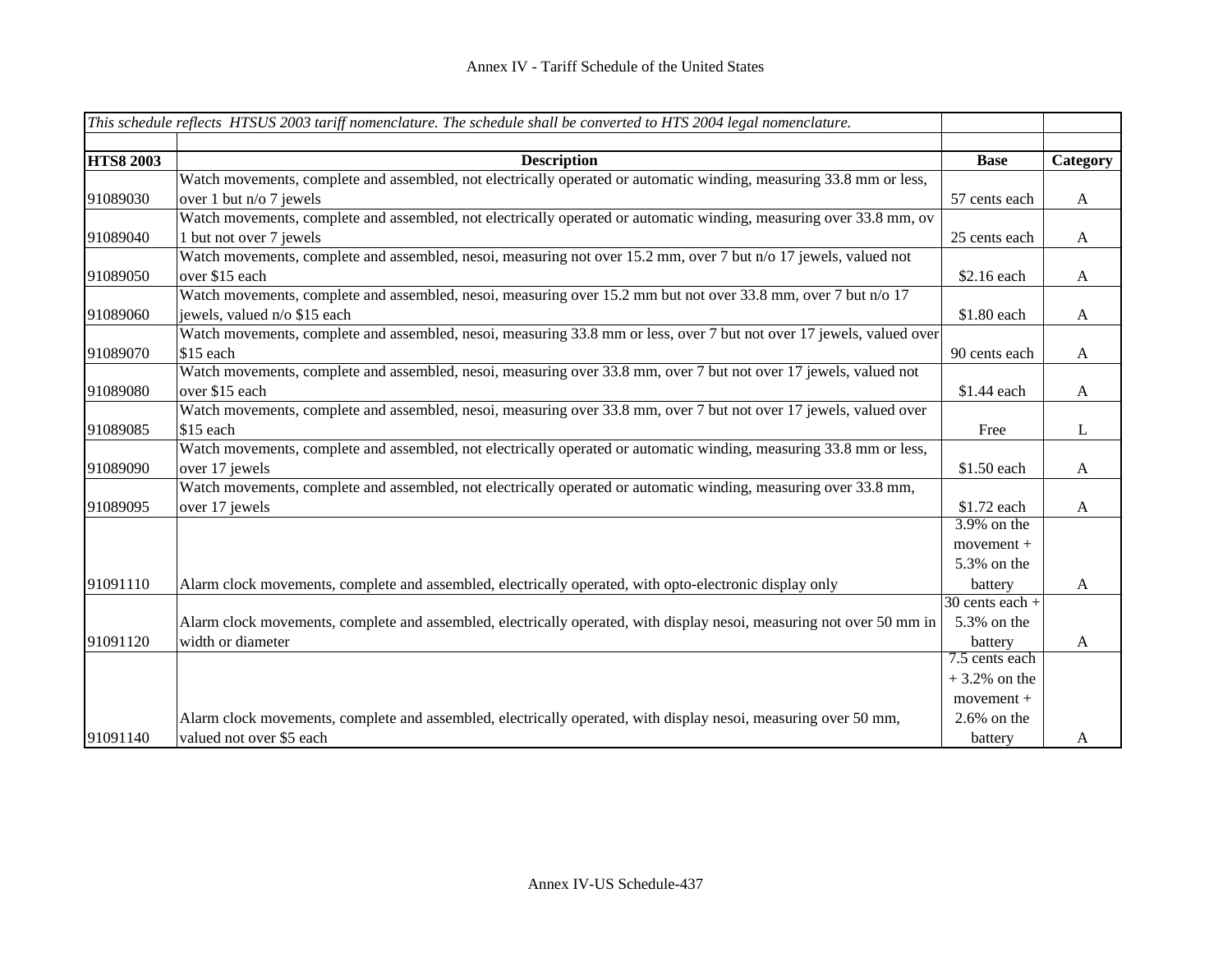|                  | This schedule reflects HTSUS 2003 tariff nomenclature. The schedule shall be converted to HTS 2004 legal nomenclature. |                   |                  |
|------------------|------------------------------------------------------------------------------------------------------------------------|-------------------|------------------|
|                  |                                                                                                                        |                   |                  |
| <b>HTS8 2003</b> | <b>Description</b>                                                                                                     | <b>Base</b>       | Category         |
|                  | Watch movements, complete and assembled, not electrically operated or automatic winding, measuring 33.8 mm or less,    |                   |                  |
| 91089030         | over 1 but $n/o$ 7 jewels                                                                                              | 57 cents each     | A                |
|                  | Watch movements, complete and assembled, not electrically operated or automatic winding, measuring over 33.8 mm, ov    |                   |                  |
| 91089040         | 1 but not over 7 jewels                                                                                                | 25 cents each     | $\mathbf{A}$     |
|                  | Watch movements, complete and assembled, nesoi, measuring not over 15.2 mm, over 7 but n/o 17 jewels, valued not       |                   |                  |
| 91089050         | over \$15 each                                                                                                         | \$2.16 each       | $\mathbf{A}$     |
|                  | Watch movements, complete and assembled, nesoi, measuring over 15.2 mm but not over 33.8 mm, over 7 but n/o 17         |                   |                  |
| 91089060         | jewels, valued n/o \$15 each                                                                                           | \$1.80 each       | $\mathbf{A}$     |
|                  | Watch movements, complete and assembled, nesoi, measuring 33.8 mm or less, over 7 but not over 17 jewels, valued over  |                   |                  |
| 91089070         | \$15 each                                                                                                              | 90 cents each     | $\mathbf{A}$     |
|                  | Watch movements, complete and assembled, nesoi, measuring over 33.8 mm, over 7 but not over 17 jewels, valued not      |                   |                  |
| 91089080         | over \$15 each                                                                                                         | \$1.44 each       | $\mathbf{A}$     |
|                  | Watch movements, complete and assembled, nesoi, measuring over 33.8 mm, over 7 but not over 17 jewels, valued over     |                   |                  |
| 91089085         | \$15 each                                                                                                              | Free              | L                |
|                  | Watch movements, complete and assembled, not electrically operated or automatic winding, measuring 33.8 mm or less,    |                   |                  |
| 91089090         | over 17 jewels                                                                                                         | \$1.50 each       | $\boldsymbol{A}$ |
|                  | Watch movements, complete and assembled, not electrically operated or automatic winding, measuring over 33.8 mm,       |                   |                  |
| 91089095         | over 17 jewels                                                                                                         | \$1.72 each       | $\mathbf{A}$     |
|                  |                                                                                                                        | 3.9% on the       |                  |
|                  |                                                                                                                        | movement +        |                  |
|                  |                                                                                                                        | 5.3% on the       |                  |
| 91091110         | Alarm clock movements, complete and assembled, electrically operated, with opto-electronic display only                | battery           | $\mathbf{A}$     |
|                  |                                                                                                                        | $30$ cents each + |                  |
|                  | Alarm clock movements, complete and assembled, electrically operated, with display nesoi, measuring not over 50 mm in  | 5.3% on the       |                  |
| 91091120         | width or diameter                                                                                                      | battery           | $\mathbf{A}$     |
|                  |                                                                                                                        | 7.5 cents each    |                  |
|                  |                                                                                                                        | $+3.2\%$ on the   |                  |
|                  |                                                                                                                        | $movement +$      |                  |
|                  | Alarm clock movements, complete and assembled, electrically operated, with display nesoi, measuring over 50 mm,        | $2.6\%$ on the    |                  |
| 91091140         | valued not over \$5 each                                                                                               | battery           | A                |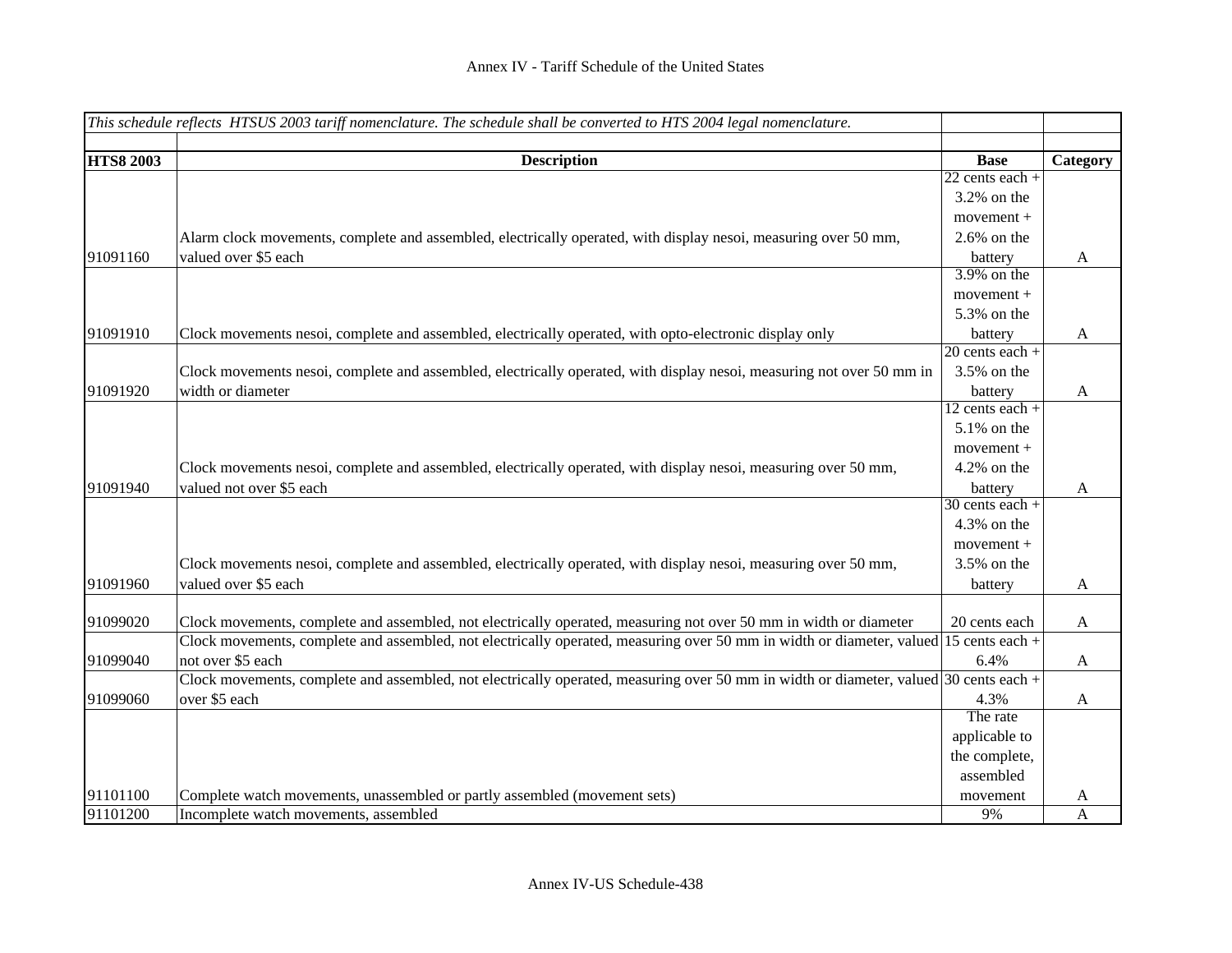| This schedule reflects HTSUS 2003 tariff nomenclature. The schedule shall be converted to HTS 2004 legal nomenclature. |                                                                                                                                         |                   |              |
|------------------------------------------------------------------------------------------------------------------------|-----------------------------------------------------------------------------------------------------------------------------------------|-------------------|--------------|
|                                                                                                                        |                                                                                                                                         |                   |              |
| <b>HTS8 2003</b>                                                                                                       | <b>Description</b>                                                                                                                      | <b>Base</b>       | Category     |
|                                                                                                                        |                                                                                                                                         | $22$ cents each + |              |
|                                                                                                                        |                                                                                                                                         | $3.2\%$ on the    |              |
|                                                                                                                        |                                                                                                                                         | movement +        |              |
|                                                                                                                        | Alarm clock movements, complete and assembled, electrically operated, with display nesoi, measuring over 50 mm,                         | $2.6\%$ on the    |              |
| 91091160                                                                                                               | valued over \$5 each                                                                                                                    | battery           | $\mathbf{A}$ |
|                                                                                                                        |                                                                                                                                         | 3.9% on the       |              |
|                                                                                                                        |                                                                                                                                         | movement +        |              |
|                                                                                                                        |                                                                                                                                         | 5.3% on the       |              |
| 91091910                                                                                                               | Clock movements nesoi, complete and assembled, electrically operated, with opto-electronic display only                                 | battery           | $\mathbf{A}$ |
|                                                                                                                        |                                                                                                                                         | $20$ cents each + |              |
|                                                                                                                        | Clock movements nesoi, complete and assembled, electrically operated, with display nesoi, measuring not over 50 mm in                   | 3.5% on the       |              |
| 91091920                                                                                                               | width or diameter                                                                                                                       | battery           | $\mathbf{A}$ |
|                                                                                                                        |                                                                                                                                         | $12$ cents each + |              |
|                                                                                                                        |                                                                                                                                         | 5.1% on the       |              |
|                                                                                                                        |                                                                                                                                         | $movement +$      |              |
|                                                                                                                        | Clock movements nesoi, complete and assembled, electrically operated, with display nesoi, measuring over 50 mm,                         | 4.2% on the       |              |
| 91091940                                                                                                               | valued not over \$5 each                                                                                                                | battery           | A            |
|                                                                                                                        |                                                                                                                                         | $30$ cents each + |              |
|                                                                                                                        |                                                                                                                                         | 4.3% on the       |              |
|                                                                                                                        |                                                                                                                                         | movement +        |              |
|                                                                                                                        | Clock movements nesoi, complete and assembled, electrically operated, with display nesoi, measuring over 50 mm,                         | 3.5% on the       |              |
| 91091960                                                                                                               | valued over \$5 each                                                                                                                    | battery           | A            |
|                                                                                                                        |                                                                                                                                         |                   |              |
| 91099020                                                                                                               | Clock movements, complete and assembled, not electrically operated, measuring not over 50 mm in width or diameter                       | 20 cents each     | $\mathbf{A}$ |
|                                                                                                                        | Clock movements, complete and assembled, not electrically operated, measuring over 50 mm in width or diameter, valued 15 cents each $+$ |                   |              |
| 91099040                                                                                                               | not over \$5 each                                                                                                                       | 6.4%              | $\mathbf{A}$ |
|                                                                                                                        | Clock movements, complete and assembled, not electrically operated, measuring over 50 mm in width or diameter, valued 30 cents each +   |                   |              |
| 91099060                                                                                                               | over \$5 each                                                                                                                           | 4.3%              | A            |
|                                                                                                                        |                                                                                                                                         | The rate          |              |
|                                                                                                                        |                                                                                                                                         | applicable to     |              |
|                                                                                                                        |                                                                                                                                         | the complete,     |              |
|                                                                                                                        |                                                                                                                                         | assembled         |              |
| 91101100                                                                                                               | Complete watch movements, unassembled or partly assembled (movement sets)                                                               | movement          | A            |
| 91101200                                                                                                               | Incomplete watch movements, assembled                                                                                                   | 9%                | $\mathbf{A}$ |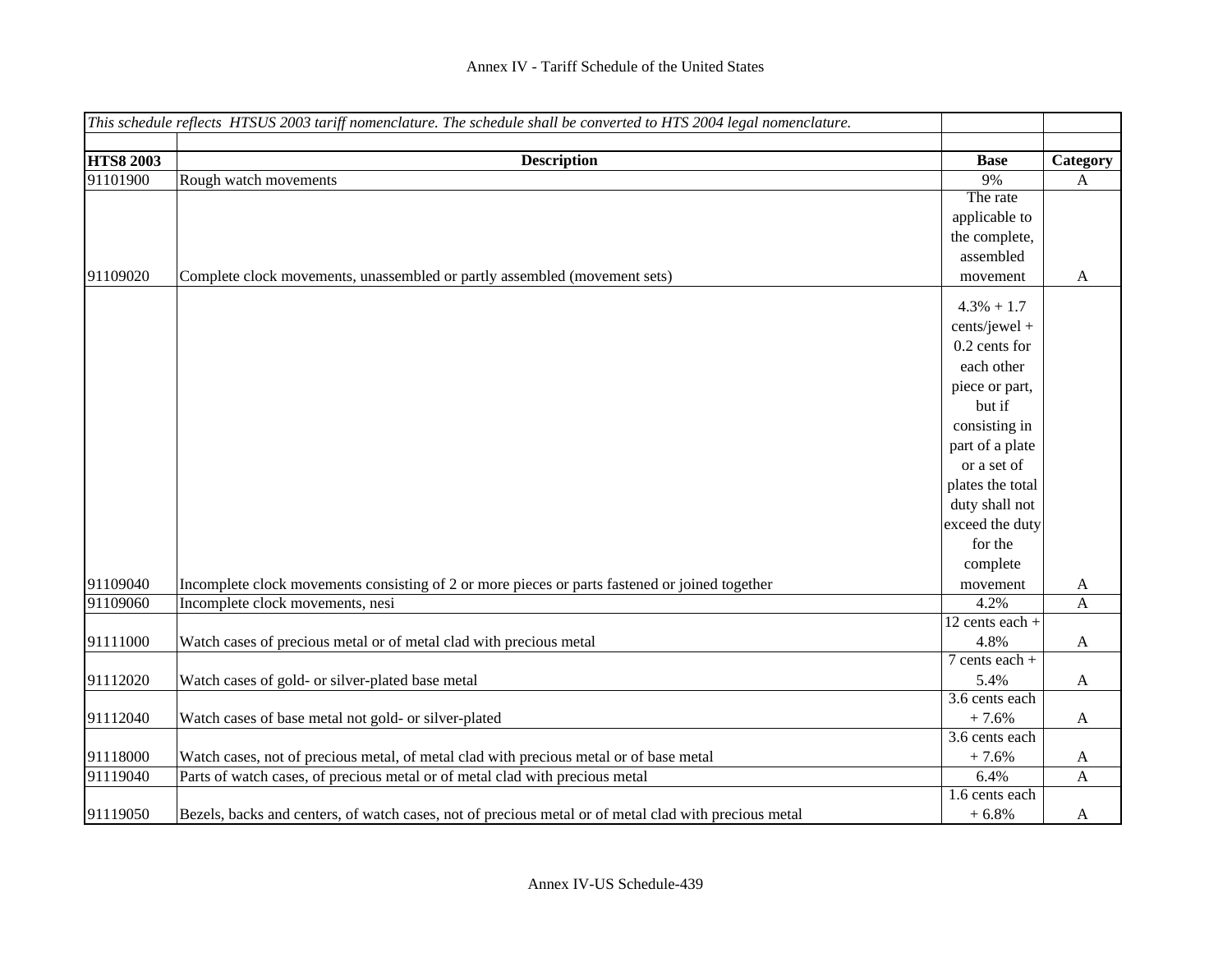|                  | This schedule reflects HTSUS 2003 tariff nomenclature. The schedule shall be converted to HTS 2004 legal nomenclature. |                  |              |
|------------------|------------------------------------------------------------------------------------------------------------------------|------------------|--------------|
|                  |                                                                                                                        |                  |              |
| <b>HTS8 2003</b> | <b>Description</b>                                                                                                     | <b>Base</b>      | Category     |
| 91101900         | Rough watch movements                                                                                                  | 9%               | A            |
|                  |                                                                                                                        | The rate         |              |
|                  |                                                                                                                        | applicable to    |              |
|                  |                                                                                                                        | the complete,    |              |
|                  |                                                                                                                        | assembled        |              |
| 91109020         | Complete clock movements, unassembled or partly assembled (movement sets)                                              | movement         | A            |
|                  |                                                                                                                        | $4.3\% + 1.7$    |              |
|                  |                                                                                                                        | cents/jewel +    |              |
|                  |                                                                                                                        | 0.2 cents for    |              |
|                  |                                                                                                                        | each other       |              |
|                  |                                                                                                                        | piece or part,   |              |
|                  |                                                                                                                        | but if           |              |
|                  |                                                                                                                        | consisting in    |              |
|                  |                                                                                                                        | part of a plate  |              |
|                  |                                                                                                                        | or a set of      |              |
|                  |                                                                                                                        | plates the total |              |
|                  |                                                                                                                        | duty shall not   |              |
|                  |                                                                                                                        | exceed the duty  |              |
|                  |                                                                                                                        | for the          |              |
|                  |                                                                                                                        | complete         |              |
| 91109040         | Incomplete clock movements consisting of 2 or more pieces or parts fastened or joined together                         | movement         | A            |
| 91109060         | Incomplete clock movements, nesi                                                                                       | 4.2%             | $\mathbf{A}$ |
|                  |                                                                                                                        | 12 cents each +  |              |
| 91111000         | Watch cases of precious metal or of metal clad with precious metal                                                     | 4.8%             | $\mathbf{A}$ |
|                  |                                                                                                                        | $7$ cents each + |              |
| 91112020         | Watch cases of gold- or silver-plated base metal                                                                       | 5.4%             | $\mathbf{A}$ |
|                  |                                                                                                                        | $3.6$ cents each |              |
| 91112040         | Watch cases of base metal not gold- or silver-plated                                                                   | $+7.6%$          | $\mathbf{A}$ |
|                  |                                                                                                                        | 3.6 cents each   |              |
| 91118000         | Watch cases, not of precious metal, of metal clad with precious metal or of base metal                                 | $+7.6%$          | $\mathbf{A}$ |
| 91119040         | Parts of watch cases, of precious metal or of metal clad with precious metal                                           | 6.4%             | $\mathbf{A}$ |
|                  |                                                                                                                        | 1.6 cents each   |              |
| 91119050         | Bezels, backs and centers, of watch cases, not of precious metal or of metal clad with precious metal                  | $+6.8%$          | A            |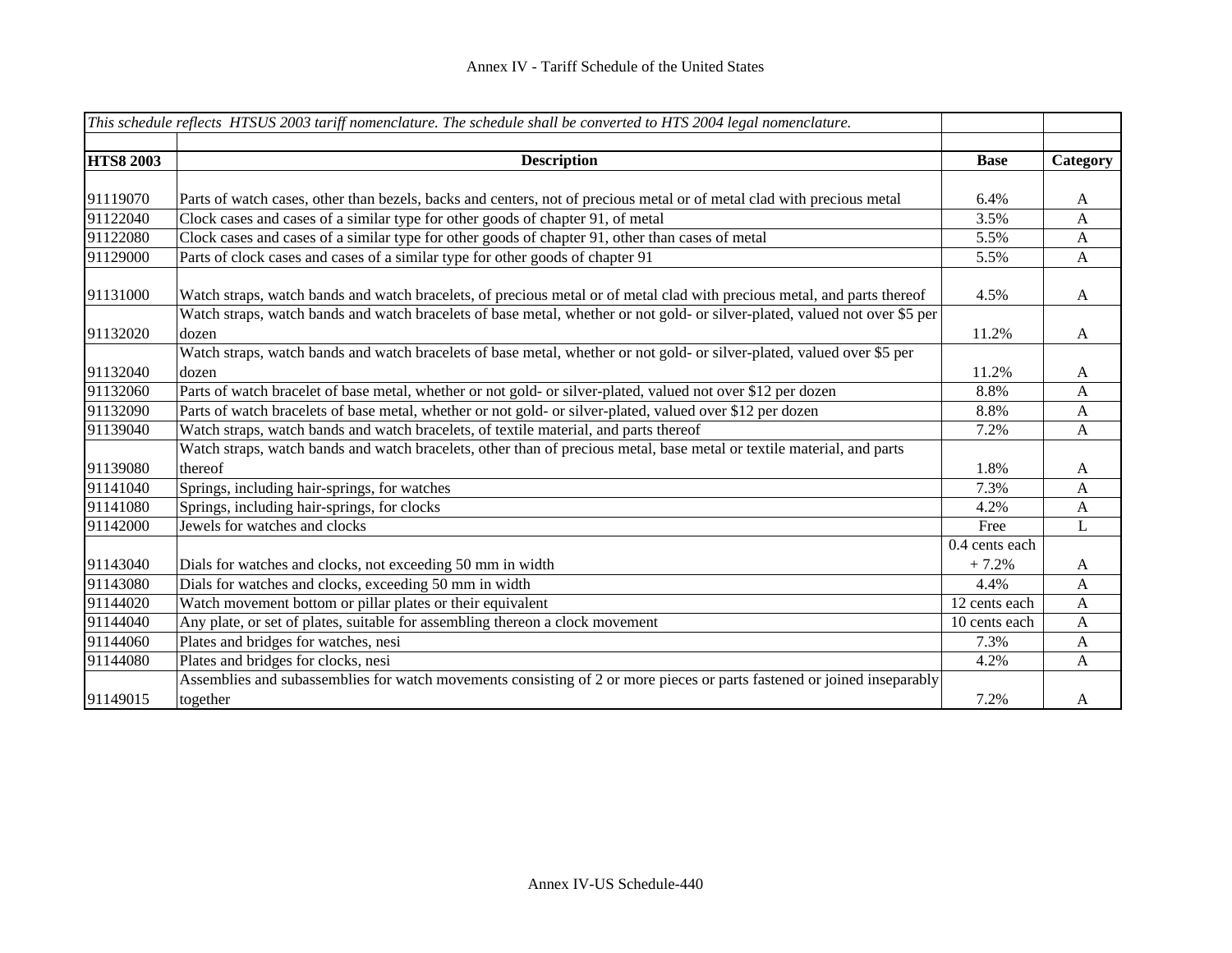| This schedule reflects HTSUS 2003 tariff nomenclature. The schedule shall be converted to HTS 2004 legal nomenclature. |                                                                                                                                      |                |              |
|------------------------------------------------------------------------------------------------------------------------|--------------------------------------------------------------------------------------------------------------------------------------|----------------|--------------|
| <b>HTS8 2003</b>                                                                                                       | <b>Description</b>                                                                                                                   | <b>Base</b>    | Category     |
|                                                                                                                        |                                                                                                                                      |                |              |
| 91119070                                                                                                               | Parts of watch cases, other than bezels, backs and centers, not of precious metal or of metal clad with precious metal               | 6.4%           | A            |
| 91122040                                                                                                               | Clock cases and cases of a similar type for other goods of chapter 91, of metal                                                      | 3.5%           | $\mathbf{A}$ |
| 91122080                                                                                                               | Clock cases and cases of a similar type for other goods of chapter 91, other than cases of metal                                     | 5.5%           | $\mathbf{A}$ |
| 91129000                                                                                                               | Parts of clock cases and cases of a similar type for other goods of chapter 91                                                       | 5.5%           | $\mathbf{A}$ |
| 91131000                                                                                                               | Watch straps, watch bands and watch bracelets, of precious metal or of metal clad with precious metal, and parts thereof             | 4.5%           | $\mathbf{A}$ |
| 91132020                                                                                                               | Watch straps, watch bands and watch bracelets of base metal, whether or not gold- or silver-plated, valued not over \$5 per<br>dozen | 11.2%          | A            |
| 91132040                                                                                                               | Watch straps, watch bands and watch bracelets of base metal, whether or not gold- or silver-plated, valued over \$5 per<br>dozen     | 11.2%          | A            |
| 91132060                                                                                                               | Parts of watch bracelet of base metal, whether or not gold- or silver-plated, valued not over \$12 per dozen                         | 8.8%           | A            |
| 91132090                                                                                                               | Parts of watch bracelets of base metal, whether or not gold- or silver-plated, valued over \$12 per dozen                            | 8.8%           | A            |
| 91139040                                                                                                               | Watch straps, watch bands and watch bracelets, of textile material, and parts thereof                                                | 7.2%           | $\mathbf{A}$ |
|                                                                                                                        | Watch straps, watch bands and watch bracelets, other than of precious metal, base metal or textile material, and parts               |                |              |
| 91139080                                                                                                               | thereof                                                                                                                              | 1.8%           | $\mathbf{A}$ |
| 91141040                                                                                                               | Springs, including hair-springs, for watches                                                                                         | 7.3%           | $\mathbf{A}$ |
| 91141080                                                                                                               | Springs, including hair-springs, for clocks                                                                                          | 4.2%           | $\mathbf{A}$ |
| 91142000                                                                                                               | Jewels for watches and clocks                                                                                                        | Free           | L            |
|                                                                                                                        |                                                                                                                                      | 0.4 cents each |              |
| 91143040                                                                                                               | Dials for watches and clocks, not exceeding 50 mm in width                                                                           | $+7.2%$        | A            |
| 91143080                                                                                                               | Dials for watches and clocks, exceeding 50 mm in width                                                                               | 4.4%           | $\mathbf{A}$ |
| 91144020                                                                                                               | Watch movement bottom or pillar plates or their equivalent                                                                           | 12 cents each  | $\mathbf{A}$ |
| 91144040                                                                                                               | Any plate, or set of plates, suitable for assembling thereon a clock movement                                                        | 10 cents each  | $\mathbf{A}$ |
| 91144060                                                                                                               | Plates and bridges for watches, nesi                                                                                                 | 7.3%           | $\mathbf{A}$ |
| 91144080                                                                                                               | Plates and bridges for clocks, nesi                                                                                                  | 4.2%           | A            |
|                                                                                                                        | Assemblies and subassemblies for watch movements consisting of 2 or more pieces or parts fastened or joined inseparably              |                |              |
| 91149015                                                                                                               | together                                                                                                                             | 7.2%           | A            |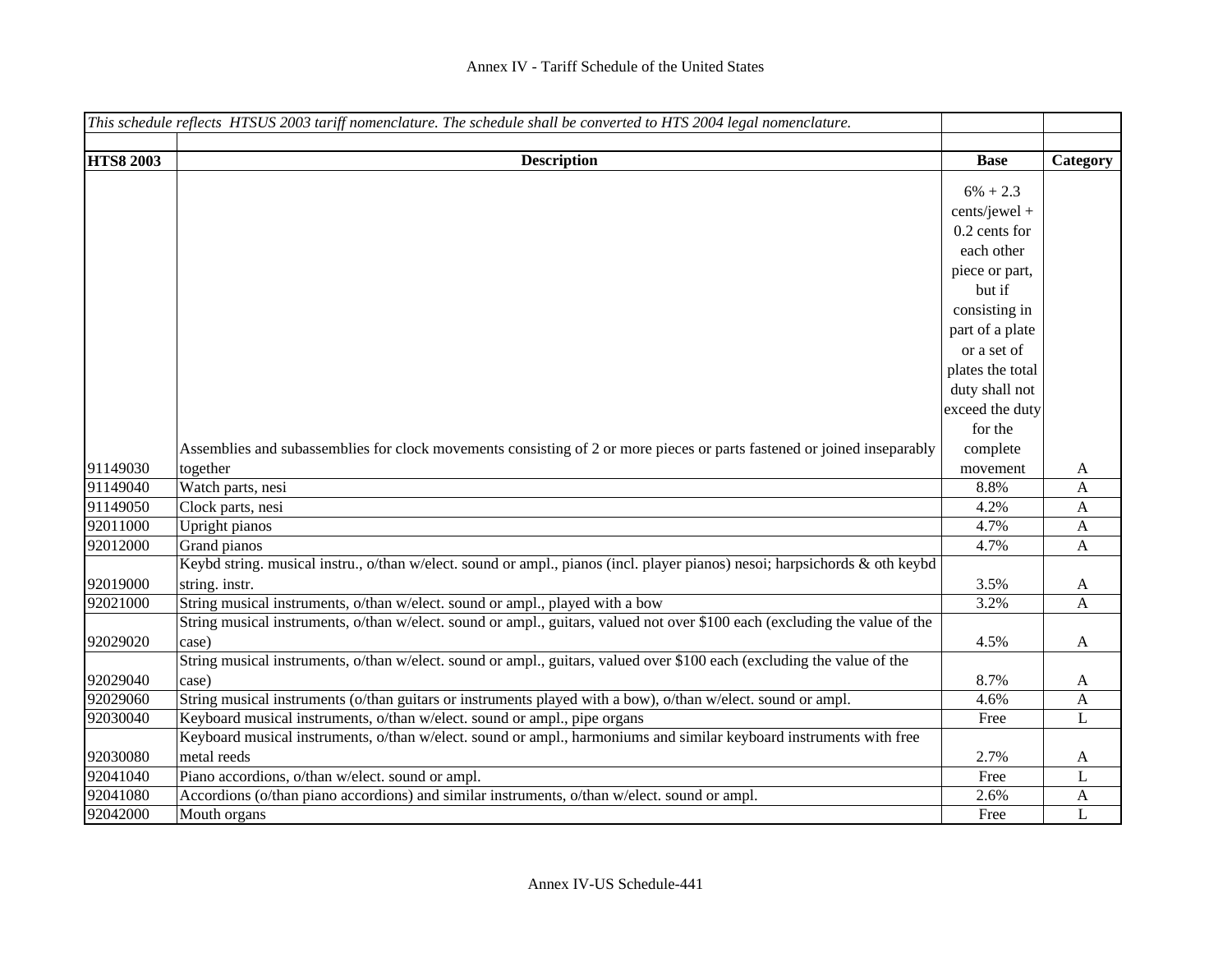|                  | This schedule reflects HTSUS 2003 tariff nomenclature. The schedule shall be converted to HTS 2004 legal nomenclature.      |                  |                           |
|------------------|-----------------------------------------------------------------------------------------------------------------------------|------------------|---------------------------|
|                  |                                                                                                                             |                  |                           |
| <b>HTS8 2003</b> | <b>Description</b>                                                                                                          | <b>Base</b>      | Category                  |
|                  |                                                                                                                             | $6\% + 2.3$      |                           |
|                  |                                                                                                                             | cents/jewel +    |                           |
|                  |                                                                                                                             | 0.2 cents for    |                           |
|                  |                                                                                                                             | each other       |                           |
|                  |                                                                                                                             | piece or part,   |                           |
|                  |                                                                                                                             | but if           |                           |
|                  |                                                                                                                             | consisting in    |                           |
|                  |                                                                                                                             | part of a plate  |                           |
|                  |                                                                                                                             | or a set of      |                           |
|                  |                                                                                                                             | plates the total |                           |
|                  |                                                                                                                             | duty shall not   |                           |
|                  |                                                                                                                             | exceed the duty  |                           |
|                  |                                                                                                                             | for the          |                           |
|                  | Assemblies and subassemblies for clock movements consisting of 2 or more pieces or parts fastened or joined inseparably     | complete         |                           |
| 91149030         | together                                                                                                                    | movement         | A                         |
| 91149040         | Watch parts, nesi                                                                                                           | 8.8%             | $\mathbf{A}$              |
| 91149050         | Clock parts, nesi                                                                                                           | 4.2%             | $\mathbf{A}$              |
| 92011000         | Upright pianos                                                                                                              | 4.7%             | $\mathbf{A}$              |
| 92012000         | Grand pianos                                                                                                                | 4.7%             | $\mathbf{A}$              |
|                  | Keybd string. musical instru., o/than w/elect. sound or ampl., pianos (incl. player pianos) nesoi; harpsichords & oth keybd |                  |                           |
| 92019000         | string. instr.                                                                                                              | 3.5%             | A                         |
| 92021000         | String musical instruments, o/than w/elect. sound or ampl., played with a bow                                               | 3.2%             | $\mathbf{A}$              |
|                  | String musical instruments, o/than w/elect. sound or ampl., guitars, valued not over \$100 each (excluding the value of the |                  |                           |
| 92029020         | case)                                                                                                                       | 4.5%             | A                         |
|                  | String musical instruments, o/than w/elect. sound or ampl., guitars, valued over \$100 each (excluding the value of the     |                  |                           |
| 92029040         | case)                                                                                                                       | 8.7%             | A                         |
| 92029060         | String musical instruments (o/than guitars or instruments played with a bow), o/than w/elect. sound or ampl.                | 4.6%             | $\boldsymbol{\mathsf{A}}$ |
| 92030040         | Keyboard musical instruments, o/than w/elect. sound or ampl., pipe organs                                                   | Free             | L                         |
|                  | Keyboard musical instruments, o/than w/elect. sound or ampl., harmoniums and similar keyboard instruments with free         |                  |                           |
| 92030080         | metal reeds                                                                                                                 | 2.7%             | A                         |
| 92041040         | Piano accordions, o/than w/elect. sound or ampl.                                                                            | Free             | L                         |
| 92041080         | Accordions (o/than piano accordions) and similar instruments, o/than w/elect. sound or ampl.                                | 2.6%             | A                         |
| 92042000         | Mouth organs                                                                                                                | Free             | L                         |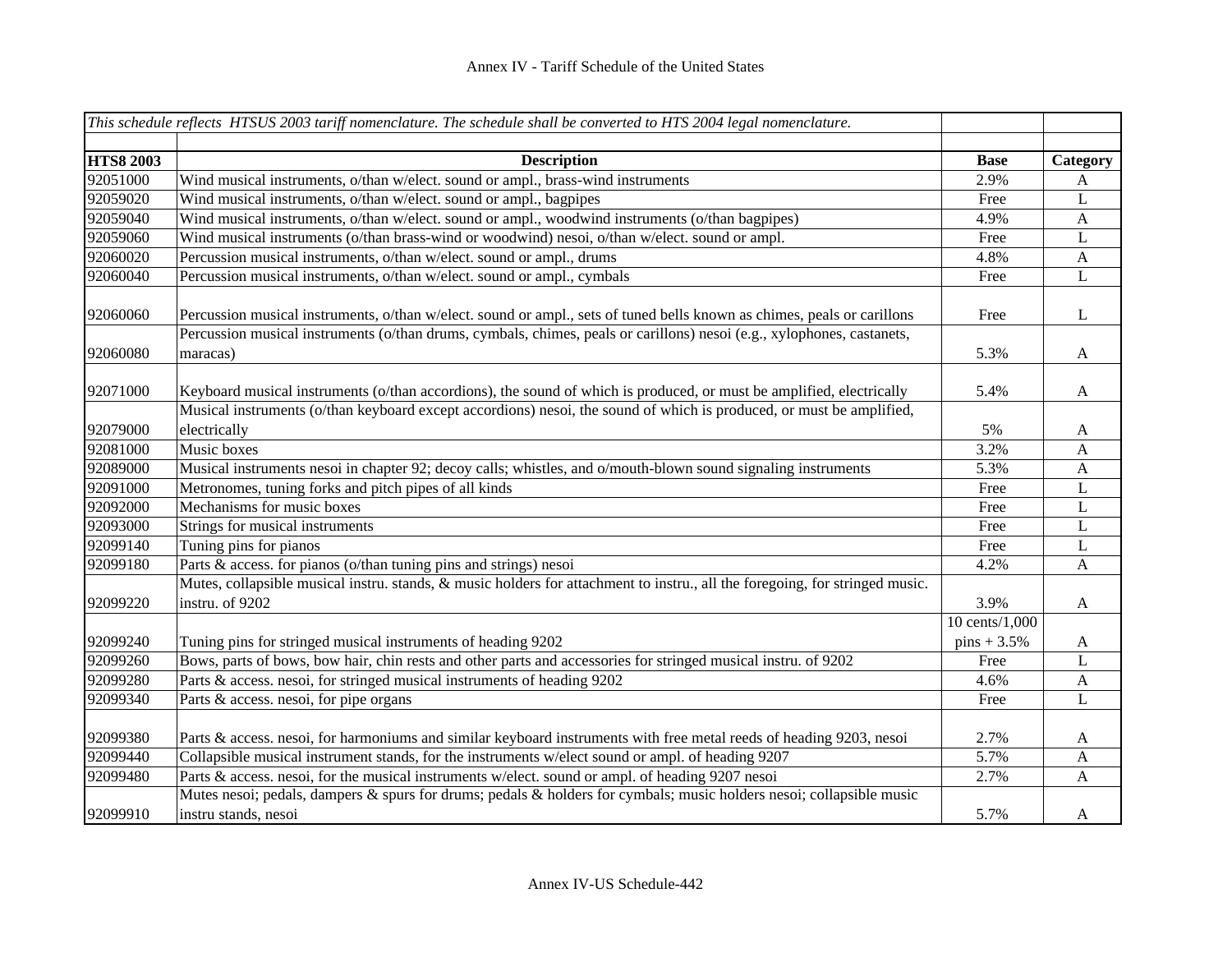|                  | This schedule reflects HTSUS 2003 tariff nomenclature. The schedule shall be converted to HTS 2004 legal nomenclature.                       |                |              |
|------------------|----------------------------------------------------------------------------------------------------------------------------------------------|----------------|--------------|
|                  |                                                                                                                                              |                |              |
| <b>HTS8 2003</b> | <b>Description</b>                                                                                                                           | <b>Base</b>    | Category     |
| 92051000         | Wind musical instruments, o/than w/elect. sound or ampl., brass-wind instruments                                                             | 2.9%           | A            |
| 92059020         | Wind musical instruments, o/than w/elect. sound or ampl., bagpipes                                                                           | Free           | L            |
| 92059040         | Wind musical instruments, o/than w/elect. sound or ampl., woodwind instruments (o/than bagpipes)                                             | 4.9%           | $\mathbf{A}$ |
| 92059060         | Wind musical instruments (o/than brass-wind or woodwind) nesoi, o/than w/elect. sound or ampl.                                               | Free           | L            |
| 92060020         | Percussion musical instruments, o/than w/elect. sound or ampl., drums                                                                        | 4.8%           | $\mathbf{A}$ |
| 92060040         | Percussion musical instruments, o/than w/elect. sound or ampl., cymbals                                                                      | Free           | L            |
| 92060060         | Percussion musical instruments, o/than w/elect. sound or ampl., sets of tuned bells known as chimes, peals or carillons                      | Free           | L            |
| 92060080         | Percussion musical instruments (o/than drums, cymbals, chimes, peals or carillons) nesoi (e.g., xylophones, castanets,<br>maracas)           | 5.3%           | $\mathbf{A}$ |
| 92071000         | Keyboard musical instruments (o/than accordions), the sound of which is produced, or must be amplified, electrically                         | 5.4%           | $\mathbf{A}$ |
| 92079000         | Musical instruments (o/than keyboard except accordions) nesoi, the sound of which is produced, or must be amplified,<br>electrically         | 5%             | A            |
| 92081000         | Music boxes                                                                                                                                  | 3.2%           | A            |
| 92089000         | Musical instruments nesoi in chapter 92; decoy calls; whistles, and o/mouth-blown sound signaling instruments                                | 5.3%           | $\mathbf{A}$ |
| 92091000         | Metronomes, tuning forks and pitch pipes of all kinds                                                                                        | Free           | L            |
| 92092000         | Mechanisms for music boxes                                                                                                                   | Free           | L            |
| 92093000         | Strings for musical instruments                                                                                                              | Free           | L            |
| 92099140         | Tuning pins for pianos                                                                                                                       | Free           | L            |
| 92099180         | Parts & access. for pianos (o/than tuning pins and strings) nesoi                                                                            | 4.2%           | $\mathbf{A}$ |
|                  | Mutes, collapsible musical instru. stands, & music holders for attachment to instru., all the foregoing, for stringed music.                 |                |              |
| 92099220         | instru. of 9202                                                                                                                              | 3.9%           | A            |
|                  |                                                                                                                                              | 10 cents/1,000 |              |
| 92099240         | Tuning pins for stringed musical instruments of heading 9202                                                                                 | $pins + 3.5%$  | A            |
| 92099260         | Bows, parts of bows, bow hair, chin rests and other parts and accessories for stringed musical instru. of 9202                               | Free           | L            |
| 92099280         | Parts & access. nesoi, for stringed musical instruments of heading 9202                                                                      | 4.6%           | $\mathbf{A}$ |
| 92099340         | Parts & access. nesoi, for pipe organs                                                                                                       | Free           | L            |
| 92099380         | Parts & access. nesoi, for harmoniums and similar keyboard instruments with free metal reeds of heading 9203, nesoi                          | 2.7%           | A            |
| 92099440         | Collapsible musical instrument stands, for the instruments w/elect sound or ampl. of heading 9207                                            | 5.7%           | $\mathbf{A}$ |
| 92099480         | Parts & access. nesoi, for the musical instruments w/elect. sound or ampl. of heading 9207 nesoi                                             | 2.7%           | A            |
| 92099910         | Mutes nesoi; pedals, dampers & spurs for drums; pedals & holders for cymbals; music holders nesoi; collapsible music<br>instru stands, nesoi | 5.7%           | A            |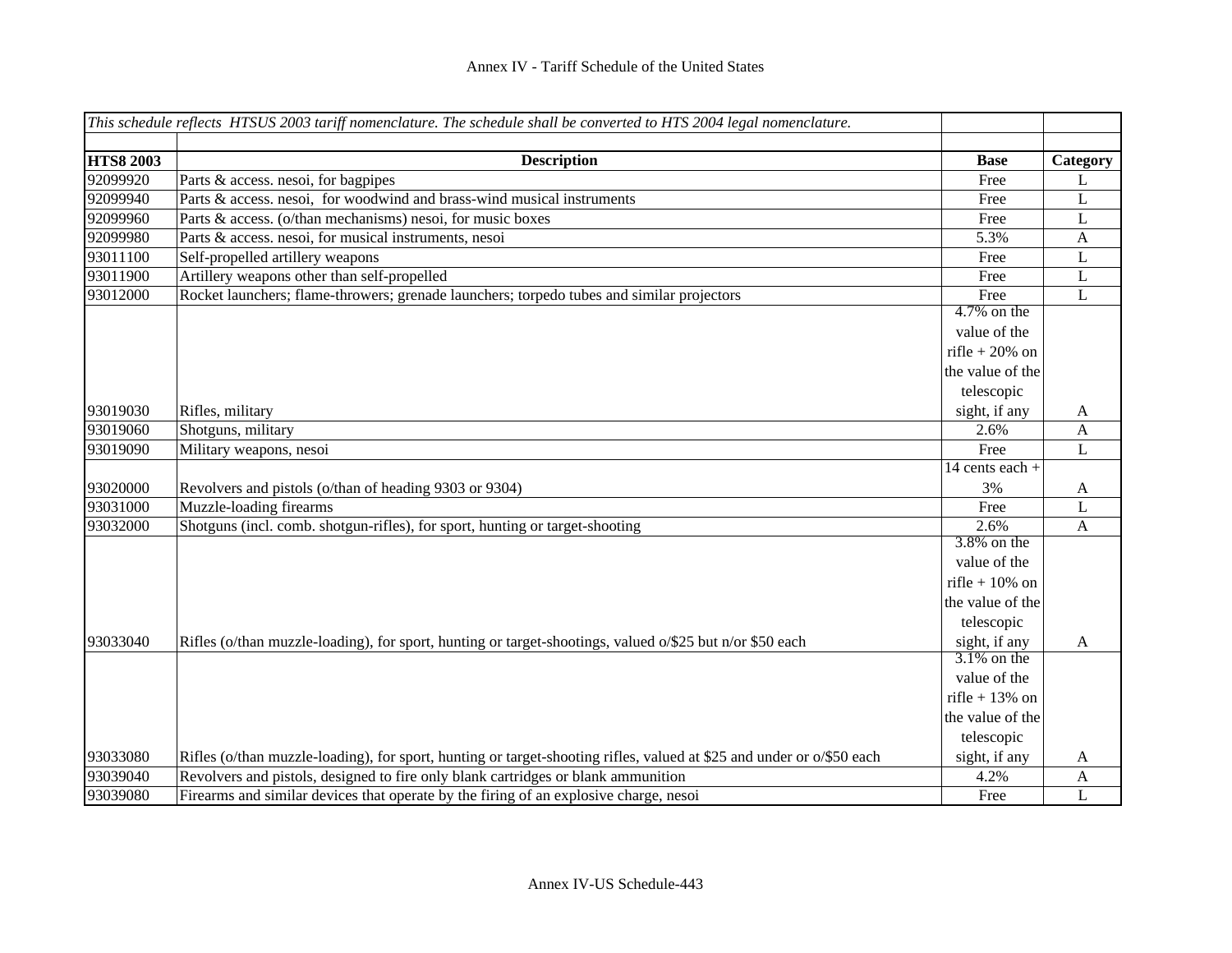|                  | This schedule reflects HTSUS 2003 tariff nomenclature. The schedule shall be converted to HTS 2004 legal nomenclature. |                   |              |
|------------------|------------------------------------------------------------------------------------------------------------------------|-------------------|--------------|
| <b>HTS8 2003</b> | <b>Description</b>                                                                                                     | <b>Base</b>       | Category     |
| 92099920         | Parts & access. nesoi, for bagpipes                                                                                    | Free              | L            |
| 92099940         | Parts & access. nesoi, for woodwind and brass-wind musical instruments                                                 | Free              | L            |
| 92099960         | Parts & access. (o/than mechanisms) nesoi, for music boxes                                                             | Free              | L            |
| 92099980         | Parts & access. nesoi, for musical instruments, nesoi                                                                  | 5.3%              | A            |
| 93011100         | Self-propelled artillery weapons                                                                                       | Free              | L            |
| 93011900         | Artillery weapons other than self-propelled                                                                            | Free              | L            |
| 93012000         | Rocket launchers; flame-throwers; grenade launchers; torpedo tubes and similar projectors                              | Free              | L            |
|                  |                                                                                                                        | $4.7\%$ on the    |              |
|                  |                                                                                                                        | value of the      |              |
|                  |                                                                                                                        | rifle + $20\%$ on |              |
|                  |                                                                                                                        | the value of the  |              |
|                  |                                                                                                                        | telescopic        |              |
| 93019030         | Rifles, military                                                                                                       | sight, if any     | A            |
| 93019060         | Shotguns, military                                                                                                     | 2.6%              | A            |
| 93019090         | Military weapons, nesoi                                                                                                | Free              | L            |
|                  |                                                                                                                        | 14 cents each +   |              |
| 93020000         | Revolvers and pistols (o/than of heading 9303 or 9304)                                                                 | 3%                | A            |
| 93031000         | Muzzle-loading firearms                                                                                                | Free              | L            |
| 93032000         | Shotguns (incl. comb. shotgun-rifles), for sport, hunting or target-shooting                                           | 2.6%              | A            |
|                  |                                                                                                                        | $3.8\%$ on the    |              |
|                  |                                                                                                                        | value of the      |              |
|                  |                                                                                                                        | rifle + $10\%$ on |              |
|                  |                                                                                                                        | the value of the  |              |
|                  |                                                                                                                        | telescopic        |              |
| 93033040         | Rifles (o/than muzzle-loading), for sport, hunting or target-shootings, valued o/\$25 but n/or \$50 each               | sight, if any     | $\mathbf{A}$ |
|                  |                                                                                                                        | $3.1\%$ on the    |              |
|                  |                                                                                                                        | value of the      |              |
|                  |                                                                                                                        | rifle + $13\%$ on |              |
|                  |                                                                                                                        | the value of the  |              |
|                  |                                                                                                                        | telescopic        |              |
| 93033080         | Rifles (o/than muzzle-loading), for sport, hunting or target-shooting rifles, valued at \$25 and under or o/\$50 each  | sight, if any     | A            |
| 93039040         | Revolvers and pistols, designed to fire only blank cartridges or blank ammunition                                      | 4.2%              | $\mathbf{A}$ |
| 93039080         | Firearms and similar devices that operate by the firing of an explosive charge, nesoi                                  | Free              | L            |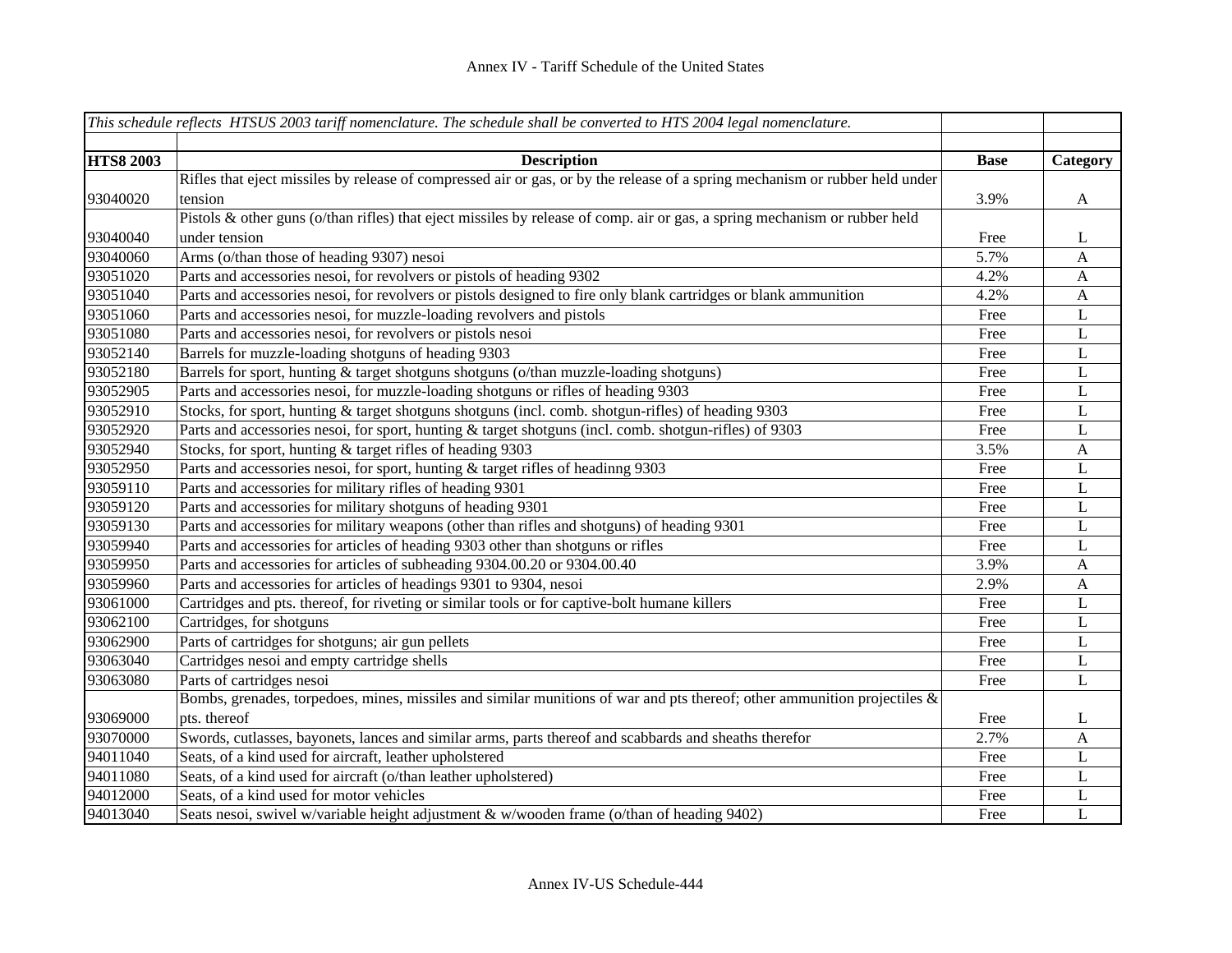|                  | This schedule reflects HTSUS 2003 tariff nomenclature. The schedule shall be converted to $\overline{HTS}$ 2004 legal nomenclature. |             |              |
|------------------|-------------------------------------------------------------------------------------------------------------------------------------|-------------|--------------|
|                  |                                                                                                                                     |             |              |
| <b>HTS8 2003</b> | <b>Description</b>                                                                                                                  | <b>Base</b> | Category     |
|                  | Rifles that eject missiles by release of compressed air or gas, or by the release of a spring mechanism or rubber held under        |             |              |
| 93040020         | tension                                                                                                                             | 3.9%        | $\mathbf{A}$ |
|                  | Pistols & other guns (o/than rifles) that eject missiles by release of comp. air or gas, a spring mechanism or rubber held          |             |              |
| 93040040         | under tension                                                                                                                       | Free        | L            |
| 93040060         | Arms (o/than those of heading 9307) nesoi                                                                                           | 5.7%        | A            |
| 93051020         | Parts and accessories nesoi, for revolvers or pistols of heading 9302                                                               | 4.2%        | A            |
| 93051040         | Parts and accessories nesoi, for revolvers or pistols designed to fire only blank cartridges or blank ammunition                    | 4.2%        | $\mathbf{A}$ |
| 93051060         | Parts and accessories nesoi, for muzzle-loading revolvers and pistols                                                               | Free        | L            |
| 93051080         | Parts and accessories nesoi, for revolvers or pistols nesoi                                                                         | Free        | L            |
| 93052140         | Barrels for muzzle-loading shotguns of heading 9303                                                                                 | Free        | L            |
| 93052180         | Barrels for sport, hunting & target shotguns shotguns (o/than muzzle-loading shotguns)                                              | Free        | $\mathbf L$  |
| 93052905         | Parts and accessories nesoi, for muzzle-loading shotguns or rifles of heading 9303                                                  | Free        | L            |
| 93052910         | Stocks, for sport, hunting & target shotguns shotguns (incl. comb. shotgun-rifles) of heading 9303                                  | Free        | L            |
| 93052920         | Parts and accessories nesoi, for sport, hunting & target shotguns (incl. comb. shotgun-rifles) of 9303                              | Free        | L            |
| 93052940         | Stocks, for sport, hunting & target rifles of heading 9303                                                                          | 3.5%        | $\mathbf{A}$ |
| 93052950         | Parts and accessories nesoi, for sport, hunting & target rifles of headinng 9303                                                    | Free        | $\mathbf L$  |
| 93059110         | Parts and accessories for military rifles of heading 9301                                                                           | Free        | L            |
| 93059120         | Parts and accessories for military shotguns of heading 9301                                                                         | Free        | L            |
| 93059130         | Parts and accessories for military weapons (other than rifles and shotguns) of heading 9301                                         | Free        | L            |
| 93059940         | Parts and accessories for articles of heading 9303 other than shotguns or rifles                                                    | Free        | L            |
| 93059950         | Parts and accessories for articles of subheading 9304.00.20 or 9304.00.40                                                           | 3.9%        | A            |
| 93059960         | Parts and accessories for articles of headings 9301 to 9304, nesoi                                                                  | 2.9%        | $\mathbf{A}$ |
| 93061000         | Cartridges and pts. thereof, for riveting or similar tools or for captive-bolt humane killers                                       | Free        | L            |
| 93062100         | Cartridges, for shotguns                                                                                                            | Free        | L            |
| 93062900         | Parts of cartridges for shotguns; air gun pellets                                                                                   | Free        | L            |
| 93063040         | Cartridges nesoi and empty cartridge shells                                                                                         | Free        | L            |
| 93063080         | Parts of cartridges nesoi                                                                                                           | Free        | L            |
|                  | Bombs, grenades, torpedoes, mines, missiles and similar munitions of war and pts thereof; other ammunition projectiles $\&$         |             |              |
| 93069000         | pts. thereof                                                                                                                        | Free        | L            |
| 93070000         | Swords, cutlasses, bayonets, lances and similar arms, parts thereof and scabbards and sheaths therefor                              | 2.7%        | A            |
| 94011040         | Seats, of a kind used for aircraft, leather upholstered                                                                             | Free        | L            |
| 94011080         | Seats, of a kind used for aircraft (o/than leather upholstered)                                                                     | Free        | L            |
| 94012000         | Seats, of a kind used for motor vehicles                                                                                            | Free        | L            |
| 94013040         | Seats nesoi, swivel w/variable height adjustment & w/wooden frame (o/than of heading 9402)                                          | Free        | L            |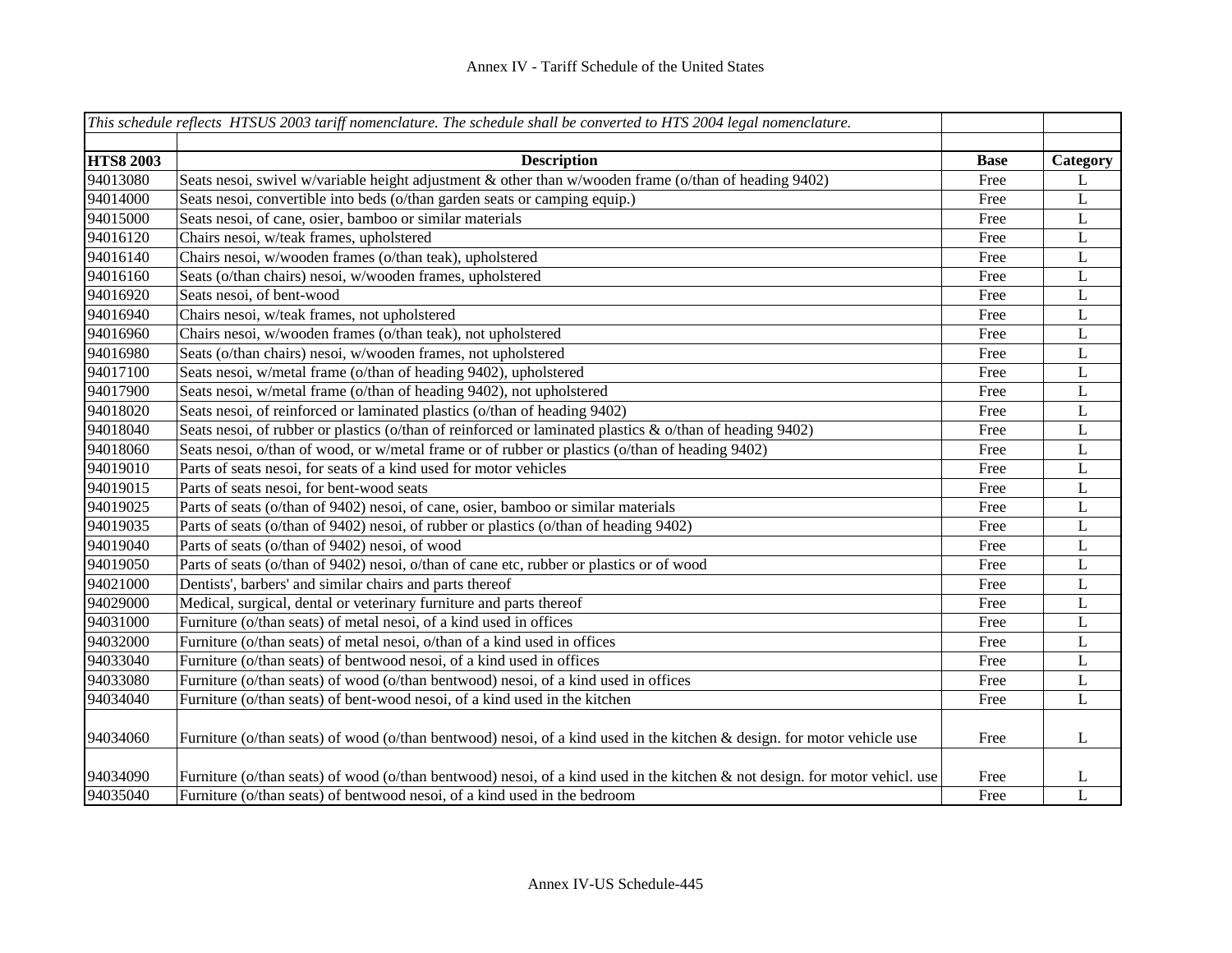|                  | This schedule reflects HTSUS 2003 tariff nomenclature. The schedule shall be converted to HTS 2004 legal nomenclature.      |             |             |
|------------------|-----------------------------------------------------------------------------------------------------------------------------|-------------|-------------|
|                  |                                                                                                                             |             |             |
| <b>HTS8 2003</b> | <b>Description</b>                                                                                                          | <b>Base</b> | Category    |
| 94013080         | Seats nesoi, swivel w/variable height adjustment & other than w/wooden frame (o/than of heading 9402)                       | Free        | L           |
| 94014000         | Seats nesoi, convertible into beds (o/than garden seats or camping equip.)                                                  | Free        | L           |
| 94015000         | Seats nesoi, of cane, osier, bamboo or similar materials                                                                    | Free        | L           |
| 94016120         | Chairs nesoi, w/teak frames, upholstered                                                                                    | Free        | L           |
| 94016140         | Chairs nesoi, w/wooden frames (o/than teak), upholstered                                                                    | Free        | L           |
| 94016160         | Seats (o/than chairs) nesoi, w/wooden frames, upholstered                                                                   | Free        | L           |
| 94016920         | Seats nesoi, of bent-wood                                                                                                   | Free        | L           |
| 94016940         | Chairs nesoi, w/teak frames, not upholstered                                                                                | Free        | L           |
| 94016960         | Chairs nesoi, w/wooden frames (o/than teak), not upholstered                                                                | Free        | L           |
| 94016980         | Seats (o/than chairs) nesoi, w/wooden frames, not upholstered                                                               | Free        | L           |
| 94017100         | Seats nesoi, w/metal frame (o/than of heading 9402), upholstered                                                            | Free        | L           |
| 94017900         | Seats nesoi, w/metal frame (o/than of heading 9402), not upholstered                                                        | Free        | L           |
| 94018020         | Seats nesoi, of reinforced or laminated plastics (o/than of heading 9402)                                                   | Free        | L           |
| 94018040         | Seats nesoi, of rubber or plastics (o/than of reinforced or laminated plastics & o/than of heading 9402)                    | Free        | $\bf L$     |
| 94018060         | Seats nesoi, o/than of wood, or w/metal frame or of rubber or plastics (o/than of heading 9402)                             | Free        | L           |
| 94019010         | Parts of seats nesoi, for seats of a kind used for motor vehicles                                                           | Free        | $\mathbf L$ |
| 94019015         | Parts of seats nesoi, for bent-wood seats                                                                                   | Free        | L           |
| 94019025         | Parts of seats (o/than of 9402) nesoi, of cane, osier, bamboo or similar materials                                          | Free        | L           |
| 94019035         | Parts of seats (o/than of 9402) nesoi, of rubber or plastics (o/than of heading 9402)                                       | Free        | L           |
| 94019040         | Parts of seats (o/than of 9402) nesoi, of wood                                                                              | Free        | L           |
| 94019050         | Parts of seats (o/than of 9402) nesoi, o/than of cane etc, rubber or plastics or of wood                                    | Free        | $\mathbf L$ |
| 94021000         | Dentists', barbers' and similar chairs and parts thereof                                                                    | Free        | L           |
| 94029000         | Medical, surgical, dental or veterinary furniture and parts thereof                                                         | Free        | L           |
| 94031000         | Furniture (o/than seats) of metal nesoi, of a kind used in offices                                                          | Free        | L           |
| 94032000         | Furniture (o/than seats) of metal nesoi, o/than of a kind used in offices                                                   | Free        | L           |
| 94033040         | Furniture (o/than seats) of bentwood nesoi, of a kind used in offices                                                       | Free        | L           |
| 94033080         | Furniture (o/than seats) of wood (o/than bentwood) nesoi, of a kind used in offices                                         | Free        | L           |
| 94034040         | Furniture (o/than seats) of bent-wood nesoi, of a kind used in the kitchen                                                  | Free        | L           |
| 94034060         | Furniture (o/than seats) of wood (o/than bentwood) nesoi, of a kind used in the kitchen & design. for motor vehicle use     | Free        | L           |
| 94034090         | Furniture (o/than seats) of wood (o/than bentwood) nesoi, of a kind used in the kitchen & not design. for motor vehicl. use | Free        | L           |
| 94035040         | Furniture (o/than seats) of bentwood nesoi, of a kind used in the bedroom                                                   | Free        | $\mathbf L$ |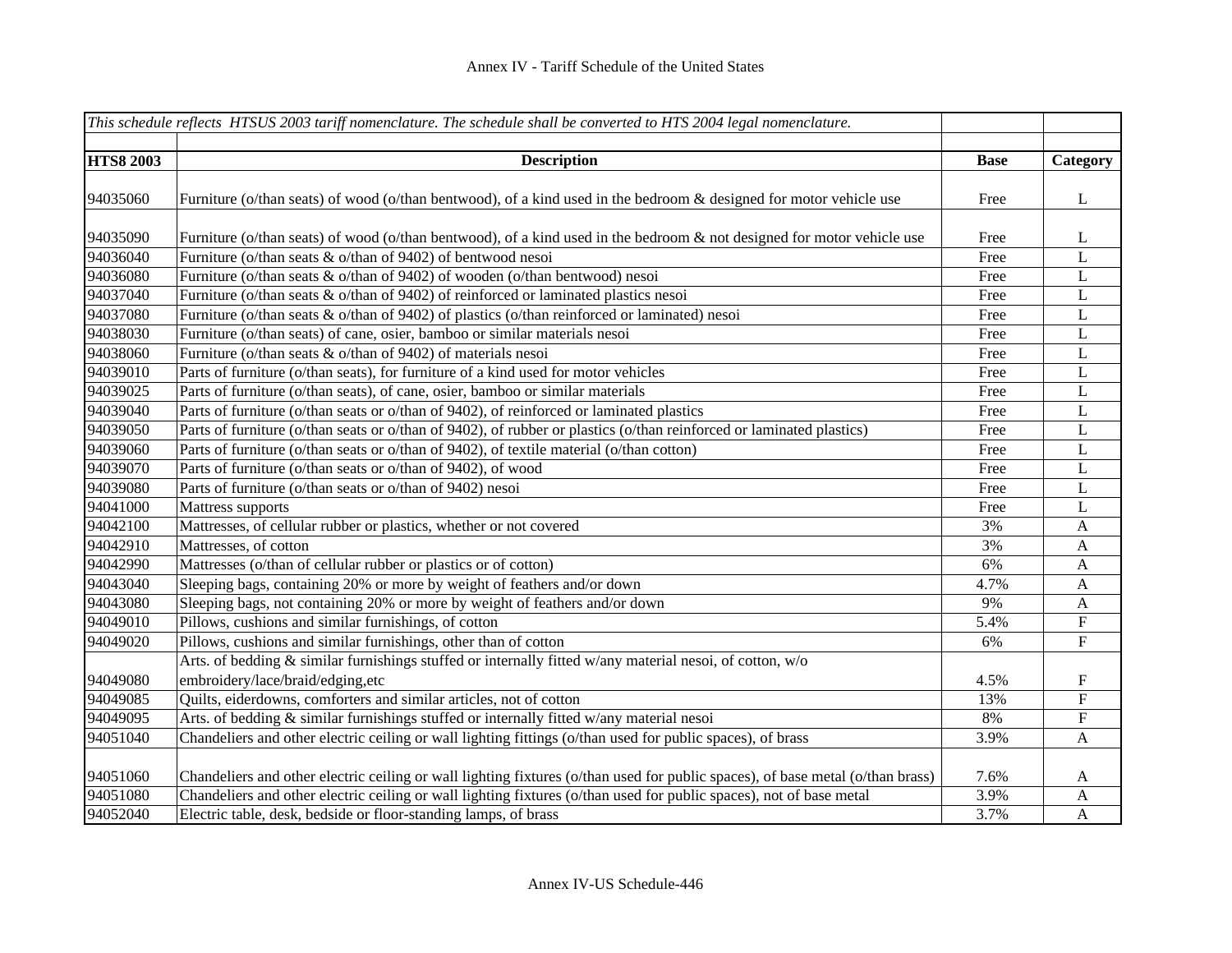|                  | This schedule reflects HTSUS 2003 tariff nomenclature. The schedule shall be converted to HTS 2004 legal nomenclature.         |             |                  |
|------------------|--------------------------------------------------------------------------------------------------------------------------------|-------------|------------------|
| <b>HTS8 2003</b> | <b>Description</b>                                                                                                             | <b>Base</b> | Category         |
|                  |                                                                                                                                |             |                  |
| 94035060         | Furniture (o/than seats) of wood (o/than bentwood), of a kind used in the bedroom & designed for motor vehicle use             | Free        | $\bf L$          |
|                  |                                                                                                                                |             |                  |
| 94035090         | Furniture (o/than seats) of wood (o/than bentwood), of a kind used in the bedroom & not designed for motor vehicle use         | Free        | L                |
| 94036040         | Furniture (o/than seats & o/than of 9402) of bentwood nesoi                                                                    | Free        | $\mathbf L$      |
| 94036080         | Furniture (o/than seats & o/than of 9402) of wooden (o/than bentwood) nesoi                                                    | Free        | $\mathbf L$      |
| 94037040         | Furniture (o/than seats & o/than of 9402) of reinforced or laminated plastics nesoi                                            | Free        | L                |
| 94037080         | Furniture (o/than seats & o/than of 9402) of plastics (o/than reinforced or laminated) nesoi                                   | Free        | L                |
| 94038030         | Furniture (o/than seats) of cane, osier, bamboo or similar materials nesoi                                                     | Free        | $\mathbf L$      |
| 94038060         | Furniture (o/than seats & o/than of 9402) of materials nesoi                                                                   | Free        | $\mathbf L$      |
| 94039010         | Parts of furniture (o/than seats), for furniture of a kind used for motor vehicles                                             | Free        | $\mathbf L$      |
| 94039025         | Parts of furniture (o/than seats), of cane, osier, bamboo or similar materials                                                 | Free        | $\mathbf L$      |
| 94039040         | Parts of furniture (o/than seats or o/than of 9402), of reinforced or laminated plastics                                       | Free        | $\mathbf L$      |
| 94039050         | Parts of furniture (o/than seats or o/than of 9402), of rubber or plastics (o/than reinforced or laminated plastics)           | Free        | $\mathbf L$      |
| 94039060         | Parts of furniture (o/than seats or o/than of 9402), of textile material (o/than cotton)                                       | Free        | $\mathbf L$      |
| 94039070         | Parts of furniture (o/than seats or o/than of 9402), of wood                                                                   | Free        | $\mathbf L$      |
| 94039080         | Parts of furniture (o/than seats or o/than of 9402) nesoi                                                                      | Free        | $\bf L$          |
| 94041000         | Mattress supports                                                                                                              | Free        | $\mathbf L$      |
| 94042100         | Mattresses, of cellular rubber or plastics, whether or not covered                                                             | 3%          | $\mathbf{A}$     |
| 94042910         | Mattresses, of cotton                                                                                                          | 3%          | $\boldsymbol{A}$ |
| 94042990         | Mattresses (o/than of cellular rubber or plastics or of cotton)                                                                | 6%          | $\mathbf{A}$     |
| 94043040         | Sleeping bags, containing 20% or more by weight of feathers and/or down                                                        | 4.7%        | $\mathbf{A}$     |
| 94043080         | Sleeping bags, not containing 20% or more by weight of feathers and/or down                                                    | 9%          | $\mathbf{A}$     |
| 94049010         | Pillows, cushions and similar furnishings, of cotton                                                                           | 5.4%        | ${\bf F}$        |
| 94049020         | Pillows, cushions and similar furnishings, other than of cotton                                                                | 6%          | ${\bf F}$        |
|                  | Arts. of bedding & similar furnishings stuffed or internally fitted w/any material nesoi, of cotton, w/o                       |             |                  |
| 94049080         | embroidery/lace/braid/edging,etc                                                                                               | 4.5%        | ${\bf F}$        |
| 94049085         | Quilts, eiderdowns, comforters and similar articles, not of cotton                                                             | 13%         | ${\bf F}$        |
| 94049095         | Arts. of bedding & similar furnishings stuffed or internally fitted w/any material nesoi                                       | 8%          | ${\bf F}$        |
| 94051040         | Chandeliers and other electric ceiling or wall lighting fittings (o/than used for public spaces), of brass                     | 3.9%        | $\mathbf{A}$     |
|                  |                                                                                                                                |             |                  |
| 94051060         | Chandeliers and other electric ceiling or wall lighting fixtures (o/than used for public spaces), of base metal (o/than brass) | 7.6%        | A                |
| 94051080         | Chandeliers and other electric ceiling or wall lighting fixtures (o/than used for public spaces), not of base metal            | 3.9%        | A                |
| 94052040         | Electric table, desk, bedside or floor-standing lamps, of brass                                                                | 3.7%        | $\mathbf{A}$     |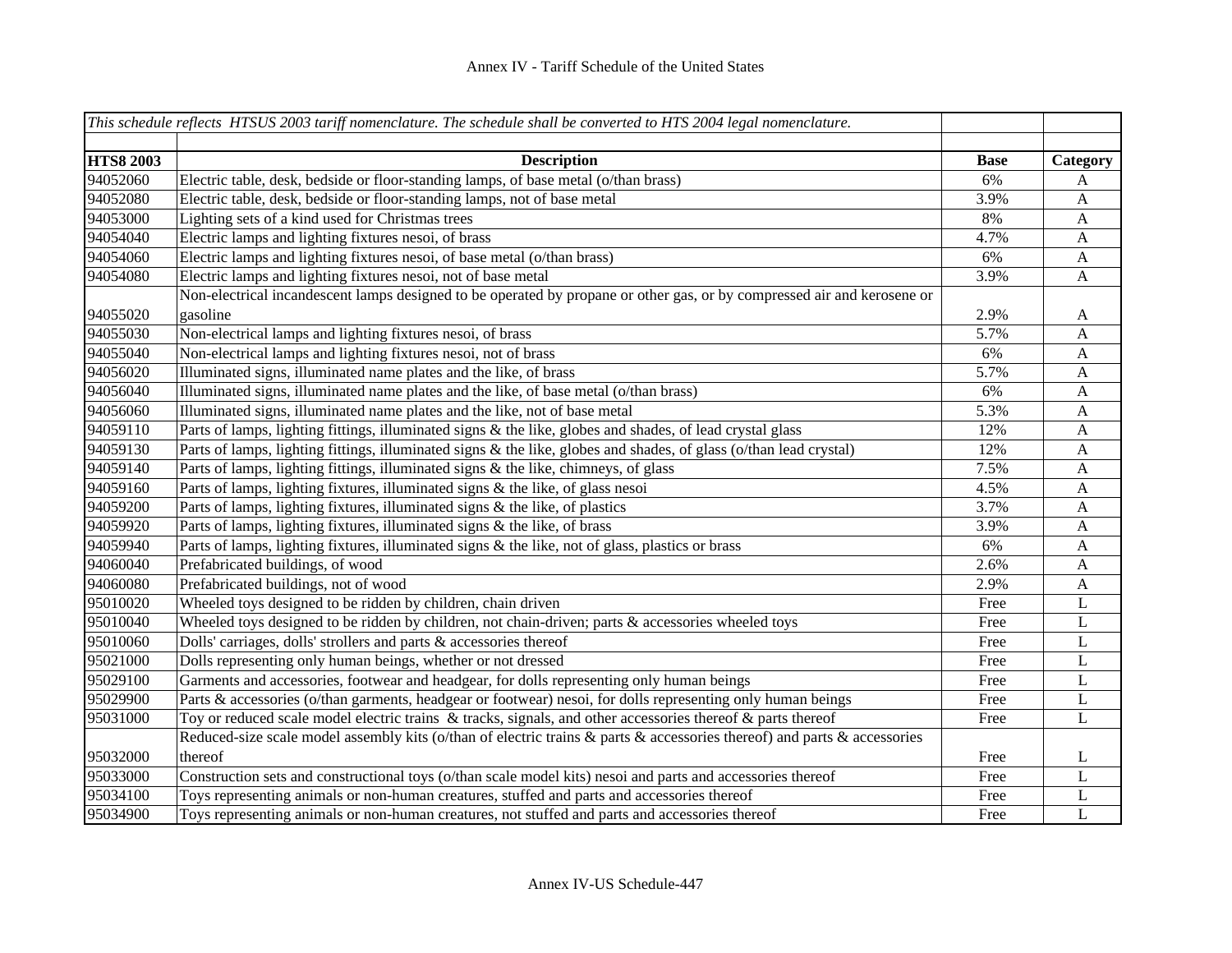|                  | This schedule reflects HTSUS 2003 tariff nomenclature. The schedule shall be converted to HTS 2004 legal nomenclature.   |             |              |
|------------------|--------------------------------------------------------------------------------------------------------------------------|-------------|--------------|
|                  |                                                                                                                          |             |              |
| <b>HTS8 2003</b> | <b>Description</b>                                                                                                       | <b>Base</b> | Category     |
| 94052060         | Electric table, desk, bedside or floor-standing lamps, of base metal (o/than brass)                                      | 6%          | A            |
| 94052080         | Electric table, desk, bedside or floor-standing lamps, not of base metal                                                 | 3.9%        | $\mathbf{A}$ |
| 94053000         | Lighting sets of a kind used for Christmas trees                                                                         | 8%          | $\mathbf{A}$ |
| 94054040         | Electric lamps and lighting fixtures nesoi, of brass                                                                     | 4.7%        | $\mathbf{A}$ |
| 94054060         | Electric lamps and lighting fixtures nesoi, of base metal (o/than brass)                                                 | 6%          | $\mathbf{A}$ |
| 94054080         | Electric lamps and lighting fixtures nesoi, not of base metal                                                            | 3.9%        | $\mathbf{A}$ |
|                  | Non-electrical incandescent lamps designed to be operated by propane or other gas, or by compressed air and kerosene or  |             |              |
| 94055020         | gasoline                                                                                                                 | 2.9%        | $\mathbf{A}$ |
| 94055030         | Non-electrical lamps and lighting fixtures nesoi, of brass                                                               | 5.7%        | A            |
| 94055040         | Non-electrical lamps and lighting fixtures nesoi, not of brass                                                           | 6%          | A            |
| 94056020         | Illuminated signs, illuminated name plates and the like, of brass                                                        | 5.7%        | A            |
| 94056040         | Illuminated signs, illuminated name plates and the like, of base metal (o/than brass)                                    | 6%          | A            |
| 94056060         | Illuminated signs, illuminated name plates and the like, not of base metal                                               | 5.3%        | $\mathbf{A}$ |
| 94059110         | Parts of lamps, lighting fittings, illuminated signs & the like, globes and shades, of lead crystal glass                | 12%         | A            |
| 94059130         | Parts of lamps, lighting fittings, illuminated signs & the like, globes and shades, of glass (o/than lead crystal)       | 12%         | $\mathbf{A}$ |
| 94059140         | Parts of lamps, lighting fittings, illuminated signs & the like, chimneys, of glass                                      | 7.5%        | $\mathbf{A}$ |
| 94059160         | Parts of lamps, lighting fixtures, illuminated signs & the like, of glass nesoi                                          | 4.5%        | $\mathbf{A}$ |
| 94059200         | Parts of lamps, lighting fixtures, illuminated signs & the like, of plastics                                             | 3.7%        | $\mathbf{A}$ |
| 94059920         | Parts of lamps, lighting fixtures, illuminated signs & the like, of brass                                                | 3.9%        | $\mathbf{A}$ |
| 94059940         | Parts of lamps, lighting fixtures, illuminated signs & the like, not of glass, plastics or brass                         | 6%          | $\mathbf{A}$ |
| 94060040         | Prefabricated buildings, of wood                                                                                         | 2.6%        | $\mathbf{A}$ |
| 94060080         | Prefabricated buildings, not of wood                                                                                     | 2.9%        | $\mathbf{A}$ |
| 95010020         | Wheeled toys designed to be ridden by children, chain driven                                                             | Free        | L            |
| 95010040         | Wheeled toys designed to be ridden by children, not chain-driven; parts & accessories wheeled toys                       | Free        | L            |
| 95010060         | Dolls' carriages, dolls' strollers and parts & accessories thereof                                                       | Free        | L            |
| 95021000         | Dolls representing only human beings, whether or not dressed                                                             | Free        | L            |
| 95029100         | Garments and accessories, footwear and headgear, for dolls representing only human beings                                | Free        | L            |
| 95029900         | Parts & accessories (o/than garments, headgear or footwear) nesoi, for dolls representing only human beings              | Free        | L            |
| 95031000         | Toy or reduced scale model electric trains $\&$ tracks, signals, and other accessories thereof $\&$ parts thereof        | Free        | $\bf L$      |
|                  | Reduced-size scale model assembly kits (o/than of electric trains & parts & accessories thereof) and parts & accessories |             |              |
| 95032000         | thereof                                                                                                                  | Free        | L            |
| 95033000         | Construction sets and constructional toys (o/than scale model kits) nesoi and parts and accessories thereof              | Free        | L            |
| 95034100         | Toys representing animals or non-human creatures, stuffed and parts and accessories thereof                              | Free        | L            |
| 95034900         | Toys representing animals or non-human creatures, not stuffed and parts and accessories thereof                          | Free        | $\mathbf{L}$ |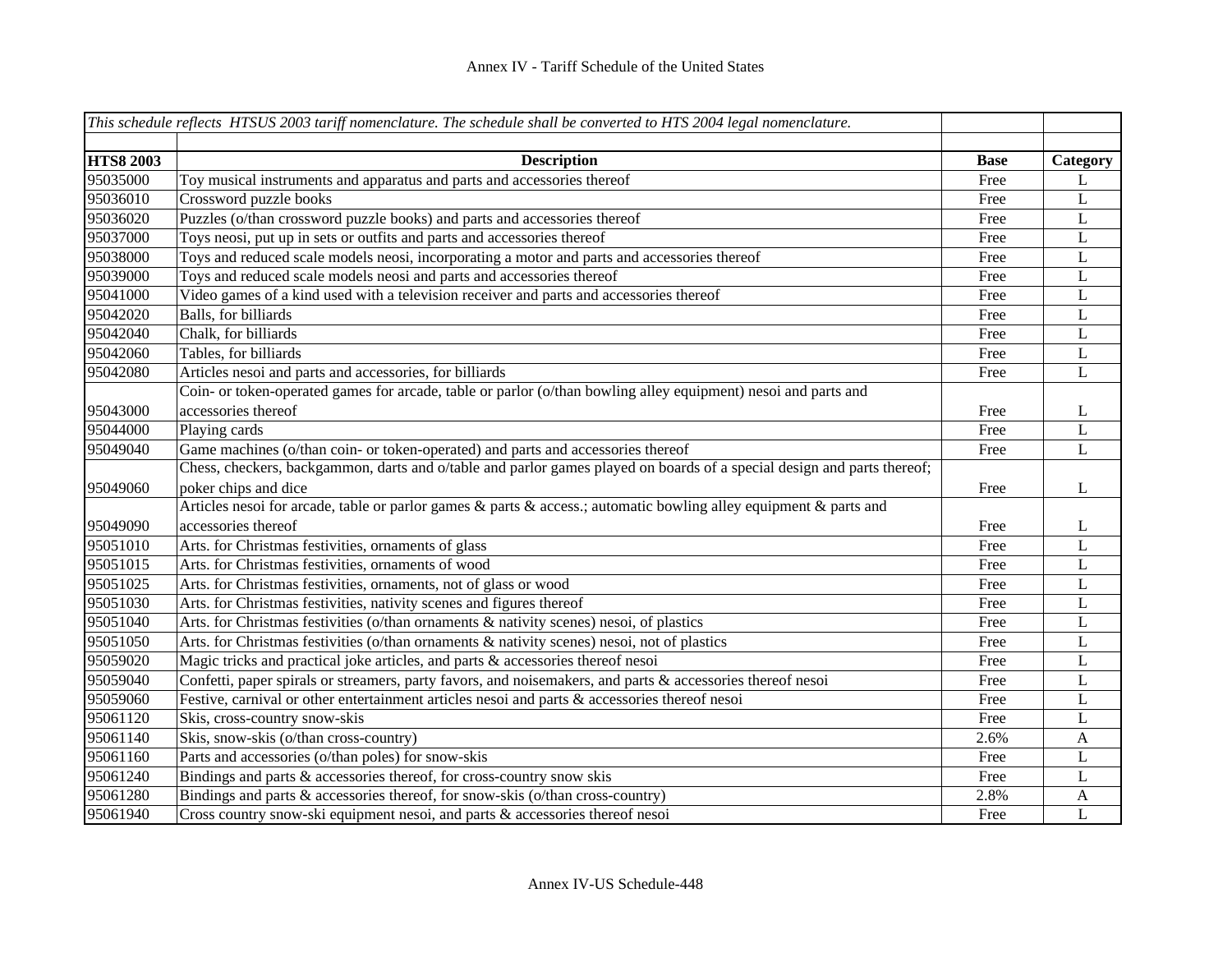|                  | This schedule reflects HTSUS 2003 tariff nomenclature. The schedule shall be converted to HTS 2004 legal nomenclature.  |             |                |
|------------------|-------------------------------------------------------------------------------------------------------------------------|-------------|----------------|
|                  |                                                                                                                         |             |                |
| <b>HTS8 2003</b> | <b>Description</b>                                                                                                      | <b>Base</b> | Category       |
| 95035000         | Toy musical instruments and apparatus and parts and accessories thereof                                                 | Free        | L              |
| 95036010         | Crossword puzzle books                                                                                                  | Free        | $\mathbf L$    |
| 95036020         | Puzzles (o/than crossword puzzle books) and parts and accessories thereof                                               | Free        | $\bf L$        |
| 95037000         | Toys neosi, put up in sets or outfits and parts and accessories thereof                                                 | Free        | L              |
| 95038000         | Toys and reduced scale models neosi, incorporating a motor and parts and accessories thereof                            | Free        | L              |
| 95039000         | Toys and reduced scale models neosi and parts and accessories thereof                                                   | Free        | L              |
| 95041000         | Video games of a kind used with a television receiver and parts and accessories thereof                                 | Free        | L              |
| 95042020         | Balls, for billiards                                                                                                    | Free        | L              |
| 95042040         | Chalk, for billiards                                                                                                    | Free        | $\mathbf L$    |
| 95042060         | Tables, for billiards                                                                                                   | Free        | $\mathbf L$    |
| 95042080         | Articles nesoi and parts and accessories, for billiards                                                                 | Free        | $\overline{L}$ |
|                  | Coin- or token-operated games for arcade, table or parlor (o/than bowling alley equipment) nesoi and parts and          |             |                |
| 95043000         | accessories thereof                                                                                                     | Free        | L              |
| 95044000         | Playing cards                                                                                                           | Free        | $\mathbf L$    |
| 95049040         | Game machines (o/than coin- or token-operated) and parts and accessories thereof                                        | Free        | L              |
|                  | Chess, checkers, backgammon, darts and o/table and parlor games played on boards of a special design and parts thereof; |             |                |
| 95049060         | poker chips and dice                                                                                                    | Free        | L              |
|                  | Articles nesoi for arcade, table or parlor games & parts & access.; automatic bowling alley equipment & parts and       |             |                |
| 95049090         | accessories thereof                                                                                                     | Free        | L              |
| 95051010         | Arts. for Christmas festivities, ornaments of glass                                                                     | Free        | L              |
| 95051015         | Arts. for Christmas festivities, ornaments of wood                                                                      | Free        | $\mathbf L$    |
| 95051025         | Arts. for Christmas festivities, ornaments, not of glass or wood                                                        | Free        | L              |
| 95051030         | Arts. for Christmas festivities, nativity scenes and figures thereof                                                    | Free        | L              |
| 95051040         | Arts. for Christmas festivities (o/than ornaments & nativity scenes) nesoi, of plastics                                 | Free        | L              |
| 95051050         | Arts. for Christmas festivities (o/than ornaments & nativity scenes) nesoi, not of plastics                             | Free        | L              |
| 95059020         | Magic tricks and practical joke articles, and parts & accessories thereof nesoi                                         | Free        | L              |
| 95059040         | Confetti, paper spirals or streamers, party favors, and noisemakers, and parts & accessories thereof nesoi              | Free        | L              |
| 95059060         | Festive, carnival or other entertainment articles nesoi and parts & accessories thereof nesoi                           | Free        | L              |
| 95061120         | Skis, cross-country snow-skis                                                                                           | Free        | L              |
| 95061140         | Skis, snow-skis (o/than cross-country)                                                                                  | 2.6%        | $\mathbf{A}$   |
| 95061160         | Parts and accessories (o/than poles) for snow-skis                                                                      | Free        | L              |
| 95061240         | Bindings and parts & accessories thereof, for cross-country snow skis                                                   | Free        | L              |
| 95061280         | Bindings and parts & accessories thereof, for snow-skis (o/than cross-country)                                          | 2.8%        | A              |
| 95061940         | Cross country snow-ski equipment nesoi, and parts & accessories thereof nesoi                                           | Free        | L              |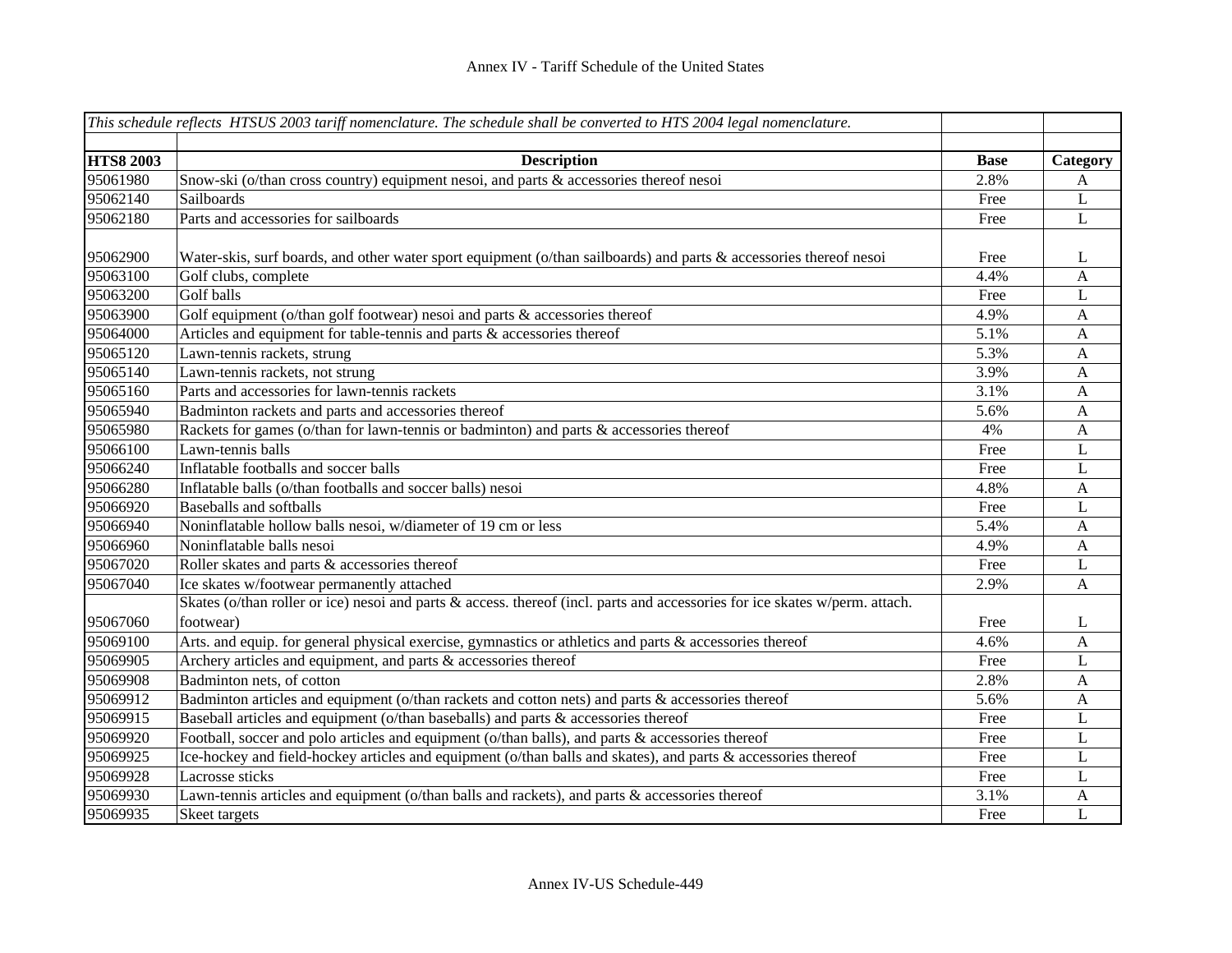|                  | This schedule reflects HTSUS 2003 tariff nomenclature. The schedule shall be converted to HTS 2004 legal nomenclature.                   |             |                           |
|------------------|------------------------------------------------------------------------------------------------------------------------------------------|-------------|---------------------------|
|                  |                                                                                                                                          |             |                           |
| <b>HTS8 2003</b> | <b>Description</b>                                                                                                                       | <b>Base</b> | Category                  |
| 95061980         | Snow-ski (o/than cross country) equipment nesoi, and parts & accessories thereof nesoi                                                   | 2.8%        | A                         |
| 95062140         | Sailboards                                                                                                                               | Free        | L                         |
| 95062180         | Parts and accessories for sailboards                                                                                                     | Free        | L                         |
| 95062900         | Water-skis, surf boards, and other water sport equipment ( $o$ /than sailboards) and parts & accessories thereof nesoi                   | Free        | L                         |
| 95063100         | Golf clubs, complete                                                                                                                     | 4.4%        | A                         |
| 95063200         | Golf balls                                                                                                                               | Free        | L                         |
| 95063900         | Golf equipment (o/than golf footwear) nesoi and parts & accessories thereof                                                              | 4.9%        | $\mathbf{A}$              |
| 95064000         | Articles and equipment for table-tennis and parts & accessories thereof                                                                  | 5.1%        | $\boldsymbol{\mathsf{A}}$ |
| 95065120         | Lawn-tennis rackets, strung                                                                                                              | 5.3%        | $\boldsymbol{\mathsf{A}}$ |
| 95065140         | Lawn-tennis rackets, not strung                                                                                                          | 3.9%        | $\mathbf{A}$              |
| 95065160         | Parts and accessories for lawn-tennis rackets                                                                                            | 3.1%        | A                         |
| 95065940         | Badminton rackets and parts and accessories thereof                                                                                      | 5.6%        | $\mathbf{A}$              |
| 95065980         | Rackets for games (o/than for lawn-tennis or badminton) and parts & accessories thereof                                                  | 4%          | $\mathbf{A}$              |
| 95066100         | Lawn-tennis balls                                                                                                                        | Free        | L                         |
| 95066240         | Inflatable footballs and soccer balls                                                                                                    | Free        | $\mathbf L$               |
| 95066280         | Inflatable balls (o/than footballs and soccer balls) nesoi                                                                               | 4.8%        | $\mathbf{A}$              |
| 95066920         | Baseballs and softballs                                                                                                                  | Free        | L                         |
| 95066940         | Noninflatable hollow balls nesoi, w/diameter of 19 cm or less                                                                            | 5.4%        | A                         |
| 95066960         | Noninflatable balls nesoi                                                                                                                | 4.9%        | $\boldsymbol{\mathsf{A}}$ |
| 95067020         | Roller skates and parts & accessories thereof                                                                                            | Free        | L                         |
| 95067040         | Ice skates w/footwear permanently attached                                                                                               | 2.9%        | A                         |
| 95067060         | Skates (o/than roller or ice) nesoi and parts & access. thereof (incl. parts and accessories for ice skates w/perm. attach.<br>footwear) | Free        | L                         |
| 95069100         | Arts. and equip. for general physical exercise, gymnastics or athletics and parts & accessories thereof                                  | 4.6%        | A                         |
| 95069905         | Archery articles and equipment, and parts & accessories thereof                                                                          | Free        | L                         |
| 95069908         | Badminton nets, of cotton                                                                                                                | 2.8%        | A                         |
| 95069912         | Badminton articles and equipment (o/than rackets and cotton nets) and parts & accessories thereof                                        | 5.6%        | A                         |
| 95069915         | Baseball articles and equipment (o/than baseballs) and parts & accessories thereof                                                       | Free        | L                         |
| 95069920         | Football, soccer and polo articles and equipment (o/than balls), and parts & accessories thereof                                         | Free        | L                         |
| 95069925         | Ice-hockey and field-hockey articles and equipment (o/than balls and skates), and parts & accessories thereof                            | Free        | L                         |
| 95069928         | Lacrosse sticks                                                                                                                          | Free        | L                         |
| 95069930         | Lawn-tennis articles and equipment (o/than balls and rackets), and parts & accessories thereof                                           | 3.1%        | A                         |
| 95069935         | Skeet targets                                                                                                                            | Free        | L                         |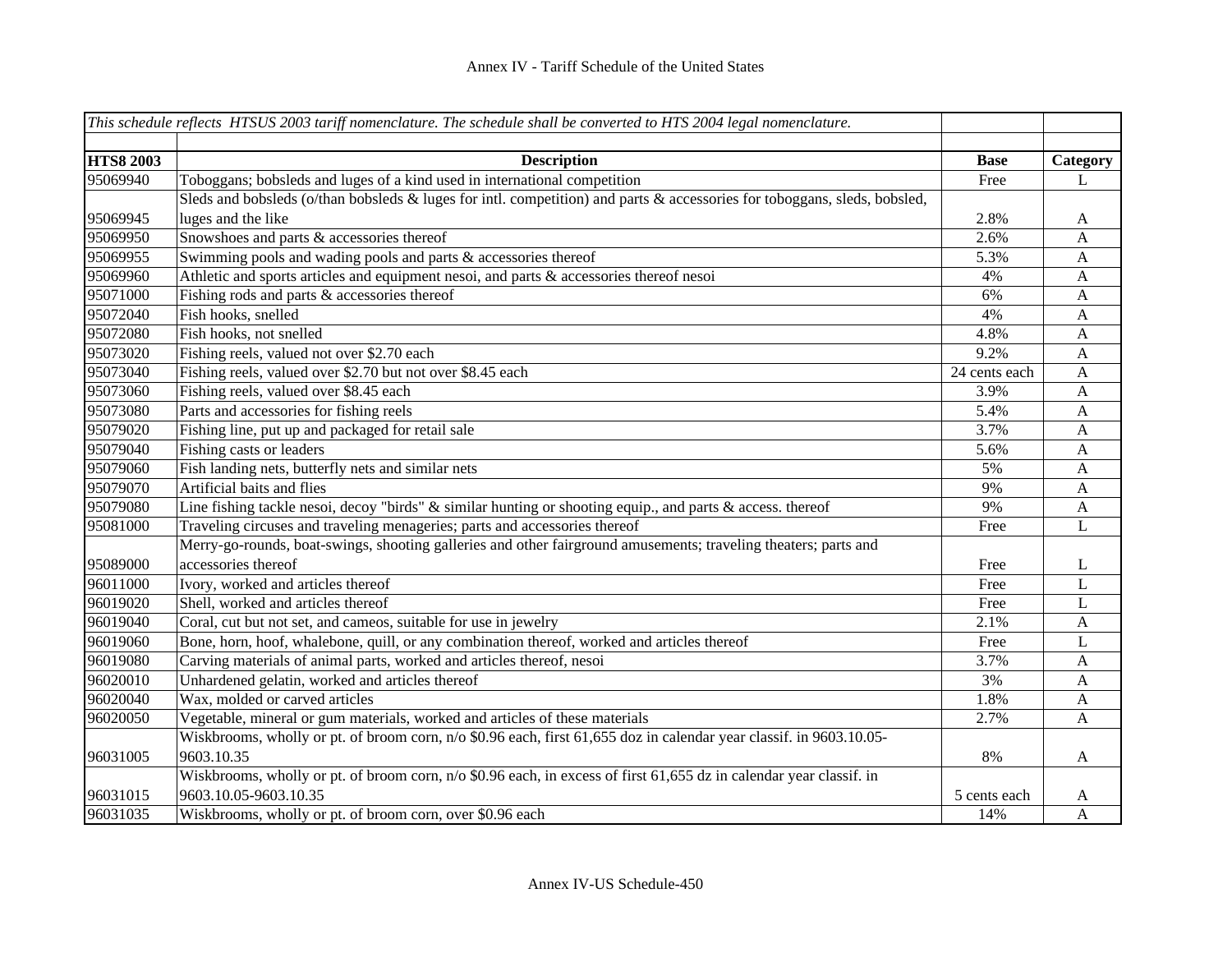|                  | This schedule reflects HTSUS 2003 tariff nomenclature. The schedule shall be converted to HTS 2004 legal nomenclature.    |               |              |
|------------------|---------------------------------------------------------------------------------------------------------------------------|---------------|--------------|
|                  |                                                                                                                           |               |              |
| <b>HTS8 2003</b> | <b>Description</b>                                                                                                        | <b>Base</b>   | Category     |
| 95069940         | Toboggans; bobsleds and luges of a kind used in international competition                                                 | Free          | L            |
|                  | Sleds and bobsleds (o/than bobsleds & luges for intl. competition) and parts & accessories for toboggans, sleds, bobsled, |               |              |
| 95069945         | luges and the like                                                                                                        | 2.8%          | $\mathbf{A}$ |
| 95069950         | Snowshoes and parts & accessories thereof                                                                                 | 2.6%          | $\mathbf{A}$ |
| 95069955         | Swimming pools and wading pools and parts & accessories thereof                                                           | 5.3%          | $\mathbf{A}$ |
| 95069960         | Athletic and sports articles and equipment nesoi, and parts $\&$ accessories thereof nesoi                                | 4%            | $\mathbf{A}$ |
| 95071000         | Fishing rods and parts & accessories thereof                                                                              | 6%            | $\mathbf{A}$ |
| 95072040         | Fish hooks, snelled                                                                                                       | 4%            | A            |
| 95072080         | Fish hooks, not snelled                                                                                                   | 4.8%          | $\mathbf{A}$ |
| 95073020         | Fishing reels, valued not over \$2.70 each                                                                                | 9.2%          | $\mathbf{A}$ |
| 95073040         | Fishing reels, valued over \$2.70 but not over \$8.45 each                                                                | 24 cents each | $\mathbf{A}$ |
| 95073060         | Fishing reels, valued over \$8.45 each                                                                                    | 3.9%          | $\mathbf{A}$ |
| 95073080         | Parts and accessories for fishing reels                                                                                   | 5.4%          | $\mathbf{A}$ |
| 95079020         | Fishing line, put up and packaged for retail sale                                                                         | 3.7%          | $\mathbf{A}$ |
| 95079040         | Fishing casts or leaders                                                                                                  | 5.6%          | $\mathbf{A}$ |
| 95079060         | Fish landing nets, butterfly nets and similar nets                                                                        | 5%            | $\mathbf{A}$ |
| 95079070         | Artificial baits and flies                                                                                                | 9%            | A            |
| 95079080         | Line fishing tackle nesoi, decoy "birds" $\&$ similar hunting or shooting equip., and parts $\&$ access. thereof          | 9%            | $\mathbf{A}$ |
| 95081000         | Traveling circuses and traveling menageries; parts and accessories thereof                                                | Free          | $\mathbf{L}$ |
|                  | Merry-go-rounds, boat-swings, shooting galleries and other fairground amusements; traveling theaters; parts and           |               |              |
| 95089000         | accessories thereof                                                                                                       | Free          | L            |
| 96011000         | Ivory, worked and articles thereof                                                                                        | Free          | L            |
| 96019020         | Shell, worked and articles thereof                                                                                        | Free          | L            |
| 96019040         | Coral, cut but not set, and cameos, suitable for use in jewelry                                                           | 2.1%          | A            |
| 96019060         | Bone, horn, hoof, whalebone, quill, or any combination thereof, worked and articles thereof                               | Free          | L            |
| 96019080         | Carving materials of animal parts, worked and articles thereof, nesoi                                                     | 3.7%          | $\mathbf{A}$ |
| 96020010         | Unhardened gelatin, worked and articles thereof                                                                           | 3%            | $\mathbf{A}$ |
| 96020040         | Wax, molded or carved articles                                                                                            | 1.8%          | $\mathbf{A}$ |
| 96020050         | Vegetable, mineral or gum materials, worked and articles of these materials                                               | 2.7%          | $\mathbf{A}$ |
|                  | Wiskbrooms, wholly or pt. of broom corn, n/o \$0.96 each, first 61,655 doz in calendar year classif. in 9603.10.05-       |               |              |
| 96031005         | 9603.10.35                                                                                                                | 8%            | $\mathbf{A}$ |
|                  | Wiskbrooms, wholly or pt. of broom corn, n/o \$0.96 each, in excess of first 61,655 dz in calendar year classif. in       |               |              |
| 96031015         | 9603.10.05-9603.10.35                                                                                                     | 5 cents each  | A            |
| 96031035         | Wiskbrooms, wholly or pt. of broom corn, over \$0.96 each                                                                 | 14%           | A            |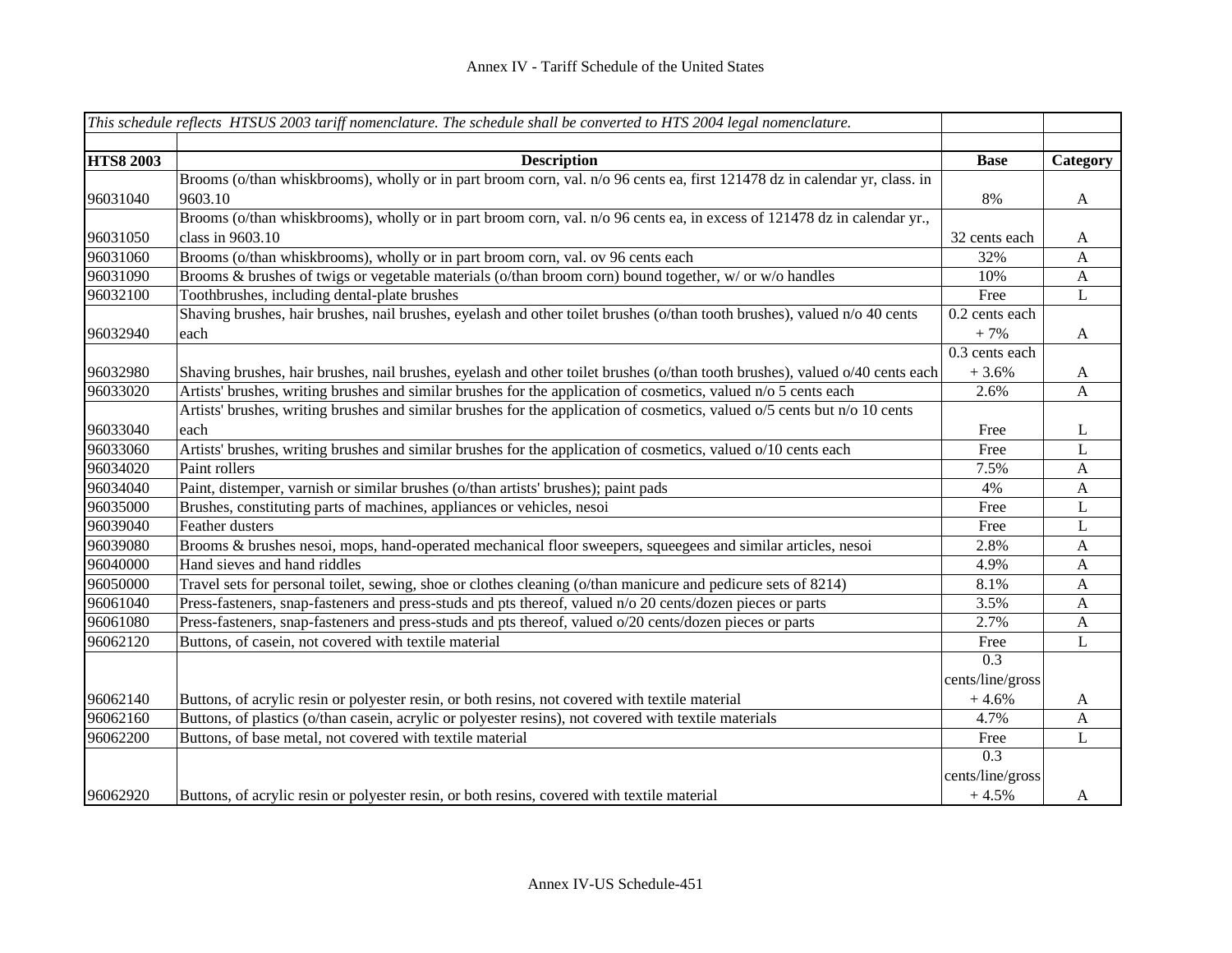|                  | This schedule reflects HTSUS 2003 tariff nomenclature. The schedule shall be converted to HTS 2004 legal nomenclature.       |                  |              |
|------------------|------------------------------------------------------------------------------------------------------------------------------|------------------|--------------|
| <b>HTS8 2003</b> | <b>Description</b>                                                                                                           | <b>Base</b>      | Category     |
|                  | Brooms (o/than whiskbrooms), wholly or in part broom corn, val. n/o 96 cents ea, first 121478 dz in calendar yr, class. in   |                  |              |
| 96031040         | 9603.10                                                                                                                      | 8%               | A            |
|                  | Brooms (o/than whiskbrooms), wholly or in part broom corn, val. n/o 96 cents ea, in excess of 121478 dz in calendar yr.,     |                  |              |
| 96031050         | class in 9603.10                                                                                                             | 32 cents each    | A            |
| 96031060         | Brooms (o/than whiskbrooms), wholly or in part broom corn, val. ov 96 cents each                                             | 32%              | $\mathbf{A}$ |
| 96031090         | Brooms & brushes of twigs or vegetable materials (o/than broom corn) bound together, w/ or w/o handles                       | 10%              | A            |
| 96032100         | Toothbrushes, including dental-plate brushes                                                                                 | Free             | L            |
|                  | Shaving brushes, hair brushes, nail brushes, eyelash and other toilet brushes (o/than tooth brushes), valued n/o 40 cents    | 0.2 cents each   |              |
| 96032940         | each                                                                                                                         | $+7%$            | $\mathbf{A}$ |
|                  |                                                                                                                              | 0.3 cents each   |              |
| 96032980         | Shaving brushes, hair brushes, nail brushes, eyelash and other toilet brushes (o/than tooth brushes), valued o/40 cents each | $+3.6%$          | $\mathbf{A}$ |
| 96033020         | Artists' brushes, writing brushes and similar brushes for the application of cosmetics, valued n/o 5 cents each              | 2.6%             | A            |
|                  | Artists' brushes, writing brushes and similar brushes for the application of cosmetics, valued o/5 cents but n/o 10 cents    |                  |              |
| 96033040         | each                                                                                                                         | Free             | L            |
| 96033060         | Artists' brushes, writing brushes and similar brushes for the application of cosmetics, valued o/10 cents each               | Free             | L            |
| 96034020         | Paint rollers                                                                                                                | 7.5%             | $\mathbf{A}$ |
| 96034040         | Paint, distemper, varnish or similar brushes (o/than artists' brushes); paint pads                                           | 4%               | A            |
| 96035000         | Brushes, constituting parts of machines, appliances or vehicles, nesoi                                                       | Free             | L            |
| 96039040         | Feather dusters                                                                                                              | Free             | L            |
| 96039080         | Brooms & brushes nesoi, mops, hand-operated mechanical floor sweepers, squeegees and similar articles, nesoi                 | 2.8%             | A            |
| 96040000         | Hand sieves and hand riddles                                                                                                 | 4.9%             | A            |
| 96050000         | Travel sets for personal toilet, sewing, shoe or clothes cleaning (o/than manicure and pedicure sets of 8214)                | 8.1%             | A            |
| 96061040         | Press-fasteners, snap-fasteners and press-studs and pts thereof, valued n/o 20 cents/dozen pieces or parts                   | 3.5%             | A            |
| 96061080         | Press-fasteners, snap-fasteners and press-studs and pts thereof, valued o/20 cents/dozen pieces or parts                     | 2.7%             | $\mathbf{A}$ |
| 96062120         | Buttons, of casein, not covered with textile material                                                                        | Free             | $\mathbf{L}$ |
|                  |                                                                                                                              | $\overline{0.3}$ |              |
|                  |                                                                                                                              | cents/line/gross |              |
| 96062140         | Buttons, of acrylic resin or polyester resin, or both resins, not covered with textile material                              | $+4.6%$          | A            |
| 96062160         | Buttons, of plastics (o/than casein, acrylic or polyester resins), not covered with textile materials                        | 4.7%             | $\mathbf{A}$ |
| 96062200         | Buttons, of base metal, not covered with textile material                                                                    | Free             | $\mathbf L$  |
|                  |                                                                                                                              | 0.3              |              |
|                  |                                                                                                                              | cents/line/gross |              |
| 96062920         | Buttons, of acrylic resin or polyester resin, or both resins, covered with textile material                                  | $+4.5%$          | A            |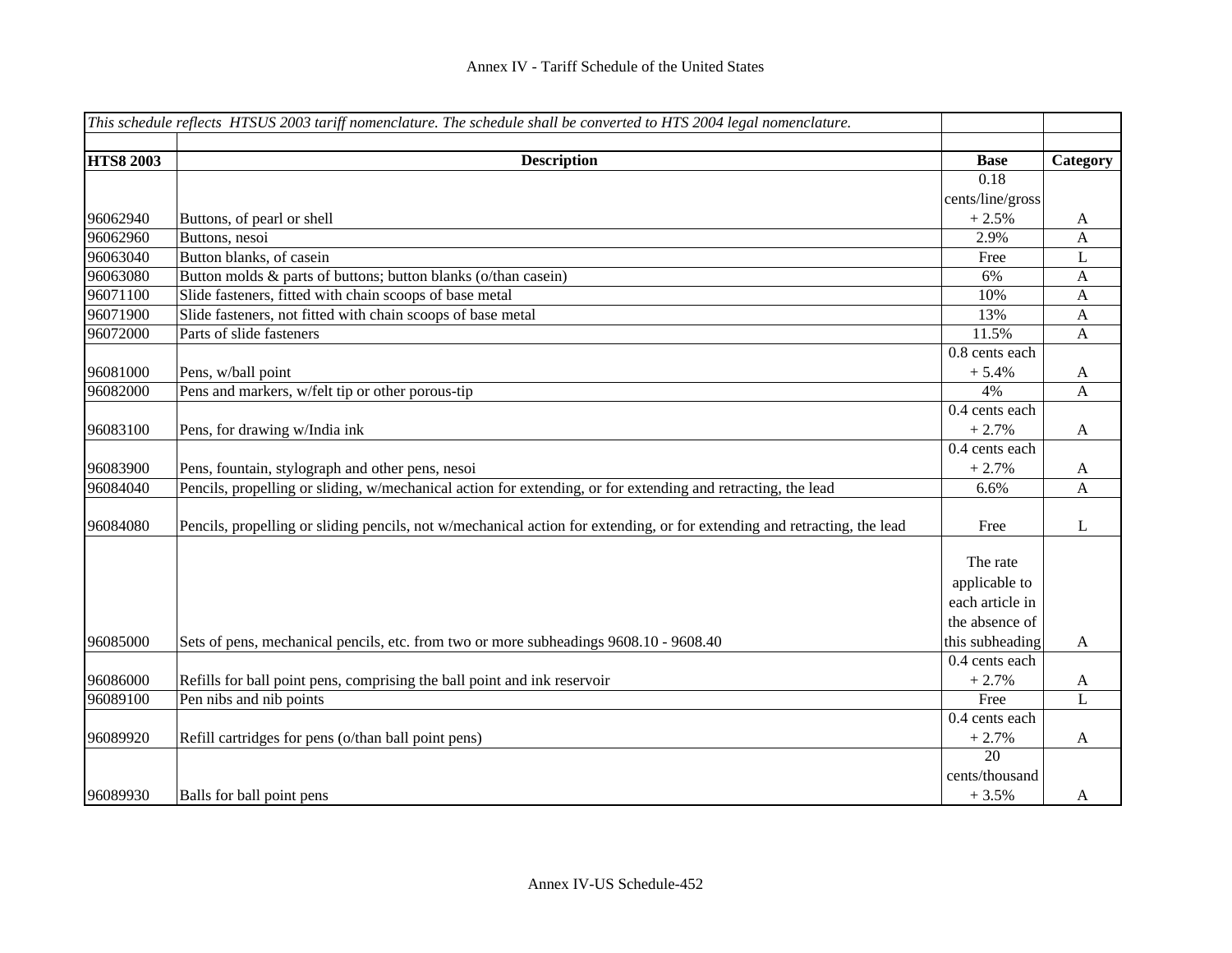|                  | This schedule reflects HTSUS 2003 tariff nomenclature. The schedule shall be converted to HTS 2004 legal nomenclature.   |                  |              |
|------------------|--------------------------------------------------------------------------------------------------------------------------|------------------|--------------|
| <b>HTS8 2003</b> | <b>Description</b>                                                                                                       | <b>Base</b>      | Category     |
|                  |                                                                                                                          | 0.18             |              |
|                  |                                                                                                                          | cents/line/gross |              |
| 96062940         | Buttons, of pearl or shell                                                                                               | $+2.5%$          | A            |
| 96062960         | Buttons, nesoi                                                                                                           | 2.9%             | $\mathbf{A}$ |
| 96063040         | Button blanks, of casein                                                                                                 | Free             | L            |
| 96063080         | Button molds & parts of buttons; button blanks (o/than casein)                                                           | 6%               | A            |
| 96071100         | Slide fasteners, fitted with chain scoops of base metal                                                                  | 10%              | A            |
| 96071900         | Slide fasteners, not fitted with chain scoops of base metal                                                              | 13%              | A            |
| 96072000         | Parts of slide fasteners                                                                                                 | 11.5%            | A            |
|                  |                                                                                                                          | 0.8 cents each   |              |
| 96081000         | Pens, w/ball point                                                                                                       | $+5.4%$          | A            |
| 96082000         | Pens and markers, w/felt tip or other porous-tip                                                                         | 4%               | $\mathbf{A}$ |
|                  |                                                                                                                          | 0.4 cents each   |              |
| 96083100         | Pens, for drawing w/India ink                                                                                            | $+2.7%$          | $\mathbf{A}$ |
|                  |                                                                                                                          | 0.4 cents each   |              |
| 96083900         | Pens, fountain, stylograph and other pens, nesoi                                                                         | $+2.7%$          | $\mathbf{A}$ |
| 96084040         | Pencils, propelling or sliding, w/mechanical action for extending, or for extending and retracting, the lead             | 6.6%             | A            |
|                  |                                                                                                                          |                  |              |
| 96084080         | Pencils, propelling or sliding pencils, not w/mechanical action for extending, or for extending and retracting, the lead | Free             | L            |
|                  |                                                                                                                          |                  |              |
|                  |                                                                                                                          | The rate         |              |
|                  |                                                                                                                          | applicable to    |              |
|                  |                                                                                                                          | each article in  |              |
|                  |                                                                                                                          | the absence of   |              |
| 96085000         | Sets of pens, mechanical pencils, etc. from two or more subheadings 9608.10 - 9608.40                                    | this subheading  | $\mathbf{A}$ |
|                  |                                                                                                                          | 0.4 cents each   |              |
| 96086000         | Refills for ball point pens, comprising the ball point and ink reservoir                                                 | $+2.7%$          | $\mathbf{A}$ |
| 96089100         | Pen nibs and nib points                                                                                                  | Free             | L            |
|                  |                                                                                                                          | 0.4 cents each   |              |
| 96089920         | Refill cartridges for pens (o/than ball point pens)                                                                      | $+2.7%$          | $\mathbf{A}$ |
|                  |                                                                                                                          | $\overline{20}$  |              |
|                  |                                                                                                                          | cents/thousand   |              |
| 96089930         | Balls for ball point pens                                                                                                | $+3.5%$          | A            |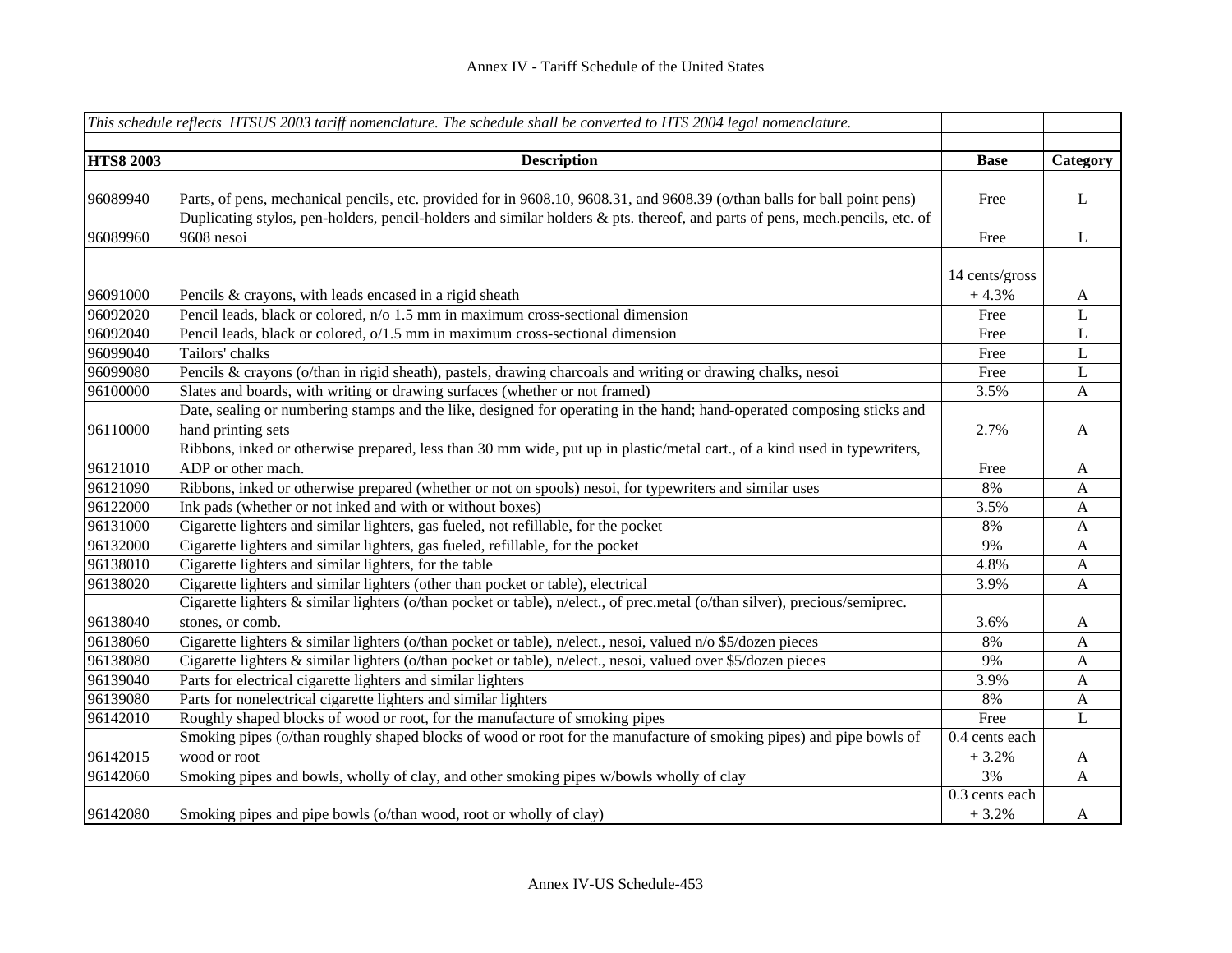|                  | This schedule reflects HTSUS 2003 tariff nomenclature. The schedule shall be converted to HTS 2004 legal nomenclature.       |                |              |
|------------------|------------------------------------------------------------------------------------------------------------------------------|----------------|--------------|
| <b>HTS8 2003</b> | <b>Description</b>                                                                                                           | <b>Base</b>    | Category     |
|                  |                                                                                                                              |                |              |
| 96089940         | Parts, of pens, mechanical pencils, etc. provided for in 9608.10, 9608.31, and 9608.39 (o/than balls for ball point pens)    | Free           | L            |
|                  | Duplicating stylos, pen-holders, pencil-holders and similar holders & pts. thereof, and parts of pens, mech.pencils, etc. of |                |              |
| 96089960         | 9608 nesoi                                                                                                                   | Free           | $\bf L$      |
|                  |                                                                                                                              | 14 cents/gross |              |
| 96091000         | Pencils & crayons, with leads encased in a rigid sheath                                                                      | $+4.3%$        | A            |
| 96092020         | Pencil leads, black or colored, n/o 1.5 mm in maximum cross-sectional dimension                                              | Free           | L            |
| 96092040         | Pencil leads, black or colored, o/1.5 mm in maximum cross-sectional dimension                                                | Free           | $\bf L$      |
| 96099040         | Tailors' chalks                                                                                                              | Free           | L            |
| 96099080         | Pencils & crayons (o/than in rigid sheath), pastels, drawing charcoals and writing or drawing chalks, nesoi                  | Free           | $\mathbf L$  |
| 96100000         | Slates and boards, with writing or drawing surfaces (whether or not framed)                                                  | 3.5%           | A            |
|                  | Date, sealing or numbering stamps and the like, designed for operating in the hand; hand-operated composing sticks and       |                |              |
| 96110000         | hand printing sets                                                                                                           | 2.7%           | $\mathbf{A}$ |
|                  | Ribbons, inked or otherwise prepared, less than 30 mm wide, put up in plastic/metal cart., of a kind used in typewriters,    |                |              |
| 96121010         | ADP or other mach.                                                                                                           | Free           | A            |
| 96121090         | Ribbons, inked or otherwise prepared (whether or not on spools) nesoi, for typewriters and similar uses                      | 8%             | A            |
| 96122000         | Ink pads (whether or not inked and with or without boxes)                                                                    | 3.5%           | A            |
| 96131000         | Cigarette lighters and similar lighters, gas fueled, not refillable, for the pocket                                          | 8%             | $\mathbf{A}$ |
| 96132000         | Cigarette lighters and similar lighters, gas fueled, refillable, for the pocket                                              | 9%             | A            |
| 96138010         | Cigarette lighters and similar lighters, for the table                                                                       | 4.8%           | $\mathbf{A}$ |
| 96138020         | Cigarette lighters and similar lighters (other than pocket or table), electrical                                             | 3.9%           | $\mathbf{A}$ |
|                  | Cigarette lighters & similar lighters (o/than pocket or table), n/elect., of prec.metal (o/than silver), precious/semiprec.  |                |              |
| 96138040         | stones, or comb.                                                                                                             | 3.6%           | A            |
| 96138060         | Cigarette lighters & similar lighters (o/than pocket or table), n/elect., nesoi, valued n/o \$5/dozen pieces                 | 8%             | A            |
| 96138080         | Cigarette lighters & similar lighters (o/than pocket or table), n/elect., nesoi, valued over \$5/dozen pieces                | 9%             | A            |
| 96139040         | Parts for electrical cigarette lighters and similar lighters                                                                 | 3.9%           | A            |
| 96139080         | Parts for nonelectrical cigarette lighters and similar lighters                                                              | 8%             | A            |
| 96142010         | Roughly shaped blocks of wood or root, for the manufacture of smoking pipes                                                  | Free           | $\mathbf L$  |
|                  | Smoking pipes (o/than roughly shaped blocks of wood or root for the manufacture of smoking pipes) and pipe bowls of          | 0.4 cents each |              |
| 96142015         | wood or root                                                                                                                 | $+3.2%$        | $\mathbf{A}$ |
| 96142060         | Smoking pipes and bowls, wholly of clay, and other smoking pipes w/bowls wholly of clay                                      | 3%             | A            |
|                  |                                                                                                                              | 0.3 cents each |              |
| 96142080         | Smoking pipes and pipe bowls (o/than wood, root or wholly of clay)                                                           | $+3.2%$        | A            |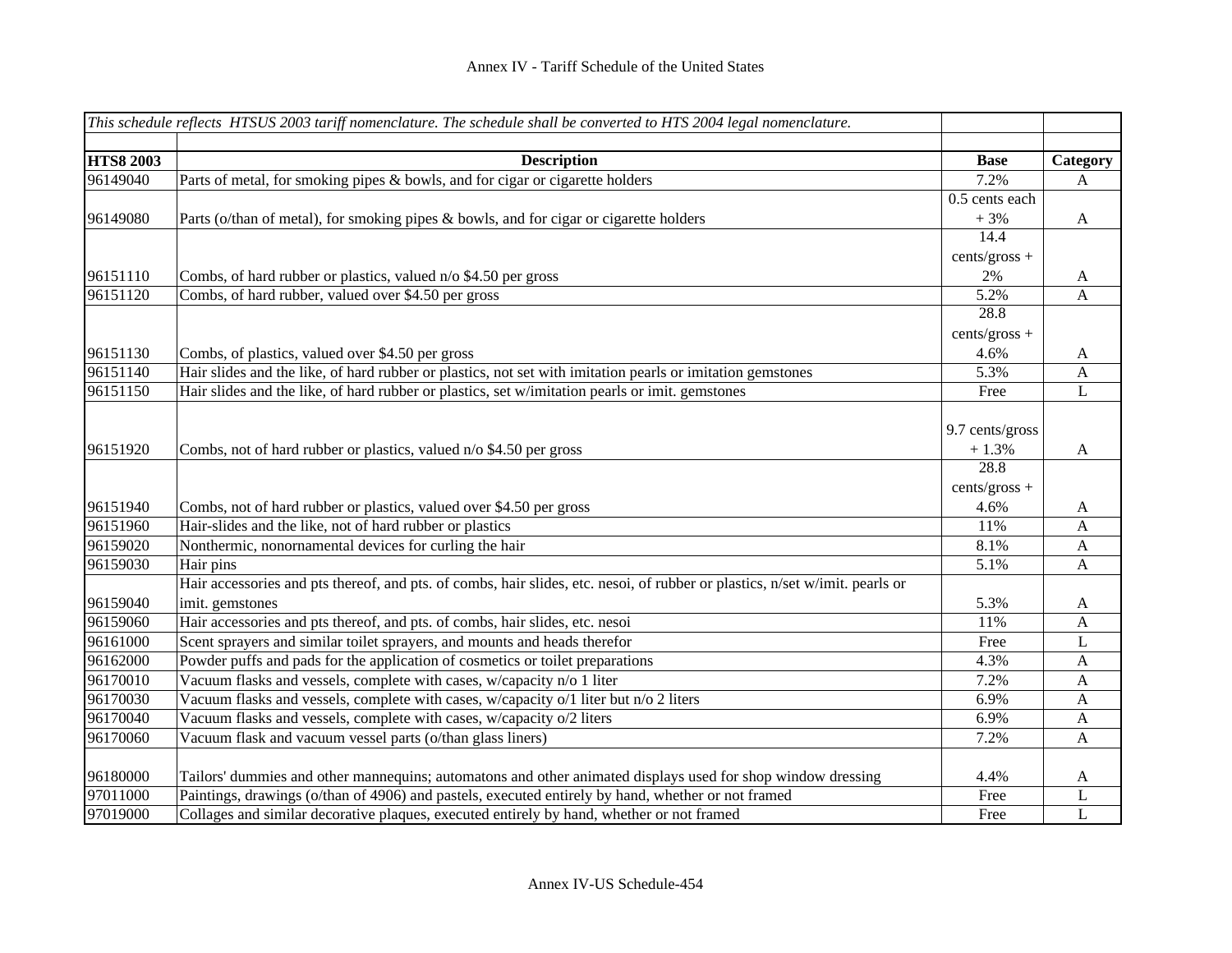|                  | This schedule reflects HTSUS 2003 tariff nomenclature. The schedule shall be converted to HTS 2004 legal nomenclature.       |                 |              |
|------------------|------------------------------------------------------------------------------------------------------------------------------|-----------------|--------------|
| <b>HTS8 2003</b> | <b>Description</b>                                                                                                           | <b>Base</b>     | Category     |
| 96149040         | Parts of metal, for smoking pipes & bowls, and for cigar or cigarette holders                                                | 7.2%            | $\mathbf{A}$ |
|                  |                                                                                                                              | 0.5 cents each  |              |
| 96149080         | Parts (o/than of metal), for smoking pipes & bowls, and for cigar or cigarette holders                                       | $+3%$           | A            |
|                  |                                                                                                                              | 14.4            |              |
|                  |                                                                                                                              | cents/gross +   |              |
| 96151110         | Combs, of hard rubber or plastics, valued n/o \$4.50 per gross                                                               | 2%              | A            |
| 96151120         | Combs, of hard rubber, valued over \$4.50 per gross                                                                          | 5.2%            | A            |
|                  |                                                                                                                              | 28.8            |              |
|                  |                                                                                                                              | cents/gross +   |              |
| 96151130         | Combs, of plastics, valued over \$4.50 per gross                                                                             | 4.6%            | A            |
| 96151140         | Hair slides and the like, of hard rubber or plastics, not set with imitation pearls or imitation gemstones                   | 5.3%            | $\mathbf{A}$ |
| 96151150         | Hair slides and the like, of hard rubber or plastics, set w/imitation pearls or imit. gemstones                              | Free            | L            |
|                  |                                                                                                                              |                 |              |
|                  |                                                                                                                              | 9.7 cents/gross |              |
| 96151920         | Combs, not of hard rubber or plastics, valued n/o \$4.50 per gross                                                           | $+1.3%$<br>28.8 | A            |
|                  |                                                                                                                              |                 |              |
|                  |                                                                                                                              | cents/gross +   |              |
| 96151940         | Combs, not of hard rubber or plastics, valued over \$4.50 per gross                                                          | 4.6%            | A            |
| 96151960         | Hair-slides and the like, not of hard rubber or plastics                                                                     | 11%             | $\mathbf{A}$ |
| 96159020         | Nonthermic, nonornamental devices for curling the hair                                                                       | 8.1%            | $\mathbf{A}$ |
| 96159030         | Hair pins                                                                                                                    | 5.1%            | A            |
|                  | Hair accessories and pts thereof, and pts. of combs, hair slides, etc. nesoi, of rubber or plastics, n/set w/imit. pearls or |                 |              |
| 96159040         | imit. gemstones                                                                                                              | 5.3%            | A            |
| 96159060         | Hair accessories and pts thereof, and pts. of combs, hair slides, etc. nesoi                                                 | 11%             | A            |
| 96161000         | Scent sprayers and similar toilet sprayers, and mounts and heads therefor                                                    | Free            | L            |
| 96162000         | Powder puffs and pads for the application of cosmetics or toilet preparations                                                | 4.3%            | A            |
| 96170010         | Vacuum flasks and vessels, complete with cases, w/capacity n/o 1 liter                                                       | 7.2%            | A            |
| 96170030         | Vacuum flasks and vessels, complete with cases, w/capacity o/1 liter but n/o 2 liters                                        | 6.9%            | A            |
| 96170040         | Vacuum flasks and vessels, complete with cases, w/capacity o/2 liters                                                        | 6.9%            | A            |
| 96170060         | Vacuum flask and vacuum vessel parts (o/than glass liners)                                                                   | 7.2%            | A            |
| 96180000         | Tailors' dummies and other mannequins; automatons and other animated displays used for shop window dressing                  | 4.4%            | A            |
| 97011000         | Paintings, drawings (o/than of 4906) and pastels, executed entirely by hand, whether or not framed                           | Free            | L            |
| 97019000         | Collages and similar decorative plaques, executed entirely by hand, whether or not framed                                    | Free            | $\mathbf L$  |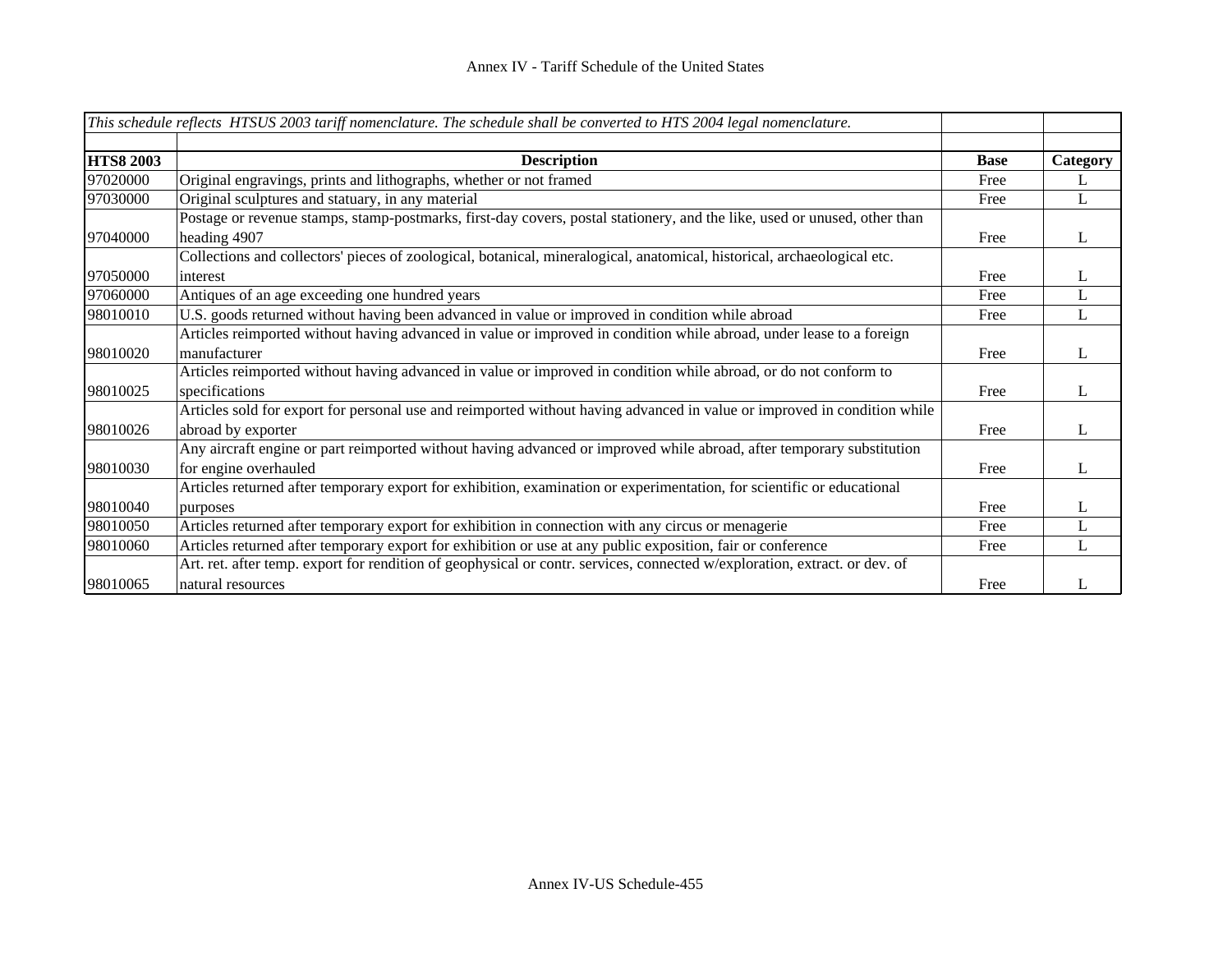|                  | This schedule reflects HTSUS 2003 tariff nomenclature. The schedule shall be converted to HTS 2004 legal nomenclature.     |             |          |
|------------------|----------------------------------------------------------------------------------------------------------------------------|-------------|----------|
|                  |                                                                                                                            |             |          |
| <b>HTS8 2003</b> | <b>Description</b>                                                                                                         | <b>Base</b> | Category |
| 97020000         | Original engravings, prints and lithographs, whether or not framed                                                         | Free        | L        |
| 97030000         | Original sculptures and statuary, in any material                                                                          | Free        | L        |
|                  | Postage or revenue stamps, stamp-postmarks, first-day covers, postal stationery, and the like, used or unused, other than  |             |          |
| 97040000         | heading 4907                                                                                                               | Free        | L        |
|                  | Collections and collectors' pieces of zoological, botanical, mineralogical, anatomical, historical, archaeological etc.    |             |          |
| 97050000         | interest                                                                                                                   | Free        | L        |
| 97060000         | Antiques of an age exceeding one hundred years                                                                             | Free        | L        |
| 98010010         | U.S. goods returned without having been advanced in value or improved in condition while abroad                            | Free        | L        |
|                  | Articles reimported without having advanced in value or improved in condition while abroad, under lease to a foreign       |             |          |
| 98010020         | manufacturer                                                                                                               | Free        | L        |
|                  | Articles reimported without having advanced in value or improved in condition while abroad, or do not conform to           |             |          |
| 98010025         | specifications                                                                                                             | Free        | L        |
|                  | Articles sold for export for personal use and reimported without having advanced in value or improved in condition while   |             |          |
| 98010026         | abroad by exporter                                                                                                         | Free        | L        |
|                  | Any aircraft engine or part reimported without having advanced or improved while abroad, after temporary substitution      |             |          |
| 98010030         | for engine overhauled                                                                                                      | Free        | L        |
|                  | Articles returned after temporary export for exhibition, examination or experimentation, for scientific or educational     |             |          |
| 98010040         | purposes                                                                                                                   | Free        | L        |
| 98010050         | Articles returned after temporary export for exhibition in connection with any circus or menagerie                         | Free        | L        |
| 98010060         | Articles returned after temporary export for exhibition or use at any public exposition, fair or conference                | Free        | L        |
|                  | Art. ret. after temp. export for rendition of geophysical or contr. services, connected w/exploration, extract. or dev. of |             |          |
| 98010065         | natural resources                                                                                                          | Free        |          |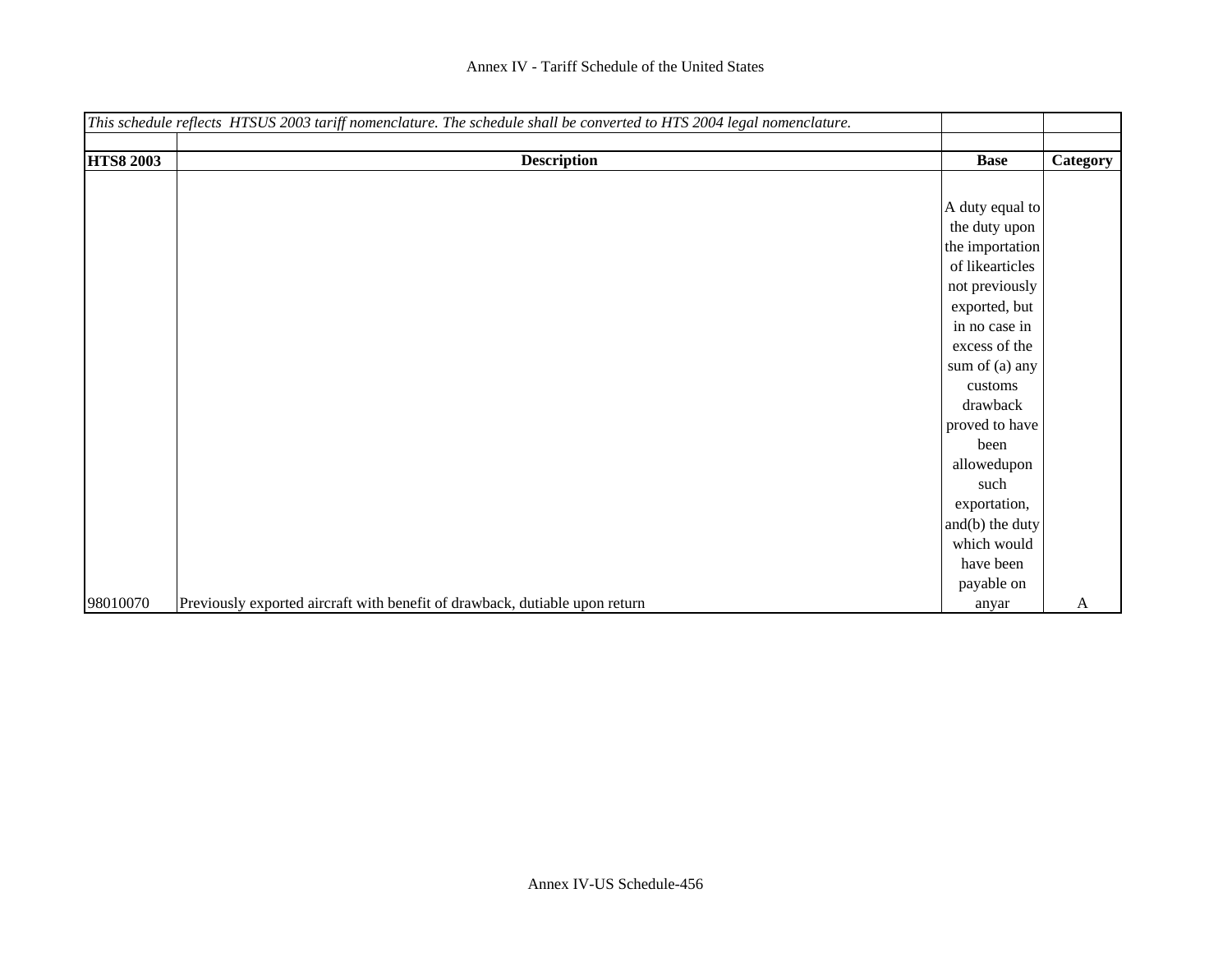|                  | This schedule reflects HTSUS 2003 tariff nomenclature. The schedule shall be converted to HTS 2004 legal nomenclature. |                 |          |
|------------------|------------------------------------------------------------------------------------------------------------------------|-----------------|----------|
|                  |                                                                                                                        |                 |          |
| <b>HTS8 2003</b> | <b>Description</b>                                                                                                     | <b>Base</b>     | Category |
|                  |                                                                                                                        |                 |          |
|                  |                                                                                                                        | A duty equal to |          |
|                  |                                                                                                                        | the duty upon   |          |
|                  |                                                                                                                        | the importation |          |
|                  |                                                                                                                        | of likearticles |          |
|                  |                                                                                                                        | not previously  |          |
|                  |                                                                                                                        | exported, but   |          |
|                  |                                                                                                                        | in no case in   |          |
|                  |                                                                                                                        | excess of the   |          |
|                  |                                                                                                                        | sum of (a) any  |          |
|                  |                                                                                                                        | customs         |          |
|                  |                                                                                                                        | drawback        |          |
|                  |                                                                                                                        | proved to have  |          |
|                  |                                                                                                                        | been            |          |
|                  |                                                                                                                        | allowedupon     |          |
|                  |                                                                                                                        | such            |          |
|                  |                                                                                                                        | exportation,    |          |
|                  |                                                                                                                        | and(b) the duty |          |
|                  |                                                                                                                        | which would     |          |
|                  |                                                                                                                        | have been       |          |
|                  |                                                                                                                        | payable on      |          |
| 98010070         | Previously exported aircraft with benefit of drawback, dutiable upon return                                            | anyar           | A        |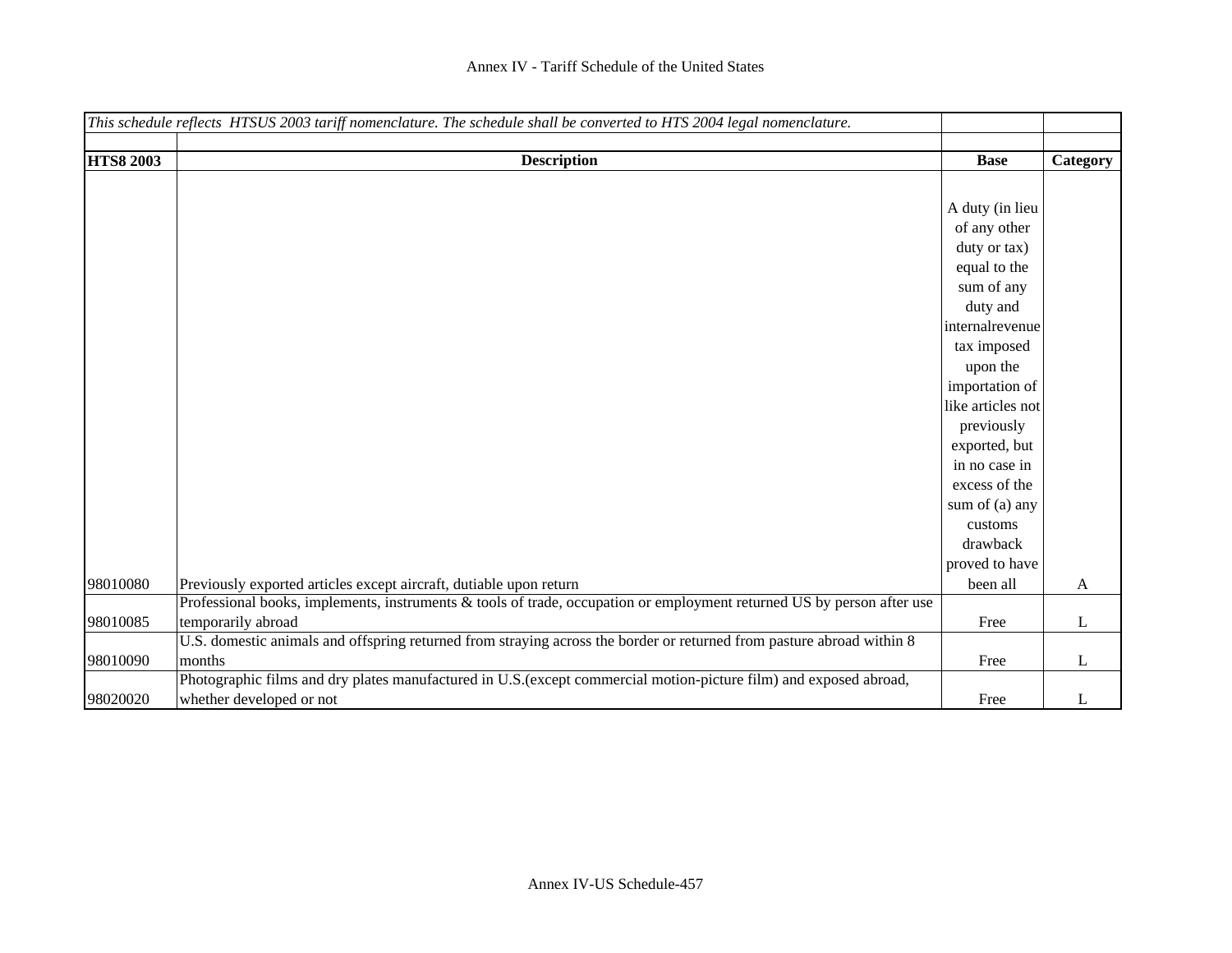|                  | This schedule reflects HTSUS 2003 tariff nomenclature. The schedule shall be converted to HTS 2004 legal nomenclature. |                   |          |
|------------------|------------------------------------------------------------------------------------------------------------------------|-------------------|----------|
|                  |                                                                                                                        |                   |          |
| <b>HTS8 2003</b> | <b>Description</b>                                                                                                     | <b>Base</b>       | Category |
|                  |                                                                                                                        |                   |          |
|                  |                                                                                                                        | A duty (in lieu   |          |
|                  |                                                                                                                        | of any other      |          |
|                  |                                                                                                                        | duty or tax)      |          |
|                  |                                                                                                                        | equal to the      |          |
|                  |                                                                                                                        | sum of any        |          |
|                  |                                                                                                                        | duty and          |          |
|                  |                                                                                                                        | internalrevenue   |          |
|                  |                                                                                                                        | tax imposed       |          |
|                  |                                                                                                                        | upon the          |          |
|                  |                                                                                                                        | importation of    |          |
|                  |                                                                                                                        | like articles not |          |
|                  |                                                                                                                        | previously        |          |
|                  |                                                                                                                        | exported, but     |          |
|                  |                                                                                                                        | in no case in     |          |
|                  |                                                                                                                        | excess of the     |          |
|                  |                                                                                                                        |                   |          |
|                  |                                                                                                                        | sum of (a) any    |          |
|                  |                                                                                                                        | customs           |          |
|                  |                                                                                                                        | drawback          |          |
|                  |                                                                                                                        | proved to have    |          |
| 98010080         | Previously exported articles except aircraft, dutiable upon return                                                     | been all          | A        |
|                  | Professional books, implements, instruments & tools of trade, occupation or employment returned US by person after use |                   |          |
| 98010085         | temporarily abroad                                                                                                     | Free              | L        |
|                  | U.S. domestic animals and offspring returned from straying across the border or returned from pasture abroad within 8  |                   |          |
| 98010090         | months                                                                                                                 | Free              | L        |
|                  | Photographic films and dry plates manufactured in U.S. (except commercial motion-picture film) and exposed abroad,     |                   |          |
| 98020020         | whether developed or not                                                                                               | Free              | L        |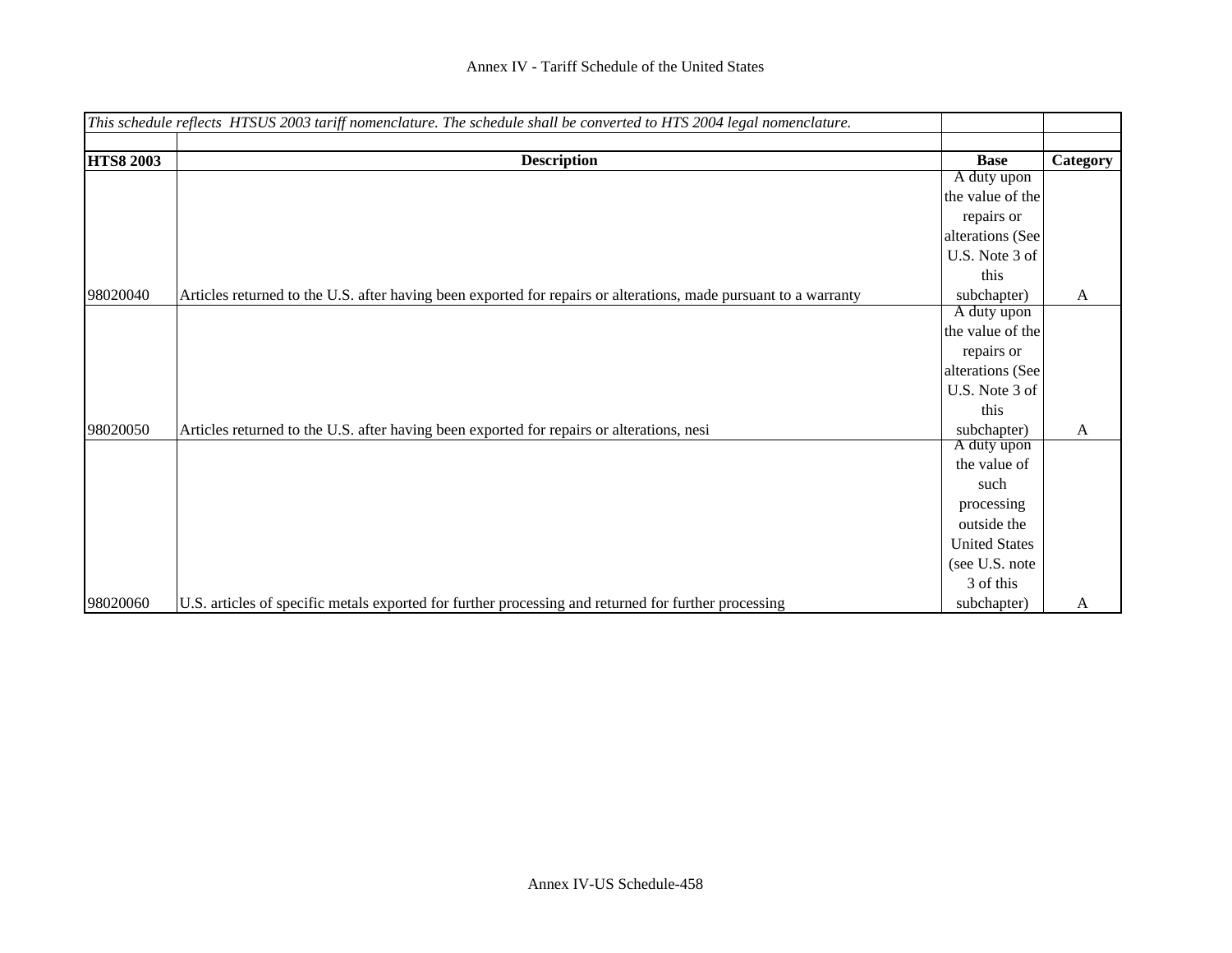|                  | This schedule reflects HTSUS 2003 tariff nomenclature. The schedule shall be converted to HTS 2004 legal nomenclature. |                      |          |
|------------------|------------------------------------------------------------------------------------------------------------------------|----------------------|----------|
|                  |                                                                                                                        |                      |          |
| <b>HTS8 2003</b> | <b>Description</b>                                                                                                     | <b>Base</b>          | Category |
|                  |                                                                                                                        | A duty upon          |          |
|                  |                                                                                                                        | the value of the     |          |
|                  |                                                                                                                        | repairs or           |          |
|                  |                                                                                                                        | alterations (See     |          |
|                  |                                                                                                                        | U.S. Note 3 of       |          |
|                  |                                                                                                                        | this                 |          |
| 98020040         | Articles returned to the U.S. after having been exported for repairs or alterations, made pursuant to a warranty       | subchapter)          | A        |
|                  |                                                                                                                        | A duty upon          |          |
|                  |                                                                                                                        | the value of the     |          |
|                  |                                                                                                                        | repairs or           |          |
|                  |                                                                                                                        | alterations (See     |          |
|                  |                                                                                                                        | U.S. Note 3 of       |          |
|                  |                                                                                                                        | this                 |          |
| 98020050         | Articles returned to the U.S. after having been exported for repairs or alterations, nesi                              | subchapter)          | A        |
|                  |                                                                                                                        | A duty upon          |          |
|                  |                                                                                                                        | the value of         |          |
|                  |                                                                                                                        | such                 |          |
|                  |                                                                                                                        | processing           |          |
|                  |                                                                                                                        | outside the          |          |
|                  |                                                                                                                        | <b>United States</b> |          |
|                  |                                                                                                                        | (see U.S. note       |          |
|                  |                                                                                                                        | 3 of this            |          |
| 98020060         | U.S. articles of specific metals exported for further processing and returned for further processing                   | subchapter)          | A        |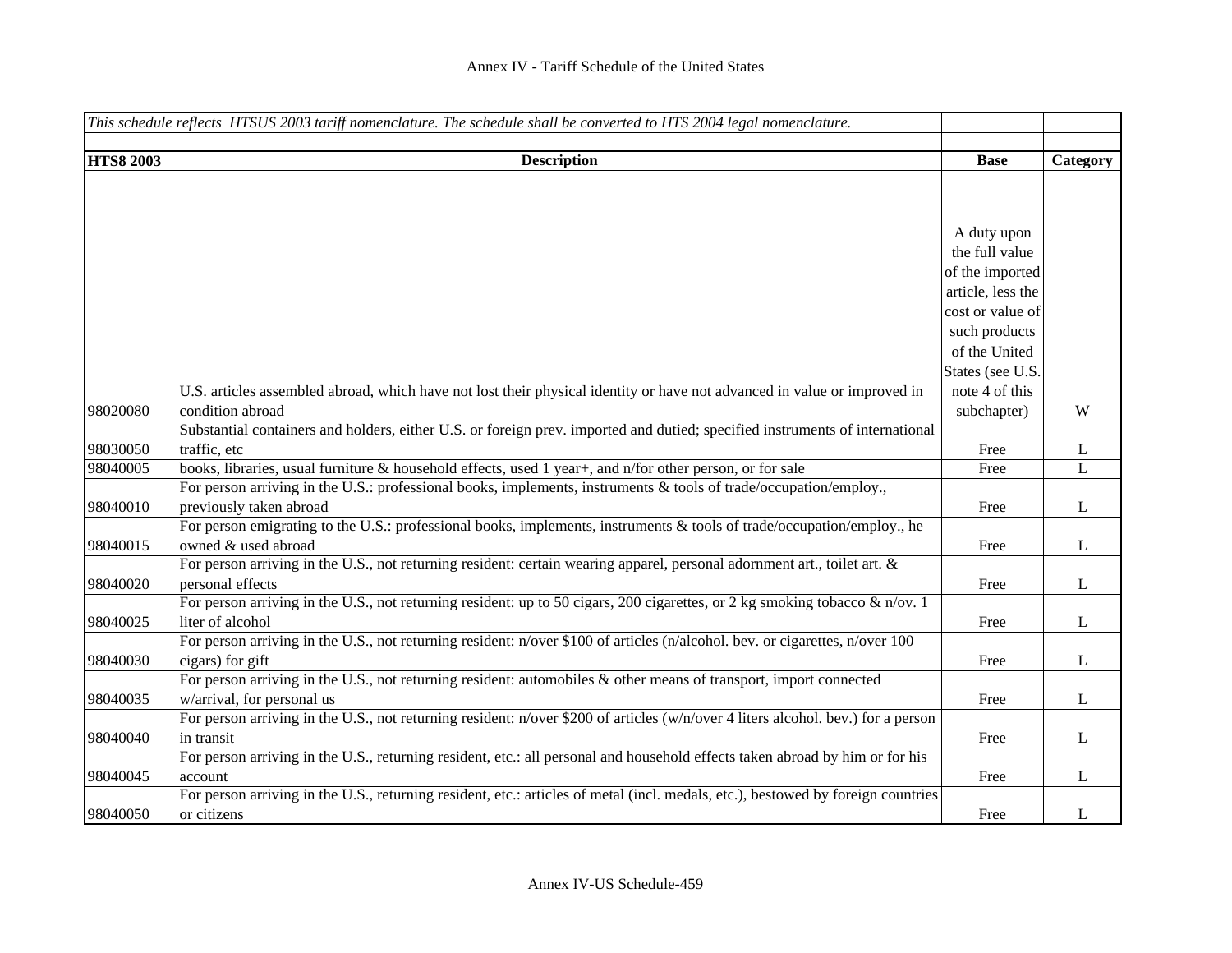|                  | This schedule reflects HTSUS 2003 tariff nomenclature. The schedule shall be converted to HTS 2004 legal nomenclature.                   |                   |              |
|------------------|------------------------------------------------------------------------------------------------------------------------------------------|-------------------|--------------|
| <b>HTS8 2003</b> | <b>Description</b>                                                                                                                       | <b>Base</b>       | Category     |
|                  |                                                                                                                                          |                   |              |
|                  |                                                                                                                                          |                   |              |
|                  |                                                                                                                                          | A duty upon       |              |
|                  |                                                                                                                                          | the full value    |              |
|                  |                                                                                                                                          | of the imported   |              |
|                  |                                                                                                                                          | article, less the |              |
|                  |                                                                                                                                          | cost or value of  |              |
|                  |                                                                                                                                          | such products     |              |
|                  |                                                                                                                                          | of the United     |              |
|                  |                                                                                                                                          | States (see U.S.  |              |
|                  | U.S. articles assembled abroad, which have not lost their physical identity or have not advanced in value or improved in                 | note 4 of this    |              |
| 98020080         | condition abroad                                                                                                                         | subchapter)       | W            |
|                  | Substantial containers and holders, either U.S. or foreign prev. imported and dutied; specified instruments of international             |                   |              |
| 98030050         | traffic, etc                                                                                                                             | Free              | L            |
| 98040005         | books, libraries, usual furniture & household effects, used 1 year+, and n/for other person, or for sale                                 | Free              | $\mathbf{L}$ |
|                  | For person arriving in the U.S.: professional books, implements, instruments & tools of trade/occupation/employ.,                        |                   |              |
| 98040010         | previously taken abroad                                                                                                                  | Free              | $\mathbf{L}$ |
|                  | For person emigrating to the U.S.: professional books, implements, instruments & tools of trade/occupation/employ., he                   |                   |              |
| 98040015         | owned & used abroad                                                                                                                      | Free              | $\mathbf{L}$ |
|                  | For person arriving in the U.S., not returning resident: certain wearing apparel, personal adornment art., toilet art. &                 |                   |              |
| 98040020         | personal effects                                                                                                                         | Free              | $\mathbf{L}$ |
|                  | For person arriving in the U.S., not returning resident: up to 50 cigars, 200 cigarettes, or 2 kg smoking tobacco & $n/ov$ . 1           |                   |              |
| 98040025         | liter of alcohol                                                                                                                         | Free              | $\bf L$      |
| 98040030         | For person arriving in the U.S., not returning resident: n/over \$100 of articles (n/alcohol. bev. or cigarettes, n/over 100             |                   | $\mathbf{L}$ |
|                  | cigars) for gift<br>For person arriving in the U.S., not returning resident: automobiles $\&$ other means of transport, import connected | Free              |              |
| 98040035         | w/arrival, for personal us                                                                                                               | Free              | $\mathbf{L}$ |
|                  | For person arriving in the U.S., not returning resident: n/over \$200 of articles (w/n/over 4 liters alcohol. bev.) for a person         |                   |              |
| 98040040         | in transit                                                                                                                               | Free              | $\bf L$      |
|                  | For person arriving in the U.S., returning resident, etc.: all personal and household effects taken abroad by him or for his             |                   |              |
| 98040045         | account                                                                                                                                  | Free              | $\mathbf{L}$ |
|                  | For person arriving in the U.S., returning resident, etc.: articles of metal (incl. medals, etc.), bestowed by foreign countries         |                   |              |
| 98040050         | or citizens                                                                                                                              | Free              | L            |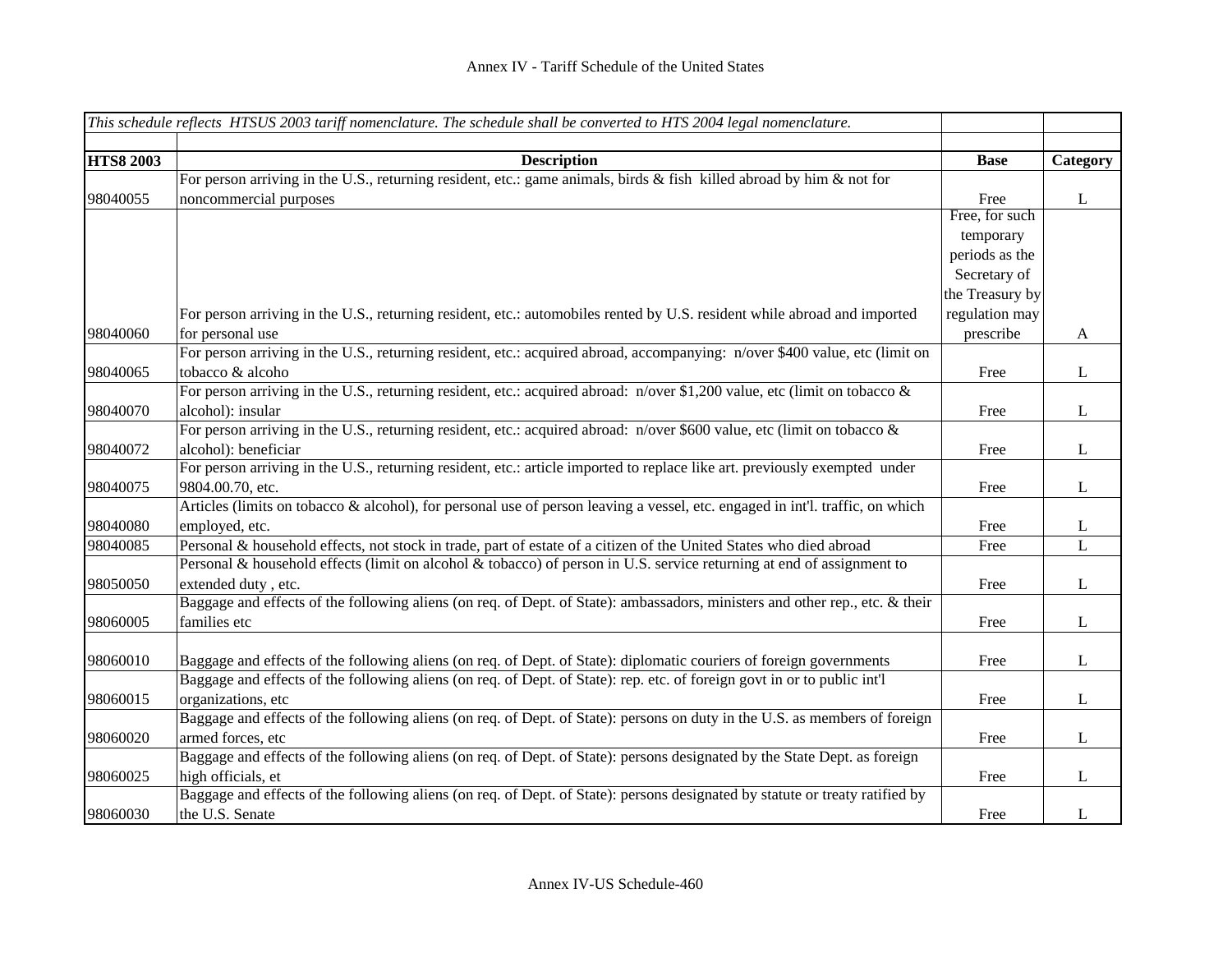|                  | This schedule reflects HTSUS 2003 tariff nomenclature. The schedule shall be converted to HTS 2004 legal nomenclature.        |                 |              |
|------------------|-------------------------------------------------------------------------------------------------------------------------------|-----------------|--------------|
|                  |                                                                                                                               |                 |              |
| <b>HTS8 2003</b> | <b>Description</b>                                                                                                            | <b>Base</b>     | Category     |
|                  | For person arriving in the U.S., returning resident, etc.: game animals, birds & fish killed abroad by him & not for          |                 |              |
| 98040055         | noncommercial purposes                                                                                                        | Free            | $\bf L$      |
|                  |                                                                                                                               | Free, for such  |              |
|                  |                                                                                                                               | temporary       |              |
|                  |                                                                                                                               | periods as the  |              |
|                  |                                                                                                                               | Secretary of    |              |
|                  |                                                                                                                               | the Treasury by |              |
|                  | For person arriving in the U.S., returning resident, etc.: automobiles rented by U.S. resident while abroad and imported      | regulation may  |              |
| 98040060         | for personal use                                                                                                              | prescribe       | A            |
|                  | For person arriving in the U.S., returning resident, etc.: acquired abroad, accompanying: n/over \$400 value, etc (limit on   |                 |              |
| 98040065         | tobacco & alcoho                                                                                                              | Free            | $\bf L$      |
|                  | For person arriving in the U.S., returning resident, etc.: acquired abroad: n/over \$1,200 value, etc (limit on tobacco &     |                 |              |
| 98040070         | alcohol): insular                                                                                                             | Free            | $\bf L$      |
|                  | For person arriving in the U.S., returning resident, etc.: acquired abroad: n/over \$600 value, etc (limit on tobacco &       |                 |              |
| 98040072         | alcohol): beneficiar                                                                                                          | Free            | $\mathbf{L}$ |
|                  | For person arriving in the U.S., returning resident, etc.: article imported to replace like art. previously exempted under    |                 |              |
| 98040075         | 9804.00.70, etc.                                                                                                              | Free            | $\mathbf L$  |
|                  | Articles (limits on tobacco & alcohol), for personal use of person leaving a vessel, etc. engaged in int'l. traffic, on which |                 |              |
| 98040080         | employed, etc.                                                                                                                | Free            | $\mathbf{L}$ |
| 98040085         | Personal & household effects, not stock in trade, part of estate of a citizen of the United States who died abroad            | Free            | $\mathbf{L}$ |
|                  | Personal & household effects (limit on alcohol & tobacco) of person in U.S. service returning at end of assignment to         |                 |              |
| 98050050         | extended duty, etc.                                                                                                           | Free            | $\mathbf{L}$ |
|                  | Baggage and effects of the following aliens (on req. of Dept. of State): ambassadors, ministers and other rep., etc. & their  |                 |              |
| 98060005         | families etc                                                                                                                  | Free            | $\mathbf L$  |
|                  |                                                                                                                               |                 |              |
| 98060010         | Baggage and effects of the following aliens (on req. of Dept. of State): diplomatic couriers of foreign governments           | Free            | $\bf L$      |
|                  | Baggage and effects of the following aliens (on req. of Dept. of State): rep. etc. of foreign govt in or to public int'l      |                 |              |
| 98060015         | organizations, etc                                                                                                            | Free            | $\bf L$      |
|                  | Baggage and effects of the following aliens (on req. of Dept. of State): persons on duty in the U.S. as members of foreign    |                 |              |
| 98060020         | armed forces, etc                                                                                                             | Free            | $\bf L$      |
|                  | Baggage and effects of the following aliens (on req. of Dept. of State): persons designated by the State Dept. as foreign     |                 |              |
| 98060025         | high officials, et                                                                                                            | Free            | $\mathbf{L}$ |
|                  | Baggage and effects of the following aliens (on req. of Dept. of State): persons designated by statute or treaty ratified by  |                 |              |
| 98060030         | the U.S. Senate                                                                                                               | Free            | L            |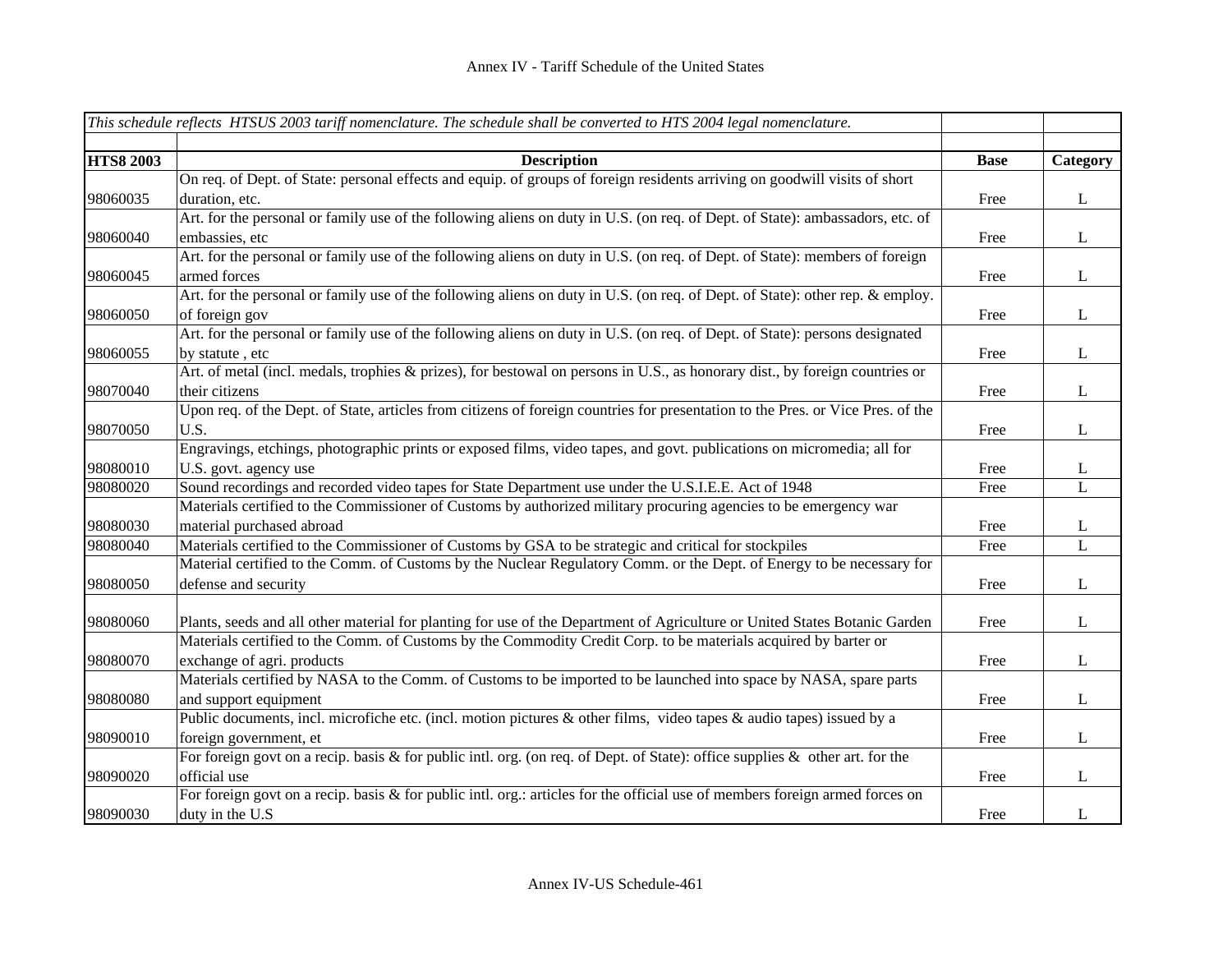|                  | This schedule reflects HTSUS 2003 tariff nomenclature. The schedule shall be converted to HTS 2004 legal nomenclature.          |             |              |
|------------------|---------------------------------------------------------------------------------------------------------------------------------|-------------|--------------|
|                  |                                                                                                                                 |             |              |
| <b>HTS8 2003</b> | <b>Description</b>                                                                                                              | <b>Base</b> | Category     |
|                  | On req. of Dept. of State: personal effects and equip. of groups of foreign residents arriving on goodwill visits of short      |             |              |
| 98060035         | duration, etc.                                                                                                                  | Free        | $\bf L$      |
|                  | Art. for the personal or family use of the following aliens on duty in U.S. (on req. of Dept. of State): ambassadors, etc. of   |             |              |
| 98060040         | embassies, etc                                                                                                                  | Free        | $\mathbf{L}$ |
|                  | Art. for the personal or family use of the following aliens on duty in U.S. (on req. of Dept. of State): members of foreign     |             |              |
| 98060045         | armed forces                                                                                                                    | Free        | $\bf L$      |
|                  | Art. for the personal or family use of the following aliens on duty in U.S. (on req. of Dept. of State): other rep. & employ.   |             |              |
| 98060050         | of foreign gov                                                                                                                  | Free        | $\bf L$      |
|                  | Art. for the personal or family use of the following aliens on duty in U.S. (on req. of Dept. of State): persons designated     |             |              |
| 98060055         | by statute, etc                                                                                                                 | Free        | $\bf L$      |
|                  | Art. of metal (incl. medals, trophies & prizes), for bestowal on persons in U.S., as honorary dist., by foreign countries or    |             |              |
| 98070040         | their citizens                                                                                                                  | Free        | $\mathbf{L}$ |
|                  | Upon req. of the Dept. of State, articles from citizens of foreign countries for presentation to the Pres. or Vice Pres. of the |             |              |
| 98070050         | U.S.                                                                                                                            | Free        | $\mathbf L$  |
|                  | Engravings, etchings, photographic prints or exposed films, video tapes, and govt. publications on micromedia; all for          |             |              |
| 98080010         | U.S. govt. agency use                                                                                                           | Free        | $\bf L$      |
| 98080020         | Sound recordings and recorded video tapes for State Department use under the U.S.I.E.E. Act of 1948                             | Free        | L            |
|                  | Materials certified to the Commissioner of Customs by authorized military procuring agencies to be emergency war                |             |              |
| 98080030         | material purchased abroad                                                                                                       | Free        | $\bf L$      |
| 98080040         | Materials certified to the Commissioner of Customs by GSA to be strategic and critical for stockpiles                           | Free        | L            |
|                  | Material certified to the Comm. of Customs by the Nuclear Regulatory Comm. or the Dept. of Energy to be necessary for           |             |              |
| 98080050         | defense and security                                                                                                            | Free        | $\bf L$      |
|                  |                                                                                                                                 |             |              |
| 98080060         | Plants, seeds and all other material for planting for use of the Department of Agriculture or United States Botanic Garden      | Free        | $\bf L$      |
|                  | Materials certified to the Comm. of Customs by the Commodity Credit Corp. to be materials acquired by barter or                 |             |              |
| 98080070         | exchange of agri. products                                                                                                      | Free        | $\mathbf{L}$ |
|                  | Materials certified by NASA to the Comm. of Customs to be imported to be launched into space by NASA, spare parts               |             |              |
| 98080080         | and support equipment                                                                                                           | Free        | $\mathbf L$  |
|                  | Public documents, incl. microfiche etc. (incl. motion pictures & other films, video tapes & audio tapes) issued by a            |             |              |
| 98090010         | foreign government, et                                                                                                          | Free        | $\mathbf{L}$ |
|                  | For foreign govt on a recip. basis & for public intl. org. (on req. of Dept. of State): office supplies & other art. for the    |             |              |
| 98090020         | official use                                                                                                                    | Free        | $\mathbf{L}$ |
|                  | For foreign govt on a recip. basis & for public intl. org.: articles for the official use of members foreign armed forces on    |             |              |
| 98090030         | duty in the U.S.                                                                                                                | Free        | L            |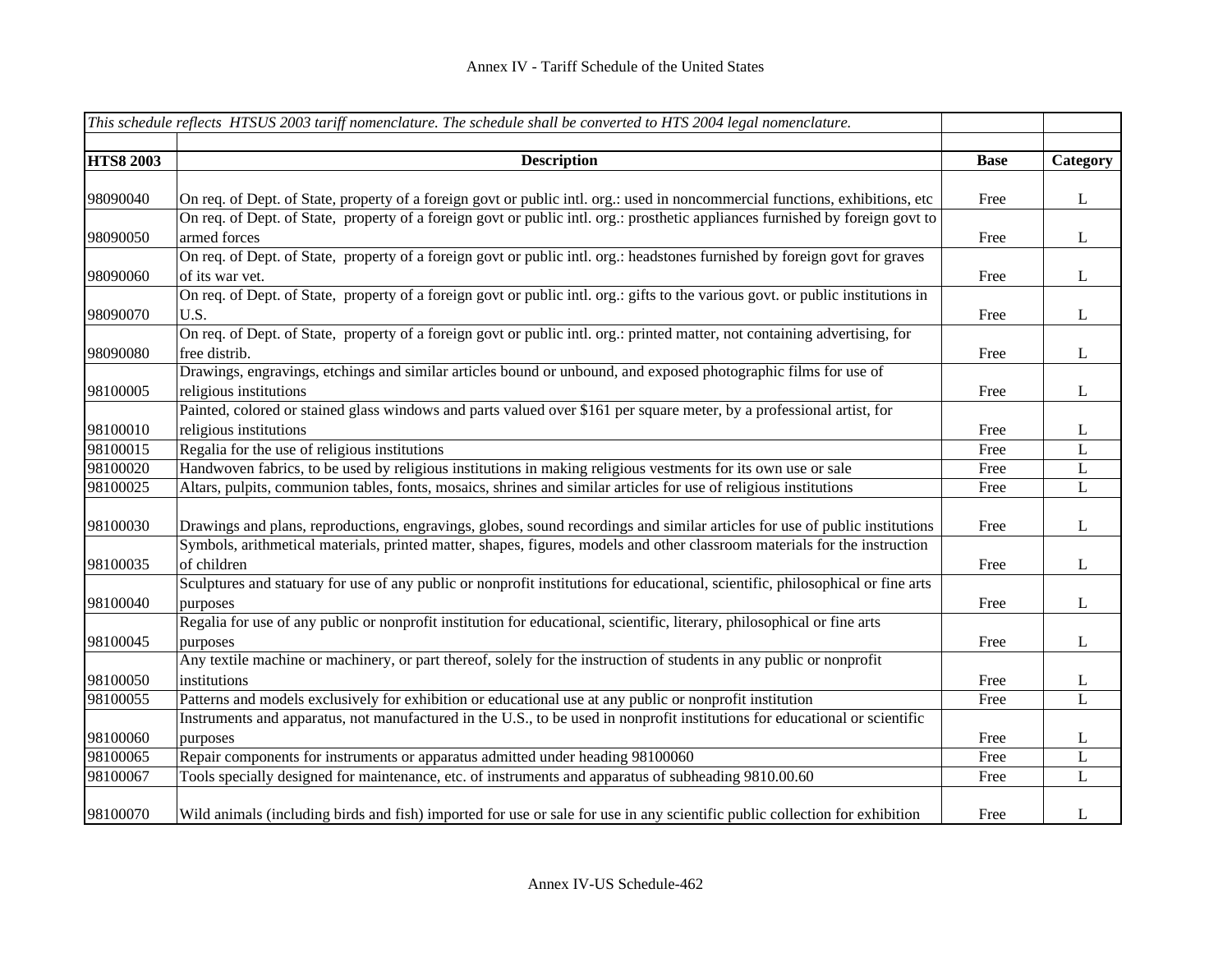|                  | This schedule reflects HTSUS 2003 tariff nomenclature. The schedule shall be converted to HTS 2004 legal nomenclature.           |             |              |
|------------------|----------------------------------------------------------------------------------------------------------------------------------|-------------|--------------|
| <b>HTS8 2003</b> | <b>Description</b>                                                                                                               | <b>Base</b> | Category     |
|                  |                                                                                                                                  |             |              |
| 98090040         | On req. of Dept. of State, property of a foreign govt or public intl. org.: used in noncommercial functions, exhibitions, etc    | Free        | L            |
|                  | On req. of Dept. of State, property of a foreign govt or public intl. org.: prosthetic appliances furnished by foreign govt to   |             |              |
| 98090050         | armed forces                                                                                                                     | Free        | $\mathbf{L}$ |
|                  | On req. of Dept. of State, property of a foreign govt or public intl. org.: headstones furnished by foreign govt for graves      |             |              |
| 98090060         | of its war vet.                                                                                                                  | Free        | $\mathbf{L}$ |
|                  | On req. of Dept. of State, property of a foreign govt or public intl. org.: gifts to the various govt. or public institutions in |             |              |
| 98090070         | U.S.                                                                                                                             | Free        | $\mathbf{L}$ |
|                  | On req. of Dept. of State, property of a foreign govt or public intl. org.: printed matter, not containing advertising, for      |             |              |
| 98090080         | free distrib.                                                                                                                    | Free        | $\mathbf{L}$ |
|                  | Drawings, engravings, etchings and similar articles bound or unbound, and exposed photographic films for use of                  |             |              |
| 98100005         | religious institutions                                                                                                           | Free        | $\mathbf{L}$ |
|                  | Painted, colored or stained glass windows and parts valued over \$161 per square meter, by a professional artist, for            |             |              |
| 98100010         | religious institutions                                                                                                           | Free        | L            |
| 98100015         | Regalia for the use of religious institutions                                                                                    | Free        | L            |
| 98100020         | Handwoven fabrics, to be used by religious institutions in making religious vestments for its own use or sale                    | Free        | $\bf L$      |
| 98100025         | Altars, pulpits, communion tables, fonts, mosaics, shrines and similar articles for use of religious institutions                | Free        | $\bf L$      |
| 98100030         | Drawings and plans, reproductions, engravings, globes, sound recordings and similar articles for use of public institutions      | Free        | L            |
|                  | Symbols, arithmetical materials, printed matter, shapes, figures, models and other classroom materials for the instruction       |             |              |
| 98100035         | of children                                                                                                                      | Free        | L            |
|                  | Sculptures and statuary for use of any public or nonprofit institutions for educational, scientific, philosophical or fine arts  |             |              |
| 98100040         | purposes                                                                                                                         | Free        | L            |
|                  | Regalia for use of any public or nonprofit institution for educational, scientific, literary, philosophical or fine arts         |             |              |
| 98100045         | purposes                                                                                                                         | Free        | L            |
|                  | Any textile machine or machinery, or part thereof, solely for the instruction of students in any public or nonprofit             |             |              |
| 98100050         | institutions                                                                                                                     | Free        | L            |
| 98100055         | Patterns and models exclusively for exhibition or educational use at any public or nonprofit institution                         | Free        | $\mathbf{L}$ |
|                  | Instruments and apparatus, not manufactured in the U.S., to be used in nonprofit institutions for educational or scientific      |             |              |
| 98100060         | purposes                                                                                                                         | Free        | L            |
| 98100065         | Repair components for instruments or apparatus admitted under heading 98100060                                                   | Free        | L            |
| 98100067         | Tools specially designed for maintenance, etc. of instruments and apparatus of subheading 9810.00.60                             | Free        | L            |
| 98100070         | Wild animals (including birds and fish) imported for use or sale for use in any scientific public collection for exhibition      | Free        | L            |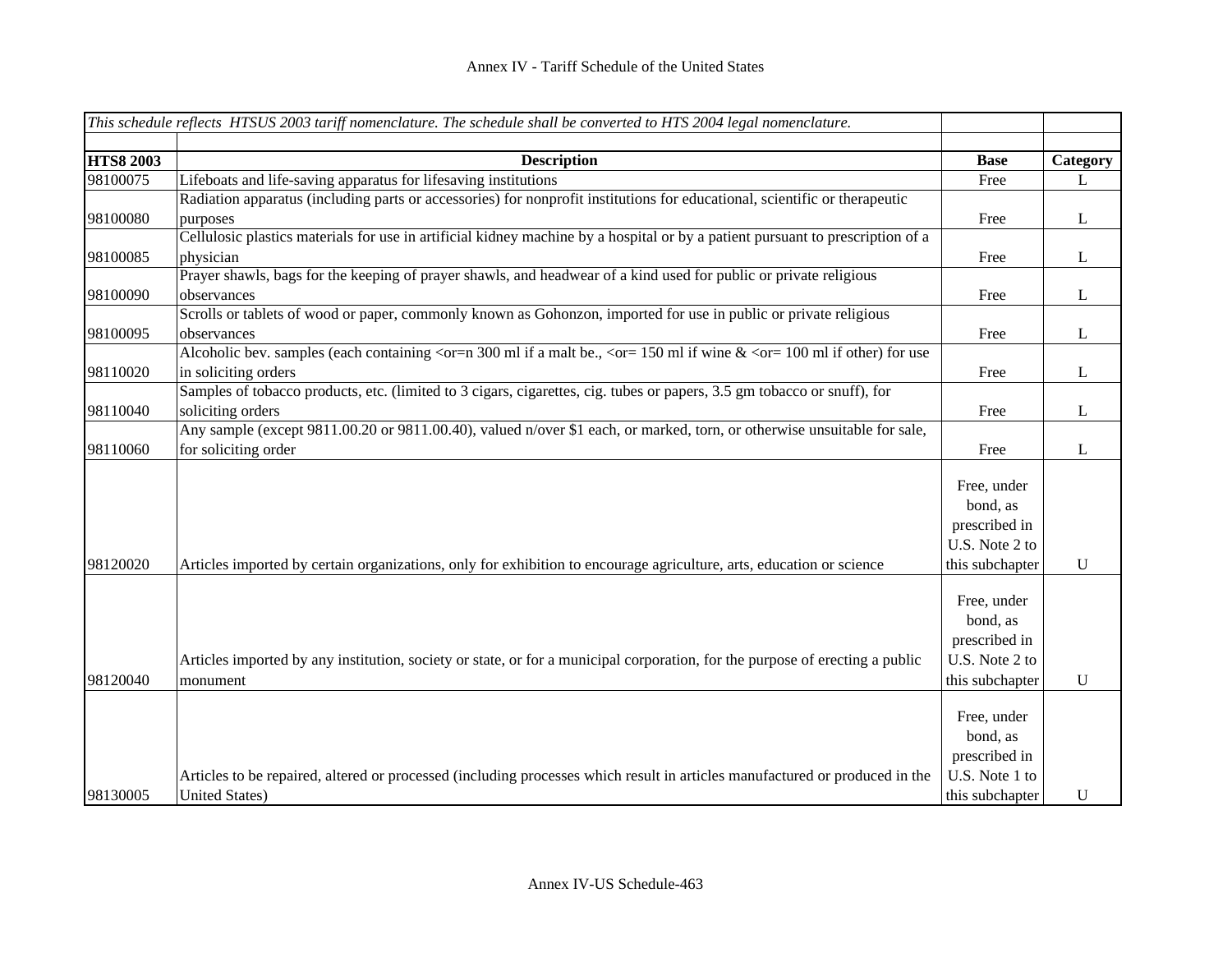|                  | This schedule reflects HTSUS 2003 tariff nomenclature. The schedule shall be converted to HTS 2004 legal nomenclature.                                                                                                                |                                                                               |              |
|------------------|---------------------------------------------------------------------------------------------------------------------------------------------------------------------------------------------------------------------------------------|-------------------------------------------------------------------------------|--------------|
| <b>HTS8 2003</b> |                                                                                                                                                                                                                                       |                                                                               |              |
|                  | <b>Description</b>                                                                                                                                                                                                                    | <b>Base</b>                                                                   | Category     |
| 98100075         | Lifeboats and life-saving apparatus for lifesaving institutions                                                                                                                                                                       | Free                                                                          | L            |
| 98100080         | Radiation apparatus (including parts or accessories) for nonprofit institutions for educational, scientific or therapeutic<br>purposes                                                                                                | Free                                                                          | $\bf L$      |
|                  | Cellulosic plastics materials for use in artificial kidney machine by a hospital or by a patient pursuant to prescription of a                                                                                                        |                                                                               |              |
| 98100085         | physician                                                                                                                                                                                                                             | Free                                                                          | $\mathbf{L}$ |
|                  | Prayer shawls, bags for the keeping of prayer shawls, and headwear of a kind used for public or private religious                                                                                                                     |                                                                               |              |
| 98100090         | observances                                                                                                                                                                                                                           | Free                                                                          | $\mathbf{L}$ |
|                  | Scrolls or tablets of wood or paper, commonly known as Gohonzon, imported for use in public or private religious                                                                                                                      |                                                                               |              |
| 98100095         | observances                                                                                                                                                                                                                           | Free                                                                          | $\bf L$      |
|                  | Alcoholic bev. samples (each containing $\langle \text{or} = n \, 300 \, \text{ml} \rangle$ if a malt be., $\langle \text{or} = 150 \, \text{ml} \rangle$ if wine $\& \langle \text{or} = 100 \, \text{ml} \rangle$ if other) for use |                                                                               |              |
| 98110020         | in soliciting orders                                                                                                                                                                                                                  | Free                                                                          | L            |
|                  | Samples of tobacco products, etc. (limited to 3 cigars, cigarettes, cig. tubes or papers, 3.5 gm tobacco or snuff), for                                                                                                               |                                                                               |              |
| 98110040         | soliciting orders                                                                                                                                                                                                                     | Free                                                                          | L            |
|                  | Any sample (except 9811.00.20 or 9811.00.40), valued n/over \$1 each, or marked, torn, or otherwise unsuitable for sale,                                                                                                              |                                                                               |              |
| 98110060         | for soliciting order                                                                                                                                                                                                                  | Free                                                                          | L            |
|                  |                                                                                                                                                                                                                                       | Free, under<br>bond, as<br>prescribed in<br>U.S. Note 2 to                    |              |
| 98120020         | Articles imported by certain organizations, only for exhibition to encourage agriculture, arts, education or science                                                                                                                  | this subchapter                                                               | U            |
| 98120040         | Articles imported by any institution, society or state, or for a municipal corporation, for the purpose of erecting a public<br>monument                                                                                              | Free, under<br>bond, as<br>prescribed in<br>U.S. Note 2 to<br>this subchapter | U            |
|                  |                                                                                                                                                                                                                                       |                                                                               |              |
|                  |                                                                                                                                                                                                                                       | Free, under                                                                   |              |
|                  |                                                                                                                                                                                                                                       | bond, as                                                                      |              |
|                  |                                                                                                                                                                                                                                       | prescribed in                                                                 |              |
|                  | Articles to be repaired, altered or processed (including processes which result in articles manufactured or produced in the                                                                                                           | U.S. Note 1 to                                                                |              |
| 98130005         | <b>United States)</b>                                                                                                                                                                                                                 | this subchapter                                                               | $\mathbf U$  |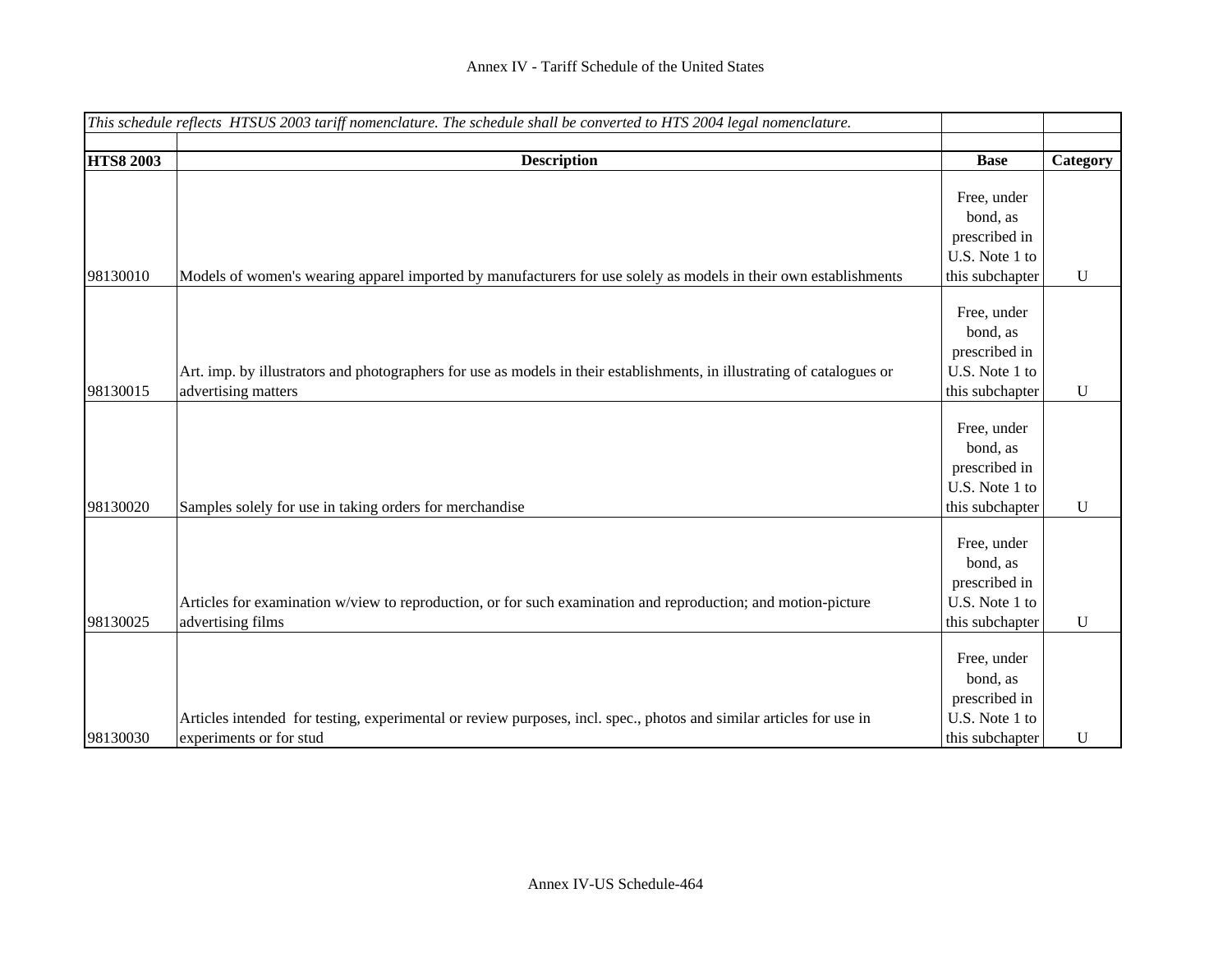|                  | This schedule reflects HTSUS 2003 tariff nomenclature. The schedule shall be converted to HTS 2004 legal nomenclature.  |                 |             |
|------------------|-------------------------------------------------------------------------------------------------------------------------|-----------------|-------------|
|                  |                                                                                                                         |                 |             |
| <b>HTS8 2003</b> | <b>Description</b>                                                                                                      | <b>Base</b>     | Category    |
|                  |                                                                                                                         | Free, under     |             |
|                  |                                                                                                                         |                 |             |
|                  |                                                                                                                         | bond, as        |             |
|                  |                                                                                                                         | prescribed in   |             |
|                  |                                                                                                                         | U.S. Note 1 to  |             |
| 98130010         | Models of women's wearing apparel imported by manufacturers for use solely as models in their own establishments        | this subchapter | U           |
|                  |                                                                                                                         | Free, under     |             |
|                  |                                                                                                                         | bond, as        |             |
|                  |                                                                                                                         |                 |             |
|                  |                                                                                                                         | prescribed in   |             |
|                  | Art. imp. by illustrators and photographers for use as models in their establishments, in illustrating of catalogues or | U.S. Note 1 to  |             |
| 98130015         | advertising matters                                                                                                     | this subchapter | $\mathbf U$ |
|                  |                                                                                                                         | Free, under     |             |
|                  |                                                                                                                         |                 |             |
|                  |                                                                                                                         | bond, as        |             |
|                  |                                                                                                                         | prescribed in   |             |
|                  |                                                                                                                         | U.S. Note 1 to  |             |
| 98130020         | Samples solely for use in taking orders for merchandise                                                                 | this subchapter | $\mathbf U$ |
|                  |                                                                                                                         | Free, under     |             |
|                  |                                                                                                                         |                 |             |
|                  |                                                                                                                         | bond, as        |             |
|                  |                                                                                                                         | prescribed in   |             |
|                  | Articles for examination w/view to reproduction, or for such examination and reproduction; and motion-picture           | U.S. Note 1 to  |             |
| 98130025         | advertising films                                                                                                       | this subchapter | $\mathbf U$ |
|                  |                                                                                                                         | Free, under     |             |
|                  |                                                                                                                         |                 |             |
|                  |                                                                                                                         | bond, as        |             |
|                  |                                                                                                                         | prescribed in   |             |
|                  | Articles intended for testing, experimental or review purposes, incl. spec., photos and similar articles for use in     | U.S. Note 1 to  |             |
| 98130030         | experiments or for stud                                                                                                 | this subchapter | U           |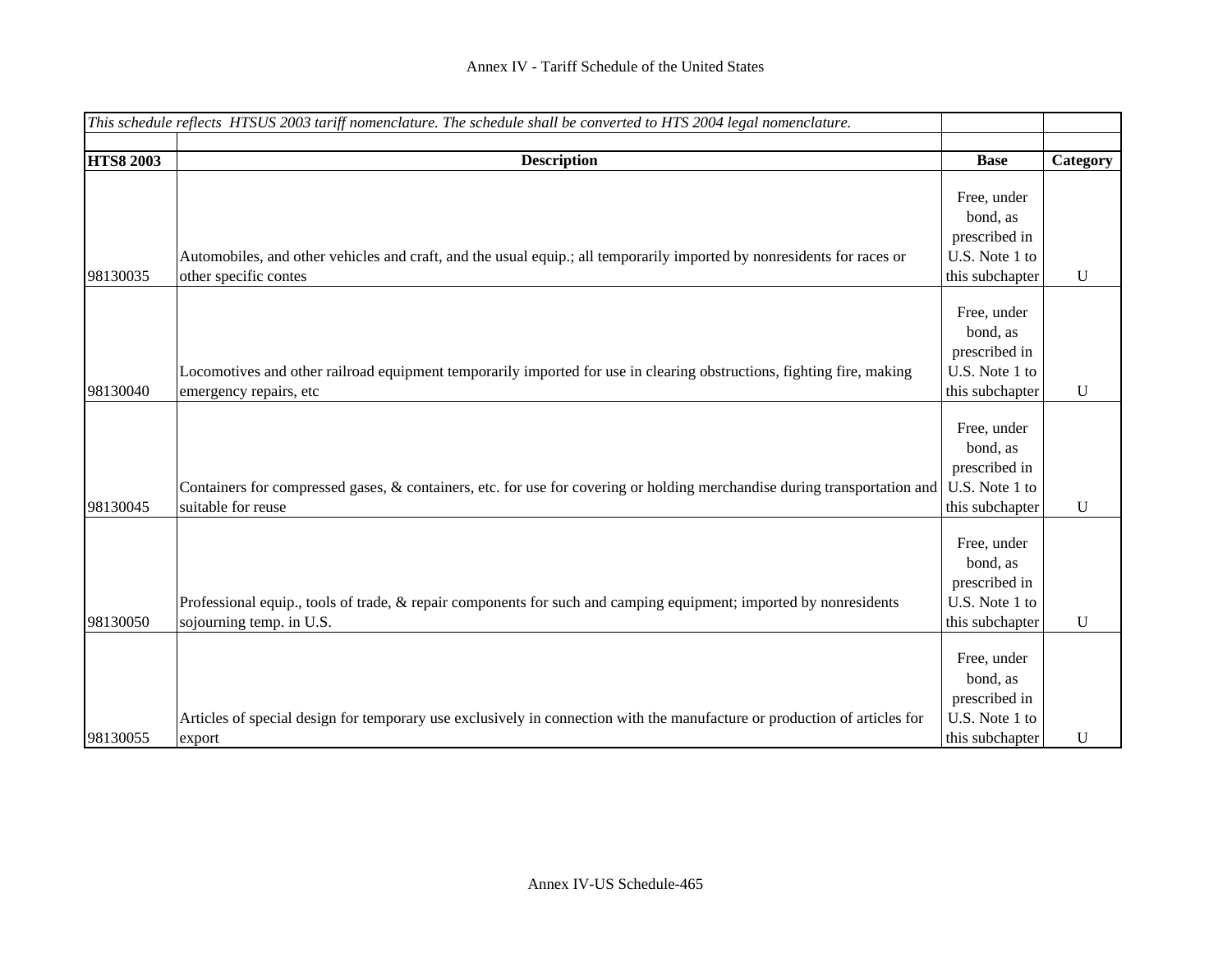|                  | This schedule reflects HTSUS 2003 tariff nomenclature. The schedule shall be converted to HTS 2004 legal nomenclature.    |                 |             |
|------------------|---------------------------------------------------------------------------------------------------------------------------|-----------------|-------------|
|                  |                                                                                                                           |                 |             |
| <b>HTS8 2003</b> | <b>Description</b>                                                                                                        | <b>Base</b>     | Category    |
|                  |                                                                                                                           |                 |             |
|                  |                                                                                                                           | Free, under     |             |
|                  |                                                                                                                           | bond, as        |             |
|                  |                                                                                                                           | prescribed in   |             |
|                  | Automobiles, and other vehicles and craft, and the usual equip.; all temporarily imported by nonresidents for races or    | U.S. Note 1 to  |             |
| 98130035         | other specific contes                                                                                                     | this subchapter | ${\bf U}$   |
|                  |                                                                                                                           |                 |             |
|                  |                                                                                                                           | Free, under     |             |
|                  |                                                                                                                           | bond, as        |             |
|                  |                                                                                                                           | prescribed in   |             |
|                  | Locomotives and other railroad equipment temporarily imported for use in clearing obstructions, fighting fire, making     | U.S. Note 1 to  |             |
| 98130040         | emergency repairs, etc                                                                                                    | this subchapter | $\mathbf U$ |
|                  |                                                                                                                           |                 |             |
|                  |                                                                                                                           | Free, under     |             |
|                  |                                                                                                                           | bond, as        |             |
|                  |                                                                                                                           | prescribed in   |             |
|                  | Containers for compressed gases, & containers, etc. for use for covering or holding merchandise during transportation and | U.S. Note 1 to  |             |
| 98130045         | suitable for reuse                                                                                                        | this subchapter | $\mathbf U$ |
|                  |                                                                                                                           |                 |             |
|                  |                                                                                                                           | Free, under     |             |
|                  |                                                                                                                           | bond, as        |             |
|                  |                                                                                                                           | prescribed in   |             |
|                  | Professional equip., tools of trade, & repair components for such and camping equipment; imported by nonresidents         | U.S. Note 1 to  |             |
| 98130050         | sojourning temp. in U.S.                                                                                                  | this subchapter | $\mathbf U$ |
|                  |                                                                                                                           |                 |             |
|                  |                                                                                                                           | Free, under     |             |
|                  |                                                                                                                           | bond, as        |             |
|                  |                                                                                                                           | prescribed in   |             |
|                  | Articles of special design for temporary use exclusively in connection with the manufacture or production of articles for | U.S. Note 1 to  |             |
| 98130055         | export                                                                                                                    | this subchapter | $\mathbf U$ |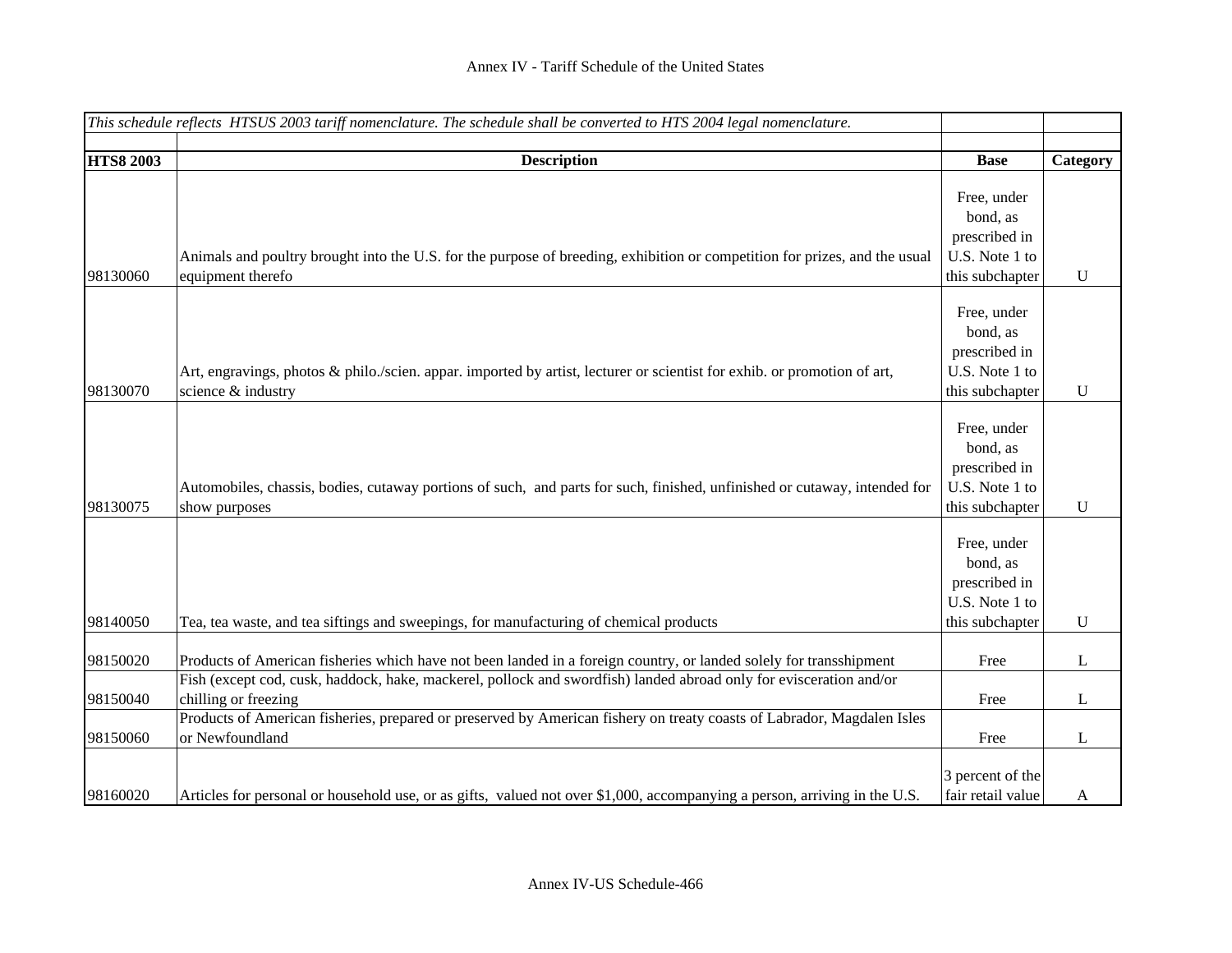| This schedule reflects HTSUS 2003 tariff nomenclature. The schedule shall be converted to HTS 2004 legal nomenclature. |                                                                                                                            |                   |             |
|------------------------------------------------------------------------------------------------------------------------|----------------------------------------------------------------------------------------------------------------------------|-------------------|-------------|
|                                                                                                                        |                                                                                                                            |                   |             |
| <b>HTS8 2003</b>                                                                                                       | <b>Description</b>                                                                                                         | <b>Base</b>       | Category    |
|                                                                                                                        |                                                                                                                            |                   |             |
|                                                                                                                        |                                                                                                                            | Free, under       |             |
|                                                                                                                        |                                                                                                                            | bond, as          |             |
|                                                                                                                        |                                                                                                                            | prescribed in     |             |
|                                                                                                                        | Animals and poultry brought into the U.S. for the purpose of breeding, exhibition or competition for prizes, and the usual | U.S. Note 1 to    |             |
| 98130060                                                                                                               | equipment therefo                                                                                                          | this subchapter   | U           |
|                                                                                                                        |                                                                                                                            |                   |             |
|                                                                                                                        |                                                                                                                            | Free, under       |             |
|                                                                                                                        |                                                                                                                            | bond, as          |             |
|                                                                                                                        |                                                                                                                            | prescribed in     |             |
|                                                                                                                        | Art, engravings, photos & philo./scien. appar. imported by artist, lecturer or scientist for exhib. or promotion of art,   | U.S. Note 1 to    |             |
| 98130070                                                                                                               | science & industry                                                                                                         | this subchapter   | $\mathbf U$ |
|                                                                                                                        |                                                                                                                            |                   |             |
|                                                                                                                        |                                                                                                                            | Free, under       |             |
|                                                                                                                        |                                                                                                                            | bond, as          |             |
|                                                                                                                        |                                                                                                                            | prescribed in     |             |
|                                                                                                                        | Automobiles, chassis, bodies, cutaway portions of such, and parts for such, finished, unfinished or cutaway, intended for  | U.S. Note 1 to    |             |
| 98130075                                                                                                               | show purposes                                                                                                              | this subchapter   | U           |
|                                                                                                                        |                                                                                                                            |                   |             |
|                                                                                                                        |                                                                                                                            | Free, under       |             |
|                                                                                                                        |                                                                                                                            | bond, as          |             |
|                                                                                                                        |                                                                                                                            | prescribed in     |             |
|                                                                                                                        |                                                                                                                            | U.S. Note 1 to    |             |
| 98140050                                                                                                               | Tea, tea waste, and tea siftings and sweepings, for manufacturing of chemical products                                     | this subchapter   | $\mathbf U$ |
|                                                                                                                        |                                                                                                                            |                   |             |
| 98150020                                                                                                               | Products of American fisheries which have not been landed in a foreign country, or landed solely for transshipment         | Free              | L           |
|                                                                                                                        | Fish (except cod, cusk, haddock, hake, mackerel, pollock and swordfish) landed abroad only for evisceration and/or         |                   |             |
| 98150040                                                                                                               | chilling or freezing                                                                                                       | Free              | L           |
|                                                                                                                        | Products of American fisheries, prepared or preserved by American fishery on treaty coasts of Labrador, Magdalen Isles     |                   |             |
| 98150060                                                                                                               | or Newfoundland                                                                                                            | Free              | L           |
|                                                                                                                        |                                                                                                                            |                   |             |
|                                                                                                                        |                                                                                                                            | 3 percent of the  |             |
| 98160020                                                                                                               | Articles for personal or household use, or as gifts, valued not over \$1,000, accompanying a person, arriving in the U.S.  | fair retail value | A           |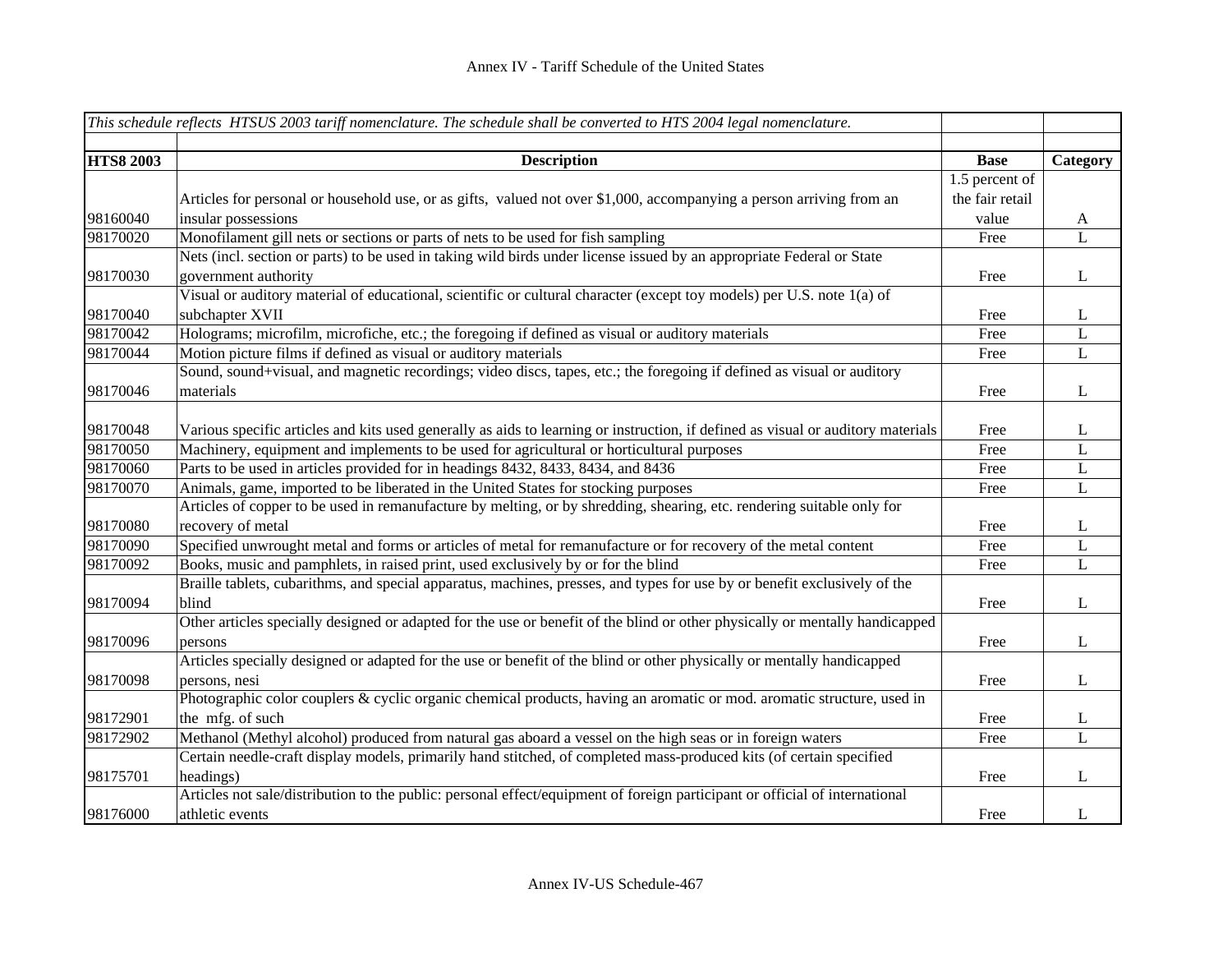|                  | This schedule reflects HTSUS 2003 tariff nomenclature. The schedule shall be converted to HTS 2004 legal nomenclature.           |                 |                |
|------------------|----------------------------------------------------------------------------------------------------------------------------------|-----------------|----------------|
|                  |                                                                                                                                  |                 |                |
| <b>HTS8 2003</b> | <b>Description</b>                                                                                                               | <b>Base</b>     | Category       |
|                  |                                                                                                                                  | 1.5 percent of  |                |
|                  | Articles for personal or household use, or as gifts, valued not over \$1,000, accompanying a person arriving from an             | the fair retail |                |
| 98160040         | insular possessions                                                                                                              | value           | A              |
| 98170020         | Monofilament gill nets or sections or parts of nets to be used for fish sampling                                                 | Free            | $\mathbf{L}$   |
|                  | Nets (incl. section or parts) to be used in taking wild birds under license issued by an appropriate Federal or State            |                 |                |
| 98170030         | government authority                                                                                                             | Free            | L              |
|                  | Visual or auditory material of educational, scientific or cultural character (except toy models) per U.S. note 1(a) of           |                 |                |
| 98170040         | subchapter XVII                                                                                                                  | Free            | L              |
| 98170042         | Holograms; microfilm, microfiche, etc.; the foregoing if defined as visual or auditory materials                                 | Free            | $\mathbf L$    |
| 98170044         | Motion picture films if defined as visual or auditory materials                                                                  | Free            | $\overline{L}$ |
|                  | Sound, sound+visual, and magnetic recordings; video discs, tapes, etc.; the foregoing if defined as visual or auditory           |                 |                |
| 98170046         | materials                                                                                                                        | Free            | L              |
|                  |                                                                                                                                  |                 |                |
| 98170048         | Various specific articles and kits used generally as aids to learning or instruction, if defined as visual or auditory materials | Free            | L              |
| 98170050         | Machinery, equipment and implements to be used for agricultural or horticultural purposes                                        | Free            | L              |
| 98170060         | Parts to be used in articles provided for in headings 8432, 8433, 8434, and 8436                                                 | Free            | $\mathbf L$    |
| 98170070         | Animals, game, imported to be liberated in the United States for stocking purposes                                               | Free            | $\mathbf L$    |
|                  | Articles of copper to be used in remanufacture by melting, or by shredding, shearing, etc. rendering suitable only for           |                 |                |
| 98170080         | recovery of metal                                                                                                                | Free            | L              |
| 98170090         | Specified unwrought metal and forms or articles of metal for remanufacture or for recovery of the metal content                  | Free            | L              |
| 98170092         | Books, music and pamphlets, in raised print, used exclusively by or for the blind                                                | Free            | $\mathbf L$    |
|                  | Braille tablets, cubarithms, and special apparatus, machines, presses, and types for use by or benefit exclusively of the        |                 |                |
| 98170094         | blind                                                                                                                            | Free            | $\bf L$        |
|                  | Other articles specially designed or adapted for the use or benefit of the blind or other physically or mentally handicapped     |                 |                |
| 98170096         | persons                                                                                                                          | Free            | $\mathbf{L}$   |
|                  | Articles specially designed or adapted for the use or benefit of the blind or other physically or mentally handicapped           |                 |                |
| 98170098         | persons, nesi                                                                                                                    | Free            | $\mathbf{L}$   |
|                  | Photographic color couplers & cyclic organic chemical products, having an aromatic or mod. aromatic structure, used in           |                 |                |
| 98172901         | the mfg. of such                                                                                                                 | Free            | $\bf L$        |
| 98172902         | Methanol (Methyl alcohol) produced from natural gas aboard a vessel on the high seas or in foreign waters                        | Free            | $\mathbf L$    |
|                  | Certain needle-craft display models, primarily hand stitched, of completed mass-produced kits (of certain specified              |                 |                |
| 98175701         | headings)                                                                                                                        | Free            | L              |
|                  | Articles not sale/distribution to the public: personal effect/equipment of foreign participant or official of international      |                 |                |
| 98176000         | athletic events                                                                                                                  | Free            | L              |